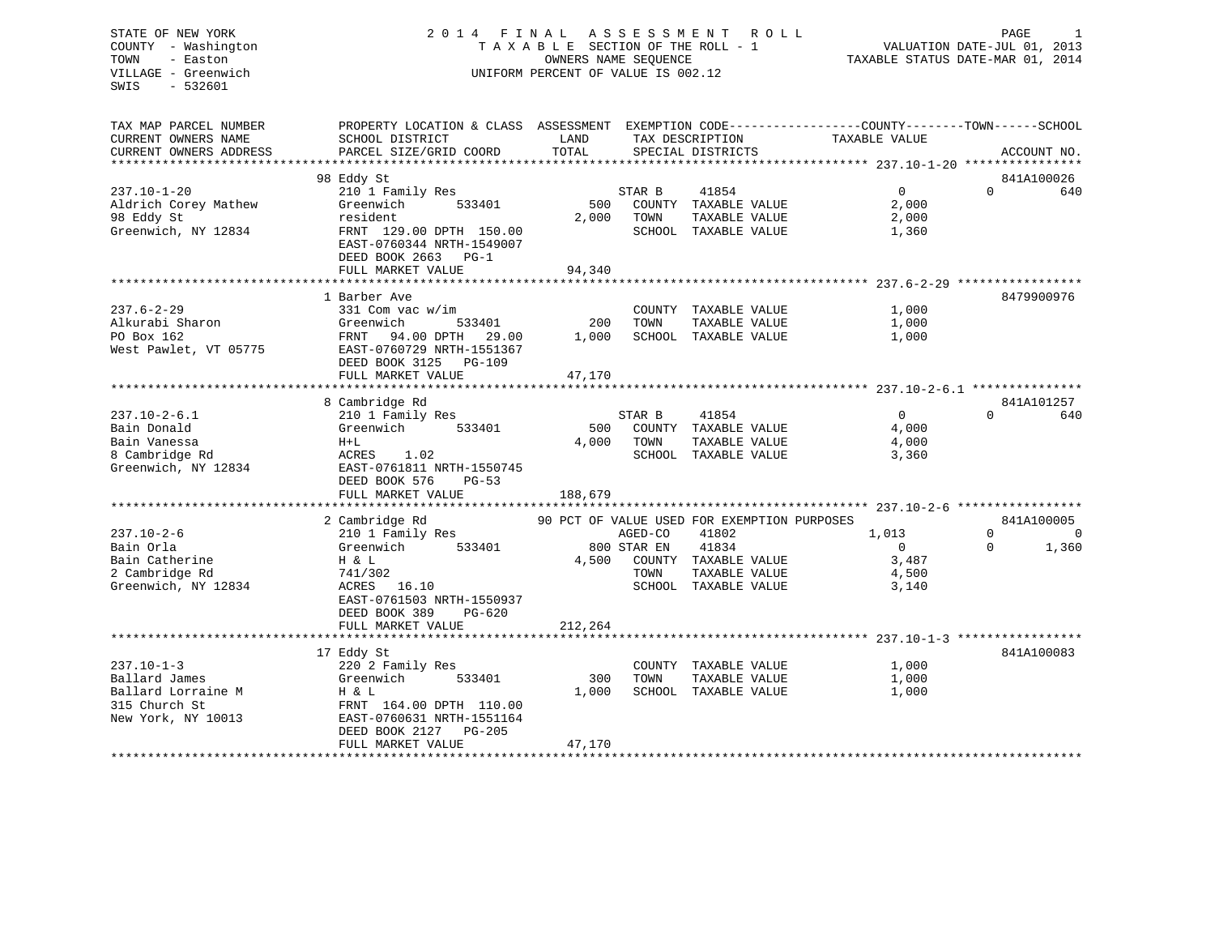# COUNTY - Washington  $\begin{array}{ccc} 1 & 0 & 0 \\ 0 & 0 & 0 \end{array}$  T A X A B L E SECTION OF THE ROLL - 1 TOWN VILLAGE - Greenwich UNIFORM PERCENT OF VALUE IS 002.12

TAXABLE STATUS DATE-MAR 01, 2014

| TAX MAP PARCEL NUMBER               | PROPERTY LOCATION & CLASS ASSESSMENT EXEMPTION CODE---------------COUNTY-------TOWN-----SCHOOL |         |             |                                             |                |          |                |
|-------------------------------------|------------------------------------------------------------------------------------------------|---------|-------------|---------------------------------------------|----------------|----------|----------------|
| CURRENT OWNERS NAME                 | SCHOOL DISTRICT                                                                                | LAND    |             | TAX DESCRIPTION                             | TAXABLE VALUE  |          |                |
| CURRENT OWNERS ADDRESS              | PARCEL SIZE/GRID COORD                                                                         | TOTAL   |             | SPECIAL DISTRICTS                           |                |          | ACCOUNT NO.    |
|                                     |                                                                                                |         |             |                                             |                |          |                |
|                                     | 98 Eddy St                                                                                     |         |             |                                             |                |          | 841A100026     |
| 237.10-1-20                         | 210 1 Family Res                                                                               |         | STAR B      | 41854                                       | $\overline{0}$ | $\Omega$ | 640            |
| Aldrich Corey Mathew                | Greenwich<br>533401                                                                            | 500     |             | COUNTY TAXABLE VALUE                        | 2,000          |          |                |
| 98 Eddy St                          | resident                                                                                       | 2,000   | TOWN        | TAXABLE VALUE                               | 2,000          |          |                |
| Greenwich, NY 12834                 | FRNT 129.00 DPTH 150.00                                                                        |         |             | SCHOOL TAXABLE VALUE                        | 1,360          |          |                |
|                                     | EAST-0760344 NRTH-1549007                                                                      |         |             |                                             |                |          |                |
|                                     | DEED BOOK 2663 PG-1                                                                            |         |             |                                             |                |          |                |
|                                     | FULL MARKET VALUE                                                                              | 94,340  |             |                                             |                |          |                |
|                                     |                                                                                                |         |             |                                             |                |          |                |
|                                     | 1 Barber Ave                                                                                   |         |             |                                             |                |          | 8479900976     |
| 237.6-2-29                          | 331 Com vac w/im                                                                               |         |             | COUNTY TAXABLE VALUE                        | 1,000          |          |                |
| Alkurabi Sharon                     | Greenwich<br>533401                                                                            | 200     | TOWN        | TAXABLE VALUE                               | 1,000          |          |                |
| PO Box 162                          | FRNT 94.00 DPTH 29.00                                                                          | 1,000   |             | SCHOOL TAXABLE VALUE                        | 1,000          |          |                |
| West Pawlet, VT 05775               | EAST-0760729 NRTH-1551367                                                                      |         |             |                                             |                |          |                |
|                                     | DEED BOOK 3125 PG-109                                                                          |         |             |                                             |                |          |                |
|                                     | FULL MARKET VALUE                                                                              | 47,170  |             |                                             |                |          |                |
|                                     |                                                                                                |         |             |                                             |                |          |                |
|                                     | 8 Cambridge Rd                                                                                 |         |             |                                             |                |          | 841A101257     |
| 237.10-2-6.1                        | 210 1 Family Res                                                                               |         | STAR B      | 41854                                       | $\overline{0}$ | $\Omega$ | 640            |
| Bain Donald                         | 533401<br>Greenwich                                                                            | 500     |             | COUNTY TAXABLE VALUE                        | 4,000          |          |                |
| Bain Vanessa                        | $H+L$                                                                                          | 4,000   | TOWN        | TAXABLE VALUE                               | 4,000          |          |                |
| 8 Cambridge Rd                      | 1.02<br>ACRES                                                                                  |         |             | SCHOOL TAXABLE VALUE                        | 3,360          |          |                |
| Greenwich, NY 12834                 | EAST-0761811 NRTH-1550745                                                                      |         |             |                                             |                |          |                |
|                                     | DEED BOOK 576<br>$PG-53$                                                                       |         |             |                                             |                |          |                |
|                                     | FULL MARKET VALUE                                                                              | 188,679 |             |                                             |                |          |                |
|                                     |                                                                                                |         |             |                                             |                |          |                |
|                                     | 2 Cambridge Rd                                                                                 |         |             | 90 PCT OF VALUE USED FOR EXEMPTION PURPOSES |                |          | 841A100005     |
| $237.10 - 2 - 6$                    | 210 1 Family Res                                                                               |         | AGED-CO     | 41802                                       | 1,013          | $\Omega$ | $\overline{0}$ |
| Bain Orla                           | 533401<br>Greenwich                                                                            |         | 800 STAR EN | 41834                                       | $\mathbf{0}$   | $\Omega$ | 1,360          |
| Bain Catherine                      | H & L                                                                                          | 4,500   |             | COUNTY TAXABLE VALUE                        | 3,487          |          |                |
| 2 Cambridge Rd                      | 741/302                                                                                        |         | TOWN        | TAXABLE VALUE                               | 4,500          |          |                |
| Greenwich, NY 12834                 | ACRES 16.10                                                                                    |         |             | SCHOOL TAXABLE VALUE                        | 3,140          |          |                |
|                                     | EAST-0761503 NRTH-1550937                                                                      |         |             |                                             |                |          |                |
|                                     | DEED BOOK 389<br>PG-620                                                                        |         |             |                                             |                |          |                |
|                                     | FULL MARKET VALUE                                                                              | 212,264 |             |                                             |                |          |                |
|                                     |                                                                                                |         |             |                                             |                |          |                |
|                                     | 17 Eddy St                                                                                     |         |             |                                             |                |          | 841A100083     |
| $237.10 - 1 - 3$                    | 220 2 Family Res                                                                               |         |             | COUNTY TAXABLE VALUE                        | 1,000          |          |                |
| Ballard James                       | Greenwich<br>533401                                                                            | 300     | TOWN        | TAXABLE VALUE                               | 1,000          |          |                |
|                                     |                                                                                                |         |             |                                             |                |          |                |
| Ballard Lorraine M<br>315 Church St | H & L<br>FRNT 164.00 DPTH 110.00                                                               | 1,000   |             | SCHOOL TAXABLE VALUE                        | 1,000          |          |                |
|                                     |                                                                                                |         |             |                                             |                |          |                |
| New York, NY 10013                  | EAST-0760631 NRTH-1551164                                                                      |         |             |                                             |                |          |                |
|                                     | DEED BOOK 2127 PG-205                                                                          |         |             |                                             |                |          |                |
|                                     | FULL MARKET VALUE                                                                              | 47,170  |             |                                             |                |          |                |
|                                     |                                                                                                |         |             |                                             |                |          |                |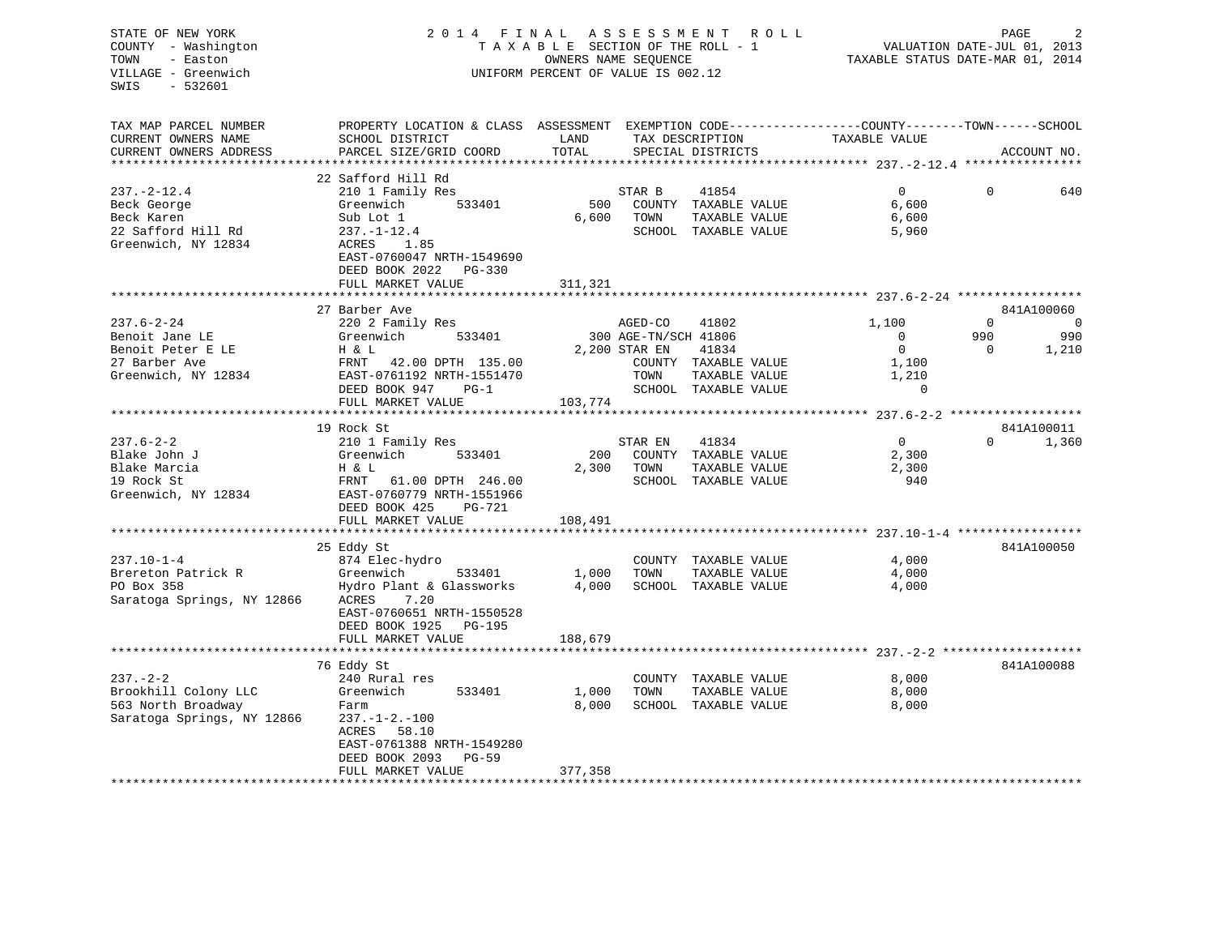| STATE OF NEW YORK<br>COUNTY - Washington<br>TOWN<br>- Easton<br>VILLAGE - Greenwich<br>SWIS<br>- 532601 |                                                                                                                    |         | 2014 FINAL ASSESSMENT ROLL<br>TAXABLE SECTION OF THE ROLL - 1<br>OWNERS NAME SEQUENCE<br>UNIFORM PERCENT OF VALUE IS 002.12 | VALUATION DATE-JUL 01, 2013<br>TAXABLE STATUS DATE-MAR 01, 2014 | PAGE      |                |
|---------------------------------------------------------------------------------------------------------|--------------------------------------------------------------------------------------------------------------------|---------|-----------------------------------------------------------------------------------------------------------------------------|-----------------------------------------------------------------|-----------|----------------|
| TAX MAP PARCEL NUMBER<br>CURRENT OWNERS NAME                                                            | PROPERTY LOCATION & CLASS ASSESSMENT EXEMPTION CODE----------------COUNTY-------TOWN-----SCHOOL<br>SCHOOL DISTRICT | LAND    | TAX DESCRIPTION                                                                                                             | TAXABLE VALUE                                                   |           |                |
| CURRENT OWNERS ADDRESS                                                                                  | PARCEL SIZE/GRID COORD                                                                                             | TOTAL   | SPECIAL DISTRICTS                                                                                                           |                                                                 |           | ACCOUNT NO.    |
| ******************                                                                                      |                                                                                                                    |         |                                                                                                                             | ******************* 237.-2-12.4 ****************                |           |                |
| $237. - 2 - 12.4$                                                                                       | 22 Safford Hill Rd                                                                                                 |         |                                                                                                                             | $\Omega$                                                        | $\Omega$  | 640            |
| Beck George                                                                                             | 210 1 Family Res<br>Greenwich<br>533401                                                                            |         | STAR B<br>41854<br>500 COUNTY TAXABLE VALUE                                                                                 | 6,600                                                           |           |                |
| Beck Karen                                                                                              | Sub Lot 1                                                                                                          |         | 6,600 TOWN<br>TAXABLE VALUE                                                                                                 | 6,600                                                           |           |                |
| 22 Safford Hill Rd                                                                                      | $237. - 1 - 12.4$                                                                                                  |         | SCHOOL TAXABLE VALUE                                                                                                        | 5,960                                                           |           |                |
| Greenwich, NY 12834                                                                                     | ACRES 1.85                                                                                                         |         |                                                                                                                             |                                                                 |           |                |
|                                                                                                         | EAST-0760047 NRTH-1549690                                                                                          |         |                                                                                                                             |                                                                 |           |                |
|                                                                                                         | DEED BOOK 2022    PG-330                                                                                           |         |                                                                                                                             |                                                                 |           |                |
|                                                                                                         | FULL MARKET VALUE                                                                                                  | 311,321 |                                                                                                                             |                                                                 |           |                |
|                                                                                                         | 27 Barber Ave                                                                                                      |         |                                                                                                                             |                                                                 |           | 841A100060     |
| $237.6 - 2 - 24$                                                                                        | 220 2 Family Res                                                                                                   |         | AGED-CO<br>41802                                                                                                            | 1,100                                                           | $\Omega$  | $\overline{0}$ |
| Benoit Jane LE                                                                                          | 533401<br>Greenwich                                                                                                |         | 300 AGE-TN/SCH 41806                                                                                                        | $\Omega$                                                        | 990       | 990            |
| Benoit Peter E LE                                                                                       | H & L                                                                                                              |         | 2,200 STAR EN<br>41834                                                                                                      | $\overline{0}$                                                  | $\bigcap$ | 1,210          |
| 27 Barber Ave                                                                                           | FRNT 42.00 DPTH 135.00                                                                                             |         | COUNTY TAXABLE VALUE                                                                                                        | 1,100                                                           |           |                |
| Greenwich, NY 12834                                                                                     | EAST-0761192 NRTH-1551470                                                                                          |         | TOWN<br>TAXABLE VALUE                                                                                                       | 1,210                                                           |           |                |
|                                                                                                         | DEED BOOK 947<br>$PG-1$                                                                                            |         | SCHOOL TAXABLE VALUE                                                                                                        | $\Omega$                                                        |           |                |
|                                                                                                         | FULL MARKET VALUE                                                                                                  | 103,774 |                                                                                                                             |                                                                 |           |                |
|                                                                                                         | 19 Rock St                                                                                                         |         |                                                                                                                             |                                                                 |           | 841A100011     |
| $237.6 - 2 - 2$                                                                                         | 210 1 Family Res                                                                                                   |         | STAR EN<br>41834                                                                                                            | $\overline{0}$                                                  | $\Omega$  | 1,360          |
| Blake John J                                                                                            | Greenwich<br>533401                                                                                                | 200     | COUNTY TAXABLE VALUE                                                                                                        | 2,300                                                           |           |                |
| Blake Marcia                                                                                            | H & L                                                                                                              | 2,300   | TOWN<br>TAXABLE VALUE                                                                                                       | 2,300                                                           |           |                |
| 19 Rock St                                                                                              | FRNT 61.00 DPTH 246.00<br>EAST-0760779 NRTH-1551966                                                                |         | SCHOOL TAXABLE VALUE                                                                                                        | 940                                                             |           |                |
| Greenwich, NY 12834                                                                                     |                                                                                                                    |         |                                                                                                                             |                                                                 |           |                |
|                                                                                                         | DEED BOOK 425 PG-721                                                                                               |         |                                                                                                                             |                                                                 |           |                |
|                                                                                                         | FULL MARKET VALUE                                                                                                  | 108,491 |                                                                                                                             |                                                                 |           |                |
|                                                                                                         | 25 Eddy St                                                                                                         |         |                                                                                                                             |                                                                 |           | 841A100050     |
| $237.10 - 1 - 4$                                                                                        | 874 Elec-hydro                                                                                                     |         | COUNTY TAXABLE VALUE                                                                                                        | 4,000                                                           |           |                |
| Brereton Patrick R                                                                                      | 533401<br>Greenwich                                                                                                |         | 1,000 TOWN TAXABLE VALUE<br>4,000 SCHOOL TAXABLE VALUE                                                                      | 4,000                                                           |           |                |
| PO Box 358                                                                                              | Hydro Plant & Glassworks                                                                                           |         |                                                                                                                             | 4,000                                                           |           |                |
| Saratoga Springs, NY 12866                                                                              | 7.20<br>ACRES                                                                                                      |         |                                                                                                                             |                                                                 |           |                |
|                                                                                                         | EAST-0760651 NRTH-1550528                                                                                          |         |                                                                                                                             |                                                                 |           |                |
|                                                                                                         | DEED BOOK 1925 PG-195<br>FULL MARKET VALUE                                                                         | 188,679 |                                                                                                                             |                                                                 |           |                |
|                                                                                                         |                                                                                                                    |         |                                                                                                                             |                                                                 |           |                |
|                                                                                                         | 76 Eddy St                                                                                                         |         |                                                                                                                             |                                                                 |           | 841A100088     |
| $237 - 2 - 2$                                                                                           | 240 Rural res                                                                                                      |         | COUNTY TAXABLE VALUE                                                                                                        | 8,000                                                           |           |                |
| Brookhill Colony LLC                                                                                    | Greenwich<br>533401                                                                                                | 1,000   | TOWN<br>TAXABLE VALUE                                                                                                       | 8,000                                                           |           |                |
| 563 North Broadway                                                                                      | Farm                                                                                                               | 8,000   | SCHOOL TAXABLE VALUE                                                                                                        | 8,000                                                           |           |                |

Farm  $8,000$  SCHOOL TAXABLE VALUE  $237. -1 - 2. -100$ 

\*\*\*\*\*\*\*\*\*\*\*\*\*\*\*\*\*\*\*\*\*\*\*\*\*\*\*\*\*\*\*\*\*\*\*\*\*\*\*\*\*\*\*\*\*\*\*\*\*\*\*\*\*\*\*\*\*\*\*\*\*\*\*\*\*\*\*\*\*\*\*\*\*\*\*\*\*\*\*\*\*\*\*\*\*\*\*\*\*\*\*\*\*\*\*\*\*\*\*\*\*\*\*\*\*\*\*\*\*\*\*\*\*\*\*\*\*\*\*\*\*\*\*\*\*\*\*\*\*\*\*\*

Saratoga Springs, NY 12866

ACRES 58.10

DEED BOOK 2093 PG-59

EAST-0761388 NRTH-1549280

FULL MARKET VALUE 377,358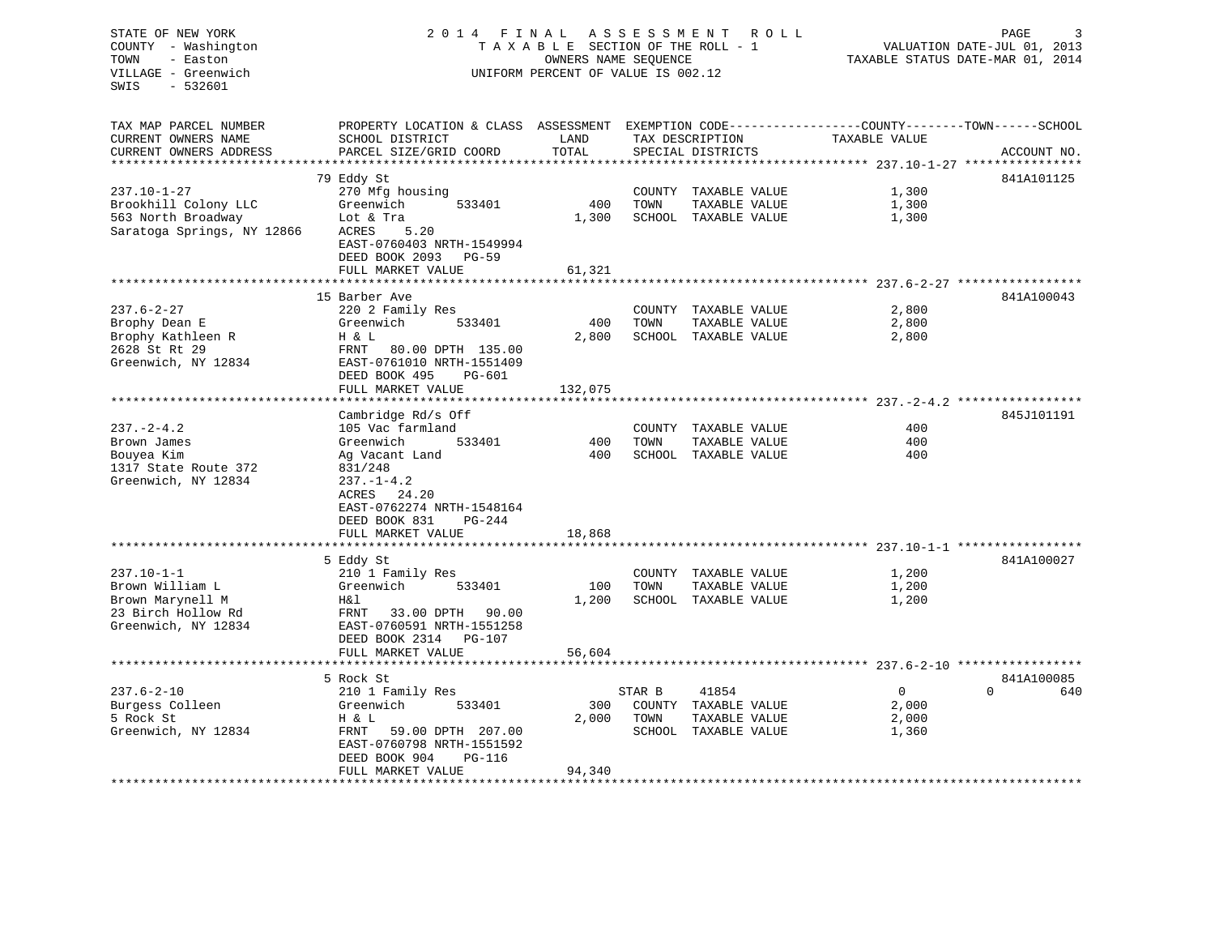STATE OF NEW YORK 2 0 1 4 F I N A L A S S E S S M E N T R O L L PAGE 3 COUNTY - Washington T A X A B L E SECTION OF THE ROLL - 1 VALUATION DATE-JUL 01, 2013 TOWN - Easton OWNERS NAME SEQUENCE TAXABLE STATUS DATE-MAR 01, 2014 VILLAGE - Greenwich UNIFORM PERCENT OF VALUE IS 002.12 SWIS - 532601TAX MAP PARCEL NUMBER PROPERTY LOCATION & CLASS ASSESSMENT EXEMPTION CODE------------------COUNTY--------TOWN------SCHOOL CURRENT OWNERS NAME SCHOOL DISTRICT THE LAND TAX DESCRIPTION TAXABLE VALUE CURRENT OWNERS ADDRESS PARCEL SIZE/GRID COORD TOTAL SPECIAL DISTRICTS ACCOUNT NO. \*\*\*\*\*\*\*\*\*\*\*\*\*\*\*\*\*\*\*\*\*\*\*\*\*\*\*\*\*\*\*\*\*\*\*\*\*\*\*\*\*\*\*\*\*\*\*\*\*\*\*\*\*\*\*\*\*\*\*\*\*\*\*\*\*\*\*\*\*\*\*\*\*\*\*\*\*\*\*\*\*\*\*\*\*\*\*\*\*\*\*\*\*\*\*\*\*\*\*\*\*\*\* 237.10-1-27 \*\*\*\*\*\*\*\*\*\*\*\*\*\*\*\* 79 Eddy St 841A101125 237.10-1-27 270 Mfg housing COUNTY TAXABLE VALUE 1,300 Brookhill Colony LLC Greenwich 533401 400 TOWN TAXABLE VALUE 1,300 563 North Broadway Lot & Tra 1,300 SCHOOL TAXABLE VALUE 1,300 SCHOOL TAXABLE VALUE 1,300 Saratoga Springs, NY 12866 ACRES 5.20 EAST-0760403 NRTH-1549994 DEED BOOK 2093 PG-59FULL MARKET VALUE 61,321 \*\*\*\*\*\*\*\*\*\*\*\*\*\*\*\*\*\*\*\*\*\*\*\*\*\*\*\*\*\*\*\*\*\*\*\*\*\*\*\*\*\*\*\*\*\*\*\*\*\*\*\*\*\*\*\*\*\*\*\*\*\*\*\*\*\*\*\*\*\*\*\*\*\*\*\*\*\*\*\*\*\*\*\*\*\*\*\*\*\*\*\*\*\*\*\*\*\*\*\*\*\*\* 237.6-2-27 \*\*\*\*\*\*\*\*\*\*\*\*\*\*\*\*\*15 Barber Ave 841A100043 237.6-2-27 220 2 Family Res COUNTY TAXABLE VALUE 2,800 Brophy Dean E Greenwich 533401 400 TOWN TAXABLE VALUE 2,800 Brophy Kathleen R M B H & L 2,800 SCHOOL TAXABLE VALUE 2,800 2,800 2628 St Rt 29 FRNT 80.00 DPTH 135.00Greenwich, NY 12834 EAST-0761010 NRTH-1551409 DEED BOOK 495 PG-601FULL MARKET VALUE 132,075 \*\*\*\*\*\*\*\*\*\*\*\*\*\*\*\*\*\*\*\*\*\*\*\*\*\*\*\*\*\*\*\*\*\*\*\*\*\*\*\*\*\*\*\*\*\*\*\*\*\*\*\*\*\*\*\*\*\*\*\*\*\*\*\*\*\*\*\*\*\*\*\*\*\*\*\*\*\*\*\*\*\*\*\*\*\*\*\*\*\*\*\*\*\*\*\*\*\*\*\*\*\*\* 237.-2-4.2 \*\*\*\*\*\*\*\*\*\*\*\*\*\*\*\*\*Cambridge Rd/s Off 845J101191 237.-2-4.2 105 Vac farmland COUNTY TAXABLE VALUE 400Brown James Greenwich 533401 400 TOWN TAXABLE VALUE 400Bouyea Kim Ag Vacant Land 400 SCHOOL TAXABLE VALUE 400 1317 State Route 372 Greenwich, NY 12834 237.-1-4.2 ACRES 24.20 EAST-0762274 NRTH-1548164 DEED BOOK 831 PG-244FULL MARKET VALUE 18,868 \*\*\*\*\*\*\*\*\*\*\*\*\*\*\*\*\*\*\*\*\*\*\*\*\*\*\*\*\*\*\*\*\*\*\*\*\*\*\*\*\*\*\*\*\*\*\*\*\*\*\*\*\*\*\*\*\*\*\*\*\*\*\*\*\*\*\*\*\*\*\*\*\*\*\*\*\*\*\*\*\*\*\*\*\*\*\*\*\*\*\*\*\*\*\*\*\*\*\*\*\*\*\* 237.10-1-1 \*\*\*\*\*\*\*\*\*\*\*\*\*\*\*\*\* 5 Eddy St 841A100027 237.10-1-1 210 1 Family Res COUNTY TAXABLE VALUE 1,200 Brown William L Greenwich 533401 100 TOWN TAXABLE VALUE 1,200 Brown Marynell M **H&l** 1,200 SCHOOL TAXABLE VALUE 1,200 1,200 23 Birch Hollow Rd FRNT 33.00 DPTH 90.00Greenwich, NY 12834 EAST-0760591 NRTH-1551258 DEED BOOK 2314 PG-107FULL MARKET VALUE 56,604 \*\*\*\*\*\*\*\*\*\*\*\*\*\*\*\*\*\*\*\*\*\*\*\*\*\*\*\*\*\*\*\*\*\*\*\*\*\*\*\*\*\*\*\*\*\*\*\*\*\*\*\*\*\*\*\*\*\*\*\*\*\*\*\*\*\*\*\*\*\*\*\*\*\*\*\*\*\*\*\*\*\*\*\*\*\*\*\*\*\*\*\*\*\*\*\*\*\*\*\*\*\*\* 237.6-2-10 \*\*\*\*\*\*\*\*\*\*\*\*\*\*\*\*\* 5 Rock St 841A100085 $0$  640 237.6-2-10 210 1 Family Res STAR B 41854 0 0 640 Burgess Colleen Greenwich 533401 300 COUNTY TAXABLE VALUE 2,000 5 Rock St H & L 2,000 TOWN TAXABLE VALUE 2,000 Greenwich, NY 12834 FRNT 59.00 DPTH 207.00 SCHOOL TAXABLE VALUE 1,360 EAST-0760798 NRTH-1551592 DEED BOOK 904 PG-116FULL MARKET VALUE 94,340 \*\*\*\*\*\*\*\*\*\*\*\*\*\*\*\*\*\*\*\*\*\*\*\*\*\*\*\*\*\*\*\*\*\*\*\*\*\*\*\*\*\*\*\*\*\*\*\*\*\*\*\*\*\*\*\*\*\*\*\*\*\*\*\*\*\*\*\*\*\*\*\*\*\*\*\*\*\*\*\*\*\*\*\*\*\*\*\*\*\*\*\*\*\*\*\*\*\*\*\*\*\*\*\*\*\*\*\*\*\*\*\*\*\*\*\*\*\*\*\*\*\*\*\*\*\*\*\*\*\*\*\*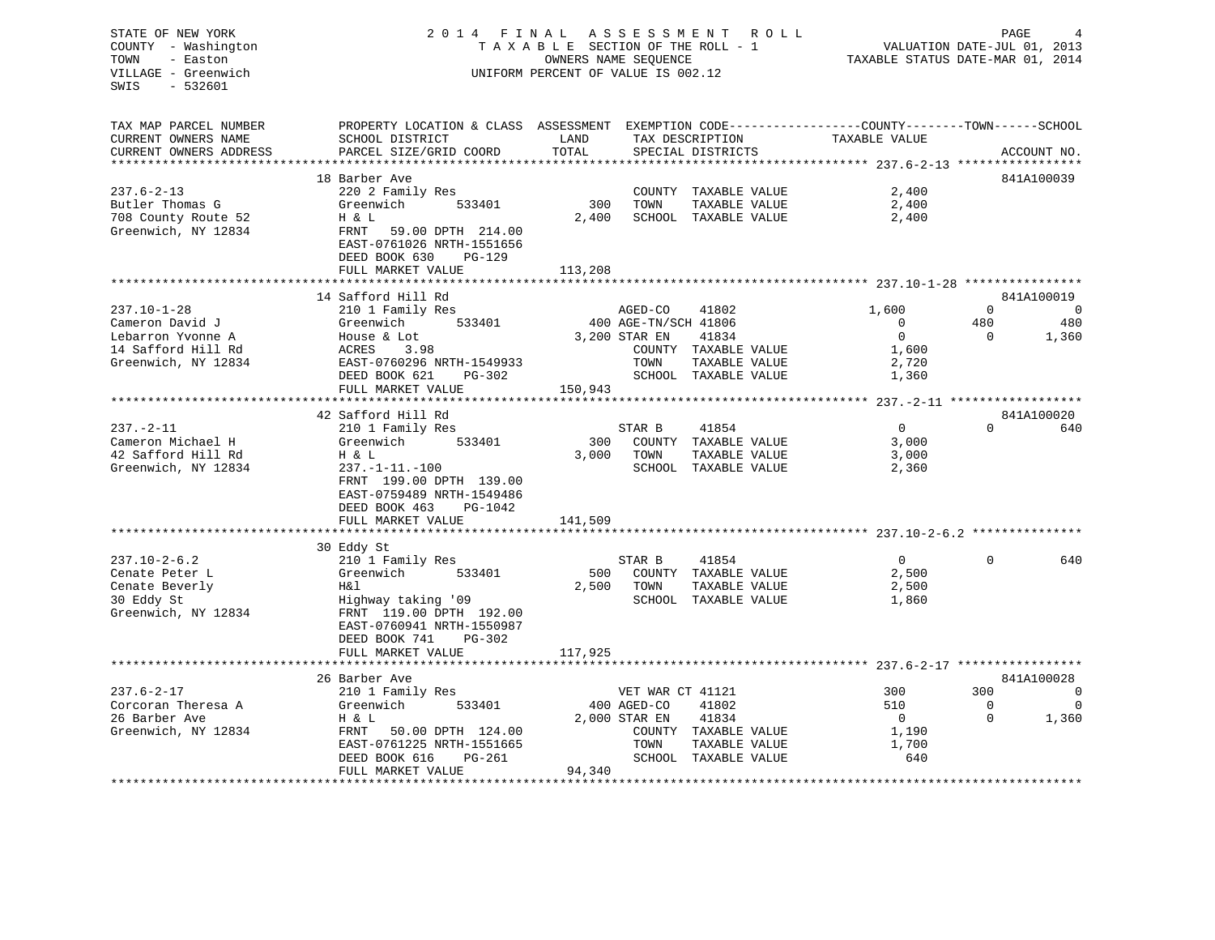# STATE OF NEW YORK 2 0 1 4 F I N A L A S S E S S M E N T R O L L PAGE 4 COUNTY - Washington T A X A B L E SECTION OF THE ROLL - 1 VALUATION DATE-JUL 01, 2013 TOWN - Easton OWNERS NAME SEQUENCE TAXABLE STATUS DATE-MAR 01, 2014 VILLAGE - Greenwich UNIFORM PERCENT OF VALUE IS 002.12

| TAX MAP PARCEL NUMBER  | PROPERTY LOCATION & CLASS ASSESSMENT EXEMPTION CODE----------------COUNTY-------TOWN------SCHOOL |         |                        |                |             |             |
|------------------------|--------------------------------------------------------------------------------------------------|---------|------------------------|----------------|-------------|-------------|
| CURRENT OWNERS NAME    | SCHOOL DISTRICT                                                                                  | LAND    | TAX DESCRIPTION        | TAXABLE VALUE  |             |             |
| CURRENT OWNERS ADDRESS | PARCEL SIZE/GRID COORD                                                                           | TOTAL   | SPECIAL DISTRICTS      |                |             | ACCOUNT NO. |
|                        |                                                                                                  |         |                        |                |             |             |
|                        | 18 Barber Ave                                                                                    |         |                        |                |             | 841A100039  |
|                        |                                                                                                  |         |                        |                |             |             |
| $237.6 - 2 - 13$       | 220 2 Family Res                                                                                 |         | COUNTY TAXABLE VALUE   | 2,400          |             |             |
| Butler Thomas G        | Greenwich<br>533401                                                                              | 300     | TAXABLE VALUE<br>TOWN  | 2,400          |             |             |
| 708 County Route 52    | H & L                                                                                            | 2,400   | SCHOOL TAXABLE VALUE   | 2,400          |             |             |
| Greenwich, NY 12834    | FRNT<br>59.00 DPTH 214.00                                                                        |         |                        |                |             |             |
|                        | EAST-0761026 NRTH-1551656                                                                        |         |                        |                |             |             |
|                        | DEED BOOK 630<br>$PG-129$                                                                        |         |                        |                |             |             |
|                        | FULL MARKET VALUE                                                                                | 113,208 |                        |                |             |             |
|                        |                                                                                                  |         |                        |                |             |             |
|                        |                                                                                                  |         |                        |                |             | 841A100019  |
|                        | 14 Safford Hill Rd                                                                               |         |                        |                |             |             |
| $237.10 - 1 - 28$      | 210 1 Family Res                                                                                 |         | AGED-CO<br>41802       | 1,600          | $\Omega$    | $\sim$ 0    |
| Cameron David J        | 533401<br>Greenwich                                                                              |         | 400 AGE-TN/SCH 41806   | $\overline{0}$ | 480         | 480         |
| Lebarron Yvonne A      | House & Lot                                                                                      |         | 3,200 STAR EN<br>41834 | $\Omega$       | $\Omega$    | 1,360       |
| 14 Safford Hill Rd     | ACRES 3.98                                                                                       |         | COUNTY TAXABLE VALUE   | 1,600          |             |             |
| Greenwich, NY 12834    | EAST-0760296 NRTH-1549933                                                                        |         | TOWN<br>TAXABLE VALUE  | 2,720          |             |             |
|                        | DEED BOOK 621<br>PG-302                                                                          |         | SCHOOL TAXABLE VALUE   | 1,360          |             |             |
|                        | FULL MARKET VALUE                                                                                | 150,943 |                        |                |             |             |
|                        |                                                                                                  |         |                        |                |             |             |
|                        | 42 Safford Hill Rd                                                                               |         |                        |                |             | 841A100020  |
|                        |                                                                                                  |         |                        |                | $\Omega$    |             |
| $237. - 2 - 11$        | 210 1 Family Res                                                                                 |         | 41854<br>STAR B        | $\overline{0}$ |             | 640         |
| Cameron Michael H      | Greenwich<br>533401                                                                              | 300     | COUNTY TAXABLE VALUE   | 3,000          |             |             |
| 42 Safford Hill Rd     | H & L                                                                                            | 3,000   | TAXABLE VALUE<br>TOWN  | 3,000          |             |             |
| Greenwich, NY 12834    | $237. -1 - 11. -100$                                                                             |         | SCHOOL TAXABLE VALUE   | 2,360          |             |             |
|                        | FRNT 199.00 DPTH 139.00                                                                          |         |                        |                |             |             |
|                        | EAST-0759489 NRTH-1549486                                                                        |         |                        |                |             |             |
|                        | DEED BOOK 463<br>PG-1042                                                                         |         |                        |                |             |             |
|                        | FULL MARKET VALUE                                                                                | 141,509 |                        |                |             |             |
|                        |                                                                                                  |         |                        |                |             |             |
|                        | 30 Eddy St                                                                                       |         |                        |                |             |             |
|                        |                                                                                                  |         |                        |                |             |             |
| $237.10 - 2 - 6.2$     | 210 1 Family Res                                                                                 |         | 41854<br>STAR B        | $\overline{0}$ | $\Omega$    | 640         |
| Cenate Peter L         | Greenwich 533401                                                                                 | 500     | COUNTY TAXABLE VALUE   | 2,500          |             |             |
| Cenate Beverly         | H&l                                                                                              | 2,500   | TAXABLE VALUE<br>TOWN  | 2,500          |             |             |
| 30 Eddy St             | Highway taking '09                                                                               |         | SCHOOL TAXABLE VALUE   | 1,860          |             |             |
| Greenwich, NY 12834    | FRNT 119.00 DPTH 192.00                                                                          |         |                        |                |             |             |
|                        | EAST-0760941 NRTH-1550987                                                                        |         |                        |                |             |             |
|                        | $PG-302$<br>DEED BOOK 741                                                                        |         |                        |                |             |             |
|                        | FULL MARKET VALUE                                                                                | 117,925 |                        |                |             |             |
|                        |                                                                                                  |         |                        |                |             |             |
|                        | 26 Barber Ave                                                                                    |         |                        |                |             | 841A100028  |
|                        |                                                                                                  |         |                        |                |             |             |
| $237.6 - 2 - 17$       | 210 1 Family Res                                                                                 |         | VET WAR CT 41121       | 300            | 300         | $\Omega$    |
| Corcoran Theresa A     | Greenwich<br>533401                                                                              |         | 400 AGED-CO<br>41802   | 510            | $\mathbf 0$ | $\Omega$    |
| 26 Barber Ave          | H & L                                                                                            |         | 2,000 STAR EN<br>41834 | $\Omega$       | $\Omega$    | 1,360       |
| Greenwich, NY 12834    | FRNT<br>50.00 DPTH 124.00                                                                        |         | COUNTY TAXABLE VALUE   | 1,190          |             |             |
|                        | EAST-0761225 NRTH-1551665                                                                        |         | TOWN<br>TAXABLE VALUE  | 1,700          |             |             |
|                        | DEED BOOK 616<br>PG-261                                                                          |         | SCHOOL TAXABLE VALUE   | 640            |             |             |
|                        | FULL MARKET VALUE                                                                                | 94,340  |                        |                |             |             |
|                        |                                                                                                  |         |                        |                |             |             |
|                        |                                                                                                  |         |                        |                |             |             |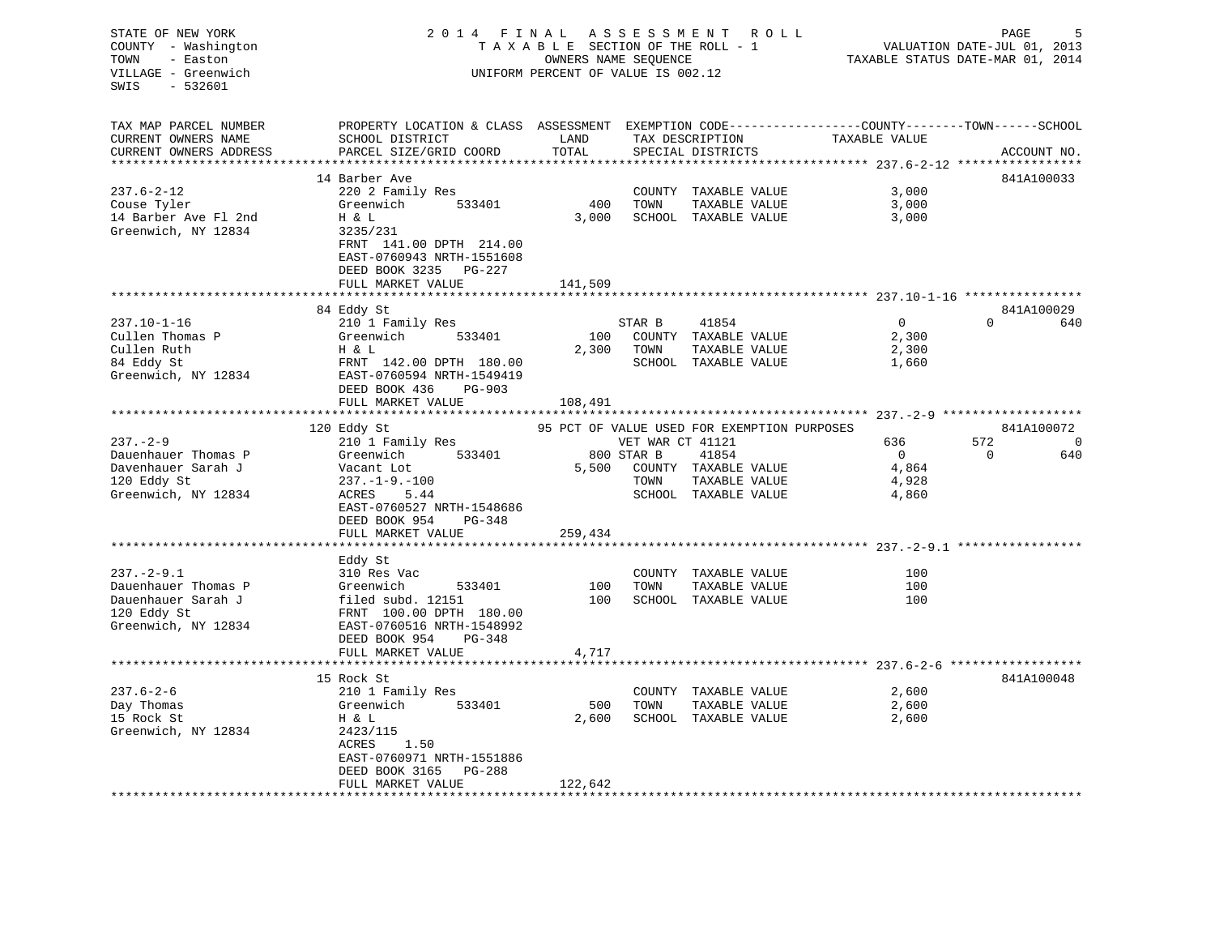| PROPERTY LOCATION & CLASS ASSESSMENT EXEMPTION CODE---------------COUNTY-------TOWN-----SCHOOL<br>TAX MAP PARCEL NUMBER<br>CURRENT OWNERS NAME<br>SCHOOL DISTRICT<br>LAND<br>TAX DESCRIPTION<br>TAXABLE VALUE<br>CURRENT OWNERS ADDRESS<br>PARCEL SIZE/GRID COORD<br>TOTAL<br>ACCOUNT NO.<br>SPECIAL DISTRICTS<br>**********************<br>*****************************<br>14 Barber Ave<br>3,000<br>$237.6 - 2 - 12$<br>220 2 Family Res<br>COUNTY TAXABLE VALUE<br>400<br>3,000<br>Couse Tyler<br>Greenwich<br>533401<br>TOWN<br>TAXABLE VALUE<br>H & L<br>3,000<br>SCHOOL TAXABLE VALUE<br>3,000<br>14 Barber Ave Fl 2nd<br>Greenwich, NY 12834<br>3235/231<br>FRNT 141.00 DPTH 214.00<br>EAST-0760943 NRTH-1551608<br>DEED BOOK 3235 PG-227<br>FULL MARKET VALUE<br>141,509<br>84 Eddy St<br>$237.10 - 1 - 16$<br>41854<br>$\overline{0}$<br>$\Omega$<br>210 1 Family Res<br>STAR B<br>533401<br>100<br>2,300<br>Cullen Thomas P<br>Greenwich<br>COUNTY TAXABLE VALUE<br>Cullen Ruth<br>H & L<br>2,300<br>TOWN<br>TAXABLE VALUE<br>2,300<br>84 Eddy St<br>FRNT 142.00 DPTH 180.00<br>SCHOOL TAXABLE VALUE<br>1,660<br>Greenwich, NY 12834<br>EAST-0760594 NRTH-1549419<br>DEED BOOK 436<br>PG-903<br>FULL MARKET VALUE<br>108,491<br>*********************<br>120 Eddy St<br>841A100072<br>95 PCT OF VALUE USED FOR EXEMPTION PURPOSES<br>$237. - 2 - 9$<br>572<br>210 1 Family Res<br>VET WAR CT 41121<br>636<br>$\overline{0}$<br>Dauenhauer Thomas P<br>533401<br>Greenwich<br>800 STAR B<br>41854<br>$\mathbf 0$<br>4,864<br>Davenhauer Sarah J<br>5,500<br>Vacant Lot<br>COUNTY TAXABLE VALUE<br>120 Eddy St<br>$237. - 1 - 9. - 100$<br>TOWN<br>TAXABLE VALUE<br>4,928<br>Greenwich, NY 12834<br>ACRES<br>SCHOOL TAXABLE VALUE<br>4,860<br>5.44<br>EAST-0760527 NRTH-1548686<br>DEED BOOK 954<br>PG-348<br>FULL MARKET VALUE<br>259,434<br>Eddy St<br>$237. - 2 - 9.1$<br>310 Res Vac<br>COUNTY TAXABLE VALUE<br>100<br>Dauenhauer Thomas P<br>100<br>TAXABLE VALUE<br>100<br>Greenwich<br>533401<br>TOWN<br>Dauenhauer Sarah J<br>filed subd. 12151<br>100<br>SCHOOL TAXABLE VALUE<br>100<br>120 Eddy St<br>FRNT 100.00 DPTH 180.00<br>Greenwich, NY 12834<br>EAST-0760516 NRTH-1548992 | STATE OF NEW YORK<br>COUNTY - Washington<br>TOWN<br>- Easton<br>VILLAGE - Greenwich<br>SWIS<br>- 532601 | 2014 FINAL ASSESSMENT ROLL<br>TAXABLE SECTION OF THE ROLL - 1<br>OWNERS NAME SEQUENCE<br>UNIFORM PERCENT OF VALUE IS 002.12 |  |  | PAGE<br>VALUATION DATE-JUL 01, 2013<br>TAXABLE STATUS DATE-MAR 01, 2014 |  |            |
|------------------------------------------------------------------------------------------------------------------------------------------------------------------------------------------------------------------------------------------------------------------------------------------------------------------------------------------------------------------------------------------------------------------------------------------------------------------------------------------------------------------------------------------------------------------------------------------------------------------------------------------------------------------------------------------------------------------------------------------------------------------------------------------------------------------------------------------------------------------------------------------------------------------------------------------------------------------------------------------------------------------------------------------------------------------------------------------------------------------------------------------------------------------------------------------------------------------------------------------------------------------------------------------------------------------------------------------------------------------------------------------------------------------------------------------------------------------------------------------------------------------------------------------------------------------------------------------------------------------------------------------------------------------------------------------------------------------------------------------------------------------------------------------------------------------------------------------------------------------------------------------------------------------------------------------------------------------------------------------------------------------------------------------------------------------------------------------------------------------------------------------------------------------------------------------------------|---------------------------------------------------------------------------------------------------------|-----------------------------------------------------------------------------------------------------------------------------|--|--|-------------------------------------------------------------------------|--|------------|
|                                                                                                                                                                                                                                                                                                                                                                                                                                                                                                                                                                                                                                                                                                                                                                                                                                                                                                                                                                                                                                                                                                                                                                                                                                                                                                                                                                                                                                                                                                                                                                                                                                                                                                                                                                                                                                                                                                                                                                                                                                                                                                                                                                                                      |                                                                                                         |                                                                                                                             |  |  |                                                                         |  |            |
|                                                                                                                                                                                                                                                                                                                                                                                                                                                                                                                                                                                                                                                                                                                                                                                                                                                                                                                                                                                                                                                                                                                                                                                                                                                                                                                                                                                                                                                                                                                                                                                                                                                                                                                                                                                                                                                                                                                                                                                                                                                                                                                                                                                                      |                                                                                                         |                                                                                                                             |  |  |                                                                         |  |            |
|                                                                                                                                                                                                                                                                                                                                                                                                                                                                                                                                                                                                                                                                                                                                                                                                                                                                                                                                                                                                                                                                                                                                                                                                                                                                                                                                                                                                                                                                                                                                                                                                                                                                                                                                                                                                                                                                                                                                                                                                                                                                                                                                                                                                      |                                                                                                         |                                                                                                                             |  |  |                                                                         |  | 841A100033 |
|                                                                                                                                                                                                                                                                                                                                                                                                                                                                                                                                                                                                                                                                                                                                                                                                                                                                                                                                                                                                                                                                                                                                                                                                                                                                                                                                                                                                                                                                                                                                                                                                                                                                                                                                                                                                                                                                                                                                                                                                                                                                                                                                                                                                      |                                                                                                         |                                                                                                                             |  |  |                                                                         |  |            |
|                                                                                                                                                                                                                                                                                                                                                                                                                                                                                                                                                                                                                                                                                                                                                                                                                                                                                                                                                                                                                                                                                                                                                                                                                                                                                                                                                                                                                                                                                                                                                                                                                                                                                                                                                                                                                                                                                                                                                                                                                                                                                                                                                                                                      |                                                                                                         |                                                                                                                             |  |  |                                                                         |  |            |
|                                                                                                                                                                                                                                                                                                                                                                                                                                                                                                                                                                                                                                                                                                                                                                                                                                                                                                                                                                                                                                                                                                                                                                                                                                                                                                                                                                                                                                                                                                                                                                                                                                                                                                                                                                                                                                                                                                                                                                                                                                                                                                                                                                                                      |                                                                                                         |                                                                                                                             |  |  |                                                                         |  |            |
|                                                                                                                                                                                                                                                                                                                                                                                                                                                                                                                                                                                                                                                                                                                                                                                                                                                                                                                                                                                                                                                                                                                                                                                                                                                                                                                                                                                                                                                                                                                                                                                                                                                                                                                                                                                                                                                                                                                                                                                                                                                                                                                                                                                                      |                                                                                                         |                                                                                                                             |  |  |                                                                         |  |            |
|                                                                                                                                                                                                                                                                                                                                                                                                                                                                                                                                                                                                                                                                                                                                                                                                                                                                                                                                                                                                                                                                                                                                                                                                                                                                                                                                                                                                                                                                                                                                                                                                                                                                                                                                                                                                                                                                                                                                                                                                                                                                                                                                                                                                      |                                                                                                         |                                                                                                                             |  |  |                                                                         |  |            |
|                                                                                                                                                                                                                                                                                                                                                                                                                                                                                                                                                                                                                                                                                                                                                                                                                                                                                                                                                                                                                                                                                                                                                                                                                                                                                                                                                                                                                                                                                                                                                                                                                                                                                                                                                                                                                                                                                                                                                                                                                                                                                                                                                                                                      |                                                                                                         |                                                                                                                             |  |  |                                                                         |  | 841A100029 |
|                                                                                                                                                                                                                                                                                                                                                                                                                                                                                                                                                                                                                                                                                                                                                                                                                                                                                                                                                                                                                                                                                                                                                                                                                                                                                                                                                                                                                                                                                                                                                                                                                                                                                                                                                                                                                                                                                                                                                                                                                                                                                                                                                                                                      |                                                                                                         |                                                                                                                             |  |  |                                                                         |  | 640        |
|                                                                                                                                                                                                                                                                                                                                                                                                                                                                                                                                                                                                                                                                                                                                                                                                                                                                                                                                                                                                                                                                                                                                                                                                                                                                                                                                                                                                                                                                                                                                                                                                                                                                                                                                                                                                                                                                                                                                                                                                                                                                                                                                                                                                      |                                                                                                         |                                                                                                                             |  |  |                                                                         |  |            |
|                                                                                                                                                                                                                                                                                                                                                                                                                                                                                                                                                                                                                                                                                                                                                                                                                                                                                                                                                                                                                                                                                                                                                                                                                                                                                                                                                                                                                                                                                                                                                                                                                                                                                                                                                                                                                                                                                                                                                                                                                                                                                                                                                                                                      |                                                                                                         |                                                                                                                             |  |  |                                                                         |  |            |
|                                                                                                                                                                                                                                                                                                                                                                                                                                                                                                                                                                                                                                                                                                                                                                                                                                                                                                                                                                                                                                                                                                                                                                                                                                                                                                                                                                                                                                                                                                                                                                                                                                                                                                                                                                                                                                                                                                                                                                                                                                                                                                                                                                                                      |                                                                                                         |                                                                                                                             |  |  |                                                                         |  |            |
|                                                                                                                                                                                                                                                                                                                                                                                                                                                                                                                                                                                                                                                                                                                                                                                                                                                                                                                                                                                                                                                                                                                                                                                                                                                                                                                                                                                                                                                                                                                                                                                                                                                                                                                                                                                                                                                                                                                                                                                                                                                                                                                                                                                                      |                                                                                                         |                                                                                                                             |  |  |                                                                         |  |            |
|                                                                                                                                                                                                                                                                                                                                                                                                                                                                                                                                                                                                                                                                                                                                                                                                                                                                                                                                                                                                                                                                                                                                                                                                                                                                                                                                                                                                                                                                                                                                                                                                                                                                                                                                                                                                                                                                                                                                                                                                                                                                                                                                                                                                      |                                                                                                         |                                                                                                                             |  |  |                                                                         |  |            |
|                                                                                                                                                                                                                                                                                                                                                                                                                                                                                                                                                                                                                                                                                                                                                                                                                                                                                                                                                                                                                                                                                                                                                                                                                                                                                                                                                                                                                                                                                                                                                                                                                                                                                                                                                                                                                                                                                                                                                                                                                                                                                                                                                                                                      |                                                                                                         |                                                                                                                             |  |  |                                                                         |  |            |
|                                                                                                                                                                                                                                                                                                                                                                                                                                                                                                                                                                                                                                                                                                                                                                                                                                                                                                                                                                                                                                                                                                                                                                                                                                                                                                                                                                                                                                                                                                                                                                                                                                                                                                                                                                                                                                                                                                                                                                                                                                                                                                                                                                                                      |                                                                                                         |                                                                                                                             |  |  |                                                                         |  |            |
|                                                                                                                                                                                                                                                                                                                                                                                                                                                                                                                                                                                                                                                                                                                                                                                                                                                                                                                                                                                                                                                                                                                                                                                                                                                                                                                                                                                                                                                                                                                                                                                                                                                                                                                                                                                                                                                                                                                                                                                                                                                                                                                                                                                                      |                                                                                                         |                                                                                                                             |  |  |                                                                         |  | - 0        |
|                                                                                                                                                                                                                                                                                                                                                                                                                                                                                                                                                                                                                                                                                                                                                                                                                                                                                                                                                                                                                                                                                                                                                                                                                                                                                                                                                                                                                                                                                                                                                                                                                                                                                                                                                                                                                                                                                                                                                                                                                                                                                                                                                                                                      |                                                                                                         |                                                                                                                             |  |  |                                                                         |  | 640        |
|                                                                                                                                                                                                                                                                                                                                                                                                                                                                                                                                                                                                                                                                                                                                                                                                                                                                                                                                                                                                                                                                                                                                                                                                                                                                                                                                                                                                                                                                                                                                                                                                                                                                                                                                                                                                                                                                                                                                                                                                                                                                                                                                                                                                      |                                                                                                         |                                                                                                                             |  |  |                                                                         |  |            |
|                                                                                                                                                                                                                                                                                                                                                                                                                                                                                                                                                                                                                                                                                                                                                                                                                                                                                                                                                                                                                                                                                                                                                                                                                                                                                                                                                                                                                                                                                                                                                                                                                                                                                                                                                                                                                                                                                                                                                                                                                                                                                                                                                                                                      |                                                                                                         |                                                                                                                             |  |  |                                                                         |  |            |
|                                                                                                                                                                                                                                                                                                                                                                                                                                                                                                                                                                                                                                                                                                                                                                                                                                                                                                                                                                                                                                                                                                                                                                                                                                                                                                                                                                                                                                                                                                                                                                                                                                                                                                                                                                                                                                                                                                                                                                                                                                                                                                                                                                                                      |                                                                                                         |                                                                                                                             |  |  |                                                                         |  |            |
|                                                                                                                                                                                                                                                                                                                                                                                                                                                                                                                                                                                                                                                                                                                                                                                                                                                                                                                                                                                                                                                                                                                                                                                                                                                                                                                                                                                                                                                                                                                                                                                                                                                                                                                                                                                                                                                                                                                                                                                                                                                                                                                                                                                                      |                                                                                                         |                                                                                                                             |  |  |                                                                         |  |            |
|                                                                                                                                                                                                                                                                                                                                                                                                                                                                                                                                                                                                                                                                                                                                                                                                                                                                                                                                                                                                                                                                                                                                                                                                                                                                                                                                                                                                                                                                                                                                                                                                                                                                                                                                                                                                                                                                                                                                                                                                                                                                                                                                                                                                      |                                                                                                         |                                                                                                                             |  |  |                                                                         |  |            |
|                                                                                                                                                                                                                                                                                                                                                                                                                                                                                                                                                                                                                                                                                                                                                                                                                                                                                                                                                                                                                                                                                                                                                                                                                                                                                                                                                                                                                                                                                                                                                                                                                                                                                                                                                                                                                                                                                                                                                                                                                                                                                                                                                                                                      |                                                                                                         |                                                                                                                             |  |  |                                                                         |  |            |
|                                                                                                                                                                                                                                                                                                                                                                                                                                                                                                                                                                                                                                                                                                                                                                                                                                                                                                                                                                                                                                                                                                                                                                                                                                                                                                                                                                                                                                                                                                                                                                                                                                                                                                                                                                                                                                                                                                                                                                                                                                                                                                                                                                                                      |                                                                                                         |                                                                                                                             |  |  |                                                                         |  |            |
|                                                                                                                                                                                                                                                                                                                                                                                                                                                                                                                                                                                                                                                                                                                                                                                                                                                                                                                                                                                                                                                                                                                                                                                                                                                                                                                                                                                                                                                                                                                                                                                                                                                                                                                                                                                                                                                                                                                                                                                                                                                                                                                                                                                                      |                                                                                                         |                                                                                                                             |  |  |                                                                         |  |            |
|                                                                                                                                                                                                                                                                                                                                                                                                                                                                                                                                                                                                                                                                                                                                                                                                                                                                                                                                                                                                                                                                                                                                                                                                                                                                                                                                                                                                                                                                                                                                                                                                                                                                                                                                                                                                                                                                                                                                                                                                                                                                                                                                                                                                      |                                                                                                         |                                                                                                                             |  |  |                                                                         |  |            |
|                                                                                                                                                                                                                                                                                                                                                                                                                                                                                                                                                                                                                                                                                                                                                                                                                                                                                                                                                                                                                                                                                                                                                                                                                                                                                                                                                                                                                                                                                                                                                                                                                                                                                                                                                                                                                                                                                                                                                                                                                                                                                                                                                                                                      |                                                                                                         |                                                                                                                             |  |  |                                                                         |  |            |
|                                                                                                                                                                                                                                                                                                                                                                                                                                                                                                                                                                                                                                                                                                                                                                                                                                                                                                                                                                                                                                                                                                                                                                                                                                                                                                                                                                                                                                                                                                                                                                                                                                                                                                                                                                                                                                                                                                                                                                                                                                                                                                                                                                                                      |                                                                                                         |                                                                                                                             |  |  |                                                                         |  |            |
|                                                                                                                                                                                                                                                                                                                                                                                                                                                                                                                                                                                                                                                                                                                                                                                                                                                                                                                                                                                                                                                                                                                                                                                                                                                                                                                                                                                                                                                                                                                                                                                                                                                                                                                                                                                                                                                                                                                                                                                                                                                                                                                                                                                                      |                                                                                                         |                                                                                                                             |  |  |                                                                         |  |            |
|                                                                                                                                                                                                                                                                                                                                                                                                                                                                                                                                                                                                                                                                                                                                                                                                                                                                                                                                                                                                                                                                                                                                                                                                                                                                                                                                                                                                                                                                                                                                                                                                                                                                                                                                                                                                                                                                                                                                                                                                                                                                                                                                                                                                      |                                                                                                         | DEED BOOK 954<br>PG-348                                                                                                     |  |  |                                                                         |  |            |
| 4,717<br>FULL MARKET VALUE<br>***********************                                                                                                                                                                                                                                                                                                                                                                                                                                                                                                                                                                                                                                                                                                                                                                                                                                                                                                                                                                                                                                                                                                                                                                                                                                                                                                                                                                                                                                                                                                                                                                                                                                                                                                                                                                                                                                                                                                                                                                                                                                                                                                                                                |                                                                                                         |                                                                                                                             |  |  |                                                                         |  |            |
| 15 Rock St                                                                                                                                                                                                                                                                                                                                                                                                                                                                                                                                                                                                                                                                                                                                                                                                                                                                                                                                                                                                                                                                                                                                                                                                                                                                                                                                                                                                                                                                                                                                                                                                                                                                                                                                                                                                                                                                                                                                                                                                                                                                                                                                                                                           |                                                                                                         |                                                                                                                             |  |  |                                                                         |  | 841A100048 |
| $237.6 - 2 - 6$<br>COUNTY TAXABLE VALUE<br>2,600<br>210 1 Family Res                                                                                                                                                                                                                                                                                                                                                                                                                                                                                                                                                                                                                                                                                                                                                                                                                                                                                                                                                                                                                                                                                                                                                                                                                                                                                                                                                                                                                                                                                                                                                                                                                                                                                                                                                                                                                                                                                                                                                                                                                                                                                                                                 |                                                                                                         |                                                                                                                             |  |  |                                                                         |  |            |
| 533401<br>500<br>Day Thomas<br>Greenwich<br>TOWN<br>TAXABLE VALUE<br>2,600                                                                                                                                                                                                                                                                                                                                                                                                                                                                                                                                                                                                                                                                                                                                                                                                                                                                                                                                                                                                                                                                                                                                                                                                                                                                                                                                                                                                                                                                                                                                                                                                                                                                                                                                                                                                                                                                                                                                                                                                                                                                                                                           |                                                                                                         |                                                                                                                             |  |  |                                                                         |  |            |
| 15 Rock St<br>2,600<br>SCHOOL TAXABLE VALUE<br>2,600<br>H & L                                                                                                                                                                                                                                                                                                                                                                                                                                                                                                                                                                                                                                                                                                                                                                                                                                                                                                                                                                                                                                                                                                                                                                                                                                                                                                                                                                                                                                                                                                                                                                                                                                                                                                                                                                                                                                                                                                                                                                                                                                                                                                                                        |                                                                                                         |                                                                                                                             |  |  |                                                                         |  |            |
| Greenwich, NY 12834<br>2423/115                                                                                                                                                                                                                                                                                                                                                                                                                                                                                                                                                                                                                                                                                                                                                                                                                                                                                                                                                                                                                                                                                                                                                                                                                                                                                                                                                                                                                                                                                                                                                                                                                                                                                                                                                                                                                                                                                                                                                                                                                                                                                                                                                                      |                                                                                                         |                                                                                                                             |  |  |                                                                         |  |            |
| ACRES<br>1.50                                                                                                                                                                                                                                                                                                                                                                                                                                                                                                                                                                                                                                                                                                                                                                                                                                                                                                                                                                                                                                                                                                                                                                                                                                                                                                                                                                                                                                                                                                                                                                                                                                                                                                                                                                                                                                                                                                                                                                                                                                                                                                                                                                                        |                                                                                                         |                                                                                                                             |  |  |                                                                         |  |            |
| EAST-0760971 NRTH-1551886                                                                                                                                                                                                                                                                                                                                                                                                                                                                                                                                                                                                                                                                                                                                                                                                                                                                                                                                                                                                                                                                                                                                                                                                                                                                                                                                                                                                                                                                                                                                                                                                                                                                                                                                                                                                                                                                                                                                                                                                                                                                                                                                                                            |                                                                                                         |                                                                                                                             |  |  |                                                                         |  |            |
| DEED BOOK 3165 PG-288                                                                                                                                                                                                                                                                                                                                                                                                                                                                                                                                                                                                                                                                                                                                                                                                                                                                                                                                                                                                                                                                                                                                                                                                                                                                                                                                                                                                                                                                                                                                                                                                                                                                                                                                                                                                                                                                                                                                                                                                                                                                                                                                                                                |                                                                                                         |                                                                                                                             |  |  |                                                                         |  |            |
| FULL MARKET VALUE<br>122,642                                                                                                                                                                                                                                                                                                                                                                                                                                                                                                                                                                                                                                                                                                                                                                                                                                                                                                                                                                                                                                                                                                                                                                                                                                                                                                                                                                                                                                                                                                                                                                                                                                                                                                                                                                                                                                                                                                                                                                                                                                                                                                                                                                         |                                                                                                         |                                                                                                                             |  |  |                                                                         |  |            |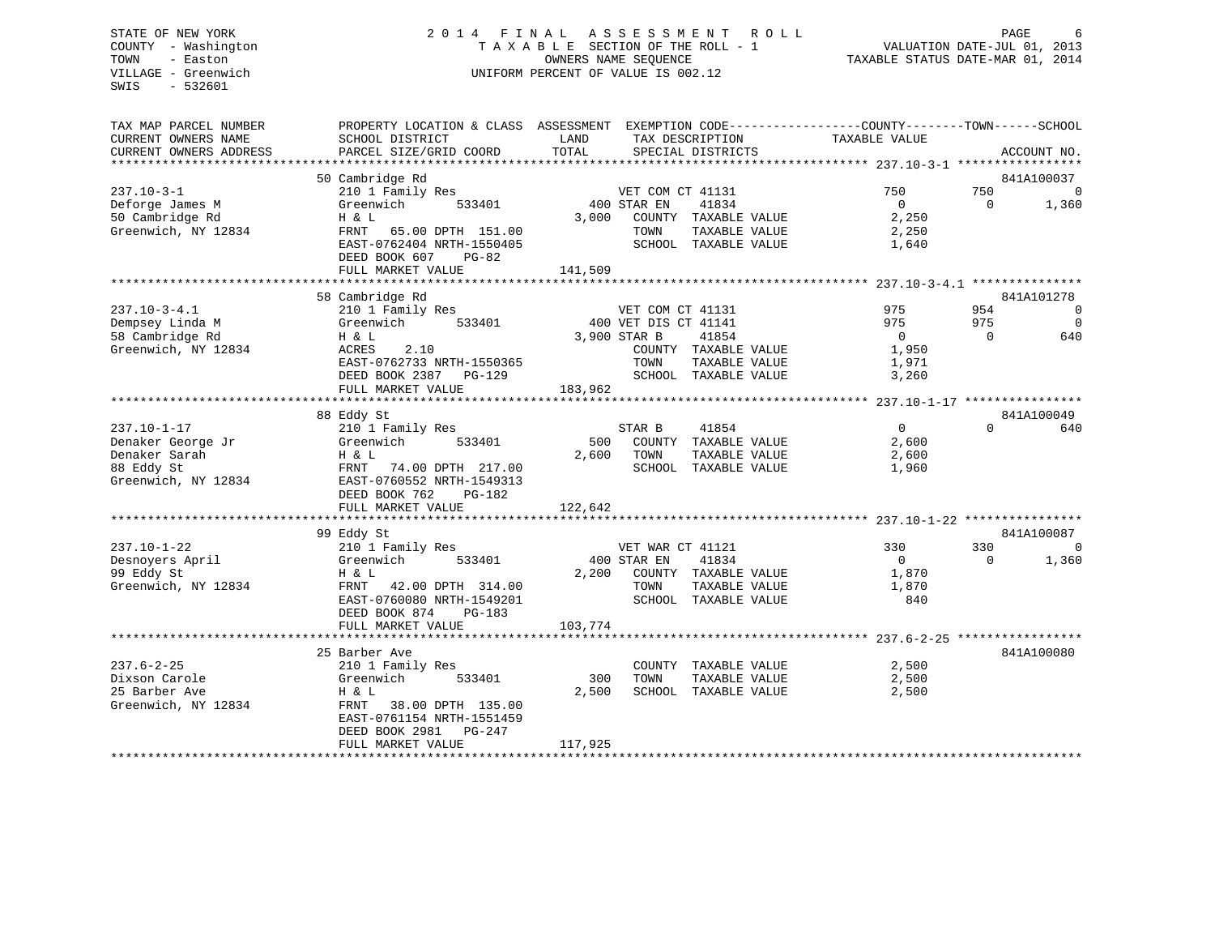# STATE OF NEW YORK 2 0 1 4 F I N A L A S S E S S M E N T R O L L PAGE 6 COUNTY - Washington T A X A B L E SECTION OF THE ROLL - 1 VALUATION DATE-JUL 01, 2013 TOWN - Easton OWNERS NAME SEQUENCE TAXABLE STATUS DATE-MAR 01, 2014 VILLAGE - Greenwich UNIFORM PERCENT OF VALUE IS 002.12

| TAX MAP PARCEL NUMBER<br>CURRENT OWNERS NAME | PROPERTY LOCATION & CLASS ASSESSMENT<br>SCHOOL DISTRICT | LAND<br>TAX DESCRIPTION        | EXEMPTION CODE-----------------COUNTY-------TOWN------SCHOOL<br>TAXABLE VALUE |
|----------------------------------------------|---------------------------------------------------------|--------------------------------|-------------------------------------------------------------------------------|
| CURRENT OWNERS ADDRESS                       | PARCEL SIZE/GRID COORD                                  | TOTAL<br>SPECIAL DISTRICTS     | ACCOUNT NO.                                                                   |
|                                              | 50 Cambridge Rd                                         |                                | 841A100037                                                                    |
| $237.10 - 3 - 1$                             | 210 1 Family Res                                        | VET COM CT 41131               | 750<br>750<br>$\overline{0}$                                                  |
| Deforge James M                              | Greenwich<br>533401                                     | 400 STAR EN<br>41834           | $\mathbf{0}$<br>$\Omega$<br>1,360                                             |
| 50 Cambridge Rd                              | H & L                                                   | 3,000<br>COUNTY TAXABLE VALUE  | 2,250                                                                         |
| Greenwich, NY 12834                          | FRNT<br>65.00 DPTH 151.00                               | TOWN<br>TAXABLE VALUE          | 2,250                                                                         |
|                                              | EAST-0762404 NRTH-1550405                               | SCHOOL TAXABLE VALUE           | 1,640                                                                         |
|                                              | DEED BOOK 607<br>$PG-82$                                |                                |                                                                               |
|                                              | FULL MARKET VALUE                                       | 141,509                        |                                                                               |
|                                              | 58 Cambridge Rd                                         |                                | 841A101278                                                                    |
| $237.10 - 3 - 4.1$                           | 210 1 Family Res                                        | VET COM CT 41131               | 975<br>954<br>$\overline{0}$                                                  |
| Dempsey Linda M                              | 533401<br>Greenwich                                     | 400 VET DIS CT 41141           | 975<br>975<br>$\Omega$                                                        |
| 58 Cambridge Rd                              | H & L                                                   | 3,900 STAR B<br>41854          | $\overline{0}$<br>$\Omega$<br>640                                             |
| Greenwich, NY 12834                          | ACRES<br>2.10                                           | COUNTY TAXABLE VALUE           | 1,950                                                                         |
|                                              | EAST-0762733 NRTH-1550365                               | TOWN<br>TAXABLE VALUE          | 1,971                                                                         |
|                                              | DEED BOOK 2387<br>$PG-129$                              | SCHOOL TAXABLE VALUE           | 3,260                                                                         |
|                                              | FULL MARKET VALUE                                       | 183,962                        |                                                                               |
|                                              |                                                         |                                |                                                                               |
|                                              | 88 Eddy St                                              |                                | 841A100049                                                                    |
| $237.10 - 1 - 17$                            | 210 1 Family Res                                        | 41854<br>STAR B                | $\overline{0}$<br>$\Omega$<br>640                                             |
| Denaker George Jr                            | Greenwich<br>533401                                     | 500<br>COUNTY TAXABLE VALUE    | 2,600                                                                         |
| Denaker Sarah                                | H & L                                                   | 2,600<br>TOWN<br>TAXABLE VALUE | 2,600                                                                         |
| 88 Eddy St<br>Greenwich, NY 12834            | 74.00 DPTH 217.00<br>FRNT<br>EAST-0760552 NRTH-1549313  | SCHOOL TAXABLE VALUE           | 1,960                                                                         |
|                                              | DEED BOOK 762<br>$PG-182$                               |                                |                                                                               |
|                                              | FULL MARKET VALUE                                       | 122,642                        |                                                                               |
|                                              |                                                         |                                |                                                                               |
|                                              | 99 Eddy St                                              |                                | 841A100087                                                                    |
| $237.10 - 1 - 22$                            | 210 1 Family Res                                        | VET WAR CT 41121               | 330<br>330<br>$\Omega$                                                        |
| Desnoyers April                              | Greenwich<br>533401                                     | 400 STAR EN<br>41834           | $\Omega$<br>$\Omega$<br>1,360                                                 |
| 99 Eddy St                                   | H & L                                                   | 2,200<br>COUNTY TAXABLE VALUE  | 1,870                                                                         |
| Greenwich, NY 12834                          | FRNT<br>42.00 DPTH 314.00                               | TOWN<br>TAXABLE VALUE          | 1,870                                                                         |
|                                              | EAST-0760080 NRTH-1549201                               | SCHOOL TAXABLE VALUE           | 840                                                                           |
|                                              | DEED BOOK 874<br>$PG-183$                               |                                |                                                                               |
|                                              | FULL MARKET VALUE                                       | 103,774                        |                                                                               |
|                                              | 25 Barber Ave                                           |                                | 841A100080                                                                    |
| $237.6 - 2 - 25$                             | 210 1 Family Res                                        | COUNTY TAXABLE VALUE           | 2,500                                                                         |
| Dixson Carole                                | Greenwich<br>533401                                     | 300<br>TOWN<br>TAXABLE VALUE   | 2,500                                                                         |
| 25 Barber Ave                                | H & L                                                   | 2,500<br>SCHOOL TAXABLE VALUE  | 2,500                                                                         |
| Greenwich, NY 12834                          | FRNT<br>38.00 DPTH 135.00                               |                                |                                                                               |
|                                              | EAST-0761154 NRTH-1551459                               |                                |                                                                               |
|                                              | DEED BOOK 2981<br>$PG-247$                              |                                |                                                                               |
|                                              | FULL MARKET VALUE                                       | 117,925                        |                                                                               |
|                                              |                                                         |                                |                                                                               |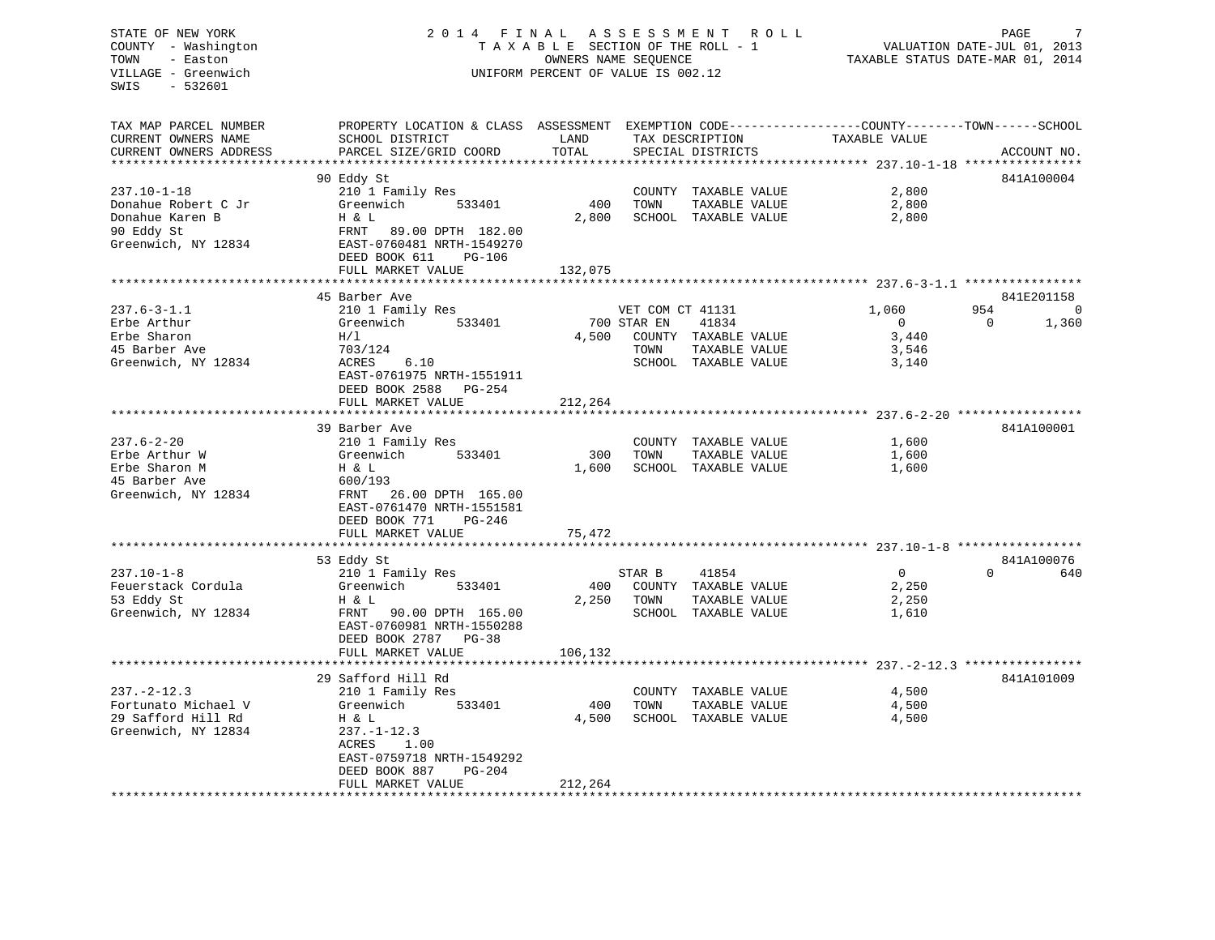# STATE OF NEW YORK 2 0 1 4 F I N A L A S S E S S M E N T R O L L PAGE 7 COUNTY - Washington T A X A B L E SECTION OF THE ROLL - 1 VALUATION DATE-JUL 01, 2013 TOWN - Easton OWNERS NAME SEQUENCE TAXABLE STATUS DATE-MAR 01, 2014 VILLAGE - Greenwich UNIFORM PERCENT OF VALUE IS 002.12

| TAX MAP PARCEL NUMBER                             | PROPERTY LOCATION & CLASS ASSESSMENT EXEMPTION CODE----------------COUNTY-------TOWN------SCHOOL |         |                            |                |                   |
|---------------------------------------------------|--------------------------------------------------------------------------------------------------|---------|----------------------------|----------------|-------------------|
| CURRENT OWNERS NAME                               | SCHOOL DISTRICT                                                                                  | LAND    | TAX DESCRIPTION            | TAXABLE VALUE  |                   |
| CURRENT OWNERS ADDRESS<br>*********************** | PARCEL SIZE/GRID COORD                                                                           | TOTAL   | SPECIAL DISTRICTS          |                | ACCOUNT NO.       |
|                                                   |                                                                                                  |         |                            |                |                   |
|                                                   | 90 Eddy St                                                                                       |         |                            |                | 841A100004        |
| $237.10 - 1 - 18$                                 | 210 1 Family Res                                                                                 |         | COUNTY TAXABLE VALUE       | 2,800          |                   |
| Donahue Robert C Jr                               | Greenwich<br>533401                                                                              | 400     | TOWN<br>TAXABLE VALUE      | 2,800          |                   |
| Donahue Karen B                                   | H & L                                                                                            | 2,800   | SCHOOL TAXABLE VALUE       | 2,800          |                   |
| 90 Eddy St                                        | FRNT<br>89.00 DPTH 182.00                                                                        |         |                            |                |                   |
| Greenwich, NY 12834                               | EAST-0760481 NRTH-1549270                                                                        |         |                            |                |                   |
|                                                   | DEED BOOK 611<br>PG-106                                                                          |         |                            |                |                   |
|                                                   | FULL MARKET VALUE                                                                                | 132,075 |                            |                |                   |
|                                                   |                                                                                                  |         |                            |                |                   |
|                                                   | 45 Barber Ave                                                                                    |         |                            |                | 841E201158        |
| $237.6 - 3 - 1.1$                                 | 210 1 Family Res                                                                                 |         | VET COM CT 41131           | 1,060          | 954<br>$\Omega$   |
| Erbe Arthur                                       | Greenwich<br>533401                                                                              |         | 700 STAR EN<br>41834       | $\overline{0}$ | $\Omega$<br>1,360 |
| Erbe Sharon                                       | H/L                                                                                              |         | 4,500 COUNTY TAXABLE VALUE | 3,440          |                   |
| 45 Barber Ave                                     | 703/124                                                                                          |         | TOWN<br>TAXABLE VALUE      | 3,546          |                   |
| Greenwich, NY 12834                               | 6.10<br>ACRES                                                                                    |         | SCHOOL TAXABLE VALUE       | 3,140          |                   |
|                                                   | EAST-0761975 NRTH-1551911                                                                        |         |                            |                |                   |
|                                                   | DEED BOOK 2588 PG-254                                                                            |         |                            |                |                   |
|                                                   | FULL MARKET VALUE                                                                                | 212,264 |                            |                |                   |
|                                                   |                                                                                                  |         |                            |                |                   |
|                                                   | 39 Barber Ave                                                                                    |         |                            |                | 841A100001        |
| $237.6 - 2 - 20$                                  | 210 1 Family Res                                                                                 |         | COUNTY TAXABLE VALUE       | 1,600          |                   |
| Erbe Arthur W                                     | Greenwich<br>533401                                                                              | 300     | TAXABLE VALUE<br>TOWN      | 1,600          |                   |
| Erbe Sharon M                                     | H & L                                                                                            | 1,600   | SCHOOL TAXABLE VALUE       | 1,600          |                   |
| 45 Barber Ave                                     | 600/193                                                                                          |         |                            |                |                   |
| Greenwich, NY 12834                               | 26.00 DPTH 165.00<br>FRNT                                                                        |         |                            |                |                   |
|                                                   | EAST-0761470 NRTH-1551581                                                                        |         |                            |                |                   |
|                                                   | DEED BOOK 771<br>PG-246                                                                          |         |                            |                |                   |
|                                                   | FULL MARKET VALUE                                                                                | 75,472  |                            |                |                   |
|                                                   |                                                                                                  |         |                            |                |                   |
|                                                   | 53 Eddy St                                                                                       |         |                            |                | 841A100076        |
| $237.10 - 1 - 8$                                  | 210 1 Family Res                                                                                 |         | STAR B<br>41854            | $\overline{0}$ | $\Omega$<br>640   |
| Feuerstack Cordula                                | Greenwich<br>533401                                                                              | 400     | COUNTY TAXABLE VALUE       | 2,250          |                   |
| 53 Eddy St                                        | H & L                                                                                            | 2,250   | TOWN<br>TAXABLE VALUE      | 2,250          |                   |
| Greenwich, NY 12834                               | FRNT 90.00 DPTH 165.00                                                                           |         | SCHOOL TAXABLE VALUE       | 1,610          |                   |
|                                                   | EAST-0760981 NRTH-1550288                                                                        |         |                            |                |                   |
|                                                   | DEED BOOK 2787 PG-38                                                                             |         |                            |                |                   |
|                                                   | FULL MARKET VALUE                                                                                | 106,132 |                            |                |                   |
|                                                   |                                                                                                  |         |                            |                |                   |
|                                                   | 29 Safford Hill Rd                                                                               |         |                            |                | 841A101009        |
| $237. - 2 - 12.3$                                 | 210 1 Family Res                                                                                 |         | COUNTY TAXABLE VALUE       | 4,500          |                   |
| Fortunato Michael V                               | Greenwich<br>533401                                                                              | 400     | TOWN<br>TAXABLE VALUE      | 4,500          |                   |
| 29 Safford Hill Rd                                | H & L                                                                                            | 4,500   | SCHOOL TAXABLE VALUE       | 4,500          |                   |
| Greenwich, NY 12834                               | $237. - 1 - 12.3$                                                                                |         |                            |                |                   |
|                                                   | <b>ACRES</b><br>1.00                                                                             |         |                            |                |                   |
|                                                   | EAST-0759718 NRTH-1549292                                                                        |         |                            |                |                   |
|                                                   | DEED BOOK 887<br>$PG-204$                                                                        |         |                            |                |                   |
|                                                   |                                                                                                  |         |                            |                |                   |
|                                                   | FULL MARKET VALUE                                                                                | 212,264 |                            |                |                   |
|                                                   |                                                                                                  |         |                            |                |                   |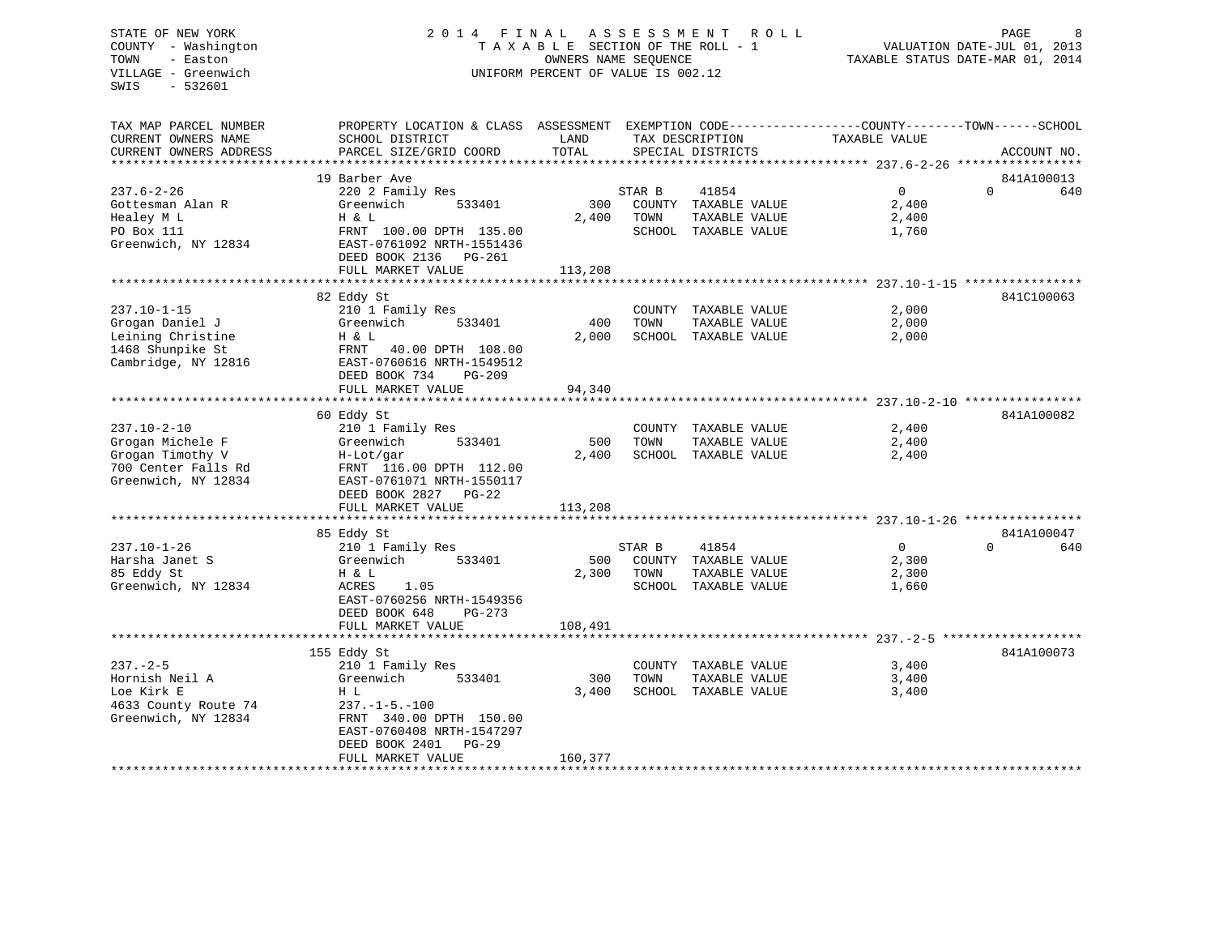# STATE OF NEW YORK 2 0 1 4 F I N A L A S S E S S M E N T R O L L PAGE 8 COUNTY - Washington T A X A B L E SECTION OF THE ROLL - 1 VALUATION DATE-JUL 01, 2013 TOWN - Easton OWNERS NAME SEQUENCE TAXABLE STATUS DATE-MAR 01, 2014 VILLAGE - Greenwich UNIFORM PERCENT OF VALUE IS 002.12

| TAX MAP PARCEL NUMBER  | PROPERTY LOCATION & CLASS ASSESSMENT |         |        |                      | EXEMPTION CODE-----------------COUNTY-------TOWN------SCHOOL |          |             |
|------------------------|--------------------------------------|---------|--------|----------------------|--------------------------------------------------------------|----------|-------------|
| CURRENT OWNERS NAME    | SCHOOL DISTRICT                      | LAND    |        | TAX DESCRIPTION      | TAXABLE VALUE                                                |          |             |
| CURRENT OWNERS ADDRESS | PARCEL SIZE/GRID COORD               | TOTAL   |        | SPECIAL DISTRICTS    |                                                              |          | ACCOUNT NO. |
|                        |                                      |         |        |                      |                                                              |          |             |
|                        | 19 Barber Ave                        |         |        |                      |                                                              |          | 841A100013  |
| $237.6 - 2 - 26$       | 220 2 Family Res                     |         | STAR B | 41854                | $\Omega$                                                     | $\Omega$ | 640         |
|                        | 533401<br>Greenwich                  | 300     | COUNTY | TAXABLE VALUE        | 2,400                                                        |          |             |
| Gottesman Alan R       |                                      |         |        |                      |                                                              |          |             |
| Healey M L             | H & L                                | 2,400   | TOWN   | TAXABLE VALUE        | 2,400                                                        |          |             |
| PO Box 111             | FRNT 100.00 DPTH 135.00              |         |        | SCHOOL TAXABLE VALUE | 1,760                                                        |          |             |
| Greenwich, NY 12834    | EAST-0761092 NRTH-1551436            |         |        |                      |                                                              |          |             |
|                        | DEED BOOK 2136 PG-261                |         |        |                      |                                                              |          |             |
|                        | FULL MARKET VALUE                    | 113,208 |        |                      |                                                              |          |             |
|                        |                                      |         |        |                      |                                                              |          |             |
|                        | 82 Eddy St                           |         |        |                      |                                                              |          | 841C100063  |
| $237.10 - 1 - 15$      | 210 1 Family Res                     |         |        | COUNTY TAXABLE VALUE | 2,000                                                        |          |             |
| Grogan Daniel J        | Greenwich<br>533401                  | 400     | TOWN   | TAXABLE VALUE        | 2,000                                                        |          |             |
| Leining Christine      | H & L                                | 2,000   |        | SCHOOL TAXABLE VALUE | 2,000                                                        |          |             |
| 1468 Shunpike St       |                                      |         |        |                      |                                                              |          |             |
|                        | FRNT 40.00 DPTH 108.00               |         |        |                      |                                                              |          |             |
| Cambridge, NY 12816    | EAST-0760616 NRTH-1549512            |         |        |                      |                                                              |          |             |
|                        | DEED BOOK 734<br>$PG-209$            |         |        |                      |                                                              |          |             |
|                        | FULL MARKET VALUE                    | 94,340  |        |                      |                                                              |          |             |
|                        | *****************************        |         |        |                      |                                                              |          |             |
|                        | 60 Eddy St                           |         |        |                      |                                                              |          | 841A100082  |
| $237.10 - 2 - 10$      | 210 1 Family Res                     |         |        | COUNTY TAXABLE VALUE | 2,400                                                        |          |             |
| Grogan Michele F       | Greenwich<br>533401                  | 500     | TOWN   | TAXABLE VALUE        | 2,400                                                        |          |             |
| Grogan Timothy V       | H-Lot/gar                            | 2,400   |        | SCHOOL TAXABLE VALUE | 2,400                                                        |          |             |
| 700 Center Falls Rd    | FRNT 116.00 DPTH 112.00              |         |        |                      |                                                              |          |             |
| Greenwich, NY 12834    | EAST-0761071 NRTH-1550117            |         |        |                      |                                                              |          |             |
|                        | DEED BOOK 2827<br>$PG-22$            |         |        |                      |                                                              |          |             |
|                        | FULL MARKET VALUE                    | 113,208 |        |                      |                                                              |          |             |
|                        |                                      |         |        |                      |                                                              |          |             |
|                        |                                      |         |        |                      |                                                              |          |             |
|                        | 85 Eddy St                           |         |        |                      | $\overline{0}$                                               | $\Omega$ | 841A100047  |
| $237.10 - 1 - 26$      | 210 1 Family Res                     |         | STAR B | 41854                |                                                              |          | 640         |
| Harsha Janet S         | 533401<br>Greenwich                  | 500     |        | COUNTY TAXABLE VALUE | 2,300                                                        |          |             |
| 85 Eddy St             | H & L                                | 2,300   | TOWN   | TAXABLE VALUE        | 2,300                                                        |          |             |
| Greenwich, NY 12834    | 1.05<br>ACRES                        |         |        | SCHOOL TAXABLE VALUE | 1,660                                                        |          |             |
|                        | EAST-0760256 NRTH-1549356            |         |        |                      |                                                              |          |             |
|                        | DEED BOOK 648<br>$PG-273$            |         |        |                      |                                                              |          |             |
|                        | FULL MARKET VALUE                    | 108,491 |        |                      |                                                              |          |             |
|                        |                                      |         |        |                      |                                                              |          |             |
|                        | 155 Eddy St                          |         |        |                      |                                                              |          | 841A100073  |
| $237. - 2 - 5$         | 210 1 Family Res                     |         |        | COUNTY TAXABLE VALUE | 3,400                                                        |          |             |
| Hornish Neil A         | Greenwich<br>533401                  | 300     | TOWN   | TAXABLE VALUE        | 3,400                                                        |          |             |
| Loe Kirk E             | H L                                  | 3,400   |        | SCHOOL TAXABLE VALUE | 3,400                                                        |          |             |
|                        |                                      |         |        |                      |                                                              |          |             |
| 4633 County Route 74   | $237. - 1 - 5. - 100$                |         |        |                      |                                                              |          |             |
| Greenwich, NY 12834    | FRNT 340.00 DPTH 150.00              |         |        |                      |                                                              |          |             |
|                        | EAST-0760408 NRTH-1547297            |         |        |                      |                                                              |          |             |
|                        | DEED BOOK 2401<br>$PG-29$            |         |        |                      |                                                              |          |             |
|                        | FULL MARKET VALUE                    | 160,377 |        |                      |                                                              |          |             |
|                        |                                      |         |        |                      |                                                              |          |             |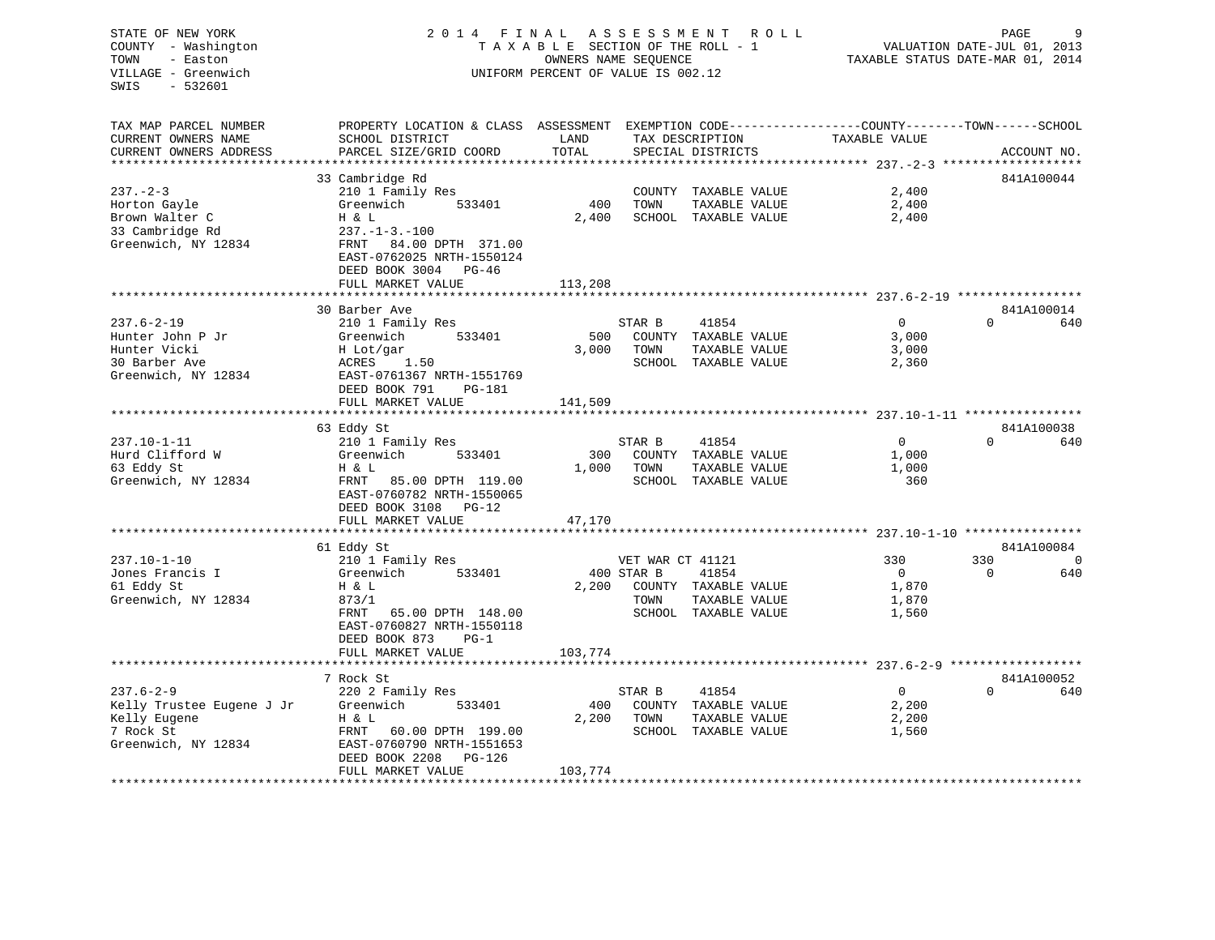STATE OF NEW YORK 2 0 1 4 F I N A L A S S E S S M E N T R O L L PAGE 9 COUNTY - Washington T A X A B L E SECTION OF THE ROLL - 1 VALUATION DATE-JUL 01, 2013 TOWN - Easton OWNERS NAME SEQUENCE TAXABLE STATUS DATE-MAR 01, 2014 VILLAGE - Greenwich UNIFORM PERCENT OF VALUE IS 002.12SWIS - 532601TAX MAP PARCEL NUMBER PROPERTY LOCATION & CLASS ASSESSMENT EXEMPTION CODE------------------COUNTY--------TOWN------SCHOOL CURRENT OWNERS NAME SCHOOL DISTRICT THE LAND TAX DESCRIPTION TAXABLE VALUE CURRENT OWNERS ADDRESS PARCEL SIZE/GRID COORD TOTAL SPECIAL DISTRICTS ACCOUNT NO. \*\*\*\*\*\*\*\*\*\*\*\*\*\*\*\*\*\*\*\*\*\*\*\*\*\*\*\*\*\*\*\*\*\*\*\*\*\*\*\*\*\*\*\*\*\*\*\*\*\*\*\*\*\*\*\*\*\*\*\*\*\*\*\*\*\*\*\*\*\*\*\*\*\*\*\*\*\*\*\*\*\*\*\*\*\*\*\*\*\*\*\*\*\*\*\*\*\*\*\*\*\*\* 237.-2-3 \*\*\*\*\*\*\*\*\*\*\*\*\*\*\*\*\*\*\* 33 Cambridge Rd 841A100044 237.-2-3 210 1 Family Res COUNTY TAXABLE VALUE 2,400 Horton Gayle Greenwich 533401 400 TOWN TAXABLE VALUE 2,400<br>Brown Walter C H & L<br>33 Cambridge Rd 237.-1-3.-100<br>Greenwich NV 12924 -----Brown Walter C **H** & L 2,400 SCHOOL TAXABLE VALUE 2,400 33 Cambridge Rd Greenwich, NY 12834 FRNT 84.00 DPTH 371.00 EAST-0762025 NRTH-1550124 DEED BOOK 3004 PG-46FULL MARKET VALUE 113,208 \*\*\*\*\*\*\*\*\*\*\*\*\*\*\*\*\*\*\*\*\*\*\*\*\*\*\*\*\*\*\*\*\*\*\*\*\*\*\*\*\*\*\*\*\*\*\*\*\*\*\*\*\*\*\*\*\*\*\*\*\*\*\*\*\*\*\*\*\*\*\*\*\*\*\*\*\*\*\*\*\*\*\*\*\*\*\*\*\*\*\*\*\*\*\*\*\*\*\*\*\*\*\* 237.6-2-19 \*\*\*\*\*\*\*\*\*\*\*\*\*\*\*\*\*841A100014 30 Barber Ave  $0 640$ 237.6-2-19 210 1 Family Res 37AR B 41854 0<br>
2237.6-2-19 210 Hunter John P Jr Greenwich 533401 500 COUNTY TAXABLE VALUE 3,000<br>
2000 Hunter Vicki 3.000 Hunter Vicki 3.000 Hunter John P Jr Greenwich 533401 500 COUNTY TAXABLE VALUE 3,000 Hunter Vicki H Lot/gar 3,000 TOWN TAXABLE VALUE 3,000 30 Barber Ave ACRES 1.50 SCHOOL TAXABLE VALUE 2,360 Greenwich, NY 12834 EAST-0761367 NRTH-1551769 DEED BOOK 791 PG-181FULL MARKET VALUE 141,509 \*\*\*\*\*\*\*\*\*\*\*\*\*\*\*\*\*\*\*\*\*\*\*\*\*\*\*\*\*\*\*\*\*\*\*\*\*\*\*\*\*\*\*\*\*\*\*\*\*\*\*\*\*\*\*\*\*\*\*\*\*\*\*\*\*\*\*\*\*\*\*\*\*\*\*\*\*\*\*\*\*\*\*\*\*\*\*\*\*\*\*\*\*\*\*\*\*\*\*\*\*\*\* 237.10-1-11 \*\*\*\*\*\*\*\*\*\*\*\*\*\*\*\*841A100038 63 Eddy St 841A100038 237.10-1-11 210 1 Family Res STAR B 41854 0 0 640<br>
2237.10-1-11 210 1 Family Res STAR B 41854 0 0 640<br>
300 COUNTY TAXABLE VALUE 1,000<br>
62 Feder St Hurd Clifford W Greenwich 533401 300 COUNTY TAXABLE VALUE 1,000 63 Eddy St H & L 1,000 TOWN TAXABLE VALUE 1,000 Greenwich, NY 12834 FRNT 85.00 DPTH 119.00 SCHOOL TAXABLE VALUE 360 EAST-0760782 NRTH-1550065 DEED BOOK 3108 PG-12FULL MARKET VALUE 47,170 \*\*\*\*\*\*\*\*\*\*\*\*\*\*\*\*\*\*\*\*\*\*\*\*\*\*\*\*\*\*\*\*\*\*\*\*\*\*\*\*\*\*\*\*\*\*\*\*\*\*\*\*\*\*\*\*\*\*\*\*\*\*\*\*\*\*\*\*\*\*\*\*\*\*\*\*\*\*\*\*\*\*\*\*\*\*\*\*\*\*\*\*\*\*\*\*\*\*\*\*\*\*\* 237.10-1-10 \*\*\*\*\*\*\*\*\*\*\*\*\*\*\*\*841A100084 61 Eddy St 841A100084 237.10-1-10 210 1 Family Res WET WAR CT 41121 330 Jones Francis I Greenwich 533401 400 STAR B 41854 0 0 64061 Eddy St H & L 2,200 COUNTY TAXABLE VALUE 1,870 Greenwich, NY 12834 873/1 873 873/1 TOWN TAXABLE VALUE 1,870 FRNT 65.00 DPTH 148.00 SCHOOL TAXABLE VALUE 1,560 EAST-0760827 NRTH-1550118 DEED BOOK 873 PG-1FULL MARKET VALUE 103,774 \*\*\*\*\*\*\*\*\*\*\*\*\*\*\*\*\*\*\*\*\*\*\*\*\*\*\*\*\*\*\*\*\*\*\*\*\*\*\*\*\*\*\*\*\*\*\*\*\*\*\*\*\*\*\*\*\*\*\*\*\*\*\*\*\*\*\*\*\*\*\*\*\*\*\*\*\*\*\*\*\*\*\*\*\*\*\*\*\*\*\*\*\*\*\*\*\*\*\*\*\*\*\* 237.6-2-9 \*\*\*\*\*\*\*\*\*\*\*\*\*\*\*\*\*\* 7 Rock St 841A100052 $0$  640 237.6-2-9 220 2 Family Res STAR B 41854 0 0 640 Kelly Trustee Eugene J Jr Greenwich 533401 400 COUNTY TAXABLE VALUE Kelly Eugene H & L 2,200 TOWN TAXABLE VALUE 2,200 FRNT 60.00 DPTH 199.00 SCHOOL TAXABLE VALUE 1,560 Greenwich, NY 12834 EAST-0760790 NRTH-1551653 DEED BOOK 2208 PG-126FULL MARKET VALUE 103,774 \*\*\*\*\*\*\*\*\*\*\*\*\*\*\*\*\*\*\*\*\*\*\*\*\*\*\*\*\*\*\*\*\*\*\*\*\*\*\*\*\*\*\*\*\*\*\*\*\*\*\*\*\*\*\*\*\*\*\*\*\*\*\*\*\*\*\*\*\*\*\*\*\*\*\*\*\*\*\*\*\*\*\*\*\*\*\*\*\*\*\*\*\*\*\*\*\*\*\*\*\*\*\*\*\*\*\*\*\*\*\*\*\*\*\*\*\*\*\*\*\*\*\*\*\*\*\*\*\*\*\*\*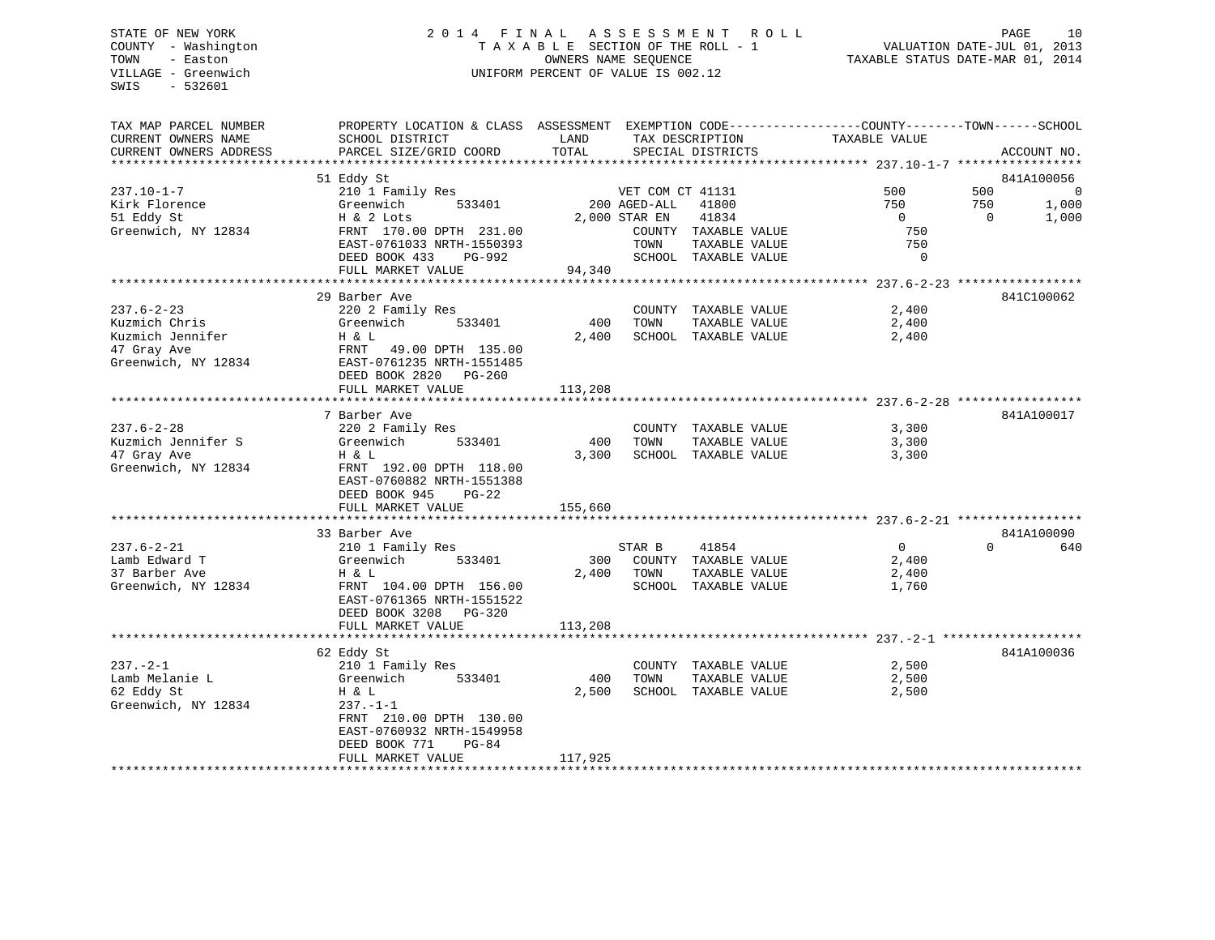# STATE OF NEW YORK 2 0 1 4 F I N A L A S S E S S M E N T R O L L PAGE 10 COUNTY - Washington T A X A B L E SECTION OF THE ROLL - 1 VALUATION DATE-JUL 01, 2013 TOWN - Easton OWNERS NAME SEQUENCE TAXABLE STATUS DATE-MAR 01, 2014 VILLAGE - Greenwich UNIFORM PERCENT OF VALUE IS 002.12

| TAX MAP PARCEL NUMBER<br>CURRENT OWNERS NAME | PROPERTY LOCATION & CLASS ASSESSMENT EXEMPTION CODE----------------COUNTY-------TOWN------SCHOOL<br>SCHOOL DISTRICT | LAND    | TAX DESCRIPTION         | TAXABLE VALUE                                         |                               |
|----------------------------------------------|---------------------------------------------------------------------------------------------------------------------|---------|-------------------------|-------------------------------------------------------|-------------------------------|
| CURRENT OWNERS ADDRESS                       | PARCEL SIZE/GRID COORD                                                                                              | TOTAL   | SPECIAL DISTRICTS       |                                                       | ACCOUNT NO.                   |
| *********************                        |                                                                                                                     |         |                         |                                                       |                               |
|                                              | 51 Eddy St                                                                                                          |         |                         |                                                       | 841A100056                    |
| $237.10 - 1 - 7$                             | 210 1 Family Res                                                                                                    |         | VET COM CT 41131        | 500                                                   | 500<br>$\Omega$               |
| Kirk Florence                                | 533401<br>Greenwich                                                                                                 |         | 200 AGED-ALL<br>41800   | 750                                                   | 750<br>1,000                  |
| 51 Eddy St                                   | H & 2 Lots                                                                                                          |         | 2,000 STAR EN<br>41834  | $\Omega$                                              | $\Omega$<br>1,000             |
| Greenwich, NY 12834                          | FRNT 170.00 DPTH 231.00                                                                                             |         | COUNTY TAXABLE VALUE    | 750                                                   |                               |
|                                              | EAST-0761033 NRTH-1550393                                                                                           |         | TAXABLE VALUE<br>TOWN   | 750                                                   |                               |
|                                              | DEED BOOK 433<br>PG-992                                                                                             |         | SCHOOL TAXABLE VALUE    | 0                                                     |                               |
|                                              | FULL MARKET VALUE                                                                                                   | 94,340  |                         |                                                       |                               |
|                                              |                                                                                                                     |         |                         | ************************ 237.6-2-23 ***************** |                               |
|                                              | 29 Barber Ave                                                                                                       |         |                         |                                                       | 841C100062                    |
| $237.6 - 2 - 23$                             | 220 2 Family Res                                                                                                    |         | COUNTY<br>TAXABLE VALUE | 2,400                                                 |                               |
| Kuzmich Chris                                | 533401<br>Greenwich                                                                                                 | 400     | TOWN<br>TAXABLE VALUE   | 2,400                                                 |                               |
| Kuzmich Jennifer                             | H & L                                                                                                               | 2,400   | SCHOOL TAXABLE VALUE    | 2,400                                                 |                               |
| 47 Gray Ave                                  | FRNT<br>49.00 DPTH 135.00                                                                                           |         |                         |                                                       |                               |
| Greenwich, NY 12834                          | EAST-0761235 NRTH-1551485                                                                                           |         |                         |                                                       |                               |
|                                              | DEED BOOK 2820<br>PG-260                                                                                            |         |                         |                                                       |                               |
|                                              | FULL MARKET VALUE                                                                                                   | 113,208 |                         |                                                       |                               |
|                                              |                                                                                                                     |         |                         |                                                       |                               |
|                                              | 7 Barber Ave                                                                                                        |         |                         |                                                       | 841A100017                    |
| $237.6 - 2 - 28$                             | 220 2 Family Res                                                                                                    |         | COUNTY<br>TAXABLE VALUE | 3,300                                                 |                               |
| Kuzmich Jennifer S                           | Greenwich<br>533401                                                                                                 | 400     | TOWN<br>TAXABLE VALUE   | 3,300                                                 |                               |
| 47 Gray Ave                                  | H & L                                                                                                               | 3,300   | SCHOOL<br>TAXABLE VALUE | 3,300                                                 |                               |
| Greenwich, NY 12834                          | FRNT 192.00 DPTH 118.00                                                                                             |         |                         |                                                       |                               |
|                                              | EAST-0760882 NRTH-1551388                                                                                           |         |                         |                                                       |                               |
|                                              | DEED BOOK 945<br>$PG-22$                                                                                            |         |                         |                                                       |                               |
|                                              | FULL MARKET VALUE                                                                                                   | 155,660 |                         |                                                       |                               |
|                                              |                                                                                                                     |         |                         |                                                       |                               |
| $237.6 - 2 - 21$                             | 33 Barber Ave<br>210 1 Family Res                                                                                   |         | STAR B<br>41854         | $\overline{0}$                                        | 841A100090<br>$\Omega$<br>640 |
| Lamb Edward T                                | Greenwich<br>533401                                                                                                 | 300     | COUNTY TAXABLE VALUE    | 2,400                                                 |                               |
| 37 Barber Ave                                | H & L                                                                                                               | 2,400   | TOWN<br>TAXABLE VALUE   |                                                       |                               |
| Greenwich, NY 12834                          | FRNT 104.00 DPTH 156.00                                                                                             |         | SCHOOL TAXABLE VALUE    | 2,400<br>1,760                                        |                               |
|                                              | EAST-0761365 NRTH-1551522                                                                                           |         |                         |                                                       |                               |
|                                              | DEED BOOK 3208<br>$PG-320$                                                                                          |         |                         |                                                       |                               |
|                                              | FULL MARKET VALUE                                                                                                   | 113,208 |                         |                                                       |                               |
|                                              | *******************************                                                                                     |         |                         |                                                       |                               |
|                                              | 62 Eddy St                                                                                                          |         |                         |                                                       | 841A100036                    |
| $237. - 2 - 1$                               | 210 1 Family Res                                                                                                    |         | COUNTY TAXABLE VALUE    | 2,500                                                 |                               |
| Lamb Melanie L                               | Greenwich<br>533401                                                                                                 | 400     | TAXABLE VALUE<br>TOWN   | 2,500                                                 |                               |
| 62 Eddy St                                   | H & L                                                                                                               | 2,500   | SCHOOL<br>TAXABLE VALUE | 2,500                                                 |                               |
| Greenwich, NY 12834                          | $237. - 1 - 1$                                                                                                      |         |                         |                                                       |                               |
|                                              | FRNT 210.00 DPTH 130.00                                                                                             |         |                         |                                                       |                               |
|                                              | EAST-0760932 NRTH-1549958                                                                                           |         |                         |                                                       |                               |
|                                              | DEED BOOK 771<br>PG-84                                                                                              |         |                         |                                                       |                               |
|                                              | FULL MARKET VALUE                                                                                                   | 117,925 |                         |                                                       |                               |
|                                              |                                                                                                                     |         |                         |                                                       |                               |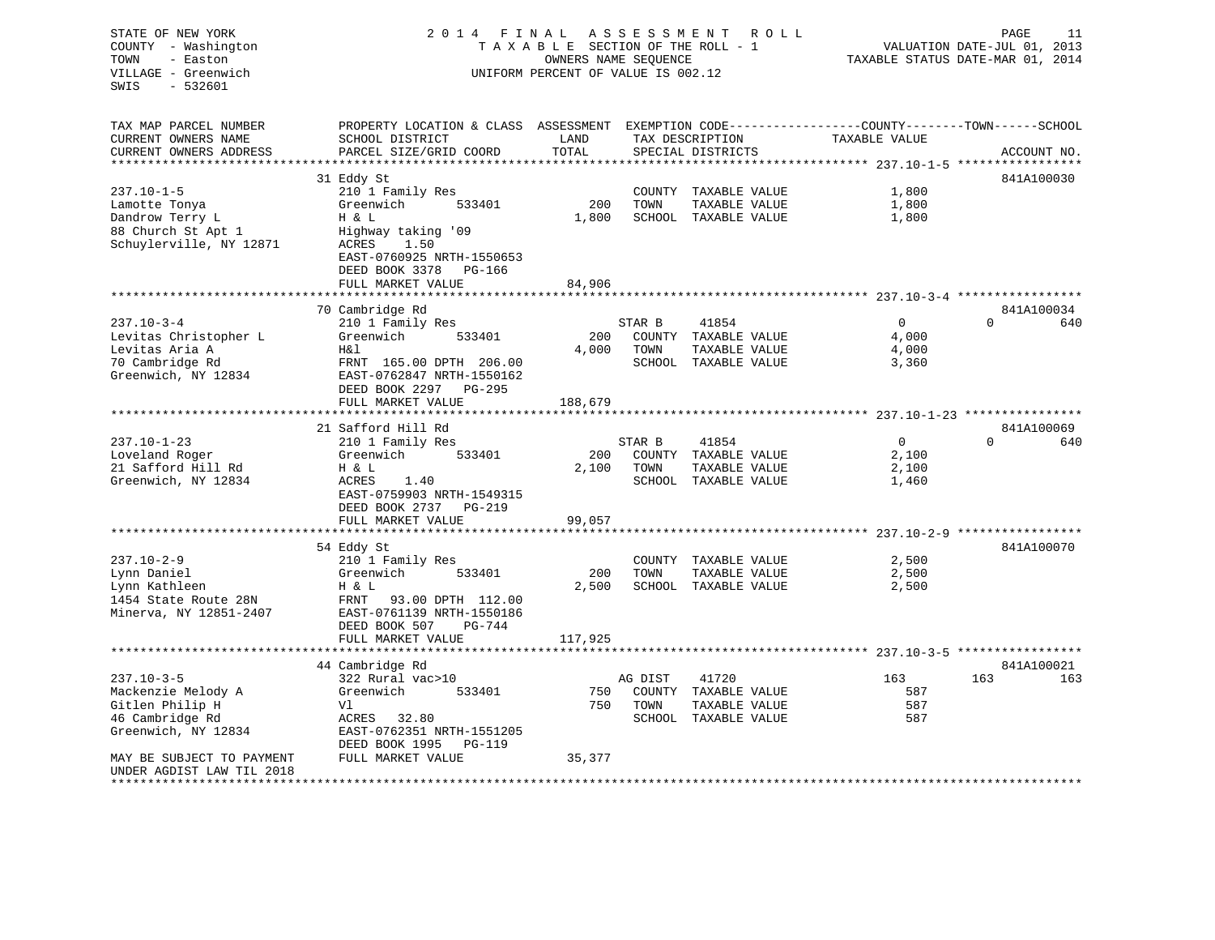STATE OF NEW YORK 2 0 1 4 F I N A L A S S E S S M E N T R O L L PAGE 11VALUATION DATE-JUL 01, 2013 COUNTY - Washington T A X A B L E SECTION OF THE ROLL - 1 TOWN - Easton OWNERS NAME SEQUENCE TAXABLE STATUS DATE-MAR 01, 2014 VILLAGE - Greenwich UNIFORM PERCENT OF VALUE IS 002.12 SWIS - 532601TAX MAP PARCEL NUMBER PROPERTY LOCATION & CLASS ASSESSMENT EXEMPTION CODE----------------COUNTY-------TOWN-----SCHOOL CURRENT OWNERS NAME SCHOOL DISTRICT LAND TAX DESCRIPTION TAXABLE VALUECURRENT OWNERS ADDRESS PARCEL SIZE/GRID COORD TOTAL SPECIAL DISTRICTS ACCOUNT NO. \*\*\*\*\*\*\*\*\*\*\*\*\*\*\*\*\*\*\*\*\*\*\*\*\*\*\*\*\*\*\*\*\*\*\*\*\*\*\*\*\*\*\*\*\*\*\*\*\*\*\*\*\*\*\*\*\*\*\*\*\*\*\*\*\*\*\*\*\*\*\*\*\*\*\*\*\*\*\*\*\*\*\*\*\*\*\*\*\*\*\*\*\*\*\*\*\*\*\*\*\*\*\* 237.10-1-5 \*\*\*\*\*\*\*\*\*\*\*\*\*\*\*\*\* 31 Eddy St 841A100030 237.10-1-5 210 1 Family Res COUNTY TAXABLE VALUE 1,800 Lamotte Tonya Greenwich 533401 200 TOWN TAXABLE VALUE 1,800 Dandrow Terry L **H** & L 1,800 SCHOOL TAXABLE VALUE 1,800 88 Church St Apt 1 Highway taking '09 Schuylerville, NY 12871 ACRES 1.50 EAST-0760925 NRTH-1550653 DEED BOOK 3378 PG-166FULL MARKET VALUE 84,906 \*\*\*\*\*\*\*\*\*\*\*\*\*\*\*\*\*\*\*\*\*\*\*\*\*\*\*\*\*\*\*\*\*\*\*\*\*\*\*\*\*\*\*\*\*\*\*\*\*\*\*\*\*\*\*\*\*\*\*\*\*\*\*\*\*\*\*\*\*\*\*\*\*\*\*\*\*\*\*\*\*\*\*\*\*\*\*\*\*\*\*\*\*\*\*\*\*\*\*\*\*\*\* 237.10-3-4 \*\*\*\*\*\*\*\*\*\*\*\*\*\*\*\*\*841A100034 70 Cambridge Rd 237.10-3-4 210 1 Family Res STAR B 41854 0 0 640 Levitas Christopher L Greenwich 533401 200 COUNTY TAXABLE VALUE 4,000 Levitas Aria A 1,000 H&l 4,000 H&l 4,000 H&l 4,000 H&l 4,000 H&l 4,000 H&l 4,000 H&l 4,000 H&l 4,000 H&l 4,000 70 Cambridge Rd FRNT 165.00 DPTH 206.00 SCHOOL TAXABLE VALUE 3,360 Greenwich, NY 12834 EAST-0762847 NRTH-1550162 DEED BOOK 2297 PG-295FULL MARKET VALUE 188,679 \*\*\*\*\*\*\*\*\*\*\*\*\*\*\*\*\*\*\*\*\*\*\*\*\*\*\*\*\*\*\*\*\*\*\*\*\*\*\*\*\*\*\*\*\*\*\*\*\*\*\*\*\*\*\*\*\*\*\*\*\*\*\*\*\*\*\*\*\*\*\*\*\*\*\*\*\*\*\*\*\*\*\*\*\*\*\*\*\*\*\*\*\*\*\*\*\*\*\*\*\*\*\* 237.10-1-23 \*\*\*\*\*\*\*\*\*\*\*\*\*\*\*\*21 Safford Hill Rd 237.10-1-23 210 1 Family Res STAR B 41854 0 0 640 Loveland Roger Greenwich 533401 200 COUNTY TAXABLE VALUE 2,100 H & L 2,100 TOWN TAXABLE VALUE 2,100 Greenwich, NY 12834 ACRES 1.40 SCHOOL TAXABLE VALUE 1,460 EAST-0759903 NRTH-1549315 DEED BOOK 2737 PG-219FULL MARKET VALUE 99,057 \*\*\*\*\*\*\*\*\*\*\*\*\*\*\*\*\*\*\*\*\*\*\*\*\*\*\*\*\*\*\*\*\*\*\*\*\*\*\*\*\*\*\*\*\*\*\*\*\*\*\*\*\*\*\*\*\*\*\*\*\*\*\*\*\*\*\*\*\*\*\*\*\*\*\*\*\*\*\*\*\*\*\*\*\*\*\*\*\*\*\*\*\*\*\*\*\*\*\*\*\*\*\* 237.10-2-9 \*\*\*\*\*\*\*\*\*\*\*\*\*\*\*\*\* 54 Eddy St 841A100070 237.10-2-9 210 1 Family Res COUNTY TAXABLE VALUE 2,500 Lynn Daniel Greenwich 533401 200 TOWN TAXABLE VALUE 2,500 Lynn Kathleen H & L 2,500 SCHOOL TAXABLE VALUE 2,500 1454 State Route 28N FRNT 93.00 DPTH 112.00Minerva, NY 12851-2407 EAST-0761139 NRTH-1550186 DEED BOOK 507 PG-744FULL MARKET VALUE 117,925 \*\*\*\*\*\*\*\*\*\*\*\*\*\*\*\*\*\*\*\*\*\*\*\*\*\*\*\*\*\*\*\*\*\*\*\*\*\*\*\*\*\*\*\*\*\*\*\*\*\*\*\*\*\*\*\*\*\*\*\*\*\*\*\*\*\*\*\*\*\*\*\*\*\*\*\*\*\*\*\*\*\*\*\*\*\*\*\*\*\*\*\*\*\*\*\*\*\*\*\*\*\*\* 237.10-3-5 \*\*\*\*\*\*\*\*\*\*\*\*\*\*\*\*\*841A100021 44 Cambridge Rd 237.10-3-5 322 Rural vac>10 AG DIST 41720 163 163 163Mackenzie Melody A Greenwich 533401 750 COUNTY TAXABLE VALUE 587 Gitlen Philip H Vl 750 TOWN TAXABLE VALUE 587 46 Cambridge Rd ACRES 32.80 SCHOOL TAXABLE VALUE 587 Greenwich, NY 12834 EAST-0762351 NRTH-1551205 DEED BOOK 1995 PG-119MAY BE SUBJECT TO PAYMENT FULL MARKET VALUE 35,377 UNDER AGDIST LAW TIL 2018\*\*\*\*\*\*\*\*\*\*\*\*\*\*\*\*\*\*\*\*\*\*\*\*\*\*\*\*\*\*\*\*\*\*\*\*\*\*\*\*\*\*\*\*\*\*\*\*\*\*\*\*\*\*\*\*\*\*\*\*\*\*\*\*\*\*\*\*\*\*\*\*\*\*\*\*\*\*\*\*\*\*\*\*\*\*\*\*\*\*\*\*\*\*\*\*\*\*\*\*\*\*\*\*\*\*\*\*\*\*\*\*\*\*\*\*\*\*\*\*\*\*\*\*\*\*\*\*\*\*\*\*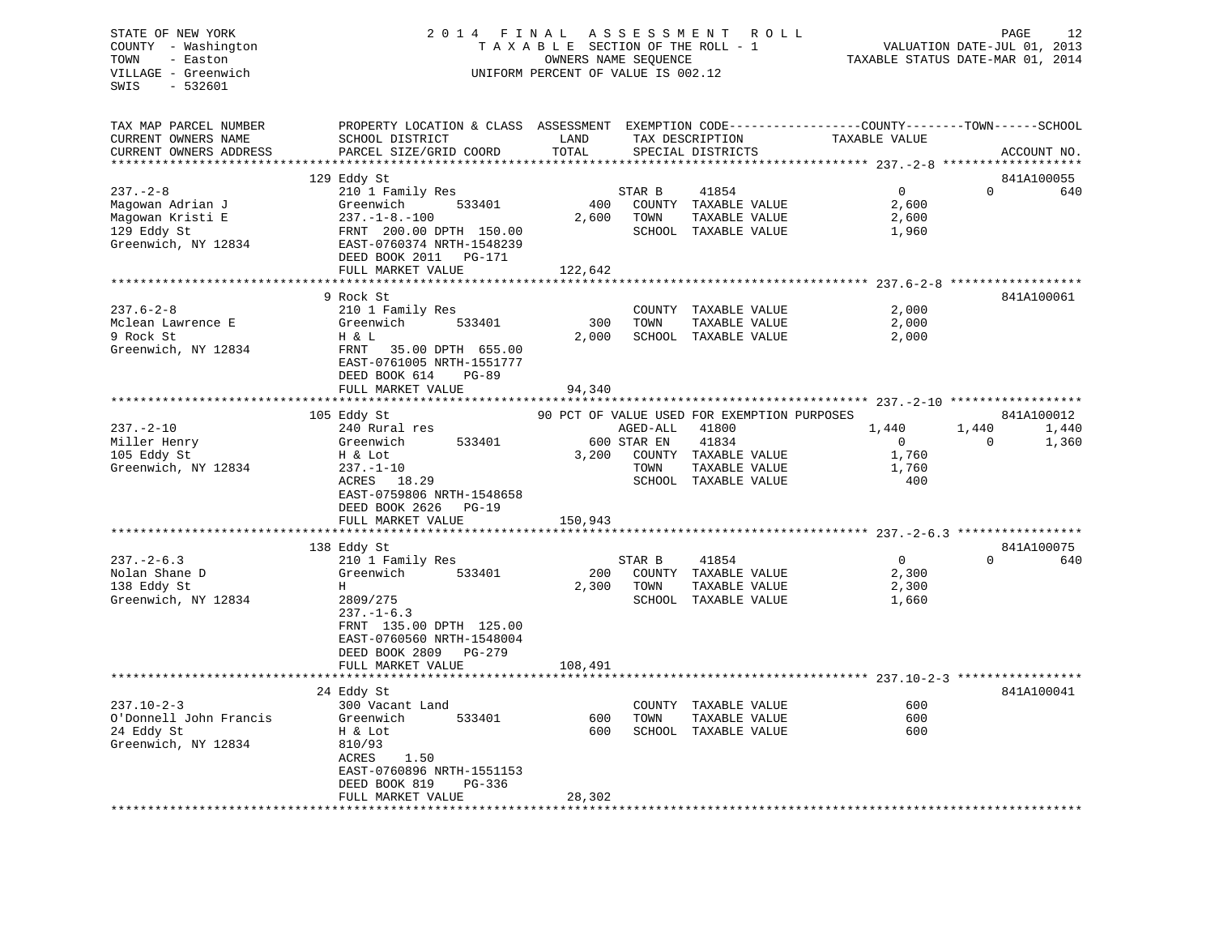# STATE OF NEW YORK 2 0 1 4 F I N A L A S S E S S M E N T R O L L PAGE 12 COUNTY - Washington T A X A B L E SECTION OF THE ROLL - 1 VALUATION DATE-JUL 01, 2013 TOWN - Easton OWNERS NAME SEQUENCE TAXABLE STATUS DATE-MAR 01, 2014 VILLAGE - Greenwich UNIFORM PERCENT OF VALUE IS 002.12

| TAX MAP PARCEL NUMBER                             | PROPERTY LOCATION & CLASS ASSESSMENT EXEMPTION CODE----------------COUNTY-------TOWN-----SCHOOL |               |                                               |                |                        |
|---------------------------------------------------|-------------------------------------------------------------------------------------------------|---------------|-----------------------------------------------|----------------|------------------------|
| CURRENT OWNERS NAME                               | SCHOOL DISTRICT                                                                                 | LAND<br>TOTAL | TAX DESCRIPTION                               | TAXABLE VALUE  |                        |
| CURRENT OWNERS ADDRESS<br>*********************** | PARCEL SIZE/GRID COORD                                                                          |               | SPECIAL DISTRICTS                             |                | ACCOUNT NO.            |
|                                                   |                                                                                                 |               |                                               |                |                        |
|                                                   | 129 Eddy St                                                                                     |               |                                               |                | 841A100055<br>$\Omega$ |
| $237. - 2 - 8$                                    | 210 1 Family Res                                                                                |               | 41854<br>STAR B                               | $\overline{0}$ | 640                    |
| Magowan Adrian J<br>Magowan Kristi E              | Greenwich<br>533401<br>$237. - 1 - 8. - 100$                                                    | 400<br>2,600  | COUNTY TAXABLE VALUE<br>TOWN<br>TAXABLE VALUE | 2,600<br>2,600 |                        |
| 129 Eddy St                                       | FRNT 200.00 DPTH 150.00                                                                         |               | SCHOOL TAXABLE VALUE                          | 1,960          |                        |
| Greenwich, NY 12834                               | EAST-0760374 NRTH-1548239                                                                       |               |                                               |                |                        |
|                                                   | DEED BOOK 2011    PG-171                                                                        |               |                                               |                |                        |
|                                                   | FULL MARKET VALUE                                                                               | 122,642       |                                               |                |                        |
|                                                   | **********************                                                                          |               |                                               |                |                        |
|                                                   | 9 Rock St                                                                                       |               |                                               |                | 841A100061             |
| $237.6 - 2 - 8$                                   | 210 1 Family Res                                                                                |               | COUNTY TAXABLE VALUE                          | 2,000          |                        |
| Mclean Lawrence E                                 | Greenwich<br>533401                                                                             | 300           | TOWN<br>TAXABLE VALUE                         | 2,000          |                        |
| 9 Rock St                                         | H & L                                                                                           | 2,000         | SCHOOL TAXABLE VALUE                          | 2,000          |                        |
| Greenwich, NY 12834                               | FRNT 35.00 DPTH 655.00                                                                          |               |                                               |                |                        |
|                                                   | EAST-0761005 NRTH-1551777                                                                       |               |                                               |                |                        |
|                                                   | DEED BOOK 614<br>PG-89                                                                          |               |                                               |                |                        |
|                                                   | FULL MARKET VALUE                                                                               | 94,340        |                                               |                |                        |
|                                                   |                                                                                                 |               |                                               |                |                        |
|                                                   | 105 Eddy St                                                                                     |               | 90 PCT OF VALUE USED FOR EXEMPTION PURPOSES   |                | 841A100012             |
| $237. - 2 - 10$                                   | 240 Rural res                                                                                   |               | AGED-ALL<br>41800                             | 1,440          | 1,440<br>1,440         |
| Miller Henry                                      | Greenwich<br>533401                                                                             |               | 600 STAR EN<br>41834                          | $\overline{0}$ | $\Omega$<br>1,360      |
| 105 Eddy St                                       | H & Lot                                                                                         | 3,200         | COUNTY TAXABLE VALUE                          | 1,760          |                        |
| Greenwich, NY 12834                               | $237. - 1 - 10$                                                                                 |               | TAXABLE VALUE<br>TOWN                         | 1,760          |                        |
|                                                   | ACRES 18.29                                                                                     |               | SCHOOL TAXABLE VALUE                          | 400            |                        |
|                                                   | EAST-0759806 NRTH-1548658                                                                       |               |                                               |                |                        |
|                                                   | DEED BOOK 2626<br>$PG-19$                                                                       |               |                                               |                |                        |
|                                                   | FULL MARKET VALUE                                                                               | 150,943       |                                               |                |                        |
|                                                   |                                                                                                 |               |                                               |                |                        |
|                                                   | 138 Eddy St                                                                                     |               |                                               |                | 841A100075             |
| $237 - 2 - 6.3$                                   | 210 1 Family Res                                                                                |               | STAR B<br>41854                               | $\overline{0}$ | $\Omega$<br>640        |
| Nolan Shane D                                     | 533401<br>Greenwich                                                                             | 200           | COUNTY TAXABLE VALUE                          | 2,300          |                        |
| 138 Eddy St                                       | H                                                                                               | 2,300         | TOWN<br>TAXABLE VALUE                         | 2,300          |                        |
| Greenwich, NY 12834                               | 2809/275                                                                                        |               | SCHOOL TAXABLE VALUE                          | 1,660          |                        |
|                                                   | $237. - 1 - 6.3$                                                                                |               |                                               |                |                        |
|                                                   | FRNT 135.00 DPTH 125.00                                                                         |               |                                               |                |                        |
|                                                   | EAST-0760560 NRTH-1548004                                                                       |               |                                               |                |                        |
|                                                   | DEED BOOK 2809<br>PG-279                                                                        |               |                                               |                |                        |
|                                                   | FULL MARKET VALUE                                                                               | 108,491       |                                               |                |                        |
|                                                   |                                                                                                 |               |                                               |                |                        |
|                                                   | 24 Eddy St                                                                                      |               |                                               |                | 841A100041             |
| $237.10 - 2 - 3$                                  | 300 Vacant Land                                                                                 |               | COUNTY TAXABLE VALUE                          | 600            |                        |
| O'Donnell John Francis                            | 533401<br>Greenwich                                                                             | 600           | TOWN<br>TAXABLE VALUE                         | 600            |                        |
| 24 Eddy St                                        | H & Lot                                                                                         | 600           | SCHOOL TAXABLE VALUE                          | 600            |                        |
| Greenwich, NY 12834                               | 810/93                                                                                          |               |                                               |                |                        |
|                                                   | 1.50<br>ACRES                                                                                   |               |                                               |                |                        |
|                                                   | EAST-0760896 NRTH-1551153                                                                       |               |                                               |                |                        |
|                                                   | DEED BOOK 819<br>PG-336<br>FULL MARKET VALUE                                                    | 28,302        |                                               |                |                        |
|                                                   |                                                                                                 |               |                                               |                |                        |
|                                                   |                                                                                                 |               |                                               |                |                        |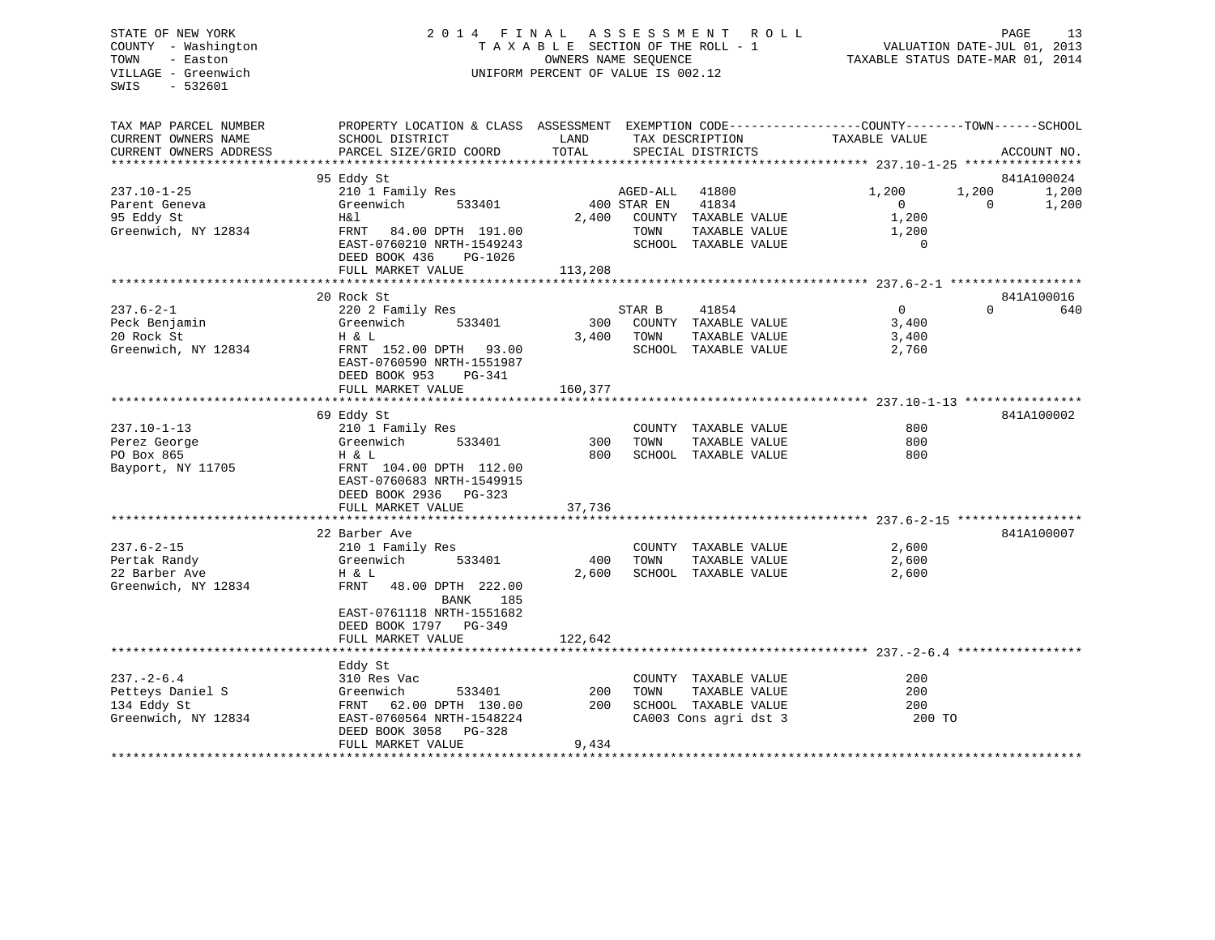# STATE OF NEW YORK 2 0 1 4 F I N A L A S S E S S M E N T R O L L PAGE 13 COUNTY - Washington T A X A B L E SECTION OF THE ROLL - 1 VALUATION DATE-JUL 01, 2013 TOWN - Easton **CONNERS NAME SEQUENCE** TAXABLE STATUS DATE-MAR 01, 2014 VILLAGE - Greenwich UNIFORM PERCENT OF VALUE IS 002.12

| TAX MAP PARCEL NUMBER<br>CURRENT OWNERS NAME<br>CURRENT OWNERS ADDRESS     | PROPERTY LOCATION & CLASS ASSESSMENT EXEMPTION CODE---------------COUNTY-------TOWN-----SCHOOL<br>SCHOOL DISTRICT<br>PARCEL SIZE/GRID COORD                                              | LAND<br>TOTAL           |                                 | TAX DESCRIPTION<br>SPECIAL DISTRICTS                                                   | TAXABLE VALUE                                   | ACCOUNT NO.                                       |
|----------------------------------------------------------------------------|------------------------------------------------------------------------------------------------------------------------------------------------------------------------------------------|-------------------------|---------------------------------|----------------------------------------------------------------------------------------|-------------------------------------------------|---------------------------------------------------|
| $237.10 - 1 - 25$<br>Parent Geneva<br>95 Eddy St<br>Greenwich, NY 12834    | 95 Eddy St<br>210 1 Family Res<br>Greenwich<br>533401<br>H&l<br>FRNT<br>84.00 DPTH 191.00<br>EAST-0760210 NRTH-1549243<br>DEED BOOK 436<br>PG-1026<br>FULL MARKET VALUE                  | 2,400<br>113,208        | AGED-ALL<br>400 STAR EN<br>TOWN | 41800<br>41834<br>COUNTY TAXABLE VALUE<br>TAXABLE VALUE<br>SCHOOL TAXABLE VALUE        | 1,200<br>$\Omega$<br>1,200<br>1,200<br>$\Omega$ | 841A100024<br>1,200<br>1,200<br>1,200<br>$\Omega$ |
| $237.6 - 2 - 1$<br>Peck Benjamin<br>20 Rock St<br>Greenwich, NY 12834      | 20 Rock St<br>220 2 Family Res<br>533401<br>Greenwich<br>H & L<br>FRNT 152.00 DPTH<br>93.00<br>EAST-0760590 NRTH-1551987<br>DEED BOOK 953<br>PG-341<br>FULL MARKET VALUE                 | 300<br>3,400<br>160,377 | STAR B<br>TOWN                  | 41854<br>COUNTY TAXABLE VALUE<br>TAXABLE VALUE<br>SCHOOL TAXABLE VALUE                 | $\Omega$<br>3,400<br>3,400<br>2,760             | 841A100016<br>640<br>$\Omega$                     |
| $237.10 - 1 - 13$<br>Perez George<br>PO Box 865<br>Bayport, NY 11705       | 69 Eddy St<br>210 1 Family Res<br>Greenwich<br>533401<br>H & L<br>FRNT 104.00 DPTH 112.00<br>EAST-0760683 NRTH-1549915<br>DEED BOOK 2936<br>PG-323<br>FULL MARKET VALUE                  | 300<br>800<br>37,736    | TOWN                            | COUNTY TAXABLE VALUE<br>TAXABLE VALUE<br>SCHOOL TAXABLE VALUE                          | 800<br>800<br>800                               | 841A100002                                        |
| $237.6 - 2 - 15$<br>Pertak Randy<br>22 Barber Ave<br>Greenwich, NY 12834   | 22 Barber Ave<br>210 1 Family Res<br>Greenwich<br>533401<br>H & L<br>FRNT<br>48.00 DPTH 222.00<br>BANK<br>185<br>EAST-0761118 NRTH-1551682<br>DEED BOOK 1797 PG-349<br>FULL MARKET VALUE | 400<br>2,600<br>122,642 | TOWN<br>SCHOOL                  | COUNTY TAXABLE VALUE<br>TAXABLE VALUE<br>TAXABLE VALUE                                 | 2,600<br>2,600<br>2,600                         | 841A100007                                        |
| $237. - 2 - 6.4$<br>Petteys Daniel S<br>134 Eddy St<br>Greenwich, NY 12834 | Eddy St<br>310 Res Vac<br>Greenwich<br>533401<br>FRNT<br>62.00 DPTH 130.00<br>EAST-0760564 NRTH-1548224<br>DEED BOOK 3058<br>$PG-328$<br>FULL MARKET VALUE                               | 200<br>200<br>9,434     | TOWN                            | COUNTY TAXABLE VALUE<br>TAXABLE VALUE<br>SCHOOL TAXABLE VALUE<br>CA003 Cons agri dst 3 | 200<br>200<br>200<br>200 TO                     |                                                   |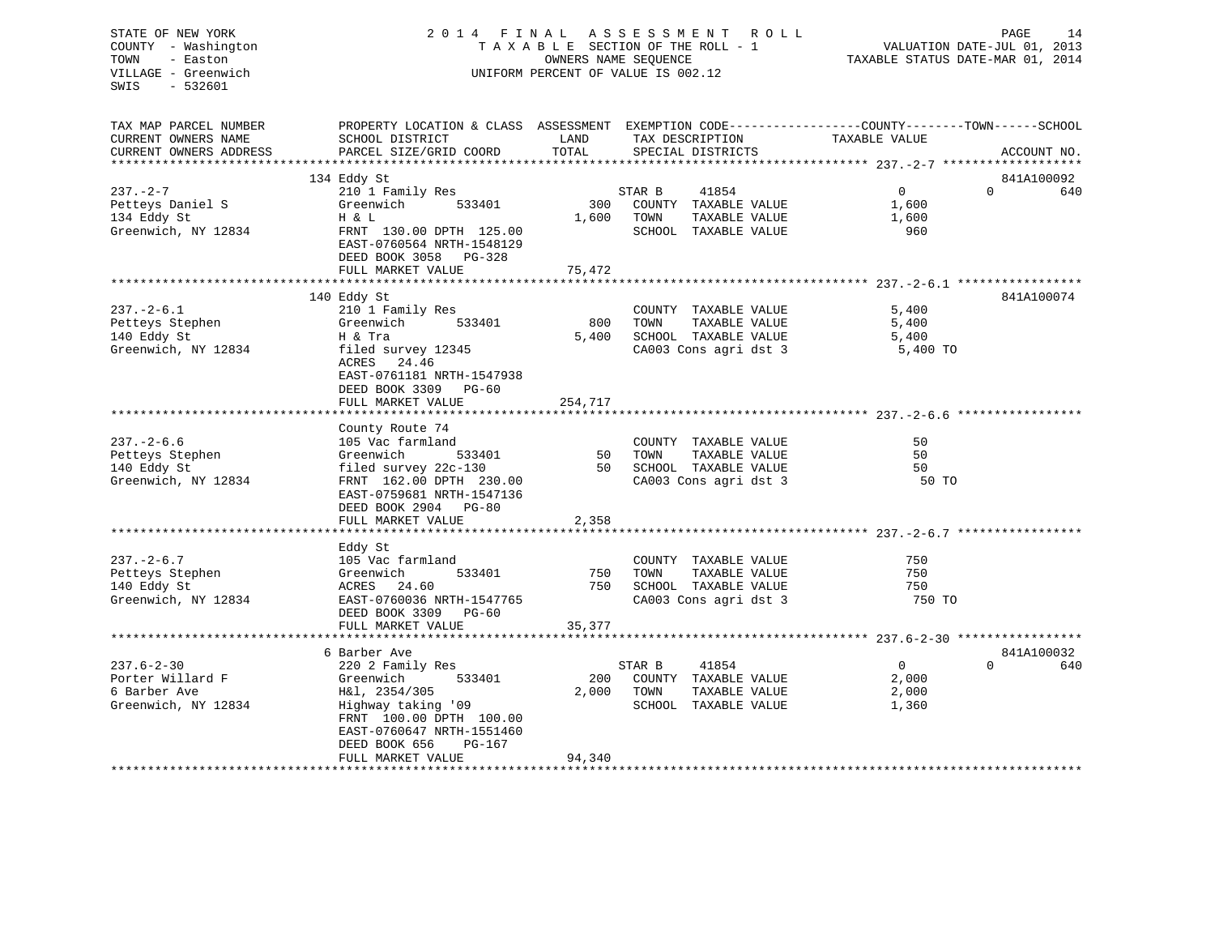# STATE OF NEW YORK 2 0 1 4 F I N A L A S S E S S M E N T R O L L PAGE 14COUNTY - Washington  $\begin{array}{ccc} 1 & 0 & 0 \\ 0 & 0 & 0 \end{array}$  T A X A B L E SECTION OF THE ROLL - 1 TOWN VILLAGE - Greenwich UNIFORM PERCENT OF VALUE IS 002.12

TAXABLE STATUS DATE-MAR 01, 2014

| TAX MAP PARCEL NUMBER         | PROPERTY LOCATION & CLASS ASSESSMENT EXEMPTION CODE---------------COUNTY-------TOWN------SCHOOL |         |                             |                |          |             |
|-------------------------------|-------------------------------------------------------------------------------------------------|---------|-----------------------------|----------------|----------|-------------|
| CURRENT OWNERS NAME           | SCHOOL DISTRICT                                                                                 | LAND    | TAX DESCRIPTION             | TAXABLE VALUE  |          |             |
| CURRENT OWNERS ADDRESS        | PARCEL SIZE/GRID COORD                                                                          | TOTAL   | SPECIAL DISTRICTS           |                |          | ACCOUNT NO. |
|                               | 134 Eddy St                                                                                     |         |                             |                |          | 841A100092  |
| 237.-2-7                      | 210 1 Family Res                                                                                |         | STAR B<br>41854             | $\overline{0}$ | $\Omega$ | 640         |
| Petteys Daniel S              | Greenwich<br>533401                                                                             | 300     | COUNTY TAXABLE VALUE        | 1,600          |          |             |
| 134 Eddy St                   | H & L                                                                                           | 1,600   | TOWN<br>TAXABLE VALUE       | 1,600          |          |             |
| Greenwich, NY 12834           | FRNT 130.00 DPTH 125.00                                                                         |         | SCHOOL TAXABLE VALUE        | 960            |          |             |
|                               | EAST-0760564 NRTH-1548129                                                                       |         |                             |                |          |             |
|                               | DEED BOOK 3058 PG-328                                                                           |         |                             |                |          |             |
|                               | FULL MARKET VALUE                                                                               | 75,472  |                             |                |          |             |
|                               |                                                                                                 |         |                             |                |          |             |
|                               | 140 Eddy St                                                                                     |         |                             |                |          | 841A100074  |
| 237.-2-6.1                    | 210 1 Family Res                                                                                |         | COUNTY TAXABLE VALUE        | 5,400          |          |             |
| Petteys Stephen               | 533401<br>Greenwich                                                                             | 800     | TOWN<br>TAXABLE VALUE       | 5,400          |          |             |
| 140 Eddy St                   | H & Tra                                                                                         | 5,400   | SCHOOL TAXABLE VALUE        | 5,400          |          |             |
| Greenwich, NY 12834           | filed survey 12345                                                                              |         | CA003 Cons agri dst 3       | 5,400 TO       |          |             |
|                               | ACRES 24.46                                                                                     |         |                             |                |          |             |
|                               | EAST-0761181 NRTH-1547938                                                                       |         |                             |                |          |             |
|                               | DEED BOOK 3309 PG-60                                                                            |         |                             |                |          |             |
|                               | FULL MARKET VALUE                                                                               | 254,717 |                             |                |          |             |
|                               |                                                                                                 |         |                             |                |          |             |
| 237. – 2–6.6                  | County Route 74<br>105 Vac farmland                                                             |         | COUNTY TAXABLE VALUE        | 50             |          |             |
| Petteys Stephen               | Greenwich<br>533401                                                                             |         | 50 TOWN<br>TAXABLE VALUE    | 50             |          |             |
| 140 Eddy St                   |                                                                                                 |         | 50 SCHOOL TAXABLE VALUE     | 50             |          |             |
| Greenwich, NY 12834           | filed survey 22c-130<br>FRNT 162.00 DPTH 230.00                                                 |         | CA003 Cons agri dst 3       | 50 TO          |          |             |
|                               | EAST-0759681 NRTH-1547136                                                                       |         |                             |                |          |             |
|                               | DEED BOOK 2904 PG-80                                                                            |         |                             |                |          |             |
|                               | FULL MARKET VALUE                                                                               | 2,358   |                             |                |          |             |
|                               |                                                                                                 |         |                             |                |          |             |
|                               | Eddy St                                                                                         |         |                             |                |          |             |
| $237. - 2 - 6.7$              | 105 Vac farmland                                                                                |         | COUNTY TAXABLE VALUE        | 750            |          |             |
| 237.-2-o.,<br>Petteys Stephen | 533401                                                                                          |         | 750 TOWN<br>TAXABLE VALUE   | 750            |          |             |
| 140 Eddy St                   | Greenwich<br>ACRES 24.60                                                                        | 750     | SCHOOL TAXABLE VALUE        | 750            |          |             |
| Greenwich, NY 12834           | EAST-0760036 NRTH-1547765                                                                       |         | CA003 Cons agri dst 3       | 750 TO         |          |             |
|                               | DEED BOOK 3309 PG-60                                                                            |         |                             |                |          |             |
|                               | FULL MARKET VALUE                                                                               | 35,377  |                             |                |          |             |
|                               |                                                                                                 |         |                             |                |          |             |
|                               | 6 Barber Ave                                                                                    |         |                             |                |          | 841A100032  |
| $237.6 - 2 - 30$              | 220 2 Family Res                                                                                |         | 41854<br>STAR B             | $\overline{0}$ | $\Omega$ | 640         |
| Porter Willard F              | 533401<br>Greenwich                                                                             | 200     | COUNTY TAXABLE VALUE        | 2,000          |          |             |
| 6 Barber Ave                  | H&l, 2354/305                                                                                   |         | 2,000 TOWN<br>TAXABLE VALUE | 2,000          |          |             |
| Greenwich, NY 12834           | Highway taking '09                                                                              |         | SCHOOL TAXABLE VALUE        | 1,360          |          |             |
|                               | FRNT 100.00 DPTH 100.00                                                                         |         |                             |                |          |             |
|                               | EAST-0760647 NRTH-1551460                                                                       |         |                             |                |          |             |
|                               | DEED BOOK 656<br>PG-167<br>FULL MARKET VALUE                                                    | 94,340  |                             |                |          |             |
|                               |                                                                                                 |         |                             |                |          |             |
|                               |                                                                                                 |         |                             |                |          |             |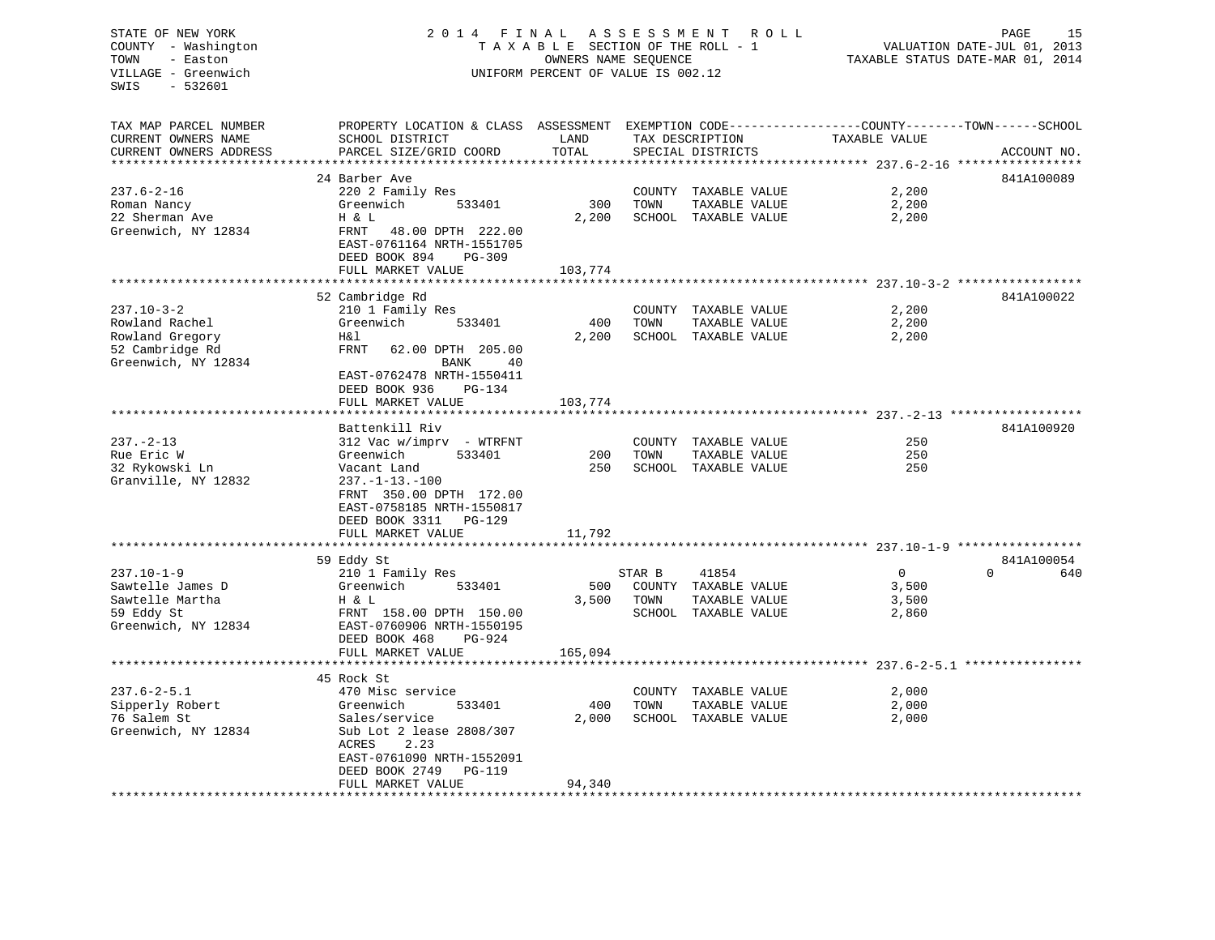# STATE OF NEW YORK 2 0 1 4 F I N A L A S S E S S M E N T R O L L PAGE 15 COUNTY - Washington T A X A B L E SECTION OF THE ROLL - 1 VALUATION DATE-JUL 01, 2013 TOWN - Easton OWNERS NAME SEQUENCE TAXABLE STATUS DATE-MAR 01, 2014 VILLAGE - Greenwich UNIFORM PERCENT OF VALUE IS 002.12

| TAX MAP PARCEL NUMBER<br>CURRENT OWNERS NAME | PROPERTY LOCATION & CLASS ASSESSMENT<br>SCHOOL DISTRICT | LAND    |        | TAX DESCRIPTION      | EXEMPTION CODE-----------------COUNTY-------TOWN------SCHOOL<br>TAXABLE VALUE |                 |
|----------------------------------------------|---------------------------------------------------------|---------|--------|----------------------|-------------------------------------------------------------------------------|-----------------|
| CURRENT OWNERS ADDRESS                       | PARCEL SIZE/GRID COORD                                  | TOTAL   |        | SPECIAL DISTRICTS    |                                                                               | ACCOUNT NO.     |
|                                              |                                                         |         |        |                      |                                                                               |                 |
|                                              | 24 Barber Ave                                           |         |        |                      |                                                                               | 841A100089      |
| $237.6 - 2 - 16$                             | 220 2 Family Res                                        |         |        | COUNTY TAXABLE VALUE | 2,200                                                                         |                 |
| Roman Nancy                                  | Greenwich<br>533401                                     | 300     | TOWN   | TAXABLE VALUE        | 2,200                                                                         |                 |
| 22 Sherman Ave                               | H & L                                                   | 2,200   |        | SCHOOL TAXABLE VALUE | 2,200                                                                         |                 |
| Greenwich, NY 12834                          | FRNT<br>48.00 DPTH 222.00                               |         |        |                      |                                                                               |                 |
|                                              | EAST-0761164 NRTH-1551705                               |         |        |                      |                                                                               |                 |
|                                              | DEED BOOK 894<br>PG-309                                 |         |        |                      |                                                                               |                 |
|                                              | FULL MARKET VALUE                                       | 103,774 |        |                      |                                                                               |                 |
|                                              | 52 Cambridge Rd                                         |         |        |                      |                                                                               | 841A100022      |
| $237.10 - 3 - 2$                             | 210 1 Family Res                                        |         |        | COUNTY TAXABLE VALUE | 2,200                                                                         |                 |
| Rowland Rachel                               | Greenwich<br>533401                                     | 400     | TOWN   | TAXABLE VALUE        | 2,200                                                                         |                 |
| Rowland Gregory                              | H&l                                                     | 2,200   |        | SCHOOL TAXABLE VALUE | 2,200                                                                         |                 |
| 52 Cambridge Rd                              | FRNT<br>62.00 DPTH 205.00                               |         |        |                      |                                                                               |                 |
| Greenwich, NY 12834                          | <b>BANK</b><br>40                                       |         |        |                      |                                                                               |                 |
|                                              | EAST-0762478 NRTH-1550411                               |         |        |                      |                                                                               |                 |
|                                              | DEED BOOK 936<br><b>PG-134</b>                          |         |        |                      |                                                                               |                 |
|                                              | FULL MARKET VALUE                                       | 103,774 |        |                      |                                                                               |                 |
|                                              |                                                         |         |        |                      |                                                                               |                 |
|                                              | Battenkill Riv                                          |         |        |                      |                                                                               | 841A100920      |
| $237. - 2 - 13$                              | 312 Vac w/imprv - WTRFNT                                |         |        | COUNTY TAXABLE VALUE | 250                                                                           |                 |
| Rue Eric W                                   | Greenwich<br>533401                                     | 200     | TOWN   | TAXABLE VALUE        | 250                                                                           |                 |
| 32 Rykowski Ln                               | Vacant Land                                             | 250     |        | SCHOOL TAXABLE VALUE | 250                                                                           |                 |
| Granville, NY 12832                          | $237. -1 - 13. -100$                                    |         |        |                      |                                                                               |                 |
|                                              | FRNT 350.00 DPTH 172.00                                 |         |        |                      |                                                                               |                 |
|                                              | EAST-0758185 NRTH-1550817                               |         |        |                      |                                                                               |                 |
|                                              | DEED BOOK 3311<br>PG-129                                | 11,792  |        |                      |                                                                               |                 |
|                                              | FULL MARKET VALUE<br>*************                      |         |        |                      |                                                                               |                 |
|                                              | 59 Eddy St                                              |         |        |                      |                                                                               | 841A100054      |
| $237.10 - 1 - 9$                             | 210 1 Family Res                                        |         | STAR B | 41854                | $\overline{0}$                                                                | $\Omega$<br>640 |
| Sawtelle James D                             | Greenwich<br>533401                                     | 500     |        | COUNTY TAXABLE VALUE | 3,500                                                                         |                 |
| Sawtelle Martha                              | H & L                                                   | 3,500   | TOWN   | TAXABLE VALUE        | 3,500                                                                         |                 |
| 59 Eddy St                                   | FRNT 158.00 DPTH 150.00                                 |         |        | SCHOOL TAXABLE VALUE | 2,860                                                                         |                 |
| Greenwich, NY 12834                          | EAST-0760906 NRTH-1550195                               |         |        |                      |                                                                               |                 |
|                                              | DEED BOOK 468<br>$PG-924$                               |         |        |                      |                                                                               |                 |
|                                              | FULL MARKET VALUE                                       | 165,094 |        |                      |                                                                               |                 |
|                                              |                                                         |         |        |                      |                                                                               |                 |
|                                              | 45 Rock St                                              |         |        |                      |                                                                               |                 |
| $237.6 - 2 - 5.1$                            | 470 Misc service                                        |         | COUNTY | TAXABLE VALUE        | 2,000                                                                         |                 |
| Sipperly Robert                              | Greenwich<br>533401                                     | 400     | TOWN   | TAXABLE VALUE        | 2,000                                                                         |                 |
| 76 Salem St                                  | Sales/service                                           | 2,000   |        | SCHOOL TAXABLE VALUE | 2,000                                                                         |                 |
| Greenwich, NY 12834                          | Sub Lot 2 lease 2808/307                                |         |        |                      |                                                                               |                 |
|                                              | ACRES<br>2.23<br>EAST-0761090 NRTH-1552091              |         |        |                      |                                                                               |                 |
|                                              | DEED BOOK 2749<br>PG-119                                |         |        |                      |                                                                               |                 |
|                                              | FULL MARKET VALUE                                       | 94,340  |        |                      |                                                                               |                 |
|                                              |                                                         |         |        |                      |                                                                               |                 |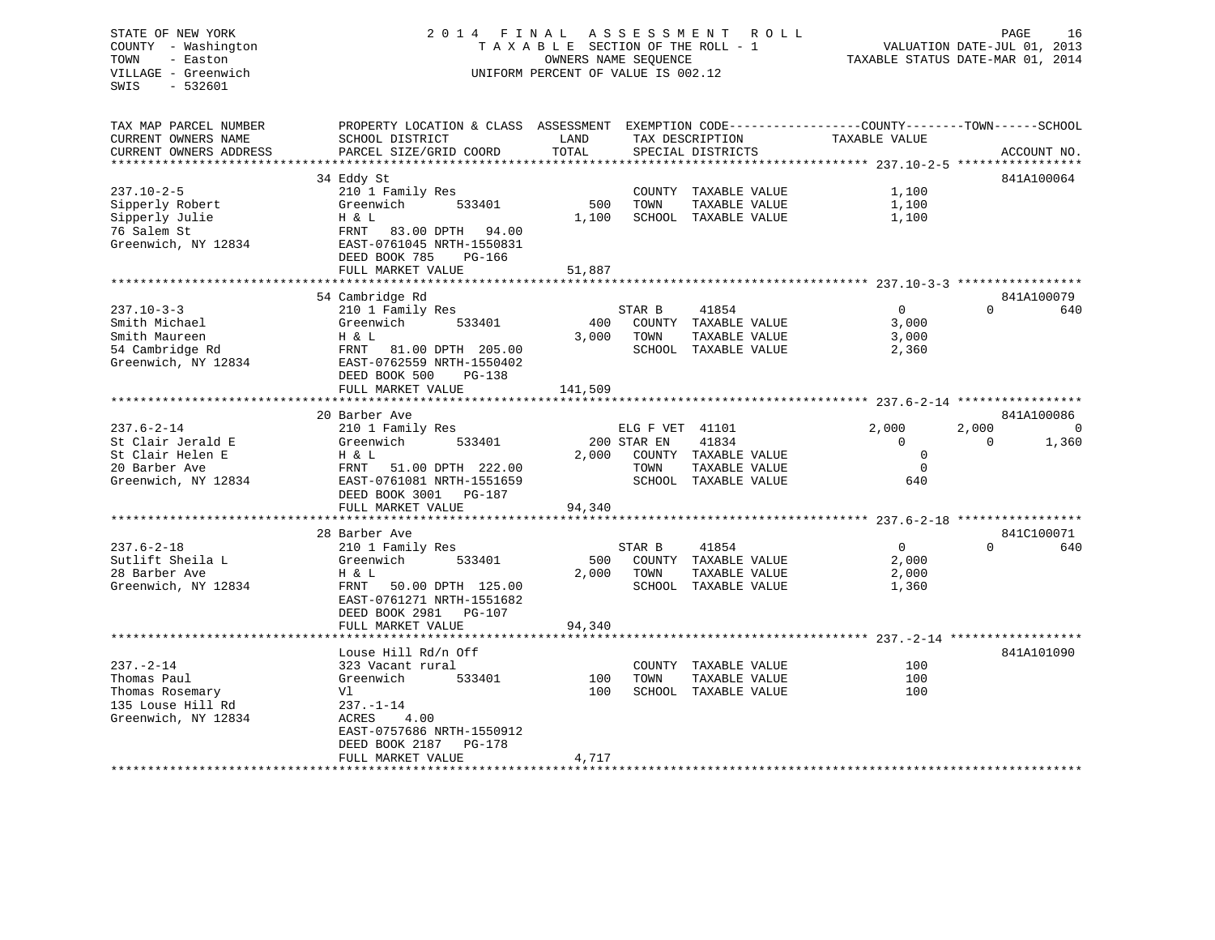# STATE OF NEW YORK 2 0 1 4 F I N A L A S S E S S M E N T R O L L PAGE 16 COUNTY - Washington T A X A B L E SECTION OF THE ROLL - 1 VALUATION DATE-JUL 01, 2013 TOWN - Easton OWNERS NAME SEQUENCE TAXABLE STATUS DATE-MAR 01, 2014 VILLAGE - Greenwich UNIFORM PERCENT OF VALUE IS 002.12

| TAX MAP PARCEL NUMBER  | PROPERTY LOCATION & CLASS ASSESSMENT EXEMPTION CODE---------------COUNTY-------TOWN------SCHOOL |         |                       |                |                         |
|------------------------|-------------------------------------------------------------------------------------------------|---------|-----------------------|----------------|-------------------------|
| CURRENT OWNERS NAME    | SCHOOL DISTRICT                                                                                 | LAND    | TAX DESCRIPTION       | TAXABLE VALUE  |                         |
| CURRENT OWNERS ADDRESS | PARCEL SIZE/GRID COORD                                                                          | TOTAL   | SPECIAL DISTRICTS     |                | ACCOUNT NO.             |
|                        |                                                                                                 |         |                       |                |                         |
|                        |                                                                                                 |         |                       |                |                         |
|                        | 34 Eddy St                                                                                      |         |                       |                | 841A100064              |
| $237.10 - 2 - 5$       | 210 1 Family Res                                                                                |         | COUNTY TAXABLE VALUE  | 1,100          |                         |
| Sipperly Robert        | Greenwich<br>533401                                                                             | 500     | TOWN<br>TAXABLE VALUE | 1,100          |                         |
| Sipperly Julie         | H & L                                                                                           | 1,100   | SCHOOL TAXABLE VALUE  | 1,100          |                         |
| 76 Salem St            | FRNT 83.00 DPTH 94.00                                                                           |         |                       |                |                         |
| Greenwich, NY 12834    | EAST-0761045 NRTH-1550831                                                                       |         |                       |                |                         |
|                        | DEED BOOK 785<br>PG-166                                                                         |         |                       |                |                         |
|                        | FULL MARKET VALUE                                                                               | 51,887  |                       |                |                         |
|                        | ***********************************                                                             |         |                       |                |                         |
|                        | 54 Cambridge Rd                                                                                 |         |                       |                | 841A100079              |
| 237.10-3-3             |                                                                                                 |         | 41854<br>STAR B       | $\overline{0}$ | $\Omega$<br>640         |
|                        | 210 1 Family Res                                                                                |         |                       |                |                         |
| Smith Michael          | Greenwich<br>533401                                                                             | 400     | COUNTY TAXABLE VALUE  | 3,000          |                         |
| Smith Maureen          | H & L                                                                                           | 3,000   | TOWN<br>TAXABLE VALUE | 3,000          |                         |
| 54 Cambridge Rd        | FRNT 81.00 DPTH 205.00                                                                          |         | SCHOOL TAXABLE VALUE  | 2,360          |                         |
| Greenwich, NY 12834    | EAST-0762559 NRTH-1550402                                                                       |         |                       |                |                         |
|                        | DEED BOOK 500<br>PG-138                                                                         |         |                       |                |                         |
|                        | FULL MARKET VALUE                                                                               | 141,509 |                       |                |                         |
|                        |                                                                                                 |         |                       |                |                         |
|                        | 20 Barber Ave                                                                                   |         |                       |                | 841A100086              |
| 237.6-2-14             | 210 1 Family Res                                                                                |         | ELG F VET 41101       | 2,000          | 2,000<br>$\overline{0}$ |
| St Clair Jerald E      | Greenwich<br>533401                                                                             |         | 200 STAR EN<br>41834  | $\mathbf{0}$   | 1,360<br>$\Omega$       |
|                        |                                                                                                 |         |                       | $\mathbf 0$    |                         |
| St Clair Helen E       | H & L                                                                                           | 2,000   | COUNTY TAXABLE VALUE  |                |                         |
| 20 Barber Ave          | FRNT 51.00 DPTH 222.00                                                                          |         | TAXABLE VALUE<br>TOWN | $\Omega$       |                         |
| Greenwich, NY 12834    | EAST-0761081 NRTH-1551659                                                                       |         | SCHOOL TAXABLE VALUE  | 640            |                         |
|                        | DEED BOOK 3001 PG-187                                                                           |         |                       |                |                         |
|                        | FULL MARKET VALUE                                                                               | 94,340  |                       |                |                         |
|                        |                                                                                                 |         |                       |                |                         |
|                        | 28 Barber Ave                                                                                   |         |                       |                | 841C100071              |
| $237.6 - 2 - 18$       | 210 1 Family Res                                                                                |         | STAR B<br>41854       | $\Omega$       | $\Omega$<br>640         |
| Sutlift Sheila L       | 533401<br>Greenwich                                                                             | 500     | COUNTY TAXABLE VALUE  | 2,000          |                         |
| 28 Barber Ave          | H & L                                                                                           | 2,000   | TOWN<br>TAXABLE VALUE | 2,000          |                         |
| Greenwich, NY 12834    | FRNT 50.00 DPTH 125.00                                                                          |         | SCHOOL TAXABLE VALUE  | 1,360          |                         |
|                        | EAST-0761271 NRTH-1551682                                                                       |         |                       |                |                         |
|                        | DEED BOOK 2981<br>PG-107                                                                        |         |                       |                |                         |
|                        |                                                                                                 |         |                       |                |                         |
|                        | FULL MARKET VALUE                                                                               | 94,340  |                       |                |                         |
|                        |                                                                                                 |         |                       |                |                         |
|                        | Louse Hill Rd/n Off                                                                             |         |                       |                | 841A101090              |
| 237.-2-14              | 323 Vacant rural                                                                                |         | COUNTY TAXABLE VALUE  | 100            |                         |
| Thomas Paul            | Greenwich<br>533401                                                                             | 100     | TOWN<br>TAXABLE VALUE | 100            |                         |
| Thomas Rosemary        | Vl                                                                                              | 100     | SCHOOL TAXABLE VALUE  | 100            |                         |
| 135 Louse Hill Rd      | $237. - 1 - 14$                                                                                 |         |                       |                |                         |
| Greenwich, NY 12834    | ACRES<br>4.00                                                                                   |         |                       |                |                         |
|                        | EAST-0757686 NRTH-1550912                                                                       |         |                       |                |                         |
|                        | DEED BOOK 2187<br>PG-178                                                                        |         |                       |                |                         |
|                        | FULL MARKET VALUE                                                                               | 4,717   |                       |                |                         |
|                        |                                                                                                 |         |                       |                |                         |
|                        |                                                                                                 |         |                       |                |                         |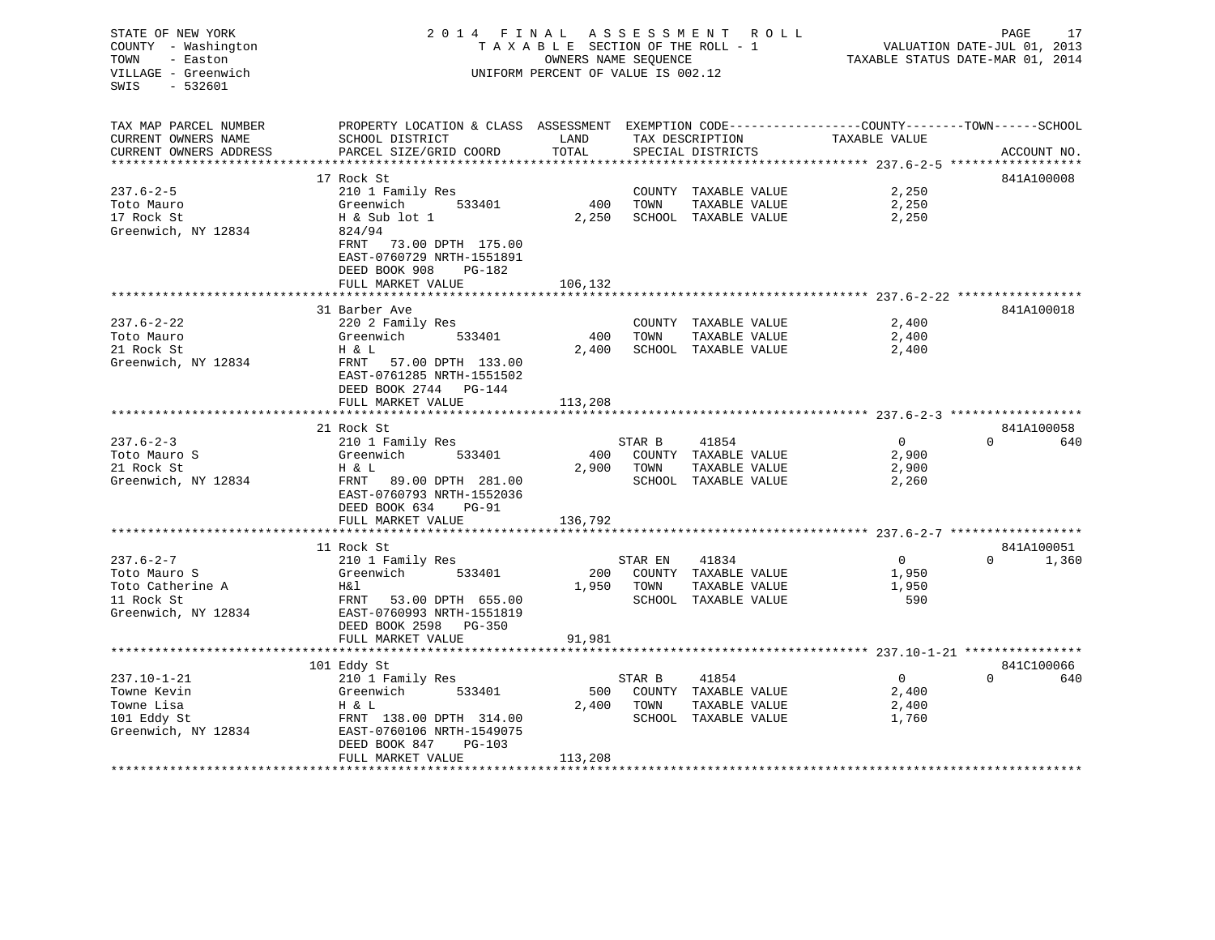| STATE OF NEW YORK<br>COUNTY - Washington<br>TOWN<br>- Easton<br>VILLAGE - Greenwich<br>$-532601$<br>SWIS | 2014 FINAL ASSESSMENT ROLL<br>TAXABLE SECTION OF THE ROLL - 1<br>OWNERS NAME SEQUENCE<br>UNIFORM PERCENT OF VALUE IS 002.12      |         |            | PAGE<br>17<br>VALUATION DATE-JUL 01, 2013<br>TAXABLE STATUS DATE-MAR 01, 2014 |                |          |                            |
|----------------------------------------------------------------------------------------------------------|----------------------------------------------------------------------------------------------------------------------------------|---------|------------|-------------------------------------------------------------------------------|----------------|----------|----------------------------|
| TAX MAP PARCEL NUMBER<br>CURRENT OWNERS NAME                                                             | PROPERTY LOCATION & CLASS ASSESSMENT EXEMPTION CODE---------------COUNTY-------TOWN-----SCHOOL<br><b>LAND</b><br>SCHOOL DISTRICT |         |            | TAX DESCRIPTION TAXABLE VALUE                                                 |                |          |                            |
| CURRENT OWNERS ADDRESS                                                                                   | PARCEL SIZE/GRID COORD                                                                                                           | TOTAL   |            | SPECIAL DISTRICTS                                                             |                |          | ACCOUNT NO.                |
| ***********************                                                                                  |                                                                                                                                  |         |            |                                                                               |                |          |                            |
|                                                                                                          | 17 Rock St                                                                                                                       |         |            |                                                                               |                |          | 841A100008                 |
| $237.6 - 2 - 5$<br>Toto Mauro                                                                            | 210 1 Family Res<br>Greenwich 533401                                                                                             |         | 400 TOWN   | COUNTY TAXABLE VALUE<br>TAXABLE VALUE                                         | 2,250<br>2,250 |          |                            |
| 17 Rock St                                                                                               | H & Sub lot 1                                                                                                                    | 2,250   |            | SCHOOL TAXABLE VALUE                                                          | 2,250          |          |                            |
| Greenwich, NY 12834                                                                                      | 824/94                                                                                                                           |         |            |                                                                               |                |          |                            |
|                                                                                                          | FRNT 73.00 DPTH 175.00<br>EAST-0760729 NRTH-1551891<br>DEED BOOK 908<br>PG-182                                                   |         |            |                                                                               |                |          |                            |
|                                                                                                          | FULL MARKET VALUE                                                                                                                | 106,132 |            |                                                                               |                |          |                            |
|                                                                                                          |                                                                                                                                  |         |            |                                                                               |                |          |                            |
|                                                                                                          | 31 Barber Ave                                                                                                                    |         |            |                                                                               |                |          | 841A100018                 |
| $237.6 - 2 - 22$                                                                                         | 220 2 Family Res                                                                                                                 |         |            | COUNTY TAXABLE VALUE                                                          | 2,400          |          |                            |
| Toto Mauro                                                                                               | Greenwich 533401                                                                                                                 | 400     | TOWN       | TAXABLE VALUE                                                                 | 2,400          |          |                            |
| 21 Rock St<br>Greenwich, NY 12834                                                                        | Η & L<br>FRNT 57.00 DPTH 133.00                                                                                                  | 2,400   |            | SCHOOL TAXABLE VALUE                                                          | 2,400          |          |                            |
|                                                                                                          | EAST-0761285 NRTH-1551502<br>DEED BOOK 2744 PG-144                                                                               |         |            |                                                                               |                |          |                            |
|                                                                                                          | FULL MARKET VALUE                                                                                                                | 113,208 |            |                                                                               |                |          |                            |
|                                                                                                          |                                                                                                                                  |         |            |                                                                               |                |          |                            |
| $237.6 - 2 - 3$                                                                                          | 21 Rock St                                                                                                                       |         |            |                                                                               | $\overline{0}$ |          | 841A100058<br>$0 \t\t 640$ |
| Toto Mauro S                                                                                             | 210 1 Family Res<br>Greenwich 533401                                                                                             |         | STAR B     | 41854<br>400 COUNTY TAXABLE VALUE                                             | 2,900          |          |                            |
| 21 Rock St                                                                                               | H & L                                                                                                                            |         | 2,900 TOWN | TAXABLE VALUE                                                                 | 2,900          |          |                            |
| Greenwich, NY 12834                                                                                      | FRNT 89.00 DPTH 281.00                                                                                                           |         |            | SCHOOL TAXABLE VALUE                                                          | 2,260          |          |                            |
|                                                                                                          | EAST-0760793 NRTH-1552036<br>DEED BOOK 634 PG-91                                                                                 |         |            |                                                                               |                |          |                            |
|                                                                                                          | FULL MARKET VALUE                                                                                                                | 136,792 |            |                                                                               |                |          |                            |
|                                                                                                          |                                                                                                                                  |         |            |                                                                               |                |          |                            |
|                                                                                                          | 11 Rock St                                                                                                                       |         |            |                                                                               |                |          | 841A100051                 |
| $237.6 - 2 - 7$                                                                                          | 210 1 Family Res                                                                                                                 |         | STAR EN    | 41834                                                                         | $\overline{0}$ |          | $0 \t 1,360$               |
| Toto Mauro S<br>Toto maure -<br>Toto Catherine A                                                         | Greenwich 533401                                                                                                                 |         |            | 200 COUNTY TAXABLE VALUE                                                      | 1,950<br>1,950 |          |                            |
| 11 Rock St                                                                                               | H&l<br>FRNT 53.00 DPTH 655.00                                                                                                    |         | 1,950 TOWN | TAXABLE VALUE<br>SCHOOL TAXABLE VALUE                                         | 590            |          |                            |
| Greenwich, NY 12834                                                                                      | EAST-0760993 NRTH-1551819                                                                                                        |         |            |                                                                               |                |          |                            |
|                                                                                                          | DEED BOOK 2598 PG-350                                                                                                            |         |            |                                                                               |                |          |                            |
|                                                                                                          | FULL MARKET VALUE                                                                                                                | 91,981  |            |                                                                               |                |          |                            |
|                                                                                                          | *********************                                                                                                            |         |            |                                                                               |                |          |                            |
|                                                                                                          | 101 Eddy St                                                                                                                      |         |            |                                                                               |                |          | 841C100066                 |
| $237.10 - 1 - 21$                                                                                        | 210 1 Family Res                                                                                                                 |         | STAR B     | 41854                                                                         | $\overline{0}$ | $\Omega$ | 640                        |
| Towne Kevin                                                                                              | Greenwich 533401                                                                                                                 |         |            | 500 COUNTY TAXABLE VALUE                                                      | 2,400          |          |                            |
| Towne Lisa                                                                                               | H & L                                                                                                                            |         | 2,400 TOWN | TAXABLE VALUE                                                                 | 2,400          |          |                            |
| 101 Eddy St                                                                                              | FRNT 138.00 DPTH 314.00                                                                                                          |         |            | SCHOOL TAXABLE VALUE                                                          | 1,760          |          |                            |
| Greenwich, NY 12834                                                                                      | EAST-0760106 NRTH-1549075<br>PG-103<br>DEED BOOK 847                                                                             |         |            |                                                                               |                |          |                            |
|                                                                                                          | FULL MARKET VALUE                                                                                                                | 113,208 |            |                                                                               |                |          |                            |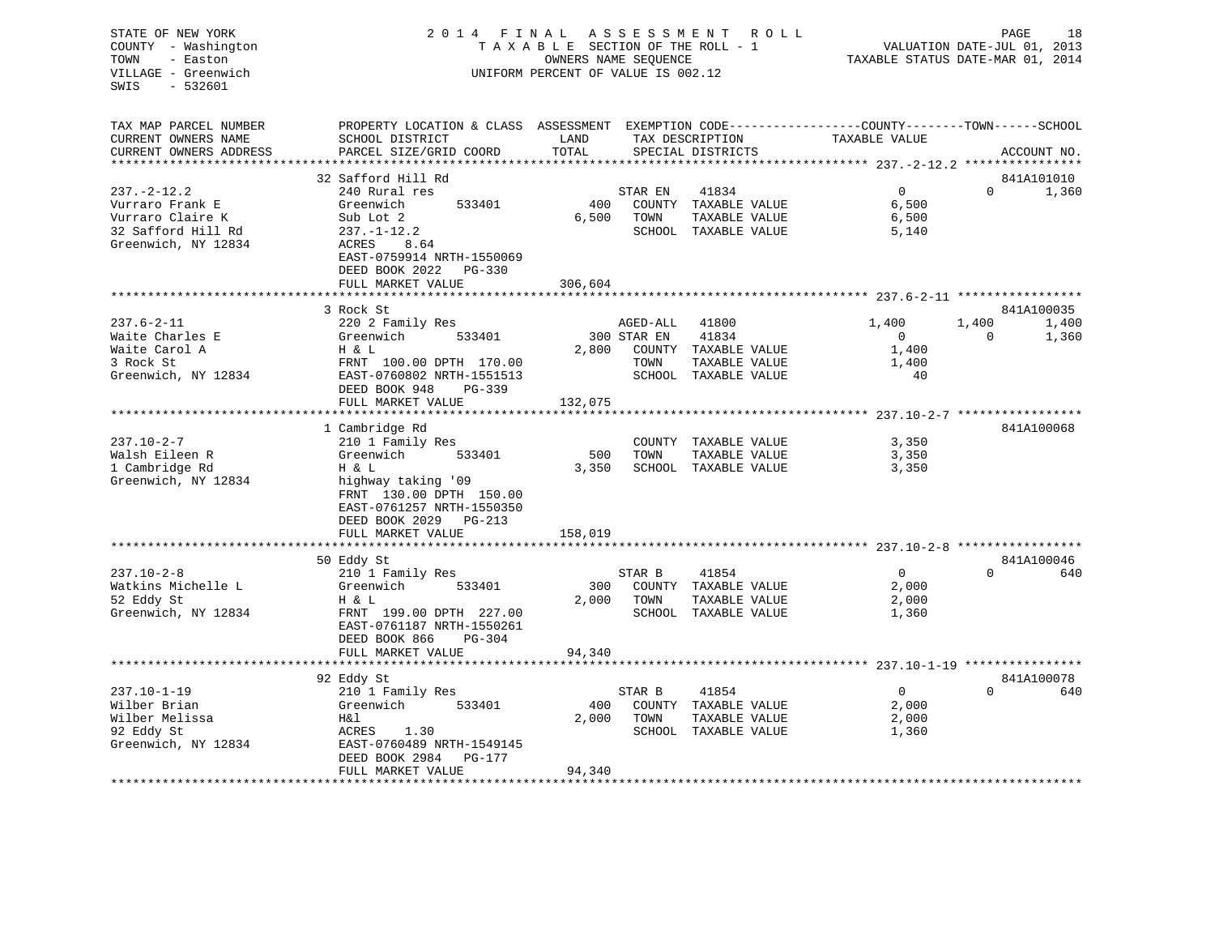# STATE OF NEW YORK 2 0 1 4 F I N A L A S S E S S M E N T R O L L PAGE 18 COUNTY - Washington T A X A B L E SECTION OF THE ROLL - 1 VALUATION DATE-JUL 01, 2013 TOWN - Easton **CONNERS NAME SEQUENCE** TAXABLE STATUS DATE-MAR 01, 2014 VILLAGE - Greenwich UNIFORM PERCENT OF VALUE IS 002.12

| TAX MAP PARCEL NUMBER<br>CURRENT OWNERS NAME                                                    | PROPERTY LOCATION & CLASS ASSESSMENT EXEMPTION CODE----------------COUNTY-------TOWN------SCHOOL<br>SCHOOL DISTRICT                                                     | LAND             |                                 | TAX DESCRIPTION                                                                 | TAXABLE VALUE                                   |                   |                              |
|-------------------------------------------------------------------------------------------------|-------------------------------------------------------------------------------------------------------------------------------------------------------------------------|------------------|---------------------------------|---------------------------------------------------------------------------------|-------------------------------------------------|-------------------|------------------------------|
| CURRENT OWNERS ADDRESS                                                                          | PARCEL SIZE/GRID COORD                                                                                                                                                  | TOTAL            |                                 | SPECIAL DISTRICTS                                                               |                                                 |                   | ACCOUNT NO.                  |
|                                                                                                 | 32 Safford Hill Rd                                                                                                                                                      |                  |                                 |                                                                                 |                                                 |                   | 841A101010                   |
| 237.-2-12.2<br>Vurraro Frank E<br>Vurraro Claire K<br>32 Safford Hill Rd<br>Greenwich, NY 12834 | 240 Rural res<br>Greenwich<br>533401<br>Sub Lot 2<br>$237. - 1 - 12.2$<br>ACRES<br>8.64<br>EAST-0759914 NRTH-1550069<br>DEED BOOK 2022 PG-330                           | 400<br>6,500     | STAR EN<br>TOWN                 | 41834<br>COUNTY TAXABLE VALUE<br>TAXABLE VALUE<br>SCHOOL TAXABLE VALUE          | $\Omega$<br>6,500<br>6,500<br>5,140             | $\Omega$          | 1,360                        |
|                                                                                                 | FULL MARKET VALUE                                                                                                                                                       | 306,604          |                                 |                                                                                 |                                                 |                   |                              |
|                                                                                                 |                                                                                                                                                                         |                  |                                 |                                                                                 |                                                 |                   |                              |
| $237.6 - 2 - 11$<br>Waite Charles E<br>Waite Carol A<br>3 Rock St<br>Greenwich, NY 12834        | 3 Rock St<br>220 2 Family Res<br>Greenwich<br>533401<br>H & L<br>FRNT 100.00 DPTH 170.00<br>EAST-0760802 NRTH-1551513<br>DEED BOOK 948<br>$PG-339$<br>FULL MARKET VALUE | 2,800<br>132,075 | AGED-ALL<br>300 STAR EN<br>TOWN | 41800<br>41834<br>COUNTY TAXABLE VALUE<br>TAXABLE VALUE<br>SCHOOL TAXABLE VALUE | 1,400<br>$\overline{0}$<br>1,400<br>1,400<br>40 | 1,400<br>$\Omega$ | 841A100035<br>1,400<br>1,360 |
|                                                                                                 | 1 Cambridge Rd                                                                                                                                                          |                  |                                 |                                                                                 |                                                 |                   | 841A100068                   |
| 237.10-2-7<br>Walsh Eileen R<br>1 Cambridge Rd<br>Greenwich, NY 12834                           | 210 1 Family Res<br>Greenwich<br>533401<br>H & L<br>highway taking '09<br>FRNT 130.00 DPTH 150.00<br>EAST-0761257 NRTH-1550350<br>DEED BOOK 2029 PG-213                 | 500<br>3,350     | TOWN                            | COUNTY TAXABLE VALUE<br>TAXABLE VALUE<br>SCHOOL TAXABLE VALUE                   | 3,350<br>3,350<br>3,350                         |                   |                              |
|                                                                                                 | FULL MARKET VALUE                                                                                                                                                       | 158,019          |                                 |                                                                                 |                                                 |                   |                              |
| $237.10 - 2 - 8$<br>Watkins Michelle L<br>52 Eddy St<br>Greenwich, NY 12834                     | 50 Eddy St<br>210 1 Family Res<br>Greenwich<br>533401<br>H & L<br>FRNT 199.00 DPTH 227.00<br>EAST-0761187 NRTH-1550261<br>DEED BOOK 866<br>$PG - 304$                   | 300<br>2,000     | STAR B<br>TOWN                  | 41854<br>COUNTY TAXABLE VALUE<br>TAXABLE VALUE<br>SCHOOL TAXABLE VALUE          | $\overline{0}$<br>2,000<br>2,000<br>1,360       | $\Omega$          | 841A100046<br>640            |
|                                                                                                 | FULL MARKET VALUE                                                                                                                                                       | 94,340           |                                 |                                                                                 |                                                 |                   |                              |
|                                                                                                 |                                                                                                                                                                         |                  |                                 |                                                                                 |                                                 |                   |                              |
| 237.10-1-19<br>Wilber Brian<br>Wilber Melissa<br>92 Eddy St<br>Greenwich, NY 12834              | 92 Eddy St<br>210 1 Family Res<br>533401<br>Greenwich<br>H&l<br>ACRES<br>1.30<br>EAST-0760489 NRTH-1549145<br>DEED BOOK 2984 PG-177                                     | 400<br>2,000     | STAR B<br>TOWN                  | 41854<br>COUNTY TAXABLE VALUE<br>TAXABLE VALUE<br>SCHOOL TAXABLE VALUE          | $\overline{0}$<br>2,000<br>2,000<br>1,360       | $\Omega$          | 841A100078<br>640            |
|                                                                                                 | FULL MARKET VALUE                                                                                                                                                       | 94,340           |                                 |                                                                                 |                                                 |                   |                              |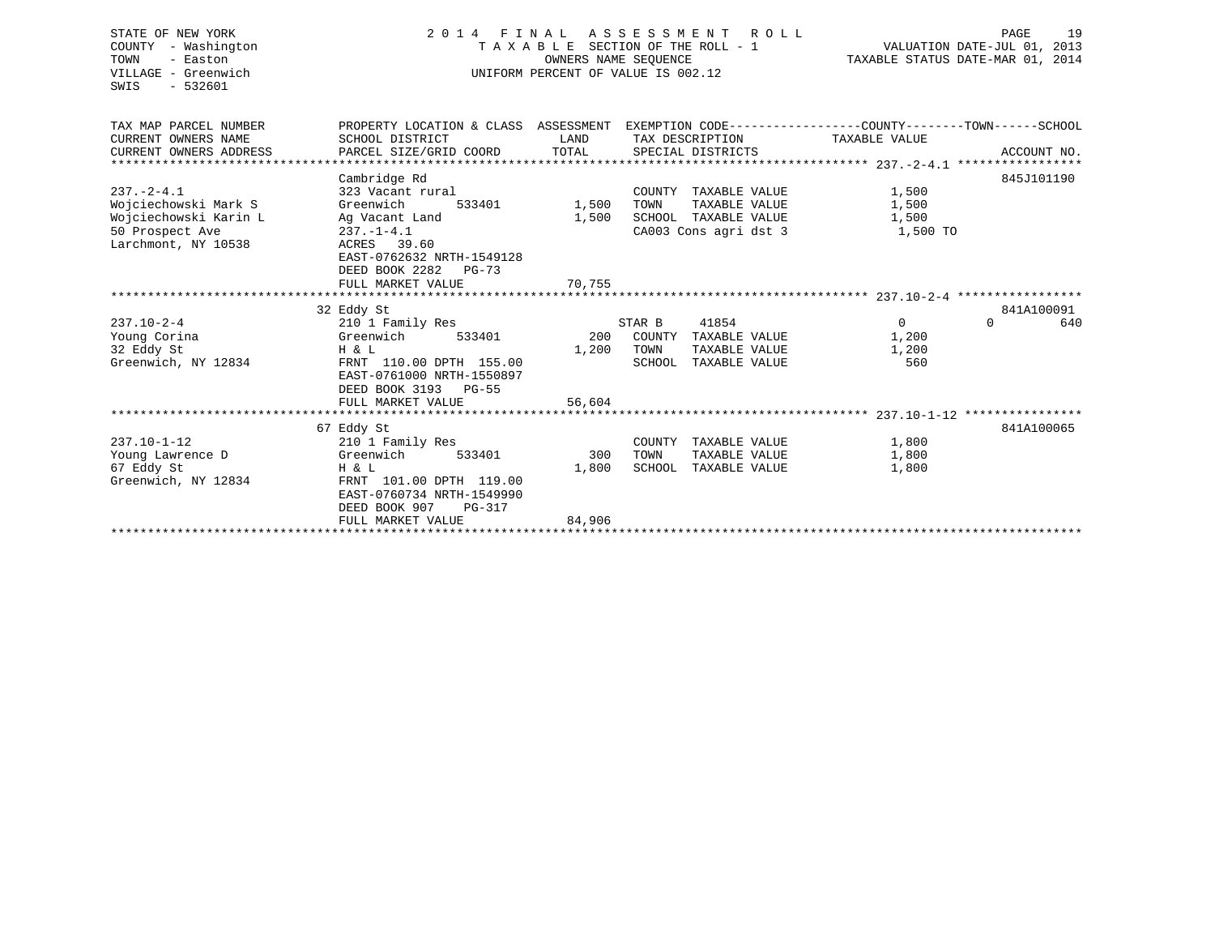| STATE OF NEW YORK<br>COUNTY - Washington<br>TOWN<br>- Easton<br>VILLAGE - Greenwich<br>$-532601$<br>SWIS | 2 0 1 4<br>FINAL<br>ASSESSMENT<br>R O L L<br>TAXABLE SECTION OF THE ROLL - 1<br>OWNERS NAME SEOUENCE<br>UNIFORM PERCENT OF VALUE IS 002.12 |        |                         | PAGE<br>19<br>VALUATION DATE-JUL 01, 2013<br>TAXABLE STATUS DATE-MAR 01, 2014 |                               |  |
|----------------------------------------------------------------------------------------------------------|--------------------------------------------------------------------------------------------------------------------------------------------|--------|-------------------------|-------------------------------------------------------------------------------|-------------------------------|--|
| TAX MAP PARCEL NUMBER                                                                                    | PROPERTY LOCATION & CLASS ASSESSMENT EXEMPTION CODE---------------COUNTY-------TOWN------SCHOOL                                            |        |                         |                                                                               |                               |  |
| CURRENT OWNERS NAME                                                                                      | SCHOOL DISTRICT                                                                                                                            | LAND   | TAX DESCRIPTION         | TAXABLE VALUE                                                                 |                               |  |
| CURRENT OWNERS ADDRESS                                                                                   | PARCEL SIZE/GRID COORD                                                                                                                     | TOTAL  | SPECIAL DISTRICTS       |                                                                               | ACCOUNT NO.                   |  |
|                                                                                                          | Cambridge Rd                                                                                                                               |        |                         |                                                                               | 845J101190                    |  |
| $237. - 2 - 4.1$                                                                                         | 323 Vacant rural                                                                                                                           |        | TAXABLE VALUE<br>COUNTY | 1,500                                                                         |                               |  |
| Wojciechowski Mark S                                                                                     | Greenwich<br>533401                                                                                                                        | 1,500  | TAXABLE VALUE<br>TOWN   | 1,500                                                                         |                               |  |
| Wojciechowski Karin L                                                                                    | Ag Vacant Land                                                                                                                             | 1,500  | SCHOOL TAXABLE VALUE    | 1,500                                                                         |                               |  |
| 50 Prospect Ave                                                                                          | $237. - 1 - 4.1$                                                                                                                           |        | CA003 Cons agri dst 3   | 1,500 TO                                                                      |                               |  |
| Larchmont, NY 10538                                                                                      | ACRES 39.60<br>EAST-0762632 NRTH-1549128<br>DEED BOOK 2282<br>$PG-73$<br>FULL MARKET VALUE                                                 | 70,755 |                         |                                                                               |                               |  |
|                                                                                                          |                                                                                                                                            |        |                         |                                                                               |                               |  |
| $237.10 - 2 - 4$                                                                                         | 32 Eddy St                                                                                                                                 |        | STAR B<br>41854         | $\mathbf{0}$                                                                  | 841A100091<br>640<br>$\Omega$ |  |
| Young Corina                                                                                             | 210 1 Family Res<br>Greenwich<br>533401                                                                                                    | 200    | COUNTY<br>TAXABLE VALUE | 1,200                                                                         |                               |  |
| 32 Eddy St                                                                                               | H & L                                                                                                                                      | 1,200  | TOWN<br>TAXABLE VALUE   | 1,200                                                                         |                               |  |
| Greenwich, NY 12834                                                                                      | FRNT 110.00 DPTH 155.00                                                                                                                    |        | SCHOOL<br>TAXABLE VALUE | 560                                                                           |                               |  |
|                                                                                                          | EAST-0761000 NRTH-1550897<br>DEED BOOK 3193 PG-55                                                                                          |        |                         |                                                                               |                               |  |
|                                                                                                          | FULL MARKET VALUE                                                                                                                          | 56,604 |                         |                                                                               |                               |  |
|                                                                                                          |                                                                                                                                            |        |                         |                                                                               |                               |  |
| $237.10 - 1 - 12$                                                                                        | 67 Eddy St<br>210 1 Family Res                                                                                                             |        | COUNTY<br>TAXABLE VALUE | 1,800                                                                         | 841A100065                    |  |
| Young Lawrence D                                                                                         | Greenwich<br>533401                                                                                                                        | 300    | TOWN<br>TAXABLE VALUE   | 1,800                                                                         |                               |  |
| 67 Eddy St                                                                                               | H & L                                                                                                                                      | 1,800  | SCHOOL TAXABLE VALUE    | 1,800                                                                         |                               |  |
| Greenwich, NY 12834                                                                                      | FRNT 101.00 DPTH 119.00<br>EAST-0760734 NRTH-1549990<br>DEED BOOK 907<br>$PG-317$                                                          |        |                         |                                                                               |                               |  |
|                                                                                                          | FULL MARKET VALUE                                                                                                                          | 84,906 |                         |                                                                               |                               |  |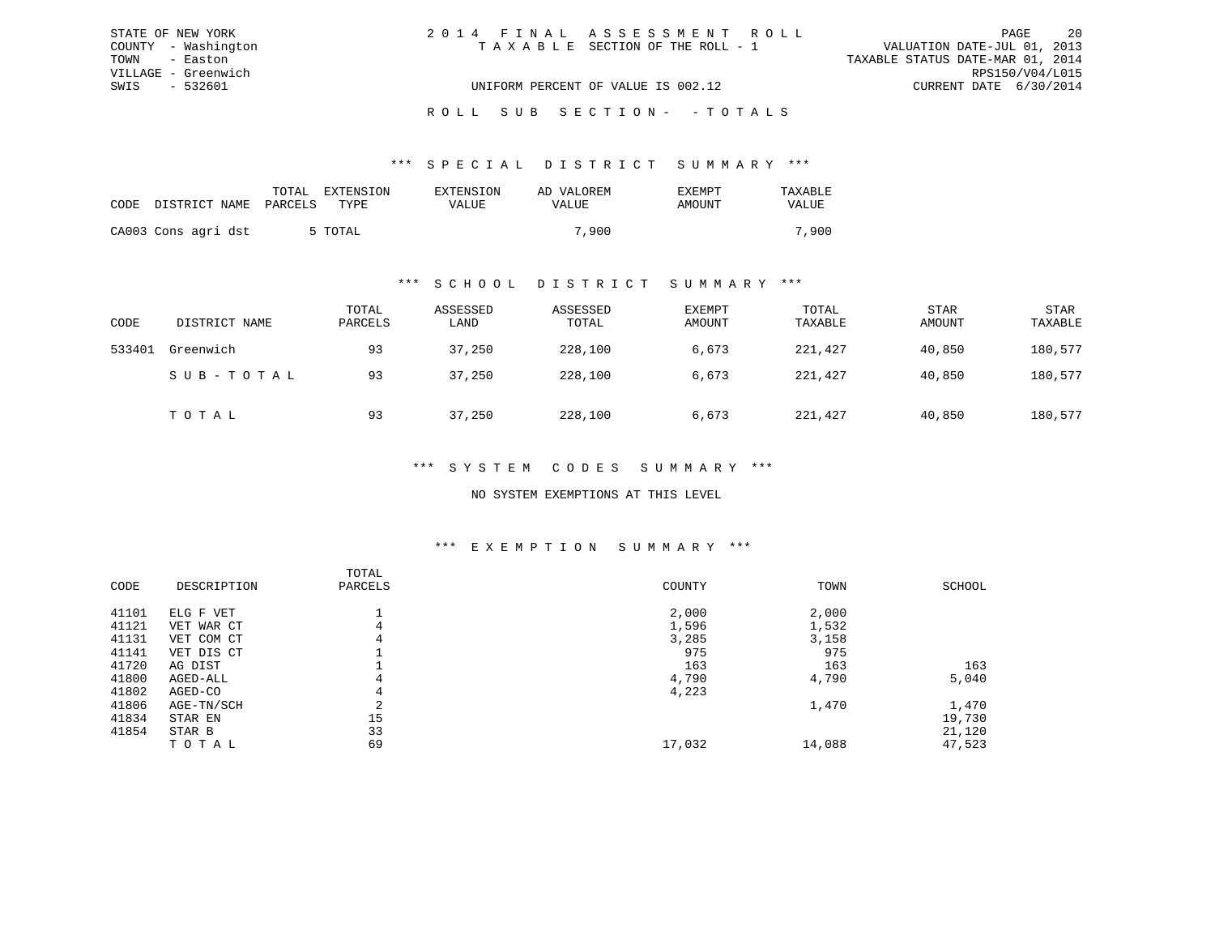| STATE OF NEW YORK   | 2014 FINAL ASSESSMENT ROLL         | 20<br>PAGE                       |
|---------------------|------------------------------------|----------------------------------|
| COUNTY - Washington | TAXABLE SECTION OF THE ROLL - 1    | VALUATION DATE-JUL 01, 2013      |
| TOWN - Easton       |                                    | TAXABLE STATUS DATE-MAR 01, 2014 |
| VILLAGE - Greenwich |                                    | RPS150/V04/L015                  |
| SWIS - 532601       | UNIFORM PERCENT OF VALUE IS 002.12 | CURRENT DATE 6/30/2014           |
|                     |                                    |                                  |

# ROLL SUB SECTION - - TOTALS

### \*\*\* S P E C I A L D I S T R I C T S U M M A R Y \*\*\*

|                               | EXTENSION<br>TOTAL | EXTENSION    | AD VALOREM   | <b>EXEMPT</b> | TAXABLE |
|-------------------------------|--------------------|--------------|--------------|---------------|---------|
| CODE<br>DISTRICT NAME PARCELS | TYPE.              | <b>VALUE</b> | <b>VALUE</b> | AMOUNT        | VALUE   |
| CA003 Cons agri dst           | 5 TOTAL            |              | 7,900        |               | 7,900   |

### \*\*\* S C H O O L D I S T R I C T S U M M A R Y \*\*\*

| CODE   | DISTRICT NAME | TOTAL<br>PARCELS | ASSESSED<br>LAND | ASSESSED<br>TOTAL | EXEMPT<br>AMOUNT | TOTAL<br>TAXABLE | <b>STAR</b><br>AMOUNT | <b>STAR</b><br>TAXABLE |
|--------|---------------|------------------|------------------|-------------------|------------------|------------------|-----------------------|------------------------|
| 533401 | Greenwich     | 93               | 37,250           | 228,100           | 6,673            | 221,427          | 40,850                | 180,577                |
|        | SUB-TOTAL     | 93               | 37,250           | 228,100           | 6,673            | 221,427          | 40,850                | 180,577                |
|        | TOTAL         | 93               | 37,250           | 228,100           | 6,673            | 221,427          | 40,850                | 180,577                |

## \*\*\* S Y S T E M C O D E S S U M M A R Y \*\*\*

### NO SYSTEM EXEMPTIONS AT THIS LEVEL

#### \*\*\* E X E M P T I O N S U M M A R Y \*\*\*

| CODE  | DESCRIPTION   | TOTAL<br>PARCELS | COUNTY | TOWN   | SCHOOL |
|-------|---------------|------------------|--------|--------|--------|
| 41101 | ELG F VET     |                  | 2,000  | 2,000  |        |
| 41121 | VET WAR CT    | 4                | 1,596  | 1,532  |        |
| 41131 | COM CT<br>VET | 4                | 3,285  | 3,158  |        |
| 41141 | VET DIS CT    |                  | 975    | 975    |        |
| 41720 | AG DIST       |                  | 163    | 163    | 163    |
| 41800 | AGED-ALL      | 4                | 4,790  | 4,790  | 5,040  |
| 41802 | AGED-CO       | 4                | 4,223  |        |        |
| 41806 | AGE-TN/SCH    |                  |        | 1,470  | 1,470  |
| 41834 | STAR EN       | 15               |        |        | 19,730 |
| 41854 | STAR B        | 33               |        |        | 21,120 |
|       | TOTAL         | 69               | 17,032 | 14,088 | 47,523 |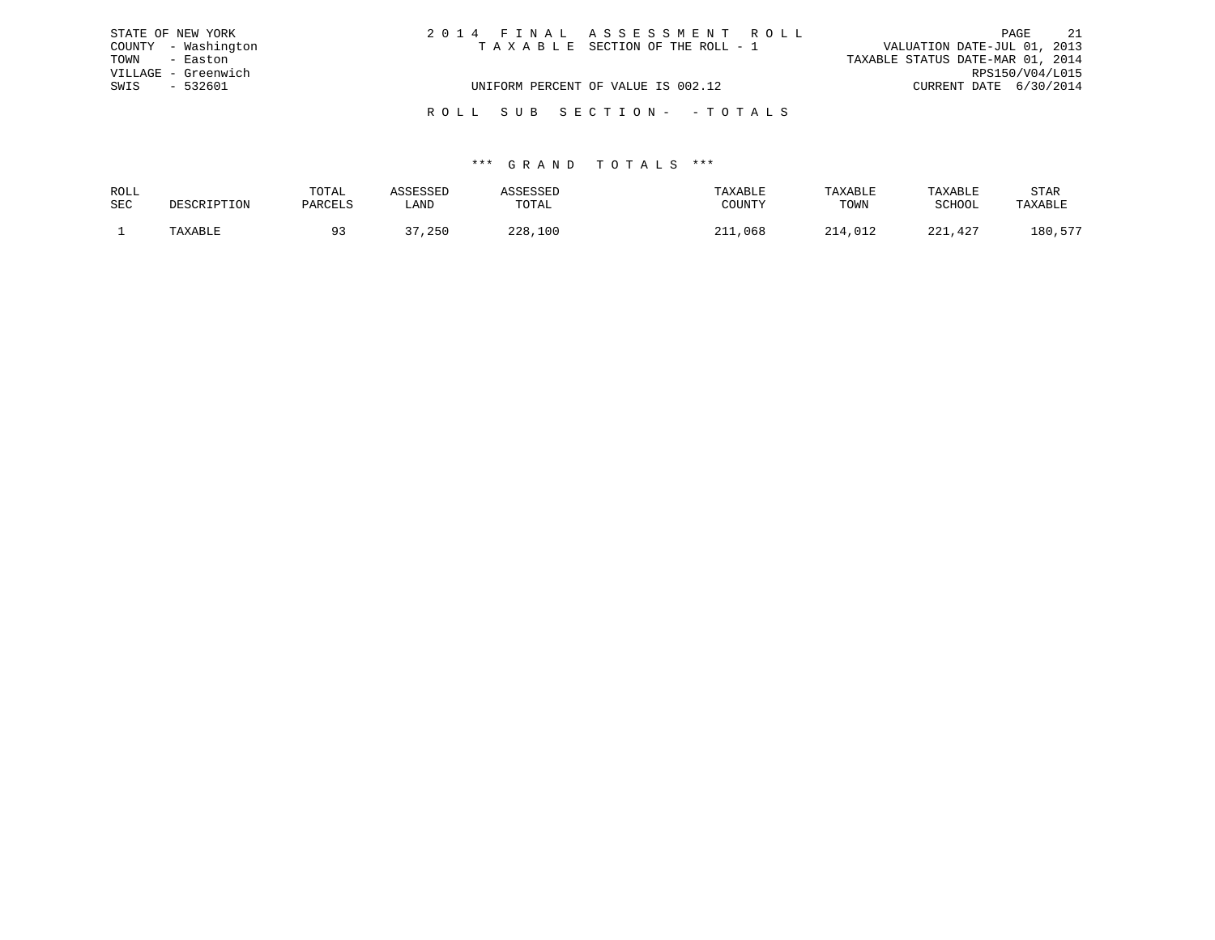|      | STATE OF NEW YORK   | 2014 FINAL ASSESSMENT ROLL         | PAGE                             | 21 |
|------|---------------------|------------------------------------|----------------------------------|----|
|      | COUNTY - Washington | TAXABLE SECTION OF THE ROLL - 1    | VALUATION DATE-JUL 01, 2013      |    |
| TOWN | - Easton            |                                    | TAXABLE STATUS DATE-MAR 01, 2014 |    |
|      | VILLAGE - Greenwich |                                    | RPS150/V04/L015                  |    |
| SWIS | $-532601$           | UNIFORM PERCENT OF VALUE IS 002.12 | CURRENT DATE 6/30/2014           |    |
|      |                     |                                    |                                  |    |
|      |                     | ROLL SUB SECTION- -TOTALS          |                                  |    |

| ROLL       |             | TOTAL   | ASSESSED | ASSESSED | TAXABLE | TAXABLE | TAXABLE       | STAR    |
|------------|-------------|---------|----------|----------|---------|---------|---------------|---------|
| <b>SEC</b> | DESCRIPTION | PARCELS | LAND     | TOTAL    | COUNTY  | TOWN    | <b>SCHOOL</b> | TAXABLE |
|            | TAXABLE     |         | २7,250   | 228,100  | 211,068 | 214,012 | 221,427       | 180,577 |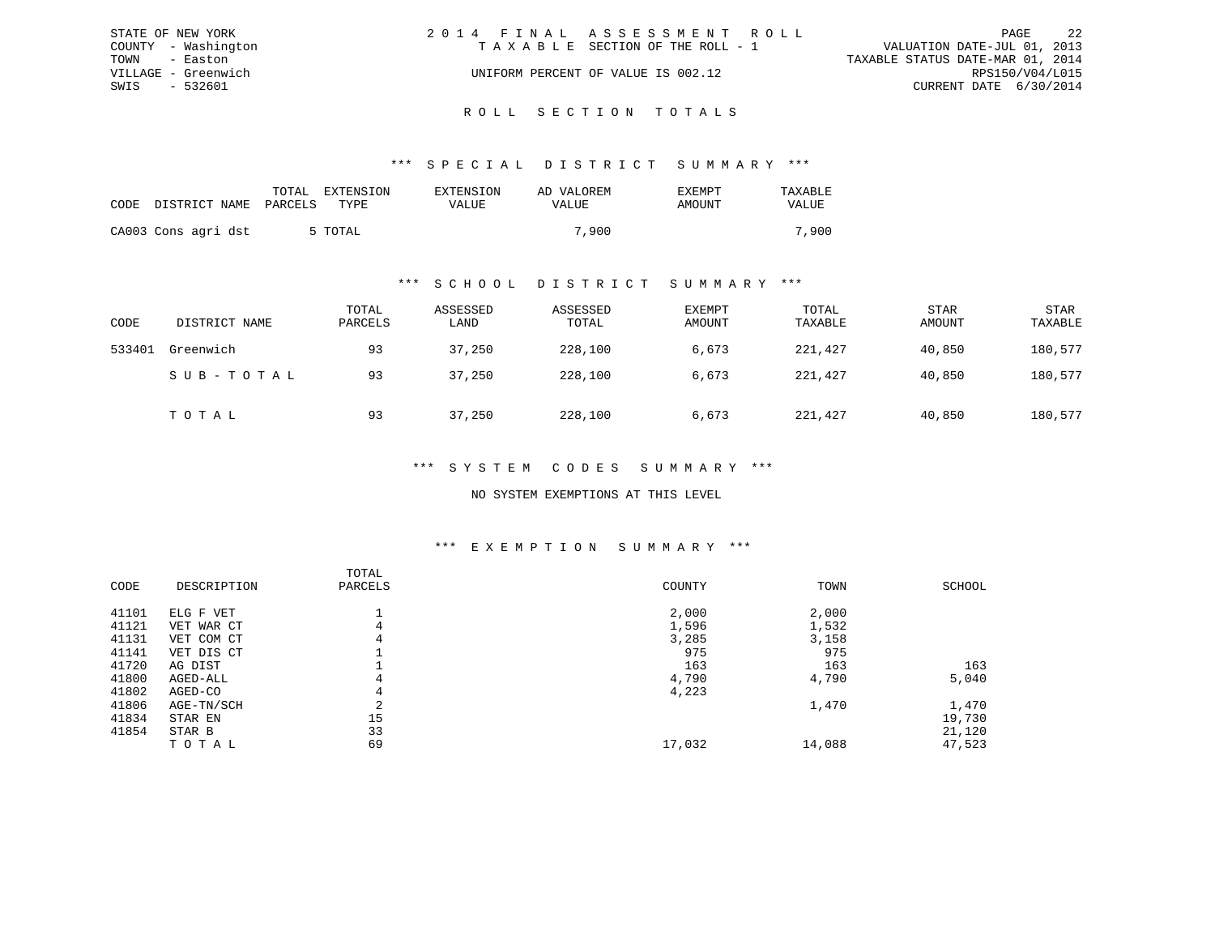|      | STATE OF NEW YORK   | 2014 FINAL ASSESSMENT ROLL         |                                  |                        | PAGE | 2.2 |
|------|---------------------|------------------------------------|----------------------------------|------------------------|------|-----|
|      | COUNTY - Washington | TAXABLE SECTION OF THE ROLL - 1    | VALUATION DATE-JUL 01, 2013      |                        |      |     |
|      | TOWN - Easton       |                                    | TAXABLE STATUS DATE-MAR 01, 2014 |                        |      |     |
|      | VILLAGE - Greenwich | UNIFORM PERCENT OF VALUE IS 002.12 |                                  | RPS150/V04/L015        |      |     |
| SWIS | - 532601            |                                    |                                  | CURRENT DATE 6/30/2014 |      |     |
|      |                     |                                    |                                  |                        |      |     |

# ROLL SECTION TOTALS

### \*\*\* S P E C I A L D I S T R I C T S U M M A R Y \*\*\*

|                            | EXTENSION<br>TOTAL | EXTENSION    | AD VALOREM | <b>EXEMPT</b> | TAXABLE |
|----------------------------|--------------------|--------------|------------|---------------|---------|
| CODE DISTRICT NAME PARCELS | TYPE.              | <b>VALUE</b> | VALUE      | AMOUNT        | VALUE   |
| CA003 Cons agri dst        | 5 TOTAL            |              | 7,900      |               | 7,900   |

### \*\*\* S C H O O L D I S T R I C T S U M M A R Y \*\*\*

| CODE   | DISTRICT NAME | TOTAL<br>PARCELS | ASSESSED<br>LAND | ASSESSED<br>TOTAL | EXEMPT<br>AMOUNT | TOTAL<br>TAXABLE | <b>STAR</b><br>AMOUNT | <b>STAR</b><br>TAXABLE |
|--------|---------------|------------------|------------------|-------------------|------------------|------------------|-----------------------|------------------------|
| 533401 | Greenwich     | 93               | 37,250           | 228,100           | 6,673            | 221,427          | 40,850                | 180,577                |
|        | SUB-TOTAL     | 93               | 37,250           | 228,100           | 6,673            | 221,427          | 40,850                | 180,577                |
|        | TOTAL         | 93               | 37,250           | 228,100           | 6,673            | 221,427          | 40,850                | 180,577                |

## \*\*\* S Y S T E M C O D E S S U M M A R Y \*\*\*

### NO SYSTEM EXEMPTIONS AT THIS LEVEL

#### \*\*\* E X E M P T I O N S U M M A R Y \*\*\*

| CODE  | DESCRIPTION | TOTAL<br>PARCELS | COUNTY | TOWN   | SCHOOL |
|-------|-------------|------------------|--------|--------|--------|
| 41101 | ELG F VET   |                  | 2,000  | 2,000  |        |
| 41121 | VET WAR CT  |                  | 1,596  | 1,532  |        |
| 41131 | VET COM CT  | 4                | 3,285  | 3,158  |        |
| 41141 | VET DIS CT  |                  | 975    | 975    |        |
| 41720 | AG DIST     |                  | 163    | 163    | 163    |
| 41800 | AGED-ALL    | 4                | 4,790  | 4,790  | 5,040  |
| 41802 | AGED-CO     | 4                | 4,223  |        |        |
| 41806 | AGE-TN/SCH  | $\sim$<br>∠      |        | 1,470  | 1,470  |
| 41834 | STAR EN     | 15               |        |        | 19,730 |
| 41854 | STAR B      | 33               |        |        | 21,120 |
|       | TOTAL       | 69               | 17,032 | 14,088 | 47,523 |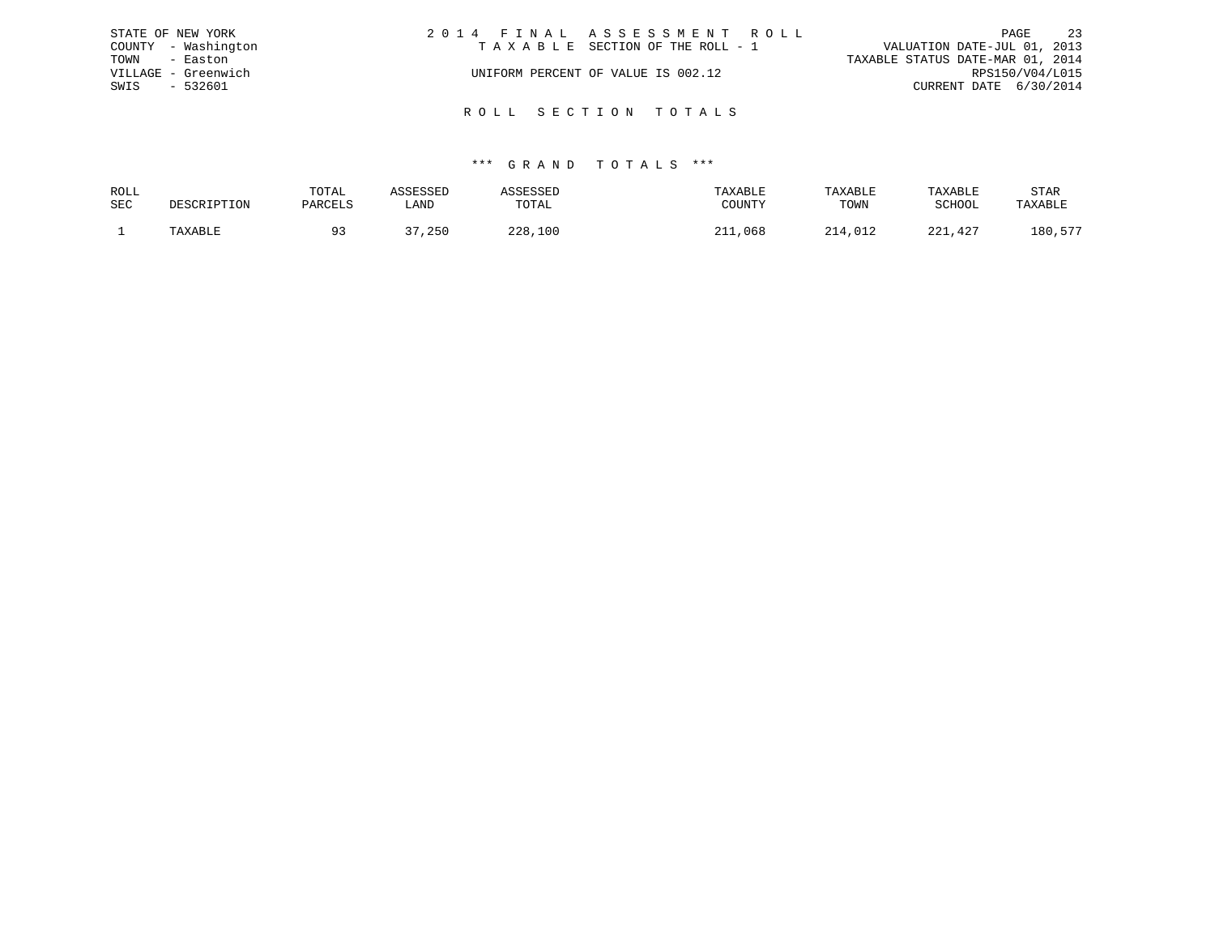| STATE OF NEW YORK   | 2014 FINAL ASSESSMENT ROLL         | 23<br>PAGE                       |
|---------------------|------------------------------------|----------------------------------|
| COUNTY - Washington | TAXABLE SECTION OF THE ROLL - 1    | VALUATION DATE-JUL 01, 2013      |
| TOWN<br>- Easton    |                                    | TAXABLE STATUS DATE-MAR 01, 2014 |
| VILLAGE - Greenwich | UNIFORM PERCENT OF VALUE IS 002.12 | RPS150/V04/L015                  |
| SWIS<br>- 532601    |                                    | CURRENT DATE 6/30/2014           |
|                     |                                    |                                  |
|                     | ROLL SECTION TOTALS                |                                  |

| ROLL       |         | TOTAL   |       |                | TAXABLE       | TAXABLE | TAXABLE | STAR          |
|------------|---------|---------|-------|----------------|---------------|---------|---------|---------------|
| <b>SEC</b> |         | PARCELS | LAND  | TOTAL          | COUNTY        | TOWN    | SCHOOL  | TAXABLE       |
|            | TAXABLE |         | , 250 | つつR<br>228,100 | 211<br>11,068 | 214,012 | 221,427 | ---<br>180,57 |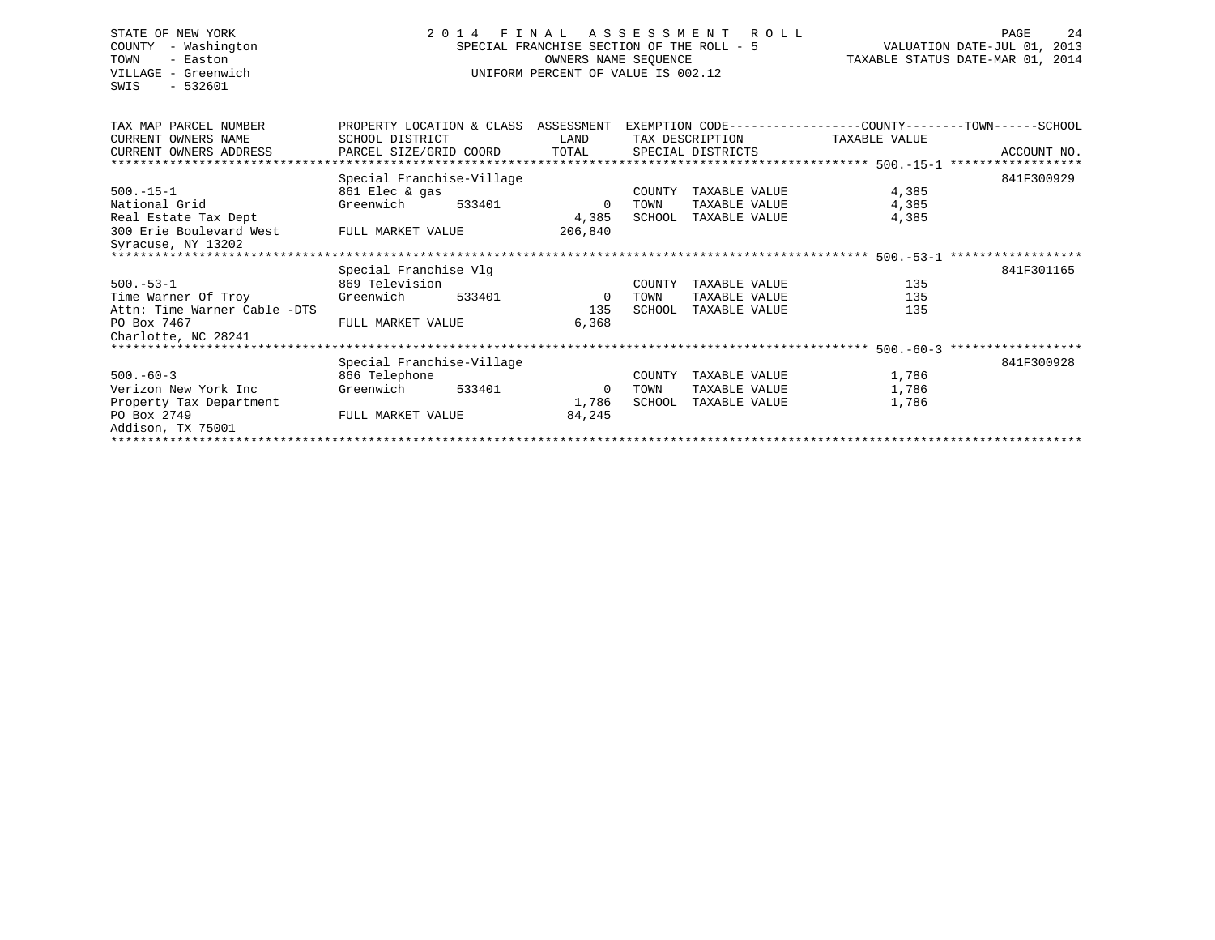# STATE OF NEW YORK 2 0 1 4 F I N A L A S S E S S M E N T R O L L PAGE 24 COUNTY - Washington SPECIAL FRANCHISE SECTION OF THE ROLL - 5 VALUATION DATE-JUL 01, 2013 TOWN - Easton **CONNERS NAME SEQUENCE** TAXABLE STATUS DATE-MAR 01, 2014 VILLAGE - Greenwich UNIFORM PERCENT OF VALUE IS 002.12

| TAX MAP PARCEL NUMBER        |                              | PROPERTY LOCATION & CLASS ASSESSMENT |                          | EXEMPTION CODE-----------------COUNTY-------TOWN------SCHOOL |                 |  |  |               |             |
|------------------------------|------------------------------|--------------------------------------|--------------------------|--------------------------------------------------------------|-----------------|--|--|---------------|-------------|
| CURRENT OWNERS NAME          | SCHOOL DISTRICT              |                                      | LAND                     |                                                              | TAX DESCRIPTION |  |  | TAXABLE VALUE |             |
| CURRENT OWNERS ADDRESS       | PARCEL SIZE/GRID COORD TOTAL |                                      |                          | SPECIAL DISTRICTS                                            |                 |  |  |               | ACCOUNT NO. |
|                              |                              |                                      |                          |                                                              |                 |  |  |               |             |
|                              | Special Franchise-Village    |                                      |                          |                                                              |                 |  |  |               | 841F300929  |
| $500. -15 - 1$               | 861 Elec & gas               |                                      |                          | COUNTY                                                       | TAXABLE VALUE   |  |  | 4,385         |             |
| National Grid                | Greenwich                    | 533401                               | $\overline{\phantom{0}}$ | TOWN                                                         | TAXABLE VALUE   |  |  | 4,385         |             |
| Real Estate Tax Dept         |                              |                                      | 4,385                    | SCHOOL                                                       | TAXABLE VALUE   |  |  | 4,385         |             |
| 300 Erie Boulevard West      | FULL MARKET VALUE            |                                      | 206,840                  |                                                              |                 |  |  |               |             |
| Syracuse, NY 13202           |                              |                                      |                          |                                                              |                 |  |  |               |             |
|                              |                              |                                      |                          |                                                              |                 |  |  |               |             |
|                              | Special Franchise Vlg        |                                      |                          |                                                              |                 |  |  |               | 841F301165  |
| $500.-53-1$                  | 869 Television               |                                      |                          | COUNTY                                                       | TAXABLE VALUE   |  |  | 135           |             |
| Time Warner Of Troy          | Greenwich                    | 533401                               | $\overline{0}$           | TOWN                                                         | TAXABLE VALUE   |  |  | 135           |             |
| Attn: Time Warner Cable -DTS |                              |                                      | 135                      | SCHOOL                                                       | TAXABLE VALUE   |  |  | 135           |             |
| PO Box 7467                  | FULL MARKET VALUE            |                                      | 6,368                    |                                                              |                 |  |  |               |             |
| Charlotte, NC 28241          |                              |                                      |                          |                                                              |                 |  |  |               |             |
|                              |                              |                                      |                          |                                                              |                 |  |  |               |             |
|                              | Special Franchise-Village    |                                      |                          |                                                              |                 |  |  |               | 841F300928  |
| $500 - 60 - 3$               | 866 Telephone                |                                      |                          | COUNTY                                                       | TAXABLE VALUE   |  |  | 1,786         |             |
| Verizon New York Inc         | Greenwich                    | 533401                               | 0                        | TOWN                                                         | TAXABLE VALUE   |  |  | 1,786         |             |
| Property Tax Department      |                              |                                      | 1,786                    | SCHOOL                                                       | TAXABLE VALUE   |  |  | 1,786         |             |
| PO Box 2749                  | FULL MARKET VALUE            |                                      | 84,245                   |                                                              |                 |  |  |               |             |
| Addison, TX 75001            |                              |                                      |                          |                                                              |                 |  |  |               |             |
|                              |                              |                                      |                          |                                                              |                 |  |  |               |             |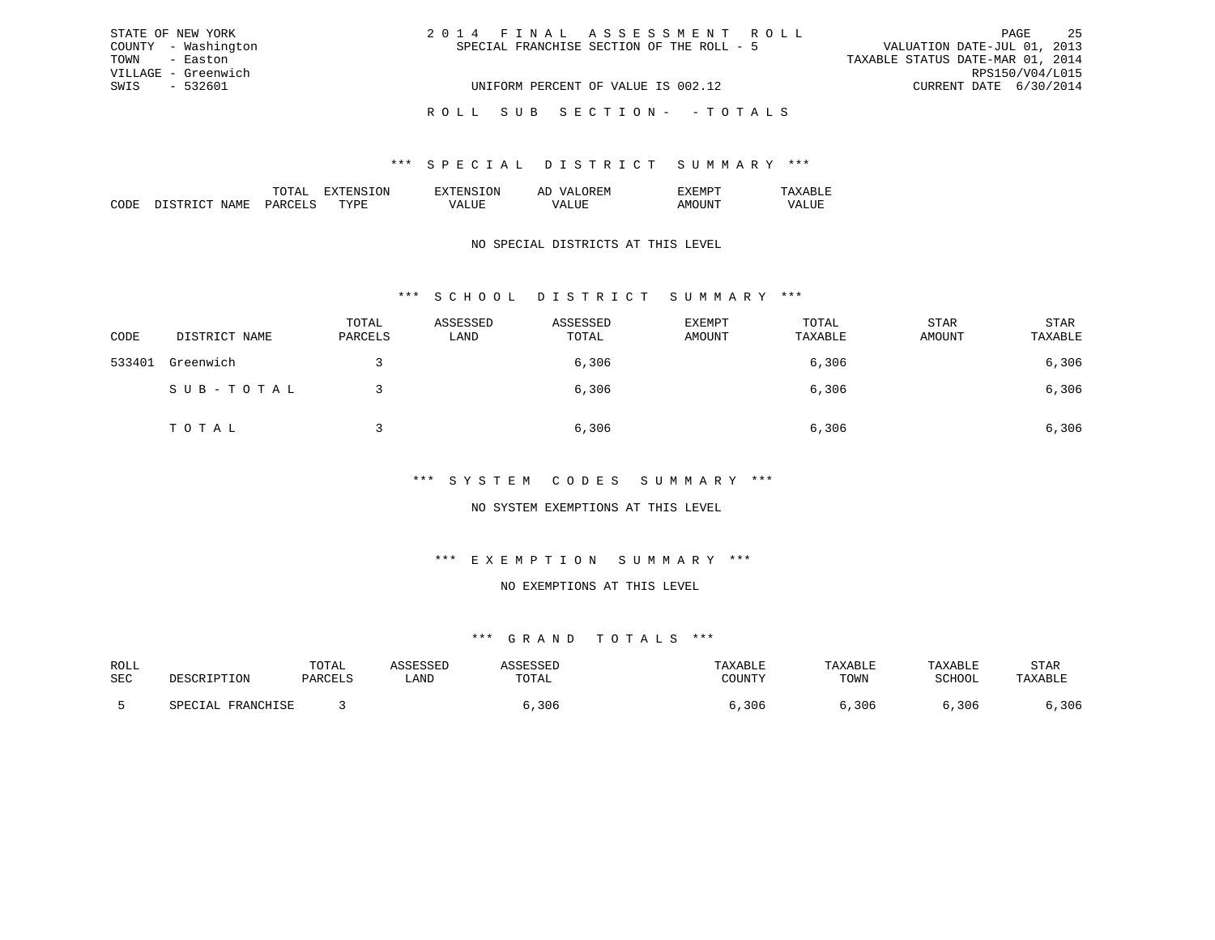| STATE OF NEW YORK   | 2014 FINAL ASSESSMENT ROLL                | -25<br>PAGE                      |
|---------------------|-------------------------------------------|----------------------------------|
| COUNTY - Washington | SPECIAL FRANCHISE SECTION OF THE ROLL - 5 | VALUATION DATE-JUL 01, 2013      |
| TOWN - Easton       |                                           | TAXABLE STATUS DATE-MAR 01, 2014 |
| VILLAGE - Greenwich |                                           | RPS150/V04/L015                  |
| SWIS - 532601       | UNIFORM PERCENT OF VALUE IS 002.12        | CURRENT DATE 6/30/2014           |
|                     | ROLL SUB SECTION- - TOTALS                |                                  |

|                 |     | ON. | 51 |  |
|-----------------|-----|-----|----|--|
| יחי<br>л п<br>w | m v | ш   |    |  |

## NO SPECIAL DISTRICTS AT THIS LEVEL

# \*\*\* S C H O O L D I S T R I C T S U M M A R Y \*\*\*

| CODE   | DISTRICT NAME | TOTAL<br>PARCELS | ASSESSED<br>LAND | ASSESSED<br>TOTAL | EXEMPT<br>AMOUNT | TOTAL<br>TAXABLE | STAR<br>AMOUNT | STAR<br>TAXABLE |
|--------|---------------|------------------|------------------|-------------------|------------------|------------------|----------------|-----------------|
| 533401 | Greenwich     |                  |                  | 6,306             |                  | 6,306            |                | 6,306           |
|        | SUB-TOTAL     |                  |                  | 6,306             |                  | 6,306            |                | 6,306           |
|        | TOTAL         |                  |                  | 6,306             |                  | 6,306            |                | 6,306           |

### \*\*\* S Y S T E M C O D E S S U M M A R Y \*\*\*

## NO SYSTEM EXEMPTIONS AT THIS LEVEL

## \*\*\* E X E M P T I O N S U M M A R Y \*\*\*

#### NO EXEMPTIONS AT THIS LEVEL

| ROLL |                                               | TOTAL |      |       |          | $^{\circ}$ A H i.e. |        | STAR |
|------|-----------------------------------------------|-------|------|-------|----------|---------------------|--------|------|
| SEC  | ואר דידים דפור ז                              |       | LAND | UIAL  | COTINTTL | TOWN                | SCHOOL |      |
|      |                                               |       |      |       |          |                     |        |      |
|      | <b>ED ANOUT CE</b><br>ו ב⊿<br>T. TATTACTIT OT |       |      | 3 N F | 306      | 306                 | 306    | 306  |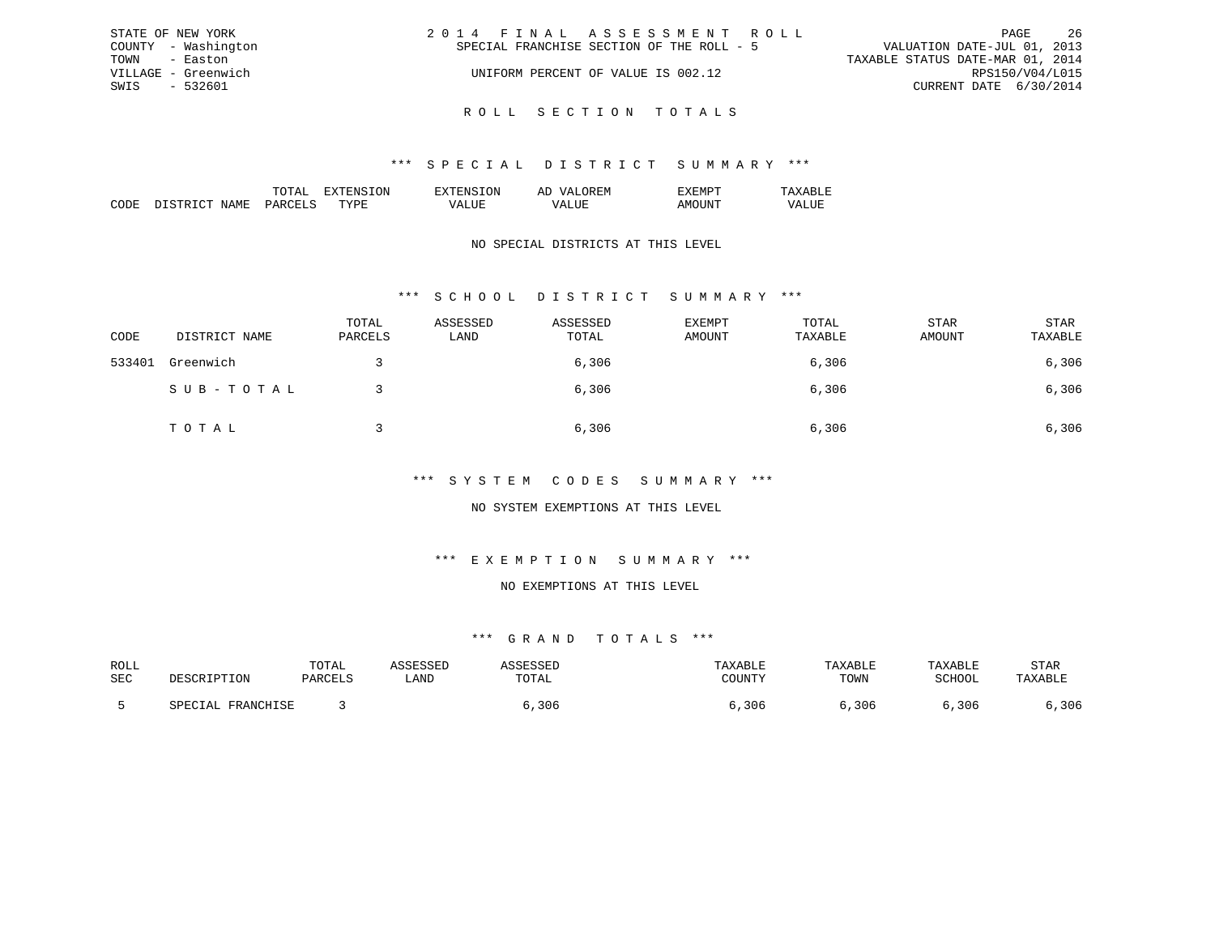| STATE OF NEW YORK   | 2014 FINAL ASSESSMENT ROLL                | -26<br>PAGE                      |
|---------------------|-------------------------------------------|----------------------------------|
| COUNTY - Washington | SPECIAL FRANCHISE SECTION OF THE ROLL - 5 | VALUATION DATE-JUL 01, 2013      |
| TOWN - Easton       |                                           | TAXABLE STATUS DATE-MAR 01, 2014 |
| VILLAGE - Greenwich | UNIFORM PERCENT OF VALUE IS 002.12        | RPS150/V04/L015                  |
| SWIS - 532601       |                                           | CURRENT DATE 6/30/2014           |
|                     |                                           |                                  |

R O L L S E C T I O N T O T A L S

|  | 'NN | : IVI |  |
|--|-----|-------|--|
|  |     |       |  |

## NO SPECIAL DISTRICTS AT THIS LEVEL

# \*\*\* S C H O O L D I S T R I C T S U M M A R Y \*\*\*

| CODE   | DISTRICT NAME | TOTAL<br>PARCELS | ASSESSED<br>LAND | ASSESSED<br>TOTAL | EXEMPT<br>AMOUNT | TOTAL<br>TAXABLE | STAR<br>AMOUNT | STAR<br>TAXABLE |
|--------|---------------|------------------|------------------|-------------------|------------------|------------------|----------------|-----------------|
| 533401 | Greenwich     |                  |                  | 6,306             |                  | 6,306            |                | 6,306           |
|        | SUB-TOTAL     |                  |                  | 6,306             |                  | 6,306            |                | 6,306           |
|        | TOTAL         |                  |                  | 6,306             |                  | 6,306            |                | 6,306           |

## \*\*\* S Y S T E M C O D E S S U M M A R Y \*\*\*

## NO SYSTEM EXEMPTIONS AT THIS LEVEL

# \*\*\* E X E M P T I O N S U M M A R Y \*\*\*

### NO EXEMPTIONS AT THIS LEVEL

| ROLL |                                               | TOTAL |      |       |          | $^{\circ}$ A H i.e. |        | STAR |
|------|-----------------------------------------------|-------|------|-------|----------|---------------------|--------|------|
| SEC  | ואר דידים דפור ז                              |       | LAND | UIAL  | COTINTTL | TOWN                | SCHOOL |      |
|      |                                               |       |      |       |          |                     |        |      |
|      | <b>ED ANOUT CE</b><br>ו ב⊿<br>T. TATTACTIT OT |       |      | 3 N F | 306      | 306                 | 306    | 306  |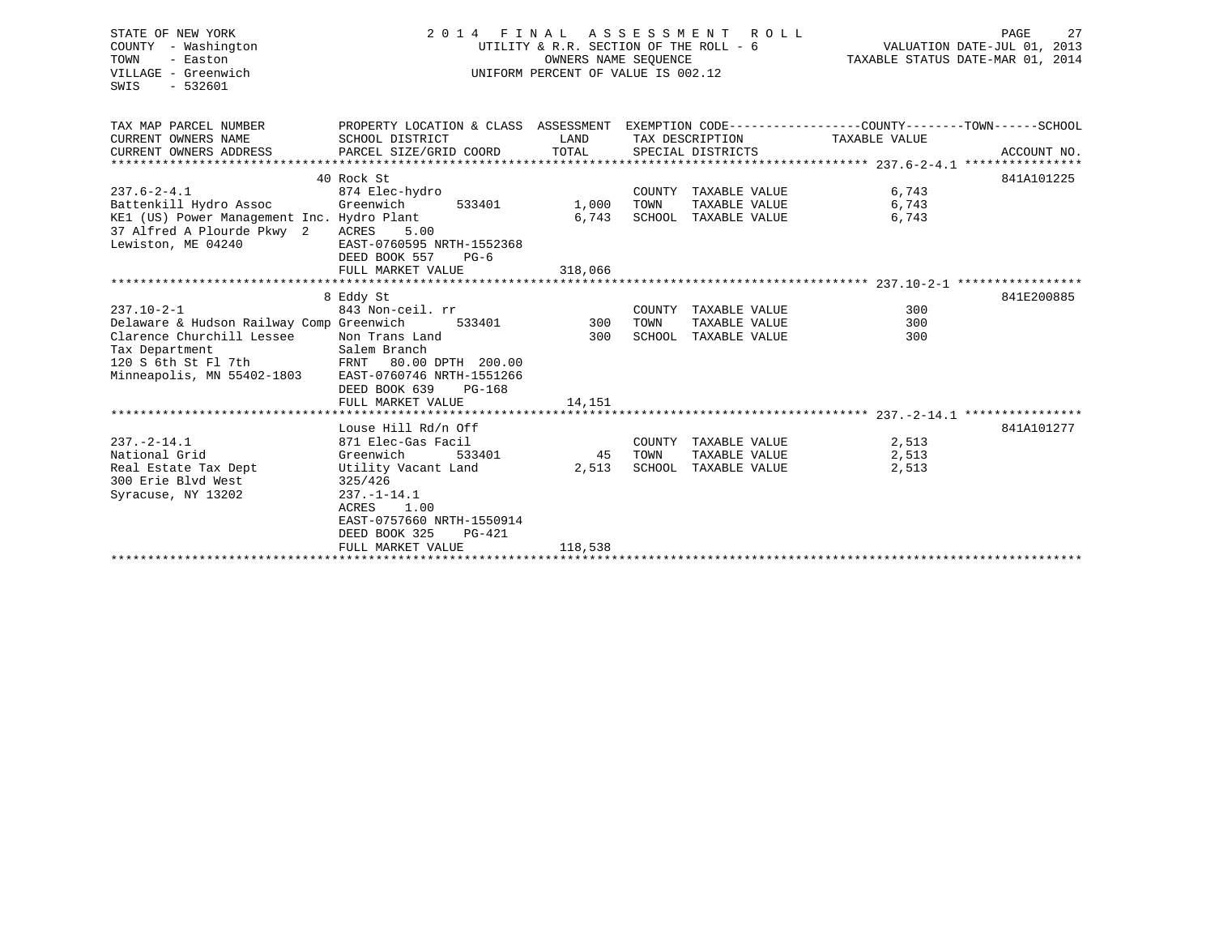| STATE OF NEW YORK<br>COUNTY - Washington<br>TOWN<br>- Easton<br>VILLAGE - Greenwich<br>SWIS<br>$-532601$                                                         | 2014 FINAL                                                                                                                                                                                         | OWNERS NAME SEQUENCE      | ASSESSMENT ROLL<br>UTILITY & R.R. SECTION OF THE ROLL - 6<br>UNIFORM PERCENT OF VALUE IS 002.12 | TAXABLE STATUS DATE-MAR 01, 2014 | 27<br>PAGE<br>VALUATION DATE-JUL 01, 2013 |
|------------------------------------------------------------------------------------------------------------------------------------------------------------------|----------------------------------------------------------------------------------------------------------------------------------------------------------------------------------------------------|---------------------------|-------------------------------------------------------------------------------------------------|----------------------------------|-------------------------------------------|
| TAX MAP PARCEL NUMBER<br>CURRENT OWNERS NAME<br>CURRENT OWNERS ADDRESS                                                                                           | PROPERTY LOCATION & CLASS ASSESSMENT EXEMPTION CODE---------------COUNTY-------TOWN------SCHOOL<br>SCHOOL DISTRICT<br>PARCEL SIZE/GRID COORD                                                       | LAND<br>TOTAL             | TAX DESCRIPTION<br>SPECIAL DISTRICTS                                                            | TAXABLE VALUE                    | ACCOUNT NO.                               |
| $237.6 - 2 - 4.1$<br>Battenkill Hydro Assoc<br>KE1 (US) Power Management Inc. Hydro Plant<br>37 Alfred A Plourde Pkwy 2 ACRES<br>Lewiston, ME 04240              | 40 Rock St<br>874 Elec-hydro<br>Greenwich<br>533401<br>5.00<br>EAST-0760595 NRTH-1552368<br>DEED BOOK 557<br>$PG-6$<br>FULL MARKET VALUE                                                           | 1,000<br>6,743<br>318,066 | COUNTY TAXABLE VALUE<br>TOWN<br>TAXABLE VALUE<br>SCHOOL TAXABLE VALUE                           | 6,743<br>6,743<br>6,743          | 841A101225                                |
|                                                                                                                                                                  |                                                                                                                                                                                                    |                           |                                                                                                 |                                  |                                           |
| $237.10 - 2 - 1$<br>Delaware & Hudson Railway Comp Greenwich<br>Clarence Churchill Lessee<br>Tax Department<br>120 S 6th St Fl 7th<br>Minneapolis, MN 55402-1803 | 8 Eddy St<br>843 Non-ceil. rr<br>Non Trans Land<br>Salem Branch<br>FRNT 80.00 DPTH 200.00<br>EAST-0760746 NRTH-1551266<br>DEED BOOK 639<br>PG-168                                                  | 533401 300<br>300         | COUNTY TAXABLE VALUE<br>TOWN<br>TAXABLE VALUE<br>SCHOOL TAXABLE VALUE                           | 300<br>300<br>300                | 841E200885                                |
|                                                                                                                                                                  | FULL MARKET VALUE                                                                                                                                                                                  | 14,151                    |                                                                                                 |                                  |                                           |
| $237. - 2 - 14.1$<br>National Grid<br>Real Estate Tax Dept<br>300 Erie Blvd West<br>Syracuse, NY 13202                                                           | Louse Hill Rd/n Off<br>871 Elec-Gas Facil<br>Greenwich<br>533401<br>Utility Vacant Land<br>325/426<br>$237. - 1 - 14.1$<br>ACRES<br>1.00<br>EAST-0757660 NRTH-1550914<br>DEED BOOK 325<br>$PG-421$ | 2,513                     | COUNTY TAXABLE VALUE<br>45 TOWN<br>TAXABLE VALUE<br>SCHOOL TAXABLE VALUE                        | 2,513<br>2,513<br>2,513          | 841A101277                                |
|                                                                                                                                                                  | FULL MARKET VALUE                                                                                                                                                                                  | 118,538                   |                                                                                                 |                                  |                                           |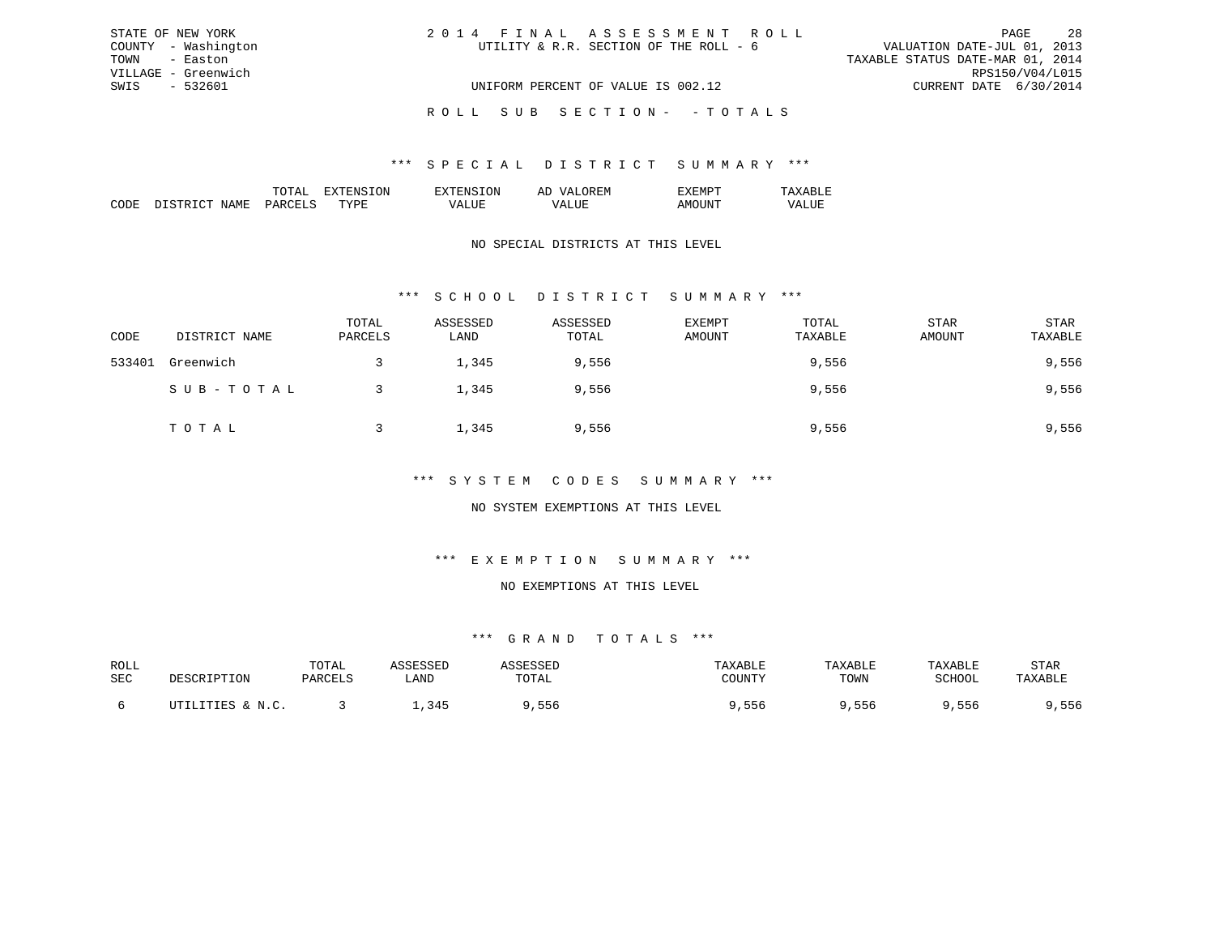| STATE OF NEW YORK   | 2014 FINAL ASSESSMENT ROLL             | -28<br>PAGE                      |
|---------------------|----------------------------------------|----------------------------------|
| COUNTY - Washington | UTILITY & R.R. SECTION OF THE ROLL - 6 | VALUATION DATE-JUL 01, 2013      |
| TOWN - Easton       |                                        | TAXABLE STATUS DATE-MAR 01, 2014 |
| VILLAGE - Greenwich |                                        | RPS150/V04/L015                  |
| SWIS - 532601       | UNIFORM PERCENT OF VALUE IS 002.12     | CURRENT DATE 6/30/2014           |
|                     | ROLL SUB SECTION- - TOTALS             |                                  |

|                       |    | . IN . | – |  |
|-----------------------|----|--------|---|--|
| . <del>. .</del><br>. | ᠇᠇ | .      |   |  |

## NO SPECIAL DISTRICTS AT THIS LEVEL

# \*\*\* S C H O O L D I S T R I C T S U M M A R Y \*\*\*

| CODE   | DISTRICT NAME | TOTAL<br>PARCELS | ASSESSED<br>LAND | ASSESSED<br>TOTAL | <b>EXEMPT</b><br>AMOUNT | TOTAL<br>TAXABLE | <b>STAR</b><br>AMOUNT | STAR<br>TAXABLE |
|--------|---------------|------------------|------------------|-------------------|-------------------------|------------------|-----------------------|-----------------|
| 533401 | Greenwich     |                  | 1,345            | 9,556             |                         | 9,556            |                       | 9,556           |
|        | SUB-TOTAL     |                  | 1,345            | 9,556             |                         | 9,556            |                       | 9,556           |
|        | TOTAL         |                  | 1,345            | 9,556             |                         | 9,556            |                       | 9,556           |

## \*\*\* S Y S T E M C O D E S S U M M A R Y \*\*\*

## NO SYSTEM EXEMPTIONS AT THIS LEVEL

## \*\*\* E X E M P T I O N S U M M A R Y \*\*\*

#### NO EXEMPTIONS AT THIS LEVEL

| ROLL |                                      | TOTAL    |                 |        |        | <b><i>LAXABLE</i></b> | TAXABLE | STAR |
|------|--------------------------------------|----------|-----------------|--------|--------|-----------------------|---------|------|
| SEC  | <b>TDTTON</b>                        | D∆RCFT.⊂ | LAND            | UTAL   | ∩UINTV | TOWN                  | SCHOOL  |      |
|      | TTTPC .<br>$\mathbf{M}$ $\mathbf{C}$ |          | 24I<br><u>.</u> | h<br>. | っっと    | סכל                   | っっぺ     | 6 לכ |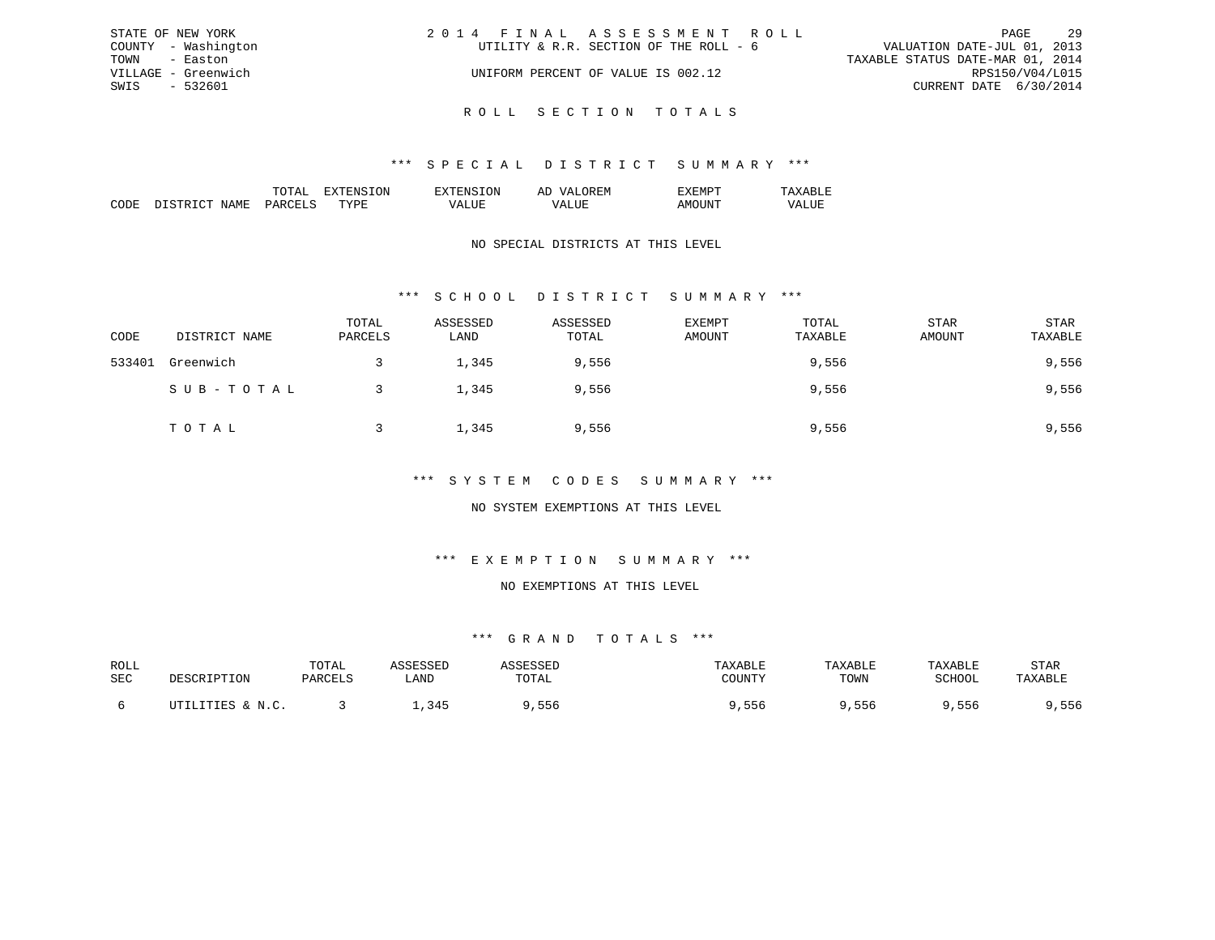| STATE OF NEW YORK   | 2014 FINAL ASSESSMENT ROLL             | - 29<br>PAGE                     |
|---------------------|----------------------------------------|----------------------------------|
| COUNTY - Washington | UTILITY & R.R. SECTION OF THE ROLL - 6 | VALUATION DATE-JUL 01, 2013      |
| TOWN - Easton       |                                        | TAXABLE STATUS DATE-MAR 01, 2014 |
| VILLAGE - Greenwich | UNIFORM PERCENT OF VALUE IS 002.12     | RPS150/V04/L015                  |
| SWIS - 532601       |                                        | CURRENT DATE 6/30/2014           |
|                     |                                        |                                  |

R O L L S E C T I O N T O T A L S

|  |    | . IVI<br>. . |  |
|--|----|--------------|--|
|  | ᠇᠇ |              |  |

## NO SPECIAL DISTRICTS AT THIS LEVEL

# \*\*\* S C H O O L D I S T R I C T S U M M A R Y \*\*\*

| CODE   | DISTRICT NAME | TOTAL<br>PARCELS | ASSESSED<br>LAND | ASSESSED<br>TOTAL | <b>EXEMPT</b><br>AMOUNT | TOTAL<br>TAXABLE | <b>STAR</b><br>AMOUNT | STAR<br>TAXABLE |
|--------|---------------|------------------|------------------|-------------------|-------------------------|------------------|-----------------------|-----------------|
| 533401 | Greenwich     |                  | 1,345            | 9,556             |                         | 9,556            |                       | 9,556           |
|        | SUB-TOTAL     |                  | 1,345            | 9,556             |                         | 9,556            |                       | 9,556           |
|        | TOTAL         |                  | 1,345            | 9,556             |                         | 9,556            |                       | 9,556           |

## \*\*\* S Y S T E M C O D E S S U M M A R Y \*\*\*

## NO SYSTEM EXEMPTIONS AT THIS LEVEL

# \*\*\* E X E M P T I O N S U M M A R Y \*\*\*

#### NO EXEMPTIONS AT THIS LEVEL

| ROLL |                              | TOTAL   |                | <i>L</i> C C C C C L | TAXABLF | TAXABLE | TAXABLE | STAR    |
|------|------------------------------|---------|----------------|----------------------|---------|---------|---------|---------|
| SEC  | DESCRIPTION                  | PARCELS | LAND           | TOTAL                | COUNTY  | TOWN    | SCHOOL  | TAXABLE |
|      |                              |         |                |                      |         |         |         |         |
|      | UTILITIES & N.C.<br>$\cdots$ |         | 34F<br>, , , , | , 556                | 556,    | , 556   | ,556    | ,556    |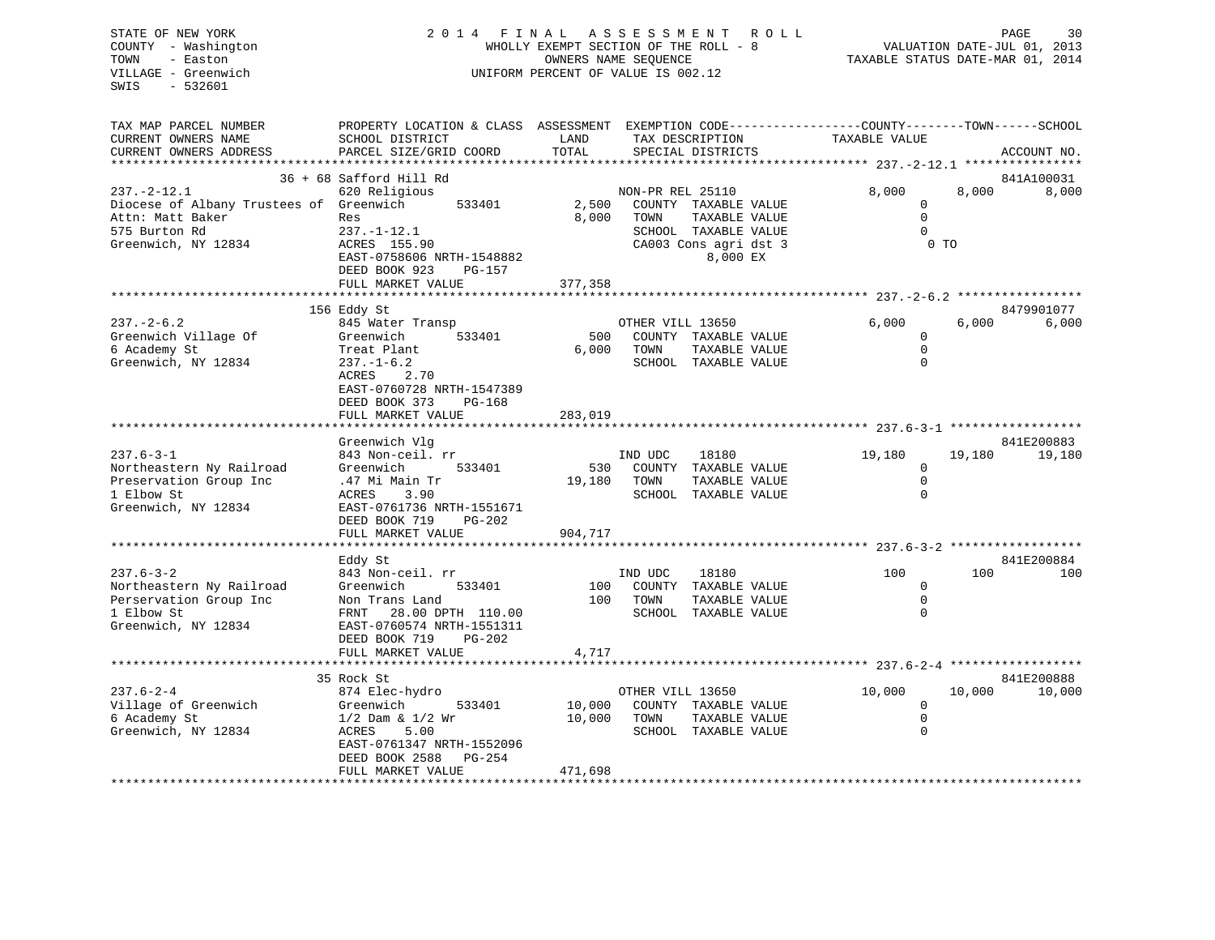| STATE OF NEW YORK<br>COUNTY - Washington<br>TOWN<br>- Easton<br>VILLAGE - Greenwich<br>$-532601$<br>SWIS | 2014 FINAL ASSESSMENT<br>WHOLLY EXEMPT SECTION OF THE ROLL - 8<br>OWNERS NAME SEQUENCE<br>UNIFORM PERCENT OF VALUE IS 002.12 |               |                  | R O L L<br>TAXABLE STATUS DATE-MAR 01, 2014 |                                                                               |                | 30<br>PAGE<br>VALUATION DATE-JUL 01, 2013 |
|----------------------------------------------------------------------------------------------------------|------------------------------------------------------------------------------------------------------------------------------|---------------|------------------|---------------------------------------------|-------------------------------------------------------------------------------|----------------|-------------------------------------------|
| TAX MAP PARCEL NUMBER<br>CURRENT OWNERS NAME<br>CURRENT OWNERS ADDRESS                                   | PROPERTY LOCATION & CLASS ASSESSMENT<br>SCHOOL DISTRICT<br>PARCEL SIZE/GRID COORD                                            | LAND<br>TOTAL |                  | TAX DESCRIPTION<br>SPECIAL DISTRICTS        | EXEMPTION CODE-----------------COUNTY-------TOWN------SCHOOL<br>TAXABLE VALUE |                | ACCOUNT NO.                               |
|                                                                                                          | ************************                                                                                                     |               |                  |                                             |                                                                               |                |                                           |
| $237. - 2 - 12.1$                                                                                        | 36 + 68 Safford Hill Rd<br>620 Religious                                                                                     |               | NON-PR REL 25110 |                                             | 8,000                                                                         | 8,000          | 841A100031<br>8,000                       |
| Diocese of Albany Trustees of Greenwich                                                                  | 533401                                                                                                                       | 2,500         |                  | COUNTY TAXABLE VALUE                        | $\mathbf 0$                                                                   |                |                                           |
| Attn: Matt Baker                                                                                         | Res                                                                                                                          | 8,000         | TOWN             | TAXABLE VALUE                               | $\mathbf 0$                                                                   |                |                                           |
| 575 Burton Rd                                                                                            | $237. - 1 - 12.1$                                                                                                            |               |                  | SCHOOL TAXABLE VALUE                        | $\Omega$                                                                      |                |                                           |
| Greenwich, NY 12834                                                                                      | ACRES 155.90                                                                                                                 |               |                  | CA003 Cons agri dst 3                       |                                                                               | 0 <sub>T</sub> |                                           |
|                                                                                                          | EAST-0758606 NRTH-1548882<br>DEED BOOK 923<br>PG-157                                                                         |               |                  | 8,000 EX                                    |                                                                               |                |                                           |
|                                                                                                          | FULL MARKET VALUE                                                                                                            | 377,358       |                  |                                             |                                                                               |                |                                           |
|                                                                                                          | 156 Eddy St                                                                                                                  |               |                  |                                             |                                                                               |                | 8479901077                                |
| $237. - 2 - 6.2$                                                                                         | 845 Water Transp                                                                                                             |               | OTHER VILL 13650 |                                             | 6.000                                                                         | 6.000          | 6,000                                     |
| Greenwich Village Of                                                                                     | Greenwich<br>533401                                                                                                          | 500           |                  | COUNTY TAXABLE VALUE                        | $\mathbf 0$                                                                   |                |                                           |
| 6 Academy St                                                                                             | Treat Plant                                                                                                                  | 6,000         | TOWN             | TAXABLE VALUE                               | $\mathbf 0$                                                                   |                |                                           |
| Greenwich, NY 12834                                                                                      | $237. - 1 - 6.2$                                                                                                             |               |                  | SCHOOL TAXABLE VALUE                        | $\Omega$                                                                      |                |                                           |
|                                                                                                          | ACRES<br>2.70                                                                                                                |               |                  |                                             |                                                                               |                |                                           |
|                                                                                                          | EAST-0760728 NRTH-1547389<br>DEED BOOK 373<br>PG-168                                                                         |               |                  |                                             |                                                                               |                |                                           |
|                                                                                                          | FULL MARKET VALUE                                                                                                            | 283,019       |                  |                                             |                                                                               |                |                                           |
|                                                                                                          | ***********************                                                                                                      |               |                  |                                             |                                                                               |                |                                           |
|                                                                                                          | Greenwich Vlg                                                                                                                |               |                  |                                             |                                                                               |                | 841E200883                                |
| $237.6 - 3 - 1$                                                                                          | 843 Non-ceil. rr                                                                                                             |               | IND UDC          | 18180                                       | 19,180                                                                        | 19,180         | 19,180                                    |
| Northeastern Ny Railroad                                                                                 | Greenwich<br>533401                                                                                                          | 530           |                  | COUNTY TAXABLE VALUE                        | 0                                                                             |                |                                           |
| Preservation Group Inc<br>1 Elbow St                                                                     | .47 Mi Main Tr<br>ACRES<br>3.90                                                                                              | 19,180        | TOWN             | TAXABLE VALUE<br>SCHOOL TAXABLE VALUE       | $\mathbf 0$<br>$\mathbf 0$                                                    |                |                                           |
| Greenwich, NY 12834                                                                                      | EAST-0761736 NRTH-1551671                                                                                                    |               |                  |                                             |                                                                               |                |                                           |
|                                                                                                          | DEED BOOK 719<br>$PG-202$                                                                                                    |               |                  |                                             |                                                                               |                |                                           |
|                                                                                                          | FULL MARKET VALUE                                                                                                            | 904,717       |                  |                                             |                                                                               |                |                                           |
|                                                                                                          | ******************                                                                                                           |               |                  |                                             |                                                                               |                |                                           |
|                                                                                                          | Eddy St                                                                                                                      |               |                  |                                             |                                                                               |                | 841E200884                                |
| $237.6 - 3 - 2$                                                                                          | 843 Non-ceil. rr<br>Greenwich<br>533401                                                                                      | 100           | IND UDC          | 18180<br>COUNTY TAXABLE VALUE               | 100<br>$\mathbf{0}$                                                           | 100            | 100                                       |
| Northeastern Ny Railroad<br>Perservation Group Inc                                                       | Non Trans Land                                                                                                               | 100           | TOWN             | TAXABLE VALUE                               | $\mathbf 0$                                                                   |                |                                           |
| 1 Elbow St                                                                                               | FRNT 28.00 DPTH 110.00                                                                                                       |               |                  | SCHOOL TAXABLE VALUE                        | $\Omega$                                                                      |                |                                           |
| Greenwich, NY 12834                                                                                      | EAST-0760574 NRTH-1551311                                                                                                    |               |                  |                                             |                                                                               |                |                                           |
|                                                                                                          | DEED BOOK 719<br>PG-202                                                                                                      |               |                  |                                             |                                                                               |                |                                           |
|                                                                                                          | FULL MARKET VALUE                                                                                                            | 4,717         |                  |                                             |                                                                               |                |                                           |
|                                                                                                          |                                                                                                                              |               |                  |                                             |                                                                               |                |                                           |
| $237.6 - 2 - 4$                                                                                          | 35 Rock St<br>874 Elec-hydro                                                                                                 |               | OTHER VILL 13650 |                                             | 10,000                                                                        | 10,000         | 841E200888<br>10,000                      |
| Village of Greenwich                                                                                     | Greenwich<br>533401                                                                                                          | 10,000        |                  | COUNTY TAXABLE VALUE                        | $\mathbf 0$                                                                   |                |                                           |
| 6 Academy St                                                                                             | $1/2$ Dam & $1/2$ Wr                                                                                                         | 10,000        | TOWN             | TAXABLE VALUE                               | $\mathbf 0$                                                                   |                |                                           |
| Greenwich, NY 12834                                                                                      | ACRES<br>5.00                                                                                                                |               |                  | SCHOOL TAXABLE VALUE                        | $\mathbf 0$                                                                   |                |                                           |
|                                                                                                          | EAST-0761347 NRTH-1552096                                                                                                    |               |                  |                                             |                                                                               |                |                                           |
|                                                                                                          | DEED BOOK 2588<br>$PG-254$                                                                                                   | 471,698       |                  |                                             |                                                                               |                |                                           |
|                                                                                                          | FULL MARKET VALUE                                                                                                            |               |                  |                                             |                                                                               |                |                                           |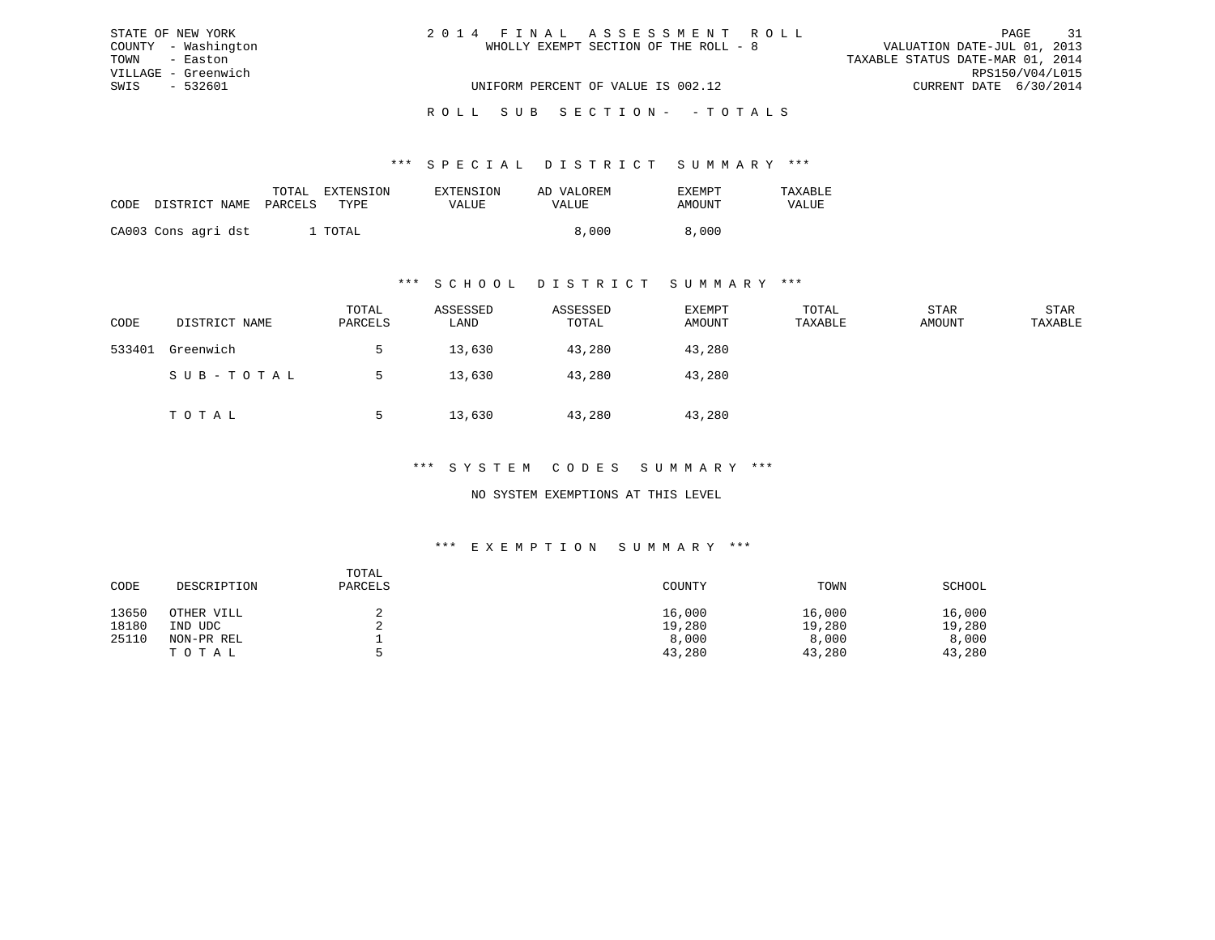| STATE OF NEW YORK   | 2014 FINAL ASSESSMENT ROLL            | 31<br>PAGE                       |
|---------------------|---------------------------------------|----------------------------------|
| COUNTY - Washington | WHOLLY EXEMPT SECTION OF THE ROLL - 8 | VALUATION DATE-JUL 01, 2013      |
| TOWN - Easton       |                                       | TAXABLE STATUS DATE-MAR 01, 2014 |
| VILLAGE - Greenwich |                                       | RPS150/V04/L015                  |
| SWIS - 532601       | UNIFORM PERCENT OF VALUE IS 002.12    | CURRENT DATE 6/30/2014           |
|                     |                                       |                                  |

## ROLL SUB SECTION - - TOTALS

#### \*\*\* S P E C I A L D I S T R I C T S U M M A R Y \*\*\*

| CODE | DISTRICT NAME PARCELS | TOTAL | EXTENSION<br>TYPE. | EXTENSION<br>VALUE | AD VALOREM<br>VALUE | EXEMPT<br>AMOUNT | TAXABLE<br>VALUE |
|------|-----------------------|-------|--------------------|--------------------|---------------------|------------------|------------------|
|      | CA003 Cons agri dst   |       | ' TOTAL            |                    | 8,000               | 8,000            |                  |

#### \*\*\* S C H O O L D I S T R I C T S U M M A R Y \*\*\*

| CODE   | DISTRICT NAME | TOTAL<br>PARCELS | ASSESSED<br>LAND | ASSESSED<br>TOTAL | EXEMPT<br>AMOUNT | TOTAL<br>TAXABLE | STAR<br>AMOUNT | STAR<br>TAXABLE |
|--------|---------------|------------------|------------------|-------------------|------------------|------------------|----------------|-----------------|
| 533401 | Greenwich     |                  | 13,630           | 43,280            | 43,280           |                  |                |                 |
|        | SUB-TOTAL     |                  | 13,630           | 43,280            | 43,280           |                  |                |                 |
|        | TOTAL         |                  | 13,630           | 43,280            | 43,280           |                  |                |                 |

## \*\*\* S Y S T E M C O D E S S U M M A R Y \*\*\*

### NO SYSTEM EXEMPTIONS AT THIS LEVEL

#### \*\*\* E X E M P T I O N S U M M A R Y \*\*\*

| CODE  | DESCRIPTION | TOTAL<br>PARCELS | COUNTY | TOWN   | SCHOOL |
|-------|-------------|------------------|--------|--------|--------|
| 13650 | OTHER VILL  |                  | 16,000 | 16,000 | 16,000 |
| 18180 | IND UDC     |                  | 19,280 | 19,280 | 19,280 |
| 25110 | NON-PR REL  |                  | 8,000  | 8,000  | 8,000  |
|       | TOTAL       | ь.               | 43,280 | 43,280 | 43,280 |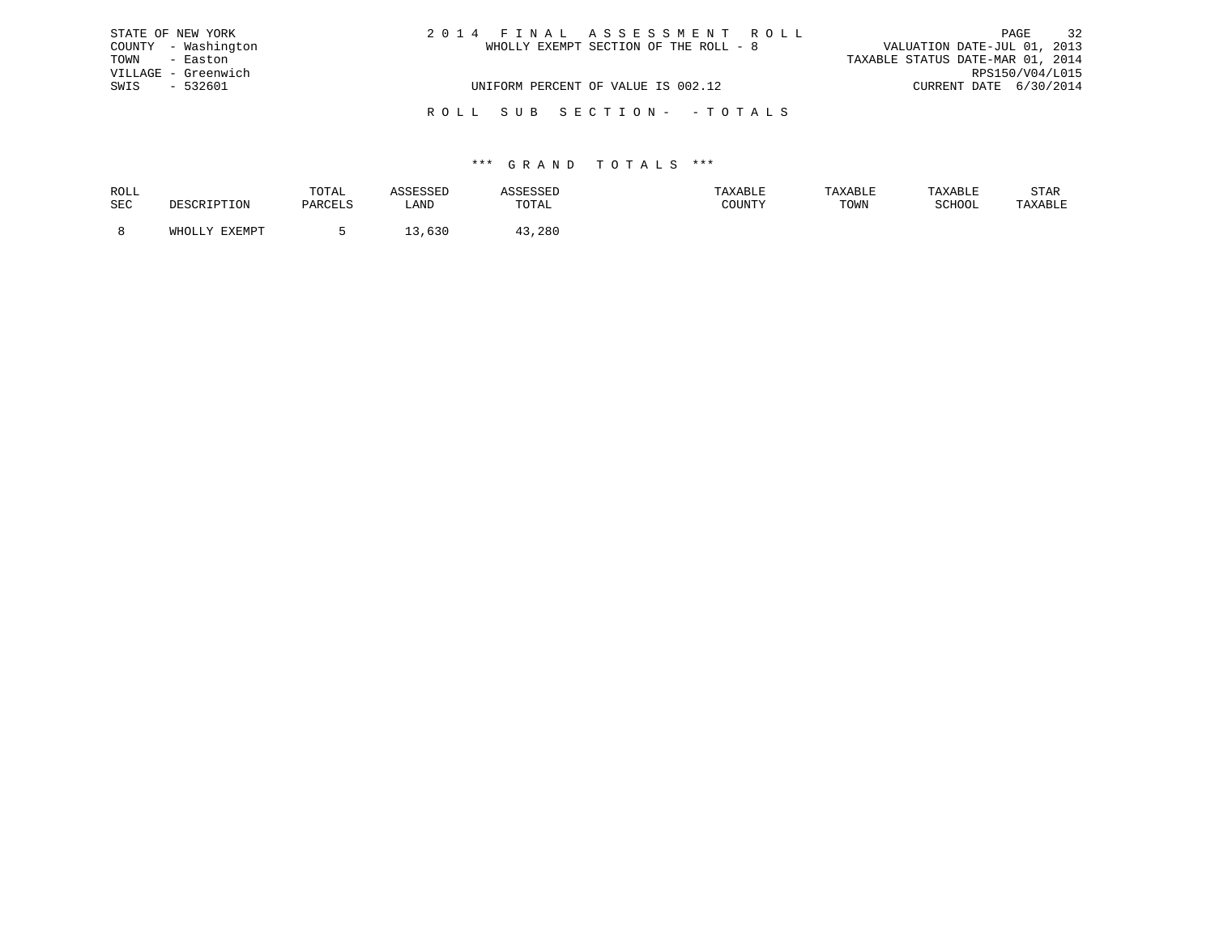|      | STATE OF NEW YORK   | 2014 FINAL ASSESSMENT ROLL            | 32<br>PAGE                       |
|------|---------------------|---------------------------------------|----------------------------------|
|      | COUNTY - Washington | WHOLLY EXEMPT SECTION OF THE ROLL - 8 | VALUATION DATE-JUL 01, 2013      |
| TOWN | - Easton            |                                       | TAXABLE STATUS DATE-MAR 01, 2014 |
|      | VILLAGE - Greenwich |                                       | RPS150/V04/L015                  |
| SWIS | $-532601$           | UNIFORM PERCENT OF VALUE IS 002.12    | CURRENT DATE 6/30/2014           |
|      |                     | ROLL SUB SECTION- -TOTALS             |                                  |

| ROLL |        | TOTAL |            | .                         | <b>AXABLF</b> |      |        | STAR    |
|------|--------|-------|------------|---------------------------|---------------|------|--------|---------|
| SEC  |        |       | ∴AND       | TOTA <sup>-</sup><br>◡⊥љ⊥ | CCTNTM        | TOWN | SCHOOL | 'AXABLE |
|      |        |       |            |                           |               |      |        |         |
|      | FYFMDT |       | <b>UJV</b> | 280                       |               |      |        |         |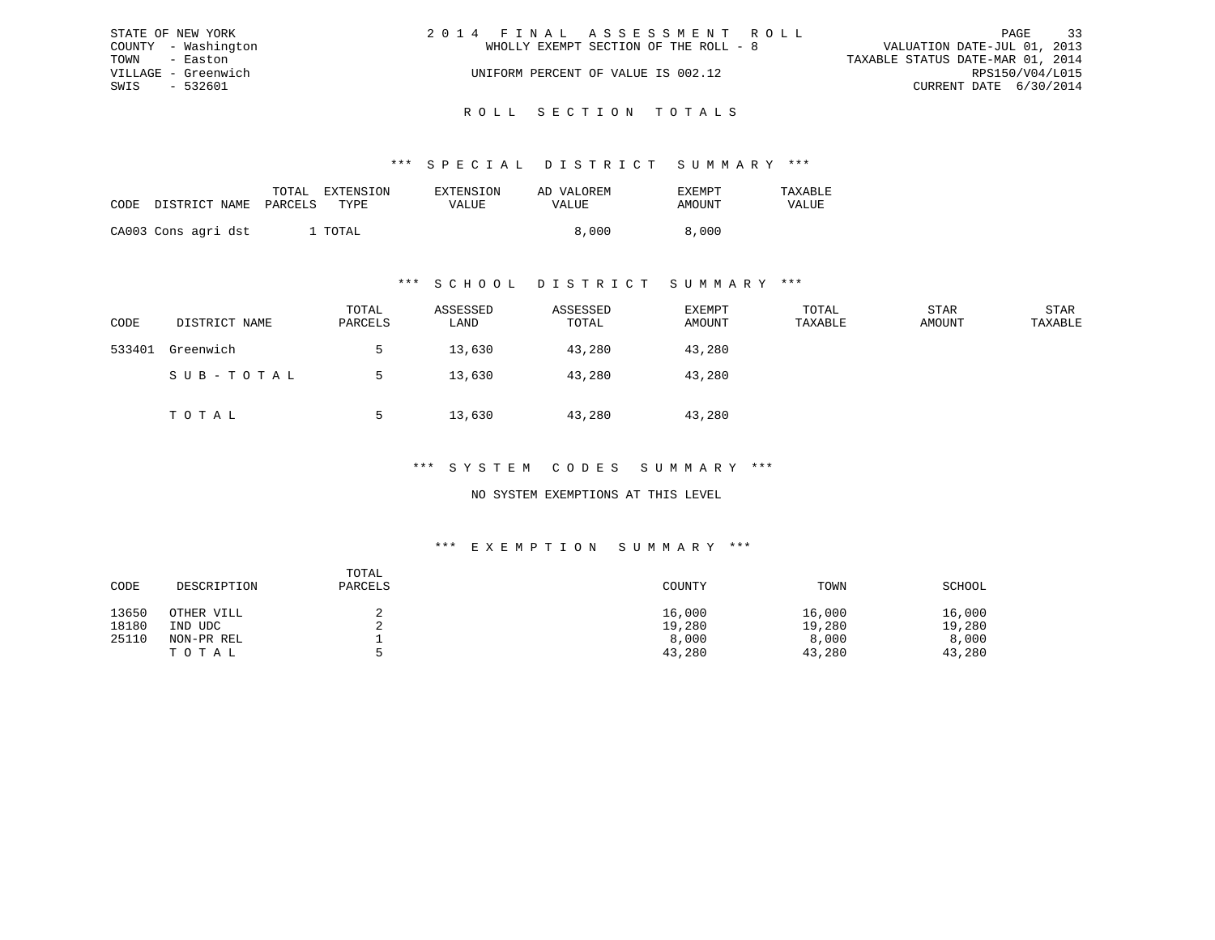|               | STATE OF NEW YORK   | 2014 FINAL ASSESSMENT ROLL |                                       |                                  |                        | PAGE | 33 |
|---------------|---------------------|----------------------------|---------------------------------------|----------------------------------|------------------------|------|----|
|               | COUNTY - Washington |                            | WHOLLY EXEMPT SECTION OF THE ROLL - 8 | VALUATION DATE-JUL 01, 2013      |                        |      |    |
| TOWN - Easton |                     |                            |                                       | TAXABLE STATUS DATE-MAR 01, 2014 |                        |      |    |
|               | VILLAGE - Greenwich |                            | UNIFORM PERCENT OF VALUE IS 002.12    |                                  | RPS150/V04/L015        |      |    |
| SWIS          | - 532601            |                            |                                       |                                  | CURRENT DATE 6/30/2014 |      |    |
|               |                     |                            |                                       |                                  |                        |      |    |

# ROLL SECTION TOTALS

### \*\*\* S P E C I A L D I S T R I C T S U M M A R Y \*\*\*

| CODE | DISTRICT NAME       | TOTAL<br>PARCELS | EXTENSION<br>TYPE | <b>EXTENSION</b><br>VALUE | AD VALOREM<br>VALUE | <b>EXEMPT</b><br>AMOUNT | TAXABLE<br>VALUE |
|------|---------------------|------------------|-------------------|---------------------------|---------------------|-------------------------|------------------|
|      |                     |                  | . TOTAL           |                           | 8,000               | 8,000                   |                  |
|      | CA003 Cons agri dst |                  |                   |                           |                     |                         |                  |

#### \*\*\* S C H O O L D I S T R I C T S U M M A R Y \*\*\*

| CODE   | DISTRICT NAME | TOTAL<br>PARCELS | ASSESSED<br>LAND | ASSESSED<br>TOTAL | EXEMPT<br>AMOUNT | TOTAL<br>TAXABLE | STAR<br>AMOUNT | STAR<br>TAXABLE |
|--------|---------------|------------------|------------------|-------------------|------------------|------------------|----------------|-----------------|
| 533401 | Greenwich     |                  | 13,630           | 43,280            | 43,280           |                  |                |                 |
|        | SUB-TOTAL     |                  | 13,630           | 43,280            | 43,280           |                  |                |                 |
|        | TOTAL         |                  | 13,630           | 43,280            | 43,280           |                  |                |                 |

## \*\*\* S Y S T E M C O D E S S U M M A R Y \*\*\*

## NO SYSTEM EXEMPTIONS AT THIS LEVEL

#### \*\*\* E X E M P T I O N S U M M A R Y \*\*\*

| CODE  | DESCRIPTION | TOTAL<br>PARCELS | COUNTY | TOWN   | SCHOOL |
|-------|-------------|------------------|--------|--------|--------|
| 13650 | OTHER VILL  |                  | 16,000 | 16,000 | 16,000 |
| 18180 | UDC<br>IND  |                  | 19,280 | 19,280 | 19,280 |
| 25110 | NON-PR REL  |                  | 8,000  | 8,000  | 8,000  |
|       | TOTAL       |                  | 43,280 | 43,280 | 43,280 |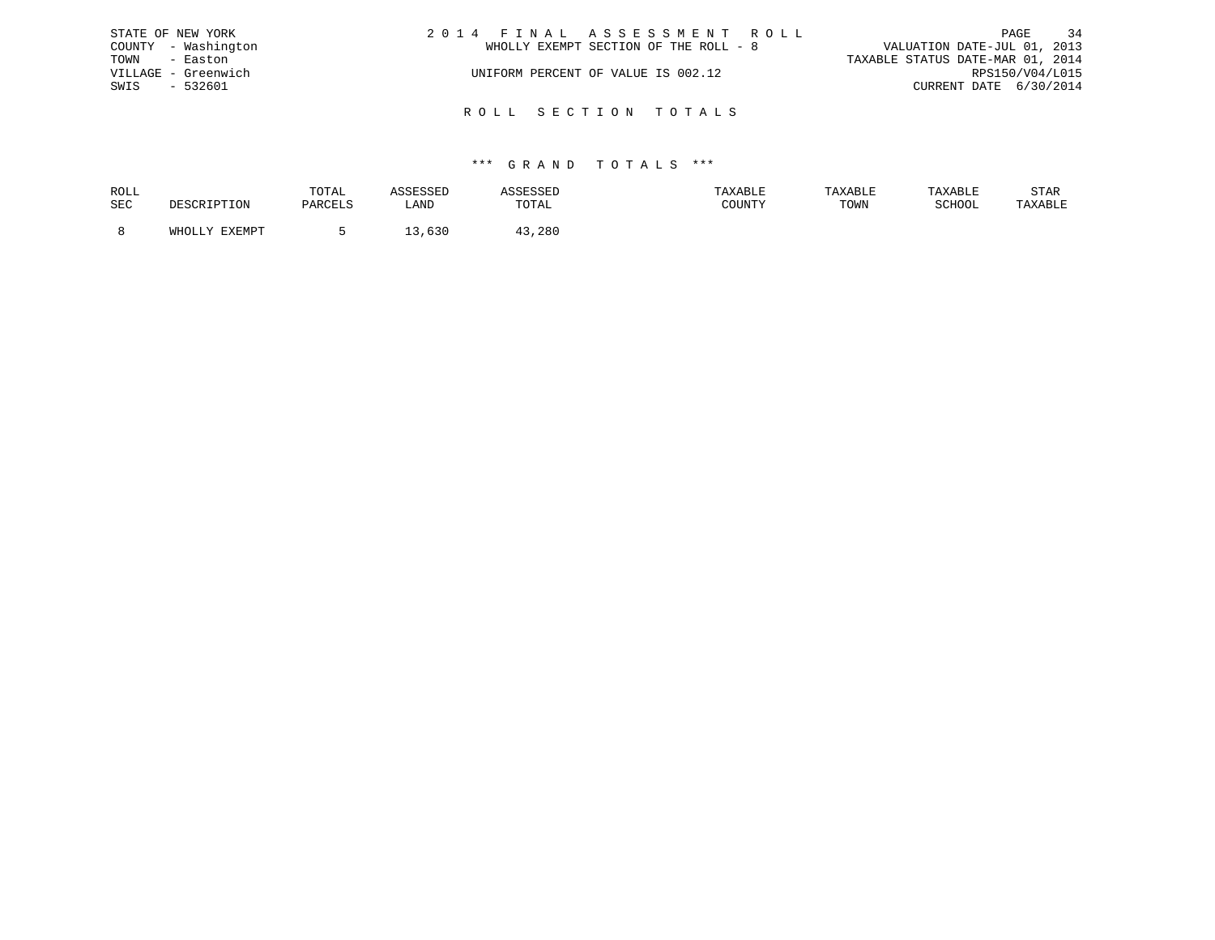|               | STATE OF NEW YORK   | 2014 FINAL ASSESSMENT ROLL            | PAGE                             | 34 |
|---------------|---------------------|---------------------------------------|----------------------------------|----|
|               | COUNTY - Washington | WHOLLY EXEMPT SECTION OF THE ROLL - 8 | VALUATION DATE-JUL 01, 2013      |    |
| TOWN - Easton |                     |                                       | TAXABLE STATUS DATE-MAR 01, 2014 |    |
|               | VILLAGE - Greenwich | UNIFORM PERCENT OF VALUE IS 002.12    | RPS150/V04/L015                  |    |
| SWIS          | - 532601            |                                       | CURRENT DATE 6/30/2014           |    |
|               |                     |                                       |                                  |    |
|               |                     | ROLL SECTION TOTALS                   |                                  |    |

| ROLL |                        | TOTAL   |      |        | TAXABLE | TAXABLE | TAYARI.R | STAR    |
|------|------------------------|---------|------|--------|---------|---------|----------|---------|
| SEC  |                        | PARCELS | LANI | TOTAL  | COUNTY  | TOWN    | SCHOOL   | TAXABLE |
|      |                        |         |      |        |         |         |          |         |
|      | <b>EXEMPT</b><br>WHOLL |         | ししぃ  | l3,28C |         |         |          |         |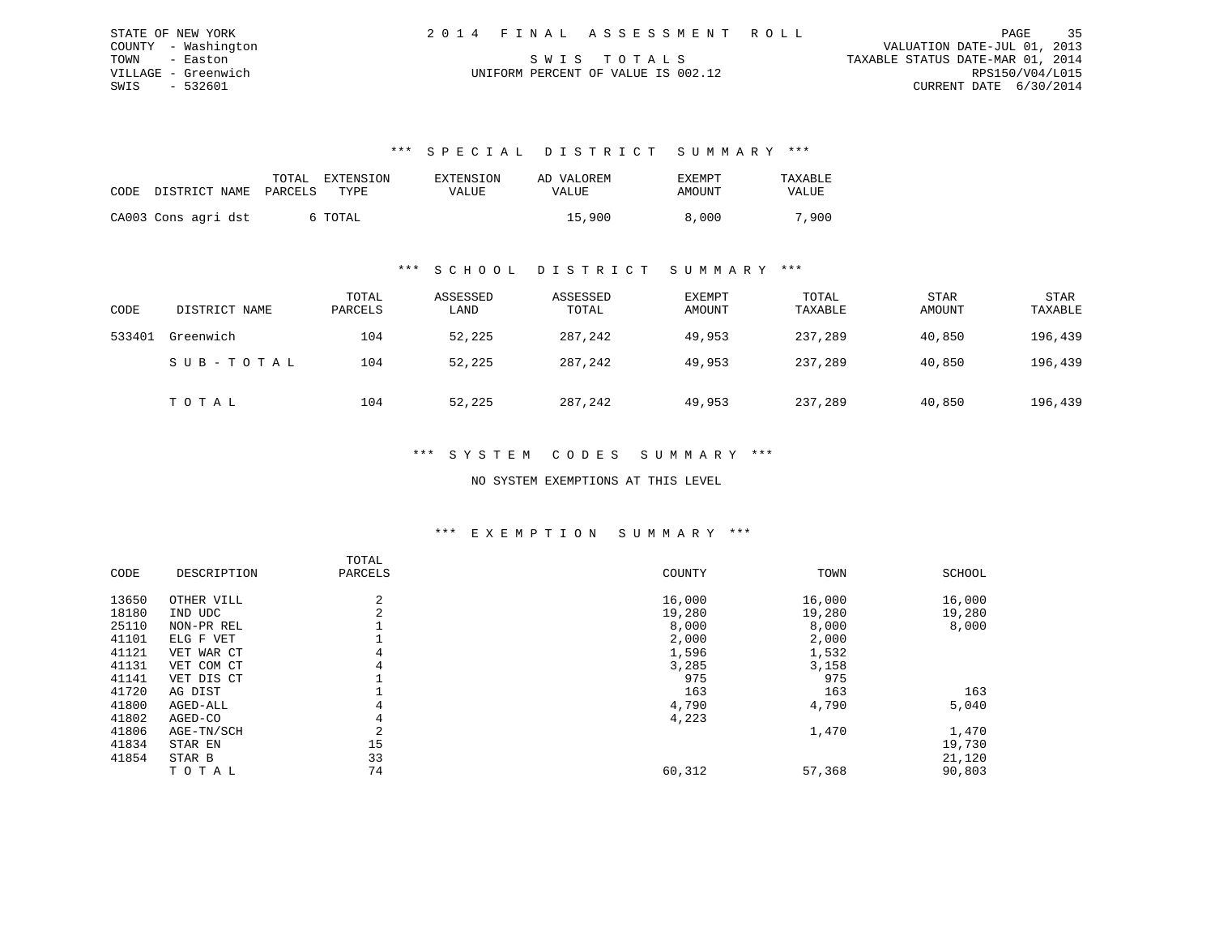| STATE OF NEW YORK   | 2014 FINAL ASSESSMENT ROLL         | 35<br>PAGE                       |
|---------------------|------------------------------------|----------------------------------|
| COUNTY - Washington |                                    | VALUATION DATE-JUL 01, 2013      |
| TOWN - Easton       | SWIS TOTALS                        | TAXABLE STATUS DATE-MAR 01, 2014 |
| VILLAGE - Greenwich | UNIFORM PERCENT OF VALUE IS 002.12 | RPS150/V04/L015                  |
| SWIS - 532601       |                                    | CURRENT DATE 6/30/2014           |

| CODE DISTRICT NAME  | TOTAL<br>PARCELS | EXTENSION<br>TYPE | EXTENSION<br>VALUE | AD VALOREM<br>VALUE | EXEMPT<br>AMOUNT | TAXABLE<br>VALUE |
|---------------------|------------------|-------------------|--------------------|---------------------|------------------|------------------|
| CA003 Cons agri dst |                  | 6 TOTAL           |                    | 15,900              | 8,000            | 7,900            |

## \*\*\* S C H O O L D I S T R I C T S U M M A R Y \*\*\*

| CODE   | DISTRICT NAME | TOTAL<br>PARCELS | ASSESSED<br>LAND | ASSESSED<br>TOTAL | <b>EXEMPT</b><br>AMOUNT | TOTAL<br>TAXABLE | <b>STAR</b><br>AMOUNT | <b>STAR</b><br>TAXABLE |
|--------|---------------|------------------|------------------|-------------------|-------------------------|------------------|-----------------------|------------------------|
| 533401 | Greenwich     | 104              | 52,225           | 287,242           | 49,953                  | 237,289          | 40,850                | 196,439                |
|        | SUB-TOTAL     | 104              | 52,225           | 287,242           | 49,953                  | 237,289          | 40,850                | 196,439                |
|        | T O T A L     | 104              | 52,225           | 287,242           | 49,953                  | 237,289          | 40,850                | 196,439                |

### \*\*\* S Y S T E M C O D E S S U M M A R Y \*\*\*

#### NO SYSTEM EXEMPTIONS AT THIS LEVEL

## \*\*\* E X E M P T I O N S U M M A R Y \*\*\*

|       |             | TOTAL   |        |        |        |
|-------|-------------|---------|--------|--------|--------|
| CODE  | DESCRIPTION | PARCELS | COUNTY | TOWN   | SCHOOL |
| 13650 | OTHER VILL  | 2       | 16,000 | 16,000 | 16,000 |
| 18180 | IND UDC     | 2       | 19,280 | 19,280 | 19,280 |
| 25110 | NON-PR REL  |         | 8,000  | 8,000  | 8,000  |
| 41101 | ELG F VET   |         | 2,000  | 2,000  |        |
| 41121 | VET WAR CT  | 4       | 1,596  | 1,532  |        |
| 41131 | VET COM CT  | 4       | 3,285  | 3,158  |        |
| 41141 | VET DIS CT  |         | 975    | 975    |        |
| 41720 | AG DIST     |         | 163    | 163    | 163    |
| 41800 | AGED-ALL    | 4       | 4,790  | 4,790  | 5,040  |
| 41802 | AGED-CO     | 4       | 4,223  |        |        |
| 41806 | AGE-TN/SCH  |         |        | 1,470  | 1,470  |
| 41834 | STAR EN     | 15      |        |        | 19,730 |
| 41854 | STAR B      | 33      |        |        | 21,120 |
|       | TOTAL       | 74      | 60,312 | 57,368 | 90,803 |
|       |             |         |        |        |        |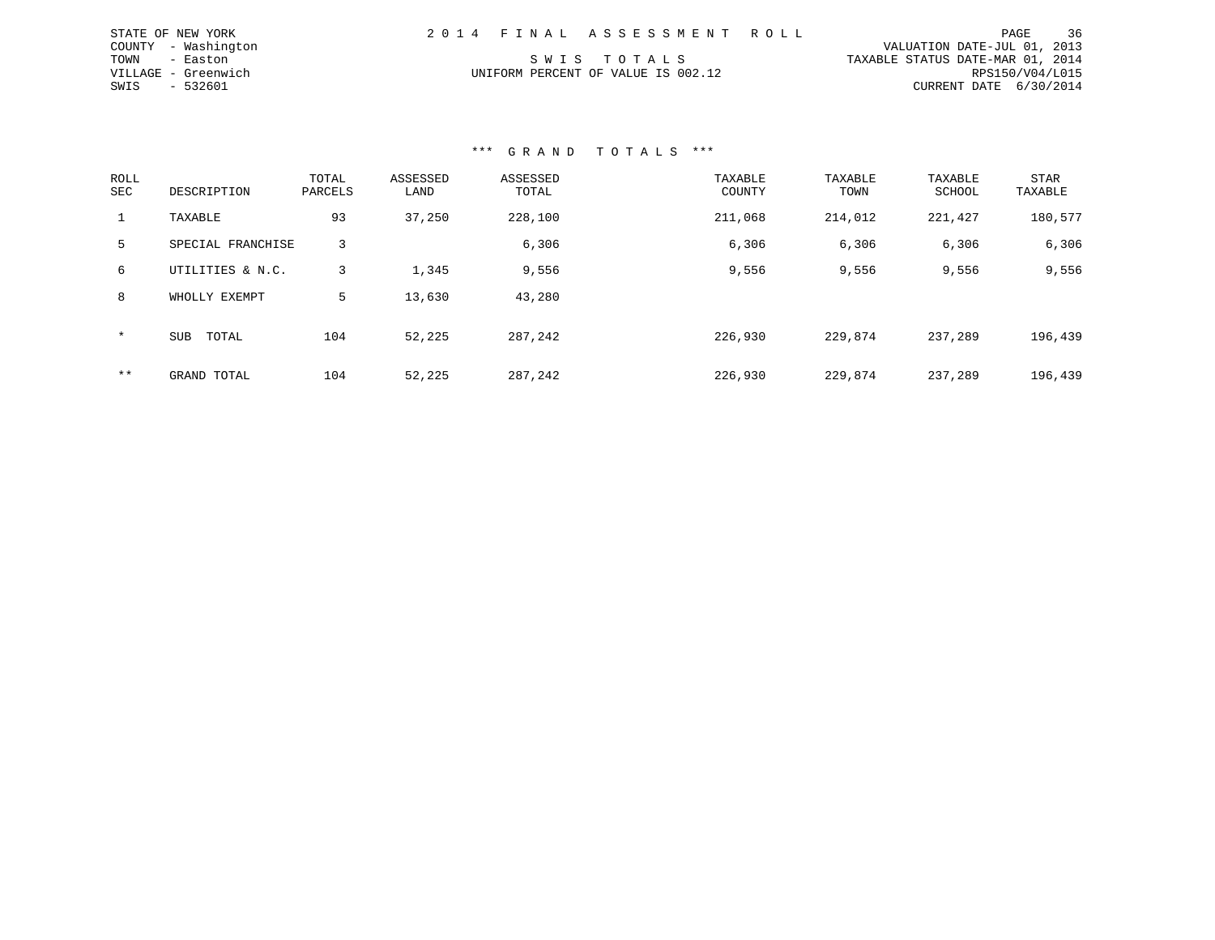| STATE OF NEW YORK   |  | 2014 FINAL ASSESSMENT ROLL         |                                  |                        | PAGE | 36 |
|---------------------|--|------------------------------------|----------------------------------|------------------------|------|----|
| COUNTY - Washington |  |                                    | VALUATION DATE-JUL 01, 2013      |                        |      |    |
| TOWN - Easton       |  | SWIS TOTALS                        | TAXABLE STATUS DATE-MAR 01, 2014 |                        |      |    |
| VILLAGE - Greenwich |  | UNIFORM PERCENT OF VALUE IS 002.12 |                                  | RPS150/V04/L015        |      |    |
| SWIS - 532601       |  |                                    |                                  | CURRENT DATE 6/30/2014 |      |    |

| ROLL<br><b>SEC</b> | DESCRIPTION         | TOTAL<br>PARCELS | ASSESSED<br>LAND | ASSESSED<br>TOTAL | TAXABLE<br>COUNTY | TAXABLE<br>TOWN | TAXABLE<br>SCHOOL | <b>STAR</b><br>TAXABLE |
|--------------------|---------------------|------------------|------------------|-------------------|-------------------|-----------------|-------------------|------------------------|
| 1                  | TAXABLE             | 93               | 37,250           | 228,100           | 211,068           | 214,012         | 221,427           | 180,577                |
| 5.                 | SPECIAL FRANCHISE   | 3                |                  | 6,306             | 6,306             | 6,306           | 6,306             | 6,306                  |
| 6                  | UTILITIES & N.C.    | 3                | 1,345            | 9,556             | 9,556             | 9,556           | 9,556             | 9,556                  |
| 8                  | WHOLLY EXEMPT       | 5                | 13,630           | 43,280            |                   |                 |                   |                        |
| $\star$            | TOTAL<br><b>SUB</b> | 104              | 52,225           | 287,242           | 226,930           | 229,874         | 237,289           | 196,439                |
| $***$              | GRAND TOTAL         | 104              | 52,225           | 287,242           | 226,930           | 229,874         | 237,289           | 196,439                |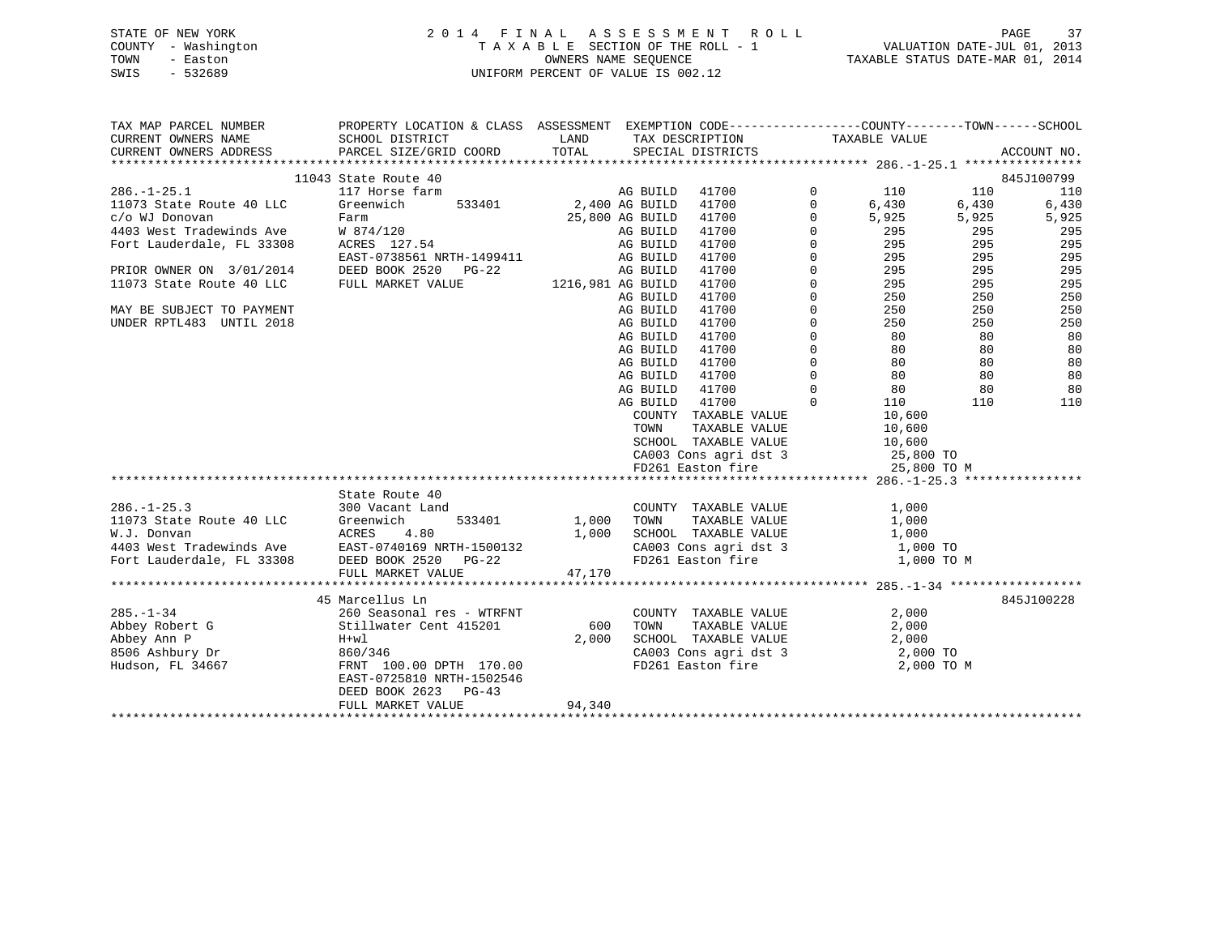### STATE OF NEW YORK 2 0 1 4 F I N A L A S S E S S M E N T R O L L PAGE 37 COUNTY - Washington T A X A B L E SECTION OF THE ROLL - 1 VALUATION DATE-JUL 01, 2013 TOWN - Easton OWNERS NAME SEQUENCE TAXABLE STATUS DATE-MAR 01, 2014 SWIS - 532689 UNIFORM PERCENT OF VALUE IS 002.12

| TAX MAP PARCEL NUMBER                                                                                                     | PROPERTY LOCATION & CLASS ASSESSMENT EXEMPTION CODE----------------COUNTY-------TOWN------SCHOOL |                   |          |                                                                  |                |                                         |       |             |
|---------------------------------------------------------------------------------------------------------------------------|--------------------------------------------------------------------------------------------------|-------------------|----------|------------------------------------------------------------------|----------------|-----------------------------------------|-------|-------------|
| CURRENT OWNERS NAME                                                                                                       | SCHOOL DISTRICT                                                                                  | LAND              |          | TAX DESCRIPTION TAXABLE VALUE                                    |                |                                         |       |             |
| CURRENT OWNERS ADDRESS                                                                                                    | PARCEL SIZE/GRID COORD                                                                           | TOTAL             |          | SPECIAL DISTRICTS                                                |                |                                         |       | ACCOUNT NO. |
|                                                                                                                           |                                                                                                  |                   |          |                                                                  |                |                                         |       |             |
|                                                                                                                           | 11043 State Route 40                                                                             |                   |          |                                                                  |                |                                         |       | 845J100799  |
| $286. - 1 - 25.1$                                                                                                         | 117 Horse farm                                                                                   |                   | AG BUILD | 41700                                                            | $\overline{0}$ | 110                                     | 110   | 110         |
| 11073 State Route 40 LLC                                                                                                  | 533401<br>Greenwich                                                                              | 2,400 AG BUILD    |          | 41700                                                            | $\mathbf 0$    | 6,430                                   | 6,430 | 6,430       |
|                                                                                                                           |                                                                                                  | 25,800 AG BUILD   |          | 41700                                                            | $\mathbf{0}$   | 5,925                                   | 5,925 | 5,925       |
|                                                                                                                           |                                                                                                  |                   | AG BUILD | 41700                                                            | $\mathbf 0$    | 295                                     | 295   | 295         |
|                                                                                                                           |                                                                                                  |                   | AG BUILD | 41700                                                            | $\mathbf 0$    | $\frac{1}{295}$                         | 295   | 295         |
|                                                                                                                           | EAST-0738561 NRTH-1499411 AG BUILD                                                               |                   |          | 41700                                                            | $\Omega$       | 295<br>295<br>295                       | 295   | 295         |
| PRIOR OWNER ON 3/01/2014                                                                                                  | DEED BOOK 2520 PG-22                                                                             |                   | AG BUILD | 41700                                                            | $\Omega$       |                                         | 295   | 295         |
| 11073 State Route 40 LLC FULL MARKET VALUE                                                                                |                                                                                                  | 1216,981 AG BUILD |          | 41700                                                            | $\mathbf{0}$   | 295                                     | 295   | 295         |
|                                                                                                                           |                                                                                                  |                   | AG BUILD | 41700                                                            | $\Omega$       | 250                                     | 250   | 250         |
| MAY BE SUBJECT TO PAYMENT                                                                                                 |                                                                                                  |                   | AG BUILD | 41700                                                            | $\mathbf 0$    | 250<br>250                              | 250   | 250         |
| UNDER RPTL483 UNTIL 2018                                                                                                  |                                                                                                  |                   | AG BUILD | 41700                                                            | $\Omega$       |                                         | 250   | 250         |
|                                                                                                                           |                                                                                                  |                   | AG BUILD | 41700                                                            | $\mathbf 0$    | $\begin{array}{c} 80 \\ 80 \end{array}$ | 80    | 80          |
|                                                                                                                           |                                                                                                  |                   | AG BUILD | 41700                                                            | $\mathbf 0$    |                                         | 80    | 80          |
|                                                                                                                           |                                                                                                  |                   | AG BUILD | 41700                                                            | $\Omega$       | 80 80                                   |       | 80          |
|                                                                                                                           |                                                                                                  |                   | AG BUILD | 41700                                                            | $\overline{0}$ | $\frac{80}{20}$                         | 80    | 80          |
|                                                                                                                           |                                                                                                  |                   | AG BUILD | 41700                                                            | $\overline{0}$ | 80                                      | 80    | 80          |
|                                                                                                                           |                                                                                                  |                   | AG BUILD | 41700                                                            | $\Omega$       | 110                                     | 110   | 110         |
|                                                                                                                           |                                                                                                  |                   |          | COUNTY TAXABLE VALUE                                             |                |                                         |       |             |
|                                                                                                                           |                                                                                                  |                   | TOWN     | TAXABLE VALUE                                                    |                | $10, 0.$<br>$10, 600$<br>$10, 600$      |       |             |
|                                                                                                                           |                                                                                                  |                   |          | SCHOOL TAXABLE VALUE                                             |                | 10,600                                  |       |             |
|                                                                                                                           |                                                                                                  |                   |          | CA003 Cons agri dst 3 25,800 TO<br>FD261 Easton fire 25,800 TO M |                |                                         |       |             |
|                                                                                                                           |                                                                                                  |                   |          |                                                                  |                |                                         |       |             |
|                                                                                                                           |                                                                                                  |                   |          |                                                                  |                |                                         |       |             |
|                                                                                                                           | State Route 40                                                                                   |                   |          |                                                                  |                |                                         |       |             |
| $286. - 1 - 25.3$                                                                                                         | 300 Vacant Land                                                                                  |                   |          | COUNTY TAXABLE VALUE                                             |                | 1,000                                   |       |             |
| 11073 State Route 40 LLC Greenwich 533401<br>W.J. Donvan ACRES 4.80<br>4403 West Tradewinds Ave EAST-0740169 NRTH-1500132 |                                                                                                  | 1,000 TOWN        |          | TAXABLE VALUE                                                    |                | $1,000$<br>$1,000$                      |       |             |
|                                                                                                                           |                                                                                                  |                   |          | 1,000 SCHOOL TAXABLE VALUE                                       |                |                                         |       |             |
|                                                                                                                           |                                                                                                  |                   |          | CA003 Cons agri dst 3 1,000 TO                                   |                |                                         |       |             |
| Fort Lauderdale, FL 33308                                                                                                 | DEED BOOK 2520 PG-22                                                                             |                   |          | FD261 Easton fire                                                |                | 1,000 TO M                              |       |             |
|                                                                                                                           | FULL MARKET VALUE                                                                                | 47,170            |          |                                                                  |                |                                         |       |             |
|                                                                                                                           |                                                                                                  |                   |          |                                                                  |                |                                         |       |             |
|                                                                                                                           | 45 Marcellus Ln                                                                                  |                   |          |                                                                  |                |                                         |       | 845J100228  |
| $285. - 1 - 34$                                                                                                           | 260 Seasonal res - WTRFNT                                                                        |                   |          | COUNTY TAXABLE VALUE                                             |                | 2,000                                   |       |             |
| Abbey Robert G                                                                                                            | Stillwater Cent 415201                                                                           | 600               | TOWN     | TAXABLE VALUE                                                    |                | 2,000                                   |       |             |
| Abbey Ann P                                                                                                               | H+wl                                                                                             | 2,000             |          | SCHOOL TAXABLE VALUE 2,000<br>CA003 Cons agri dst 3 2,000 TO     |                |                                         |       |             |
| 8506 Ashbury Dr                                                                                                           | 860/346                                                                                          |                   |          |                                                                  |                |                                         |       |             |
| Hudson, FL 34667                                                                                                          | FRNT 100.00 DPTH 170.00                                                                          |                   |          | FD261 Easton fire 2,000 TO M                                     |                |                                         |       |             |
|                                                                                                                           | EAST-0725810 NRTH-1502546                                                                        |                   |          |                                                                  |                |                                         |       |             |
|                                                                                                                           | DEED BOOK 2623 PG-43                                                                             |                   |          |                                                                  |                |                                         |       |             |
|                                                                                                                           | FULL MARKET VALUE                                                                                | 94,340            |          |                                                                  |                |                                         |       |             |
|                                                                                                                           |                                                                                                  |                   |          |                                                                  |                |                                         |       |             |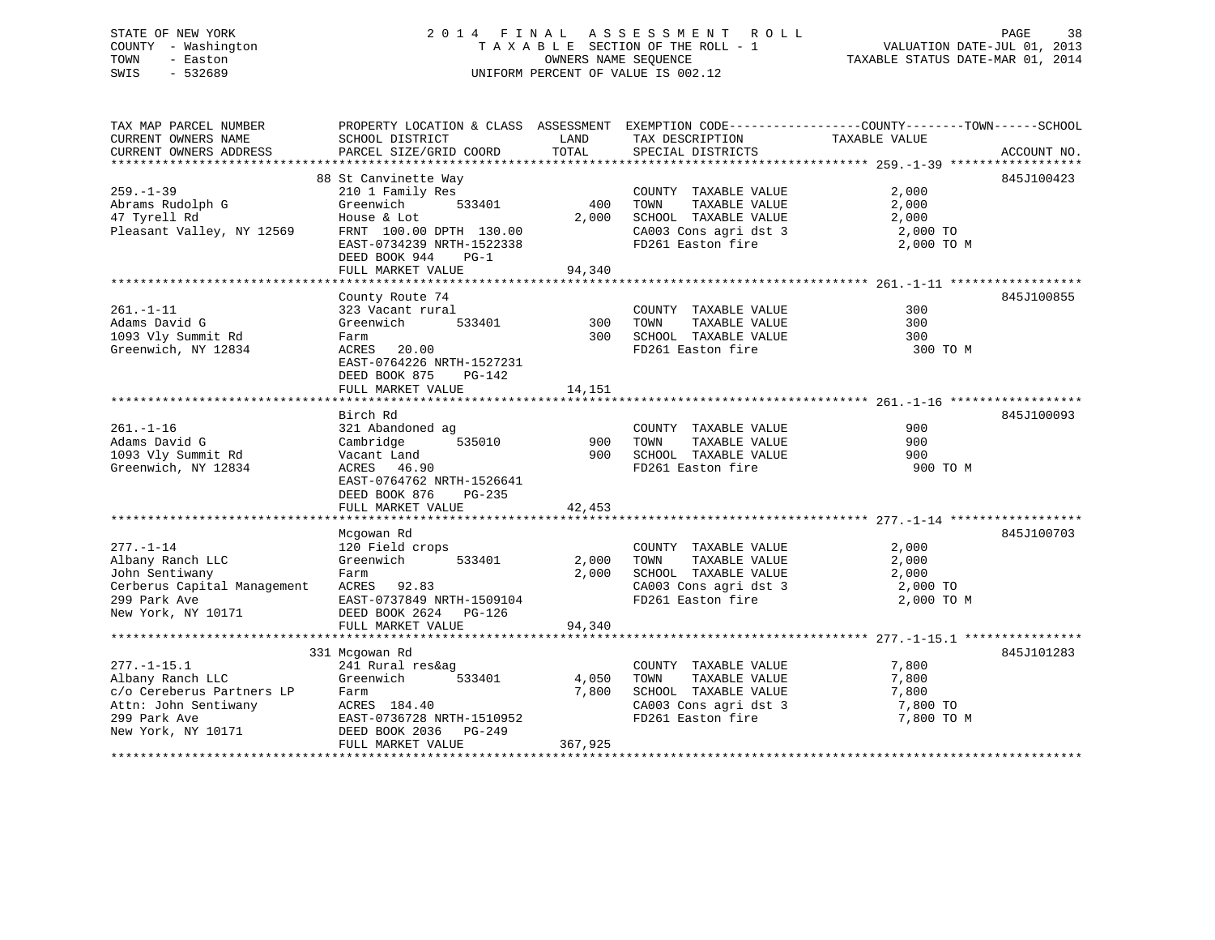### STATE OF NEW YORK 2 0 1 4 F I N A L A S S E S S M E N T R O L L PAGE 38 COUNTY - Washington T A X A B L E SECTION OF THE ROLL - 1 VALUATION DATE-JUL 01, 2013 TOWN - Easton OWNERS NAME SEQUENCE TAXABLE STATUS DATE-MAR 01, 2014 SWIS - 532689 UNIFORM PERCENT OF VALUE IS 002.12

TAX MAP PARCEL NUMBER PROPERTY LOCATION & CLASS ASSESSMENT EXEMPTION CODE------------------COUNTY--------TOWN------SCHOOL CURRENT OWNERS NAME SCHOOL DISTRICT THE LAND TAX DESCRIPTION TAXABLE VALUE CURRENT OWNERS ADDRESS PARCEL SIZE/GRID COORD TOTAL SPECIAL DISTRICTS ACCOUNT NO. \*\*\*\*\*\*\*\*\*\*\*\*\*\*\*\*\*\*\*\*\*\*\*\*\*\*\*\*\*\*\*\*\*\*\*\*\*\*\*\*\*\*\*\*\*\*\*\*\*\*\*\*\*\*\*\*\*\*\*\*\*\*\*\*\*\*\*\*\*\*\*\*\*\*\*\*\*\*\*\*\*\*\*\*\*\*\*\*\*\*\*\*\*\*\*\*\*\*\*\*\*\*\* 259.-1-39 \*\*\*\*\*\*\*\*\*\*\*\*\*\*\*\*\*\* 88 St Canvinette Way 845J100423 259.-1-39 210 1 Family Res COUNTY TAXABLE VALUE 2,000 Abrams Rudolph G Greenwich 533401 400 TOWN TAXABLE VALUE 2,000 47 Tyrell Rd House & Lot 2,000 SCHOOL TAXABLE VALUE 2,000 Pleasant Valley, NY 12569 FRNT 100.00 DPTH 130.00 CA003 Cons agri dst 3 2,000 TO EAST-0734239 NRTH-1522338 FD261 Easton fire 2,000 TO M DEED BOOK 944 PG-1FULL MARKET VALUE 94,340 \*\*\*\*\*\*\*\*\*\*\*\*\*\*\*\*\*\*\*\*\*\*\*\*\*\*\*\*\*\*\*\*\*\*\*\*\*\*\*\*\*\*\*\*\*\*\*\*\*\*\*\*\*\*\*\*\*\*\*\*\*\*\*\*\*\*\*\*\*\*\*\*\*\*\*\*\*\*\*\*\*\*\*\*\*\*\*\*\*\*\*\*\*\*\*\*\*\*\*\*\*\*\* 261.-1-11 \*\*\*\*\*\*\*\*\*\*\*\*\*\*\*\*\*\*County Route 74 845J100855 261.-1-11 323 Vacant rural COUNTY TAXABLE VALUE 300Adams David G Greenwich 533401 300 TOWN TAXABLE VALUE 300 1093 Vly Summit Rd Farm 300 SCHOOL TAXABLE VALUE 300 Greenwich, NY 12834 ACRES 20.00 FD261 Easton fire 300 TO M EAST-0764226 NRTH-1527231 DEED BOOK 875 PG-142FULL MARKET VALUE 14,151 \*\*\*\*\*\*\*\*\*\*\*\*\*\*\*\*\*\*\*\*\*\*\*\*\*\*\*\*\*\*\*\*\*\*\*\*\*\*\*\*\*\*\*\*\*\*\*\*\*\*\*\*\*\*\*\*\*\*\*\*\*\*\*\*\*\*\*\*\*\*\*\*\*\*\*\*\*\*\*\*\*\*\*\*\*\*\*\*\*\*\*\*\*\*\*\*\*\*\*\*\*\*\* 261.-1-16 \*\*\*\*\*\*\*\*\*\*\*\*\*\*\*\*\*\*845J100093 Birch Rd 845J100093261.-1-16 321 Abandoned ag COUNTY TAXABLE VALUE 900 Adams David G Cambridge 535010 900 TOWN TAXABLE VALUE 900 1093 Vly Summit Rd Vacant Land 900 SCHOOL TAXABLE VALUE 900 Greenwich, NY 12834 ACRES 46.90 FD261 Easton fire 900 TO M EAST-0764762 NRTH-1526641 DEED BOOK 876 PG-235FULL MARKET VALUE 42.453 \*\*\*\*\*\*\*\*\*\*\*\*\*\*\*\*\*\*\*\*\*\*\*\*\*\*\*\*\*\*\*\*\*\*\*\*\*\*\*\*\*\*\*\*\*\*\*\*\*\*\*\*\*\*\*\*\*\*\*\*\*\*\*\*\*\*\*\*\*\*\*\*\*\*\*\*\*\*\*\*\*\*\*\*\*\*\*\*\*\*\*\*\*\*\*\*\*\*\*\*\*\*\* 277.-1-14 \*\*\*\*\*\*\*\*\*\*\*\*\*\*\*\*\*\* Mcgowan Rd 845J100703 277.-1-14 120 Field crops COUNTY TAXABLE VALUE 2,000 Albany Ranch LLC Greenwich 533401 2,000 TOWN TAXABLE VALUE 2,000 John Sentiwany Farm 2,000 SCHOOL TAXABLE VALUE 2,000 Cerberus Capital Management ACRES 92.83 CA003 Cons agri dst 3 2,000 TO 299 Park Ave EAST-0737849 NRTH-1509104 FD261 Easton fire 2,000 TO M New York, NY 10171 DEED BOOK 2624 PG-126 FULL MARKET VALUE 94,340 \*\*\*\*\*\*\*\*\*\*\*\*\*\*\*\*\*\*\*\*\*\*\*\*\*\*\*\*\*\*\*\*\*\*\*\*\*\*\*\*\*\*\*\*\*\*\*\*\*\*\*\*\*\*\*\*\*\*\*\*\*\*\*\*\*\*\*\*\*\*\*\*\*\*\*\*\*\*\*\*\*\*\*\*\*\*\*\*\*\*\*\*\*\*\*\*\*\*\*\*\*\*\* 277.-1-15.1 \*\*\*\*\*\*\*\*\*\*\*\*\*\*\*\* 331 Mcgowan Rd 845J101283 277.-1-15.1 241 Rural res&ag COUNTY TAXABLE VALUE 7,800 Albany Ranch LLC Greenwich 533401 4,050 TOWN TAXABLE VALUE 7,800 c/o Cereberus Partners LP Farm 7,800 SCHOOL TAXABLE VALUE 7,800 Attn: John Sentiwany ACRES 184.40 CA003 Cons agri dst 3 7,800 TO 299 Park Ave EAST-0736728 NRTH-1510952 FD261 Easton fire 7,800 TO M 299 Park Ave EAST-0736728 NKTH-1510952<br>New York, NY 10171 DEED BOOK 2036 PG-249 FULL MARKET VALUE 367,925 \*\*\*\*\*\*\*\*\*\*\*\*\*\*\*\*\*\*\*\*\*\*\*\*\*\*\*\*\*\*\*\*\*\*\*\*\*\*\*\*\*\*\*\*\*\*\*\*\*\*\*\*\*\*\*\*\*\*\*\*\*\*\*\*\*\*\*\*\*\*\*\*\*\*\*\*\*\*\*\*\*\*\*\*\*\*\*\*\*\*\*\*\*\*\*\*\*\*\*\*\*\*\*\*\*\*\*\*\*\*\*\*\*\*\*\*\*\*\*\*\*\*\*\*\*\*\*\*\*\*\*\*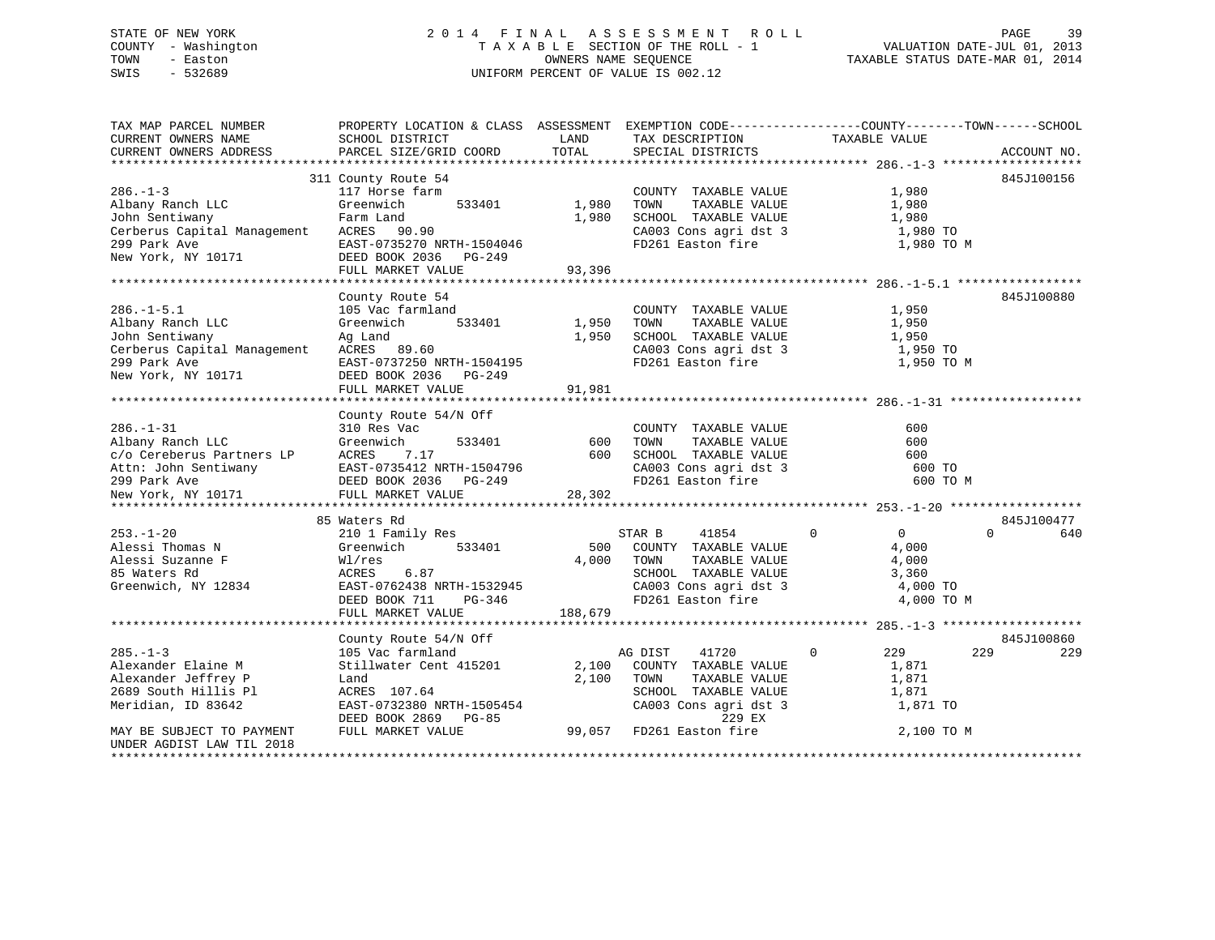### STATE OF NEW YORK 2 0 1 4 F I N A L A S S E S S M E N T R O L L PAGE 39 COUNTY - Washington T A X A B L E SECTION OF THE ROLL - 1 VALUATION DATE-JUL 01, 2013 TOWN - Easton **CONNERS NAME SEQUENCE** TAXABLE STATUS DATE-MAR 01, 2014 SWIS - 532689 UNIFORM PERCENT OF VALUE IS 002.12

| TAX MAP PARCEL NUMBER<br>CURRENT OWNERS NAME<br>CURRENT OWNERS ADDRESS                                                                  | SCHOOL DISTRICT<br>PARCEL SIZE/GRID COORD                                                                                                                       | LAND<br>TOTAL            | TAX DESCRIPTION<br>SPECIAL DISTRICTS                                                                                                                               | PROPERTY LOCATION & CLASS ASSESSMENT EXEMPTION CODE---------------COUNTY-------TOWN-----SCHOOL<br>TAXABLE VALUE | ACCOUNT NO.       |
|-----------------------------------------------------------------------------------------------------------------------------------------|-----------------------------------------------------------------------------------------------------------------------------------------------------------------|--------------------------|--------------------------------------------------------------------------------------------------------------------------------------------------------------------|-----------------------------------------------------------------------------------------------------------------|-------------------|
|                                                                                                                                         |                                                                                                                                                                 |                          |                                                                                                                                                                    |                                                                                                                 |                   |
| $286. - 1 - 3$<br>Albany Ranch LLC<br>John Sentiwany                                                                                    | 311 County Route 54<br>117 Horse farm<br>533401<br>Greenwich<br>Farm Land<br>FULL MARKET VALUE                                                                  | 1,980<br>1,980<br>93,396 | COUNTY TAXABLE VALUE<br>TOWN<br>TAXABLE VALUE<br>SCHOOL TAXABLE VALUE<br>CA003 Cons agri dst 3<br>FD261 Easton fire                                                | 1,980<br>1,980<br>1,980<br>1,980 TO<br>1,980 TO M                                                               | 845J100156        |
|                                                                                                                                         |                                                                                                                                                                 |                          |                                                                                                                                                                    |                                                                                                                 |                   |
| $286. - 1 - 5.1$<br>Albany Ranch LLC<br>John Sentiwany<br>Cerberus Capital Management ACRES 89.60<br>299 Park Ave<br>New York, NY 10171 | County Route 54<br>105 Vac farmland<br>533401<br>Greenwich<br>Ag Land<br>EAST-0737250 NRTH-1504195<br>DEED BOOK 2036 PG-249<br>FULL MARKET VALUE                | 1,950<br>1,950<br>91,981 | COUNTY TAXABLE VALUE<br>TOWN<br>TAXABLE VALUE<br>SCHOOL TAXABLE VALUE<br>CA003 Cons agri dst 3<br>FD261 Easton fire                                                | 1,950<br>1,950<br>1,950<br>1,950 TO<br>1,950 TO M                                                               | 845J100880        |
|                                                                                                                                         |                                                                                                                                                                 |                          |                                                                                                                                                                    |                                                                                                                 |                   |
| $286. - 1 - 31$<br>Albany Ranch LLC<br>New York, NY 10171                                                                               | County Route 54/N Off<br>310 Res Vac<br>Greenwich<br>533401<br>FULL MARKET VALUE                                                                                | 600<br>600<br>28,302     | COUNTY TAXABLE VALUE<br>TOWN<br>TAXABLE VALUE<br>SCHOOL TAXABLE VALUE<br>$CA003$ Cons agri dst 3<br>FD261 Easton fire                                              | 600<br>600<br>600<br>600 TO<br>600 TO M                                                                         |                   |
|                                                                                                                                         |                                                                                                                                                                 |                          |                                                                                                                                                                    |                                                                                                                 |                   |
| $253. - 1 - 20$<br>Alessi Thomas N<br>Alessi Suzanne F<br>85 Waters Rd<br>Greenwich, NY 12834                                           | 85 Waters Rd<br>210 1 Family Res<br>Greenwich<br>533401<br>Wl/res<br>6.87<br>ACRES<br>EAST-0762438 NRTH-1532945<br>PG-346<br>DEED BOOK 711<br>FULL MARKET VALUE | 4,000<br>188,679         | STAR B<br>41854<br>500 COUNTY TAXABLE VALUE<br>TAXABLE VALUE<br>TOWN<br>SCHOOL TAXABLE VALUE<br>SCHOOL TAXABLE VALUE<br>CA003 Cons agri dst 3<br>FD261 Easton fire | $\mathbf 0$<br>$\overline{0}$<br>$\Omega$<br>4,000<br>4,000<br>3,360<br>4,000 TO<br>4,000 TO M                  | 845J100477<br>640 |
|                                                                                                                                         |                                                                                                                                                                 |                          |                                                                                                                                                                    |                                                                                                                 |                   |
| $285. - 1 - 3$<br>Alexander Elaine M<br>Alexander Jeffrey P<br>2689 South Hillis Pl<br>Meridian, ID 83642                               | County Route 54/N Off<br>105 Vac farmland<br>Stillwater Cent 415201<br>Land<br>ACRES 107.64<br>EAST-0732380 NRTH-1505454<br>DEED BOOK 2869<br>PG-85             | 2,100<br>2,100           | AG DIST<br>41720<br>COUNTY TAXABLE VALUE<br>TOWN<br>TAXABLE VALUE<br>SCHOOL TAXABLE VALUE<br>CA003 Cons agri dst 3<br>229 EX                                       | $\Omega$<br>229<br>229<br>1,871<br>1,871<br>1,871<br>1,871 TO                                                   | 845J100860<br>229 |
| MAY BE SUBJECT TO PAYMENT<br>UNDER AGDIST LAW TIL 2018                                                                                  | FULL MARKET VALUE                                                                                                                                               |                          | 99,057 FD261 Easton fire                                                                                                                                           | 2,100 TO M                                                                                                      |                   |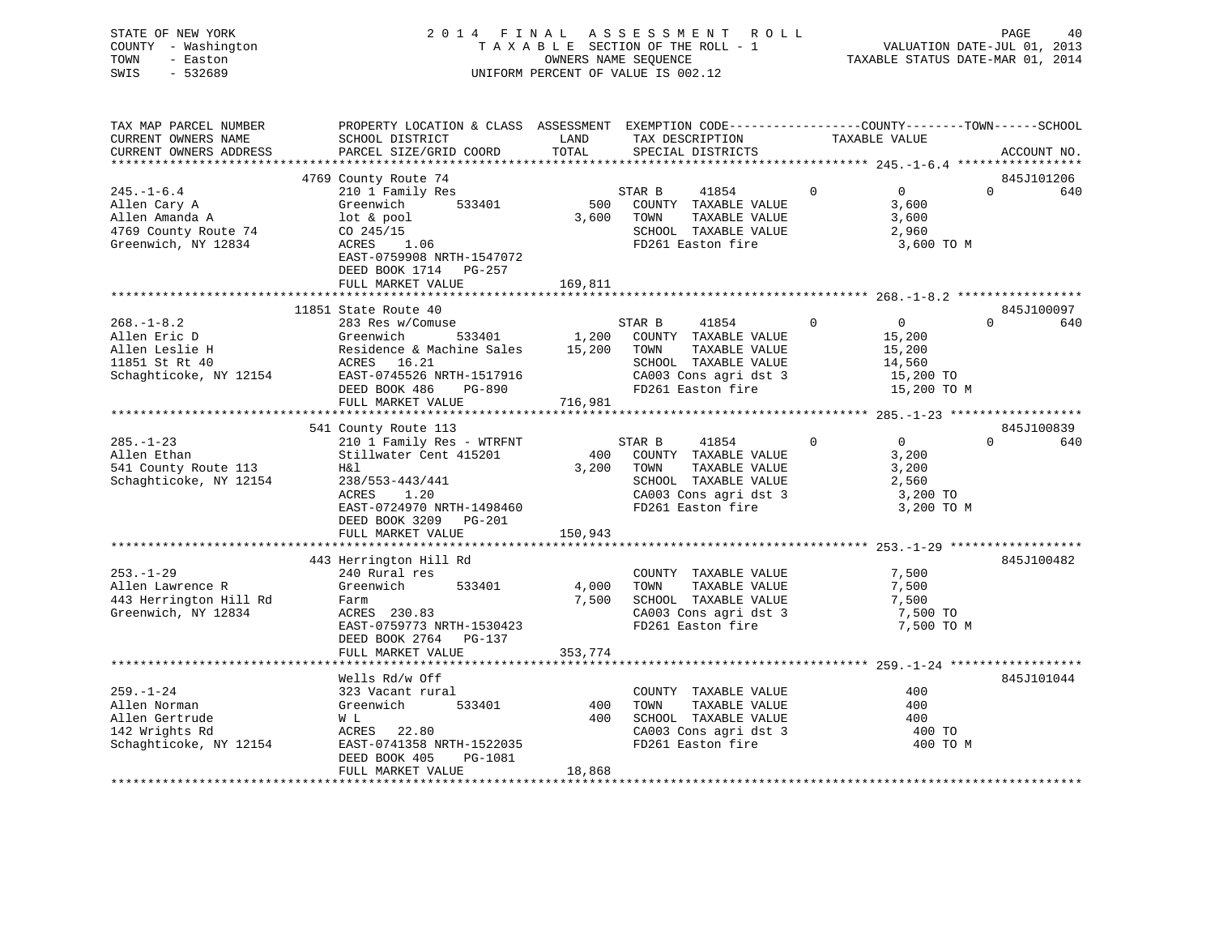| TOWN<br>SWIS | STATE OF NEW YORK<br>COUNTY - Washington<br>- Easton<br>- 532689 | 2014 FINAL ASSESSMENT ROLL<br>TAXABLE SECTION OF THE ROLL - 1<br>OWNERS NAME SEOUENCE<br>UNIFORM PERCENT OF VALUE IS 002.12 | TAXABLE STATUS DATE-MAR 01, 2014 | PAGE<br>VALUATION DATE-JUL 01, 2013 | 40 |
|--------------|------------------------------------------------------------------|-----------------------------------------------------------------------------------------------------------------------------|----------------------------------|-------------------------------------|----|
|              | TAX MAP PARCEL NIIMBER                                           | PROPERTY LOCATION & CLASS ASSESSMENT EXEMPTION CODE----------------COUNTY-------TOWN------SCHOOL                            |                                  |                                     |    |

| TAX MAP PARCEL NUMBER                                                                    | PROPERTY LOCATION & CLASS ASSESSMENT EXEMPTION CODE----------------COUNTY-------TOWN------SCHOOL |         |                                            |                                                          |                 |
|------------------------------------------------------------------------------------------|--------------------------------------------------------------------------------------------------|---------|--------------------------------------------|----------------------------------------------------------|-----------------|
| CURRENT OWNERS NAME                                                                      | SCHOOL DISTRICT                                                                                  | LAND    | TAX DESCRIPTION                            | TAXABLE VALUE                                            |                 |
| CURRENT OWNERS ADDRESS                                                                   | PARCEL SIZE/GRID COORD                                                                           | TOTAL   | SPECIAL DISTRICTS                          |                                                          | ACCOUNT NO.     |
|                                                                                          |                                                                                                  |         |                                            |                                                          |                 |
|                                                                                          | 4769 County Route 74                                                                             |         |                                            |                                                          | 845J101206      |
| $245. - 1 - 6.4$                                                                         | 210 1 Family Res                                                                                 |         | STAR B<br>41854                            | $\Omega$<br>$\Omega$                                     | $\Omega$<br>640 |
|                                                                                          | 533401<br>Greenwich                                                                              | 500     | COUNTY TAXABLE VALUE                       | 3,600                                                    |                 |
| $\begin{array}{ll}\n & -\cos y & A \\ \text{Allen Amanda A} \\  & 4769 & 0\n\end{array}$ |                                                                                                  |         |                                            |                                                          |                 |
|                                                                                          | lot & pool                                                                                       | 3,600   | TOWN<br>TAXABLE VALUE                      | 3,600                                                    |                 |
| 4769 County Route 74                                                                     | CO 245/15                                                                                        |         | SCHOOL TAXABLE VALUE                       | 2,960                                                    |                 |
| Greenwich, NY 12834                                                                      | 1.06<br>ACRES                                                                                    |         | FD261 Easton fire                          | 3,600 TO M                                               |                 |
|                                                                                          | EAST-0759908 NRTH-1547072                                                                        |         |                                            |                                                          |                 |
|                                                                                          | DEED BOOK 1714 PG-257                                                                            |         |                                            |                                                          |                 |
|                                                                                          | FULL MARKET VALUE                                                                                | 169,811 |                                            |                                                          |                 |
|                                                                                          |                                                                                                  |         |                                            |                                                          |                 |
|                                                                                          | 11851 State Route 40                                                                             |         |                                            |                                                          | 845J100097      |
|                                                                                          | 283 Res w/Comuse                                                                                 |         | 41854 0                                    | $\overline{0}$                                           | $\Omega$        |
| $268. - 1 - 8.2$                                                                         |                                                                                                  |         | STAR B                                     |                                                          | 640             |
| Allen Eric D                                                                             | Greenwich                                                                                        |         | 533401 1,200 COUNTY TAXABLE VALUE          | 15,200                                                   |                 |
| Allen Leslie H                                                                           | Residence & Machine Sales 15,200 TOWN                                                            |         | TAXABLE VALUE                              | 15,200                                                   |                 |
| 11851 St Rt 40                                                                           | ACRES 16.21                                                                                      |         | SCHOOL TAXABLE VALUE                       | 14,560                                                   |                 |
| Schaghticoke, NY 12154                                                                   | EAST-0745526 NRTH-1517916                                                                        |         | CA003 Cons agri dst 3                      | 15,200 TO                                                |                 |
|                                                                                          | DEED BOOK 486<br>PG-890                                                                          |         | FD261 Easton fire                          | 15,200 TO M                                              |                 |
|                                                                                          | FULL MARKET VALUE                                                                                | 716,981 |                                            |                                                          |                 |
|                                                                                          |                                                                                                  |         |                                            |                                                          |                 |
|                                                                                          |                                                                                                  |         |                                            |                                                          | 845J100839      |
|                                                                                          | 541 County Route 113                                                                             |         |                                            |                                                          |                 |
| $285. - 1 - 23$                                                                          | 210 1 Family Res - WTRFNT                                                                        |         | STAR B<br>41854                            | $\overline{0}$<br>$\mathbf 0$                            | $\Omega$<br>640 |
| Allen Ethan                                                                              | Stillwater Cent 415201                                                                           | 400     | COUNTY TAXABLE VALUE                       | 3,200                                                    |                 |
| 541 County Route 113                                                                     | H&l                                                                                              | 3,200   | TOWN<br>TAXABLE VALUE                      | 3,200                                                    |                 |
| Schaghticoke, NY 12154                                                                   | 238/553-443/441                                                                                  |         | SCHOOL TAXABLE VALUE                       | 2,560                                                    |                 |
|                                                                                          | ACRES<br>1.20                                                                                    |         |                                            | 3,200 TO                                                 |                 |
|                                                                                          | EAST-0724970 NRTH-1498460                                                                        |         | CA003 Cons agri dst 3<br>FD261 Easton fire | 3,200 TO M                                               |                 |
|                                                                                          | DEED BOOK 3209 PG-201                                                                            |         |                                            |                                                          |                 |
|                                                                                          |                                                                                                  |         |                                            |                                                          |                 |
|                                                                                          | FULL MARKET VALUE                                                                                | 150,943 |                                            |                                                          |                 |
|                                                                                          |                                                                                                  |         |                                            |                                                          |                 |
|                                                                                          | 443 Herrington Hill Rd                                                                           |         |                                            |                                                          | 845J100482      |
| $253. - 1 - 29$                                                                          | 240 Rural res                                                                                    |         | COUNTY TAXABLE VALUE                       | 7,500                                                    |                 |
| Allen Lawrence R                                                                         | Greenwich 533401                                                                                 | 4,000   | TAXABLE VALUE<br>TOWN                      | 7,500                                                    |                 |
| 443 Herrington Hill Rd                                                                   | Farm                                                                                             | 7,500   | SCHOOL TAXABLE VALUE                       | 7,500                                                    |                 |
| Greenwich, NY 12834                                                                      | ACRES 230.83                                                                                     |         | CA003 Cons agri dst 3                      | 7,500 TO                                                 |                 |
|                                                                                          | EAST-0759773 NRTH-1530423                                                                        |         | FD261 Easton fire                          | 7,500 TO M                                               |                 |
|                                                                                          | DEED BOOK 2764 PG-137                                                                            |         |                                            |                                                          |                 |
|                                                                                          | FULL MARKET VALUE                                                                                | 353,774 |                                            |                                                          |                 |
|                                                                                          |                                                                                                  |         |                                            |                                                          |                 |
|                                                                                          |                                                                                                  |         |                                            |                                                          |                 |
|                                                                                          | Wells Rd/w Off                                                                                   |         |                                            |                                                          | 845J101044      |
| $259. - 1 - 24$                                                                          | 323 Vacant rural                                                                                 |         | COUNTY TAXABLE VALUE                       | 400                                                      |                 |
| Allen Norman                                                                             | Greenwich<br>533401                                                                              | 400     | TAXABLE VALUE<br>TOWN                      | 400                                                      |                 |
| Allen Gertrude                                                                           | W L                                                                                              | 400     | SCHOOL TAXABLE VALUE                       | 400                                                      |                 |
| 142 Wrights Rd                                                                           | ACRES 22.80                                                                                      |         |                                            | SCHOOL TAXABLE VALUE 400<br>CA003 Cons agri dst 3 400 TO |                 |
| Schaghticoke, NY 12154                                                                   | EAST-0741358 NRTH-1522035                                                                        |         | FD261 Easton fire                          | 400 TO M                                                 |                 |
|                                                                                          | DEED BOOK 405<br>PG-1081                                                                         |         |                                            |                                                          |                 |
|                                                                                          |                                                                                                  |         |                                            |                                                          |                 |
|                                                                                          | FULL MARKET VALUE                                                                                | 18,868  |                                            |                                                          |                 |
|                                                                                          |                                                                                                  |         |                                            |                                                          |                 |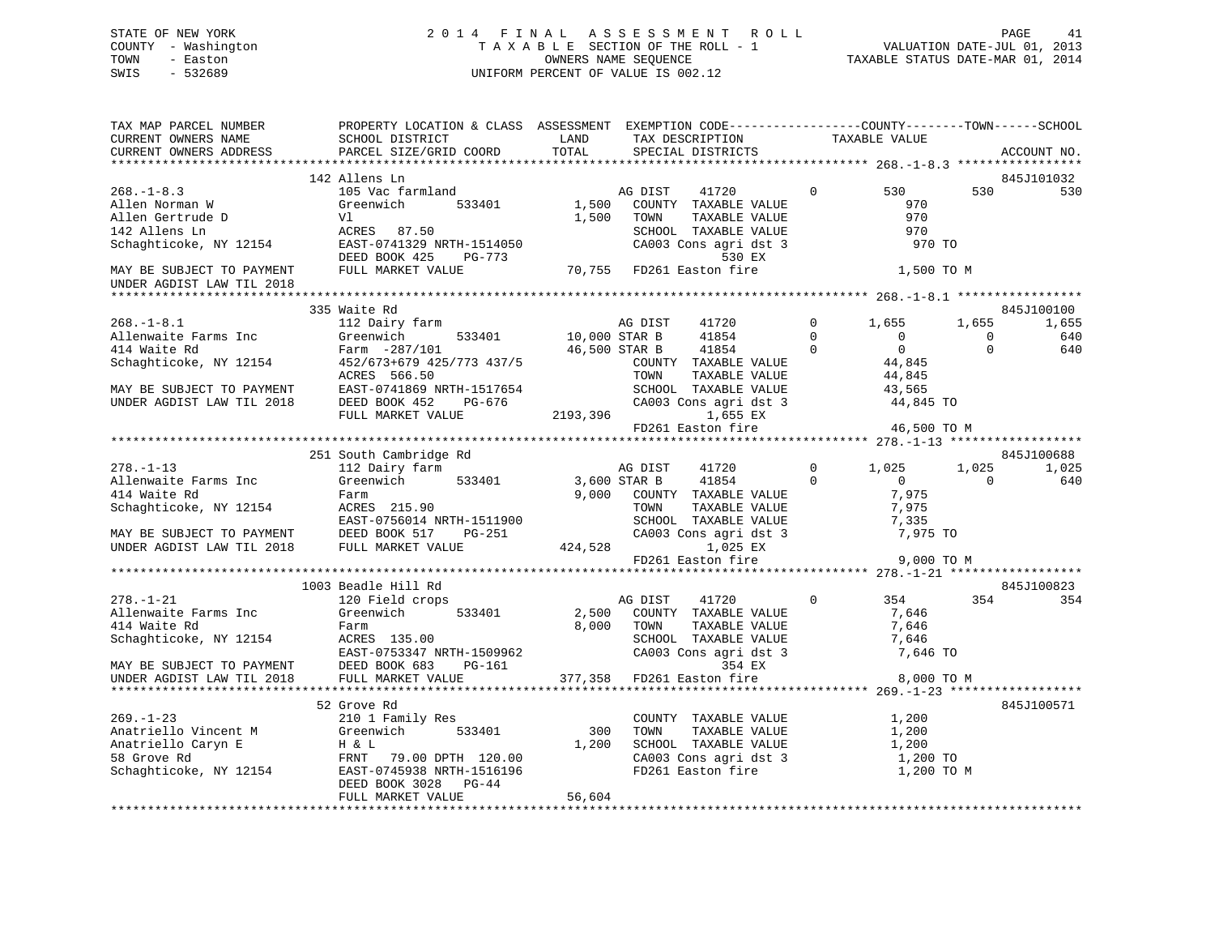### STATE OF NEW YORK 2 0 1 4 F I N A L A S S E S S M E N T R O L L PAGE 41 COUNTY - Washington T A X A B L E SECTION OF THE ROLL - 1 VALUATION DATE-JUL 01, 2013 TOWN - Easton **CONNERS NAME SEQUENCE** TAXABLE STATUS DATE-MAR 01, 2014 SWIS - 532689 UNIFORM PERCENT OF VALUE IS 002.12

| TAX MAP PARCEL NUMBER<br>CURRENT OWNERS NAME<br>CURRENT OWNERS ADDRESS                                         | PROPERTY LOCATION & CLASS ASSESSMENT EXEMPTION CODE----------------COUNTY-------TOWN------SCHOOL<br>SCHOOL DISTRICT<br>PARCEL SIZE/GRID COORD                                                                                                                                            | LAND<br>TOTAL            | TAX DESCRIPTION<br>SPECIAL DISTRICTS                                                                                                                                                                  |                                     | TAXABLE VALUE                                                        |                                  | ACCOUNT NO.                       |
|----------------------------------------------------------------------------------------------------------------|------------------------------------------------------------------------------------------------------------------------------------------------------------------------------------------------------------------------------------------------------------------------------------------|--------------------------|-------------------------------------------------------------------------------------------------------------------------------------------------------------------------------------------------------|-------------------------------------|----------------------------------------------------------------------|----------------------------------|-----------------------------------|
|                                                                                                                |                                                                                                                                                                                                                                                                                          |                          |                                                                                                                                                                                                       |                                     |                                                                      |                                  |                                   |
|                                                                                                                | 142 Allens Ln                                                                                                                                                                                                                                                                            |                          |                                                                                                                                                                                                       |                                     |                                                                      |                                  | 845J101032                        |
| $268. - 1 - 8.3$<br>Allen Norman W<br>e and and<br>Allen Gertrude D<br>142 Allens Ln<br>Schaghticoke, NY 12154 | 105 Vac farmland<br>Greenwich<br>533401<br>Vl<br>ACRES 87.50<br>EAST-0741329 NRTH-1514050<br>DEED BOOK 425<br>PG-773                                                                                                                                                                     | 1,500<br>1,500           | AG DIST<br>41720<br>COUNTY TAXABLE VALUE<br>TAXABLE VALUE<br>TOWN<br>SCHOOL TAXABLE VALUE<br>CA003 Cons agri dst 3<br>530 EX                                                                          | $\mathbf{0}$                        | 530<br>970<br>970<br>970<br>970 TO                                   | 530                              | 530                               |
| MAY BE SUBJECT TO PAYMENT<br>UNDER AGDIST LAW TIL 2018                                                         | FULL MARKET VALUE                                                                                                                                                                                                                                                                        |                          | 70,755 FD261 Easton fire                                                                                                                                                                              |                                     | 1,500 TO M                                                           |                                  |                                   |
|                                                                                                                |                                                                                                                                                                                                                                                                                          |                          |                                                                                                                                                                                                       |                                     |                                                                      |                                  |                                   |
| $268. - 1 - 8.1$<br>Allenwaite Farms Inc<br>414 Waite Rd<br>Schaghticoke, NY 12154                             | 335 Waite Rd<br>112 Dairy farm<br>533401<br>Greenwich<br>Farm -287/101<br>$452/673+679$ $425/773$ $437/5$<br>ACRES 566.50                                                                                                                                                                | AG DIST<br>10,000 STAR B | AG DIST<br>41720<br>41854<br>$\overline{0}$<br>46,500 STAR B<br>41854<br>COUNTY TAXABLE VALUE<br>TOWN<br>TAXABLE VALUE                                                                                | $0 \qquad \qquad$<br>$\overline{0}$ | 1,655<br>$\overline{0}$<br>$\overline{0}$<br>$0$<br>44,845<br>44,845 | 1,655<br>$\mathbf 0$<br>$\Omega$ | 845J100100<br>1,655<br>640<br>640 |
| MAY BE SUBJECT TO PAYMENT<br>UNDER AGDIST LAW TIL 2018                                                         | EAST-0741869 NRTH-1517654<br>DEED BOOK 452 PG-676<br>FULL MARKET VALUE                                                                                                                                                                                                                   |                          | SCHOOL TAXABLE VALUE<br>CA003 Cons agri dst 3<br>2193,396<br>1,655 EX<br>$FD261$ Easton fire $46,500$ TO M                                                                                            |                                     | 43,565<br>44,845 TO                                                  |                                  |                                   |
|                                                                                                                |                                                                                                                                                                                                                                                                                          |                          |                                                                                                                                                                                                       |                                     |                                                                      |                                  |                                   |
|                                                                                                                | 251 South Cambridge Rd                                                                                                                                                                                                                                                                   |                          |                                                                                                                                                                                                       |                                     |                                                                      |                                  | 845J100688                        |
| $278. - 1 - 13$                                                                                                | 112 Dairy farm                                                                                                                                                                                                                                                                           |                          | AG DIST<br>41720                                                                                                                                                                                      |                                     | $0 \t 1,025$                                                         | 1,025                            | 1,025                             |
| Allenwaite Farms Inc<br>414 Waite Rd                                                                           | Greenwich<br>Farm<br>Schaghticoke, NY 12154<br>MAY BE SUBJECT TO PAYMENT<br>MAY BE SUBJECT TO PAYMENT<br>UNDER AGDIST LAW TIL 2018<br>FULL MARKET VALUE 424,528                                                                                                                          | 533401 3,600 STAR B      | 41854<br>9,000 COUNTY TAXABLE VALUE<br>9,000 COWN TAXABLE VALUE<br>TOWN TAXABLE VALUE<br>SCHOOL TAXABLE VALUE<br>CA003 Cons agri dst 3 7,975 TO<br>424,528 1,025 EX<br>FD261 Easton fire 9,000 TO M   | $\overline{0}$                      | $\overline{0}$<br>7,975                                              | $\mathbf{0}$                     | 640                               |
|                                                                                                                |                                                                                                                                                                                                                                                                                          |                          |                                                                                                                                                                                                       |                                     |                                                                      |                                  |                                   |
|                                                                                                                |                                                                                                                                                                                                                                                                                          |                          |                                                                                                                                                                                                       |                                     |                                                                      |                                  |                                   |
|                                                                                                                | 1003 Beadle Hill Rd                                                                                                                                                                                                                                                                      |                          |                                                                                                                                                                                                       |                                     |                                                                      |                                  | 845J100823                        |
| $278. - 1 - 21$<br>Allenwaite Farms Inc                                                                        | 120 Field crops<br>Greenwich<br>533401                                                                                                                                                                                                                                                   | 2,500                    | AG DIST<br>41720<br>COUNTY TAXABLE VALUE<br>TOWN<br>TAXABLE VALUE<br>SCHOOL TAXABLE VALUE 7,646<br>CA001 TAXABLE VALUE 7,646<br>CA003 Cons agri dst 3 7,646 TO<br>354 EX<br>377,358 FD261 Easton fire | $\overline{0}$                      | 354<br>7,646<br>7,646<br>8,000 TO M                                  | 354                              | 354                               |
|                                                                                                                |                                                                                                                                                                                                                                                                                          |                          |                                                                                                                                                                                                       |                                     |                                                                      |                                  |                                   |
| $269. - 1 - 23$                                                                                                | 52 Grove Rd<br>210 1 Family Res<br>Anatriello Vincent M<br>Anatriello Caryn E<br>S8 Grove Rd<br>Schaghticoke, NY 12154<br>TRNT 79.00 DPTH 120.00<br>Schaghticoke, NY 12154<br>DREN POOK 3028 NRTH-1516196<br>DREN POOK 3028 NRTH-1516196<br>DEED BOOK 3028<br>PG-44<br>FULL MARKET VALUE | 56,604                   | COUNTY TAXABLE VALUE 1,200<br>TOWN<br>TAXABLE VALUE<br>SCHOOL TAXABLE VALUE 1,200<br>CA003 Cons agri dst 3<br>FD261 Easton fire                                                                       |                                     | 1,200<br>1,200 TO<br>1,200 TO M                                      |                                  | 845J100571                        |
|                                                                                                                |                                                                                                                                                                                                                                                                                          |                          |                                                                                                                                                                                                       |                                     |                                                                      |                                  |                                   |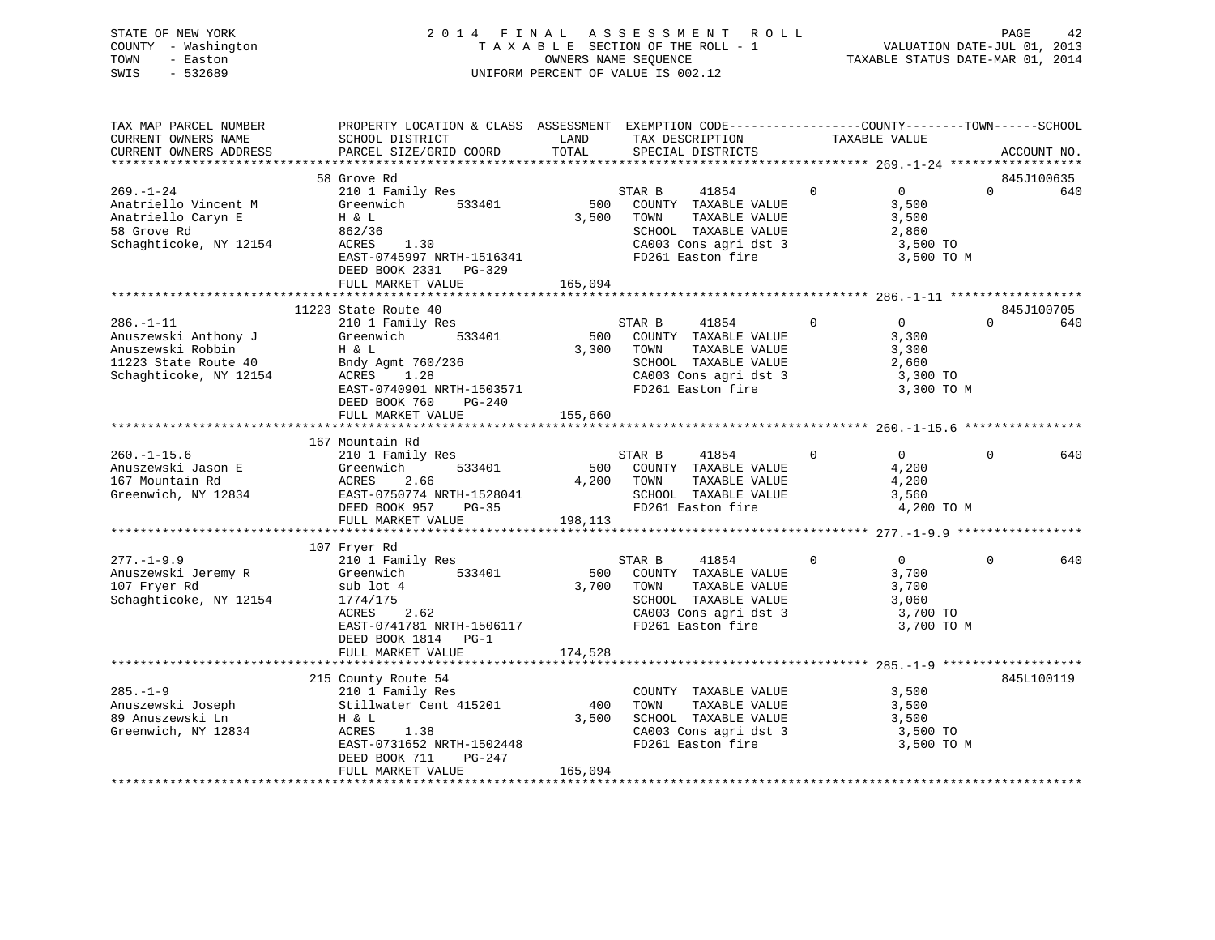| STATE OF NEW YORK   | 2014 FINAL ASSESSMENT ROLL         | 42<br>PAGE                       |
|---------------------|------------------------------------|----------------------------------|
| COUNTY - Washington | TAXABLE SECTION OF THE ROLL - 1    | VALUATION DATE-JUL 01, 2013      |
| TOWN<br>- Easton    | OWNERS NAME SEOUENCE               | TAXABLE STATUS DATE-MAR 01, 2014 |
| SWIS<br>- 532689    | UNIFORM PERCENT OF VALUE IS 002.12 |                                  |
|                     |                                    |                                  |

| TAX MAP PARCEL NUMBER                                                 | PROPERTY LOCATION & CLASS ASSESSMENT EXEMPTION CODE----------------COUNTY-------TOWN------SCHOOL |            |                                                                                                |                   |                |          |             |
|-----------------------------------------------------------------------|--------------------------------------------------------------------------------------------------|------------|------------------------------------------------------------------------------------------------|-------------------|----------------|----------|-------------|
| CURRENT OWNERS NAME                                                   | SCHOOL DISTRICT                                                                                  | LAND       | TAX DESCRIPTION                                                                                | TAXABLE VALUE     |                |          |             |
| CURRENT OWNERS ADDRESS                                                | PARCEL SIZE/GRID COORD TOTAL                                                                     |            | SPECIAL DISTRICTS                                                                              |                   |                |          | ACCOUNT NO. |
|                                                                       |                                                                                                  |            |                                                                                                |                   |                |          |             |
|                                                                       | 58 Grove Rd                                                                                      |            |                                                                                                |                   |                |          | 845J100635  |
| $269. - 1 - 24$                                                       | 210 1 Family Res                                                                                 |            | STAR B<br>41854                                                                                | $\Omega$          | $\overline{0}$ | $\Omega$ | 640         |
| Anatriello Vincent M                                                  | Greenwich 533401                                                                                 | 500        | COUNTY TAXABLE VALUE                                                                           |                   | 3,500          |          |             |
| Anatriello Caryn E                                                    | H & L                                                                                            | 3,500      | TAXABLE VALUE<br>TOWN                                                                          |                   | 3,500          |          |             |
|                                                                       |                                                                                                  |            | SCHOOL TAXABLE VALUE                                                                           |                   | 2,860          |          |             |
| 862/36<br>Schaghticoke, NY 12154 ACRES                                | 1.30                                                                                             |            |                                                                                                |                   |                |          |             |
|                                                                       | EAST-0745997 NRTH-1516341                                                                        |            | CA003 Cons agri dst 3 3,500 TO<br>FD261 Easton fire 3 3,500 TO M                               |                   |                |          |             |
|                                                                       | DEED BOOK 2331 PG-329                                                                            |            |                                                                                                |                   |                |          |             |
|                                                                       | FULL MARKET VALUE                                                                                | 165,094    |                                                                                                |                   |                |          |             |
|                                                                       |                                                                                                  |            |                                                                                                |                   |                |          |             |
|                                                                       | 11223 State Route 40                                                                             |            |                                                                                                |                   |                |          | 845J100705  |
| $286. - 1 - 11$                                                       | 210 1 Family Res                                                                                 |            | STAR B<br>41854                                                                                | $0 \qquad \qquad$ | $\overline{0}$ | $\Omega$ | 640         |
| Anuszewski Anthony J                                                  | Greenwich 533401                                                                                 |            | 500 COUNTY TAXABLE VALUE                                                                       |                   | 3,300          |          |             |
| Anuszewski Robbin                                                     | Η & L                                                                                            | 3,300 TOWN | TAXABLE VALUE                                                                                  |                   | 3,300          |          |             |
|                                                                       |                                                                                                  |            |                                                                                                |                   |                |          |             |
| 11223 State Route 40<br>Schaghticoke, NY 12154<br>ROCRES 1.28         |                                                                                                  |            | SCHOOL TAXABLE VALUE $2,660$<br>CA003 Cons agri dst 3 3,300 TO<br>FD261 Easton fire 3,300 TO M |                   |                |          |             |
|                                                                       | EAST-0740901 NRTH-1503571                                                                        |            |                                                                                                |                   |                |          |             |
|                                                                       | DEED BOOK 760 PG-240                                                                             |            |                                                                                                |                   |                |          |             |
|                                                                       | FULL MARKET VALUE                                                                                | 155,660    |                                                                                                |                   |                |          |             |
|                                                                       |                                                                                                  |            |                                                                                                |                   |                |          |             |
|                                                                       | 167 Mountain Rd                                                                                  |            |                                                                                                |                   |                |          |             |
| $260. - 1 - 15.6$                                                     | 210 1 Family Res                                                                                 |            | STAR B<br>41854                                                                                | $\Omega$          | $\overline{0}$ | $\Omega$ | 640         |
| Anuszewski Jason E                                                    | 533401<br>Greenwich                                                                              |            | 500 COUNTY TAXABLE VALUE                                                                       |                   | 4,200          |          |             |
| 167 Mountain Rd                                                       |                                                                                                  |            | TAXABLE VALUE                                                                                  |                   | 4,200          |          |             |
| Greenwich, NY 12834                                                   |                                                                                                  |            |                                                                                                |                   |                |          |             |
|                                                                       |                                                                                                  |            | SCHOOL TAXABLE VALUE 3,560<br>FD261 Easton fire 3,200 TO M                                     |                   |                |          |             |
|                                                                       |                                                                                                  |            |                                                                                                |                   |                |          |             |
|                                                                       |                                                                                                  |            |                                                                                                |                   |                |          |             |
|                                                                       | 107 Fryer Rd                                                                                     |            |                                                                                                |                   |                |          |             |
| $277. - 1 - 9.9$                                                      | 210 1 Family Res                                                                                 |            | STAR B<br>41854                                                                                | $\mathbf{0}$      | $\overline{0}$ | $\Omega$ | 640         |
|                                                                       | 533401                                                                                           |            | 500 COUNTY TAXABLE VALUE                                                                       |                   | 3,700          |          |             |
| 210 1 Fami<br>Anuszewski Jeremy R Greenwich<br>107 Fryer Rd sub lot 4 |                                                                                                  | 3,700 TOWN | TAXABLE VALUE                                                                                  |                   | 3,700          |          |             |
| Schaghticoke, NY 12154                                                | 1774/175                                                                                         |            | SCHOOL TAXABLE VALUE                                                                           |                   | 3,060          |          |             |
|                                                                       | 2.62<br>ACRES                                                                                    |            |                                                                                                |                   | 3,700 TO       |          |             |
|                                                                       | EAST-0741781 NRTH-1506117                                                                        |            | CA003 Cons agri dst 3<br>FD261 Easton fire                                                     |                   | 3,700 TO M     |          |             |
|                                                                       | DEED BOOK 1814 PG-1                                                                              |            |                                                                                                |                   |                |          |             |
|                                                                       | FULL MARKET VALUE                                                                                | 174,528    |                                                                                                |                   |                |          |             |
|                                                                       |                                                                                                  |            |                                                                                                |                   |                |          |             |
|                                                                       | 215 County Route 54                                                                              |            |                                                                                                |                   |                |          | 845L100119  |
| $285. - 1 - 9$                                                        | 210 1 Family Res                                                                                 |            | COUNTY TAXABLE VALUE                                                                           |                   | 3,500          |          |             |
| ---- - -<br>Anuszewski Joseph                                         | Stillwater Cent 415201 400                                                                       |            | TOWN<br>TAXABLE VALUE                                                                          | 3,500             |                |          |             |
| 89 Anuszewski Ln                                                      |                                                                                                  |            |                                                                                                |                   |                |          |             |
| Greenwich, NY 12834                                                   | H & L                                                                                            | 3,500      | SCHOOL TAXABLE VALUE<br>CA003 Cons agri dst 3 3,500 TO                                         |                   | 3,500          |          |             |
|                                                                       | ACRES<br>1.38<br>EAST-0731652 NRTH-1502448                                                       |            | FD261 Easton fire                                                                              |                   |                |          |             |
|                                                                       | DEED BOOK 711<br>PG-247                                                                          |            |                                                                                                |                   | 3,500 TO M     |          |             |
|                                                                       | FULL MARKET VALUE                                                                                | 165,094    |                                                                                                |                   |                |          |             |
|                                                                       |                                                                                                  |            |                                                                                                |                   |                |          |             |
|                                                                       |                                                                                                  |            |                                                                                                |                   |                |          |             |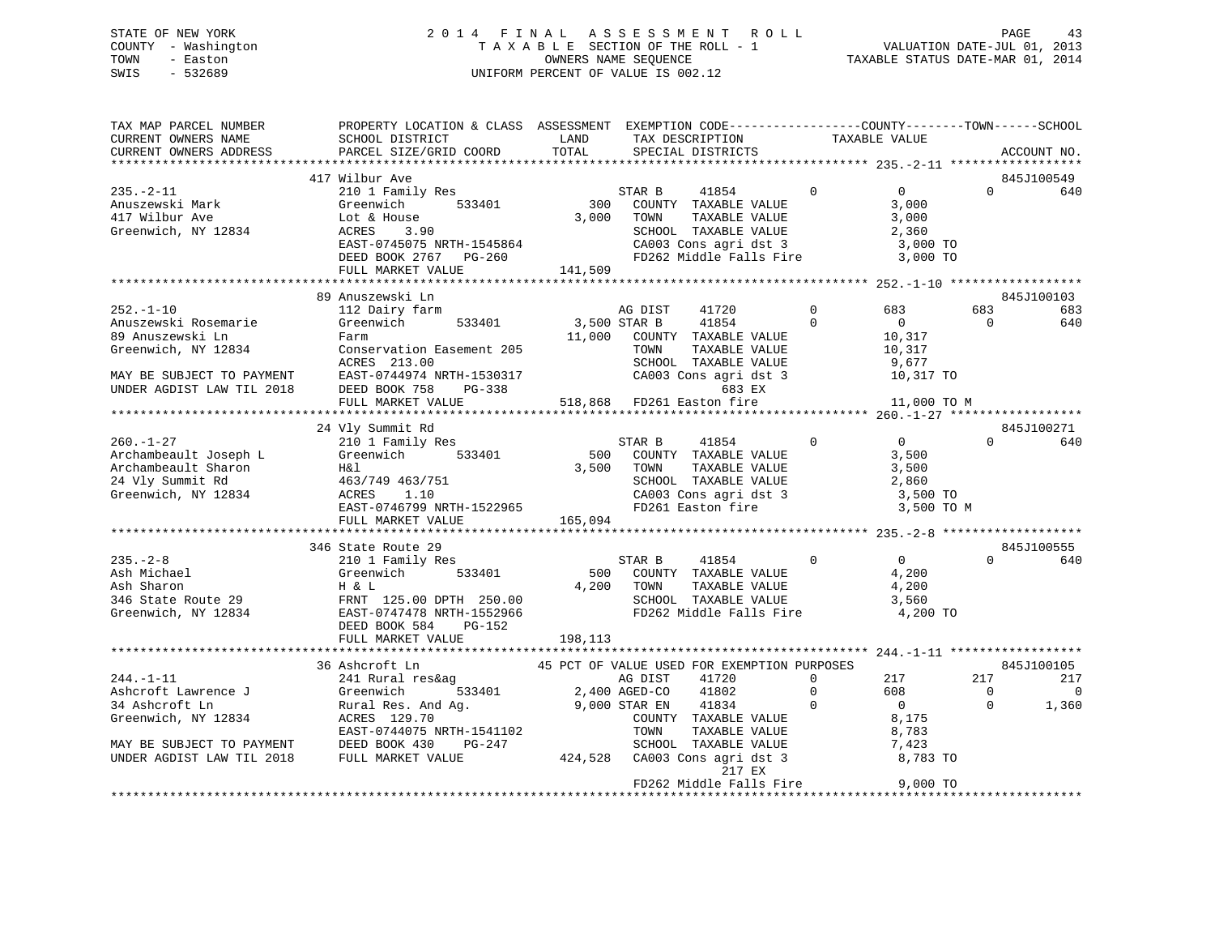# STATE OF NEW YORK 2 0 1 4 F I N A L A S S E S S M E N T R O L L PAGE 43COUNTY - Washington  $T A X A B L E$  SECTION OF THE ROLL - 1<br>TOWN - Easton DATE-JUL 000NERS NAME SEQUENCE SWIS - 532689 UNIFORM PERCENT OF VALUE IS 002.12

TAXABLE STATUS DATE-MAR 01, 2014

| TAX MAP PARCEL NUMBER<br>CURRENT OWNERS NAME<br>CURRENT OWNERS ADDRESS             | PROPERTY LOCATION & CLASS ASSESSMENT EXEMPTION CODE---------------COUNTY-------TOWN------SCHOOL<br>SCHOOL DISTRICT<br>PARCEL SIZE/GRID COORD                                                                                                                               | LAND<br>TOTAL                | TAX DESCRIPTION<br>SPECIAL DISTRICTS                                                                                                                         | TAXABLE VALUE                                         |                                                                                                        |                                   | ACCOUNT NO.                                  |
|------------------------------------------------------------------------------------|----------------------------------------------------------------------------------------------------------------------------------------------------------------------------------------------------------------------------------------------------------------------------|------------------------------|--------------------------------------------------------------------------------------------------------------------------------------------------------------|-------------------------------------------------------|--------------------------------------------------------------------------------------------------------|-----------------------------------|----------------------------------------------|
|                                                                                    |                                                                                                                                                                                                                                                                            |                              |                                                                                                                                                              |                                                       |                                                                                                        |                                   |                                              |
| $235. - 2 - 11$<br>Anuszewski Mark<br>417 Wilbur Ave<br>Greenwich, NY 12834        | 417 Wilbur Ave<br>210 1 Family Res<br>533401<br>Greenwich<br>Lot & House<br>EAST-0745075 NRTH-1545864<br>DEED BOOK 2767 PG-260<br>FULL MARKET VALUE<br>FULL MARKET VALUE 141,509                                                                                           | $rac{S!}{300}$<br>3,000 TOWN | STAR B<br>41854<br>COUNTY TAXABLE VALUE<br>TAXABLE VALUE<br>SCHOOL TAXABLE VALUE<br>CA003 Cons agri dst 3 3,000 TO<br>FD262 Middle Falls Fire 3,000 TO       | $\Omega$                                              | $\overline{0}$<br>3,000<br>3,000<br>2,360                                                              | $\Omega$                          | 845J100549<br>640                            |
|                                                                                    |                                                                                                                                                                                                                                                                            |                              |                                                                                                                                                              |                                                       |                                                                                                        |                                   |                                              |
| $252. - 1 - 10$<br>Anuszewski Rosemarie<br>89 Anuszewski Ln<br>Greenwich, NY 12834 | 89 Anuszewski Ln<br>112 Dairy farm<br>Greenwich 533401<br>Farm<br>Conservation Easement 205<br>ACRES 213.00<br>MAY BE SUBJECT TO PAYMENT<br>UNDER AGDIST LAW TIL 2018 DEED BOOK 758 PG-338 683 EX<br>FULL MARKET VALUE 518,868 FD261 Easton fire                           |                              | 41720<br>AG DIST<br>3,500 STAR B<br>41854<br>11,000 COUNTY TAXABLE VALUE<br>TOWN<br>TAXABLE VALUE<br>SCHOOL TAXABLE VALUE<br>CA003 Cons agri dst 3<br>683 EX | $\mathbf 0$<br>$\overline{0}$<br>$10,317$<br>$10,317$ | 683<br>$\overline{0}$<br>9,677<br>10,317 TO<br>11,000 TO M                                             | 683<br>$\overline{0}$             | 845J100103<br>683<br>640                     |
|                                                                                    |                                                                                                                                                                                                                                                                            |                              |                                                                                                                                                              |                                                       |                                                                                                        |                                   |                                              |
|                                                                                    | 24 Vly Summit Rd<br>260.-1-27<br>2101 Family Res<br>Archambeault Joseph L Greenwich 533401 500<br>Archambeault Sharon H&l 3,500<br>24 Vly Summit Rd 463/749 463/751<br>Greenwich, NY 12834 ACRES 1.10<br>EAST-0746799 NRTH-1522965<br>FULL MARKET VALUE                    | 3,500 TOWN<br>165,094        | STAR B<br>41854<br>500 COUNTY TAXABLE VALUE<br>TAXABLE VALUE<br>SCHOOL TAXABLE VALUE 2,860<br>CA003 Cons agri dst 3 3,500 TO<br>FD261 Easton fire 3,500 TO   | $\overline{0}$ 0                                      | 3,500<br>3,500<br>3,500 TO M                                                                           | $\Omega$                          | 845J100271<br>640                            |
|                                                                                    | 346 State Route 29                                                                                                                                                                                                                                                         |                              |                                                                                                                                                              |                                                       |                                                                                                        |                                   | 845J100555                                   |
| $235. - 2 - 8$                                                                     | state Route 29<br>210 1 Family Res<br>Ash Michael Greenwich 533401 500<br>Ash Sharon H & L 4,200<br>346 State Route 29 FRNT 125.00 DPTH 250.00<br>Greenwich, NY 12834 EAST-0747478 NRTH-1552966<br>FRNT 125.00 DPTH 250.00<br>DEED BOOK 584<br>PG-152<br>FULL MARKET VALUE | 198,113                      | $\sim$ 0<br>STAR B<br>41854<br>500 COUNTY TAXABLE VALUE<br>4,200 TOWN<br>TAXABLE VALUE                                                                       |                                                       | $\overline{0}$<br>4,200<br>4,200                                                                       | $\Omega$                          | 640                                          |
|                                                                                    |                                                                                                                                                                                                                                                                            |                              |                                                                                                                                                              |                                                       |                                                                                                        |                                   |                                              |
|                                                                                    | 36 Ashcroft Ln<br>244.-1-11<br>244.-1-11<br>244.-1-11<br>244.-1-11<br>244.-1-11<br>26 Ashcroft Lawrence J<br>34 Ashcroft Ln<br>26 Ashcroft Lawrence J<br>34 Ashcroft Ln<br>24400 AGED-CO 41802<br>26 AGED-CO 41802<br>26 AGED-CO 41802<br>26 AGED-CO 41802<br>26 AGED-CO 4 |                              | 45 PCT OF VALUE USED FOR EXEMPTION PURPOSES<br>217 EX                                                                                                        |                                                       | $\begin{array}{ccc} 0 & \quad & 217 \\ 0 & \quad & 608 \\ 0 & \quad & 0 \end{array}$<br>8,175<br>8,783 | 217<br>$\overline{0}$<br>$\Omega$ | 845J100105<br>217<br>$\overline{0}$<br>1,360 |
|                                                                                    |                                                                                                                                                                                                                                                                            |                              |                                                                                                                                                              |                                                       |                                                                                                        |                                   |                                              |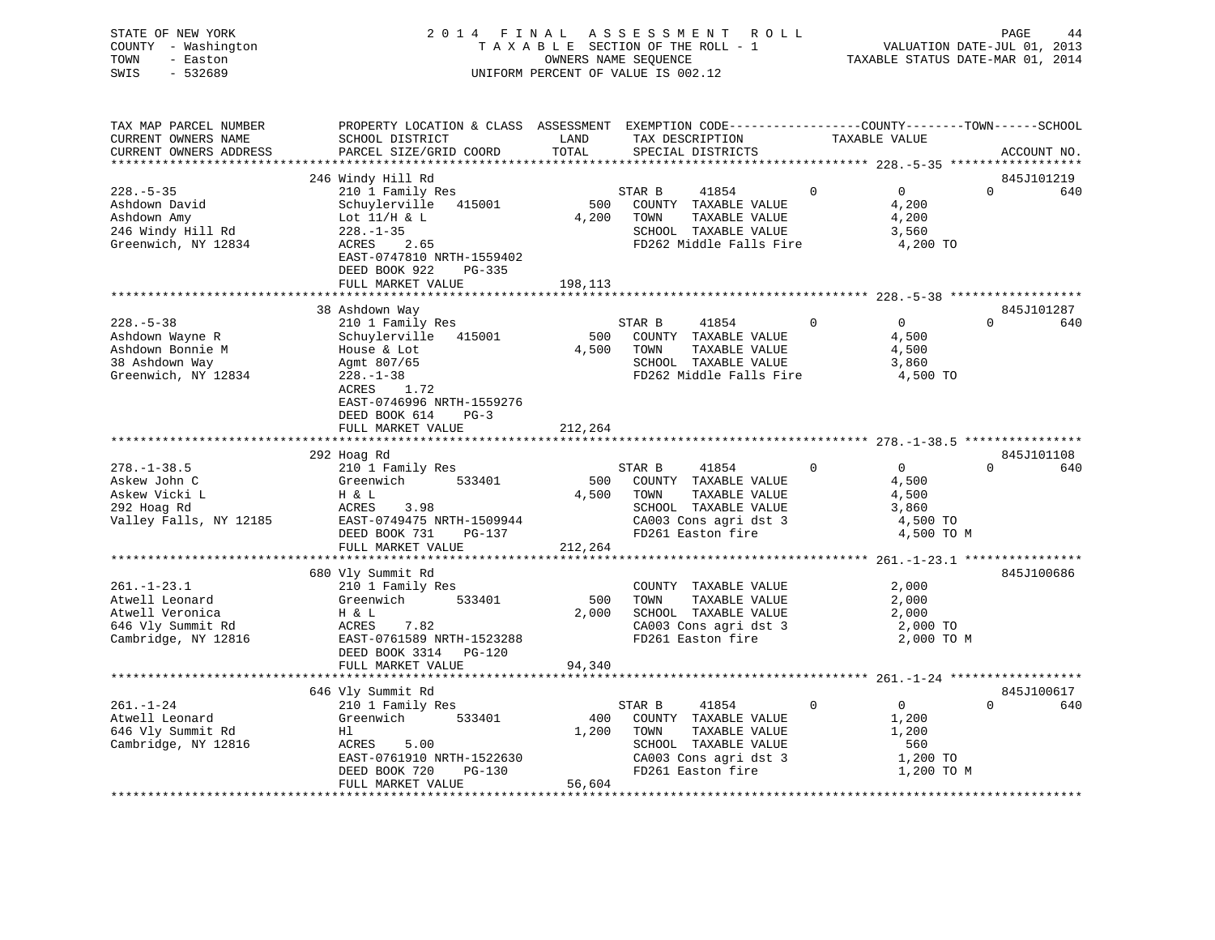| STATE OF NEW YORK<br>- Washington<br>COUNTY<br>TOWN<br>- Easton<br>SWIS<br>$-532689$        | 2014 FINAL                                                                                                                |                    | ASSESSMENT ROLL<br>T A X A B L E SECTION OF THE ROLL - 1<br>OWNERS NAME SEOUENCE<br>UNIFORM PERCENT OF VALUE IS 002.12    |                                                             | PAGE<br>44<br>VALUATION DATE-JUL 01, 2013<br>TAXABLE STATUS DATE-MAR 01, 2014 |
|---------------------------------------------------------------------------------------------|---------------------------------------------------------------------------------------------------------------------------|--------------------|---------------------------------------------------------------------------------------------------------------------------|-------------------------------------------------------------|-------------------------------------------------------------------------------|
| TAX MAP PARCEL NUMBER<br>CURRENT OWNERS NAME                                                | PROPERTY LOCATION & CLASS<br>SCHOOL DISTRICT                                                                              | ASSESSMENT<br>LAND | EXEMPTION CODE-----------------COUNTY--------TOWN------SCHOOL<br>TAX DESCRIPTION                                          | TAXABLE VALUE                                               |                                                                               |
| CURRENT OWNERS ADDRESS                                                                      | PARCEL SIZE/GRID COORD                                                                                                    | TOTAL              | SPECIAL DISTRICTS                                                                                                         |                                                             | ACCOUNT NO.                                                                   |
|                                                                                             | 246 Windy Hill Rd                                                                                                         |                    |                                                                                                                           |                                                             | 845J101219                                                                    |
| $228. - 5 - 35$<br>Ashdown David<br>Ashdown Amy<br>246 Windy Hill Rd<br>Greenwich, NY 12834 | 210 1 Family Res<br>Schuylerville 415001<br>Lot 11/H & L<br>$228. - 1 - 35$<br>2.65<br>ACRES<br>EAST-0747810 NRTH-1559402 | 500<br>4,200       | 41854<br>STAR B<br>COUNTY<br>TAXABLE VALUE<br>TOWN<br>TAXABLE VALUE<br>TAXABLE VALUE<br>SCHOOL<br>FD262 Middle Falls Fire | $\Omega$<br>$\Omega$<br>4,200<br>4,200<br>3,560<br>4,200 TO | 640<br>0                                                                      |

|                                                           | DEED BOOK 922<br>$PG-335$<br>FULL MARKET VALUE                            |              |                                                                          |             |                            |                               |
|-----------------------------------------------------------|---------------------------------------------------------------------------|--------------|--------------------------------------------------------------------------|-------------|----------------------------|-------------------------------|
|                                                           |                                                                           | 198,113      |                                                                          |             |                            |                               |
|                                                           | 38 Ashdown Way                                                            |              |                                                                          |             |                            | 845J101287                    |
| $228. - 5 - 38$<br>Ashdown Wayne R                        | 210 1 Family Res<br>Schuylerville<br>415001                               | 500          | STAR B<br>41854<br>COUNTY<br>TAXABLE VALUE                               | 0           | $\mathbf{0}$<br>4,500      | $\Omega$<br>640               |
| Ashdown Bonnie M<br>38 Ashdown Way<br>Greenwich, NY 12834 | House & Lot<br>Agmt 807/65<br>$228. - 1 - 38$<br>ACRES<br>1.72            | 4,500        | TAXABLE VALUE<br>TOWN<br>SCHOOL TAXABLE VALUE<br>FD262 Middle Falls Fire |             | 4,500<br>3,860<br>4,500 TO |                               |
|                                                           | EAST-0746996 NRTH-1559276<br>DEED BOOK 614<br>$PG-3$<br>FULL MARKET VALUE | 212,264      |                                                                          |             |                            |                               |
|                                                           |                                                                           |              |                                                                          |             |                            |                               |
|                                                           | 292 Hoag Rd                                                               |              |                                                                          |             |                            | 845J101108                    |
| $278. - 1 - 38.5$                                         | 210 1 Family Res                                                          |              | STAR B<br>41854                                                          | $\Omega$    | $\Omega$                   | $\Omega$<br>640               |
| Askew John C<br>Askew Vicki L                             | Greenwich<br>533401<br>H & L                                              | 500<br>4,500 | COUNTY TAXABLE VALUE<br>TOWN<br>TAXABLE VALUE                            |             | 4,500<br>4,500             |                               |
| 292 Hoag Rd                                               | ACRES<br>3.98                                                             |              | SCHOOL TAXABLE VALUE                                                     |             | 3,860                      |                               |
| Valley Falls, NY 12185                                    | EAST-0749475 NRTH-1509944                                                 |              | CA003 Cons agri dst 3                                                    |             | 4,500 TO                   |                               |
|                                                           | DEED BOOK 731<br>PG-137<br>FULL MARKET VALUE                              | 212,264      | FD261 Easton fire                                                        |             | 4,500 TO M                 |                               |
|                                                           |                                                                           |              |                                                                          |             |                            |                               |
|                                                           | 680 Vly Summit Rd                                                         |              |                                                                          |             |                            | 845J100686                    |
| $261. - 1 - 23.1$<br>Atwell Leonard                       | 210 1 Family Res<br>Greenwich<br>533401                                   | 500          | COUNTY<br>TAXABLE VALUE<br>TAXABLE VALUE<br>TOWN                         |             | 2,000<br>2,000             |                               |
| Atwell Veronica                                           | H & L                                                                     | 2,000        | SCHOOL TAXABLE VALUE                                                     |             | 2,000                      |                               |
| 646 Vly Summit Rd                                         | 7.82<br>ACRES                                                             |              | CA003 Cons agri dst 3                                                    |             | 2,000 TO                   |                               |
| Cambridge, NY 12816                                       | EAST-0761589 NRTH-1523288<br>DEED BOOK 3314 PG-120                        |              | FD261 Easton fire                                                        |             | 2,000 TO M                 |                               |
|                                                           | FULL MARKET VALUE                                                         | 94,340       |                                                                          |             |                            |                               |
|                                                           |                                                                           |              |                                                                          |             |                            |                               |
| $261. - 1 - 24$                                           | 646 Vly Summit Rd                                                         |              | STAR B<br>41854                                                          | $\mathbf 0$ | $\Omega$                   | 845J100617<br>$\Omega$<br>640 |
| Atwell Leonard                                            | 210 1 Family Res<br>Greenwich<br>533401                                   | 400          | COUNTY TAXABLE VALUE                                                     |             | 1,200                      |                               |
| 646 Vly Summit Rd                                         | H1                                                                        | 1,200        | TOWN<br>TAXABLE VALUE                                                    |             | 1,200                      |                               |
| Cambridge, NY 12816                                       | 5.00<br>ACRES                                                             |              | SCHOOL<br>TAXABLE VALUE                                                  |             | 560                        |                               |
|                                                           | EAST-0761910 NRTH-1522630                                                 |              | CA003 Cons agri dst 3                                                    |             | 1,200 TO                   |                               |
|                                                           | DEED BOOK 720<br>$PG-130$                                                 |              | FD261 Easton fire                                                        |             | 1,200 TO M                 |                               |
|                                                           | FULL MARKET VALUE                                                         | 56,604       |                                                                          |             |                            |                               |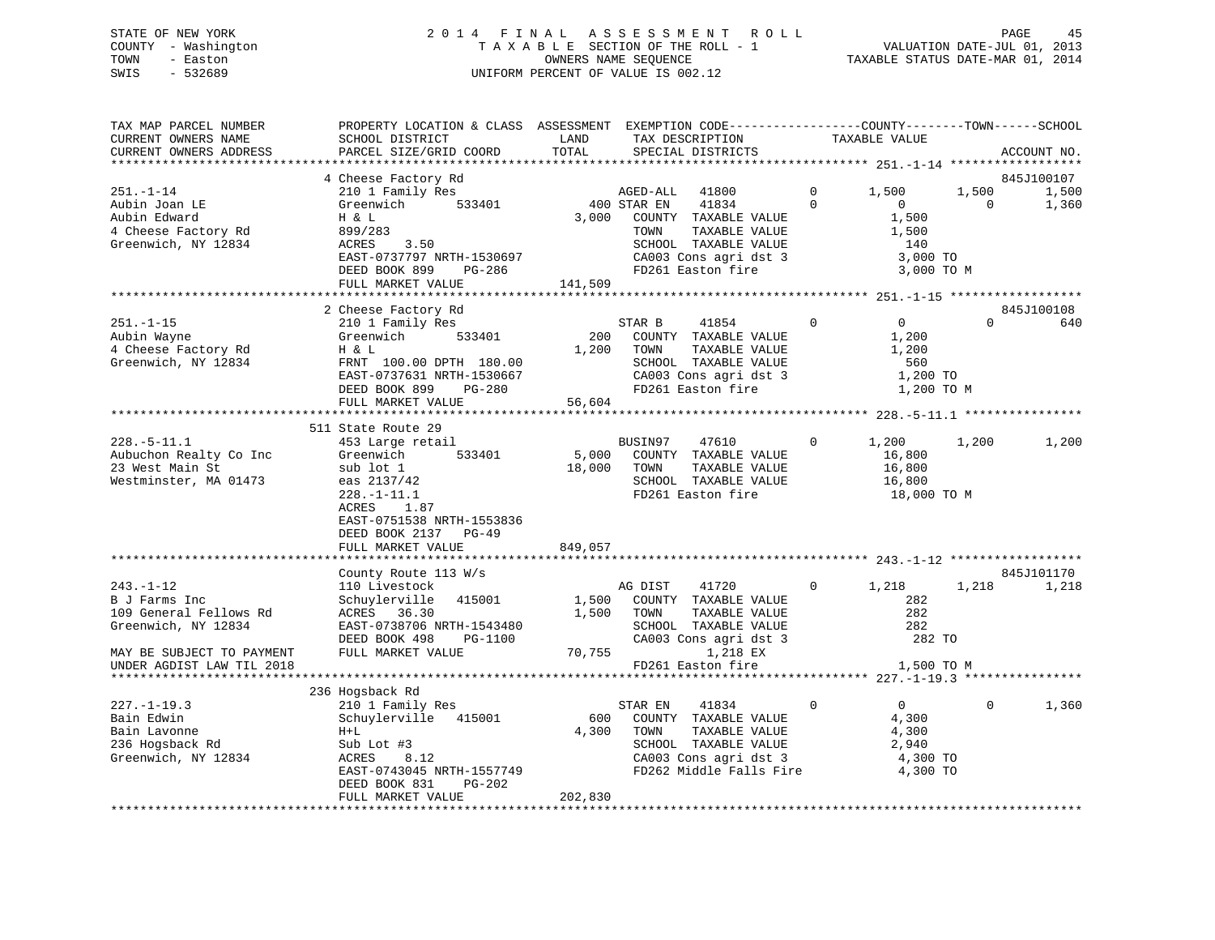### STATE OF NEW YORK 2 0 1 4 F I N A L A S S E S S M E N T R O L L PAGE 45 COUNTY - Washington T A X A B L E SECTION OF THE ROLL - 1 VALUATION DATE-JUL 01, 2013 TOWN - Easton OWNERS NAME SEQUENCE TAXABLE STATUS DATE-MAR 01, 2014 SWIS - 532689 UNIFORM PERCENT OF VALUE IS 002.12

| TAX MAP PARCEL NUMBER<br>CURRENT OWNERS NAME<br>CURRENT OWNERS ADDRESS                    | PROPERTY LOCATION & CLASS ASSESSMENT EXEMPTION CODE----------------COUNTY-------TOWN------SCHOOL<br>SCHOOL DISTRICT<br>PARCEL SIZE/GRID COORD           | LAND<br>TOTAL   | TAX DESCRIPTION<br>SPECIAL DISTRICTS                                                                                                                                              |                      | TAXABLE VALUE                                                     |                         | ACCOUNT NO.       |
|-------------------------------------------------------------------------------------------|---------------------------------------------------------------------------------------------------------------------------------------------------------|-----------------|-----------------------------------------------------------------------------------------------------------------------------------------------------------------------------------|----------------------|-------------------------------------------------------------------|-------------------------|-------------------|
| **************************                                                                | ****************************                                                                                                                            |                 |                                                                                                                                                                                   |                      |                                                                   |                         |                   |
|                                                                                           | 4 Cheese Factory Rd                                                                                                                                     |                 |                                                                                                                                                                                   |                      |                                                                   |                         | 845J100107        |
| $251. - 1 - 14$<br>Aubin Joan LE<br>Aubin Edward<br>4 Cheese Factory Rd                   | 210 1 Family Res<br>Greenwich<br>533401<br>H & L<br>899/283                                                                                             | 3,000           | AGED-ALL 41800<br>400 STAR EN<br>41834<br>COUNTY TAXABLE VALUE<br>TAXABLE VALUE<br>TOWN                                                                                           | $\Omega$<br>$\Omega$ | 1,500<br>$\sim$ 0<br>1,500<br>1,500                               | 1,500<br>$\overline{0}$ | 1,500<br>1,360    |
| Greenwich, NY 12834                                                                       | 3.50<br>ACRES<br>EAST-0737797 NRTH-1530697<br>DEED BOOK 899<br>PG-286<br>FULL MARKET VALUE                                                              | 141,509         | SCHOOL TAXABLE VALUE<br>CA003 Cons agri dst 3<br>FD261 Easton fire                                                                                                                |                      | 140<br>3,000 TO<br>3,000 TO M                                     |                         |                   |
|                                                                                           |                                                                                                                                                         |                 |                                                                                                                                                                                   |                      |                                                                   |                         |                   |
| $251. - 1 - 15$<br>Aubin Wayne<br>4 Cheese Factory Rd<br>Greenwich, NY 12834              | 2 Cheese Factory Rd<br>210 1 Family Res<br>Greenwich 533401<br>H & L<br>FRNT 100.00 DPTH 180.00<br>EAST-0737631 NRTH-1530667<br>DEED BOOK 899<br>PG-280 | $56.60^{\circ}$ | 41854<br>STAR B<br>200 COUNTY TAXABLE VALUE<br>TOWN TAXABLE VALUE<br>SCHOOL TAXABLE VALUE<br>1,200 TOWN<br>CA003 Cons agri dst 3<br>FD261 Easton fire                             | $\mathbf 0$          | $\overline{0}$<br>1,200<br>1,200<br>560<br>1,200 TO<br>1,200 TO M | $\Omega$                | 845J100108<br>640 |
|                                                                                           | FULL MARKET VALUE                                                                                                                                       |                 |                                                                                                                                                                                   |                      |                                                                   |                         |                   |
| $228. - 5 - 11.1$                                                                         | 511 State Route 29<br>453 Large retail                                                                                                                  |                 | BUSIN97 47610                                                                                                                                                                     | $\circ$              | 1,200                                                             | 1,200                   | 1,200             |
| Aubuchon Realty Co Inc<br>23 West Main St<br>Westminster, MA 01473                        | 533401<br>Greenwich<br>sub lot 1<br>eas $2137/42$<br>ACRES<br>1.87<br>EAST-0751538 NRTH-1553836<br>DEED BOOK 2137 PG-49                                 | 18,000 TOWN     | 5,000 COUNTY TAXABLE VALUE<br>TAXABLE VALUE<br>SCHOOL TAXABLE VALUE<br>FD261 Easton fire                                                                                          |                      | 16,800<br>16,800<br>16,800<br>18,000 TO M                         |                         |                   |
|                                                                                           | FULL MARKET VALUE                                                                                                                                       | 849,057         |                                                                                                                                                                                   |                      |                                                                   |                         |                   |
|                                                                                           |                                                                                                                                                         |                 |                                                                                                                                                                                   |                      |                                                                   |                         | 845J101170        |
| $243. - 1 - 12$<br>B J Farms Inc<br>109 General Fellows Rd<br>Greenwich, NY 12834         | County Route 113 $W/s$<br>110 Livestock<br>Schuylerville 415001<br>ACRES 36.30<br>EAST-0738706 NRTH-1543480<br>DEED BOOK 498<br>PG-1100                 | 1,500           | AG DIST<br>41720<br>1,500 COUNTY TAXABLE VALUE<br>TOWN TAXABLE VALUE<br>SCHOOL TAXABLE VALUE<br>CA003 Cons agri dst 3<br>1,218 EX                                                 | $0 \qquad \qquad$    | 1,218<br>282<br>282<br>282<br>282 TO                              | 1,218                   | 1,218             |
| MAY BE SUBJECT TO PAYMENT<br>UNDER AGDIST LAW TIL 2018                                    | FULL MARKET VALUE                                                                                                                                       | 70,755          | FD261 Easton fire                                                                                                                                                                 |                      | 1,500 TO M                                                        |                         |                   |
|                                                                                           | 236 Hogsback Rd                                                                                                                                         |                 |                                                                                                                                                                                   |                      |                                                                   |                         |                   |
| $227. - 1 - 19.3$<br>Bain Edwin<br>Bain Lavonne<br>236 Hogsback Rd<br>Greenwich, NY 12834 | 210 1 Family Res<br>Schuylerville 415001<br>$H+L$<br>Sub Lot #3<br>ACRES<br>8.12<br>EAST-0743045 NRTH-1557749<br>DEED BOOK 831<br>PG-202                |                 | STAR EN<br>41834<br>600 COUNTY TAXABLE VALUE<br>4,300 TOWN<br>TAXABLE VALUE<br>SCHOOL TAXABLE VALUE<br>CA003 Cons agri dst 3 (a) 4,300 TO<br>FD262 Middle Falls Fire (a) 4,300 TO | $\mathbf{0}$         | $\overline{0}$<br>4,300<br>4,300<br>2,940<br>4,300 TO             | $\Omega$                | 1,360             |
|                                                                                           | FULL MARKET VALUE                                                                                                                                       | 202,830         |                                                                                                                                                                                   |                      |                                                                   |                         |                   |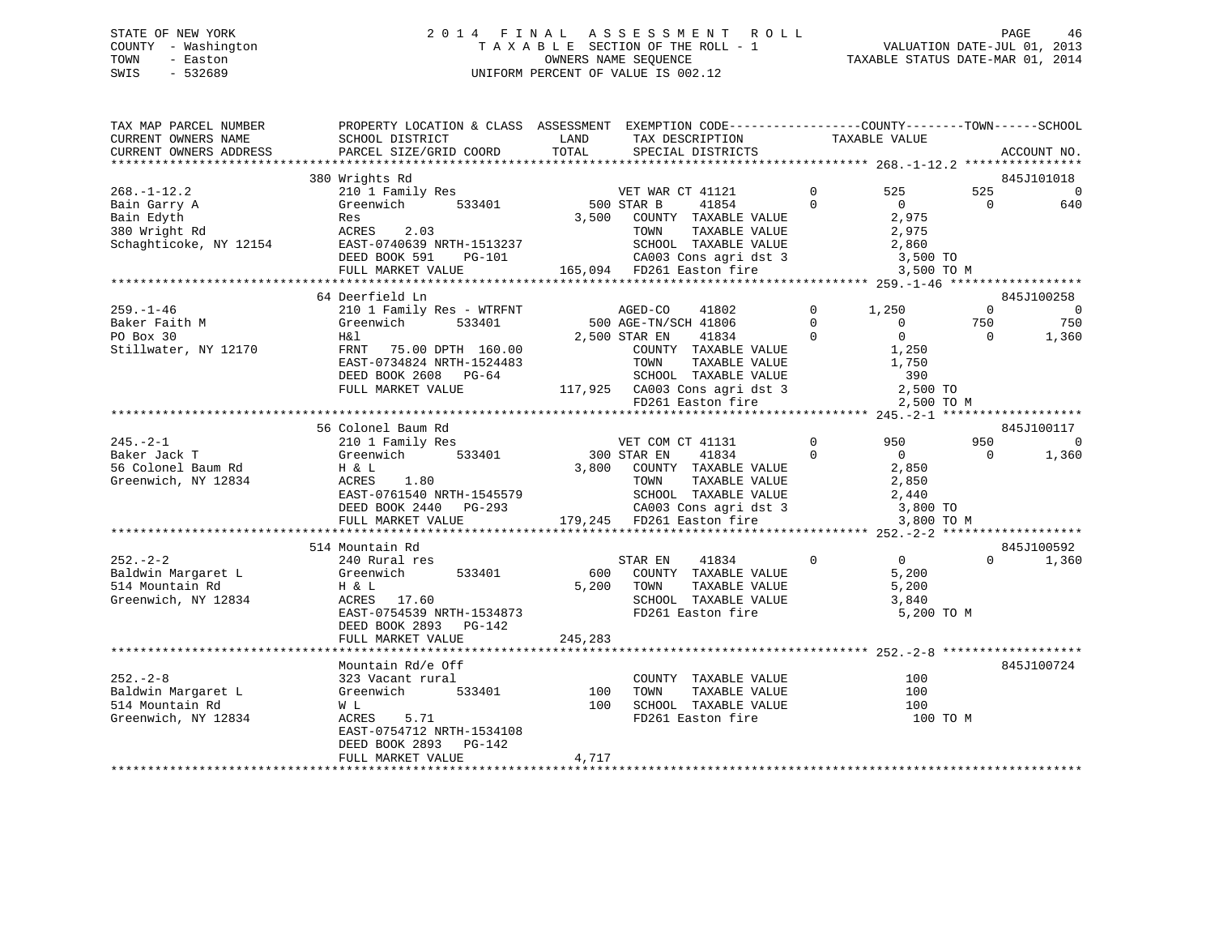### STATE OF NEW YORK 2 0 1 4 F I N A L A S S E S S M E N T R O L L PAGE 46 COUNTY - Washington T A X A B L E SECTION OF THE ROLL - 1 VALUATION DATE-JUL 01, 2013 TOWN - Easton **CONNERS NAME SEQUENCE** TAXABLE STATUS DATE-MAR 01, 2014 SWIS - 532689 UNIFORM PERCENT OF VALUE IS 002.12

| TAX MAP PARCEL NUMBER<br>CURRENT OWNERS NAME<br>CURRENT OWNERS ADDRESS | PROPERTY LOCATION & CLASS ASSESSMENT EXEMPTION CODE----------------COUNTY-------TOWN------SCHOOL<br>SCHOOL DISTRICT<br>PARCEL SIZE/GRID COORD | LAND<br>TOTAL | TAX DESCRIPTION<br>SPECIAL DISTRICTS          | TAXABLE VALUE        |                                    | ACCOUNT NO.    |
|------------------------------------------------------------------------|-----------------------------------------------------------------------------------------------------------------------------------------------|---------------|-----------------------------------------------|----------------------|------------------------------------|----------------|
|                                                                        |                                                                                                                                               |               |                                               |                      |                                    |                |
|                                                                        | 380 Wrights Rd                                                                                                                                |               |                                               |                      |                                    | 845J101018     |
| $268. - 1 - 12.2$                                                      | 210 1 Family Res                                                                                                                              |               | VET WAR CT 41121                              | $\Omega$<br>$\Omega$ | 525<br>525<br>$\Omega$<br>$\Omega$ | $\overline{0}$ |
| Bain Garry A<br>Bain Edyth                                             | 533401<br>Greenwich<br>Res                                                                                                                    | 3,500         | 500 STAR B<br>41854<br>COUNTY TAXABLE VALUE   |                      | 2,975                              | 640            |
| 380 Wright Rd                                                          | ACRES<br>2.03                                                                                                                                 |               | TAXABLE VALUE<br>TOWN                         |                      | 2,975                              |                |
| Schaghticoke, NY 12154                                                 | EAST-0740639 NRTH-1513237                                                                                                                     |               | SCHOOL TAXABLE VALUE                          |                      | 2,860                              |                |
|                                                                        | DEED BOOK 591<br>PG-101                                                                                                                       |               | CA003 Cons agri dst 3                         |                      | 3,500 TO                           |                |
|                                                                        | FULL MARKET VALUE                                                                                                                             |               | 165,094 FD261 Easton fire                     |                      | 3,500 TO M                         |                |
|                                                                        |                                                                                                                                               |               |                                               |                      |                                    |                |
|                                                                        | 64 Deerfield Ln                                                                                                                               |               |                                               |                      |                                    | 845J100258     |
| $259. - 1 - 46$                                                        | 210 1 Family Res - WTRFNT                                                                                                                     |               | AGED-CO<br>41802                              | $\Omega$<br>1,250    | $\Omega$                           | $\bigcirc$     |
| Baker Faith M                                                          | Greenwich<br>533401                                                                                                                           |               | 500 AGE-TN/SCH 41806                          | $\Omega$             | 750<br>$\Omega$                    | 750            |
| PO Box 30                                                              | H&l                                                                                                                                           |               | 2,500 STAR EN<br>41834                        | $\Omega$             | $\Omega$<br>$\Omega$               | 1,360          |
| Stillwater, NY 12170                                                   | 75.00 DPTH 160.00<br>FRNT                                                                                                                     |               | COUNTY TAXABLE VALUE                          |                      | 1,250                              |                |
|                                                                        | EAST-0734824 NRTH-1524483                                                                                                                     |               | TOWN<br>TAXABLE VALUE                         |                      | 1,750                              |                |
|                                                                        | DEED BOOK 2608 PG-64                                                                                                                          |               | SCHOOL TAXABLE VALUE                          |                      | 390                                |                |
|                                                                        | FULL MARKET VALUE                                                                                                                             |               | 117,925 CA003 Cons agri dst 3                 |                      | 2,500 TO                           |                |
|                                                                        |                                                                                                                                               |               | FD261 Easton fire                             |                      | 2,500 TO M                         |                |
|                                                                        | 56 Colonel Baum Rd                                                                                                                            |               |                                               |                      |                                    | 845J100117     |
| $245. - 2 - 1$                                                         | 210 1 Family Res                                                                                                                              |               | VET COM CT 41131                              | $\Omega$             | 950<br>950                         | $\Omega$       |
| Baker Jack T                                                           | 533401<br>Greenwich                                                                                                                           |               | 300 STAR EN<br>41834                          | $\Omega$             | $\Omega$<br>$\Omega$               | 1,360          |
| 56 Colonel Baum Rd                                                     | H & L                                                                                                                                         | 3,800         | COUNTY TAXABLE VALUE                          |                      | 2,850                              |                |
| Greenwich, NY 12834                                                    | <b>ACRES</b><br>1.80                                                                                                                          |               | TOWN<br>TAXABLE VALUE                         |                      | 2,850                              |                |
|                                                                        | EAST-0761540 NRTH-1545579                                                                                                                     |               | SCHOOL TAXABLE VALUE                          |                      | 2,440                              |                |
|                                                                        | DEED BOOK 2440<br>$PG-293$                                                                                                                    |               | CA003 Cons agri dst 3                         |                      | 3,800 TO                           |                |
|                                                                        | FULL MARKET VALUE                                                                                                                             |               | 179,245 FD261 Easton fire                     |                      | 3,800 TO M                         |                |
|                                                                        |                                                                                                                                               |               |                                               |                      |                                    |                |
|                                                                        | 514 Mountain Rd                                                                                                                               |               |                                               |                      |                                    | 845J100592     |
| $252 - 2 - 2$                                                          | 240 Rural res                                                                                                                                 |               | 41834<br>STAR EN                              | $\Omega$             | $\overline{0}$<br>$\Omega$         | 1,360          |
| Baldwin Margaret L                                                     | 533401<br>Greenwich                                                                                                                           | 600           | COUNTY TAXABLE VALUE                          |                      | 5,200                              |                |
| 514 Mountain Rd                                                        | H & L<br>ACRES 17.60                                                                                                                          | 5,200         | TOWN<br>TAXABLE VALUE<br>SCHOOL TAXABLE VALUE |                      | 5,200                              |                |
| Greenwich, NY 12834                                                    | EAST-0754539 NRTH-1534873                                                                                                                     |               | FD261 Easton fire                             |                      | 3,840<br>5,200 TO M                |                |
|                                                                        | DEED BOOK 2893<br>PG-142                                                                                                                      |               |                                               |                      |                                    |                |
|                                                                        | FULL MARKET VALUE                                                                                                                             | 245,283       |                                               |                      |                                    |                |
|                                                                        |                                                                                                                                               |               |                                               |                      |                                    |                |
|                                                                        | Mountain Rd/e Off                                                                                                                             |               |                                               |                      |                                    | 845J100724     |
| $252 - 2 - 8$                                                          | 323 Vacant rural                                                                                                                              |               | COUNTY TAXABLE VALUE                          |                      | 100                                |                |
| Baldwin Margaret L                                                     | Greenwich<br>533401                                                                                                                           | 100           | TOWN<br>TAXABLE VALUE                         |                      | 100                                |                |
| 514 Mountain Rd                                                        | W L                                                                                                                                           | 100           | SCHOOL TAXABLE VALUE                          |                      | 100                                |                |
| Greenwich, NY 12834                                                    | 5.71<br>ACRES                                                                                                                                 |               | FD261 Easton fire                             |                      | 100 TO M                           |                |
|                                                                        | EAST-0754712 NRTH-1534108                                                                                                                     |               |                                               |                      |                                    |                |
|                                                                        | DEED BOOK 2893<br>PG-142                                                                                                                      |               |                                               |                      |                                    |                |
|                                                                        | FULL MARKET VALUE                                                                                                                             | 4,717         |                                               |                      |                                    |                |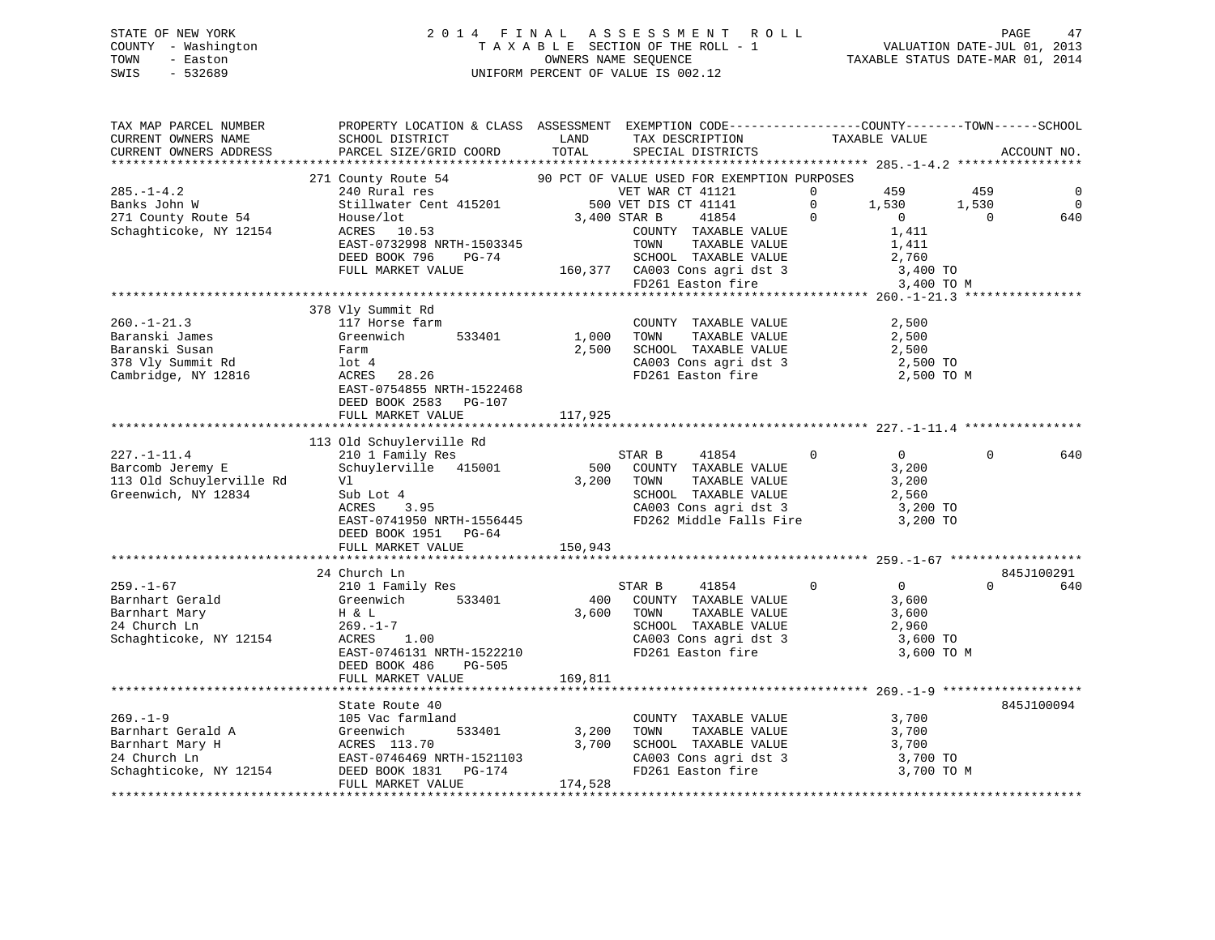### STATE OF NEW YORK 2 0 1 4 F I N A L A S S E S S M E N T R O L L PAGE 47 COUNTY - Washington T A X A B L E SECTION OF THE ROLL - 1 VALUATION DATE-JUL 01, 2013 TOWN - Easton COMPUTERS NAME SEQUENCE TAXABLE STATUS DATE-MAR 01, 2014<br>SWIS - 532689 SWIS - 532689 UNIFORM PERCENT OF VALUE IS 002.12

| TAX MAP PARCEL NUMBER                                                            | PROPERTY LOCATION & CLASS ASSESSMENT EXEMPTION CODE-----------------COUNTY-------TOWN------SCHOOL                    |         |                                                                                                    |                |                |                |             |
|----------------------------------------------------------------------------------|----------------------------------------------------------------------------------------------------------------------|---------|----------------------------------------------------------------------------------------------------|----------------|----------------|----------------|-------------|
| CURRENT OWNERS NAME                                                              | SCHOOL DISTRICT                                                                                                      | LAND    | TAX DESCRIPTION                                                                                    | TAXABLE VALUE  |                |                |             |
| CURRENT OWNERS ADDRESS                                                           | PARCEL SIZE/GRID COORD TOTAL                                                                                         |         | SPECIAL DISTRICTS                                                                                  |                |                |                | ACCOUNT NO. |
|                                                                                  |                                                                                                                      |         |                                                                                                    |                |                |                |             |
|                                                                                  | 271 County Route 54 90 PCT OF VALUE USED FOR EXEMPTION PURPOSES                                                      |         |                                                                                                    |                |                |                |             |
| $285. - 1 - 4.2$                                                                 | 240 Rural res<br>Stillwater Cent 415201 500 VET DIS CT 41141 0<br>2000 CET DIS CT 41141 0<br>2000 CET DIS CT 41141 0 |         |                                                                                                    |                | 459            | 459            |             |
| Banks John W                                                                     |                                                                                                                      |         |                                                                                                    |                | 1,530          | 1,530          | $\Omega$    |
| 271 County Route 54                                                              | House/lot                                                                                                            |         | 3,400 STAR B<br>41854                                                                              | $\overline{0}$ | $\overline{0}$ | $\overline{0}$ | 640         |
| Schaghticoke, NY 12154                                                           | 53<br>ACRES 10.53                                                                                                    |         | COUNTY TAXABLE VALUE                                                                               |                | 1,411          |                |             |
|                                                                                  | EAST-0732998 NRTH-1503345                                                                                            |         | TOWN<br>TAXABLE VALUE                                                                              |                | 1,411          |                |             |
|                                                                                  | DEED BOOK 796<br>PG-74                                                                                               |         |                                                                                                    |                |                |                |             |
|                                                                                  | FULL MARKET VALUE                                                                                                    |         |                                                                                                    |                |                |                |             |
|                                                                                  |                                                                                                                      |         | SCHOOL TAXABLE VALUE 2,760<br>160,377 CA003 Cons agri dst 3 3,400 TO<br>FD261 Easton fire 3,400 TO |                | 3,400 TO M     |                |             |
|                                                                                  |                                                                                                                      |         |                                                                                                    |                |                |                |             |
|                                                                                  | 378 Vly Summit Rd                                                                                                    |         |                                                                                                    |                |                |                |             |
| $260. - 1 - 21.3$                                                                | 117 Horse farm                                                                                                       |         | COUNTY TAXABLE VALUE                                                                               |                | 2,500          |                |             |
| Baranski James                                                                   | Greenwich 533401                                                                                                     | 1,000   | TOWN<br>TAXABLE VALUE                                                                              |                | 2,500          |                |             |
|                                                                                  |                                                                                                                      |         | $2,500$ SCHOOL TAXABLE VALUE $2,500$                                                               |                |                |                |             |
| Baranski Susan<br>378 Vly Summit Rd                                              | Farm<br>lot 4                                                                                                        |         |                                                                                                    |                |                |                |             |
| Cambridge, NY 12816                                                              | ACRES 28.26                                                                                                          |         | CA003 Cons agri dst 3 2,500 TO<br>FD261 Easton fire 2,500 TO M                                     |                |                |                |             |
|                                                                                  | EAST-0754855 NRTH-1522468                                                                                            |         |                                                                                                    |                |                |                |             |
|                                                                                  | DEED BOOK 2583 PG-107                                                                                                |         |                                                                                                    |                |                |                |             |
|                                                                                  | FULL MARKET VALUE                                                                                                    | 117,925 |                                                                                                    |                |                |                |             |
|                                                                                  |                                                                                                                      |         |                                                                                                    |                |                |                |             |
|                                                                                  | 113 Old Schuylerville Rd                                                                                             |         |                                                                                                    |                |                |                |             |
| $227. - 1 - 11.4$                                                                | 210 1 Family Res                                                                                                     |         | STAR B<br>41854<br>$\sim$ 0                                                                        |                | $\overline{0}$ | $\Omega$       | 640         |
| Barcomb Jeremy E                                                                 | Schuylerville 415001                                                                                                 |         | 500 COUNTY TAXABLE VALUE                                                                           |                | 3,200          |                |             |
| 113 Old Schuylerville Rd                                                         | Vl                                                                                                                   |         | 3,200 TOWN<br>TAXABLE VALUE                                                                        |                | 3,200          |                |             |
| Greenwich, NY 12834                                                              | Sub Lot 4<br>ACRES 3.95                                                                                              |         |                                                                                                    |                |                |                |             |
|                                                                                  |                                                                                                                      |         | SCHOOL TAXABLE VALUE 2,560<br>CA003 Cons agri dst 3 3,200 TO                                       |                |                |                |             |
|                                                                                  | EAST-0741950 NRTH-1556445                                                                                            |         | FD262 Middle Falls Fire 3,200 TO                                                                   |                |                |                |             |
|                                                                                  | DEED BOOK 1951 PG-64                                                                                                 |         |                                                                                                    |                |                |                |             |
|                                                                                  | FULL MARKET VALUE 150,943                                                                                            |         |                                                                                                    |                |                |                |             |
|                                                                                  |                                                                                                                      |         |                                                                                                    |                |                |                |             |
|                                                                                  | 24 Church Ln                                                                                                         |         |                                                                                                    |                |                |                | 845J100291  |
|                                                                                  | 210 1 Family Res                                                                                                     |         | STAR B<br>41854                                                                                    | $\Omega$       | $\overline{0}$ | $\Omega$       | 640         |
|                                                                                  | Greenwich 533401                                                                                                     | 400     | COUNTY TAXABLE VALUE                                                                               |                | 3,600          |                |             |
|                                                                                  |                                                                                                                      | 3,600   | TAXABLE VALUE<br>TOWN                                                                              |                | 3,600          |                |             |
|                                                                                  |                                                                                                                      |         | SCHOOL TAXABLE VALUE                                                                               |                | 2,960          |                |             |
| 259.-1-67<br>Barnhart Gerald<br>Annart Mary<br>Schaghticoke, NY 12154 ACRES 1.00 | $H \propto L$<br>269.-1-7                                                                                            |         |                                                                                                    |                | 3,600 TO       |                |             |
|                                                                                  | EAST-0746131 NRTH-1522210                                                                                            |         | CA003 Cons agri dst 3<br>FD261 Easton fire                                                         |                | 3,600 TO M     |                |             |
|                                                                                  | DEED BOOK 486<br>PG-505                                                                                              |         |                                                                                                    |                |                |                |             |
|                                                                                  | FULL MARKET VALUE                                                                                                    | 169,811 |                                                                                                    |                |                |                |             |
|                                                                                  |                                                                                                                      |         |                                                                                                    |                |                |                |             |
|                                                                                  |                                                                                                                      |         |                                                                                                    |                |                |                | 845J100094  |
|                                                                                  | State Route 40                                                                                                       |         |                                                                                                    |                |                |                |             |
|                                                                                  |                                                                                                                      |         | COUNTY TAXABLE VALUE                                                                               |                | 3,700          |                |             |
|                                                                                  | 533401 3,200                                                                                                         |         | TAXABLE VALUE<br>TOWN                                                                              |                | 3,700          |                |             |
|                                                                                  |                                                                                                                      | 3,700   |                                                                                                    |                |                |                |             |
|                                                                                  |                                                                                                                      |         | SCHOOL TAXABLE VALUE 3,700<br>CA003 Cons agri dst 3 3,700 TO<br>FD261 Easton fire 3 3,700 TO       |                |                |                |             |
|                                                                                  |                                                                                                                      | 174,528 |                                                                                                    |                | 3,700 TO M     |                |             |
|                                                                                  |                                                                                                                      |         |                                                                                                    |                |                |                |             |
|                                                                                  |                                                                                                                      |         |                                                                                                    |                |                |                |             |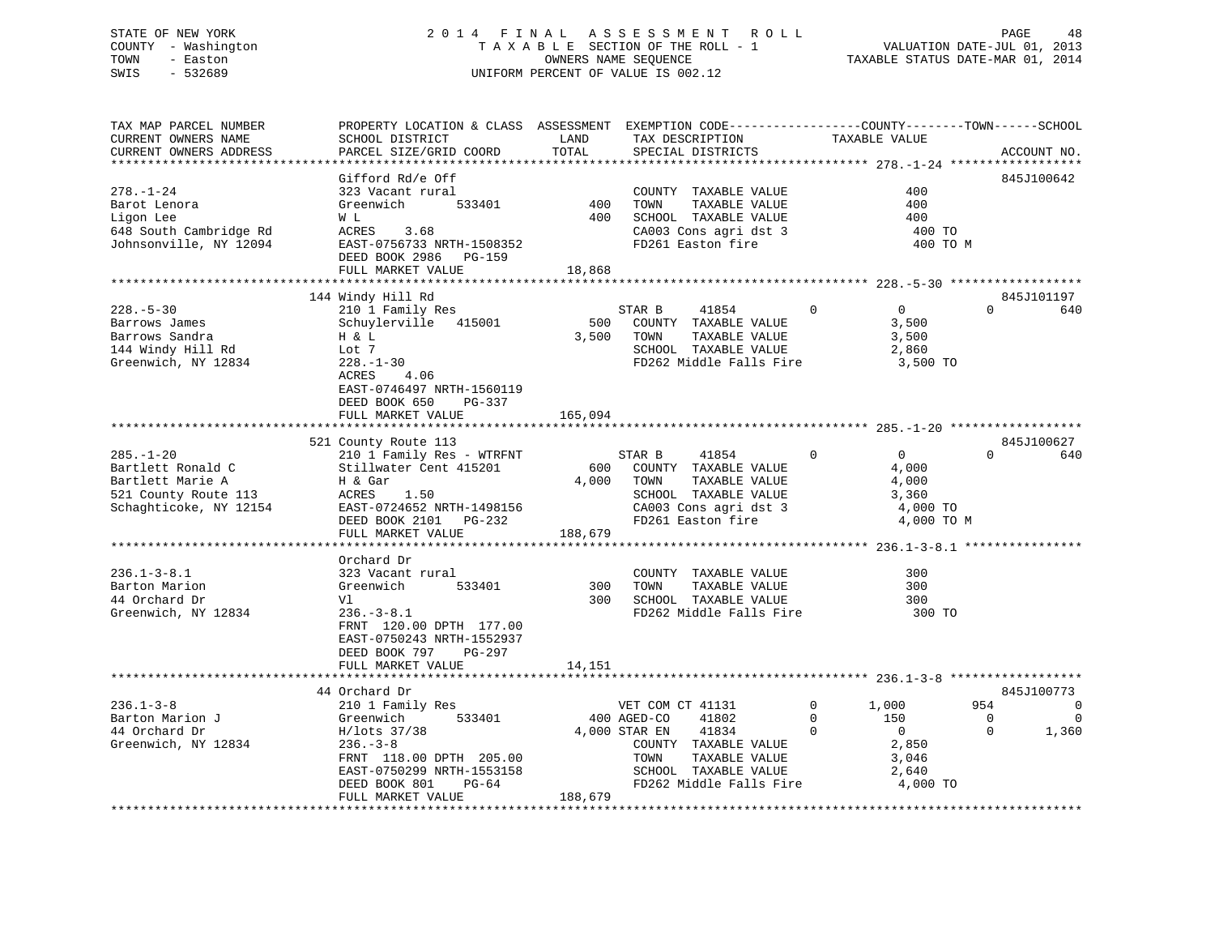### STATE OF NEW YORK 2 0 1 4 F I N A L A S S E S S M E N T R O L L PAGE 48 COUNTY - Washington T A X A B L E SECTION OF THE ROLL - 1 VALUATION DATE-JUL 01, 2013 TOWN - Easton OWNERS NAME SEQUENCE TAXABLE STATUS DATE-MAR 01, 2014 SWIS - 532689 UNIFORM PERCENT OF VALUE IS 002.12

| TAX MAP PARCEL NUMBER<br>CURRENT OWNERS NAME<br>CURRENT OWNERS ADDRESS                                                         | PROPERTY LOCATION & CLASS ASSESSMENT EXEMPTION CODE----------------COUNTY-------TOWN-----SCHOOL<br>SCHOOL DISTRICT<br>PARCEL SIZE/GRID COORD                                                      | LAND<br>TOTAL           | TAX DESCRIPTION<br>SPECIAL DISTRICTS                                                                                                                                   | TAXABLE VALUE                                                                                                   |                                             | ACCOUNT NO.                                       |
|--------------------------------------------------------------------------------------------------------------------------------|---------------------------------------------------------------------------------------------------------------------------------------------------------------------------------------------------|-------------------------|------------------------------------------------------------------------------------------------------------------------------------------------------------------------|-----------------------------------------------------------------------------------------------------------------|---------------------------------------------|---------------------------------------------------|
|                                                                                                                                |                                                                                                                                                                                                   |                         |                                                                                                                                                                        |                                                                                                                 |                                             |                                                   |
| $278. - 1 - 24$<br>Barot Lenora<br>Ligon Lee<br>648 South Cambridge Rd<br>Johnsonville, NY 12094                               | Gifford Rd/e Off<br>323 Vacant rural<br>533401<br>Greenwich<br>W L<br>ACRES<br>3.68<br>EAST-0756733 NRTH-1508352<br>DEED BOOK 2986 PG-159<br>FULL MARKET VALUE                                    | 400<br>400<br>18,868    | COUNTY TAXABLE VALUE<br>TAXABLE VALUE<br>TOWN<br>SCHOOL TAXABLE VALUE<br>CA003 Cons agri dst 3<br>FD261 Easton fire                                                    | 400<br>400<br>400<br>400 TO                                                                                     | 400 TO M                                    | 845J100642                                        |
|                                                                                                                                |                                                                                                                                                                                                   |                         |                                                                                                                                                                        |                                                                                                                 |                                             |                                                   |
| $228. - 5 - 30$<br>Barrows James<br>Barrows Sandra<br>144 Windy Hill Rd<br>Greenwich, NY 12834                                 | 144 Windy Hill Rd<br>210 1 Family Res<br>Schuylerville 415001<br>H & L<br>Lot 7<br>$228. - 1 - 30$<br>ACRES<br>4.06<br>EAST-0746497 NRTH-1560119<br>DEED BOOK 650                                 |                         | STAR B<br>41854<br>500 COUNTY TAXABLE VALUE<br>3,500 TOWN<br>TAXABLE VALUE<br>SCHOOL TAXABLE VALUE<br>FD262 Middle Falls Fire                                          | $\overline{0}$<br>$\overline{0}$<br>3,500<br>3,500<br>2,860<br>3,500 TO                                         | $\Omega$                                    | 845J101197<br>640                                 |
|                                                                                                                                | PG-337<br>FULL MARKET VALUE                                                                                                                                                                       | 165,094                 |                                                                                                                                                                        |                                                                                                                 |                                             |                                                   |
|                                                                                                                                |                                                                                                                                                                                                   |                         |                                                                                                                                                                        |                                                                                                                 |                                             |                                                   |
|                                                                                                                                | 521 County Route 113                                                                                                                                                                              |                         |                                                                                                                                                                        |                                                                                                                 |                                             | 845J100627                                        |
| $285. - 1 - 20$<br>Bartlett Ronald C<br>Bartlett Marie A<br>Bartlett Marie A<br>521 County Route 113<br>Schaghticoke, NY 12154 | 210 1 Family Res - WTRFNT<br>Stillwater Cent 415201<br>H & Gar<br>ACRES<br>1.50<br>EAST-0724652 NRTH-1498156<br>DEED BOOK 2101 PG-232<br>FULL MARKET VALUE                                        | 600<br>4,000<br>188,679 | 41854<br>STAR B<br>COUNTY TAXABLE VALUE<br>TAXABLE VALUE<br>TOWN<br>SCHOOL TAXABLE VALUE<br>CA003 Cons agri dst 3<br>FD261 Easton fire                                 | $\overline{0}$<br>$\overline{0}$<br>4,000<br>4,000<br>3,360<br>4,000 TO<br>4,000 TO M                           | $\Omega$                                    | 640                                               |
|                                                                                                                                |                                                                                                                                                                                                   |                         |                                                                                                                                                                        |                                                                                                                 |                                             |                                                   |
| $236.1 - 3 - 8.1$<br>Barton Marion<br>44 Orchard Dr<br>Greenwich, NY 12834                                                     | Orchard Dr<br>323 Vacant rural<br>533401<br>Greenwich<br>Vl<br>$236. - 3 - 8.1$<br>FRNT 120.00 DPTH 177.00<br>EAST-0750243 NRTH-1552937<br>DEED BOOK 797<br>PG-297                                | 300<br>300              | COUNTY TAXABLE VALUE<br>TAXABLE VALUE<br>TOWN<br>SCHOOL TAXABLE VALUE<br>FD262 Middle Falls Fire 300 TO                                                                | 300<br>300<br>300                                                                                               |                                             |                                                   |
|                                                                                                                                | FULL MARKET VALUE                                                                                                                                                                                 | 14,151                  |                                                                                                                                                                        |                                                                                                                 |                                             |                                                   |
|                                                                                                                                |                                                                                                                                                                                                   |                         |                                                                                                                                                                        |                                                                                                                 |                                             |                                                   |
| $236.1 - 3 - 8$<br>Barton Marion J<br>44 Orchard Dr<br>Greenwich, NY 12834                                                     | 44 Orchard Dr<br>210 1 Family Res<br>533401<br>Greenwich<br>H/lots 37/38<br>$236. - 3 - 8$<br>FRNT 118.00 DPTH 205.00<br>EAST-0750299 NRTH-1553158<br>DEED BOOK 801<br>PG-64<br>FULL MARKET VALUE | 188,679                 | VET COM CT 41131<br>400 AGED-CO<br>41802<br>4,000 STAR EN<br>41834<br>COUNTY TAXABLE VALUE<br>TAXABLE VALUE<br>TOWN<br>SCHOOL TAXABLE VALUE<br>FD262 Middle Falls Fire | 1,000<br>$\overline{0}$<br>$\Omega$<br>150<br>$\Omega$<br>$\overline{0}$<br>2,850<br>3,046<br>2,640<br>4,000 TO | 954<br>$\overline{\phantom{0}}$<br>$\Omega$ | 845J100773<br>$\mathbf 0$<br>$\mathbf 0$<br>1,360 |
|                                                                                                                                |                                                                                                                                                                                                   |                         |                                                                                                                                                                        |                                                                                                                 |                                             |                                                   |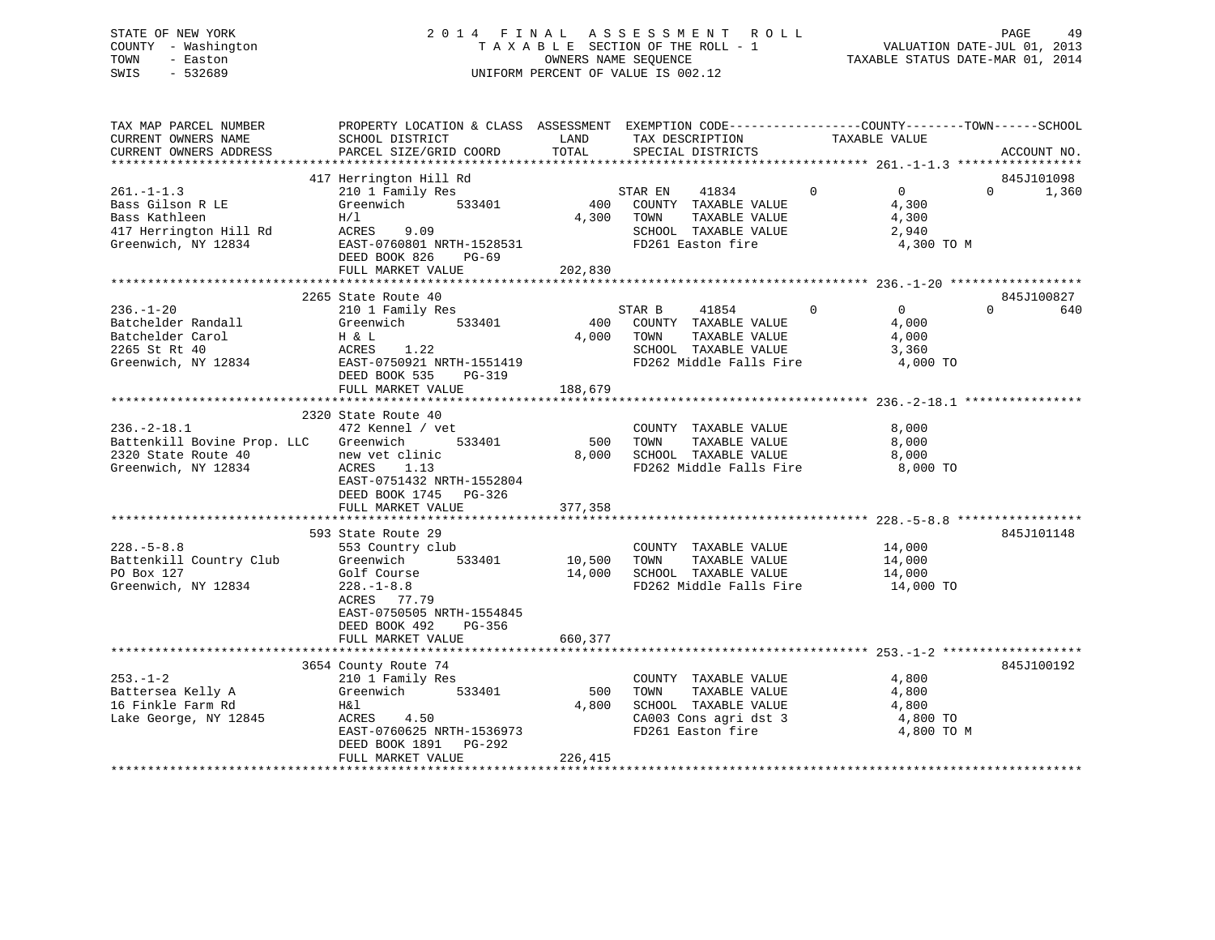### STATE OF NEW YORK 2 0 1 4 F I N A L A S S E S S M E N T R O L L PAGE 49 COUNTY - Washington T A X A B L E SECTION OF THE ROLL - 1 VALUATION DATE-JUL 01, 2013 TOWN - Easton **CONNERS NAME SEQUENCE** TAXABLE STATUS DATE-MAR 01, 2014 SWIS - 532689 UNIFORM PERCENT OF VALUE IS 002.12

| TAX MAP PARCEL NUMBER<br>CURRENT OWNERS NAME                                               | PROPERTY LOCATION & CLASS ASSESSMENT EXEMPTION CODE---------------COUNTY-------TOWN------SCHOOL<br>SCHOOL DISTRICT                                                                                                                      | LAND               |            | TAX DESCRIPTION                                                                                                                | TAXABLE VALUE |                                     |          |                     |
|--------------------------------------------------------------------------------------------|-----------------------------------------------------------------------------------------------------------------------------------------------------------------------------------------------------------------------------------------|--------------------|------------|--------------------------------------------------------------------------------------------------------------------------------|---------------|-------------------------------------|----------|---------------------|
| CURRENT OWNERS ADDRESS                                                                     | PARCEL SIZE/GRID COORD                                                                                                                                                                                                                  | TOTAL              |            | SPECIAL DISTRICTS                                                                                                              |               |                                     |          | ACCOUNT NO.         |
|                                                                                            |                                                                                                                                                                                                                                         |                    |            |                                                                                                                                |               |                                     |          |                     |
| $261. -1 - 1.3$                                                                            | 417 Herrington Hill Rd                                                                                                                                                                                                                  |                    |            | STAR EN 41834 0<br>400 COUNTY TAXABLE VALUE                                                                                    |               | $\overline{0}$<br>4,300             | $\Omega$ | 845J101098<br>1,360 |
|                                                                                            | 261.-1-1.3 210 1 Family Res 5<br>Bass Gilson R LE Greenwich 533401 400<br>Bass Kathleen $H/I$ 4,300<br>417 Herrington Hill Rd ACRES 9.09<br>Greenwich, NY 12834 EAST-0760801 NRTH-1528531<br>ERED POOK 936 DC-69<br>DEED BOOK 826 PG-69 |                    | 4,300 TOWN | TAXABLE VALUE<br>SCHOOL TAXABLE VALUE<br>FD261 Easton fire                                                                     |               | 4,300<br>2,940<br>4,300 TO M        |          |                     |
|                                                                                            | FULL MARKET VALUE                                                                                                                                                                                                                       | 202,830            |            |                                                                                                                                |               |                                     |          |                     |
|                                                                                            | 2265 State Route 40                                                                                                                                                                                                                     |                    |            |                                                                                                                                |               |                                     |          | 845J100827          |
| $236. - 1 - 20$                                                                            | 210 1 Family Res<br>210 1 Family Res<br>Batchelder Randall Greenwich 533401 400<br>Batchelder Carol H & L 4,000<br>2265 St Rt 40 ACRES 1.22 4,000<br>Greenwich, NY 12834 EAST-0750921 NRTH-1551419                                      | 4,000 TOWN         |            | STAR B 41854 0<br>400 COUNTY TAXABLE VALUE<br>TAXABLE VALUE<br>SCHOOL TAXABLE VALUE 3,360<br>FD262 Middle Falls Fire           | 4,000         | $\overline{0}$<br>4,000<br>4,000 TO | $\Omega$ | 640                 |
|                                                                                            |                                                                                                                                                                                                                                         |                    |            |                                                                                                                                |               |                                     |          |                     |
|                                                                                            |                                                                                                                                                                                                                                         |                    |            |                                                                                                                                |               |                                     |          |                     |
| $236. - 2 - 18.1$                                                                          | 2320 State Route 40<br>472 Kennel / vet                                                                                                                                                                                                 |                    |            | COUNTY TAXABLE VALUE                                                                                                           |               | 8,000                               |          |                     |
| Battenkill Bovine Prop. LLC Greenwich                                                      | 533401                                                                                                                                                                                                                                  | 500 TOWN           |            | TAXABLE VALUE                                                                                                                  |               | 8,000                               |          |                     |
| 2320 State Route 40                                                                        |                                                                                                                                                                                                                                         |                    |            | $8,000$ SCHOOL TAXABLE VALUE $8,000$                                                                                           |               |                                     |          |                     |
| Greenwich, NY 12834                                                                        | new vet clinic<br>ACRES 1.13<br>EAST-0751432 NRTH-1552804<br>DEED BOOK 1745 PG-326<br>FULL MARKET VALUE                                                                                                                                 | 377,358            |            | FD262 Middle Falls Fire                                                                                                        |               | 8,000 TO                            |          |                     |
|                                                                                            |                                                                                                                                                                                                                                         |                    |            |                                                                                                                                |               |                                     |          |                     |
| $228. - 5 - 8.8$<br>Battenkill Country Club Greenwich<br>PO Box 127<br>Greenwich, NY 12834 | State Route 29<br>553 Country club<br>593 State Route 29<br>Golf Course<br>228.-1-8.8<br>ACRES 77.79<br>EAST-0750505 NRTH-1554845<br>DEED BOOK 492<br>PG-356                                                                            | 533401 10,500 TOWN |            | COUNTY TAXABLE VALUE 14,000<br>TAXABLE VALUE 14,000<br>14,000 SCHOOL TAXABLE VALUE 14,000<br>FD262 Middle Falls Fire 14,000 TO |               |                                     |          | 845J101148          |
|                                                                                            | FULL MARKET VALUE                                                                                                                                                                                                                       | 660,377            |            |                                                                                                                                |               |                                     |          |                     |
|                                                                                            |                                                                                                                                                                                                                                         |                    |            |                                                                                                                                |               |                                     |          |                     |
| $253. - 1 - 2$                                                                             | 3654 County Route 74                                                                                                                                                                                                                    |                    |            | COUNTY TAXABLE VALUE                                                                                                           |               | 4,800                               |          | 845J100192          |
| Lake George, NY 12845 MARES 4.50                                                           | EAST-0760625 NRTH-1536973<br>DEED BOOK 1891 PG-292                                                                                                                                                                                      | 500<br>4,800       | TOWN       | TAXABLE VALUE 4,800<br>SCHOOL TAXABLE VALUE 4,800<br>CA003 Cons agri dst 3 4,800 TO<br>FD261 Easton fire                       |               | 4,800 TO M                          |          |                     |
|                                                                                            |                                                                                                                                                                                                                                         |                    |            |                                                                                                                                |               |                                     |          |                     |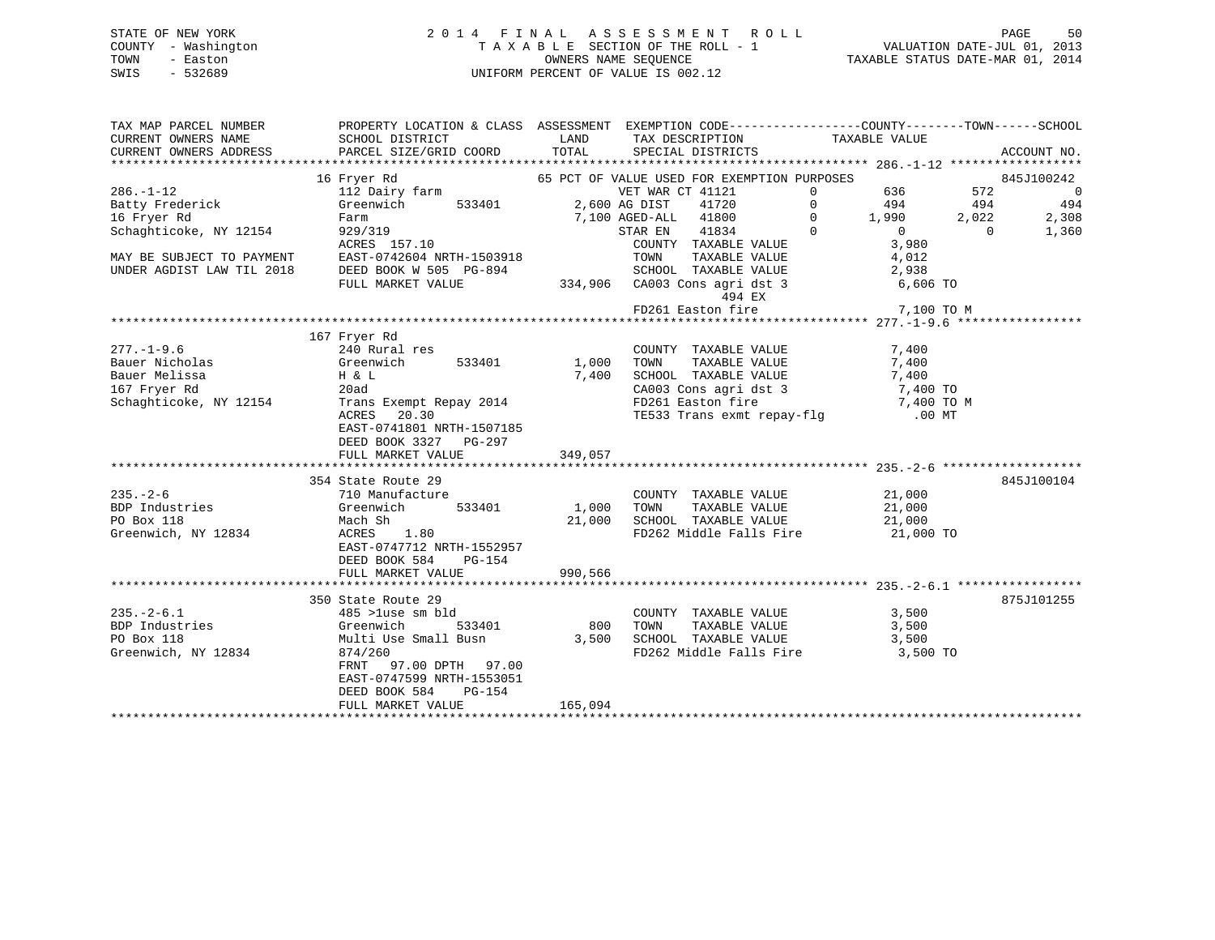### STATE OF NEW YORK 2 0 1 4 F I N A L A S S E S S M E N T R O L L PAGE 50 COUNTY - Washington T A X A B L E SECTION OF THE ROLL - 1 VALUATION DATE-JUL 01, 2013 TOWN - Easton COMPUTERS NAME SEQUENCE TAXABLE STATUS DATE-MAR 01, 2014<br>SWIS - 532689 SWIS - 532689 UNIFORM PERCENT OF VALUE IS 002.12

| TAX MAP PARCEL NUMBER                           | PROPERTY LOCATION & CLASS ASSESSMENT EXEMPTION CODE---------------COUNTY-------TOWN-----SCHOOL                                                                                                                                                                                                                                                                                                     |          |                                                                                                   |                     |                          |
|-------------------------------------------------|----------------------------------------------------------------------------------------------------------------------------------------------------------------------------------------------------------------------------------------------------------------------------------------------------------------------------------------------------------------------------------------------------|----------|---------------------------------------------------------------------------------------------------|---------------------|--------------------------|
| CURRENT OWNERS NAME                             | SCHOOL DISTRICT                                                                                                                                                                                                                                                                                                                                                                                    |          | LAND TAX DESCRIPTION TAXABLE VALUE                                                                |                     |                          |
| CURRENT OWNERS ADDRESS                          | PARCEL SIZE/GRID COORD                                                                                                                                                                                                                                                                                                                                                                             | TOTAL    | SPECIAL DISTRICTS                                                                                 |                     | ACCOUNT NO.              |
|                                                 |                                                                                                                                                                                                                                                                                                                                                                                                    |          |                                                                                                   |                     |                          |
|                                                 |                                                                                                                                                                                                                                                                                                                                                                                                    |          |                                                                                                   |                     | 845J100242               |
| $286. - 1 - 12$                                 | Greenwich 533401 2,600 AG DIST 41720                                                                                                                                                                                                                                                                                                                                                               |          |                                                                                                   |                     | $\overline{\phantom{0}}$ |
| Batty Frederick<br>16 Fryer Rd                  |                                                                                                                                                                                                                                                                                                                                                                                                    |          |                                                                                                   |                     | 494                      |
| 16 Fryer Rd                                     |                                                                                                                                                                                                                                                                                                                                                                                                    |          | VET WAR CT 41121 0 636 572<br>2,600 AG DIST 41720 0 494 494<br>7,100 AGED-ALL 41800 0 1,990 2,022 |                     | 2,308                    |
| Schaghticoke, NY 12154                          | Farm<br>929/319<br>ACRES 157.10                                                                                                                                                                                                                                                                                                                                                                    |          | STAR EN 41834 0<br>COUNTY TAXABLE VALUE 3,980<br>TOWN TAXABLE VALUE 4,012                         |                     | 1,360<br>$\overline{0}$  |
| MAY BE SUBJECT TO PAYMENT<br>----- LAW TIL 2018 |                                                                                                                                                                                                                                                                                                                                                                                                    |          |                                                                                                   |                     |                          |
|                                                 |                                                                                                                                                                                                                                                                                                                                                                                                    |          |                                                                                                   |                     |                          |
|                                                 | EAST-0742604 NRTH-1503918<br>EAST-0742604 NRTH-1503918<br>DEED BOOK W 505 PG-894<br>FULL MARKET VALUE 334,906 CA003 Cons agri dst 3 6,606 TO                                                                                                                                                                                                                                                       |          |                                                                                                   |                     |                          |
|                                                 |                                                                                                                                                                                                                                                                                                                                                                                                    |          |                                                                                                   |                     |                          |
|                                                 |                                                                                                                                                                                                                                                                                                                                                                                                    |          | 494 EX                                                                                            |                     |                          |
|                                                 |                                                                                                                                                                                                                                                                                                                                                                                                    |          | FD261 Easton fire 7,100 TO M                                                                      |                     |                          |
|                                                 | 167 Fryer Rd                                                                                                                                                                                                                                                                                                                                                                                       |          |                                                                                                   |                     |                          |
| $277. - 1 - 9.6$                                | 240 Rural res                                                                                                                                                                                                                                                                                                                                                                                      |          | COUNTY TAXABLE VALUE                                                                              | 7,400               |                          |
| Bauer Nicholas                                  | Greenwich 533401 1,000 TOWN                                                                                                                                                                                                                                                                                                                                                                        |          |                                                                                                   | TAXABLE VALUE 7,400 |                          |
| Bauer Melissa                                   |                                                                                                                                                                                                                                                                                                                                                                                                    |          |                                                                                                   |                     |                          |
| $H \& L$<br>$H \& L$<br>20ad<br>167 Fryer Rd    |                                                                                                                                                                                                                                                                                                                                                                                                    |          | 7,400 SCHOOL TAXABLE VALUE 7,400<br>CA003 Cons agri dst 3 7,400 TO                                |                     |                          |
|                                                 |                                                                                                                                                                                                                                                                                                                                                                                                    |          |                                                                                                   |                     |                          |
|                                                 | Schaghticoke, NY 12154 Trans Exempt Repay 2014<br>ACRES 20.30<br>ACRES<br>20.30                                                                                                                                                                                                                                                                                                                    |          | FD261 Easton fire 7,400 TO M<br>TE533 Trans exmt repay-flg .00 MT                                 |                     |                          |
|                                                 | EAST-0741801 NRTH-1507185                                                                                                                                                                                                                                                                                                                                                                          |          |                                                                                                   |                     |                          |
|                                                 | DEED BOOK 3327 PG-297                                                                                                                                                                                                                                                                                                                                                                              |          |                                                                                                   |                     |                          |
|                                                 | FULL MARKET VALUE                                                                                                                                                                                                                                                                                                                                                                                  | 349,057  |                                                                                                   |                     |                          |
|                                                 |                                                                                                                                                                                                                                                                                                                                                                                                    |          |                                                                                                   |                     |                          |
|                                                 |                                                                                                                                                                                                                                                                                                                                                                                                    |          |                                                                                                   |                     | 845J100104               |
| $235. -2 - 6$                                   | 354 State Route 29<br>710 Manufacture                                                                                                                                                                                                                                                                                                                                                              |          | COUNTY TAXABLE VALUE 21,000                                                                       |                     |                          |
|                                                 |                                                                                                                                                                                                                                                                                                                                                                                                    |          |                                                                                                   |                     |                          |
|                                                 |                                                                                                                                                                                                                                                                                                                                                                                                    |          |                                                                                                   |                     |                          |
|                                                 | PDP Industries<br>PDP Industries<br>PDP Industries<br>PO Box 118<br>Mach Sh 21,000 SCHOO!<br>Greenwich, NY 12834<br>ACRES 1.80<br>PO Box 118<br>PO Box 118<br>PO Box 118<br>PO Box 118<br>PO Box 118<br>PO Box 118<br>PO Box 118<br>PO Box 12834<br>Greenwich 533401 1,000 TOWN TAXABLE VALUE 21,000<br>Mach Sh 21,000 SCHOOL TAXABLE VALUE 21,000<br>ACRES 1.80 FD262 Middle Falls Fire 21,000 TO |          |                                                                                                   |                     |                          |
|                                                 | EAST-0747712 NRTH-1552957                                                                                                                                                                                                                                                                                                                                                                          |          |                                                                                                   |                     |                          |
|                                                 | DEED BOOK 584 PG-154                                                                                                                                                                                                                                                                                                                                                                               |          |                                                                                                   |                     |                          |
|                                                 | FULL MARKET VALUE                                                                                                                                                                                                                                                                                                                                                                                  | 990, 566 |                                                                                                   |                     |                          |
|                                                 |                                                                                                                                                                                                                                                                                                                                                                                                    |          |                                                                                                   |                     |                          |
|                                                 | 350 State Route 29                                                                                                                                                                                                                                                                                                                                                                                 |          |                                                                                                   |                     | 875J101255               |
| $235. - 2 - 6.1$                                |                                                                                                                                                                                                                                                                                                                                                                                                    |          | COUNTY TAXABLE VALUE 3,500                                                                        |                     |                          |
|                                                 |                                                                                                                                                                                                                                                                                                                                                                                                    |          |                                                                                                   |                     |                          |
| BDP Industries<br>20 Der 118                    |                                                                                                                                                                                                                                                                                                                                                                                                    |          |                                                                                                   |                     |                          |
| Greenwich, NY 12834                             |                                                                                                                                                                                                                                                                                                                                                                                                    |          | FD262 Middle Falls Fire 3,500 TO                                                                  |                     |                          |
|                                                 | COUNT<br>Multi Use Small Busn 3,500 TOWN<br>Multi Use Small Busn 3,500 SCHNOOL<br>FRNT 97.00 DPTH 97.00<br>EAST-0747500                                                                                                                                                                                                                                                                            |          |                                                                                                   |                     |                          |
|                                                 | EAST-0747599 NRTH-1553051                                                                                                                                                                                                                                                                                                                                                                          |          |                                                                                                   |                     |                          |
|                                                 | DEED BOOK 584 PG-154                                                                                                                                                                                                                                                                                                                                                                               |          |                                                                                                   |                     |                          |
|                                                 | FULL MARKET VALUE                                                                                                                                                                                                                                                                                                                                                                                  | 165,094  |                                                                                                   |                     |                          |
|                                                 |                                                                                                                                                                                                                                                                                                                                                                                                    |          |                                                                                                   |                     |                          |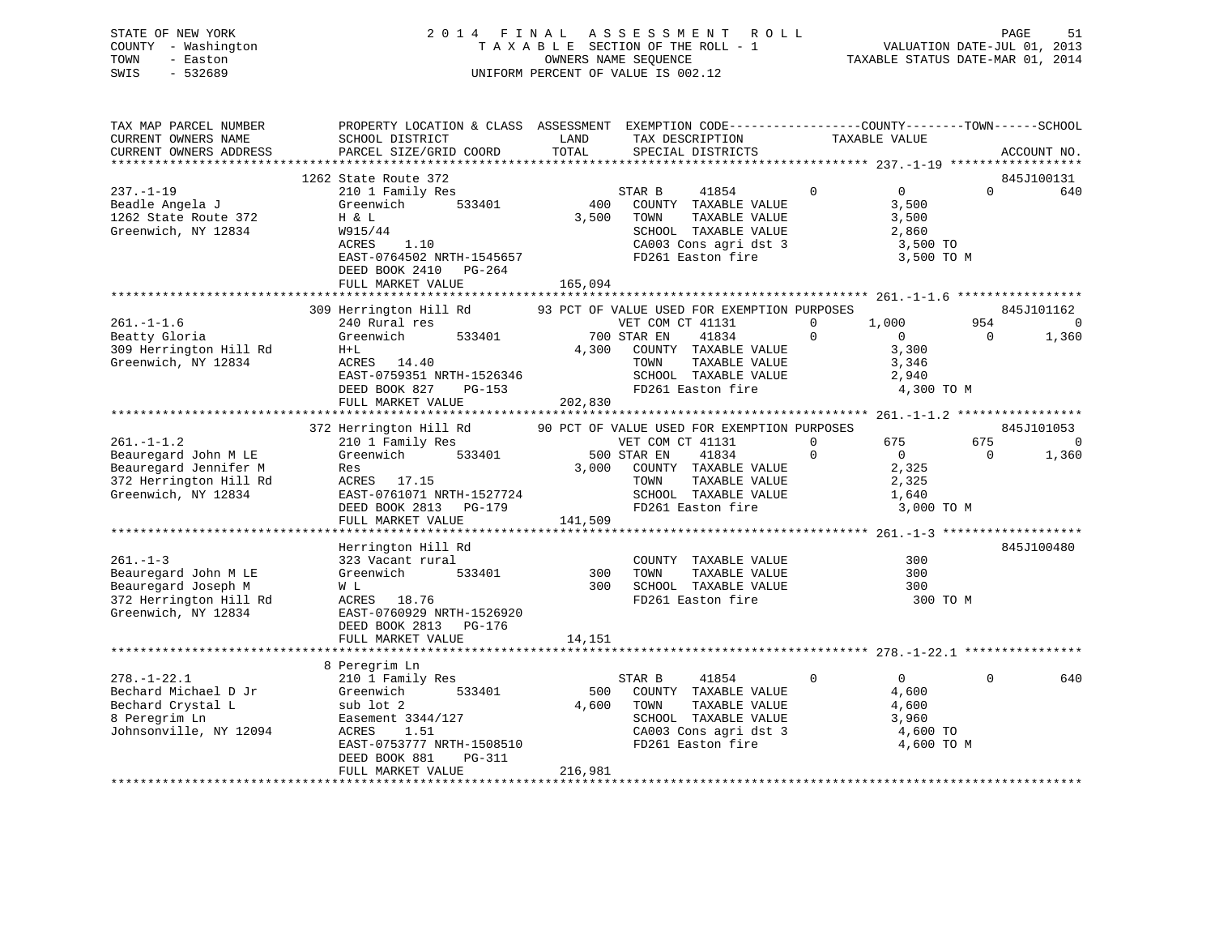### STATE OF NEW YORK 2 0 1 4 F I N A L A S S E S S M E N T R O L L PAGE 51 COUNTY - Washington T A X A B L E SECTION OF THE ROLL - 1 VALUATION DATE-JUL 01, 2013 TOWN - Easton **CONNERS NAME SEQUENCE** TAXABLE STATUS DATE-MAR 01, 2014 SWIS - 532689 UNIFORM PERCENT OF VALUE IS 002.12

| TAX MAP PARCEL NUMBER<br>CURRENT OWNERS NAME<br>CURRENT OWNERS ADDRESS                                             | PROPERTY LOCATION & CLASS ASSESSMENT EXEMPTION CODE----------------COUNTY-------TOWN------SCHOOL<br>SCHOOL DISTRICT<br>PARCEL SIZE/GRID COORD                                            | LAND<br>TOTAL           | TAX DESCRIPTION<br>SPECIAL DISTRICTS                                                                                                                                                  |                      | TAXABLE VALUE                                                                    | ACCOUNT NO.       |
|--------------------------------------------------------------------------------------------------------------------|------------------------------------------------------------------------------------------------------------------------------------------------------------------------------------------|-------------------------|---------------------------------------------------------------------------------------------------------------------------------------------------------------------------------------|----------------------|----------------------------------------------------------------------------------|-------------------|
| $237. - 1 - 19$<br>Beadle Angela J<br>1262 State Route 372<br>Greenwich, NY 12834                                  | 1262 State Route 372<br>210 1 Family Res<br>Greenwich<br>533401<br>H & L<br>W915/44<br>ACRES<br>1.10<br>EAST-0764502 NRTH-1545657<br>DEED BOOK 2410 PG-264<br>FULL MARKET VALUE          | 400<br>3,500<br>165,094 | STAR B<br>41854<br>COUNTY TAXABLE VALUE<br>TOWN<br>TAXABLE VALUE<br>SCHOOL TAXABLE VALUE<br>CA003 Cons agri dst 3<br>FD261 Easton fire                                                | $\mathbf 0$          | $\overline{0}$<br>$\Omega$<br>3,500<br>3,500<br>2,860<br>3,500 TO<br>3,500 TO M  | 845J100131<br>640 |
|                                                                                                                    | 309 Herrington Hill Rd                                                                                                                                                                   |                         | 93 PCT OF VALUE USED FOR EXEMPTION PURPOSES                                                                                                                                           |                      |                                                                                  | 845J101162        |
| $261. - 1 - 1.6$<br>Beatty Gloria<br>309 Herrington Hill Rd<br>Greenwich, NY 12834                                 | 240 Rural res<br>Greenwich<br>533401<br>$H+L$<br>ACRES 14.40<br>EAST-0759351 NRTH-1526346<br>DEED BOOK 827<br>$PG-153$<br>FULL MARKET VALUE                                              | 4,300<br>202,830        | VET COM CT 41131<br>700 STAR EN<br>41834<br>COUNTY TAXABLE VALUE<br>TOWN<br>TAXABLE VALUE<br>SCHOOL TAXABLE VALUE<br>FD261 Easton fire                                                | $\Omega$             | 1,000<br>954<br>$\Omega$<br>$\mathbf 0$<br>3,300<br>3,346<br>2,940<br>4,300 TO M | $\Omega$<br>1,360 |
|                                                                                                                    |                                                                                                                                                                                          |                         |                                                                                                                                                                                       |                      |                                                                                  | 845J101053        |
| $261. - 1 - 1.2$<br>Beauregard John M LE<br>Beauregard Jennifer M<br>372 Herrington Hill Rd<br>Greenwich, NY 12834 | 372 Herrington Hill Rd<br>210 1 Family Res<br>Greenwich<br>533401<br>Res<br>ACRES 17.15<br>EAST-0761071 NRTH-1527724<br>DEED BOOK 2813 PG-179<br>FULL MARKET VALUE                       | 3,000<br>141,509        | 90 PCT OF VALUE USED FOR EXEMPTION PURPOSES<br>VET COM CT 41131<br>500 STAR EN<br>41834<br>COUNTY TAXABLE VALUE<br>TAXABLE VALUE<br>TOWN<br>SCHOOL TAXABLE VALUE<br>FD261 Easton fire | $\Omega$<br>$\Omega$ | 675<br>675<br>$\mathbf{0}$<br>0<br>2,325<br>2,325<br>1,640<br>3,000 TO M         | $\Omega$<br>1,360 |
|                                                                                                                    | Herrington Hill Rd                                                                                                                                                                       |                         |                                                                                                                                                                                       |                      |                                                                                  | 845J100480        |
| $261. - 1 - 3$<br>Beauregard John M LE<br>Beauregard Joseph M<br>372 Herrington Hill Rd<br>Greenwich, NY 12834     | 323 Vacant rural<br>533401<br>Greenwich<br>W L<br>ACRES<br>18.76<br>EAST-0760929 NRTH-1526920<br>DEED BOOK 2813 PG-176                                                                   | 300<br>300              | COUNTY TAXABLE VALUE<br>TAXABLE VALUE<br>TOWN<br>SCHOOL TAXABLE VALUE<br>FD261 Easton fire                                                                                            |                      | 300<br>300<br>300<br>300 TO M                                                    |                   |
|                                                                                                                    | FULL MARKET VALUE                                                                                                                                                                        | 14,151                  |                                                                                                                                                                                       |                      |                                                                                  |                   |
|                                                                                                                    |                                                                                                                                                                                          |                         |                                                                                                                                                                                       |                      |                                                                                  |                   |
| $278. - 1 - 22.1$<br>Bechard Michael D Jr<br>Bechard Crystal L<br>8 Peregrim Ln<br>Johnsonville, NY 12094          | 8 Peregrim Ln<br>210 1 Family Res<br>Greenwich<br>533401<br>sub lot 2<br>Easement 3344/127<br>ACRES<br>1.51<br>EAST-0753777 NRTH-1508510<br>DEED BOOK 881<br>PG-311<br>FULL MARKET VALUE | 500<br>4,600<br>216,981 | STAR B<br>41854<br>COUNTY TAXABLE VALUE<br>TOWN<br>TAXABLE VALUE<br>SCHOOL TAXABLE VALUE<br>CA003 Cons agri dst 3<br>FD261 Easton fire                                                | $\Omega$             | $\overline{0}$<br>$\Omega$<br>4,600<br>4,600<br>3,960<br>4,600 TO<br>4,600 TO M  | 640               |
|                                                                                                                    |                                                                                                                                                                                          |                         |                                                                                                                                                                                       |                      |                                                                                  |                   |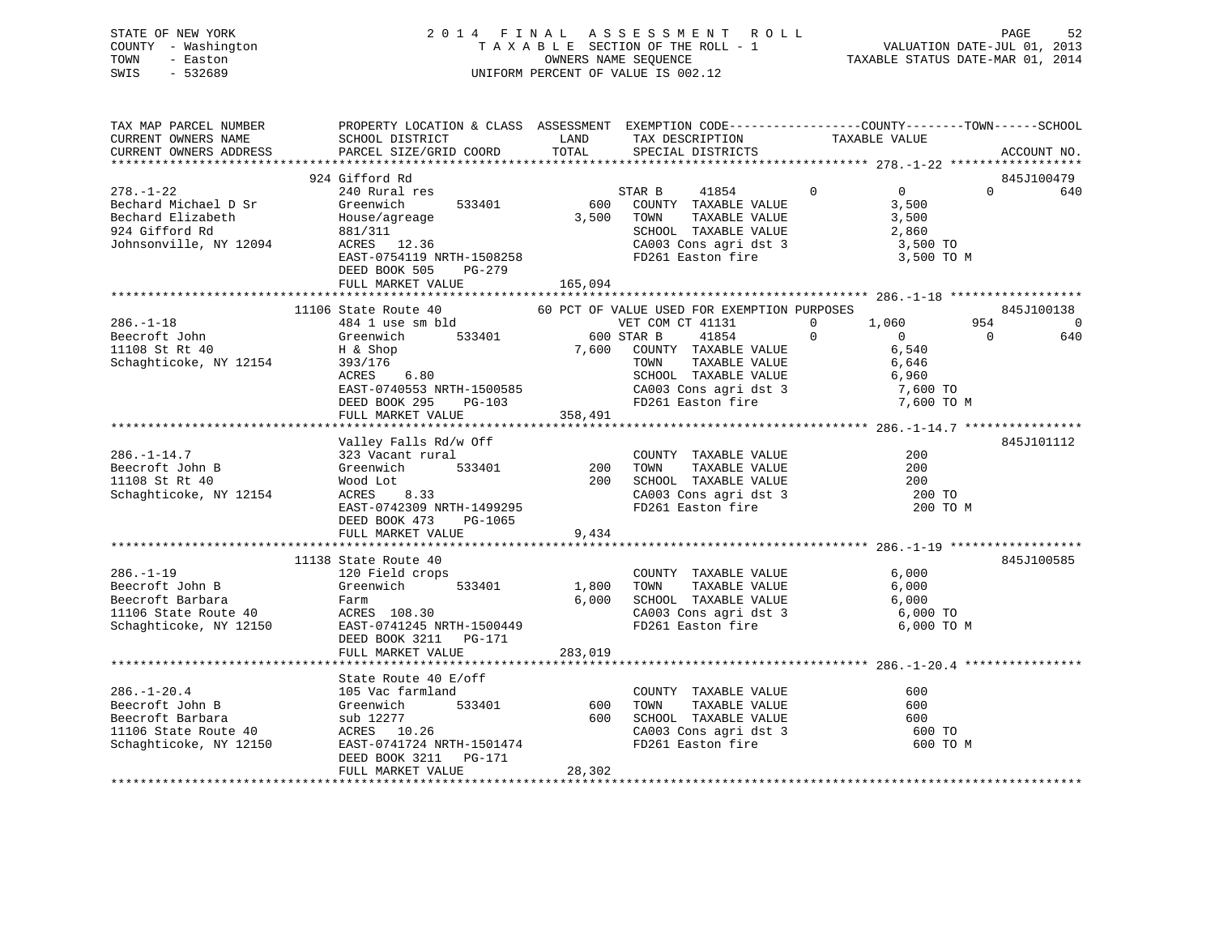| STATE OF NEW YORK<br>COUNTY - Washington<br>TOWN<br>- Easton<br>$-532689$<br>SWIS |                                                                                                                                          |                                                                                                                                                                                                                                                                                                                       | $\begin{tabular}{ccccc} 2 & 0 & 1 & 4 & F & I & N & A & L & A & S & S & E & S & S & M & E & N & T & R & O & L & D \\ & T & A & X & A & B & L & E & SECTION OF THE ROLL & - & 1 & VALLUATION DATE–JUL & 01, 2013 \\ & \hspace{2.5cm} & \hspace{2.5cm} & \hspace{2.5cm} & \hspace{2.5cm} & \hspace{2.5cm} & \hspace{2.5cm} & \hspace{2.5cm} & \hspace{2.5cm} & \hspace{2.5cm} & \hspace{2.5cm} & \hspace{2.5cm} & \hs$ |
|-----------------------------------------------------------------------------------|------------------------------------------------------------------------------------------------------------------------------------------|-----------------------------------------------------------------------------------------------------------------------------------------------------------------------------------------------------------------------------------------------------------------------------------------------------------------------|----------------------------------------------------------------------------------------------------------------------------------------------------------------------------------------------------------------------------------------------------------------------------------------------------------------------------------------------------------------------------------------------------------------------|
| TAX MAP PARCEL NUMBER                                                             |                                                                                                                                          |                                                                                                                                                                                                                                                                                                                       | PROPERTY LOCATION & CLASS ASSESSMENT EXEMPTION CODE----------------COUNTY-------TOWN------SCHOOL                                                                                                                                                                                                                                                                                                                     |
| $278. - 1 - 22$                                                                   | 924 Gifford Rd<br>Bechard Michael D Sr (Greenwich 533401 600 COUNT<br>Bechard Elizabeth House/agreage 3,500 TOWN<br>DEED BOOK 505 PG-279 | 240 Rural res<br>Greenwich 533401 600 COUNTY TAXABLE VALUE 3,500<br>924 Gifford Rd 3,500 TO 12094<br>3,500 TO 12094<br>EAST-0754119 NRTH-1508258<br>EAST-0754119 NRTH-1508258<br>EAST-0754119 NRTH-1508258<br>PD261 Easton fire<br>PD261 Easton fire<br>PD261 Easton fire<br>3,500 TO M<br>3,500 TO M<br>NRTH-076 RD2 | 845J100479<br>$\begin{matrix} 41854 & 0 & 0 \end{matrix}$<br>$\Omega$<br>640<br>TAXABLE VALUE 3,500                                                                                                                                                                                                                                                                                                                  |
|                                                                                   |                                                                                                                                          |                                                                                                                                                                                                                                                                                                                       | 845J100138                                                                                                                                                                                                                                                                                                                                                                                                           |
|                                                                                   |                                                                                                                                          | Exercise John Greenwich S33401 600 STAR B 41854 0<br>Schaghticoke, NY 12154 393/176 7,600 COUNTY TAXABLE VALUE 6,540<br>Schaghticoke, NY 12154 393/176 7000 STAR B 41854 0<br>EAST-0740553 NRTH-1500585 CA003 Cons agri dst 3<br>DEED                                                                                 | 0 1,060 954<br>$\overline{\phantom{0}}$<br>640<br>$\overline{0}$                                                                                                                                                                                                                                                                                                                                                     |
| $286. - 1 - 14.7$<br>Beecroft John B<br>11108 St Rt 40<br>Schaghticoke, NY 12154  | FULL MARKET VALUE<br>DEED BOOK 473<br>PG-1065                                                                                            | 358,491<br>Valley Falls Rd/w Off<br>323 Vacant rural 200<br>Greenwich 533401 200 TOWN TAXABLE VALUE 200<br>Wood Lot 200 SCHOOL TAXABLE VALUE 200<br>ACRES 8.33 CA003 Cons agri dst 3 200 TO<br>EAST-0742309 NRTH-1499295 FD261 Easton fire 200 TO<br>                                                                 | 845J101112<br>200 TO M                                                                                                                                                                                                                                                                                                                                                                                               |
|                                                                                   | FULL MARKET VALUE                                                                                                                        | 9,434                                                                                                                                                                                                                                                                                                                 |                                                                                                                                                                                                                                                                                                                                                                                                                      |

|                        | 11138 State Route 40      |         |                         | 845J100585 |  |
|------------------------|---------------------------|---------|-------------------------|------------|--|
| $286. - 1 - 19$        | 120 Field crops           |         | COUNTY<br>TAXABLE VALUE | 6,000      |  |
| Beecroft John B        | 533401<br>Greenwich       | 1,800   | TOWN<br>TAXABLE VALUE   | 6,000      |  |
| Beecroft Barbara       | Farm                      | 6,000   | SCHOOL TAXABLE VALUE    | 6,000      |  |
| 11106 State Route 40   | ACRES 108.30              |         | CA003 Cons agri dst 3   | 6,000 TO   |  |
| Schaghticoke, NY 12150 | EAST-0741245 NRTH-1500449 |         | FD261 Easton fire       | 6,000 TO M |  |
|                        | DEED BOOK 3211 PG-171     |         |                         |            |  |
|                        | FULL MARKET VALUE         | 283,019 |                         |            |  |
|                        |                           |         |                         |            |  |
|                        | State Route 40 E/off      |         |                         |            |  |
| $286. - 1 - 20.4$      | 105 Vac farmland          |         | TAXABLE VALUE<br>COUNTY | 600        |  |
| Beecroft John B        | 533401<br>Greenwich       | 600     | TOWN<br>TAXABLE VALUE   | 600        |  |
| Beecroft Barbara       | sub 12277                 | 600     | SCHOOL TAXABLE VALUE    | 600        |  |
| 11106 State Route 40   | ACRES 10.26               |         | CA003 Cons agri dst 3   | 600 TO     |  |
| Schaghticoke, NY 12150 | EAST-0741724 NRTH-1501474 |         | FD261 Easton fire       | 600 TO M   |  |
|                        | DEED BOOK 3211<br>PG-171  |         |                         |            |  |
|                        | FULL MARKET VALUE         | 28,302  |                         |            |  |
|                        |                           |         |                         |            |  |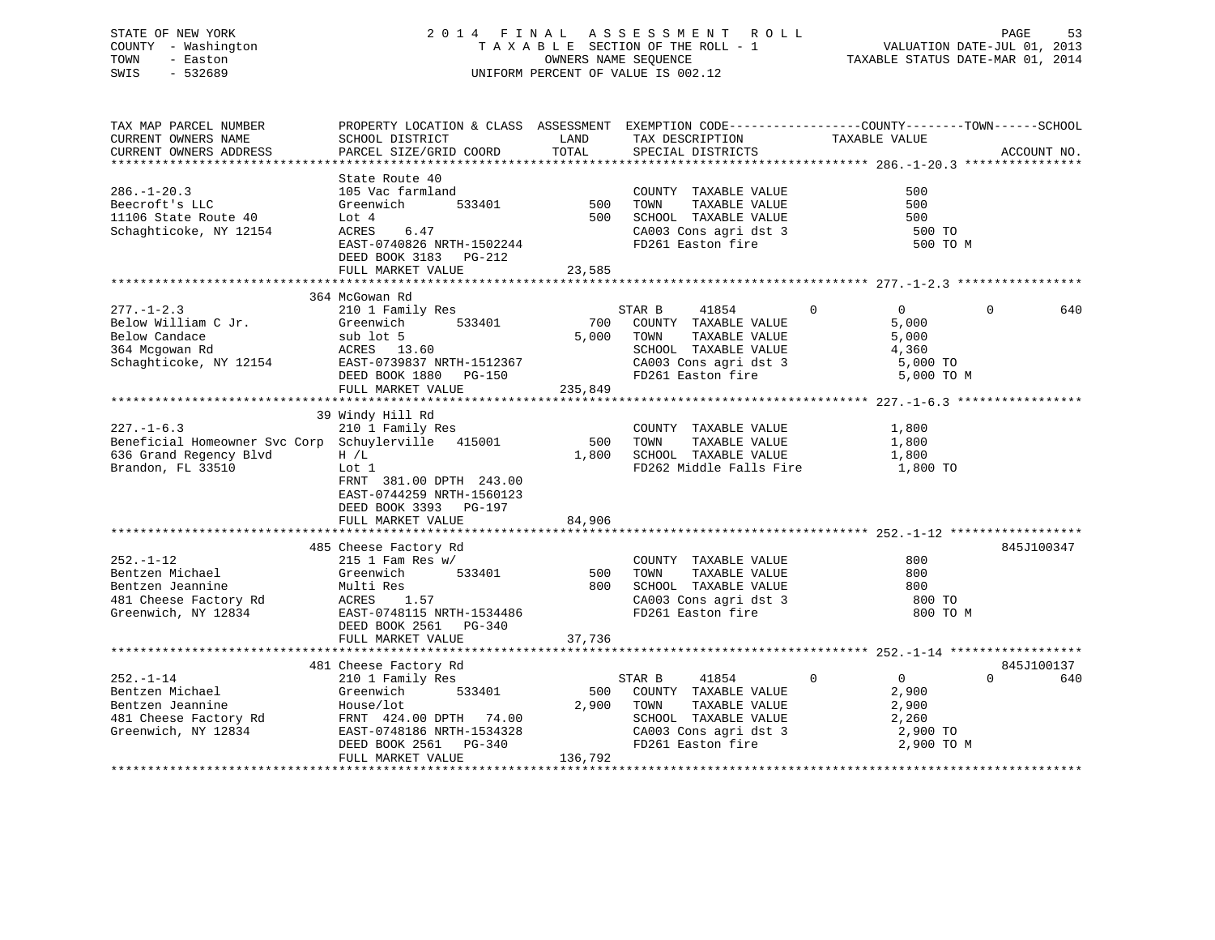### STATE OF NEW YORK 2 0 1 4 F I N A L A S S E S S M E N T R O L L PAGE 53 COUNTY - Washington T A X A B L E SECTION OF THE ROLL - 1 VALUATION DATE-JUL 01, 2013 TOWN - Easton **CONNERS NAME SEQUENCE** TAXABLE STATUS DATE-MAR 01, 2014 SWIS - 532689 UNIFORM PERCENT OF VALUE IS 002.12

| TAX MAP PARCEL NUMBER                                                                                                 | PROPERTY LOCATION & CLASS ASSESSMENT EXEMPTION CODE---------------COUNTY-------TOWN------SCHOOL                                                                                    |                         |                                                                                                                                        |                                                                           |                               |
|-----------------------------------------------------------------------------------------------------------------------|------------------------------------------------------------------------------------------------------------------------------------------------------------------------------------|-------------------------|----------------------------------------------------------------------------------------------------------------------------------------|---------------------------------------------------------------------------|-------------------------------|
| CURRENT OWNERS NAME<br>CURRENT OWNERS ADDRESS                                                                         | SCHOOL DISTRICT<br>PARCEL SIZE/GRID COORD                                                                                                                                          | LAND<br>TOTAL           | TAX DESCRIPTION<br>SPECIAL DISTRICTS                                                                                                   | TAXABLE VALUE                                                             | ACCOUNT NO.                   |
|                                                                                                                       |                                                                                                                                                                                    |                         |                                                                                                                                        |                                                                           |                               |
| $286. - 1 - 20.3$<br>Beecroft's LLC                                                                                   | State Route 40<br>105 Vac farmland<br>533401<br>Greenwich                                                                                                                          | 500<br>500              | COUNTY TAXABLE VALUE<br>TOWN<br>TAXABLE VALUE                                                                                          | 500<br>500<br>500                                                         |                               |
| 11106 State Route 40<br>Schaghticoke, NY 12154                                                                        | Lot 4<br>ACRES<br>6.47<br>EAST-0740826 NRTH-1502244<br>DEED BOOK 3183 PG-212<br>FULL MARKET VALUE                                                                                  | 23,585                  | SCHOOL TAXABLE VALUE<br>CA003 Cons agri dst 3<br>FD261 Easton fire                                                                     | 500 TO<br>500 TO M                                                        |                               |
|                                                                                                                       |                                                                                                                                                                                    |                         |                                                                                                                                        |                                                                           |                               |
|                                                                                                                       | 364 McGowan Rd                                                                                                                                                                     |                         |                                                                                                                                        |                                                                           |                               |
| $277. - 1 - 2.3$<br>Below William C Jr.<br>Below Candace<br>364 Mcgowan Rd<br>Schaghticoke, NY 12154                  | 210 1 Family Res<br>533401<br>Greenwich<br>sub lot 5<br>ACRES 13.60<br>EAST-0739837 NRTH-1512367<br>DEED BOOK 1880 PG-150<br>FULL MARKET VALUE                                     | 700<br>5,000<br>235,849 | STAR B<br>41854<br>COUNTY TAXABLE VALUE<br>TOWN<br>TAXABLE VALUE<br>SCHOOL TAXABLE VALUE<br>CA003 Cons agri dst 3<br>FD261 Easton fire | $\Omega$<br>$\Omega$<br>5,000<br>5,000<br>4,360<br>5,000 TO<br>5,000 TO M | $\Omega$<br>640               |
|                                                                                                                       |                                                                                                                                                                                    |                         |                                                                                                                                        |                                                                           |                               |
| $227. - 1 - 6.3$<br>Beneficial Homeowner Svc Corp Schuylerville 415001<br>636 Grand Regency Blvd<br>Brandon, FL 33510 | 39 Windy Hill Rd<br>210 1 Family Res<br>H / L<br>Lot 1<br>FRNT 381.00 DPTH 243.00<br>EAST-0744259 NRTH-1560123<br>DEED BOOK 3393 PG-197                                            | 500<br>1,800            | COUNTY TAXABLE VALUE<br>TOWN<br>TAXABLE VALUE<br>SCHOOL TAXABLE VALUE<br>FD262 Middle Falls Fire                                       | 1,800<br>1,800<br>1,800<br>1,800 TO                                       |                               |
|                                                                                                                       | FULL MARKET VALUE                                                                                                                                                                  | 84,906                  |                                                                                                                                        |                                                                           |                               |
| $252. - 1 - 12$<br>Bentzen Michael<br>Bentzen Jeannine<br>481 Cheese Factory Rd<br>Greenwich, NY 12834                | 485 Cheese Factory Rd<br>$215$ 1 Fam Res w/<br>533401<br>Greenwich<br>Multi Res<br>ACRES 1.57<br>EAST-0748115 NRTH-1534486<br>DEED BOOK 2561 PG-340                                | 500<br>800              | COUNTY TAXABLE VALUE<br>TOWN<br>TAXABLE VALUE<br>SCHOOL TAXABLE VALUE<br>CA003 Cons agri dst 3<br>FD261 Easton fire                    | 800<br>800<br>800<br>800 TO<br>800 TO M                                   | 845J100347                    |
|                                                                                                                       | FULL MARKET VALUE                                                                                                                                                                  | 37,736                  |                                                                                                                                        |                                                                           |                               |
|                                                                                                                       |                                                                                                                                                                                    |                         |                                                                                                                                        |                                                                           |                               |
| $252. - 1 - 14$<br>Bentzen Michael<br>Bentzen Jeannine<br>481 Cheese Factory Rd<br>Greenwich, NY 12834                | 481 Cheese Factory Rd<br>210 1 Family Res<br>Greenwich<br>533401<br>House/lot<br>FRNT 424.00 DPTH 74.00<br>EAST-0748186 NRTH-1534328<br>DEED BOOK 2561 PG-340<br>FULL MARKET VALUE | 500<br>2,900<br>136,792 | STAR B<br>41854<br>COUNTY TAXABLE VALUE<br>TOWN<br>TAXABLE VALUE<br>SCHOOL TAXABLE VALUE<br>CA003 Cons agri dst 3<br>FD261 Easton fire | $\Omega$<br>0<br>2,900<br>2,900<br>2,260<br>2,900 TO<br>2,900 TO M        | 845J100137<br>$\Omega$<br>640 |
|                                                                                                                       |                                                                                                                                                                                    |                         |                                                                                                                                        |                                                                           |                               |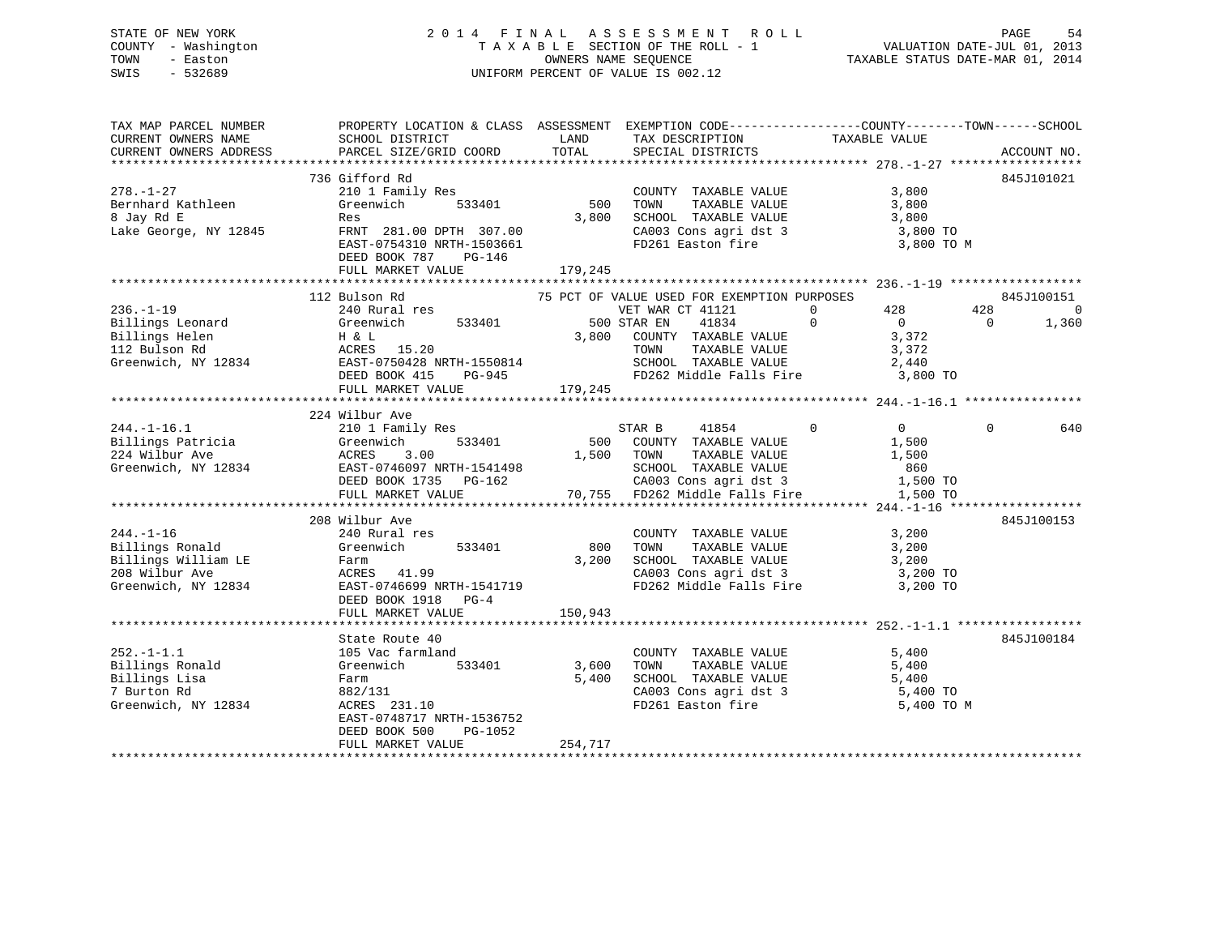### STATE OF NEW YORK 2 0 1 4 F I N A L A S S E S S M E N T R O L L PAGE 54 COUNTY - Washington T A X A B L E SECTION OF THE ROLL - 1 VALUATION DATE-JUL 01, 2013 TOWN - Easton OWNERS NAME SEQUENCE TAXABLE STATUS DATE-MAR 01, 2014 SWIS - 532689 UNIFORM PERCENT OF VALUE IS 002.12

| TAX MAP PARCEL NUMBER<br>CURRENT OWNERS NAME<br>CURRENT OWNERS ADDRESS                            | SCHOOL DISTRICT<br>PARCEL SIZE/GRID COORD                                                                                                                                                                                 | LAND<br>TAX DESCRIPTION<br>TOTAL<br>SPECIAL DISTRICTS                                                                                                                                                        | PROPERTY LOCATION & CLASS ASSESSMENT EXEMPTION CODE----------------COUNTY-------TOWN------SCHOOL<br>TAXABLE VALUE<br>ACCOUNT NO.          |
|---------------------------------------------------------------------------------------------------|---------------------------------------------------------------------------------------------------------------------------------------------------------------------------------------------------------------------------|--------------------------------------------------------------------------------------------------------------------------------------------------------------------------------------------------------------|-------------------------------------------------------------------------------------------------------------------------------------------|
| $278. - 1 - 27$<br>Bernhard Kathleen<br>8 Jay Rd E<br>Lake George, NY 12845                       | 736 Gifford Rd<br>210 1 Family Res<br>533401<br>Greenwich<br>Res<br>FRNT 281.00 DPTH 307.00<br>EAST-0754310 NRTH-1503661<br>DEED BOOK 787<br>PG-146<br>FULL MARKET VALUE                                                  | COUNTY TAXABLE VALUE<br>500<br>TOWN<br>TAXABLE VALUE<br>3,800<br>SCHOOL TAXABLE VALUE<br>CA003 Cons agri dst 3<br>FD261 Easton fire<br>179,245                                                               | 845J101021<br>3,800<br>3,800<br>3,800<br>3,800 TO<br>3,800 TO M                                                                           |
| $236. - 1 - 19$                                                                                   | 112 Bulson Rd<br>240 Rural res<br>Billings Leonard Greenwich 533401<br>Billings Helen H & L<br>112 Bulson Rd ACRES 15.20<br>Greenwich, NY 12834 EAST-0750428 NRTH-1550814<br>DEED BOOK 415<br>PG-945<br>FULL MARKET VALUE | 75 PCT OF VALUE USED FOR EXEMPTION PURPOSES<br>VET WAR CT 41121<br>500 STAR EN<br>41834<br>3,800 COUNTY TAXABLE VALUE<br>TAXABLE VALUE<br>TOWN<br>SCHOOL TAXABLE VALUE<br>FD262 Middle Falls Fire<br>179,245 | 845J100151<br>$\overline{0}$<br>428<br>428<br>0<br>$\Omega$<br>$\overline{0}$<br>1,360<br>$\Omega$<br>3,372<br>3,372<br>2,440<br>3,800 TO |
| $244. -1 - 16.1$                                                                                  | 224 Wilbur Ave<br>210 1 Family Res<br>DEED BOOK 1735 PG-162<br>FULL MARKET VALUE                                                                                                                                          | STAR B<br>41854<br>500 COUNTY TAXABLE VALUE<br>1,500 TOWN<br>TOWN      TAXABLE VALUE<br>SCHOOL   TAXABLE VALUE<br>CA003 Cons agri dst 3<br>70,755 FD262 Middle Falls Fire                                    | $0 \qquad \qquad$<br>$\Omega$<br>$\mathbf{0}$<br>640<br>1,500<br>1,500<br>860<br>1,500 TO<br>1,500 TO                                     |
| $244. -1 - 16$<br>Billings Ronald<br>Billings William LE<br>208 Wilbur Ave<br>Greenwich, NY 12834 | 208 Wilbur Ave<br>240 Rural res<br>533401<br>Greenwich<br>Farm<br>ACRES 41.99<br>EAST-0746699 NRTH-1541719<br>DEED BOOK 1918 PG-4<br>FULL MARKET VALUE                                                                    | COUNTY TAXABLE VALUE<br>TOWN      TAXABLE VALUE<br>800<br>3,200<br>150,943                                                                                                                                   | 845J100153<br>3,200<br>3,200<br>SCHOOL TAXABLE VALUE 3,200<br>CA003 Cons agri dst 3 3,200 TO<br>FD262 Middle Falls Fire 3,200 TO          |
| $252. -1 - 1.1$<br>Billings Ronald<br>Billings Lisa<br>7 Burton Rd<br>Greenwich, NY 12834         | State Route 40<br>105 Vac farmland<br>Greenwich<br>533401<br>Farm<br>882/131<br>ACRES 231.10<br>EAST-0748717 NRTH-1536752<br>DEED BOOK 500<br>PG-1052<br>FULL MARKET VALUE                                                | COUNTY TAXABLE VALUE<br>3,600<br>TOWN<br>TAXABLE VALUE<br>5,400<br>SCHOOL TAXABLE VALUE<br>CA003 Cons agri dst 3<br>FD261 Easton fire<br>254,717                                                             | 845J100184<br>5,400<br>5,400<br>5,400<br>5,400 TO<br>5,400 TO M                                                                           |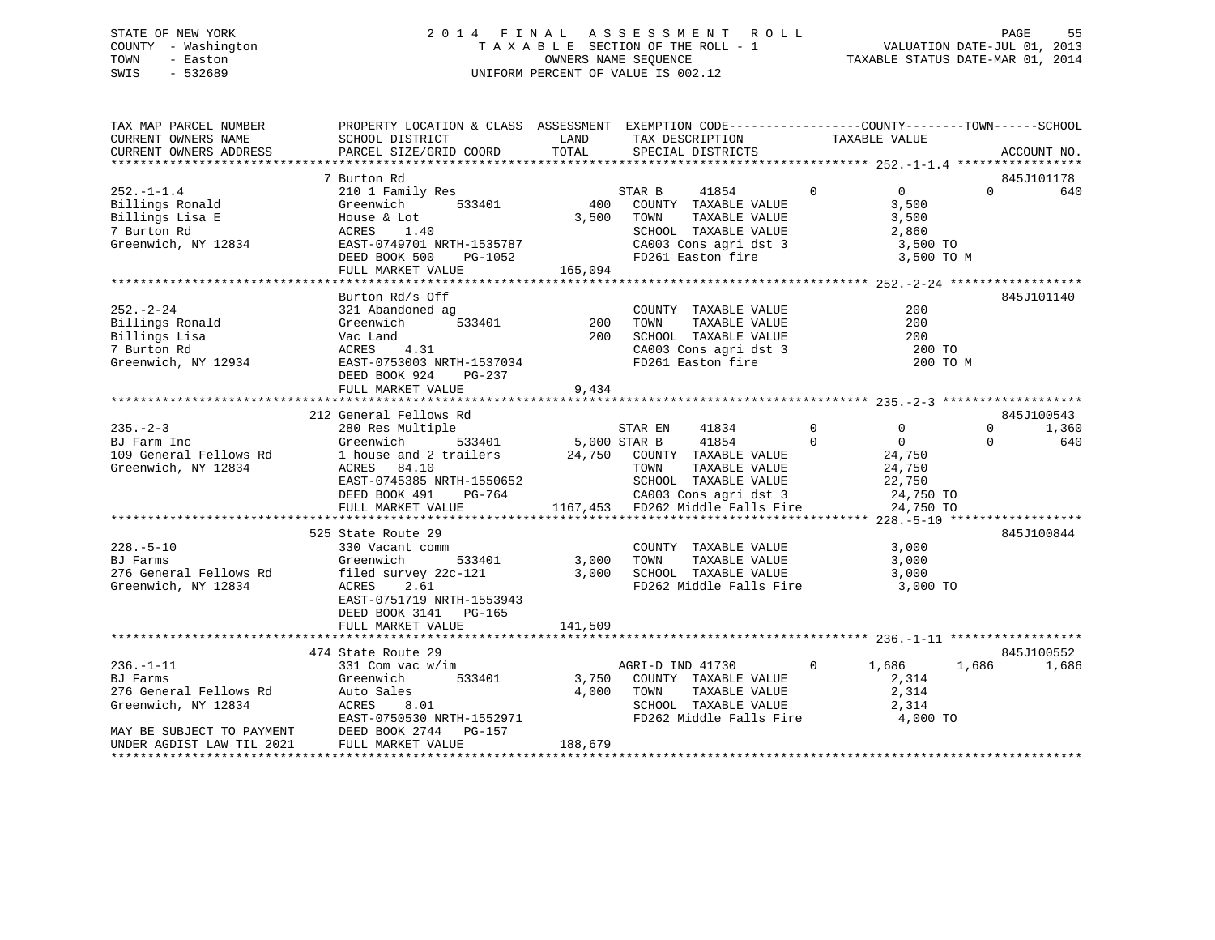### STATE OF NEW YORK 2 0 1 4 F I N A L A S S E S S M E N T R O L L PAGE 55 COUNTY - Washington T A X A B L E SECTION OF THE ROLL - 1 VALUATION DATE-JUL 01, 2013 TOWN - Easton OWNERS NAME SEQUENCE TAXABLE STATUS DATE-MAR 01, 2014 SWIS - 532689 UNIFORM PERCENT OF VALUE IS 002.12

| TAX MAP PARCEL NUMBER<br>CURRENT OWNERS NAME | PROPERTY LOCATION & CLASS ASSESSMENT EXEMPTION CODE----------------COUNTY-------TOWN------SCHOOL<br>SCHOOL DISTRICT LAND |         | TAX DESCRIPTION                                   | TAXABLE VALUE                    |                   |
|----------------------------------------------|--------------------------------------------------------------------------------------------------------------------------|---------|---------------------------------------------------|----------------------------------|-------------------|
| CURRENT OWNERS ADDRESS                       | PARCEL SIZE/GRID COORD                                                                                                   | TOTAL   | SPECIAL DISTRICTS                                 |                                  | ACCOUNT NO.       |
|                                              |                                                                                                                          |         |                                                   |                                  |                   |
|                                              | 7 Burton Rd                                                                                                              |         |                                                   |                                  | 845J101178        |
| $252. - 1 - 1.4$                             | 210 1 Family Res                                                                                                         | STAR B  | 41854 0                                           | $\overline{0}$                   | $\Omega$<br>640   |
| Billings Ronald                              | Greenwich<br>533401                                                                                                      |         | 400 COUNTY TAXABLE VALUE                          | 3,500                            |                   |
| Billings Lisa E                              | House & Lot<br>ACRES 1.40                                                                                                |         | 3,500 TOWN<br>TAXABLE VALUE                       | 3,500                            |                   |
| 7 Burton Rd                                  |                                                                                                                          |         | SCHOOL TAXABLE VALUE 2,860                        |                                  |                   |
| Greenwich, NY 12834                          | EAST-0749701 NRTH-1535787                                                                                                |         |                                                   |                                  |                   |
|                                              | DEED BOOK 500<br>PG-1052                                                                                                 |         |                                                   |                                  |                   |
|                                              | FULL MARKET VALUE                                                                                                        | 165,094 |                                                   |                                  |                   |
|                                              |                                                                                                                          |         |                                                   |                                  |                   |
|                                              | Burton Rd/s Off                                                                                                          |         |                                                   |                                  | 845J101140        |
| $252 - 2 - 24$                               |                                                                                                                          |         |                                                   | 200                              |                   |
| Billings Ronald                              |                                                                                                                          |         |                                                   | 200<br>$\frac{200}{200}$         |                   |
| Billings Lisa                                |                                                                                                                          |         |                                                   |                                  |                   |
| 7 Burton Rd                                  | EAST-0753003 NRTH-1537034                                                                                                |         | CA003 Cons agri dst 3<br>FD261 Easton fire        | 200 TO                           |                   |
| Greenwich, NY 12934                          | Greenwill<br>Vac Land<br>ACRES 4.31<br>TAST-0753003 NRT                                                                  |         |                                                   | 200 TO M                         |                   |
|                                              | DEED BOOK 924<br>PG-237                                                                                                  |         |                                                   |                                  |                   |
|                                              | FULL MARKET VALUE                                                                                                        | 9,434   |                                                   |                                  |                   |
|                                              | 212 General Fellows Rd                                                                                                   |         |                                                   |                                  | 845J100543        |
| $235. - 2 - 3$                               |                                                                                                                          |         | 41834                                             | $\overline{0}$<br>$\overline{0}$ | $\Omega$<br>1,360 |
| BJ Farm Inc                                  | 280 Res Multiple 533401 STAR EN Greenwich 533401 5,000 STAR B                                                            |         | 41854                                             | $\Omega$<br>$\overline{0}$       | $\Omega$<br>640   |
|                                              |                                                                                                                          |         |                                                   |                                  |                   |
| Greenwich, NY 12834                          |                                                                                                                          |         | TAXABLE VALUE                                     | 24,750<br>24,750<br>24,750       |                   |
|                                              | EAST-0745385 NRTH-1550652                                                                                                |         |                                                   | 22,750                           |                   |
|                                              | DEED BOOK 491 PG-764                                                                                                     |         |                                                   | 24,750 TO                        |                   |
|                                              | FULL MARKET VALUE                                                                                                        |         |                                                   | 24,750 TO                        |                   |
|                                              |                                                                                                                          |         |                                                   |                                  |                   |
|                                              | 525 State Route 29                                                                                                       |         |                                                   |                                  | 845J100844        |
| $228. - 5 - 10$                              |                                                                                                                          |         |                                                   | 3,000                            |                   |
| BJ Farms                                     | 330 Vacant comm<br>Greenwich 533401 3,000 TOWN<br>Greenwich                                                              |         | COUNTY TAXABLE VALUE<br>TOWN      TAXABLE VALUE   | 3,000                            |                   |
| 276 General Fellows Rd                       |                                                                                                                          |         |                                                   | 3,000                            |                   |
| Greenwich, NY 12834                          | filed survey 22c-121       3,000  SCHOOL TAXABLE VALUE<br>ACRES   2.61                  FD262 Middle Falls Fire          |         | FD262 Middle Falls Fire                           | 3,000 TO                         |                   |
|                                              | EAST-0751719 NRTH-1553943                                                                                                |         |                                                   |                                  |                   |
|                                              | DEED BOOK 3141 PG-165                                                                                                    |         |                                                   |                                  |                   |
|                                              | FULL MARKET VALUE                                                                                                        | 141,509 |                                                   |                                  |                   |
|                                              |                                                                                                                          |         |                                                   |                                  |                   |
|                                              | 474 State Route 29                                                                                                       |         |                                                   |                                  | 845J100552        |
| $236. - 1 - 11$                              | 331 Com vac w/im                                                                                                         |         | AGRI-D IND 41730 0 1,686                          |                                  | 1,686<br>1,686    |
| <b>BJ</b> Farms                              | Greenwich                                                                                                                |         | 533401 3,750 COUNTY TAXABLE VALUE                 | 2,314                            |                   |
| 276 General Fellows Rd                       | Auto Sales                                                                                                               |         | 4,000 TOWN                                        |                                  |                   |
| Greenwich, NY 12834                          | ACRES<br>8.01                                                                                                            |         | TOWN      TAXABLE VALUE<br>SCHOOL   TAXABLE VALUE | 2,314<br>2,314                   |                   |
|                                              | EAST-0750530 NRTH-1552971                                                                                                |         | FD262 Middle Falls Fire 4,000 TO                  |                                  |                   |
|                                              | MAY BE SUBJECT TO PAYMENT DEED BOOK 2744 PG-157                                                                          |         |                                                   |                                  |                   |
| UNDER AGDIST LAW TIL 2021                    | FULL MARKET VALUE                                                                                                        | 188,679 |                                                   |                                  |                   |
|                                              |                                                                                                                          |         |                                                   |                                  |                   |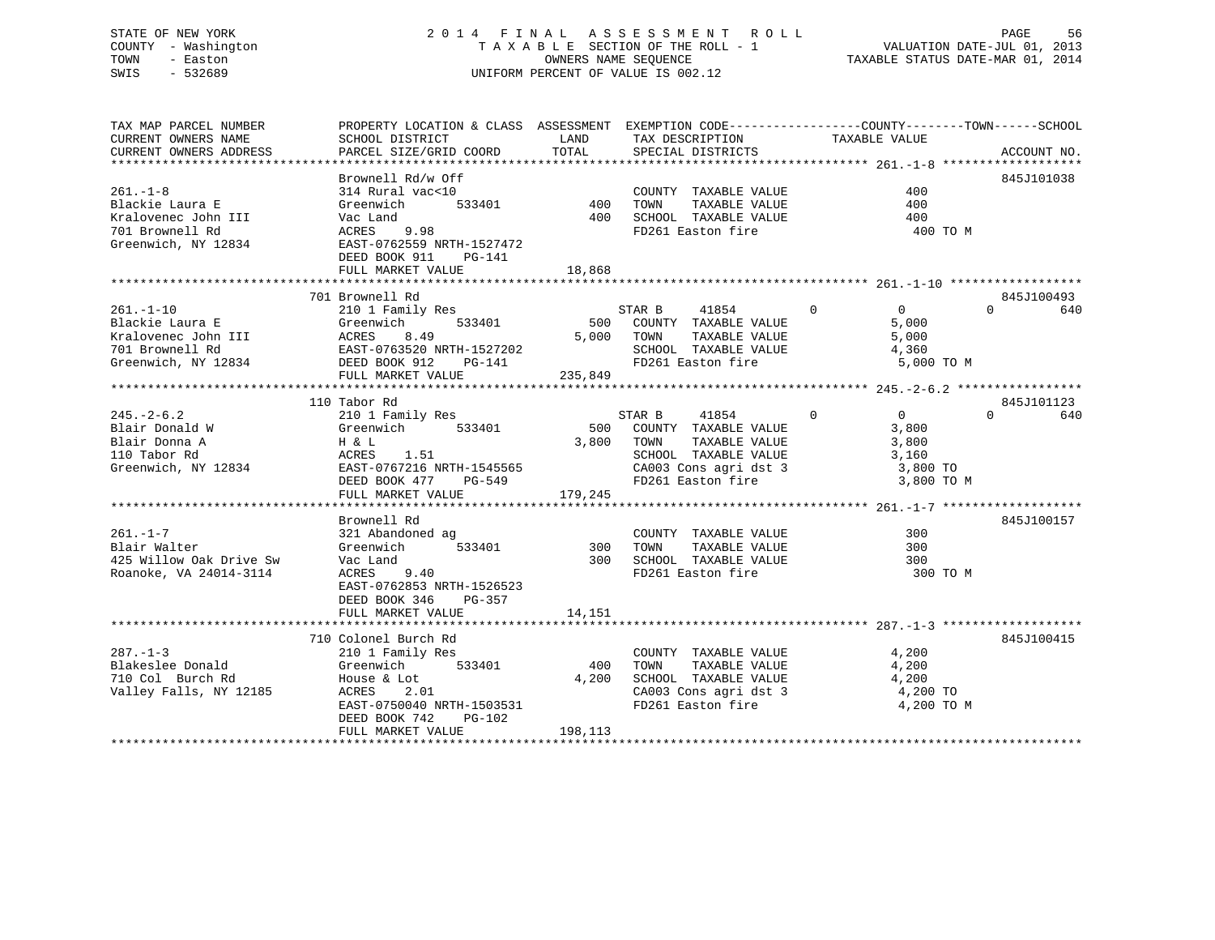### STATE OF NEW YORK 2 0 1 4 F I N A L A S S E S S M E N T R O L L PAGE 56 COUNTY - Washington T A X A B L E SECTION OF THE ROLL - 1 VALUATION DATE-JUL 01, 2013 TOWN - Easton **CONNERS NAME SEQUENCE** TAXABLE STATUS DATE-MAR 01, 2014 SWIS - 532689 UNIFORM PERCENT OF VALUE IS 002.12

| TAX MAP PARCEL NUMBER<br>CURRENT OWNERS NAME<br>CURRENT OWNERS ADDRESS              | PROPERTY LOCATION & CLASS ASSESSMENT EXEMPTION CODE----------------COUNTY-------TOWN-----SCHOOL                                                                                                                                                                                                                                                                                                                                                                     |         |                                                                                                                                                         | ACCOUNT NO. |
|-------------------------------------------------------------------------------------|---------------------------------------------------------------------------------------------------------------------------------------------------------------------------------------------------------------------------------------------------------------------------------------------------------------------------------------------------------------------------------------------------------------------------------------------------------------------|---------|---------------------------------------------------------------------------------------------------------------------------------------------------------|-------------|
|                                                                                     | DEED BOOK 911 PG-141                                                                                                                                                                                                                                                                                                                                                                                                                                                |         | 400 TO M                                                                                                                                                | 845J101038  |
|                                                                                     | 701 Brownell Rd                                                                                                                                                                                                                                                                                                                                                                                                                                                     |         |                                                                                                                                                         | 845J100493  |
| $261. -1 - 10$                                                                      | ECOMPLETE ROUND RESERVE STAR BASES<br>210 1 Family Res<br>Greenwich 533401 500 COUNTY TAXABLE VALUE                                                                                                                                                                                                                                                                                                                                                                 |         | $\begin{tabular}{lcccccc} \texttt{STAR} & B & 41854 & 0 & 0 \\ \texttt{500} & \texttt{COUNTY} & \texttt{TXABLE} & \texttt{VALUE} & 5,000 \end{tabular}$ | $0$ 640     |
|                                                                                     | 110 Tabor Rd                                                                                                                                                                                                                                                                                                                                                                                                                                                        |         |                                                                                                                                                         | 845J101123  |
|                                                                                     |                                                                                                                                                                                                                                                                                                                                                                                                                                                                     |         |                                                                                                                                                         |             |
|                                                                                     | Brownell Rd                                                                                                                                                                                                                                                                                                                                                                                                                                                         |         |                                                                                                                                                         | 845J100157  |
| $261. - 1 - 7$<br>Blair Walter<br>425 Willow Oak Drive Sw<br>Roanoke, VA 24014-3114 | Vac Land<br>EAST-0762853 NRTH-1526523<br>DEED BOOK 346 PG-357                                                                                                                                                                                                                                                                                                                                                                                                       |         | 300 TO M                                                                                                                                                |             |
|                                                                                     |                                                                                                                                                                                                                                                                                                                                                                                                                                                                     |         |                                                                                                                                                         |             |
|                                                                                     | 710 Colonel Burch Rd<br>${\small \begin{tabular}{lcccc} 287.-1-3 & 710\text{ Colone1 Burcn Ka} & 2101 Family Res & 2101 Family Res & 4,200Blakeslee Donald & 4,200710 Col Burch Rd & 533401 & 400 TOWN & TAXABLE VALUE & 4,200710 Col Burch Rd & 4,200Valley Falls, NY 12185 & 2.01 & 4,200A,2004,200TMXABLE VALUE & 4,200CAO03 Cons agri dst 3 & 4,200FDCR1 Exabilc YALUE & 4,200FACRES$<br>EAST-0750040 NRTH-1503531<br>DEED BOOK 742 PG-102<br>FULL MARKET VALUE | 198,113 | AAABLE VALUE 4,200<br>TAXABLE VALUE 4,200<br>TAXABLE VALUE 4,200<br>CA003 Cons agri dst 3 degree at 4,200 TO<br>FD261 Easton fire 1 degree 4,200 TO M   | 845J100415  |
|                                                                                     |                                                                                                                                                                                                                                                                                                                                                                                                                                                                     |         |                                                                                                                                                         |             |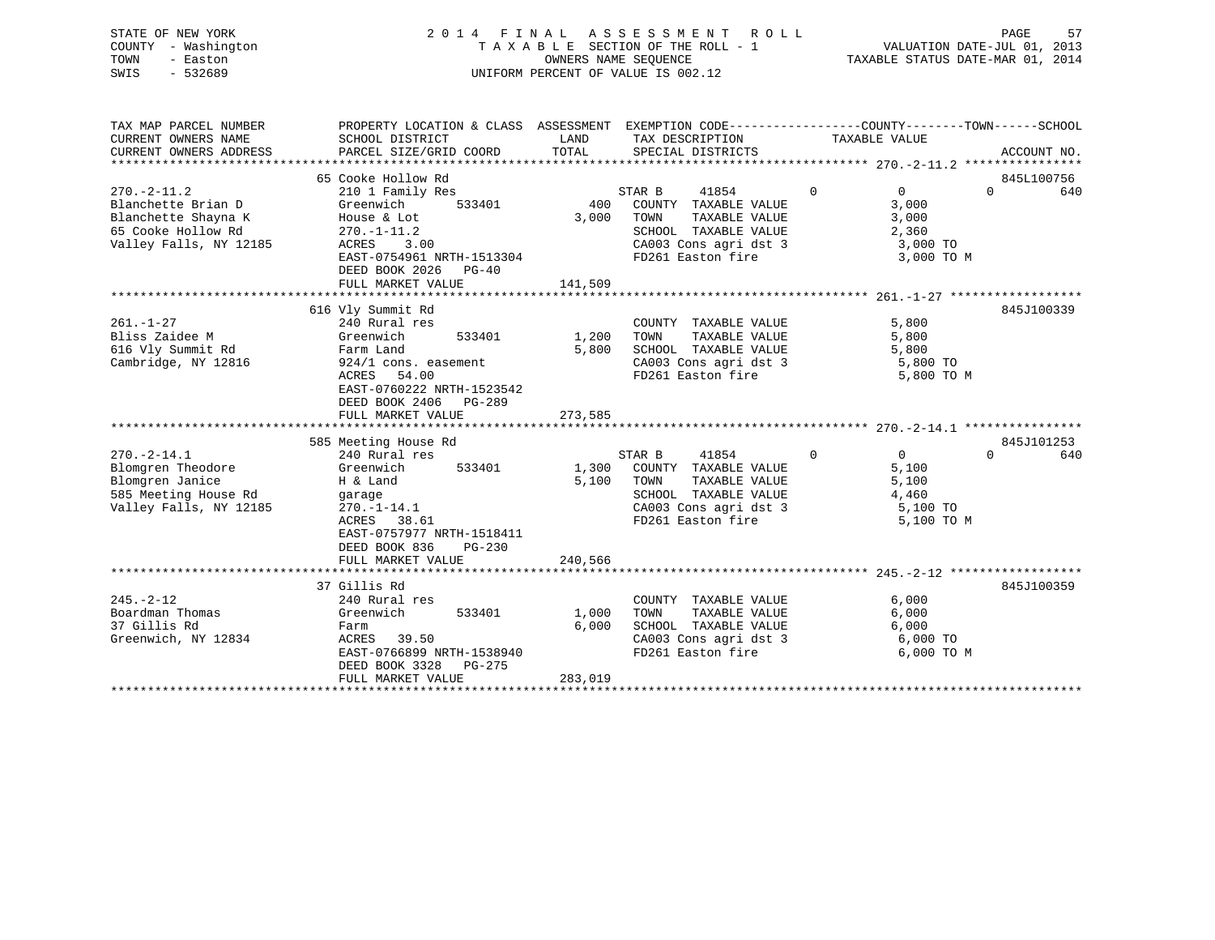| STATE OF NEW YORK   | 2014 FINAL ASSESSMENT ROLL         | 57<br>PAGE                       |
|---------------------|------------------------------------|----------------------------------|
| COUNTY - Washington | TAXABLE SECTION OF THE ROLL - 1    | VALUATION DATE-JUL 01, 2013      |
| TOWN<br>- Easton    | OWNERS NAME SEOUENCE               | TAXABLE STATUS DATE-MAR 01, 2014 |
| $-532689$<br>SWIS   | UNIFORM PERCENT OF VALUE IS 002.12 |                                  |
|                     |                                    |                                  |

| TAX MAP PARCEL NUMBER<br>CURRENT OWNERS NAME                                                                   | SCHOOL DISTRICT                                                                                                                                                                                     | LAND<br>TAX DESCRIPTION                                                                                                                                             | PROPERTY LOCATION & CLASS ASSESSMENT EXEMPTION CODE---------------COUNTY-------TOWN-----SCHOOL<br>TAXABLE VALUE  |
|----------------------------------------------------------------------------------------------------------------|-----------------------------------------------------------------------------------------------------------------------------------------------------------------------------------------------------|---------------------------------------------------------------------------------------------------------------------------------------------------------------------|------------------------------------------------------------------------------------------------------------------|
| CURRENT OWNERS ADDRESS                                                                                         | PARCEL SIZE/GRID COORD                                                                                                                                                                              | TOTAL<br>SPECIAL DISTRICTS                                                                                                                                          | ACCOUNT NO.                                                                                                      |
|                                                                                                                | 65 Cooke Hollow Rd                                                                                                                                                                                  |                                                                                                                                                                     | 845L100756                                                                                                       |
| $270. - 2 - 11.2$<br>Blanchette Brian D<br>Blanchette Shayna K<br>65 Cooke Hollow Rd<br>Valley Falls, NY 12185 | 210 1 Family Res<br>Greenwich<br>533401<br>House & Lot<br>$270. - 1 - 11.2$<br>ACRES<br>3.00<br>EAST-0754961 NRTH-1513304<br>DEED BOOK 2026 PG-40<br>FULL MARKET VALUE                              | STAR B<br>41854<br>400<br>COUNTY TAXABLE VALUE<br>3,000<br>TAXABLE VALUE<br>TOWN<br>SCHOOL TAXABLE VALUE<br>CA003 Cons agri dst 3<br>FD261 Easton fire<br>141,509   | $\Omega$<br>$\overline{0}$<br>$\Omega$<br>640<br>3,000<br>3,000<br>2,360<br>3,000 TO<br>3,000 TO M               |
| $261. - 1 - 27$<br>Bliss Zaidee M<br>616 Vly Summit Rd<br>Cambridge, NY 12816                                  | 616 Vly Summit Rd<br>240 Rural res<br>Greenwich<br>533401<br>Farm Land<br>924/1 cons. easement<br>ACRES<br>54.00<br>EAST-0760222 NRTH-1523542<br>DEED BOOK 2406 PG-289                              | COUNTY TAXABLE VALUE<br>TAXABLE VALUE<br>1,200<br>TOWN<br>5,800<br>SCHOOL TAXABLE VALUE<br>FD261 Easton fire                                                        | 845J100339<br>5,800<br>5,800<br>5,800<br>CA003 Cons agri dst 3 5,800 TO<br>5,800 TO M                            |
|                                                                                                                | FULL MARKET VALUE                                                                                                                                                                                   | 273,585                                                                                                                                                             |                                                                                                                  |
|                                                                                                                |                                                                                                                                                                                                     |                                                                                                                                                                     |                                                                                                                  |
| $270. - 2 - 14.1$<br>Blomgren Theodore<br>Blomgren Janice<br>585 Meeting House Rd<br>Valley Falls, NY 12185    | 585 Meeting House Rd<br>240 Rural res<br>Greenwich<br>533401<br>H & Land<br>garage<br>$270. - 1 - 14.1$<br>ACRES 38.61<br>EAST-0757977 NRTH-1518411<br>DEED BOOK 836<br>PG-230<br>FULL MARKET VALUE | STAR B<br>41854<br>COUNTY TAXABLE VALUE<br>1,300<br>5,100<br>TAXABLE VALUE<br>TOWN<br>SCHOOL TAXABLE VALUE<br>CA003 Cons agri dst 3<br>FD261 Easton fire<br>240,566 | 845J101253<br>$\Omega$<br>$\overline{0}$<br>$\Omega$<br>640<br>5,100<br>5,100<br>4,460<br>5,100 TO<br>5,100 TO M |
|                                                                                                                |                                                                                                                                                                                                     |                                                                                                                                                                     |                                                                                                                  |
| $245. - 2 - 12$<br>Boardman Thomas<br>37 Gillis Rd<br>Greenwich, NY 12834                                      | 37 Gillis Rd<br>240 Rural res<br>533401<br>Greenwich<br>Farm<br>ACRES<br>39.50<br>EAST-0766899 NRTH-1538940<br>DEED BOOK 3328<br>PG-275                                                             | COUNTY TAXABLE VALUE<br>1,000<br>TAXABLE VALUE<br>TOWN<br>6,000<br>SCHOOL TAXABLE VALUE<br>CA003 Cons agri dst 3<br>FD261 Easton fire                               | 845J100359<br>6,000<br>6,000<br>6,000<br>6,000 TO<br>6,000 TO M                                                  |
|                                                                                                                | FULL MARKET VALUE                                                                                                                                                                                   | 283,019                                                                                                                                                             |                                                                                                                  |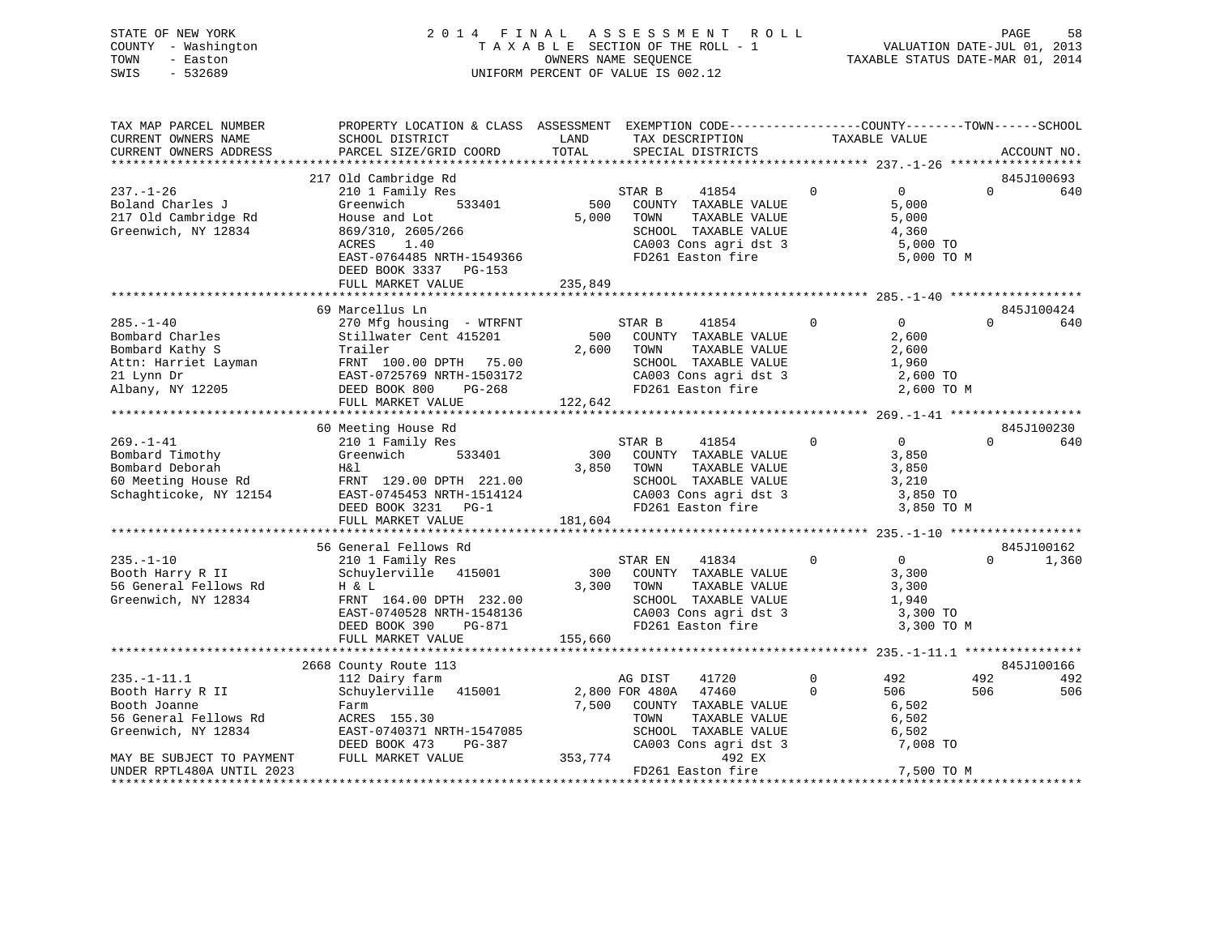### STATE OF NEW YORK 2 0 1 4 F I N A L A S S E S S M E N T R O L L PAGE 58 COUNTY - Washington T A X A B L E SECTION OF THE ROLL - 1 VALUATION DATE-JUL 01, 2013 TOWN - Easton **CONNERS NAME SEQUENCE** TAXABLE STATUS DATE-MAR 01, 2014 SWIS - 532689 UNIFORM PERCENT OF VALUE IS 002.12

| TAX MAP PARCEL NUMBER<br>CURRENT OWNERS NAME | PROPERTY LOCATION & CLASS ASSESSMENT EXEMPTION CODE----------------COUNTY-------TOWN------SCHOOL<br>SCHOOL DISTRICT | LAND    |                | TAX DESCRIPTION       |             | TAXABLE VALUE     |          |             |
|----------------------------------------------|---------------------------------------------------------------------------------------------------------------------|---------|----------------|-----------------------|-------------|-------------------|----------|-------------|
| CURRENT OWNERS ADDRESS                       | PARCEL SIZE/GRID COORD                                                                                              | TOTAL   |                | SPECIAL DISTRICTS     |             |                   |          | ACCOUNT NO. |
|                                              |                                                                                                                     |         |                |                       |             |                   |          |             |
|                                              | 217 Old Cambridge Rd                                                                                                |         |                |                       |             |                   |          | 845J100693  |
| $237. - 1 - 26$                              | 210 1 Family Res                                                                                                    |         | STAR B         | 41854                 | $\Omega$    | $\overline{0}$    | $\Omega$ | 640         |
| Boland Charles J                             | Greenwich<br>533401                                                                                                 | 500     |                | COUNTY TAXABLE VALUE  |             | 5,000             |          |             |
| 217 Old Cambridge Rd                         | House and Lot                                                                                                       | 5,000   | TOWN           | TAXABLE VALUE         |             | 5,000             |          |             |
| Greenwich, NY 12834                          | 869/310, 2605/266                                                                                                   |         |                | SCHOOL TAXABLE VALUE  |             | 4,360             |          |             |
|                                              | ACRES<br>1.40                                                                                                       |         |                | CA003 Cons agri dst 3 |             | 5,000 TO          |          |             |
|                                              | EAST-0764485 NRTH-1549366                                                                                           |         |                | FD261 Easton fire     |             | 5,000 TO M        |          |             |
|                                              | DEED BOOK 3337 PG-153                                                                                               |         |                |                       |             |                   |          |             |
|                                              | FULL MARKET VALUE                                                                                                   | 235,849 |                |                       |             |                   |          |             |
|                                              | 69 Marcellus Ln                                                                                                     |         |                |                       |             |                   |          | 845J100424  |
| $285. - 1 - 40$                              | 270 Mfg housing - WTRFNT                                                                                            |         | STAR B         | 41854                 | $\Omega$    | $\Omega$          | $\Omega$ | 640         |
| Bombard Charles                              | Stillwater Cent 415201                                                                                              | 500     |                | COUNTY TAXABLE VALUE  |             | 2,600             |          |             |
| Bombard Kathy S                              | Trailer                                                                                                             | 2,600   | TOWN           | TAXABLE VALUE         |             | 2,600             |          |             |
| Attn: Harriet Layman                         | FRNT 100.00 DPTH 75.00                                                                                              |         |                | SCHOOL TAXABLE VALUE  |             | 1,960             |          |             |
| 21 Lynn Dr                                   | EAST-0725769 NRTH-1503172                                                                                           |         |                | CA003 Cons agri dst 3 |             | 2,600 TO          |          |             |
| Albany, NY 12205                             | DEED BOOK 800<br>PG-268                                                                                             |         |                | FD261 Easton fire     |             | 2,600 TO M        |          |             |
|                                              | FULL MARKET VALUE                                                                                                   | 122,642 |                |                       |             |                   |          |             |
|                                              |                                                                                                                     |         |                |                       |             |                   |          |             |
|                                              | 60 Meeting House Rd                                                                                                 |         |                |                       |             |                   |          | 845J100230  |
| $269. - 1 - 41$                              | 210 1 Family Res                                                                                                    |         | STAR B         | 41854                 | $\mathbf 0$ | $0 \qquad \qquad$ | $\Omega$ | 640         |
| Bombard Timothy                              | Greenwich<br>533401                                                                                                 | 300     |                | COUNTY TAXABLE VALUE  |             | 3,850             |          |             |
| Bombard Deborah                              | H&l                                                                                                                 | 3,850   | TOWN           | TAXABLE VALUE         |             | 3,850             |          |             |
| 60 Meeting House Rd                          | FRNT 129.00 DPTH 221.00                                                                                             |         |                | SCHOOL TAXABLE VALUE  |             | 3,210             |          |             |
| Schaghticoke, NY 12154                       | EAST-0745453 NRTH-1514124                                                                                           |         |                | CA003 Cons agri dst 3 |             | 3,850 TO          |          |             |
|                                              | DEED BOOK 3231 PG-1                                                                                                 |         |                | FD261 Easton fire     |             | 3,850 TO M        |          |             |
|                                              | FULL MARKET VALUE                                                                                                   | 181,604 |                |                       |             |                   |          |             |
|                                              |                                                                                                                     |         |                |                       |             |                   |          |             |
|                                              | 56 General Fellows Rd                                                                                               |         |                |                       |             |                   |          | 845J100162  |
| $235. -1 - 10$                               | 210 1 Family Res                                                                                                    |         | STAR EN        | 41834                 | $\Omega$    | $\overline{0}$    | $\Omega$ | 1,360       |
| Booth Harry R II                             | Schuylerville 415001                                                                                                | 300     |                | COUNTY TAXABLE VALUE  |             | 3,300             |          |             |
| 56 General Fellows Rd                        | H & L                                                                                                               | 3,300   | TOWN           | TAXABLE VALUE         |             | 3,300             |          |             |
| Greenwich, NY 12834                          | FRNT 164.00 DPTH 232.00                                                                                             |         |                | SCHOOL TAXABLE VALUE  |             | 1,940             |          |             |
|                                              | EAST-0740528 NRTH-1548136                                                                                           |         |                | CA003 Cons agri dst 3 |             | 3,300 TO          |          |             |
|                                              | DEED BOOK 390<br>PG-871                                                                                             | 155,660 |                | FD261 Easton fire     |             | 3,300 TO M        |          |             |
|                                              | FULL MARKET VALUE                                                                                                   |         |                |                       |             |                   |          |             |
|                                              | 2668 County Route 113                                                                                               |         |                |                       |             |                   |          | 845J100166  |
| $235. - 1 - 11.1$                            | 112 Dairy farm                                                                                                      |         | AG DIST        | 41720                 | $\Omega$    | 492               | 492      | 492         |
| Booth Harry R II                             | Schuylerville 415001                                                                                                |         | 2,800 FOR 480A | 47460                 | $\Omega$    | 506               | 506      | 506         |
| Booth Joanne                                 | Farm                                                                                                                | 7,500   |                | COUNTY TAXABLE VALUE  |             | 6,502             |          |             |
| 56 General Fellows Rd                        | ACRES 155.30                                                                                                        |         | TOWN           | TAXABLE VALUE         |             | 6,502             |          |             |
| Greenwich, NY 12834                          | EAST-0740371 NRTH-1547085                                                                                           |         |                | SCHOOL TAXABLE VALUE  |             | 6,502             |          |             |
|                                              | DEED BOOK 473<br>PG-387                                                                                             |         |                | CA003 Cons agri dst 3 |             | 7,008 TO          |          |             |
| MAY BE SUBJECT TO PAYMENT                    | FULL MARKET VALUE                                                                                                   | 353,774 |                | 492 EX                |             |                   |          |             |
| UNDER RPTL480A UNTIL 2023                    |                                                                                                                     |         |                | FD261 Easton fire     |             | 7,500 TO M        |          |             |
|                                              |                                                                                                                     |         |                |                       |             |                   |          |             |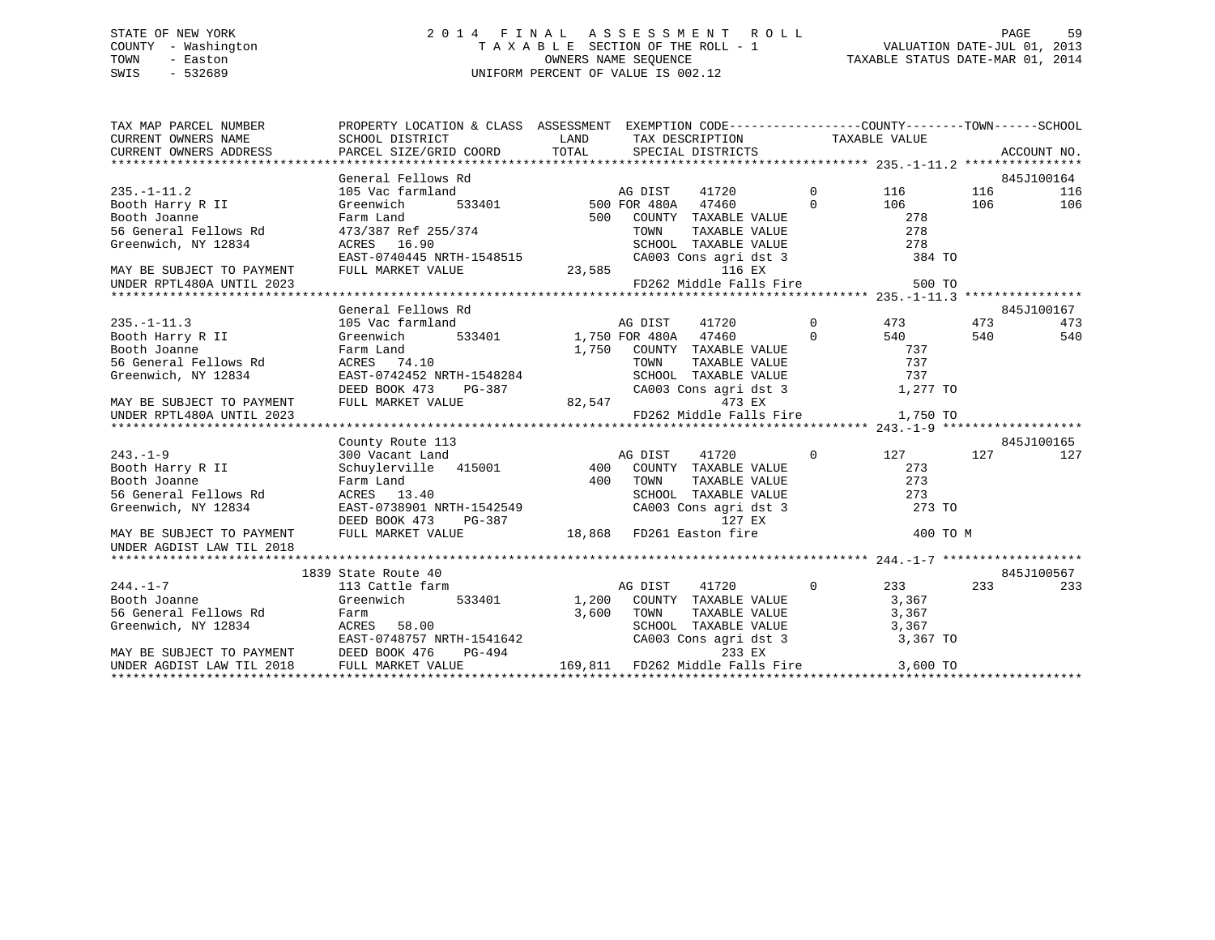### STATE OF NEW YORK 2 0 1 4 F I N A L A S S E S S M E N T R O L L PAGE 59 COUNTY - Washington T A X A B L E SECTION OF THE ROLL - 1 VALUATION DATE-JUL 01, 2013 TOWN - Easton OWNERS NAME SEQUENCE TAXABLE STATUS DATE-MAR 01, 2014 SWIS - 532689 UNIFORM PERCENT OF VALUE IS 002.12

| $\begin{tabular}{lllllllllll} \textsc{rank} & & & & & & & \textsc{propERTY LOCATION & & & & & \textsc{SSESSMENT} & & & & \textsc{EXEMPTION CODE------------------COUNTY------TOWN------SCHOOL \\ \textsc{CURENT OWNERS NAME} & & & & & & & \textsc{SCHOOL DISTRICT} & & & & \textsc{LAND} & & \textsc{TAX} & & \textsc{DESCRIPTION} & & & \textsc{TAXABLE VALUE} & & & \textsc{ACCUNT NO} \\ \textsc{CURENT OWNERS ADDRESS} & & & & & & \textsc{PARCEL SIZE/GRID COORD} & & \textsc{TOTAL} & & &$ |                                                                                                                |         |                                                                                         |             |     |            |
|---------------------------------------------------------------------------------------------------------------------------------------------------------------------------------------------------------------------------------------------------------------------------------------------------------------------------------------------------------------------------------------------------------------------------------------------------------------------------------------------------|----------------------------------------------------------------------------------------------------------------|---------|-----------------------------------------------------------------------------------------|-------------|-----|------------|
|                                                                                                                                                                                                                                                                                                                                                                                                                                                                                                   |                                                                                                                |         |                                                                                         |             |     | 845J100164 |
|                                                                                                                                                                                                                                                                                                                                                                                                                                                                                                   |                                                                                                                |         |                                                                                         |             | 116 | 116        |
|                                                                                                                                                                                                                                                                                                                                                                                                                                                                                                   |                                                                                                                |         |                                                                                         |             | 106 | 106        |
|                                                                                                                                                                                                                                                                                                                                                                                                                                                                                                   |                                                                                                                |         |                                                                                         |             |     |            |
|                                                                                                                                                                                                                                                                                                                                                                                                                                                                                                   |                                                                                                                |         |                                                                                         |             |     |            |
|                                                                                                                                                                                                                                                                                                                                                                                                                                                                                                   |                                                                                                                |         |                                                                                         |             |     |            |
|                                                                                                                                                                                                                                                                                                                                                                                                                                                                                                   |                                                                                                                |         |                                                                                         |             |     |            |
|                                                                                                                                                                                                                                                                                                                                                                                                                                                                                                   |                                                                                                                |         |                                                                                         |             |     |            |
|                                                                                                                                                                                                                                                                                                                                                                                                                                                                                                   |                                                                                                                |         |                                                                                         |             |     |            |
|                                                                                                                                                                                                                                                                                                                                                                                                                                                                                                   |                                                                                                                |         |                                                                                         |             |     |            |
|                                                                                                                                                                                                                                                                                                                                                                                                                                                                                                   |                                                                                                                |         |                                                                                         |             |     | 845J100167 |
|                                                                                                                                                                                                                                                                                                                                                                                                                                                                                                   |                                                                                                                |         |                                                                                         |             |     |            |
|                                                                                                                                                                                                                                                                                                                                                                                                                                                                                                   |                                                                                                                |         |                                                                                         |             |     |            |
|                                                                                                                                                                                                                                                                                                                                                                                                                                                                                                   |                                                                                                                |         |                                                                                         |             |     |            |
|                                                                                                                                                                                                                                                                                                                                                                                                                                                                                                   |                                                                                                                |         |                                                                                         |             |     |            |
|                                                                                                                                                                                                                                                                                                                                                                                                                                                                                                   |                                                                                                                |         |                                                                                         |             |     |            |
|                                                                                                                                                                                                                                                                                                                                                                                                                                                                                                   |                                                                                                                |         |                                                                                         |             |     |            |
|                                                                                                                                                                                                                                                                                                                                                                                                                                                                                                   |                                                                                                                |         |                                                                                         |             |     |            |
|                                                                                                                                                                                                                                                                                                                                                                                                                                                                                                   |                                                                                                                |         |                                                                                         |             |     |            |
|                                                                                                                                                                                                                                                                                                                                                                                                                                                                                                   |                                                                                                                |         |                                                                                         |             |     |            |
|                                                                                                                                                                                                                                                                                                                                                                                                                                                                                                   | County Route 113<br>300 Vacant Land<br>Schuylerville 415001 400 COUNTY TAXABLE VALUE<br>400 TOWN TAXABLE VALUE |         |                                                                                         |             |     | 845J100165 |
| $243. -1 - 9$                                                                                                                                                                                                                                                                                                                                                                                                                                                                                     |                                                                                                                |         |                                                                                         | $0$ 127 127 |     | 127        |
| Booth Harry R II                                                                                                                                                                                                                                                                                                                                                                                                                                                                                  |                                                                                                                |         |                                                                                         | 273         |     |            |
| Booth Joanne<br>Booth Joanne<br>Second Tellows Rd<br>Second Tellows Rd<br>Second Tellows Rd<br>CRES 22<br>Second Tellows Rd<br>SEED BOOK 473<br>DEED BOOK 473<br>DEED BOOK 473<br>PG-387<br>18,868<br>FD261 Easton fire<br>18,868<br>FD261 Easton fire                                                                                                                                                                                                                                            |                                                                                                                |         | TOWN TAXABLE VALUE<br>SCHOOL TAXABLE VALUE<br>CA003 Cons agri dst 3<br>127 EX<br>127 EX |             |     |            |
|                                                                                                                                                                                                                                                                                                                                                                                                                                                                                                   |                                                                                                                |         |                                                                                         |             |     |            |
|                                                                                                                                                                                                                                                                                                                                                                                                                                                                                                   |                                                                                                                |         |                                                                                         |             |     |            |
|                                                                                                                                                                                                                                                                                                                                                                                                                                                                                                   |                                                                                                                |         |                                                                                         |             |     |            |
|                                                                                                                                                                                                                                                                                                                                                                                                                                                                                                   |                                                                                                                |         |                                                                                         | 400 TO M    |     |            |
| UNDER AGDIST LAW TIL 2018                                                                                                                                                                                                                                                                                                                                                                                                                                                                         |                                                                                                                |         |                                                                                         |             |     |            |
|                                                                                                                                                                                                                                                                                                                                                                                                                                                                                                   |                                                                                                                |         |                                                                                         |             |     |            |
|                                                                                                                                                                                                                                                                                                                                                                                                                                                                                                   | 1839 State Route 40                                                                                            |         |                                                                                         |             |     | 845J100567 |
|                                                                                                                                                                                                                                                                                                                                                                                                                                                                                                   |                                                                                                                | AG DIST |                                                                                         |             |     | 233        |
|                                                                                                                                                                                                                                                                                                                                                                                                                                                                                                   |                                                                                                                |         |                                                                                         |             |     |            |
|                                                                                                                                                                                                                                                                                                                                                                                                                                                                                                   |                                                                                                                |         |                                                                                         |             |     |            |
|                                                                                                                                                                                                                                                                                                                                                                                                                                                                                                   |                                                                                                                |         |                                                                                         |             |     |            |
|                                                                                                                                                                                                                                                                                                                                                                                                                                                                                                   |                                                                                                                |         |                                                                                         |             |     |            |
|                                                                                                                                                                                                                                                                                                                                                                                                                                                                                                   |                                                                                                                |         |                                                                                         |             |     |            |
|                                                                                                                                                                                                                                                                                                                                                                                                                                                                                                   |                                                                                                                |         |                                                                                         |             |     |            |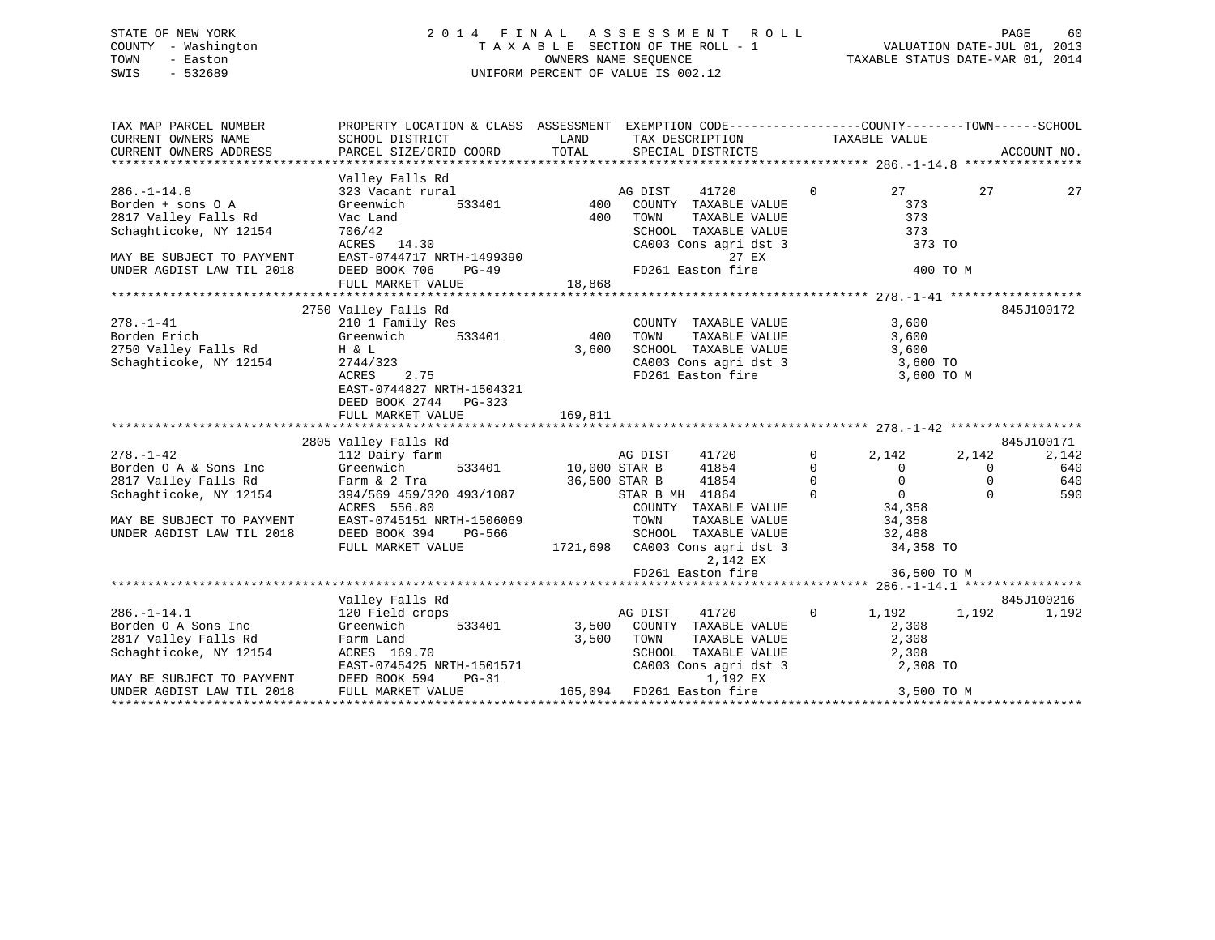# STATE OF NEW YORK GOOD CONSULTED A LIMIT A S S E S S M E N T R O L L CONSULTED AGE 60 COUNTY - Washington  $T A X A B L E$  SECTION OF THE ROLL - 1<br>TOWN - Easton DATE-JUL 2014 OWNERS NAME SEQUENCE SWIS - 532689 UNIFORM PERCENT OF VALUE IS 002.12

TAXABLE STATUS DATE-MAR 01, 2014

| TAX MAP PARCEL NUMBER                                                                                                                                                                                                                                                                                                                                                                     | PROPERTY LOCATION & CLASS ASSESSMENT EXEMPTION CODE---------------COUNTY-------TOWN------SCHOOL                                                                                       |            |                                                                                                                                                                                                                                                                                          |                |                      |                                          |
|-------------------------------------------------------------------------------------------------------------------------------------------------------------------------------------------------------------------------------------------------------------------------------------------------------------------------------------------------------------------------------------------|---------------------------------------------------------------------------------------------------------------------------------------------------------------------------------------|------------|------------------------------------------------------------------------------------------------------------------------------------------------------------------------------------------------------------------------------------------------------------------------------------------|----------------|----------------------|------------------------------------------|
| $286. - 1 - 14.8$<br>Borden + sons 0 A<br>2817 Valley Falls Rd<br>Schaghticoke, NY 12154<br>Schaghticoke, NY 12154 706/42<br>MAY BE SUBJECT TO PAYMENT REST-0744717 NRTH-1499390<br>MAY BE SUBJECT TO PAYMENT EAST-0744717 NRTH-1499390 27 EX<br>UNDER AGDIST LAW TIL 2018 DEED BOOK 706 PG-49 FD261 Easton fire 18,868<br>*******                                                        | Valley Falls Rd<br>$\begin{array}{ccc}\n 8 & \text{AU} \\  \text{rural} & 533401 & 400 \\  \hline\n & 400 & 400\n \end{array}$<br>323 Vacant rural<br>Greenwich<br>Vac Land<br>706/42 | 400        | AG DIST<br>41720<br>COUNTY TAXABLE VALUE<br>TOWN<br>TOWN TAXABLE VALUE<br>SCHOOL TAXABLE VALUE<br>CA003 Cons agri dst 3 373 TO<br>The state of the state of the state of the state of the state of the state of the state of the state of the state of the state of the state of the sta | $\overline{0}$ | 27 — 27<br>27<br>373 | 27                                       |
| $\begin{array}{lllllllll} \textbf{278.-1--41} & \textbf{210} & \textbf{I} \textbf{-Family Res} & \textbf{COUNT} \\ \textbf{Borden Erich} & \textbf{310} & \textbf{31401} & \textbf{400} & \textbf{TOWN} \\ \textbf{2750 Valley Falls Rd} & \textbf{H & L} & \textbf{533401} & \textbf{3,600} & \textbf{SCHOO} \\ \end{array}$<br>Schaghticoke, NY 12154                                   | 2750 Valley Falls Rd<br>H & L<br>2744/323<br>ACRES 2.75<br>EAST-0744827 NRTH-1504321<br>DEED BOOK 2744 PG-323<br>FULL MARKET VALUE                                                    | 169,811    | COUNTY TAXABLE VALUE 3,600<br>TOWN TAXABLE VALUE 3,600<br>SCHOOL TAXABLE VALUE 3,600<br>CA003 Cons agri dst 3 3,600<br>FD261 Easton fire 3,600 TO                                                                                                                                        |                | 3,600 TO M           | 845J100172                               |
| $\begin{array}{ccccccccc} 278.-1-42 & 2805 \text{ Valley Falls Rd} & & & & & & & 2005 \text{ Valley falls Rd} & & & & & & & & & 2009 \text{G} & 2142 & 2142 & 2142 & 2142 & 2142 & 2142 & 2142 & 2142 & 2142 & 2142 & 2142 & 2142 & 2142 & 2142 & 2142 & 2142 & 2142 & 2142 & 2142 & 2142 & 2142 & 2142 & 2142 & 2142 & 2142 &$<br>MAY BE SUBJECT TO PAYMENT<br>UNDER AGDIST LAW TIL 2018 | EAST-0745151 NRTH-1506069<br>DEED BOOK 394<br>PG-566<br>FULL MARKET VALUE                                                                                                             |            | TAXABLE VALUE 34,358<br>TOWN<br>G-566 SCHOOL TAXABLE VALUE 32,488<br>1721,698 CA003 Cons agri dst 3 34,358 TO<br>2,142 EX<br>FD261 Easton fire                                                                                                                                           |                | 36,500 TO M          | 845J100171<br>2,142<br>640<br>640<br>590 |
| $286. - 1 - 14.1$<br>Borden 0 A Sons Inc Creenwich<br>2817 Valley Falls Rd<br>Schaghticoke, NY 12154<br>EAST-0745425 NRTH-1501571<br>EAST-0745425 NRTH-1501571<br>MAY BE SUBJECT TO PAYMENT DEED BOOK 594<br>UNDER AGDIST LAW TIL 2018 FULL MARKET V                                                                                                                                      | Valley Falls Rd<br>120 Field crops<br>$PG-31$<br>FULL MARKET VALUE                                                                                                                    | 3,500 TOWN | AG DIST $41720$ 0 $1,192$ 1,192<br>533401 3,500 COUNTY TAXABLE VALUE<br>FOWN TAXABLE VALUE 2,308<br>SCHOOL TAXABLE VALUE 2,308<br>CA003 Cons agri dst 3 2,308 TO<br>1,192 EX<br>3-31 1,192 EX<br>165,094 FD261 Easton fire 3,500 TO M                                                    |                | 2,308                | 845J100216<br>1,192                      |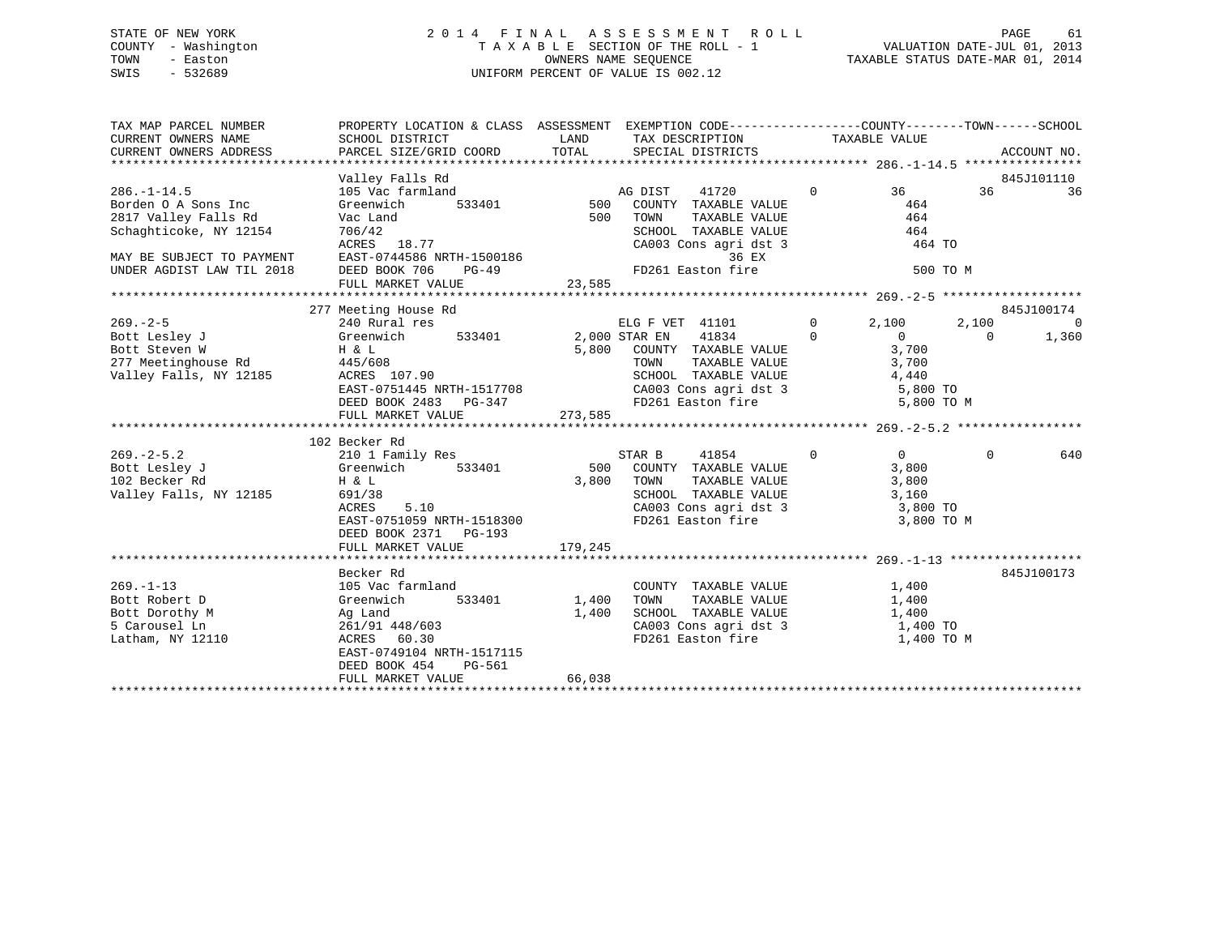### STATE OF NEW YORK 2 0 1 4 F I N A L A S S E S S M E N T R O L L PAGE 61 COUNTY - Washington T A X A B L E SECTION OF THE ROLL - 1 VALUATION DATE-JUL 01, 2013 TOWN - Easton OWNERS NAME SEQUENCE TAXABLE STATUS DATE-MAR 01, 2014 SWIS - 532689 UNIFORM PERCENT OF VALUE IS 002.12

| TAX MAP PARCEL NUMBER<br>CURRENT OWNERS NAME<br>CURRENT OWNERS ADDRESS | PROPERTY LOCATION & CLASS ASSESSMENT EXEMPTION CODE-----------------COUNTY-------TOWN------SCHOOL<br>SCHOOL DISTRICT<br>PARCEL SIZE/GRID COORD                                                                                | LAND TAX DESCRIPTION<br>TOTAL SPECIAL DISTRICTS                      |                            | TAXABLE VALUE                                                                                      |                | ACCOUNT NO. |
|------------------------------------------------------------------------|-------------------------------------------------------------------------------------------------------------------------------------------------------------------------------------------------------------------------------|----------------------------------------------------------------------|----------------------------|----------------------------------------------------------------------------------------------------|----------------|-------------|
|                                                                        |                                                                                                                                                                                                                               |                                                                      |                            |                                                                                                    |                |             |
|                                                                        | Valley Falls Rd                                                                                                                                                                                                               |                                                                      |                            |                                                                                                    |                | 845J101110  |
| $286. - 1 - 14.5$                                                      | 105 Vac farmland                                                                                                                                                                                                              | mland<br>533401 500 COUNTY TAXABLE VALUE<br>FOO TOUNTY TAXABLE VALUE |                            | $0 \qquad \qquad 36$                                                                               | 36             | 36          |
| Borden O A Sons Inc                                                    | Greenwich                                                                                                                                                                                                                     |                                                                      |                            | 464                                                                                                |                |             |
| 2817 Valley Falls Rd                                                   | Vac Land                                                                                                                                                                                                                      | 500 TOWN                                                             | TAXABLE VALUE              | 464                                                                                                |                |             |
| Schaghticoke, NY 12154                                                 |                                                                                                                                                                                                                               |                                                                      | SCHOOL TAXABLE VALUE 464   |                                                                                                    |                |             |
|                                                                        |                                                                                                                                                                                                                               |                                                                      |                            | CA003 Cons agri dst 3 464 TO                                                                       |                |             |
|                                                                        |                                                                                                                                                                                                                               |                                                                      |                            | 500 TO M                                                                                           |                |             |
|                                                                        | Schaghticoke, NY 12154 706/42<br>ACRES 18.77 CA003 Cons agridst 3<br>MAY BE SUBJECT TO PAYMENT EAST-0744586 NRTH-1500186 36 EX<br>UNDER AGDIST LAW TIL 2018 DEED BOOK 706 PG-49 FD261 Easton fire<br>FULL MARKET VALUE 23,585 |                                                                      |                            |                                                                                                    |                |             |
|                                                                        |                                                                                                                                                                                                                               |                                                                      |                            |                                                                                                    |                |             |
|                                                                        | 277 Meeting House Rd                                                                                                                                                                                                          |                                                                      |                            |                                                                                                    |                | 845J100174  |
| $269 - 2 - 5$                                                          | 240 Rural res                                                                                                                                                                                                                 |                                                                      |                            | ELG F VET 41101 0 2,100                                                                            | 2,100          | 0           |
|                                                                        |                                                                                                                                                                                                                               |                                                                      |                            |                                                                                                    | $\overline{0}$ | 1,360       |
|                                                                        |                                                                                                                                                                                                                               |                                                                      |                            |                                                                                                    |                |             |
|                                                                        |                                                                                                                                                                                                                               |                                                                      |                            |                                                                                                    |                |             |
|                                                                        |                                                                                                                                                                                                                               |                                                                      | SCHOOL TAXABLE VALUE 4,440 |                                                                                                    |                |             |
|                                                                        |                                                                                                                                                                                                                               |                                                                      |                            |                                                                                                    |                |             |
|                                                                        | FULL MARKET VALUE                                                                                                                                                                                                             | 273,585                                                              |                            |                                                                                                    |                |             |
|                                                                        |                                                                                                                                                                                                                               |                                                                      |                            |                                                                                                    |                |             |
|                                                                        | 102 Becker Rd                                                                                                                                                                                                                 |                                                                      |                            |                                                                                                    |                |             |
| $269. -2 - 5.2$                                                        | 210 1 Family Res                                                                                                                                                                                                              | STAR B                                                               | 41854                      | $\begin{matrix} 0 & 0 \end{matrix}$                                                                | $\Omega$       | 640         |
|                                                                        |                                                                                                                                                                                                                               |                                                                      |                            |                                                                                                    |                |             |
| Valley Falls, NY 12185                                                 | $H$ & $L$<br>691/38                                                                                                                                                                                                           |                                                                      |                            | TOWN TAXABLE VALUE 3,800<br>SCHOOL TAXABLE VALUE 3,160                                             |                |             |
|                                                                        | ACRES<br>5.10                                                                                                                                                                                                                 |                                                                      |                            | CA003 Cons agri dst 3 3,800 TO                                                                     |                |             |
|                                                                        | EAST-0751059 NRTH-1518300                                                                                                                                                                                                     |                                                                      | FD261 Easton fire          | 3,800 TO M                                                                                         |                |             |
|                                                                        | DEED BOOK 2371 PG-193                                                                                                                                                                                                         |                                                                      |                            |                                                                                                    |                |             |
|                                                                        | FULL MARKET VALUE                                                                                                                                                                                                             | 179,245                                                              |                            |                                                                                                    |                |             |
|                                                                        |                                                                                                                                                                                                                               |                                                                      |                            |                                                                                                    |                |             |
| $269. - 1 - 13$                                                        | Becker Rd<br>105 Vac farmland                                                                                                                                                                                                 |                                                                      |                            |                                                                                                    |                | 845J100173  |
| Bott Robert D                                                          | 533401 1,400<br>Greenwich                                                                                                                                                                                                     | TOWN                                                                 | TAXABLE VALUE 1,400        | COUNTY TAXABLE VALUE 1,400                                                                         |                |             |
|                                                                        |                                                                                                                                                                                                                               | 1,400                                                                |                            |                                                                                                    |                |             |
| Bott Dorothy M<br>5 Carousel Ln                                        | Ag Land<br>261/91 448/603                                                                                                                                                                                                     |                                                                      |                            |                                                                                                    |                |             |
| Latham, NY 12110                                                       | ACRES 60.30                                                                                                                                                                                                                   |                                                                      |                            | SCHOOL TAXABLE VALUE $1,400$<br>CA003 Cons agri dst 3 $1,400$ TO<br>FD261 Easton fire $1,400$ TO M |                |             |
|                                                                        | EAST-0749104 NRTH-1517115                                                                                                                                                                                                     |                                                                      |                            |                                                                                                    |                |             |
|                                                                        | DEED BOOK 454 PG-561                                                                                                                                                                                                          |                                                                      |                            |                                                                                                    |                |             |
|                                                                        | FULL MARKET VALUE                                                                                                                                                                                                             | 66,038                                                               |                            |                                                                                                    |                |             |
|                                                                        |                                                                                                                                                                                                                               |                                                                      |                            |                                                                                                    |                |             |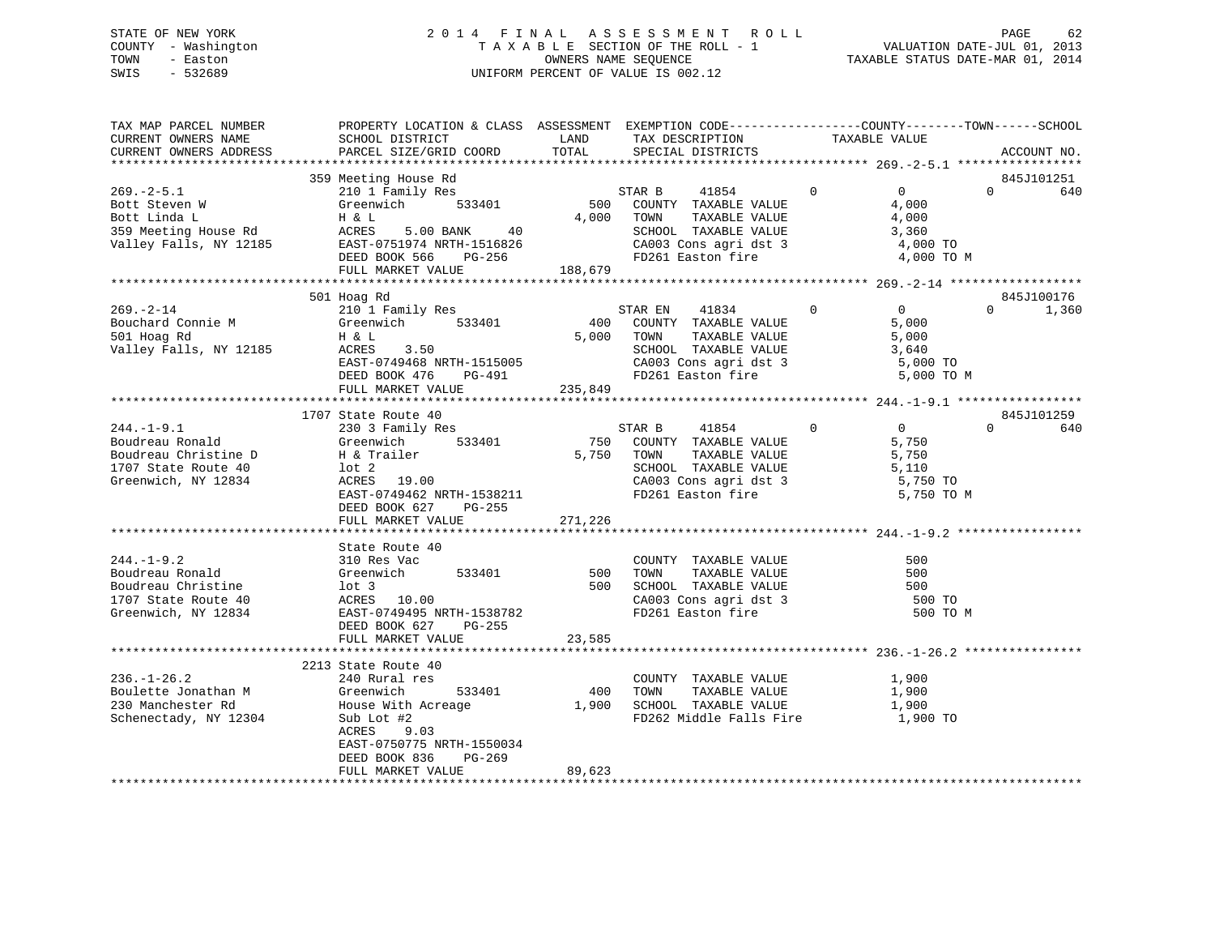### STATE OF NEW YORK 2 0 1 4 F I N A L A S S E S S M E N T R O L L PAGE 62 COUNTY - Washington T A X A B L E SECTION OF THE ROLL - 1 VALUATION DATE-JUL 01, 2013 TOWN - Easton OWNERS NAME SEQUENCE TAXABLE STATUS DATE-MAR 01, 2014 SWIS - 532689 UNIFORM PERCENT OF VALUE IS 002.12

| TAX MAP PARCEL NUMBER<br>CURRENT OWNERS NAME<br>CURRENT OWNERS ADDRESS                                                                                                      | PROPERTY LOCATION & CLASS ASSESSMENT EXEMPTION CODE----------------COUNTY-------TOWN-----SCHOOL<br>SCHOOL DISTRICT<br>PARCEL SIZE/GRID COORD                                                                                                                                             | TOTAL   | TAX DESCRIPTION TAXABLE VALUE SPECIAL DISTRICTS<br>LAND TAX DESCRIPTION                                                                                        |                                                                                                                                                                                     | ACCOUNT NO.                                  |
|-----------------------------------------------------------------------------------------------------------------------------------------------------------------------------|------------------------------------------------------------------------------------------------------------------------------------------------------------------------------------------------------------------------------------------------------------------------------------------|---------|----------------------------------------------------------------------------------------------------------------------------------------------------------------|-------------------------------------------------------------------------------------------------------------------------------------------------------------------------------------|----------------------------------------------|
|                                                                                                                                                                             |                                                                                                                                                                                                                                                                                          |         |                                                                                                                                                                |                                                                                                                                                                                     |                                              |
|                                                                                                                                                                             | 359 Meeting House Rd                                                                                                                                                                                                                                                                     |         |                                                                                                                                                                |                                                                                                                                                                                     | 845J101251                                   |
| $269. - 2 - 5.1$<br>Bott Steven W Greenwich 533401<br>Bott Linda L H & L<br>359 Meeting House Rd ACRES 5.00 BANK 40<br>Valley Falls, NY 12185 EAST-0751974 NRTH-1516826     | Meeting House Rd<br>210 1 Family Res<br>DEED BOOK 566 PG-256<br>FULL MARKET VALUE                                                                                                                                                                                                        | 188,679 | STAR B 41854 0<br>500 COUNTY TAXABLE VALUE<br>TAXABLE VALUE<br>4,000 TOWN<br>SCHOOL TAXABLE VALUE 3,360<br>CA003 Cons agri dst 3 4,000 TO<br>FD261 Easton fire | $\overline{0}$<br>4,000<br>4,000<br>4,000 TO M                                                                                                                                      | 640<br>$\Omega$                              |
|                                                                                                                                                                             |                                                                                                                                                                                                                                                                                          |         |                                                                                                                                                                |                                                                                                                                                                                     |                                              |
| $269. - 2 - 14$<br>Bouchard Connie M<br>Bouchard Connie M<br>501 Hoag Rd<br>H & L<br>H & L<br>Valley Falls, NY 12185                                                        | 501 Hoag Rd<br>210 1 Family Res<br>H & L<br>ACRES 3.50<br>ACRES 3.50 SCHOOL TAXABLE VALUE 3,640<br>EAST-0749468 NRTH-1515005 CA003 Cons agri dst 3 5,000 TO<br>DEED BOOK 476 POST POST POST REDGE EAST TO FORE 5,000 TO M<br>THE STERIES STERIES FOR THE 5,000 TO M<br>FULL MARKET VALUE | 235,849 | STAR EN 41834 0 0<br>400 COUNTY TAXABLE VALUE<br>5,000 TOWN<br>TAXABLE VALUE                                                                                   | $5,000$<br>$5,000$                                                                                                                                                                  | 845J100176<br>1,360<br>$\Omega$ and $\Omega$ |
|                                                                                                                                                                             | 1707 State Route 40                                                                                                                                                                                                                                                                      |         |                                                                                                                                                                |                                                                                                                                                                                     | 845J101259                                   |
| $244. -1 - 9.1$<br>Boudreau Ronald<br>Boudreau Christine D<br>1707 State Route 40<br>Greenwich, NY 12834                                                                    | or state Route 40<br>230 3 Family Res<br>Greenwich 533401<br>H & Trailer<br>lot 2<br>ACRES 19.00<br>EAST-0749462 NRTH-1538211<br>DEED BOOK 627 PG-255<br>FULL MARKET VALUE                                                                                                               | 271,226 | STAR B 41854 0<br>750 COUNTY TAXABLE VALUE<br>750 COUNTY TAXABLE VALUE<br>5,750 TOWN<br>TAXABLE VALUE                                                          | $\overline{0}$<br>5,750<br>TOWN TAXABLE VALUE<br>SCHOOL TAXABLE VALUE 5,110<br>And Consider the 13 state 5,750 TO<br>CA003 Cons agri dst 3 5,750 TO<br>FD261 Easton fire 5,750 TO M | $\Omega$<br>640                              |
|                                                                                                                                                                             |                                                                                                                                                                                                                                                                                          |         |                                                                                                                                                                |                                                                                                                                                                                     |                                              |
| $244. -1 - 9.2$<br>Boudreau Ronald<br>Boudreau Christine<br>1707 State Route 40<br>Greenwich, NY 12834                                                                      | State Route 40<br>310 Res Vac<br>310 Res vac<br>Greenwich 533401<br>1ot 3<br>ACRES 10.00<br>EAST-0749495 NRTH-1538782<br>DEED BOOK 627<br>PG-255                                                                                                                                         |         | COUNTY TAXABLE VALUE<br>533401 500 TOWN TAXABLE VALUE<br>500 SCHOOL TAXABLE VALUE<br>CA003 Cons agri dst 3<br>FD261 Easton fire                                | 500<br>500<br>500<br>500 TO<br>500 TO M                                                                                                                                             |                                              |
|                                                                                                                                                                             | FULL MARKET VALUE                                                                                                                                                                                                                                                                        | 23,585  |                                                                                                                                                                |                                                                                                                                                                                     |                                              |
|                                                                                                                                                                             |                                                                                                                                                                                                                                                                                          |         |                                                                                                                                                                |                                                                                                                                                                                     |                                              |
| $236. - 1 - 26.2$<br>236.-1-26.2<br>Boulette Jonathan M Greenwich 533401<br>230 Manchester Rd House With Acreage<br>Schenectady, NY 12304 Sub Lot #2<br>ACRES 9.03<br>20031 | 2213 State Route 40<br>240 Rural res<br>EAST-0750775 NRTH-1550034<br>DEED BOOK 836<br>PG-269                                                                                                                                                                                             |         | COUNTY TAXABLE VALUE<br>533401 400 TOWN TAXABLE VALUE<br>Acreage 1,900 SCHOOL TAXABLE VALUE<br>FD262 Middle Falls Fire 1,900 TO                                | 1,900<br>TAXABLE VALUE 1,900<br>TAXABLE VALUE 1,900                                                                                                                                 |                                              |
|                                                                                                                                                                             | FULL MARKET VALUE                                                                                                                                                                                                                                                                        | 89,623  |                                                                                                                                                                |                                                                                                                                                                                     |                                              |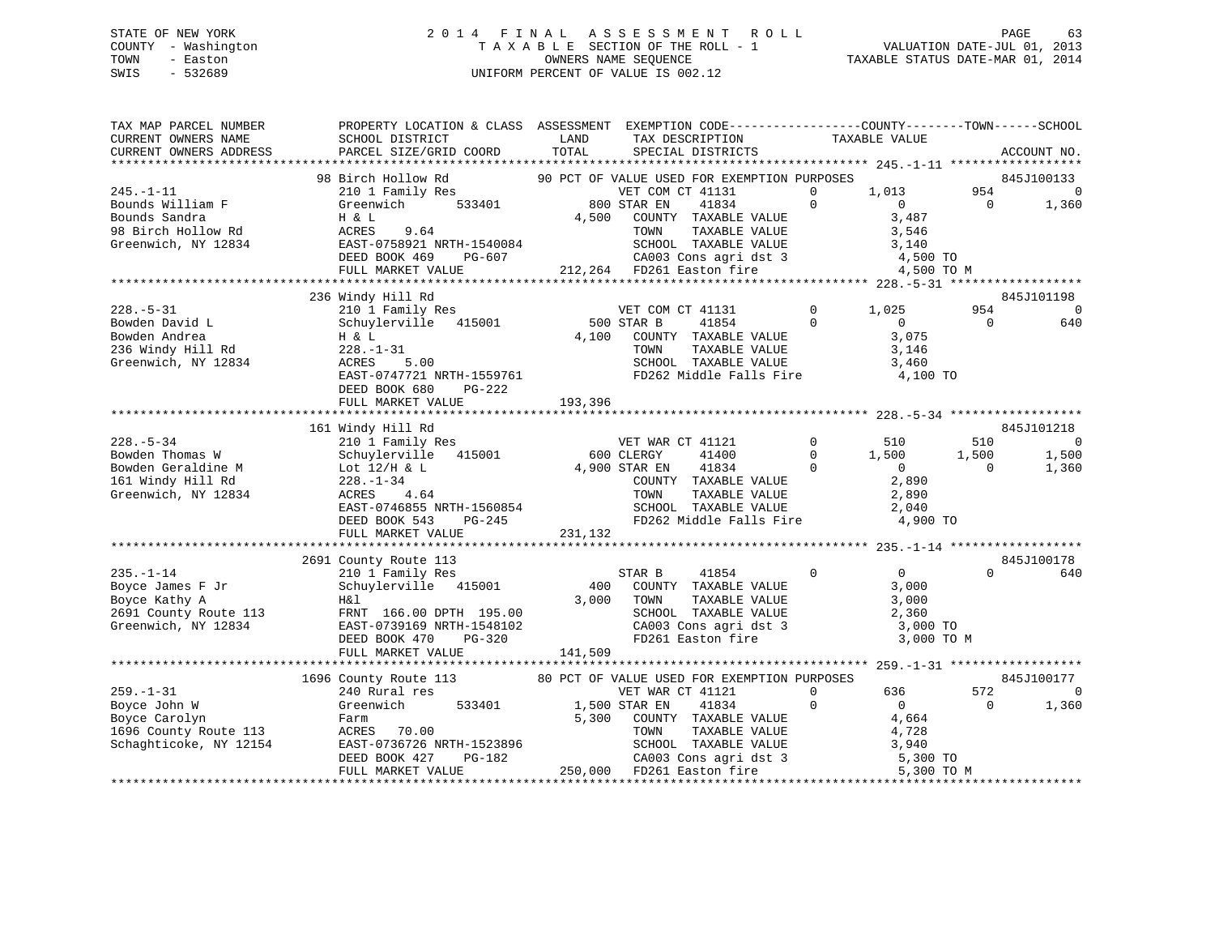### STATE OF NEW YORK 2 0 1 4 F I N A L A S S E S S M E N T R O L L PAGE 63 COUNTY - Washington T A X A B L E SECTION OF THE ROLL - 1 VALUATION DATE-JUL 01, 2013 TOWN - Easton OWNERS NAME SEQUENCE TAXABLE STATUS DATE-MAR 01, 2014 SWIS - 532689 UNIFORM PERCENT OF VALUE IS 002.12

TAX MAP PARCEL NUMBER PROPERTY LOCATION & CLASS ASSESSMENT EXEMPTION CODE------------------COUNTY--------TOWN------SCHOOL

CURRENT OWNERS NAME SCHOOL DISTRICT LAND TAX DESCRIPTION TAXABLE VALUE CURRENT OWNERS ADDRESS PARCEL SIZE/GRID COORD TOTAL SPECIAL DISTRICTS ACCOUNT NO. \*\*\*\*\*\*\*\*\*\*\*\*\*\*\*\*\*\*\*\*\*\*\*\*\*\*\*\*\*\*\*\*\*\*\*\*\*\*\*\*\*\*\*\*\*\*\*\*\*\*\*\*\*\*\*\*\*\*\*\*\*\*\*\*\*\*\*\*\*\*\*\*\*\*\*\*\*\*\*\*\*\*\*\*\*\*\*\*\*\*\*\*\*\*\*\*\*\*\*\*\*\*\* 245.-1-11 \*\*\*\*\*\*\*\*\*\*\*\*\*\*\*\*\*\*98 Birch Hollow Rd 90 PCT OF VALUE USED FOR EXEMPTION PURPOSES 845J100133<br>210 1 Family Res VET COM CT 41131 0 1,013 954 0 Bounds William F Greenwich 533401 800 STAR EN 41834 0 0 0 1,360 Bounds Sandra H & L 4,500 COUNTY TAXABLE VALUE 3,487 98 Birch Hollow Rd ACRES 9.64 TOWN TAXABLE VALUE 3,546 Greenwich, NY 12834 EAST-0758921 NRTH-1540084 SCHOOL TAXABLE VALUE 3,140 DEED BOOK 469 PG-607 CA003 Cons agri dst 3 4,500 TO FULL MARKET VALUE 212,264 FD261 Easton fire 4,500 TO M \*\*\*\*\*\*\*\*\*\*\*\*\*\*\*\*\*\*\*\*\*\*\*\*\*\*\*\*\*\*\*\*\*\*\*\*\*\*\*\*\*\*\*\*\*\*\*\*\*\*\*\*\*\*\*\*\*\*\*\*\*\*\*\*\*\*\*\*\*\*\*\*\*\*\*\*\*\*\*\*\*\*\*\*\*\*\*\*\*\*\*\*\*\*\*\*\*\*\*\*\*\*\* 228.-5-31 \*\*\*\*\*\*\*\*\*\*\*\*\*\*\*\*\*\* 236 Windy Hill Rd 845J101198 228.-5-31 210 1 Family Res VET COM CT 41131 0 1,025 954 0 Bowden David L Schuylerville 415001 500 STAR B 41854 0 0 0 640 Bowden Andrea H & L 4,100 COUNTY TAXABLE VALUE 3,075 236 Windy Hill Rd 228.-1-31 TOWN TAXABLE VALUE 3,146 Greenwich, NY 12834 ACRES 5.00 SCHOOL TAXABLE VALUE 3,460 EAST-0747721 NRTH-1559761 FD262 Middle Falls Fire 4,100 TO DEED BOOK 680 PG-222 FULL MARKET VALUE 193,396 \*\*\*\*\*\*\*\*\*\*\*\*\*\*\*\*\*\*\*\*\*\*\*\*\*\*\*\*\*\*\*\*\*\*\*\*\*\*\*\*\*\*\*\*\*\*\*\*\*\*\*\*\*\*\*\*\*\*\*\*\*\*\*\*\*\*\*\*\*\*\*\*\*\*\*\*\*\*\*\*\*\*\*\*\*\*\*\*\*\*\*\*\*\*\*\*\*\*\*\*\*\*\* 228.-5-34 \*\*\*\*\*\*\*\*\*\*\*\*\*\*\*\*\*\*845J101218 161 Windy Hill Rd 845J101218 228.-5-34 210 1 Family Res VET WAR CT 41121 0 510 510 0 Bowden Thomas W Schuylerville 415001 600 CLERGY 41400 0 1,500 1,500 1,500 Bowden Geraldine M Lot 12/H & L 4,900 STAR EN 41834 0 0 0 1,360 161 Windy Hill Rd 228.-1-34 COUNTY TAXABLE VALUE 2,890 Greenwich, NY 12834 ACRES 4.64 TOWN TAXABLE VALUE 2,890 EAST-0746855 NRTH-1560854 SCHOOL TAXABLE VALUE 2,040 DEED BOOK 543 PG-245 FD262 Middle Falls Fire 4,900 TO FULL MARKET VALUE 231,132 \*\*\*\*\*\*\*\*\*\*\*\*\*\*\*\*\*\*\*\*\*\*\*\*\*\*\*\*\*\*\*\*\*\*\*\*\*\*\*\*\*\*\*\*\*\*\*\*\*\*\*\*\*\*\*\*\*\*\*\*\*\*\*\*\*\*\*\*\*\*\*\*\*\*\*\*\*\*\*\*\*\*\*\*\*\*\*\*\*\*\*\*\*\*\*\*\*\*\*\*\*\*\* 235.-1-14 \*\*\*\*\*\*\*\*\*\*\*\*\*\*\*\*\*\*845J100178 2691 County Route 113 845J100178 235.-1-14 210 1 Family Res STAR B 41854 0 0 0 640 Boyce James F Jr Schuylerville 415001 400 COUNTY TAXABLE VALUE 3,000 Boyce Kathy A H&l 3,000 TOWN TAXABLE VALUE 3,000 2691 County Route 113 FRNT 166.00 DPTH 195.00 SCHOOL TAXABLE VALUE 2,360 Greenwich, NY 12834 EAST-0739169 NRTH-1548102 CA003 Cons agri dst 3 3,000 TO DEED BOOK 470 PG-320 FD261 Easton fire 3,000 TO M FULL MARKET VALUE 141,509 \*\*\*\*\*\*\*\*\*\*\*\*\*\*\*\*\*\*\*\*\*\*\*\*\*\*\*\*\*\*\*\*\*\*\*\*\*\*\*\*\*\*\*\*\*\*\*\*\*\*\*\*\*\*\*\*\*\*\*\*\*\*\*\*\*\*\*\*\*\*\*\*\*\*\*\*\*\*\*\*\*\*\*\*\*\*\*\*\*\*\*\*\*\*\*\*\*\*\*\*\*\*\* 259.-1-31 \*\*\*\*\*\*\*\*\*\*\*\*\*\*\*\*\*\*1696 County Route 113 80 PCT OF VALUE USED FOR EXEMPTION PURPOSES 845J100177<br>21 240 Rural res vET WAR CT 41121 0 636 572<br>259.-1-31 Greenwich 533401 1,500 STAR EN 41834 0 0 0 1,360 Boyce Carolyn Farm 5,300 COUNTY TAXABLE VALUE 4,664 1696 County Route 113 ACRES 70.00 TOWN TAXABLE VALUE 4,728 Schaghticoke, NY 12154 EAST-0736726 NRTH-1523896 SCHOOL TAXABLE VALUE 3,940 DEED BOOK 427 PG-182 CA003 Cons agri dst 3 5,300 TO FULL MARKET VALUE 250,000 FD261 Easton fire 5,300 TO M \*\*\*\*\*\*\*\*\*\*\*\*\*\*\*\*\*\*\*\*\*\*\*\*\*\*\*\*\*\*\*\*\*\*\*\*\*\*\*\*\*\*\*\*\*\*\*\*\*\*\*\*\*\*\*\*\*\*\*\*\*\*\*\*\*\*\*\*\*\*\*\*\*\*\*\*\*\*\*\*\*\*\*\*\*\*\*\*\*\*\*\*\*\*\*\*\*\*\*\*\*\*\*\*\*\*\*\*\*\*\*\*\*\*\*\*\*\*\*\*\*\*\*\*\*\*\*\*\*\*\*\*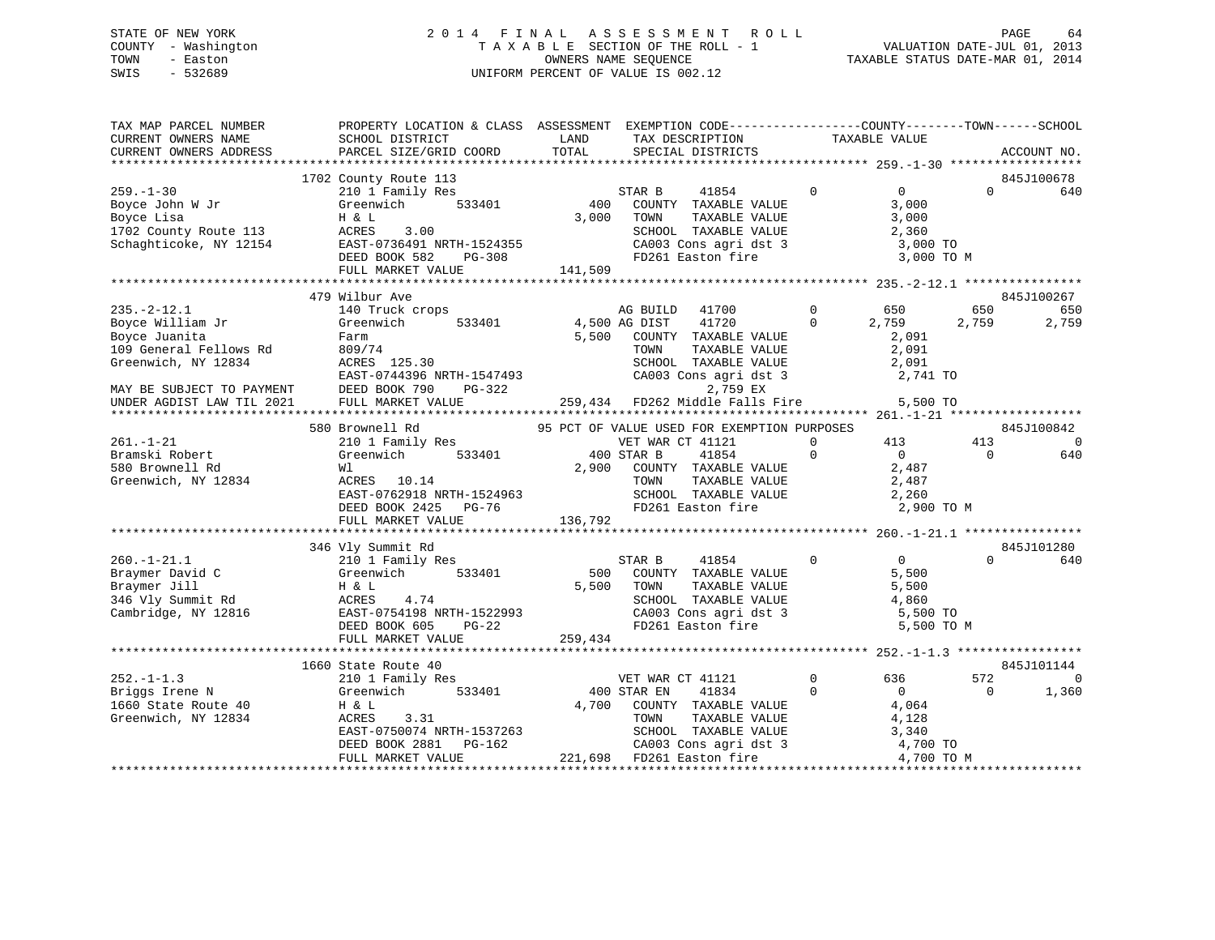### STATE OF NEW YORK 2 0 1 4 F I N A L A S S E S S M E N T R O L L PAGE 64 COUNTY - Washington T A X A B L E SECTION OF THE ROLL - 1 VALUATION DATE-JUL 01, 2013 TOWN - Easton OWNERS NAME SEQUENCE TAXABLE STATUS DATE-MAR 01, 2014 SWIS - 532689 UNIFORM PERCENT OF VALUE IS 002.12

| TAX MAP PARCEL NUMBER<br>CURRENT OWNERS NAME<br>CURRENT OWNERS ADDRESS                                                              | PROPERTY LOCATION & CLASS ASSESSMENT EXEMPTION CODE----------------COUNTY-------TOWN------SCHOOL<br>SCHOOL DISTRICT<br>PARCEL SIZE/GRID COORD                           | LAND<br>TOTAL           | TAX DESCRIPTION<br>SPECIAL DISTRICTS                                                                                                                      | TAXABLE VALUE                                                                              | ACCOUNT NO.                                |
|-------------------------------------------------------------------------------------------------------------------------------------|-------------------------------------------------------------------------------------------------------------------------------------------------------------------------|-------------------------|-----------------------------------------------------------------------------------------------------------------------------------------------------------|--------------------------------------------------------------------------------------------|--------------------------------------------|
|                                                                                                                                     |                                                                                                                                                                         |                         |                                                                                                                                                           |                                                                                            |                                            |
| $259. - 1 - 30$<br>Boyce John W Jr<br>Boyce Lisa<br>1702 County Route 113<br>Schaghticoke, NY 12154                                 | 1702 County Route 113<br>210 1 Family Res<br>533401<br>Greenwich<br>H & L<br>ACRES<br>3.00<br>EAST-0736491 NRTH-1524355<br>DEED BOOK 582<br>PG-308<br>FULL MARKET VALUE | 400<br>3,000<br>141,509 | 41854<br>STAR B<br>COUNTY TAXABLE VALUE<br>TOWN<br>TAXABLE VALUE<br>SCHOOL TAXABLE VALUE<br>CA003 Cons agri dst 3<br>FD261 Easton fire                    | $\overline{0}$<br>$\mathbf 0$<br>3,000<br>3,000<br>2,360<br>3,000 TO<br>3,000 TO M         | 845J100678<br>$\Omega$<br>640              |
|                                                                                                                                     |                                                                                                                                                                         |                         |                                                                                                                                                           |                                                                                            |                                            |
| $235. -2 - 12.1$<br>Boyce William Jr<br>Boyce Juanita<br>109 General Fellows Rd<br>Greenwich, NY 12834<br>MAY BE SUBJECT TO PAYMENT | 479 Wilbur Ave<br>140 Truck crops<br>533401<br>Greenwich<br>Farm<br>809/74<br>ACRES 125.30<br>EAST-0744396 NRTH-1547493<br>DEED BOOK 790<br>PG-322                      | 5,500                   | AG BUILD<br>41700<br>4,500 AG DIST<br>41720<br>COUNTY TAXABLE VALUE<br>TOWN<br>TAXABLE VALUE<br>SCHOOL TAXABLE VALUE<br>CA003 Cons agri dst 3<br>2,759 EX | $\mathbf{0}$<br>650<br>$\Omega$<br>2,759<br>2,091<br>2,091<br>2,091<br>2,741 TO            | 845J100267<br>650<br>650<br>2,759<br>2,759 |
| UNDER AGDIST LAW TIL 2021                                                                                                           | FULL MARKET VALUE                                                                                                                                                       |                         | 259,434 FD262 Middle Falls Fire                                                                                                                           | 5,500 TO                                                                                   |                                            |
|                                                                                                                                     | 580 Brownell Rd                                                                                                                                                         |                         | 95 PCT OF VALUE USED FOR EXEMPTION PURPOSES                                                                                                               |                                                                                            | 845J100842                                 |
| $261. - 1 - 21$<br>Bramski Robert<br>580 Brownell Rd<br>Greenwich, NY 12834                                                         | 210 1 Family Res<br>533401<br>Greenwich<br>Wl<br>ACRES 10.14<br>EAST-0762918 NRTH-1524963<br>DEED BOOK 2425<br>PG-76<br>FULL MARKET VALUE                               | 136,792                 | VET WAR CT 41121<br>400 STAR B<br>41854<br>2,900 COUNTY TAXABLE VALUE<br>TOWN<br>TAXABLE VALUE<br>SCHOOL TAXABLE VALUE<br>FD261 Easton fire               | $\mathbf{0}$<br>413<br>$\overline{0}$<br>$\Omega$<br>2,487<br>2,487<br>2,260<br>2,900 TO M | 413<br>- 0<br>$\Omega$<br>640              |
|                                                                                                                                     |                                                                                                                                                                         |                         |                                                                                                                                                           |                                                                                            |                                            |
| $260. - 1 - 21.1$<br>Braymer David C<br>Braymer Jill<br>346 Vly Summit Rd<br>Cambridge, NY 12816                                    | 346 Vly Summit Rd<br>210 1 Family Res<br>Greenwich<br>533401<br>H & L<br>ACRES<br>4.74<br>EAST-0754198 NRTH-1522993<br>DEED BOOK 605<br>$PG-22$                         |                         | STAR B<br>41854<br>500 COUNTY TAXABLE VALUE<br>5,500 TOWN<br>TAXABLE VALUE<br>SCHOOL TAXABLE VALUE<br>CA003 Cons agri dst 3<br>FD261 Easton fire          | $\mathbf{0}$<br>$\sim$ 0<br>5,500<br>5,500<br>4,860<br>5,500 TO<br>5,500 TO M              | 845J101280<br>$\Omega$<br>640              |
|                                                                                                                                     | FULL MARKET VALUE<br>****************************                                                                                                                       | 259,434                 |                                                                                                                                                           |                                                                                            |                                            |
| $252 - 1 - 1.3$                                                                                                                     | 1660 State Route 40<br>210 1 Family Res                                                                                                                                 |                         | VET WAR CT 41121                                                                                                                                          | $\mathbf{0}$<br>636                                                                        | 845J101144<br>572<br>$\Omega$              |
| Briggs Irene N<br>1660 State Route 40<br>Greenwich, NY 12834                                                                        | Greenwich<br>533401<br>H & L<br>ACRES<br>3.31<br>EAST-0750074 NRTH-1537263<br>DEED BOOK 2881<br>PG-162<br>FULL MARKET VALUE                                             | 4,700                   | 400 STAR EN<br>41834<br>COUNTY TAXABLE VALUE<br>TAXABLE VALUE<br>TOWN<br>SCHOOL TAXABLE VALUE<br>CA003 Cons agri dst 3<br>221,698 FD261 Easton fire       | $\bigcirc$<br>$\Omega$<br>4,064<br>4,128<br>3,340<br>4,700 TO<br>4,700 TO M                | $\Omega$<br>1,360                          |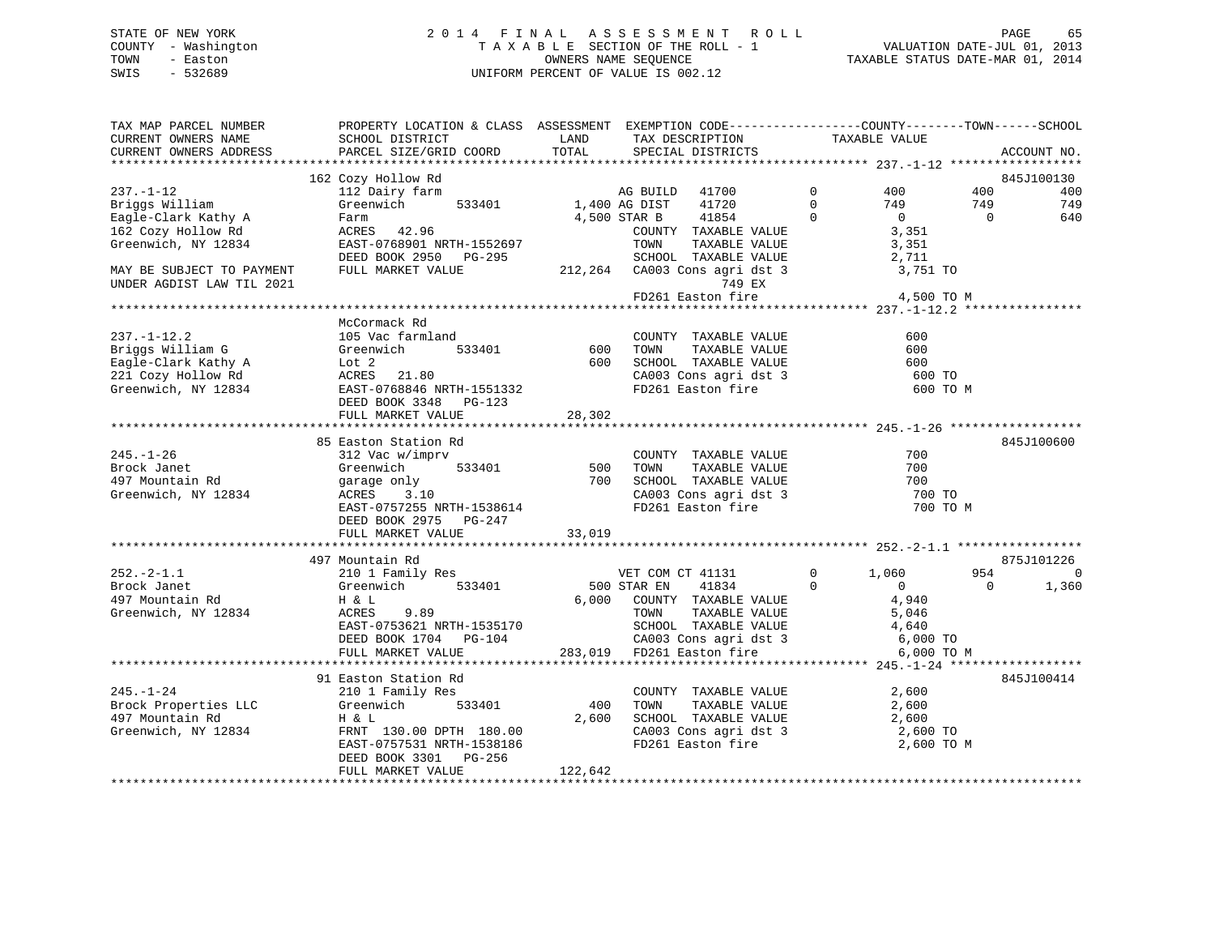### STATE OF NEW YORK 2 0 1 4 F I N A L A S S E S S M E N T R O L L PAGE 65 COUNTY - Washington T A X A B L E SECTION OF THE ROLL - 1 VALUATION DATE-JUL 01, 2013 TOWN - Easton OWNERS NAME SEQUENCE TAXABLE STATUS DATE-MAR 01, 2014 SWIS - 532689 UNIFORM PERCENT OF VALUE IS 002.12

| TAX MAP PARCEL NUMBER<br>CURRENT OWNERS NAME<br>CURRENT OWNERS ADDRESS                                                                     | PROPERTY LOCATION & CLASS ASSESSMENT EXEMPTION CODE---------------COUNTY-------TOWN------SCHOOL<br>SCHOOL DISTRICT<br>PARCEL SIZE/GRID COORD                                                                                          | LAND<br>TOTAL | TAX DESCRIPTION<br>SPECIAL DISTRICTS                                                                                                                                                            |                                       | TAXABLE VALUE                                  |                | ACCOUNT NO. |
|--------------------------------------------------------------------------------------------------------------------------------------------|---------------------------------------------------------------------------------------------------------------------------------------------------------------------------------------------------------------------------------------|---------------|-------------------------------------------------------------------------------------------------------------------------------------------------------------------------------------------------|---------------------------------------|------------------------------------------------|----------------|-------------|
|                                                                                                                                            |                                                                                                                                                                                                                                       |               |                                                                                                                                                                                                 |                                       |                                                |                |             |
|                                                                                                                                            | 162 Cozy Hollow Rd<br>112 Dairy farm                                                                                                                                                                                                  |               |                                                                                                                                                                                                 |                                       |                                                |                | 845J100130  |
| $237. - 1 - 12$                                                                                                                            |                                                                                                                                                                                                                                       |               |                                                                                                                                                                                                 | $\overline{0}$                        | 400                                            | 400            | 400         |
| Briggs William                                                                                                                             |                                                                                                                                                                                                                                       |               | $\overline{0}$                                                                                                                                                                                  | $\begin{array}{c} 0 \\ 0 \end{array}$ | $749$<br>0<br>3,351<br>$-251$                  | 749            | 749         |
| Eagle-Clark Kathy A                                                                                                                        | Farm<br>$ACRES$ 42.96                                                                                                                                                                                                                 |               | 4,500 STAR B<br>41854                                                                                                                                                                           |                                       |                                                | $\overline{0}$ | 640         |
| 162 Cozy Hollow Rd                                                                                                                         |                                                                                                                                                                                                                                       |               | COUNTY TAXABLE VALUE<br>TOWN                                                                                                                                                                    |                                       |                                                |                |             |
| Greenwich, NY 12834                                                                                                                        | EAST-0768901 NRTH-1552697                                                                                                                                                                                                             |               | TAXABLE VALUE                                                                                                                                                                                   |                                       | 3,351                                          |                |             |
| MAY BE SUBJECT TO PAYMENT                                                                                                                  | DEED BOOK 2950 PG-295<br>FULL MARKET VALUE                                                                                                                                                                                            |               |                                                                                                                                                                                                 |                                       |                                                |                |             |
| UNDER AGDIST LAW TIL 2021                                                                                                                  |                                                                                                                                                                                                                                       |               | 749 EX                                                                                                                                                                                          |                                       |                                                |                |             |
|                                                                                                                                            |                                                                                                                                                                                                                                       |               | $FD261$ Easton fire $4,500$ TO M                                                                                                                                                                |                                       |                                                |                |             |
|                                                                                                                                            |                                                                                                                                                                                                                                       |               |                                                                                                                                                                                                 |                                       |                                                |                |             |
|                                                                                                                                            | McCormack Rd                                                                                                                                                                                                                          |               |                                                                                                                                                                                                 |                                       |                                                |                |             |
| $237. - 1 - 12.2$                                                                                                                          |                                                                                                                                                                                                                                       |               |                                                                                                                                                                                                 |                                       | 600                                            |                |             |
| Briggs William G                                                                                                                           |                                                                                                                                                                                                                                       |               |                                                                                                                                                                                                 |                                       | 600                                            |                |             |
| Briggs William G Greenwich<br>Eagle-Clark Kathy A Lot 2<br>221 Cozy Hollow Rd ACRES 21.80<br>Greenwich, NY 12834 EAST-0768846 NRTH-1551332 | 105 Vac farmland<br>GOUNTY TAXABLE VALUE<br>Greenwich 533401 600 TOWN TAXABLE VALUE<br>Lot 2 600 SCHOOL TAXABLE VALUE                                                                                                                 |               |                                                                                                                                                                                                 |                                       | 600                                            |                |             |
|                                                                                                                                            |                                                                                                                                                                                                                                       |               |                                                                                                                                                                                                 |                                       | 600 TO                                         |                |             |
|                                                                                                                                            |                                                                                                                                                                                                                                       |               | CA003 Cons agri dst 3<br>FD261 Easton fire                                                                                                                                                      |                                       | 600 TO M                                       |                |             |
|                                                                                                                                            | DEED BOOK 3348 PG-123                                                                                                                                                                                                                 |               |                                                                                                                                                                                                 |                                       |                                                |                |             |
|                                                                                                                                            | FULL MARKET VALUE                                                                                                                                                                                                                     | 28,302        |                                                                                                                                                                                                 |                                       |                                                |                |             |
|                                                                                                                                            |                                                                                                                                                                                                                                       |               |                                                                                                                                                                                                 |                                       |                                                |                |             |
|                                                                                                                                            | 85 Easton Station Rd                                                                                                                                                                                                                  |               |                                                                                                                                                                                                 |                                       |                                                |                | 845J100600  |
| $245. - 1 - 26$                                                                                                                            | 312 Vac w/imprv                                                                                                                                                                                                                       |               | COUNTY TAXABLE VALUE                                                                                                                                                                            |                                       | 700                                            |                |             |
| Brock Janet                                                                                                                                | Greenwich<br>garage only                                                                                                                                                                                                              |               | COUNTY TAXABLE VALUE<br>533401 500 TOWN TAXABLE VALUE<br>700 SCHOOL TAXABLE VALUE<br>700 SCHOOL TAXABLE VALUE<br>700 CA002 Care                                                                 |                                       | 700                                            |                |             |
| 497 Mountain Rd                                                                                                                            |                                                                                                                                                                                                                                       |               |                                                                                                                                                                                                 |                                       | 700                                            |                |             |
| Greenwich, NY 12834                                                                                                                        | ACRES 3.10                                                                                                                                                                                                                            |               | CA003 Cons agri dst 3<br>FD261 Easton fire                                                                                                                                                      |                                       | 700 TO                                         |                |             |
|                                                                                                                                            | EAST-0757255 NRTH-1538614                                                                                                                                                                                                             |               |                                                                                                                                                                                                 |                                       | 700 TO M                                       |                |             |
|                                                                                                                                            | DEED BOOK 2975 PG-247                                                                                                                                                                                                                 |               |                                                                                                                                                                                                 |                                       |                                                |                |             |
|                                                                                                                                            | FULL MARKET VALUE 33,019                                                                                                                                                                                                              |               |                                                                                                                                                                                                 |                                       |                                                |                |             |
|                                                                                                                                            |                                                                                                                                                                                                                                       |               |                                                                                                                                                                                                 |                                       |                                                |                |             |
|                                                                                                                                            | 497 Mountain Rd<br>210 1 Family Res                                                                                                                                                                                                   |               |                                                                                                                                                                                                 |                                       |                                                |                | 875J101226  |
| $252 - 2 - 1.1$                                                                                                                            |                                                                                                                                                                                                                                       |               | VET COM CT 41131                                                                                                                                                                                |                                       | $0 \t 1,060$                                   | 954            | $\Omega$    |
| Brock Janet                                                                                                                                | Greenwich 533401                                                                                                                                                                                                                      | 500 STAR EN   | 41834                                                                                                                                                                                           | $\Omega$                              | $\begin{array}{c} 0 \\ 4 \, , 940 \end{array}$ | $\Omega$       | 1,360       |
| 497 Mountain Rd                                                                                                                            | H & L                                                                                                                                                                                                                                 |               | 6,000 COUNTY TAXABLE VALUE                                                                                                                                                                      |                                       |                                                |                |             |
| Greenwich, NY 12834                                                                                                                        |                                                                                                                                                                                                                                       |               |                                                                                                                                                                                                 |                                       |                                                |                |             |
|                                                                                                                                            |                                                                                                                                                                                                                                       |               |                                                                                                                                                                                                 |                                       |                                                |                |             |
|                                                                                                                                            |                                                                                                                                                                                                                                       |               |                                                                                                                                                                                                 |                                       |                                                |                |             |
|                                                                                                                                            | TOWN TAXABLE VALUE<br>EAST-0753621 NRTH-1535170 SCHOOL TAXABLE VALUE 5,046<br>DEED BOOK 1704 PG-104 283,019 FD261 Easton fire 6,000 TO<br>FULL MARKET VALUE 283,019 FD261 Easton fire 6,000 TO<br>*********************************** |               |                                                                                                                                                                                                 |                                       | 6,000 TO M                                     |                |             |
|                                                                                                                                            | 91 Easton Station Rd                                                                                                                                                                                                                  |               |                                                                                                                                                                                                 |                                       |                                                |                | 845J100414  |
| $245. - 1 - 24$                                                                                                                            |                                                                                                                                                                                                                                       |               |                                                                                                                                                                                                 |                                       | 2,600                                          |                |             |
| Brock Properties LLC                                                                                                                       |                                                                                                                                                                                                                                       | 400           | $\begin{tabular}{lllllllll} \multicolumn{2}{c}{\textbf{COUNTY}} & \textbf{TAXABLE VALUE} & & & & 2,600 \\ \multicolumn{2}{c}{\textbf{TONN}} & \textbf{TAXABLE VALUE} & & & 2,600 \end{tabular}$ |                                       |                                                |                |             |
| 497 Mountain Rd                                                                                                                            |                                                                                                                                                                                                                                       |               |                                                                                                                                                                                                 |                                       |                                                |                |             |
| Greenwich, NY 12834                                                                                                                        |                                                                                                                                                                                                                                       |               | SCHOOL TAXABLE VALUE 2,600<br>CA003 Cons agri dst 3 2,600 TO                                                                                                                                    |                                       |                                                |                |             |
|                                                                                                                                            | 1 1 2,600<br>FRNT 130.00 DPTH 180.00<br>EAST-0757531 NPTH 1500106<br>EAST-0757531 NRTH-1538186                                                                                                                                        |               | FD261 Easton fire                                                                                                                                                                               |                                       | 2,600 TO M                                     |                |             |
|                                                                                                                                            | DEED BOOK 3301 PG-256                                                                                                                                                                                                                 |               |                                                                                                                                                                                                 |                                       |                                                |                |             |
|                                                                                                                                            | FULL MARKET VALUE                                                                                                                                                                                                                     | 122,642       |                                                                                                                                                                                                 |                                       |                                                |                |             |
|                                                                                                                                            |                                                                                                                                                                                                                                       |               |                                                                                                                                                                                                 |                                       |                                                |                |             |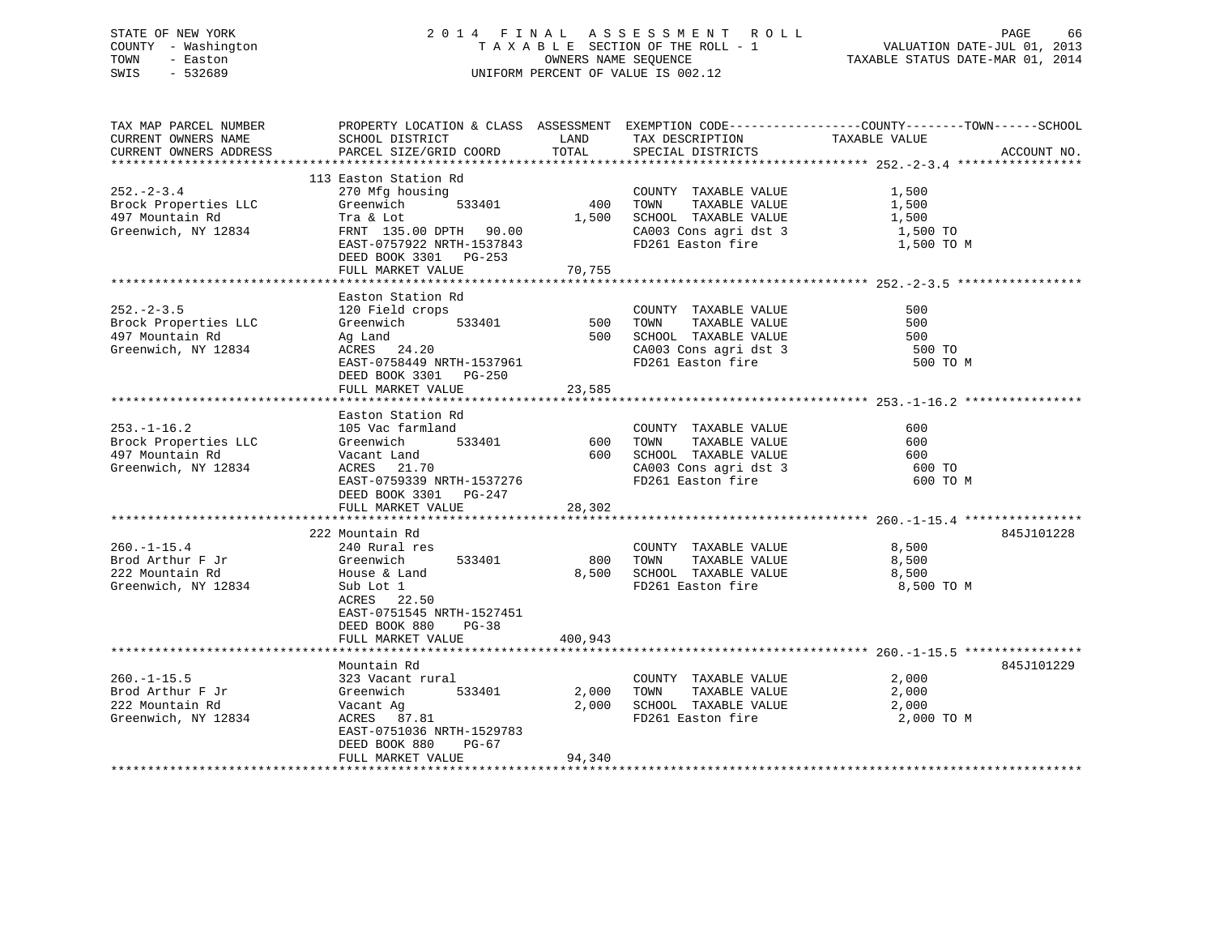### STATE OF NEW YORK 2 0 1 4 F I N A L A S S E S S M E N T R O L L PAGE 66 COUNTY - Washington T A X A B L E SECTION OF THE ROLL - 1 VALUATION DATE-JUL 01, 2013 TOWN - Easton OWNERS NAME SEQUENCE TAXABLE STATUS DATE-MAR 01, 2014 SWIS - 532689 UNIFORM PERCENT OF VALUE IS 002.12

TAX MAP PARCEL NUMBER PROPERTY LOCATION & CLASS ASSESSMENT EXEMPTION CODE------------------COUNTY--------TOWN------SCHOOL CURRENT OWNERS NAME SCHOOL DISTRICT LAND TAX DESCRIPTION TAXABLE VALUE CURRENT OWNERS ADDRESS PARCEL SIZE/GRID COORD TOTAL SPECIAL DISTRICTS ACCOUNT NO. \*\*\*\*\*\*\*\*\*\*\*\*\*\*\*\*\*\*\*\*\*\*\*\*\*\*\*\*\*\*\*\*\*\*\*\*\*\*\*\*\*\*\*\*\*\*\*\*\*\*\*\*\*\*\*\*\*\*\*\*\*\*\*\*\*\*\*\*\*\*\*\*\*\*\*\*\*\*\*\*\*\*\*\*\*\*\*\*\*\*\*\*\*\*\*\*\*\*\*\*\*\*\* 252.-2-3.4 \*\*\*\*\*\*\*\*\*\*\*\*\*\*\*\*\* 113 Easton Station Rd270 Mfg housing 252.-2-3.4 270 Mfg housing COUNTY TAXABLE VALUE 1,500 Brock Properties LLC Greenwich 533401 400 TOWN TAXABLE VALUE 1,500 497 Mountain Rd Tra & Lot 1,500 SCHOOL TAXABLE VALUE 1,500 Greenwich, NY 12834 FRNT 135.00 DPTH 90.00 CA003 Cons agri dst 3 1,500 TO EAST-0757922 NRTH-1537843 FD261 Easton fire 1,500 TO M DEED BOOK 3301 PG-253 FULL MARKET VALUE 70.755 \*\*\*\*\*\*\*\*\*\*\*\*\*\*\*\*\*\*\*\*\*\*\*\*\*\*\*\*\*\*\*\*\*\*\*\*\*\*\*\*\*\*\*\*\*\*\*\*\*\*\*\*\*\*\*\*\*\*\*\*\*\*\*\*\*\*\*\*\*\*\*\*\*\*\*\*\*\*\*\*\*\*\*\*\*\*\*\*\*\*\*\*\*\*\*\*\*\*\*\*\*\*\* 252.-2-3.5 \*\*\*\*\*\*\*\*\*\*\*\*\*\*\*\*\* Easton Station Rd252.-2-3.5 120 Field crops COUNTY TAXABLE VALUE 500 Brock Properties LLC 6 Greenwich 533401 500 TOWN TAXABLE VALUE 500 497 Mountain Rd Ag Land 500 SCHOOL TAXABLE VALUE 500 סטס ברב – ברב – בעיר – בישראל ב-12834 ב-1283 ב-1283 ב-1284 ב-12834 ב-12834 ב-12834 ב-12834 ב-12834 ב-12834 ב-1<br>Greenwich, NY 12834 ACRES 24.20 ב-12834 ב-12834 ב-12834 ב-1284 ב-1284 ב-1284 ב-1284 ב-1284 ב-1284 ב-1284 ב-128 EAST-0758449 NRTH-1537961 FD261 Easton fire 500 TO M DEED BOOK 3301 PG-250 FULL MARKET VALUE 23,585 \*\*\*\*\*\*\*\*\*\*\*\*\*\*\*\*\*\*\*\*\*\*\*\*\*\*\*\*\*\*\*\*\*\*\*\*\*\*\*\*\*\*\*\*\*\*\*\*\*\*\*\*\*\*\*\*\*\*\*\*\*\*\*\*\*\*\*\*\*\*\*\*\*\*\*\*\*\*\*\*\*\*\*\*\*\*\*\*\*\*\*\*\*\*\*\*\*\*\*\*\*\*\* 253.-1-16.2 \*\*\*\*\*\*\*\*\*\*\*\*\*\*\*\* Easton Station Rd253.-1-16.2 105 Vac farmland COUNTY TAXABLE VALUE 600Brock Properties LLC Greenwich 533401 600 TOWN TAXABLE VALUE 600 497 Mountain Rd Vacant Land 600 SCHOOL TAXABLE VALUE 600600 TO Greenwich, NY 12834 ACRES 21.70 CA003 Cons agri dst 3 600 TO EAST-0759339 NRTH-1537276 FD261 Easton fire 600 TO M DEED BOOK 3301 PG-247 FULL MARKET VALUE 28,302 \*\*\*\*\*\*\*\*\*\*\*\*\*\*\*\*\*\*\*\*\*\*\*\*\*\*\*\*\*\*\*\*\*\*\*\*\*\*\*\*\*\*\*\*\*\*\*\*\*\*\*\*\*\*\*\*\*\*\*\*\*\*\*\*\*\*\*\*\*\*\*\*\*\*\*\*\*\*\*\*\*\*\*\*\*\*\*\*\*\*\*\*\*\*\*\*\*\*\*\*\*\*\* 260.-1-15.4 \*\*\*\*\*\*\*\*\*\*\*\*\*\*\*\* 222 Mountain Rd 845J101228260.-1-15.4 240 Rural res COUNTY TAXABLE VALUE 8,500 Brod Arthur F Jr Greenwich 533401 800 TOWN TAXABLE VALUE 8,500 222 Mountain Rd House & Land 8,500 SCHOOL TAXABLE VALUE 8,500 Greenwich, NY 12834 Sub Lot 1 FD261 Easton fire 8,500 TO M ACRES 22.50 EAST-0751545 NRTH-1527451 DEED BOOK 880 PG-38FULL MARKET VALUE 400,943 \*\*\*\*\*\*\*\*\*\*\*\*\*\*\*\*\*\*\*\*\*\*\*\*\*\*\*\*\*\*\*\*\*\*\*\*\*\*\*\*\*\*\*\*\*\*\*\*\*\*\*\*\*\*\*\*\*\*\*\*\*\*\*\*\*\*\*\*\*\*\*\*\*\*\*\*\*\*\*\*\*\*\*\*\*\*\*\*\*\*\*\*\*\*\*\*\*\*\*\*\*\*\* 260.-1-15.5 \*\*\*\*\*\*\*\*\*\*\*\*\*\*\*\* Mountain Rd 845J101229260.-1-15.5 323 Vacant rural COUNTY TAXABLE VALUE 2,000 Brod Arthur F Jr Greenwich 533401 2,000 TOWN TAXABLE VALUE 2,000 222 Mountain Rd Vacant Ag 2,000 SCHOOL TAXABLE VALUE 2,000 Greenwich, NY 12834 ACRES 87.81 FD261 Easton fire 2,000 TO M EAST-0751036 NRTH-1529783 DEED BOOK 880 PG-67FULL MARKET VALUE 94,340 \*\*\*\*\*\*\*\*\*\*\*\*\*\*\*\*\*\*\*\*\*\*\*\*\*\*\*\*\*\*\*\*\*\*\*\*\*\*\*\*\*\*\*\*\*\*\*\*\*\*\*\*\*\*\*\*\*\*\*\*\*\*\*\*\*\*\*\*\*\*\*\*\*\*\*\*\*\*\*\*\*\*\*\*\*\*\*\*\*\*\*\*\*\*\*\*\*\*\*\*\*\*\*\*\*\*\*\*\*\*\*\*\*\*\*\*\*\*\*\*\*\*\*\*\*\*\*\*\*\*\*\*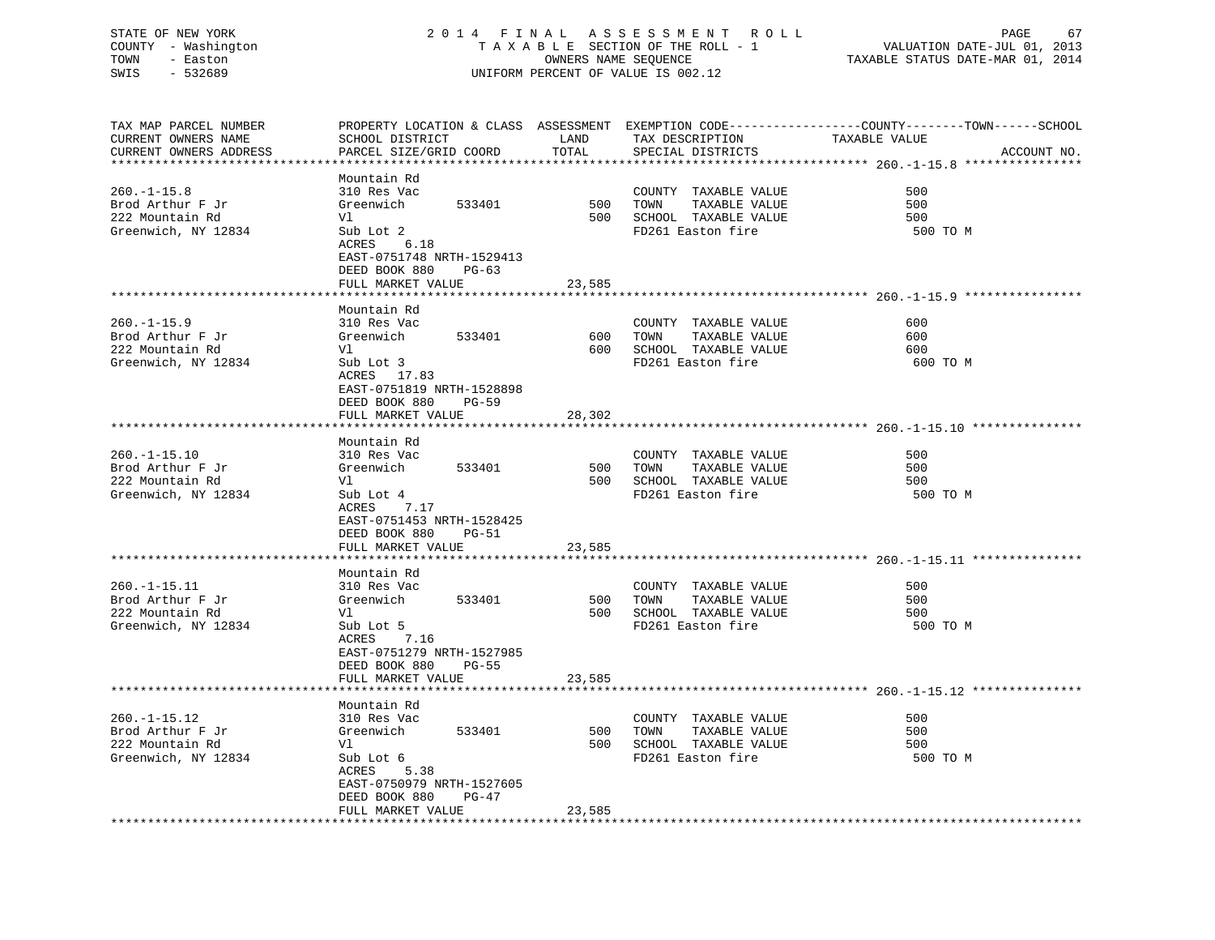### STATE OF NEW YORK 2 0 1 4 F I N A L A S S E S S M E N T R O L L PAGE 67 COUNTY - Washington T A X A B L E SECTION OF THE ROLL - 1 VALUATION DATE-JUL 01, 2013 TOWN - Easton OWNERS NAME SEQUENCE TAXABLE STATUS DATE-MAR 01, 2014 SWIS - 532689 UNIFORM PERCENT OF VALUE IS 002.12

| TAX MAP PARCEL NUMBER  |                               |        |                                     | PROPERTY LOCATION & CLASS ASSESSMENT EXEMPTION CODE-----------------COUNTY-------TOWN------SCHOOL |
|------------------------|-------------------------------|--------|-------------------------------------|---------------------------------------------------------------------------------------------------|
| CURRENT OWNERS NAME    | SCHOOL DISTRICT               | LAND   | TAX DESCRIPTION                     | TAXABLE VALUE                                                                                     |
| CURRENT OWNERS ADDRESS | PARCEL SIZE/GRID COORD        | TOTAL  | SPECIAL DISTRICTS                   | ACCOUNT NO.                                                                                       |
| *******************    |                               |        |                                     |                                                                                                   |
|                        | Mountain Rd                   |        |                                     |                                                                                                   |
| $260. -1 - 15.8$       | 310 Res Vac                   |        | COUNTY TAXABLE VALUE                | 500                                                                                               |
| Brod Arthur F Jr       | Greenwich<br>533401           | 500    | TAXABLE VALUE<br>TOWN               | 500                                                                                               |
| 222 Mountain Rd        | Vl                            |        | 500 SCHOOL TAXABLE VALUE            | 500                                                                                               |
| Greenwich, NY 12834    | Sub Lot 2                     |        | FD261 Easton fire                   | 500 TO M                                                                                          |
|                        | ACRES 6.18                    |        |                                     |                                                                                                   |
|                        | EAST-0751748 NRTH-1529413     |        |                                     |                                                                                                   |
|                        | DEED BOOK 880<br>$PG-63$      |        |                                     |                                                                                                   |
|                        | FULL MARKET VALUE             | 23,585 |                                     |                                                                                                   |
|                        |                               |        |                                     |                                                                                                   |
|                        | Mountain Rd                   |        |                                     |                                                                                                   |
| $260. -1 - 15.9$       | 310 Res Vac                   |        | COUNTY TAXABLE VALUE                | 600                                                                                               |
| Brod Arthur F Jr       | 533401<br>Greenwich           | 600    | TOWN<br>TAXABLE VALUE               | 600                                                                                               |
| 222 Mountain Rd        | Vl                            | 600    | SCHOOL TAXABLE VALUE                | 600                                                                                               |
| Greenwich, NY 12834    | Sub Lot 3                     |        | FD261 Easton fire                   | 600 TO M                                                                                          |
|                        | ACRES 17.83                   |        |                                     |                                                                                                   |
|                        | EAST-0751819 NRTH-1528898     |        |                                     |                                                                                                   |
|                        | DEED BOOK 880<br>$PG-59$      |        |                                     |                                                                                                   |
|                        | FULL MARKET VALUE             | 28,302 |                                     |                                                                                                   |
|                        |                               |        |                                     |                                                                                                   |
|                        | Mountain Rd                   |        |                                     |                                                                                                   |
| $260. -1 - 15.10$      | 310 Res Vac                   |        | COUNTY TAXABLE VALUE                | 500                                                                                               |
| Brod Arthur F Jr       | 533401<br>Greenwich           | 500    | TAXABLE VALUE<br>TOWN               | 500                                                                                               |
| 222 Mountain Rd        | Vl                            |        | 500 SCHOOL TAXABLE VALUE            | 500                                                                                               |
| Greenwich, NY 12834    | Sub Lot 4                     |        | FD261 Easton fire                   | 500 TO M                                                                                          |
|                        | ACRES<br>7.17                 |        |                                     |                                                                                                   |
|                        | EAST-0751453 NRTH-1528425     |        |                                     |                                                                                                   |
|                        | DEED BOOK 880<br><b>PG-51</b> |        |                                     |                                                                                                   |
|                        | FULL MARKET VALUE             | 23,585 |                                     |                                                                                                   |
|                        |                               |        |                                     |                                                                                                   |
|                        | Mountain Rd                   |        |                                     |                                                                                                   |
| $260. -1 - 15.11$      | 310 Res Vac                   |        | COUNTY TAXABLE VALUE                | 500                                                                                               |
| Brod Arthur F Jr       | Greenwich<br>533401           | 500    | TAXABLE VALUE<br>TOWN               | 500                                                                                               |
| 222 Mountain Rd        | Vl                            |        | 500 SCHOOL TAXABLE VALUE            | 500                                                                                               |
| Greenwich, NY 12834    | Sub Lot 5                     |        | FD261 Easton fire                   | 500 TO M                                                                                          |
|                        | ACRES<br>7.16                 |        |                                     |                                                                                                   |
|                        | EAST-0751279 NRTH-1527985     |        |                                     |                                                                                                   |
|                        | DEED BOOK 880<br>PG-55        |        |                                     |                                                                                                   |
|                        | FULL MARKET VALUE             | 23,585 |                                     |                                                                                                   |
|                        |                               |        |                                     |                                                                                                   |
|                        | Mountain Rd                   |        |                                     |                                                                                                   |
| $260. -1 - 15.12$      | 310 Res Vac                   |        | COUNTY TAXABLE VALUE                | 500                                                                                               |
| Brod Arthur F Jr       | Greenwich<br>533401           | 500    | TOWN<br>TAXABLE VALUE               | 500                                                                                               |
| 222 Mountain Rd        | Vl                            | 500    | SCHOOL TAXABLE VALUE                | 500                                                                                               |
| Greenwich, NY 12834    | Sub Lot 6                     |        | FD261 Easton fire                   | 500 TO M                                                                                          |
|                        | 5.38<br>ACRES                 |        |                                     |                                                                                                   |
|                        | EAST-0750979 NRTH-1527605     |        |                                     |                                                                                                   |
|                        | DEED BOOK 880<br>PG-47        |        |                                     |                                                                                                   |
|                        | FULL MARKET VALUE             | 23,585 |                                     |                                                                                                   |
|                        |                               |        | *********************************** |                                                                                                   |
|                        |                               |        |                                     |                                                                                                   |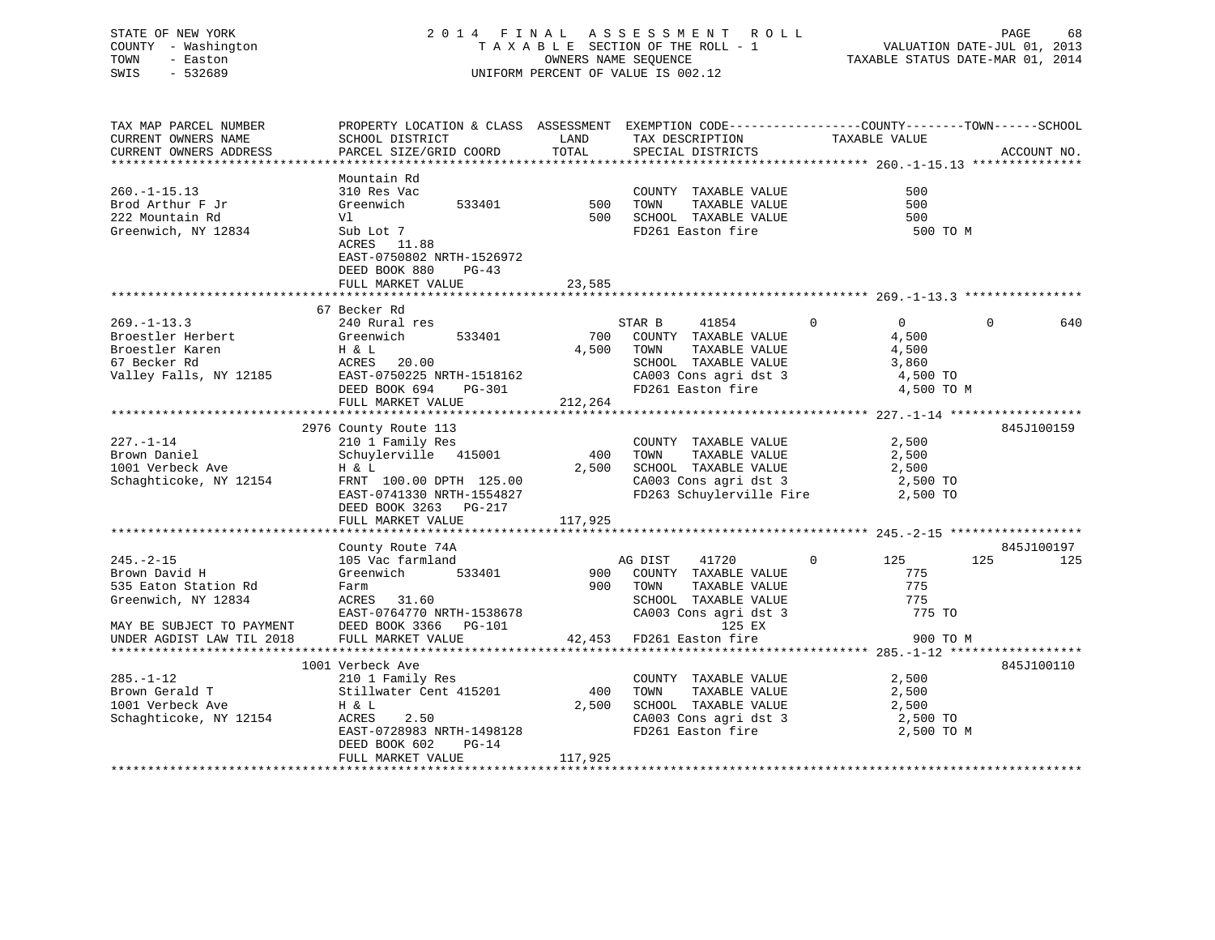### STATE OF NEW YORK 2 0 1 4 F I N A L A S S E S S M E N T R O L L PAGE 68 COUNTY - Washington T A X A B L E SECTION OF THE ROLL - 1 VALUATION DATE-JUL 01, 2013 TOWN - Easton COMPUTERS NAME SEQUENCE TAXABLE STATUS DATE-MAR 01, 2014<br>SWIS - 532689 SWIS - 532689 UNIFORM PERCENT OF VALUE IS 002.12

| TAX MAP PARCEL NUMBER     | PROPERTY LOCATION & CLASS ASSESSMENT EXEMPTION CODE----------------COUNTY-------TOWN------SCHOOL                                        |                          |          |                                                                    |                |          |             |
|---------------------------|-----------------------------------------------------------------------------------------------------------------------------------------|--------------------------|----------|--------------------------------------------------------------------|----------------|----------|-------------|
| CURRENT OWNERS NAME       | SCHOOL DISTRICT<br><b>EXAMPLE THE STATE OF STATE OF STATE</b>                                                                           |                          |          | TAX DESCRIPTION                                                    | TAXABLE VALUE  |          |             |
| CURRENT OWNERS ADDRESS    | PARCEL SIZE/GRID COORD                                                                                                                  | TOTAL                    |          | SPECIAL DISTRICTS                                                  |                |          | ACCOUNT NO. |
|                           |                                                                                                                                         |                          |          |                                                                    |                |          |             |
|                           | Mountain Rd                                                                                                                             |                          |          |                                                                    |                |          |             |
| $260. -1 - 15.13$         | 310 Res Vac                                                                                                                             | 500                      |          | COUNTY TAXABLE VALUE                                               | 500            |          |             |
| Brod Arthur F Jr          | Greenwich 533401                                                                                                                        |                          | TOWN     | TAXABLE VALUE                                                      | 500            |          |             |
| 222 Mountain Rd           | Vl                                                                                                                                      |                          |          | 500 SCHOOL TAXABLE VALUE                                           | 500            |          |             |
| Greenwich, NY 12834       | Sub Lot 7                                                                                                                               |                          |          | FD261 Easton fire                                                  | 500 TO M       |          |             |
|                           | ACRES 11.88                                                                                                                             |                          |          |                                                                    |                |          |             |
|                           | EAST-0750802 NRTH-1526972                                                                                                               |                          |          |                                                                    |                |          |             |
|                           | DEED BOOK 880<br>$PG-43$                                                                                                                |                          |          |                                                                    |                |          |             |
|                           | FULL MARKET VALUE                                                                                                                       | 23,585                   |          |                                                                    |                |          |             |
|                           |                                                                                                                                         |                          |          |                                                                    |                |          |             |
|                           | 67 Becker Rd                                                                                                                            |                          |          |                                                                    |                |          |             |
| $269. - 1 - 13.3$         | 240 Rural res                                                                                                                           |                          | STAR B   | 41854<br>$\sim$ 0                                                  | $\overline{0}$ | $\Omega$ | 640         |
| Broestler Herbert         | Greenwich 533401                                                                                                                        |                          |          | 700 COUNTY TAXABLE VALUE                                           | 4,500          |          |             |
| Broestler Karen           |                                                                                                                                         | 4,500 TOWN               |          | TAXABLE VALUE                                                      | 4,500          |          |             |
|                           | H & L<br>H & L<br>ACRES 20.00                                                                                                           |                          |          |                                                                    | 3,860          |          |             |
|                           |                                                                                                                                         |                          |          | CA003 Cons agri dst 3 4,500 TO                                     |                |          |             |
|                           |                                                                                                                                         |                          |          |                                                                    |                |          |             |
|                           |                                                                                                                                         |                          |          |                                                                    | 4,500 TO M     |          |             |
|                           | FULL MARKET VALUE                                                                                                                       | 212,264                  |          |                                                                    |                |          |             |
|                           |                                                                                                                                         |                          |          |                                                                    |                |          |             |
|                           | 2976 County Route 113                                                                                                                   |                          |          |                                                                    |                |          | 845J100159  |
| $227. - 1 - 14$           | 210 1 Family Res                                                                                                                        |                          |          | COUNTY TAXABLE VALUE                                               | 2,500          |          |             |
| Brown Daniel              | Schuylerville 415001                                                                                                                    |                          | 400 TOWN | TAXABLE VALUE                                                      | 2,500          |          |             |
| 1001 Verbeck Ave          | H & L                                                                                                                                   |                          |          | 2,500 SCHOOL TAXABLE VALUE 2,500<br>CA003 Cons agri dst 3 2,500 TO |                |          |             |
| Schaghticoke, NY 12154    | FRNT 100.00 DPTH 125.00                                                                                                                 |                          |          |                                                                    |                |          |             |
|                           | EAST-0741330 NRTH-1554827                                                                                                               |                          |          | FD263 Schuylerville Fire                                           | 2,500 TO       |          |             |
|                           | DEED BOOK 3263 PG-217                                                                                                                   |                          |          |                                                                    |                |          |             |
|                           | FULL MARKET VALUE                                                                                                                       | 117,925                  |          |                                                                    |                |          |             |
|                           |                                                                                                                                         |                          |          |                                                                    |                |          |             |
|                           | County Route 74A                                                                                                                        |                          |          |                                                                    |                |          | 845J100197  |
| $245. - 2 - 15$           |                                                                                                                                         |                          |          | 41720 0 125                                                        |                | 125      | 125         |
| Brown David H             |                                                                                                                                         |                          |          |                                                                    | 775            |          |             |
| 535 Eaton Station Rd      | 105 Vac farmland<br>Greenwich 533401 900 COUNTY TAXABLE VALUE<br>Farm 900 TOWN TAXABLE VALUE<br>Greenwich 533401<br>Farm<br>ACRES 31.60 |                          |          | TAXABLE VALUE                                                      | 775            |          |             |
| Greenwich, NY 12834       | ACRES 31.60                                                                                                                             |                          |          |                                                                    |                |          |             |
|                           | ACRES 31.60<br>EAST-0764770 NRTH-1538678<br>2000 1266 PG-101                                                                            |                          |          | SCHOOL TAXABLE VALUE 775 775<br>CA003 Cons agri dst 3 775 70       |                |          |             |
| MAY BE SUBJECT TO PAYMENT |                                                                                                                                         |                          |          | 125 EX                                                             |                |          |             |
| UNDER AGDIST LAW TIL 2018 | FULL MARKET VALUE                                                                                                                       | 42,453 FD261 Easton fire |          |                                                                    | 900 TO M       |          |             |
|                           |                                                                                                                                         |                          |          |                                                                    |                |          |             |
|                           | 1001 Verbeck Ave                                                                                                                        |                          |          |                                                                    |                |          | 845J100110  |
| $285. - 1 - 12$           | 210 1 Family Res                                                                                                                        |                          |          | COUNTY TAXABLE VALUE                                               | 2,500          |          |             |
| Brown Gerald T            | Stillwater Cent 415201                                                                                                                  | 400                      | TOWN     | TAXABLE VALUE                                                      | 2,500          |          |             |
| 1001 Verbeck Ave          | H & L                                                                                                                                   | 2,500                    |          | SCHOOL TAXABLE VALUE                                               | 2,500          |          |             |
| Schaghticoke, NY 12154    | ACRES<br>2.50                                                                                                                           |                          |          | CA003 Cons agri dst 3 2,500 TO                                     |                |          |             |
|                           | EAST-0728983 NRTH-1498128                                                                                                               |                          |          | FD261 Easton fire                                                  | 2,500 TO M     |          |             |
|                           | DEED BOOK 602<br>$PG-14$                                                                                                                |                          |          |                                                                    |                |          |             |
|                           | FULL MARKET VALUE                                                                                                                       | 117,925                  |          |                                                                    |                |          |             |
|                           |                                                                                                                                         |                          |          |                                                                    |                |          |             |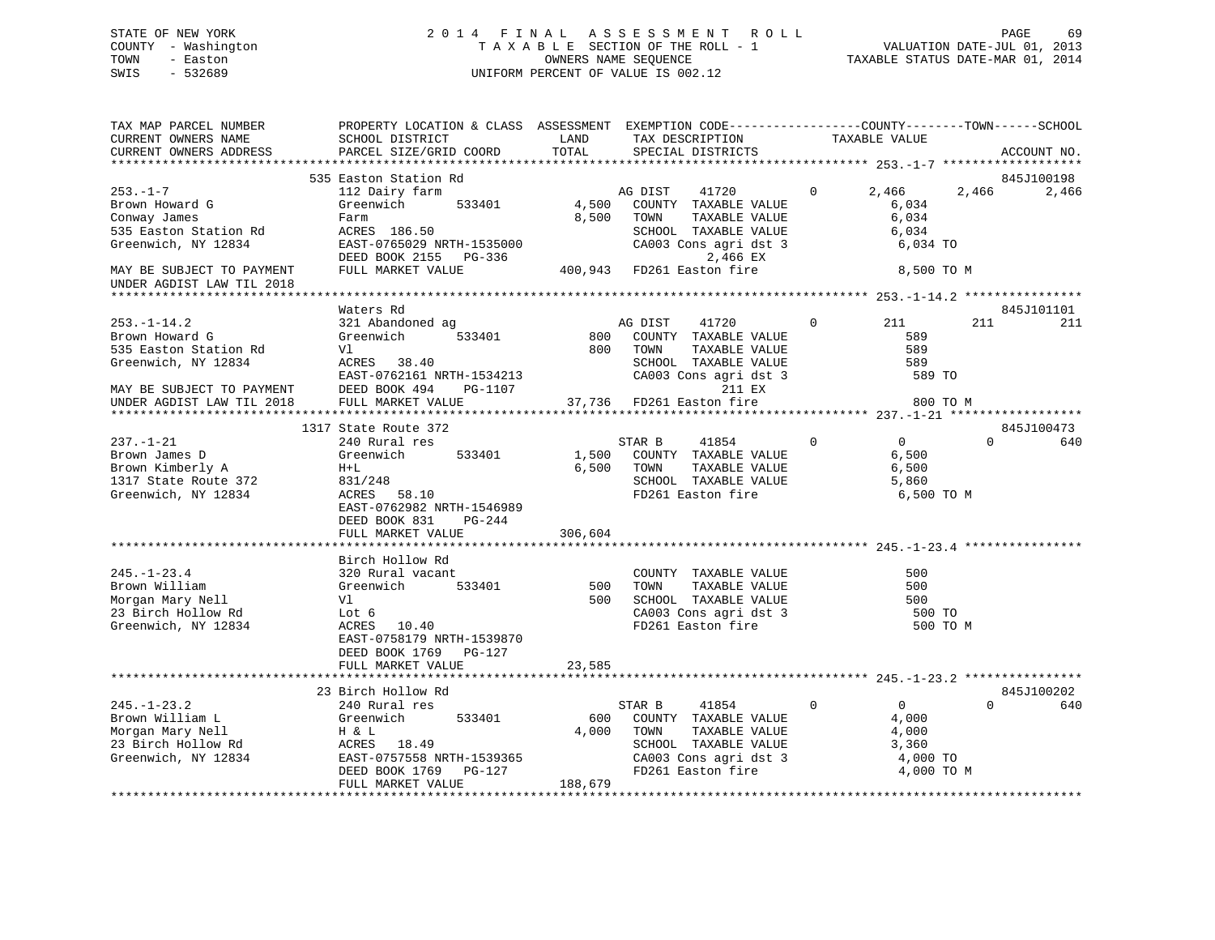### STATE OF NEW YORK 2 0 1 4 F I N A L A S S E S S M E N T R O L L PAGE 69 COUNTY - Washington T A X A B L E SECTION OF THE ROLL - 1 VALUATION DATE-JUL 01, 2013 TOWN - Easton OWNERS NAME SEQUENCE TAXABLE STATUS DATE-MAR 01, 2014 SWIS - 532689 UNIFORM PERCENT OF VALUE IS 002.12

| TAX MAP PARCEL NUMBER<br>CURRENT OWNERS NAME<br>CURRENT OWNERS ADDRESS                                                                                     | PROPERTY LOCATION & CLASS ASSESSMENT EXEMPTION CODE----------------COUNTY-------TOWN------SCHOOL<br>SCHOOL DISTRICT<br>PARCEL SIZE/GRID COORD                                | LAND<br>TOTAL             | TAX DESCRIPTION<br>SPECIAL DISTRICTS                                                                                                                        | TAXABLE VALUE                                                                   |                 | ACCOUNT NO.         |
|------------------------------------------------------------------------------------------------------------------------------------------------------------|------------------------------------------------------------------------------------------------------------------------------------------------------------------------------|---------------------------|-------------------------------------------------------------------------------------------------------------------------------------------------------------|---------------------------------------------------------------------------------|-----------------|---------------------|
|                                                                                                                                                            |                                                                                                                                                                              |                           |                                                                                                                                                             |                                                                                 |                 |                     |
| $253. - 1 - 7$<br>Brown Howard G<br>Conway James<br>535 Easton Station Rd<br>Greenwich, NY 12834<br>MAY BE SUBJECT TO PAYMENT<br>UNDER AGDIST LAW TIL 2018 | 535 Easton Station Rd<br>112 Dairy farm<br>Greenwich<br>533401<br>Farm<br>ACRES 186.50<br>EAST-0765029 NRTH-1535000<br>DEED BOOK 2155 PG-336<br>FULL MARKET VALUE            | 4,500<br>8,500            | AG DIST<br>41720<br>COUNTY TAXABLE VALUE<br>TOWN<br>TAXABLE VALUE<br>SCHOOL TAXABLE VALUE<br>CA003 Cons agri dst 3<br>2,466 EX<br>400,943 FD261 Easton fire | $\Omega$<br>2,466<br>6,034<br>6,034<br>6,034<br>6,034 TO<br>8,500 TO M          | 2,466           | 845J100198<br>2,466 |
|                                                                                                                                                            |                                                                                                                                                                              |                           |                                                                                                                                                             |                                                                                 |                 |                     |
| $253. - 1 - 14.2$<br>Brown Howard G<br>535 Easton Station Rd<br>Greenwich, NY 12834<br>MAY BE SUBJECT TO PAYMENT<br>UNDER AGDIST LAW TIL 2018              | Waters Rd<br>321 Abandoned ag<br>533401<br>Greenwich<br>Vl<br>ACRES 38.40<br>EAST-0762161 NRTH-1534213<br>DEED BOOK 494<br>PG-1107<br>FULL MARKET VALUE                      | 800<br>800<br>37,736      | AG DIST<br>41720<br>COUNTY TAXABLE VALUE<br>TAXABLE VALUE<br>TOWN<br>SCHOOL TAXABLE VALUE<br>CA003 Cons agri dst 3<br>211 EX<br>FD261 Easton fire           | 211<br>$\Omega$<br>589<br>589<br>589<br>589 TO                                  | 211<br>800 TO M | 845J101101<br>211   |
|                                                                                                                                                            |                                                                                                                                                                              |                           |                                                                                                                                                             |                                                                                 |                 |                     |
| $237. - 1 - 21$<br>Brown James D<br>Brown Kimberly A<br>1317 State Route 372<br>Greenwich, NY 12834                                                        | 1317 State Route 372<br>240 Rural res<br>533401<br>Greenwich<br>$H+L$<br>831/248<br>ACRES 58.10<br>EAST-0762982 NRTH-1546989<br>DEED BOOK 831<br>PG-244<br>FULL MARKET VALUE | 1,500<br>6,500<br>306,604 | STAR B<br>41854<br>COUNTY TAXABLE VALUE<br>TAXABLE VALUE<br>TOWN<br>SCHOOL TAXABLE VALUE<br>FD261 Easton fire                                               | $\mathbf 0$<br>$\overline{0}$<br>6,500<br>6,500<br>5,860<br>6,500 TO M          | $\Omega$        | 845J100473<br>640   |
|                                                                                                                                                            |                                                                                                                                                                              |                           |                                                                                                                                                             |                                                                                 |                 |                     |
| $245. - 1 - 23.4$<br>Brown William<br>Morgan Mary Nell<br>23 Birch Hollow Rd<br>Greenwich, NY 12834                                                        | Birch Hollow Rd<br>320 Rural vacant<br>Greenwich<br>533401<br>Vl<br>Lot 6<br>ACRES<br>10.40<br>EAST-0758179 NRTH-1539870                                                     | 500<br>500                | COUNTY TAXABLE VALUE<br>TOWN<br>TAXABLE VALUE<br>SCHOOL TAXABLE VALUE<br>CA003 Cons agri dst 3<br>FD261 Easton fire                                         | 500<br>500<br>500<br>500 TO                                                     | 500 TO M        |                     |
|                                                                                                                                                            | DEED BOOK 1769 PG-127                                                                                                                                                        |                           |                                                                                                                                                             |                                                                                 |                 |                     |
|                                                                                                                                                            | FULL MARKET VALUE                                                                                                                                                            | 23,585                    |                                                                                                                                                             |                                                                                 |                 |                     |
|                                                                                                                                                            | 23 Birch Hollow Rd                                                                                                                                                           |                           |                                                                                                                                                             |                                                                                 |                 | 845J100202          |
| $245. - 1 - 23.2$<br>Brown William L<br>Morgan Mary Nell<br>23 Birch Hollow Rd<br>Greenwich, NY 12834                                                      | 240 Rural res<br>Greenwich<br>533401<br>H & L<br>ACRES 18.49<br>EAST-0757558 NRTH-1539365<br>DEED BOOK 1769 PG-127<br>FULL MARKET VALUE                                      | 600<br>4,000<br>188,679   | STAR B<br>41854<br>COUNTY TAXABLE VALUE<br>TOWN<br>TAXABLE VALUE<br>SCHOOL TAXABLE VALUE<br>CA003 Cons agri dst 3<br>FD261 Easton fire                      | $\Omega$<br>$\overline{0}$<br>4,000<br>4,000<br>3,360<br>4,000 TO<br>4,000 TO M | $\Omega$        | 640                 |
|                                                                                                                                                            |                                                                                                                                                                              |                           |                                                                                                                                                             |                                                                                 |                 |                     |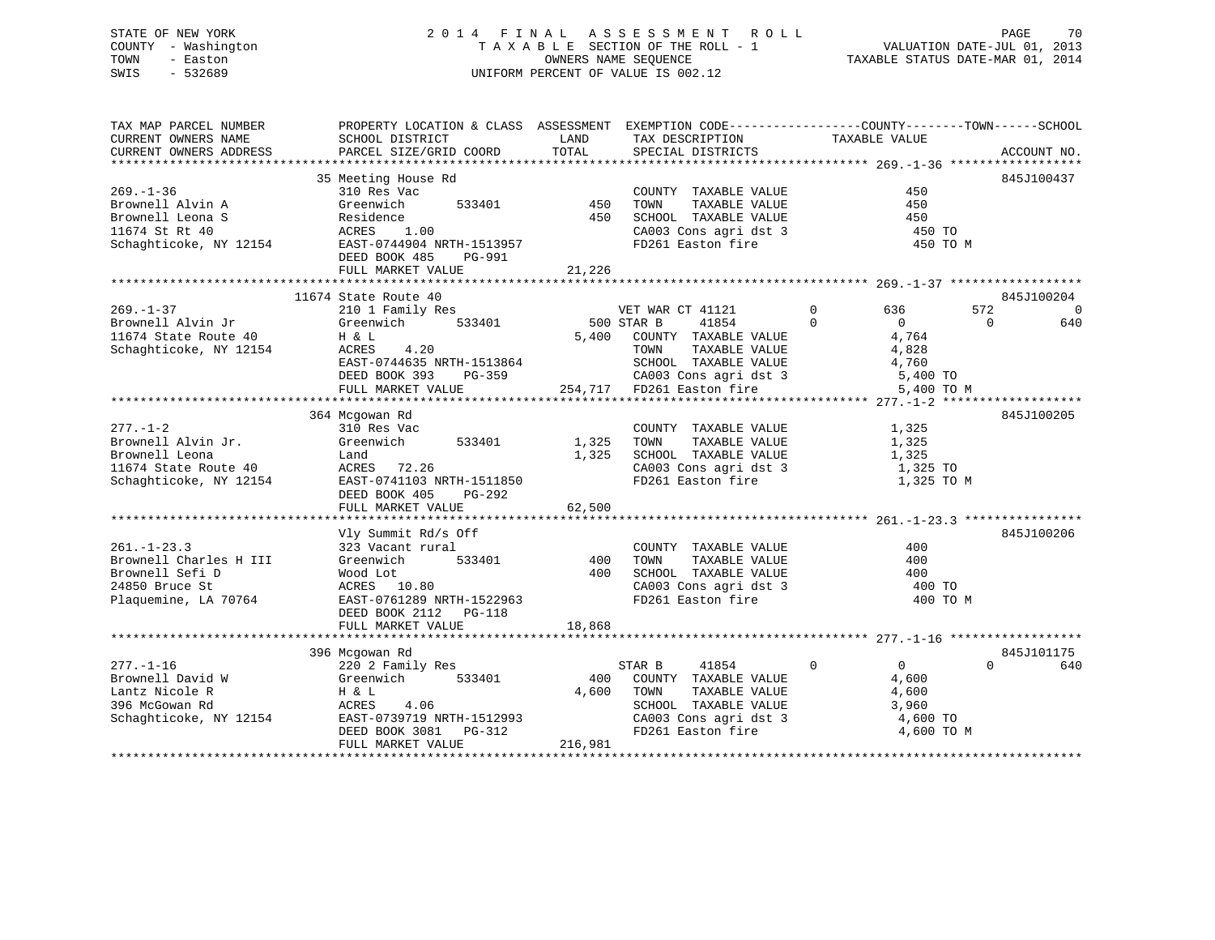### STATE OF NEW YORK 2 0 1 4 F I N A L A S S E S S M E N T R O L L PAGE 70 COUNTY - Washington T A X A B L E SECTION OF THE ROLL - 1 VALUATION DATE-JUL 01, 2013 TOWN - Easton **CONNERS NAME SEQUENCE** TAXABLE STATUS DATE-MAR 01, 2014 SWIS - 532689 UNIFORM PERCENT OF VALUE IS 002.12

| TAX MAP PARCEL NUMBER                                                                                                                                                                                                     | PROPERTY LOCATION & CLASS ASSESSMENT EXEMPTION CODE----------------COUNTY-------TOWN------SCHOOL                                                                                                                                                     |                                            |                                                                                                    |                                                                                                                          |                       |
|---------------------------------------------------------------------------------------------------------------------------------------------------------------------------------------------------------------------------|------------------------------------------------------------------------------------------------------------------------------------------------------------------------------------------------------------------------------------------------------|--------------------------------------------|----------------------------------------------------------------------------------------------------|--------------------------------------------------------------------------------------------------------------------------|-----------------------|
| CURRENT OWNERS NAME                                                                                                                                                                                                       | SCHOOL DISTRICT                                                                                                                                                                                                                                      | <b>EXAMPLE THE STATE OF STATE OF STATE</b> | TAX DESCRIPTION TAXABLE VALUE                                                                      |                                                                                                                          |                       |
|                                                                                                                                                                                                                           |                                                                                                                                                                                                                                                      |                                            |                                                                                                    |                                                                                                                          |                       |
|                                                                                                                                                                                                                           | 35 Meeting House Rd<br>310 Pee Vac                                                                                                                                                                                                                   |                                            |                                                                                                    |                                                                                                                          | 845J100437            |
| $269. - 1 - 36$                                                                                                                                                                                                           |                                                                                                                                                                                                                                                      |                                            | COUNTY TAXABLE VALUE                                                                               | 450                                                                                                                      |                       |
|                                                                                                                                                                                                                           |                                                                                                                                                                                                                                                      |                                            |                                                                                                    | 450                                                                                                                      |                       |
|                                                                                                                                                                                                                           |                                                                                                                                                                                                                                                      |                                            | 533401 450 TOWN TAXABLE VALUE<br>450 SCHOOL TAXABLE VALUE                                          | 450                                                                                                                      |                       |
|                                                                                                                                                                                                                           |                                                                                                                                                                                                                                                      |                                            |                                                                                                    | 450 TO                                                                                                                   |                       |
| Brownell Alvin A Greenwich 533401 450<br>Brownell Leona S Residence 450<br>11674 St Rt 40 ACRES 1.00<br>Schaghticoke, NY 12154 EAST-0744904 NRTH-1513957<br>THE RT 2013                                                   |                                                                                                                                                                                                                                                      |                                            | CA003 Cons agri dst 3<br>FD261 Easton fire                                                         | 450 TO M                                                                                                                 |                       |
|                                                                                                                                                                                                                           | DEED BOOK 485<br>PG-991                                                                                                                                                                                                                              |                                            |                                                                                                    |                                                                                                                          |                       |
|                                                                                                                                                                                                                           | FULL MARKET VALUE                                                                                                                                                                                                                                    | 21,226                                     |                                                                                                    |                                                                                                                          |                       |
|                                                                                                                                                                                                                           |                                                                                                                                                                                                                                                      |                                            |                                                                                                    |                                                                                                                          |                       |
|                                                                                                                                                                                                                           | 11674 State Route 40                                                                                                                                                                                                                                 |                                            |                                                                                                    |                                                                                                                          | 845J100204            |
|                                                                                                                                                                                                                           |                                                                                                                                                                                                                                                      | VET WAR<br>500 STAR B                      | VET WAR CT 41121 0 636                                                                             |                                                                                                                          | 572<br>$\overline{0}$ |
|                                                                                                                                                                                                                           |                                                                                                                                                                                                                                                      |                                            | 41854 0                                                                                            | $\overline{0}$                                                                                                           | $\overline{0}$<br>640 |
|                                                                                                                                                                                                                           |                                                                                                                                                                                                                                                      |                                            |                                                                                                    |                                                                                                                          |                       |
|                                                                                                                                                                                                                           |                                                                                                                                                                                                                                                      |                                            |                                                                                                    |                                                                                                                          |                       |
|                                                                                                                                                                                                                           |                                                                                                                                                                                                                                                      |                                            |                                                                                                    |                                                                                                                          |                       |
|                                                                                                                                                                                                                           |                                                                                                                                                                                                                                                      |                                            |                                                                                                    |                                                                                                                          |                       |
|                                                                                                                                                                                                                           | 1 6 L<br>H & L<br>H & L<br>ACRES 4.20<br>EAST-0744635 NRTH-1513864<br>DEED BOOK 393 PG-359<br>FULL MARKET VALUE<br>254,717 FD261 Easton fire<br>254,717 FD261 Easton fire<br>254,717 FD261 Easton fire<br>254,717 FD261 Easton fire<br>254,717 FD261 |                                            |                                                                                                    |                                                                                                                          |                       |
|                                                                                                                                                                                                                           |                                                                                                                                                                                                                                                      |                                            |                                                                                                    |                                                                                                                          |                       |
|                                                                                                                                                                                                                           | 364 Mcgowan Rd                                                                                                                                                                                                                                       |                                            |                                                                                                    |                                                                                                                          | 845J100205            |
| $277. - 1 - 2$<br>Brownell Alvin Jr.                                                                                                                                                                                      |                                                                                                                                                                                                                                                      |                                            | COUNTY TAXABLE VALUE<br>TOWN TAXABLE VALUE                                                         | 1,325<br>1,325                                                                                                           |                       |
|                                                                                                                                                                                                                           |                                                                                                                                                                                                                                                      |                                            |                                                                                                    |                                                                                                                          |                       |
| Erownell Leona<br>1,325<br>1,325<br>Schaghticoke, NY 12154<br>EAST-0741103_NRTH-1511850<br>EAST-0741103_NRTH-1511850                                                                                                      |                                                                                                                                                                                                                                                      |                                            | 1,325 SCHOOL TAXABLE VALUE 1,325<br>CA003 Cons agri dst 3 1,325 TO<br>FD261 Easton fire 1,325 TO M |                                                                                                                          |                       |
|                                                                                                                                                                                                                           |                                                                                                                                                                                                                                                      |                                            |                                                                                                    |                                                                                                                          |                       |
|                                                                                                                                                                                                                           | DEED BOOK 405<br>PG-292                                                                                                                                                                                                                              |                                            |                                                                                                    |                                                                                                                          |                       |
|                                                                                                                                                                                                                           | FULL MARKET VALUE                                                                                                                                                                                                                                    | 62,500                                     |                                                                                                    |                                                                                                                          |                       |
|                                                                                                                                                                                                                           |                                                                                                                                                                                                                                                      |                                            |                                                                                                    |                                                                                                                          |                       |
|                                                                                                                                                                                                                           | Vly Summit Rd/s Off                                                                                                                                                                                                                                  |                                            |                                                                                                    |                                                                                                                          | 845J100206            |
| $261. - 1 - 23.3$                                                                                                                                                                                                         | 323 Vacant rural                                                                                                                                                                                                                                     |                                            | COUNTY TAXABLE VALUE                                                                               | 400                                                                                                                      |                       |
| Brownell Charles H III                                                                                                                                                                                                    | Greenwich 533401 400                                                                                                                                                                                                                                 |                                            | TOWN                                                                                               | TAXABLE VALUE 400                                                                                                        |                       |
| Brownell Sefi D                                                                                                                                                                                                           |                                                                                                                                                                                                                                                      |                                            |                                                                                                    |                                                                                                                          |                       |
| 24850 Bruce St                                                                                                                                                                                                            |                                                                                                                                                                                                                                                      |                                            |                                                                                                    |                                                                                                                          |                       |
| Plaquemine, LA 70764                                                                                                                                                                                                      | EAST-0761289 NRTH-1522963                                                                                                                                                                                                                            |                                            | 400 SCHOOL TAXABLE VALUE 400<br>CA003 Cons agri dst 3 400 TO<br>FD261 Easton fire 400 TO           | 400 TO M                                                                                                                 |                       |
|                                                                                                                                                                                                                           | DEED BOOK 2112    PG-118                                                                                                                                                                                                                             |                                            |                                                                                                    |                                                                                                                          |                       |
|                                                                                                                                                                                                                           | FULL MARKET VALUE                                                                                                                                                                                                                                    | 18,868                                     |                                                                                                    |                                                                                                                          |                       |
|                                                                                                                                                                                                                           |                                                                                                                                                                                                                                                      |                                            |                                                                                                    |                                                                                                                          |                       |
|                                                                                                                                                                                                                           | 396 Mcgowan Rd                                                                                                                                                                                                                                       |                                            |                                                                                                    |                                                                                                                          | 845J101175            |
| $277. - 1 - 16$                                                                                                                                                                                                           | 220 2 Family Res                                                                                                                                                                                                                                     |                                            | STAR B<br>41854                                                                                    | $\overline{0}$<br>$\overline{0}$                                                                                         | $\Omega$<br>640       |
|                                                                                                                                                                                                                           |                                                                                                                                                                                                                                                      | 400                                        | COUNTY TAXABLE VALUE 4,600                                                                         |                                                                                                                          |                       |
| 277.-1-16<br>Brownell David W Greenwich 533401 400<br>Lantz Nicole R H & L 4,600<br>396 McGowan Rd ACRES 4.06<br>Schaghticoke, NY 12154 EAST-0739719 NRTH-1512993<br>DEED BOOK 3081 PG-312<br>THE PROSES ON SCHAGE PG-312 |                                                                                                                                                                                                                                                      | 4,600                                      |                                                                                                    | TOWN TAXABLE VALUE 4,600<br>SCHOOL TAXABLE VALUE 3,960<br>CA003 Cons agri dst 3 4,600 TO<br>FD261 Easton fire 4,600 TO M |                       |
|                                                                                                                                                                                                                           |                                                                                                                                                                                                                                                      |                                            |                                                                                                    |                                                                                                                          |                       |
|                                                                                                                                                                                                                           |                                                                                                                                                                                                                                                      |                                            |                                                                                                    |                                                                                                                          |                       |
|                                                                                                                                                                                                                           | FULL MARKET VALUE                                                                                                                                                                                                                                    | 216,981                                    |                                                                                                    |                                                                                                                          |                       |
|                                                                                                                                                                                                                           |                                                                                                                                                                                                                                                      |                                            |                                                                                                    |                                                                                                                          |                       |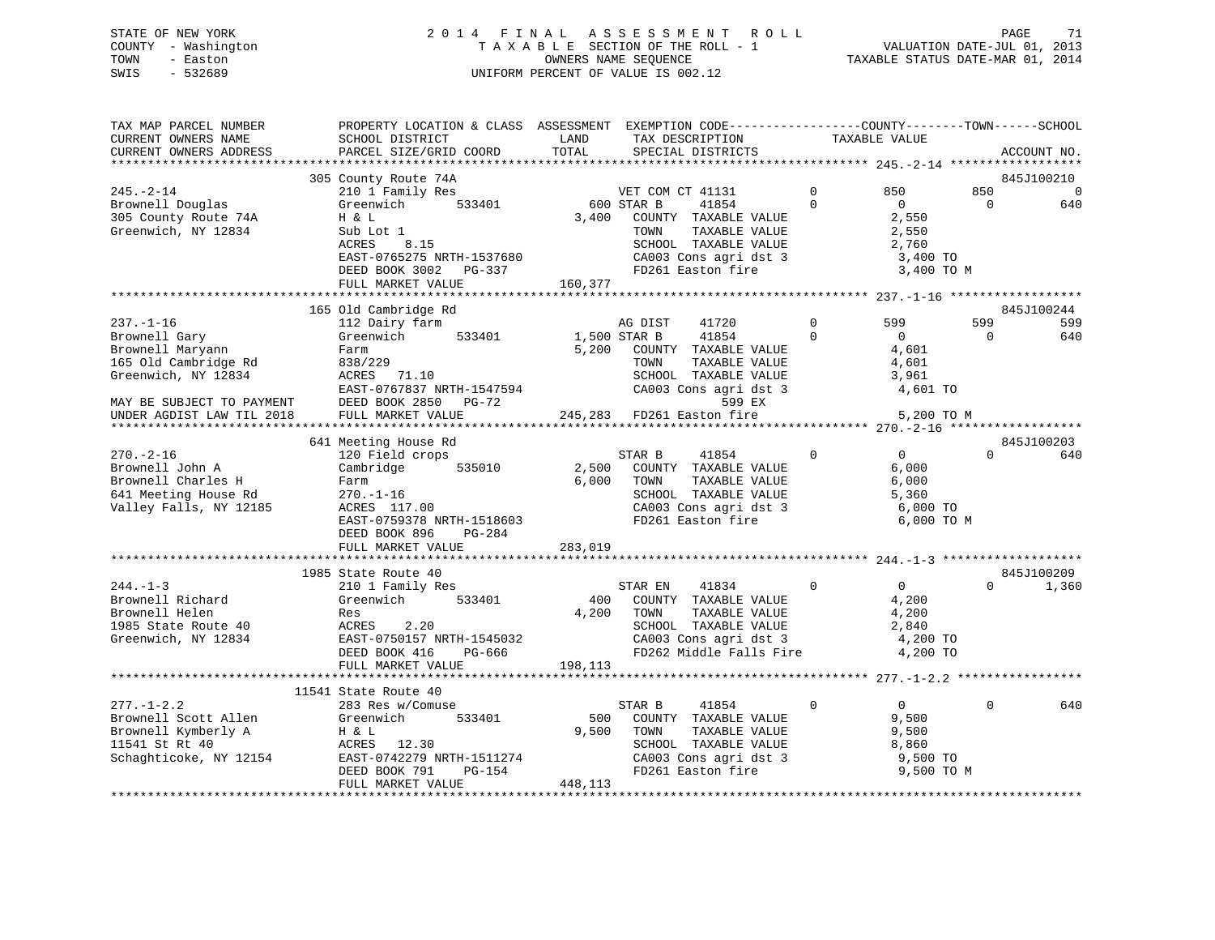### STATE OF NEW YORK 2 0 1 4 F I N A L A S S E S S M E N T R O L L PAGE 71 COUNTY - Washington T A X A B L E SECTION OF THE ROLL - 1 VALUATION DATE-JUL 01, 2013 TOWN - Easton COMPUTERS NAME SEQUENCE TAXABLE STATUS DATE-MAR 01, 2014<br>SWIS - 532689 SWIS - 532689 UNIFORM PERCENT OF VALUE IS 002.12

| TAX MAP PARCEL NUMBER<br>CURRENT OWNERS NAME | SCHOOL DISTRICT           | PROPERTY LOCATION & CLASS ASSESSMENT EXEMPTION CODE-----------------COUNTY-------TOWN------SCHOOL<br>LAND<br>TAX DESCRIPTION |                                            | TAXABLE VALUE  |                |          |                |
|----------------------------------------------|---------------------------|------------------------------------------------------------------------------------------------------------------------------|--------------------------------------------|----------------|----------------|----------|----------------|
| CURRENT OWNERS ADDRESS                       | PARCEL SIZE/GRID COORD    | TOTAL                                                                                                                        | SPECIAL DISTRICTS                          |                |                |          | ACCOUNT NO.    |
|                                              |                           |                                                                                                                              |                                            |                |                |          |                |
|                                              | 305 County Route 74A      |                                                                                                                              |                                            |                |                |          | 845J100210     |
| $245. - 2 - 14$                              | 210 1 Family Res          |                                                                                                                              | VET COM CT 41131                           | $\Omega$       | 850            | 850      | $\overline{0}$ |
| Brownell Douglas                             | 533401<br>Greenwich       | 600 STAR B                                                                                                                   | 41854                                      | $\Omega$       | $\overline{0}$ | $\Omega$ | 640            |
| 305 County Route 74A                         | H & L                     | 3,400                                                                                                                        | COUNTY TAXABLE VALUE                       |                | 2,550          |          |                |
| Greenwich, NY 12834                          | Sub Lot 1                 |                                                                                                                              | TOWN<br>TAXABLE VALUE                      |                | 2,550          |          |                |
|                                              | ACRES<br>8.15             |                                                                                                                              | SCHOOL TAXABLE VALUE                       |                | 2,760          |          |                |
|                                              | EAST-0765275 NRTH-1537680 |                                                                                                                              | CA003 Cons agri dst 3                      |                | 3,400 TO       |          |                |
|                                              | DEED BOOK 3002 PG-337     |                                                                                                                              | FD261 Easton fire                          |                | 3,400 TO M     |          |                |
|                                              | FULL MARKET VALUE         | 160,377                                                                                                                      |                                            |                |                |          |                |
|                                              |                           |                                                                                                                              |                                            |                |                |          |                |
|                                              | 165 Old Cambridge Rd      |                                                                                                                              |                                            |                |                |          | 845J100244     |
| $237. - 1 - 16$                              | 112 Dairy farm            |                                                                                                                              | AG DIST<br>41720                           | $\overline{0}$ | 599            | 599      | 599            |
| Brownell Gary                                | 533401<br>Greenwich       | 1,500 STAR B                                                                                                                 | 41854                                      | $\mathbf 0$    | $\overline{0}$ | $\Omega$ | 640            |
| Brownell Maryann                             | Farm                      | 5,200                                                                                                                        | COUNTY TAXABLE VALUE                       |                | 4,601          |          |                |
| 165 Old Cambridge Rd                         | 838/229                   |                                                                                                                              | TAXABLE VALUE<br>TOWN                      |                | 4,601          |          |                |
| Greenwich, NY 12834                          | <b>ACRES</b><br>71.10     |                                                                                                                              | SCHOOL TAXABLE VALUE                       |                | 3,961          |          |                |
|                                              | EAST-0767837 NRTH-1547594 |                                                                                                                              | CA003 Cons agri dst 3                      |                | 4,601 TO       |          |                |
| MAY BE SUBJECT TO PAYMENT                    | DEED BOOK 2850 PG-72      |                                                                                                                              | 599 EX                                     |                |                |          |                |
| UNDER AGDIST LAW TIL 2018                    | FULL MARKET VALUE         |                                                                                                                              | 245,283 FD261 Easton fire                  |                | 5,200 TO M     |          |                |
|                                              |                           |                                                                                                                              |                                            |                |                |          |                |
|                                              | 641 Meeting House Rd      |                                                                                                                              |                                            |                |                |          | 845J100203     |
| $270. - 2 - 16$                              | 120 Field crops           |                                                                                                                              | STAR B<br>41854                            | $\mathbf 0$    | $\overline{0}$ | $\Omega$ | 640            |
| Brownell John A                              | Cambridge<br>535010       | 2,500                                                                                                                        | COUNTY TAXABLE VALUE                       |                | 6,000          |          |                |
| Brownell Charles H                           | Farm                      | 6,000                                                                                                                        | TOWN<br>TAXABLE VALUE                      |                | 6,000          |          |                |
| 641 Meeting House Rd                         | $270. - 1 - 16$           |                                                                                                                              | SCHOOL TAXABLE VALUE                       |                | 5,360          |          |                |
| Valley Falls, NY 12185                       | ACRES 117.00              |                                                                                                                              |                                            |                | 6,000 TO       |          |                |
|                                              | EAST-0759378 NRTH-1518603 |                                                                                                                              | CA003 Cons agri dst 3<br>FD261 Easton fire |                | 6,000 TO M     |          |                |
|                                              | DEED BOOK 896<br>PG-284   |                                                                                                                              |                                            |                |                |          |                |
|                                              | FULL MARKET VALUE         | 283,019                                                                                                                      |                                            |                |                |          |                |
|                                              |                           |                                                                                                                              |                                            |                |                |          |                |
|                                              | 1985 State Route 40       |                                                                                                                              |                                            |                |                |          | 845J100209     |
| $244. -1 - 3$                                | 210 1 Family Res          |                                                                                                                              | STAR EN<br>41834                           | $\Omega$       | $\overline{0}$ | $\Omega$ | 1,360          |
| Brownell Richard                             | Greenwich<br>533401       | 400                                                                                                                          | COUNTY TAXABLE VALUE                       |                | 4,200          |          |                |
| Brownell Helen                               | Res                       | 4,200                                                                                                                        | TAXABLE VALUE<br>TOWN                      |                | 4,200          |          |                |
| 1985 State Route 40                          | ACRES<br>2.20             |                                                                                                                              | SCHOOL TAXABLE VALUE                       |                | 2,840          |          |                |
| Greenwich, NY 12834                          | EAST-0750157 NRTH-1545032 |                                                                                                                              | CA003 Cons agri dst 3                      |                | 4,200 TO       |          |                |
|                                              | DEED BOOK 416<br>PG-666   |                                                                                                                              | FD262 Middle Falls Fire                    |                | 4,200 TO       |          |                |
|                                              | FULL MARKET VALUE         | 198,113                                                                                                                      |                                            |                |                |          |                |
|                                              |                           |                                                                                                                              |                                            |                |                |          |                |
|                                              | 11541 State Route 40      |                                                                                                                              |                                            |                |                |          |                |
| $277. - 1 - 2.2$                             | 283 Res w/Comuse          |                                                                                                                              | STAR B<br>41854                            | $\mathbf 0$    | $\overline{0}$ | $\Omega$ | 640            |
| Brownell Scott Allen                         | 533401<br>Greenwich       | 500                                                                                                                          | COUNTY TAXABLE VALUE                       |                | 9,500          |          |                |
| Brownell Kymberly A                          | H & L                     | 9,500                                                                                                                        | TAXABLE VALUE<br>TOWN                      |                | 9,500          |          |                |
| 11541 St Rt 40                               | ACRES<br>12.30            |                                                                                                                              | SCHOOL TAXABLE VALUE                       |                | 8,860          |          |                |
| Schaghticoke, NY 12154                       | EAST-0742279 NRTH-1511274 |                                                                                                                              |                                            |                | 9,500 TO       |          |                |
|                                              | DEED BOOK 791<br>PG-154   |                                                                                                                              | FD261 Easton fire                          |                | 9,500 TO M     |          |                |
|                                              | FULL MARKET VALUE         | 448,113                                                                                                                      |                                            |                |                |          |                |
|                                              |                           |                                                                                                                              |                                            |                |                |          |                |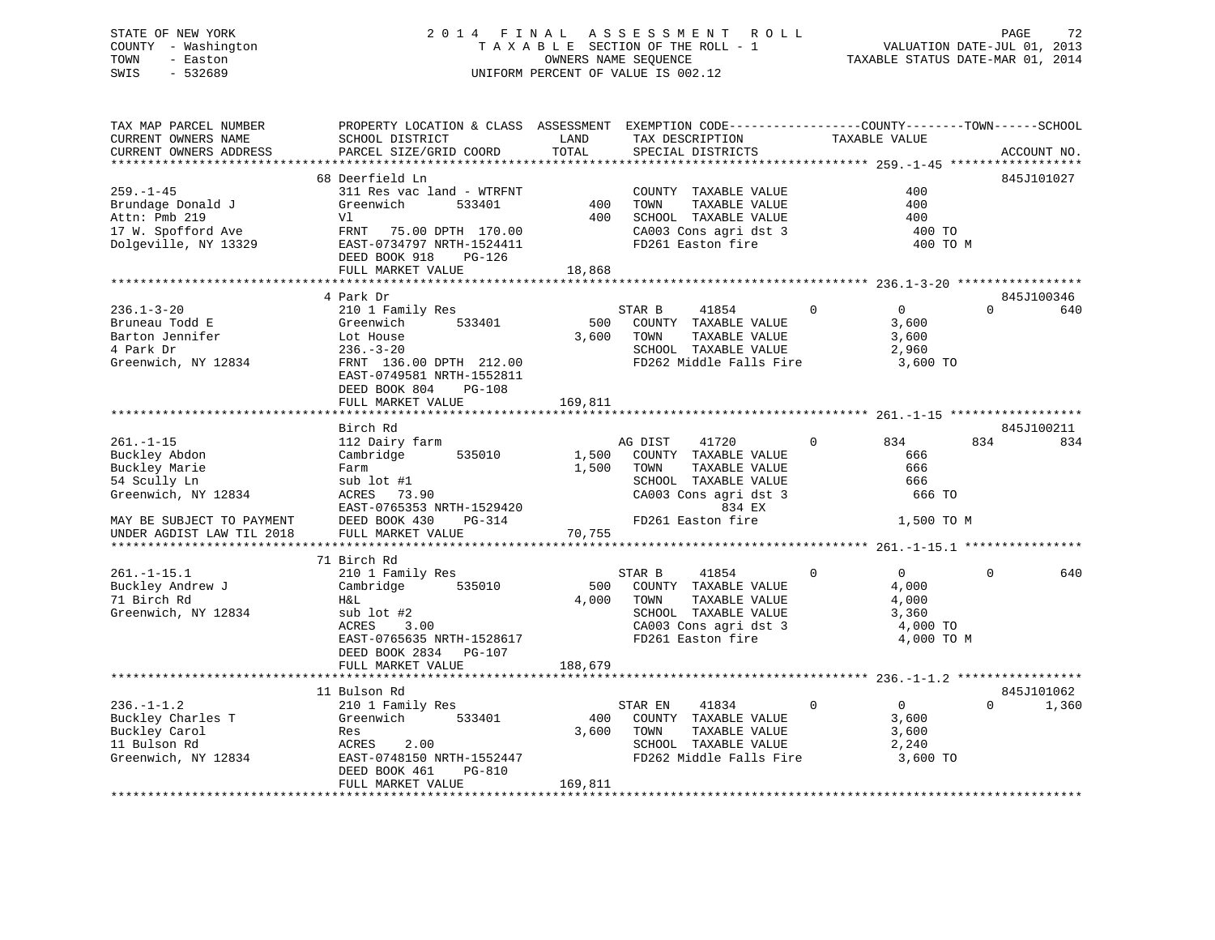### STATE OF NEW YORK 2 0 1 4 F I N A L A S S E S S M E N T R O L L PAGE 72 COUNTY - Washington T A X A B L E SECTION OF THE ROLL - 1 VALUATION DATE-JUL 01, 2013 TOWN - Easton OWNERS NAME SEQUENCE TAXABLE STATUS DATE-MAR 01, 2014 SWIS - 532689 UNIFORM PERCENT OF VALUE IS 002.12

TAX MAP PARCEL NUMBER PROPERTY LOCATION & CLASS ASSESSMENT EXEMPTION CODE------------------COUNTY--------TOWN------SCHOOL CURRENT OWNERS NAME SCHOOL DISTRICT THE LAND TAX DESCRIPTION TAXABLE VALUE CURRENT OWNERS ADDRESS PARCEL SIZE/GRID COORD TOTAL SPECIAL DISTRICTS ACCOUNT NO. \*\*\*\*\*\*\*\*\*\*\*\*\*\*\*\*\*\*\*\*\*\*\*\*\*\*\*\*\*\*\*\*\*\*\*\*\*\*\*\*\*\*\*\*\*\*\*\*\*\*\*\*\*\*\*\*\*\*\*\*\*\*\*\*\*\*\*\*\*\*\*\*\*\*\*\*\*\*\*\*\*\*\*\*\*\*\*\*\*\*\*\*\*\*\*\*\*\*\*\*\*\*\* 259.-1-45 \*\*\*\*\*\*\*\*\*\*\*\*\*\*\*\*\*\* 68 Deerfield Ln 845J101027259.-1-45 311 Res vac land - WTRFNT COUNTY TAXABLE VALUE 400Brundage Donald J Greenwich 533401 400 TOWN TAXABLE VALUE 400 Attn: Pmb 219 Vl 400 SCHOOL TAXABLE VALUE 400400 TO 17 W. Spofford Ave FRNT 75.00 DPTH 170.00 CA003 Cons agri dst 3 400 TO Dolgeville, NY 13329 EAST-0734797 NRTH-1524411 FD261 Easton fire 400 TO M DEED BOOK 918 PG-126 FULL MARKET VALUE 18,868 \*\*\*\*\*\*\*\*\*\*\*\*\*\*\*\*\*\*\*\*\*\*\*\*\*\*\*\*\*\*\*\*\*\*\*\*\*\*\*\*\*\*\*\*\*\*\*\*\*\*\*\*\*\*\*\*\*\*\*\*\*\*\*\*\*\*\*\*\*\*\*\*\*\*\*\*\*\*\*\*\*\*\*\*\*\*\*\*\*\*\*\*\*\*\*\*\*\*\*\*\*\*\* 236.1-3-20 \*\*\*\*\*\*\*\*\*\*\*\*\*\*\*\*\* 4 Park Dr 845J100346236.1-3-20 210 1 Family Res STAR B 41854 0 0 0 640 Bruneau Todd E Greenwich 533401 500 COUNTY TAXABLE VALUE 3,600 Bruneau Todd E<br>
Barton Jennifer 1990 Communication COUNTY TAXABLE VALUE 3,600<br>
Barton Jennifer 1990 Lot House 3,600<br>
3,600<br>
3,600<br>
3,600<br>
3,600<br>
3,600 4 Park Dr 236.-3-20 SCHOOL TAXABLE VALUE 2,960 Greenwich, NY 12834 FRNT 136.00 DPTH 212.00 FD262 Middle Falls Fire 3,600 TO EAST-0749581 NRTH-1552811 DEED BOOK 804 PG-108FULL MARKET VALUE 169,811 \*\*\*\*\*\*\*\*\*\*\*\*\*\*\*\*\*\*\*\*\*\*\*\*\*\*\*\*\*\*\*\*\*\*\*\*\*\*\*\*\*\*\*\*\*\*\*\*\*\*\*\*\*\*\*\*\*\*\*\*\*\*\*\*\*\*\*\*\*\*\*\*\*\*\*\*\*\*\*\*\*\*\*\*\*\*\*\*\*\*\*\*\*\*\*\*\*\*\*\*\*\*\* 261.-1-15 \*\*\*\*\*\*\*\*\*\*\*\*\*\*\*\*\*\*Birch Rd<br>Birch Rd 261.-1-15 112 Dairy farm AG DIST 41720 0 834 834 834 Buckley Abdon Cambridge 535010 1,500 COUNTY TAXABLE VALUE 666 Buckley Marie Farm 1,500 TOWN TAXABLE VALUE 666 54 Scully Ln sub lot #1 SCHOOL TAXABLE VALUE 666 Greenwich, NY 12834 ACRES 73.90 CA003 Cons agri dst 3 666 TO EAST-0765353 NRTH-1529420 834 EX MAY BE SUBJECT TO PAYMENT DEED BOOK 430 PG-314 FD261 Easton fire 1,500 TO M UNDER AGDIST LAW TIL 2018 FULL MARKET VALUE 70,755 \*\*\*\*\*\*\*\*\*\*\*\*\*\*\*\*\*\*\*\*\*\*\*\*\*\*\*\*\*\*\*\*\*\*\*\*\*\*\*\*\*\*\*\*\*\*\*\*\*\*\*\*\*\*\*\*\*\*\*\*\*\*\*\*\*\*\*\*\*\*\*\*\*\*\*\*\*\*\*\*\*\*\*\*\*\*\*\*\*\*\*\*\*\*\*\*\*\*\*\*\*\*\* 261.-1-15.1 \*\*\*\*\*\*\*\*\*\*\*\*\*\*\*\* 71 Birch Rd 261.-1-15.1 210 1 Family Res STAR B 41854 0 0 0 640 Buckley Andrew J Cambridge 535010 500 COUNTY TAXABLE VALUE 4,000 71 Birch Rd H&L 4,000 TOWN TAXABLE VALUE 4,000 Greenwich, NY 12834 sub lot #2 SCHOOL TAXABLE VALUE 3,360 ACRES 3.00 CA003 Cons agri dst 3 4,000 TO EAST-0765635 NRTH-1528617 FD261 Easton fire 4,000 TO M DEED BOOK 2834 PG-107FULL MARKET VALUE 188,679 \*\*\*\*\*\*\*\*\*\*\*\*\*\*\*\*\*\*\*\*\*\*\*\*\*\*\*\*\*\*\*\*\*\*\*\*\*\*\*\*\*\*\*\*\*\*\*\*\*\*\*\*\*\*\*\*\*\*\*\*\*\*\*\*\*\*\*\*\*\*\*\*\*\*\*\*\*\*\*\*\*\*\*\*\*\*\*\*\*\*\*\*\*\*\*\*\*\*\*\*\*\*\* 236.-1-1.2 \*\*\*\*\*\*\*\*\*\*\*\*\*\*\*\*\* 11 Bulson Rd 845J101062236.-1-1.2 210 1 Family Res STAR EN 41834 0 0 0 1,360 Buckley Charles T Greenwich 533401 400 COUNTY TAXABLE VALUE 3,600 Buckley Carol Res 3,600 TOWN TAXABLE VALUE 3,600 11 Bulson Rd ACRES 2.00 SCHOOL TAXABLE VALUE 2,240 Greenwich, NY 12834 EAST-0748150 NRTH-1552447 FD262 Middle Falls Fire 3,600 TO DEED BOOK 461 PG-810 FULL MARKET VALUE 169,811 \*\*\*\*\*\*\*\*\*\*\*\*\*\*\*\*\*\*\*\*\*\*\*\*\*\*\*\*\*\*\*\*\*\*\*\*\*\*\*\*\*\*\*\*\*\*\*\*\*\*\*\*\*\*\*\*\*\*\*\*\*\*\*\*\*\*\*\*\*\*\*\*\*\*\*\*\*\*\*\*\*\*\*\*\*\*\*\*\*\*\*\*\*\*\*\*\*\*\*\*\*\*\*\*\*\*\*\*\*\*\*\*\*\*\*\*\*\*\*\*\*\*\*\*\*\*\*\*\*\*\*\*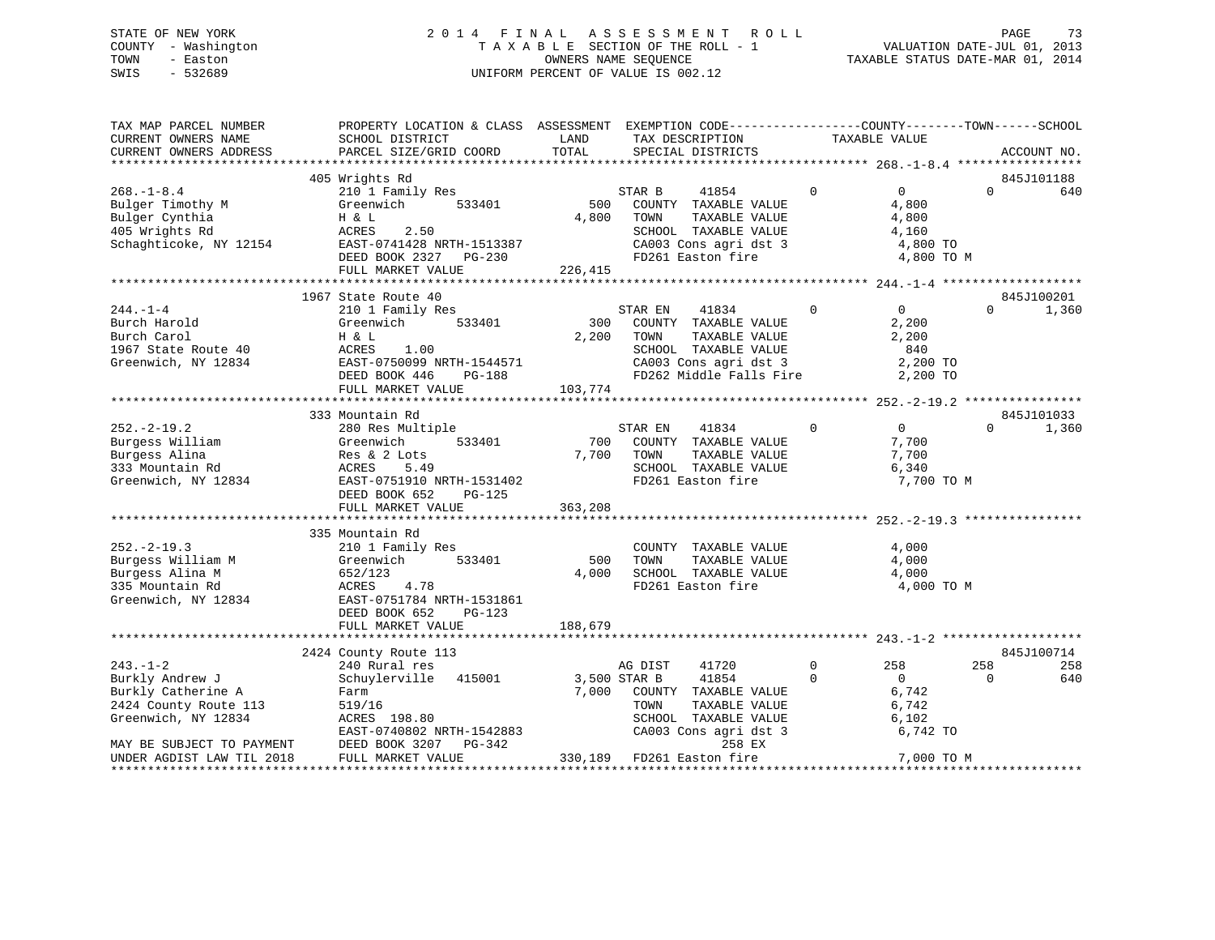### STATE OF NEW YORK 2 0 1 4 F I N A L A S S E S S M E N T R O L L PAGE 73 COUNTY - Washington T A X A B L E SECTION OF THE ROLL - 1 VALUATION DATE-JUL 01, 2013 TOWN - Easton **CONNERS NAME SEQUENCE** TAXABLE STATUS DATE-MAR 01, 2014 SWIS - 532689 UNIFORM PERCENT OF VALUE IS 002.12

| TAX MAP PARCEL NUMBER<br>CURRENT OWNERS NAME<br>CURRENT OWNERS ADDRESS                              | PROPERTY LOCATION & CLASS ASSESSMENT EXEMPTION CODE---------------COUNTY-------TOWN------SCHOOL<br>SCHOOL DISTRICT<br>PARCEL SIZE/GRID COORD                          | LAND<br>TOTAL           | TAX DESCRIPTION<br>SPECIAL DISTRICTS                                                                                                          |             | TAXABLE VALUE                                                       |                                 | ACCOUNT NO.         |
|-----------------------------------------------------------------------------------------------------|-----------------------------------------------------------------------------------------------------------------------------------------------------------------------|-------------------------|-----------------------------------------------------------------------------------------------------------------------------------------------|-------------|---------------------------------------------------------------------|---------------------------------|---------------------|
|                                                                                                     |                                                                                                                                                                       |                         |                                                                                                                                               |             |                                                                     |                                 |                     |
| $268. - 1 - 8.4$<br>Bulger Timothy M<br>Bulger Cynthia<br>405 Wrights Rd<br>Schaghticoke, NY 12154  | 405 Wrights Rd<br>210 1 Family Res<br>533401<br>Greenwich<br>H & L<br>2.50<br>ACRES<br>EAST-0741428 NRTH-1513387<br>DEED BOOK 2327<br>PG-230<br>FULL MARKET VALUE     | 500<br>4,800<br>226,415 | STAR B<br>41854<br>COUNTY TAXABLE VALUE<br>TOWN<br>TAXABLE VALUE<br>SCHOOL TAXABLE VALUE<br>CA003 Cons agri dst 3<br>FD261 Easton fire        | $\mathbf 0$ | $\overline{0}$<br>4,800<br>4,800<br>4,160<br>4,800 TO<br>4,800 TO M | $\Omega$                        | 845J101188<br>640   |
|                                                                                                     |                                                                                                                                                                       |                         |                                                                                                                                               |             |                                                                     |                                 |                     |
| $244. - 1 - 4$<br>Burch Harold<br>Burch Carol<br>1967 State Route 40<br>Greenwich, NY 12834         | 1967 State Route 40<br>210 1 Family Res<br>Greenwich<br>533401<br>H & L<br>1.00<br>ACRES<br>EAST-0750099 NRTH-1544571<br>DEED BOOK 446<br>PG-188<br>FULL MARKET VALUE | 300<br>2,200<br>103,774 | STAR EN<br>41834<br>COUNTY TAXABLE VALUE<br>TAXABLE VALUE<br>TOWN<br>SCHOOL TAXABLE VALUE<br>CA003 Cons agri dst 3<br>FD262 Middle Falls Fire | $\Omega$    | $\overline{0}$<br>2,200<br>2,200<br>840<br>2,200 TO<br>2,200 TO     | $\Omega$                        | 845J100201<br>1,360 |
|                                                                                                     | 333 Mountain Rd                                                                                                                                                       |                         |                                                                                                                                               |             |                                                                     |                                 | 845J101033          |
| $252. - 2 - 19.2$<br>Burgess William<br>Burgess Alina<br>333 Mountain Rd<br>Greenwich, NY 12834     | 280 Res Multiple<br>533401<br>Greenwich<br>Res & 2 Lots<br>ACRES<br>5.49<br>EAST-0751910 NRTH-1531402<br>DEED BOOK 652<br>PG-125<br>FULL MARKET VALUE                 | 700<br>7,700<br>363,208 | STAR EN<br>41834<br>COUNTY TAXABLE VALUE<br>TOWN<br>TAXABLE VALUE<br>SCHOOL TAXABLE VALUE<br>FD261 Easton fire                                | $\Omega$    | $\overline{0}$<br>7,700<br>7,700<br>6,340<br>7,700 TO M             | $\Omega$                        | 1,360               |
|                                                                                                     |                                                                                                                                                                       |                         |                                                                                                                                               |             |                                                                     |                                 |                     |
| $252. - 2 - 19.3$<br>Burgess William M<br>Burgess Alina M<br>335 Mountain Rd<br>Greenwich, NY 12834 | 335 Mountain Rd<br>210 1 Family Res<br>533401<br>Greenwich<br>652/123<br>4.78<br>ACRES<br>EAST-0751784 NRTH-1531861<br>DEED BOOK 652<br>$PG-123$                      | 500<br>4,000            | COUNTY TAXABLE VALUE<br>TAXABLE VALUE<br>TOWN<br>SCHOOL TAXABLE VALUE<br>FD261 Easton fire                                                    |             | 4,000<br>4,000<br>4,000<br>4,000 TO M                               |                                 |                     |
|                                                                                                     | FULL MARKET VALUE                                                                                                                                                     | 188,679                 |                                                                                                                                               |             |                                                                     |                                 |                     |
|                                                                                                     | 2424 County Route 113                                                                                                                                                 |                         |                                                                                                                                               |             |                                                                     |                                 | 845J100714          |
| $243. -1 - 2$                                                                                       | 240 Rural res                                                                                                                                                         |                         | AG DIST<br>41720                                                                                                                              | $\Omega$    | 258                                                                 | 258                             | 258                 |
| Burkly Andrew J<br>Burkly Catherine A<br>2424 County Route 113<br>Greenwich, NY 12834               | 415001<br>Schuylerville<br>Farm<br>519/16<br>ACRES 198.80<br>EAST-0740802 NRTH-1542883                                                                                | 7,000                   | 3,500 STAR B<br>41854<br>COUNTY TAXABLE VALUE<br>TOWN<br>TAXABLE VALUE<br>SCHOOL TAXABLE VALUE<br>CA003 Cons agri dst 3                       | $\Omega$    | $\Omega$<br>6,742<br>6,742<br>6,102<br>6,742 TO                     | $\Omega$                        | 640                 |
| MAY BE SUBJECT TO PAYMENT<br>UNDER AGDIST LAW TIL 2018<br>**********************                    | DEED BOOK 3207<br>PG-342<br>FULL MARKET VALUE                                                                                                                         |                         | 258 EX<br>330,189 FD261 Easton fire                                                                                                           |             | 7,000 TO M                                                          | * * * * * * * * * * * * * * * * |                     |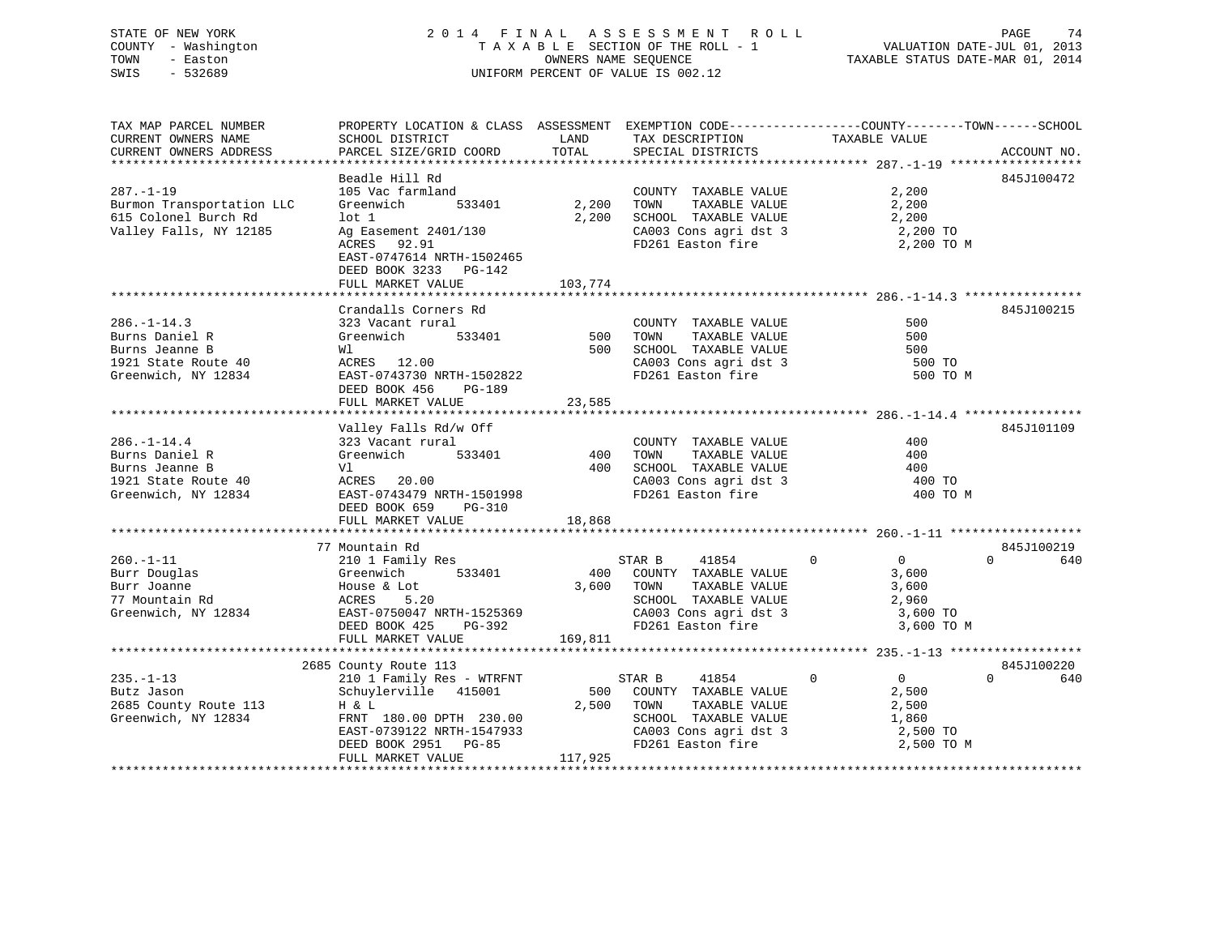# STATE OF NEW YORK 2 0 1 4 F I N A L A S S E S S M E N T R O L L PAGE 74COUNTY - Washington  $T A X A B L E$  SECTION OF THE ROLL - 1<br>TOWN - Easton DATE-JUL 2014 OWNERS NAME SEQUENCE SWIS - 532689 UNIFORM PERCENT OF VALUE IS 002.12

VALUATION DATE-JUL 01, 2013

TAXABLE STATUS DATE-MAR 01, 2014

| TAX MAP PARCEL NUMBER<br>CURRENT OWNERS NAME | PROPERTY LOCATION & CLASS ASSESSMENT EXEMPTION CODE----------------COUNTY-------TOWN------SCHOOL<br>SCHOOL DISTRICT         |            | LAND TAX DESCRIPTION                                         | TAXABLE VALUE          |                 |
|----------------------------------------------|-----------------------------------------------------------------------------------------------------------------------------|------------|--------------------------------------------------------------|------------------------|-----------------|
| CURRENT OWNERS ADDRESS                       | PARCEL SIZE/GRID COORD                                                                                                      | TOTAL      | SPECIAL DISTRICTS                                            |                        | ACCOUNT NO.     |
|                                              | Beadle Hill Rd                                                                                                              |            |                                                              |                        | 845J100472      |
| $287. - 1 - 19$                              | 105 Vac farmland                                                                                                            |            | COUNTY TAXABLE VALUE 2,200                                   |                        |                 |
| Burmon Transportation LLC                    | 533401<br>Greenwich                                                                                                         | 2,200 TOWN | 2,200 TOWN TAXABLE VALUE<br>2,200 SCHOOL TAXABLE VALUE       | 2,200<br>2,200         |                 |
| 615 Colonel Burch Rd                         | $1$ ot $1$                                                                                                                  |            |                                                              |                        |                 |
| Valley Falls, NY 12185                       | Ag Easement 2401/130<br>ACRES 92.91                                                                                         |            | CA003 Cons agri dst 3<br>FD261 Easton fire                   | 2,200 TO<br>2,200 TO M |                 |
|                                              | EAST-0747614 NRTH-1502465<br>DEED BOOK 3233 PG-142                                                                          |            |                                                              |                        |                 |
|                                              |                                                                                                                             |            |                                                              |                        |                 |
|                                              |                                                                                                                             |            |                                                              |                        |                 |
|                                              | Crandalls Corners Rd                                                                                                        |            |                                                              |                        | 845J100215      |
| $286. - 1 - 14.3$                            | 323 Vacant rural COUNT Creenwich 533401 500 TOWN M1 500 SCHOO                                                               |            | COUNTY TAXABLE VALUE                                         | 500                    |                 |
| Burns Daniel R                               |                                                                                                                             |            | TAXABLE VALUE                                                | 500                    |                 |
| Burns Jeanne B                               |                                                                                                                             |            | SCHOOL TAXABLE VALUE                                         | 500                    |                 |
| 1921 State Route 40                          |                                                                                                                             |            | CA003 Cons agri dst 3<br>FD261 Easton fire                   | 500 TO<br>500 TO M     |                 |
| Greenwich, NY 12834                          | EAST-0743730 NRTH-1502822<br>DEED BOOK 456 PG-189                                                                           |            |                                                              |                        |                 |
|                                              | FULL MARKET VALUE                                                                                                           | 23,585     |                                                              |                        |                 |
|                                              |                                                                                                                             |            |                                                              |                        | 845J101109      |
| $286. - 1 - 14.4$                            | Valley Falls Rd/w Off<br>323 Vacant rural<br>323 Vacant rural                                                               |            | COUNTY TAXABLE VALUE                                         | 400                    |                 |
| Burns Daniel R                               | 533401 400 TOWN<br>Greenwich                                                                                                |            | TAXABLE VALUE                                                | 400                    |                 |
|                                              | V1<br>1921 State Route 40<br>Greenwich, NY 12834<br>DEED BOOK 659 PG-310                                                    |            |                                                              | 400                    |                 |
|                                              |                                                                                                                             |            | 400 SCHOOL TAXABLE VALUE<br>CA003 Cons agri dst 3            | 400 TO                 |                 |
|                                              | EAST-0743479 NRTH-1501998                                                                                                   |            | FD261 Easton fire                                            | 400 TO M               |                 |
|                                              |                                                                                                                             |            |                                                              |                        |                 |
|                                              | FULL MARKET VALUE                                                                                                           | 18,868     |                                                              |                        |                 |
|                                              |                                                                                                                             |            |                                                              |                        |                 |
|                                              | 77 Mountain Rd                                                                                                              |            |                                                              |                        | 845J100219      |
| $260. -1 - 11$                               | 210 1 Family Res                                                                                                            |            | 41854 0<br>STAR B                                            | $\overline{0}$         | $\Omega$<br>640 |
|                                              |                                                                                                                             |            | 400 COUNTY TAXABLE VALUE<br>3,600 TOWN TAXABLE VALUE         | 3,600                  |                 |
|                                              |                                                                                                                             |            |                                                              | 3,600                  |                 |
|                                              | Burr Douglas<br>Burr Joanne House & Lot 3,600<br>77 Mountain Rd ACRES 5.20<br>Greenwich, NY 12834 EAST-0750047 NRTH-1525369 |            | SCHOOL TAXABLE VALUE 2,960<br>CA003 Cons agri dst 3 3,600 TO |                        |                 |
|                                              |                                                                                                                             |            |                                                              |                        |                 |
|                                              | DEED BOOK 425 PG-392                                                                                                        |            | FD261 Easton fire                                            | 3,600 TO M             |                 |
|                                              | FULL MARKET VALUE                                                                                                           | 169,811    |                                                              |                        |                 |
|                                              | 2685 County Route 113                                                                                                       |            |                                                              |                        | 845J100220      |
| $235. -1 - 13$                               | 210 1 Family Res - WTRFNT                                                                                                   |            | STAR B<br>41854                                              | 0<br>$\overline{0}$    | $\cap$<br>640   |
| Butz Jason                                   | Schuylerville 415001 500 COUNTY TAXABLE VALUE 2,500                                                                         |            |                                                              |                        |                 |
|                                              | H & L                                                                                                                       | 2,500 TOWN |                                                              | 2,500                  |                 |
| 2685 County Route 113<br>Greenwich, NY 12834 | n w 1<br>FRNT 180.00 DPTH 230.00<br>EAST-0739122 NRTH-1547933<br>DEED BOOK 2951 PG-85                                       |            | TOWN      TAXABLE VALUE<br>SCHOOL   TAXABLE VALUE            | 1,860                  |                 |
|                                              |                                                                                                                             |            |                                                              | 2,500 TO               |                 |
|                                              |                                                                                                                             |            | CA003 Cons agri dst 3<br>FD261 Easton fire                   | $2,500$ TO M           |                 |
|                                              | FULL MARKET VALUE                                                                                                           | 117,925    |                                                              |                        |                 |
|                                              |                                                                                                                             |            |                                                              |                        |                 |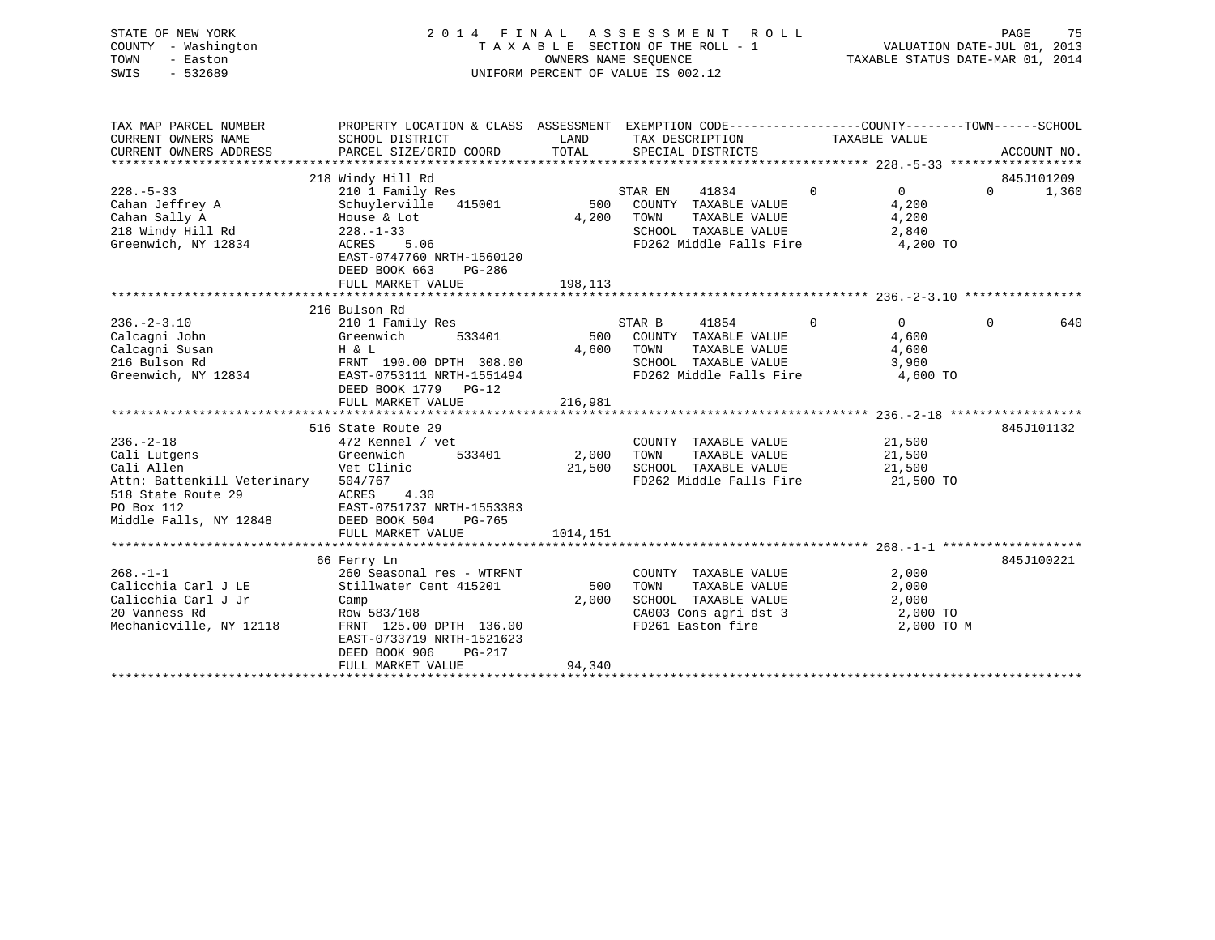| STATE OF NEW YORK<br>- Washington<br>COUNTY<br>TOWN<br>- Easton<br>SWIS<br>$-532689$ |                                                                        |                             | 2014 FINAL ASSESSMENT ROLL<br>TAXABLE SECTION OF THE ROLL - 1<br>OWNERS NAME SEOUENCE<br>UNIFORM PERCENT OF VALUE IS 002.12 |                                                                               | 75<br>PAGE<br>VALUATION DATE-JUL 01, 2013<br>TAXABLE STATUS DATE-MAR 01, 2014 |
|--------------------------------------------------------------------------------------|------------------------------------------------------------------------|-----------------------------|-----------------------------------------------------------------------------------------------------------------------------|-------------------------------------------------------------------------------|-------------------------------------------------------------------------------|
| TAX MAP PARCEL NUMBER<br>CURRENT OWNERS NAME<br>CURRENT OWNERS ADDRESS               | PROPERTY LOCATION & CLASS<br>SCHOOL DISTRICT<br>PARCEL SIZE/GRID COORD | ASSESSMENT<br>LAND<br>TOTAL | TAX DESCRIPTION<br>SPECIAL DISTRICTS                                                                                        | EXEMPTION CODE-----------------COUNTY-------TOWN------SCHOOL<br>TAXABLE VALUE | ACCOUNT NO.                                                                   |
|                                                                                      | 218 Windy Hill Rd                                                      |                             |                                                                                                                             |                                                                               | 845J101209                                                                    |

| $228. - 5 - 33$             | 210 1 Family Res          |          | STAR EN<br>41834        | $\Omega$     | $\Omega$   | $\Omega$ | 1,360      |
|-----------------------------|---------------------------|----------|-------------------------|--------------|------------|----------|------------|
| Cahan Jeffrey A             | Schuylerville 415001      | 500      | COUNTY TAXABLE VALUE    |              | 4,200      |          |            |
| Cahan Sally A               | House & Lot               | 4,200    | TOWN<br>TAXABLE VALUE   |              | 4,200      |          |            |
| 218 Windy Hill Rd           | $228. - 1 - 33$           |          | SCHOOL TAXABLE VALUE    |              | 2,840      |          |            |
| Greenwich, NY 12834         | 5.06<br>ACRES             |          | FD262 Middle Falls Fire |              | 4,200 TO   |          |            |
|                             | EAST-0747760 NRTH-1560120 |          |                         |              |            |          |            |
|                             | DEED BOOK 663<br>PG-286   |          |                         |              |            |          |            |
|                             | FULL MARKET VALUE         | 198,113  |                         |              |            |          |            |
|                             |                           |          |                         |              |            |          |            |
|                             | 216 Bulson Rd             |          |                         |              |            |          |            |
| $236. - 2 - 3.10$           | 210 1 Family Res          |          | STAR B<br>41854         | $\mathbf{0}$ | $\Omega$   | $\Omega$ | 640        |
| Calcagni John               | Greenwich<br>533401       | 500      | COUNTY TAXABLE VALUE    |              | 4,600      |          |            |
| Calcagni Susan              | H & L                     | 4,600    | TOWN<br>TAXABLE VALUE   |              | 4,600      |          |            |
| 216 Bulson Rd               | FRNT 190.00 DPTH 308.00   |          | SCHOOL TAXABLE VALUE    |              | 3,960      |          |            |
| Greenwich, NY 12834         | EAST-0753111 NRTH-1551494 |          | FD262 Middle Falls Fire |              | 4,600 TO   |          |            |
|                             | DEED BOOK 1779 PG-12      |          |                         |              |            |          |            |
|                             | FULL MARKET VALUE         | 216,981  |                         |              |            |          |            |
|                             |                           |          |                         |              |            |          |            |
|                             | 516 State Route 29        |          |                         |              |            |          | 845J101132 |
| $236. - 2 - 18$             | 472 Kennel / vet          |          | COUNTY TAXABLE VALUE    |              | 21,500     |          |            |
| Cali Lutgens                | 533401<br>Greenwich       | 2,000    | TOWN<br>TAXABLE VALUE   |              | 21,500     |          |            |
| Cali Allen                  | Vet Clinic                | 21,500   | SCHOOL TAXABLE VALUE    |              | 21,500     |          |            |
| Attn: Battenkill Veterinary | 504/767                   |          | FD262 Middle Falls Fire |              | 21,500 TO  |          |            |
| 518 State Route 29          | 4.30<br>ACRES             |          |                         |              |            |          |            |
| PO Box 112                  | EAST-0751737 NRTH-1553383 |          |                         |              |            |          |            |
| Middle Falls, NY 12848      | DEED BOOK 504<br>PG-765   |          |                         |              |            |          |            |
|                             |                           | 1014,151 |                         |              |            |          |            |
|                             | FULL MARKET VALUE         |          |                         |              |            |          |            |
|                             | 66 Ferry Ln               |          |                         |              |            |          | 845J100221 |
| $268. - 1 - 1$              | 260 Seasonal res - WTRFNT |          | COUNTY TAXABLE VALUE    |              | 2,000      |          |            |
| Calicchia Carl J LE         | Stillwater Cent 415201    | 500      | TOWN<br>TAXABLE VALUE   |              | 2,000      |          |            |
| Calicchia Carl J Jr         |                           | 2,000    | SCHOOL TAXABLE VALUE    |              | 2,000      |          |            |
|                             | Camp                      |          |                         |              |            |          |            |
| 20 Vanness Rd               | Row 583/108               |          | CA003 Cons agri dst 3   |              | 2,000 TO   |          |            |
| Mechanicville, NY 12118     | FRNT 125.00 DPTH 136.00   |          | FD261 Easton fire       |              | 2,000 TO M |          |            |
|                             | EAST-0733719 NRTH-1521623 |          |                         |              |            |          |            |
|                             | DEED BOOK 906<br>$PG-217$ |          |                         |              |            |          |            |
|                             | FULL MARKET VALUE         | 94,340   |                         |              |            |          |            |
|                             |                           |          |                         |              |            |          |            |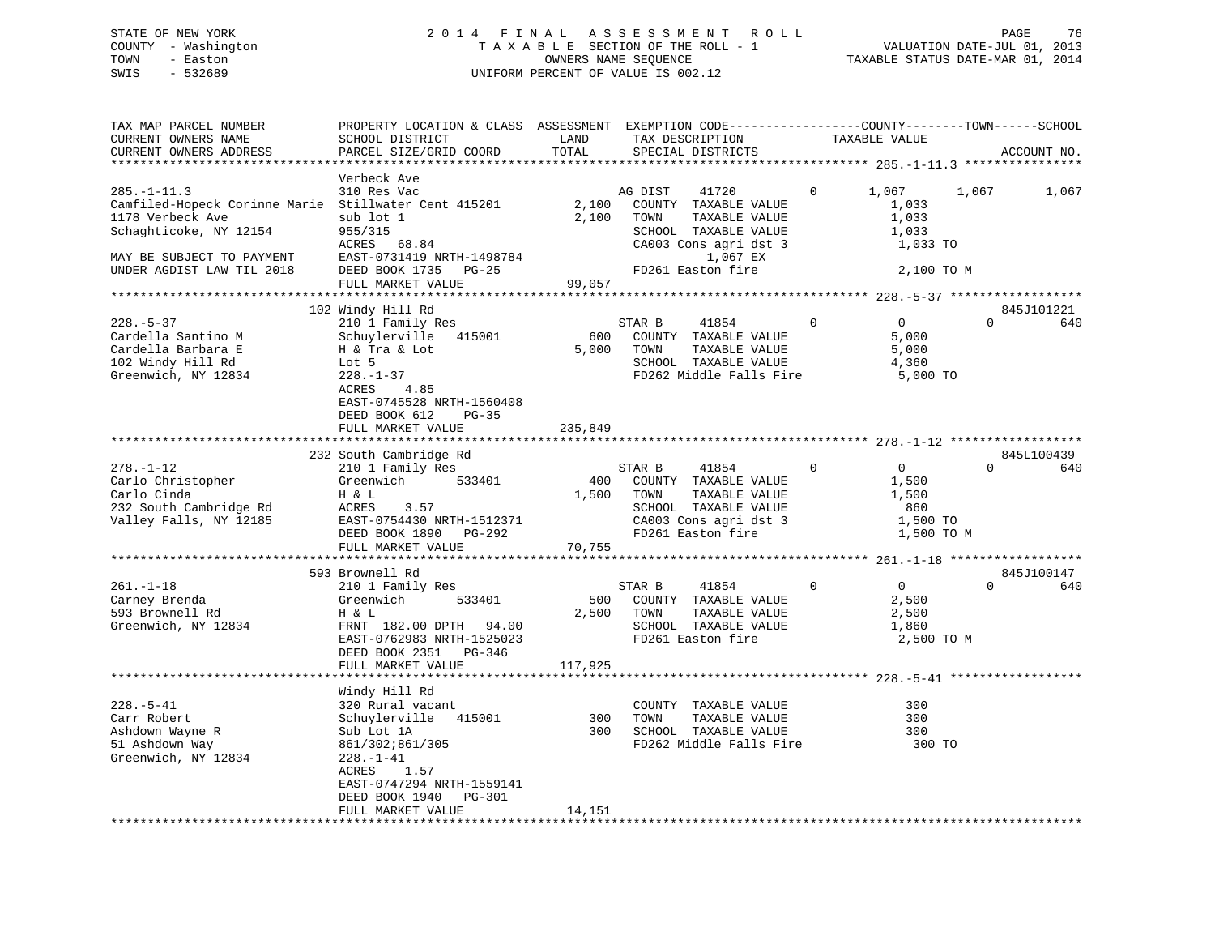### STATE OF NEW YORK 2 0 1 4 F I N A L A S S E S S M E N T R O L L PAGE 76 COUNTY - Washington T A X A B L E SECTION OF THE ROLL - 1 VALUATION DATE-JUL 01, 2013 TOWN - Easton COMPUTERS NAME SEQUENCE TAXABLE STATUS DATE-MAR 01, 2014<br>SWIS - 532689 SWIS - 532689 UNIFORM PERCENT OF VALUE IS 002.12

| TAX MAP PARCEL NUMBER<br>CURRENT OWNERS NAME<br>CURRENT OWNERS ADDRESS                                                                                                            | PROPERTY LOCATION & CLASS ASSESSMENT EXEMPTION CODE----------------COUNTY-------TOWN------SCHOOL<br>SCHOOL DISTRICT<br>PARCEL SIZE/GRID COORD                                           | LAND<br>TOTAL           | TAX DESCRIPTION<br>SPECIAL DISTRICTS                                                                                                                | TAXABLE VALUE                                             | ACCOUNT NO.                        |       |
|-----------------------------------------------------------------------------------------------------------------------------------------------------------------------------------|-----------------------------------------------------------------------------------------------------------------------------------------------------------------------------------------|-------------------------|-----------------------------------------------------------------------------------------------------------------------------------------------------|-----------------------------------------------------------|------------------------------------|-------|
|                                                                                                                                                                                   |                                                                                                                                                                                         |                         |                                                                                                                                                     |                                                           |                                    |       |
| $285. - 1 - 11.3$<br>Camfiled-Hopeck Corinne Marie Stillwater Cent 415201<br>1178 Verbeck Ave<br>Schaghticoke, NY 12154<br>MAY BE SUBJECT TO PAYMENT<br>UNDER AGDIST LAW TIL 2018 | Verbeck Ave<br>310 Res Vac<br>sub lot 1<br>955/315<br>ACRES 68.84<br>EAST-0731419 NRTH-1498784<br>DEED BOOK 1735 PG-25                                                                  | 2,100<br>2,100          | AG DIST<br>41720<br>COUNTY TAXABLE VALUE<br>TOWN<br>TAXABLE VALUE<br>SCHOOL TAXABLE VALUE<br>CA003 Cons agri dst 3<br>1,067 EX<br>FD261 Easton fire | 1,067<br>0<br>1,033<br>1,033<br>1,033                     | 1,067<br>1,033 TO<br>2,100 TO M    | 1,067 |
|                                                                                                                                                                                   | FULL MARKET VALUE                                                                                                                                                                       | 99,057                  |                                                                                                                                                     |                                                           |                                    |       |
| **********************                                                                                                                                                            | *******************************                                                                                                                                                         |                         |                                                                                                                                                     |                                                           |                                    |       |
| $228. - 5 - 37$<br>Cardella Santino M<br>Cardella Barbara E<br>102 Windy Hill Rd<br>Greenwich, NY 12834                                                                           | 102 Windy Hill Rd<br>210 1 Family Res<br>Schuylerville<br>415001<br>H & Tra & Lot<br>Lot 5<br>$228. - 1 - 37$<br>ACRES<br>4.85<br>EAST-0745528 NRTH-1560408<br>DEED BOOK 612<br>PG-35   | 600<br>5,000            | STAR B<br>41854<br>COUNTY TAXABLE VALUE<br>TAXABLE VALUE<br>TOWN<br>SCHOOL TAXABLE VALUE<br>FD262 Middle Falls Fire                                 | $\Omega$<br>$\Omega$<br>5,000<br>5,000<br>4,360           | 845J101221<br>$\Omega$<br>5,000 TO | 640   |
|                                                                                                                                                                                   | FULL MARKET VALUE                                                                                                                                                                       | 235,849                 |                                                                                                                                                     |                                                           |                                    |       |
|                                                                                                                                                                                   |                                                                                                                                                                                         |                         |                                                                                                                                                     |                                                           |                                    |       |
| $278. - 1 - 12$<br>Carlo Christopher<br>Carlo Cinda<br>232 South Cambridge Rd<br>Valley Falls, NY 12185                                                                           | 232 South Cambridge Rd<br>210 1 Family Res<br>533401<br>Greenwich<br>H & L<br>ACRES<br>3.57<br>EAST-0754430 NRTH-1512371                                                                | 400                     | STAR B<br>41854<br>COUNTY TAXABLE VALUE<br>1,500 TOWN<br>TAXABLE VALUE<br>SCHOOL TAXABLE VALUE<br>CA003 Cons agri dst 3                             | $\mathbf 0$<br>$\overline{0}$<br>1,500<br>1,500<br>860    | 845L100439<br>$\Omega$<br>1,500 TO | 640   |
|                                                                                                                                                                                   | DEED BOOK 1890 PG-292<br>FULL MARKET VALUE                                                                                                                                              | 70,755                  | FD261 Easton fire                                                                                                                                   |                                                           | 1,500 TO M                         |       |
|                                                                                                                                                                                   |                                                                                                                                                                                         |                         |                                                                                                                                                     |                                                           |                                    |       |
|                                                                                                                                                                                   | 593 Brownell Rd                                                                                                                                                                         |                         |                                                                                                                                                     |                                                           | 845J100147                         |       |
| $261. - 1 - 18$<br>Carney Brenda<br>593 Brownell Rd<br>Greenwich, NY 12834                                                                                                        | 210 1 Family Res<br>Greenwich<br>533401<br>H & L<br>FRNT 182.00 DPTH 94.00<br>EAST-0762983 NRTH-1525023<br>DEED BOOK 2351<br>PG-346<br>FULL MARKET VALUE                                | 500<br>2,500<br>117,925 | STAR B<br>41854<br>COUNTY TAXABLE VALUE<br>TOWN<br>TAXABLE VALUE<br>SCHOOL TAXABLE VALUE<br>FD261 Easton fire                                       | $\mathbf{0}$<br>$\overline{0}$<br>2,500<br>2,500<br>1,860 | $\Omega$<br>2,500 TO M             | 640   |
|                                                                                                                                                                                   |                                                                                                                                                                                         |                         |                                                                                                                                                     |                                                           |                                    |       |
| $228. - 5 - 41$<br>Carr Robert<br>Ashdown Wayne R<br>51 Ashdown Way<br>Greenwich, NY 12834                                                                                        | Windy Hill Rd<br>320 Rural vacant<br>Schuylerville 415001<br>Sub Lot 1A<br>861/302;861/305<br>$228. - 1 - 41$<br>1.57<br>ACRES<br>EAST-0747294 NRTH-1559141<br>DEED BOOK 1940<br>PG-301 | 300<br>300              | COUNTY TAXABLE VALUE<br>TAXABLE VALUE<br>TOWN<br>SCHOOL TAXABLE VALUE<br>FD262 Middle Falls Fire                                                    | 300<br>300<br>300                                         | 300 TO                             |       |
|                                                                                                                                                                                   | FULL MARKET VALUE                                                                                                                                                                       | 14,151                  |                                                                                                                                                     |                                                           |                                    |       |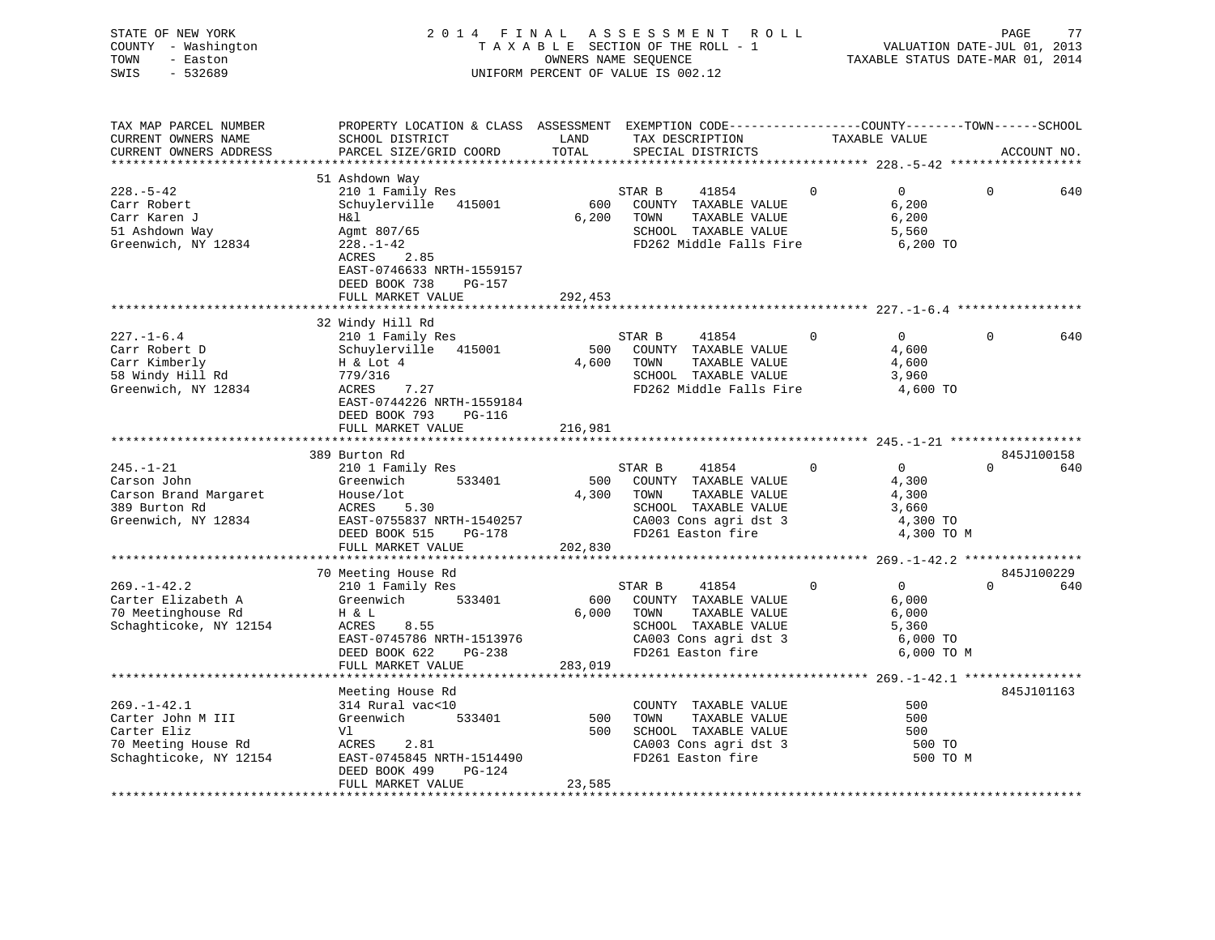| STATE OF NEW YORK<br>COUNTY - Washington<br>- Easton<br>TOWN<br>SWIS<br>$-532689$ | 2014 FINAL ASSESSMENT ROLL<br>TAXABLE SECTION OF THE ROLL - 1<br>UNIFORM PERCENT OF VALUE IS 002.12 |              | VALUATION DATE-JUL 01, 2013<br>TAXABLE STATUS DATE-MAR 01, 2014 | PAGE                                       | 77             |                        |              |             |
|-----------------------------------------------------------------------------------|-----------------------------------------------------------------------------------------------------|--------------|-----------------------------------------------------------------|--------------------------------------------|----------------|------------------------|--------------|-------------|
| TAX MAP PARCEL NUMBER                                                             | PROPERTY LOCATION & CLASS ASSESSMENT EXEMPTION CODE---------------COUNTY-------TOWN-----SCHOOL      |              |                                                                 |                                            |                |                        |              |             |
| CURRENT OWNERS NAME                                                               | SCHOOL DISTRICT                                                                                     | LAND         |                                                                 | TAX DESCRIPTION                            |                | TAXABLE VALUE          |              |             |
| CURRENT OWNERS ADDRESS                                                            | PARCEL SIZE/GRID COORD                                                                              | TOTAL        |                                                                 | SPECIAL DISTRICTS                          |                |                        |              | ACCOUNT NO. |
|                                                                                   |                                                                                                     |              |                                                                 |                                            |                |                        |              |             |
|                                                                                   | 51 Ashdown Way                                                                                      |              |                                                                 |                                            |                |                        |              |             |
| $228. - 5 - 42$                                                                   | 210 1 Family Res                                                                                    |              | STAR B                                                          | 41854                                      | $\overline{0}$ | 0                      | $\mathbf{0}$ | 640         |
| Carr Robert<br>Carr Karen J                                                       | Schuylerville 415001<br>H&l                                                                         | 600<br>6,200 | TOWN                                                            | COUNTY TAXABLE VALUE<br>TAXABLE VALUE      |                | 6,200<br>6,200         |              |             |
| 51 Ashdown Way                                                                    | Agmt 807/65                                                                                         |              |                                                                 | SCHOOL TAXABLE VALUE                       |                | 5,560                  |              |             |
| Greenwich, NY 12834                                                               | $228. - 1 - 42$                                                                                     |              |                                                                 | FD262 Middle Falls Fire                    |                | 6,200 TO               |              |             |
|                                                                                   | ACRES<br>2.85                                                                                       |              |                                                                 |                                            |                |                        |              |             |
|                                                                                   | EAST-0746633 NRTH-1559157                                                                           |              |                                                                 |                                            |                |                        |              |             |
|                                                                                   | DEED BOOK 738<br>PG-157                                                                             |              |                                                                 |                                            |                |                        |              |             |
|                                                                                   | FULL MARKET VALUE                                                                                   | 292,453      |                                                                 |                                            |                |                        |              |             |
|                                                                                   |                                                                                                     |              |                                                                 |                                            |                |                        |              |             |
|                                                                                   | 32 Windy Hill Rd                                                                                    |              |                                                                 |                                            |                |                        |              |             |
| $227. - 1 - 6.4$                                                                  | 210 1 Family Res                                                                                    |              | STAR B                                                          | 41854                                      | $\overline{0}$ | $\overline{0}$         | $\mathbf 0$  | 640         |
| Carr Robert D<br>Carr Kimberly                                                    | Schuylerville 415001<br>H & Lot 4                                                                   | 500<br>4,600 | TOWN                                                            | COUNTY TAXABLE VALUE<br>TAXABLE VALUE      |                | 4,600<br>4,600         |              |             |
| 58 Windy Hill Rd                                                                  | .27<br>779/316                                                                                      |              |                                                                 | SCHOOL TAXABLE VALUE                       |                | 3,960                  |              |             |
| Greenwich, NY 12834                                                               | ACRES<br>7.27                                                                                       |              |                                                                 | FD262 Middle Falls Fire                    |                | 4,600 TO               |              |             |
|                                                                                   | EAST-0744226 NRTH-1559184                                                                           |              |                                                                 |                                            |                |                        |              |             |
|                                                                                   | DEED BOOK 793 PG-116                                                                                |              |                                                                 |                                            |                |                        |              |             |
|                                                                                   | FULL MARKET VALUE                                                                                   | 216,981      |                                                                 |                                            |                |                        |              |             |
|                                                                                   |                                                                                                     |              |                                                                 |                                            |                |                        |              |             |
|                                                                                   | 389 Burton Rd                                                                                       |              |                                                                 |                                            |                |                        |              | 845J100158  |
| $245. - 1 - 21$                                                                   | 210 1 Family Res                                                                                    |              | STAR B                                                          | 41854                                      | $\Omega$       | $\overline{0}$         |              | $0$ 640     |
| Carson John                                                                       | 533401<br>Greenwich                                                                                 |              | 4,300 TOWN                                                      | 500 COUNTY TAXABLE VALUE                   |                | 4,300<br>4,300         |              |             |
| Carson Brand Margaret<br>389 Burton Rd                                            | House/lot<br>ACRES 5.30                                                                             |              |                                                                 | TAXABLE VALUE<br>SCHOOL TAXABLE VALUE      |                | 3,660                  |              |             |
| Greenwich, NY 12834                                                               | EAST-0755837 NRTH-1540257                                                                           |              |                                                                 | CA003 Cons agri dst 3                      |                | 4,300 TO               |              |             |
|                                                                                   | DEED BOOK 515 PG-178                                                                                |              |                                                                 | FD261 Easton fire                          |                | 4,300 TO M             |              |             |
|                                                                                   | FULL MARKET VALUE                                                                                   | 202,830      |                                                                 |                                            |                |                        |              |             |
|                                                                                   |                                                                                                     |              |                                                                 |                                            |                |                        |              |             |
|                                                                                   | 70 Meeting House Rd                                                                                 |              |                                                                 |                                            |                |                        |              | 845J100229  |
| $269. - 1 - 42.2$                                                                 | 210 1 Family Res                                                                                    |              | STAR B                                                          | 41854                                      | $\overline{0}$ | $\overline{0}$         | $\Omega$     | 640         |
| Carter Elizabeth A                                                                | Greenwich 533401                                                                                    | 600          |                                                                 | COUNTY TAXABLE VALUE                       |                | 6,000                  |              |             |
| 70 Meetinghouse Rd                                                                | H & L<br>8.55                                                                                       | 6,000        | TOWN                                                            | TAXABLE VALUE                              |                | 6,000                  |              |             |
| Schaghticoke, NY 12154                                                            | ACRES                                                                                               |              |                                                                 | SCHOOL TAXABLE VALUE                       |                | 5,360                  |              |             |
|                                                                                   | EAST-0745786 NRTH-1513976<br>DEED BOOK 622<br>PG-238                                                |              |                                                                 | CA003 Cons agri dst 3<br>FD261 Easton fire |                | 6,000 TO<br>6,000 TO M |              |             |
|                                                                                   | FULL MARKET VALUE                                                                                   | 283,019      |                                                                 |                                            |                |                        |              |             |
|                                                                                   |                                                                                                     |              |                                                                 |                                            |                |                        |              |             |
|                                                                                   | Meeting House Rd                                                                                    |              |                                                                 |                                            |                |                        |              | 845J101163  |
| $269. - 1 - 42.1$                                                                 | 314 Rural vac<10                                                                                    |              |                                                                 | COUNTY TAXABLE VALUE                       |                | 500                    |              |             |
| Carter John M III                                                                 | Greenwich<br>533401                                                                                 | 500          | TOWN                                                            | TAXABLE VALUE                              |                | 500                    |              |             |
| Carter Eliz                                                                       | Vl                                                                                                  | 500          |                                                                 | SCHOOL TAXABLE VALUE                       |                | 500                    |              |             |
| 70 Meeting House Rd                                                               | ACRES<br>2.81                                                                                       |              |                                                                 | CA003 Cons agri dst 3<br>FD261 Easton fire |                | 500 TO                 |              |             |
| Schaghticoke, NY 12154                                                            | EAST-0745845 NRTH-1514490                                                                           |              |                                                                 |                                            |                | 500 TO M               |              |             |
|                                                                                   | DEED BOOK 499<br>PG-124                                                                             |              |                                                                 |                                            |                |                        |              |             |
| ************************                                                          | FULL MARKET VALUE                                                                                   | 23,585       |                                                                 |                                            |                |                        |              |             |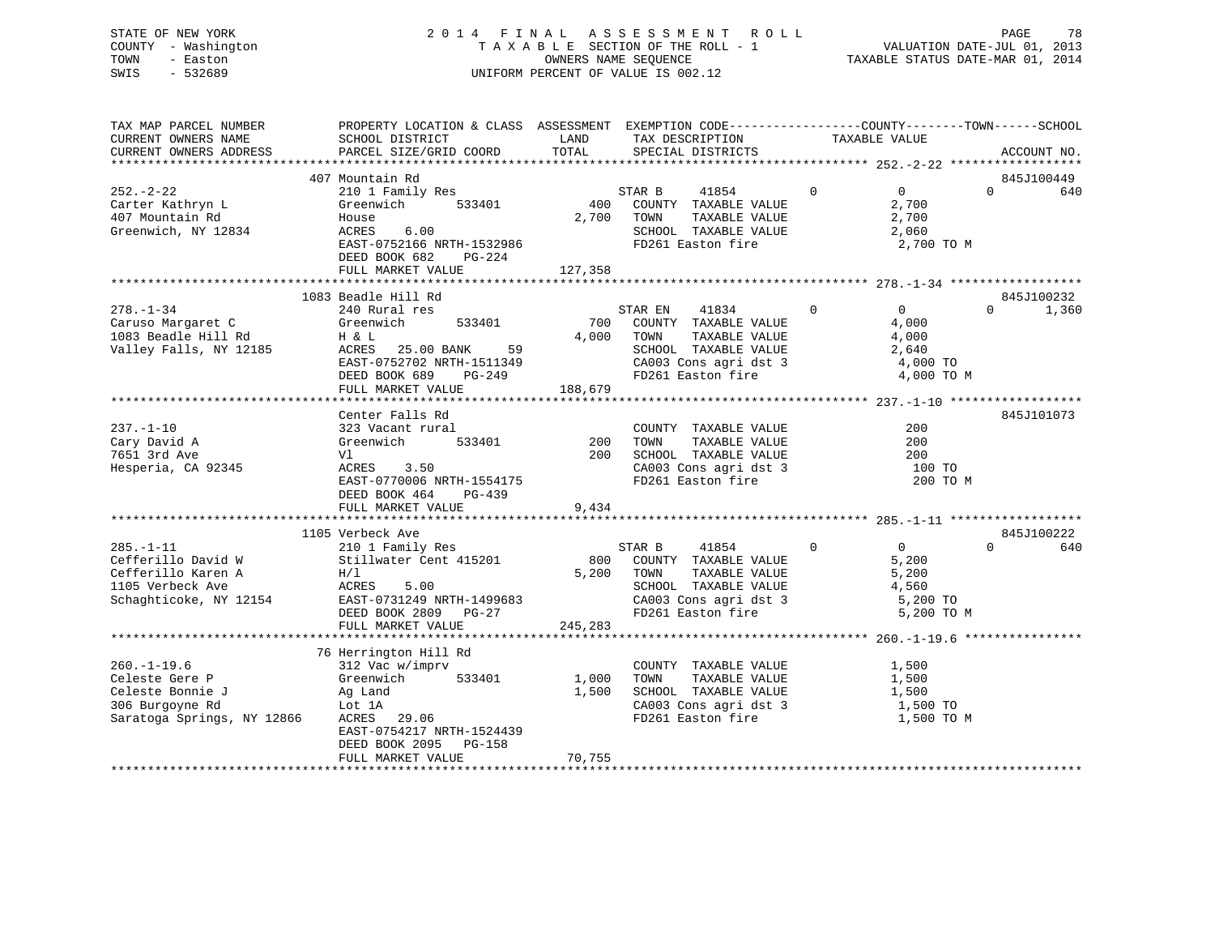### STATE OF NEW YORK 2 0 1 4 F I N A L A S S E S S M E N T R O L L PAGE 78 COUNTY - Washington T A X A B L E SECTION OF THE ROLL - 1 VALUATION DATE-JUL 01, 2013 TOWN - Easton COMPUTERS NAME SEQUENCE TAXABLE STATUS DATE-MAR 01, 2014<br>SWIS - 532689 SWIS - 532689 UNIFORM PERCENT OF VALUE IS 002.12

| TAX MAP PARCEL NUMBER<br>CURRENT OWNERS NAME                                                              | PROPERTY LOCATION & CLASS ASSESSMENT EXEMPTION CODE----------------COUNTY-------TOWN------SCHOOL<br>SCHOOL DISTRICT                                                                 | LAND                     | TAX DESCRIPTION                                                                                                                         | TAXABLE VALUE                                                                 |          |                     |
|-----------------------------------------------------------------------------------------------------------|-------------------------------------------------------------------------------------------------------------------------------------------------------------------------------------|--------------------------|-----------------------------------------------------------------------------------------------------------------------------------------|-------------------------------------------------------------------------------|----------|---------------------|
| CURRENT OWNERS ADDRESS                                                                                    | PARCEL SIZE/GRID COORD                                                                                                                                                              | TOTAL                    | SPECIAL DISTRICTS                                                                                                                       |                                                                               |          | ACCOUNT NO.         |
|                                                                                                           | 407 Mountain Rd                                                                                                                                                                     |                          |                                                                                                                                         |                                                                               |          | 845J100449          |
| $252 - 2 - 22$<br>Carter Kathryn L<br>407 Mountain Rd<br>Greenwich, NY 12834                              | 210 1 Family Res<br>Greenwich<br>533401<br>House<br>ACRES<br>6.00<br>EAST-0752166 NRTH-1532986<br>DEED BOOK 682<br>PG-224<br>FULL MARKET VALUE                                      | 400<br>2,700<br>127,358  | 41854<br>STAR B<br>COUNTY TAXABLE VALUE<br>TAXABLE VALUE<br>TOWN<br>SCHOOL TAXABLE VALUE<br>FD261 Easton fire                           | $\Omega$<br>$\overline{0}$<br>2,700<br>2,700<br>2,060<br>2,700 TO M           | $\Omega$ | 640                 |
|                                                                                                           |                                                                                                                                                                                     |                          |                                                                                                                                         |                                                                               |          |                     |
| $278. - 1 - 34$<br>Caruso Margaret C<br>1083 Beadle Hill Rd<br>Valley Falls, NY 12185                     | 1083 Beadle Hill Rd<br>240 Rural res<br>Greenwich<br>533401<br>H & L<br>ACRES<br>25.00 BANK<br>59<br>EAST-0752702 NRTH-1511349<br>DEED BOOK 689<br>PG-249<br>FULL MARKET VALUE      | 700<br>4,000<br>188,679  | STAR EN<br>41834<br>COUNTY TAXABLE VALUE<br>TOWN<br>TAXABLE VALUE<br>SCHOOL TAXABLE VALUE<br>CA003 Cons agri dst 3<br>FD261 Easton fire | $\mathbf 0$<br>$\Omega$<br>4,000<br>4,000<br>2,640<br>4,000 TO<br>4,000 TO M  | $\Omega$ | 845J100232<br>1,360 |
|                                                                                                           | Center Falls Rd                                                                                                                                                                     |                          |                                                                                                                                         |                                                                               |          | 845J101073          |
| $237. - 1 - 10$<br>Cary David A<br>7651 3rd Ave<br>Hesperia, CA 92345                                     | 323 Vacant rural<br>533401<br>Greenwich<br>Vl<br>ACRES<br>3.50<br>EAST-0770006 NRTH-1554175<br>DEED BOOK 464<br>$PG-439$<br>FULL MARKET VALUE                                       | 200<br>200<br>9,434      | COUNTY TAXABLE VALUE<br>TAXABLE VALUE<br>TOWN<br>SCHOOL TAXABLE VALUE<br>CA003 Cons agri dst 3<br>FD261 Easton fire                     | 200<br>200<br>200<br>100 TO                                                   | 200 TO M |                     |
|                                                                                                           |                                                                                                                                                                                     |                          |                                                                                                                                         |                                                                               |          |                     |
| $285. - 1 - 11$<br>Cefferillo David W<br>Cefferillo Karen A<br>1105 Verbeck Ave<br>Schaghticoke, NY 12154 | 1105 Verbeck Ave<br>210 1 Family Res<br>Stillwater Cent 415201<br>H/L<br>ACRES<br>5.00<br>EAST-0731249 NRTH-1499683<br>DEED BOOK 2809 PG-27<br>FULL MARKET VALUE                    | 800<br>5,200<br>245,283  | STAR B<br>41854<br>COUNTY TAXABLE VALUE<br>TOWN<br>TAXABLE VALUE<br>SCHOOL TAXABLE VALUE<br>CA003 Cons agri dst 3<br>FD261 Easton fire  | $\mathbf{0}$<br>$\Omega$<br>5,200<br>5,200<br>4,560<br>5,200 TO<br>5,200 TO M | $\Omega$ | 845J100222<br>640   |
|                                                                                                           |                                                                                                                                                                                     |                          |                                                                                                                                         |                                                                               |          |                     |
| $260. -1 - 19.6$<br>Celeste Gere P<br>Celeste Bonnie J<br>306 Burgoyne Rd<br>Saratoga Springs, NY 12866   | 76 Herrington Hill Rd<br>312 Vac w/imprv<br>533401<br>Greenwich<br>Ag Land<br>Lot 1A<br>ACRES 29.06<br>EAST-0754217 NRTH-1524439<br>DEED BOOK 2095<br>$PG-158$<br>FULL MARKET VALUE | 1,000<br>1,500<br>70,755 | COUNTY TAXABLE VALUE<br>TAXABLE VALUE<br>TOWN<br>SCHOOL TAXABLE VALUE<br>CA003 Cons agri dst 3<br>FD261 Easton fire                     | 1,500<br>1,500<br>1,500<br>1,500 TO<br>1,500 TO M                             |          |                     |
|                                                                                                           |                                                                                                                                                                                     |                          |                                                                                                                                         |                                                                               |          |                     |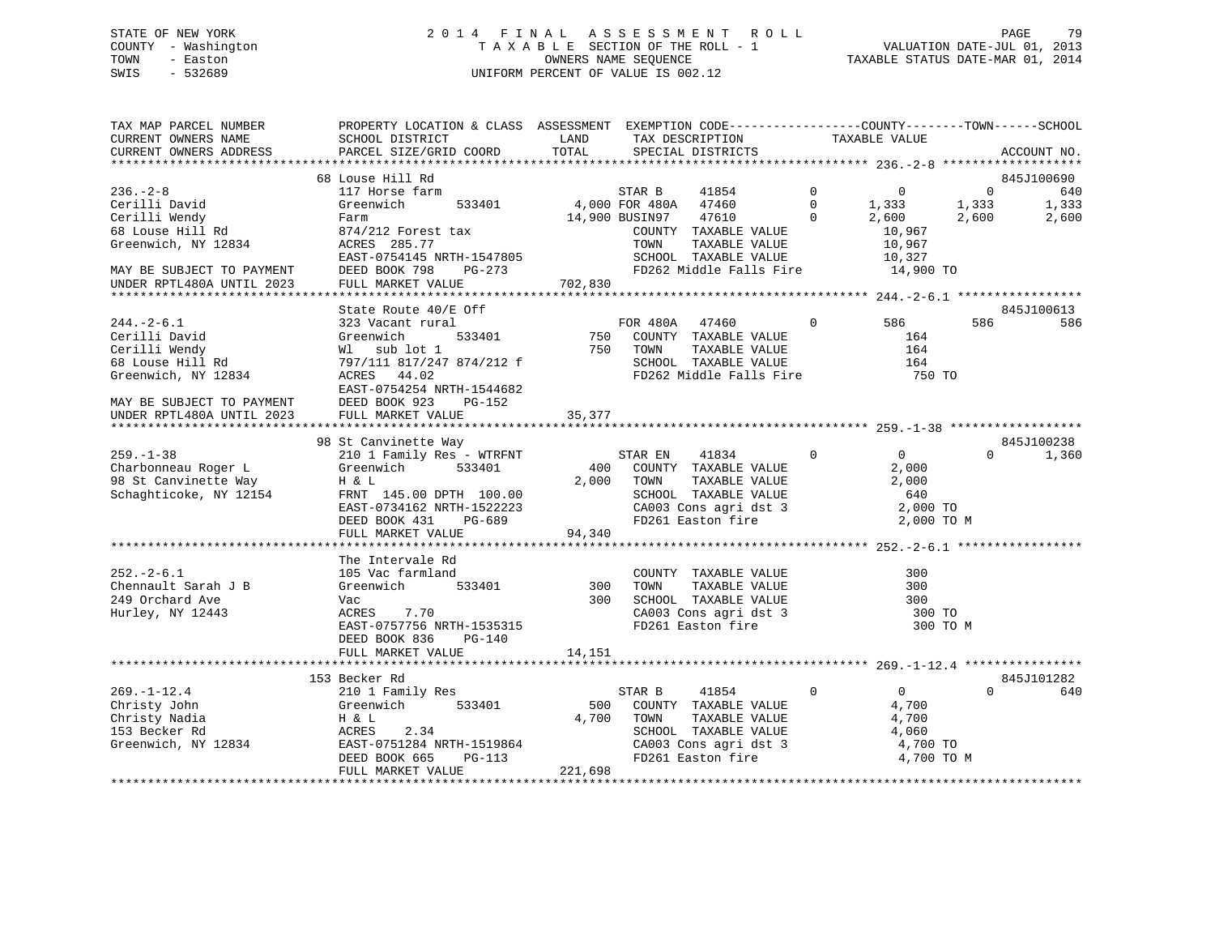### STATE OF NEW YORK 2 0 1 4 F I N A L A S S E S S M E N T R O L L PAGE 79 COUNTY - Washington T A X A B L E SECTION OF THE ROLL - 1 VALUATION DATE-JUL 01, 2013 TOWN - Easton COMPUTERS NAME SEQUENCE TAXABLE STATUS DATE-MAR 01, 2014<br>SWIS - 532689 SWIS - 532689 UNIFORM PERCENT OF VALUE IS 002.12

| TAX MAP PARCEL NUMBER<br>CURRENT OWNERS NAME<br>CURRENT OWNERS ADDRESS                        | PROPERTY LOCATION & CLASS ASSESSMENT EXEMPTION CODE---------------COUNTY-------TOWN-----SCHOOL<br>SCHOOL DISTRICT<br>PARCEL SIZE/GRID COORD                       | LAND<br>TOTAL        | TAX DESCRIPTION<br>SPECIAL DISTRICTS                                                                                                        |                                        | TAXABLE VALUE                                                       |                                  | ACCOUNT NO.                         |
|-----------------------------------------------------------------------------------------------|-------------------------------------------------------------------------------------------------------------------------------------------------------------------|----------------------|---------------------------------------------------------------------------------------------------------------------------------------------|----------------------------------------|---------------------------------------------------------------------|----------------------------------|-------------------------------------|
|                                                                                               |                                                                                                                                                                   |                      |                                                                                                                                             |                                        |                                                                     |                                  |                                     |
| $236. - 2 - 8$<br>Cerilli David<br>Cerilli Wendy<br>68 Louse Hill Rd                          | 68 Louse Hill Rd<br>117 Horse farm<br>Greenwich<br>533401<br>Farm<br>874/212 Forest tax                                                                           |                      | STAR B<br>41854<br>4,000 FOR 480A 47460<br>14,900 BUSIN97<br>47610<br>COUNTY TAXABLE VALUE                                                  | $\mathbf 0$<br>$\mathbf 0$<br>$\Omega$ | 0<br>1,333<br>2,600<br>10,967                                       | $\overline{0}$<br>1,333<br>2,600 | 845J100690<br>640<br>1,333<br>2,600 |
| Greenwich, NY 12834<br>MAY BE SUBJECT TO PAYMENT<br>UNDER RPTL480A UNTIL 2023                 | ACRES 285.77<br>EAST-0754145 NRTH-1547805<br>DEED BOOK 798<br>PG-273<br>FULL MARKET VALUE                                                                         | 702,830              | TAXABLE VALUE<br>TOWN<br>SCHOOL TAXABLE VALUE<br>FD262 Middle Falls Fire 14,900 TO                                                          |                                        | 10,967<br>10,327                                                    |                                  |                                     |
|                                                                                               | State Route 40/E Off                                                                                                                                              |                      |                                                                                                                                             |                                        |                                                                     |                                  | 845J100613                          |
| $244. - 2 - 6.1$<br>Cerilli David<br>Cerilli Wendy<br>68 Louse Hill Rd<br>Greenwich, NY 12834 | 323 Vacant rural<br>533401<br>Greenwich<br>Wl sub lot 1<br>W1 sup ioc 1<br>797/111 817/247 874/212 f<br>ACRES 44.02<br>EAST-0754254 NRTH-1544682                  |                      | FOR 480A 47460<br>750 COUNTY TAXABLE VALUE<br>750 TOWN<br>TOWN      TAXABLE  VALUE<br>SCHOOL    TAXABLE  VALUE<br>FD262 Middle Falls Fire   | $\mathbf 0$                            | 586 1<br>164<br>164<br>164<br>750 TO                                | 586                              | 586                                 |
| MAY BE SUBJECT TO PAYMENT<br>UNDER RPTL480A UNTIL 2023                                        | DEED BOOK 923<br>PG-152<br>FULL MARKET VALUE                                                                                                                      | 35,377               |                                                                                                                                             |                                        |                                                                     |                                  |                                     |
|                                                                                               | 98 St Canvinette Way                                                                                                                                              |                      |                                                                                                                                             |                                        |                                                                     |                                  | 845J100238                          |
| $259. - 1 - 38$<br>Charbonneau Roger L<br>98 St Canvinette Way<br>Schaghticoke, NY 12154      | 210 1 Family Res - WTRFNT<br>Greenwich<br>533401<br>H & L<br>FRNT 145.00 DPTH 100.00<br>EAST-0734162 NRTH-1522223<br>DEED BOOK 431<br>PG-689<br>FULL MARKET VALUE | 2,000<br>94,340      | STAR EN 41834<br>400 COUNTY TAXABLE VALUE<br>TAXABLE VALUE<br>TOWN<br>SCHOOL TAXABLE VALUE<br>CA003 Cons agri dst 3<br>FD261 Easton fire    | $\mathbf 0$                            | $\overline{0}$<br>2,000<br>2,000<br>640<br>2,000 TO<br>2,000 TO M   | $\Omega$                         | 1,360                               |
|                                                                                               |                                                                                                                                                                   |                      |                                                                                                                                             |                                        |                                                                     |                                  |                                     |
| $252 - 2 - 6.1$<br>Chennault Sarah J B<br>249 Orchard Ave<br>Hurley, NY 12443                 | The Intervale Rd<br>105 Vac farmland<br>Greenwich<br>533401<br>Vac<br>7.70<br>ACRES<br>EAST-0757756 NRTH-1535315<br>DEED BOOK 836<br>PG-140<br>FULL MARKET VALUE  | 300<br>300<br>14,151 | COUNTY TAXABLE VALUE<br>TAXABLE VALUE<br>TOWN<br>SCHOOL TAXABLE VALUE<br>SCHOOL TAXABLE VALUE<br>CA003 Cons agri dst 3<br>FD261 Easton fire |                                        | 300<br>300<br>300<br>300 TO<br>300 TO M                             |                                  |                                     |
|                                                                                               |                                                                                                                                                                   |                      |                                                                                                                                             |                                        |                                                                     |                                  |                                     |
| $269. - 1 - 12.4$<br>Christy John<br>Christy Nadia<br>153 Becker Rd<br>Greenwich, NY 12834    | 153 Becker Rd<br>210 1 Family Res<br>Greenwich 533401<br>H & L<br>2.34<br>ACRES<br>EAST-0751284 NRTH-1519864<br>DEED BOOK 665<br>PG-113                           | 500<br>4,700         | STAR B<br>41854<br>COUNTY TAXABLE VALUE<br>TOWN<br>TAXABLE VALUE<br>SCHOOL TAXABLE VALUE<br>CA003 Cons agri dst 3<br>FD261 Easton fire      | $\mathbf 0$                            | $\overline{0}$<br>4,700<br>4,700<br>4,060<br>4,700 TO<br>4,700 TO M | $\Omega$                         | 845J101282<br>640                   |
|                                                                                               | FULL MARKET VALUE                                                                                                                                                 | 221,698              |                                                                                                                                             |                                        |                                                                     |                                  |                                     |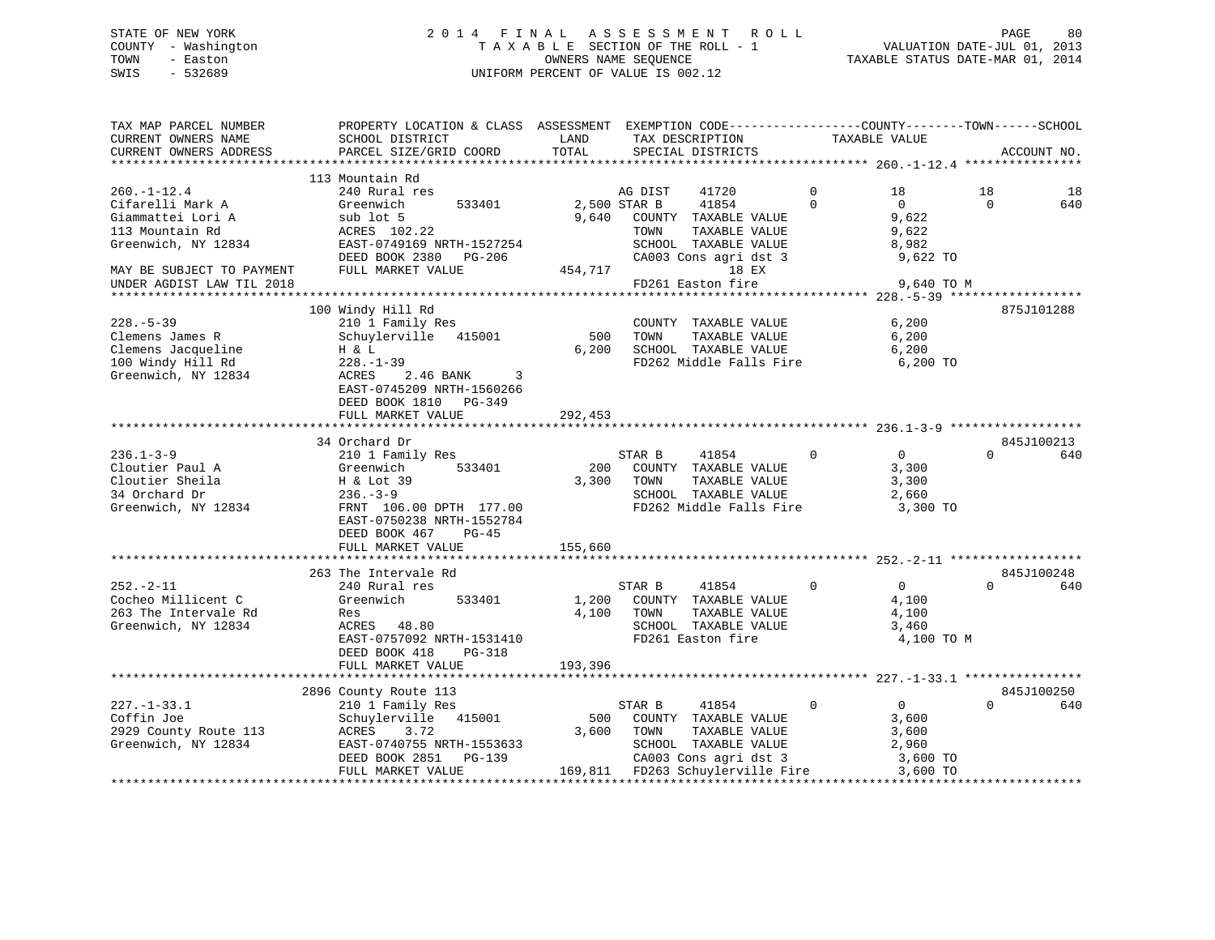### STATE OF NEW YORK 2 0 1 4 F I N A L A S S E S S M E N T R O L L PAGE 80 COUNTY - Washington T A X A B L E SECTION OF THE ROLL - 1 VALUATION DATE-JUL 01, 2013 TOWN - Easton COMPUTERS NAME SEQUENCE TAXABLE STATUS DATE-MAR 01, 2014<br>SWIS - 532689 SWIS - 532689 UNIFORM PERCENT OF VALUE IS 002.12

| TAX MAP PARCEL NUMBER<br>CURRENT OWNERS NAME | PROPERTY LOCATION & CLASS ASSESSMENT EXEMPTION CODE---------------COUNTY-------TOWN-----SCHOOL<br>SCHOOL DISTRICT | LAND         | TAX DESCRIPTION                                                                                                                                                                                                                                                                                                                                                          | TAXABLE VALUE                 |                |             |
|----------------------------------------------|-------------------------------------------------------------------------------------------------------------------|--------------|--------------------------------------------------------------------------------------------------------------------------------------------------------------------------------------------------------------------------------------------------------------------------------------------------------------------------------------------------------------------------|-------------------------------|----------------|-------------|
| CURRENT OWNERS ADDRESS                       | PARCEL SIZE/GRID COORD                                                                                            | TOTAL        | SPECIAL DISTRICTS                                                                                                                                                                                                                                                                                                                                                        |                               |                | ACCOUNT NO. |
|                                              |                                                                                                                   |              |                                                                                                                                                                                                                                                                                                                                                                          |                               |                |             |
|                                              | 113 Mountain Rd                                                                                                   |              |                                                                                                                                                                                                                                                                                                                                                                          |                               |                |             |
| $260. - 1 - 12.4$                            | 240 Rural res                                                                                                     |              | AG DIST<br>41720                                                                                                                                                                                                                                                                                                                                                         | $\mathbf{0}$<br>18            | 18             | -18         |
| Cifarelli Mark A                             | Greenwich<br>533401                                                                                               | 2,500 STAR B | 41854                                                                                                                                                                                                                                                                                                                                                                    | $\Omega$<br>$\overline{0}$    | $\overline{0}$ | 640         |
| Giammattei Lori A                            | sub lot 5                                                                                                         |              | 9,640 COUNTY TAXABLE VALUE                                                                                                                                                                                                                                                                                                                                               | 9,622                         |                |             |
| 113 Mountain Rd                              | $ACRES$ 102.22                                                                                                    |              | TOWN<br>TAXABLE VALUE                                                                                                                                                                                                                                                                                                                                                    | 9,622                         |                |             |
| Greenwich, NY 12834                          | EAST-0749169 NRTH-1527254                                                                                         |              | SCHOOL TAXABLE VALUE                                                                                                                                                                                                                                                                                                                                                     | 8,982                         |                |             |
|                                              | DEED BOOK 2380 $PG-206$                                                                                           |              | CA003 Cons agri dst 3                                                                                                                                                                                                                                                                                                                                                    | 9,622 TO                      |                |             |
| MAY BE SUBJECT TO PAYMENT                    | FULL MARKET VALUE                                                                                                 | 454,717      | 18 EX                                                                                                                                                                                                                                                                                                                                                                    |                               |                |             |
| UNDER AGDIST LAW TIL 2018                    |                                                                                                                   |              | FD261 Easton fire                                                                                                                                                                                                                                                                                                                                                        | 9,640 TO M                    |                |             |
|                                              |                                                                                                                   |              |                                                                                                                                                                                                                                                                                                                                                                          |                               |                |             |
|                                              | 100 Windy Hill Rd                                                                                                 |              |                                                                                                                                                                                                                                                                                                                                                                          |                               |                | 875J101288  |
| $228. - 5 - 39$                              | 210 1 Family Res                                                                                                  |              | COUNTY TAXABLE VALUE                                                                                                                                                                                                                                                                                                                                                     | 6,200                         |                |             |
| Clemens James R                              | Schuylerville 415001                                                                                              |              | 500 TOWN<br>TAXABLE VALUE                                                                                                                                                                                                                                                                                                                                                | 6,200                         |                |             |
| Clemens Jacqueline<br>100 Windy Hill Rd      | H & L                                                                                                             |              | $\begin{tabular}{lllllllllll} \hline 6,200 & \multicolumn{3}{l}{{\bf SCHOOL}} & \multicolumn{3}{l}{\bf TAXABLE} & \multicolumn{3}{l}{\bf VALUE} & \multicolumn{3}{l}{\bf 6,200} \\ & \multicolumn{3}{l}{\bf FD262} & \multicolumn{3}{l}{\bf Middle} & \multicolumn{3}{l}{\bf F111} & \multicolumn{3}{l}{\bf 6,200} & \multicolumn{3}{l}{\bf TO} \\ \hline \end{tabular}$ |                               |                |             |
|                                              | $228. - 1 - 39$                                                                                                   |              |                                                                                                                                                                                                                                                                                                                                                                          |                               |                |             |
| Greenwich, NY 12834                          | ACRES 2.46 BANK<br>$\overline{3}$                                                                                 |              |                                                                                                                                                                                                                                                                                                                                                                          |                               |                |             |
|                                              | EAST-0745209 NRTH-1560266                                                                                         |              |                                                                                                                                                                                                                                                                                                                                                                          |                               |                |             |
|                                              | DEED BOOK 1810 PG-349                                                                                             |              |                                                                                                                                                                                                                                                                                                                                                                          |                               |                |             |
|                                              | FULL MARKET VALUE                                                                                                 | 292,453      |                                                                                                                                                                                                                                                                                                                                                                          |                               |                |             |
|                                              | 34 Orchard Dr                                                                                                     |              |                                                                                                                                                                                                                                                                                                                                                                          |                               |                | 845J100213  |
| $236.1 - 3 - 9$                              | 210 1 Family Res                                                                                                  |              | STAR B<br>41854                                                                                                                                                                                                                                                                                                                                                          | $\overline{0}$<br>$\Omega$    | $\Omega$       | 640         |
| Cloutier Paul A                              | 533401                                                                                                            | 200          | COUNTY TAXABLE VALUE                                                                                                                                                                                                                                                                                                                                                     | 3,300                         |                |             |
| Cloutier Sheila                              | Greenwich<br>H & Lot 39                                                                                           | 3,300        | TOWN<br>TAXABLE VALUE                                                                                                                                                                                                                                                                                                                                                    | 3,300                         |                |             |
|                                              |                                                                                                                   |              | SCHOOL TAXABLE VALUE                                                                                                                                                                                                                                                                                                                                                     | 2,660                         |                |             |
| 34 Orchard Dr<br>Greenwich, NY 12834         | 236.-3-9<br>FRNT 106.00 DPTH 177.00                                                                               |              | FD262 Middle Falls Fire                                                                                                                                                                                                                                                                                                                                                  | 3,300 TO                      |                |             |
|                                              | EAST-0750238 NRTH-1552784                                                                                         |              |                                                                                                                                                                                                                                                                                                                                                                          |                               |                |             |
|                                              | DEED BOOK 467<br>$PG-45$                                                                                          |              |                                                                                                                                                                                                                                                                                                                                                                          |                               |                |             |
|                                              | FULL MARKET VALUE                                                                                                 | 155,660      |                                                                                                                                                                                                                                                                                                                                                                          |                               |                |             |
|                                              |                                                                                                                   |              |                                                                                                                                                                                                                                                                                                                                                                          |                               |                |             |
|                                              | 263 The Intervale Rd                                                                                              |              |                                                                                                                                                                                                                                                                                                                                                                          |                               |                | 845J100248  |
| $252 - 2 - 11$                               | 240 Rural res                                                                                                     |              | STAR B<br>41854                                                                                                                                                                                                                                                                                                                                                          | $\mathbf 0$<br>$\overline{0}$ | $\Omega$       | 640         |
| Cocheo Millicent C                           | Greenwich 533401                                                                                                  |              | 1,200 COUNTY TAXABLE VALUE                                                                                                                                                                                                                                                                                                                                               | 4,100                         |                |             |
| 263 The Intervale Rd                         | Res                                                                                                               |              | 4,100 TOWN<br>TAXABLE VALUE                                                                                                                                                                                                                                                                                                                                              | 4,100                         |                |             |
| Greenwich, NY 12834                          | ACRES 48.80                                                                                                       |              | SCHOOL TAXABLE VALUE                                                                                                                                                                                                                                                                                                                                                     | 3,460                         |                |             |
|                                              | EAST-0757092 NRTH-1531410                                                                                         |              | FD261 Easton fire                                                                                                                                                                                                                                                                                                                                                        | 4,100 TO M                    |                |             |
|                                              | DEED BOOK 418<br>PG-318                                                                                           |              |                                                                                                                                                                                                                                                                                                                                                                          |                               |                |             |
|                                              | FULL MARKET VALUE                                                                                                 | 193,396      |                                                                                                                                                                                                                                                                                                                                                                          |                               |                |             |
|                                              |                                                                                                                   |              |                                                                                                                                                                                                                                                                                                                                                                          |                               |                |             |
|                                              | 2896 County Route 113                                                                                             |              |                                                                                                                                                                                                                                                                                                                                                                          |                               |                | 845J100250  |
| $227. - 1 - 33.1$                            | 210 1 Family Res                                                                                                  |              | STAR B<br>41854                                                                                                                                                                                                                                                                                                                                                          | $\Omega$<br>$\overline{0}$    | $\Omega$       | 640         |
| Coffin Joe                                   | Schuylerville 415001                                                                                              | 500          | COUNTY TAXABLE VALUE                                                                                                                                                                                                                                                                                                                                                     | 3,600                         |                |             |
| Coffin Joe<br>2929 County Route 113 ACRES    | 3.72                                                                                                              |              | 3,600 TOWN<br>TAXABLE VALUE                                                                                                                                                                                                                                                                                                                                              | 3,600                         |                |             |
| Greenwich, NY 12834                          | EAST-0740755 NRTH-1553633                                                                                         |              | SCHOOL TAXABLE VALUE                                                                                                                                                                                                                                                                                                                                                     | 2,960                         |                |             |
|                                              | DEED BOOK 2851 PG-139                                                                                             |              | CA003 Cons agri dst 3                                                                                                                                                                                                                                                                                                                                                    | 3,600 TO                      |                |             |
|                                              | FULL MARKET VALUE                                                                                                 |              | 169,811 FD263 Schuylerville Fire 3,600 TO                                                                                                                                                                                                                                                                                                                                |                               |                |             |
|                                              |                                                                                                                   |              |                                                                                                                                                                                                                                                                                                                                                                          |                               |                |             |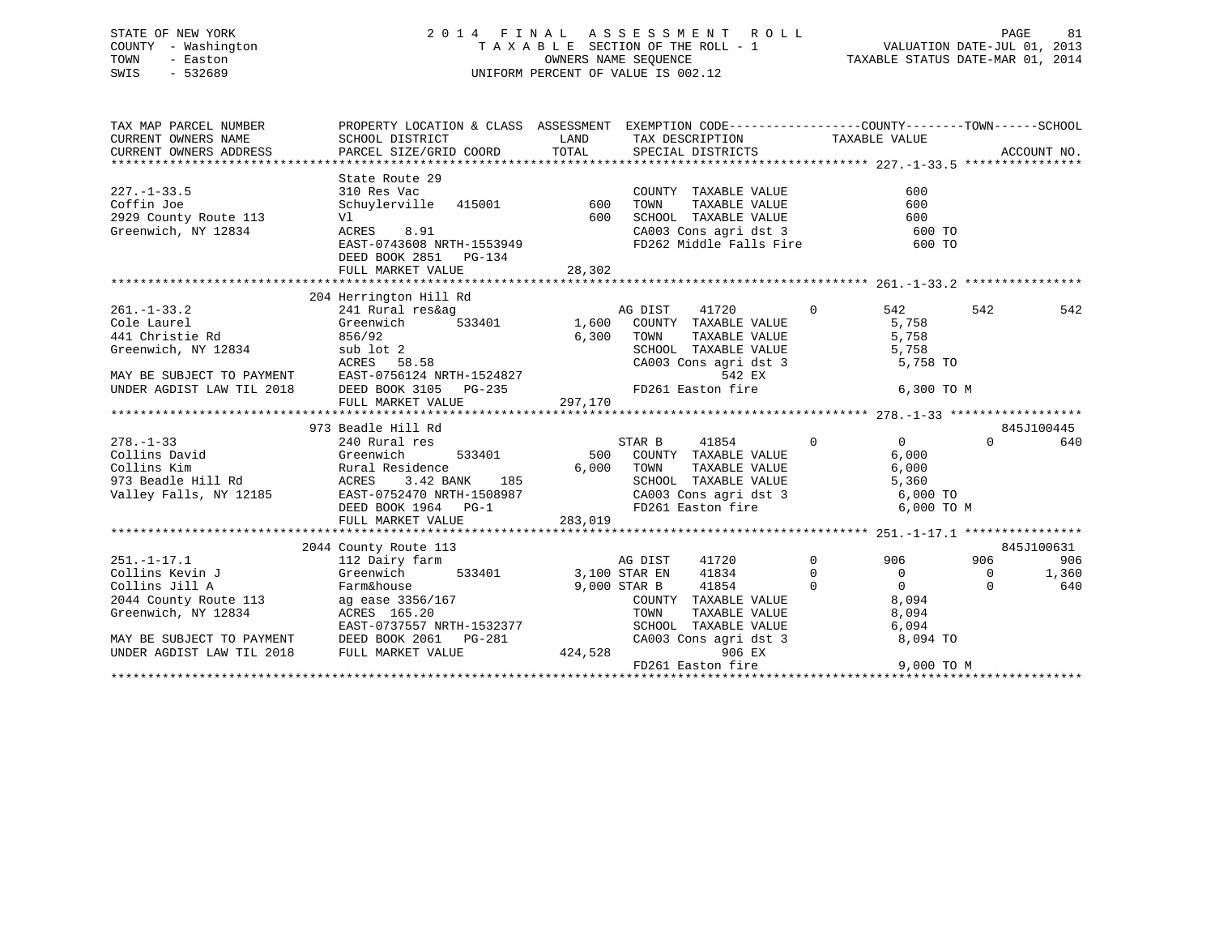### STATE OF NEW YORK 2 0 1 4 F I N A L A S S E S S M E N T R O L L PAGE 81 COUNTY - Washington T A X A B L E SECTION OF THE ROLL - 1 VALUATION DATE-JUL 01, 2013 TOWN - Easton COMPUTERS NAME SEQUENCE TAXABLE STATUS DATE-MAR 01, 2014<br>SWIS - 532689 SWIS - 532689 UNIFORM PERCENT OF VALUE IS 002.12

| TAX MAP PARCEL NUMBER          | PROPERTY LOCATION & CLASS ASSESSMENT EXEMPTION CODE---------------COUNTY-------TOWN-----SCHOOL                                                                                                                                                     |        |                   |                                            |                                                                                                          |          |            |
|--------------------------------|----------------------------------------------------------------------------------------------------------------------------------------------------------------------------------------------------------------------------------------------------|--------|-------------------|--------------------------------------------|----------------------------------------------------------------------------------------------------------|----------|------------|
|                                |                                                                                                                                                                                                                                                    |        |                   |                                            |                                                                                                          |          |            |
|                                |                                                                                                                                                                                                                                                    |        |                   |                                            |                                                                                                          |          |            |
|                                |                                                                                                                                                                                                                                                    |        |                   |                                            |                                                                                                          |          |            |
|                                | State Route 29                                                                                                                                                                                                                                     |        |                   |                                            |                                                                                                          |          |            |
| $227. - 1 - 33.5$              |                                                                                                                                                                                                                                                    |        |                   | COUNTY TAXABLE VALUE<br>TOWN TAXABLE VALUE | 600                                                                                                      |          |            |
| Coffin Joe                     |                                                                                                                                                                                                                                                    |        |                   |                                            | 600                                                                                                      |          |            |
| 2929 County Route 113          |                                                                                                                                                                                                                                                    |        |                   |                                            |                                                                                                          |          |            |
| Greenwich, NY 12834 ACRES 8.91 |                                                                                                                                                                                                                                                    |        |                   |                                            | SCHOOL TAXABLE VALUE 600<br>CA003 Cons agri dst 3 600<br>FD262 Middle Falls Fire 600<br>600 TO<br>600 TO |          |            |
|                                | V1 600<br>ACRES 8.91 600<br>EAST-0743608 NRTH-1553949                                                                                                                                                                                              |        |                   |                                            |                                                                                                          |          |            |
|                                | DEED BOOK 2851 PG-134                                                                                                                                                                                                                              |        |                   |                                            |                                                                                                          |          |            |
|                                |                                                                                                                                                                                                                                                    | 28,302 |                   |                                            |                                                                                                          |          |            |
|                                |                                                                                                                                                                                                                                                    |        |                   |                                            |                                                                                                          |          |            |
|                                | 204 Herrington Hill Rd                                                                                                                                                                                                                             |        |                   |                                            |                                                                                                          |          |            |
| $261. -1 - 33.2$               |                                                                                                                                                                                                                                                    |        |                   |                                            | $\overline{0}$<br>542                                                                                    | 542      | 542        |
| Cole Laurel                    | 241 Rural res&ag<br>333401 Creenwich 533401 1,600 COUNTY TAXABLE VALUE<br>Greenwich                                                                                                                                                                |        |                   |                                            | 5,758                                                                                                    |          |            |
|                                |                                                                                                                                                                                                                                                    |        |                   |                                            |                                                                                                          |          |            |
|                                |                                                                                                                                                                                                                                                    |        |                   |                                            |                                                                                                          |          |            |
|                                |                                                                                                                                                                                                                                                    |        |                   |                                            |                                                                                                          |          |            |
|                                |                                                                                                                                                                                                                                                    |        |                   |                                            |                                                                                                          |          |            |
|                                |                                                                                                                                                                                                                                                    |        |                   |                                            |                                                                                                          |          |            |
|                                | Cole Laurel<br>441 Christie Rd 856/92<br>6,300 TOWN TAXABLE VALUE<br>SCHOOL TAXABLE VALUE<br>5,758<br>MAY BE SUBJECT TO PAYMENT RAST-0756124 NRTH-1524827<br>MAY BE SUBJECT TO PAYMENT EAST-0756124 NRTH-1524827<br>EAST-0756124 NRTH-152482       |        |                   |                                            |                                                                                                          |          |            |
|                                |                                                                                                                                                                                                                                                    |        |                   |                                            |                                                                                                          |          | 845J100445 |
|                                | 378. -1-33<br>278. -1-33<br>278. -1-33<br>240 Rural res S33401<br>240 Rural res S33401<br>240 Rural res S33401<br>240 Rural res S33401<br>26,000 TOMN TAXABLE VALUE 6,000<br>26,000 TOMN TAXABLE VALUE 6,000<br>273 Beadle Hill Rd<br>273 Beadle H |        |                   |                                            |                                                                                                          | $\Omega$ | 640        |
|                                |                                                                                                                                                                                                                                                    |        |                   |                                            |                                                                                                          |          |            |
|                                |                                                                                                                                                                                                                                                    |        |                   |                                            |                                                                                                          |          |            |
|                                |                                                                                                                                                                                                                                                    |        |                   |                                            |                                                                                                          |          |            |
|                                |                                                                                                                                                                                                                                                    |        |                   |                                            |                                                                                                          |          |            |
|                                |                                                                                                                                                                                                                                                    |        |                   |                                            |                                                                                                          |          |            |
|                                |                                                                                                                                                                                                                                                    |        |                   |                                            |                                                                                                          |          |            |
|                                |                                                                                                                                                                                                                                                    |        |                   |                                            |                                                                                                          |          |            |
|                                | 112 Dairy Foute 113<br>2014 County Route 113<br>2014 County Route 113<br>2014 County Factors (113<br>2014 County Factors (113<br>2014 County Factors (113<br>2014 County Factors (113<br>2011 112 Dairy farm<br>3,100 STAR EN 41834<br>2011 1183   |        |                   |                                            |                                                                                                          |          | 845J100631 |
|                                |                                                                                                                                                                                                                                                    |        |                   |                                            |                                                                                                          |          | 906        |
|                                |                                                                                                                                                                                                                                                    |        |                   |                                            |                                                                                                          |          | 1,360      |
|                                | Collins Jill A<br>Collins Jill A<br>2044 County Route 113<br>Greenwich, NY 12834<br>RAST-0737557 NRTH-1532377<br>EAST-0737557 NRTH-1532377                                                                                                         |        |                   |                                            |                                                                                                          |          | 640        |
|                                |                                                                                                                                                                                                                                                    |        |                   |                                            | COUNTY TAXABLE VALUE 8,094                                                                               |          |            |
|                                |                                                                                                                                                                                                                                                    |        |                   |                                            | TOWN TAXABLE VALUE 8,094<br>SCHOOL TAXABLE VALUE 6,094<br>CA003 Cons agri dst 3 8,094 TO                 |          |            |
|                                |                                                                                                                                                                                                                                                    |        |                   |                                            |                                                                                                          |          |            |
|                                | MAY BE SUBJECT TO PAYMENT DEED BOOK 2061 PG-281 $-281$ (UNDER AGDIST LAW TIL 2018 FULL MARKET VALUE 424,528                                                                                                                                        |        |                   |                                            |                                                                                                          |          |            |
|                                |                                                                                                                                                                                                                                                    |        |                   | 906 EX                                     |                                                                                                          |          |            |
|                                |                                                                                                                                                                                                                                                    |        | FD261 Easton fire |                                            | $9,000$ TO M                                                                                             |          |            |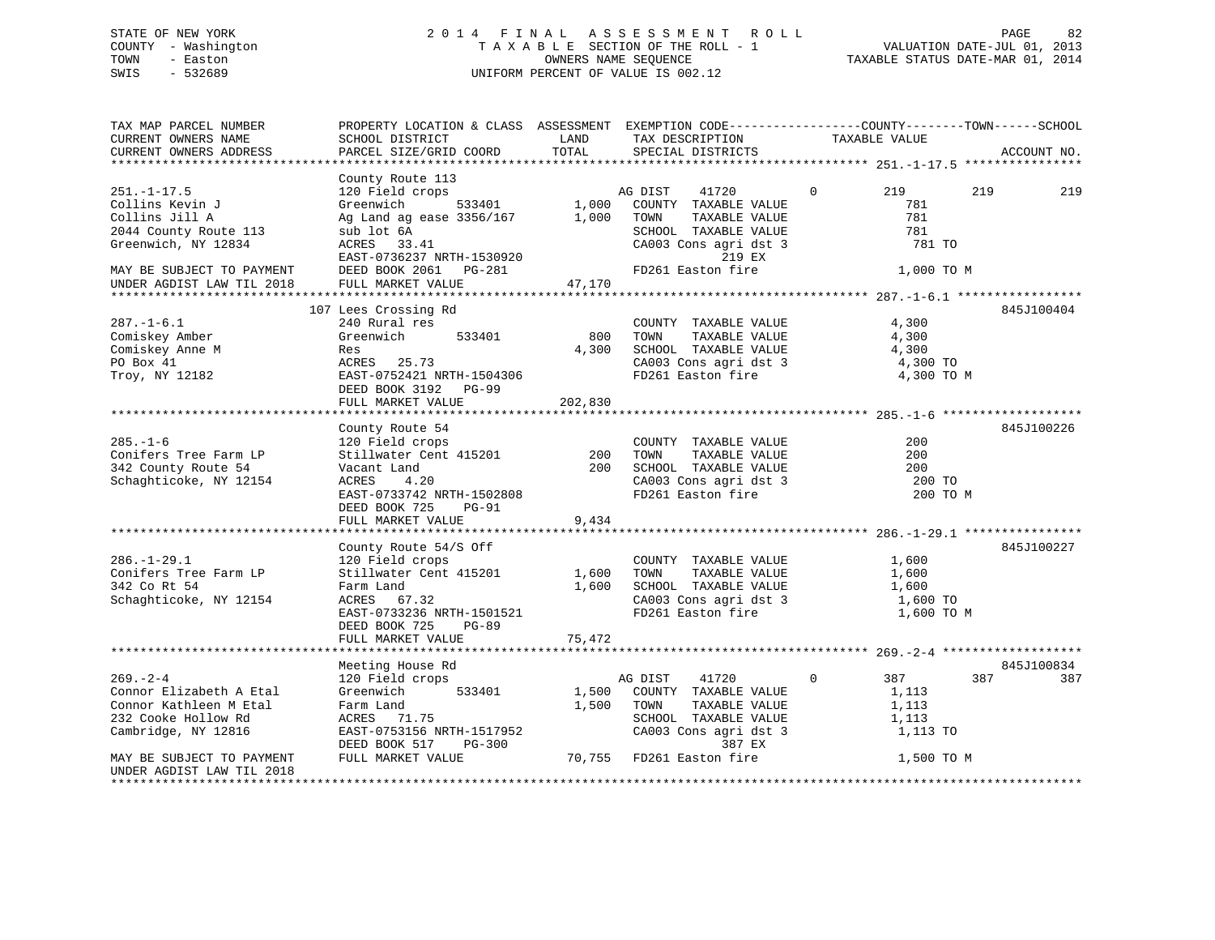### STATE OF NEW YORK 2 0 1 4 F I N A L A S S E S S M E N T R O L L PAGE 82 COUNTY - Washington T A X A B L E SECTION OF THE ROLL - 1 VALUATION DATE-JUL 01, 2013 TOWN - Easton **CONNERS NAME SEQUENCE** TAXABLE STATUS DATE-MAR 01, 2014 SWIS - 532689 UNIFORM PERCENT OF VALUE IS 002.12

| TAX MAP PARCEL NUMBER<br>CURRENT OWNERS NAME<br>CURRENT OWNERS ADDRESS                                                                                           | PROPERTY LOCATION & CLASS ASSESSMENT EXEMPTION CODE----------------COUNTY-------TOWN------SCHOOL<br>SCHOOL DISTRICT<br>PARCEL SIZE/GRID COORD                                                    | LAND<br>TOTAL            | TAX DESCRIPTION<br>SPECIAL DISTRICTS                                                                                                                     | TAXABLE VALUE                                                        | ACCOUNT NO. |
|------------------------------------------------------------------------------------------------------------------------------------------------------------------|--------------------------------------------------------------------------------------------------------------------------------------------------------------------------------------------------|--------------------------|----------------------------------------------------------------------------------------------------------------------------------------------------------|----------------------------------------------------------------------|-------------|
|                                                                                                                                                                  |                                                                                                                                                                                                  |                          |                                                                                                                                                          |                                                                      |             |
| $251. - 1 - 17.5$<br>Collins Kevin J<br>Collins Jill A<br>2044 County Route 113<br>Greenwich, NY 12834<br>MAY BE SUBJECT TO PAYMENT<br>UNDER AGDIST LAW TIL 2018 | County Route 113<br>120 Field crops<br>Greenwich<br>533401<br>Ag Land ag ease $3356/167$<br>sub lot 6A<br>ACRES 33.41<br>EAST-0736237 NRTH-1530920<br>DEED BOOK 2061 PG-281<br>FULL MARKET VALUE | 1,000<br>1,000<br>47,170 | AG DIST<br>41720<br>COUNTY TAXABLE VALUE<br>TOWN<br>TAXABLE VALUE<br>SCHOOL TAXABLE VALUE<br>CA003 Cons agri dst 3<br>219 EX<br>FD261 Easton fire        | $\Omega$<br>219<br>781<br>781<br>781<br>781 TO<br>1,000 TO M         | 219<br>219  |
|                                                                                                                                                                  |                                                                                                                                                                                                  |                          |                                                                                                                                                          |                                                                      |             |
| $287. - 1 - 6.1$<br>Comiskey Amber<br>Comiskey Anne M<br>PO Box 41<br>Troy, NY 12182                                                                             | 107 Lees Crossing Rd<br>240 Rural res<br>Greenwich<br>533401<br>Res<br>ACRES 25.73<br>EAST-0752421 NRTH-1504306<br>DEED BOOK 3192 PG-99<br>FULL MARKET VALUE                                     | 800<br>4,300<br>202,830  | COUNTY TAXABLE VALUE<br>TOWN<br>TAXABLE VALUE<br>SCHOOL TAXABLE VALUE<br>CA003 Cons agri dst 3<br>FD261 Easton fire                                      | 4,300<br>4,300<br>4,300<br>4,300 TO<br>4,300 TO M                    | 845J100404  |
|                                                                                                                                                                  | County Route 54                                                                                                                                                                                  |                          |                                                                                                                                                          |                                                                      | 845J100226  |
| $285. - 1 - 6$<br>Conifers Tree Farm LP<br>342 County Route 54<br>Schaghticoke, NY 12154                                                                         | 120 Field crops<br>Stillwater Cent 415201<br>Vacant Land<br>ACRES<br>4.20<br>EAST-0733742 NRTH-1502808<br>DEED BOOK 725<br>PG-91<br>FULL MARKET VALUE                                            | 200<br>200<br>9,434      | COUNTY TAXABLE VALUE<br>TOWN<br>TAXABLE VALUE<br>SCHOOL TAXABLE VALUE<br>CA003 Cons agri dst 3<br>FD261 Easton fire                                      | 200<br>200<br>200<br>200 TO<br>200 TO M                              |             |
|                                                                                                                                                                  |                                                                                                                                                                                                  |                          |                                                                                                                                                          |                                                                      |             |
| $286. - 1 - 29.1$<br>Conifers Tree Farm LP<br>342 Co Rt 54<br>Schaghticoke, NY 12154                                                                             | County Route 54/S Off<br>120 Field crops<br>Stillwater Cent 415201<br>Farm Land<br>ACRES 67.32<br>EAST-0733236 NRTH-1501521<br>DEED BOOK 725<br>PG-89<br>FULL MARKET VALUE                       | 1,600<br>1,600<br>75,472 | COUNTY TAXABLE VALUE<br>TOWN<br>TAXABLE VALUE<br>SCHOOL TAXABLE VALUE<br>CA003 Cons agri dst 3<br>FD261 Easton fire                                      | 1,600<br>1,600<br>1,600<br>1,600 TO<br>1,600 TO M                    | 845J100227  |
|                                                                                                                                                                  |                                                                                                                                                                                                  |                          |                                                                                                                                                          |                                                                      |             |
|                                                                                                                                                                  | Meeting House Rd                                                                                                                                                                                 |                          |                                                                                                                                                          |                                                                      | 845J100834  |
| $269. - 2 - 4$<br>Connor Elizabeth A Etal<br>Connor Kathleen M Etal<br>232 Cooke Hollow Rd<br>Cambridge, NY 12816<br>MAY BE SUBJECT TO PAYMENT                   | 120 Field crops<br>533401<br>Greenwich<br>Farm Land<br>ACRES 71.75<br>EAST-0753156 NRTH-1517952<br>DEED BOOK 517<br>PG-300<br>FULL MARKET VALUE                                                  | 1,500<br>1,500           | 41720<br>AG DIST<br>COUNTY TAXABLE VALUE<br>TOWN<br>TAXABLE VALUE<br>SCHOOL TAXABLE VALUE<br>CA003 Cons agri dst 3<br>387 EX<br>70,755 FD261 Easton fire | $\Omega$<br>387<br>1,113<br>1,113<br>1,113<br>1,113 TO<br>1,500 TO M | 387<br>387  |
| UNDER AGDIST LAW TIL 2018                                                                                                                                        |                                                                                                                                                                                                  |                          |                                                                                                                                                          |                                                                      |             |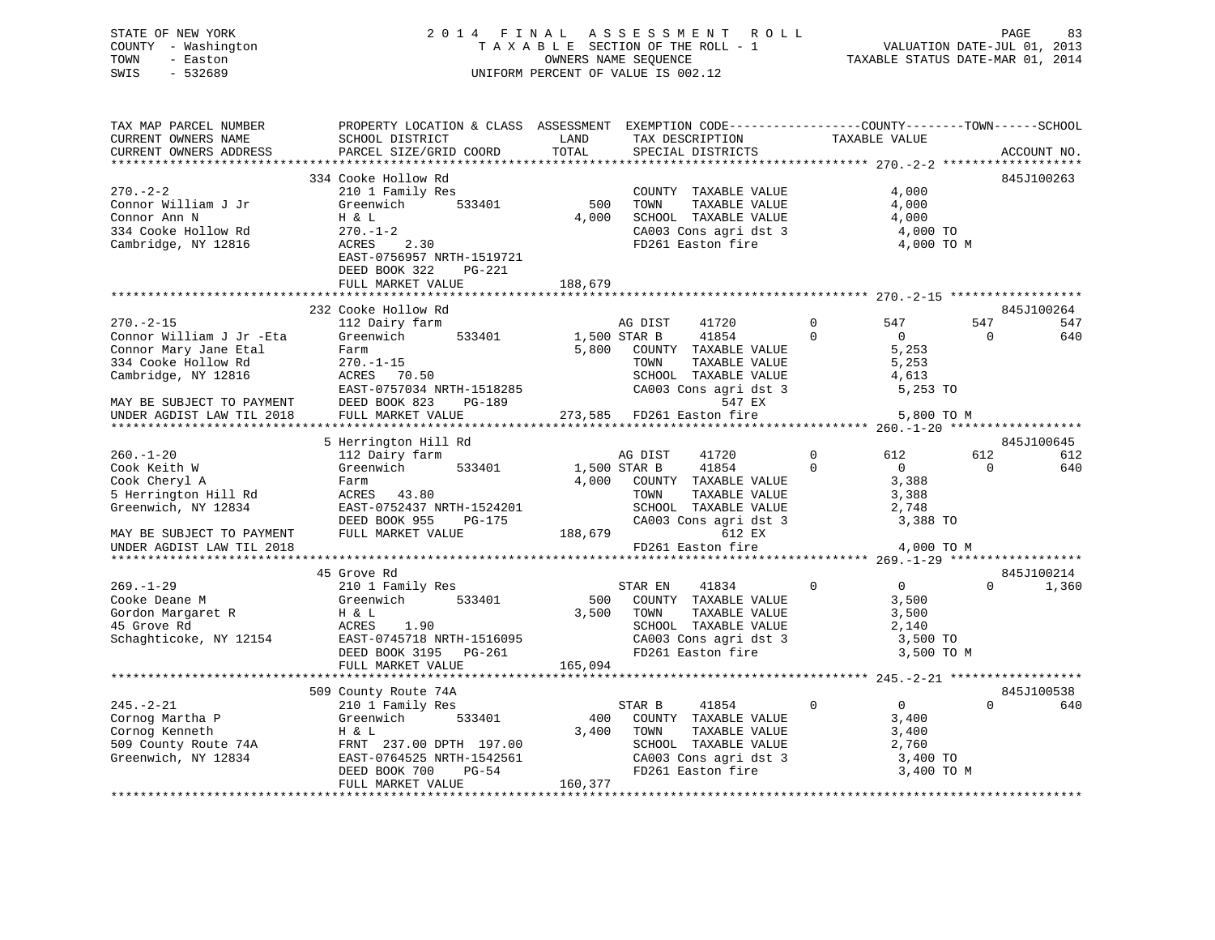### STATE OF NEW YORK 2 0 1 4 F I N A L A S S E S S M E N T R O L L PAGE 83 COUNTY - Washington T A X A B L E SECTION OF THE ROLL - 1 VALUATION DATE-JUL 01, 2013 TOWN - Easton **CONNERS NAME SEQUENCE** TAXABLE STATUS DATE-MAR 01, 2014 SWIS - 532689 UNIFORM PERCENT OF VALUE IS 002.12

| TAXABLE VALUE<br>CURRENT OWNERS NAME<br>TAX DESCRIPTION<br>SCHOOL DISTRICT<br>LAND<br>TOTAL<br>PARCEL SIZE/GRID COORD<br>CURRENT OWNERS ADDRESS<br>SPECIAL DISTRICTS<br>ACCOUNT NO.<br>334 Cooke Hollow Rd<br>845J100263<br>4,000<br>$270. - 2 - 2$<br>210 1 Family Res<br>COUNTY TAXABLE VALUE<br>533401<br>500<br>Connor William J Jr<br>Greenwich<br>TOWN<br>TAXABLE VALUE<br>4,000<br>4,000<br>SCHOOL TAXABLE VALUE<br>Connor Ann N<br>Η & L<br>4,000<br>$\frac{1}{2}$ $\frac{1}{2}$ $\frac{1}{2}$ $\frac{1}{2}$ $\frac{1}{2}$ $\frac{1}{2}$ $\frac{1}{2}$ $\frac{1}{2}$ $\frac{1}{2}$ $\frac{1}{2}$ $\frac{1}{2}$ $\frac{1}{2}$ $\frac{1}{2}$ $\frac{1}{2}$ $\frac{1}{2}$ $\frac{1}{2}$ $\frac{1}{2}$ $\frac{1}{2}$ $\frac{1}{2}$ $\frac{1}{2}$ $\frac{1}{2}$ $\frac{1}{2}$<br>$270. - 1 - 2$<br>334 Cooke Hollow Rd<br>Cambridge, NY 12816<br>ACRES 2.30<br>FD261 Easton fire<br>4,000 TO M<br>EAST-0756957 NRTH-1519721<br>DEED BOOK 322<br>PG-221<br>188,679<br>FULL MARKET VALUE<br>232 Cooke Hollow Rd<br>845J100264<br>$\overline{0}$<br>$270. - 2 - 15$<br>112 Dairy farm<br>547<br>AG DIST<br>41720<br>547<br>547<br>1,500 STAR B<br>Greenwich 533401<br>41854<br>$\Omega$<br>Connor William J Jr -Eta<br>$\overline{0}$<br>$\Omega$<br>640<br>Connor Mary Jane Etal<br>5,800 COUNTY TAXABLE VALUE<br>5,253<br>Farm<br>334 Cooke Hollow Rd<br>$270. - 1 - 15$<br>TOWN<br>TAXABLE VALUE<br>5,253<br>$270. -1 - 15$<br>ACRES 70.50<br>EAST-0757034 NRTH-1518285<br>SCHOOL TAXABLE VALUE<br>CA003 Cons agri dst 3<br>Cambridge, NY 12816<br>4,613<br>5,253 TO<br>DEED BOOK 823<br>547 EX<br>MAY BE SUBJECT TO PAYMENT<br>PG-189<br>MAY BE SUBJECT TO PAYMENT<br>UNDER AGDIST LAW TIL 2018<br>273,585 FD261 Easton fire<br>FULL MARKET VALUE<br>5,800 TO M<br>845J100645<br>5 Herrington Hill Rd<br>$\overline{0}$<br>612<br>$260. - 1 - 20$<br>612<br>612<br>112 Dairy farm<br>AG DIST<br>41720<br>41854<br>$\overline{0}$<br>533401 1,500 STAR B<br>$\overline{0}$<br>Cook Keith W<br>Greenwich<br>$\mathbf{0}$<br>640<br>Cook Cheryl A<br>4,000 COUNTY TAXABLE VALUE<br>3,388<br>Farm<br>5 Herrington Hill Rd<br>ACRES 43.80<br>3,388<br>TOWN<br>TAXABLE VALUE<br>$\frac{1}{2}$ , 748<br>Greenwich, NY 12834<br>EAST-0752437 NRTH-1524201 SCHOO<br>DEED BOOK 955 PG-175 2A003<br>FULL MARKET VALUE 188,679<br>SCHOOL TAXABLE VALUE<br>$CA003$ Cons agri dst 3<br>3,388 TO<br>612 EX<br>MAY BE SUBJECT TO PAYMENT<br>FD261 Easton fire<br>4,000 TO M<br>UNDER AGDIST LAW TIL 2018<br>45 Grove Rd<br>845J100214<br>$\overline{0}$<br>$\overline{0}$<br>$\Omega$<br>$269. - 1 - 29$<br>STAR EN<br>41834<br>1,360<br>Cooke Deane M<br>500 COUNTY TAXABLE VALUE<br>3,500<br>3,500 TOWN<br>TOWN       TAXABLE  VALUE<br>SCHOOL    TAXABLE  VALUE<br>3,500<br>2,140<br>Schaghticoke, NY 12154<br>EAST-0745718 NRTH-1516095<br>DEED BOOK 3195 PG-261<br>CA003 Cons agri dst 3<br>FD261 Easton fire<br>3,500 TO<br>3,500 TO M<br>FULL MARKET VALUE<br>165,094<br>509 County Route 74A<br>845J100538<br>210 1 Family Res<br>Greenwich 533401<br>$\overline{0}$<br>$245. - 2 - 21$<br>$\sim$ 0<br>$\Omega$<br>STAR B<br>41854<br>640<br>400<br>Cornog Martha P<br>3,400<br>COUNTY TAXABLE VALUE<br>3,400<br>Cornog martina F<br>Cornog Kenneth<br>509 County Route 74A<br>Greenwich, NY 12834<br>FRNT 237.00 DPTH 197.00<br>EAST-0764525 NRTH-1542561<br>DEED BOOK 700<br>PG-54<br>THE PG-54<br>THE PG-54<br>THE PG-54<br>TOWN<br>TAXABLE VALUE<br>3,400<br>SCHOOL TAXABLE VALUE<br>CA002 Cors<br>2,760<br>$\begin{array}{lllllll} \texttt{CA003} & \texttt{Cons}\ \texttt{agri}\ \texttt{dst}\ 3 & & & 3,400\ \texttt{TO} & & & \\ \texttt{FD261}\ \texttt{Easton}\ \texttt{fire} & & & 3,400\ \texttt{TO}\ \texttt{M} \end{array}$<br>FULL MARKET VALUE<br>160,377 | TAX MAP PARCEL NUMBER | PROPERTY LOCATION & CLASS ASSESSMENT EXEMPTION CODE----------------COUNTY-------TOWN------SCHOOL |  |  |  |
|-----------------------------------------------------------------------------------------------------------------------------------------------------------------------------------------------------------------------------------------------------------------------------------------------------------------------------------------------------------------------------------------------------------------------------------------------------------------------------------------------------------------------------------------------------------------------------------------------------------------------------------------------------------------------------------------------------------------------------------------------------------------------------------------------------------------------------------------------------------------------------------------------------------------------------------------------------------------------------------------------------------------------------------------------------------------------------------------------------------------------------------------------------------------------------------------------------------------------------------------------------------------------------------------------------------------------------------------------------------------------------------------------------------------------------------------------------------------------------------------------------------------------------------------------------------------------------------------------------------------------------------------------------------------------------------------------------------------------------------------------------------------------------------------------------------------------------------------------------------------------------------------------------------------------------------------------------------------------------------------------------------------------------------------------------------------------------------------------------------------------------------------------------------------------------------------------------------------------------------------------------------------------------------------------------------------------------------------------------------------------------------------------------------------------------------------------------------------------------------------------------------------------------------------------------------------------------------------------------------------------------------------------------------------------------------------------------------------------------------------------------------------------------------------------------------------------------------------------------------------------------------------------------------------------------------------------------------------------------------------------------------------------------------------------------------------------------------------------------------------------------------------------------------------------------------------------------------------------------------------------------------------------------------------------------------------------------------------------------------------------------------------------------------------------------------------------------------------------------------------------------------------------------------------------------------------------------------------------------------------------------------------------------------------------------------------------------------------------------------------------------------------------|-----------------------|--------------------------------------------------------------------------------------------------|--|--|--|
|                                                                                                                                                                                                                                                                                                                                                                                                                                                                                                                                                                                                                                                                                                                                                                                                                                                                                                                                                                                                                                                                                                                                                                                                                                                                                                                                                                                                                                                                                                                                                                                                                                                                                                                                                                                                                                                                                                                                                                                                                                                                                                                                                                                                                                                                                                                                                                                                                                                                                                                                                                                                                                                                                                                                                                                                                                                                                                                                                                                                                                                                                                                                                                                                                                                                                                                                                                                                                                                                                                                                                                                                                                                                                                                                                                       |                       |                                                                                                  |  |  |  |
|                                                                                                                                                                                                                                                                                                                                                                                                                                                                                                                                                                                                                                                                                                                                                                                                                                                                                                                                                                                                                                                                                                                                                                                                                                                                                                                                                                                                                                                                                                                                                                                                                                                                                                                                                                                                                                                                                                                                                                                                                                                                                                                                                                                                                                                                                                                                                                                                                                                                                                                                                                                                                                                                                                                                                                                                                                                                                                                                                                                                                                                                                                                                                                                                                                                                                                                                                                                                                                                                                                                                                                                                                                                                                                                                                                       |                       |                                                                                                  |  |  |  |
|                                                                                                                                                                                                                                                                                                                                                                                                                                                                                                                                                                                                                                                                                                                                                                                                                                                                                                                                                                                                                                                                                                                                                                                                                                                                                                                                                                                                                                                                                                                                                                                                                                                                                                                                                                                                                                                                                                                                                                                                                                                                                                                                                                                                                                                                                                                                                                                                                                                                                                                                                                                                                                                                                                                                                                                                                                                                                                                                                                                                                                                                                                                                                                                                                                                                                                                                                                                                                                                                                                                                                                                                                                                                                                                                                                       |                       |                                                                                                  |  |  |  |
|                                                                                                                                                                                                                                                                                                                                                                                                                                                                                                                                                                                                                                                                                                                                                                                                                                                                                                                                                                                                                                                                                                                                                                                                                                                                                                                                                                                                                                                                                                                                                                                                                                                                                                                                                                                                                                                                                                                                                                                                                                                                                                                                                                                                                                                                                                                                                                                                                                                                                                                                                                                                                                                                                                                                                                                                                                                                                                                                                                                                                                                                                                                                                                                                                                                                                                                                                                                                                                                                                                                                                                                                                                                                                                                                                                       |                       |                                                                                                  |  |  |  |
|                                                                                                                                                                                                                                                                                                                                                                                                                                                                                                                                                                                                                                                                                                                                                                                                                                                                                                                                                                                                                                                                                                                                                                                                                                                                                                                                                                                                                                                                                                                                                                                                                                                                                                                                                                                                                                                                                                                                                                                                                                                                                                                                                                                                                                                                                                                                                                                                                                                                                                                                                                                                                                                                                                                                                                                                                                                                                                                                                                                                                                                                                                                                                                                                                                                                                                                                                                                                                                                                                                                                                                                                                                                                                                                                                                       |                       |                                                                                                  |  |  |  |
|                                                                                                                                                                                                                                                                                                                                                                                                                                                                                                                                                                                                                                                                                                                                                                                                                                                                                                                                                                                                                                                                                                                                                                                                                                                                                                                                                                                                                                                                                                                                                                                                                                                                                                                                                                                                                                                                                                                                                                                                                                                                                                                                                                                                                                                                                                                                                                                                                                                                                                                                                                                                                                                                                                                                                                                                                                                                                                                                                                                                                                                                                                                                                                                                                                                                                                                                                                                                                                                                                                                                                                                                                                                                                                                                                                       |                       |                                                                                                  |  |  |  |
|                                                                                                                                                                                                                                                                                                                                                                                                                                                                                                                                                                                                                                                                                                                                                                                                                                                                                                                                                                                                                                                                                                                                                                                                                                                                                                                                                                                                                                                                                                                                                                                                                                                                                                                                                                                                                                                                                                                                                                                                                                                                                                                                                                                                                                                                                                                                                                                                                                                                                                                                                                                                                                                                                                                                                                                                                                                                                                                                                                                                                                                                                                                                                                                                                                                                                                                                                                                                                                                                                                                                                                                                                                                                                                                                                                       |                       |                                                                                                  |  |  |  |
|                                                                                                                                                                                                                                                                                                                                                                                                                                                                                                                                                                                                                                                                                                                                                                                                                                                                                                                                                                                                                                                                                                                                                                                                                                                                                                                                                                                                                                                                                                                                                                                                                                                                                                                                                                                                                                                                                                                                                                                                                                                                                                                                                                                                                                                                                                                                                                                                                                                                                                                                                                                                                                                                                                                                                                                                                                                                                                                                                                                                                                                                                                                                                                                                                                                                                                                                                                                                                                                                                                                                                                                                                                                                                                                                                                       |                       |                                                                                                  |  |  |  |
|                                                                                                                                                                                                                                                                                                                                                                                                                                                                                                                                                                                                                                                                                                                                                                                                                                                                                                                                                                                                                                                                                                                                                                                                                                                                                                                                                                                                                                                                                                                                                                                                                                                                                                                                                                                                                                                                                                                                                                                                                                                                                                                                                                                                                                                                                                                                                                                                                                                                                                                                                                                                                                                                                                                                                                                                                                                                                                                                                                                                                                                                                                                                                                                                                                                                                                                                                                                                                                                                                                                                                                                                                                                                                                                                                                       |                       |                                                                                                  |  |  |  |
|                                                                                                                                                                                                                                                                                                                                                                                                                                                                                                                                                                                                                                                                                                                                                                                                                                                                                                                                                                                                                                                                                                                                                                                                                                                                                                                                                                                                                                                                                                                                                                                                                                                                                                                                                                                                                                                                                                                                                                                                                                                                                                                                                                                                                                                                                                                                                                                                                                                                                                                                                                                                                                                                                                                                                                                                                                                                                                                                                                                                                                                                                                                                                                                                                                                                                                                                                                                                                                                                                                                                                                                                                                                                                                                                                                       |                       |                                                                                                  |  |  |  |
|                                                                                                                                                                                                                                                                                                                                                                                                                                                                                                                                                                                                                                                                                                                                                                                                                                                                                                                                                                                                                                                                                                                                                                                                                                                                                                                                                                                                                                                                                                                                                                                                                                                                                                                                                                                                                                                                                                                                                                                                                                                                                                                                                                                                                                                                                                                                                                                                                                                                                                                                                                                                                                                                                                                                                                                                                                                                                                                                                                                                                                                                                                                                                                                                                                                                                                                                                                                                                                                                                                                                                                                                                                                                                                                                                                       |                       |                                                                                                  |  |  |  |
|                                                                                                                                                                                                                                                                                                                                                                                                                                                                                                                                                                                                                                                                                                                                                                                                                                                                                                                                                                                                                                                                                                                                                                                                                                                                                                                                                                                                                                                                                                                                                                                                                                                                                                                                                                                                                                                                                                                                                                                                                                                                                                                                                                                                                                                                                                                                                                                                                                                                                                                                                                                                                                                                                                                                                                                                                                                                                                                                                                                                                                                                                                                                                                                                                                                                                                                                                                                                                                                                                                                                                                                                                                                                                                                                                                       |                       |                                                                                                  |  |  |  |
|                                                                                                                                                                                                                                                                                                                                                                                                                                                                                                                                                                                                                                                                                                                                                                                                                                                                                                                                                                                                                                                                                                                                                                                                                                                                                                                                                                                                                                                                                                                                                                                                                                                                                                                                                                                                                                                                                                                                                                                                                                                                                                                                                                                                                                                                                                                                                                                                                                                                                                                                                                                                                                                                                                                                                                                                                                                                                                                                                                                                                                                                                                                                                                                                                                                                                                                                                                                                                                                                                                                                                                                                                                                                                                                                                                       |                       |                                                                                                  |  |  |  |
|                                                                                                                                                                                                                                                                                                                                                                                                                                                                                                                                                                                                                                                                                                                                                                                                                                                                                                                                                                                                                                                                                                                                                                                                                                                                                                                                                                                                                                                                                                                                                                                                                                                                                                                                                                                                                                                                                                                                                                                                                                                                                                                                                                                                                                                                                                                                                                                                                                                                                                                                                                                                                                                                                                                                                                                                                                                                                                                                                                                                                                                                                                                                                                                                                                                                                                                                                                                                                                                                                                                                                                                                                                                                                                                                                                       |                       |                                                                                                  |  |  |  |
|                                                                                                                                                                                                                                                                                                                                                                                                                                                                                                                                                                                                                                                                                                                                                                                                                                                                                                                                                                                                                                                                                                                                                                                                                                                                                                                                                                                                                                                                                                                                                                                                                                                                                                                                                                                                                                                                                                                                                                                                                                                                                                                                                                                                                                                                                                                                                                                                                                                                                                                                                                                                                                                                                                                                                                                                                                                                                                                                                                                                                                                                                                                                                                                                                                                                                                                                                                                                                                                                                                                                                                                                                                                                                                                                                                       |                       |                                                                                                  |  |  |  |
|                                                                                                                                                                                                                                                                                                                                                                                                                                                                                                                                                                                                                                                                                                                                                                                                                                                                                                                                                                                                                                                                                                                                                                                                                                                                                                                                                                                                                                                                                                                                                                                                                                                                                                                                                                                                                                                                                                                                                                                                                                                                                                                                                                                                                                                                                                                                                                                                                                                                                                                                                                                                                                                                                                                                                                                                                                                                                                                                                                                                                                                                                                                                                                                                                                                                                                                                                                                                                                                                                                                                                                                                                                                                                                                                                                       |                       |                                                                                                  |  |  |  |
|                                                                                                                                                                                                                                                                                                                                                                                                                                                                                                                                                                                                                                                                                                                                                                                                                                                                                                                                                                                                                                                                                                                                                                                                                                                                                                                                                                                                                                                                                                                                                                                                                                                                                                                                                                                                                                                                                                                                                                                                                                                                                                                                                                                                                                                                                                                                                                                                                                                                                                                                                                                                                                                                                                                                                                                                                                                                                                                                                                                                                                                                                                                                                                                                                                                                                                                                                                                                                                                                                                                                                                                                                                                                                                                                                                       |                       |                                                                                                  |  |  |  |
|                                                                                                                                                                                                                                                                                                                                                                                                                                                                                                                                                                                                                                                                                                                                                                                                                                                                                                                                                                                                                                                                                                                                                                                                                                                                                                                                                                                                                                                                                                                                                                                                                                                                                                                                                                                                                                                                                                                                                                                                                                                                                                                                                                                                                                                                                                                                                                                                                                                                                                                                                                                                                                                                                                                                                                                                                                                                                                                                                                                                                                                                                                                                                                                                                                                                                                                                                                                                                                                                                                                                                                                                                                                                                                                                                                       |                       |                                                                                                  |  |  |  |
|                                                                                                                                                                                                                                                                                                                                                                                                                                                                                                                                                                                                                                                                                                                                                                                                                                                                                                                                                                                                                                                                                                                                                                                                                                                                                                                                                                                                                                                                                                                                                                                                                                                                                                                                                                                                                                                                                                                                                                                                                                                                                                                                                                                                                                                                                                                                                                                                                                                                                                                                                                                                                                                                                                                                                                                                                                                                                                                                                                                                                                                                                                                                                                                                                                                                                                                                                                                                                                                                                                                                                                                                                                                                                                                                                                       |                       |                                                                                                  |  |  |  |
|                                                                                                                                                                                                                                                                                                                                                                                                                                                                                                                                                                                                                                                                                                                                                                                                                                                                                                                                                                                                                                                                                                                                                                                                                                                                                                                                                                                                                                                                                                                                                                                                                                                                                                                                                                                                                                                                                                                                                                                                                                                                                                                                                                                                                                                                                                                                                                                                                                                                                                                                                                                                                                                                                                                                                                                                                                                                                                                                                                                                                                                                                                                                                                                                                                                                                                                                                                                                                                                                                                                                                                                                                                                                                                                                                                       |                       |                                                                                                  |  |  |  |
|                                                                                                                                                                                                                                                                                                                                                                                                                                                                                                                                                                                                                                                                                                                                                                                                                                                                                                                                                                                                                                                                                                                                                                                                                                                                                                                                                                                                                                                                                                                                                                                                                                                                                                                                                                                                                                                                                                                                                                                                                                                                                                                                                                                                                                                                                                                                                                                                                                                                                                                                                                                                                                                                                                                                                                                                                                                                                                                                                                                                                                                                                                                                                                                                                                                                                                                                                                                                                                                                                                                                                                                                                                                                                                                                                                       |                       |                                                                                                  |  |  |  |
|                                                                                                                                                                                                                                                                                                                                                                                                                                                                                                                                                                                                                                                                                                                                                                                                                                                                                                                                                                                                                                                                                                                                                                                                                                                                                                                                                                                                                                                                                                                                                                                                                                                                                                                                                                                                                                                                                                                                                                                                                                                                                                                                                                                                                                                                                                                                                                                                                                                                                                                                                                                                                                                                                                                                                                                                                                                                                                                                                                                                                                                                                                                                                                                                                                                                                                                                                                                                                                                                                                                                                                                                                                                                                                                                                                       |                       |                                                                                                  |  |  |  |
|                                                                                                                                                                                                                                                                                                                                                                                                                                                                                                                                                                                                                                                                                                                                                                                                                                                                                                                                                                                                                                                                                                                                                                                                                                                                                                                                                                                                                                                                                                                                                                                                                                                                                                                                                                                                                                                                                                                                                                                                                                                                                                                                                                                                                                                                                                                                                                                                                                                                                                                                                                                                                                                                                                                                                                                                                                                                                                                                                                                                                                                                                                                                                                                                                                                                                                                                                                                                                                                                                                                                                                                                                                                                                                                                                                       |                       |                                                                                                  |  |  |  |
|                                                                                                                                                                                                                                                                                                                                                                                                                                                                                                                                                                                                                                                                                                                                                                                                                                                                                                                                                                                                                                                                                                                                                                                                                                                                                                                                                                                                                                                                                                                                                                                                                                                                                                                                                                                                                                                                                                                                                                                                                                                                                                                                                                                                                                                                                                                                                                                                                                                                                                                                                                                                                                                                                                                                                                                                                                                                                                                                                                                                                                                                                                                                                                                                                                                                                                                                                                                                                                                                                                                                                                                                                                                                                                                                                                       |                       |                                                                                                  |  |  |  |
|                                                                                                                                                                                                                                                                                                                                                                                                                                                                                                                                                                                                                                                                                                                                                                                                                                                                                                                                                                                                                                                                                                                                                                                                                                                                                                                                                                                                                                                                                                                                                                                                                                                                                                                                                                                                                                                                                                                                                                                                                                                                                                                                                                                                                                                                                                                                                                                                                                                                                                                                                                                                                                                                                                                                                                                                                                                                                                                                                                                                                                                                                                                                                                                                                                                                                                                                                                                                                                                                                                                                                                                                                                                                                                                                                                       |                       |                                                                                                  |  |  |  |
|                                                                                                                                                                                                                                                                                                                                                                                                                                                                                                                                                                                                                                                                                                                                                                                                                                                                                                                                                                                                                                                                                                                                                                                                                                                                                                                                                                                                                                                                                                                                                                                                                                                                                                                                                                                                                                                                                                                                                                                                                                                                                                                                                                                                                                                                                                                                                                                                                                                                                                                                                                                                                                                                                                                                                                                                                                                                                                                                                                                                                                                                                                                                                                                                                                                                                                                                                                                                                                                                                                                                                                                                                                                                                                                                                                       |                       |                                                                                                  |  |  |  |
|                                                                                                                                                                                                                                                                                                                                                                                                                                                                                                                                                                                                                                                                                                                                                                                                                                                                                                                                                                                                                                                                                                                                                                                                                                                                                                                                                                                                                                                                                                                                                                                                                                                                                                                                                                                                                                                                                                                                                                                                                                                                                                                                                                                                                                                                                                                                                                                                                                                                                                                                                                                                                                                                                                                                                                                                                                                                                                                                                                                                                                                                                                                                                                                                                                                                                                                                                                                                                                                                                                                                                                                                                                                                                                                                                                       |                       |                                                                                                  |  |  |  |
|                                                                                                                                                                                                                                                                                                                                                                                                                                                                                                                                                                                                                                                                                                                                                                                                                                                                                                                                                                                                                                                                                                                                                                                                                                                                                                                                                                                                                                                                                                                                                                                                                                                                                                                                                                                                                                                                                                                                                                                                                                                                                                                                                                                                                                                                                                                                                                                                                                                                                                                                                                                                                                                                                                                                                                                                                                                                                                                                                                                                                                                                                                                                                                                                                                                                                                                                                                                                                                                                                                                                                                                                                                                                                                                                                                       |                       |                                                                                                  |  |  |  |
|                                                                                                                                                                                                                                                                                                                                                                                                                                                                                                                                                                                                                                                                                                                                                                                                                                                                                                                                                                                                                                                                                                                                                                                                                                                                                                                                                                                                                                                                                                                                                                                                                                                                                                                                                                                                                                                                                                                                                                                                                                                                                                                                                                                                                                                                                                                                                                                                                                                                                                                                                                                                                                                                                                                                                                                                                                                                                                                                                                                                                                                                                                                                                                                                                                                                                                                                                                                                                                                                                                                                                                                                                                                                                                                                                                       |                       |                                                                                                  |  |  |  |
|                                                                                                                                                                                                                                                                                                                                                                                                                                                                                                                                                                                                                                                                                                                                                                                                                                                                                                                                                                                                                                                                                                                                                                                                                                                                                                                                                                                                                                                                                                                                                                                                                                                                                                                                                                                                                                                                                                                                                                                                                                                                                                                                                                                                                                                                                                                                                                                                                                                                                                                                                                                                                                                                                                                                                                                                                                                                                                                                                                                                                                                                                                                                                                                                                                                                                                                                                                                                                                                                                                                                                                                                                                                                                                                                                                       |                       |                                                                                                  |  |  |  |
|                                                                                                                                                                                                                                                                                                                                                                                                                                                                                                                                                                                                                                                                                                                                                                                                                                                                                                                                                                                                                                                                                                                                                                                                                                                                                                                                                                                                                                                                                                                                                                                                                                                                                                                                                                                                                                                                                                                                                                                                                                                                                                                                                                                                                                                                                                                                                                                                                                                                                                                                                                                                                                                                                                                                                                                                                                                                                                                                                                                                                                                                                                                                                                                                                                                                                                                                                                                                                                                                                                                                                                                                                                                                                                                                                                       |                       |                                                                                                  |  |  |  |
|                                                                                                                                                                                                                                                                                                                                                                                                                                                                                                                                                                                                                                                                                                                                                                                                                                                                                                                                                                                                                                                                                                                                                                                                                                                                                                                                                                                                                                                                                                                                                                                                                                                                                                                                                                                                                                                                                                                                                                                                                                                                                                                                                                                                                                                                                                                                                                                                                                                                                                                                                                                                                                                                                                                                                                                                                                                                                                                                                                                                                                                                                                                                                                                                                                                                                                                                                                                                                                                                                                                                                                                                                                                                                                                                                                       |                       |                                                                                                  |  |  |  |
|                                                                                                                                                                                                                                                                                                                                                                                                                                                                                                                                                                                                                                                                                                                                                                                                                                                                                                                                                                                                                                                                                                                                                                                                                                                                                                                                                                                                                                                                                                                                                                                                                                                                                                                                                                                                                                                                                                                                                                                                                                                                                                                                                                                                                                                                                                                                                                                                                                                                                                                                                                                                                                                                                                                                                                                                                                                                                                                                                                                                                                                                                                                                                                                                                                                                                                                                                                                                                                                                                                                                                                                                                                                                                                                                                                       |                       |                                                                                                  |  |  |  |
|                                                                                                                                                                                                                                                                                                                                                                                                                                                                                                                                                                                                                                                                                                                                                                                                                                                                                                                                                                                                                                                                                                                                                                                                                                                                                                                                                                                                                                                                                                                                                                                                                                                                                                                                                                                                                                                                                                                                                                                                                                                                                                                                                                                                                                                                                                                                                                                                                                                                                                                                                                                                                                                                                                                                                                                                                                                                                                                                                                                                                                                                                                                                                                                                                                                                                                                                                                                                                                                                                                                                                                                                                                                                                                                                                                       |                       |                                                                                                  |  |  |  |
|                                                                                                                                                                                                                                                                                                                                                                                                                                                                                                                                                                                                                                                                                                                                                                                                                                                                                                                                                                                                                                                                                                                                                                                                                                                                                                                                                                                                                                                                                                                                                                                                                                                                                                                                                                                                                                                                                                                                                                                                                                                                                                                                                                                                                                                                                                                                                                                                                                                                                                                                                                                                                                                                                                                                                                                                                                                                                                                                                                                                                                                                                                                                                                                                                                                                                                                                                                                                                                                                                                                                                                                                                                                                                                                                                                       |                       |                                                                                                  |  |  |  |
|                                                                                                                                                                                                                                                                                                                                                                                                                                                                                                                                                                                                                                                                                                                                                                                                                                                                                                                                                                                                                                                                                                                                                                                                                                                                                                                                                                                                                                                                                                                                                                                                                                                                                                                                                                                                                                                                                                                                                                                                                                                                                                                                                                                                                                                                                                                                                                                                                                                                                                                                                                                                                                                                                                                                                                                                                                                                                                                                                                                                                                                                                                                                                                                                                                                                                                                                                                                                                                                                                                                                                                                                                                                                                                                                                                       |                       |                                                                                                  |  |  |  |
|                                                                                                                                                                                                                                                                                                                                                                                                                                                                                                                                                                                                                                                                                                                                                                                                                                                                                                                                                                                                                                                                                                                                                                                                                                                                                                                                                                                                                                                                                                                                                                                                                                                                                                                                                                                                                                                                                                                                                                                                                                                                                                                                                                                                                                                                                                                                                                                                                                                                                                                                                                                                                                                                                                                                                                                                                                                                                                                                                                                                                                                                                                                                                                                                                                                                                                                                                                                                                                                                                                                                                                                                                                                                                                                                                                       |                       |                                                                                                  |  |  |  |
|                                                                                                                                                                                                                                                                                                                                                                                                                                                                                                                                                                                                                                                                                                                                                                                                                                                                                                                                                                                                                                                                                                                                                                                                                                                                                                                                                                                                                                                                                                                                                                                                                                                                                                                                                                                                                                                                                                                                                                                                                                                                                                                                                                                                                                                                                                                                                                                                                                                                                                                                                                                                                                                                                                                                                                                                                                                                                                                                                                                                                                                                                                                                                                                                                                                                                                                                                                                                                                                                                                                                                                                                                                                                                                                                                                       |                       |                                                                                                  |  |  |  |
|                                                                                                                                                                                                                                                                                                                                                                                                                                                                                                                                                                                                                                                                                                                                                                                                                                                                                                                                                                                                                                                                                                                                                                                                                                                                                                                                                                                                                                                                                                                                                                                                                                                                                                                                                                                                                                                                                                                                                                                                                                                                                                                                                                                                                                                                                                                                                                                                                                                                                                                                                                                                                                                                                                                                                                                                                                                                                                                                                                                                                                                                                                                                                                                                                                                                                                                                                                                                                                                                                                                                                                                                                                                                                                                                                                       |                       |                                                                                                  |  |  |  |
|                                                                                                                                                                                                                                                                                                                                                                                                                                                                                                                                                                                                                                                                                                                                                                                                                                                                                                                                                                                                                                                                                                                                                                                                                                                                                                                                                                                                                                                                                                                                                                                                                                                                                                                                                                                                                                                                                                                                                                                                                                                                                                                                                                                                                                                                                                                                                                                                                                                                                                                                                                                                                                                                                                                                                                                                                                                                                                                                                                                                                                                                                                                                                                                                                                                                                                                                                                                                                                                                                                                                                                                                                                                                                                                                                                       |                       |                                                                                                  |  |  |  |
|                                                                                                                                                                                                                                                                                                                                                                                                                                                                                                                                                                                                                                                                                                                                                                                                                                                                                                                                                                                                                                                                                                                                                                                                                                                                                                                                                                                                                                                                                                                                                                                                                                                                                                                                                                                                                                                                                                                                                                                                                                                                                                                                                                                                                                                                                                                                                                                                                                                                                                                                                                                                                                                                                                                                                                                                                                                                                                                                                                                                                                                                                                                                                                                                                                                                                                                                                                                                                                                                                                                                                                                                                                                                                                                                                                       |                       |                                                                                                  |  |  |  |
|                                                                                                                                                                                                                                                                                                                                                                                                                                                                                                                                                                                                                                                                                                                                                                                                                                                                                                                                                                                                                                                                                                                                                                                                                                                                                                                                                                                                                                                                                                                                                                                                                                                                                                                                                                                                                                                                                                                                                                                                                                                                                                                                                                                                                                                                                                                                                                                                                                                                                                                                                                                                                                                                                                                                                                                                                                                                                                                                                                                                                                                                                                                                                                                                                                                                                                                                                                                                                                                                                                                                                                                                                                                                                                                                                                       |                       |                                                                                                  |  |  |  |
|                                                                                                                                                                                                                                                                                                                                                                                                                                                                                                                                                                                                                                                                                                                                                                                                                                                                                                                                                                                                                                                                                                                                                                                                                                                                                                                                                                                                                                                                                                                                                                                                                                                                                                                                                                                                                                                                                                                                                                                                                                                                                                                                                                                                                                                                                                                                                                                                                                                                                                                                                                                                                                                                                                                                                                                                                                                                                                                                                                                                                                                                                                                                                                                                                                                                                                                                                                                                                                                                                                                                                                                                                                                                                                                                                                       |                       |                                                                                                  |  |  |  |
|                                                                                                                                                                                                                                                                                                                                                                                                                                                                                                                                                                                                                                                                                                                                                                                                                                                                                                                                                                                                                                                                                                                                                                                                                                                                                                                                                                                                                                                                                                                                                                                                                                                                                                                                                                                                                                                                                                                                                                                                                                                                                                                                                                                                                                                                                                                                                                                                                                                                                                                                                                                                                                                                                                                                                                                                                                                                                                                                                                                                                                                                                                                                                                                                                                                                                                                                                                                                                                                                                                                                                                                                                                                                                                                                                                       |                       |                                                                                                  |  |  |  |
|                                                                                                                                                                                                                                                                                                                                                                                                                                                                                                                                                                                                                                                                                                                                                                                                                                                                                                                                                                                                                                                                                                                                                                                                                                                                                                                                                                                                                                                                                                                                                                                                                                                                                                                                                                                                                                                                                                                                                                                                                                                                                                                                                                                                                                                                                                                                                                                                                                                                                                                                                                                                                                                                                                                                                                                                                                                                                                                                                                                                                                                                                                                                                                                                                                                                                                                                                                                                                                                                                                                                                                                                                                                                                                                                                                       |                       |                                                                                                  |  |  |  |
|                                                                                                                                                                                                                                                                                                                                                                                                                                                                                                                                                                                                                                                                                                                                                                                                                                                                                                                                                                                                                                                                                                                                                                                                                                                                                                                                                                                                                                                                                                                                                                                                                                                                                                                                                                                                                                                                                                                                                                                                                                                                                                                                                                                                                                                                                                                                                                                                                                                                                                                                                                                                                                                                                                                                                                                                                                                                                                                                                                                                                                                                                                                                                                                                                                                                                                                                                                                                                                                                                                                                                                                                                                                                                                                                                                       |                       |                                                                                                  |  |  |  |
|                                                                                                                                                                                                                                                                                                                                                                                                                                                                                                                                                                                                                                                                                                                                                                                                                                                                                                                                                                                                                                                                                                                                                                                                                                                                                                                                                                                                                                                                                                                                                                                                                                                                                                                                                                                                                                                                                                                                                                                                                                                                                                                                                                                                                                                                                                                                                                                                                                                                                                                                                                                                                                                                                                                                                                                                                                                                                                                                                                                                                                                                                                                                                                                                                                                                                                                                                                                                                                                                                                                                                                                                                                                                                                                                                                       |                       |                                                                                                  |  |  |  |
|                                                                                                                                                                                                                                                                                                                                                                                                                                                                                                                                                                                                                                                                                                                                                                                                                                                                                                                                                                                                                                                                                                                                                                                                                                                                                                                                                                                                                                                                                                                                                                                                                                                                                                                                                                                                                                                                                                                                                                                                                                                                                                                                                                                                                                                                                                                                                                                                                                                                                                                                                                                                                                                                                                                                                                                                                                                                                                                                                                                                                                                                                                                                                                                                                                                                                                                                                                                                                                                                                                                                                                                                                                                                                                                                                                       |                       |                                                                                                  |  |  |  |
|                                                                                                                                                                                                                                                                                                                                                                                                                                                                                                                                                                                                                                                                                                                                                                                                                                                                                                                                                                                                                                                                                                                                                                                                                                                                                                                                                                                                                                                                                                                                                                                                                                                                                                                                                                                                                                                                                                                                                                                                                                                                                                                                                                                                                                                                                                                                                                                                                                                                                                                                                                                                                                                                                                                                                                                                                                                                                                                                                                                                                                                                                                                                                                                                                                                                                                                                                                                                                                                                                                                                                                                                                                                                                                                                                                       |                       |                                                                                                  |  |  |  |
|                                                                                                                                                                                                                                                                                                                                                                                                                                                                                                                                                                                                                                                                                                                                                                                                                                                                                                                                                                                                                                                                                                                                                                                                                                                                                                                                                                                                                                                                                                                                                                                                                                                                                                                                                                                                                                                                                                                                                                                                                                                                                                                                                                                                                                                                                                                                                                                                                                                                                                                                                                                                                                                                                                                                                                                                                                                                                                                                                                                                                                                                                                                                                                                                                                                                                                                                                                                                                                                                                                                                                                                                                                                                                                                                                                       |                       |                                                                                                  |  |  |  |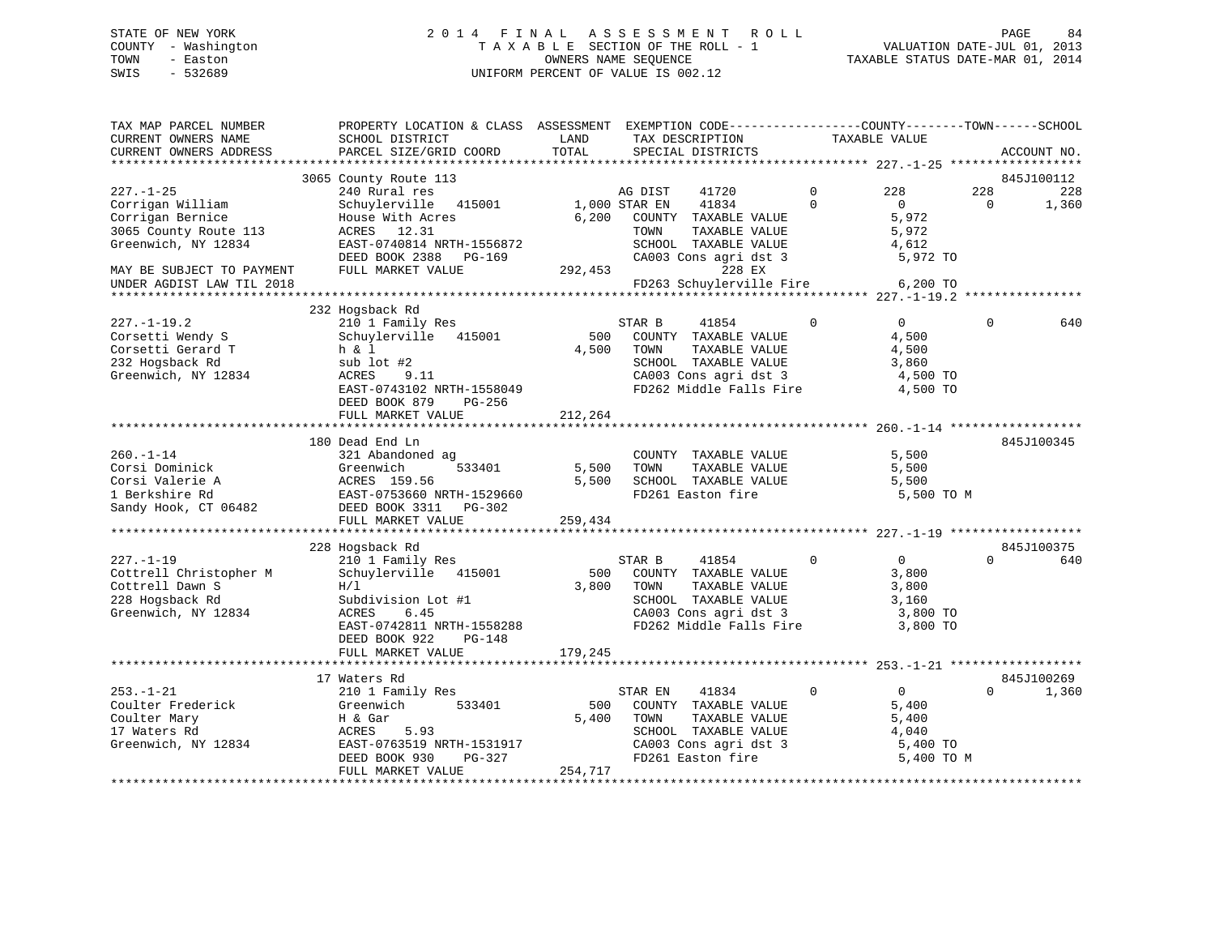### STATE OF NEW YORK 2 0 1 4 F I N A L A S S E S S M E N T R O L L PAGE 84 COUNTY - Washington T A X A B L E SECTION OF THE ROLL - 1 VALUATION DATE-JUL 01, 2013 TOWN - Easton OWNERS NAME SEQUENCE TAXABLE STATUS DATE-MAR 01, 2014 SWIS - 532689 UNIFORM PERCENT OF VALUE IS 002.12

| TAX MAP PARCEL NUMBER<br>CURRENT OWNERS NAME                                                                                         | PROPERTY LOCATION & CLASS ASSESSMENT EXEMPTION CODE---------------COUNTY-------TOWN-----SCHOOL<br>SCHOOL DISTRICT                                                                      | LAND                      | TAX DESCRIPTION                                                                                                                                       |                         | TAXABLE VALUE                                                       |                 |                   |
|--------------------------------------------------------------------------------------------------------------------------------------|----------------------------------------------------------------------------------------------------------------------------------------------------------------------------------------|---------------------------|-------------------------------------------------------------------------------------------------------------------------------------------------------|-------------------------|---------------------------------------------------------------------|-----------------|-------------------|
| CURRENT OWNERS ADDRESS                                                                                                               | PARCEL SIZE/GRID COORD                                                                                                                                                                 | TOTAL                     | SPECIAL DISTRICTS                                                                                                                                     |                         |                                                                     |                 | ACCOUNT NO.       |
|                                                                                                                                      | 3065 County Route 113                                                                                                                                                                  |                           |                                                                                                                                                       |                         |                                                                     |                 | 845J100112        |
| $227. - 1 - 25$<br>Corrigan William<br>Corrigan Bernice<br>3065 County Route 113<br>Greenwich, NY 12834<br>MAY BE SUBJECT TO PAYMENT | 240 Rural res<br>Schuylerville 415001<br>House With Acres<br>ACRES 12.31<br>EAST-0740814 NRTH-1556872<br>DEED BOOK 2388 PG-169<br>FULL MARKET VALUE                                    | 1,000 STAR EN<br>292,453  | AG DIST<br>41720<br>41834<br>6,200 COUNTY TAXABLE VALUE<br>TOWN<br>TAXABLE VALUE<br>SCHOOL TAXABLE VALUE<br>CA003 Cons agri dst 3<br>228 EX           | $\Omega$<br>$\mathbf 0$ | 228<br>$\overline{0}$<br>5,972<br>5,972<br>4,612<br>5,972 TO        | 228<br>$\Omega$ | 228<br>1,360      |
| UNDER AGDIST LAW TIL 2018                                                                                                            |                                                                                                                                                                                        |                           | FD263 Schuylerville Fire                                                                                                                              |                         | 6,200 TO                                                            |                 |                   |
|                                                                                                                                      |                                                                                                                                                                                        |                           |                                                                                                                                                       |                         |                                                                     |                 |                   |
| $227. - 1 - 19.2$<br>Corsetti Wendy S<br>Corsetti Gerard T<br>232 Hogsback Rd<br>Greenwich, NY 12834                                 | 232 Hogsback Rd<br>210 1 Family Res<br>Schuylerville 415001<br>h & 1<br>sub lot #2<br>ACRES<br>9.11<br>EAST-0743102 NRTH-1558049<br>DEED BOOK 879<br>PG-256                            | 500<br>4,500              | STAR B<br>41854<br>COUNTY TAXABLE VALUE<br>TOWN<br>TAXABLE VALUE<br>SCHOOL TAXABLE VALUE<br>CA003 Cons agri dst 3<br>FD262 Middle Falls Fire          | $\mathbf 0$             | $\overline{0}$<br>4,500<br>4,500<br>3,860<br>4,500 TO<br>4,500 TO   | $\Omega$        | 640               |
|                                                                                                                                      | FULL MARKET VALUE                                                                                                                                                                      | 212,264                   |                                                                                                                                                       |                         |                                                                     |                 |                   |
| $260. -1 - 14$<br>Corsi Dominick<br>Corsi Valerie A<br>1 Berkshire Rd<br>Sandy Hook, CT 06482                                        | 180 Dead End Ln<br>321 Abandoned ag<br>533401<br>Greenwich<br>ACRES 159.56<br>EAST-0753660 NRTH-1529660<br>FAA2 DEED BOOK 3311 PG-302                                                  | 5,500<br>5,500<br>259,434 | COUNTY TAXABLE VALUE<br>TAXABLE VALUE<br>TOWN<br>SCHOOL TAXABLE VALUE<br>FD261 Easton fire                                                            |                         | 5,500<br>5,500<br>5,500<br>5,500 TO M                               |                 | 845J100345        |
|                                                                                                                                      |                                                                                                                                                                                        |                           |                                                                                                                                                       |                         |                                                                     |                 |                   |
| $227. - 1 - 19$<br>Cottrell Christopher M<br>Cottrell Dawn S<br>228 Hogsback Rd<br>Greenwich, NY 12834                               | 228 Hogsback Rd<br>210 1 Family Res<br>Schuylerville 415001<br>H/1<br>Subdivision Lot #1<br>ACRES<br>6.45<br>EAST-0742811 NRTH-1558288<br>DEED BOOK 922<br>PG-148<br>FULL MARKET VALUE | 500<br>3,800<br>179,245   | STAR B<br>41854<br>COUNTY TAXABLE VALUE<br>TOWN<br>TAXABLE VALUE<br>SCHOOL TAXABLE VALUE<br>CA003 Cons agri dst 3<br>FD262 Middle Falls Fire 3,800 TO | $\mathbf{0}$            | $\overline{0}$<br>3,800<br>3,800<br>3,160<br>3,800 TO               | $\Omega$        | 845J100375<br>640 |
|                                                                                                                                      |                                                                                                                                                                                        |                           |                                                                                                                                                       |                         |                                                                     |                 |                   |
|                                                                                                                                      | 17 Waters Rd                                                                                                                                                                           |                           |                                                                                                                                                       |                         |                                                                     |                 | 845J100269        |
| $253. - 1 - 21$<br>253.-1-41<br>Coulter Frederick<br>Coulter Mary<br>17 Waters Rd<br>Greenwich, NY 12834                             | 210 1 Family Res<br>533401<br>Greenwich<br>H & Gar<br>ACRES<br>5.93<br>EAST-0763519 NRTH-1531917<br>DEED BOOK 930<br>PG-327<br>FULL MARKET VALUE                                       | 500<br>5,400<br>254,717   | 41834<br>STAR EN<br>COUNTY TAXABLE VALUE<br>TAXABLE VALUE<br>TOWN<br>SCHOOL TAXABLE VALUE<br>CA003 Cons agri dst 3<br>FD261 Easton fire               | $\Omega$                | $\overline{0}$<br>5,400<br>5,400<br>4,040<br>5,400 TO<br>5,400 TO M | $\Omega$        | 1,360             |
|                                                                                                                                      |                                                                                                                                                                                        |                           |                                                                                                                                                       |                         |                                                                     |                 |                   |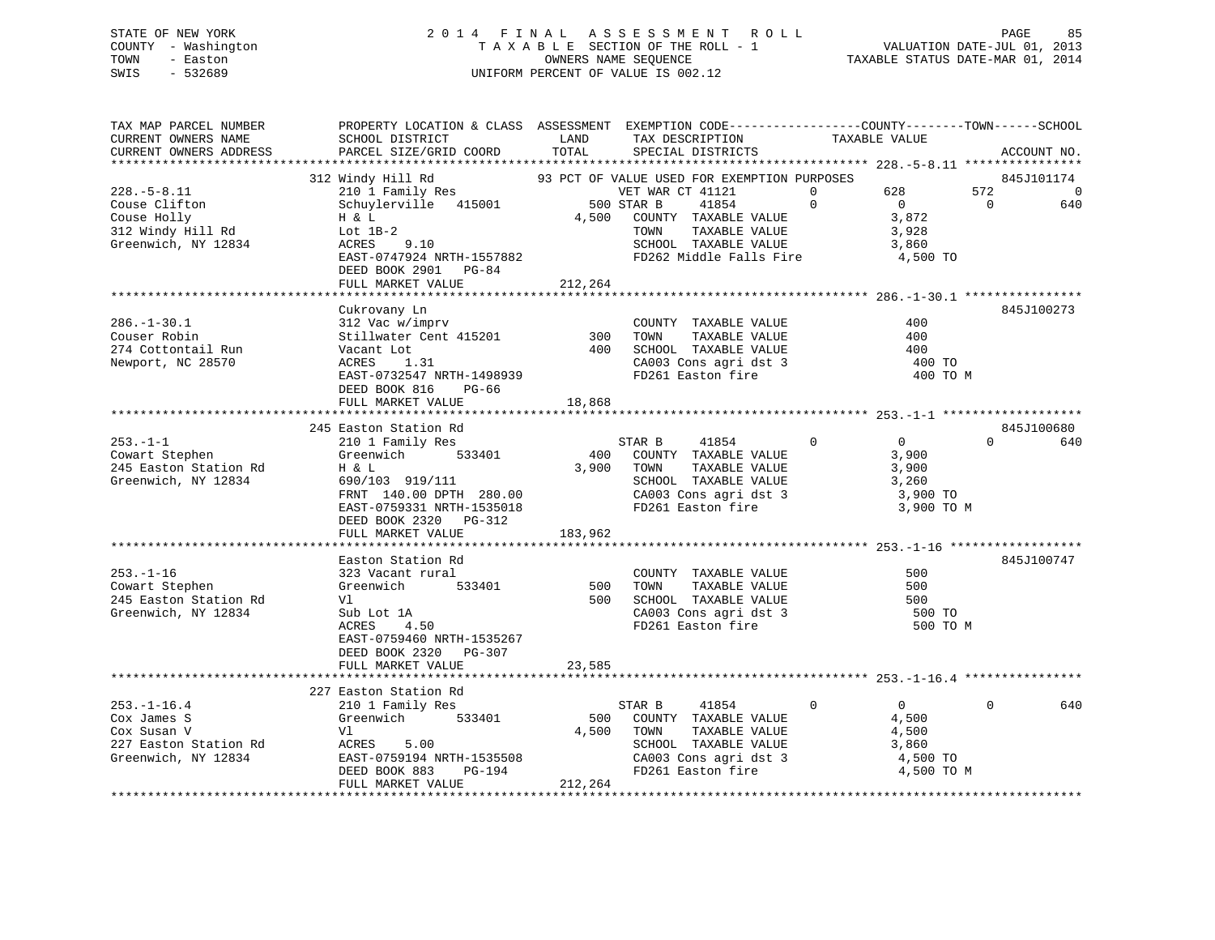### STATE OF NEW YORK 2 0 1 4 F I N A L A S S E S S M E N T R O L L PAGE 85 COUNTY - Washington T A X A B L E SECTION OF THE ROLL - 1 VALUATION DATE-JUL 01, 2013 TOWN - Easton OWNERS NAME SEQUENCE TAXABLE STATUS DATE-MAR 01, 2014 SWIS - 532689 UNIFORM PERCENT OF VALUE IS 002.12

| TAX MAP PARCEL NUMBER<br>CURRENT OWNERS NAME                            | PROPERTY LOCATION & CLASS ASSESSMENT EXEMPTION CODE----------------COUNTY-------TOWN------SCHOOL<br>SCHOOL DISTRICT | LAND    | TAX DESCRIPTION                                                                              | TAXABLE VALUE |                |                |             |
|-------------------------------------------------------------------------|---------------------------------------------------------------------------------------------------------------------|---------|----------------------------------------------------------------------------------------------|---------------|----------------|----------------|-------------|
| CURRENT OWNERS ADDRESS                                                  | PARCEL SIZE/GRID COORD                                                                                              | TOTAL   | SPECIAL DISTRICTS                                                                            |               |                |                | ACCOUNT NO. |
|                                                                         |                                                                                                                     |         |                                                                                              |               |                |                |             |
|                                                                         | 312 Windy Hill Rd                                                                                                   |         | 93 PCT OF VALUE USED FOR EXEMPTION PURPOSES                                                  |               |                |                | 845J101174  |
| $228. - 5 - 8.11$                                                       |                                                                                                                     |         | VET WAR CT 41121                                                                             | $\Omega$      | 628            | 572            | $\Omega$    |
| Couse Clifton                                                           | 210 1 Family Res<br>Schuylerville 415001 500 STAR B                                                                 |         | 41854                                                                                        | $\Omega$      | $\overline{0}$ | $\overline{0}$ | 640         |
| Couse Holly                                                             | H & L                                                                                                               | 4,500   | COUNTY TAXABLE VALUE                                                                         |               | 3,872          |                |             |
|                                                                         |                                                                                                                     |         | TOWN<br>TAXABLE VALUE                                                                        |               | 3,928          |                |             |
| 312 Windy Hill Rd<br>Greenwich, NY 12834 ACRES<br>Greenwich, NY 12834   | 9.10                                                                                                                |         | SCHOOL TAXABLE VALUE                                                                         |               | 3,860          |                |             |
|                                                                         | EAST-0747924 NRTH-1557882                                                                                           |         | FD262 Middle Falls Fire 4,500 TO                                                             |               |                |                |             |
|                                                                         | DEED BOOK 2901 PG-84                                                                                                |         |                                                                                              |               |                |                |             |
|                                                                         | FULL MARKET VALUE                                                                                                   | 212,264 |                                                                                              |               |                |                |             |
|                                                                         |                                                                                                                     |         |                                                                                              |               |                |                |             |
|                                                                         | Cukrovany Ln                                                                                                        |         |                                                                                              |               |                |                | 845J100273  |
| $286. - 1 - 30.1$                                                       | 312 Vac w/imprv<br>Stillwater Cent 415201 300<br>Vacant Lot 400<br>ACRES 1.31 400                                   |         | COUNTY TAXABLE VALUE                                                                         |               | 400            |                |             |
| Couser Robin                                                            |                                                                                                                     |         | TAXABLE VALUE<br>TOWN                                                                        |               | 400            |                |             |
| 274 Cottontail Run                                                      |                                                                                                                     |         | 400 SCHOOL TAXABLE VALUE                                                                     |               | 400            |                |             |
| Newport, NC 28570                                                       |                                                                                                                     |         |                                                                                              |               | 400 TO         |                |             |
|                                                                         |                                                                                                                     |         | CA003 Cons agri dst 3<br>FD261 Easton fire                                                   |               | 400 TO M       |                |             |
|                                                                         | EAST-0732547 NRTH-1498939<br>DEED BOOK 816 PG-66                                                                    |         |                                                                                              |               |                |                |             |
|                                                                         | FULL MARKET VALUE                                                                                                   | 18,868  |                                                                                              |               |                |                |             |
|                                                                         |                                                                                                                     |         |                                                                                              |               |                |                |             |
|                                                                         | 245 Easton Station Rd                                                                                               |         |                                                                                              |               |                |                | 845J100680  |
|                                                                         | 210 1 Family Res                                                                                                    |         | STAR B<br>41854                                                                              | $\Omega$      | $\overline{0}$ | $\Omega$       | 640         |
| 253.-1-1<br>Cowart Stephen                                              | Greenwich 533401                                                                                                    |         | 400 COUNTY TAXABLE VALUE                                                                     |               | 3,900          |                |             |
| 245 Easton Station Rd                                                   | H & L                                                                                                               |         | 3,900 TOWN                                                                                   |               | 3,900          |                |             |
|                                                                         |                                                                                                                     |         | TAXABLE VALUE                                                                                |               |                |                |             |
| Greenwich, NY 12834                                                     | 690/103 919/111<br>FRNT 140.00 DPTH 280.00                                                                          |         | SCHOOL TAXABLE VALUE                                                                         |               | 3,260          |                |             |
|                                                                         |                                                                                                                     |         | CA003 Cons agri dst 3<br>FD261 Easton fire                                                   |               | 3,900 TO       |                |             |
|                                                                         | EAST-0759331 NRTH-1535018                                                                                           |         |                                                                                              |               | 3,900 TO M     |                |             |
|                                                                         | DEED BOOK 2320 PG-312                                                                                               |         |                                                                                              |               |                |                |             |
|                                                                         | FULL MARKET VALUE                                                                                                   | 183,962 |                                                                                              |               |                |                |             |
|                                                                         |                                                                                                                     |         |                                                                                              |               |                |                |             |
|                                                                         | Easton Station Rd                                                                                                   |         |                                                                                              |               |                |                | 845J100747  |
| $253. - 1 - 16$                                                         | 323 Vacant rural                                                                                                    |         | COUNTY TAXABLE VALUE                                                                         |               | 500            |                |             |
| Cowart Stephen                                                          | Greenwich 533401 500                                                                                                |         | TAXABLE VALUE<br>TOWN                                                                        |               | 500            |                |             |
| 245 Easton Station Rd                                                   | Vl                                                                                                                  |         |                                                                                              |               | 500            |                |             |
| Greenwich, NY 12834                                                     | Sub Lot 1A                                                                                                          |         | 500 SCHOOL TAXABLE VALUE<br>CA003 Cons agri dst 3                                            |               | 500 TO         |                |             |
|                                                                         | ACRES<br>4.50                                                                                                       |         | FD261 Easton fire                                                                            |               | 500 TO M       |                |             |
|                                                                         | EAST-0759460 NRTH-1535267                                                                                           |         |                                                                                              |               |                |                |             |
|                                                                         | DEED BOOK 2320 PG-307                                                                                               |         |                                                                                              |               |                |                |             |
|                                                                         | FULL MARKET VALUE                                                                                                   | 23,585  |                                                                                              |               |                |                |             |
|                                                                         |                                                                                                                     |         |                                                                                              |               |                |                |             |
|                                                                         | 227 Easton Station Rd                                                                                               |         |                                                                                              |               |                |                |             |
| $253. - 1 - 16.4$                                                       | 210 1 Family Res                                                                                                    |         | STAR B<br>41854                                                                              | $\Omega$      | $\overline{0}$ | $\Omega$       | 640         |
| Cox James S                                                             | Greenwich 533401                                                                                                    | 500     | COUNTY TAXABLE VALUE                                                                         |               | 4,500          |                |             |
| Cox Susan V                                                             | Vl                                                                                                                  | 4,500   | TOWN<br>TAXABLE VALUE                                                                        |               | 4,500          |                |             |
|                                                                         |                                                                                                                     |         |                                                                                              |               |                |                |             |
| 227 Easton Station Rd<br>Greenwich, NY 12834<br>EAST-0759194 NRTH-15355 | EAST-0759194 NRTH-1535508<br>DEED BOOK 883 PG-194                                                                   |         |                                                                                              |               |                |                |             |
|                                                                         |                                                                                                                     |         | SCHOOL TAXABLE VALUE 3,860<br>CA003 Cons agri dst 3 4,500 TO<br>FD261 Easton fire 4,500 TO M |               |                |                |             |
|                                                                         | FULL MARKET VALUE                                                                                                   | 212,264 |                                                                                              |               |                |                |             |
|                                                                         |                                                                                                                     |         |                                                                                              |               |                |                |             |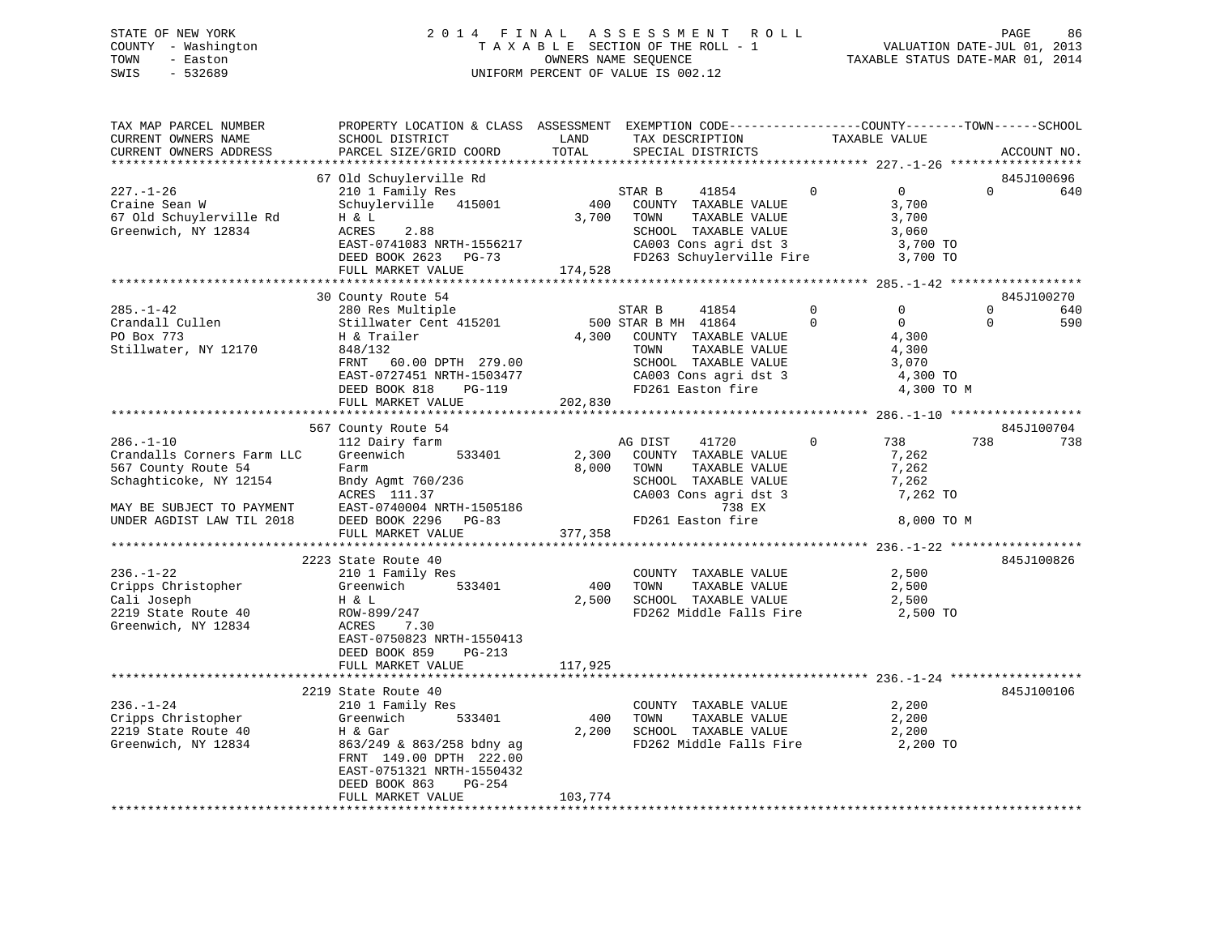# STATE OF NEW YORK 2 0 1 4 F I N A L A S S E S S M E N T R O L L PAGE 86COUNTY - Washington  $T A X A B L E$  SECTION OF THE ROLL - 1<br>TOWN - Easton DATE-JUL 2014 OWNERS NAME SEQUENCE SWIS - 532689 UNIFORM PERCENT OF VALUE IS 002.12

TAXABLE STATUS DATE-MAR 01, 2014

| TAX MAP PARCEL NUMBER<br>CURRENT OWNERS NAME<br>CURRENT OWNERS ADDRESS                                                                                   | PROPERTY LOCATION & CLASS ASSESSMENT EXEMPTION CODE---------------COUNTY-------TOWN-----SCHOOL<br>SCHOOL DISTRICT<br>PARCEL SIZE/GRID COORD                                                                                                                                                                                                                                                                                                                                                                          | LAND<br>TOTAL                                                | TAX DESCRIPTION<br>SPECIAL DISTRICTS                                                                                                                                         |                          | TAXABLE VALUE                                            |                      | ACCOUNT NO.              |
|----------------------------------------------------------------------------------------------------------------------------------------------------------|----------------------------------------------------------------------------------------------------------------------------------------------------------------------------------------------------------------------------------------------------------------------------------------------------------------------------------------------------------------------------------------------------------------------------------------------------------------------------------------------------------------------|--------------------------------------------------------------|------------------------------------------------------------------------------------------------------------------------------------------------------------------------------|--------------------------|----------------------------------------------------------|----------------------|--------------------------|
| $227. - 1 - 26$<br>Craine Sean W<br>67 Old Schuylerville Rd<br>Greenwich, NY 12834                                                                       | 67 Old Schuylerville Rd<br>210 1 Family Res<br>Schuylerville 415001<br>H & L<br>ACRES<br>2.88<br>EAST-0741083 NRTH-1556217<br>DEED BOOK 2623 PG-73<br>DEED BOOK 2623 PG-73<br>FULL MARKET VALUE                                                                                                                                                                                                                                                                                                                      | $\begin{array}{c} S' \\ 400 \end{array}$<br>3,700<br>174,528 | STAR B<br>41854<br>COUNTY TAXABLE VALUE<br>TOWN<br>TOWN      TAXABLE VALUE<br>SCHOOL   TAXABLE VALUE<br>CA003 Cons agri dst 3 (3,700 TO<br>FD263 Schuylerville Fire 3,700 TO | $\overline{0}$           | $\overline{0}$<br>3,700<br>$3,060$<br>$3,70$             | $\Omega$             | 845J100696<br>640        |
| $285. -1 - 42$<br>Crandall Cullen<br>PO Box 773<br>Stillwater, NY 12170                                                                                  | 30 County Route 54<br>280 Res Multiple<br>280 Res Multiple<br>STAR B MH 41854<br>STAR B MH 41864<br>TLE THE MELLINGERY CONTROL STAR B MH 41864<br>H & Trailer<br>848/132<br>60.00 DPTH 279.00<br>FRNT<br>$\begin{array}{lllllllllllll} \texttt{EAST-0727451 NRTH-1503477} & \texttt{CA003 Cons april dist 3} & 4,300\texttt{\color{red}TO} \\ \texttt{DEED BOK 818} & \texttt{PG-119} & \texttt{FD261 Easton fire} & 4,300\texttt{\color{red}TO M} \\ \texttt{FULL MARKET VALUE} & 202,830 & & & & & \\ \end{array}$ |                                                              | 4,300 COUNTY TAXABLE VALUE<br>TOWN      TAXABLE VALUE<br>SCHOOL   TAXABLE VALUE                                                                                              | $\mathbf{0}$<br>$\Omega$ | $\Omega$<br>$\overline{0}$<br>4,300<br>4,300<br>3,070    | $\Omega$<br>$\Omega$ | 845J100270<br>640<br>590 |
| $286. - 1 - 10$<br>Crandalls Corners Farm LLC<br>567 County Route 54<br>Schaghticoke, NY 12154<br>MAY BE SUBJECT TO PAYMENT<br>UNDER AGDIST LAW TIL 2018 | 567 County Route 54<br>112 Dairy farm<br>533401<br>Greenwich<br>Farm<br>Bndy Agmt 760/236<br>Achre 111 37<br>FULL MARKET VALUE                                                                                                                                                                                                                                                                                                                                                                                       | 377,358                                                      | AG DIST<br>41720<br>2,300 COUNTY TAXABLE VALUE<br>8,000 TOWN<br>TAXABLE VALUE<br>SCHOOL TAXABLE VALUE<br>CA003 Cons agri dst 3<br>738 EX<br>FD261 Easton fire                | $\overline{0}$           | 738<br>7,262<br>7,262<br>7,262<br>7,262 TO<br>8,000 TO M | 738                  | 845J100704<br>738        |
| $236. - 1 - 22$<br>Cripps Christopher<br>Cali Joseph<br>2219 State Route 40<br>Greenwich, NY 12834                                                       | 2223 State Route 40<br>210 1 Family Res<br>Greenwich<br>533401<br>H & L<br>ROW-899/247<br>ACRES<br>7.30<br>EAST-0750823 NRTH-1550413<br>DEED BOOK 859<br>PG-213<br>FULL MARKET VALUE                                                                                                                                                                                                                                                                                                                                 | 400<br>117,925                                               | COUNTY TAXABLE VALUE<br>TAXABLE VALUE<br>TOWN<br>2,500 SCHOOL TAXABLE VALUE<br>FD262 Middle Falls Fire 2,500 TO                                                              |                          | 2,500<br>2,500<br>2,500                                  |                      | 845J100826               |
| $236. - 1 - 24$<br>Cripps Christopher<br>2219 State Route 40<br>Greenwich, NY 12834                                                                      | 2219 State Route 40<br>210 1 Family Res<br>533401<br>Greenwich<br>H & Gar<br>863/249 & 863/258 bdny ag<br>FRNT 149.00 DPTH 222.00<br>EAST-0751321 NRTH-1550432<br>DEED BOOK 863<br>PG-254<br>FULL MARKET VALUE                                                                                                                                                                                                                                                                                                       | 400<br>2,200<br>103,774                                      | COUNTY TAXABLE VALUE<br>TOWN<br>TAXABLE VALUE                                                                                                                                |                          | 2,200<br>2,200                                           |                      | 845J100106               |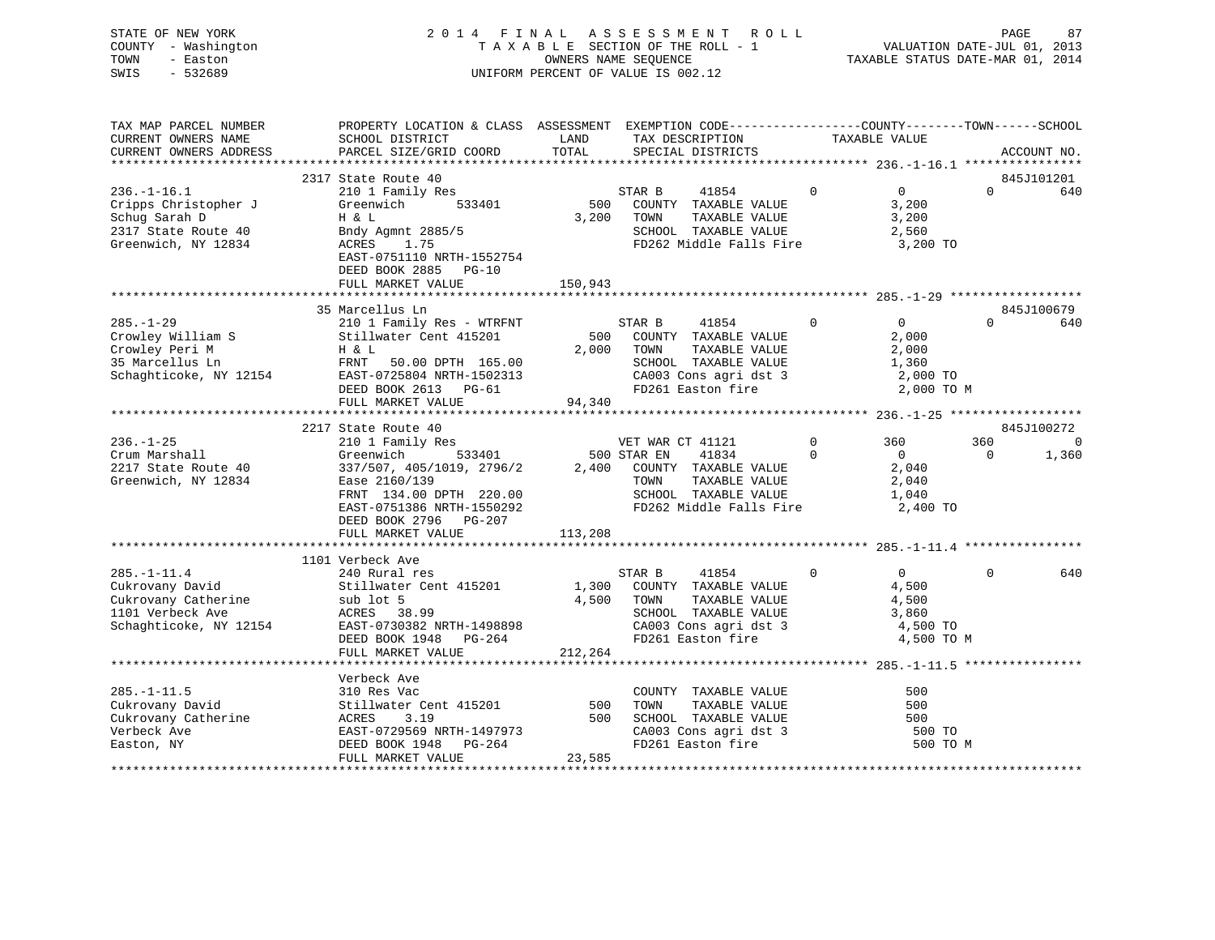| STATE OF NEW YORK<br>COUNTY - Washington<br>TOWN<br>- Easton<br>SWIS<br>$-532689$                        |                                                                                                                                                                                      |                       | 2014 FINAL ASSESSMENT ROLL<br>TAXABLE SECTION OF THE ROLL - 1<br>OWNERS NAME SEQUENCE<br>UNIFORM PERCENT OF VALUE IS 002.12                            |                | VALUATION DATE-JUL 01, 2013<br>TAXABLE STATUS DATE-MAR 01, 2014     | PAGE         | 87                |
|----------------------------------------------------------------------------------------------------------|--------------------------------------------------------------------------------------------------------------------------------------------------------------------------------------|-----------------------|--------------------------------------------------------------------------------------------------------------------------------------------------------|----------------|---------------------------------------------------------------------|--------------|-------------------|
| TAX MAP PARCEL NUMBER<br>CURRENT OWNERS NAME<br>CURRENT OWNERS ADDRESS                                   | PROPERTY LOCATION & CLASS ASSESSMENT EXEMPTION CODE----------------COUNTY-------TOWN------SCHOOL<br>SCHOOL DISTRICT<br>PARCEL SIZE/GRID COORD                                        | LAND<br>TOTAL         | TAX DESCRIPTION TAXABLE VALUE<br>SPECIAL DISTRICTS                                                                                                     |                |                                                                     |              | ACCOUNT NO.       |
| $236. - 1 - 16.1$<br>Cripps Christopher J<br>Schug Sarah D<br>2317 State Route 40<br>Greenwich, NY 12834 | 2317 State Route 40<br>210 1 Family Res<br>533401<br>Greenwich<br>H & L<br>Bndy Agmnt 2885/5<br>ACRES 1.75<br>EAST-0751110 NRTH-1552754<br>DEED BOOK 2885 PG-10<br>FULL MARKET VALUE | 3,200 TOWN<br>150,943 | 41854<br>STAR B<br>500 COUNTY TAXABLE VALUE<br>TAXABLE VALUE<br>SCHOOL TAXABLE VALUE<br>FD262 Middle Falls Fire                                        | $\Omega$       | $\overline{0}$<br>3,200<br>3,200<br>2,560<br>3,200 TO               | $0$ 640      | 845J101201        |
|                                                                                                          |                                                                                                                                                                                      |                       |                                                                                                                                                        |                |                                                                     |              |                   |
| $285. - 1 - 29$                                                                                          | 35 Marcellus Ln<br>210 1 Family Res - WTRFNT                                                                                                                                         |                       | STAR B<br>41854                                                                                                                                        | $\overline{0}$ | $\overline{0}$                                                      | $\Omega$     | 845J100679<br>640 |
| Crowley William S<br>Crowley Peri M<br>35 Marcellus Ln<br>Schaghticoke, NY 12154                         | Stillwater Cent 415201<br>Η & L<br>FRNT 50.00 DPTH 165.00<br>EAST-0725804 NRTH-1502313<br>DEED BOOK 2613 PG-61                                                                       |                       | 500 COUNTY TAXABLE VALUE<br>2,000 TOWN<br>TAXABLE VALUE<br>SCHOOL TAXABLE VALUE<br>CA003 Cons agri dst 3<br>FD261 Easton fire                          |                | 2,000<br>2,000<br>1,360<br>2,000 TO<br>2,000 TO M                   |              |                   |
|                                                                                                          | FULL MARKET VALUE                                                                                                                                                                    | 94,340                |                                                                                                                                                        |                |                                                                     |              |                   |
|                                                                                                          | 2217 State Route 40                                                                                                                                                                  |                       |                                                                                                                                                        |                |                                                                     |              | 845J100272        |
| $236. - 1 - 25$                                                                                          | 210 1 Family Res                                                                                                                                                                     |                       | VET WAR CT 41121                                                                                                                                       | $\overline{0}$ | 360                                                                 | 360          | $\overline{0}$    |
| Crum Marshall<br>2217 State Route 40<br>Greenwich, NY 12834                                              | Greenwich<br>337/507, 405/1019, 2796/2<br>Ease 2160/139<br>FRNT 134.00 DPTH 220.00<br>EAST-0751386 NRTH-1550292<br>DEED BOOK 2796 PG-207                                             | 533401 500 STAR EN    | 41834<br>2,400 COUNTY TAXABLE VALUE<br>TOWN<br>TAXABLE VALUE<br>SCHOOL TAXABLE VALUE<br>FD262 Middle Falls Fire                                        | $\Omega$       | $\overline{0}$<br>2,040<br>2,040<br>1,040<br>2,400 TO               | $\mathbf{0}$ | 1,360             |
|                                                                                                          | FULL MARKET VALUE                                                                                                                                                                    | 113,208               |                                                                                                                                                        |                |                                                                     |              |                   |
|                                                                                                          |                                                                                                                                                                                      |                       |                                                                                                                                                        |                |                                                                     |              |                   |
| 285.-1-11.4<br>Cukrovany David<br>Cukrovany Catherine<br>1101 Verbeck Ave<br>Schaghticoke, NY 12154      | 1101 Verbeck Ave<br>240 Rural res<br>Stillwater Cent 415201<br>sub lot 5<br>ACRES 38.99<br>EASI-0730382 NRTH-1498898<br>DEED BOOK 1948 PG-264<br>FULL MARKET WALLER                  |                       | STAR B<br>41854<br>1,300 COUNTY TAXABLE VALUE<br>4,500 TOWN<br>TAXABLE VALUE<br>SCHOOL TAXABLE VALUE<br>SCHOOL TAXADLE WILLET<br>CA003 Cons agri dst 3 | $\Omega$       | $\overline{0}$<br>4,500<br>4,500<br>3,860<br>4,500 TO<br>4,500 TO M | $\Omega$     | 640               |
|                                                                                                          | FULL MARKET VALUE                                                                                                                                                                    | 212,264               |                                                                                                                                                        |                |                                                                     |              |                   |
|                                                                                                          |                                                                                                                                                                                      |                       |                                                                                                                                                        |                |                                                                     |              |                   |
| $285. - 1 - 11.5$<br>Cukrovany David<br>Cukrovany Catherine<br>Verbeck Ave<br>Easton, NY                 | Verbeck Ave<br>310 Res Vac<br>Stillwater Cent 415201<br>ACRES<br>3.19<br>EAST-0729569 NRTH-1497973<br>DEED BOOK 1948 PG-264                                                          | 500<br>500            | COUNTY TAXABLE VALUE<br>TOWN<br>TAXABLE VALUE<br>SCHOOL TAXABLE VALUE<br>CA003 Cons agri dst 3<br>FD261 Easton fire                                    |                | 500<br>500<br>500<br>500 TO<br>500 TO M                             |              |                   |

FULL MARKET VALUE 23,585 \*\*\*\*\*\*\*\*\*\*\*\*\*\*\*\*\*\*\*\*\*\*\*\*\*\*\*\*\*\*\*\*\*\*\*\*\*\*\*\*\*\*\*\*\*\*\*\*\*\*\*\*\*\*\*\*\*\*\*\*\*\*\*\*\*\*\*\*\*\*\*\*\*\*\*\*\*\*\*\*\*\*\*\*\*\*\*\*\*\*\*\*\*\*\*\*\*\*\*\*\*\*\*\*\*\*\*\*\*\*\*\*\*\*\*\*\*\*\*\*\*\*\*\*\*\*\*\*\*\*\*\*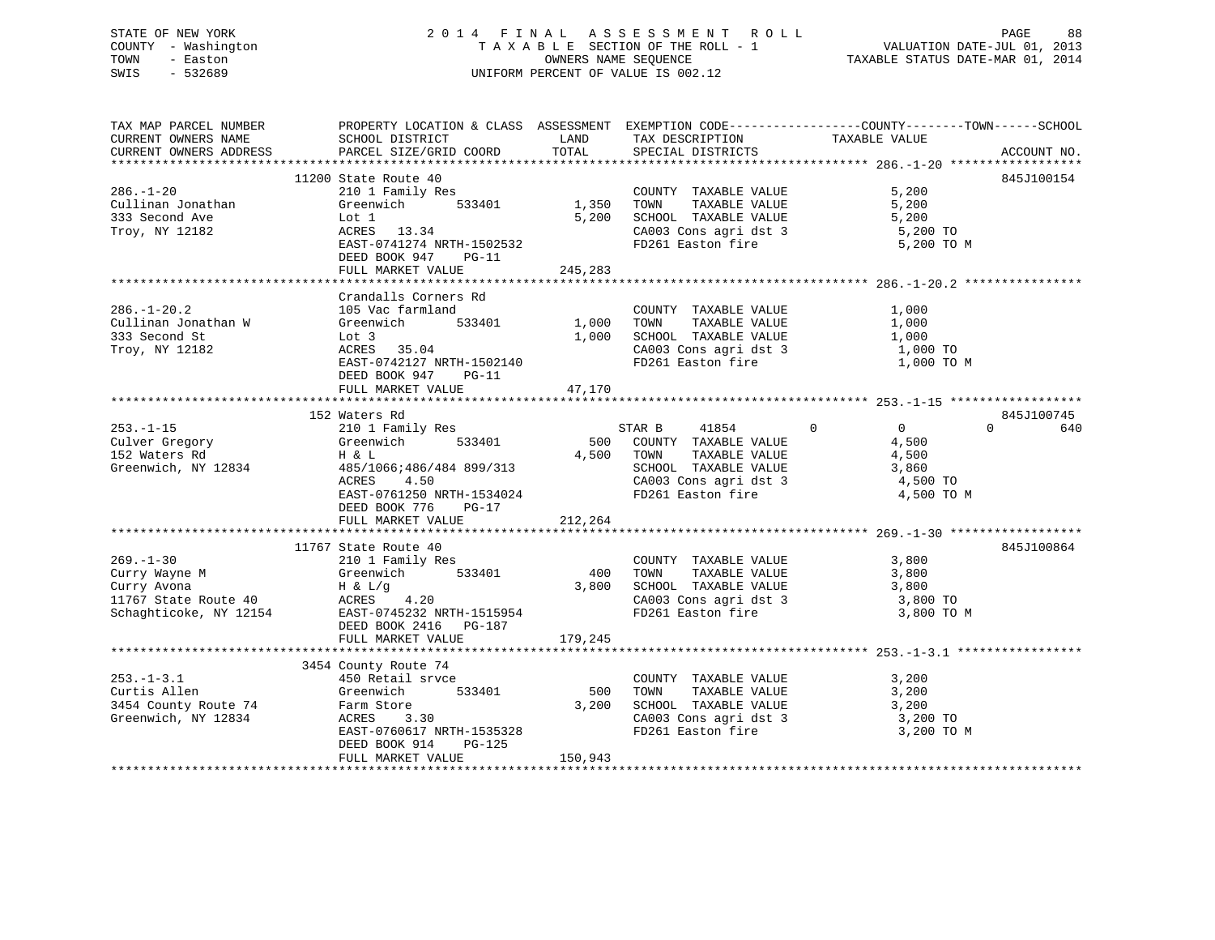## STATE OF NEW YORK 2 0 1 4 F I N A L A S S E S S M E N T R O L L PAGE 88 COUNTY - Washington T A X A B L E SECTION OF THE ROLL - 1 VALUATION DATE-JUL 01, 2013 TOWN - Easton OWNERS NAME SEQUENCE TAXABLE STATUS DATE-MAR 01, 2014 SWIS - 532689 UNIFORM PERCENT OF VALUE IS 002.12

TAX MAP PARCEL NUMBER PROPERTY LOCATION & CLASS ASSESSMENT EXEMPTION CODE------------------COUNTY--------TOWN------SCHOOL

CURRENT OWNERS NAME SCHOOL DISTRICT LAND TAX DESCRIPTION TAXABLE VALUECURRENT OWNERS ADDRESS PARCEL SIZE/GRID COORD TOTAL SPECIAL DISTRICTS ACCOUNT NO. \*\*\*\*\*\*\*\*\*\*\*\*\*\*\*\*\*\*\*\*\*\*\*\*\*\*\*\*\*\*\*\*\*\*\*\*\*\*\*\*\*\*\*\*\*\*\*\*\*\*\*\*\*\*\*\*\*\*\*\*\*\*\*\*\*\*\*\*\*\*\*\*\*\*\*\*\*\*\*\*\*\*\*\*\*\*\*\*\*\*\*\*\*\*\*\*\*\*\*\*\*\*\* 286.-1-20 \*\*\*\*\*\*\*\*\*\*\*\*\*\*\*\*\*\* 11200 State Route 40 845J100154286.-1-20 210 1 Family Res COUNTY TAXABLE VALUE 5,200 Cullinan Jonathan Greenwich 533401 1,350 TOWN TAXABLE VALUE 5,200 333 Second Ave Lot 1 5,200 SCHOOL TAXABLE VALUE 5,200 Troy, NY 12182 ACRES 13.34 CA003 Cons agri dst 3 5,200 TO Lot 1 5,200 SCHOOL TAXABLE VALUE 5,200<br>
ACRES 13.34 CA003 Cons agri dst 3 5,200 TO<br>
EAST-0741274 NRTH-1502532 FD261 Easton fire 5,200 TO M DEED BOOK 947 PG-11 FULL MARKET VALUE 245,283 \*\*\*\*\*\*\*\*\*\*\*\*\*\*\*\*\*\*\*\*\*\*\*\*\*\*\*\*\*\*\*\*\*\*\*\*\*\*\*\*\*\*\*\*\*\*\*\*\*\*\*\*\*\*\*\*\*\*\*\*\*\*\*\*\*\*\*\*\*\*\*\*\*\*\*\*\*\*\*\*\*\*\*\*\*\*\*\*\*\*\*\*\*\*\*\*\*\*\*\*\*\*\* 286.-1-20.2 \*\*\*\*\*\*\*\*\*\*\*\*\*\*\*\* Crandalls Corners Rd286.-1-20.2 105 Vac farmland COUNTY TAXABLE VALUE 1,000 Cullinan Jonathan W Greenwich 533401 1,000 TOWN TAXABLE VALUE 1,000 333 Second St Lot 3 1,000 SCHOOL TAXABLE VALUE 1,000 Troy, NY 12182 ACRES 35.04 CA003 Cons agri dst 3 1,000 TO EAST-0742127 NRTH-1502140 FD261 Easton fire 1,000 TO M DEED BOOK 947 PG-11  $\begin{array}{lll} \text{EAST-0742127 mm} & \text{F6-11} \\ \text{DEED BOOK 947} & \text{PG-11} \\ & & \text{F6-11} \end{array}$ \*\*\*\*\*\*\*\*\*\*\*\*\*\*\*\*\*\*\*\*\*\*\*\*\*\*\*\*\*\*\*\*\*\*\*\*\*\*\*\*\*\*\*\*\*\*\*\*\*\*\*\*\*\*\*\*\*\*\*\*\*\*\*\*\*\*\*\*\*\*\*\*\*\*\*\*\*\*\*\*\*\*\*\*\*\*\*\*\*\*\*\*\*\*\*\*\*\*\*\*\*\*\* 253.-1-15 \*\*\*\*\*\*\*\*\*\*\*\*\*\*\*\*\*\*845J100745 152 Waters Rd 253.-1-15 210 1 Family Res STAR B 41854 0 0 0 640 Culver Gregory Greenwich 533401 500 COUNTY TAXABLE VALUE 4,500 152 Waters Rd H & L 4,500 TOWN TAXABLE VALUE 4,500 Fraction (1983)<br>Greenwich, NY 12834 485/1066;486/484 899/313<br>4,500 4.500 4.500 4.500 4.500 50HOOL TAXABLE VALUE 3,860<br>4,500 4.500 4.500 4.500 4.500 4.500 4.500 4.500 4.500 4.500 4.500 4.500 4.500 4.500 4.500 4.500 4.500 4. ACRES 4.50 CA003 Cons agri dst 3 4,500 TO EAST-0761250 NRTH-1534024 FD261 Easton fire 4,500 TO M DEED BOOK 776 PG-17FULL MARKET VALUE 212,264 \*\*\*\*\*\*\*\*\*\*\*\*\*\*\*\*\*\*\*\*\*\*\*\*\*\*\*\*\*\*\*\*\*\*\*\*\*\*\*\*\*\*\*\*\*\*\*\*\*\*\*\*\*\*\*\*\*\*\*\*\*\*\*\*\*\*\*\*\*\*\*\*\*\*\*\*\*\*\*\*\*\*\*\*\*\*\*\*\*\*\*\*\*\*\*\*\*\*\*\*\*\*\* 269.-1-30 \*\*\*\*\*\*\*\*\*\*\*\*\*\*\*\*\*\* 11767 State Route 40 845J100864269.-1-30 210 1 Family Res COUNTY TAXABLE VALUE 3,800 Curry Wayne M Greenwich 533401 400 TOWN TAXABLE VALUE 3,800 Curry Avona H & L/g 3,800 SCHOOL TAXABLE VALUE 3,800 11767 State Route 40 ACRES 4.20 CA003 Cons agri dst 3 3,800 TO Schaghticoke, NY 12154 EAST-0745232 NRTH-1515954 FD261 Easton fire 3,800 TO M DEED BOOK 2416 PG-187  $\begin{array}{lll} \texttt{EAST-0745232} & \texttt{NRLI} & \texttt{02012} \\ \texttt{DEED BOOK} & 2416 & \texttt{PG-187} \\ & - & \texttt{0313} & \texttt{0313} \\ \end{array}$ \*\*\*\*\*\*\*\*\*\*\*\*\*\*\*\*\*\*\*\*\*\*\*\*\*\*\*\*\*\*\*\*\*\*\*\*\*\*\*\*\*\*\*\*\*\*\*\*\*\*\*\*\*\*\*\*\*\*\*\*\*\*\*\*\*\*\*\*\*\*\*\*\*\*\*\*\*\*\*\*\*\*\*\*\*\*\*\*\*\*\*\*\*\*\*\*\*\*\*\*\*\*\* 253.-1-3.1 \*\*\*\*\*\*\*\*\*\*\*\*\*\*\*\*\* 3454 County Route 74 253.-1-3.1 450 Retail srvce COUNTY TAXABLE VALUE 3,200 Curtis Allen Greenwich 533401 500 TOWN TAXABLE VALUE 3,200 3454 County Route 74 Farm Store 3,200 SCHOOL TAXABLE VALUE 3,200 Greenwich, NY 12834 ACRES 3.30 CA003 Cons agri dst 3 3,200 TO ACRES 3.30<br>EAST-0760617 NRTH-1535328 CA003 Cons agri dst 3 3,200 TO 3,200 TO<br>REED BOOK 314 ROMAN CONSTRUES DEED BOOK 914 PG-125FULL MARKET VALUE 150,943 \*\*\*\*\*\*\*\*\*\*\*\*\*\*\*\*\*\*\*\*\*\*\*\*\*\*\*\*\*\*\*\*\*\*\*\*\*\*\*\*\*\*\*\*\*\*\*\*\*\*\*\*\*\*\*\*\*\*\*\*\*\*\*\*\*\*\*\*\*\*\*\*\*\*\*\*\*\*\*\*\*\*\*\*\*\*\*\*\*\*\*\*\*\*\*\*\*\*\*\*\*\*\*\*\*\*\*\*\*\*\*\*\*\*\*\*\*\*\*\*\*\*\*\*\*\*\*\*\*\*\*\*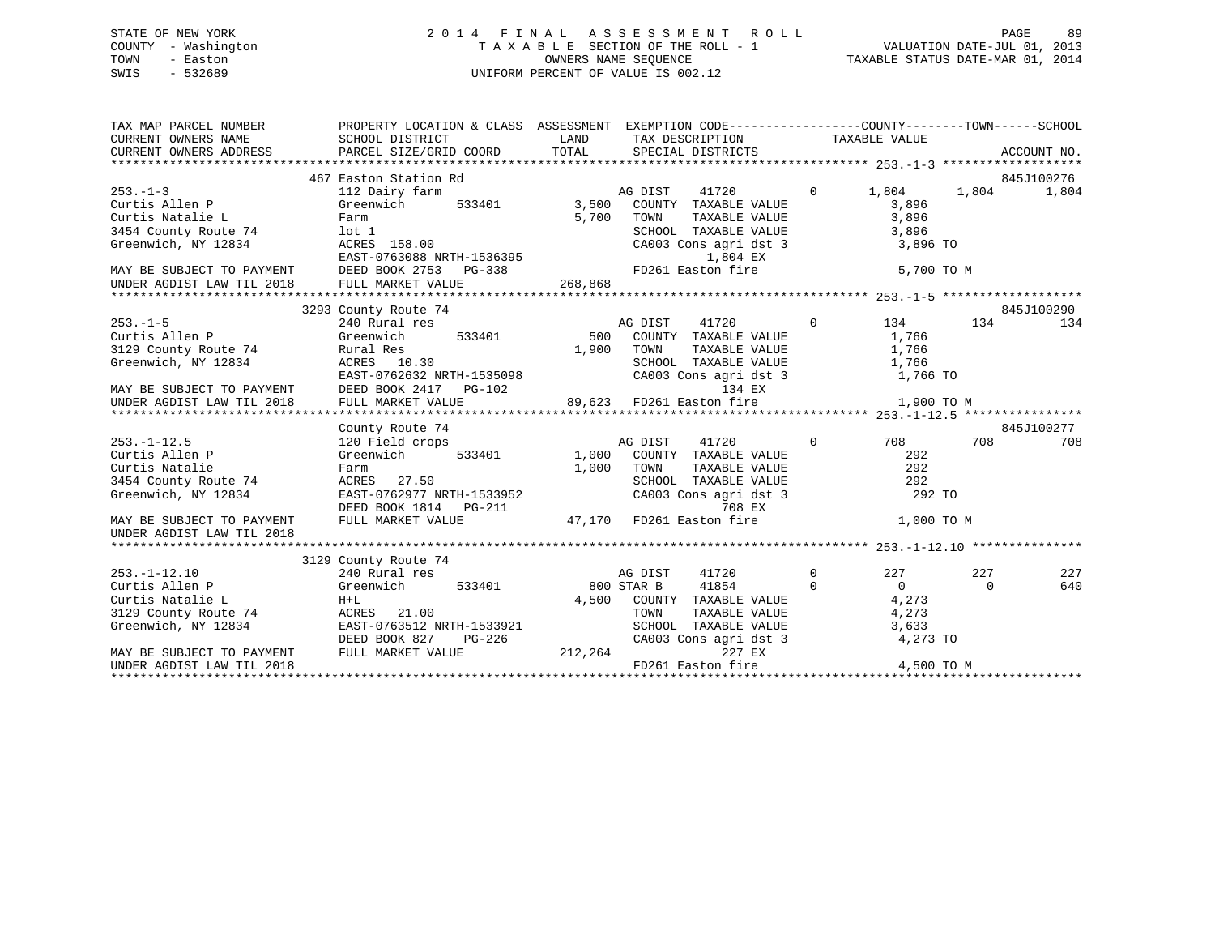### STATE OF NEW YORK 2 0 1 4 F I N A L A S S E S S M E N T R O L L PAGE 89 COUNTY - Washington T A X A B L E SECTION OF THE ROLL - 1 VALUATION DATE-JUL 01, 2013 TOWN - Easton **CONNERS NAME SEQUENCE** TAXABLE STATUS DATE-MAR 01, 2014 SWIS - 532689 UNIFORM PERCENT OF VALUE IS 002.12

| TAX MAP PARCEL NUMBER<br>CURRENT OWNERS NAME<br>CURRENT OWNERS ADDRESS | PROPERTY LOCATION & CLASS ASSESSMENT EXEMPTION CODE----------------COUNTY-------TOWN------SCHOOL<br>SCHOOL DISTRICT<br>PARCEL SIZE/GRID COORD | LAND<br>TOTAL  | TAX DESCRIPTION TAXABLE VALUE<br>SPECIAL DISTRICTS |          |                |          | ACCOUNT NO. |
|------------------------------------------------------------------------|-----------------------------------------------------------------------------------------------------------------------------------------------|----------------|----------------------------------------------------|----------|----------------|----------|-------------|
|                                                                        | 467 Easton Station Rd                                                                                                                         |                |                                                    |          |                |          | 845J100276  |
| $253 - 1 - 3$                                                          | 112 Dairy farm<br>533401                                                                                                                      |                | 41720<br>AG DIST                                   | $\Omega$ | 1,804          | 1,804    | 1,804       |
| Curtis Allen P<br>Curtis Natalie L                                     | Greenwich                                                                                                                                     | 3,500<br>5,700 | COUNTY TAXABLE VALUE                               |          | 3,896<br>3,896 |          |             |
| 3454 County Route 74                                                   | Farm<br>lot 1                                                                                                                                 |                | TOWN<br>TAXABLE VALUE<br>SCHOOL TAXABLE VALUE      |          | 3,896          |          |             |
| Greenwich, NY 12834                                                    | ACRES 158.00                                                                                                                                  |                | CA003 Cons agri dst 3                              |          | 3,896 TO       |          |             |
|                                                                        | EAST-0763088 NRTH-1536395                                                                                                                     |                | 1,804 EX                                           |          |                |          |             |
| MAY BE SUBJECT TO PAYMENT                                              | DEED BOOK 2753 PG-338                                                                                                                         |                | FD261 Easton fire                                  |          | 5,700 TO M     |          |             |
| UNDER AGDIST LAW TIL 2018                                              | FULL MARKET VALUE                                                                                                                             | 268,868        |                                                    |          |                |          |             |
|                                                                        |                                                                                                                                               |                |                                                    |          |                |          |             |
|                                                                        | 3293 County Route 74                                                                                                                          |                |                                                    |          |                |          | 845J100290  |
| $253. -1 - 5$                                                          | 240 Rural res                                                                                                                                 |                | 41720<br>AG DIST                                   | $\Omega$ | 134            | 134      | 134         |
| Curtis Allen P                                                         | 533401<br>Greenwich                                                                                                                           | 500            | COUNTY TAXABLE VALUE                               |          | 1,766          |          |             |
| 3129 County Route 74                                                   | Rural Res                                                                                                                                     | 1,900          | TOWN<br>TAXABLE VALUE                              |          | 1,766          |          |             |
| Greenwich, NY 12834                                                    | ACRES 10.30                                                                                                                                   |                | SCHOOL TAXABLE VALUE                               |          | 1,766          |          |             |
|                                                                        | EAST-0762632 NRTH-1535098                                                                                                                     |                | CA003 Cons agri dst 3                              |          | 1,766 TO       |          |             |
| MAY BE SUBJECT TO PAYMENT                                              | DEED BOOK 2417 PG-102                                                                                                                         |                | 134 EX                                             |          |                |          |             |
| UNDER AGDIST LAW TIL 2018                                              | FULL MARKET VALUE                                                                                                                             |                | 89,623 FD261 Easton fire                           |          | 1,900 TO M     |          |             |
|                                                                        |                                                                                                                                               |                |                                                    |          |                |          |             |
|                                                                        | County Route 74                                                                                                                               |                |                                                    |          |                |          | 845J100277  |
| $253. - 1 - 12.5$                                                      | 120 Field crops                                                                                                                               |                | AG DIST<br>41720                                   | $\Omega$ | 708            | 708      | 708         |
| Curtis Allen P                                                         | Greenwich<br>533401                                                                                                                           | 1,000          | COUNTY TAXABLE VALUE                               |          | 292            |          |             |
| Curtis Natalie                                                         | Farm                                                                                                                                          | 1,000          | TOWN<br>TAXABLE VALUE                              |          | 292            |          |             |
| 3454 County Route 74                                                   | ACRES 27.50                                                                                                                                   |                | SCHOOL TAXABLE VALUE                               |          | 292            |          |             |
| Greenwich, NY 12834                                                    | EAST-0762977 NRTH-1533952                                                                                                                     |                | CA003 Cons agri dst 3                              |          | 292 TO         |          |             |
|                                                                        | DEED BOOK 1814    PG-211                                                                                                                      |                | 708 EX                                             |          |                |          |             |
| MAY BE SUBJECT TO PAYMENT<br>UNDER AGDIST LAW TIL 2018                 | FULL MARKET VALUE                                                                                                                             |                | 47,170 FD261 Easton fire                           |          | 1,000 TO M     |          |             |
|                                                                        |                                                                                                                                               |                |                                                    |          |                |          |             |
|                                                                        | 3129 County Route 74                                                                                                                          |                |                                                    |          |                |          |             |
| $253. - 1 - 12.10$                                                     | 240 Rural res                                                                                                                                 |                | AG DIST<br>41720                                   | $\Omega$ | 227            | 227      | 227         |
| Curtis Allen P                                                         | Greenwich<br>533401                                                                                                                           | 800 STAR B     | 41854                                              | $\Omega$ | $\Omega$       | $\Omega$ | 640         |
| Curtis Natalie L                                                       | $H+L$                                                                                                                                         | 4,500          | COUNTY TAXABLE VALUE                               |          | 4,273          |          |             |
| 3129 County Route 74                                                   | ACRES 21.00                                                                                                                                   |                | TOWN<br>TAXABLE VALUE                              |          | 4,273          |          |             |
| Greenwich, NY 12834                                                    | EAST-0763512 NRTH-1533921                                                                                                                     |                | SCHOOL TAXABLE VALUE                               |          | 3,633          |          |             |
|                                                                        | DEED BOOK 827<br>$PG-226$                                                                                                                     |                | CA003 Cons agri dst 3                              |          | 4,273 TO       |          |             |
| MAY BE SUBJECT TO PAYMENT                                              | FULL MARKET VALUE                                                                                                                             | 212,264        | 227 EX                                             |          |                |          |             |
| UNDER AGDIST LAW TIL 2018                                              |                                                                                                                                               |                | FD261 Easton fire                                  |          | 4,500 TO M     |          |             |
|                                                                        |                                                                                                                                               |                |                                                    |          |                |          |             |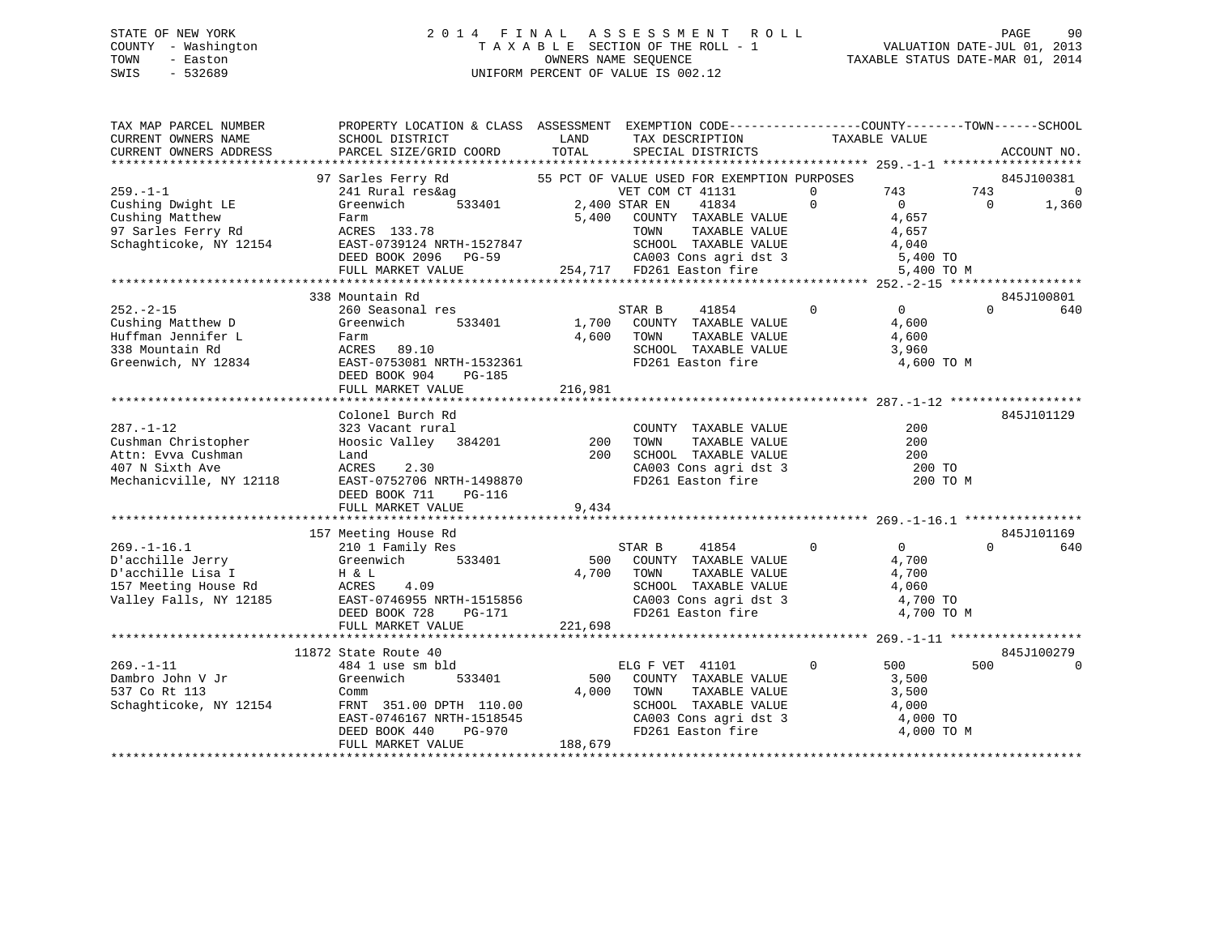### STATE OF NEW YORK 2 0 1 4 F I N A L A S S E S S M E N T R O L L PAGE 90 COUNTY - Washington T A X A B L E SECTION OF THE ROLL - 1 VALUATION DATE-JUL 01, 2013 TOWN - Easton OWNERS NAME SEQUENCE TAXABLE STATUS DATE-MAR 01, 2014 SWIS - 532689 UNIFORM PERCENT OF VALUE IS 002.12

TAX MAP PARCEL NUMBER PROPERTY LOCATION & CLASS ASSESSMENT EXEMPTION CODE------------------COUNTY--------TOWN------SCHOOL CURRENT OWNERS NAME SCHOOL DISTRICT LAND TAX DESCRIPTION TAXABLE VALUECURRENT OWNERS ADDRESS PARCEL SIZE/GRID COORD TOTAL SPECIAL DISTRICTS ACCOUNT NO. \*\*\*\*\*\*\*\*\*\*\*\*\*\*\*\*\*\*\*\*\*\*\*\*\*\*\*\*\*\*\*\*\*\*\*\*\*\*\*\*\*\*\*\*\*\*\*\*\*\*\*\*\*\*\*\*\*\*\*\*\*\*\*\*\*\*\*\*\*\*\*\*\*\*\*\*\*\*\*\*\*\*\*\*\*\*\*\*\*\*\*\*\*\*\*\*\*\*\*\*\*\*\* 259.-1-1 \*\*\*\*\*\*\*\*\*\*\*\*\*\*\*\*\*\*\*97 Sarles Ferry Rd 55 PCT OF VALUE USED FOR EXEMPTION PURPOSES 845J100381 259.-1-1 241 Rural res&ag VET COM CT 41131 0 743 743 0 Cushing Dwight LE Greenwich 533401 2,400 STAR EN 41834 0 0 0 1,360 Cushing Matthew Farm 5,400 COUNTY TAXABLE VALUE 4,657 97 Sarles Ferry Rd ACRES 133.78 TOWN TAXABLE VALUE 4,657 Schaghticoke, NY 12154 EAST-0739124 NRTH-1527847 SCHOOL TAXABLE VALUE 4,040 DEED BOOK 2096 PG-59 CA003 Cons agri dst 3 5,400 TO FULL MARKET VALUE 254,717 FD261 Easton fire 5,400 TO M \*\*\*\*\*\*\*\*\*\*\*\*\*\*\*\*\*\*\*\*\*\*\*\*\*\*\*\*\*\*\*\*\*\*\*\*\*\*\*\*\*\*\*\*\*\*\*\*\*\*\*\*\*\*\*\*\*\*\*\*\*\*\*\*\*\*\*\*\*\*\*\*\*\*\*\*\*\*\*\*\*\*\*\*\*\*\*\*\*\*\*\*\*\*\*\*\*\*\*\*\*\*\* 252.-2-15 \*\*\*\*\*\*\*\*\*\*\*\*\*\*\*\*\*\*845J100801 338 Mountain Rd 845J100801252.-2-15 260 Seasonal res STAR B 41854 0 0 0 640Cushing Matthew D Greenwich 533401 1,700 COUNTY TAXABLE VALUE 4,600 Huffman Jennifer L Farm 4,600 TOWN TAXABLE VALUE 4,600 338 Mountain Rd ACRES 89.10 SCHOOL TAXABLE VALUE 3,960 Greenwich, NY 12834 EAST-0753081 NRTH-1532361 FD261 Easton fire 4,600 TO M DEED BOOK 904 PG-185FULL MARKET VALUE 216,981 \*\*\*\*\*\*\*\*\*\*\*\*\*\*\*\*\*\*\*\*\*\*\*\*\*\*\*\*\*\*\*\*\*\*\*\*\*\*\*\*\*\*\*\*\*\*\*\*\*\*\*\*\*\*\*\*\*\*\*\*\*\*\*\*\*\*\*\*\*\*\*\*\*\*\*\*\*\*\*\*\*\*\*\*\*\*\*\*\*\*\*\*\*\*\*\*\*\*\*\*\*\*\* 287.-1-12 \*\*\*\*\*\*\*\*\*\*\*\*\*\*\*\*\*\* Colonel Burch Rd 845J101129287.-1-12 323 Vacant rural COUNTY TAXABLE VALUE 200Cushman Christopher Hoosic Valley 384201 200 TOWN TAXABLE VALUE 200 Attn: Evva Cushman Land 200 SCHOOL TAXABLE VALUE 200407 N Sixth Ave ACRES 2.30 CA003 Cons agri dst 3 200 TO Mechanicville, NY 12118 EAST-0752706 NRTH-1498870 FD261 Easton fire 200 TO M DEED BOOK 711 PG-116 FULL MARKET VALUE 9,434 \*\*\*\*\*\*\*\*\*\*\*\*\*\*\*\*\*\*\*\*\*\*\*\*\*\*\*\*\*\*\*\*\*\*\*\*\*\*\*\*\*\*\*\*\*\*\*\*\*\*\*\*\*\*\*\*\*\*\*\*\*\*\*\*\*\*\*\*\*\*\*\*\*\*\*\*\*\*\*\*\*\*\*\*\*\*\*\*\*\*\*\*\*\*\*\*\*\*\*\*\*\*\* 269.-1-16.1 \*\*\*\*\*\*\*\*\*\*\*\*\*\*\*\* 157 Meeting House Rd 845J101169 269.-1-16.1 210 1 Family Res STAR B 41854 0 0 0 640 D'acchille Jerry Greenwich 533401 500 COUNTY TAXABLE VALUE 4,700 D'acchille Lisa I H & L 4,700 TOWN TAXABLE VALUE 4,700 157 Meeting House Rd ACRES 4.09 SCHOOL TAXABLE VALUE 4,060 Valley Falls, NY 12185 EAST-0746955 NRTH-1515856 CA003 Cons agri dst 3 4,700 TO DEED BOOK 728 PG-171 FD261 Easton fire 4,700 TO M FULL MARKET VALUE 221,698 \*\*\*\*\*\*\*\*\*\*\*\*\*\*\*\*\*\*\*\*\*\*\*\*\*\*\*\*\*\*\*\*\*\*\*\*\*\*\*\*\*\*\*\*\*\*\*\*\*\*\*\*\*\*\*\*\*\*\*\*\*\*\*\*\*\*\*\*\*\*\*\*\*\*\*\*\*\*\*\*\*\*\*\*\*\*\*\*\*\*\*\*\*\*\*\*\*\*\*\*\*\*\* 269.-1-11 \*\*\*\*\*\*\*\*\*\*\*\*\*\*\*\*\*\* 11872 State Route 40 845J100279500 0 269.-1-11 484 1 use sm bld ELG F VET 41101 0 500 500 0Dambro John V Jr Greenwich 533401 500 COUNTY TAXABLE VALUE 3,500 537 Co Rt 113 Comm 4,000 TOWN TAXABLE VALUE 3,500 Schaghticoke, NY 12154 FRNT 351.00 DPTH 110.00 SCHOOL TAXABLE VALUE 4,000 EAST-0746167 NRTH-1518545 CA003 Cons agri dst 3 4,000 TO DEED BOOK 440 PG-970 FD261 Easton fire 4,000 TO M FULL MARKET VALUE 188,679 \*\*\*\*\*\*\*\*\*\*\*\*\*\*\*\*\*\*\*\*\*\*\*\*\*\*\*\*\*\*\*\*\*\*\*\*\*\*\*\*\*\*\*\*\*\*\*\*\*\*\*\*\*\*\*\*\*\*\*\*\*\*\*\*\*\*\*\*\*\*\*\*\*\*\*\*\*\*\*\*\*\*\*\*\*\*\*\*\*\*\*\*\*\*\*\*\*\*\*\*\*\*\*\*\*\*\*\*\*\*\*\*\*\*\*\*\*\*\*\*\*\*\*\*\*\*\*\*\*\*\*\*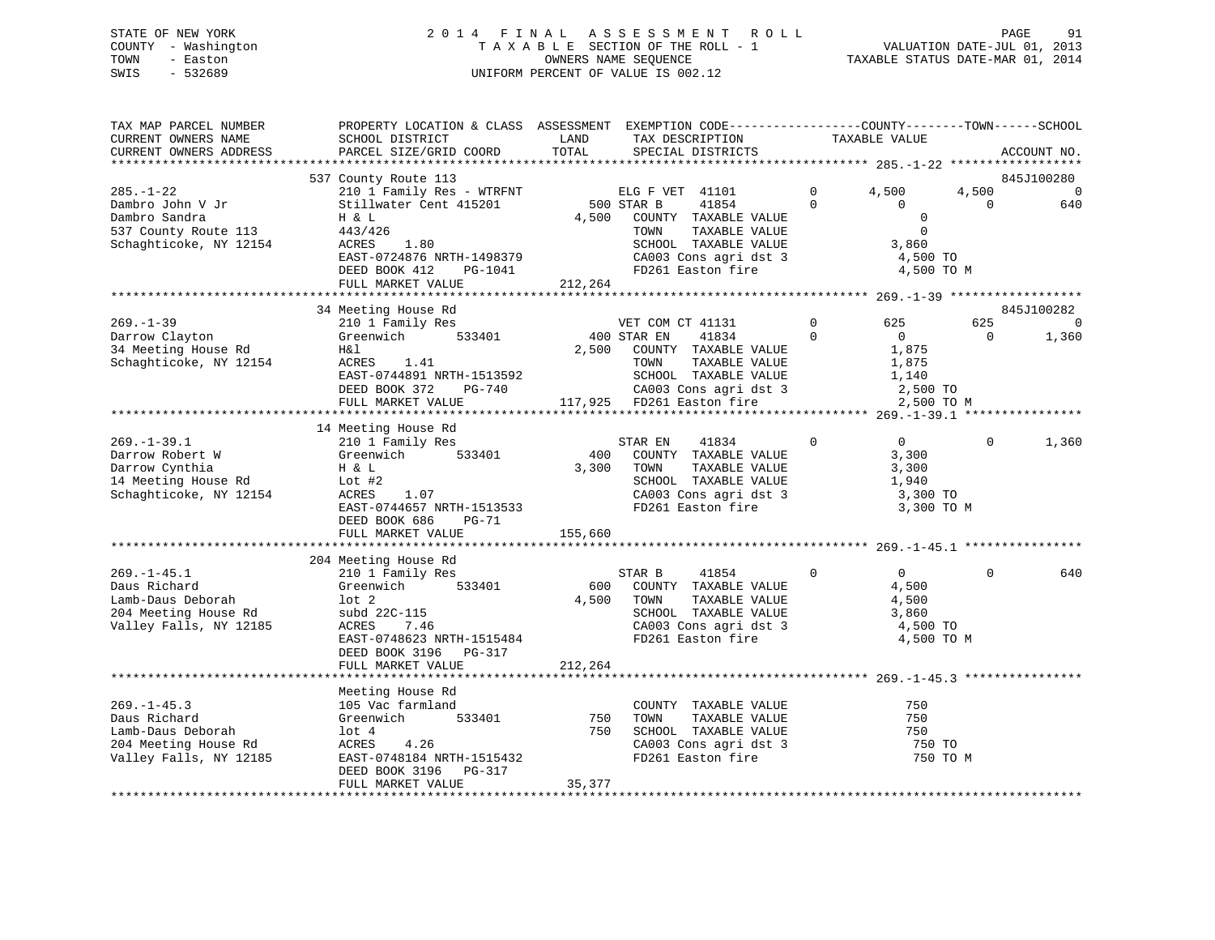### STATE OF NEW YORK 2 0 1 4 F I N A L A S S E S S M E N T R O L L PAGE 91 COUNTY - Washington T A X A B L E SECTION OF THE ROLL - 1 VALUATION DATE-JUL 01, 2013 TOWN - Easton OWNERS NAME SEQUENCE TAXABLE STATUS DATE-MAR 01, 2014 SWIS - 532689 UNIFORM PERCENT OF VALUE IS 002.12

| TAX MAP PARCEL NUMBER<br>CURRENT OWNERS NAME<br>CURRENT OWNERS ADDRESS                                   | PROPERTY LOCATION & CLASS ASSESSMENT EXEMPTION CODE----------------COUNTY-------TOWN------SCHOOL<br>SCHOOL DISTRICT<br>PARCEL SIZE/GRID COORD                                                  | LAND<br>TOTAL             | TAX DESCRIPTION<br>SPECIAL DISTRICTS                                                                                                                                    | TAXABLE VALUE                                                                           |                                 | ACCOUNT NO.                           |
|----------------------------------------------------------------------------------------------------------|------------------------------------------------------------------------------------------------------------------------------------------------------------------------------------------------|---------------------------|-------------------------------------------------------------------------------------------------------------------------------------------------------------------------|-----------------------------------------------------------------------------------------|---------------------------------|---------------------------------------|
| *************************                                                                                |                                                                                                                                                                                                |                           |                                                                                                                                                                         |                                                                                         |                                 |                                       |
| $285. - 1 - 22$<br>Dambro John V Jr<br>Dambro Sandra<br>537 County Route 113<br>Schaghticoke, NY 12154   | 537 County Route 113<br>210 1 Family Res - WTRFNT<br>Stillwater Cent 415201<br>H & L<br>443/426<br>1.80<br>ACRES<br>EAST-0724876 NRTH-1498379<br>DEED BOOK 412<br>PG-1041<br>FULL MARKET VALUE | 4,500<br>212,264          | ELG F VET 41101<br>500 STAR B<br>41854<br>COUNTY TAXABLE VALUE<br>TOWN<br>TAXABLE VALUE<br>SCHOOL TAXABLE VALUE<br>CA003 Cons agri dst 3<br>FD261 Easton fire           | $\Omega$<br>4,500<br>$\Omega$<br>$\Omega$<br>0<br>$\mathbf 0$<br>3,860<br>4,500 TO      | 4,500<br>$\Omega$<br>4,500 TO M | 845J100280<br>$\Omega$<br>640         |
|                                                                                                          |                                                                                                                                                                                                |                           |                                                                                                                                                                         |                                                                                         |                                 |                                       |
| $269. - 1 - 39$<br>Darrow Clayton<br>34 Meeting House Rd<br>Schaghticoke, NY 12154                       | 34 Meeting House Rd<br>210 1 Family Res<br>Greenwich<br>533401<br>H&l<br>ACRES 1.41<br>EAST-0744891 NRTH-1513592<br>DEED BOOK 372<br>PG-740<br>FULL MARKET VALUE                               | 2,500                     | VET COM CT 41131<br>400 STAR EN<br>41834<br>COUNTY TAXABLE VALUE<br>TAXABLE VALUE<br>TOWN<br>SCHOOL TAXABLE VALUE<br>CA003 Cons agri dst 3<br>117,925 FD261 Easton fire | $\mathbf 0$<br>625<br>$\Omega$<br>$\overline{0}$<br>1,875<br>1,875<br>1,140<br>2,500 TO | 625<br>$\Omega$<br>2,500 TO M   | 845J100282<br>$\overline{0}$<br>1,360 |
|                                                                                                          | 14 Meeting House Rd                                                                                                                                                                            |                           |                                                                                                                                                                         |                                                                                         |                                 |                                       |
| $269. - 1 - 39.1$<br>Darrow Robert W<br>Darrow Cynthia<br>14 Meeting House Rd<br>Schaghticoke, NY 12154  | 210 1 Family Res<br>Greenwich<br>533401<br>H & L<br>Lot #2<br>ACRES<br>1.07<br>EAST-0744657 NRTH-1513533<br>DEED BOOK 686<br>$PG-71$<br>FULL MARKET VALUE                                      | 400<br>3,300<br>155,660   | STAR EN<br>41834<br>COUNTY TAXABLE VALUE<br>TOWN<br>TAXABLE VALUE<br>SCHOOL TAXABLE VALUE<br>CA003 Cons agri dst 3<br>FD261 Easton fire                                 | $\mathbf 0$<br>$\overline{0}$<br>3,300<br>3,300<br>1,940<br>3,300 TO<br>3,300 TO M      | $\Omega$                        | 1,360                                 |
|                                                                                                          | ***********************<br>204 Meeting House Rd                                                                                                                                                | * * * * * * * * * * * * * |                                                                                                                                                                         |                                                                                         |                                 |                                       |
| $269. - 1 - 45.1$<br>Daus Richard<br>Lamb-Daus Deborah<br>204 Meeting House Rd<br>Valley Falls, NY 12185 | 210 1 Family Res<br>Greenwich<br>533401<br>$1$ ot $2$<br>subd 22C-115<br>ACRES<br>7.46<br>EAST-0748623 NRTH-1515484<br>DEED BOOK 3196<br>PG-317                                                | 600<br>4,500              | STAR B<br>41854<br>COUNTY TAXABLE VALUE<br>TAXABLE VALUE<br>TOWN<br>SCHOOL TAXABLE VALUE<br>CA003 Cons agri dst 3<br>FD261 Easton fire                                  | $\overline{0}$<br>$\circ$<br>4,500<br>4,500<br>3,860<br>4,500 TO                        | $\Omega$<br>4,500 TO M          | 640                                   |
|                                                                                                          | FULL MARKET VALUE                                                                                                                                                                              | 212,264                   |                                                                                                                                                                         |                                                                                         |                                 |                                       |
|                                                                                                          | Meeting House Rd                                                                                                                                                                               |                           |                                                                                                                                                                         |                                                                                         |                                 |                                       |
| $269. - 1 - 45.3$<br>Daus Richard<br>Lamb-Daus Deborah<br>204 Meeting House Rd<br>Valley Falls, NY 12185 | 105 Vac farmland<br>533401<br>Greenwich<br>lot 4<br>4.26<br>ACRES<br>EAST-0748184 NRTH-1515432<br>DEED BOOK 3196<br>PG-317                                                                     | 750<br>750                | COUNTY TAXABLE VALUE<br>TOWN<br>TAXABLE VALUE<br>SCHOOL TAXABLE VALUE<br>CA003 Cons agri dst 3<br>FD261 Easton fire                                                     | 750<br>750<br>750<br>750 TO                                                             | 750 TO M                        |                                       |
| ***********************                                                                                  | FULL MARKET VALUE                                                                                                                                                                              | 35,377                    |                                                                                                                                                                         |                                                                                         |                                 |                                       |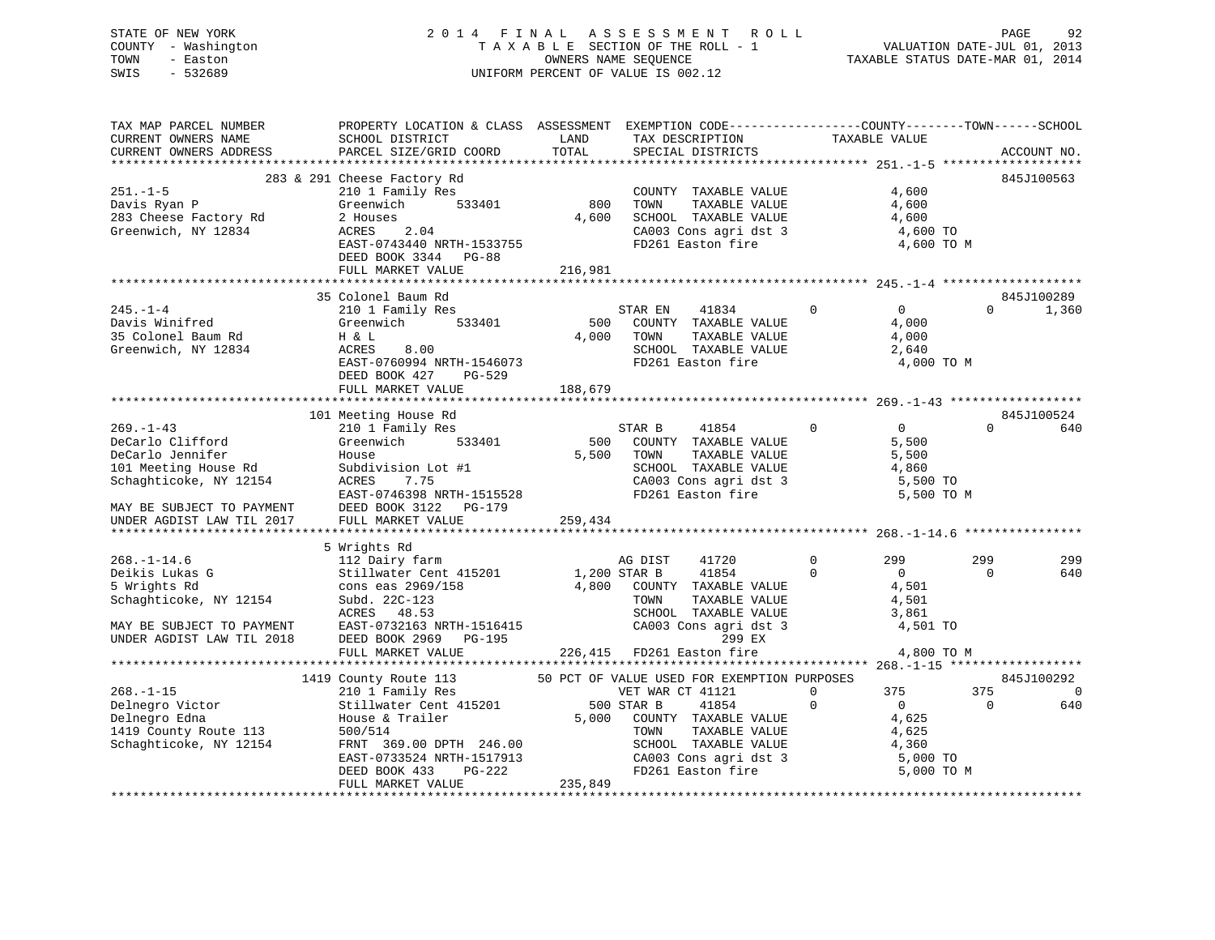### STATE OF NEW YORK 2 0 1 4 F I N A L A S S E S S M E N T R O L L PAGE 92 COUNTY - Washington T A X A B L E SECTION OF THE ROLL - 1 VALUATION DATE-JUL 01, 2013 TOWN - Easton **CONNERS NAME SEQUENCE** TAXABLE STATUS DATE-MAR 01, 2014 SWIS - 532689 UNIFORM PERCENT OF VALUE IS 002.12

| TAX MAP PARCEL NUMBER<br>CURRENT OWNERS NAME<br>CURRENT OWNERS ADDRESS                                                                                                                 | PROPERTY LOCATION & CLASS ASSESSMENT EXEMPTION CODE----------------COUNTY-------TOWN------SCHOOL<br>SCHOOL DISTRICT<br>PARCEL SIZE/GRID COORD                                                                                                           | LAND<br>TOTAL    | TAX DESCRIPTION<br>SPECIAL DISTRICTS                                                                                                                                          | TAXABLE VALUE         |                                                                                | ACCOUNT NO.                         |
|----------------------------------------------------------------------------------------------------------------------------------------------------------------------------------------|---------------------------------------------------------------------------------------------------------------------------------------------------------------------------------------------------------------------------------------------------------|------------------|-------------------------------------------------------------------------------------------------------------------------------------------------------------------------------|-----------------------|--------------------------------------------------------------------------------|-------------------------------------|
|                                                                                                                                                                                        |                                                                                                                                                                                                                                                         |                  |                                                                                                                                                                               |                       |                                                                                |                                     |
|                                                                                                                                                                                        | 283 & 291 Cheese Factory Rd<br>EAST-0743440 NRTH-1533755<br>DEED BOOK 3344 PG-88                                                                                                                                                                        |                  | COUNTY TAXABLE VALUE<br>TOWN TAXABLE VALUE<br>4,600<br>SCHOOL TAXABLE VALUE 4,600<br>CA003 Cons agri dst 3 4,600 TO<br>FD261 Easton fire 4,600 TO                             |                       | 4,600<br>4,600<br>4,600 TO M                                                   | 845J100563                          |
|                                                                                                                                                                                        |                                                                                                                                                                                                                                                         |                  |                                                                                                                                                                               |                       |                                                                                |                                     |
|                                                                                                                                                                                        | 35 Colonel Baum Rd                                                                                                                                                                                                                                      |                  |                                                                                                                                                                               |                       |                                                                                | 845J100289                          |
| 245.-1-4<br>Davis Winifred<br>35 Colonel Baum Rd<br>Greenwich, NY 12834<br>EAST-07                                                                                                     | 210 1 Family Res<br>Greenwich 533401<br>$\overline{00}$<br>8.00<br>EAST-0760994 NRTH-1546073<br>DEED BOOK 427<br>PG-529                                                                                                                                 | 4,000 TOWN       | 41834 0<br>STAR EN<br>500 COUNTY TAXABLE VALUE<br>TAXABLE VALUE<br>SCHOOL TAXABLE VALUE<br>FD261 Taxable VALUE<br>FD261 Easton fire                                           |                       | $\begin{array}{c} 0 \\ 4 \end{array}$<br>4,000<br>4,000<br>2,640<br>4,000 TO M | $\Omega$<br>1,360                   |
|                                                                                                                                                                                        | FULL MARKET VALUE                                                                                                                                                                                                                                       | 188,679          |                                                                                                                                                                               |                       |                                                                                |                                     |
|                                                                                                                                                                                        |                                                                                                                                                                                                                                                         |                  |                                                                                                                                                                               |                       |                                                                                |                                     |
|                                                                                                                                                                                        | 101 Meeting House Rd                                                                                                                                                                                                                                    |                  |                                                                                                                                                                               |                       |                                                                                | 845J100524                          |
| $269 - 1 - 43$<br>DeCarlo Clifford<br>DeCarlo Jennifer<br>DeCarlo Jennifer<br>101 Meeting House Rd<br>Schaghticoke, NY 12154<br>MAY BE SUBJECT TO PAYMENT<br>UNDER AGDIST LAW TIL 2017 | 210 1 Family Res<br>Greenwich 533401<br>House<br>Subdivision Lot #1<br>ACRES 7.75<br>EAST-0746398 NRTH-1515528<br>DEED BOOK 3122    PG-179<br>FULL MARKET VALUE                                                                                         | 5,500<br>259,434 | STAR B 41854 0<br>500 COUNTY TAXABLE VALUE<br>TOWN<br>TAXABLE VALUE<br>SCHOOL TAXABLE VALUE<br>CA003 Cons agri dst 3 5,500 TO<br>FD261 Easton fire 5,500 TO M                 |                       | $\overline{0}$<br>$\Omega$<br>5,500<br>5,500<br>4,860                          | 640                                 |
|                                                                                                                                                                                        | 5 Wrights Rd                                                                                                                                                                                                                                            |                  |                                                                                                                                                                               |                       |                                                                                |                                     |
| $268. - 1 - 14.6$<br>Deikis Lukas G<br>5 Wrights Rd<br>5 Wrights Rd<br>Schaghticoke, NY 12154<br>MAY BE SUBJECT TO PAYMENT<br>UNDER AGDIST LAW TIL 2018                                | 112 Dairy farm<br>Stillwater Cent 415201 1,200 STAR B 41854 0 0 0<br>cons eas 2969/158 4,800 COUNTY TAXABLE VALUE 4,501<br>Subd. 22C-123<br>ACRES 48.53<br>ACRES 46.53<br>EAST-0732163 NRTH-1516415<br>---- poor 9060 - DO 195<br>DEED BOOK 2969 PG-195 |                  | 41720<br>AG DIST<br>1,501<br>TOWN TAXABLE VALUE<br>SCHOOL TAXABLE VALUE<br>SCHOOL TAXABLE VALUE<br>226,415 FD261 Easton fire<br>226,415 FD261 Easton fire<br>299 EX<br>24,800 | $0 \qquad \qquad 299$ | 299<br>$\Omega$<br>4,501 TO                                                    | 299<br>640                          |
|                                                                                                                                                                                        | FULL MARKET VALUE                                                                                                                                                                                                                                       |                  |                                                                                                                                                                               |                       | 4,800 TO M                                                                     |                                     |
|                                                                                                                                                                                        |                                                                                                                                                                                                                                                         |                  |                                                                                                                                                                               |                       |                                                                                |                                     |
|                                                                                                                                                                                        | 1419 County Route 113 50 PCT OF VALUE USED FOR EXEMPTION PURPOSES<br>210 1 Family Res VET WAR CT 41121 0<br>FRNT 369.00 DPTH 246.00<br>EAST-0733524 NRTH-1517913<br>DEED BOOK 433 PG-222                                                                |                  | 41854<br>5,000 COUNTY TAXABLE VALUE<br>TOWN TAXABLE VALUE<br>SCHOOL TAXABLE VALUE<br>CA003 Cons agri dst 3 5,000 TO<br>FD261 Easton fire 5,000 TO M                           | $\mathbf 0$           | 375<br>375<br>$\overline{0}$<br>$\overline{0}$<br>4,625                        | 845J100292<br>$\overline{0}$<br>640 |
|                                                                                                                                                                                        | FULL MARKET VALUE                                                                                                                                                                                                                                       | 235,849          |                                                                                                                                                                               |                       |                                                                                |                                     |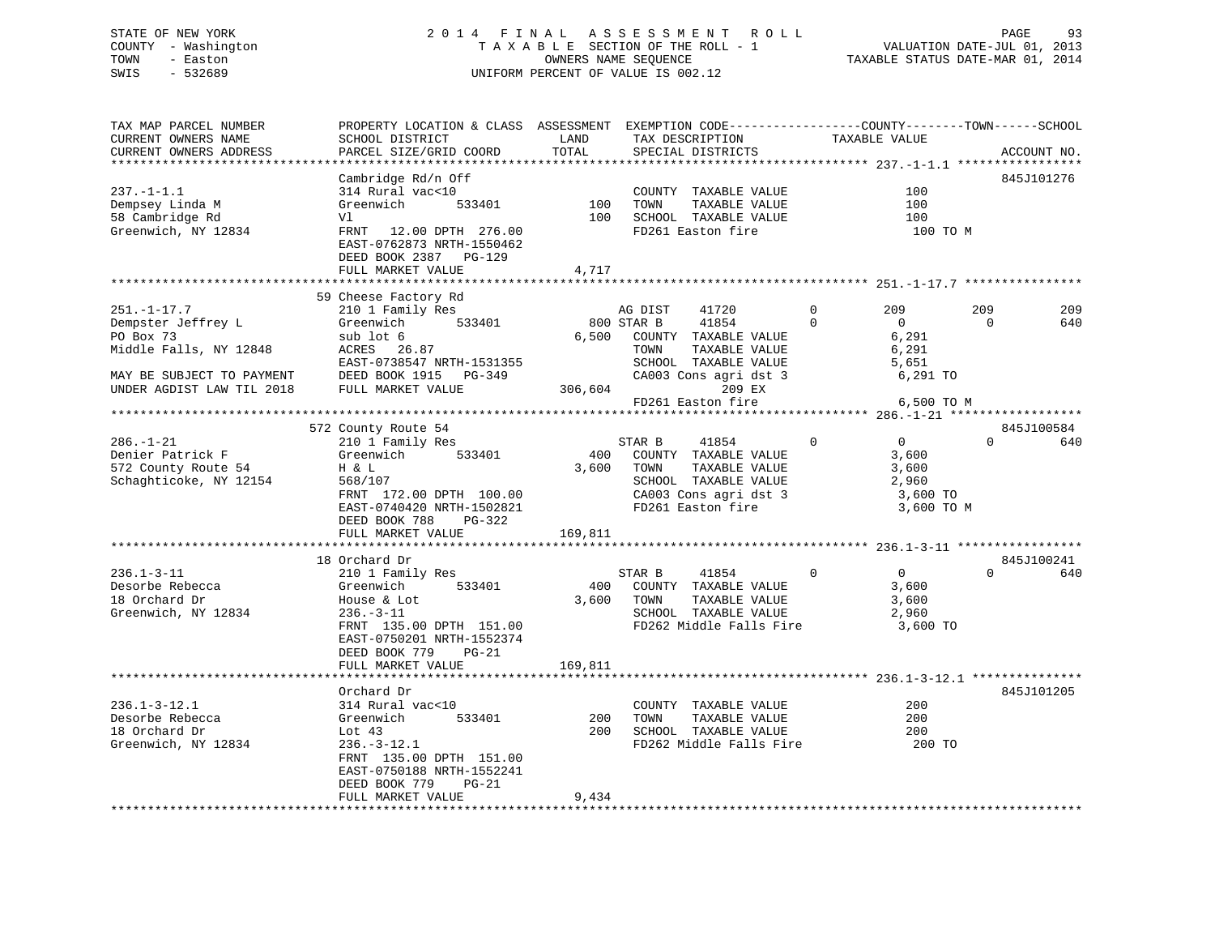### STATE OF NEW YORK 2 0 1 4 F I N A L A S S E S S M E N T R O L L PAGE 93 COUNTY - Washington T A X A B L E SECTION OF THE ROLL - 1 VALUATION DATE-JUL 01, 2013 TOWN - Easton OWNERS NAME SEQUENCE TAXABLE STATUS DATE-MAR 01, 2014 SWIS - 532689 UNIFORM PERCENT OF VALUE IS 002.12

TAX MAP PARCEL NUMBER PROPERTY LOCATION & CLASS ASSESSMENT EXEMPTION CODE------------------COUNTY--------TOWN------SCHOOL

| CURRENT OWNERS NAME       | SCHOOL DISTRICT                       | LAND    | TAX DESCRIPTION         |             | TAXABLE VALUE                                   |          |             |
|---------------------------|---------------------------------------|---------|-------------------------|-------------|-------------------------------------------------|----------|-------------|
| CURRENT OWNERS ADDRESS    | PARCEL SIZE/GRID COORD                | TOTAL   | SPECIAL DISTRICTS       |             |                                                 |          | ACCOUNT NO. |
| ********************      |                                       |         |                         |             |                                                 |          |             |
|                           | Cambridge Rd/n Off                    |         |                         |             |                                                 |          | 845J101276  |
| $237. - 1 - 1.1$          | 314 Rural vac<10                      |         | COUNTY TAXABLE VALUE    |             | 100                                             |          |             |
| Dempsey Linda M           | Greenwich<br>533401                   | 100     | TAXABLE VALUE<br>TOWN   |             | 100                                             |          |             |
| 58 Cambridge Rd           | Vl                                    | 100     | SCHOOL TAXABLE VALUE    |             | 100                                             |          |             |
|                           |                                       |         |                         |             |                                                 |          |             |
| Greenwich, NY 12834       | FRNT<br>12.00 DPTH 276.00             |         | FD261 Easton fire       |             | 100 TO M                                        |          |             |
|                           | EAST-0762873 NRTH-1550462             |         |                         |             |                                                 |          |             |
|                           | DEED BOOK 2387 PG-129                 |         |                         |             |                                                 |          |             |
|                           | FULL MARKET VALUE                     | 4,717   |                         |             |                                                 |          |             |
|                           |                                       |         |                         |             |                                                 |          |             |
|                           | 59 Cheese Factory Rd                  |         |                         |             |                                                 |          |             |
| $251. - 1 - 17.7$         | 210 1 Family Res                      |         | AG DIST<br>41720        | $\mathbf 0$ | 209                                             | 209      | 209         |
| Dempster Jeffrey L        | Greenwich<br>533401                   |         | 41854<br>800 STAR B     | $\Omega$    | $\Omega$                                        | $\Omega$ | 640         |
| PO Box 73                 | sub lot 6                             | 6,500   | COUNTY TAXABLE VALUE    |             | 6,291                                           |          |             |
|                           | ACRES<br>26.87                        |         | TAXABLE VALUE<br>TOWN   |             | 6,291                                           |          |             |
| Middle Falls, NY 12848    |                                       |         |                         |             |                                                 |          |             |
|                           | EAST-0738547 NRTH-1531355             |         | SCHOOL TAXABLE VALUE    |             | 5,651                                           |          |             |
| MAY BE SUBJECT TO PAYMENT | DEED BOOK 1915<br>PG-349              |         | CA003 Cons agri dst 3   |             | 6,291 TO                                        |          |             |
| UNDER AGDIST LAW TIL 2018 | FULL MARKET VALUE                     | 306,604 | 209 EX                  |             |                                                 |          |             |
|                           |                                       |         | FD261 Easton fire       |             | 6,500 TO M                                      |          |             |
|                           | ***********************************   |         |                         |             | ***************** 286.-1-21 ******************* |          |             |
|                           | 572 County Route 54                   |         |                         |             |                                                 |          | 845J100584  |
| $286. - 1 - 21$           | 210 1 Family Res                      |         | STAR B<br>41854         | $\Omega$    | $\Omega$                                        | $\Omega$ | 640         |
| Denier Patrick F          | Greenwich<br>533401                   | 400     | COUNTY TAXABLE VALUE    |             | 3,600                                           |          |             |
|                           |                                       |         |                         |             |                                                 |          |             |
| 572 County Route 54       | H & L                                 | 3,600   | TOWN<br>TAXABLE VALUE   |             | 3,600                                           |          |             |
| Schaghticoke, NY 12154    | 568/107                               |         | SCHOOL TAXABLE VALUE    |             | 2,960                                           |          |             |
|                           | FRNT 172.00 DPTH 100.00               |         | CA003 Cons agri dst 3   |             | 3,600 TO                                        |          |             |
|                           | EAST-0740420 NRTH-1502821             |         | FD261 Easton fire       |             | 3,600 TO M                                      |          |             |
|                           | DEED BOOK 788<br>PG-322               |         |                         |             |                                                 |          |             |
|                           | FULL MARKET VALUE                     | 169,811 |                         |             |                                                 |          |             |
|                           |                                       |         |                         |             |                                                 |          |             |
|                           | 18 Orchard Dr                         |         |                         |             |                                                 |          | 845J100241  |
| $236.1 - 3 - 11$          | 210 1 Family Res                      |         | STAR B<br>41854         | $\Omega$    | $\overline{0}$                                  | $\Omega$ | 640         |
| Desorbe Rebecca           | Greenwich<br>533401                   | 400     |                         |             | 3,600                                           |          |             |
|                           |                                       |         | COUNTY TAXABLE VALUE    |             |                                                 |          |             |
| 18 Orchard Dr             | House & Lot                           | 3,600   | TOWN<br>TAXABLE VALUE   |             | 3,600                                           |          |             |
| Greenwich, NY 12834       | $236. - 3 - 11$                       |         | SCHOOL TAXABLE VALUE    |             | 2,960                                           |          |             |
|                           | FRNT 135.00 DPTH 151.00               |         | FD262 Middle Falls Fire |             | 3,600 TO                                        |          |             |
|                           | EAST-0750201 NRTH-1552374             |         |                         |             |                                                 |          |             |
|                           | DEED BOOK 779<br>$PG-21$              |         |                         |             |                                                 |          |             |
|                           | FULL MARKET VALUE                     | 169,811 |                         |             |                                                 |          |             |
|                           | * * * * * * * * * * * * * * * * * * * |         |                         |             |                                                 |          |             |
|                           | Orchard Dr                            |         |                         |             |                                                 |          | 845J101205  |
| $236.1 - 3 - 12.1$        | 314 Rural vac<10                      |         | COUNTY TAXABLE VALUE    |             | 200                                             |          |             |
| Desorbe Rebecca           |                                       | 200     | TOWN                    |             | 200                                             |          |             |
|                           | Greenwich<br>533401                   |         | TAXABLE VALUE           |             |                                                 |          |             |
| 18 Orchard Dr             | Lot $43$                              | $200 -$ | SCHOOL TAXABLE VALUE    |             | 200                                             |          |             |
| Greenwich, NY 12834       | $236. - 3 - 12.1$                     |         | FD262 Middle Falls Fire |             | 200 TO                                          |          |             |
|                           | FRNT 135.00 DPTH 151.00               |         |                         |             |                                                 |          |             |
|                           | EAST-0750188 NRTH-1552241             |         |                         |             |                                                 |          |             |
|                           | DEED BOOK 779<br>$PG-21$              |         |                         |             |                                                 |          |             |
|                           | FULL MARKET VALUE                     | 9,434   |                         |             |                                                 |          |             |
|                           |                                       |         |                         |             |                                                 |          |             |
|                           |                                       |         |                         |             |                                                 |          |             |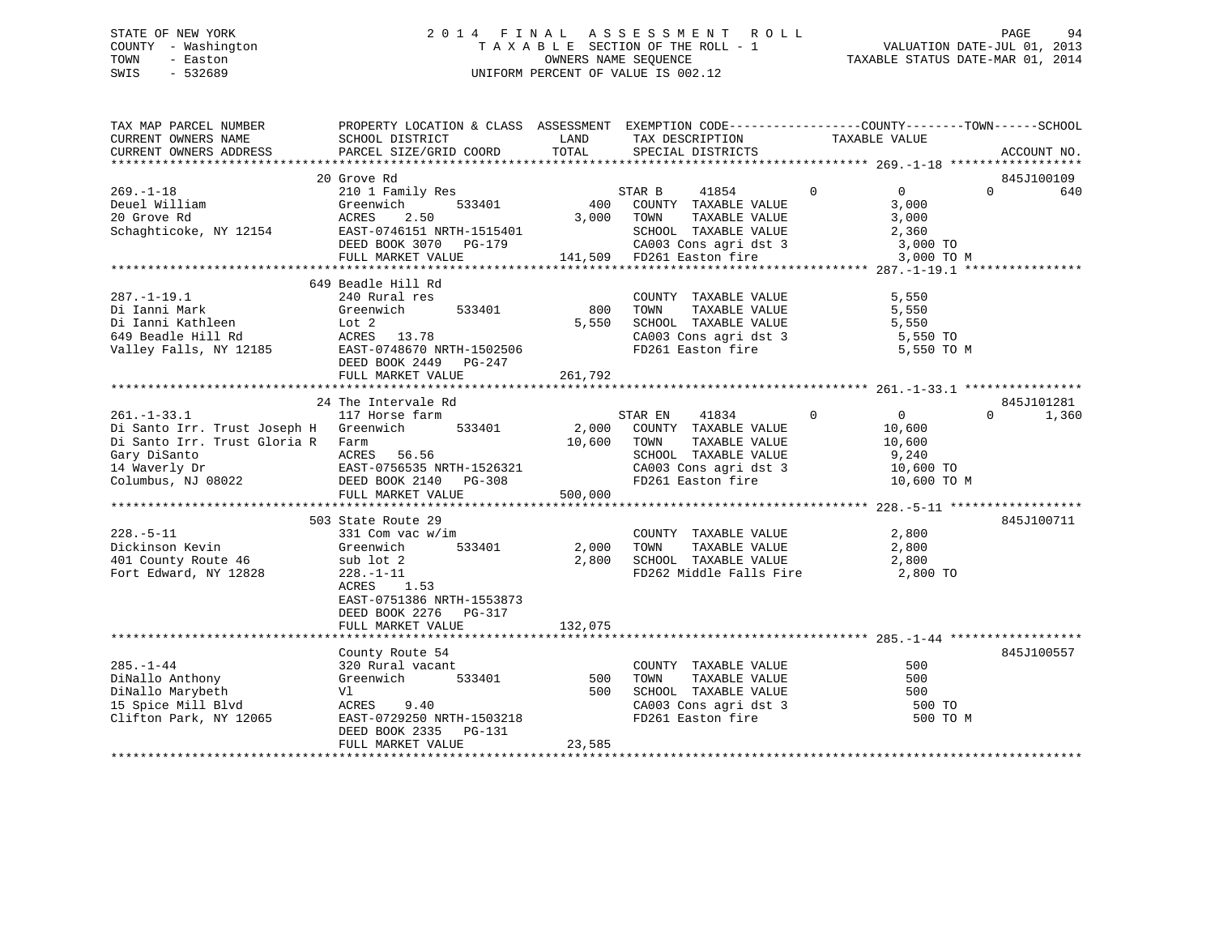### STATE OF NEW YORK 2 0 1 4 F I N A L A S S E S S M E N T R O L L PAGE 94 COUNTY - Washington T A X A B L E SECTION OF THE ROLL - 1 VALUATION DATE-JUL 01, 2013 TOWN - Easton OWNERS NAME SEQUENCE TAXABLE STATUS DATE-MAR 01, 2014 SWIS - 532689 UNIFORM PERCENT OF VALUE IS 002.12

| TAX MAP PARCEL NUMBER<br>CURRENT OWNERS NAME<br>CURRENT OWNERS ADDRESS                                                                                                        | PROPERTY LOCATION & CLASS ASSESSMENT EXEMPTION CODE---------------COUNTY-------TOWN-----SCHOOL<br>SCHOOL DISTRICT<br>PARCEL SIZE/GRID COORD                               | LAND<br>TOTAL           | TAX DESCRIPTION<br>SPECIAL DISTRICTS                                                                                                                                                                       | TAXABLE VALUE                                                                                                                         | ACCOUNT NO.                   |
|-------------------------------------------------------------------------------------------------------------------------------------------------------------------------------|---------------------------------------------------------------------------------------------------------------------------------------------------------------------------|-------------------------|------------------------------------------------------------------------------------------------------------------------------------------------------------------------------------------------------------|---------------------------------------------------------------------------------------------------------------------------------------|-------------------------------|
|                                                                                                                                                                               |                                                                                                                                                                           |                         |                                                                                                                                                                                                            |                                                                                                                                       |                               |
| $269. - 1 - 18$<br>Deuel William<br>20 Grove Rd                                                                                                                               | 20 Grove Rd<br>210 1 Family Res<br>533401<br>Greenwich<br>ACRES<br>2.50<br>Schaghticoke, NY 12154 EAST-0746151 NRTH-1515401<br>DEED BOOK 3070 PG-179<br>FULL MARKET VALUE | 400                     | $\sim$ 0<br>STAR B<br>41854<br>COUNTY TAXABLE VALUE<br>3,000 TOWN<br>TAXABLE VALUE<br>SCHOOL TAXABLE VALUE 2,360<br>-179 CA003 Cons agri dst 3<br>141,509 FD261 Easton fire                                | $\overline{0}$<br>3,000<br>3,000<br>3,000 TO<br>3,000 TO M                                                                            | 845J100109<br>$\Omega$<br>640 |
|                                                                                                                                                                               | 649 Beadle Hill Rd                                                                                                                                                        |                         |                                                                                                                                                                                                            |                                                                                                                                       |                               |
| $287. - 1 - 19.1$<br>Di Ianni Mark<br>Valley Falls, NY 12185                                                                                                                  | 240 Rural res<br>Greenwich<br>533401<br>EAST-0748670 NRTH-1502506<br>DEED BOOK 2449<br>PG-247<br>FULL MARKET VALUE                                                        | 800<br>5,550<br>261,792 | COUNTY TAXABLE VALUE<br>FD261 Easton fire                                                                                                                                                                  | 5,550<br>COMM TAXABLE VALUE<br>TOWN TAXABLE VALUE<br>SCHOOL TAXABLE VALUE<br>5,550<br>CA003 Cons agri dst 3<br>5,550 TO<br>5,550 TO M |                               |
|                                                                                                                                                                               | 24 The Intervale Rd                                                                                                                                                       |                         |                                                                                                                                                                                                            |                                                                                                                                       | 845J101281                    |
| $261. - 1 - 33.1$<br>Di Santo Irr. Trust Joseph H Greenwich<br>Di Santo Irr. Trust Gloria R Farm<br>Gary DiSanto<br>14 Waverly Dr<br>Columbus, NJ 08022 DEED BOOK 2140 PG-308 | 117 Horse farm<br>533401<br>ACRES 56.56<br>EAST-0756535 NRTH-1526321<br>FULL MARKET VALUE                                                                                 | 10,600<br>500,000       | STAR EN 41834 0 0<br>2,000 COUNTY TAXABLE VALUE<br>TOWN<br>TAXABLE VALUE<br>SCHOOL TAXABLE VALUE<br>CA003 Cons agri dst 3<br>FD261 Easton fire                                                             | $\begin{array}{c} 10,600 \\ 10,600 \end{array}$<br>9,240<br>10,600 TO<br>10,600 TO M                                                  | 1,360<br>$\Omega$             |
|                                                                                                                                                                               | 503 State Route 29                                                                                                                                                        |                         |                                                                                                                                                                                                            |                                                                                                                                       | 845J100711                    |
| $228. - 5 - 11$<br>Dickinson Kevin<br>401 County Route 46<br>Fort Edward, NY 12828                                                                                            | 331 Com vac w/im<br>533401<br>Greenwich<br>sub lot 2<br>$228. - 1 - 11$<br>ACRES<br>1.53<br>EAST-0751386 NRTH-1553873                                                     |                         | COUNTY TAXABLE VALUE 2,800<br>$\begin{tabular}{lllllllllll} 2,000 & TOWN & TAXABLE VALUE & & & & 2,800 \\ 2,800 & SCHOOL & TAXABLE VALUE & & & 2,800 \\ \end{tabular}$<br>FD262 Middle Falls Fire 2,800 TO |                                                                                                                                       |                               |
|                                                                                                                                                                               | DEED BOOK 2276 PG-317<br>FULL MARKET VALUE                                                                                                                                | 132,075                 |                                                                                                                                                                                                            |                                                                                                                                       |                               |
|                                                                                                                                                                               |                                                                                                                                                                           |                         |                                                                                                                                                                                                            |                                                                                                                                       |                               |
| $285. - 1 - 44$<br>DiNallo Anthony<br>DiNallo Marybeth<br>15 Spice Mill Blvd<br>Clifton Park, NY 12065                                                                        | County Route 54<br>320 Rural vacant<br>Greenwich<br>Vl<br>ACRES<br>9.40<br>EAST-0729250 NRTH-1503218<br>DEED BOOK 2335 PG-131                                             | 533401 500<br>500       | COUNTY TAXABLE VALUE<br>TOWN<br>TAXABLE VALUE<br>SCHOOL TAXABLE VALUE<br>SCHOOL TAXABLE VALUE<br>CA003 Cons agri dst 3<br>FD261 Easton fire                                                                | 500<br>500<br>500<br>500 TO<br>500 TO M                                                                                               | 845J100557                    |
|                                                                                                                                                                               | FULL MARKET VALUE                                                                                                                                                         | 23,585                  |                                                                                                                                                                                                            |                                                                                                                                       |                               |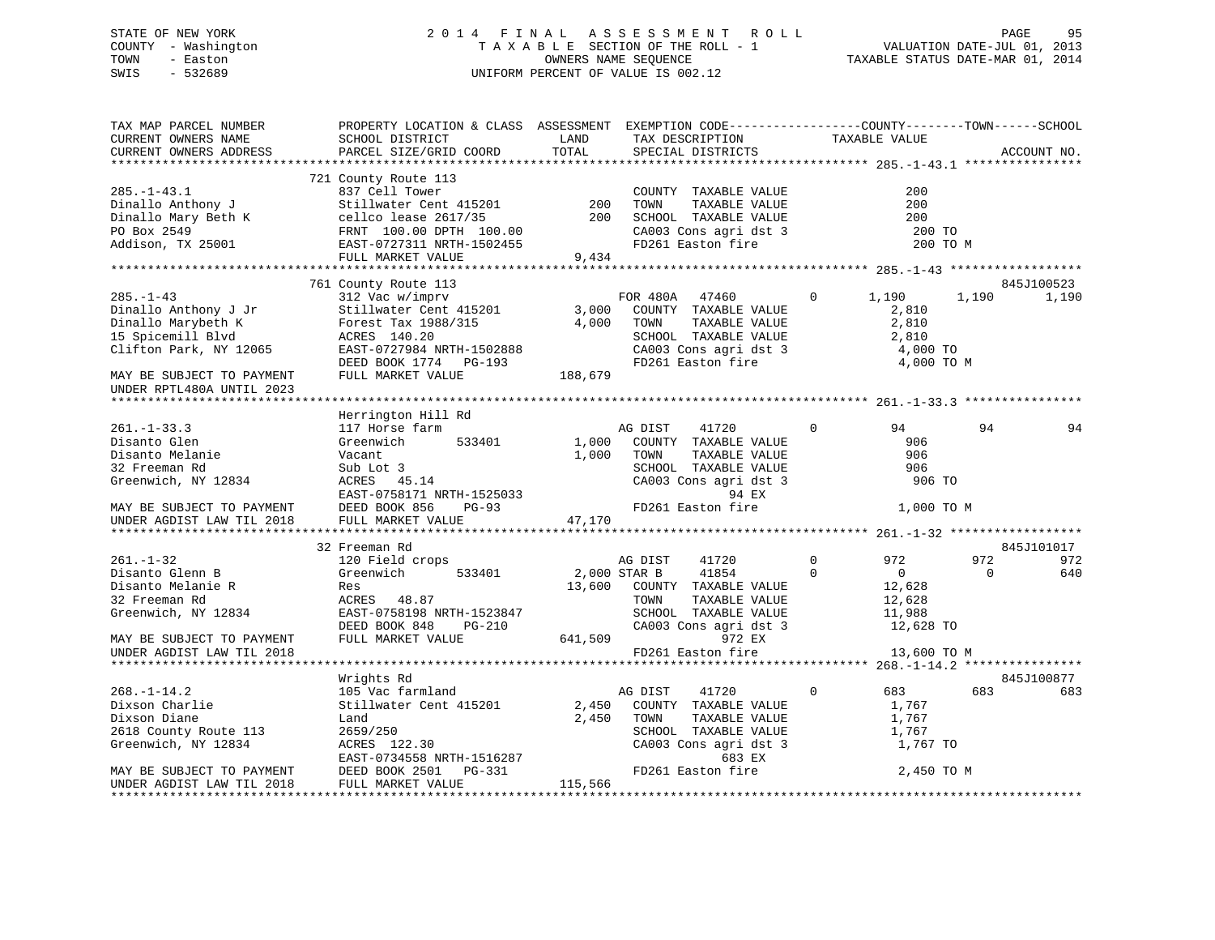### STATE OF NEW YORK 2 0 1 4 F I N A L A S S E S S M E N T R O L L PAGE 95 COUNTY - Washington T A X A B L E SECTION OF THE ROLL - 1 VALUATION DATE-JUL 01, 2013 TOWN - Easton OWNERS NAME SEQUENCE TAXABLE STATUS DATE-MAR 01, 2014 SWIS - 532689 UNIFORM PERCENT OF VALUE IS 002.12

| TAX MAP PARCEL NUMBER<br>CURRENT OWNERS NAME<br>CURRENT OWNERS ADDRESS                                                                                 | PROPERTY LOCATION & CLASS ASSESSMENT EXEMPTION CODE---------------COUNTY-------TOWN------SCHOOL<br>SCHOOL DISTRICT<br>PARCEL SIZE/GRID COORD                                                                                                                                                                                                             | TOTAL          | LAND TAX DESCRIPTION<br>SPECIAL DISTRICTS                                                                                                | TAXABLE VALUE                                                                |          | ACCOUNT NO.         |
|--------------------------------------------------------------------------------------------------------------------------------------------------------|----------------------------------------------------------------------------------------------------------------------------------------------------------------------------------------------------------------------------------------------------------------------------------------------------------------------------------------------------------|----------------|------------------------------------------------------------------------------------------------------------------------------------------|------------------------------------------------------------------------------|----------|---------------------|
|                                                                                                                                                        |                                                                                                                                                                                                                                                                                                                                                          |                |                                                                                                                                          |                                                                              |          |                     |
|                                                                                                                                                        | 721 County Route 113                                                                                                                                                                                                                                                                                                                                     |                |                                                                                                                                          | 200<br>200<br>200<br>200 TO                                                  | 200 TO M |                     |
|                                                                                                                                                        | FULL MARKET VALUE                                                                                                                                                                                                                                                                                                                                        | د 1439, 9, 434 |                                                                                                                                          |                                                                              |          |                     |
|                                                                                                                                                        |                                                                                                                                                                                                                                                                                                                                                          |                |                                                                                                                                          |                                                                              |          |                     |
| $285. - 1 - 43$                                                                                                                                        | 761 County Route 113<br>312 Vac w/imprv<br>312 vac w/impiv<br>Stillwater Cent 415201 3,000<br>Forest Tax 1988/315 4,000<br>285.-1-43<br>Dinallo Anthony J Jr Stillwater Cent 415201 3,000<br>Dinallo Marybeth K Forest Tax 1988/315 4,000<br>15 Spicemill Blvd ACRES 140.20<br>Clifton Park, NY 12065 EAST-0727984 NRTH-1502888<br>DEED BOOK 1774 PG-193 | 188,679        | FOR 480A 47460<br>COUNTY TAXABLE VALUE<br>TOWN<br>TAXABLE VALUE<br>SCHOOL TAXABLE VALUE<br>CA003 Cons agri dst 3<br>FD261 Easton fire    | 1,190<br>$\overline{0}$<br>2,810<br>2,810<br>2,810<br>4,000 TO<br>4,000 TO M | 1,190    | 845J100523<br>1,190 |
| MAY BE SUBJECT TO PAYMENT<br>UNDER RPTL480A UNTIL 2023                                                                                                 | FULL MARKET VALUE                                                                                                                                                                                                                                                                                                                                        |                |                                                                                                                                          |                                                                              |          |                     |
|                                                                                                                                                        |                                                                                                                                                                                                                                                                                                                                                          |                |                                                                                                                                          |                                                                              |          |                     |
|                                                                                                                                                        | Herrington Hill Rd                                                                                                                                                                                                                                                                                                                                       |                |                                                                                                                                          |                                                                              |          |                     |
| $261. - 1 - 33.3$<br>Disanto Glen<br>Disanto Melanie<br>32 Freeman Rd<br>Greenwich, NY 12834<br>MAY BE SUBJECT TO PAYMENT<br>UNDER AGDIST LAW TIL 2018 | 117 Horse farm<br>Greenwich 533401<br>Sub-<br>Sub-Lot 3<br>ACRES 45 1<br>$ACRES$ 45.14<br>EACRES 45.14<br>EAST-0758171 NRTH-1525033<br>DEED BOOK 856 PG-93 PD261 Easton fire<br>FULL MARKET VALUE 47,170<br>32 Freeman Rd                                                                                                                                | 1,000          | AG DIST 41720<br>1,000 COUNTY TAXABLE VALUE<br>TOWN<br>TOWN TAXABLE VALUE<br>SCHOOL TAXABLE VALUE<br>$CA003$ Cons agri dst 3<br>94 EX    | $\overline{0}$<br>94<br>906<br>906<br>906<br>906 TO<br>1,000 TO M            | 94       | 94<br>845J101017    |
| $261. - 1 - 32$                                                                                                                                        | 120 Field crops                                                                                                                                                                                                                                                                                                                                          |                | AG DIST<br>41720                                                                                                                         | $0 \qquad \qquad$<br>972                                                     | 972      | 972                 |
| Disanto Glenn B<br>Disanto Melanie R<br>32 Freeman Rd<br>Greenwich, NY 12834                                                                           | Greenwich 533401<br>ACRES 48.87<br>NORES 48.87<br>RAST-0758198 NRTH-1523847 SCHOOL TAXABLE VOLU<br>DEED BOOK 848 PG-210 (2003 Cons agri dst 3<br>FULL MARKET VALUE 641,509 972 EX<br>PD261 Easton fire                                                                                                                                                   |                | 2,000 STAR B 41854<br>13,600 COUNTY TAXABLE VALUE                                                                                        | $\Omega$<br>$\overline{0}$<br>12,628<br>12,628<br>11,988<br>12,628 TO        | $\Omega$ | 640                 |
| MAY BE SUBJECT TO PAYMENT<br>UNDER AGDIST LAW TIL 2018                                                                                                 |                                                                                                                                                                                                                                                                                                                                                          |                |                                                                                                                                          | 13,600 TO M                                                                  |          |                     |
|                                                                                                                                                        | Wrights Rd                                                                                                                                                                                                                                                                                                                                               |                |                                                                                                                                          |                                                                              |          | 845J100877          |
| $268. - 1 - 14.2$<br>Dixson Charlie<br>Dixson Diane<br>2618 County Route 113<br>Greenwich, NY 12834                                                    | 105 Vac farmland<br>Stillwater Cent 415201<br>Land<br>2659/250<br>ACRES 122.30<br>ACRES 122.30 CA003 Cons<br>EAST-0734558 NRTH-1516287 CA003 Cons<br>DEED BOOK 2501 PG-331 FD261 Easto                                                                                                                                                                   |                | AG DIST<br>41720<br>2,450 COUNTY TAXABLE VALUE<br>2,450 TOWN<br>TAXABLE VALUE<br>SCHOOL TAXABLE VALUE<br>CA003 Cons agri dst 3<br>683 EX | $\circ$<br>683 — 10<br>1,767<br>1,767<br>1,767<br>1,767 TO                   | 683      | 683                 |
| MAY BE SUBJECT TO PAYMENT<br>UNDER AGDIST LAW TIL 2018                                                                                                 | DEED BOOK 2501 PG-331<br>FULL MARKET VALUE                                                                                                                                                                                                                                                                                                               | 115,566        | FD261 Easton fire                                                                                                                        | 2,450 TO M                                                                   |          |                     |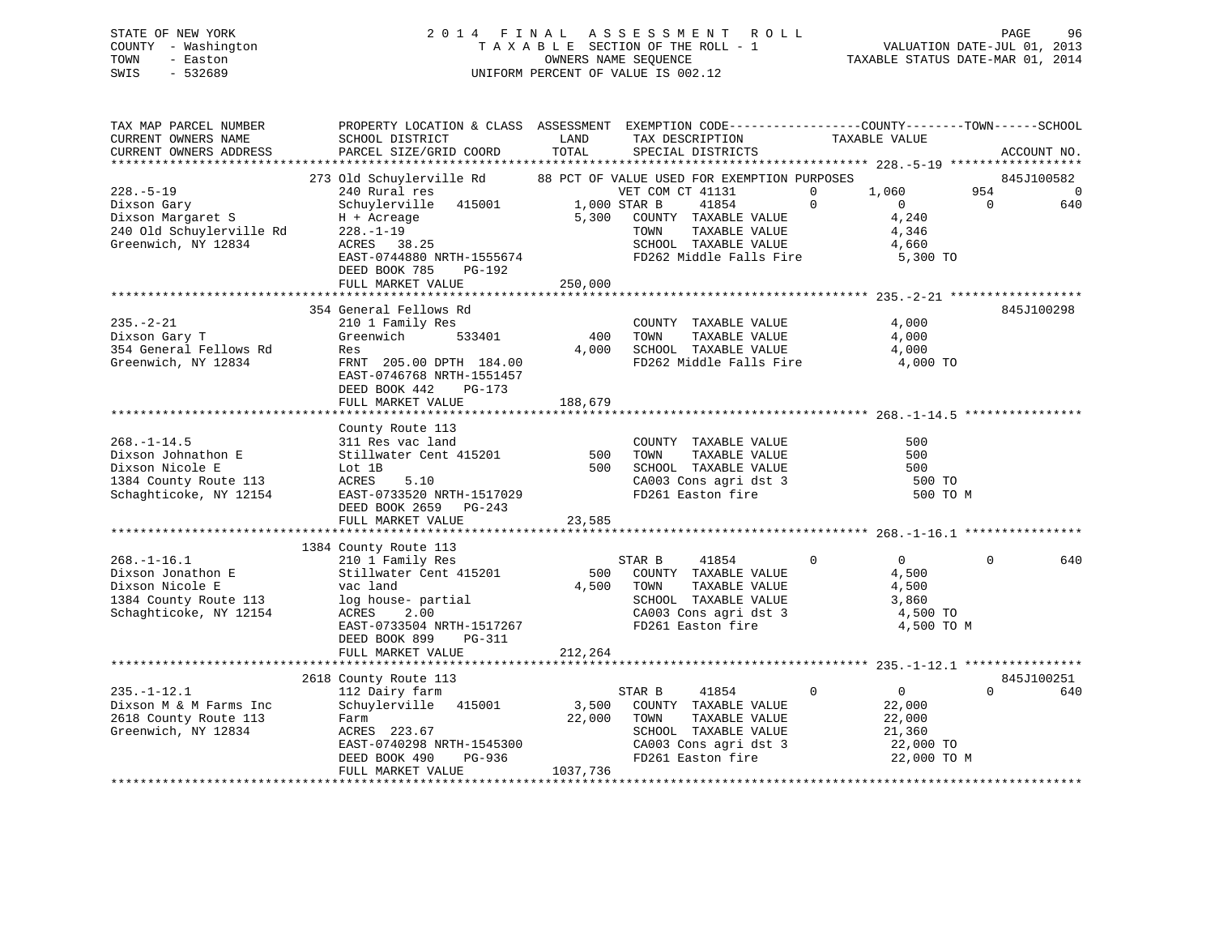### STATE OF NEW YORK 2 0 1 4 F I N A L A S S E S S M E N T R O L L PAGE 96 COUNTY - Washington T A X A B L E SECTION OF THE ROLL - 1 VALUATION DATE-JUL 01, 2013 TOWN - Easton **CONNERS NAME SEQUENCE** TAXABLE STATUS DATE-MAR 01, 2014 SWIS - 532689 UNIFORM PERCENT OF VALUE IS 002.12

| TAX MAP PARCEL NUMBER<br>CURRENT OWNERS NAME<br>CURRENT OWNERS ADDRESS | PROPERTY LOCATION & CLASS ASSESSMENT EXEMPTION CODE---------------COUNTY-------TOWN------SCHOOL<br>SCHOOL DISTRICT<br>PARCEL SIZE/GRID COORD | LAND<br>TOTAL | TAX DESCRIPTION<br>SPECIAL DISTRICTS            | TAXABLE VALUE                 | ACCOUNT NO.     |
|------------------------------------------------------------------------|----------------------------------------------------------------------------------------------------------------------------------------------|---------------|-------------------------------------------------|-------------------------------|-----------------|
|                                                                        |                                                                                                                                              |               |                                                 |                               |                 |
|                                                                        | 273 Old Schuylerville Rd 88 PCT OF VALUE USED FOR EXEMPTION PURPOSES                                                                         |               |                                                 |                               | 845J100582      |
| $228. - 5 - 19$                                                        | 240 Rural res                                                                                                                                |               | VET COM CT 41131                                | 1,060<br>$\Omega$             | 954<br>$\Omega$ |
| Dixson Gary                                                            | Schuylerville 415001 1,000 STAR B                                                                                                            |               | 41854                                           | $\Omega$<br>$\Omega$          | $\Omega$<br>640 |
| Dixson Margaret S                                                      | H + Acreage                                                                                                                                  |               | 5,300 COUNTY TAXABLE VALUE                      | 4,240                         |                 |
| 240 Old Schuylerville Rd                                               | $228. - 1 - 19$                                                                                                                              |               | TAXABLE VALUE<br>TOWN                           | 4,346                         |                 |
| Greenwich, NY 12834                                                    | ACRES 38.25                                                                                                                                  |               | SCHOOL TAXABLE VALUE                            | 4,660                         |                 |
|                                                                        | EAST-0744880 NRTH-1555674                                                                                                                    |               | FD262 Middle Falls Fire                         | 5,300 TO                      |                 |
|                                                                        | DEED BOOK 785<br>PG-192                                                                                                                      |               |                                                 |                               |                 |
|                                                                        | FULL MARKET VALUE                                                                                                                            | 250,000       |                                                 |                               |                 |
|                                                                        | 354 General Fellows Rd                                                                                                                       |               |                                                 |                               | 845J100298      |
| $235. - 2 - 21$                                                        | 210 1 Family Res                                                                                                                             |               | COUNTY TAXABLE VALUE                            | 4,000                         |                 |
| Dixson Gary T                                                          | Greenwich<br>533401                                                                                                                          | 400           | TOWN<br>TAXABLE VALUE                           | 4,000                         |                 |
| 354 General Fellows Rd                                                 | Res                                                                                                                                          | 4,000         |                                                 | 4,000                         |                 |
| Greenwich, NY 12834                                                    | FRNT 205.00 DPTH 184.00                                                                                                                      |               | SCHOOL TAXABLE VALUE<br>FD262 Middle Falls Fire | 4,000 TO                      |                 |
|                                                                        | EAST-0746768 NRTH-1551457                                                                                                                    |               |                                                 |                               |                 |
|                                                                        | DEED BOOK 442<br>$PG-173$                                                                                                                    |               |                                                 |                               |                 |
|                                                                        | FULL MARKET VALUE                                                                                                                            | 188,679       |                                                 |                               |                 |
|                                                                        |                                                                                                                                              |               |                                                 |                               |                 |
|                                                                        | County Route 113                                                                                                                             |               |                                                 |                               |                 |
| $268. - 1 - 14.5$                                                      | 311 Res vac land                                                                                                                             |               | COUNTY TAXABLE VALUE                            | 500                           |                 |
| Dixson Johnathon E                                                     | Stillwater Cent 415201                                                                                                                       | 500           | TOWN<br>TAXABLE VALUE                           | 500                           |                 |
| Dixson Nicole E                                                        | Lot 1B                                                                                                                                       | 500           | SCHOOL TAXABLE VALUE                            | 500                           |                 |
| 1384 County Route 113                                                  | 5.10<br>ACRES                                                                                                                                |               |                                                 | 500 TO                        |                 |
| Schaghticoke, NY 12154                                                 | EAST-0733520 NRTH-1517029                                                                                                                    |               | CA003 Cons agri dst 3<br>FD261 Easton fire      | 500 TO M                      |                 |
|                                                                        | DEED BOOK 2659 PG-243                                                                                                                        |               |                                                 |                               |                 |
|                                                                        | FULL MARKET VALUE                                                                                                                            | 23,585        |                                                 |                               |                 |
|                                                                        |                                                                                                                                              |               |                                                 |                               |                 |
|                                                                        | 1384 County Route 113                                                                                                                        |               |                                                 |                               |                 |
| $268. - 1 - 16.1$                                                      | 210 1 Family Res                                                                                                                             |               | STAR B<br>41854                                 | $\Omega$<br>$\overline{0}$    | $\Omega$<br>640 |
| Dixson Jonathon E                                                      | Stillwater Cent 415201                                                                                                                       | 500           | COUNTY TAXABLE VALUE                            | 4,500                         |                 |
| Dixson Nicole E                                                        | vac land                                                                                                                                     | 4,500         | TOWN<br>TAXABLE VALUE                           | 4,500                         |                 |
| 1384 County Route 113                                                  | log house- partial                                                                                                                           |               | SCHOOL TAXABLE VALUE                            | 3,860                         |                 |
| Schaghticoke, NY 12154                                                 | 2.00<br>ACRES                                                                                                                                |               | CA003 Cons agri dst 3                           | 4,500 TO                      |                 |
|                                                                        | EAST-0733504 NRTH-1517267                                                                                                                    |               | FD261 Easton fire                               | 4,500 TO M                    |                 |
|                                                                        | DEED BOOK 899<br>PG-311                                                                                                                      |               |                                                 |                               |                 |
|                                                                        | FULL MARKET VALUE                                                                                                                            | 212,264       |                                                 |                               |                 |
|                                                                        |                                                                                                                                              |               |                                                 |                               |                 |
|                                                                        | 2618 County Route 113                                                                                                                        |               |                                                 |                               | 845J100251      |
| $235. - 1 - 12.1$                                                      | 112 Dairy farm                                                                                                                               |               | STAR B<br>41854                                 | $\mathbf 0$<br>$\overline{0}$ | $\Omega$<br>640 |
| Dixson M & M Farms Inc                                                 | Schuylerville 415001                                                                                                                         | 3,500         | COUNTY TAXABLE VALUE                            | 22,000                        |                 |
| 2618 County Route 113                                                  | Farm                                                                                                                                         | 22,000        | TOWN<br>TAXABLE VALUE                           | 22,000                        |                 |
| Greenwich, NY 12834                                                    | ACRES 223.67                                                                                                                                 |               | SCHOOL TAXABLE VALUE                            | 21,360                        |                 |
|                                                                        | EAST-0740298 NRTH-1545300                                                                                                                    |               | $CA003$ Cons agri dst 3                         | 22,000 TO                     |                 |
|                                                                        | PG-936<br>DEED BOOK 490                                                                                                                      |               | FD261 Easton fire                               | 22,000 TO M                   |                 |
|                                                                        | FULL MARKET VALUE                                                                                                                            | 1037,736      |                                                 |                               |                 |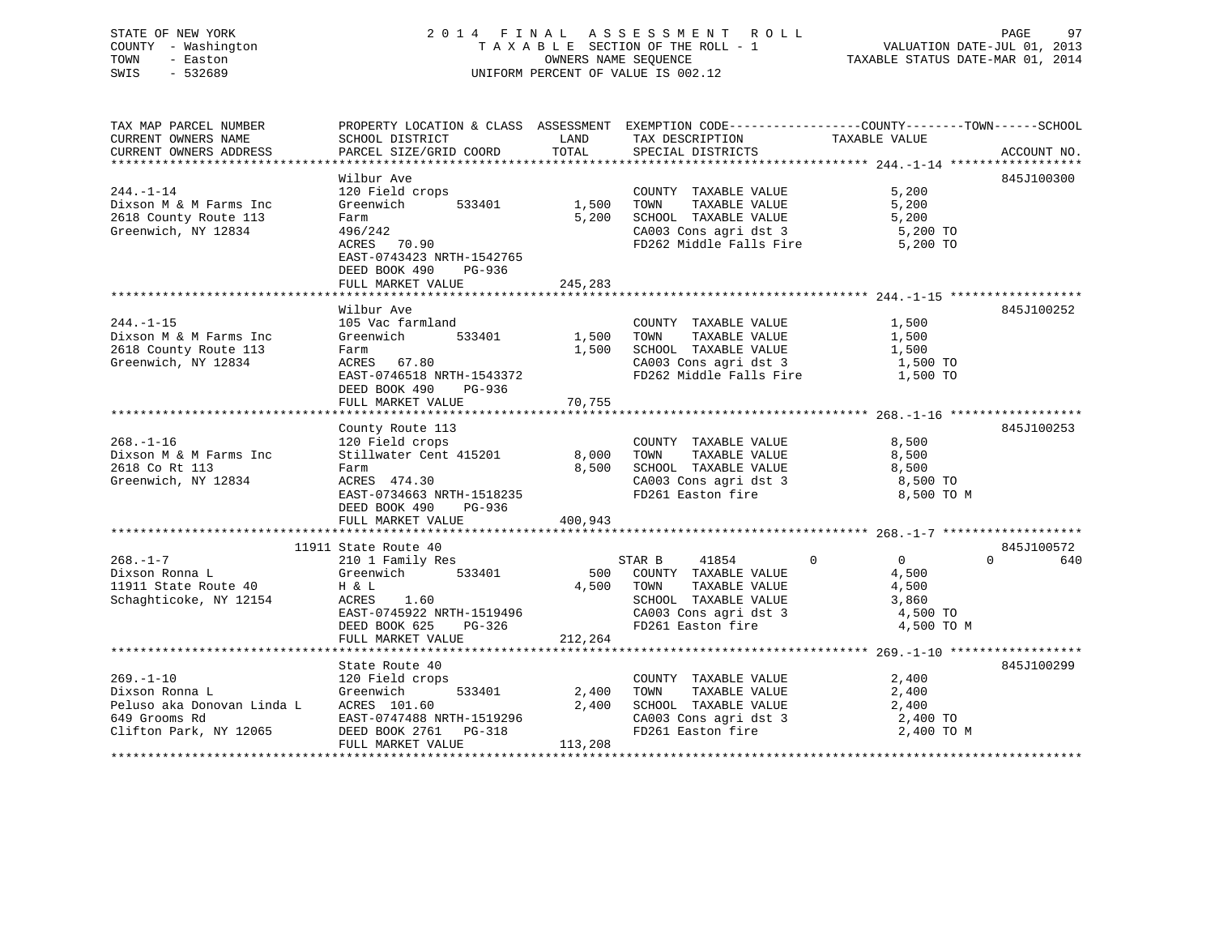#### STATE OF NEW YORK 2014 FINAL ASSESSMENT ROLL PAGE 97 COUNTY - Washington T A X A B L E SECTION OF THE ROLL - 1 TOWN - Easton **CONNERS NAME SEQUENCE** TAXABLE STATUS DATE-MAR 01, 2014 SWIS - 532689 UNIFORM PERCENT OF VALUE IS 002.12

/ PAGE 9<br>VALUATION DATE-JUL 01, 2013

| TAX MAP PARCEL NUMBER                                            |                                                                        |         | PROPERTY LOCATION & CLASS ASSESSMENT EXEMPTION CODE---------------COUNTY-------TOWN-----SCHOOL |                                  |             |
|------------------------------------------------------------------|------------------------------------------------------------------------|---------|------------------------------------------------------------------------------------------------|----------------------------------|-------------|
| CURRENT OWNERS NAME                                              | SCHOOL DISTRICT                                                        | LAND    | TAX DESCRIPTION                                                                                | TAXABLE VALUE                    |             |
| CURRENT OWNERS ADDRESS                                           | PARCEL SIZE/GRID COORD                                                 | TOTAL   | SPECIAL DISTRICTS                                                                              |                                  | ACCOUNT NO. |
|                                                                  | Wilbur Ave                                                             |         |                                                                                                |                                  | 845J100300  |
| $244. -1 - 14$                                                   | 120 Field crops                                                        |         | COUNTY TAXABLE VALUE                                                                           | 5,200                            |             |
| Dixson M & M Farms Inc                                           | 533401<br>Greenwich                                                    | 1,500   | TOWN<br>TAXABLE VALUE                                                                          | 5,200                            |             |
| 2618 County Route 113                                            | Farm                                                                   | 5,200   | SCHOOL TAXABLE VALUE                                                                           | 5,200                            |             |
| Greenwich, NY 12834                                              | 496/242                                                                |         | CA003 Cons agri dst 3                                                                          | 5,200 TO                         |             |
|                                                                  | $430/242$<br>ACRES 70.90                                               |         | FD262 Middle Falls Fire                                                                        | 5,200 TO                         |             |
|                                                                  | EAST-0743423 NRTH-1542765                                              |         |                                                                                                |                                  |             |
|                                                                  | DEED BOOK 490<br>PG-936                                                |         |                                                                                                |                                  |             |
|                                                                  | FULL MARKET VALUE                                                      | 245,283 |                                                                                                |                                  |             |
|                                                                  |                                                                        |         |                                                                                                |                                  |             |
|                                                                  | Wilbur Ave                                                             |         |                                                                                                |                                  | 845J100252  |
| $244. -1 -15$                                                    | 105 Vac farmland                                                       |         | COUNTY TAXABLE VALUE                                                                           | 1,500                            |             |
| Dixson M & M Farms Inc                                           | 533401<br>Greenwich                                                    | 1,500   | TAXABLE VALUE<br>TOWN                                                                          | 1,500                            |             |
| 2618 County Route 113                                            | Farm                                                                   | 1,500   | SCHOOL TAXABLE VALUE 1,500<br>CA003 Cons agri dst 3 1,500 TO                                   |                                  |             |
| Greenwich, NY 12834                                              | ACRES 67.80                                                            |         |                                                                                                |                                  |             |
|                                                                  | EAST-0746518 NRTH-1543372                                              |         | FD262 Middle Falls Fire 1,500 TO                                                               |                                  |             |
|                                                                  | DEED BOOK 490 PG-936                                                   |         |                                                                                                |                                  |             |
|                                                                  | FULL MARKET VALUE                                                      | 70,755  |                                                                                                |                                  |             |
|                                                                  |                                                                        |         |                                                                                                |                                  |             |
|                                                                  | County Route 113                                                       |         |                                                                                                |                                  | 845J100253  |
| $268. - 1 - 16$                                                  | 120 Field crops<br>Stillwater Cent 415201                              |         | COUNTY TAXABLE VALUE                                                                           | 8,500                            |             |
| Dixson M & M Farms Inc                                           |                                                                        | 8,000   | TAXABLE VALUE<br>TOWN                                                                          | 8,500                            |             |
| 2618 Co Rt 113                                                   | Farm                                                                   | 8,500   | SCHOOL TAXABLE VALUE<br>CA003 Cons agri dst 3                                                  | 8,500<br>8,500 TO                |             |
| Greenwich, NY 12834                                              | ACRES 474.30<br>EAST-0734663 NRTH-1518235                              |         | FD261 Easton fire                                                                              | 8,500 TO M                       |             |
|                                                                  | DEED BOOK 490<br>PG-936                                                |         |                                                                                                |                                  |             |
|                                                                  | FULL MARKET VALUE                                                      | 400,943 |                                                                                                |                                  |             |
|                                                                  |                                                                        |         |                                                                                                |                                  |             |
|                                                                  | 11911 State Route 40                                                   |         |                                                                                                |                                  | 845J100572  |
| $268. - 1 - 7$                                                   | 210 1 Family Res                                                       |         | 41854<br>STAR B                                                                                | $\Omega$<br>$\Omega$<br>$\Omega$ | 640         |
| Dixson Ronna L                                                   | Greenwich 533401                                                       |         | 500 COUNTY TAXABLE VALUE                                                                       | 4,500                            |             |
| 11911 State Route 40                                             | H & L                                                                  | 4,500   | TOWN<br>TAXABLE VALUE                                                                          | 4,500                            |             |
| Schaghticoke, NY 12154                                           | ACRES<br>1.60                                                          |         | SCHOOL TAXABLE VALUE                                                                           | 3,860                            |             |
|                                                                  |                                                                        |         |                                                                                                | 4,500 TO                         |             |
|                                                                  | EAST-0745922 NRTH-1519496<br>DEED BOOK 625 PG-326<br>FULL MADEER VALUE |         | CA003 Cons agri dst 3<br>FD261 Easton fire                                                     | 4,500 TO M                       |             |
|                                                                  | FULL MARKET VALUE                                                      | 212,264 |                                                                                                |                                  |             |
|                                                                  |                                                                        |         |                                                                                                |                                  |             |
|                                                                  | State Route 40                                                         |         |                                                                                                |                                  | 845J100299  |
| $269. - 1 - 10$                                                  | 120 Field crops<br>Greenwich                                           |         | COUNTY TAXABLE VALUE                                                                           | 2,400                            |             |
| Dixson Ronna L                                                   | 533401                                                                 | 2,400   | TAXABLE VALUE<br>TOWN                                                                          | 2,400                            |             |
| Peluso aka Donovan Linda L ACRES 101.60                          |                                                                        | 2,400   | SCHOOL TAXABLE VALUE                                                                           | 2,400                            |             |
| 649 Grooms Rd<br>Clifton Park, NY 12065<br>DEED BOOK 2761 PG-318 |                                                                        |         | CA003 Cons agri dst 3                                                                          | 2,400 TO                         |             |
|                                                                  |                                                                        |         | FD261 Easton fire                                                                              | 2,400 TO M                       |             |
|                                                                  | FULL MARKET VALUE                                                      | 113,208 |                                                                                                |                                  |             |
|                                                                  |                                                                        |         |                                                                                                |                                  |             |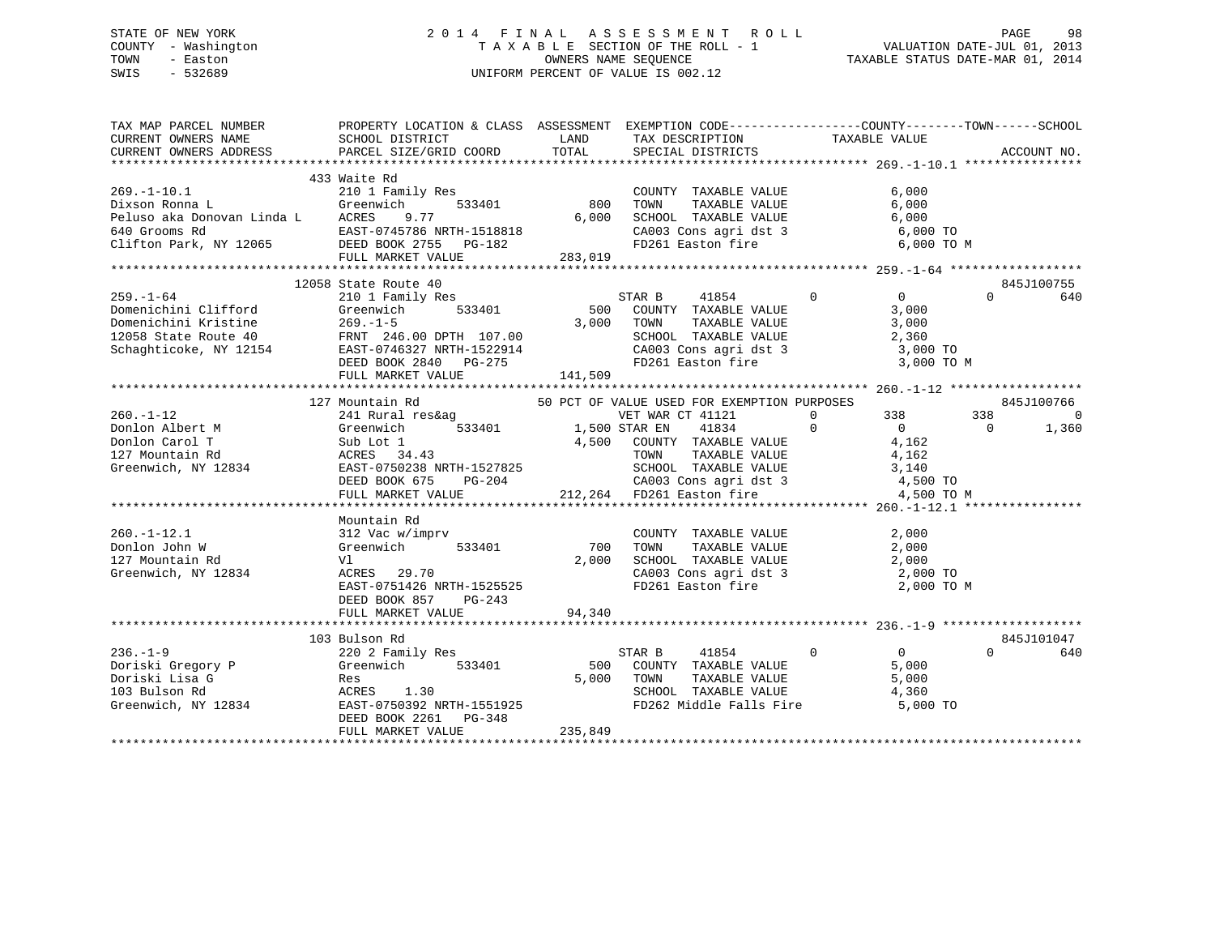### STATE OF NEW YORK 2 0 1 4 F I N A L A S S E S S M E N T R O L L PAGE 98 COUNTY - Washington T A X A B L E SECTION OF THE ROLL - 1 VALUATION DATE-JUL 01, 2013 TOWN - Easton COMPUTERS NAME SEQUENCE TAXABLE STATUS DATE-MAR 01, 2014<br>SWIS - 532689 SWIS - 532689 UNIFORM PERCENT OF VALUE IS 002.12

| TAX MAP PARCEL NUMBER | PROPERTY LOCATION & CLASS ASSESSMENT EXEMPTION CODE-----------------COUNTY-------TOWN------SCHOOL<br>CURRENT OWNERS NAME SCHOOL DISTRICT WE LAND TAX DESCRIPTION TAXABLE VALUE                                                                                                                                                                                                                                                                                                                                                                                                                                                                                                           |                                                                                                                                                                                                                                                                                                                                                                                                                                                                   |                 |
|-----------------------|------------------------------------------------------------------------------------------------------------------------------------------------------------------------------------------------------------------------------------------------------------------------------------------------------------------------------------------------------------------------------------------------------------------------------------------------------------------------------------------------------------------------------------------------------------------------------------------------------------------------------------------------------------------------------------------|-------------------------------------------------------------------------------------------------------------------------------------------------------------------------------------------------------------------------------------------------------------------------------------------------------------------------------------------------------------------------------------------------------------------------------------------------------------------|-----------------|
|                       |                                                                                                                                                                                                                                                                                                                                                                                                                                                                                                                                                                                                                                                                                          |                                                                                                                                                                                                                                                                                                                                                                                                                                                                   |                 |
|                       | 433 Waite Rd                                                                                                                                                                                                                                                                                                                                                                                                                                                                                                                                                                                                                                                                             |                                                                                                                                                                                                                                                                                                                                                                                                                                                                   |                 |
|                       | $269.-1-10.1$<br>$2101$ Family Res<br>Dixson Ronna L<br>$2101$ Family Res<br>$533401$<br>$6,000$ SCHOOI<br>$1100$<br>$1200$<br>$1300$<br>$1500$<br>$16,000$<br>$15000$<br>$15000$<br>$15000$<br>$15000$<br>$15000$<br>$15000$<br>$15000$<br>$15000$<br>$15000$<br>$150$<br>$\begin{tabular}{lcccccc} \texttt{FELUSO} & \texttt{AKA} & \texttt{DDIOVAN} & \texttt{J1} & \texttt{S1} & \texttt{S2} & \texttt{S3} & \texttt{S3} & \texttt{S3} & \texttt{S3} & \texttt{S3} & \texttt{S3} & \texttt{S3} & \texttt{S3} & \texttt{S3} & \texttt{S3} & \texttt{S3} & \texttt{S3} & \texttt{S3} & \texttt{S3} & \texttt{S3} & \texttt{S3} & \texttt{S3} & \texttt{S3} & \texttt{S3} & \texttt{S3$ | COUNTY TAXABLE VALUE 6,000                                                                                                                                                                                                                                                                                                                                                                                                                                        |                 |
|                       | 12058 State Route 40                                                                                                                                                                                                                                                                                                                                                                                                                                                                                                                                                                                                                                                                     |                                                                                                                                                                                                                                                                                                                                                                                                                                                                   | 845J100755      |
|                       |                                                                                                                                                                                                                                                                                                                                                                                                                                                                                                                                                                                                                                                                                          |                                                                                                                                                                                                                                                                                                                                                                                                                                                                   | $\Omega$<br>640 |
|                       | 127 Mountain Rd 60 SO PCT OF VALUE USED FOR EXEMPTION PURPOSES                                                                                                                                                                                                                                                                                                                                                                                                                                                                                                                                                                                                                           |                                                                                                                                                                                                                                                                                                                                                                                                                                                                   | 845J100766      |
|                       | $\begin{tabular}{c c c c c c} \multicolumn{1}{c c c c} \multicolumn{1}{c c c} \multicolumn{1}{c c c} \multicolumn{1}{c c c} \multicolumn{1}{c c c} \multicolumn{1}{c c c} \multicolumn{1}{c c c} \multicolumn{1}{c c c} \multicolumn{1}{c c c} \multicolumn{1}{c c c} \multicolumn{1}{c c c} \multicolumn{1}{c c c} \multicolumn{1}{c c c} \multicolumn{1}{c c c} \multicolumn{1}{c c c} \multicolumn{$                                                                                                                                                                                                                                                                                  |                                                                                                                                                                                                                                                                                                                                                                                                                                                                   |                 |
|                       | Mountain Rd<br>Nountain Rd Mountain Rd 260.-1-12.1 Mountain Rd 27 Mountain Rd 27 Mountain Rd 27 Mountain Rd 27 Mountain Rd 27 Mountain Rd 27 Mountain Rd 27 Mountain Rd 27 Mountain Rd 27 Mountain Rd 27 Mountain Rd 27 Mountain Rd 27 Mounta<br>DEED BOOK 857 PG-243                                                                                                                                                                                                                                                                                                                                                                                                                    | CA003 Cons agri dst 3 2,000 TO<br>FD261 Easton fire 2,000 TO M                                                                                                                                                                                                                                                                                                                                                                                                    |                 |
|                       |                                                                                                                                                                                                                                                                                                                                                                                                                                                                                                                                                                                                                                                                                          |                                                                                                                                                                                                                                                                                                                                                                                                                                                                   | 845J101047      |
|                       | 103 Bulson Rd<br>236.-1-9 103 Bulson Rd<br>220 2 Family Res<br>220 2 Family Res<br>220 2 Family Res<br>230 2 Family Res<br>236.-1-9 5,000<br>236.-1-9 5,000<br>236.-1-9 5,000<br>236.-1-9 5,000<br>236.49<br>236.41 5,000<br>236.41 5,000<br>236.41 5,00                                                                                                                                                                                                                                                                                                                                                                                                                                 | $\begin{tabular}{lcccc} \multicolumn{2}{c}{\text{STAR B}} & & & 41854 & & 0 & & 0 \\ \multicolumn{2}{c}{\text{500}} & \multicolumn{2}{c}{\text{COUNTY}} & \multicolumn{2}{c}{\text{TAXABLE VALUE}} & & 5,000 \\ \multicolumn{2}{c}{\text{5,000}} & \multicolumn{2}{c}{\text{TOWny}} & \multicolumn{2}{c}{\text{TAXABLE VALUE}} & & 5,000 \\ \multicolumn{2}{c}{\text{5,000}} & \multicolumn{2}{c}{\text{SCHOOL}} & \multicolumn{2}{c}{\text{TAXARLE VALUE}} & & $ | $\Omega$<br>640 |
|                       |                                                                                                                                                                                                                                                                                                                                                                                                                                                                                                                                                                                                                                                                                          |                                                                                                                                                                                                                                                                                                                                                                                                                                                                   |                 |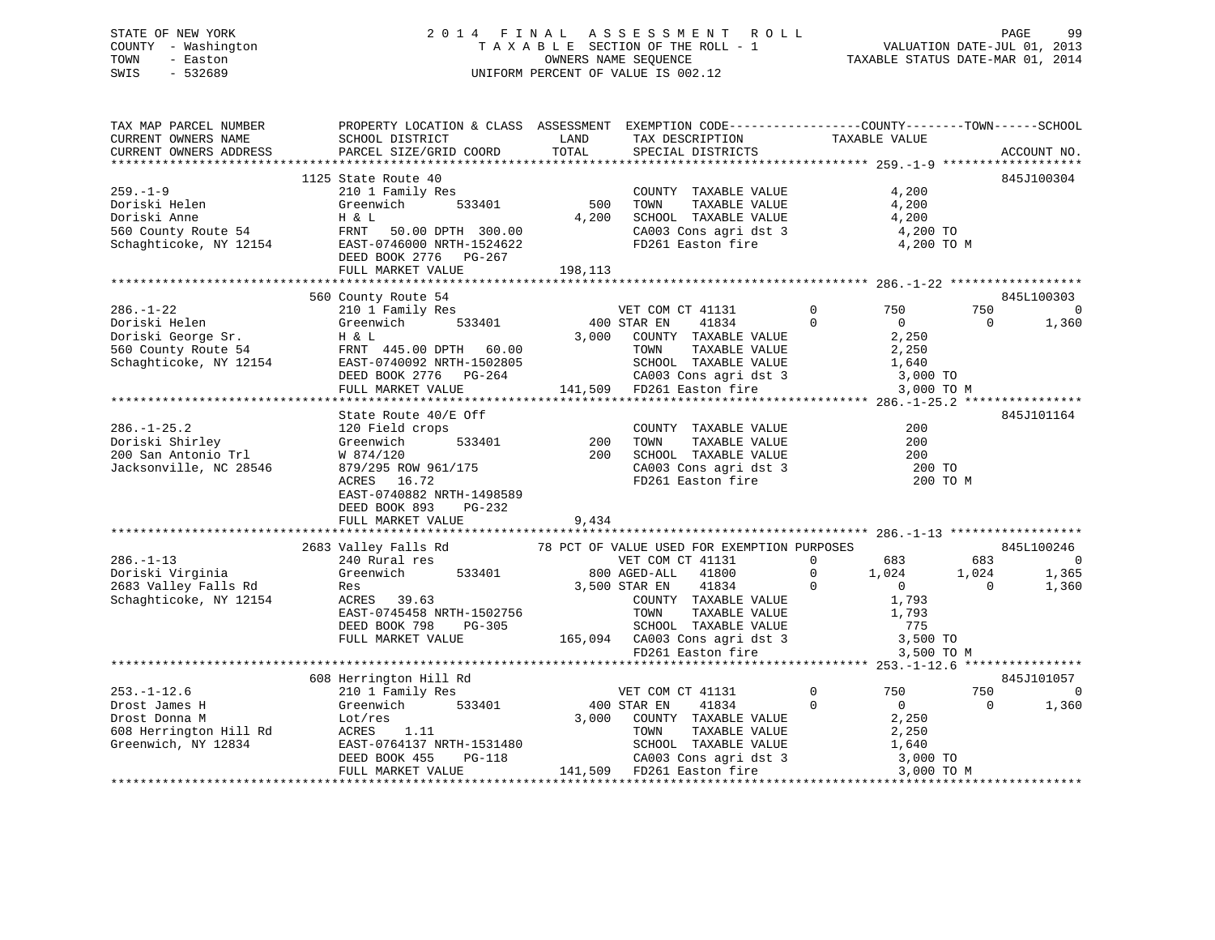### STATE OF NEW YORK 2 0 1 4 F I N A L A S S E S S M E N T R O L L PAGE 99 COUNTY - Washington T A X A B L E SECTION OF THE ROLL - 1 VALUATION DATE-JUL 01, 2013 TOWN - Easton **CONNERS NAME SEQUENCE** TAXABLE STATUS DATE-MAR 01, 2014 SWIS - 532689 UNIFORM PERCENT OF VALUE IS 002.12

| TAX MAP PARCEL NUMBER<br>CURRENT OWNERS NAME<br>CURRENT OWNERS ADDRESS                                                                                                                                                                                                                                                                                                           | PROPERTY LOCATION & CLASS ASSESSMENT EXEMPTION CODE----------------COUNTY-------TOWN------SCHOOL<br>SCHOOL DISTRICT<br>PARCEL SIZE/GRID COORD                                                                                                                                                 | LAND<br>TOTAL              | TAX DESCRIPTION<br>SPECIAL DISTRICTS                                                                                                                                | TAXABLE VALUE                                | ACCOUNT NO.                                                        |
|----------------------------------------------------------------------------------------------------------------------------------------------------------------------------------------------------------------------------------------------------------------------------------------------------------------------------------------------------------------------------------|-----------------------------------------------------------------------------------------------------------------------------------------------------------------------------------------------------------------------------------------------------------------------------------------------|----------------------------|---------------------------------------------------------------------------------------------------------------------------------------------------------------------|----------------------------------------------|--------------------------------------------------------------------|
|                                                                                                                                                                                                                                                                                                                                                                                  |                                                                                                                                                                                                                                                                                               |                            |                                                                                                                                                                     |                                              |                                                                    |
| $259. - 1 - 9$<br>Doriski Helen<br>Doriski Anne H & L<br>560 County Route 54 FRNT 50.00 DPTH 300.00<br>Schaghticoke, NY 12154 EAST-0746000 NRTH-1524622<br>FRNT 50.00 NRTH-1524622<br>FRNT 50.00 NRTH-1524622                                                                                                                                                                    | 1125 State Route 40<br>210 1 Family Res<br>Greenwich 533401<br>DEED BOOK 2776 PG-267<br>FULL MARKET VALUE                                                                                                                                                                                     | 500<br>4,200<br>198,113    | COUNTY TAXABLE VALUE<br>TOWN<br>TAXABLE VALUE<br>TOWN TAXABLE VALUE 1,200<br>CA003 Cons agri dst 3<br>FD261 Easton fire                                             | 4,200<br>4,200<br>4,200 TO<br>4,200 TO M     | 845J100304                                                         |
|                                                                                                                                                                                                                                                                                                                                                                                  |                                                                                                                                                                                                                                                                                               |                            |                                                                                                                                                                     |                                              |                                                                    |
| $\begin{tabular}{lllllllllllllllllllll} \textbf{286.}--1-22 & \textbf{210111} & \textbf{33401} & \textbf{400} & \textbf{5101} & \textbf{521} & \textbf{533401} & \textbf{533401} & \textbf{540} & \textbf{5540} & \textbf{560} & \textbf{160} & \textbf{160} & \textbf{160} & \textbf{160} & \textbf{160} & \textbf{160} & \textbf{160} & \textbf{160} & \textbf{160} & \textbf$ | 560 County Route 54<br>210 1 Family Res<br>Greenwich 533401 400 STAR EN<br>3 000 COUNTY                                                                                                                                                                                                       |                            |                                                                                                                                                                     | 3,000 TO M                                   | 845L100303<br>750 750<br>$\overline{0}$<br>$\overline{0}$<br>1,360 |
|                                                                                                                                                                                                                                                                                                                                                                                  | State Route 40/E Off                                                                                                                                                                                                                                                                          |                            |                                                                                                                                                                     |                                              | 845J101164                                                         |
| $286. - 1 - 25.2$<br>200.-1-23.2<br>200 San Antonio Trl (379-4/120)<br>200 San Antonio Trl (38546)<br>200 San Antonio Trl (38546)<br>279/295 ROW 961/175                                                                                                                                                                                                                         | 120 Field crops<br>ACRES 16.72<br>EAST-0740882 NRTH-1498589<br>DEED BOOK 893 PG-232<br>FULL MARKET VALUE                                                                                                                                                                                      | 533401 200<br>200<br>9,434 | COUNTY TAXABLE VALUE<br>TOWN TAXABLE VALUE<br>SCHOOL TAXABLE VALUE 200<br>CA003 Cons agri dst 3 200 TO<br>FD261 Easton fire 200 TO M                                | 200<br>200                                   |                                                                    |
|                                                                                                                                                                                                                                                                                                                                                                                  |                                                                                                                                                                                                                                                                                               |                            |                                                                                                                                                                     |                                              | 845L100246                                                         |
| $286. - 1 - 13$<br>Doriski Virginia<br>2683 Valley Falls Rd<br>Schaghticoke, NY 12154                                                                                                                                                                                                                                                                                            | 2683 Valley Falls Rd 78 PCT OF VALUE USED FOR EXEMPTION PURPOSES<br>240 Rural res<br>Greenwich<br>Res<br>ACRES 39.63<br>EAST-0745458 NRTH-1502756<br>DEED BOOK 798 PG-305<br>FULL MARKET VALUE 165,094 CA003 Consagridst 3 3,500 TO<br>FULL MARKET VALUE 165,094 CA003 Consagridst 3 3,500 TO |                            | VET COM CT 41131 0 683 683                                                                                                                                          | 3,500 TO M                                   | $\overline{0}$<br>1,365<br>1,360                                   |
|                                                                                                                                                                                                                                                                                                                                                                                  |                                                                                                                                                                                                                                                                                               |                            |                                                                                                                                                                     |                                              |                                                                    |
|                                                                                                                                                                                                                                                                                                                                                                                  | 608 Herrington Hill Rd                                                                                                                                                                                                                                                                        |                            |                                                                                                                                                                     |                                              | 845J101057                                                         |
| 253.-1-12.6<br>Drost James H<br>Drost Donna M<br>608 Herrington Hill Rd<br>Greenwich, NY 12834                                                                                                                                                                                                                                                                                   | 210 1 Family Res<br>Greenwich 533401 400 STAR EN 41834<br>Lot/res<br>ACRES<br>ACRES<br>2011.11 533401 3,000 COUNTY TAXABLE VALUE<br>ACRES<br>2011.11 TOWN TAXABLE VALUE<br>EAST-0764137 NRTH-1531480<br>DEED BOOK 455 PG-118<br>FULL MARKET VALUE                                             |                            | 3,000 COUNTY TAXABLE VALUE 2,250<br>TAXABLE VALUE<br>531480<br>-118 CA003 Cons agri dst 3 1,640<br>141,509 FD261 Easton fire 3 3,000 TO 141,509 FD261 Easton fire 3 | 0 750<br>$\Omega$<br>$\overline{0}$<br>2,250 | 750<br>$\Omega$<br>$\overline{0}$<br>1,360                         |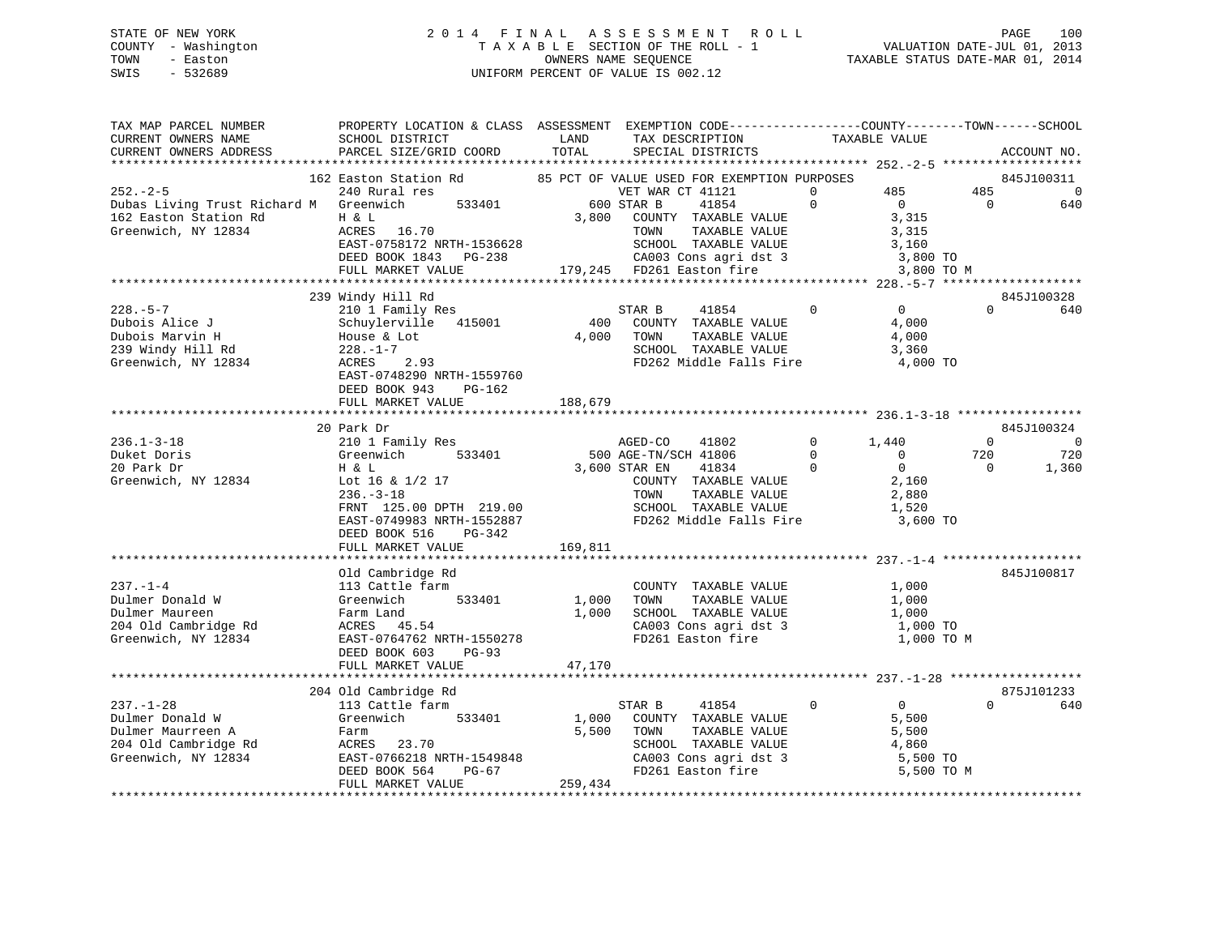### STATE OF NEW YORK 2 0 1 4 F I N A L A S S E S S M E N T R O L L PAGE 100 COUNTY - Washington T A X A B L E SECTION OF THE ROLL - 1 VALUATION DATE-JUL 01, 2013 TOWN - Easton OWNERS NAME SEQUENCE TAXABLE STATUS DATE-MAR 01, 2014 SWIS - 532689 UNIFORM PERCENT OF VALUE IS 002.12

| TAX MAP PARCEL NUMBER<br>CURRENT OWNERS NAME                                                                              | PROPERTY LOCATION & CLASS ASSESSMENT EXEMPTION CODE----------------COUNTY-------TOWN------SCHOOL<br>SCHOOL DISTRICT                                                            | LAND       | TAX DESCRIPTION                                                          | TAXABLE VALUE                    |                       |                        |
|---------------------------------------------------------------------------------------------------------------------------|--------------------------------------------------------------------------------------------------------------------------------------------------------------------------------|------------|--------------------------------------------------------------------------|----------------------------------|-----------------------|------------------------|
| CURRENT OWNERS ADDRESS                                                                                                    | PARCEL SIZE/GRID COORD                                                                                                                                                         | TOTAL      | SPECIAL DISTRICTS                                                        |                                  |                       | ACCOUNT NO.            |
|                                                                                                                           |                                                                                                                                                                                |            |                                                                          |                                  |                       |                        |
|                                                                                                                           | 162 Easton Station Rd 65 PCT OF VALUE USED FOR EXEMPTION PURPOSES                                                                                                              |            |                                                                          | 485<br>$\Omega$                  |                       | 845J100311<br>$\Omega$ |
| 232.-2-5 VET WARREL 240 Rural res<br>Dubas Living Trust Richard M Greenwich 533401 600 STAR B                             |                                                                                                                                                                                |            | VET WAR CT 41121                                                         | $\Omega$<br>$\overline{0}$       | 485<br>$\overline{0}$ |                        |
| 162 Easton Station Rd                                                                                                     |                                                                                                                                                                                | 3,800      | 41854                                                                    | 3,315                            |                       | 640                    |
| Greenwich, NY 12834                                                                                                       | H & L<br>ACRES 16.70                                                                                                                                                           |            | COUNTY TAXABLE VALUE<br>TOWN<br>TAXABLE VALUE                            | 3,315                            |                       |                        |
|                                                                                                                           |                                                                                                                                                                                |            |                                                                          | 3,160                            |                       |                        |
|                                                                                                                           |                                                                                                                                                                                |            | SCHOOL TAXABLE VALUE 3,160<br>CA003 Cons agri dst 3 3,800 TO             |                                  |                       |                        |
|                                                                                                                           | ACRES 16.70 TOWN TAXABLE VALUE<br>EAST-0758172 NRTH-1536628 SCHOOL TAXABLE VALUE<br>DEED BOOK 1843 PG-238 CA003 Cons agri dst 3<br>FULL MARKET VALUE 179,245 FD261 Easton fire |            |                                                                          | 3,800 TO M                       |                       |                        |
|                                                                                                                           |                                                                                                                                                                                |            |                                                                          |                                  |                       |                        |
|                                                                                                                           | 239 Windy Hill Rd                                                                                                                                                              |            |                                                                          |                                  |                       | 845J100328             |
| $228. - 5 - 7$                                                                                                            | 210 1 Family Res                                                                                                                                                               |            | $\overline{0}$<br>STAR B<br>41854                                        | $\overline{0}$                   | $\Omega$              | 640                    |
| Dubois Alice J                                                                                                            | Schuylerville 415001                                                                                                                                                           |            | 400 COUNTY TAXABLE VALUE                                                 | 4,000                            |                       |                        |
|                                                                                                                           |                                                                                                                                                                                | 4,000 TOWN |                                                                          | 4,000                            |                       |                        |
|                                                                                                                           |                                                                                                                                                                                |            | TOWN      TAXABLE VALUE<br>SCHOOL   TAXABLE VALUE                        | 3,360                            |                       |                        |
| Dubois Alice J<br>Dubois Marvin H<br>Dubois Marvin H<br>239 Windy Hill Rd<br>228.-1-7<br>Greenwich, NY 12834<br>ACRES 2.9 | House & Lot<br>228.-1-7<br>ACRES 2.93                                                                                                                                          |            | FD262 Middle Falls Fire 4,000 TO                                         |                                  |                       |                        |
|                                                                                                                           | EAST-0748290 NRTH-1559760                                                                                                                                                      |            |                                                                          |                                  |                       |                        |
|                                                                                                                           | DEED BOOK 943 PG-162                                                                                                                                                           |            |                                                                          |                                  |                       |                        |
|                                                                                                                           | FULL MARKET VALUE                                                                                                                                                              | 188,679    |                                                                          |                                  |                       |                        |
|                                                                                                                           |                                                                                                                                                                                |            |                                                                          |                                  |                       |                        |
|                                                                                                                           | and DT<br>210 1 Family Res<br>Greenwich                                                                                                                                        |            |                                                                          |                                  |                       | 845J100324             |
| $236.1 - 3 - 18$                                                                                                          |                                                                                                                                                                                |            | 41802<br>AGED-CO                                                         | $0 \t 1.440$                     | $\Omega$              | $\Omega$               |
| Duket Doris                                                                                                               | Greenwich 533401                                                                                                                                                               |            | 500 AGE-TN/SCH 41806                                                     | $\overline{0}$<br>$\overline{0}$ | 720                   | 720                    |
| 20 Park Dr                                                                                                                | Η & L                                                                                                                                                                          |            | $41834$ 0<br>3,600 STAR EN                                               | $\overline{0}$                   | $\overline{0}$        | 1,360                  |
| Greenwich, NY 12834                                                                                                       | Lot 16 & 1/2 17                                                                                                                                                                |            | COUNTY TAXABLE VALUE<br>TOWN     TAXABLE VALUE                           | 2,160                            |                       |                        |
|                                                                                                                           | $236. - 3 - 18$                                                                                                                                                                |            |                                                                          | 2,880                            |                       |                        |
|                                                                                                                           | FRNT 125.00 DPTH 219.00                                                                                                                                                        |            | SCHOOL TAXABLE VALUE                                                     | 1,520                            |                       |                        |
|                                                                                                                           | EAST-0749983 NRTH-1552887                                                                                                                                                      |            | FD262 Middle Falls Fire 3,600 TO                                         |                                  |                       |                        |
|                                                                                                                           | DEED BOOK 516 PG-342                                                                                                                                                           |            |                                                                          |                                  |                       |                        |
|                                                                                                                           | FULL MARKET VALUE                                                                                                                                                              | 169,811    |                                                                          |                                  |                       |                        |
|                                                                                                                           |                                                                                                                                                                                |            |                                                                          |                                  |                       |                        |
|                                                                                                                           | Old Cambridge Rd                                                                                                                                                               |            |                                                                          |                                  |                       | 845J100817             |
| $237. - 1 - 4$                                                                                                            | 113 Cattle farm                                                                                                                                                                |            | COUNTY TAXABLE VALUE                                                     | 1,000                            |                       |                        |
| Dulmer Donald W                                                                                                           | 533401<br>Greenwich                                                                                                                                                            | 1,000      | TAXABLE VALUE<br>TOWN                                                    | 1,000                            |                       |                        |
| Dulmer Maureen                                                                                                            | Farm Land<br>ACRES    45.54                                                                                                                                                    |            | 1,000 SCHOOL TAXABLE VALUE                                               | 1,000                            |                       |                        |
| 204 Old Cambridge Rd                                                                                                      |                                                                                                                                                                                |            | CA003 Cons agri dst 3 1,000 TO<br>FD261 Easton fire 1,000 TO M           |                                  |                       |                        |
| Greenwich, NY 12834                                                                                                       | EAST-0764762 NRTH-1550278                                                                                                                                                      |            |                                                                          |                                  |                       |                        |
|                                                                                                                           | DEED BOOK 603<br><b>PG-93</b>                                                                                                                                                  | 47,170     |                                                                          |                                  |                       |                        |
|                                                                                                                           | FULL MARKET VALUE                                                                                                                                                              |            |                                                                          |                                  |                       |                        |
|                                                                                                                           | 204 Old Cambridge Rd                                                                                                                                                           |            |                                                                          |                                  |                       | 875J101233             |
| $237. - 1 - 28$                                                                                                           | 113 Cattle farm                                                                                                                                                                |            | STAR B 41854                                                             | $\overline{0}$<br>$\overline{0}$ | $\Omega$              | 640                    |
| Dulmer Donald W                                                                                                           | Greenwich 533401                                                                                                                                                               |            | 1,000 COUNTY TAXABLE VALUE                                               | 5,500                            |                       |                        |
| Dulmer Maurreen A                                                                                                         | Farm                                                                                                                                                                           |            | TAXABLE VALUE<br>5,500 TOWN                                              | 5,500                            |                       |                        |
| 204 Old Cambridge Rd                                                                                                      | ACRES 23.70                                                                                                                                                                    |            | SCHOOL TAXABLE VALUE 4,860<br>CA003 Cons agri dst 3 5,500 TO<br>5,500 TO |                                  |                       |                        |
| Greenwich, NY 12834                                                                                                       | EAST-0766218 NRTH-1549848<br>DEED BOOK 564 PG-67                                                                                                                               |            |                                                                          |                                  |                       |                        |
|                                                                                                                           |                                                                                                                                                                                |            | FD261 Easton fire                                                        | 5,500 TO M                       |                       |                        |
|                                                                                                                           | FULL MARKET VALUE                                                                                                                                                              | 259,434    |                                                                          |                                  |                       |                        |
|                                                                                                                           |                                                                                                                                                                                |            |                                                                          |                                  |                       |                        |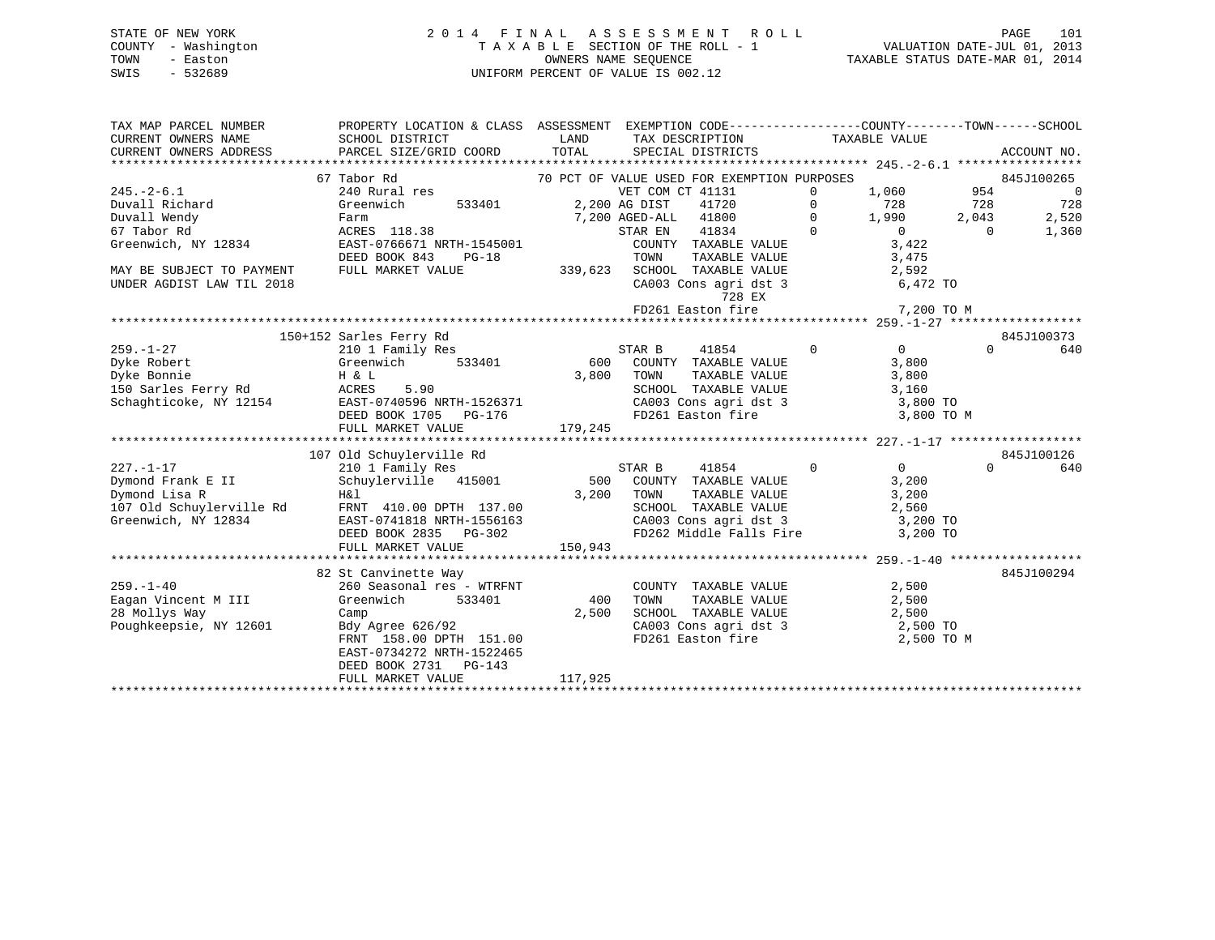### STATE OF NEW YORK 2 0 1 4 F I N A L A S S E S S M E N T R O L L PAGE 101 COUNTY - Washington T A X A B L E SECTION OF THE ROLL - 1 VALUATION DATE-JUL 01, 2013 TOWN - Easton OWNERS NAME SEQUENCE TAXABLE STATUS DATE-MAR 01, 2014 SWIS - 532689 UNIFORM PERCENT OF VALUE IS 002.12

| TAX MAP PARCEL NUMBER<br>CURRENT OWNERS NAME<br>CURRENT OWNERS ADDRESS | PROPERTY LOCATION & CLASS ASSESSMENT EXEMPTION CODE----------------COUNTY-------TOWN------SCHOOL<br>SCHOOL DISTRICT<br>PARCEL SIZE/GRID COORD | LAND<br>TOTAL | TAX DESCRIPTION<br>SPECIAL DISTRICTS                   |               | TAXABLE VALUE  |              | ACCOUNT NO.              |
|------------------------------------------------------------------------|-----------------------------------------------------------------------------------------------------------------------------------------------|---------------|--------------------------------------------------------|---------------|----------------|--------------|--------------------------|
|                                                                        | 67 Tabor Rd                                                                                                                                   |               | 70 PCT OF VALUE USED FOR EXEMPTION PURPOSES            |               |                |              | 845J100265               |
| $245. - 2 - 6.1$                                                       | 240 Rural res                                                                                                                                 |               | VET COM CT 41131                                       | $\Omega$      |                | 954          | $\overline{\phantom{0}}$ |
|                                                                        |                                                                                                                                               |               |                                                        | $\Omega$      | 1,060          |              |                          |
| Duvall Richard<br>Duvall Wendy                                         | 533401<br>Greenwich                                                                                                                           |               | 2,200 AG DIST<br>41720<br>7,200 AGED-ALL 41800         |               | 728<br>1,990   | 728<br>2,043 | 728<br>2,520             |
| 67 Tabor Rd                                                            | Farm<br>ACRES 118.38                                                                                                                          |               | STAR EN<br>41834                                       | 0<br>$\Omega$ | $\Omega$       | $\Omega$     |                          |
| Greenwich, NY 12834                                                    |                                                                                                                                               |               |                                                        |               | 3,422          |              | 1,360                    |
|                                                                        | EAST-0766671 NRTH-1545001                                                                                                                     |               | COUNTY TAXABLE VALUE                                   |               |                |              |                          |
|                                                                        | DEED BOOK 843<br>$PG-18$                                                                                                                      |               | TOWN<br>TAXABLE VALUE                                  |               | 3,475          |              |                          |
| MAY BE SUBJECT TO PAYMENT                                              | FULL MARKET VALUE                                                                                                                             |               | 339,623 SCHOOL TAXABLE VALUE                           |               | 2,592          |              |                          |
| UNDER AGDIST LAW TIL 2018                                              |                                                                                                                                               |               | CA003 Cons agri dst 3                                  |               | 6,472 TO       |              |                          |
|                                                                        |                                                                                                                                               |               | 728 EX                                                 |               |                |              |                          |
|                                                                        |                                                                                                                                               |               | FD261 Easton fire                                      |               | 7,200 TO M     |              |                          |
|                                                                        |                                                                                                                                               |               |                                                        |               |                |              |                          |
| $259. - 1 - 27$                                                        | 150+152 Sarles Ferry Rd                                                                                                                       |               |                                                        | $\mathbf 0$   | $\overline{0}$ | $\Omega$     | 845J100373<br>640        |
|                                                                        | 210 1 Family Res                                                                                                                              |               | STAR B<br>41854                                        |               |                |              |                          |
| Dyke Robert                                                            | 533401<br>Greenwich                                                                                                                           |               | 600 COUNTY TAXABLE VALUE                               |               | 3,800          |              |                          |
| Dyke Bonnie                                                            | H & L                                                                                                                                         | 3,800         | TOWN<br>TAXABLE VALUE                                  |               | 3,800          |              |                          |
| 150 Sarles Ferry Rd                                                    | ACRES<br>5.90                                                                                                                                 |               | SCHOOL TAXABLE VALUE                                   |               | 3,160          |              |                          |
| Schaghticoke, NY 12154                                                 | EAST-0740596 NRTH-1526371                                                                                                                     |               | CA003 Cons agri dst 3                                  |               | 3,800 TO       |              |                          |
|                                                                        | DEED BOOK 1705<br>PG-176                                                                                                                      |               | FD261 Easton fire                                      |               | 3,800 TO M     |              |                          |
|                                                                        | FULL MARKET VALUE                                                                                                                             | 179,245       |                                                        |               |                |              |                          |
|                                                                        |                                                                                                                                               |               |                                                        |               |                |              | 845J100126               |
|                                                                        | 107 Old Schuylerville Rd                                                                                                                      |               | STAR B<br>41854                                        | $\Omega$      | $\overline{0}$ | $\Omega$     |                          |
| $227. - 1 - 17$                                                        | 210 1 Family Res                                                                                                                              |               |                                                        |               |                |              | 640                      |
| Dymond Frank E II                                                      | Schuylerville 415001                                                                                                                          |               | 500 COUNTY TAXABLE VALUE                               |               | 3,200          |              |                          |
| Dymond Lisa R                                                          | Η&l                                                                                                                                           | 3,200         | TOWN<br>TAXABLE VALUE                                  |               | 3,200          |              |                          |
| 107 Old Schuylerville Rd                                               | FRNT 410.00 DPTH 137.00                                                                                                                       |               | SCHOOL TAXABLE VALUE                                   |               | 2,560          |              |                          |
| Greenwich, NY 12834                                                    | EAST-0741818 NRTH-1556163                                                                                                                     |               | CA003 Cons agri dst 3                                  |               | 3,200 TO       |              |                          |
|                                                                        | DEED BOOK 2835 PG-302                                                                                                                         |               | FD262 Middle Falls Fire                                |               | 3,200 TO       |              |                          |
|                                                                        | FULL MARKET VALUE                                                                                                                             | 150,943       |                                                        |               |                |              |                          |
|                                                                        |                                                                                                                                               |               |                                                        |               |                |              |                          |
|                                                                        | 82 St Canvinette Way                                                                                                                          |               |                                                        |               |                |              | 845J100294               |
| $259. - 1 - 40$                                                        | 260 Seasonal res - WTRFNT                                                                                                                     |               | COUNTY TAXABLE VALUE                                   |               | 2,500          |              |                          |
| Eagan Vincent M III                                                    | Greenwich<br>533401                                                                                                                           | 400           | TAXABLE VALUE<br>TOWN                                  |               | 2,500          |              |                          |
| 28 Mollys Way                                                          | Camp                                                                                                                                          | 2,500         | SCHOOL TAXABLE VALUE<br>CA003 Cons agri dst 3 2,500 TO |               | 2,500          |              |                          |
| Poughkeepsie, NY 12601                                                 | Bdy Agree 626/92                                                                                                                              |               |                                                        |               |                |              |                          |
|                                                                        | FRNT 158.00 DPTH 151.00                                                                                                                       |               | FD261 Easton fire                                      |               | 2,500 TO M     |              |                          |
|                                                                        | EAST-0734272 NRTH-1522465                                                                                                                     |               |                                                        |               |                |              |                          |
|                                                                        | DEED BOOK 2731 PG-143                                                                                                                         |               |                                                        |               |                |              |                          |
|                                                                        | FULL MARKET VALUE                                                                                                                             | 117,925       |                                                        |               |                |              |                          |
|                                                                        |                                                                                                                                               |               |                                                        |               |                |              |                          |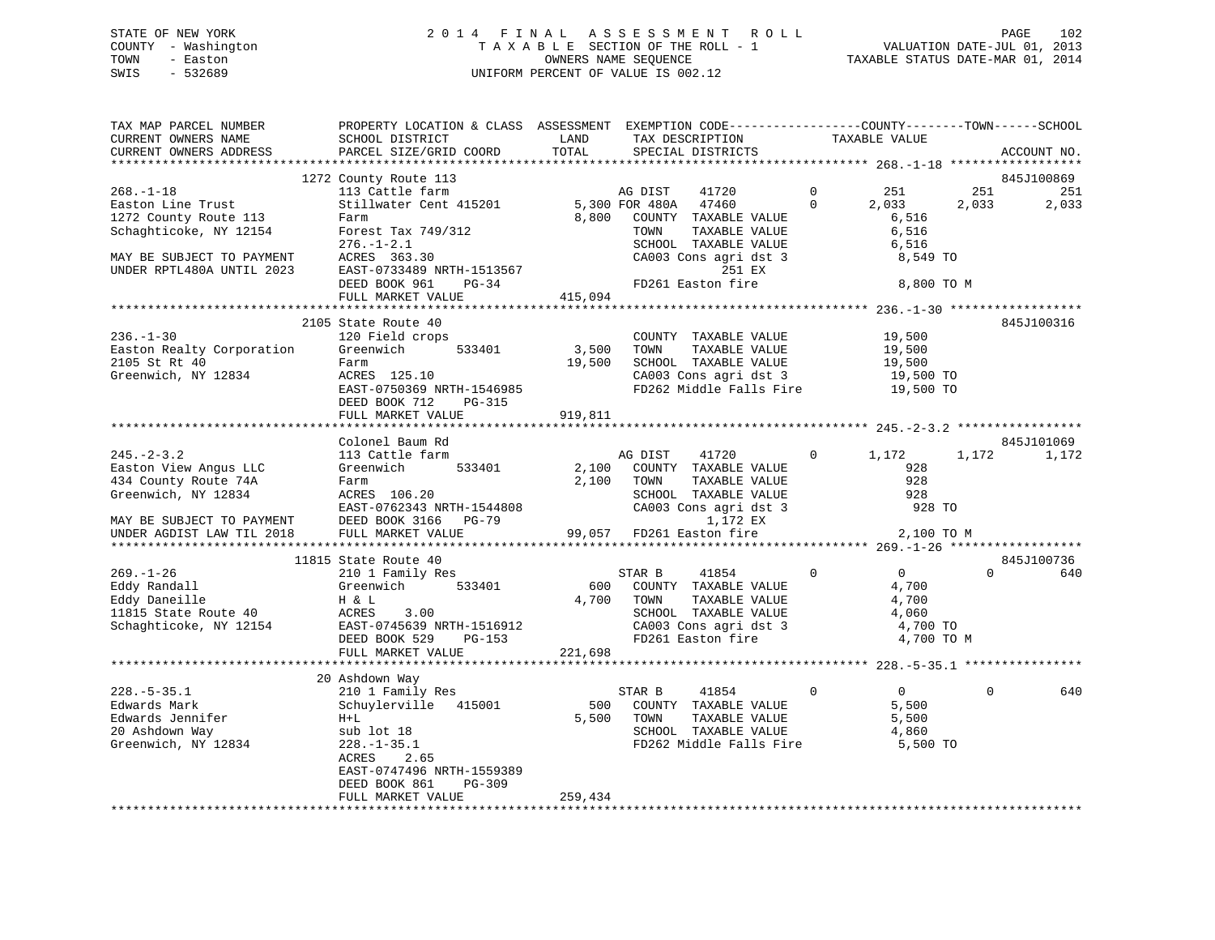### STATE OF NEW YORK 2 0 1 4 F I N A L A S S E S S M E N T R O L L PAGE 102 COUNTY - Washington T A X A B L E SECTION OF THE ROLL - 1 VALUATION DATE-JUL 01, 2013 TOWN - Easton OWNERS NAME SEQUENCE TAXABLE STATUS DATE-MAR 01, 2014 SWIS - 532689 UNIFORM PERCENT OF VALUE IS 002.12

| TAX MAP PARCEL NUMBER<br>CURRENT OWNERS NAME                                                                          | PROPERTY LOCATION & CLASS ASSESSMENT EXEMPTION CODE---------------COUNTY-------TOWN------SCHOOL<br>SCHOOL DISTRICT                                                     | LAND            | TAX DESCRIPTION                                                                                                                                                                |                          | TAXABLE VALUE                                                       |              |              |
|-----------------------------------------------------------------------------------------------------------------------|------------------------------------------------------------------------------------------------------------------------------------------------------------------------|-----------------|--------------------------------------------------------------------------------------------------------------------------------------------------------------------------------|--------------------------|---------------------------------------------------------------------|--------------|--------------|
| CURRENT OWNERS ADDRESS<br>*************************                                                                   | PARCEL SIZE/GRID COORD                                                                                                                                                 | TOTAL           | SPECIAL DISTRICTS                                                                                                                                                              |                          |                                                                     |              | ACCOUNT NO.  |
|                                                                                                                       | 1272 County Route 113                                                                                                                                                  |                 |                                                                                                                                                                                |                          |                                                                     |              | 845J100869   |
| $268. - 1 - 18$<br>Easton Line Trust<br>1272 County Route 113<br>Schaghticoke, NY 12154                               | 113 Cattle farm<br>Stillwater Cent 415201<br>Farm<br>Forest Tax 749/312<br>$276. - 1 - 2.1$                                                                            | 8,800           | AG DIST<br>41720<br>5,300 FOR 480A 47460<br>COUNTY TAXABLE VALUE<br>TOWN<br>TAXABLE VALUE<br>SCHOOL TAXABLE VALUE                                                              | $\mathbf{0}$<br>$\Omega$ | 251<br>2,033<br>6,516<br>6,516<br>6,516                             | 251<br>2,033 | 251<br>2,033 |
| MAY BE SUBJECT TO PAYMENT<br>UNDER RPTL480A UNTIL 2023                                                                | ACRES 363.30<br>EAST-0733489 NRTH-1513567<br>DEED BOOK 961<br>$PG-34$                                                                                                  |                 | CA003 Cons agri dst 3<br>251 EX<br>FD261 Easton fire                                                                                                                           |                          | 8,549 TO<br>8,800 TO M                                              |              |              |
|                                                                                                                       | FULL MARKET VALUE                                                                                                                                                      | 415,094         |                                                                                                                                                                                |                          |                                                                     |              |              |
|                                                                                                                       |                                                                                                                                                                        |                 |                                                                                                                                                                                |                          |                                                                     |              |              |
| $236. - 1 - 30$<br>Easton Realty Corporation<br>2105 St Rt 40<br>Greenwich, NY 12834                                  | 2105 State Route 40<br>120 Field crops<br>Greenwich<br>533401<br>Farm<br>ACRES 125.10<br>EAST-0750369 NRTH-1546985<br>DEED BOOK 712<br>PG-315                          | 3,500<br>19,500 | COUNTY TAXABLE VALUE<br>TAXABLE VALUE<br>TOWN<br>SCHOOL TAXABLE VALUE<br>CA003 Cons agri dst 3 19,500 TO<br>FD262 Middle Falls Fire 19,500 TO                                  |                          | 19,500<br>19,500<br>19,500                                          |              | 845J100316   |
|                                                                                                                       | FULL MARKET VALUE                                                                                                                                                      | 919,811         |                                                                                                                                                                                |                          |                                                                     |              |              |
|                                                                                                                       | Colonel Baum Rd                                                                                                                                                        |                 |                                                                                                                                                                                |                          |                                                                     |              | 845J101069   |
| $245. - 2 - 3.2$<br>Easton View Angus LLC<br>434 County Route 74A<br>Greenwich, NY 12834<br>MAY BE SUBJECT TO PAYMENT | 113 Cattle farm<br>Greenwich<br>533401<br>Farm<br>ACRES 106.20<br>EAST-0762343 NRTH-1544808<br>DEED BOOK 3166 PG-79                                                    | 2,100<br>2,100  | AG DIST<br>41720 0<br>COUNTY TAXABLE VALUE<br>TOWN<br>TAXABLE VALUE<br>SCHOOL TAXABLE VALUE<br>CA003 Cons agri dst 3 928 TO<br>1,172 EX<br>99,057 FD261 Easton fire 2,100 TO M |                          | 1,172<br>928<br>928<br>928                                          | 1,172        | 1,172        |
| UNDER AGDIST LAW TIL 2018                                                                                             | FULL MARKET VALUE                                                                                                                                                      |                 |                                                                                                                                                                                |                          |                                                                     |              |              |
|                                                                                                                       | 11815 State Route 40                                                                                                                                                   |                 |                                                                                                                                                                                |                          |                                                                     |              | 845J100736   |
| $269. - 1 - 26$<br>Eddy Randall<br>Eddy Daneille<br>11815 State Route 40<br>Schaghticoke, NY 12154                    | 210 1 Family Res<br>533401<br>Greenwich<br>H & L<br>ACRES<br>3.00<br>EAST-0745639 NRTH-1516912<br>DEED BOOK 538 DC-153<br>DEED BOOK 529<br>PG-153<br>FULL MARKET VALUE | 221,698         | STAR B<br>41854<br>600 COUNTY TAXABLE VALUE<br>4,700 TOWN<br>TAXABLE VALUE<br>SCHOOL TAXABLE VALUE<br>CA003 Cons agri dst 3<br>FD261 Easton fire                               | $\circ$                  | $\overline{0}$<br>4,700<br>4,700<br>4,060<br>4,700 TO<br>4,700 TO M | $\Omega$     | 640          |
|                                                                                                                       |                                                                                                                                                                        |                 |                                                                                                                                                                                |                          |                                                                     |              |              |
|                                                                                                                       | 20 Ashdown Way                                                                                                                                                         |                 |                                                                                                                                                                                |                          |                                                                     |              |              |
| $228. - 5 - 35.1$<br>Edwards Mark<br>Edwards Jennifer<br>20 Ashdown Way<br>Greenwich, NY 12834                        | 210 1 Family Res<br>Schuylerville 415001<br>$H+L$<br>sub lot 18<br>$228. - 1 - 35.1$<br>ACRES<br>2.65<br>EAST-0747496 NRTH-1559389<br>DEED BOOK 861<br>PG-309          |                 | 41854<br>STAR B<br>500 COUNTY TAXABLE VALUE<br>TAXABLE VALUE<br>5,500 TOWN<br>SCHOOL TAXABLE VALUE<br>FD262 Middle Falls Fire 5,500 TO                                         | $\mathbf 0$              | $\overline{0}$<br>5,500<br>5,500<br>4,860                           | $\mathbf 0$  | 640          |
|                                                                                                                       | FULL MARKET VALUE                                                                                                                                                      | 259,434         |                                                                                                                                                                                |                          |                                                                     |              |              |
|                                                                                                                       |                                                                                                                                                                        |                 |                                                                                                                                                                                |                          |                                                                     |              |              |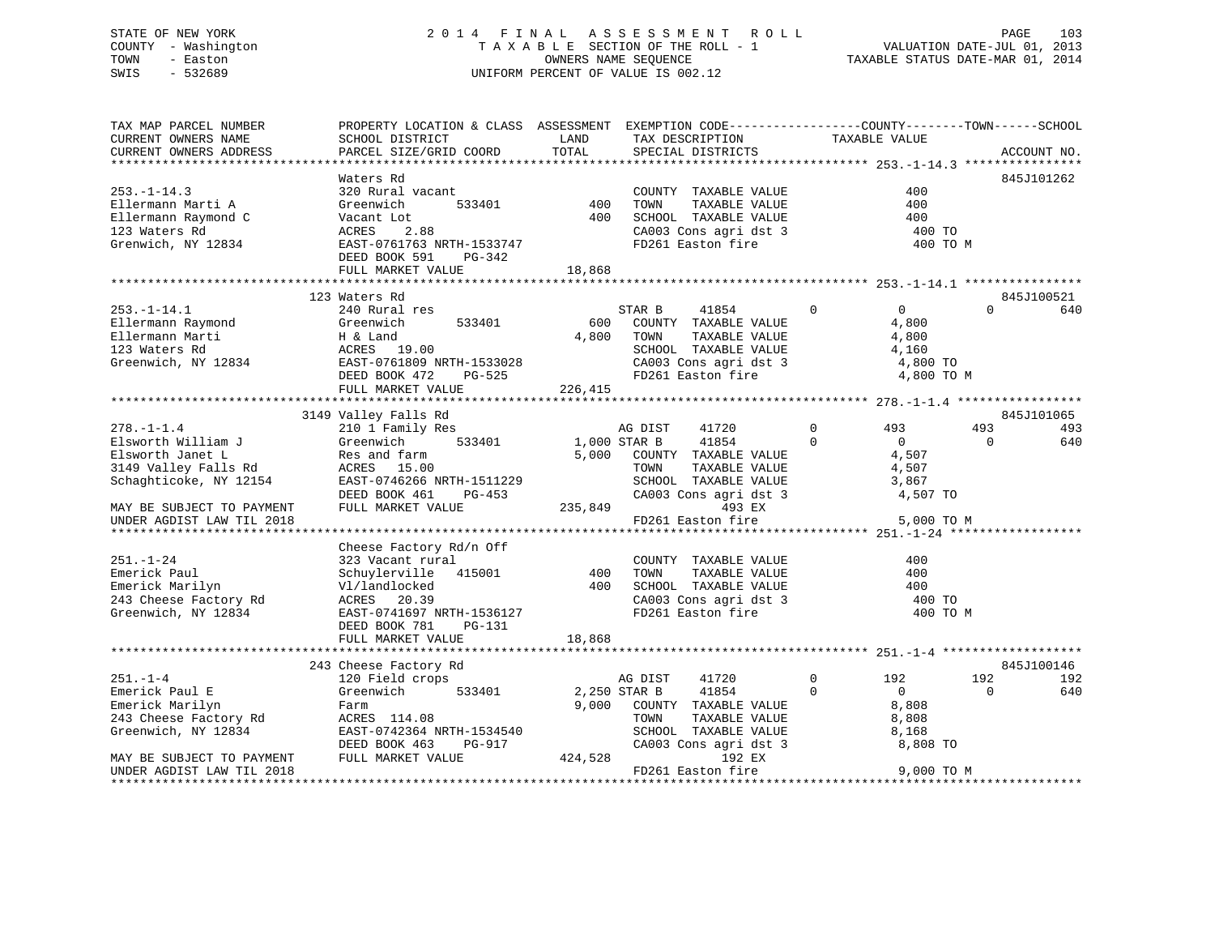### STATE OF NEW YORK 2 0 1 4 F I N A L A S S E S S M E N T R O L L PAGE 103 COUNTY - Washington T A X A B L E SECTION OF THE ROLL - 1 VALUATION DATE-JUL 01, 2013 TOWN - Easton **CONNERS NAME SEQUENCE** TAXABLE STATUS DATE-MAR 01, 2014 SWIS - 532689 UNIFORM PERCENT OF VALUE IS 002.12

| TAX MAP PARCEL NUMBER                         | PROPERTY LOCATION & CLASS ASSESSMENT EXEMPTION CODE---------------COUNTY-------TOWN------SCHOOL |              |                       |               |                |                     |
|-----------------------------------------------|-------------------------------------------------------------------------------------------------|--------------|-----------------------|---------------|----------------|---------------------|
| CURRENT OWNERS NAME                           | SCHOOL DISTRICT                                                                                 | LAND         | TAX DESCRIPTION       | TAXABLE VALUE |                |                     |
| CURRENT OWNERS ADDRESS                        | PARCEL SIZE/GRID COORD                                                                          | TOTAL        | SPECIAL DISTRICTS     |               |                | ACCOUNT NO.         |
|                                               |                                                                                                 |              |                       |               |                |                     |
|                                               | Waters Rd                                                                                       |              |                       |               |                | 845J101262          |
| $253. - 1 - 14.3$                             | 320 Rural vacant                                                                                |              | COUNTY TAXABLE VALUE  |               | 400            |                     |
| Ellermann Marti A                             | Greenwich<br>533401                                                                             | 400          | TAXABLE VALUE<br>TOWN |               | 400            |                     |
| Ellermann Raymond C                           | Vacant Lot                                                                                      | 400          | SCHOOL TAXABLE VALUE  |               | 400            |                     |
| 123 Waters Rd                                 | ACRES<br>2.88                                                                                   |              | CA003 Cons agri dst 3 |               | 400 TO         |                     |
| Grenwich, NY 12834                            | EAST-0761763 NRTH-1533747                                                                       |              | FD261 Easton fire     |               | 400 TO M       |                     |
|                                               | DEED BOOK 591<br>PG-342                                                                         |              |                       |               |                |                     |
|                                               | FULL MARKET VALUE                                                                               | 18,868       |                       |               |                |                     |
|                                               |                                                                                                 |              |                       |               |                |                     |
|                                               | 123 Waters Rd                                                                                   |              |                       |               |                | 845J100521          |
| $253. - 1 - 14.1$                             | 240 Rural res                                                                                   |              | STAR B<br>41854       | $\Omega$      | $\Omega$       | $\Omega$<br>640     |
| Ellermann Raymond                             | Greenwich<br>533401                                                                             | 600          | COUNTY TAXABLE VALUE  |               | 4,800          |                     |
| Ellermann Marti                               | $H \& Latu$<br>ACRES 19.00                                                                      | 4,800        | TOWN<br>TAXABLE VALUE |               | 4,800          |                     |
| 123 Waters Rd                                 |                                                                                                 |              | SCHOOL TAXABLE VALUE  |               | 4,160          |                     |
| Greenwich, NY 12834 EAST-0761809 NRTH-1533028 |                                                                                                 |              | CA003 Cons agri dst 3 |               | 4,800 TO       |                     |
|                                               | DEED BOOK 472<br>PG-525                                                                         |              | FD261 Easton fire     |               | 4,800 TO M     |                     |
|                                               | FULL MARKET VALUE                                                                               | 226,415      |                       |               |                |                     |
|                                               |                                                                                                 |              |                       |               |                |                     |
|                                               | 3149 Valley Falls Rd                                                                            |              |                       |               |                | 845J101065          |
| $278. - 1 - 1.4$                              | 210 1 Family Res                                                                                |              | AG DIST<br>41720      | $\Omega$      | 493            | 493<br>493          |
| Elsworth William J                            | 533401<br>Greenwich                                                                             | 1,000 STAR B | 41854                 | $\Omega$      | $\overline{0}$ | $\mathbf{0}$<br>640 |
| Elsworth Janet L                              | Res and farm                                                                                    | 5,000        | COUNTY TAXABLE VALUE  |               | 4,507          |                     |
| 3149 Valley Falls Rd                          | ACRES 15.00                                                                                     |              | TOWN<br>TAXABLE VALUE |               | 4,507          |                     |
| Schaghticoke, NY 12154                        | EAST-0746266 NRTH-1511229                                                                       |              | SCHOOL TAXABLE VALUE  |               | 3,867          |                     |
|                                               | DEED BOOK 461<br>PG-453                                                                         |              | CA003 Cons agri dst 3 |               | 4,507 TO       |                     |
| MAY BE SUBJECT TO PAYMENT                     | FULL MARKET VALUE                                                                               | 235,849      | 493 EX                |               |                |                     |
| UNDER AGDIST LAW TIL 2018                     |                                                                                                 |              | FD261 Easton fire     |               | 5,000 TO M     |                     |
|                                               |                                                                                                 |              |                       |               |                |                     |
|                                               | Cheese Factory Rd/n Off                                                                         |              |                       |               |                |                     |
| $251. - 1 - 24$                               | 323 Vacant rural                                                                                |              | COUNTY TAXABLE VALUE  |               | 400            |                     |
| Emerick Paul                                  | Schuylerville 415001                                                                            | 400          | TOWN<br>TAXABLE VALUE |               | 400            |                     |
| Emerick Marilyn                               | Vl/landlocked                                                                                   | 400          | SCHOOL TAXABLE VALUE  |               | 400            |                     |
| 243 Cheese Factory Rd                         | ACRES 20.39                                                                                     |              | CA003 Cons agri dst 3 |               | 400 TO         |                     |
| Greenwich, NY 12834                           | EAST-0741697 NRTH-1536127                                                                       |              | FD261 Easton fire     |               | 400 TO M       |                     |
|                                               | DEED BOOK 781<br>PG-131                                                                         |              |                       |               |                |                     |
|                                               | FULL MARKET VALUE                                                                               | 18,868       |                       |               |                |                     |
|                                               |                                                                                                 |              |                       |               |                |                     |
|                                               | 243 Cheese Factory Rd                                                                           |              |                       |               |                | 845J100146          |
| $251. - 1 - 4$                                | 120 Field crops                                                                                 |              | AG DIST<br>41720      | $\Omega$      | 192            | 192<br>192          |
| Emerick Paul E                                | 533401<br>Greenwich                                                                             |              | 2,250 STAR B<br>41854 | $\Omega$      | $\overline{0}$ | 640<br>$\Omega$     |
| Emerick Marilyn                               | Farm                                                                                            | 9,000        | COUNTY TAXABLE VALUE  |               | 8,808          |                     |
| 243 Cheese Factory Rd                         | ACRES 114.08                                                                                    |              | TAXABLE VALUE<br>TOWN |               | 8,808          |                     |
| Greenwich, NY 12834                           | EAST-0742364 NRTH-1534540                                                                       |              | SCHOOL TAXABLE VALUE  |               | 8,168          |                     |
|                                               | DEED BOOK 463<br>PG-917                                                                         |              | CA003 Cons agri dst 3 |               | 8,808 TO       |                     |
| MAY BE SUBJECT TO PAYMENT                     | FULL MARKET VALUE                                                                               | 424,528      | 192 EX                |               |                |                     |
| UNDER AGDIST LAW TIL 2018                     |                                                                                                 |              | FD261 Easton fire     |               | 9,000 TO M     |                     |
|                                               |                                                                                                 |              |                       |               |                |                     |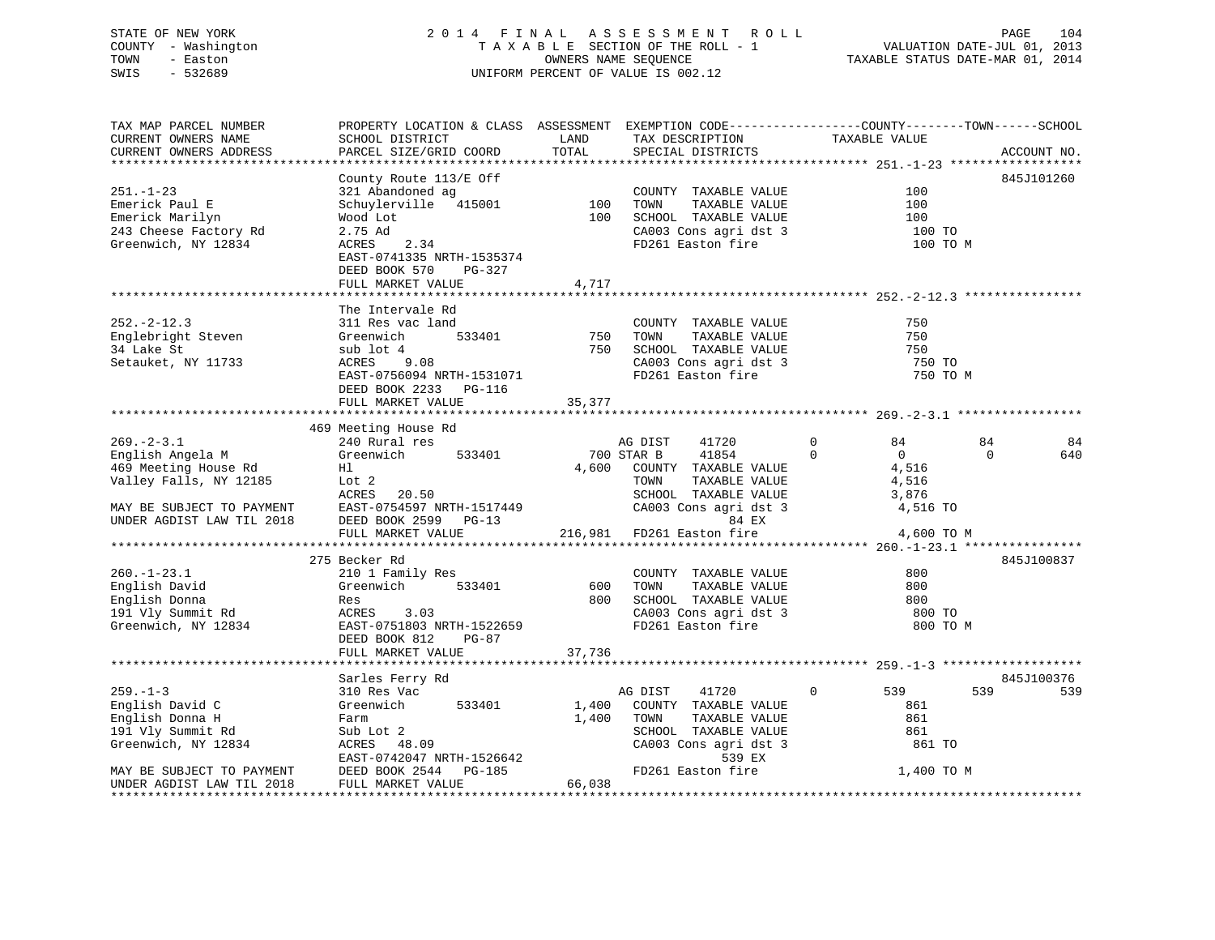### STATE OF NEW YORK 2 0 1 4 F I N A L A S S E S S M E N T R O L L PAGE 104 COUNTY - Washington T A X A B L E SECTION OF THE ROLL - 1 VALUATION DATE-JUL 01, 2013 TOWN - Easton **CONNERS NAME SEQUENCE** TAXABLE STATUS DATE-MAR 01, 2014 SWIS - 532689 UNIFORM PERCENT OF VALUE IS 002.12

| TAX MAP PARCEL NUMBER<br>CURRENT OWNERS NAME                                                                                                                                                                                                        | PROPERTY LOCATION & CLASS ASSESSMENT EXEMPTION CODE---------------COUNTY-------TOWN------SCHOOL<br>SCHOOL DISTRICT                                                                                                                                                                                                                   | LAND                          | TAX DESCRIPTION                                                                                                                                                                                                                                                                                        | TAXABLE VALUE                                                                                                                                      |                                           |
|-----------------------------------------------------------------------------------------------------------------------------------------------------------------------------------------------------------------------------------------------------|--------------------------------------------------------------------------------------------------------------------------------------------------------------------------------------------------------------------------------------------------------------------------------------------------------------------------------------|-------------------------------|--------------------------------------------------------------------------------------------------------------------------------------------------------------------------------------------------------------------------------------------------------------------------------------------------------|----------------------------------------------------------------------------------------------------------------------------------------------------|-------------------------------------------|
| CURRENT OWNERS ADDRESS                                                                                                                                                                                                                              | PARCEL SIZE/GRID COORD                                                                                                                                                                                                                                                                                                               | TOTAL                         | SPECIAL DISTRICTS                                                                                                                                                                                                                                                                                      |                                                                                                                                                    | ACCOUNT NO.                               |
|                                                                                                                                                                                                                                                     | *******************                                                                                                                                                                                                                                                                                                                  |                               |                                                                                                                                                                                                                                                                                                        |                                                                                                                                                    |                                           |
| $251. - 1 - 23$<br>Emerick Paul E<br>Emerick Marilyn<br>243 Cheese Factory Rd<br>Greenwich, NY 12834                                                                                                                                                | County Route 113/E Off<br>321 Abandoned ag<br>Schuylerville 415001<br>Wood Lot<br>2.75 Ad<br>2.34<br>ACRES<br>EAST-0741335 NRTH-1535374<br>DEED BOOK 570<br>PG-327                                                                                                                                                                   | 100<br>100                    | COUNTY TAXABLE VALUE<br>TOWN<br>TAXABLE VALUE<br>SCHOOL TAXABLE VALUE<br>CA003 Cons agri dst 3<br>FD261 Easton fire                                                                                                                                                                                    | 100<br>100<br>100<br>100 TO<br>100 TO M                                                                                                            | 845J101260                                |
|                                                                                                                                                                                                                                                     | FULL MARKET VALUE                                                                                                                                                                                                                                                                                                                    | 4,717                         |                                                                                                                                                                                                                                                                                                        |                                                                                                                                                    |                                           |
| $252 - 2 - 12.3$<br>Englebright Steven<br>34 Lake St<br>Setauket, NY 11733                                                                                                                                                                          | The Intervale Rd<br>311 Res vac land<br>533401<br>Greenwich<br>sub lot 4<br>ACRES 9.08<br>EAST-0756094 NRTH-1531071<br>DEED BOOK 2233 PG-116<br>FULL MARKET VALUE                                                                                                                                                                    | 750<br>750<br>35,377          | COUNTY TAXABLE VALUE<br>TOWN<br>TAXABLE VALUE<br>SCHOOL TAXABLE VALUE<br>CA003 Cons agri dst 3<br>FD261 Easton fire                                                                                                                                                                                    | 750<br>750<br>750<br>750 TO<br>750 TO M                                                                                                            |                                           |
|                                                                                                                                                                                                                                                     |                                                                                                                                                                                                                                                                                                                                      |                               |                                                                                                                                                                                                                                                                                                        |                                                                                                                                                    |                                           |
| $269. - 2 - 3.1$<br>English Angela M<br>469 Meeting House Rd<br>Valley Falls, NY 12185<br>MAY BE SUBJECT TO PAYMENT<br>UNDER AGDIST LAW TIL 2018<br>$260. - 1 - 23.1$<br>English David<br>English Donna<br>191 Vly Summit Rd<br>Greenwich, NY 12834 | 469 Meeting House Rd<br>240 Rural res<br>Greenwich<br>533401<br>Hl<br>Lot 2<br>ACRES 20.50<br>EAST-0754597 NRTH-1517449<br>DEED BOOK 2599 PG-13<br>FULL MARKET VALUE<br>275 Becker Rd<br>210 1 Family Res<br>Greenwich<br>533401<br>Res<br>ACRES<br>3.03<br>EAST-0751803 NRTH-1522659<br>DEED BOOK 812<br>PG-87<br>FULL MARKET VALUE | 4,600<br>600<br>800<br>37,736 | 41720<br>AG DIST<br>700 STAR B<br>41854<br>COUNTY TAXABLE VALUE<br>TOWN<br>TAXABLE VALUE<br>SCHOOL TAXABLE VALUE<br>CA003 Cons agri dst 3<br>84 EX<br>216,981 FD261 Easton fire<br>COUNTY TAXABLE VALUE<br>TOWN<br>TAXABLE VALUE<br>SCHOOL TAXABLE VALUE<br>CA003 Cons agri dst 3<br>FD261 Easton fire | $\mathbf 0$<br>84<br>$\mathbf 0$<br>$\overline{0}$<br>4,516<br>4,516<br>3,876<br>4,516 TO<br>4,600 TO M<br>800<br>800<br>800<br>800 TO<br>800 TO M | 84<br>84<br>$\Omega$<br>640<br>845J100837 |
|                                                                                                                                                                                                                                                     |                                                                                                                                                                                                                                                                                                                                      |                               |                                                                                                                                                                                                                                                                                                        |                                                                                                                                                    |                                           |
|                                                                                                                                                                                                                                                     | Sarles Ferry Rd                                                                                                                                                                                                                                                                                                                      |                               |                                                                                                                                                                                                                                                                                                        |                                                                                                                                                    | 845J100376                                |
| $259. - 1 - 3$<br>English David C<br>English Donna H<br>191 Vly Summit Rd<br>Greenwich, NY 12834<br>MAY BE SUBJECT TO PAYMENT                                                                                                                       | 310 Res Vac<br>Greenwich<br>533401<br>Farm<br>Sub Lot 2<br>ACRES 48.09<br>EAST-0742047 NRTH-1526642<br>DEED BOOK 2544<br>PG-185                                                                                                                                                                                                      | 1,400<br>1,400                | AG DIST<br>41720<br>COUNTY TAXABLE VALUE<br>TOWN<br>TAXABLE VALUE<br>SCHOOL TAXABLE VALUE<br>CA003 Cons agri dst 3<br>539 EX<br>FD261 Easton fire                                                                                                                                                      | $\Omega$<br>539<br>861<br>861<br>861<br>861 TO<br>1,400 TO M                                                                                       | 539<br>539                                |
| UNDER AGDIST LAW TIL 2018<br>*********************                                                                                                                                                                                                  | FULL MARKET VALUE                                                                                                                                                                                                                                                                                                                    | 66,038                        |                                                                                                                                                                                                                                                                                                        |                                                                                                                                                    |                                           |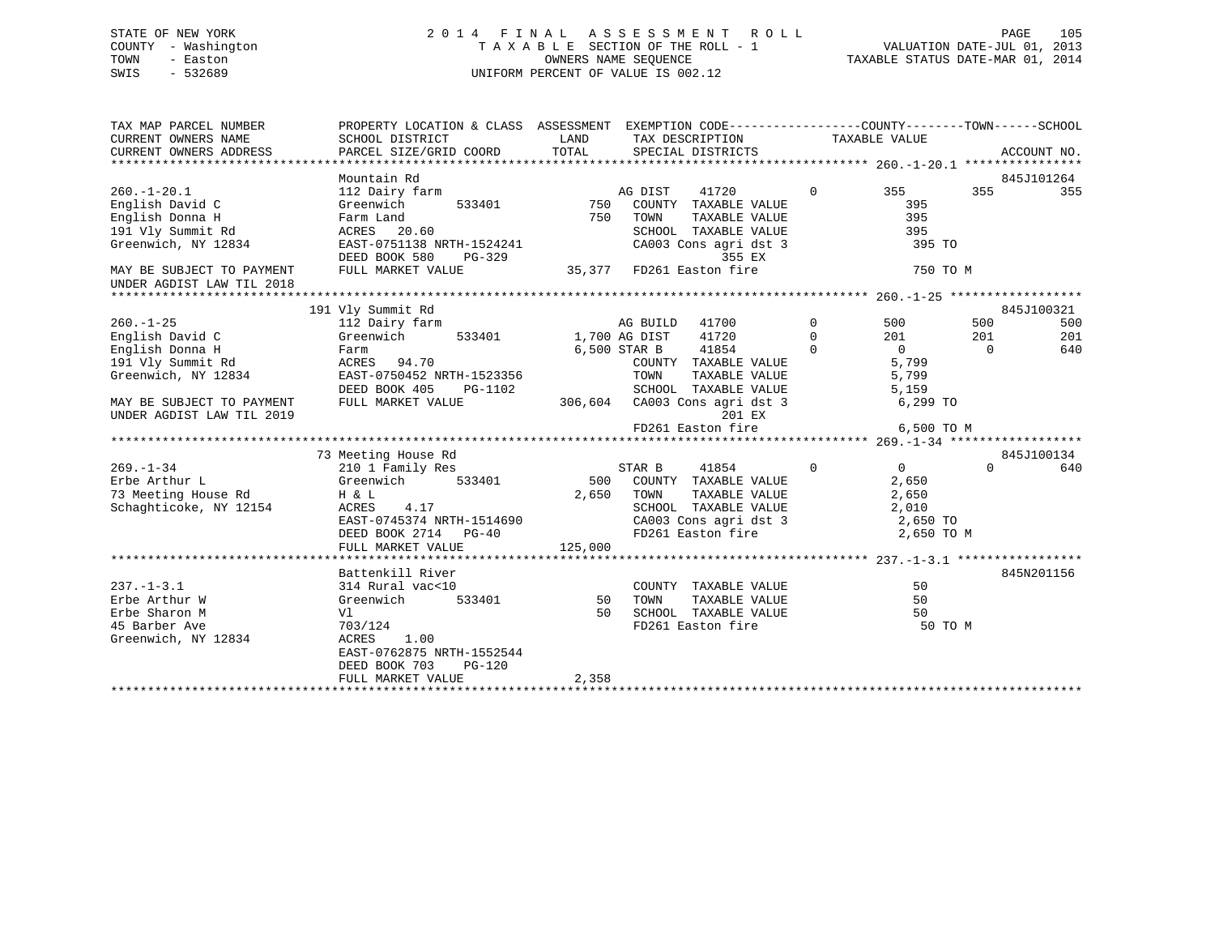### STATE OF NEW YORK 2 0 1 4 F I N A L A S S E S S M E N T R O L L PAGE 105 COUNTY - Washington T A X A B L E SECTION OF THE ROLL - 1 VALUATION DATE-JUL 01, 2013 TOWN - Easton **CONNERS NAME SEQUENCE** TAXABLE STATUS DATE-MAR 01, 2014 SWIS - 532689 UNIFORM PERCENT OF VALUE IS 002.12

| TAX MAP PARCEL NUMBER<br>CURRENT OWNERS NAME<br>CURRENT OWNERS ADDRESS | PROPERTY LOCATION & CLASS ASSESSMENT EXEMPTION CODE----------------COUNTY-------TOWN------SCHOOL<br>SCHOOL DISTRICT<br>PARCEL SIZE/GRID COORD | LAND<br>TOTAL                        |              | TAX DESCRIPTION TAXABLE VALUE<br>SPECIAL DISTRICTS |                |                |          | ACCOUNT NO. |
|------------------------------------------------------------------------|-----------------------------------------------------------------------------------------------------------------------------------------------|--------------------------------------|--------------|----------------------------------------------------|----------------|----------------|----------|-------------|
|                                                                        |                                                                                                                                               |                                      |              |                                                    |                |                |          |             |
|                                                                        | Mountain Rd                                                                                                                                   |                                      |              |                                                    |                |                |          | 845J101264  |
| $260. - 1 - 20.1$                                                      | 112 Dairy farm                                                                                                                                |                                      | AG DIST      | 41720                                              | $\overline{0}$ | 355            | 355      | 355         |
| English David C                                                        | Greenwich                                                                                                                                     | 533401 750                           |              | COUNTY TAXABLE VALUE                               |                | 395            |          |             |
| English Donna H                                                        | Farm Land                                                                                                                                     | 750                                  | TOWN         | TAXABLE VALUE                                      |                | 395            |          |             |
| 191 Vly Summit Rd                                                      | ACRES 20.60                                                                                                                                   |                                      |              | SCHOOL TAXABLE VALUE                               |                | 395            |          |             |
| Greenwich, NY 12834                                                    | EAST-0751138 NRTH-1524241<br>DEED BOOK 580<br>PG-329                                                                                          |                                      |              | CA003 Cons agri dst 3<br>355 EX                    |                | 395 TO         |          |             |
| MAY BE SUBJECT TO PAYMENT                                              | FULL MARKET VALUE                                                                                                                             | 355 EX<br>35,377   FD261 Easton fire |              |                                                    |                | 750 TO M       |          |             |
| UNDER AGDIST LAW TIL 2018                                              |                                                                                                                                               |                                      |              |                                                    |                |                |          |             |
|                                                                        |                                                                                                                                               |                                      |              |                                                    |                |                |          |             |
|                                                                        | 191 Vly Summit Rd                                                                                                                             |                                      |              |                                                    |                |                |          | 845J100321  |
| $260. -1 - 25$                                                         | 112 Dairy farm                                                                                                                                |                                      |              | AG BUILD 41700 0                                   |                | 500            | 500      | 500         |
| English David C                                                        | Greenwich                                                                                                                                     | 533401 1,700 AG DIST                 |              | 41720                                              | $\Omega$       | 201            | 201      | 201         |
| English Donna H                                                        | Farm                                                                                                                                          |                                      | 6,500 STAR B | 41854                                              | $\Omega$       | $\overline{0}$ | $\Omega$ | 640         |
| 191 Vly Summit Rd                                                      | ACRES 94.70                                                                                                                                   |                                      |              | COUNTY TAXABLE VALUE                               |                | 5,799          |          |             |
| Greenwich, NY 12834                                                    | EAST-0750452 NRTH-1523356                                                                                                                     |                                      | TOWN         | TAXABLE VALUE                                      |                | 5,799          |          |             |
|                                                                        | DEED BOOK 405<br>PG-1102                                                                                                                      |                                      |              | SCHOOL TAXABLE VALUE                               |                | 5,159          |          |             |
| MAY BE SUBJECT TO PAYMENT                                              | FULL MARKET VALUE                                                                                                                             |                                      |              | 306,604 CA003 Cons agri dst 3                      |                | 6,299 TO       |          |             |
| UNDER AGDIST LAW TIL 2019                                              |                                                                                                                                               |                                      |              | 201 EX                                             |                |                |          |             |
|                                                                        |                                                                                                                                               |                                      |              | FD261 Easton fire                                  |                | 6,500 TO M     |          |             |
|                                                                        |                                                                                                                                               |                                      |              |                                                    |                |                |          |             |
|                                                                        | 73 Meeting House Rd                                                                                                                           |                                      |              |                                                    | $\overline{0}$ |                | $\Omega$ | 845J100134  |
| $269. - 1 - 34$                                                        | 210 1 Family Res                                                                                                                              |                                      | STAR B       | 41854                                              |                | $\overline{0}$ |          | 640         |
| Erbe Arthur L                                                          | 533401<br>Greenwich                                                                                                                           |                                      |              | 500 COUNTY TAXABLE VALUE                           |                | 2,650          |          |             |
| 73 Meeting House Rd                                                    | H & L                                                                                                                                         | 2,650                                | TOWN         | TAXABLE VALUE<br>SCHOOL TAXABLE VALUE              |                | 2,650          |          |             |
| Schaghticoke, NY 12154                                                 | ACRES<br>4.17                                                                                                                                 |                                      |              | CA003 Cons agri dst 3 2,650 TO                     |                | 2,010          |          |             |
|                                                                        | EAST-0745374 NRTH-1514690                                                                                                                     |                                      |              |                                                    |                |                |          |             |
|                                                                        | DEED BOOK 2714 PG-40                                                                                                                          | 125,000                              |              | FD261 Easton fire                                  |                | 2,650 TO M     |          |             |
|                                                                        | FULL MARKET VALUE                                                                                                                             |                                      |              |                                                    |                |                |          |             |
|                                                                        | Battenkill River                                                                                                                              |                                      |              |                                                    |                |                |          | 845N201156  |
| $237. - 1 - 3.1$                                                       | 314 Rural vac<10                                                                                                                              |                                      |              | COUNTY TAXABLE VALUE                               |                | 50             |          |             |
| Erbe Arthur W                                                          |                                                                                                                                               | 50                                   |              |                                                    |                |                |          |             |
|                                                                        | Greenwich<br>533401                                                                                                                           |                                      | TOWN         | TAXABLE VALUE                                      |                | 50             |          |             |
| Erbe Sharon M<br>45 Barber Ave                                         | Vl                                                                                                                                            | 50                                   |              | SCHOOL TAXABLE VALUE<br>FD261 Easton fire          |                | 50             |          |             |
|                                                                        | 703/124                                                                                                                                       |                                      |              |                                                    |                | 50 TO M        |          |             |
| Greenwich, NY 12834                                                    | 1.00<br>ACRES<br>EAST-0762875 NRTH-1552544                                                                                                    |                                      |              |                                                    |                |                |          |             |
|                                                                        | DEED BOOK 703<br>PG-120                                                                                                                       |                                      |              |                                                    |                |                |          |             |
|                                                                        | FULL MARKET VALUE                                                                                                                             | 2,358                                |              |                                                    |                |                |          |             |
|                                                                        |                                                                                                                                               |                                      |              |                                                    |                |                |          |             |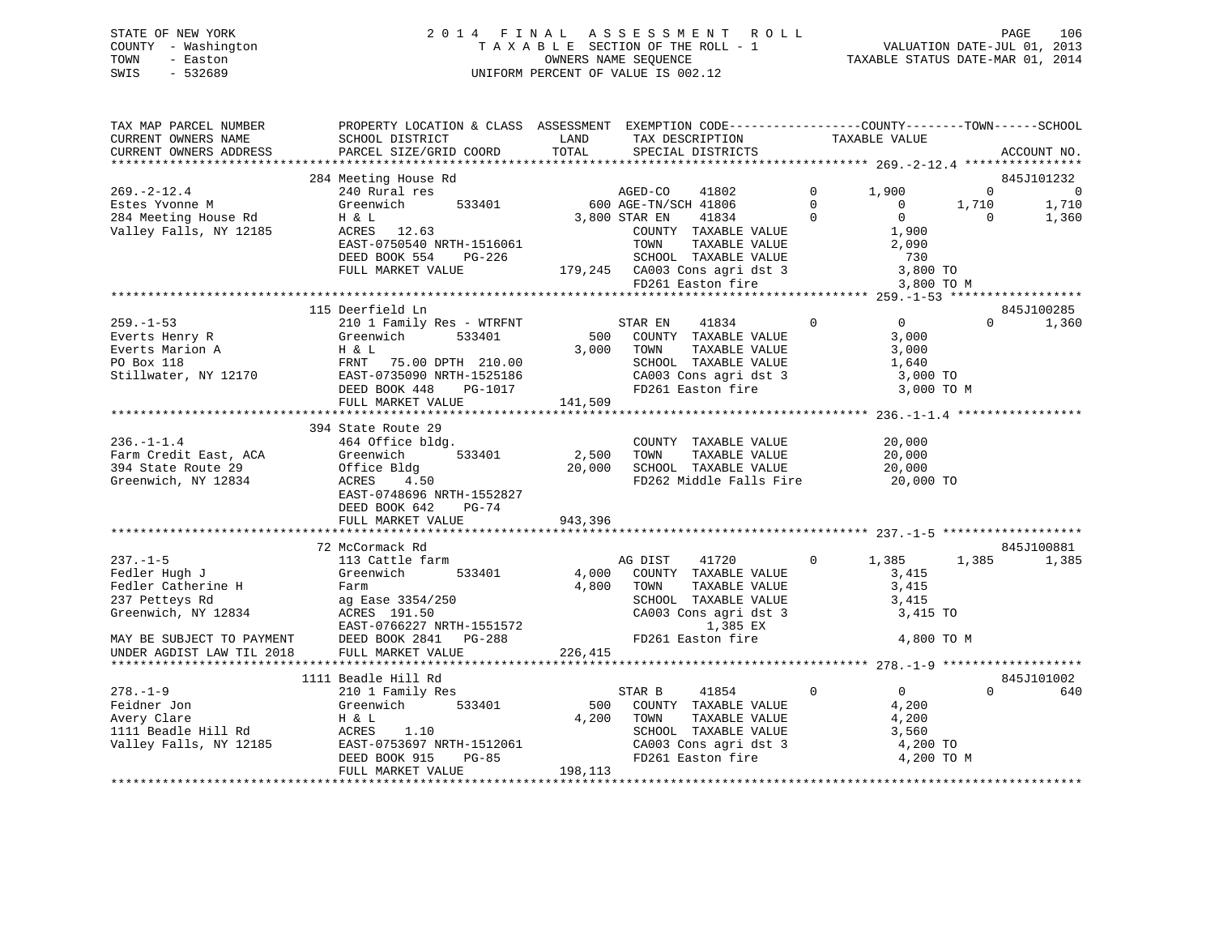### STATE OF NEW YORK 2 0 1 4 F I N A L A S S E S S M E N T R O L L PAGE 106 COUNTY - Washington T A X A B L E SECTION OF THE ROLL - 1 VALUATION DATE-JUL 01, 2013 TOWN - Easton OWNERS NAME SEQUENCE TAXABLE STATUS DATE-MAR 01, 2014 SWIS - 532689 UNIFORM PERCENT OF VALUE IS 002.12

| TAX MAP PARCEL NUMBER<br>CURRENT OWNERS NAME<br>CURRENT OWNERS ADDRESS                                                                                   | PROPERTY LOCATION & CLASS ASSESSMENT EXEMPTION CODE---------------COUNTY-------TOWN-----SCHOOL<br>SCHOOL DISTRICT<br>PARCEL SIZE/GRID COORD                                      | LAND<br>TOTAL              | TAX DESCRIPTION<br>SPECIAL DISTRICTS                                                                                                                |                                     | TAXABLE VALUE                                                       |                                  | ACCOUNT NO.                                    |
|----------------------------------------------------------------------------------------------------------------------------------------------------------|----------------------------------------------------------------------------------------------------------------------------------------------------------------------------------|----------------------------|-----------------------------------------------------------------------------------------------------------------------------------------------------|-------------------------------------|---------------------------------------------------------------------|----------------------------------|------------------------------------------------|
|                                                                                                                                                          |                                                                                                                                                                                  |                            |                                                                                                                                                     |                                     |                                                                     |                                  |                                                |
| $269. -2 - 12.4$<br>Estes Yvonne M<br>284 Meeting House Rd<br>Valley Falls, NY 12185                                                                     | 284 Meeting House Rd<br>240 Rural res<br>533401<br>Greenwich<br>H & L<br>ACRES 12.63                                                                                             |                            | AGED-CO 41802<br>600 AGE-TN/SCH 41806<br>3,800 STAR EN<br>41834<br>COUNTY TAXABLE VALUE                                                             | $\mathbf 0$<br>$\Omega$<br>$\Omega$ | 1,900<br>$\overline{0}$<br>$\Omega$<br>1,900                        | $\mathbf 0$<br>1,710<br>$\Omega$ | 845J101232<br>$\overline{0}$<br>1,710<br>1,360 |
|                                                                                                                                                          | EAST-0750540 NRTH-1516061<br>DEED BOOK 554<br>PG-226<br>FULL MARKET VALUE                                                                                                        |                            | TOWN<br>TAXABLE VALUE                                                                                                                               |                                     | 2,090<br>730<br>3,800 TO<br>3,800 TO M                              |                                  |                                                |
|                                                                                                                                                          |                                                                                                                                                                                  |                            |                                                                                                                                                     |                                     |                                                                     |                                  |                                                |
| $259. - 1 - 53$<br>Everts Henry R<br>Everts Marion A<br>PO Box 118<br>Stillwater, NY 12170                                                               | 115 Deerfield Ln<br>210 1 Family Res - WTRFNT<br>Greenwich<br>533401<br>H & L<br>FRNT 75.00 DPTH 210.00<br>EAST-0735090 NRTH-1525186<br>DEED BOOK 448<br>PG-1017                 |                            | STAR EN<br>41834<br>500 COUNTY TAXABLE VALUE<br>3,000 TOWN<br>TAXABLE VALUE<br>SCHOOL TAXABLE VALUE<br>CA003 Cons agri dst 3<br>FD261 Easton fire   | $\Omega$                            | $\overline{0}$<br>3,000<br>3,000<br>1,640<br>3,000 TO<br>3,000 TO M | $\Omega$                         | 845J100285<br>1,360                            |
|                                                                                                                                                          | FULL MARKET VALUE                                                                                                                                                                | 141,509                    |                                                                                                                                                     |                                     |                                                                     |                                  |                                                |
|                                                                                                                                                          |                                                                                                                                                                                  |                            |                                                                                                                                                     |                                     |                                                                     |                                  |                                                |
| $236. - 1 - 1.4$<br>Farm Credit East, ACA<br>394 State Route 29<br>Greenwich, NY 12834                                                                   | 394 State Route 29<br>464 Office bldg.<br>Greenwich<br>533401<br>Office Bldg<br>ACRES<br>4.50<br>EAST-0748696 NRTH-1552827<br>DEED BOOK 642<br>$PG-74$<br>FULL MARKET VALUE      | 2,500<br>20,000<br>943,396 | COUNTY TAXABLE VALUE<br>TOWN<br>TAXABLE VALUE<br>SCHOOL TAXABLE VALUE<br>FD262 Middle Falls Fire                                                    |                                     | 20,000<br>20,000<br>20,000<br>20,000 TO                             |                                  |                                                |
|                                                                                                                                                          |                                                                                                                                                                                  |                            |                                                                                                                                                     |                                     |                                                                     |                                  |                                                |
| $237. - 1 - 5$<br>Fedler Hugh J<br>Fedler Catherine H<br>237 Petteys Rd<br>Greenwich, NY 12834<br>MAY BE SUBJECT TO PAYMENT<br>UNDER AGDIST LAW TIL 2018 | 72 McCormack Rd<br>113 Cattle farm<br>Greenwich<br>533401<br>Farm<br>ag Ease 3354/250<br>ACRES 191.50<br>EAST-0766227 NRTH-1551572<br>DEED BOOK 2841 PG-288<br>FULL MARKET VALUE | 4,000<br>4,800<br>226,415  | AG DIST<br>41720<br>COUNTY TAXABLE VALUE<br>TAXABLE VALUE<br>TOWN<br>SCHOOL TAXABLE VALUE<br>CA003 Cons agri dst 3<br>1,385 EX<br>FD261 Easton fire | $\circ$                             | 1,385<br>3,415<br>3,415<br>3,415<br>3,415 TO<br>4,800 TO M          | 1,385                            | 845J100881<br>1,385                            |
|                                                                                                                                                          | 1111 Beadle Hill Rd                                                                                                                                                              |                            |                                                                                                                                                     |                                     |                                                                     |                                  | 845J101002                                     |
| $278. - 1 - 9$<br>Feidner Jon<br>Avery Clare<br>1111 Beadle Hill Rd<br>Valley Falls, NY 12185                                                            | 210 1 Family Res<br>Greenwich<br>533401<br>H & L<br>1.10<br>ACRES<br>EAST-0753697 NRTH-1512061<br>DEED BOOK 915<br>$PG-85$<br>FULL MARKET VALUE                                  | 500<br>4,200<br>198,113    | STAR B<br>41854<br>COUNTY TAXABLE VALUE<br>TOWN<br>TAXABLE VALUE<br>SCHOOL TAXABLE VALUE<br>CA003 Cons agri dst 3<br>FD261 Easton fire              | $\mathbf 0$                         | $\overline{0}$<br>4,200<br>4,200<br>3,560<br>4,200 TO<br>4,200 TO M | $\Omega$                         | 640                                            |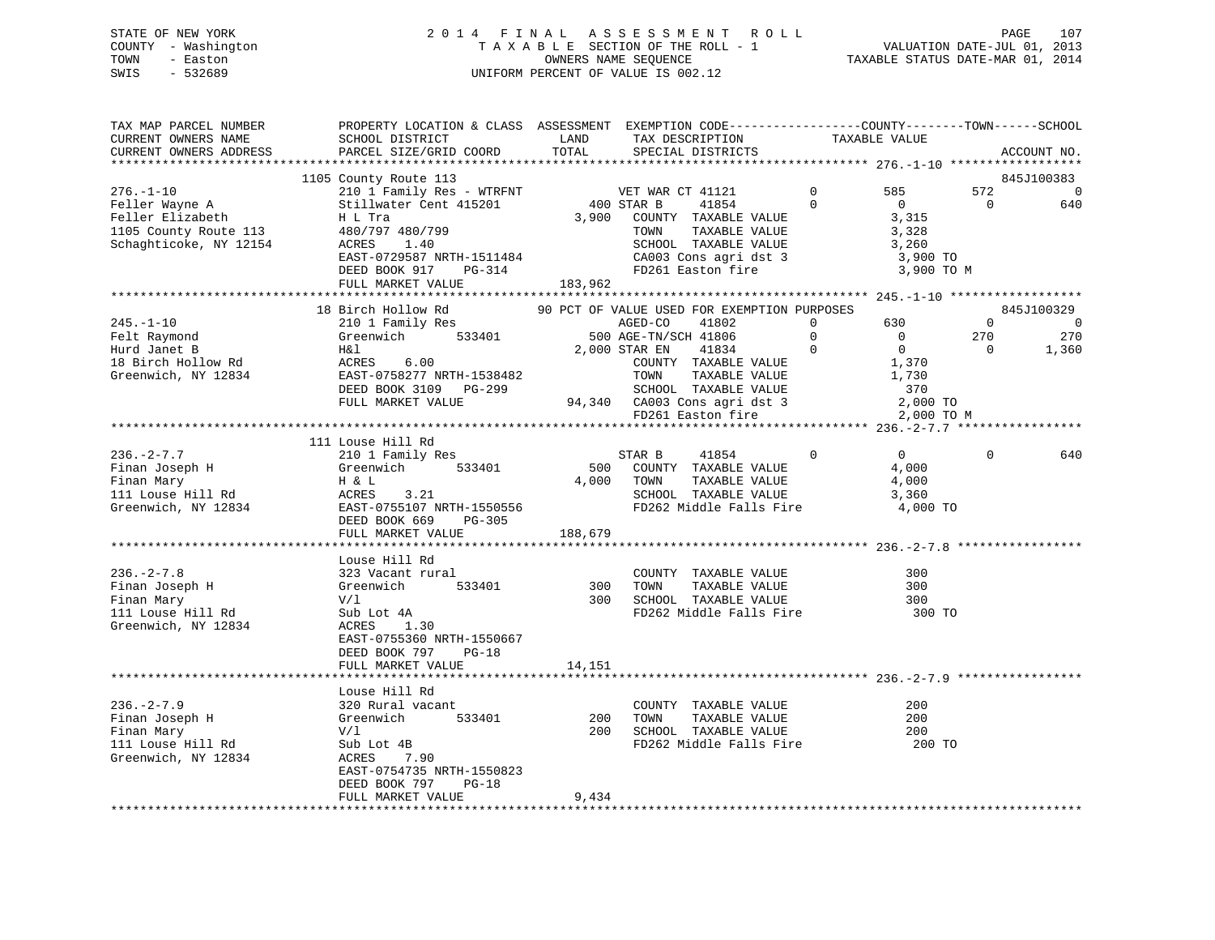### STATE OF NEW YORK 2 0 1 4 F I N A L A S S E S S M E N T R O L L PAGE 107 COUNTY - Washington T A X A B L E SECTION OF THE ROLL - 1 VALUATION DATE-JUL 01, 2013 TOWN - Easton OWNERS NAME SEQUENCE TAXABLE STATUS DATE-MAR 01, 2014 SWIS - 532689 UNIFORM PERCENT OF VALUE IS 002.12

| TAX MAP PARCEL NUMBER<br>CURRENT OWNERS NAME<br>CURRENT OWNERS ADDRESS                                                        | PROPERTY LOCATION & CLASS ASSESSMENT EXEMPTION CODE----------------COUNTY-------TOWN------SCHOOL<br>SCHOOL DISTRICT<br>PARCEL SIZE/GRID COORD                                                                                                 | LAND<br>TOTAL       | TAX DESCRIPTION<br>SPECIAL DISTRICTS                                                                                                                                                                                                                                                                                                                                                          |                         | TAXABLE VALUE                                                |                                         | ACCOUNT NO.                                            |
|-------------------------------------------------------------------------------------------------------------------------------|-----------------------------------------------------------------------------------------------------------------------------------------------------------------------------------------------------------------------------------------------|---------------------|-----------------------------------------------------------------------------------------------------------------------------------------------------------------------------------------------------------------------------------------------------------------------------------------------------------------------------------------------------------------------------------------------|-------------------------|--------------------------------------------------------------|-----------------------------------------|--------------------------------------------------------|
|                                                                                                                               |                                                                                                                                                                                                                                               |                     |                                                                                                                                                                                                                                                                                                                                                                                               |                         |                                                              |                                         |                                                        |
|                                                                                                                               | 1105 County Route 113                                                                                                                                                                                                                         |                     |                                                                                                                                                                                                                                                                                                                                                                                               |                         |                                                              |                                         | 845J100383                                             |
| $276. - 1 - 10$<br>Feller Wayne A<br>Feller Elizabeth<br>1105 County Route 113 480/797 480/799<br>Schaghticoke, NY 12154      | 210 1 Family Res - WTRFNT<br>Stillwater Cent 415201<br>H L Tra<br>ACRES 1.40                                                                                                                                                                  | 400 STAR B<br>3,900 | VET WAR CT 41121<br>41854<br>COUNTY TAXABLE VALUE<br>TAXABLE VALUE<br>TOWN<br>SCHOOL TAXABLE VALUE<br>CA003 Cons agri dst 3                                                                                                                                                                                                                                                                   | $\mathbf 0$<br>$\Omega$ | 585<br>$\overline{0}$<br>3,315<br>3,328<br>3,260<br>3,900 TO | 572<br>$\overline{0}$                   | $\overline{0}$<br>640                                  |
|                                                                                                                               | EAST-0729587 NRTH-1511484<br>DEED BOOK 917 PG-314<br>FULL MARKET VALUE                                                                                                                                                                        | 183,962             | FD261 Easton fire                                                                                                                                                                                                                                                                                                                                                                             |                         | 3,900 TO M                                                   |                                         |                                                        |
|                                                                                                                               |                                                                                                                                                                                                                                               |                     |                                                                                                                                                                                                                                                                                                                                                                                               |                         |                                                              |                                         |                                                        |
| $245. - 1 - 10$<br>Felt Raymond<br>Hurd Janet B                                                                               | 18 Birch Hollow Rd<br>210 1 Family Res<br>H&l<br>18 Birch Hollow Rd<br>18 Birch Hollow Rd<br>Greenwich, NY 12834<br>EAST-0758277 NRTH-1538482                                                                                                 |                     | 90 PCT OF VALUE USED FOR EXEMPTION PURPOSES<br>GE-TN/SCH 41806 $\begin{array}{ccc} 0 & 0 & 0 \\ 0 & 0 & 0 \\ 0 & 0 & 0 \\ 0 & 0 & 1,370 \\ 0 & 0 & 1,370 \\ 0 & 0 & 0 \\ 0 & 0 & 0 \\ 0 & 0 & 0 \\ 0 & 0 & 0 \\ 0 & 0 & 0 \\ 0 & 0 & 0 \\ 0 & 0 & 0 \\ 0 & 0 & 0 \\ 0 & 0 & 0 \\ 0 & 0 & 0 \\ 0 & 0 & 0 \\ 0 & 0 & 0 \\ 0 & 0 & 0 \\ 0 & 0 & 0 \\ 0 & 0 & 0 \\ 0 & 0 & 0 \\$<br>2,000 STAR EN | $\overline{0}$          | 630<br>$\overline{0}$<br>$\overline{0}$<br>1,730             | $\overline{0}$<br>270<br>$\overline{0}$ | 845J100329<br>$\overline{\phantom{0}}$<br>270<br>1,360 |
|                                                                                                                               | DEED BOOK 3109 PG-299<br>FULL MARKET VALUE                                                                                                                                                                                                    |                     | TOWN TAXABLE VALUE<br>SCHOOL TAXABLE VALUE<br>94,340 CA003 Cons agri dst 3<br>FD261 Easton fire                                                                                                                                                                                                                                                                                               |                         | 370<br>$2,000$ TO<br>2,000 TO M                              |                                         |                                                        |
|                                                                                                                               |                                                                                                                                                                                                                                               |                     |                                                                                                                                                                                                                                                                                                                                                                                               |                         |                                                              |                                         |                                                        |
| $236. - 2 - 7.7$                                                                                                              | 111 Louse Hill Rd<br>210 1 Family Res<br>Finan Joseph H (210 1 Family Res)<br>Finan Joseph H (310 1 Family Res)<br>The S33401<br>The H & L<br>Ill Louse Hill Rd (4 RCRES)<br>Creenwich, NY 12834<br>DEED BOOK 669 PG-305<br>FULL MARKET VALUE | 500<br>188,679      | STAR B<br>41854<br>COUNTY TAXABLE VALUE<br>4,000 TOWN<br>TAXABLE VALUE<br>SCHOOL TAXABLE VALUE<br>FD262 Middle Falls Fire                                                                                                                                                                                                                                                                     | $\overline{0}$          | $0 \qquad \qquad$<br>4,000<br>4,000<br>3,360<br>4,000 TO     | $\Omega$                                | 640                                                    |
|                                                                                                                               |                                                                                                                                                                                                                                               |                     |                                                                                                                                                                                                                                                                                                                                                                                               |                         |                                                              |                                         |                                                        |
| $236. - 2 - 7.8$<br>Finan Joseph H<br>Finan Mary<br>111 Louse Hill Rd<br>Greenwich, NY 12834                                  | Louse Hill Rd<br>323 Vacant rural<br>Greenwich<br>V/1<br>Sub Lot 4A<br>ACRES 1<br>533401<br>Sub Lot 4A<br>1.30<br>EAST-0755360 NRTH-1550667<br>DEED BOOK 797<br>$PG-18$<br>FULL MARKET VALUE                                                  | 14,151              | COUNTY TAXABLE VALUE<br>300 TOWN TAXABLE VALUE<br>300 SCHOOL TAXABLE VALUE<br>FD262 Middle Falls Fire                                                                                                                                                                                                                                                                                         |                         | 300<br>300<br>300<br>300 TO                                  |                                         |                                                        |
|                                                                                                                               |                                                                                                                                                                                                                                               |                     |                                                                                                                                                                                                                                                                                                                                                                                               |                         |                                                              |                                         |                                                        |
| $236. - 2 - 7.9$<br>Finan Joseph H Greenwich<br>Finan Mary V/1<br>111 Louse Hill Rd Sub Lot 4B<br>Greenwich, NY 12834 ACRES 7 | Louse Hill Rd<br>$320$ Rural vacant<br>533401<br>Sub Lot 4B<br>7.90<br>EAST-0754735 NRTH-1550823<br>DEED BOOK 797<br>$PG-18$                                                                                                                  | 200<br>200          | COUNTY TAXABLE VALUE<br>TAXABLE VALUE<br>TOWN<br>SCHOOL TAXABLE VALUE<br>FD262 Middle Falls Fire 200 TO                                                                                                                                                                                                                                                                                       |                         | 200<br>200<br>200                                            |                                         |                                                        |
|                                                                                                                               | FULL MARKET VALUE                                                                                                                                                                                                                             | 9,434               |                                                                                                                                                                                                                                                                                                                                                                                               |                         |                                                              |                                         |                                                        |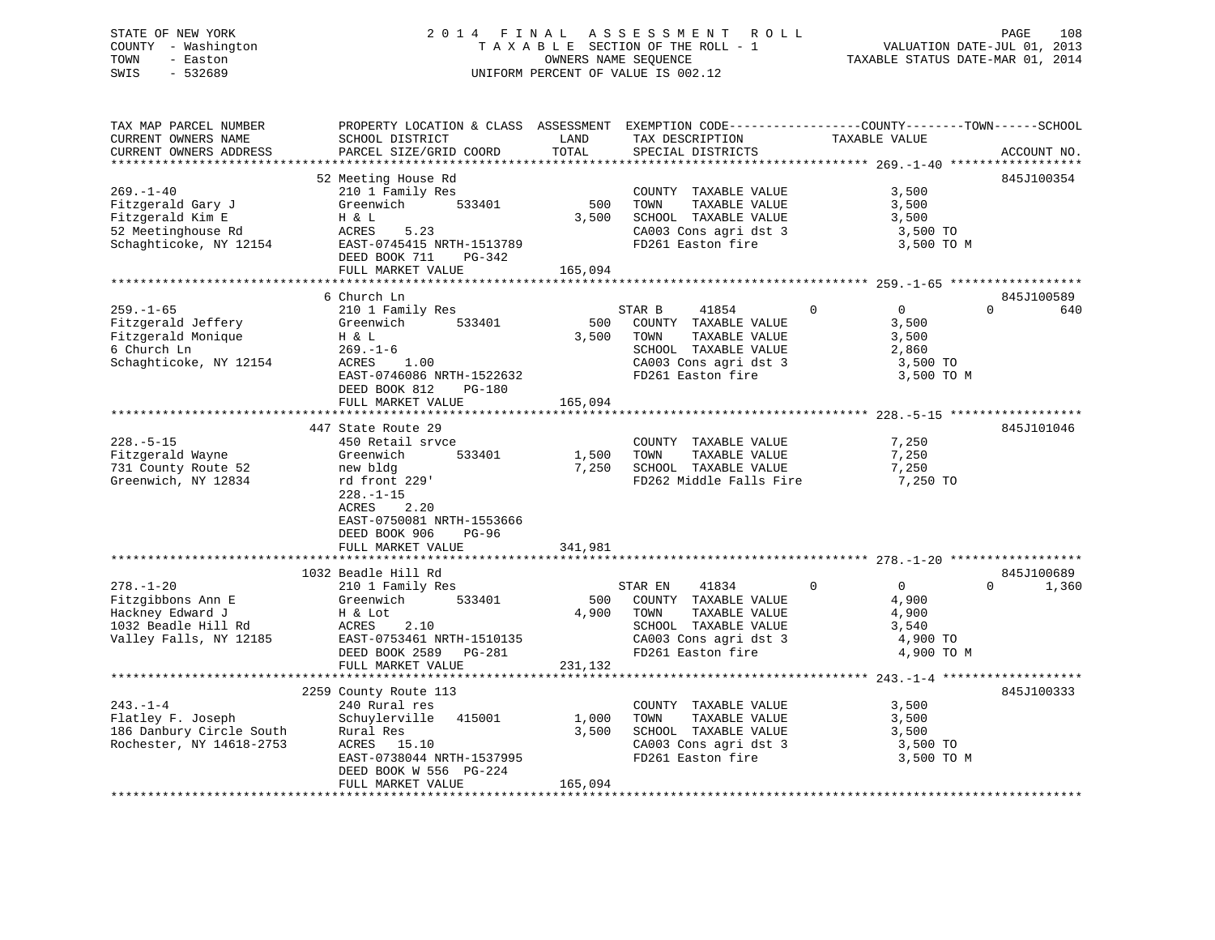### STATE OF NEW YORK 2 0 1 4 F I N A L A S S E S S M E N T R O L L PAGE 108 COUNTY - Washington T A X A B L E SECTION OF THE ROLL - 1 VALUATION DATE-JUL 01, 2013 TOWN - Easton OWNERS NAME SEQUENCE TAXABLE STATUS DATE-MAR 01, 2014 SWIS - 532689 UNIFORM PERCENT OF VALUE IS 002.12

TAX MAP PARCEL NUMBER PROPERTY LOCATION & CLASS ASSESSMENT EXEMPTION CODE------------------COUNTY--------TOWN------SCHOOL

CURRENT OWNERS NAME SCHOOL DISTRICT LAND TAX DESCRIPTION TAXABLE VALUE CURRENT OWNERS ADDRESS PARCEL SIZE/GRID COORD TOTAL SPECIAL DISTRICTS ACCOUNT NO. \*\*\*\*\*\*\*\*\*\*\*\*\*\*\*\*\*\*\*\*\*\*\*\*\*\*\*\*\*\*\*\*\*\*\*\*\*\*\*\*\*\*\*\*\*\*\*\*\*\*\*\*\*\*\*\*\*\*\*\*\*\*\*\*\*\*\*\*\*\*\*\*\*\*\*\*\*\*\*\*\*\*\*\*\*\*\*\*\*\*\*\*\*\*\*\*\*\*\*\*\*\*\* 269.-1-40 \*\*\*\*\*\*\*\*\*\*\*\*\*\*\*\*\*\* 52 Meeting House Rd 845J100354 269.-1-40 210 1 Family Res COUNTY TAXABLE VALUE 3,500 Fitzgerald Gary J Greenwich 533401 500 TOWN TAXABLE VALUE 3,500 Fitzgerald Kim E H & L 3,500 SCHOOL TAXABLE VALUE 3,500 52 Meetinghouse Rd ACRES 5.23 CA003 Cons agri dst 3 3,500 TO S2 Meetinghouse Rd
52 Meetinghouse Rd
52 Meetinghouse Rd
52 Meetinghouse Rd
53,500 TO
52 Schaghticoke, NY 12154
52 Schaghticoke, NY 12154
52 Schaghticoke, NY 12154
52 Schaghticoke, NY 12154
52 Baston fire
52 Schaghticoke, DEED BOOK 711 PG-342 FULL MARKET VALUE 165,094 \*\*\*\*\*\*\*\*\*\*\*\*\*\*\*\*\*\*\*\*\*\*\*\*\*\*\*\*\*\*\*\*\*\*\*\*\*\*\*\*\*\*\*\*\*\*\*\*\*\*\*\*\*\*\*\*\*\*\*\*\*\*\*\*\*\*\*\*\*\*\*\*\*\*\*\*\*\*\*\*\*\*\*\*\*\*\*\*\*\*\*\*\*\*\*\*\*\*\*\*\*\*\* 259.-1-65 \*\*\*\*\*\*\*\*\*\*\*\*\*\*\*\*\*\* 6 Church Ln 845J100589259.-1-65 210 1 Family Res STAR B 41854 0 0 640 Fitzgerald Jeffery Greenwich 533401 500 COUNTY TAXABLE VALUE 3,500 Fitzgerald Monique H & L 3,500 TOWN TAXABLE VALUE 3,500 6 Church Ln 269.-1-6 SCHOOL TAXABLE VALUE 2,860 Schaghticoke, NY 12154 ACRES 1.00 CA003 Cons agri dst 3 3,500 TO ACRES 1.00<br>
EAST-0746086 NRTH-1522632 FD261 Easton fire 3,500 TO M<br>
FD261 Easton fire 3,500 TO M DEED BOOK 812 PG-180 FULL MARKET VALUE 165,094 \*\*\*\*\*\*\*\*\*\*\*\*\*\*\*\*\*\*\*\*\*\*\*\*\*\*\*\*\*\*\*\*\*\*\*\*\*\*\*\*\*\*\*\*\*\*\*\*\*\*\*\*\*\*\*\*\*\*\*\*\*\*\*\*\*\*\*\*\*\*\*\*\*\*\*\*\*\*\*\*\*\*\*\*\*\*\*\*\*\*\*\*\*\*\*\*\*\*\*\*\*\*\* 228.-5-15 \*\*\*\*\*\*\*\*\*\*\*\*\*\*\*\*\*\*447 State Route 29 845J101046 228.-5-15 450 Retail srvce COUNTY TAXABLE VALUE 7,250 Fitzgerald Wayne Greenwich 533401 1,500 TOWN TAXABLE VALUE 7,250 731 County Route 52 new bldg 7,250 SCHOOL TAXABLE VALUE 7,250 Greenwich, NY 12834 rd front 229' FD262 Middle Falls Fire 7,250 TO 228.-1-15 ACRES 2.20 EAST-0750081 NRTH-1553666 DEED BOOK 906 PG-96FULL MARKET VALUE 341,981 \*\*\*\*\*\*\*\*\*\*\*\*\*\*\*\*\*\*\*\*\*\*\*\*\*\*\*\*\*\*\*\*\*\*\*\*\*\*\*\*\*\*\*\*\*\*\*\*\*\*\*\*\*\*\*\*\*\*\*\*\*\*\*\*\*\*\*\*\*\*\*\*\*\*\*\*\*\*\*\*\*\*\*\*\*\*\*\*\*\*\*\*\*\*\*\*\*\*\*\*\*\*\* 278.-1-20 \*\*\*\*\*\*\*\*\*\*\*\*\*\*\*\*\*\* 1032 Beadle Hill Rd 845J100689278.-1-20 210 1 Family Res STAR EN 41834 0 0 0 1,360 Fitzgibbons Ann E Greenwich 533401 500 COUNTY TAXABLE VALUE 4,900 Hackney Edward J H & Lot 4,900 TOWN TAXABLE VALUE 4,900 1032 Beadle Hill Rd ACRES 2.10 SCHOOL TAXABLE VALUE 3,540 Valley Falls, NY 12185 EAST-0753461 NRTH-1510135 CA003 Cons agri dst 3 4,900 TO DEED BOOK 2589 PG-281 FD261 Easton fire 4,900 TO M DEED BOOK 2589 PG-281<br>FULL MARKET VALUE 231,132 \*\*\*\*\*\*\*\*\*\*\*\*\*\*\*\*\*\*\*\*\*\*\*\*\*\*\*\*\*\*\*\*\*\*\*\*\*\*\*\*\*\*\*\*\*\*\*\*\*\*\*\*\*\*\*\*\*\*\*\*\*\*\*\*\*\*\*\*\*\*\*\*\*\*\*\*\*\*\*\*\*\*\*\*\*\*\*\*\*\*\*\*\*\*\*\*\*\*\*\*\*\*\* 243.-1-4 \*\*\*\*\*\*\*\*\*\*\*\*\*\*\*\*\*\*\* 2259 County Route 113 845J100333 243.-1-4 240 Rural res COUNTY TAXABLE VALUE 3,500 Flatley F. Joseph Schuylerville 415001 1,000 TOWN TAXABLE VALUE 3,500 186 Danbury Circle South Rural Res 3,500 SCHOOL TAXABLE VALUE 3,500 Rochester, NY 14618-2753 ACRES 15.10 CA003 Cons agri dst 3 3,500 TO EXES 15.10<br>
EAST-0738044 NRTH-1537995 FD261 Easton fire 3,500 TO M<br>
EAST-0738044 NRTH-1537995 FD261 Easton fire 3,500 TO M DEED BOOK W 556 PG-224 FULL MARKET VALUE 165,094 \*\*\*\*\*\*\*\*\*\*\*\*\*\*\*\*\*\*\*\*\*\*\*\*\*\*\*\*\*\*\*\*\*\*\*\*\*\*\*\*\*\*\*\*\*\*\*\*\*\*\*\*\*\*\*\*\*\*\*\*\*\*\*\*\*\*\*\*\*\*\*\*\*\*\*\*\*\*\*\*\*\*\*\*\*\*\*\*\*\*\*\*\*\*\*\*\*\*\*\*\*\*\*\*\*\*\*\*\*\*\*\*\*\*\*\*\*\*\*\*\*\*\*\*\*\*\*\*\*\*\*\*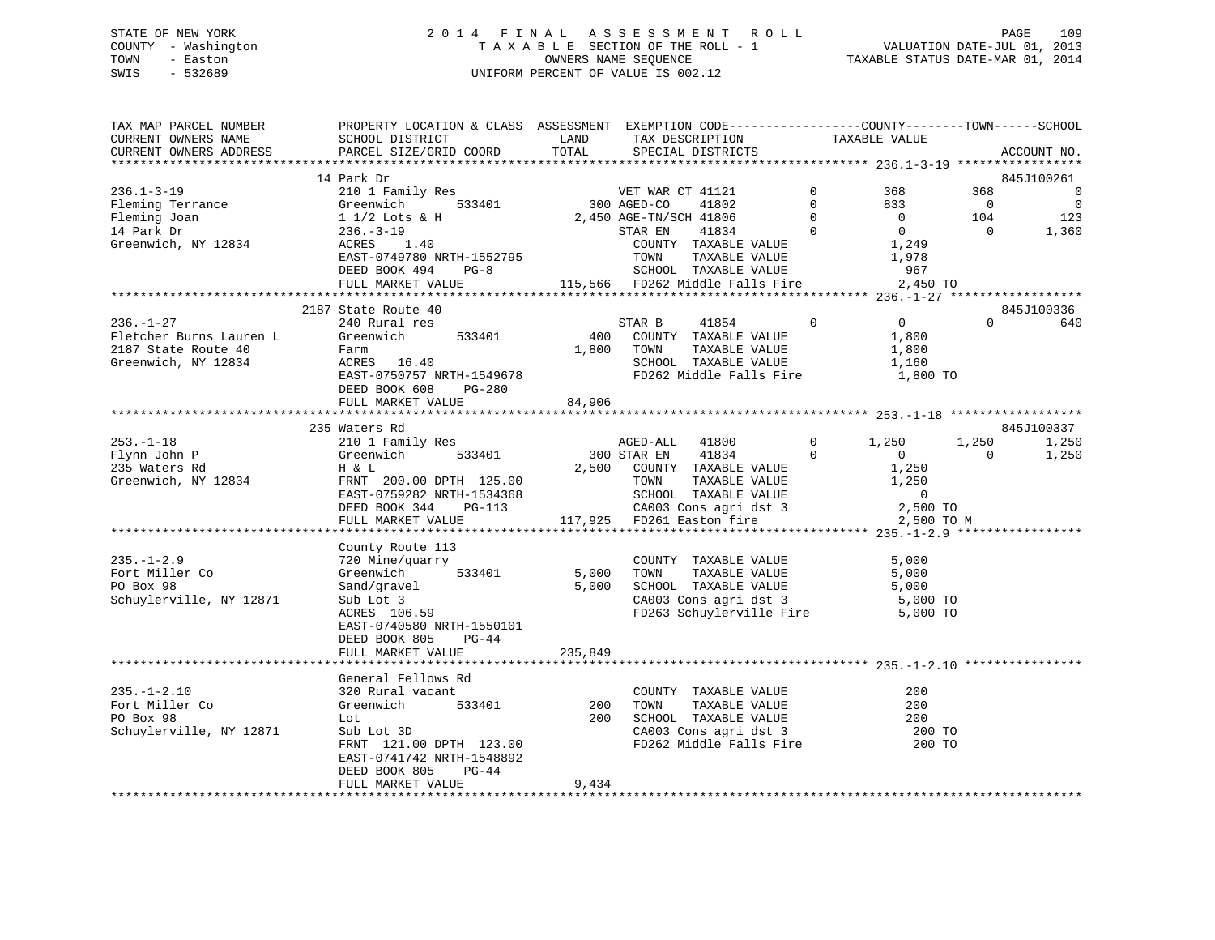# STATE OF NEW YORK 2 0 1 4 F I N A L A S S E S S M E N T R O L L PAGE 109 COUNTY - Washington T A X A B L E SECTION OF THE ROLL - 1 VALUATION DATE-JUL 01, 2013 TOWN - Easton OWNERS NAME SEQUENCE TAXABLE STATUS DATE-MAR 01, 2014 SWIS - 532689 UNIFORM PERCENT OF VALUE IS 002.12

| TAX MAP PARCEL NUMBER<br>CURRENT OWNERS NAME                                     | PROPERTY LOCATION & CLASS ASSESSMENT EXEMPTION CODE----------------COUNTY-------TOWN------SCHOOL<br>SCHOOL DISTRICT | LAND    | TAX DESCRIPTION                                                                                                                                                                                                                |                                      | TAXABLE VALUE    |                |                          |
|----------------------------------------------------------------------------------|---------------------------------------------------------------------------------------------------------------------|---------|--------------------------------------------------------------------------------------------------------------------------------------------------------------------------------------------------------------------------------|--------------------------------------|------------------|----------------|--------------------------|
| CURRENT OWNERS ADDRESS                                                           | PARCEL SIZE/GRID COORD                                                                                              | TOTAL   | SPECIAL DISTRICTS                                                                                                                                                                                                              |                                      |                  |                | ACCOUNT NO.              |
|                                                                                  | SPEC:<br>210 1 Family Res<br>Greenwich 533401 300 AGED-CO<br>2,450 AGE-TWIC<br>ACRES 1 40                           |         |                                                                                                                                                                                                                                |                                      |                  |                |                          |
|                                                                                  |                                                                                                                     |         |                                                                                                                                                                                                                                |                                      |                  |                | 845J100261               |
| $236.1 - 3 - 19$                                                                 |                                                                                                                     |         | VET WAR CT 41121                                                                                                                                                                                                               | $\mathbf 0$                          | 368              | 368            | $\overline{\phantom{0}}$ |
| Fleming Terrance                                                                 |                                                                                                                     |         | 41802                                                                                                                                                                                                                          | $\overline{0}$                       | 833              | $\overline{0}$ | $\overline{\phantom{0}}$ |
| Fleming Joan                                                                     |                                                                                                                     |         | 2,450 AGE-TN/SCH 41806                                                                                                                                                                                                         |                                      | $\overline{0}$   | 104            | 123                      |
| 14 Park Dr                                                                       |                                                                                                                     |         | 41834 0                                                                                                                                                                                                                        | $\begin{matrix} 0 \\ 0 \end{matrix}$ | $\overline{0}$   | $\Omega$       | 1,360                    |
| Greenwich, NY 12834                                                              |                                                                                                                     |         | COUNTY TAXABLE VALUE                                                                                                                                                                                                           |                                      | 1,249            |                |                          |
|                                                                                  | EAST-0749780 NRTH-1552795                                                                                           |         | TAXABLE VALUE 1,978                                                                                                                                                                                                            |                                      |                  |                |                          |
|                                                                                  | DEED BOOK 494<br>$PG-8$                                                                                             |         | TOWN TAXABLE VALUE<br>SCHOOL TAXABLE VALUE                                                                                                                                                                                     |                                      | 967              |                |                          |
|                                                                                  | FULL MARKET VALUE                                                                                                   |         | 115,566 FD262 Middle Falls Fire 2,450 TO                                                                                                                                                                                       |                                      |                  |                |                          |
|                                                                                  |                                                                                                                     |         |                                                                                                                                                                                                                                |                                      |                  |                |                          |
|                                                                                  | 2187 State Route 40                                                                                                 |         |                                                                                                                                                                                                                                |                                      |                  |                | 845J100336               |
| $236. -1 - 27$                                                                   | 240 Rural res                                                                                                       |         | STAR B<br>41854                                                                                                                                                                                                                | $\overline{0}$                       | $\overline{0}$   | $\Omega$       | 640                      |
|                                                                                  | Greenwich 533401                                                                                                    |         | 400 COUNTY TAXABLE VALUE                                                                                                                                                                                                       |                                      | 1,800            |                |                          |
| Fletcher Burns Lauren L<br>2187 State Route 40 Farm<br>Greenwich, NY 12834 ACRES |                                                                                                                     |         | 1,800 TOWN<br>TAXABLE VALUE                                                                                                                                                                                                    |                                      | 1,800            |                |                          |
|                                                                                  | $ACRES$ 16.40                                                                                                       |         | SCHOOL TAXABLE VALUE                                                                                                                                                                                                           |                                      | 1,160            |                |                          |
|                                                                                  | EAST-0750757 NRTH-1549678                                                                                           |         | FD262 Middle Falls Fire 1,800 TO                                                                                                                                                                                               |                                      |                  |                |                          |
|                                                                                  | DEED BOOK 608 PG-280                                                                                                |         |                                                                                                                                                                                                                                |                                      |                  |                |                          |
|                                                                                  | FULL MARKET VALUE                                                                                                   | 84,906  |                                                                                                                                                                                                                                |                                      |                  |                |                          |
|                                                                                  |                                                                                                                     |         |                                                                                                                                                                                                                                |                                      |                  |                |                          |
|                                                                                  | 235 Waters Rd                                                                                                       |         |                                                                                                                                                                                                                                |                                      |                  |                | 845J100337               |
| $253. -1 - 18$                                                                   | 210 1 Family Res                                                                                                    |         | AGED-ALL 41800                                                                                                                                                                                                                 | $0 \qquad \qquad$                    | 1,250            | 1,250          | 1,250                    |
| Flynn John P                                                                     | 533401<br>Greenwich                                                                                                 |         | 300 STAR EN<br>41834                                                                                                                                                                                                           | $\Omega$                             | $\overline{0}$   | $\Omega$       | 1,250                    |
| 235 Waters Rd                                                                    | H & L                                                                                                               |         | 2,500 COUNTY TAXABLE VALUE                                                                                                                                                                                                     |                                      | 1,250            |                |                          |
| Greenwich, NY 12834                                                              | FRNT 200.00 DPTH 125.00                                                                                             |         |                                                                                                                                                                                                                                |                                      | 1,250            |                |                          |
|                                                                                  | EAST-0759282 NRTH-1534368                                                                                           |         |                                                                                                                                                                                                                                |                                      | $\overline{0}$   |                |                          |
|                                                                                  | DEED BOOK 344<br>PG-113                                                                                             |         | TOWN TAXABLE VALUE<br>SCHOOL TAXABLE VALUE<br>CA003 Cons agri dst 3<br>117,925 FD261 Easton fire                                                                                                                               |                                      | 2,500 TO         |                |                          |
|                                                                                  | FULL MARKET VALUE                                                                                                   |         |                                                                                                                                                                                                                                |                                      | 2,500 TO M       |                |                          |
|                                                                                  |                                                                                                                     |         |                                                                                                                                                                                                                                |                                      |                  |                |                          |
|                                                                                  | County Route 113                                                                                                    |         |                                                                                                                                                                                                                                |                                      |                  |                |                          |
| $235. - 1 - 2.9$                                                                 | 720 Mine/quarry                                                                                                     |         | COUNTY TAXABLE VALUE                                                                                                                                                                                                           |                                      | 5,000            |                |                          |
| Fort Miller Co                                                                   | Greenwich 533401                                                                                                    |         |                                                                                                                                                                                                                                |                                      |                  |                |                          |
| PO Box 98                                                                        | Sand/gravel                                                                                                         |         | COUNTY TRANSPORT COUNTY TRANSPORT OF STREET STREET AND STREET STREET STREET STREET STREET STREET STREET STREET STREET STREET STREET STREET STREET STREET STREET STREET STREET STREET STREET STREET STREET STREET STREET STREET |                                      |                  |                |                          |
| Schuylerville, NY 12871                                                          | Sub Lot 3<br>$ACRES$ 106.59                                                                                         |         | FD263 Schuylerville Fire 5,000 TO                                                                                                                                                                                              |                                      |                  |                |                          |
|                                                                                  |                                                                                                                     |         |                                                                                                                                                                                                                                |                                      |                  |                |                          |
|                                                                                  | EAST-0740580 NRTH-1550101<br>DEED BOOK 805<br>$PG-44$                                                               |         |                                                                                                                                                                                                                                |                                      |                  |                |                          |
|                                                                                  | FULL MARKET VALUE                                                                                                   | 235,849 |                                                                                                                                                                                                                                |                                      |                  |                |                          |
|                                                                                  |                                                                                                                     |         |                                                                                                                                                                                                                                |                                      |                  |                |                          |
|                                                                                  | General Fellows Rd                                                                                                  |         |                                                                                                                                                                                                                                |                                      |                  |                |                          |
| $235. - 1 - 2.10$                                                                | 320 Rural vacant                                                                                                    |         | COUNTY TAXABLE VALUE                                                                                                                                                                                                           |                                      | 200              |                |                          |
| Fort Miller Co                                                                   | Greenwich 533401                                                                                                    | 200     | TAXABLE VALUE<br>TOWN                                                                                                                                                                                                          |                                      | 200              |                |                          |
| PO Box 98                                                                        | Lot                                                                                                                 | 200     | SCHOOL TAXABLE VALUE                                                                                                                                                                                                           |                                      | 200              |                |                          |
| Schuylerville, NY 12871                                                          | Sub Lot 3D                                                                                                          |         |                                                                                                                                                                                                                                |                                      |                  |                |                          |
|                                                                                  | FRNT 121.00 DPTH 123.00                                                                                             |         | CA003 Cons agri dst 3<br>FD262 Middle Falls Fire                                                                                                                                                                               |                                      | 200 TO<br>200 TO |                |                          |
|                                                                                  | EAST-0741742 NRTH-1548892                                                                                           |         |                                                                                                                                                                                                                                |                                      |                  |                |                          |
|                                                                                  | DEED BOOK 805<br>PG-44                                                                                              |         |                                                                                                                                                                                                                                |                                      |                  |                |                          |
|                                                                                  | FULL MARKET VALUE                                                                                                   | 9,434   |                                                                                                                                                                                                                                |                                      |                  |                |                          |
|                                                                                  |                                                                                                                     |         |                                                                                                                                                                                                                                |                                      |                  |                |                          |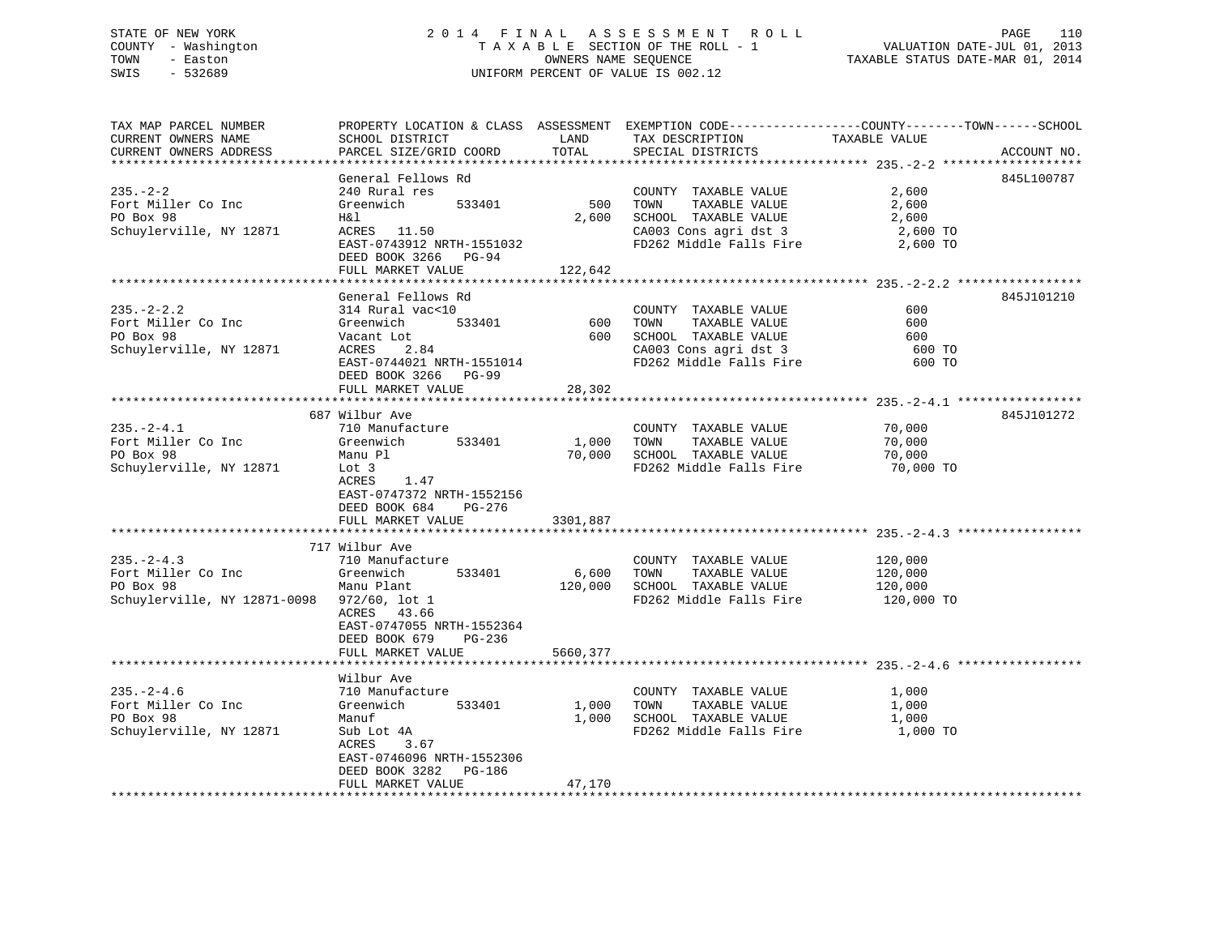# STATE OF NEW YORK 2 0 1 4 F I N A L A S S E S S M E N T R O L L PAGE 110 COUNTY - Washington T A X A B L E SECTION OF THE ROLL - 1 VALUATION DATE-JUL 01, 2013 TOWN - Easton OWNERS NAME SEQUENCE TAXABLE STATUS DATE-MAR 01, 2014 SWIS - 532689 UNIFORM PERCENT OF VALUE IS 002.12

| TAX MAP PARCEL NUMBER                      | PROPERTY LOCATION & CLASS ASSESSMENT EXEMPTION CODE----------------COUNTY-------TOWN------SCHOOL |          |                                                             |               |             |
|--------------------------------------------|--------------------------------------------------------------------------------------------------|----------|-------------------------------------------------------------|---------------|-------------|
| CURRENT OWNERS NAME                        | SCHOOL DISTRICT                                                                                  | LAND     | TAX DESCRIPTION                                             | TAXABLE VALUE |             |
| CURRENT OWNERS ADDRESS                     | PARCEL SIZE/GRID COORD                                                                           | TOTAL    | SPECIAL DISTRICTS                                           |               | ACCOUNT NO. |
|                                            |                                                                                                  |          |                                                             |               |             |
|                                            | General Fellows Rd                                                                               |          |                                                             |               | 845L100787  |
| $235. - 2 - 2$                             | 240 Rural res                                                                                    |          | COUNTY TAXABLE VALUE                                        | 2,600         |             |
| Fort Miller Co Inc                         | Greenwich<br>533401                                                                              | 500      | TAXABLE VALUE<br>TOWN                                       | 2,600         |             |
| PO Box 98                                  | H&l                                                                                              | 2,600    | SCHOOL TAXABLE VALUE                                        | 2,600         |             |
| Schuylerville, NY 12871                    | ACRES 11.50                                                                                      |          | CA003 Cons agri dst 3                                       | 2,600 TO      |             |
|                                            | EAST-0743912 NRTH-1551032                                                                        |          | FD262 Middle Falls Fire                                     | 2,600 TO      |             |
|                                            | DEED BOOK 3266 PG-94<br>FULL MARKET VALUE                                                        | 122,642  |                                                             |               |             |
|                                            |                                                                                                  |          |                                                             |               |             |
|                                            | General Fellows Rd                                                                               |          |                                                             |               | 845J101210  |
| $235. - 2 - 2.2$                           | 314 Rural vac<10                                                                                 |          | COUNTY TAXABLE VALUE                                        | 600           |             |
| Fort Miller Co Inc                         | 533401<br>Greenwich                                                                              | 600      | TAXABLE VALUE<br>TOWN                                       | 600           |             |
| PO Box 98                                  | Vacant Lot                                                                                       |          | 600 SCHOOL TAXABLE VALUE                                    | 600           |             |
| Schuylerville, NY 12871                    | ACRES<br>2.84                                                                                    |          | CA003 Cons agri dst 3                                       | 600 TO        |             |
|                                            | EAST-0744021 NRTH-1551014                                                                        |          | FD262 Middle Falls Fire                                     | 600 TO        |             |
|                                            | DEED BOOK 3266 PG-99                                                                             |          |                                                             |               |             |
|                                            | FULL MARKET VALUE                                                                                | 28,302   |                                                             |               |             |
|                                            |                                                                                                  |          |                                                             |               |             |
|                                            | 687 Wilbur Ave                                                                                   |          |                                                             |               | 845J101272  |
| $235. - 2 - 4.1$                           | 710 Manufacture                                                                                  |          | COUNTY TAXABLE VALUE                                        | 70,000        |             |
| Fort Miller Co Inc                         | 533401<br>Greenwich                                                                              | 1,000    | TOWN<br>TAXABLE VALUE                                       | 70,000        |             |
| PO Box 98                                  | Manu Pl                                                                                          | 70,000   | SCHOOL TAXABLE VALUE                                        | 70,000        |             |
| Schuylerville, NY 12871                    | Lot 3                                                                                            |          | FD262 Middle Falls Fire 70,000 TO                           |               |             |
|                                            | ACRES<br>1.47                                                                                    |          |                                                             |               |             |
|                                            | EAST-0747372 NRTH-1552156                                                                        |          |                                                             |               |             |
|                                            | DEED BOOK 684<br>PG-276                                                                          |          |                                                             |               |             |
|                                            | FULL MARKET VALUE                                                                                | 3301,887 |                                                             |               |             |
|                                            | 717 Wilbur Ave                                                                                   |          |                                                             |               |             |
| $235. - 2 - 4.3$                           | 710 Manufacture                                                                                  |          |                                                             |               |             |
| Fort Miller Co Inc                         | 533401<br>Greenwich                                                                              |          | COUNTY TAXABLE VALUE 120,000<br>6,600 TOWN<br>TAXABLE VALUE | 120,000       |             |
| PO Box 98                                  | Manu Plant                                                                                       |          | 120,000 SCHOOL TAXABLE VALUE                                | 120,000       |             |
| Schuylerville, NY 12871-0098 972/60, lot 1 |                                                                                                  |          | FD262 Middle Falls Fire                                     | 120,000 TO    |             |
|                                            | ACRES 43.66                                                                                      |          |                                                             |               |             |
|                                            | EAST-0747055 NRTH-1552364                                                                        |          |                                                             |               |             |
|                                            | DEED BOOK 679 PG-236                                                                             |          |                                                             |               |             |
|                                            | FULL MARKET VALUE                                                                                | 5660,377 |                                                             |               |             |
|                                            |                                                                                                  |          |                                                             |               |             |
|                                            | Wilbur Ave                                                                                       |          |                                                             |               |             |
| $235. - 2 - 4.6$                           | 710 Manufacture                                                                                  |          | COUNTY TAXABLE VALUE                                        | 1,000         |             |
| Fort Miller Co Inc                         | 533401<br>Greenwich                                                                              |          | TAXABLE VALUE<br>1,000 TOWN                                 | 1,000         |             |
| PO Box 98                                  | Manuf                                                                                            |          | 1,000 SCHOOL TAXABLE VALUE                                  | 1,000         |             |
| Schuylerville, NY 12871                    | Sub Lot 4A                                                                                       |          | FD262 Middle Falls Fire 1,000 TO                            |               |             |
|                                            | ACRES<br>3.67                                                                                    |          |                                                             |               |             |
|                                            | EAST-0746096 NRTH-1552306                                                                        |          |                                                             |               |             |
|                                            | DEED BOOK 3282 PG-186                                                                            |          |                                                             |               |             |
|                                            | FULL MARKET VALUE                                                                                | 47,170   |                                                             |               |             |
|                                            |                                                                                                  |          |                                                             |               |             |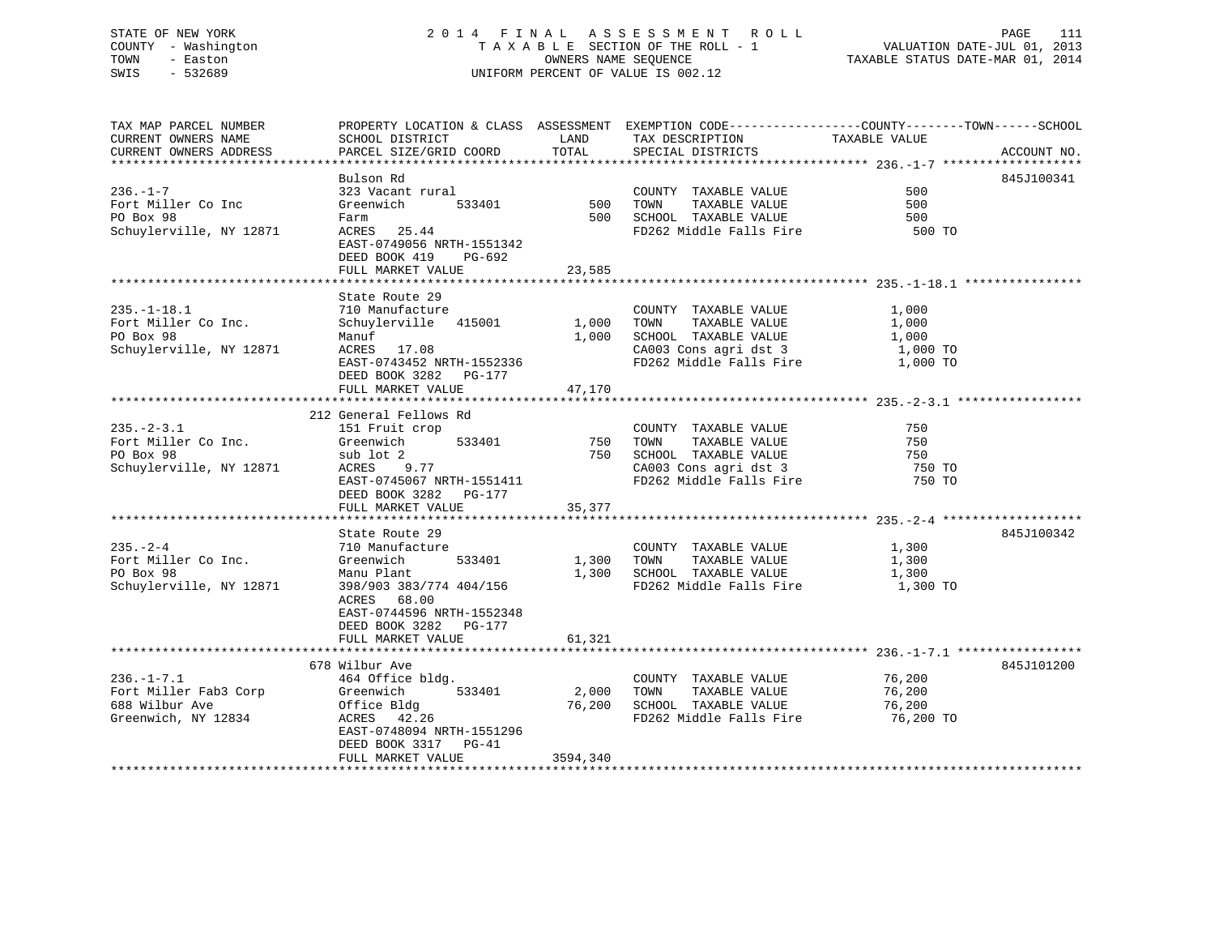# STATE OF NEW YORK 2 0 1 4 F I N A L A S S E S S M E N T R O L L PAGE 111 COUNTY - Washington T A X A B L E SECTION OF THE ROLL - 1 VALUATION DATE-JUL 01, 2013 TOWN - Easton **CONNERS NAME SEQUENCE** TAXABLE STATUS DATE-MAR 01, 2014 SWIS - 532689 UNIFORM PERCENT OF VALUE IS 002.12

| TAX MAP PARCEL NUMBER   |                           |          |                                   | PROPERTY LOCATION & CLASS ASSESSMENT EXEMPTION CODE----------------COUNTY-------TOWN-----SCHOOL |  |
|-------------------------|---------------------------|----------|-----------------------------------|-------------------------------------------------------------------------------------------------|--|
| CURRENT OWNERS NAME     | SCHOOL DISTRICT           | LAND     | TAX DESCRIPTION                   | TAXABLE VALUE                                                                                   |  |
| CURRENT OWNERS ADDRESS  | PARCEL SIZE/GRID COORD    | TOTAL    | SPECIAL DISTRICTS                 | ACCOUNT NO.                                                                                     |  |
|                         |                           |          |                                   |                                                                                                 |  |
|                         | Bulson Rd                 |          |                                   | 845J100341                                                                                      |  |
| $236. - 1 - 7$          | 323 Vacant rural          |          | COUNTY TAXABLE VALUE              | 500                                                                                             |  |
| Fort Miller Co Inc      | 533401<br>Greenwich       | 500      | TOWN<br>TAXABLE VALUE             | 500                                                                                             |  |
| PO Box 98               | Farm                      | 500      | SCHOOL TAXABLE VALUE              | 500                                                                                             |  |
| Schuylerville, NY 12871 | ACRES 25.44               |          | FD262 Middle Falls Fire           | 500 TO                                                                                          |  |
|                         | EAST-0749056 NRTH-1551342 |          |                                   |                                                                                                 |  |
|                         | DEED BOOK 419<br>PG-692   |          |                                   |                                                                                                 |  |
|                         | FULL MARKET VALUE         | 23,585   |                                   |                                                                                                 |  |
|                         |                           |          |                                   |                                                                                                 |  |
|                         | State Route 29            |          |                                   |                                                                                                 |  |
| $235. - 1 - 18.1$       | 710 Manufacture           |          | COUNTY TAXABLE VALUE              | 1,000                                                                                           |  |
| Fort Miller Co Inc.     | Schuylerville 415001      | 1,000    | TAXABLE VALUE<br>TOWN             | 1,000                                                                                           |  |
| PO Box 98               | Manuf                     | 1,000    | SCHOOL TAXABLE VALUE              | 1,000                                                                                           |  |
| Schuylerville, NY 12871 | ACRES 17.08               |          | CA003 Cons agri dst 3             | 1,000 TO                                                                                        |  |
|                         | EAST-0743452 NRTH-1552336 |          | FD262 Middle Falls Fire           | 1,000 TO                                                                                        |  |
|                         | DEED BOOK 3282 PG-177     |          |                                   |                                                                                                 |  |
|                         | FULL MARKET VALUE         | 47,170   |                                   |                                                                                                 |  |
|                         |                           |          |                                   |                                                                                                 |  |
|                         | 212 General Fellows Rd    |          |                                   |                                                                                                 |  |
| $235. - 2 - 3.1$        | 151 Fruit crop            |          | COUNTY TAXABLE VALUE              | 750                                                                                             |  |
| Fort Miller Co Inc.     | 533401<br>Greenwich       | 750      | TAXABLE VALUE<br>TOWN             | 750                                                                                             |  |
| PO Box 98               | sub lot 2                 | 750      | SCHOOL TAXABLE VALUE              | 750                                                                                             |  |
| Schuylerville, NY 12871 | 9.77<br>ACRES             |          | CA003 Cons agri dst 3             | 750 TO                                                                                          |  |
|                         | EAST-0745067 NRTH-1551411 |          | FD262 Middle Falls Fire           | 750 TO                                                                                          |  |
|                         | DEED BOOK 3282 PG-177     |          |                                   |                                                                                                 |  |
|                         | FULL MARKET VALUE         | 35,377   |                                   |                                                                                                 |  |
|                         |                           |          |                                   |                                                                                                 |  |
|                         | State Route 29            |          |                                   | 845J100342                                                                                      |  |
| $235. - 2 - 4$          | 710 Manufacture           |          | COUNTY TAXABLE VALUE              | 1,300                                                                                           |  |
| Fort Miller Co Inc.     | 533401<br>Greenwich       | 1,300    | TOWN<br>TAXABLE VALUE             | 1,300                                                                                           |  |
| PO Box 98               | Manu Plant                | 1,300    | SCHOOL TAXABLE VALUE              | 1,300                                                                                           |  |
| Schuylerville, NY 12871 | 398/903 383/774 404/156   |          | FD262 Middle Falls Fire 1,300 TO  |                                                                                                 |  |
|                         | ACRES 68.00               |          |                                   |                                                                                                 |  |
|                         | EAST-0744596 NRTH-1552348 |          |                                   |                                                                                                 |  |
|                         | DEED BOOK 3282 PG-177     |          |                                   |                                                                                                 |  |
|                         |                           |          |                                   |                                                                                                 |  |
|                         | FULL MARKET VALUE         | 61,321   |                                   |                                                                                                 |  |
|                         | 678 Wilbur Ave            |          |                                   | 845J101200                                                                                      |  |
|                         |                           |          |                                   |                                                                                                 |  |
| $236. - 1 - 7.1$        | 464 Office bldg.          |          | COUNTY TAXABLE VALUE              | 76,200                                                                                          |  |
| Fort Miller Fab3 Corp   | Greenwich<br>533401       | 2,000    | TOWN<br>TAXABLE VALUE             | 76,200                                                                                          |  |
| 688 Wilbur Ave          | Office Bldg               | 76,200   | SCHOOL TAXABLE VALUE              | 76,200                                                                                          |  |
| Greenwich, NY 12834     | ACRES 42.26               |          | FD262 Middle Falls Fire 76,200 TO |                                                                                                 |  |
|                         | EAST-0748094 NRTH-1551296 |          |                                   |                                                                                                 |  |
|                         | DEED BOOK 3317 PG-41      |          |                                   |                                                                                                 |  |
|                         | FULL MARKET VALUE         | 3594,340 |                                   |                                                                                                 |  |
|                         |                           |          |                                   |                                                                                                 |  |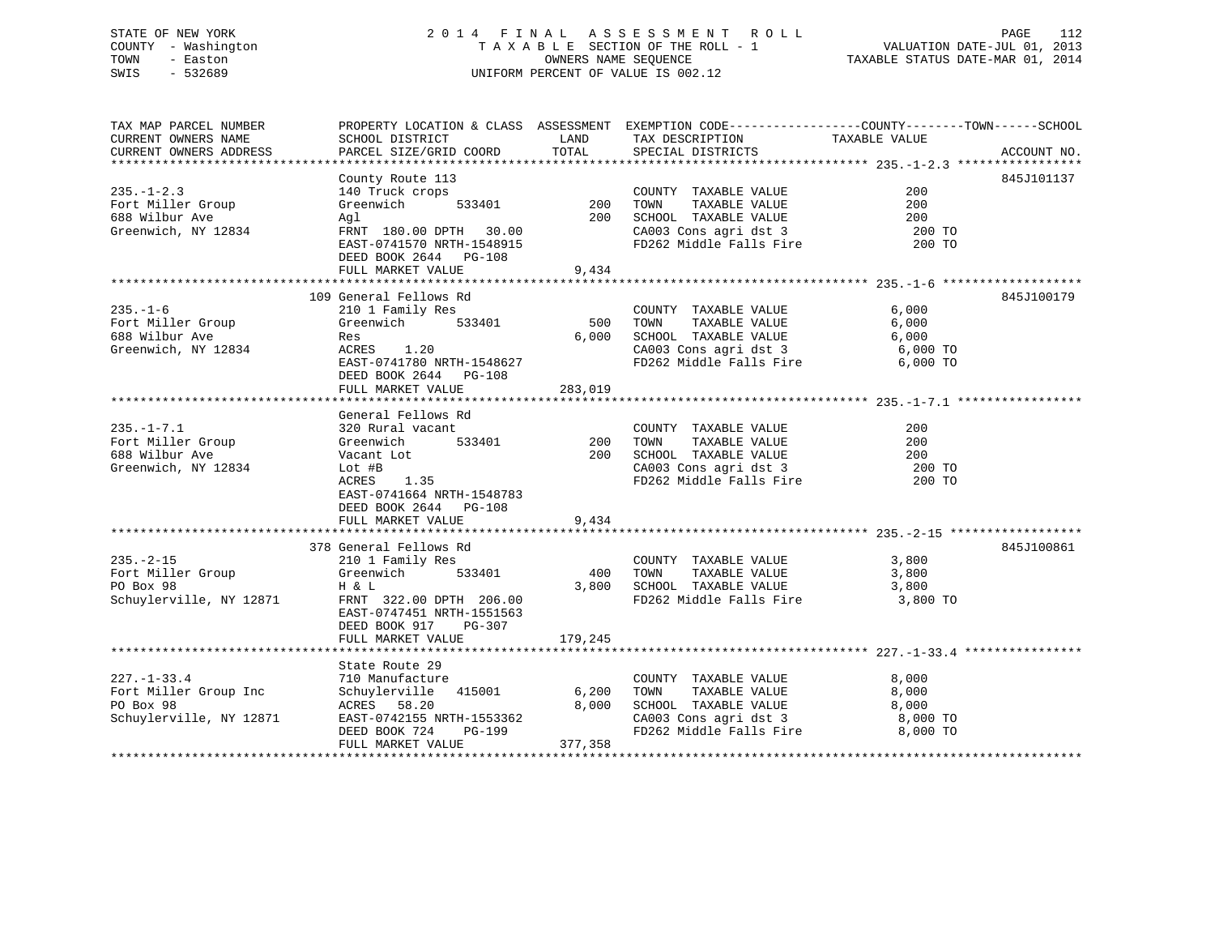## STATE OF NEW YORK 2014 FINAL ASSESSMENT ROLL PAGE 112 COUNTY - Washington  $T A X A B L E$  SECTION OF THE ROLL - 1<br>TOWN - Easton DATE-JUL 001, 2014 OWNERS NAME SEQUENCE TOWN - Easton **CONNERS NAME SEQUENCE** TAXABLE STATUS DATE-MAR 01, 2014 SWIS - 532689 UNIFORM PERCENT OF VALUE IS 002.12

| TAX MAP PARCEL NUMBER<br>CURRENT OWNERS NAME<br>CURRENT OWNERS ADDRESS                                         | SCHOOL DISTRICT<br>PARCEL SIZE/GRID COORD                                                                                                                                                       | LAND<br>TOTAL                       | TAX DESCRIPTION<br>SPECIAL DISTRICTS<br>SPECIAL DISTRICTS                                                                                                  | PROPERTY LOCATION & CLASS ASSESSMENT EXEMPTION CODE---------------COUNTY-------TOWN------SCHOOL<br>ACCOUNT NO. |
|----------------------------------------------------------------------------------------------------------------|-------------------------------------------------------------------------------------------------------------------------------------------------------------------------------------------------|-------------------------------------|------------------------------------------------------------------------------------------------------------------------------------------------------------|----------------------------------------------------------------------------------------------------------------|
| $235. - 1 - 2.3$<br>Fort Miller Group<br>688 Wilbur Ave<br>Greenwich, NY 12834 FRNT 180.00 DPTH 30.00          | County Route 113<br>140 Truck crops<br>Greenwich<br>Agl<br>EAST-0741570 NRTH-1548915<br>DEED BOOK 2644 PG-108<br>FULL MARKET VALUE                                                              | 533401 200<br>200<br>9,434          | COUNTY TAXABLE VALUE<br>TAXABLE VALUE<br>TOWN<br>SCHOOL TAXABLE VALUE 200<br>CA003 Cons agri dst 3 200 TO<br>FD262 Middle Falls Fire                       | 845J101137<br>200<br>200<br>200 TO                                                                             |
| $235. - 1 - 6$<br>688 Wilbur Ave<br>Greenwich, NY 12834                                                        | 109 General Fellows Rd<br>210 1 Family Res<br>533401<br>Res<br>ACRES 1.20<br>EAST-0741780 NRTH-1548627<br>DEED BOOK 2644 PG-108<br>FULL MARKET VALUE                                            | 500<br>6,000<br>283,019             | COUNTY TAXABLE VALUE 6,000<br>TOWN TAXABLE VALUE 6,000<br>SCHOOL TAXABLE VALUE 6,000<br>CA003 Cons agri dst 3 6,000 TO<br>FD262 Middle Falls Fire 6,000 TO | 845J100179                                                                                                     |
| Greenwich, NY 12834                                                                                            | General Fellows Rd<br>533401<br>Lot #B<br>ACRES 1.35<br>EAST-0741664 NRTH-1548783<br>DEED BOOK 2644 PG-108<br>FULL MARKET VALUE                                                                 | $533401$ 200<br>200<br>200<br>9,434 | COUNTY TAXABLE VALUE<br>TOWN<br>TAXABLE VALUE<br>SCHOOL TAXABLE VALUE 200<br>CA003 Cons agri dst 3 and 200 TO<br>FD262 Middle Falls Fire 200 TO            | 200<br>200<br>200 TO                                                                                           |
| 235.-2-15 210 1 Family Res<br>Fort Miller Group 61 6 Greenwich 5<br>PO Box 98 H & L<br>Schuylerville, NY 12871 | 378 General Fellows Rd<br>533401<br>FRNT 322.00 DPTH 206.00<br>EAST-0747451 NRTH-1551563<br>DEED BOOK 917 PG-307<br>FULL MARKET VALUE                                                           | 400<br>3,800<br>179,245             | COUNTY TAXABLE VALUE<br>TOWN      TAXABLE  VALUE<br>SCHOOL   TAXABLE  VALUE<br>FD262 Middle Falls Fire 3,800 TO                                            | 845J100861<br>3,800<br>3,800<br>3,800                                                                          |
| $227. - 1 - 33.4$<br>Fort Miller Group Inc<br>PO Box 98<br>Schuylerville, NY 12871                             | State Route 29<br>The Nouve 29<br>710 Manufacture<br>Schuylerville 415001<br>ACRES 58.20<br>EAST-0742155 NRTH-1553362<br>EAST-0742155 NRTH-1553362<br>DEED BOOK 724 PG-199<br>FULL MARKET VALUE | 6,200<br>8,000<br>377,358           | COUNTY TAXABLE VALUE<br>TAXABLE VALUE<br>TOWN<br>SCHOOL TAXABLE VALUE<br>CA003 Cons agri dst 3<br>8,000 TO FD262 Middle Falls Fire 8,000 TO                | 8,000<br>8,000<br>8,000                                                                                        |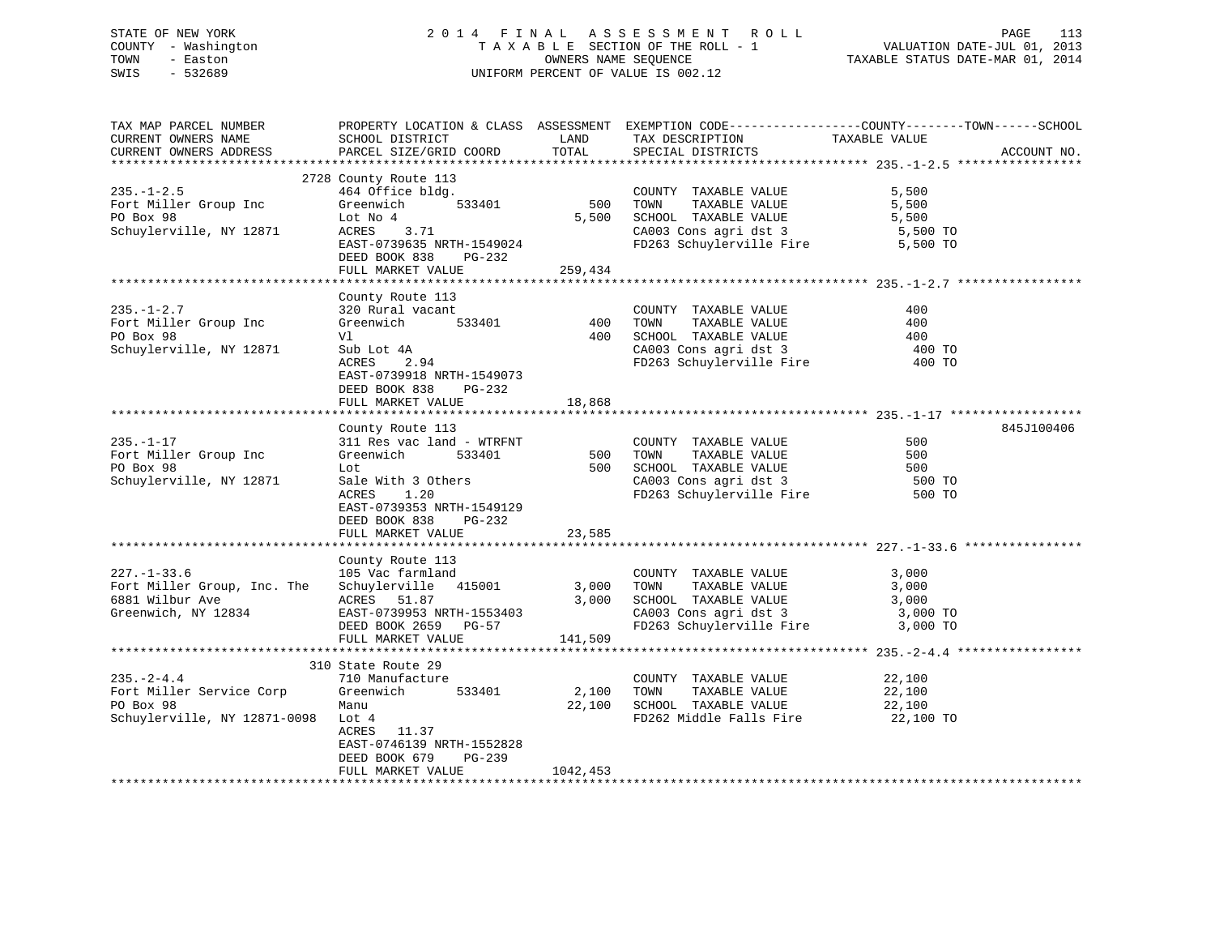# STATE OF NEW YORK 2 0 1 4 F I N A L A S S E S S M E N T R O L L PAGE 113 COUNTY - Washington T A X A B L E SECTION OF THE ROLL - 1 VALUATION DATE-JUL 01, 2013 TOWN - Easton OWNERS NAME SEQUENCE TAXABLE STATUS DATE-MAR 01, 2014 SWIS - 532689 UNIFORM PERCENT OF VALUE IS 002.12

| TAX MAP PARCEL NUMBER<br>CURRENT OWNERS NAME<br>CURRENT OWNERS ADDRESS                    | SCHOOL DISTRICT<br>PARCEL SIZE/GRID COORD                                                                                                                                  | LAND<br>TOTAL   | TAX DESCRIPTION<br>SPECIAL DISTRICTS                                                                                       | PROPERTY LOCATION & CLASS ASSESSMENT EXEMPTION CODE----------------COUNTY-------TOWN------SCHOOL<br>TAXABLE VALUE | ACCOUNT NO. |
|-------------------------------------------------------------------------------------------|----------------------------------------------------------------------------------------------------------------------------------------------------------------------------|-----------------|----------------------------------------------------------------------------------------------------------------------------|-------------------------------------------------------------------------------------------------------------------|-------------|
|                                                                                           |                                                                                                                                                                            |                 |                                                                                                                            |                                                                                                                   |             |
| $235. - 1 - 2.5$<br>Fort Miller Group Inc                                                 | 2728 County Route 113<br>464 Office bldg.<br>533401<br>Greenwich                                                                                                           | 500             | COUNTY TAXABLE VALUE<br>TAXABLE VALUE<br>TOWN                                                                              | 5,500<br>5,500                                                                                                    |             |
| PO Box 98<br>Schuylerville, NY 12871                                                      | Lot No 4<br>ACRES<br>3.71<br>EAST-0739635 NRTH-1549024<br>DEED BOOK 838<br>PG-232                                                                                          | 5,500           | SCHOOL TAXABLE VALUE<br>CA003 Cons agri dst 3<br>FD263 Schuylerville Fire                                                  | 5,500<br>5,500 TO<br>5,500 TO                                                                                     |             |
|                                                                                           | FULL MARKET VALUE                                                                                                                                                          | 259,434         |                                                                                                                            |                                                                                                                   |             |
|                                                                                           |                                                                                                                                                                            |                 |                                                                                                                            |                                                                                                                   |             |
| $235. - 1 - 2.7$<br>Fort Miller Group Inc<br>PO Box 98<br>Schuylerville, NY 12871         | County Route 113<br>320 Rural vacant<br>533401<br>Greenwich<br>Vl<br>Sub Lot 4A<br>ACRES<br>2.94<br>EAST-0739918 NRTH-1549073<br>DEED BOOK 838<br>$PG-232$                 | 400<br>400      | COUNTY TAXABLE VALUE<br>TOWN<br>TAXABLE VALUE<br>SCHOOL TAXABLE VALUE<br>CA003 Cons agri dst 3<br>FD263 Schuylerville Fire | 400<br>400<br>400<br>400 TO<br>400 TO                                                                             |             |
|                                                                                           | FULL MARKET VALUE                                                                                                                                                          | 18,868          |                                                                                                                            |                                                                                                                   |             |
|                                                                                           |                                                                                                                                                                            |                 |                                                                                                                            |                                                                                                                   |             |
| $235. - 1 - 17$<br>Fort Miller Group Inc<br>PO Box 98<br>Schuylerville, NY 12871          | County Route 113<br>311 Res vac land - WTRFNT<br>Greenwich<br>533401<br>Lot<br>Sale With 3 Others<br>ACRES<br>1.20<br>EAST-0739353 NRTH-1549129<br>DEED BOOK 838<br>PG-232 | 500<br>500      | COUNTY TAXABLE VALUE<br>TOWN<br>TAXABLE VALUE<br>CA003 Cons agri dst 3<br>FD263 Schurley 1:<br>FD263 Schuylerville Fire    | 500<br>500<br>500<br>500 TO<br>500 TO                                                                             | 845J100406  |
|                                                                                           | FULL MARKET VALUE                                                                                                                                                          | 23,585          |                                                                                                                            |                                                                                                                   |             |
| $227. - 1 - 33.6$<br>Fort Miller Group, Inc. The<br>6881 Wilbur Ave                       | County Route 113<br>105 Vac farmland<br>Schuylerville 415001<br>ACRES 51.87                                                                                                | 3,000<br>3,000  | COUNTY TAXABLE VALUE<br>TAXABLE VALUE<br>TOWN<br>SCHOOL TAXABLE VALUE                                                      | 3,000<br>3,000<br>3,000                                                                                           |             |
| Greenwich, NY 12834                                                                       | EAST-0739953 NRTH-1553403<br>DEED BOOK 2659 PG-57<br>FULL MARKET VALUE                                                                                                     | 141,509         | CA003 Cons agri dst 3<br>FD263 Schuylerville Fire                                                                          | 3,000 TO<br>3,000 TO                                                                                              |             |
|                                                                                           |                                                                                                                                                                            |                 |                                                                                                                            |                                                                                                                   |             |
| $235. - 2 - 4.4$<br>Fort Miller Service Corp<br>PO Box 98<br>Schuylerville, NY 12871-0098 | 310 State Route 29<br>710 Manufacture<br>Greenwich<br>533401<br>Manu<br>Lot 4<br>ACRES 11.37<br>EAST-0746139 NRTH-1552828<br>DEED BOOK 679<br>$PG-239$                     | 2,100<br>22,100 | COUNTY TAXABLE VALUE<br>TOWN<br>TAXABLE VALUE<br>SCHOOL TAXABLE VALUE<br>FD262 Middle Falls Fire                           | 22,100<br>22,100<br>22,100<br>22,100 TO                                                                           |             |
|                                                                                           | FULL MARKET VALUE                                                                                                                                                          | 1042,453        |                                                                                                                            |                                                                                                                   |             |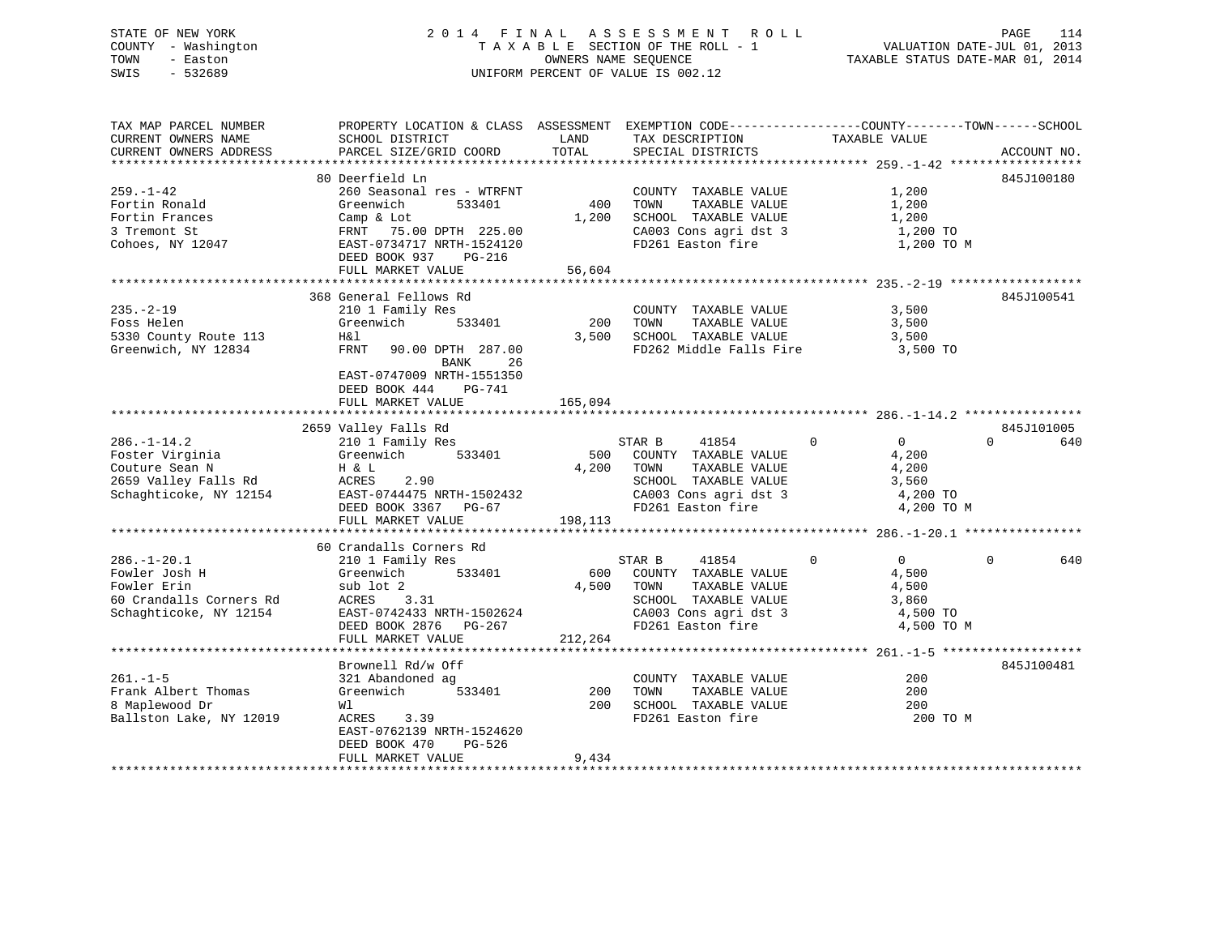# STATE OF NEW YORK 2 0 1 4 F I N A L A S S E S S M E N T R O L L PAGE 114 COUNTY - Washington T A X A B L E SECTION OF THE ROLL - 1 VALUATION DATE-JUL 01, 2013 TOWN - Easton OWNERS NAME SEQUENCE TAXABLE STATUS DATE-MAR 01, 2014 SWIS - 532689 UNIFORM PERCENT OF VALUE IS 002.12

| TAX MAP PARCEL NUMBER<br>CURRENT OWNERS NAME                                                             | PROPERTY LOCATION & CLASS ASSESSMENT EXEMPTION CODE---------------COUNTY-------TOWN------SCHOOL<br>SCHOOL DISTRICT                                                                 | LAND<br>TOTAL           | TAX DESCRIPTION                                                                                                                                          | TAXABLE VALUE                                                                                  |                 |
|----------------------------------------------------------------------------------------------------------|------------------------------------------------------------------------------------------------------------------------------------------------------------------------------------|-------------------------|----------------------------------------------------------------------------------------------------------------------------------------------------------|------------------------------------------------------------------------------------------------|-----------------|
| CURRENT OWNERS ADDRESS                                                                                   | PARCEL SIZE/GRID COORD                                                                                                                                                             |                         | SPECIAL DISTRICTS                                                                                                                                        |                                                                                                | ACCOUNT NO.     |
|                                                                                                          | 80 Deerfield Ln                                                                                                                                                                    |                         |                                                                                                                                                          |                                                                                                | 845J100180      |
| $259. - 1 - 42$<br>Fortin Ronald<br>Fortin Frances<br>3 Tremont St<br>Cohoes, NY 12047                   | 260 Seasonal res - WTRFNT<br>Greenwich<br>533401<br>Camp & Lot<br>FRNT 75.00 DPTH 225.00<br>EAST-0734717 NRTH-1524120<br>DEED BOOK 937<br>PG-216<br>FULL MARKET VALUE              | 400<br>1,200<br>56,604  | COUNTY TAXABLE VALUE<br>TOWN<br>TAXABLE VALUE<br>SCHOOL TAXABLE VALUE<br>CA003 Cons agri dst 3<br>FD261 Easton fire                                      | 1,200<br>1,200<br>1,200<br>1,200 TO<br>1,200 TO M                                              |                 |
|                                                                                                          |                                                                                                                                                                                    |                         |                                                                                                                                                          |                                                                                                |                 |
| $235. - 2 - 19$<br>Foss Helen<br>5330 County Route 113<br>Greenwich, NY 12834                            | 368 General Fellows Rd<br>210 1 Family Res<br>Greenwich<br>533401<br>H&l<br>FRNT<br>90.00 DPTH 287.00<br>BANK<br>26<br>EAST-0747009 NRTH-1551350<br>DEED BOOK 444<br><b>PG-741</b> | 200<br>3,500            | COUNTY TAXABLE VALUE<br>TOWN<br>TAXABLE VALUE<br>SCHOOL TAXABLE VALUE<br>FD262 Middle Falls Fire                                                         | 3,500<br>3,500<br>3,500<br>3,500 TO                                                            | 845J100541      |
|                                                                                                          | FULL MARKET VALUE                                                                                                                                                                  | 165,094                 |                                                                                                                                                          |                                                                                                |                 |
|                                                                                                          | 2659 Valley Falls Rd                                                                                                                                                               |                         |                                                                                                                                                          |                                                                                                | 845J101005      |
| $286. - 1 - 14.2$<br>Foster Virginia<br>Couture Sean N<br>2659 Valley Falls Rd<br>Schaghticoke, NY 12154 | 210 1 Family Res<br>Greenwich<br>533401<br>H & L<br>ACRES<br>2.90<br>EAST-0744475 NRTH-1502432<br>DEED BOOK 3367 PG-67<br>FULL MARKET VALUE                                        | 500<br>4,200<br>198,113 | $\overline{0}$<br>STAR B<br>41854<br>COUNTY TAXABLE VALUE<br>TOWN<br>TAXABLE VALUE<br>SCHOOL TAXABLE VALUE<br>CA003 Cons agri dst 3<br>FD261 Easton fire | 0<br>4,200<br>4,200<br>3,560<br>4,200 TO<br>4,200 TO M                                         | $\Omega$<br>640 |
|                                                                                                          |                                                                                                                                                                                    |                         |                                                                                                                                                          |                                                                                                |                 |
| $286. - 1 - 20.1$<br>Fowler Josh H<br>Fowler Erin<br>60 Crandalls Corners Rd<br>Schaghticoke, NY 12154   | 60 Crandalls Corners Rd<br>210 1 Family Res<br>533401<br>Greenwich<br>sub lot 2<br>ACRES 3.31<br>EAST-0742433 NRTH-1502624<br>DEED BOOK 2876 PG-267<br>FULL MARKET VALUE           | 4,500<br>212,264        | STAR B<br>41854<br>600 COUNTY TAXABLE VALUE<br>TOWN<br>TAXABLE VALUE<br>SCHOOL TAXABLE VALUE<br>CA003 Cons agri dst 3<br>FD261 Easton fire               | $\Omega$<br>$\Omega$<br>$0 \qquad \qquad$<br>4,500<br>4,500<br>3,860<br>4,500 TO<br>4,500 TO M | 640             |
|                                                                                                          |                                                                                                                                                                                    |                         |                                                                                                                                                          |                                                                                                |                 |
| $261. -1 - 5$<br>Frank Albert Thomas<br>8 Maplewood Dr<br>Ballston Lake, NY 12019                        | Brownell Rd/w Off<br>321 Abandoned ag<br>Greenwich<br>533401<br>Wl<br>ACRES<br>3.39<br>EAST-0762139 NRTH-1524620<br>DEED BOOK 470<br>PG-526<br>FULL MARKET VALUE                   | 200<br>200<br>9,434     | COUNTY TAXABLE VALUE<br>TAXABLE VALUE<br>TOWN<br>SCHOOL TAXABLE VALUE<br>FD261 Easton fire                                                               | 200<br>$200 -$<br>200<br>200 TO M                                                              | 845J100481      |
|                                                                                                          |                                                                                                                                                                                    |                         |                                                                                                                                                          |                                                                                                |                 |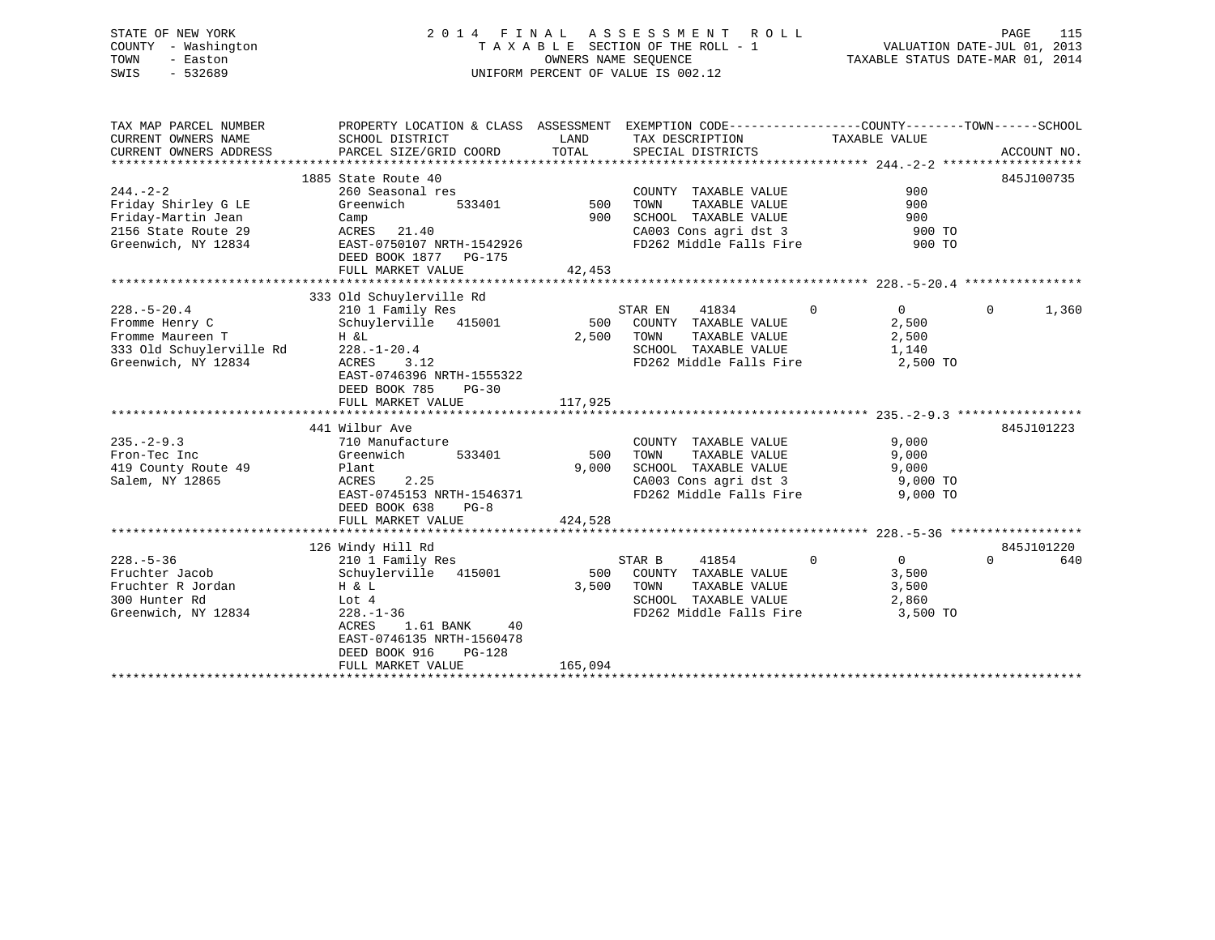# STATE OF NEW YORK 2 0 1 4 F I N A L A S S E S S M E N T R O L L PAGE 115 COUNTY - Washington T A X A B L E SECTION OF THE ROLL - 1 VALUATION DATE-JUL 01, 2013 TOWN - Easton OWNERS NAME SEQUENCE TAXABLE STATUS DATE-MAR 01, 2014 SWIS - 532689 UNIFORM PERCENT OF VALUE IS 002.12

| TAX MAP PARCEL NUMBER<br>CURRENT OWNERS NAME | PROPERTY LOCATION & CLASS ASSESSMENT EXEMPTION CODE----------------COUNTY-------TOWN------SCHOOL<br>SCHOOL DISTRICT | LAND       | TAX DESCRIPTION                                           | TAXABLE VALUE                    |                   |
|----------------------------------------------|---------------------------------------------------------------------------------------------------------------------|------------|-----------------------------------------------------------|----------------------------------|-------------------|
| CURRENT OWNERS ADDRESS                       | PARCEL SIZE/GRID COORD                                                                                              | TOTAL      | SPECIAL DISTRICTS                                         |                                  | ACCOUNT NO.       |
|                                              | 1885 State Route 40                                                                                                 |            |                                                           |                                  | 845J100735        |
| $244. - 2 - 2$                               | 260 Seasonal res                                                                                                    |            | COUNTY TAXABLE VALUE                                      | 900                              |                   |
| Friday Shirley G LE                          | Greenwich                                                                                                           | 533401 500 | TAXABLE VALUE<br>TOWN                                     | 900                              |                   |
| Friday-Martin Jean                           | Camp                                                                                                                | 900        | SCHOOL TAXABLE VALUE                                      | 900                              |                   |
| 2156 State Route 29                          | ACRES 21.40                                                                                                         |            | CA003 Cons agri dst 3<br>CA003 Cons agri dst 3            | 900 TO                           |                   |
| Greenwich, NY 12834                          | EAST-0750107 NRTH-1542926<br>DEED BOOK 1877 PG-175                                                                  |            |                                                           | 900 TO                           |                   |
|                                              | FULL MARKET VALUE                                                                                                   | 42,453     |                                                           |                                  |                   |
|                                              |                                                                                                                     |            |                                                           |                                  |                   |
|                                              | 333 Old Schuylerville Rd                                                                                            |            |                                                           |                                  |                   |
| $228. - 5 - 20.4$                            | 210 1 Family Res 5.<br>Schuylerville 415001 500                                                                     |            | STAR EN<br>41834                                          | $\overline{0}$<br>$\overline{0}$ | 1,360<br>$\Omega$ |
| Fromme Henry C                               |                                                                                                                     |            | COUNTY TAXABLE VALUE                                      | 2,500                            |                   |
| Fromme Maureen T<br>333 Old Schuylerville Rd | H &L<br>$228. - 1 - 20.4$                                                                                           | 2,500      | TOWN<br>TAXABLE VALUE<br>SCHOOL TAXABLE VALUE             | 2,500<br>1,140                   |                   |
| Greenwich, NY 12834                          | ACRES<br>3.12                                                                                                       |            | FD262 Middle Falls Fire 2,500 TO                          |                                  |                   |
|                                              | EAST-0746396 NRTH-1555322                                                                                           |            |                                                           |                                  |                   |
|                                              | DEED BOOK 785<br>$PG-30$                                                                                            |            |                                                           |                                  |                   |
|                                              | FULL MARKET VALUE                                                                                                   | 117,925    |                                                           |                                  |                   |
|                                              |                                                                                                                     |            |                                                           |                                  |                   |
|                                              | 441 Wilbur Ave                                                                                                      |            |                                                           |                                  | 845J101223        |
| $235. - 2 - 9.3$                             | 710 Manufacture                                                                                                     |            | COUNTY TAXABLE VALUE                                      | 9,000                            |                   |
| Fron-Tec Inc                                 | 533401<br>Greenwich                                                                                                 | 500 TOWN   | TAXABLE VALUE                                             | 9,000                            |                   |
| 419 County Route 49                          | Plant                                                                                                               | 9,000      | SCHOOL TAXABLE VALUE                                      | 9,000                            |                   |
| Salem, NY 12865                              | ACRES<br>2.25                                                                                                       |            | CA003 Cons agri dst 3                                     | 9,000 TO                         |                   |
|                                              | EAST-0745153 NRTH-1546371                                                                                           |            | FD262 Middle Falls Fire                                   | 9,000 TO                         |                   |
|                                              | $PG-8$<br>DEED BOOK 638                                                                                             |            |                                                           |                                  |                   |
|                                              | FULL MARKET VALUE                                                                                                   | 424,528    |                                                           |                                  |                   |
|                                              |                                                                                                                     |            |                                                           |                                  |                   |
|                                              | 126 Windy Hill Rd                                                                                                   |            |                                                           |                                  | 845J101220        |
| $228. - 5 - 36$                              | 210 1 Family Res                                                                                                    |            | 41854<br>STAR B                                           | $\mathbf 0$<br>$\overline{0}$    | $\Omega$<br>640   |
| Fruchter Jacob                               | Schuylerville 415001                                                                                                |            | 500 COUNTY TAXABLE VALUE                                  | 3,500                            |                   |
| Fruchter R Jordan                            | Η & L                                                                                                               | 3,500      | TOWN<br>TOWN      TAXABLE VALUE<br>SCHOOL   TAXABLE VALUE | 3,500                            |                   |
| 300 Hunter Rd                                | Lot 4                                                                                                               |            |                                                           | 2,860                            |                   |
| Greenwich, NY 12834                          | $228. - 1 - 36$                                                                                                     |            | FD262 Middle Falls Fire 3,500 TO                          |                                  |                   |
|                                              | 1.61 BANK<br>ACRES<br>40                                                                                            |            |                                                           |                                  |                   |
|                                              | EAST-0746135 NRTH-1560478                                                                                           |            |                                                           |                                  |                   |
|                                              | DEED BOOK 916<br>PG-128                                                                                             |            |                                                           |                                  |                   |
|                                              | FULL MARKET VALUE                                                                                                   | 165,094    |                                                           |                                  |                   |
|                                              |                                                                                                                     |            |                                                           |                                  |                   |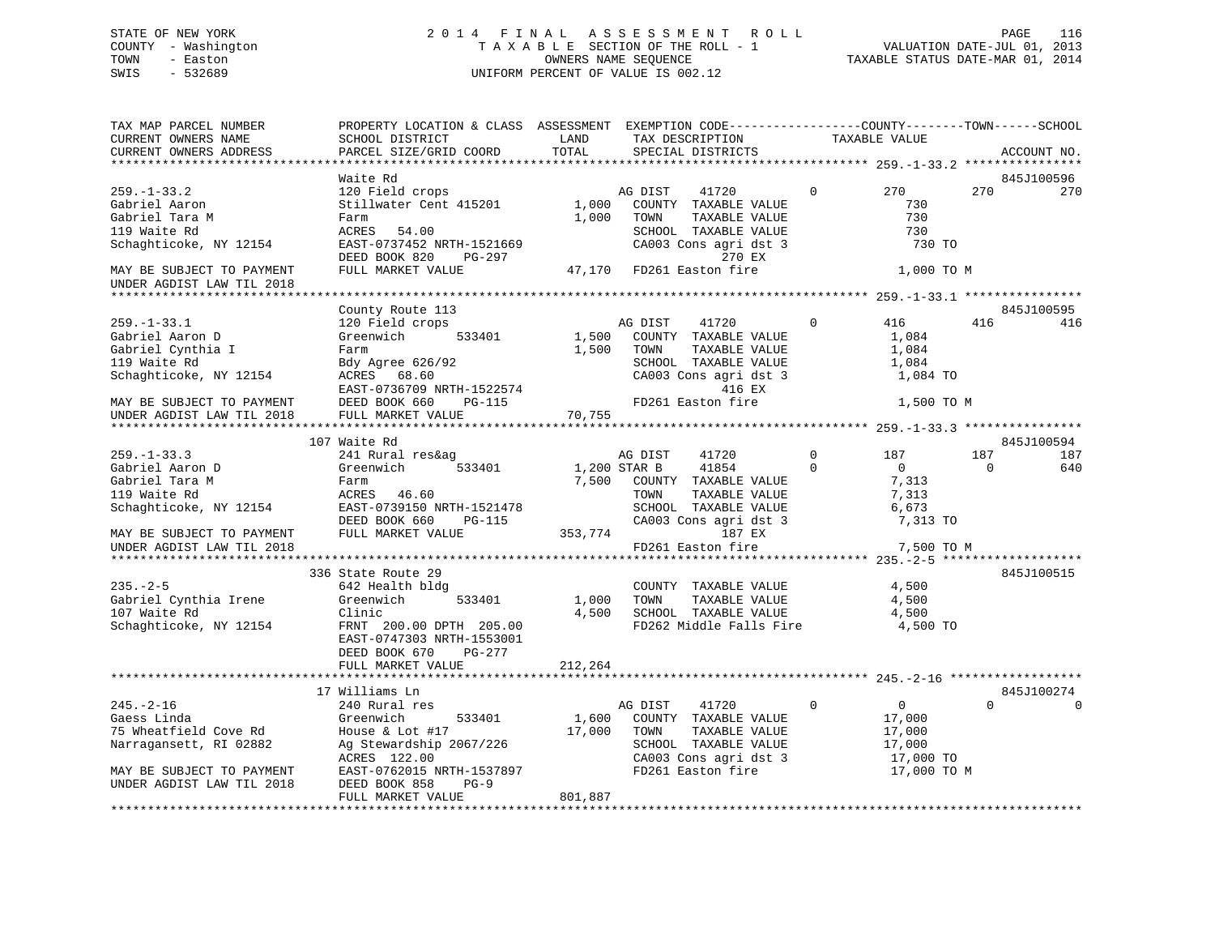# STATE OF NEW YORK 2 0 1 4 F I N A L A S S E S S M E N T R O L L PAGE 116 COUNTY - Washington T A X A B L E SECTION OF THE ROLL - 1 VALUATION DATE-JUL 01, 2013 TOWN - Easton OWNERS NAME SEQUENCE TAXABLE STATUS DATE-MAR 01, 2014 SWIS - 532689 UNIFORM PERCENT OF VALUE IS 002.12

| TAX MAP PARCEL NUMBER<br>CURRENT OWNERS NAME<br>CURRENT OWNERS ADDRESS                                                                      | PROPERTY LOCATION & CLASS ASSESSMENT EXEMPTION CODE----------------COUNTY-------TOWN------SCHOOL<br>SCHOOL DISTRICT<br>PARCEL SIZE/GRID COORD              | LAND<br>TOTAL   | TAX DESCRIPTION<br>SPECIAL DISTRICTS                                                                                                    |             | TAXABLE VALUE                                                          |          | ACCOUNT NO.       |
|---------------------------------------------------------------------------------------------------------------------------------------------|------------------------------------------------------------------------------------------------------------------------------------------------------------|-----------------|-----------------------------------------------------------------------------------------------------------------------------------------|-------------|------------------------------------------------------------------------|----------|-------------------|
|                                                                                                                                             |                                                                                                                                                            |                 |                                                                                                                                         |             |                                                                        |          |                   |
|                                                                                                                                             | Waite Rd                                                                                                                                                   |                 |                                                                                                                                         |             |                                                                        |          | 845J100596        |
| $259. - 1 - 33.2$<br>Gabriel Aaron<br>Gabriel Tara M<br>119 Waite Rd                                                                        | 120 Field crops<br>Stillwater Cent 415201<br>Farm<br>ACRES<br>54.00                                                                                        | 1,000<br>1,000  | AG DIST<br>41720<br>COUNTY TAXABLE VALUE<br>TOWN<br>TAXABLE VALUE<br>SCHOOL TAXABLE VALUE                                               | 0           | 270<br>730<br>730<br>730                                               | 270      | 270               |
| Schaghticoke, NY 12154                                                                                                                      | EAST-0737452 NRTH-1521669<br>DEED BOOK 820<br>PG-297                                                                                                       |                 | CA003 Cons agri dst 3<br>270 EX                                                                                                         |             | 730 TO                                                                 |          |                   |
| MAY BE SUBJECT TO PAYMENT<br>UNDER AGDIST LAW TIL 2018                                                                                      | FULL MARKET VALUE                                                                                                                                          | 47,170          | FD261 Easton fire                                                                                                                       |             | 1,000 TO M                                                             |          |                   |
|                                                                                                                                             |                                                                                                                                                            |                 |                                                                                                                                         |             |                                                                        |          |                   |
| $259. - 1 - 33.1$<br>Gabriel Aaron D<br>Gabriel Cynthia I<br>119 Waite Rd<br>Schaghticoke, NY 12154                                         | County Route 113<br>120 Field crops<br>533401<br>Greenwich<br>Farm<br>Bdy Agree 626/92<br>ACRES 68.60<br>EAST-0736709 NRTH-1522574                         | 1,500<br>1,500  | AG DIST<br>41720<br>COUNTY TAXABLE VALUE<br>TOWN<br>TAXABLE VALUE<br>SCHOOL TAXABLE VALUE<br>CA003 Cons agri dst 3<br>416 EX            | $\mathbf 0$ | 416<br>1,084<br>1,084<br>1,084<br>1,084 TO                             | 416      | 845J100595<br>416 |
| MAY BE SUBJECT TO PAYMENT                                                                                                                   | DEED BOOK 660<br>PG-115                                                                                                                                    |                 | FD261 Easton fire                                                                                                                       |             | 1,500 TO M                                                             |          |                   |
| UNDER AGDIST LAW TIL 2018                                                                                                                   | FULL MARKET VALUE                                                                                                                                          | 70,755          |                                                                                                                                         |             |                                                                        |          |                   |
|                                                                                                                                             |                                                                                                                                                            |                 |                                                                                                                                         |             |                                                                        |          |                   |
| $259. - 1 - 33.3$                                                                                                                           | 107 Waite Rd<br>241 Rural res&ag                                                                                                                           |                 | 41720<br>AG DIST                                                                                                                        | $\mathbf 0$ | 187                                                                    | 187      | 845J100594<br>187 |
| Gabriel Aaron D                                                                                                                             | Greenwich<br>533401                                                                                                                                        |                 | 41854<br>1,200 STAR B                                                                                                                   | $\Omega$    | $\overline{0}$                                                         | $\Omega$ | 640               |
| Gabriel Tara M<br>119 Waite Rd<br>Schaghticoke, NY 12154                                                                                    | Farm<br>46.60<br>ACRES<br>EAST-0739150 NRTH-1521478<br>DEED BOOK 660<br><b>PG-115</b>                                                                      | 7,500           | COUNTY TAXABLE VALUE<br>TOWN<br>TAXABLE VALUE<br>SCHOOL TAXABLE VALUE<br>CA003 Cons agri dst 3                                          |             | 7,313<br>7,313<br>6,673<br>7,313 TO                                    |          |                   |
| MAY BE SUBJECT TO PAYMENT<br>UNDER AGDIST LAW TIL 2018                                                                                      | FULL MARKET VALUE                                                                                                                                          | 353,774         | 187 EX<br>FD261 Easton fire                                                                                                             |             | 7,500 TO M                                                             |          |                   |
|                                                                                                                                             |                                                                                                                                                            |                 |                                                                                                                                         |             |                                                                        |          |                   |
| $235. - 2 - 5$<br>Gabriel Cynthia Irene<br>107 Waite Rd<br>Schaghticoke, NY 12154                                                           | 336 State Route 29<br>642 Health bldg<br>Greenwich<br>533401<br>Clinic<br>FRNT 200.00 DPTH 205.00<br>EAST-0747303 NRTH-1553001<br>DEED BOOK 670<br>PG-277  | 1,000<br>4,500  | COUNTY TAXABLE VALUE<br>TAXABLE VALUE<br>TOWN<br>SCHOOL TAXABLE VALUE<br>FD262 Middle Falls Fire                                        |             | 4,500<br>4,500<br>4,500<br>4,500 TO                                    |          | 845J100515        |
|                                                                                                                                             | FULL MARKET VALUE                                                                                                                                          | 212,264         |                                                                                                                                         |             |                                                                        |          |                   |
|                                                                                                                                             | 17 Williams Ln                                                                                                                                             |                 |                                                                                                                                         |             |                                                                        |          | 845J100274        |
| $245. - 2 - 16$<br>Gaess Linda<br>75 Wheatfield Cove Rd<br>Narragansett, RI 02882<br>MAY BE SUBJECT TO PAYMENT<br>UNDER AGDIST LAW TIL 2018 | 240 Rural res<br>Greenwich<br>533401<br>House & Lot #17<br>Ag Stewardship 2067/226<br>ACRES 122.00<br>EAST-0762015 NRTH-1537897<br>DEED BOOK 858<br>$PG-9$ | 1,600<br>17,000 | AG DIST<br>41720<br>COUNTY TAXABLE VALUE<br>TOWN<br>TAXABLE VALUE<br>SCHOOL TAXABLE VALUE<br>CA003 Cons agri dst 3<br>FD261 Easton fire | $\mathbf 0$ | $\mathsf{O}$<br>17,000<br>17,000<br>17,000<br>17,000 TO<br>17,000 TO M | $\Omega$ |                   |
|                                                                                                                                             | FULL MARKET VALUE                                                                                                                                          | 801,887         |                                                                                                                                         |             |                                                                        |          |                   |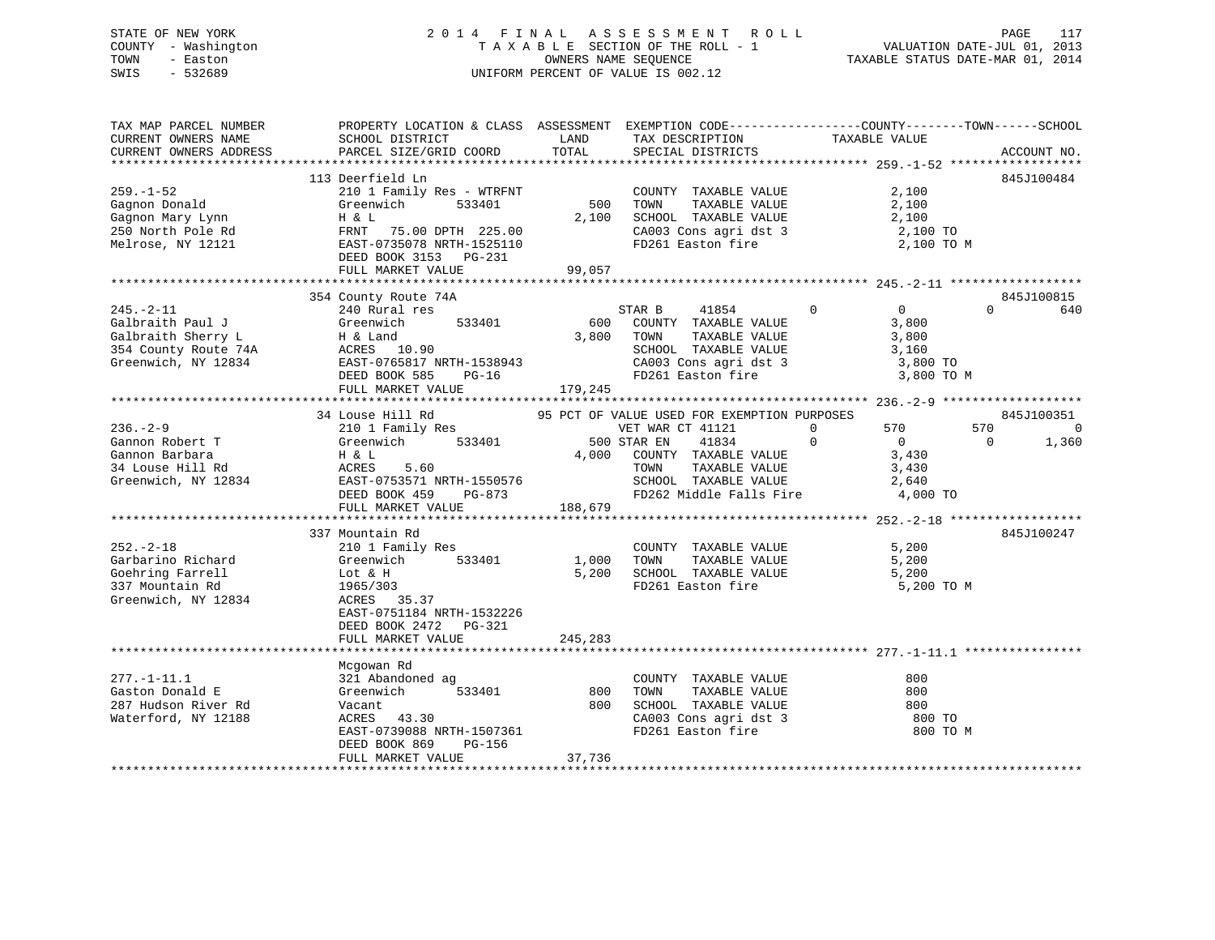# STATE OF NEW YORK 2 0 1 4 F I N A L A S S E S S M E N T R O L L PAGE 117 COUNTY - Washington T A X A B L E SECTION OF THE ROLL - 1 VALUATION DATE-JUL 01, 2013 TOWN - Easton OWNERS NAME SEQUENCE TAXABLE STATUS DATE-MAR 01, 2014 SWIS - 532689 UNIFORM PERCENT OF VALUE IS 002.12

| TAX MAP PARCEL NUMBER<br>CURRENT OWNERS NAME<br>CURRENT OWNERS ADDRESS | PROPERTY LOCATION & CLASS ASSESSMENT EXEMPTION CODE---------------COUNTY-------TOWN-----SCHOOL<br>SCHOOL DISTRICT<br>PARCEL SIZE/GRID COORD | LAND<br>TOTAL | TAX DESCRIPTION<br>SPECIAL DISTRICTS        | TAXABLE VALUE                       | ACCOUNT NO.             |
|------------------------------------------------------------------------|---------------------------------------------------------------------------------------------------------------------------------------------|---------------|---------------------------------------------|-------------------------------------|-------------------------|
|                                                                        |                                                                                                                                             |               |                                             |                                     |                         |
|                                                                        | 113 Deerfield Ln                                                                                                                            |               |                                             |                                     | 845J100484              |
| $259. - 1 - 52$                                                        | 210 1 Family Res - WTRFNT                                                                                                                   |               | COUNTY TAXABLE VALUE                        | 2,100                               |                         |
| Gagnon Donald                                                          | 533401<br>Greenwich                                                                                                                         | 500           | TOWN<br>TAXABLE VALUE                       | 2,100                               |                         |
| Gagnon Mary Lynn                                                       | H & L                                                                                                                                       | 2,100         | SCHOOL TAXABLE VALUE                        | 2,100                               |                         |
| 250 North Pole Rd                                                      | FRNT 75.00 DPTH 225.00                                                                                                                      |               | CA003 Cons agri dst 3                       | 2,100 TO                            |                         |
| Melrose, NY 12121                                                      | EAST-0735078 NRTH-1525110                                                                                                                   |               | FD261 Easton fire                           | 2,100 TO M                          |                         |
|                                                                        | DEED BOOK 3153 PG-231                                                                                                                       |               |                                             |                                     |                         |
|                                                                        | FULL MARKET VALUE                                                                                                                           | 99,057        |                                             |                                     |                         |
|                                                                        | 354 County Route 74A                                                                                                                        |               |                                             |                                     | 845J100815              |
| $245. - 2 - 11$                                                        | 240 Rural res                                                                                                                               |               | STAR B<br>41854                             | $0 \qquad \qquad$<br>$\overline{0}$ | $\Omega$<br>640         |
| Galbraith Paul J                                                       | 533401<br>Greenwich                                                                                                                         | 600           | COUNTY TAXABLE VALUE                        | 3,800                               |                         |
| Galbraith Sherry L                                                     | H & Land                                                                                                                                    | 3,800         | TAXABLE VALUE<br>TOWN                       | 3,800                               |                         |
| 354 County Route 74A                                                   | ACRES 10.90                                                                                                                                 |               | SCHOOL TAXABLE VALUE                        | 3,160                               |                         |
| Greenwich, NY 12834                                                    | EAST-0765817 NRTH-1538943                                                                                                                   |               | CA003 Cons agri dst 3                       | 3,800 TO                            |                         |
|                                                                        | DEED BOOK 585 PG-16                                                                                                                         |               | FD261 Easton fire                           | 3,800 TO M                          |                         |
|                                                                        | FULL MARKET VALUE                                                                                                                           | 179,245       |                                             |                                     |                         |
|                                                                        |                                                                                                                                             |               |                                             |                                     |                         |
|                                                                        | 34 Louse Hill Rd                                                                                                                            |               | 95 PCT OF VALUE USED FOR EXEMPTION PURPOSES |                                     | 845J100351              |
| $236. - 2 - 9$                                                         | 210 1 Family Res                                                                                                                            |               | VET WAR CT 41121                            | $\Omega$<br>570                     | 570<br>$\overline{0}$   |
| Gannon Robert T                                                        | 533401<br>Greenwich                                                                                                                         |               | 500 STAR EN<br>41834                        | $\Omega$<br>$\overline{0}$          | $\overline{0}$<br>1,360 |
| Gannon Barbara                                                         | H & L                                                                                                                                       | 4,000         | COUNTY TAXABLE VALUE                        | 3,430                               |                         |
| 34 Louse Hill Rd                                                       | ACRES<br>5.60                                                                                                                               |               | TAXABLE VALUE<br>TOWN                       | 3,430                               |                         |
| Greenwich, NY 12834                                                    | EAST-0753571 NRTH-1550576                                                                                                                   |               | SCHOOL TAXABLE VALUE                        | 2,640                               |                         |
|                                                                        | DEED BOOK 459<br>PG-873                                                                                                                     |               | FD262 Middle Falls Fire 4,000 TO            |                                     |                         |
|                                                                        | FULL MARKET VALUE                                                                                                                           | 188,679       |                                             |                                     |                         |
|                                                                        |                                                                                                                                             |               |                                             |                                     |                         |
|                                                                        | 337 Mountain Rd                                                                                                                             |               |                                             |                                     | 845J100247              |
| $252 - 2 - 18$                                                         | 210 1 Family Res                                                                                                                            |               | COUNTY TAXABLE VALUE                        | 5,200                               |                         |
| Garbarino Richard                                                      | 533401<br>Greenwich                                                                                                                         | 1,000         | TAXABLE VALUE<br>TOWN                       | 5,200                               |                         |
| Goehring Farrell                                                       | Lot & H                                                                                                                                     | 5,200         | SCHOOL TAXABLE VALUE                        | 5,200                               |                         |
| 337 Mountain Rd                                                        | 1965/303                                                                                                                                    |               | FD261 Easton fire                           | 5,200 TO M                          |                         |
| Greenwich, NY 12834                                                    | ACRES 35.37                                                                                                                                 |               |                                             |                                     |                         |
|                                                                        | EAST-0751184 NRTH-1532226                                                                                                                   |               |                                             |                                     |                         |
|                                                                        | DEED BOOK 2472 PG-321                                                                                                                       |               |                                             |                                     |                         |
|                                                                        | FULL MARKET VALUE                                                                                                                           | 245,283       |                                             |                                     |                         |
|                                                                        |                                                                                                                                             |               |                                             |                                     |                         |
|                                                                        | Mcgowan Rd                                                                                                                                  |               |                                             |                                     |                         |
| $277. - 1 - 11.1$                                                      | 321 Abandoned ag                                                                                                                            |               | COUNTY TAXABLE VALUE                        | 800                                 |                         |
| Gaston Donald E                                                        | Greenwich<br>533401                                                                                                                         | 800           | TAXABLE VALUE<br>TOWN                       | 800                                 |                         |
| 287 Hudson River Rd                                                    | Vacant                                                                                                                                      | 800           | SCHOOL TAXABLE VALUE                        | 800                                 |                         |
| Waterford, NY 12188                                                    | ACRES 43.30                                                                                                                                 |               | CA003 Cons agri dst 3                       | 800 TO                              |                         |
|                                                                        | EAST-0739088 NRTH-1507361                                                                                                                   |               | FD261 Easton fire                           | 800 TO M                            |                         |
|                                                                        | DEED BOOK 869<br>PG-156                                                                                                                     |               |                                             |                                     |                         |
|                                                                        | FULL MARKET VALUE                                                                                                                           | 37,736        |                                             |                                     |                         |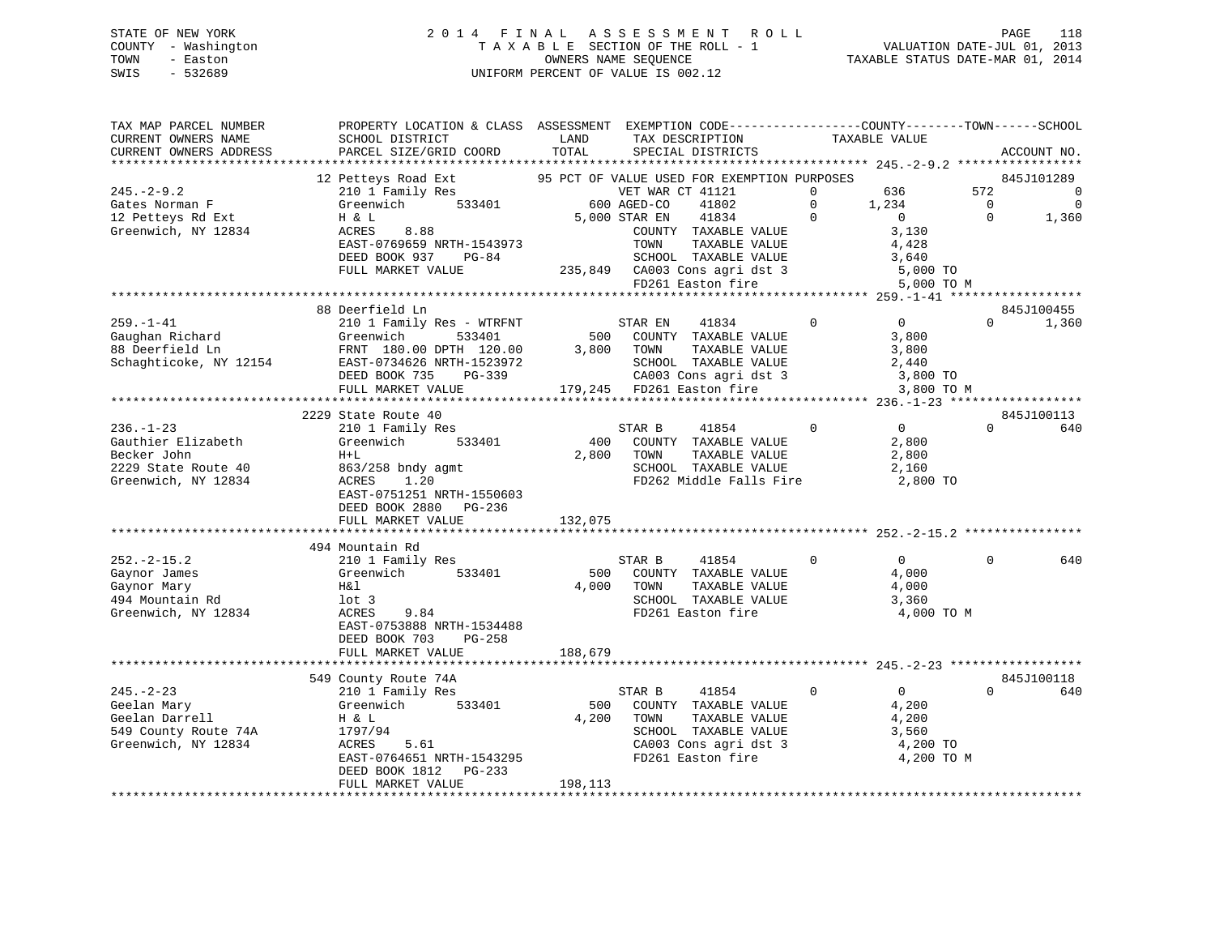# STATE OF NEW YORK 2 0 1 4 F I N A L A S S E S S M E N T R O L L PAGE 118 COUNTY - Washington T A X A B L E SECTION OF THE ROLL - 1 VALUATION DATE-JUL 01, 2013 TOWN - Easton OWNERS NAME SEQUENCE TAXABLE STATUS DATE-MAR 01, 2014 SWIS - 532689 UNIFORM PERCENT OF VALUE IS 002.12

| TAX MAP PARCEL NUMBER<br>CURRENT OWNERS NAME<br>CURRENT OWNERS ADDRESS                             | PROPERTY LOCATION & CLASS ASSESSMENT EXEMPTION CODE----------------COUNTY-------TOWN-----SCHOOL<br>SCHOOL DISTRICT<br>PARCEL SIZE/GRID COORD                      | LAND<br>TOTAL           | TAX DESCRIPTION<br>SPECIAL DISTRICTS                                                                                                                                       |                            | TAXABLE VALUE                                                       |                                 | ACCOUNT NO.                                    |
|----------------------------------------------------------------------------------------------------|-------------------------------------------------------------------------------------------------------------------------------------------------------------------|-------------------------|----------------------------------------------------------------------------------------------------------------------------------------------------------------------------|----------------------------|---------------------------------------------------------------------|---------------------------------|------------------------------------------------|
|                                                                                                    |                                                                                                                                                                   |                         |                                                                                                                                                                            |                            |                                                                     |                                 |                                                |
| $245. - 2 - 9.2$<br>Gates Norman F                                                                 | 12 Petteys Road Ext<br>210 1 Family Res<br>Greenwich<br>533401                                                                                                    |                         | 95 PCT OF VALUE USED FOR EXEMPTION PURPOSES<br>VET WAR CT 41121<br>600 AGED-CO<br>41802                                                                                    | $\mathbf 0$<br>$\mathbf 0$ | 636<br>1,234                                                        | 572<br>$\overline{\phantom{0}}$ | 845J101289<br>$\overline{0}$<br>$\overline{0}$ |
| 12 Petteys Rd Ext<br>Greenwich, NY 12834                                                           | H & L<br>ACRES<br>8.88<br>EAST-0769659 NRTH-1543973<br>DEED BOOK 937<br>PG-84<br>FULL MARKET VALUE                                                                |                         | 41834<br>5,000 STAR EN<br>COUNTY TAXABLE VALUE<br>TOWN<br>TAXABLE VALUE<br>SCHOOL TAXABLE VALUE<br>235,849 CA003 Cons agri dst 3<br>FD261 Easton fire<br>FD261 Easton fire | $\Omega$                   | $\overline{0}$<br>3,130<br>4,428<br>3,640<br>5,000 TO<br>5,000 TO M | $\Omega$                        | 1,360                                          |
|                                                                                                    |                                                                                                                                                                   |                         |                                                                                                                                                                            |                            |                                                                     |                                 |                                                |
|                                                                                                    | 88 Deerfield Ln                                                                                                                                                   |                         |                                                                                                                                                                            |                            |                                                                     |                                 | 845J100455                                     |
| $259. - 1 - 41$<br>Gaughan Richard<br>88 Deerfield Ln<br>Schaghticoke, NY 12154                    | 210 1 Family Res - WTRFNT<br>Greenwich<br>533401<br>FRNT 180.00 DPTH 120.00<br>EAST-0734626 NRTH-1523972<br>DEED BOOK 735<br>PG-339                               |                         | 41834<br>STAR EN<br>500 COUNTY TAXABLE VALUE<br>3,800 TOWN<br>TAXABLE VALUE<br>SCHOOL TAXABLE VALUE<br>CA003 Cons agri dst 3 3,800 TO                                      | $\mathbf 0$                | $\overline{0}$<br>3,800<br>3,800<br>2,440                           | $\Omega$                        | 1,360                                          |
|                                                                                                    | FULL MARKET VALUE<br>***************************                                                                                                                  |                         | 179,245 FD261 Easton fire                                                                                                                                                  |                            | 3,800 TO M                                                          |                                 |                                                |
|                                                                                                    | 2229 State Route 40                                                                                                                                               |                         |                                                                                                                                                                            |                            |                                                                     |                                 | 845J100113                                     |
| $236. - 1 - 23$<br>Gauthier Elizabeth<br>Becker John<br>2229 State Route 40<br>Greenwich, NY 12834 | 210 1 Family Res<br>533401<br>Greenwich<br>$H+L$<br>863/258 bndy agmt<br>1.20<br>ACRES<br>EAST-0751251 NRTH-1550603<br>DEED BOOK 2880 PG-236<br>FULL MARKET VALUE | 400<br>2,800<br>132,075 | STAR B<br>41854<br>COUNTY TAXABLE VALUE<br>TAXABLE VALUE<br>TOWN<br>SCHOOL TAXABLE VALUE<br>FD262 Middle Falls Fire                                                        | $\mathbf 0$                | $\overline{0}$<br>2,800<br>2,800<br>2,160<br>2,800 TO               | $\Omega$                        | 640                                            |
|                                                                                                    | 494 Mountain Rd                                                                                                                                                   |                         |                                                                                                                                                                            |                            |                                                                     |                                 |                                                |
| $252. - 2 - 15.2$<br>Gaynor James<br>Gaynor Mary<br>494 Mountain Rd<br>Greenwich, NY 12834         | 210 1 Family Res<br>Greenwich<br>533401<br>H&l<br>$1$ ot 3<br>ACRES<br>9.84<br>EAST-0753888 NRTH-1534488<br>DEED BOOK 703<br>PG-258                               | 500<br>4,000            | STAR B<br>41854<br>COUNTY TAXABLE VALUE<br>TOWN<br>TAXABLE VALUE<br>SCHOOL TAXABLE VALUE<br>FD261 Easton fire                                                              | 0                          | $\overline{0}$<br>4,000<br>4,000<br>3,360<br>4,000 TO M             | $\Omega$                        | 640                                            |
|                                                                                                    | FULL MARKET VALUE                                                                                                                                                 | 188,679                 |                                                                                                                                                                            |                            |                                                                     |                                 |                                                |
|                                                                                                    |                                                                                                                                                                   |                         |                                                                                                                                                                            |                            |                                                                     |                                 |                                                |
|                                                                                                    | 549 County Route 74A                                                                                                                                              |                         |                                                                                                                                                                            |                            |                                                                     |                                 | 845J100118                                     |
| $245. - 2 - 23$<br>Geelan Mary<br>Geelan Darrell<br>549 County Route 74A<br>Greenwich, NY 12834    | 210 1 Family Res<br>533401<br>Greenwich<br>H & L<br>1797/94<br>ACRES<br>5.61<br>EAST-0764651 NRTH-1543295<br>DEED BOOK 1812 PG-233<br>FULL MARKET VALUE           | 500<br>4,200<br>198,113 | 41854<br>STAR B<br>COUNTY TAXABLE VALUE<br>TOWN<br>TAXABLE VALUE<br>SCHOOL TAXABLE VALUE<br>CA003 Cons agri dst 3<br>FD261 Easton fire                                     | $\mathbf 0$                | $\overline{0}$<br>4,200<br>4,200<br>3,560<br>4,200 TO<br>4,200 TO M | $\Omega$                        | 640                                            |
|                                                                                                    |                                                                                                                                                                   |                         |                                                                                                                                                                            |                            |                                                                     |                                 |                                                |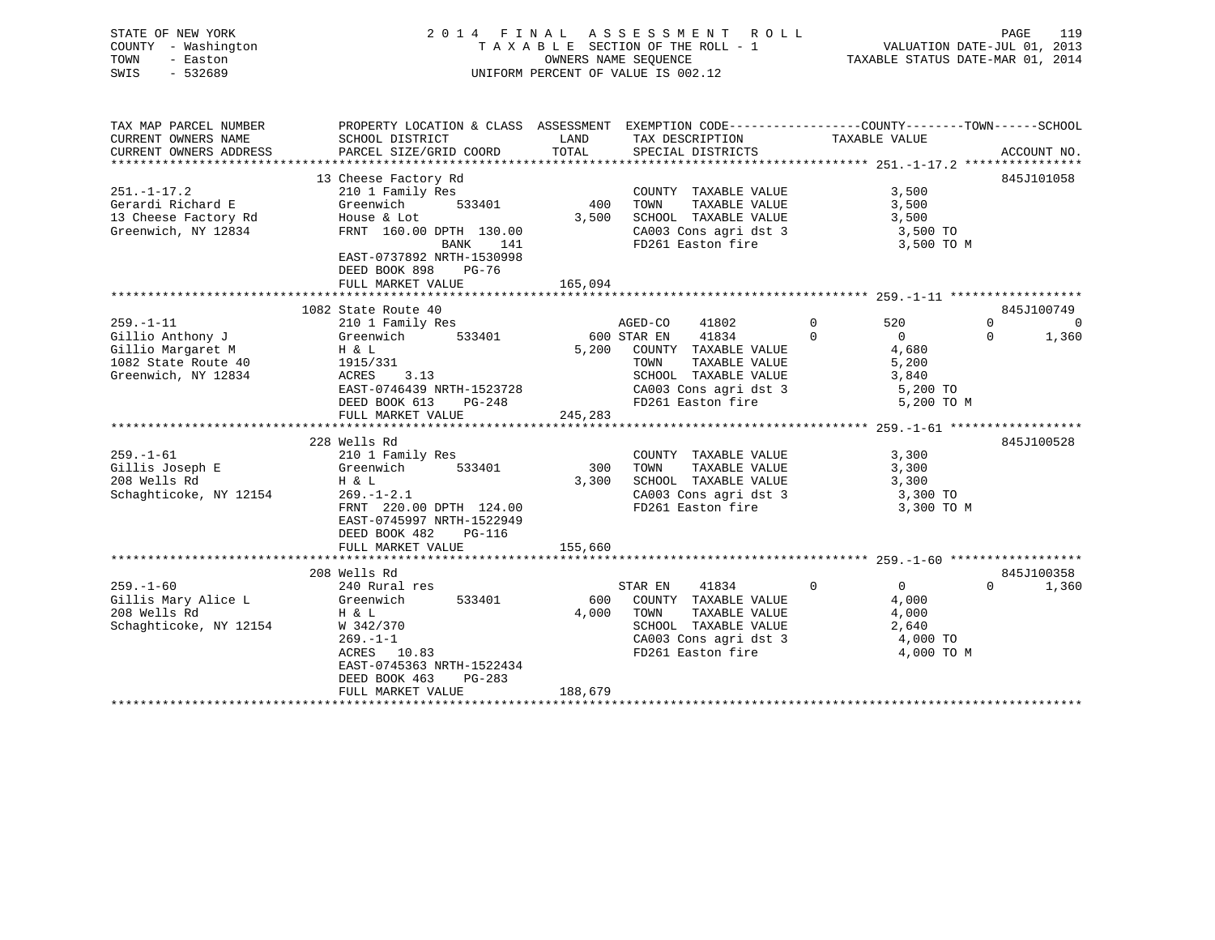|      | STATE OF NEW YORK   | 2014 FINAL ASSESSMENT ROLL                                     | PAGE | 119 |
|------|---------------------|----------------------------------------------------------------|------|-----|
|      | COUNTY - Washington | VALUATION DATE-JUL 01, 2013<br>TAXABLE SECTION OF THE ROLL - 1 |      |     |
| TOWN | - Easton            | TAXABLE STATUS DATE-MAR 01, 2014<br>OWNERS NAME SEOUENCE       |      |     |
| SWIS | - 532689            | UNIFORM PERCENT OF VALUE IS 002.12                             |      |     |
|      |                     |                                                                |      |     |
|      |                     |                                                                |      |     |

| TAX MAP PARCEL NUMBER<br>CURRENT OWNERS NAME<br>CURRENT OWNERS ADDRESS                                 | PROPERTY LOCATION & CLASS ASSESSMENT EXEMPTION CODE----------------COUNTY-------TOWN------SCHOOL<br>SCHOOL DISTRICT<br>PARCEL SIZE/GRID COORD                                                          | LAND<br>TOTAL           | TAX DESCRIPTION<br>SPECIAL DISTRICTS                                                                                                                            | TAXABLE VALUE                                                                                       | ACCOUNT NO.                                        |
|--------------------------------------------------------------------------------------------------------|--------------------------------------------------------------------------------------------------------------------------------------------------------------------------------------------------------|-------------------------|-----------------------------------------------------------------------------------------------------------------------------------------------------------------|-----------------------------------------------------------------------------------------------------|----------------------------------------------------|
| $251. - 1 - 17.2$<br>Gerardi Richard E<br>13 Cheese Factory Rd<br>Greenwich, NY 12834                  | 13 Cheese Factory Rd<br>210 1 Family Res<br>533401<br>Greenwich<br>House & Lot<br>FRNT 160.00 DPTH 130.00<br>141<br>BANK<br>EAST-0737892 NRTH-1530998<br>DEED BOOK 898<br>$PG-76$<br>FULL MARKET VALUE | 400<br>3,500<br>165,094 | COUNTY TAXABLE VALUE<br>TOWN<br>TAXABLE VALUE<br>SCHOOL TAXABLE VALUE<br>CA003 Cons agri dst 3<br>FD261 Easton fire                                             | 3,500<br>3,500<br>3,500<br>3,500 TO<br>3,500 TO M                                                   | 845J101058                                         |
|                                                                                                        | 1082 State Route 40                                                                                                                                                                                    |                         |                                                                                                                                                                 |                                                                                                     | 845J100749                                         |
| $259. - 1 - 11$<br>Gillio Anthony J<br>Gillio Margaret M<br>1082 State Route 40<br>Greenwich, NY 12834 | 210 1 Family Res<br>533401<br>Greenwich<br>H & L<br>1915/331<br>3.13<br>ACRES<br>EAST-0746439 NRTH-1523728<br>DEED BOOK 613<br>$PG-248$<br>FULL MARKET VALUE                                           | 5,200<br>245,283        | AGED-CO<br>41802<br>600 STAR EN<br>41834<br>COUNTY TAXABLE VALUE<br>TAXABLE VALUE<br>TOWN<br>SCHOOL TAXABLE VALUE<br>CA003 Cons agri dst 3<br>FD261 Easton fire | $\circ$<br>520<br>$\Omega$<br>$\overline{0}$<br>4,680<br>5,200<br>3,840<br>$5,200$ TO<br>5,200 TO M | $\mathbf 0$<br>$\overline{0}$<br>$\Omega$<br>1,360 |
|                                                                                                        |                                                                                                                                                                                                        |                         |                                                                                                                                                                 |                                                                                                     |                                                    |
| $259. - 1 - 61$<br>Gillis Joseph E<br>208 Wells Rd<br>Schaghticoke, NY 12154                           | 228 Wells Rd<br>210 1 Family Res<br>Greenwich<br>533401<br>H & L<br>$269. - 1 - 2.1$<br>FRNT 220.00 DPTH 124.00<br>EAST-0745997 NRTH-1522949<br>DEED BOOK 482<br><b>PG-116</b><br>FULL MARKET VALUE    | 300<br>3,300<br>155,660 | COUNTY TAXABLE VALUE<br>TOWN<br>TAXABLE VALUE<br>SCHOOL TAXABLE VALUE<br>CA003 Cons agri dst 3<br>FD261 Easton fire                                             | 3,300<br>3,300<br>3,300<br>3,300 TO<br>3,300 TO M                                                   | 845J100528                                         |
|                                                                                                        |                                                                                                                                                                                                        |                         |                                                                                                                                                                 |                                                                                                     |                                                    |
| $259. - 1 - 60$<br>Gillis Mary Alice L<br>208 Wells Rd<br>Schaghticoke, NY 12154                       | 208 Wells Rd<br>240 Rural res<br>533401<br>Greenwich<br>$H \& L$<br>W 342/370<br>$269. - 1 - 1$<br>ACRES 10.83<br>EAST-0745363 NRTH-1522434<br>DEED BOOK 463<br>PG-283                                 | 600<br>4,000            | 41834<br>STAR EN<br>COUNTY TAXABLE VALUE<br>TAXABLE VALUE<br>TOWN<br>SCHOOL TAXABLE VALUE<br>CA003 Cons agri dst 3<br>FD261 Easton fire                         | $\mathbf 0$<br>$\overline{0}$<br>4,000<br>4,000<br>2,640<br>4,000 TO<br>4,000 TO M                  | 845J100358<br>$\Omega$<br>1,360                    |
|                                                                                                        | FULL MARKET VALUE                                                                                                                                                                                      | 188,679                 |                                                                                                                                                                 |                                                                                                     |                                                    |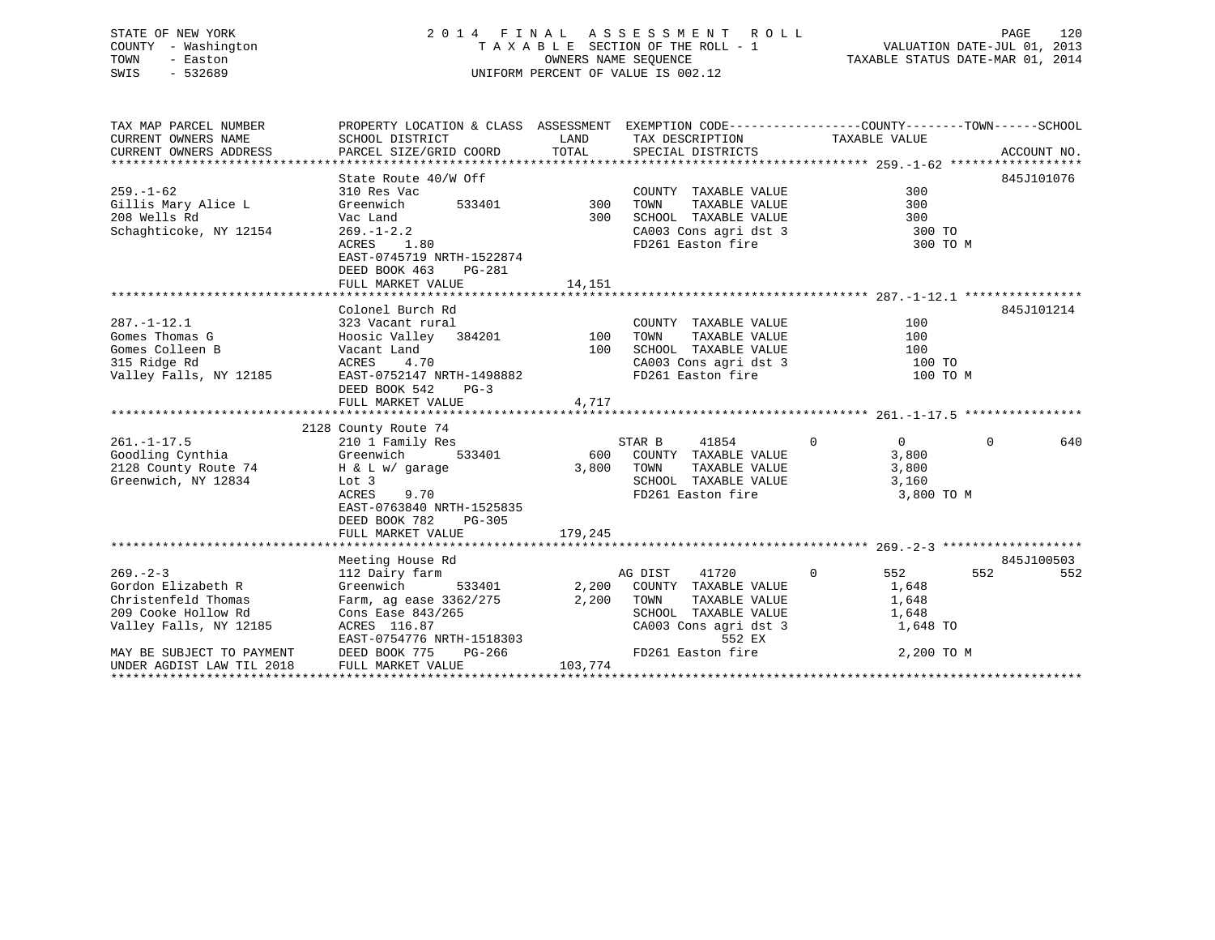# STATE OF NEW YORK 2 0 1 4 F I N A L A S S E S S M E N T R O L L PAGE 120 COUNTY - Washington T A X A B L E SECTION OF THE ROLL - 1 VALUATION DATE-JUL 01, 2013 TOWN - Easton OWNERS NAME SEQUENCE TAXABLE STATUS DATE-MAR 01, 2014 SWIS - 532689 UNIFORM PERCENT OF VALUE IS 002.12

TAX MAP PARCEL NUMBER PROPERTY LOCATION & CLASS ASSESSMENT EXEMPTION CODE------------------COUNTY--------TOWN------SCHOOL CURRENT OWNERS NAME SCHOOL DISTRICT THE LAND TAX DESCRIPTION TAXABLE VALUE CURRENT OWNERS ADDRESS PARCEL SIZE/GRID COORD TOTAL SPECIAL DISTRICTS ACCOUNT NO. \*\*\*\*\*\*\*\*\*\*\*\*\*\*\*\*\*\*\*\*\*\*\*\*\*\*\*\*\*\*\*\*\*\*\*\*\*\*\*\*\*\*\*\*\*\*\*\*\*\*\*\*\*\*\*\*\*\*\*\*\*\*\*\*\*\*\*\*\*\*\*\*\*\*\*\*\*\*\*\*\*\*\*\*\*\*\*\*\*\*\*\*\*\*\*\*\*\*\*\*\*\*\* 259.-1-62 \*\*\*\*\*\*\*\*\*\*\*\*\*\*\*\*\*\* State Route 40/W Off 845J101076 259.-1-62 310 Res Vac COUNTY TAXABLE VALUE 300Gillis Mary Alice L Greenwich 533401 300 TOWN TAXABLE VALUE 300 208 Wells Rd Vac Land 300 SCHOOL TAXABLE VALUE 300ال کار اللہ کا کا کرتے ہو کہ اللہ کا معامل کرتے ہیں۔<br>Schaghticoke, NY 12154 269.-1-2.2 CA003 Cons agri dst 3 300 TO<br>ACRES 1.80 TO FD261 Easton fire 3 300 TO FD261 Easton fire 300 TO M EAST-0745719 NRTH-1522874 DEED BOOK 463 PG-281FULL MARKET VALUE 14,151 \*\*\*\*\*\*\*\*\*\*\*\*\*\*\*\*\*\*\*\*\*\*\*\*\*\*\*\*\*\*\*\*\*\*\*\*\*\*\*\*\*\*\*\*\*\*\*\*\*\*\*\*\*\*\*\*\*\*\*\*\*\*\*\*\*\*\*\*\*\*\*\*\*\*\*\*\*\*\*\*\*\*\*\*\*\*\*\*\*\*\*\*\*\*\*\*\*\*\*\*\*\*\* 287.-1-12.1 \*\*\*\*\*\*\*\*\*\*\*\*\*\*\*\* Colonel Burch Rd 845J101214287.-1-12.1 323 Vacant rural COUNTY TAXABLE VALUE 100Gomes Thomas G Hoosic Valley 384201 100 TOWN TAXABLE VALUE 100 Gomes Colleen B Vacant Land 100 SCHOOL TAXABLE VALUE 100315 Ridge Rd ACRES 4.70 CA003 Cons agri dst 3 100 TO Valley Falls, NY 12185 **EAST-0752147 NRTH-1498882** FD261 Easton fire 100 TO M DEED BOOK 542 PG-3FULL MARKET VALUE 4,717 \*\*\*\*\*\*\*\*\*\*\*\*\*\*\*\*\*\*\*\*\*\*\*\*\*\*\*\*\*\*\*\*\*\*\*\*\*\*\*\*\*\*\*\*\*\*\*\*\*\*\*\*\*\*\*\*\*\*\*\*\*\*\*\*\*\*\*\*\*\*\*\*\*\*\*\*\*\*\*\*\*\*\*\*\*\*\*\*\*\*\*\*\*\*\*\*\*\*\*\*\*\*\* 261.-1-17.5 \*\*\*\*\*\*\*\*\*\*\*\*\*\*\*\* 2128 County Route 74 261.-1-17.5 210 1 Family Res STAR B 41854 0 0 640 Goodling Cynthia Greenwich 533401 600 COUNTY TAXABLE VALUE 3,800 2128 County Route 74 H & L w/ garage 3,800 TOWN TAXABLE VALUE 3,800 Greenwich, NY 12834 Lot 3 SCHOOL TAXABLE VALUE 3,160 ACRES 9.70 **FD261** Easton fire 3,800 TO M EAST-0763840 NRTH-1525835 DEED BOOK 782 PG-305FULL MARKET VALUE 179,245 \*\*\*\*\*\*\*\*\*\*\*\*\*\*\*\*\*\*\*\*\*\*\*\*\*\*\*\*\*\*\*\*\*\*\*\*\*\*\*\*\*\*\*\*\*\*\*\*\*\*\*\*\*\*\*\*\*\*\*\*\*\*\*\*\*\*\*\*\*\*\*\*\*\*\*\*\*\*\*\*\*\*\*\*\*\*\*\*\*\*\*\*\*\*\*\*\*\*\*\*\*\*\* 269.-2-3 \*\*\*\*\*\*\*\*\*\*\*\*\*\*\*\*\*\*\* Meeting House Rd 845J100503 269.-2-3 112 Dairy farm AG DIST 41720 0 552 552 552 Gordon Elizabeth R Greenwich 533401 2,200 COUNTY TAXABLE VALUE 1,648 Christenfeld Thomas Farm, ag ease 3362/275 2,200 TOWN TAXABLE VALUE 1,648 209 Cooke Hollow Rd Cons Ease 843/265 SCHOOL TAXABLE VALUE 1,648 Valley Falls, NY 12185 ACRES 116.87 CA003 Cons agri dst 3 1,648 TO<br>EAST-0754776 NRTH-1518303 552 EX EAST-0754776 NRTH-1518303 MAY BE SUBJECT TO PAYMENT DEED BOOK 775 PG-266 FD261 Easton fire 2,200 TO M UNDER AGDIST LAW TIL 2018 FULL MARKET VALUE 103,774 \*\*\*\*\*\*\*\*\*\*\*\*\*\*\*\*\*\*\*\*\*\*\*\*\*\*\*\*\*\*\*\*\*\*\*\*\*\*\*\*\*\*\*\*\*\*\*\*\*\*\*\*\*\*\*\*\*\*\*\*\*\*\*\*\*\*\*\*\*\*\*\*\*\*\*\*\*\*\*\*\*\*\*\*\*\*\*\*\*\*\*\*\*\*\*\*\*\*\*\*\*\*\*\*\*\*\*\*\*\*\*\*\*\*\*\*\*\*\*\*\*\*\*\*\*\*\*\*\*\*\*\*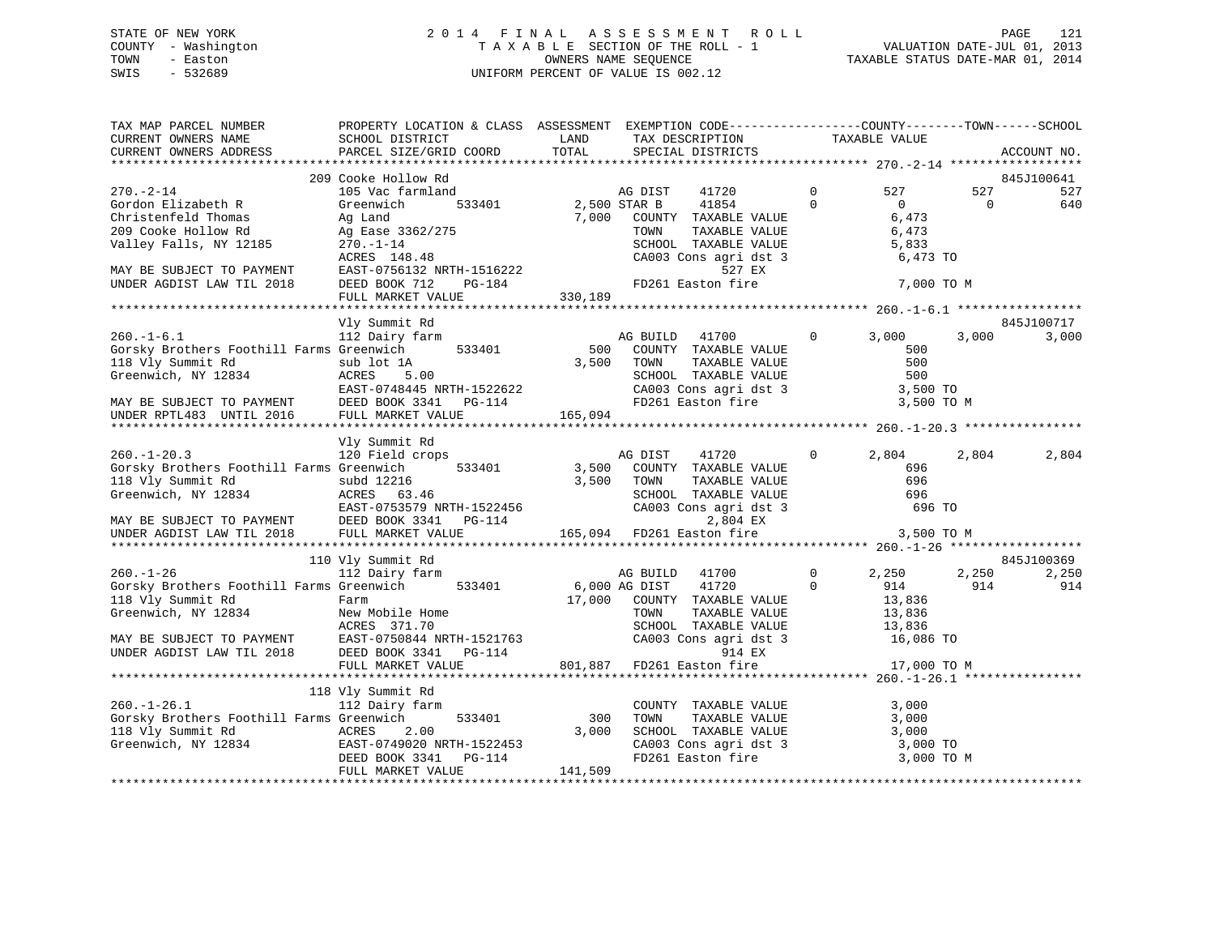# STATE OF NEW YORK 2 0 1 4 F I N A L A S S E S S M E N T R O L L PAGE 121 COUNTY - Washington T A X A B L E SECTION OF THE ROLL - 1 VALUATION DATE-JUL 01, 2013 TOWN - Easton OWNERS NAME SEQUENCE TAXABLE STATUS DATE-MAR 01, 2014 SWIS - 532689 UNIFORM PERCENT OF VALUE IS 002.12

| TAX MAP PARCEL NUMBER<br>CURRENT OWNERS NAME<br>CURRENT OWNERS ADDRESS                                                                                                                                                                                   | PROPERTY LOCATION & CLASS ASSESSMENT EXEMPTION CODE---------------COUNTY-------TOWN-----SCHOOL<br>SCHOOL DISTRICT<br>PARCEL SIZE/GRID COORD          | LAND<br>TOTAL           | TAX DESCRIPTION<br>SPECIAL DISTRICTS                                                                                            |                                                     | TAXABLE VALUE                                                                                                              |                 | ACCOUNT NO.                |
|----------------------------------------------------------------------------------------------------------------------------------------------------------------------------------------------------------------------------------------------------------|------------------------------------------------------------------------------------------------------------------------------------------------------|-------------------------|---------------------------------------------------------------------------------------------------------------------------------|-----------------------------------------------------|----------------------------------------------------------------------------------------------------------------------------|-----------------|----------------------------|
|                                                                                                                                                                                                                                                          |                                                                                                                                                      |                         |                                                                                                                                 |                                                     |                                                                                                                            |                 |                            |
|                                                                                                                                                                                                                                                          | 209 Cooke Hollow Rd                                                                                                                                  |                         |                                                                                                                                 |                                                     |                                                                                                                            |                 | 845J100641                 |
| $270. - 2 - 14$<br>Gordon Elizabeth R<br>Christenfeld Thomas<br>209 Cooke Hollow Rd<br>Valley Falls, NY 12185                                                                                                                                            | 105 Vac farmland<br>Greenwich<br>533401<br>Ag Land<br>Ag Ease 3362/275<br>270.-1-14                                                                  | 2,500 STAR B            | AG DIST<br>41720<br>41854<br>7,000 COUNTY TAXABLE VALUE<br>TOWN<br>TAXABLE VALUE<br>SCHOOL TAXABLE VALUE                        | $\mathbf{0}$<br>$\Omega$                            | 527<br>$\Omega$<br>6,473<br>6,473<br>5,833                                                                                 | 527<br>$\Omega$ | 527<br>640                 |
| MAY BE SUBJECT TO PAYMENT THE TAST-0756132 NRTH-1516222 THE TO A THE TAST OF SAST-0756132 NRTH-1516222 THE TO A THE TO BOOK 712 PG-184                                                                                                                   | ACRES 148.48<br>FULL MARKET VALUE                                                                                                                    | 330,189                 | CA003 Cons agri dst 3<br>527 EX                                                                                                 |                                                     | 6,473 TO<br>7,000 TO M                                                                                                     |                 |                            |
|                                                                                                                                                                                                                                                          |                                                                                                                                                      |                         |                                                                                                                                 |                                                     |                                                                                                                            |                 |                            |
|                                                                                                                                                                                                                                                          | Vly Summit Rd                                                                                                                                        |                         |                                                                                                                                 |                                                     |                                                                                                                            |                 | 845J100717                 |
| $260. -1 - 6.1$<br>Gorsky Brothers Foothill Farms Greenwich<br>18 Vly Summit Rd<br>Greenwich, NY 12834<br>MAY BE SUBJECT TO PAYMENT<br>UNDER RPTL483 UNTIL 2016<br>FULL MARKET VALUE<br>CON S341 PG-114<br>UNDER RPTL483 UNTIL 2016<br>PULL MARKET VALUE | 112 Dairy farm<br>533401                                                                                                                             | 3,500 TOWN              | AG BUILD 41700<br>500 COUNTY TAXABLE VALUE<br>SCHOOL TAXABLE VALUE 500<br>CA003 Cons agri dst 3 3,500 TO                        | $0 \qquad \qquad$<br>TAXABLE VALUE<br>TAXABLE VALUE | 3,000<br>500<br>500                                                                                                        | 3,000           | 3,000                      |
|                                                                                                                                                                                                                                                          |                                                                                                                                                      | 165,094                 | FD261 Easton fire                                                                                                               |                                                     | 3,500 TO M                                                                                                                 |                 |                            |
|                                                                                                                                                                                                                                                          |                                                                                                                                                      |                         |                                                                                                                                 |                                                     |                                                                                                                            |                 |                            |
|                                                                                                                                                                                                                                                          | Vly Summit Rd                                                                                                                                        |                         |                                                                                                                                 |                                                     |                                                                                                                            |                 |                            |
| $260. - 1 - 20.3$<br>Gorsky Brothers Foothill Farms Greenwich<br>118 Vly Summit Rd<br>Greenwich, NY 12834                                                                                                                                                | 120 Field crops<br>533401<br>subd 12216<br>ACRES 63.46<br>ACRES 63.46<br>EAST-0753579 NRTH-1522456<br>ERED BOOK 3341 DG-114<br>DEED BOOK 3341 PG-114 | 3,500<br>3,500          | AG DIST<br>41720<br>COUNTY TAXABLE VALUE<br>TOWN                                                                                | $\mathbf{0}$<br>TAXABLE VALUE                       | 2,804<br>696<br>696<br>696<br>696 TO                                                                                       | 2,804           | 2,804                      |
| MAY BE SUBJECT TO PAYMENT<br>UNDER AGDIST LAW TIL 2018                                                                                                                                                                                                   | FULL MARKET VALUE                                                                                                                                    |                         |                                                                                                                                 |                                                     | 3,500 TO M                                                                                                                 |                 |                            |
|                                                                                                                                                                                                                                                          |                                                                                                                                                      |                         |                                                                                                                                 |                                                     |                                                                                                                            |                 |                            |
| $260. - 1 - 26$<br>Gorsky Brothers Foothill Farms Greenwich 533401<br>118 Vly Summit Rd<br>Greenwich, NY 12834<br>MAY BE SUBJECT TO PAYMENT EAST-0750844 NRTH-1521763<br>UNDER AGDIST LAW TIL 2018 DEED BOOK 3341 PG-114                                 | 110 Vly Summit Rd<br>112 Dairy farm<br>Farm<br>New Mobile Home<br>ACRES 371 70<br>ACRES 371.70                                                       |                         | AG BUILD 41700<br>6,000 AG DIST<br>41720<br>17,000 COUNTY TAXABLE VALUE<br>TOWN TAXABLE VALUE<br>SCHOOL TAXABLE VALUE<br>914 EX | $\mathbf{0}$<br>$\Omega$                            | 2,250<br>914<br>13,836<br>13,836<br>SCHOOL TAXABLE VALUE 13,836<br>CA003 Cons agri dst 3 16,086 TO                         | 2,250<br>914    | 845J100369<br>2,250<br>914 |
|                                                                                                                                                                                                                                                          | FULL MARKET VALUE                                                                                                                                    |                         | 801,887 FD261 Easton fire                                                                                                       |                                                     | 17,000 TO M                                                                                                                |                 |                            |
|                                                                                                                                                                                                                                                          |                                                                                                                                                      |                         |                                                                                                                                 |                                                     |                                                                                                                            |                 |                            |
| $260. - 1 - 26.1$<br>Gorsky Brothers Foothill Farms Greenwich<br>GOESAY BLUCHELD CUCHILLE<br>118 Vly Summit Rd<br>Greenwich, NY 12834 EAST-0749020 NRTH-1522453                                                                                          | 118 Vly Summit Rd<br>112 Dairy farm<br>533401<br>FULL MARKET VALUE                                                                                   | 300<br>3,000<br>141,509 | COUNTY TAXABLE VALUE<br>TOWN<br>TAXABLE VALUE                                                                                   |                                                     | 3,000<br>3,000<br>SCHOOL TAXABLE VALUE 3,000<br>CA003 Cons agri dst 3 3,000 TO<br>FD261 Easton fire 3,000 TO<br>3,000 TO M |                 |                            |
|                                                                                                                                                                                                                                                          |                                                                                                                                                      |                         |                                                                                                                                 |                                                     |                                                                                                                            |                 |                            |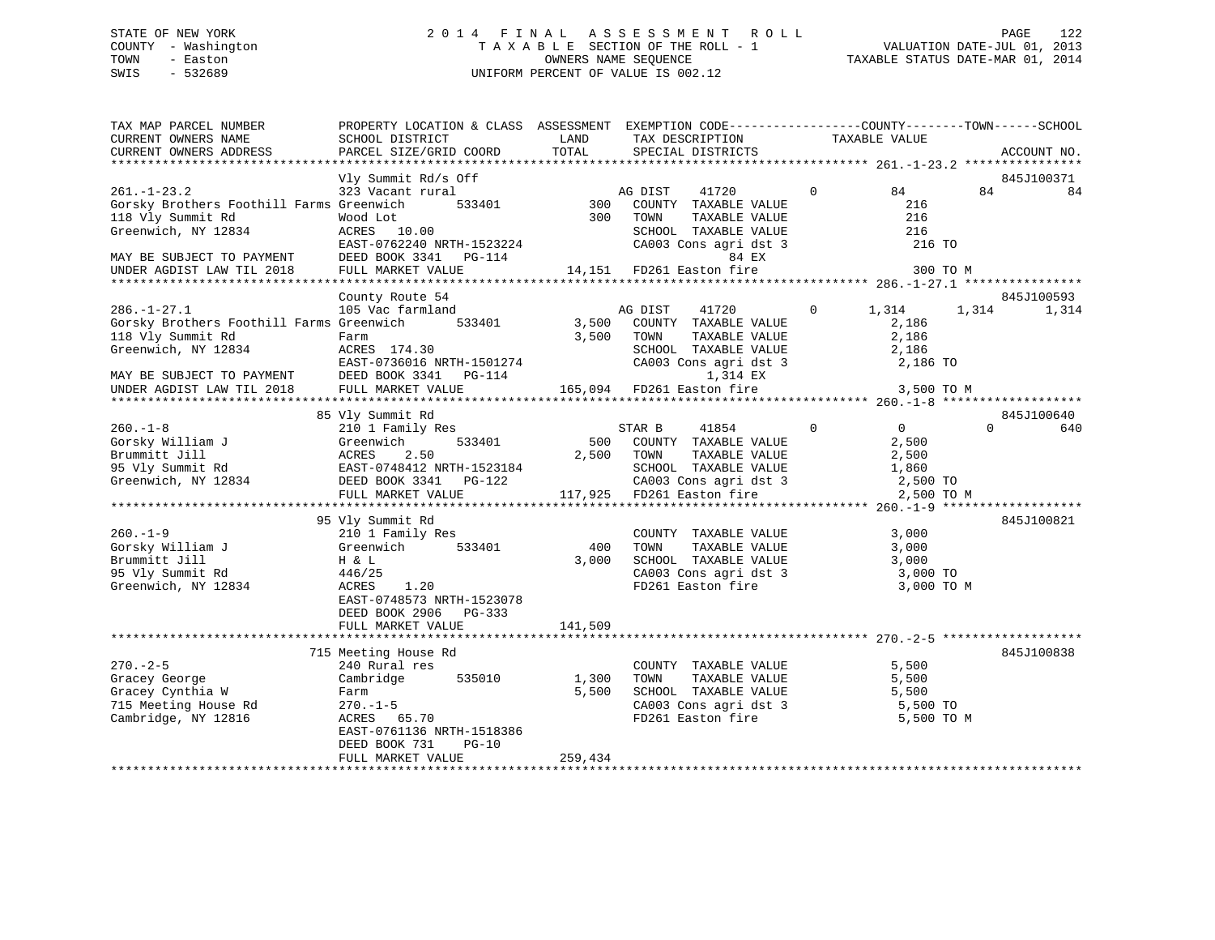# STATE OF NEW YORK 2 0 1 4 F I N A L A S S E S S M E N T R O L L PAGE 122 COUNTY - Washington T A X A B L E SECTION OF THE ROLL - 1 VALUATION DATE-JUL 01, 2013 TOWN - Easton OWNERS NAME SEQUENCE TAXABLE STATUS DATE-MAR 01, 2014 SWIS - 532689 UNIFORM PERCENT OF VALUE IS 002.12

| TAX MAP PARCEL NUMBER<br>CURRENT OWNERS NAME           | PROPERTY LOCATION & CLASS ASSESSMENT EXEMPTION CODE---------------COUNTY-------TOWN-----SCHOOL<br>SCHOOL DISTRICT | LAND    | TAX DESCRIPTION                                                       | TAXABLE VALUE              |          |             |
|--------------------------------------------------------|-------------------------------------------------------------------------------------------------------------------|---------|-----------------------------------------------------------------------|----------------------------|----------|-------------|
| CURRENT OWNERS ADDRESS                                 | PARCEL SIZE/GRID COORD                                                                                            | TOTAL   | SPECIAL DISTRICTS                                                     |                            |          | ACCOUNT NO. |
|                                                        |                                                                                                                   |         |                                                                       |                            |          |             |
|                                                        | Vly Summit Rd/s Off                                                                                               |         |                                                                       |                            |          | 845J100371  |
| $261. - 1 - 23.2$                                      | 323 Vacant rural                                                                                                  |         | 41720<br>AG DIST                                                      | 84<br>$\Omega$             | 84       | 84          |
| Gorsky Brothers Foothill Farms Greenwich               | 533401                                                                                                            | 300     | COUNTY TAXABLE VALUE                                                  | 216                        |          |             |
| 118 Vly Summit Rd                                      | Wood Lot                                                                                                          | 300     | TAXABLE VALUE<br>TOWN                                                 | 216                        |          |             |
| Greenwich, NY 12834                                    | ACRES 10.00                                                                                                       |         | SCHOOL TAXABLE VALUE<br>SCHOOL TAXABLE VALUE<br>CA003 Cons agri dst 3 | 216                        |          |             |
|                                                        | EAST-0762240 NRTH-1523224                                                                                         |         |                                                                       | 216 TO                     |          |             |
| MAY BE SUBJECT TO PAYMENT<br>UNDER AGDIST LAW TIL 2018 | DEED BOOK 3341 PG-114                                                                                             |         | 84 EX                                                                 |                            |          |             |
|                                                        | FULL MARKET VALUE                                                                                                 |         | 14,151 FD261 Easton fire                                              | 300 TO M                   |          |             |
|                                                        |                                                                                                                   |         |                                                                       |                            |          |             |
| $286. - 1 - 27.1$                                      | County Route 54                                                                                                   |         |                                                                       | $\mathsf{O}$               |          | 845J100593  |
| Gorsky Brothers Foothill Farms Greenwich               | 105 Vac farmland<br>533401                                                                                        | 3,500   | AG DIST<br>41720<br>COUNTY TAXABLE VALUE                              | 1,314<br>2,186             | 1,314    | 1,314       |
| 118 Vly Summit Rd                                      | Farm                                                                                                              | 3,500   | TAXABLE VALUE<br>TOWN                                                 | 2,186                      |          |             |
| Greenwich, NY 12834                                    | ACRES 174.30                                                                                                      |         | SCHOOL TAXABLE VALUE                                                  | 2,186                      |          |             |
|                                                        | EAST-0736016 NRTH-1501274                                                                                         |         |                                                                       | 2,186 TO                   |          |             |
|                                                        | DEED BOOK 3341 PG-114                                                                                             |         | CA003 Cons agri dst 3<br>1,314 EX                                     |                            |          |             |
| MAY BE SUBJECT TO PAYMENT<br>UNDER AGDIST LAW TIL 2018 | FULL MARKET VALUE                                                                                                 |         | 165,094 FD261 Easton fire                                             | 3,500 TO M                 |          |             |
|                                                        |                                                                                                                   |         |                                                                       |                            |          |             |
|                                                        | 85 Vly Summit Rd                                                                                                  |         |                                                                       |                            |          | 845J100640  |
| $260. -1 - 8$                                          | 210 1 Family Res                                                                                                  |         | STAR B<br>41854                                                       | $\overline{0}$<br>$\Omega$ | $\Omega$ | 640         |
| Gorsky William J                                       | 533401<br>Greenwich                                                                                               |         | 500 COUNTY TAXABLE VALUE                                              | 2,500                      |          |             |
| Brummitt Jill                                          | ACRES<br>2.50                                                                                                     | 2,500   | TOWN<br>TAXABLE VALUE                                                 | 2,500                      |          |             |
| 95 Vly Summit Rd                                       | EAST-0748412 NRTH-1523184                                                                                         |         |                                                                       | 1,860                      |          |             |
| Greenwich, NY 12834                                    | EASITU/40412 NKIHTID23184<br>DEED BOOK 3341 PG-122                                                                |         | SCHOOL TAXABLE VALUE<br>CA003 Cons agri dst 3                         | 2,500 TO                   |          |             |
|                                                        | FULL MARKET VALUE                                                                                                 |         | 117,925 FD261 Easton fire                                             | 2,500 TO M                 |          |             |
|                                                        |                                                                                                                   |         |                                                                       |                            |          |             |
|                                                        | 95 Vly Summit Rd                                                                                                  |         |                                                                       |                            |          | 845J100821  |
| $260. -1 - 9$                                          | 210 1 Family Res                                                                                                  |         | COUNTY TAXABLE VALUE                                                  | 3,000                      |          |             |
| Gorsky William J                                       | 533401<br>Greenwich                                                                                               | 400     | TAXABLE VALUE<br>TOWN                                                 | 3,000                      |          |             |
| Brummitt Jill                                          | H & L                                                                                                             | 3,000   | SCHOOL TAXABLE VALUE                                                  | 3,000                      |          |             |
| 95 Vly Summit Rd                                       | 446/25                                                                                                            |         | CA003 Cons agri dst 3                                                 | 3,000 TO                   |          |             |
| Greenwich, NY 12834                                    | ACRES<br>1.20                                                                                                     |         | FD261 Easton fire                                                     | 3,000 TO M                 |          |             |
|                                                        | EAST-0748573 NRTH-1523078                                                                                         |         |                                                                       |                            |          |             |
|                                                        | DEED BOOK 2906<br>$PG-333$                                                                                        |         |                                                                       |                            |          |             |
|                                                        | FULL MARKET VALUE                                                                                                 | 141,509 |                                                                       |                            |          |             |
|                                                        |                                                                                                                   |         |                                                                       |                            |          |             |
|                                                        | 715 Meeting House Rd                                                                                              |         |                                                                       |                            |          | 845J100838  |
| $270. - 2 - 5$                                         | 240 Rural res                                                                                                     |         | COUNTY TAXABLE VALUE                                                  | 5,500                      |          |             |
| Gracey George                                          | Cambridge<br>535010                                                                                               | 1,300   | TOWN<br>TAXABLE VALUE                                                 | 5,500                      |          |             |
| Gracey Cynthia W                                       | Farm                                                                                                              | 5,500   | SCHOOL TAXABLE VALUE                                                  | 5,500                      |          |             |
| 715 Meeting House Rd                                   | $270. - 1 - 5$                                                                                                    |         | CA003 Cons agri dst 3                                                 | 5,500 TO                   |          |             |
| Cambridge, NY 12816                                    | ACRES 65.70                                                                                                       |         | FD261 Easton fire                                                     | 5,500 TO M                 |          |             |
|                                                        | EAST-0761136 NRTH-1518386                                                                                         |         |                                                                       |                            |          |             |
|                                                        | DEED BOOK 731<br>$PG-10$<br>FULL MARKET VALUE                                                                     | 259,434 |                                                                       |                            |          |             |
|                                                        |                                                                                                                   |         |                                                                       |                            |          |             |
|                                                        |                                                                                                                   |         |                                                                       |                            |          |             |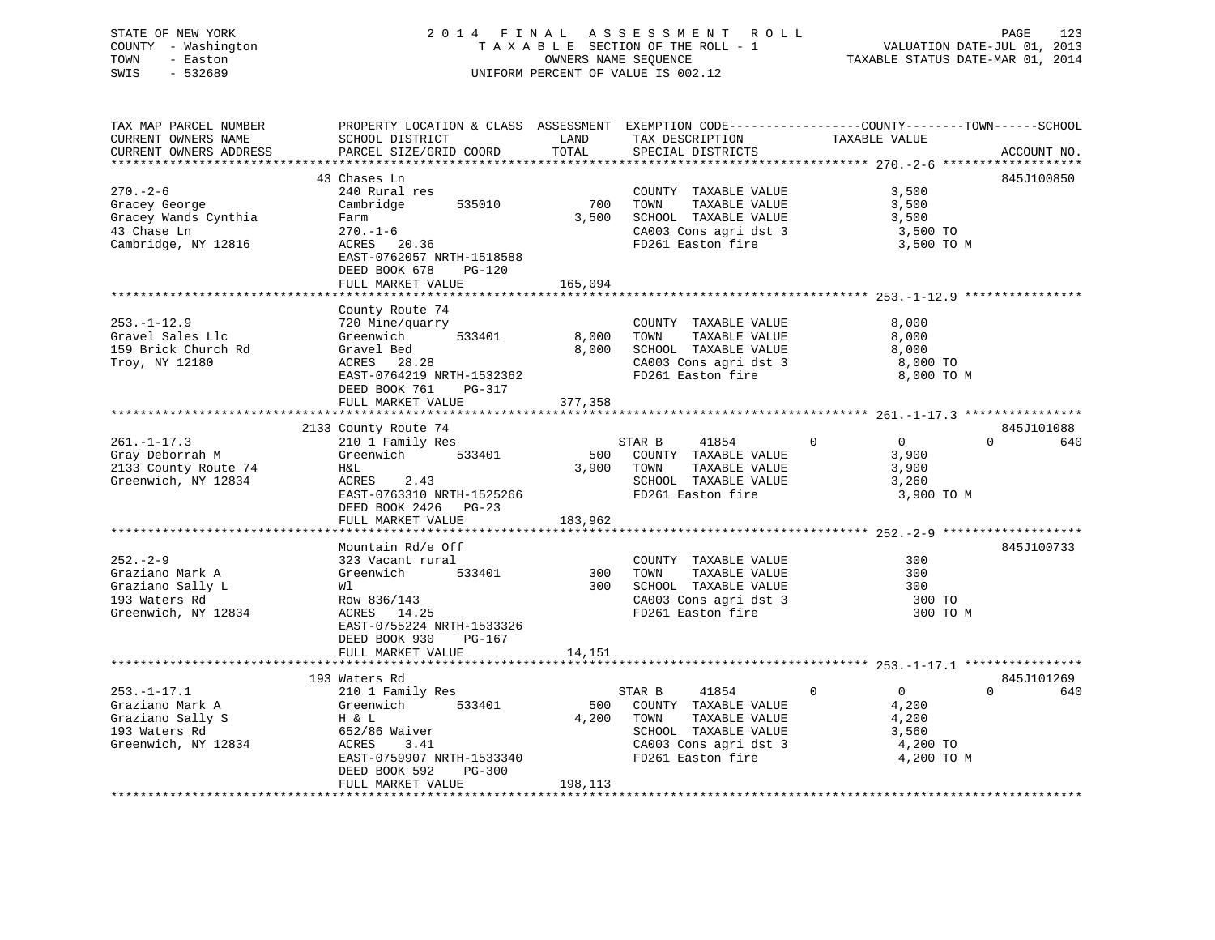# STATE OF NEW YORK 2 0 1 4 F I N A L A S S E S S M E N T R O L L PAGE 123 COUNTY - Washington T A X A B L E SECTION OF THE ROLL - 1 VALUATION DATE-JUL 01, 2013 TOWN - Easton OWNERS NAME SEQUENCE TAXABLE STATUS DATE-MAR 01, 2014 SWIS - 532689 UNIFORM PERCENT OF VALUE IS 002.12

| TAX MAP PARCEL NUMBER<br>CURRENT OWNERS NAME<br>CURRENT OWNERS ADDRESS                          | PROPERTY LOCATION & CLASS ASSESSMENT EXEMPTION CODE---------------COUNTY-------TOWN-----SCHOOL<br>SCHOOL DISTRICT<br>PARCEL SIZE/GRID COORD                                                        | LAND<br>TOTAL             | TAX DESCRIPTION<br>SPECIAL DISTRICTS                                                                                                   | TAXABLE VALUE                                                                   | ACCOUNT NO.                   |
|-------------------------------------------------------------------------------------------------|----------------------------------------------------------------------------------------------------------------------------------------------------------------------------------------------------|---------------------------|----------------------------------------------------------------------------------------------------------------------------------------|---------------------------------------------------------------------------------|-------------------------------|
| $270. - 2 - 6$<br>Gracey George<br>Gracey Wands Cynthia<br>43 Chase Ln<br>Cambridge, NY 12816   | 43 Chases Ln<br>240 Rural res<br>Cambridge<br>535010<br>Farm<br>$270. - 1 - 6$<br>ACRES 20.36<br>EAST-0762057 NRTH-1518588<br>DEED BOOK 678<br><b>PG-120</b><br>FULL MARKET VALUE                  | 700<br>3,500<br>165,094   | COUNTY TAXABLE VALUE<br>TAXABLE VALUE<br>TOWN<br>SCHOOL TAXABLE VALUE<br>CA003 Cons agri dst 3<br>FD261 Easton fire                    | 3,500<br>3,500<br>3,500<br>3,500 TO<br>3,500 TO M                               | 845J100850                    |
| $253. - 1 - 12.9$<br>Gravel Sales Llc<br>159 Brick Church Rd<br>Troy, NY 12180                  | ***************************<br>County Route 74<br>720 Mine/quarry<br>533401<br>Greenwich<br>Gravel Bed<br>ACRES 28.28<br>EAST-0764219 NRTH-1532362<br>DEED BOOK 761<br>PG-317<br>FULL MARKET VALUE | 8,000<br>8,000<br>377,358 | COUNTY TAXABLE VALUE<br>TAXABLE VALUE<br>TOWN<br>SCHOOL TAXABLE VALUE<br>CA003 Cons agri dst 3<br>FD261 Easton fire                    | 8,000<br>8,000<br>8,000<br>8,000 TO<br>8,000 TO M                               |                               |
| $261. - 1 - 17.3$<br>Gray Deborrah M<br>2133 County Route 74<br>Greenwich, NY 12834             | 2133 County Route 74<br>210 1 Family Res<br>Greenwich<br>533401<br>H&L<br>ACRES<br>2.43<br>EAST-0763310 NRTH-1525266<br>DEED BOOK 2426 PG-23<br>FULL MARKET VALUE                                  | 500<br>3,900<br>183,962   | 41854<br>STAR B<br>COUNTY TAXABLE VALUE<br>TOWN<br>TAXABLE VALUE<br>SCHOOL TAXABLE VALUE<br>FD261 Easton fire                          | $\overline{0}$<br>$\mathbf 0$<br>3,900<br>3,900<br>3,260<br>3,900 TO M          | 845J101088<br>$\Omega$<br>640 |
| $252 - 2 - 9$<br>Graziano Mark A<br>Graziano Sally L<br>193 Waters Rd<br>Greenwich, NY 12834    | Mountain Rd/e Off<br>323 Vacant rural<br>533401<br>Greenwich<br>Wl<br>Row 836/143<br>ACRES 14.25<br>EAST-0755224 NRTH-1533326<br>DEED BOOK 930<br>PG-167<br>FULL MARKET VALUE                      | 300<br>300<br>14,151      | COUNTY TAXABLE VALUE<br>TAXABLE VALUE<br>TOWN<br>SCHOOL TAXABLE VALUE<br>CA003 Cons agri dst 3<br>FD261 Easton fire                    | 300<br>300<br>300<br>300 TO<br>300 TO M                                         | 845J100733                    |
| $253. -1 - 17.1$<br>Graziano Mark A<br>Graziano Sally S<br>193 Waters Rd<br>Greenwich, NY 12834 | 193 Waters Rd<br>210 1 Family Res<br>Greenwich<br>533401<br>H & L<br>652/86 Waiver<br>ACRES<br>3.41<br>EAST-0759907 NRTH-1533340<br>DEED BOOK 592<br>$PG-300$<br>FULL MARKET VALUE                 | 500<br>4,200<br>198,113   | STAR B<br>41854<br>COUNTY TAXABLE VALUE<br>TOWN<br>TAXABLE VALUE<br>SCHOOL TAXABLE VALUE<br>CA003 Cons agri dst 3<br>FD261 Easton fire | $\Omega$<br>$\overline{0}$<br>4,200<br>4,200<br>3,560<br>4,200 TO<br>4,200 TO M | 845J101269<br>$\Omega$<br>640 |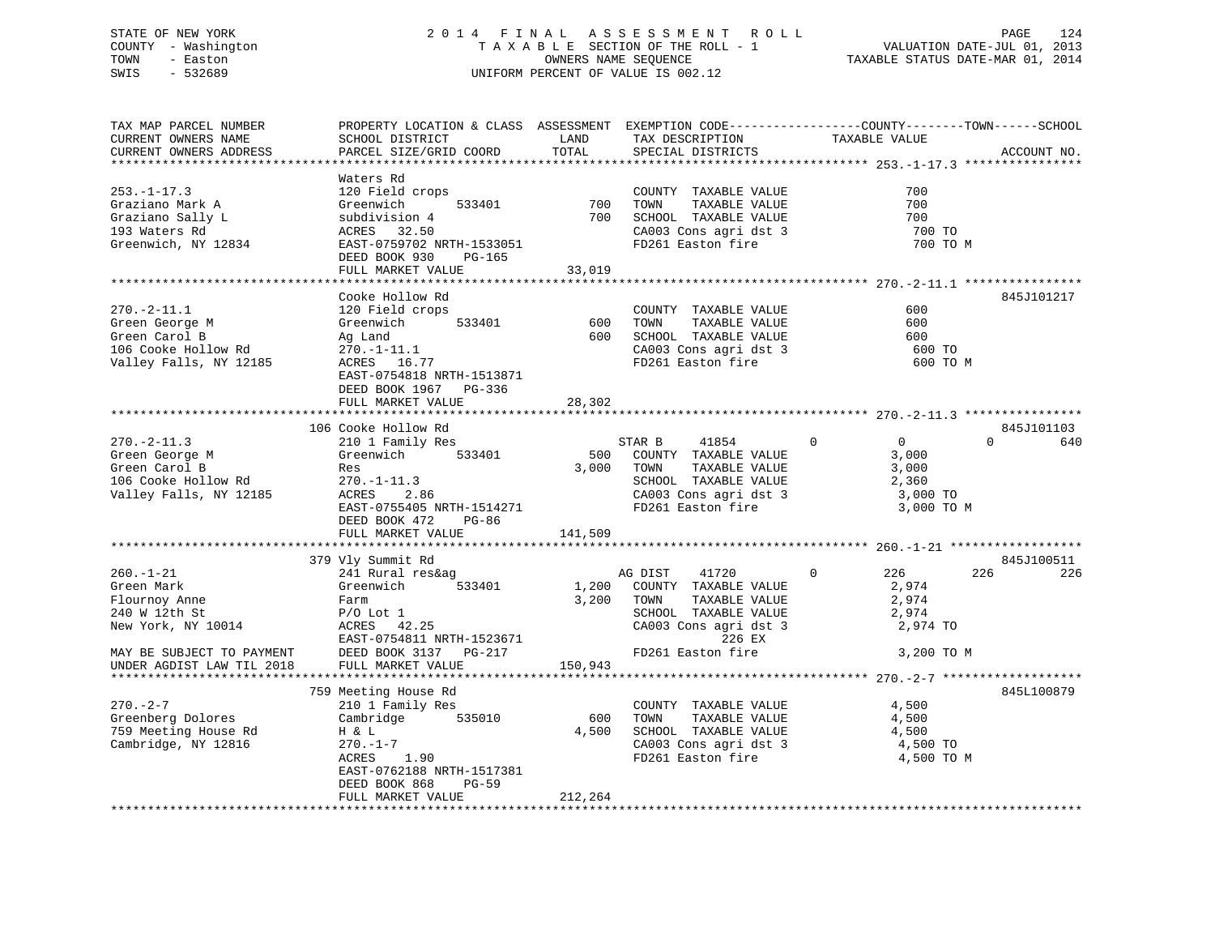# STATE OF NEW YORK 2 0 1 4 F I N A L A S S E S S M E N T R O L L PAGE 124 COUNTY - Washington T A X A B L E SECTION OF THE ROLL - 1 VALUATION DATE-JUL 01, 2013 TOWN - Easton OWNERS NAME SEQUENCE TAXABLE STATUS DATE-MAR 01, 2014 SWIS - 532689 UNIFORM PERCENT OF VALUE IS 002.12

| TAX MAP PARCEL NUMBER<br>CURRENT OWNERS NAME<br>CURRENT OWNERS ADDRESS                                             | PROPERTY LOCATION & CLASS ASSESSMENT EXEMPTION CODE-----------------COUNTY-------TOWN-----SCHOOL<br>SCHOOL DISTRICT<br>PARCEL SIZE/GRID COORD                                             | LAND<br>TOTAL           | TAX DESCRIPTION<br>SPECIAL DISTRICTS                                                                                                              | TAXABLE VALUE                                                                       | ACCOUNT NO.     |
|--------------------------------------------------------------------------------------------------------------------|-------------------------------------------------------------------------------------------------------------------------------------------------------------------------------------------|-------------------------|---------------------------------------------------------------------------------------------------------------------------------------------------|-------------------------------------------------------------------------------------|-----------------|
|                                                                                                                    |                                                                                                                                                                                           |                         |                                                                                                                                                   |                                                                                     |                 |
| $253. - 1 - 17.3$<br>Graziano Mark A<br>Graziano Sally L<br>193 Waters Rd<br>Greenwich, NY 12834                   | Waters Rd<br>120 Field crops<br>533401<br>Greenwich<br>subdivision 4<br>ACRES 32.50<br>EAST-0759702 NRTH-1533051<br>DEED BOOK 930<br>PG-165<br>FULL MARKET VALUE                          | 700<br>700<br>33,019    | COUNTY TAXABLE VALUE<br>TAXABLE VALUE<br>TOWN<br>SCHOOL TAXABLE VALUE<br>CA003 Cons agri dst 3<br>FD261 Easton fire                               | 700<br>700<br>700<br>700 TO<br>700 TO M                                             |                 |
|                                                                                                                    |                                                                                                                                                                                           |                         |                                                                                                                                                   |                                                                                     |                 |
| $270. - 2 - 11.1$<br>Green George M<br>Green Carol B<br>106 Cooke Hollow Rd<br>Valley Falls, NY 12185              | Cooke Hollow Rd<br>120 Field crops<br>533401<br>Greenwich<br>Ag Land<br>$270. - 1 - 11.1$<br>ACRES 16.77<br>EAST-0754818 NRTH-1513871<br>DEED BOOK 1967 PG-336<br>FULL MARKET VALUE       | 600<br>600 -<br>28,302  | COUNTY TAXABLE VALUE<br>TOWN<br>TAXABLE VALUE<br>SCHOOL TAXABLE VALUE<br>CA003 Cons agri dst 3<br>FD261 Easton fire                               | 600<br>600<br>600<br>600 TO<br>600 TO M                                             | 845J101217      |
|                                                                                                                    | 106 Cooke Hollow Rd                                                                                                                                                                       |                         |                                                                                                                                                   |                                                                                     | 845J101103      |
| $270. - 2 - 11.3$<br>Green George M<br>Green Carol B<br>106 Cooke Hollow Rd<br>Valley Falls, NY 12185              | 210 1 Family Res<br>533401<br>Greenwich<br>Res<br>$270. - 1 - 11.3$<br>ACRES<br>2.86<br>EAST-0755405 NRTH-1514271<br>DEED BOOK 472<br>PG-86<br>FULL MARKET VALUE                          | 500<br>3,000<br>141,509 | STAR B<br>41854<br>COUNTY TAXABLE VALUE<br>TAXABLE VALUE<br>TOWN<br>SCHOOL TAXABLE VALUE<br>CA003 Cons agri dst 3<br>FD261 Easton fire            | $\mathbf{0}$<br>$\overline{0}$<br>3,000<br>3,000<br>2,360<br>3,000 TO<br>3,000 TO M | $\Omega$<br>640 |
|                                                                                                                    | 379 Vly Summit Rd                                                                                                                                                                         |                         |                                                                                                                                                   |                                                                                     | 845J100511      |
| $260. - 1 - 21$<br>Green Mark<br>Flournoy Anne<br>240 W 12th St<br>New York, NY 10014<br>MAY BE SUBJECT TO PAYMENT | 241 Rural res&ag<br>Greenwich<br>533401<br>Farm<br>$P/O$ Lot $1$<br>42.25<br>ACRES<br>EAST-0754811 NRTH-1523671<br>DEED BOOK 3137 PG-217                                                  | 1,200<br>3,200          | AG DIST<br>41720<br>COUNTY TAXABLE VALUE<br>TOWN<br>TAXABLE VALUE<br>SCHOOL TAXABLE VALUE<br>CA003 Cons agri dst 3<br>226 EX<br>FD261 Easton fire | 226<br>$\mathbf{0}$<br>2,974<br>2,974<br>2,974<br>2,974 TO<br>3,200 TO M            | 226<br>226      |
| UNDER AGDIST LAW TIL 2018                                                                                          | FULL MARKET VALUE                                                                                                                                                                         | 150,943                 |                                                                                                                                                   |                                                                                     |                 |
| $270. - 2 - 7$<br>Greenberg Dolores<br>759 Meeting House Rd<br>Cambridge, NY 12816                                 | 759 Meeting House Rd<br>210 1 Family Res<br>Cambridge<br>535010<br>H & L<br>$270. - 1 - 7$<br>1.90<br>ACRES<br>EAST-0762188 NRTH-1517381<br>DEED BOOK 868<br>$PG-59$<br>FULL MARKET VALUE | 600<br>4,500<br>212,264 | COUNTY TAXABLE VALUE<br>TOWN<br>TAXABLE VALUE<br>SCHOOL TAXABLE VALUE<br>CA003 Cons agri dst 3<br>FD261 Easton fire                               | 4,500<br>4,500<br>4,500<br>4,500 TO<br>4,500 TO M                                   | 845L100879      |
|                                                                                                                    |                                                                                                                                                                                           |                         |                                                                                                                                                   |                                                                                     |                 |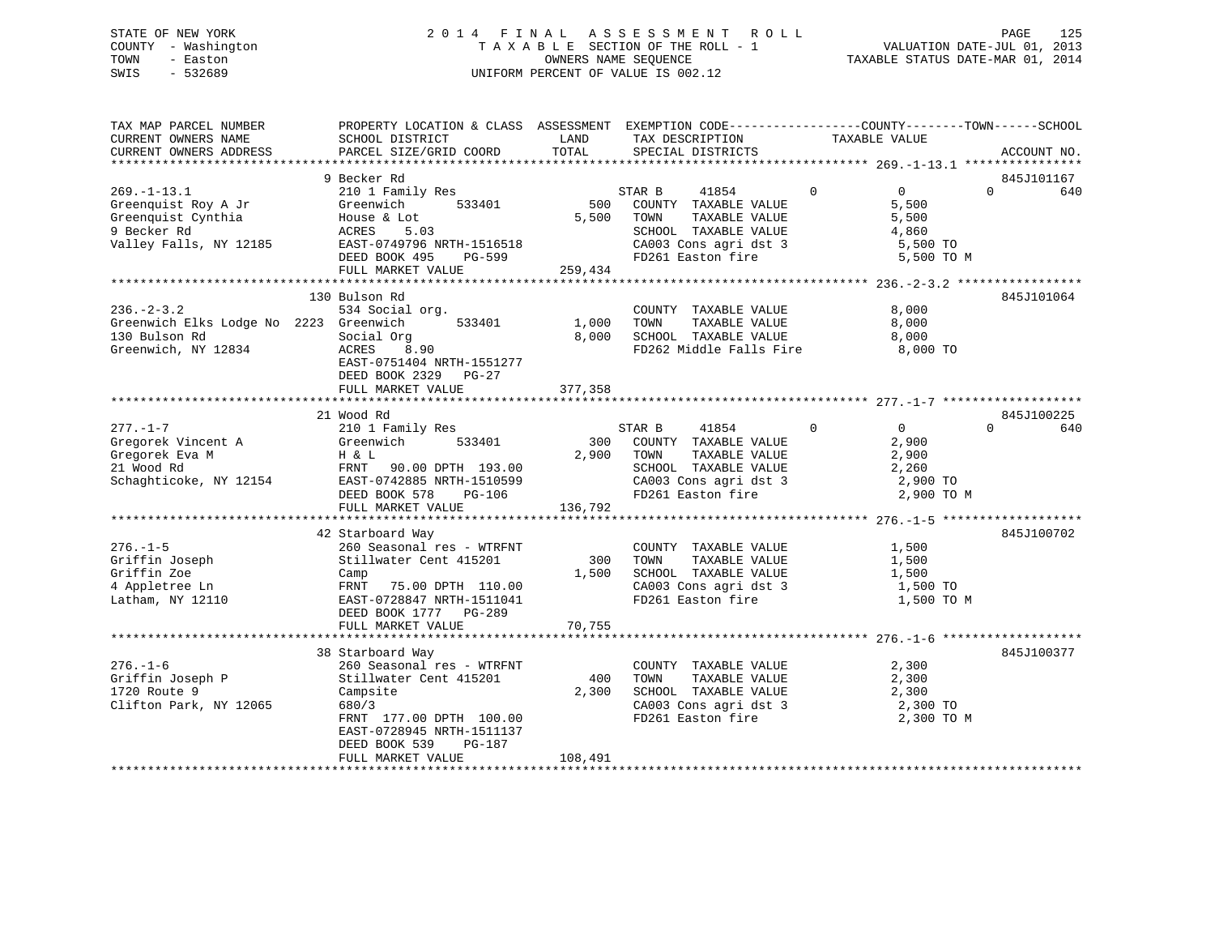# STATE OF NEW YORK 2 0 1 4 F I N A L A S S E S S M E N T R O L L PAGE 125 COUNTY - Washington T A X A B L E SECTION OF THE ROLL - 1 VALUATION DATE-JUL 01, 2013 TOWN - Easton OWNERS NAME SEQUENCE TAXABLE STATUS DATE-MAR 01, 2014 SWIS - 532689 UNIFORM PERCENT OF VALUE IS 002.12

| TAX MAP PARCEL NUMBER<br>CURRENT OWNERS NAME<br>CURRENT OWNERS ADDRESS                                  | PROPERTY LOCATION & CLASS ASSESSMENT<br>SCHOOL DISTRICT<br>PARCEL SIZE/GRID COORD                                                                                                                    | LAND<br>TOTAL           | EXEMPTION CODE-----------------COUNTY-------TOWN------SCHOOL<br>TAX DESCRIPTION<br>SPECIAL DISTRICTS                                       | TAXABLE VALUE                                                                      | ACCOUNT NO.                   |
|---------------------------------------------------------------------------------------------------------|------------------------------------------------------------------------------------------------------------------------------------------------------------------------------------------------------|-------------------------|--------------------------------------------------------------------------------------------------------------------------------------------|------------------------------------------------------------------------------------|-------------------------------|
| ************************                                                                                |                                                                                                                                                                                                      |                         |                                                                                                                                            |                                                                                    |                               |
| $269. - 1 - 13.1$<br>Greenquist Roy A Jr<br>Greenquist Cynthia<br>9 Becker Rd<br>Valley Falls, NY 12185 | 9 Becker Rd<br>210 1 Family Res<br>Greenwich<br>533401<br>House & Lot<br>ACRES<br>5.03<br>EAST-0749796 NRTH-1516518<br>DEED BOOK 495<br>PG-599<br>FULL MARKET VALUE                                  | 5,500<br>259,434        | STAR B<br>41854<br>500 COUNTY TAXABLE VALUE<br>TOWN<br>TAXABLE VALUE<br>SCHOOL TAXABLE VALUE<br>CA003 Cons agri dst 3<br>FD261 Easton fire | $\mathbf 0$<br>$\overline{0}$<br>5,500<br>5,500<br>4,860<br>5,500 TO<br>5,500 TO M | 845J101167<br>$\Omega$<br>640 |
|                                                                                                         |                                                                                                                                                                                                      |                         |                                                                                                                                            |                                                                                    |                               |
| $236. - 2 - 3.2$<br>Greenwich Elks Lodge No 2223 Greenwich<br>130 Bulson Rd<br>Greenwich, NY 12834      | 130 Bulson Rd<br>534 Social org.<br>533401<br>Social Org<br>ACRES<br>8.90<br>EAST-0751404 NRTH-1551277<br>DEED BOOK 2329 PG-27                                                                       | 1,000<br>8,000          | COUNTY TAXABLE VALUE<br>TOWN<br>TAXABLE VALUE<br>SCHOOL TAXABLE VALUE<br>FD262 Middle Falls Fire                                           | 8,000<br>8,000<br>8,000<br>8,000 TO                                                | 845J101064                    |
|                                                                                                         | FULL MARKET VALUE                                                                                                                                                                                    | 377,358                 |                                                                                                                                            |                                                                                    |                               |
|                                                                                                         | 21 Wood Rd                                                                                                                                                                                           |                         |                                                                                                                                            |                                                                                    | 845J100225                    |
| $277. - 1 - 7$<br>Gregorek Vincent A<br>Gregorek Eva M<br>21 Wood Rd<br>Schaghticoke, NY 12154          | 210 1 Family Res<br>Greenwich<br>533401<br>H & L<br>FRNT 90.00 DPTH 193.00<br>EAST-0742885 NRTH-1510599<br>DEED BOOK 578<br>PG-106<br>FULL MARKET VALUE                                              | 300<br>2,900<br>136,792 | STAR B<br>41854<br>COUNTY TAXABLE VALUE<br>TOWN<br>TAXABLE VALUE<br>SCHOOL TAXABLE VALUE<br>CA003 Cons agri dst 3<br>FD261 Easton fire     | $\overline{0}$<br>$\Omega$<br>2,900<br>2,900<br>2,260<br>2,900 TO<br>2,900 TO M    | $\Omega$<br>640               |
|                                                                                                         |                                                                                                                                                                                                      |                         |                                                                                                                                            |                                                                                    |                               |
| $276. - 1 - 5$<br>Griffin Joseph<br>Griffin Zoe<br>4 Appletree Ln<br>Latham, NY 12110                   | 42 Starboard Way<br>260 Seasonal res - WTRFNT<br>Stillwater Cent 415201<br>Camp<br>FRNT<br>75.00 DPTH 110.00<br>EAST-0728847 NRTH-1511041<br>DEED BOOK 1777 PG-289<br>FULL MARKET VALUE              | 300<br>1,500<br>70,755  | COUNTY TAXABLE VALUE<br>TOWN<br>TAXABLE VALUE<br>SCHOOL TAXABLE VALUE<br>CA003 Cons agri dst 3<br>FD261 Easton fire                        | 1,500<br>1,500<br>1,500<br>1,500 TO<br>1,500 TO M                                  | 845J100702                    |
|                                                                                                         |                                                                                                                                                                                                      |                         |                                                                                                                                            |                                                                                    |                               |
| $276. - 1 - 6$<br>Griffin Joseph P<br>1720 Route 9<br>Clifton Park, NY 12065                            | 38 Starboard Way<br>260 Seasonal res - WTRFNT<br>Stillwater Cent 415201<br>Campsite<br>680/3<br>FRNT 177.00 DPTH 100.00<br>EAST-0728945 NRTH-1511137<br>DEED BOOK 539<br>PG-187<br>FULL MARKET VALUE | 400<br>2,300<br>108,491 | COUNTY TAXABLE VALUE<br>TOWN<br>TAXABLE VALUE<br>SCHOOL TAXABLE VALUE<br>CA003 Cons agri dst 3<br>FD261 Easton fire                        | 2,300<br>2,300<br>2,300<br>2,300 TO<br>2,300 TO M                                  | 845J100377                    |
|                                                                                                         |                                                                                                                                                                                                      |                         |                                                                                                                                            |                                                                                    |                               |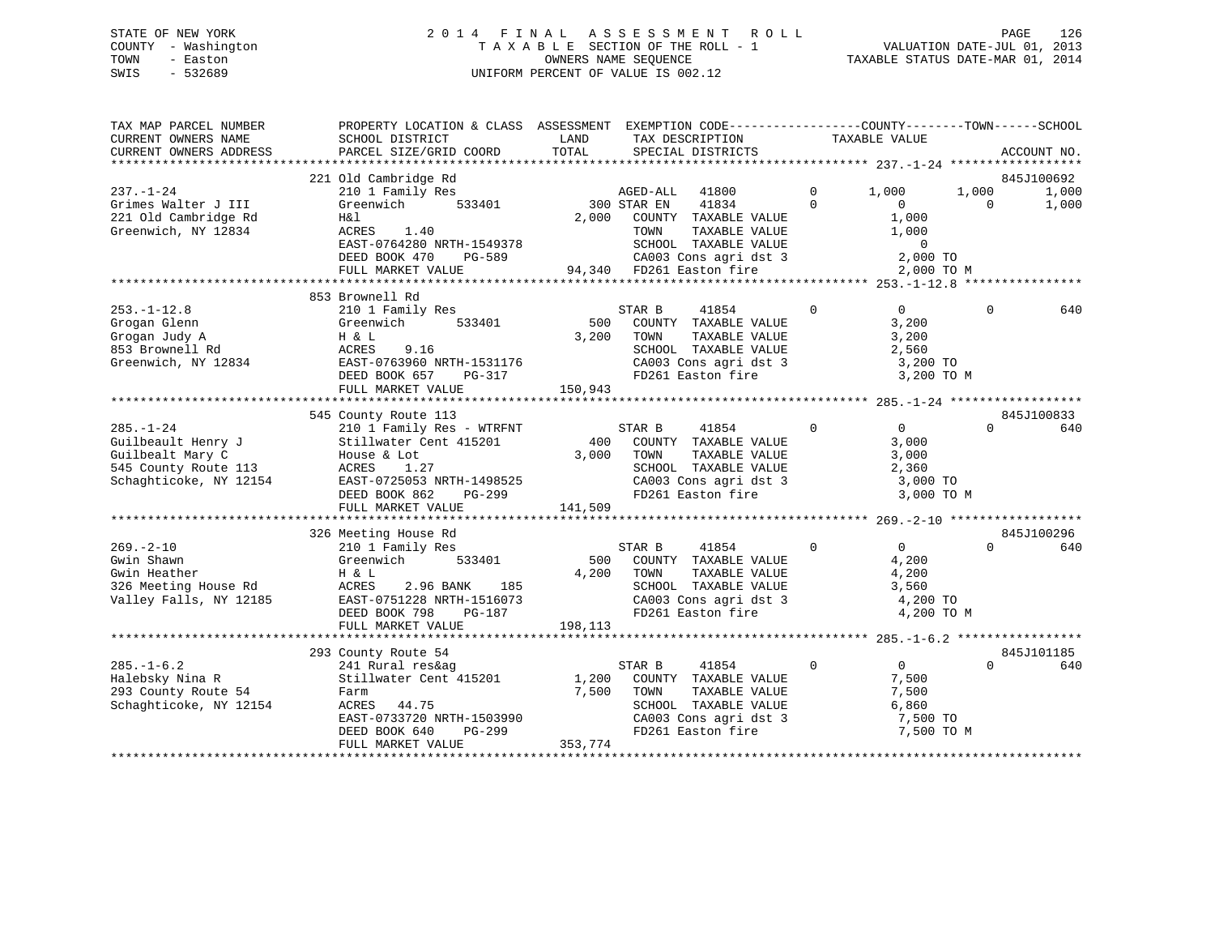# STATE OF NEW YORK 2 0 1 4 F I N A L A S S E S S M E N T R O L L PAGE 126 COUNTY - Washington T A X A B L E SECTION OF THE ROLL - 1 VALUATION DATE-JUL 01, 2013 TOWN - Easton OWNERS NAME SEQUENCE TAXABLE STATUS DATE-MAR 01, 2014 SWIS - 532689 UNIFORM PERCENT OF VALUE IS 002.12

| 221 Old Cambridge Rd<br>845J100692<br>$\Omega$<br>210 1 Family Res<br>AGED-ALL 41800<br>1,000<br>1,000<br>1,000<br>$\Omega$<br>Grimes Walter J III<br>Greenwich<br>533401<br>300 STAR EN<br>41834<br>$\bigcirc$<br>$\Omega$<br>1,000<br>1,000<br>H&l<br>2,000 COUNTY TAXABLE VALUE<br>1,000<br>ACRES<br>1.40<br>TOWN<br>TAXABLE VALUE<br>EAST-0764280 NRTH-1549378<br>$\overline{0}$<br>SCHOOL TAXABLE VALUE<br>SCHOOL TAXABLE VALUE<br>CA003 Cons agri dst 3<br>2,000 TO<br>DEED BOOK 470<br>PG-589<br>94,340 FD261 Easton fire<br>2,000 TO M<br>FULL MARKET VALUE<br>853 Brownell Rd<br>$253. - 1 - 12.8$<br>210 1 Family Res<br>$\mathbf 0$<br>STAR B<br>41854<br>$\overline{0}$<br>$\Omega$<br>640<br>533401<br>500 COUNTY TAXABLE VALUE<br>3,200<br>Grogan Glenn<br>Greenwich<br>Grogan Judy A<br>3,200 TOWN<br>TAXABLE VALUE<br>3,200<br>H & L<br>853 Brownell Rd<br>SCHOOL TAXABLE VALUE<br>ACRES<br>9.16<br>2,560<br>SCHOOL TAXABLE VALUE<br>CA003 Cons agri dst 3<br>EAST-0763960 NRTH-1531176<br>Greenwich, NY 12834<br>3,200 TO<br>FD261 Easton fire<br>DEED BOOK 657<br>PG-317<br>3,200 TO M<br>FULL MARKET VALUE<br>150,943<br>845J100833<br>545 County Route 113<br>$\overline{0}$<br>210 1 Family Res - WTRFNT<br>STAR B<br>41854<br>$\mathbf 0$<br>$\Omega$<br>640<br>400 COUNTY TAXABLE VALUE<br>Guilbeault Henry J<br>Guilbealt Mary C<br>545 County Route 113<br>Stillwater Cent 415201<br>3,000<br>3,000<br>TOWN<br>TAXABLE VALUE<br>3,000<br>House & Lot<br>545 County Route 113<br>SCHOOL TAXABLE VALUE<br>2,360<br>ACRES 1.27<br>EAST-0725053 NRTH-1498525<br>Schaghticoke, NY 12154<br>FD261 Easton fire<br>3,000 TO M<br>DEED BOOK 862<br>PG-299<br>FULL MARKET VALUE<br>141,509<br>845J100296<br>326 Meeting House Rd<br>$\mathsf{O}$<br>$\overline{0}$<br>210 1 Family Res<br>41854<br>$\Omega$<br>640<br>STAR B<br>500 COUNTY TAXABLE VALUE<br>Greenwich<br>533401<br>4,200<br>H & L<br>4,200<br>TOWN<br>TAXABLE VALUE<br>4,200<br>ACRES<br>2.96 BANK<br>185<br>3,560<br>SCHOOL TAXABLE VALUE<br>CA003 Cons agri dst 3<br>--066 --<br>EAST-0751228 NRTH-1516073<br>Valley Falls, NY 12185<br>4,200 TO<br>FD261 Easton fire<br>DEED BOOK 798<br>PG-187<br>4,200 TO M<br>FULL MARKET VALUE<br>198,113<br>293 County Route 54<br>845J101185<br>$285. - 1 - 6.2$<br>$\Omega$<br>$\overline{0}$<br>41854<br>$\Omega$<br>640<br>241 Rural res&ag<br>STAR B<br>Stillwater Cent 415201<br>1,200<br>COUNTY TAXABLE VALUE<br>Halebsky Nina R<br>7,500<br>7,500<br>TOWN<br>TAXABLE VALUE<br>7,500<br>Farm<br>ACRES 44.75<br>SCHOOL TAXABLE VALUE<br>6,860<br>EAST-0733720 NRTH-1503990<br>CA003 Cons agri dst 3<br>ED261 Faston fire<br>7,500 TO<br>7,500 TO M<br>FD261 Easton fire<br>DEED BOOK 640<br>PG-299<br>FULL MARKET VALUE<br>353,774 | TAX MAP PARCEL NUMBER<br>CURRENT OWNERS NAME<br>CURRENT OWNERS ADDRESS | PROPERTY LOCATION & CLASS ASSESSMENT EXEMPTION CODE---------------COUNTY-------TOWN-----SCHOOL<br>SCHOOL DISTRICT<br>PARCEL SIZE/GRID COORD | LAND<br>TOTAL | TAX DESCRIPTION<br>SPECIAL DISTRICTS | TAXABLE VALUE | ACCOUNT NO. |
|-----------------------------------------------------------------------------------------------------------------------------------------------------------------------------------------------------------------------------------------------------------------------------------------------------------------------------------------------------------------------------------------------------------------------------------------------------------------------------------------------------------------------------------------------------------------------------------------------------------------------------------------------------------------------------------------------------------------------------------------------------------------------------------------------------------------------------------------------------------------------------------------------------------------------------------------------------------------------------------------------------------------------------------------------------------------------------------------------------------------------------------------------------------------------------------------------------------------------------------------------------------------------------------------------------------------------------------------------------------------------------------------------------------------------------------------------------------------------------------------------------------------------------------------------------------------------------------------------------------------------------------------------------------------------------------------------------------------------------------------------------------------------------------------------------------------------------------------------------------------------------------------------------------------------------------------------------------------------------------------------------------------------------------------------------------------------------------------------------------------------------------------------------------------------------------------------------------------------------------------------------------------------------------------------------------------------------------------------------------------------------------------------------------------------------------------------------------------------------------------------------------------------------------------------------------------------------------------------------------------------------------------------------------------------------------------------------------------------------------------------------------------|------------------------------------------------------------------------|---------------------------------------------------------------------------------------------------------------------------------------------|---------------|--------------------------------------|---------------|-------------|
|                                                                                                                                                                                                                                                                                                                                                                                                                                                                                                                                                                                                                                                                                                                                                                                                                                                                                                                                                                                                                                                                                                                                                                                                                                                                                                                                                                                                                                                                                                                                                                                                                                                                                                                                                                                                                                                                                                                                                                                                                                                                                                                                                                                                                                                                                                                                                                                                                                                                                                                                                                                                                                                                                                                                                                 |                                                                        |                                                                                                                                             |               |                                      |               |             |
|                                                                                                                                                                                                                                                                                                                                                                                                                                                                                                                                                                                                                                                                                                                                                                                                                                                                                                                                                                                                                                                                                                                                                                                                                                                                                                                                                                                                                                                                                                                                                                                                                                                                                                                                                                                                                                                                                                                                                                                                                                                                                                                                                                                                                                                                                                                                                                                                                                                                                                                                                                                                                                                                                                                                                                 | $237. - 1 - 24$                                                        |                                                                                                                                             |               |                                      |               |             |
|                                                                                                                                                                                                                                                                                                                                                                                                                                                                                                                                                                                                                                                                                                                                                                                                                                                                                                                                                                                                                                                                                                                                                                                                                                                                                                                                                                                                                                                                                                                                                                                                                                                                                                                                                                                                                                                                                                                                                                                                                                                                                                                                                                                                                                                                                                                                                                                                                                                                                                                                                                                                                                                                                                                                                                 | 221 Old Cambridge Rd<br>Greenwich, NY 12834                            |                                                                                                                                             |               |                                      |               |             |
|                                                                                                                                                                                                                                                                                                                                                                                                                                                                                                                                                                                                                                                                                                                                                                                                                                                                                                                                                                                                                                                                                                                                                                                                                                                                                                                                                                                                                                                                                                                                                                                                                                                                                                                                                                                                                                                                                                                                                                                                                                                                                                                                                                                                                                                                                                                                                                                                                                                                                                                                                                                                                                                                                                                                                                 |                                                                        |                                                                                                                                             |               |                                      |               |             |
|                                                                                                                                                                                                                                                                                                                                                                                                                                                                                                                                                                                                                                                                                                                                                                                                                                                                                                                                                                                                                                                                                                                                                                                                                                                                                                                                                                                                                                                                                                                                                                                                                                                                                                                                                                                                                                                                                                                                                                                                                                                                                                                                                                                                                                                                                                                                                                                                                                                                                                                                                                                                                                                                                                                                                                 |                                                                        |                                                                                                                                             |               |                                      |               |             |
|                                                                                                                                                                                                                                                                                                                                                                                                                                                                                                                                                                                                                                                                                                                                                                                                                                                                                                                                                                                                                                                                                                                                                                                                                                                                                                                                                                                                                                                                                                                                                                                                                                                                                                                                                                                                                                                                                                                                                                                                                                                                                                                                                                                                                                                                                                                                                                                                                                                                                                                                                                                                                                                                                                                                                                 |                                                                        |                                                                                                                                             |               |                                      |               |             |
|                                                                                                                                                                                                                                                                                                                                                                                                                                                                                                                                                                                                                                                                                                                                                                                                                                                                                                                                                                                                                                                                                                                                                                                                                                                                                                                                                                                                                                                                                                                                                                                                                                                                                                                                                                                                                                                                                                                                                                                                                                                                                                                                                                                                                                                                                                                                                                                                                                                                                                                                                                                                                                                                                                                                                                 |                                                                        |                                                                                                                                             |               |                                      |               |             |
|                                                                                                                                                                                                                                                                                                                                                                                                                                                                                                                                                                                                                                                                                                                                                                                                                                                                                                                                                                                                                                                                                                                                                                                                                                                                                                                                                                                                                                                                                                                                                                                                                                                                                                                                                                                                                                                                                                                                                                                                                                                                                                                                                                                                                                                                                                                                                                                                                                                                                                                                                                                                                                                                                                                                                                 |                                                                        |                                                                                                                                             |               |                                      |               |             |
|                                                                                                                                                                                                                                                                                                                                                                                                                                                                                                                                                                                                                                                                                                                                                                                                                                                                                                                                                                                                                                                                                                                                                                                                                                                                                                                                                                                                                                                                                                                                                                                                                                                                                                                                                                                                                                                                                                                                                                                                                                                                                                                                                                                                                                                                                                                                                                                                                                                                                                                                                                                                                                                                                                                                                                 |                                                                        |                                                                                                                                             |               |                                      |               |             |
|                                                                                                                                                                                                                                                                                                                                                                                                                                                                                                                                                                                                                                                                                                                                                                                                                                                                                                                                                                                                                                                                                                                                                                                                                                                                                                                                                                                                                                                                                                                                                                                                                                                                                                                                                                                                                                                                                                                                                                                                                                                                                                                                                                                                                                                                                                                                                                                                                                                                                                                                                                                                                                                                                                                                                                 |                                                                        |                                                                                                                                             |               |                                      |               |             |
|                                                                                                                                                                                                                                                                                                                                                                                                                                                                                                                                                                                                                                                                                                                                                                                                                                                                                                                                                                                                                                                                                                                                                                                                                                                                                                                                                                                                                                                                                                                                                                                                                                                                                                                                                                                                                                                                                                                                                                                                                                                                                                                                                                                                                                                                                                                                                                                                                                                                                                                                                                                                                                                                                                                                                                 |                                                                        |                                                                                                                                             |               |                                      |               |             |
|                                                                                                                                                                                                                                                                                                                                                                                                                                                                                                                                                                                                                                                                                                                                                                                                                                                                                                                                                                                                                                                                                                                                                                                                                                                                                                                                                                                                                                                                                                                                                                                                                                                                                                                                                                                                                                                                                                                                                                                                                                                                                                                                                                                                                                                                                                                                                                                                                                                                                                                                                                                                                                                                                                                                                                 |                                                                        |                                                                                                                                             |               |                                      |               |             |
|                                                                                                                                                                                                                                                                                                                                                                                                                                                                                                                                                                                                                                                                                                                                                                                                                                                                                                                                                                                                                                                                                                                                                                                                                                                                                                                                                                                                                                                                                                                                                                                                                                                                                                                                                                                                                                                                                                                                                                                                                                                                                                                                                                                                                                                                                                                                                                                                                                                                                                                                                                                                                                                                                                                                                                 |                                                                        |                                                                                                                                             |               |                                      |               |             |
|                                                                                                                                                                                                                                                                                                                                                                                                                                                                                                                                                                                                                                                                                                                                                                                                                                                                                                                                                                                                                                                                                                                                                                                                                                                                                                                                                                                                                                                                                                                                                                                                                                                                                                                                                                                                                                                                                                                                                                                                                                                                                                                                                                                                                                                                                                                                                                                                                                                                                                                                                                                                                                                                                                                                                                 |                                                                        |                                                                                                                                             |               |                                      |               |             |
|                                                                                                                                                                                                                                                                                                                                                                                                                                                                                                                                                                                                                                                                                                                                                                                                                                                                                                                                                                                                                                                                                                                                                                                                                                                                                                                                                                                                                                                                                                                                                                                                                                                                                                                                                                                                                                                                                                                                                                                                                                                                                                                                                                                                                                                                                                                                                                                                                                                                                                                                                                                                                                                                                                                                                                 | $285. - 1 - 24$                                                        |                                                                                                                                             |               |                                      |               |             |
|                                                                                                                                                                                                                                                                                                                                                                                                                                                                                                                                                                                                                                                                                                                                                                                                                                                                                                                                                                                                                                                                                                                                                                                                                                                                                                                                                                                                                                                                                                                                                                                                                                                                                                                                                                                                                                                                                                                                                                                                                                                                                                                                                                                                                                                                                                                                                                                                                                                                                                                                                                                                                                                                                                                                                                 |                                                                        |                                                                                                                                             |               |                                      |               |             |
|                                                                                                                                                                                                                                                                                                                                                                                                                                                                                                                                                                                                                                                                                                                                                                                                                                                                                                                                                                                                                                                                                                                                                                                                                                                                                                                                                                                                                                                                                                                                                                                                                                                                                                                                                                                                                                                                                                                                                                                                                                                                                                                                                                                                                                                                                                                                                                                                                                                                                                                                                                                                                                                                                                                                                                 |                                                                        |                                                                                                                                             |               |                                      |               |             |
|                                                                                                                                                                                                                                                                                                                                                                                                                                                                                                                                                                                                                                                                                                                                                                                                                                                                                                                                                                                                                                                                                                                                                                                                                                                                                                                                                                                                                                                                                                                                                                                                                                                                                                                                                                                                                                                                                                                                                                                                                                                                                                                                                                                                                                                                                                                                                                                                                                                                                                                                                                                                                                                                                                                                                                 |                                                                        |                                                                                                                                             |               |                                      |               |             |
|                                                                                                                                                                                                                                                                                                                                                                                                                                                                                                                                                                                                                                                                                                                                                                                                                                                                                                                                                                                                                                                                                                                                                                                                                                                                                                                                                                                                                                                                                                                                                                                                                                                                                                                                                                                                                                                                                                                                                                                                                                                                                                                                                                                                                                                                                                                                                                                                                                                                                                                                                                                                                                                                                                                                                                 |                                                                        |                                                                                                                                             |               |                                      |               |             |
|                                                                                                                                                                                                                                                                                                                                                                                                                                                                                                                                                                                                                                                                                                                                                                                                                                                                                                                                                                                                                                                                                                                                                                                                                                                                                                                                                                                                                                                                                                                                                                                                                                                                                                                                                                                                                                                                                                                                                                                                                                                                                                                                                                                                                                                                                                                                                                                                                                                                                                                                                                                                                                                                                                                                                                 |                                                                        |                                                                                                                                             |               |                                      |               |             |
|                                                                                                                                                                                                                                                                                                                                                                                                                                                                                                                                                                                                                                                                                                                                                                                                                                                                                                                                                                                                                                                                                                                                                                                                                                                                                                                                                                                                                                                                                                                                                                                                                                                                                                                                                                                                                                                                                                                                                                                                                                                                                                                                                                                                                                                                                                                                                                                                                                                                                                                                                                                                                                                                                                                                                                 |                                                                        |                                                                                                                                             |               |                                      |               |             |
|                                                                                                                                                                                                                                                                                                                                                                                                                                                                                                                                                                                                                                                                                                                                                                                                                                                                                                                                                                                                                                                                                                                                                                                                                                                                                                                                                                                                                                                                                                                                                                                                                                                                                                                                                                                                                                                                                                                                                                                                                                                                                                                                                                                                                                                                                                                                                                                                                                                                                                                                                                                                                                                                                                                                                                 |                                                                        |                                                                                                                                             |               |                                      |               |             |
|                                                                                                                                                                                                                                                                                                                                                                                                                                                                                                                                                                                                                                                                                                                                                                                                                                                                                                                                                                                                                                                                                                                                                                                                                                                                                                                                                                                                                                                                                                                                                                                                                                                                                                                                                                                                                                                                                                                                                                                                                                                                                                                                                                                                                                                                                                                                                                                                                                                                                                                                                                                                                                                                                                                                                                 | $269. - 2 - 10$                                                        |                                                                                                                                             |               |                                      |               |             |
|                                                                                                                                                                                                                                                                                                                                                                                                                                                                                                                                                                                                                                                                                                                                                                                                                                                                                                                                                                                                                                                                                                                                                                                                                                                                                                                                                                                                                                                                                                                                                                                                                                                                                                                                                                                                                                                                                                                                                                                                                                                                                                                                                                                                                                                                                                                                                                                                                                                                                                                                                                                                                                                                                                                                                                 | Gwin Shawn                                                             |                                                                                                                                             |               |                                      |               |             |
|                                                                                                                                                                                                                                                                                                                                                                                                                                                                                                                                                                                                                                                                                                                                                                                                                                                                                                                                                                                                                                                                                                                                                                                                                                                                                                                                                                                                                                                                                                                                                                                                                                                                                                                                                                                                                                                                                                                                                                                                                                                                                                                                                                                                                                                                                                                                                                                                                                                                                                                                                                                                                                                                                                                                                                 | Gwin Heather                                                           |                                                                                                                                             |               |                                      |               |             |
|                                                                                                                                                                                                                                                                                                                                                                                                                                                                                                                                                                                                                                                                                                                                                                                                                                                                                                                                                                                                                                                                                                                                                                                                                                                                                                                                                                                                                                                                                                                                                                                                                                                                                                                                                                                                                                                                                                                                                                                                                                                                                                                                                                                                                                                                                                                                                                                                                                                                                                                                                                                                                                                                                                                                                                 | 326 Meeting House Rd                                                   |                                                                                                                                             |               |                                      |               |             |
|                                                                                                                                                                                                                                                                                                                                                                                                                                                                                                                                                                                                                                                                                                                                                                                                                                                                                                                                                                                                                                                                                                                                                                                                                                                                                                                                                                                                                                                                                                                                                                                                                                                                                                                                                                                                                                                                                                                                                                                                                                                                                                                                                                                                                                                                                                                                                                                                                                                                                                                                                                                                                                                                                                                                                                 |                                                                        |                                                                                                                                             |               |                                      |               |             |
|                                                                                                                                                                                                                                                                                                                                                                                                                                                                                                                                                                                                                                                                                                                                                                                                                                                                                                                                                                                                                                                                                                                                                                                                                                                                                                                                                                                                                                                                                                                                                                                                                                                                                                                                                                                                                                                                                                                                                                                                                                                                                                                                                                                                                                                                                                                                                                                                                                                                                                                                                                                                                                                                                                                                                                 |                                                                        |                                                                                                                                             |               |                                      |               |             |
|                                                                                                                                                                                                                                                                                                                                                                                                                                                                                                                                                                                                                                                                                                                                                                                                                                                                                                                                                                                                                                                                                                                                                                                                                                                                                                                                                                                                                                                                                                                                                                                                                                                                                                                                                                                                                                                                                                                                                                                                                                                                                                                                                                                                                                                                                                                                                                                                                                                                                                                                                                                                                                                                                                                                                                 |                                                                        |                                                                                                                                             |               |                                      |               |             |
|                                                                                                                                                                                                                                                                                                                                                                                                                                                                                                                                                                                                                                                                                                                                                                                                                                                                                                                                                                                                                                                                                                                                                                                                                                                                                                                                                                                                                                                                                                                                                                                                                                                                                                                                                                                                                                                                                                                                                                                                                                                                                                                                                                                                                                                                                                                                                                                                                                                                                                                                                                                                                                                                                                                                                                 |                                                                        |                                                                                                                                             |               |                                      |               |             |
|                                                                                                                                                                                                                                                                                                                                                                                                                                                                                                                                                                                                                                                                                                                                                                                                                                                                                                                                                                                                                                                                                                                                                                                                                                                                                                                                                                                                                                                                                                                                                                                                                                                                                                                                                                                                                                                                                                                                                                                                                                                                                                                                                                                                                                                                                                                                                                                                                                                                                                                                                                                                                                                                                                                                                                 |                                                                        |                                                                                                                                             |               |                                      |               |             |
|                                                                                                                                                                                                                                                                                                                                                                                                                                                                                                                                                                                                                                                                                                                                                                                                                                                                                                                                                                                                                                                                                                                                                                                                                                                                                                                                                                                                                                                                                                                                                                                                                                                                                                                                                                                                                                                                                                                                                                                                                                                                                                                                                                                                                                                                                                                                                                                                                                                                                                                                                                                                                                                                                                                                                                 |                                                                        |                                                                                                                                             |               |                                      |               |             |
|                                                                                                                                                                                                                                                                                                                                                                                                                                                                                                                                                                                                                                                                                                                                                                                                                                                                                                                                                                                                                                                                                                                                                                                                                                                                                                                                                                                                                                                                                                                                                                                                                                                                                                                                                                                                                                                                                                                                                                                                                                                                                                                                                                                                                                                                                                                                                                                                                                                                                                                                                                                                                                                                                                                                                                 | 293 County Route 54                                                    |                                                                                                                                             |               |                                      |               |             |
|                                                                                                                                                                                                                                                                                                                                                                                                                                                                                                                                                                                                                                                                                                                                                                                                                                                                                                                                                                                                                                                                                                                                                                                                                                                                                                                                                                                                                                                                                                                                                                                                                                                                                                                                                                                                                                                                                                                                                                                                                                                                                                                                                                                                                                                                                                                                                                                                                                                                                                                                                                                                                                                                                                                                                                 | Schaghticoke, NY 12154                                                 |                                                                                                                                             |               |                                      |               |             |
|                                                                                                                                                                                                                                                                                                                                                                                                                                                                                                                                                                                                                                                                                                                                                                                                                                                                                                                                                                                                                                                                                                                                                                                                                                                                                                                                                                                                                                                                                                                                                                                                                                                                                                                                                                                                                                                                                                                                                                                                                                                                                                                                                                                                                                                                                                                                                                                                                                                                                                                                                                                                                                                                                                                                                                 |                                                                        |                                                                                                                                             |               |                                      |               |             |
|                                                                                                                                                                                                                                                                                                                                                                                                                                                                                                                                                                                                                                                                                                                                                                                                                                                                                                                                                                                                                                                                                                                                                                                                                                                                                                                                                                                                                                                                                                                                                                                                                                                                                                                                                                                                                                                                                                                                                                                                                                                                                                                                                                                                                                                                                                                                                                                                                                                                                                                                                                                                                                                                                                                                                                 |                                                                        |                                                                                                                                             |               |                                      |               |             |
|                                                                                                                                                                                                                                                                                                                                                                                                                                                                                                                                                                                                                                                                                                                                                                                                                                                                                                                                                                                                                                                                                                                                                                                                                                                                                                                                                                                                                                                                                                                                                                                                                                                                                                                                                                                                                                                                                                                                                                                                                                                                                                                                                                                                                                                                                                                                                                                                                                                                                                                                                                                                                                                                                                                                                                 |                                                                        |                                                                                                                                             |               |                                      |               |             |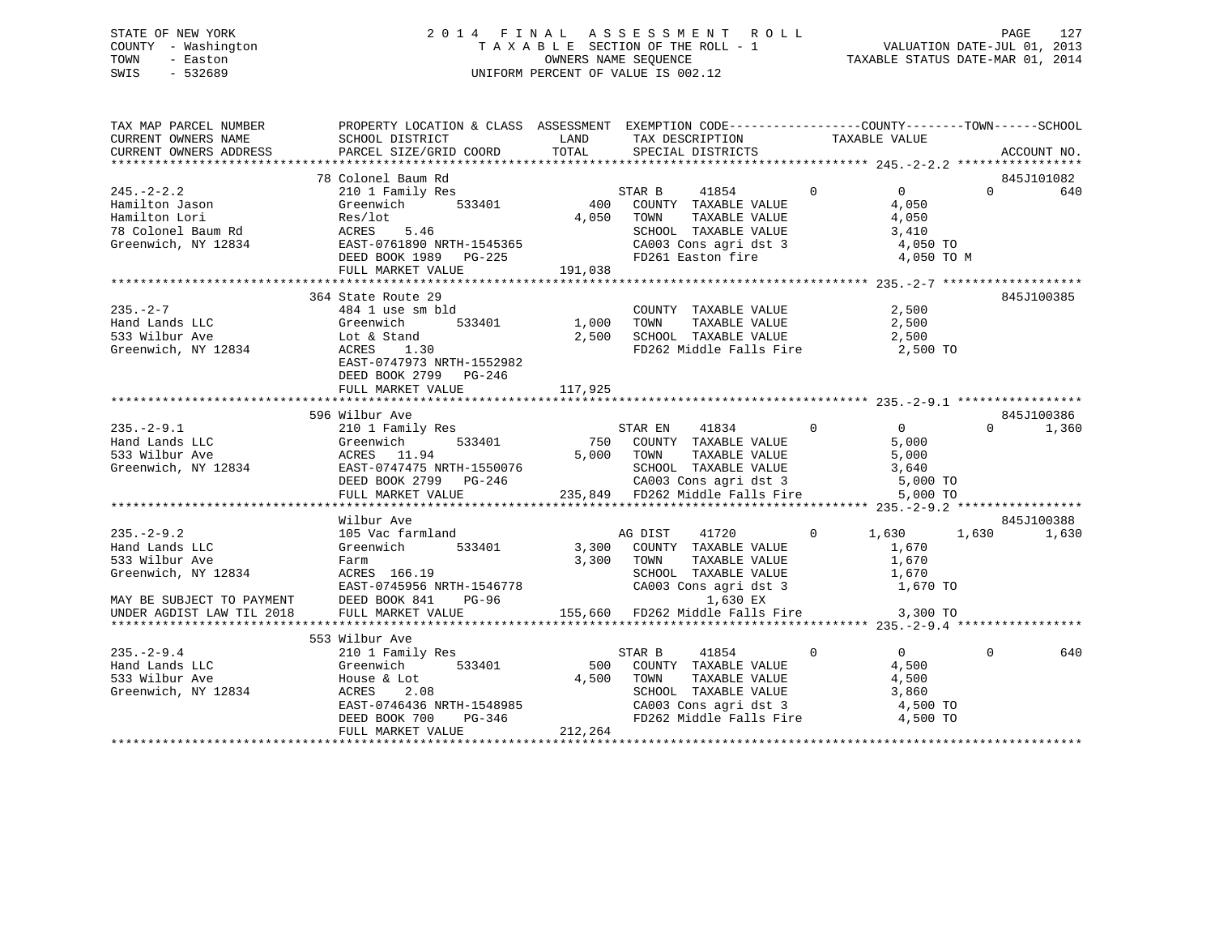# STATE OF NEW YORK 2 0 1 4 F I N A L A S S E S S M E N T R O L L PAGE 127 COUNTY - Washington T A X A B L E SECTION OF THE ROLL - 1 VALUATION DATE-JUL 01, 2013 TOWN - Easton OWNERS NAME SEQUENCE TAXABLE STATUS DATE-MAR 01, 2014 SWIS - 532689 UNIFORM PERCENT OF VALUE IS 002.12

| TAX MAP PARCEL NUMBER<br>CURRENT OWNERS NAME<br>CURRENT OWNERS ADDRESS                   | PROPERTY LOCATION & CLASS ASSESSMENT EXEMPTION CODE-----------------COUNTY--------TOWN------SCHOOL<br>PROPERTY LOCATIC<br>SCHOOL DISTRICT                                                                                                                                                                                                                                                                                                                                                                                                                                                         |         |                                                        |                         |                                |
|------------------------------------------------------------------------------------------|---------------------------------------------------------------------------------------------------------------------------------------------------------------------------------------------------------------------------------------------------------------------------------------------------------------------------------------------------------------------------------------------------------------------------------------------------------------------------------------------------------------------------------------------------------------------------------------------------|---------|--------------------------------------------------------|-------------------------|--------------------------------|
|                                                                                          |                                                                                                                                                                                                                                                                                                                                                                                                                                                                                                                                                                                                   |         |                                                        |                         | ACCOUNT NO.                    |
|                                                                                          | 78 Colonel Baum Rd                                                                                                                                                                                                                                                                                                                                                                                                                                                                                                                                                                                |         |                                                        |                         | 845J101082                     |
|                                                                                          |                                                                                                                                                                                                                                                                                                                                                                                                                                                                                                                                                                                                   |         |                                                        |                         | $0 \t\t 640$                   |
|                                                                                          |                                                                                                                                                                                                                                                                                                                                                                                                                                                                                                                                                                                                   |         |                                                        |                         |                                |
|                                                                                          |                                                                                                                                                                                                                                                                                                                                                                                                                                                                                                                                                                                                   |         |                                                        |                         |                                |
|                                                                                          |                                                                                                                                                                                                                                                                                                                                                                                                                                                                                                                                                                                                   |         |                                                        |                         |                                |
|                                                                                          |                                                                                                                                                                                                                                                                                                                                                                                                                                                                                                                                                                                                   |         |                                                        |                         | 845J100385                     |
|                                                                                          | DEED BOOK 2799 PG-246                                                                                                                                                                                                                                                                                                                                                                                                                                                                                                                                                                             |         |                                                        |                         |                                |
|                                                                                          | FULL MARKET VALUE                                                                                                                                                                                                                                                                                                                                                                                                                                                                                                                                                                                 | 117,925 |                                                        |                         |                                |
|                                                                                          |                                                                                                                                                                                                                                                                                                                                                                                                                                                                                                                                                                                                   |         |                                                        |                         |                                |
|                                                                                          |                                                                                                                                                                                                                                                                                                                                                                                                                                                                                                                                                                                                   |         |                                                        |                         |                                |
|                                                                                          | 335. -2-9.1<br>396 Wilbur Ave and Lands LLC (See State March 2010 1988)<br>396 Wilbur Ave and Lands LLC (Seenwich 333401 750 COUNTY TAXABLE VALUE 5,000 0 1,360<br>33 Wilbur Ave and Marker 11.94 5,000 TOWN TAXABLE VALUE 5,000<br>33                                                                                                                                                                                                                                                                                                                                                            |         |                                                        |                         |                                |
|                                                                                          |                                                                                                                                                                                                                                                                                                                                                                                                                                                                                                                                                                                                   |         |                                                        |                         |                                |
|                                                                                          | Wilbur Ave                                                                                                                                                                                                                                                                                                                                                                                                                                                                                                                                                                                        |         |                                                        |                         | 845J100388                     |
|                                                                                          | 333 Wilbur Ave Farm Faxable VALUE 3,300 TOWN TAXABLE VALUE 1,670<br>Greenwich, NY 12834 ACRES 166.19<br>MAY BE SUBJECT TO PAYMENT DEED BOOK 841 PG-96 1,630 EX<br>UNDER AGDIST LAW TIL 2018 FULL MARKET VALUE 155,660 FD262 Middle F                                                                                                                                                                                                                                                                                                                                                              |         | TOWN TAXABLE VALUE 1,670<br>SCHOOL TAXABLE VALUE 1,670 |                         | $0 \t 1,630 \t 1,630 \t 1,630$ |
|                                                                                          |                                                                                                                                                                                                                                                                                                                                                                                                                                                                                                                                                                                                   |         |                                                        |                         |                                |
|                                                                                          |                                                                                                                                                                                                                                                                                                                                                                                                                                                                                                                                                                                                   |         |                                                        |                         |                                |
|                                                                                          | 553 Wilbur Ave                                                                                                                                                                                                                                                                                                                                                                                                                                                                                                                                                                                    |         |                                                        |                         |                                |
| $235. -2 - 9.4$<br>235.-2-9.4<br>Hand Lands LLC<br>533 Wilbur Ave<br>Greenwich, NY 12834 | $\begin{tabular}{lllllllllllll} \bf 210 & I\text{ Family Res} & \text{STAR B} & \text{41854} \\ \bf {\texttt{Greenwich}} & \text{533401} & \text{500} & \text{COUNTY} & \text{TAXABLE VALUE} \end{tabular}$<br>$\begin{tabular}{lllllllll} \textsc{House & Lot} & & & & 4,500 & TOWN \\ \textsc{ACRES} & & 2.08 & & & & \textsc{SCHOO} \end{tabular}$<br>House & Lot<br>ACRES 2.08<br>EAST-0746436 NRTH-1548985<br>DEED BOOK 700 PG-346<br>PEED BOOK 700 PG-346<br>PEED BOOK 700 PG-346<br>PEED BOOK 700 PG-346<br>PEED BOOK 700 PG-346<br>PEED BOOK 700 PG-346<br>PEED BOOK 700 PG-346<br>PEED B |         | 41854 0                                                | $\overline{0}$<br>4,500 | $\Omega$<br>640                |
|                                                                                          | FULL MARKET VALUE                                                                                                                                                                                                                                                                                                                                                                                                                                                                                                                                                                                 | 212,264 |                                                        |                         |                                |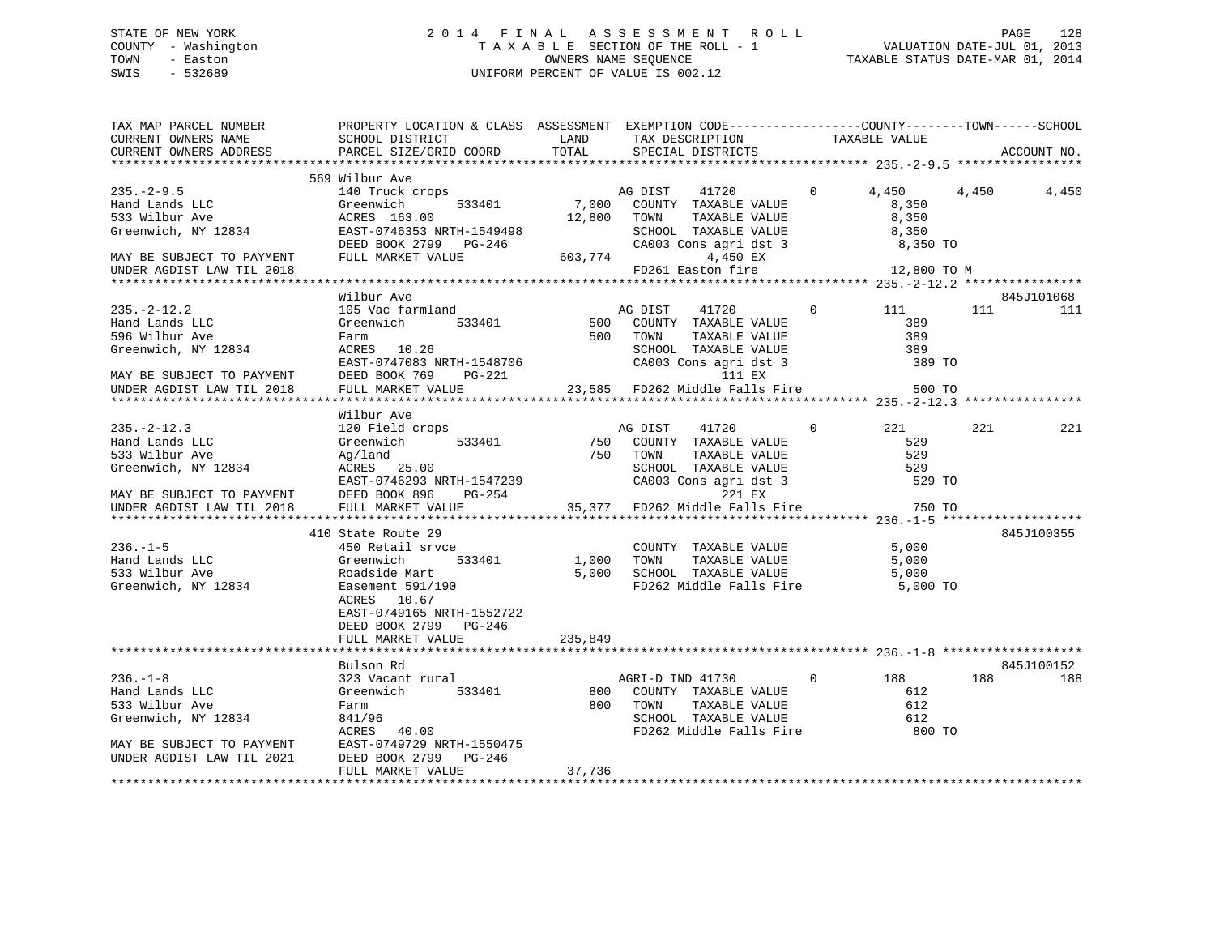# STATE OF NEW YORK 2 0 1 4 F I N A L A S S E S S M E N T R O L L PAGE 128 COUNTY - Washington T A X A B L E SECTION OF THE ROLL - 1 VALUATION DATE-JUL 01, 2013 TOWN - Easton **CONNERS NAME SEQUENCE** TAXABLE STATUS DATE-MAR 01, 2014 SWIS - 532689 UNIFORM PERCENT OF VALUE IS 002.12

| TAX MAP PARCEL NUMBER<br>CURRENT OWNERS NAME<br>CURRENT OWNERS ADDRESS                                                                                                                       | PROPERTY LOCATION & CLASS ASSESSMENT EXEMPTION CODE----------------COUNTY-------TOWN------SCHOOL<br>SCHOOL DISTRICT LAND<br>PARCEL SIZE/GRID COORD TOTAL                                                                                             |                                             | TAX DESCRIPTION TAXABLE VALUE<br>SPECIAL DISTRICTS                                                                                                                                                                                          |                                                                            |       | ACCOUNT NO.       |
|----------------------------------------------------------------------------------------------------------------------------------------------------------------------------------------------|------------------------------------------------------------------------------------------------------------------------------------------------------------------------------------------------------------------------------------------------------|---------------------------------------------|---------------------------------------------------------------------------------------------------------------------------------------------------------------------------------------------------------------------------------------------|----------------------------------------------------------------------------|-------|-------------------|
|                                                                                                                                                                                              |                                                                                                                                                                                                                                                      |                                             |                                                                                                                                                                                                                                             |                                                                            |       |                   |
| $235. -2 - 9.5$<br>Hand Lands LLC<br>533 Wilbur Ave<br>Greenwich, NY 12834<br>MAY BE SUBJECT TO PAYMENT                                                                                      | 569 Wilbur Ave<br>140 Truck crops and Manuscript AG DIST<br>533401<br>Greenwich<br>ACRES 163.00<br>EAST-0746353 NRTH-1549498<br>DEED BOOK 2799 PG-246<br>DEED BOOK 2799 PG-246<br>FULL MARKET VALUE                                                  | 12,800 TOWN                                 | 41720<br>7,000 COUNTY TAXABLE VALUE<br>TAXABLE VALUE<br>SCHOOL TAXABLE VALUE<br>CA003 Cons agri dst 3 8,350 TO<br>603,774<br>4,450 EX                                                                                                       | $\Omega$<br>4,450<br>8,350<br>8,350<br>8,350                               | 4,450 | 4,450             |
| UNDER AGDIST LAW TIL 2018                                                                                                                                                                    |                                                                                                                                                                                                                                                      |                                             | FD261 Easton fire                                                                                                                                                                                                                           | 12,800 TO M                                                                |       |                   |
|                                                                                                                                                                                              |                                                                                                                                                                                                                                                      |                                             |                                                                                                                                                                                                                                             |                                                                            |       |                   |
| $235. - 2 - 12.2$<br>Hand Lands LLC<br>596 Wilbur Ave<br>Greenwich, NY 12834<br>MAY BE SUBJECT TO PAYMENT<br>UNDER AGDIST LAW TIL 2018                                                       | Wilbur Ave<br>105 Vac farmland<br>Greenwich<br>Farm<br>ACRES 10.26<br>EAST-0747083 NRTH-1548706<br>DEED BOOK 769<br>PG-221<br>FULL MARKET VALUE                                                                                                      |                                             | AG DIST<br>41720<br>533401 500 COUNTY TAXABLE VALUE<br>500 TOWN<br>TAXABLE VALUE<br>SCHOOL TAXABLE VALUE 389<br>CA003 Cons agri dst 3 389<br>23,585 FD262 Middle Falls Fire 500                                                             | $\Omega$<br>111<br>389<br>389<br>389 TO<br>500 TO                          | 111 7 | 845J101068<br>111 |
|                                                                                                                                                                                              |                                                                                                                                                                                                                                                      |                                             |                                                                                                                                                                                                                                             |                                                                            |       |                   |
| $235. - 2 - 12.3$<br>Hand Lands LLC<br>533 Wilbur Ave<br>Greenwich, NY 12834<br>MAY BE SUBJECT TO PAYMENT<br>UNDER AGDIST LAW TIL 2018<br>$236. - 1 - 5$<br>Hand Lands LLC<br>533 Wilbur Ave | Wilbur Ave<br>120 Field crops<br>533401<br>Greenwich<br>Ag/land<br>ACRES 25.00<br>EAST-0746293 NRTH-1547239<br>DEED BOOK 896 PG-254<br>FULL MARKET VALUE<br>410 State Route 29<br>450 Retail srvce<br>Greenwich 533401<br>Greenwich<br>Roadside Mart | 750 COUNT<br>750 COUNT<br>750 TOWN<br>1,000 | AG DIST<br>41720<br>COUNTY TAXABLE VALUE<br>TAXABLE VALUE<br>SCHOOL TAXABLE VALUE<br>CA003 Cons agri dst 3<br>221 EX<br>35,377 FD262 Middle Falls Fire<br>COUNTY TAXABLE VALUE<br>TOWN<br>TAXABLE VALUE<br>5,000 SCHOOL TAXABLE VALUE 5,000 | $\Omega$<br>221<br>529<br>529<br>529<br>529 TO<br>750 TO<br>5,000<br>5,000 | 221   | 221<br>845J100355 |
| Greenwich, NY 12834                                                                                                                                                                          | Easement 591/190<br>ACRES 10.67<br>EAST-0749165 NRTH-1552722<br>DEED BOOK 2799 PG-246<br>FULL MARKET VALUE<br>Bulson Rd                                                                                                                              | 235,849                                     | FD262 Middle Falls Fire                                                                                                                                                                                                                     | 5,000 TO                                                                   |       | 845J100152        |
| $236. - 1 - 8$<br>Hand Lands LLC<br>533 Wilbur Ave<br>Greenwich, NY 12834<br>MAY BE SUBJECT TO PAYMENT<br>UNDER AGDIST LAW TIL 2021                                                          | 323 Vacant rural<br>Greenwich<br>533401<br>Farm<br>841/96<br>ACRES 40.00<br>EAST-0749729 NRTH-1550475<br>DEED BOOK 2799 PG-246<br>FULL MARKET VALUE                                                                                                  | 800<br>37,736                               | AGRI-D IND 41730 0 188<br>COUNTY TAXABLE VALUE<br>TAXABLE VALUE<br>800 TOWN<br>TOWN TAXABLE VALUE<br>SCHOOL TAXABLE VALUE 612<br>FD262 Middle Falls Fire                                                                                    | 612<br>612<br>800 TO                                                       | 188   | 188               |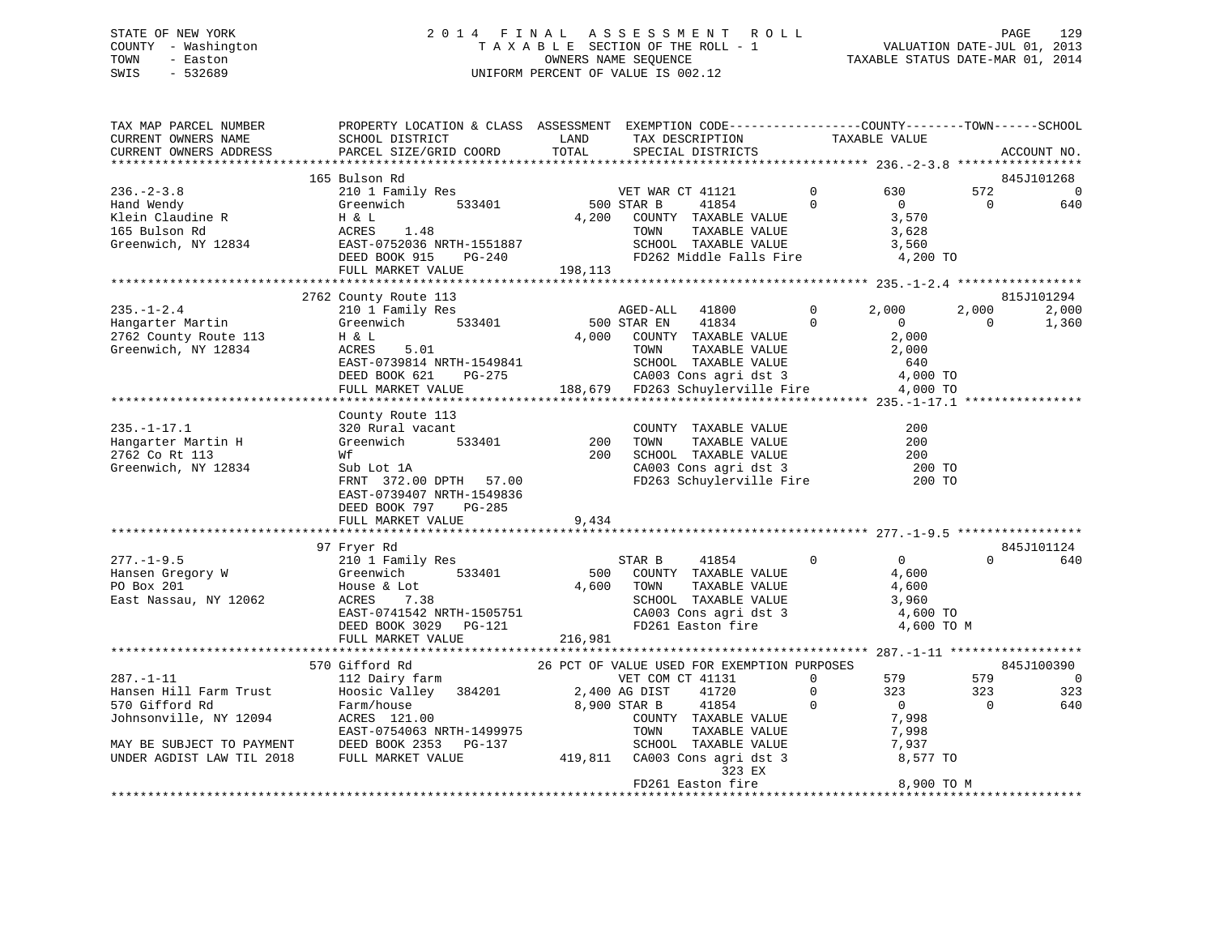# STATE OF NEW YORK 2 0 1 4 F I N A L A S S E S S M E N T R O L L PAGE 129 COUNTY - Washington T A X A B L E SECTION OF THE ROLL - 1 VALUATION DATE-JUL 01, 2013 TOWN - Easton OWNERS NAME SEQUENCE TAXABLE STATUS DATE-MAR 01, 2014 SWIS - 532689 UNIFORM PERCENT OF VALUE IS 002.12

| SCHOOL DISTRICT<br>PARCEL SIZE/GRID COORD                                                                                                                          | LAND<br>TOTAL                                                                                                                                | TAX DESCRIPTION<br>SPECIAL DISTRICTS                                      |                                                                                                                                                                               |                                                                                                                                                                                                                                                                                                                                                                                                               |                                                                                                                    | ACCOUNT NO.                                                                                                                                                                                                                                                                          |
|--------------------------------------------------------------------------------------------------------------------------------------------------------------------|----------------------------------------------------------------------------------------------------------------------------------------------|---------------------------------------------------------------------------|-------------------------------------------------------------------------------------------------------------------------------------------------------------------------------|---------------------------------------------------------------------------------------------------------------------------------------------------------------------------------------------------------------------------------------------------------------------------------------------------------------------------------------------------------------------------------------------------------------|--------------------------------------------------------------------------------------------------------------------|--------------------------------------------------------------------------------------------------------------------------------------------------------------------------------------------------------------------------------------------------------------------------------------|
|                                                                                                                                                                    |                                                                                                                                              |                                                                           |                                                                                                                                                                               |                                                                                                                                                                                                                                                                                                                                                                                                               |                                                                                                                    |                                                                                                                                                                                                                                                                                      |
| 210 1 Family Res<br>Greenwich 533401<br>H & L<br>ACRES<br>1.48<br>DEED BOOK 915 PG-240<br>FULL MARKET VALUE                                                        |                                                                                                                                              | 41854<br>TOWN                                                             | $\mathbf{0}$<br>$\Omega$                                                                                                                                                      | 630<br>$\Omega$<br>3,570<br>3,628<br>3,560                                                                                                                                                                                                                                                                                                                                                                    | 572<br>$\Omega$                                                                                                    | 845J101268<br>$\overline{0}$<br>640                                                                                                                                                                                                                                                  |
|                                                                                                                                                                    |                                                                                                                                              |                                                                           |                                                                                                                                                                               |                                                                                                                                                                                                                                                                                                                                                                                                               |                                                                                                                    |                                                                                                                                                                                                                                                                                      |
| 210 1 Family Res<br>Greenwich 533401<br>H & L<br>ACRES<br>5.01<br>EAST-0739814 NRTH-1549841<br>DEED BOOK 621<br>PG-275<br>FULL MARKET VALUE                        |                                                                                                                                              | 41800<br>AGED-ALL<br>41834<br>TOWN                                        | 0<br>$\Omega$                                                                                                                                                                 | 2,000<br>$\Omega$<br>2,000<br>2,000<br>640                                                                                                                                                                                                                                                                                                                                                                    | 2,000<br>$\Omega$                                                                                                  | 815J101294<br>2,000<br>1,360                                                                                                                                                                                                                                                         |
|                                                                                                                                                                    |                                                                                                                                              |                                                                           |                                                                                                                                                                               |                                                                                                                                                                                                                                                                                                                                                                                                               |                                                                                                                    |                                                                                                                                                                                                                                                                                      |
| 320 Rural vacant<br>533401<br>Greenwich<br>Wf<br>Sub Lot 1A<br>FRNT 372.00 DPTH 57.00<br>EAST-0739407 NRTH-1549836<br>DEED BOOK 797<br>PG-285<br>FULL MARKET VALUE | 9,434                                                                                                                                        |                                                                           |                                                                                                                                                                               | 200<br>200<br>200                                                                                                                                                                                                                                                                                                                                                                                             |                                                                                                                    |                                                                                                                                                                                                                                                                                      |
|                                                                                                                                                                    |                                                                                                                                              |                                                                           |                                                                                                                                                                               |                                                                                                                                                                                                                                                                                                                                                                                                               |                                                                                                                    | 845J101124                                                                                                                                                                                                                                                                           |
| 210 1 Family Res<br>533401<br>Greenwich<br>House & Lot<br>7.38<br>ACRES<br>DEED BOOK 3029 PG-121<br>FULL MARKET VALUE                                              |                                                                                                                                              | STAR B<br>41854<br>FD261 Easton fire                                      | $\mathbf 0$                                                                                                                                                                   | $\overline{0}$<br>4,600<br>4,600<br>3,960                                                                                                                                                                                                                                                                                                                                                                     | $\Omega$                                                                                                           | 640                                                                                                                                                                                                                                                                                  |
|                                                                                                                                                                    |                                                                                                                                              |                                                                           |                                                                                                                                                                               |                                                                                                                                                                                                                                                                                                                                                                                                               |                                                                                                                    |                                                                                                                                                                                                                                                                                      |
| 112 Dairy farm<br>Hoosic Valley<br>384201<br>Farm/house<br>ACRES 121.00<br>EAST-0754063 NRTH-1499975<br>DEED BOOK 2353<br>PG-137<br>FULL MARKET VALUE              |                                                                                                                                              | VET COM CT 41131<br>41720<br>41854<br>TOWN<br>323 EX<br>FD261 Easton fire | $\Omega$<br>$\mathbf 0$<br>$\Omega$                                                                                                                                           | 579<br>323<br>$\overline{0}$<br>7,998<br>7,998<br>7,937                                                                                                                                                                                                                                                                                                                                                       | 579<br>323<br>$\Omega$                                                                                             | 845J100390<br>$\overline{0}$<br>323<br>640                                                                                                                                                                                                                                           |
|                                                                                                                                                                    | 165 Bulson Rd<br>Greenwich, NY 12834 EAST-0752036 NRTH-1551887<br>2762 County Route 113<br>County Route 113<br>97 Fryer Rd<br>570 Gifford Rd | EAST-0741542 NRTH-1505751                                                 | VET WAL<br>500 STAR B<br>VET WAR CT 41121<br>4,200<br>COUNTY TAXABLE VALUE<br>198, 113<br>500 STAR EN<br>200<br>500<br>4,600 TOWN<br>216,981<br>2,400 AG DIST<br>8,900 STAR B | TAXABLE VALUE<br>SCHOOL TAXABLE VALUE<br>FD262 Middle Falls Fire<br>4,000 COUNTY TAXABLE VALUE<br>TAXABLE VALUE<br>SCHOOL TAXABLE VALUE<br>CA003 Cons agri dst 3<br>COUNTY TAXABLE VALUE<br>CA003 Cons agri dst 3<br>COUNTY TAXABLE VALUE<br>TAXABLE VALUE<br>SCHOOL TAXABLE VALUE<br>CA003 Cons agri dst 3<br>COUNTY TAXABLE VALUE<br>TAXABLE VALUE<br>SCHOOL TAXABLE VALUE<br>419,811 CA003 Cons agri dst 3 | TAXABLE VALUE<br>200 TOWN TAXABLE VALUE<br>200 SCHOOL TAXABLE VALUE<br>26 PCT OF VALUE USED FOR EXEMPTION PURPOSES | PROPERTY LOCATION & CLASS ASSESSMENT EXEMPTION CODE----------------COUNTY-------TOWN------SCHOOL<br>4,200 TO<br>4,000 TO<br>188,679 FD263 Schuylerville Fire 4,000 TO<br>$\frac{200}{200}$ TO<br>FD263 Schuylerville Fire 200 TO<br>4,600 TO<br>4,600 TO M<br>8,577 TO<br>8,900 TO M |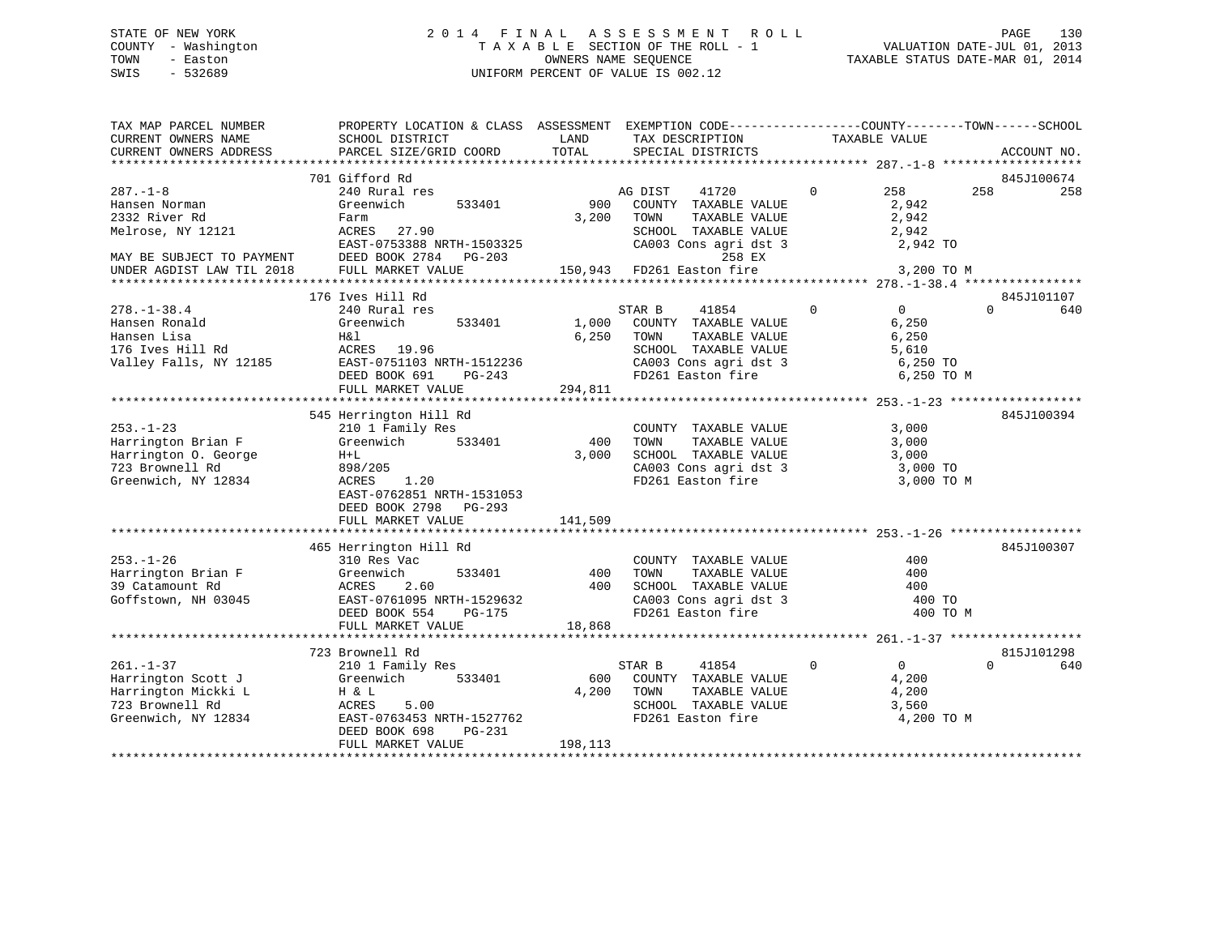# STATE OF NEW YORK 2 0 1 4 F I N A L A S S E S S M E N T R O L L PAGE 130 COUNTY - Washington T A X A B L E SECTION OF THE ROLL - 1 VALUATION DATE-JUL 01, 2013 TOWN - Easton OWNERS NAME SEQUENCE TAXABLE STATUS DATE-MAR 01, 2014 SWIS - 532689 UNIFORM PERCENT OF VALUE IS 002.12

| TAX MAP PARCEL NUMBER<br>CURRENT OWNERS NAME<br>CURRENT OWNERS ADDRESS                                  | PROPERTY LOCATION & CLASS ASSESSMENT EXEMPTION CODE----------------COUNTY-------TOWN------SCHOOL<br>SCHOOL DISTRICT<br>PARCEL SIZE/GRID COORD               | LAND<br>TOTAL             | TAX DESCRIPTION<br>SPECIAL DISTRICTS                                                                                                   | TAXABLE VALUE                                                                      | ACCOUNT NO.            |     |
|---------------------------------------------------------------------------------------------------------|-------------------------------------------------------------------------------------------------------------------------------------------------------------|---------------------------|----------------------------------------------------------------------------------------------------------------------------------------|------------------------------------------------------------------------------------|------------------------|-----|
|                                                                                                         |                                                                                                                                                             |                           |                                                                                                                                        |                                                                                    |                        |     |
|                                                                                                         | 701 Gifford Rd                                                                                                                                              |                           |                                                                                                                                        |                                                                                    | 845J100674             |     |
| $287. - 1 - 8$<br>Hansen Norman<br>2332 River Rd<br>Melrose, NY 12121<br>MAY BE SUBJECT TO PAYMENT      | 240 Rural res<br>Greenwich<br>533401<br>Farm<br>ACRES<br>27.90<br>EAST-0753388 NRTH-1503325<br>DEED BOOK 2784<br>PG-203                                     | 900<br>3,200              | 41720<br>AG DIST<br>COUNTY TAXABLE VALUE<br>TOWN<br>TAXABLE VALUE<br>SCHOOL TAXABLE VALUE<br>CA003 Cons agri dst 3<br>258 EX           | $\Omega$<br>258<br>2,942<br>2,942<br>2,942<br>2,942 TO                             | 258                    | 258 |
| UNDER AGDIST LAW TIL 2018                                                                               | FULL MARKET VALUE                                                                                                                                           |                           | 150,943 FD261 Easton fire                                                                                                              | 3,200 TO M                                                                         |                        |     |
|                                                                                                         |                                                                                                                                                             |                           |                                                                                                                                        |                                                                                    |                        |     |
| $278. - 1 - 38.4$<br>Hansen Ronald<br>Hansen Lisa<br>176 Ives Hill Rd<br>Valley Falls, NY 12185         | 176 Ives Hill Rd<br>240 Rural res<br>533401<br>Greenwich<br>H&l<br>ACRES 19.96<br>EAST-0751103 NRTH-1512236<br>DEED BOOK 691<br>PG-243<br>FULL MARKET VALUE | 1,000<br>6,250<br>294,811 | STAR B<br>41854<br>COUNTY TAXABLE VALUE<br>TAXABLE VALUE<br>TOWN<br>SCHOOL TAXABLE VALUE<br>CA003 Cons agri dst 3<br>FD261 Easton fire | $\mathbf 0$<br>$\overline{0}$<br>6,250<br>6,250<br>5,610<br>6,250 TO<br>6,250 TO M | 845J101107<br>$\Omega$ | 640 |
|                                                                                                         | 545 Herrington Hill Rd                                                                                                                                      |                           |                                                                                                                                        |                                                                                    | 845J100394             |     |
| $253. - 1 - 23$<br>Harrington Brian F<br>Harrington O. George<br>723 Brownell Rd<br>Greenwich, NY 12834 | 210 1 Family Res<br>533401<br>Greenwich<br>$H+L$<br>898/205<br>1.20<br>ACRES<br>EAST-0762851 NRTH-1531053<br>DEED BOOK 2798 PG-293                          | 400<br>3,000              | COUNTY TAXABLE VALUE<br>TOWN<br>TAXABLE VALUE<br>SCHOOL TAXABLE VALUE<br>CA003 Cons agri dst 3<br>FD261 Easton fire                    | 3,000<br>3,000<br>3,000<br>3,000 TO<br>3,000 TO M                                  |                        |     |
|                                                                                                         | FULL MARKET VALUE                                                                                                                                           | 141,509                   |                                                                                                                                        |                                                                                    |                        |     |
| $253. - 1 - 26$<br>Harrington Brian F<br>39 Catamount Rd<br>Goffstown, NH 03045                         | 465 Herrington Hill Rd<br>310 Res Vac<br>Greenwich<br>533401<br>ACRES<br>2.60<br>EAST-0761095 NRTH-1529632<br>DEED BOOK 554<br>PG-175                       | 400<br>400                | COUNTY TAXABLE VALUE<br>TOWN<br>TAXABLE VALUE<br>SCHOOL TAXABLE VALUE<br>CA003 Cons agri dst 3<br>FD261 Easton fire                    | 400<br>400<br>400<br>400 TO<br>400 TO M                                            | 845J100307             |     |
|                                                                                                         | FULL MARKET VALUE                                                                                                                                           | 18,868                    |                                                                                                                                        |                                                                                    |                        |     |
|                                                                                                         | 723 Brownell Rd                                                                                                                                             |                           |                                                                                                                                        |                                                                                    | 815J101298             |     |
| $261. - 1 - 37$<br>Harrington Scott J<br>Harrington Mickki L<br>723 Brownell Rd<br>Greenwich, NY 12834  | 210 1 Family Res<br>Greenwich<br>533401<br>H & L<br>ACRES<br>5.00<br>EAST-0763453 NRTH-1527762<br>DEED BOOK 698<br>PG-231<br>FULL MARKET VALUE              | 600<br>4,200<br>198,113   | 41854<br>STAR B<br>COUNTY TAXABLE VALUE<br>TOWN<br>TAXABLE VALUE<br>SCHOOL TAXABLE VALUE<br>FD261 Easton fire                          | $\mathbf 0$<br>0<br>4,200<br>4,200<br>3,560<br>4,200 TO M                          | $\cap$                 | 640 |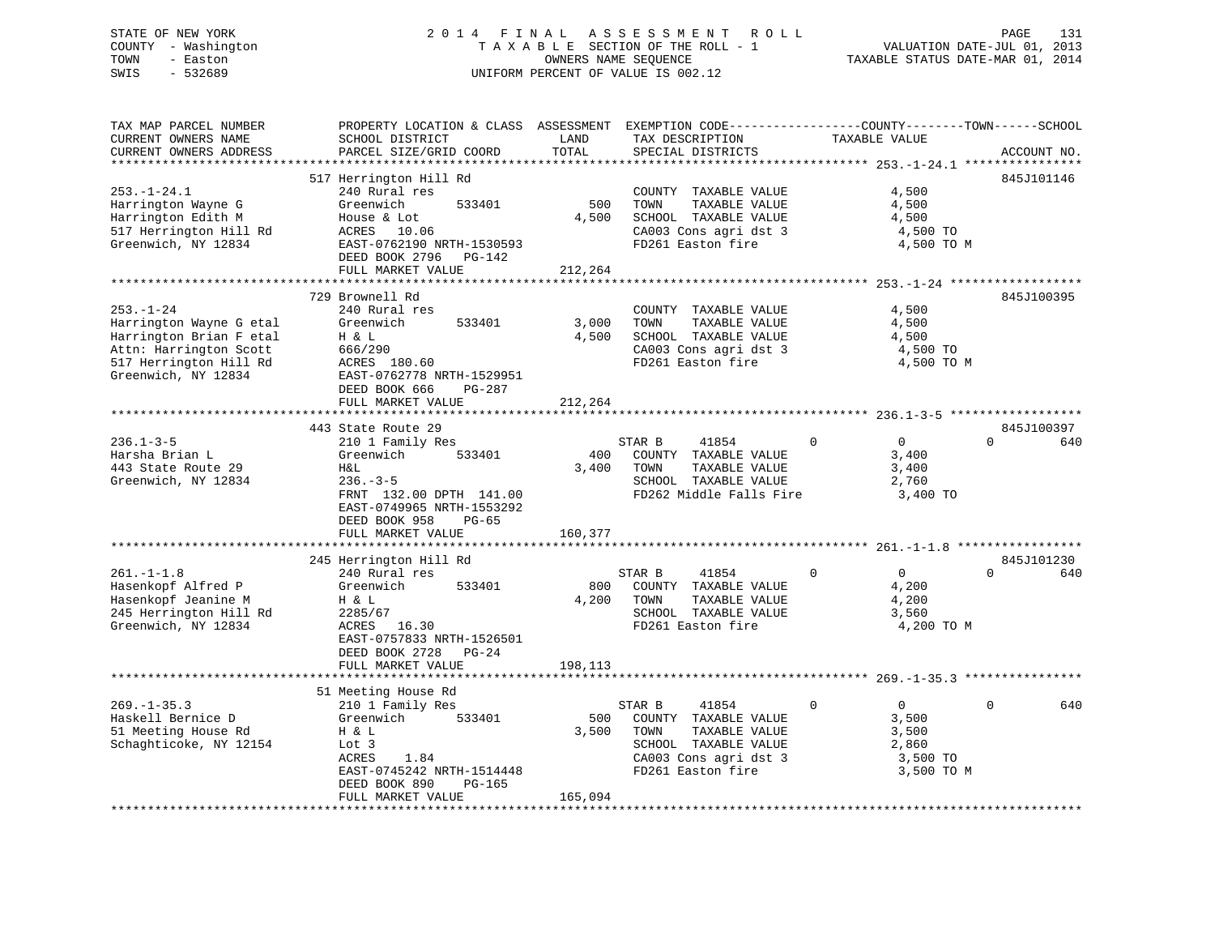# STATE OF NEW YORK 2 0 1 4 F I N A L A S S E S S M E N T R O L L PAGE 131 COUNTY - Washington T A X A B L E SECTION OF THE ROLL - 1 VALUATION DATE-JUL 01, 2013 TOWN - Easton **CONNERS NAME SEQUENCE** TAXABLE STATUS DATE-MAR 01, 2014 SWIS - 532689 UNIFORM PERCENT OF VALUE IS 002.12

| TAX MAP PARCEL NUMBER<br>CURRENT OWNERS NAME | PROPERTY LOCATION & CLASS ASSESSMENT EXEMPTION CODE----------------COUNTY-------TOWN-----SCHOOL<br>SCHOOL DISTRICT | LAND    | TAX DESCRIPTION                               | TAXABLE VALUE                 |                 |
|----------------------------------------------|--------------------------------------------------------------------------------------------------------------------|---------|-----------------------------------------------|-------------------------------|-----------------|
| CURRENT OWNERS ADDRESS                       | PARCEL SIZE/GRID COORD                                                                                             | TOTAL   | SPECIAL DISTRICTS                             |                               | ACCOUNT NO.     |
|                                              |                                                                                                                    |         |                                               |                               |                 |
|                                              | 517 Herrington Hill Rd                                                                                             |         |                                               |                               | 845J101146      |
| $253. - 1 - 24.1$                            | 240 Rural res                                                                                                      |         | COUNTY TAXABLE VALUE                          | 4,500                         |                 |
| Harrington Wayne G                           | Greenwich<br>533401                                                                                                | 500     | TAXABLE VALUE<br>TOWN                         | 4,500                         |                 |
| Harrington Edith M                           | House & Lot                                                                                                        | 4,500   | SCHOOL TAXABLE VALUE                          | 4,500                         |                 |
| 517 Herrington Hill Rd                       | ACRES 10.06                                                                                                        |         | CA003 Cons agri dst 3                         | 4,500 TO                      |                 |
| Greenwich, NY 12834                          | EAST-0762190 NRTH-1530593                                                                                          |         | FD261 Easton fire                             | 4,500 TO M                    |                 |
|                                              | DEED BOOK 2796 PG-142                                                                                              |         |                                               |                               |                 |
|                                              | FULL MARKET VALUE                                                                                                  | 212,264 |                                               |                               |                 |
|                                              |                                                                                                                    |         |                                               |                               |                 |
|                                              | 729 Brownell Rd                                                                                                    |         |                                               |                               | 845J100395      |
| $253. - 1 - 24$                              | 240 Rural res                                                                                                      |         | COUNTY TAXABLE VALUE                          | 4,500                         |                 |
| Harrington Wayne G etal                      | Greenwich<br>533401                                                                                                | 3,000   | TOWN<br>TAXABLE VALUE                         | 4,500                         |                 |
| Harrington Brian F etal                      | H & L                                                                                                              | 4,500   | SCHOOL TAXABLE VALUE                          | 4,500                         |                 |
| Attn: Harrington Scott                       | 666/290                                                                                                            |         | CA003 Cons agri dst 3                         | 4,500 TO                      |                 |
| 517 Herrington Hill Rd                       | ACRES 180.60                                                                                                       |         | FD261 Easton fire                             | 4,500 TO M                    |                 |
| Greenwich, NY 12834                          | EAST-0762778 NRTH-1529951                                                                                          |         |                                               |                               |                 |
|                                              | DEED BOOK 666<br>$PG-287$                                                                                          |         |                                               |                               |                 |
|                                              | FULL MARKET VALUE                                                                                                  | 212,264 |                                               |                               |                 |
|                                              | 443 State Route 29                                                                                                 |         |                                               |                               | 845J100397      |
| $236.1 - 3 - 5$                              | 210 1 Family Res                                                                                                   |         | 41854<br>STAR B                               | $\Omega$<br>$\overline{0}$    | $\Omega$<br>640 |
| Harsha Brian L                               | 533401<br>Greenwich                                                                                                | 400     | COUNTY TAXABLE VALUE                          | 3,400                         |                 |
| 443 State Route 29                           | Η&L                                                                                                                | 3,400   | TAXABLE VALUE<br>TOWN                         | 3,400                         |                 |
| Greenwich, NY 12834                          | $236. - 3 - 5$                                                                                                     |         | SCHOOL TAXABLE VALUE                          | 2,760                         |                 |
|                                              | FRNT 132.00 DPTH 141.00                                                                                            |         | FD262 Middle Falls Fire                       | 3,400 TO                      |                 |
|                                              | EAST-0749965 NRTH-1553292                                                                                          |         |                                               |                               |                 |
|                                              | DEED BOOK 958<br>$PG-65$                                                                                           |         |                                               |                               |                 |
|                                              | FULL MARKET VALUE                                                                                                  | 160,377 |                                               |                               |                 |
|                                              |                                                                                                                    |         |                                               |                               |                 |
|                                              | 245 Herrington Hill Rd                                                                                             |         |                                               |                               | 845J101230      |
| $261. - 1 - 1.8$                             | 240 Rural res                                                                                                      |         | STAR B<br>41854                               | $\mathbf 0$<br>$\overline{0}$ | $\Omega$<br>640 |
| Hasenkopf Alfred P                           | 533401<br>Greenwich                                                                                                | 800     | COUNTY TAXABLE VALUE                          | 4,200                         |                 |
| Hasenkopf Jeanine M                          | H & L                                                                                                              | 4,200   | TOWN<br>TAXABLE VALUE                         | 4,200                         |                 |
| 245 Herrington Hill Rd                       | 2285/67                                                                                                            |         | SCHOOL TAXABLE VALUE                          | 3,560                         |                 |
| Greenwich, NY 12834                          | ACRES 16.30                                                                                                        |         | FD261 Easton fire                             | 4,200 TO M                    |                 |
|                                              | EAST-0757833 NRTH-1526501                                                                                          |         |                                               |                               |                 |
|                                              | DEED BOOK 2728 PG-24                                                                                               |         |                                               |                               |                 |
|                                              | FULL MARKET VALUE                                                                                                  | 198,113 |                                               |                               |                 |
|                                              |                                                                                                                    |         |                                               |                               |                 |
|                                              | 51 Meeting House Rd                                                                                                |         |                                               |                               |                 |
| $269. - 1 - 35.3$                            | 210 1 Family Res                                                                                                   |         | STAR B<br>41854                               | $\Omega$<br>$\Omega$          | $\Omega$<br>640 |
| Haskell Bernice D                            | Greenwich<br>533401                                                                                                | 500     | COUNTY TAXABLE VALUE                          | 3,500                         |                 |
| 51 Meeting House Rd                          | H & L                                                                                                              | 3,500   | TOWN<br>TAXABLE VALUE                         | 3,500                         |                 |
| Schaghticoke, NY 12154                       | Lot 3<br>1.84<br>ACRES                                                                                             |         | SCHOOL TAXABLE VALUE<br>CA003 Cons agri dst 3 | 2,860<br>3,500 TO             |                 |
|                                              | EAST-0745242 NRTH-1514448                                                                                          |         | FD261 Easton fire                             | 3,500 TO M                    |                 |
|                                              | DEED BOOK 890<br>PG-165                                                                                            |         |                                               |                               |                 |
|                                              | FULL MARKET VALUE                                                                                                  | 165,094 |                                               |                               |                 |
|                                              |                                                                                                                    |         |                                               |                               |                 |
|                                              |                                                                                                                    |         |                                               |                               |                 |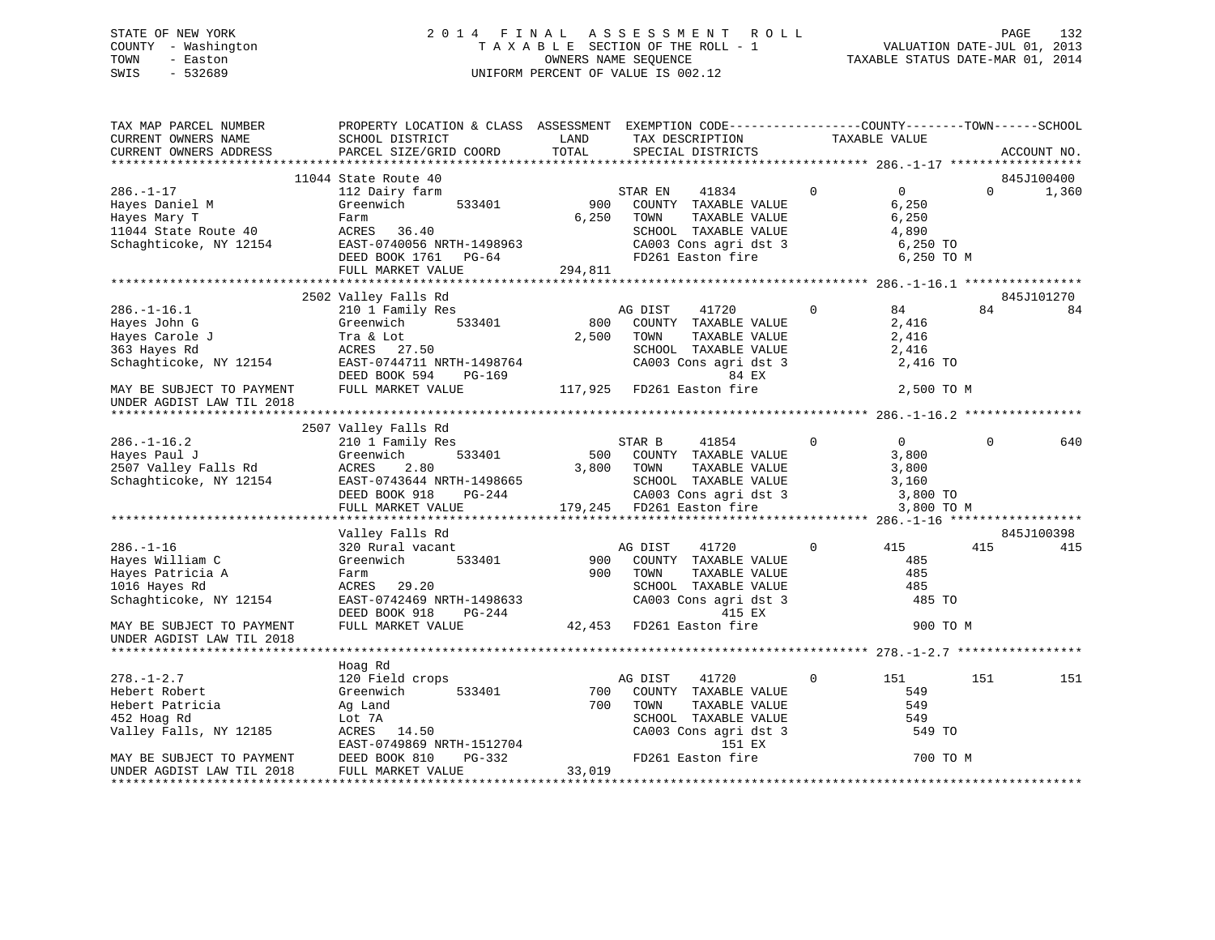# STATE OF NEW YORK 2 0 1 4 F I N A L A S S E S S M E N T R O L L PAGE 132 COUNTY - Washington T A X A B L E SECTION OF THE ROLL - 1 VALUATION DATE-JUL 01, 2013 TOWN - Easton **CONNERS NAME SEQUENCE** TAXABLE STATUS DATE-MAR 01, 2014 SWIS - 532689 UNIFORM PERCENT OF VALUE IS 002.12

| TAX MAP PARCEL NUMBER<br>CURRENT OWNERS NAME<br>CURRENT OWNERS ADDRESS                                                                                  | PROPERTY LOCATION & CLASS ASSESSMENT EXEMPTION CODE---------------COUNTY-------TOWN------SCHOOL<br>SCHOOL DISTRICT<br>PARCEL SIZE/GRID COORD                             | LAND<br>TOTAL           | TAX DESCRIPTION<br>SPECIAL DISTRICTS                                                                                                                     | TAXABLE VALUE |                                                                     | ACCOUNT NO.       |
|---------------------------------------------------------------------------------------------------------------------------------------------------------|--------------------------------------------------------------------------------------------------------------------------------------------------------------------------|-------------------------|----------------------------------------------------------------------------------------------------------------------------------------------------------|---------------|---------------------------------------------------------------------|-------------------|
|                                                                                                                                                         |                                                                                                                                                                          |                         |                                                                                                                                                          |               |                                                                     |                   |
|                                                                                                                                                         | 11044 State Route 40                                                                                                                                                     |                         |                                                                                                                                                          |               |                                                                     | 845J100400        |
| $286. - 1 - 17$<br>Hayes Daniel M<br>Hayes Mary T<br>11044 State Route 40<br>Schaghticoke, NY 12154                                                     | 112 Dairy farm<br>Greenwich<br>533401<br>Farm<br>ACRES 36.40<br>EAST-0740056 NRTH-1498963<br>DEED BOOK 1761 PG-64<br>FULL MARKET VALUE                                   | 900<br>6,250<br>294,811 | STAR EN<br>41834<br>COUNTY TAXABLE VALUE<br>TOWN<br>TAXABLE VALUE<br>SCHOOL TAXABLE VALUE<br>CA003 Cons agri dst 3<br>FD261 Easton fire                  | $\Omega$      | $\overline{0}$<br>6,250<br>6,250<br>4,890<br>6,250 TO<br>6,250 TO M | 1,360<br>$\Omega$ |
|                                                                                                                                                         |                                                                                                                                                                          |                         |                                                                                                                                                          |               |                                                                     |                   |
| $286. - 1 - 16.1$<br>Hayes John G<br>Hayes Carole J<br>363 Hayes Rd<br>Schaghticoke, NY 12154<br>MAY BE SUBJECT TO PAYMENT<br>UNDER AGDIST LAW TIL 2018 | 2502 Valley Falls Rd<br>210 1 Family Res<br>Greenwich<br>533401<br>Tra & Lot<br>ACRES 27.50<br>EAST-0744711 NRTH-1498764<br>DEED BOOK 594<br>PG-169<br>FULL MARKET VALUE | 800<br>2,500            | AG DIST<br>41720<br>COUNTY TAXABLE VALUE<br>TOWN<br>TAXABLE VALUE<br>SCHOOL TAXABLE VALUE<br>CA003 Cons agri dst 3<br>84 EX<br>117,925 FD261 Easton fire | $\Omega$      | 84<br>84<br>2,416<br>2,416<br>2,416<br>2,416 TO<br>2,500 TO M       | 845J101270<br>84  |
|                                                                                                                                                         | 2507 Valley Falls Rd                                                                                                                                                     |                         |                                                                                                                                                          |               |                                                                     |                   |
| $286. - 1 - 16.2$<br>Hayes Paul J<br>2507 Valley Falls Rd<br>Schaghticoke, NY 12154                                                                     | 210 1 Family Res<br>Greenwich<br>533401<br>ACRES<br>2.80<br>EAST-0743644 NRTH-1498665<br>DEED BOOK 918<br>PG-244<br>FULL MARKET VALUE                                    | 3,800                   | STAR B<br>41854<br>500 COUNTY TAXABLE VALUE<br>TOWN<br>TAXABLE VALUE<br>SCHOOL TAXABLE VALUE<br>CA003 Cons agri dst 3<br>179,245 FD261 Easton fire       | $\Omega$      | $\overline{0}$<br>3,800<br>3,800<br>3,160<br>3,800 TO<br>3,800 TO M | 640<br>$\Omega$   |
|                                                                                                                                                         |                                                                                                                                                                          |                         |                                                                                                                                                          |               |                                                                     |                   |
| $286. - 1 - 16$<br>Hayes William C<br>Hayes Patricia A<br>1016 Hayes Rd<br>Schaghticoke, NY 12154                                                       | Valley Falls Rd<br>320 Rural vacant<br>Greenwich<br>533401<br>Farm<br>ACRES 29.20<br>EAST-0742469 NRTH-1498633<br>DEED BOOK 918<br>PG-244                                | 900<br>900              | AG DIST<br>41720<br>COUNTY TAXABLE VALUE<br>TOWN<br>TAXABLE VALUE<br>SCHOOL TAXABLE VALUE<br>CA003 Cons agri dst 3<br>415 EX                             | $\Omega$      | 415<br>415<br>485<br>485<br>485<br>485 TO                           | 845J100398<br>415 |
| MAY BE SUBJECT TO PAYMENT<br>UNDER AGDIST LAW TIL 2018                                                                                                  | FULL MARKET VALUE                                                                                                                                                        |                         | 42,453 FD261 Easton fire                                                                                                                                 |               | 900 TO M                                                            |                   |
|                                                                                                                                                         | Hoag Rd                                                                                                                                                                  |                         |                                                                                                                                                          |               |                                                                     |                   |
| $278. - 1 - 2.7$<br>Hebert Robert<br>Hebert Patricia<br>452 Hoag Rd<br>Valley Falls, NY 12185<br>MAY BE SUBJECT TO PAYMENT                              | 120 Field crops<br>Greenwich<br>533401<br>Ag Land<br>Lot 7A<br>ACRES 14.50<br>EAST-0749869 NRTH-1512704<br>PG-332<br>DEED BOOK 810                                       | 700<br>700              | 41720<br>AG DIST<br>COUNTY TAXABLE VALUE<br>TOWN<br>TAXABLE VALUE<br>SCHOOL TAXABLE VALUE<br>CA003 Cons agri dst 3<br>151 EX<br>FD261 Easton fire        | $\mathbf 0$   | 151<br>151<br>549<br>549<br>549<br>549 TO<br>700 TO M               | 151               |
| UNDER AGDIST LAW TIL 2018                                                                                                                               | FULL MARKET VALUE                                                                                                                                                        | 33,019                  |                                                                                                                                                          |               |                                                                     |                   |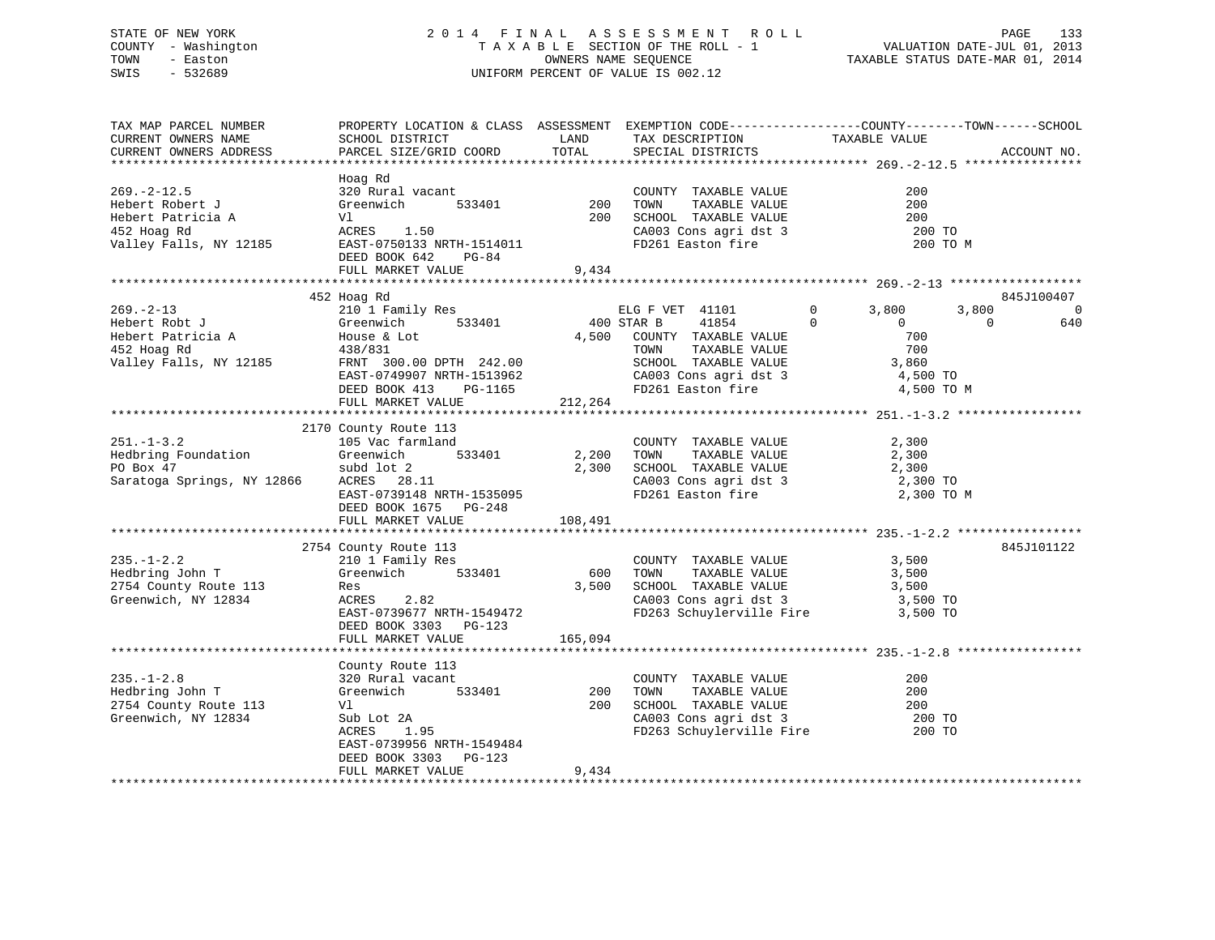# STATE OF NEW YORK 2 0 1 4 F I N A L A S S E S S M E N T R O L L PAGE 133 COUNTY - Washington T A X A B L E SECTION OF THE ROLL - 1 VALUATION DATE-JUL 01, 2013 TOWN - Easton OWNERS NAME SEQUENCE TAXABLE STATUS DATE-MAR 01, 2014 SWIS - 532689 UNIFORM PERCENT OF VALUE IS 002.12

| TAX MAP PARCEL NUMBER<br>CURRENT OWNERS NAME<br>CURRENT OWNERS ADDRESS                             | PROPERTY LOCATION & CLASS ASSESSMENT EXEMPTION CODE----------------COUNTY-------TOWN------SCHOOL<br>SCHOOL DISTRICT<br>PARCEL SIZE/GRID COORD                                             | LAND<br>TOTAL             | TAX DESCRIPTION<br>SPECIAL DISTRICTS                                                                                                                                                       | TAXABLE VALUE                                                                                          | ACCOUNT NO.                               |
|----------------------------------------------------------------------------------------------------|-------------------------------------------------------------------------------------------------------------------------------------------------------------------------------------------|---------------------------|--------------------------------------------------------------------------------------------------------------------------------------------------------------------------------------------|--------------------------------------------------------------------------------------------------------|-------------------------------------------|
| $269. - 2 - 12.5$<br>Hebert Robert J<br>Hebert Patricia A<br>452 Hoag Rd<br>Valley Falls, NY 12185 | Hoag Rd<br>320 Rural vacant<br>533401<br>Greenwich<br>Vl<br>ACRES 1.50<br>EAST-0750133 NRTH-1514011<br>DEED BOOK 642<br>PG-84<br>FULL MARKET VALUE                                        | 200<br>200<br>9,434       | COUNTY TAXABLE VALUE<br>TOWN<br>TAXABLE VALUE<br>LOWN TAXABLE VALUE<br>SCHOOL TAXABLE VALUE<br>CA003 Cons agri dst 3<br>FD261 Easton fire                                                  | 200<br>200<br>200<br>200 TO<br>200 TO M                                                                |                                           |
|                                                                                                    |                                                                                                                                                                                           |                           |                                                                                                                                                                                            |                                                                                                        |                                           |
| $269. - 2 - 13$<br>Hebert Robt J<br>Hebert Patricia A<br>452 Hoag Rd<br>Valley Falls, NY 12185     | 452 Hoag Rd<br>210 1 Family Res<br>Greenwich<br>533401<br>House & Lot<br>438/831<br>FRNT 300.00 DPTH 242.00<br>EAST-0749907 NRTH-1513962<br>DEED BOOK 413<br>PG-1165<br>FULL MARKET VALUE | 4,500<br>212,264          | ELG F VET 41101<br>400 STAR B<br>41854<br>COUNTY TAXABLE VALUE<br>TOWN<br>TAXABLE VALUE<br>TOWN      TAXABLE VALUE<br>SCHOOL   TAXABLE VALUE<br>CA003 Cons agri dst 3<br>FD261 Easton fire | $\mathbf 0$<br>3,800<br>3,800<br>$\Omega$<br>$\Omega$<br>700<br>700<br>3,860<br>4,500 TO<br>4,500 TO M | 845J100407<br>$\Omega$<br>640<br>$\Omega$ |
|                                                                                                    | 2170 County Route 113                                                                                                                                                                     |                           |                                                                                                                                                                                            |                                                                                                        |                                           |
| $251. - 1 - 3.2$<br>Hedbring Foundation<br>PO Box 47<br>Saratoga Springs, NY 12866                 | 105 Vac farmland<br>533401<br>Greenwich<br>subd lot 2<br>ACRES 28.11<br>EAST-0739148 NRTH-1535095<br>DEED BOOK 1675 PG-248<br>FULL MARKET VALUE                                           | 2,200<br>2,300<br>108,491 | COUNTY TAXABLE VALUE<br>TOWN<br>TAXABLE VALUE<br>SCHOOL TAXABLE VALUE<br>CA003 Cons agri dst 3<br>FD261 Easton fire                                                                        | 2,300<br>2,300<br>2,300<br>2,300 TO<br>2,300 TO M                                                      |                                           |
|                                                                                                    |                                                                                                                                                                                           |                           |                                                                                                                                                                                            |                                                                                                        |                                           |
| $235. - 1 - 2.2$<br>Hedbring John T<br>2754 County Route 113<br>Greenwich, NY 12834                | 2754 County Route 113<br>210 1 Family Res<br>533401<br>Greenwich<br>Res<br>2.82<br>ACRES<br>EAST-0739677 NRTH-1549472<br>DEED BOOK 3303 PG-123                                            | 600<br>3,500              | COUNTY TAXABLE VALUE<br>TOWN<br>TAXABLE VALUE<br>SCHOOL TAXABLE VALUE<br>CA003 Cons agri dst 3<br>FD263 Schuylerville Fire                                                                 | 3,500<br>3,500<br>3,500<br>3,500 TO<br>3,500 TO                                                        | 845J101122                                |
|                                                                                                    | FULL MARKET VALUE                                                                                                                                                                         | 165,094                   |                                                                                                                                                                                            |                                                                                                        |                                           |
| $235. - 1 - 2.8$<br>Hedbring John T<br>2754 County Route 113<br>Greenwich, NY 12834                | County Route 113<br>320 Rural vacant<br>Greenwich<br>533401<br>Vl<br>Sub Lot 2A<br>1.95<br>ACRES<br>EAST-0739956 NRTH-1549484<br>DEED BOOK 3303 PG-123<br>FULL MARKET VALUE               | 200<br>200<br>9,434       | COUNTY TAXABLE VALUE<br>TOWN<br>TAXABLE VALUE<br>SCHOOL TAXABLE VALUE<br>CA003 Cons agri dst 3<br>FD263 Schuylerville Fire                                                                 | 200<br>200<br>200<br>200 TO<br>200 TO                                                                  |                                           |
|                                                                                                    |                                                                                                                                                                                           |                           |                                                                                                                                                                                            |                                                                                                        |                                           |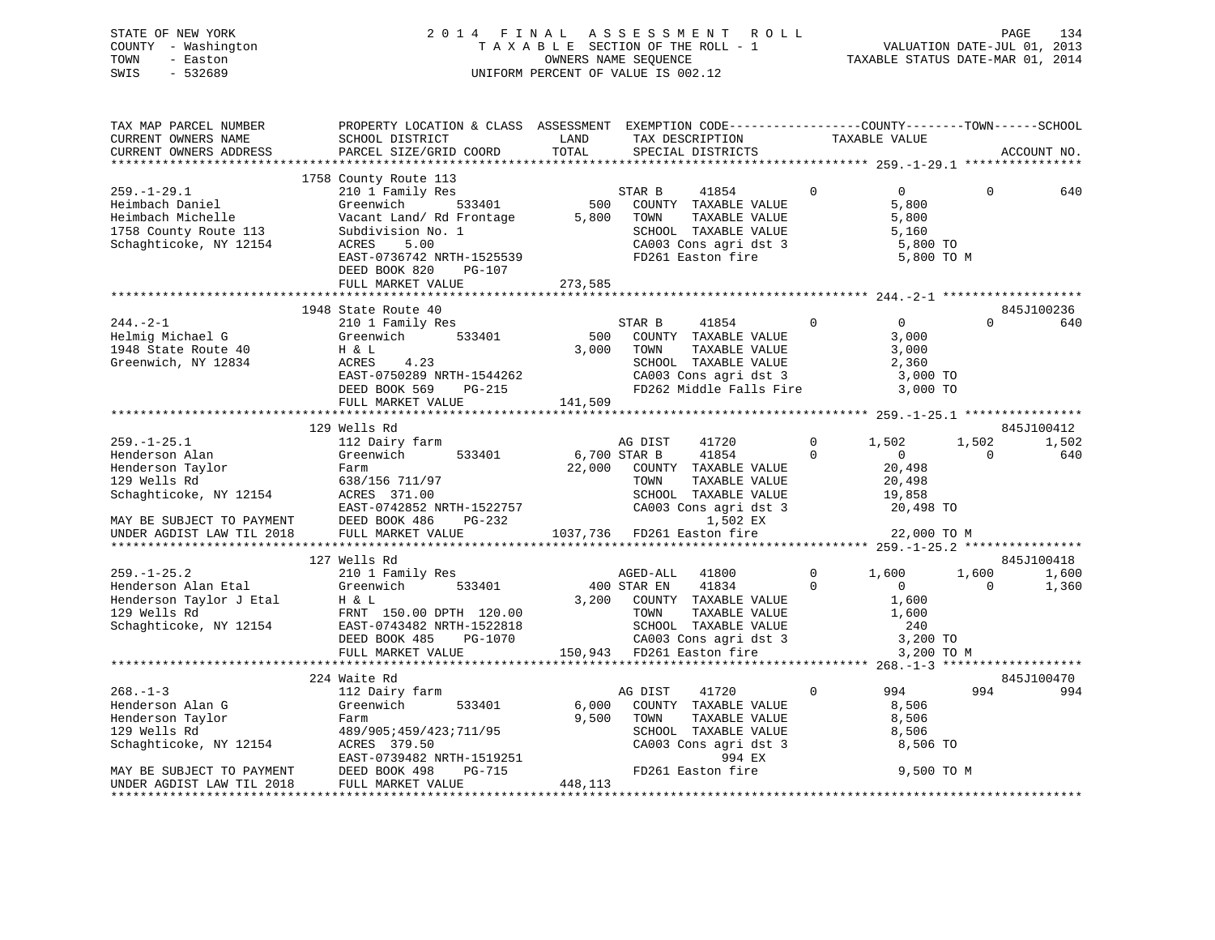|      | STATE OF NEW YORK   |  |  | 2014 FINAL ASSESSMENT ROLL         |                                  | PAGE                        | 134 |
|------|---------------------|--|--|------------------------------------|----------------------------------|-----------------------------|-----|
|      | COUNTY - Washington |  |  | TAXABLE SECTION OF THE ROLL - 1    |                                  | VALUATION DATE-JUL 01, 2013 |     |
| TOWN | - Easton            |  |  | OWNERS NAME SEQUENCE               | TAXABLE STATUS DATE-MAR 01, 2014 |                             |     |
| SWIS | - 532689            |  |  | UNIFORM PERCENT OF VALUE IS 002.12 |                                  |                             |     |
|      |                     |  |  |                                    |                                  |                             |     |

| TAX MAP PARCEL NUMBER                                                                                                                                       | PROPERTY LOCATION & CLASS ASSESSMENT EXEMPTION CODE---------------COUNTY-------TOWN-----SCHOOL                                                                                                                                           |             |                                                                    |                |                            |          |             |
|-------------------------------------------------------------------------------------------------------------------------------------------------------------|------------------------------------------------------------------------------------------------------------------------------------------------------------------------------------------------------------------------------------------|-------------|--------------------------------------------------------------------|----------------|----------------------------|----------|-------------|
| CURRENT OWNERS NAME                                                                                                                                         | SCHOOL DISTRICT                                                                                                                                                                                                                          | LAND        | TAX DESCRIPTION                                                    |                |                            |          |             |
| CURRENT OWNERS ADDRESS                                                                                                                                      | PARCEL SIZE/GRID COORD                                                                                                                                                                                                                   | TOTAL       | SPECIAL DISTRICTS                                                  |                | TAXABLE VALUE              |          | ACCOUNT NO. |
|                                                                                                                                                             |                                                                                                                                                                                                                                          |             |                                                                    |                |                            |          |             |
|                                                                                                                                                             | 1758 County Route 113                                                                                                                                                                                                                    |             |                                                                    |                |                            |          |             |
| $259. - 1 - 29.1$                                                                                                                                           | 210 1 Family Res                                                                                                                                                                                                                         |             | 41854<br>STAR B                                                    | $\Omega$       | $\Omega$                   | $\Omega$ | 640         |
| Heimbach Daniel                                                                                                                                             | 533401<br>Greenwich                                                                                                                                                                                                                      | 500         | COUNTY TAXABLE VALUE                                               |                | 5,800                      |          |             |
|                                                                                                                                                             | Vacant Land/ Rd Frontage                                                                                                                                                                                                                 |             | 5,800 TOWN<br>TAXABLE VALUE                                        |                | 5,800                      |          |             |
|                                                                                                                                                             | Subdivision No. 1                                                                                                                                                                                                                        |             | SCHOOL TAXABLE VALUE                                               |                | 5,160                      |          |             |
| Heimbach Michelle<br>1758 County Route 113<br>Schaghticoke, NY 12154                                                                                        | ACRES<br>5.00                                                                                                                                                                                                                            |             | CA003 Cons agri dst 3                                              |                | 5,800 TO                   |          |             |
|                                                                                                                                                             |                                                                                                                                                                                                                                          |             |                                                                    |                |                            |          |             |
|                                                                                                                                                             | EAST-0736742 NRTH-1525539                                                                                                                                                                                                                |             | FD261 Easton fire                                                  |                | 5,800 TO M                 |          |             |
|                                                                                                                                                             | DEED BOOK 820<br>PG-107                                                                                                                                                                                                                  |             |                                                                    |                |                            |          |             |
|                                                                                                                                                             | FULL MARKET VALUE                                                                                                                                                                                                                        | 273,585     |                                                                    |                |                            |          |             |
|                                                                                                                                                             |                                                                                                                                                                                                                                          |             |                                                                    |                |                            |          |             |
|                                                                                                                                                             | 1948 State Route 40                                                                                                                                                                                                                      |             |                                                                    |                |                            |          | 845J100236  |
| $244. - 2 - 1$                                                                                                                                              | 210 1 Family Res                                                                                                                                                                                                                         |             | STAR B<br>41854                                                    | $\overline{0}$ | $\overline{0}$             | $\Omega$ | 640         |
| Helmig Michael G                                                                                                                                            | 210 1 Family Res<br>Greenwich 533401                                                                                                                                                                                                     | 500         | COUNTY TAXABLE VALUE                                               |                | 3,000                      |          |             |
| 1948 State Route 40<br>Greenwich, NY 12834                                                                                                                  | H & L                                                                                                                                                                                                                                    | 3,000       | TAXABLE VALUE<br>TOWN                                              |                | 3,000                      |          |             |
|                                                                                                                                                             | ACRES 4.23                                                                                                                                                                                                                               |             | TOWN TAXABLE VALUE<br>SCHOOL TAXABLE VALUE                         |                | 2,360                      |          |             |
|                                                                                                                                                             |                                                                                                                                                                                                                                          |             |                                                                    |                |                            |          |             |
|                                                                                                                                                             |                                                                                                                                                                                                                                          |             | CA003 Cons agri dst 3 3,000 TO<br>FD262 Middle Falls Fire 3,000 TO |                |                            |          |             |
|                                                                                                                                                             | AUKES 4.23<br>EAST-0750289 NRTH-1544262<br>DEED BOOK 569 PG-215<br>FULL MARKET VALUE 141,509                                                                                                                                             |             |                                                                    |                |                            |          |             |
|                                                                                                                                                             |                                                                                                                                                                                                                                          |             |                                                                    |                |                            |          |             |
|                                                                                                                                                             | 129 Wells Rd                                                                                                                                                                                                                             |             |                                                                    |                |                            |          | 845J100412  |
| $259. - 1 - 25.1$                                                                                                                                           | 112 Dairy farm                                                                                                                                                                                                                           |             | AG DIST<br>41720                                                   | $\overline{0}$ | 1,502                      | 1,502    | 1,502       |
| Experiment Mann (Speedwich Henderson Alan (Speedwich Farm 129 Wells Rd (S2)<br>Schaghticoke, NY 12154 (S2)<br>Schaghticoke, NY 12154 (S2)<br>RAST-0742852 N | Greenwich 533401                                                                                                                                                                                                                         |             | 6,700 STAR B 41854                                                 | $\Omega$       | $\overline{0}$             | $\Omega$ | 640         |
|                                                                                                                                                             |                                                                                                                                                                                                                                          |             | 22,000 COUNTY TAXABLE VALUE                                        |                |                            |          |             |
|                                                                                                                                                             |                                                                                                                                                                                                                                          |             | TOWN<br>TAXABLE VALUE                                              |                | 20,498<br>20,498<br>20,498 |          |             |
|                                                                                                                                                             | 638/156 711/97<br>ACRES 371.00                                                                                                                                                                                                           |             |                                                                    |                |                            |          |             |
|                                                                                                                                                             |                                                                                                                                                                                                                                          |             | SCHOOL TAXABLE VALUE 19,858<br>CA003 Cons agri dst 3 1 20,498 TO   |                |                            |          |             |
|                                                                                                                                                             |                                                                                                                                                                                                                                          |             | 1,502 EX                                                           |                |                            |          |             |
|                                                                                                                                                             |                                                                                                                                                                                                                                          |             | 1037,736 FD261 Easton fire 22,000 TO M                             |                |                            |          |             |
|                                                                                                                                                             |                                                                                                                                                                                                                                          |             |                                                                    |                |                            |          |             |
|                                                                                                                                                             | 127 Wells Rd                                                                                                                                                                                                                             |             |                                                                    |                |                            |          | 845J100418  |
| $259. - 1 - 25.2$                                                                                                                                           | 210 1 Family Res                                                                                                                                                                                                                         |             | AGED-ALL 41800                                                     | $\Omega$       | 1,600                      | 1,600    | 1,600       |
|                                                                                                                                                             | Henderson Alan Etal Greenwich 533401                                                                                                                                                                                                     | 400 STAR EN | 41834                                                              | $\Omega$       | $\overline{0}$             | $\Omega$ | 1,360       |
|                                                                                                                                                             |                                                                                                                                                                                                                                          |             |                                                                    |                |                            |          |             |
|                                                                                                                                                             |                                                                                                                                                                                                                                          |             |                                                                    |                |                            |          |             |
|                                                                                                                                                             |                                                                                                                                                                                                                                          |             |                                                                    |                |                            |          |             |
|                                                                                                                                                             |                                                                                                                                                                                                                                          |             |                                                                    |                |                            |          |             |
|                                                                                                                                                             |                                                                                                                                                                                                                                          |             |                                                                    |                |                            |          |             |
|                                                                                                                                                             | Example 150.00 DPTH 120.00<br>Henderson Taylor J Etal H & L FRNT 150.00 DPTH 120.00<br>Schaghticoke, NY 12154<br>EXST-0743482 NRTH-1522818<br>DEED BOOK 485 PG-1070 CA003 Cons agri dst 3 3,200 TO<br>FULL MARKET VALUE 150,943 FD261 Ea |             |                                                                    |                | 3,200 TO M                 |          |             |
|                                                                                                                                                             |                                                                                                                                                                                                                                          |             |                                                                    |                |                            |          |             |
|                                                                                                                                                             | 224 Waite Rd                                                                                                                                                                                                                             |             |                                                                    |                |                            |          | 845J100470  |
| $268. - 1 - 3$                                                                                                                                              | 112 Dairy farm                                                                                                                                                                                                                           |             | AG DIST<br>41720                                                   | $\Omega$       | 994                        | 994      | 994         |
| Henderson Alan G                                                                                                                                            | 533401<br>Greenwich                                                                                                                                                                                                                      |             | 6,000 COUNTY TAXABLE VALUE                                         |                | 8,506                      |          |             |
| Henderson Taylor                                                                                                                                            | Farm                                                                                                                                                                                                                                     |             | 9,500 TOWN<br>TAXABLE VALUE                                        |                | 8,506                      |          |             |
| 129 Wells Rd                                                                                                                                                | 489/905;459/423;711/95                                                                                                                                                                                                                   |             | SCHOOL TAXABLE VALUE                                               |                | 8,506                      |          |             |
|                                                                                                                                                             |                                                                                                                                                                                                                                          |             | $CA003$ Cons agri dst 3                                            |                | 8,506 TO                   |          |             |
|                                                                                                                                                             |                                                                                                                                                                                                                                          |             | 994 EX                                                             |                |                            |          |             |
|                                                                                                                                                             | Schaghticoke, NY 12154<br>MAY BE SUBJECT TO PAYMENT<br>MAY BE SUBJECT TO PAYMENT<br>UNDER AGDIST LAN TIL 2018<br>FULL MARKET VALUE 448,113                                                                                               |             | FD261 Easton fire                                                  |                | 9,500 TO M                 |          |             |
|                                                                                                                                                             |                                                                                                                                                                                                                                          | 448,113     |                                                                    |                |                            |          |             |
|                                                                                                                                                             |                                                                                                                                                                                                                                          |             |                                                                    |                |                            |          |             |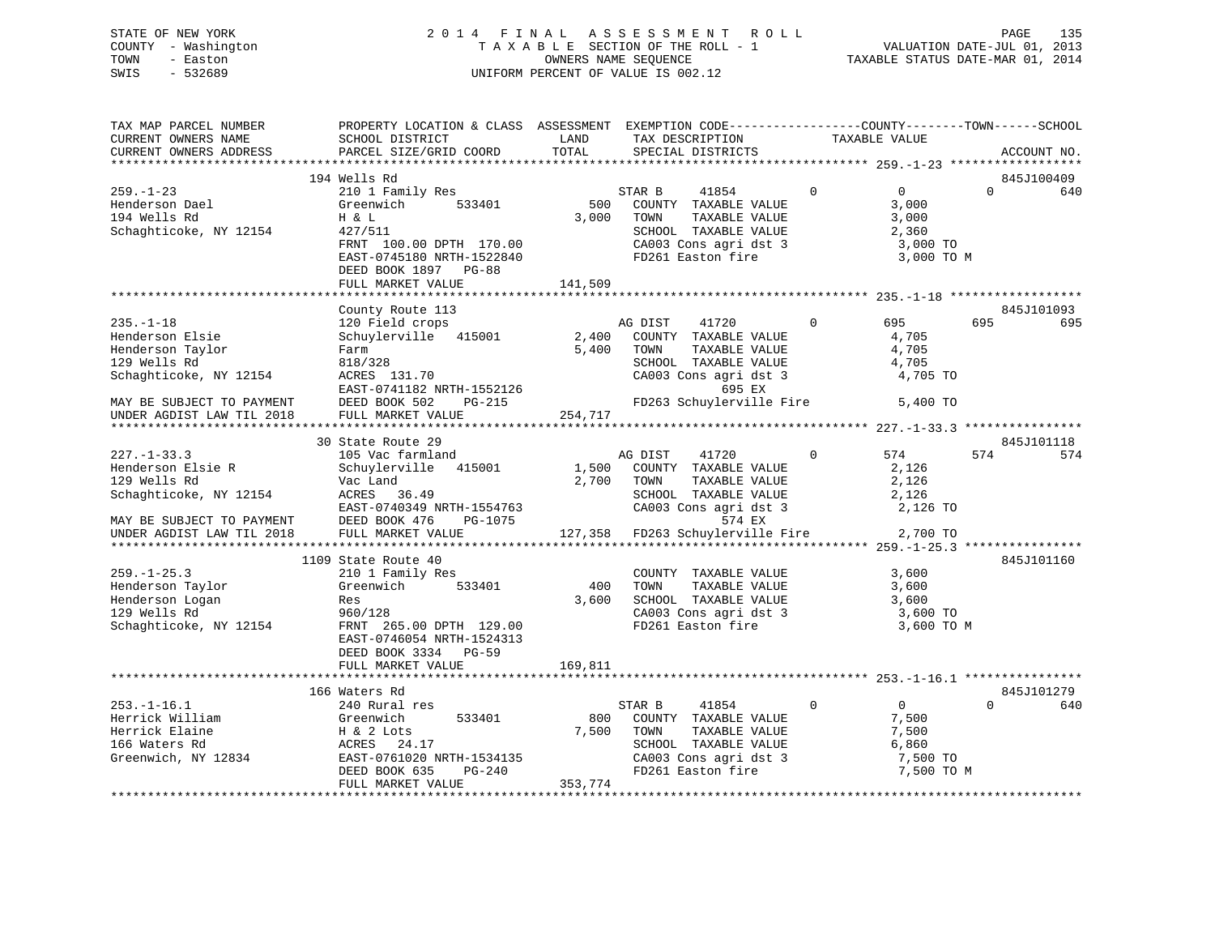# STATE OF NEW YORK 2 0 1 4 F I N A L A S S E S S M E N T R O L L PAGE 135 COUNTY - Washington T A X A B L E SECTION OF THE ROLL - 1 VALUATION DATE-JUL 01, 2013 TOWN - Easton OWNERS NAME SEQUENCE TAXABLE STATUS DATE-MAR 01, 2014 SWIS - 532689 UNIFORM PERCENT OF VALUE IS 002.12

| TAX MAP PARCEL NUMBER<br>CURRENT OWNERS NAME | PROPERTY LOCATION & CLASS ASSESSMENT EXEMPTION CODE-----------------COUNTY--------TOWN------SCHOOL<br>SCHOOL DISTRICT                          | LAND    | TAX DESCRIPTION                                              |                | TAXABLE VALUE  |          |             |
|----------------------------------------------|------------------------------------------------------------------------------------------------------------------------------------------------|---------|--------------------------------------------------------------|----------------|----------------|----------|-------------|
| CURRENT OWNERS ADDRESS                       | PARCEL SIZE/GRID COORD                                                                                                                         | TOTAL   | SPECIAL DISTRICTS                                            |                |                |          | ACCOUNT NO. |
|                                              | 194 Wells Rd                                                                                                                                   |         |                                                              |                |                |          | 845J100409  |
| $259. - 1 - 23$                              |                                                                                                                                                |         |                                                              | $\mathbf{0}$   | $\overline{0}$ | $\Omega$ | 640         |
| Henderson Dael                               | 210 1 Family Res<br>533401<br>Greenwich                                                                                                        | 500     | STAR B<br>41854<br>COUNTY TAXABLE VALUE                      |                | 3,000          |          |             |
| 194 Wells Rd                                 | H & L                                                                                                                                          | 3,000   | TAXABLE VALUE<br>TOWN                                        |                | 3,000          |          |             |
| Schaghticoke, NY 12154                       | 427/511                                                                                                                                        |         | SCHOOL TAXABLE VALUE                                         |                | 2,360          |          |             |
|                                              | FRNT 100.00 DPTH 170.00                                                                                                                        |         |                                                              |                | 3,000 TO       |          |             |
|                                              | EAST-0745180 NRTH-1522840                                                                                                                      |         | CA003 Cons agri dst 3<br>FD261 Easton fire                   |                | 3,000 TO M     |          |             |
|                                              | DEED BOOK 1897 PG-88                                                                                                                           |         |                                                              |                |                |          |             |
|                                              |                                                                                                                                                |         |                                                              |                |                |          |             |
|                                              | FULL MARKET VALUE                                                                                                                              | 141,509 |                                                              |                |                |          |             |
|                                              | County Route 113                                                                                                                               |         |                                                              |                |                |          | 845J101093  |
| $235. -1 - 18$                               | 120 Field crops                                                                                                                                |         | AG DIST<br>41720                                             | $\overline{0}$ | 695            | 695      | 695         |
| Henderson Elsie                              | Schuylerville 415001                                                                                                                           |         | 2,400 COUNTY TAXABLE VALUE                                   |                | 4,705          |          |             |
| Henderson Taylor                             | Farm                                                                                                                                           | 5,400   | TAXABLE VALUE<br>TOWN                                        |                | 4,705          |          |             |
| 129 Wells Rd                                 |                                                                                                                                                |         | SCHOOL TAXABLE VALUE                                         |                | 4,705          |          |             |
| Schaghticoke, NY 12154                       |                                                                                                                                                |         | CA003 Cons agri dst 3                                        |                | 4,705 TO       |          |             |
|                                              | 818/328<br>ACRES 131.70<br>EAST-0741182 NRTH-1552126<br>DEED BOOK 502 PG-215                                                                   |         | 695 EX                                                       |                |                |          |             |
| MAY BE SUBJECT TO PAYMENT                    |                                                                                                                                                |         | FD263 Schuylerville Fire 5,400 TO                            |                |                |          |             |
| UNDER AGDIST LAW TIL 2018                    | FULL MARKET VALUE                                                                                                                              | 254,717 |                                                              |                |                |          |             |
|                                              |                                                                                                                                                |         |                                                              |                |                |          |             |
|                                              | 30 State Route 29                                                                                                                              |         |                                                              |                |                |          | 845J101118  |
| $227. - 1 - 33.3$                            | 105 Vac farmland                                                                                                                               |         | 41720<br>AG DIST                                             | $\mathbf 0$    | 574            | 574      | 574         |
| Henderson Elsie R                            | Schuylerville 415001                                                                                                                           | 1,500   | COUNTY TAXABLE VALUE                                         |                | 2,126          |          |             |
|                                              |                                                                                                                                                |         | 2,700 TOWN<br>TAXABLE VALUE                                  |                | 2,126          |          |             |
|                                              |                                                                                                                                                |         | SCHOOL TAXABLE VALUE                                         |                | 2,126          |          |             |
|                                              |                                                                                                                                                |         | CA003 Cons agri dst 3                                        |                | 2,126 TO       |          |             |
| MAY BE SUBJECT TO PAYMENT                    | EAST-0740349 NRTH-1554763<br>DEED BOOK 476 PG-1075<br>DEED BOOK 476                                                                            |         | 574 EX                                                       |                |                |          |             |
| UNDER AGDIST LAW TIL 2018                    | FULL MARKET VALUE                                                                                                                              |         | 127,358 FD263 Schuylerville Fire 2,700 TO                    |                |                |          |             |
|                                              |                                                                                                                                                |         |                                                              |                |                |          |             |
|                                              | 1109 State Route 40                                                                                                                            |         |                                                              |                |                |          | 845J101160  |
| $259. - 1 - 25.3$                            | 210 1 Family Res                                                                                                                               |         | COUNTY TAXABLE VALUE                                         |                | 3,600          |          |             |
| Henderson Taylor                             | Greenwich 533401                                                                                                                               | 400     | TOWN<br>TAXABLE VALUE                                        |                | 3,600          |          |             |
| Henderson Logan                              | Res                                                                                                                                            | 3,600   |                                                              |                |                |          |             |
| 129 Wells Rd                                 | 960/128                                                                                                                                        |         | SCHOOL TAXABLE VALUE 3,600<br>CA003 Cons agri dst 3 3,600 TO |                |                |          |             |
| Schaghticoke, NY 12154                       | FRNT 265.00 DPTH 129.00                                                                                                                        |         | FD261 Easton fire                                            |                | 3,600 TO M     |          |             |
|                                              | EAST-0746054 NRTH-1524313                                                                                                                      |         |                                                              |                |                |          |             |
|                                              | DEED BOOK 3334 PG-59                                                                                                                           |         |                                                              |                |                |          |             |
|                                              | FULL MARKET VALUE                                                                                                                              | 169,811 |                                                              |                |                |          |             |
|                                              |                                                                                                                                                |         |                                                              |                |                |          |             |
|                                              | 166 Waters Rd                                                                                                                                  |         |                                                              |                |                |          | 845J101279  |
| $253. - 1 - 16.1$                            | 240 Rural res                                                                                                                                  |         | STAR B<br>41854                                              | $\mathbf{0}$   | $\overline{0}$ | $\Omega$ | 640         |
|                                              |                                                                                                                                                | 800     | COUNTY TAXABLE VALUE                                         |                | 7,500          |          |             |
|                                              | Herrick William (Seenwich 533401)<br>Herrick Elaine H & 2 Lots<br>166 Waters Rd (ACRES 24.17)<br>Greenwich, NY 12834 EAST-0761020 NRTH-1534135 | 7,500   | TOWN<br>TAXABLE VALUE                                        |                | 7,500          |          |             |
|                                              |                                                                                                                                                |         |                                                              |                | 6,860          |          |             |
|                                              |                                                                                                                                                |         | SCHOOL TAXABLE VALUE<br>CA003 Cons agri dst 3                |                | 7,500 TO       |          |             |
|                                              | DEED BOOK 635<br>PG-240                                                                                                                        |         | FD261 Easton fire                                            |                | 7,500 TO M     |          |             |
|                                              | FULL MARKET VALUE                                                                                                                              | 353,774 |                                                              |                |                |          |             |
|                                              |                                                                                                                                                |         |                                                              |                |                |          |             |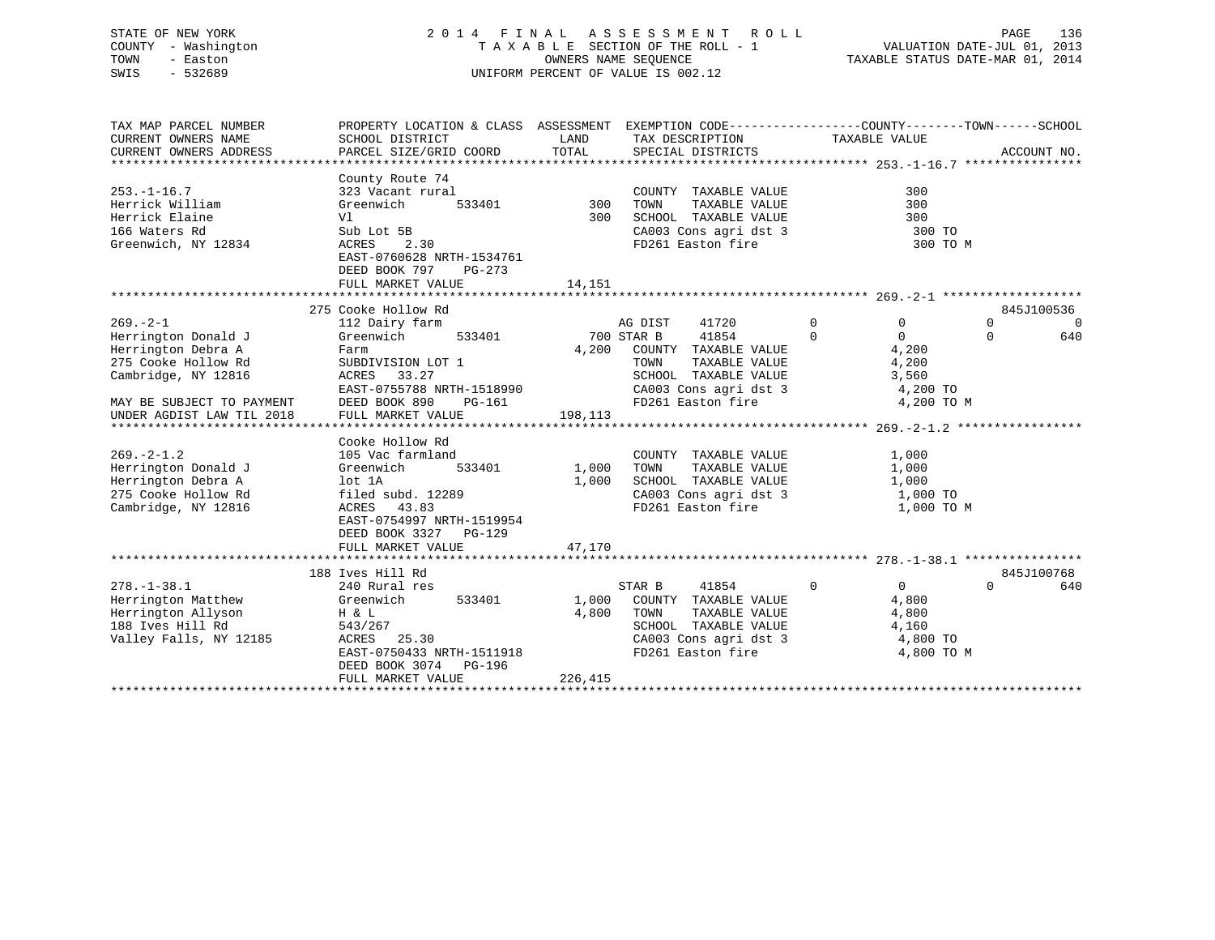# STATE OF NEW YORK 2 0 1 4 F I N A L A S S E S S M E N T R O L L PAGE 136 COUNTY - Washington T A X A B L E SECTION OF THE ROLL - 1 VALUATION DATE-JUL 01, 2013 TOWN - Easton OWNERS NAME SEQUENCE TAXABLE STATUS DATE-MAR 01, 2014 SWIS - 532689 UNIFORM PERCENT OF VALUE IS 002.12

| TAX MAP PARCEL NUMBER<br>CURRENT OWNERS NAME<br>CURRENT OWNERS ADDRESS                                                                                                                                                                                                             | PROPERTY LOCATION & CLASS ASSESSMENT<br>SCHOOL DISTRICT<br>PARCEL SIZE/GRID COORD                                                                                                                                                                                                                                                                                               | LAND<br>TOTAL                                | EXEMPTION CODE----------------COUNTY-------TOWN-----SCHOOL<br>TAX DESCRIPTION<br>SPECIAL DISTRICTS                                                                                                                                                                                    | TAXABLE VALUE                                                                                                                                             | ACCOUNT NO.                                           |
|------------------------------------------------------------------------------------------------------------------------------------------------------------------------------------------------------------------------------------------------------------------------------------|---------------------------------------------------------------------------------------------------------------------------------------------------------------------------------------------------------------------------------------------------------------------------------------------------------------------------------------------------------------------------------|----------------------------------------------|---------------------------------------------------------------------------------------------------------------------------------------------------------------------------------------------------------------------------------------------------------------------------------------|-----------------------------------------------------------------------------------------------------------------------------------------------------------|-------------------------------------------------------|
| $253. - 1 - 16.7$<br>Herrick William<br>Herrick Elaine<br>166 Waters Rd<br>Greenwich, NY 12834                                                                                                                                                                                     | County Route 74<br>323 Vacant rural<br>Greenwich<br>533401<br>Vl<br>Sub Lot 5B<br>ACRES<br>2.30<br>EAST-0760628 NRTH-1534761<br>DEED BOOK 797<br>PG-273<br>FULL MARKET VALUE                                                                                                                                                                                                    | 300<br>300<br>14,151                         | COUNTY TAXABLE VALUE<br>TAXABLE VALUE<br>TOWN<br>SCHOOL TAXABLE VALUE<br>CA003 Cons agri dst 3<br>FD261 Easton fire                                                                                                                                                                   | 300<br>300<br>300<br>300 TO<br>300 TO M                                                                                                                   |                                                       |
|                                                                                                                                                                                                                                                                                    |                                                                                                                                                                                                                                                                                                                                                                                 |                                              |                                                                                                                                                                                                                                                                                       |                                                                                                                                                           |                                                       |
| $269. - 2 - 1$<br>Herrington Donald J<br>Herrington Debra A<br>275 Cooke Hollow Rd<br>Cambridge, NY 12816<br>MAY BE SUBJECT TO PAYMENT<br>UNDER AGDIST LAW TIL 2018<br>$269. - 2 - 1.2$<br>Herrington Donald J<br>Herrington Debra A<br>275 Cooke Hollow Rd<br>Cambridge, NY 12816 | 275 Cooke Hollow Rd<br>112 Dairy farm<br>Greenwich<br>533401<br>Farm<br>SUBDIVISION LOT 1<br>33.27<br>ACRES<br>EAST-0755788 NRTH-1518990<br>DEED BOOK 890<br>PG-161<br>FULL MARKET VALUE<br>Cooke Hollow Rd<br>105 Vac farmland<br>Greenwich<br>533401<br>lot 1A<br>filed subd. 12289<br>ACRES 43.83<br>EAST-0754997 NRTH-1519954<br>DEED BOOK 3327 PG-129<br>FULL MARKET VALUE | 4,200<br>198,113<br>1,000<br>1,000<br>47,170 | AG DIST<br>41720<br>41854<br>700 STAR B<br>COUNTY TAXABLE VALUE<br>TOWN<br>TAXABLE VALUE<br>SCHOOL TAXABLE VALUE<br>CA003 Cons agri dst 3<br>FD261 Easton fire<br>COUNTY TAXABLE VALUE<br>TOWN<br>TAXABLE VALUE<br>SCHOOL TAXABLE VALUE<br>CA003 Cons agri dst 3<br>FD261 Easton fire | $\mathbf 0$<br>$\Omega$<br>$\Omega$<br>$\Omega$<br>4,200<br>4,200<br>3,560<br>4,200 TO<br>4,200 TO M<br>1,000<br>1,000<br>1,000<br>1,000 TO<br>1,000 TO M | 845J100536<br>$\Omega$<br>$\Omega$<br>$\Omega$<br>640 |
|                                                                                                                                                                                                                                                                                    |                                                                                                                                                                                                                                                                                                                                                                                 |                                              |                                                                                                                                                                                                                                                                                       |                                                                                                                                                           |                                                       |
| $278. - 1 - 38.1$<br>Herrington Matthew<br>Herrington Allyson<br>188 Ives Hill Rd<br>Valley Falls, NY 12185                                                                                                                                                                        | 188 Ives Hill Rd<br>240 Rural res<br>533401<br>Greenwich<br>H & L<br>543/267<br>ACRES<br>25.30<br>EAST-0750433 NRTH-1511918<br>DEED BOOK 3074 PG-196<br>FULL MARKET VALUE                                                                                                                                                                                                       | 1,000<br>4,800<br>226,415                    | 41854<br>STAR B<br>COUNTY TAXABLE VALUE<br>TOWN<br>TAXABLE VALUE<br>SCHOOL TAXABLE VALUE<br>CA003 Cons agri dst 3<br>FD261 Easton fire                                                                                                                                                | $\mathbf 0$<br>$\overline{0}$<br>4,800<br>4,800<br>4,160<br>4,800 TO<br>4,800 TO M                                                                        | 845J100768<br>640<br>$\Omega$                         |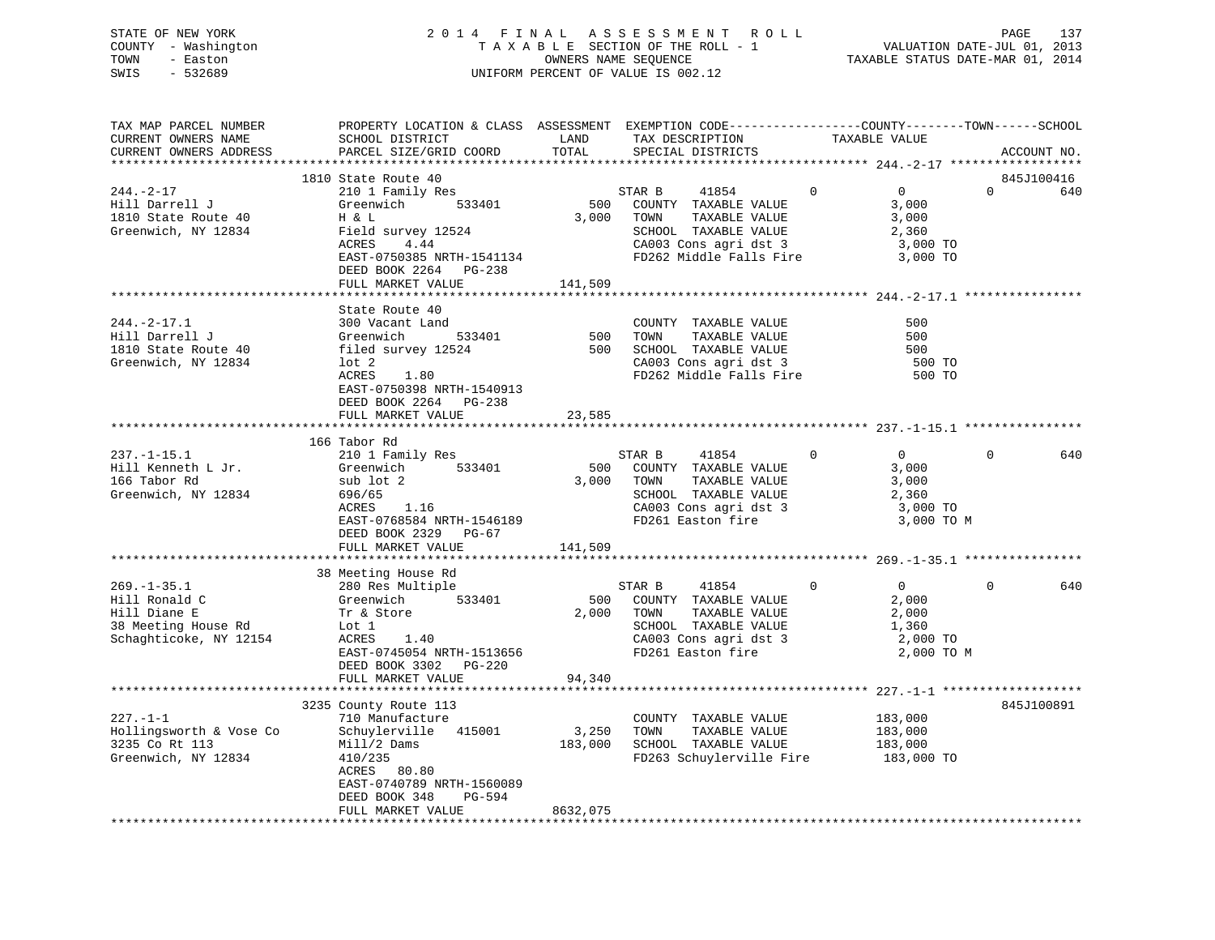STATE OF NEW YORK 2 0 1 4 F I N A L A S S E S S M E N T R O L L PAGE 137 COUNTY - Washington T A X A B L E SECTION OF THE ROLL - 1 VALUATION DATE-JUL 01, 2013 TOWN - Easton OWNERS NAME SEQUENCE TAXABLE STATUS DATE-MAR 01, 2014 SWIS - 532689 UNIFORM PERCENT OF VALUE IS 002.12

| TAX MAP PARCEL NUMBER                                                                                                                                                                                                                                      | PROPERTY LOCATION & CLASS ASSESSMENT EXEMPTION CODE---------------COUNTY-------TOWN------SCHOOL |          |  |                       |
|------------------------------------------------------------------------------------------------------------------------------------------------------------------------------------------------------------------------------------------------------------|-------------------------------------------------------------------------------------------------|----------|--|-----------------------|
|                                                                                                                                                                                                                                                            |                                                                                                 |          |  |                       |
| CURRENT OWNERS ADDRESS PARCEL SIZE/GRID COORD TOTAL SECCRIPTION TAX DESCRIPTION TAXABLE VALUE PARCEL SIZE/GRID COORD TOTAL SPECIAL DISTRICTS                                                                                                               |                                                                                                 |          |  | ACCOUNT NO.           |
|                                                                                                                                                                                                                                                            |                                                                                                 |          |  |                       |
|                                                                                                                                                                                                                                                            | 1810 State Route 40                                                                             |          |  | 845J100416            |
| 1810 State Route 40<br>Hill Darrell J<br>1810 State Route 40<br>1810 State Route 40<br>1810 State Route 40<br>1810 State Route 40<br>1820 STAR B<br>18254<br>1820 COUNTY TAXABLE VALUE<br>3,000<br>1820 TOWN TAXABLE VALUE<br>2,360<br>2,360<br>2,360<br>2 |                                                                                                 |          |  | $\overline{0}$<br>640 |
|                                                                                                                                                                                                                                                            |                                                                                                 |          |  |                       |
|                                                                                                                                                                                                                                                            |                                                                                                 |          |  |                       |
|                                                                                                                                                                                                                                                            |                                                                                                 |          |  |                       |
|                                                                                                                                                                                                                                                            |                                                                                                 |          |  |                       |
|                                                                                                                                                                                                                                                            |                                                                                                 |          |  |                       |
|                                                                                                                                                                                                                                                            |                                                                                                 |          |  |                       |
|                                                                                                                                                                                                                                                            | DEED BOOK 2264 PG-238<br>FULL MARKET VALUE 141,509                                              |          |  |                       |
|                                                                                                                                                                                                                                                            |                                                                                                 |          |  |                       |
|                                                                                                                                                                                                                                                            |                                                                                                 |          |  |                       |
|                                                                                                                                                                                                                                                            | State Route 40                                                                                  |          |  |                       |
|                                                                                                                                                                                                                                                            |                                                                                                 |          |  |                       |
|                                                                                                                                                                                                                                                            |                                                                                                 |          |  |                       |
|                                                                                                                                                                                                                                                            |                                                                                                 |          |  |                       |
|                                                                                                                                                                                                                                                            |                                                                                                 |          |  |                       |
| 244.-2-17.1<br>Hill Darrell J<br>Hill Darrell J<br>Sol Vacant Land<br>Sol Vacant Land<br>Sol Vacant Land<br>Sol TOWN TAXABLE VALUE<br>TOWN TAXABLE VALUE<br>TOWN TAXABLE VALUE<br>TOWN TAXABLE VALUE<br>TAXABLE VALUE<br>SOL TAXABLE VALUE<br>SOL TAXA     |                                                                                                 |          |  |                       |
|                                                                                                                                                                                                                                                            | EAST-0750398 NRTH-1540913                                                                       |          |  |                       |
|                                                                                                                                                                                                                                                            | DEED BOOK 2264 PG-238                                                                           |          |  |                       |
|                                                                                                                                                                                                                                                            | FULL MARKET VALUE 23,585                                                                        |          |  |                       |
|                                                                                                                                                                                                                                                            |                                                                                                 |          |  |                       |
|                                                                                                                                                                                                                                                            | 166 Tabor Rd                                                                                    |          |  |                       |
|                                                                                                                                                                                                                                                            |                                                                                                 |          |  | $\Omega$<br>640       |
|                                                                                                                                                                                                                                                            |                                                                                                 |          |  |                       |
|                                                                                                                                                                                                                                                            |                                                                                                 |          |  |                       |
|                                                                                                                                                                                                                                                            |                                                                                                 |          |  |                       |
|                                                                                                                                                                                                                                                            |                                                                                                 |          |  |                       |
|                                                                                                                                                                                                                                                            |                                                                                                 |          |  |                       |
| 237.-1-15.1<br>Hill Kenneth L Jr. (210 1 Family Res STAR B 41854 0 0<br>166 Tabor Rd sub lot 2 3,000 TOWN TAXABLE VALUE 3,000<br>3,000 TOWN TAXABLE VALUE 3,000<br>STAR B 41854 0 0<br>2,360<br>3,000 TOWN TAXABLE VALUE 3,000<br>SCHOOL TA                | DEED BOOK 2329 PG-67                                                                            |          |  |                       |
|                                                                                                                                                                                                                                                            | FULL MARKET VALUE 141,509                                                                       |          |  |                       |
|                                                                                                                                                                                                                                                            |                                                                                                 |          |  |                       |
|                                                                                                                                                                                                                                                            | 38 Meeting House Rd                                                                             |          |  |                       |
|                                                                                                                                                                                                                                                            |                                                                                                 |          |  | $\Omega$<br>640       |
|                                                                                                                                                                                                                                                            |                                                                                                 |          |  |                       |
|                                                                                                                                                                                                                                                            |                                                                                                 |          |  |                       |
|                                                                                                                                                                                                                                                            |                                                                                                 |          |  |                       |
|                                                                                                                                                                                                                                                            |                                                                                                 |          |  |                       |
| 38 Meeting House Rd<br>Hill Ronald C Greenwich 533401 500 COUNTY TAXABLE VALUE<br>Hill Diane E Tr & Store 2,000 TOWN TAXABLE VALUE<br>38 Meeting House Rd Lot 1<br>Schaghticoke, NY 12154 ACRES 1.40<br>EXET-0745054 NRTH-1513656 FD261                    |                                                                                                 |          |  |                       |
|                                                                                                                                                                                                                                                            |                                                                                                 |          |  |                       |
|                                                                                                                                                                                                                                                            | DEED BOOK 3302 PG-220                                                                           |          |  |                       |
|                                                                                                                                                                                                                                                            | FULL MARKET VALUE                                                                               | 94,340   |  |                       |
|                                                                                                                                                                                                                                                            |                                                                                                 |          |  |                       |
|                                                                                                                                                                                                                                                            | 3235 County Route 113                                                                           |          |  | 845J100891            |
|                                                                                                                                                                                                                                                            |                                                                                                 |          |  |                       |
|                                                                                                                                                                                                                                                            |                                                                                                 |          |  |                       |
|                                                                                                                                                                                                                                                            |                                                                                                 |          |  |                       |
|                                                                                                                                                                                                                                                            |                                                                                                 |          |  |                       |
| COUNTY TAXABLE VALUE<br>Hollingsworth & Vose Co Schuylerville 415001 3,250 TOWN TAXABLE VALUE 183,000<br>3235 Co Rt 113 Mill/2 Dams 183,000 SCHOOL TAXABLE VALUE 183,000<br>Greenwich, NY 12834 410/235<br>ACRES 80.80<br>FD263 Schuyler                   |                                                                                                 |          |  |                       |
|                                                                                                                                                                                                                                                            | EAST-0740789 NRTH-1560089                                                                       |          |  |                       |
|                                                                                                                                                                                                                                                            | DEED BOOK 348 PG-594                                                                            |          |  |                       |
|                                                                                                                                                                                                                                                            | FULL MARKET VALUE                                                                               | 8632,075 |  |                       |
|                                                                                                                                                                                                                                                            |                                                                                                 |          |  |                       |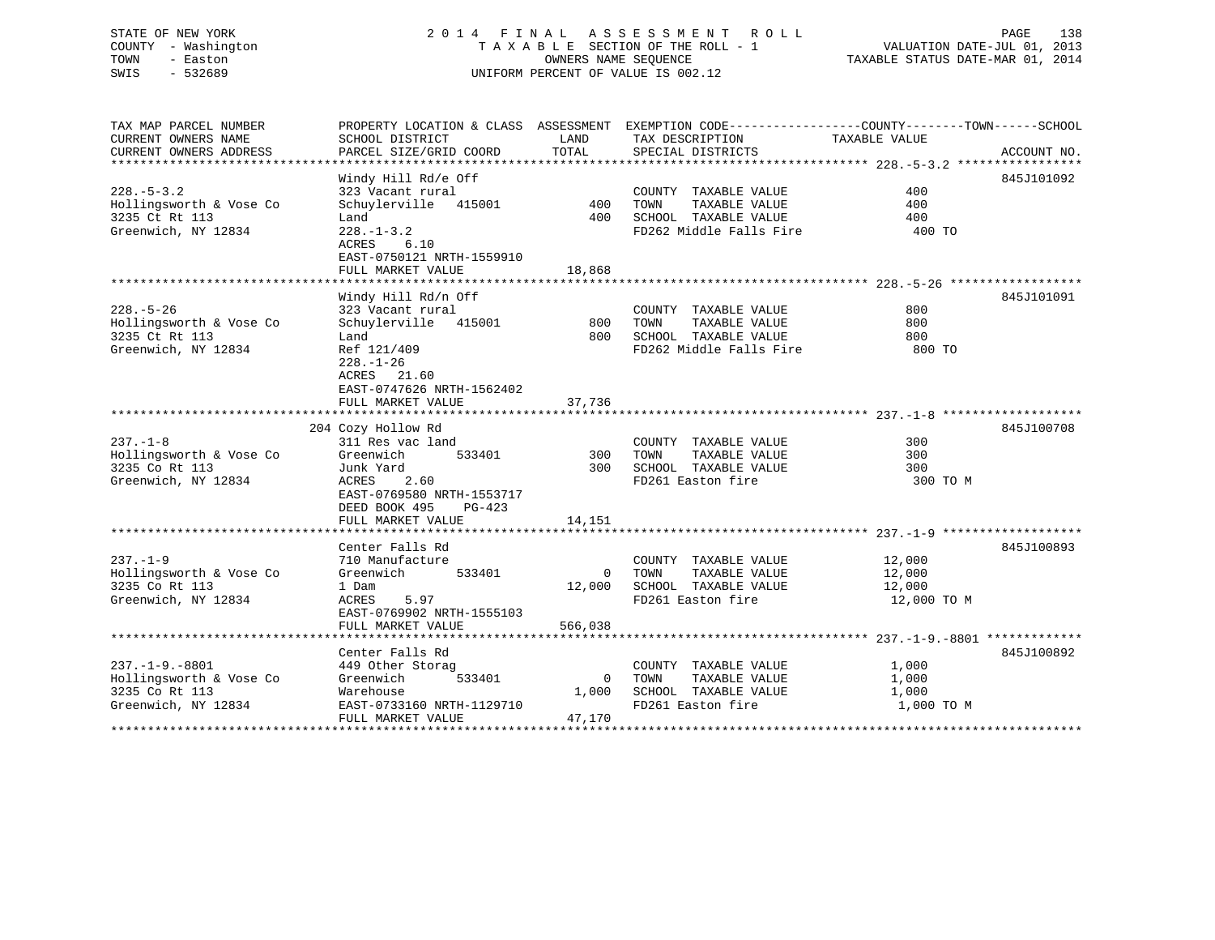# STATE OF NEW YORK 2 0 1 4 F I N A L A S S E S S M E N T R O L L PAGE 138 COUNTY - Washington T A X A B L E SECTION OF THE ROLL - 1 VALUATION DATE-JUL 01, 2013 TOWN - Easton **CONNERS NAME SEQUENCE** TAXABLE STATUS DATE-MAR 01, 2014 SWIS - 532689 UNIFORM PERCENT OF VALUE IS 002.12

| TAX MAP PARCEL NUMBER   |                           |                | PROPERTY LOCATION & CLASS ASSESSMENT EXEMPTION CODE----------------COUNTY-------TOWN------SCHOOL |               |             |
|-------------------------|---------------------------|----------------|--------------------------------------------------------------------------------------------------|---------------|-------------|
| CURRENT OWNERS NAME     | SCHOOL DISTRICT           | LAND           | TAX DESCRIPTION                                                                                  | TAXABLE VALUE |             |
| CURRENT OWNERS ADDRESS  | PARCEL SIZE/GRID COORD    | TOTAL          | SPECIAL DISTRICTS                                                                                |               | ACCOUNT NO. |
|                         |                           |                |                                                                                                  |               |             |
|                         | Windy Hill Rd/e Off       |                |                                                                                                  |               | 845J101092  |
| $228. - 5 - 3.2$        | 323 Vacant rural          |                | COUNTY TAXABLE VALUE                                                                             | 400           |             |
| Hollingsworth & Vose Co | Schuylerville 415001      | 400            | TOWN<br>TAXABLE VALUE                                                                            | 400           |             |
| 3235 Ct Rt 113          | Land                      |                | 400 SCHOOL TAXABLE VALUE                                                                         | 400           |             |
| Greenwich, NY 12834     | $228. - 1 - 3.2$          |                | FD262 Middle Falls Fire 400 TO                                                                   |               |             |
|                         | 6.10<br>ACRES             |                |                                                                                                  |               |             |
|                         | EAST-0750121 NRTH-1559910 |                |                                                                                                  |               |             |
|                         | FULL MARKET VALUE         | 18,868         |                                                                                                  |               |             |
|                         |                           |                |                                                                                                  |               |             |
|                         | Windy Hill Rd/n Off       |                |                                                                                                  |               | 845J101091  |
| $228. - 5 - 26$         | 323 Vacant rural          |                | COUNTY TAXABLE VALUE                                                                             | 800           |             |
| Hollingsworth & Vose Co | Schuylerville 415001      | 800 TOWN       | TAXABLE VALUE                                                                                    | 800           |             |
| 3235 Ct Rt 113          | Land                      |                | 800 SCHOOL TAXABLE VALUE                                                                         | 800           |             |
| Greenwich, NY 12834     | Ref 121/409               |                | FD262 Middle Falls Fire                                                                          | 800 TO        |             |
|                         | $228. - 1 - 26$           |                |                                                                                                  |               |             |
|                         | ACRES 21.60               |                |                                                                                                  |               |             |
|                         | EAST-0747626 NRTH-1562402 |                |                                                                                                  |               |             |
|                         | FULL MARKET VALUE         | 37,736         |                                                                                                  |               |             |
|                         |                           |                |                                                                                                  |               |             |
|                         | 204 Cozy Hollow Rd        |                |                                                                                                  |               | 845J100708  |
| $237. - 1 - 8$          | 311 Res vac land          |                | COUNTY TAXABLE VALUE                                                                             | 300           |             |
| Hollingsworth & Vose Co | Greenwich<br>533401       | 300            | TAXABLE VALUE<br>TOWN                                                                            | 300           |             |
| 3235 Co Rt 113          | Junk Yard                 | 300            | SCHOOL TAXABLE VALUE                                                                             | 300           |             |
| Greenwich, NY 12834     | ACRES<br>2.60             |                | FD261 Easton fire                                                                                | 300 TO M      |             |
|                         |                           |                |                                                                                                  |               |             |
|                         | EAST-0769580 NRTH-1553717 |                |                                                                                                  |               |             |
|                         | DEED BOOK 495<br>PG-423   |                |                                                                                                  |               |             |
|                         | FULL MARKET VALUE         | 14,151         |                                                                                                  |               |             |
|                         |                           |                |                                                                                                  |               |             |
|                         | Center Falls Rd           |                |                                                                                                  |               | 845J100893  |
| $237. - 1 - 9$          | 710 Manufacture           |                | COUNTY TAXABLE VALUE                                                                             | 12,000        |             |
| Hollingsworth & Vose Co | Greenwich<br>533401       | $\Omega$       | TOWN<br>TAXABLE VALUE                                                                            | 12,000        |             |
| 3235 Co Rt 113          | 1 Dam                     | 12,000         | SCHOOL TAXABLE VALUE                                                                             | 12,000        |             |
| Greenwich, NY 12834     | <b>ACRES</b><br>5.97      |                | FD261 Easton fire                                                                                | 12,000 TO M   |             |
|                         | EAST-0769902 NRTH-1555103 |                |                                                                                                  |               |             |
|                         | FULL MARKET VALUE         | 566,038        |                                                                                                  |               |             |
|                         |                           |                |                                                                                                  |               |             |
|                         | Center Falls Rd           |                |                                                                                                  |               | 845J100892  |
| $237. -1 - 9. -8801$    | 449 Other Storag          |                | COUNTY TAXABLE VALUE                                                                             | 1,000         |             |
| Hollingsworth & Vose Co | 533401<br>Greenwich       | $\overline{0}$ | TOWN<br>TAXABLE VALUE                                                                            | 1,000         |             |
| 3235 Co Rt 113          | Warehouse                 | 1,000          | SCHOOL TAXABLE VALUE                                                                             | 1,000         |             |
| Greenwich, NY 12834     | EAST-0733160 NRTH-1129710 |                | FD261 Easton fire                                                                                | 1,000 TO M    |             |
|                         | FULL MARKET VALUE         | 47,170         |                                                                                                  |               |             |
|                         |                           |                |                                                                                                  |               |             |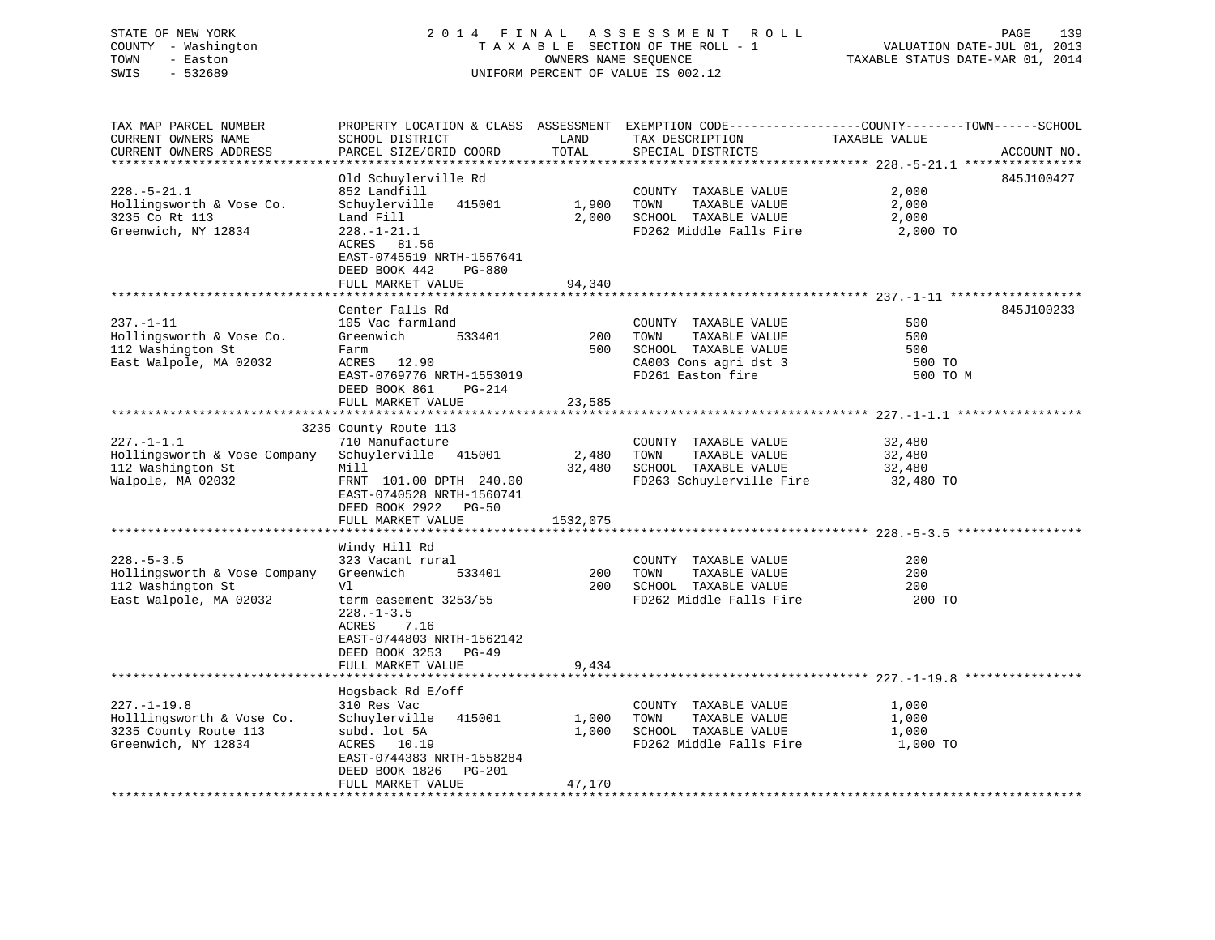# STATE OF NEW YORK 2 0 1 4 F I N A L A S S E S S M E N T R O L L PAGE 139 COUNTY - Washington T A X A B L E SECTION OF THE ROLL - 1 VALUATION DATE-JUL 01, 2013 TOWN - Easton OWNERS NAME SEQUENCE TAXABLE STATUS DATE-MAR 01, 2014 SWIS - 532689 UNIFORM PERCENT OF VALUE IS 002.12

| TAX MAP PARCEL NUMBER<br>CURRENT OWNERS NAME<br>CURRENT OWNERS ADDRESS                                              | PROPERTY LOCATION & CLASS ASSESSMENT EXEMPTION CODE----------------COUNTY-------TOWN-----SCHOOL<br>SCHOOL DISTRICT<br>PARCEL SIZE/GRID COORD                                                  | LAND<br>TOTAL            | TAX DESCRIPTION<br>SPECIAL DISTRICTS                                                                                | TAXABLE VALUE                           | ACCOUNT NO. |
|---------------------------------------------------------------------------------------------------------------------|-----------------------------------------------------------------------------------------------------------------------------------------------------------------------------------------------|--------------------------|---------------------------------------------------------------------------------------------------------------------|-----------------------------------------|-------------|
| *************************<br>$228. - 5 - 21.1$<br>Hollingsworth & Vose Co.<br>3235 Co Rt 113<br>Greenwich, NY 12834 | Old Schuylerville Rd<br>852 Landfill<br>Schuylerville<br>415001<br>Land Fill<br>$228. - 1 - 21.1$<br>ACRES 81.56<br>EAST-0745519 NRTH-1557641<br>DEED BOOK 442<br>PG-880<br>FULL MARKET VALUE | 1,900<br>2,000<br>94,340 | COUNTY TAXABLE VALUE<br>TOWN<br>TAXABLE VALUE<br>SCHOOL TAXABLE VALUE<br>FD262 Middle Falls Fire                    | 2,000<br>2,000<br>2,000<br>2,000 TO     | 845J100427  |
| $237. - 1 - 11$<br>Hollingsworth & Vose Co.<br>112 Washington St<br>East Walpole, MA 02032                          | Center Falls Rd<br>105 Vac farmland<br>Greenwich<br>533401<br>Farm<br>ACRES 12.90<br>EAST-0769776 NRTH-1553019<br>DEED BOOK 861<br>PG-214<br>FULL MARKET VALUE                                | 200<br>500<br>23,585     | COUNTY TAXABLE VALUE<br>TAXABLE VALUE<br>TOWN<br>SCHOOL TAXABLE VALUE<br>CA003 Cons agri dst 3<br>FD261 Easton fire | 500<br>500<br>500<br>500 TO<br>500 TO M | 845J100233  |
| $227. -1 - 1.1$<br>Hollingsworth & Vose Company<br>112 Washington St                                                | 3235 County Route 113<br>710 Manufacture<br>Schuylerville 415001<br>Mill                                                                                                                      | 2,480<br>32,480          | COUNTY TAXABLE VALUE<br>TOWN<br>TAXABLE VALUE<br>SCHOOL TAXABLE VALUE                                               | 32,480<br>32,480<br>32,480              |             |
| Walpole, MA 02032                                                                                                   | FRNT 101.00 DPTH 240.00<br>EAST-0740528 NRTH-1560741<br>DEED BOOK 2922<br>$PG-50$<br>FULL MARKET VALUE                                                                                        | 1532,075                 | FD263 Schuylerville Fire                                                                                            | 32,480 TO                               |             |
|                                                                                                                     |                                                                                                                                                                                               |                          |                                                                                                                     |                                         |             |
| $228. - 5 - 3.5$<br>Hollingsworth & Vose Company<br>112 Washington St<br>East Walpole, MA 02032                     | Windy Hill Rd<br>323 Vacant rural<br>Greenwich<br>533401<br>Vl<br>term easement 3253/55<br>$228. - 1 - 3.5$<br>7.16<br>ACRES<br>EAST-0744803 NRTH-1562142<br>DEED BOOK 3253<br>$PG-49$        | 200<br>200               | COUNTY TAXABLE VALUE<br>TOWN<br>TAXABLE VALUE<br>SCHOOL TAXABLE VALUE<br>FD262 Middle Falls Fire                    | 200<br>200<br>200<br>200 TO             |             |
|                                                                                                                     | FULL MARKET VALUE<br>*****************************                                                                                                                                            | 9,434                    |                                                                                                                     |                                         |             |
|                                                                                                                     | Hogsback Rd E/off                                                                                                                                                                             |                          |                                                                                                                     |                                         |             |
| $227. - 1 - 19.8$<br>Holllingsworth & Vose Co.<br>3235 County Route 113<br>Greenwich, NY 12834                      | 310 Res Vac<br>415001<br>Schuylerville<br>subd. lot 5A<br>ACRES 10.19<br>EAST-0744383 NRTH-1558284<br>DEED BOOK 1826<br>PG-201                                                                | 1,000<br>1,000           | COUNTY TAXABLE VALUE<br>TAXABLE VALUE<br>TOWN<br>SCHOOL TAXABLE VALUE<br>FD262 Middle Falls Fire                    | 1,000<br>1,000<br>1,000<br>1,000 TO     |             |
|                                                                                                                     | FULL MARKET VALUE<br>***********************                                                                                                                                                  | 47,170                   |                                                                                                                     |                                         |             |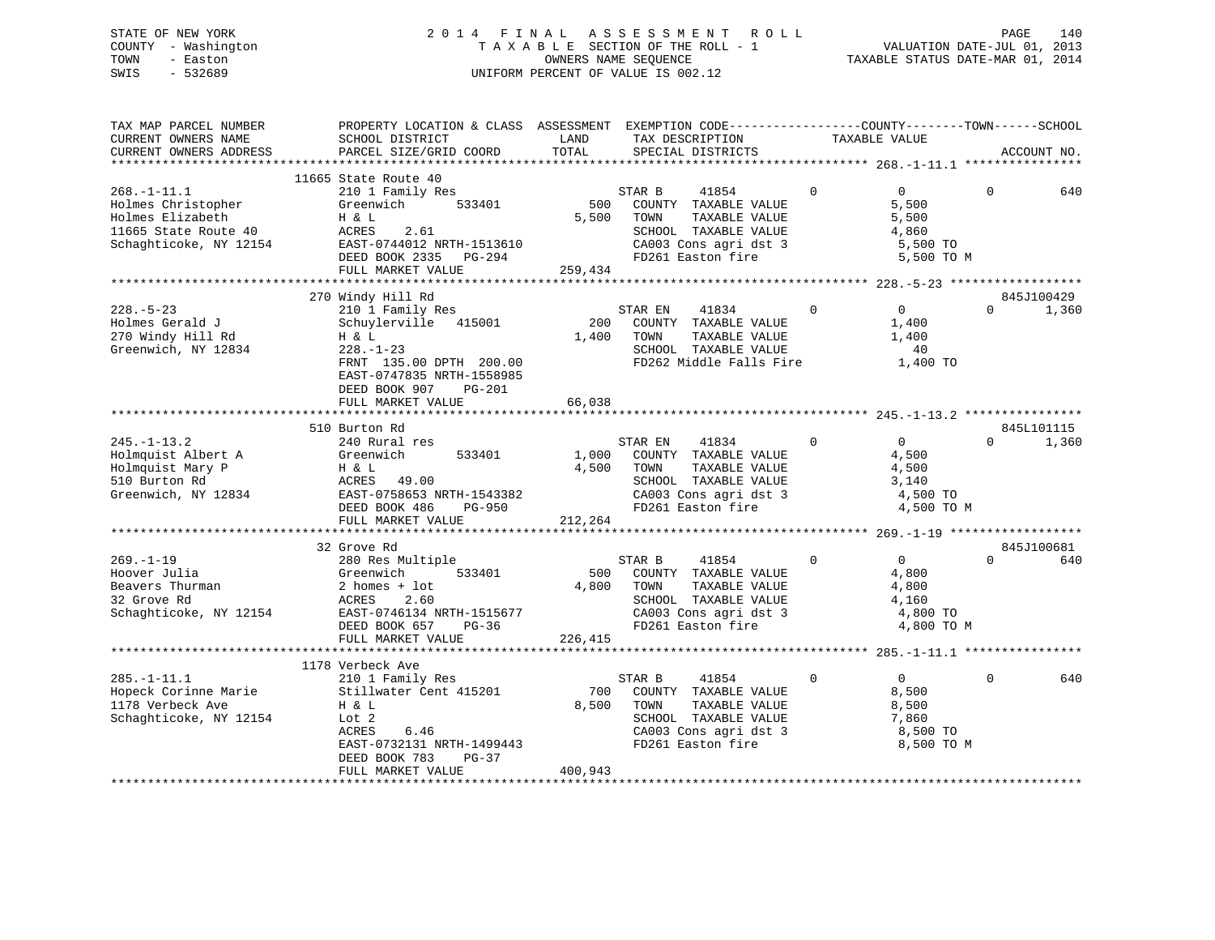# STATE OF NEW YORK 2 0 1 4 F I N A L A S S E S S M E N T R O L L PAGE 140 COUNTY - Washington T A X A B L E SECTION OF THE ROLL - 1 VALUATION DATE-JUL 01, 2013 TOWN - Easton OWNERS NAME SEQUENCE TAXABLE STATUS DATE-MAR 01, 2014 SWIS - 532689 UNIFORM PERCENT OF VALUE IS 002.12

| TAX MAP PARCEL NUMBER<br>CURRENT OWNERS NAME<br>CURRENT OWNERS ADDRESS                                        | PROPERTY LOCATION & CLASS ASSESSMENT EXEMPTION CODE----------------COUNTY-------TOWN------SCHOOL<br>SCHOOL DISTRICT<br>PARCEL SIZE/GRID COORD                                       | LAND<br>TOTAL           | TAX DESCRIPTION<br>SPECIAL DISTRICTS                                                                                                                      | TAXABLE VALUE |                                                                     |          | ACCOUNT NO.         |
|---------------------------------------------------------------------------------------------------------------|-------------------------------------------------------------------------------------------------------------------------------------------------------------------------------------|-------------------------|-----------------------------------------------------------------------------------------------------------------------------------------------------------|---------------|---------------------------------------------------------------------|----------|---------------------|
|                                                                                                               | 11665 State Route 40                                                                                                                                                                |                         |                                                                                                                                                           |               |                                                                     |          |                     |
| $268. - 1 - 11.1$<br>Holmes Christopher<br>Holmes Elizabeth<br>11665 State Route 40<br>Schaghticoke, NY 12154 | 210 1 Family Res<br>533401<br>Greenwich<br>H & L<br>ACRES 2.61<br>EAST-0744012 NRTH-1513610<br>DEED BOOK 2335 PG-294<br>FULL MARKET VALUE                                           | 259,434                 | STAR B<br>41854<br>500 COUNTY TAXABLE VALUE<br>5,500 TOWN<br>TAXABLE VALUE<br>SCHOOL TAXABLE VALUE<br>CA003 Cons agri dst 3<br>FD261 Easton fire          | $\mathbf 0$   | $\overline{0}$<br>5,500<br>5,500<br>4,860<br>5,500 TO<br>5,500 TO M | $\Omega$ | 640                 |
|                                                                                                               |                                                                                                                                                                                     |                         |                                                                                                                                                           |               |                                                                     |          |                     |
| $228. - 5 - 23$<br>Holmes Gerald J<br>270 Windy Hill Rd<br>Greenwich, NY 12834                                | 270 Windy Hill Rd<br>210 1 Family Res<br>Schuylerville 415001<br>H & L<br>$228. - 1 - 23$<br>FRNT 135.00 DPTH 200.00<br>EAST-0747835 NRTH-1558985<br>DEED BOOK 907<br><b>PG-201</b> | 200<br>1,400            | STAR EN<br>41834<br>COUNTY TAXABLE VALUE<br>TOWN<br>TAXABLE VALUE<br>SCHOOL TAXABLE VALUE<br>FD262 Middle Falls Fire                                      | $\Omega$      | $\Omega$<br>1,400<br>1,400<br>40<br>1,400 TO                        | $\Omega$ | 845J100429<br>1,360 |
|                                                                                                               | FULL MARKET VALUE                                                                                                                                                                   | 66,038                  |                                                                                                                                                           |               |                                                                     |          |                     |
|                                                                                                               | 510 Burton Rd                                                                                                                                                                       |                         |                                                                                                                                                           |               |                                                                     |          | 845L101115          |
| $245. - 1 - 13.2$<br>Holmquist Albert A<br>Holmquist Mary P<br>510 Burton Rd                                  | 240 Rural res<br>533401<br>Greenwich<br>Η & L<br>ACRES 49.00<br>Greenwich, NY 12834 EAST-0758653 NRTH-1543382<br>DEED BOOK 486 PG-950<br>FULL MARKET VALUE                          | 212,264                 | STAR EN 41834<br>1,000 COUNTY TAXABLE VALUE<br>4,500 TOWN<br>TAXABLE VALUE<br>SCHOOL TAXABLE VALUE<br>CA003 Cons agri dst 3 4,500 TO<br>FD261 Easton fire | $\Omega$      | $\overline{0}$<br>4,500<br>4,500<br>3,140<br>4,500 TO M             | $\Omega$ | 1,360               |
|                                                                                                               |                                                                                                                                                                                     |                         |                                                                                                                                                           |               |                                                                     |          |                     |
| $269. - 1 - 19$<br>Hoover Julia<br>Beavers Thurman<br>32 Grove Rd<br>Schaghticoke, NY 12154                   | 32 Grove Rd<br>280 Res Multiple<br>Greenwich<br>2 homes +<br>533401<br>2 homes + lot<br>ACRES<br>2.60<br>EAST-0746134 NRTH-1515677<br>$PG-36$<br>DEED BOOK 657<br>FULL MARKET VALUE | 500<br>4,800<br>226,415 | STAR B<br>41854<br>COUNTY TAXABLE VALUE<br>TOWN<br>TAXABLE VALUE<br>SCHOOL TAXABLE VALUE<br>CA003 Cons agri dst 3<br>FD261 Easton fire                    | $\mathbf 0$   | $\overline{0}$<br>4,800<br>4,800<br>4,160<br>4,800 TO<br>4,800 TO M | $\Omega$ | 845J100681<br>640   |
|                                                                                                               | 1178 Verbeck Ave                                                                                                                                                                    |                         |                                                                                                                                                           |               |                                                                     |          |                     |
| $285. - 1 - 11.1$<br>1178 Verbeck Ave<br>Schaghticoke, NY 12154                                               | 210 1 Family Res<br>Hopeck Corinne Marie 50 Stillwater Cent 415201<br>H & L<br>Lot 2<br>ACRES<br>6.46<br>EAST-0732131 NRTH-1499443<br>DEED BOOK 783<br>PG-37                        | 8,500                   | STAR B<br>41854<br>700 COUNTY TAXABLE VALUE<br>TOWN<br>TAXABLE VALUE<br>SCHOOL TAXABLE VALUE<br>CA003 Cons agri dst 3<br>FD261 Easton fire                | $\Omega$      | $\Omega$<br>8,500<br>8,500<br>7,860<br>8,500 TO<br>8,500 TO M       | $\Omega$ | 640                 |
|                                                                                                               | FULL MARKET VALUE                                                                                                                                                                   | 400,943                 |                                                                                                                                                           |               |                                                                     |          |                     |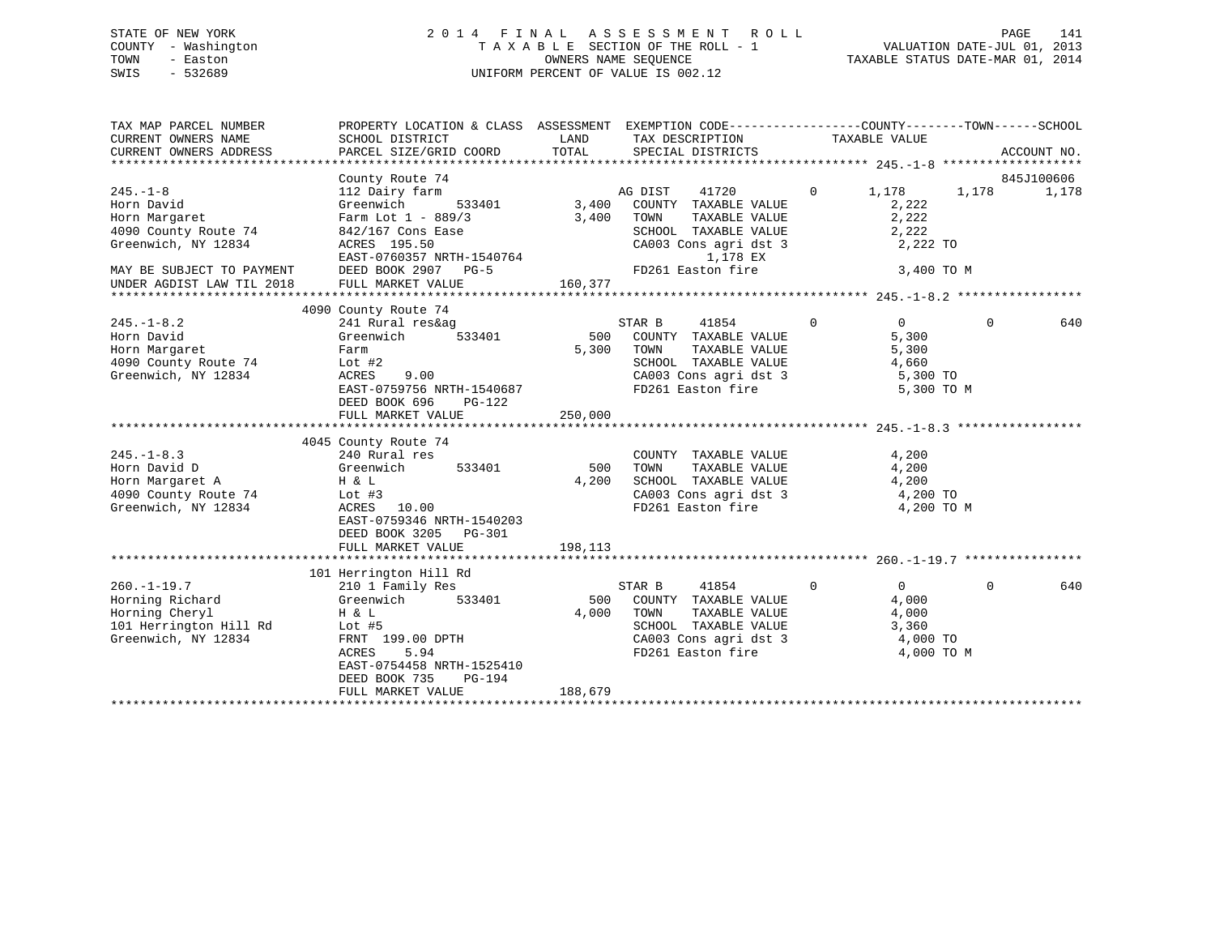# STATE OF NEW YORK 2 0 1 4 F I N A L A S S E S S M E N T R O L L PAGE 141 COUNTY - Washington T A X A B L E SECTION OF THE ROLL - 1 VALUATION DATE-JUL 01, 2013 TOWN - Easton OWNERS NAME SEQUENCE TAXABLE STATUS DATE-MAR 01, 2014 SWIS - 532689 UNIFORM PERCENT OF VALUE IS 002.12

| PROPERTY LOCATION & CLASS ASSESSMENT EXEMPTION CODE----------------COUNTY-------TOWN-----SCHOOL<br>CURRENT OWNERS NAME<br>SCHOOL DISTRICT<br>LAND<br>TAX DESCRIPTION TAXABLE VALUE<br>TOTAL<br>PARCEL SIZE/GRID COORD<br>SPECIAL DISTRICTS<br>ACCOUNT NO.<br>CURRENT OWNERS ADDRESS                                                                                                                                                                                                                                                                      |       |
|----------------------------------------------------------------------------------------------------------------------------------------------------------------------------------------------------------------------------------------------------------------------------------------------------------------------------------------------------------------------------------------------------------------------------------------------------------------------------------------------------------------------------------------------------------|-------|
|                                                                                                                                                                                                                                                                                                                                                                                                                                                                                                                                                          |       |
| County Route 74<br>845J100606<br>$245. - 1 - 8$<br>112 Dairy farm<br>41720<br>$\Omega$<br>1,178<br>AG DIST<br>1,178<br>3,400<br>COUNTY TAXABLE VALUE<br>Horn David<br>Greenwich<br>533401<br>2,222<br>2,222<br>3,400<br>Horn Margaret<br>Farm Lot $1 - 889/3$<br>TOWN<br>TAXABLE VALUE                                                                                                                                                                                                                                                                   | 1,178 |
| 2,222<br>4090 County Route 74<br>842/167 Cons Ease<br>SCHOOL TAXABLE VALUE<br>Greenwich, NY 12834<br>CA003 Cons agri dst 3<br>ACRES 195.50<br>2,222 TO<br>EAST-0760357 NRTH-1540764<br>1,178 EX                                                                                                                                                                                                                                                                                                                                                          |       |
| FD261 Easton fire<br>DEED BOOK 2907 PG-5<br>3,400 TO M<br>MAY BE SUBJECT TO PAYMENT<br>160,377<br>FULL MARKET VALUE<br>UNDER AGDIST LAW TIL 2018                                                                                                                                                                                                                                                                                                                                                                                                         |       |
| 4090 County Route 74                                                                                                                                                                                                                                                                                                                                                                                                                                                                                                                                     |       |
| $245. -1 - 8.2$<br>41854<br>$\mathbf 0$<br>$\overline{0}$<br>$\Omega$<br>241 Rural res&ag<br>STAR B<br>Horn David<br>Greenwich<br>533401<br>500<br>COUNTY TAXABLE VALUE<br>5,300<br>Horn Margaret<br>5,300<br>TOWN<br>TAXABLE VALUE<br>5,300<br>Farm<br>4090 County Route 74<br>SCHOOL TAXABLE VALUE<br>4,660<br>Lot $#2$<br>Greenwich, NY 12834<br>ACRES<br>9.00<br>CA003 Cons agri dst 3<br>5,300 TO<br>EAST-0759756 NRTH-1540687<br>FD261 Easton fire<br>5,300 TO M<br>DEED BOOK 696<br>PG-122                                                        | 640   |
| 250,000<br>FULL MARKET VALUE                                                                                                                                                                                                                                                                                                                                                                                                                                                                                                                             |       |
|                                                                                                                                                                                                                                                                                                                                                                                                                                                                                                                                                          |       |
| 4045 County Route 74                                                                                                                                                                                                                                                                                                                                                                                                                                                                                                                                     |       |
| $245. -1 - 8.3$<br>240 Rural res<br>4,200<br>COUNTY TAXABLE VALUE                                                                                                                                                                                                                                                                                                                                                                                                                                                                                        |       |
| Horn David D<br>533401<br>500<br>TAXABLE VALUE<br>4,200<br>Greenwich<br>TOWN                                                                                                                                                                                                                                                                                                                                                                                                                                                                             |       |
| Horn Margaret A<br>4,200<br>SCHOOL TAXABLE VALUE<br>4,200<br>H & L                                                                                                                                                                                                                                                                                                                                                                                                                                                                                       |       |
| CA003 Cons agri dst 3<br>4090 County Route 74<br>4,200 TO<br>Lot #3<br>Greenwich, NY 12834<br>ACRES<br>10.00<br>FD261 Easton fire<br>4,200 TO M<br>EAST-0759346 NRTH-1540203<br>DEED BOOK 3205 PG-301<br>198,113<br>FULL MARKET VALUE                                                                                                                                                                                                                                                                                                                    |       |
|                                                                                                                                                                                                                                                                                                                                                                                                                                                                                                                                                          |       |
| 101 Herrington Hill Rd<br>$260. -1 - 19.7$<br>41854<br>$\Omega$<br>$\overline{0}$<br>$\Omega$<br>210 1 Family Res<br>STAR B<br>Horning Richard<br>COUNTY TAXABLE VALUE<br>Greenwich<br>533401<br>500<br>4,000<br>Horning Cheryl<br>$H$ & $L$<br>4,000<br>TOWN<br>TAXABLE VALUE<br>4,000<br>101 Herrington Hill Rd<br>SCHOOL TAXABLE VALUE<br>3,360<br>Lot #5<br>Greenwich, NY 12834<br>FRNT 199.00 DPTH<br>CA003 Cons agri dst 3<br>4,000 TO<br>5.94<br>FD261 Easton fire<br>ACRES<br>4,000 TO M<br>EAST-0754458 NRTH-1525410<br>DEED BOOK 735<br>PG-194 | 640   |
| FULL MARKET VALUE<br>188,679                                                                                                                                                                                                                                                                                                                                                                                                                                                                                                                             |       |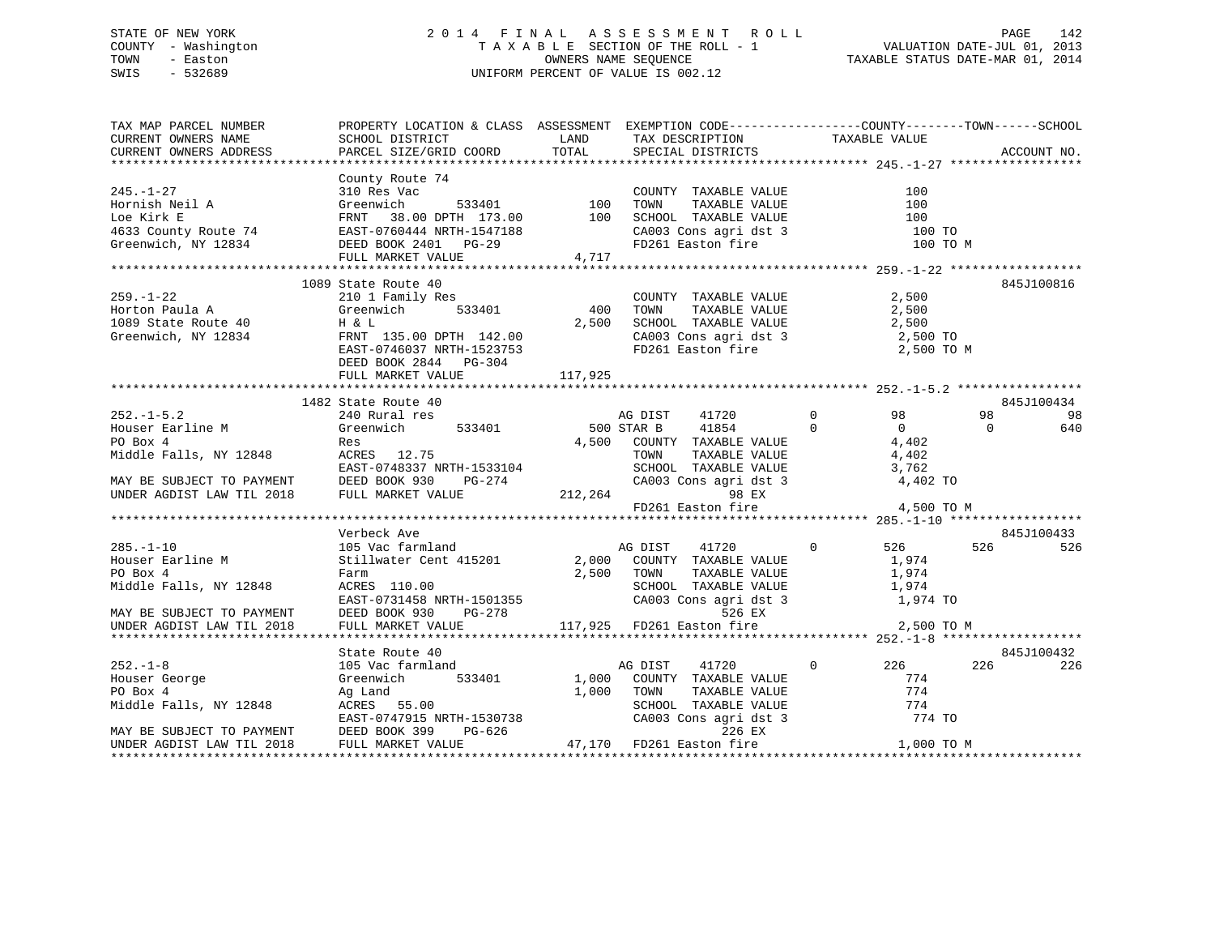# STATE OF NEW YORK 2 0 1 4 F I N A L A S S E S S M E N T R O L L PAGE 142 COUNTY - Washington T A X A B L E SECTION OF THE ROLL - 1 VALUATION DATE-JUL 01, 2013 TOWN - Easton OWNERS NAME SEQUENCE TAXABLE STATUS DATE-MAR 01, 2014 SWIS - 532689 UNIFORM PERCENT OF VALUE IS 002.12

| TAX MAP PARCEL NUMBER                                                                                                                                                                                                                                                                                                                                                          | PROPERTY LOCATION & CLASS ASSESSMENT EXEMPTION CODE----------------COUNTY-------TOWN------SCHOOL |         |                                  |          |             |
|--------------------------------------------------------------------------------------------------------------------------------------------------------------------------------------------------------------------------------------------------------------------------------------------------------------------------------------------------------------------------------|--------------------------------------------------------------------------------------------------|---------|----------------------------------|----------|-------------|
| CURRENT OWNERS NAME SOME SCHOOL DISTRICT THAND TAX DESCRIPTION TAXABLE VALUE<br>CURRENT OWNERS ADDRESS PARCEL SIZE/GRID COORD TOTAL SPECIAL DISTRICTS                                                                                                                                                                                                                          |                                                                                                  |         |                                  |          | ACCOUNT NO. |
|                                                                                                                                                                                                                                                                                                                                                                                |                                                                                                  |         |                                  |          |             |
|                                                                                                                                                                                                                                                                                                                                                                                |                                                                                                  |         |                                  |          |             |
|                                                                                                                                                                                                                                                                                                                                                                                |                                                                                                  |         |                                  |          |             |
|                                                                                                                                                                                                                                                                                                                                                                                |                                                                                                  |         |                                  |          |             |
|                                                                                                                                                                                                                                                                                                                                                                                |                                                                                                  |         |                                  |          |             |
|                                                                                                                                                                                                                                                                                                                                                                                |                                                                                                  |         | $CA003$ Cons agri dst 3 $100$ TO |          |             |
|                                                                                                                                                                                                                                                                                                                                                                                |                                                                                                  |         |                                  | 100 TO M |             |
|                                                                                                                                                                                                                                                                                                                                                                                | FULL MARKET VALUE 4,717                                                                          |         |                                  |          |             |
|                                                                                                                                                                                                                                                                                                                                                                                |                                                                                                  |         |                                  |          |             |
| 1089 State Route 40<br>259.-1-22<br>2.500<br>2.500<br>2.500<br>2.500<br>1089 State Route 40<br>2.500<br>33401<br>2.500<br>2.500<br>2.500<br>2.500<br>2.500<br>2.500<br>2.500<br>2.500<br>2.500<br>2.500<br>2.500<br>2.500<br>2.500<br>2.500<br>2.500<br>2.500<br>2.500<br>2.500<br>2                                                                                           |                                                                                                  |         |                                  |          | 845J100816  |
|                                                                                                                                                                                                                                                                                                                                                                                |                                                                                                  |         |                                  |          |             |
|                                                                                                                                                                                                                                                                                                                                                                                |                                                                                                  |         |                                  |          |             |
|                                                                                                                                                                                                                                                                                                                                                                                |                                                                                                  |         |                                  |          |             |
|                                                                                                                                                                                                                                                                                                                                                                                |                                                                                                  |         |                                  |          |             |
|                                                                                                                                                                                                                                                                                                                                                                                |                                                                                                  |         |                                  |          |             |
|                                                                                                                                                                                                                                                                                                                                                                                |                                                                                                  |         |                                  |          |             |
|                                                                                                                                                                                                                                                                                                                                                                                | FULL MARKET VALUE                                                                                | 117,925 |                                  |          |             |
|                                                                                                                                                                                                                                                                                                                                                                                |                                                                                                  |         |                                  |          |             |
| $\begin{tabular}{lllllllllllllllllllll} \text{\texttt{M482} & \texttt{M482} & \texttt{M482} & \texttt{M482} & \texttt{M482} & \texttt{M482} & \texttt{M482} & \texttt{M482} & \texttt{M482} & \texttt{M482} & \texttt{M482} & \texttt{M482} & \texttt{M482} & \texttt{M482} & \texttt{M482} & \texttt{M482} & \texttt{M482} & \texttt{M482} & \texttt{M482} & \texttt{M482} &$ |                                                                                                  |         |                                  |          | 845J100434  |
|                                                                                                                                                                                                                                                                                                                                                                                |                                                                                                  |         |                                  |          | 98 98       |
|                                                                                                                                                                                                                                                                                                                                                                                |                                                                                                  |         |                                  |          | 640         |
|                                                                                                                                                                                                                                                                                                                                                                                |                                                                                                  |         |                                  |          |             |
|                                                                                                                                                                                                                                                                                                                                                                                |                                                                                                  |         |                                  |          |             |
|                                                                                                                                                                                                                                                                                                                                                                                |                                                                                                  |         |                                  |          |             |
|                                                                                                                                                                                                                                                                                                                                                                                |                                                                                                  |         |                                  |          |             |
|                                                                                                                                                                                                                                                                                                                                                                                |                                                                                                  |         |                                  |          |             |
|                                                                                                                                                                                                                                                                                                                                                                                |                                                                                                  |         |                                  |          |             |
|                                                                                                                                                                                                                                                                                                                                                                                |                                                                                                  |         |                                  |          |             |
|                                                                                                                                                                                                                                                                                                                                                                                | Verbeck Ave                                                                                      |         |                                  |          | 845J100433  |
|                                                                                                                                                                                                                                                                                                                                                                                |                                                                                                  |         |                                  |          | 526         |
|                                                                                                                                                                                                                                                                                                                                                                                |                                                                                                  |         |                                  |          |             |
|                                                                                                                                                                                                                                                                                                                                                                                |                                                                                                  |         |                                  |          |             |
|                                                                                                                                                                                                                                                                                                                                                                                |                                                                                                  |         |                                  |          |             |
|                                                                                                                                                                                                                                                                                                                                                                                |                                                                                                  |         |                                  |          |             |
|                                                                                                                                                                                                                                                                                                                                                                                |                                                                                                  |         |                                  |          |             |
|                                                                                                                                                                                                                                                                                                                                                                                |                                                                                                  |         |                                  |          |             |
| Houser Earline M<br>PO Box 4<br>Middle Falls, NY 12848<br>MAY BE SUBJECT TO PAYMENT<br>MAY BE SUBJECT TO PAYMENT<br>DEED BOOK 930 PG-278<br>UNDER AGDIST LAW TIL 2018 FULL MARKET VALUE<br>TULL MARKET VALUE<br>THE MAY BE SUBJECT TO PAYMENT                                                                                                                                  |                                                                                                  |         |                                  |          |             |
|                                                                                                                                                                                                                                                                                                                                                                                | State Route 40                                                                                   |         |                                  |          | 845J100432  |
|                                                                                                                                                                                                                                                                                                                                                                                |                                                                                                  |         |                                  |          |             |
|                                                                                                                                                                                                                                                                                                                                                                                |                                                                                                  |         |                                  |          |             |
|                                                                                                                                                                                                                                                                                                                                                                                |                                                                                                  |         |                                  |          |             |
|                                                                                                                                                                                                                                                                                                                                                                                |                                                                                                  |         |                                  |          |             |
|                                                                                                                                                                                                                                                                                                                                                                                |                                                                                                  |         |                                  |          |             |
|                                                                                                                                                                                                                                                                                                                                                                                |                                                                                                  |         |                                  |          |             |
|                                                                                                                                                                                                                                                                                                                                                                                |                                                                                                  |         |                                  |          |             |
|                                                                                                                                                                                                                                                                                                                                                                                |                                                                                                  |         |                                  |          |             |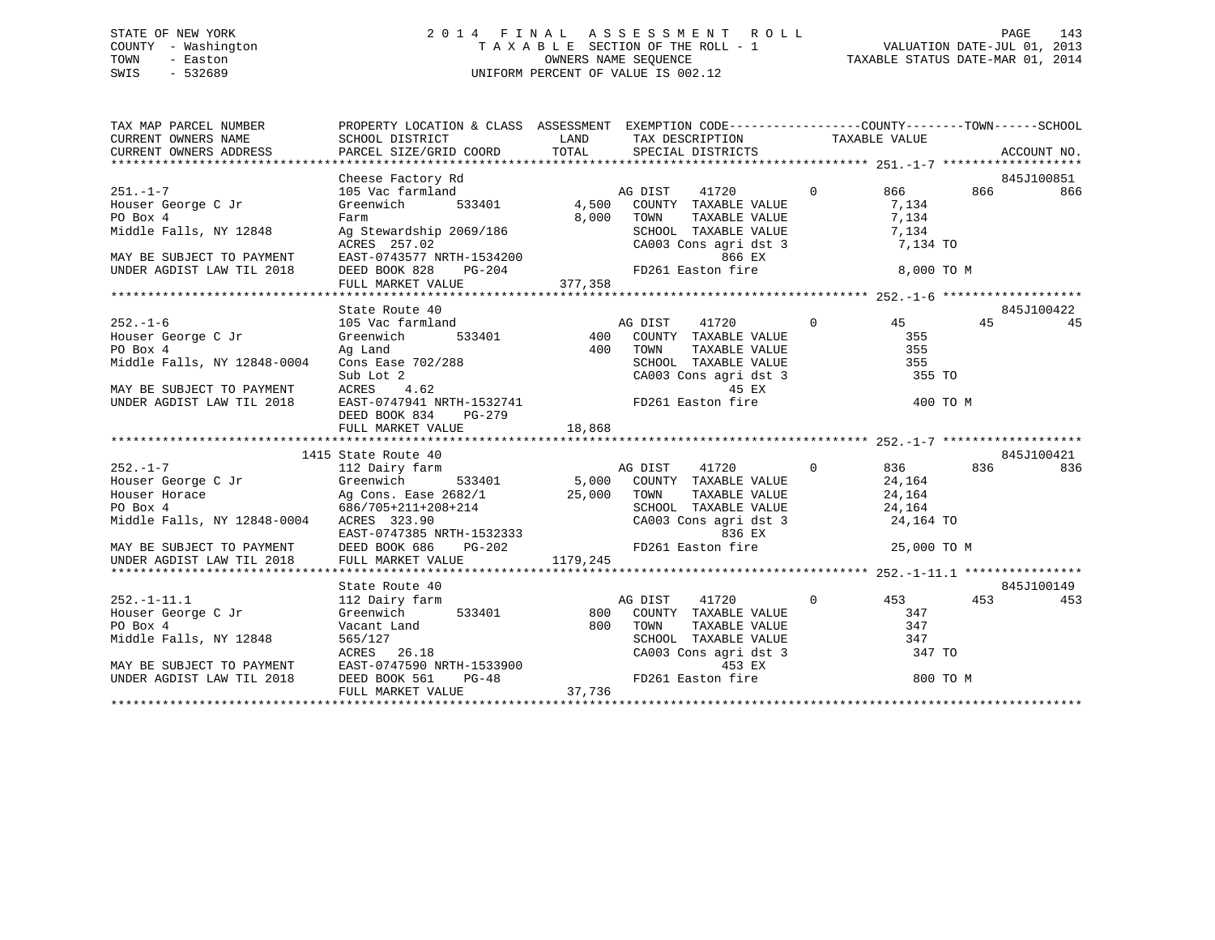# STATE OF NEW YORK 2 0 1 4 F I N A L A S S E S S M E N T R O L L PAGE 143 COUNTY - Washington T A X A B L E SECTION OF THE ROLL - 1 VALUATION DATE-JUL 01, 2013 TOWN - Easton OWNERS NAME SEQUENCE TAXABLE STATUS DATE-MAR 01, 2014 SWIS - 532689 UNIFORM PERCENT OF VALUE IS 002.12

| $\begin{tabular}{lllllllllll} \textsc{rank} & & & & & & & \textsc{propERTY LOCATION & & & & & \textsc{SSESSMENT} & & & \textsc{EXEMPTION CODE----------------COUNTY------TOWN------SCHOOL \\ \textsc{CURENT OWNERS NAME} & & & & & & & \textsc{SCHOOL DISTRICT} & & & & \textsc{LAND} & & \textsc{TAX} & \textsc{DESCRIPTION} & & & \textsc{TAXABLE VALUE} & & & \textsc{ACCOUNT NO} & & \textsc{CURRENT OWNNES ADDRESS} & & & & \textsc{PARCEL SIZE/GRID COORD} & & & \textsc{TOTAL} & & &$ | PROPERTY LOCATION & CLASS ASSESSMENT EXEMPTION CODE-----------------COUNTY-------TOWN------SCHOOL |                       |                           |                   |
|----------------------------------------------------------------------------------------------------------------------------------------------------------------------------------------------------------------------------------------------------------------------------------------------------------------------------------------------------------------------------------------------------------------------------------------------------------------------------------------------|---------------------------------------------------------------------------------------------------|-----------------------|---------------------------|-------------------|
| $251. - 1 - 7$                                                                                                                                                                                                                                                                                                                                                                                                                                                                               | Cheese Factory Rd<br>105 Vac farmland<br>2007 - An annual Cheap and Ag DIST                       |                       | $41720$ 0 866 866 9450100 | 845J100851<br>866 |
| Example 2 Jr (134 - 135 - 137 - 1384)<br>Houser George C Jr (134 - 137 - 137 - 1384)<br>Middle Falls, NY 12848 Ag Stewardship 2069/186 (186 - 137 - 1384)<br>Middle Falls, NY 12848 Ag Stewardship 2069/186 (187 - 1384)                                                                                                                                                                                                                                                                     |                                                                                                   |                       |                           |                   |
|                                                                                                                                                                                                                                                                                                                                                                                                                                                                                              |                                                                                                   |                       |                           |                   |
|                                                                                                                                                                                                                                                                                                                                                                                                                                                                                              |                                                                                                   |                       |                           |                   |
|                                                                                                                                                                                                                                                                                                                                                                                                                                                                                              |                                                                                                   |                       |                           |                   |
|                                                                                                                                                                                                                                                                                                                                                                                                                                                                                              |                                                                                                   |                       |                           |                   |
| FOR A FRING PAIRS of the Middle Falls, NY 12848 and Ag Stewardship 2069/186 and the SCHOOL TAXABLE VALUE 7,134<br>MAY BE SUBJECT TO PAYMENT EAST-0743577 NRTH-1534200<br>MAY BE SUBJECT TO PAYMENT EAST-0743577 NRTH-1534200<br>UNDE                                                                                                                                                                                                                                                         |                                                                                                   |                       |                           |                   |
|                                                                                                                                                                                                                                                                                                                                                                                                                                                                                              |                                                                                                   |                       |                           |                   |
|                                                                                                                                                                                                                                                                                                                                                                                                                                                                                              | State Route 40                                                                                    |                       |                           | 845J100422        |
|                                                                                                                                                                                                                                                                                                                                                                                                                                                                                              |                                                                                                   | AG DIST 41720 0 45 45 |                           | 45                |
|                                                                                                                                                                                                                                                                                                                                                                                                                                                                                              |                                                                                                   |                       |                           |                   |
|                                                                                                                                                                                                                                                                                                                                                                                                                                                                                              |                                                                                                   |                       |                           |                   |
|                                                                                                                                                                                                                                                                                                                                                                                                                                                                                              |                                                                                                   |                       |                           |                   |
|                                                                                                                                                                                                                                                                                                                                                                                                                                                                                              |                                                                                                   |                       |                           |                   |
|                                                                                                                                                                                                                                                                                                                                                                                                                                                                                              |                                                                                                   |                       |                           |                   |
|                                                                                                                                                                                                                                                                                                                                                                                                                                                                                              |                                                                                                   |                       |                           |                   |
|                                                                                                                                                                                                                                                                                                                                                                                                                                                                                              | DEED BOOK 834 PG-279                                                                              |                       |                           |                   |
|                                                                                                                                                                                                                                                                                                                                                                                                                                                                                              |                                                                                                   |                       |                           |                   |
|                                                                                                                                                                                                                                                                                                                                                                                                                                                                                              | 1415 State Route 40                                                                               |                       |                           | 845J100421        |
|                                                                                                                                                                                                                                                                                                                                                                                                                                                                                              |                                                                                                   |                       |                           |                   |
|                                                                                                                                                                                                                                                                                                                                                                                                                                                                                              |                                                                                                   |                       |                           |                   |
|                                                                                                                                                                                                                                                                                                                                                                                                                                                                                              |                                                                                                   |                       |                           |                   |
|                                                                                                                                                                                                                                                                                                                                                                                                                                                                                              |                                                                                                   |                       |                           |                   |
|                                                                                                                                                                                                                                                                                                                                                                                                                                                                                              |                                                                                                   |                       |                           |                   |
|                                                                                                                                                                                                                                                                                                                                                                                                                                                                                              |                                                                                                   |                       |                           |                   |
|                                                                                                                                                                                                                                                                                                                                                                                                                                                                                              |                                                                                                   |                       |                           |                   |
|                                                                                                                                                                                                                                                                                                                                                                                                                                                                                              |                                                                                                   |                       |                           |                   |
|                                                                                                                                                                                                                                                                                                                                                                                                                                                                                              |                                                                                                   |                       |                           |                   |
|                                                                                                                                                                                                                                                                                                                                                                                                                                                                                              |                                                                                                   |                       |                           |                   |
|                                                                                                                                                                                                                                                                                                                                                                                                                                                                                              |                                                                                                   |                       |                           |                   |
|                                                                                                                                                                                                                                                                                                                                                                                                                                                                                              |                                                                                                   |                       |                           |                   |
|                                                                                                                                                                                                                                                                                                                                                                                                                                                                                              |                                                                                                   |                       |                           |                   |
|                                                                                                                                                                                                                                                                                                                                                                                                                                                                                              |                                                                                                   |                       |                           |                   |
|                                                                                                                                                                                                                                                                                                                                                                                                                                                                                              |                                                                                                   |                       |                           |                   |
|                                                                                                                                                                                                                                                                                                                                                                                                                                                                                              |                                                                                                   |                       |                           |                   |
|                                                                                                                                                                                                                                                                                                                                                                                                                                                                                              |                                                                                                   |                       |                           |                   |
|                                                                                                                                                                                                                                                                                                                                                                                                                                                                                              |                                                                                                   |                       |                           |                   |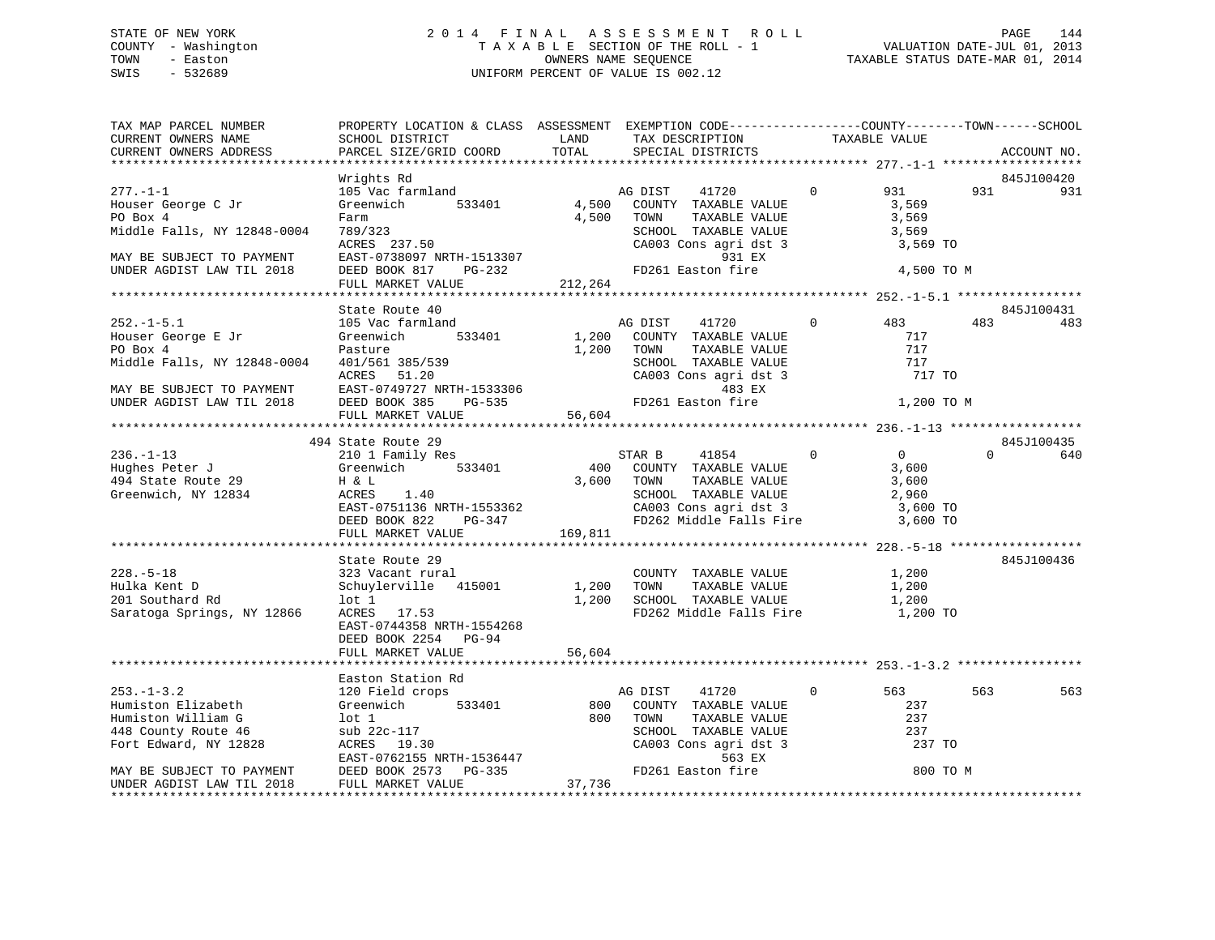# STATE OF NEW YORK 2 0 1 4 F I N A L A S S E S S M E N T R O L L PAGE 144 COUNTY - Washington T A X A B L E SECTION OF THE ROLL - 1 VALUATION DATE-JUL 01, 2013 TOWN - Easton OWNERS NAME SEQUENCE TAXABLE STATUS DATE-MAR 01, 2014 SWIS - 532689 UNIFORM PERCENT OF VALUE IS 002.12

| TAX MAP PARCEL NUMBER<br>CURRENT OWNERS NAME | PROPERTY LOCATION & CLASS ASSESSMENT EXEMPTION CODE---------------COUNTY-------TOWN------SCHOOL<br>SCHOOL DISTRICT | LAND    | TAX DESCRIPTION                                                                                                              |                   | TAXABLE VALUE  |          |             |
|----------------------------------------------|--------------------------------------------------------------------------------------------------------------------|---------|------------------------------------------------------------------------------------------------------------------------------|-------------------|----------------|----------|-------------|
| CURRENT OWNERS ADDRESS                       | PARCEL SIZE/GRID COORD                                                                                             | TOTAL   | SPECIAL DISTRICTS                                                                                                            |                   |                |          | ACCOUNT NO. |
|                                              |                                                                                                                    |         |                                                                                                                              |                   |                |          |             |
|                                              | Wrights Rd                                                                                                         |         |                                                                                                                              |                   |                |          | 845J100420  |
| $277. - 1 - 1$                               | 105 Vac farmland                                                                                                   |         | AG DIST<br>41720                                                                                                             | $\mathbf{0}$      | 931            | 931      | 931         |
| Houser George C Jr                           | 533401<br>Greenwich                                                                                                |         | 4,500 COUNTY TAXABLE VALUE                                                                                                   |                   | 3,569          |          |             |
| PO Box 4                                     | Farm                                                                                                               | 4,500   | TOWN      TAXABLE VALUE<br>SCHOOL   TAXABLE VALUE                                                                            |                   | 3,569          |          |             |
| Middle Falls, NY 12848-0004                  | 789/323                                                                                                            |         |                                                                                                                              |                   | 3,569          |          |             |
|                                              | ACRES 237.50<br>ACRES 237.30<br>EAST-0738097 NRTH-1513307                                                          |         | CA003 Cons agri dst 3                                                                                                        |                   | 3,569 TO       |          |             |
| MAY BE SUBJECT TO PAYMENT                    |                                                                                                                    |         | 931 EX<br>FD261 Easton fire                                                                                                  |                   |                |          |             |
| UNDER AGDIST LAW TIL 2018                    | FULL MARKET VALUE                                                                                                  | 212,264 |                                                                                                                              |                   | 4,500 TO M     |          |             |
|                                              |                                                                                                                    |         |                                                                                                                              |                   |                |          |             |
|                                              | State Route 40                                                                                                     |         |                                                                                                                              |                   |                |          | 845J100431  |
| $252. -1 - 5.1$                              | 105 Vac farmland                                                                                                   |         | AG DIST 41720                                                                                                                | $0 \qquad \qquad$ | 483            | 483      | 483         |
| Houser George E Jr                           | 533401<br>Greenwich                                                                                                |         | 1,200 COUNTY TAXABLE VALUE                                                                                                   |                   | 717            |          |             |
| PO Box 4                                     | Pasture                                                                                                            |         | TAXABLE VALUE<br>TAXABLE VALUE<br>1,200 TOWN                                                                                 |                   | 717            |          |             |
| Middle Falls, NY 12848-0004                  | 401/561 385/539                                                                                                    |         |                                                                                                                              |                   | 717            |          |             |
|                                              | ACRES 51.20                                                                                                        |         | SCHOOL TAXABLE VALUE<br>CA003 Cons agri dst 3                                                                                |                   | 717 TO         |          |             |
| MAY BE SUBJECT TO PAYMENT                    | ACRES 51.20<br>EAST-0749727 NRTH-1533306<br>DEED BOOK 385 PG-535 56,604<br>THE MARKET VALUE 56,604                 |         | 483 EX                                                                                                                       |                   |                |          |             |
| UNDER AGDIST LAW TIL 2018                    |                                                                                                                    |         | FD261 Easton fire                                                                                                            |                   | 1,200 TO M     |          |             |
|                                              |                                                                                                                    |         |                                                                                                                              |                   |                |          |             |
|                                              |                                                                                                                    |         |                                                                                                                              |                   |                |          |             |
|                                              | 494 State Route 29                                                                                                 |         |                                                                                                                              |                   |                |          | 845J100435  |
| $236. - 1 - 13$                              | 210 1 Family Res                                                                                                   |         | STAR B 41854                                                                                                                 | $\sim$ 0          | $\overline{0}$ | $\Omega$ | 640         |
| Hughes Peter J Greenwich                     | 533401                                                                                                             |         | 400 COUNTY TAXABLE VALUE                                                                                                     |                   | 3,600          |          |             |
| 494 State Route 29                           | H & L                                                                                                              |         | 3,600 TOWN<br>TOWN TAXABLE VALUE 3,600<br>SCHOOL TAXABLE VALUE 2,960<br>2,600                                                |                   |                |          |             |
| Greenwich, NY 12834                          | ACRES 1.40                                                                                                         |         |                                                                                                                              |                   |                |          |             |
|                                              |                                                                                                                    |         | CA003 Cons agri dst 3                                                                                                        |                   | 3,600 TO       |          |             |
|                                              | $PG-347$                                                                                                           |         | FD262 Middle Falls Fire 3,600 TO                                                                                             |                   |                |          |             |
|                                              | FULL MARKET VALUE                                                                                                  | 169,811 |                                                                                                                              |                   |                |          |             |
|                                              |                                                                                                                    |         |                                                                                                                              |                   |                |          |             |
|                                              | State Route 29                                                                                                     |         |                                                                                                                              |                   |                |          | 845J100436  |
| $228. - 5 - 18$                              | 323 Vacant rural                                                                                                   |         | COUNTY TAXABLE VALUE                                                                                                         |                   | 1,200          |          |             |
| Hulka Kent D                                 | Schuylerville 415001 1,200 TOWN                                                                                    |         | TAXABLE VALUE                                                                                                                |                   | 1,200          |          |             |
| 201 Southard Rd                              | lot 1                                                                                                              |         | 1,200 SCHOOL TAXABLE VALUE                                                                                                   |                   | 1,200          |          |             |
| Saratoga Springs, NY 12866                   | ACRES 17.53                                                                                                        |         | FD262 Middle Falls Fire 1,200 TO                                                                                             |                   |                |          |             |
|                                              | EAST-0744358 NRTH-1554268                                                                                          |         |                                                                                                                              |                   |                |          |             |
|                                              | DEED BOOK 2254 PG-94<br>FULL MARKET VALUE                                                                          | 56,604  |                                                                                                                              |                   |                |          |             |
|                                              |                                                                                                                    |         |                                                                                                                              |                   |                |          |             |
|                                              | Easton Station Rd                                                                                                  |         |                                                                                                                              |                   |                |          |             |
| $253. - 1 - 3.2$                             | 120 Field crops                                                                                                    |         | AG DIST 41720                                                                                                                |                   | 563            | 563      | 563         |
| Humiston Elizabeth                           | Greenwich<br>Greenwich<br>lot 1<br>sub 22c-11<br>ACRES 19<br>533401                                                |         | 800 COUNTY TAXABLE VALUE                                                                                                     |                   | 237            |          |             |
| Humiston William G                           |                                                                                                                    |         | 800 TOWN                                                                                                                     |                   | 237            |          |             |
| 448 County Route 46                          |                                                                                                                    |         |                                                                                                                              |                   | 237            |          |             |
| Fort Edward, NY 12828                        |                                                                                                                    |         |                                                                                                                              |                   | 237 TO         |          |             |
|                                              | EAST-0762155 NRTH-1536447<br>EAST-0762155 NRTH-1536447<br>DEED BOOK 2573 PG-335                                    |         | DIST 41<br>COUNTY TAXABLE VALUE<br>TOWN TAXABLE VALUE<br>SCHOOL TAXABLE VALUE<br>CA003 Cons agri dst 3<br>563 EX<br>The fire |                   |                |          |             |
| MAY BE SUBJECT TO PAYMENT                    |                                                                                                                    |         |                                                                                                                              |                   | 800 TO M       |          |             |
| UNDER AGDIST LAW TIL 2018                    | FULL MARKET VALUE                                                                                                  | 37,736  |                                                                                                                              |                   |                |          |             |
| *********************                        |                                                                                                                    |         |                                                                                                                              |                   |                |          |             |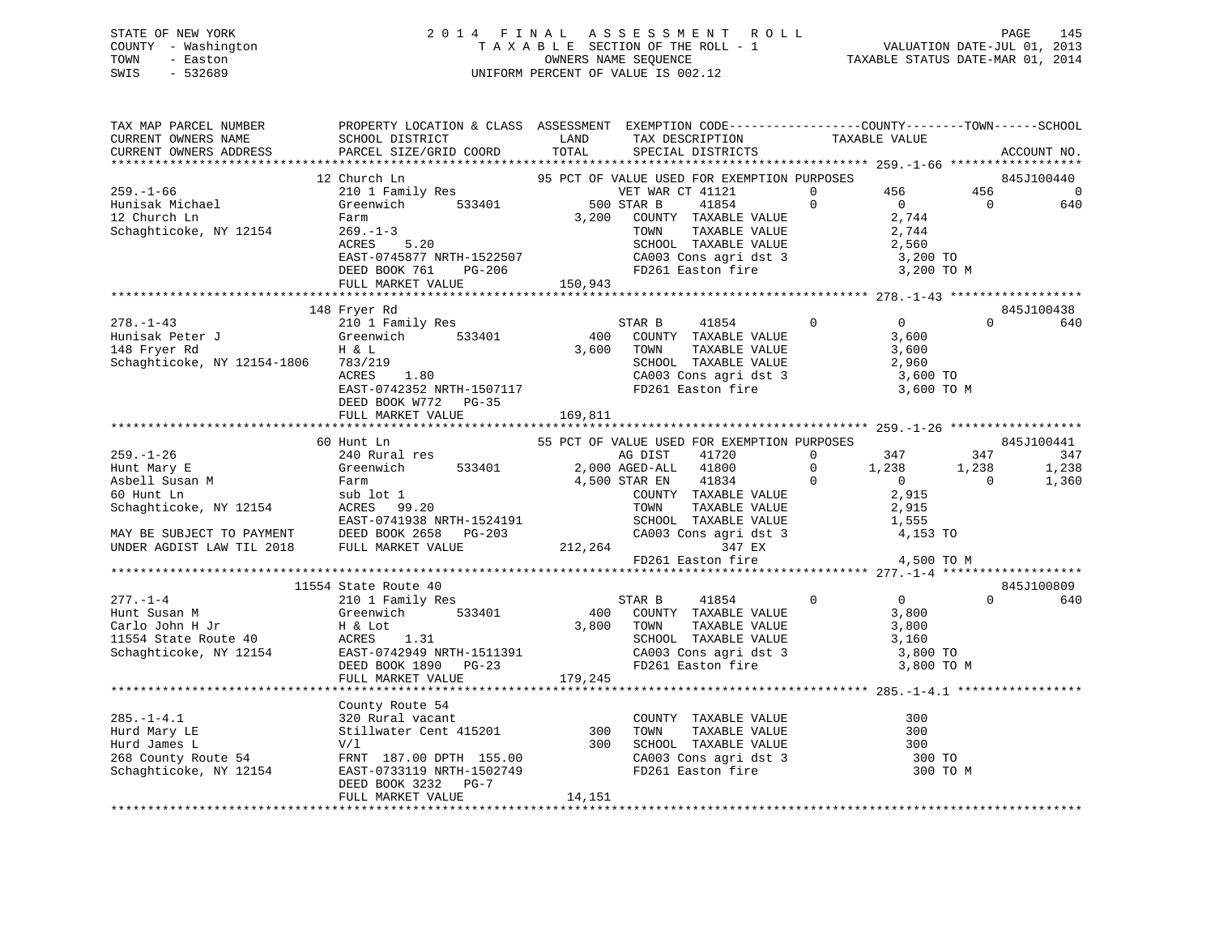## STATE OF NEW YORK 2 0 1 4 F I N A L A S S E S S M E N T R O L L PAGE 145 COUNTY - Washington T A X A B L E SECTION OF THE ROLL - 1 VALUATION DATE-JUL 01, 2013 TOWN - Easton OWNERS NAME SEQUENCE TAXABLE STATUS DATE-MAR 01, 2014 SWIS - 532689 UNIFORM PERCENT OF VALUE IS 002.12

| TAX MAP PARCEL NUMBER<br>CURRENT OWNERS NAME                                                                                                                                                                                                                           | PROPERTY LOCATION & CLASS ASSESSMENT EXEMPTION CODE---------------COUNTY-------TOWN-----SCHOOL<br>SCHOOL DISTRICT                                                                                                                                                                                                                                                                                                                                                                                                                     | LAND    | TAX DESCRIPTION                                                                                                                                                           | TAXABLE VALUE |                                         |                       |                               |
|------------------------------------------------------------------------------------------------------------------------------------------------------------------------------------------------------------------------------------------------------------------------|---------------------------------------------------------------------------------------------------------------------------------------------------------------------------------------------------------------------------------------------------------------------------------------------------------------------------------------------------------------------------------------------------------------------------------------------------------------------------------------------------------------------------------------|---------|---------------------------------------------------------------------------------------------------------------------------------------------------------------------------|---------------|-----------------------------------------|-----------------------|-------------------------------|
| CURRENT OWNERS ADDRESS                                                                                                                                                                                                                                                 | PARCEL SIZE/GRID COORD                                                                                                                                                                                                                                                                                                                                                                                                                                                                                                                | TOTAL   | SPECIAL DISTRICTS                                                                                                                                                         |               |                                         |                       | ACCOUNT NO.                   |
| $259. - 1 - 66$<br>259.-1-00<br>Hunisak Michael<br>Palm<br>Schaghticoke, NY 12154                                                                                                                                                                                      | Church Ln<br>210 1 Family Res<br>210 1 Family Res<br>533401<br>220 1 Family Res<br>233401<br>220 STAR B<br>220 STAR B<br>220 STAR B<br>220 STAR B<br>220 STAR B<br>220 STAR B<br>220 STAR B<br>220 STAR B<br>220 STAR B<br>220 STAR B<br>220 STAR B<br>220 STAR<br>12 Church Ln<br>9.200 COUNTY TAXABLE VALUE 2,744<br>269.-1-3 TOWN TAXABLE VALUE 2,744<br>ACRES 5.20 SCHOOL TAXABLE VALUE 2,744<br>EAST-0745877 NRTH-1522507 CA003 Cons agri dst 3 3,200 TO<br>DEED BOOK 761 PG-206 FD261 Easton fire 3,200 TO<br>FULL MARKET VALUE | 150,943 |                                                                                                                                                                           |               | 3,200 TO M                              | 456<br>$\overline{0}$ | 845J100440<br>$\sim$ 0<br>640 |
|                                                                                                                                                                                                                                                                        |                                                                                                                                                                                                                                                                                                                                                                                                                                                                                                                                       |         |                                                                                                                                                                           |               |                                         |                       | 845J100438                    |
| 148 Fryer Rd<br>278.-1-43<br>Hunisak Peter J Greenwich 533401<br>148 Fryer Rd<br>3,600<br>148 Fryer Rd<br>210 1 Family Res<br>3,600<br>20001 TAXABLE VALUE<br>3,600<br>3,600<br>3,600<br>2,960<br>2,960<br>2,960<br>2,960<br>ACRES<br>2,960<br>ACRES<br>2,960<br>2,960 |                                                                                                                                                                                                                                                                                                                                                                                                                                                                                                                                       |         |                                                                                                                                                                           |               |                                         | $\Omega$              | 640                           |
|                                                                                                                                                                                                                                                                        | FULL MARKET VALUE                                                                                                                                                                                                                                                                                                                                                                                                                                                                                                                     | 169,811 |                                                                                                                                                                           |               |                                         |                       |                               |
|                                                                                                                                                                                                                                                                        | 60 Hunt Ln                                                                                                                                                                                                                                                                                                                                                                                                                                                                                                                            |         | 55 PCT OF VALUE USED FOR EXEMPTION PURPOSES                                                                                                                               |               |                                         |                       | 845J100441                    |
|                                                                                                                                                                                                                                                                        |                                                                                                                                                                                                                                                                                                                                                                                                                                                                                                                                       |         |                                                                                                                                                                           |               | $347$ $347$ $347$                       |                       |                               |
|                                                                                                                                                                                                                                                                        |                                                                                                                                                                                                                                                                                                                                                                                                                                                                                                                                       |         |                                                                                                                                                                           |               |                                         | 1,238                 | 1,238                         |
|                                                                                                                                                                                                                                                                        |                                                                                                                                                                                                                                                                                                                                                                                                                                                                                                                                       |         |                                                                                                                                                                           |               |                                         | $\overline{0}$        | 1,360                         |
|                                                                                                                                                                                                                                                                        |                                                                                                                                                                                                                                                                                                                                                                                                                                                                                                                                       |         |                                                                                                                                                                           |               |                                         |                       |                               |
| $277. - 1 - 4$<br>277.-1-4<br>Hunt Susan M<br>Carlo John H Jr<br>11554 State Route 40<br>Schaghticoke, NY 12154<br>PEED BOOK 1890 PG-23<br>FAST-0742949 NRTH-1511391<br>DEED BOOK 1890 PG-23<br>PEED BOOK 1890 PG-23<br>PEED BOOK 1890 PG-23<br>PEED BOOK 1890 PG-23   | 11554 State Route 40<br>210 1 Family Res<br>Greenwich 533401<br>FULL MARKET VALUE                                                                                                                                                                                                                                                                                                                                                                                                                                                     | 179,245 | 41854 0<br>STAR B<br>400 COUNTY TAXABLE VALUE<br>3,800 TOWN<br>TOWN TAXABLE VALUE<br>SCHOOL TAXABLE VALUE<br>CA003 Cons agri dst 3 3,800 TO<br>FD261 Easton fire 3,800 TO | 3,800         | $\overline{0}$<br>3,800 TO M            | $\Omega$              | 845J100809<br>640             |
|                                                                                                                                                                                                                                                                        |                                                                                                                                                                                                                                                                                                                                                                                                                                                                                                                                       |         |                                                                                                                                                                           |               |                                         |                       |                               |
| 285.-1-4.1<br>Hurd Mary LE Stillwater Cent 415201<br>Hurd James Land James Land County Route 54<br>268 County Route 54<br>268 County Route 54<br>268 County Route 54<br>268 County Route 54<br>268 County Route 54<br>268 County Route 54<br>268                       | DEED BOOK 3232<br>PG-7<br>FULL MARKET VALUE                                                                                                                                                                                                                                                                                                                                                                                                                                                                                           | 14,151  |                                                                                                                                                                           |               | 300<br>300<br>300<br>300 TO<br>300 TO M |                       |                               |
|                                                                                                                                                                                                                                                                        |                                                                                                                                                                                                                                                                                                                                                                                                                                                                                                                                       |         |                                                                                                                                                                           |               |                                         |                       |                               |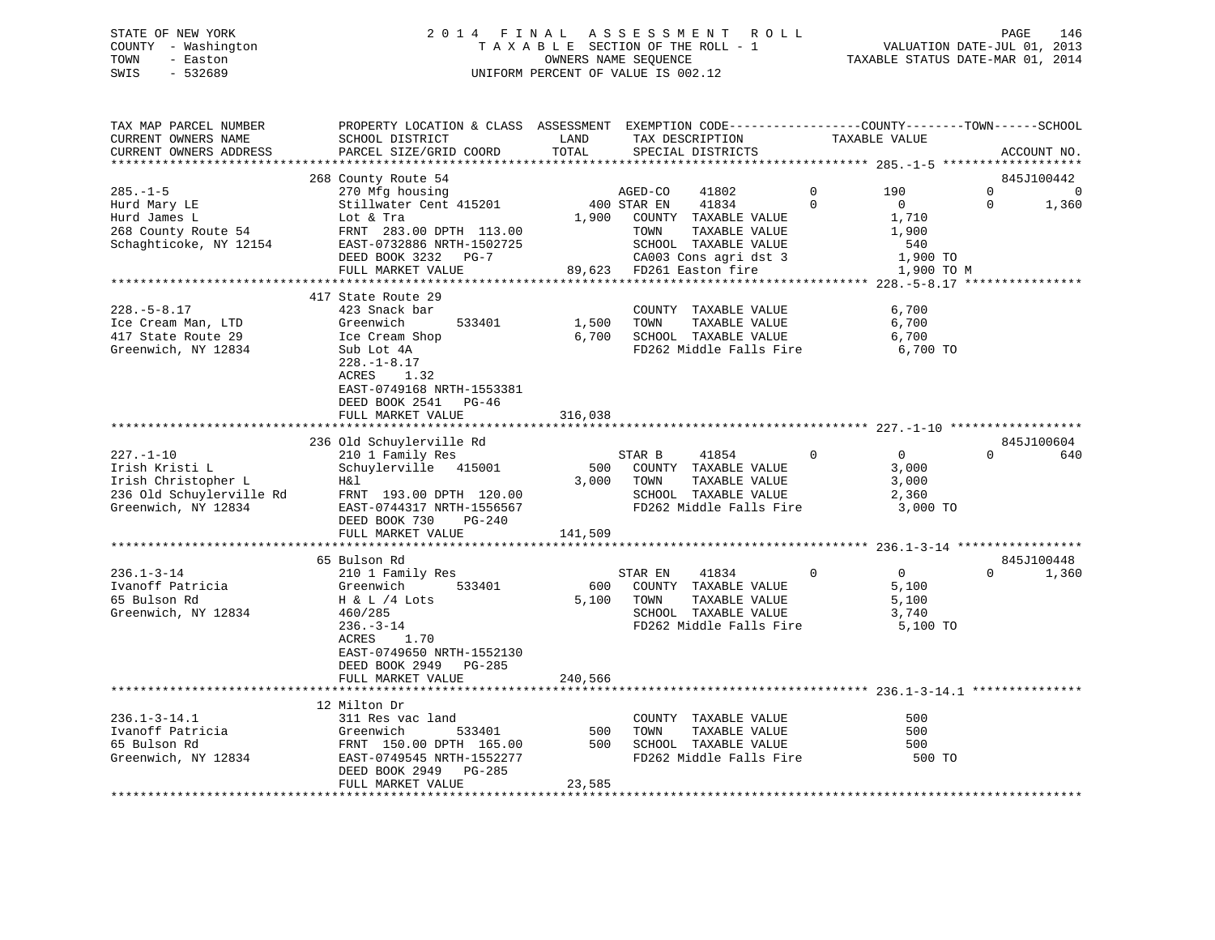## STATE OF NEW YORK 2 0 1 4 F I N A L A S S E S S M E N T R O L L PAGE 146 COUNTY - Washington T A X A B L E SECTION OF THE ROLL - 1 VALUATION DATE-JUL 01, 2013 TOWN - Easton OWNERS NAME SEQUENCE TAXABLE STATUS DATE-MAR 01, 2014 SWIS - 532689 UNIFORM PERCENT OF VALUE IS 002.12

| TAX MAP PARCEL NUMBER<br>CURRENT OWNERS NAME<br>CURRENT OWNERS ADDRESS                                                                  | PROPERTY LOCATION & CLASS ASSESSMENT EXEMPTION CODE----------------COUNTY-------TOWN------SCHOOL<br>SCHOOL DISTRICT<br>PARCEL SIZE/GRID COORD                                                              | LAND<br>TOTAL         | TAX DESCRIPTION<br>SPECIAL DISTRICTS                                                                                                                | TAXABLE VALUE        |                                                              |                      | ACCOUNT NO.                        |
|-----------------------------------------------------------------------------------------------------------------------------------------|------------------------------------------------------------------------------------------------------------------------------------------------------------------------------------------------------------|-----------------------|-----------------------------------------------------------------------------------------------------------------------------------------------------|----------------------|--------------------------------------------------------------|----------------------|------------------------------------|
|                                                                                                                                         |                                                                                                                                                                                                            |                       |                                                                                                                                                     |                      |                                                              |                      |                                    |
| $285. - 1 - 5$<br>Hurd Mary LE<br>Hurd James L<br>268 County Route 54<br>Schaghticoke, NY 12154                                         | 268 County Route 54<br>270 Mfg housing<br>Stillwater Cent 415201<br>Lot & Tra<br>FRNT 283.00 DPTH 113.00<br>EAST-0732886 NRTH-1502725<br>DEED BOOK 3232 PG-7<br>FULL MARKET VALUE                          |                       | AGED-CO<br>400 STAR EN<br>41802<br>41834<br>1,900 COUNTY TAXABLE VALUE<br>TOWN<br>TAXABLE VALUE<br>SCHOOL TAXABLE VALUE<br>89,623 FD261 Easton fire | $\Omega$<br>$\Omega$ | 190<br>$\overline{0}$<br>1,710<br>1,900<br>540<br>1,900 TO M | $\Omega$<br>$\Omega$ | 845J100442<br>$\mathbf 0$<br>1,360 |
|                                                                                                                                         |                                                                                                                                                                                                            |                       |                                                                                                                                                     |                      |                                                              |                      |                                    |
| $228. - 5 - 8.17$<br>Ice Cream Man, LTD<br>417 State Route 29<br>Greenwich, NY 12834                                                    | 417 State Route 29<br>423 Snack bar<br>533401<br>Greenwich<br>Ice Cream Shop<br>Sub Lot 4A<br>$228. - 1 - 8.17$<br>1.32<br>ACRES<br>EAST-0749168 NRTH-1553381<br>DEED BOOK 2541 PG-46<br>FULL MARKET VALUE | 1,500 TOWN<br>316,038 | COUNTY TAXABLE VALUE<br>TAXABLE VALUE<br>6,700 SCHOOL TAXABLE VALUE<br>FD262 Middle Falls Fire                                                      |                      | 6,700<br>6,700<br>6,700<br>6,700 TO                          |                      |                                    |
|                                                                                                                                         |                                                                                                                                                                                                            |                       |                                                                                                                                                     |                      |                                                              |                      |                                    |
| $227. - 1 - 10$<br>Irish Kristi L<br>Trish Christopher L<br>236 Old Schuylerville Rd<br>236 Old Schuylerville Rd<br>Greenwich, NY 12834 | 236 Old Schuylerville Rd<br>210 1 Family Res<br>Schuylerville 415001<br>H& l<br>FRNT 193.00 DPTH 120.00<br>EAST-0744317 NRTH-1556567<br>DEED BOOK 730<br>PG-240<br>FULL MARKET VALUE                       | 141,509               | STAR B 41854<br>$\overline{0}$<br>500 COUNTY TAXABLE VALUE<br>3,000 TOWN<br>TAXABLE VALUE<br>SCHOOL TAXABLE VALUE<br>FD262 Middle Falls Fire        |                      | $\overline{0}$<br>3,000<br>3,000<br>2,360<br>3,000 TO        | $\Omega$             | 845J100604<br>640                  |
|                                                                                                                                         |                                                                                                                                                                                                            |                       |                                                                                                                                                     |                      |                                                              |                      |                                    |
| $236.1 - 3 - 14$<br>Ivanoff Patricia<br>65 Bulson Rd<br>Greenwich, NY 12834                                                             | 65 Bulson Rd<br>210 1 Family Res<br>533401<br>Greenwich<br>$H$ & $L$ /4 $L$ ots<br>460/285<br>$236. - 3 - 14$<br>ACRES<br>1.70<br>EAST-0749650 NRTH-1552130<br>DEED BOOK 2949 PG-285                       |                       | STAR EN<br>41834<br>600 COUNTY TAXABLE VALUE<br>5,100 TOWN<br>TAXABLE VALUE<br>SCHOOL TAXABLE VALUE<br>FD262 Middle Falls Fire                      | $\overline{0}$       | $\overline{0}$<br>5,100<br>5,100<br>3,740<br>5,100 TO        | $\Omega$             | 845J100448<br>1,360                |
|                                                                                                                                         | FULL MARKET VALUE                                                                                                                                                                                          | 240,566               |                                                                                                                                                     |                      |                                                              |                      |                                    |
|                                                                                                                                         |                                                                                                                                                                                                            |                       |                                                                                                                                                     |                      |                                                              |                      |                                    |
| $236.1 - 3 - 14.1$<br>Ivanoff Patricia<br>65 Bulson Rd<br>Greenwich, NY 12834                                                           | 12 Milton Dr<br>311 Res vac land<br>533401<br>Greenwich<br>FRNT 150.00 DPTH 165.00<br>EAST-0749545 NRTH-1552277<br>DEED BOOK 2949<br>PG-285                                                                | 500<br>500            | COUNTY TAXABLE VALUE<br>TOWN<br>TAXABLE VALUE<br>SCHOOL TAXABLE VALUE<br>FD262 Middle Falls Fire                                                    |                      | 500<br>500<br>500<br>500 TO                                  |                      |                                    |
|                                                                                                                                         | FULL MARKET VALUE                                                                                                                                                                                          | 23,585                |                                                                                                                                                     |                      |                                                              |                      |                                    |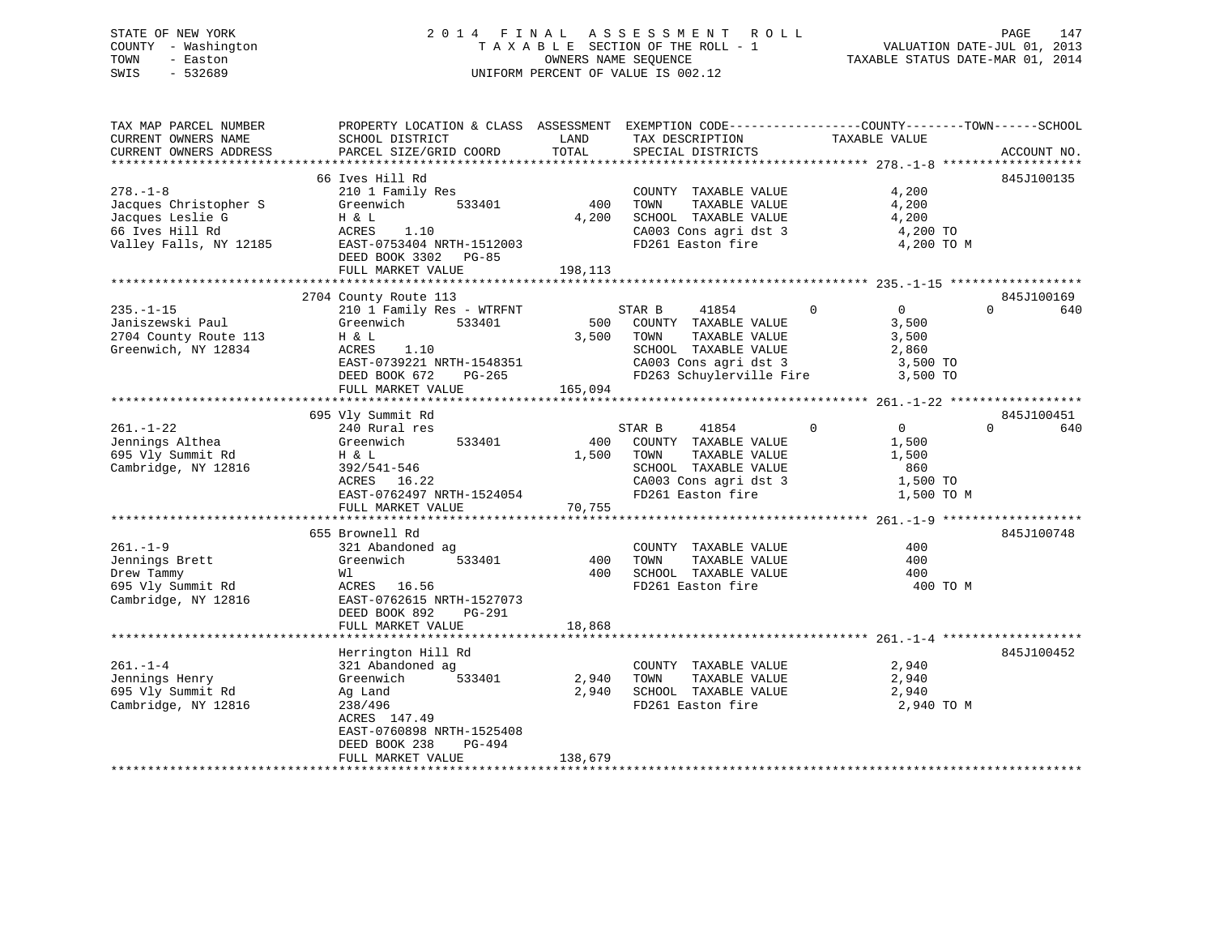## STATE OF NEW YORK 2 0 1 4 F I N A L A S S E S S M E N T R O L L PAGE 147 COUNTY - Washington T A X A B L E SECTION OF THE ROLL - 1 VALUATION DATE-JUL 01, 2013 TOWN - Easton OWNERS NAME SEQUENCE TAXABLE STATUS DATE-MAR 01, 2014 SWIS - 532689 UNIFORM PERCENT OF VALUE IS 002.12

| TAX MAP PARCEL NUMBER<br>CURRENT OWNERS NAME<br>CURRENT OWNERS ADDRESS                                                             | PROPERTY LOCATION & CLASS ASSESSMENT EXEMPTION CODE---------------COUNTY-------TOWN-----SCHOOL<br>SCHOOL DISTRICT<br>PARCEL SIZE/GRID COORD                                     | LAND<br>TOTAL           | TAX DESCRIPTION<br>SPECIAL DISTRICTS                                                                                                                                | TAXABLE VALUE                                                                 | ACCOUNT NO.                   |
|------------------------------------------------------------------------------------------------------------------------------------|---------------------------------------------------------------------------------------------------------------------------------------------------------------------------------|-------------------------|---------------------------------------------------------------------------------------------------------------------------------------------------------------------|-------------------------------------------------------------------------------|-------------------------------|
|                                                                                                                                    |                                                                                                                                                                                 |                         |                                                                                                                                                                     |                                                                               |                               |
| $278. - 1 - 8$<br>Jacques Christopher S<br>Jacques Leslie G<br>66 Ives Hill Rd<br>Valley Falls, NY 12185 EAST-0753404 NRTH-1512003 | 66 Ives Hill Rd<br>210 1 Family Res<br>Greenwich 533401<br>H & L<br>ACRES<br>1.10<br>DEED BOOK 3302 PG-85<br>FULL MARKET VALUE                                                  | 400<br>4,200<br>198,113 | COUNTY TAXABLE VALUE<br>TOWN<br>TAXABLE VALUE<br>SCHOOL TAXABLE VALUE<br>CA003 Cons agri dst 3<br>FD261 Easton fire                                                 | 4,200<br>4,200<br>4,200<br>4,200 TO<br>4,200 TO M                             | 845J100135                    |
|                                                                                                                                    |                                                                                                                                                                                 |                         |                                                                                                                                                                     |                                                                               |                               |
| $235. - 1 - 15$<br>Janiszewski Paul<br>2704 County Route 113<br>Greenwich, NY 12834                                                | 2704 County Route 113<br>210 1 Family Res - WTRFNT<br>Greenwich 533401<br>H & L<br>ACRES<br>1.10<br>EAST-0739221 NRTH-1548351<br>$PG-265$<br>DEED BOOK 672<br>FULL MARKET VALUE | 3,500<br>165,094        | STAR B<br>41854<br>500 COUNTY TAXABLE VALUE<br>TAXABLE VALUE<br>TOWN<br>SCHOOL TAXABLE VALUE<br>CA003 Cons agri dst 3 3,500 TO<br>FD263 Schuylerville Fire 3,500 TO | 0<br>$\mathbf{0}$<br>3,500<br>3,500<br>2,860                                  | 845J100169<br>$\Omega$<br>640 |
|                                                                                                                                    |                                                                                                                                                                                 |                         |                                                                                                                                                                     |                                                                               |                               |
| $261. - 1 - 22$<br>Jennings Althea<br>695 $Vly$ Summit Rd<br>Cambridge, NY 12816                                                   | 695 Vly Summit Rd<br>240 Rural res<br>Greenwich 533401<br>Η & L<br>392/541-546<br>ACRES 16.22<br>EAST-0762497 NRTH-1524054<br>FULL MARKET VALUE                                 | 400<br>1,500<br>70,755  | STAR B<br>41854<br>COUNTY TAXABLE VALUE<br>TOWN<br>TAXABLE VALUE<br>SCHOOL TAXABLE VALUE<br>CA003 Cons agri dst 3<br>FD261 Easton fire                              | $\Omega$<br>$\overline{0}$<br>1,500<br>1,500<br>860<br>1,500 TO<br>1,500 TO M | 845J100451<br>$\Omega$<br>640 |
|                                                                                                                                    |                                                                                                                                                                                 |                         |                                                                                                                                                                     |                                                                               |                               |
| $261. - 1 - 9$<br>Jennings Brett<br>Drew Tammy<br>695 Vly Summit Rd<br>Cambridge, NY 12816                                         | 655 Brownell Rd<br>321 Abandoned ag<br>533401<br>Greenwich<br>Wl<br>ACRES 16.56<br>EAST-0762615 NRTH-1527073<br>$PG-291$<br>DEED BOOK 892<br>FULL MARKET VALUE                  | 400<br>400<br>18,868    | COUNTY TAXABLE VALUE<br>TOWN<br>TAXABLE VALUE<br>SCHOOL TAXABLE VALUE<br>FD261 Easton fire                                                                          | 400<br>400<br>400<br>400 TO M                                                 | 845J100748                    |
|                                                                                                                                    |                                                                                                                                                                                 |                         |                                                                                                                                                                     |                                                                               |                               |
| $261. - 1 - 4$<br>Jennings Henry<br>695 Vly Summit Rd<br>Cambridge, NY 12816                                                       | Herrington Hill Rd<br>321 Abandoned ag<br>533401<br>Greenwich<br>Ag Land<br>238/496<br>ACRES 147.49<br>EAST-0760898 NRTH-1525408<br>DEED BOOK 238<br>PG-494                     | 2,940<br>2,940          | COUNTY TAXABLE VALUE<br>TOWN<br>TAXABLE VALUE<br>SCHOOL TAXABLE VALUE<br>FD261 Easton fire                                                                          | 2,940<br>2,940<br>2,940<br>2,940 TO M                                         | 845J100452                    |
|                                                                                                                                    | FULL MARKET VALUE                                                                                                                                                               | 138,679                 |                                                                                                                                                                     |                                                                               |                               |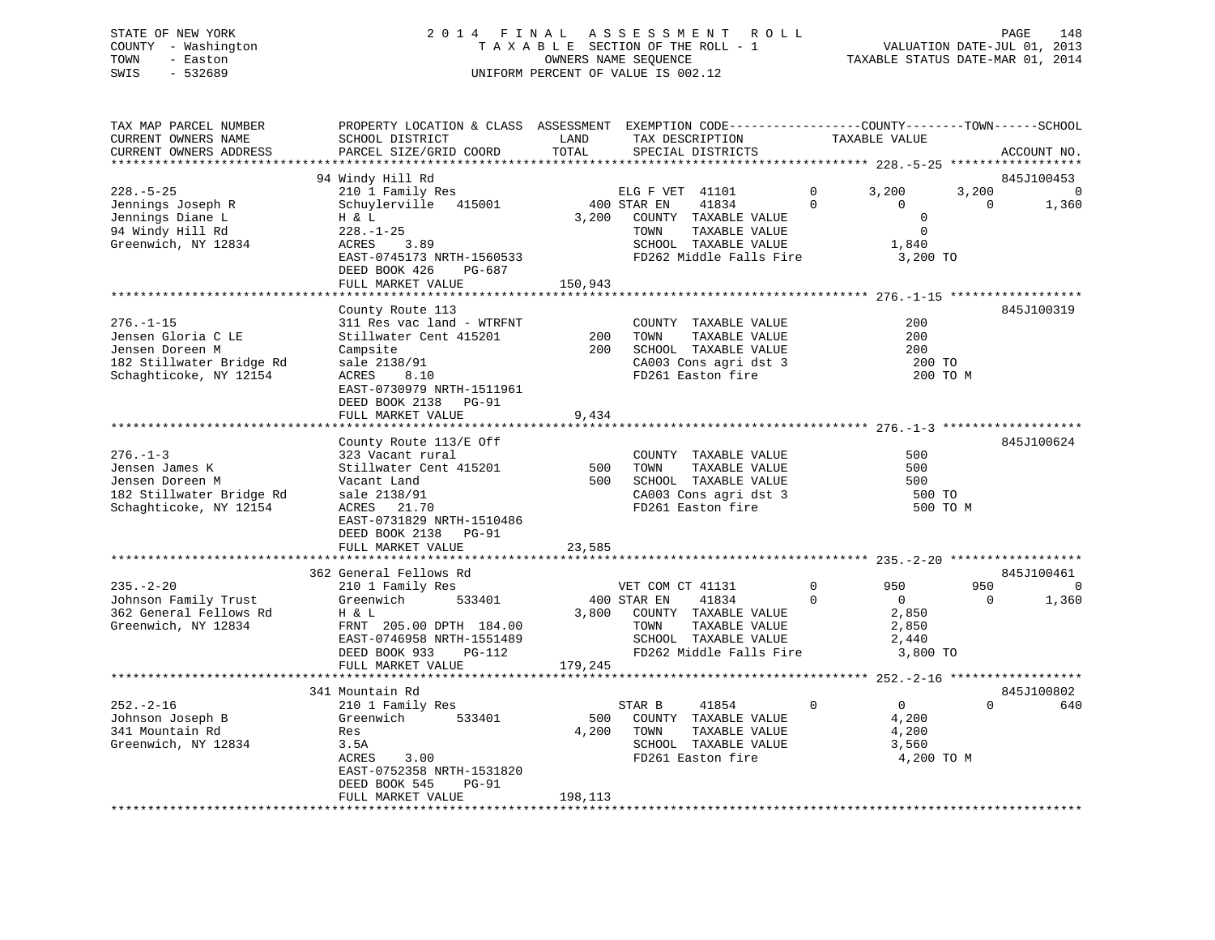## STATE OF NEW YORK 2 0 1 4 F I N A L A S S E S S M E N T R O L L PAGE 148 COUNTY - Washington T A X A B L E SECTION OF THE ROLL - 1 VALUATION DATE-JUL 01, 2013 TOWN - Easton OWNERS NAME SEQUENCE TAXABLE STATUS DATE-MAR 01, 2014 SWIS - 532689 UNIFORM PERCENT OF VALUE IS 002.12

| TAX MAP PARCEL NUMBER<br>CURRENT OWNERS NAME<br>CURRENT OWNERS ADDRESS                                         | PROPERTY LOCATION & CLASS ASSESSMENT EXEMPTION CODE---------------COUNTY-------TOWN-----SCHOOL<br>SCHOOL DISTRICT<br>PARCEL SIZE/GRID COORD                                                        | LAND<br>TOTAL        | TAX DESCRIPTION<br>SPECIAL DISTRICTS                                                                                                         | TAXABLE VALUE                                                                                    |                   | ACCOUNT NO.              |
|----------------------------------------------------------------------------------------------------------------|----------------------------------------------------------------------------------------------------------------------------------------------------------------------------------------------------|----------------------|----------------------------------------------------------------------------------------------------------------------------------------------|--------------------------------------------------------------------------------------------------|-------------------|--------------------------|
| *******************                                                                                            | * * * * * * * * * * * * * * * * * * * *                                                                                                                                                            |                      |                                                                                                                                              |                                                                                                  |                   |                          |
| $228. - 5 - 25$<br>Jennings Joseph R<br>Jennings Diane L<br>94 Windy Hill Rd<br>Greenwich, NY 12834            | 94 Windy Hill Rd<br>210 1 Family Res<br>Schuylerville 415001<br>H & L<br>$228. - 1 - 25$<br>ACRES<br>3.89<br>EAST-0745173 NRTH-1560533                                                             | 3,200                | ELG F VET 41101<br>400 STAR EN<br>41834<br>COUNTY TAXABLE VALUE<br>TOWN<br>TAXABLE VALUE<br>SCHOOL TAXABLE VALUE<br>FD262 Middle Falls Fire  | 3,200<br>$\mathbf{0}$<br>$\Omega$<br>$\Omega$<br>$\mathbf 0$<br>$\mathbf 0$<br>1,840<br>3,200 TO | 3,200<br>$\Omega$ | 845J100453<br>0<br>1,360 |
|                                                                                                                | DEED BOOK 426<br>PG-687<br>FULL MARKET VALUE                                                                                                                                                       | 150,943              |                                                                                                                                              |                                                                                                  |                   |                          |
|                                                                                                                |                                                                                                                                                                                                    |                      |                                                                                                                                              |                                                                                                  |                   |                          |
| $276. - 1 - 15$<br>Jensen Gloria C LE<br>Jensen Doreen M<br>182 Stillwater Bridge Rd<br>Schaghticoke, NY 12154 | County Route 113<br>311 Res vac land - WTRFNT<br>Stillwater Cent 415201<br>Campsite<br>sale 2138/91<br>ACRES<br>8.10<br>EAST-0730979 NRTH-1511961<br>DEED BOOK 2138 PG-91<br>FULL MARKET VALUE     | 200<br>200<br>9,434  | COUNTY TAXABLE VALUE<br>TOWN<br>TAXABLE VALUE<br>SCHOOL TAXABLE VALUE<br>CA003 Cons agri dst 3<br>FD261 Easton fire                          | 200<br>200<br>200<br>200 TO                                                                      | 200 TO M          | 845J100319               |
|                                                                                                                |                                                                                                                                                                                                    |                      |                                                                                                                                              |                                                                                                  |                   |                          |
| $276. - 1 - 3$<br>Jensen James K<br>Jensen Doreen M<br>182 Stillwater Bridge Rd<br>Schaghticoke, NY 12154      | County Route 113/E Off<br>323 Vacant rural<br>Stillwater Cent 415201<br>Vacant Land<br>sale 2138/91<br>21.70<br>ACRES<br>EAST-0731829 NRTH-1510486<br>DEED BOOK 2138<br>PG-91<br>FULL MARKET VALUE | 500<br>500<br>23,585 | COUNTY TAXABLE VALUE<br>TOWN<br>TAXABLE VALUE<br>SCHOOL TAXABLE VALUE<br>CA003 Cons agri dst 3<br>FD261 Easton fire                          | 500<br>500<br>500<br>500 TO                                                                      | 500 TO M          | 845J100624               |
|                                                                                                                |                                                                                                                                                                                                    |                      |                                                                                                                                              |                                                                                                  |                   |                          |
| $235. - 2 - 20$<br>Johnson Family Trust<br>362 General Fellows Rd<br>Greenwich, NY 12834                       | 362 General Fellows Rd<br>210 1 Family Res<br>Greenwich<br>533401<br>H & L<br>FRNT 205.00 DPTH 184.00<br>EAST-0746958 NRTH-1551489<br>DEED BOOK 933<br>PG-112                                      | 3,800                | VET COM CT 41131<br>400 STAR EN<br>41834<br>COUNTY TAXABLE VALUE<br>TOWN<br>TAXABLE VALUE<br>SCHOOL TAXABLE VALUE<br>FD262 Middle Falls Fire | $\mathbf{0}$<br>950<br>$\Omega$<br>$\overline{0}$<br>2,850<br>2,850<br>2,440<br>3,800 TO         | 950<br>$\Omega$   | 845J100461<br>0<br>1,360 |
|                                                                                                                | FULL MARKET VALUE                                                                                                                                                                                  | 179,245              |                                                                                                                                              |                                                                                                  |                   |                          |
|                                                                                                                | 341 Mountain Rd                                                                                                                                                                                    |                      |                                                                                                                                              |                                                                                                  |                   | 845J100802               |
| $252 - 2 - 16$<br>Johnson Joseph B<br>341 Mountain Rd<br>Greenwich, NY 12834                                   | 210 1 Family Res<br>533401<br>Greenwich<br>Res<br>3.5A<br>ACRES<br>3.00<br>EAST-0752358 NRTH-1531820<br>DEED BOOK 545<br>PG-91                                                                     | 500<br>4,200         | STAR B<br>41854<br>COUNTY TAXABLE VALUE<br>TOWN<br>TAXABLE VALUE<br>SCHOOL TAXABLE VALUE<br>FD261 Easton fire                                | $\Omega$<br>$\Omega$<br>4,200<br>4,200<br>3,560<br>4,200 TO M                                    | $\Omega$          | 640                      |
|                                                                                                                | FULL MARKET VALUE                                                                                                                                                                                  | 198,113              |                                                                                                                                              |                                                                                                  |                   |                          |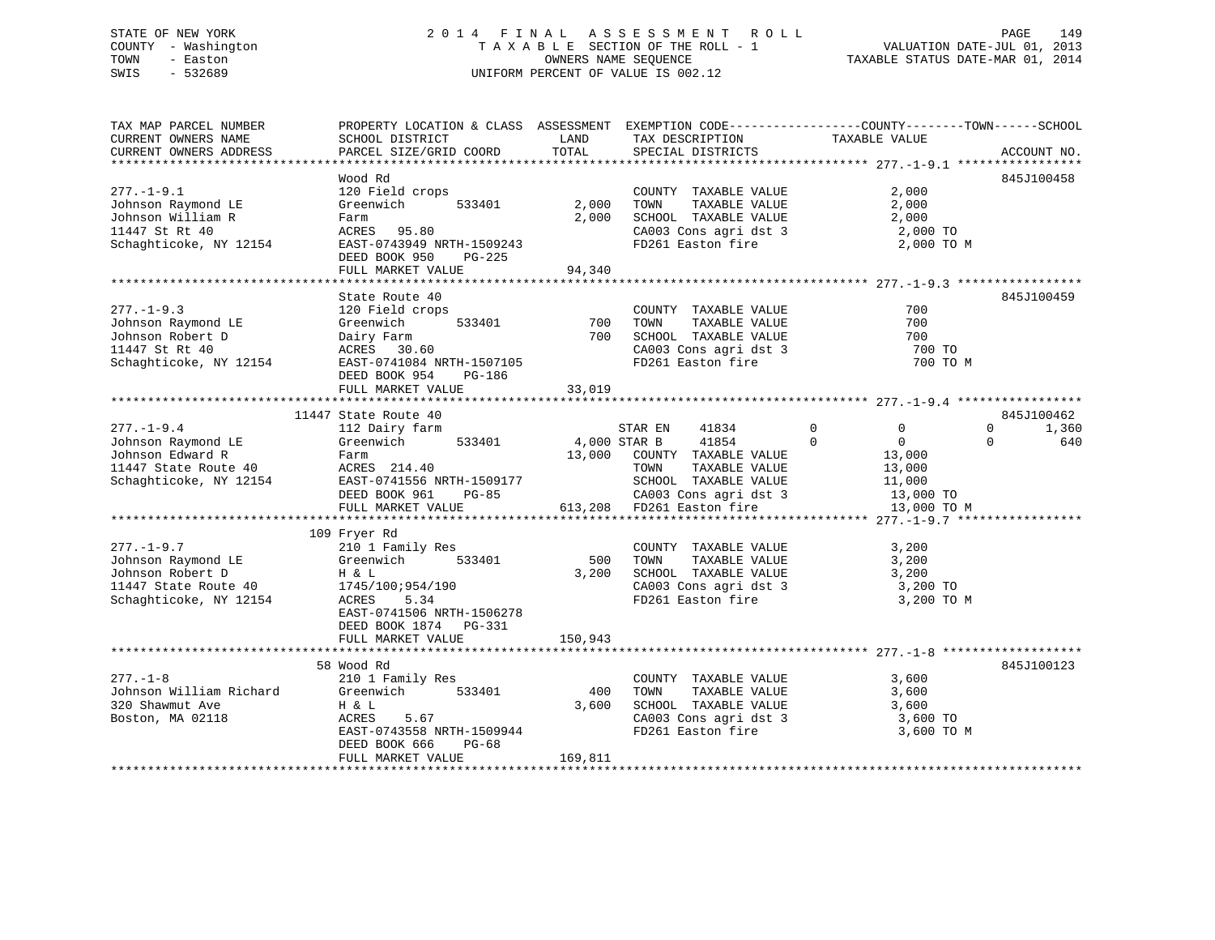## STATE OF NEW YORK 2 0 1 4 F I N A L A S S E S S M E N T R O L L PAGE 149 COUNTY - Washington T A X A B L E SECTION OF THE ROLL - 1 VALUATION DATE-JUL 01, 2013 TOWN - Easton **CONNERS NAME SEQUENCE** TAXABLE STATUS DATE-MAR 01, 2014 SWIS - 532689 UNIFORM PERCENT OF VALUE IS 002.12

| TOTAL<br>PARCEL SIZE/GRID COORD<br>SPECIAL DISTRICTS<br>CURRENT OWNERS ADDRESS<br>ACCOUNT NO.<br>Wood Rd<br>845J100458<br>$277. - 1 - 9.1$<br>120 Field crops<br>2,000<br>COUNTY TAXABLE VALUE<br>2,000<br>TAXABLE VALUE<br>2,000<br>Johnson Raymond LE<br>Greenwich<br>533401<br>TOWN<br>2,000<br>SCHOOL TAXABLE VALUE<br>2,000<br>Johnson William R<br>Farm<br>2,000 TO<br>11447 St Rt 40<br>ACRES 95.80<br>CA003 Cons agri dst 3<br>Schaghticoke, NY 12154<br>EAST-0743949 NRTH-1509243<br>FD261 Easton fire<br>2,000 TO M<br>DEED BOOK 950<br>PG-225<br>94,340<br>FULL MARKET VALUE<br>State Route 40<br>845J100459<br>$277. - 1 - 9.3$<br>700<br>120 Field crops<br>COUNTY TAXABLE VALUE<br>700<br>700<br>Johnson Raymond LE<br>Greenwich<br>533401<br>TOWN<br>TAXABLE VALUE<br>700<br>Johnson Robert D<br>SCHOOL TAXABLE VALUE<br>700<br>Dairy Farm<br>11447 St Rt 40<br>CA003 Cons agri dst 3<br>ACRES 30.60<br>700 TO<br>FD261 Easton fire<br>700 TO M<br>Schaghticoke, NY 12154<br>EAST-0741084 NRTH-1507105<br>DEED BOOK 954<br>PG-186<br>33,019<br>FULL MARKET VALUE<br>11447 State Route 40<br>845J100462<br>$\mathbf 0$<br>$277. - 1 - 9.4$<br>112 Dairy farm<br>STAR EN<br>41834<br>0<br>$\mathbf{0}$<br>1,360<br>41854<br>Johnson Raymond LE<br>533401<br>4,000 STAR B<br>$\Omega$<br>$\overline{0}$<br>$\Omega$<br>640<br>Greenwich<br>Johnson Edward R<br>13,000 COUNTY TAXABLE VALUE<br>Farm<br>13,000<br>11447 State Route 40<br>ACRES 214.40<br>TAXABLE VALUE<br>TOWN<br>13,000<br>EAST-0741556 NRTH-1509177<br>SCHOOL TAXABLE VALUE<br>Schaghticoke, NY 12154<br>11,000<br>DEED BOOK 961<br>$PG-85$<br>CA003 Cons agri dst 3<br>13,000 TO<br>FULL MARKET VALUE<br>613,208 FD261 Easton fire<br>13,000 TO M<br>109 Fryer Rd<br>$277. - 1 - 9.7$<br>210 1 Family Res<br>COUNTY TAXABLE VALUE<br>3,200<br>Johnson Raymond LE<br>Greenwich<br>533401<br>500<br>TOWN<br>TAXABLE VALUE<br>3,200<br>Johnson Robert D<br>3,200<br>SCHOOL TAXABLE VALUE<br>3,200<br>H & L<br>CA003 Cons agri dst 3<br>11447 State Route 40<br>1745/100;954/190<br>3,200 TO<br>Schaghticoke, NY 12154<br>5.34<br>FD261 Easton fire<br>3,200 TO M<br>ACRES<br>EAST-0741506 NRTH-1506278<br>DEED BOOK 1874 PG-331<br>150,943<br>FULL MARKET VALUE<br>58 Wood Rd<br>845J100123<br>$277 - 1 - 8$<br>3,600<br>210 1 Family Res<br>COUNTY TAXABLE VALUE<br>Johnson William Richard<br>400<br>Greenwich<br>533401<br>TOWN<br>TAXABLE VALUE<br>3,600<br>320 Shawmut Ave<br>H & L<br>3,600<br>SCHOOL TAXABLE VALUE<br>3,600<br>CA003 Cons agri dst 3<br>Boston, MA 02118<br>ACRES<br>5.67<br>3,600 TO<br>FD261 Easton fire<br>EAST-0743558 NRTH-1509944<br>3,600 TO M<br>DEED BOOK 666<br>PG-68<br>169,811<br>FULL MARKET VALUE | TAX MAP PARCEL NUMBER | PROPERTY LOCATION & CLASS ASSESSMENT EXEMPTION CODE----------------COUNTY-------TOWN------SCHOOL |      |                 |               |  |
|-------------------------------------------------------------------------------------------------------------------------------------------------------------------------------------------------------------------------------------------------------------------------------------------------------------------------------------------------------------------------------------------------------------------------------------------------------------------------------------------------------------------------------------------------------------------------------------------------------------------------------------------------------------------------------------------------------------------------------------------------------------------------------------------------------------------------------------------------------------------------------------------------------------------------------------------------------------------------------------------------------------------------------------------------------------------------------------------------------------------------------------------------------------------------------------------------------------------------------------------------------------------------------------------------------------------------------------------------------------------------------------------------------------------------------------------------------------------------------------------------------------------------------------------------------------------------------------------------------------------------------------------------------------------------------------------------------------------------------------------------------------------------------------------------------------------------------------------------------------------------------------------------------------------------------------------------------------------------------------------------------------------------------------------------------------------------------------------------------------------------------------------------------------------------------------------------------------------------------------------------------------------------------------------------------------------------------------------------------------------------------------------------------------------------------------------------------------------------------------------------------------------------------------------------------------------------------------------------------------------------------------------------------------------------------------------------------------------|-----------------------|--------------------------------------------------------------------------------------------------|------|-----------------|---------------|--|
|                                                                                                                                                                                                                                                                                                                                                                                                                                                                                                                                                                                                                                                                                                                                                                                                                                                                                                                                                                                                                                                                                                                                                                                                                                                                                                                                                                                                                                                                                                                                                                                                                                                                                                                                                                                                                                                                                                                                                                                                                                                                                                                                                                                                                                                                                                                                                                                                                                                                                                                                                                                                                                                                                                                   | CURRENT OWNERS NAME   | SCHOOL DISTRICT                                                                                  | LAND | TAX DESCRIPTION | TAXABLE VALUE |  |
|                                                                                                                                                                                                                                                                                                                                                                                                                                                                                                                                                                                                                                                                                                                                                                                                                                                                                                                                                                                                                                                                                                                                                                                                                                                                                                                                                                                                                                                                                                                                                                                                                                                                                                                                                                                                                                                                                                                                                                                                                                                                                                                                                                                                                                                                                                                                                                                                                                                                                                                                                                                                                                                                                                                   |                       |                                                                                                  |      |                 |               |  |
|                                                                                                                                                                                                                                                                                                                                                                                                                                                                                                                                                                                                                                                                                                                                                                                                                                                                                                                                                                                                                                                                                                                                                                                                                                                                                                                                                                                                                                                                                                                                                                                                                                                                                                                                                                                                                                                                                                                                                                                                                                                                                                                                                                                                                                                                                                                                                                                                                                                                                                                                                                                                                                                                                                                   |                       |                                                                                                  |      |                 |               |  |
|                                                                                                                                                                                                                                                                                                                                                                                                                                                                                                                                                                                                                                                                                                                                                                                                                                                                                                                                                                                                                                                                                                                                                                                                                                                                                                                                                                                                                                                                                                                                                                                                                                                                                                                                                                                                                                                                                                                                                                                                                                                                                                                                                                                                                                                                                                                                                                                                                                                                                                                                                                                                                                                                                                                   |                       |                                                                                                  |      |                 |               |  |
|                                                                                                                                                                                                                                                                                                                                                                                                                                                                                                                                                                                                                                                                                                                                                                                                                                                                                                                                                                                                                                                                                                                                                                                                                                                                                                                                                                                                                                                                                                                                                                                                                                                                                                                                                                                                                                                                                                                                                                                                                                                                                                                                                                                                                                                                                                                                                                                                                                                                                                                                                                                                                                                                                                                   |                       |                                                                                                  |      |                 |               |  |
|                                                                                                                                                                                                                                                                                                                                                                                                                                                                                                                                                                                                                                                                                                                                                                                                                                                                                                                                                                                                                                                                                                                                                                                                                                                                                                                                                                                                                                                                                                                                                                                                                                                                                                                                                                                                                                                                                                                                                                                                                                                                                                                                                                                                                                                                                                                                                                                                                                                                                                                                                                                                                                                                                                                   |                       |                                                                                                  |      |                 |               |  |
|                                                                                                                                                                                                                                                                                                                                                                                                                                                                                                                                                                                                                                                                                                                                                                                                                                                                                                                                                                                                                                                                                                                                                                                                                                                                                                                                                                                                                                                                                                                                                                                                                                                                                                                                                                                                                                                                                                                                                                                                                                                                                                                                                                                                                                                                                                                                                                                                                                                                                                                                                                                                                                                                                                                   |                       |                                                                                                  |      |                 |               |  |
|                                                                                                                                                                                                                                                                                                                                                                                                                                                                                                                                                                                                                                                                                                                                                                                                                                                                                                                                                                                                                                                                                                                                                                                                                                                                                                                                                                                                                                                                                                                                                                                                                                                                                                                                                                                                                                                                                                                                                                                                                                                                                                                                                                                                                                                                                                                                                                                                                                                                                                                                                                                                                                                                                                                   |                       |                                                                                                  |      |                 |               |  |
|                                                                                                                                                                                                                                                                                                                                                                                                                                                                                                                                                                                                                                                                                                                                                                                                                                                                                                                                                                                                                                                                                                                                                                                                                                                                                                                                                                                                                                                                                                                                                                                                                                                                                                                                                                                                                                                                                                                                                                                                                                                                                                                                                                                                                                                                                                                                                                                                                                                                                                                                                                                                                                                                                                                   |                       |                                                                                                  |      |                 |               |  |
|                                                                                                                                                                                                                                                                                                                                                                                                                                                                                                                                                                                                                                                                                                                                                                                                                                                                                                                                                                                                                                                                                                                                                                                                                                                                                                                                                                                                                                                                                                                                                                                                                                                                                                                                                                                                                                                                                                                                                                                                                                                                                                                                                                                                                                                                                                                                                                                                                                                                                                                                                                                                                                                                                                                   |                       |                                                                                                  |      |                 |               |  |
|                                                                                                                                                                                                                                                                                                                                                                                                                                                                                                                                                                                                                                                                                                                                                                                                                                                                                                                                                                                                                                                                                                                                                                                                                                                                                                                                                                                                                                                                                                                                                                                                                                                                                                                                                                                                                                                                                                                                                                                                                                                                                                                                                                                                                                                                                                                                                                                                                                                                                                                                                                                                                                                                                                                   |                       |                                                                                                  |      |                 |               |  |
|                                                                                                                                                                                                                                                                                                                                                                                                                                                                                                                                                                                                                                                                                                                                                                                                                                                                                                                                                                                                                                                                                                                                                                                                                                                                                                                                                                                                                                                                                                                                                                                                                                                                                                                                                                                                                                                                                                                                                                                                                                                                                                                                                                                                                                                                                                                                                                                                                                                                                                                                                                                                                                                                                                                   |                       |                                                                                                  |      |                 |               |  |
|                                                                                                                                                                                                                                                                                                                                                                                                                                                                                                                                                                                                                                                                                                                                                                                                                                                                                                                                                                                                                                                                                                                                                                                                                                                                                                                                                                                                                                                                                                                                                                                                                                                                                                                                                                                                                                                                                                                                                                                                                                                                                                                                                                                                                                                                                                                                                                                                                                                                                                                                                                                                                                                                                                                   |                       |                                                                                                  |      |                 |               |  |
|                                                                                                                                                                                                                                                                                                                                                                                                                                                                                                                                                                                                                                                                                                                                                                                                                                                                                                                                                                                                                                                                                                                                                                                                                                                                                                                                                                                                                                                                                                                                                                                                                                                                                                                                                                                                                                                                                                                                                                                                                                                                                                                                                                                                                                                                                                                                                                                                                                                                                                                                                                                                                                                                                                                   |                       |                                                                                                  |      |                 |               |  |
|                                                                                                                                                                                                                                                                                                                                                                                                                                                                                                                                                                                                                                                                                                                                                                                                                                                                                                                                                                                                                                                                                                                                                                                                                                                                                                                                                                                                                                                                                                                                                                                                                                                                                                                                                                                                                                                                                                                                                                                                                                                                                                                                                                                                                                                                                                                                                                                                                                                                                                                                                                                                                                                                                                                   |                       |                                                                                                  |      |                 |               |  |
|                                                                                                                                                                                                                                                                                                                                                                                                                                                                                                                                                                                                                                                                                                                                                                                                                                                                                                                                                                                                                                                                                                                                                                                                                                                                                                                                                                                                                                                                                                                                                                                                                                                                                                                                                                                                                                                                                                                                                                                                                                                                                                                                                                                                                                                                                                                                                                                                                                                                                                                                                                                                                                                                                                                   |                       |                                                                                                  |      |                 |               |  |
|                                                                                                                                                                                                                                                                                                                                                                                                                                                                                                                                                                                                                                                                                                                                                                                                                                                                                                                                                                                                                                                                                                                                                                                                                                                                                                                                                                                                                                                                                                                                                                                                                                                                                                                                                                                                                                                                                                                                                                                                                                                                                                                                                                                                                                                                                                                                                                                                                                                                                                                                                                                                                                                                                                                   |                       |                                                                                                  |      |                 |               |  |
|                                                                                                                                                                                                                                                                                                                                                                                                                                                                                                                                                                                                                                                                                                                                                                                                                                                                                                                                                                                                                                                                                                                                                                                                                                                                                                                                                                                                                                                                                                                                                                                                                                                                                                                                                                                                                                                                                                                                                                                                                                                                                                                                                                                                                                                                                                                                                                                                                                                                                                                                                                                                                                                                                                                   |                       |                                                                                                  |      |                 |               |  |
|                                                                                                                                                                                                                                                                                                                                                                                                                                                                                                                                                                                                                                                                                                                                                                                                                                                                                                                                                                                                                                                                                                                                                                                                                                                                                                                                                                                                                                                                                                                                                                                                                                                                                                                                                                                                                                                                                                                                                                                                                                                                                                                                                                                                                                                                                                                                                                                                                                                                                                                                                                                                                                                                                                                   |                       |                                                                                                  |      |                 |               |  |
|                                                                                                                                                                                                                                                                                                                                                                                                                                                                                                                                                                                                                                                                                                                                                                                                                                                                                                                                                                                                                                                                                                                                                                                                                                                                                                                                                                                                                                                                                                                                                                                                                                                                                                                                                                                                                                                                                                                                                                                                                                                                                                                                                                                                                                                                                                                                                                                                                                                                                                                                                                                                                                                                                                                   |                       |                                                                                                  |      |                 |               |  |
|                                                                                                                                                                                                                                                                                                                                                                                                                                                                                                                                                                                                                                                                                                                                                                                                                                                                                                                                                                                                                                                                                                                                                                                                                                                                                                                                                                                                                                                                                                                                                                                                                                                                                                                                                                                                                                                                                                                                                                                                                                                                                                                                                                                                                                                                                                                                                                                                                                                                                                                                                                                                                                                                                                                   |                       |                                                                                                  |      |                 |               |  |
|                                                                                                                                                                                                                                                                                                                                                                                                                                                                                                                                                                                                                                                                                                                                                                                                                                                                                                                                                                                                                                                                                                                                                                                                                                                                                                                                                                                                                                                                                                                                                                                                                                                                                                                                                                                                                                                                                                                                                                                                                                                                                                                                                                                                                                                                                                                                                                                                                                                                                                                                                                                                                                                                                                                   |                       |                                                                                                  |      |                 |               |  |
|                                                                                                                                                                                                                                                                                                                                                                                                                                                                                                                                                                                                                                                                                                                                                                                                                                                                                                                                                                                                                                                                                                                                                                                                                                                                                                                                                                                                                                                                                                                                                                                                                                                                                                                                                                                                                                                                                                                                                                                                                                                                                                                                                                                                                                                                                                                                                                                                                                                                                                                                                                                                                                                                                                                   |                       |                                                                                                  |      |                 |               |  |
|                                                                                                                                                                                                                                                                                                                                                                                                                                                                                                                                                                                                                                                                                                                                                                                                                                                                                                                                                                                                                                                                                                                                                                                                                                                                                                                                                                                                                                                                                                                                                                                                                                                                                                                                                                                                                                                                                                                                                                                                                                                                                                                                                                                                                                                                                                                                                                                                                                                                                                                                                                                                                                                                                                                   |                       |                                                                                                  |      |                 |               |  |
|                                                                                                                                                                                                                                                                                                                                                                                                                                                                                                                                                                                                                                                                                                                                                                                                                                                                                                                                                                                                                                                                                                                                                                                                                                                                                                                                                                                                                                                                                                                                                                                                                                                                                                                                                                                                                                                                                                                                                                                                                                                                                                                                                                                                                                                                                                                                                                                                                                                                                                                                                                                                                                                                                                                   |                       |                                                                                                  |      |                 |               |  |
|                                                                                                                                                                                                                                                                                                                                                                                                                                                                                                                                                                                                                                                                                                                                                                                                                                                                                                                                                                                                                                                                                                                                                                                                                                                                                                                                                                                                                                                                                                                                                                                                                                                                                                                                                                                                                                                                                                                                                                                                                                                                                                                                                                                                                                                                                                                                                                                                                                                                                                                                                                                                                                                                                                                   |                       |                                                                                                  |      |                 |               |  |
|                                                                                                                                                                                                                                                                                                                                                                                                                                                                                                                                                                                                                                                                                                                                                                                                                                                                                                                                                                                                                                                                                                                                                                                                                                                                                                                                                                                                                                                                                                                                                                                                                                                                                                                                                                                                                                                                                                                                                                                                                                                                                                                                                                                                                                                                                                                                                                                                                                                                                                                                                                                                                                                                                                                   |                       |                                                                                                  |      |                 |               |  |
|                                                                                                                                                                                                                                                                                                                                                                                                                                                                                                                                                                                                                                                                                                                                                                                                                                                                                                                                                                                                                                                                                                                                                                                                                                                                                                                                                                                                                                                                                                                                                                                                                                                                                                                                                                                                                                                                                                                                                                                                                                                                                                                                                                                                                                                                                                                                                                                                                                                                                                                                                                                                                                                                                                                   |                       |                                                                                                  |      |                 |               |  |
|                                                                                                                                                                                                                                                                                                                                                                                                                                                                                                                                                                                                                                                                                                                                                                                                                                                                                                                                                                                                                                                                                                                                                                                                                                                                                                                                                                                                                                                                                                                                                                                                                                                                                                                                                                                                                                                                                                                                                                                                                                                                                                                                                                                                                                                                                                                                                                                                                                                                                                                                                                                                                                                                                                                   |                       |                                                                                                  |      |                 |               |  |
|                                                                                                                                                                                                                                                                                                                                                                                                                                                                                                                                                                                                                                                                                                                                                                                                                                                                                                                                                                                                                                                                                                                                                                                                                                                                                                                                                                                                                                                                                                                                                                                                                                                                                                                                                                                                                                                                                                                                                                                                                                                                                                                                                                                                                                                                                                                                                                                                                                                                                                                                                                                                                                                                                                                   |                       |                                                                                                  |      |                 |               |  |
|                                                                                                                                                                                                                                                                                                                                                                                                                                                                                                                                                                                                                                                                                                                                                                                                                                                                                                                                                                                                                                                                                                                                                                                                                                                                                                                                                                                                                                                                                                                                                                                                                                                                                                                                                                                                                                                                                                                                                                                                                                                                                                                                                                                                                                                                                                                                                                                                                                                                                                                                                                                                                                                                                                                   |                       |                                                                                                  |      |                 |               |  |
|                                                                                                                                                                                                                                                                                                                                                                                                                                                                                                                                                                                                                                                                                                                                                                                                                                                                                                                                                                                                                                                                                                                                                                                                                                                                                                                                                                                                                                                                                                                                                                                                                                                                                                                                                                                                                                                                                                                                                                                                                                                                                                                                                                                                                                                                                                                                                                                                                                                                                                                                                                                                                                                                                                                   |                       |                                                                                                  |      |                 |               |  |
|                                                                                                                                                                                                                                                                                                                                                                                                                                                                                                                                                                                                                                                                                                                                                                                                                                                                                                                                                                                                                                                                                                                                                                                                                                                                                                                                                                                                                                                                                                                                                                                                                                                                                                                                                                                                                                                                                                                                                                                                                                                                                                                                                                                                                                                                                                                                                                                                                                                                                                                                                                                                                                                                                                                   |                       |                                                                                                  |      |                 |               |  |
|                                                                                                                                                                                                                                                                                                                                                                                                                                                                                                                                                                                                                                                                                                                                                                                                                                                                                                                                                                                                                                                                                                                                                                                                                                                                                                                                                                                                                                                                                                                                                                                                                                                                                                                                                                                                                                                                                                                                                                                                                                                                                                                                                                                                                                                                                                                                                                                                                                                                                                                                                                                                                                                                                                                   |                       |                                                                                                  |      |                 |               |  |
|                                                                                                                                                                                                                                                                                                                                                                                                                                                                                                                                                                                                                                                                                                                                                                                                                                                                                                                                                                                                                                                                                                                                                                                                                                                                                                                                                                                                                                                                                                                                                                                                                                                                                                                                                                                                                                                                                                                                                                                                                                                                                                                                                                                                                                                                                                                                                                                                                                                                                                                                                                                                                                                                                                                   |                       |                                                                                                  |      |                 |               |  |
|                                                                                                                                                                                                                                                                                                                                                                                                                                                                                                                                                                                                                                                                                                                                                                                                                                                                                                                                                                                                                                                                                                                                                                                                                                                                                                                                                                                                                                                                                                                                                                                                                                                                                                                                                                                                                                                                                                                                                                                                                                                                                                                                                                                                                                                                                                                                                                                                                                                                                                                                                                                                                                                                                                                   |                       |                                                                                                  |      |                 |               |  |
|                                                                                                                                                                                                                                                                                                                                                                                                                                                                                                                                                                                                                                                                                                                                                                                                                                                                                                                                                                                                                                                                                                                                                                                                                                                                                                                                                                                                                                                                                                                                                                                                                                                                                                                                                                                                                                                                                                                                                                                                                                                                                                                                                                                                                                                                                                                                                                                                                                                                                                                                                                                                                                                                                                                   |                       |                                                                                                  |      |                 |               |  |
|                                                                                                                                                                                                                                                                                                                                                                                                                                                                                                                                                                                                                                                                                                                                                                                                                                                                                                                                                                                                                                                                                                                                                                                                                                                                                                                                                                                                                                                                                                                                                                                                                                                                                                                                                                                                                                                                                                                                                                                                                                                                                                                                                                                                                                                                                                                                                                                                                                                                                                                                                                                                                                                                                                                   |                       |                                                                                                  |      |                 |               |  |
|                                                                                                                                                                                                                                                                                                                                                                                                                                                                                                                                                                                                                                                                                                                                                                                                                                                                                                                                                                                                                                                                                                                                                                                                                                                                                                                                                                                                                                                                                                                                                                                                                                                                                                                                                                                                                                                                                                                                                                                                                                                                                                                                                                                                                                                                                                                                                                                                                                                                                                                                                                                                                                                                                                                   |                       |                                                                                                  |      |                 |               |  |
|                                                                                                                                                                                                                                                                                                                                                                                                                                                                                                                                                                                                                                                                                                                                                                                                                                                                                                                                                                                                                                                                                                                                                                                                                                                                                                                                                                                                                                                                                                                                                                                                                                                                                                                                                                                                                                                                                                                                                                                                                                                                                                                                                                                                                                                                                                                                                                                                                                                                                                                                                                                                                                                                                                                   |                       |                                                                                                  |      |                 |               |  |
|                                                                                                                                                                                                                                                                                                                                                                                                                                                                                                                                                                                                                                                                                                                                                                                                                                                                                                                                                                                                                                                                                                                                                                                                                                                                                                                                                                                                                                                                                                                                                                                                                                                                                                                                                                                                                                                                                                                                                                                                                                                                                                                                                                                                                                                                                                                                                                                                                                                                                                                                                                                                                                                                                                                   |                       |                                                                                                  |      |                 |               |  |
|                                                                                                                                                                                                                                                                                                                                                                                                                                                                                                                                                                                                                                                                                                                                                                                                                                                                                                                                                                                                                                                                                                                                                                                                                                                                                                                                                                                                                                                                                                                                                                                                                                                                                                                                                                                                                                                                                                                                                                                                                                                                                                                                                                                                                                                                                                                                                                                                                                                                                                                                                                                                                                                                                                                   |                       |                                                                                                  |      |                 |               |  |
|                                                                                                                                                                                                                                                                                                                                                                                                                                                                                                                                                                                                                                                                                                                                                                                                                                                                                                                                                                                                                                                                                                                                                                                                                                                                                                                                                                                                                                                                                                                                                                                                                                                                                                                                                                                                                                                                                                                                                                                                                                                                                                                                                                                                                                                                                                                                                                                                                                                                                                                                                                                                                                                                                                                   |                       |                                                                                                  |      |                 |               |  |
|                                                                                                                                                                                                                                                                                                                                                                                                                                                                                                                                                                                                                                                                                                                                                                                                                                                                                                                                                                                                                                                                                                                                                                                                                                                                                                                                                                                                                                                                                                                                                                                                                                                                                                                                                                                                                                                                                                                                                                                                                                                                                                                                                                                                                                                                                                                                                                                                                                                                                                                                                                                                                                                                                                                   |                       |                                                                                                  |      |                 |               |  |
|                                                                                                                                                                                                                                                                                                                                                                                                                                                                                                                                                                                                                                                                                                                                                                                                                                                                                                                                                                                                                                                                                                                                                                                                                                                                                                                                                                                                                                                                                                                                                                                                                                                                                                                                                                                                                                                                                                                                                                                                                                                                                                                                                                                                                                                                                                                                                                                                                                                                                                                                                                                                                                                                                                                   |                       |                                                                                                  |      |                 |               |  |
|                                                                                                                                                                                                                                                                                                                                                                                                                                                                                                                                                                                                                                                                                                                                                                                                                                                                                                                                                                                                                                                                                                                                                                                                                                                                                                                                                                                                                                                                                                                                                                                                                                                                                                                                                                                                                                                                                                                                                                                                                                                                                                                                                                                                                                                                                                                                                                                                                                                                                                                                                                                                                                                                                                                   |                       |                                                                                                  |      |                 |               |  |
|                                                                                                                                                                                                                                                                                                                                                                                                                                                                                                                                                                                                                                                                                                                                                                                                                                                                                                                                                                                                                                                                                                                                                                                                                                                                                                                                                                                                                                                                                                                                                                                                                                                                                                                                                                                                                                                                                                                                                                                                                                                                                                                                                                                                                                                                                                                                                                                                                                                                                                                                                                                                                                                                                                                   |                       |                                                                                                  |      |                 |               |  |
|                                                                                                                                                                                                                                                                                                                                                                                                                                                                                                                                                                                                                                                                                                                                                                                                                                                                                                                                                                                                                                                                                                                                                                                                                                                                                                                                                                                                                                                                                                                                                                                                                                                                                                                                                                                                                                                                                                                                                                                                                                                                                                                                                                                                                                                                                                                                                                                                                                                                                                                                                                                                                                                                                                                   |                       |                                                                                                  |      |                 |               |  |
|                                                                                                                                                                                                                                                                                                                                                                                                                                                                                                                                                                                                                                                                                                                                                                                                                                                                                                                                                                                                                                                                                                                                                                                                                                                                                                                                                                                                                                                                                                                                                                                                                                                                                                                                                                                                                                                                                                                                                                                                                                                                                                                                                                                                                                                                                                                                                                                                                                                                                                                                                                                                                                                                                                                   |                       |                                                                                                  |      |                 |               |  |
|                                                                                                                                                                                                                                                                                                                                                                                                                                                                                                                                                                                                                                                                                                                                                                                                                                                                                                                                                                                                                                                                                                                                                                                                                                                                                                                                                                                                                                                                                                                                                                                                                                                                                                                                                                                                                                                                                                                                                                                                                                                                                                                                                                                                                                                                                                                                                                                                                                                                                                                                                                                                                                                                                                                   |                       |                                                                                                  |      |                 |               |  |
|                                                                                                                                                                                                                                                                                                                                                                                                                                                                                                                                                                                                                                                                                                                                                                                                                                                                                                                                                                                                                                                                                                                                                                                                                                                                                                                                                                                                                                                                                                                                                                                                                                                                                                                                                                                                                                                                                                                                                                                                                                                                                                                                                                                                                                                                                                                                                                                                                                                                                                                                                                                                                                                                                                                   |                       |                                                                                                  |      |                 |               |  |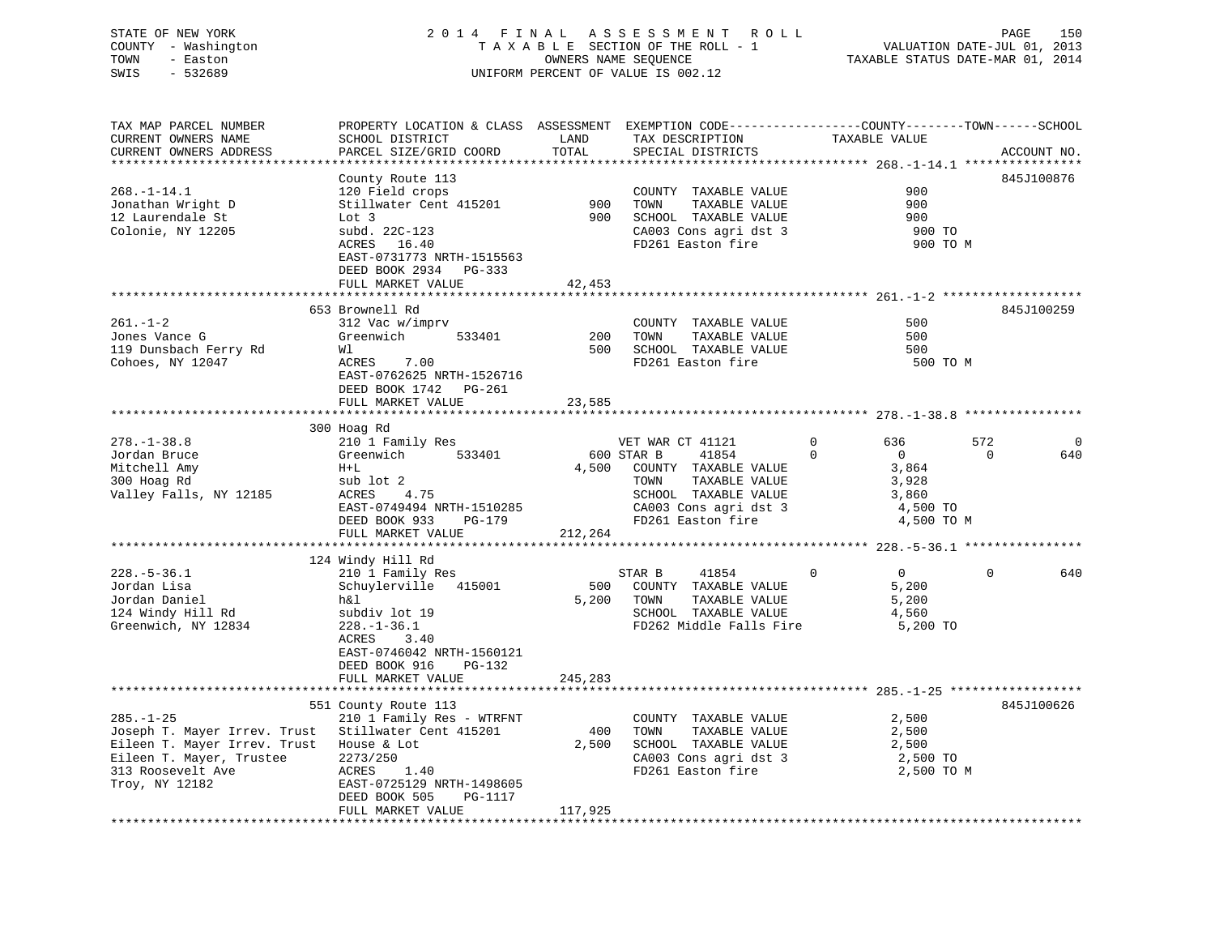## STATE OF NEW YORK 2 0 1 4 F I N A L A S S E S S M E N T R O L L PAGE 150 COUNTY - Washington T A X A B L E SECTION OF THE ROLL - 1 VALUATION DATE-JUL 01, 2013 TOWN - Easton OWNERS NAME SEQUENCE TAXABLE STATUS DATE-MAR 01, 2014 SWIS - 532689 UNIFORM PERCENT OF VALUE IS 002.12

| TAX MAP PARCEL NUMBER<br>CURRENT OWNERS NAME<br>CURRENT OWNERS ADDRESS | PROPERTY LOCATION & CLASS ASSESSMENT EXEMPTION CODE----------------COUNTY-------TOWN------SCHOOL<br>SCHOOL DISTRICT<br>PARCEL SIZE/GRID COORD | LAND<br>TOTAL     | TAX DESCRIPTION<br>SPECIAL DISTRICTS | TAXABLE VALUE                 |             | ACCOUNT NO. |
|------------------------------------------------------------------------|-----------------------------------------------------------------------------------------------------------------------------------------------|-------------------|--------------------------------------|-------------------------------|-------------|-------------|
|                                                                        | ********                                                                                                                                      | * * * * * * * * * |                                      |                               |             |             |
| $268. - 1 - 14.1$                                                      | County Route 113<br>120 Field crops                                                                                                           |                   | COUNTY TAXABLE VALUE                 | 900                           |             | 845J100876  |
| Jonathan Wright D                                                      | Stillwater Cent 415201                                                                                                                        | 900               | TOWN<br>TAXABLE VALUE                | 900                           |             |             |
| 12 Laurendale St                                                       | Lot 3                                                                                                                                         | 900               | SCHOOL TAXABLE VALUE                 | 900                           |             |             |
| Colonie, NY 12205                                                      | subd. 22C-123                                                                                                                                 |                   | CA003 Cons agri dst 3                | 900 TO                        |             |             |
|                                                                        | 16.40<br>ACRES                                                                                                                                |                   | FD261 Easton fire                    | 900 TO M                      |             |             |
|                                                                        | EAST-0731773 NRTH-1515563                                                                                                                     |                   |                                      |                               |             |             |
|                                                                        | DEED BOOK 2934<br>PG-333                                                                                                                      |                   |                                      |                               |             |             |
|                                                                        | FULL MARKET VALUE                                                                                                                             | 42,453            |                                      |                               |             |             |
|                                                                        |                                                                                                                                               |                   |                                      |                               |             |             |
|                                                                        | 653 Brownell Rd                                                                                                                               |                   |                                      |                               |             |             |
| $261. - 1 - 2$                                                         |                                                                                                                                               |                   |                                      | 500                           |             | 845J100259  |
|                                                                        | 312 Vac w/imprv                                                                                                                               |                   | COUNTY TAXABLE VALUE                 | 500                           |             |             |
| Jones Vance G                                                          | Greenwich<br>533401                                                                                                                           | 200               | TOWN<br>TAXABLE VALUE                |                               |             |             |
| 119 Dunsbach Ferry Rd                                                  | Wl                                                                                                                                            | 500               | SCHOOL TAXABLE VALUE                 | 500                           |             |             |
| Cohoes, NY 12047                                                       | ACRES<br>7.00                                                                                                                                 |                   | FD261 Easton fire                    | 500 TO M                      |             |             |
|                                                                        | EAST-0762625 NRTH-1526716                                                                                                                     |                   |                                      |                               |             |             |
|                                                                        | DEED BOOK 1742 PG-261                                                                                                                         |                   |                                      |                               |             |             |
|                                                                        | FULL MARKET VALUE                                                                                                                             | 23,585            |                                      |                               |             |             |
|                                                                        | *****************                                                                                                                             |                   |                                      |                               |             |             |
|                                                                        | 300 Hoag Rd                                                                                                                                   |                   |                                      |                               |             |             |
| $278. - 1 - 38.8$                                                      | 210 1 Family Res                                                                                                                              |                   | VET WAR CT 41121                     | $\Omega$<br>636               | 572         | $\Omega$    |
| Jordan Bruce                                                           | 533401<br>Greenwich                                                                                                                           |                   | 600 STAR B<br>41854                  | $\Omega$<br>$\overline{0}$    | $\Omega$    | 640         |
| Mitchell Amy                                                           | $H+L$                                                                                                                                         | 4,500             | COUNTY TAXABLE VALUE                 | 3,864                         |             |             |
| 300 Hoag Rd                                                            | sub lot 2                                                                                                                                     |                   | TOWN<br>TAXABLE VALUE                | 3,928                         |             |             |
| Valley Falls, NY 12185                                                 | ACRES<br>4.75                                                                                                                                 |                   | SCHOOL TAXABLE VALUE                 | 3,860                         |             |             |
|                                                                        | EAST-0749494 NRTH-1510285                                                                                                                     |                   | CA003 Cons agri dst 3                | 4,500 TO                      |             |             |
|                                                                        | DEED BOOK 933<br>PG-179                                                                                                                       |                   | FD261 Easton fire                    | 4,500 TO M                    |             |             |
|                                                                        | FULL MARKET VALUE                                                                                                                             | 212,264           |                                      |                               |             |             |
|                                                                        |                                                                                                                                               |                   |                                      |                               |             |             |
|                                                                        | 124 Windy Hill Rd                                                                                                                             |                   |                                      |                               |             |             |
| $228. - 5 - 36.1$                                                      | 210 1 Family Res                                                                                                                              |                   | STAR B<br>41854                      | $\overline{0}$<br>$\mathbf 0$ | $\mathbf 0$ | 640         |
| Jordan Lisa                                                            | Schuylerville 415001                                                                                                                          | 500               | COUNTY TAXABLE VALUE                 | 5,200                         |             |             |
| Jordan Daniel                                                          | h&l                                                                                                                                           | 5,200             | TOWN<br>TAXABLE VALUE                | 5,200                         |             |             |
| 124 Windy Hill Rd                                                      | subdiv lot 19                                                                                                                                 |                   | SCHOOL TAXABLE VALUE                 | 4,560                         |             |             |
| Greenwich, NY 12834                                                    | $228. - 1 - 36.1$                                                                                                                             |                   | FD262 Middle Falls Fire              | 5,200 TO                      |             |             |
|                                                                        | ACRES<br>3.40                                                                                                                                 |                   |                                      |                               |             |             |
|                                                                        | EAST-0746042 NRTH-1560121                                                                                                                     |                   |                                      |                               |             |             |
|                                                                        | DEED BOOK 916<br>PG-132                                                                                                                       |                   |                                      |                               |             |             |
|                                                                        | FULL MARKET VALUE                                                                                                                             | 245,283           |                                      |                               |             |             |
|                                                                        |                                                                                                                                               |                   |                                      |                               |             |             |
|                                                                        | 551 County Route 113                                                                                                                          |                   |                                      |                               |             | 845J100626  |
| $285. - 1 - 25$                                                        | 210 1 Family Res - WTRFNT                                                                                                                     |                   | COUNTY TAXABLE VALUE                 | 2,500                         |             |             |
| Joseph T. Mayer Irrev. Trust                                           | Stillwater Cent 415201                                                                                                                        | 400               | TAXABLE VALUE<br>TOWN                | 2,500                         |             |             |
| Eileen T. Mayer Irrev. Trust                                           | House & Lot                                                                                                                                   | 2,500             | SCHOOL TAXABLE VALUE                 | 2,500                         |             |             |
| Eileen T. Mayer, Trustee                                               | 2273/250                                                                                                                                      |                   | CA003 Cons agri dst 3                | 2,500 TO                      |             |             |
| 313 Roosevelt Ave                                                      | ACRES<br>1.40                                                                                                                                 |                   | FD261 Easton fire                    | 2,500 TO M                    |             |             |
| Troy, NY 12182                                                         | EAST-0725129 NRTH-1498605                                                                                                                     |                   |                                      |                               |             |             |
|                                                                        | DEED BOOK 505<br>PG-1117                                                                                                                      |                   |                                      |                               |             |             |
|                                                                        | FULL MARKET VALUE                                                                                                                             | 117,925           |                                      |                               |             |             |
|                                                                        |                                                                                                                                               |                   |                                      |                               |             |             |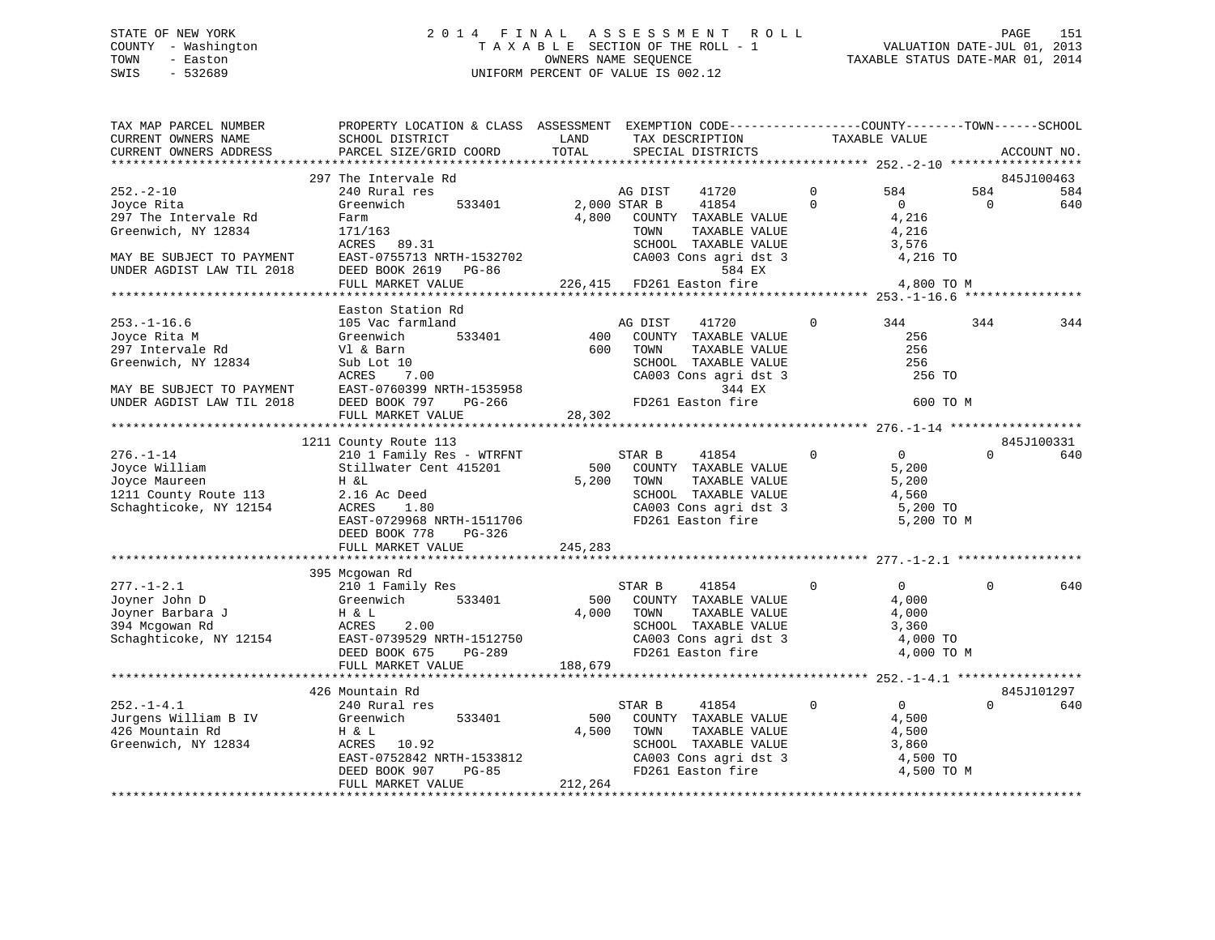## STATE OF NEW YORK 2 0 1 4 F I N A L A S S E S S M E N T R O L L PAGE 151 COUNTY - Washington T A X A B L E SECTION OF THE ROLL - 1 VALUATION DATE-JUL 01, 2013 TOWN - Easton OWNERS NAME SEQUENCE TAXABLE STATUS DATE-MAR 01, 2014 SWIS - 532689 UNIFORM PERCENT OF VALUE IS 002.12

| TAX MAP PARCEL NUMBER<br>CURRENT OWNERS NAME<br>CURRENT OWNERS ADDRESS                                                                 | PROPERTY LOCATION & CLASS ASSESSMENT EXEMPTION CODE---------------COUNTY-------TOWN-----SCHOOL<br>SCHOOL DISTRICT<br>PARCEL SIZE/GRID COORD                                            | LAND<br>TOTAL           | TAX DESCRIPTION<br>SPECIAL DISTRICTS                                                                                                                                                | TAXABLE VALUE           |                                                                            |                 | ACCOUNT NO.              |
|----------------------------------------------------------------------------------------------------------------------------------------|----------------------------------------------------------------------------------------------------------------------------------------------------------------------------------------|-------------------------|-------------------------------------------------------------------------------------------------------------------------------------------------------------------------------------|-------------------------|----------------------------------------------------------------------------|-----------------|--------------------------|
|                                                                                                                                        |                                                                                                                                                                                        |                         |                                                                                                                                                                                     |                         |                                                                            |                 |                          |
| $252 - 2 - 10$<br>Joyce Rita<br>297 The Intervale Rd<br>Greenwich, NY 12834<br>MAY BE SUBJECT TO PAYMENT<br>UNDER AGDIST LAW TIL 2018  | 297 The Intervale Rd<br>240 Rural res<br>Greenwich<br>533401<br>Farm<br>171/163<br>ACRES 89.31<br>EAST-0755713 NRTH-1532702<br>DEED BOOK 2619 PG-86<br>FULL MARKET VALUE               | 2,000 STAR B<br>4,800   | AG DIST<br>41720<br>41854<br>COUNTY TAXABLE VALUE<br>TOWN<br>TAXABLE VALUE<br>SCHOOL TAXABLE VALUE<br>CA003 Cons agri dst 3<br>584 EX<br>226,415 FD261 Easton fire                  | $\mathbf 0$<br>$\Omega$ | 584<br>$\overline{0}$<br>4,216<br>4,216<br>3,576<br>4,216 TO<br>4,800 TO M | 584<br>$\Omega$ | 845J100463<br>584<br>640 |
|                                                                                                                                        |                                                                                                                                                                                        |                         |                                                                                                                                                                                     |                         |                                                                            |                 |                          |
| $253. - 1 - 16.6$<br>Joyce Rita M<br>297 Intervale Rd<br>Greenwich, NY 12834<br>MAY BE SUBJECT TO PAYMENT<br>UNDER AGDIST LAW TIL 2018 | Easton Station Rd<br>105 Vac farmland<br>533401<br>Greenwich<br>Vl & Barn<br>Sub Lot 10<br>ACRES 7.00<br>EAST-0760399 NRTH-1535958<br>DEED BOOK 797 PG-266<br>THIT MAPKET VALUE 28,302 | 400<br>600              | AG DIST<br>41720<br>COUNTY TAXABLE VALUE<br>TOWN<br>TAXABLE VALUE<br>SCHOOL TAXABLE VALUE<br>CA003 Cons agri dst 3<br>344 EX<br>FD261 Easton fire                                   | $\Omega$                | 344<br>256<br>256<br>256<br>256 TO<br>600 TO M                             | 344             | 344                      |
|                                                                                                                                        |                                                                                                                                                                                        |                         |                                                                                                                                                                                     |                         |                                                                            |                 |                          |
|                                                                                                                                        | 1211 County Route 113                                                                                                                                                                  |                         |                                                                                                                                                                                     |                         |                                                                            |                 | 845J100331               |
| $276. - 1 - 14$<br>Joyce William<br>Joyce Maureen<br>1211 County Route 113<br>Schaghticoke, NY 12154                                   | 210 1 Family Res - WTRFNT<br>Stillwater Cent 415201<br>H &L<br>2.16 Ac Deed<br>ACRES<br>1.80<br>EAST-0729968 NRTH-1511706<br>DEED BOOK 778<br>PG-326                                   | 500<br>5,200            | STAR B<br>41854<br>COUNTY TAXABLE VALUE<br>TOWN<br>TAXABLE VALUE<br>SCHOOL TAXABLE VALUE<br>CA003 Cons agri dst 3<br>FD261 Easton fire                                              | $\mathbf 0$             | $\overline{0}$<br>5,200<br>5,200<br>4,560<br>5,200 TO<br>5,200 TO M        | $\Omega$        | 640                      |
|                                                                                                                                        | FULL MARKET VALUE                                                                                                                                                                      | 245,283                 |                                                                                                                                                                                     |                         |                                                                            |                 |                          |
| $277. - 1 - 2.1$<br>Joyner John D                                                                                                      | 395 Mcgowan Rd<br>210 1 Family Res<br>533401<br>Greenwich                                                                                                                              | 500                     | STAR B<br>41854<br>COUNTY TAXABLE VALUE                                                                                                                                             | $\Omega$                | $\overline{0}$<br>4,000                                                    | $\Omega$        | 640                      |
| Joyner Barbara J<br>394 Mcgowan Rd                                                                                                     | H & L<br>ACRES<br>2.00<br>Schaghticoke, NY 12154 EAST-0739529 NRTH-1512750<br>DEED BOOK 675<br>PG-289<br>FULL MARKET VALUE                                                             | 4,000<br>188,679        | TOWN<br>TAXABLE VALUE<br>SCHOOL TAXABLE VALUE<br>CA003 Cons agri dst 3<br>FD261 Easton fire                                                                                         |                         | 4,000<br>3,360<br>4,000 TO<br>4,000 TO M                                   |                 |                          |
|                                                                                                                                        |                                                                                                                                                                                        |                         |                                                                                                                                                                                     |                         |                                                                            |                 |                          |
|                                                                                                                                        | 426 Mountain Rd                                                                                                                                                                        |                         |                                                                                                                                                                                     |                         |                                                                            |                 | 845J101297               |
| $252. - 1 - 4.1$<br>Jurgens William B IV<br>426 Mountain Rd<br>Greenwich, NY 12834                                                     | 240 Rural res<br>533401<br>Greenwich<br>H & L<br>ACRES<br>10.92<br>EAST-0752842 NRTH-1533812<br>DEED BOOK 907<br>PG-85<br>FULL MARKET VALUE                                            | 500<br>4,500<br>212,264 | STAR B<br>41854<br>COUNTY TAXABLE VALUE<br>TAXABLE VALUE<br>TOWN<br>SCHOOL TAXABLE VALUE<br>SCHOOL TAXABLE VALUE<br>CA003 Cons agri dst 3<br>ED361 Easter fire<br>FD261 Easton fire | $\Omega$                | $\overline{0}$<br>4,500<br>4,500<br>3,860<br>4,500 TO<br>4,500 TO M        | $\Omega$        | 640                      |
|                                                                                                                                        |                                                                                                                                                                                        |                         |                                                                                                                                                                                     |                         |                                                                            |                 |                          |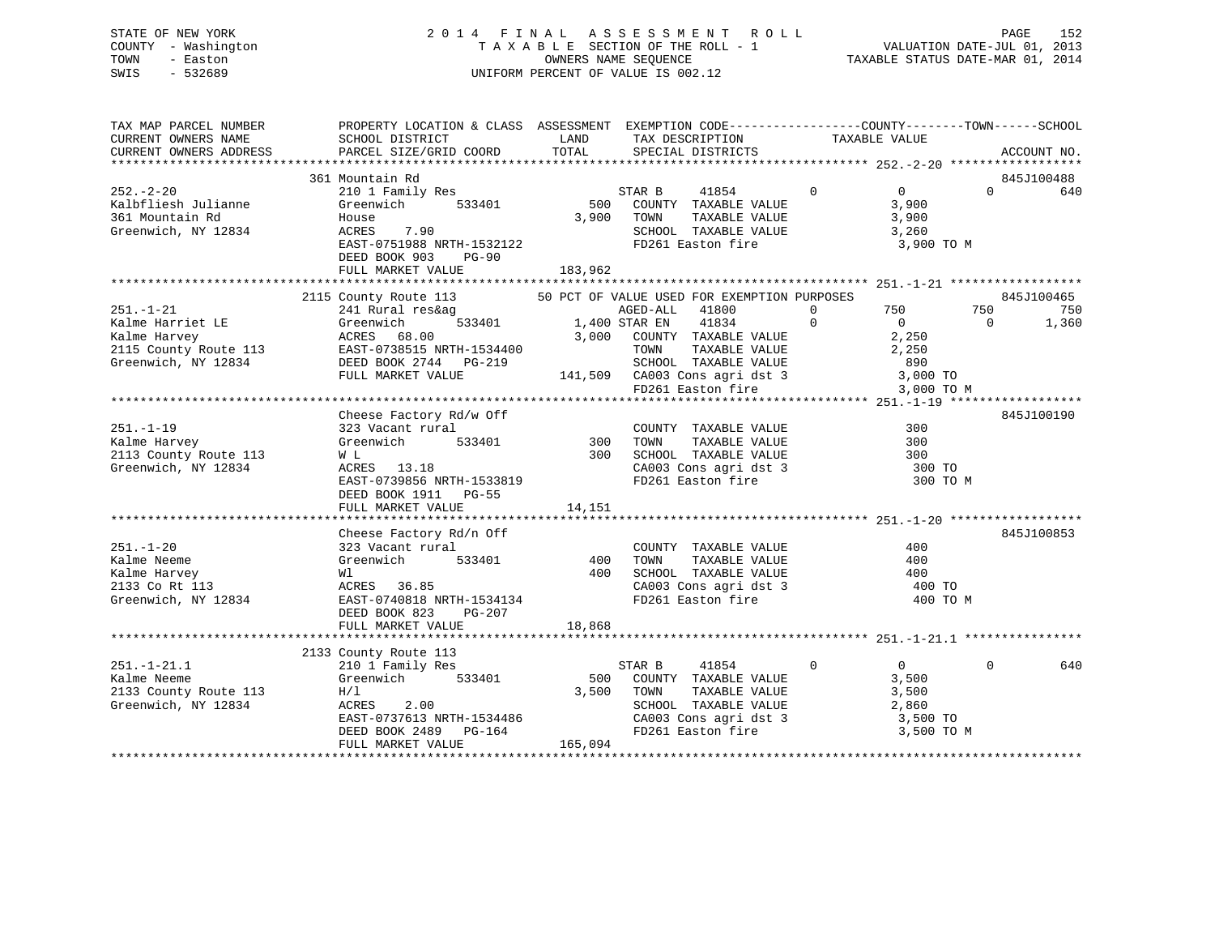## STATE OF NEW YORK 2 0 1 4 F I N A L A S S E S S M E N T R O L L PAGE 152 COUNTY - Washington T A X A B L E SECTION OF THE ROLL - 1 VALUATION DATE-JUL 01, 2013 TOWN - Easton **CONNERS NAME SEQUENCE** TAXABLE STATUS DATE-MAR 01, 2014 SWIS - 532689 UNIFORM PERCENT OF VALUE IS 002.12

| TAX DESCRIPTION TAXABLE VALUE<br>SCHOOL DISTRICT LAND<br>CURRENT OWNERS NAME<br>PARCEL SIZE/GRID COORD TOTAL<br>CURRENT OWNERS ADDRESS<br>SPECIAL DISTRICTS<br>ACCOUNT NO.<br>361 Mountain Rd<br>845J100488<br>210 1 Family Res<br>STAR B 41854 0 0<br>$252 - 2 - 20$<br>$0 \t\t 640$<br>0 0<br>500 COUNTY TAXABLE VALUE 3,900<br>3,900 TOWN TAXABLE VALUE 3,900<br>Greenwich 533401<br>Kalbfliesh Julianne<br>361 Mountain Rd<br>Greenwich, NY 12834<br>SCHOOL TAXABLE VALUE 3,260<br>FD261 Easton fire 3,900<br>EAST-0751988 NRTH-1532122<br>3,900 TO M<br>DEED BOOK 903<br>PG-90<br>$\begin{tabular}{lllllllllll} \multicolumn{3}{c {1.5cm}c@{1.5cm}c@{1.5cm}c@{1.5cm}c@{1.5cm}c@{1.5cm}c@{1.5cm}c@{1.5cm}c@{1.5cm}c@{1.5cm}c@{1.5cm}c@{1.5cm}c@{1.5cm}c@{1.5cm}c@{1.5cm}c@{1.5cm}c@{1.5cm}c@{1.5cm}c@{1.5cm}c@{1.5cm}c@{1.5cm}c@{1.5cm}c@{1.5cm}c@{1.5cm}c@{1.5cm}$<br>845J100190<br>Cheese Factory Rd/w Off<br>323 Vacant rural (COUNT)<br>Greenwich 533401 300 TOWN<br>$251. - 1 - 19$<br>300<br>COUNTY TAXABLE VALUE<br>TOWN       TAXABLE  VALUE<br>Kalme Harvey<br>300<br>2113 County Route 113<br>Greenwich, NY 12834<br>W L<br>W L<br>ACRES 13.18 300 SCHOOL TAXABLE VALUE<br>EAST-0739856 NRTH-1533819 FD261 Easton fire 300 TO<br>EAST-0739856 NRTH-1533819<br>300 TO M<br>DEED BOOK 1911 PG-55<br>845J100853<br>Cheese Factory Rd/n Off<br>Cheese Factory Ra/fi Off<br>323 Vacant rural<br>Greenwich 533401 400<br>COUNTY TAXABLE VALUE 400<br>$251. - 1 - 20$<br>$\begin{array}{cccccccc} \text{251. -1-20} & \text{323 Vacant rural} & \text{COUNTY TAXABLE VALUE} & \text{400} \\ \text{Kalme Neeme} & \text{Greenwich} & \text{533401} & \text{400 TOWN TAXABLE VALUE} & \text{400} \\ \text{Kalme Harvey} & \text{W1} & \text{ACRES} & \text{36.85} & \text{CAO0L TAXABLE VALUE} & \text{400} \\ \text{33 Co Rt 113} & \text{ACRES} & \text{36.85} & \text{CAO13 Cons agri dst 3} & \text{400 TO} \\ \text{Greenwich, NY 12$<br>400 TO M<br>18,868<br>FULL MARKET VALUE<br>2133 County Route 113<br>2133 County koute 113<br>210 1 Family Res<br>Greenwich 533401 500 COUNTY TAXABLE VALUE 3,500<br>H/1 3,500 TOWN TAXABLE VALUE 3,500<br>ACRES 2.00 SCHOOL TAXABLE VALUE 2,860<br>EAST-0737613 NRTH-1534486 CA003 Cons agri dst 3 3,500 TO<br><br>$251. - 1 - 21.1$<br>$\Omega$<br>640<br>Kalme Neeme<br>2133 County Route 113<br>Greenwich, NY 12834 | TAX MAP PARCEL NUMBER | PROPERTY LOCATION & CLASS ASSESSMENT EXEMPTION CODE----------------COUNTY-------TOWN------SCHOOL |  |  |
|---------------------------------------------------------------------------------------------------------------------------------------------------------------------------------------------------------------------------------------------------------------------------------------------------------------------------------------------------------------------------------------------------------------------------------------------------------------------------------------------------------------------------------------------------------------------------------------------------------------------------------------------------------------------------------------------------------------------------------------------------------------------------------------------------------------------------------------------------------------------------------------------------------------------------------------------------------------------------------------------------------------------------------------------------------------------------------------------------------------------------------------------------------------------------------------------------------------------------------------------------------------------------------------------------------------------------------------------------------------------------------------------------------------------------------------------------------------------------------------------------------------------------------------------------------------------------------------------------------------------------------------------------------------------------------------------------------------------------------------------------------------------------------------------------------------------------------------------------------------------------------------------------------------------------------------------------------------------------------------------------------------------------------------------------------------------------------------------------------------------------------------------------------------------------------------------------------------------------------------------------------------------------------------------------------------------------------------------------------------------------|-----------------------|--------------------------------------------------------------------------------------------------|--|--|
|                                                                                                                                                                                                                                                                                                                                                                                                                                                                                                                                                                                                                                                                                                                                                                                                                                                                                                                                                                                                                                                                                                                                                                                                                                                                                                                                                                                                                                                                                                                                                                                                                                                                                                                                                                                                                                                                                                                                                                                                                                                                                                                                                                                                                                                                                                                                                                           |                       |                                                                                                  |  |  |
|                                                                                                                                                                                                                                                                                                                                                                                                                                                                                                                                                                                                                                                                                                                                                                                                                                                                                                                                                                                                                                                                                                                                                                                                                                                                                                                                                                                                                                                                                                                                                                                                                                                                                                                                                                                                                                                                                                                                                                                                                                                                                                                                                                                                                                                                                                                                                                           |                       |                                                                                                  |  |  |
|                                                                                                                                                                                                                                                                                                                                                                                                                                                                                                                                                                                                                                                                                                                                                                                                                                                                                                                                                                                                                                                                                                                                                                                                                                                                                                                                                                                                                                                                                                                                                                                                                                                                                                                                                                                                                                                                                                                                                                                                                                                                                                                                                                                                                                                                                                                                                                           |                       |                                                                                                  |  |  |
|                                                                                                                                                                                                                                                                                                                                                                                                                                                                                                                                                                                                                                                                                                                                                                                                                                                                                                                                                                                                                                                                                                                                                                                                                                                                                                                                                                                                                                                                                                                                                                                                                                                                                                                                                                                                                                                                                                                                                                                                                                                                                                                                                                                                                                                                                                                                                                           |                       |                                                                                                  |  |  |
|                                                                                                                                                                                                                                                                                                                                                                                                                                                                                                                                                                                                                                                                                                                                                                                                                                                                                                                                                                                                                                                                                                                                                                                                                                                                                                                                                                                                                                                                                                                                                                                                                                                                                                                                                                                                                                                                                                                                                                                                                                                                                                                                                                                                                                                                                                                                                                           |                       |                                                                                                  |  |  |
|                                                                                                                                                                                                                                                                                                                                                                                                                                                                                                                                                                                                                                                                                                                                                                                                                                                                                                                                                                                                                                                                                                                                                                                                                                                                                                                                                                                                                                                                                                                                                                                                                                                                                                                                                                                                                                                                                                                                                                                                                                                                                                                                                                                                                                                                                                                                                                           |                       |                                                                                                  |  |  |
|                                                                                                                                                                                                                                                                                                                                                                                                                                                                                                                                                                                                                                                                                                                                                                                                                                                                                                                                                                                                                                                                                                                                                                                                                                                                                                                                                                                                                                                                                                                                                                                                                                                                                                                                                                                                                                                                                                                                                                                                                                                                                                                                                                                                                                                                                                                                                                           |                       |                                                                                                  |  |  |
|                                                                                                                                                                                                                                                                                                                                                                                                                                                                                                                                                                                                                                                                                                                                                                                                                                                                                                                                                                                                                                                                                                                                                                                                                                                                                                                                                                                                                                                                                                                                                                                                                                                                                                                                                                                                                                                                                                                                                                                                                                                                                                                                                                                                                                                                                                                                                                           |                       |                                                                                                  |  |  |
|                                                                                                                                                                                                                                                                                                                                                                                                                                                                                                                                                                                                                                                                                                                                                                                                                                                                                                                                                                                                                                                                                                                                                                                                                                                                                                                                                                                                                                                                                                                                                                                                                                                                                                                                                                                                                                                                                                                                                                                                                                                                                                                                                                                                                                                                                                                                                                           |                       |                                                                                                  |  |  |
|                                                                                                                                                                                                                                                                                                                                                                                                                                                                                                                                                                                                                                                                                                                                                                                                                                                                                                                                                                                                                                                                                                                                                                                                                                                                                                                                                                                                                                                                                                                                                                                                                                                                                                                                                                                                                                                                                                                                                                                                                                                                                                                                                                                                                                                                                                                                                                           |                       |                                                                                                  |  |  |
|                                                                                                                                                                                                                                                                                                                                                                                                                                                                                                                                                                                                                                                                                                                                                                                                                                                                                                                                                                                                                                                                                                                                                                                                                                                                                                                                                                                                                                                                                                                                                                                                                                                                                                                                                                                                                                                                                                                                                                                                                                                                                                                                                                                                                                                                                                                                                                           |                       |                                                                                                  |  |  |
|                                                                                                                                                                                                                                                                                                                                                                                                                                                                                                                                                                                                                                                                                                                                                                                                                                                                                                                                                                                                                                                                                                                                                                                                                                                                                                                                                                                                                                                                                                                                                                                                                                                                                                                                                                                                                                                                                                                                                                                                                                                                                                                                                                                                                                                                                                                                                                           |                       |                                                                                                  |  |  |
|                                                                                                                                                                                                                                                                                                                                                                                                                                                                                                                                                                                                                                                                                                                                                                                                                                                                                                                                                                                                                                                                                                                                                                                                                                                                                                                                                                                                                                                                                                                                                                                                                                                                                                                                                                                                                                                                                                                                                                                                                                                                                                                                                                                                                                                                                                                                                                           |                       |                                                                                                  |  |  |
|                                                                                                                                                                                                                                                                                                                                                                                                                                                                                                                                                                                                                                                                                                                                                                                                                                                                                                                                                                                                                                                                                                                                                                                                                                                                                                                                                                                                                                                                                                                                                                                                                                                                                                                                                                                                                                                                                                                                                                                                                                                                                                                                                                                                                                                                                                                                                                           |                       |                                                                                                  |  |  |
|                                                                                                                                                                                                                                                                                                                                                                                                                                                                                                                                                                                                                                                                                                                                                                                                                                                                                                                                                                                                                                                                                                                                                                                                                                                                                                                                                                                                                                                                                                                                                                                                                                                                                                                                                                                                                                                                                                                                                                                                                                                                                                                                                                                                                                                                                                                                                                           |                       |                                                                                                  |  |  |
|                                                                                                                                                                                                                                                                                                                                                                                                                                                                                                                                                                                                                                                                                                                                                                                                                                                                                                                                                                                                                                                                                                                                                                                                                                                                                                                                                                                                                                                                                                                                                                                                                                                                                                                                                                                                                                                                                                                                                                                                                                                                                                                                                                                                                                                                                                                                                                           |                       |                                                                                                  |  |  |
|                                                                                                                                                                                                                                                                                                                                                                                                                                                                                                                                                                                                                                                                                                                                                                                                                                                                                                                                                                                                                                                                                                                                                                                                                                                                                                                                                                                                                                                                                                                                                                                                                                                                                                                                                                                                                                                                                                                                                                                                                                                                                                                                                                                                                                                                                                                                                                           |                       |                                                                                                  |  |  |
|                                                                                                                                                                                                                                                                                                                                                                                                                                                                                                                                                                                                                                                                                                                                                                                                                                                                                                                                                                                                                                                                                                                                                                                                                                                                                                                                                                                                                                                                                                                                                                                                                                                                                                                                                                                                                                                                                                                                                                                                                                                                                                                                                                                                                                                                                                                                                                           |                       |                                                                                                  |  |  |
|                                                                                                                                                                                                                                                                                                                                                                                                                                                                                                                                                                                                                                                                                                                                                                                                                                                                                                                                                                                                                                                                                                                                                                                                                                                                                                                                                                                                                                                                                                                                                                                                                                                                                                                                                                                                                                                                                                                                                                                                                                                                                                                                                                                                                                                                                                                                                                           |                       |                                                                                                  |  |  |
|                                                                                                                                                                                                                                                                                                                                                                                                                                                                                                                                                                                                                                                                                                                                                                                                                                                                                                                                                                                                                                                                                                                                                                                                                                                                                                                                                                                                                                                                                                                                                                                                                                                                                                                                                                                                                                                                                                                                                                                                                                                                                                                                                                                                                                                                                                                                                                           |                       |                                                                                                  |  |  |
|                                                                                                                                                                                                                                                                                                                                                                                                                                                                                                                                                                                                                                                                                                                                                                                                                                                                                                                                                                                                                                                                                                                                                                                                                                                                                                                                                                                                                                                                                                                                                                                                                                                                                                                                                                                                                                                                                                                                                                                                                                                                                                                                                                                                                                                                                                                                                                           |                       |                                                                                                  |  |  |
|                                                                                                                                                                                                                                                                                                                                                                                                                                                                                                                                                                                                                                                                                                                                                                                                                                                                                                                                                                                                                                                                                                                                                                                                                                                                                                                                                                                                                                                                                                                                                                                                                                                                                                                                                                                                                                                                                                                                                                                                                                                                                                                                                                                                                                                                                                                                                                           |                       |                                                                                                  |  |  |
|                                                                                                                                                                                                                                                                                                                                                                                                                                                                                                                                                                                                                                                                                                                                                                                                                                                                                                                                                                                                                                                                                                                                                                                                                                                                                                                                                                                                                                                                                                                                                                                                                                                                                                                                                                                                                                                                                                                                                                                                                                                                                                                                                                                                                                                                                                                                                                           |                       |                                                                                                  |  |  |
|                                                                                                                                                                                                                                                                                                                                                                                                                                                                                                                                                                                                                                                                                                                                                                                                                                                                                                                                                                                                                                                                                                                                                                                                                                                                                                                                                                                                                                                                                                                                                                                                                                                                                                                                                                                                                                                                                                                                                                                                                                                                                                                                                                                                                                                                                                                                                                           |                       |                                                                                                  |  |  |
|                                                                                                                                                                                                                                                                                                                                                                                                                                                                                                                                                                                                                                                                                                                                                                                                                                                                                                                                                                                                                                                                                                                                                                                                                                                                                                                                                                                                                                                                                                                                                                                                                                                                                                                                                                                                                                                                                                                                                                                                                                                                                                                                                                                                                                                                                                                                                                           |                       |                                                                                                  |  |  |
|                                                                                                                                                                                                                                                                                                                                                                                                                                                                                                                                                                                                                                                                                                                                                                                                                                                                                                                                                                                                                                                                                                                                                                                                                                                                                                                                                                                                                                                                                                                                                                                                                                                                                                                                                                                                                                                                                                                                                                                                                                                                                                                                                                                                                                                                                                                                                                           |                       |                                                                                                  |  |  |
|                                                                                                                                                                                                                                                                                                                                                                                                                                                                                                                                                                                                                                                                                                                                                                                                                                                                                                                                                                                                                                                                                                                                                                                                                                                                                                                                                                                                                                                                                                                                                                                                                                                                                                                                                                                                                                                                                                                                                                                                                                                                                                                                                                                                                                                                                                                                                                           |                       |                                                                                                  |  |  |
|                                                                                                                                                                                                                                                                                                                                                                                                                                                                                                                                                                                                                                                                                                                                                                                                                                                                                                                                                                                                                                                                                                                                                                                                                                                                                                                                                                                                                                                                                                                                                                                                                                                                                                                                                                                                                                                                                                                                                                                                                                                                                                                                                                                                                                                                                                                                                                           |                       |                                                                                                  |  |  |
|                                                                                                                                                                                                                                                                                                                                                                                                                                                                                                                                                                                                                                                                                                                                                                                                                                                                                                                                                                                                                                                                                                                                                                                                                                                                                                                                                                                                                                                                                                                                                                                                                                                                                                                                                                                                                                                                                                                                                                                                                                                                                                                                                                                                                                                                                                                                                                           |                       |                                                                                                  |  |  |
|                                                                                                                                                                                                                                                                                                                                                                                                                                                                                                                                                                                                                                                                                                                                                                                                                                                                                                                                                                                                                                                                                                                                                                                                                                                                                                                                                                                                                                                                                                                                                                                                                                                                                                                                                                                                                                                                                                                                                                                                                                                                                                                                                                                                                                                                                                                                                                           |                       |                                                                                                  |  |  |
|                                                                                                                                                                                                                                                                                                                                                                                                                                                                                                                                                                                                                                                                                                                                                                                                                                                                                                                                                                                                                                                                                                                                                                                                                                                                                                                                                                                                                                                                                                                                                                                                                                                                                                                                                                                                                                                                                                                                                                                                                                                                                                                                                                                                                                                                                                                                                                           |                       |                                                                                                  |  |  |
|                                                                                                                                                                                                                                                                                                                                                                                                                                                                                                                                                                                                                                                                                                                                                                                                                                                                                                                                                                                                                                                                                                                                                                                                                                                                                                                                                                                                                                                                                                                                                                                                                                                                                                                                                                                                                                                                                                                                                                                                                                                                                                                                                                                                                                                                                                                                                                           |                       |                                                                                                  |  |  |
|                                                                                                                                                                                                                                                                                                                                                                                                                                                                                                                                                                                                                                                                                                                                                                                                                                                                                                                                                                                                                                                                                                                                                                                                                                                                                                                                                                                                                                                                                                                                                                                                                                                                                                                                                                                                                                                                                                                                                                                                                                                                                                                                                                                                                                                                                                                                                                           |                       |                                                                                                  |  |  |
|                                                                                                                                                                                                                                                                                                                                                                                                                                                                                                                                                                                                                                                                                                                                                                                                                                                                                                                                                                                                                                                                                                                                                                                                                                                                                                                                                                                                                                                                                                                                                                                                                                                                                                                                                                                                                                                                                                                                                                                                                                                                                                                                                                                                                                                                                                                                                                           |                       |                                                                                                  |  |  |
|                                                                                                                                                                                                                                                                                                                                                                                                                                                                                                                                                                                                                                                                                                                                                                                                                                                                                                                                                                                                                                                                                                                                                                                                                                                                                                                                                                                                                                                                                                                                                                                                                                                                                                                                                                                                                                                                                                                                                                                                                                                                                                                                                                                                                                                                                                                                                                           |                       |                                                                                                  |  |  |
|                                                                                                                                                                                                                                                                                                                                                                                                                                                                                                                                                                                                                                                                                                                                                                                                                                                                                                                                                                                                                                                                                                                                                                                                                                                                                                                                                                                                                                                                                                                                                                                                                                                                                                                                                                                                                                                                                                                                                                                                                                                                                                                                                                                                                                                                                                                                                                           |                       |                                                                                                  |  |  |
|                                                                                                                                                                                                                                                                                                                                                                                                                                                                                                                                                                                                                                                                                                                                                                                                                                                                                                                                                                                                                                                                                                                                                                                                                                                                                                                                                                                                                                                                                                                                                                                                                                                                                                                                                                                                                                                                                                                                                                                                                                                                                                                                                                                                                                                                                                                                                                           |                       |                                                                                                  |  |  |
|                                                                                                                                                                                                                                                                                                                                                                                                                                                                                                                                                                                                                                                                                                                                                                                                                                                                                                                                                                                                                                                                                                                                                                                                                                                                                                                                                                                                                                                                                                                                                                                                                                                                                                                                                                                                                                                                                                                                                                                                                                                                                                                                                                                                                                                                                                                                                                           |                       |                                                                                                  |  |  |
|                                                                                                                                                                                                                                                                                                                                                                                                                                                                                                                                                                                                                                                                                                                                                                                                                                                                                                                                                                                                                                                                                                                                                                                                                                                                                                                                                                                                                                                                                                                                                                                                                                                                                                                                                                                                                                                                                                                                                                                                                                                                                                                                                                                                                                                                                                                                                                           |                       |                                                                                                  |  |  |
|                                                                                                                                                                                                                                                                                                                                                                                                                                                                                                                                                                                                                                                                                                                                                                                                                                                                                                                                                                                                                                                                                                                                                                                                                                                                                                                                                                                                                                                                                                                                                                                                                                                                                                                                                                                                                                                                                                                                                                                                                                                                                                                                                                                                                                                                                                                                                                           |                       |                                                                                                  |  |  |
|                                                                                                                                                                                                                                                                                                                                                                                                                                                                                                                                                                                                                                                                                                                                                                                                                                                                                                                                                                                                                                                                                                                                                                                                                                                                                                                                                                                                                                                                                                                                                                                                                                                                                                                                                                                                                                                                                                                                                                                                                                                                                                                                                                                                                                                                                                                                                                           |                       |                                                                                                  |  |  |
|                                                                                                                                                                                                                                                                                                                                                                                                                                                                                                                                                                                                                                                                                                                                                                                                                                                                                                                                                                                                                                                                                                                                                                                                                                                                                                                                                                                                                                                                                                                                                                                                                                                                                                                                                                                                                                                                                                                                                                                                                                                                                                                                                                                                                                                                                                                                                                           |                       |                                                                                                  |  |  |
|                                                                                                                                                                                                                                                                                                                                                                                                                                                                                                                                                                                                                                                                                                                                                                                                                                                                                                                                                                                                                                                                                                                                                                                                                                                                                                                                                                                                                                                                                                                                                                                                                                                                                                                                                                                                                                                                                                                                                                                                                                                                                                                                                                                                                                                                                                                                                                           |                       |                                                                                                  |  |  |
|                                                                                                                                                                                                                                                                                                                                                                                                                                                                                                                                                                                                                                                                                                                                                                                                                                                                                                                                                                                                                                                                                                                                                                                                                                                                                                                                                                                                                                                                                                                                                                                                                                                                                                                                                                                                                                                                                                                                                                                                                                                                                                                                                                                                                                                                                                                                                                           |                       |                                                                                                  |  |  |
|                                                                                                                                                                                                                                                                                                                                                                                                                                                                                                                                                                                                                                                                                                                                                                                                                                                                                                                                                                                                                                                                                                                                                                                                                                                                                                                                                                                                                                                                                                                                                                                                                                                                                                                                                                                                                                                                                                                                                                                                                                                                                                                                                                                                                                                                                                                                                                           |                       |                                                                                                  |  |  |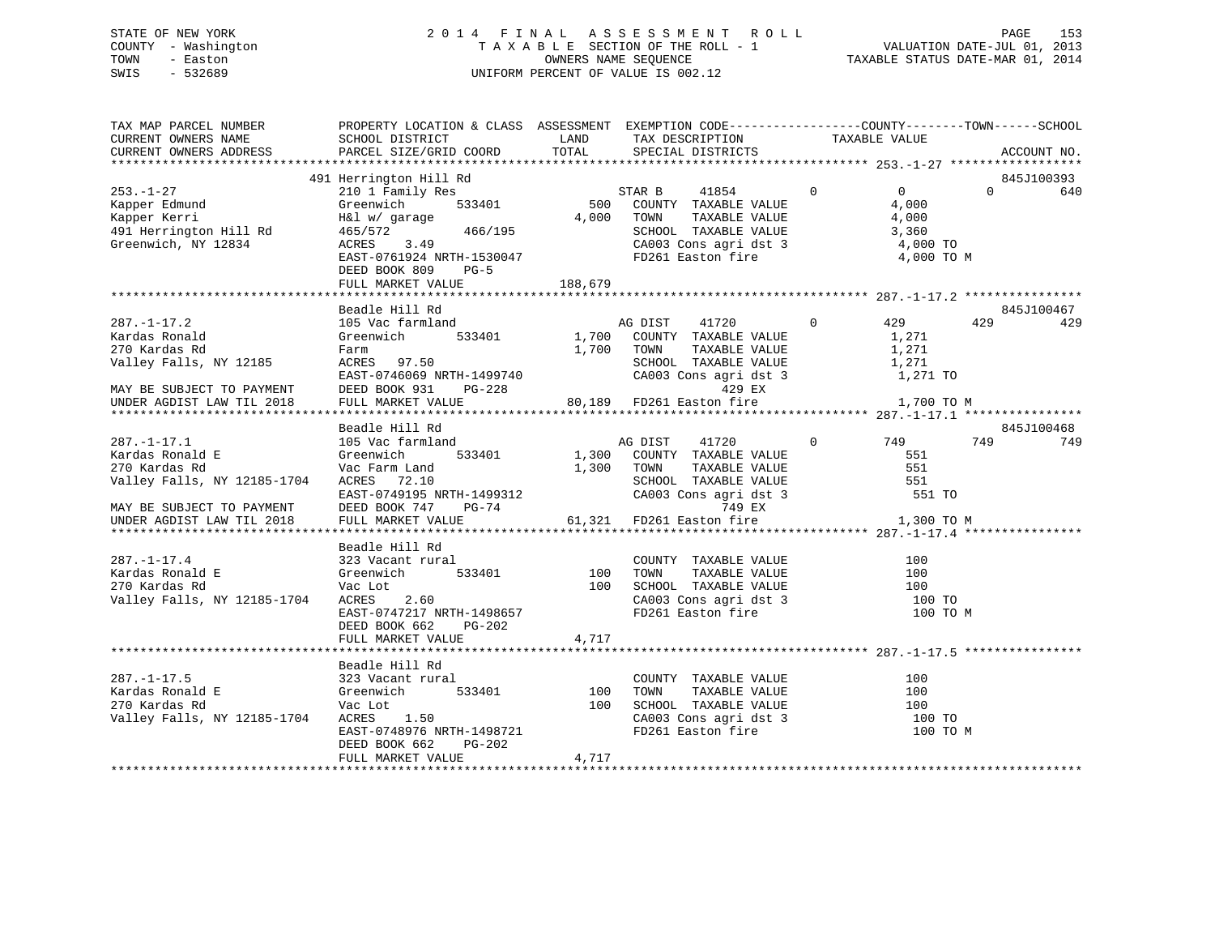## STATE OF NEW YORK 2 0 1 4 F I N A L A S S E S S M E N T R O L L PAGE 153 COUNTY - Washington T A X A B L E SECTION OF THE ROLL - 1 VALUATION DATE-JUL 01, 2013 TOWN - Easton OWNERS NAME SEQUENCE TAXABLE STATUS DATE-MAR 01, 2014 SWIS - 532689 UNIFORM PERCENT OF VALUE IS 002.12

| 491 Herrington Hill Rd<br>845J100393<br>Herrington Hill Rd<br>210 1 Family Res<br>Greenwich 533401 500 COUNTY TAXABLE VALUE 4,000<br>4.000 TOWN TAXABLE VALUE 4,000<br>- -------- 3,360<br>$253. - 1 - 27$<br>$\overline{0}$<br>$\Omega$<br>640<br>253.-1-27 210 1 Family Res<br>Kapper Edmund Greenwich 533401<br>Kapper Kerri H&l w/garage<br>491 Herrington Hill Rd 465/572 466/195<br>Greenwich, NY 12834 ACRES 3.49<br>466/195<br>SCHOOL TAXABLE VALUE 3,360<br>CA003 Cons agri dst 3 4,000 TO<br>FD261 Easton fire<br>EAST-0761924 NRTH-1530047<br>4,000 TO M<br>DEED BOOK 809<br>$PG-5$<br>Beadle Hill Rd<br>845J100467<br>41720 0 429<br>429<br>$287. - 1 - 17.2$<br>105 Vac farmland<br>AG DIST<br>429<br>533401 1,700 COUNTY TAXABLE VALUE<br>1,271<br>1,700 TOWN<br>TAXABLE VALUE 1,271<br>SCHOOL TAXABLE VALUE 1,271<br>CA003 Cons agri dst 3 1,271 TO<br>VALLEY FAILS, NY 12185<br>EAST-0746069 NRTH-1499740<br>EAST-0746069 NRTH-1499740<br>MAY BE SUBJECT TO PAYMENT DEED BOOK 931 PG-228<br>UNDER AGDIST LAW TIL 2018 FULL MARKET VALUE 80,189 FD261 Easton fire 1,700 TO M<br>Beadle Hill Rd<br>845J100468<br>$105$ Vac farmland<br>AG DIST 41720<br>0 749<br>$287. - 1 - 17.1$<br>749<br>749<br>Greenwich 533401 1,300 COUNTY TAXABLE VALUE 551<br>Vac Farm Land 1,300 TOWN TAXABLE VALUE 551<br>Kardas Ronald E<br>$1,300$ TOWN<br>270 Kardas Rd<br>Valley Falls, NY 12185-1704 ACRES 72.10<br>EAST-0749195 NRTH-1499312<br>DEED BOOK 747 PG-74 749 8X<br>551 TO<br>MAY BE SUBJECT TO PAYMENT<br>UNDER AGDIST LAW TIL 2018<br>61,321 FD261 Easton fire 31,300 TO M<br>FULL MARKET VALUE<br>Beadle Hill Rd<br>$287. - 1 - 17.4$<br>Kardas Ronald E<br>270 Kardas Rd<br>Valley Falls, NY 12185-1704<br>CA003 Cons agri dst 3<br>FD261 Easton fire<br>100 TO<br>EAST-0747217 NRTH-1498657<br>100 TO M<br>DEED BOOK 662<br>PG-202<br>4,717<br>FULL MARKET VALUE<br>Beadle Hill Rd<br>COUNTY TAXABLE VALUE<br>l<br>533401 100<br>100<br>TAXABLE VALUE<br>TOWN<br>100<br>100 SCHOOL TAXABLE VALUE 100 100<br>CA003 Cons agri dst 3 100 TO<br>270 Kardas Rd<br>Vac Lot<br>Valley Falls, NY 12185-1704 ACRES<br>1.50<br>EAST-0748976 NRTH-1498721<br>FD261 Easton fire<br>100 TO M<br>DEED BOOK 662<br>PG-202<br>4,717<br>FULL MARKET VALUE | TAX MAP PARCEL NUMBER |  | PROPERTY LOCATION & CLASS ASSESSMENT EXEMPTION CODE----------------COUNTY-------TOWN------SCHOOL |  |  |
|--------------------------------------------------------------------------------------------------------------------------------------------------------------------------------------------------------------------------------------------------------------------------------------------------------------------------------------------------------------------------------------------------------------------------------------------------------------------------------------------------------------------------------------------------------------------------------------------------------------------------------------------------------------------------------------------------------------------------------------------------------------------------------------------------------------------------------------------------------------------------------------------------------------------------------------------------------------------------------------------------------------------------------------------------------------------------------------------------------------------------------------------------------------------------------------------------------------------------------------------------------------------------------------------------------------------------------------------------------------------------------------------------------------------------------------------------------------------------------------------------------------------------------------------------------------------------------------------------------------------------------------------------------------------------------------------------------------------------------------------------------------------------------------------------------------------------------------------------------------------------------------------------------------------------------------------------------------------------------------------------------------------------------------------------------------------------------------------------------------------------------------------------------------------------------------------------------------------------------------------------------|-----------------------|--|--------------------------------------------------------------------------------------------------|--|--|
|                                                                                                                                                                                                                                                                                                                                                                                                                                                                                                                                                                                                                                                                                                                                                                                                                                                                                                                                                                                                                                                                                                                                                                                                                                                                                                                                                                                                                                                                                                                                                                                                                                                                                                                                                                                                                                                                                                                                                                                                                                                                                                                                                                                                                                                        |                       |  |                                                                                                  |  |  |
|                                                                                                                                                                                                                                                                                                                                                                                                                                                                                                                                                                                                                                                                                                                                                                                                                                                                                                                                                                                                                                                                                                                                                                                                                                                                                                                                                                                                                                                                                                                                                                                                                                                                                                                                                                                                                                                                                                                                                                                                                                                                                                                                                                                                                                                        |                       |  |                                                                                                  |  |  |
|                                                                                                                                                                                                                                                                                                                                                                                                                                                                                                                                                                                                                                                                                                                                                                                                                                                                                                                                                                                                                                                                                                                                                                                                                                                                                                                                                                                                                                                                                                                                                                                                                                                                                                                                                                                                                                                                                                                                                                                                                                                                                                                                                                                                                                                        |                       |  |                                                                                                  |  |  |
|                                                                                                                                                                                                                                                                                                                                                                                                                                                                                                                                                                                                                                                                                                                                                                                                                                                                                                                                                                                                                                                                                                                                                                                                                                                                                                                                                                                                                                                                                                                                                                                                                                                                                                                                                                                                                                                                                                                                                                                                                                                                                                                                                                                                                                                        |                       |  |                                                                                                  |  |  |
|                                                                                                                                                                                                                                                                                                                                                                                                                                                                                                                                                                                                                                                                                                                                                                                                                                                                                                                                                                                                                                                                                                                                                                                                                                                                                                                                                                                                                                                                                                                                                                                                                                                                                                                                                                                                                                                                                                                                                                                                                                                                                                                                                                                                                                                        |                       |  |                                                                                                  |  |  |
|                                                                                                                                                                                                                                                                                                                                                                                                                                                                                                                                                                                                                                                                                                                                                                                                                                                                                                                                                                                                                                                                                                                                                                                                                                                                                                                                                                                                                                                                                                                                                                                                                                                                                                                                                                                                                                                                                                                                                                                                                                                                                                                                                                                                                                                        |                       |  |                                                                                                  |  |  |
|                                                                                                                                                                                                                                                                                                                                                                                                                                                                                                                                                                                                                                                                                                                                                                                                                                                                                                                                                                                                                                                                                                                                                                                                                                                                                                                                                                                                                                                                                                                                                                                                                                                                                                                                                                                                                                                                                                                                                                                                                                                                                                                                                                                                                                                        |                       |  |                                                                                                  |  |  |
|                                                                                                                                                                                                                                                                                                                                                                                                                                                                                                                                                                                                                                                                                                                                                                                                                                                                                                                                                                                                                                                                                                                                                                                                                                                                                                                                                                                                                                                                                                                                                                                                                                                                                                                                                                                                                                                                                                                                                                                                                                                                                                                                                                                                                                                        |                       |  |                                                                                                  |  |  |
|                                                                                                                                                                                                                                                                                                                                                                                                                                                                                                                                                                                                                                                                                                                                                                                                                                                                                                                                                                                                                                                                                                                                                                                                                                                                                                                                                                                                                                                                                                                                                                                                                                                                                                                                                                                                                                                                                                                                                                                                                                                                                                                                                                                                                                                        |                       |  |                                                                                                  |  |  |
|                                                                                                                                                                                                                                                                                                                                                                                                                                                                                                                                                                                                                                                                                                                                                                                                                                                                                                                                                                                                                                                                                                                                                                                                                                                                                                                                                                                                                                                                                                                                                                                                                                                                                                                                                                                                                                                                                                                                                                                                                                                                                                                                                                                                                                                        |                       |  |                                                                                                  |  |  |
|                                                                                                                                                                                                                                                                                                                                                                                                                                                                                                                                                                                                                                                                                                                                                                                                                                                                                                                                                                                                                                                                                                                                                                                                                                                                                                                                                                                                                                                                                                                                                                                                                                                                                                                                                                                                                                                                                                                                                                                                                                                                                                                                                                                                                                                        |                       |  |                                                                                                  |  |  |
|                                                                                                                                                                                                                                                                                                                                                                                                                                                                                                                                                                                                                                                                                                                                                                                                                                                                                                                                                                                                                                                                                                                                                                                                                                                                                                                                                                                                                                                                                                                                                                                                                                                                                                                                                                                                                                                                                                                                                                                                                                                                                                                                                                                                                                                        |                       |  |                                                                                                  |  |  |
|                                                                                                                                                                                                                                                                                                                                                                                                                                                                                                                                                                                                                                                                                                                                                                                                                                                                                                                                                                                                                                                                                                                                                                                                                                                                                                                                                                                                                                                                                                                                                                                                                                                                                                                                                                                                                                                                                                                                                                                                                                                                                                                                                                                                                                                        |                       |  |                                                                                                  |  |  |
|                                                                                                                                                                                                                                                                                                                                                                                                                                                                                                                                                                                                                                                                                                                                                                                                                                                                                                                                                                                                                                                                                                                                                                                                                                                                                                                                                                                                                                                                                                                                                                                                                                                                                                                                                                                                                                                                                                                                                                                                                                                                                                                                                                                                                                                        |                       |  |                                                                                                  |  |  |
|                                                                                                                                                                                                                                                                                                                                                                                                                                                                                                                                                                                                                                                                                                                                                                                                                                                                                                                                                                                                                                                                                                                                                                                                                                                                                                                                                                                                                                                                                                                                                                                                                                                                                                                                                                                                                                                                                                                                                                                                                                                                                                                                                                                                                                                        |                       |  |                                                                                                  |  |  |
|                                                                                                                                                                                                                                                                                                                                                                                                                                                                                                                                                                                                                                                                                                                                                                                                                                                                                                                                                                                                                                                                                                                                                                                                                                                                                                                                                                                                                                                                                                                                                                                                                                                                                                                                                                                                                                                                                                                                                                                                                                                                                                                                                                                                                                                        |                       |  |                                                                                                  |  |  |
|                                                                                                                                                                                                                                                                                                                                                                                                                                                                                                                                                                                                                                                                                                                                                                                                                                                                                                                                                                                                                                                                                                                                                                                                                                                                                                                                                                                                                                                                                                                                                                                                                                                                                                                                                                                                                                                                                                                                                                                                                                                                                                                                                                                                                                                        |                       |  |                                                                                                  |  |  |
|                                                                                                                                                                                                                                                                                                                                                                                                                                                                                                                                                                                                                                                                                                                                                                                                                                                                                                                                                                                                                                                                                                                                                                                                                                                                                                                                                                                                                                                                                                                                                                                                                                                                                                                                                                                                                                                                                                                                                                                                                                                                                                                                                                                                                                                        |                       |  |                                                                                                  |  |  |
|                                                                                                                                                                                                                                                                                                                                                                                                                                                                                                                                                                                                                                                                                                                                                                                                                                                                                                                                                                                                                                                                                                                                                                                                                                                                                                                                                                                                                                                                                                                                                                                                                                                                                                                                                                                                                                                                                                                                                                                                                                                                                                                                                                                                                                                        |                       |  |                                                                                                  |  |  |
|                                                                                                                                                                                                                                                                                                                                                                                                                                                                                                                                                                                                                                                                                                                                                                                                                                                                                                                                                                                                                                                                                                                                                                                                                                                                                                                                                                                                                                                                                                                                                                                                                                                                                                                                                                                                                                                                                                                                                                                                                                                                                                                                                                                                                                                        |                       |  |                                                                                                  |  |  |
|                                                                                                                                                                                                                                                                                                                                                                                                                                                                                                                                                                                                                                                                                                                                                                                                                                                                                                                                                                                                                                                                                                                                                                                                                                                                                                                                                                                                                                                                                                                                                                                                                                                                                                                                                                                                                                                                                                                                                                                                                                                                                                                                                                                                                                                        |                       |  |                                                                                                  |  |  |
|                                                                                                                                                                                                                                                                                                                                                                                                                                                                                                                                                                                                                                                                                                                                                                                                                                                                                                                                                                                                                                                                                                                                                                                                                                                                                                                                                                                                                                                                                                                                                                                                                                                                                                                                                                                                                                                                                                                                                                                                                                                                                                                                                                                                                                                        |                       |  |                                                                                                  |  |  |
|                                                                                                                                                                                                                                                                                                                                                                                                                                                                                                                                                                                                                                                                                                                                                                                                                                                                                                                                                                                                                                                                                                                                                                                                                                                                                                                                                                                                                                                                                                                                                                                                                                                                                                                                                                                                                                                                                                                                                                                                                                                                                                                                                                                                                                                        |                       |  |                                                                                                  |  |  |
|                                                                                                                                                                                                                                                                                                                                                                                                                                                                                                                                                                                                                                                                                                                                                                                                                                                                                                                                                                                                                                                                                                                                                                                                                                                                                                                                                                                                                                                                                                                                                                                                                                                                                                                                                                                                                                                                                                                                                                                                                                                                                                                                                                                                                                                        |                       |  |                                                                                                  |  |  |
|                                                                                                                                                                                                                                                                                                                                                                                                                                                                                                                                                                                                                                                                                                                                                                                                                                                                                                                                                                                                                                                                                                                                                                                                                                                                                                                                                                                                                                                                                                                                                                                                                                                                                                                                                                                                                                                                                                                                                                                                                                                                                                                                                                                                                                                        |                       |  |                                                                                                  |  |  |
|                                                                                                                                                                                                                                                                                                                                                                                                                                                                                                                                                                                                                                                                                                                                                                                                                                                                                                                                                                                                                                                                                                                                                                                                                                                                                                                                                                                                                                                                                                                                                                                                                                                                                                                                                                                                                                                                                                                                                                                                                                                                                                                                                                                                                                                        |                       |  |                                                                                                  |  |  |
|                                                                                                                                                                                                                                                                                                                                                                                                                                                                                                                                                                                                                                                                                                                                                                                                                                                                                                                                                                                                                                                                                                                                                                                                                                                                                                                                                                                                                                                                                                                                                                                                                                                                                                                                                                                                                                                                                                                                                                                                                                                                                                                                                                                                                                                        |                       |  |                                                                                                  |  |  |
|                                                                                                                                                                                                                                                                                                                                                                                                                                                                                                                                                                                                                                                                                                                                                                                                                                                                                                                                                                                                                                                                                                                                                                                                                                                                                                                                                                                                                                                                                                                                                                                                                                                                                                                                                                                                                                                                                                                                                                                                                                                                                                                                                                                                                                                        |                       |  |                                                                                                  |  |  |
|                                                                                                                                                                                                                                                                                                                                                                                                                                                                                                                                                                                                                                                                                                                                                                                                                                                                                                                                                                                                                                                                                                                                                                                                                                                                                                                                                                                                                                                                                                                                                                                                                                                                                                                                                                                                                                                                                                                                                                                                                                                                                                                                                                                                                                                        |                       |  |                                                                                                  |  |  |
|                                                                                                                                                                                                                                                                                                                                                                                                                                                                                                                                                                                                                                                                                                                                                                                                                                                                                                                                                                                                                                                                                                                                                                                                                                                                                                                                                                                                                                                                                                                                                                                                                                                                                                                                                                                                                                                                                                                                                                                                                                                                                                                                                                                                                                                        |                       |  |                                                                                                  |  |  |
|                                                                                                                                                                                                                                                                                                                                                                                                                                                                                                                                                                                                                                                                                                                                                                                                                                                                                                                                                                                                                                                                                                                                                                                                                                                                                                                                                                                                                                                                                                                                                                                                                                                                                                                                                                                                                                                                                                                                                                                                                                                                                                                                                                                                                                                        |                       |  |                                                                                                  |  |  |
|                                                                                                                                                                                                                                                                                                                                                                                                                                                                                                                                                                                                                                                                                                                                                                                                                                                                                                                                                                                                                                                                                                                                                                                                                                                                                                                                                                                                                                                                                                                                                                                                                                                                                                                                                                                                                                                                                                                                                                                                                                                                                                                                                                                                                                                        |                       |  |                                                                                                  |  |  |
|                                                                                                                                                                                                                                                                                                                                                                                                                                                                                                                                                                                                                                                                                                                                                                                                                                                                                                                                                                                                                                                                                                                                                                                                                                                                                                                                                                                                                                                                                                                                                                                                                                                                                                                                                                                                                                                                                                                                                                                                                                                                                                                                                                                                                                                        |                       |  |                                                                                                  |  |  |
|                                                                                                                                                                                                                                                                                                                                                                                                                                                                                                                                                                                                                                                                                                                                                                                                                                                                                                                                                                                                                                                                                                                                                                                                                                                                                                                                                                                                                                                                                                                                                                                                                                                                                                                                                                                                                                                                                                                                                                                                                                                                                                                                                                                                                                                        |                       |  |                                                                                                  |  |  |
|                                                                                                                                                                                                                                                                                                                                                                                                                                                                                                                                                                                                                                                                                                                                                                                                                                                                                                                                                                                                                                                                                                                                                                                                                                                                                                                                                                                                                                                                                                                                                                                                                                                                                                                                                                                                                                                                                                                                                                                                                                                                                                                                                                                                                                                        |                       |  |                                                                                                  |  |  |
|                                                                                                                                                                                                                                                                                                                                                                                                                                                                                                                                                                                                                                                                                                                                                                                                                                                                                                                                                                                                                                                                                                                                                                                                                                                                                                                                                                                                                                                                                                                                                                                                                                                                                                                                                                                                                                                                                                                                                                                                                                                                                                                                                                                                                                                        |                       |  |                                                                                                  |  |  |
|                                                                                                                                                                                                                                                                                                                                                                                                                                                                                                                                                                                                                                                                                                                                                                                                                                                                                                                                                                                                                                                                                                                                                                                                                                                                                                                                                                                                                                                                                                                                                                                                                                                                                                                                                                                                                                                                                                                                                                                                                                                                                                                                                                                                                                                        |                       |  |                                                                                                  |  |  |
|                                                                                                                                                                                                                                                                                                                                                                                                                                                                                                                                                                                                                                                                                                                                                                                                                                                                                                                                                                                                                                                                                                                                                                                                                                                                                                                                                                                                                                                                                                                                                                                                                                                                                                                                                                                                                                                                                                                                                                                                                                                                                                                                                                                                                                                        |                       |  |                                                                                                  |  |  |
|                                                                                                                                                                                                                                                                                                                                                                                                                                                                                                                                                                                                                                                                                                                                                                                                                                                                                                                                                                                                                                                                                                                                                                                                                                                                                                                                                                                                                                                                                                                                                                                                                                                                                                                                                                                                                                                                                                                                                                                                                                                                                                                                                                                                                                                        |                       |  |                                                                                                  |  |  |
|                                                                                                                                                                                                                                                                                                                                                                                                                                                                                                                                                                                                                                                                                                                                                                                                                                                                                                                                                                                                                                                                                                                                                                                                                                                                                                                                                                                                                                                                                                                                                                                                                                                                                                                                                                                                                                                                                                                                                                                                                                                                                                                                                                                                                                                        |                       |  |                                                                                                  |  |  |
|                                                                                                                                                                                                                                                                                                                                                                                                                                                                                                                                                                                                                                                                                                                                                                                                                                                                                                                                                                                                                                                                                                                                                                                                                                                                                                                                                                                                                                                                                                                                                                                                                                                                                                                                                                                                                                                                                                                                                                                                                                                                                                                                                                                                                                                        |                       |  |                                                                                                  |  |  |
|                                                                                                                                                                                                                                                                                                                                                                                                                                                                                                                                                                                                                                                                                                                                                                                                                                                                                                                                                                                                                                                                                                                                                                                                                                                                                                                                                                                                                                                                                                                                                                                                                                                                                                                                                                                                                                                                                                                                                                                                                                                                                                                                                                                                                                                        |                       |  |                                                                                                  |  |  |
|                                                                                                                                                                                                                                                                                                                                                                                                                                                                                                                                                                                                                                                                                                                                                                                                                                                                                                                                                                                                                                                                                                                                                                                                                                                                                                                                                                                                                                                                                                                                                                                                                                                                                                                                                                                                                                                                                                                                                                                                                                                                                                                                                                                                                                                        |                       |  |                                                                                                  |  |  |
|                                                                                                                                                                                                                                                                                                                                                                                                                                                                                                                                                                                                                                                                                                                                                                                                                                                                                                                                                                                                                                                                                                                                                                                                                                                                                                                                                                                                                                                                                                                                                                                                                                                                                                                                                                                                                                                                                                                                                                                                                                                                                                                                                                                                                                                        |                       |  |                                                                                                  |  |  |
|                                                                                                                                                                                                                                                                                                                                                                                                                                                                                                                                                                                                                                                                                                                                                                                                                                                                                                                                                                                                                                                                                                                                                                                                                                                                                                                                                                                                                                                                                                                                                                                                                                                                                                                                                                                                                                                                                                                                                                                                                                                                                                                                                                                                                                                        |                       |  |                                                                                                  |  |  |
|                                                                                                                                                                                                                                                                                                                                                                                                                                                                                                                                                                                                                                                                                                                                                                                                                                                                                                                                                                                                                                                                                                                                                                                                                                                                                                                                                                                                                                                                                                                                                                                                                                                                                                                                                                                                                                                                                                                                                                                                                                                                                                                                                                                                                                                        |                       |  |                                                                                                  |  |  |
|                                                                                                                                                                                                                                                                                                                                                                                                                                                                                                                                                                                                                                                                                                                                                                                                                                                                                                                                                                                                                                                                                                                                                                                                                                                                                                                                                                                                                                                                                                                                                                                                                                                                                                                                                                                                                                                                                                                                                                                                                                                                                                                                                                                                                                                        |                       |  |                                                                                                  |  |  |
|                                                                                                                                                                                                                                                                                                                                                                                                                                                                                                                                                                                                                                                                                                                                                                                                                                                                                                                                                                                                                                                                                                                                                                                                                                                                                                                                                                                                                                                                                                                                                                                                                                                                                                                                                                                                                                                                                                                                                                                                                                                                                                                                                                                                                                                        |                       |  |                                                                                                  |  |  |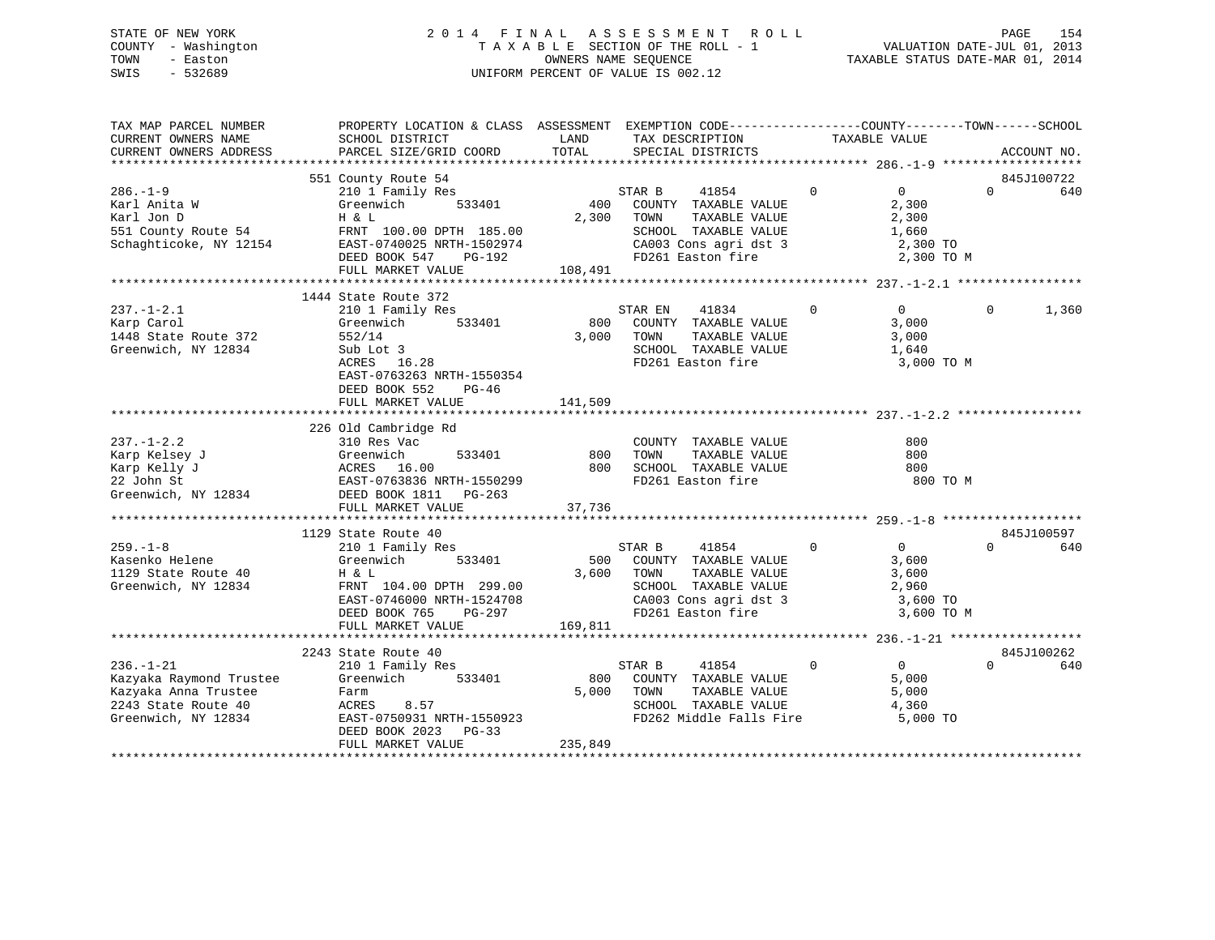## STATE OF NEW YORK 2 0 1 4 F I N A L A S S E S S M E N T R O L L PAGE 154 COUNTY - Washington T A X A B L E SECTION OF THE ROLL - 1 VALUATION DATE-JUL 01, 2013 TOWN - Easton OWNERS NAME SEQUENCE TAXABLE STATUS DATE-MAR 01, 2014 SWIS - 532689 UNIFORM PERCENT OF VALUE IS 002.12

| TAX MAP PARCEL NUMBER<br>CURRENT OWNERS NAME<br>CURRENT OWNERS ADDRESS                                           | PROPERTY LOCATION & CLASS ASSESSMENT EXEMPTION CODE----------------COUNTY-------TOWN------SCHOOL<br>SCHOOL DISTRICT<br>PARCEL SIZE/GRID COORD            | LAND<br>TOTAL  | TAX DESCRIPTION<br>SPECIAL DISTRICTS                                                                                                             | TAXABLE VALUE  |                                                                                 | ACCOUNT NO.       |
|------------------------------------------------------------------------------------------------------------------|----------------------------------------------------------------------------------------------------------------------------------------------------------|----------------|--------------------------------------------------------------------------------------------------------------------------------------------------|----------------|---------------------------------------------------------------------------------|-------------------|
|                                                                                                                  | 551 County Route 54                                                                                                                                      |                |                                                                                                                                                  |                |                                                                                 | 845J100722        |
| $286. - 1 - 9$<br>Karl Anita W<br>Karl Jon D<br>551 County Route 54<br>Schaghticoke, NY 12154                    | 210 1 Family Res<br>533401<br>Greenwich<br>H & L<br>FRNT 100.00 DPTH 185.00<br>EAST-0740025 NRTH-1502974<br>DEED BOOK 547<br>PG-192<br>FULL MARKET VALUE | 400<br>108,491 | STAR B<br>41854<br>COUNTY TAXABLE VALUE<br>2,300 TOWN<br>TAXABLE VALUE<br>SCHOOL TAXABLE VALUE<br>CA003 Cons agri dst 3<br>FD261 Easton fire     | $\overline{0}$ | $\overline{0}$<br>$\Omega$<br>2,300<br>2,300<br>1,660<br>2,300 TO<br>2,300 TO M | 640               |
|                                                                                                                  | 1444 State Route 372                                                                                                                                     |                |                                                                                                                                                  |                |                                                                                 |                   |
| $237. - 1 - 2.1$<br>Karp Carol<br>1448 State Route 372<br>Greenwich, NY 12834                                    | 210 1 Family Res<br>533401<br>Greenwich<br>552/14<br>Sub Lot 3<br>ACRES 16.28<br>EAST-0763263 NRTH-1550354<br>DEED BOOK 552<br>PG-46                     | 800<br>3,000   | 41834<br>STAR EN<br>COUNTY TAXABLE VALUE<br>TAXABLE VALUE<br>TOWN<br>SCHOOL TAXABLE VALUE<br>FD261 Easton fire                                   | $\mathbf{0}$   | $\overline{0}$<br>$\Omega$<br>3,000<br>3,000<br>1,640<br>3,000 TO M             | 1,360             |
|                                                                                                                  | FULL MARKET VALUE                                                                                                                                        | 141,509        |                                                                                                                                                  |                |                                                                                 |                   |
|                                                                                                                  |                                                                                                                                                          |                |                                                                                                                                                  |                |                                                                                 |                   |
| $237. - 1 - 2.2$<br>Karp Kelsey J<br>Karp Kelly J<br>22 John St<br>Greenwich, NY 12834                           | 226 Old Cambridge Rd<br>310 Res Vac<br>Greenwich 533401<br>ACRES 16.00<br>EAST-0763836 NRTH-1550299<br>DEED BOOK 1811    PG-263                          | 800<br>800     | COUNTY TAXABLE VALUE<br>TAXABLE VALUE<br>TOWN<br>SCHOOL TAXABLE VALUE<br>FD261 Easton fire                                                       |                | 800<br>800<br>800<br>800 TO M                                                   |                   |
|                                                                                                                  | FULL MARKET VALUE                                                                                                                                        | 37,736         |                                                                                                                                                  |                |                                                                                 |                   |
|                                                                                                                  | 1129 State Route 40                                                                                                                                      |                |                                                                                                                                                  |                |                                                                                 | 845J100597        |
| $259. - 1 - 8$<br>Kasenko Helene<br>1129 State Route 40<br>Greenwich, NY 12834                                   | 210 1 Family Res<br>Greenwich<br>533401<br>H & L<br>FRNT 104.00 DPTH 299.00<br>EAST-0746000 NRTH-1524708<br>DEED BOOK 765<br>PG-297                      |                | 41854<br>STAR B<br>500 COUNTY TAXABLE VALUE<br>3,600 TOWN<br>TAXABLE VALUE<br>SCHOOL TAXABLE VALUE<br>CA003 Cons agri dst 3<br>FD261 Easton fire | $\mathbf{0}$   | $\overline{0}$<br>$\Omega$<br>3,600<br>3,600<br>2,960<br>3,600 TO<br>3,600 TO M | 640               |
|                                                                                                                  | FULL MARKET VALUE                                                                                                                                        | 169,811        |                                                                                                                                                  |                |                                                                                 |                   |
| $236. - 1 - 21$<br>Kazyaka Raymond Trustee<br>Kazyaka Anna Trustee<br>2243 State Route 40<br>Greenwich, NY 12834 | 2243 State Route 40<br>210 1 Family Res<br>Greenwich<br>533401<br>Farm<br>ACRES<br>8.57<br>EAST-0750931 NRTH-1550923<br>DEED BOOK 2023 PG-33             | 800<br>5,000   | 41854<br>STAR B<br>COUNTY TAXABLE VALUE<br>TOWN<br>TAXABLE VALUE<br>SCHOOL TAXABLE VALUE<br>FD262 Middle Falls Fire                              | $\mathbf{0}$   | $\overline{0}$<br>$\Omega$<br>5,000<br>5,000<br>4,360<br>5,000 TO               | 845J100262<br>640 |
|                                                                                                                  | FULL MARKET VALUE                                                                                                                                        | 235,849        |                                                                                                                                                  |                |                                                                                 |                   |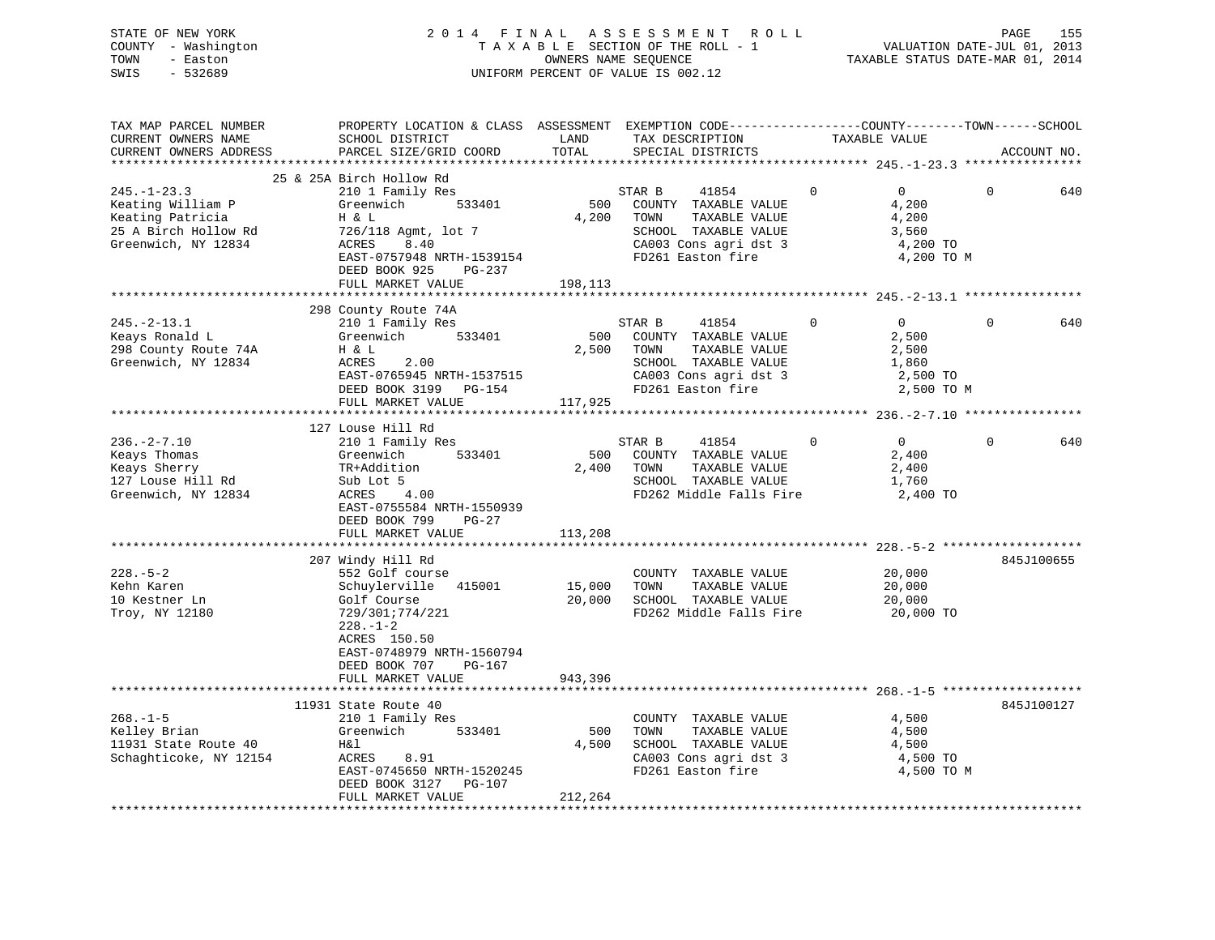| STATE OF NEW YORK   | 2014 FINAL ASSESSMENT ROLL         | 155<br>PAGE                      |
|---------------------|------------------------------------|----------------------------------|
| COUNTY - Washington | TAXABLE SECTION OF THE ROLL - 1    | VALUATION DATE-JUL 01, 2013      |
| TOWN<br>- Easton    | OWNERS NAME SEOUENCE               | TAXABLE STATUS DATE-MAR 01, 2014 |
| - 532689<br>SWIS    | UNIFORM PERCENT OF VALUE IS 002.12 |                                  |

| TAX MAP PARCEL NUMBER  | PROPERTY LOCATION & CLASS ASSESSMENT |                         |        | EXEMPTION CODE-----------------COUNTY-------TOWN------SCHOOL |               |                |          |             |
|------------------------|--------------------------------------|-------------------------|--------|--------------------------------------------------------------|---------------|----------------|----------|-------------|
| CURRENT OWNERS NAME    | SCHOOL DISTRICT                      | LAND                    |        | TAX DESCRIPTION                                              | TAXABLE VALUE |                |          |             |
| CURRENT OWNERS ADDRESS | PARCEL SIZE/GRID COORD               | TOTAL                   |        | SPECIAL DISTRICTS                                            |               |                |          | ACCOUNT NO. |
|                        |                                      |                         |        |                                                              |               |                |          |             |
|                        | 25 & 25A Birch Hollow Rd             |                         |        |                                                              |               |                |          |             |
| $245. - 1 - 23.3$      | 210 1 Family Res                     |                         | STAR B | 41854                                                        | $\Omega$      | $\Omega$       | $\Omega$ | 640         |
| Keating William P      | 533401<br>Greenwich                  | 500                     |        | COUNTY TAXABLE VALUE                                         |               | 4,200          |          |             |
| Keating Patricia       | H & L                                | 4,200                   | TOWN   | TAXABLE VALUE                                                |               | 4,200          |          |             |
| 25 A Birch Hollow Rd   | 726/118 Agmt, lot 7                  |                         |        | SCHOOL TAXABLE VALUE                                         |               | 3,560          |          |             |
| Greenwich, NY 12834    | ACRES<br>8.40                        |                         |        | CA003 Cons agri dst 3                                        |               | 4,200 TO       |          |             |
|                        | EAST-0757948 NRTH-1539154            |                         |        | FD261 Easton fire                                            |               | 4,200 TO M     |          |             |
|                        | DEED BOOK 925<br>PG-237              |                         |        |                                                              |               |                |          |             |
|                        | FULL MARKET VALUE                    | 198,113                 |        |                                                              |               |                |          |             |
|                        |                                      |                         |        |                                                              |               |                |          |             |
|                        | 298 County Route 74A                 |                         |        |                                                              |               |                |          |             |
| $245. - 2 - 13.1$      | 210 1 Family Res                     |                         | STAR B |                                                              | $\circ$       | $\overline{0}$ | $\Omega$ | 640         |
|                        | 533401                               | 500                     |        | 41854                                                        |               |                |          |             |
| Keays Ronald L         | Greenwich                            |                         |        | COUNTY TAXABLE VALUE                                         |               | 2,500          |          |             |
| 298 County Route 74A   | H & L                                | 2,500                   | TOWN   | TAXABLE VALUE                                                |               | 2,500          |          |             |
| Greenwich, NY 12834    | 2.00<br>ACRES                        |                         |        | SCHOOL TAXABLE VALUE                                         |               | 1,860          |          |             |
|                        | EAST-0765945 NRTH-1537515            |                         |        | CA003 Cons agri dst 3                                        |               | 2,500 TO       |          |             |
|                        | DEED BOOK 3199 PG-154                |                         |        | FD261 Easton fire                                            |               | 2,500 TO M     |          |             |
|                        | FULL MARKET VALUE                    | 117,925                 |        |                                                              |               |                |          |             |
|                        |                                      |                         |        |                                                              |               |                |          |             |
|                        | 127 Louse Hill Rd                    |                         |        |                                                              |               |                |          |             |
| $236. - 2 - 7.10$      | 210 1 Family Res                     |                         | STAR B | 41854                                                        | $\Omega$      | $\overline{0}$ | $\Omega$ | 640         |
| Keays Thomas           | 533401<br>Greenwich                  | 500                     |        | COUNTY TAXABLE VALUE                                         |               | 2,400          |          |             |
| Keays Sherry           | TR+Addition                          | 2,400                   | TOWN   | TAXABLE VALUE                                                |               | 2,400          |          |             |
| 127 Louse Hill Rd      | Sub Lot 5                            |                         |        | SCHOOL TAXABLE VALUE                                         |               | 1,760          |          |             |
| Greenwich, NY 12834    | 4.00<br>ACRES                        |                         |        | FD262 Middle Falls Fire                                      |               | 2,400 TO       |          |             |
|                        | EAST-0755584 NRTH-1550939            |                         |        |                                                              |               |                |          |             |
|                        | DEED BOOK 799<br>$PG-27$             |                         |        |                                                              |               |                |          |             |
|                        | FULL MARKET VALUE                    | 113,208                 |        |                                                              |               |                |          |             |
|                        |                                      |                         |        |                                                              |               |                |          |             |
|                        | 207 Windy Hill Rd                    |                         |        |                                                              |               |                |          | 845J100655  |
| $228. - 5 - 2$         | 552 Golf course                      |                         |        | COUNTY TAXABLE VALUE                                         |               | 20,000         |          |             |
| Kehn Karen             | Schuylerville 415001                 | 15,000                  | TOWN   | TAXABLE VALUE                                                |               | 20,000         |          |             |
| 10 Kestner Ln          | Golf Course                          | 20,000                  |        | SCHOOL TAXABLE VALUE                                         |               | 20,000         |          |             |
| Troy, NY 12180         | 729/301;774/221                      |                         |        | FD262 Middle Falls Fire                                      |               | 20,000 TO      |          |             |
|                        | $228. - 1 - 2$                       |                         |        |                                                              |               |                |          |             |
|                        | ACRES 150.50                         |                         |        |                                                              |               |                |          |             |
|                        | EAST-0748979 NRTH-1560794            |                         |        |                                                              |               |                |          |             |
|                        | DEED BOOK 707<br>PG-167              |                         |        |                                                              |               |                |          |             |
|                        | FULL MARKET VALUE                    | 943,396                 |        |                                                              |               |                |          |             |
|                        | ***********************              | * * * * * * * * * * * * |        |                                                              |               |                |          |             |
|                        | 11931 State Route 40                 |                         |        |                                                              |               |                |          | 845J100127  |
| $268. - 1 - 5$         | 210 1 Family Res                     |                         |        | COUNTY TAXABLE VALUE                                         |               | 4,500          |          |             |
| Kelley Brian           | Greenwich<br>533401                  | 500                     | TOWN   | TAXABLE VALUE                                                |               | 4,500          |          |             |
| 11931 State Route 40   | H&l                                  | 4,500                   |        | SCHOOL TAXABLE VALUE                                         |               | 4,500          |          |             |
| Schaghticoke, NY 12154 | ACRES 8.91                           |                         |        | CA003 Cons agri dst 3                                        |               | 4,500 TO       |          |             |
|                        | EAST-0745650 NRTH-1520245            |                         |        | FD261 Easton fire                                            |               | 4,500 TO M     |          |             |
|                        | DEED BOOK 3127 PG-107                |                         |        |                                                              |               |                |          |             |
|                        | FULL MARKET VALUE                    | 212,264                 |        |                                                              |               |                |          |             |
|                        |                                      |                         |        |                                                              |               |                |          |             |
|                        |                                      |                         |        |                                                              |               |                |          |             |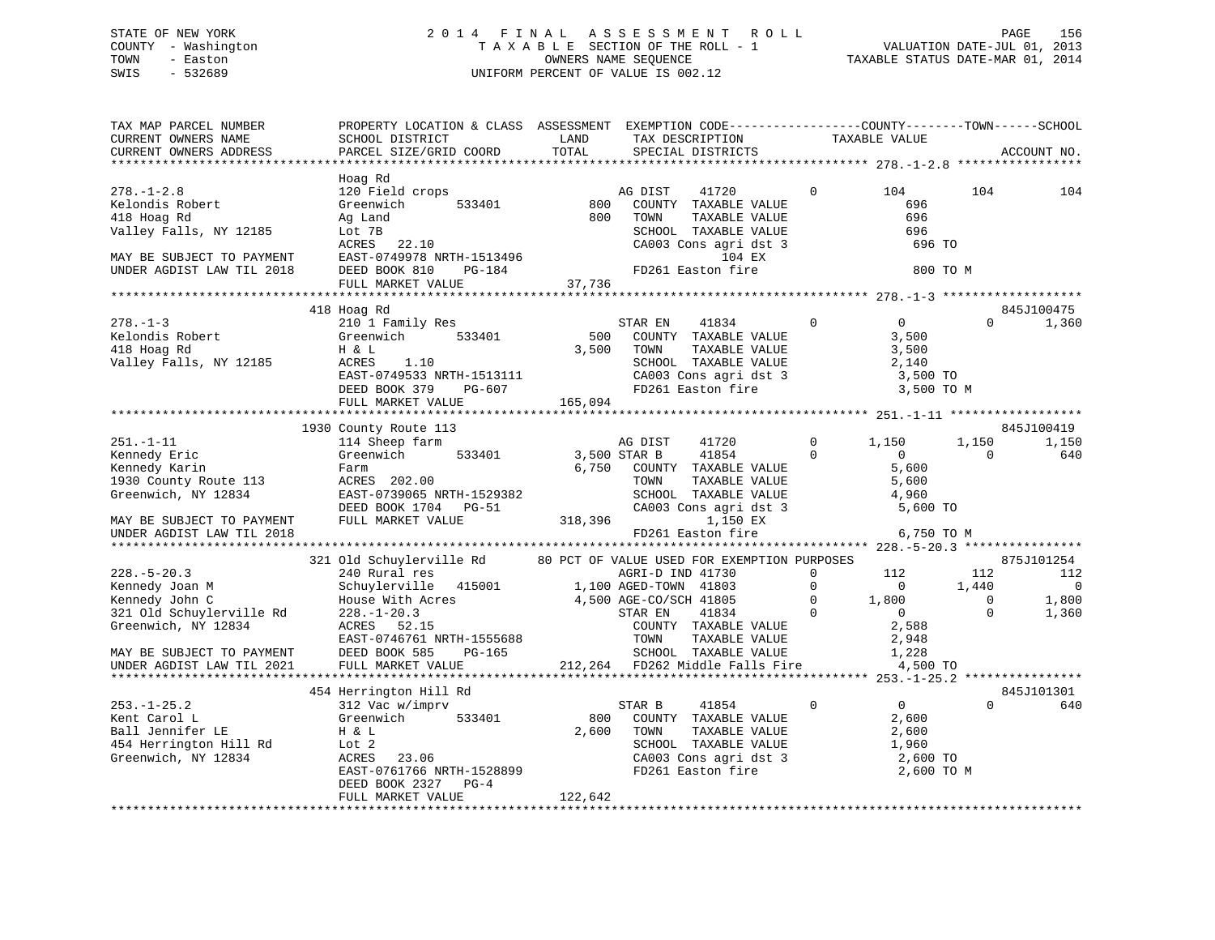## STATE OF NEW YORK 2 0 1 4 F I N A L A S S E S S M E N T R O L L PAGE 156 COUNTY - Washington T A X A B L E SECTION OF THE ROLL - 1 VALUATION DATE-JUL 01, 2013 TOWN - Easton OWNERS NAME SEQUENCE TAXABLE STATUS DATE-MAR 01, 2014 SWIS - 532689 UNIFORM PERCENT OF VALUE IS 002.12

| TAX MAP PARCEL NUMBER<br>CURRENT OWNERS NAME<br>CURRENT OWNERS ADDRESS                                                                                                                                              | PROPERTY LOCATION & CLASS ASSESSMENT EXEMPTION CODE---------------COUNTY-------TOWN------SCHOOL<br>SCHOOL DISTRICT<br>PARCEL SIZE/GRID COORD                                                                                                                                    | LAND<br>TOTAL           | TAX DESCRIPTION<br>SPECIAL DISTRICTS                                                                                                                                                                                                                                      |                                                             | TAXABLE VALUE                                                                                                  |                                               | ACCOUNT NO.                                                             |
|---------------------------------------------------------------------------------------------------------------------------------------------------------------------------------------------------------------------|---------------------------------------------------------------------------------------------------------------------------------------------------------------------------------------------------------------------------------------------------------------------------------|-------------------------|---------------------------------------------------------------------------------------------------------------------------------------------------------------------------------------------------------------------------------------------------------------------------|-------------------------------------------------------------|----------------------------------------------------------------------------------------------------------------|-----------------------------------------------|-------------------------------------------------------------------------|
| **********************                                                                                                                                                                                              |                                                                                                                                                                                                                                                                                 |                         |                                                                                                                                                                                                                                                                           |                                                             |                                                                                                                |                                               |                                                                         |
| $278. - 1 - 2.8$<br>Kelondis Robert<br>418 Hoag Rd<br>Valley Falls, NY 12185<br>MAY BE SUBJECT TO PAYMENT<br>UNDER AGDIST LAW TIL 2018                                                                              | Hoag Rd<br>120 Field crops<br>Greenwich<br>533401<br>Ag Land<br>Lot 7B<br>ACRES<br>22.10<br>EAST-0749978 NRTH-1513496<br>DEED BOOK 810<br>PG-184                                                                                                                                | 800<br>800              | AG DIST<br>41720<br>COUNTY TAXABLE VALUE<br>TOWN<br>TAXABLE VALUE<br>SCHOOL TAXABLE VALUE<br>CA003 Cons agri dst 3<br>104 EX<br>FD261 Easton fire                                                                                                                         | 0                                                           | 104<br>696<br>696<br>696<br>696 TO<br>800 TO M                                                                 | 104                                           | 104                                                                     |
|                                                                                                                                                                                                                     | FULL MARKET VALUE                                                                                                                                                                                                                                                               | 37,736                  |                                                                                                                                                                                                                                                                           |                                                             |                                                                                                                |                                               |                                                                         |
|                                                                                                                                                                                                                     |                                                                                                                                                                                                                                                                                 |                         |                                                                                                                                                                                                                                                                           |                                                             |                                                                                                                |                                               |                                                                         |
| $278. - 1 - 3$<br>Kelondis Robert<br>418 Hoag Rd<br>Valley Falls, NY 12185                                                                                                                                          | 418 Hoag Rd<br>210 1 Family Res<br>Greenwich<br>533401<br>H & L<br>ACRES<br>1.10<br>EAST-0749533 NRTH-1513111<br>DEED BOOK 379<br>PG-607                                                                                                                                        | 500<br>3,500            | STAR EN<br>41834<br>COUNTY TAXABLE VALUE<br>TOWN<br>TAXABLE VALUE<br>SCHOOL TAXABLE VALUE<br>SCHOOL Innover<br>CA003 Cons agri dst 3<br>- In fire                                                                                                                         | $\mathbf 0$                                                 | $\overline{0}$<br>3,500<br>3,500<br>2,140<br>3,500 TO<br>3,500 TO M                                            | $\Omega$                                      | 845J100475<br>1,360                                                     |
|                                                                                                                                                                                                                     | FULL MARKET VALUE                                                                                                                                                                                                                                                               | 165,094                 |                                                                                                                                                                                                                                                                           |                                                             |                                                                                                                |                                               |                                                                         |
|                                                                                                                                                                                                                     |                                                                                                                                                                                                                                                                                 |                         |                                                                                                                                                                                                                                                                           |                                                             |                                                                                                                |                                               |                                                                         |
| $251. - 1 - 11$<br>Kennedy Eric<br>Kennedy Karin<br>1930 County Route 113<br>Greenwich, NY 12834<br>MAY BE SUBJECT TO PAYMENT<br>UNDER AGDIST LAW TIL 2018<br>$228. - 5 - 20.3$<br>Kennedy Joan M<br>Kennedy John C | 1930 County Route 113<br>114 Sheep farm<br>Greenwich<br>533401<br>Farm<br>ACRES 202.00<br>EAST-0739065 NRTH-1529382<br>DEED BOOK 1704 PG-51<br>FULL MARKET VALUE<br>321 Old Schuylerville Rd<br>240 Rural res<br>Schuylerville 415001 1,100 AGED-TOWN 41803<br>House With Acres | 6,750<br>318,396        | AG DIST<br>41720<br>3,500 STAR B<br>41854<br>COUNTY TAXABLE VALUE<br>TOWN<br>TAXABLE VALUE<br>SCHOOL TAXABLE VALUE<br>CA003 Cons agri dst 3<br>1,150 EX<br>FD261 Easton fire<br>80 PCT OF VALUE USED FOR EXEMPTION PURPOSES<br>AGRI-D IND 41730<br>4,500 AGE-CO/SCH 41805 | $\Omega$<br>$\Omega$<br>$\Omega$<br>$\Omega$<br>$\mathbf 0$ | 1,150<br>$\overline{0}$<br>5,600<br>5,600<br>4,960<br>5,600 TO<br>6,750 TO M<br>112<br>$\overline{0}$<br>1,800 | 1,150<br>$\Omega$<br>112<br>1,440<br>$\Omega$ | 845J100419<br>1,150<br>640<br>875J101254<br>112<br>$\mathbf 0$<br>1,800 |
| 321 Old Schuylerville Rd<br>Greenwich, NY 12834<br>MAY BE SUBJECT TO PAYMENT<br>UNDER AGDIST LAW TIL 2021                                                                                                           | $228. - 1 - 20.3$<br>ACRES 52.15<br>EAST-0746761 NRTH-1555688<br>DEED BOOK 585<br>PG-165<br>FULL MARKET VALUE                                                                                                                                                                   |                         | STAR EN<br>41834<br>COUNTY TAXABLE VALUE<br>TOWN<br>TAXABLE VALUE<br>SCHOOL TAXABLE VALUE<br>212,264 FD262 Middle Falls Fire                                                                                                                                              | $\Omega$                                                    | $\overline{0}$<br>2,588<br>2,948<br>1,228<br>4,500 TO<br>**************** 253.-1-25.2 ****                     | $\Omega$                                      | 1,360                                                                   |
|                                                                                                                                                                                                                     | 454 Herrington Hill Rd                                                                                                                                                                                                                                                          |                         |                                                                                                                                                                                                                                                                           |                                                             |                                                                                                                |                                               | 845J101301                                                              |
| $253. - 1 - 25.2$<br>Kent Carol L<br>Ball Jennifer LE<br>454 Herrington Hill Rd<br>Greenwich, NY 12834                                                                                                              | 312 Vac w/imprv<br>Greenwich<br>533401<br>H & L<br>Lot 2<br>ACRES 23.06<br>EAST-0761766 NRTH-1528899<br>DEED BOOK 2327<br>$PG-4$<br>FULL MARKET VALUE                                                                                                                           | 800<br>2,600<br>122,642 | 41854<br>STAR B<br>COUNTY TAXABLE VALUE<br>TOWN<br>TAXABLE VALUE<br>SCHOOL TAXABLE VALUE<br>CA003 Cons agri dst 3<br>FD261 Easton fire                                                                                                                                    | $\mathbf 0$                                                 | $\overline{0}$<br>2,600<br>2,600<br>1,960<br>2,600 TO<br>2,600 TO M                                            | $\Omega$                                      | 640                                                                     |
|                                                                                                                                                                                                                     |                                                                                                                                                                                                                                                                                 |                         |                                                                                                                                                                                                                                                                           |                                                             |                                                                                                                |                                               |                                                                         |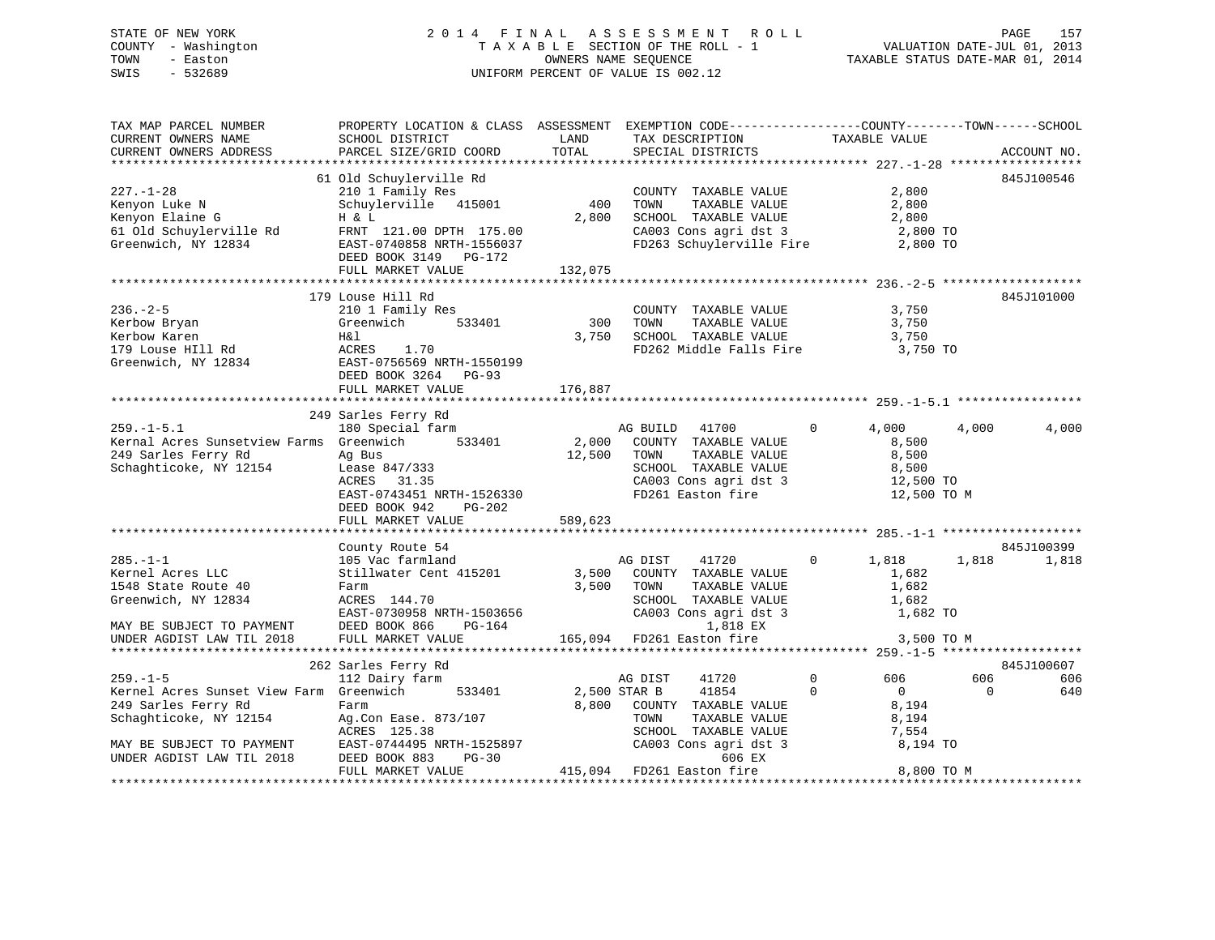## STATE OF NEW YORK 2 0 1 4 F I N A L A S S E S S M E N T R O L L PAGE 157 COUNTY - Washington T A X A B L E SECTION OF THE ROLL - 1 VALUATION DATE-JUL 01, 2013 TOWN - Easton OWNERS NAME SEQUENCE TAXABLE STATUS DATE-MAR 01, 2014 SWIS - 532689 UNIFORM PERCENT OF VALUE IS 002.12

| TAX MAP PARCEL NUMBER                                                                                                              | PROPERTY LOCATION & CLASS ASSESSMENT EXEMPTION CODE---------------COUNTY-------TOWN-----SCHOOL |                     |                                                               |                                |                 |
|------------------------------------------------------------------------------------------------------------------------------------|------------------------------------------------------------------------------------------------|---------------------|---------------------------------------------------------------|--------------------------------|-----------------|
| CURRENT OWNERS NAME                                                                                                                | SCHOOL DISTRICT                                                                                | LAND                | TAX DESCRIPTION                                               | TAXABLE VALUE                  |                 |
| CURRENT OWNERS ADDRESS                                                                                                             | PARCEL SIZE/GRID COORD                                                                         | TOTAL               | SPECIAL DISTRICTS                                             |                                | ACCOUNT NO.     |
|                                                                                                                                    |                                                                                                |                     |                                                               |                                |                 |
|                                                                                                                                    | 61 Old Schuylerville Rd                                                                        |                     |                                                               |                                | 845J100546      |
| $227. - 1 - 28$                                                                                                                    | 210 1 Family Res                                                                               |                     | COUNTY TAXABLE VALUE<br>TOWN      TAXABLE VALUE               | 2,800                          |                 |
| Kenyon Luke N<br>Kenyon Elaine G                                                                                                   | 210 1 Family Res<br>Schuylerville 415001                                                       | 400                 |                                                               | 2,800                          |                 |
| Kenyon Elaine G                                                                                                                    | H & L                                                                                          | 2,800               | SCHOOL TAXABLE VALUE                                          | 2,800                          |                 |
| 61 Old Schuylerville Rd                                                                                                            | FRNT 121.00 DPTH 175.00                                                                        |                     | $CAO03$ Cons agri dst 3 2,800 TO                              |                                |                 |
| Greenwich, NY 12834                                                                                                                | $\text{EAST}-0740858 \text{ NRTH}-1556037$                                                     |                     | FD263 Schuylerville Fire 2,800 TO                             |                                |                 |
|                                                                                                                                    | DEED BOOK 3149 PG-172                                                                          |                     |                                                               |                                |                 |
|                                                                                                                                    |                                                                                                |                     |                                                               |                                |                 |
|                                                                                                                                    |                                                                                                |                     |                                                               |                                |                 |
|                                                                                                                                    | 179 Louse Hill Rd                                                                              |                     |                                                               |                                | 845J101000      |
| $236. - 2 - 5$                                                                                                                     | 210 1 Family Res                                                                               |                     | COUNTY TAXABLE VALUE 3,750                                    |                                |                 |
|                                                                                                                                    | Greenwich 533401                                                                               | $\frac{300}{2}$     | TAXABLE VALUE<br>TOWN                                         | 3,750                          |                 |
|                                                                                                                                    |                                                                                                |                     | 3,750 SCHOOL TAXABLE VALUE $3,750$                            |                                |                 |
| Exerbow Bryan<br>Kerbow Karen<br>179 Louse HI11 Rd<br>333401<br>Steenwich, NY 12834<br>The ROCK 3264 PG-93<br>REED ROCK 3264 PG-93 |                                                                                                |                     | FD262 Middle Falls Fire                                       | 3,750 TO                       |                 |
|                                                                                                                                    |                                                                                                |                     |                                                               |                                |                 |
|                                                                                                                                    | DEED BOOK 3264 PG-93                                                                           |                     |                                                               |                                |                 |
|                                                                                                                                    | FULL MARKET VALUE                                                                              | 176,887             |                                                               |                                |                 |
|                                                                                                                                    |                                                                                                |                     |                                                               |                                |                 |
|                                                                                                                                    | 249 Sarles Ferry Rd                                                                            |                     |                                                               |                                |                 |
| $259. -1 - 5.1$                                                                                                                    | saries rerry Ru<br>180 Special farm                                                            |                     | AG BUILD 41700                                                | $\overline{0}$<br>4,000        | 4,000<br>4,000  |
| Kernal Acres Sunsetview Farms Greenwich 533401                                                                                     |                                                                                                |                     | 2,000 COUNTY TAXABLE VALUE<br>12,500 TOWN TAXABLE VALUE       |                                |                 |
|                                                                                                                                    |                                                                                                |                     |                                                               | 8,500<br>8,500                 |                 |
|                                                                                                                                    | Ag Bus<br>Lease 847/333<br>ACRES 31.35                                                         |                     |                                                               |                                |                 |
|                                                                                                                                    |                                                                                                |                     | SCHOOL TAXABLE VALUE 8,500<br>CA003 Cons agri dst 3 12,500 TO |                                |                 |
|                                                                                                                                    | EAST-0743451 NRTH-1526330                                                                      |                     | FD261 Easton fire                                             | 12,500 TO M                    |                 |
|                                                                                                                                    | DEED BOOK 942 PG-202                                                                           |                     |                                                               |                                |                 |
|                                                                                                                                    | FULL MARKET VALUE                                                                              | 589,623             |                                                               |                                |                 |
|                                                                                                                                    |                                                                                                |                     |                                                               |                                |                 |
|                                                                                                                                    | County Route 54                                                                                |                     |                                                               |                                | 845J100399      |
| $285. -1 - 1$                                                                                                                      | 105 Vac farmland                                                                               |                     | AG DIST<br>41720                                              | $0 \t 1,818$                   | 1,818 1,818     |
| Kernel Acres LLC                                                                                                                   |                                                                                                |                     |                                                               | 1,682                          |                 |
| 1548 State Route 40                                                                                                                | Stillwater Cent 415201 3,500 COUNTY TAXABLE VALUE<br>Farm 3,500 TOWN TAXABLE VALUE             |                     | TAXABLE VALUE                                                 | 1,682                          |                 |
| Greenwich, NY 12834                                                                                                                | ACRES 144.70                                                                                   |                     |                                                               |                                |                 |
|                                                                                                                                    | EAST-0730958 NRTH-1503656<br>DEED BOOK 866 PG-164                                              |                     | SCHOOL TAXABLE VALUE 1,682<br>CA003 Cons agri dst 3 1,682 TO  |                                |                 |
| MAY BE SUBJECT TO PAYMENT                                                                                                          |                                                                                                |                     | 1,818 EX                                                      |                                |                 |
| UNDER AGDIST LAW TIL 2018                                                                                                          | FULL MARKET VALUE                                                                              |                     | 165,094 FD261 Easton fire                                     | 3,500 TO M                     |                 |
|                                                                                                                                    |                                                                                                |                     |                                                               |                                |                 |
|                                                                                                                                    | 262 Sarles Ferry Rd                                                                            |                     |                                                               |                                | 845J100607      |
| $259. - 1 - 5$                                                                                                                     | 112 Dairy farm                                                                                 |                     | AG DIST<br>41720                                              | $0 \qquad \qquad$<br>606       | 606<br>606      |
| Kernel Acres Sunset View Farm Greenwich                                                                                            |                                                                                                |                     | 41854                                                         | $\mathbf{0}$<br>$\overline{0}$ | $\Omega$<br>640 |
|                                                                                                                                    | Farm                                                                                           | 533401 2,500 STAR B |                                                               |                                |                 |
| 249 Sarles Ferry Rd                                                                                                                |                                                                                                |                     | 8,800 COUNTY TAXABLE VALUE                                    | 8,194                          |                 |
| Schaghticoke, NY 12154                                                                                                             | Ag.Con Ease. 873/107                                                                           |                     | TOWN<br>TAXABLE VALUE                                         | 8,194                          |                 |
|                                                                                                                                    | ACRES 125.38                                                                                   |                     | SCHOOL TAXABLE VALUE                                          | 7,554<br>7,554<br>8,194 TO     |                 |
| MAY BE SUBJECT TO PAYMENT                                                                                                          | EAST-0744495 NRTH-1525897                                                                      |                     | CA003 Cons agri dst 3                                         |                                |                 |
| UNDER AGDIST LAW TIL 2018                                                                                                          | $PG-30$<br>DEED BOOK 883                                                                       |                     | 606 EX<br>415,094 FD261 Easton fire                           |                                |                 |
|                                                                                                                                    | FULL MARKET VALUE                                                                              |                     |                                                               | 8,800 TO M                     |                 |
|                                                                                                                                    |                                                                                                |                     |                                                               |                                |                 |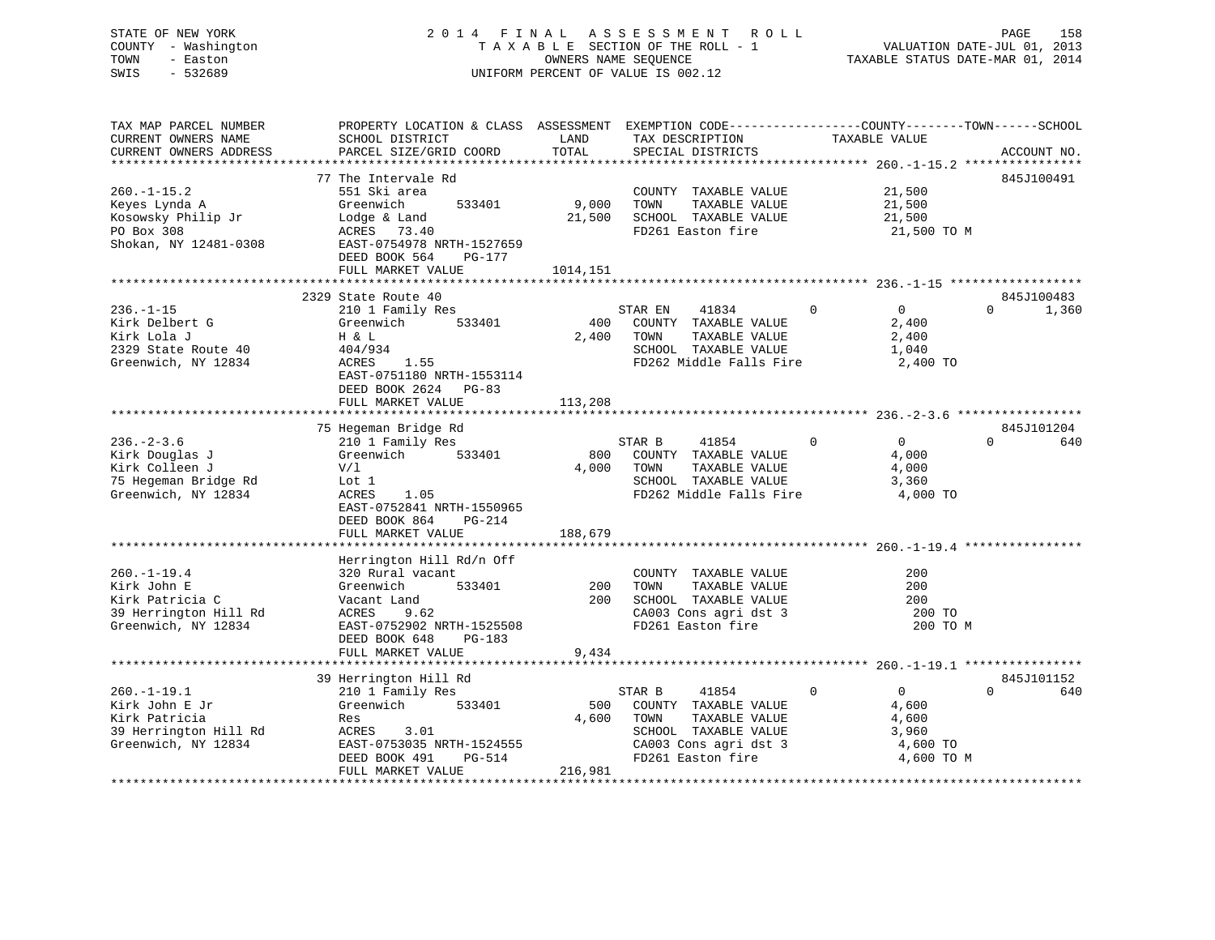## STATE OF NEW YORK 2 0 1 4 F I N A L A S S E S S M E N T R O L L PAGE 158 COUNTY - Washington T A X A B L E SECTION OF THE ROLL - 1 VALUATION DATE-JUL 01, 2013 TOWN - Easton **CONNERS NAME SEQUENCE** TAXABLE STATUS DATE-MAR 01, 2014 SWIS - 532689 UNIFORM PERCENT OF VALUE IS 002.12

| TAX MAP PARCEL NUMBER<br>CURRENT OWNERS NAME<br>CURRENT OWNERS ADDRESS                              | PROPERTY LOCATION & CLASS ASSESSMENT EXEMPTION CODE----------------COUNTY-------TOWN------SCHOOL<br>SCHOOL DISTRICT<br>PARCEL SIZE/GRID COORD                                      | LAND<br>TOTAL           | TAX DESCRIPTION<br>SPECIAL DISTRICTS                                                                                                   | TAXABLE VALUE                                                                         | ACCOUNT NO.                     |
|-----------------------------------------------------------------------------------------------------|------------------------------------------------------------------------------------------------------------------------------------------------------------------------------------|-------------------------|----------------------------------------------------------------------------------------------------------------------------------------|---------------------------------------------------------------------------------------|---------------------------------|
|                                                                                                     |                                                                                                                                                                                    |                         |                                                                                                                                        |                                                                                       |                                 |
| $260. -1 - 15.2$<br>Keyes Lynda A<br>Kosowsky Philip Jr<br>PO Box 308<br>Shokan, NY 12481-0308      | 77 The Intervale Rd<br>551 Ski area<br>533401<br>Greenwich<br>Lodge & Land<br>ACRES 73.40<br>EAST-0754978 NRTH-1527659<br>DEED BOOK 564<br>PG-177                                  | 9,000<br>21,500         | COUNTY TAXABLE VALUE<br>TOWN<br>TAXABLE VALUE<br>SCHOOL TAXABLE VALUE<br>FD261 Easton fire                                             | 21,500<br>21,500<br>21,500<br>21,500 TO M                                             | 845J100491                      |
|                                                                                                     | FULL MARKET VALUE                                                                                                                                                                  | 1014,151                |                                                                                                                                        |                                                                                       |                                 |
|                                                                                                     |                                                                                                                                                                                    |                         |                                                                                                                                        |                                                                                       |                                 |
| $236. - 1 - 15$<br>Kirk Delbert G<br>Kirk Lola J<br>2329 State Route 40<br>Greenwich, NY 12834      | 2329 State Route 40<br>210 1 Family Res<br>533401<br>Greenwich<br>H & L<br>404/934<br>ACRES<br>1.55<br>EAST-0751180 NRTH-1553114<br>DEED BOOK 2624<br>$PG-83$<br>FULL MARKET VALUE | 400<br>2,400<br>113,208 | 41834<br>STAR EN<br>COUNTY TAXABLE VALUE<br>TOWN<br>TAXABLE VALUE<br>SCHOOL TAXABLE VALUE<br>FD262 Middle Falls Fire                   | $\Omega$<br>$\Omega$<br>2,400<br>2,400<br>1,040<br>2,400 TO                           | 845J100483<br>$\Omega$<br>1,360 |
|                                                                                                     |                                                                                                                                                                                    |                         |                                                                                                                                        |                                                                                       |                                 |
| $236. - 2 - 3.6$<br>Kirk Douglas J<br>Kirk Colleen J<br>75 Hegeman Bridge Rd<br>Greenwich, NY 12834 | 75 Hegeman Bridge Rd<br>210 1 Family Res<br>Greenwich<br>533401<br>V/1<br>Lot 1<br>1.05<br>ACRES<br>EAST-0752841 NRTH-1550965<br>DEED BOOK 864<br>PG-214<br>FULL MARKET VALUE      | 800<br>4,000<br>188,679 | STAR B<br>41854<br>COUNTY TAXABLE VALUE<br>TOWN<br>TAXABLE VALUE<br>SCHOOL TAXABLE VALUE<br>FD262 Middle Falls Fire                    | $\overline{0}$<br>$\overline{0}$<br>4,000<br>4,000<br>3,360<br>4,000 TO               | 845J101204<br>$\Omega$<br>640   |
|                                                                                                     |                                                                                                                                                                                    |                         |                                                                                                                                        |                                                                                       |                                 |
| $260. - 1 - 19.4$<br>Kirk John E<br>Kirk Patricia C<br>39 Herrington Hill Rd<br>Greenwich, NY 12834 | Herrington Hill Rd/n Off<br>320 Rural vacant<br>533401<br>Greenwich<br>Vacant Land<br>ACRES<br>9.62<br>EAST-0752902 NRTH-1525508<br>DEED BOOK 648<br>$PG-183$<br>FULL MARKET VALUE | 200<br>200<br>9,434     | COUNTY TAXABLE VALUE<br>TAXABLE VALUE<br>TOWN<br>SCHOOL TAXABLE VALUE<br>CA003 Cons agri dst 3<br>FD261 Easton fire                    | 200<br>200<br>200<br>200 TO<br>200 TO M                                               |                                 |
|                                                                                                     |                                                                                                                                                                                    |                         |                                                                                                                                        |                                                                                       |                                 |
| $260. -1 - 19.1$<br>Kirk John E Jr<br>Kirk Patricia<br>39 Herrington Hill Rd<br>Greenwich, NY 12834 | 39 Herrington Hill Rd<br>210 1 Family Res<br>Greenwich 533401<br>Res<br>3.01<br>ACRES<br>EAST-0753035 NRTH-1524555<br>DEED BOOK 491<br>PG-514                                      | 500<br>4,600            | STAR B<br>41854<br>COUNTY TAXABLE VALUE<br>TAXABLE VALUE<br>TOWN<br>SCHOOL TAXABLE VALUE<br>CA003 Cons agri dst 3<br>FD261 Easton fire | $\mathbf 0$<br>$0 \qquad \qquad$<br>4,600<br>4,600<br>3,960<br>4,600 TO<br>4,600 TO M | 845J101152<br>$\Omega$<br>640   |
|                                                                                                     | FULL MARKET VALUE                                                                                                                                                                  | 216,981                 |                                                                                                                                        |                                                                                       |                                 |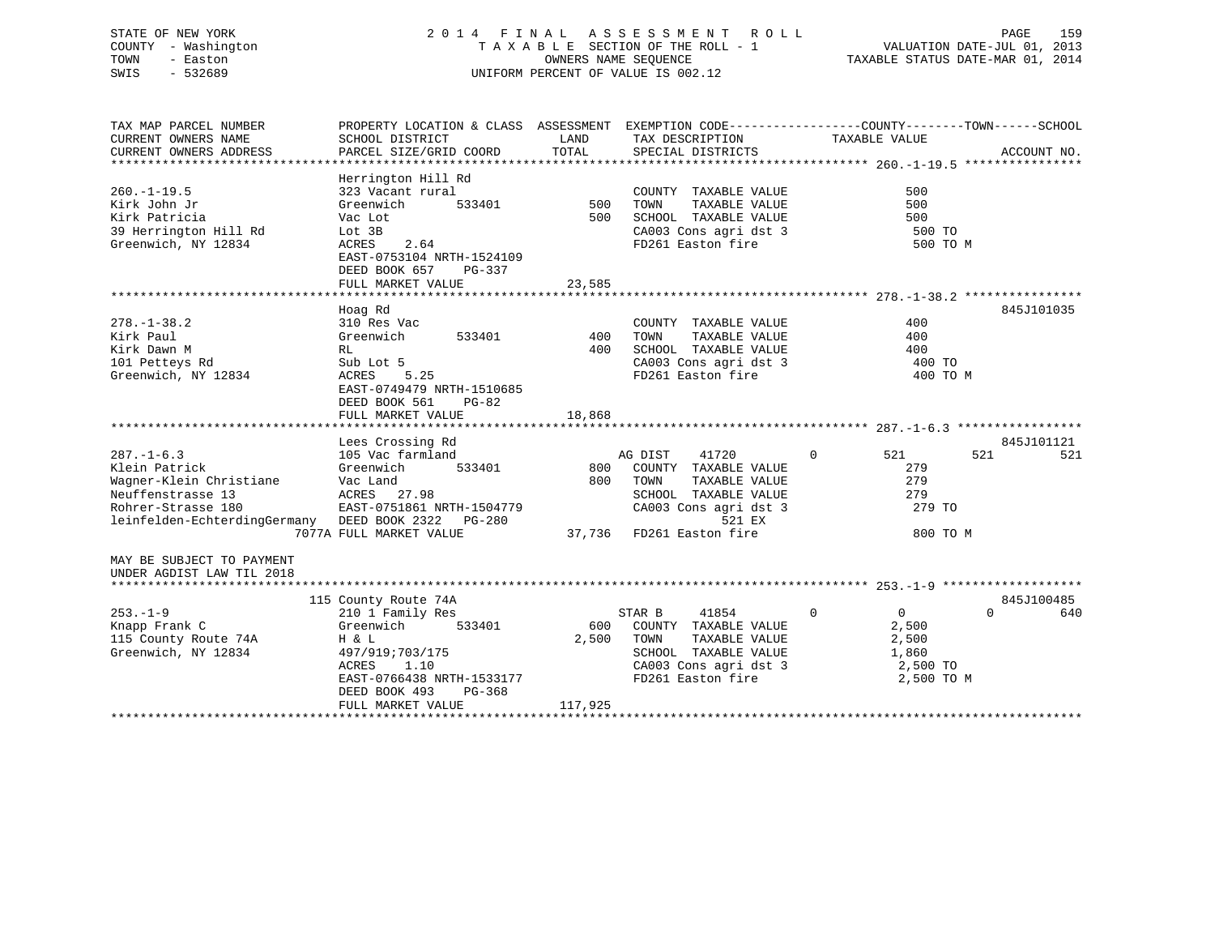## STATE OF NEW YORK 2 0 1 4 F I N A L A S S E S S M E N T R O L L PAGE 159 COUNTY - Washington T A X A B L E SECTION OF THE ROLL - 1 VALUATION DATE-JUL 01, 2013 TOWN - Easton OWNERS NAME SEQUENCE TAXABLE STATUS DATE-MAR 01, 2014 SWIS - 532689 UNIFORM PERCENT OF VALUE IS 002.12

| TAX MAP PARCEL NUMBER                              | PROPERTY LOCATION & CLASS ASSESSMENT EXEMPTION CODE----------------COUNTY-------TOWN------SCHOOL |         |                                       |                                |                 |
|----------------------------------------------------|--------------------------------------------------------------------------------------------------|---------|---------------------------------------|--------------------------------|-----------------|
| CURRENT OWNERS NAME                                | SCHOOL DISTRICT                                                                                  | LAND    | TAX DESCRIPTION                       | TAXABLE VALUE                  |                 |
| CURRENT OWNERS ADDRESS                             | PARCEL SIZE/GRID COORD                                                                           | TOTAL   | SPECIAL DISTRICTS                     |                                | ACCOUNT NO.     |
|                                                    |                                                                                                  |         |                                       |                                |                 |
|                                                    | Herrington Hill Rd                                                                               |         |                                       |                                |                 |
| $260. -1 - 19.5$                                   | 323 Vacant rural                                                                                 |         | COUNTY TAXABLE VALUE                  | 500                            |                 |
| Kirk John Jr                                       | Greenwich<br>533401                                                                              | 500     | TAXABLE VALUE<br>TOWN                 | 500                            |                 |
| Kirk Patricia                                      | Vac Lot                                                                                          | 500     | SCHOOL TAXABLE VALUE                  | 500                            |                 |
| 39 Herrington Hill Rd                              | Lot 3B                                                                                           |         | CA003 Cons agri dst 3                 | 500 TO                         |                 |
| Greenwich, NY 12834                                | 2.64<br>ACRES                                                                                    |         | FD261 Easton fire                     | 500 TO M                       |                 |
|                                                    | EAST-0753104 NRTH-1524109                                                                        |         |                                       |                                |                 |
|                                                    | DEED BOOK 657<br>PG-337                                                                          |         |                                       |                                |                 |
|                                                    | FULL MARKET VALUE                                                                                | 23,585  |                                       |                                |                 |
|                                                    |                                                                                                  |         |                                       |                                |                 |
|                                                    | Hoag Rd                                                                                          |         |                                       |                                | 845J101035      |
| $278. - 1 - 38.2$                                  | 310 Res Vac                                                                                      |         | COUNTY TAXABLE VALUE                  | 400                            |                 |
| Kirk Paul                                          | Greenwich<br>533401                                                                              | 400     | TOWN<br>TAXABLE VALUE                 | 400                            |                 |
| Kirk Dawn M                                        | RL                                                                                               | 400     | SCHOOL TAXABLE VALUE                  | 400                            |                 |
| 101 Petteys Rd                                     | Sub Lot 5                                                                                        |         | CA003 Cons agri dst 3                 | 400 TO                         |                 |
| Greenwich, NY 12834                                | ACRES<br>5.25                                                                                    |         | FD261 Easton fire                     | 400 TO M                       |                 |
|                                                    | EAST-0749479 NRTH-1510685                                                                        |         |                                       |                                |                 |
|                                                    | DEED BOOK 561<br>$PG-82$                                                                         |         |                                       |                                |                 |
|                                                    | FULL MARKET VALUE                                                                                | 18,868  |                                       |                                |                 |
|                                                    | Lees Crossing Rd                                                                                 |         |                                       |                                | 845J101121      |
| $287. - 1 - 6.3$                                   | 105 Vac farmland                                                                                 |         | 41720<br>AG DIST                      | $\Omega$<br>521                | 521<br>521      |
| Klein Patrick                                      | Greenwich<br>533401                                                                              | 800     | COUNTY TAXABLE VALUE                  | 279                            |                 |
| Wagner-Klein Christiane                            | Vac Land                                                                                         | 800     | TOWN<br>TAXABLE VALUE                 | 279                            |                 |
| Neuffenstrasse 13                                  | ACRES 27.98                                                                                      |         | SCHOOL TAXABLE VALUE                  | 279                            |                 |
| Rohrer-Strasse 180                                 | EAST-0751861 NRTH-1504779                                                                        |         | CA003 Cons agri dst 3                 | 279 TO                         |                 |
| leinfelden-EchterdingGermany DEED BOOK 2322 PG-280 |                                                                                                  |         | 521 EX                                |                                |                 |
|                                                    | 7077A FULL MARKET VALUE                                                                          |         | مط 124 در<br>37,736 FD261 Easton fire | 800 TO M                       |                 |
|                                                    |                                                                                                  |         |                                       |                                |                 |
| MAY BE SUBJECT TO PAYMENT                          |                                                                                                  |         |                                       |                                |                 |
| UNDER AGDIST LAW TIL 2018                          |                                                                                                  |         |                                       |                                |                 |
|                                                    |                                                                                                  |         |                                       |                                |                 |
|                                                    | 115 County Route 74A                                                                             |         |                                       |                                | 845J100485      |
| $253 - 1 - 9$                                      | 210 1 Family Res                                                                                 |         | STAR B<br>41854                       | $\overline{0}$<br>$\mathbf{0}$ | $\Omega$<br>640 |
| Knapp Frank C                                      | 533401<br>Greenwich                                                                              | 600     | COUNTY TAXABLE VALUE                  | 2,500                          |                 |
| 115 County Route 74A                               | H & L                                                                                            | 2,500   | TOWN<br>TAXABLE VALUE                 | 2,500                          |                 |
| Greenwich, NY 12834                                | 497/919;703/175                                                                                  |         | SCHOOL TAXABLE VALUE                  | 1,860                          |                 |
|                                                    | ACRES<br>1.10                                                                                    |         | CA003 Cons agri dst 3                 | 2,500 TO                       |                 |
|                                                    | EAST-0766438 NRTH-1533177                                                                        |         | FD261 Easton fire                     | 2,500 TO M                     |                 |
|                                                    | DEED BOOK 493<br>PG-368                                                                          |         |                                       |                                |                 |
|                                                    | FULL MARKET VALUE                                                                                | 117,925 |                                       |                                |                 |
|                                                    |                                                                                                  |         |                                       |                                |                 |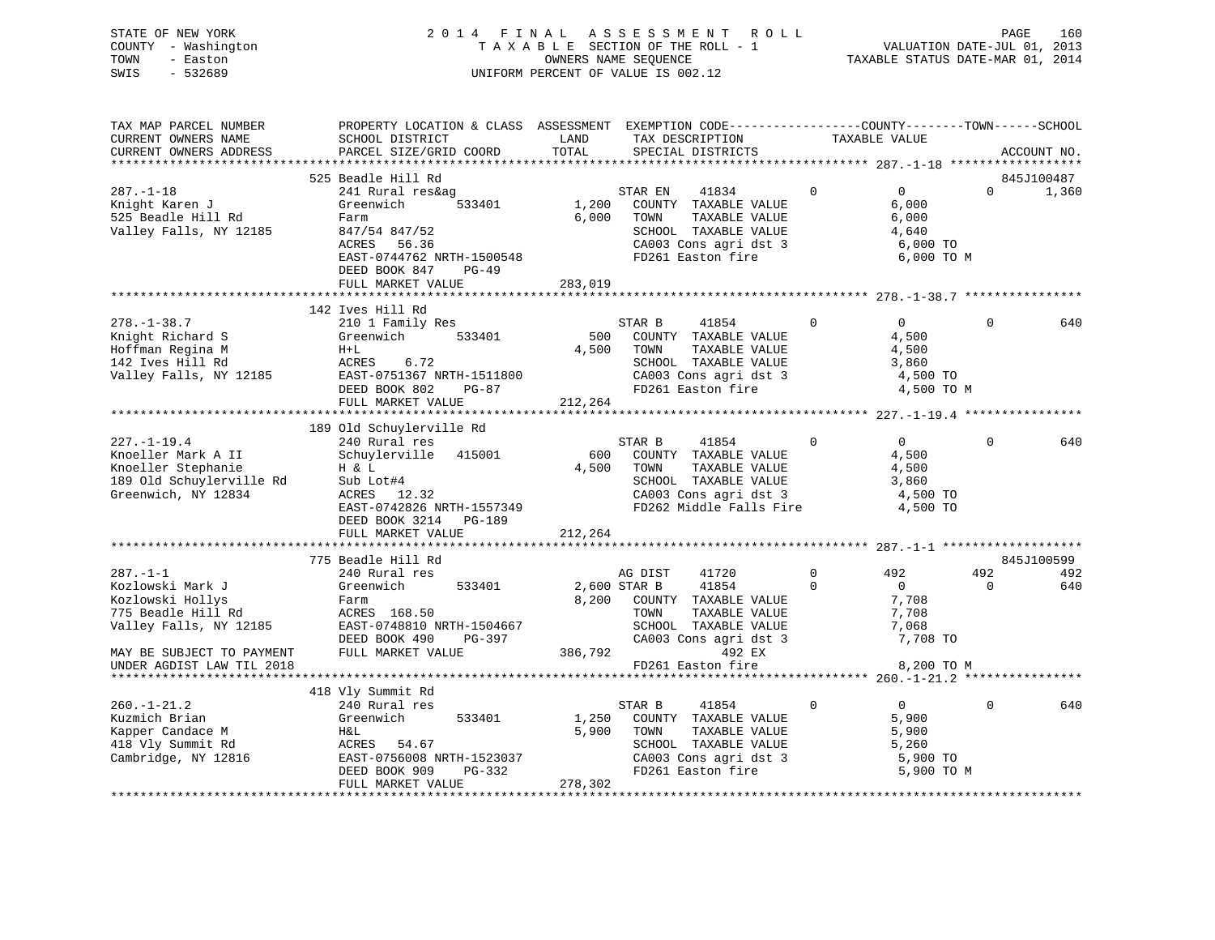STATE OF NEW YORK 2 0 1 4 F I N A L A S S E S S M E N T R O L L PAGE 160 COUNTY - Washington T A X A B L E SECTION OF THE ROLL - 1 VALUATION DATE-JUL 01, 2013 TOWN - Easton OWNERS NAME SEQUENCE TAXABLE STATUS DATE-MAR 01, 2014 SWIS - 532689 UNIFORM PERCENT OF VALUE IS 002.12

| TAX MAP PARCEL NUMBER                                                 | PROPERTY LOCATION & CLASS ASSESSMENT EXEMPTION CODE----------------COUNTY-------TOWN------SCHOOL |              |                                                  |             |                |          |             |
|-----------------------------------------------------------------------|--------------------------------------------------------------------------------------------------|--------------|--------------------------------------------------|-------------|----------------|----------|-------------|
| CURRENT OWNERS NAME                                                   | SCHOOL DISTRICT                                                                                  | LAND         | TAX DESCRIPTION                                  |             | TAXABLE VALUE  |          |             |
| CURRENT OWNERS ADDRESS                                                | PARCEL SIZE/GRID COORD                                                                           | TOTAL        | SPECIAL DISTRICTS                                |             |                |          | ACCOUNT NO. |
|                                                                       |                                                                                                  |              |                                                  |             |                |          |             |
|                                                                       | 525 Beadle Hill Rd                                                                               |              |                                                  |             |                |          | 845J100487  |
| $287. - 1 - 18$                                                       | 241 Rural res&ag                                                                                 |              | STAR EN<br>41834                                 | $\Omega$    | $\Omega$       | $\Omega$ | 1,360       |
| Knight Karen J                                                        | Greenwich<br>533401                                                                              | 1,200        | COUNTY TAXABLE VALUE                             |             | 6,000          |          |             |
| 525 Beadle Hill Rd                                                    | Farm                                                                                             | 6,000        | TOWN<br>TAXABLE VALUE                            |             | 6,000          |          |             |
| Valley Falls, NY 12185                                                | 847/54 847/52                                                                                    |              | SCHOOL TAXABLE VALUE                             |             | 4,640          |          |             |
|                                                                       | ACRES<br>56.36                                                                                   |              | CA003 Cons agri dst 3                            |             | 6,000 TO       |          |             |
|                                                                       | EAST-0744762 NRTH-1500548                                                                        |              | FD261 Easton fire                                |             | 6,000 TO M     |          |             |
|                                                                       | DEED BOOK 847<br>$PG-49$                                                                         |              |                                                  |             |                |          |             |
|                                                                       | FULL MARKET VALUE                                                                                | 283,019      |                                                  |             |                |          |             |
|                                                                       |                                                                                                  |              |                                                  |             |                |          |             |
|                                                                       | 142 Ives Hill Rd                                                                                 |              |                                                  |             |                |          |             |
| $278. - 1 - 38.7$                                                     | 210 1 Family Res                                                                                 |              | STAR B<br>41854                                  | $\mathbf 0$ | $\overline{0}$ | $\Omega$ | 640         |
| Knight Richard S                                                      | Greenwich<br>533401                                                                              | 500          | COUNTY TAXABLE VALUE                             |             | 4,500          |          |             |
| Hoffman Regina M                                                      | $H+L$                                                                                            | 4,500        | TAXABLE VALUE<br>TOWN                            |             | 4,500          |          |             |
| 142 Ives Hill Rd                                                      | 6.72<br>ACRES                                                                                    |              | SCHOOL TAXABLE VALUE                             |             | 3,860          |          |             |
| Valley Falls, NY 12185                                                |                                                                                                  |              | CA003 Cons agri dst 3<br>CA003 Cons agri dst 3   |             | 4,500 TO       |          |             |
|                                                                       | EAST-0751367 NRTH-1511800<br>EAST-0751367 NRTH-1511800<br>$PG-87$                                |              | FD261 Easton fire                                |             | 4,500 TO M     |          |             |
|                                                                       | FULL MARKET VALUE                                                                                | 212,264      |                                                  |             |                |          |             |
|                                                                       |                                                                                                  |              |                                                  |             |                |          |             |
|                                                                       | 189 Old Schuylerville Rd                                                                         |              |                                                  |             |                |          |             |
| $227. - 1 - 19.4$                                                     | 240 Rural res                                                                                    |              | STAR B<br>41854                                  | $\mathbf 0$ | $\overline{0}$ | $\Omega$ | 640         |
| Knoeller Mark A II                                                    | Schuylerville 415001                                                                             | 600          | COUNTY TAXABLE VALUE                             |             | 4,500          |          |             |
|                                                                       | H & L                                                                                            | 4,500        | TOWN<br>TAXABLE VALUE                            |             | 4,500          |          |             |
|                                                                       | Sub Lot#4                                                                                        |              | SCHOOL TAXABLE VALUE                             |             | 3,860          |          |             |
| Knoeller Stephanie<br>189 Old Schuylerville Rd<br>Greenwich, NY 12834 | ACRES 12.32                                                                                      |              | CA003 Cons agri dst 3<br>FD262 Middle Falls Fire |             | 4,500 TO       |          |             |
|                                                                       | EAST-0742826 NRTH-1557349                                                                        |              |                                                  |             | 4,500 TO       |          |             |
|                                                                       | DEED BOOK 3214 PG-189                                                                            |              |                                                  |             |                |          |             |
|                                                                       | FULL MARKET VALUE                                                                                | 212,264      |                                                  |             |                |          |             |
|                                                                       |                                                                                                  |              |                                                  |             |                |          |             |
|                                                                       | 775 Beadle Hill Rd                                                                               |              |                                                  |             |                |          | 845J100599  |
| $287. - 1 - 1$                                                        | 240 Rural res                                                                                    |              | 41720<br>AG DIST                                 | $\Omega$    | 492            | 492      | 492         |
| Kozlowski Mark J                                                      | 533401<br>Greenwich                                                                              | 2,600 STAR B | 41854                                            | $\Omega$    | $\overline{0}$ | $\Omega$ | 640         |
| Kozlowski Hollys                                                      | Farm                                                                                             |              | 8,200 COUNTY TAXABLE VALUE                       |             | 7,708          |          |             |
| 775 Beadle Hill Rd                                                    | ACRES 168.50                                                                                     |              | TOWN<br>TAXABLE VALUE                            |             | 7,708          |          |             |
| Valley Falls, NY 12185                                                | EAST-0748810 NRTH-1504667                                                                        |              | SCHOOL TAXABLE VALUE                             |             | 7,068          |          |             |
|                                                                       | DEED BOOK 490<br>PG-397                                                                          |              | CA003 Cons agri dst 3                            |             | 7,708 TO       |          |             |
| MAY BE SUBJECT TO PAYMENT                                             | FULL MARKET VALUE                                                                                |              | 386,792<br>492 EX                                |             |                |          |             |
| UNDER AGDIST LAW TIL 2018                                             |                                                                                                  |              | FD261 Easton fire                                |             | 8,200 TO M     |          |             |
|                                                                       |                                                                                                  |              |                                                  |             |                |          |             |
|                                                                       | 418 Vly Summit Rd                                                                                |              |                                                  |             |                |          |             |
| $260. - 1 - 21.2$                                                     | 240 Rural res                                                                                    |              | STAR B<br>41854                                  | $\mathbf 0$ | $\overline{0}$ | $\Omega$ | 640         |
| Kuzmich Brian                                                         | 533401<br>Greenwich                                                                              | 1,250        | COUNTY TAXABLE VALUE                             |             | 5,900          |          |             |
| Kapper Candace M                                                      | H&L                                                                                              | 5,900        | TOWN<br>TAXABLE VALUE                            |             | 5,900          |          |             |
| 418 Vly Summit Rd                                                     | ACRES 54.67                                                                                      |              | SCHOOL TAXABLE VALUE                             |             | 5,260          |          |             |
| Cambridge, NY 12816                                                   | EAST-0756008 NRTH-1523037                                                                        |              |                                                  |             | 5,900 TO       |          |             |
|                                                                       | DEED BOOK 909                                                                                    | $PG-332$     | CA003 Cons agri dst 3<br>FD261 Easton fire       |             | 5,900 TO M     |          |             |
|                                                                       | FULL MARKET VALUE                                                                                | 278,302      |                                                  |             |                |          |             |
|                                                                       |                                                                                                  |              | ************************************             |             |                |          |             |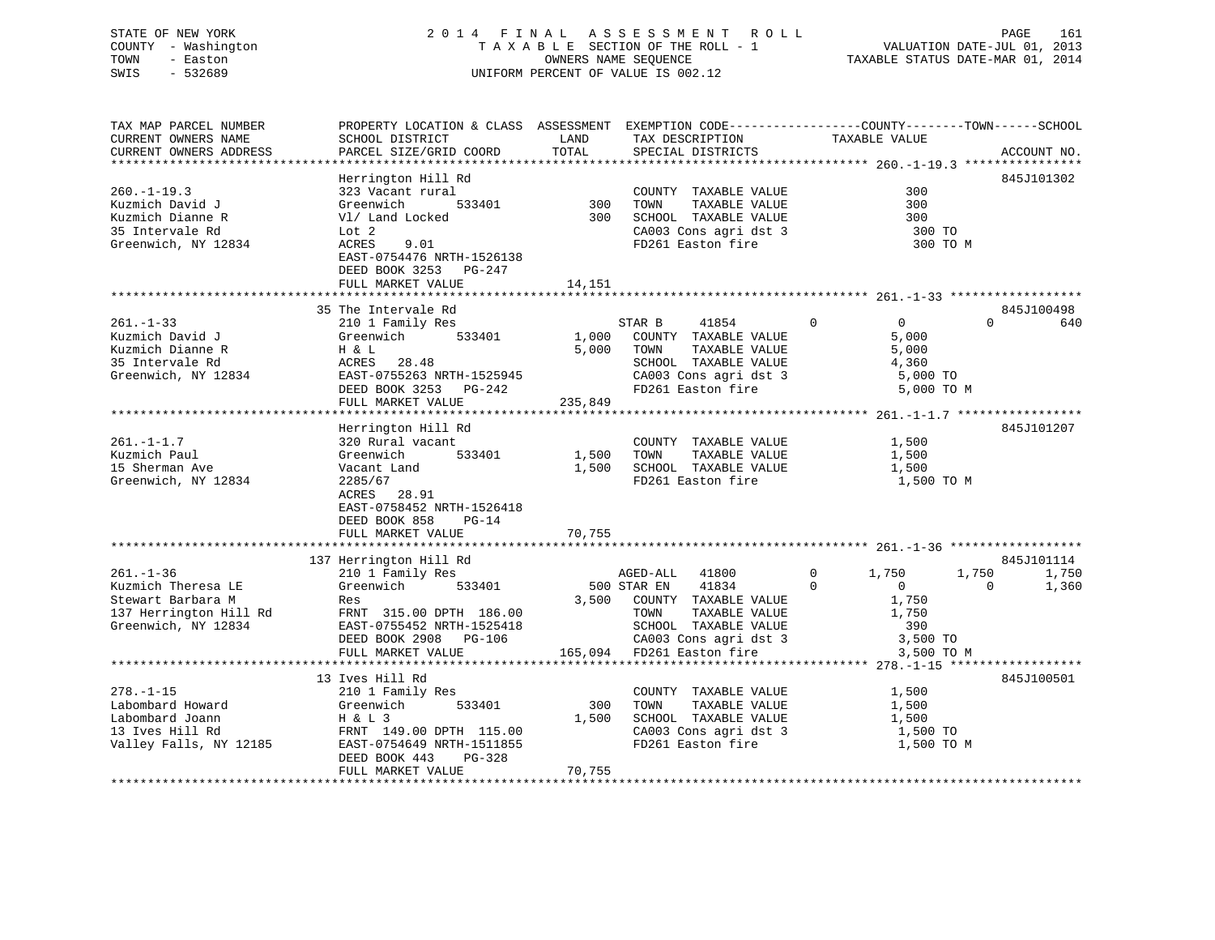## STATE OF NEW YORK 2 0 1 4 F I N A L A S S E S S M E N T R O L L PAGE 161 COUNTY - Washington T A X A B L E SECTION OF THE ROLL - 1 VALUATION DATE-JUL 01, 2013 TOWN - Easton OWNERS NAME SEQUENCE TAXABLE STATUS DATE-MAR 01, 2014 SWIS - 532689 UNIFORM PERCENT OF VALUE IS 002.12

| TAX MAP PARCEL NUMBER  | PROPERTY LOCATION & CLASS ASSESSMENT EXEMPTION CODE----------------COUNTY-------TOWN------SCHOOL |         |                            |                                  |                   |
|------------------------|--------------------------------------------------------------------------------------------------|---------|----------------------------|----------------------------------|-------------------|
| CURRENT OWNERS NAME    | SCHOOL DISTRICT                                                                                  | LAND    | TAX DESCRIPTION            | TAXABLE VALUE                    |                   |
| CURRENT OWNERS ADDRESS | PARCEL SIZE/GRID COORD                                                                           | TOTAL   | SPECIAL DISTRICTS          |                                  | ACCOUNT NO.       |
|                        |                                                                                                  |         |                            |                                  |                   |
|                        | Herrington Hill Rd                                                                               |         |                            |                                  | 845J101302        |
| $260. - 1 - 19.3$      | 323 Vacant rural                                                                                 |         | COUNTY TAXABLE VALUE       | 300                              |                   |
| Kuzmich David J        | Greenwich<br>533401                                                                              | 300     | TOWN<br>TAXABLE VALUE      | 300                              |                   |
| Kuzmich Dianne R       | V1/ Land Locked                                                                                  | 300     | SCHOOL TAXABLE VALUE       | 300                              |                   |
| 35 Intervale Rd        | Lot 2                                                                                            |         | CA003 Cons agri dst 3      | 300 TO                           |                   |
| Greenwich, NY 12834    | 9.01<br>ACRES                                                                                    |         | FD261 Easton fire          | 300 TO M                         |                   |
|                        | EAST-0754476 NRTH-1526138                                                                        |         |                            |                                  |                   |
|                        | DEED BOOK 3253<br>PG-247                                                                         |         |                            |                                  |                   |
|                        | FULL MARKET VALUE                                                                                | 14,151  |                            |                                  |                   |
|                        |                                                                                                  |         |                            |                                  |                   |
|                        | 35 The Intervale Rd                                                                              |         |                            |                                  | 845J100498        |
| $261. - 1 - 33$        | 210 1 Family Res                                                                                 |         | STAR B<br>41854            | $\overline{0}$<br>$\overline{0}$ | $\Omega$<br>640   |
| Kuzmich David J        | 533401<br>Greenwich                                                                              |         | 1,000 COUNTY TAXABLE VALUE | 5,000                            |                   |
| Kuzmich Dianne R       | H & L                                                                                            | 5,000   | TAXABLE VALUE<br>TOWN      | 5,000                            |                   |
| 35 Intervale Rd        | ACRES 28.48                                                                                      |         | SCHOOL TAXABLE VALUE       | 4,360                            |                   |
| Greenwich, NY 12834    | EAST-0755263 NRTH-1525945                                                                        |         | CA003 Cons agri dst 3      | 5,000 TO                         |                   |
|                        | DEED BOOK 3253 PG-242                                                                            |         | FD261 Easton fire          | 5,000 TO M                       |                   |
|                        | FULL MARKET VALUE                                                                                | 235,849 |                            |                                  |                   |
|                        |                                                                                                  |         |                            |                                  |                   |
|                        | Herrington Hill Rd                                                                               |         |                            |                                  | 845J101207        |
| $261. -1 - 1.7$        | 320 Rural vacant                                                                                 |         | COUNTY TAXABLE VALUE       | 1,500                            |                   |
| Kuzmich Paul           | Greenwich<br>533401                                                                              | 1,500   | TOWN<br>TAXABLE VALUE      | 1,500                            |                   |
| 15 Sherman Ave         | Vacant Land                                                                                      | 1,500   | SCHOOL TAXABLE VALUE       | 1,500                            |                   |
| Greenwich, NY 12834    | 2285/67                                                                                          |         | FD261 Easton fire          | 1,500 TO M                       |                   |
|                        | ACRES 28.91                                                                                      |         |                            |                                  |                   |
|                        | EAST-0758452 NRTH-1526418                                                                        |         |                            |                                  |                   |
|                        | DEED BOOK 858<br>$PG-14$                                                                         |         |                            |                                  |                   |
|                        | FULL MARKET VALUE                                                                                | 70,755  |                            |                                  |                   |
|                        |                                                                                                  |         |                            |                                  |                   |
|                        | 137 Herrington Hill Rd                                                                           |         |                            |                                  | 845J101114        |
| $261. - 1 - 36$        | 210 1 Family Res                                                                                 |         | AGED-ALL 41800             | $\Omega$<br>1,750                | 1,750<br>1,750    |
| Kuzmich Theresa LE     | 533401<br>Greenwich                                                                              |         | 41834<br>500 STAR EN       | $\Omega$<br>$\Omega$             | 1,360<br>$\Omega$ |
| Stewart Barbara M      | Res                                                                                              |         | 3,500 COUNTY TAXABLE VALUE | 1,750                            |                   |
| 137 Herrington Hill Rd | FRNT 315.00 DPTH 186.00                                                                          |         | TOWN<br>TAXABLE VALUE      | 1,750                            |                   |
| Greenwich, NY 12834    | EAST-0755452 NRTH-1525418                                                                        |         | SCHOOL TAXABLE VALUE       | 390                              |                   |
|                        | DEED BOOK 2908 PG-106                                                                            |         | CA003 Cons agri dst 3      | 3,500 TO                         |                   |
|                        | FULL MARKET VALUE                                                                                | 165,094 | FD261 Easton fire          | 3,500 TO M                       |                   |
|                        |                                                                                                  |         |                            |                                  |                   |
|                        | 13 Ives Hill Rd                                                                                  |         |                            |                                  | 845J100501        |
| $278. - 1 - 15$        | 210 1 Family Res                                                                                 |         | COUNTY TAXABLE VALUE       | 1,500                            |                   |
| Labombard Howard       | Greenwich<br>533401                                                                              | 300     | TOWN<br>TAXABLE VALUE      | 1,500                            |                   |
| Labombard Joann        | $H & L$ 3                                                                                        | 1,500   | SCHOOL TAXABLE VALUE       | 1,500                            |                   |
| 13 Ives Hill Rd        | FRNT 149.00 DPTH 115.00                                                                          |         | CA003 Cons agri dst 3      | 1,500 TO                         |                   |
| Valley Falls, NY 12185 | EAST-0754649 NRTH-1511855                                                                        |         | FD261 Easton fire          | 1,500 TO M                       |                   |
|                        | DEED BOOK 443<br>PG-328                                                                          |         |                            |                                  |                   |
|                        | FULL MARKET VALUE                                                                                | 70,755  |                            |                                  |                   |
|                        |                                                                                                  |         |                            |                                  |                   |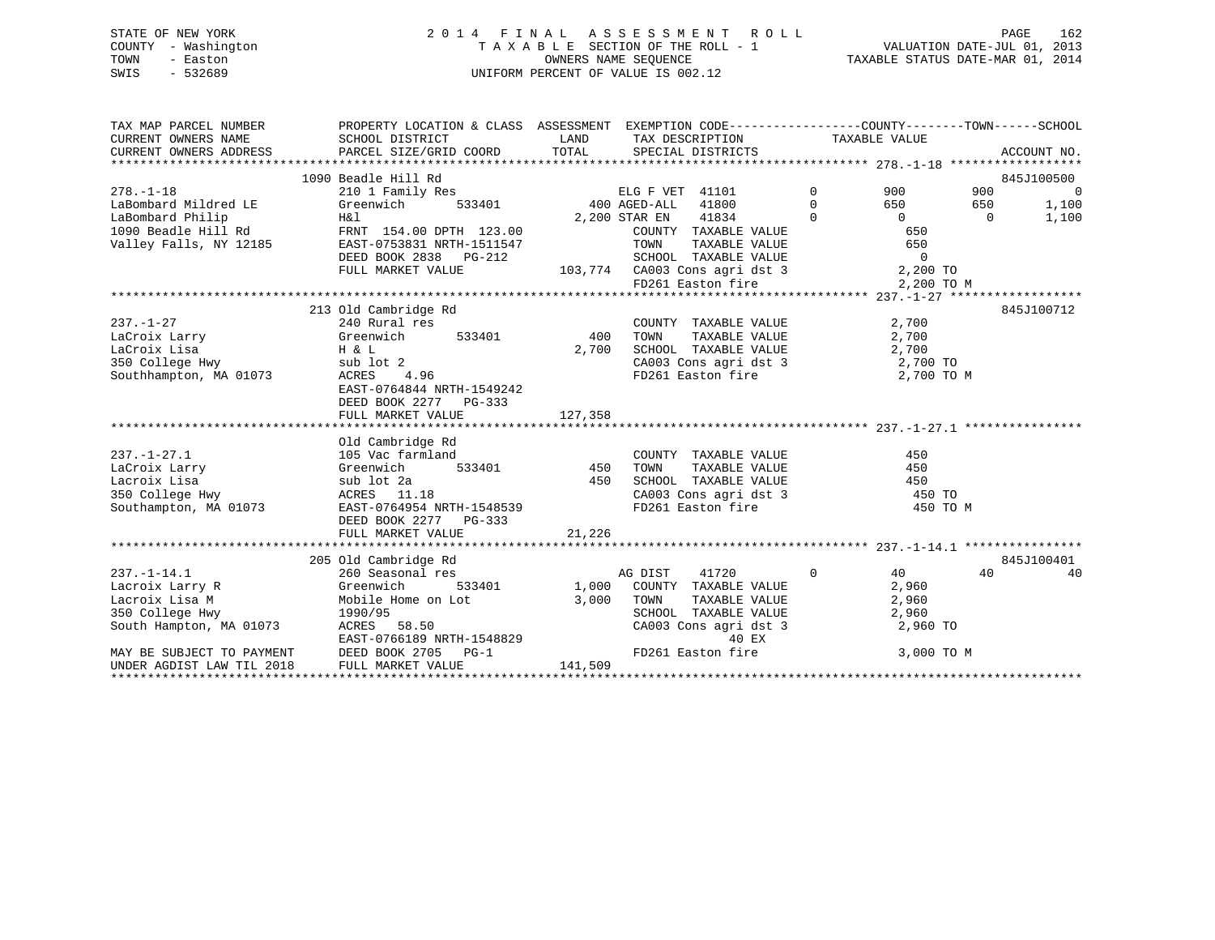## STATE OF NEW YORK 2 0 1 4 F I N A L A S S E S S M E N T R O L L PAGE 162 COUNTY - Washington T A X A B L E SECTION OF THE ROLL - 1 VALUATION DATE-JUL 01, 2013 TOWN - Easton OWNERS NAME SEQUENCE TAXABLE STATUS DATE-MAR 01, 2014 SWIS - 532689 UNIFORM PERCENT OF VALUE IS 002.12

| TAX MAP PARCEL NUMBER<br>CURRENT OWNERS NAME<br>CURRENT OWNERS ADDRESS                                                                                        | PROPERTY LOCATION & CLASS ASSESSMENT EXEMPTION CODE----------------COUNTY-------TOWN------SCHOOL<br>SCHOOL DISTRICT<br>PARCEL SIZE/GRID COORD                                                 | LAND<br>TOTAL             | TAX DESCRIPTION<br>SPECIAL DISTRICTS                                                                                                                                                              |                                  | TAXABLE VALUE                                                                    | ACCOUNT NO.                                                              |
|---------------------------------------------------------------------------------------------------------------------------------------------------------------|-----------------------------------------------------------------------------------------------------------------------------------------------------------------------------------------------|---------------------------|---------------------------------------------------------------------------------------------------------------------------------------------------------------------------------------------------|----------------------------------|----------------------------------------------------------------------------------|--------------------------------------------------------------------------|
| $278. - 1 - 18$<br>LaBombard Mildred LE<br>LaBombard Philip<br>1090 Beadle Hill Rd<br>Valley Falls, NY 12185                                                  | 1090 Beadle Hill Rd<br>210 1 Family Res<br>Greenwich<br>533401<br>H&l<br>FRNT 154.00 DPTH 123.00<br>EAST-0753831 NRTH-1511547<br>DEED BOOK 2838 PG-212<br>FULL MARKET VALUE                   |                           | ELG F VET 41101<br>400 AGED-ALL<br>41800<br>2,200 STAR EN<br>41834<br>COUNTY TAXABLE VALUE<br>TOWN<br>TAXABLE VALUE<br>SCHOOL TAXABLE VALUE<br>103,774 CA003 Cons agri dst 3<br>FD261 Easton fire | $\Omega$<br>$\Omega$<br>$\Omega$ | 900<br>650<br>$\Omega$<br>650<br>650<br>$\overline{0}$<br>2,200 TO<br>2,200 TO M | 845J100500<br>900<br>$\overline{0}$<br>1,100<br>650<br>1,100<br>$\Omega$ |
| $237. - 1 - 27$<br>LaCroix Larry<br>LaCroix Lisa<br>350 College Hwy<br>Southhampton, MA 01073                                                                 | 213 Old Cambridge Rd<br>240 Rural res<br>Greenwich<br>533401<br>H & L<br>sub lot 2<br>ACRES<br>4.96<br>EAST-0764844 NRTH-1549242<br>DEED BOOK 2277 PG-333<br>FULL MARKET VALUE                | 400<br>2,700<br>127,358   | COUNTY TAXABLE VALUE<br>TOWN<br>TAXABLE VALUE<br>SCHOOL TAXABLE VALUE<br>CA003 Cons agri dst 3<br>FD261 Easton fire                                                                               |                                  | 2,700<br>2,700<br>2,700<br>2,700 TO<br>2,700 TO M                                | 845J100712                                                               |
| $237. - 1 - 27.1$<br>LaCroix Larry<br>Lacroix Lisa<br>350 College Hwy<br>Southampton, MA 01073                                                                | Old Cambridge Rd<br>105 Vac farmland<br>533401<br>Greenwich<br>sub lot 2a<br>ACRES 11.18<br>EAST-0764954 NRTH-1548539<br>DEED BOOK 2277 PG-333<br>FULL MARKET VALUE                           | 450<br>450<br>21,226      | COUNTY TAXABLE VALUE<br>TAXABLE VALUE<br>TOWN<br>SCHOOL TAXABLE VALUE<br>CA003 Cons agri dst 3 450 TO<br>FD261 Easton fire                                                                        |                                  | 450<br>450<br>450<br>450 TO M                                                    |                                                                          |
| $237. -1 - 14.1$<br>Lacroix Larry R<br>Lacroix Lisa M<br>350 College Hwy<br>South Hampton, MA 01073<br>MAY BE SUBJECT TO PAYMENT<br>UNDER AGDIST LAW TIL 2018 | 205 Old Cambridge Rd<br>260 Seasonal res<br>Greenwich<br>533401<br>Mobile Home on Lot<br>1990/95<br>ACRES 58.50<br>EAST-0766189 NRTH-1548829<br>DEED BOOK 2705<br>$PG-1$<br>FULL MARKET VALUE | 1,000<br>3.000<br>141,509 | 41720<br>AG DIST<br>COUNTY TAXABLE VALUE<br>TOWN<br>TAXABLE VALUE<br>SCHOOL TAXABLE VALUE<br>CA003 Cons agri dst 3<br>40 EX<br>FD261 Easton fire                                                  | $\mathbf 0$                      | 40<br>2,960<br>2,960<br>2,960<br>2,960 TO<br>3,000 TO M                          | 845J100401<br>40<br>40                                                   |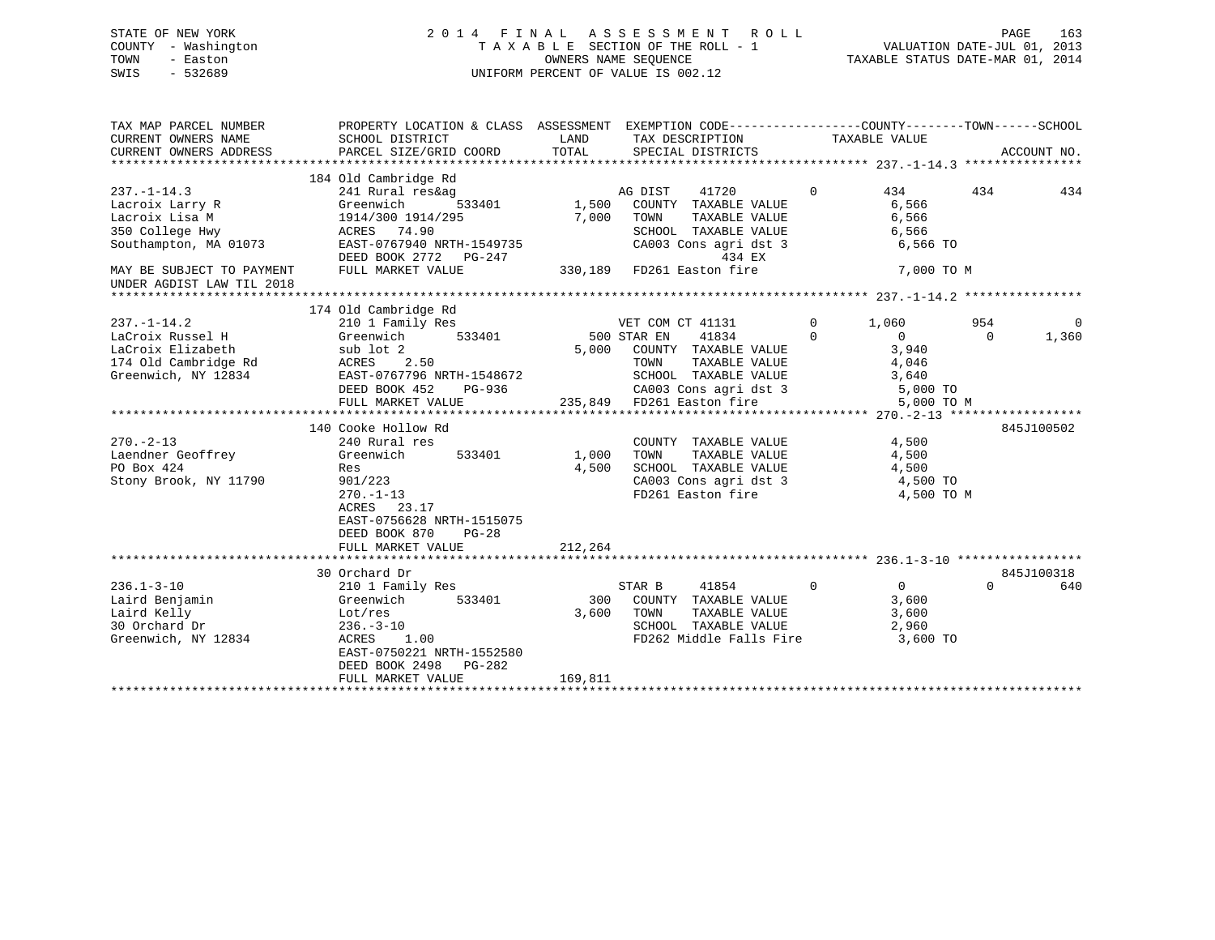## STATE OF NEW YORK 2 0 1 4 F I N A L A S S E S S M E N T R O L L PAGE 163 COUNTY - Washington T A X A B L E SECTION OF THE ROLL - 1 VALUATION DATE-JUL 01, 2013 TOWN - Easton OWNERS NAME SEQUENCE TAXABLE STATUS DATE-MAR 01, 2014 SWIS - 532689 UNIFORM PERCENT OF VALUE IS 002.12

| TAX MAP PARCEL NUMBER<br>CURRENT OWNERS NAME<br>CURRENT OWNERS ADDRESS | PROPERTY LOCATION & CLASS ASSESSMENT EXEMPTION CODE---------------COUNTY-------TOWN-----SCHOOL<br>SCHOOL DISTRICT<br>PARCEL SIZE/GRID COORD | LAND<br>TOTAL | TAX DESCRIPTION<br>SPECIAL DISTRICTS  |             | TAXABLE VALUE  | ACCOUNT NO. |             |
|------------------------------------------------------------------------|---------------------------------------------------------------------------------------------------------------------------------------------|---------------|---------------------------------------|-------------|----------------|-------------|-------------|
|                                                                        | 184 Old Cambridge Rd                                                                                                                        |               |                                       |             |                |             |             |
| $237. - 1 - 14.3$                                                      | 241 Rural res&ag                                                                                                                            |               | 41720<br>AG DIST                      | $\Omega$    | 434            | 434         | 434         |
|                                                                        | 533401                                                                                                                                      | 1,500         |                                       |             | 6,566          |             |             |
| Lacroix Larry R<br>Lacroix Lisa M                                      | Greenwich                                                                                                                                   | 7,000         | COUNTY TAXABLE VALUE<br>TAXABLE VALUE |             |                |             |             |
| 350 College Hwy                                                        | 1914/300 1914/295<br>ACRES 74.90                                                                                                            |               | TOWN<br>SCHOOL TAXABLE VALUE          |             | 6,566<br>6,566 |             |             |
|                                                                        | EAST-0767940 NRTH-1549735                                                                                                                   |               |                                       |             | 6,566 TO       |             |             |
| Southampton, MA 01073                                                  | DEED BOOK 2772 PG-247                                                                                                                       |               | CA003 Cons agri dst 3<br>434 EX       |             |                |             |             |
| MAY BE SUBJECT TO PAYMENT                                              | FULL MARKET VALUE                                                                                                                           |               | 330,189    FD261    Easton fire       |             | 7,000 TO M     |             |             |
| UNDER AGDIST LAW TIL 2018                                              |                                                                                                                                             |               |                                       |             |                |             |             |
|                                                                        |                                                                                                                                             |               |                                       |             |                |             |             |
|                                                                        | 174 Old Cambridge Rd                                                                                                                        |               |                                       |             |                |             |             |
| $237. - 1 - 14.2$                                                      | 210 1 Family Res                                                                                                                            |               | VET COM CT 41131                      | $\mathbf 0$ | 1,060          | 954         | $\mathbf 0$ |
| LaCroix Russel H                                                       | 533401<br>Greenwich                                                                                                                         |               | 500 STAR EN<br>41834                  | $\Omega$    | $\Omega$       | $\Omega$    | 1,360       |
| LaCroix Elizabeth                                                      | sub lot 2                                                                                                                                   | 5,000         | COUNTY TAXABLE VALUE                  |             | 3,940          |             |             |
| 174 Old Cambridge Rd                                                   | ACRES 2.50                                                                                                                                  |               | TOWN<br>TAXABLE VALUE                 |             | 4,046          |             |             |
| Greenwich, NY 12834                                                    | EAST-0767796 NRTH-1548672                                                                                                                   |               | SCHOOL TAXABLE VALUE                  |             | 3,640          |             |             |
|                                                                        | DEED BOOK 452<br>PG-936                                                                                                                     |               | CA003 Cons agri dst 3                 |             | 5,000 TO       |             |             |
|                                                                        | FULL MARKET VALUE                                                                                                                           |               | 235,849 FD261 Easton fire             |             | 5,000 TO M     |             |             |
|                                                                        |                                                                                                                                             |               |                                       |             |                |             |             |
|                                                                        | 140 Cooke Hollow Rd                                                                                                                         |               |                                       |             |                | 845J100502  |             |
| $270. - 2 - 13$                                                        | 240 Rural res                                                                                                                               |               | COUNTY TAXABLE VALUE                  |             | 4,500          |             |             |
| Laendner Geoffrey                                                      | Greenwich<br>533401                                                                                                                         | 1,000         | TAXABLE VALUE<br>TOWN                 |             | 4,500          |             |             |
| PO Box 424                                                             | Res                                                                                                                                         | 4,500         | SCHOOL TAXABLE VALUE                  |             | 4,500          |             |             |
| Stony Brook, NY 11790                                                  | 901/223                                                                                                                                     |               | CA003 Cons agri dst 3                 |             | 4,500 TO       |             |             |
|                                                                        | $270. - 1 - 13$                                                                                                                             |               | FD261 Easton fire                     |             | 4,500 TO M     |             |             |
|                                                                        | ACRES 23.17                                                                                                                                 |               |                                       |             |                |             |             |
|                                                                        | EAST-0756628 NRTH-1515075                                                                                                                   |               |                                       |             |                |             |             |
|                                                                        | DEED BOOK 870<br>$PG-28$                                                                                                                    |               |                                       |             |                |             |             |
|                                                                        | FULL MARKET VALUE                                                                                                                           | 212,264       |                                       |             |                |             |             |
|                                                                        |                                                                                                                                             |               |                                       |             |                |             |             |
|                                                                        | 30 Orchard Dr                                                                                                                               |               |                                       |             |                | 845J100318  |             |
| $236.1 - 3 - 10$                                                       | 210 1 Family Res                                                                                                                            |               | 41854<br>STAR B                       | $\mathbf 0$ | 0              | $\Omega$    | 640         |
| Laird Benjamin                                                         | Greenwich<br>533401                                                                                                                         | 300           | COUNTY TAXABLE VALUE                  |             | 3,600          |             |             |
| Laird Kelly                                                            | Lot,res                                                                                                                                     | 3,600         | TAXABLE VALUE<br>TOWN                 |             | 3,600          |             |             |
| 30 Orchard Dr                                                          | $236. - 3 - 10$                                                                                                                             |               | SCHOOL TAXABLE VALUE                  |             | 2,960          |             |             |
| Greenwich, NY 12834                                                    | 1.00<br>ACRES                                                                                                                               |               | FD262 Middle Falls Fire               |             | 3,600 TO       |             |             |
|                                                                        | EAST-0750221 NRTH-1552580                                                                                                                   |               |                                       |             |                |             |             |
|                                                                        | DEED BOOK 2498 PG-282                                                                                                                       |               |                                       |             |                |             |             |
|                                                                        | FULL MARKET VALUE                                                                                                                           | 169,811       |                                       |             |                |             |             |
|                                                                        |                                                                                                                                             |               |                                       |             |                |             |             |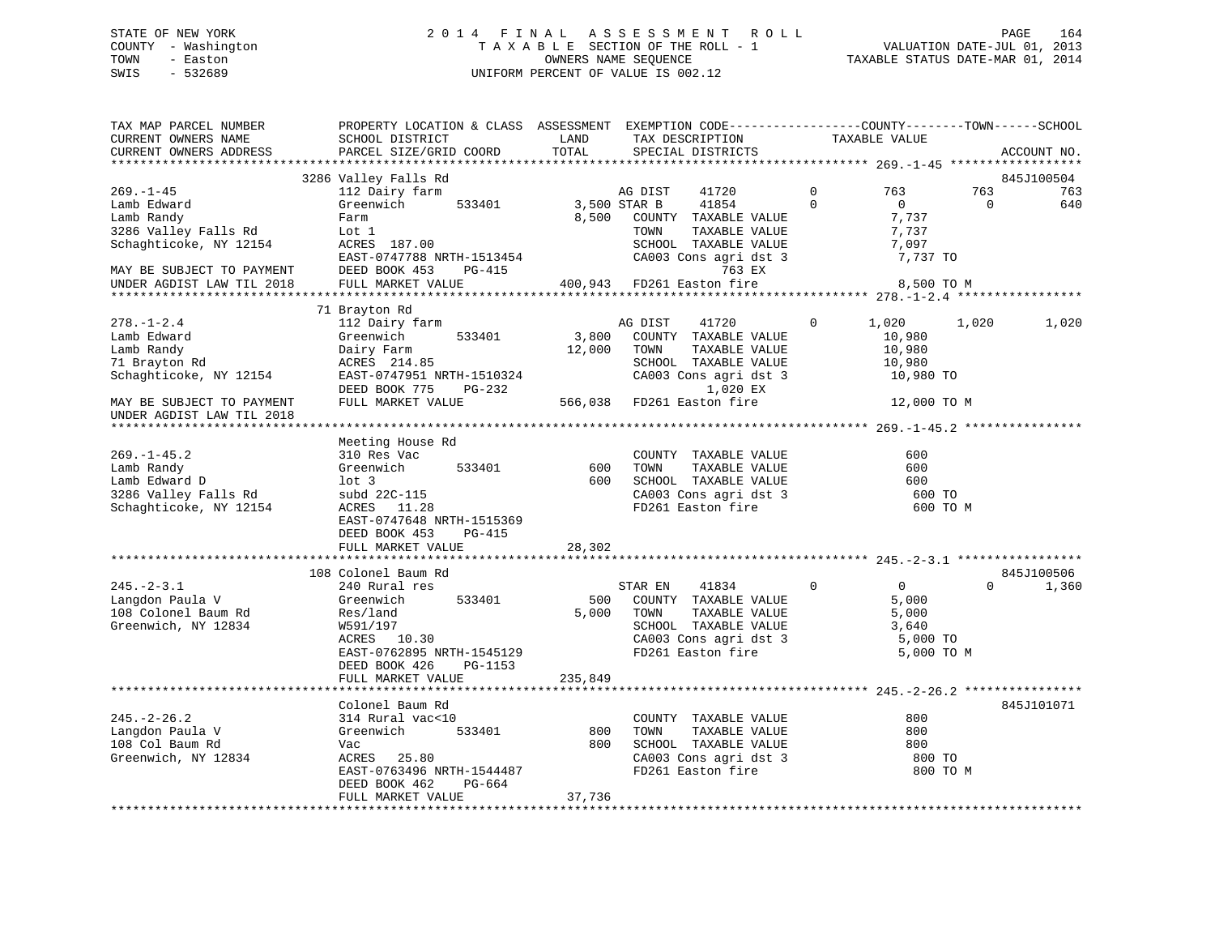## STATE OF NEW YORK 2 0 1 4 F I N A L A S S E S S M E N T R O L L PAGE 164 COUNTY - Washington T A X A B L E SECTION OF THE ROLL - 1 VALUATION DATE-JUL 01, 2013 TOWN - Easton OWNERS NAME SEQUENCE TAXABLE STATUS DATE-MAR 01, 2014 SWIS - 532689 UNIFORM PERCENT OF VALUE IS 002.12

| TAX MAP PARCEL NUMBER<br>CURRENT OWNERS NAME | PROPERTY LOCATION & CLASS ASSESSMENT EXEMPTION CODE----------------COUNTY-------TOWN------SCHOOL<br>SCHOOL DISTRICT | LAND    | TAX DESCRIPTION           |             | TAXABLE VALUE                       |          |             |
|----------------------------------------------|---------------------------------------------------------------------------------------------------------------------|---------|---------------------------|-------------|-------------------------------------|----------|-------------|
| CURRENT OWNERS ADDRESS                       | PARCEL SIZE/GRID COORD                                                                                              | TOTAL   | SPECIAL DISTRICTS         |             |                                     |          | ACCOUNT NO. |
|                                              | 3286 Valley Falls Rd                                                                                                |         |                           |             |                                     |          | 845J100504  |
| $269. - 1 - 45$                              | 112 Dairy farm                                                                                                      |         | AG DIST<br>41720          | $\mathbf 0$ | 763                                 | 763      | 763         |
| Lamb Edward                                  | Greenwich<br>533401                                                                                                 |         | 3,500 STAR B<br>41854     | $\Omega$    | $\Omega$                            | $\Omega$ | 640         |
| Lamb Randy                                   | Farm                                                                                                                | 8,500   | COUNTY TAXABLE VALUE      |             | 7,737                               |          |             |
| 3286 Valley Falls Rd                         | Lot 1                                                                                                               |         | TOWN<br>TAXABLE VALUE     |             | 7,737                               |          |             |
| Schaghticoke, NY 12154                       | ACRES 187.00                                                                                                        |         | SCHOOL TAXABLE VALUE      |             | 7,097                               |          |             |
|                                              | EAST-0747788 NRTH-1513454                                                                                           |         | CA003 Cons agri dst 3     |             | 7,737 TO                            |          |             |
| MAY BE SUBJECT TO PAYMENT                    | DEED BOOK 453<br><b>PG-415</b>                                                                                      |         | 763 EX                    |             |                                     |          |             |
| UNDER AGDIST LAW TIL 2018                    | FULL MARKET VALUE                                                                                                   |         | 400,943 FD261 Easton fire |             | 8,500 TO M                          |          |             |
|                                              |                                                                                                                     |         |                           |             |                                     |          |             |
|                                              | 71 Brayton Rd                                                                                                       |         |                           |             |                                     |          |             |
| $278. - 1 - 2.4$                             | 112 Dairy farm                                                                                                      |         | AG DIST<br>41720          | $\mathbf 0$ | 1,020                               | 1,020    | 1,020       |
| Lamb Edward                                  | 533401<br>Greenwich                                                                                                 | 3,800   | COUNTY TAXABLE VALUE      |             | 10,980                              |          |             |
| Lamb Randy                                   | Dairy Farm                                                                                                          | 12,000  | TOWN<br>TAXABLE VALUE     |             | 10,980                              |          |             |
| 71 Brayton Rd                                | ACRES 214.85                                                                                                        |         | SCHOOL TAXABLE VALUE      |             | 10,980                              |          |             |
| Schaghticoke, NY 12154                       | EAST-0747951 NRTH-1510324                                                                                           |         | CA003 Cons agri dst 3     |             | 10,980 TO                           |          |             |
|                                              | DEED BOOK 775<br>PG-232                                                                                             |         | 1,020 EX                  |             |                                     |          |             |
| MAY BE SUBJECT TO PAYMENT                    | FULL MARKET VALUE                                                                                                   |         | 566,038 FD261 Easton fire |             | 12,000 TO M                         |          |             |
| UNDER AGDIST LAW TIL 2018                    |                                                                                                                     |         |                           |             |                                     |          |             |
|                                              |                                                                                                                     |         |                           |             |                                     |          |             |
|                                              | Meeting House Rd                                                                                                    |         |                           |             |                                     |          |             |
| $269. - 1 - 45.2$                            | 310 Res Vac                                                                                                         |         | COUNTY TAXABLE VALUE      |             | 600                                 |          |             |
| Lamb Randy                                   | Greenwich<br>533401                                                                                                 | 600     | TOWN<br>TAXABLE VALUE     |             | 600                                 |          |             |
| Lamb Edward D                                | $1$ ot $3$                                                                                                          | 600     | SCHOOL TAXABLE VALUE      |             | 600                                 |          |             |
| 3286 Valley Falls Rd                         | subd 22C-115                                                                                                        |         | CA003 Cons agri dst 3     |             | 600 TO                              |          |             |
| Schaghticoke, NY 12154                       | ACRES 11.28                                                                                                         |         | FD261 Easton fire         |             | 600 TO M                            |          |             |
|                                              | EAST-0747648 NRTH-1515369                                                                                           |         |                           |             |                                     |          |             |
|                                              | DEED BOOK 453<br>$PG-415$                                                                                           |         |                           |             |                                     |          |             |
|                                              | FULL MARKET VALUE                                                                                                   | 28,302  |                           |             |                                     |          |             |
|                                              |                                                                                                                     |         |                           |             |                                     |          |             |
|                                              | 108 Colonel Baum Rd                                                                                                 |         |                           |             |                                     |          | 845J100506  |
| $245. - 2 - 3.1$                             | 240 Rural res                                                                                                       |         | STAR EN<br>41834          | $\Omega$    | $\overline{0}$                      | $\Omega$ | 1,360       |
| Langdon Paula V                              | Greenwich<br>533401                                                                                                 | 500     | COUNTY TAXABLE VALUE      |             | 5,000                               |          |             |
| 108 Colonel Baum Rd                          | Res/land                                                                                                            | 5,000   | TOWN<br>TAXABLE VALUE     |             | 5,000                               |          |             |
| Greenwich, NY 12834                          | W591/197                                                                                                            |         | SCHOOL TAXABLE VALUE      |             | 3,640                               |          |             |
|                                              | ACRES 10.30                                                                                                         |         | CA003 Cons agri dst 3     |             | 5,000 TO                            |          |             |
|                                              | EAST-0762895 NRTH-1545129                                                                                           |         | FD261 Easton fire         |             | 5,000 TO M                          |          |             |
|                                              | DEED BOOK 426<br>PG-1153                                                                                            |         |                           |             |                                     |          |             |
|                                              | FULL MARKET VALUE                                                                                                   | 235,849 |                           |             |                                     |          |             |
|                                              | ************************************                                                                                |         |                           |             |                                     |          |             |
|                                              | Colonel Baum Rd                                                                                                     |         |                           |             |                                     |          | 845J101071  |
| $245. - 2 - 26.2$                            | 314 Rural vac<10                                                                                                    |         | COUNTY TAXABLE VALUE      |             | 800                                 |          |             |
| Langdon Paula V                              | Greenwich<br>533401                                                                                                 | 800     | TOWN<br>TAXABLE VALUE     |             | 800                                 |          |             |
| 108 Col Baum Rd                              | Vac                                                                                                                 | 800     | SCHOOL TAXABLE VALUE      |             | 800                                 |          |             |
| Greenwich, NY 12834                          | 25.80<br>ACRES                                                                                                      |         | CA003 Cons agri dst 3     |             | 800 TO                              |          |             |
|                                              | EAST-0763496 NRTH-1544487                                                                                           |         | FD261 Easton fire         |             | 800 TO M                            |          |             |
|                                              | PG-664<br>DEED BOOK 462                                                                                             |         |                           |             |                                     |          |             |
|                                              | FULL MARKET VALUE                                                                                                   | 37,736  |                           |             |                                     |          |             |
|                                              |                                                                                                                     |         |                           |             | *********************************** |          |             |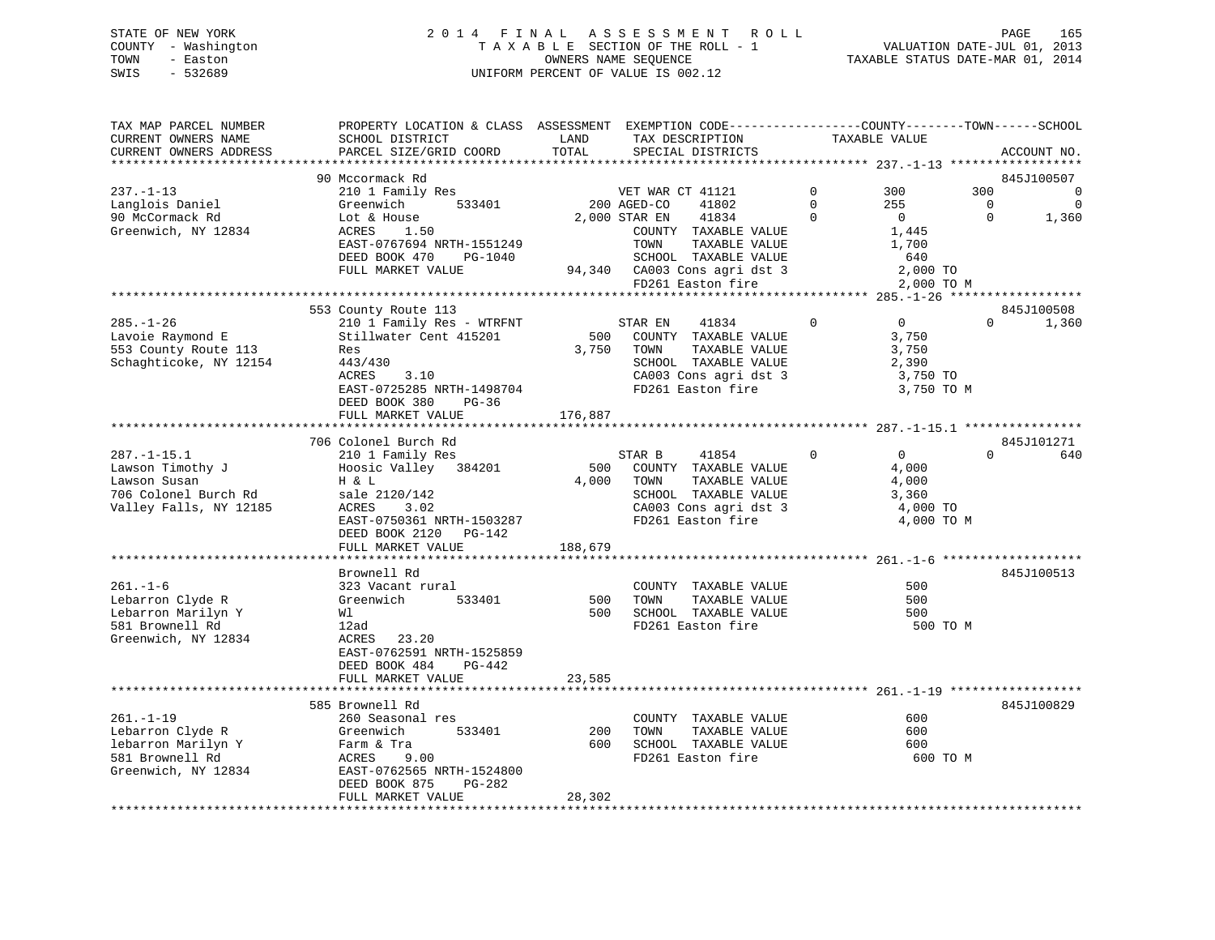STATE OF NEW YORK 2 0 1 4 F I N A L A S S E S S M E N T R O L L PAGE 165 COUNTY - Washington T A X A B L E SECTION OF THE ROLL - 1 VALUATION DATE-JUL 01, 2013 TOWN - Easton OWNERS NAME SEQUENCE TAXABLE STATUS DATE-MAR 01, 2014 SWIS - 532689 UNIFORM PERCENT OF VALUE IS 002.12

| TAX MAP PARCEL NUMBER  | PROPERTY LOCATION & CLASS ASSESSMENT EXEMPTION CODE----------------COUNTY-------TOWN------SCHOOL |         |                              |              |                |             |             |
|------------------------|--------------------------------------------------------------------------------------------------|---------|------------------------------|--------------|----------------|-------------|-------------|
| CURRENT OWNERS NAME    | SCHOOL DISTRICT                                                                                  | LAND    | TAX DESCRIPTION              |              | TAXABLE VALUE  |             |             |
| CURRENT OWNERS ADDRESS | PARCEL SIZE/GRID COORD                                                                           | TOTAL   | SPECIAL DISTRICTS            |              |                |             | ACCOUNT NO. |
|                        |                                                                                                  |         |                              |              |                |             |             |
|                        | 90 Mccormack Rd                                                                                  |         |                              |              |                |             | 845J100507  |
| $237. - 1 - 13$        | 210 1 Family Res                                                                                 |         | VET WAR CT 41121             | $\Omega$     | 300            | 300         | $\mathbf 0$ |
| Langlois Daniel        | Greenwich<br>533401                                                                              |         | 200 AGED-CO<br>41802         | $\Omega$     | 255            | $\mathbf 0$ | $\mathbf 0$ |
| 90 McCormack Rd        | Lot & House                                                                                      |         | 2,000 STAR EN<br>41834       | $\Omega$     | $\overline{0}$ | $\Omega$    | 1,360       |
| Greenwich, NY 12834    | ACRES<br>1.50                                                                                    |         | COUNTY TAXABLE VALUE         |              | 1,445          |             |             |
|                        | EAST-0767694 NRTH-1551249                                                                        |         | TOWN<br>TAXABLE VALUE        |              | 1,700          |             |             |
|                        | DEED BOOK 470<br>PG-1040                                                                         |         | SCHOOL TAXABLE VALUE         |              | 640            |             |             |
|                        | FULL MARKET VALUE                                                                                |         | 94,340 CA003 Cons agri dst 3 |              | 2,000 TO       |             |             |
|                        |                                                                                                  |         | FD261 Easton fire            |              | 2,000 TO M     |             |             |
|                        |                                                                                                  |         |                              |              |                |             |             |
|                        | 553 County Route 113                                                                             |         |                              |              |                |             | 845J100508  |
| $285. - 1 - 26$        | 210 1 Family Res - WTRFNT                                                                        |         | STAR EN<br>41834             | $\mathbf{0}$ | $\overline{0}$ | $\Omega$    | 1,360       |
| Lavoie Raymond E       | Stillwater Cent 415201                                                                           | 500     | COUNTY TAXABLE VALUE         |              | 3,750          |             |             |
| 553 County Route 113   | Res                                                                                              | 3,750   | TOWN<br>TAXABLE VALUE        |              | 3,750          |             |             |
| Schaghticoke, NY 12154 | 443/430                                                                                          |         | SCHOOL TAXABLE VALUE         |              | 2,390          |             |             |
|                        | ACRES<br>3.10                                                                                    |         | CA003 Cons agri dst 3        |              | 3,750 TO       |             |             |
|                        | EAST-0725285 NRTH-1498704                                                                        |         | FD261 Easton fire            |              | 3,750 TO M     |             |             |
|                        | DEED BOOK 380<br>$PG-36$                                                                         |         |                              |              |                |             |             |
|                        | FULL MARKET VALUE                                                                                | 176,887 |                              |              |                |             |             |
|                        |                                                                                                  |         |                              |              |                |             |             |
|                        | 706 Colonel Burch Rd                                                                             |         |                              |              |                |             | 845J101271  |
| $287. - 1 - 15.1$      | 210 1 Family Res                                                                                 |         | STAR B<br>41854              | $\Omega$     | $\Omega$       | $\Omega$    | 640         |
| Lawson Timothy J       | Hoosic Valley 384201                                                                             | 500     | COUNTY TAXABLE VALUE         |              | 4,000          |             |             |
| Lawson Susan           | H & L                                                                                            | 4,000   | TOWN<br>TAXABLE VALUE        |              | 4,000          |             |             |
| 706 Colonel Burch Rd   | sale 2120/142                                                                                    |         | SCHOOL TAXABLE VALUE         |              | 3,360          |             |             |
| Valley Falls, NY 12185 | ACRES<br>3.02                                                                                    |         | CA003 Cons agri dst 3        |              | 4,000 TO       |             |             |
|                        | EAST-0750361 NRTH-1503287                                                                        |         | FD261 Easton fire            |              | 4,000 TO M     |             |             |
|                        | DEED BOOK 2120<br>PG-142                                                                         |         |                              |              |                |             |             |
|                        | FULL MARKET VALUE                                                                                | 188,679 |                              |              |                |             |             |
|                        |                                                                                                  |         |                              |              |                |             |             |
|                        | Brownell Rd                                                                                      |         |                              |              |                |             | 845J100513  |
| $261. - 1 - 6$         | 323 Vacant rural                                                                                 |         | COUNTY TAXABLE VALUE         |              | 500            |             |             |
| Lebarron Clyde R       | Greenwich<br>533401                                                                              | 500     | TOWN<br>TAXABLE VALUE        |              | 500            |             |             |
| Lebarron Marilyn Y     | Wl                                                                                               | 500     | SCHOOL TAXABLE VALUE         |              | 500            |             |             |
| 581 Brownell Rd        | 12ad                                                                                             |         | FD261 Easton fire            |              | 500 TO M       |             |             |
| Greenwich, NY 12834    | ACRES<br>23.20                                                                                   |         |                              |              |                |             |             |
|                        | EAST-0762591 NRTH-1525859                                                                        |         |                              |              |                |             |             |
|                        | DEED BOOK 484<br>PG-442                                                                          |         |                              |              |                |             |             |
|                        | FULL MARKET VALUE                                                                                | 23,585  |                              |              |                |             |             |
|                        |                                                                                                  |         |                              |              |                |             |             |
|                        | 585 Brownell Rd                                                                                  |         |                              |              |                |             | 845J100829  |
| $261. - 1 - 19$        | 260 Seasonal res                                                                                 |         | COUNTY TAXABLE VALUE         |              | 600            |             |             |
| Lebarron Clyde R       | Greenwich<br>533401                                                                              | 200     | TOWN<br>TAXABLE VALUE        |              | 600            |             |             |
| lebarron Marilyn Y     | Farm & Tra                                                                                       | 600     | SCHOOL TAXABLE VALUE         |              | 600            |             |             |
| 581 Brownell Rd        | 9.00<br>ACRES                                                                                    |         | FD261 Easton fire            |              | 600 TO M       |             |             |
| Greenwich, NY 12834    | EAST-0762565 NRTH-1524800                                                                        |         |                              |              |                |             |             |
|                        | DEED BOOK 875<br>PG-282                                                                          |         |                              |              |                |             |             |
|                        | FULL MARKET VALUE                                                                                | 28,302  |                              |              |                |             |             |
|                        |                                                                                                  |         |                              |              |                |             |             |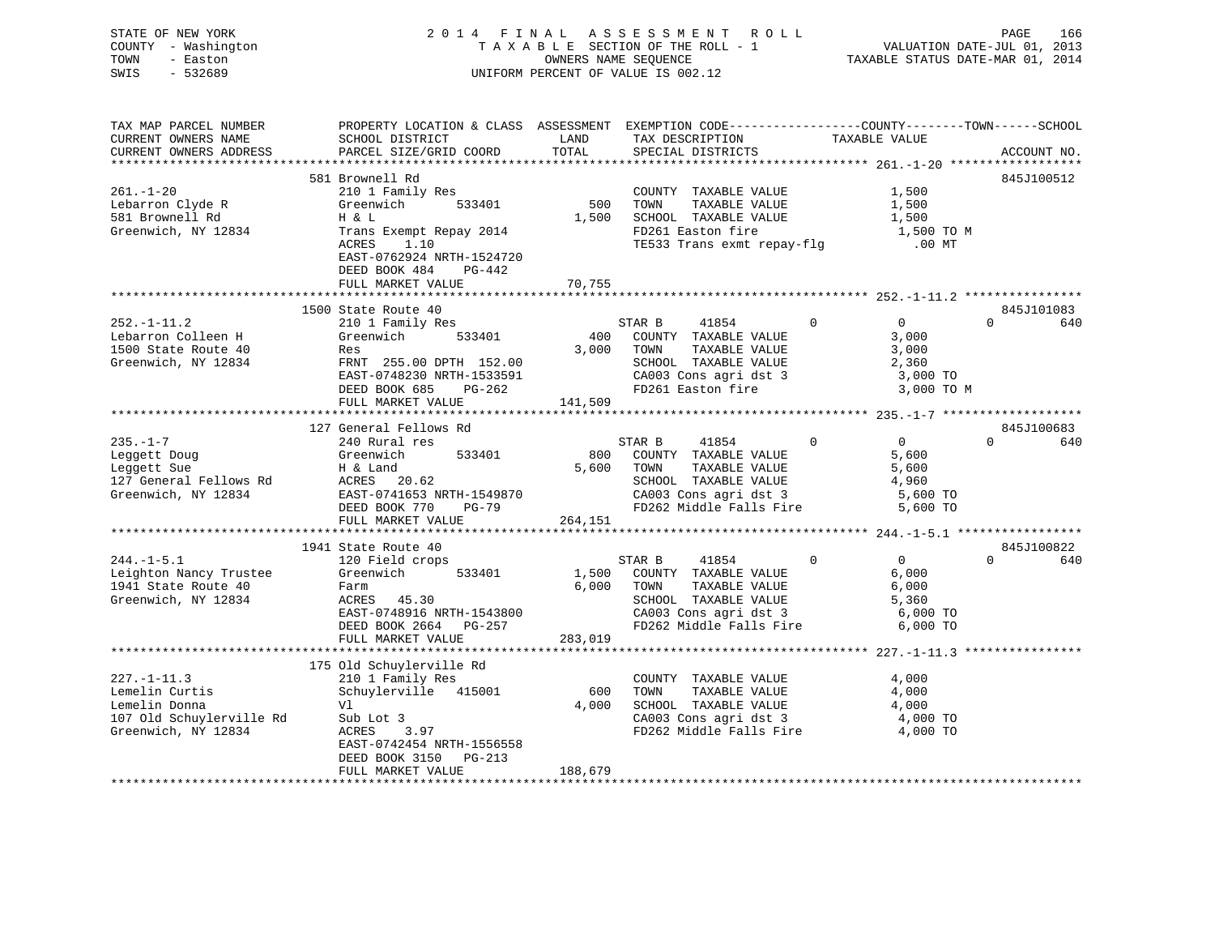| STATE OF NEW YORK<br>COUNTY - Washington<br>TOWN<br>- Easton<br>SWIS - 532689 |                                                                                                                                                                                                                                                                              |         | F I N A L A S S E S S M E N T R O L L DAGE 166<br>T A X A B L E SECTION OF THE ROLL - 1 VALUATION DATE-JUL 01, 2013<br>OWNERS NAME SEQUENCE TAXABLE STATUS DATE-MAR 01, 2014<br>2014 FINAL ASSESSMENT ROLL<br>UNIFORM PERCENT OF VALUE IS 002.12 |                |                |             |
|-------------------------------------------------------------------------------|------------------------------------------------------------------------------------------------------------------------------------------------------------------------------------------------------------------------------------------------------------------------------|---------|--------------------------------------------------------------------------------------------------------------------------------------------------------------------------------------------------------------------------------------------------|----------------|----------------|-------------|
| TAX MAP PARCEL NUMBER<br>CURRENT OWNERS NAME<br>CURRENT OWNERS ADDRESS        | PROPERTY LOCATION & CLASS ASSESSMENT EXEMPTION CODE----------------COUNTY-------TOWN------SCHOOL                                                                                                                                                                             |         |                                                                                                                                                                                                                                                  |                |                | ACCOUNT NO. |
|                                                                               | 581 Brownell Rd<br>210 1 Family Res<br>Greenwich 533401 500 TOWN TAXABLE VALUE 1,500<br>H & L<br>Trans Exempt Repay 2014 1,500 SCHOOL TAXABLE VALUE 1,500<br>Trans Exempt Repay 2014 TE533 Trans exmt repay-flg<br>1,500 TO M<br>TE533 Trans                                 |         |                                                                                                                                                                                                                                                  |                |                | 845J100512  |
| $261. - 1 - 20$                                                               |                                                                                                                                                                                                                                                                              |         |                                                                                                                                                                                                                                                  |                |                |             |
| Lebarron Clyde R<br>581 Brownell Rd                                           |                                                                                                                                                                                                                                                                              |         |                                                                                                                                                                                                                                                  |                |                |             |
|                                                                               |                                                                                                                                                                                                                                                                              |         |                                                                                                                                                                                                                                                  |                |                |             |
| Greenwich, NY 12834                                                           |                                                                                                                                                                                                                                                                              |         |                                                                                                                                                                                                                                                  |                |                |             |
|                                                                               |                                                                                                                                                                                                                                                                              |         |                                                                                                                                                                                                                                                  |                |                |             |
|                                                                               |                                                                                                                                                                                                                                                                              |         |                                                                                                                                                                                                                                                  |                |                |             |
|                                                                               | DEED BOOK 484 PG-442                                                                                                                                                                                                                                                         |         |                                                                                                                                                                                                                                                  |                |                |             |
|                                                                               | FULL MARKET VALUE                                                                                                                                                                                                                                                            | 70,755  |                                                                                                                                                                                                                                                  |                |                |             |
|                                                                               |                                                                                                                                                                                                                                                                              |         |                                                                                                                                                                                                                                                  |                |                | 845J101083  |
| $252. -1 - 11.2$                                                              | 1500 State Route 40<br>210 1 Family Res<br>Greenwich 533401<br>Res Communication                                                                                                                                                                                             |         | STAR B 41854 0 0                                                                                                                                                                                                                                 |                |                | $0$ 640     |
|                                                                               |                                                                                                                                                                                                                                                                              |         | 400 COUNTY TAXABLE VALUE                                                                                                                                                                                                                         |                | 3,000          |             |
|                                                                               |                                                                                                                                                                                                                                                                              |         |                                                                                                                                                                                                                                                  |                |                |             |
| Lebarron Colleen H<br>1500 State Route 40<br>Greenwich, NY 12834              | Res<br>RES<br>FRNT 255.00 DPTH 152.00<br>EAST-0748230 NRTH-1533591<br>DEED BOOK 685<br>PG-262<br>PG-262<br>PG-262<br>PG-262<br>PG-262<br>PG-262<br>PG-262<br>PG-262<br>PG-262<br>PG-262<br>PG-262<br>PG-262<br>PG-262<br>PG-262<br>PG-262<br>PG-262<br>PG-262<br>PG-262<br>P |         |                                                                                                                                                                                                                                                  |                |                |             |
|                                                                               |                                                                                                                                                                                                                                                                              |         |                                                                                                                                                                                                                                                  |                |                |             |
|                                                                               |                                                                                                                                                                                                                                                                              |         |                                                                                                                                                                                                                                                  |                |                |             |
|                                                                               | FULL MARKET VALUE 141,509                                                                                                                                                                                                                                                    |         |                                                                                                                                                                                                                                                  |                |                |             |
|                                                                               | XAMINE VALUE<br>127 General Fellows Rd<br>235.-1-7 127 General Fellows Rd<br>240 Rural res<br>240 Rural res<br>240 Rural res<br>533401 800 COUNTY TAXABLE VALUE<br>260 COUNTY TAXABLE VALUE<br>260 COUNTY TAXABLE VALUE<br>260 COUNTY TAXABLE VA                             |         |                                                                                                                                                                                                                                                  |                |                |             |
|                                                                               |                                                                                                                                                                                                                                                                              |         |                                                                                                                                                                                                                                                  |                |                | 845J100683  |
|                                                                               |                                                                                                                                                                                                                                                                              |         |                                                                                                                                                                                                                                                  |                |                | $0$ 640     |
|                                                                               |                                                                                                                                                                                                                                                                              |         |                                                                                                                                                                                                                                                  |                |                |             |
|                                                                               |                                                                                                                                                                                                                                                                              |         |                                                                                                                                                                                                                                                  |                |                |             |
|                                                                               |                                                                                                                                                                                                                                                                              |         |                                                                                                                                                                                                                                                  |                |                |             |
|                                                                               |                                                                                                                                                                                                                                                                              |         |                                                                                                                                                                                                                                                  |                |                |             |
|                                                                               |                                                                                                                                                                                                                                                                              |         |                                                                                                                                                                                                                                                  |                |                |             |
|                                                                               |                                                                                                                                                                                                                                                                              |         |                                                                                                                                                                                                                                                  |                |                |             |
|                                                                               |                                                                                                                                                                                                                                                                              |         |                                                                                                                                                                                                                                                  |                |                |             |
|                                                                               | 1941 State Route 40                                                                                                                                                                                                                                                          |         |                                                                                                                                                                                                                                                  |                |                | 845J100822  |
| $244. -1 - 5.1$                                                               | 120 Field crops                                                                                                                                                                                                                                                              |         | STAR B 41854                                                                                                                                                                                                                                     | $\overline{0}$ | $\overline{0}$ | $0$ 640     |
| Leighton Nancy Trustee                                                        | Greenwich 533401                                                                                                                                                                                                                                                             |         | 1,500 COUNTY TAXABLE VALUE<br>6,000 TOWN TAXABLE VALUE                                                                                                                                                                                           |                | 6,000          |             |
|                                                                               |                                                                                                                                                                                                                                                                              |         |                                                                                                                                                                                                                                                  |                | 6,000          |             |
|                                                                               | $\frac{1}{2711}$ state koute 40 Farm<br>Greenwich, NY 12834 ACRES 45.30<br>Parm<br>ACRES 45.30<br>EAST-0748916 NRTH-1543800<br>DEED BOOK 2664 PG-257<br>CASS CALL PROBER MINITE PROBAGAN PG-257 PD262 Middle Falls Fire 6,000 TO                                             |         |                                                                                                                                                                                                                                                  |                |                |             |
|                                                                               |                                                                                                                                                                                                                                                                              |         |                                                                                                                                                                                                                                                  |                |                |             |
|                                                                               | FULL MARKET VALUE 283,019                                                                                                                                                                                                                                                    |         |                                                                                                                                                                                                                                                  |                |                |             |
|                                                                               |                                                                                                                                                                                                                                                                              |         |                                                                                                                                                                                                                                                  |                |                |             |
|                                                                               | 175 Old Schuylerville Rd                                                                                                                                                                                                                                                     |         |                                                                                                                                                                                                                                                  |                |                |             |
| $227. -1 - 11.3$                                                              | 210 1 Family Res                                                                                                                                                                                                                                                             |         | COUNTY TAXABLE VALUE                                                                                                                                                                                                                             |                | 4,000          |             |
| 227.-1-11.3<br>Lemelin Curtis<br>Lemelin Donna                                | Schuylerville 415001                                                                                                                                                                                                                                                         |         | TAXABLE VALUE<br>600 TOWN                                                                                                                                                                                                                        |                | 4,000          |             |
|                                                                               | V1<br>Sub Lot 3<br>ACRES 3.97                                                                                                                                                                                                                                                |         | 4,000 SCHOOL TAXABLE VALUE                                                                                                                                                                                                                       |                | 4,000          |             |
| 107 Old Schuylerville Rd<br>Creenwigh NY 12824                                |                                                                                                                                                                                                                                                                              |         | CA003 Cons agri dst 3 (2000 TO<br>FD262 Middle Falls Fire 4,000 TO                                                                                                                                                                               |                |                |             |
| Greenwich, NY 12834                                                           |                                                                                                                                                                                                                                                                              |         |                                                                                                                                                                                                                                                  |                |                |             |
|                                                                               | EAST-0742454 NRTH-1556558                                                                                                                                                                                                                                                    |         |                                                                                                                                                                                                                                                  |                |                |             |
|                                                                               | DEED BOOK 3150 PG-213                                                                                                                                                                                                                                                        |         |                                                                                                                                                                                                                                                  |                |                |             |
|                                                                               | FULL MARKET VALUE                                                                                                                                                                                                                                                            | 188,679 |                                                                                                                                                                                                                                                  |                |                |             |

\*\*\*\*\*\*\*\*\*\*\*\*\*\*\*\*\*\*\*\*\*\*\*\*\*\*\*\*\*\*\*\*\*\*\*\*\*\*\*\*\*\*\*\*\*\*\*\*\*\*\*\*\*\*\*\*\*\*\*\*\*\*\*\*\*\*\*\*\*\*\*\*\*\*\*\*\*\*\*\*\*\*\*\*\*\*\*\*\*\*\*\*\*\*\*\*\*\*\*\*\*\*\*\*\*\*\*\*\*\*\*\*\*\*\*\*\*\*\*\*\*\*\*\*\*\*\*\*\*\*\*\*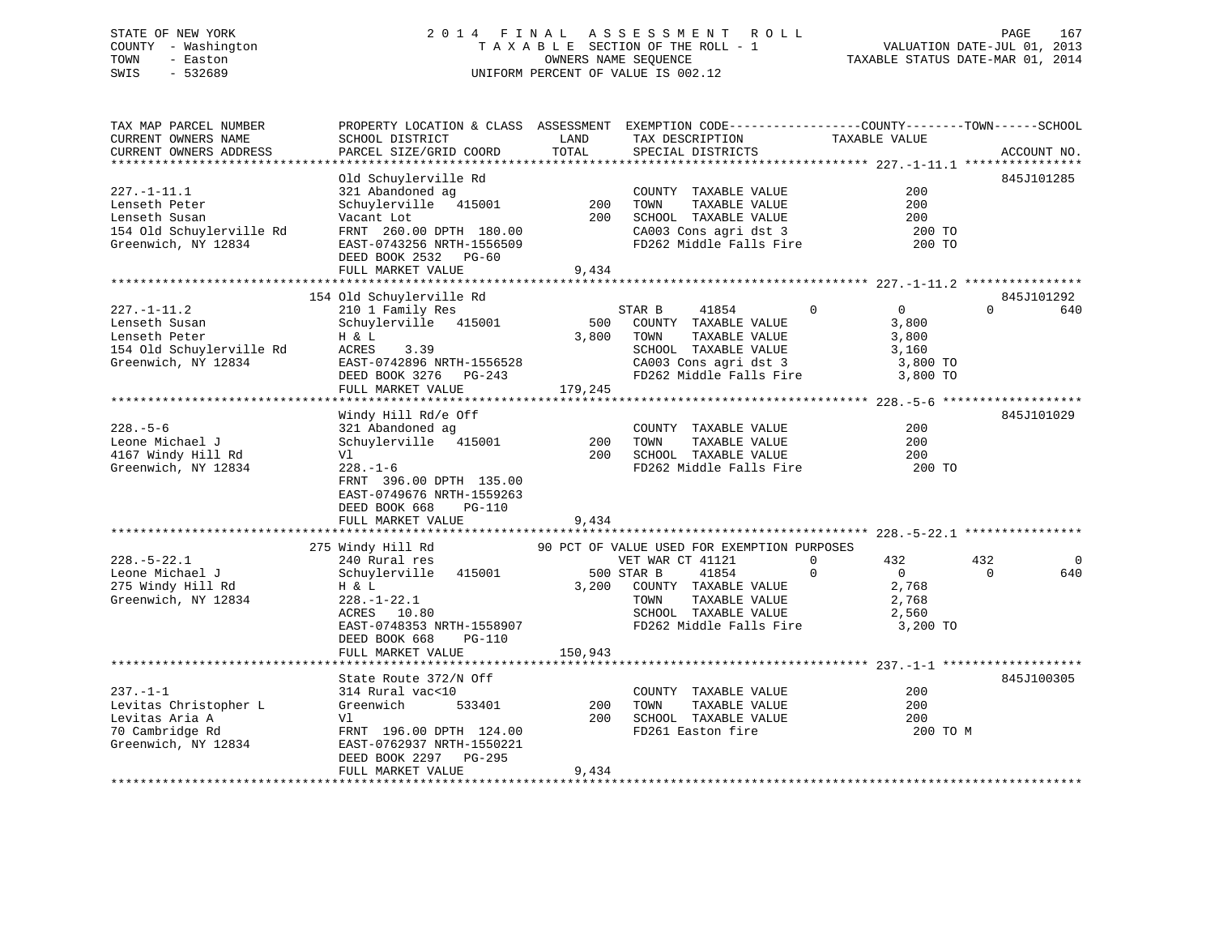## STATE OF NEW YORK 2 0 1 4 F I N A L A S S E S S M E N T R O L L PAGE 167 COUNTY - Washington T A X A B L E SECTION OF THE ROLL - 1 VALUATION DATE-JUL 01, 2013 TOWN - Easton **CONNERS NAME SEQUENCE** TAXABLE STATUS DATE-MAR 01, 2014 SWIS - 532689 UNIFORM PERCENT OF VALUE IS 002.12

| TAX MAP PARCEL NUMBER<br>CURRENT OWNERS NAME | PROPERTY LOCATION & CLASS ASSESSMENT EXEMPTION CODE----------------COUNTY-------TOWN------SCHOOL<br>SCHOOL DISTRICT | LAND    | TAX DESCRIPTION                             | TAXABLE VALUE              |                               |
|----------------------------------------------|---------------------------------------------------------------------------------------------------------------------|---------|---------------------------------------------|----------------------------|-------------------------------|
| CURRENT OWNERS ADDRESS                       | PARCEL SIZE/GRID COORD                                                                                              | TOTAL   | SPECIAL DISTRICTS                           |                            | ACCOUNT NO.                   |
| **********************                       |                                                                                                                     |         |                                             |                            |                               |
|                                              | Old Schuylerville Rd                                                                                                |         |                                             |                            | 845J101285                    |
| $227. - 1 - 11.1$                            | 321 Abandoned ag                                                                                                    |         | COUNTY TAXABLE VALUE                        | 200                        |                               |
| Lenseth Peter                                | Schuylerville 415001                                                                                                | 200     | TOWN<br>TAXABLE VALUE                       | 200                        |                               |
| Lenseth Susan                                | Vacant Lot                                                                                                          | 200     | SCHOOL TAXABLE VALUE                        | 200                        |                               |
| 154 Old Schuylerville Rd                     | FRNT 260.00 DPTH 180.00                                                                                             |         | CA003 Cons agri dst 3                       | 200 TO                     |                               |
| Greenwich, NY 12834                          | EAST-0743256 NRTH-1556509                                                                                           |         | FD262 Middle Falls Fire                     | 200 TO                     |                               |
|                                              | DEED BOOK 2532 PG-60                                                                                                |         |                                             |                            |                               |
|                                              | FULL MARKET VALUE                                                                                                   | 9,434   |                                             |                            |                               |
|                                              |                                                                                                                     |         |                                             |                            |                               |
| $227. - 1 - 11.2$                            | 154 Old Schuylerville Rd                                                                                            |         | STAR B                                      | $\Omega$<br>$\overline{0}$ | 845J101292<br>$\Omega$<br>640 |
| Lenseth Susan                                | 210 1 Family Res<br>Schuylerville 415001                                                                            | 500     | 41854<br>COUNTY TAXABLE VALUE               | 3,800                      |                               |
| Lenseth Peter                                |                                                                                                                     | 3,800   | TOWN<br>TAXABLE VALUE                       | 3,800                      |                               |
| 154 Old Schuylerville Rd                     | H & L<br>ACRES<br>3.39                                                                                              |         | SCHOOL TAXABLE VALUE                        | 3,160                      |                               |
| Greenwich, NY 12834                          | EAST-0742896 NRTH-1556528                                                                                           |         | CA003 Cons agri dst 3                       | 3,800 TO                   |                               |
|                                              | DEED BOOK 3276 PG-243                                                                                               |         | FD262 Middle Falls Fire                     | 3,800 TO                   |                               |
|                                              | FULL MARKET VALUE                                                                                                   | 179,245 |                                             |                            |                               |
|                                              |                                                                                                                     |         |                                             |                            |                               |
|                                              | Windy Hill Rd/e Off                                                                                                 |         |                                             |                            | 845J101029                    |
| $228. - 5 - 6$                               | 321 Abandoned ag                                                                                                    |         | COUNTY TAXABLE VALUE                        | 200                        |                               |
| Leone Michael J                              | Schuylerville 415001                                                                                                | 200     | TOWN<br>TAXABLE VALUE                       | 200                        |                               |
| 4167 Windy Hill Rd                           | Vl                                                                                                                  | 200     | SCHOOL TAXABLE VALUE                        | 200                        |                               |
| Greenwich, NY 12834                          | $228. - 1 - 6$                                                                                                      |         | FD262 Middle Falls Fire                     | 200 TO                     |                               |
|                                              | FRNT 396.00 DPTH 135.00                                                                                             |         |                                             |                            |                               |
|                                              | EAST-0749676 NRTH-1559263                                                                                           |         |                                             |                            |                               |
|                                              | DEED BOOK 668<br>PG-110                                                                                             |         |                                             |                            |                               |
|                                              | FULL MARKET VALUE                                                                                                   | 9,434   |                                             |                            |                               |
|                                              |                                                                                                                     |         |                                             |                            |                               |
|                                              | 275 Windy Hill Rd                                                                                                   |         | 90 PCT OF VALUE USED FOR EXEMPTION PURPOSES |                            |                               |
| $228. - 5 - 22.1$                            | 240 Rural res                                                                                                       |         | VET WAR CT 41121                            | 432<br>0                   | 432<br>$\mathbf 0$            |
| Leone Michael J                              | Schuylerville 415001                                                                                                |         | 500 STAR B<br>41854                         | $\Omega$<br>$\Omega$       | $\Omega$<br>640               |
| 275 Windy Hill Rd                            | H & L                                                                                                               | 3,200   | COUNTY TAXABLE VALUE                        | 2,768                      |                               |
| Greenwich, NY 12834                          | $228. - 1 - 22.1$                                                                                                   |         | TOWN<br>TAXABLE VALUE                       | 2,768                      |                               |
|                                              | ACRES 10.80                                                                                                         |         | SCHOOL TAXABLE VALUE                        | 2,560                      |                               |
|                                              | EAST-0748353 NRTH-1558907                                                                                           |         | FD262 Middle Falls Fire                     | 3,200 TO                   |                               |
|                                              | DEED BOOK 668<br>$PG-110$                                                                                           |         |                                             |                            |                               |
|                                              | FULL MARKET VALUE                                                                                                   | 150,943 |                                             |                            |                               |
|                                              |                                                                                                                     |         |                                             |                            |                               |
|                                              | State Route 372/N Off                                                                                               |         |                                             |                            | 845J100305                    |
| $237. -1 -1$                                 | 314 Rural vac<10                                                                                                    |         | COUNTY TAXABLE VALUE                        | 200                        |                               |
| Levitas Christopher L                        | Greenwich<br>533401                                                                                                 | 200     | TOWN<br>TAXABLE VALUE                       | 200                        |                               |
| Levitas Aria A                               | Vl                                                                                                                  | 200     | SCHOOL TAXABLE VALUE                        | 200                        |                               |
| 70 Cambridge Rd                              | FRNT 196.00 DPTH 124.00                                                                                             |         | FD261 Easton fire                           | 200 TO M                   |                               |
| Greenwich, NY 12834                          | EAST-0762937 NRTH-1550221                                                                                           |         |                                             |                            |                               |
|                                              | DEED BOOK 2297 PG-295                                                                                               |         |                                             |                            |                               |
|                                              | FULL MARKET VALUE                                                                                                   | 9,434   |                                             |                            |                               |
|                                              |                                                                                                                     |         |                                             |                            |                               |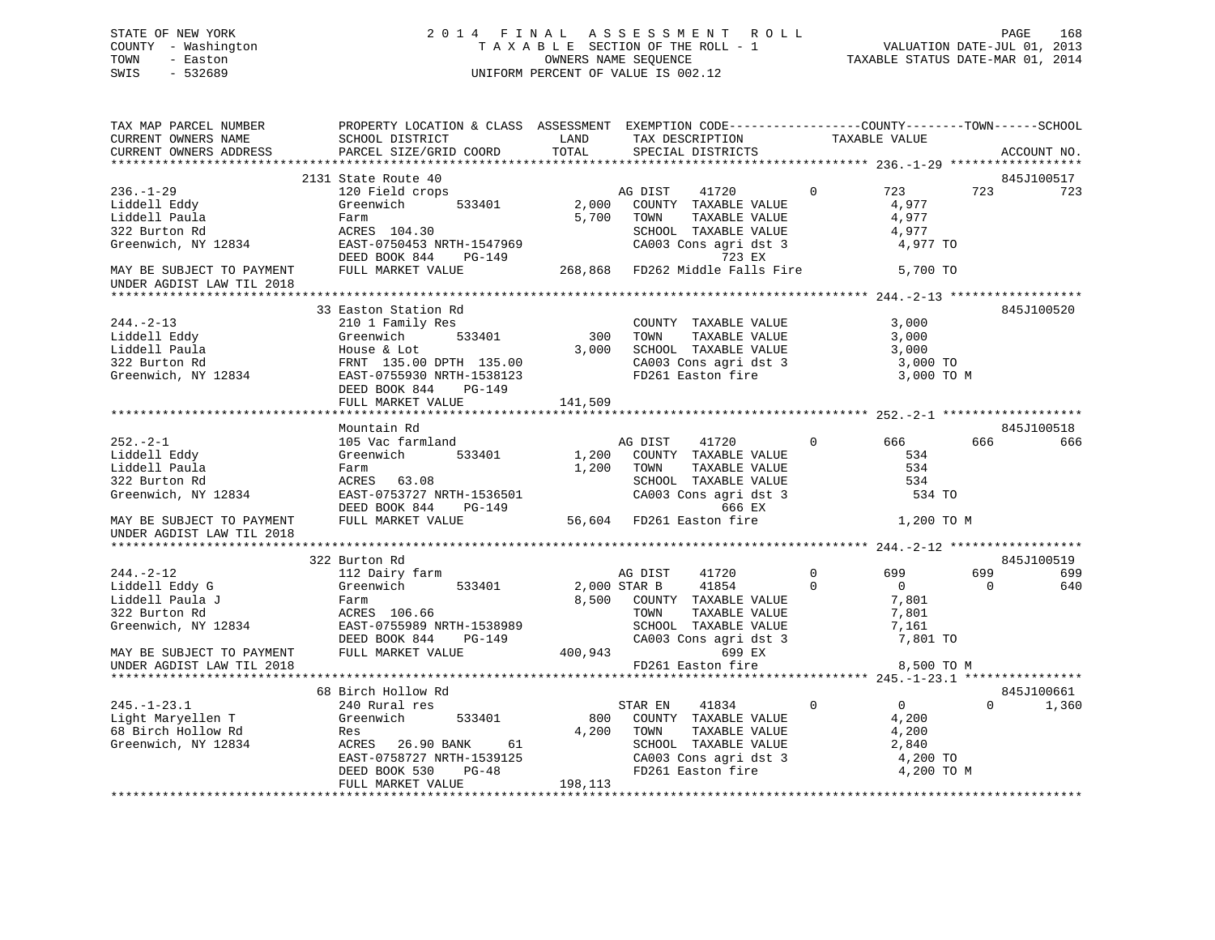## STATE OF NEW YORK 2 0 1 4 F I N A L A S S E S S M E N T R O L L PAGE 168 COUNTY - Washington T A X A B L E SECTION OF THE ROLL - 1 VALUATION DATE-JUL 01, 2013 TOWN - Easton OWNERS NAME SEQUENCE TAXABLE STATUS DATE-MAR 01, 2014 SWIS - 532689 UNIFORM PERCENT OF VALUE IS 002.12

| TAX MAP PARCEL NUMBER<br>CURRENT OWNERS NAME                          | PROPERTY LOCATION & CLASS ASSESSMENT EXEMPTION CODE-----------------COUNTY-------TOWN------SCHOOL<br>SCHOOL DISTRICT                                                                                                                                     | LAND                   | TAX DESCRIPTION                                                  | TAXABLE VALUE                 |          |                   |
|-----------------------------------------------------------------------|----------------------------------------------------------------------------------------------------------------------------------------------------------------------------------------------------------------------------------------------------------|------------------------|------------------------------------------------------------------|-------------------------------|----------|-------------------|
| CURRENT OWNERS ADDRESS                                                | PARCEL SIZE/GRID COORD                                                                                                                                                                                                                                   | TOTAL                  | SPECIAL DISTRICTS                                                |                               |          | ACCOUNT NO.       |
|                                                                       |                                                                                                                                                                                                                                                          |                        |                                                                  |                               |          |                   |
|                                                                       | 2131 State Route 40                                                                                                                                                                                                                                      |                        |                                                                  |                               |          | 845J100517        |
| $236. - 1 - 29$                                                       | 120 Field crops                                                                                                                                                                                                                                          |                        | AG DIST<br>41720                                                 | 723<br>$\Omega$               | 723      | 723               |
| Liddell Eddy                                                          | 533401<br>Greenwich                                                                                                                                                                                                                                      | $2,000$ <sup>---</sup> | COUNTY TAXABLE VALUE                                             | 4,977                         |          |                   |
| Liddell Paula                                                         | Farm                                                                                                                                                                                                                                                     | 5,700                  | TAXABLE VALUE<br>TOWN                                            | 4,977                         |          |                   |
| 322 Burton Rd                                                         | ACRES 104.30                                                                                                                                                                                                                                             |                        | SCHOOL TAXABLE VALUE                                             | 4,977                         |          |                   |
| Greenwich, NY 12834                                                   |                                                                                                                                                                                                                                                          |                        |                                                                  | 4,977 TO                      |          |                   |
|                                                                       |                                                                                                                                                                                                                                                          |                        |                                                                  |                               |          |                   |
| MAY BE SUBJECT TO PAYMENT                                             | EAST-0750453 NRTH-1547969<br>DEED BOOK 844 PG-149 (26003 Cons agri dst 3<br>FULL MARKET VALUE 268,868 FD262 Middle Falls Fire                                                                                                                            |                        |                                                                  | 5,700 TO                      |          |                   |
| UNDER AGDIST LAW TIL 2018                                             |                                                                                                                                                                                                                                                          |                        |                                                                  |                               |          |                   |
|                                                                       |                                                                                                                                                                                                                                                          |                        |                                                                  |                               |          |                   |
|                                                                       | 33 Easton Station Rd                                                                                                                                                                                                                                     |                        |                                                                  |                               |          | 845J100520        |
| $244. - 2 - 13$                                                       | 210 1 Family Res                                                                                                                                                                                                                                         |                        | COUNTY TAXABLE VALUE                                             | 3,000                         |          |                   |
|                                                                       | 533401                                                                                                                                                                                                                                                   |                        | 300 TOWN<br>TAXABLE VALUE                                        | 3,000                         |          |                   |
|                                                                       | Eiddell Eddy<br>Liddell Paula<br>322 Burton Rd<br>Greenwich, NY 12834<br>EAST-0755930 NRTH-1538123<br>FRNT 135.00 DPTH 135.00<br>FRNT 135.00 DPTH 135.00<br>FRNT 135.00<br>FRNT 135.00<br>FRNT 135.00<br>FRNT 135.00<br>FRNT 135.00<br>FRNT 135.00<br>FR |                        | 3,000 SCHOOL TAXABLE VALUE                                       | 3,000                         |          |                   |
|                                                                       | FRNT 135.00 DPTH 135.00                                                                                                                                                                                                                                  |                        |                                                                  | 3,000 TO                      |          |                   |
|                                                                       |                                                                                                                                                                                                                                                          |                        | CA003 Cons agri dst 3<br>FD261 Easton fire                       | 3,000 TO M                    |          |                   |
|                                                                       |                                                                                                                                                                                                                                                          |                        |                                                                  |                               |          |                   |
|                                                                       | DEED BOOK 844 PG-149                                                                                                                                                                                                                                     | 141,509                |                                                                  |                               |          |                   |
|                                                                       | FULL MARKET VALUE                                                                                                                                                                                                                                        |                        |                                                                  |                               |          |                   |
|                                                                       | Mountain Rd                                                                                                                                                                                                                                              |                        |                                                                  |                               |          |                   |
| $252 - 2 - 1$                                                         | 105 Vac farmland                                                                                                                                                                                                                                         |                        | AG DIST<br>41720                                                 | $0 \qquad \qquad$<br>666 —    | 666      | 845J100518<br>666 |
|                                                                       |                                                                                                                                                                                                                                                          |                        |                                                                  |                               |          |                   |
| Liddell Eddy                                                          | Greenwich<br>533401                                                                                                                                                                                                                                      | 1,200                  | COUNTY TAXABLE VALUE                                             | 534<br>534                    |          |                   |
| Liddell Paula                                                         | Farm                                                                                                                                                                                                                                                     |                        | 1,200 TOWN<br>TAXABLE VALUE                                      |                               |          |                   |
| 322 Burton Rd<br>Greenwich, NY 12834                                  | ACRES 63.08                                                                                                                                                                                                                                              |                        | SCHOOL TAXABLE VALUE<br>CA003 Cons agri dst 3                    | 534                           |          |                   |
|                                                                       | EAST-0753727 NRTH-1536501<br>התקופה פתח מ- 844 – פרהם                                                                                                                                                                                                    |                        |                                                                  | 534 TO                        |          |                   |
|                                                                       | DEED BOOK 844 PG-149                                                                                                                                                                                                                                     |                        | 666 EX                                                           |                               |          |                   |
| MAY BE SUBJECT TO PAYMENT                                             | FULL MARKET VALUE                                                                                                                                                                                                                                        |                        | 56,604 FD261 Easton fire                                         | 1,200 TO M                    |          |                   |
| UNDER AGDIST LAW TIL 2018                                             |                                                                                                                                                                                                                                                          |                        |                                                                  |                               |          |                   |
|                                                                       |                                                                                                                                                                                                                                                          |                        |                                                                  |                               |          |                   |
|                                                                       | 322 Burton Rd                                                                                                                                                                                                                                            |                        |                                                                  |                               |          | 845J100519        |
| $244. - 2 - 12$                                                       | 112 Dairy farm                                                                                                                                                                                                                                           |                        | AG DIST<br>41720                                                 | $\Omega$<br>699               | 699      | 699               |
| Liddell Eddy G                                                        | 533401<br>Greenwich                                                                                                                                                                                                                                      | 2,000 STAR B           | 41854                                                            | $\Omega$<br>$\overline{0}$    | $\Omega$ | 640               |
| Liddell Paula J                                                       | Farm                                                                                                                                                                                                                                                     |                        | 8,500 COUNTY TAXABLE VALUE                                       | 7,801                         |          |                   |
| 322 Burton Rd                                                         | ACRES 106.66                                                                                                                                                                                                                                             |                        | TOWN<br>TAXABLE VALUE                                            | 7,801                         |          |                   |
| Greenwich, NY 12834                                                   | EAST-0755989 NRTH-1538989                                                                                                                                                                                                                                |                        |                                                                  | 7,161                         |          |                   |
|                                                                       | DEED BOOK 844<br>PG-149                                                                                                                                                                                                                                  |                        | 10001 1AAABLE VALUE<br>SCHOOL TAXABLE VALUE<br>400,943 699 EX    | 7,161<br>7,801 TO             |          |                   |
| MAY BE SUBJECT TO PAYMENT                                             | FULL MARKET VALUE                                                                                                                                                                                                                                        |                        |                                                                  |                               |          |                   |
| UNDER AGDIST LAW TIL 2018                                             |                                                                                                                                                                                                                                                          |                        | FD261 Easton fire                                                | 8,500 TO M                    |          |                   |
|                                                                       |                                                                                                                                                                                                                                                          |                        |                                                                  |                               |          |                   |
|                                                                       | 68 Birch Hollow Rd                                                                                                                                                                                                                                       |                        |                                                                  |                               |          | 845J100661        |
| $245. - 1 - 23.1$                                                     | 240 Rural res                                                                                                                                                                                                                                            |                        | STAR EN<br>41834                                                 | $\mathbf 0$<br>$\overline{0}$ | $\Omega$ | 1,360             |
|                                                                       | Greenwich<br>533401                                                                                                                                                                                                                                      |                        | 800 COUNTY TAXABLE VALUE                                         | 4,200                         |          |                   |
| 245.-1-23.1<br>Light Maryellen T<br>68 Birch Hollow Rd<br>12 MV 12834 | Res                                                                                                                                                                                                                                                      |                        | 4,200 TOWN<br>TAXABLE VALUE                                      | 4,200                         |          |                   |
|                                                                       | ACRES 26.90 BANK<br>61                                                                                                                                                                                                                                   |                        |                                                                  | 2,840                         |          |                   |
|                                                                       | EAST-0758727 NRTH-1539125                                                                                                                                                                                                                                |                        |                                                                  | 4,200 TO<br>4,200 TO M        |          |                   |
|                                                                       | DEED BOOK 530<br>$PG-48$                                                                                                                                                                                                                                 |                        | CAOOB AAABLE VALUE<br>CAOO3 Cons agri dst 3<br>FD261 Easton fire |                               |          |                   |
|                                                                       | FULL MARKET VALUE                                                                                                                                                                                                                                        | 198, 113               |                                                                  |                               |          |                   |
|                                                                       |                                                                                                                                                                                                                                                          |                        |                                                                  |                               |          |                   |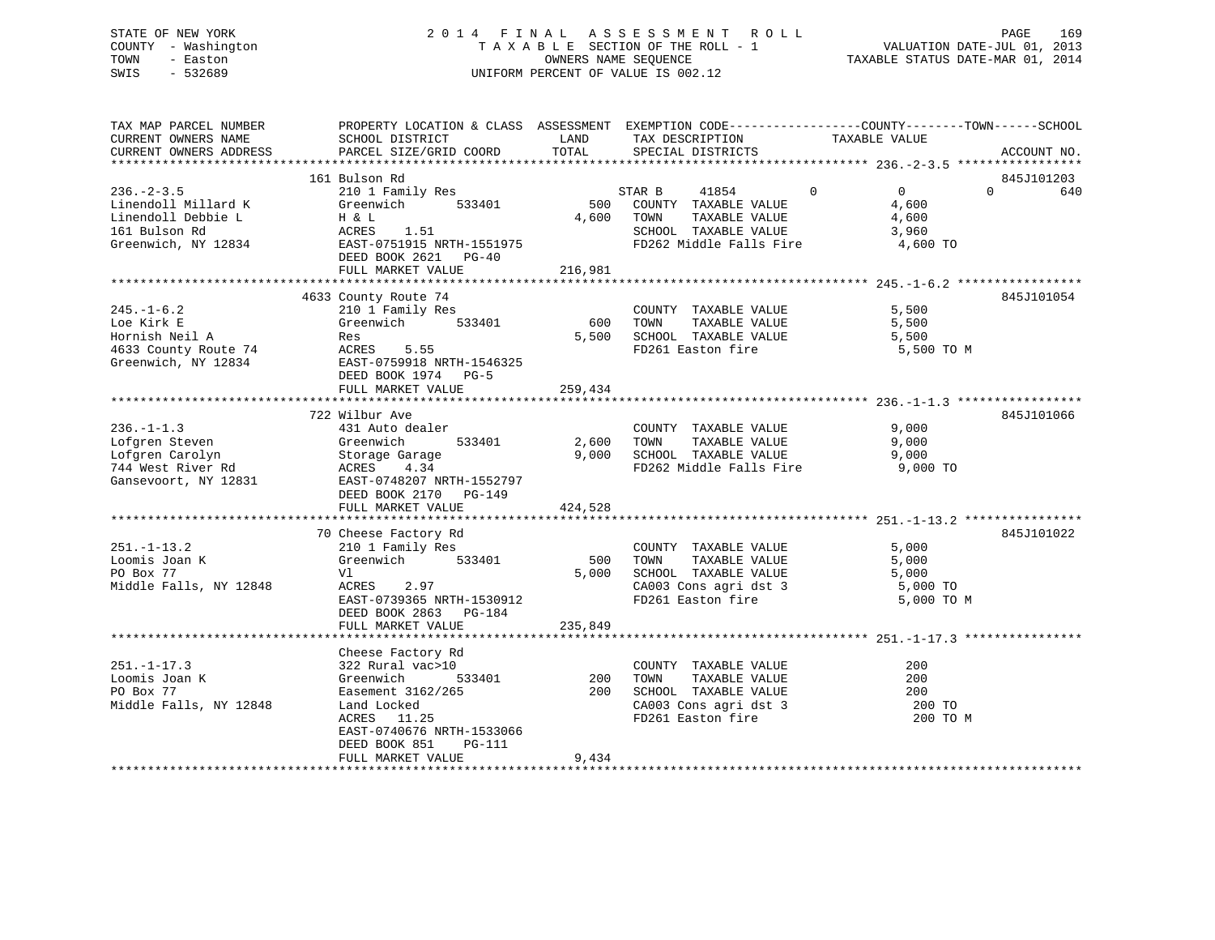## STATE OF NEW YORK 2 0 1 4 F I N A L A S S E S S M E N T R O L L PAGE 169 COUNTY - Washington T A X A B L E SECTION OF THE ROLL - 1 VALUATION DATE-JUL 01, 2013 TOWN - Easton OWNERS NAME SEQUENCE TAXABLE STATUS DATE-MAR 01, 2014 SWIS - 532689 UNIFORM PERCENT OF VALUE IS 002.12

| TAX MAP PARCEL NUMBER<br>CURRENT OWNERS NAME<br>CURRENT OWNERS ADDRESS                               | PROPERTY LOCATION & CLASS ASSESSMENT EXEMPTION CODE---------------COUNTY-------TOWN-----SCHOOL<br>SCHOOL DISTRICT<br>PARCEL SIZE/GRID COORD                                                                                | LAND<br>TOTAL           | TAX DESCRIPTION<br>SPECIAL DISTRICTS                                                                                                                                                                             | TAXABLE VALUE                                         | ACCOUNT NO.                   |
|------------------------------------------------------------------------------------------------------|----------------------------------------------------------------------------------------------------------------------------------------------------------------------------------------------------------------------------|-------------------------|------------------------------------------------------------------------------------------------------------------------------------------------------------------------------------------------------------------|-------------------------------------------------------|-------------------------------|
|                                                                                                      |                                                                                                                                                                                                                            |                         |                                                                                                                                                                                                                  |                                                       |                               |
| $236 - 2 - 3.5$<br>Linendoll Millard K<br>Linendoll Debbie L<br>161 Bulson Rd<br>Greenwich, NY 12834 | 161 Bulson Rd<br>210 1 Family Res<br>Greenwich 533401<br>Greenwich 533401<br>H & L<br>ACRES 1.51<br>EAST-0751915 NRTH-1551975<br>DEED BOOK 2621 PG-40<br>FULL MARKET VALUE                                                 | 216,981                 | 41854 0<br>STAR B<br>500 COUNTY TAXABLE VALUE<br>4,600 TOWN TAXABLE VALUE<br>SCHOOL TAXABLE VALUE<br>FD262 Middle Falls Fire                                                                                     | $\overline{0}$<br>4,600<br>4,600<br>3,960<br>4,600 TO | 845J101203<br>$\Omega$<br>640 |
|                                                                                                      |                                                                                                                                                                                                                            |                         |                                                                                                                                                                                                                  |                                                       |                               |
| $245. - 1 - 6.2$<br>Loe Kirk E<br>Hornish Neil A<br>4633 County Route 74<br>Greenwich, NY 12834      | 4633 County Route 74<br>210 1 Family Res<br>Greenwich 533401<br>Res<br>ACRES 5.55<br>EAST-0759918 NRTH-1546325<br>DEED BOOK 1974 PG-5<br>FULL MARKET VALUE                                                                 | 600<br>5,500<br>259,434 | COUNTY TAXABLE VALUE 5,500<br>TOWN TAXABLE VALUE 5,500<br>SCHOOL TAXABLE VALUE<br>FD261 Easton fire                                                                                                              | 5,500<br>5,500 TO M                                   | 845J101054                    |
|                                                                                                      | 722 Wilbur Ave                                                                                                                                                                                                             |                         |                                                                                                                                                                                                                  |                                                       | 845J101066                    |
| $236. -1 - 1.3$<br>Lofgren Steven<br>Lofgren Carolyn<br>744 West River Rd                            | 431 Auto dealer<br>Gansevoort, NY 12831 EAST-0748207 NRTH-1552797<br>DEED BOOK 2170 PG-149<br>FULL MARKET VALUE                                                                                                            | 2,600 TOWN<br>424,528   | COUNTY TAXABLE VALUE<br>$\begin{tabular}{lllllllllll} 2,600& {\tt TOWN} & {\tt TAXABLE VALUE} & & & & 9,000 \\ 9,000& {\tt SCHOOL} & {\tt TAXABLE VALUE} & & & & 9,000 \end{tabular}$<br>FD262 Middle Falls Fire | 9,000<br>9,000 TO                                     |                               |
|                                                                                                      |                                                                                                                                                                                                                            |                         |                                                                                                                                                                                                                  |                                                       |                               |
| $251. - 1 - 13.2$<br>Loomis Joan K<br>PO Box 77<br>Middle Falls, NY 12848                            | 70 Cheese Factory Rd<br>Cheese Factory Rd<br>210 1 Family Res<br>533401<br>Greenwich<br>Vl<br>ACRES<br>2.97<br>EAST-0739365 NRTH-1530912<br>DEED BOOK 2863 PG-184<br>FULL MARKET VALUE                                     | 500<br>5,000<br>235,849 | COUNTY TAXABLE VALUE<br>TAXABLE VALUE<br>TOWN<br>SCHOOL TAXABLE VALUE 5,000<br>CA003 Cons agri dst 3 5,000 TO<br>FD261 Easton fire                                                                               | 5,000<br>5,000<br>5,000 TO M                          | 845J101022                    |
|                                                                                                      |                                                                                                                                                                                                                            |                         |                                                                                                                                                                                                                  |                                                       |                               |
| $251. - 1 - 17.3$<br>Loomis Joan K<br>PO Box 77<br>Middle Falls, NY 12848                            | Cheese Factory Rd<br>0<br>533401<br>322 Rural vac>10<br>Greenwich<br>Easement 3162/265 200 SCHOOL TAXABLE VALUE<br>Land Locked<br>ACRES 11.25<br>EAST-0740676 NRTH-1533066<br>DEED BOOK 851<br>PG-111<br>FULL MARKET VALUE | 200<br>9,434            | COUNTY TAXABLE VALUE<br>TAXABLE VALUE<br>TOWN<br>CA003 Cons agri dst 3<br>FD261 Easton fire                                                                                                                      | 200<br>200<br>200<br>200 TO<br>200 TO M               |                               |
|                                                                                                      |                                                                                                                                                                                                                            |                         |                                                                                                                                                                                                                  |                                                       |                               |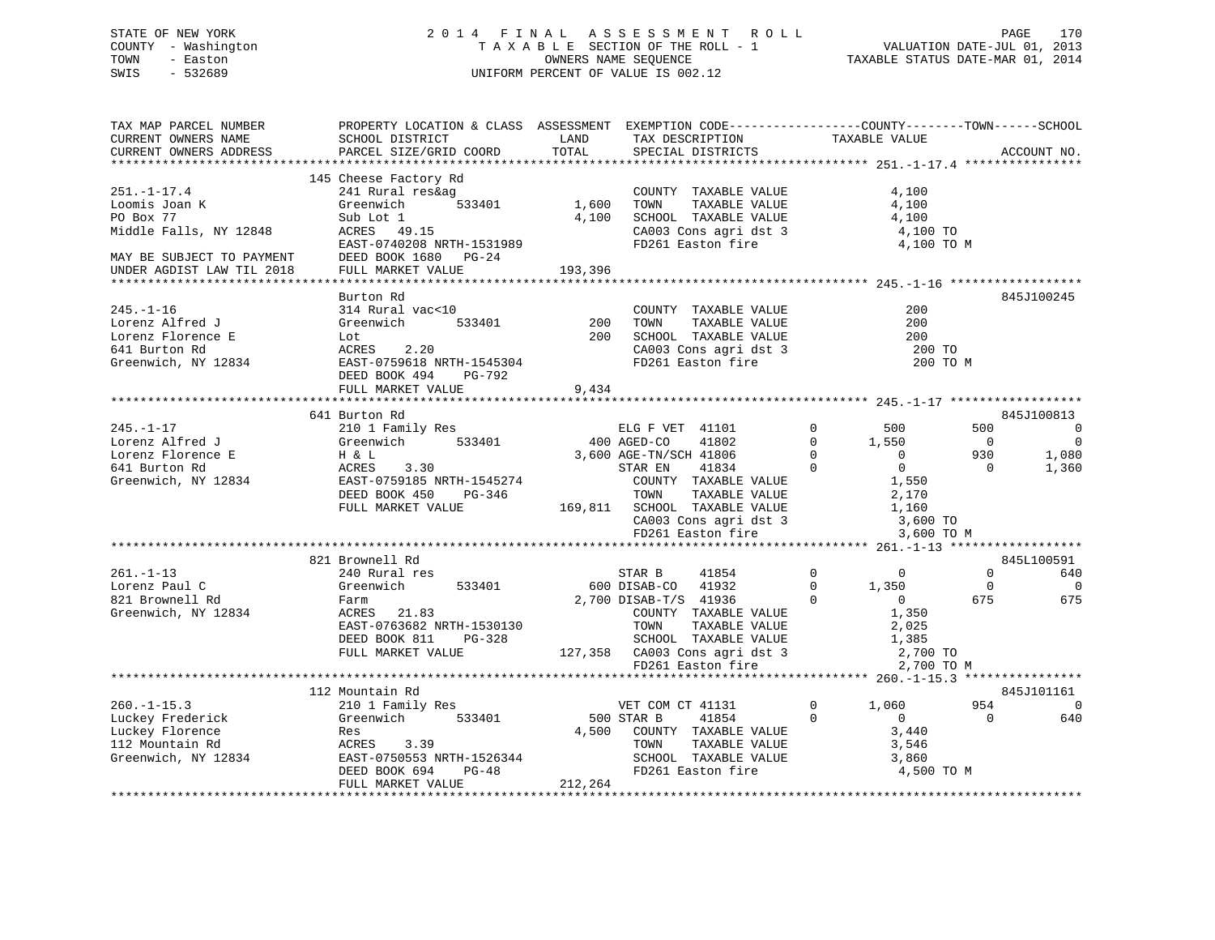## STATE OF NEW YORK 2 0 1 4 F I N A L A S S E S S M E N T R O L L PAGE 170 COUNTY - Washington T A X A B L E SECTION OF THE ROLL - 1 VALUATION DATE-JUL 01, 2013 TOWN - Easton **CONNERS NAME SEQUENCE** TAXABLE STATUS DATE-MAR 01, 2014 SWIS - 532689 UNIFORM PERCENT OF VALUE IS 002.12

| TAX MAP PARCEL NUMBER<br>CURRENT OWNERS NAME<br>CURRENT OWNERS ADDRESS | PROPERTY LOCATION & CLASS ASSESSMENT EXEMPTION CODE----------------COUNTY-------TOWN------SCHOOL<br>SCHOOL DISTRICT<br>PARCEL SIZE/GRID COORD | LAND<br>TOTAL | TAX DESCRIPTION<br>SPECIAL DISTRICTS                               | TAXABLE VALUE              |                | ACCOUNT NO.              |
|------------------------------------------------------------------------|-----------------------------------------------------------------------------------------------------------------------------------------------|---------------|--------------------------------------------------------------------|----------------------------|----------------|--------------------------|
|                                                                        |                                                                                                                                               |               |                                                                    |                            |                |                          |
|                                                                        | 145 Cheese Factory Rd                                                                                                                         |               |                                                                    |                            |                |                          |
| $251. - 1 - 17.4$                                                      | 241 Rural res&aq                                                                                                                              |               | COUNTY TAXABLE VALUE                                               | 4,100                      |                |                          |
| Loomis Joan K                                                          | Greenwich<br>533401                                                                                                                           | 1,600         | TOWN<br>TAXABLE VALUE                                              | 4,100                      |                |                          |
| PO Box 77                                                              | Sub Lot 1                                                                                                                                     | 4,100         | SCHOOL TAXABLE VALUE                                               | 4,100                      |                |                          |
| Middle Falls, NY 12848                                                 | ACRES 49.15                                                                                                                                   |               | CA003 Cons agri dst 3                                              | 4,100 TO                   |                |                          |
|                                                                        | EAST-0740208 NRTH-1531989                                                                                                                     |               | FD261 Easton fire                                                  | 4,100 TO M                 |                |                          |
|                                                                        | DEED BOOK 1680 PG-24                                                                                                                          |               |                                                                    |                            |                |                          |
| MAY BE SUBJECT TO PAYMENT<br>UNDER AGDIST LAW TIL 2018                 | FULL MARKET VALUE                                                                                                                             | 193,396       |                                                                    |                            |                |                          |
|                                                                        |                                                                                                                                               |               |                                                                    |                            |                |                          |
|                                                                        | Burton Rd                                                                                                                                     |               |                                                                    |                            |                | 845J100245               |
| $245. - 1 - 16$                                                        | 314 Rural vac<10                                                                                                                              |               | COUNTY TAXABLE VALUE                                               | 200                        |                |                          |
| Lorenz Alfred J                                                        | Greenwich<br>533401                                                                                                                           | 200           | TOWN<br>TAXABLE VALUE                                              | 200                        |                |                          |
| Lorenz Florence E                                                      | Lot                                                                                                                                           | 200           |                                                                    | 200                        |                |                          |
| 641 Burton Rd                                                          | ACRES<br>2.20                                                                                                                                 |               | SCHOOL TAXABLE VALUE<br>CA003 Cons agri dst 3<br>FD261 Easton fire | 200 TO                     |                |                          |
| Greenwich, NY 12834                                                    | EAST-0759618 NRTH-1545304                                                                                                                     |               |                                                                    |                            | 200 TO M       |                          |
|                                                                        | DEED BOOK 494<br>PG-792                                                                                                                       |               |                                                                    |                            |                |                          |
|                                                                        | FULL MARKET VALUE                                                                                                                             | 9,434         |                                                                    |                            |                |                          |
|                                                                        |                                                                                                                                               |               |                                                                    |                            |                |                          |
|                                                                        | 641 Burton Rd                                                                                                                                 |               |                                                                    |                            |                | 845J100813               |
| $245. - 1 - 17$                                                        | 210 1 Family Res                                                                                                                              |               | ELG F VET 41101                                                    | $\mathbf 0$<br>500         | 500            | $\overline{0}$           |
| Lorenz Alfred J                                                        | Greenwich 533401                                                                                                                              | 400 AGED-CO   | 41802                                                              | $\Omega$<br>1,550          | $\overline{0}$ | $\overline{0}$           |
| Lorenz Florence E                                                      | $H & \& L$                                                                                                                                    |               | 3,600 AGE-TN/SCH 41806                                             | $\Omega$<br>$\overline{0}$ | 930            | 1,080                    |
| 641 Burton Rd                                                          | ACRES<br>3.30                                                                                                                                 |               | 41834<br>STAR EN                                                   | $\Omega$<br>$\overline{0}$ | $\Omega$       | 1,360                    |
| Greenwich, NY 12834                                                    | EAST-0759185 NRTH-1545274                                                                                                                     |               | COUNTY TAXABLE VALUE                                               | 1,550                      |                |                          |
|                                                                        | DEED BOOK 450<br>PG-346                                                                                                                       |               | TOWN<br>TAXABLE VALUE<br>169,811 SCHOOL TAXABLE VALUE              | 2,170                      |                |                          |
|                                                                        | FULL MARKET VALUE                                                                                                                             |               | CA003 Cons agri dst 3<br>FD261 Easton fire<br>FD261 Easton fire    | 1,160<br>3,600 TO          |                |                          |
|                                                                        |                                                                                                                                               |               |                                                                    | 3,600 TO M                 |                |                          |
|                                                                        |                                                                                                                                               |               |                                                                    |                            |                |                          |
|                                                                        | 821 Brownell Rd                                                                                                                               |               |                                                                    |                            |                | 845L100591               |
| $261. - 1 - 13$                                                        | 240 Rural res                                                                                                                                 |               | STAR B<br>41854                                                    | $\Omega$<br>$\Omega$       | $\Omega$       | 640                      |
| Lorenz Paul C                                                          | Greenwich<br>533401                                                                                                                           |               | 600 DISAB-CO 41932                                                 | $\Omega$<br>1,350          | $\Omega$       | $\overline{0}$           |
| 821 Brownell Rd                                                        | Farm                                                                                                                                          |               | 2,700 DISAB-T/S 41936                                              | $\Omega$<br>$\overline{0}$ | 675            | 675                      |
| Greenwich, NY 12834                                                    | ACRES 21.83                                                                                                                                   |               | COUNTY TAXABLE VALUE                                               | 1,350                      |                |                          |
|                                                                        | EAST-0763682 NRTH-1530130                                                                                                                     |               | TOWN<br>TAXABLE VALUE                                              | 2,025                      |                |                          |
|                                                                        | DEED BOOK 811<br>PG-328                                                                                                                       |               | SCHOOL TAXABLE VALUE                                               | 1,385                      |                |                          |
|                                                                        | FULL MARKET VALUE                                                                                                                             |               | 127,358 CA003 Cons agri dst 3                                      | 2,700 TO                   |                |                          |
|                                                                        |                                                                                                                                               |               | FD261 Easton fire                                                  | 2,700 TO M                 |                |                          |
|                                                                        |                                                                                                                                               |               |                                                                    |                            |                |                          |
|                                                                        | 112 Mountain Rd                                                                                                                               |               |                                                                    |                            |                | 845J101161               |
| $260. -1 - 15.3$                                                       | 210 1 Family Res                                                                                                                              |               | VET COM CT 41131                                                   | $\Omega$<br>1,060          | 954            | $\overline{\phantom{0}}$ |
| Luckey Frederick                                                       | Greenwich 533401                                                                                                                              |               | 500 STAR B<br>41854                                                | $\Omega$<br>$\overline{0}$ | $\Omega$       | 640                      |
| Luckey Florence                                                        | Res                                                                                                                                           |               | 4,500 COUNTY TAXABLE VALUE                                         | 3,440                      |                |                          |
| 112 Mountain Rd                                                        | ACRES<br>3.39                                                                                                                                 |               | TOWN<br>TAXABLE VALUE                                              | 3,546                      |                |                          |
| Greenwich, NY 12834                                                    | EAST-0750553 NRTH-1526344<br>DEED BOOK 694 PG-48                                                                                              |               | SCHOOL TAXABLE VALUE                                               | 3,860                      |                |                          |
|                                                                        | DEED BOOK 694<br>PG-48                                                                                                                        |               | FD261 Easton fire                                                  | 4,500 TO M                 |                |                          |
|                                                                        | FULL MARKET VALUE                                                                                                                             | 212,264       |                                                                    |                            |                |                          |
|                                                                        |                                                                                                                                               |               |                                                                    |                            |                |                          |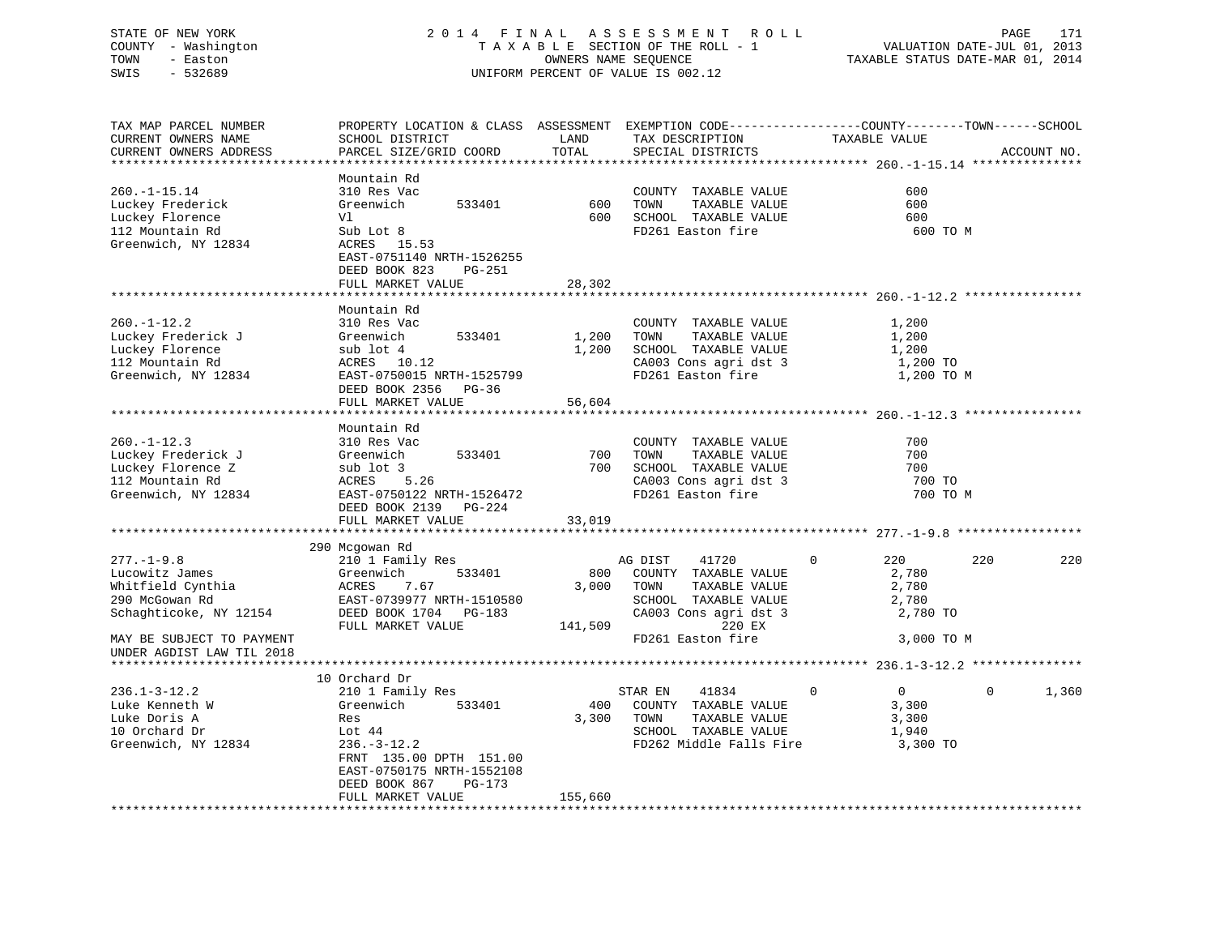## STATE OF NEW YORK 2 0 1 4 F I N A L A S S E S S M E N T R O L L PAGE 171 COUNTY - Washington T A X A B L E SECTION OF THE ROLL - 1 VALUATION DATE-JUL 01, 2013 TOWN - Easton OWNERS NAME SEQUENCE TAXABLE STATUS DATE-MAR 01, 2014 SWIS - 532689 UNIFORM PERCENT OF VALUE IS 002.12

| TAX MAP PARCEL NUMBER     | PROPERTY LOCATION & CLASS ASSESSMENT EXEMPTION CODE----------------COUNTY-------TOWN------SCHOOL |         |                         |                            |                   |
|---------------------------|--------------------------------------------------------------------------------------------------|---------|-------------------------|----------------------------|-------------------|
| CURRENT OWNERS NAME       | SCHOOL DISTRICT                                                                                  | LAND    | TAX DESCRIPTION         | TAXABLE VALUE              |                   |
| CURRENT OWNERS ADDRESS    | PARCEL SIZE/GRID COORD                                                                           | TOTAL   | SPECIAL DISTRICTS       |                            | ACCOUNT NO.       |
|                           |                                                                                                  |         |                         |                            |                   |
|                           | Mountain Rd                                                                                      |         |                         |                            |                   |
| $260. -1 - 15.14$         | 310 Res Vac                                                                                      |         | COUNTY TAXABLE VALUE    | 600                        |                   |
| Luckey Frederick          | Greenwich<br>533401                                                                              | 600     | TAXABLE VALUE<br>TOWN   | 600                        |                   |
| Luckey Florence           | Vl                                                                                               | 600     | SCHOOL TAXABLE VALUE    | 600                        |                   |
| 112 Mountain Rd           | Sub Lot 8                                                                                        |         | FD261 Easton fire       | 600 TO M                   |                   |
| Greenwich, NY 12834       | ACRES 15.53                                                                                      |         |                         |                            |                   |
|                           | EAST-0751140 NRTH-1526255                                                                        |         |                         |                            |                   |
|                           | DEED BOOK 823<br>PG-251                                                                          |         |                         |                            |                   |
|                           | FULL MARKET VALUE                                                                                | 28,302  |                         |                            |                   |
|                           |                                                                                                  |         |                         |                            |                   |
|                           | Mountain Rd                                                                                      |         |                         |                            |                   |
| $260. - 1 - 12.2$         | 310 Res Vac                                                                                      |         | COUNTY TAXABLE VALUE    | 1,200                      |                   |
| Luckey Frederick J        | Greenwich<br>533401                                                                              | 1,200   | TAXABLE VALUE<br>TOWN   | 1,200                      |                   |
| Luckey Florence           | sub lot 4                                                                                        | 1,200   | SCHOOL TAXABLE VALUE    | 1,200                      |                   |
| 112 Mountain Rd           | ACRES 10.12                                                                                      |         | CA003 Cons agri dst 3   | 1,200 TO                   |                   |
| Greenwich, NY 12834       | EAST-0750015 NRTH-1525799                                                                        |         | FD261 Easton fire       | 1,200 TO M                 |                   |
|                           | DEED BOOK 2356<br>$PG-36$                                                                        |         |                         |                            |                   |
|                           | FULL MARKET VALUE                                                                                | 56,604  |                         |                            |                   |
|                           |                                                                                                  |         |                         |                            |                   |
|                           | Mountain Rd                                                                                      |         |                         |                            |                   |
| $260. -1 - 12.3$          | 310 Res Vac                                                                                      |         | COUNTY TAXABLE VALUE    | 700                        |                   |
| Luckey Frederick J        | 533401<br>Greenwich                                                                              | 700     | TOWN<br>TAXABLE VALUE   | 700                        |                   |
| Luckey Florence Z         | sub lot 3                                                                                        | 700     | SCHOOL TAXABLE VALUE    | 700                        |                   |
| 112 Mountain Rd           | ACRES<br>5.26                                                                                    |         | CA003 Cons agri dst 3   | 700 TO                     |                   |
| Greenwich, NY 12834       | EAST-0750122 NRTH-1526472                                                                        |         | FD261 Easton fire       | 700 TO M                   |                   |
|                           | DEED BOOK 2139 PG-224                                                                            |         |                         |                            |                   |
|                           | FULL MARKET VALUE                                                                                | 33,019  |                         |                            |                   |
|                           |                                                                                                  |         |                         |                            |                   |
|                           | 290 Mcgowan Rd                                                                                   |         |                         |                            |                   |
| $277. - 1 - 9.8$          | 210 1 Family Res                                                                                 |         | AG DIST<br>41720        | $\mathbf 0$<br>220         | 220<br>220        |
| Lucowitz James            | Greenwich<br>533401                                                                              | 800     | COUNTY TAXABLE VALUE    | 2,780                      |                   |
| Whitfield Cynthia         | 7.67<br>ACRES                                                                                    | 3,000   | TOWN<br>TAXABLE VALUE   | 2,780                      |                   |
| 290 McGowan Rd            | EAST-0739977 NRTH-1510580                                                                        |         | SCHOOL TAXABLE VALUE    | 2,780                      |                   |
| Schaghticoke, NY 12154    | DEED BOOK 1704 PG-183                                                                            |         | CA003 Cons agri dst 3   | 2,780 TO                   |                   |
|                           | FULL MARKET VALUE                                                                                | 141,509 | 220 EX                  |                            |                   |
| MAY BE SUBJECT TO PAYMENT |                                                                                                  |         | FD261 Easton fire       | 3,000 TO M                 |                   |
| UNDER AGDIST LAW TIL 2018 |                                                                                                  |         |                         |                            |                   |
|                           |                                                                                                  |         |                         |                            |                   |
|                           | 10 Orchard Dr                                                                                    |         |                         |                            |                   |
| $236.1 - 3 - 12.2$        | 210 1 Family Res                                                                                 |         | 41834<br>STAR EN        | $\overline{0}$<br>$\Omega$ | 1,360<br>$\Omega$ |
| Luke Kenneth W            | Greenwich<br>533401                                                                              | 400     | COUNTY TAXABLE VALUE    | 3,300                      |                   |
| Luke Doris A              | Res                                                                                              | 3,300   | TAXABLE VALUE<br>TOWN   | 3,300                      |                   |
| 10 Orchard Dr             | Lot 44                                                                                           |         | SCHOOL TAXABLE VALUE    | 1,940                      |                   |
| Greenwich, NY 12834       | $236. - 3 - 12.2$                                                                                |         | FD262 Middle Falls Fire | 3,300 TO                   |                   |
|                           | FRNT 135.00 DPTH 151.00                                                                          |         |                         |                            |                   |
|                           | EAST-0750175 NRTH-1552108                                                                        |         |                         |                            |                   |
|                           | DEED BOOK 867<br>PG-173                                                                          |         |                         |                            |                   |
|                           | FULL MARKET VALUE                                                                                | 155,660 |                         |                            |                   |
|                           |                                                                                                  |         |                         |                            |                   |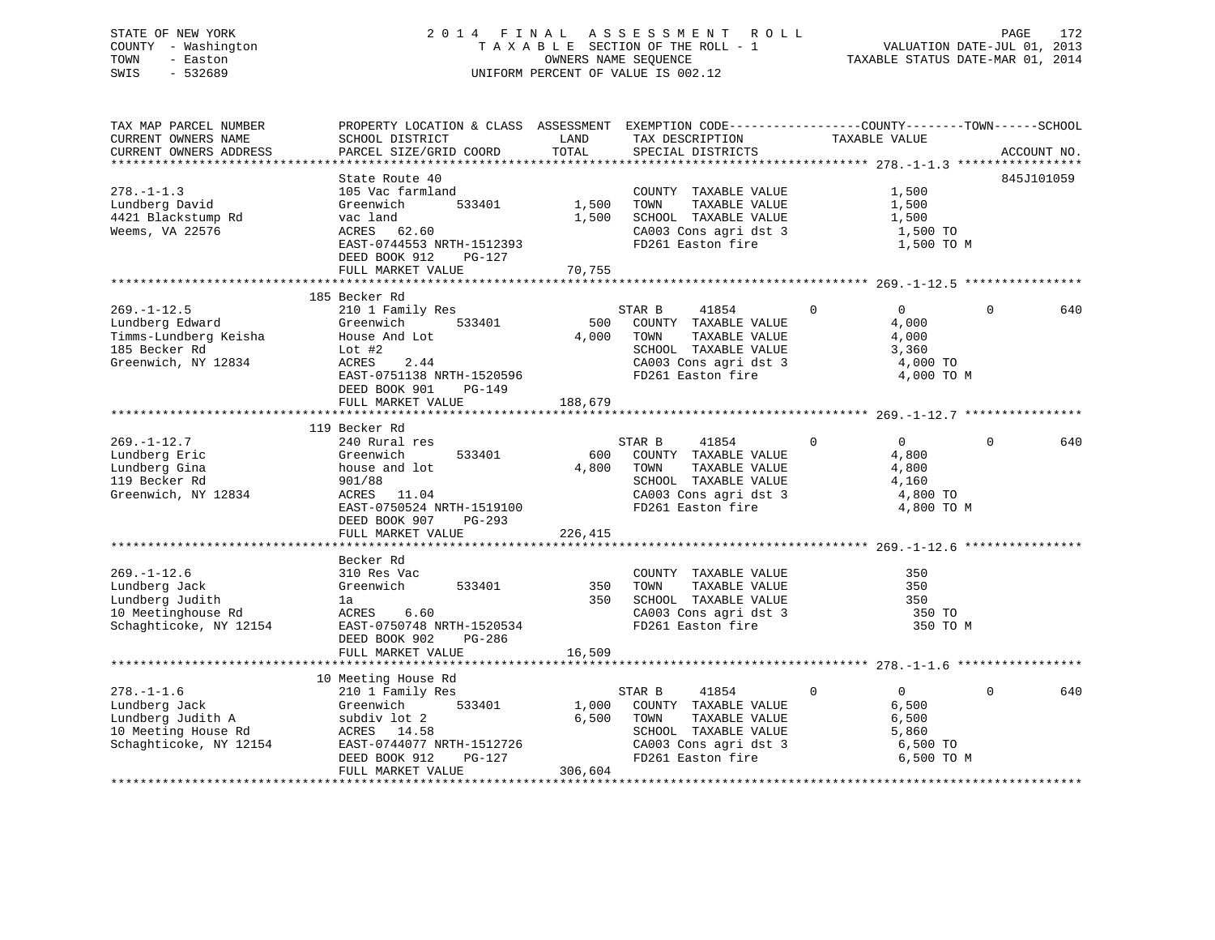## STATE OF NEW YORK 2 0 1 4 F I N A L A S S E S S M E N T R O L L PAGE 172 COUNTY - Washington T A X A B L E SECTION OF THE ROLL - 1 VALUATION DATE-JUL 01, 2013 TOWN - Easton OWNERS NAME SEQUENCE TAXABLE STATUS DATE-MAR 01, 2014 SWIS - 532689 UNIFORM PERCENT OF VALUE IS 002.12

| TOTAL<br>PARCEL SIZE/GRID COORD<br>ACCOUNT NO.<br>CURRENT OWNERS ADDRESS<br>SPECIAL DISTRICTS<br>845J101059<br>State Route 40<br>$278. - 1 - 1.3$<br>1,500<br>105 Vac farmland<br>COUNTY TAXABLE VALUE<br>1,500<br>Lundberg David<br>533401<br>TOWN<br>TAXABLE VALUE<br>1,500<br>Greenwich<br>4421 Blackstump Rd<br>1,500<br>SCHOOL TAXABLE VALUE<br>vac land<br>1,500<br>Weems, VA 22576<br>CA003 Cons agri dst 3<br>ACRES 62.60<br>1,500 TO<br>FD261 Easton fire<br>EAST-0744553 NRTH-1512393<br>1,500 TO M<br>DEED BOOK 912<br>PG-127<br>70,755<br>FULL MARKET VALUE<br>185 Becker Rd<br>$269. - 1 - 12.5$<br>$\Omega$<br>210 1 Family Res<br>STAR B<br>41854<br>$\Omega$<br>$\Omega$<br>640<br>Lundberg Edward<br>533401<br>500<br>4,000<br>COUNTY TAXABLE VALUE<br>Greenwich<br>Timms-Lundberg Keisha<br>4,000<br>TAXABLE VALUE<br>House And Lot<br>TOWN<br>4,000<br>185 Becker Rd<br>Lot $#2$<br>SCHOOL TAXABLE VALUE<br>3,360<br>Greenwich, NY 12834<br>ACRES<br>2.44<br>CA003 Cons agri dst 3<br>4,000 TO<br>FD261 Easton fire<br>EAST-0751138 NRTH-1520596<br>4,000 TO M<br>DEED BOOK 901<br>PG-149<br>188,679<br>FULL MARKET VALUE<br>119 Becker Rd<br>$269. - 1 - 12.7$<br>$\overline{0}$<br>640<br>240 Rural res<br>41854<br>$\mathbf 0$<br>$\Omega$<br>STAR B<br>Lundberg Eric<br>600<br>Greenwich<br>533401<br>COUNTY TAXABLE VALUE<br>4,800<br>Lundberg Gina<br>4,800<br>TAXABLE VALUE<br>house and lot<br>TOWN<br>4,800<br>901/88<br>SCHOOL TAXABLE VALUE<br>4,160<br>ACRES 11.04<br>CA003 Cons agri dst 3<br>4,800 TO<br>FD261 Easton fire<br>4,800 TO M<br>EAST-0750524 NRTH-1519100<br>DEED BOOK 907<br>PG-293<br>226,415<br>FULL MARKET VALUE<br>Becker Rd<br>310 Res Vac<br>COUNTY TAXABLE VALUE<br>350<br>Greenwich<br>533401<br>350<br>TAXABLE VALUE<br>350<br>TOWN<br>Lundberg Judith<br>350<br>SCHOOL TAXABLE VALUE<br>350<br>la<br>CA003 Cons agri dst $3$<br>6.60<br>ACRES<br>350 TO<br>FD261 Easton fire<br>Schaghticoke, NY 12154<br>EAST-0750748 NRTH-1520534<br>350 TO M<br>DEED BOOK 902<br>PG-286<br>16,509<br>FULL MARKET VALUE<br>10 Meeting House Rd<br>640<br>$278. - 1 - 1.6$<br>STAR B<br>41854<br>$\mathbf 0$<br>$\overline{0}$<br>$\Omega$<br>210 1 Family Res<br>Lundberg Jack<br>533401<br>1,000<br>COUNTY TAXABLE VALUE<br>6,500<br>Greenwich<br>6,500<br>Lundberg Judith A<br>subdiv lot 2<br>TOWN<br>TAXABLE VALUE<br>6,500<br>10 Meeting House Rd<br>ACRES 14.58<br>SCHOOL TAXABLE VALUE<br>5,860<br>CA003 Cons agri dst 3<br>Schaghticoke, NY 12154<br>EAST-0744077 NRTH-1512726<br>6,500 TO<br>FD261 Easton fire<br>6,500 TO M<br>DEED BOOK 912<br>PG-127<br>306,604<br>FULL MARKET VALUE | TAX MAP PARCEL NUMBER | PROPERTY LOCATION & CLASS ASSESSMENT EXEMPTION CODE----------------COUNTY-------TOWN------SCHOOL |      |                 |               |  |
|--------------------------------------------------------------------------------------------------------------------------------------------------------------------------------------------------------------------------------------------------------------------------------------------------------------------------------------------------------------------------------------------------------------------------------------------------------------------------------------------------------------------------------------------------------------------------------------------------------------------------------------------------------------------------------------------------------------------------------------------------------------------------------------------------------------------------------------------------------------------------------------------------------------------------------------------------------------------------------------------------------------------------------------------------------------------------------------------------------------------------------------------------------------------------------------------------------------------------------------------------------------------------------------------------------------------------------------------------------------------------------------------------------------------------------------------------------------------------------------------------------------------------------------------------------------------------------------------------------------------------------------------------------------------------------------------------------------------------------------------------------------------------------------------------------------------------------------------------------------------------------------------------------------------------------------------------------------------------------------------------------------------------------------------------------------------------------------------------------------------------------------------------------------------------------------------------------------------------------------------------------------------------------------------------------------------------------------------------------------------------------------------------------------------------------------------------------------------------------------------------------------------------------------------------------------------------------------------------------------------------------------------|-----------------------|--------------------------------------------------------------------------------------------------|------|-----------------|---------------|--|
|                                                                                                                                                                                                                                                                                                                                                                                                                                                                                                                                                                                                                                                                                                                                                                                                                                                                                                                                                                                                                                                                                                                                                                                                                                                                                                                                                                                                                                                                                                                                                                                                                                                                                                                                                                                                                                                                                                                                                                                                                                                                                                                                                                                                                                                                                                                                                                                                                                                                                                                                                                                                                                            | CURRENT OWNERS NAME   | SCHOOL DISTRICT                                                                                  | LAND | TAX DESCRIPTION | TAXABLE VALUE |  |
|                                                                                                                                                                                                                                                                                                                                                                                                                                                                                                                                                                                                                                                                                                                                                                                                                                                                                                                                                                                                                                                                                                                                                                                                                                                                                                                                                                                                                                                                                                                                                                                                                                                                                                                                                                                                                                                                                                                                                                                                                                                                                                                                                                                                                                                                                                                                                                                                                                                                                                                                                                                                                                            |                       |                                                                                                  |      |                 |               |  |
|                                                                                                                                                                                                                                                                                                                                                                                                                                                                                                                                                                                                                                                                                                                                                                                                                                                                                                                                                                                                                                                                                                                                                                                                                                                                                                                                                                                                                                                                                                                                                                                                                                                                                                                                                                                                                                                                                                                                                                                                                                                                                                                                                                                                                                                                                                                                                                                                                                                                                                                                                                                                                                            |                       |                                                                                                  |      |                 |               |  |
|                                                                                                                                                                                                                                                                                                                                                                                                                                                                                                                                                                                                                                                                                                                                                                                                                                                                                                                                                                                                                                                                                                                                                                                                                                                                                                                                                                                                                                                                                                                                                                                                                                                                                                                                                                                                                                                                                                                                                                                                                                                                                                                                                                                                                                                                                                                                                                                                                                                                                                                                                                                                                                            |                       |                                                                                                  |      |                 |               |  |
|                                                                                                                                                                                                                                                                                                                                                                                                                                                                                                                                                                                                                                                                                                                                                                                                                                                                                                                                                                                                                                                                                                                                                                                                                                                                                                                                                                                                                                                                                                                                                                                                                                                                                                                                                                                                                                                                                                                                                                                                                                                                                                                                                                                                                                                                                                                                                                                                                                                                                                                                                                                                                                            |                       |                                                                                                  |      |                 |               |  |
|                                                                                                                                                                                                                                                                                                                                                                                                                                                                                                                                                                                                                                                                                                                                                                                                                                                                                                                                                                                                                                                                                                                                                                                                                                                                                                                                                                                                                                                                                                                                                                                                                                                                                                                                                                                                                                                                                                                                                                                                                                                                                                                                                                                                                                                                                                                                                                                                                                                                                                                                                                                                                                            |                       |                                                                                                  |      |                 |               |  |
|                                                                                                                                                                                                                                                                                                                                                                                                                                                                                                                                                                                                                                                                                                                                                                                                                                                                                                                                                                                                                                                                                                                                                                                                                                                                                                                                                                                                                                                                                                                                                                                                                                                                                                                                                                                                                                                                                                                                                                                                                                                                                                                                                                                                                                                                                                                                                                                                                                                                                                                                                                                                                                            |                       |                                                                                                  |      |                 |               |  |
|                                                                                                                                                                                                                                                                                                                                                                                                                                                                                                                                                                                                                                                                                                                                                                                                                                                                                                                                                                                                                                                                                                                                                                                                                                                                                                                                                                                                                                                                                                                                                                                                                                                                                                                                                                                                                                                                                                                                                                                                                                                                                                                                                                                                                                                                                                                                                                                                                                                                                                                                                                                                                                            |                       |                                                                                                  |      |                 |               |  |
|                                                                                                                                                                                                                                                                                                                                                                                                                                                                                                                                                                                                                                                                                                                                                                                                                                                                                                                                                                                                                                                                                                                                                                                                                                                                                                                                                                                                                                                                                                                                                                                                                                                                                                                                                                                                                                                                                                                                                                                                                                                                                                                                                                                                                                                                                                                                                                                                                                                                                                                                                                                                                                            |                       |                                                                                                  |      |                 |               |  |
|                                                                                                                                                                                                                                                                                                                                                                                                                                                                                                                                                                                                                                                                                                                                                                                                                                                                                                                                                                                                                                                                                                                                                                                                                                                                                                                                                                                                                                                                                                                                                                                                                                                                                                                                                                                                                                                                                                                                                                                                                                                                                                                                                                                                                                                                                                                                                                                                                                                                                                                                                                                                                                            |                       |                                                                                                  |      |                 |               |  |
|                                                                                                                                                                                                                                                                                                                                                                                                                                                                                                                                                                                                                                                                                                                                                                                                                                                                                                                                                                                                                                                                                                                                                                                                                                                                                                                                                                                                                                                                                                                                                                                                                                                                                                                                                                                                                                                                                                                                                                                                                                                                                                                                                                                                                                                                                                                                                                                                                                                                                                                                                                                                                                            |                       |                                                                                                  |      |                 |               |  |
|                                                                                                                                                                                                                                                                                                                                                                                                                                                                                                                                                                                                                                                                                                                                                                                                                                                                                                                                                                                                                                                                                                                                                                                                                                                                                                                                                                                                                                                                                                                                                                                                                                                                                                                                                                                                                                                                                                                                                                                                                                                                                                                                                                                                                                                                                                                                                                                                                                                                                                                                                                                                                                            |                       |                                                                                                  |      |                 |               |  |
|                                                                                                                                                                                                                                                                                                                                                                                                                                                                                                                                                                                                                                                                                                                                                                                                                                                                                                                                                                                                                                                                                                                                                                                                                                                                                                                                                                                                                                                                                                                                                                                                                                                                                                                                                                                                                                                                                                                                                                                                                                                                                                                                                                                                                                                                                                                                                                                                                                                                                                                                                                                                                                            |                       |                                                                                                  |      |                 |               |  |
|                                                                                                                                                                                                                                                                                                                                                                                                                                                                                                                                                                                                                                                                                                                                                                                                                                                                                                                                                                                                                                                                                                                                                                                                                                                                                                                                                                                                                                                                                                                                                                                                                                                                                                                                                                                                                                                                                                                                                                                                                                                                                                                                                                                                                                                                                                                                                                                                                                                                                                                                                                                                                                            |                       |                                                                                                  |      |                 |               |  |
|                                                                                                                                                                                                                                                                                                                                                                                                                                                                                                                                                                                                                                                                                                                                                                                                                                                                                                                                                                                                                                                                                                                                                                                                                                                                                                                                                                                                                                                                                                                                                                                                                                                                                                                                                                                                                                                                                                                                                                                                                                                                                                                                                                                                                                                                                                                                                                                                                                                                                                                                                                                                                                            |                       |                                                                                                  |      |                 |               |  |
|                                                                                                                                                                                                                                                                                                                                                                                                                                                                                                                                                                                                                                                                                                                                                                                                                                                                                                                                                                                                                                                                                                                                                                                                                                                                                                                                                                                                                                                                                                                                                                                                                                                                                                                                                                                                                                                                                                                                                                                                                                                                                                                                                                                                                                                                                                                                                                                                                                                                                                                                                                                                                                            |                       |                                                                                                  |      |                 |               |  |
|                                                                                                                                                                                                                                                                                                                                                                                                                                                                                                                                                                                                                                                                                                                                                                                                                                                                                                                                                                                                                                                                                                                                                                                                                                                                                                                                                                                                                                                                                                                                                                                                                                                                                                                                                                                                                                                                                                                                                                                                                                                                                                                                                                                                                                                                                                                                                                                                                                                                                                                                                                                                                                            |                       |                                                                                                  |      |                 |               |  |
|                                                                                                                                                                                                                                                                                                                                                                                                                                                                                                                                                                                                                                                                                                                                                                                                                                                                                                                                                                                                                                                                                                                                                                                                                                                                                                                                                                                                                                                                                                                                                                                                                                                                                                                                                                                                                                                                                                                                                                                                                                                                                                                                                                                                                                                                                                                                                                                                                                                                                                                                                                                                                                            |                       |                                                                                                  |      |                 |               |  |
|                                                                                                                                                                                                                                                                                                                                                                                                                                                                                                                                                                                                                                                                                                                                                                                                                                                                                                                                                                                                                                                                                                                                                                                                                                                                                                                                                                                                                                                                                                                                                                                                                                                                                                                                                                                                                                                                                                                                                                                                                                                                                                                                                                                                                                                                                                                                                                                                                                                                                                                                                                                                                                            |                       |                                                                                                  |      |                 |               |  |
|                                                                                                                                                                                                                                                                                                                                                                                                                                                                                                                                                                                                                                                                                                                                                                                                                                                                                                                                                                                                                                                                                                                                                                                                                                                                                                                                                                                                                                                                                                                                                                                                                                                                                                                                                                                                                                                                                                                                                                                                                                                                                                                                                                                                                                                                                                                                                                                                                                                                                                                                                                                                                                            |                       |                                                                                                  |      |                 |               |  |
|                                                                                                                                                                                                                                                                                                                                                                                                                                                                                                                                                                                                                                                                                                                                                                                                                                                                                                                                                                                                                                                                                                                                                                                                                                                                                                                                                                                                                                                                                                                                                                                                                                                                                                                                                                                                                                                                                                                                                                                                                                                                                                                                                                                                                                                                                                                                                                                                                                                                                                                                                                                                                                            |                       |                                                                                                  |      |                 |               |  |
|                                                                                                                                                                                                                                                                                                                                                                                                                                                                                                                                                                                                                                                                                                                                                                                                                                                                                                                                                                                                                                                                                                                                                                                                                                                                                                                                                                                                                                                                                                                                                                                                                                                                                                                                                                                                                                                                                                                                                                                                                                                                                                                                                                                                                                                                                                                                                                                                                                                                                                                                                                                                                                            |                       |                                                                                                  |      |                 |               |  |
|                                                                                                                                                                                                                                                                                                                                                                                                                                                                                                                                                                                                                                                                                                                                                                                                                                                                                                                                                                                                                                                                                                                                                                                                                                                                                                                                                                                                                                                                                                                                                                                                                                                                                                                                                                                                                                                                                                                                                                                                                                                                                                                                                                                                                                                                                                                                                                                                                                                                                                                                                                                                                                            |                       |                                                                                                  |      |                 |               |  |
|                                                                                                                                                                                                                                                                                                                                                                                                                                                                                                                                                                                                                                                                                                                                                                                                                                                                                                                                                                                                                                                                                                                                                                                                                                                                                                                                                                                                                                                                                                                                                                                                                                                                                                                                                                                                                                                                                                                                                                                                                                                                                                                                                                                                                                                                                                                                                                                                                                                                                                                                                                                                                                            |                       |                                                                                                  |      |                 |               |  |
|                                                                                                                                                                                                                                                                                                                                                                                                                                                                                                                                                                                                                                                                                                                                                                                                                                                                                                                                                                                                                                                                                                                                                                                                                                                                                                                                                                                                                                                                                                                                                                                                                                                                                                                                                                                                                                                                                                                                                                                                                                                                                                                                                                                                                                                                                                                                                                                                                                                                                                                                                                                                                                            |                       |                                                                                                  |      |                 |               |  |
|                                                                                                                                                                                                                                                                                                                                                                                                                                                                                                                                                                                                                                                                                                                                                                                                                                                                                                                                                                                                                                                                                                                                                                                                                                                                                                                                                                                                                                                                                                                                                                                                                                                                                                                                                                                                                                                                                                                                                                                                                                                                                                                                                                                                                                                                                                                                                                                                                                                                                                                                                                                                                                            | 119 Becker Rd         |                                                                                                  |      |                 |               |  |
|                                                                                                                                                                                                                                                                                                                                                                                                                                                                                                                                                                                                                                                                                                                                                                                                                                                                                                                                                                                                                                                                                                                                                                                                                                                                                                                                                                                                                                                                                                                                                                                                                                                                                                                                                                                                                                                                                                                                                                                                                                                                                                                                                                                                                                                                                                                                                                                                                                                                                                                                                                                                                                            | Greenwich, NY 12834   |                                                                                                  |      |                 |               |  |
|                                                                                                                                                                                                                                                                                                                                                                                                                                                                                                                                                                                                                                                                                                                                                                                                                                                                                                                                                                                                                                                                                                                                                                                                                                                                                                                                                                                                                                                                                                                                                                                                                                                                                                                                                                                                                                                                                                                                                                                                                                                                                                                                                                                                                                                                                                                                                                                                                                                                                                                                                                                                                                            |                       |                                                                                                  |      |                 |               |  |
|                                                                                                                                                                                                                                                                                                                                                                                                                                                                                                                                                                                                                                                                                                                                                                                                                                                                                                                                                                                                                                                                                                                                                                                                                                                                                                                                                                                                                                                                                                                                                                                                                                                                                                                                                                                                                                                                                                                                                                                                                                                                                                                                                                                                                                                                                                                                                                                                                                                                                                                                                                                                                                            |                       |                                                                                                  |      |                 |               |  |
|                                                                                                                                                                                                                                                                                                                                                                                                                                                                                                                                                                                                                                                                                                                                                                                                                                                                                                                                                                                                                                                                                                                                                                                                                                                                                                                                                                                                                                                                                                                                                                                                                                                                                                                                                                                                                                                                                                                                                                                                                                                                                                                                                                                                                                                                                                                                                                                                                                                                                                                                                                                                                                            |                       |                                                                                                  |      |                 |               |  |
|                                                                                                                                                                                                                                                                                                                                                                                                                                                                                                                                                                                                                                                                                                                                                                                                                                                                                                                                                                                                                                                                                                                                                                                                                                                                                                                                                                                                                                                                                                                                                                                                                                                                                                                                                                                                                                                                                                                                                                                                                                                                                                                                                                                                                                                                                                                                                                                                                                                                                                                                                                                                                                            |                       |                                                                                                  |      |                 |               |  |
|                                                                                                                                                                                                                                                                                                                                                                                                                                                                                                                                                                                                                                                                                                                                                                                                                                                                                                                                                                                                                                                                                                                                                                                                                                                                                                                                                                                                                                                                                                                                                                                                                                                                                                                                                                                                                                                                                                                                                                                                                                                                                                                                                                                                                                                                                                                                                                                                                                                                                                                                                                                                                                            |                       |                                                                                                  |      |                 |               |  |
|                                                                                                                                                                                                                                                                                                                                                                                                                                                                                                                                                                                                                                                                                                                                                                                                                                                                                                                                                                                                                                                                                                                                                                                                                                                                                                                                                                                                                                                                                                                                                                                                                                                                                                                                                                                                                                                                                                                                                                                                                                                                                                                                                                                                                                                                                                                                                                                                                                                                                                                                                                                                                                            | $269. - 1 - 12.6$     |                                                                                                  |      |                 |               |  |
|                                                                                                                                                                                                                                                                                                                                                                                                                                                                                                                                                                                                                                                                                                                                                                                                                                                                                                                                                                                                                                                                                                                                                                                                                                                                                                                                                                                                                                                                                                                                                                                                                                                                                                                                                                                                                                                                                                                                                                                                                                                                                                                                                                                                                                                                                                                                                                                                                                                                                                                                                                                                                                            | Lundberg Jack         |                                                                                                  |      |                 |               |  |
|                                                                                                                                                                                                                                                                                                                                                                                                                                                                                                                                                                                                                                                                                                                                                                                                                                                                                                                                                                                                                                                                                                                                                                                                                                                                                                                                                                                                                                                                                                                                                                                                                                                                                                                                                                                                                                                                                                                                                                                                                                                                                                                                                                                                                                                                                                                                                                                                                                                                                                                                                                                                                                            |                       |                                                                                                  |      |                 |               |  |
|                                                                                                                                                                                                                                                                                                                                                                                                                                                                                                                                                                                                                                                                                                                                                                                                                                                                                                                                                                                                                                                                                                                                                                                                                                                                                                                                                                                                                                                                                                                                                                                                                                                                                                                                                                                                                                                                                                                                                                                                                                                                                                                                                                                                                                                                                                                                                                                                                                                                                                                                                                                                                                            | 10 Meetinghouse Rd    |                                                                                                  |      |                 |               |  |
|                                                                                                                                                                                                                                                                                                                                                                                                                                                                                                                                                                                                                                                                                                                                                                                                                                                                                                                                                                                                                                                                                                                                                                                                                                                                                                                                                                                                                                                                                                                                                                                                                                                                                                                                                                                                                                                                                                                                                                                                                                                                                                                                                                                                                                                                                                                                                                                                                                                                                                                                                                                                                                            |                       |                                                                                                  |      |                 |               |  |
|                                                                                                                                                                                                                                                                                                                                                                                                                                                                                                                                                                                                                                                                                                                                                                                                                                                                                                                                                                                                                                                                                                                                                                                                                                                                                                                                                                                                                                                                                                                                                                                                                                                                                                                                                                                                                                                                                                                                                                                                                                                                                                                                                                                                                                                                                                                                                                                                                                                                                                                                                                                                                                            |                       |                                                                                                  |      |                 |               |  |
|                                                                                                                                                                                                                                                                                                                                                                                                                                                                                                                                                                                                                                                                                                                                                                                                                                                                                                                                                                                                                                                                                                                                                                                                                                                                                                                                                                                                                                                                                                                                                                                                                                                                                                                                                                                                                                                                                                                                                                                                                                                                                                                                                                                                                                                                                                                                                                                                                                                                                                                                                                                                                                            |                       |                                                                                                  |      |                 |               |  |
|                                                                                                                                                                                                                                                                                                                                                                                                                                                                                                                                                                                                                                                                                                                                                                                                                                                                                                                                                                                                                                                                                                                                                                                                                                                                                                                                                                                                                                                                                                                                                                                                                                                                                                                                                                                                                                                                                                                                                                                                                                                                                                                                                                                                                                                                                                                                                                                                                                                                                                                                                                                                                                            |                       |                                                                                                  |      |                 |               |  |
|                                                                                                                                                                                                                                                                                                                                                                                                                                                                                                                                                                                                                                                                                                                                                                                                                                                                                                                                                                                                                                                                                                                                                                                                                                                                                                                                                                                                                                                                                                                                                                                                                                                                                                                                                                                                                                                                                                                                                                                                                                                                                                                                                                                                                                                                                                                                                                                                                                                                                                                                                                                                                                            |                       |                                                                                                  |      |                 |               |  |
|                                                                                                                                                                                                                                                                                                                                                                                                                                                                                                                                                                                                                                                                                                                                                                                                                                                                                                                                                                                                                                                                                                                                                                                                                                                                                                                                                                                                                                                                                                                                                                                                                                                                                                                                                                                                                                                                                                                                                                                                                                                                                                                                                                                                                                                                                                                                                                                                                                                                                                                                                                                                                                            |                       |                                                                                                  |      |                 |               |  |
|                                                                                                                                                                                                                                                                                                                                                                                                                                                                                                                                                                                                                                                                                                                                                                                                                                                                                                                                                                                                                                                                                                                                                                                                                                                                                                                                                                                                                                                                                                                                                                                                                                                                                                                                                                                                                                                                                                                                                                                                                                                                                                                                                                                                                                                                                                                                                                                                                                                                                                                                                                                                                                            |                       |                                                                                                  |      |                 |               |  |
|                                                                                                                                                                                                                                                                                                                                                                                                                                                                                                                                                                                                                                                                                                                                                                                                                                                                                                                                                                                                                                                                                                                                                                                                                                                                                                                                                                                                                                                                                                                                                                                                                                                                                                                                                                                                                                                                                                                                                                                                                                                                                                                                                                                                                                                                                                                                                                                                                                                                                                                                                                                                                                            |                       |                                                                                                  |      |                 |               |  |
|                                                                                                                                                                                                                                                                                                                                                                                                                                                                                                                                                                                                                                                                                                                                                                                                                                                                                                                                                                                                                                                                                                                                                                                                                                                                                                                                                                                                                                                                                                                                                                                                                                                                                                                                                                                                                                                                                                                                                                                                                                                                                                                                                                                                                                                                                                                                                                                                                                                                                                                                                                                                                                            |                       |                                                                                                  |      |                 |               |  |
|                                                                                                                                                                                                                                                                                                                                                                                                                                                                                                                                                                                                                                                                                                                                                                                                                                                                                                                                                                                                                                                                                                                                                                                                                                                                                                                                                                                                                                                                                                                                                                                                                                                                                                                                                                                                                                                                                                                                                                                                                                                                                                                                                                                                                                                                                                                                                                                                                                                                                                                                                                                                                                            |                       |                                                                                                  |      |                 |               |  |
|                                                                                                                                                                                                                                                                                                                                                                                                                                                                                                                                                                                                                                                                                                                                                                                                                                                                                                                                                                                                                                                                                                                                                                                                                                                                                                                                                                                                                                                                                                                                                                                                                                                                                                                                                                                                                                                                                                                                                                                                                                                                                                                                                                                                                                                                                                                                                                                                                                                                                                                                                                                                                                            |                       |                                                                                                  |      |                 |               |  |
|                                                                                                                                                                                                                                                                                                                                                                                                                                                                                                                                                                                                                                                                                                                                                                                                                                                                                                                                                                                                                                                                                                                                                                                                                                                                                                                                                                                                                                                                                                                                                                                                                                                                                                                                                                                                                                                                                                                                                                                                                                                                                                                                                                                                                                                                                                                                                                                                                                                                                                                                                                                                                                            |                       |                                                                                                  |      |                 |               |  |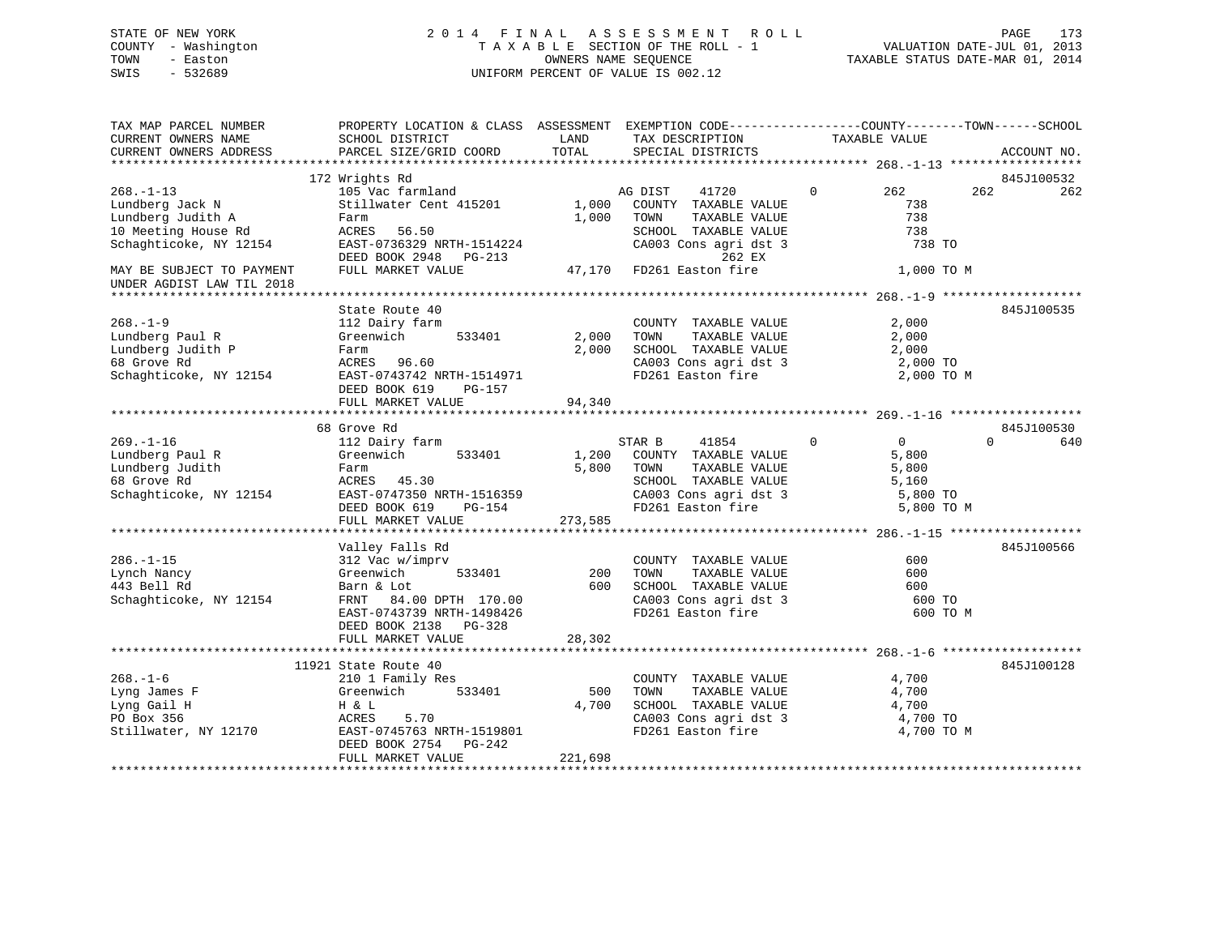## STATE OF NEW YORK 2 0 1 4 F I N A L A S S E S S M E N T R O L L PAGE 173 COUNTY - Washington T A X A B L E SECTION OF THE ROLL - 1 VALUATION DATE-JUL 01, 2013 TOWN - Easton **CONNERS NAME SEQUENCE** TAXABLE STATUS DATE-MAR 01, 2014 SWIS - 532689 UNIFORM PERCENT OF VALUE IS 002.12

| TAX MAP PARCEL NUMBER<br>CURRENT OWNERS NAME | PROPERTY LOCATION & CLASS ASSESSMENT EXEMPTION CODE----------------COUNTY-------TOWN------SCHOOL<br>SCHOOL DISTRICT | LAND       | TAX DESCRIPTION                            | TAXABLE VALUE                    |                 |
|----------------------------------------------|---------------------------------------------------------------------------------------------------------------------|------------|--------------------------------------------|----------------------------------|-----------------|
| CURRENT OWNERS ADDRESS                       | PARCEL SIZE/GRID COORD                                                                                              | TOTAL      | SPECIAL DISTRICTS                          |                                  | ACCOUNT NO.     |
|                                              |                                                                                                                     |            |                                            |                                  |                 |
|                                              | 172 Wrights Rd                                                                                                      |            |                                            |                                  | 845J100532      |
| $268. - 1 - 13$                              | 105 Vac farmland                                                                                                    |            | 41720<br>AG DIST                           | $\Omega$<br>262                  | 262<br>262      |
| Lundberg Jack N                              | Stillwater Cent 415201                                                                                              | 1,000      | COUNTY TAXABLE VALUE                       | 738                              |                 |
| Lundberg Judith A                            | Farm                                                                                                                | 1,000      | TAXABLE VALUE<br>TOWN                      | 738                              |                 |
| 10 Meeting House Rd                          | ACRES 56.50                                                                                                         |            | SCHOOL TAXABLE VALUE                       | 738                              |                 |
| Schaghticoke, NY 12154                       | EAST-0736329 NRTH-1514224                                                                                           |            | CA003 Cons agri dst 3                      | 738 TO                           |                 |
|                                              | DEED BOOK 2948 PG-213                                                                                               |            | 262 EX                                     |                                  |                 |
| MAY BE SUBJECT TO PAYMENT                    | FULL MARKET VALUE                                                                                                   |            | 47,170 FD261 Easton fire                   | 1,000 TO M                       |                 |
| UNDER AGDIST LAW TIL 2018                    |                                                                                                                     |            |                                            |                                  |                 |
|                                              |                                                                                                                     |            |                                            |                                  |                 |
|                                              | State Route 40                                                                                                      |            |                                            |                                  | 845J100535      |
| $268. - 1 - 9$                               | 112 Dairy farm                                                                                                      |            | COUNTY TAXABLE VALUE                       | 2,000                            |                 |
| Lundberg Paul R                              | Greenwich<br>533401                                                                                                 | 2,000      | TOWN<br>TAXABLE VALUE                      | 2,000                            |                 |
| Lundberg Judith P                            | Farm                                                                                                                | 2,000      | SCHOOL TAXABLE VALUE                       | 2,000                            |                 |
| 68 Grove Rd                                  | ACRES 96.60                                                                                                         |            | CA003 Cons agri dst 3                      | 2,000 TO                         |                 |
| Schaghticoke, NY 12154                       | EAST-0743742 NRTH-1514971                                                                                           |            | FD261 Easton fire                          | 2,000 TO M                       |                 |
|                                              | DEED BOOK 619<br>PG-157                                                                                             |            |                                            |                                  |                 |
|                                              | FULL MARKET VALUE                                                                                                   | 94,340     |                                            |                                  |                 |
|                                              |                                                                                                                     |            |                                            |                                  |                 |
|                                              | 68 Grove Rd                                                                                                         |            |                                            |                                  | 845J100530      |
| $269. - 1 - 16$                              | 112 Dairy farm                                                                                                      |            | STAR B<br>41854                            | $\overline{0}$<br>$\overline{0}$ | $\Omega$<br>640 |
| Lundberg Paul R                              | Greenwich<br>533401                                                                                                 | 1,200      | COUNTY TAXABLE VALUE                       | 5,800                            |                 |
| Lundberg Judith                              | Farm                                                                                                                | 5,800      | TAXABLE VALUE<br>TOWN                      | 5,800                            |                 |
| 68 Grove Rd                                  | ACRES 45.30                                                                                                         |            | SCHOOL TAXABLE VALUE                       | 5,160                            |                 |
| Schaghticoke, NY 12154                       | EAST-0747350 NRTH-1516359                                                                                           |            | CA003 Cons agri dst 3                      | 5,800 TO                         |                 |
|                                              | DEED BOOK 619<br>PG-154                                                                                             |            | FD261 Easton fire                          | 5,800 TO M                       |                 |
|                                              | FULL MARKET VALUE                                                                                                   | 273,585    |                                            |                                  |                 |
|                                              |                                                                                                                     |            |                                            |                                  |                 |
|                                              | Valley Falls Rd                                                                                                     |            |                                            |                                  | 845J100566      |
| $286. - 1 - 15$                              | 312 Vac w/imprv                                                                                                     |            | COUNTY TAXABLE VALUE                       | 600                              |                 |
| Lynch Nancy<br>443 Bell Rd                   | 533401<br>Greenwich                                                                                                 | 200<br>600 | TOWN<br>TAXABLE VALUE                      | 600                              |                 |
|                                              | Barn & Lot                                                                                                          |            | SCHOOL TAXABLE VALUE                       | 600                              |                 |
| Schaghticoke, NY 12154                       | FRNT 84.00 DPTH 170.00                                                                                              |            | CA003 Cons agri dst 3<br>FD261 Easton fire | 600 TO                           |                 |
|                                              | EAST-0743739 NRTH-1498426<br>PG-328                                                                                 |            |                                            | 600 TO M                         |                 |
|                                              | DEED BOOK 2138<br>FULL MARKET VALUE                                                                                 | 28,302     |                                            |                                  |                 |
|                                              |                                                                                                                     |            |                                            |                                  |                 |
|                                              | 11921 State Route 40                                                                                                |            |                                            |                                  | 845J100128      |
| $268. - 1 - 6$                               | 210 1 Family Res                                                                                                    |            | COUNTY TAXABLE VALUE                       | 4,700                            |                 |
| Lyng James F                                 | 533401<br>Greenwich                                                                                                 | 500        | TAXABLE VALUE<br>TOWN                      | 4,700                            |                 |
| Lyng Gail H                                  | H & L                                                                                                               | 4,700      | SCHOOL TAXABLE VALUE                       | 4,700                            |                 |
| PO Box 356                                   | ACRES<br>5.70                                                                                                       |            | CA003 Cons agri dst 3                      | 4,700 TO                         |                 |
| Stillwater, NY 12170                         | EAST-0745763 NRTH-1519801                                                                                           |            | FD261 Easton fire                          | 4,700 TO M                       |                 |
|                                              | DEED BOOK 2754 PG-242                                                                                               |            |                                            |                                  |                 |
|                                              | FULL MARKET VALUE                                                                                                   | 221,698    |                                            |                                  |                 |
|                                              |                                                                                                                     |            |                                            |                                  |                 |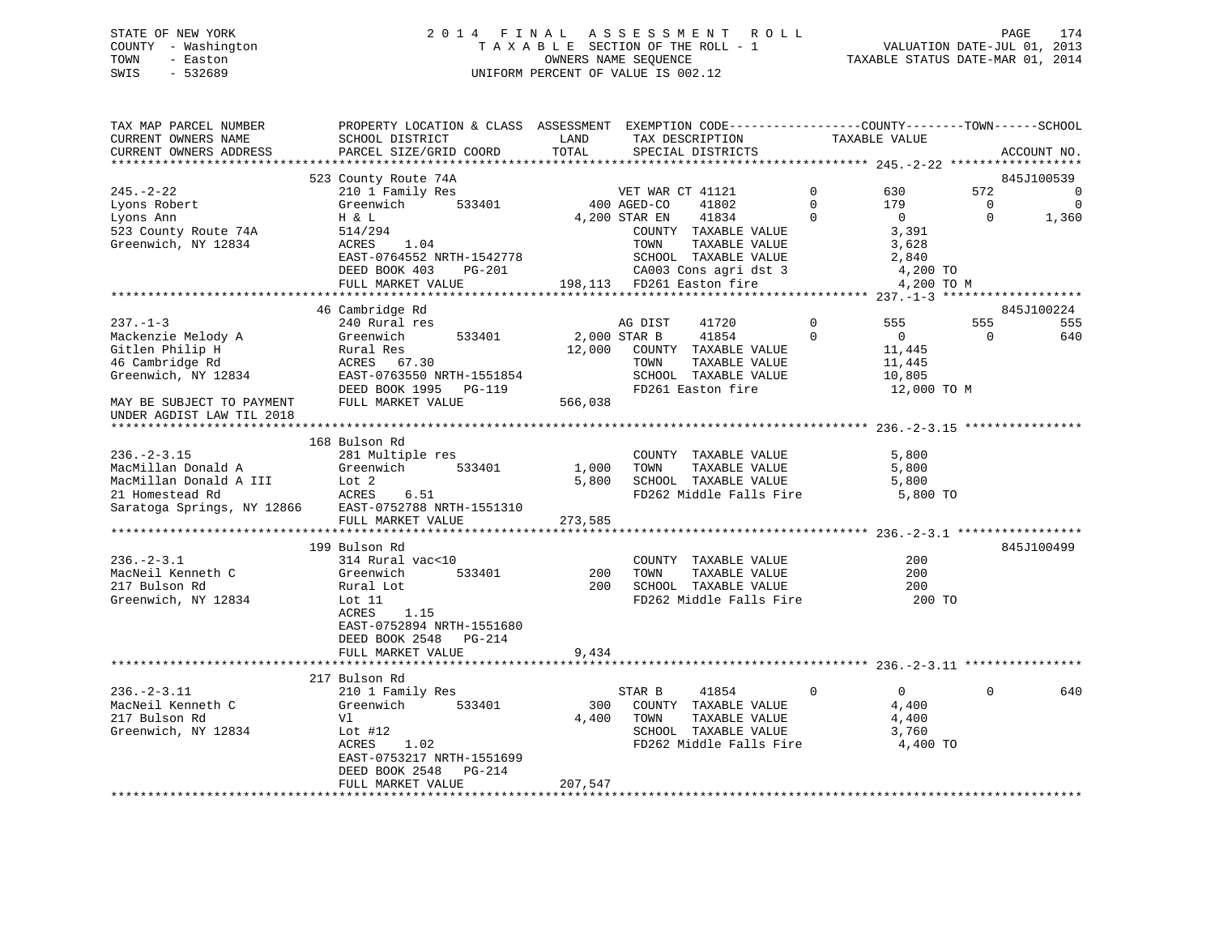## STATE OF NEW YORK 2 0 1 4 F I N A L A S S E S S M E N T R O L L PAGE 174 COUNTY - Washington T A X A B L E SECTION OF THE ROLL - 1 VALUATION DATE-JUL 01, 2013 TOWN - Easton OWNERS NAME SEQUENCE TAXABLE STATUS DATE-MAR 01, 2014 SWIS - 532689 UNIFORM PERCENT OF VALUE IS 002.12

| TAX MAP PARCEL NUMBER<br>CURRENT OWNERS NAME<br>CURRENT OWNERS ADDRESS                                                        | PROPERTY LOCATION & CLASS ASSESSMENT EXEMPTION CODE----------------COUNTY-------TOWN------SCHOOL<br>SCHOOL DISTRICT<br>PARCEL SIZE/GRID COORD                                                              | LAND<br>TOTAL           | TAX DESCRIPTION<br>SPECIAL DISTRICTS                                                                                                                      |                                              | TAXABLE VALUE                                                                     |                                   | ACCOUNT NO.                                             |
|-------------------------------------------------------------------------------------------------------------------------------|------------------------------------------------------------------------------------------------------------------------------------------------------------------------------------------------------------|-------------------------|-----------------------------------------------------------------------------------------------------------------------------------------------------------|----------------------------------------------|-----------------------------------------------------------------------------------|-----------------------------------|---------------------------------------------------------|
|                                                                                                                               |                                                                                                                                                                                                            |                         |                                                                                                                                                           |                                              |                                                                                   |                                   |                                                         |
| $245. - 2 - 22$<br>Lyons Robert<br>Lyons Ann<br>523 County Route 74A<br>Greenwich, NY 12834                                   | 523 County Route 74A<br>210 1 Family Res<br>210 1 Family Res<br>533401 400 AGED-CO 41802<br>H & L<br>514/294<br>1.04<br>ACRES<br>EAST-0764552 NRTH-1542778<br>DEED BOOK 403<br>PG-201<br>FULL MARKET VALUE | 4,200 STAR EN           | 41834<br>COUNTY TAXABLE VALUE<br>TAXABLE VALUE<br>TOWN<br>SCHOOL TAXABLE VALUE<br>CA003 Cons agri dst 3<br>FD261 Easton fire<br>198,113 FD261 Easton fire | $\overline{0}$<br>$\Omega$<br>$\overline{0}$ | 630<br>179<br>$\overline{0}$<br>3,391<br>3,628<br>2,840<br>4,200 TO<br>4,200 TO M | 572<br>$\overline{0}$<br>$\Omega$ | 845J100539<br>$\overline{0}$<br>$\overline{0}$<br>1,360 |
|                                                                                                                               |                                                                                                                                                                                                            |                         |                                                                                                                                                           |                                              |                                                                                   |                                   |                                                         |
| $237 - 1 - 3$<br>Mackenzie Melody A<br>Gitlen Philip H<br>46 Cambridge Rd<br>Greenwich, NY 12834<br>MAY BE SUBJECT TO PAYMENT | 46 Cambridge Rd<br>240 Rural res<br>533401<br>Greenwich 533401<br>Rural Res<br>ACRES 67.30<br>EAST-0763550 NRTH-155185<br>EAST-0763550 NRTH-1551854<br>DEED BOOK 1995 PG-119<br>FULL MARKET VALUE          | 2,000 STAR B<br>566,038 | 41720<br>AG DIST<br>41854<br>12,000 COUNTY TAXABLE VALUE<br>TAXABLE VALUE<br>TOWN<br>SCHOOL TAXABLE VALUE<br>FD261 Easton fire                            | $\overline{0}$<br>$\Omega$                   | 555<br>$\overline{0}$<br>11,445<br>11,445<br>10,805<br>12,000 TO M                | 555<br>$\Omega$                   | 845J100224<br>555<br>640                                |
| UNDER AGDIST LAW TIL 2018                                                                                                     |                                                                                                                                                                                                            |                         |                                                                                                                                                           |                                              |                                                                                   |                                   |                                                         |
| $236. - 2 - 3.15$<br>MacMillan Donald A Greenwich                                                                             | 168 Bulson Rd<br>281 Multiple res<br>533401<br>MacMillan Donald A III Lot 2<br>21 Homestead Rd 2 ACRES 6.51<br>Saratoga Springs, NY 12866 EAST-0752788 NRTH-1551310<br>FULL MARKET VALUE                   | 1,000<br>273,585        | COUNTY TAXABLE VALUE<br>TAXABLE VALUE<br>TOWN<br>5,800 SCHOOL TAXABLE VALUE<br>FD262 Middle Falls Fire                                                    |                                              | 5,800<br>5,800<br>5,800<br>5,800 TO                                               |                                   |                                                         |
|                                                                                                                               | 199 Bulson Rd                                                                                                                                                                                              |                         |                                                                                                                                                           |                                              |                                                                                   |                                   | 845J100499                                              |
| $236. - 2 - 3.1$<br>MacNeil Kenneth C<br>217 Bulson Rd<br>Greenwich, NY 12834                                                 | 314 Rural vac<10<br>533401<br>Greenwich<br>Rural Lot<br>Lot 11<br>ACRES<br>1.15<br>EAST-0752894 NRTH-1551680<br>DEED BOOK 2548 PG-214                                                                      | 200                     | COUNTY TAXABLE VALUE<br>200     TOWN        TAXABLE  VALUE<br>200      SCHOOL    TAXABLE  VALUE<br>FD262 Middle Falls Fire                                |                                              | 200<br>200<br>200<br>200 TO                                                       |                                   |                                                         |
|                                                                                                                               | FULL MARKET VALUE                                                                                                                                                                                          | 9,434                   |                                                                                                                                                           |                                              |                                                                                   |                                   |                                                         |
|                                                                                                                               |                                                                                                                                                                                                            |                         |                                                                                                                                                           |                                              |                                                                                   |                                   |                                                         |
| $236. - 2 - 3.11$<br>MacNeil Kenneth C<br>217 Bulson Rd<br>Greenwich, NY 12834                                                | 217 Bulson Rd<br>210 1 Family Res<br>Greenwich<br>533401<br>Vl<br>Lot #12<br>1.02<br>ACRES<br>EAST-0753217 NRTH-1551699<br>DEED BOOK 2548<br>PG-214                                                        | 300                     | 41854<br>STAR B<br>COUNTY TAXABLE VALUE<br>4,400 TOWN<br>TAXABLE VALUE<br>SCHOOL TAXABLE VALUE<br>FD262 Middle Falls Fire                                 | $\Omega$                                     | $\overline{0}$<br>4,400<br>4,400<br>3,760<br>4,400 TO                             | $\Omega$                          | 640                                                     |
|                                                                                                                               | FULL MARKET VALUE                                                                                                                                                                                          | 207,547                 |                                                                                                                                                           |                                              |                                                                                   |                                   |                                                         |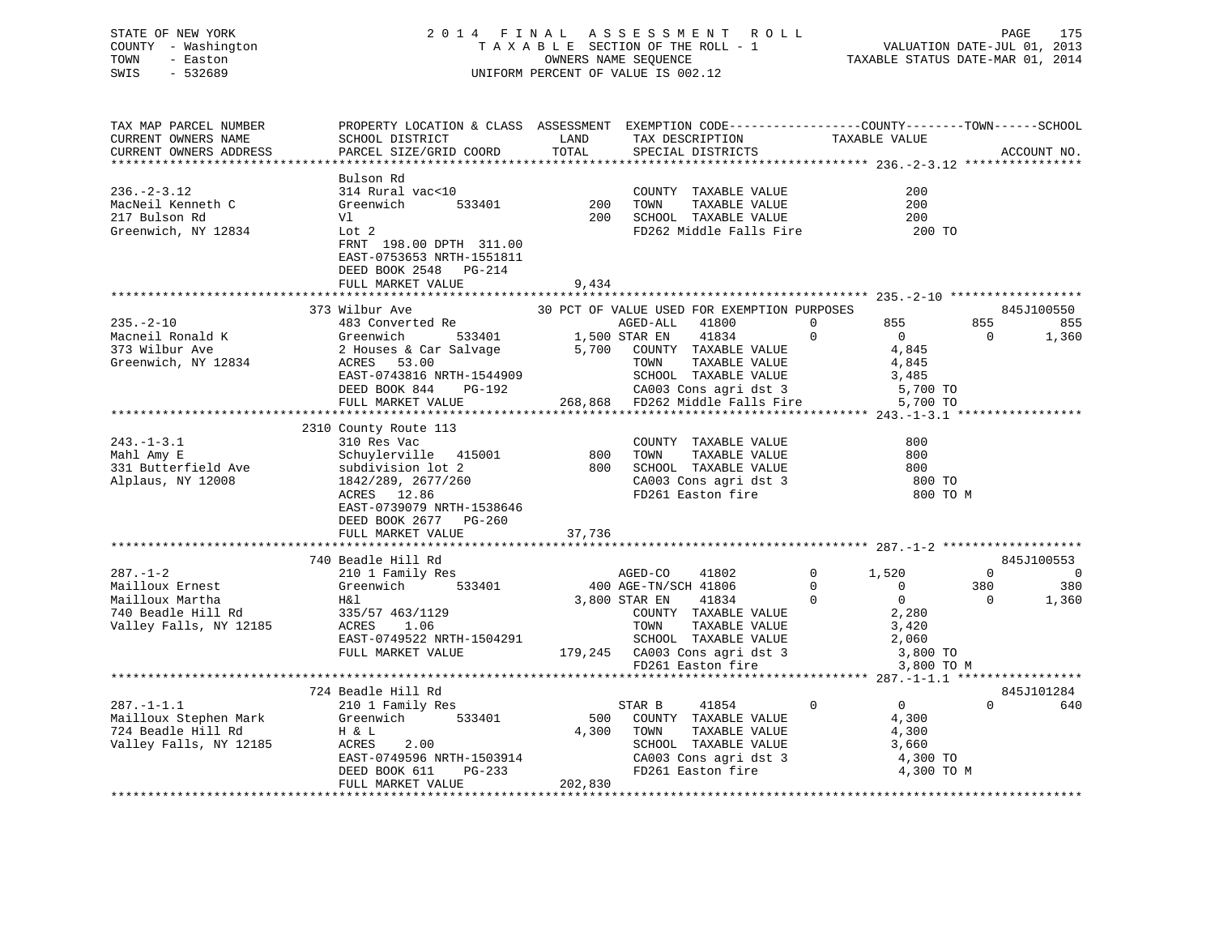## STATE OF NEW YORK 2 0 1 4 F I N A L A S S E S S M E N T R O L L PAGE 175 COUNTY - Washington T A X A B L E SECTION OF THE ROLL - 1 VALUATION DATE-JUL 01, 2013 TOWN - Easton OWNERS NAME SEQUENCE TAXABLE STATUS DATE-MAR 01, 2014 SWIS - 532689 UNIFORM PERCENT OF VALUE IS 002.12

| TAX MAP PARCEL NUMBER<br>CURRENT OWNERS NAME<br>CURRENT OWNERS ADDRESS                               | PROPERTY LOCATION & CLASS ASSESSMENT EXEMPTION CODE----------------COUNTY-------TOWN------SCHOOL<br>SCHOOL DISTRICT<br>PARCEL SIZE/GRID COORD                                                     | LAND<br>TOTAL           | TAX DESCRIPTION<br>SPECIAL DISTRICTS                                                                                                                                                                                       | TAXABLE VALUE                                                                                                                                     | ACCOUNT NO.                                                                     |
|------------------------------------------------------------------------------------------------------|---------------------------------------------------------------------------------------------------------------------------------------------------------------------------------------------------|-------------------------|----------------------------------------------------------------------------------------------------------------------------------------------------------------------------------------------------------------------------|---------------------------------------------------------------------------------------------------------------------------------------------------|---------------------------------------------------------------------------------|
| $236. - 2 - 3.12$<br>MacNeil Kenneth C<br>217 Bulson Rd<br>Greenwich, NY 12834                       | Bulson Rd<br>314 Rural vac<10<br>Greenwich<br>533401<br>Vl<br>Lot 2<br>FRNT 198.00 DPTH 311.00<br>EAST-0753653 NRTH-1551811<br>DEED BOOK 2548 PG-214<br>FULL MARKET VALUE                         | 200<br>200<br>9,434     | COUNTY TAXABLE VALUE<br>TOWN<br>TAXABLE VALUE<br>SCHOOL TAXABLE VALUE<br>FD262 Middle Falls Fire                                                                                                                           | 200<br>200<br>200<br>200 TO                                                                                                                       |                                                                                 |
| $235. -2 - 10$<br>Macneil Ronald K<br>373 Wilbur Ave<br>Greenwich, NY 12834                          | 373 Wilbur Ave<br>483 Converted Re<br>533401<br>Greenwich<br>2 Houses & Car Salvage<br>ACRES 53.00<br>EAST-0743816 NRTH-1544909<br>DEED BOOK 844 PG-192<br>FULL MARKET VALUE                      | 1,500 STAR EN           | 30 PCT OF VALUE USED FOR EXEMPTION PURPOSES<br>AGED-ALL 41800<br>41834<br>5,700 COUNTY TAXABLE VALUE<br>TOWN<br>TAXABLE VALUE<br>SCHOOL TAXABLE VALUE<br>CA003 Cons agri dst 3<br>268,868 FD262 Middle Falls Fire 5,700 TO | 855<br>$\Omega$<br>$\mathbf 0$<br>$\overline{0}$<br>4,845<br>4,845<br>3,485<br>5,700 TO                                                           | 845J100550<br>855<br>855<br>$\overline{0}$<br>1,360                             |
| $243. - 1 - 3.1$<br>Mahl Amy E<br>331 Butterfield Ave<br>Alplaus, NY 12008                           | 2310 County Route 113<br>310 Res Vac<br>Schuylerville 415001<br>subdivision lot 2<br>1842/289, 2677/260<br>ACRES 12.86<br>EAST-0739079 NRTH-1538646<br>DEED BOOK 2677 PG-260<br>FULL MARKET VALUE | 800<br>800<br>37,736    | COUNTY TAXABLE VALUE<br>TAXABLE VALUE<br>TOWN<br>SCHOOL TAXABLE VALUE<br>CA003 Cons agri dst 3<br>FD261 Easton fire                                                                                                        | 800<br>800<br>800<br>800 TO<br>800 TO M                                                                                                           |                                                                                 |
| $287. - 1 - 2$<br>Mailloux Ernest<br>Mailloux Martha<br>740 Beadle Hill Rd<br>Valley Falls, NY 12185 | 740 Beadle Hill Rd<br>210 1 Family Res<br>Greenwich 533401<br>H&l<br>335/57 463/1129<br>ACRES 1.06<br>EAST-0749522 NRTH-1504291<br>FULL MARKET VALUE                                              |                         | AGED-CO<br>41802<br>400 AGE-TN/SCH 41806<br>3,800 STAR EN<br>41834<br>COUNTY TAXABLE VALUE<br>TOWN<br>TAXABLE VALUE<br>SCHOOL TAXABLE VALUE<br>179,245 CA003 Cons agri dst 3<br>FD261 Easton fire                          | $\mathbf 0$<br>1,520<br>$\overline{0}$<br>$\overline{0}$<br>$\overline{0}$<br>$\overline{0}$<br>2,280<br>3,420<br>2,060<br>3,800 TO<br>3,800 TO M | 845J100553<br>$\overline{0}$<br>$\Omega$<br>380<br>380<br>$\mathbf{0}$<br>1,360 |
| $287. - 1 - 1.1$<br>Mailloux Stephen Mark<br>724 Beadle Hill Rd<br>Valley Falls, NY 12185            | 724 Beadle Hill Rd<br>210 1 Family Res<br>Greenwich<br>533401<br>H & L<br>ACRES<br>2.00<br>EAST-0749596 NRTH-1503914<br>DEED BOOK 611<br>PG-233<br>FULL MARKET VALUE                              | 500<br>4,300<br>202,830 | STAR B<br>41854<br>COUNTY TAXABLE VALUE<br>TAXABLE VALUE<br>TOWN<br>SCHOOL TAXABLE VALUE<br>CA003 Cons agri dst 3<br>FD261 Easton fire<br>FD261 Easton fire                                                                | $\mathbf 0$<br>$\overline{0}$<br>4,300<br>4,300<br>3,660<br>4,300 TO<br>4,300 TO M                                                                | 845J101284<br>$\Omega$<br>640                                                   |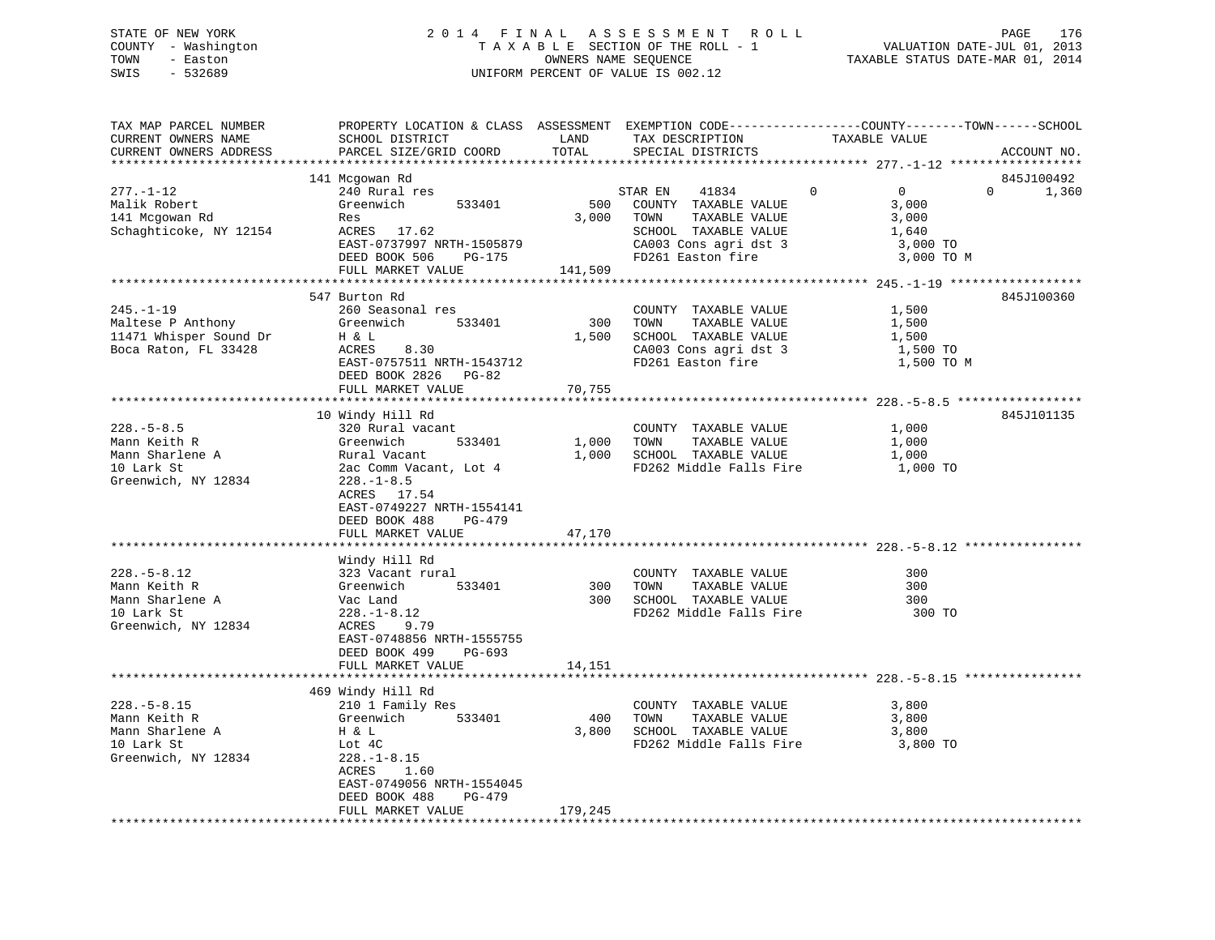## STATE OF NEW YORK 2 0 1 4 F I N A L A S S E S S M E N T R O L L PAGE 176 COUNTY - Washington T A X A B L E SECTION OF THE ROLL - 1 VALUATION DATE-JUL 01, 2013 TOWN - Easton OWNERS NAME SEQUENCE TAXABLE STATUS DATE-MAR 01, 2014 SWIS - 532689 UNIFORM PERCENT OF VALUE IS 002.12

| SCHOOL DISTRICT<br>PARCEL SIZE/GRID COORD                                                                                                                                                                                               | LAND<br>TOTAL           | TAX DESCRIPTION<br>SPECIAL DISTRICTS                                                                                         | TAXABLE VALUE                                                                      | ACCOUNT NO.                                                                                                                                                                     |
|-----------------------------------------------------------------------------------------------------------------------------------------------------------------------------------------------------------------------------------------|-------------------------|------------------------------------------------------------------------------------------------------------------------------|------------------------------------------------------------------------------------|---------------------------------------------------------------------------------------------------------------------------------------------------------------------------------|
| 141 Mcgowan Rd<br>240 Rural res<br>Greenwich<br>533401<br>Res<br>ACRES 17.62<br>EAST-0737997 NRTH-1505879<br>DEED BOOK 506<br>PG-175<br>FULL MARKET VALUE                                                                               | 500<br>3,000<br>141,509 | 41834<br>COUNTY TAXABLE VALUE<br>TAXABLE VALUE<br>TOWN<br>SCHOOL TAXABLE VALUE<br>CA003 Cons agri dst 3<br>FD261 Easton fire | $\mathbf 0$<br>$\overline{0}$<br>3,000<br>3,000<br>1,640<br>3,000 TO<br>3,000 TO M | 845J100492<br>$\Omega$<br>1,360                                                                                                                                                 |
| 547 Burton Rd<br>260 Seasonal res<br>533401<br>Greenwich<br>H & L<br>8.30<br>ACRES<br>EAST-0757511 NRTH-1543712<br>DEED BOOK 2826 PG-82<br>FULL MARKET VALUE                                                                            | 300<br>1,500<br>70,755  | COUNTY TAXABLE VALUE<br>TOWN<br>TAXABLE VALUE<br>SCHOOL TAXABLE VALUE<br>CA003 Cons agri dst 3<br>FD261 Easton fire          | 1,500<br>1,500<br>1,500<br>1,500 TO<br>1,500 TO M                                  | 845J100360                                                                                                                                                                      |
| 10 Windy Hill Rd<br>320 Rural vacant<br>Greenwich<br>533401<br>Rural Vacant<br>2ac Comm Vacant, Lot 4<br>$228. - 1 - 8.5$<br>ACRES 17.54<br>EAST-0749227 NRTH-1554141<br>DEED BOOK 488<br>$PG-479$<br>FULL MARKET VALUE                 | 47,170                  | COUNTY TAXABLE VALUE<br>TAXABLE VALUE<br>TOWN                                                                                | 1,000<br>1,000<br>1,000<br>1,000 TO                                                | 845J101135                                                                                                                                                                      |
| Windy Hill Rd<br>323 Vacant rural<br>Greenwich<br>533401<br>Vac Land<br>$228. - 1 - 8.12$<br>ACRES<br>9.79<br>EAST-0748856 NRTH-1555755<br>DEED BOOK 499<br>$PG-693$<br>FULL MARKET VALUE                                               | 300<br>300<br>14,151    | COUNTY TAXABLE VALUE<br>TOWN<br>TAXABLE VALUE<br>SCHOOL TAXABLE VALUE                                                        | 300<br>300<br>300<br>300 TO                                                        |                                                                                                                                                                                 |
| *********************************<br>469 Windy Hill Rd<br>210 1 Family Res<br>533401<br>Greenwich<br>H & L<br>Lot 4C<br>$228. - 1 - 8.15$<br>ACRES<br>1.60<br>EAST-0749056 NRTH-1554045<br>DEED BOOK 488<br>PG-479<br>FULL MARKET VALUE | 400<br>3,800<br>179,245 | COUNTY TAXABLE VALUE<br>TAXABLE VALUE<br>TOWN<br>SCHOOL TAXABLE VALUE                                                        | 3,800<br>3,800<br>3,800<br>3,800 TO                                                |                                                                                                                                                                                 |
|                                                                                                                                                                                                                                         |                         |                                                                                                                              | STAR EN<br>1,000<br>1,000 SCHOOL TAXABLE VALUE                                     | PROPERTY LOCATION & CLASS ASSESSMENT EXEMPTION CODE---------------COUNTY-------TOWN-----SCHOOL<br>FD262 Middle Falls Fire<br>FD262 Middle Falls Fire<br>FD262 Middle Falls Fire |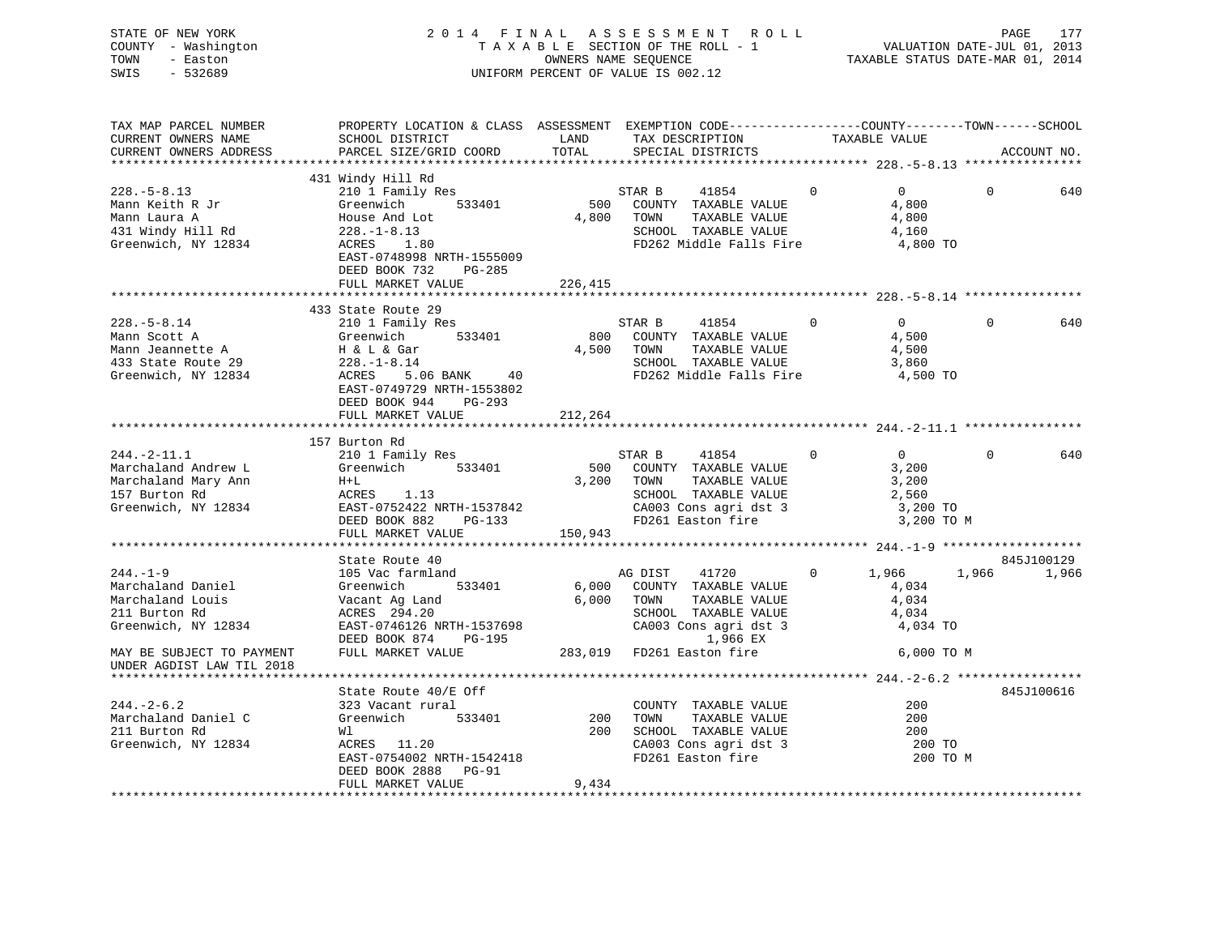STATE OF NEW YORK 2 0 1 4 F I N A L A S S E S S M E N T R O L L PAGE 177 COUNTY - Washington T A X A B L E SECTION OF THE ROLL - 1 VALUATION DATE-JUL 01, 2013 TOWN - Easton OWNERS NAME SEQUENCE TAXABLE STATUS DATE-MAR 01, 2014 SWIS - 532689 UNIFORM PERCENT OF VALUE IS 002.12

| TAX MAP PARCEL NUMBER<br>CURRENT OWNERS NAME                                                                                                              | PROPERTY LOCATION & CLASS ASSESSMENT EXEMPTION CODE---------------COUNTY-------TOWN------SCHOOL<br>SCHOOL DISTRICT                                                    | LAND                  | TAX DESCRIPTION                                                                                                                                           |                | TAXABLE VALUE                                                       |          |                     |
|-----------------------------------------------------------------------------------------------------------------------------------------------------------|-----------------------------------------------------------------------------------------------------------------------------------------------------------------------|-----------------------|-----------------------------------------------------------------------------------------------------------------------------------------------------------|----------------|---------------------------------------------------------------------|----------|---------------------|
| CURRENT OWNERS ADDRESS                                                                                                                                    | PARCEL SIZE/GRID COORD                                                                                                                                                | TOTAL                 | SPECIAL DISTRICTS                                                                                                                                         |                |                                                                     |          | ACCOUNT NO.         |
|                                                                                                                                                           | 431 Windy Hill Rd                                                                                                                                                     |                       |                                                                                                                                                           |                |                                                                     |          |                     |
| $228. - 5 - 8.13$<br>Mann Keith R Jr<br>Mann Laura A<br>431 Windy Hill Rd<br>Greenwich, NY 12834                                                          | 210 1 Family Res<br>533401<br>Greenwich<br>House And Lot<br>$228. - 1 - 8.13$<br>1.80<br>ACRES<br>EAST-0748998 NRTH-1555009<br>DEED BOOK 732<br>PG-285                |                       | STAR B<br>41854<br>500 COUNTY TAXABLE VALUE<br>4,800 TOWN<br>TAXABLE VALUE<br>SCHOOL TAXABLE VALUE<br>FD262 Middle Falls Fire 4,800 TO                    | $\Omega$       | $\Omega$<br>4,800<br>4,800<br>4,160                                 | $\Omega$ | 640                 |
|                                                                                                                                                           | FULL MARKET VALUE                                                                                                                                                     | 226,415               |                                                                                                                                                           |                |                                                                     |          |                     |
|                                                                                                                                                           |                                                                                                                                                                       |                       |                                                                                                                                                           |                |                                                                     |          |                     |
| $228. - 5 - 8.14$<br>Mann Scott A<br>Mann Jeannette A<br>433 State Route 29<br>Greenwich, NY 12834                                                        | 433 State Route 29<br>210 1 Family Res<br>Greenwich 533401<br>H & L & Gar<br>228.-1-8.14<br>ACRES 5.06 BANK 40<br>EAST-0749729 NRTH-1553802<br>DEED BOOK 944 PG-293   |                       | STAR B<br>41854<br>800 COUNTY TAXABLE VALUE<br>4,500 TOWN<br>TAXABLE VALUE<br>SCHOOL TAXABLE VALUE<br>FD262 Middle Falls Fire                             | $\overline{0}$ | $\overline{0}$<br>4,500<br>4,500<br>3,860<br>4,500 TO               | $\Omega$ | 640                 |
|                                                                                                                                                           | FULL MARKET VALUE                                                                                                                                                     | 212,264               |                                                                                                                                                           |                |                                                                     |          |                     |
|                                                                                                                                                           |                                                                                                                                                                       |                       |                                                                                                                                                           |                |                                                                     |          |                     |
| $244. -2 - 11.1$<br>Marchaland Andrew L<br>Marchaland Mary Ann<br>157 Burton Rd<br>Greenwich, NY 12834                                                    | 157 Burton Rd<br>210 1 Family Res<br>Greenwich 533401<br>$H+L$<br>EAST-0752422 NRTH-1537842<br>EAST-0752422 NRTH-1537842<br>DEED BOOK 882 PG-133<br>FULL MARKET VALUE | 3,200 TOWN<br>150,943 | STAR B<br>41854<br>500 COUNTY TAXABLE VALUE<br>TAXABLE VALUE                                                                                              | $\overline{0}$ | $\overline{0}$<br>3,200<br>3,200<br>2,560<br>3,200 TO<br>3,200 TO M | $\Omega$ | 640                 |
|                                                                                                                                                           |                                                                                                                                                                       |                       |                                                                                                                                                           |                |                                                                     |          |                     |
| $244. - 1 - 9$<br>Marchaland Daniel<br>Marchaland Louis<br>211 Burton Rd<br>Greenwich, NY 12834<br>MAY BE SUBJECT TO PAYMENT<br>UNDER AGDIST LAW TIL 2018 | State Route 40<br>105 Vac farmland<br>533401<br>Greenwich<br>Vacant Ag Land<br>ACRES 294.20<br>EAST-0746126 NRTH-1537698<br>DEED BOOK 874 PG-195<br>FULL MARKET VALUE | 6,000 TOWN            | AG DIST<br>41720<br>6,000 COUNTY TAXABLE VALUE<br>TAXABLE VALUE<br>SCHOOL TAXABLE VALUE<br>CA003 Cons agri dst 3<br>1,966 EX<br>283,019 FD261 Easton fire | 0              | 1,966<br>4,034<br>4,034<br>4,034<br>4,034 TO<br>6,000 TO M          | 1,966    | 845J100129<br>1,966 |
|                                                                                                                                                           | State Route 40/E Off                                                                                                                                                  |                       |                                                                                                                                                           |                |                                                                     |          | 845J100616          |
| $244. - 2 - 6.2$<br>Marchaland Daniel C<br>211 Burton Rd<br>Greenwich, NY 12834                                                                           | 323 Vacant rural<br>Greenwich 533401<br>Wl<br>ACRES 11.20<br>EAST-0754002 NRTH-1542418<br>DEED BOOK 2888 PG-91<br>FULL MARKET VALUE                                   | 200<br>9,434          | COUNTY TAXABLE VALUE<br>TOWN<br>TAXABLE VALUE<br>200 SCHOOL TAXABLE VALUE<br>SCHOOL TAXABLE VALUE<br>CA003 Cons agri dst 3<br>FD261 Easton fire           |                | 200<br>200<br>200<br>200 TO<br>200 TO M                             |          |                     |
|                                                                                                                                                           |                                                                                                                                                                       |                       |                                                                                                                                                           |                |                                                                     |          |                     |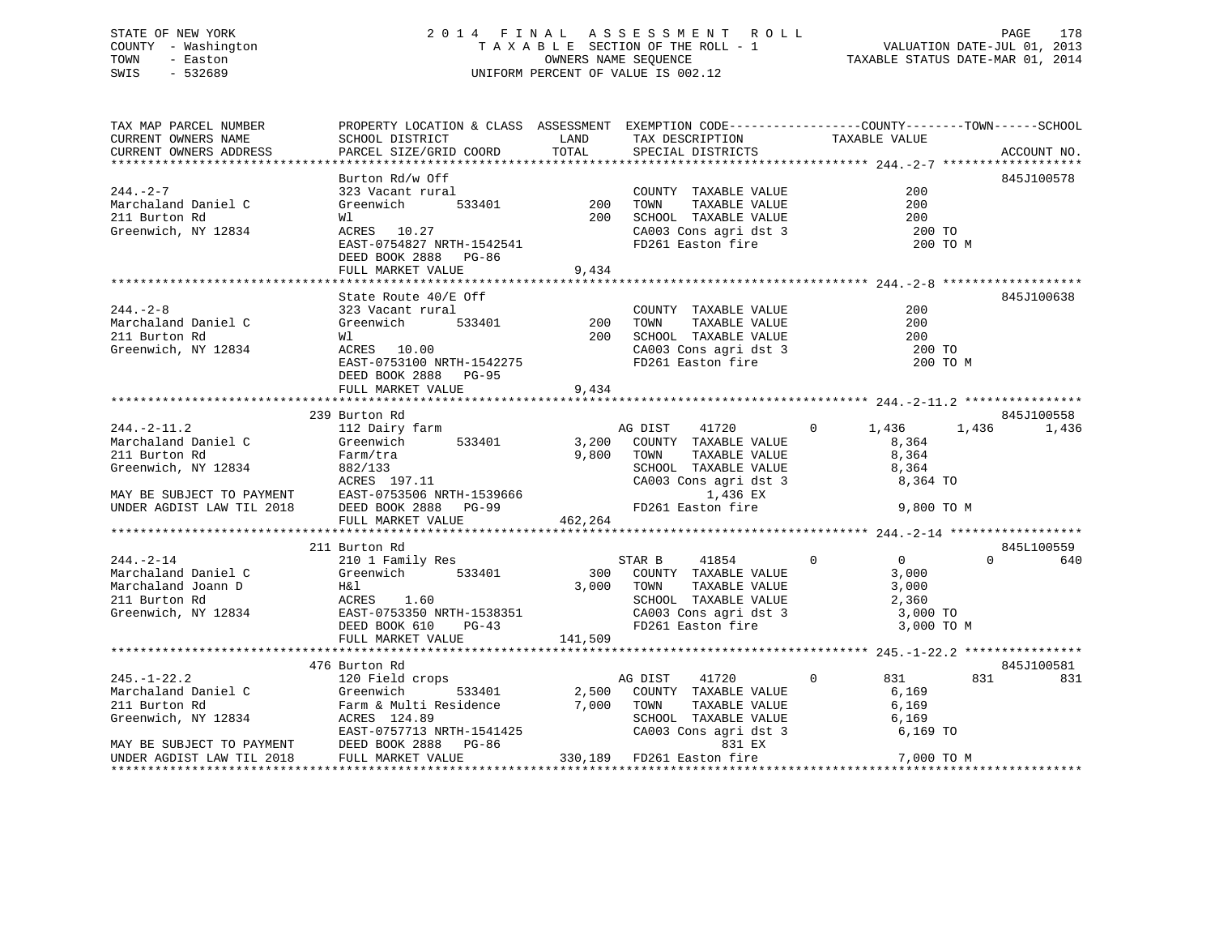# STATE OF NEW YORK 2014 FINAL ASSESSMENT ROLL PAGE 178 COUNTY - Washington  $T A X A B L E$  SECTION OF THE ROLL - 1<br>TOWN - Easton DATE-JUL 2001 OWNERS NAME SEQUENCE SWIS - 532689 UNIFORM PERCENT OF VALUE IS 002.12

TAXABLE STATUS DATE-MAR 01, 2014

| TAX MAP PARCEL NUMBER           | PROPERTY LOCATION & CLASS ASSESSMENT EXEMPTION CODE---------------COUNTY-------TOWN-----SCHOOL                                                                                                                                                                                                                                                                                                                                 |                        |                                                                                                                                                                                        |                                                     |                 |
|---------------------------------|--------------------------------------------------------------------------------------------------------------------------------------------------------------------------------------------------------------------------------------------------------------------------------------------------------------------------------------------------------------------------------------------------------------------------------|------------------------|----------------------------------------------------------------------------------------------------------------------------------------------------------------------------------------|-----------------------------------------------------|-----------------|
| CURRENT OWNERS NAME             | SCHOOL DISTRICT                                                                                                                                                                                                                                                                                                                                                                                                                |                        | TAX DESCRIPTION TAXABLE VALUE                                                                                                                                                          |                                                     |                 |
| CURRENT OWNERS ADDRESS          | PARCEL SIZE/GRID COORD                                                                                                                                                                                                                                                                                                                                                                                                         |                        | SPECIAL DISTRICTS                                                                                                                                                                      |                                                     | ACCOUNT NO.     |
|                                 |                                                                                                                                                                                                                                                                                                                                                                                                                                |                        |                                                                                                                                                                                        |                                                     |                 |
|                                 | Burton Rd/w Off                                                                                                                                                                                                                                                                                                                                                                                                                |                        |                                                                                                                                                                                        |                                                     | 845J100578      |
| $244. - 2 - 7$                  | 323 Vacant rural                                                                                                                                                                                                                                                                                                                                                                                                               |                        | rural COUNTY TAXABLE VALUE 533401 200 TOWN TAXABLE VALUE 200 SCHOOL TAXABLE VALUE                                                                                                      | 200                                                 |                 |
| Marchaland Daniel C             | Greenwich                                                                                                                                                                                                                                                                                                                                                                                                                      |                        |                                                                                                                                                                                        |                                                     |                 |
| 211 Burton Rd                   | Wl                                                                                                                                                                                                                                                                                                                                                                                                                             |                        |                                                                                                                                                                                        |                                                     |                 |
| Greenwich, NY 12834             | ACRES 10.27                                                                                                                                                                                                                                                                                                                                                                                                                    |                        | CA003 Cons agri dst 3<br>FD261 Easton fire                                                                                                                                             | $\begin{array}{c} 200 \\ 200 \\ 200 \end{array}$ TO |                 |
|                                 | EAST-0754827 NRTH-1542541                                                                                                                                                                                                                                                                                                                                                                                                      |                        |                                                                                                                                                                                        |                                                     | 200 TO M        |
|                                 | DEED BOOK 2888 PG-86                                                                                                                                                                                                                                                                                                                                                                                                           |                        |                                                                                                                                                                                        |                                                     |                 |
|                                 | FULL MARKET VALUE                                                                                                                                                                                                                                                                                                                                                                                                              | 9,434                  |                                                                                                                                                                                        |                                                     |                 |
|                                 |                                                                                                                                                                                                                                                                                                                                                                                                                                |                        |                                                                                                                                                                                        |                                                     |                 |
|                                 | State Route 40/E Off                                                                                                                                                                                                                                                                                                                                                                                                           |                        |                                                                                                                                                                                        |                                                     | 845J100638      |
| $244. - 2 - 8$                  | 323 Vacant rural                                                                                                                                                                                                                                                                                                                                                                                                               |                        | COUNTY TAXABLE VALUE                                                                                                                                                                   | 200                                                 |                 |
| Marchaland Daniel C             | Greenwich                                                                                                                                                                                                                                                                                                                                                                                                                      | $\frac{1}{533401}$ 200 | TAXABLE VALUE<br>TOWN                                                                                                                                                                  | 200                                                 |                 |
| 211 Burton Rd                   | Wl                                                                                                                                                                                                                                                                                                                                                                                                                             |                        | 200 SCHOOL TAXABLE VALUE<br>SCHOOL TAXABLE VALUE<br>CA003 Cons agri dst 3                                                                                                              | 200                                                 |                 |
| Greenwich, NY 12834 ACRES 10.00 | ACRES 10.00<br>EAST-0753100 NRTH-1542275                                                                                                                                                                                                                                                                                                                                                                                       |                        |                                                                                                                                                                                        | 200 TO                                              |                 |
|                                 |                                                                                                                                                                                                                                                                                                                                                                                                                                |                        | FD261 Easton fire                                                                                                                                                                      |                                                     | 200 TO M        |
|                                 | DEED BOOK 2888 PG-95                                                                                                                                                                                                                                                                                                                                                                                                           |                        |                                                                                                                                                                                        |                                                     |                 |
|                                 | FULL MARKET VALUE                                                                                                                                                                                                                                                                                                                                                                                                              | 9,434                  |                                                                                                                                                                                        |                                                     |                 |
|                                 |                                                                                                                                                                                                                                                                                                                                                                                                                                |                        |                                                                                                                                                                                        |                                                     |                 |
|                                 | 239 Burton Rd                                                                                                                                                                                                                                                                                                                                                                                                                  |                        |                                                                                                                                                                                        |                                                     | 845J100558      |
| $244. -2 - 11.2$                | 112 Dairy farm<br>Greenwich 533401<br>Farm/tra<br>882/133                                                                                                                                                                                                                                                                                                                                                                      |                        | AG DIST 41720                                                                                                                                                                          | $0 \t 1,436$                                        | 1,436 1,436     |
| Marchaland Daniel C             | 533401                                                                                                                                                                                                                                                                                                                                                                                                                         |                        | 3,200 COUNTY TAXABLE VALUE                                                                                                                                                             | 8,364                                               |                 |
|                                 | 211 Burton Rd<br>Greenwich, NY 12834<br>Greenwich, NY 12834<br>ACRES 197.11<br>MAY BE SUBJECT TO PAYMENT<br>EAST-0753506 NRTH-1539666<br>UNDER AGDIST LAW TIL 2018<br>TOWN TAXABLE VALU<br>CA003 Cons agri dst<br>1,436 EX<br>UNDER AGDIST LAW TIL                                                                                                                                                                             |                        |                                                                                                                                                                                        | TAXABLE VALUE 8,364<br>TAXABLE VALUE 8,364          |                 |
|                                 |                                                                                                                                                                                                                                                                                                                                                                                                                                |                        | SCHOOL TAXABLE VALUE 8,364<br>CA003 Cons agri dst 3 8,364 TO                                                                                                                           |                                                     |                 |
|                                 |                                                                                                                                                                                                                                                                                                                                                                                                                                |                        |                                                                                                                                                                                        |                                                     |                 |
|                                 |                                                                                                                                                                                                                                                                                                                                                                                                                                |                        |                                                                                                                                                                                        |                                                     |                 |
|                                 |                                                                                                                                                                                                                                                                                                                                                                                                                                |                        |                                                                                                                                                                                        | 9,800 TO M                                          |                 |
|                                 | FULL MARKET VALUE                                                                                                                                                                                                                                                                                                                                                                                                              | 462,264                |                                                                                                                                                                                        |                                                     |                 |
|                                 |                                                                                                                                                                                                                                                                                                                                                                                                                                |                        |                                                                                                                                                                                        |                                                     |                 |
|                                 | $\begin{tabular}{llllllll} 244.-2-14 & 210&\text{Burton }\kappa\texttt{a} & 210&\text{Family }\kappa\texttt{es} & S \\ \texttt{Marchaland Daniel C} & \texttt{Greenwich} & 533401 & 300 \\ \texttt{Marchaland Joan} & \texttt{Ioann D} & \texttt{H\&l} & 3,000 \\ \texttt{211 Burton }\kappa\texttt{d} & \texttt{ACRES} & 1.60 & 3,000 \\ \texttt{Greenwich, NY 12834} & \texttt{EAST-0753350 NRTH-1538351} & \\ \texttt{DRED$ |                        |                                                                                                                                                                                        |                                                     | 845L100559      |
|                                 |                                                                                                                                                                                                                                                                                                                                                                                                                                |                        |                                                                                                                                                                                        |                                                     | $\Omega$<br>640 |
|                                 |                                                                                                                                                                                                                                                                                                                                                                                                                                |                        | $\begin{tabular}{lcccccc} \texttt{STAR} & B & & 41854 & & 0 & & 0 \\ \texttt{COUNTY} & \texttt{TAXABLE VALUE} & & & 3,000 \end{tabular}$<br>STAR B 41854 0<br>300 COUNTY TAXABLE VALUE |                                                     |                 |
|                                 |                                                                                                                                                                                                                                                                                                                                                                                                                                | 3,000 TOWN             |                                                                                                                                                                                        | TAXABLE VALUE 3,000                                 |                 |
|                                 |                                                                                                                                                                                                                                                                                                                                                                                                                                |                        | SCHOOL TAXABLE VALUE 2,360<br>CA003 Cons agri dst 3 3 3,000 TO                                                                                                                         |                                                     |                 |
|                                 |                                                                                                                                                                                                                                                                                                                                                                                                                                |                        |                                                                                                                                                                                        |                                                     |                 |
|                                 |                                                                                                                                                                                                                                                                                                                                                                                                                                |                        | FD261 Easton fire                                                                                                                                                                      | 3,000 TO M                                          |                 |
|                                 | FULL MARKET VALUE                                                                                                                                                                                                                                                                                                                                                                                                              | 141,509                |                                                                                                                                                                                        |                                                     |                 |
|                                 |                                                                                                                                                                                                                                                                                                                                                                                                                                |                        |                                                                                                                                                                                        |                                                     |                 |
|                                 | 476 Burton Rd                                                                                                                                                                                                                                                                                                                                                                                                                  |                        |                                                                                                                                                                                        |                                                     | 845J100581      |
|                                 |                                                                                                                                                                                                                                                                                                                                                                                                                                |                        | AG DIST 41720 0 831                                                                                                                                                                    |                                                     | 831 831         |
|                                 |                                                                                                                                                                                                                                                                                                                                                                                                                                |                        | 533401 2,500 COUNTY TAXABLE VALUE                                                                                                                                                      | 6,169                                               |                 |
|                                 |                                                                                                                                                                                                                                                                                                                                                                                                                                |                        |                                                                                                                                                                                        |                                                     |                 |
|                                 |                                                                                                                                                                                                                                                                                                                                                                                                                                |                        |                                                                                                                                                                                        |                                                     |                 |
|                                 |                                                                                                                                                                                                                                                                                                                                                                                                                                |                        |                                                                                                                                                                                        | 6,169 TO                                            |                 |
|                                 |                                                                                                                                                                                                                                                                                                                                                                                                                                |                        |                                                                                                                                                                                        |                                                     |                 |
|                                 | 245.-1-22.2<br>Marchaland Daniel C<br>2.500 COUNTY<br>211 Burton Rd<br>Greenwich, NY 12834<br>MAY BE SUBJECT TO PAYMENT<br>MAY BE SUBJECT TO PAYMENT<br>TO PAYMENT<br>ERST-0757713 NRTH-1541425<br>MAY BE SUBJECT TO PAYMENT<br>DEED BOOK 2888 PG-<br>ACRES 124.89<br>EAST-0757713 NRTH-1541425<br>DEED BOOK 2888 PG-86<br>FULL MARKET VALUE 330,189 FD261 Easton fire<br>FULL MARKET VALUE 330,189 FD261 Easton fire          |                        |                                                                                                                                                                                        | 7,000 TO M                                          |                 |
|                                 |                                                                                                                                                                                                                                                                                                                                                                                                                                |                        |                                                                                                                                                                                        |                                                     |                 |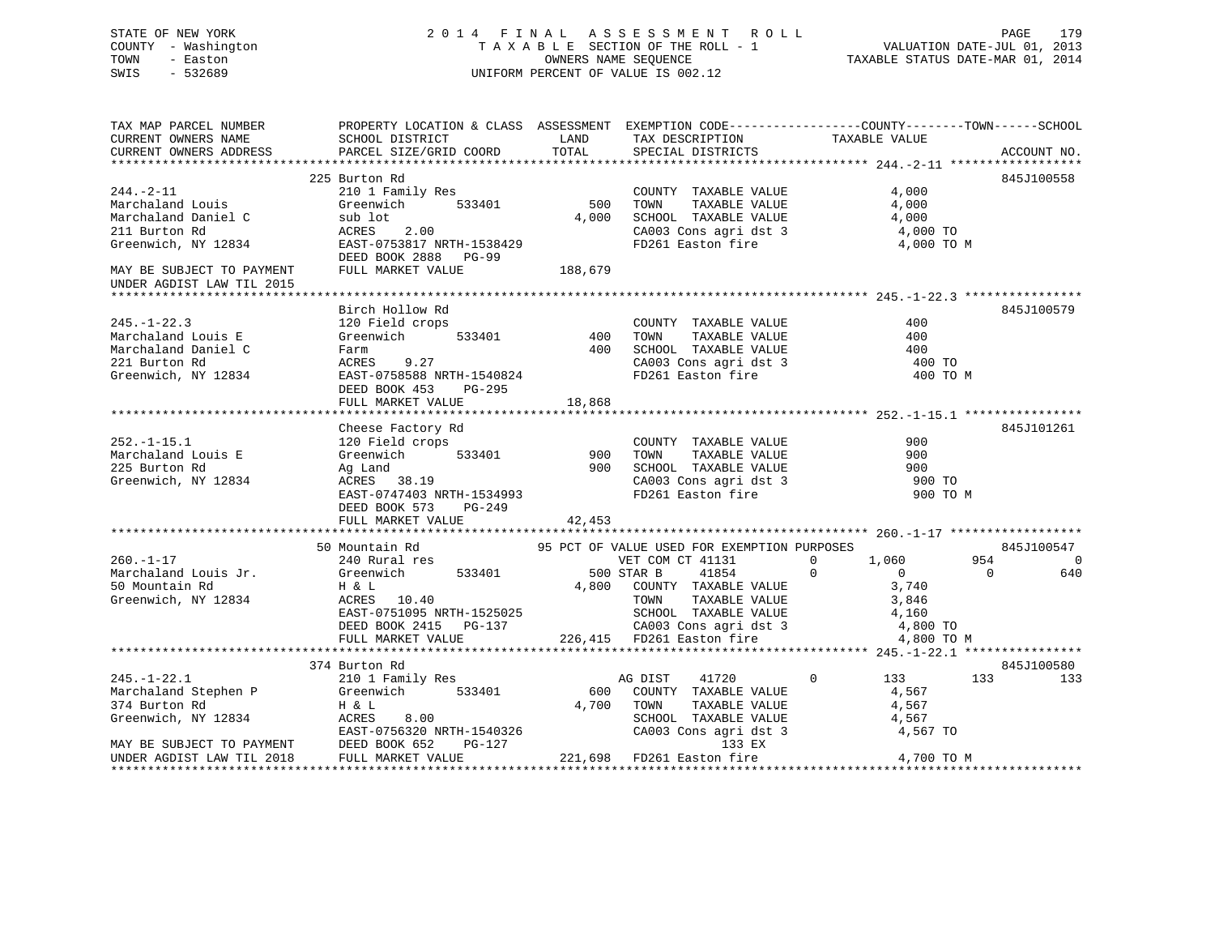STATE OF NEW YORK 2 0 1 4 F I N A L A S S E S S M E N T R O L L PAGE 179 COUNTY - Washington T A X A B L E SECTION OF THE ROLL - 1 VALUATION DATE-JUL 01, 2013 TOWN - Easton OWNERS NAME SEQUENCE TAXABLE STATUS DATE-MAR 01, 2014 SWIS - 532689 UNIFORM PERCENT OF VALUE IS 002.12

TAX MAP PARCEL NUMBER PROPERTY LOCATION & CLASS ASSESSMENT EXEMPTION CODE------------------COUNTY--------TOWN------SCHOOL CURRENT OWNERS NAME SCHOOL DISTRICT LAND TAX DESCRIPTION TAXABLE VALUE CURRENT OWNERS ADDRESS PARCEL SIZE/GRID COORD TOTAL SPECIAL DISTRICTS ACCOUNT NO. \*\*\*\*\*\*\*\*\*\*\*\*\*\*\*\*\*\*\*\*\*\*\*\*\*\*\*\*\*\*\*\*\*\*\*\*\*\*\*\*\*\*\*\*\*\*\*\*\*\*\*\*\*\*\*\*\*\*\*\*\*\*\*\*\*\*\*\*\*\*\*\*\*\*\*\*\*\*\*\*\*\*\*\*\*\*\*\*\*\*\*\*\*\*\*\*\*\*\*\*\*\*\* 244.-2-11 \*\*\*\*\*\*\*\*\*\*\*\*\*\*\*\*\*\* 225 Burton Rd 845J100558244.-2-11 210 1 Family Res COUNTY TAXABLE VALUE 4,000 Marchaland Louis Greenwich 533401 500 TOWN TAXABLE VALUE 4,000 Marchaland Daniel C sub lot 4,000 SCHOOL TAXABLE VALUE 4,000 211 Burton Rd ACRES 2.00 CA003 Cons agri dst 3 4,000 TO Greenwich, NY 12834 EAST-0753817 NRTH-1538429 FD261 Easton fire 4,000 TO M DEED BOOK 2888 PG-99MAY BE SUBJECT TO PAYMENT FULL MARKET VALUE 188,679 UNDER AGDIST LAW TIL 2015 \*\*\*\*\*\*\*\*\*\*\*\*\*\*\*\*\*\*\*\*\*\*\*\*\*\*\*\*\*\*\*\*\*\*\*\*\*\*\*\*\*\*\*\*\*\*\*\*\*\*\*\*\*\*\*\*\*\*\*\*\*\*\*\*\*\*\*\*\*\*\*\*\*\*\*\*\*\*\*\*\*\*\*\*\*\*\*\*\*\*\*\*\*\*\*\*\*\*\*\*\*\*\* 245.-1-22.3 \*\*\*\*\*\*\*\*\*\*\*\*\*\*\*\*Birch Hollow Rd 845J100579 245.-1-22.3 120 Field crops COUNTY TAXABLE VALUE 400 Marchaland Louis E Greenwich 533401 400 TOWN TAXABLE VALUE 400Marchaland Daniel C Farm 400 SCHOOL TAXABLE VALUE 400221 Burton Rd ACRES 9.27 CA003 Cons agri dst 3 400 TO Greenwich, NY 12834 EAST-0758588 NRTH-1540824 FD261 Easton fire 400 TO M DEED BOOK 453 PG-295 FULL MARKET VALUE 18,868 \*\*\*\*\*\*\*\*\*\*\*\*\*\*\*\*\*\*\*\*\*\*\*\*\*\*\*\*\*\*\*\*\*\*\*\*\*\*\*\*\*\*\*\*\*\*\*\*\*\*\*\*\*\*\*\*\*\*\*\*\*\*\*\*\*\*\*\*\*\*\*\*\*\*\*\*\*\*\*\*\*\*\*\*\*\*\*\*\*\*\*\*\*\*\*\*\*\*\*\*\*\*\* 252.-1-15.1 \*\*\*\*\*\*\*\*\*\*\*\*\*\*\*\*Cheese Factory Rd 845J101261 252.-1-15.1 120 Field crops COUNTY TAXABLE VALUE 900 Marchaland Louis E Greenwich 533401 900 TOWN TAXABLE VALUE 900225 Burton Rd Ag Land 900 SCHOOL TAXABLE VALUE 900 Greenwich, NY 12834 ACRES 38.19 CA003 Cons agri dst 3 900 TO ACRES 38.19<br>
EAST-0747403 NRTH-1534993 FD261 Easton fire 900 TO M DEED BOOK 573 PG-249 FULL MARKET VALUE 42,453 \*\*\*\*\*\*\*\*\*\*\*\*\*\*\*\*\*\*\*\*\*\*\*\*\*\*\*\*\*\*\*\*\*\*\*\*\*\*\*\*\*\*\*\*\*\*\*\*\*\*\*\*\*\*\*\*\*\*\*\*\*\*\*\*\*\*\*\*\*\*\*\*\*\*\*\*\*\*\*\*\*\*\*\*\*\*\*\*\*\*\*\*\*\*\*\*\*\*\*\*\*\*\* 260.-1-17 \*\*\*\*\*\*\*\*\*\*\*\*\*\*\*\*\*\* 50 Mountain Rd 95 PCT OF VALUE USED FOR EXEMPTION PURPOSES 845J100547 260.-1-17 240 Rural res VET COM CT 41131 0 1,060 954 0 Marchaland Louis Jr. Greenwich 533401 500 STAR B 41854 0 0 0 640 50 Mountain Rd H & L 4,800 COUNTY TAXABLE VALUE 3,740 Greenwich, NY 12834 ACRES 10.40 TOWN TAXABLE VALUE 3,846 EAST-0751095 NRTH-1525025 SCHOOL TAXABLE VALUE 4,160 DEED BOOK 2415 PG-137 CA003 Cons agri dst 3 4,800 TO FULL MARKET VALUE 226,415 FD261 Easton fire 4,800 TO M \*\*\*\*\*\*\*\*\*\*\*\*\*\*\*\*\*\*\*\*\*\*\*\*\*\*\*\*\*\*\*\*\*\*\*\*\*\*\*\*\*\*\*\*\*\*\*\*\*\*\*\*\*\*\*\*\*\*\*\*\*\*\*\*\*\*\*\*\*\*\*\*\*\*\*\*\*\*\*\*\*\*\*\*\*\*\*\*\*\*\*\*\*\*\*\*\*\*\*\*\*\*\* 245.-1-22.1 \*\*\*\*\*\*\*\*\*\*\*\*\*\*\*\* 374 Burton Rd 845J100580 245.-1-22.1 210 1 Family Res AG DIST 41720 0 133 133 133 Marchaland Stephen P Greenwich 533401 600 COUNTY TAXABLE VALUE 4,567 374 Burton Rd H & L 4,700 TOWN TAXABLE VALUE 4,567 Greenwich, NY 12834 ACRES 8.00 SCHOOL TAXABLE VALUE 4,567 EAST-0756320 NRTH-1540326 CA003 Cons agri dst 3 4,567 TO MAY BE SUBJECT TO PAYMENT DEED BOOK 652 PG-127 133 EXUNDER AGDIST LAW TIL 2018 FULL MARKET VALUE 221,698 FD261 Easton fire 4,700 TO M \*\*\*\*\*\*\*\*\*\*\*\*\*\*\*\*\*\*\*\*\*\*\*\*\*\*\*\*\*\*\*\*\*\*\*\*\*\*\*\*\*\*\*\*\*\*\*\*\*\*\*\*\*\*\*\*\*\*\*\*\*\*\*\*\*\*\*\*\*\*\*\*\*\*\*\*\*\*\*\*\*\*\*\*\*\*\*\*\*\*\*\*\*\*\*\*\*\*\*\*\*\*\*\*\*\*\*\*\*\*\*\*\*\*\*\*\*\*\*\*\*\*\*\*\*\*\*\*\*\*\*\*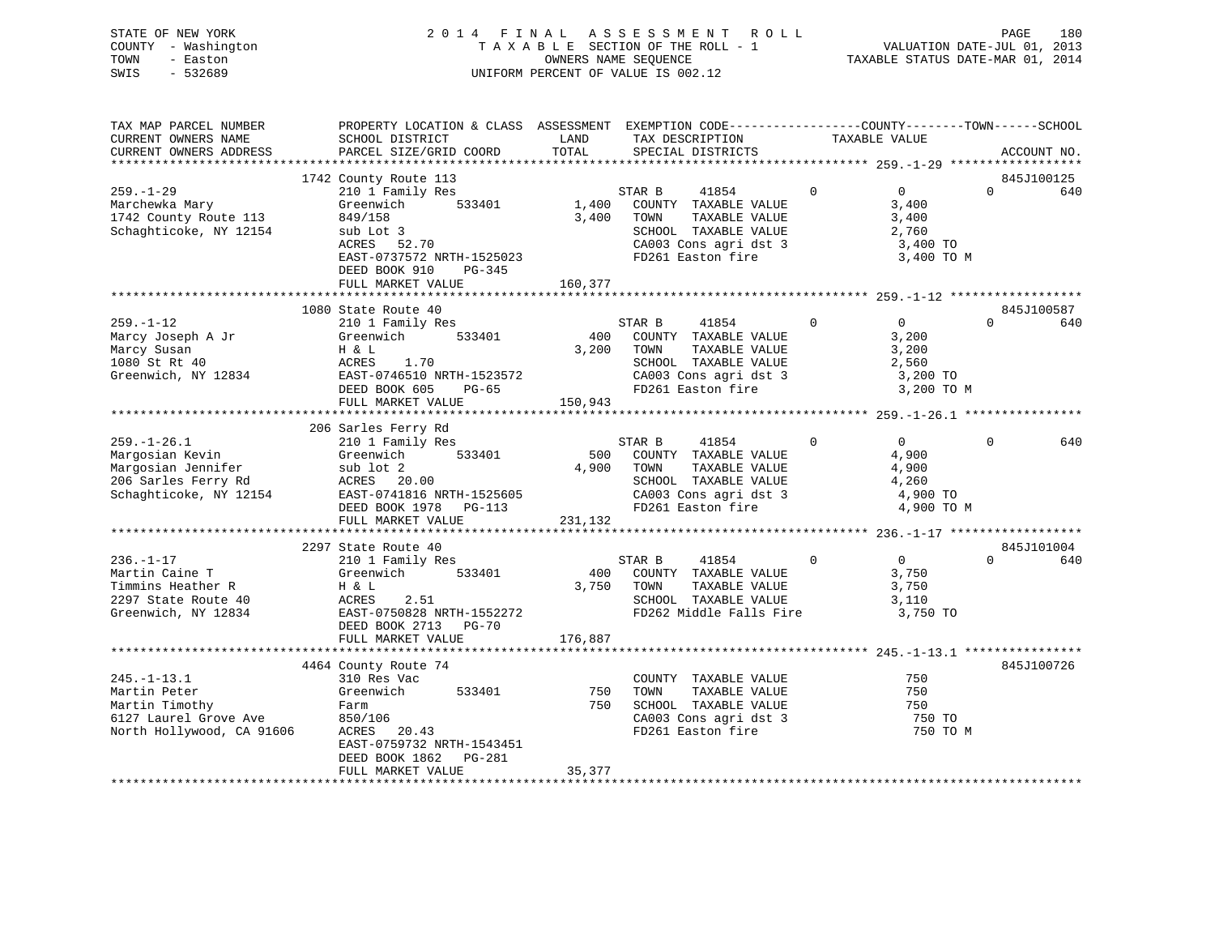| STATE OF NEW YORK   | 2014 FINAL ASSESSMENT ROLL         | 180<br>PAGE                      |
|---------------------|------------------------------------|----------------------------------|
| COUNTY - Washington | TAXABLE SECTION OF THE ROLL - 1    | VALUATION DATE-JUL 01, 2013      |
| TOWN<br>- Easton    | OWNERS NAME SEOUENCE               | TAXABLE STATUS DATE-MAR 01, 2014 |
| $-532689$<br>SWIS   | UNIFORM PERCENT OF VALUE IS 002.12 |                                  |

| TAX MAP PARCEL NUMBER     |                           |            |                                            | PROPERTY LOCATION & CLASS ASSESSMENT EXEMPTION CODE---------------COUNTY-------TOWN-----SCHOOL |                   |          |             |
|---------------------------|---------------------------|------------|--------------------------------------------|------------------------------------------------------------------------------------------------|-------------------|----------|-------------|
| CURRENT OWNERS NAME       | SCHOOL DISTRICT           | LAND       | TAX DESCRIPTION                            |                                                                                                | TAXABLE VALUE     |          |             |
| CURRENT OWNERS ADDRESS    | PARCEL SIZE/GRID COORD    | TOTAL      | SPECIAL DISTRICTS                          |                                                                                                |                   |          | ACCOUNT NO. |
|                           |                           |            |                                            |                                                                                                |                   |          |             |
|                           | 1742 County Route 113     |            |                                            |                                                                                                |                   |          | 845J100125  |
| $259. - 1 - 29$           | 210 1 Family Res          |            | 41854<br>STAR B                            | $\mathbf{0}$                                                                                   | $0 \qquad \qquad$ | $\Omega$ | 640         |
| Marchewka Mary            | 533401<br>Greenwich       | 1,400      | COUNTY TAXABLE VALUE                       |                                                                                                | 3,400             |          |             |
| 1742 County Route 113     | 849/158                   | 3,400      | TOWN<br>TAXABLE VALUE                      |                                                                                                | 3,400             |          |             |
| Schaghticoke, NY 12154    | sub Lot 3                 |            | SCHOOL TAXABLE VALUE                       |                                                                                                | 2,760             |          |             |
|                           | ACRES 52.70               |            |                                            |                                                                                                | 3,400 TO          |          |             |
|                           | EAST-0737572 NRTH-1525023 |            | CA003 Cons agri dst 3<br>FD261 Easton fire |                                                                                                | 3,400 TO M        |          |             |
|                           | DEED BOOK 910<br>PG-345   |            |                                            |                                                                                                |                   |          |             |
|                           | FULL MARKET VALUE         | 160,377    |                                            |                                                                                                |                   |          |             |
|                           |                           |            |                                            |                                                                                                |                   |          |             |
|                           | 1080 State Route 40       |            |                                            |                                                                                                |                   |          | 845J100587  |
| $259. - 1 - 12$           |                           |            | STAR B<br>41854                            | $\overline{0}$                                                                                 | $\overline{0}$    | $\Omega$ | 640         |
|                           | 210 1 Family Res          |            |                                            |                                                                                                |                   |          |             |
| Marcy Joseph A Jr         | 533401<br>Greenwich       |            | 400 COUNTY TAXABLE VALUE                   |                                                                                                | 3,200             |          |             |
| Marcy Susan               | H & L                     | 3,200 TOWN | TAXABLE VALUE                              |                                                                                                | 3,200             |          |             |
| 1080 St Rt 40             | ACRES<br>1.70             |            | SCHOOL TAXABLE VALUE                       |                                                                                                | 2,560             |          |             |
| Greenwich, NY 12834       | EAST-0746510 NRTH-1523572 |            | CA003 Cons agri dst 3                      |                                                                                                | 3,200 TO          |          |             |
|                           | DEED BOOK 605<br>PG-65    |            | FD261 Easton fire                          |                                                                                                | 3,200 TO M        |          |             |
|                           | FULL MARKET VALUE         | 150,943    |                                            |                                                                                                |                   |          |             |
|                           |                           |            |                                            |                                                                                                |                   |          |             |
|                           | 206 Sarles Ferry Rd       |            |                                            |                                                                                                |                   |          |             |
| $259. - 1 - 26.1$         | 210 1 Family Res          |            | STAR B<br>41854                            | $\Omega$                                                                                       | $\Omega$          | $\Omega$ | 640         |
| Margosian Kevin           | 533401<br>Greenwich       | 500        | COUNTY TAXABLE VALUE                       |                                                                                                | 4,900             |          |             |
| Margosian Jennifer        | sub lot 2                 | 4,900      | TOWN<br>TAXABLE VALUE                      |                                                                                                | 4,900             |          |             |
| 206 Sarles Ferry Rd       | ACRES 20.00               |            | SCHOOL TAXABLE VALUE                       |                                                                                                | 4,260             |          |             |
| Schaghticoke, NY 12154    | EAST-0741816 NRTH-1525605 |            |                                            |                                                                                                | 4,900 TO          |          |             |
|                           | DEED BOOK 1978 PG-113     |            | CA003 Cons agri dst 3<br>FD261 Easton fire |                                                                                                | 4,900 TO M        |          |             |
|                           | FULL MARKET VALUE         | 231,132    |                                            |                                                                                                |                   |          |             |
|                           |                           |            |                                            |                                                                                                |                   |          |             |
|                           | 2297 State Route 40       |            |                                            |                                                                                                |                   |          | 845J101004  |
| $236. - 1 - 17$           |                           |            | STAR B<br>41854                            | $\mathbf 0$                                                                                    | $\overline{0}$    | $\Omega$ | 640         |
|                           | 210 1 Family Res          |            |                                            |                                                                                                |                   |          |             |
| Martin Caine T            | Greenwich<br>533401       | 400        | COUNTY TAXABLE VALUE                       |                                                                                                | 3,750             |          |             |
| Timmins Heather R         | H & L                     | 3,750 TOWN | TAXABLE VALUE                              |                                                                                                | 3,750             |          |             |
| 2297 State Route 40       | ACRES<br>2.51             |            | SCHOOL TAXABLE VALUE                       |                                                                                                | 3,110             |          |             |
| Greenwich, NY 12834       | EAST-0750828 NRTH-1552272 |            | FD262 Middle Falls Fire                    |                                                                                                | 3,750 TO          |          |             |
|                           | DEED BOOK 2713 PG-70      |            |                                            |                                                                                                |                   |          |             |
|                           | FULL MARKET VALUE         | 176,887    |                                            |                                                                                                |                   |          |             |
|                           |                           |            |                                            |                                                                                                |                   |          |             |
|                           | 4464 County Route 74      |            |                                            |                                                                                                |                   |          | 845J100726  |
| $245. - 1 - 13.1$         | 310 Res Vac               |            | COUNTY TAXABLE VALUE                       |                                                                                                | 750               |          |             |
| Martin Peter              | Greenwich<br>533401       | 750        | TOWN<br>TAXABLE VALUE                      |                                                                                                | 750               |          |             |
| Martin Timothy            | Farm                      | 750        | SCHOOL TAXABLE VALUE                       |                                                                                                | 750               |          |             |
| 6127 Laurel Grove Ave     | 850/106                   |            | CA003 Cons agri dst 3                      |                                                                                                | 750 TO            |          |             |
| North Hollywood, CA 91606 | ACRES<br>20.43            |            | FD261 Easton fire                          |                                                                                                | 750 TO M          |          |             |
|                           | EAST-0759732 NRTH-1543451 |            |                                            |                                                                                                |                   |          |             |
|                           | DEED BOOK 1862 PG-281     |            |                                            |                                                                                                |                   |          |             |
|                           | FULL MARKET VALUE         | 35,377     |                                            |                                                                                                |                   |          |             |
|                           |                           |            |                                            |                                                                                                |                   |          |             |
|                           |                           |            |                                            |                                                                                                |                   |          |             |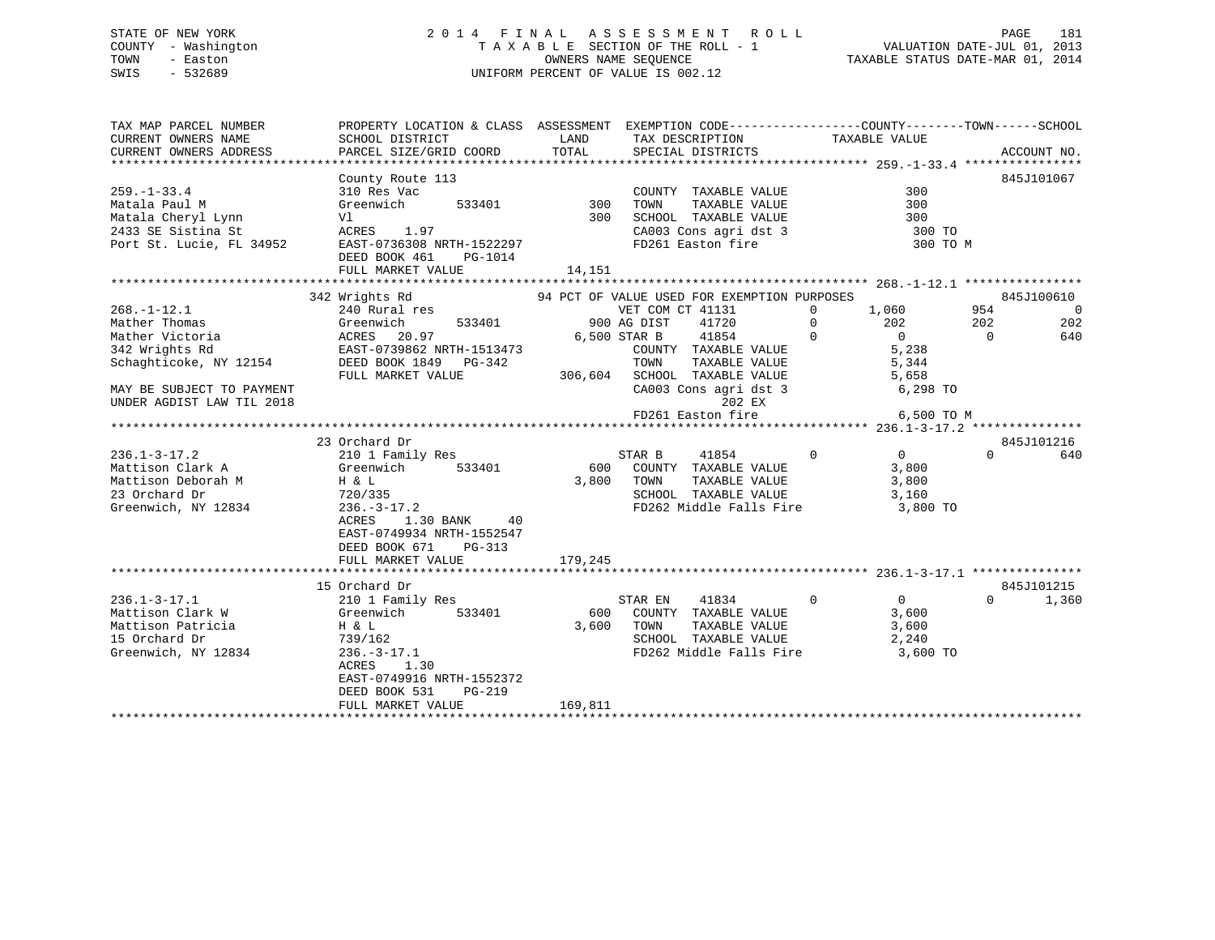# STATE OF NEW YORK 2 0 1 4 F I N A L A S S E S S M E N T R O L L PAGE 181 COUNTY - Washington T A X A B L E SECTION OF THE ROLL - 1 VALUATION DATE-JUL 01, 2013 TOWN - Easton OWNERS NAME SEQUENCE TAXABLE STATUS DATE-MAR 01, 2014 SWIS - 532689 UNIFORM PERCENT OF VALUE IS 002.12

| TAX MAP PARCEL NUMBER                        | PROPERTY LOCATION & CLASS ASSESSMENT EXEMPTION CODE---------------COUNTY-------TOWN-----SCHOOL |         |                                                                                                         |                                                        |                |                |
|----------------------------------------------|------------------------------------------------------------------------------------------------|---------|---------------------------------------------------------------------------------------------------------|--------------------------------------------------------|----------------|----------------|
| CURRENT OWNERS NAME                          | SCHOOL DISTRICT                                                                                | LAND    | TAX DESCRIPTION                                                                                         | TAXABLE VALUE                                          |                |                |
|                                              |                                                                                                |         |                                                                                                         |                                                        |                |                |
|                                              |                                                                                                |         |                                                                                                         |                                                        |                |                |
|                                              | County Route 113                                                                               |         |                                                                                                         |                                                        |                | 845J101067     |
| $259. - 1 - 33.4$                            | 310 Res Vac<br>Greenwich 533401 300                                                            |         | COUNTY TAXABLE VALUE<br>TOWN TAXABLE VALUE                                                              | 300                                                    |                |                |
| Matala Paul M                                |                                                                                                |         | TOWN                                                                                                    | 300                                                    |                |                |
|                                              | Vl                                                                                             |         |                                                                                                         |                                                        |                |                |
| Matala Cheryl Lynn<br>2433 SE Sistina St     | ACRES 1.97                                                                                     |         | 300 SCHOOL TAXABLE VALUE 300<br>CA003 Cons agri dst 3 300 TO<br>FD261 Easton fire 300 TO                |                                                        |                |                |
| Port St. Lucie, FL 34952                     | EAST-0736308 NRTH-1522297                                                                      |         |                                                                                                         | 300 TO M                                               |                |                |
|                                              | DEED BOOK 461<br>PG-1014                                                                       |         |                                                                                                         |                                                        |                |                |
|                                              | FULL MARKET VALUE                                                                              | 14,151  |                                                                                                         |                                                        |                |                |
|                                              |                                                                                                |         |                                                                                                         |                                                        |                |                |
|                                              | 342 Wrights Rd                                                                                 |         | 94 PCT OF VALUE USED FOR EXEMPTION PURPOSES                                                             |                                                        |                | 845J100610     |
| $268. - 1 - 12.1$                            | 240 Rural res                                                                                  |         | VET COM CT 41131                                                                                        | $0 \t 1,060$                                           | 954            | $\overline{0}$ |
| Mather Thomas                                | 533401                                                                                         |         | 900 AG DIST<br>41720                                                                                    | $\begin{array}{ccc} 0 & 202 \end{array}$               | 202            | 202            |
| Mather Victoria                              | Greenwich 533401<br>ACRES 20.97<br>EAST-0739862 NRTH-1513473                                   |         | 6,500 STAR B                                                                                            |                                                        | $\overline{0}$ | 640            |
| 342 Wrights Rd                               |                                                                                                |         |                                                                                                         |                                                        |                |                |
| Schaghticoke, NY 12154 DEED BOOK 1849 PG-342 |                                                                                                |         |                                                                                                         |                                                        |                |                |
|                                              | FULL MARKET VALUE                                                                              |         |                                                                                                         |                                                        |                |                |
| MAY BE SUBJECT TO PAYMENT                    |                                                                                                |         | 99-342 TOWN TAXABLE VALUE 5,344<br>306,604 SCHOOL TAXABLE VALUE 5,658<br>CA003 Cons agri dst 3 6,298 TO |                                                        |                |                |
| UNDER AGDIST LAW TIL 2018                    |                                                                                                |         | 202 EX                                                                                                  |                                                        |                |                |
|                                              |                                                                                                |         |                                                                                                         |                                                        |                |                |
|                                              |                                                                                                |         |                                                                                                         |                                                        |                |                |
|                                              | 23 Orchard Dr                                                                                  |         |                                                                                                         |                                                        |                | 845J101216     |
| $236.1 - 3 - 17.2$                           | 210 1 Family Res                                                                               |         | 41854<br>STAR B                                                                                         | $\begin{array}{ccc} & & & 0 & \quad & & 0 \end{array}$ | $\Omega$       | 640            |
| Mattison Clark A Greenwich                   | 533401                                                                                         |         | 600 COUNTY TAXABLE VALUE                                                                                | 3,800                                                  |                |                |
| Mattison Deborah M<br>23 Orchard Dr          |                                                                                                | 3,800   | TOWN<br>TAXABLE VALUE                                                                                   | 3,800                                                  |                |                |
|                                              | Н & L<br>720/335                                                                               |         | SCHOOL TAXABLE VALUE                                                                                    | 3,160                                                  |                |                |
| Greenwich, NY 12834                          | $236. - 3 - 17.2$                                                                              |         | FD262 Middle Falls Fire 3,800 TO                                                                        |                                                        |                |                |
|                                              | 1.30 BANK 40<br>ACRES                                                                          |         |                                                                                                         |                                                        |                |                |
|                                              | EAST-0749934 NRTH-1552547                                                                      |         |                                                                                                         |                                                        |                |                |
|                                              | DEED BOOK 671 PG-313                                                                           |         |                                                                                                         |                                                        |                |                |
|                                              | FULL MARKET VALUE                                                                              | 179,245 |                                                                                                         |                                                        |                |                |
|                                              |                                                                                                |         |                                                                                                         |                                                        |                |                |
|                                              | 15 Orchard Dr                                                                                  |         |                                                                                                         |                                                        |                | 845J101215     |
| $236.1 - 3 - 17.1$                           | 210 1 Family Res                                                                               |         | STAR EN<br>41834                                                                                        | $\begin{array}{ccc} & & & 0 & \quad & & 0 \end{array}$ | $\Omega$       | 1,360          |
| Mattison Clark W                             | Greenwich 533401                                                                               | 600     | COUNTY TAXABLE VALUE                                                                                    | 3,600                                                  |                |                |
| Mattison Patricia<br>11 Oktober Dr           | $H$ & $L$                                                                                      | 3,600   |                                                                                                         | 3,600                                                  |                |                |
|                                              | 739/162                                                                                        |         | TOWN      TAXABLE  VALUE<br>SCHOOL   TAXABLE  VALUE                                                     | 2,240                                                  |                |                |
| Greenwich, NY 12834                          | $236. - 3 - 17.1$                                                                              |         | FD262 Middle Falls Fire 3,600 TO                                                                        |                                                        |                |                |
|                                              | ACRES<br>1.30                                                                                  |         |                                                                                                         |                                                        |                |                |
|                                              | EAST-0749916 NRTH-1552372                                                                      |         |                                                                                                         |                                                        |                |                |
|                                              | DEED BOOK 531<br>$PG-219$                                                                      |         |                                                                                                         |                                                        |                |                |
|                                              | FULL MARKET VALUE                                                                              | 169,811 |                                                                                                         |                                                        |                |                |
|                                              |                                                                                                |         |                                                                                                         |                                                        |                |                |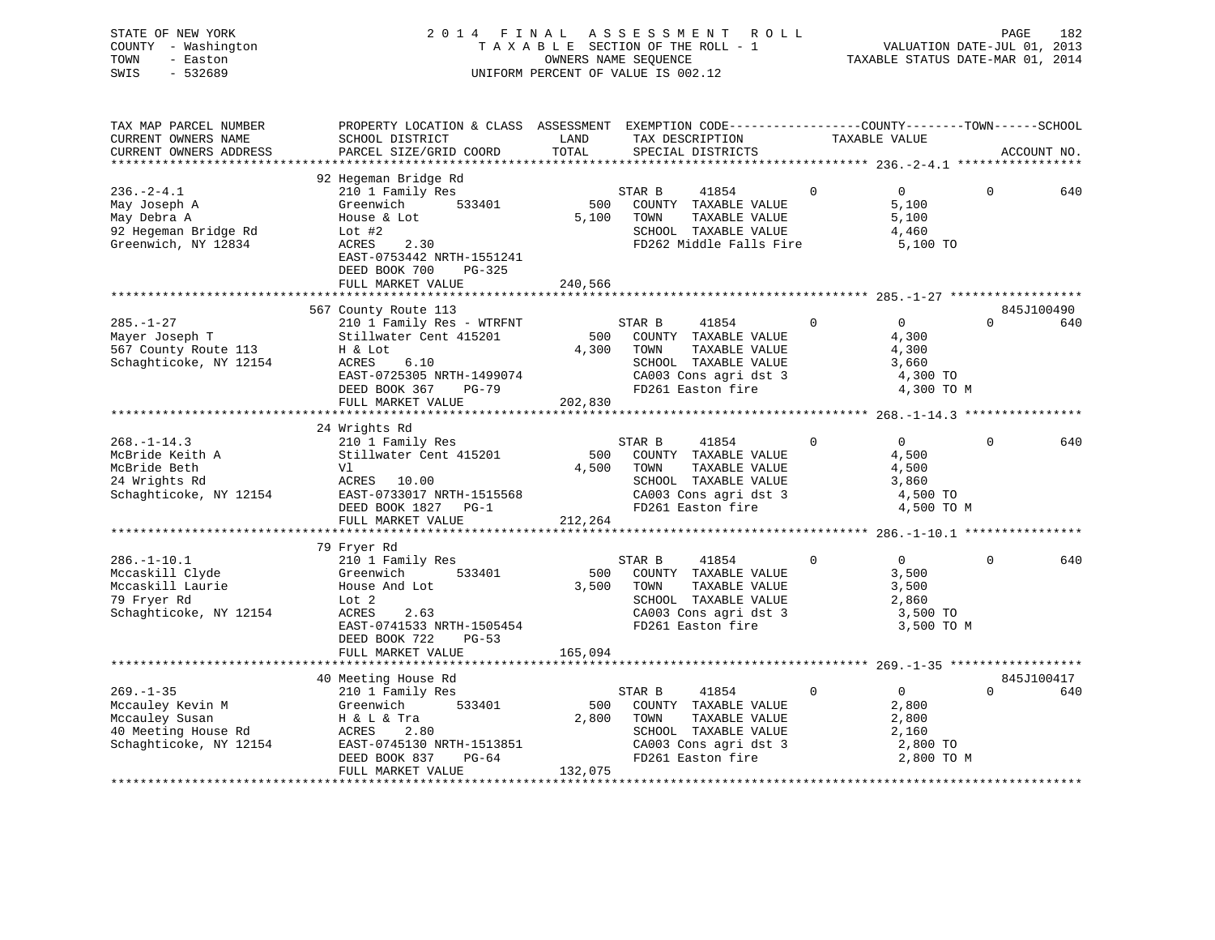| STATE OF NEW YORK   | 2014 FINAL ASSESSMENT ROLL         | 182<br>PAGE                      |
|---------------------|------------------------------------|----------------------------------|
| COUNTY - Washington | TAXABLE SECTION OF THE ROLL - 1    | VALUATION DATE-JUL 01, 2013      |
| TOWN<br>- Easton    | OWNERS NAME SEOUENCE               | TAXABLE STATUS DATE-MAR 01, 2014 |
| SWIS<br>- 532689    | UNIFORM PERCENT OF VALUE IS 002.12 |                                  |

| TAX MAP PARCEL NUMBER<br>CURRENT OWNERS NAME<br>CURRENT OWNERS ADDRESS                            | PROPERTY LOCATION & CLASS ASSESSMENT EXEMPTION CODE---------------COUNTY-------TOWN-----SCHOOL<br>SCHOOL DISTRICT<br>PARCEL SIZE/GRID COORD                                              | LAND<br>TOTAL           | TAX DESCRIPTION<br>SPECIAL DISTRICTS                                                                                                   | TAXABLE VALUE  |                                                                     |          | ACCOUNT NO.       |
|---------------------------------------------------------------------------------------------------|------------------------------------------------------------------------------------------------------------------------------------------------------------------------------------------|-------------------------|----------------------------------------------------------------------------------------------------------------------------------------|----------------|---------------------------------------------------------------------|----------|-------------------|
|                                                                                                   |                                                                                                                                                                                          |                         |                                                                                                                                        |                |                                                                     |          |                   |
| $236. - 2 - 4.1$<br>May Joseph A<br>May Debra A<br>92 Hegeman Bridge Rd<br>Greenwich, NY 12834    | 92 Hegeman Bridge Rd<br>210 1 Family Res<br>533401<br>Greenwich<br>House & Lot<br>Lot $#2$<br>2.30<br>ACRES<br>EAST-0753442 NRTH-1551241<br>DEED BOOK 700<br>PG-325<br>FULL MARKET VALUE | 500<br>5,100<br>240,566 | STAR B<br>41854<br>COUNTY TAXABLE VALUE<br>TOWN<br>TAXABLE VALUE<br>SCHOOL TAXABLE VALUE<br>FD262 Middle Falls Fire                    | $\Omega$       | $\Omega$<br>5,100<br>5,100<br>4,460<br>5,100 TO                     | $\Omega$ | 640               |
|                                                                                                   | 567 County Route 113                                                                                                                                                                     |                         |                                                                                                                                        |                |                                                                     |          | 845J100490        |
| $285. - 1 - 27$<br>Mayer Joseph T<br>567 County Route 113<br>Schaghticoke, NY 12154               | 210 1 Family Res - WTRFNT<br>Stillwater Cent 415201<br>H & Lot<br>6.10<br>ACRES<br>EAST-0725305 NRTH-1499074<br>DEED BOOK 367<br>PG-79<br>FULL MARKET VALUE                              | 4,300 TOWN<br>202,830   | STAR B<br>41854<br>500 COUNTY TAXABLE VALUE<br>TAXABLE VALUE<br>SCHOOL TAXABLE VALUE<br>CA003 Cons agri dst 3<br>FD261 Easton fire     | $\mathbf 0$    | $\overline{0}$<br>4,300<br>4,300<br>3,660<br>4,300 TO<br>4,300 TO M | $\Omega$ | 640               |
|                                                                                                   |                                                                                                                                                                                          |                         |                                                                                                                                        |                |                                                                     |          |                   |
| $268. - 1 - 14.3$<br>McBride Keith A<br>McBride Beth<br>24 Wrights Rd<br>Schaghticoke, NY 12154   | 24 Wrights Rd<br>210 1 Family Res<br>Stillwater Cent 415201<br>Vl<br>ACRES 10.00<br>EAST-0733017 NRTH-1515568<br>DEED BOOK 1827 PG-1<br>FULL MARKET VALUE                                | 500<br>4,500<br>212,264 | STAR B<br>41854<br>COUNTY TAXABLE VALUE<br>TAXABLE VALUE<br>TOWN<br>SCHOOL TAXABLE VALUE<br>CA003 Cons agri dst 3<br>FD261 Easton fire | $\overline{0}$ | $\overline{0}$<br>4,500<br>4,500<br>3,860<br>4,500 TO<br>4,500 TO M | 0        | 640               |
|                                                                                                   |                                                                                                                                                                                          |                         |                                                                                                                                        |                |                                                                     |          |                   |
| $286. - 1 - 10.1$<br>Mccaskill Clyde<br>Mccaskill Laurie<br>79 Fryer Rd<br>Schaghticoke, NY 12154 | 79 Fryer Rd<br>210 1 Family Res<br>533401<br>Greenwich<br>House And Lot<br>Lot 2<br>ACRES<br>2.63<br>EAST-0741533 NRTH-1505454<br>DEED BOOK 722<br>$PG-53$<br>FULL MARKET VALUE          | 500<br>3,500<br>165,094 | STAR B<br>41854<br>COUNTY TAXABLE VALUE<br>TOWN<br>TAXABLE VALUE<br>SCHOOL TAXABLE VALUE<br>CA003 Cons agri dst 3<br>FD261 Easton fire | $\mathbf{0}$   | $\overline{0}$<br>3,500<br>3,500<br>2,860<br>3,500 TO<br>3,500 TO M | $\Omega$ | 640               |
|                                                                                                   |                                                                                                                                                                                          |                         |                                                                                                                                        |                |                                                                     |          |                   |
| $269. - 1 - 35$                                                                                   | 40 Meeting House Rd<br>210 1 Family Res                                                                                                                                                  |                         | STAR B<br>41854                                                                                                                        | $\mathbf 0$    | $\overline{0}$                                                      | $\Omega$ | 845J100417<br>640 |
| Mccauley Kevin M<br>Mccauley Susan<br>40 Meeting House Rd<br>Schaghticoke, NY 12154               | 533401<br>Greenwich<br>H & L & Tra<br>ACRES<br>2.80<br>EAST-0745130 NRTH-1513851<br>DEED BOOK 837 PG-64<br>FULL MARKET VALUE                                                             | 500<br>2,800<br>132,075 | COUNTY TAXABLE VALUE<br>TOWN<br>TAXABLE VALUE<br>SCHOOL TAXABLE VALUE<br>CA003 Cons agri dst 3<br>FD261 Easton fire                    |                | 2,800<br>2,800<br>2,160<br>2,800 TO<br>2,800 TO M                   |          |                   |
|                                                                                                   |                                                                                                                                                                                          |                         |                                                                                                                                        |                |                                                                     |          |                   |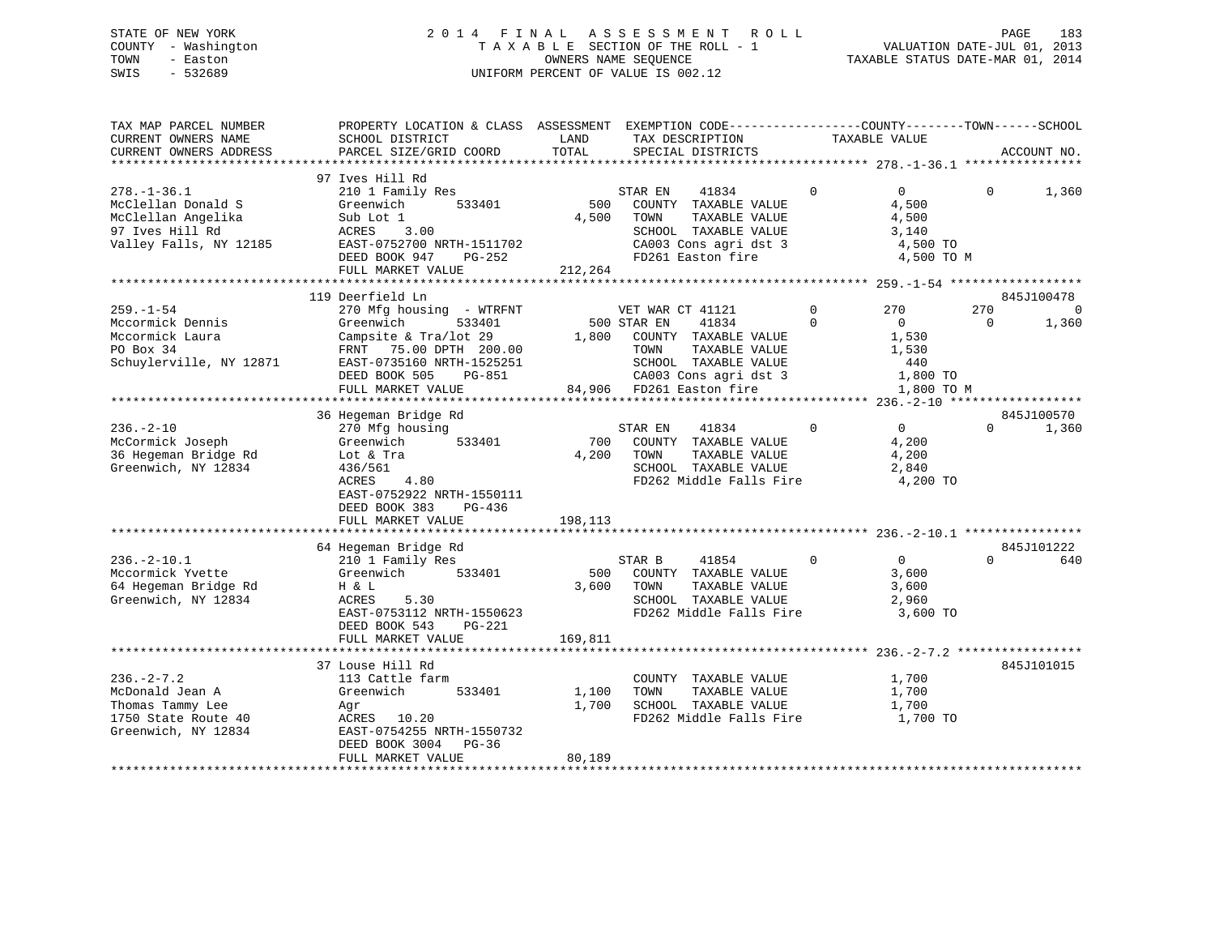# STATE OF NEW YORK 2 0 1 4 F I N A L A S S E S S M E N T R O L L PAGE 183 COUNTY - Washington T A X A B L E SECTION OF THE ROLL - 1 VALUATION DATE-JUL 01, 2013 TOWN - Easton OWNERS NAME SEQUENCE TAXABLE STATUS DATE-MAR 01, 2014 SWIS - 532689 UNIFORM PERCENT OF VALUE IS 002.12

| TAX MAP PARCEL NUMBER<br>CURRENT OWNERS NAME<br>CURRENT OWNERS ADDRESS                                     | PROPERTY LOCATION & CLASS ASSESSMENT<br>SCHOOL DISTRICT<br>PARCEL SIZE/GRID COORD                                                                                                                      | LAND<br>TOTAL             | EXEMPTION CODE-----------------COUNTY-------TOWN------SCHOOL<br>TAX DESCRIPTION<br>SPECIAL DISTRICTS                                                                   |                         | TAXABLE VALUE                                                                                                                |                 | ACCOUNT NO.       |
|------------------------------------------------------------------------------------------------------------|--------------------------------------------------------------------------------------------------------------------------------------------------------------------------------------------------------|---------------------------|------------------------------------------------------------------------------------------------------------------------------------------------------------------------|-------------------------|------------------------------------------------------------------------------------------------------------------------------|-----------------|-------------------|
| $278. - 1 - 36.1$<br>McClellan Donald S<br>McClellan Angelika<br>97 Ives Hill Rd<br>Valley Falls, NY 12185 | 97 Ives Hill Rd<br>210 1 Family Res<br>Greenwich<br>533401<br>Sub Lot 1<br>3.00<br>ACRES<br>EAST-0752700 NRTH-1511702<br>DEED BOOK 947<br>PG-252<br>FULL MARKET VALUE<br>***************************** | 500<br>4,500<br>212,264   | STAR EN<br>41834<br>COUNTY TAXABLE VALUE<br>TOWN<br>TAXABLE VALUE<br>SCHOOL TAXABLE VALUE<br>CA003 Cons agri dst 3<br>FD261 Easton fire                                | $\Omega$                | $\overline{0}$<br>4,500<br>4,500<br>3,140<br>4,500 TO<br>4,500 TO M                                                          | $\Omega$        | 1,360             |
|                                                                                                            | 119 Deerfield Ln                                                                                                                                                                                       |                           |                                                                                                                                                                        |                         |                                                                                                                              |                 | 845J100478        |
| $259. - 1 - 54$<br>Mccormick Dennis<br>Mccormick Laura<br>PO Box 34<br>Schuylerville, NY 12871             | 270 Mfg housing - WTRFNT<br>Greenwich<br>533401<br>Campsite & Tra/lot 29<br>FRNT 75.00 DPTH 200.00<br>EAST-0735160 NRTH-1525251<br>DEED BOOK 505<br>PG-851<br>FULL MARKET VALUE                        | 1,800                     | VET WAR CT 41121<br>500 STAR EN<br>41834<br>COUNTY TAXABLE VALUE<br>TOWN<br>TAXABLE VALUE<br>SCHOOL TAXABLE VALUE<br>CA003 Cons agri dst 3<br>84,906 FD261 Easton fire | $\mathbf 0$<br>$\Omega$ | 270<br>$\overline{0}$<br>1,530<br>1,530<br>440<br>1,800 TO<br>1,800 TO M<br>****************** 236.-2-10 ******************* | 270<br>$\Omega$ | 0<br>1,360        |
|                                                                                                            | 36 Hegeman Bridge Rd                                                                                                                                                                                   |                           |                                                                                                                                                                        |                         |                                                                                                                              |                 | 845J100570        |
| $236. - 2 - 10$<br>McCormick Joseph<br>36 Hegeman Bridge Rd<br>Greenwich, NY 12834                         | 270 Mfg housing<br>533401<br>Greenwich<br>Lot & Tra<br>436/561<br>ACRES<br>4.80<br>EAST-0752922 NRTH-1550111<br>DEED BOOK 383<br>PG-436<br>FULL MARKET VALUE                                           | 700<br>4,200<br>198,113   | 41834<br>STAR EN<br>COUNTY TAXABLE VALUE<br>TOWN<br>TAXABLE VALUE<br>SCHOOL TAXABLE VALUE<br>FD262 Middle Falls Fire                                                   | $\Omega$                | $\Omega$<br>4,200<br>4,200<br>2,840<br>4,200 TO                                                                              | $\Omega$        | 1,360             |
|                                                                                                            |                                                                                                                                                                                                        |                           |                                                                                                                                                                        |                         |                                                                                                                              |                 |                   |
| $236. - 2 - 10.1$<br>Mccormick Yvette<br>64 Hegeman Bridge Rd<br>Greenwich, NY 12834                       | 64 Hegeman Bridge Rd<br>210 1 Family Res<br>Greenwich<br>533401<br>H & L<br>5.30<br>ACRES<br>EAST-0753112 NRTH-1550623<br>DEED BOOK 543<br>$PG-221$<br>FULL MARKET VALUE                               | 500<br>3,600<br>169,811   | STAR B<br>41854<br>COUNTY TAXABLE VALUE<br>TAXABLE VALUE<br>TOWN<br>SCHOOL TAXABLE VALUE<br>FD262 Middle Falls Fire                                                    | $\overline{0}$          | $\overline{0}$<br>3,600<br>3,600<br>2,960<br>3,600 TO                                                                        | $\Omega$        | 845J101222<br>640 |
|                                                                                                            |                                                                                                                                                                                                        | * * * * * * * * * * * * * |                                                                                                                                                                        |                         |                                                                                                                              |                 |                   |
| $236. - 2 - 7.2$<br>McDonald Jean A<br>Thomas Tammy Lee<br>1750 State Route 40<br>Greenwich, NY 12834      | 37 Louse Hill Rd<br>113 Cattle farm<br>Greenwich<br>533401<br>Agr<br>ACRES 10.20<br>EAST-0754255 NRTH-1550732<br>DEED BOOK 3004<br>$PG-36$                                                             | 1,100<br>1,700            | COUNTY TAXABLE VALUE<br>TAXABLE VALUE<br>TOWN<br>SCHOOL TAXABLE VALUE<br>FD262 Middle Falls Fire                                                                       |                         | 1,700<br>1,700<br>1,700<br>1,700 TO                                                                                          |                 | 845J101015        |
|                                                                                                            | FULL MARKET VALUE                                                                                                                                                                                      | 80,189                    |                                                                                                                                                                        |                         |                                                                                                                              |                 |                   |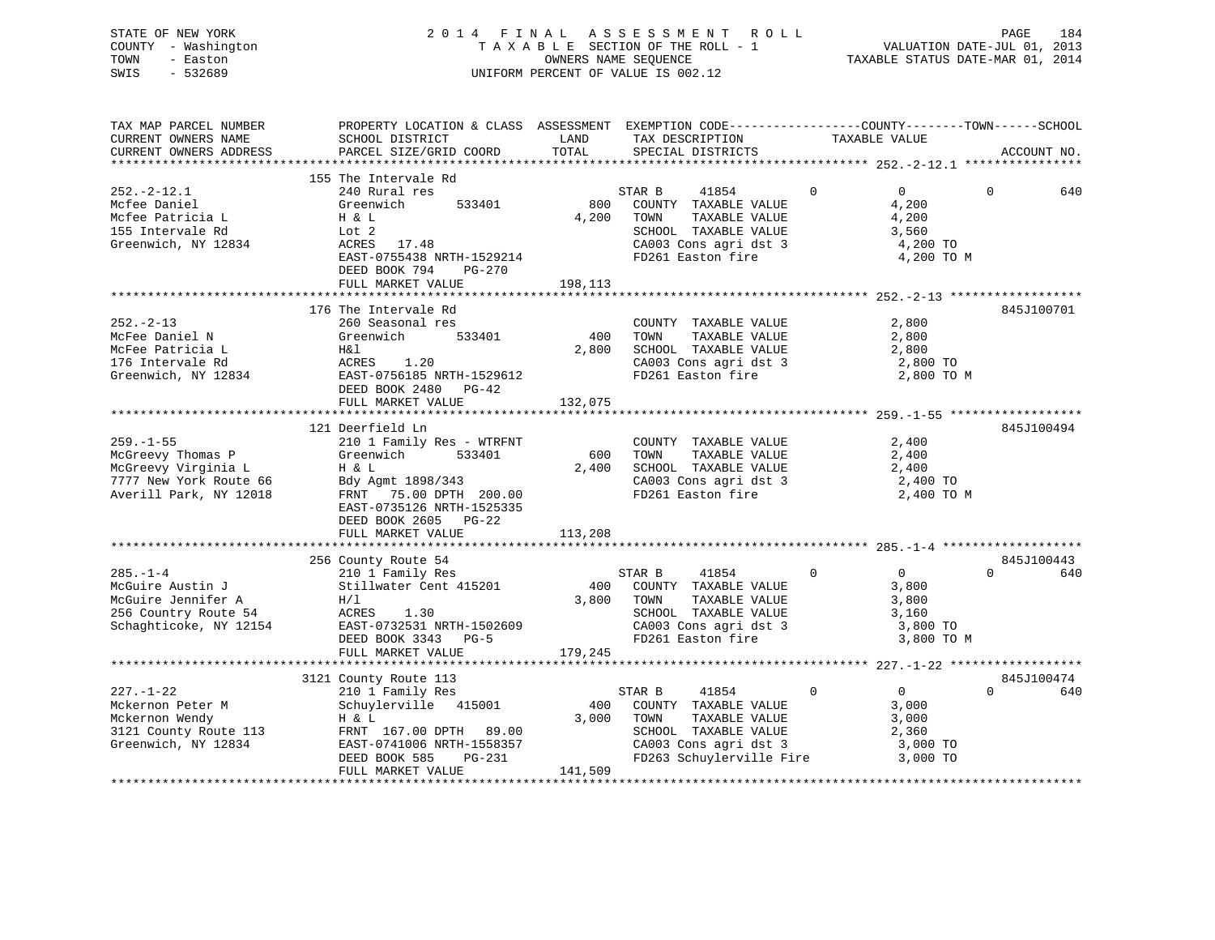# STATE OF NEW YORK 2 0 1 4 F I N A L A S S E S S M E N T R O L L PAGE 184 COUNTY - Washington T A X A B L E SECTION OF THE ROLL - 1 VALUATION DATE-JUL 01, 2013 TOWN - Easton OWNERS NAME SEQUENCE TAXABLE STATUS DATE-MAR 01, 2014 SWIS - 532689 UNIFORM PERCENT OF VALUE IS 002.12

| TAX MAP PARCEL NUMBER<br>CURRENT OWNERS NAME<br>CURRENT OWNERS ADDRESS                                          | PROPERTY LOCATION & CLASS ASSESSMENT EXEMPTION CODE----------------COUNTY-------TOWN------SCHOOL<br>SCHOOL DISTRICT<br>PARCEL SIZE/GRID COORD                                                             | LAND<br>TOTAL           | TAX DESCRIPTION<br>SPECIAL DISTRICTS                                                                                                          | TAXABLE VALUE                                                                      | ACCOUNT NO.                   |
|-----------------------------------------------------------------------------------------------------------------|-----------------------------------------------------------------------------------------------------------------------------------------------------------------------------------------------------------|-------------------------|-----------------------------------------------------------------------------------------------------------------------------------------------|------------------------------------------------------------------------------------|-------------------------------|
|                                                                                                                 |                                                                                                                                                                                                           |                         |                                                                                                                                               |                                                                                    |                               |
| $252. - 2 - 12.1$<br>Mcfee Daniel<br>Mcfee Patricia L<br>155 Intervale Rd<br>Greenwich, NY 12834                | 155 The Intervale Rd<br>240 Rural res<br>533401<br>Greenwich<br>H & L<br>Lot 2<br>ACRES 17.48<br>EAST-0755438 NRTH-1529214<br>DEED BOOK 794<br>PG-270<br>FULL MARKET VALUE                                | 800<br>4,200<br>198,113 | STAR B<br>41854<br>COUNTY TAXABLE VALUE<br>TAXABLE VALUE<br>TOWN<br>SCHOOL TAXABLE VALUE<br>CA003 Cons agri dst 3<br>FD261 Easton fire        | $\Omega$<br>$\overline{0}$<br>4,200<br>4,200<br>3,560<br>4,200 TO<br>4,200 TO M    | $\Omega$<br>640               |
|                                                                                                                 |                                                                                                                                                                                                           |                         |                                                                                                                                               |                                                                                    |                               |
| $252 - 2 - 13$<br>McFee Daniel N<br>McFee Patricia L<br>176 Intervale Rd<br>Greenwich, NY 12834                 | 176 The Intervale Rd<br>260 Seasonal res<br>533401<br>Greenwich<br>H&l<br>ACRES<br>1.20<br>EAST-0756185 NRTH-1529612<br>DEED BOOK 2480<br>PG-42<br>FULL MARKET VALUE                                      | 400<br>2,800<br>132,075 | COUNTY TAXABLE VALUE<br>TOWN<br>TAXABLE VALUE<br>SCHOOL TAXABLE VALUE<br>CA003 Cons agri dst 3<br>FD261 Easton fire                           | 2,800<br>2,800<br>2,800<br>2,800 TO<br>2,800 TO M                                  | 845J100701                    |
|                                                                                                                 |                                                                                                                                                                                                           |                         |                                                                                                                                               |                                                                                    |                               |
| $259. - 1 - 55$<br>McGreevy Thomas P<br>McGreevy Virginia L<br>7777 New York Route 66<br>Averill Park, NY 12018 | 121 Deerfield Ln<br>210 1 Family Res - WTRFNT<br>Greenwich<br>533401<br>H & L<br>Bdy Agmt 1898/343<br>FRNT<br>75.00 DPTH 200.00<br>EAST-0735126 NRTH-1525335<br>DEED BOOK 2605 PG-22<br>FULL MARKET VALUE | 600<br>2,400<br>113,208 | COUNTY TAXABLE VALUE<br>TOWN<br>TAXABLE VALUE<br>SCHOOL TAXABLE VALUE<br>CA003 Cons agri dst 3<br>FD261 Easton fire                           | 2,400<br>2,400<br>2,400<br>2,400 TO<br>2,400 TO M                                  | 845J100494                    |
|                                                                                                                 |                                                                                                                                                                                                           |                         |                                                                                                                                               |                                                                                    |                               |
| $285. - 1 - 4$<br>McGuire Austin J<br>McGuire Jennifer A<br>256 Country Route 54<br>Schaghticoke, NY 12154      | 256 County Route 54<br>210 1 Family Res<br>Stillwater Cent 415201<br>H/1<br>ACRES 1.30<br>EAST-0732531 NRTH-1502609<br>DEED BOOK 3343<br>$PG-5$<br>FULL MARKET VALUE                                      | 400<br>3,800<br>179,245 | STAR B<br>41854<br>COUNTY TAXABLE VALUE<br>TOWN<br>TAXABLE VALUE<br>SCHOOL TAXABLE VALUE<br>CA003 Cons agri dst 3<br>FD261 Easton fire        | $\mathbf 0$<br>$\overline{0}$<br>3,800<br>3,800<br>3,160<br>3,800 TO<br>3,800 TO M | 845J100443<br>$\Omega$<br>640 |
|                                                                                                                 |                                                                                                                                                                                                           |                         |                                                                                                                                               |                                                                                    |                               |
| $227. - 1 - 22$<br>Mckernon Peter M<br>Mckernon Wendy<br>3121 County Route 113<br>Greenwich, NY 12834           | 3121 County Route 113<br>210 1 Family Res<br>Schuylerville 415001<br>H & L<br>FRNT 167.00 DPTH 89.00<br>EAST-0741006 NRTH-1558357<br>DEED BOOK 585<br>PG-231<br>FULL MARKET VALUE                         | 400<br>3,000<br>141,509 | STAR B<br>41854<br>COUNTY TAXABLE VALUE<br>TAXABLE VALUE<br>TOWN<br>SCHOOL TAXABLE VALUE<br>CA003 Cons agri dst 3<br>FD263 Schuylerville Fire | $\overline{0}$<br>$\Omega$<br>3,000<br>3,000<br>2,360<br>3,000 TO<br>3,000 TO      | 845J100474<br>$\Omega$<br>640 |
|                                                                                                                 |                                                                                                                                                                                                           |                         |                                                                                                                                               |                                                                                    |                               |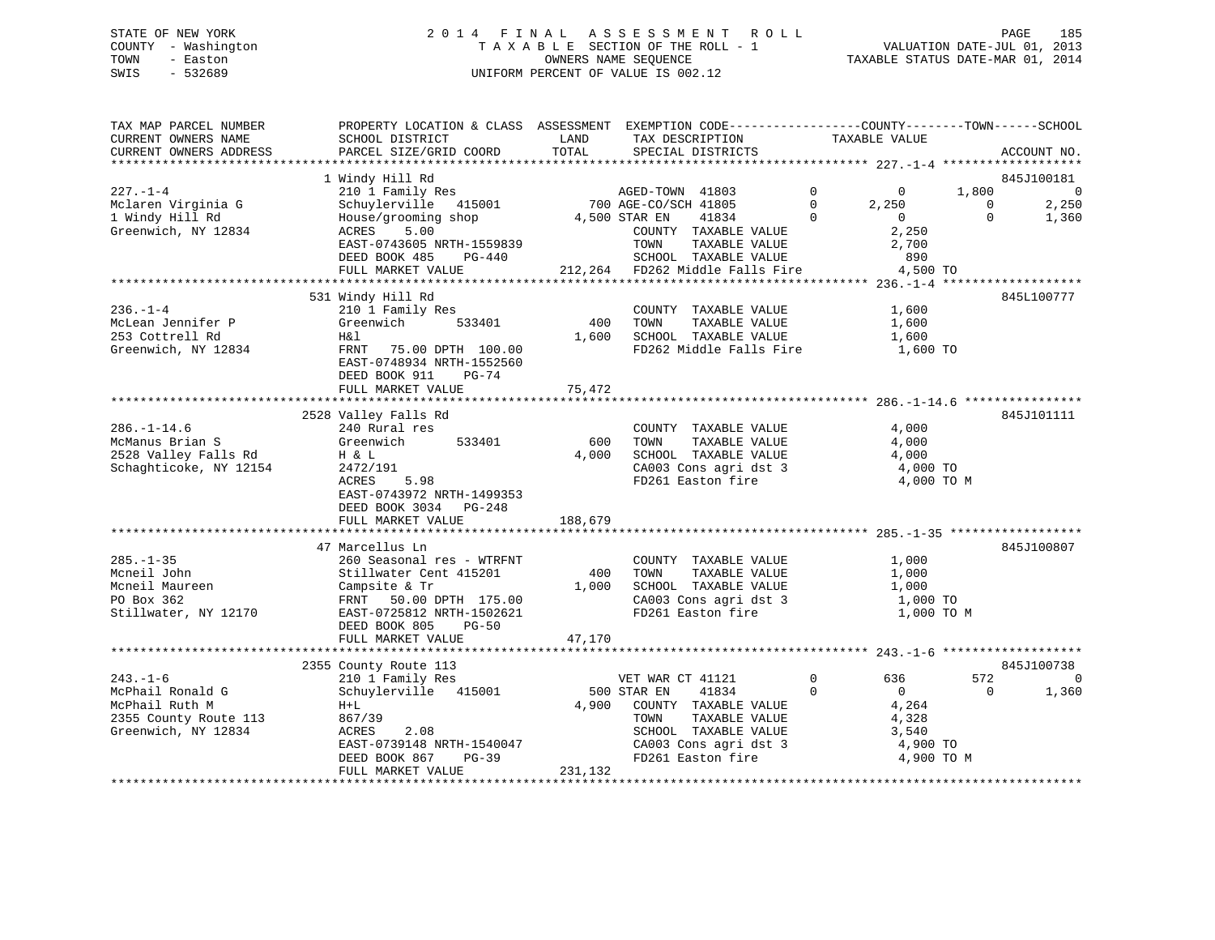# STATE OF NEW YORK 2 0 1 4 F I N A L A S S E S S M E N T R O L L PAGE 185 COUNTY - Washington T A X A B L E SECTION OF THE ROLL - 1 VALUATION DATE-JUL 01, 2013 TOWN - Easton OWNERS NAME SEQUENCE TAXABLE STATUS DATE-MAR 01, 2014 SWIS - 532689 UNIFORM PERCENT OF VALUE IS 002.12

| TAX MAP PARCEL NUMBER<br>CURRENT OWNERS NAME<br>CURRENT OWNERS ADDRESS | PROPERTY LOCATION & CLASS ASSESSMENT EXEMPTION CODE----------------COUNTY-------TOWN------SCHOOL<br>SCHOOL DISTRICT<br>PARCEL SIZE/GRID COORD | LAND<br>TOTAL | TAX DESCRIPTION<br>SPECIAL DISTRICTS    | TAXABLE VALUE                                   |                      | ACCOUNT NO.    |
|------------------------------------------------------------------------|-----------------------------------------------------------------------------------------------------------------------------------------------|---------------|-----------------------------------------|-------------------------------------------------|----------------------|----------------|
|                                                                        |                                                                                                                                               |               |                                         |                                                 |                      |                |
|                                                                        | 1 Windy Hill Rd                                                                                                                               |               |                                         |                                                 |                      | 845J100181     |
| $227. - 1 - 4$                                                         | 210 1 Family Res                                                                                                                              |               | AGED-TOWN 41803<br>700 AGE-CO/SCH 41805 | $\overline{0}$<br>$\mathbf{0}$                  | 1,800                | $\overline{0}$ |
| Mclaren Virginia G<br>1 Windy Hill Rd                                  | Schuylerville 415001<br>House/grooming shop                                                                                                   | 4,500 STAR EN | 41834                                   | $\Omega$<br>2,250<br>$\overline{0}$<br>$\Omega$ | $\Omega$<br>$\Omega$ | 2,250<br>1,360 |
| Greenwich, NY 12834                                                    | ACRES<br>5.00                                                                                                                                 |               | COUNTY TAXABLE VALUE                    | 2,250                                           |                      |                |
|                                                                        | EAST-0743605 NRTH-1559839                                                                                                                     |               | TOWN<br>TAXABLE VALUE                   | 2,700                                           |                      |                |
|                                                                        | DEED BOOK 485<br>PG-440                                                                                                                       |               | SCHOOL TAXABLE VALUE                    | 890                                             |                      |                |
|                                                                        | FULL MARKET VALUE                                                                                                                             |               | 212,264 FD262 Middle Falls Fire         | 4,500 TO                                        |                      |                |
|                                                                        |                                                                                                                                               |               |                                         |                                                 |                      |                |
|                                                                        | 531 Windy Hill Rd                                                                                                                             |               |                                         |                                                 |                      | 845L100777     |
| $236. - 1 - 4$                                                         | 210 1 Family Res                                                                                                                              |               | COUNTY TAXABLE VALUE                    | 1,600                                           |                      |                |
| McLean Jennifer P                                                      | 533401<br>Greenwich                                                                                                                           | 400           | TAXABLE VALUE<br>TOWN                   | 1,600                                           |                      |                |
| 253 Cottrell Rd                                                        | H& 1                                                                                                                                          | 1,600         | SCHOOL TAXABLE VALUE                    | 1,600                                           |                      |                |
| Greenwich, NY 12834                                                    | FRNT 75.00 DPTH 100.00                                                                                                                        |               | FD262 Middle Falls Fire 1,600 TO        |                                                 |                      |                |
|                                                                        | EAST-0748934 NRTH-1552560                                                                                                                     |               |                                         |                                                 |                      |                |
|                                                                        | DEED BOOK 911<br>PG-74                                                                                                                        |               |                                         |                                                 |                      |                |
|                                                                        | FULL MARKET VALUE                                                                                                                             | 75,472        |                                         |                                                 |                      |                |
|                                                                        | 2528 Valley Falls Rd                                                                                                                          |               |                                         |                                                 |                      | 845J101111     |
| $286. - 1 - 14.6$                                                      | 240 Rural res                                                                                                                                 |               | COUNTY TAXABLE VALUE                    | 4,000                                           |                      |                |
| McManus Brian S                                                        | 533401<br>Greenwich                                                                                                                           | 600           | TOWN<br>TAXABLE VALUE                   | 4,000                                           |                      |                |
| 2528 Valley Falls Rd                                                   | H & L                                                                                                                                         | 4,000         | SCHOOL TAXABLE VALUE                    | 4,000                                           |                      |                |
| Schaghticoke, NY 12154                                                 | 2472/191                                                                                                                                      |               | CA003 Cons agri dst 3                   | 4,000 TO                                        |                      |                |
|                                                                        | 5.98<br>ACRES                                                                                                                                 |               | FD261 Easton fire                       | 4,000 TO M                                      |                      |                |
|                                                                        | EAST-0743972 NRTH-1499353                                                                                                                     |               |                                         |                                                 |                      |                |
|                                                                        | DEED BOOK 3034 PG-248                                                                                                                         |               |                                         |                                                 |                      |                |
|                                                                        | FULL MARKET VALUE                                                                                                                             | 188,679       |                                         |                                                 |                      |                |
|                                                                        |                                                                                                                                               |               |                                         |                                                 |                      |                |
|                                                                        | 47 Marcellus Ln                                                                                                                               |               |                                         |                                                 |                      | 845J100807     |
| $285. - 1 - 35$<br>Mcneil John                                         | 260 Seasonal res - WTRFNT                                                                                                                     | 400           | COUNTY TAXABLE VALUE<br>TAXABLE VALUE   | 1,000                                           |                      |                |
| Mcneil Maureen                                                         | Stillwater Cent 415201<br>Campsite & Tr                                                                                                       | 1,000         | TOWN<br>SCHOOL TAXABLE VALUE            | 1,000<br>1,000                                  |                      |                |
| PO Box 362                                                             | FRNT 50.00 DPTH 175.00                                                                                                                        |               | CA003 Cons agri dst 3                   | 1,000 TO                                        |                      |                |
| Stillwater, NY 12170                                                   | EAST-0725812 NRTH-1502621                                                                                                                     |               | FD261 Easton fire                       | 1,000 TO M                                      |                      |                |
|                                                                        | DEED BOOK 805<br>$PG-50$                                                                                                                      |               |                                         |                                                 |                      |                |
|                                                                        | FULL MARKET VALUE                                                                                                                             | 47,170        |                                         |                                                 |                      |                |
|                                                                        |                                                                                                                                               |               |                                         |                                                 |                      |                |
|                                                                        | 2355 County Route 113                                                                                                                         |               |                                         |                                                 |                      | 845J100738     |
| $243. - 1 - 6$                                                         | 210 1 Family Res                                                                                                                              |               | VET WAR CT 41121                        | $\mathbf 0$<br>636                              | 572                  | $\Omega$       |
| McPhail Ronald G                                                       | Schuylerville 415001                                                                                                                          |               | 500 STAR EN<br>41834                    | $\Omega$<br>$\overline{0}$                      | $\Omega$             | 1,360          |
| McPhail Ruth M                                                         | $H+L$                                                                                                                                         |               | 4,900 COUNTY TAXABLE VALUE              | 4,264                                           |                      |                |
| 2355 County Route 113                                                  | 867/39                                                                                                                                        |               | TAXABLE VALUE<br>TOWN                   | 4,328                                           |                      |                |
| Greenwich, NY 12834                                                    | 2.08<br>ACRES                                                                                                                                 |               | SCHOOL TAXABLE VALUE                    | 3,540                                           |                      |                |
|                                                                        | EAST-0739148 NRTH-1540047                                                                                                                     |               | CA003 Cons agri dst 3                   | 4,900 TO                                        |                      |                |
|                                                                        | DEED BOOK 867<br>$PG-39$<br>FULL MARKET VALUE                                                                                                 | 231,132       | FD261 Easton fire                       | 4,900 TO M                                      |                      |                |
|                                                                        |                                                                                                                                               |               |                                         |                                                 |                      |                |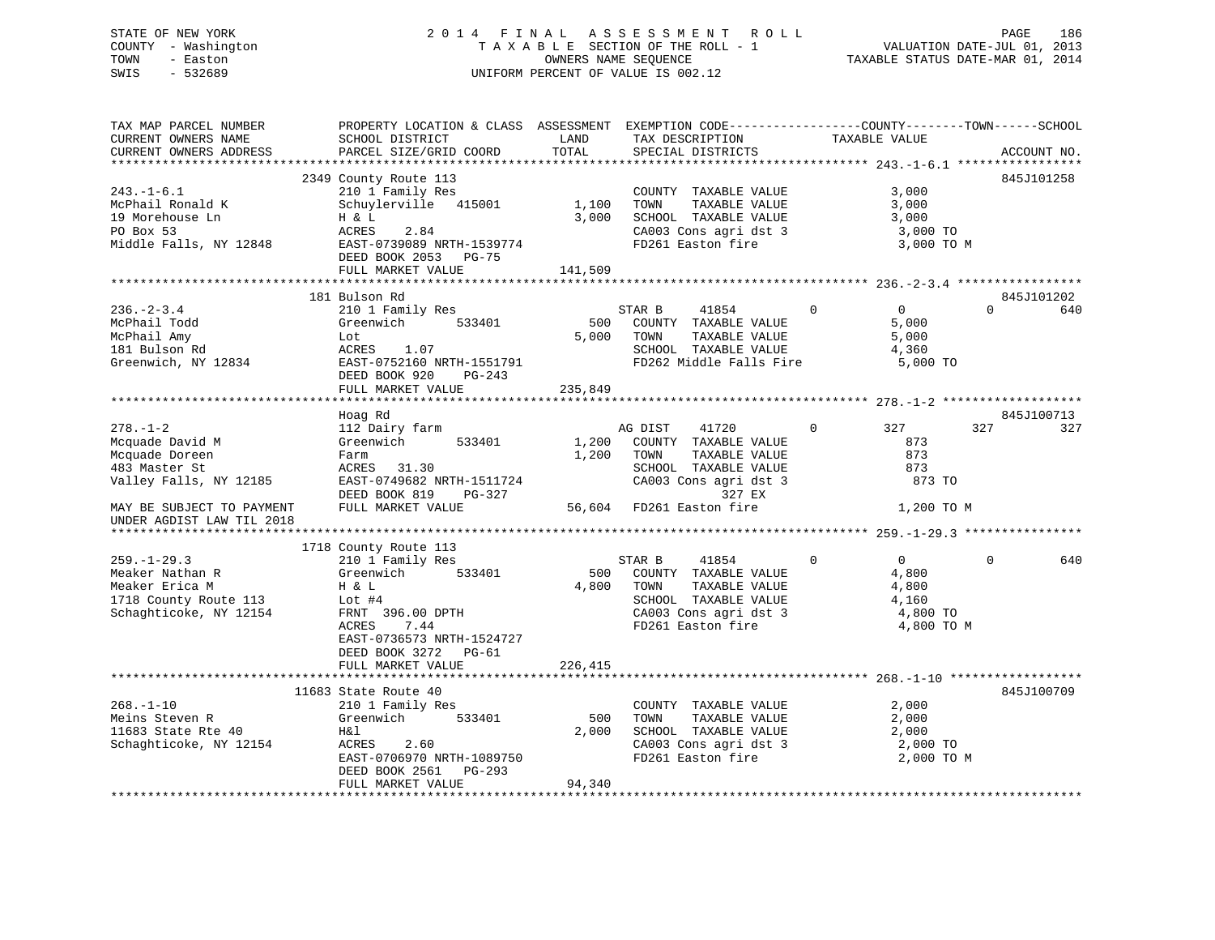# STATE OF NEW YORK 2 0 1 4 F I N A L A S S E S S M E N T R O L L PAGE 186 COUNTY - Washington T A X A B L E SECTION OF THE ROLL - 1 VALUATION DATE-JUL 01, 2013 TOWN - Easton OWNERS NAME SEQUENCE TAXABLE STATUS DATE-MAR 01, 2014 SWIS - 532689 UNIFORM PERCENT OF VALUE IS 002.12

| TAX MAP PARCEL NUMBER     | PROPERTY LOCATION & CLASS ASSESSMENT EXEMPTION CODE---------------COUNTY-------TOWN------SCHOOL |            |                                                                |                                  |                 |
|---------------------------|-------------------------------------------------------------------------------------------------|------------|----------------------------------------------------------------|----------------------------------|-----------------|
| CURRENT OWNERS NAME       | SCHOOL DISTRICT                                                                                 | LAND       | TAX DESCRIPTION                                                | TAXABLE VALUE                    |                 |
| CURRENT OWNERS ADDRESS    | PARCEL SIZE/GRID COORD                                                                          | TOTAL      | SPECIAL DISTRICTS                                              |                                  | ACCOUNT NO.     |
|                           |                                                                                                 |            |                                                                |                                  |                 |
|                           | 2349 County Route 113                                                                           |            |                                                                |                                  | 845J101258      |
| $243. - 1 - 6.1$          | 210 1 Family Res                                                                                |            | COUNTY TAXABLE VALUE                                           | 3,000                            |                 |
| McPhail Ronald K          | Schuylerville 415001                                                                            | 1,100      | TAXABLE VALUE<br>TOWN                                          | 3,000                            |                 |
| 19 Morehouse Ln           | Η & L                                                                                           | 3,000      | SCHOOL TAXABLE VALUE                                           | 3,000                            |                 |
| PO Box 53                 | 2.84<br>ACRES                                                                                   |            |                                                                | 3,000 TO                         |                 |
|                           | Middle Falls, NY 12848 EAST-0739089 NRTH-1539774                                                |            | CA003 Cons agri dst 3<br>FD261 Easton fire                     |                                  |                 |
|                           |                                                                                                 |            |                                                                | 3,000 TO M                       |                 |
|                           | DEED BOOK 2053 PG-75                                                                            |            |                                                                |                                  |                 |
|                           | FULL MARKET VALUE                                                                               | 141,509    |                                                                |                                  |                 |
|                           |                                                                                                 |            |                                                                |                                  |                 |
|                           | 181 Bulson Rd                                                                                   |            |                                                                |                                  | 845J101202      |
| $236. - 2 - 3.4$          | 210 1 Family Res                                                                                |            | 41854 0<br>STAR B                                              | $\overline{0}$                   | 640<br>$\Omega$ |
| McPhail Todd              | 533401<br>Greenwich                                                                             |            | 500 COUNTY TAXABLE VALUE                                       | 5,000                            |                 |
| McPhail Amy               | Lot                                                                                             |            | 5,000 TOWN<br>TAXABLE VALUE                                    | 5,000                            |                 |
| 181 Bulson Rd             | ACRES 1.07                                                                                      |            | SCHOOL TAXABLE VALUE 4,360<br>FD262 Middle Falls Fire 5,000 TO |                                  |                 |
|                           | Greenwich, NY 12834<br>EAST-0752160 NRTH-1551791                                                |            |                                                                |                                  |                 |
|                           | DEED BOOK 920<br>PG-243                                                                         |            |                                                                |                                  |                 |
|                           | FULL MARKET VALUE                                                                               | 235,849    |                                                                |                                  |                 |
|                           |                                                                                                 |            |                                                                |                                  |                 |
|                           |                                                                                                 |            |                                                                |                                  | 845J100713      |
| $278. - 1 - 2$            | Hoag Rd                                                                                         |            |                                                                |                                  |                 |
|                           | 112 Dairy farm                                                                                  |            | AG DIST<br>41720                                               | 327<br>$\overline{0}$            | 327<br>327      |
| Mcquade David M           | Greenwich<br>533401                                                                             |            | 1,200 COUNTY TAXABLE VALUE                                     | 873                              |                 |
| Mcquade Doreen            | Farm                                                                                            | 1,200 TOWN | TAXABLE VALUE                                                  | 873                              |                 |
| 483 Master St             | ACRES 31.30                                                                                     |            | SCHOOL TAXABLE VALUE<br>CA003 Cons agri dst 3                  | 873                              |                 |
| Valley Falls, NY 12185    | EAST-0749682 NRTH-1511724                                                                       |            |                                                                | 873 TO                           |                 |
|                           | DEED BOOK 819 PG-327                                                                            |            | 327 EX                                                         |                                  |                 |
| MAY BE SUBJECT TO PAYMENT | FULL MARKET VALUE                                                                               |            | 56,604 FD261 Easton fire                                       | 1,200 TO M                       |                 |
| UNDER AGDIST LAW TIL 2018 |                                                                                                 |            |                                                                |                                  |                 |
|                           |                                                                                                 |            |                                                                |                                  |                 |
|                           | 1718 County Route 113                                                                           |            |                                                                |                                  |                 |
| $259. - 1 - 29.3$         | 210 1 Family Res                                                                                |            | STAR B<br>41854                                                | $\overline{0}$<br>$\overline{0}$ | $\Omega$<br>640 |
| Meaker Nathan R           | Greenwich 533401                                                                                |            | 500 COUNTY TAXABLE VALUE                                       | 4,800                            |                 |
| Meaker Erica M            | Η & L                                                                                           | 4,800      | TOWN<br>TAXABLE VALUE                                          | 4,800                            |                 |
| 1718 County Route 113     | Lot #4                                                                                          |            | SCHOOL TAXABLE VALUE                                           | 4,160                            |                 |
| Schaghticoke, NY 12154    |                                                                                                 |            |                                                                | 4,800 TO                         |                 |
|                           | FRNT 396.00 DPTH                                                                                |            | CA003 Cons agri dst 3<br>FD261 Easton fire                     |                                  |                 |
|                           | ACRES<br>7.44                                                                                   |            |                                                                | 4,800 TO M                       |                 |
|                           | EAST-0736573 NRTH-1524727                                                                       |            |                                                                |                                  |                 |
|                           | DEED BOOK 3272 PG-61                                                                            |            |                                                                |                                  |                 |
|                           | FULL MARKET VALUE                                                                               | 226,415    |                                                                |                                  |                 |
|                           |                                                                                                 |            |                                                                |                                  |                 |
|                           | 11683 State Route 40                                                                            |            |                                                                |                                  | 845J100709      |
| $268. - 1 - 10$           | 210 1 Family Res                                                                                |            | COUNTY TAXABLE VALUE                                           | 2,000                            |                 |
| Meins Steven R            | Greenwich 533401                                                                                | 500        | TOWN<br>TAXABLE VALUE                                          | 2,000                            |                 |
| 11683 State Rte 40        | H&l                                                                                             | 2,000      | SCHOOL TAXABLE VALUE                                           |                                  |                 |
| Schaghticoke, NY 12154    | ACRES 2.60                                                                                      |            | CA003 Cons agri dst 3                                          | 2,000<br>2,000 TO                |                 |
|                           | EAST-0706970 NRTH-1089750                                                                       |            | FD261 Easton fire                                              | 2,000 TO M                       |                 |
|                           | DEED BOOK 2561 PG-293                                                                           |            |                                                                |                                  |                 |
|                           | FULL MARKET VALUE                                                                               | 94,340     |                                                                |                                  |                 |
|                           |                                                                                                 |            |                                                                |                                  |                 |
|                           |                                                                                                 |            |                                                                |                                  |                 |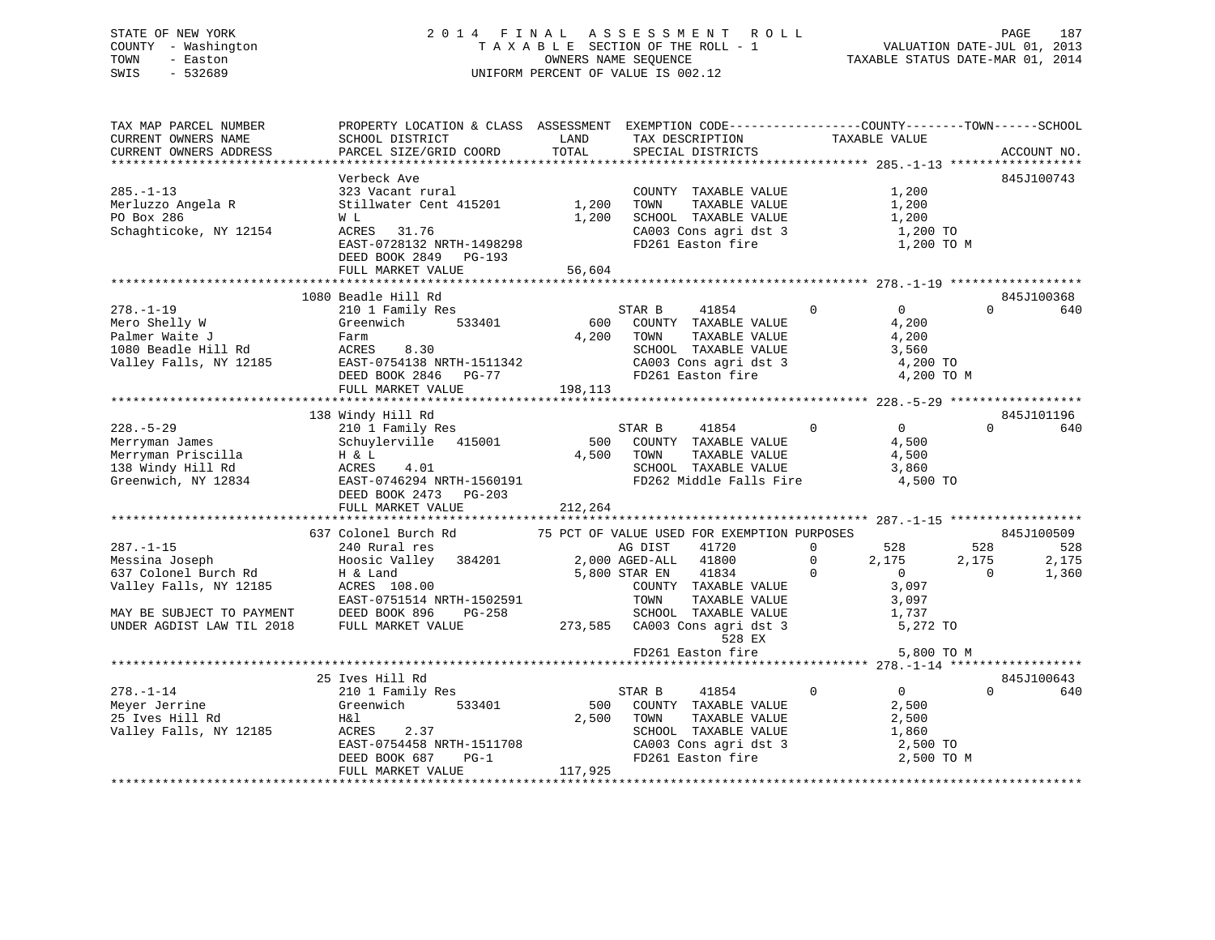# STATE OF NEW YORK 2 0 1 4 F I N A L A S S E S S M E N T R O L L PAGE 187 COUNTY - Washington T A X A B L E SECTION OF THE ROLL - 1 VALUATION DATE-JUL 01, 2013 TOWN - Easton **CONNERS NAME SEQUENCE** TAXABLE STATUS DATE-MAR 01, 2014 SWIS - 532689 UNIFORM PERCENT OF VALUE IS 002.12

| TAX MAP PARCEL NUMBER<br>CURRENT OWNERS NAME<br>CURRENT OWNERS ADDRESS                                                | PROPERTY LOCATION & CLASS ASSESSMENT EXEMPTION CODE---------------COUNTY-------TOWN------SCHOOL<br>SCHOOL DISTRICT<br>PARCEL SIZE/GRID COORD | LAND<br>TOTAL           | TAX DESCRIPTION<br>SPECIAL DISTRICTS                                                                                                                     | TAXABLE VALUE  | ACCOUNT NO.                                                                                 |
|-----------------------------------------------------------------------------------------------------------------------|----------------------------------------------------------------------------------------------------------------------------------------------|-------------------------|----------------------------------------------------------------------------------------------------------------------------------------------------------|----------------|---------------------------------------------------------------------------------------------|
|                                                                                                                       |                                                                                                                                              |                         |                                                                                                                                                          |                |                                                                                             |
| $285. - 1 - 13$<br>Merluzzo Angela R<br>PO Box 286                                                                    | Verbeck Ave<br>323 Vacant rural<br>Stillwater Cent 415201<br>W L                                                                             | 1,200<br>1,200          | COUNTY TAXABLE VALUE 1,200<br>TOWN<br>TAXABLE VALUE<br>SCHOOL TAXABLE VALUE                                                                              |                | 845J100743<br>1,200<br>1,200                                                                |
| Schaghticoke, NY 12154                                                                                                | ACRES 31.76<br>EAST-0728132 NRTH-1498298<br>DEED BOOK 2849 PG-193<br>FULL MARKET VALUE                                                       | 56,604                  | CA003 Cons agri dst 3<br>FD261 Easton fire                                                                                                               |                | 1,200 TO<br>1,200 TO M                                                                      |
|                                                                                                                       |                                                                                                                                              |                         |                                                                                                                                                          |                |                                                                                             |
|                                                                                                                       | 1080 Beadle Hill Rd                                                                                                                          |                         |                                                                                                                                                          |                | 845J100368                                                                                  |
| $278. - 1 - 19$<br>Mero Shelly W<br>Palmer Waite J<br>Palmer Waite J<br>1080 Beadle Hill Rd<br>Valley Falls, NY 12185 | 210 1 Family Res<br>533401<br>Greenwich<br>Farm<br>ACRES 8.30<br>EAST-0754138 NRTH-1511342<br>DEED BOOK 2846 PG-77<br>FULL MARKET VALUE      | 600<br>4,200<br>198,113 | STAR B<br>41854<br>COUNTY TAXABLE VALUE<br>TOWN<br>TAXABLE VALUE<br>SCHOOL TAXABLE VALUE<br>CA003 Cons agri dst 3<br>FD261 Easton fire                   | $\overline{0}$ | $0 \qquad \qquad$<br>$\Omega$<br>640<br>4,200<br>4,200<br>3,560<br>$4,200$ TO<br>4,200 TO M |
|                                                                                                                       |                                                                                                                                              |                         |                                                                                                                                                          |                |                                                                                             |
|                                                                                                                       | 138 Windy Hill Rd                                                                                                                            |                         |                                                                                                                                                          |                | 845J101196                                                                                  |
| $228. - 5 - 29$<br>Merryman James<br>Merryman Priscilla<br>138 Windy Hill Rd<br>Greenwich, NY 12834                   | 210 1 Family Res<br>Schuylerville 415001<br>H & L<br><b>ACRES</b><br>4.01<br>EAST-0746294 NRTH-1560191<br>DEED BOOK 2473 PG-203              | 4,500                   | 41854 0<br>STAR B<br>500 COUNTY TAXABLE VALUE<br>TOWN<br>TAXABLE VALUE<br>SCHOOL TAXABLE VALUE<br>FD262 Middle Falls Fire                                |                | $\overline{0}$<br>$\Omega$<br>640<br>4,500<br>4,500<br>3,860<br>4,500 TO                    |
|                                                                                                                       | FULL MARKET VALUE                                                                                                                            | 212,264                 |                                                                                                                                                          |                |                                                                                             |
|                                                                                                                       |                                                                                                                                              |                         |                                                                                                                                                          |                |                                                                                             |
|                                                                                                                       | 637 Colonel Burch Rd                                                                                                                         |                         | 75 PCT OF VALUE USED FOR EXEMPTION PURPOSES                                                                                                              |                | 845J100509                                                                                  |
| $287. - 1 - 15$                                                                                                       | 240 Rural res                                                                                                                                |                         | 41720<br>AG DIST                                                                                                                                         | 0 528          | 528<br>528                                                                                  |
| Messina Joseph                                                                                                        | Hoosic Valley 384201 2,000 AGED-ALL 41800                                                                                                    |                         |                                                                                                                                                          | $\overline{0}$ | 2,175<br>2,175<br>2,175                                                                     |
| 637 Colonel Burch Rd<br>Valley Falls, NY 12185<br>MAY BE SUBJECT TO PAYMENT DEED BOOK 896                             | H & Land<br>ACRES 108.00<br>TILL<br>EAST-0751514 NRTH-1502591<br>PG-258                                                                      |                         | 5,800 STAR EN<br>41834<br>$\sim$ 0<br>COUNTY TAXABLE VALUE<br>TOWN TAXABLE VALUE<br>SCHOOL TAXABLE VALUE                                                 | $\overline{0}$ | 1,360<br>$\overline{0}$<br>3,097<br>3,097<br>1,737                                          |
| UNDER AGDIST LAW TIL 2018                                                                                             | FULL MARKET VALUE                                                                                                                            |                         | 273,585 CA003 Cons agri dst 3<br>528 EX                                                                                                                  |                | 5,272 TO                                                                                    |
|                                                                                                                       |                                                                                                                                              |                         | FD261 Easton fire                                                                                                                                        |                | 5,800 TO M                                                                                  |
|                                                                                                                       | 25 Ives Hill Rd                                                                                                                              |                         |                                                                                                                                                          |                | 845J100643                                                                                  |
| $278. - 1 - 14$                                                                                                       | 210 1 Family Res                                                                                                                             |                         | STAR B                                                                                                                                                   | $\overline{0}$ | $\overline{0}$<br>$\mathbf 0$<br>640                                                        |
| Meyer Jerrine<br>25 Ives Hill Rd<br>Valley Falls, NY 12185                                                            | Greenwich<br>533401<br>H&l<br>ACRES 2.37<br>ACKES<br>EAST-0754458 NRTH-1511708<br>DEED BOOK 687<br>$PG-1$                                    | 2,500                   | 41854<br>500 COUNTY TAXABLE VALUE<br>TOWN<br>TAXABLE VALUE<br>SCHOOL TAXABLE VALUE 1,860<br>CA003 Cons agri dst 3 2,500 TO<br>FD261 Easton fire 2,500 TO |                | 2,500<br>2,500<br>2,500 TO M                                                                |
|                                                                                                                       | FULL MARKET VALUE                                                                                                                            | 117,925                 |                                                                                                                                                          |                |                                                                                             |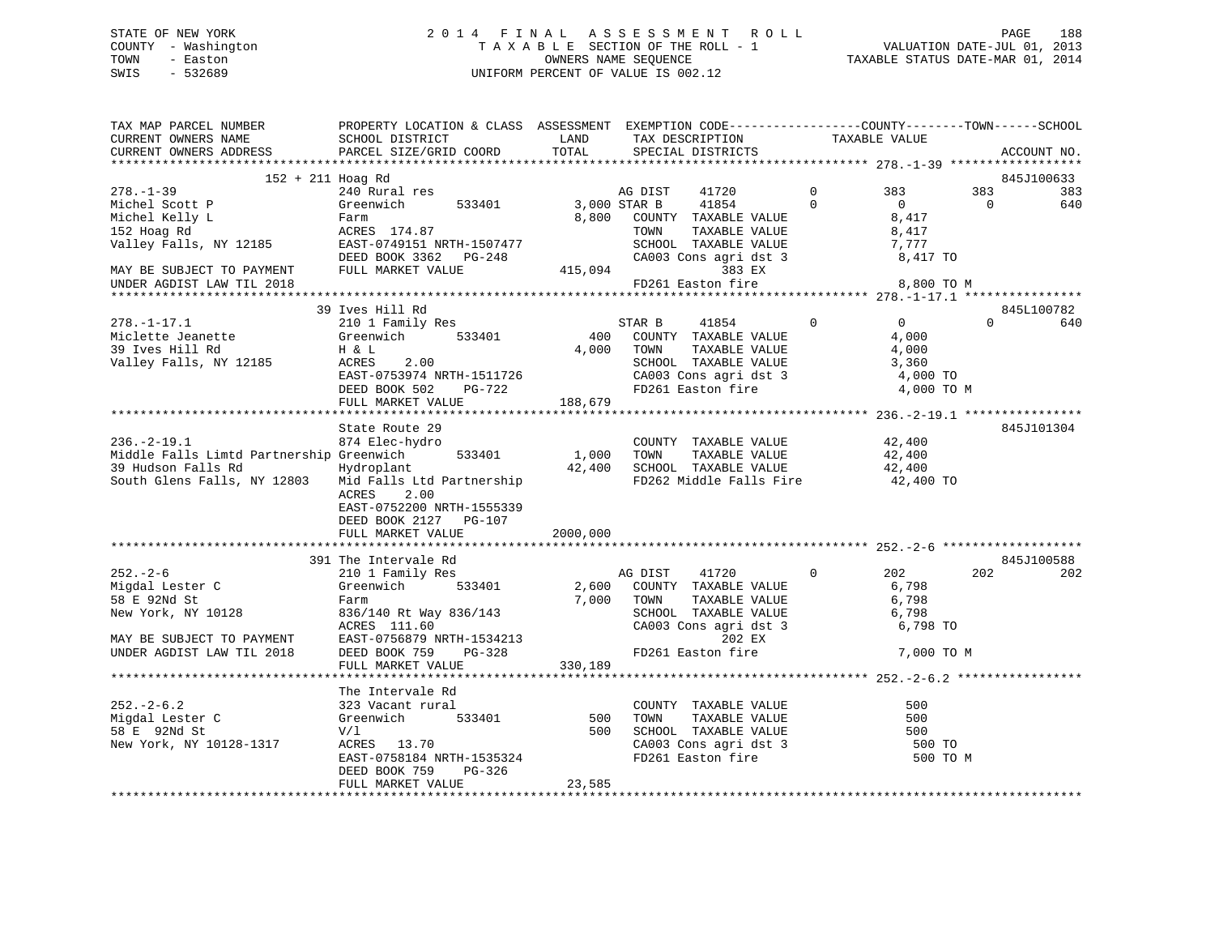# STATE OF NEW YORK 2 0 1 4 F I N A L A S S E S S M E N T R O L L PAGE 188 COUNTY - Washington T A X A B L E SECTION OF THE ROLL - 1 VALUATION DATE-JUL 01, 2013 TOWN - Easton OWNERS NAME SEQUENCE TAXABLE STATUS DATE-MAR 01, 2014 SWIS - 532689 UNIFORM PERCENT OF VALUE IS 002.12

| TAX MAP PARCEL NUMBER<br>CURRENT OWNERS NAME<br>CURRENT OWNERS ADDRESS                                                                                  | PROPERTY LOCATION & CLASS ASSESSMENT EXEMPTION CODE---------------COUNTY-------TOWN------SCHOOL<br>SCHOOL DISTRICT<br>PARCEL SIZE/GRID COORD | LAND<br>TOTAL | TAX DESCRIPTION                       | SPECIAL DISTRICTS                                                                                                                         |                            | TAXABLE VALUE                                  |                       | ACCOUNT NO. |
|---------------------------------------------------------------------------------------------------------------------------------------------------------|----------------------------------------------------------------------------------------------------------------------------------------------|---------------|---------------------------------------|-------------------------------------------------------------------------------------------------------------------------------------------|----------------------------|------------------------------------------------|-----------------------|-------------|
|                                                                                                                                                         |                                                                                                                                              |               |                                       |                                                                                                                                           |                            |                                                |                       |             |
| $152 + 211$ Hoag Rd                                                                                                                                     |                                                                                                                                              |               |                                       |                                                                                                                                           |                            |                                                |                       | 845J100633  |
| $278. - 1 - 39$<br>Michel Scott P<br>Michel Kelly L<br>152 Hoag Rd<br>Valley Falls, NY 12185 EAST-0749151 NRTH-1507477                                  | 240 Rural res<br>Greenwich 533401<br>Farm<br>ACRES 174.87                                                                                    |               | AG DIST<br>3,000 STAR B 41854<br>TOWN | 41720<br>8,800 COUNTY TAXABLE VALUE<br>TAXABLE VALUE                                                                                      | $\overline{0}$<br>$\Omega$ | 383<br>$\Omega$<br>8,417<br>8,417<br>7,777     | 383<br>$\overline{0}$ | 383<br>640  |
| MAY BE SUBJECT TO PAYMENT<br>UNDER AGDIST LAW TIL 2018                                                                                                  | DEED BOOK 3362 PG-248<br>FULL MARKET VALUE                                                                                                   |               |                                       | SCHOOL TAXABLE VALUE<br>CA003 Cons agri dst 3<br>415,094 383 EX<br>FD261 Easton fire                                                      |                            | 8,417 TO<br>8,800 TO M                         |                       |             |
|                                                                                                                                                         |                                                                                                                                              |               |                                       |                                                                                                                                           |                            |                                                |                       |             |
|                                                                                                                                                         | 39 Ives Hill Rd                                                                                                                              |               |                                       |                                                                                                                                           |                            |                                                |                       | 845L100782  |
| $278. - 1 - 17.1$<br>Miclette Jeanette<br>39 Ives Hill Rd<br>39 Ives Hill Rd<br>Valley Falls, NY 12185                                                  | 210 1 Family Res<br>Greenwich 533401<br>H & L<br>ACRES 2.00<br>EAST-0753974 NRTH-1511726<br>DEED BOOK 502<br>PG-722<br>FULL MARKET VALUE     | 188,679       | STAR B<br>4,000 TOWN                  | 41854 0<br>400 COUNTY TAXABLE VALUE<br>TAXABLE VALUE<br>SCHOOL TAXABLE VALUE 3,360<br>CA003 Cons agri dst 3 4,000 TO<br>FD261 Easton fire |                            | $\overline{0}$<br>4,000<br>4,000<br>4,000 TO M | $\Omega$              | 640         |
|                                                                                                                                                         |                                                                                                                                              |               |                                       |                                                                                                                                           |                            |                                                |                       |             |
| $236. - 2 - 19.1$<br>Middle Falls Limtd Partnership Greenwich<br>39 Hudson Falls Rd Mydroplant<br>South Glens Falls, NY 12803 Mid Falls Ltd Partnership | State Route 29<br>874 Elec-hydro<br>533401<br>2.00<br>ACRES<br>EAST-0752200 NRTH-1555339<br>DEED BOOK 2127 PG-107                            | 1,000 TOWN    |                                       | COUNTY TAXABLE VALUE<br>1,000 TOWN TAXABLE VALUE<br>42,400 SCHOOL TAXABLE VALUE<br>FD262 Middle Falls Fire 42,400 TO                      |                            | 42,400<br>42,400<br>42,400                     |                       | 845J101304  |
|                                                                                                                                                         | FULL MARKET VALUE                                                                                                                            | 2000,000      |                                       |                                                                                                                                           |                            |                                                |                       |             |
|                                                                                                                                                         | 391 The Intervale Rd                                                                                                                         |               |                                       |                                                                                                                                           |                            |                                                |                       | 845J100588  |
| $252 - 2 - 6$<br>252.-2-0<br>Migdal Lester C<br>58 E 92Nd St<br>New York, NY 10128<br>MAY BE SUBJECT TO PAYMENT                                         | 210 1 Family Res<br>Greenwich 533401<br>Farm<br>836/140 Rt Way 836/143<br>ACRES 111.60<br>$RAST-0756879$ NRTH-1534213                        | 7,000         | AG DIST 41720<br>TOWN                 | 2,600 COUNTY TAXABLE VALUE<br>TAXABLE VALUE<br>SCHOOL TAXABLE VALUE<br>CA003 Cons agri dst 3<br>202 EX                                    | $\overline{0}$             | 202<br>6,798<br>6,798<br>6,798<br>6,798 TO     | 202                   | 202         |
| UNDER AGDIST LAW TIL 2018                                                                                                                               | DEED BOOK 759                                                                                                                                | 330,189       |                                       | FD261 Easton fire                                                                                                                         |                            | 7,000 TO M                                     |                       |             |
|                                                                                                                                                         | FULL MARKET VALUE                                                                                                                            |               |                                       |                                                                                                                                           |                            |                                                |                       |             |
|                                                                                                                                                         | The Intervale Rd                                                                                                                             |               |                                       |                                                                                                                                           |                            |                                                |                       |             |
| $252 - 2 - 6.2$<br>Migdal Lester C<br>58 E 92Nd St<br>New York, NY 10128-1317                                                                           | 323 Vacant rural<br>Greenwich 533401<br>V/1<br>ACRES 13.70<br>EAST-0758184 NRTH-1535324<br>DEED BOOK 759<br>PG-326                           |               |                                       | COUNTY TAXABLE VALUE<br>500 TOWN TAXABLE VALUE<br>500 SCHOOL TAXABLE VALUE<br>CA003 Cons agri dst 3<br>FD261 Easton fire                  |                            | 500<br>500<br>500<br>500 TO<br>500 TO M        |                       |             |
|                                                                                                                                                         | FULL MARKET VALUE                                                                                                                            | 23,585        |                                       |                                                                                                                                           |                            |                                                |                       |             |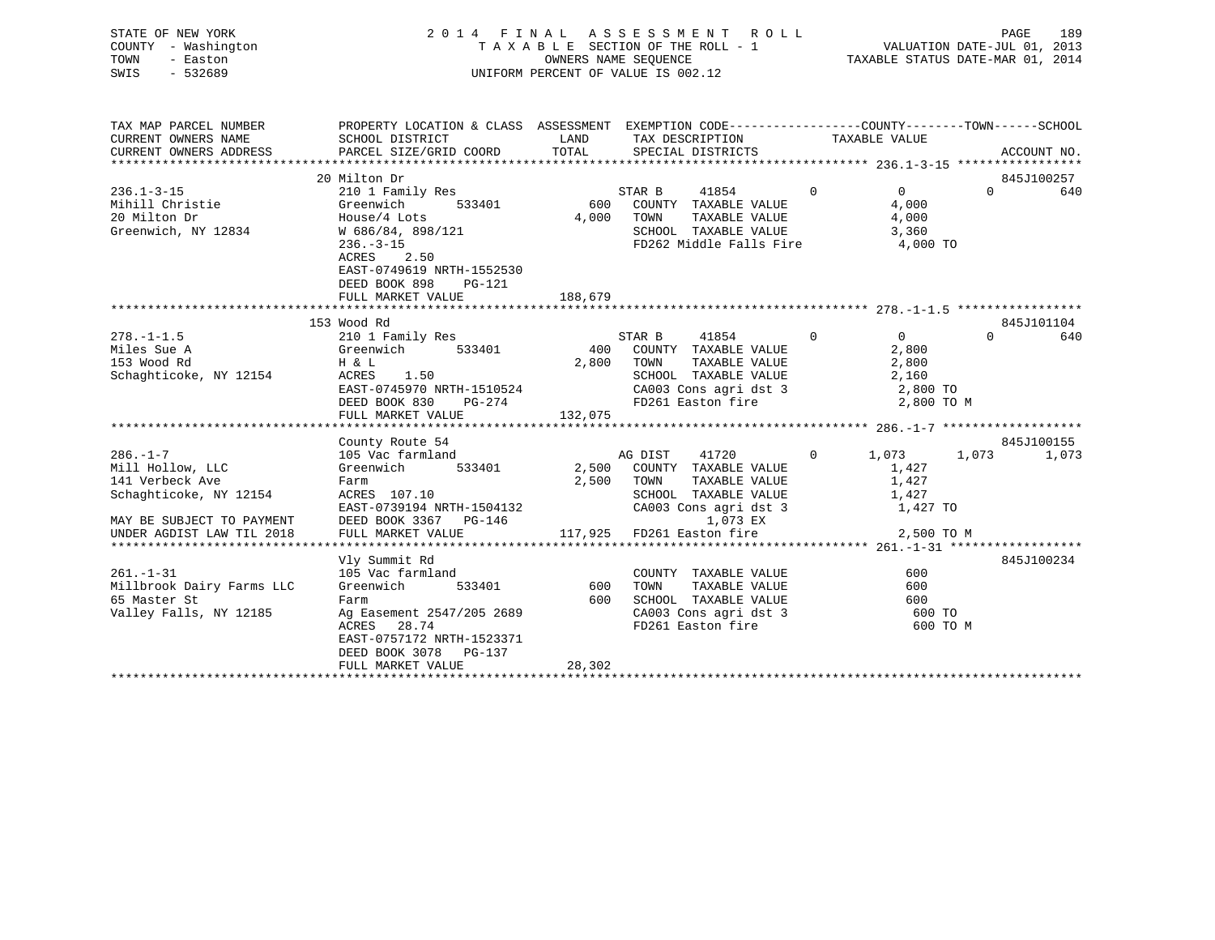| STATE OF NEW YORK<br>COUNTY - Washington<br>- Easton<br>TOWN<br>SWIS<br>$-532689$                                                         | 2014 FINAL ASSESSMENT ROLL<br>TAXABLE SECTION OF THE ROLL - 1<br>UNIFORM PERCENT OF VALUE IS 002.12                                                                                                             | PAGE<br>189<br>VALUATION DATE-JUL 01, 2013<br>TAXABLE STATUS DATE-MAR 01, 2014 |                                                                                                                                                                   |                |                                                                     |                               |
|-------------------------------------------------------------------------------------------------------------------------------------------|-----------------------------------------------------------------------------------------------------------------------------------------------------------------------------------------------------------------|--------------------------------------------------------------------------------|-------------------------------------------------------------------------------------------------------------------------------------------------------------------|----------------|---------------------------------------------------------------------|-------------------------------|
| TAX MAP PARCEL NUMBER<br>CURRENT OWNERS NAME<br>CURRENT OWNERS ADDRESS                                                                    | PROPERTY LOCATION & CLASS ASSESSMENT EXEMPTION CODE----------------COUNTY-------TOWN-----SCHOOL<br>SCHOOL DISTRICT<br>PARCEL SIZE/GRID COORD                                                                    | LAND<br>TOTAL                                                                  | TAX DESCRIPTION TAXABLE VALUE<br>SPECIAL DISTRICTS                                                                                                                |                |                                                                     | ACCOUNT NO.                   |
| $236.1 - 3 - 15$<br>Mihill Christie<br>20 Milton Dr<br>Greenwich, NY 12834                                                                | 20 Milton Dr<br>210 1 Family Res<br>533401<br>Greenwich<br>House/4 Lots<br>W 686/84, 898/121<br>$236. - 3 - 15$<br>2.50<br>ACRES<br>EAST-0749619 NRTH-1552530<br>DEED BOOK 898<br>$PG-121$<br>FULL MARKET VALUE | 600<br>188,679                                                                 | $\overline{0}$<br>STAR B<br>41854<br>COUNTY TAXABLE VALUE<br>4,000 TOWN<br>TAXABLE VALUE<br>SCHOOL TAXABLE VALUE<br>FD262 Middle Falls Fire 4,000 TO              |                | $0 \qquad \qquad$<br>4,000<br>4,000<br>3,360                        | 845J100257<br>$\Omega$<br>640 |
| $278. - 1 - 1.5$<br>Miles Sue A<br>153 Wood Rd<br>Schaghticoke, NY 12154                                                                  | 153 Wood Rd<br>210 1 Family Res<br>533401<br>Greenwich<br>H & L<br>ACRES<br>1.50<br>EAST-0745970 NRTH-1510524<br>DEED BOOK 830<br>PG-274<br>FULL MARKET VALUE                                                   | 400<br>2,800<br>132,075                                                        | 41854<br>STAR B<br>COUNTY TAXABLE VALUE<br>TOWN<br>TAXABLE VALUE<br>SCHOOL TAXABLE VALUE<br>CA003 Cons agri dst 3<br>FD261 Easton fire                            | $\Omega$       | $\overline{0}$<br>2,800<br>2,800<br>2,160<br>2,800 TO<br>2,800 TO M | 845J101104<br>$\Omega$<br>640 |
| $286. - 1 - 7$<br>Mill Hollow, LLC<br>141 Verbeck Ave<br>Schaghticoke, NY 12154<br>MAY BE SUBJECT TO PAYMENT<br>UNDER AGDIST LAW TIL 2018 | County Route 54<br>105 Vac farmland<br>533401<br>Greenwich<br>Farm<br>ACRES 107.10<br>EAST-0739194 NRTH-1504132<br>DEED BOOK 3367 PC-146<br>DEED BOOK 3367 PG-146<br>FULL MARKET VALUE                          | 2,500                                                                          | AG DIST<br>41720<br>2,500 COUNTY TAXABLE VALUE<br>TOWN<br>TAXABLE VALUE<br>SCHOOL TAXABLE VALUE<br>CA003 Cons agri dst 3<br>1,073 EX<br>117,925 FD261 Easton fire | $\overline{0}$ | 1,073<br>1,073<br>1,427<br>1,427<br>1,427<br>1,427 TO<br>2,500 TO M | 845J100155<br>1,073           |
| $261. - 1 - 31$<br>Millbrook Dairy Farms LLC<br>65 Master St<br>Valley Falls, NY 12185                                                    | Vly Summit Rd<br>105 Vac farmland<br>Greenwich<br>533401<br>Farm<br>Ag Easement 2547/205 2689<br>ACRES<br>28.74<br>EAST-0757172 NRTH-1523371<br>DEED BOOK 3078 PG-137<br>FULL MARKET VALUE                      | 600<br>600<br>28,302                                                           | COUNTY TAXABLE VALUE<br>TOWN<br>TAXABLE VALUE<br>SCHOOL TAXABLE VALUE<br>CA003 Cons agri dst 3<br>FD261 Easton fire                                               |                | 600<br>600<br>600<br>600 TO<br>600 TO M                             | 845J100234                    |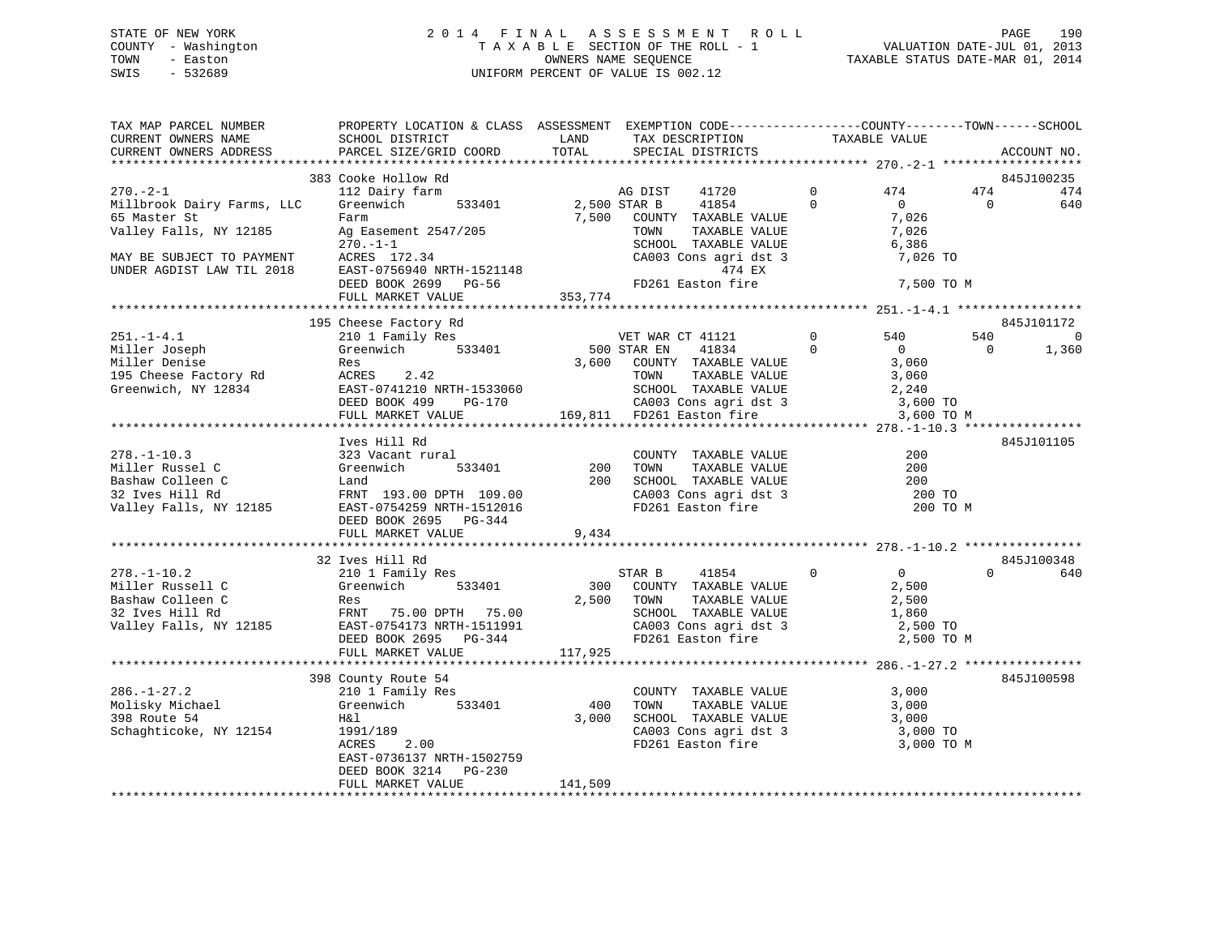# STATE OF NEW YORK 2 0 1 4 F I N A L A S S E S S M E N T R O L L PAGE 190 COUNTY - Washington T A X A B L E SECTION OF THE ROLL - 1 VALUATION DATE-JUL 01, 2013 TOWN - Easton OWNERS NAME SEQUENCE TAXABLE STATUS DATE-MAR 01, 2014 SWIS - 532689 UNIFORM PERCENT OF VALUE IS 002.12

| TAX MAP PARCEL NUMBER<br>CURRENT OWNERS NAME<br>CURRENT OWNERS ADDRESS | PROPERTY LOCATION & CLASS ASSESSMENT EXEMPTION CODE----------------COUNTY-------TOWN-----SCHOOL<br>SCHOOL DISTRICT<br>PARCEL SIZE/GRID COORD | LAND<br>TOTAL | TAX DESCRIPTION<br>SPECIAL DISTRICTS                                                 |                | TAXABLE VALUE                             |                | ACCOUNT NO.       |
|------------------------------------------------------------------------|----------------------------------------------------------------------------------------------------------------------------------------------|---------------|--------------------------------------------------------------------------------------|----------------|-------------------------------------------|----------------|-------------------|
|                                                                        |                                                                                                                                              |               |                                                                                      |                |                                           |                |                   |
| $270. - 2 - 1$                                                         | 383 Cooke Hollow Rd<br>112 Dairy farm                                                                                                        |               | 41720<br>AG DIST                                                                     | $\mathbf{0}$   | 474                                       | 474            | 845J100235<br>474 |
| Millbrook Dairy Farms, LLC<br>65 Master St<br>Valley Falls, NY 12185   | Greenwich<br>533401<br>Farm<br>Ag Easement 2547/205<br>$270. - 1 - 1$                                                                        | 2,500 STAR B  | 41854<br>7,500 COUNTY TAXABLE VALUE<br>TOWN<br>TAXABLE VALUE<br>SCHOOL TAXABLE VALUE | $\Omega$       | $\overline{0}$<br>7,026<br>7,026<br>6,386 | $\Omega$       | 640               |
| MAY BE SUBJECT TO PAYMENT<br>UNDER AGDIST LAW TIL 2018                 | ACRES 172.34<br>EAST-0756940 NRTH-1521148<br>DEED BOOK 2699 PG-56                                                                            |               | CA003 Cons agri dst 3<br>474 EX<br>FD261 Easton fire                                 |                | 7,026 TO<br>7,500 TO M                    |                |                   |
|                                                                        | FULL MARKET VALUE                                                                                                                            | 353,774       |                                                                                      |                |                                           |                |                   |
|                                                                        | 195 Cheese Factory Rd                                                                                                                        |               |                                                                                      |                |                                           |                | 845J101172        |
| $251. - 1 - 4.1$                                                       | 210 1 Family Res                                                                                                                             |               | VET WAR CT 41121                                                                     | $\overline{0}$ | 540                                       | 540            | $\Omega$          |
| Miller Joseph                                                          | Greenwich 533401                                                                                                                             | 500 STAR EN   | 41834                                                                                | $\overline{0}$ | $\overline{0}$                            | $\overline{0}$ | 1,360             |
| Miller Denise                                                          | Res                                                                                                                                          | 3,600         | COUNTY TAXABLE VALUE                                                                 |                | 3,060                                     |                |                   |
| 195 Cheese Factory Rd                                                  | ACRES 2.42                                                                                                                                   |               | TAXABLE VALUE<br>TOWN                                                                |                | 3,060                                     |                |                   |
| Greenwich, NY 12834                                                    | EAST-0741210 NRTH-1533060<br>DEED BOOK 499 PG-170                                                                                            |               | SCHOOL TAXABLE VALUE                                                                 |                | 2,240                                     |                |                   |
|                                                                        |                                                                                                                                              |               | SCHOOL TAXABLE VALUE<br>CA003 Cons agri dst 3                                        |                | 3,600 TO                                  |                |                   |
|                                                                        | FULL MARKET VALUE                                                                                                                            |               | 169,811 FD261 Easton fire                                                            |                | 3,600 TO M                                |                |                   |
|                                                                        |                                                                                                                                              |               |                                                                                      |                |                                           |                |                   |
|                                                                        | Ives Hill Rd                                                                                                                                 |               |                                                                                      |                |                                           |                | 845J101105        |
| $278. - 1 - 10.3$                                                      | 323 Vacant rural                                                                                                                             |               | COUNTY TAXABLE VALUE                                                                 |                | 200                                       |                |                   |
| Miller Russel C                                                        | Greenwich<br>533401                                                                                                                          | 200           | IAAABLE VALUE<br>TAXABLE VALUE<br>TAVADIE VIIII<br>TOWN                              |                | 200                                       |                |                   |
| Bashaw Colleen C                                                       | Land                                                                                                                                         |               | 200 SCHOOL TAXABLE VALUE<br>CA003 Cons agri dst 3<br>FD261 Easton fire               |                | 200                                       |                |                   |
| 32 Ives Hill Rd                                                        | FRNT 193.00 DPTH 109.00                                                                                                                      |               |                                                                                      |                | 200 TO                                    |                |                   |
| Valley Falls, NY 12185                                                 | EAST-0754259 NRTH-1512016<br>DEED BOOK 2695 PG-344                                                                                           |               |                                                                                      |                | 200 TO M                                  |                |                   |
|                                                                        | FULL MARKET VALUE                                                                                                                            | 9,434         |                                                                                      |                |                                           |                |                   |
|                                                                        | 32 Ives Hill Rd                                                                                                                              |               |                                                                                      |                |                                           |                | 845J100348        |
| $278. - 1 - 10.2$                                                      | 210 1 Family Res                                                                                                                             |               | STAR B<br>41854                                                                      | $\overline{0}$ | $\overline{0}$                            | $\Omega$       | 640               |
| Miller Russell C                                                       | Greenwich<br>533401                                                                                                                          | 300           | COUNTY TAXABLE VALUE                                                                 |                | 2,500                                     |                |                   |
| Bashaw Colleen C                                                       | Res                                                                                                                                          |               | 2,500 TOWN<br>TAXABLE VALUE                                                          |                | 2,500                                     |                |                   |
| 32 Ives Hill Rd                                                        | FRNT 75.00 DPTH 75.00                                                                                                                        |               | SCHOOL TAXABLE VALUE                                                                 |                | 1,860                                     |                |                   |
| Valley Falls, NY 12185                                                 | EAST-0754173 NRTH-1511991                                                                                                                    |               | CA003 Cons agri dst 3<br>FD261 Easton fire                                           |                | 2,500 TO                                  |                |                   |
|                                                                        | DEED BOOK 2695 PG-344                                                                                                                        |               |                                                                                      |                | 2,500 TO M                                |                |                   |
|                                                                        | FULL MARKET VALUE                                                                                                                            | 117,925       |                                                                                      |                |                                           |                |                   |
|                                                                        |                                                                                                                                              |               |                                                                                      |                |                                           |                |                   |
|                                                                        | 398 County Route 54                                                                                                                          |               |                                                                                      |                |                                           |                | 845J100598        |
| $286. - 1 - 27.2$                                                      | 210 1 Family Res                                                                                                                             |               | COUNTY TAXABLE VALUE                                                                 |                | 3,000                                     |                |                   |
| Molisky Michael                                                        | Greenwich<br>533401                                                                                                                          | 400           | TAXABLE VALUE<br>TOWN                                                                |                | 3,000                                     |                |                   |
| 398 Route 54                                                           | H&l                                                                                                                                          | 3,000         | SCHOOL TAXABLE VALUE                                                                 |                | 3,000                                     |                |                   |
| Schaghticoke, NY 12154                                                 | 1991/189                                                                                                                                     |               | CA003 Cons agri dst 3                                                                |                | 3,000 TO                                  |                |                   |
|                                                                        | 2.00<br>ACRES                                                                                                                                |               | FD261 Easton fire                                                                    |                | 3,000 TO M                                |                |                   |
|                                                                        | EAST-0736137 NRTH-1502759                                                                                                                    |               |                                                                                      |                |                                           |                |                   |
|                                                                        | DEED BOOK 3214 PG-230<br>FULL MARKET VALUE                                                                                                   | 141,509       |                                                                                      |                |                                           |                |                   |
|                                                                        |                                                                                                                                              |               |                                                                                      |                |                                           |                |                   |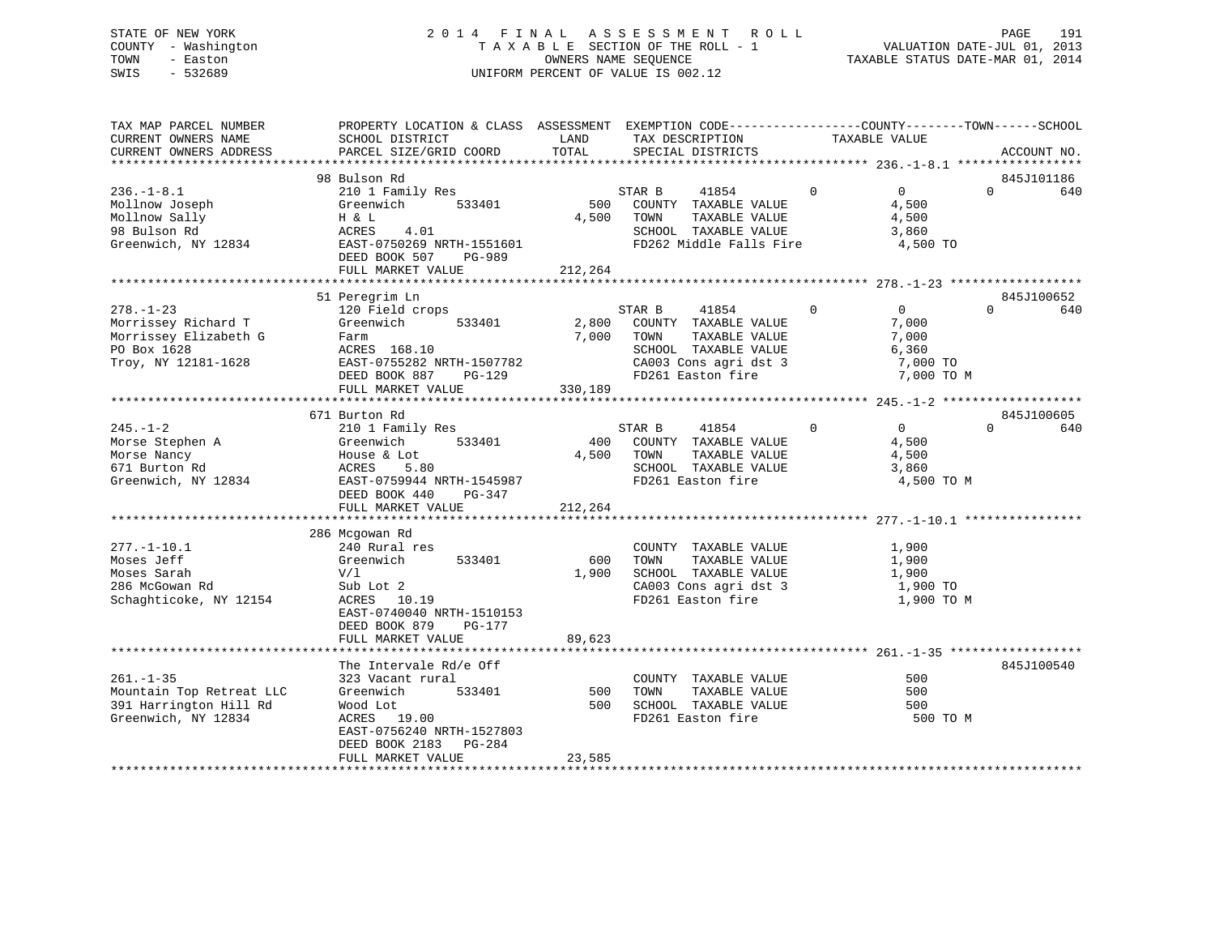# STATE OF NEW YORK 2 0 1 4 F I N A L A S S E S S M E N T R O L L PAGE 191 COUNTY - Washington T A X A B L E SECTION OF THE ROLL - 1 VALUATION DATE-JUL 01, 2013 TOWN - Easton OWNERS NAME SEQUENCE TAXABLE STATUS DATE-MAR 01, 2014 SWIS - 532689 UNIFORM PERCENT OF VALUE IS 002.12

| TAX MAP PARCEL NUMBER<br>CURRENT OWNERS NAME<br>CURRENT OWNERS ADDRESS<br>*************************   | PROPERTY LOCATION & CLASS ASSESSMENT EXEMPTION CODE----------------COUNTY-------TOWN------SCHOOL<br>SCHOOL DISTRICT<br>PARCEL SIZE/GRID COORD                              | LAND<br>TOTAL             | TAX DESCRIPTION<br>SPECIAL DISTRICTS                                                                                                   | TAXABLE VALUE                                                            | ACCOUNT NO.                   |
|-------------------------------------------------------------------------------------------------------|----------------------------------------------------------------------------------------------------------------------------------------------------------------------------|---------------------------|----------------------------------------------------------------------------------------------------------------------------------------|--------------------------------------------------------------------------|-------------------------------|
| $236. - 1 - 8.1$<br>Mollnow Joseph<br>Mollnow Sally<br>98 Bulson Rd<br>Greenwich, NY 12834            | 98 Bulson Rd<br>210 1 Family Res<br>533401<br>Greenwich<br>H & L<br>ACRES<br>4.01<br>EAST-0750269 NRTH-1551601<br>DEED BOOK 507<br>PG-989<br>FULL MARKET VALUE             | 500<br>4,500<br>212,264   | STAR B<br>41854<br>COUNTY TAXABLE VALUE<br>TOWN<br>TAXABLE VALUE<br>SCHOOL TAXABLE VALUE<br>FD262 Middle Falls Fire                    | $\Omega$<br>$\overline{0}$<br>4,500<br>4,500<br>3,860<br>4,500 TO        | 845J101186<br>$\Omega$<br>640 |
| $278. - 1 - 23$<br>Morrissey Richard T<br>Morrissey Elizabeth G<br>PO Box 1628<br>Troy, NY 12181-1628 | 51 Peregrim Ln<br>120 Field crops<br>Greenwich<br>533401<br>Farm<br>ACRES 168.10<br>EAST-0755282 NRTH-1507782<br>DEED BOOK 887 PG-129<br>FULL MARKET VALUE                 | 2,800<br>7,000<br>330,189 | STAR B<br>41854<br>COUNTY TAXABLE VALUE<br>TOWN<br>TAXABLE VALUE<br>SCHOOL TAXABLE VALUE<br>CA003 Cons agri dst 3<br>FD261 Easton fire | $\overline{0}$<br>0<br>7,000<br>7,000<br>6,360<br>7,000 TO<br>7,000 TO M | 845J100652<br>$\Omega$<br>640 |
| $245. - 1 - 2$<br>Morse Stephen A<br>Morse Nancy<br>671 Burton Rd<br>Greenwich, NY 12834              | 671 Burton Rd<br>210 1 Family Res<br>533401<br>Greenwich<br>House & Lot<br>ACRES<br>5.80<br>EAST-0759944 NRTH-1545987<br>DEED BOOK 440<br>PG-347<br>FULL MARKET VALUE      | 400<br>4,500<br>212,264   | 41854<br>STAR B<br>COUNTY TAXABLE VALUE<br>TOWN<br>TAXABLE VALUE<br>SCHOOL TAXABLE VALUE<br>FD261 Easton fire                          | $\Omega$<br>$\mathbf 0$<br>4,500<br>4,500<br>3,860<br>4,500 TO M         | 845J100605<br>$\Omega$<br>640 |
| $277. - 1 - 10.1$<br>Moses Jeff<br>Moses Sarah<br>286 McGowan Rd<br>Schaghticoke, NY 12154            | 286 Mcgowan Rd<br>240 Rural res<br>Greenwich<br>533401<br>V/1<br>Sub Lot 2<br>ACRES 10.19<br>EAST-0740040 NRTH-1510153<br>DEED BOOK 879<br>PG-177<br>FULL MARKET VALUE     | 600<br>1,900<br>89,623    | COUNTY TAXABLE VALUE<br>TAXABLE VALUE<br>TOWN<br>SCHOOL TAXABLE VALUE<br>CA003 Cons agri dst 3<br>FD261 Easton fire                    | 1,900<br>1,900<br>1,900<br>1,900 TO<br>1,900 TO M                        |                               |
| $261. -1 - 35$<br>Mountain Top Retreat LLC<br>391 Harrington Hill Rd<br>Greenwich, NY 12834           | The Intervale Rd/e Off<br>323 Vacant rural<br>Greenwich<br>533401<br>Wood Lot<br>ACRES 19.00<br>EAST-0756240 NRTH-1527803<br>DEED BOOK 2183<br>PG-284<br>FULL MARKET VALUE | 500<br>500<br>23,585      | COUNTY TAXABLE VALUE<br>TOWN<br>TAXABLE VALUE<br>SCHOOL TAXABLE VALUE<br>FD261 Easton fire                                             | 500<br>500<br>500<br>500 TO M                                            | 845J100540                    |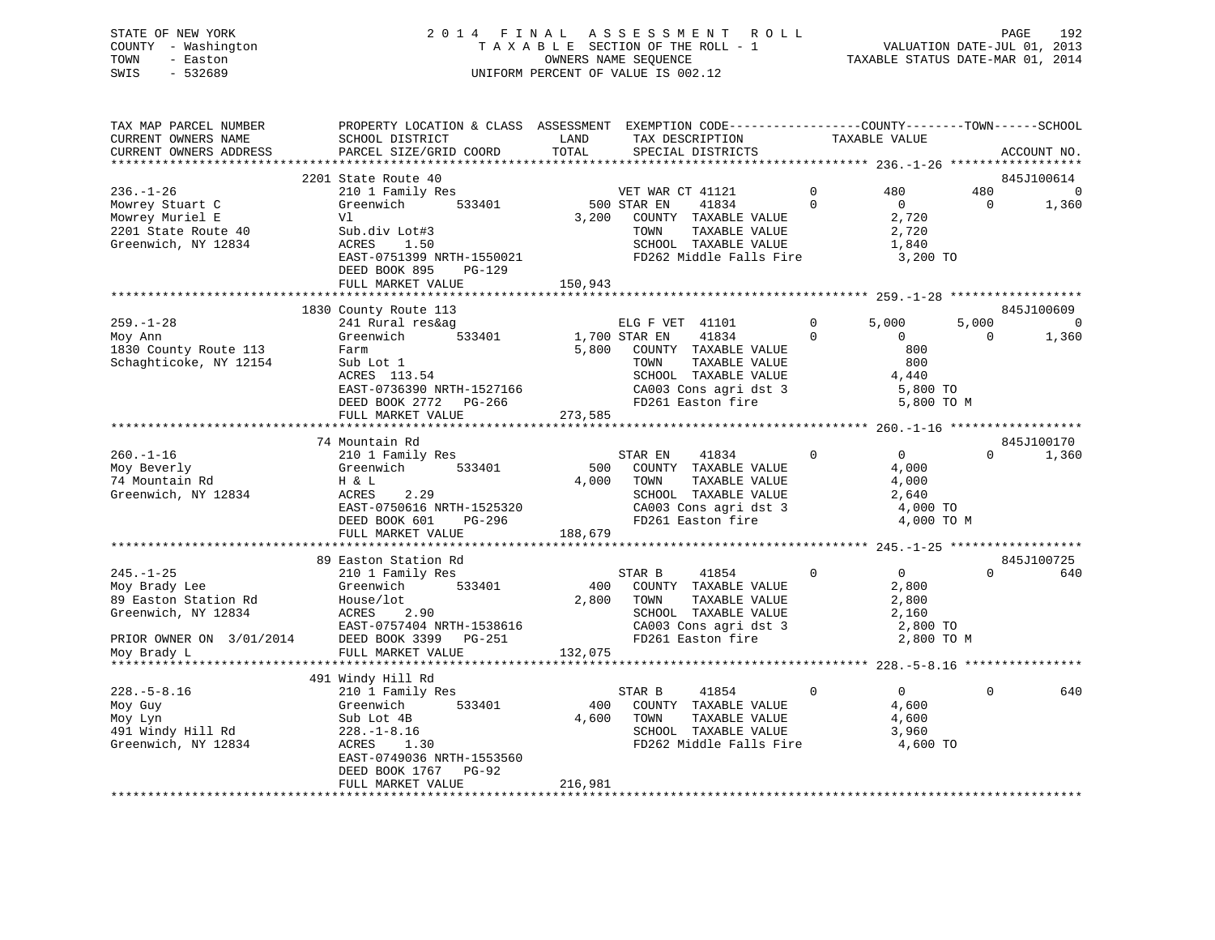# STATE OF NEW YORK 2 0 1 4 F I N A L A S S E S S M E N T R O L L PAGE 192 COUNTY - Washington T A X A B L E SECTION OF THE ROLL - 1 VALUATION DATE-JUL 01, 2013 TOWN - Easton OWNERS NAME SEQUENCE TAXABLE STATUS DATE-MAR 01, 2014 SWIS - 532689 UNIFORM PERCENT OF VALUE IS 002.12

| TAX MAP PARCEL NUMBER<br>CURRENT OWNERS NAME | PROPERTY LOCATION & CLASS ASSESSMENT EXEMPTION CODE----------------COUNTY-------TOWN------SCHOOL<br>SCHOOL DISTRICT | LAND<br>TOTAL | TAX DESCRIPTION                                                    |                | TAXABLE VALUE  |            |                |
|----------------------------------------------|---------------------------------------------------------------------------------------------------------------------|---------------|--------------------------------------------------------------------|----------------|----------------|------------|----------------|
| CURRENT OWNERS ADDRESS                       | PARCEL SIZE/GRID COORD                                                                                              |               | SPECIAL DISTRICTS                                                  |                |                |            | ACCOUNT NO.    |
|                                              | 2201 State Route 40                                                                                                 |               |                                                                    |                |                |            | 845J100614     |
| $236. - 1 - 26$                              | 210 1 Family Res                                                                                                    |               | VET WAR CT 41121                                                   | $\overline{0}$ | 480            | 480        | $\overline{0}$ |
| Mowrey Stuart C                              | Greenwich $533401$                                                                                                  | 500 STAR EN   | 41834                                                              | $\Omega$       | $\overline{0}$ | $\bigcirc$ | 1,360          |
| Mowrey Muriel E                              | Vl                                                                                                                  | 3,200         | COUNTY TAXABLE VALUE                                               |                | 2,720          |            |                |
| 2201 State Route 40                          | Sub.div Lot#3                                                                                                       |               | TAXABLE VALUE<br>TOWN                                              |                | 2,720          |            |                |
| Greenwich, NY 12834                          | ACRES 1.50                                                                                                          |               | SCHOOL TAXABLE VALUE                                               |                | 1,840          |            |                |
|                                              | EAST-0751399 NRTH-1550021                                                                                           |               | FD262 Middle Falls Fire 3,200 TO                                   |                |                |            |                |
|                                              | DEED BOOK 895<br>PG-129                                                                                             |               |                                                                    |                |                |            |                |
|                                              | FULL MARKET VALUE                                                                                                   | 150,943       |                                                                    |                |                |            |                |
|                                              |                                                                                                                     |               |                                                                    |                |                |            |                |
|                                              | 1830 County Route 113                                                                                               |               |                                                                    |                |                |            | 845J100609     |
| $259. - 1 - 28$                              | 241 Rural res&ag                                                                                                    |               | ELG F VET 41101                                                    | $\Omega$       | 5,000          | 5,000      | $\Omega$       |
| Moy Ann                                      | 533401<br>Greenwich                                                                                                 | 1,700 STAR EN | 41834                                                              | $\Omega$       | $\overline{0}$ | $\Omega$   | 1,360          |
| 1830 County Route 113                        | Farm                                                                                                                |               | 5,800 COUNTY TAXABLE VALUE                                         |                | 800            |            |                |
| Schaghticoke, NY 12154                       | Sub Lot 1                                                                                                           |               | TAXABLE VALUE<br>TOWN                                              |                | 800            |            |                |
|                                              | $ACRES$ 113.54                                                                                                      |               | SCHOOL TAXABLE VALUE                                               |                | 4,440          |            |                |
|                                              | EAST-0736390 NRTH-1527166                                                                                           |               | CA003 Cons agri dst 3<br>FD261 Easton fire                         |                | 5,800 TO       |            |                |
|                                              | DEED BOOK 2772 PG-266                                                                                               |               |                                                                    |                | 5,800 TO M     |            |                |
|                                              | FULL MARKET VALUE                                                                                                   | 273,585       |                                                                    |                |                |            |                |
|                                              |                                                                                                                     |               |                                                                    |                |                |            |                |
|                                              | 74 Mountain Rd<br>210 1 Family Res                                                                                  |               | $\sim$ 0                                                           |                | $\overline{0}$ | $\Omega$   | 845J100170     |
| $260. - 1 - 16$<br>Moy Beverly               | 533401<br>Greenwich                                                                                                 |               | STAR EN<br>41834<br>500 COUNTY TAXABLE VALUE                       |                | 4,000          |            | 1,360          |
| 74 Mountain Rd                               | H & L                                                                                                               |               | 4,000 TOWN<br>TAXABLE VALUE                                        |                | 4,000          |            |                |
| Greenwich, NY 12834                          | 2.29<br>ACRES                                                                                                       |               | SCHOOL TAXABLE VALUE                                               |                | 2,640          |            |                |
|                                              | EAST-0750616 NRTH-1525320                                                                                           |               | CA003 Cons agri dst 3                                              |                | 4,000 TO       |            |                |
|                                              | PG-296<br>DEED BOOK 601                                                                                             |               | FD261 Easton fire                                                  |                | 4,000 TO M     |            |                |
|                                              | FULL MARKET VALUE                                                                                                   | 188,679       |                                                                    |                |                |            |                |
|                                              |                                                                                                                     |               |                                                                    |                |                |            |                |
|                                              | 89 Easton Station Rd                                                                                                |               |                                                                    |                |                |            | 845J100725     |
| $245. - 1 - 25$                              | 210 1 Family Res                                                                                                    |               | 41854<br>STAR B                                                    | $\overline{0}$ | $\overline{0}$ | $\Omega$   | 640            |
| Moy Brady Lee                                | 533401<br>Greenwich                                                                                                 | 400           | COUNTY TAXABLE VALUE                                               |                | 2,800          |            |                |
| 89 Easton Station Rd                         | House/lot                                                                                                           | 2,800         | TOWN<br>TAXABLE VALUE                                              |                | 2,800          |            |                |
| Greenwich, NY 12834                          | 2.90<br>ACRES                                                                                                       |               |                                                                    |                | 2,160          |            |                |
|                                              | EAST-0757404 NRTH-1538616                                                                                           |               |                                                                    |                | 2,800 TO       |            |                |
| PRIOR OWNER ON 3/01/2014                     | DEED BOOK 3399 PG-251                                                                                               |               | SCHOOL TAXABLE VALUE<br>CA003 Cons agri dst 3<br>FD261 Easton fire |                | 2,800 TO M     |            |                |
| Moy Brady L                                  | FULL MARKET VALUE                                                                                                   | 132,075       |                                                                    |                |                |            |                |
|                                              |                                                                                                                     |               |                                                                    |                |                |            |                |
|                                              | 491 Windy Hill Rd                                                                                                   |               |                                                                    |                |                |            |                |
| $228. - 5 - 8.16$                            | 210 1 Family Res                                                                                                    |               | STAR B<br>41854                                                    | $\mathbf{0}$   | $\overline{0}$ | $\Omega$   | 640            |
| Moy Guy                                      | Greenwich<br>533401                                                                                                 | 400           | COUNTY TAXABLE VALUE                                               |                | 4,600          |            |                |
| Moy Lyn                                      | Sub Lot 4B                                                                                                          | 4,600         | TAXABLE VALUE<br>TOWN                                              |                | 4,600          |            |                |
| 491 Windy Hill Rd                            | $228. - 1 - 8.16$                                                                                                   |               |                                                                    |                | 3,960          |            |                |
| Greenwich, NY 12834                          | ACRES<br>1.30                                                                                                       |               | SCHOOL TAXABLE VALUE<br>FD262 Middle Falls Fire                    |                | 4,600 TO       |            |                |
|                                              | EAST-0749036 NRTH-1553560                                                                                           |               |                                                                    |                |                |            |                |
|                                              | DEED BOOK 1767 PG-92                                                                                                |               |                                                                    |                |                |            |                |
|                                              | FULL MARKET VALUE                                                                                                   | 216,981       |                                                                    |                |                |            |                |
|                                              |                                                                                                                     |               |                                                                    |                |                |            |                |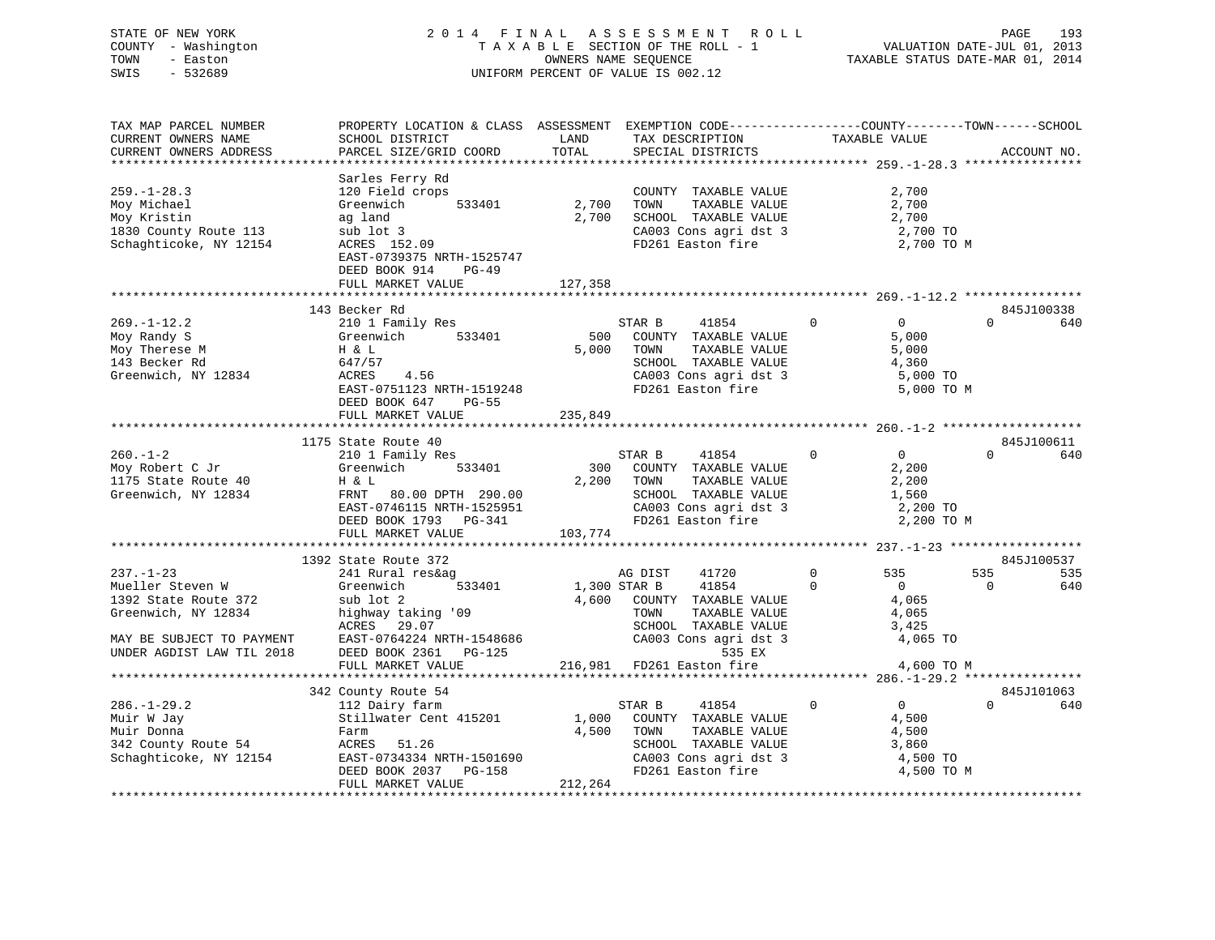|      | STATE OF NEW YORK   | 2014 FINAL ASSESSMENT ROLL                               | PAGE                        | 193 |
|------|---------------------|----------------------------------------------------------|-----------------------------|-----|
|      | COUNTY - Washington | TAXABLE SECTION OF THE ROLL - 1                          | VALUATION DATE-JUL 01, 2013 |     |
| TOWN | - Easton            | TAXABLE STATUS DATE-MAR 01, 2014<br>OWNERS NAME SEOUENCE |                             |     |
| SWIS | $-532689$           | UNIFORM PERCENT OF VALUE IS 002.12                       |                             |     |
|      |                     |                                                          |                             |     |

| TAX MAP PARCEL NUMBER                                                         | PROPERTY LOCATION & CLASS ASSESSMENT EXEMPTION CODE---------------COUNTY-------TOWN------SCHOOL |         |                                                                |                                       |                            |             |
|-------------------------------------------------------------------------------|-------------------------------------------------------------------------------------------------|---------|----------------------------------------------------------------|---------------------------------------|----------------------------|-------------|
| CURRENT OWNERS NAME                                                           | SCHOOL DISTRICT                                                                                 | LAND    | TAX DESCRIPTION                                                | TAXABLE VALUE                         |                            |             |
| CURRENT OWNERS ADDRESS                                                        | PARCEL SIZE/GRID COORD                                                                          | TOTAL   | SPECIAL DISTRICTS                                              |                                       |                            | ACCOUNT NO. |
|                                                                               |                                                                                                 |         |                                                                |                                       |                            |             |
|                                                                               | Sarles Ferry Rd                                                                                 |         |                                                                |                                       |                            |             |
| $259. - 1 - 28.3$                                                             | 120 Field crops                                                                                 |         | COUNTY TAXABLE VALUE                                           |                                       | 2,700                      |             |
|                                                                               | 533401                                                                                          | 2,700   | TAXABLE VALUE<br>TOWN                                          |                                       | 2,700                      |             |
| Moy Michael                                                                   | Greenwich                                                                                       |         |                                                                |                                       |                            |             |
| Moy Kristin<br>Moy Alistin<br>1830 County Route 113<br>Cabachticoke, NY 12154 | ag land                                                                                         | 2,700   | SCHOOL TAXABLE VALUE<br>CA003 Cons agri dst 3                  | 2,700                                 |                            |             |
|                                                                               | sub lot 3                                                                                       |         |                                                                |                                       | 2,700 TO                   |             |
|                                                                               | ACRES 152.09                                                                                    |         | FD261 Easton fire                                              |                                       | 2,700 TO M                 |             |
|                                                                               | EAST-0739375 NRTH-1525747                                                                       |         |                                                                |                                       |                            |             |
|                                                                               | DEED BOOK 914<br>$PG-49$                                                                        |         |                                                                |                                       |                            |             |
|                                                                               | FULL MARKET VALUE                                                                               | 127,358 |                                                                |                                       |                            |             |
|                                                                               |                                                                                                 |         |                                                                |                                       |                            |             |
|                                                                               | 143 Becker Rd                                                                                   |         |                                                                |                                       |                            | 845J100338  |
| $269. - 1 - 12.2$                                                             | 210 1 Family Res                                                                                |         | STAR B<br>41854                                                | $\mathbf{0}$                          | $\overline{0}$<br>$\Omega$ | 640         |
| Moy Randy S                                                                   | Greenwich 533401                                                                                |         | 500 COUNTY TAXABLE VALUE                                       |                                       | 5,000                      |             |
| Moy Therese M                                                                 |                                                                                                 |         | 5,000 TOWN<br>TAXABLE VALUE                                    |                                       | 5,000                      |             |
| 143 Becker Rd                                                                 | H & L<br>647/57                                                                                 |         | SCHOOL TAXABLE VALUE                                           |                                       |                            |             |
|                                                                               | 4.56                                                                                            |         |                                                                | 4,360                                 |                            |             |
| Greenwich, NY 12834                                                           | ACRES                                                                                           |         | CA003 Cons agri dst 3<br>FD261 Easton fire                     |                                       | 5,000 TO                   |             |
|                                                                               | EAST-0751123 NRTH-1519248                                                                       |         |                                                                |                                       | 5,000 TO M                 |             |
|                                                                               | DEED BOOK 647 PG-55                                                                             |         |                                                                |                                       |                            |             |
|                                                                               | FULL MARKET VALUE                                                                               | 235,849 |                                                                |                                       |                            |             |
|                                                                               |                                                                                                 |         |                                                                |                                       |                            |             |
|                                                                               | 1175 State Route 40                                                                             |         |                                                                |                                       |                            | 845J100611  |
| $260 - 1 - 2$                                                                 | 210 1 Family Res                                                                                |         | STAR B 41854 0                                                 | $\overline{0}$                        | $\Omega$                   | 640         |
| Moy Robert C Jr                                                               | Greenwich 533401                                                                                |         | 300 COUNTY TAXABLE VALUE                                       |                                       | 2,200                      |             |
| Moy Robert C Jr<br>1175 State Route 40<br>Greenwich, NY 12834                 | H & L                                                                                           |         | 2,200 TOWN<br>TAXABLE VALUE                                    | 2,200                                 |                            |             |
|                                                                               | FRNT 80.00 DPTH 290.00                                                                          |         | SCHOOL TAXABLE VALUE                                           | 1,560                                 |                            |             |
|                                                                               | EAST-0746115 NRTH-1525951                                                                       |         | CA003 Cons agri dst 3                                          | 2,200 TO                              |                            |             |
|                                                                               |                                                                                                 |         | FD261 Easton fire                                              |                                       | 2,200 TO M                 |             |
|                                                                               | DEED BOOK 1793 PG-341                                                                           | 103,774 |                                                                |                                       |                            |             |
|                                                                               | FULL MARKET VALUE                                                                               |         |                                                                |                                       |                            |             |
|                                                                               |                                                                                                 |         |                                                                |                                       |                            |             |
|                                                                               | 1392 State Route 372                                                                            |         |                                                                |                                       |                            | 845J100537  |
| $237. - 1 - 23$                                                               | 241 Rural res&ag                                                                                |         | 41720<br>AG DIST                                               | 535<br>$\Omega$                       | 535                        | 535         |
| Mueller Steven W                                                              | 533401<br>Greenwich                                                                             |         | 1,300 STAR B 41854                                             | $\Omega$<br>$\overline{0}$            | $\overline{0}$             | 640         |
| 1392 State Route 372                                                          | sub lot 2                                                                                       |         | 4,600 COUNTY TAXABLE VALUE                                     |                                       | 4,065                      |             |
| Greenwich, NY 12834                                                           | highway taking $'09$                                                                            |         |                                                                | 4,065                                 |                            |             |
|                                                                               | ACRES 29.07                                                                                     |         | TOWN      TAXABLE  VALUE<br>SCHOOL   TAXABLE  VALUE            | 3,425                                 |                            |             |
| MAY BE SUBJECT TO PAYMENT                                                     | $RAST-0764224ERST-0764224NTR = 0004 2361 04-125$                                                |         | CA003 Cons agri dst 3                                          |                                       | 4,065 TO                   |             |
| UNDER AGDIST LAW TIL 2018                                                     | DEED BOOK 2361<br>PG-125                                                                        |         | 535 EX                                                         |                                       |                            |             |
|                                                                               | FULL MARKET VALUE                                                                               |         | 216,981 FD261 Easton fire                                      |                                       | 4,600 TO M                 |             |
|                                                                               |                                                                                                 |         |                                                                |                                       |                            |             |
|                                                                               | 342 County Route 54                                                                             |         |                                                                |                                       |                            | 845J101063  |
|                                                                               |                                                                                                 |         |                                                                | $\overline{0}$                        | $\Omega$                   |             |
| $286. - 1 - 29.2$                                                             | 112 Dairy farm                                                                                  |         | STAR B<br>41854                                                | $\overline{0}$                        |                            | 640         |
| Muir W Jay                                                                    | Stillwater Cent 415201                                                                          |         | 1,000 COUNTY TAXABLE VALUE                                     |                                       | 4,500                      |             |
| Muir Donna                                                                    | Farm                                                                                            |         | 4,500 TOWN<br>TAXABLE VALUE                                    |                                       | 4,500                      |             |
| 342 County Route 54 MCRES 51.26                                               |                                                                                                 |         | SCHOOL TAXABLE VALUE                                           | 3,860                                 |                            |             |
| Schaghticoke, NY 12154                                                        |                                                                                                 |         |                                                                |                                       |                            |             |
|                                                                               | EAST-0734334 NRTH-1501690<br>DEED BOOK 2037 PG-158<br>FULL MARKET VALUE                         |         | CA003 Cons agri dst 3 4,500 TO<br>FD261 Easton fire 4,500 TO M |                                       |                            |             |
|                                                                               | FULL MARKET VALUE                                                                               | 212,264 |                                                                |                                       |                            |             |
|                                                                               |                                                                                                 |         |                                                                | ************************************* |                            |             |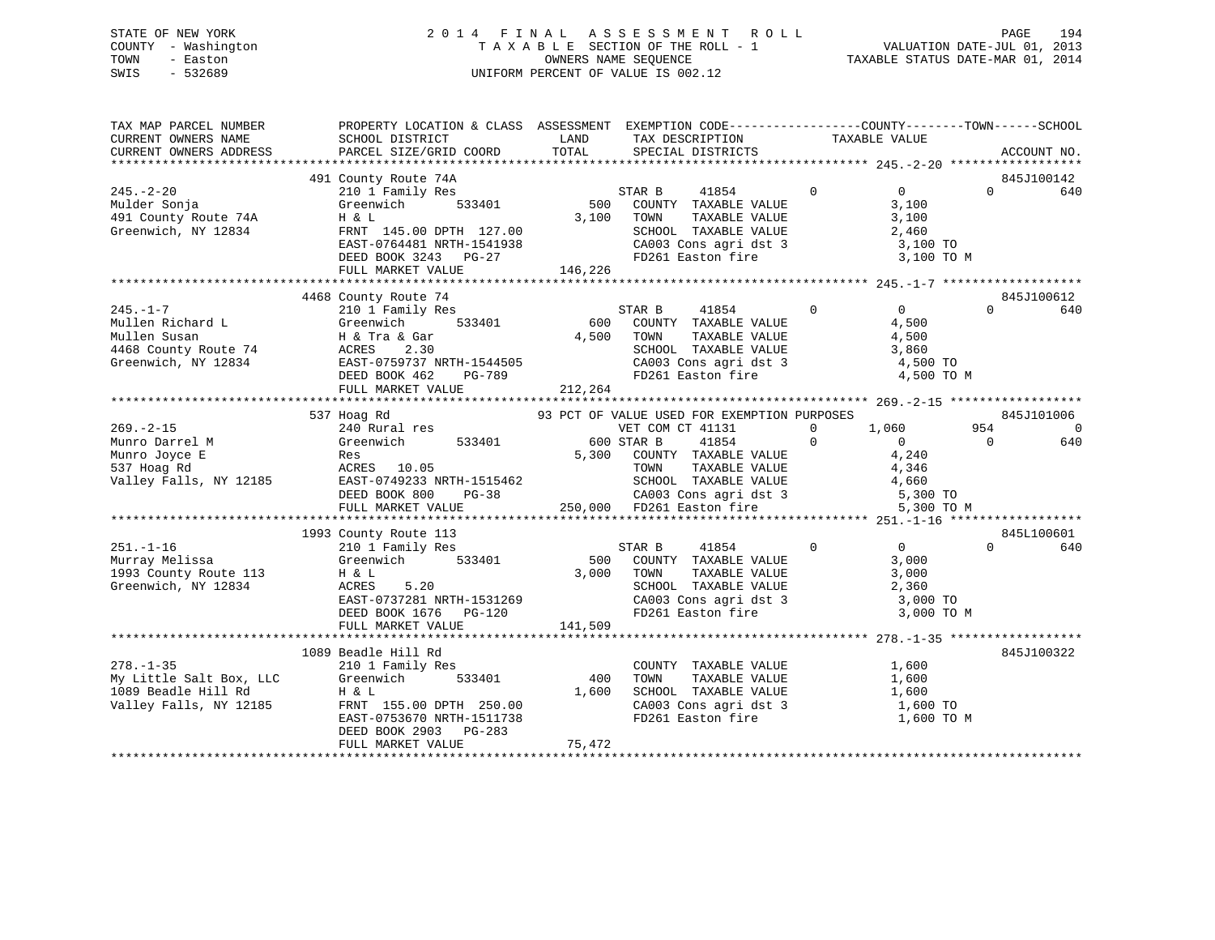# STATE OF NEW YORK 2 0 1 4 F I N A L A S S E S S M E N T R O L L PAGE 194 COUNTY - Washington T A X A B L E SECTION OF THE ROLL - 1 VALUATION DATE-JUL 01, 2013 TOWN - Easton OWNERS NAME SEQUENCE TAXABLE STATUS DATE-MAR 01, 2014 SWIS - 532689 UNIFORM PERCENT OF VALUE IS 002.12

| TAX MAP PARCEL NUMBER<br>CURRENT OWNERS NAME                                    | PROPERTY LOCATION & CLASS ASSESSMENT EXEMPTION CODE---------------COUNTY-------TOWN-----SCHOOL<br>SCHOOL DISTRICT TAND TAX DESCRIPTION                                                                                                                                                                                                                                                                                                                                                            |         | TAX DESCRIPTION TAXABLE VALUE<br>SPECIAL DISTRICTS                                                                                                                                                                                                              |                              |                               |
|---------------------------------------------------------------------------------|---------------------------------------------------------------------------------------------------------------------------------------------------------------------------------------------------------------------------------------------------------------------------------------------------------------------------------------------------------------------------------------------------------------------------------------------------------------------------------------------------|---------|-----------------------------------------------------------------------------------------------------------------------------------------------------------------------------------------------------------------------------------------------------------------|------------------------------|-------------------------------|
| CURRENT OWNERS ADDRESS                                                          | PARCEL SIZE/GRID COORD                                                                                                                                                                                                                                                                                                                                                                                                                                                                            | TOTAL   |                                                                                                                                                                                                                                                                 |                              | ACCOUNT NO.                   |
|                                                                                 | 491 County Route 74A                                                                                                                                                                                                                                                                                                                                                                                                                                                                              |         |                                                                                                                                                                                                                                                                 |                              | 845J100142                    |
| $245. - 2 - 20$<br>Nulder Sonja<br>491 County Route 74A<br>Greenwich, NY 12834  | 210 1 Family Res<br>Greenwich<br>H & L<br>FRNT 145.00 DPTH 127.00<br>EAST-0764481 NRTH-1541938 CA003 Cons agri dst 3 3,100 TO<br>DEED BOOK 3243 PG-27 FD261 Easton fire 3,100 TO M<br>FULL MARKET VALUE                                                                                                                                                                                                                                                                                           | 146,226 | 1974<br>1 1975 1988 1974<br>1 1976 1974<br>1 1854 1975 1989<br>1 1854 1989<br>1 1854 1980<br>1 3,100<br>1 1876 1980<br>1 1876 1980<br>1 1876 1980<br>1 1876 1980<br>1 1876 1980<br>1 1876 1980<br>1 1876 1980<br>1 1876 1980<br>1 1876 1980<br>1 1876 1980<br>1 |                              | $0 \qquad 640$                |
|                                                                                 |                                                                                                                                                                                                                                                                                                                                                                                                                                                                                                   |         |                                                                                                                                                                                                                                                                 |                              | 845J100612                    |
|                                                                                 | County Route 74<br>210 1 Family Res 600 COUNTY TAXABLE VALUE 4,500<br>H & Tra & Gar 4,500 TOWN TAXABLE VALUE 4,500<br>A TRA & Tra & Gar 4,500 TOWN TAXABLE VALUE 4,500<br>A TRA & CHOOL TAXABLE VALUE 3,860<br>2 1 100<br>245.-1-7<br>Mullen Richard L<br>Mullen Susan<br>468 County Route 74<br>Greenwich, NY 12834<br>ACRES 2.30<br>210 1 Family Res<br>533401<br>533401<br>533401<br>500 C<br>533401<br>500 C<br>533401<br>600 C<br>533401<br>600 C<br>500 T<br>4,500 T<br>2.500 T<br>2.20<br> |         | SCHOOL TAXABLE VALUE 3,860<br>CA003 Cons agri dst 3 4,500 TO<br>FD261 Easton fire 4,500 TO M                                                                                                                                                                    | 41854 0 0                    | $\Omega$<br>640               |
|                                                                                 |                                                                                                                                                                                                                                                                                                                                                                                                                                                                                                   |         |                                                                                                                                                                                                                                                                 |                              |                               |
|                                                                                 | 537 Hoag Rd                                                                                                                                                                                                                                                                                                                                                                                                                                                                                       |         | 93 PCT OF VALUE USED FOR EXEMPTION PURPOSES<br>VET COM CT 41131 0 1,060 954                                                                                                                                                                                     |                              | 845J101006<br>0               |
|                                                                                 |                                                                                                                                                                                                                                                                                                                                                                                                                                                                                                   |         |                                                                                                                                                                                                                                                                 |                              | $\overline{0}$<br>640         |
|                                                                                 |                                                                                                                                                                                                                                                                                                                                                                                                                                                                                                   |         |                                                                                                                                                                                                                                                                 |                              |                               |
| 1993 County Route 113 H & L<br>Greenwich, NY 12834 ACRES<br>Greenwich, NY 12834 | 1993 County Route 113<br>$\begin{array}{ccc}\n\text{H} & \&text{L} & \&text{S} & \text{100} & \text{1000} \\ \text{ACRES} & 5.20 & & & & \\ \end{array}$<br>ACRES 5.20<br>EAST-0737281 NRTH-1531269<br>DEED BOOK 1676 PG-120                                                                                                                                                                                                                                                                      |         | TOWN TAXABLE VALUE 3,000<br>SCHOOL TAXABLE VALUE 2,360<br>CA003 Cons agri dst 3 3,000 TO<br>FD261 Easton fire 3,000 TO                                                                                                                                          | $\overline{0}$<br>3,000 TO M | 845L100601<br>$\Omega$<br>640 |
|                                                                                 | FULL MARKET VALUE                                                                                                                                                                                                                                                                                                                                                                                                                                                                                 | 141,509 |                                                                                                                                                                                                                                                                 |                              |                               |
|                                                                                 | 1089 Beadle Hill Rd<br>DEED BOOK 2903 PG-283                                                                                                                                                                                                                                                                                                                                                                                                                                                      |         | COUNTY TAXABLE VALUE<br>TOWN TAXABLE VALUE<br>SCHOOL TAXABLE VALUE 1,600<br>CA003 Cons agri dst 3 1,600 TO<br>FD261 Easton fire                                                                                                                                 | 1,600<br>1,600<br>1,600 TO M | 845J100322                    |
|                                                                                 | FULL MARKET VALUE                                                                                                                                                                                                                                                                                                                                                                                                                                                                                 | 75,472  |                                                                                                                                                                                                                                                                 |                              |                               |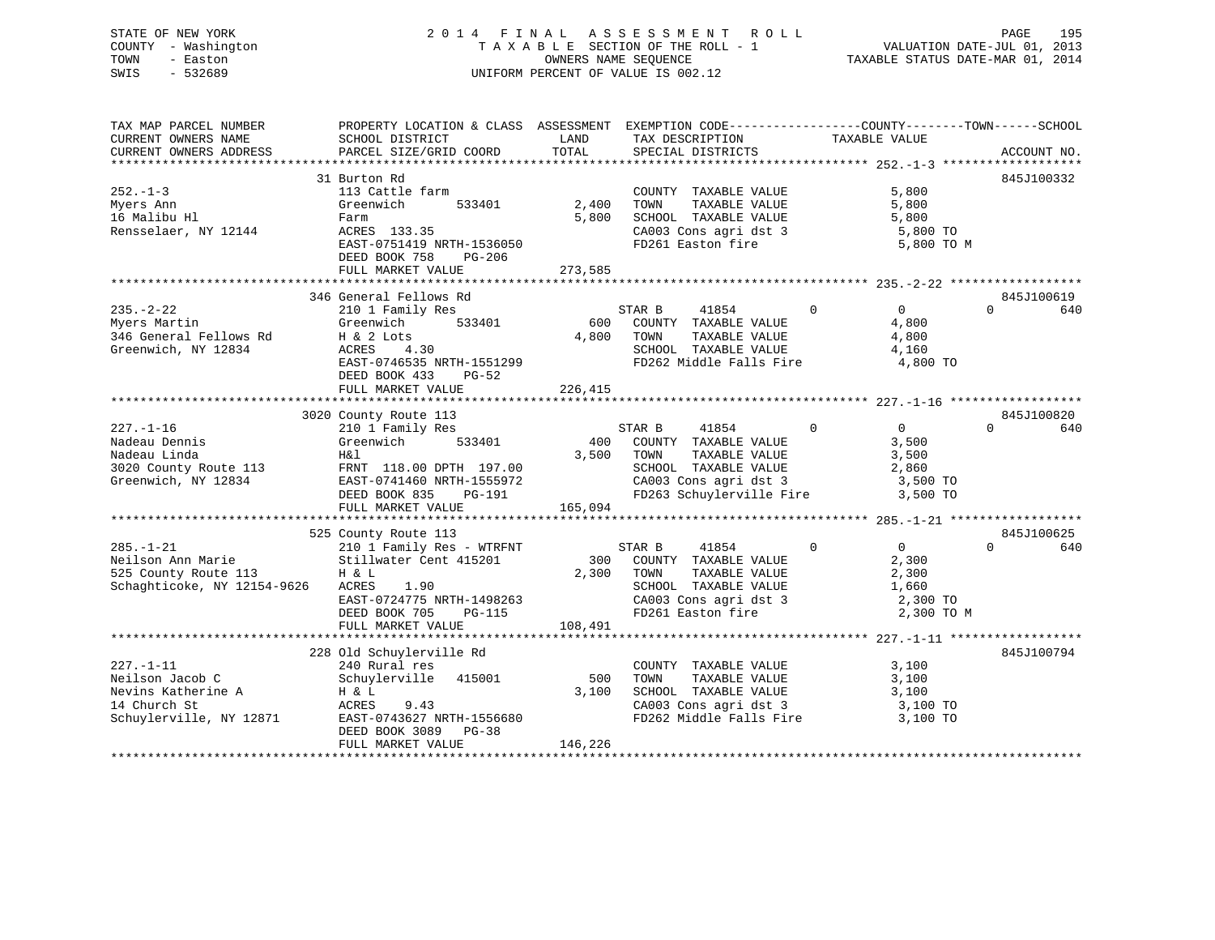# STATE OF NEW YORK 2 0 1 4 F I N A L A S S E S S M E N T R O L L PAGE 195 COUNTY - Washington T A X A B L E SECTION OF THE ROLL - 1 VALUATION DATE-JUL 01, 2013 TOWN - Easton **CONNERS NAME SEQUENCE** TAXABLE STATUS DATE-MAR 01, 2014 SWIS - 532689 UNIFORM PERCENT OF VALUE IS 002.12

| TAX MAP PARCEL NUMBER                                                                           | PROPERTY LOCATION & CLASS ASSESSMENT EXEMPTION CODE----------------COUNTY-------TOWN------SCHOOL |               |                                                                                                                                                              |                                     |                 |
|-------------------------------------------------------------------------------------------------|--------------------------------------------------------------------------------------------------|---------------|--------------------------------------------------------------------------------------------------------------------------------------------------------------|-------------------------------------|-----------------|
| CURRENT OWNERS NAME                                                                             | SCHOOL DISTRICT                                                                                  | LAND<br>TOTAL | TAX DESCRIPTION                                                                                                                                              | TAXABLE VALUE                       |                 |
| CURRENT OWNERS ADDRESS                                                                          | PARCEL SIZE/GRID COORD                                                                           |               | SPECIAL DISTRICTS                                                                                                                                            |                                     | ACCOUNT NO.     |
|                                                                                                 | 31 Burton Rd                                                                                     |               |                                                                                                                                                              |                                     | 845J100332      |
| $252 - 1 - 3$                                                                                   | 113 Cattle farm                                                                                  |               | COUNTY TAXABLE VALUE                                                                                                                                         | 5,800                               |                 |
| Myers Ann                                                                                       | 533401<br>Greenwich                                                                              | 2,400         |                                                                                                                                                              | 5,800                               |                 |
| 16 Malibu Hl                                                                                    | Farm                                                                                             | 5,800         | TOWN        TAXABLE  VALUE<br>SCHOOL    TAXABLE  VALUE                                                                                                       | 5,800                               |                 |
| Rensselaer, NY 12144                                                                            | ACRES 133.35<br>FAST 0751111                                                                     |               |                                                                                                                                                              | 5,800 TO                            |                 |
|                                                                                                 | EAST-0751419 NRTH-1536050                                                                        |               | CA003 Cons agri dst 3<br>FD261 Easton fire                                                                                                                   | 5,800 TO M                          |                 |
|                                                                                                 | DEED BOOK 758<br>PG-206                                                                          |               |                                                                                                                                                              |                                     |                 |
|                                                                                                 | FULL MARKET VALUE                                                                                | 273,585       |                                                                                                                                                              |                                     |                 |
|                                                                                                 |                                                                                                  |               |                                                                                                                                                              |                                     |                 |
|                                                                                                 | 346 General Fellows Rd                                                                           |               |                                                                                                                                                              |                                     | 845J100619      |
| 235.-2-22<br>Myers Martin Greenwich<br>346 General Fellows Rd H & 2 Lots<br>16 MY 12834 ACRES 4 | 210 1 Family Res                                                                                 |               | 41854 0<br>STAR B                                                                                                                                            | $\overline{0}$                      | $\Omega$<br>640 |
|                                                                                                 | Greenwich 533401                                                                                 |               | 600 COUNTY TAXABLE VALUE                                                                                                                                     | 4,800                               |                 |
|                                                                                                 |                                                                                                  | 4,800 TOWN    | TAXABLE VALUE                                                                                                                                                | 4,800                               |                 |
|                                                                                                 | H & 2 Lots<br>ACRES 4.30                                                                         |               |                                                                                                                                                              |                                     |                 |
|                                                                                                 | EAST-0746535 NRTH-1551299                                                                        |               | SCHOOL TAXABLE VALUE $4,160$<br>FD262 Middle Falls Fire $4,800$ TO                                                                                           |                                     |                 |
|                                                                                                 | DEED BOOK 433<br>PG-52                                                                           |               |                                                                                                                                                              |                                     |                 |
|                                                                                                 | FULL MARKET VALUE                                                                                | 226,415       |                                                                                                                                                              |                                     |                 |
|                                                                                                 |                                                                                                  |               |                                                                                                                                                              |                                     |                 |
|                                                                                                 | 3020 County Route 113                                                                            |               |                                                                                                                                                              |                                     | 845J100820      |
| $227. - 1 - 16$                                                                                 |                                                                                                  |               | 41854 0<br>STAR B                                                                                                                                            | $\overline{0}$                      | $\Omega$<br>640 |
| Nadeau Dennis                                                                                   | 210 1 Family Res<br>Greenwich 533401                                                             |               | 400 COUNTY TAXABLE VALUE                                                                                                                                     | 3,500                               |                 |
| Nadeau Linda                                                                                    | H&l                                                                                              | 3,500 TOWN    |                                                                                                                                                              |                                     |                 |
|                                                                                                 |                                                                                                  |               |                                                                                                                                                              |                                     |                 |
| Nadeau Linda<br>3020 County Route 113<br>Greenwich, NY 12834<br>EAST-0741460 NRTH-1555972       |                                                                                                  |               | TOWN TAXABLE VALUE 3,500<br>SCHOOL TAXABLE VALUE 2,860<br>CA003 Cons agri dst 3 3,500 TO                                                                     |                                     |                 |
|                                                                                                 | DEED BOOK 835 PG-191                                                                             |               | FD263 Schuylerville Fire                                                                                                                                     | 3,500 TO                            |                 |
|                                                                                                 | FULL MARKET VALUE                                                                                | 165,094       |                                                                                                                                                              |                                     |                 |
|                                                                                                 |                                                                                                  |               |                                                                                                                                                              |                                     |                 |
|                                                                                                 | 525 County Route 113                                                                             |               |                                                                                                                                                              |                                     | 845J100625      |
| $285. - 1 - 21$                                                                                 | 210 1 Family Res - WTRFNT                                                                        |               | STAR B<br>41854                                                                                                                                              | $0 \qquad \qquad$<br>$\overline{0}$ | $\Omega$<br>640 |
| Neilson Ann Marie                                                                               | Stillwater Cent 415201                                                                           |               | 300 COUNTY TAXABLE VALUE                                                                                                                                     | 2,300                               |                 |
| 525 County Route 113                                                                            | H & L                                                                                            | 2,300         | TOWN                                                                                                                                                         |                                     |                 |
| Schaghticoke, NY 12154-9626                                                                     | ACRES<br>1.90                                                                                    |               | $\begin{tabular}{lllllllllll} \textbf{TONN} & \textbf{TAXABLE VALUE} & & & & 2,300 \\ \textbf{SCHOOL} & \textbf{TAXABLE VALUE} & & & 1,660 \\ \end{tabular}$ |                                     |                 |
|                                                                                                 |                                                                                                  |               |                                                                                                                                                              | 2,300 TO                            |                 |
|                                                                                                 | EAST-0724775 NRTH-1498263<br>DEED BOOK 705 PG-115                                                |               | CA003 Cons agri dst 3<br>FD261 Easton fire                                                                                                                   | 2,300 TO M                          |                 |
|                                                                                                 | FULL MARKET VALUE                                                                                | 108,491       |                                                                                                                                                              |                                     |                 |
|                                                                                                 |                                                                                                  |               |                                                                                                                                                              |                                     |                 |
|                                                                                                 | 228 Old Schuylerville Rd                                                                         |               |                                                                                                                                                              |                                     | 845J100794      |
| $227. - 1 - 11$                                                                                 | 240 Rural res                                                                                    |               | COUNTY TAXABLE VALUE                                                                                                                                         | 3,100                               |                 |
| Neilson Jacob C                                                                                 | Schuylerville 415001                                                                             | 500           | TAXABLE VALUE<br>TOWN                                                                                                                                        | 3,100                               |                 |
|                                                                                                 | H & L                                                                                            | 3,100         | SCHOOL TAXABLE VALUE                                                                                                                                         | 3,100                               |                 |
| Neilson Jacob J<br>Nevins Katherine A<br>Thursh St                                              | ACRES<br>9.43                                                                                    |               | $\frac{1}{2}$ CA003 Cons agri dst 3 3,100 TO                                                                                                                 |                                     |                 |
| Schuylerville, NY 12871                                                                         | EAST-0743627 NRTH-1556680                                                                        |               | FD262 Middle Falls Fire                                                                                                                                      | 3,100 TO                            |                 |
|                                                                                                 | DEED BOOK 3089 PG-38                                                                             |               |                                                                                                                                                              |                                     |                 |
|                                                                                                 | FULL MARKET VALUE                                                                                | 146,226       |                                                                                                                                                              |                                     |                 |
|                                                                                                 |                                                                                                  |               |                                                                                                                                                              |                                     |                 |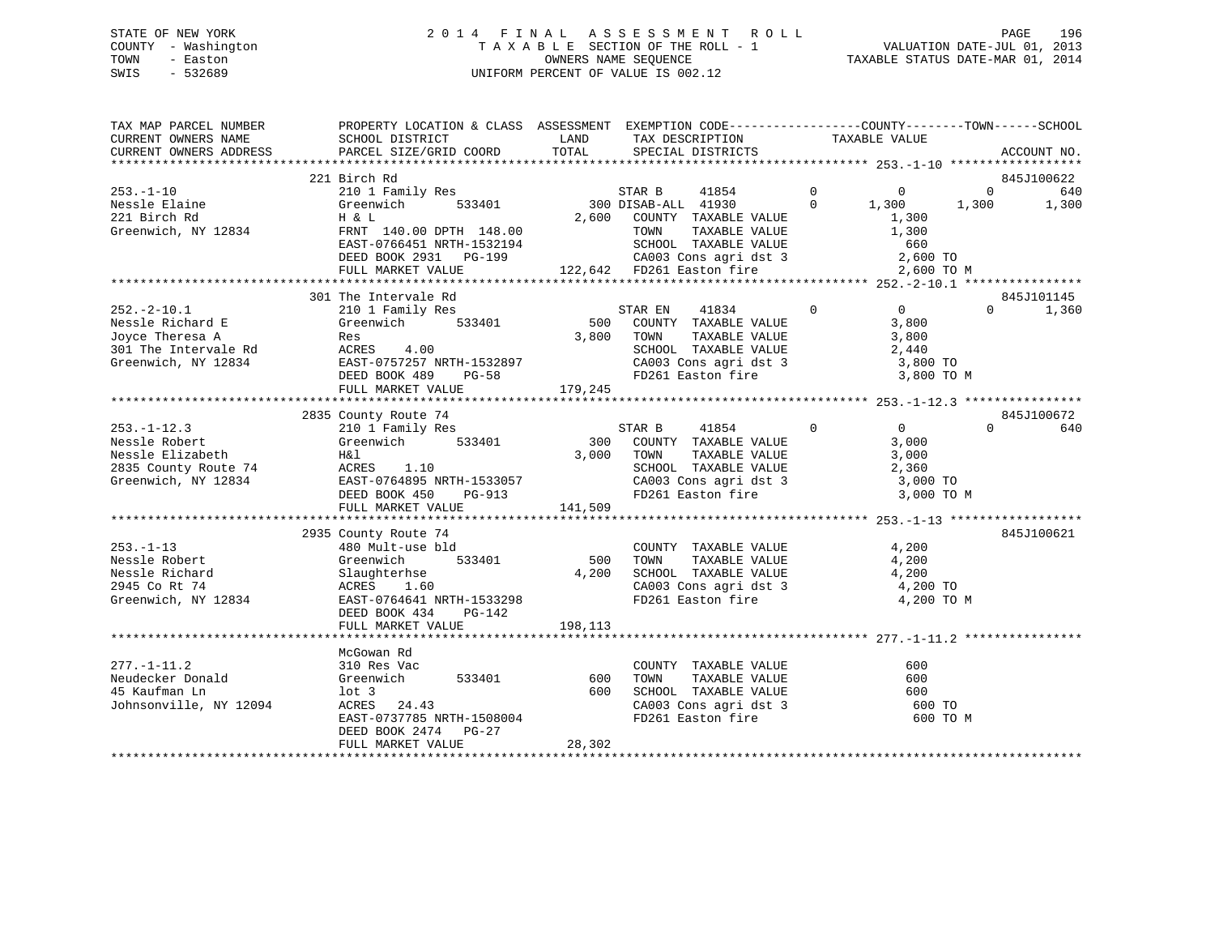# STATE OF NEW YORK 2 0 1 4 F I N A L A S S E S S M E N T R O L L PAGE 196 COUNTY - Washington T A X A B L E SECTION OF THE ROLL - 1 VALUATION DATE-JUL 01, 2013 TOWN - Easton OWNERS NAME SEQUENCE TAXABLE STATUS DATE-MAR 01, 2014 SWIS - 532689 UNIFORM PERCENT OF VALUE IS 002.12

| TAX MAP PARCEL NUMBER                         | PROPERTY LOCATION & CLASS ASSESSMENT EXEMPTION CODE----------------COUNTY-------TOWN------SCHOOL                                                                             |               |                                                                                                                                                                                                     |                |                |          |             |
|-----------------------------------------------|------------------------------------------------------------------------------------------------------------------------------------------------------------------------------|---------------|-----------------------------------------------------------------------------------------------------------------------------------------------------------------------------------------------------|----------------|----------------|----------|-------------|
| CURRENT OWNERS NAME<br>CURRENT OWNERS ADDRESS | SCHOOL DISTRICT<br>PARCEL SIZE/GRID COORD                                                                                                                                    | LAND<br>TOTAL | TAX DESCRIPTION<br>SPECIAL DISTRICTS                                                                                                                                                                |                | TAXABLE VALUE  |          | ACCOUNT NO. |
|                                               |                                                                                                                                                                              |               |                                                                                                                                                                                                     |                |                |          |             |
|                                               | 221 Birch Rd                                                                                                                                                                 |               |                                                                                                                                                                                                     |                |                |          | 845J100622  |
| $253. - 1 - 10$                               | 210 1 Family Res                                                                                                                                                             |               | STAR B 41854                                                                                                                                                                                        |                |                |          |             |
| Nessle Elaine                                 | Greenwich<br>533401                                                                                                                                                          |               | 300 DISAB-ALL 41930                                                                                                                                                                                 |                |                |          |             |
| 221 Birch Rd                                  | H & L                                                                                                                                                                        |               | 2,600 COUNTY TAXABLE VALUE                                                                                                                                                                          |                |                |          |             |
| Greenwich, NY 12834                           |                                                                                                                                                                              |               |                                                                                                                                                                                                     |                |                |          |             |
|                                               |                                                                                                                                                                              |               |                                                                                                                                                                                                     |                |                |          |             |
|                                               |                                                                                                                                                                              |               |                                                                                                                                                                                                     |                |                |          |             |
|                                               |                                                                                                                                                                              |               |                                                                                                                                                                                                     |                | 2,600 TO M     |          |             |
|                                               | 301 The Intervale Rd                                                                                                                                                         |               |                                                                                                                                                                                                     |                |                |          | 845J101145  |
| $252. - 2 - 10.1$                             | 210 1 Family Res                                                                                                                                                             |               |                                                                                                                                                                                                     |                |                | $\Omega$ | 1,360       |
|                                               |                                                                                                                                                                              |               |                                                                                                                                                                                                     |                |                |          |             |
|                                               |                                                                                                                                                                              |               | $\begin{tabular}{lcccccc} \texttt{STAR EN} & 41834 & 0 & 0 \\ 500 & \texttt{COUNTY} & \texttt{TAXABLE VALUE} & & 3,800 \\ 3,800 & \texttt{TONN} & \texttt{TAXABLE VALUE} & & & 3,800 \end{tabular}$ |                |                |          |             |
|                                               |                                                                                                                                                                              |               |                                                                                                                                                                                                     |                |                |          |             |
|                                               | 252.-2-10.1 210 1 Family Res<br>Nessle Richard E Greenwich 533401<br>Joyce Theresa A Res<br>301 The Intervale Rd ACRES 4.00<br>Greenwich, NY 12834 EAST-0757257 NRTH-1532897 |               | SCHOOL TAXABLE VALUE 2,440<br>CA003 Cons agri dst 3 3,800 TO                                                                                                                                        |                |                |          |             |
|                                               | DEED BOOK 489 PG-58                                                                                                                                                          |               | FD261 Easton fire                                                                                                                                                                                   |                | 3,800 TO M     |          |             |
|                                               | FULL MARKET VALUE                                                                                                                                                            | 179,245       |                                                                                                                                                                                                     |                |                |          |             |
|                                               |                                                                                                                                                                              |               |                                                                                                                                                                                                     |                |                |          |             |
|                                               | 2835 County Route 74                                                                                                                                                         |               |                                                                                                                                                                                                     |                |                |          | 845J100672  |
|                                               |                                                                                                                                                                              |               | STAR B 41854 0<br>300 COUNTY TAXABLE VALUE                                                                                                                                                          | $\overline{0}$ | $\overline{0}$ | $\Omega$ | 640         |
|                                               |                                                                                                                                                                              |               |                                                                                                                                                                                                     |                | 3,000          |          |             |
|                                               |                                                                                                                                                                              | 3,000 TOWN    | TAXABLE VALUE                                                                                                                                                                                       |                | 3,000          |          |             |
|                                               | Necession and the Pack Markets 1.10<br>2835 County Route 74 (EAST-0764895 NRTH-1533057)<br>Speenwich, NY 12834 (Pack And Pack 450 (PG-913)                                   |               | SCHOOL TAXABLE VALUE                                                                                                                                                                                |                | 2,360          |          |             |
|                                               |                                                                                                                                                                              |               | CA003 Cons agri dst 3 3,000 TO                                                                                                                                                                      |                |                |          |             |
|                                               |                                                                                                                                                                              |               | FD261 Easton fire                                                                                                                                                                                   |                | 3,000 TO M     |          |             |
|                                               | FULL MARKET VALUE                                                                                                                                                            | 141,509       |                                                                                                                                                                                                     |                |                |          |             |
|                                               |                                                                                                                                                                              |               |                                                                                                                                                                                                     |                |                |          |             |
|                                               | 2935 County Route 74                                                                                                                                                         |               |                                                                                                                                                                                                     |                |                |          | 845J100621  |
| $253. - 1 - 13$                               | 480 Mult-use bld                                                                                                                                                             | 500           | $\begin{tabular}{lllllllllll} \multicolumn{2}{c}{\textbf{COUNTY}} & \textbf{TAXABLE VALUE} & & & & 4,200 \\ \multicolumn{2}{c}{\textbf{TOWN}} & \textbf{TAXABLE VALUE} & & & & 4,200 \end{tabular}$ |                | 4,200          |          |             |
| Nessle Robert<br>Nessle Richard               | 533401                                                                                                                                                                       | 4,200         |                                                                                                                                                                                                     |                |                |          |             |
| 2945 Co Rt 74                                 | Greenwich<br>Slaughterhse<br>ACRES 1.60                                                                                                                                      |               | SCHOOL TAXABLE VALUE 4,200<br>CA003 Cons agri dst 3 4,200 TO                                                                                                                                        |                |                |          |             |
| Greenwich, NY 12834                           |                                                                                                                                                                              |               | FD261 Easton fire                                                                                                                                                                                   |                | 4,200 TO M     |          |             |
|                                               | EAST-0764641 NRTH-1533298<br>DEED BOOK 434 PG-142                                                                                                                            |               |                                                                                                                                                                                                     |                |                |          |             |
|                                               | FULL MARKET VALUE                                                                                                                                                            | 198, 113      |                                                                                                                                                                                                     |                |                |          |             |
|                                               |                                                                                                                                                                              |               |                                                                                                                                                                                                     |                |                |          |             |
|                                               | McGowan Rd                                                                                                                                                                   |               |                                                                                                                                                                                                     |                |                |          |             |
| $277. - 1 - 11.2$                             | 310 Res Vac                                                                                                                                                                  |               | COUNTY TAXABLE VALUE                                                                                                                                                                                |                | 600            |          |             |
|                                               | Neudecker Donald (Greenwich 533401 600                                                                                                                                       |               | TAXABLE VALUE<br>TOWN                                                                                                                                                                               |                | 600            |          |             |
| 45 Kaufman Ln                                 | lot 3                                                                                                                                                                        | 600           |                                                                                                                                                                                                     |                | 600            |          |             |
| Johnsonville, NY 12094                        | ACRES 24.43                                                                                                                                                                  |               | SCHOOL TAXABLE VALUE<br>CA003 Cons agri dst 3                                                                                                                                                       |                | 600 TO         |          |             |
|                                               | EAST-0737785 NRTH-1508004                                                                                                                                                    |               | FD261 Easton fire                                                                                                                                                                                   |                | 600 TO M       |          |             |
|                                               | DEED BOOK 2474 PG-27                                                                                                                                                         |               |                                                                                                                                                                                                     |                |                |          |             |
|                                               | FULL MARKET VALUE                                                                                                                                                            | 28,302        |                                                                                                                                                                                                     |                |                |          |             |
|                                               |                                                                                                                                                                              |               |                                                                                                                                                                                                     |                |                |          |             |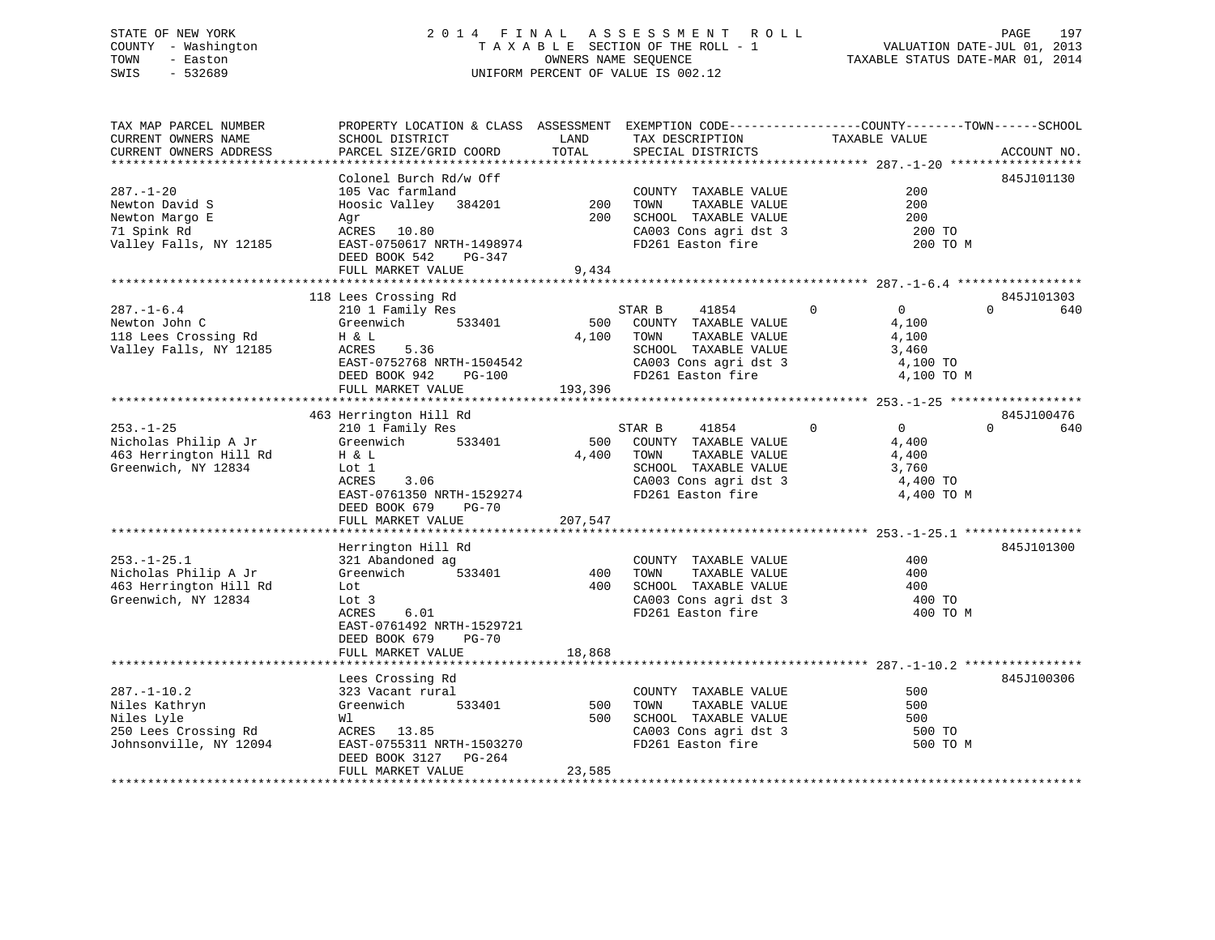# STATE OF NEW YORK 2 0 1 4 F I N A L A S S E S S M E N T R O L L PAGE 197 COUNTY - Washington T A X A B L E SECTION OF THE ROLL - 1 VALUATION DATE-JUL 01, 2013 TOWN - Easton OWNERS NAME SEQUENCE TAXABLE STATUS DATE-MAR 01, 2014 SWIS - 532689 UNIFORM PERCENT OF VALUE IS 002.12

| TAX MAP PARCEL NUMBER<br>CURRENT OWNERS NAME                                                       | PROPERTY LOCATION & CLASS ASSESSMENT EXEMPTION CODE----------------COUNTY-------TOWN------SCHOOL<br>SCHOOL DISTRICT                                           | LAND                    | TAX DESCRIPTION                                                                                                                        | TAXABLE VALUE                                                                      |                               |
|----------------------------------------------------------------------------------------------------|---------------------------------------------------------------------------------------------------------------------------------------------------------------|-------------------------|----------------------------------------------------------------------------------------------------------------------------------------|------------------------------------------------------------------------------------|-------------------------------|
| CURRENT OWNERS ADDRESS<br>***********************                                                  | PARCEL SIZE/GRID COORD                                                                                                                                        | TOTAL                   | SPECIAL DISTRICTS                                                                                                                      |                                                                                    | ACCOUNT NO.                   |
| $287. - 1 - 20$<br>Newton David S                                                                  | Colonel Burch Rd/w Off<br>105 Vac farmland<br>Hoosic Valley 384201                                                                                            | 200                     | COUNTY TAXABLE VALUE<br>TOWN<br>TAXABLE VALUE                                                                                          | 200<br>200                                                                         | 845J101130                    |
| Newton Margo E<br>71 Spink Rd<br>Valley Falls, NY 12185                                            | Agr<br>ACRES 10.80<br>EAST-0750617 NRTH-1498974<br>DEED BOOK 542<br>PG-347<br>FULL MARKET VALUE                                                               | 200<br>9,434            | SCHOOL TAXABLE VALUE<br>CA003 Cons agri dst 3<br>FD261 Easton fire                                                                     | 200<br>200 TO<br>200 TO M                                                          |                               |
|                                                                                                    |                                                                                                                                                               |                         |                                                                                                                                        |                                                                                    |                               |
| $287. - 1 - 6.4$                                                                                   | 118 Lees Crossing Rd<br>210 1 Family Res                                                                                                                      |                         | STAR B<br>41854                                                                                                                        | $\mathbf 0$<br>$\overline{0}$                                                      | 845J101303<br>$\Omega$<br>640 |
| Newton John C<br>118 Lees Crossing Rd<br>Valley Falls, NY 12185                                    | 533401<br>Greenwich<br>H & L<br>ACRES<br>5.36<br>EAST-0752768 NRTH-1504542<br>DEED BOOK 942<br>PG-100<br>FULL MARKET VALUE                                    | 500<br>4,100<br>193,396 | COUNTY TAXABLE VALUE<br>TOWN<br>TAXABLE VALUE<br>SCHOOL TAXABLE VALUE<br>CA003 Cons agri dst 3<br>FD261 Easton fire                    | 4,100<br>4,100<br>3,460<br>4,100 TO<br>4,100 TO M                                  |                               |
|                                                                                                    | 463 Herrington Hill Rd                                                                                                                                        |                         |                                                                                                                                        |                                                                                    | 845J100476                    |
| $253. - 1 - 25$<br>Nicholas Philip A Jr<br>463 Herrington Hill Rd<br>Greenwich, NY 12834           | 210 1 Family Res<br>533401<br>Greenwich<br>H & L<br>Lot 1<br><b>ACRES</b><br>3.06<br>EAST-0761350 NRTH-1529274<br>DEED BOOK 679<br>PG-70<br>FULL MARKET VALUE | 500<br>4,400<br>207,547 | 41854<br>STAR B<br>COUNTY TAXABLE VALUE<br>TAXABLE VALUE<br>TOWN<br>SCHOOL TAXABLE VALUE<br>CA003 Cons agri dst 3<br>FD261 Easton fire | $\mathbf 0$<br>$\overline{0}$<br>4,400<br>4,400<br>3,760<br>4,400 TO<br>4,400 TO M | $\Omega$<br>640               |
|                                                                                                    | Herrington Hill Rd                                                                                                                                            |                         |                                                                                                                                        |                                                                                    | 845J101300                    |
| $253. - 1 - 25.1$<br>Nicholas Philip A Jr<br>463 Herrington Hill Rd<br>Greenwich, NY 12834         | 321 Abandoned ag<br>533401<br>Greenwich<br>Lot<br>Lot 3<br>ACRES<br>6.01<br>EAST-0761492 NRTH-1529721<br>DEED BOOK 679<br>PG-70                               | 400<br>400              | COUNTY TAXABLE VALUE<br>TAXABLE VALUE<br>TOWN<br>SCHOOL TAXABLE VALUE<br>CA003 Cons agri dst 3<br>FD261 Easton fire                    | 400<br>400<br>400<br>400 TO<br>400 TO M                                            |                               |
|                                                                                                    | FULL MARKET VALUE                                                                                                                                             | 18,868                  |                                                                                                                                        |                                                                                    |                               |
|                                                                                                    |                                                                                                                                                               |                         |                                                                                                                                        |                                                                                    |                               |
| $287. - 1 - 10.2$<br>Niles Kathryn<br>Niles Lyle<br>250 Lees Crossing Rd<br>Johnsonville, NY 12094 | Lees Crossing Rd<br>323 Vacant rural<br>Greenwich<br>533401<br>Wl<br>ACRES 13.85<br>EAST-0755311 NRTH-1503270<br>DEED BOOK 3127 PG-264<br>FULL MARKET VALUE   | 500<br>500<br>23,585    | COUNTY TAXABLE VALUE<br>TAXABLE VALUE<br>TOWN<br>SCHOOL TAXABLE VALUE<br>CA003 Cons agri dst 3<br>FD261 Easton fire                    | 500<br>500<br>500<br>500 TO<br>500 TO M                                            | 845J100306                    |
|                                                                                                    |                                                                                                                                                               |                         |                                                                                                                                        |                                                                                    |                               |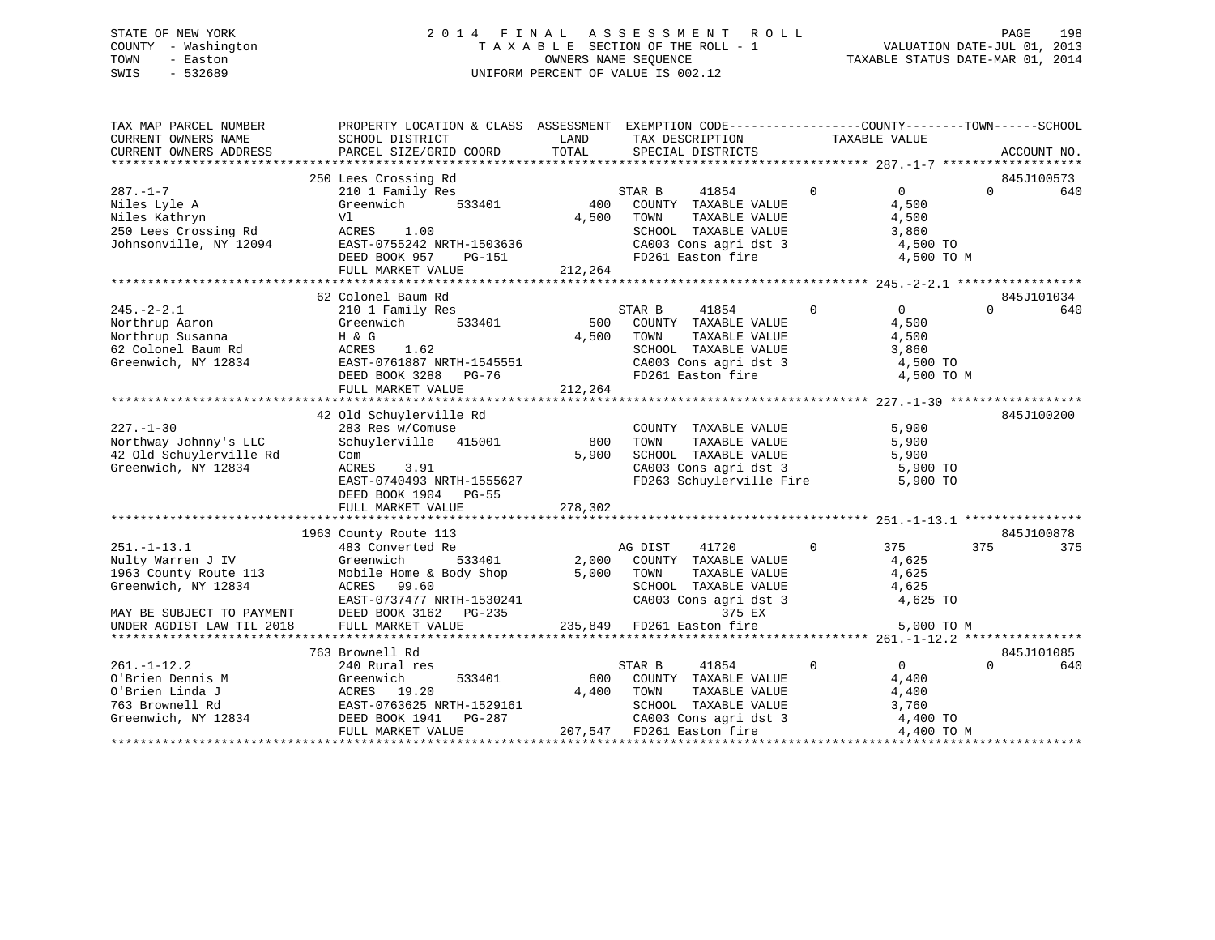# STATE OF NEW YORK 2 0 1 4 F I N A L A S S E S S M E N T R O L L PAGE 198 COUNTY - Washington T A X A B L E SECTION OF THE ROLL - 1 VALUATION DATE-JUL 01, 2013 TOWN - Easton OWNERS NAME SEQUENCE TAXABLE STATUS DATE-MAR 01, 2014 SWIS - 532689 UNIFORM PERCENT OF VALUE IS 002.12

| TAX MAP PARCEL NUMBER<br>CURRENT OWNERS NAME<br>CURRENT OWNERS ADDRESS | PROPERTY LOCATION & CLASS ASSESSMENT EXEMPTION CODE----------------COUNTY-------TOWN------SCHOOL<br>SCHOOL DISTRICT<br>PARCEL SIZE/GRID COORD | LAND<br>TOTAL             |         | TAX DESCRIPTION<br>SPECIAL DISTRICTS |          | TAXABLE VALUE                     | ACCOUNT NO.     |
|------------------------------------------------------------------------|-----------------------------------------------------------------------------------------------------------------------------------------------|---------------------------|---------|--------------------------------------|----------|-----------------------------------|-----------------|
|                                                                        |                                                                                                                                               |                           |         |                                      |          |                                   |                 |
|                                                                        | 250 Lees Crossing Rd                                                                                                                          |                           |         |                                      |          |                                   | 845J100573      |
| $287. - 1 - 7$                                                         | 210 1 Family Res                                                                                                                              |                           | STAR B  | 41854                                | $\Omega$ | $\Omega$                          | $\Omega$<br>640 |
| Niles Lyle A                                                           | 533401<br>Greenwich                                                                                                                           | 400                       |         | COUNTY TAXABLE VALUE                 |          | 4,500                             |                 |
| Niles Kathryn                                                          | Vl                                                                                                                                            | 4,500                     | TOWN    | TAXABLE VALUE                        |          | 4,500                             |                 |
| 250 Lees Crossing Rd                                                   | ACRES<br>1.00                                                                                                                                 |                           |         | SCHOOL TAXABLE VALUE                 |          | 3,860                             |                 |
| Johnsonville, NY 12094                                                 | EAST-0755242 NRTH-1503636                                                                                                                     |                           |         | CA003 Cons agri dst 3                |          | 4,500 TO                          |                 |
|                                                                        | DEED BOOK 957<br><b>PG-151</b>                                                                                                                |                           |         | FD261 Easton fire                    |          | 4,500 TO M                        |                 |
|                                                                        | FULL MARKET VALUE                                                                                                                             | 212,264                   |         |                                      |          |                                   |                 |
|                                                                        |                                                                                                                                               |                           |         |                                      |          |                                   |                 |
|                                                                        | 62 Colonel Baum Rd                                                                                                                            |                           |         |                                      |          |                                   | 845J101034      |
| $245. - 2 - 2.1$                                                       | 210 1 Family Res                                                                                                                              |                           | STAR B  | 41854                                | $\Omega$ | $\Omega$                          | $\Omega$<br>640 |
| Northrup Aaron                                                         | Greenwich<br>533401                                                                                                                           | 500                       |         | COUNTY TAXABLE VALUE                 |          | 4,500                             |                 |
| Northrup Susanna                                                       | H & G                                                                                                                                         | 4,500                     | TOWN    | TAXABLE VALUE                        |          | 4,500                             |                 |
| 62 Colonel Baum Rd                                                     | 1.62<br>ACRES                                                                                                                                 |                           |         | SCHOOL TAXABLE VALUE                 |          | 3,860                             |                 |
| Greenwich, NY 12834                                                    | EAST-0761887 NRTH-1545551                                                                                                                     |                           |         | CA003 Cons agri dst 3                |          | 4,500 TO                          |                 |
|                                                                        | DEED BOOK 3288 PG-76                                                                                                                          |                           |         | FD261 Easton fire                    |          | 4,500 TO M                        |                 |
|                                                                        | FULL MARKET VALUE                                                                                                                             | 212,264                   |         |                                      |          |                                   |                 |
|                                                                        |                                                                                                                                               |                           |         |                                      |          |                                   |                 |
|                                                                        | 42 Old Schuylerville Rd                                                                                                                       |                           |         |                                      |          |                                   | 845J100200      |
| $227. - 1 - 30$                                                        | 283 Res w/Comuse                                                                                                                              |                           |         | COUNTY TAXABLE VALUE                 |          | 5,900                             |                 |
| Northway Johnny's LLC                                                  | 415001<br>Schuylerville                                                                                                                       | 800                       | TOWN    | TAXABLE VALUE                        |          | 5,900                             |                 |
| 42 Old Schuylerville Rd                                                | Com                                                                                                                                           | 5,900                     |         | SCHOOL TAXABLE VALUE                 |          | 5,900                             |                 |
| Greenwich, NY 12834                                                    | ACRES<br>3.91                                                                                                                                 |                           |         | CA003 Cons agri dst 3                |          | 5,900 TO                          |                 |
|                                                                        | EAST-0740493 NRTH-1555627                                                                                                                     |                           |         |                                      |          | FD263 Schuylerville Fire 5,900 TO |                 |
|                                                                        | DEED BOOK 1904 PG-55                                                                                                                          |                           |         |                                      |          |                                   |                 |
|                                                                        | FULL MARKET VALUE                                                                                                                             | 278,302                   |         |                                      |          |                                   |                 |
|                                                                        |                                                                                                                                               |                           |         |                                      |          |                                   |                 |
|                                                                        | 1963 County Route 113                                                                                                                         |                           |         |                                      |          |                                   | 845J100878      |
| $251. - 1 - 13.1$                                                      | 483 Converted Re                                                                                                                              |                           | AG DIST | 41720                                | $\Omega$ | 375                               | 375<br>375      |
| Nulty Warren J IV                                                      | Greenwich<br>533401                                                                                                                           | 2,000                     |         | COUNTY TAXABLE VALUE                 |          | 4,625                             |                 |
| 1963 County Route 113                                                  | Mobile Home & Body Shop                                                                                                                       | 5,000                     | TOWN    | TAXABLE VALUE                        |          | 4,625                             |                 |
| Greenwich, NY 12834                                                    | ACRES 99.60                                                                                                                                   |                           |         | SCHOOL TAXABLE VALUE                 |          | 4,625                             |                 |
|                                                                        | EAST-0737477 NRTH-1530241                                                                                                                     |                           |         | CA003 Cons agri dst 3                |          | 4,625 TO                          |                 |
| MAY BE SUBJECT TO PAYMENT                                              | DEED BOOK 3162 PG-235                                                                                                                         |                           |         | 375 EX                               |          |                                   |                 |
| UNDER AGDIST LAW TIL 2018                                              | FULL MARKET VALUE                                                                                                                             | 235,849 FD261 Easton fire |         |                                      |          | 5,000 TO M                        |                 |
|                                                                        |                                                                                                                                               |                           |         |                                      |          |                                   |                 |
|                                                                        | 763 Brownell Rd                                                                                                                               |                           |         |                                      |          |                                   | 845J101085      |
| $261. - 1 - 12.2$                                                      | 240 Rural res                                                                                                                                 |                           | STAR B  | 41854                                | $\Omega$ | $\overline{0}$                    | $\Omega$<br>640 |
| O'Brien Dennis M                                                       | Greenwich<br>533401                                                                                                                           | 600                       |         | COUNTY TAXABLE VALUE                 |          | 4,400                             |                 |
| O'Brien Linda J                                                        | ACRES 19.20                                                                                                                                   | 4,400                     | TOWN    | TAXABLE VALUE                        |          | 4,400                             |                 |
| 763 Brownell Rd                                                        | EAST-0763625 NRTH-1529161                                                                                                                     |                           |         | SCHOOL TAXABLE VALUE                 |          | 3,760                             |                 |
| Greenwich, NY 12834                                                    | DEED BOOK 1941    PG-287                                                                                                                      |                           |         | CA003 Cons agri dst 3                |          | 4,400 TO                          |                 |
|                                                                        | FULL MARKET VALUE                                                                                                                             |                           |         | 207,547 FD261 Easton fire            |          | 4,400 TO M                        |                 |
|                                                                        |                                                                                                                                               |                           |         |                                      |          |                                   |                 |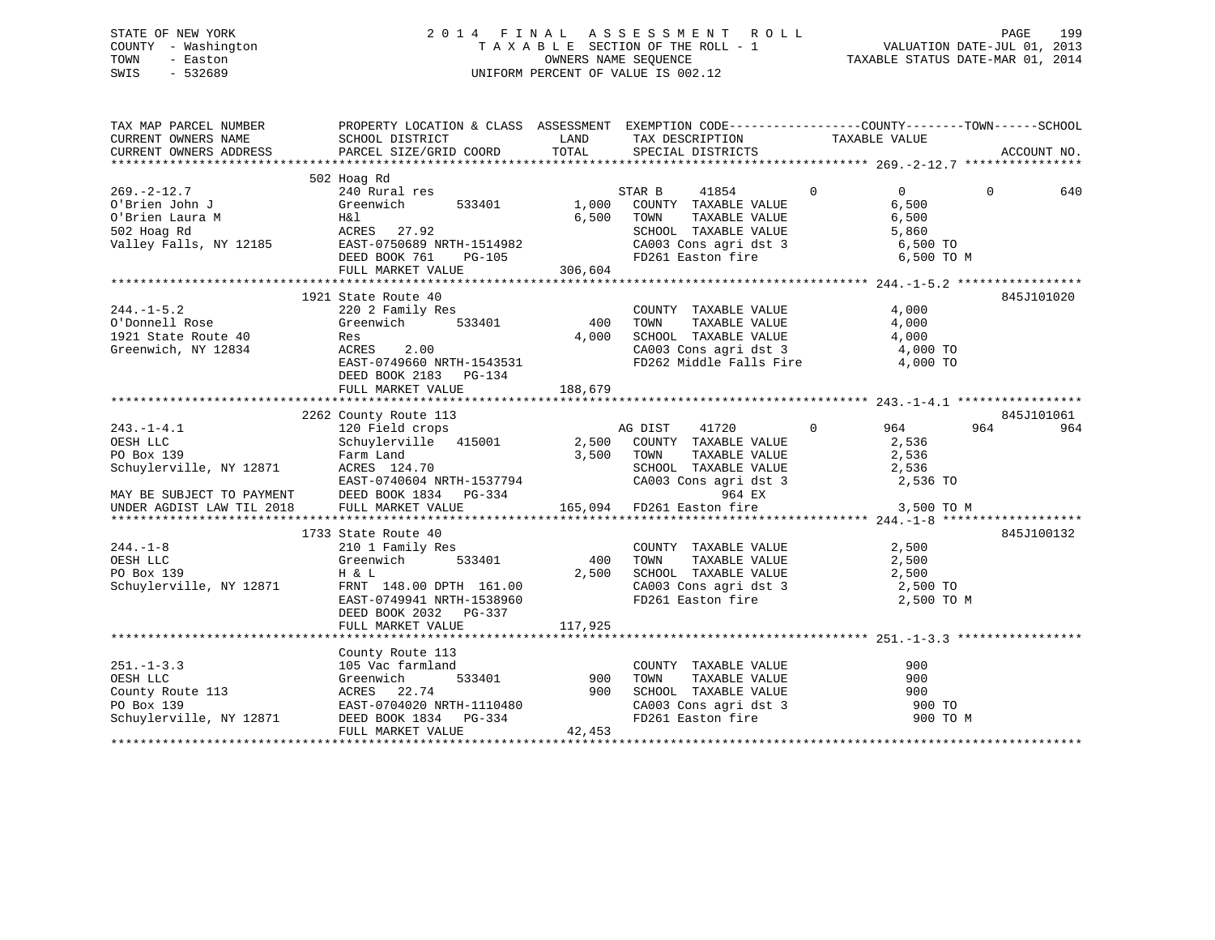# STATE OF NEW YORK 2 0 1 4 F I N A L A S S E S S M E N T R O L L PAGE 199 COUNTY - Washington T A X A B L E SECTION OF THE ROLL - 1 VALUATION DATE-JUL 01, 2013 TOWN - Easton OWNERS NAME SEQUENCE TAXABLE STATUS DATE-MAR 01, 2014 SWIS - 532689 UNIFORM PERCENT OF VALUE IS 002.12

| TAX MAP PARCEL NUMBER<br>CURRENT OWNERS NAME<br>CURRENT OWNERS ADDRESS                             | PROPERTY LOCATION & CLASS ASSESSMENT EXEMPTION CODE----------------COUNTY-------TOWN------SCHOOL                                                                                                                                                                                                                                                                                       |                          |                                                                                                                                                                                                                                                                                                                                                                                                                                                                                                                                                                      |                                                    | ACCOUNT NO.     |
|----------------------------------------------------------------------------------------------------|----------------------------------------------------------------------------------------------------------------------------------------------------------------------------------------------------------------------------------------------------------------------------------------------------------------------------------------------------------------------------------------|--------------------------|----------------------------------------------------------------------------------------------------------------------------------------------------------------------------------------------------------------------------------------------------------------------------------------------------------------------------------------------------------------------------------------------------------------------------------------------------------------------------------------------------------------------------------------------------------------------|----------------------------------------------------|-----------------|
|                                                                                                    |                                                                                                                                                                                                                                                                                                                                                                                        |                          |                                                                                                                                                                                                                                                                                                                                                                                                                                                                                                                                                                      |                                                    |                 |
| $269.-2-12.7$<br>O'Brien John J<br>C'hwien Laura M (Hal ACRES 27.92<br>ACRES 27.92<br>PRET-0750689 | 533401 1,000                                                                                                                                                                                                                                                                                                                                                                           | 6,500                    | STAR B<br>41854<br>COUNTY TAXABLE VALUE<br>TOWN<br>TAXABLE VALUE                                                                                                                                                                                                                                                                                                                                                                                                                                                                                                     | $\overline{0}$<br>$\overline{0}$<br>6,500<br>6,500 | $\Omega$<br>640 |
|                                                                                                    | FULL MARKET VALUE                                                                                                                                                                                                                                                                                                                                                                      | 306,604                  | SCHOOL TAXABLE VALUE<br>CA003 Cons agri dst 3 6,500 TO<br>FD261 Easton fire 6,500 TO M                                                                                                                                                                                                                                                                                                                                                                                                                                                                               |                                                    |                 |
|                                                                                                    |                                                                                                                                                                                                                                                                                                                                                                                        |                          |                                                                                                                                                                                                                                                                                                                                                                                                                                                                                                                                                                      |                                                    |                 |
| 244.-1-5.2<br>O'Donnell Rose<br>1921 State Route 40<br>Greenwich, NY 12834                         | 1921 State Route 40<br>220 2 Family Res<br>Greenwich<br>Res<br>ACRES 2.00                                                                                                                                                                                                                                                                                                              | s<br>533401 400<br>4,000 | COUNTY TAXABLE VALUE<br>TAXABLE VALUE<br>TOWN<br>SCHOOL TAXABLE VALUE 4,000                                                                                                                                                                                                                                                                                                                                                                                                                                                                                          | 4,000<br>4,000                                     | 845J101020      |
|                                                                                                    | EAST-0749660 NRTH-1543531<br>DEED BOOK 2183 PG-134                                                                                                                                                                                                                                                                                                                                     |                          | CA003 Cons agri dst 3 4,000 TO<br>FD262 Middle Falls Fire 4,000 TO                                                                                                                                                                                                                                                                                                                                                                                                                                                                                                   |                                                    |                 |
|                                                                                                    |                                                                                                                                                                                                                                                                                                                                                                                        |                          |                                                                                                                                                                                                                                                                                                                                                                                                                                                                                                                                                                      |                                                    |                 |
|                                                                                                    |                                                                                                                                                                                                                                                                                                                                                                                        |                          |                                                                                                                                                                                                                                                                                                                                                                                                                                                                                                                                                                      |                                                    | 845J101061      |
|                                                                                                    | 2262 County Route 113<br>243.-1-4.1<br>OESH LLC<br>PO Box 139<br>Schuylerville, NY 12871<br>271<br>271<br>271<br>271<br>271<br>271<br>27500<br>27500<br>27500<br>27500<br>27500<br>27500<br>27500<br>27500<br>27500<br>27500<br>27500<br>27500<br>27500<br>27500<br>27500<br>27500                                                                                                     |                          | AG DIST<br>41720<br>COUNTY TAXABLE VALUE<br>TAXABLE VALUE<br>TOWN<br>SCHOOL TAXABLE VALUE 2,536<br>CA003 Cons agri dst 3 2,536 TO                                                                                                                                                                                                                                                                                                                                                                                                                                    | 964<br>$\overline{0}$<br>2,536<br>2,536            | 964<br>964      |
|                                                                                                    |                                                                                                                                                                                                                                                                                                                                                                                        |                          |                                                                                                                                                                                                                                                                                                                                                                                                                                                                                                                                                                      |                                                    |                 |
| $244. - 1 - 8$<br>OESH LLC<br>PO Box 139<br>Schuylerville, NY 12871                                | 1733 State Route 40<br>ly Res<br>533401<br>210 1 Family Res<br>Greenwich<br>H & L<br>H & L<br>FRNT 148.00 DPTH 161.00<br>EAST-0749941 NRTH-1538960<br>DEED BOOK 2032 PG-337                                                                                                                                                                                                            | 400<br>2,500             | $\begin{array}{ccc}\n\text{COUNTY} & \text{TAXABLE} & \text{VALUE} & & 2,500 \\ \text{SVD} & \text{SVD} & \text{SVD} & \text{SVD} & \text{SVD} & \text{SVD} & \text{SVD} & \text{SVD} & \text{SVD} & \text{SVD} & \text{SVD} & \text{SVD} & \text{SVD} & \text{SVD} & \text{SVD} & \text{SVD} & \text{SVD} & \text{SVD} & \text{SVD} & \text{SVD} & \text{SVD} & \text{SVD} & \text{SVD} & \text{SVD} & \text{SVD} & \text{SVD} & \text$<br>TOWN TAXABLE VALUE 2,500<br>SCHOOL TAXABLE VALUE 2,500<br>CA003 Cons agri dst 3 2,500 TO<br>FD261 Easton fire 2,500 TO M |                                                    | 845J100132      |
|                                                                                                    |                                                                                                                                                                                                                                                                                                                                                                                        |                          |                                                                                                                                                                                                                                                                                                                                                                                                                                                                                                                                                                      |                                                    |                 |
| $251. - 1 - 3.3$                                                                                   | County Route 113<br>$\begin{array}{ccc}\n & -1 & -1 \\ \end{array}$<br>$\begin{array}{ccc}\n & 533401 & 900 \\  & & 900\n\end{array}$<br>105 Vac farmland<br>251.-1-3.3<br>OESH LLC<br>County Route 113<br>PO Box 139<br>NY 12871 DEED BOOK 1834 PG-334<br>NY 12871 DEED BOOK 1834 PG-334<br>NY 12871 DEED BOOK 1834 PG-334<br>NY 12871 DEED BOOK 1834 PG-334<br>NY 12871 MADKET VALUE | 42,453                   | COUNTY TAXABLE VALUE<br>TOWN TAXABLE VALUE<br>SCHOOL TAXABLE VALUE<br>CA003 Cons agri dst 3<br>FD261 Easton fire                                                                                                                                                                                                                                                                                                                                                                                                                                                     | 900<br>900<br>900<br>900 TO<br>900 TO M            |                 |
|                                                                                                    |                                                                                                                                                                                                                                                                                                                                                                                        |                          |                                                                                                                                                                                                                                                                                                                                                                                                                                                                                                                                                                      |                                                    |                 |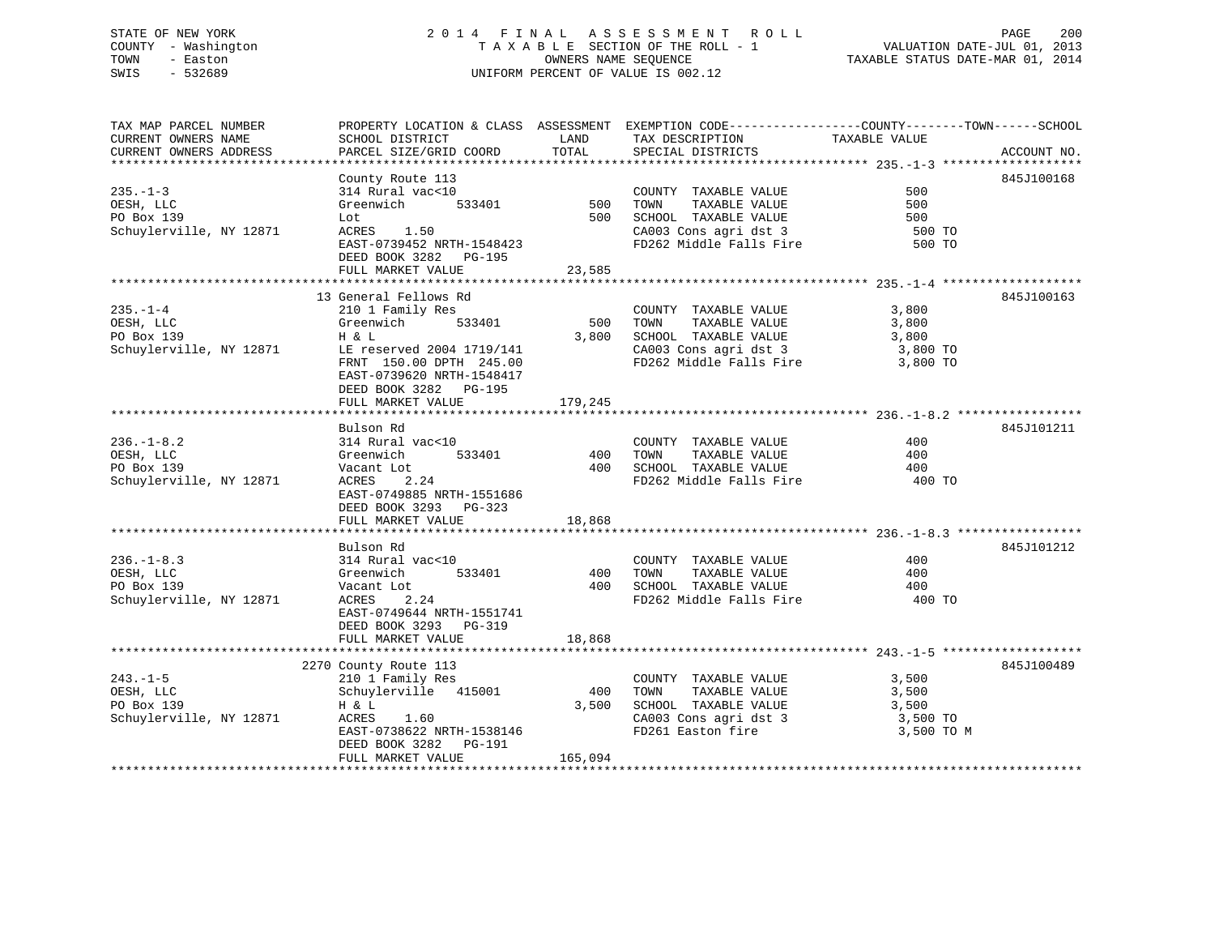# STATE OF NEW YORK 2 0 1 4 F I N A L A S S E S S M E N T R O L L PAGE 200 COUNTY - Washington T A X A B L E SECTION OF THE ROLL - 1 VALUATION DATE-JUL 01, 2013 TOWN - Easton **CONNERS NAME SEQUENCE** TAXABLE STATUS DATE-MAR 01, 2014 SWIS - 532689 UNIFORM PERCENT OF VALUE IS 002.12

| TAX MAP PARCEL NUMBER   | PROPERTY LOCATION & CLASS ASSESSMENT EXEMPTION CODE----------------COUNTY-------TOWN-----SCHOOL |            |                                |                      |             |
|-------------------------|-------------------------------------------------------------------------------------------------|------------|--------------------------------|----------------------|-------------|
| CURRENT OWNERS NAME     | SCHOOL DISTRICT                                                                                 | LAND       | TAX DESCRIPTION                | TAXABLE VALUE        |             |
| CURRENT OWNERS ADDRESS  | PARCEL SIZE/GRID COORD                                                                          | TOTAL      | SPECIAL DISTRICTS              |                      | ACCOUNT NO. |
|                         |                                                                                                 |            |                                |                      |             |
|                         | County Route 113                                                                                |            |                                |                      | 845J100168  |
| $235. -1 - 3$           | 314 Rural vac<10                                                                                |            | COUNTY TAXABLE VALUE           | 500                  |             |
| OESH, LLC               | Greenwich                                                                                       | 533401 500 | TAXABLE VALUE<br>TOWN          | 500                  |             |
| PO Box 139              | Lot                                                                                             | 500        | SCHOOL TAXABLE VALUE           | 500                  |             |
| Schuylerville, NY 12871 | ACRES 1.50                                                                                      |            | CA003 Cons agri dst 3          | 500 TO               |             |
|                         | EAST-0739452 NRTH-1548423                                                                       |            | FD262 Middle Falls Fire        | 500 TO               |             |
|                         | DEED BOOK 3282 PG-195                                                                           |            |                                |                      |             |
|                         |                                                                                                 |            |                                |                      |             |
|                         | FULL MARKET VALUE                                                                               | 23,585     |                                |                      |             |
|                         |                                                                                                 |            |                                |                      |             |
|                         | 13 General Fellows Rd                                                                           |            |                                |                      | 845J100163  |
| $235. - 1 - 4$          | 210 1 Family Res                                                                                |            | COUNTY TAXABLE VALUE           | 3,800                |             |
| OESH, LLC               | 533401<br>Greenwich                                                                             | 500        | TAXABLE VALUE<br>TOWN          | 3,800                |             |
| PO Box 139              | H & L                                                                                           | 3,800      | SCHOOL TAXABLE VALUE           | 3,800                |             |
| Schuylerville, NY 12871 | LE reserved 2004 1719/141                                                                       |            | CA003 Cons agri dst 3          | 3,800 TO<br>3,800 TO |             |
|                         | FRNT 150.00 DPTH 245.00                                                                         |            | FD262 Middle Falls Fire        |                      |             |
|                         | EAST-0739620 NRTH-1548417                                                                       |            |                                |                      |             |
|                         | DEED BOOK 3282 PG-195                                                                           |            |                                |                      |             |
|                         | FULL MARKET VALUE                                                                               | 179,245    |                                |                      |             |
|                         |                                                                                                 |            |                                |                      |             |
|                         | Bulson Rd                                                                                       |            |                                |                      | 845J101211  |
| $236. - 1 - 8.2$        | 314 Rural vac<10                                                                                |            | COUNTY TAXABLE VALUE           | 400                  |             |
| OESH, LLC               | 533401<br>Greenwich                                                                             | 400        | TOWN<br>TAXABLE VALUE          | 400                  |             |
| PO Box 139              | Vacant Lot                                                                                      | 400        | SCHOOL TAXABLE VALUE           | 400                  |             |
| Schuylerville, NY 12871 | ACRES<br>2.24                                                                                   |            | FD262 Middle Falls Fire 400 TO |                      |             |
|                         |                                                                                                 |            |                                |                      |             |
|                         | EAST-0749885 NRTH-1551686                                                                       |            |                                |                      |             |
|                         | DEED BOOK 3293 PG-323                                                                           |            |                                |                      |             |
|                         | FULL MARKET VALUE                                                                               | 18,868     |                                |                      |             |
|                         |                                                                                                 |            |                                |                      |             |
|                         | Bulson Rd                                                                                       |            |                                |                      | 845J101212  |
| $236. - 1 - 8.3$        | 314 Rural vac<10                                                                                |            | COUNTY TAXABLE VALUE           | 400                  |             |
| OESH, LLC               | 533401<br>Greenwich                                                                             | 400        | TOWN<br>TAXABLE VALUE          | 400                  |             |
| PO Box 139              | Vacant Lot                                                                                      | 400        | SCHOOL TAXABLE VALUE           | 400                  |             |
| Schuylerville, NY 12871 | ACRES<br>2.24                                                                                   |            | FD262 Middle Falls Fire        | 400 TO               |             |
|                         | EAST-0749644 NRTH-1551741                                                                       |            |                                |                      |             |
|                         | DEED BOOK 3293 PG-319                                                                           |            |                                |                      |             |
|                         | FULL MARKET VALUE                                                                               | 18,868     |                                |                      |             |
|                         |                                                                                                 |            |                                |                      |             |
|                         | 2270 County Route 113                                                                           |            |                                |                      | 845J100489  |
| $243. - 1 - 5$          | 210 1 Family Res                                                                                |            | COUNTY TAXABLE VALUE           | 3,500                |             |
| OESH, LLC               | Schuylerville 415001                                                                            | 400        | TAXABLE VALUE<br>TOWN          | 3,500                |             |
| PO Box 139              | H & L                                                                                           | 3,500      | SCHOOL TAXABLE VALUE           | 3,500                |             |
| Schuylerville, NY 12871 | ACRES<br>1.60                                                                                   |            | CA003 Cons agri dst 3          | 3,500 TO             |             |
|                         | EAST-0738622 NRTH-1538146                                                                       |            | FD261 Easton fire              | 3,500 TO M           |             |
|                         |                                                                                                 |            |                                |                      |             |
|                         | DEED BOOK 3282 PG-191                                                                           |            |                                |                      |             |
|                         | FULL MARKET VALUE                                                                               | 165,094    |                                |                      |             |
|                         |                                                                                                 |            |                                |                      |             |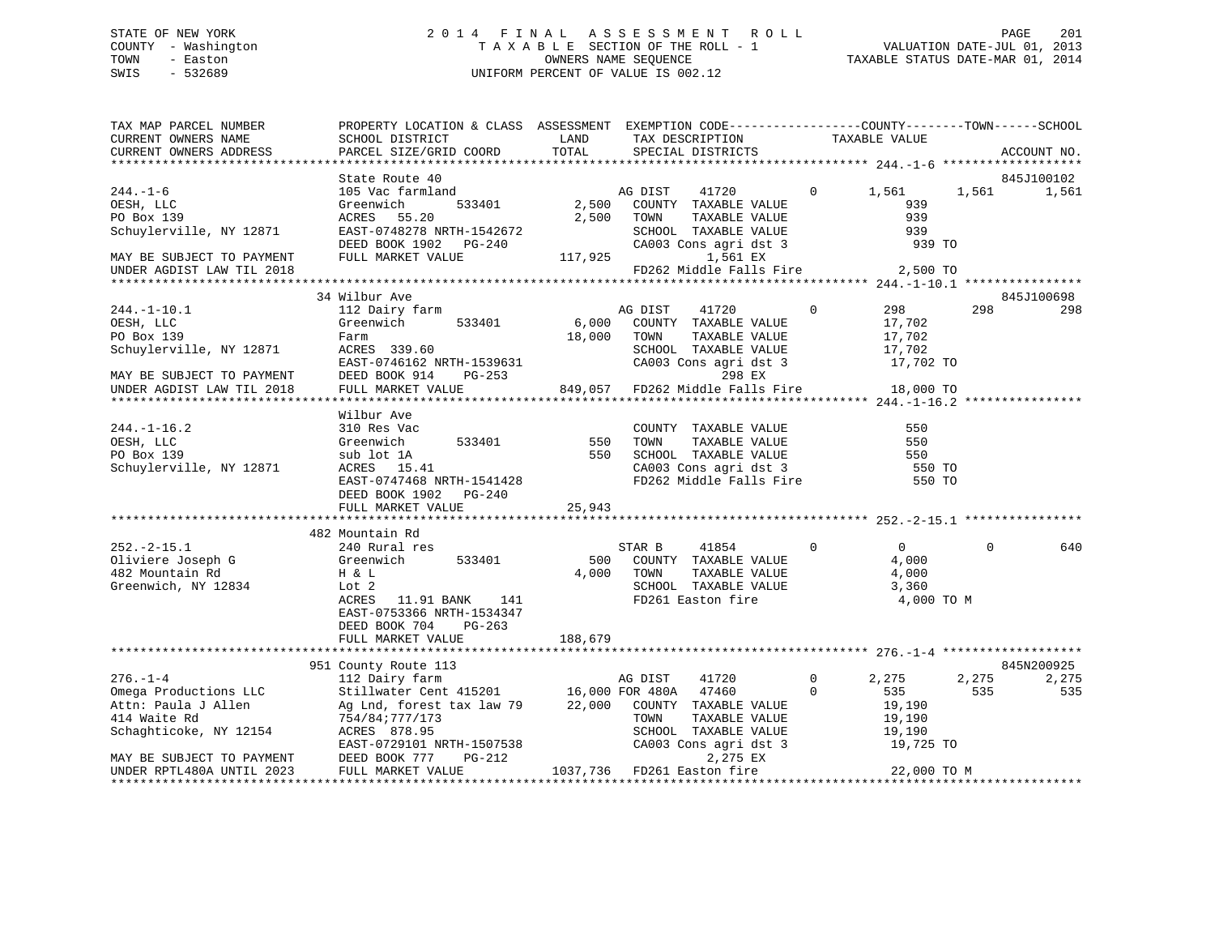#### STATE OF NEW YORK 2 0 1 4 F I N A L A S S E S S M E N T R O L L PAGE 201COUNTY - Washington T A X A B L E SECTION OF THE ROLL - 1 TOWN - Easton **CONNERS NAME SEQUENCE** TAXABLE STATUS DATE-MAR 01, 2014 SWIS - 532689 UNIFORM PERCENT OF VALUE IS 002.12

| TAX MAP PARCEL NUMBER                                                    | PROPERTY LOCATION & CLASS ASSESSMENT EXEMPTION CODE----------------COUNTY-------TOWN------SCHOOL                                                                                                                                                                                                                              |         |                                                                |                |                    |
|--------------------------------------------------------------------------|-------------------------------------------------------------------------------------------------------------------------------------------------------------------------------------------------------------------------------------------------------------------------------------------------------------------------------|---------|----------------------------------------------------------------|----------------|--------------------|
| CURRENT OWNERS NAME                                                      | SCHOOL DISTRICT                                                                                                                                                                                                                                                                                                               | LAND    | TAX DESCRIPTION TAXABLE VALUE                                  |                |                    |
| CURRENT OWNERS NAME<br>CURRENT OWNERS ADDRESS                            |                                                                                                                                                                                                                                                                                                                               |         | SPECIAL DISTRICTS                                              |                | ACCOUNT NO.        |
|                                                                          |                                                                                                                                                                                                                                                                                                                               |         |                                                                |                |                    |
|                                                                          | State Route 40                                                                                                                                                                                                                                                                                                                |         |                                                                |                | 845J100102         |
| $244. - 1 - 6$                                                           |                                                                                                                                                                                                                                                                                                                               |         | AG DIST 41720 0 1,561 1,561 1,561                              |                |                    |
| OESH, LLC                                                                | 105 Vac Iarmia<br>Greenwich<br>ACRES 55.20                                                                                                                                                                                                                                                                                    |         |                                                                | 939            |                    |
| PO Box 139                                                               |                                                                                                                                                                                                                                                                                                                               |         |                                                                | 939            |                    |
|                                                                          | Schuylerville, NY 12871 EAST-0748278 NRTH-1542672                                                                                                                                                                                                                                                                             |         | SCHOOL TAXABLE VALUE 939                                       |                |                    |
|                                                                          |                                                                                                                                                                                                                                                                                                                               |         |                                                                |                |                    |
|                                                                          |                                                                                                                                                                                                                                                                                                                               |         |                                                                |                |                    |
|                                                                          | Schuylerville, NY 12871 EAST-0748278 NRTH-1542672 SCHOOL TAXABLE VALUE 939<br>DEED BOOK 1902 PG-240 CA003 Cons agri dst 3 939 TO<br>UNDER AGDIST LAW TIL 2018 FULL MARKET VALUE 117,925 1,561 EX<br>UNDER AGDIST LAW TIL 2018 FULL MARK                                                                                       |         |                                                                |                |                    |
|                                                                          |                                                                                                                                                                                                                                                                                                                               |         |                                                                |                |                    |
|                                                                          | 34 Wilbur Ave                                                                                                                                                                                                                                                                                                                 |         |                                                                |                | 845J100698         |
| $244. - 1 - 10.1$                                                        | 112 Dairy farm<br>Greenwich 533401 6,000 COUNTY TAXABLE VALUE                                                                                                                                                                                                                                                                 |         | 41720 0                                                        | 298<br>17,702  | 298<br>298         |
| OESH, LLC                                                                |                                                                                                                                                                                                                                                                                                                               |         |                                                                |                |                    |
|                                                                          |                                                                                                                                                                                                                                                                                                                               |         |                                                                |                |                    |
|                                                                          |                                                                                                                                                                                                                                                                                                                               |         |                                                                |                |                    |
|                                                                          |                                                                                                                                                                                                                                                                                                                               |         |                                                                |                |                    |
|                                                                          | 0ESH, LLC (Speedwich 533401 b,000 COUNII IAAADLE VALUE 17,702<br>PO Box 139 Farm 18,000 TOWN TAXABLE VALUE 17,702<br>Schuylerville, NY 12871 ACRES 339.60 SCHOOL TAXABLE VALUE 17,702<br>EAST-0746162 NRTH-1539631 CA003 Cons agri d                                                                                          |         |                                                                |                |                    |
| MAY BE SUBJECT TO PAYMENT<br>UNDER AGDIST LAW TIL 2018 FULL MARKET VALUE | ACRES 339.60 SCHOOL TAXABLE VALUE 17,702<br>EAST-0746162 NRTH-1539631 CA003 Cons agri dst 3 17,702 TO<br>DEED BOOK 914 PG-253 298 EX<br>FULL MARKET VALUE 849,057 FD262 Middle Falls Fire 18,000 TO                                                                                                                           |         |                                                                |                |                    |
|                                                                          |                                                                                                                                                                                                                                                                                                                               |         |                                                                |                |                    |
|                                                                          | Wilbur Ave                                                                                                                                                                                                                                                                                                                    |         |                                                                |                |                    |
| $244. - 1 - 16.2$                                                        |                                                                                                                                                                                                                                                                                                                               |         |                                                                |                |                    |
| OESH, LLC                                                                |                                                                                                                                                                                                                                                                                                                               |         |                                                                |                |                    |
| PO Box 139                                                               |                                                                                                                                                                                                                                                                                                                               |         |                                                                |                |                    |
| Schuylerville, NY 12871                                                  |                                                                                                                                                                                                                                                                                                                               |         |                                                                |                |                    |
|                                                                          | EAST-0747468 NRTH-1541428                                                                                                                                                                                                                                                                                                     |         | CA003 Cons agri dst 3 550 TO<br>FD262 Middle Falls Fire 550 TO |                |                    |
|                                                                          | DEED BOOK 1902    PG-240                                                                                                                                                                                                                                                                                                      |         |                                                                |                |                    |
|                                                                          | FULL MARKET VALUE                                                                                                                                                                                                                                                                                                             | 25,943  |                                                                |                |                    |
|                                                                          |                                                                                                                                                                                                                                                                                                                               |         |                                                                |                |                    |
|                                                                          | 482 Mountain Rd                                                                                                                                                                                                                                                                                                               |         |                                                                |                |                    |
|                                                                          |                                                                                                                                                                                                                                                                                                                               |         | STAR B 41854 0                                                 | $\overline{0}$ | $\Omega$<br>640    |
|                                                                          |                                                                                                                                                                                                                                                                                                                               |         |                                                                |                |                    |
|                                                                          |                                                                                                                                                                                                                                                                                                                               |         | 500 COUNTY TAXABLE VALUE 4,000<br>4,000 TOWN<br>TAXABLE VALUE  | 4,000          |                    |
|                                                                          |                                                                                                                                                                                                                                                                                                                               |         |                                                                |                |                    |
|                                                                          | 252.-2-15.1<br>Oliviere Joseph G<br>482 Mountain Rd<br>Greenwich, NY 12834<br>$\begin{array}{ccc}\n & \text{if } 240 \text{ Rural res} \\  & 240 \text{ Rural res} \\  & \text{Greenwich} \\  & H & L \\  & \text{L} & \text{L} \\ \text{C} & 2 & 11 \text{ q1 RANK} \\  & 141\n\end{array}$<br>LOT 2<br>ACRES 11.91 BANK 141 |         | SCHOOL TAXABLE VALUE 3,360<br>FD261 Easton fire 3,360<br>4,000 | 4,000 TO M     |                    |
|                                                                          | EAST-0753366 NRTH-1534347                                                                                                                                                                                                                                                                                                     |         |                                                                |                |                    |
|                                                                          | DEED BOOK 704<br>PG-263                                                                                                                                                                                                                                                                                                       |         |                                                                |                |                    |
|                                                                          | FULL MARKET VALUE                                                                                                                                                                                                                                                                                                             | 188,679 |                                                                |                |                    |
|                                                                          |                                                                                                                                                                                                                                                                                                                               |         |                                                                |                |                    |
|                                                                          |                                                                                                                                                                                                                                                                                                                               |         |                                                                |                | 845N200925         |
|                                                                          |                                                                                                                                                                                                                                                                                                                               |         |                                                                |                |                    |
|                                                                          |                                                                                                                                                                                                                                                                                                                               |         |                                                                |                | 2,275 2,275<br>535 |
|                                                                          |                                                                                                                                                                                                                                                                                                                               |         |                                                                |                | 535                |
|                                                                          |                                                                                                                                                                                                                                                                                                                               |         |                                                                |                |                    |
|                                                                          |                                                                                                                                                                                                                                                                                                                               |         |                                                                |                |                    |
|                                                                          |                                                                                                                                                                                                                                                                                                                               |         |                                                                |                |                    |
|                                                                          |                                                                                                                                                                                                                                                                                                                               |         |                                                                |                |                    |
|                                                                          | $(276,-1-4) \t\t\t\t\t\t951 \t\t\tCoutput\n951 \t\tCoutput\n0000\n0112 \t\t\tDairy farm\n0000\n0112 \t\t\tDairy farm\n0000\n0112 \t\t\tDairy farm\n012 \t\t\tDairy farm\n012 \t\t\tDairy farm\n0132 \t\t\tDairy farm\n014 \t\t\tDairc Cent 415201\n014 \t\t\tDairc Cent 415201\n01535\n016,000 FOR 480A\n017$                 |         |                                                                |                |                    |
|                                                                          |                                                                                                                                                                                                                                                                                                                               |         |                                                                |                |                    |
|                                                                          |                                                                                                                                                                                                                                                                                                                               |         |                                                                |                |                    |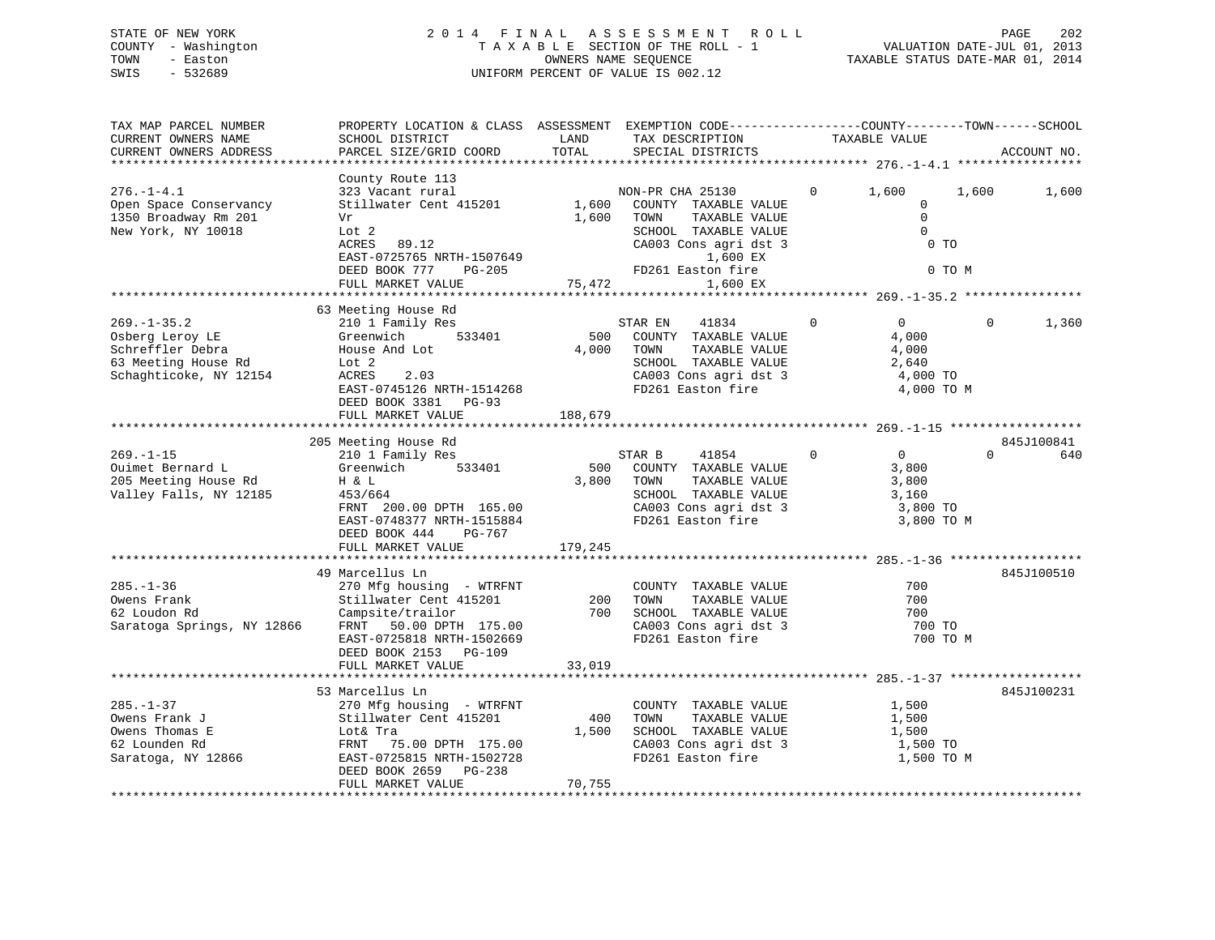# STATE OF NEW YORK 2 0 1 4 F I N A L A S S E S S M E N T R O L L PAGE 202 COUNTY - Washington T A X A B L E SECTION OF THE ROLL - 1 VALUATION DATE-JUL 01, 2013 TOWN - Easton OWNERS NAME SEQUENCE TAXABLE STATUS DATE-MAR 01, 2014 SWIS - 532689 UNIFORM PERCENT OF VALUE IS 002.12

| TAX MAP PARCEL NUMBER<br>CURRENT OWNERS NAME<br>CURRENT OWNERS ADDRESS                                                 | PROPERTY LOCATION & CLASS ASSESSMENT EXEMPTION CODE----------------COUNTY-------TOWN------SCHOOL<br>SCHOOL DISTRICT<br>PARCEL SIZE/GRID COORD                                                  | LAND<br>TOTAL            | TAX DESCRIPTION<br>SPECIAL DISTRICTS                                                                                                                            | TAXABLE VALUE                                                                         |                 | ACCOUNT NO.       |
|------------------------------------------------------------------------------------------------------------------------|------------------------------------------------------------------------------------------------------------------------------------------------------------------------------------------------|--------------------------|-----------------------------------------------------------------------------------------------------------------------------------------------------------------|---------------------------------------------------------------------------------------|-----------------|-------------------|
| **************************<br>$276. - 1 - 4.1$<br>Open Space Conservancy<br>1350 Broadway Rm 201<br>New York, NY 10018 | County Route 113<br>323 Vacant rural<br>Stillwater Cent 415201<br>Vr<br>Lot 2<br>ACRES<br>89.12<br>EAST-0725765 NRTH-1507649<br>DEED BOOK 777<br>PG-205<br>FULL MARKET VALUE                   | 1,600<br>1,600<br>75,472 | NON-PR CHA 25130<br>COUNTY TAXABLE VALUE<br>TAXABLE VALUE<br>TOWN<br>SCHOOL TAXABLE VALUE<br>CA003 Cons agri dst 3<br>1,600 EX<br>FD261 Easton fire<br>1,600 EX | $\mathbf{0}$<br>1,600<br>0<br>$\mathbf 0$<br>0<br>0 TO                                | 1,600<br>0 TO M | 1,600             |
| $269. - 1 - 35.2$<br>Osberg Leroy LE<br>Schreffler Debra<br>63 Meeting House Rd<br>Schaghticoke, NY 12154              | 63 Meeting House Rd<br>210 1 Family Res<br>Greenwich<br>533401<br>House And Lot<br>Lot 2<br>ACRES<br>2.03<br>EAST-0745126 NRTH-1514268<br>DEED BOOK 3381 PG-93                                 | 500<br>4,000             | 41834<br>STAR EN<br>COUNTY TAXABLE VALUE<br>TOWN<br>TAXABLE VALUE<br>SCHOOL TAXABLE VALUE<br>CA003 Cons agri dst 3<br>FD261 Easton fire                         | $\Omega$<br>$\overline{0}$<br>4,000<br>4,000<br>2,640<br>4,000 TO<br>4,000 TO M       | $\Omega$        | 1,360             |
|                                                                                                                        | FULL MARKET VALUE                                                                                                                                                                              | 188,679                  |                                                                                                                                                                 |                                                                                       |                 |                   |
| $269. -1 - 15$<br>Ouimet Bernard L<br>205 Meeting House Rd<br>Valley Falls, NY 12185                                   | 205 Meeting House Rd<br>210 1 Family Res<br>533401<br>Greenwich<br>H & L<br>453/664<br>FRNT 200.00 DPTH 165.00<br>EAST-0748377 NRTH-1515884<br>DEED BOOK 444<br>PG-767                         | 500<br>3,800             | STAR B<br>41854<br>COUNTY TAXABLE VALUE<br>TOWN<br>TAXABLE VALUE<br>SCHOOL TAXABLE VALUE<br>CA003 Cons agri dst 3<br>FD261 Easton fire                          | $\mathbf 0$<br>$0 \qquad \qquad$<br>3,800<br>3,800<br>3,160<br>3,800 TO<br>3,800 TO M | $\Omega$        | 845J100841<br>640 |
|                                                                                                                        | FULL MARKET VALUE                                                                                                                                                                              | 179,245                  |                                                                                                                                                                 |                                                                                       |                 |                   |
| $285. - 1 - 36$<br>Owens Frank<br>62 Loudon Rd<br>Saratoga Springs, NY 12866                                           | 49 Marcellus Ln<br>270 Mfg housing - WTRFNT<br>Stillwater Cent 415201<br>Campsite/trailor<br>FRNT 50.00 DPTH 175.00<br>EAST-0725818 NRTH-1502669<br>DEED BOOK 2153 PG-109<br>FULL MARKET VALUE | 200<br>700<br>33,019     | COUNTY TAXABLE VALUE<br>TOWN<br>TAXABLE VALUE<br>SCHOOL TAXABLE VALUE<br>CA003 Cons agri dst 3<br>FD261 Easton fire                                             | 700<br>700<br>700<br>700 TO<br>700 TO M                                               |                 | 845J100510        |
|                                                                                                                        | ************************                                                                                                                                                                       | ************             |                                                                                                                                                                 |                                                                                       |                 |                   |
| $285. - 1 - 37$<br>Owens Frank J<br>Owens Thomas E<br>62 Lounden Rd<br>Saratoga, NY 12866                              | 53 Marcellus Ln<br>270 Mfg housing - WTRFNT<br>Stillwater Cent 415201<br>Lot& Tra<br>75.00 DPTH 175.00<br>FRNT<br>EAST-0725815 NRTH-1502728<br>DEED BOOK 2659 PG-238<br>FULL MARKET VALUE      | 400<br>1,500<br>70,755   | COUNTY TAXABLE VALUE<br>TOWN<br>TAXABLE VALUE<br>SCHOOL TAXABLE VALUE<br>CA003 Cons agri dst 3<br>FD261 Easton fire                                             | 1,500<br>1,500<br>1,500<br>1,500 TO<br>1,500 TO M                                     |                 | 845J100231        |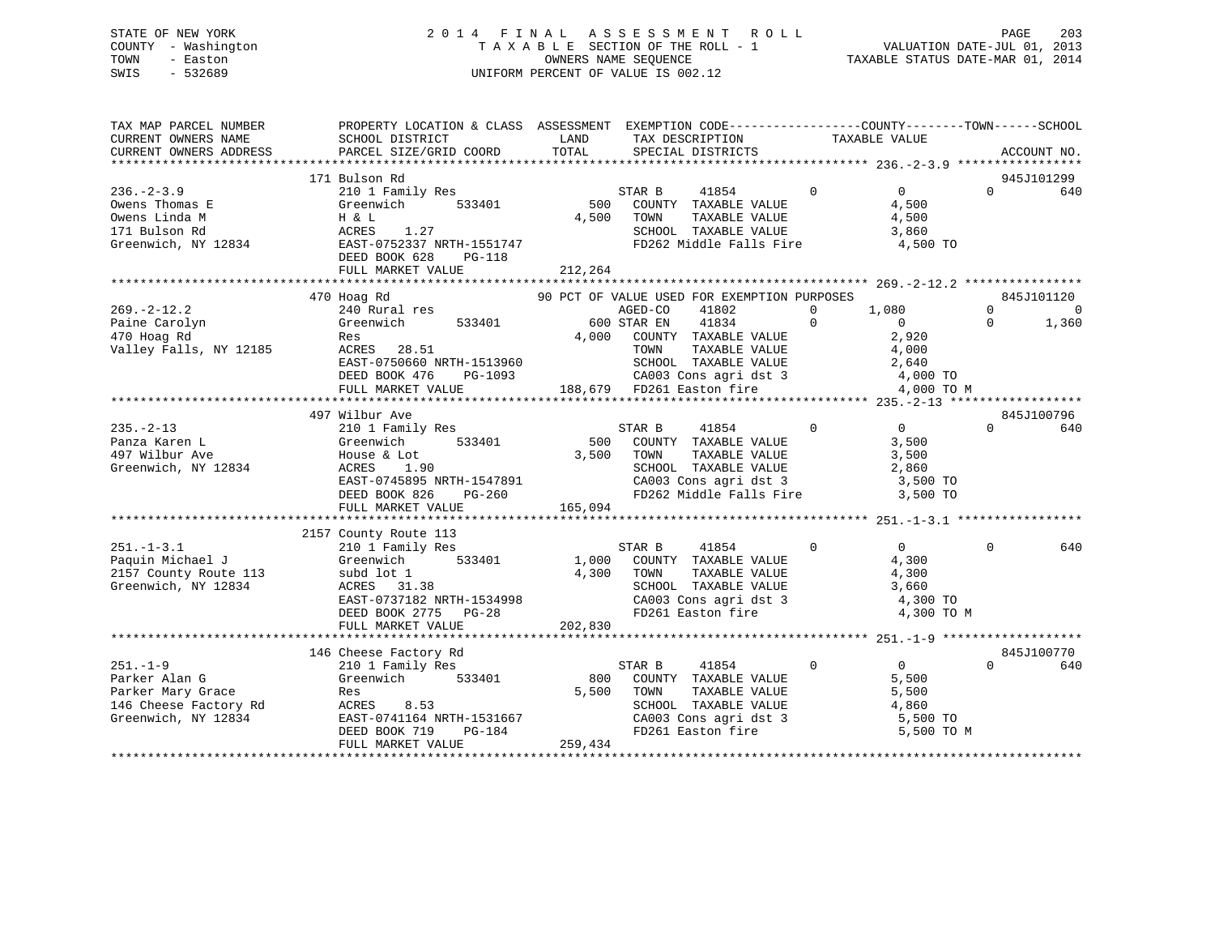# STATE OF NEW YORK 2 0 1 4 F I N A L A S S E S S M E N T R O L L PAGE 203 COUNTY - Washington T A X A B L E SECTION OF THE ROLL - 1 VALUATION DATE-JUL 01, 2013 TOWN - Easton OWNERS NAME SEQUENCE TAXABLE STATUS DATE-MAR 01, 2014 SWIS - 532689 UNIFORM PERCENT OF VALUE IS 002.12

| TAX MAP PARCEL NUMBER<br>CURRENT OWNERS NAME<br>CURRENT OWNERS ADDRESS                                          | PROPERTY LOCATION & CLASS ASSESSMENT EXEMPTION CODE---------------COUNTY-------TOWN------SCHOOL<br>SCHOOL DISTRICT<br>PARCEL SIZE/GRID COORD                                                                                                             | TOTAL       | LAND TAX DESCRIPTION<br>SPECIAL DISTRICTS                                                                                                                                                    | TAXABLE VALUE                                                                  | ACCOUNT NO.                                     |
|-----------------------------------------------------------------------------------------------------------------|----------------------------------------------------------------------------------------------------------------------------------------------------------------------------------------------------------------------------------------------------------|-------------|----------------------------------------------------------------------------------------------------------------------------------------------------------------------------------------------|--------------------------------------------------------------------------------|-------------------------------------------------|
|                                                                                                                 |                                                                                                                                                                                                                                                          |             |                                                                                                                                                                                              |                                                                                |                                                 |
| $236. - 2 - 3.9$<br>Owens Thomas E<br>Owens Linda M<br>171 Bulson Rd<br>Greenwich, NY 12834                     | 171 Bulson Rd<br>210 1 Family Res<br>Greenwich<br>533401<br>H & L<br>ACRES 1.27<br>EAST-0752337 NRTH-1551747<br>DEED BOOK 628 PG-118<br>------ ''ALITE                                                                                                   | 212,264     | 41854 0<br>STAR B<br>500 COUNTY TAXABLE VALUE<br>4,500 TOWN<br>TAXABLE VALUE<br>SCHOOL TAXABLE VALUE<br>FD262 Middle Falls Fire                                                              | $\overline{0}$<br>4,500<br>4,500<br>3,860<br>4,500 TO                          | 945J101299<br>$\Omega$<br>640                   |
|                                                                                                                 | 470 Hoag Rd                                                                                                                                                                                                                                              |             | 90 PCT OF VALUE USED FOR EXEMPTION PURPOSES                                                                                                                                                  |                                                                                | 845J101120                                      |
| $269. - 2 - 12.2$<br>Paine Carolyn<br>470 Hoag Rd<br>Valley Falls, NY 12185                                     | 240 Rural res<br>Greenwich 533401<br>Res<br>ACRES 28.51 TOWN TAXABLE VALUE 4,000<br>EAST-0750660 NRTH-1513960 SCHOOL TAXABLE VALUE 2,640<br>DEED BOOK 476 PG-1093 CA003 Cons agri dst 3 4,000 TO<br>FULL MARKET VALUE 188,679 FD261 Easton fire 4,000 TO | 600 STAR EN | AGED-CO<br>41802<br>41834<br>4,000 COUNTY TAXABLE VALUE                                                                                                                                      | $\mathbf{0}$<br>1,080<br>$\mathbf{0}$<br>$\overline{0}$<br>2,920<br>4,000 TO M | $\Omega$<br>$\overline{0}$<br>1,360<br>$\Omega$ |
|                                                                                                                 | 497 Wilbur Ave                                                                                                                                                                                                                                           |             |                                                                                                                                                                                              |                                                                                | 845J100796                                      |
| $235. -2 - 13$<br>Panza Karen L<br>497 Wilbur Ave<br>Greenwich, NY 12834                                        | 210 1 Family Res<br>Greenwich 533401<br>House & Lot<br>ACRES 1.90<br>EAST-0745895 NRTH-1547891<br>DEED BOOK 826 PG-260                                                                                                                                   | 3,500 TOWN  | $\sim$ 0<br>STAR B 41854 0<br>500 COUNTY TAXABLE VALUE<br>TAXABLE VALUE<br>SCHOOL TAXABLE VALUE 2,860<br>CA003 Cons agri dst 3 3 3,500 TO<br>FD262 Middle Falls Fire                         | $\overline{0}$<br>3,500<br>3,500<br>3,500 TO                                   | $\Omega$<br>640                                 |
|                                                                                                                 | FULL MARKET VALUE                                                                                                                                                                                                                                        | 165,094     |                                                                                                                                                                                              |                                                                                |                                                 |
|                                                                                                                 |                                                                                                                                                                                                                                                          |             |                                                                                                                                                                                              |                                                                                |                                                 |
| $251. - 1 - 3.1$<br>Paquin Michael J<br>2157 County Route 113<br>Greenwich, NY 12834                            | 2157 County Route 113<br>210 1 Family Res<br>533401<br>Greenwich<br>subd lot 1<br>ACRES 31.38<br>EAST-0737182 NRTH-1534998<br>DEED BOOK 2775 PG-28                                                                                                       |             | STAR B<br>41854<br>1,000 COUNTY TAXABLE VALUE<br>4,300 TOWN<br>TOWN TAXABLE VALUE 4,300<br>SCHOOL TAXABLE VALUE 3,660<br>CA003 CONS agri dst 3 4,300 TO<br>The 1,300 To<br>FD261 Easton fire | $\mathbf{0}$<br>$\overline{0}$<br>4,300<br>4,300 TO M                          | $\Omega$<br>640                                 |
|                                                                                                                 | FULL MARKET VALUE                                                                                                                                                                                                                                        | 202,830     |                                                                                                                                                                                              |                                                                                |                                                 |
| $251. - 1 - 9$<br>Parker Alan G<br>Parker Mary Grace<br>146 Cheese Factory Rd ACRES 8.53<br>Greenwich, NY 12834 | 146 Cheese Factory Rd<br>210 1 Family Res<br>Res<br>EAST-0741164 NRTH-1531667<br>DEED BOOK 719 PG-184                                                                                                                                                    |             | STAR B<br>41854<br>800 COUNTY TAXABLE VALUE<br>5,500 TOWN<br>TAXABLE VALUE<br>SCHOOL TAXABLE VALUE                                                                                           | $\mathbf{0}$<br>$\overline{0}$<br>5,500<br>5,500<br>4,860<br>5,500 TO          | 845J100770<br>$\Omega$<br>640                   |
|                                                                                                                 | FULL MARKET VALUE                                                                                                                                                                                                                                        | 259,434     | CA003 Cons agri dst 3<br>FD261 Easton fire                                                                                                                                                   | 5,500 TO M                                                                     |                                                 |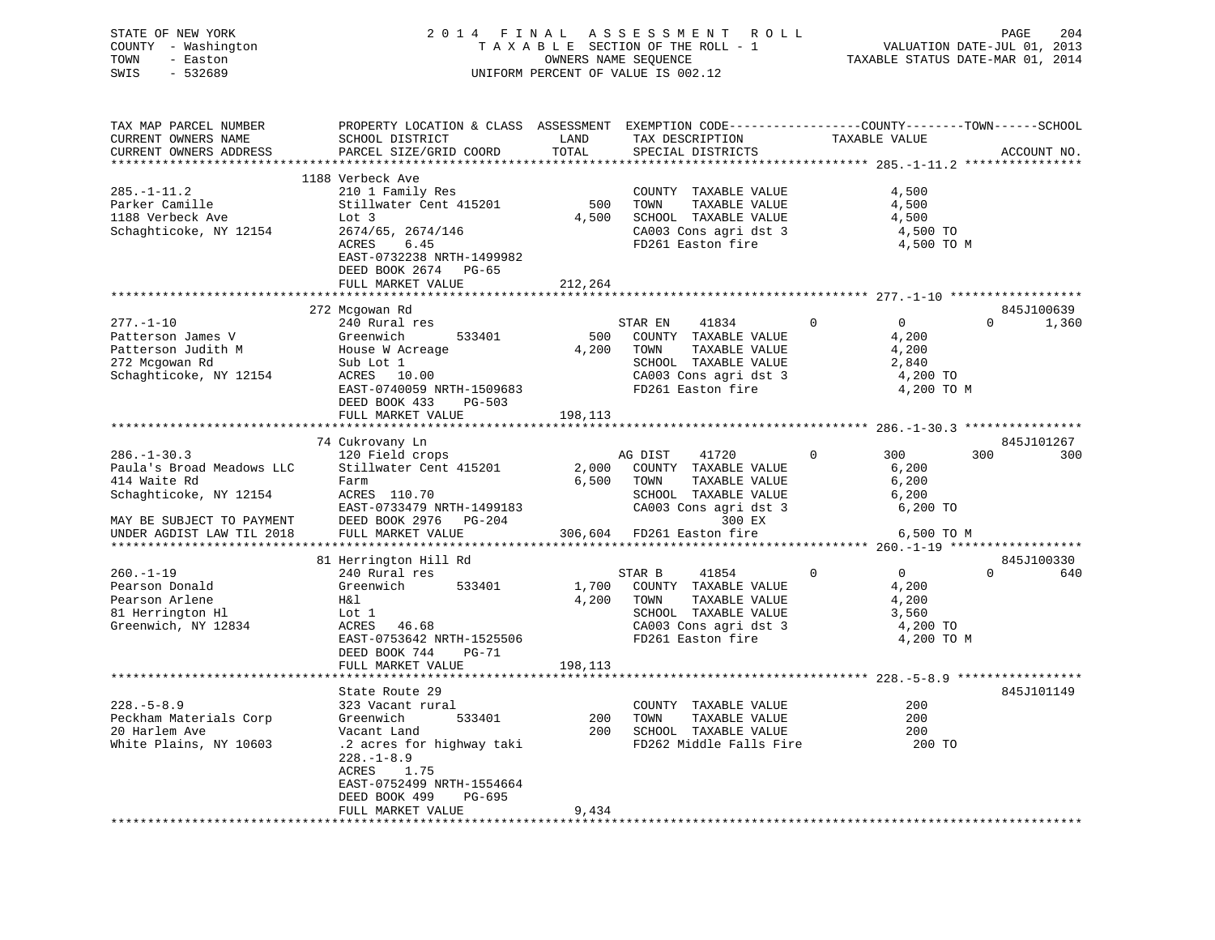STATE OF NEW YORK 2 0 1 4 F I N A L A S S E S S M E N T R O L L PAGE 204 COUNTY - Washington T A X A B L E SECTION OF THE ROLL - 1 VALUATION DATE-JUL 01, 2013 TOWN - Easton OWNERS NAME SEQUENCE TAXABLE STATUS DATE-MAR 01, 2014 SWIS - 532689 UNIFORM PERCENT OF VALUE IS 002.12

| TAX MAP PARCEL NUMBER     | PROPERTY LOCATION & CLASS ASSESSMENT |              |                           |                                                    |                   |
|---------------------------|--------------------------------------|--------------|---------------------------|----------------------------------------------------|-------------------|
| CURRENT OWNERS NAME       | SCHOOL DISTRICT                      | LAND         | TAX DESCRIPTION           | TAXABLE VALUE                                      |                   |
| CURRENT OWNERS ADDRESS    | PARCEL SIZE/GRID COORD               | TOTAL        | SPECIAL DISTRICTS         |                                                    | ACCOUNT NO.       |
|                           |                                      |              |                           | ********************* 285.-1-11.2 **************** |                   |
|                           | 1188 Verbeck Ave                     |              |                           |                                                    |                   |
| $285. - 1 - 11.2$         | 210 1 Family Res                     |              | COUNTY TAXABLE VALUE      | 4,500                                              |                   |
| Parker Camille            | Stillwater Cent 415201               | 500          | TOWN<br>TAXABLE VALUE     | 4,500                                              |                   |
| 1188 Verbeck Ave          | Lot 3                                | 4,500        | SCHOOL TAXABLE VALUE      | 4,500                                              |                   |
| Schaghticoke, NY 12154    | 2674/65, 2674/146                    |              | CA003 Cons agri dst 3     | 4,500 TO                                           |                   |
|                           |                                      |              | FD261 Easton fire         |                                                    |                   |
|                           | ACRES<br>6.45                        |              |                           | 4,500 TO M                                         |                   |
|                           | EAST-0732238 NRTH-1499982            |              |                           |                                                    |                   |
|                           | DEED BOOK 2674 PG-65                 |              |                           |                                                    |                   |
|                           | FULL MARKET VALUE                    | 212,264      |                           |                                                    |                   |
|                           |                                      |              |                           |                                                    |                   |
|                           | 272 Mcgowan Rd                       |              |                           |                                                    | 845J100639        |
| $277. - 1 - 10$           | 240 Rural res                        |              | STAR EN<br>41834          | $\mathbf{0}$<br>$\Omega$                           | $\Omega$<br>1,360 |
| Patterson James V         | Greenwich<br>533401                  | 500          | COUNTY TAXABLE VALUE      | 4,200                                              |                   |
| Patterson Judith M        | House W Acreage                      | 4,200        | TOWN<br>TAXABLE VALUE     | 4,200                                              |                   |
| 272 Mcgowan Rd            | Sub Lot 1                            |              | SCHOOL TAXABLE VALUE      | 2,840                                              |                   |
| Schaghticoke, NY 12154    | ACRES 10.00                          |              | CA003 Cons agri dst 3     | 4,200 TO                                           |                   |
|                           | EAST-0740059 NRTH-1509683            |              | FD261 Easton fire         | 4,200 TO M                                         |                   |
|                           | DEED BOOK 433<br>$PG-503$            |              |                           |                                                    |                   |
|                           | FULL MARKET VALUE                    | 198,113      |                           |                                                    |                   |
|                           |                                      |              |                           |                                                    |                   |
|                           | 74 Cukrovany Ln                      |              |                           |                                                    | 845J101267        |
| $286. - 1 - 30.3$         | 120 Field crops                      |              | AG DIST<br>41720          | 300<br>$\Omega$                                    | 300<br>300        |
| Paula's Broad Meadows LLC | Stillwater Cent 415201               |              | COUNTY TAXABLE VALUE      | 6,200                                              |                   |
|                           |                                      | 2,000        |                           |                                                    |                   |
| 414 Waite Rd              | Farm                                 | 6,500        | TAXABLE VALUE<br>TOWN     | 6,200                                              |                   |
| Schaghticoke, NY 12154    | ACRES 110.70                         |              | SCHOOL TAXABLE VALUE      | 6,200                                              |                   |
|                           | EAST-0733479 NRTH-1499183            |              | CA003 Cons agri dst 3     | 6,200 TO                                           |                   |
| MAY BE SUBJECT TO PAYMENT | DEED BOOK 2976<br>$PG-204$           |              | 300 EX                    |                                                    |                   |
| UNDER AGDIST LAW TIL 2018 | FULL MARKET VALUE                    |              | 306,604 FD261 Easton fire | 6,500 TO M                                         |                   |
|                           | ***********************              |              |                           |                                                    |                   |
|                           | 81 Herrington Hill Rd                |              |                           |                                                    | 845J100330        |
| $260. -1 - 19$            | 240 Rural res                        |              | STAR B<br>41854           | $\mathbf 0$<br>$\mathbf{0}$                        | $\Omega$<br>640   |
| Pearson Donald            | Greenwich<br>533401                  | 1,700        | COUNTY TAXABLE VALUE      | 4,200                                              |                   |
| Pearson Arlene            | H&l                                  | 4,200        | TOWN<br>TAXABLE VALUE     | 4,200                                              |                   |
| 81 Herrington Hl          | Lot 1                                |              | SCHOOL TAXABLE VALUE      | 3,560                                              |                   |
| Greenwich, NY 12834       | ACRES<br>46.68                       |              | CA003 Cons agri dst 3     | 4,200 TO                                           |                   |
|                           | EAST-0753642 NRTH-1525506            |              | FD261 Easton fire         | 4,200 TO M                                         |                   |
|                           | DEED BOOK 744<br>$PG-71$             |              |                           |                                                    |                   |
|                           | FULL MARKET VALUE                    | 198,113      |                           |                                                    |                   |
|                           | **********************               | ************ |                           |                                                    |                   |
|                           | State Route 29                       |              |                           |                                                    | 845J101149        |
| $228. - 5 - 8.9$          | 323 Vacant rural                     |              | COUNTY TAXABLE VALUE      | 200                                                |                   |
| Peckham Materials Corp    | Greenwich<br>533401                  | 200          | TOWN<br>TAXABLE VALUE     | 200                                                |                   |
| 20 Harlem Ave             | Vacant Land                          | 200          | SCHOOL TAXABLE VALUE      | 200                                                |                   |
|                           |                                      |              |                           |                                                    |                   |
| White Plains, NY 10603    | .2 acres for highway taki            |              | FD262 Middle Falls Fire   | 200 TO                                             |                   |
|                           | $228. - 1 - 8.9$                     |              |                           |                                                    |                   |
|                           | ACRES<br>1.75                        |              |                           |                                                    |                   |
|                           | EAST-0752499 NRTH-1554664            |              |                           |                                                    |                   |
|                           | DEED BOOK 499<br>PG-695              |              |                           |                                                    |                   |
|                           | FULL MARKET VALUE                    | 9,434        |                           |                                                    |                   |
|                           |                                      |              |                           |                                                    |                   |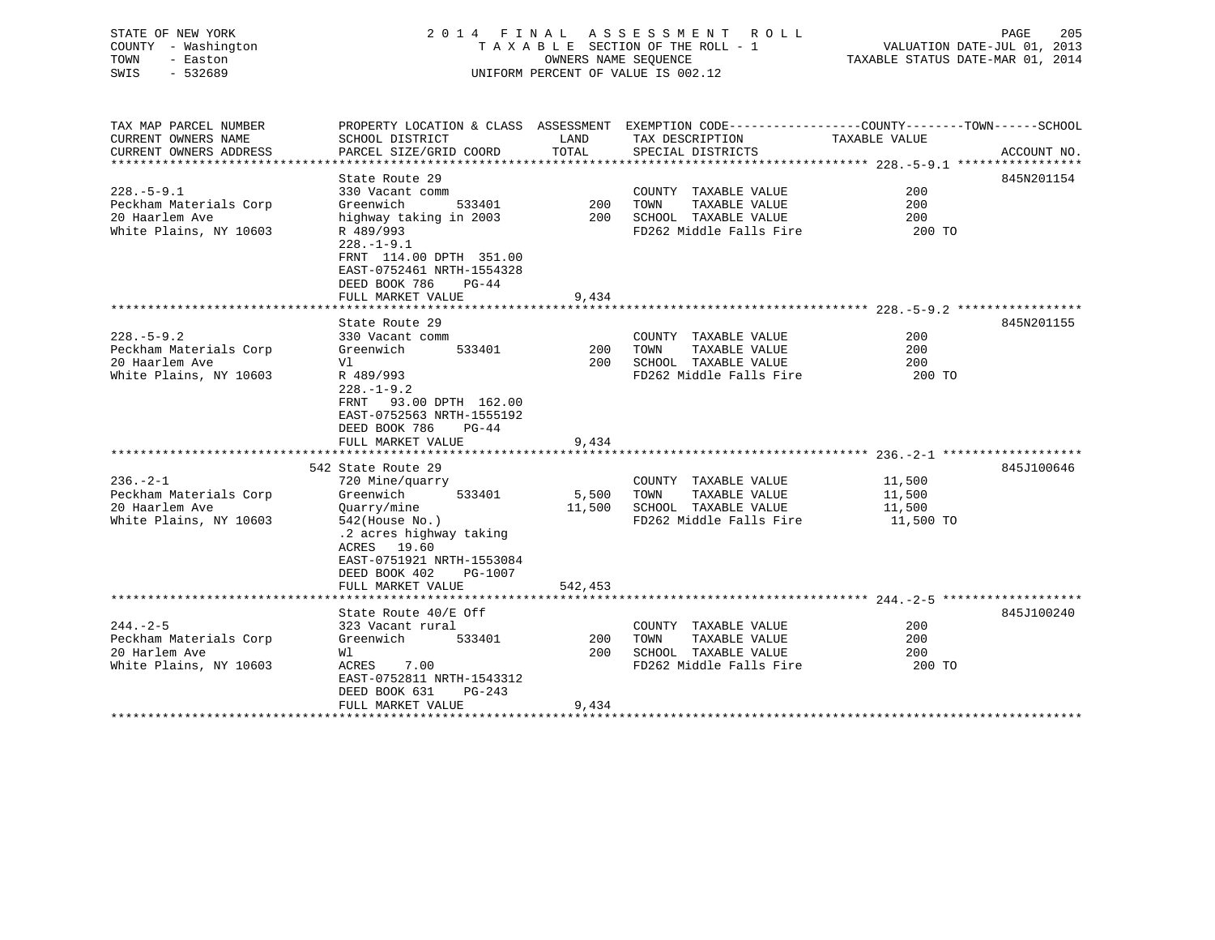| STATE OF NEW YORK<br>- Washington<br>COUNTY<br>TOWN<br>- Easton<br>SWIS<br>$-532689$   | 2014 FINAL                                                                                      |                             | ASSESSMENT ROLL<br>TAXABLE SECTION OF THE ROLL - 1<br>OWNERS NAME SEQUENCE<br>UNIFORM PERCENT OF VALUE IS 002.12 | TAXABLE STATUS DATE-MAR 01, 2014 | 205<br>PAGE<br>VALUATION DATE-JUL 01, 2013 |
|----------------------------------------------------------------------------------------|-------------------------------------------------------------------------------------------------|-----------------------------|------------------------------------------------------------------------------------------------------------------|----------------------------------|--------------------------------------------|
| TAX MAP PARCEL NUMBER<br>CURRENT OWNERS NAME<br>CURRENT OWNERS ADDRESS                 | PROPERTY LOCATION & CLASS<br>SCHOOL DISTRICT<br>PARCEL SIZE/GRID COORD                          | ASSESSMENT<br>LAND<br>TOTAL | EXEMPTION CODE-----------------COUNTY-------TOWN------SCHOOL<br>TAX DESCRIPTION<br>SPECIAL DISTRICTS             | TAXABLE VALUE                    | ACCOUNT NO.                                |
| $228. - 5 - 9.1$<br>Peckham Materials Corp<br>20 Haarlem Ave<br>White Plains, NY 10603 | State Route 29<br>330 Vacant comm<br>Greenwich<br>533401<br>highway taking in 2003<br>R 489/993 | 200<br>200                  | TAXABLE VALUE<br>COUNTY<br>TOWN<br>TAXABLE VALUE<br>SCHOOL<br>TAXABLE VALUE<br>FD262 Middle Falls Fire           | 200<br>200<br>200<br>200 TO      | 845N201154                                 |

|                        | $228. - 1 - 9.1$<br>FRNT 114.00 DPTH 351.00<br>EAST-0752461 NRTH-1554328                                             |         |                         |           |            |
|------------------------|----------------------------------------------------------------------------------------------------------------------|---------|-------------------------|-----------|------------|
|                        | DEED BOOK 786<br>$PG-44$                                                                                             |         |                         |           |            |
|                        | FULL MARKET VALUE                                                                                                    | 9,434   |                         |           |            |
|                        | State Route 29                                                                                                       |         |                         |           | 845N201155 |
| $228. - 5 - 9.2$       | 330 Vacant comm                                                                                                      |         | COUNTY<br>TAXABLE VALUE | 200       |            |
| Peckham Materials Corp | 533401<br>Greenwich                                                                                                  | 200     | TOWN<br>TAXABLE VALUE   | 200       |            |
| 20 Haarlem Ave         | V1                                                                                                                   | 200     | SCHOOL TAXABLE VALUE    | 200       |            |
| White Plains, NY 10603 | R 489/993                                                                                                            |         | FD262 Middle Falls Fire | 200 TO    |            |
|                        | $228. - 1 - 9.2$                                                                                                     |         |                         |           |            |
|                        | 93.00 DPTH 162.00<br>FRNT                                                                                            |         |                         |           |            |
|                        | EAST-0752563 NRTH-1555192                                                                                            |         |                         |           |            |
|                        | DEED BOOK 786<br>$PG-44$                                                                                             |         |                         |           |            |
|                        | FULL MARKET VALUE                                                                                                    | 9,434   |                         |           |            |
|                        |                                                                                                                      |         |                         |           |            |
|                        | 542 State Route 29                                                                                                   |         |                         |           | 845J100646 |
| $236. - 2 - 1$         | 720 Mine/quarry                                                                                                      |         | COUNTY TAXABLE VALUE    | 11,500    |            |
| Peckham Materials Corp | Greenwich<br>533401                                                                                                  | 5,500   | TOWN<br>TAXABLE VALUE   | 11,500    |            |
| 20 Haarlem Ave         | Quarry/mine                                                                                                          | 11,500  | SCHOOL TAXABLE VALUE    | 11,500    |            |
| White Plains, NY 10603 | $542$ (House No.)<br>.2 acres highway taking<br>ACRES 19.60<br>EAST-0751921 NRTH-1553084<br>DEED BOOK 402<br>PG-1007 |         | FD262 Middle Falls Fire | 11,500 TO |            |
|                        | FULL MARKET VALUE                                                                                                    | 542,453 |                         |           |            |
|                        |                                                                                                                      |         |                         |           |            |
|                        | State Route 40/E Off                                                                                                 |         |                         |           | 845J100240 |
| $244. - 2 - 5$         | 323 Vacant rural                                                                                                     |         | COUNTY TAXABLE VALUE    | 200       |            |
| Peckham Materials Corp | Greenwich<br>533401                                                                                                  | 200     | TOWN<br>TAXABLE VALUE   | 200       |            |
| 20 Harlem Ave          | Wl                                                                                                                   | 200     | SCHOOL TAXABLE VALUE    | 200       |            |
| White Plains, NY 10603 | 7.00<br>ACRES<br>EAST-0752811 NRTH-1543312<br>DEED BOOK 631<br>$PG-243$                                              |         | FD262 Middle Falls Fire | 200 TO    |            |
|                        | FULL MARKET VALUE                                                                                                    | 9,434   |                         |           |            |
|                        |                                                                                                                      |         |                         |           |            |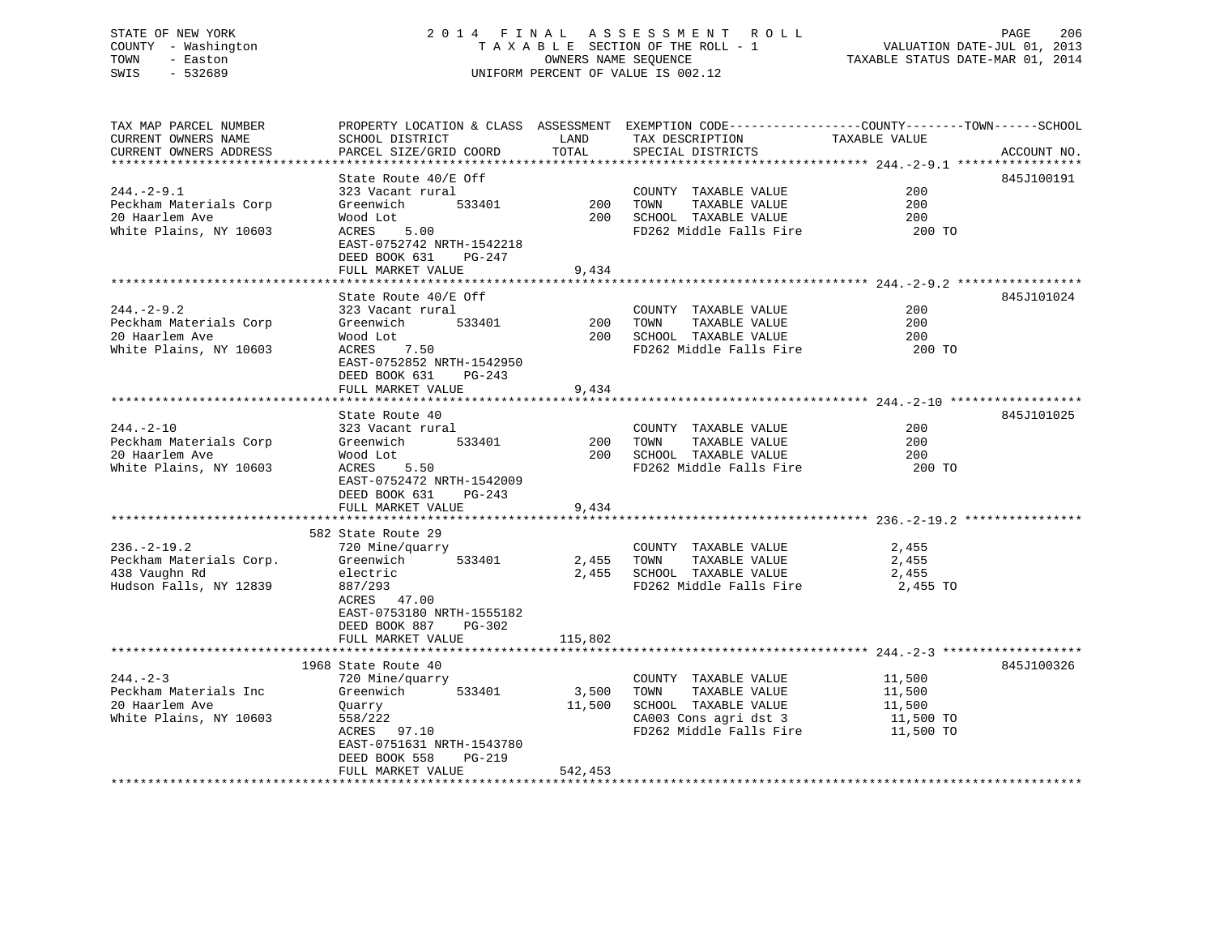# STATE OF NEW YORK 2 0 1 4 F I N A L A S S E S S M E N T R O L L PAGE 206 COUNTY - Washington T A X A B L E SECTION OF THE ROLL - 1 VALUATION DATE-JUL 01, 2013 TOWN - Easton OWNERS NAME SEQUENCE TAXABLE STATUS DATE-MAR 01, 2014 SWIS - 532689 UNIFORM PERCENT OF VALUE IS 002.12

| TAX MAP PARCEL NUMBER                    | PROPERTY LOCATION & CLASS ASSESSMENT EXEMPTION CODE----------------COUNTY-------TOWN-----SCHOOL |            |                                               |               |             |
|------------------------------------------|-------------------------------------------------------------------------------------------------|------------|-----------------------------------------------|---------------|-------------|
| CURRENT OWNERS NAME                      | SCHOOL DISTRICT                                                                                 | LAND       | TAX DESCRIPTION                               | TAXABLE VALUE |             |
| CURRENT OWNERS ADDRESS                   | PARCEL SIZE/GRID COORD                                                                          | TOTAL      | SPECIAL DISTRICTS                             |               | ACCOUNT NO. |
|                                          |                                                                                                 |            |                                               |               |             |
|                                          | State Route 40/E Off                                                                            |            |                                               |               | 845J100191  |
| $244. -2 - 9.1$                          | 323 Vacant rural                                                                                | 200        | COUNTY TAXABLE VALUE                          | 200           |             |
| Peckham Materials Corp<br>20 Haarlem Ave | 533401<br>Greenwich<br>Wood Lot                                                                 | 200        | TAXABLE VALUE<br>TOWN<br>SCHOOL TAXABLE VALUE | 200<br>200    |             |
| White Plains, NY 10603                   | ACRES<br>5.00                                                                                   |            | FD262 Middle Falls Fire                       | 200 TO        |             |
|                                          | EAST-0752742 NRTH-1542218                                                                       |            |                                               |               |             |
|                                          | DEED BOOK 631<br>PG-247                                                                         |            |                                               |               |             |
|                                          | FULL MARKET VALUE                                                                               | 9,434      |                                               |               |             |
|                                          |                                                                                                 |            |                                               |               |             |
|                                          | State Route 40/E Off                                                                            |            |                                               |               | 845J101024  |
| $244. - 2 - 9.2$                         | 323 Vacant rural                                                                                |            | COUNTY TAXABLE VALUE                          | 200           |             |
| Peckham Materials Corp                   | Greenwich<br>533401                                                                             | 200        | TOWN<br>TAXABLE VALUE                         | 200           |             |
| 20 Haarlem Ave                           | Wood Lot                                                                                        |            | 200 SCHOOL TAXABLE VALUE                      | 200           |             |
| White Plains, NY 10603                   | ACRES 7.50                                                                                      |            | FD262 Middle Falls Fire                       | 200 TO        |             |
|                                          | EAST-0752852 NRTH-1542950                                                                       |            |                                               |               |             |
|                                          | DEED BOOK 631<br>PG-243                                                                         |            |                                               |               |             |
|                                          | FULL MARKET VALUE                                                                               | 9,434      |                                               |               |             |
|                                          |                                                                                                 |            |                                               |               |             |
|                                          | State Route 40                                                                                  |            |                                               |               | 845J101025  |
| $244. - 2 - 10$                          | 323 Vacant rural                                                                                |            | COUNTY TAXABLE VALUE                          | 200           |             |
| Peckham Materials Corp                   | 533401<br>Greenwich                                                                             | 200        | TOWN<br>TAXABLE VALUE                         | 200           |             |
| 20 Haarlem Ave                           | Wood Lot                                                                                        |            | 200 SCHOOL TAXABLE VALUE                      | 200           |             |
| White Plains, NY 10603                   | ACRES 5.50                                                                                      |            | FD262 Middle Falls Fire                       | 200 TO        |             |
|                                          | EAST-0752472 NRTH-1542009                                                                       |            |                                               |               |             |
|                                          | DEED BOOK 631<br>$PG-243$                                                                       |            |                                               |               |             |
|                                          | FULL MARKET VALUE                                                                               | 9,434      |                                               |               |             |
|                                          |                                                                                                 |            |                                               |               |             |
| $236. - 2 - 19.2$                        | 582 State Route 29<br>720 Mine/quarry                                                           |            | COUNTY TAXABLE VALUE                          | 2,455         |             |
| Peckham Materials Corp.                  | 533401<br>Greenwich                                                                             | 2,455 TOWN | TAXABLE VALUE                                 | 2,455         |             |
| 438 Vaughn Rd                            | electric                                                                                        |            | 2,455 SCHOOL TAXABLE VALUE                    | 2,455         |             |
| Hudson Falls, NY 12839                   | 887/293                                                                                         |            | FD262 Middle Falls Fire                       | 2,455 TO      |             |
|                                          | ACRES 47.00                                                                                     |            |                                               |               |             |
|                                          | EAST-0753180 NRTH-1555182                                                                       |            |                                               |               |             |
|                                          | DEED BOOK 887<br>PG-302                                                                         |            |                                               |               |             |
|                                          | FULL MARKET VALUE                                                                               | 115,802    |                                               |               |             |
|                                          |                                                                                                 |            |                                               |               |             |
|                                          | 1968 State Route 40                                                                             |            |                                               |               | 845J100326  |
| $244. - 2 - 3$                           | 720 Mine/quarry                                                                                 |            | COUNTY TAXABLE VALUE                          | 11,500        |             |
| Peckham Materials Inc                    | 533401<br>Greenwich                                                                             | 3,500      | TOWN<br>TAXABLE VALUE                         | 11,500        |             |
| 20 Haarlem Ave                           | Quarry                                                                                          | 11,500     | SCHOOL TAXABLE VALUE                          | 11,500        |             |
| White Plains, NY 10603                   | 558/222                                                                                         |            | CA003 Cons agri dst 3                         | 11,500 TO     |             |
|                                          | ACRES 97.10                                                                                     |            | FD262 Middle Falls Fire                       | 11,500 TO     |             |
|                                          | EAST-0751631 NRTH-1543780                                                                       |            |                                               |               |             |
|                                          | DEED BOOK 558<br>$PG-219$                                                                       |            |                                               |               |             |
|                                          | FULL MARKET VALUE                                                                               | 542,453    |                                               |               |             |
|                                          |                                                                                                 |            |                                               |               |             |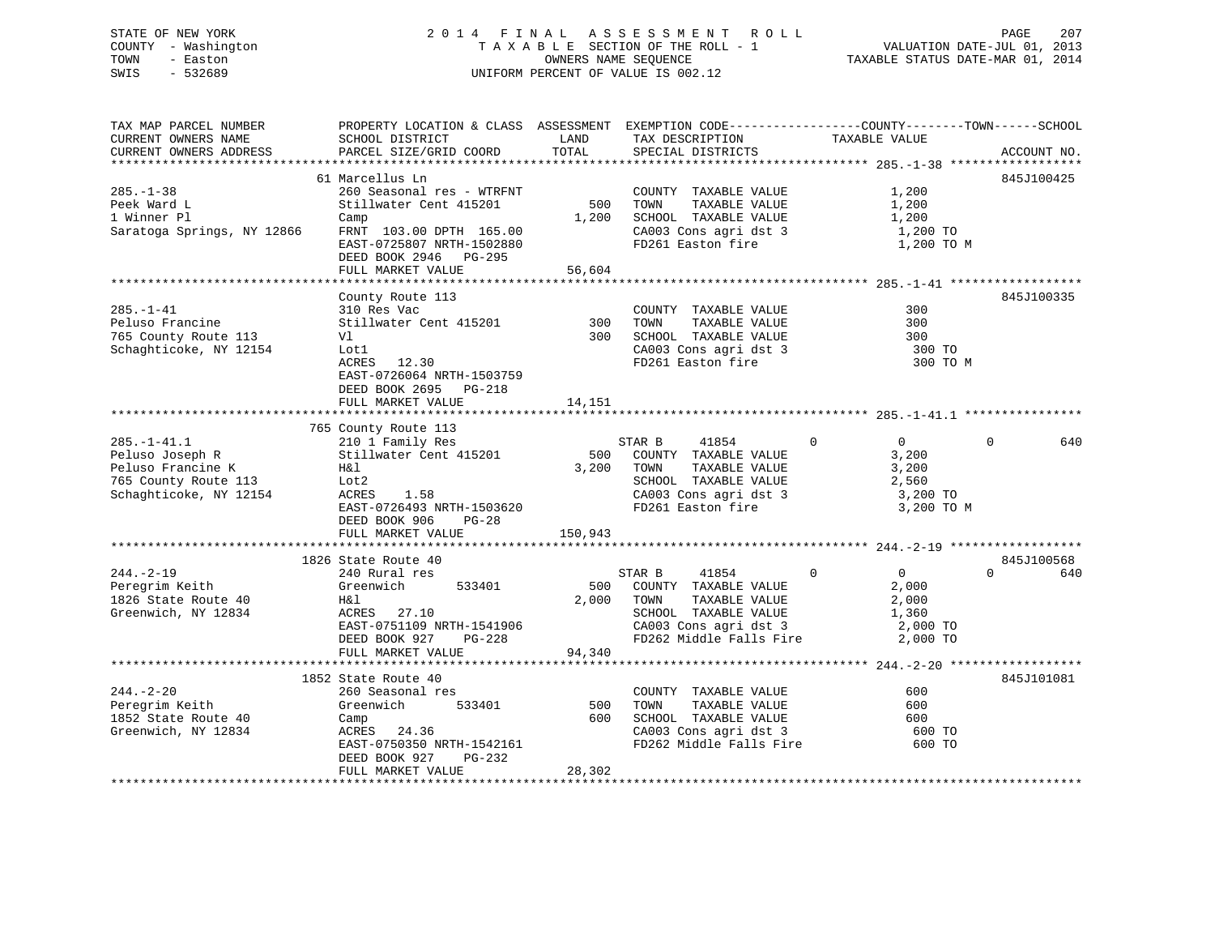# STATE OF NEW YORK 2 0 1 4 F I N A L A S S E S S M E N T R O L L PAGE 207 COUNTY - Washington T A X A B L E SECTION OF THE ROLL - 1 VALUATION DATE-JUL 01, 2013 TOWN - Easton OWNERS NAME SEQUENCE TAXABLE STATUS DATE-MAR 01, 2014 SWIS - 532689 UNIFORM PERCENT OF VALUE IS 002.12

| TAX MAP PARCEL NUMBER      | PROPERTY LOCATION & CLASS ASSESSMENT EXEMPTION CODE----------------COUNTY-------TOWN-----SCHOOL |         |                                               |                                     |                 |
|----------------------------|-------------------------------------------------------------------------------------------------|---------|-----------------------------------------------|-------------------------------------|-----------------|
| CURRENT OWNERS NAME        | SCHOOL DISTRICT                                                                                 | LAND    | TAX DESCRIPTION                               | TAXABLE VALUE                       |                 |
| CURRENT OWNERS ADDRESS     | PARCEL SIZE/GRID COORD                                                                          | TOTAL   | SPECIAL DISTRICTS                             |                                     | ACCOUNT NO.     |
|                            |                                                                                                 |         |                                               |                                     |                 |
|                            | 61 Marcellus Ln                                                                                 |         |                                               |                                     | 845J100425      |
| $285. - 1 - 38$            | 260 Seasonal res - WTRFNT                                                                       |         | COUNTY TAXABLE VALUE                          | 1,200                               |                 |
| Peek Ward L                | Stillwater Cent 415201                                                                          | 500     | TOWN<br>TAXABLE VALUE                         | 1,200                               |                 |
| 1 Winner Pl                | Camp                                                                                            | 1,200   | SCHOOL TAXABLE VALUE                          | 1,200                               |                 |
| Saratoga Springs, NY 12866 | FRNT 103.00 DPTH 165.00                                                                         |         | CA003 Cons agri dst 3                         | 1,200 TO                            |                 |
|                            | EAST-0725807 NRTH-1502880                                                                       |         | FD261 Easton fire                             | 1,200 TO M                          |                 |
|                            | DEED BOOK 2946 PG-295                                                                           |         |                                               |                                     |                 |
|                            | FULL MARKET VALUE                                                                               | 56,604  |                                               |                                     |                 |
|                            |                                                                                                 |         |                                               |                                     |                 |
|                            | County Route 113                                                                                |         |                                               |                                     | 845J100335      |
| $285. - 1 - 41$            | 310 Res Vac                                                                                     |         | COUNTY TAXABLE VALUE                          | 300                                 |                 |
| Peluso Francine            | Stillwater Cent 415201                                                                          | 300     | TAXABLE VALUE<br>TOWN                         | 300                                 |                 |
| 765 County Route 113       | Vl                                                                                              | 300     | SCHOOL TAXABLE VALUE                          | 300                                 |                 |
| Schaghticoke, NY 12154     | Lot1                                                                                            |         | CA003 Cons agri dst 3                         | 300 TO                              |                 |
|                            | ACRES 12.30                                                                                     |         | FD261 Easton fire                             | 300 TO M                            |                 |
|                            | EAST-0726064 NRTH-1503759                                                                       |         |                                               |                                     |                 |
|                            | DEED BOOK 2695 PG-218                                                                           |         |                                               |                                     |                 |
|                            | FULL MARKET VALUE                                                                               | 14,151  |                                               |                                     |                 |
|                            |                                                                                                 |         |                                               |                                     |                 |
|                            | 765 County Route 113                                                                            |         |                                               |                                     |                 |
| $285. - 1 - 41.1$          | 210 1 Family Res                                                                                |         | 41854<br>STAR B                               | $\overline{0}$<br>$0 \qquad \qquad$ | $\Omega$<br>640 |
| Peluso Joseph R            | Stillwater Cent 415201                                                                          |         | 500 COUNTY TAXABLE VALUE                      | 3,200                               |                 |
| Peluso Francine K          | H&l                                                                                             | 3,200   | TAXABLE VALUE<br>TOWN                         | 3,200                               |                 |
| 765 County Route 113       | Lot2                                                                                            |         | SCHOOL TAXABLE VALUE                          | 2,560                               |                 |
| Schaghticoke, NY 12154     | ACRES<br>1.58                                                                                   |         | CA003 Cons agri dst 3                         | 3,200 TO                            |                 |
|                            | EAST-0726493 NRTH-1503620                                                                       |         | FD261 Easton fire                             | 3,200 TO M                          |                 |
|                            | DEED BOOK 906<br>$PG-28$                                                                        |         |                                               |                                     |                 |
|                            | FULL MARKET VALUE                                                                               | 150,943 |                                               |                                     |                 |
|                            |                                                                                                 |         |                                               |                                     |                 |
|                            | 1826 State Route 40                                                                             |         |                                               |                                     | 845J100568      |
| $244. - 2 - 19$            | 240 Rural res                                                                                   |         | 41854<br>STAR B                               | $\overline{0}$<br>$\overline{0}$    | 640<br>$\Omega$ |
| Peregrim Keith             | 533401<br>Greenwich                                                                             |         | 500 COUNTY TAXABLE VALUE                      | 2,000                               |                 |
| 1826 State Route 40        | H&l                                                                                             |         | 2,000 TOWN<br>TAXABLE VALUE                   | 2,000                               |                 |
| Greenwich, NY 12834        | ACRES 27.10                                                                                     |         |                                               | 1,360                               |                 |
|                            | EAST-0751109 NRTH-1541906                                                                       |         | SCHOOL TAXABLE VALUE<br>CA003 Cons agri dst 3 | 2,000 TO                            |                 |
|                            | PG-228<br>DEED BOOK 927                                                                         |         | FD262 Middle Falls Fire 2,000 TO              |                                     |                 |
|                            | FULL MARKET VALUE                                                                               | 94,340  |                                               |                                     |                 |
|                            |                                                                                                 |         |                                               |                                     |                 |
|                            | 1852 State Route 40                                                                             |         |                                               |                                     | 845J101081      |
| $244. - 2 - 20$            | 260 Seasonal res                                                                                |         | COUNTY TAXABLE VALUE                          | 600                                 |                 |
| Peregrim Keith             | Greenwich<br>533401                                                                             | 500     | TOWN<br>TAXABLE VALUE                         | 600                                 |                 |
| 1852 State Route 40        | Camp                                                                                            | 600     | SCHOOL TAXABLE VALUE                          | 600                                 |                 |
| Greenwich, NY 12834        | ACRES 24.36                                                                                     |         | CA003 Cons agri dst 3                         | 600 TO                              |                 |
|                            | EAST-0750350 NRTH-1542161                                                                       |         | FD262 Middle Falls Fire                       | 600 TO                              |                 |
|                            | PG-232<br>DEED BOOK 927                                                                         |         |                                               |                                     |                 |
|                            | FULL MARKET VALUE                                                                               | 28,302  |                                               |                                     |                 |
|                            |                                                                                                 |         |                                               |                                     |                 |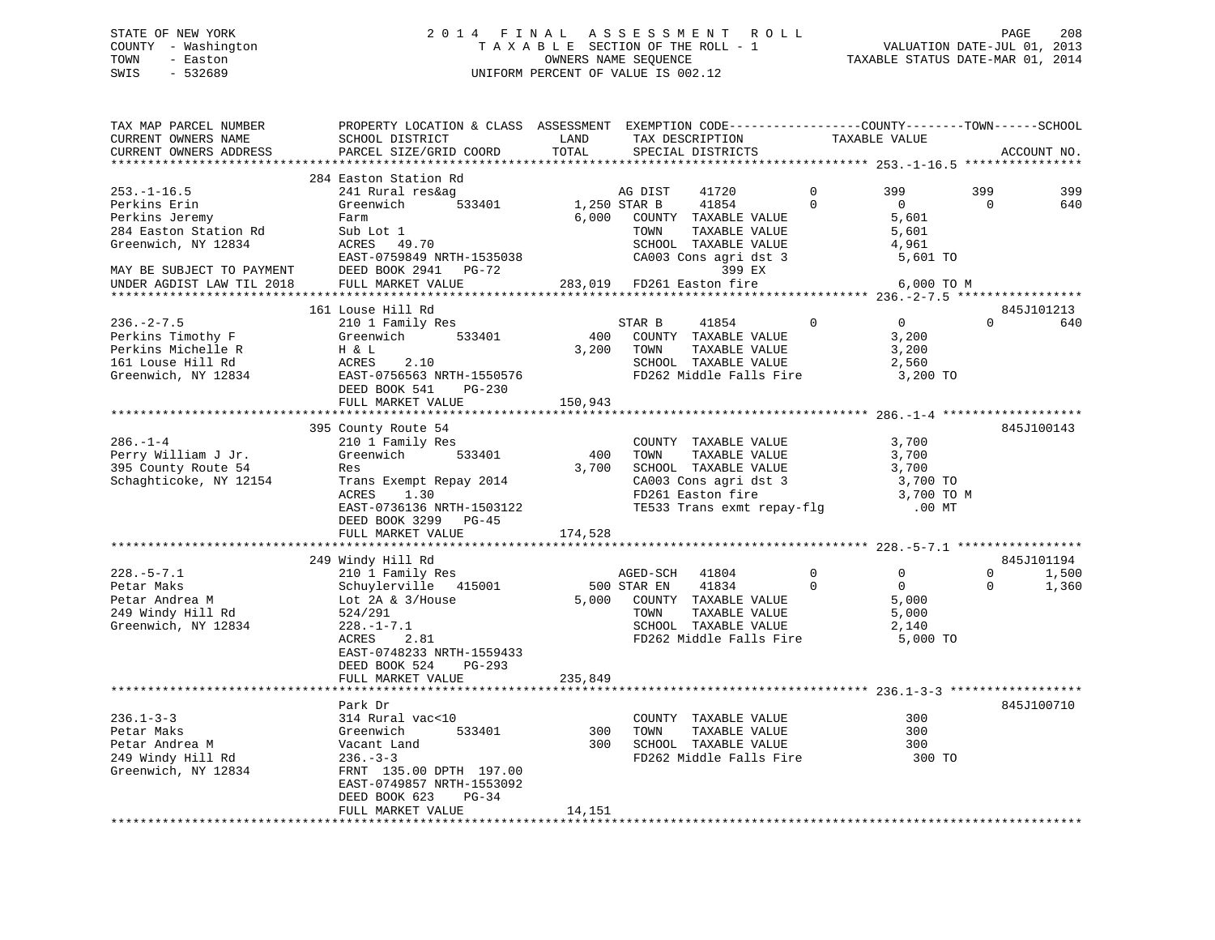# STATE OF NEW YORK 2 0 1 4 F I N A L A S S E S S M E N T R O L L PAGE 208 COUNTY - Washington T A X A B L E SECTION OF THE ROLL - 1 VALUATION DATE-JUL 01, 2013 TOWN - Easton **CONNERS NAME SEQUENCE** TAXABLE STATUS DATE-MAR 01, 2014 SWIS - 532689 UNIFORM PERCENT OF VALUE IS 002.12

| TAX MAP PARCEL NUMBER<br>CURRENT OWNERS NAME | PROPERTY LOCATION & CLASS ASSESSMENT EXEMPTION CODE----------------COUNTY-------TOWN------SCHOOL<br>SCHOOL DISTRICT | LAND    | TAX DESCRIPTION            |             | TAXABLE VALUE  |                   |
|----------------------------------------------|---------------------------------------------------------------------------------------------------------------------|---------|----------------------------|-------------|----------------|-------------------|
| CURRENT OWNERS ADDRESS                       | PARCEL SIZE/GRID COORD                                                                                              | TOTAL   | SPECIAL DISTRICTS          |             |                | ACCOUNT NO.       |
|                                              |                                                                                                                     |         |                            |             |                |                   |
|                                              | 284 Easton Station Rd                                                                                               |         |                            |             |                |                   |
| $253. - 1 - 16.5$                            | 241 Rural res&ag                                                                                                    |         | AG DIST<br>41720           | $\Omega$    | 399            | 399<br>399        |
| Perkins Erin                                 | Greenwich<br>533401                                                                                                 |         | 1,250 STAR B<br>41854      | $\Omega$    | $\overline{0}$ | $\Omega$<br>640   |
| Perkins Jeremy                               | Farm                                                                                                                | 6,000   | COUNTY TAXABLE VALUE       |             | 5,601          |                   |
| 284 Easton Station Rd                        | Sub Lot 1                                                                                                           |         | TOWN<br>TAXABLE VALUE      |             | 5,601          |                   |
| Greenwich, NY 12834                          | ACRES<br>49.70                                                                                                      |         | SCHOOL TAXABLE VALUE       |             | 4,961          |                   |
|                                              | EAST-0759849 NRTH-1535038                                                                                           |         | CA003 Cons agri dst 3      |             | 5,601 TO       |                   |
| MAY BE SUBJECT TO PAYMENT                    | DEED BOOK 2941 PG-72                                                                                                |         | 399 EX                     |             |                |                   |
| UNDER AGDIST LAW TIL 2018                    | FULL MARKET VALUE                                                                                                   |         | 283,019 FD261 Easton fire  |             | 6,000 TO M     |                   |
|                                              |                                                                                                                     |         |                            |             |                |                   |
|                                              | 161 Louse Hill Rd                                                                                                   |         |                            |             |                | 845J101213        |
| $236. - 2 - 7.5$                             | 210 1 Family Res                                                                                                    |         | 41854<br>STAR B            | $\mathbf 0$ | $\overline{0}$ | $\Omega$<br>640   |
| Perkins Timothy F                            | 533401<br>Greenwich                                                                                                 | 400     | COUNTY TAXABLE VALUE       |             | 3,200          |                   |
| Perkins Michelle R                           | H & L                                                                                                               | 3,200   | TOWN<br>TAXABLE VALUE      |             | 3,200          |                   |
| 161 Louse Hill Rd                            | ACRES<br>2.10                                                                                                       |         | SCHOOL TAXABLE VALUE       |             | 2,560          |                   |
| Greenwich, NY 12834                          | EAST-0756563 NRTH-1550576                                                                                           |         | FD262 Middle Falls Fire    |             | 3,200 TO       |                   |
|                                              | DEED BOOK 541<br>PG-230                                                                                             |         |                            |             |                |                   |
|                                              | FULL MARKET VALUE                                                                                                   | 150,943 |                            |             |                |                   |
|                                              |                                                                                                                     |         |                            |             |                |                   |
|                                              | 395 County Route 54                                                                                                 |         |                            |             |                | 845J100143        |
| $286. - 1 - 4$                               | 210 1 Family Res                                                                                                    |         | COUNTY TAXABLE VALUE       |             | 3,700          |                   |
| Perry William J Jr.                          | Greenwich 533401                                                                                                    | 400     | TOWN<br>TAXABLE VALUE      |             | 3,700          |                   |
| 395 County Route 54                          | Res                                                                                                                 | 3,700   | SCHOOL TAXABLE VALUE       |             | 3,700          |                   |
|                                              |                                                                                                                     |         |                            |             |                |                   |
| Schaghticoke, NY 12154                       | Trans Exempt Repay 2014                                                                                             |         | CA003 Cons agri dst 3      |             | 3,700 TO       |                   |
|                                              | ACRES<br>1.30                                                                                                       |         | FD261 Easton fire          |             | 3,700 TO M     |                   |
|                                              | EAST-0736136 NRTH-1503122<br>DEED BOOK 3299 PG-45                                                                   |         | TE533 Trans exmt repay-flq |             | $.00$ MT       |                   |
|                                              | FULL MARKET VALUE                                                                                                   | 174,528 |                            |             |                |                   |
|                                              |                                                                                                                     |         |                            |             |                |                   |
|                                              | 249 Windy Hill Rd                                                                                                   |         |                            |             |                | 845J101194        |
| $228. - 5 - 7.1$                             | 210 1 Family Res                                                                                                    |         | AGED-SCH<br>41804          | $\mathbf 0$ | 0              | 0<br>1,500        |
| Petar Maks                                   | Schuylerville 415001                                                                                                |         | 41834<br>500 STAR EN       | $\Omega$    | $\mathbf{0}$   | $\Omega$<br>1,360 |
| Petar Andrea M                               | Lot $2A \& 3/House$                                                                                                 | 5,000   | COUNTY TAXABLE VALUE       |             | 5,000          |                   |
| 249 Windy Hill Rd                            | 524/291                                                                                                             |         | TAXABLE VALUE<br>TOWN      |             | 5,000          |                   |
| Greenwich, NY 12834                          | $228. - 1 - 7.1$                                                                                                    |         | SCHOOL TAXABLE VALUE       |             | 2,140          |                   |
|                                              | ACRES<br>2.81                                                                                                       |         | FD262 Middle Falls Fire    |             | 5,000 TO       |                   |
|                                              | EAST-0748233 NRTH-1559433                                                                                           |         |                            |             |                |                   |
|                                              | DEED BOOK 524<br>PG-293                                                                                             |         |                            |             |                |                   |
|                                              | FULL MARKET VALUE                                                                                                   | 235,849 |                            |             |                |                   |
|                                              |                                                                                                                     |         |                            |             |                |                   |
|                                              | Park Dr                                                                                                             |         |                            |             |                | 845J100710        |
| $236.1 - 3 - 3$                              | 314 Rural vac<10                                                                                                    |         | COUNTY TAXABLE VALUE       |             | 300            |                   |
| Petar Maks                                   | 533401<br>Greenwich                                                                                                 | 300     | TOWN<br>TAXABLE VALUE      |             | 300            |                   |
| Petar Andrea M                               | Vacant Land                                                                                                         | 300     | SCHOOL TAXABLE VALUE       |             | 300            |                   |
| 249 Windy Hill Rd                            | $236. - 3 - 3$                                                                                                      |         | FD262 Middle Falls Fire    |             | 300 TO         |                   |
| Greenwich, NY 12834                          | FRNT 135.00 DPTH 197.00                                                                                             |         |                            |             |                |                   |
|                                              | EAST-0749857 NRTH-1553092                                                                                           |         |                            |             |                |                   |
|                                              | DEED BOOK 623<br>$PG-34$                                                                                            |         |                            |             |                |                   |
|                                              |                                                                                                                     | 14,151  |                            |             |                |                   |
|                                              | FULL MARKET VALUE                                                                                                   |         |                            |             |                |                   |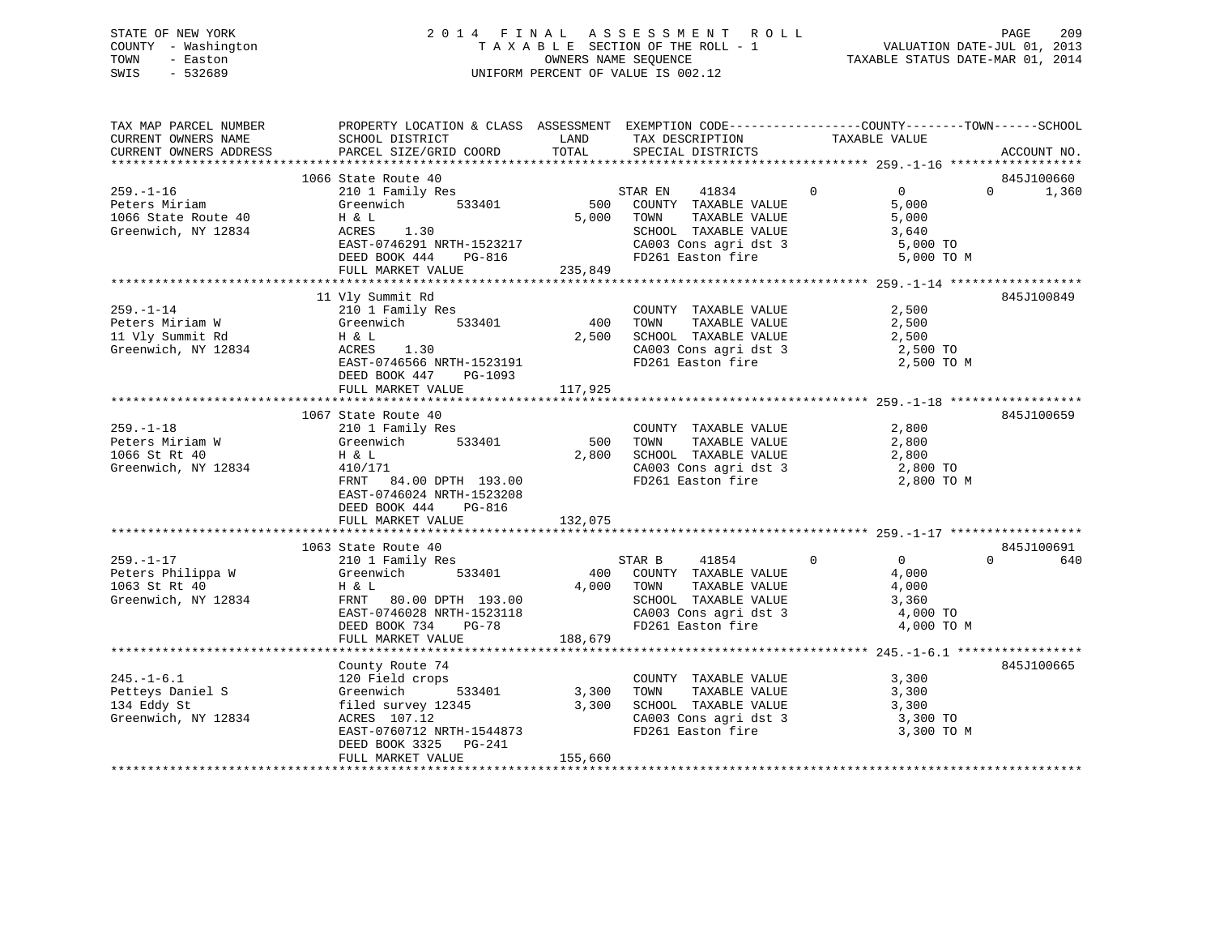# STATE OF NEW YORK 2 0 1 4 F I N A L A S S E S S M E N T R O L L PAGE 209 COUNTY - Washington T A X A B L E SECTION OF THE ROLL - 1 VALUATION DATE-JUL 01, 2013 TOWN - Easton **CONNERS NAME SEQUENCE** TAXABLE STATUS DATE-MAR 01, 2014 SWIS - 532689 UNIFORM PERCENT OF VALUE IS 002.12

| TAX MAP PARCEL NUMBER<br>CURRENT OWNERS NAME | PROPERTY LOCATION & CLASS ASSESSMENT EXEMPTION CODE----------------COUNTY-------TOWN------SCHOOL<br>SCHOOL DISTRICT                                                                                                                                  |            | LAND TAX DESCRIPTION TAXABLE VALUE                                 |                                                                |                                 |
|----------------------------------------------|------------------------------------------------------------------------------------------------------------------------------------------------------------------------------------------------------------------------------------------------------|------------|--------------------------------------------------------------------|----------------------------------------------------------------|---------------------------------|
|                                              |                                                                                                                                                                                                                                                      |            |                                                                    |                                                                |                                 |
|                                              |                                                                                                                                                                                                                                                      |            |                                                                    |                                                                |                                 |
|                                              | 1066 State Route 40<br>259.-1-16<br>Peters Miriam 210 1 Family Res<br>1066 State Route 40<br>Greenwich NY 19834<br>2011 Family Res<br>2011 Family Res<br>2012 Family Res<br>2013 Family Res<br>533401                                                |            | STAR EN 41834 0                                                    | $\overline{0}$                                                 | 845J100660<br>$\Omega$<br>1,360 |
|                                              |                                                                                                                                                                                                                                                      |            | STAR EN 41834 0<br>500 COUNTY TAXABLE VALUE                        | 5,000                                                          |                                 |
|                                              |                                                                                                                                                                                                                                                      | 5,000 TOWN | TAXABLE VALUE                                                      | 5,000                                                          |                                 |
| Greenwich, NY 12834                          | H & L<br>ACRES 1.30                                                                                                                                                                                                                                  |            | SCHOOL TAXABLE VALUE 3,640<br>CA003 Cons agri dst 3 5,000 TO       |                                                                |                                 |
|                                              |                                                                                                                                                                                                                                                      |            |                                                                    |                                                                |                                 |
|                                              | EAST-0746291 NRTH-1523217<br>DEED BOOK 444 – PG-816<br>DEED BOOK 444 PG-816                                                                                                                                                                          |            | FD261 Easton fire                                                  | 5,000 TO M                                                     |                                 |
|                                              | FULL MARKET VALUE                                                                                                                                                                                                                                    | 235,849    |                                                                    |                                                                |                                 |
|                                              |                                                                                                                                                                                                                                                      |            |                                                                    |                                                                |                                 |
|                                              | 11 Vly Summit Rd                                                                                                                                                                                                                                     |            |                                                                    |                                                                | 845J100849                      |
|                                              | 259.-1-14<br>Peters Miriam W 210 1 Family Res<br>Peters Miriam W 310 1 Family Res<br>11 Vly Summit Rd H & L 2,500<br>Greenwich, NY 12834<br>RGRES 1.30<br>EAST-0746566 NRTH-1523191                                                                  |            | COUNTY TAXABLE VALUE 2,500                                         |                                                                |                                 |
|                                              |                                                                                                                                                                                                                                                      |            | TOWN                                                               | TAXABLE VALUE 2,500                                            |                                 |
|                                              |                                                                                                                                                                                                                                                      |            |                                                                    |                                                                |                                 |
|                                              |                                                                                                                                                                                                                                                      |            | SCHOOL TAXABLE VALUE 2,500<br>CA003 Cons agri dst 3 2,500 TO       |                                                                |                                 |
|                                              |                                                                                                                                                                                                                                                      |            | FD261 Easton fire                                                  | 2,500 TO M                                                     |                                 |
|                                              |                                                                                                                                                                                                                                                      |            |                                                                    |                                                                |                                 |
|                                              |                                                                                                                                                                                                                                                      |            |                                                                    |                                                                |                                 |
|                                              |                                                                                                                                                                                                                                                      |            |                                                                    |                                                                |                                 |
|                                              | 1067 State Route 40                                                                                                                                                                                                                                  |            |                                                                    |                                                                | 845J100659                      |
| $259. - 1 - 18$                              |                                                                                                                                                                                                                                                      |            | COUNTY TAXABLE VALUE 2,800                                         |                                                                |                                 |
| Peters Miriam W<br>1066 St Rt 40             | 210 1 Family Res<br>Greenwich 533401<br>H & L                                                                                                                                                                                                        |            | 500 TOWN<br>TOWN TAXABLE VALUE 2,800<br>SCHOOL TAXABLE VALUE 2,800 |                                                                |                                 |
|                                              |                                                                                                                                                                                                                                                      | 2,800      |                                                                    |                                                                |                                 |
| Greenwich, NY 12834                          | 410/171                                                                                                                                                                                                                                              |            |                                                                    | CA003 Cons agri dst 3 2,800 TO<br>FD261 Easton fire 2,800 TO M |                                 |
|                                              | FRNT 84.00 DPTH 193.00                                                                                                                                                                                                                               |            |                                                                    |                                                                |                                 |
|                                              | EAST-0746024 NRTH-1523208                                                                                                                                                                                                                            |            |                                                                    |                                                                |                                 |
|                                              | DEED BOOK 444<br>PG-816                                                                                                                                                                                                                              |            |                                                                    |                                                                |                                 |
|                                              | FULL MARKET VALUE                                                                                                                                                                                                                                    | 132,075    |                                                                    |                                                                |                                 |
|                                              |                                                                                                                                                                                                                                                      |            |                                                                    |                                                                |                                 |
|                                              |                                                                                                                                                                                                                                                      |            |                                                                    |                                                                | 845J100691                      |
|                                              |                                                                                                                                                                                                                                                      |            | STAR B 41854 0<br>400 COUNTY TAXABLE VALUE<br>STAR B 41854 0       | $\overline{0}$                                                 | $\Omega$<br>640                 |
|                                              |                                                                                                                                                                                                                                                      |            |                                                                    | 4,000                                                          |                                 |
|                                              |                                                                                                                                                                                                                                                      | 4,000 TOWN |                                                                    | TAXABLE VALUE 4,000                                            |                                 |
|                                              |                                                                                                                                                                                                                                                      |            | SCHOOL TAXABLE VALUE 3,360<br>CA003 Cons agri dst 3 4,000 TO       |                                                                |                                 |
|                                              |                                                                                                                                                                                                                                                      |            |                                                                    |                                                                |                                 |
|                                              |                                                                                                                                                                                                                                                      |            | FD261 Easton fire                                                  | 4,000 TO M                                                     |                                 |
|                                              | FULL MARKET VALUE                                                                                                                                                                                                                                    | 188,679    |                                                                    |                                                                |                                 |
|                                              |                                                                                                                                                                                                                                                      |            |                                                                    |                                                                |                                 |
|                                              | County Route 74                                                                                                                                                                                                                                      |            |                                                                    |                                                                | 845J100665                      |
|                                              |                                                                                                                                                                                                                                                      |            | COUNTY TAXABLE VALUE                                               | 3,300                                                          |                                 |
|                                              |                                                                                                                                                                                                                                                      |            | TOWN                                                               | TAXABLE VALUE 3,300                                            |                                 |
|                                              |                                                                                                                                                                                                                                                      |            | SCHOOL TAXABLE VALUE                                               | 3,300                                                          |                                 |
|                                              | 245.-1-6.1<br>Petteys Daniel S<br>Petteys Daniel S<br>134 Eddy St<br>Greenwich, NY 12834<br>20 Filed survey 12345<br>20 ACRES 107.12<br>EAST-07667122 NRTH-1544873<br>FILED 2325<br>PEAST-07667122 NRTH-1544873<br>PEAST-0766712 NRTH-1544873<br>PEA |            |                                                                    | CA003 Cons agri dst 3 3,300 TO                                 |                                 |
|                                              |                                                                                                                                                                                                                                                      |            | FD261 Easton fire                                                  | 3,300 TO M                                                     |                                 |
|                                              | DEED BOOK 3325 PG-241                                                                                                                                                                                                                                |            |                                                                    |                                                                |                                 |
|                                              | FULL MARKET VALUE                                                                                                                                                                                                                                    | 155,660    |                                                                    |                                                                |                                 |
|                                              |                                                                                                                                                                                                                                                      |            |                                                                    |                                                                |                                 |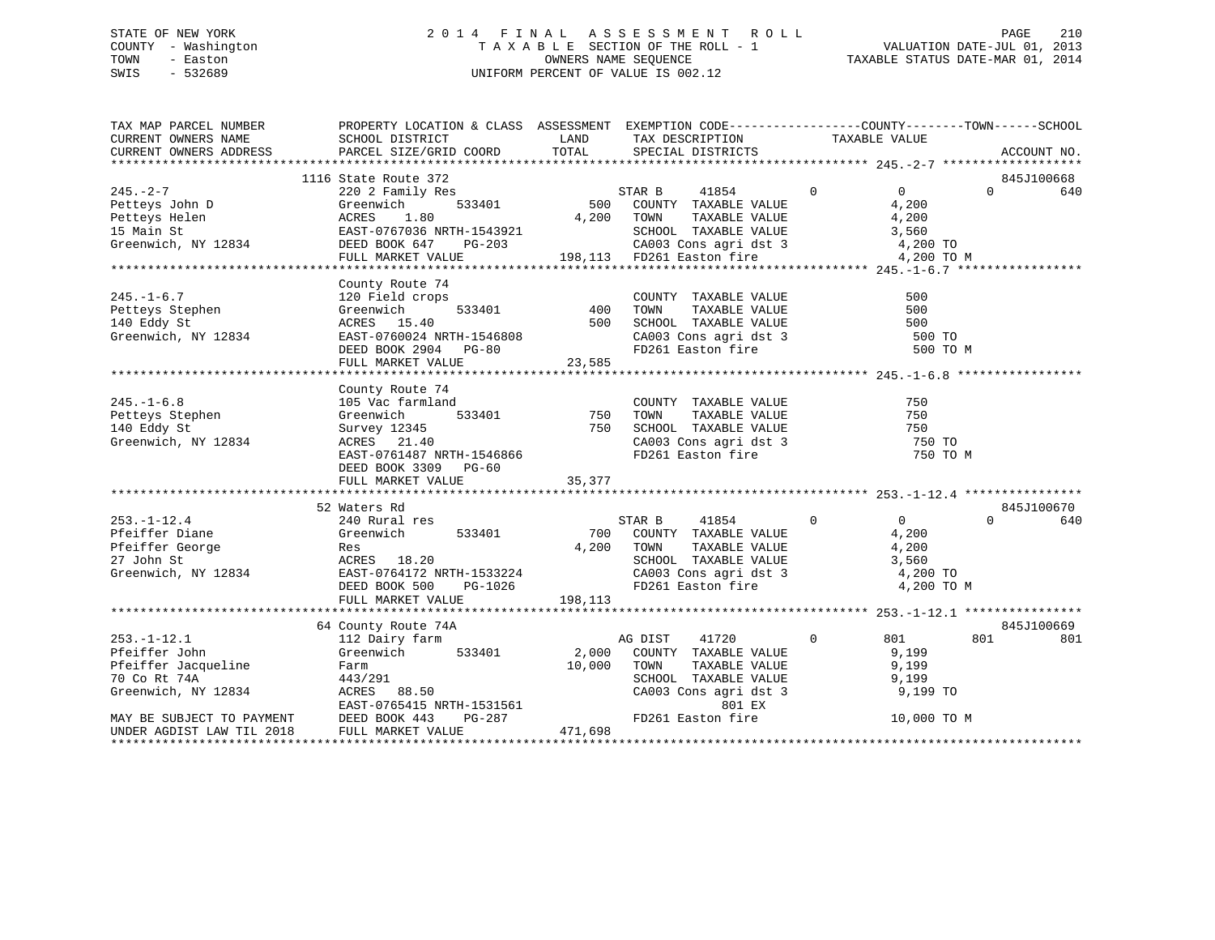# STATE OF NEW YORK 2 0 1 4 F I N A L A S S E S S M E N T R O L L PAGE 210 COUNTY - Washington T A X A B L E SECTION OF THE ROLL - 1 VALUATION DATE-JUL 01, 2013 TOWN - Easton OWNERS NAME SEQUENCE TAXABLE STATUS DATE-MAR 01, 2014 SWIS - 532689 UNIFORM PERCENT OF VALUE IS 002.12

| TAX MAP PARCEL NUMBER<br>CURRENT OWNERS NAME                                                                                                                                                                                                 | PROPERTY LOCATION & CLASS ASSESSMENT EXEMPTION CODE---------------COUNTY-------TOWN------SCHOOL<br>SCHOOL DISTRICT TAND TAX DESCRIPTION |            |                                                                                          | TAXABLE VALUE                    |                        |
|----------------------------------------------------------------------------------------------------------------------------------------------------------------------------------------------------------------------------------------------|-----------------------------------------------------------------------------------------------------------------------------------------|------------|------------------------------------------------------------------------------------------|----------------------------------|------------------------|
| CURRENT OWNERS ADDRESS                                                                                                                                                                                                                       | PARCEL SIZE/GRID COORD                                                                                                                  |            | TOTAL SPECIAL DISTRICTS                                                                  |                                  | ACCOUNT NO.            |
|                                                                                                                                                                                                                                              |                                                                                                                                         |            |                                                                                          |                                  |                        |
|                                                                                                                                                                                                                                              | 1116 State Route 372                                                                                                                    |            |                                                                                          |                                  | 845J100668             |
| $245. -2 - 7$                                                                                                                                                                                                                                | 220 2 Family Res                                                                                                                        |            | STAR B 41854 0<br>500 COUNTY TAXABLE VALUE                                               | $\overline{0}$                   | $\Omega$<br>640        |
|                                                                                                                                                                                                                                              |                                                                                                                                         |            |                                                                                          |                                  |                        |
|                                                                                                                                                                                                                                              |                                                                                                                                         |            |                                                                                          |                                  |                        |
|                                                                                                                                                                                                                                              |                                                                                                                                         |            |                                                                                          |                                  |                        |
|                                                                                                                                                                                                                                              |                                                                                                                                         |            |                                                                                          |                                  |                        |
|                                                                                                                                                                                                                                              |                                                                                                                                         |            |                                                                                          |                                  |                        |
| 249.-2-7<br>Petteys John D (220 2 Faulty Res 1.80 533401 500 COUNTY TAXABLE VALUE<br>Petteys Helen (200 COUNTY TAXABLE VALUE)<br>249.200 COUNTY TAXABLE VALUE 4,200<br>249.200 EAST-0767036 NRTH-1543921 500 COUNTY TAXABLE VALUE 4,20       |                                                                                                                                         |            |                                                                                          |                                  |                        |
| 245.-1-6.7 120 Field crops<br>Petteys Stephen Greenwich 533401 400<br>140 Eddy St ACRES 15.40 500<br>Greenwich, NY 12834 EAST-0760024 NRTH-1546808<br>DEED BOOK 2904 PG-80<br>THE MADKET VALUE 23,585                                        | County Route 74                                                                                                                         |            |                                                                                          |                                  |                        |
|                                                                                                                                                                                                                                              |                                                                                                                                         |            |                                                                                          | 500                              |                        |
|                                                                                                                                                                                                                                              |                                                                                                                                         |            |                                                                                          | 500                              |                        |
|                                                                                                                                                                                                                                              |                                                                                                                                         |            |                                                                                          | 500                              |                        |
|                                                                                                                                                                                                                                              |                                                                                                                                         |            | CA003 Cons agri dst 3<br>FD261 Easton fire                                               | 500 TO                           |                        |
|                                                                                                                                                                                                                                              |                                                                                                                                         |            |                                                                                          | 500 TO M                         |                        |
|                                                                                                                                                                                                                                              |                                                                                                                                         |            |                                                                                          |                                  |                        |
|                                                                                                                                                                                                                                              |                                                                                                                                         |            |                                                                                          |                                  |                        |
|                                                                                                                                                                                                                                              | County Route 74                                                                                                                         |            |                                                                                          |                                  |                        |
| $245. - 1 - 6.8$                                                                                                                                                                                                                             | 105 Vac farmland                                                                                                                        |            | COUNTY TAXABLE VALUE                                                                     | 750                              |                        |
|                                                                                                                                                                                                                                              | mland COUNT<br>533401 750 TOWN                                                                                                          |            | TAXABLE VALUE                                                                            | 750                              |                        |
| Petteys Stephen<br>Petteys Stephen<br>Survey 123<br>The Survey 123                                                                                                                                                                           | Survey 12345<br>ACRES 21.40                                                                                                             |            |                                                                                          | 750                              |                        |
| Greenwich, NY 12834                                                                                                                                                                                                                          |                                                                                                                                         |            | 750 SCHOOL TAXABLE VALUE<br>CA003 Cons agri dst 3<br>FD261 Easton fire                   | 750 TO                           |                        |
|                                                                                                                                                                                                                                              | EAST-0761487 NRTH-1546866                                                                                                               |            |                                                                                          | 750 TO M                         |                        |
|                                                                                                                                                                                                                                              | DEED BOOK 3309 PG-60                                                                                                                    |            |                                                                                          |                                  |                        |
|                                                                                                                                                                                                                                              | FULL MARKET VALUE                                                                                                                       | 35, 377    |                                                                                          |                                  |                        |
|                                                                                                                                                                                                                                              |                                                                                                                                         |            |                                                                                          |                                  |                        |
|                                                                                                                                                                                                                                              | 52 Waters Rd                                                                                                                            |            |                                                                                          |                                  | 845J100670<br>$\Omega$ |
| $253. -1 - 12.4$                                                                                                                                                                                                                             | 240 Rural res                                                                                                                           |            | STAR B 41854                                                                             | $\overline{0}$<br>$\overline{0}$ | 640                    |
|                                                                                                                                                                                                                                              | 533401                                                                                                                                  |            | 700 COUNTY TAXABLE VALUE 4,200                                                           |                                  |                        |
|                                                                                                                                                                                                                                              |                                                                                                                                         | 4,200 TOWN |                                                                                          |                                  |                        |
|                                                                                                                                                                                                                                              |                                                                                                                                         |            | TOWN TAXABLE VALUE 4,200<br>SCHOOL TAXABLE VALUE 3,560<br>CA003 Cons agri dst 3 4,200 TO |                                  |                        |
| Greenwich, NY 12834 EAST-0764172 NRTH-1533224<br>DEED BOOK 500 PG-1026                                                                                                                                                                       |                                                                                                                                         |            |                                                                                          |                                  |                        |
|                                                                                                                                                                                                                                              |                                                                                                                                         | 198,113    | FD261 Easton fire                                                                        | 4,200 TO M                       |                        |
|                                                                                                                                                                                                                                              | FULL MARKET VALUE                                                                                                                       |            |                                                                                          |                                  |                        |
|                                                                                                                                                                                                                                              | 64 County Route 74A                                                                                                                     |            |                                                                                          |                                  | 845J100669             |
| $253. - 1 - 12.1$                                                                                                                                                                                                                            |                                                                                                                                         |            | AG DIST 41720                                                                            | $\circ$<br>801                   | 801<br>801             |
|                                                                                                                                                                                                                                              | 112 Dairy farm<br>Greenwich 533401                                                                                                      |            | 2,000 COUNTY TAXABLE VALUE                                                               | 9,199                            |                        |
|                                                                                                                                                                                                                                              |                                                                                                                                         |            |                                                                                          |                                  |                        |
|                                                                                                                                                                                                                                              |                                                                                                                                         |            | TOWN TAXABLE VALUE 9,199<br>SCHOOL TAXABLE VALUE 9,199<br>CA003 Cons agri dst 3 9,199 TO |                                  |                        |
|                                                                                                                                                                                                                                              |                                                                                                                                         |            |                                                                                          |                                  |                        |
|                                                                                                                                                                                                                                              |                                                                                                                                         |            | 801 EX                                                                                   |                                  |                        |
| Pfeiffer John Greenwich<br>Pfeiffer Jacqueline Farm 10,000 TOWN TAX<br>70 Co Rt 74A 443/291 SCHOOL TAX<br>Greenwich, NY 12834 ACRES 88.50 CA003 Cons<br>EAST-0765415 NRTH-1531561 FD261 Eastc<br>The CHOOL TAX<br>CA003 Cons<br>EAST-0765415 |                                                                                                                                         |            | FD261 Easton fire                                                                        | 10,000 TO M                      |                        |
| MAY BE SUBJECT TO PAYMENT<br>UNDER AGDIST LAW TIL 2018 FULL MARKET VALUE                                                                                                                                                                     |                                                                                                                                         | 471,698    |                                                                                          |                                  |                        |
|                                                                                                                                                                                                                                              |                                                                                                                                         |            |                                                                                          |                                  |                        |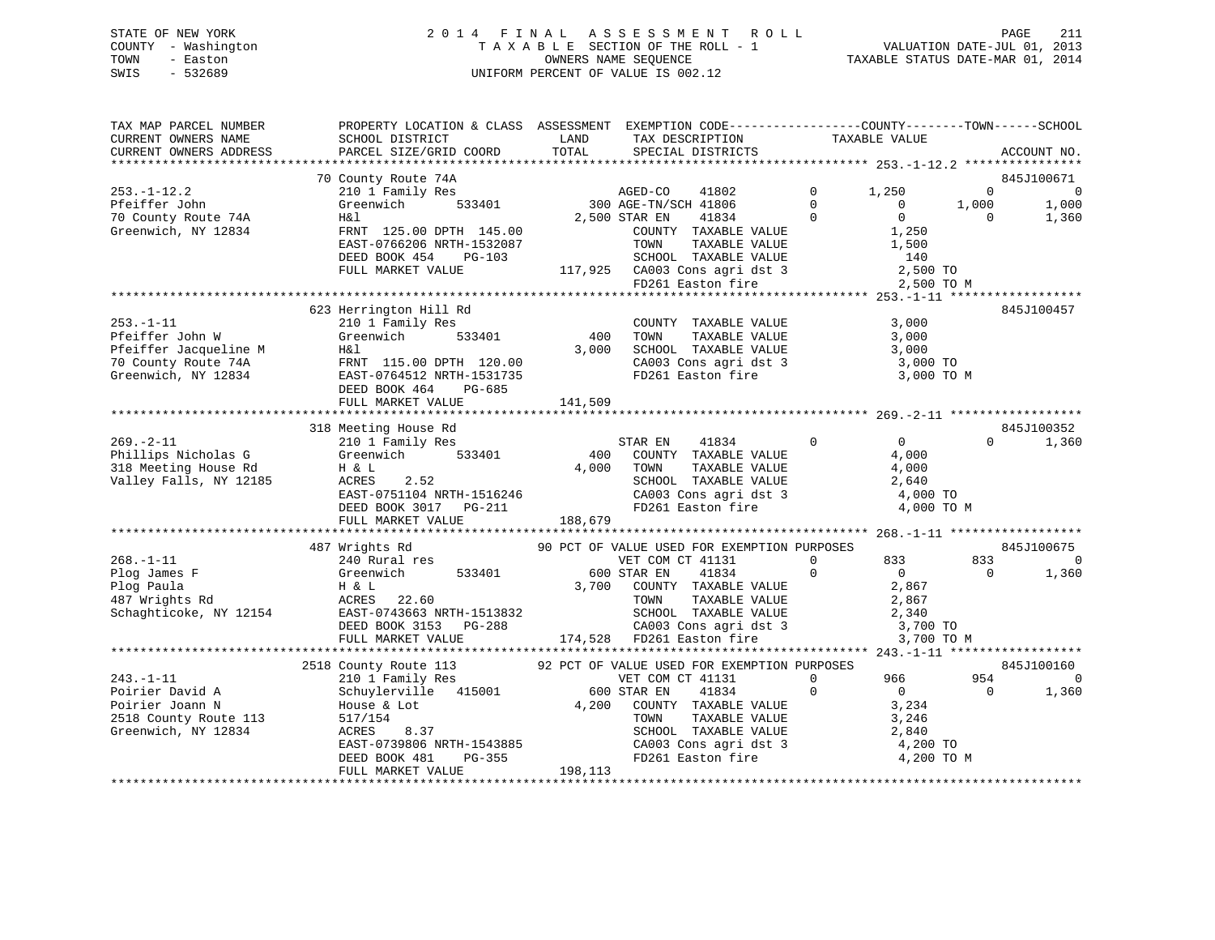# STATE OF NEW YORK 2 0 1 4 F I N A L A S S E S S M E N T R O L L PAGE 211 COUNTY - Washington T A X A B L E SECTION OF THE ROLL - 1 VALUATION DATE-JUL 01, 2013 TOWN - Easton OWNERS NAME SEQUENCE TAXABLE STATUS DATE-MAR 01, 2014 SWIS - 532689 UNIFORM PERCENT OF VALUE IS 002.12

| TAX MAP PARCEL NUMBER<br>CURRENT OWNERS NAME<br>CURRENT OWNERS ADDRESS                                | PROPERTY LOCATION & CLASS ASSESSMENT EXEMPTION CODE---------------COUNTY-------TOWN-----SCHOOL<br>SCHOOL DISTRICT<br>PARCEL SIZE/GRID COORD                          | LAND<br>TOTAL           | TAX DESCRIPTION<br>SPECIAL DISTRICTS                                                                                                                                                                           | TAXABLE VALUE                                                                                           |                                  | ACCOUNT NO.                                    |
|-------------------------------------------------------------------------------------------------------|----------------------------------------------------------------------------------------------------------------------------------------------------------------------|-------------------------|----------------------------------------------------------------------------------------------------------------------------------------------------------------------------------------------------------------|---------------------------------------------------------------------------------------------------------|----------------------------------|------------------------------------------------|
|                                                                                                       |                                                                                                                                                                      |                         |                                                                                                                                                                                                                |                                                                                                         |                                  |                                                |
| $253. - 1 - 12.2$<br>Pfeiffer John<br>70 County Route 74A<br>Greenwich, NY 12834                      | 70 County Route 74A<br>210 1 Family Res<br>533401<br>Greenwich<br>H&l<br>FRNT 125.00 DPTH 145.00                                                                     |                         | AGED-CO 11<br>300 AGE-TN/SCH 41806<br>2010 ENT 41834<br>COUNTY TAXABLE VALUE                                                                                                                                   | $\mathbf 0$<br>1,250<br>$\Omega$<br>$\Omega$<br>$\Omega$<br>$\overline{0}$<br>1,250                     | $\mathbf 0$<br>1,000<br>$\Omega$ | 845J100671<br>$\overline{0}$<br>1,000<br>1,360 |
|                                                                                                       | EAST-0766206 NRTH-1532087<br>DEED BOOK 454 PG-103<br>FULL MARKET VALUE                                                                                               |                         | TOWN<br>TAXABLE VALUE<br>SCHOOL TAXABLE VALUE<br>$117,925$ CA003 Cons agri dst 3<br>FD261 Easton fire                                                                                                          | 1,500<br>140<br>2,500 TO<br>2,500 TO M                                                                  |                                  |                                                |
| $253. - 1 - 11$<br>Pfeiffer John W                                                                    | 623 Herrington Hill Rd<br>210 1 Family Res<br>Greenwich<br>533401                                                                                                    | 400                     | COUNTY TAXABLE VALUE<br>TAXABLE VALUE<br>TOWN                                                                                                                                                                  | 3,000<br>3,000                                                                                          |                                  | 845J100457                                     |
| Pfeiffer Jacqueline M<br>70 County Route 74A<br>Greenwich, NY 12834                                   | H&l<br>FRNT 115.00 DPTH 120.00<br>EAST-0764512 NRTH-1531735<br>DEED BOOK 464<br>PG-685<br>FULL MARKET VALUE                                                          | 3,000<br>141,509        | SCHOOL TAXABLE VALUE<br>CA003 Cons agri dst 3<br>FD261 Easton fire                                                                                                                                             | 3,000<br>3,000 TO<br>3,000 TO M                                                                         |                                  |                                                |
|                                                                                                       |                                                                                                                                                                      |                         |                                                                                                                                                                                                                |                                                                                                         |                                  |                                                |
| $269. - 2 - 11$<br>Phillips Nicholas G<br>318 Meeting House Rd<br>Valley Falls, NY 12185              | 318 Meeting House Rd<br>210 1 Family Res<br>533401<br>Greenwich<br>H & L<br>ACRES<br>2.52<br>EAST-0751104 NRTH-1516246<br>DEED BOOK 3017 PG-211<br>FULL MARKET VALUE | 400<br>4,000<br>188,679 | STAR EN<br>41834<br>COUNTY TAXABLE VALUE<br>TOWN<br>TAXABLE VALUE<br>SCHOOL TAXABLE VALUE<br>CA003 Cons agri dst 3<br>ED261 Faster fire<br>FD261 Easton fire                                                   | $\mathbf 0$<br>$0 \qquad \qquad$<br>4,000<br>4,000<br>2,640<br>4,000 TO<br>4,000 TO M                   | $\Omega$                         | 845J100352<br>1,360                            |
|                                                                                                       | 487 Wrights Rd                                                                                                                                                       |                         | 90 PCT OF VALUE USED FOR EXEMPTION PURPOSES                                                                                                                                                                    |                                                                                                         |                                  | 845J100675                                     |
| $268. - 1 - 11$                                                                                       | 240 Rural res                                                                                                                                                        |                         | VET COM CT 41131                                                                                                                                                                                               | 833<br>$\Omega$                                                                                         | 833                              | $\Omega$                                       |
| Plog James F<br>Plog Paula<br>487 Wrights Rd<br>Schaghticoke, NY 12154                                | 533401<br>Greenwich<br>H & L<br>ACRES<br>22.60<br>EAST-0743663 NRTH-1513832<br>DEED BOOK 3153 PG-288                                                                 |                         | 600 STAR EN<br>41834<br>3,700 COUNTY TAXABLE VALUE<br>TOWN<br>TAXABLE VALUE<br>SCHOOL TAXABLE VALUE<br>CA003 Cons agri dst 3<br>FD261 Easton fire                                                              | $\Omega$<br>$\Omega$<br>2,867<br>2,867<br>2,340<br>3,700 TO                                             | $\Omega$                         | 1,360                                          |
|                                                                                                       | FULL MARKET VALUE                                                                                                                                                    |                         | 174,528 FD261 Easton fire                                                                                                                                                                                      |                                                                                                         | 3,700 TO M                       |                                                |
| $243. - 1 - 11$<br>Poirier David A<br>Poirier Joann N<br>2518 County Route 113<br>Greenwich, NY 12834 | 2518 County Route 113<br>210 1 Family Res<br>Schuylerville 415001<br>House & Lot<br>517/154<br>ACRES<br>8.37<br>EAST-0739806 NRTH-1543885<br>DEED BOOK 481<br>PG-355 | 4,200                   | 92 PCT OF VALUE USED FOR EXEMPTION PURPOSES<br>VET COM CT 41131<br>600 STAR EN<br>41834<br>COUNTY TAXABLE VALUE<br>TAXABLE VALUE<br>TOWN<br>SCHOOL TAXABLE VALUE<br>CA003 Cons agri dst 3<br>FD261 Easton fire | $\Omega$<br>966 —<br>$\mathbf 0$<br>$\overline{0}$<br>3,234<br>3,246<br>2,840<br>4,200 TO<br>4,200 TO M | 954<br>$\Omega$                  | 845J100160<br>$\mathbf 0$<br>1,360             |
|                                                                                                       | FULL MARKET VALUE                                                                                                                                                    | 198,113                 |                                                                                                                                                                                                                |                                                                                                         |                                  |                                                |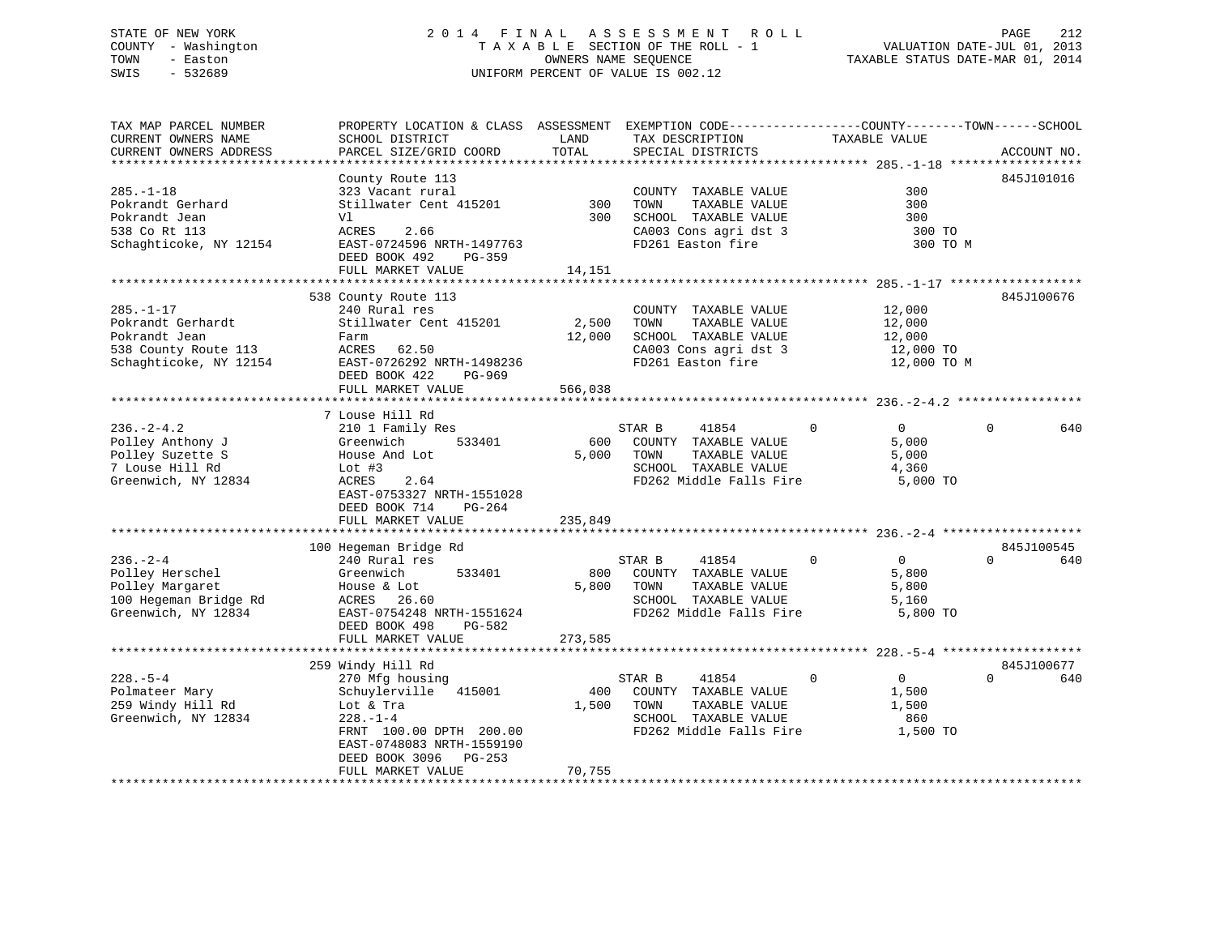# STATE OF NEW YORK 2 0 1 4 F I N A L A S S E S S M E N T R O L L PAGE 212 COUNTY - Washington T A X A B L E SECTION OF THE ROLL - 1 VALUATION DATE-JUL 01, 2013 TOWN - Easton OWNERS NAME SEQUENCE TAXABLE STATUS DATE-MAR 01, 2014 SWIS - 532689 UNIFORM PERCENT OF VALUE IS 002.12

| TAX MAP PARCEL NUMBER<br>CURRENT OWNERS NAME<br>CURRENT OWNERS ADDRESS                                  | PROPERTY LOCATION & CLASS ASSESSMENT EXEMPTION CODE----------------COUNTY-------TOWN------SCHOOL<br>SCHOOL DISTRICT<br>PARCEL SIZE/GRID COORD              | LAND<br>TOTAL   | TAX DESCRIPTION<br>SPECIAL DISTRICTS                                                                                | TAXABLE VALUE                                                         | ACCOUNT NO.     |
|---------------------------------------------------------------------------------------------------------|------------------------------------------------------------------------------------------------------------------------------------------------------------|-----------------|---------------------------------------------------------------------------------------------------------------------|-----------------------------------------------------------------------|-----------------|
| $285. - 1 - 18$<br>Pokrandt Gerhard<br>Pokrandt Jean<br>538 Co Rt 113                                   | County Route 113<br>323 Vacant rural<br>Stillwater Cent 415201<br>Vl<br>ACRES<br>2.66                                                                      | 300<br>300      | COUNTY TAXABLE VALUE<br>TOWN<br>TAXABLE VALUE<br>SCHOOL TAXABLE VALUE<br>CA003 Cons agri dst 3                      | 300<br>300<br>300<br>300 TO                                           | 845J101016      |
| Schaghticoke, NY 12154                                                                                  | EAST-0724596 NRTH-1497763<br>DEED BOOK 492<br>PG-359<br>FULL MARKET VALUE                                                                                  | 14,151          | FD261 Easton fire                                                                                                   | 300 TO M                                                              |                 |
|                                                                                                         |                                                                                                                                                            |                 |                                                                                                                     |                                                                       |                 |
| $285. - 1 - 17$<br>Pokrandt Gerhardt<br>Pokrandt Jean<br>538 County Route 113<br>Schaghticoke, NY 12154 | 538 County Route 113<br>240 Rural res<br>Stillwater Cent 415201<br>Farm<br>ACRES 62.50<br>EAST-0726292 NRTH-1498236<br>DEED BOOK 422<br>PG-969             | 2,500<br>12,000 | COUNTY TAXABLE VALUE<br>TOWN<br>TAXABLE VALUE<br>SCHOOL TAXABLE VALUE<br>CA003 Cons agri dst 3<br>FD261 Easton fire | 12,000<br>12,000<br>12,000<br>12,000 TO<br>12,000 TO M                | 845J100676      |
|                                                                                                         | FULL MARKET VALUE                                                                                                                                          | 566,038         |                                                                                                                     |                                                                       |                 |
|                                                                                                         | 7 Louse Hill Rd                                                                                                                                            |                 |                                                                                                                     |                                                                       |                 |
| $236. - 2 - 4.2$<br>Polley Anthony J<br>Polley Suzette S<br>7 Louse Hill Rd<br>Greenwich, NY 12834      | 210 1 Family Res<br>533401<br>Greenwich<br>House And Lot<br>Lot $#3$<br>ACRES<br>2.64<br>EAST-0753327 NRTH-1551028<br>DEED BOOK 714<br>PG-264              | 600<br>5,000    | STAR B<br>41854<br>COUNTY TAXABLE VALUE<br>TOWN<br>TAXABLE VALUE<br>SCHOOL TAXABLE VALUE<br>FD262 Middle Falls Fire | $\overline{0}$<br>$\mathbf{0}$<br>5,000<br>5,000<br>4,360<br>5,000 TO | 640<br>$\Omega$ |
|                                                                                                         | FULL MARKET VALUE                                                                                                                                          | 235,849         |                                                                                                                     |                                                                       |                 |
|                                                                                                         | 100 Hegeman Bridge Rd                                                                                                                                      |                 |                                                                                                                     |                                                                       | 845J100545      |
| $236. - 2 - 4$<br>Polley Herschel<br>Polley Margaret<br>100 Hegeman Bridge Rd<br>Greenwich, NY 12834    | 240 Rural res<br>533401<br>Greenwich<br>House & Lot<br>ACRES 26.60<br>EAST-0754248 NRTH-1551624<br>PG-582<br>DEED BOOK 498                                 | 800<br>5,800    | 41854<br>STAR B<br>COUNTY TAXABLE VALUE<br>TOWN<br>TAXABLE VALUE<br>SCHOOL TAXABLE VALUE<br>FD262 Middle Falls Fire | $\mathbf 0$<br>$\overline{0}$<br>5,800<br>5,800<br>5,160<br>5,800 TO  | 640<br>$\Omega$ |
|                                                                                                         | FULL MARKET VALUE                                                                                                                                          | 273,585         |                                                                                                                     |                                                                       |                 |
|                                                                                                         | 259 Windy Hill Rd                                                                                                                                          |                 |                                                                                                                     |                                                                       | 845J100677      |
| $228. - 5 - 4$<br>Polmateer Mary<br>259 Windy Hill Rd<br>Greenwich, NY 12834                            | 270 Mfg housing<br>Schuylerville 415001<br>Lot & Tra<br>$228. - 1 - 4$<br>FRNT 100.00 DPTH 200.00<br>EAST-0748083 NRTH-1559190<br>DEED BOOK 3096<br>PG-253 | 400<br>1,500    | STAR B<br>41854<br>COUNTY TAXABLE VALUE<br>TOWN<br>TAXABLE VALUE<br>SCHOOL TAXABLE VALUE<br>FD262 Middle Falls Fire | $\Omega$<br>$\Omega$<br>1,500<br>1,500<br>860<br>1,500 TO             | $\Omega$<br>640 |
|                                                                                                         | FULL MARKET VALUE                                                                                                                                          | 70,755          |                                                                                                                     |                                                                       |                 |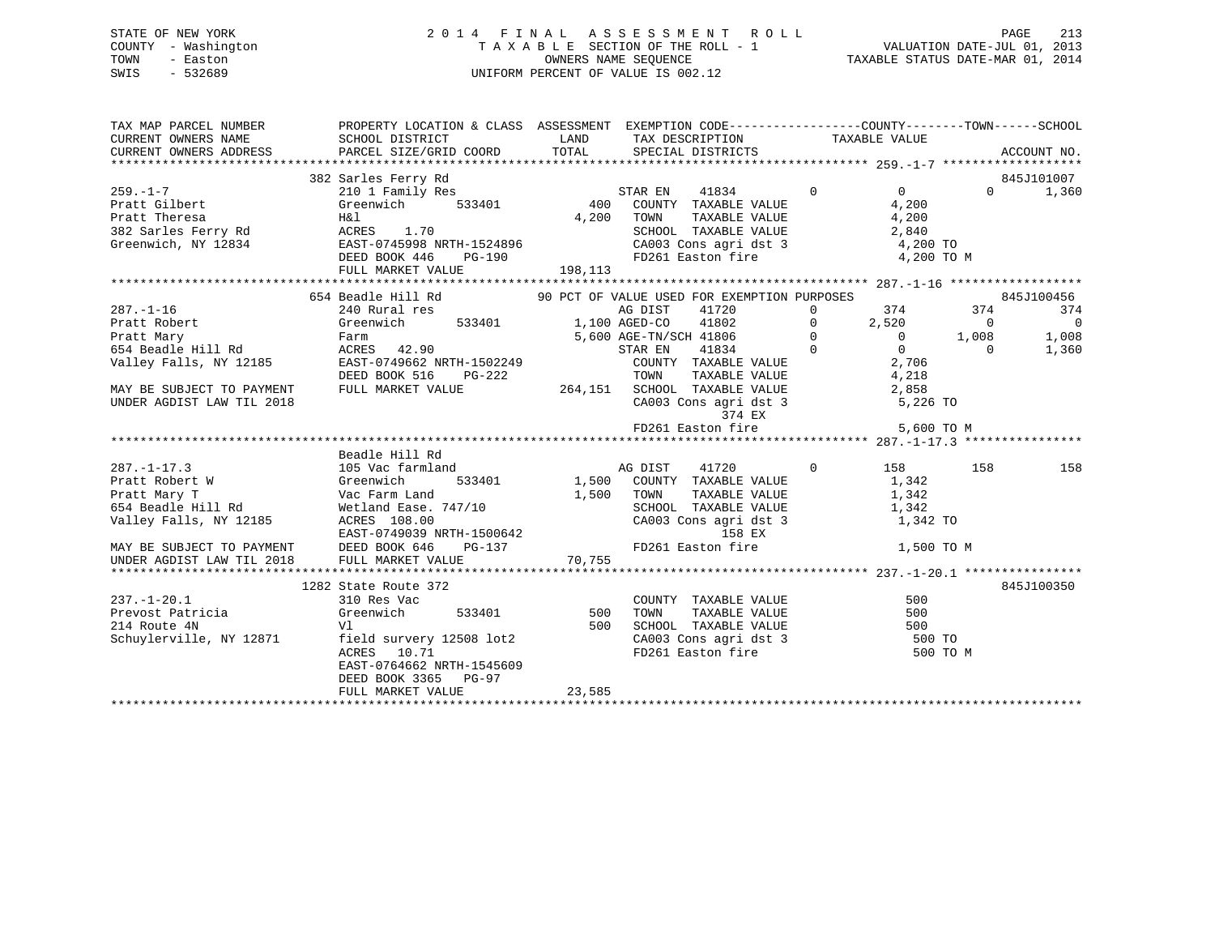# STATE OF NEW YORK 2 0 1 4 F I N A L A S S E S S M E N T R O L L PAGE 213 COUNTY - Washington T A X A B L E SECTION OF THE ROLL - 1 VALUATION DATE-JUL 01, 2013 TOWN - Easton OWNERS NAME SEQUENCE TAXABLE STATUS DATE-MAR 01, 2014 SWIS - 532689 UNIFORM PERCENT OF VALUE IS 002.12

| TAX MAP PARCEL NUMBER                                               | PROPERTY LOCATION & CLASS ASSESSMENT EXEMPTION CODE----------------COUNTY-------TOWN------SCHOOL                                                                                                                                                                                                                                                                                                                                                                                                                                                                                                                                                                  |               |                                                                                                                                                 |                                         |     |                                                 |
|---------------------------------------------------------------------|-------------------------------------------------------------------------------------------------------------------------------------------------------------------------------------------------------------------------------------------------------------------------------------------------------------------------------------------------------------------------------------------------------------------------------------------------------------------------------------------------------------------------------------------------------------------------------------------------------------------------------------------------------------------|---------------|-------------------------------------------------------------------------------------------------------------------------------------------------|-----------------------------------------|-----|-------------------------------------------------|
|                                                                     | $\begin{array}{ccccccccc} & & & & & & & 382 & \text{Sarles} & \text{Ferry Rd} & & & & & & & \text{STAR EN} & 41834 \\ & & & & & & 210 & 1 & \text{Family Res} & & & & & \text{STAR EN} & 41834 \\ \text{Pratt Gilbert} & & & & & & & & & 533401 & & & 400 & \text{COUNTY} & \text{TAXABLE VALUE} \\ \text{Pratt Theresa} & & & & & & & \text{H&l} & & & & & & & \text{TAVENT} & \text{Trivart} \\ & & & & & & & & & & & & \text{TAVENT} & \text{Trivart} & \$<br>Fract Uneresa<br>382 Sarles Ferry Rd<br>Greenwich, NY 12834<br>Sexander BAST-0745998 NRTH-1524896<br>DEED BOOK 446 PG-190<br>DEED BOOK 446 PG-190<br>CHEREN BOOK 446 PG-190<br>FULL MARKET VALUE | 198,113       | TOWN TAXABLE VALUE 4,200<br>SCHOOL TAXABLE VALUE 2,840<br>CA003 Cons agri dst 3 4,200 TO<br>FD261 Easton fire                                   | $\overline{0}$ 0<br>4,200<br>4,200 TO M |     | 845J101007<br>$\Omega$<br>1,360                 |
| $287. - 1 - 16$<br>Pratt Robert<br>Pratt Mary<br>654 Beadle Hill Rd | 654 Beadle Hill Rd             90 PCT OF VALUE USED FOR EXEMPTION PURPOSES<br>240 Rural res<br>240 Rural res<br>Greenwich 533401 1,100 AGED-CO 41802 0 2,520 0<br>Farm 5,600 AGE-TN/SCH 41806 0 0 1,008<br>RCRES 42.90 5TAR EN 41834 0 0 0 1,008<br>FAST-0749662 NRTH-1502249 COUNTY TRAVALLE UNIVERSE<br>654 Beadle Hill Rd acres 42.90<br>Valley Falls, NY 12185<br>MAY BE SUBJECT TO PAYMENT FULL MARKET VALUE 222 TONN TAXABLE VALUE 4,218<br>MAY BE SUBJECT TO PAYMENT FULL MARKET VALUE 264,151 SCHOOL TAXABLE VALUE 2,858<br>UNDER AGDI                                                                                                                    |               | 374 EX<br>$FD261$ Easton fire 5,600 TO M                                                                                                        |                                         |     | 845J100456<br>374<br>$\sim$ 0<br>1,008<br>1,360 |
|                                                                     | Beadle Hill Rd<br>287.-1-17.3<br>Pratt Robert W Greenwich 533401 1,500 COUNTI ACT<br>Pratt Mary T Vac Farm Land 1,500 TOWN TAXABLE VALUE<br>654 Beadle Hill Rd Wetland Ease. 747/10 SCHOOL TAXABLE VALUE<br>Valley Falls, NY 12185 ACRES 108.00 CA003 Co                                                                                                                                                                                                                                                                                                                                                                                                          |               | 533401 1,500 COUNTY TAXABLE VALUE 1,342<br>1,500 TOWN TAXABLE VALUE 1,342<br>47/10 SCHOOL TAXABLE VALUE 1,342<br>CA003 Cons agri dst 3 1,342 TO | 158<br>1,500 TO M                       | 158 | 158                                             |
|                                                                     | 1282 State Route 372<br>310 Res Vac<br>Greenwich 533401 500<br>300 M<br>Vl<br>Schuylerville, NY 12871 field survery 12508 lot2<br>ACRES 10.71<br>EAST-0764662 NRTH-1545609<br>DEED BOOK 3365 PG-97<br>FULL MARKET VALUE                                                                                                                                                                                                                                                                                                                                                                                                                                           | 500<br>23,585 | COUNTY TAXABLE VALUE<br>TOWN TAXABLE VALUE 500<br>SCHOOL TAXABLE VALUE 500<br>CA003 Cons agri dst 3 500 TO<br>FD261 Easton fire 500 TO          | 500 TO M                                |     | 845J100350                                      |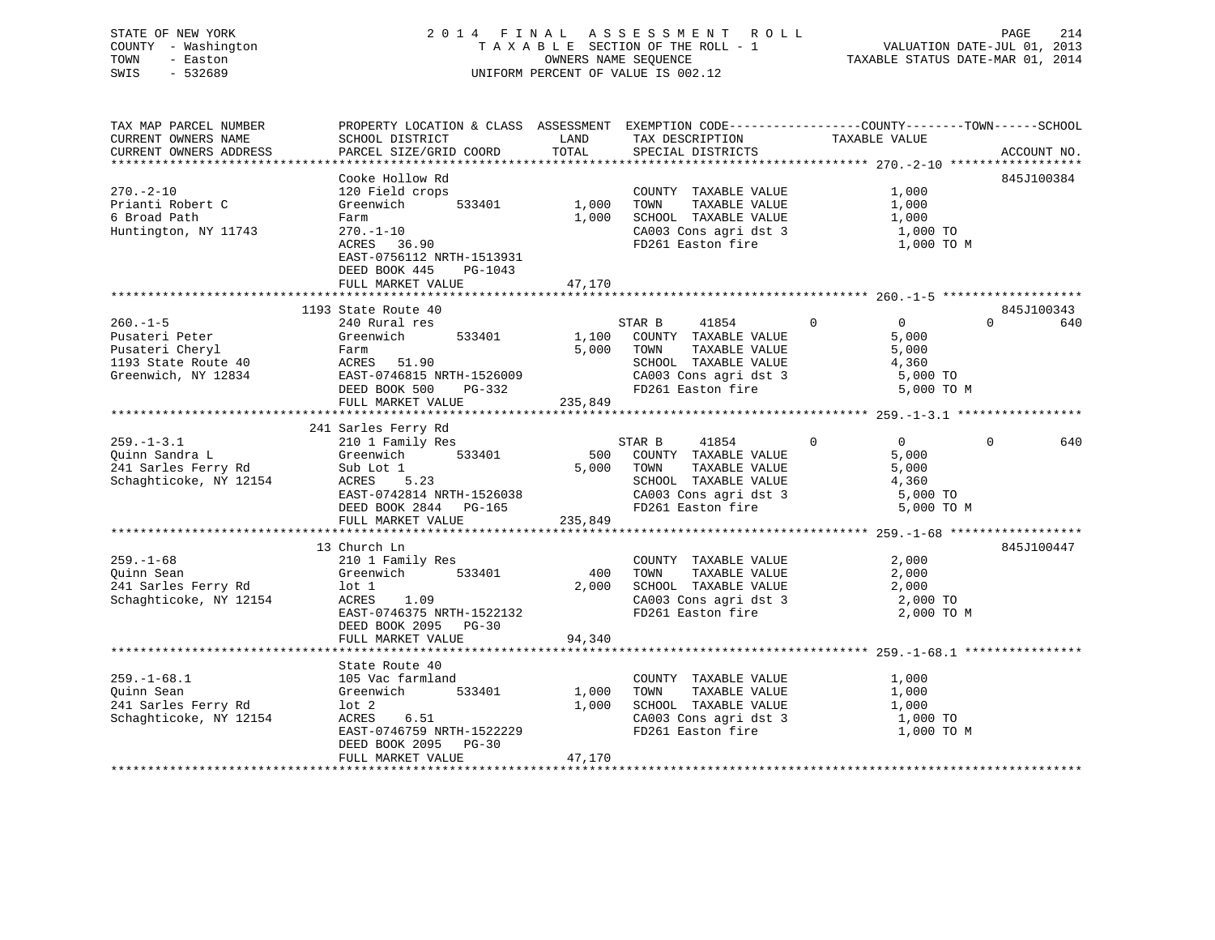# STATE OF NEW YORK 2 0 1 4 F I N A L A S S E S S M E N T R O L L PAGE 214 COUNTY - Washington T A X A B L E SECTION OF THE ROLL - 1 VALUATION DATE-JUL 01, 2013 TOWN - Easton **CONNERS NAME SEQUENCE** TAXABLE STATUS DATE-MAR 01, 2014 SWIS - 532689 UNIFORM PERCENT OF VALUE IS 002.12

| TAX MAP PARCEL NUMBER                         | PROPERTY LOCATION & CLASS ASSESSMENT EXEMPTION CODE----------------COUNTY-------TOWN------SCHOOL |               |                                            |                                  |                 |
|-----------------------------------------------|--------------------------------------------------------------------------------------------------|---------------|--------------------------------------------|----------------------------------|-----------------|
| CURRENT OWNERS NAME<br>CURRENT OWNERS ADDRESS | SCHOOL DISTRICT<br>PARCEL SIZE/GRID COORD                                                        | LAND<br>TOTAL | TAX DESCRIPTION<br>SPECIAL DISTRICTS       | TAXABLE VALUE                    | ACCOUNT NO.     |
|                                               |                                                                                                  |               |                                            |                                  |                 |
|                                               | Cooke Hollow Rd                                                                                  |               |                                            |                                  | 845J100384      |
| $270. - 2 - 10$                               | 120 Field crops                                                                                  |               | COUNTY TAXABLE VALUE                       | 1,000                            |                 |
| Prianti Robert C                              | 533401<br>Greenwich                                                                              | 1,000         | TOWN<br>TAXABLE VALUE                      | 1,000                            |                 |
| 6 Broad Path                                  | Farm                                                                                             | 1,000         | SCHOOL TAXABLE VALUE                       | 1,000                            |                 |
| Huntington, NY 11743                          | $270. - 1 - 10$                                                                                  |               |                                            | 1,000 TO                         |                 |
|                                               | ACRES 36.90                                                                                      |               | CA003 Cons agri dst 3<br>FD261 Easton fire | 1,000 TO M                       |                 |
|                                               | EAST-0756112 NRTH-1513931                                                                        |               |                                            |                                  |                 |
|                                               | DEED BOOK 445<br>PG-1043                                                                         |               |                                            |                                  |                 |
|                                               | FULL MARKET VALUE                                                                                | 47,170        |                                            |                                  |                 |
|                                               |                                                                                                  |               |                                            |                                  |                 |
|                                               | 1193 State Route 40                                                                              |               |                                            |                                  | 845J100343      |
| $260. -1 - 5$                                 | 240 Rural res                                                                                    |               | 41854<br>STAR B                            | $\Omega$<br>0                    | $\Omega$<br>640 |
| Pusateri Peter                                | Greenwich<br>533401                                                                              | 1,100         | COUNTY TAXABLE VALUE                       | 5,000                            |                 |
| Pusateri Cheryl                               | Farm                                                                                             | 5,000         | TAXABLE VALUE<br>TOWN                      | 5,000                            |                 |
| 1193 State Route 40                           |                                                                                                  |               | SCHOOL TAXABLE VALUE                       | 4,360                            |                 |
|                                               | ACRES 51.90<br>EAST-0746815 NRTH-1526009                                                         |               | CA003 Cons agri dst 3                      |                                  |                 |
| Greenwich, NY 12834                           |                                                                                                  |               |                                            | 5,000 TO                         |                 |
|                                               | DEED BOOK 500<br>PG-332                                                                          |               | FD261 Easton fire                          | 5,000 TO M                       |                 |
|                                               | FULL MARKET VALUE                                                                                | 235,849       |                                            |                                  |                 |
|                                               |                                                                                                  |               |                                            |                                  |                 |
|                                               | 241 Sarles Ferry Rd<br>210 1 Family Res                                                          |               |                                            |                                  |                 |
| $259. - 1 - 3.1$                              |                                                                                                  |               | STAR B<br>41854                            | $\overline{0}$<br>$\overline{0}$ | $\Omega$<br>640 |
| Ouinn Sandra L                                | 533401<br>Greenwich                                                                              | 500           | COUNTY TAXABLE VALUE                       | 5,000                            |                 |
| 241 Sarles Ferry Rd                           | Sub Lot 1                                                                                        | 5,000         | TOWN<br>TAXABLE VALUE                      | 5,000                            |                 |
| Schaghticoke, NY 12154                        | 5.23<br>ACRES                                                                                    |               | SCHOOL TAXABLE VALUE                       | 4,360                            |                 |
|                                               | EAST-0742814 NRTH-1526038                                                                        |               | CA003 Cons agri dst 3<br>FD261 Easton fire | 5,000 TO                         |                 |
|                                               | DEED BOOK 2844 PG-165                                                                            |               |                                            | 5,000 TO M                       |                 |
|                                               | FULL MARKET VALUE                                                                                | 235,849       |                                            |                                  |                 |
|                                               |                                                                                                  |               |                                            |                                  |                 |
|                                               | 13 Church Ln                                                                                     |               |                                            |                                  | 845J100447      |
| $259. - 1 - 68$                               | 210 1 Family Res                                                                                 |               | COUNTY TAXABLE VALUE                       | 2,000                            |                 |
| Ouinn Sean                                    | Greenwich 533401                                                                                 | 400           | TOWN<br>TAXABLE VALUE                      | 2,000                            |                 |
| 241 Sarles Ferry Rd                           | lot 1                                                                                            | 2,000         | SCHOOL TAXABLE VALUE                       | 2,000                            |                 |
| Schaghticoke, NY 12154                        | ACRES<br>1.09                                                                                    |               |                                            | 2,000 TO                         |                 |
|                                               | EAST-0746375 NRTH-1522132                                                                        |               | CA003 Cons agri dst 3<br>FD261 Easton fire | 2,000 TO M                       |                 |
|                                               | DEED BOOK 2095 PG-30                                                                             |               |                                            |                                  |                 |
|                                               | FULL MARKET VALUE                                                                                | 94,340        |                                            |                                  |                 |
|                                               |                                                                                                  |               |                                            |                                  |                 |
|                                               | State Route 40                                                                                   |               |                                            |                                  |                 |
| $259. - 1 - 68.1$                             | 105 Vac farmland                                                                                 |               | COUNTY TAXABLE VALUE                       | 1,000                            |                 |
| Ouinn Sean                                    | 533401<br>Greenwich                                                                              | 1,000         | TAXABLE VALUE<br>TOWN                      | 1,000                            |                 |
| 241 Sarles Ferry Rd                           | lot 2                                                                                            | 1,000         | SCHOOL TAXABLE VALUE                       | 1,000                            |                 |
| Schaghticoke, NY 12154                        | ACRES 6.51                                                                                       |               | CA003 Cons agri dst 3                      | 1,000 TO                         |                 |
|                                               | EAST-0746759 NRTH-1522229                                                                        |               | FD261 Easton fire                          | 1,000 TO M                       |                 |
|                                               | DEED BOOK 2095 PG-30                                                                             |               |                                            |                                  |                 |
|                                               | FULL MARKET VALUE                                                                                | 47,170        |                                            |                                  |                 |
|                                               |                                                                                                  |               |                                            |                                  |                 |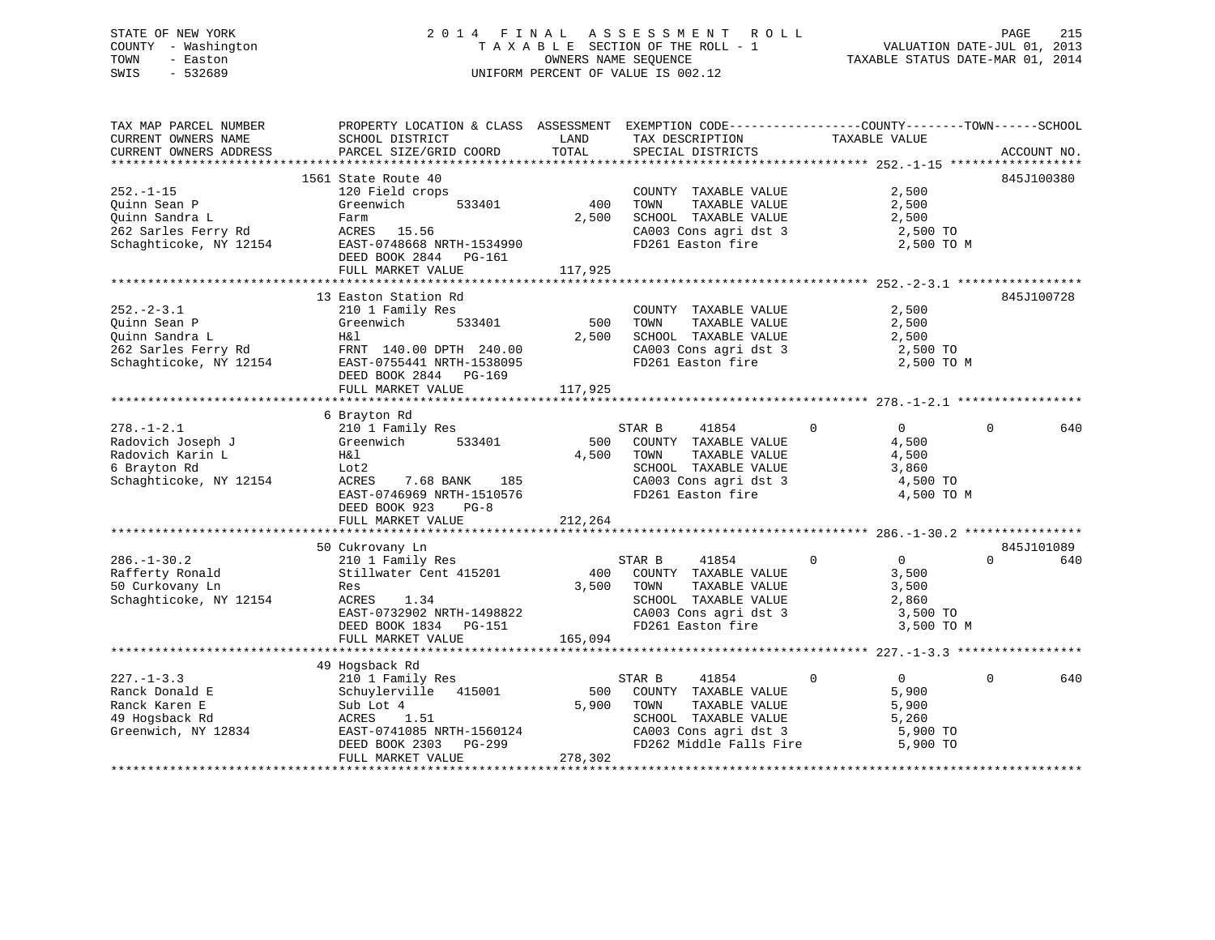# STATE OF NEW YORK 2 0 1 4 F I N A L A S S E S S M E N T R O L L PAGE 215COUNTY - Washington  $T A X A B L E$  SECTION OF THE ROLL - 1<br>TOWN - Easton DATE-JUL 2001 OWNERS NAME SEQUENCE SWIS - 532689 UNIFORM PERCENT OF VALUE IS 002.12

VALUATION DATE-JUL 01, 2013

TAXABLE STATUS DATE-MAR 01, 2014

| TAX MAP PARCEL NUMBER                         | PROPERTY LOCATION & CLASS ASSESSMENT EXEMPTION CODE---------------COUNTY-------TOWN------SCHOOL                                                                                                                                |               |                                                                    |                                  |          |             |
|-----------------------------------------------|--------------------------------------------------------------------------------------------------------------------------------------------------------------------------------------------------------------------------------|---------------|--------------------------------------------------------------------|----------------------------------|----------|-------------|
| CURRENT OWNERS NAME<br>CURRENT OWNERS ADDRESS | SCHOOL DISTRICT<br>PARCEL SIZE/GRID COORD                                                                                                                                                                                      | LAND<br>TOTAL | TAX DESCRIPTION<br>SPECIAL DISTRICTS                               | TAXABLE VALUE                    |          | ACCOUNT NO. |
|                                               |                                                                                                                                                                                                                                |               |                                                                    |                                  |          |             |
|                                               | 1561 State Route 40                                                                                                                                                                                                            |               |                                                                    |                                  |          | 845J100380  |
| $252. - 1 - 15$                               | 120 Field crops                                                                                                                                                                                                                |               | COUNTY TAXABLE VALUE                                               | 2,500                            |          |             |
| Ouinn Sean P                                  | 533401<br>Greenwich                                                                                                                                                                                                            | 400           | TOWN<br>TAXABLE VALUE                                              | 2,500                            |          |             |
| Quinn Sandra L                                |                                                                                                                                                                                                                                | 2,500         | SCHOOL TAXABLE VALUE                                               | 2,500                            |          |             |
|                                               |                                                                                                                                                                                                                                |               |                                                                    | 2,500 TO                         |          |             |
|                                               |                                                                                                                                                                                                                                |               | CA003 Cons agri dst 3<br>FD261 Easton fire                         | 2,500 TO M                       |          |             |
|                                               | DEED BOOK 2844 PG-161<br>FULL MARKET VALUE                                                                                                                                                                                     | 117,925       |                                                                    |                                  |          |             |
|                                               |                                                                                                                                                                                                                                |               |                                                                    |                                  |          |             |
|                                               | 13 Easton Station Rd                                                                                                                                                                                                           |               |                                                                    |                                  |          | 845J100728  |
| $252. - 2 - 3.1$                              | 210 1 Family Res                                                                                                                                                                                                               |               | COUNTY TAXABLE VALUE                                               | 2,500                            |          |             |
| Ouinn Sean P                                  | Greenwich 533401                                                                                                                                                                                                               | 500           | TAXABLE VALUE<br>TOWN                                              | 2,500                            |          |             |
| Quinn Sandra L                                | H&l                                                                                                                                                                                                                            | 2,500         | SCHOOL TAXABLE VALUE                                               | 2,500                            |          |             |
|                                               |                                                                                                                                                                                                                                |               | CA003 Cons agri dst 3 2,500 TO                                     |                                  |          |             |
|                                               | 262 Sarles Ferry Rd<br>262 Sarles Ferry Rd<br>Schaghticoke, NY 12154<br>263 EAST-0755441 NRTH-1538095                                                                                                                          |               | FD261 Easton fire                                                  | 2,500 TO M                       |          |             |
|                                               | DEED BOOK 2844 PG-169                                                                                                                                                                                                          |               |                                                                    |                                  |          |             |
|                                               |                                                                                                                                                                                                                                |               |                                                                    |                                  |          |             |
|                                               |                                                                                                                                                                                                                                |               |                                                                    |                                  |          |             |
|                                               | 6 Brayton Rd                                                                                                                                                                                                                   |               |                                                                    |                                  |          |             |
|                                               | and the control of the control of the control of the control of the control of the control of the control of the control of the control of the control of the control of the control of the control of the control of the cont |               | STAR B<br>41854                                                    | $\Omega$<br>$\Omega$             | $\Omega$ | 640         |
|                                               |                                                                                                                                                                                                                                |               | 500 COUNTY TAXABLE VALUE                                           | 4,500                            |          |             |
|                                               |                                                                                                                                                                                                                                | 4,500         | TOWN<br>TAXABLE VALUE                                              | 4,500                            |          |             |
|                                               |                                                                                                                                                                                                                                |               | SCHOOL TAXABLE VALUE                                               | 3,860                            |          |             |
| 6 Brayton Rd<br>Schaghticoke, NY 12154        | ACRES<br>7.68 BANK 185                                                                                                                                                                                                         |               | CA003 Cons agri dst 3                                              | 4,500 TO                         |          |             |
|                                               | EAST-0746969 NRTH-1510576                                                                                                                                                                                                      |               | FD261 Easton fire                                                  | 4,500 TO M                       |          |             |
|                                               | DEED BOOK 923<br>$PG-8$                                                                                                                                                                                                        |               |                                                                    |                                  |          |             |
|                                               | FULL MARKET VALUE                                                                                                                                                                                                              | 212,264       |                                                                    |                                  |          |             |
|                                               |                                                                                                                                                                                                                                |               |                                                                    |                                  |          |             |
|                                               | 50 Cukrovany Ln                                                                                                                                                                                                                |               |                                                                    |                                  |          | 845J101089  |
| $286. - 1 - 30.2$                             | 210 1 Family Res                                                                                                                                                                                                               |               | $\sim$ 0<br>STAR B<br>41854                                        | $\overline{0}$                   | $\Omega$ | 640         |
| Rafferty Ronald                               | Stillwater Cent 415201                                                                                                                                                                                                         |               | 400 COUNTY TAXABLE VALUE                                           | 3,500                            |          |             |
| 50 Curkovany Ln                               | Res                                                                                                                                                                                                                            |               | TAXABLE VALUE<br>3,500 TOWN                                        | 3,500                            |          |             |
| Schaghticoke, NY 12154                        | ACRES 1.34                                                                                                                                                                                                                     |               | SCHOOL TAXABLE VALUE 2,860<br>CA003 Cons agri dst 3 3,500 TO       |                                  |          |             |
|                                               | EAST-0732902 NRTH-1498822                                                                                                                                                                                                      |               |                                                                    |                                  |          |             |
|                                               | DEED BOOK 1834 PG-151                                                                                                                                                                                                          |               | FD261 Easton fire                                                  | 3,500 TO M                       |          |             |
|                                               | FULL MARKET VALUE                                                                                                                                                                                                              | 165,094       |                                                                    |                                  |          |             |
|                                               |                                                                                                                                                                                                                                |               |                                                                    |                                  |          |             |
|                                               | 49 Hogsback Rd                                                                                                                                                                                                                 |               |                                                                    |                                  |          |             |
| $227 - 1 - 3.3$                               | 210 1 Family Res                                                                                                                                                                                                               |               | STAR B<br>41854                                                    | $\mathbf 0$<br>$0 \qquad \qquad$ | $\Omega$ | 640         |
| Ranck Donald E                                | Schuylerville 415001                                                                                                                                                                                                           | 500           | COUNTY TAXABLE VALUE                                               | 5,900                            |          |             |
| Ranck Karen E                                 | Sub Lot 4                                                                                                                                                                                                                      | 5,900         | TOWN<br>TAXABLE VALUE                                              | 5,900                            |          |             |
| 49 Hogsback Rd                                | 1.51<br>ACRES                                                                                                                                                                                                                  |               | SCHOOL TAXABLE VALUE                                               | 5,260                            |          |             |
| Greenwich, NY 12834                           | EAST-0741085 NRTH-1560124<br>DEED BOOK 2303 PG-299                                                                                                                                                                             |               | CA003 Cons agri dst 3 5,900 TO<br>FD262 Middle Falls Fire 5,900 TO |                                  |          |             |
|                                               |                                                                                                                                                                                                                                |               |                                                                    |                                  |          |             |
|                                               | FULL MARKET VALUE                                                                                                                                                                                                              | 278,302       |                                                                    |                                  |          |             |
|                                               |                                                                                                                                                                                                                                |               |                                                                    |                                  |          |             |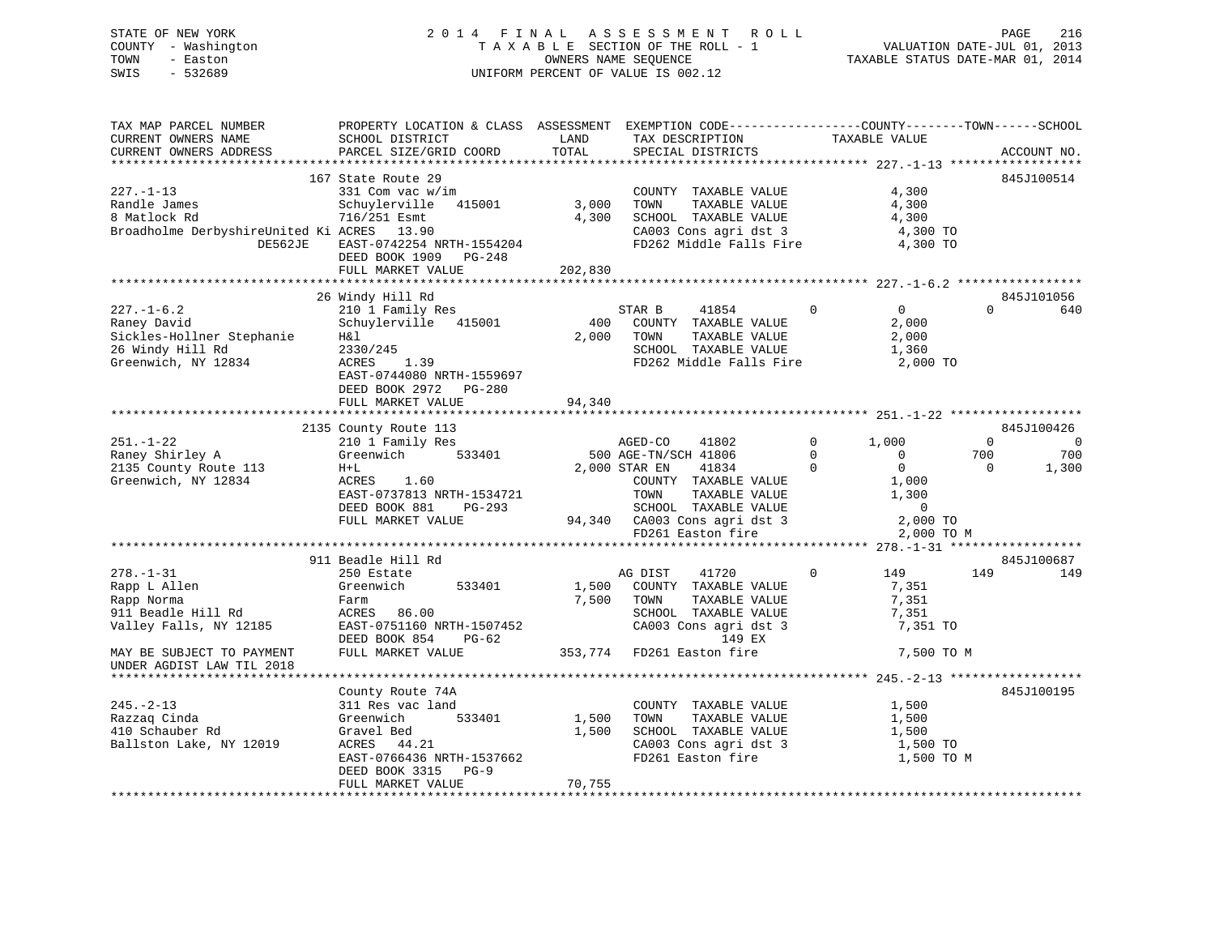# STATE OF NEW YORK 2 0 1 4 F I N A L A S S E S S M E N T R O L L PAGE 216 COUNTY - Washington T A X A B L E SECTION OF THE ROLL - 1 VALUATION DATE-JUL 01, 2013 TOWN - Easton OWNERS NAME SEQUENCE TAXABLE STATUS DATE-MAR 01, 2014 SWIS - 532689 UNIFORM PERCENT OF VALUE IS 002.12

| TAX MAP PARCEL NUMBER<br>CURRENT OWNERS NAME<br>CURRENT OWNERS ADDRESS                                                | PROPERTY LOCATION & CLASS ASSESSMENT EXEMPTION CODE----------------COUNTY-------TOWN------SCHOOL<br>SCHOOL DISTRICT<br>PARCEL SIZE/GRID COORD                                          | LAND<br>TOTAL                | TAX DESCRIPTION<br>SPECIAL DISTRICTS                                                                                                                       | TAXABLE VALUE                                          | ACCOUNT NO.                |
|-----------------------------------------------------------------------------------------------------------------------|----------------------------------------------------------------------------------------------------------------------------------------------------------------------------------------|------------------------------|------------------------------------------------------------------------------------------------------------------------------------------------------------|--------------------------------------------------------|----------------------------|
|                                                                                                                       |                                                                                                                                                                                        |                              |                                                                                                                                                            |                                                        |                            |
| $227. - 1 - 13$<br>Randle James<br>8 Matlock Rd<br>Broadholme DerbyshireUnited Ki ACRES 13.90<br>DE562JE              | 167 State Route 29<br>331 Com vac w/im<br>Schuylerville 415001<br>716/251 Esmt<br>EAST-0742254 NRTH-1554204<br>DEED BOOK 1909 PG-248<br>FULL MARKET VALUE                              | 3,000<br>4,300<br>202,830    | COUNTY TAXABLE VALUE<br>TOWN<br>TAXABLE VALUE<br>SCHOOL TAXABLE VALUE<br>SCHOOL TAXABLE VALUE<br>CA003 Cons agri dst 3<br>FD262 Middle Falls Fire 4,300 TO | 4,300<br>4,300<br>4,300<br>4,300 TO                    | 845J100514                 |
|                                                                                                                       |                                                                                                                                                                                        |                              |                                                                                                                                                            |                                                        |                            |
|                                                                                                                       | 26 Windy Hill Rd                                                                                                                                                                       |                              |                                                                                                                                                            |                                                        | 845J101056                 |
| $227. - 1 - 6.2$<br>227.-1-6.2<br>Raney David<br>Sickles-Hollner Stephanie<br>26 Windy Hill Rd<br>Greenwich, NY 12834 | 210 1 Family Res<br>Schuylerville 415001<br>H&l<br>2330/245<br>ACRES 1.39<br>EAST-0744080 NRTH-1559697<br>DEED BOOK 2972 PG-280                                                        | $400$ <sup>--</sup><br>2,000 | STAR B<br>41854<br>COUNTY TAXABLE VALUE<br>TOWN<br>TAXABLE VALUE<br>SCHOOL TAXABLE VALUE<br>FD262 Middle Falls Fire 2,000 TO                               | $\Omega$<br>$\Omega$<br>2,000<br>2,000<br>1,360        | $\Omega$<br>640            |
|                                                                                                                       | FULL MARKET VALUE                                                                                                                                                                      | 94,340                       |                                                                                                                                                            |                                                        |                            |
|                                                                                                                       | 2135 County Route 113                                                                                                                                                                  |                              |                                                                                                                                                            |                                                        | 845J100426                 |
| $251. - 1 - 22$                                                                                                       | 210 1 Family Res                                                                                                                                                                       |                              | AGED-CO<br>41802                                                                                                                                           | $0 \t 1,000$                                           | $\overline{0}$<br>$\sim$ 0 |
| Raney Shirley A                                                                                                       | 533401<br>Greenwich                                                                                                                                                                    |                              | 500 AGE-TN/SCH 41806                                                                                                                                       | $\bigcirc$<br>$\overline{0}$                           | 700<br>700                 |
| 2135 County Route 113                                                                                                 | $H+L$                                                                                                                                                                                  |                              | 2,000 STAR EN<br>41834                                                                                                                                     | $\bigcirc$<br>$\overline{0}$                           | $\overline{0}$<br>1,300    |
| Greenwich, NY 12834                                                                                                   | ACRES 1.60<br>ACRES 1.60<br>EAST-0737813 NRTH-1534721<br>DEED BOOK 881<br>PG-293<br>FULL MARKET VALUE                                                                                  |                              | COUNTY TAXABLE VALUE<br>TOWN      TAXABLE VALUE<br>TOWN<br>SCHOOL TAXABLE VALUE<br>FD261 Easton fire                                                       | 1,000<br>1,300<br>$\overline{0}$<br>2,000 TO M         |                            |
|                                                                                                                       |                                                                                                                                                                                        |                              |                                                                                                                                                            |                                                        |                            |
|                                                                                                                       | 911 Beadle Hill Rd                                                                                                                                                                     |                              |                                                                                                                                                            |                                                        | 845J100687                 |
| $278. - 1 - 31$<br>Rapp L Allen<br>Rapp Norma<br>911 Beadle Hill Rd<br>Valley Falls, NY 12185                         | 250 Estate<br>Greenwich<br>533401<br>Farm<br>ACRES 86.00<br>EAST-0751160 NRTH-1507452 CA003 Cons agri dst<br>DEED BOOK 854 PG-62 149 EX<br>FULL MARKET VALUE 353,774 FD261 Easton fire | 1,500<br>7,500               | AG DIST<br>41720<br>COUNTY TAXABLE VALUE<br>TAXABLE VALUE<br>TOWN<br>SCHOOL TAXABLE VALUE<br>CA003 Cons agri dst 3<br>149 EX                               | $\Omega$<br>149<br>7,351<br>7,351<br>7,351<br>7,351 TO | 149<br>149                 |
| MAY BE SUBJECT TO PAYMENT<br>UNDER AGDIST LAW TIL 2018                                                                |                                                                                                                                                                                        |                              |                                                                                                                                                            | 7,500 TO M                                             |                            |
|                                                                                                                       |                                                                                                                                                                                        |                              |                                                                                                                                                            |                                                        |                            |
|                                                                                                                       | County Route 74A                                                                                                                                                                       |                              |                                                                                                                                                            |                                                        | 845J100195                 |
| $245. - 2 - 13$                                                                                                       | 311 Res vac land<br>533401<br>Greenwich                                                                                                                                                | 1,500                        | COUNTY TAXABLE VALUE<br>TAXABLE VALUE<br>TOWN                                                                                                              | 1,500<br>1,500                                         |                            |
| Razzaq Cinda<br>410 Schauber Rd                                                                                       | Gravel Bed                                                                                                                                                                             | 1,500                        | SCHOOL TAXABLE VALUE                                                                                                                                       | 1,500                                                  |                            |
| Ballston Lake, NY 12019                                                                                               | ACRES 44.21                                                                                                                                                                            |                              |                                                                                                                                                            | 1,500 TO                                               |                            |
|                                                                                                                       | EAST-0766436 NRTH-1537662<br>DEED BOOK 3315 PG-9                                                                                                                                       |                              | CA003 Cons agri dst 3<br>FD261 Easton fire                                                                                                                 | 1,500 TO M                                             |                            |
|                                                                                                                       | FULL MARKET VALUE                                                                                                                                                                      | 70,755                       |                                                                                                                                                            |                                                        |                            |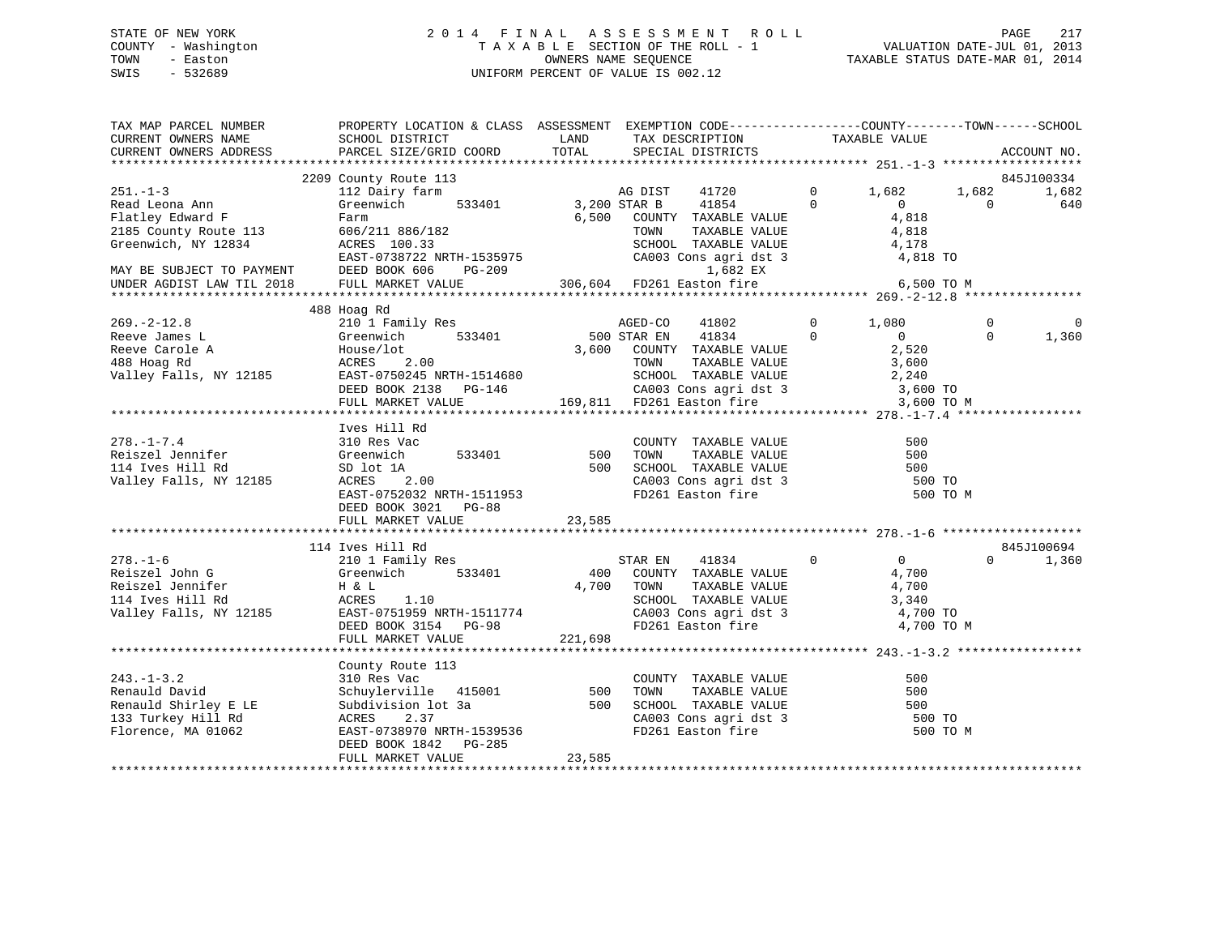# STATE OF NEW YORK 2 0 1 4 F I N A L A S S E S S M E N T R O L L PAGE 217 COUNTY - Washington T A X A B L E SECTION OF THE ROLL - 1 VALUATION DATE-JUL 01, 2013 TOWN - Easton OWNERS NAME SEQUENCE TAXABLE STATUS DATE-MAR 01, 2014 SWIS - 532689 UNIFORM PERCENT OF VALUE IS 002.12

| 2209 County Route 113<br>845J100334<br>$\overline{0}$<br>$251. - 1 - 3$<br>112 Dairy farm<br>41720<br>1,682<br>1,682<br>AG DIST<br>1,682<br>Greenwich<br>533401<br>3,200 STAR B<br>41854<br>$\Omega$<br>$\overline{0}$<br>640<br>Read Leona Ann<br>$\Omega$<br>4,818<br>Flatley Edward F<br>Farm<br>6,500<br>COUNTY TAXABLE VALUE<br>2185 County Route 113<br>606/211 886/182<br>TOWN<br>TAXABLE VALUE<br>4,818<br>Greenwich, NY 12834<br>ACRES 100.33<br>SCHOOL TAXABLE VALUE<br>4,178<br>4,818 TO<br>EAST-0738722 NRTH-1535975<br>CA003 Cons agri dst 3<br>DEED BOOK 606<br>PG-209<br>1,682 EX<br>MAY BE SUBJECT TO PAYMENT<br>306,604 FD261 Easton fire<br>FULL MARKET VALUE<br>6,500 TO M<br>488 Hoag Rd<br>$269. - 2 - 12.8$<br>210 1 Family Res<br>$\mathbf 0$<br>AGED-CO<br>41802<br>1,080<br>$\mathbf 0$<br>0<br>Greenwich<br>533401<br>$\Omega$<br>$\overline{0}$<br>$\Omega$<br>1,360<br>Reeve James L<br>500 STAR EN<br>41834<br>Reeve Carole A<br>2,520<br>House/lot<br>3,600<br>COUNTY TAXABLE VALUE<br>488 Hoag Rd<br>ACRES<br>2.00<br>TOWN<br>TAXABLE VALUE<br>3,600<br>Valley Falls, NY 12185<br>EAST-0750245 NRTH-1514680<br>2,240<br>SCHOOL TAXABLE VALUE<br>CA003 Cons agri dst 3<br>169,811 FD261 Easton fire<br>DEED BOOK 2138 PG-146<br>3,600 TO<br>FULL MARKET VALUE<br>3,600 TO M<br>Ives Hill Rd<br>$278. - 1 - 7.4$<br>COUNTY TAXABLE VALUE<br>310 Res Vac<br>500<br>Reiszel Jennifer<br>533401<br>TAXABLE VALUE<br>500<br>Greenwich<br>500<br>TOWN<br>SCHOOL TAXABLE VALUE<br>CAOOL TAXABLE VALUE<br>CAOO3 Cons agri dst 3<br>FD261 Easton fire<br>114 Ives Hill Rd<br>500<br>SD lot 1A<br>500<br>Valley Falls, NY 12185<br>2.00<br>ACRES<br>500 TO<br>EAST-0752032 NRTH-1511953<br>500 TO M<br>DEED BOOK 3021 PG-88<br>23,585<br>FULL MARKET VALUE<br>845J100694<br>114 Ives Hill Rd<br>210 1 Family Res<br>$278. - 1 - 6$<br>$\mathbf{0}$<br>$\overline{0}$<br>STAR EN<br>41834<br>$\Omega$<br>1,360<br>Reiszel John G<br>Greenwich<br>533401<br>400 COUNTY TAXABLE VALUE<br>4,700<br>Reiszel Jennifer<br>4,700<br>4,700<br>H & L<br>TOWN<br>TAXABLE VALUE<br>SCHOOL TAXABLE VALUE<br>1.10<br>114 Ives Hill Rd<br>ACRES<br>3,340<br>Valley Falls, NY 12185<br>CA003 Cons agri dst 3<br>FD261 Easton fire<br>EAST-0751959 NRTH-1511774<br>4,700 TO<br>4,700 TO M<br>DEED BOOK 3154 PG-98<br>221,698<br>FULL MARKET VALUE<br>County Route 113<br>COUNTY TAXABLE VALUE<br>500<br>310 Res Vac<br>500<br>Schuylerville 415001<br>TOWN<br>TAXABLE VALUE<br>500<br>Subdivision lot 3a<br>500<br>SCHOOL TAXABLE VALUE<br>500<br>2.37<br>SCHOOL TAAADDE<br>CA003 Cons agri dst 3<br>ACRES<br>500 TO<br>EAST-0738970 NRTH-1539536<br>500 TO M<br>DEED BOOK 1842 PG-285<br>FULL MARKET VALUE<br>23,585 | TAX MAP PARCEL NUMBER<br>CURRENT OWNERS NAME<br>CURRENT OWNERS ADDRESS | PROPERTY LOCATION & CLASS ASSESSMENT EXEMPTION CODE---------------COUNTY-------TOWN-----SCHOOL<br>SCHOOL DISTRICT<br>PARCEL SIZE/GRID COORD | LAND<br>TOTAL | TAX DESCRIPTION<br>SPECIAL DISTRICTS | TAXABLE VALUE | ACCOUNT NO. |
|--------------------------------------------------------------------------------------------------------------------------------------------------------------------------------------------------------------------------------------------------------------------------------------------------------------------------------------------------------------------------------------------------------------------------------------------------------------------------------------------------------------------------------------------------------------------------------------------------------------------------------------------------------------------------------------------------------------------------------------------------------------------------------------------------------------------------------------------------------------------------------------------------------------------------------------------------------------------------------------------------------------------------------------------------------------------------------------------------------------------------------------------------------------------------------------------------------------------------------------------------------------------------------------------------------------------------------------------------------------------------------------------------------------------------------------------------------------------------------------------------------------------------------------------------------------------------------------------------------------------------------------------------------------------------------------------------------------------------------------------------------------------------------------------------------------------------------------------------------------------------------------------------------------------------------------------------------------------------------------------------------------------------------------------------------------------------------------------------------------------------------------------------------------------------------------------------------------------------------------------------------------------------------------------------------------------------------------------------------------------------------------------------------------------------------------------------------------------------------------------------------------------------------------------------------------------------------------------------------------------------------------------------------------------------------------------------------------------------|------------------------------------------------------------------------|---------------------------------------------------------------------------------------------------------------------------------------------|---------------|--------------------------------------|---------------|-------------|
|                                                                                                                                                                                                                                                                                                                                                                                                                                                                                                                                                                                                                                                                                                                                                                                                                                                                                                                                                                                                                                                                                                                                                                                                                                                                                                                                                                                                                                                                                                                                                                                                                                                                                                                                                                                                                                                                                                                                                                                                                                                                                                                                                                                                                                                                                                                                                                                                                                                                                                                                                                                                                                                                                                                          |                                                                        |                                                                                                                                             |               |                                      |               |             |
|                                                                                                                                                                                                                                                                                                                                                                                                                                                                                                                                                                                                                                                                                                                                                                                                                                                                                                                                                                                                                                                                                                                                                                                                                                                                                                                                                                                                                                                                                                                                                                                                                                                                                                                                                                                                                                                                                                                                                                                                                                                                                                                                                                                                                                                                                                                                                                                                                                                                                                                                                                                                                                                                                                                          |                                                                        |                                                                                                                                             |               |                                      |               |             |
|                                                                                                                                                                                                                                                                                                                                                                                                                                                                                                                                                                                                                                                                                                                                                                                                                                                                                                                                                                                                                                                                                                                                                                                                                                                                                                                                                                                                                                                                                                                                                                                                                                                                                                                                                                                                                                                                                                                                                                                                                                                                                                                                                                                                                                                                                                                                                                                                                                                                                                                                                                                                                                                                                                                          |                                                                        |                                                                                                                                             |               |                                      |               |             |
|                                                                                                                                                                                                                                                                                                                                                                                                                                                                                                                                                                                                                                                                                                                                                                                                                                                                                                                                                                                                                                                                                                                                                                                                                                                                                                                                                                                                                                                                                                                                                                                                                                                                                                                                                                                                                                                                                                                                                                                                                                                                                                                                                                                                                                                                                                                                                                                                                                                                                                                                                                                                                                                                                                                          |                                                                        |                                                                                                                                             |               |                                      |               |             |
|                                                                                                                                                                                                                                                                                                                                                                                                                                                                                                                                                                                                                                                                                                                                                                                                                                                                                                                                                                                                                                                                                                                                                                                                                                                                                                                                                                                                                                                                                                                                                                                                                                                                                                                                                                                                                                                                                                                                                                                                                                                                                                                                                                                                                                                                                                                                                                                                                                                                                                                                                                                                                                                                                                                          |                                                                        |                                                                                                                                             |               |                                      |               |             |
|                                                                                                                                                                                                                                                                                                                                                                                                                                                                                                                                                                                                                                                                                                                                                                                                                                                                                                                                                                                                                                                                                                                                                                                                                                                                                                                                                                                                                                                                                                                                                                                                                                                                                                                                                                                                                                                                                                                                                                                                                                                                                                                                                                                                                                                                                                                                                                                                                                                                                                                                                                                                                                                                                                                          |                                                                        |                                                                                                                                             |               |                                      |               |             |
|                                                                                                                                                                                                                                                                                                                                                                                                                                                                                                                                                                                                                                                                                                                                                                                                                                                                                                                                                                                                                                                                                                                                                                                                                                                                                                                                                                                                                                                                                                                                                                                                                                                                                                                                                                                                                                                                                                                                                                                                                                                                                                                                                                                                                                                                                                                                                                                                                                                                                                                                                                                                                                                                                                                          |                                                                        |                                                                                                                                             |               |                                      |               |             |
|                                                                                                                                                                                                                                                                                                                                                                                                                                                                                                                                                                                                                                                                                                                                                                                                                                                                                                                                                                                                                                                                                                                                                                                                                                                                                                                                                                                                                                                                                                                                                                                                                                                                                                                                                                                                                                                                                                                                                                                                                                                                                                                                                                                                                                                                                                                                                                                                                                                                                                                                                                                                                                                                                                                          |                                                                        |                                                                                                                                             |               |                                      |               |             |
|                                                                                                                                                                                                                                                                                                                                                                                                                                                                                                                                                                                                                                                                                                                                                                                                                                                                                                                                                                                                                                                                                                                                                                                                                                                                                                                                                                                                                                                                                                                                                                                                                                                                                                                                                                                                                                                                                                                                                                                                                                                                                                                                                                                                                                                                                                                                                                                                                                                                                                                                                                                                                                                                                                                          | UNDER AGDIST LAW TIL 2018                                              |                                                                                                                                             |               |                                      |               |             |
|                                                                                                                                                                                                                                                                                                                                                                                                                                                                                                                                                                                                                                                                                                                                                                                                                                                                                                                                                                                                                                                                                                                                                                                                                                                                                                                                                                                                                                                                                                                                                                                                                                                                                                                                                                                                                                                                                                                                                                                                                                                                                                                                                                                                                                                                                                                                                                                                                                                                                                                                                                                                                                                                                                                          |                                                                        |                                                                                                                                             |               |                                      |               |             |
|                                                                                                                                                                                                                                                                                                                                                                                                                                                                                                                                                                                                                                                                                                                                                                                                                                                                                                                                                                                                                                                                                                                                                                                                                                                                                                                                                                                                                                                                                                                                                                                                                                                                                                                                                                                                                                                                                                                                                                                                                                                                                                                                                                                                                                                                                                                                                                                                                                                                                                                                                                                                                                                                                                                          |                                                                        |                                                                                                                                             |               |                                      |               |             |
|                                                                                                                                                                                                                                                                                                                                                                                                                                                                                                                                                                                                                                                                                                                                                                                                                                                                                                                                                                                                                                                                                                                                                                                                                                                                                                                                                                                                                                                                                                                                                                                                                                                                                                                                                                                                                                                                                                                                                                                                                                                                                                                                                                                                                                                                                                                                                                                                                                                                                                                                                                                                                                                                                                                          |                                                                        |                                                                                                                                             |               |                                      |               |             |
|                                                                                                                                                                                                                                                                                                                                                                                                                                                                                                                                                                                                                                                                                                                                                                                                                                                                                                                                                                                                                                                                                                                                                                                                                                                                                                                                                                                                                                                                                                                                                                                                                                                                                                                                                                                                                                                                                                                                                                                                                                                                                                                                                                                                                                                                                                                                                                                                                                                                                                                                                                                                                                                                                                                          |                                                                        |                                                                                                                                             |               |                                      |               |             |
|                                                                                                                                                                                                                                                                                                                                                                                                                                                                                                                                                                                                                                                                                                                                                                                                                                                                                                                                                                                                                                                                                                                                                                                                                                                                                                                                                                                                                                                                                                                                                                                                                                                                                                                                                                                                                                                                                                                                                                                                                                                                                                                                                                                                                                                                                                                                                                                                                                                                                                                                                                                                                                                                                                                          |                                                                        |                                                                                                                                             |               |                                      |               |             |
|                                                                                                                                                                                                                                                                                                                                                                                                                                                                                                                                                                                                                                                                                                                                                                                                                                                                                                                                                                                                                                                                                                                                                                                                                                                                                                                                                                                                                                                                                                                                                                                                                                                                                                                                                                                                                                                                                                                                                                                                                                                                                                                                                                                                                                                                                                                                                                                                                                                                                                                                                                                                                                                                                                                          |                                                                        |                                                                                                                                             |               |                                      |               |             |
|                                                                                                                                                                                                                                                                                                                                                                                                                                                                                                                                                                                                                                                                                                                                                                                                                                                                                                                                                                                                                                                                                                                                                                                                                                                                                                                                                                                                                                                                                                                                                                                                                                                                                                                                                                                                                                                                                                                                                                                                                                                                                                                                                                                                                                                                                                                                                                                                                                                                                                                                                                                                                                                                                                                          |                                                                        |                                                                                                                                             |               |                                      |               |             |
|                                                                                                                                                                                                                                                                                                                                                                                                                                                                                                                                                                                                                                                                                                                                                                                                                                                                                                                                                                                                                                                                                                                                                                                                                                                                                                                                                                                                                                                                                                                                                                                                                                                                                                                                                                                                                                                                                                                                                                                                                                                                                                                                                                                                                                                                                                                                                                                                                                                                                                                                                                                                                                                                                                                          |                                                                        |                                                                                                                                             |               |                                      |               |             |
|                                                                                                                                                                                                                                                                                                                                                                                                                                                                                                                                                                                                                                                                                                                                                                                                                                                                                                                                                                                                                                                                                                                                                                                                                                                                                                                                                                                                                                                                                                                                                                                                                                                                                                                                                                                                                                                                                                                                                                                                                                                                                                                                                                                                                                                                                                                                                                                                                                                                                                                                                                                                                                                                                                                          |                                                                        |                                                                                                                                             |               |                                      |               |             |
|                                                                                                                                                                                                                                                                                                                                                                                                                                                                                                                                                                                                                                                                                                                                                                                                                                                                                                                                                                                                                                                                                                                                                                                                                                                                                                                                                                                                                                                                                                                                                                                                                                                                                                                                                                                                                                                                                                                                                                                                                                                                                                                                                                                                                                                                                                                                                                                                                                                                                                                                                                                                                                                                                                                          |                                                                        |                                                                                                                                             |               |                                      |               |             |
|                                                                                                                                                                                                                                                                                                                                                                                                                                                                                                                                                                                                                                                                                                                                                                                                                                                                                                                                                                                                                                                                                                                                                                                                                                                                                                                                                                                                                                                                                                                                                                                                                                                                                                                                                                                                                                                                                                                                                                                                                                                                                                                                                                                                                                                                                                                                                                                                                                                                                                                                                                                                                                                                                                                          |                                                                        |                                                                                                                                             |               |                                      |               |             |
|                                                                                                                                                                                                                                                                                                                                                                                                                                                                                                                                                                                                                                                                                                                                                                                                                                                                                                                                                                                                                                                                                                                                                                                                                                                                                                                                                                                                                                                                                                                                                                                                                                                                                                                                                                                                                                                                                                                                                                                                                                                                                                                                                                                                                                                                                                                                                                                                                                                                                                                                                                                                                                                                                                                          |                                                                        |                                                                                                                                             |               |                                      |               |             |
|                                                                                                                                                                                                                                                                                                                                                                                                                                                                                                                                                                                                                                                                                                                                                                                                                                                                                                                                                                                                                                                                                                                                                                                                                                                                                                                                                                                                                                                                                                                                                                                                                                                                                                                                                                                                                                                                                                                                                                                                                                                                                                                                                                                                                                                                                                                                                                                                                                                                                                                                                                                                                                                                                                                          |                                                                        |                                                                                                                                             |               |                                      |               |             |
|                                                                                                                                                                                                                                                                                                                                                                                                                                                                                                                                                                                                                                                                                                                                                                                                                                                                                                                                                                                                                                                                                                                                                                                                                                                                                                                                                                                                                                                                                                                                                                                                                                                                                                                                                                                                                                                                                                                                                                                                                                                                                                                                                                                                                                                                                                                                                                                                                                                                                                                                                                                                                                                                                                                          |                                                                        |                                                                                                                                             |               |                                      |               |             |
|                                                                                                                                                                                                                                                                                                                                                                                                                                                                                                                                                                                                                                                                                                                                                                                                                                                                                                                                                                                                                                                                                                                                                                                                                                                                                                                                                                                                                                                                                                                                                                                                                                                                                                                                                                                                                                                                                                                                                                                                                                                                                                                                                                                                                                                                                                                                                                                                                                                                                                                                                                                                                                                                                                                          |                                                                        |                                                                                                                                             |               |                                      |               |             |
|                                                                                                                                                                                                                                                                                                                                                                                                                                                                                                                                                                                                                                                                                                                                                                                                                                                                                                                                                                                                                                                                                                                                                                                                                                                                                                                                                                                                                                                                                                                                                                                                                                                                                                                                                                                                                                                                                                                                                                                                                                                                                                                                                                                                                                                                                                                                                                                                                                                                                                                                                                                                                                                                                                                          |                                                                        |                                                                                                                                             |               |                                      |               |             |
|                                                                                                                                                                                                                                                                                                                                                                                                                                                                                                                                                                                                                                                                                                                                                                                                                                                                                                                                                                                                                                                                                                                                                                                                                                                                                                                                                                                                                                                                                                                                                                                                                                                                                                                                                                                                                                                                                                                                                                                                                                                                                                                                                                                                                                                                                                                                                                                                                                                                                                                                                                                                                                                                                                                          |                                                                        |                                                                                                                                             |               |                                      |               |             |
|                                                                                                                                                                                                                                                                                                                                                                                                                                                                                                                                                                                                                                                                                                                                                                                                                                                                                                                                                                                                                                                                                                                                                                                                                                                                                                                                                                                                                                                                                                                                                                                                                                                                                                                                                                                                                                                                                                                                                                                                                                                                                                                                                                                                                                                                                                                                                                                                                                                                                                                                                                                                                                                                                                                          |                                                                        |                                                                                                                                             |               |                                      |               |             |
|                                                                                                                                                                                                                                                                                                                                                                                                                                                                                                                                                                                                                                                                                                                                                                                                                                                                                                                                                                                                                                                                                                                                                                                                                                                                                                                                                                                                                                                                                                                                                                                                                                                                                                                                                                                                                                                                                                                                                                                                                                                                                                                                                                                                                                                                                                                                                                                                                                                                                                                                                                                                                                                                                                                          |                                                                        |                                                                                                                                             |               |                                      |               |             |
|                                                                                                                                                                                                                                                                                                                                                                                                                                                                                                                                                                                                                                                                                                                                                                                                                                                                                                                                                                                                                                                                                                                                                                                                                                                                                                                                                                                                                                                                                                                                                                                                                                                                                                                                                                                                                                                                                                                                                                                                                                                                                                                                                                                                                                                                                                                                                                                                                                                                                                                                                                                                                                                                                                                          |                                                                        |                                                                                                                                             |               |                                      |               |             |
|                                                                                                                                                                                                                                                                                                                                                                                                                                                                                                                                                                                                                                                                                                                                                                                                                                                                                                                                                                                                                                                                                                                                                                                                                                                                                                                                                                                                                                                                                                                                                                                                                                                                                                                                                                                                                                                                                                                                                                                                                                                                                                                                                                                                                                                                                                                                                                                                                                                                                                                                                                                                                                                                                                                          |                                                                        |                                                                                                                                             |               |                                      |               |             |
|                                                                                                                                                                                                                                                                                                                                                                                                                                                                                                                                                                                                                                                                                                                                                                                                                                                                                                                                                                                                                                                                                                                                                                                                                                                                                                                                                                                                                                                                                                                                                                                                                                                                                                                                                                                                                                                                                                                                                                                                                                                                                                                                                                                                                                                                                                                                                                                                                                                                                                                                                                                                                                                                                                                          |                                                                        |                                                                                                                                             |               |                                      |               |             |
|                                                                                                                                                                                                                                                                                                                                                                                                                                                                                                                                                                                                                                                                                                                                                                                                                                                                                                                                                                                                                                                                                                                                                                                                                                                                                                                                                                                                                                                                                                                                                                                                                                                                                                                                                                                                                                                                                                                                                                                                                                                                                                                                                                                                                                                                                                                                                                                                                                                                                                                                                                                                                                                                                                                          |                                                                        |                                                                                                                                             |               |                                      |               |             |
|                                                                                                                                                                                                                                                                                                                                                                                                                                                                                                                                                                                                                                                                                                                                                                                                                                                                                                                                                                                                                                                                                                                                                                                                                                                                                                                                                                                                                                                                                                                                                                                                                                                                                                                                                                                                                                                                                                                                                                                                                                                                                                                                                                                                                                                                                                                                                                                                                                                                                                                                                                                                                                                                                                                          |                                                                        |                                                                                                                                             |               |                                      |               |             |
|                                                                                                                                                                                                                                                                                                                                                                                                                                                                                                                                                                                                                                                                                                                                                                                                                                                                                                                                                                                                                                                                                                                                                                                                                                                                                                                                                                                                                                                                                                                                                                                                                                                                                                                                                                                                                                                                                                                                                                                                                                                                                                                                                                                                                                                                                                                                                                                                                                                                                                                                                                                                                                                                                                                          |                                                                        |                                                                                                                                             |               |                                      |               |             |
|                                                                                                                                                                                                                                                                                                                                                                                                                                                                                                                                                                                                                                                                                                                                                                                                                                                                                                                                                                                                                                                                                                                                                                                                                                                                                                                                                                                                                                                                                                                                                                                                                                                                                                                                                                                                                                                                                                                                                                                                                                                                                                                                                                                                                                                                                                                                                                                                                                                                                                                                                                                                                                                                                                                          |                                                                        |                                                                                                                                             |               |                                      |               |             |
|                                                                                                                                                                                                                                                                                                                                                                                                                                                                                                                                                                                                                                                                                                                                                                                                                                                                                                                                                                                                                                                                                                                                                                                                                                                                                                                                                                                                                                                                                                                                                                                                                                                                                                                                                                                                                                                                                                                                                                                                                                                                                                                                                                                                                                                                                                                                                                                                                                                                                                                                                                                                                                                                                                                          |                                                                        |                                                                                                                                             |               |                                      |               |             |
|                                                                                                                                                                                                                                                                                                                                                                                                                                                                                                                                                                                                                                                                                                                                                                                                                                                                                                                                                                                                                                                                                                                                                                                                                                                                                                                                                                                                                                                                                                                                                                                                                                                                                                                                                                                                                                                                                                                                                                                                                                                                                                                                                                                                                                                                                                                                                                                                                                                                                                                                                                                                                                                                                                                          | $243. - 1 - 3.2$                                                       |                                                                                                                                             |               |                                      |               |             |
|                                                                                                                                                                                                                                                                                                                                                                                                                                                                                                                                                                                                                                                                                                                                                                                                                                                                                                                                                                                                                                                                                                                                                                                                                                                                                                                                                                                                                                                                                                                                                                                                                                                                                                                                                                                                                                                                                                                                                                                                                                                                                                                                                                                                                                                                                                                                                                                                                                                                                                                                                                                                                                                                                                                          | Renauld David                                                          |                                                                                                                                             |               |                                      |               |             |
|                                                                                                                                                                                                                                                                                                                                                                                                                                                                                                                                                                                                                                                                                                                                                                                                                                                                                                                                                                                                                                                                                                                                                                                                                                                                                                                                                                                                                                                                                                                                                                                                                                                                                                                                                                                                                                                                                                                                                                                                                                                                                                                                                                                                                                                                                                                                                                                                                                                                                                                                                                                                                                                                                                                          | Renauld Shirley E LE                                                   |                                                                                                                                             |               |                                      |               |             |
|                                                                                                                                                                                                                                                                                                                                                                                                                                                                                                                                                                                                                                                                                                                                                                                                                                                                                                                                                                                                                                                                                                                                                                                                                                                                                                                                                                                                                                                                                                                                                                                                                                                                                                                                                                                                                                                                                                                                                                                                                                                                                                                                                                                                                                                                                                                                                                                                                                                                                                                                                                                                                                                                                                                          | 133 Turkey Hill Rd                                                     |                                                                                                                                             |               |                                      |               |             |
|                                                                                                                                                                                                                                                                                                                                                                                                                                                                                                                                                                                                                                                                                                                                                                                                                                                                                                                                                                                                                                                                                                                                                                                                                                                                                                                                                                                                                                                                                                                                                                                                                                                                                                                                                                                                                                                                                                                                                                                                                                                                                                                                                                                                                                                                                                                                                                                                                                                                                                                                                                                                                                                                                                                          | Florence, MA 01062                                                     |                                                                                                                                             |               |                                      |               |             |
|                                                                                                                                                                                                                                                                                                                                                                                                                                                                                                                                                                                                                                                                                                                                                                                                                                                                                                                                                                                                                                                                                                                                                                                                                                                                                                                                                                                                                                                                                                                                                                                                                                                                                                                                                                                                                                                                                                                                                                                                                                                                                                                                                                                                                                                                                                                                                                                                                                                                                                                                                                                                                                                                                                                          |                                                                        |                                                                                                                                             |               |                                      |               |             |
|                                                                                                                                                                                                                                                                                                                                                                                                                                                                                                                                                                                                                                                                                                                                                                                                                                                                                                                                                                                                                                                                                                                                                                                                                                                                                                                                                                                                                                                                                                                                                                                                                                                                                                                                                                                                                                                                                                                                                                                                                                                                                                                                                                                                                                                                                                                                                                                                                                                                                                                                                                                                                                                                                                                          |                                                                        |                                                                                                                                             |               |                                      |               |             |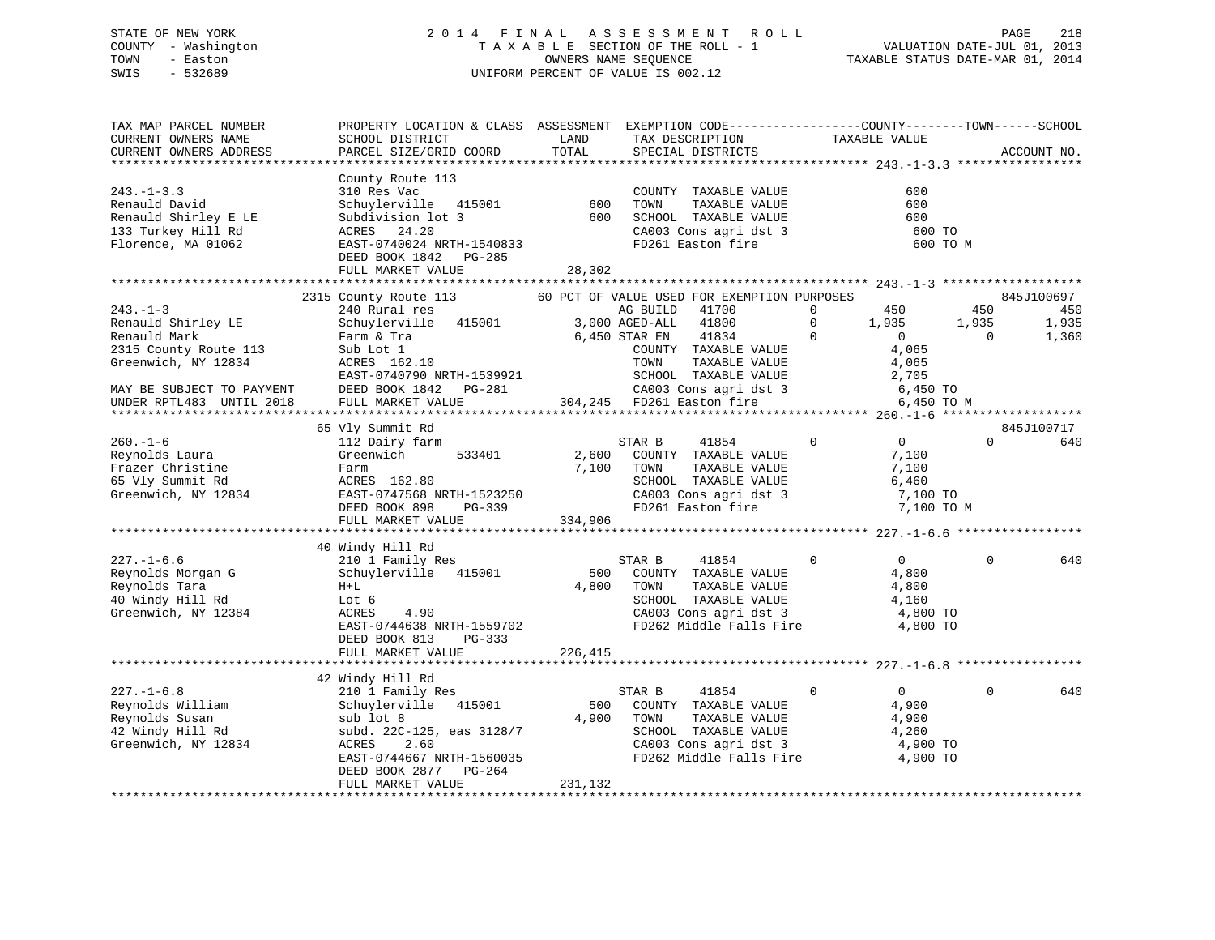# STATE OF NEW YORK 2 0 1 4 F I N A L A S S E S S M E N T R O L L PAGE 218 COUNTY - Washington T A X A B L E SECTION OF THE ROLL - 1 VALUATION DATE-JUL 01, 2013 TOWN - Easton OWNERS NAME SEQUENCE TAXABLE STATUS DATE-MAR 01, 2014 SWIS - 532689 UNIFORM PERCENT OF VALUE IS 002.12

| TAX MAP PARCEL NUMBER<br>CURRENT OWNERS NAME                                                                                      | PROPERTY LOCATION & CLASS ASSESSMENT EXEMPTION CODE-----------------COUNTY--------TOWN------SCHOOL<br>SCHOOL DISTRICT                                                            | LAND                      | TAX DESCRIPTION                                                                                                                                                                                                                                                                                       | TAXABLE VALUE                                                                                                   |                          |                                     |
|-----------------------------------------------------------------------------------------------------------------------------------|----------------------------------------------------------------------------------------------------------------------------------------------------------------------------------|---------------------------|-------------------------------------------------------------------------------------------------------------------------------------------------------------------------------------------------------------------------------------------------------------------------------------------------------|-----------------------------------------------------------------------------------------------------------------|--------------------------|-------------------------------------|
| CURRENT OWNERS ADDRESS                                                                                                            | PARCEL SIZE/GRID COORD                                                                                                                                                           | TOTAL                     | SPECIAL DISTRICTS                                                                                                                                                                                                                                                                                     |                                                                                                                 |                          | ACCOUNT NO.                         |
|                                                                                                                                   |                                                                                                                                                                                  |                           |                                                                                                                                                                                                                                                                                                       |                                                                                                                 |                          |                                     |
| $243. -1 - 3.3$<br>Renauld David<br>Renauld Shirley E LE<br>133 Turkey Hill Rd<br>Florence, MA 01062                              | County Route 113<br>310 Res Vac<br>schuylerville 415001<br>Subdivision lot 3<br>24.20<br>ACRES<br>EAST-0740024 NRTH-1540833<br>DEED BOOK 1842 PG-285<br>FULL MARKET VALUE        | 600<br>600<br>28,302      | COUNTY TAXABLE VALUE<br>TOWN<br>TAXABLE VALUE<br>SCHOOL TAXABLE VALUE<br>SCHOOL TAXABLE VALUE<br>CA003 Cons agri dst 3<br>FD261 Easton fire                                                                                                                                                           | 600<br>600<br>600<br>600 TO                                                                                     | 600 TO M                 |                                     |
|                                                                                                                                   |                                                                                                                                                                                  |                           |                                                                                                                                                                                                                                                                                                       |                                                                                                                 |                          |                                     |
| $243. - 1 - 3$<br>Renauld Shirley LE<br>Renauld Mark<br>2315 County Route 113<br>Greenwich, NY 12834<br>MAY BE SUBJECT TO PAYMENT | 2315 County Route 113<br>240 Rural res<br>Schuylerville 415001 3,000 AGED-ALL<br>Farm & Tra<br>Sub Lot 1<br>ACRES 162.10<br>EAST-0740790 NRTH-1539921<br>DEED BOOK 1842 PG-281   |                           | 60 PCT OF VALUE USED FOR EXEMPTION PURPOSES<br>41700<br>AG BUILD<br>41800<br>6,450 STAR EN<br>41834<br>COUNTY TAXABLE VALUE<br>TOWN<br>TAXABLE VALUE<br>SCHOOL TAXABLE VALUE<br>1539921 SCHOOL IAAABLE VALUE<br>3-281 CA003 Cons agri dst 3<br>304,245 FD261 Easton fire<br>304,245 FD261 Easton fire | 450<br>$\overline{0}$<br>$\Omega$<br>1,935<br>$\Omega$<br>$\overline{0}$<br>4,065<br>4,065<br>2,705<br>6,450 TO | 450<br>1,935<br>$\Omega$ | 845J100697<br>450<br>1,935<br>1,360 |
| UNDER RPTL483 UNTIL 2018                                                                                                          | FULL MARKET VALUE                                                                                                                                                                |                           |                                                                                                                                                                                                                                                                                                       | 6,450 TO M                                                                                                      |                          |                                     |
|                                                                                                                                   |                                                                                                                                                                                  |                           |                                                                                                                                                                                                                                                                                                       |                                                                                                                 |                          |                                     |
|                                                                                                                                   | 65 Vly Summit Rd                                                                                                                                                                 |                           |                                                                                                                                                                                                                                                                                                       |                                                                                                                 |                          | 845J100717                          |
| $260. - 1 - 6$<br>Reynolds Laura<br>Frazer Christine<br>65 Vly Summit Rd<br>Greenwich, NY 12834                                   | 112 Dairy farm<br>Greenwich<br>533401<br>Farm<br>ACRES 162.80<br>EAST-0747568 NRTH-1523250<br>PG-339<br>DEED BOOK 898<br>FULL MARKET VALUE                                       | 2,600<br>7,100<br>334,906 | STAR B<br>41854<br>COUNTY TAXABLE VALUE<br>TOWN<br>TAXABLE VALUE<br>SCHOOL TAXABLE VALUE<br>CA003 Cons agri dst 3<br>FD261 Easton fire                                                                                                                                                                | $\mathbf{0}$<br>$\overline{0}$<br>7,100<br>7,100<br>6,460<br>7,100 TO<br>7,100 TO M                             | $\Omega$                 | 640                                 |
|                                                                                                                                   | 40 Windy Hill Rd                                                                                                                                                                 |                           |                                                                                                                                                                                                                                                                                                       |                                                                                                                 |                          |                                     |
| $227. - 1 - 6.6$<br>Reynolds Morgan G<br>Reynolds Tara<br>40 Windy Hill Rd<br>Greenwich, NY 12384                                 | 210 1 Family Res<br>Schuylerville 415001<br>$H+L$<br>Lot 6<br>ACRES<br>4.90<br>EAST-0744638 NRTH-1559702<br>DEED BOOK 813<br>PG-333                                              | 500<br>4,800              | STAR B<br>41854<br>COUNTY TAXABLE VALUE<br>TOWN<br>TAXABLE VALUE<br>SCHOOL TAXABLE VALUE<br>CA003 Cons agri dst 3<br>FD262 Middle Falls Fire                                                                                                                                                          | $\overline{0}$<br>$\Omega$<br>4,800<br>4,800<br>4,160<br>4,800 TO<br>4,800 TO                                   | $\Omega$                 | 640                                 |
|                                                                                                                                   | FULL MARKET VALUE                                                                                                                                                                | 226,415                   |                                                                                                                                                                                                                                                                                                       |                                                                                                                 |                          |                                     |
|                                                                                                                                   |                                                                                                                                                                                  |                           |                                                                                                                                                                                                                                                                                                       |                                                                                                                 |                          |                                     |
| $227. - 1 - 6.8$<br>Reynolds William<br>Reynolds Susan<br>42 Windy Hill Rd<br>Greenwich, NY 12834                                 | 42 Windy Hill Rd<br>210 1 Family Res<br>415001<br>Schuylerville<br>sub lot 8<br>subd. 22C-125, eas 3128/7<br>2.60<br>ACRES<br>EAST-0744667 NRTH-1560035<br>DEED BOOK 2877 PG-264 | 500<br>4,900              | 41854<br>STAR B<br>COUNTY TAXABLE VALUE<br>TOWN<br>TAXABLE VALUE<br>SCHOOL TAXABLE VALUE<br>CA003 Cons agri dst 3<br>FD262 Middle Falls Fire 4,900 TO                                                                                                                                                 | $\overline{0}$<br>$\mathbf{0}$<br>4,900<br>4,900<br>4,260<br>4,900 TO                                           | $\Omega$                 | 640                                 |
|                                                                                                                                   | FULL MARKET VALUE                                                                                                                                                                | 231,132                   |                                                                                                                                                                                                                                                                                                       |                                                                                                                 |                          |                                     |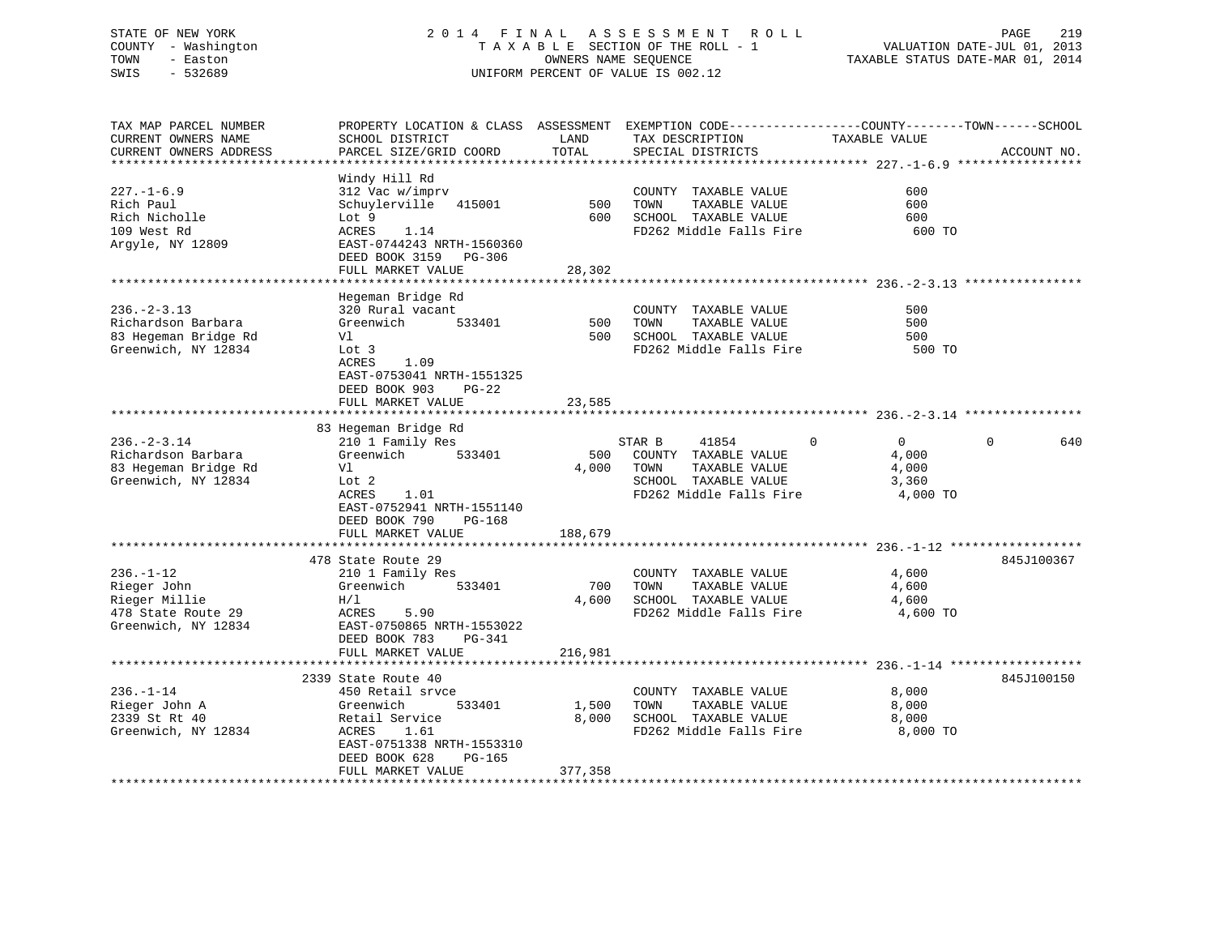# STATE OF NEW YORK 2 0 1 4 F I N A L A S S E S S M E N T R O L L PAGE 219 COUNTY - Washington T A X A B L E SECTION OF THE ROLL - 1 VALUATION DATE-JUL 01, 2013 TOWN - Easton OWNERS NAME SEQUENCE TAXABLE STATUS DATE-MAR 01, 2014 SWIS - 532689 UNIFORM PERCENT OF VALUE IS 002.12UNIFORM PERCENT OF VALUE IS 002.12

| TAX MAP PARCEL NUMBER  | PROPERTY LOCATION & CLASS ASSESSMENT EXEMPTION CODE----------------COUNTY-------TOWN------SCHOOL |         |                         |                      |                 |
|------------------------|--------------------------------------------------------------------------------------------------|---------|-------------------------|----------------------|-----------------|
| CURRENT OWNERS NAME    | SCHOOL DISTRICT                                                                                  | LAND    | TAX DESCRIPTION         | TAXABLE VALUE        |                 |
| CURRENT OWNERS ADDRESS | PARCEL SIZE/GRID COORD                                                                           | TOTAL   | SPECIAL DISTRICTS       |                      | ACCOUNT NO.     |
|                        |                                                                                                  |         |                         |                      |                 |
|                        | Windy Hill Rd                                                                                    |         |                         |                      |                 |
| $227. - 1 - 6.9$       | 312 Vac w/imprv                                                                                  |         | COUNTY TAXABLE VALUE    | 600                  |                 |
| Rich Paul              | Schuylerville 415001                                                                             | 500     | TAXABLE VALUE<br>TOWN   | 600                  |                 |
| Rich Nicholle          | Lot 9                                                                                            | 600     | SCHOOL TAXABLE VALUE    | 600                  |                 |
| 109 West Rd            | ACRES<br>1.14                                                                                    |         | FD262 Middle Falls Fire | 600 TO               |                 |
| Argyle, NY 12809       | EAST-0744243 NRTH-1560360                                                                        |         |                         |                      |                 |
|                        | DEED BOOK 3159 PG-306                                                                            |         |                         |                      |                 |
|                        | FULL MARKET VALUE                                                                                | 28,302  |                         |                      |                 |
|                        |                                                                                                  |         |                         |                      |                 |
|                        | Hegeman Bridge Rd                                                                                |         |                         |                      |                 |
| $236. - 2 - 3.13$      | 320 Rural vacant                                                                                 |         | COUNTY TAXABLE VALUE    | 500                  |                 |
| Richardson Barbara     | Greenwich<br>533401                                                                              | 500     | TAXABLE VALUE<br>TOWN   | 500                  |                 |
| 83 Hegeman Bridge Rd   | Vl                                                                                               | 500     | SCHOOL TAXABLE VALUE    | 500                  |                 |
| Greenwich, NY 12834    | Lot 3                                                                                            |         | FD262 Middle Falls Fire | 500 TO               |                 |
|                        | 1.09<br>ACRES                                                                                    |         |                         |                      |                 |
|                        | EAST-0753041 NRTH-1551325                                                                        |         |                         |                      |                 |
|                        | DEED BOOK 903<br>$PG-22$                                                                         |         |                         |                      |                 |
|                        | FULL MARKET VALUE                                                                                | 23,585  |                         |                      |                 |
|                        |                                                                                                  |         |                         |                      |                 |
|                        | 83 Hegeman Bridge Rd                                                                             |         |                         |                      |                 |
| $236. - 2 - 3.14$      | 210 1 Family Res                                                                                 |         | STAR B<br>41854         | $\Omega$<br>$\Omega$ | $\Omega$<br>640 |
| Richardson Barbara     | 533401<br>Greenwich                                                                              | 500     | COUNTY TAXABLE VALUE    | 4,000                |                 |
| 83 Hegeman Bridge Rd   | Vl                                                                                               | 4,000   | TOWN<br>TAXABLE VALUE   | 4,000                |                 |
| Greenwich, NY 12834    | Lot 2                                                                                            |         | SCHOOL TAXABLE VALUE    | 3,360                |                 |
|                        | 1.01<br>ACRES                                                                                    |         | FD262 Middle Falls Fire | 4,000 TO             |                 |
|                        | EAST-0752941 NRTH-1551140                                                                        |         |                         |                      |                 |
|                        | DEED BOOK 790<br>PG-168                                                                          |         |                         |                      |                 |
|                        | FULL MARKET VALUE                                                                                | 188,679 |                         |                      |                 |
|                        |                                                                                                  |         |                         |                      |                 |
|                        | 478 State Route 29                                                                               |         |                         |                      | 845J100367      |
| $236. - 1 - 12$        | 210 1 Family Res                                                                                 |         | COUNTY TAXABLE VALUE    | 4,600                |                 |
| Rieger John            | Greenwich<br>533401                                                                              | 700     | TOWN<br>TAXABLE VALUE   | 4,600                |                 |
| Rieger Millie          | H/L                                                                                              | 4,600   | SCHOOL TAXABLE VALUE    | 4,600                |                 |
| 478 State Route 29     | ACRES<br>5.90                                                                                    |         | FD262 Middle Falls Fire | 4,600 TO             |                 |
| Greenwich, NY 12834    | EAST-0750865 NRTH-1553022                                                                        |         |                         |                      |                 |
|                        | DEED BOOK 783<br>PG-341                                                                          |         |                         |                      |                 |
|                        | FULL MARKET VALUE                                                                                | 216,981 |                         |                      |                 |
|                        |                                                                                                  |         |                         |                      |                 |
|                        | 2339 State Route 40                                                                              |         |                         |                      | 845J100150      |
| $236. - 1 - 14$        | 450 Retail srvce                                                                                 |         | COUNTY TAXABLE VALUE    | 8,000                |                 |
| Rieger John A          | 533401<br>Greenwich                                                                              | 1,500   | TAXABLE VALUE<br>TOWN   | 8,000                |                 |
| 2339 St Rt 40          | Retail Service                                                                                   | 8,000   | SCHOOL TAXABLE VALUE    | 8,000                |                 |
| Greenwich, NY 12834    | ACRES<br>1.61                                                                                    |         | FD262 Middle Falls Fire | 8,000 TO             |                 |
|                        | EAST-0751338 NRTH-1553310                                                                        |         |                         |                      |                 |
|                        | DEED BOOK 628<br>$PG-165$                                                                        |         |                         |                      |                 |
|                        | FULL MARKET VALUE                                                                                | 377,358 |                         |                      |                 |
|                        |                                                                                                  |         |                         |                      |                 |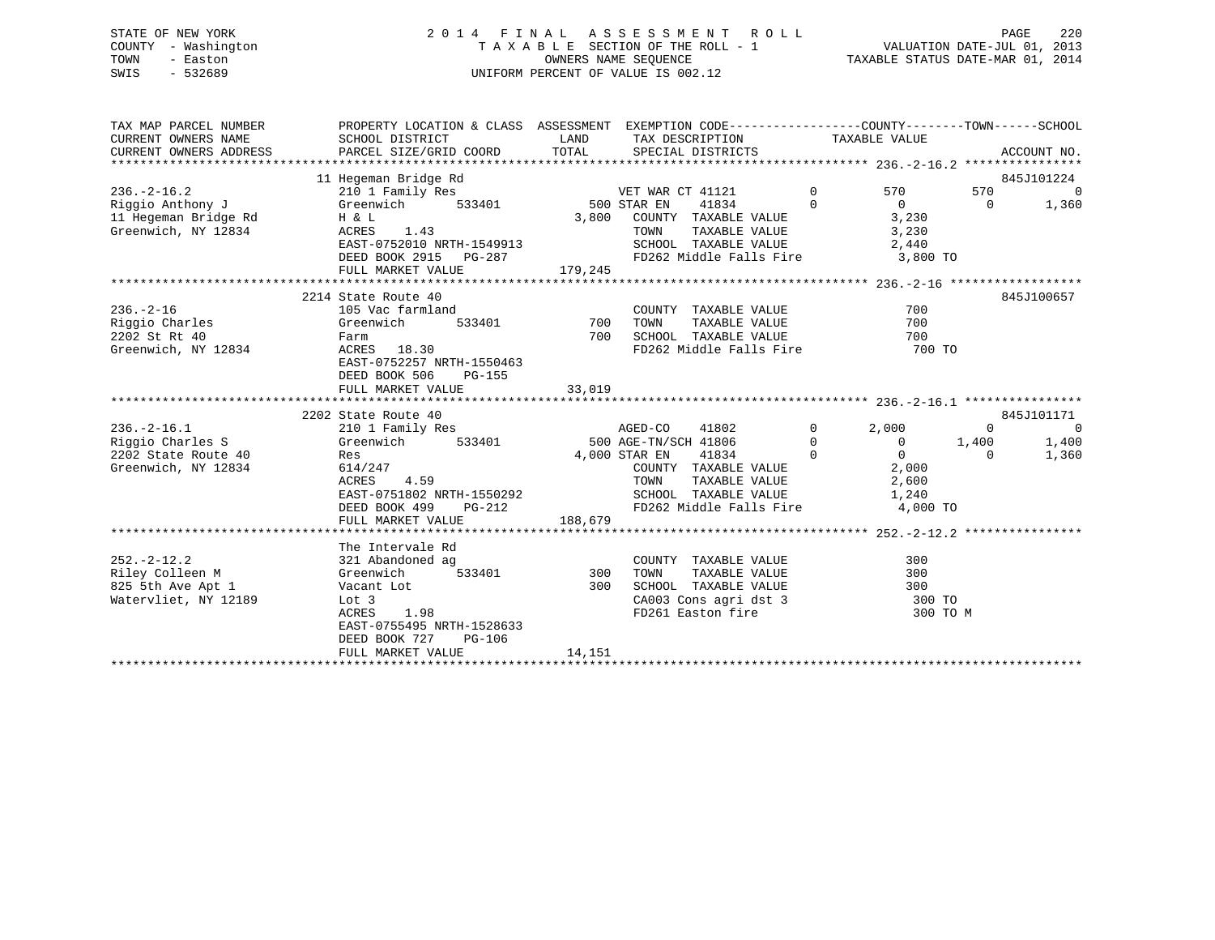# STATE OF NEW YORK 2 0 1 4 F I N A L A S S E S S M E N T R O L L PAGE 220 COUNTY - Washington T A X A B L E SECTION OF THE ROLL - 1 VALUATION DATE-JUL 01, 2013 TOWN - Easton OWNERS NAME SEQUENCE TAXABLE STATUS DATE-MAR 01, 2014 SWIS - 532689 UNIFORM PERCENT OF VALUE IS 002.12

| TAX MAP PARCEL NUMBER<br>CURRENT OWNERS NAME<br>CURRENT OWNERS ADDRESS               | SCHOOL DISTRICT<br>PARCEL SIZE/GRID COORD                                                                                                                                          | PROPERTY LOCATION & CLASS ASSESSMENT EXEMPTION CODE----------------COUNTY-------TOWN-----SCHOOL<br>LAND<br>TAX DESCRIPTION<br>TOTAL<br>SPECIAL DISTRICTS                  |                                     | TAXABLE VALUE                                                                                                | ACCOUNT NO.                                    |
|--------------------------------------------------------------------------------------|------------------------------------------------------------------------------------------------------------------------------------------------------------------------------------|---------------------------------------------------------------------------------------------------------------------------------------------------------------------------|-------------------------------------|--------------------------------------------------------------------------------------------------------------|------------------------------------------------|
| $236. - 2 - 16.2$<br>Riggio Anthony J<br>11 Hegeman Bridge Rd<br>Greenwich, NY 12834 | 11 Hegeman Bridge Rd<br>210 1 Family Res<br>Greenwich<br>533401<br>H & L<br>ACRES<br>1.43<br>EAST-0752010 NRTH-1549913<br>DEED BOOK 2915 PG-287<br>FULL MARKET VALUE               | VET WAR CT 41121<br>500 STAR EN<br>41834<br>3,800<br>COUNTY TAXABLE VALUE<br>TOWN<br>TAXABLE VALUE<br>SCHOOL TAXABLE VALUE<br>FD262 Middle Falls Fire 3,800 TO<br>179,245 | $\Omega$<br>$\Omega$                | 570<br>570<br>$\overline{0}$<br>$\Omega$<br>3,230<br>3,230<br>2,440                                          | 845J101224<br>$\Omega$<br>1,360                |
| $236. - 2 - 16$<br>Riggio Charles<br>2202 St Rt 40<br>Greenwich, NY 12834            | 2214 State Route 40<br>105 Vac farmland<br>Greenwich<br>533401<br>Farm<br>ACRES 18.30<br>EAST-0752257 NRTH-1550463<br>DEED BOOK 506<br>$PG-155$<br>FULL MARKET VALUE               | COUNTY TAXABLE VALUE<br>700<br>TOWN<br>TAXABLE VALUE<br>700<br>SCHOOL TAXABLE VALUE<br>FD262 Middle Falls Fire 700 TO<br>33,019                                           |                                     | 700<br>700<br>700                                                                                            | 845J100657                                     |
|                                                                                      |                                                                                                                                                                                    |                                                                                                                                                                           |                                     |                                                                                                              |                                                |
| $236. - 2 - 16.1$<br>Riggio Charles S<br>2202 State Route 40<br>Greenwich, NY 12834  | 2202 State Route 40<br>210 1 Family Res<br>Greenwich<br>533401<br>Res<br>614/247<br>ACRES<br>4.59<br>EAST-0751802 NRTH-1550292<br>DEED BOOK 499<br>$PG-212$                        | AGED-CO<br>41802<br>500 AGE-TN/SCH 41806<br>4,000 STAR EN<br>41834<br>COUNTY TAXABLE VALUE<br>TOWN<br>TAXABLE VALUE<br>SCHOOL TAXABLE VALUE<br>FD262 Middle Falls Fire    | $\mathbf 0$<br>$\Omega$<br>$\Omega$ | 2,000<br>$\mathbf 0$<br>$\mathbf{0}$<br>1,400<br>$\Omega$<br>$\Omega$<br>2,000<br>2,600<br>1,240<br>4,000 TO | 845J101171<br>$\overline{0}$<br>1,400<br>1,360 |
|                                                                                      | FULL MARKET VALUE                                                                                                                                                                  | 188,679                                                                                                                                                                   |                                     |                                                                                                              |                                                |
|                                                                                      |                                                                                                                                                                                    |                                                                                                                                                                           |                                     |                                                                                                              |                                                |
| $252 - 2 - 12.2$<br>Riley Colleen M<br>825 5th Ave Apt 1<br>Watervliet, NY 12189     | The Intervale Rd<br>321 Abandoned ag<br>533401<br>Greenwich<br>Vacant Lot<br>Lot 3<br>ACRES<br>1.98<br>EAST-0755495 NRTH-1528633<br>DEED BOOK 727<br>$PG-106$<br>FULL MARKET VALUE | COUNTY TAXABLE VALUE<br>300<br>TOWN<br>TAXABLE VALUE<br>300<br>SCHOOL TAXABLE VALUE<br>CA003 Cons agri dst 3<br>FD261 Easton fire<br>14,151                               |                                     | 300<br>300<br>300<br>300 TO<br>300 TO M                                                                      |                                                |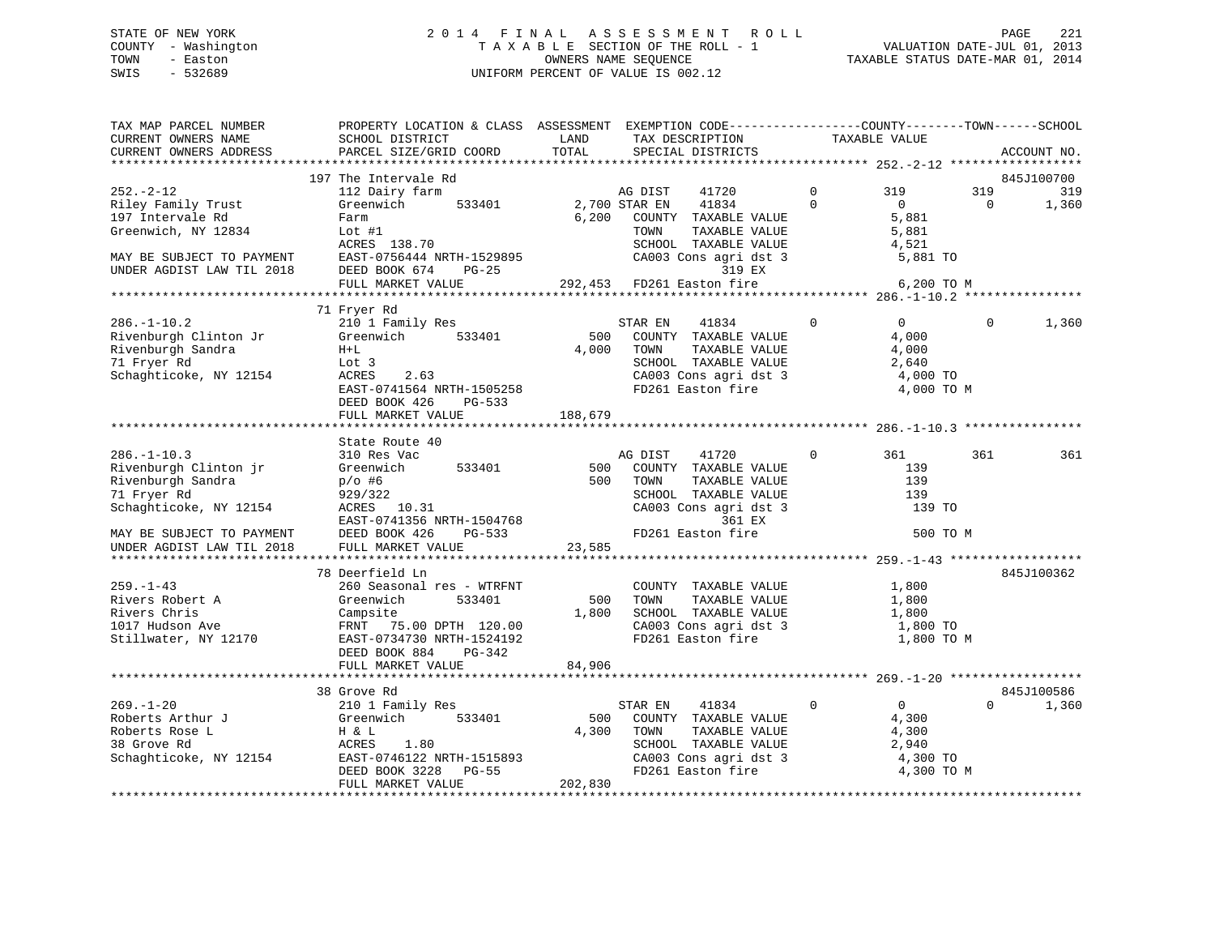# STATE OF NEW YORK 2 0 1 4 F I N A L A S S E S S M E N T R O L L PAGE 221 COUNTY - Washington T A X A B L E SECTION OF THE ROLL - 1 VALUATION DATE-JUL 01, 2013 TOWN - Easton OWNERS NAME SEQUENCE TAXABLE STATUS DATE-MAR 01, 2014 SWIS - 532689 UNIFORM PERCENT OF VALUE IS 002.12

| TAX MAP PARCEL NUMBER<br>CURRENT OWNERS NAME<br>CURRENT OWNERS ADDRESS                                                                                             | PROPERTY LOCATION & CLASS ASSESSMENT EXEMPTION CODE----------------COUNTY-------TOWN------SCHOOL<br>SCHOOL DISTRICT<br>PARCEL SIZE/GRID COORD                                   | LAND<br>TOTAL           | TAX DESCRIPTION<br>SPECIAL DISTRICTS                                                                                                                                                | TAXABLE VALUE                                 |                                                                                 | ACCOUNT NO.                |
|--------------------------------------------------------------------------------------------------------------------------------------------------------------------|---------------------------------------------------------------------------------------------------------------------------------------------------------------------------------|-------------------------|-------------------------------------------------------------------------------------------------------------------------------------------------------------------------------------|-----------------------------------------------|---------------------------------------------------------------------------------|----------------------------|
|                                                                                                                                                                    |                                                                                                                                                                                 |                         |                                                                                                                                                                                     |                                               |                                                                                 |                            |
| $252 - 2 - 12$<br>Riley Family Trust<br>197 Intervale Rd<br>Greenwich, NY 12834<br>MAY BE SUBJECT TO PAYMENT<br>UNDER AGDIST LAW TIL 2018                          | 197 The Intervale Rd<br>112 Dairy farm<br>Greenwich<br>533401<br>Farm<br>Lot $#1$<br>ACRES 138.70<br>EAST-0756444 NRTH-1529895<br>DEED BOOK 674<br>$PG-25$<br>FULL MARKET VALUE | 6,200                   | AG DIST<br>41720<br>2,700 STAR EN<br>41834<br>COUNTY TAXABLE VALUE<br>TOWN<br>TAXABLE VALUE<br>SCHOOL TAXABLE VALUE<br>CA003 Cons agri dst 3<br>319 EX<br>292,453 FD261 Easton fire | $\Omega$<br>319<br>$\Omega$<br>$\overline{0}$ | 319<br>$\Omega$<br>5,881<br>5,881<br>4,521<br>5,881 TO<br>6,200 TO M            | 845J100700<br>319<br>1,360 |
|                                                                                                                                                                    |                                                                                                                                                                                 |                         |                                                                                                                                                                                     |                                               |                                                                                 |                            |
| $286. - 1 - 10.2$<br>Rivenburgh Clinton Jr<br>Rivenburgh Sandra<br>71 Fryer Rd<br>Schaghticoke, NY 12154                                                           | 71 Fryer Rd<br>210 1 Family Res<br>533401<br>Greenwich<br>$H+L$<br>Lot 3<br>ACRES<br>2.63<br>EAST-0741564 NRTH-1505258<br>DEED BOOK 426<br>PG-533<br>FULL MARKET VALUE          | 500<br>4,000<br>188,679 | STAR EN<br>41834<br>COUNTY TAXABLE VALUE<br>TOWN<br>TAXABLE VALUE<br>SCHOOL TAXABLE VALUE<br>CA003 Cons agri dst 3<br>FD261 Easton fire                                             | $\mathbf{0}$                                  | $\overline{0}$<br>0<br>4,000<br>4,000<br>2,640<br>4,000 TO<br>4,000 TO M        | 1,360                      |
|                                                                                                                                                                    |                                                                                                                                                                                 |                         |                                                                                                                                                                                     |                                               |                                                                                 |                            |
| $286. - 1 - 10.3$<br>Rivenburgh Clinton jr<br>Rivenburgh Sandra<br>71 Fryer Rd<br>Schaghticoke, NY 12154<br>MAY BE SUBJECT TO PAYMENT<br>UNDER AGDIST LAW TIL 2018 | State Route 40<br>310 Res Vac<br>533401<br>Greenwich<br>$p/O$ #6<br>929/322<br>ACRES 10.31<br>EAST-0741356 NRTH-1504768<br>DEED BOOK 426<br>PG-533<br>FULL MARKET VALUE         | 500<br>500<br>23,585    | AG DIST<br>41720<br>COUNTY TAXABLE VALUE<br>TOWN<br>TAXABLE VALUE<br>SCHOOL TAXABLE VALUE<br>CA003 Cons agri dst 3<br>361 EX<br>FD261 Easton fire                                   | $\mathbf{0}$                                  | 361<br>361<br>139<br>139<br>139<br>139 TO<br>500 TO M                           | 361                        |
|                                                                                                                                                                    | 78 Deerfield Ln                                                                                                                                                                 |                         |                                                                                                                                                                                     |                                               |                                                                                 | 845J100362                 |
| $259. - 1 - 43$<br>Rivers Robert A<br>Rivers Chris<br>1017 Hudson Ave<br>Stillwater, NY 12170                                                                      | 260 Seasonal res - WTRFNT<br>Greenwich<br>533401<br>Campsite<br>FRNT 75.00 DPTH 120.00<br>EAST-0734730 NRTH-1524192<br>DEED BOOK 884<br>PG-342                                  | 500<br>1,800            | COUNTY TAXABLE VALUE<br>TAXABLE VALUE<br>TOWN<br>SCHOOL TAXABLE VALUE<br>CA003 Cons agri dst 3<br>FD261 Easton fire                                                                 |                                               | 1,800<br>1,800<br>1,800<br>1,800 TO<br>1,800 TO M                               |                            |
|                                                                                                                                                                    | FULL MARKET VALUE                                                                                                                                                               | 84,906                  |                                                                                                                                                                                     |                                               |                                                                                 |                            |
|                                                                                                                                                                    | 38 Grove Rd                                                                                                                                                                     |                         |                                                                                                                                                                                     |                                               |                                                                                 | 845J100586                 |
| $269. - 1 - 20$<br>Roberts Arthur J<br>Roberts Rose L<br>38 Grove Rd<br>Schaghticoke, NY 12154                                                                     | 210 1 Family Res<br>533401<br>Greenwich<br>H & L<br>ACRES<br>1.80<br>EAST-0746122 NRTH-1515893<br>DEED BOOK 3228<br><b>PG-55</b><br>FULL MARKET VALUE                           | 500<br>4,300<br>202,830 | 41834<br>STAR EN<br>COUNTY TAXABLE VALUE<br>TOWN<br>TAXABLE VALUE<br>SCHOOL TAXABLE VALUE<br>CA003 Cons agri dst 3<br>FD261 Easton fire                                             | $\mathbf{0}$                                  | $\overline{0}$<br>$\Omega$<br>4,300<br>4,300<br>2,940<br>4,300 TO<br>4,300 TO M | 1,360                      |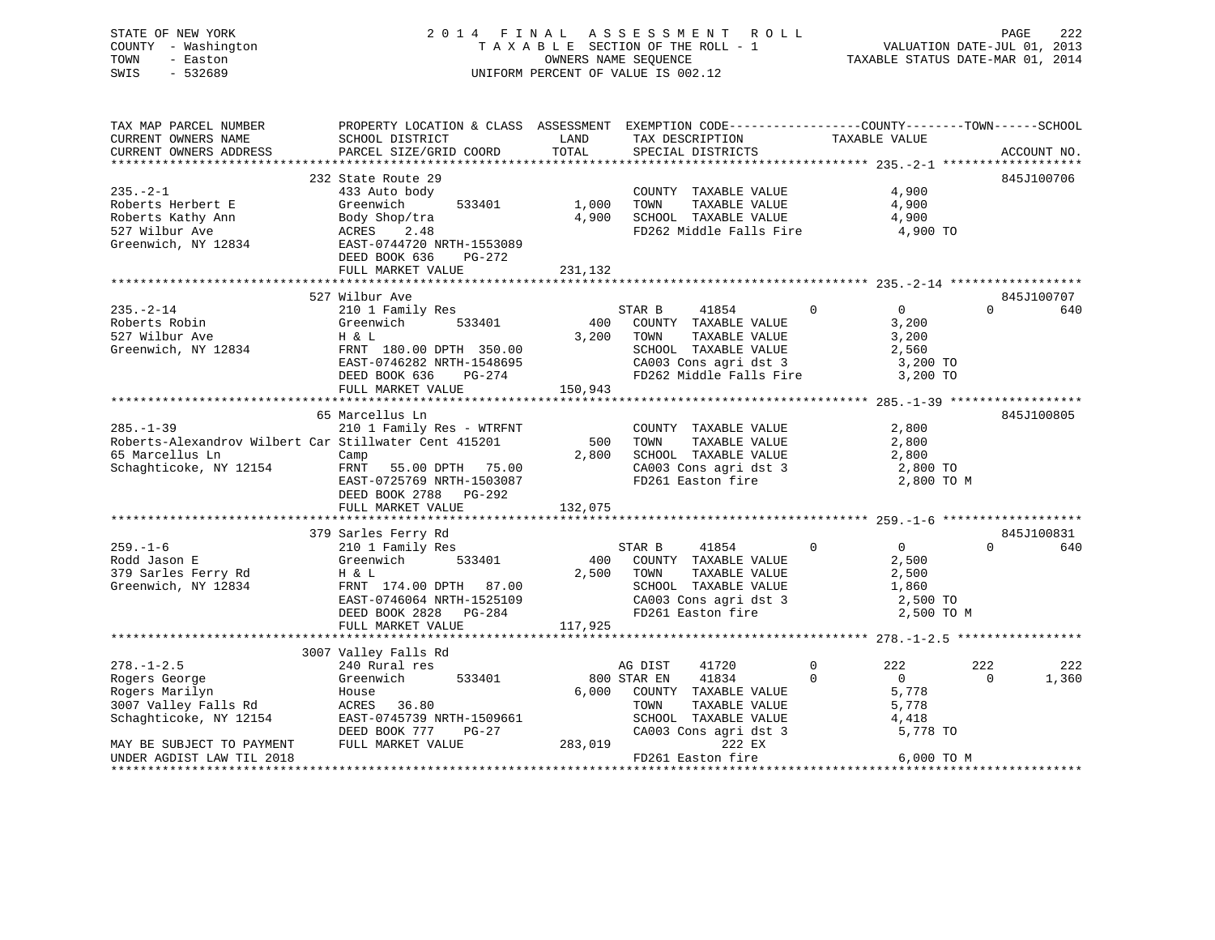# STATE OF NEW YORK 2 0 1 4 F I N A L A S S E S S M E N T R O L L PAGE 222 COUNTY - Washington T A X A B L E SECTION OF THE ROLL - 1 VALUATION DATE-JUL 01, 2013 TOWN - Easton **CONNERS NAME SEQUENCE** TAXABLE STATUS DATE-MAR 01, 2014 SWIS - 532689 UNIFORM PERCENT OF VALUE IS 002.12

| TAX MAP PARCEL NUMBER<br>CURRENT OWNERS NAME                                                                          | PROPERTY LOCATION & CLASS ASSESSMENT EXEMPTION CODE----------------COUNTY-------TOWN------SCHOOL<br>SCHOOL DISTRICT                                        | LAND                    | TAX DESCRIPTION                                                                                                                              | TAXABLE VALUE                                                                       |                               |
|-----------------------------------------------------------------------------------------------------------------------|------------------------------------------------------------------------------------------------------------------------------------------------------------|-------------------------|----------------------------------------------------------------------------------------------------------------------------------------------|-------------------------------------------------------------------------------------|-------------------------------|
| CURRENT OWNERS ADDRESS                                                                                                | PARCEL SIZE/GRID COORD                                                                                                                                     | TOTAL                   | SPECIAL DISTRICTS                                                                                                                            |                                                                                     | ACCOUNT NO.                   |
| $235. - 2 - 1$                                                                                                        | 232 State Route 29<br>433 Auto body                                                                                                                        |                         | COUNTY TAXABLE VALUE                                                                                                                         | 4,900                                                                               | 845J100706                    |
| Roberts Herbert E<br>Roberts Kathy Ann<br>527 Wilbur Ave<br>Greenwich, NY 12834                                       | 533401<br>Greenwich<br>Body Shop/tra<br>ACRES 2.48<br>EAST-0744720 NRTH-1553089                                                                            | 1,000<br>4,900          | TOWN<br>TAXABLE VALUE<br>SCHOOL TAXABLE VALUE<br>FD262 Middle Falls Fire                                                                     | 4,900<br>4,900<br>4,900 TO                                                          |                               |
|                                                                                                                       | DEED BOOK 636<br>PG-272<br>FULL MARKET VALUE                                                                                                               | 231,132                 |                                                                                                                                              |                                                                                     |                               |
|                                                                                                                       | 527 Wilbur Ave                                                                                                                                             |                         |                                                                                                                                              |                                                                                     | 845J100707                    |
| $235. - 2 - 14$<br>Roberts Robin<br>527 Wilbur Ave<br>Greenwich, NY 12834                                             | 210 1 Family Res<br>Greenwich<br>533401<br>H & L<br>FRNT 180.00 DPTH 350.00<br>EAST-0746282 NRTH-1548695<br>DEED BOOK 636<br>PG-274                        | 400<br>3,200            | STAR B<br>41854<br>COUNTY TAXABLE VALUE<br>TOWN<br>TAXABLE VALUE<br>SCHOOL TAXABLE VALUE<br>CA003 Cons agri dst 3<br>FD262 Middle Falls Fire | $\mathbf 0$<br>$0 \qquad \qquad$<br>3,200<br>3,200<br>2,560<br>3,200 TO<br>3,200 TO | $\Omega$<br>640               |
|                                                                                                                       | FULL MARKET VALUE                                                                                                                                          | 150,943                 |                                                                                                                                              |                                                                                     |                               |
|                                                                                                                       | 65 Marcellus Ln                                                                                                                                            |                         |                                                                                                                                              |                                                                                     | 845J100805                    |
| $285. - 1 - 39$<br>Roberts-Alexandrov Wilbert Car Stillwater Cent 415201<br>65 Marcellus Ln<br>Schaghticoke, NY 12154 | 210 1 Family Res - WTRFNT<br>Camp<br>FRNT 55.00 DPTH 75.00<br>EAST-0725769 NRTH-1503087<br>DEED BOOK 2788 PG-292<br>FULL MARKET VALUE                      | 500<br>2,800<br>132,075 | COUNTY TAXABLE VALUE<br>TAXABLE VALUE<br>TOWN<br>SCHOOL TAXABLE VALUE<br>CA003 Cons agri dst 3<br>FD261 Easton fire                          | 2,800<br>2,800<br>2,800<br>2,800 TO<br>2,800 TO M                                   |                               |
|                                                                                                                       |                                                                                                                                                            |                         |                                                                                                                                              |                                                                                     |                               |
| $259. - 1 - 6$<br>Rodd Jason E<br>379 Sarles Ferry Rd<br>Greenwich, NY 12834                                          | 379 Sarles Ferry Rd<br>210 1 Family Res<br>Greenwich<br>533401<br>H & L<br>FRNT 174.00 DPTH 87.00<br>EAST-0746064 NRTH-1525109<br>DEED BOOK 2828<br>PG-284 | 400<br>2,500            | STAR B<br>41854<br>COUNTY TAXABLE VALUE<br>TOWN<br>TAXABLE VALUE<br>SCHOOL TAXABLE VALUE<br>CA003 Cons agri dst 3<br>FD261 Easton fire       | $\Omega$<br>$\Omega$<br>2,500<br>2,500<br>1,860<br>2,500 TO<br>2,500 TO M           | 845J100831<br>$\Omega$<br>640 |
|                                                                                                                       | FULL MARKET VALUE                                                                                                                                          | 117,925                 |                                                                                                                                              |                                                                                     |                               |
|                                                                                                                       |                                                                                                                                                            |                         |                                                                                                                                              |                                                                                     |                               |
| $278. - 1 - 2.5$                                                                                                      | 3007 Valley Falls Rd<br>240 Rural res                                                                                                                      |                         | AG DIST<br>41720                                                                                                                             | $\Omega$<br>222                                                                     | 222<br>222                    |
| Rogers George<br>Rogers Marilyn<br>3007 Valley Falls Rd<br>Schaghticoke, NY 12154                                     | Greenwich<br>533401<br>House<br>ACRES 36.80<br>EAST-0745739 NRTH-1509661<br>DEED BOOK 777<br>PG-27                                                         | 6,000                   | 41834<br>800 STAR EN<br>COUNTY TAXABLE VALUE<br>TAXABLE VALUE<br>TOWN<br>SCHOOL TAXABLE VALUE<br>CA003 Cons agri dst 3                       | $\Omega$<br>0<br>5,778<br>5,778<br>4,418<br>5,778 TO                                | $\Omega$<br>1,360             |
| MAY BE SUBJECT TO PAYMENT<br>UNDER AGDIST LAW TIL 2018                                                                | FULL MARKET VALUE                                                                                                                                          | 283,019                 | 222 EX<br>FD261 Easton fire                                                                                                                  | 6,000 TO M<br>***********************                                               |                               |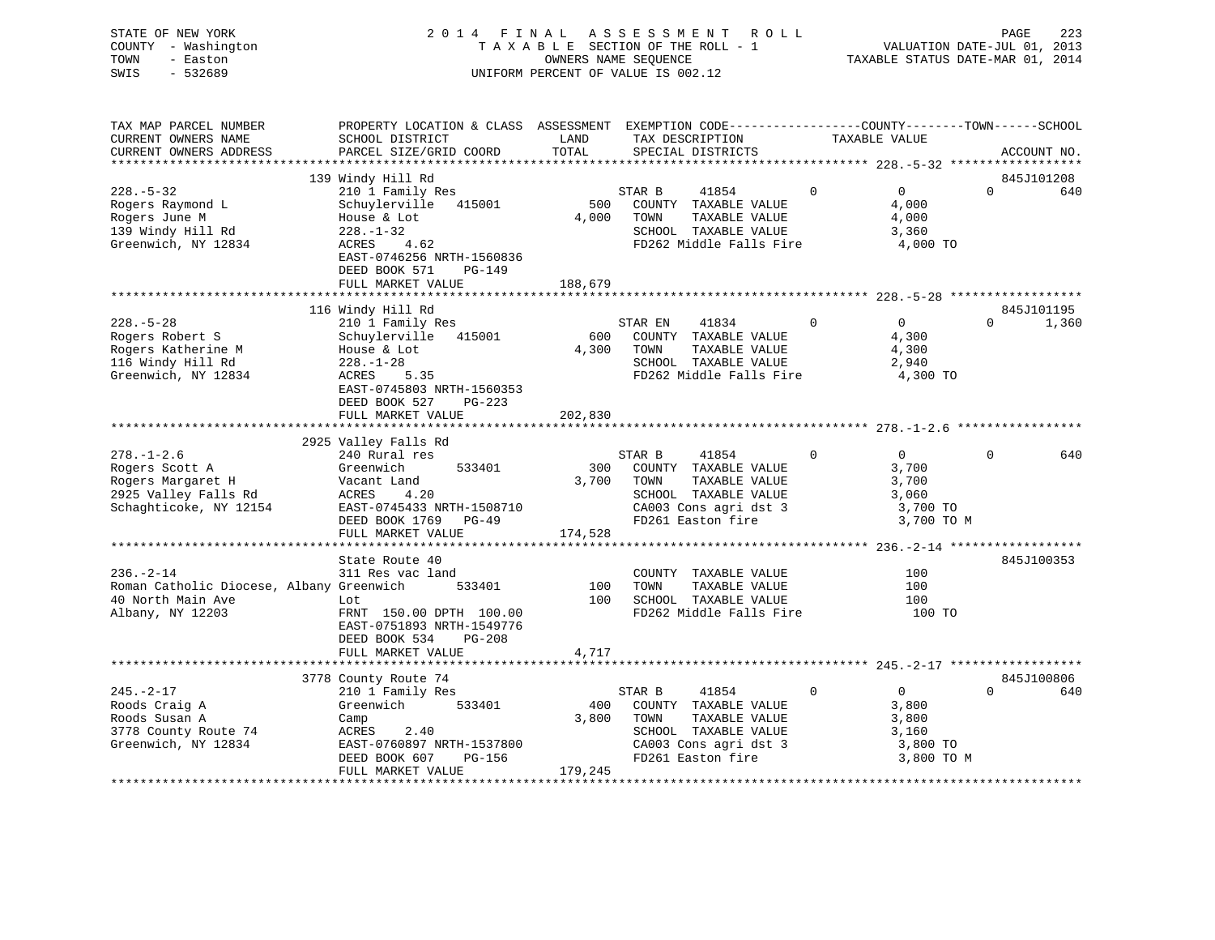| STATE OF NEW YORK   | 2014 FINAL ASSESSMENT ROLL         | 223<br>PAGE                      |
|---------------------|------------------------------------|----------------------------------|
| COUNTY - Washington | TAXABLE SECTION OF THE ROLL - 1    | VALUATION DATE-JUL 01, 2013      |
| TOWN<br>- Easton    | OWNERS NAME SEOUENCE               | TAXABLE STATUS DATE-MAR 01, 2014 |
| $-532689$<br>SWIS   | UNIFORM PERCENT OF VALUE IS 002.12 |                                  |
|                     |                                    |                                  |

| TAX MAP PARCEL NUMBER<br>CURRENT OWNERS NAME<br>CURRENT OWNERS ADDRESS                                    | PROPERTY LOCATION & CLASS ASSESSMENT EXEMPTION CODE--------------COUNTY-------TOWN-----SCHOOL<br>SCHOOL DISTRICT<br>PARCEL SIZE/GRID COORD                                                         | LAND<br>TOTAL           | TAX DESCRIPTION<br>SPECIAL DISTRICTS                                                                                                   | TAXABLE VALUE                                                             | ACCOUNT NO.                   |
|-----------------------------------------------------------------------------------------------------------|----------------------------------------------------------------------------------------------------------------------------------------------------------------------------------------------------|-------------------------|----------------------------------------------------------------------------------------------------------------------------------------|---------------------------------------------------------------------------|-------------------------------|
|                                                                                                           |                                                                                                                                                                                                    |                         |                                                                                                                                        |                                                                           |                               |
| $228. - 5 - 32$<br>Rogers Raymond L<br>Rogers June M<br>139 Windy Hill Rd<br>Greenwich, NY 12834          | 139 Windy Hill Rd<br>210 1 Family Res<br>Schuylerville<br>415001<br>House & Lot<br>$228. - 1 - 32$<br>ACRES<br>4.62<br>EAST-0746256 NRTH-1560836<br>DEED BOOK 571<br>$PG-149$<br>FULL MARKET VALUE | 500<br>4,000<br>188,679 | STAR B<br>41854<br>COUNTY TAXABLE VALUE<br>TOWN<br>TAXABLE VALUE<br>SCHOOL TAXABLE VALUE<br>FD262 Middle Falls Fire                    | $\Omega$<br>$\Omega$<br>4,000<br>4,000<br>3,360<br>4,000 TO               | 845J101208<br>$\Omega$<br>640 |
|                                                                                                           | 116 Windy Hill Rd                                                                                                                                                                                  |                         |                                                                                                                                        |                                                                           | 845J101195                    |
| $228. - 5 - 28$<br>Rogers Robert S<br>Rogers Katherine M<br>116 Windy Hill Rd<br>Greenwich, NY 12834      | 210 1 Family Res<br>Schuylerville 415001<br>House & Lot<br>$228. - 1 - 28$<br>5.35<br>ACRES<br>EAST-0745803 NRTH-1560353<br>DEED BOOK 527<br>PG-223                                                | 600<br>4,300            | 41834<br>STAR EN<br>COUNTY TAXABLE VALUE<br>TOWN<br>TAXABLE VALUE<br>SCHOOL TAXABLE VALUE<br>FD262 Middle Falls Fire                   | $\mathbf 0$<br>$\overline{0}$<br>4,300<br>4,300<br>2,940<br>4,300 TO      | 1,360<br>$\Omega$             |
|                                                                                                           | FULL MARKET VALUE                                                                                                                                                                                  | 202,830                 |                                                                                                                                        |                                                                           |                               |
|                                                                                                           | 2925 Valley Falls Rd                                                                                                                                                                               |                         |                                                                                                                                        |                                                                           |                               |
| $278. - 1 - 2.6$<br>Rogers Scott A<br>Rogers Margaret H<br>2925 Valley Falls Rd<br>Schaghticoke, NY 12154 | 240 Rural res<br>Greenwich<br>533401<br>Vacant Land<br>ACRES<br>4.20<br>EAST-0745433 NRTH-1508710<br>DEED BOOK 1769 PG-49<br>FULL MARKET VALUE                                                     | 300<br>3,700<br>174,528 | STAR B<br>41854<br>COUNTY TAXABLE VALUE<br>TOWN<br>TAXABLE VALUE<br>SCHOOL TAXABLE VALUE<br>CA003 Cons agri dst 3<br>FD261 Easton fire | $\Omega$<br>$\Omega$<br>3,700<br>3,700<br>3,060<br>3,700 TO<br>3,700 TO M | $\Omega$<br>640               |
|                                                                                                           |                                                                                                                                                                                                    |                         |                                                                                                                                        |                                                                           |                               |
| $236. - 2 - 14$<br>Roman Catholic Diocese, Albany Greenwich<br>40 North Main Ave<br>Albany, NY 12203      | State Route 40<br>311 Res vac land<br>533401<br>Lot<br>FRNT 150.00 DPTH 100.00<br>EAST-0751893 NRTH-1549776<br>DEED BOOK 534<br>$PG-208$<br>FULL MARKET VALUE                                      | 100<br>100<br>4,717     | COUNTY TAXABLE VALUE<br>TOWN<br>TAXABLE VALUE<br>SCHOOL TAXABLE VALUE<br>FD262 Middle Falls Fire                                       | 100<br>100<br>100<br>100 TO                                               | 845J100353                    |
|                                                                                                           |                                                                                                                                                                                                    |                         |                                                                                                                                        |                                                                           |                               |
| $245. - 2 - 17$                                                                                           | 3778 County Route 74<br>210 1 Family Res                                                                                                                                                           |                         | STAR B<br>41854                                                                                                                        | $\overline{0}$<br>$\Omega$                                                | 845J100806<br>$\Omega$<br>640 |
| Roods Craig A<br>Roods Susan A<br>3778 County Route 74<br>Greenwich, NY 12834                             | 533401<br>Greenwich<br>Camp<br>ACRES<br>2.40<br>EAST-0760897 NRTH-1537800<br>DEED BOOK 607<br>PG-156                                                                                               | 400<br>3,800            | COUNTY TAXABLE VALUE<br>TOWN<br>TAXABLE VALUE<br>SCHOOL TAXABLE VALUE<br>CA003 Cons agri dst 3<br>FD261 Easton fire                    | 3,800<br>3,800<br>3,160<br>3,800 TO<br>3,800 TO M                         |                               |
|                                                                                                           | FULL MARKET VALUE                                                                                                                                                                                  | 179,245                 |                                                                                                                                        |                                                                           |                               |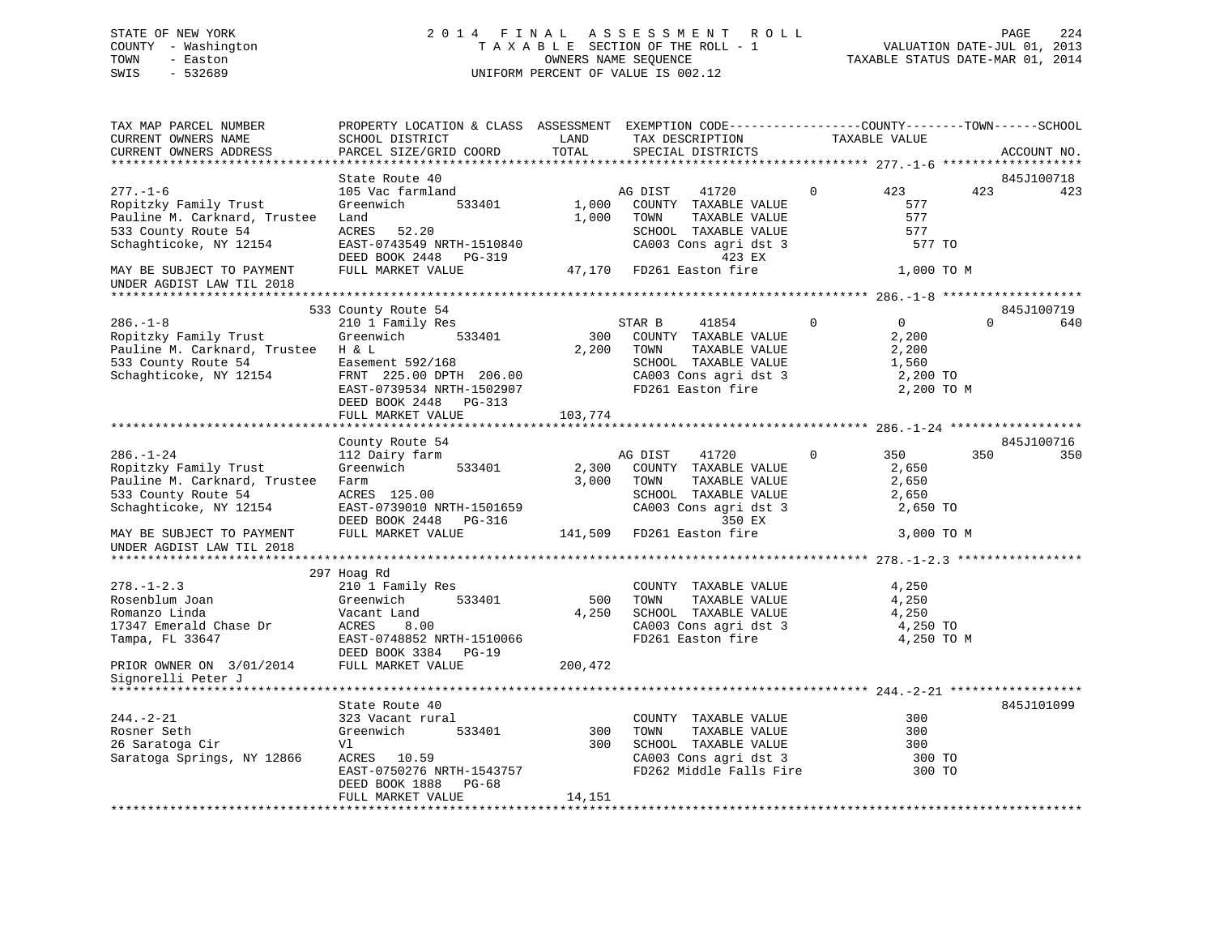# STATE OF NEW YORK 2 0 1 4 F I N A L A S S E S S M E N T R O L L PAGE 224 COUNTY - Washington T A X A B L E SECTION OF THE ROLL - 1 VALUATION DATE-JUL 01, 2013 TOWN - Easton **CONNERS NAME SEQUENCE** TAXABLE STATUS DATE-MAR 01, 2014 SWIS - 532689 UNIFORM PERCENT OF VALUE IS 002.12

| TAX MAP PARCEL NUMBER<br>CURRENT OWNERS NAME           | PROPERTY LOCATION & CLASS ASSESSMENT EXEMPTION CODE----------------COUNTY-------TOWN------SCHOOL<br>SCHOOL DISTRICT | LAND    | TAX DESCRIPTION                                                       |                | TAXABLE VALUE     |          |                   |
|--------------------------------------------------------|---------------------------------------------------------------------------------------------------------------------|---------|-----------------------------------------------------------------------|----------------|-------------------|----------|-------------------|
| CURRENT OWNERS ADDRESS                                 | PARCEL SIZE/GRID COORD                                                                                              | TOTAL   | SPECIAL DISTRICTS                                                     |                |                   |          | ACCOUNT NO.       |
| **********************                                 |                                                                                                                     |         |                                                                       |                |                   |          |                   |
|                                                        | State Route 40                                                                                                      |         |                                                                       |                |                   |          | 845J100718        |
| $277. - 1 - 6$                                         | 105 Vac farmland                                                                                                    |         | AG DIST<br>41720                                                      | $\mathbf{0}$   | 423               | 423      | 423               |
| Ropitzky Family Trust                                  | Greenwich<br>533401                                                                                                 | 1,000   | COUNTY TAXABLE VALUE                                                  |                | 577               |          |                   |
| Pauline M. Carknard, Trustee                           | Land                                                                                                                | 1,000   | TOWN<br>TAXABLE VALUE                                                 |                | 577               |          |                   |
| 533 County Route 54                                    | ACRES 52.20                                                                                                         |         | SCHOOL TAXABLE VALUE<br>CA003 Cons agri dst 3                         |                | 577               |          |                   |
| Schaghticoke, NY 12154                                 | EAST-0743549 NRTH-1510840<br>DEED BOOK 2448 PG-319                                                                  |         | 423 EX                                                                |                | 577 TO            |          |                   |
| MAY BE SUBJECT TO PAYMENT<br>UNDER AGDIST LAW TIL 2018 | FULL MARKET VALUE                                                                                                   |         | 47,170 FD261 Easton fire                                              |                | 1,000 TO M        |          |                   |
|                                                        |                                                                                                                     |         |                                                                       |                |                   |          |                   |
|                                                        | 533 County Route 54                                                                                                 |         |                                                                       |                |                   |          | 845J100719        |
| $286. - 1 - 8$                                         | 210 1 Family Res                                                                                                    |         | STAR B<br>41854                                                       | $\mathbf{0}$   | $0 \qquad \qquad$ | $\Omega$ | 640               |
| Ropitzky Family Trust                                  | Greenwich 533401                                                                                                    | 300     | COUNTY TAXABLE VALUE                                                  |                | 2,200             |          |                   |
| Pauline M. Carknard, Trustee H & L                     |                                                                                                                     | 2,200   | TOWN<br>TAXABLE VALUE                                                 |                | 2,200             |          |                   |
| 533 County Route 54                                    | Easement 592/168                                                                                                    |         | SCHOOL TAXABLE VALUE                                                  |                | 1,560             |          |                   |
| Schaghticoke, NY 12154                                 | FRNT 225.00 DPTH 206.00                                                                                             |         | CA003 Cons agri dst 3<br>FD261 Easton fire                            |                | 2,200 TO          |          |                   |
|                                                        | EAST-0739534 NRTH-1502907                                                                                           |         |                                                                       |                | 2,200 TO M        |          |                   |
|                                                        | DEED BOOK 2448 PG-313                                                                                               |         |                                                                       |                |                   |          |                   |
|                                                        | FULL MARKET VALUE                                                                                                   | 103,774 |                                                                       |                |                   |          |                   |
|                                                        |                                                                                                                     |         |                                                                       |                |                   |          |                   |
| $286. - 1 - 24$                                        | County Route 54                                                                                                     |         |                                                                       | $\overline{0}$ | 350               | 350      | 845J100716<br>350 |
| Ropitzky Family Trust                                  | 112 Dairy farm<br>Greenwich<br>533401                                                                               | 2,300   | AG DIST<br>41720<br>COUNTY TAXABLE VALUE                              |                |                   |          |                   |
| Pauline M. Carknard, Trustee Farm                      |                                                                                                                     | 3,000   | TOWN<br>TAXABLE VALUE                                                 |                | 2,650<br>2,650    |          |                   |
| 533 County Route 54                                    | ACRES 125.00                                                                                                        |         | SCHOOL TAXABLE VALUE                                                  |                | 2,650             |          |                   |
| Schaghticoke, NY 12154                                 | EAST-0739010 NRTH-1501659                                                                                           |         | CA003 Cons agri dst 3                                                 |                | 2,650 TO          |          |                   |
|                                                        | DEED BOOK 2448 PG-316                                                                                               |         | 350 EX                                                                |                |                   |          |                   |
| MAY BE SUBJECT TO PAYMENT<br>UNDER AGDIST LAW TIL 2018 | FULL MARKET VALUE                                                                                                   |         | 141,509 FD261 Easton fire                                             |                | 3,000 TO M        |          |                   |
|                                                        |                                                                                                                     |         |                                                                       |                |                   |          |                   |
|                                                        | 297 Hoag Rd                                                                                                         |         |                                                                       |                |                   |          |                   |
| $278. - 1 - 2.3$                                       | 210 1 Family Res                                                                                                    |         | COUNTY TAXABLE VALUE                                                  |                | 4,250             |          |                   |
| Rosenblum Joan                                         | 533401<br>Greenwich                                                                                                 | 500     | TOWN<br>TAXABLE VALUE                                                 |                | 4,250             |          |                   |
| Romanzo Linda                                          | Vacant Land                                                                                                         | 4,250   | SCHOOL TAXABLE VALUE                                                  |                | 4,250             |          |                   |
| 17347 Emerald Chase Dr                                 | ACRES<br>8.00                                                                                                       |         | CA003 Cons agri dst 3                                                 |                | 4,250 TO          |          |                   |
| Tampa, FL 33647                                        | EAST-0748852 NRTH-1510066                                                                                           |         | FD261 Easton fire                                                     |                | 4,250 TO M        |          |                   |
|                                                        | DEED BOOK 3384 PG-19                                                                                                |         |                                                                       |                |                   |          |                   |
| PRIOR OWNER ON 3/01/2014<br>Signorelli Peter J         | FULL MARKET VALUE                                                                                                   | 200,472 |                                                                       |                |                   |          |                   |
|                                                        |                                                                                                                     |         |                                                                       |                |                   |          |                   |
|                                                        | State Route 40                                                                                                      |         |                                                                       |                |                   |          | 845J101099        |
| $244. - 2 - 21$                                        | 323 Vacant rural                                                                                                    |         | COUNTY TAXABLE VALUE                                                  |                | 300               |          |                   |
| Rosner Seth                                            | Greenwich<br>533401                                                                                                 | 300     | TOWN<br>TAXABLE VALUE                                                 |                | 300               |          |                   |
| 26 Saratoga Cir                                        | Vl                                                                                                                  | 300     | SCHOOL TAXABLE VALUE<br>SCHOOL TAXABLE VALUE<br>CA003 Cons agri dst 3 |                | 300               |          |                   |
| Saratoga Springs, NY 12866                             | ACRES 10.59                                                                                                         |         |                                                                       |                | 300 TO            |          |                   |
|                                                        | EAST-0750276 NRTH-1543757                                                                                           |         | FD262 Middle Falls Fire                                               |                | 300 TO            |          |                   |
|                                                        | DEED BOOK 1888 PG-68                                                                                                |         |                                                                       |                |                   |          |                   |
|                                                        | FULL MARKET VALUE                                                                                                   | 14,151  |                                                                       |                |                   |          |                   |
|                                                        |                                                                                                                     |         |                                                                       |                |                   |          |                   |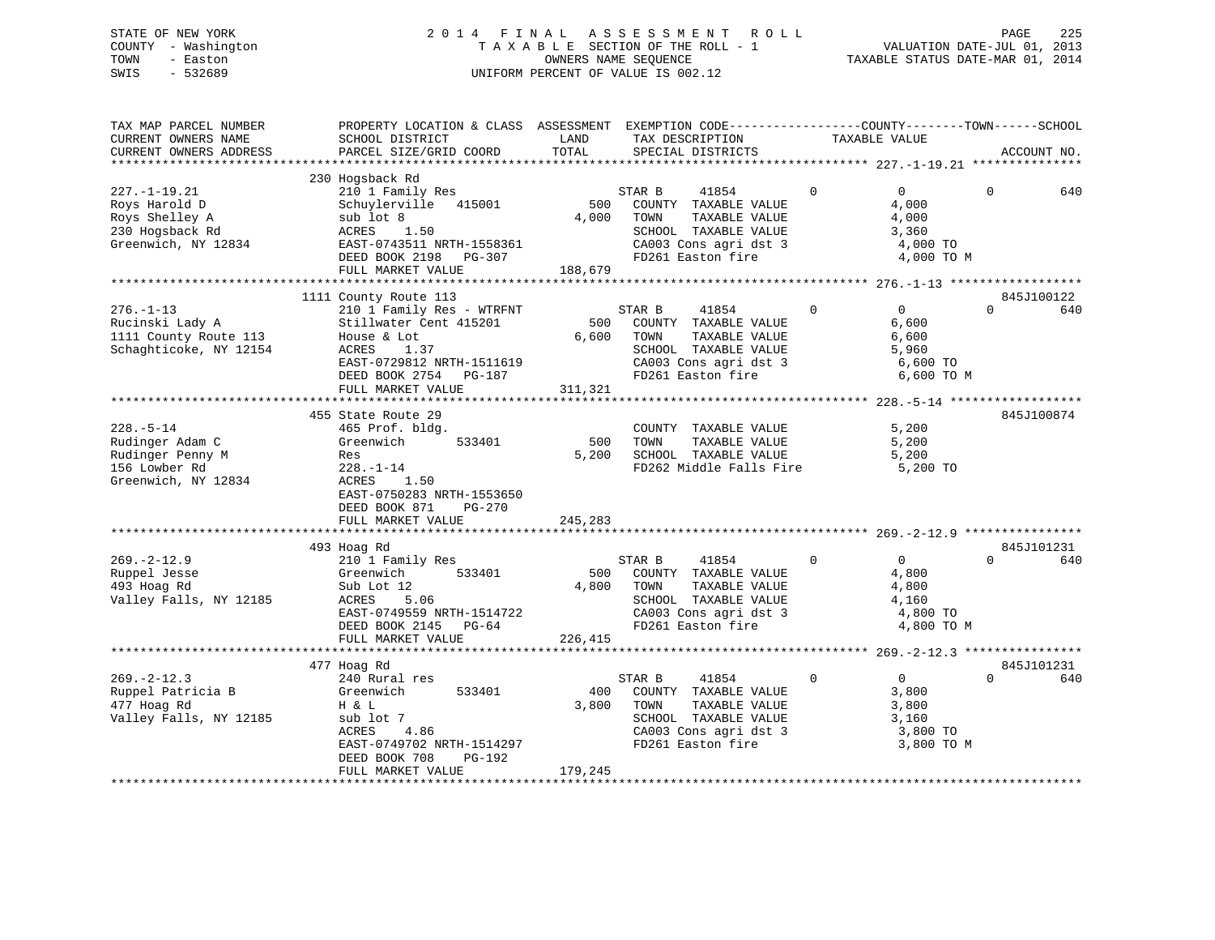# STATE OF NEW YORK 2 0 1 4 F I N A L A S S E S S M E N T R O L L PAGE 225 COUNTY - Washington T A X A B L E SECTION OF THE ROLL - 1 VALUATION DATE-JUL 01, 2013 TOWN - Easton OWNERS NAME SEQUENCE TAXABLE STATUS DATE-MAR 01, 2014 SWIS - 532689 UNIFORM PERCENT OF VALUE IS 002.12

| TAX MAP PARCEL NUMBER<br>CURRENT OWNERS NAME<br>CURRENT OWNERS ADDRESS                          | PROPERTY LOCATION & CLASS ASSESSMENT EXEMPTION CODE---------------COUNTY-------TOWN-----SCHOOL<br>SCHOOL DISTRICT<br>PARCEL SIZE/GRID COORD                                             | LAND<br>TOTAL                                                                                                                                                                                                                                                                                                                                                                              | TAX DESCRIPTION<br>SPECIAL DISTRICTS                                                                                                   | TAXABLE VALUE |                                                                                 | ACCOUNT NO.       |
|-------------------------------------------------------------------------------------------------|-----------------------------------------------------------------------------------------------------------------------------------------------------------------------------------------|--------------------------------------------------------------------------------------------------------------------------------------------------------------------------------------------------------------------------------------------------------------------------------------------------------------------------------------------------------------------------------------------|----------------------------------------------------------------------------------------------------------------------------------------|---------------|---------------------------------------------------------------------------------|-------------------|
|                                                                                                 |                                                                                                                                                                                         |                                                                                                                                                                                                                                                                                                                                                                                            |                                                                                                                                        |               |                                                                                 |                   |
| $227. - 1 - 19.21$<br>Roys Harold D<br>Roys Shelley A<br>230 Hogsback Rd<br>Greenwich, NY 12834 | 230 Hogsback Rd<br>210 1 Family Res<br>Schuylerville 415001<br>sub lot 8<br>ACRES 1.50<br>EAST-0743511 NRTH-1558361<br>DEED BOOK 2198 PG-307                                            | 500<br>4,000                                                                                                                                                                                                                                                                                                                                                                               | STAR B<br>41854<br>COUNTY TAXABLE VALUE<br>TOWN<br>TAXABLE VALUE<br>SCHOOL TAXABLE VALUE<br>CA003 Cons agri dst 3<br>FD261 Easton fire | $\mathbf 0$   | $\overline{0}$<br>$\Omega$<br>4,000<br>4,000<br>3,360<br>4,000 TO<br>4,000 TO M | 640               |
|                                                                                                 | FULL MARKET VALUE                                                                                                                                                                       | 188,679                                                                                                                                                                                                                                                                                                                                                                                    |                                                                                                                                        |               |                                                                                 |                   |
|                                                                                                 |                                                                                                                                                                                         |                                                                                                                                                                                                                                                                                                                                                                                            |                                                                                                                                        |               |                                                                                 |                   |
| $276. - 1 - 13$<br>Rucinski Lady A<br>1111 County Route 113<br>Schaghticoke, NY 12154           | 1111 County Route 113<br>210 1 Family Res - WTRFNT<br>Stillwater Cent 415201<br>House & Lot<br>ACRES<br>1.37<br>EAST-0729812 NRTH-1511619<br>DEED BOOK 2754 PG-187<br>FULL MARKET VALUE | 500<br>6,600<br>$\sum_{i=1}^{n} \frac{1}{i} \sum_{i=1}^{n} \frac{1}{i} \sum_{i=1}^{n} \frac{1}{i} \sum_{i=1}^{n} \frac{1}{i} \sum_{i=1}^{n} \frac{1}{i} \sum_{i=1}^{n} \frac{1}{i} \sum_{i=1}^{n} \frac{1}{i} \sum_{i=1}^{n} \frac{1}{i} \sum_{i=1}^{n} \frac{1}{i} \sum_{i=1}^{n} \frac{1}{i} \sum_{i=1}^{n} \frac{1}{i} \sum_{i=1}^{n} \frac{1}{i} \sum_{i=1}^{n} \frac{1}{i$<br>311,321 | 41854<br>STAR B<br>COUNTY TAXABLE VALUE<br>TOWN<br>TAXABLE VALUE<br>SCHOOL TAXABLE VALUE<br>CA003 Cons agri dst 3<br>FD261 Easton fire | $\mathbf 0$   | 0<br>$\Omega$<br>6,600<br>6,600<br>5,960<br>6,600 TO<br>6,600 TO M              | 845J100122<br>640 |
|                                                                                                 |                                                                                                                                                                                         |                                                                                                                                                                                                                                                                                                                                                                                            |                                                                                                                                        |               |                                                                                 |                   |
| $228. - 5 - 14$<br>Rudinger Adam C<br>Rudinger Penny M<br>156 Lowber Rd<br>Greenwich, NY 12834  | 455 State Route 29<br>465 Prof. bldg.<br>Greenwich<br>533401<br>Res<br>$228. - 1 - 14$<br>ACRES 1.50<br>EAST-0750283 NRTH-1553650<br>DEED BOOK 871<br>PG-270<br>FULL MARKET VALUE       | 500<br>5,200<br>245,283                                                                                                                                                                                                                                                                                                                                                                    | COUNTY TAXABLE VALUE<br>TOWN<br>TAXABLE VALUE                                                                                          |               | 5,200<br>5,200                                                                  | 845J100874        |
|                                                                                                 |                                                                                                                                                                                         |                                                                                                                                                                                                                                                                                                                                                                                            |                                                                                                                                        |               |                                                                                 |                   |
| $269. - 2 - 12.9$<br>Ruppel Jesse<br>493 Hoag Rd<br>Valley Falls, NY 12185                      | 493 Hoag Rd<br>210 1 Family Res<br>Greenwich<br>533401<br>Sub Lot 12<br>5.06<br>ACRES<br>EAST-0749559 NRTH-1514722<br>DEED BOOK 2145 PG-64<br>FULL MARKET VALUE                         | 500<br>4,800<br>226,415                                                                                                                                                                                                                                                                                                                                                                    | STAR B<br>41854<br>COUNTY TAXABLE VALUE<br>TAXABLE VALUE<br>TOWN<br>SCHOOL TAXABLE VALUE<br>CA003 Cons agri dst 3<br>FD261 Easton fire | $\Omega$      | $\Omega$<br>$\cap$<br>4,800<br>4,800<br>4,160<br>4,800 TO<br>4,800 TO M         | 845J101231<br>640 |
|                                                                                                 |                                                                                                                                                                                         |                                                                                                                                                                                                                                                                                                                                                                                            |                                                                                                                                        |               |                                                                                 |                   |
| $269. - 2 - 12.3$<br>Ruppel Patricia B<br>477 Hoag Rd<br>Valley Falls, NY 12185                 | 477 Hoag Rd<br>240 Rural res<br>Greenwich<br>533401<br>H & L<br>sub lot 7<br>ACRES<br>4.86<br>EAST-0749702 NRTH-1514297<br>DEED BOOK 708<br>PG-192<br>FULL MARKET VALUE                 | 400<br>3,800<br>179,245                                                                                                                                                                                                                                                                                                                                                                    | STAR B<br>41854<br>COUNTY TAXABLE VALUE<br>TOWN<br>TAXABLE VALUE<br>SCHOOL TAXABLE VALUE<br>CA003 Cons agri dst 3<br>FD261 Easton fire | $\Omega$      | $\Omega$<br>$\Omega$<br>3,800<br>3,800<br>3,160<br>3,800 TO<br>3,800 TO M       | 845J101231<br>640 |
|                                                                                                 |                                                                                                                                                                                         |                                                                                                                                                                                                                                                                                                                                                                                            |                                                                                                                                        |               |                                                                                 |                   |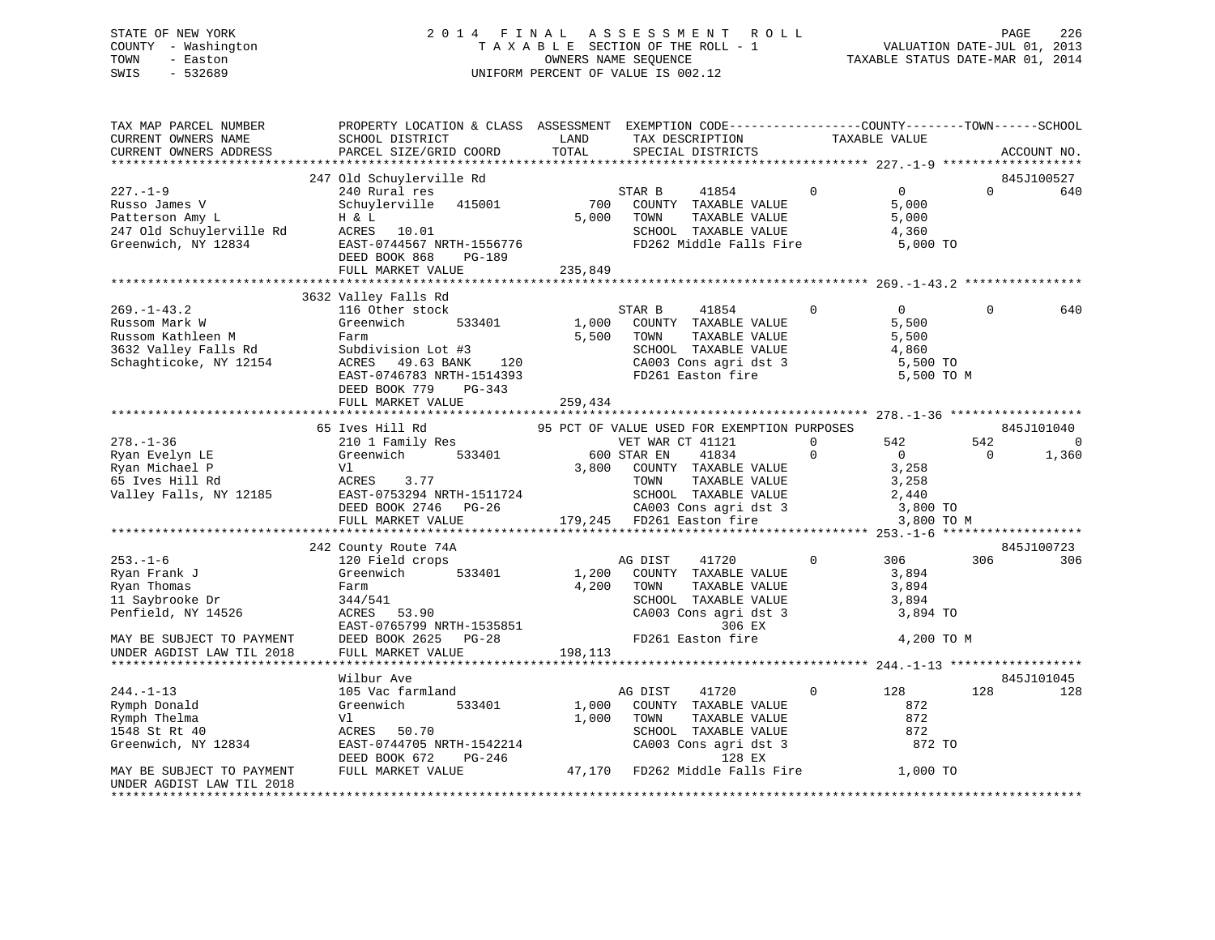# STATE OF NEW YORK 2 0 1 4 F I N A L A S S E S S M E N T R O L L PAGE 226 COUNTY - Washington T A X A B L E SECTION OF THE ROLL - 1 VALUATION DATE-JUL 01, 2013 TOWN - Easton OWNERS NAME SEQUENCE TAXABLE STATUS DATE-MAR 01, 2014 SWIS - 532689 UNIFORM PERCENT OF VALUE IS 002.12

| TAX MAP PARCEL NUMBER<br>CURRENT OWNERS NAME<br>CURRENT OWNERS ADDRESS                                                                     | PROPERTY LOCATION & CLASS ASSESSMENT EXEMPTION CODE-----------------COUNTY-------TOWN------SCHOOL<br>SCHOOL DISTRICT<br>PARCEL SIZE/GRID COORD                                                                                                                                                                                                                                                                                                                             | TOTAL                                                       | LAND TAX DESCRIPTION TAXABLE VALUE<br>SPECIAL DISTRICTS                                                                                                          |                           |                                                                     |          | ACCOUNT NO.       |     |     |     |     |     |     |     |     |     |     |     |     |     |  |                                             |  |  |                       |                                       |
|--------------------------------------------------------------------------------------------------------------------------------------------|----------------------------------------------------------------------------------------------------------------------------------------------------------------------------------------------------------------------------------------------------------------------------------------------------------------------------------------------------------------------------------------------------------------------------------------------------------------------------|-------------------------------------------------------------|------------------------------------------------------------------------------------------------------------------------------------------------------------------|---------------------------|---------------------------------------------------------------------|----------|-------------------|-----|-----|-----|-----|-----|-----|-----|-----|-----|-----|-----|-----|-----|--|---------------------------------------------|--|--|-----------------------|---------------------------------------|
|                                                                                                                                            |                                                                                                                                                                                                                                                                                                                                                                                                                                                                            |                                                             |                                                                                                                                                                  |                           |                                                                     |          |                   |     |     |     |     |     |     |     |     |     |     |     |     |     |  |                                             |  |  |                       |                                       |
|                                                                                                                                            | 247 Old Schuylerville Rd<br>240 Rural res<br>Schuylerville 415001<br>227.-1-9<br>Russo James V<br>Patterson Amy L<br>247 Old Schuylerville Rd<br>Creenwich, NY 12834<br>CRES 10.01<br>Creenwich, NY 12834<br>CRES 10.01<br>EAST-0744567 NRTH-1556776<br>DEED BOOK 868<br>PG-189<br>PG-189<br>PG-189<br>PG-189<br>PG-189<br>PG-189                                                                                                                                          | $\begin{array}{c} {\rm S1}\\ 700 \end{array}$<br>5,000 TOWN | STAR B<br>41854 0<br>COUNTY TAXABLE VALUE<br>TOWN      TAXABLE VALUE<br>SCHOOL   TAXABLE VALUE<br>FD262 Middle Falls Fire 5,000 TO                               |                           | $\overline{0}$<br>5,000<br>5,000<br>4,360                           | $\Omega$ | 845J100527<br>640 |     |     |     |     |     |     |     |     |     |     |     |     |     |  |                                             |  |  |                       |                                       |
|                                                                                                                                            |                                                                                                                                                                                                                                                                                                                                                                                                                                                                            |                                                             |                                                                                                                                                                  |                           |                                                                     |          |                   |     |     |     |     |     |     |     |     |     |     |     |     |     |  |                                             |  |  |                       |                                       |
|                                                                                                                                            | 3632 Valley Falls Rd                                                                                                                                                                                                                                                                                                                                                                                                                                                       |                                                             |                                                                                                                                                                  |                           | $\overline{0}$<br>5,500<br>5,500<br>4,860<br>5,500 TO<br>5,500 TO M | $\Omega$ | 640               |     |     |     |     |     |     |     |     |     |     |     |     |     |  |                                             |  |  |                       |                                       |
|                                                                                                                                            |                                                                                                                                                                                                                                                                                                                                                                                                                                                                            |                                                             |                                                                                                                                                                  |                           |                                                                     |          |                   |     |     |     |     |     |     |     |     |     |     |     |     |     |  |                                             |  |  |                       |                                       |
|                                                                                                                                            | 65 Ives Hill Rd<br>$\n\n\n278.-1-36\n65 VES HILLR\n95 FCLI OF VALUE VALUENET\n95 FCLI OF VALUE VALUEFOL OF RIMR CT 41121\n0\n542\n542\n542\n542\n542\n542\n542\n542\n542\n542\n542\n542\n542\n542\n$                                                                                                                                                                                                                                                                       | 278.-1-36                                                   | 65 VES HILLR                                                                                                                                                     | 95 FCLI OF VALUE VALUENET | 95 FCLI OF VALUE VALUEFOL OF RIMR CT 41121                          | 0        | 542               | 542 | 542 | 542 | 542 | 542 | 542 | 542 | 542 | 542 | 542 | 542 | 542 | 542 |  | 95 PCT OF VALUE USED FOR EXEMPTION PURPOSES |  |  | 542<br>$\overline{0}$ | 845J101040<br>$\overline{0}$<br>1,360 |
| 278.-1-36                                                                                                                                  | 65 VES HILLR                                                                                                                                                                                                                                                                                                                                                                                                                                                               | 95 FCLI OF VALUE VALUENET                                   | 95 FCLI OF VALUE VALUEFOL OF RIMR CT 41121                                                                                                                       | 0                         | 542                                                                 | 542      | 542               | 542 | 542 | 542 | 542 | 542 | 542 | 542 | 542 | 542 | 542 | 542 |     |     |  |                                             |  |  |                       |                                       |
|                                                                                                                                            | 242 County Route 74A                                                                                                                                                                                                                                                                                                                                                                                                                                                       |                                                             |                                                                                                                                                                  |                           |                                                                     |          | 845J100723        |     |     |     |     |     |     |     |     |     |     |     |     |     |  |                                             |  |  |                       |                                       |
| $253. - 1 - 6$                                                                                                                             | s county koute 74A<br>120 Field crops<br>$\begin{tabular}{l c c c c c c} \hline \textbf{Exym Frank J} & \textbf{Greenwich} & 533401 & 1,200 & \textbf{COUNTY} & \textbf{TAX} \\ \hline \textbf{Ryan Thomas} & \textbf{Frank J} & \textbf{344/541} & 4,200 & \textbf{TONITY} & \textbf{TAX} \\ \textbf{Ryan Thomas} & \textbf{Farm} & 4,200 & \textbf{TONTY} & \textbf{TAX} \\ \textbf{11 Saybrooke Dr} & 344/541 & \textbf{SCROOL TAX} \\ \textbf{120000L TAX} & \textbf{$ |                                                             | AG DIST<br>41720<br>1,200 COUNTY TAXABLE VALUE 3,894<br>4,200 TOWN TAXABLE VALUE 3,894<br>SCHOOL TAXABLE VALUE 3,894<br>CA003 Cons agri dst 3 3,894 TO<br>306 EX |                           | 0 306 306                                                           |          | 306               |     |     |     |     |     |     |     |     |     |     |     |     |     |  |                                             |  |  |                       |                                       |
|                                                                                                                                            |                                                                                                                                                                                                                                                                                                                                                                                                                                                                            |                                                             | FD261 Easton fire 4,200 TO M                                                                                                                                     |                           |                                                                     |          |                   |     |     |     |     |     |     |     |     |     |     |     |     |     |  |                                             |  |  |                       |                                       |
|                                                                                                                                            | Wilbur Ave                                                                                                                                                                                                                                                                                                                                                                                                                                                                 |                                                             |                                                                                                                                                                  |                           |                                                                     |          | 845J101045        |     |     |     |     |     |     |     |     |     |     |     |     |     |  |                                             |  |  |                       |                                       |
| $244. -1 - 13$<br>Rymph Donald<br>Rymph Thelma<br>1548 St Rt 40<br>Greenwich, NY 12834<br>MAY BE SUBJECT TO PAYMENT<br>Greenwich, NY 12834 | 105 Vac farmland<br>533401<br>Greenwich<br>V1<br>ACRES 50.70<br>ALTES 50.70 SCROOL TAAABLE MEDE<br>EAST-0747.05 NRTH-1542214 CA003 Cons agri dst 3 872 TO<br>DEED BOOK 672 PG-246 47,170 FD262 Middle Falls Fire 1,000 TO                                                                                                                                                                                                                                                  |                                                             | 41720<br>AG DIST<br>1,000 COUNTY TAXABLE VALUE<br>1,000 TOWN<br>TOWN      TAXABLE VALUE<br>SCHOOL   TAXABLE VALUE                                                | $\overline{0}$            | 128<br>872<br>872<br>872                                            | 128      | 128               |     |     |     |     |     |     |     |     |     |     |     |     |     |  |                                             |  |  |                       |                                       |
| UNDER AGDIST LAW TIL 2018                                                                                                                  |                                                                                                                                                                                                                                                                                                                                                                                                                                                                            |                                                             |                                                                                                                                                                  |                           |                                                                     |          |                   |     |     |     |     |     |     |     |     |     |     |     |     |     |  |                                             |  |  |                       |                                       |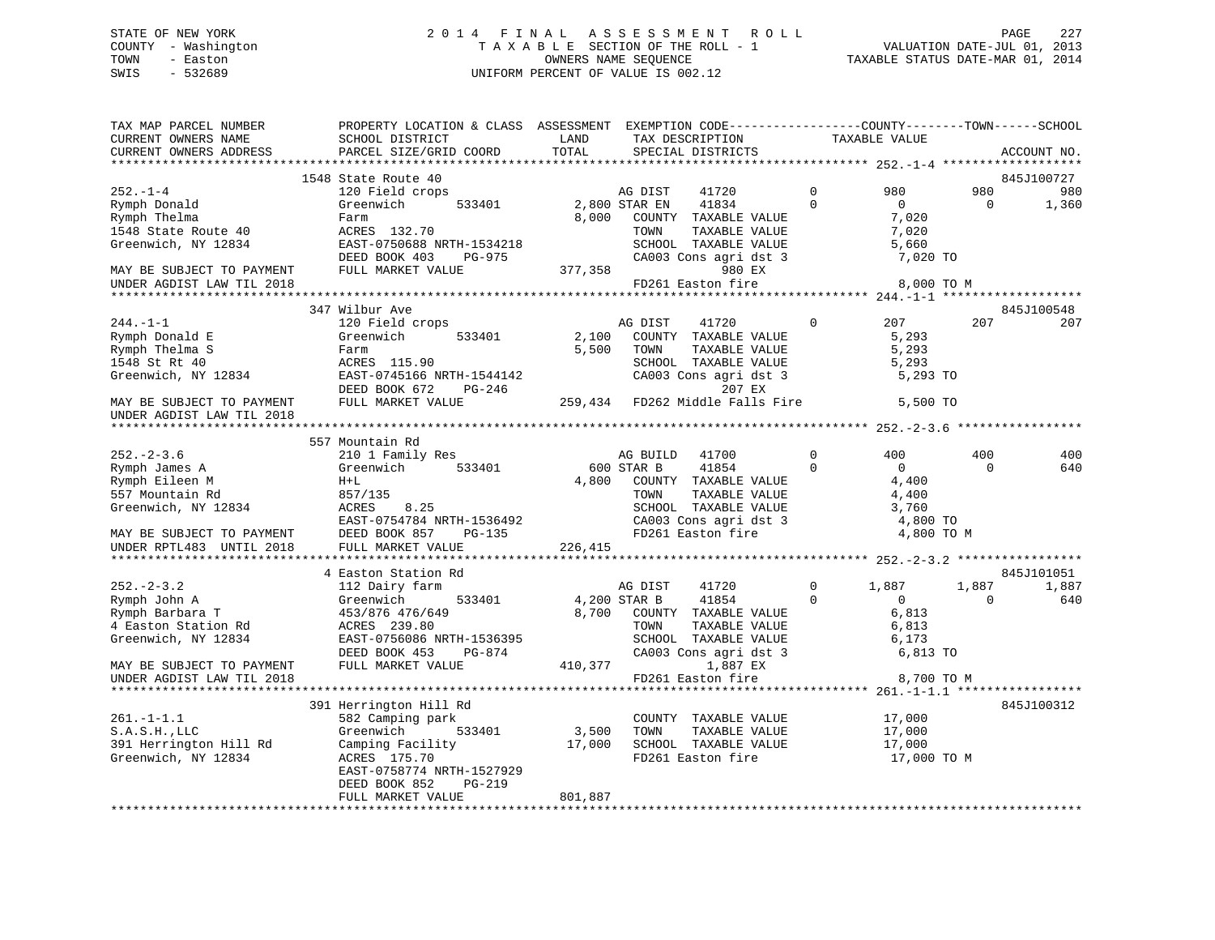# STATE OF NEW YORK 2 0 1 4 F I N A L A S S E S S M E N T R O L L PAGE 227 COUNTY - Washington T A X A B L E SECTION OF THE ROLL - 1 VALUATION DATE-JUL 01, 2013 TOWN - Easton OWNERS NAME SEQUENCE TAXABLE STATUS DATE-MAR 01, 2014 SWIS - 532689 UNIFORM PERCENT OF VALUE IS 002.12

| TAX MAP PARCEL NUMBER<br>CURRENT OWNERS NAME<br>CURRENT OWNERS ADDRESS | PROPERTY LOCATION & CLASS ASSESSMENT EXEMPTION CODE-----------------COUNTY--------TOWN------SCHOOL<br>SCHOOL DISTRICT<br>PARCEL SIZE/GRID COORD | LAND<br>TOTAL | TAX DESCRIPTION<br>SPECIAL DISTRICTS                                                                                                                                                                         |                | TAXABLE VALUE  |           | ACCOUNT NO. |
|------------------------------------------------------------------------|-------------------------------------------------------------------------------------------------------------------------------------------------|---------------|--------------------------------------------------------------------------------------------------------------------------------------------------------------------------------------------------------------|----------------|----------------|-----------|-------------|
|                                                                        |                                                                                                                                                 |               |                                                                                                                                                                                                              |                |                |           |             |
|                                                                        | 1548 State Route 40                                                                                                                             |               |                                                                                                                                                                                                              |                |                |           | 845J100727  |
| $252 - 1 - 4$                                                          | 120 Field crops                                                                                                                                 |               | AG DIST<br>41720                                                                                                                                                                                             | $\Omega$       | 980            | 980       | 980         |
| Rymph Donald                                                           | 533401<br>Greenwich                                                                                                                             | 2,800 STAR EN | 41834                                                                                                                                                                                                        | $\Omega$       | $\overline{0}$ | $\bigcap$ | 1,360       |
| Rymph Thelma                                                           | Farm                                                                                                                                            | 8,000         | COUNTY TAXABLE VALUE                                                                                                                                                                                         |                | 7,020          |           |             |
| 1548 State Route 40                                                    | ACRES 132.70                                                                                                                                    |               | TOWN<br>TAXABLE VALUE                                                                                                                                                                                        |                | 7,020          |           |             |
| Greenwich, NY 12834                                                    | EAST-0750688 NRTH-1534218                                                                                                                       |               | SCHOOL TAXABLE VALUE<br>CA003 Cons agri dst 3                                                                                                                                                                |                | 5,660          |           |             |
|                                                                        | DEED BOOK 403<br>PG-975                                                                                                                         |               | 377,358                                                                                                                                                                                                      |                | 7,020 TO       |           |             |
| MAY BE SUBJECT TO PAYMENT                                              | FULL MARKET VALUE                                                                                                                               |               | 980 EX<br>FD261 Easton fire                                                                                                                                                                                  |                | 8,000 TO M     |           |             |
| UNDER AGDIST LAW TIL 2018                                              |                                                                                                                                                 |               |                                                                                                                                                                                                              |                |                |           |             |
|                                                                        | 347 Wilbur Ave                                                                                                                                  |               |                                                                                                                                                                                                              |                |                |           | 845J100548  |
| $244. -1 - 1$                                                          | 120 Field crops                                                                                                                                 |               | AG DIST<br>41720                                                                                                                                                                                             | $\mathbf 0$    | 207            | 207       | 207         |
| Rymph Donald E                                                         | 533401<br>Greenwich                                                                                                                             | 2,100         | COUNTY TAXABLE VALUE                                                                                                                                                                                         |                | 5,293          |           |             |
| Rymph Thelma S                                                         | Farm                                                                                                                                            | 5,500         | TAXABLE VALUE<br>TOWN                                                                                                                                                                                        |                | 5,293          |           |             |
| 1548 St Rt 40                                                          | ACRES 115.90                                                                                                                                    |               | SCHOOL TAXABLE VALUE                                                                                                                                                                                         |                | 5,293          |           |             |
| Greenwich, NY 12834                                                    | EAST-0745166 NRTH-1544142<br>DEED BOOK 672 PG-246                                                                                               |               | CA003 Cons agri dst 3                                                                                                                                                                                        |                | 5,293 TO       |           |             |
|                                                                        | DEED BOOK 672<br>PG-246                                                                                                                         |               | 207 EX                                                                                                                                                                                                       |                |                |           |             |
| MAY BE SUBJECT TO PAYMENT                                              | FULL MARKET VALUE                                                                                                                               |               | 259,434 FD262 Middle Falls Fire                                                                                                                                                                              |                | 5,500 TO       |           |             |
| UNDER AGDIST LAW TIL 2018                                              |                                                                                                                                                 |               |                                                                                                                                                                                                              |                |                |           |             |
|                                                                        |                                                                                                                                                 |               |                                                                                                                                                                                                              |                |                |           |             |
|                                                                        | 557 Mountain Rd                                                                                                                                 |               |                                                                                                                                                                                                              |                |                |           |             |
| $252 - 2 - 3.6$                                                        | 210 1 Family Res                                                                                                                                |               | AG BUILD<br>41700                                                                                                                                                                                            | $\mathbf 0$    | 400            | 400       | 400         |
| Rymph James A                                                          | Greenwich 533401                                                                                                                                |               | $\begin{array}{cc}\n\text{A}\text{G} & \text{L}\text{G} \\ \text{A}\text{G} & \text{S} \\ \text{L}\text{G}\text{G} & \text{S} \\ \text{C}\text{G}\text{G} \\ \text{C}\text{G}\text{G}\n\end{array}$<br>41854 | $\Omega$       | $\overline{0}$ | $\Omega$  | 640         |
| Rymph Eileen M                                                         | $H+L$                                                                                                                                           | 4,800         | COUNTY TAXABLE VALUE                                                                                                                                                                                         |                | 4,400          |           |             |
| 557 Mountain Rd<br>Greenwich, NY 12834                                 | 857/135<br>ACRES<br>8.25                                                                                                                        |               | TOWN<br>TAXABLE VALUE<br>SCHOOL TAXABLE VALUE                                                                                                                                                                |                | 4,400<br>3,760 |           |             |
|                                                                        | EAST-0754784 NRTH-1536492                                                                                                                       |               | CA003 Cons agri dst 3                                                                                                                                                                                        |                | 4,800 TO       |           |             |
| MAY BE SUBJECT TO PAYMENT                                              | DEED BOOK 857 PG-135                                                                                                                            |               | FD261 Easton fire                                                                                                                                                                                            |                | 4,800 TO M     |           |             |
| UNDER RPTL483 UNTIL 2018                                               | FULL MARKET VALUE                                                                                                                               | 226,415       |                                                                                                                                                                                                              |                |                |           |             |
|                                                                        |                                                                                                                                                 |               |                                                                                                                                                                                                              |                |                |           |             |
|                                                                        | 4 Easton Station Rd                                                                                                                             |               |                                                                                                                                                                                                              |                |                |           | 845J101051  |
| $252 - 2 - 3.2$                                                        | 112 Dairy farm                                                                                                                                  |               | AG DIST<br>41720                                                                                                                                                                                             | $\overline{0}$ | 1,887          | 1,887     | 1,887       |
| Rymph John A                                                           | 533401<br>Greenwich                                                                                                                             | 4,200 STAR B  | 41854                                                                                                                                                                                                        | $\Omega$       | $\overline{0}$ | $\Omega$  | 640         |
| Rymph Barbara T                                                        | 453/876 476/649                                                                                                                                 |               | 8,700 COUNTY TAXABLE VALUE                                                                                                                                                                                   |                | 6,813          |           |             |
| 4 Easton Station Rd                                                    | ACRES 239.80                                                                                                                                    |               | TOWN<br>TAXABLE VALUE                                                                                                                                                                                        |                | 6,813          |           |             |
| Greenwich, NY 12834                                                    | EAST-0756086 NRTH-1536395                                                                                                                       |               | SCHOOL TAXABLE VALUE                                                                                                                                                                                         |                | 6,173          |           |             |
|                                                                        | DEED BOOK 453<br>PG-874                                                                                                                         |               | CA003 Cons agri dst 3                                                                                                                                                                                        |                | 6,813 TO       |           |             |
| MAY BE SUBJECT TO PAYMENT                                              | FULL MARKET VALUE                                                                                                                               |               | 410,377<br>1,887 EX                                                                                                                                                                                          |                |                |           |             |
| UNDER AGDIST LAW TIL 2018                                              |                                                                                                                                                 |               | FD261 Easton fire                                                                                                                                                                                            |                | 8,700 TO M     |           |             |
|                                                                        |                                                                                                                                                 |               |                                                                                                                                                                                                              |                |                |           | 845J100312  |
| $261. - 1 - 1.1$                                                       | 391 Herrington Hill Rd<br>582 Camping park                                                                                                      |               | COUNTY TAXABLE VALUE                                                                                                                                                                                         |                | 17,000         |           |             |
| $S.A.S.H.$ , $LLC$                                                     | 533401<br>Greenwich                                                                                                                             |               | 3,500 TOWN<br>TAXABLE VALUE                                                                                                                                                                                  |                | 17,000         |           |             |
| 391 Herrington Hill Rd                                                 | Camping Facility 17,000 SCHOOL TAXABLE VALUE                                                                                                    |               |                                                                                                                                                                                                              |                | 17,000         |           |             |
| Greenwich, NY 12834                                                    | ACRES 175.70                                                                                                                                    |               | FD261 Easton fire                                                                                                                                                                                            |                | 17,000 TO M    |           |             |
|                                                                        | EAST-0758774 NRTH-1527929                                                                                                                       |               |                                                                                                                                                                                                              |                |                |           |             |
|                                                                        | DEED BOOK 852<br>PG-219                                                                                                                         |               |                                                                                                                                                                                                              |                |                |           |             |
|                                                                        | FULL MARKET VALUE                                                                                                                               | 801,887       |                                                                                                                                                                                                              |                |                |           |             |
|                                                                        |                                                                                                                                                 |               |                                                                                                                                                                                                              |                |                |           |             |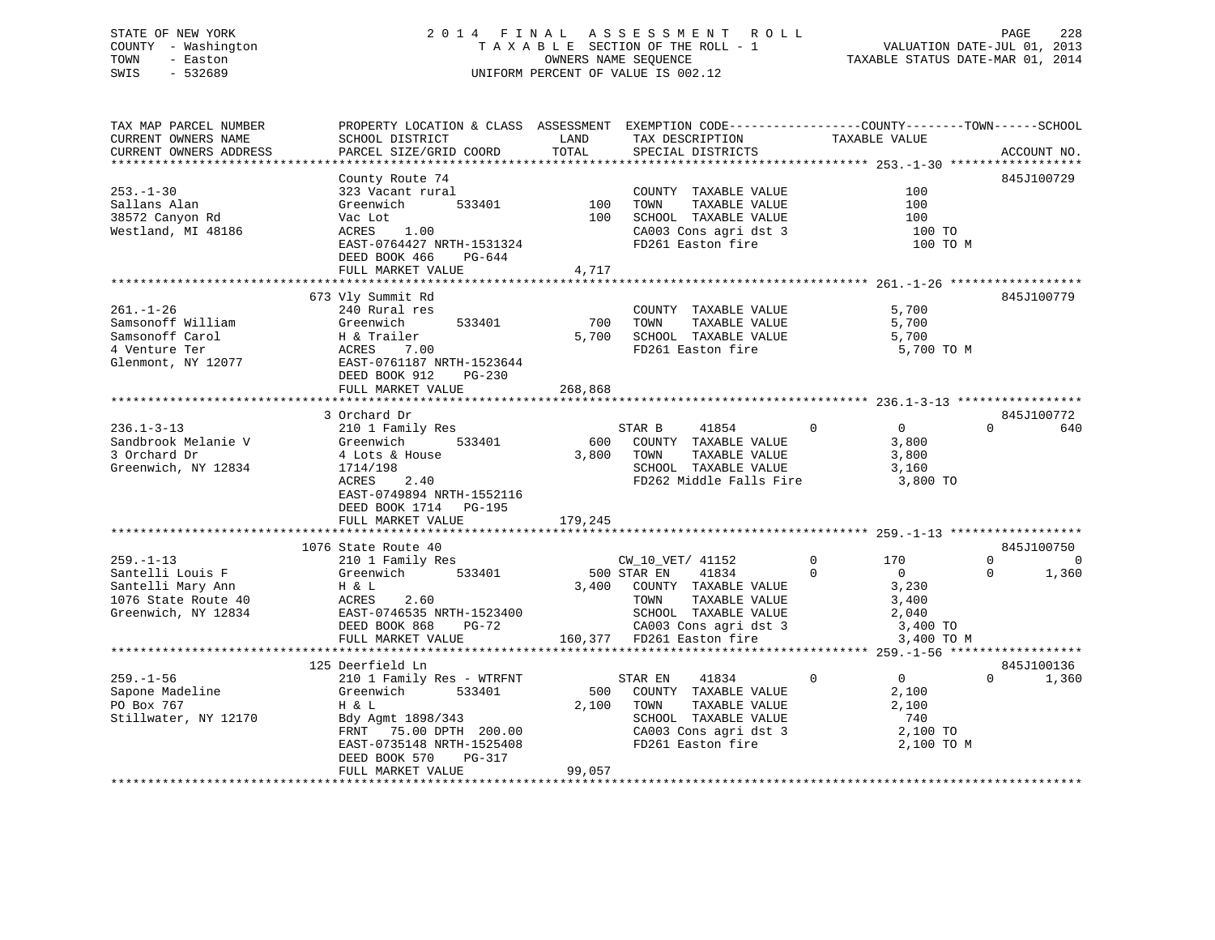# STATE OF NEW YORK 2 0 1 4 F I N A L A S S E S S M E N T R O L L PAGE 228 COUNTY - Washington T A X A B L E SECTION OF THE ROLL - 1 VALUATION DATE-JUL 01, 2013 TOWN - Easton OWNERS NAME SEQUENCE TAXABLE STATUS DATE-MAR 01, 2014 SWIS - 532689 UNIFORM PERCENT OF VALUE IS 002.12

| TAX MAP PARCEL NUMBER<br>CURRENT OWNERS NAME<br>CURRENT OWNERS ADDRESS                                 | PROPERTY LOCATION & CLASS ASSESSMENT EXEMPTION CODE----------------COUNTY-------TOWN-----SCHOOL<br>SCHOOL DISTRICT<br>PARCEL SIZE/GRID COORD                                                              | LAND<br>TOTAL     | TAX DESCRIPTION<br>SPECIAL DISTRICTS                                                                                                                                          | TAXABLE VALUE                                                                                      | ACCOUNT NO.                               |
|--------------------------------------------------------------------------------------------------------|-----------------------------------------------------------------------------------------------------------------------------------------------------------------------------------------------------------|-------------------|-------------------------------------------------------------------------------------------------------------------------------------------------------------------------------|----------------------------------------------------------------------------------------------------|-------------------------------------------|
|                                                                                                        |                                                                                                                                                                                                           |                   |                                                                                                                                                                               |                                                                                                    |                                           |
| $253. - 1 - 30$<br>Sallans Alan<br>38572 Canyon Rd<br>Westland, MI 48186                               | County Route 74<br>323 Vacant rural<br>Greenwich<br>533401<br>Vac Lot<br>ACRES 1.00<br>EAST-0764427 NRTH-1531324<br>DEED BOOK 466 PG-644<br>FULL MARKET VALUE                                             | 100 TOWN<br>4,717 | COUNTY TAXABLE VALUE<br>TAXABLE VALUE<br>100 SCHOOL TAXABLE VALUE<br>CA003 Cons agri dst 3<br>FD261 Easton fire                                                               | 100<br>100<br>100<br>100 TO<br>100 TO M                                                            | 845J100729                                |
|                                                                                                        |                                                                                                                                                                                                           |                   |                                                                                                                                                                               |                                                                                                    |                                           |
| $261. - 1 - 26$<br>Samsonoff William<br>Samsonoff Carol<br>4 Venture Ter<br>Glenmont, NY 12077         | 673 Vly Summit Rd<br>240 Rural res<br>533401<br>Greenwich<br>H & Trailer<br>ACRES    7.00<br>EAST-0761187 I<br>ACRES 7.00<br>EAST-0761187 NRTH-1523644<br>DEED BOOK 912<br>$PG-230$<br>FULL MARKET VALUE  | 700<br>268,868    | COUNTY TAXABLE VALUE<br>TAXABLE VALUE<br>TOWN<br>5,700 SCHOOL TAXABLE VALUE<br>FD261 Easton fire                                                                              | 5,700<br>5,700<br>5,700<br>5,700 TO M                                                              | 845J100779                                |
|                                                                                                        |                                                                                                                                                                                                           |                   |                                                                                                                                                                               |                                                                                                    |                                           |
| $236.1 - 3 - 13$<br>Sandbrook Melanie V<br>3 Orchard Dr<br>Greenwich, NY 12834                         | 3 Orchard Dr<br>210 1 Family Res<br>533401<br>Greenwich<br>4 Lots & House<br>1714/198<br>ACRES<br>2.40<br>EAST-0749894 NRTH-1552116<br>DEED BOOK 1714 PG-195<br>FULL MARKET VALUE                         | 179,245           | $\sim$ 0<br>STAR B<br>41854<br>600 COUNTY TAXABLE VALUE<br>3,800 TOWN<br>TAXABLE VALUE<br>SCHOOL TAXABLE VALUE<br>FD262 Middle Falls Fire                                     | $\overline{0}$<br>3,800<br>3,800<br>3,160<br>3,800 TO                                              | 845J100772<br>$\Omega$<br>640             |
|                                                                                                        | 1076 State Route 40                                                                                                                                                                                       |                   |                                                                                                                                                                               |                                                                                                    | 845J100750                                |
| $259. - 1 - 13$<br>Santelli Louis F<br>Santelli Mary Ann<br>1076 State Route 40<br>Greenwich, NY 12834 | 210 1 Family Res<br>Greenwich 533401<br>H & L<br>ACRES<br>EAST-0<br>ACRES<br>2.60<br>EAST-0746535 NRTH-1523400<br>DEED BOOK 868<br>PG-72<br>FULL MARKET VALUE                                             |                   | CW_10_VET/ 41152<br>500 STAR EN<br>41834<br>3,400 COUNTY TAXABLE VALUE<br>TOWN<br>TAXABLE VALUE<br>SCHOOL TAXABLE VALUE<br>CA003 Cons agri dst 3<br>160,377 FD261 Easton fire | $\Omega$<br>170<br>$\Omega$<br>$\overline{0}$<br>3,230<br>3,400<br>2,040<br>3,400 TO<br>3,400 TO M | $\Omega$<br>$\Omega$<br>1,360<br>$\Omega$ |
|                                                                                                        |                                                                                                                                                                                                           |                   |                                                                                                                                                                               |                                                                                                    |                                           |
| $259. - 1 - 56$<br>Sapone Madeline<br>PO Box 767<br>Stillwater, NY 12170                               | 125 Deerfield Ln<br>210 1 Family Res - WTRFNT<br>533401<br>Greenwich<br>H & L<br>Bdy Agmt 1898/343<br>FRNT 75.00 DPTH 200.00<br>EAST-0735148 NRTH-1525408<br>DEED BOOK 570<br>PG-317<br>FULL MARKET VALUE | 99,057            | STAR EN<br>41834<br>500 COUNTY TAXABLE VALUE<br>2,100 TOWN<br>TAXABLE VALUE<br>SCHOOL TAXABLE VALUE<br>CA003 Cons agri dst 3<br>FD261 Easton fire                             | $\mathbf 0$<br>$\overline{0}$<br>2,100<br>2,100<br>740<br>2,100 TO<br>2,100 TO M                   | 845J100136<br>$\Omega$<br>1,360           |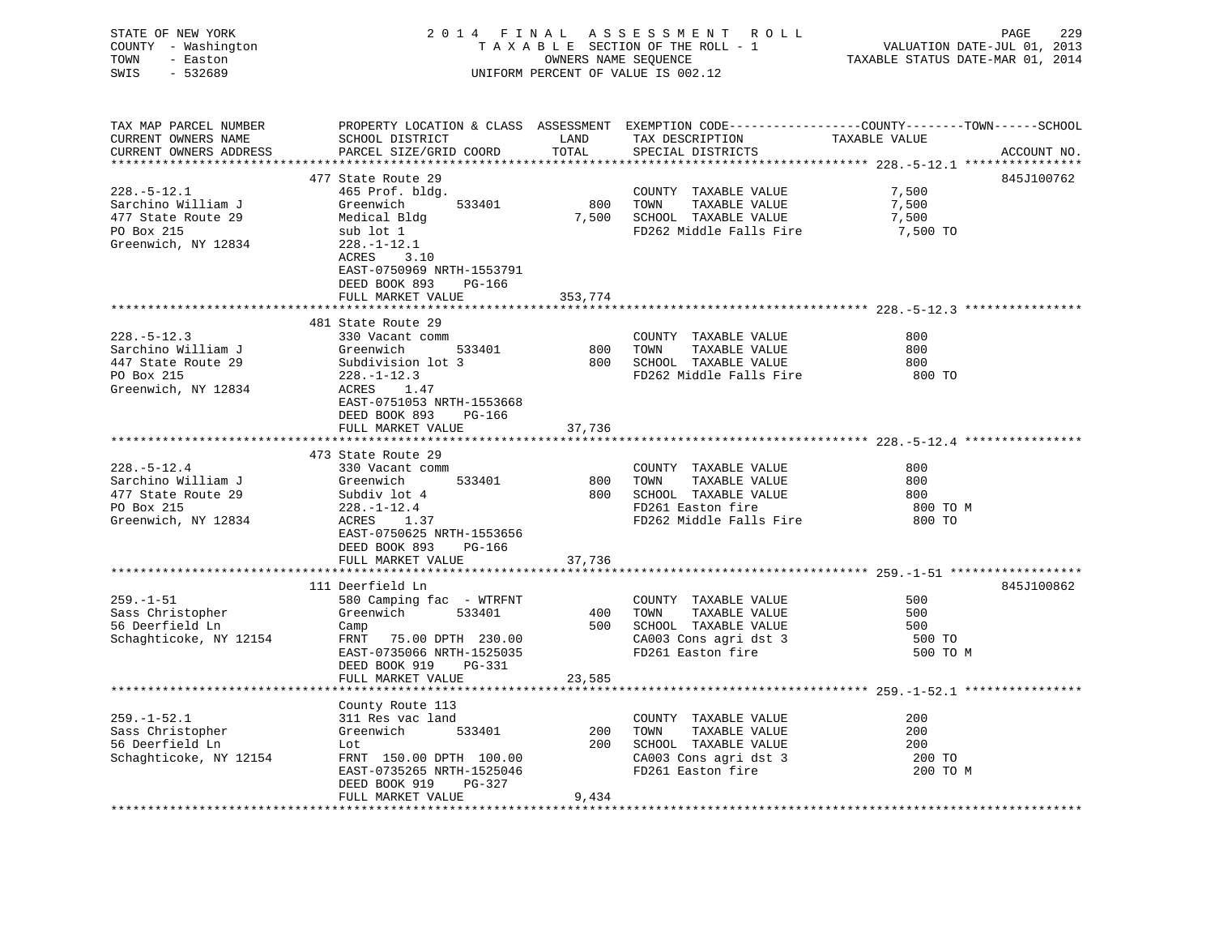| STATE OF NEW YORK<br>COUNTY - Washington<br>TOWN<br>- Easton<br>- 532689<br>SWIS                   |                                                                                                                                                                                             |               | 2014 FINAL ASSESSMENT ROLL<br>TAXABLE SECTION OF THE ROLL - 1<br>OWNERS NAME SEQUENCE<br>UNIFORM PERCENT OF VALUE IS 002.12 | PAGE<br>229<br>VALUATION DATE-JUL 01, 2013<br>TAXABLE STATUS DATE-MAR 01, 2014                                                  |
|----------------------------------------------------------------------------------------------------|---------------------------------------------------------------------------------------------------------------------------------------------------------------------------------------------|---------------|-----------------------------------------------------------------------------------------------------------------------------|---------------------------------------------------------------------------------------------------------------------------------|
| TAX MAP PARCEL NUMBER<br>CURRENT OWNERS NAME<br>CURRENT OWNERS ADDRESS                             | SCHOOL DISTRICT<br>PARCEL SIZE/GRID COORD                                                                                                                                                   | LAND<br>TOTAL | TAX DESCRIPTION<br>SPECIAL DISTRICTS                                                                                        | PROPERTY LOCATION & CLASS ASSESSMENT EXEMPTION CODE---------------COUNTY-------TOWN------SCHOOL<br>TAXABLE VALUE<br>ACCOUNT NO. |
|                                                                                                    |                                                                                                                                                                                             |               |                                                                                                                             | ****************** 228.-5-12.1 *****************                                                                                |
| $228. - 5 - 12.1$<br>Sarchino William J<br>477 State Route 29<br>PO Box 215<br>Greenwich, NY 12834 | 477 State Route 29<br>465 Prof. bldg.<br>Greenwich<br>533401<br>Medical Bldg<br>sub lot 1<br>$228. - 1 - 12.1$<br>ACRES<br>3.10<br>EAST-0750969 NRTH-1553791<br>DEED BOOK 893 PG-166        | 800 TOWN      | COUNTY TAXABLE VALUE<br>TAXABLE VALUE<br>7,500 SCHOOL TAXABLE VALUE<br>FD262 Middle Falls Fire                              | 845J100762<br>7,500<br>7,500<br>7,500<br>7,500 TO                                                                               |
|                                                                                                    | FULL MARKET VALUE                                                                                                                                                                           | 353,774       |                                                                                                                             |                                                                                                                                 |
| $228. - 5 - 12.3$<br>Sarchino William J<br>447 State Route 29<br>PO Box 215<br>Greenwich, NY 12834 | 481 State Route 29<br>330 Vacant comm<br>533401<br>$228. - 1 - 12.3$<br>ACRES 1.47<br>EAST-0751053 NRTH-1553668<br>DEED BOOK 893 PG-166<br>FULL MARKET VALUE                                | 37,736        | COUNTY TAXABLE VALUE<br>800 TOWN<br>TAXABLE VALUE<br>800 SCHOOL TAXABLE VALUE<br>FD262 Middle Falls Fire                    | 800<br>800<br>800<br>800 TO                                                                                                     |
|                                                                                                    |                                                                                                                                                                                             |               |                                                                                                                             |                                                                                                                                 |
| $228. - 5 - 12.4$<br>Sarchino William J<br>477 State Route 29<br>PO Box 215<br>Greenwich, NY 12834 | 473 State Route 29<br>330 Vacant comm<br>Greenwich<br>533401<br>Subdiv lot 4<br>$228. - 1 - 12.4$<br>$ACRES$ 1.37<br>EAST-0750625 NRTH-1553656<br>DEED BOOK 893 PG-166<br>FULL MARKET VALUE | 800<br>37,736 | COUNTY TAXABLE VALUE<br>800 TOWN<br>TAXABLE VALUE<br>SCHOOL TAXABLE VALUE<br>FD261 Easton fire<br>FD262 Middle Falls Fire   | 800<br>800<br>800<br>800 TO M<br>800 TO                                                                                         |
|                                                                                                    |                                                                                                                                                                                             |               |                                                                                                                             |                                                                                                                                 |
| $259. - 1 - 51$<br>Sass Christopher<br>56 Deerfield Ln<br>Schaghticoke, NY 12154                   | 111 Deerfield Ln<br>580 Camping fac - WTRFNT<br>Greenwich<br>533401<br>Camp<br>FRNT 75.00 DPTH 230.00<br>EAST-0735066 NRTH-1525035<br>DEED BOOK 919 PG-331<br>FULL MARKET VALUE             | 23,585        | COUNTY TAXABLE VALUE<br>400 TOWN<br>TAXABLE VALUE<br>500 SCHOOL TAXABLE VALUE<br>CA003 Cons agri dst 3<br>FD261 Easton fire | 845J100862<br>500<br>500<br>500<br>500 TO<br>500 TO M                                                                           |
|                                                                                                    |                                                                                                                                                                                             |               |                                                                                                                             |                                                                                                                                 |
| $259. - 1 - 52.1$<br>sass Christopher<br>56 Deerfield Ln<br>Schaghticoke, NY 12154                 | County Route 113<br>311 Res vac land<br>533401<br>Greenwich<br>Lot<br>FRNT 150.00 DPTH 100.00<br>EAST-0735265 NRTH-1525046<br>DEED BOOK 919 PG-327<br>FULL MARKET VALUE                     | 9,434         | COUNTY TAXABLE VALUE<br>200 TOWN<br>TAXABLE VALUE<br>200 SCHOOL TAXABLE VALUE<br>CA003 Cons agri dst 3<br>FD261 Easton fire | 200<br>200<br>200<br>200 TO<br>200 TO M                                                                                         |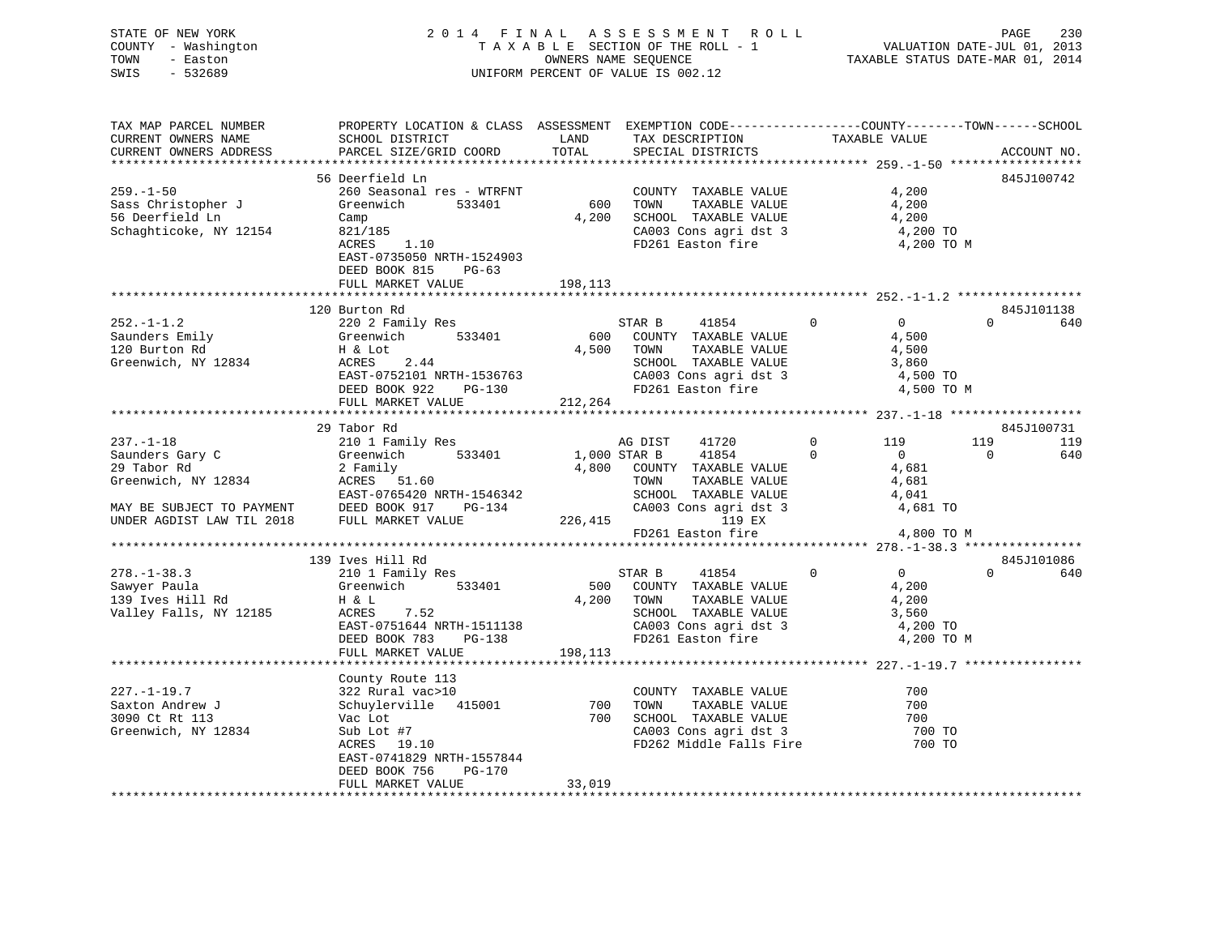| STATE OF NEW YORK<br>COUNTY - Washington<br>TOWN<br>- Easton<br>SWIS<br>$-532689$ |                                                                                                                                                                                                                                                               |        | FINAL ASSESSMENT ROLL<br>TAXABLE SECTION OF THE ROLL - 1 WALUATION DATE-JUL 01, 2013<br>CONNERS NAME SEQUENCE<br>TAXABLE STATUS DATE-MAR 01, 2014<br>2014 FINAL ASSESSMENT ROLL<br>UNIFORM PERCENT OF VALUE IS 002.12 |                                                                |                       |
|-----------------------------------------------------------------------------------|---------------------------------------------------------------------------------------------------------------------------------------------------------------------------------------------------------------------------------------------------------------|--------|-----------------------------------------------------------------------------------------------------------------------------------------------------------------------------------------------------------------------|----------------------------------------------------------------|-----------------------|
| TAX MAP PARCEL NUMBER<br>CURRENT OWNERS NAME<br>CURRENT OWNERS ADDRESS            | PROPERTY LOCATION & CLASS ASSESSMENT EXEMPTION CODE----------------COUNTY-------TOWN------SCHOOL<br>SCHOOL DISTRICT LAND<br>PARCEL SIZE/GRID COORD TOTAL                                                                                                      |        | TAX DESCRIPTION TAXABLE VALUE SPECIAL DISTRICTS<br>SPECIAL DISTRICTS                                                                                                                                                  |                                                                | ACCOUNT NO.           |
| $259. - 1 - 50$                                                                   | 56 Deerfield Ln                                                                                                                                                                                                                                               |        | COUNTY TAXABLE VALUE                                                                                                                                                                                                  | 4,200                                                          | 845J100742            |
| Sass Christopher J<br>56 Deerfield Ln<br>Schaghticoke, NY 12154                   | 260 Seasonal res - WTRFNT COUNTY TAXABLE VALUE<br>Greenwich 533401 600 TOWN TAXABLE VALUE<br>Camp<br>821/185<br>ACRES 1.10<br>EAST-0735050 NRTH-1524903<br>DEED BOOK 815 PG-63                                                                                |        | 4,200 SCHOOL TAXABLE VALUE<br>CA003 Cons agri dst 3<br>FD261 Easton fire                                                                                                                                              | 4,200<br>4,200<br>4,200 TO<br>4,200 TO M                       |                       |
|                                                                                   | FULL MARKET VALUE 198,113                                                                                                                                                                                                                                     |        |                                                                                                                                                                                                                       |                                                                |                       |
|                                                                                   | 120 Burton Rd                                                                                                                                                                                                                                                 |        |                                                                                                                                                                                                                       |                                                                | 845J101138            |
| $252. - 1 - 1.2$<br>Saunders Emily<br>120 Burton Rd<br>Greenwich, NY 12834        | 220 2 Family Res<br>Greenwich 533401<br>H & Lot<br>ACRES 2.44<br>H & LOC<br>ACRES 2.44<br>EAST-0752101 NRTH-1536763 CA003 Cons agri dst 3 4,500 TO<br>TEAST-0752101 NRTH-1536763 CA003 Cons agri dst 3 4,500 TO                                               |        | STAR B 41854 0<br>600 COUNTY TAXABLE VALUE<br>4,500 TOWN TAXABLE VALUE                                                                                                                                                | $\overline{0}$<br>4,500<br>4,500                               | $0$ 640               |
|                                                                                   |                                                                                                                                                                                                                                                               |        |                                                                                                                                                                                                                       | 4,500 TO M                                                     |                       |
|                                                                                   |                                                                                                                                                                                                                                                               |        |                                                                                                                                                                                                                       |                                                                |                       |
|                                                                                   | 29 Tabor Rd                                                                                                                                                                                                                                                   |        |                                                                                                                                                                                                                       |                                                                | 845J100731            |
|                                                                                   |                                                                                                                                                                                                                                                               |        |                                                                                                                                                                                                                       | 0 119<br>$\overline{0}$                                        | 119 119               |
|                                                                                   |                                                                                                                                                                                                                                                               |        |                                                                                                                                                                                                                       | 4,681                                                          | $\overline{0}$<br>640 |
|                                                                                   |                                                                                                                                                                                                                                                               |        |                                                                                                                                                                                                                       | 4,681                                                          |                       |
|                                                                                   |                                                                                                                                                                                                                                                               |        |                                                                                                                                                                                                                       | 4,041                                                          |                       |
|                                                                                   |                                                                                                                                                                                                                                                               |        |                                                                                                                                                                                                                       | 4,681 TO                                                       |                       |
|                                                                                   | 237.-1-18<br>Saunders Gary C<br>29 Tabor Rd<br>29 Tabor Rd<br>29 Tabor Rd<br>29 Tabor Rd<br>29 Tabor Rd<br>29 Tabor Rd<br>29 Tabor Rd<br>29 Tabor Rd<br>29 Tabor Rd<br>29 Tabor Rd<br>29 Tabor Rd<br>29 Tabor Rd<br>29 Tabor Rd<br>29 Tabor Rd<br>29 Tabor Rd |        | $FD261$ Easton fire $4,800$ TO M                                                                                                                                                                                      |                                                                |                       |
|                                                                                   |                                                                                                                                                                                                                                                               |        |                                                                                                                                                                                                                       |                                                                |                       |
|                                                                                   |                                                                                                                                                                                                                                                               |        |                                                                                                                                                                                                                       |                                                                |                       |
| $278. - 1 - 38.3$                                                                 | 139 Ives Hill Rd                                                                                                                                                                                                                                              |        | STAR B 41854                                                                                                                                                                                                          | $\begin{bmatrix} 0 \\ 4 & 222 \end{bmatrix}$<br>$\overline{0}$ | 845J101086<br>$0$ 640 |
|                                                                                   |                                                                                                                                                                                                                                                               |        | 500 COUNTY TAXABLE VALUE                                                                                                                                                                                              |                                                                |                       |
| z76.-1-36.3<br>Sawyer Paula<br>139 Ives Hill Rd                                   | 210 1 Family Res<br>Greenwich 533401<br>H & L<br>ACRES 7.52                                                                                                                                                                                                   |        | 4,200 TOWN<br>TAXABLE VALUE                                                                                                                                                                                           | 4,200                                                          |                       |
| Valley Falls, NY 12185                                                            | ACRES 7.52<br>EAST-0751644 NRTH-1511138<br>DEED BOOK 783 PG-138<br>PULL MARBLE VALUE 3,560<br>FULL MARKET VALUE<br>FULL MARKET VALUE<br>FULL MARKET VALUE<br>FULL MARKET VALUE<br>FULL MARKET VALUE<br>FULL MARKET VALUE<br>THE 198,113<br>FULL MARK          |        |                                                                                                                                                                                                                       |                                                                |                       |
|                                                                                   |                                                                                                                                                                                                                                                               |        |                                                                                                                                                                                                                       |                                                                |                       |
|                                                                                   |                                                                                                                                                                                                                                                               |        |                                                                                                                                                                                                                       | 4,200 TO M                                                     |                       |
|                                                                                   |                                                                                                                                                                                                                                                               |        |                                                                                                                                                                                                                       |                                                                |                       |
|                                                                                   |                                                                                                                                                                                                                                                               |        |                                                                                                                                                                                                                       |                                                                |                       |
|                                                                                   | County Route 113                                                                                                                                                                                                                                              |        |                                                                                                                                                                                                                       |                                                                |                       |
| $227. - 1 - 19.7$                                                                 | $322$ Rural vac>10                                                                                                                                                                                                                                            |        | COUNTY TAXABLE VALUE                                                                                                                                                                                                  | 700                                                            |                       |
| Saxton Andrew J                                                                   |                                                                                                                                                                                                                                                               |        |                                                                                                                                                                                                                       | 700                                                            |                       |
| 3090 Ct Rt 113                                                                    | COUNTY TAXABLE VALUE<br>Schuylerville 415001 700 TOWN TAXABLE VALUE<br>Vac Lot<br>Sub Lot #7 700 SCHOOL TAXABLE VALUE<br>Sub Lot #7 2003 Cons agri dst 3<br>ACRES 19.10 FD262 Middle Falls Fire                                                               |        |                                                                                                                                                                                                                       |                                                                |                       |
| Greenwich, NY 12834                                                               |                                                                                                                                                                                                                                                               |        |                                                                                                                                                                                                                       |                                                                |                       |
|                                                                                   |                                                                                                                                                                                                                                                               |        | FD262 Middle Falls Fire                                                                                                                                                                                               | 700 TO<br>700 TO<br>700 TO                                     |                       |
|                                                                                   | EAST-0741829 NRTH-1557844<br>DEED BOOK 756<br>PG-170                                                                                                                                                                                                          |        |                                                                                                                                                                                                                       |                                                                |                       |
|                                                                                   | FULL MARKET VALUE                                                                                                                                                                                                                                             | 33,019 |                                                                                                                                                                                                                       |                                                                |                       |
|                                                                                   |                                                                                                                                                                                                                                                               |        |                                                                                                                                                                                                                       |                                                                |                       |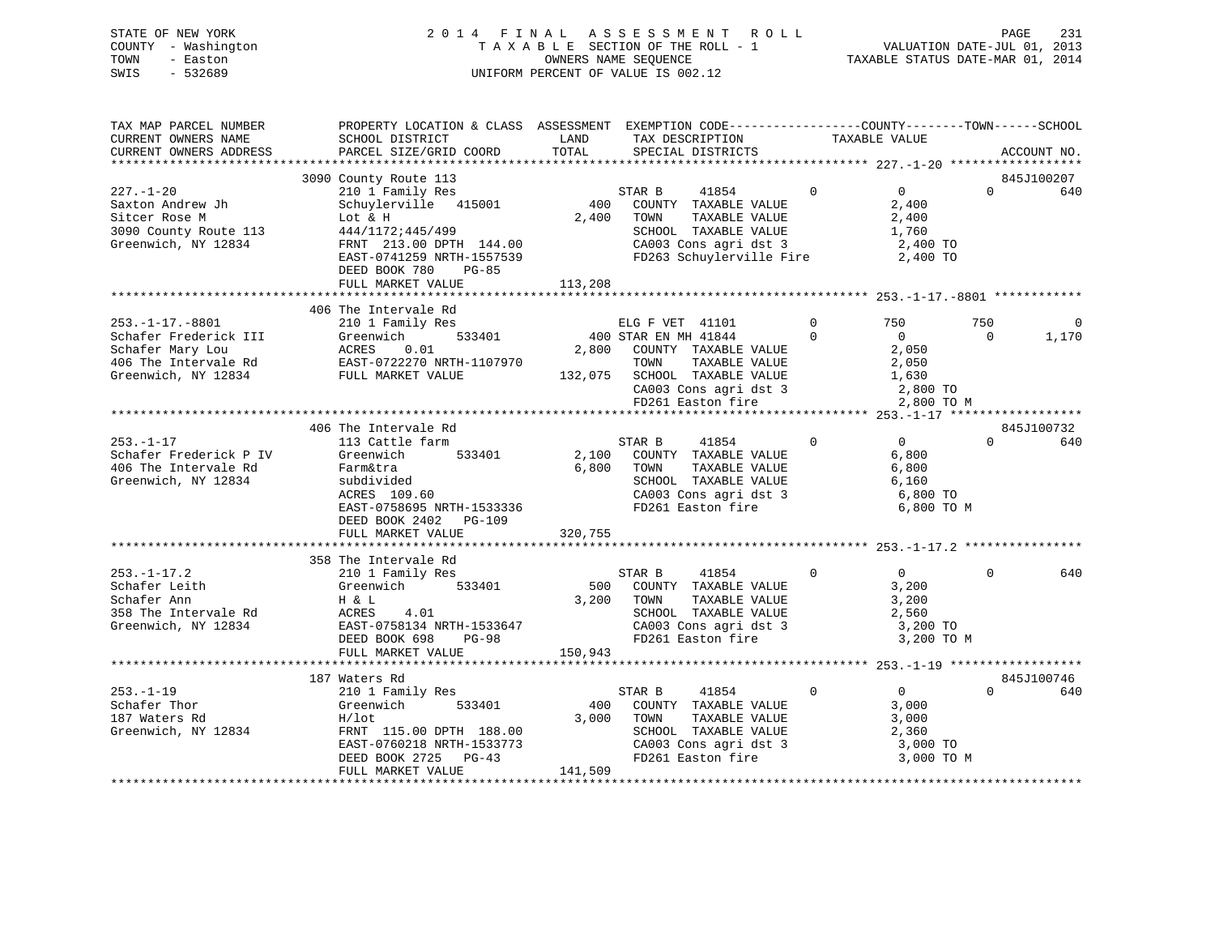# STATE OF NEW YORK 2 0 1 4 F I N A L A S S E S S M E N T R O L L PAGE 231 COUNTY - Washington T A X A B L E SECTION OF THE ROLL - 1 VALUATION DATE-JUL 01, 2013 TOWN - Easton OWNERS NAME SEQUENCE TAXABLE STATUS DATE-MAR 01, 2014 SWIS - 532689 UNIFORM PERCENT OF VALUE IS 002.12

| SCHOOL DISTRICT                                                                                                                                          | LAND                                                                                        | TAX DESCRIPTION                                                                                               |                                                                                                                                                                                                                                                 |                                                                                                                                                                                       |                                                                                                       | ACCOUNT NO.                                                                                                                                                         |
|----------------------------------------------------------------------------------------------------------------------------------------------------------|---------------------------------------------------------------------------------------------|---------------------------------------------------------------------------------------------------------------|-------------------------------------------------------------------------------------------------------------------------------------------------------------------------------------------------------------------------------------------------|---------------------------------------------------------------------------------------------------------------------------------------------------------------------------------------|-------------------------------------------------------------------------------------------------------|---------------------------------------------------------------------------------------------------------------------------------------------------------------------|
|                                                                                                                                                          |                                                                                             |                                                                                                               |                                                                                                                                                                                                                                                 |                                                                                                                                                                                       |                                                                                                       |                                                                                                                                                                     |
| 3090 County Route 113                                                                                                                                    |                                                                                             |                                                                                                               |                                                                                                                                                                                                                                                 |                                                                                                                                                                                       |                                                                                                       | 845J100207                                                                                                                                                          |
| 210 1 Family Res<br>Schuylerville 415001<br>Lot & H<br>444/1172;445/499<br>EAST-0741259 NRTH-1557539<br>DEED BOOK 780<br>PG-85                           |                                                                                             | 41854<br>STAR B<br>COUNTY TAXABLE VALUE<br>TAXABLE VALUE<br>TOWN<br>SCHOOL TAXABLE VALUE                      | $\Omega$                                                                                                                                                                                                                                        | $\overline{0}$<br>2,400<br>2,400<br>1,760<br>2,400 TO<br>2,400 TO                                                                                                                     | $\Omega$                                                                                              | 640                                                                                                                                                                 |
|                                                                                                                                                          |                                                                                             |                                                                                                               |                                                                                                                                                                                                                                                 |                                                                                                                                                                                       |                                                                                                       |                                                                                                                                                                     |
| 406 The Intervale Rd<br>210 1 Family Res<br>533401<br>Greenwich<br>ACRES<br>0.01<br>ACRES 0.01<br>EAST-0722270 NRTH-1107970<br>FULL MARKET VALUE         |                                                                                             | ELG F VET 41101<br>TOWN<br>TAXABLE VALUE<br>SCHOOL TAXABLE VALUE                                              | $\mathbf 0$<br>$\Omega$                                                                                                                                                                                                                         | 750<br>$\overline{0}$<br>2,050<br>2,050<br>1,630<br>2,800 TO                                                                                                                          | 750<br>$\Omega$                                                                                       | $\Omega$<br>1,170                                                                                                                                                   |
|                                                                                                                                                          |                                                                                             |                                                                                                               |                                                                                                                                                                                                                                                 |                                                                                                                                                                                       |                                                                                                       |                                                                                                                                                                     |
|                                                                                                                                                          |                                                                                             |                                                                                                               |                                                                                                                                                                                                                                                 |                                                                                                                                                                                       |                                                                                                       | 845J100732                                                                                                                                                          |
| 113 Cattle farm<br>Greenwich<br>533401<br>Farm&tra<br>subdivided<br>ACRES 109.60<br>DEED BOOK 2402 PG-109<br>FULL MARKET VALUE                           | 320,755                                                                                     | STAR B<br>41854<br>COUNTY TAXABLE VALUE<br>TOWN<br>TAXABLE VALUE<br>SCHOOL TAXABLE VALUE<br>FD261 Easton fire | $\mathbf 0$                                                                                                                                                                                                                                     | $\overline{0}$<br>6,800<br>6,800<br>6,160<br>6,800 TO                                                                                                                                 | $\Omega$                                                                                              | 640                                                                                                                                                                 |
|                                                                                                                                                          |                                                                                             |                                                                                                               |                                                                                                                                                                                                                                                 |                                                                                                                                                                                       |                                                                                                       |                                                                                                                                                                     |
| 210 1 Family Res<br>533401<br>Greenwich<br>H & L<br>ACRES<br>4.01<br>DEED BOOK 698<br>PG-98<br>FULL MARKET VALUE                                         |                                                                                             | STAR B<br>41854<br>TAXABLE VALUE<br>SCHOOL TAXABLE VALUE                                                      | $\mathbf 0$                                                                                                                                                                                                                                     | $\Omega$<br>3,200<br>3,200<br>2,560<br>3,200 TO                                                                                                                                       | $\Omega$                                                                                              | 640                                                                                                                                                                 |
|                                                                                                                                                          |                                                                                             |                                                                                                               |                                                                                                                                                                                                                                                 |                                                                                                                                                                                       |                                                                                                       |                                                                                                                                                                     |
| 187 Waters Rd                                                                                                                                            |                                                                                             |                                                                                                               |                                                                                                                                                                                                                                                 |                                                                                                                                                                                       |                                                                                                       | 845J100746                                                                                                                                                          |
| 210 1 Family Res<br>Greenwich<br>533401<br>$H/1$ ot<br>FRNT 115.00 DPTH 188.00<br>EAST-0760218 NRTH-1533773<br>DEED BOOK 2725 PG-43<br>FULL MARKET VALUE | 141,509                                                                                     | 41854<br>STAR B<br>COUNTY TAXABLE VALUE<br>TAXABLE VALUE<br>TOWN<br>SCHOOL TAXABLE VALUE                      |                                                                                                                                                                                                                                                 | 3,000<br>3,000<br>2,360<br>3,000 TO                                                                                                                                                   |                                                                                                       | 640                                                                                                                                                                 |
|                                                                                                                                                          | PARCEL SIZE/GRID COORD<br>FULL MARKET VALUE<br>406 The Intervale Rd<br>358 The Intervale Rd | TOTAL<br>FRNT 213.00 DPTH 144.00<br>EAST-0758695 NRTH-1533336<br>EAST-0758134 NRTH-1533647                    | SPECIAL DISTRICTS<br>$\begin{array}{c} {\rm SI} \\ 400 \end{array}$<br>2,400<br>113,208<br>400 STAR EN MH 41844<br>2,800 COUNTY TAXABLE VALUE<br>132,075<br>2,100<br>6,800<br>500 COUNTY TAXABLE VALUE<br>3,200 TOWN<br>150,943<br>400<br>3,000 | CA003 Cons agri dst 3<br>FD263 Schuylerville Fire<br>CA003 Cons agri dst 3<br>CA003 Cons agri dst 3<br>FD261 Easton fire<br>$\mathbf 0$<br>CA003 Cons agri dst 3<br>FD261 Easton fire | TAXABLE VALUE<br>SCHOOL TAXABLE VALUE<br>CA003 Cons agri dst 3<br>FD261 Easton fire<br>$\overline{0}$ | PROPERTY LOCATION & CLASS ASSESSMENT EXEMPTION CODE----------------COUNTY-------TOWN-----SCHOOL<br>2,800 TO M<br>6,800 TO M<br>3,200 TO M<br>$\Omega$<br>3,000 TO M |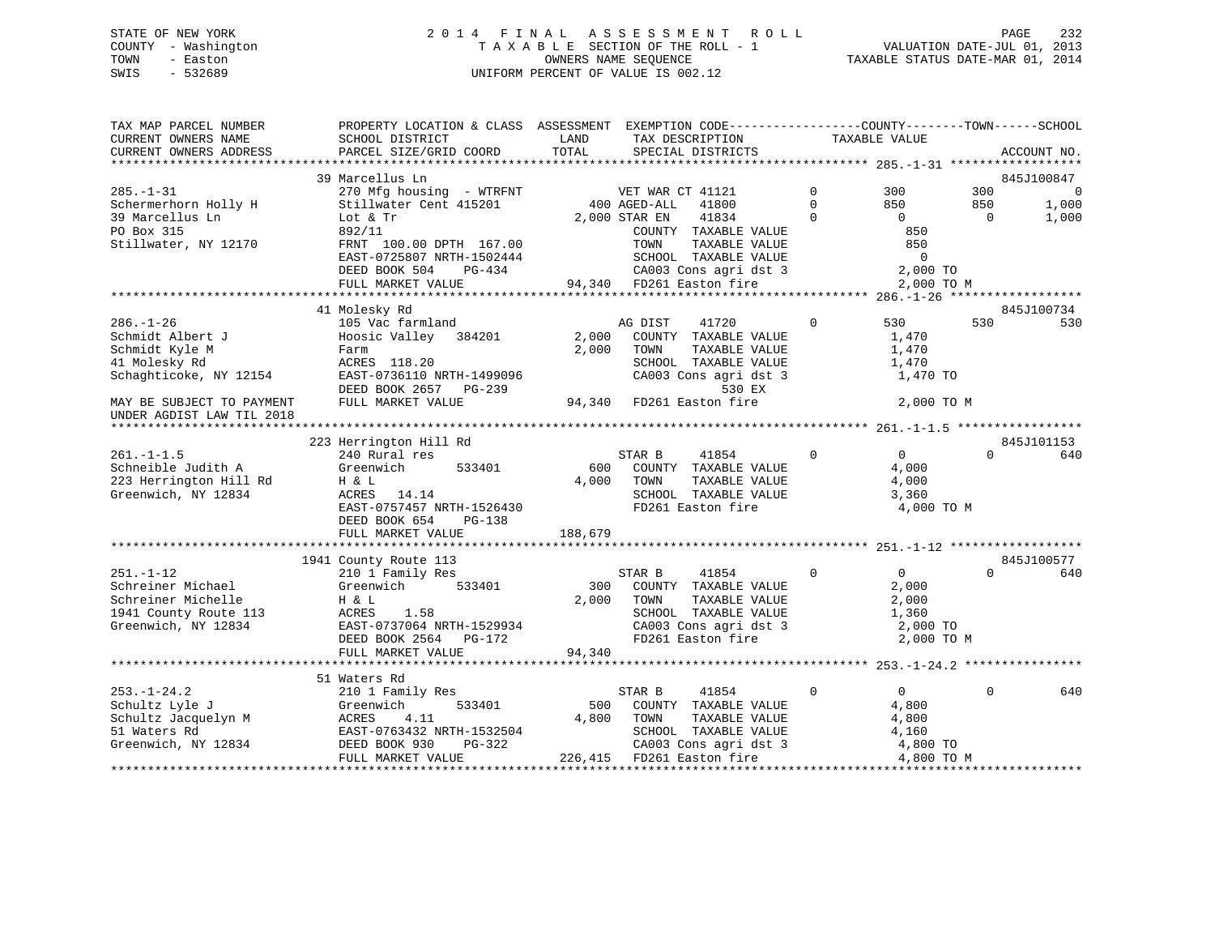# STATE OF NEW YORK 2 0 1 4 F I N A L A S S E S S M E N T R O L L PAGE 232 COUNTY - Washington T A X A B L E SECTION OF THE ROLL - 1 VALUATION DATE-JUL 01, 2013 TOWN - Easton OWNERS NAME SEQUENCE TAXABLE STATUS DATE-MAR 01, 2014 SWIS - 532689 UNIFORM PERCENT OF VALUE IS 002.12

| TAX MAP PARCEL NUMBER<br>CURRENT OWNERS NAME | SCHOOL DISTRICT                           | PROPERTY LOCATION & CLASS ASSESSMENT EXEMPTION CODE----------------COUNTY-------TOWN------SCHOOL<br>LAND<br>TAX DESCRIPTION<br>TOTAL | TAXABLE VALUE                 |                          |
|----------------------------------------------|-------------------------------------------|--------------------------------------------------------------------------------------------------------------------------------------|-------------------------------|--------------------------|
| CURRENT OWNERS ADDRESS                       | PARCEL SIZE/GRID COORD                    | SPECIAL DISTRICTS                                                                                                                    |                               | ACCOUNT NO.              |
|                                              | 39 Marcellus Ln                           |                                                                                                                                      |                               | 845J100847               |
| $285. - 1 - 31$                              |                                           | 270 Mfg housing - WTRFNT WET WAR CT 41121                                                                                            | $\Omega$<br>300               | 300<br>$\overline{0}$    |
| Schermerhorn Holly H                         | Stillwater Cent 415201                    | 400 AGED-ALL<br>41800                                                                                                                | $\Omega$<br>850               | 850<br>1,000             |
| 39 Marcellus Ln                              | Lot & Tr                                  | 2,000 STAR EN<br>41834                                                                                                               | $\Omega$<br>$\cap$            | $\bigcap$<br>1,000       |
| PO Box 315                                   | 892/11                                    | COUNTY TAXABLE VALUE                                                                                                                 | 850                           |                          |
| Stillwater, NY 12170                         | FRNT 100.00 DPTH 167.00                   | TOWN<br>TAXABLE VALUE                                                                                                                | 850                           |                          |
|                                              | EAST-0725807 NRTH-1502444                 | SCHOOL TAXABLE VALUE                                                                                                                 | $\overline{0}$                |                          |
|                                              | DEED BOOK 504 PG-434                      | CA003 Cons agri dst 3                                                                                                                | 2,000 TO                      |                          |
|                                              | FULL MARKET VALUE                         | 94,340 FD261 Easton fire                                                                                                             | 2,000 TO M                    |                          |
|                                              |                                           |                                                                                                                                      |                               |                          |
| $286. - 1 - 26$                              | 41 Molesky Rd<br>105 Vac farmland         | 41720<br>AG DIST                                                                                                                     | $\mathbf 0$<br>530            | 845J100734<br>530<br>530 |
| Schmidt Albert J                             | Hoosic Valley 384201                      | 2,000<br>COUNTY TAXABLE VALUE                                                                                                        | 1,470                         |                          |
| Schmidt Kyle M                               | Farm                                      | 2,000<br>TOWN<br>TAXABLE VALUE                                                                                                       | 1,470                         |                          |
| 41 Molesky Rd                                | ACRES 118.20                              | SCHOOL TAXABLE VALUE                                                                                                                 | 1,470                         |                          |
| Schaghticoke, NY 12154                       | EAST-0736110 NRTH-1499096                 | CA003 Cons agri dst 3                                                                                                                | 1,470 TO                      |                          |
|                                              | DEED BOOK 2657 PG-239                     | 530 EX                                                                                                                               |                               |                          |
| MAY BE SUBJECT TO PAYMENT                    | FULL MARKET VALUE                         | 94,340 FD261 Easton fire                                                                                                             | 2,000 TO M                    |                          |
| UNDER AGDIST LAW TIL 2018                    |                                           |                                                                                                                                      |                               |                          |
|                                              |                                           |                                                                                                                                      |                               |                          |
|                                              | 223 Herrington Hill Rd                    |                                                                                                                                      |                               | 845J101153               |
| $261. -1 -1.5$                               | 240 Rural res                             | STAR B<br>41854                                                                                                                      | $\overline{0}$<br>$\mathbf 0$ | $\Omega$<br>640          |
| Schneible Judith A                           | 533401<br>Greenwich                       | 600<br>COUNTY TAXABLE VALUE                                                                                                          | 4,000                         |                          |
| 223 Herrington Hill Rd                       | H & L                                     | 4,000<br>TOWN<br>TAXABLE VALUE                                                                                                       | 4,000                         |                          |
| Greenwich, NY 12834                          | ACRES 14.14                               | SCHOOL TAXABLE VALUE                                                                                                                 | 3,360                         |                          |
|                                              | EAST-0757457 NRTH-1526430                 | FD261 Easton fire                                                                                                                    | 4,000 TO M                    |                          |
|                                              | DEED BOOK 654<br>$PG-138$                 |                                                                                                                                      |                               |                          |
|                                              | FULL MARKET VALUE                         | 188,679                                                                                                                              |                               |                          |
|                                              |                                           |                                                                                                                                      |                               | 845J100577               |
| $251. - 1 - 12$                              | 1941 County Route 113<br>210 1 Family Res | STAR B<br>41854                                                                                                                      | $\mathbf 0$<br>$\overline{0}$ | $\Omega$<br>640          |
| Schreiner Michael                            | Greenwich<br>533401                       | 300<br>COUNTY TAXABLE VALUE                                                                                                          | 2,000                         |                          |
| Schreiner Michelle                           | H & L                                     | 2,000<br>TAXABLE VALUE<br>TOWN                                                                                                       | 2,000                         |                          |
| 1941 County Route 113                        | ACRES<br>1.58                             | SCHOOL TAXABLE VALUE                                                                                                                 | 1,360                         |                          |
| Greenwich, NY 12834                          | EAST-0737064 NRTH-1529934                 | CA003 Cons agri dst 3                                                                                                                | 2,000 TO                      |                          |
|                                              | DEED BOOK 2564 PG-172                     | FD261 Easton fire                                                                                                                    | 2,000 TO M                    |                          |
|                                              | FULL MARKET VALUE                         | 94,340                                                                                                                               |                               |                          |
|                                              |                                           |                                                                                                                                      |                               |                          |
|                                              | 51 Waters Rd                              |                                                                                                                                      |                               |                          |
| $253. - 1 - 24.2$                            | 210 1 Family Res                          | 41854<br>STAR B                                                                                                                      | $\Omega$<br>$\Omega$          | $\Omega$<br>640          |
| Schultz Lyle J                               | Greenwich<br>533401                       | 500<br>COUNTY TAXABLE VALUE                                                                                                          | 4,800                         |                          |
| Schultz Jacquelyn M                          | ACRES<br>4.11                             | 4,800<br>TOWN<br>TAXABLE VALUE                                                                                                       | 4,800                         |                          |
| 51 Waters Rd                                 | EAST-0763432 NRTH-1532504                 | SCHOOL TAXABLE VALUE                                                                                                                 | 4,160                         |                          |
| Greenwich, NY 12834                          | DEED BOOK 930<br>PG-322                   | CA003 Cons agri dst 3                                                                                                                | 4,800 TO                      |                          |
|                                              | FULL MARKET VALUE                         | 226,415 FD261 Easton fire                                                                                                            | 4,800 TO M                    |                          |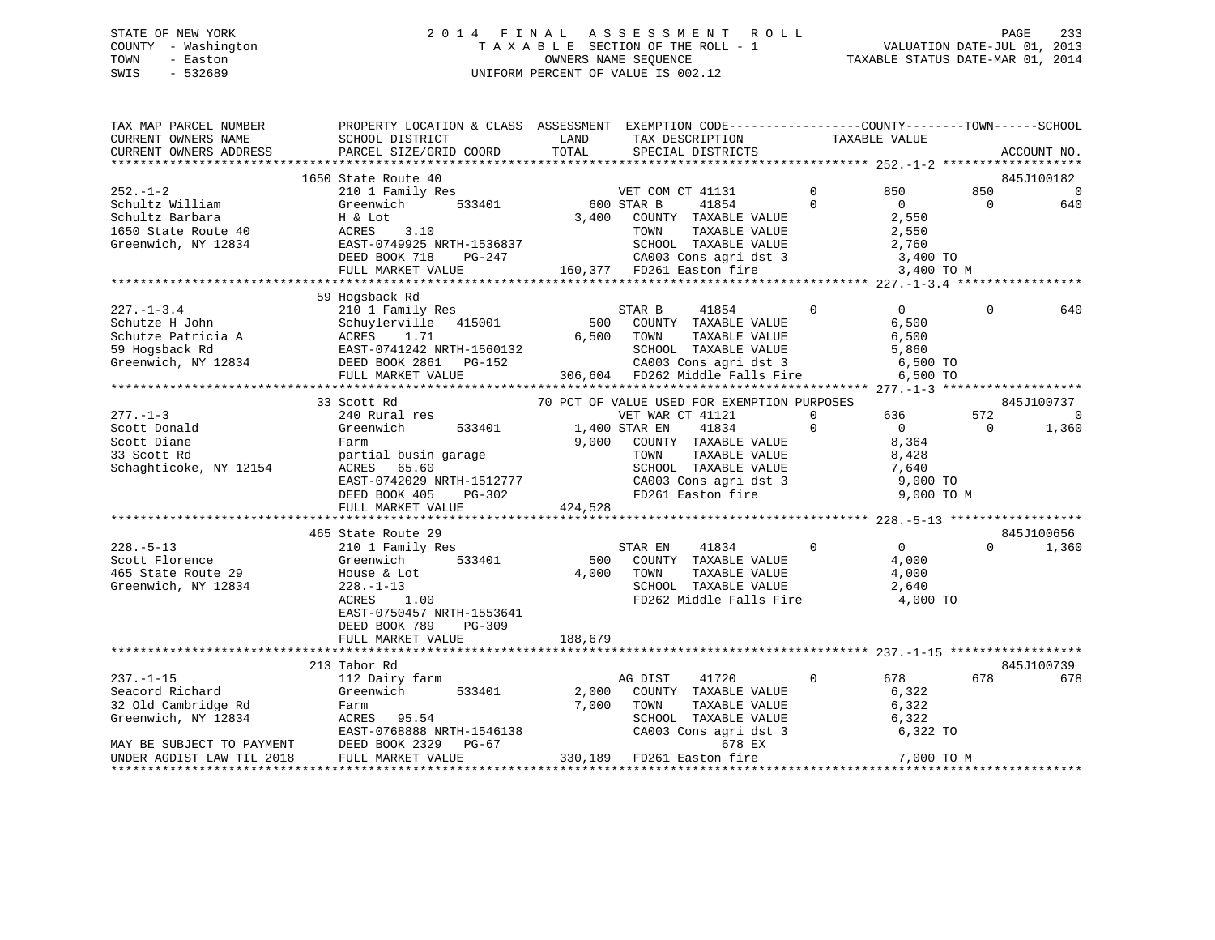# STATE OF NEW YORK 2 0 1 4 F I N A L A S S E S S M E N T R O L L PAGE 233 COUNTY - Washington T A X A B L E SECTION OF THE ROLL - 1 VALUATION DATE-JUL 01, 2013 TOWN - Easton OWNERS NAME SEQUENCE TAXABLE STATUS DATE-MAR 01, 2014 SWIS - 532689 UNIFORM PERCENT OF VALUE IS 002.12

| TAX MAP PARCEL NUMBER<br>CURRENT OWNERS NAME                                                       | PROPERTY LOCATION & CLASS ASSESSMENT EXEMPTION CODE----------------COUNTY-------TOWN------SCHOOL                                                                                |                  | TAX DESCRIPTION                                                                                                                                                                                                  | TAXABLE VALUE                                                                                      |                 |                                 |
|----------------------------------------------------------------------------------------------------|---------------------------------------------------------------------------------------------------------------------------------------------------------------------------------|------------------|------------------------------------------------------------------------------------------------------------------------------------------------------------------------------------------------------------------|----------------------------------------------------------------------------------------------------|-----------------|---------------------------------|
| CURRENT OWNERS ADDRESS                                                                             | SCHOOL DISTRICT<br>PARCEL SIZE/GRID COORD                                                                                                                                       | LAND<br>TOTAL    | SPECIAL DISTRICTS                                                                                                                                                                                                |                                                                                                    |                 | ACCOUNT NO.                     |
|                                                                                                    | 1650 State Route 40                                                                                                                                                             |                  |                                                                                                                                                                                                                  |                                                                                                    |                 | 845J100182                      |
| $252. - 1 - 2$<br>Schultz William<br>Schultz Barbara<br>1650 State Route 40<br>Greenwich, NY 12834 | 210 1 Family Res<br>Greenwich<br>533401<br>H & Lot<br>3.10<br>ACRES<br>EAST-0749925 NRTH-1536837<br>DEED BOOK 718<br>PG-247<br>FULL MARKET VALUE                                | 3,400            | VET COM CT 41131<br>600 STAR B<br>41854<br>COUNTY TAXABLE VALUE<br>TAXABLE VALUE<br>TOWN<br>SCHOOL TAXABLE VALUE<br>CA003 Cons agri dst 3<br>160,377 FD261 Easton fire                                           | $\Omega$<br>850<br>$\Omega$<br>$\Omega$<br>2,550<br>2,550<br>2,760<br>3,400 TO<br>3,400 TO M       | 850<br>$\Omega$ | $\Omega$<br>640                 |
|                                                                                                    |                                                                                                                                                                                 |                  |                                                                                                                                                                                                                  |                                                                                                    |                 |                                 |
| $227. - 1 - 3.4$<br>Schutze H John<br>Schutze Patricia A<br>59 Hogsback Rd<br>Greenwich, NY 12834  | 59 Hogsback Rd<br>210 1 Family Res<br>Schuylerville 415001<br>ACRES 1.71<br>ACRES 1.71<br>EAST-0741242 NRTH-1560132<br>DEED BOOK 2861 PG-152<br>FULL MARKET VALUE               | 500<br>6,500     | STAR B<br>41854<br>COUNTY TAXABLE VALUE<br>TOWN<br>TAXABLE VALUE<br>SCHOOL TAXABLE VALUE<br>CA003 Cons agri dst 3<br>306,604 FD262 Middle Falls Fire                                                             | $\mathbf 0$<br>$\overline{0}$<br>6,500<br>6,500<br>5,860<br>6,500 TO<br>6,500 TO                   | $\Omega$        | 640                             |
|                                                                                                    |                                                                                                                                                                                 |                  |                                                                                                                                                                                                                  |                                                                                                    |                 |                                 |
| $277. - 1 - 3$<br>Scott Donald<br>Scott Diane<br>33 Scott Rd<br>Schaghticoke, NY 12154             | 33 Scott Rd<br>240 Rural res<br>533401<br>Greenwich<br>Farm<br>partial busin garage<br>ACRES 65.60<br>EAST-0742029 NRTH-1512777<br>DEED BOOK 405<br>PG-302<br>FULL MARKET VALUE | 9,000<br>424,528 | 70 PCT OF VALUE USED FOR EXEMPTION PURPOSES<br>VET WAR CT 41121<br>41834<br>1,400 STAR EN<br>COUNTY TAXABLE VALUE<br>TAXABLE VALUE<br>TOWN<br>SCHOOL TAXABLE VALUE<br>CA003 Cons agri dst 3<br>FD261 Easton fire | 636<br>$\Omega$<br>$\Omega$<br>$\overline{0}$<br>8,364<br>8,428<br>7,640<br>9,000 TO<br>9,000 TO M | 572<br>$\Omega$ | 845J100737<br>$\Omega$<br>1,360 |
|                                                                                                    | 465 State Route 29                                                                                                                                                              |                  |                                                                                                                                                                                                                  |                                                                                                    |                 | 845J100656                      |
| $228. - 5 - 13$<br>Scott Florence<br>465 State Route 29<br>Greenwich, NY 12834                     | 210 1 Family Res<br>533401<br>Greenwich<br>House & Lot<br>$228. - 1 - 13$<br>ACRES<br>1.00<br>EAST-0750457 NRTH-1553641<br>DEED BOOK 789<br>$PG-309$                            | 500<br>4,000     | STAR EN<br>41834<br>COUNTY TAXABLE VALUE<br>TAXABLE VALUE<br>TOWN<br>SCHOOL TAXABLE VALUE<br>FD262 Middle Falls Fire                                                                                             | $\Omega$<br>$\Omega$<br>4,000<br>4,000<br>2,640<br>4,000 TO                                        | $\Omega$        | 1,360                           |
|                                                                                                    | FULL MARKET VALUE                                                                                                                                                               | 188,679          |                                                                                                                                                                                                                  |                                                                                                    |                 |                                 |
|                                                                                                    |                                                                                                                                                                                 |                  |                                                                                                                                                                                                                  |                                                                                                    |                 |                                 |
|                                                                                                    | 213 Tabor Rd                                                                                                                                                                    |                  |                                                                                                                                                                                                                  |                                                                                                    | 678             | 845J100739<br>678               |
| $237. - 1 - 15$<br>Seacord Richard<br>32 Old Cambridge Rd<br>Greenwich, NY 12834                   | 112 Dairy farm<br>Greenwich<br>533401<br>Farm<br>95.54<br>ACRES<br>EAST-0768888 NRTH-1546138                                                                                    | 2,000<br>7,000   | 41720<br>AG DIST<br>COUNTY TAXABLE VALUE<br>TAXABLE VALUE<br>TOWN<br>SCHOOL TAXABLE VALUE<br>CA003 Cons agri dst 3                                                                                               | 678<br>0<br>6,322<br>6,322<br>6,322<br>6,322 TO                                                    |                 |                                 |
| MAY BE SUBJECT TO PAYMENT<br>UNDER AGDIST LAW TIL 2018                                             | DEED BOOK 2329<br>PG-67<br>FULL MARKET VALUE                                                                                                                                    |                  | 678 EX<br>330,189 FD261 Easton fire                                                                                                                                                                              | 7,000 TO M                                                                                         |                 |                                 |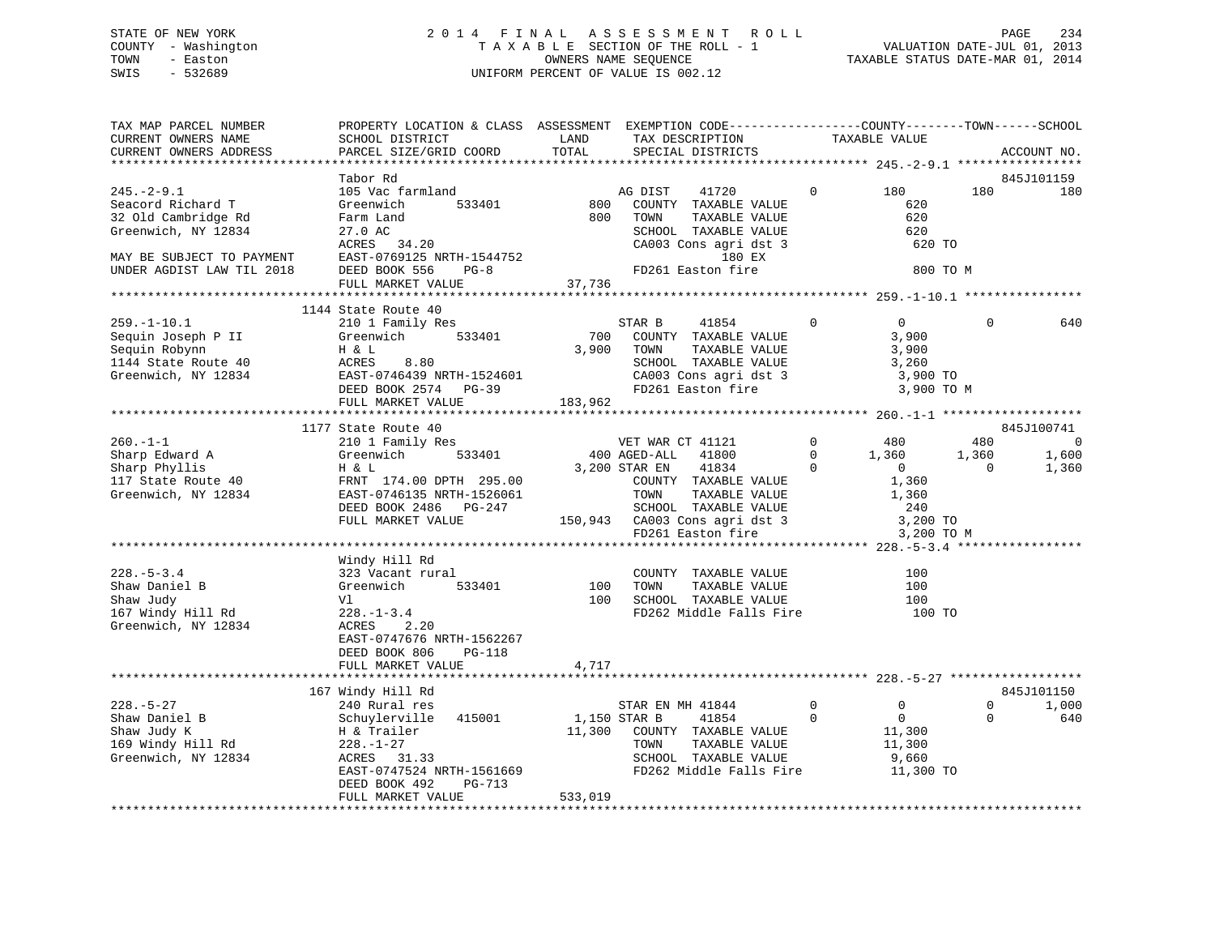# STATE OF NEW YORK 2 0 1 4 F I N A L A S S E S S M E N T R O L L PAGE 234 COUNTY - Washington T A X A B L E SECTION OF THE ROLL - 1 VALUATION DATE-JUL 01, 2013 TOWN - Easton **CONNERS NAME SEQUENCE** TAXABLE STATUS DATE-MAR 01, 2014 SWIS - 532689 UNIFORM PERCENT OF VALUE IS 002.12

| TAX MAP PARCEL NUMBER                                 | PROPERTY LOCATION & CLASS ASSESSMENT EXEMPTION CODE----------------COUNTY-------TOWN------SCHOOL |              |                                                                                                     |                |                 |             |                |
|-------------------------------------------------------|--------------------------------------------------------------------------------------------------|--------------|-----------------------------------------------------------------------------------------------------|----------------|-----------------|-------------|----------------|
| CURRENT OWNERS NAME                                   | SCHOOL DISTRICT                                                                                  | LAND         | TAX DESCRIPTION TAXABLE VALUE                                                                       |                |                 |             |                |
| CURRENT OWNERS ADDRESS                                | PARCEL SIZE/GRID COORD                                                                           | TOTAL        | SPECIAL DISTRICTS                                                                                   |                |                 |             | ACCOUNT NO.    |
|                                                       |                                                                                                  |              |                                                                                                     |                |                 |             |                |
|                                                       | Tabor Rd                                                                                         |              |                                                                                                     |                |                 |             | 845J101159     |
| $245. - 2 - 9.1$                                      | 105 Vac farmland                                                                                 |              | 41720<br>AG DIST                                                                                    | $\overline{0}$ | 180             | 180         | 180            |
| Seacord Richard T                                     | Greenwich                                                                                        | 533401 800   | COUNTY TAXABLE VALUE                                                                                |                | 620             |             |                |
| 32 Old Cambridge Rd                                   | Farm Land                                                                                        | 800          | TOWN<br>TAXABLE VALUE                                                                               |                | 620             |             |                |
| Greenwich, NY 12834                                   | 27.0 AC                                                                                          |              |                                                                                                     |                | 620             |             |                |
|                                                       | ACRES 34.20                                                                                      |              | SCHOOL TAXABLE VALUE<br>CA003 Cons agri dst 3<br>180 EX                                             |                | 620 TO          |             |                |
| MAY BE SUBJECT TO PAYMENT                             | EAST-0769125 NRTH-1544752                                                                        |              | <b>180 EX</b>                                                                                       |                |                 |             |                |
| UNDER AGDIST LAW TIL 2018                             | DEED BOOK 556<br>$PG-8$                                                                          |              | FD261 Easton fire                                                                                   |                | 800 TO M        |             |                |
|                                                       | FULL MARKET VALUE                                                                                | 37,736       |                                                                                                     |                |                 |             |                |
|                                                       | *********************************                                                                |              |                                                                                                     |                |                 |             |                |
|                                                       | 1144 State Route 40                                                                              |              |                                                                                                     |                |                 |             |                |
| $259. - 1 - 10.1$                                     | 210 1 Family Res                                                                                 |              | 41854<br>STAR B                                                                                     | $\overline{0}$ | $\overline{0}$  | $\Omega$    | 640            |
| Sequin Joseph P II                                    |                                                                                                  | 700          | COUNTY TAXABLE VALUE                                                                                |                | 3,900           |             |                |
| Sequin Robynn                                         |                                                                                                  |              | TOWN<br>TAXABLE VALUE                                                                               |                | 3,900           |             |                |
| 1144 State Route 40                                   |                                                                                                  |              | SCHOOL TAXABLE VALUE                                                                                |                | 3,260           |             |                |
| Greenwich, NY 12834                                   |                                                                                                  |              |                                                                                                     |                | 3,900 TO        |             |                |
|                                                       | September 1988<br>H & L<br>ACRES 8.80 3,900<br>EAST-0746439 NRTH-1524601<br>DEED BOOK 2574 PG-39 |              | CA003 Cons agri dst 3<br>FD261 Easton fire                                                          |                | 3,900 TO M      |             |                |
|                                                       | FULL MARKET VALUE                                                                                | 183,962      |                                                                                                     |                |                 |             |                |
|                                                       |                                                                                                  |              |                                                                                                     |                |                 |             |                |
|                                                       | 1177 State Route 40                                                                              |              |                                                                                                     |                |                 |             | 845J100741     |
| $260. - 1 - 1$                                        | 210 1 Family Res                                                                                 |              | VET WAR CT 41121                                                                                    | $0$ 480        |                 | 480         | $\overline{0}$ |
|                                                       |                                                                                                  |              | 400 AGED-ALL 41800                                                                                  |                | $1,360$ $1,360$ |             | 1,600          |
| Sharp Edward A<br>Sharp Phyllis<br>117 State Route 40 | Greenwich 533401<br>H & L<br>FRNT 174.00 DPTH 295.00<br>EAST-0746135 NRTH-1526061                |              | 41834<br>3,200 STAR EN                                                                              | $\overline{0}$ | $\overline{0}$  | $\Omega$    | 1,360          |
|                                                       |                                                                                                  |              | COUNTY TAXABLE VALUE                                                                                |                |                 |             |                |
| Greenwich, NY 12834                                   |                                                                                                  |              | TAXABLE VALUE<br>TOWN                                                                               |                | 1,360<br>1,360  |             |                |
|                                                       | DEED BOOK 2486 PG-247                                                                            |              |                                                                                                     |                |                 |             |                |
|                                                       | FULL MARKET VALUE                                                                                |              |                                                                                                     |                |                 |             |                |
|                                                       |                                                                                                  |              | 47 SCHOOL TAXABLE VALUE 240<br>150,943 CA003 Cons agri dst 3 3,200 TO<br>FD261 Easton fire 3,200 TO |                | 3,200 TO M      |             |                |
|                                                       |                                                                                                  |              |                                                                                                     |                |                 |             |                |
|                                                       | Windy Hill Rd                                                                                    |              |                                                                                                     |                |                 |             |                |
| $228. - 5 - 3.4$                                      | 323 Vacant rural                                                                                 |              | COUNTY TAXABLE VALUE                                                                                |                | 100             |             |                |
| Shaw Daniel B                                         | Greenwich                                                                                        | 533401 100   | TOWN<br>TAXABLE VALUE                                                                               |                | 100             |             |                |
|                                                       | Vl                                                                                               |              | 100 SCHOOL TAXABLE VALUE                                                                            |                | 100             |             |                |
| 167 Windy Hill Rd<br>Greenwick                        | $228. - 1 - 3.4$                                                                                 |              | FD262 Middle Falls Fire 100 TO                                                                      |                |                 |             |                |
| Greenwich, NY 12834                                   | 2.20<br>ACRES                                                                                    |              |                                                                                                     |                |                 |             |                |
|                                                       | EAST-0747676 NRTH-1562267                                                                        |              |                                                                                                     |                |                 |             |                |
|                                                       | DEED BOOK 806<br>PG-118                                                                          |              |                                                                                                     |                |                 |             |                |
|                                                       | FULL MARKET VALUE                                                                                | 4,717        |                                                                                                     |                |                 |             |                |
|                                                       |                                                                                                  |              |                                                                                                     |                |                 |             |                |
|                                                       | 167 Windy Hill Rd                                                                                |              |                                                                                                     |                |                 |             | 845J101150     |
| $228. - 5 - 27$                                       | 240 Rural res                                                                                    |              | STAR EN MH 41844                                                                                    | $\overline{0}$ | $\overline{0}$  | $\mathbf 0$ | 1,000          |
| Shaw Daniel B                                         |                                                                                                  | 1,150 STAR B | 41854                                                                                               | $\Omega$       | $\overline{0}$  | $\Omega$    | 640            |
|                                                       |                                                                                                  |              |                                                                                                     |                |                 |             |                |
| Shaw Judy K                                           |                                                                                                  |              | 11,300 COUNTY TAXABLE VALUE                                                                         |                | 11,300          |             |                |
| 169 Windy Hill Rd                                     | Schuylerville 415001<br>H & Trailer<br>228.-1-27<br>ACRES 31.33                                  |              | TAXABLE VALUE<br>TOWN                                                                               |                | 11,300<br>9,660 |             |                |
| Greenwich, NY 12834                                   |                                                                                                  |              | SCHOOL TAXABLE VALUE                                                                                |                |                 |             |                |
|                                                       | EAST-0747524 NRTH-1561669                                                                        |              | FD262 Middle Falls Fire 11,300 TO                                                                   |                |                 |             |                |
|                                                       | DEED BOOK 492<br>PG-713                                                                          |              |                                                                                                     |                |                 |             |                |
|                                                       | FULL MARKET VALUE                                                                                | 533,019      |                                                                                                     |                |                 |             |                |
|                                                       |                                                                                                  |              |                                                                                                     |                |                 |             |                |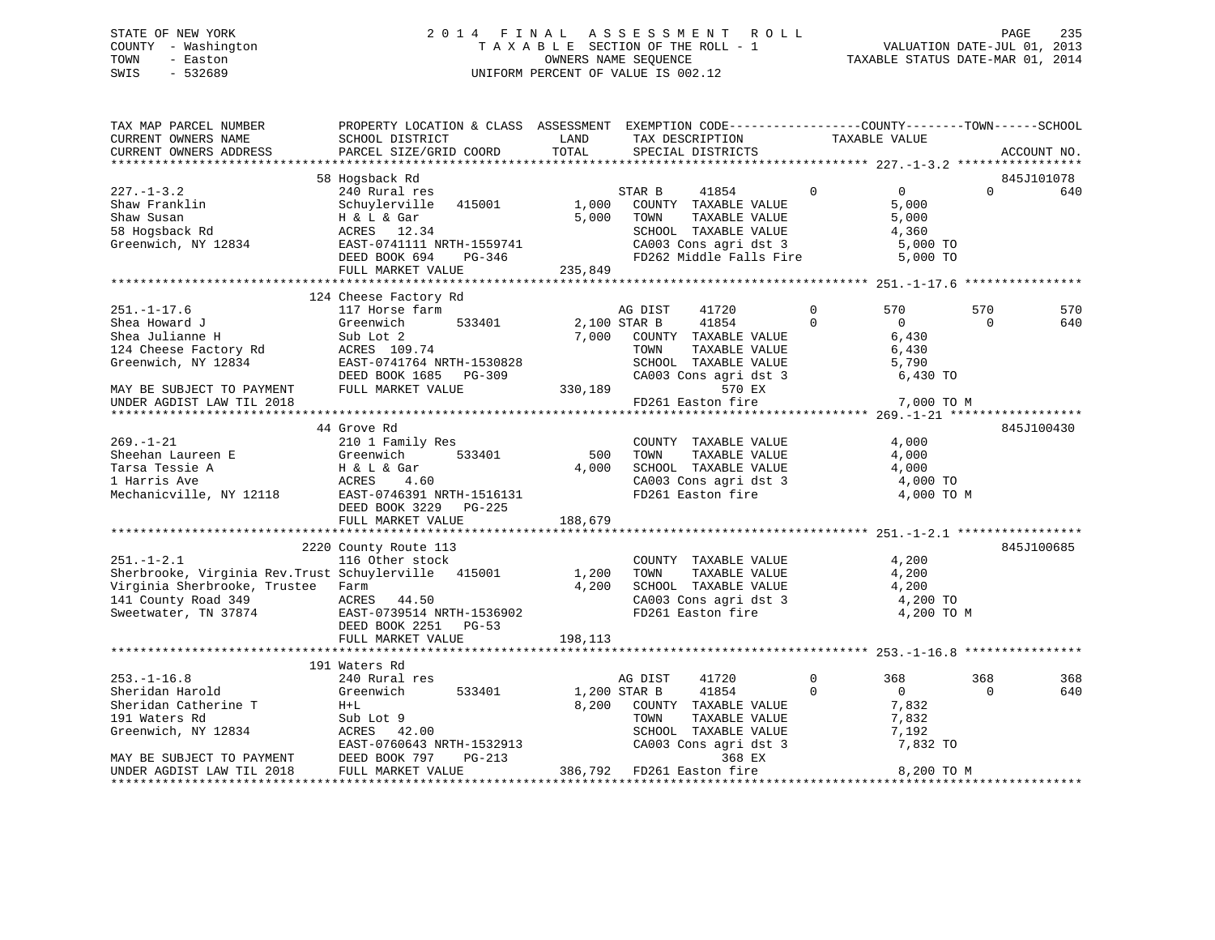# STATE OF NEW YORK 235 2 0 1 4 F I N A L A S S E S S M E N T R O L L PAGE 235 COUNTY - Washington  $\begin{array}{ccc}\n\text{T A X A B L E} & \text{SECTION OF THE ROLL - 1} \\
\text{T} & \text{N} & \text{N} & \text{N} \\
\text{N} & \text{S} & \text{N} & \text{N} \\
\end{array}$ SWIS - 532689 UNIFORM PERCENT OF VALUE IS 002.12

TAXABLE STATUS DATE-MAR 01, 2014

| TAX MAP PARCEL NUMBER<br>CURRENT OWNERS NAME<br>CURRENT OWNERS ADDRESS | PROPERTY LOCATION & CLASS ASSESSMENT EXEMPTION CODE---------------COUNTY-------TOWN-----SCHOOL<br>SCHOOL DISTRICT<br>PARCEL SIZE/GRID COORD | LAND<br>TOTAL | TAX DESCRIPTION<br>SPECIAL DISTRICTS |             | TAXABLE VALUE  |          | ACCOUNT NO. |
|------------------------------------------------------------------------|---------------------------------------------------------------------------------------------------------------------------------------------|---------------|--------------------------------------|-------------|----------------|----------|-------------|
|                                                                        |                                                                                                                                             |               |                                      |             |                |          |             |
|                                                                        | 58 Hogsback Rd                                                                                                                              |               |                                      |             |                |          | 845J101078  |
| $227. - 1 - 3.2$                                                       | 240 Rural res                                                                                                                               |               | 41854<br>STAR B                      | $\mathbf 0$ | $\overline{0}$ | $\Omega$ | 640         |
| Shaw Franklin                                                          | Schuylerville 415001                                                                                                                        | 1,000         | COUNTY TAXABLE VALUE                 |             | 5,000          |          |             |
| Shaw Susan                                                             | H & L & Gar                                                                                                                                 | 5,000         | TAXABLE VALUE<br>TOWN                |             | 5,000          |          |             |
| 58 Hogsback Rd                                                         | ACRES 12.34                                                                                                                                 |               | SCHOOL TAXABLE VALUE                 |             | 4,360          |          |             |
| Greenwich, NY 12834                                                    | EAST-0741111 NRTH-1559741                                                                                                                   |               | CA003 Cons agri dst 3                |             | 5,000 TO       |          |             |
|                                                                        | DEED BOOK 694<br>PG-346                                                                                                                     |               | FD262 Middle Falls Fire              |             | 5,000 TO       |          |             |
|                                                                        | FULL MARKET VALUE                                                                                                                           | 235,849       |                                      |             |                |          |             |
|                                                                        | 124 Cheese Factory Rd                                                                                                                       |               |                                      |             |                |          |             |
| $251. - 1 - 17.6$                                                      | 117 Horse farm                                                                                                                              |               | AG DIST<br>41720                     | 0           | 570            | 570      | 570         |
| Shea Howard J                                                          | Greenwich<br>533401                                                                                                                         | 2,100 STAR B  | 41854                                | $\Omega$    | $\overline{0}$ | $\Omega$ | 640         |
| Shea Julianne H                                                        | Sub Lot 2                                                                                                                                   | 7,000         | COUNTY TAXABLE VALUE                 |             | 6,430          |          |             |
| 124 Cheese Factory Rd                                                  | ACRES 109.74                                                                                                                                |               | TOWN<br>TAXABLE VALUE                |             | 6,430          |          |             |
| Greenwich, NY 12834                                                    | EAST-0741764 NRTH-1530828                                                                                                                   |               | SCHOOL TAXABLE VALUE                 |             | 5,790          |          |             |
|                                                                        | DEED BOOK 1685 PG-309                                                                                                                       |               | CA003 Cons agri dst 3                |             | 6,430 TO       |          |             |
| MAY BE SUBJECT TO PAYMENT                                              | FULL MARKET VALUE                                                                                                                           |               | 570 EX<br>330,189                    |             |                |          |             |
| UNDER AGDIST LAW TIL 2018                                              |                                                                                                                                             |               | FD261 Easton fire                    |             | 7,000 TO M     |          |             |
|                                                                        |                                                                                                                                             |               |                                      |             |                |          |             |
|                                                                        | 44 Grove Rd                                                                                                                                 |               |                                      |             |                |          | 845J100430  |
| $269. - 1 - 21$                                                        | 210 1 Family Res                                                                                                                            |               | COUNTY TAXABLE VALUE                 |             | 4,000          |          |             |
| Sheehan Laureen E                                                      | Greenwich<br>533401                                                                                                                         | 500           | TAXABLE VALUE<br>TOWN                |             | 4,000          |          |             |
| Tarsa Tessie A                                                         | H & L & Gar                                                                                                                                 | 4,000         | SCHOOL TAXABLE VALUE                 |             | 4,000          |          |             |
| 1 Harris Ave                                                           | ACRES<br>4.60                                                                                                                               |               | CA003 Cons agri dst 3                |             | 4,000 TO       |          |             |
| Mechanicville, NY 12118                                                | EAST-0746391 NRTH-1516131                                                                                                                   |               | FD261 Easton fire                    |             | 4,000 TO M     |          |             |
|                                                                        | DEED BOOK 3229 PG-225<br>FULL MARKET VALUE                                                                                                  | 188,679       |                                      |             |                |          |             |
|                                                                        |                                                                                                                                             |               |                                      |             |                |          |             |
|                                                                        | 2220 County Route 113                                                                                                                       |               |                                      |             |                |          | 845J100685  |
| $251. - 1 - 2.1$                                                       | 116 Other stock                                                                                                                             |               | COUNTY TAXABLE VALUE                 |             | 4,200          |          |             |
| Sherbrooke, Virginia Rev. Trust Schuylerville 415001                   |                                                                                                                                             | 1,200         | TAXABLE VALUE<br>TOWN                |             | 4,200          |          |             |
| Virginia Sherbrooke, Trustee Farm                                      |                                                                                                                                             | 4,200         | SCHOOL TAXABLE VALUE                 |             | 4,200          |          |             |
| 141 County Road 349                                                    | ACRES<br>44.50                                                                                                                              |               | CA003 Cons agri dst 3                |             | 4,200 TO       |          |             |
| Sweetwater, TN 37874                                                   | EAST-0739514 NRTH-1536902                                                                                                                   |               | FD261 Easton fire                    |             | 4,200 TO M     |          |             |
|                                                                        | DEED BOOK 2251 PG-53                                                                                                                        |               |                                      |             |                |          |             |
|                                                                        | FULL MARKET VALUE                                                                                                                           | 198,113       |                                      |             |                |          |             |
|                                                                        |                                                                                                                                             |               |                                      |             |                |          |             |
|                                                                        | 191 Waters Rd                                                                                                                               |               |                                      |             |                |          |             |
| $253. - 1 - 16.8$                                                      | 240 Rural res                                                                                                                               |               | AG DIST<br>41720                     | $\mathbf 0$ | 368            | 368      | 368         |
| Sheridan Harold                                                        | Greenwich<br>533401                                                                                                                         |               | 1,200 STAR B<br>41854                | $\Omega$    | $\overline{0}$ | $\Omega$ | 640         |
| Sheridan Catherine T                                                   | $H+L$                                                                                                                                       | 8,200         | COUNTY TAXABLE VALUE                 |             | 7,832          |          |             |
| 191 Waters Rd                                                          | Sub Lot 9                                                                                                                                   |               | TOWN<br>TAXABLE VALUE                |             | 7,832          |          |             |
| Greenwich, NY 12834                                                    | ACRES 42.00                                                                                                                                 |               | SCHOOL TAXABLE VALUE                 |             | 7,192          |          |             |
|                                                                        | EAST-0760643 NRTH-1532913                                                                                                                   |               | CA003 Cons agri dst 3                |             | 7,832 TO       |          |             |
| MAY BE SUBJECT TO PAYMENT<br>UNDER AGDIST LAW TIL 2018                 | DEED BOOK 797<br>PG-213<br>FULL MARKET VALUE                                                                                                |               | 368 EX<br>386,792 FD261 Easton fire  |             | 8,200 TO M     |          |             |
|                                                                        |                                                                                                                                             |               | ************************************ |             |                |          |             |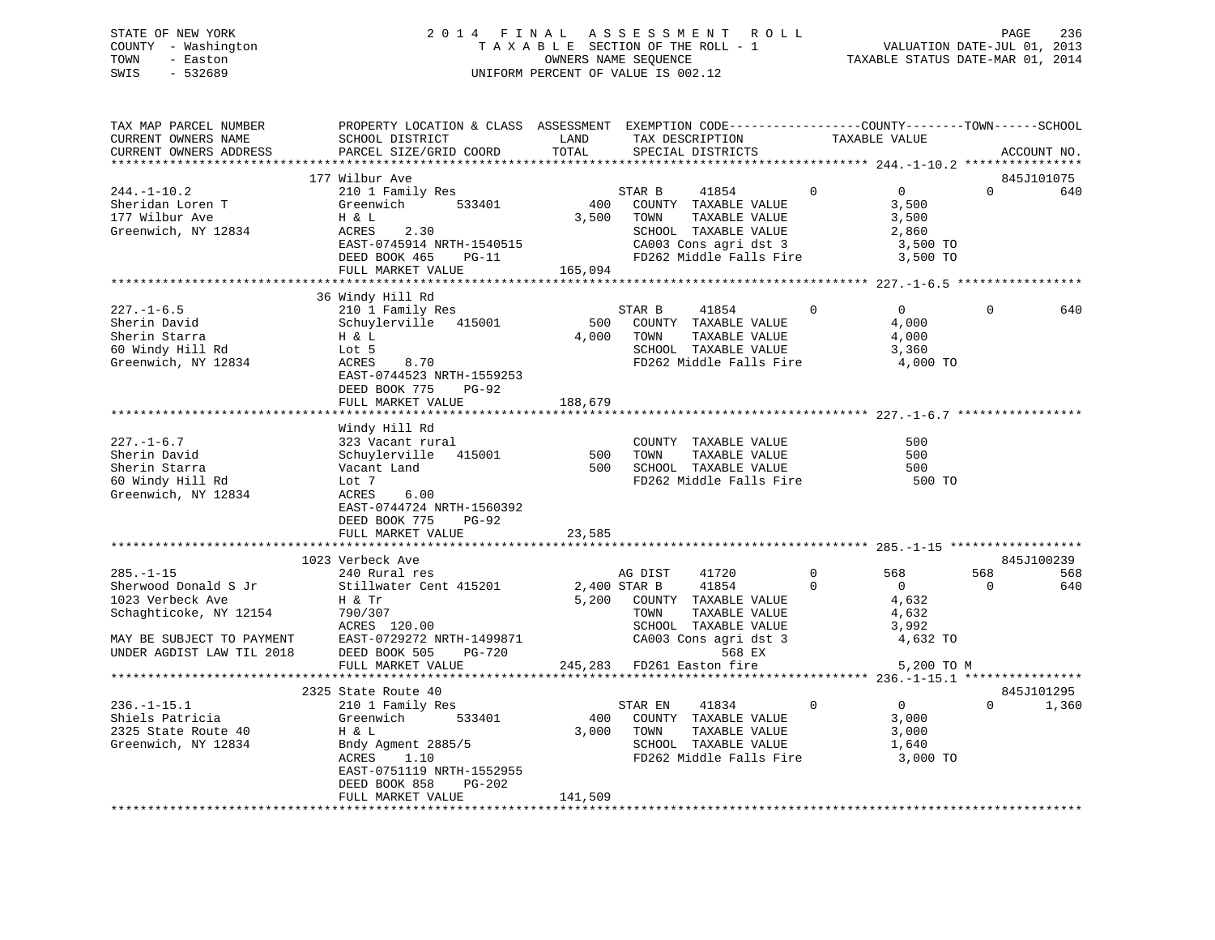# STATE OF NEW YORK 2 0 1 4 F I N A L A S S E S S M E N T R O L L PAGE 236 COUNTY - Washington T A X A B L E SECTION OF THE ROLL - 1 VALUATION DATE-JUL 01, 2013 TOWN - Easton OWNERS NAME SEQUENCE TAXABLE STATUS DATE-MAR 01, 2014 SWIS - 532689 UNIFORM PERCENT OF VALUE IS 002.12

| TAX MAP PARCEL NUMBER<br>CURRENT OWNERS NAME<br>CURRENT OWNERS ADDRESS                                                                          | PROPERTY LOCATION & CLASS ASSESSMENT EXEMPTION CODE----------------COUNTY-------TOWN-----SCHOOL<br>SCHOOL DISTRICT<br>PARCEL SIZE/GRID COORD                                          | LAND<br>TOTAL           | TAX DESCRIPTION<br>SPECIAL DISTRICTS                                                                                                                        |                      | TAXABLE VALUE                                                     |                 | ACCOUNT NO.       |
|-------------------------------------------------------------------------------------------------------------------------------------------------|---------------------------------------------------------------------------------------------------------------------------------------------------------------------------------------|-------------------------|-------------------------------------------------------------------------------------------------------------------------------------------------------------|----------------------|-------------------------------------------------------------------|-----------------|-------------------|
|                                                                                                                                                 |                                                                                                                                                                                       |                         |                                                                                                                                                             |                      |                                                                   |                 |                   |
| $244. -1 - 10.2$<br>Sheridan Loren T<br>177 Wilbur Ave<br>Greenwich, NY 12834                                                                   | 177 Wilbur Ave<br>210 1 Family Res<br>533401<br>Greenwich<br>H & L<br>ACRES<br>2.30<br>EAST-0745914 NRTH-1540515<br>DEED BOOK 465<br>$PG-11$<br>FULL MARKET VALUE                     | 400<br>3,500<br>165,094 | 41854<br>STAR B<br>COUNTY TAXABLE VALUE<br>TOWN<br>TAXABLE VALUE<br>SCHOOL TAXABLE VALUE<br>CA003 Cons agri dst 3<br>FD262 Middle Falls Fire                | $\mathbf 0$          | $\overline{0}$<br>3,500<br>3,500<br>2,860<br>3,500 TO<br>3,500 TO | $\Omega$        | 845J101075<br>640 |
|                                                                                                                                                 | 36 Windy Hill Rd                                                                                                                                                                      |                         |                                                                                                                                                             |                      |                                                                   |                 |                   |
| $227. - 1 - 6.5$<br>Sherin David<br>Sherin Starra<br>60 Windy Hill Rd<br>Greenwich, NY 12834                                                    | 210 1 Family Res<br>Schuylerville 415001<br>Η & L<br>Lot 5<br>ACRES<br>8.70<br>EAST-0744523 NRTH-1559253<br>DEED BOOK 775<br><b>PG-92</b><br>FULL MARKET VALUE                        | 500<br>4,000<br>188,679 | STAR B<br>41854<br>COUNTY TAXABLE VALUE<br>TOWN<br>TAXABLE VALUE<br>SCHOOL TAXABLE VALUE<br>FD262 Middle Falls Fire 4,000 TO                                | $\mathbf 0$          | $\overline{0}$<br>4,000<br>4,000<br>3,360                         | $\Omega$        | 640               |
|                                                                                                                                                 |                                                                                                                                                                                       |                         |                                                                                                                                                             |                      |                                                                   |                 |                   |
| 227.-1-6.7<br>Sherin David<br>Sherin Starra<br>60 Windy Hill Rd<br>Greenwich, NY 12834                                                          | Windy Hill Rd<br>323 Vacant rural<br>Schuylerville 415001<br>Vacant Land<br>Lot 7<br>6.00<br>ACRES<br>EAST-0744724 NRTH-1560392<br>DEED BOOK 775<br><b>PG-92</b><br>FULL MARKET VALUE | 500<br>23,585           | COUNTY TAXABLE VALUE<br>TOWN<br>TAXABLE VALUE<br>500 SCHOOL TAXABLE VALUE<br>FD262 Middle Falls Fire                                                        |                      | 500<br>500<br>500<br>500 TO                                       |                 |                   |
|                                                                                                                                                 | 1023 Verbeck Ave                                                                                                                                                                      |                         |                                                                                                                                                             |                      |                                                                   |                 | 845J100239        |
| $285. - 1 - 15$<br>Sherwood Donald S Jr<br>1023 Verbeck Ave<br>Schaghticoke, NY 12154<br>MAY BE SUBJECT TO PAYMENT<br>UNDER AGDIST LAW TIL 2018 | 240 Rural res<br>Stillwater Cent 415201<br>Η & Tr<br>790/307<br>ACRES 120.00<br>EAST-0729272 NRTH-1499871<br><b>PG-720</b><br>DEED BOOK 505                                           |                         | 41720<br>AG DIST<br>2,400 STAR B<br>41854<br>5,200 COUNTY TAXABLE VALUE<br>TOWN<br>TAXABLE VALUE<br>SCHOOL TAXABLE VALUE<br>CA003 Cons agri dst 3<br>568 EX | $\Omega$<br>$\Omega$ | 568<br>$\overline{0}$<br>4,632<br>4,632<br>3,992<br>4,632 TO      | 568<br>$\Omega$ | 568<br>640        |
|                                                                                                                                                 | FULL MARKET VALUE                                                                                                                                                                     |                         | 245,283 FD261 Easton fire                                                                                                                                   |                      | 5,200 TO M                                                        |                 |                   |
|                                                                                                                                                 | 2325 State Route 40                                                                                                                                                                   |                         |                                                                                                                                                             |                      |                                                                   |                 | 845J101295        |
| $236. - 1 - 15.1$<br>Shiels Patricia<br>2325 State Route 40<br>Greenwich, NY 12834                                                              | 210 1 Family Res<br>533401<br>Greenwich<br>H & L<br>Bndy Agment 2885/5<br>ACRES<br>1.10<br>EAST-0751119 NRTH-1552955<br>DEED BOOK 858<br>PG-202<br>FULL MARKET VALUE                  | 400<br>3,000<br>141,509 | STAR EN<br>41834<br>COUNTY TAXABLE VALUE<br>TOWN<br>TAXABLE VALUE<br>SCHOOL TAXABLE VALUE<br>FD262 Middle Falls Fire                                        | $\overline{0}$       | $\overline{0}$<br>3,000<br>3,000<br>1,640<br>3,000 TO             | $\Omega$        | 1,360             |
|                                                                                                                                                 |                                                                                                                                                                                       |                         |                                                                                                                                                             |                      |                                                                   |                 |                   |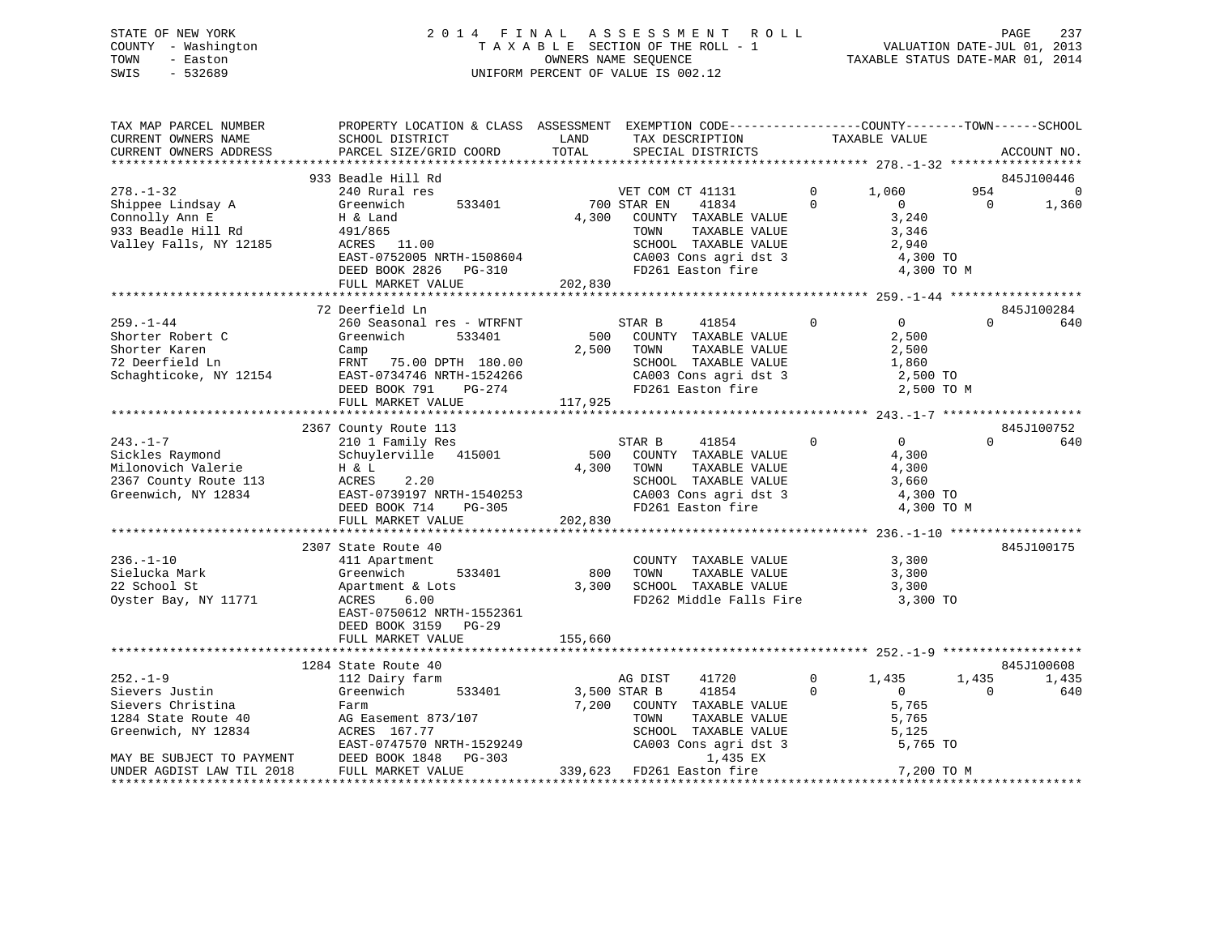# STATE OF NEW YORK 2 0 1 4 F I N A L A S S E S S M E N T R O L L PAGE 237 COUNTY - Washington T A X A B L E SECTION OF THE ROLL - 1 VALUATION DATE-JUL 01, 2013 TOWN - Easton OWNERS NAME SEQUENCE TAXABLE STATUS DATE-MAR 01, 2014 SWIS - 532689 UNIFORM PERCENT OF VALUE IS 002.12UNIFORM PERCENT OF VALUE IS 002.12

| TAX MAP PARCEL NUMBER<br>CURRENT OWNERS NAME<br>CURRENT OWNERS ADDRESS                                         | PROPERTY LOCATION & CLASS ASSESSMENT EXEMPTION CODE----------------COUNTY-------TOWN-----SCHOOL<br>SCHOOL DISTRICT<br>PARCEL SIZE/GRID COORD                                       | LAND<br>TOTAL           | TAX DESCRIPTION<br>SPECIAL DISTRICTS                                                                                                           |                           |                            | TAXABLE VALUE                                                          |                 | ACCOUNT NO.          |
|----------------------------------------------------------------------------------------------------------------|------------------------------------------------------------------------------------------------------------------------------------------------------------------------------------|-------------------------|------------------------------------------------------------------------------------------------------------------------------------------------|---------------------------|----------------------------|------------------------------------------------------------------------|-----------------|----------------------|
|                                                                                                                |                                                                                                                                                                                    |                         |                                                                                                                                                |                           |                            |                                                                        |                 |                      |
|                                                                                                                | 933 Beadle Hill Rd                                                                                                                                                                 |                         |                                                                                                                                                |                           |                            |                                                                        |                 | 845J100446           |
| $278. - 1 - 32$<br>Shippee Lindsay A<br>Connolly Ann E<br>933 Beadle Hill Rd<br>Valley Falls, NY 12185         | 240 Rural res<br>Greenwich<br>533401<br>H & Land<br>491/865<br>ACRES 11.00<br>EAST-0752005 NRTH-1508604<br>DEED BOOK 2826 PG-310<br>FULL MARKET VALUE                              | 4,300<br>202,830        | VET COM CT 41131<br>700 STAR EN<br>41834<br>COUNTY TAXABLE VALUE<br>TOWN<br>SCHOOL TAXABLE VALUE<br>CA003 Cons agri dst 3<br>FD261 Easton fire | TAXABLE VALUE             | $\overline{0}$<br>$\Omega$ | 1,060<br>$\Omega$<br>3,240<br>3,346<br>2,940<br>4,300 TO<br>4,300 TO M | 954<br>$\Omega$ | $\mathbf 0$<br>1,360 |
|                                                                                                                | ****************************                                                                                                                                                       |                         |                                                                                                                                                |                           |                            |                                                                        |                 |                      |
| $259. - 1 - 44$<br>Shorter Robert C<br>Shorter Karen<br>72 Deerfield Ln<br>Schaghticoke, NY 12154              | 72 Deerfield Ln<br>260 Seasonal res - WTRFNT<br>Greenwich<br>533401<br>Camp<br>FRNT 75.00 DPTH 180.00<br>EAST-0734746 NRTH-1524266<br>DEED BOOK 791<br>PG-274<br>FULL MARKET VALUE | 500<br>2,500<br>117,925 | STAR B<br>41854<br>COUNTY TAXABLE VALUE<br>TOWN<br>SCHOOL TAXABLE VALUE<br>CA003 Cons agri dst 3<br>FD261 Easton fire                          | TAXABLE VALUE             | $\Omega$                   | $\overline{0}$<br>2,500<br>2,500<br>1,860<br>2,500 TO<br>2,500 TO M    | $\Omega$        | 845J100284<br>640    |
|                                                                                                                |                                                                                                                                                                                    |                         |                                                                                                                                                |                           |                            |                                                                        |                 |                      |
| $243. - 1 - 7$<br>Sickles Raymond<br>Milonovich Valerie<br>2367 County Route 113<br>Greenwich, NY 12834        | 2367 County Route 113<br>210 1 Family Res<br>Schuylerville 415001<br>H & L<br>ACRES<br>2.20<br>EAST-0739197 NRTH-1540253<br>DEED BOOK 714<br>PG-305<br>FULL MARKET VALUE           | 500<br>4,300<br>202,830 | STAR B<br>41854<br>COUNTY TAXABLE VALUE<br>TOWN<br>SCHOOL TAXABLE VALUE<br>CA003 Cons agri dst 3<br>FD261 Easton fire                          | TAXABLE VALUE             | $\Omega$                   | $\overline{0}$<br>4,300<br>4,300<br>3,660<br>4,300 TO<br>4,300 TO M    | $\Omega$        | 845J100752<br>640    |
|                                                                                                                |                                                                                                                                                                                    |                         |                                                                                                                                                |                           |                            |                                                                        |                 |                      |
| $236. - 1 - 10$<br>Sielucka Mark<br>22 School St<br>Oyster Bay, NY 11771                                       | 2307 State Route 40<br>411 Apartment<br>533401<br>Greenwich<br>Apartment & Lots<br>ACRES<br>6.00<br>EAST-0750612 NRTH-1552361<br>DEED BOOK 3159 PG-29                              | 800<br>3,300            | COUNTY TAXABLE VALUE<br>TOWN<br>SCHOOL TAXABLE VALUE<br>FD262 Middle Falls Fire                                                                | TAXABLE VALUE             |                            | 3,300<br>3,300<br>3,300<br>3,300 TO                                    |                 | 845J100175           |
|                                                                                                                | FULL MARKET VALUE                                                                                                                                                                  | 155,660                 |                                                                                                                                                |                           |                            |                                                                        |                 |                      |
|                                                                                                                | 1284 State Route 40                                                                                                                                                                |                         |                                                                                                                                                |                           |                            |                                                                        |                 | 845J100608           |
| $252. - 1 - 9$                                                                                                 | 112 Dairy farm                                                                                                                                                                     |                         | AG DIST<br>41720                                                                                                                               |                           | $\Omega$                   | 1,435                                                                  | 1,435           | 1,435                |
| Sievers Justin<br>Sievers Christina<br>1284 State Route 40<br>Greenwich, NY 12834<br>MAY BE SUBJECT TO PAYMENT | Greenwich<br>533401<br>Farm<br>AG Easement 873/107<br>ACRES 167.77<br>EAST-0747570 NRTH-1529249<br>DEED BOOK 1848<br>PG-303                                                        | 7,200                   | 41854<br>3,500 STAR B<br>COUNTY TAXABLE VALUE<br>TOWN<br>SCHOOL TAXABLE VALUE<br>CA003 Cons agri dst 3                                         | TAXABLE VALUE<br>1,435 EX | $\Omega$                   | $\overline{0}$<br>5,765<br>5,765<br>5,125<br>5,765 TO                  | $\Omega$        | 640                  |
| UNDER AGDIST LAW TIL 2018                                                                                      | FULL MARKET VALUE                                                                                                                                                                  | 339,623                 | FD261 Easton fire                                                                                                                              |                           |                            | 7,200 TO M                                                             |                 |                      |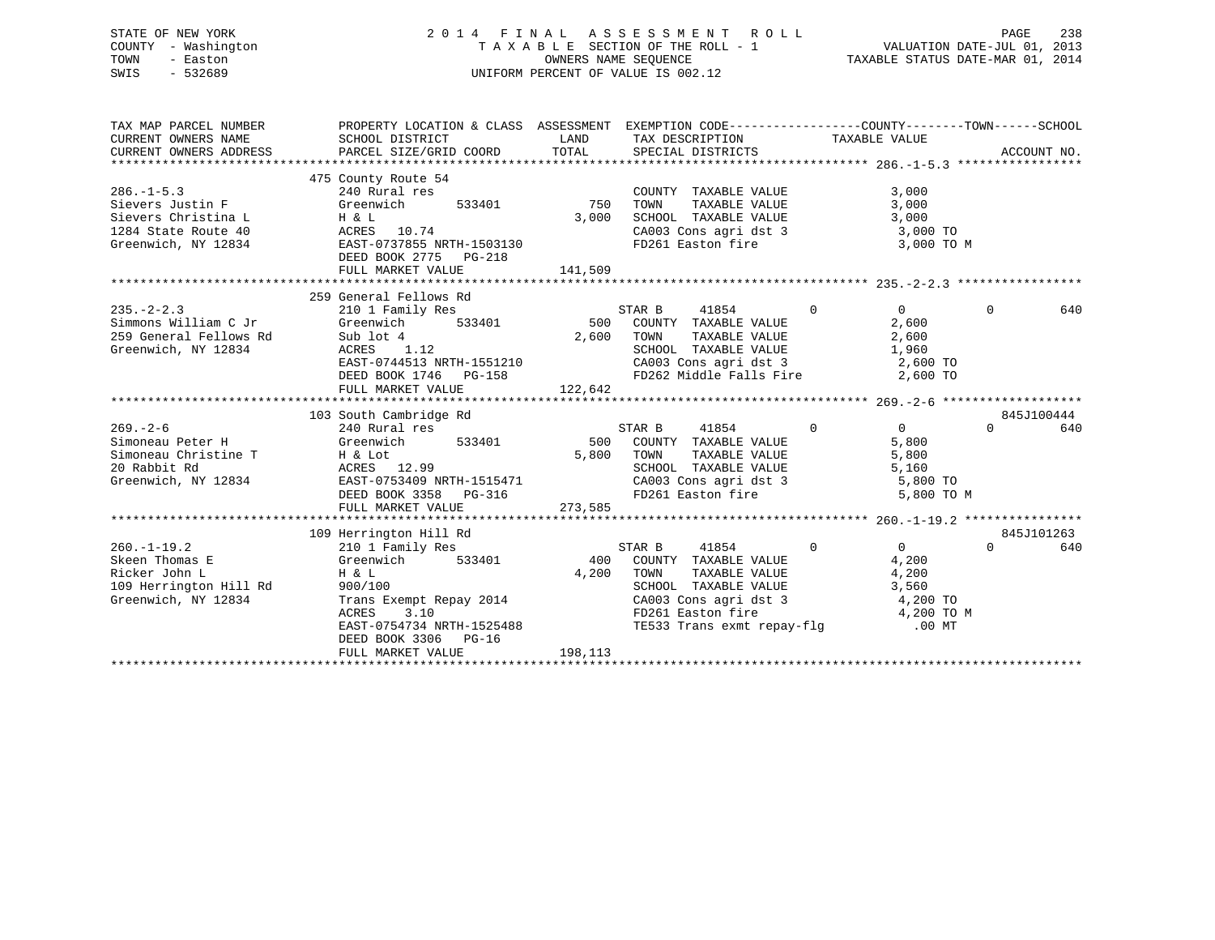# STATE OF NEW YORK 2 0 1 4 F I N A L A S S E S S M E N T R O L L PAGE 238 COUNTY - Washington T A X A B L E SECTION OF THE ROLL - 1 VALUATION DATE-JUL 01, 2013 TOWN - Easton OWNERS NAME SEQUENCE TAXABLE STATUS DATE-MAR 01, 2014 SWIS - 532689 UNIFORM PERCENT OF VALUE IS 002.12

| SCHOOL DISTRICT<br>PARCEL SIZE/GRID COORD                                                                                       | LAND<br>TOTAL                                                                                                  | SPECIAL DISTRICTS                                                                                                                                                                                                                                                                                                                                                  |                                                                                                                                                                  | ACCOUNT NO.                                                                                                                                                                                                                                                                                                                                                                                                                                                                                    |
|---------------------------------------------------------------------------------------------------------------------------------|----------------------------------------------------------------------------------------------------------------|--------------------------------------------------------------------------------------------------------------------------------------------------------------------------------------------------------------------------------------------------------------------------------------------------------------------------------------------------------------------|------------------------------------------------------------------------------------------------------------------------------------------------------------------|------------------------------------------------------------------------------------------------------------------------------------------------------------------------------------------------------------------------------------------------------------------------------------------------------------------------------------------------------------------------------------------------------------------------------------------------------------------------------------------------|
| 240 Rural res<br>533401<br>Greenwich<br>H & L<br>ACRES 10.74<br>DEED BOOK 2775 PG-218<br>FULL MARKET VALUE                      | 3,000                                                                                                          | COUNTY TAXABLE VALUE<br>TAXABLE VALUE                                                                                                                                                                                                                                                                                                                              | 3,000<br>3,000                                                                                                                                                   |                                                                                                                                                                                                                                                                                                                                                                                                                                                                                                |
| 210 1 Family Res<br>Greenwich<br>ACRES<br>1.12<br>FULL MARKET VALUE                                                             |                                                                                                                | STAR B<br>41854<br>TOWN<br>TAXABLE VALUE<br>SCHOOL TAXABLE VALUE                                                                                                                                                                                                                                                                                                   | $\overline{0}$<br>$\Omega$<br>2,600<br>2,600                                                                                                                     | $\Omega$<br>640                                                                                                                                                                                                                                                                                                                                                                                                                                                                                |
| 240 Rural res<br>Greenwich<br>DEED BOOK 3358 PG-316<br>FULL MARKET VALUE                                                        |                                                                                                                | STAR B<br>41854<br>TOWN<br>TAXABLE VALUE                                                                                                                                                                                                                                                                                                                           | $\Omega$<br>$\Omega$<br>5,800<br>5,800<br>5,800 TO M                                                                                                             | 845J100444<br>$\Omega$<br>640                                                                                                                                                                                                                                                                                                                                                                                                                                                                  |
| 210 1 Family Res<br>Greenwich<br>$H$ & $L$<br>900/100<br>EAST-0754734 NRTH-1525488<br>DEED BOOK 3306 PG-16<br>FULL MARKET VALUE | 400<br>4,200<br>198,113                                                                                        | STAR B<br>41854<br>COUNTY TAXABLE VALUE<br>TAXABLE VALUE<br>TOWN<br>SCHOOL TAXABLE VALUE<br>CA003 Cons agri dst 3<br>FD261 Easton fire                                                                                                                                                                                                                             | $\Omega$<br>$\overline{0}$<br>4,200<br>4,200<br>3,560<br>4,200 TO M                                                                                              | 845J101263<br>$\Omega$<br>640                                                                                                                                                                                                                                                                                                                                                                                                                                                                  |
|                                                                                                                                 | 475 County Route 54<br>259 General Fellows Rd<br>Sub lot 4<br>103 South Cambridge Rd<br>109 Herrington Hill Rd | EAST-0737855 NRTH-1503130<br>141,509<br>з<br>533401<br>Simoneau Christine T<br>20 Rabbit Rd<br>31 Rabbit Rd<br>31 Reproduction ACRES<br>20 Rabbit Rd<br>3234 RAST-0753409 NRTH-1515471<br>20 Rabbit Rd<br>20 Rabbit Rd<br>20 Rabbit Rd<br>20 Rabbit Rd<br>20 Rabbit Rd<br>20 Rabbit Rd<br>20 Rabbit Rd<br>20 Ra<br>533401<br>Trans Exempt Repay 2014<br>ACRES 3.10 | 750<br>500 COUNTY TAXABLE VALUE<br>2,600<br>EAST-0744513 NRTH-1551210<br>DEED BOOK 1746 PG-158<br>122,642<br>533401 500 COUNTY TAXABLE VALUE<br>5,800<br>273,585 | PROPERTY LOCATION & CLASS ASSESSMENT EXEMPTION CODE----------------COUNTY-------TOWN------SCHOOL<br>TAX DESCRIPTION TAXABLE VALUE<br>TOWN TAXABLE VALUE 3,000<br>SCHOOL TAXABLE VALUE 3,000<br>CA003 Cons agri dst 3 3,000 TO<br>FD261 Easton fire 3,000 TO M<br>1,960<br>CA003 Cons agri dst 3 2,600 TO<br>FD262 Middle Falls Fire 2,600 TO<br>SCHOOL TAXABLE VALUE<br>CA003 Cons agri dst 3 5,800 TO<br>FD261 Easton fire 5,800 TO<br>3,560<br>4,200 TO<br>TE533 Trans exmt repay-flg .00 MT |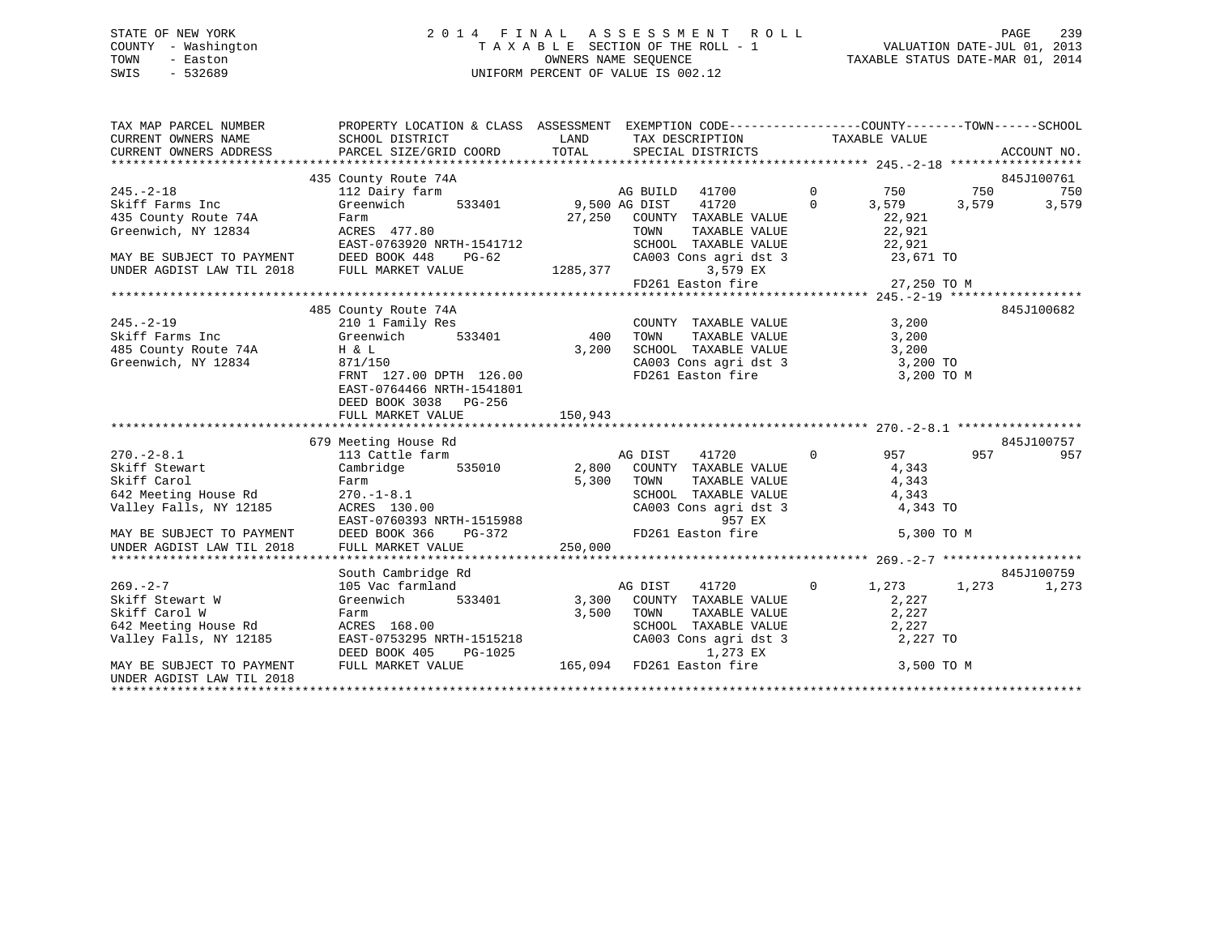# STATE OF NEW YORK 2 0 1 4 F I N A L A S S E S S M E N T R O L L PAGE 239 COUNTY - Washington T A X A B L E SECTION OF THE ROLL - 1 VALUATION DATE-JUL 01, 2013 TOWN - Easton **CONNERS NAME SEQUENCE** TAXABLE STATUS DATE-MAR 01, 2014 SWIS - 532689 UNIFORM PERCENT OF VALUE IS 002.12

| TAX MAP PARCEL NUMBER                                                              | PROPERTY LOCATION & CLASS ASSESSMENT EXEMPTION CODE----------------COUNTY-------TOWN------SCHOOL  |                                            |                                                                                                |                       |                |
|------------------------------------------------------------------------------------|---------------------------------------------------------------------------------------------------|--------------------------------------------|------------------------------------------------------------------------------------------------|-----------------------|----------------|
| CURRENT OWNERS NAME                                                                | SCHOOL DISTRICT                                                                                   | <b>EXAMPLE THE STATE OF STATE OF STATE</b> | TAX DESCRIPTION TAXABLE VALUE                                                                  |                       |                |
| CURRENT OWNERS ADDRESS                                                             | PARCEL SIZE/GRID COORD                                                                            | TOTAL                                      | SPECIAL DISTRICTS                                                                              |                       | ACCOUNT NO.    |
|                                                                                    |                                                                                                   |                                            |                                                                                                |                       |                |
|                                                                                    | 435 County Route 74A                                                                              |                                            |                                                                                                |                       | 845J100761     |
| $245. - 2 - 18$                                                                    | 112 Dairy farm                                                                                    |                                            | AG BUILD 41700                                                                                 | $\overline{0}$<br>750 | 750<br>750     |
| Skiff Farms Inc                                                                    | 533401 9,500 AG DIST<br>Greenwich                                                                 |                                            | 41720<br>$\overline{0}$                                                                        | 3,579                 | 3,579<br>3,579 |
| 435 County Route 74A                                                               | Farm                                                                                              |                                            | 27,250 COUNTY TAXABLE VALUE                                                                    | 22,921                |                |
| Greenwich, NY 12834                                                                | $ACRES$ 477.80                                                                                    |                                            | TAXABLE VALUE<br>TOWN                                                                          | $\frac{22}{22}$ , 921 |                |
|                                                                                    | EAST-0763920 NRTH-1541712                                                                         |                                            | SCHOOL TAXABLE VALUE                                                                           | 22,921                |                |
|                                                                                    |                                                                                                   |                                            | CA003 Cons agri dst 3 23,671 TO                                                                |                       |                |
|                                                                                    |                                                                                                   |                                            | 3,579 EX                                                                                       |                       |                |
|                                                                                    |                                                                                                   |                                            | FD261 Easton fire 27,250 TO M                                                                  |                       |                |
|                                                                                    |                                                                                                   |                                            |                                                                                                |                       |                |
|                                                                                    | 485 County Route 74A                                                                              |                                            |                                                                                                |                       | 845J100682     |
| $245. - 2 - 19$                                                                    | 210 1 Family Res                                                                                  |                                            | COUNTY TAXABLE VALUE                                                                           | 3,200                 |                |
| Skiff Farms Inc                                                                    | Greenwich                                                                                         | 533401 400                                 | TAXABLE VALUE<br>TOWN                                                                          | 3,200                 |                |
| 485 County Route 74A                                                               | H & L                                                                                             | 3,200                                      |                                                                                                |                       |                |
| Greenwich, NY 12834                                                                | 871/150                                                                                           |                                            | SCHOOL TAXABLE VALUE 3,200<br>CA003 Cons agri dst 3 3,200 TO<br>FD261 Easton fire 3 3,200 TO M |                       |                |
|                                                                                    | FRNT 127.00 DPTH 126.00                                                                           |                                            |                                                                                                |                       |                |
|                                                                                    | EAST-0764466 NRTH-1541801                                                                         |                                            |                                                                                                |                       |                |
|                                                                                    | DEED BOOK 3038 PG-256                                                                             |                                            |                                                                                                |                       |                |
|                                                                                    | FULL MARKET VALUE                                                                                 | 150,943                                    |                                                                                                |                       |                |
|                                                                                    |                                                                                                   |                                            |                                                                                                |                       |                |
|                                                                                    | 679 Meeting House Rd                                                                              |                                            |                                                                                                |                       | 845J100757     |
| $270. - 2 - 8.1$                                                                   | 113 Cattle farm                                                                                   |                                            | 41720<br>AG DIST                                                                               | $\overline{0}$<br>957 | 957<br>957     |
| Skiff Stewart                                                                      | Cambridge 535010 2,800 COUNTY TAXABLE VALUE                                                       |                                            |                                                                                                | 4,343                 |                |
| Skiff Carol                                                                        | Farm                                                                                              | 5,300                                      | TOWN                                                                                           | TAXABLE VALUE 4,343   |                |
| 642 Meeting House Rd<br>Valley Falls, NY 12185                                     | 270.-1-8.1<br>ACRES 130.00                                                                        |                                            | SCHOOL TAXABLE VALUE<br>CA003 Cons agri dst 3                                                  | 4,343                 |                |
|                                                                                    |                                                                                                   |                                            |                                                                                                | 4,343 TO              |                |
|                                                                                    | EAST-0760393 NRTH-1515988                                                                         |                                            | 957 EX                                                                                         |                       |                |
| MAY BE SUBJECT TO PAYMENT DEED BOOK 366<br>UNDER AGDIST LAW TIL 2018 FULL MARKET V | PG-372                                                                                            |                                            | FD261 Easton fire                                                                              | 5,300 TO M            |                |
|                                                                                    | FULL MARKET VALUE                                                                                 | 250,000                                    |                                                                                                |                       |                |
|                                                                                    |                                                                                                   |                                            |                                                                                                |                       |                |
|                                                                                    | South Cambridge Rd                                                                                |                                            |                                                                                                |                       | 845J100759     |
| $269. - 2 - 7$                                                                     | 105 Vac farmland                                                                                  |                                            | 41720<br>AG DIST                                                                               | 0 $1,273$ $1,273$     | 1,273          |
| Skiff Stewart W                                                                    | Greenwich<br>533401                                                                               |                                            | 3,300 COUNTY TAXABLE VALUE                                                                     | 2,227                 |                |
| Skiff Carol W<br>Skiff Carol w<br>642 Meeting House Rd<br>53 Mars November 12185   | Farm<br>ACRES 168.00                                                                              | 3,500                                      | TAXABLE VALUE<br>TOWN                                                                          | 2,227                 |                |
|                                                                                    |                                                                                                   |                                            | SCHOOL TAXABLE VALUE                                                                           | 2,227                 |                |
|                                                                                    | EAST-0753295 NRTH-1515218<br>DEED BOOK 405 PG-1025<br>FULL MARKET VALUE 165,094 FD261 Easton fire |                                            |                                                                                                | 2,227 TO              |                |
| MAY BE SUBJECT TO PAYMENT                                                          |                                                                                                   |                                            |                                                                                                | 3,500 TO M            |                |
| UNDER AGDIST LAW TIL 2018                                                          |                                                                                                   |                                            |                                                                                                |                       |                |
|                                                                                    |                                                                                                   |                                            |                                                                                                |                       |                |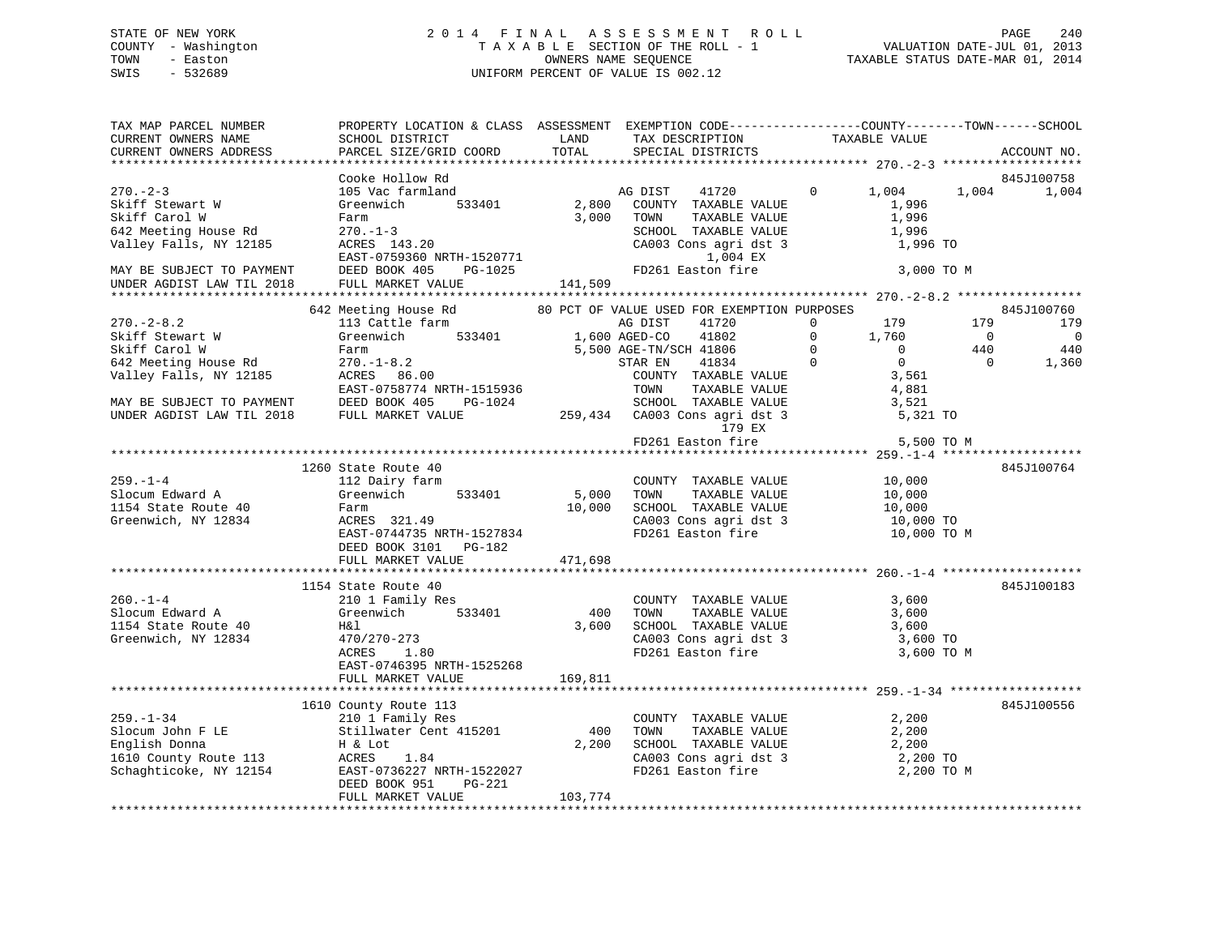# STATE OF NEW YORK 2 0 1 4 F I N A L A S S E S S M E N T R O L L PAGE 240 COUNTY - Washington T A X A B L E SECTION OF THE ROLL - 1 VALUATION DATE-JUL 01, 2013 TOWN - Easton **CONNERS NAME SEQUENCE** TAXABLE STATUS DATE-MAR 01, 2014 SWIS - 532689 UNIFORM PERCENT OF VALUE IS 002.12

| TAX MAP PARCEL NUMBER<br>CURRENT OWNERS NAME<br>CURRENT OWNERS ADDRESS                                  | PROPERTY LOCATION & CLASS ASSESSMENT EXEMPTION CODE---------------COUNTY-------TOWN------SCHOOL<br>SCHOOL DISTRICT<br>PARCEL SIZE/GRID COORD                              | LAND<br>TOTAL                          | TAX DESCRIPTION<br>SPECIAL DISTRICTS                                                                                                                | TAXABLE VALUE                                                                                                            | ACCOUNT NO.                                                                                               |
|---------------------------------------------------------------------------------------------------------|---------------------------------------------------------------------------------------------------------------------------------------------------------------------------|----------------------------------------|-----------------------------------------------------------------------------------------------------------------------------------------------------|--------------------------------------------------------------------------------------------------------------------------|-----------------------------------------------------------------------------------------------------------|
|                                                                                                         |                                                                                                                                                                           |                                        |                                                                                                                                                     |                                                                                                                          |                                                                                                           |
| $270. - 2 - 3$<br>Skiff Stewart W<br>Skiff Carol W<br>642 Meeting House Rd<br>Valley Falls, NY 12185    | Cooke Hollow Rd<br>105 Vac farmland<br>Greenwich<br>533401<br>Farm<br>$270. - 1 - 3$<br>ACRES 143.20<br>EAST-0759360 NRTH-1520771<br>DEED BOOK 405                        | 2,800<br>3,000<br>H-1520771<br>PG-1025 | AG DIST<br>41720<br>COUNTY TAXABLE VALUE<br>TOWN<br>TAXABLE VALUE<br>SCHOOL TAXABLE VALUE<br>CA003 Cons agri dst 3<br>1,004 EX<br>FD261 Easton fire | $\mathbf{0}$<br>1,004<br>1,996<br>1,996<br>1,996<br>1,996 TO<br>3,000 TO M                                               | 845J100758<br>1,004<br>1,004                                                                              |
| MAY BE SUBJECT TO PAYMENT<br>UNDER AGDIST LAW TIL 2018                                                  | FULL MARKET VALUE                                                                                                                                                         | 141,509                                |                                                                                                                                                     |                                                                                                                          |                                                                                                           |
|                                                                                                         |                                                                                                                                                                           |                                        |                                                                                                                                                     |                                                                                                                          |                                                                                                           |
| $270. - 2 - 8.2$<br>Skiff Stewart W<br>Skiff Carol W<br>642 Meeting House Rd                            | 642 Meeting House Rd<br>113 Cattle farm<br>Greenwich 533401<br>Farm<br>$270. - 1 - 8.2$                                                                                   | 1,600 AGED-CO                          | 80 PCT OF VALUE USED FOR EXEMPTION PURPOSES<br>41720<br>AG DIST<br>41802<br>5,500 AGE-TN/SCH 41806<br>41834<br>STAR EN                              | $\overline{0}$<br>179<br>$\overline{0}$<br>1,760<br>$\overline{0}$<br>$\overline{0}$<br>$\overline{0}$<br>$\overline{0}$ | 845J100760<br>179<br>179<br>$\overline{0}$<br>$\overline{\phantom{0}}$<br>440<br>440<br>$\Omega$<br>1,360 |
| Valley Falls, NY 12185<br>MAY BE SUBJECT TO PAYMENT<br>UNDER AGDIST LAW TIL 2018                        | ACRES 86.00<br>EAST-0758774 NRTH-1515936<br>DEED BOOK 405<br>PG-1024<br>FULL MARKET VALUE                                                                                 |                                        | COUNTY TAXABLE VALUE<br>TAXABLE VALUE<br>TOWN<br>SCHOOL TAXABLE VALUE<br>259,434 CA003 Cons agri dst 3<br>179 EX                                    | 3,561<br>4,881<br>3,521<br>5,321 TO                                                                                      |                                                                                                           |
|                                                                                                         |                                                                                                                                                                           |                                        | FD261 Easton fire                                                                                                                                   | 5,500 TO M                                                                                                               |                                                                                                           |
|                                                                                                         |                                                                                                                                                                           |                                        |                                                                                                                                                     |                                                                                                                          |                                                                                                           |
| $259. - 1 - 4$<br>Slocum Edward A<br>1154 State Route 40<br>Greenwich, NY 12834                         | 1260 State Route 40<br>112 Dairy farm<br>533401<br>Greenwich<br>Farm<br>ACRES 321.49<br>EAST-0744735 NRTH-1527834<br>DEED BOOK 3101 PG-182<br>FULL MARKET VALUE           | 5,000<br>10,000<br>471,698             | COUNTY TAXABLE VALUE<br>TAXABLE VALUE<br>TOWN<br>SCHOOL TAXABLE VALUE<br>CA003 Cons agri dst 3<br>FD261 Easton fire                                 | 10,000<br>10,000<br>10,000<br>10,000 TO<br>10,000 TO M                                                                   | 845J100764                                                                                                |
|                                                                                                         |                                                                                                                                                                           |                                        |                                                                                                                                                     |                                                                                                                          |                                                                                                           |
| $260. - 1 - 4$<br>Slocum Edward A<br>1154 State Route 40<br>Greenwich, NY 12834                         | 1154 State Route 40<br>210 1 Family Res<br>Greenwich 533401<br>H&l<br>470/270-273<br>ACRES<br>1.80<br>EAST-0746395 NRTH-1525268<br>FULL MARKET VALUE                      | 400<br>3,600<br>169,811                | COUNTY TAXABLE VALUE<br>TAXABLE VALUE<br>TOWN<br>SCHOOL TAXABLE VALUE<br>CA003 Cons agri dst 3<br>FD261 Easton fire                                 | 3,600<br>3,600<br>3,600<br>3,600 TO<br>3,600 TO M                                                                        | 845J100183                                                                                                |
|                                                                                                         |                                                                                                                                                                           |                                        |                                                                                                                                                     |                                                                                                                          |                                                                                                           |
| $259. - 1 - 34$<br>Slocum John F LE<br>English Donna<br>1610 County Route 113<br>Schaghticoke, NY 12154 | 1610 County Route 113<br>210 1 Family Res<br>Stillwater Cent 415201<br>H & Lot<br>ACRES 1.84<br>EAST-0736227 NRTH-1522027<br>DEED BOOK 951<br>PG-221<br>FULL MARKET VALUE | 400<br>2,200<br>103,774                | COUNTY TAXABLE VALUE<br>TOWN<br>TAXABLE VALUE<br>SCHOOL TAXABLE VALUE<br>CA003 Cons agri dst 3<br>CAOUS CONS agri dst 3<br>FD261 Easton fire        | 2,200<br>2,200<br>2,200<br>2,200 TO<br>2,200 TO M                                                                        | 845J100556                                                                                                |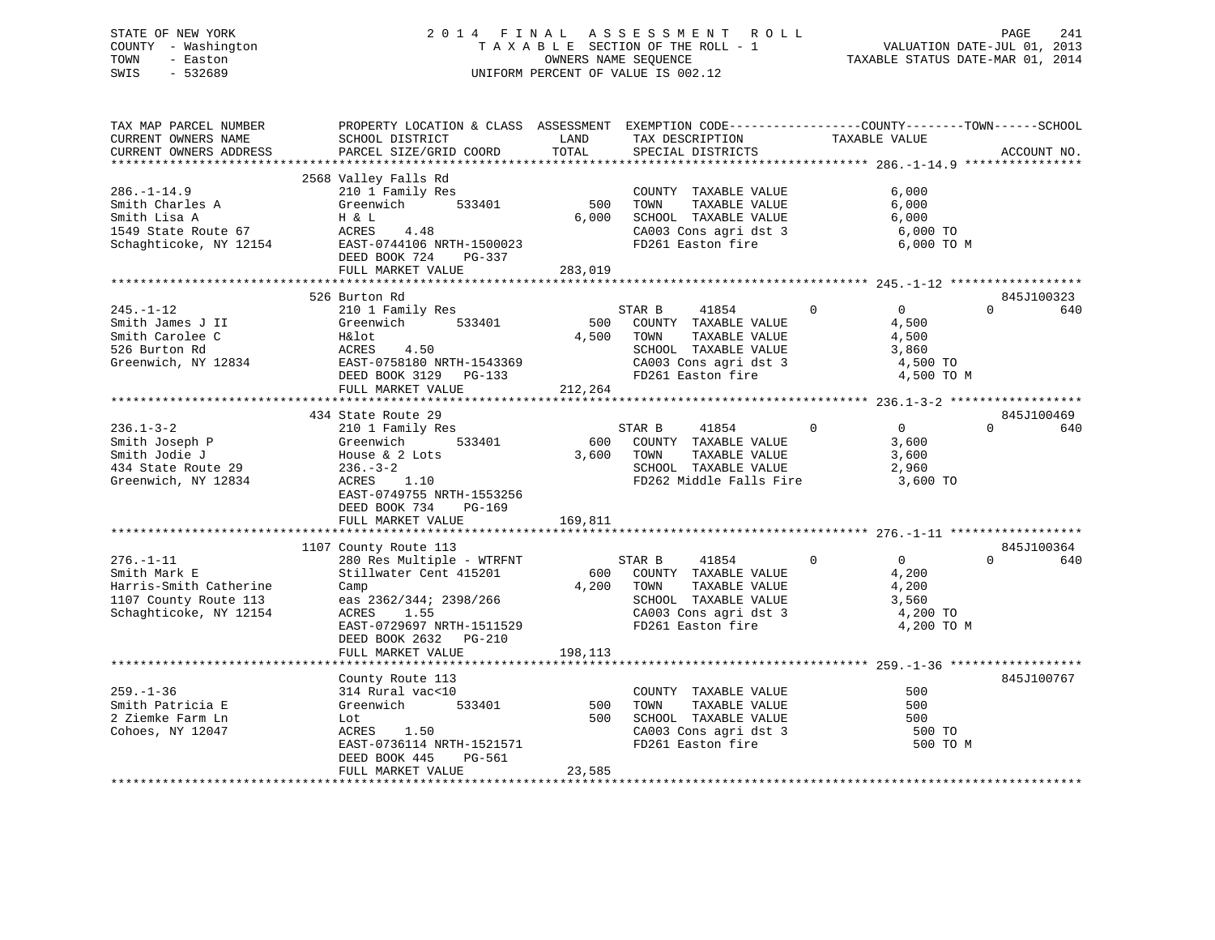# STATE OF NEW YORK 2 0 1 4 F I N A L A S S E S S M E N T R O L L PAGE 241 COUNTY - Washington T A X A B L E SECTION OF THE ROLL - 1 VALUATION DATE-JUL 01, 2013 TOWN - Easton **CONNERS NAME SEQUENCE** TAXABLE STATUS DATE-MAR 01, 2014 SWIS - 532689 UNIFORM PERCENT OF VALUE IS 002.12

| TAX MAP PARCEL NUMBER<br>CURRENT OWNERS NAME<br>CURRENT OWNERS ADDRESS                                                   | PROPERTY LOCATION & CLASS ASSESSMENT EXEMPTION CODE---------------COUNTY-------TOWN------SCHOOL<br>SCHOOL DISTRICT<br>PARCEL SIZE/GRID COORD                                                                                       | LAND<br>TOTAL           | TAX DESCRIPTION<br>SPECIAL DISTRICTS                                                                                                       | TAXABLE VALUE                                                                   | ACCOUNT NO.                   |
|--------------------------------------------------------------------------------------------------------------------------|------------------------------------------------------------------------------------------------------------------------------------------------------------------------------------------------------------------------------------|-------------------------|--------------------------------------------------------------------------------------------------------------------------------------------|---------------------------------------------------------------------------------|-------------------------------|
|                                                                                                                          |                                                                                                                                                                                                                                    |                         |                                                                                                                                            |                                                                                 |                               |
| $286. - 1 - 14.9$<br>Smith Charles A<br>Smith Lisa A<br>1549 State Route 67<br>Schaghticoke, NY 12154                    | 2568 Valley Falls Rd<br>210 1 Family Res<br>Greenwich 533401<br>H & L<br>ACRES 4.48<br>EAST-0744106 NRTH-1500023<br>DEED BOOK 724 PG-337<br>FULL MARKET VALUE                                                                      | 500<br>6,000<br>283,019 | COUNTY TAXABLE VALUE<br>TOWN<br>TAXABLE VALUE<br>SCHOOL TAXABLE VALUE<br>CA003 Cons agri dst 3<br>FD261 Easton fire                        | 6,000<br>6,000<br>6,000<br>6,000 TO<br>6,000 TO M                               |                               |
|                                                                                                                          |                                                                                                                                                                                                                                    |                         |                                                                                                                                            |                                                                                 |                               |
| $245. - 1 - 12$<br>Smith James J II<br>Smith Carolee C<br>526 Burton Rd<br>Greenwich, NY 12834 EAST-0758180 NRTH-1543369 | 526 Burton Rd<br>210 1 Family Res<br>Greenwich<br>533401<br>H&lot<br>ACRES<br>4.50<br>DEED BOOK 3129 PG-133<br>FULL MARKET VALUE                                                                                                   | 4,500<br>212,264        | STAR B<br>41854<br>500 COUNTY TAXABLE VALUE<br>TOWN<br>TAXABLE VALUE<br>SCHOOL TAXABLE VALUE<br>CA003 Cons agri dst 3<br>FD261 Easton fire | $\Omega$<br>$\overline{0}$<br>4,500<br>4,500<br>3,860<br>4,500 TO<br>4,500 TO M | 845J100323<br>$\Omega$<br>640 |
|                                                                                                                          |                                                                                                                                                                                                                                    |                         |                                                                                                                                            |                                                                                 |                               |
| $236.1 - 3 - 2$<br>Smith Joseph P<br>Smith Jodie J<br>434 State Route 29<br>Greenwich, NY 12834                          | 434 State Route 29<br>210 1 Family Res<br>Greenwich<br>533401<br>House $\&$ 2 Lots<br>236.-3-2<br>ACRES 1.10<br>EAST-0749755 NRTH-1553256<br>DEED BOOK 734<br>PG-169<br>FULL MARKET VALUE                                          | 600<br>3,600<br>169,811 | 41854 0<br>STAR B<br>COUNTY TAXABLE VALUE<br>TAXABLE VALUE<br>TOWN<br>SCHOOL TAXABLE VALUE<br>FD262 Middle Falls Fire                      | $\Omega$<br>3,600<br>3,600<br>2,960<br>3,600 TO                                 | 845J100469<br>$\Omega$<br>640 |
|                                                                                                                          |                                                                                                                                                                                                                                    |                         |                                                                                                                                            |                                                                                 |                               |
| $276. - 1 - 11$<br>Smith Mark E<br>Harris-Smith Catherine<br>1107 County Route 113<br>Schaghticoke, NY 12154             | 1107 County Route 113<br>280 Res Multiple - WTRFNT<br>Stillwater Cent 415201<br>Camp<br>eas 2362/344; 2398/266<br>ACRES 1.55<br>ACRES<br>1.55<br>EAST-0729697 NRTH-1511529<br>DEED BOOK 2632<br><b>PG-210</b><br>FULL MARKET VALUE | 600<br>4,200<br>198,113 | STAR B<br>41854<br>COUNTY TAXABLE VALUE<br>TOWN<br>TAXABLE VALUE<br>SCHOOL TAXABLE VALUE<br>CA003 Cons agri dst 3<br>FD261 Easton fire     | $\Omega$<br>0<br>4,200<br>4,200<br>3,560<br>4,200 TO<br>4,200 TO M              | 845J100364<br>$\Omega$<br>640 |
|                                                                                                                          |                                                                                                                                                                                                                                    |                         |                                                                                                                                            |                                                                                 |                               |
| $259. - 1 - 36$<br>Smith Patricia E<br>2 Ziemke Farm Ln<br>Cohoes, NY 12047                                              | County Route 113<br>314 Rural vac<10<br>Greenwich<br>533401<br>Lot<br>ACRES 1.50<br>EAST-0736114 NRTH-1521571<br>DEED BOOK 445<br>PG-561<br>FULL MARKET VALUE                                                                      | 500<br>500<br>23,585    | COUNTY TAXABLE VALUE<br>TOWN<br>TAXABLE VALUE<br>SCHOOL TAXABLE VALUE<br>$CAO03$ Cons agri dst 3<br>FD261 F<br>FD261 Easton fire           | 500<br>500<br>500<br>500 TO<br>500 TO M                                         | 845J100767                    |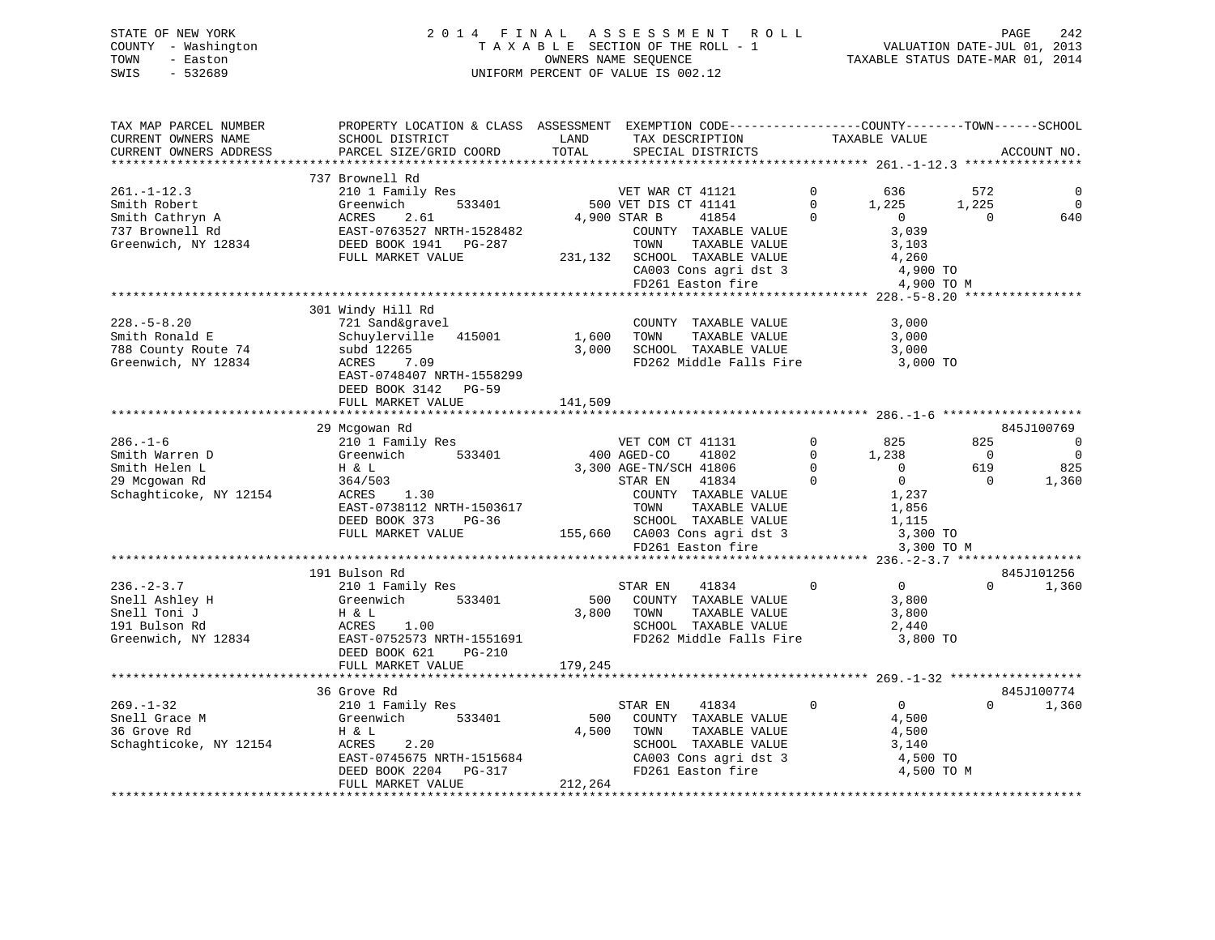# STATE OF NEW YORK 2 0 1 4 F I N A L A S S E S S M E N T R O L L PAGE 242 COUNTY - Washington T A X A B L E SECTION OF THE ROLL - 1 VALUATION DATE-JUL 01, 2013 TOWN - Easton OWNERS NAME SEQUENCE TAXABLE STATUS DATE-MAR 01, 2014 SWIS - 532689 UNIFORM PERCENT OF VALUE IS 002.12

| TAX MAP PARCEL NUMBER<br>CURRENT OWNERS NAME<br>CURRENT OWNERS ADDRESS                                                                                                                     | PROPERTY LOCATION & CLASS ASSESSMENT EXEMPTION CODE---------------COUNTY-------TOWN------SCHOOL<br>SCHOOL DISTRICT<br>PARCEL SIZE/GRID COORD                                                                                                                                  | LAND<br>TOTAL             | TAX DESCRIPTION<br>SPECIAL DISTRICTS                                                                                                                                                                                                                                                                                                          | TAXABLE VALUE                                                                                                                                                                     | ACCOUNT NO.                                                                                                                                                  |
|--------------------------------------------------------------------------------------------------------------------------------------------------------------------------------------------|-------------------------------------------------------------------------------------------------------------------------------------------------------------------------------------------------------------------------------------------------------------------------------|---------------------------|-----------------------------------------------------------------------------------------------------------------------------------------------------------------------------------------------------------------------------------------------------------------------------------------------------------------------------------------------|-----------------------------------------------------------------------------------------------------------------------------------------------------------------------------------|--------------------------------------------------------------------------------------------------------------------------------------------------------------|
| **********************                                                                                                                                                                     | **************************                                                                                                                                                                                                                                                    |                           |                                                                                                                                                                                                                                                                                                                                               |                                                                                                                                                                                   |                                                                                                                                                              |
| $261. - 1 - 12.3$<br>Smith Robert<br>Smith Cathryn A<br>737 Brownell Rd<br>Greenwich, NY 12834                                                                                             | 737 Brownell Rd<br>210 1 Family Res<br>Greenwich<br>533401<br>ACRES<br>2.61<br>EAST-0763527 NRTH-1528482<br>DEED BOOK 1941<br>PG-287<br>FULL MARKET VALUE<br>**********************************                                                                               | 231,132                   | VET WAR CT 41121<br>500 VET DIS CT 41141<br>41854<br>4,900 STAR B<br>COUNTY TAXABLE VALUE<br>TOWN<br>TAXABLE VALUE<br>SCHOOL TAXABLE VALUE<br>CA003 Cons agri dst 3<br>FD261 Easton fire                                                                                                                                                      | $\Omega$<br>636<br>$\Omega$<br>1,225<br>$\Omega$<br>$\overline{0}$<br>3,039<br>3,103<br>4,260                                                                                     | 572<br>1,225<br>$\Omega$<br>$\Omega$<br>640<br>4,900 TO<br>4,900 TO M                                                                                        |
| $228. - 5 - 8.20$<br>Smith Ronald E<br>788 County Route 74<br>Greenwich, NY 12834                                                                                                          | 301 Windy Hill Rd<br>721 Sand&gravel<br>Schuylerville 415001<br>subd 12265<br>7.09<br>ACRES<br>EAST-0748407 NRTH-1558299<br>DEED BOOK 3142<br>PG-59<br>FULL MARKET VALUE                                                                                                      | 1,600<br>3,000<br>141,509 | COUNTY TAXABLE VALUE<br>TOWN<br>TAXABLE VALUE<br>SCHOOL TAXABLE VALUE<br>FD262 Middle Falls Fire                                                                                                                                                                                                                                              | 3,000<br>3,000<br>3,000                                                                                                                                                           | 3,000 TO                                                                                                                                                     |
|                                                                                                                                                                                            | 29 Mcgowan Rd                                                                                                                                                                                                                                                                 |                           |                                                                                                                                                                                                                                                                                                                                               |                                                                                                                                                                                   | 845J100769                                                                                                                                                   |
| $286. - 1 - 6$<br>Smith Warren D<br>Smith Helen L<br>29 Mcgowan Rd<br>Schaghticoke, NY 12154<br>$236. - 2 - 3.7$<br>Snell Ashley H<br>Snell Toni J<br>191 Bulson Rd<br>Greenwich, NY 12834 | 210 1 Family Res<br>533401<br>Greenwich<br>H & L<br>364/503<br>ACRES<br>1.30<br>EAST-0738112 NRTH-1503617<br>DEED BOOK 373<br>$PG-36$<br>FULL MARKET VALUE<br>191 Bulson Rd<br>210 1 Family Res<br>Greenwich<br>533401<br>H & L<br>ACRES<br>1.00<br>EAST-0752573 NRTH-1551691 | 500<br>3,800              | VET COM CT 41131<br>400 AGED-CO<br>41802<br>3,300 AGE-TN/SCH 41806<br>STAR EN<br>41834<br>COUNTY TAXABLE VALUE<br>TOWN<br>TAXABLE VALUE<br>SCHOOL TAXABLE VALUE<br>155,660 CA003 Cons agri dst 3<br>FD261 Easton fire<br>STAR EN<br>41834<br>COUNTY TAXABLE VALUE<br>TOWN<br>TAXABLE VALUE<br>SCHOOL TAXABLE VALUE<br>FD262 Middle Falls Fire | $\Omega$<br>825<br>$\Omega$<br>1,238<br>$\Omega$<br>$\Omega$<br>$\Omega$<br>$\overline{0}$<br>1,237<br>1,856<br>1,115<br>$\mathbf 0$<br>$\overline{0}$<br>3,800<br>3,800<br>2,440 | 825<br>$\mathbf 0$<br>$\Omega$<br>$\overline{0}$<br>619<br>825<br>$\Omega$<br>1,360<br>3,300 TO<br>3,300 TO M<br>845J101256<br>$\Omega$<br>1,360<br>3,800 TO |
|                                                                                                                                                                                            | DEED BOOK 621<br>$PG-210$<br>FULL MARKET VALUE                                                                                                                                                                                                                                | 179,245<br>***********    |                                                                                                                                                                                                                                                                                                                                               |                                                                                                                                                                                   | ********* 269.-1-32 *****************                                                                                                                        |
|                                                                                                                                                                                            | 36 Grove Rd                                                                                                                                                                                                                                                                   |                           |                                                                                                                                                                                                                                                                                                                                               |                                                                                                                                                                                   | 845J100774                                                                                                                                                   |
| 269.-1-32<br>Snell Grace M<br>36 Grove Rd<br>Schaghticoke, NY 12154                                                                                                                        | 210 1 Family Res<br>Greenwich<br>533401<br>H & L<br>ACRES<br>2.20<br>EAST-0745675 NRTH-1515684<br>DEED BOOK 2204 PG-317<br>FULL MARKET VALUE                                                                                                                                  | 500<br>4,500<br>212,264   | STAR EN<br>41834<br>COUNTY TAXABLE VALUE<br>TOWN<br>TAXABLE VALUE<br>SCHOOL TAXABLE VALUE<br>CA003 Cons agri dst 3<br>FD261 Easton fire                                                                                                                                                                                                       | 0<br>$\overline{0}$<br>4,500<br>4,500<br>3,140                                                                                                                                    | $\Omega$<br>1,360<br>4,500 TO<br>4,500 TO M                                                                                                                  |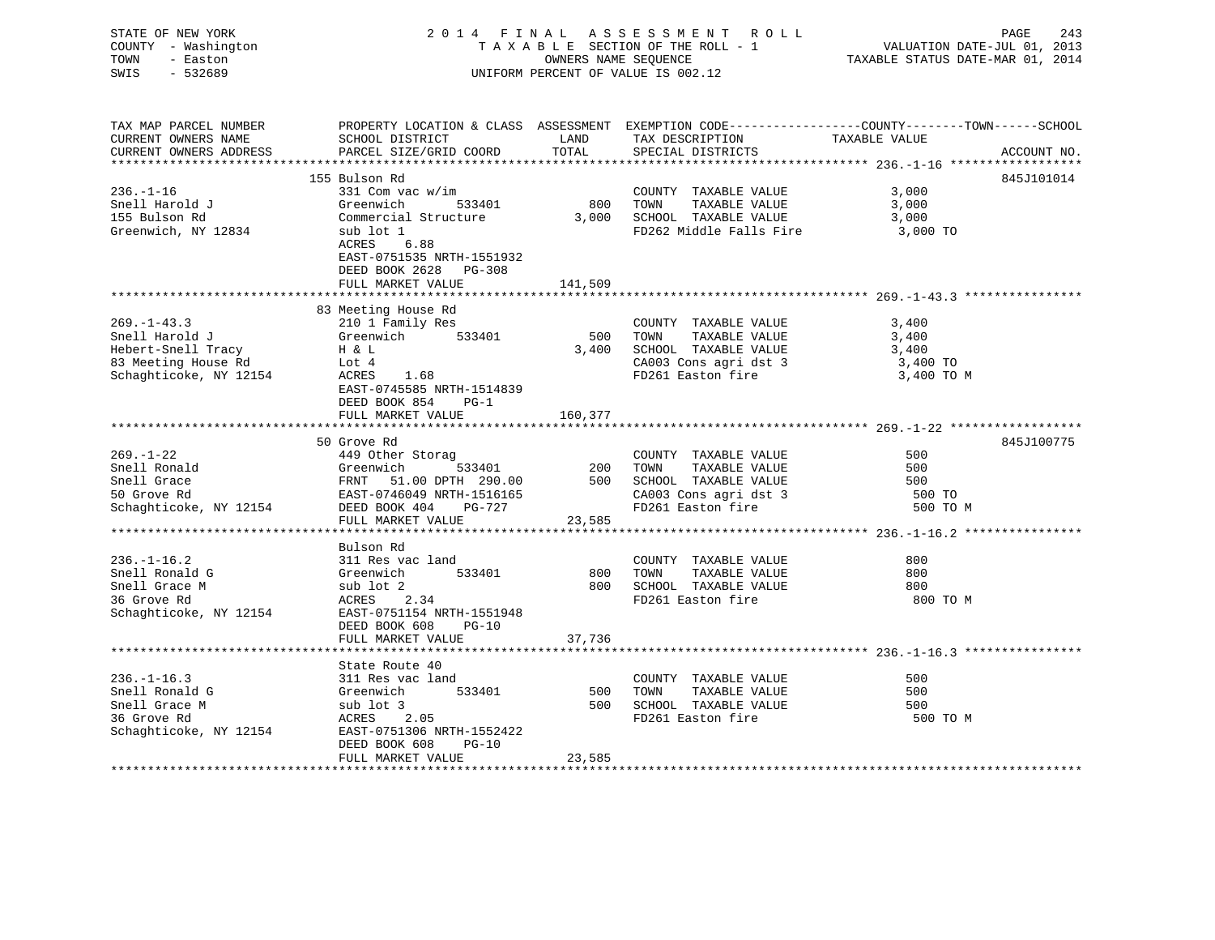| STATE OF NEW YORK<br>COUNTY - Washington<br>TOWN - Easton<br>SWIS<br>$-532689$                |                                                                                                                                                                                                                                                      |         | 2014 FINAL ASSESSMENT ROLL<br>TAXABLE SECTION OF THE ROLL - 1<br>OWNERS NAME SEQUENCE<br>UNIFORM PERCENT OF VALUE IS 002.12 | PAGE<br>243<br>VALUATION DATE-JUL 01, 2013<br>TAXABLE STATUS DATE-MAR 01, 2014                                                                                      |
|-----------------------------------------------------------------------------------------------|------------------------------------------------------------------------------------------------------------------------------------------------------------------------------------------------------------------------------------------------------|---------|-----------------------------------------------------------------------------------------------------------------------------|---------------------------------------------------------------------------------------------------------------------------------------------------------------------|
| TAX MAP PARCEL NUMBER<br>CURRENT OWNERS NAME<br>CURRENT OWNERS ADDRESS                        | PARCEL SIZE/GRID COORD                                                                                                                                                                                                                               | TOTAL   | SPECIAL DISTRICTS                                                                                                           | PROPERTY LOCATION & CLASS ASSESSMENT EXEMPTION CODE-----------------COUNTY-------TOWN------SCHOOL SCHOOL DISTRICT LAND TAX DESCRIPTION TAXABLE VALUE<br>ACCOUNT NO. |
|                                                                                               |                                                                                                                                                                                                                                                      |         |                                                                                                                             | ******************** 236.-1-16 *******************                                                                                                                  |
|                                                                                               | 155 Bulson Rd                                                                                                                                                                                                                                        |         |                                                                                                                             | 845J101014                                                                                                                                                          |
| $236. - 1 - 16$                                                                               | 331 Com vac w/im                                                                                                                                                                                                                                     |         | COUNTY TAXABLE VALUE                                                                                                        | 3,000<br>3,000                                                                                                                                                      |
| Snell Harold J<br>155 Bulson Rd                                                               | Greenwich 533401 600 TOWN TAXABLE VALUE<br>Commercial Structure 3,000 SCHOOL TAXABLE VALUE                                                                                                                                                           |         |                                                                                                                             | 3,000                                                                                                                                                               |
| Greenwich, NY 12834                                                                           | sub lot 1<br>ACRES 6.88<br>EAST-0751535 NRTH-1551932<br>DEED BOOK 2628 PG-308                                                                                                                                                                        |         | FD262 Middle Falls Fire                                                                                                     | 3,000 TO                                                                                                                                                            |
|                                                                                               | FULL MARKET VALUE                                                                                                                                                                                                                                    | 141,509 |                                                                                                                             |                                                                                                                                                                     |
| $269. - 1 - 43.3$<br>Snell Harold J                                                           | 83 Meeting House Rd<br>210 1 Family Res<br>Greenwich 533401                                                                                                                                                                                          | 500     | COUNTY TAXABLE VALUE<br>TOWN TAXABLE VALUE                                                                                  | 3,400<br>3,400                                                                                                                                                      |
|                                                                                               |                                                                                                                                                                                                                                                      |         | 3,400 SCHOOL TAXABLE VALUE                                                                                                  | 3,400                                                                                                                                                               |
| Hebert-Snell Tracy<br>83 Meeting House Rd<br>Schaghticoke, NY 12154<br>ACRES<br>ACRES<br>1.68 | EAST-0745585 NRTH-1514839<br>DEED BOOK 854 PG-1                                                                                                                                                                                                      |         | CA003 Cons agri dst 3<br>FD261 Easton fire                                                                                  | 3,400 TO<br>3,400 TO M                                                                                                                                              |
|                                                                                               | FULL MARKET VALUE                                                                                                                                                                                                                                    | 160,377 |                                                                                                                             |                                                                                                                                                                     |
|                                                                                               | 50 Grove Rd                                                                                                                                                                                                                                          |         |                                                                                                                             | 845J100775                                                                                                                                                          |
|                                                                                               |                                                                                                                                                                                                                                                      |         |                                                                                                                             | 500                                                                                                                                                                 |
|                                                                                               |                                                                                                                                                                                                                                                      |         |                                                                                                                             | 500                                                                                                                                                                 |
|                                                                                               |                                                                                                                                                                                                                                                      |         |                                                                                                                             | 500                                                                                                                                                                 |
|                                                                                               |                                                                                                                                                                                                                                                      |         |                                                                                                                             | 500 TO                                                                                                                                                              |
|                                                                                               |                                                                                                                                                                                                                                                      |         |                                                                                                                             | 500 TO M                                                                                                                                                            |
|                                                                                               | 269.-1-22<br>Snell Ronald<br>Snell Grace<br>Snell Grace<br>FRNT 51.00 DPTH 290.00<br>EAST-0746049 NRTH-1516165<br>Schaghticoke, NY 12154<br>DEED BOOK 404 PG-727<br>PULL MARKET VALUE<br>PULL MARKET VALUE<br>PULL MARKET VALUE<br>CA003 Cons agri d |         |                                                                                                                             |                                                                                                                                                                     |
|                                                                                               |                                                                                                                                                                                                                                                      |         |                                                                                                                             |                                                                                                                                                                     |
|                                                                                               | Bulson Rd                                                                                                                                                                                                                                            |         |                                                                                                                             |                                                                                                                                                                     |
| $236. - 1 - 16.2$                                                                             | 311 Res vac land                                                                                                                                                                                                                                     |         | COUNTY TAXABLE VALUE                                                                                                        | 800<br>800                                                                                                                                                          |
|                                                                                               |                                                                                                                                                                                                                                                      |         | 800 TOWN<br>TAXABLE VALUE<br>800 SCHOOL TAXABLE VALUE                                                                       | 800                                                                                                                                                                 |
|                                                                                               |                                                                                                                                                                                                                                                      |         | FD261 Easton fire                                                                                                           | 800 TO M                                                                                                                                                            |
| Schaghticoke, NY 12154                                                                        | Source The Creenwich<br>Shell Grace M<br>36 Grove Rd<br>36 Grove Rd<br>36 Grove Rd<br>37 CRES<br>37 CRES<br>37 CRES<br>38 CRES<br>38 CRES<br>38 CRES<br>38 CRES<br>38 CRES<br>38 CRES<br>EAST-0751154 NRTH-1551948<br>DEED BOOK 608 PG-10            |         |                                                                                                                             |                                                                                                                                                                     |
|                                                                                               | FULL MARKET VALUE                                                                                                                                                                                                                                    | 37,736  |                                                                                                                             |                                                                                                                                                                     |
|                                                                                               |                                                                                                                                                                                                                                                      |         |                                                                                                                             |                                                                                                                                                                     |
|                                                                                               | State Route 40                                                                                                                                                                                                                                       |         |                                                                                                                             |                                                                                                                                                                     |
| $236. - 1 - 16.3$                                                                             | 311 Res vac land                                                                                                                                                                                                                                     |         | COUNTY TAXABLE VALUE                                                                                                        | 500                                                                                                                                                                 |
| Snell Ronald G                                                                                | Greenwich 533401                                                                                                                                                                                                                                     |         | 500 TOWN<br>TAXABLE VALUE                                                                                                   | 500                                                                                                                                                                 |
| Snell Grace M                                                                                 | sub lot 3<br>ACRES 2.05                                                                                                                                                                                                                              |         | 500 SCHOOL TAXABLE VALUE                                                                                                    | 500                                                                                                                                                                 |
| 36 Grove Rd<br>Schaghticoke, NY 12154                                                         | ACRES 2.05<br>ACRES 2.05<br>EAST-0751306 NRTH-1552422<br>$PG-10$<br>DEED BOOK 608                                                                                                                                                                    |         | FD261 Easton fire                                                                                                           | 500 TO M                                                                                                                                                            |
|                                                                                               | FULL MARKET VALUE                                                                                                                                                                                                                                    | 23,585  |                                                                                                                             |                                                                                                                                                                     |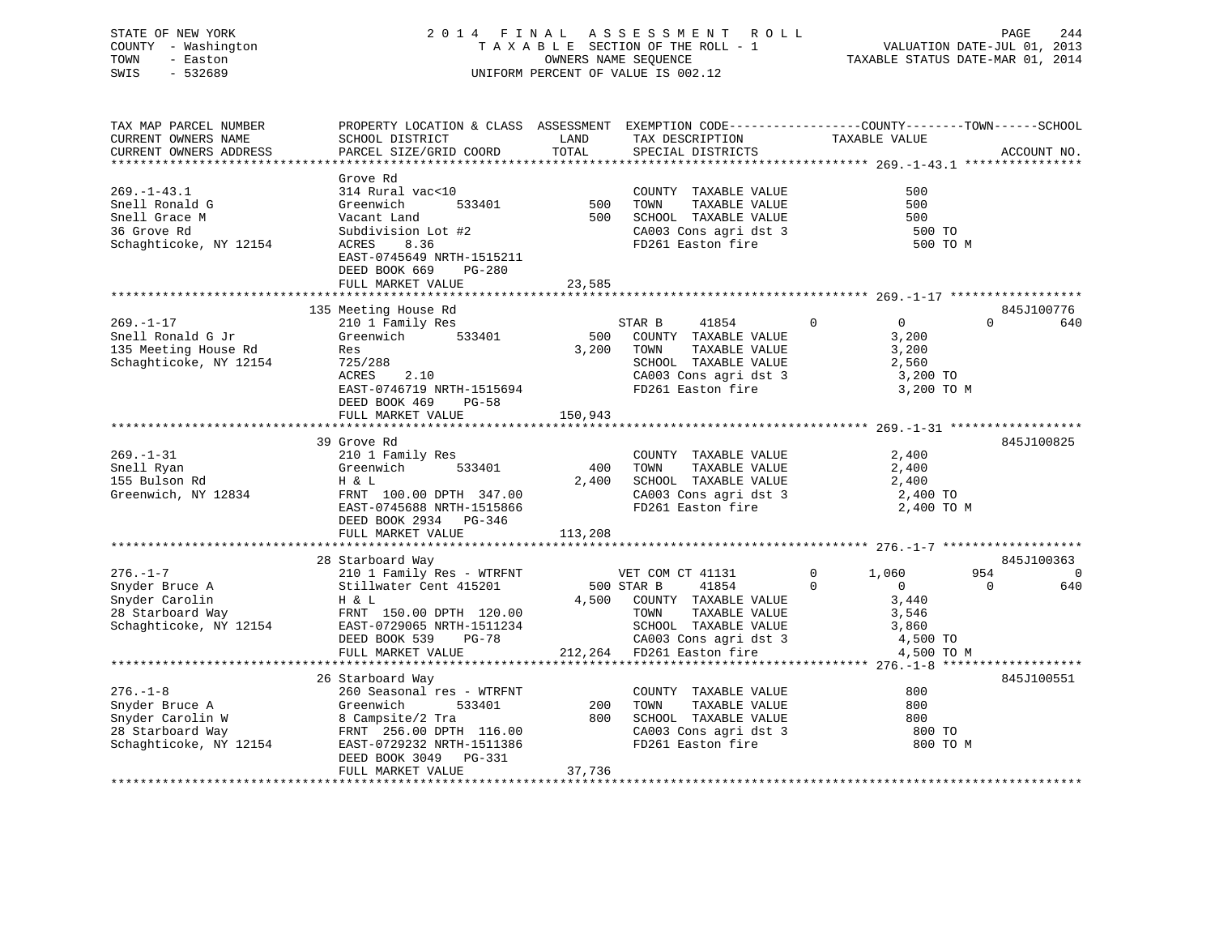STATE OF NEW YORK 2 0 1 4 F I N A L A S S E S S M E N T R O L L PAGE 244VALUATION DATE-JUL 01, 2013 COUNTY - Washington T A X A B L E SECTION OF THE ROLL - 1 TOWN - Easton **CONNERS NAME SEQUENCE** TAXABLE STATUS DATE-MAR 01, 2014 SWIS - 532689 UNIFORM PERCENT OF VALUE IS 002.12

| TAX MAP PARCEL NUMBER  | PROPERTY LOCATION & CLASS ASSESSMENT EXEMPTION CODE----------------COUNTY-------TOWN-----SCHOOL |            |                                                                           |                                |                 |
|------------------------|-------------------------------------------------------------------------------------------------|------------|---------------------------------------------------------------------------|--------------------------------|-----------------|
| CURRENT OWNERS NAME    | SCHOOL DISTRICT                                                                                 | LAND       | TAX DESCRIPTION                                                           | TAXABLE VALUE                  |                 |
| CURRENT OWNERS ADDRESS | PARCEL SIZE/GRID COORD                                                                          | TOTAL      | SPECIAL DISTRICTS                                                         |                                | ACCOUNT NO.     |
|                        |                                                                                                 |            |                                                                           |                                |                 |
|                        | Grove Rd                                                                                        |            |                                                                           |                                |                 |
| $269. - 1 - 43.1$      | 314 Rural vac<10                                                                                |            | COUNTY TAXABLE VALUE                                                      | 500                            |                 |
| Snell Ronald G         | Greenwich                                                                                       | 533401 500 | TAXABLE VALUE<br>TOWN                                                     | 500                            |                 |
| Snell Grace M          | Vacant Land                                                                                     | 500        | SCHOOL TAXABLE VALUE                                                      | 500                            |                 |
| 36 Grove Rd            | Subdivision Lot #2                                                                              |            | SCHOOL TAXABLE VALUE<br>CA003 Cons agri dst 3                             | 500 TO                         |                 |
| Schaghticoke, NY 12154 | ACRES<br>8.36                                                                                   |            | FD261 Easton fire                                                         | 500 TO M                       |                 |
|                        | EAST-0745649 NRTH-1515211                                                                       |            |                                                                           |                                |                 |
|                        | DEED BOOK 669<br>PG-280                                                                         |            |                                                                           |                                |                 |
|                        | FULL MARKET VALUE                                                                               | 23,585     |                                                                           |                                |                 |
|                        |                                                                                                 |            |                                                                           |                                |                 |
|                        | 135 Meeting House Rd                                                                            |            |                                                                           |                                | 845J100776      |
| $269. - 1 - 17$        | 210 1 Family Res                                                                                |            | $\overline{0}$<br>STAR B<br>41854                                         | $\overline{0}$                 | $\Omega$<br>640 |
| Snell Ronald G Jr      | 533401<br>Greenwich                                                                             | 500        | COUNTY TAXABLE VALUE                                                      | 3,200                          |                 |
| 135 Meeting House Rd   | Res                                                                                             | 3,200      | TOWN                                                                      | 3,200                          |                 |
|                        |                                                                                                 |            | TOWN      TAXABLE VALUE<br>SCHOOL   TAXABLE VALUE                         | 2,560                          |                 |
| Schaghticoke, NY 12154 | 725/288<br>2.10                                                                                 |            |                                                                           |                                |                 |
|                        | ACRES                                                                                           |            | CA003 Cons agri dst 3<br>FD261 Easton fire                                | 3,200 TO                       |                 |
|                        | EAST-0746719 NRTH-1515694                                                                       |            |                                                                           | 3,200 TO M                     |                 |
|                        | DEED BOOK 469<br><b>PG-58</b>                                                                   |            |                                                                           |                                |                 |
|                        | FULL MARKET VALUE                                                                               | 150,943    |                                                                           |                                |                 |
|                        |                                                                                                 |            |                                                                           |                                |                 |
|                        | 39 Grove Rd                                                                                     |            |                                                                           |                                | 845J100825      |
| $269. - 1 - 31$        | 210 1 Family Res                                                                                |            | COUNTY TAXABLE VALUE                                                      | 2,400                          |                 |
| Snell Ryan             | Greenwich<br>533401                                                                             | 400        | TAXABLE VALUE<br>TOWN                                                     | 2,400                          |                 |
| 155 Bulson Rd          | H & L                                                                                           | 2,400      | SCHOOL TAXABLE VALUE 2,400<br>CA003 Cons agri dst 3 2,400 TO              |                                |                 |
| Greenwich, NY 12834    | FRNT 100.00 DPTH 347.00                                                                         |            |                                                                           |                                |                 |
|                        | EAST-0745688 NRTH-1515866                                                                       |            | FD261 Easton fire                                                         | 2,400 TO M                     |                 |
|                        | DEED BOOK 2934 PG-346                                                                           |            |                                                                           |                                |                 |
|                        | FULL MARKET VALUE                                                                               | 113,208    |                                                                           |                                |                 |
|                        |                                                                                                 |            |                                                                           |                                |                 |
|                        | 28 Starboard Way                                                                                |            |                                                                           |                                | 845J100363      |
| $276. - 1 - 7$         | 210 1 Family Res - WTRFNT                                                                       |            | VET COM CT 41131                                                          | $\mathbf{0}$<br>1,060          | 954<br>0        |
| Snyder Bruce A         | Stillwater Cent 415201                                                                          |            | 500 STAR B<br>41854                                                       | $\mathbf{0}$<br>$\overline{0}$ | 640<br>$\Omega$ |
| Snyder Carolin         | H & L                                                                                           |            | 4,500 COUNTY TAXABLE VALUE                                                | 3,440                          |                 |
|                        | FRNT 150.00 DPTH 120.00                                                                         |            | TOWN      TAXABLE VALUE<br>SCHOOL   TAXABLE VALUE                         | 3,546                          |                 |
|                        | 28 Starboard Way FRNT 150.00 DPTH 120.00<br>Schaghticoke, NY 12154 EAST-0729065 NRTH-1511234    |            |                                                                           | 3,860                          |                 |
|                        | DEED BOOK 539<br>PG-78                                                                          |            |                                                                           |                                |                 |
|                        | FULL MARKET VALUE                                                                               |            | 78 CA003 Cons agri dst 3 4,500 TO<br>212,264 FD261 Easton fire 3 4,500 TO | 4,500 TO M                     |                 |
|                        |                                                                                                 |            |                                                                           |                                |                 |
|                        | 26 Starboard Way                                                                                |            |                                                                           |                                | 845J100551      |
| $276. - 1 - 8$         | 260 Seasonal res - WTRFNT                                                                       |            | COUNTY TAXABLE VALUE                                                      | 800                            |                 |
| Snyder Bruce A         | 533401<br>Greenwich                                                                             | 200        | TAXABLE VALUE<br>TOWN                                                     | 800                            |                 |
| Snyder Carolin W       |                                                                                                 | 800        |                                                                           | 800                            |                 |
| 28 Starboard Way       | 8 Campsite/2 Tra<br>FRNT 256.00 DPTH<br>FRNT 256.00 DPTH 116.00                                 |            | SCHOOL TAXABLE VALUE<br>CA003 Cons agri dst 3                             | 800 TO                         |                 |
| Schaghticoke, NY 12154 | EAST-0729232 NRTH-1511386                                                                       |            | FD261 Easton fire                                                         | 800 TO M                       |                 |
|                        | DEED BOOK 3049 PG-331                                                                           |            |                                                                           |                                |                 |
|                        | FULL MARKET VALUE                                                                               | 37,736     |                                                                           |                                |                 |
|                        |                                                                                                 |            |                                                                           |                                |                 |

\*\*\*\*\*\*\*\*\*\*\*\*\*\*\*\*\*\*\*\*\*\*\*\*\*\*\*\*\*\*\*\*\*\*\*\*\*\*\*\*\*\*\*\*\*\*\*\*\*\*\*\*\*\*\*\*\*\*\*\*\*\*\*\*\*\*\*\*\*\*\*\*\*\*\*\*\*\*\*\*\*\*\*\*\*\*\*\*\*\*\*\*\*\*\*\*\*\*\*\*\*\*\*\*\*\*\*\*\*\*\*\*\*\*\*\*\*\*\*\*\*\*\*\*\*\*\*\*\*\*\*\*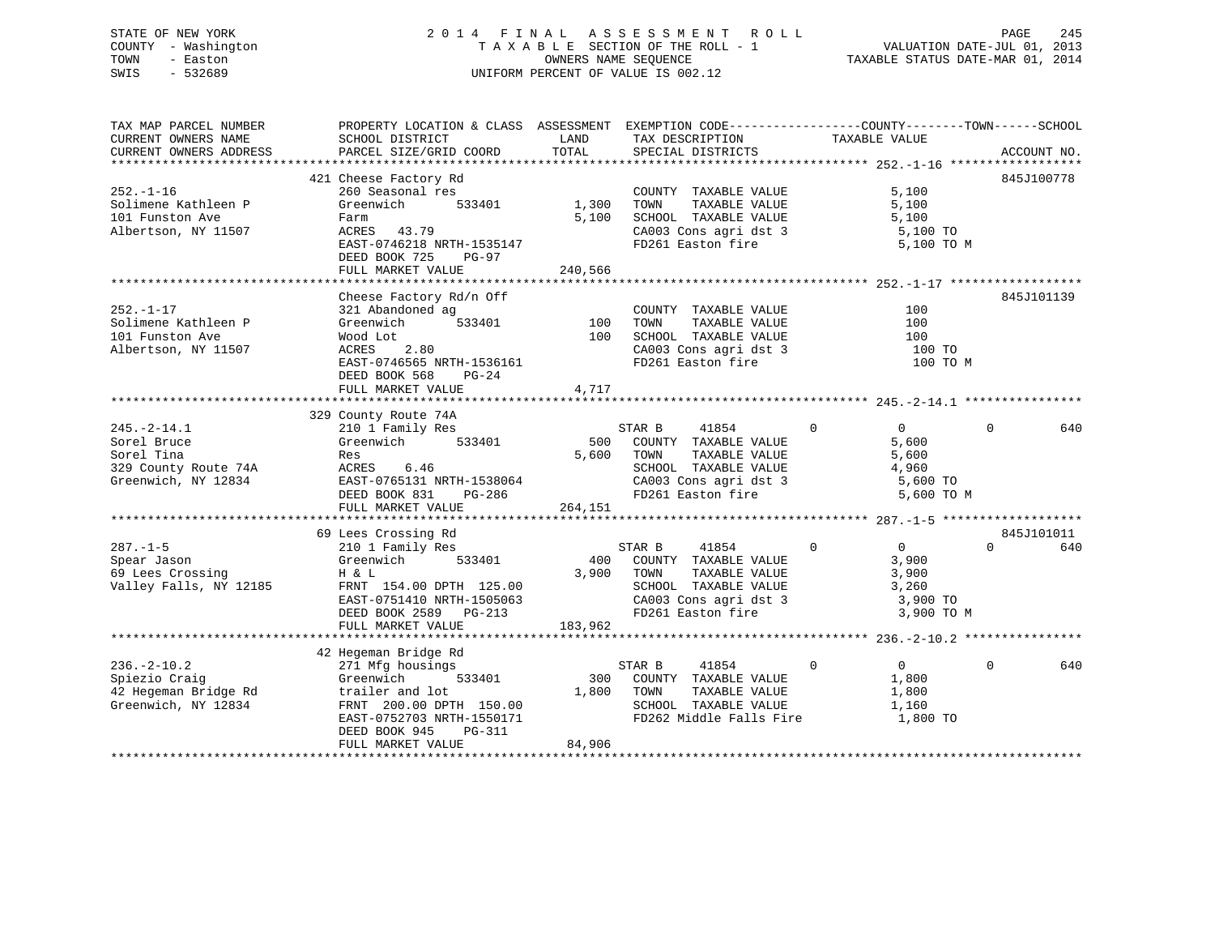# STATE OF NEW YORK 2 0 1 4 F I N A L A S S E S S M E N T R O L L PAGE 245 COUNTY - Washington T A X A B L E SECTION OF THE ROLL - 1 VALUATION DATE-JUL 01, 2013 TOWN - Easton OWNERS NAME SEQUENCE TAXABLE STATUS DATE-MAR 01, 2014 SWIS - 532689 UNIFORM PERCENT OF VALUE IS 002.12UNIFORM PERCENT OF VALUE IS 002.12

TAX MAP PARCEL NUMBER PROPERTY LOCATION & CLASS ASSESSMENT EXEMPTION CODE------------------COUNTY--------TOWN------SCHOOL

| CURRENT OWNERS NAME<br>CURRENT OWNERS ADDRESS                                                 | SCHOOL DISTRICT<br>PARCEL SIZE/GRID COORD                                                                                                                                                  | LAND<br>TOTAL             | TAX DESCRIPTION<br>SPECIAL DISTRICTS                                                                                                                           | TAXABLE VALUE                                                                       | ACCOUNT NO.                 |
|-----------------------------------------------------------------------------------------------|--------------------------------------------------------------------------------------------------------------------------------------------------------------------------------------------|---------------------------|----------------------------------------------------------------------------------------------------------------------------------------------------------------|-------------------------------------------------------------------------------------|-----------------------------|
|                                                                                               |                                                                                                                                                                                            |                           |                                                                                                                                                                |                                                                                     |                             |
| $252. - 1 - 16$<br>Solimene Kathleen P<br>101 Funston Ave<br>Albertson, NY 11507              | 421 Cheese Factory Rd<br>260 Seasonal res<br>533401<br>Greenwich<br>Farm<br>ACRES 43.79<br>EAST-0746218 NRTH-1535147<br>DEED BOOK 725<br>PG-97<br>FULL MARKET VALUE                        | 1,300<br>5,100<br>240,566 | COUNTY TAXABLE VALUE<br>TOWN<br>TAXABLE VALUE<br>SCHOOL TAXABLE VALUE<br>CA003 Cons agri dst 3<br>FD261 Easton fire                                            | 5,100<br>5,100<br>5,100<br>5,100 TO<br>5,100 TO M                                   | 845J100778                  |
| $252. - 1 - 17$<br>Solimene Kathleen P<br>101 Funston Ave<br>Albertson, NY 11507              | Cheese Factory Rd/n Off<br>321 Abandoned ag<br>533401<br>Greenwich<br>Wood Lot<br>2.80<br>ACRES<br>EAST-0746565 NRTH-1536161<br>DEED BOOK 568<br>$PG-24$<br>FULL MARKET VALUE              | 100<br>100<br>4,717       | COUNTY TAXABLE VALUE<br>TAXABLE VALUE<br>TOWN<br>SCHOOL TAXABLE VALUE<br>CA003 Cons agri dst 3<br>CA003 Cons agri dst 3                                        | 100<br>100<br>100<br>100 TO<br>100 TO M                                             | 845J101139                  |
| $245. - 2 - 14.1$<br>Sorel Bruce<br>Sorel Tina<br>329 County Route 74A<br>Greenwich, NY 12834 | 329 County Route 74A<br>210 1 Family Res<br>533401<br>Greenwich<br>Res<br>ACRES 6.46<br>EAST-0765131 NRTH-1538064<br>DEED BOOK 831<br>PG-286<br>FULL MARKET VALUE                          | 500<br>5,600<br>264,151   | STAR B<br>41854<br>COUNTY TAXABLE VALUE<br>TAXABLE VALUE<br>TOWN<br>SCHOOL TAXABLE VALUE<br>SCHOOL TAXABLE VALUE<br>CA003 Cons agri dst 3<br>FD261 Easton fire | $\overline{0}$<br>$\mathbf{0}$<br>5,600<br>5,600<br>4,960<br>5,600 TO<br>5,600 TO M | 0<br>640                    |
| $287. - 1 - 5$<br>Spear Jason<br>69 Lees Crossing<br>Valley Falls, NY 12185                   | 69 Lees Crossing Rd<br>210 1 Family Res<br>Greenwich<br>533401<br>H & L<br>FRNT 154.00 DPTH 125.00<br>EAST-0751410 NRTH-1505063<br>DEED BOOK 2589 PG-213<br>FULL MARKET VALUE              | 400<br>3,900<br>183,962   | STAR B<br>41854<br>COUNTY TAXABLE VALUE<br>TOWN<br>TAXABLE VALUE<br>SCHOOL TAXABLE VALUE<br>CA003 Cons agri dst 3<br>----- Fector fire                         | $\overline{0}$<br>$\Omega$<br>3,900<br>3,900<br>3,260<br>3,900 TO<br>3,900 TO M     | 845J101011<br>$\cap$<br>640 |
| $236. - 2 - 10.2$<br>Spiezio Craig<br>42 Hegeman Bridge Rd<br>Greenwich, NY 12834             | 42 Hegeman Bridge Rd<br>271 Mfg housings<br>533401<br>Greenwich<br>trailer and lot<br>FRNT 200.00 DPTH 150.00<br>EAST-0752703 NRTH-1550171<br>DEED BOOK 945<br>PG-311<br>FULL MARKET VALUE | 300<br>1,800<br>84,906    | STAR B<br>41854<br>COUNTY TAXABLE VALUE<br>TAXABLE VALUE<br>TOWN<br>SCHOOL TAXABLE VALUE<br>FD262 Middle Falls Fire                                            | 0<br>$\overline{0}$<br>1,800<br>1,800<br>1,160<br>1,800 TO                          | 640<br>0                    |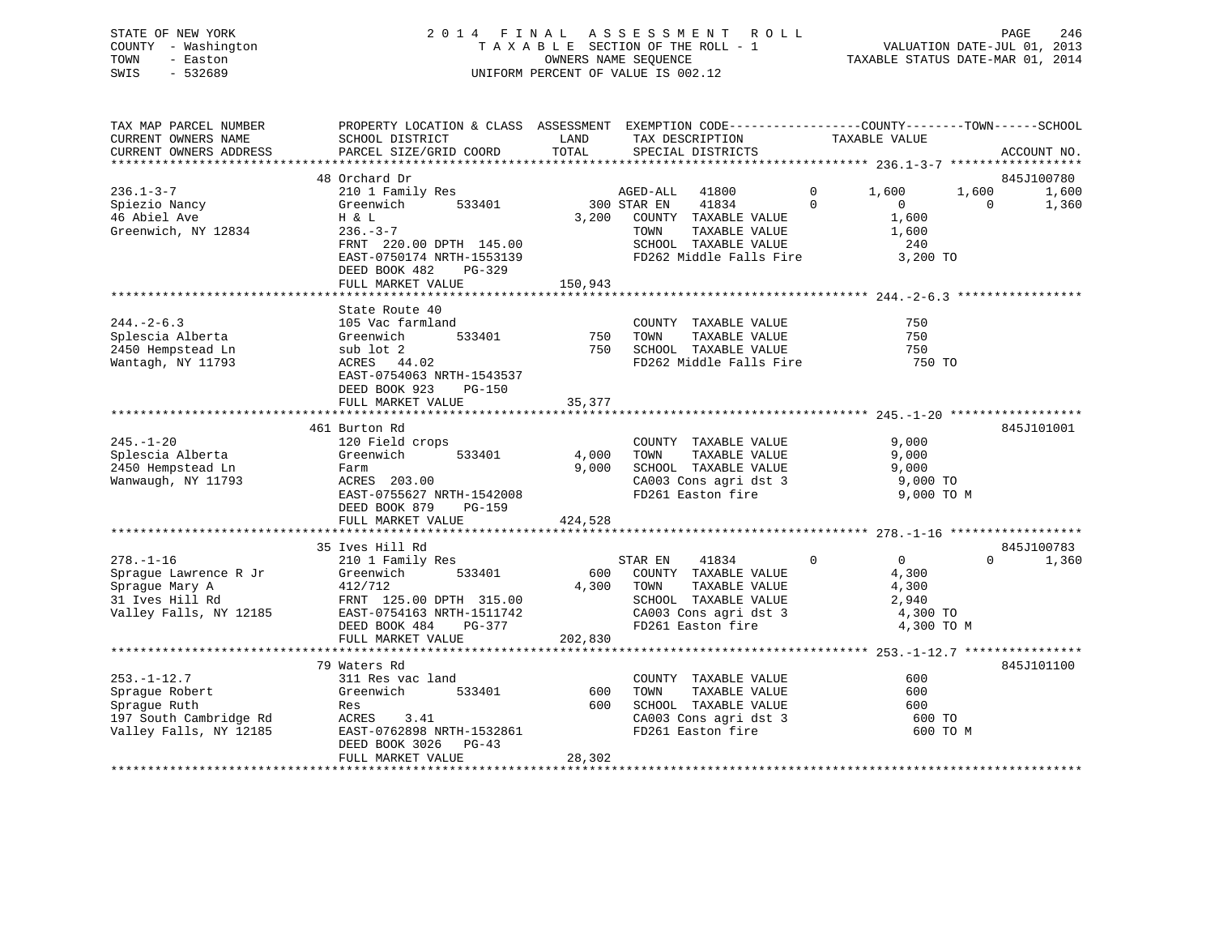# STATE OF NEW YORK 2 0 1 4 F I N A L A S S E S S M E N T R O L L PAGE 246 COUNTY - Washington T A X A B L E SECTION OF THE ROLL - 1 VALUATION DATE-JUL 01, 2013 TOWN - Easton OWNERS NAME SEQUENCE TAXABLE STATUS DATE-MAR 01, 2014 SWIS - 532689 UNIFORM PERCENT OF VALUE IS 002.12

| TAX MAP PARCEL NUMBER<br>CURRENT OWNERS NAME<br>CURRENT OWNERS ADDRESS                                  | PROPERTY LOCATION & CLASS ASSESSMENT EXEMPTION CODE----------------COUNTY-------TOWN------SCHOOL<br>SCHOOL DISTRICT<br>PARCEL SIZE/GRID COORD              | LAND<br>TOTAL           | TAX DESCRIPTION<br>SPECIAL DISTRICTS                                                                                           | TAXABLE VALUE                                             |          | ACCOUNT NO.         |
|---------------------------------------------------------------------------------------------------------|------------------------------------------------------------------------------------------------------------------------------------------------------------|-------------------------|--------------------------------------------------------------------------------------------------------------------------------|-----------------------------------------------------------|----------|---------------------|
|                                                                                                         |                                                                                                                                                            |                         |                                                                                                                                |                                                           |          |                     |
| $236.1 - 3 - 7$                                                                                         | 48 Orchard Dr<br>210 1 Family Res                                                                                                                          |                         | AGED-ALL<br>41800                                                                                                              | $\mathbf{0}$<br>1,600                                     | 1,600    | 845J100780<br>1,600 |
| Spiezio Nancy<br>46 Abiel Ave<br>Greenwich, NY 12834                                                    | Greenwich<br>533401<br>H & L<br>$236. - 3 - 7$<br>FRNT 220.00 DPTH 145.00<br>EAST-0750174 NRTH-1553139<br>DEED BOOK 482<br>PG-329                          | 3,200                   | 300 STAR EN<br>41834<br>COUNTY TAXABLE VALUE<br>TOWN<br>TAXABLE VALUE<br>SCHOOL TAXABLE VALUE<br>FD262 Middle Falls Fire       | $\Omega$<br>$\Omega$<br>1,600<br>1,600<br>240<br>3,200 TO | $\Omega$ | 1,360               |
|                                                                                                         | FULL MARKET VALUE                                                                                                                                          | 150,943                 |                                                                                                                                |                                                           |          |                     |
|                                                                                                         | State Route 40                                                                                                                                             |                         |                                                                                                                                |                                                           |          |                     |
| $244. -2 - 6.3$<br>Splescia Alberta<br>2450 Hempstead Ln<br>Wantagh, NY 11793                           | 105 Vac farmland<br>Greenwich<br>533401<br>sub lot 2<br>ACRES 44.02<br>EAST-0754063 NRTH-1543537<br>DEED BOOK 923<br><b>PG-150</b>                         | 750<br>750              | COUNTY TAXABLE VALUE<br>TOWN<br>TAXABLE VALUE<br>SCHOOL TAXABLE VALUE<br>FD262 Middle Falls Fire                               | 750<br>750<br>750<br>750 TO                               |          |                     |
|                                                                                                         | FULL MARKET VALUE                                                                                                                                          | 35,377                  |                                                                                                                                |                                                           |          |                     |
|                                                                                                         | 461 Burton Rd                                                                                                                                              |                         |                                                                                                                                |                                                           |          | 845J101001          |
| $245. - 1 - 20$<br>Splescia Alberta<br>2450 Hempstead Ln<br>Wanwaugh, NY 11793                          | 120 Field crops<br>533401<br>Greenwich<br>Farm<br>ACRES 203.00<br>EAST-0755627 NRTH-1542008<br>DEED BOOK 879<br>$PG-159$                                   | 4,000<br>9,000          | COUNTY TAXABLE VALUE<br>TAXABLE VALUE<br>TOWN<br>SCHOOL TAXABLE VALUE<br>CA003 Cons agri dst 3<br>FD261 Easton fire            | 9,000<br>9,000<br>9,000<br>9,000 TO<br>9,000 TO M         |          |                     |
|                                                                                                         | FULL MARKET VALUE                                                                                                                                          | 424,528                 |                                                                                                                                |                                                           |          |                     |
| $278. - 1 - 16$                                                                                         | 35 Ives Hill Rd                                                                                                                                            |                         | 41834                                                                                                                          | $\mathbf 0$<br>$\overline{0}$                             | $\Omega$ | 845J100783          |
| Spraque Lawrence R Jr<br>Sprague Mary A<br>31 Ives Hill Rd<br>Valley Falls, NY 12185                    | 210 1 Family Res<br>Greenwich<br>533401<br>412/712<br>FRNT 125.00 DPTH 315.00<br>EAST-0754163 NRTH-1511742<br>DEED BOOK 484<br>PG-377<br>FULL MARKET VALUE | 600<br>4,300<br>202,830 | STAR EN<br>COUNTY TAXABLE VALUE<br>TAXABLE VALUE<br>TOWN<br>SCHOOL TAXABLE VALUE<br>CA003 Cons agri dst 3<br>FD261 Easton fire | 4,300<br>4,300<br>2,940<br>4,300 TO<br>4,300 TO M         |          | 1,360               |
|                                                                                                         |                                                                                                                                                            |                         |                                                                                                                                |                                                           |          |                     |
|                                                                                                         | 79 Waters Rd                                                                                                                                               |                         |                                                                                                                                |                                                           |          | 845J101100          |
| $253. - 1 - 12.7$<br>Sprague Robert<br>Sprague Ruth<br>197 South Cambridge Rd<br>Valley Falls, NY 12185 | 311 Res vac land<br>Greenwich<br>533401<br>Res<br>ACRES<br>3.41<br>EAST-0762898 NRTH-1532861<br>DEED BOOK 3026<br>$PG-43$                                  | 600<br>600              | COUNTY TAXABLE VALUE<br>TOWN<br>TAXABLE VALUE<br>SCHOOL TAXABLE VALUE<br>CA003 Cons agri dst 3<br>FD261 Easton fire            | 600<br>600<br>600<br>600 TO<br>600 TO M                   |          |                     |
|                                                                                                         | FULL MARKET VALUE                                                                                                                                          | 28,302                  |                                                                                                                                |                                                           |          |                     |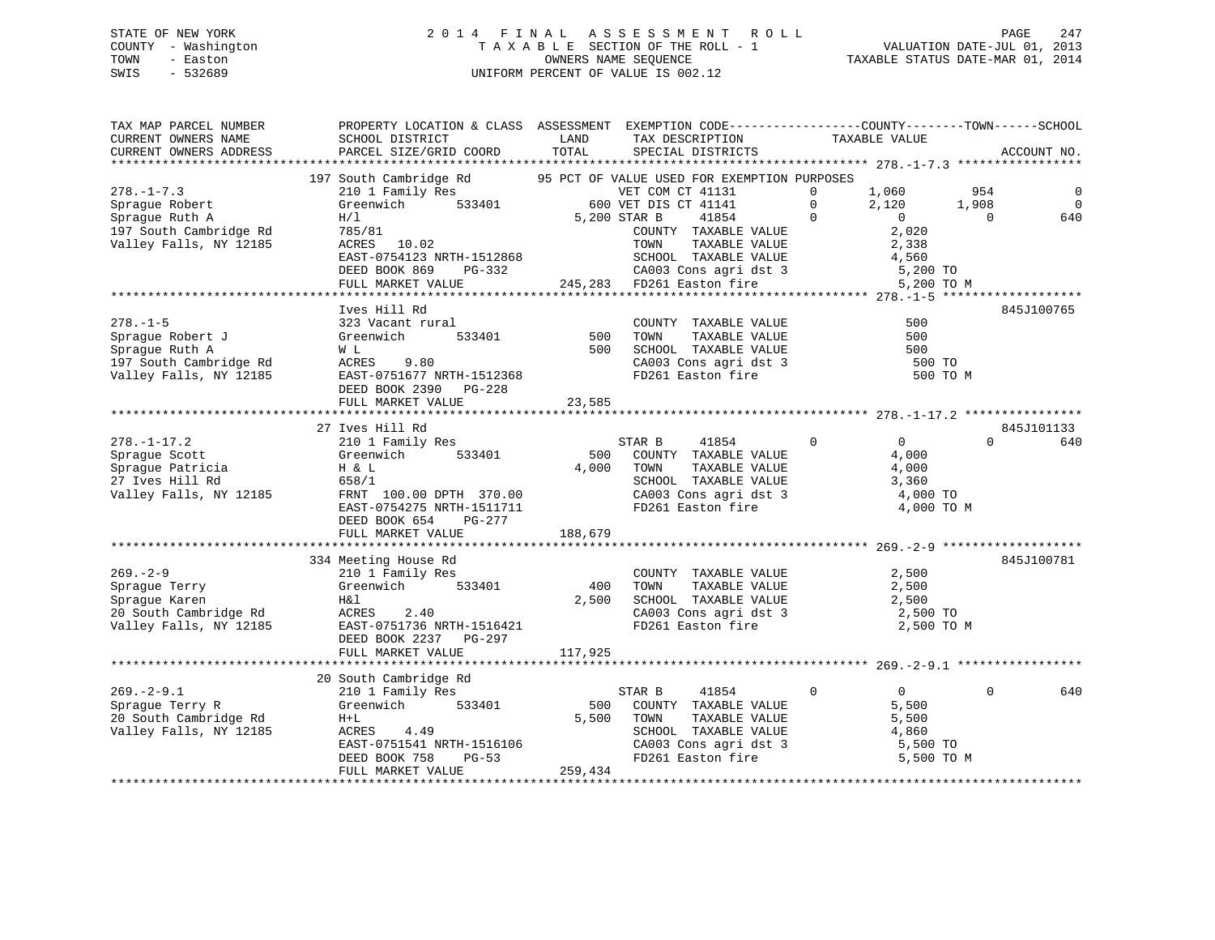# STATE OF NEW YORK 2 0 1 4 F I N A L A S S E S S M E N T R O L L PAGE 247 COUNTY - Washington T A X A B L E SECTION OF THE ROLL - 1 VALUATION DATE-JUL 01, 2013 TOWN - Easton **CONNERS NAME SEQUENCE** TAXABLE STATUS DATE-MAR 01, 2014 SWIS - 532689 UNIFORM PERCENT OF VALUE IS 002.12

| TAX MAP PARCEL NUMBER<br>CURRENT OWNERS NAME                              | PROPERTY LOCATION & CLASS ASSESSMENT EXEMPTION CODE---------------COUNTY-------TOWN------SCHOOL<br>SCHOOL DISTRICT | LAND    | TAX DESCRIPTION                                                    | TAXABLE VALUE                    |                    |
|---------------------------------------------------------------------------|--------------------------------------------------------------------------------------------------------------------|---------|--------------------------------------------------------------------|----------------------------------|--------------------|
| CURRENT OWNERS ADDRESS                                                    | PARCEL SIZE/GRID COORD                                                                                             | TOTAL   | SPECIAL DISTRICTS                                                  |                                  | ACCOUNT NO.        |
|                                                                           | 197 South Cambridge Rd 55 PCT OF VALUE USED FOR EXEMPTION PURPOSES                                                 |         |                                                                    |                                  |                    |
| $278. - 1 - 7.3$                                                          |                                                                                                                    |         | VET COM CT 41131                                                   | $\Omega$<br>1,060                | 954<br>$\mathbf 0$ |
| Sprague Robert                                                            | 210 1 Family Res WET COM CT 41131<br>Greenwich 533401 600 VET DIS CT 41141                                         |         |                                                                    | $\Omega$<br>2,120                | $\Omega$<br>1,908  |
| Sprague Ruth A                                                            | H/I                                                                                                                |         | 41854<br>5,200 STAR B                                              | $\overline{0}$<br>$\overline{0}$ | $\Omega$<br>640    |
| 197 South Cambridge Rd                                                    | 785/81                                                                                                             |         | COUNTY TAXABLE VALUE                                               | 2,020                            |                    |
| Valley Falls, NY 12185                                                    |                                                                                                                    |         |                                                                    | 2,338                            |                    |
|                                                                           |                                                                                                                    |         |                                                                    | 4,560                            |                    |
|                                                                           |                                                                                                                    |         |                                                                    | 5,200 TO                         |                    |
|                                                                           |                                                                                                                    |         |                                                                    | 5,200 TO M                       |                    |
|                                                                           |                                                                                                                    |         |                                                                    |                                  |                    |
|                                                                           | Ives Hill Rd                                                                                                       |         |                                                                    |                                  | 845J100765         |
| $278. - 1 - 5$                                                            | 323 Vacant rural                                                                                                   |         | COUNTY TAXABLE VALUE                                               | 500                              |                    |
| Sprague Robert J                                                          | 533401<br>Greenwich                                                                                                | 500     | TAXABLE VALUE<br>TOWN                                              | 500                              |                    |
| Sprague Ruth A                                                            | W L                                                                                                                | 500     |                                                                    | 500                              |                    |
| 197 South Cambridge Rd                                                    | ACRES 9.80                                                                                                         |         |                                                                    | 500 TO                           |                    |
| Valley Falls, NY 12185                                                    | EAST-0751677 NRTH-1512368                                                                                          |         | SCHOOL TAXABLE VALUE<br>CA003 Cons agri dst 3<br>FD261 Easton fire | 500 TO M                         |                    |
|                                                                           | DEED BOOK 2390 PG-228                                                                                              |         |                                                                    |                                  |                    |
|                                                                           | FULL MARKET VALUE                                                                                                  | 23,585  |                                                                    |                                  |                    |
|                                                                           |                                                                                                                    |         |                                                                    |                                  |                    |
|                                                                           | 27 Ives Hill Rd                                                                                                    |         |                                                                    |                                  | 845J101133         |
| $278. - 1 - 17.2$                                                         | 210 1 Family Res                                                                                                   |         | STAR B<br>41854                                                    | $\overline{0}$<br>$\overline{0}$ | $\Omega$<br>640    |
| Sprague Scott                                                             | Greenwich 533401                                                                                                   | 500     | COUNTY TAXABLE VALUE                                               | 4,000                            |                    |
| Sprague Patricia<br>27 Ives Hill Rd                                       | H & L                                                                                                              | 4,000   | LOWN TAXABLE VALUE<br>SCHOOL TAXABLE VALUE                         | 4,000                            |                    |
| 27 Ives Hill Rd                                                           | 658/1                                                                                                              |         |                                                                    | 3,360                            |                    |
| Valley Falls, NY 12185                                                    | FRNT 100.00 DPTH 370.00                                                                                            |         | CA003 Cons agri dst 3<br>FD261 Easton fire<br>FD261 Easton fire    | 4,000 TO                         |                    |
|                                                                           | EAST-0754275 NRTH-1511711<br>DEED BOOK 654<br>PG-277                                                               |         |                                                                    | 4,000 TO M                       |                    |
|                                                                           | FULL MARKET VALUE                                                                                                  | 188,679 |                                                                    |                                  |                    |
|                                                                           |                                                                                                                    |         |                                                                    |                                  |                    |
|                                                                           | 334 Meeting House Rd                                                                                               |         |                                                                    |                                  | 845J100781         |
| $269. - 2 - 9$                                                            | 210 1 Family Res                                                                                                   |         | COUNTY TAXABLE VALUE                                               | 2,500                            |                    |
| Sprague Terry                                                             | 533401<br>Greenwich                                                                                                | 400     | TOWN<br>TAXABLE VALUE                                              | 2,500                            |                    |
| Sprague Karen                                                             | H&l                                                                                                                | 2,500   | SCHOOL TAXABLE VALUE                                               | 2,500                            |                    |
|                                                                           | ACRES 2.40                                                                                                         |         | CA003 Cons agri dst 3                                              | 2,500 TO                         |                    |
| 20 South Cambridge Rd<br>Valley Falls, NY 12185<br>Valley Falls, NY 12185 | EAST-0751736 NRTH-1516421                                                                                          |         | FD261 Easton fire                                                  | 2,500 TO M                       |                    |
|                                                                           | DEED BOOK 2237 PG-297                                                                                              |         |                                                                    |                                  |                    |
|                                                                           | FULL MARKET VALUE                                                                                                  | 117,925 |                                                                    |                                  |                    |
|                                                                           |                                                                                                                    |         |                                                                    |                                  |                    |
|                                                                           | 20 South Cambridge Rd                                                                                              |         |                                                                    |                                  |                    |
| $269. - 2 - 9.1$                                                          | 210 1 Family Res                                                                                                   |         | STAR B<br>41854                                                    | $\overline{0}$<br>$\overline{0}$ | 640<br>0           |
| Sprague Terry R                                                           | Greenwich<br>533401                                                                                                | 500     | COUNTY TAXABLE VALUE                                               | 5,500                            |                    |
| 20 South Cambridge Rd                                                     | $H+L$                                                                                                              | 5,500   | TOWN<br>TAXABLE VALUE                                              | 5,500                            |                    |
| Valley Falls, NY 12185                                                    |                                                                                                                    |         | SCHOOL TAXABLE VALUE                                               | 4,860                            |                    |
|                                                                           | ACRES 4.49<br>EAST-0751541 NRTH-1516106                                                                            |         | CA003 Cons agri dst 3<br>FD261 Easton fire                         | 5,500 TO                         |                    |
|                                                                           | DEED BOOK 758<br>$PG-53$                                                                                           |         |                                                                    | 5,500 TO M                       |                    |
|                                                                           | FULL MARKET VALUE                                                                                                  | 259,434 |                                                                    |                                  |                    |
|                                                                           |                                                                                                                    |         |                                                                    |                                  |                    |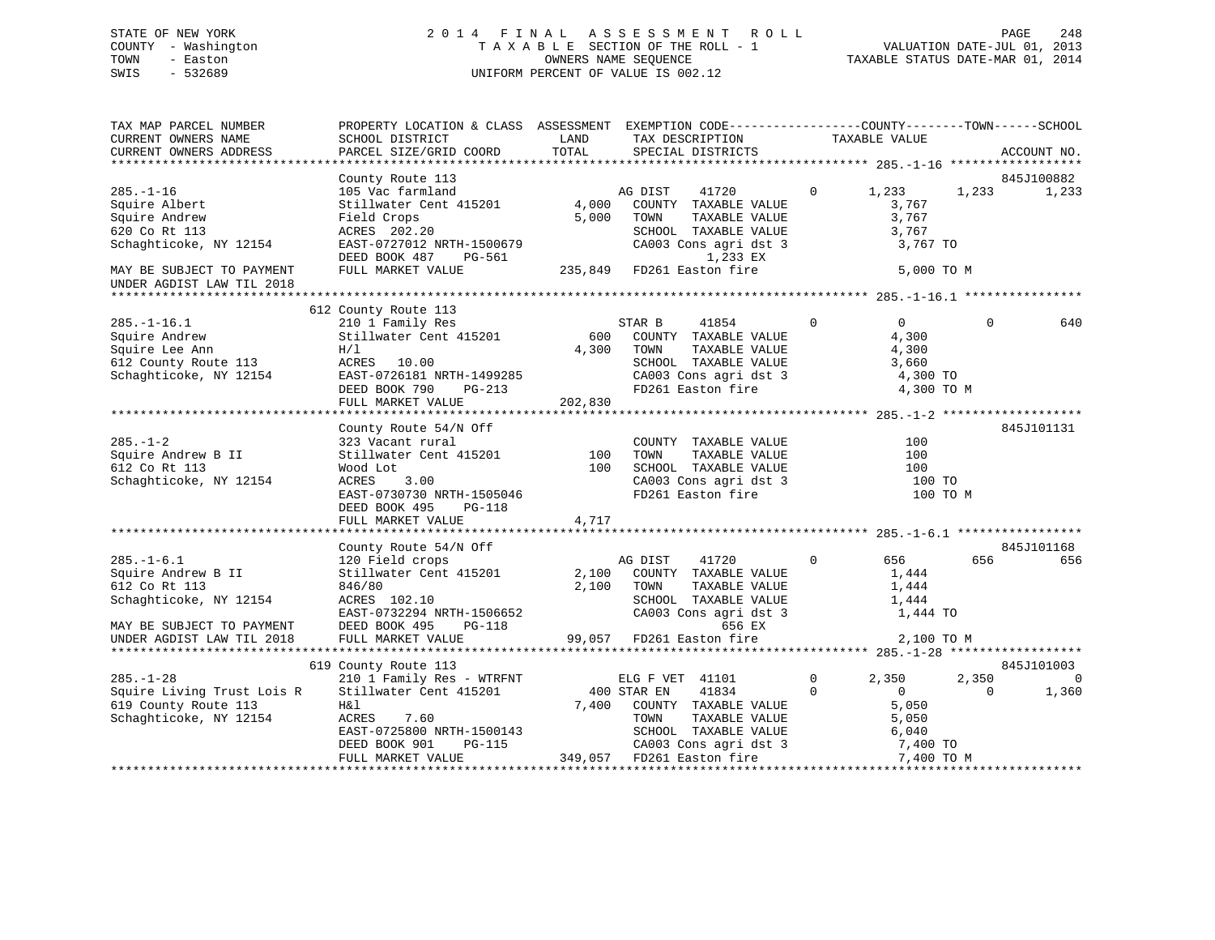# STATE OF NEW YORK 2 0 1 4 F I N A L A S S E S S M E N T R O L L PAGE 248 COUNTY - Washington T A X A B L E SECTION OF THE ROLL - 1 VALUATION DATE-JUL 01, 2013 TOWN - Easton OWNERS NAME SEQUENCE TAXABLE STATUS DATE-MAR 01, 2014 SWIS - 532689 UNIFORM PERCENT OF VALUE IS 002.12

| TAX MAP PARCEL NUMBER<br>CURRENT OWNERS NAME | PROPERTY LOCATION & CLASS ASSESSMENT EXEMPTION CODE---------------COUNTY-------TOWN-----SCHOOL<br>SCHOOL DISTRICT | LAND    | TAX DESCRIPTION                   |              | TAXABLE VALUE  |          |                |
|----------------------------------------------|-------------------------------------------------------------------------------------------------------------------|---------|-----------------------------------|--------------|----------------|----------|----------------|
| CURRENT OWNERS ADDRESS                       | PARCEL SIZE/GRID COORD                                                                                            | TOTAL   | SPECIAL DISTRICTS                 |              |                |          | ACCOUNT NO.    |
|                                              |                                                                                                                   |         |                                   |              |                |          |                |
|                                              |                                                                                                                   |         |                                   |              |                |          |                |
|                                              | County Route 113                                                                                                  |         |                                   |              |                |          | 845J100882     |
| $285. - 1 - 16$                              | 105 Vac farmland                                                                                                  |         | 41720<br>AG DIST                  | $\mathbf{0}$ | 1,233          | 1,233    | 1,233          |
| Squire Albert                                | Stillwater Cent 415201                                                                                            | 4,000   | COUNTY TAXABLE VALUE              |              | 3,767          |          |                |
| Squire Andrew                                | Field Crops                                                                                                       | 5,000   | TOWN<br>TAXABLE VALUE             |              | 3,767          |          |                |
| 620 Co Rt 113                                | ACRES 202.20                                                                                                      |         | SCHOOL TAXABLE VALUE              |              | 3,767          |          |                |
| Schaghticoke, NY 12154                       | EAST-0727012 NRTH-1500679<br>DEED BOOK 487<br>PG-561                                                              |         | CA003 Cons agri dst 3<br>1,233 EX |              | 3,767 TO       |          |                |
| MAY BE SUBJECT TO PAYMENT                    | FULL MARKET VALUE                                                                                                 |         | 235,849 FD261 Easton fire         |              | 5,000 TO M     |          |                |
|                                              |                                                                                                                   |         |                                   |              |                |          |                |
| UNDER AGDIST LAW TIL 2018                    |                                                                                                                   |         |                                   |              |                |          |                |
|                                              |                                                                                                                   |         |                                   |              |                |          |                |
|                                              | 612 County Route 113                                                                                              |         |                                   |              |                |          |                |
| $285. - 1 - 16.1$                            | 210 1 Family Res<br>Stillwater Cent 415201                                                                        |         | STAR B<br>41854                   | $\mathbf 0$  | $\overline{0}$ | $\Omega$ | 640            |
| Squire Andrew                                |                                                                                                                   | 600     | COUNTY TAXABLE VALUE              |              | 4,300          |          |                |
| Squire Lee Ann                               | H/1                                                                                                               | 4,300   | TOWN<br>TAXABLE VALUE             |              | 4,300          |          |                |
| 612 County Route 113                         | ACRES 10.00                                                                                                       |         | SCHOOL TAXABLE VALUE              |              | 3,660          |          |                |
| Schaghticoke, NY 12154                       | EAST-0726181 NRTH-1499285                                                                                         |         | CA003 Cons agri dst 3             |              | 4,300 TO       |          |                |
|                                              | DEED BOOK 790<br>PG-213                                                                                           |         | FD261 Easton fire                 |              | 4,300 TO M     |          |                |
|                                              | FULL MARKET VALUE                                                                                                 | 202,830 |                                   |              |                |          |                |
|                                              |                                                                                                                   |         |                                   |              |                |          |                |
|                                              | County Route 54/N Off                                                                                             |         |                                   |              |                |          | 845J101131     |
| $285. - 1 - 2$                               | 323 Vacant rural                                                                                                  |         | COUNTY TAXABLE VALUE              |              | 100            |          |                |
| Squire Andrew B II                           | Stillwater Cent 415201                                                                                            | 100     | TOWN<br>TAXABLE VALUE             |              | 100            |          |                |
| 612 Co Rt 113                                | Wood Lot                                                                                                          | 100     | SCHOOL TAXABLE VALUE              |              | 100            |          |                |
| Schaghticoke, NY 12154                       | 3.00<br>ACRES                                                                                                     |         |                                   |              | 100 TO         |          |                |
|                                              |                                                                                                                   |         | CA003 Cons agri dst 3             |              |                |          |                |
|                                              | EAST-0730730 NRTH-1505046                                                                                         |         | FD261 Easton fire                 |              | 100 TO M       |          |                |
|                                              | DEED BOOK 495<br>PG-118                                                                                           |         |                                   |              |                |          |                |
|                                              | FULL MARKET VALUE                                                                                                 | 4,717   |                                   |              |                |          |                |
|                                              |                                                                                                                   |         |                                   |              |                |          |                |
|                                              | County Route 54/N Off                                                                                             |         |                                   |              |                |          | 845J101168     |
| $285. - 1 - 6.1$                             |                                                                                                                   |         | AG DIST<br>41720                  | $\mathbf{0}$ | 656            | 656      | 656            |
| Squire Andrew B II                           | 120 Field crops<br>Stillwater Cent 415201                                                                         | 2,100   | COUNTY TAXABLE VALUE              |              | 1,444          |          |                |
| 612 Co Rt 113                                | 846/80                                                                                                            | 2,100   | TOWN<br>TAXABLE VALUE             |              | 1,444          |          |                |
| Schaghticoke, NY 12154                       | ACRES 102.10                                                                                                      |         | SCHOOL TAXABLE VALUE              |              | 1,444          |          |                |
|                                              | EAST-0732294 NRTH-1506652                                                                                         |         | CA003 Cons agri dst 3             |              | 1,444 TO       |          |                |
| MAY BE SUBJECT TO PAYMENT                    | DEED BOOK 495<br><b>PG-118</b>                                                                                    |         | 656 EX                            |              |                |          |                |
| UNDER AGDIST LAW TIL 2018                    | FULL MARKET VALUE                                                                                                 |         | 99,057 FD261 Easton fire          |              | 2,100 TO M     |          |                |
|                                              |                                                                                                                   |         |                                   |              |                |          |                |
|                                              | 619 County Route 113                                                                                              |         |                                   |              |                |          | 845J101003     |
| $285. - 1 - 28$                              | 210 1 Family Res - WTRFNT                                                                                         |         |                                   | $\mathbf{0}$ |                |          | $\overline{0}$ |
|                                              |                                                                                                                   |         | ELG F VET 41101                   |              | 2,350          | 2,350    |                |
| Squire Living Trust Lois R                   | Stillwater Cent 415201                                                                                            |         | 400 STAR EN<br>41834              | $\Omega$     | $\overline{0}$ | $\Omega$ | 1,360          |
| 619 County Route 113                         | H&l                                                                                                               | 7,400   | COUNTY TAXABLE VALUE              |              | 5,050          |          |                |
| Schaghticoke, NY 12154                       | ACRES<br>7.60                                                                                                     |         | TOWN<br>TAXABLE VALUE             |              | 5,050          |          |                |
|                                              | EAST-0725800 NRTH-1500143                                                                                         |         | SCHOOL TAXABLE VALUE              |              | 6,040          |          |                |
|                                              | PG-115<br>DEED BOOK 901                                                                                           |         | CA003 Cons agri dst 3             |              | 7,400 TO       |          |                |
|                                              | FULL MARKET VALUE                                                                                                 |         | 349,057 FD261 Easton fire         |              | 7,400 TO M     |          |                |
|                                              |                                                                                                                   |         |                                   |              |                |          |                |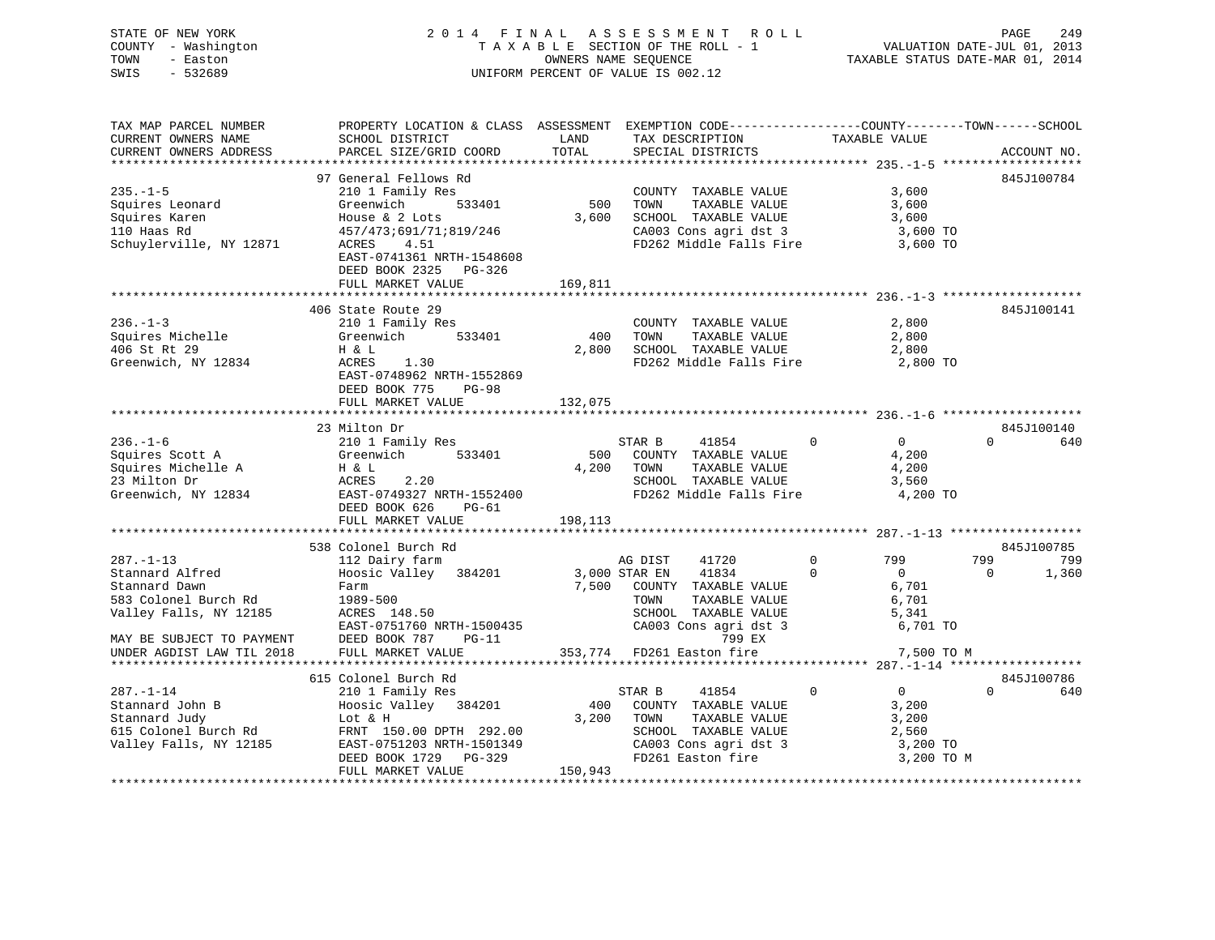|      | STATE OF NEW YORK   | 2014 FINAL ASSESSMENT ROLL         | 249<br>PAGE                      |
|------|---------------------|------------------------------------|----------------------------------|
|      | COUNTY - Washington | TAXABLE SECTION OF THE ROLL - 1    | VALUATION DATE-JUL 01, 2013      |
| TOWN | - Easton            | OWNERS NAME SEOUENCE               | TAXABLE STATUS DATE-MAR 01, 2014 |
| SWIS | $-532689$           | UNIFORM PERCENT OF VALUE IS 002.12 |                                  |

| TAX MAP PARCEL NUMBER                                  | PROPERTY LOCATION & CLASS ASSESSMENT EXEMPTION CODE----------------COUNTY-------TOWN------SCHOOL |         |                                 |                               |                   |
|--------------------------------------------------------|--------------------------------------------------------------------------------------------------|---------|---------------------------------|-------------------------------|-------------------|
| CURRENT OWNERS NAME                                    | SCHOOL DISTRICT                                                                                  | LAND    | TAX DESCRIPTION                 | TAXABLE VALUE                 |                   |
| CURRENT OWNERS ADDRESS                                 | PARCEL SIZE/GRID COORD                                                                           | TOTAL   | SPECIAL DISTRICTS               |                               | ACCOUNT NO.       |
|                                                        |                                                                                                  |         |                                 |                               |                   |
|                                                        | 97 General Fellows Rd                                                                            |         |                                 |                               | 845J100784        |
| $235. -1 - 5$                                          | 210 1 Family Res                                                                                 |         | COUNTY TAXABLE VALUE            | 3,600                         |                   |
| Squires Leonard                                        | Greenwich<br>533401                                                                              | 500     | TAXABLE VALUE<br>TOWN           | 3,600                         |                   |
| Squires Karen                                          | House & 2 Lots                                                                                   | 3,600   | SCHOOL TAXABLE VALUE            | 3,600                         |                   |
| 110 Haas Rd                                            | 457/473;691/71;819/246                                                                           |         | CA003 Cons agri dst 3           | 3,600 TO                      |                   |
| Schuylerville, NY 12871                                | 4.51<br>ACRES                                                                                    |         | FD262 Middle Falls Fire         | 3,600 TO                      |                   |
|                                                        | EAST-0741361 NRTH-1548608                                                                        |         |                                 |                               |                   |
|                                                        | DEED BOOK 2325 PG-326                                                                            |         |                                 |                               |                   |
|                                                        | FULL MARKET VALUE                                                                                | 169,811 |                                 |                               |                   |
|                                                        |                                                                                                  |         |                                 |                               |                   |
|                                                        | 406 State Route 29                                                                               |         |                                 |                               | 845J100141        |
| $236. - 1 - 3$                                         | 210 1 Family Res                                                                                 |         | COUNTY TAXABLE VALUE            | 2,800                         |                   |
| Squires Michelle                                       | 533401<br>Greenwich                                                                              | 400     | TOWN<br>TAXABLE VALUE           | 2,800                         |                   |
| 406 St Rt 29                                           | H & L                                                                                            | 2,800   | SCHOOL TAXABLE VALUE            | 2,800                         |                   |
| Greenwich, NY 12834                                    | ACRES<br>1.30                                                                                    |         | FD262 Middle Falls Fire         | 2,800 TO                      |                   |
|                                                        | EAST-0748962 NRTH-1552869                                                                        |         |                                 |                               |                   |
|                                                        | DEED BOOK 775<br>$PG-98$                                                                         |         |                                 |                               |                   |
|                                                        | FULL MARKET VALUE                                                                                | 132,075 |                                 |                               |                   |
|                                                        |                                                                                                  |         |                                 |                               |                   |
|                                                        | 23 Milton Dr                                                                                     |         |                                 |                               | 845J100140        |
| $236. - 1 - 6$                                         | 210 1 Family Res                                                                                 |         | STAR B<br>41854                 | $\Omega$<br>0                 | $\Omega$<br>640   |
| Squires Scott A                                        | Greenwich<br>533401                                                                              | 500     | COUNTY TAXABLE VALUE            | 4,200                         |                   |
| Squires Michelle A                                     | H & L                                                                                            | 4,200   | TOWN<br>TAXABLE VALUE           | 4,200                         |                   |
| 23 Milton Dr                                           | 2.20<br>ACRES                                                                                    |         | SCHOOL TAXABLE VALUE            | 3,560                         |                   |
| Greenwich, NY 12834                                    | EAST-0749327 NRTH-1552400                                                                        |         | FD262 Middle Falls Fire         | 4,200 TO                      |                   |
|                                                        | DEED BOOK 626<br>PG-61                                                                           |         |                                 |                               |                   |
|                                                        | FULL MARKET VALUE                                                                                | 198,113 |                                 |                               |                   |
|                                                        |                                                                                                  |         |                                 |                               |                   |
|                                                        | 538 Colonel Burch Rd                                                                             |         |                                 |                               | 845J100785        |
| $287. - 1 - 13$                                        | 112 Dairy farm                                                                                   |         | AG DIST<br>41720                | $\Omega$<br>799               | 799<br>799        |
| Stannard Alfred                                        | Hoosic Valley 384201                                                                             |         | 41834<br>3,000 STAR EN          | $\Omega$<br>$\Omega$          | 1,360<br>$\Omega$ |
| Stannard Dawn                                          | Farm                                                                                             | 7,500   | COUNTY TAXABLE VALUE            | 6,701                         |                   |
| 583 Colonel Burch Rd                                   | 1989-500                                                                                         |         | TOWN<br>TAXABLE VALUE           | 6,701                         |                   |
| Valley Falls, NY 12185                                 | ACRES 148.50                                                                                     |         | SCHOOL TAXABLE VALUE            | 5,341                         |                   |
|                                                        | EAST-0751760 NRTH-1500435                                                                        |         | CA003 Cons agri dst 3<br>799 EX | 6,701 TO                      |                   |
| MAY BE SUBJECT TO PAYMENT<br>UNDER AGDIST LAW TIL 2018 | DEED BOOK 787<br>$PG-11$<br>FULL MARKET VALUE                                                    |         | 353,774 FD261 Easton fire       | 7,500 TO M                    |                   |
|                                                        |                                                                                                  |         |                                 |                               |                   |
|                                                        | 615 Colonel Burch Rd                                                                             |         |                                 |                               | 845J100786        |
| $287. - 1 - 14$                                        | 210 1 Family Res                                                                                 |         | 41854<br>STAR B                 | $\Omega$<br>$0 \qquad \qquad$ | $\Omega$<br>640   |
| Stannard John B                                        | Hoosic Valley 384201                                                                             | 400     | COUNTY TAXABLE VALUE            | 3,200                         |                   |
| Stannard Judy                                          | Lot & H                                                                                          | 3,200   | TOWN<br>TAXABLE VALUE           | 3,200                         |                   |
| 615 Colonel Burch Rd                                   | FRNT 150.00 DPTH 292.00                                                                          |         | SCHOOL TAXABLE VALUE            | 2,560                         |                   |
| Valley Falls, NY 12185                                 | EAST-0751203 NRTH-1501349                                                                        |         | CA003 Cons agri dst 3           | 3,200 TO                      |                   |
|                                                        | DEED BOOK 1729<br>PG-329                                                                         |         | FD261 Easton fire               | 3,200 TO M                    |                   |
|                                                        | FULL MARKET VALUE                                                                                | 150,943 |                                 |                               |                   |
|                                                        |                                                                                                  |         |                                 |                               |                   |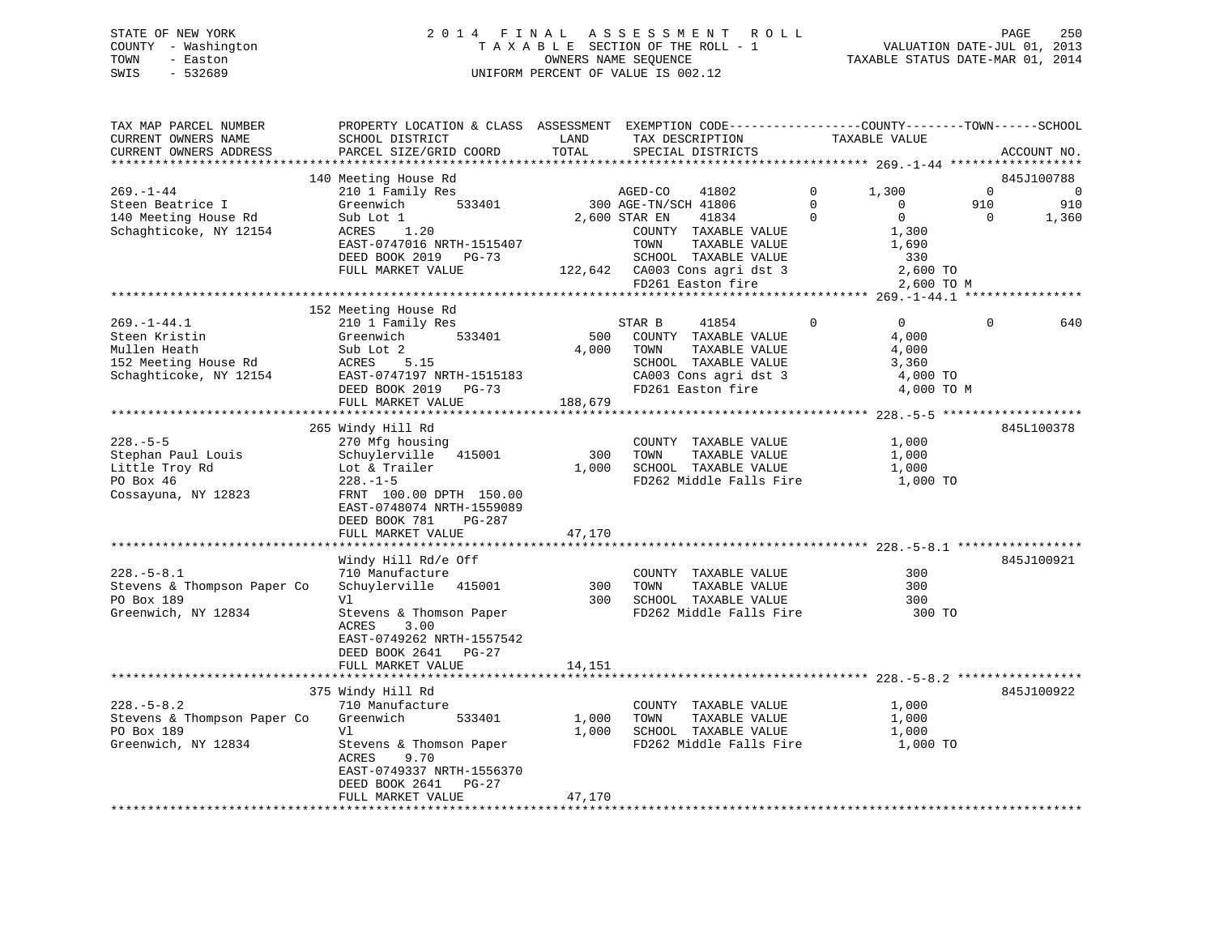# STATE OF NEW YORK 2 0 1 4 F I N A L A S S E S S M E N T R O L L PAGE 250 COUNTY - Washington T A X A B L E SECTION OF THE ROLL - 1 VALUATION DATE-JUL 01, 2013 TOWN - Easton **CONNERS NAME SEQUENCE** TAXABLE STATUS DATE-MAR 01, 2014 SWIS - 532689 UNIFORM PERCENT OF VALUE IS 002.12

| TAX MAP PARCEL NUMBER<br>CURRENT OWNERS NAME | PROPERTY LOCATION & CLASS ASSESSMENT EXEMPTION CODE----------------COUNTY-------TOWN------SCHOOL<br>SCHOOL DISTRICT | LAND    | TAX DESCRIPTION               |              | TAXABLE VALUE  |              |             |
|----------------------------------------------|---------------------------------------------------------------------------------------------------------------------|---------|-------------------------------|--------------|----------------|--------------|-------------|
| CURRENT OWNERS ADDRESS                       | PARCEL SIZE/GRID COORD                                                                                              | TOTAL   | SPECIAL DISTRICTS             |              |                |              | ACCOUNT NO. |
|                                              | 140 Meeting House Rd                                                                                                |         |                               |              |                |              | 845J100788  |
| $269. - 1 - 44$                              | 210 1 Family Res                                                                                                    |         | AGED-CO<br>41802              | $\mathbf{0}$ | 1,300          | $\mathbf{0}$ | $\mathbf 0$ |
| Steen Beatrice I                             | 533401<br>Greenwich                                                                                                 |         | 300 AGE-TN/SCH 41806          | $\Omega$     | $\Omega$       | 910          | 910         |
| 140 Meeting House Rd                         | Sub Lot 1                                                                                                           |         | 2,600 STAR EN<br>41834        | $\mathbf{0}$ | $\mathsf{O}$   | $\mathbf{0}$ | 1,360       |
| Schaghticoke, NY 12154                       | 1.20<br>ACRES                                                                                                       |         | COUNTY TAXABLE VALUE          |              | 1,300          |              |             |
|                                              | EAST-0747016 NRTH-1515407                                                                                           |         | TAXABLE VALUE<br>TOWN         |              | 1,690          |              |             |
|                                              | DEED BOOK 2019 PG-73                                                                                                |         | SCHOOL TAXABLE VALUE          |              | 330            |              |             |
|                                              | FULL MARKET VALUE                                                                                                   |         | 122,642 CA003 Cons agri dst 3 |              | 2,600 TO       |              |             |
|                                              |                                                                                                                     |         | FD261 Easton fire             |              | 2,600 TO M     |              |             |
|                                              |                                                                                                                     |         |                               |              |                |              |             |
|                                              | 152 Meeting House Rd                                                                                                |         |                               |              |                |              |             |
| $269. - 1 - 44.1$                            | 210 1 Family Res                                                                                                    |         | 41854<br>STAR B               | $\mathbf{0}$ | $\overline{0}$ | $\mathbf 0$  | 640         |
| Steen Kristin                                | 533401<br>Greenwich                                                                                                 | 500     | COUNTY TAXABLE VALUE          |              | 4,000          |              |             |
| Mullen Heath                                 | Sub Lot 2                                                                                                           | 4,000   | TOWN<br>TAXABLE VALUE         |              | 4,000          |              |             |
| 152 Meeting House Rd                         | ACRES<br>5.15                                                                                                       |         | SCHOOL TAXABLE VALUE          |              | 3,360          |              |             |
| Schaghticoke, NY 12154                       | EAST-0747197 NRTH-1515183                                                                                           |         | CA003 Cons agri dst 3         |              | 4,000 TO       |              |             |
|                                              | DEED BOOK 2019 PG-73                                                                                                |         | FD261 Easton fire             |              | 4,000 TO M     |              |             |
|                                              | FULL MARKET VALUE                                                                                                   | 188,679 |                               |              |                |              |             |
|                                              |                                                                                                                     |         |                               |              |                |              |             |
|                                              | 265 Windy Hill Rd                                                                                                   |         |                               |              |                |              | 845L100378  |
| $228. - 5 - 5$                               | 270 Mfg housing                                                                                                     |         | COUNTY TAXABLE VALUE          |              | 1,000          |              |             |
| Stephan Paul Louis                           | Schuylerville 415001                                                                                                | 300     | TOWN<br>TAXABLE VALUE         |              | 1,000          |              |             |
| Little Troy Rd                               | Lot & Trailer                                                                                                       | 1,000   | SCHOOL TAXABLE VALUE          |              | 1,000          |              |             |
| PO Box 46                                    | $228. - 1 - 5$                                                                                                      |         | FD262 Middle Falls Fire       |              | 1,000 TO       |              |             |
| Cossayuna, NY 12823                          | FRNT 100.00 DPTH 150.00                                                                                             |         |                               |              |                |              |             |
|                                              | EAST-0748074 NRTH-1559089                                                                                           |         |                               |              |                |              |             |
|                                              | PG-287<br>DEED BOOK 781<br>FULL MARKET VALUE                                                                        | 47,170  |                               |              |                |              |             |
|                                              |                                                                                                                     |         |                               |              |                |              |             |
|                                              | Windy Hill Rd/e Off                                                                                                 |         |                               |              |                |              | 845J100921  |
| $228. - 5 - 8.1$                             | 710 Manufacture                                                                                                     |         | COUNTY TAXABLE VALUE          |              | 300            |              |             |
| Stevens & Thompson Paper Co                  | Schuylerville 415001                                                                                                | 300     | TOWN<br>TAXABLE VALUE         |              | 300            |              |             |
| PO Box 189                                   | Vl                                                                                                                  | 300     | SCHOOL TAXABLE VALUE          |              | 300            |              |             |
| Greenwich, NY 12834                          | Stevens & Thomson Paper                                                                                             |         | FD262 Middle Falls Fire       |              | 300 TO         |              |             |
|                                              | 3.00<br>ACRES                                                                                                       |         |                               |              |                |              |             |
|                                              | EAST-0749262 NRTH-1557542                                                                                           |         |                               |              |                |              |             |
|                                              | DEED BOOK 2641 PG-27                                                                                                |         |                               |              |                |              |             |
|                                              | FULL MARKET VALUE                                                                                                   | 14,151  |                               |              |                |              |             |
|                                              |                                                                                                                     |         |                               |              |                |              |             |
|                                              | 375 Windy Hill Rd                                                                                                   |         |                               |              |                |              | 845J100922  |
| $228. - 5 - 8.2$                             | 710 Manufacture                                                                                                     |         | COUNTY TAXABLE VALUE          |              | 1,000          |              |             |
| Stevens & Thompson Paper Co                  | Greenwich<br>533401                                                                                                 | 1,000   | TOWN<br>TAXABLE VALUE         |              | 1,000          |              |             |
| PO Box 189                                   | V1                                                                                                                  | 1,000   | SCHOOL TAXABLE VALUE          |              | 1,000          |              |             |
| Greenwich, NY 12834                          | Stevens & Thomson Paper                                                                                             |         | FD262 Middle Falls Fire       |              | 1,000 TO       |              |             |
|                                              | 9.70<br>ACRES                                                                                                       |         |                               |              |                |              |             |
|                                              | EAST-0749337 NRTH-1556370                                                                                           |         |                               |              |                |              |             |
|                                              | DEED BOOK 2641<br>PG-27                                                                                             |         |                               |              |                |              |             |
|                                              | FULL MARKET VALUE                                                                                                   | 47,170  |                               |              |                |              |             |
|                                              |                                                                                                                     |         |                               |              |                |              |             |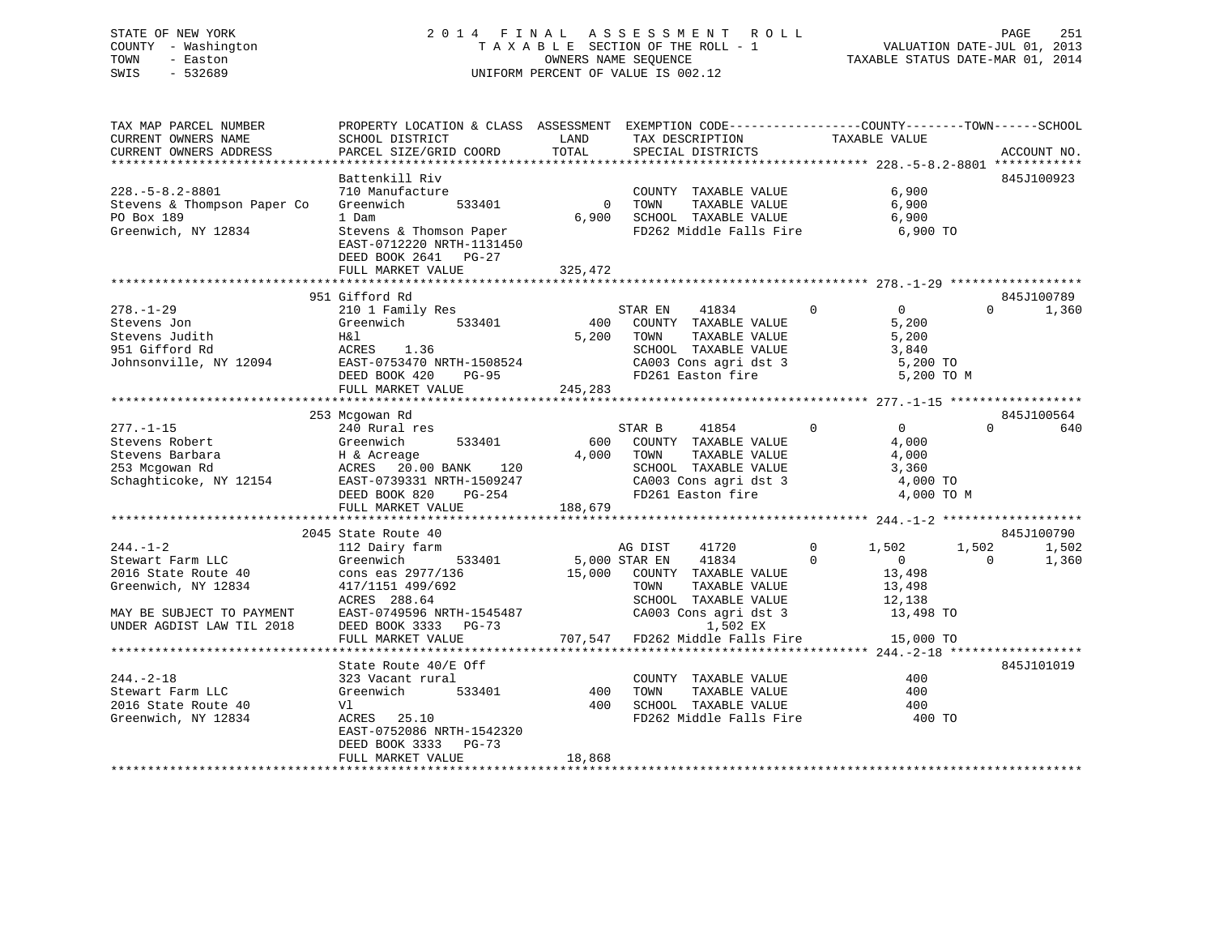# STATE OF NEW YORK 2 0 1 4 F I N A L A S S E S S M E N T R O L L PAGE 251 COUNTY - Washington T A X A B L E SECTION OF THE ROLL - 1 VALUATION DATE-JUL 01, 2013 TOWN - Easton **CONNERS NAME SEQUENCE** TAXABLE STATUS DATE-MAR 01, 2014 SWIS - 532689 UNIFORM PERCENT OF VALUE IS 002.12

| TAX MAP PARCEL NUMBER<br>CURRENT OWNERS NAME<br>CURRENT OWNERS ADDRESS | SCHOOL DISTRICT<br>PARCEL SIZE/GRID COORD         | LAND<br>TOTAL  | TAX DESCRIPTION<br>SPECIAL DISTRICTS |                                   |              | PROPERTY LOCATION & CLASS ASSESSMENT EXEMPTION CODE----------------COUNTY-------TOWN------SCHOOL<br>TAXABLE VALUE<br>ACCOUNT NO. |          |            |
|------------------------------------------------------------------------|---------------------------------------------------|----------------|--------------------------------------|-----------------------------------|--------------|----------------------------------------------------------------------------------------------------------------------------------|----------|------------|
|                                                                        |                                                   |                |                                      |                                   |              |                                                                                                                                  |          |            |
|                                                                        | Battenkill Riv                                    |                |                                      |                                   |              |                                                                                                                                  |          | 845J100923 |
| $228. - 5 - 8.2 - 8801$                                                | 710 Manufacture                                   |                |                                      | COUNTY TAXABLE VALUE              |              | 6,900                                                                                                                            |          |            |
| Stevens & Thompson Paper Co                                            | Greenwich<br>533401                               | $\overline{0}$ | TOWN                                 | TAXABLE VALUE                     |              | 6,900                                                                                                                            |          |            |
| PO Box 189                                                             | 1 Dam                                             | 6,900          |                                      | SCHOOL TAXABLE VALUE              |              | 6,900                                                                                                                            |          |            |
| Greenwich, NY 12834                                                    | Stevens & Thomson Paper                           |                |                                      | FD262 Middle Falls Fire           |              | 6,900 TO                                                                                                                         |          |            |
|                                                                        | EAST-0712220 NRTH-1131450<br>DEED BOOK 2641 PG-27 |                |                                      |                                   |              |                                                                                                                                  |          |            |
|                                                                        | FULL MARKET VALUE                                 | 325,472        |                                      |                                   |              |                                                                                                                                  |          |            |
|                                                                        |                                                   |                |                                      |                                   |              |                                                                                                                                  |          |            |
|                                                                        | 951 Gifford Rd                                    |                |                                      |                                   |              |                                                                                                                                  |          | 845J100789 |
| $278. - 1 - 29$                                                        | 210 1 Family Res                                  |                | STAR EN                              | 41834                             | $\mathbf{0}$ | $\overline{0}$                                                                                                                   | $\Omega$ | 1,360      |
| Stevens Jon                                                            | Greenwich<br>533401                               | 400            |                                      | COUNTY TAXABLE VALUE              |              | 5,200                                                                                                                            |          |            |
| Stevens Judith                                                         | H&l                                               | 5,200          | TOWN                                 | TAXABLE VALUE                     |              | 5,200                                                                                                                            |          |            |
| 951 Gifford Rd                                                         | 1.36<br>ACRES                                     |                |                                      | SCHOOL TAXABLE VALUE              |              | 3,840                                                                                                                            |          |            |
| Johnsonville, NY 12094                                                 | EAST-0753470 NRTH-1508524                         |                |                                      | CA003 Cons agri dst 3             |              | 5,200 TO                                                                                                                         |          |            |
|                                                                        | DEED BOOK 420<br><b>PG-95</b>                     |                |                                      |                                   |              | 5,200 TO M                                                                                                                       |          |            |
|                                                                        | FULL MARKET VALUE                                 | 245,283        |                                      |                                   |              |                                                                                                                                  |          |            |
|                                                                        |                                                   |                |                                      |                                   |              |                                                                                                                                  |          |            |
|                                                                        | 253 Mcgowan Rd                                    |                |                                      |                                   |              |                                                                                                                                  |          | 845J100564 |
| $277. - 1 - 15$                                                        | 240 Rural res                                     |                | STAR B                               | 41854                             | $\Omega$     | $\Omega$                                                                                                                         | $\Omega$ | 640        |
| Stevens Robert                                                         | 533401<br>Greenwich                               | 600            |                                      | COUNTY TAXABLE VALUE              |              | 4,000                                                                                                                            |          |            |
| Stevens Barbara                                                        |                                                   | 4,000          | TOWN                                 | TAXABLE VALUE                     |              | 4,000                                                                                                                            |          |            |
| 253 Mcgowan Rd                                                         | ACRES 20.00 BANK<br>120                           |                |                                      | SCHOOL TAXABLE VALUE              |              | 3,360                                                                                                                            |          |            |
| Schaghticoke, NY 12154 EAST-0739331 NRTH-1509247                       |                                                   |                |                                      | CA003 Cons agri dst 3             |              | 4,000 TO                                                                                                                         |          |            |
|                                                                        | DEED BOOK 820<br>PG-254                           |                |                                      | FD261 Easton fire                 |              | 4,000 TO M                                                                                                                       |          |            |
|                                                                        | FULL MARKET VALUE                                 | 188,679        |                                      |                                   |              |                                                                                                                                  |          |            |
|                                                                        |                                                   |                |                                      |                                   |              |                                                                                                                                  |          |            |
|                                                                        | 2045 State Route 40                               |                |                                      |                                   |              |                                                                                                                                  |          | 845J100790 |
| $244. - 1 - 2$                                                         | 112 Dairy farm                                    |                | AG DIST                              | 41720                             | $\mathbf{0}$ | 1,502                                                                                                                            | 1,502    | 1,502      |
| Stewart Farm LLC                                                       | 533401<br>Greenwich                               | 5,000 STAR EN  |                                      | 41834                             | $\Omega$     | $\overline{0}$                                                                                                                   | $\Omega$ | 1,360      |
| 2016 State Route 40                                                    | cons eas 2977/136                                 | 15,000         |                                      | COUNTY TAXABLE VALUE              |              | 13,498                                                                                                                           |          |            |
| Greenwich, NY 12834                                                    | 417/1151 499/692                                  |                | TOWN                                 | TAXABLE VALUE                     |              | 13,498                                                                                                                           |          |            |
|                                                                        | ACRES 288.64                                      |                |                                      | SCHOOL TAXABLE VALUE              |              | 12,138                                                                                                                           |          |            |
| MAY BE SUBJECT TO PAYMENT                                              | EAST-0749596 NRTH-1545487                         |                |                                      | CA003 Cons agri dst 3             |              | 13,498 TO                                                                                                                        |          |            |
| UNDER AGDIST LAW TIL 2018                                              | DEED BOOK 3333<br>$PG-73$                         |                |                                      | 1,502 EX                          |              |                                                                                                                                  |          |            |
|                                                                        | FULL MARKET VALUE                                 | 707,547        |                                      | FD262 Middle Falls Fire 15,000 TO |              |                                                                                                                                  |          |            |
|                                                                        |                                                   |                |                                      |                                   |              |                                                                                                                                  |          |            |
|                                                                        | State Route 40/E Off                              |                |                                      |                                   |              |                                                                                                                                  |          | 845J101019 |
| $244. - 2 - 18$                                                        | 323 Vacant rural                                  |                |                                      | COUNTY TAXABLE VALUE              |              | 400                                                                                                                              |          |            |
| Stewart Farm LLC                                                       | Greenwich<br>533401                               | 400            | TOWN                                 | TAXABLE VALUE                     |              | 400                                                                                                                              |          |            |
| 2016 State Route 40                                                    | Vl                                                | 400            |                                      | SCHOOL TAXABLE VALUE              |              | 400                                                                                                                              |          |            |
| Greenwich, NY 12834                                                    | ACRES 25.10                                       |                |                                      | FD262 Middle Falls Fire           |              | 400 TO                                                                                                                           |          |            |
|                                                                        | EAST-0752086 NRTH-1542320                         |                |                                      |                                   |              |                                                                                                                                  |          |            |
|                                                                        | DEED BOOK 3333<br><b>PG-73</b>                    |                |                                      |                                   |              |                                                                                                                                  |          |            |
|                                                                        | FULL MARKET VALUE                                 | 18,868         |                                      |                                   |              |                                                                                                                                  |          |            |
|                                                                        |                                                   |                |                                      |                                   |              |                                                                                                                                  |          |            |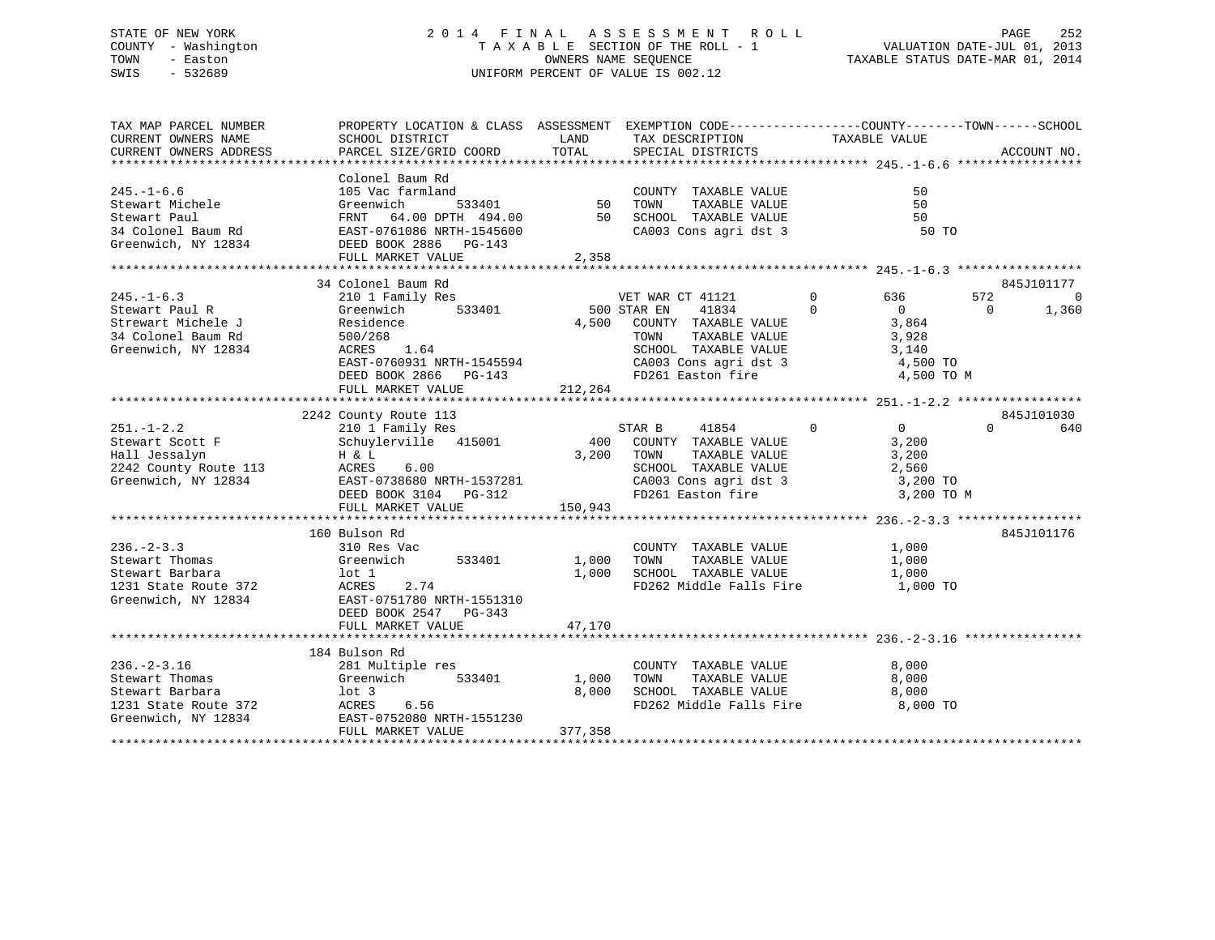# STATE OF NEW YORK 2 0 1 4 F I N A L A S S E S S M E N T R O L L PAGE 252 COUNTY - Washington T A X A B L E SECTION OF THE ROLL - 1 VALUATION DATE-JUL 01, 2013 TOWN - Easton OWNERS NAME SEQUENCE TAXABLE STATUS DATE-MAR 01, 2014 SWIS - 532689 UNIFORM PERCENT OF VALUE IS 002.12UNIFORM PERCENT OF VALUE IS 002.12

| TAX MAP PARCEL NUMBER<br>CURRENT OWNERS NAME                                                                                                                                                                                                       | PROPERTY LOCATION & CLASS ASSESSMENT EXEMPTION CODE----------------COUNTY-------TOWN------SCHOOL<br>SCHOOL DISTRICT | <b>LAND</b>       | TAX DESCRIPTION                                                                                                                                                                       | TAXABLE VALUE                                                                |                         |  |  |  |  |  |  |
|----------------------------------------------------------------------------------------------------------------------------------------------------------------------------------------------------------------------------------------------------|---------------------------------------------------------------------------------------------------------------------|-------------------|---------------------------------------------------------------------------------------------------------------------------------------------------------------------------------------|------------------------------------------------------------------------------|-------------------------|--|--|--|--|--|--|
|                                                                                                                                                                                                                                                    |                                                                                                                     |                   |                                                                                                                                                                                       |                                                                              | ACCOUNT NO.             |  |  |  |  |  |  |
|                                                                                                                                                                                                                                                    |                                                                                                                     |                   |                                                                                                                                                                                       |                                                                              |                         |  |  |  |  |  |  |
|                                                                                                                                                                                                                                                    |                                                                                                                     |                   |                                                                                                                                                                                       | 50                                                                           |                         |  |  |  |  |  |  |
|                                                                                                                                                                                                                                                    |                                                                                                                     |                   |                                                                                                                                                                                       | 50                                                                           |                         |  |  |  |  |  |  |
|                                                                                                                                                                                                                                                    |                                                                                                                     |                   |                                                                                                                                                                                       | 50                                                                           |                         |  |  |  |  |  |  |
|                                                                                                                                                                                                                                                    |                                                                                                                     |                   | CA003 Cons agri dst 3 50 TO                                                                                                                                                           |                                                                              |                         |  |  |  |  |  |  |
|                                                                                                                                                                                                                                                    |                                                                                                                     |                   |                                                                                                                                                                                       |                                                                              |                         |  |  |  |  |  |  |
|                                                                                                                                                                                                                                                    |                                                                                                                     |                   |                                                                                                                                                                                       |                                                                              |                         |  |  |  |  |  |  |
| USITRICTS<br>COLOREL Baum Rd<br>Stewart Michele<br>Stewart Michele<br>Stewart Fall Greenwich<br>Stewart Fall Greenwich<br>Stewart Fall Greenwich<br>Stewart Fall FRNT 64.00 DFTH 494.00<br>STED BOOK 2886 PG-143<br>TAXABLE VALUE<br>CREED BOOK 28 |                                                                                                                     |                   |                                                                                                                                                                                       |                                                                              |                         |  |  |  |  |  |  |
|                                                                                                                                                                                                                                                    | 34 Colonel Baum Rd<br>Colonel Baum Rd<br>210 1 Family Res<br>Greenwich 533401                                       |                   |                                                                                                                                                                                       |                                                                              | 845J101177              |  |  |  |  |  |  |
| $245. - 1 - 6.3$                                                                                                                                                                                                                                   |                                                                                                                     |                   | VET WAR CT 41121<br>500 STAR EN 41834                                                                                                                                                 | $\begin{array}{ccc} 0 & \qquad & 636 \\ 0 & \qquad & 0 \end{array}$<br>636 — | 572<br>$\overline{0}$   |  |  |  |  |  |  |
| Stewart Paul R                                                                                                                                                                                                                                     |                                                                                                                     |                   | 500 STAR EN                                                                                                                                                                           |                                                                              | $\overline{0}$<br>1,360 |  |  |  |  |  |  |
| Strewart Michele J<br>34 Colonel Baum Rd<br>500/268                                                                                                                                                                                                |                                                                                                                     |                   | 4,500 COUNTY TAXABLE VALUE $3,864$                                                                                                                                                    |                                                                              |                         |  |  |  |  |  |  |
| 34 Colonel Baum Rd                                                                                                                                                                                                                                 | 500/268                                                                                                             |                   | $\begin{tabular}{lllllllll} \textsc{TONN} & \textsc{TAXABLE} & \textsc{VALUE} & \textsc{3,928} \\ \textsc{SCHOOL} & \textsc{TAXABLE} & \textsc{VALUE} & \textsc{3,140} \end{tabular}$ |                                                                              |                         |  |  |  |  |  |  |
| Greenwich, NY 12834                                                                                                                                                                                                                                | 500/268<br>ACRES 1.64                                                                                               |                   |                                                                                                                                                                                       |                                                                              |                         |  |  |  |  |  |  |
|                                                                                                                                                                                                                                                    | EAST-0760931 NRTH-1545594                                                                                           |                   |                                                                                                                                                                                       | 4,500 TO                                                                     |                         |  |  |  |  |  |  |
|                                                                                                                                                                                                                                                    |                                                                                                                     |                   |                                                                                                                                                                                       | 4,500 TO M                                                                   |                         |  |  |  |  |  |  |
|                                                                                                                                                                                                                                                    | FULL MARKET VALUE                                                                                                   | 212, 264          |                                                                                                                                                                                       |                                                                              |                         |  |  |  |  |  |  |
|                                                                                                                                                                                                                                                    |                                                                                                                     |                   |                                                                                                                                                                                       |                                                                              |                         |  |  |  |  |  |  |
|                                                                                                                                                                                                                                                    |                                                                                                                     |                   |                                                                                                                                                                                       |                                                                              | 845J101030              |  |  |  |  |  |  |
| $251. - 1 - 2.2$                                                                                                                                                                                                                                   |                                                                                                                     |                   |                                                                                                                                                                                       | $41854 \qquad \qquad 0 \qquad \qquad 0$                                      | $0 \t\t 640$            |  |  |  |  |  |  |
| Stewart Scott F                                                                                                                                                                                                                                    |                                                                                                                     |                   |                                                                                                                                                                                       |                                                                              |                         |  |  |  |  |  |  |
|                                                                                                                                                                                                                                                    | H & L<br>ACRES 6.00                                                                                                 |                   | 3,200 TOWN                                                                                                                                                                            |                                                                              |                         |  |  |  |  |  |  |
| Hall Jessalyn<br>2242 County Route 113 ACRES                                                                                                                                                                                                       |                                                                                                                     |                   | TOWN TAXABLE VALUE 3,200<br>SCHOOL TAXABLE VALUE 2,560                                                                                                                                |                                                                              |                         |  |  |  |  |  |  |
|                                                                                                                                                                                                                                                    |                                                                                                                     |                   |                                                                                                                                                                                       | 3,200 TO                                                                     |                         |  |  |  |  |  |  |
| Greenwich, NY 12834<br>CAO3 Cons agri dst 3<br>DEED BOOK 3104 PG-312 FD261 Easton fire                                                                                                                                                             |                                                                                                                     |                   |                                                                                                                                                                                       | 3,200 TO M                                                                   |                         |  |  |  |  |  |  |
|                                                                                                                                                                                                                                                    | FULL MARKET VALUE 150,943                                                                                           |                   |                                                                                                                                                                                       |                                                                              |                         |  |  |  |  |  |  |
|                                                                                                                                                                                                                                                    |                                                                                                                     |                   |                                                                                                                                                                                       |                                                                              |                         |  |  |  |  |  |  |
|                                                                                                                                                                                                                                                    | 160 Bulson Rd<br>Bulson Rd<br>310 Res Vac                                                                           |                   |                                                                                                                                                                                       |                                                                              | 845J101176              |  |  |  |  |  |  |
| $236. - 2 - 3.3$                                                                                                                                                                                                                                   |                                                                                                                     |                   | COUNTY TAXABLE VALUE 1,000                                                                                                                                                            |                                                                              |                         |  |  |  |  |  |  |
| Stewart Thomas                                                                                                                                                                                                                                     | Greenwich 533401 1,000 TOWN                                                                                         |                   |                                                                                                                                                                                       | TAXABLE VALUE 1,000                                                          |                         |  |  |  |  |  |  |
|                                                                                                                                                                                                                                                    | 2.74                                                                                                                |                   | 1,000 SCHOOL TAXABLE VALUE 1,000 1,000 FD262 Middle Falls Fire 1,000 TO                                                                                                               |                                                                              |                         |  |  |  |  |  |  |
| Stewart Barbara<br>1231 State Route 372<br>Greenwich, NY 12834<br>EAST-0751780 NRTH-1551310<br>REED POOK 2547 PC-242                                                                                                                               |                                                                                                                     |                   |                                                                                                                                                                                       |                                                                              |                         |  |  |  |  |  |  |
|                                                                                                                                                                                                                                                    |                                                                                                                     |                   |                                                                                                                                                                                       |                                                                              |                         |  |  |  |  |  |  |
|                                                                                                                                                                                                                                                    | DEED BOOK 2547 PG-343                                                                                               |                   |                                                                                                                                                                                       |                                                                              |                         |  |  |  |  |  |  |
|                                                                                                                                                                                                                                                    | FULL MARKET VALUE                                                                                                   | 47,170            |                                                                                                                                                                                       |                                                                              |                         |  |  |  |  |  |  |
|                                                                                                                                                                                                                                                    |                                                                                                                     |                   |                                                                                                                                                                                       |                                                                              |                         |  |  |  |  |  |  |
|                                                                                                                                                                                                                                                    | 184 Bulson Rd<br>www.kd<br>281 Multiple res<br>Greenwist                                                            |                   |                                                                                                                                                                                       |                                                                              |                         |  |  |  |  |  |  |
| $236. - 2 - 3.16$                                                                                                                                                                                                                                  |                                                                                                                     |                   | COUNTY TAXABLE VALUE                                                                                                                                                                  | 8,000                                                                        |                         |  |  |  |  |  |  |
| Stewart Thomas                                                                                                                                                                                                                                     | Greenwich                                                                                                           | 533401 1,000 TOWN | TAXABLE VALUE                                                                                                                                                                         | 8,000                                                                        |                         |  |  |  |  |  |  |
|                                                                                                                                                                                                                                                    |                                                                                                                     |                   | 8,000 SCHOOL TAXABLE VALUE 8,000<br>FD262 Middle Falls Fire 8,000                                                                                                                     |                                                                              |                         |  |  |  |  |  |  |
|                                                                                                                                                                                                                                                    |                                                                                                                     |                   |                                                                                                                                                                                       | 8,000 TO                                                                     |                         |  |  |  |  |  |  |
| Stewart Barbara<br>1231 State Route 372<br>Greenwich, NY 12834<br>Greenwich, NY 12834<br>EAST-0752080 NRTH-1551230                                                                                                                                 |                                                                                                                     |                   |                                                                                                                                                                                       |                                                                              |                         |  |  |  |  |  |  |
|                                                                                                                                                                                                                                                    | FULL MARKET VALUE                                                                                                   | 377,358           |                                                                                                                                                                                       |                                                                              |                         |  |  |  |  |  |  |
|                                                                                                                                                                                                                                                    |                                                                                                                     |                   |                                                                                                                                                                                       |                                                                              |                         |  |  |  |  |  |  |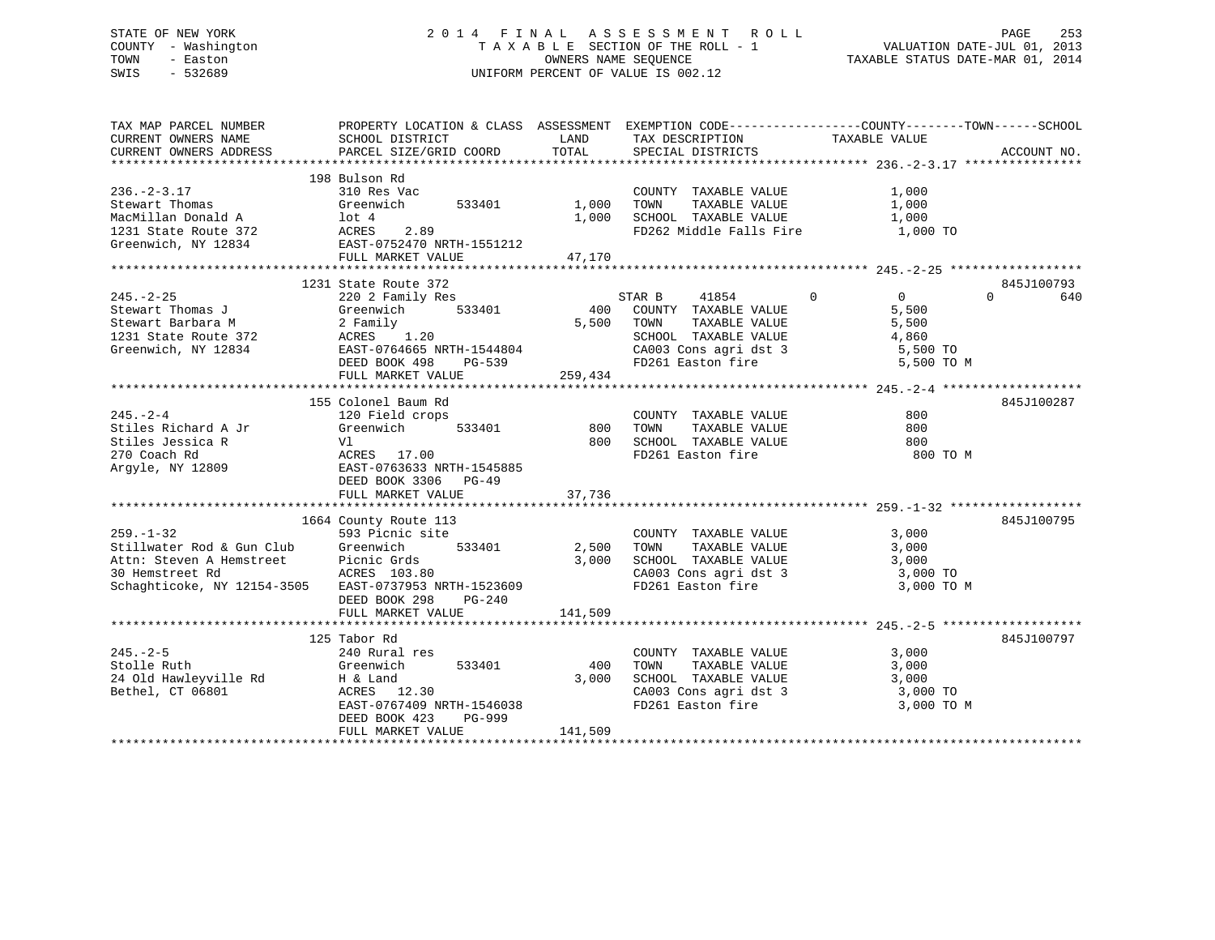# STATE OF NEW YORK 2 0 1 4 F I N A L A S S E S S M E N T R O L L PAGE 253 COUNTY - Washington T A X A B L E SECTION OF THE ROLL - 1 VALUATION DATE-JUL 01, 2013 TOWN - Easton OWNERS NAME SEQUENCE TAXABLE STATUS DATE-MAR 01, 2014 SWIS - 532689 UNIFORM PERCENT OF VALUE IS 002.12

| TAX MAP PARCEL NUMBER<br>CURRENT OWNERS NAME<br>CURRENT OWNERS ADDRESS                                                                                                                                     | PROPERTY LOCATION & CLASS ASSESSMENT EXEMPTION CODE---------------COUNTY-------TOWN-----SCHOOL<br>SCHOOL DISTRICT<br>PARCEL SIZE/GRID COORD  | <b>Example 12</b><br>TOTAL                  | TAX DESCRIPTION TAXABLE VALUE SPECIAL DISTRICTS                                                                                                                                    |                                       | ACCOUNT NO.                                |
|------------------------------------------------------------------------------------------------------------------------------------------------------------------------------------------------------------|----------------------------------------------------------------------------------------------------------------------------------------------|---------------------------------------------|------------------------------------------------------------------------------------------------------------------------------------------------------------------------------------|---------------------------------------|--------------------------------------------|
| $236. - 2 - 3.17$<br>Stewart Thomas<br>MacMillan Donald A 10t 4<br>1231 State Route 372 12834<br>Greenwich, NY 12834 EAST-0752470 NRTH-1551212                                                             | 198 Bulson Rd<br>310 Res Vac<br>533401 1,000 TOWN<br>Greenwich<br>FULL MARKET VALUE                                                          | 47,170                                      | COUNTY TAXABLE VALUE<br>TAXABLE VALUE<br>1,000 SCHOOL TAXABLE VALUE 1,000<br>FD262 Middle Falls Fire                                                                               | 1,000<br>1,000<br>1,000 TO            |                                            |
|                                                                                                                                                                                                            |                                                                                                                                              |                                             |                                                                                                                                                                                    |                                       |                                            |
| 245.-2-25<br>Stewart Thomas J<br>Stewart Barbara M<br>1231 State Route 372<br>Tramwich, NY 12834<br>259,434<br>259,434<br>259,434<br>259,434<br>259,434<br>259,434<br>259,434<br>259,434<br>259,434        | 1231 State Route 372<br>$\frac{1}{2}$ 372<br>1y Res 533401 400<br>533401 500                                                                 |                                             | $\sim$ 0<br>STAR B<br>41854<br>COUNTY TAXABLE VALUE<br>5,500 TOWN<br>TAXABLE VALUE<br>SCHOOL TAXABLE VALUE 4,860<br>CA003 Cons agri dst 3 5,500 TO<br>FD261 Easton fire 5,500 TO M | $\overline{0}$<br>5,500<br>5,500      | 845J100793<br>$\Omega$ and $\Omega$<br>640 |
|                                                                                                                                                                                                            |                                                                                                                                              |                                             |                                                                                                                                                                                    |                                       |                                            |
| $245. - 2 - 4$<br>Stiles Richard A Jr<br>Gre<br>Vl<br>Stiles Jessica R<br>270 Coach Rd<br>Argyle, NY 12809                                                                                                 | 155 Colonel Baum Rd<br>120 Field crops<br>Greenwich<br>ACRES 17.00<br>EAST-0763633 NRTH-1545885<br>DEED BOOK 3306 PG-49<br>FULL MARKET VALUE | $533401$ 800<br>800<br>800<br>800<br>37,736 | COUNTY TAXABLE VALUE<br>TAXABLE VALUE<br>TOWN<br>SCHOOL TAXABLE VALUE<br>FD261 Easton fire                                                                                         | 800<br>800<br>800<br>800 TO M         | 845J100287                                 |
|                                                                                                                                                                                                            |                                                                                                                                              |                                             |                                                                                                                                                                                    |                                       |                                            |
| $259. - 1 - 32$<br>Stillwater Rod & Gun Club Greenwich 533401 2,500<br>Attn: Steven A Hemstreet Picnic Grds 3,000<br>30 Hemstreet Rd ACRES 103.80<br>Schaghticoke, NY 12154-3505 EAST-0737953 NRTH-1523609 | 1664 County Route 113<br>593 Picnic site<br>DEED BOOK 298<br>$PG-240$                                                                        |                                             | COUNTY TAXABLE VALUE<br>TAXABLE VALUE<br>TOWN<br>SCHOOL TAXABLE VALUE<br>CA003 Cons agri dst 3 3,000 TO<br>FD261 Easton fire                                                       | 3,000<br>3,000<br>3,000<br>3,000 TO M | 845J100795                                 |
|                                                                                                                                                                                                            | FULL MARKET VALUE                                                                                                                            | 141,509                                     |                                                                                                                                                                                    |                                       |                                            |
|                                                                                                                                                                                                            | 125 Tabor Rd                                                                                                                                 |                                             |                                                                                                                                                                                    |                                       | 845J100797                                 |
| $245. - 2 - 5$<br>Stolle Ruth<br>24 Old Hawleyville Rd<br>Bethel, CT 06801                                                                                                                                 | 240 Rural res<br>Greenwich<br>533401<br>H & Land<br>ACRES 12.30<br>EAST-0767409 NRTH-1546038<br>DEED BOOK 423<br>PG-999<br>FULL MARKET VALUE | 400<br>3,000<br>141,509                     | COUNTY TAXABLE VALUE<br>TOWN<br>TAXABLE VALUE<br>SCHOOL TAXABLE VALUE<br>CA003 Cons agri dst 3 3,000 TO<br>FD261 Easton fire                                                       | 3,000<br>3,000<br>3,000<br>3,000 TO M |                                            |
|                                                                                                                                                                                                            |                                                                                                                                              |                                             |                                                                                                                                                                                    |                                       |                                            |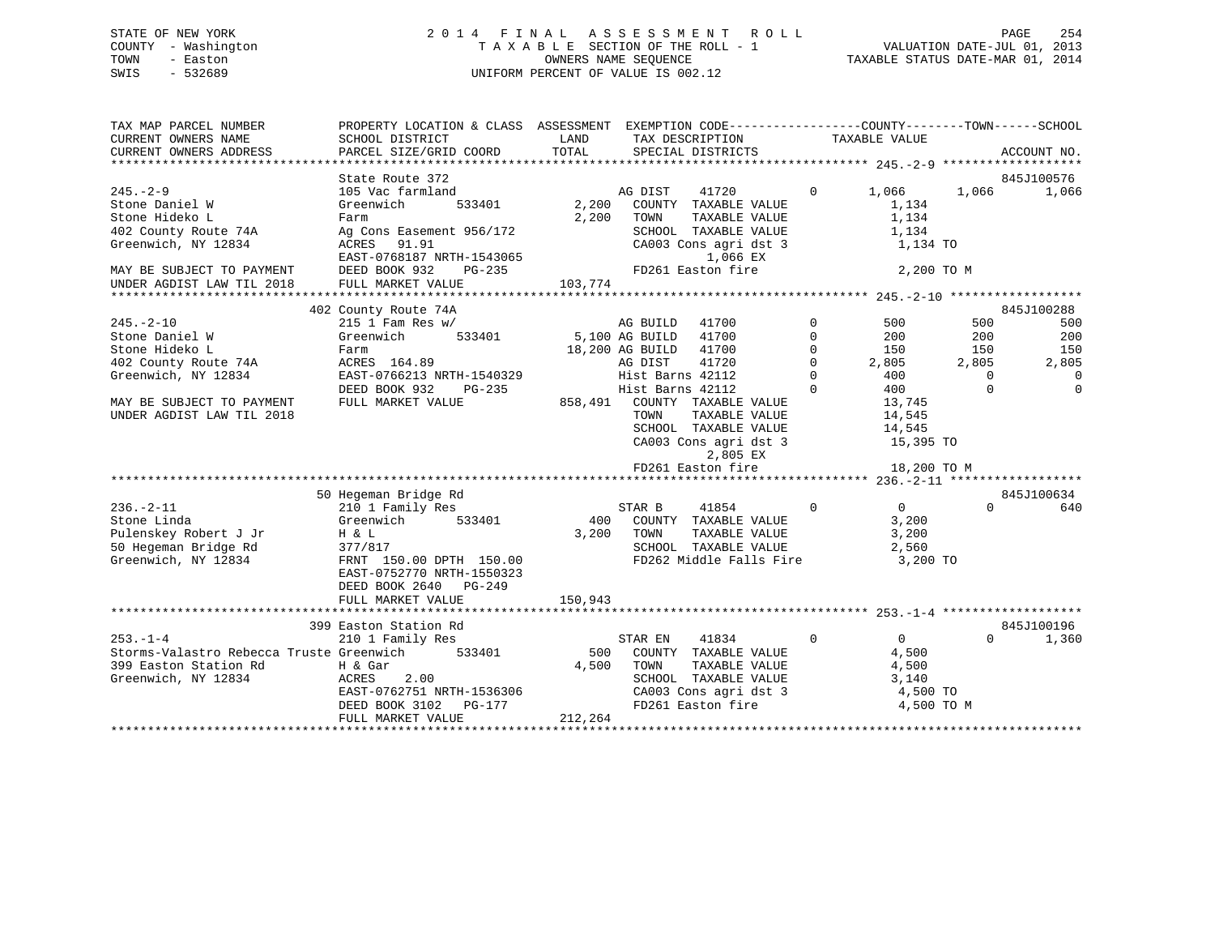# STATE OF NEW YORK 2 0 1 4 F I N A L A S S E S S M E N T R O L L PAGE 254 COUNTY - Washington T A X A B L E SECTION OF THE ROLL - 1 VALUATION DATE-JUL 01, 2013 TOWN - Easton OWNERS NAME SEQUENCE TAXABLE STATUS DATE-MAR 01, 2014 SWIS - 532689 UNIFORM PERCENT OF VALUE IS 002.12

| TAX MAP PARCEL NUMBER<br>CURRENT OWNERS NAME<br>CURRENT OWNERS ADDRESS | PROPERTY LOCATION & CLASS ASSESSMENT<br>SCHOOL DISTRICT<br>PARCEL SIZE/GRID COORD | LAND<br>TOTAL |                  | EXEMPTION CODE-----------------COUNTY-------TOWN------SCHOOL<br>TAX DESCRIPTION<br>SPECIAL DISTRICTS |              | TAXABLE VALUE  |          | ACCOUNT NO.         |
|------------------------------------------------------------------------|-----------------------------------------------------------------------------------|---------------|------------------|------------------------------------------------------------------------------------------------------|--------------|----------------|----------|---------------------|
|                                                                        | State Route 372                                                                   |               |                  |                                                                                                      |              |                |          | 845J100576          |
| $245. - 2 - 9$                                                         | 105 Vac farmland                                                                  |               | AG DIST          | 41720                                                                                                | $\Omega$     | 1,066          | 1,066    | 1,066               |
| Stone Daniel W                                                         | 533401<br>Greenwich                                                               | 2,200         |                  | COUNTY TAXABLE VALUE                                                                                 |              | 1,134          |          |                     |
| Stone Hideko L                                                         | Farm                                                                              | 2,200         | TOWN             | TAXABLE VALUE                                                                                        |              | 1,134          |          |                     |
| 402 County Route 74A                                                   | Ag Cons Easement 956/172                                                          |               |                  | SCHOOL TAXABLE VALUE                                                                                 |              | 1,134          |          |                     |
| Greenwich, NY 12834                                                    | ACRES<br>91.91                                                                    |               |                  | CA003 Cons agri dst 3                                                                                |              | 1,134 TO       |          |                     |
|                                                                        | EAST-0768187 NRTH-1543065                                                         |               |                  | 1,066 EX                                                                                             |              |                |          |                     |
| MAY BE SUBJECT TO PAYMENT                                              | DEED BOOK 932<br>PG-235                                                           |               |                  | FD261 Easton fire                                                                                    |              | 2,200 TO M     |          |                     |
| UNDER AGDIST LAW TIL 2018                                              | FULL MARKET VALUE                                                                 | 103,774       |                  |                                                                                                      |              |                |          |                     |
|                                                                        |                                                                                   |               |                  |                                                                                                      |              |                |          |                     |
|                                                                        | 402 County Route 74A                                                              |               |                  |                                                                                                      |              |                |          | 845J100288          |
| $245. - 2 - 10$                                                        | $215$ 1 Fam Res w/                                                                |               | AG BUILD         | 41700                                                                                                | $\mathbf 0$  | 500            | 500      | 500                 |
| Stone Daniel W                                                         | 533401<br>Greenwich                                                               |               | 5,100 AG BUILD   | 41700                                                                                                | $\Omega$     | 200            | 200      | 200                 |
| Stone Hideko L                                                         | Farm                                                                              |               | 18,200 AG BUILD  | 41700                                                                                                | $\Omega$     | 150            | 150      | 150                 |
| 402 County Route 74A                                                   | ACRES 164.89                                                                      |               | AG DIST          | 41720                                                                                                | $\mathbf 0$  | 2,805          | 2,805    | 2,805               |
| Greenwich, NY 12834                                                    | EAST-0766213 NRTH-1540329                                                         |               | Hist Barns 42112 |                                                                                                      | $\Omega$     | 400            | $\Omega$ | $\Omega$            |
|                                                                        | DEED BOOK 932<br>PG-235                                                           |               | Hist Barns 42112 |                                                                                                      | $\Omega$     | 400            | $\Omega$ | $\mathbf{0}$        |
| MAY BE SUBJECT TO PAYMENT                                              | FULL MARKET VALUE                                                                 | 858,491       |                  | COUNTY TAXABLE VALUE                                                                                 |              | 13,745         |          |                     |
| UNDER AGDIST LAW TIL 2018                                              |                                                                                   |               | TOWN             | TAXABLE VALUE                                                                                        |              | 14,545         |          |                     |
|                                                                        |                                                                                   |               |                  | SCHOOL TAXABLE VALUE                                                                                 |              | 14,545         |          |                     |
|                                                                        |                                                                                   |               |                  | CA003 Cons agri dst 3                                                                                |              | 15,395 TO      |          |                     |
|                                                                        |                                                                                   |               |                  | 2,805 EX                                                                                             |              |                |          |                     |
|                                                                        |                                                                                   |               |                  | FD261 Easton fire                                                                                    |              | 18,200 TO M    |          |                     |
|                                                                        |                                                                                   |               |                  |                                                                                                      |              |                |          |                     |
|                                                                        | 50 Hegeman Bridge Rd                                                              |               |                  |                                                                                                      |              |                |          | 845J100634          |
| $236. - 2 - 11$                                                        | 210 1 Family Res                                                                  |               | STAR B           | 41854                                                                                                | $\mathbf{0}$ | $\overline{0}$ | $\Omega$ | 640                 |
| Stone Linda                                                            | Greenwich<br>533401                                                               | 400           |                  | COUNTY TAXABLE VALUE                                                                                 |              | 3,200          |          |                     |
| Pulenskey Robert J Jr                                                  | H & L                                                                             | 3,200         | TOWN             | TAXABLE VALUE                                                                                        |              | 3,200          |          |                     |
| 50 Hegeman Bridge Rd                                                   | 377/817                                                                           |               |                  | SCHOOL TAXABLE VALUE                                                                                 |              | 2,560          |          |                     |
| Greenwich, NY 12834                                                    | FRNT 150.00 DPTH 150.00                                                           |               |                  | FD262 Middle Falls Fire                                                                              |              | 3,200 TO       |          |                     |
|                                                                        | EAST-0752770 NRTH-1550323                                                         |               |                  |                                                                                                      |              |                |          |                     |
|                                                                        | DEED BOOK 2640 PG-249                                                             |               |                  |                                                                                                      |              |                |          |                     |
|                                                                        | FULL MARKET VALUE                                                                 | 150,943       |                  |                                                                                                      |              |                |          |                     |
|                                                                        |                                                                                   |               |                  |                                                                                                      |              |                |          |                     |
| $253. - 1 - 4$                                                         | 399 Easton Station Rd<br>210 1 Family Res                                         |               |                  |                                                                                                      | $\mathbf{0}$ | $\overline{0}$ | $\Omega$ | 845J100196<br>1,360 |
| Storms-Valastro Rebecca Truste Greenwich                               | 533401                                                                            | 500           | STAR EN          | 41834<br>COUNTY TAXABLE VALUE                                                                        |              | 4,500          |          |                     |
| 399 Easton Station Rd                                                  | H & Gar                                                                           | 4,500         | TOWN             | TAXABLE VALUE                                                                                        |              | 4,500          |          |                     |
| Greenwich, NY 12834                                                    | ACRES<br>2.00                                                                     |               |                  | SCHOOL TAXABLE VALUE                                                                                 |              | 3,140          |          |                     |
|                                                                        | EAST-0762751 NRTH-1536306                                                         |               |                  | CA003 Cons agri dst 3                                                                                |              | 4,500 TO       |          |                     |
|                                                                        | DEED BOOK 3102<br>PG-177                                                          |               |                  | FD261 Easton fire                                                                                    |              | 4,500 TO M     |          |                     |
|                                                                        | FULL MARKET VALUE                                                                 | 212,264       |                  |                                                                                                      |              |                |          |                     |
|                                                                        |                                                                                   |               |                  |                                                                                                      |              |                |          |                     |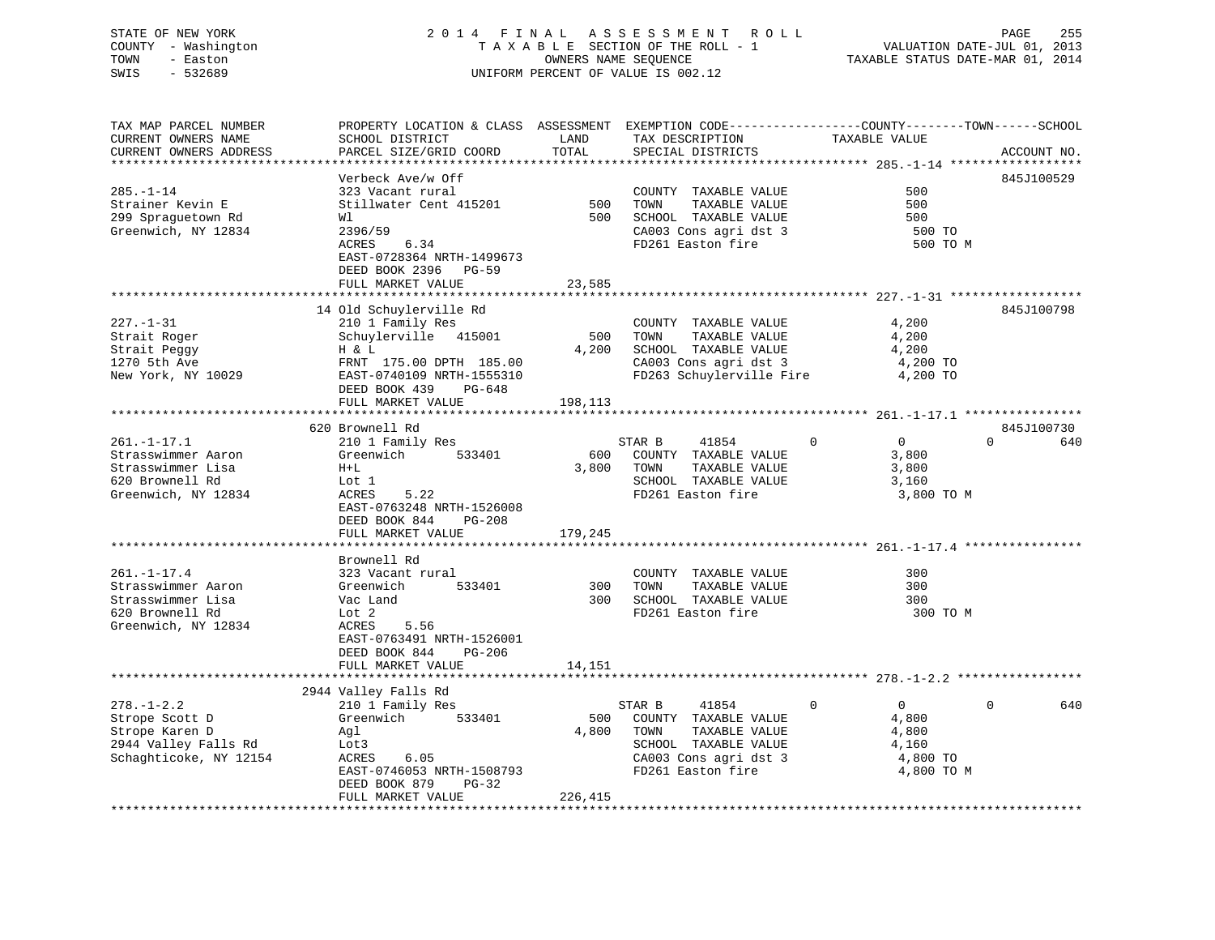# STATE OF NEW YORK 2 0 1 4 F I N A L A S S E S S M E N T R O L L PAGE 255 COUNTY - Washington T A X A B L E SECTION OF THE ROLL - 1 VALUATION DATE-JUL 01, 2013 TOWN - Easton OWNERS NAME SEQUENCE TAXABLE STATUS DATE-MAR 01, 2014 SWIS - 532689 UNIFORM PERCENT OF VALUE IS 002.12

TAX MAP PARCEL NUMBER PROPERTY LOCATION & CLASS ASSESSMENT EXEMPTION CODE------------------COUNTY--------TOWN------SCHOOL

CURRENT OWNERS NAME SCHOOL DISTRICT THE LAND TAX DESCRIPTION TAXABLE VALUE

CURRENT OWNERS ADDRESS PARCEL SIZE/GRID COORD TOTAL SPECIAL DISTRICTS ACCOUNT NO. \*\*\*\*\*\*\*\*\*\*\*\*\*\*\*\*\*\*\*\*\*\*\*\*\*\*\*\*\*\*\*\*\*\*\*\*\*\*\*\*\*\*\*\*\*\*\*\*\*\*\*\*\*\*\*\*\*\*\*\*\*\*\*\*\*\*\*\*\*\*\*\*\*\*\*\*\*\*\*\*\*\*\*\*\*\*\*\*\*\*\*\*\*\*\*\*\*\*\*\*\*\*\* 285.-1-14 \*\*\*\*\*\*\*\*\*\*\*\*\*\*\*\*\*\* Verbeck Ave/w Off 845J100529 285.-1-14 323 Vacant rural COUNTY TAXABLE VALUE 500Strainer Kevin E Stillwater Cent 415201 500 TOWN TAXABLE VALUE 500500 299 Spraguetown Rd Wl 500 SCHOOL TAXABLE VALUE 500 Greenwich, NY 12834 2396/59 2396/59 2396/59 2396/59 2396/59 2396/59 2396/59 2396/59 2396/59 2396/59 2396/59 23 ACRES 6.34 **FD261** Easton fire 500 TO M EAST-0728364 NRTH-1499673 DEED BOOK 2396 PG-59FULL MARKET VALUE 23,585 \*\*\*\*\*\*\*\*\*\*\*\*\*\*\*\*\*\*\*\*\*\*\*\*\*\*\*\*\*\*\*\*\*\*\*\*\*\*\*\*\*\*\*\*\*\*\*\*\*\*\*\*\*\*\*\*\*\*\*\*\*\*\*\*\*\*\*\*\*\*\*\*\*\*\*\*\*\*\*\*\*\*\*\*\*\*\*\*\*\*\*\*\*\*\*\*\*\*\*\*\*\*\* 227.-1-31 \*\*\*\*\*\*\*\*\*\*\*\*\*\*\*\*\*\* 14 Old Schuylerville Rd 845J100798 227.-1-31 210 1 Family Res COUNTY TAXABLE VALUE 4,200 Strait Roger and Schuylerville 415001 500 TOWN TAXABLE VALUE 4,200 Strait Peggy **H** & L **H** & L 4,200 SCHOOL TAXABLE VALUE 4,200 1270 5th Ave FRNT 175.00 DPTH 185.00 CA003 Cons agri dst 3 4,200 TO New York, NY 10029 EAST-0740109 NRTH-1555310 FD263 Schuylerville Fire 4,200 TO DEED BOOK 439 PG-648FULL MARKET VALUE 198,113 \*\*\*\*\*\*\*\*\*\*\*\*\*\*\*\*\*\*\*\*\*\*\*\*\*\*\*\*\*\*\*\*\*\*\*\*\*\*\*\*\*\*\*\*\*\*\*\*\*\*\*\*\*\*\*\*\*\*\*\*\*\*\*\*\*\*\*\*\*\*\*\*\*\*\*\*\*\*\*\*\*\*\*\*\*\*\*\*\*\*\*\*\*\*\*\*\*\*\*\*\*\*\* 261.-1-17.1 \*\*\*\*\*\*\*\*\*\*\*\*\*\*\*\* 620 Brownell Rd 845J100730261.-1-17.1 210 1 Family Res STAR B 41854 0 0 0 640 Strasswimmer Aaron Greenwich 533401 600 COUNTY TAXABLE VALUE 3,800 Strasswimmer Lisa H+L 3,800 TOWN TAXABLE VALUE 3,800 Strasswimmer Aaron (Greenwich 1933401 600 COUNTY TAXABLE VALUE 3,800 Strasswimmer Lisa H+L 3,800 H and the school of the school of the school of the school of the school of the school of the school of the school of the sch Greenwich, NY 12834 ACRES 5.22 FD261 Easton fire 3,800 TO M EAST-0763248 NRTH-1526008 DEED BOOK 844 PG-208FULL MARKET VALUE 179,245 \*\*\*\*\*\*\*\*\*\*\*\*\*\*\*\*\*\*\*\*\*\*\*\*\*\*\*\*\*\*\*\*\*\*\*\*\*\*\*\*\*\*\*\*\*\*\*\*\*\*\*\*\*\*\*\*\*\*\*\*\*\*\*\*\*\*\*\*\*\*\*\*\*\*\*\*\*\*\*\*\*\*\*\*\*\*\*\*\*\*\*\*\*\*\*\*\*\*\*\*\*\*\* 261.-1-17.4 \*\*\*\*\*\*\*\*\*\*\*\*\*\*\*\* Brownell Rd261.-1-17.4 323 Vacant rural COUNTY TAXABLE VALUE 300Strasswimmer Aaron Greenwich 533401 300 TOWN TAXABLE VALUE 300 $300$ Strasswimmer Lisa Vac Land 300 SCHOOL TAXABLE VALUE 300620 Brownell Rd Lot 2 FD261 Easton fire 300 TO MGreenwich, NY 12834 ACRES 5.56 EAST-0763491 NRTH-1526001 DEED BOOK 844 PG-206FULL MARKET VALUE 14,151 \*\*\*\*\*\*\*\*\*\*\*\*\*\*\*\*\*\*\*\*\*\*\*\*\*\*\*\*\*\*\*\*\*\*\*\*\*\*\*\*\*\*\*\*\*\*\*\*\*\*\*\*\*\*\*\*\*\*\*\*\*\*\*\*\*\*\*\*\*\*\*\*\*\*\*\*\*\*\*\*\*\*\*\*\*\*\*\*\*\*\*\*\*\*\*\*\*\*\*\*\*\*\* 278.-1-2.2 \*\*\*\*\*\*\*\*\*\*\*\*\*\*\*\*\* 2944 Valley Falls Rd 278.-1-2.2 210 1 Family Res STAR B 41854 0 0 0 640<br>210 1 Family Res STAR B 41854 0 0 0 640<br>210 Strope Scott D Greenwich 533401 500 COUNTY TAXABLE VALUE Strope Scott D Greenwich 533401 500 COUNTY TAXABLE VALUE 4,800<br>Strope Karen D Agl 4,800 4,800 TOWN TAXABLE VALUE 4,800<br>2044 Valley Falls Fd. 2044 Strope Karen D Agl 4,800 TOWN TAXABLE VALUE 4,800 2944 Valley Falls Rd Lot3 SCHOOL TAXABLE VALUE 4,160 Schaghticoke, NY 12154 ACRES 6.05 CA003 Cons agri dst 3 4,800 TO EAST-0746053 NRTH-1508793 FD261 Easton fire 4,800 TO M DEED BOOK 879 PG-32FULL MARKET VALUE 226,415 \*\*\*\*\*\*\*\*\*\*\*\*\*\*\*\*\*\*\*\*\*\*\*\*\*\*\*\*\*\*\*\*\*\*\*\*\*\*\*\*\*\*\*\*\*\*\*\*\*\*\*\*\*\*\*\*\*\*\*\*\*\*\*\*\*\*\*\*\*\*\*\*\*\*\*\*\*\*\*\*\*\*\*\*\*\*\*\*\*\*\*\*\*\*\*\*\*\*\*\*\*\*\*\*\*\*\*\*\*\*\*\*\*\*\*\*\*\*\*\*\*\*\*\*\*\*\*\*\*\*\*\*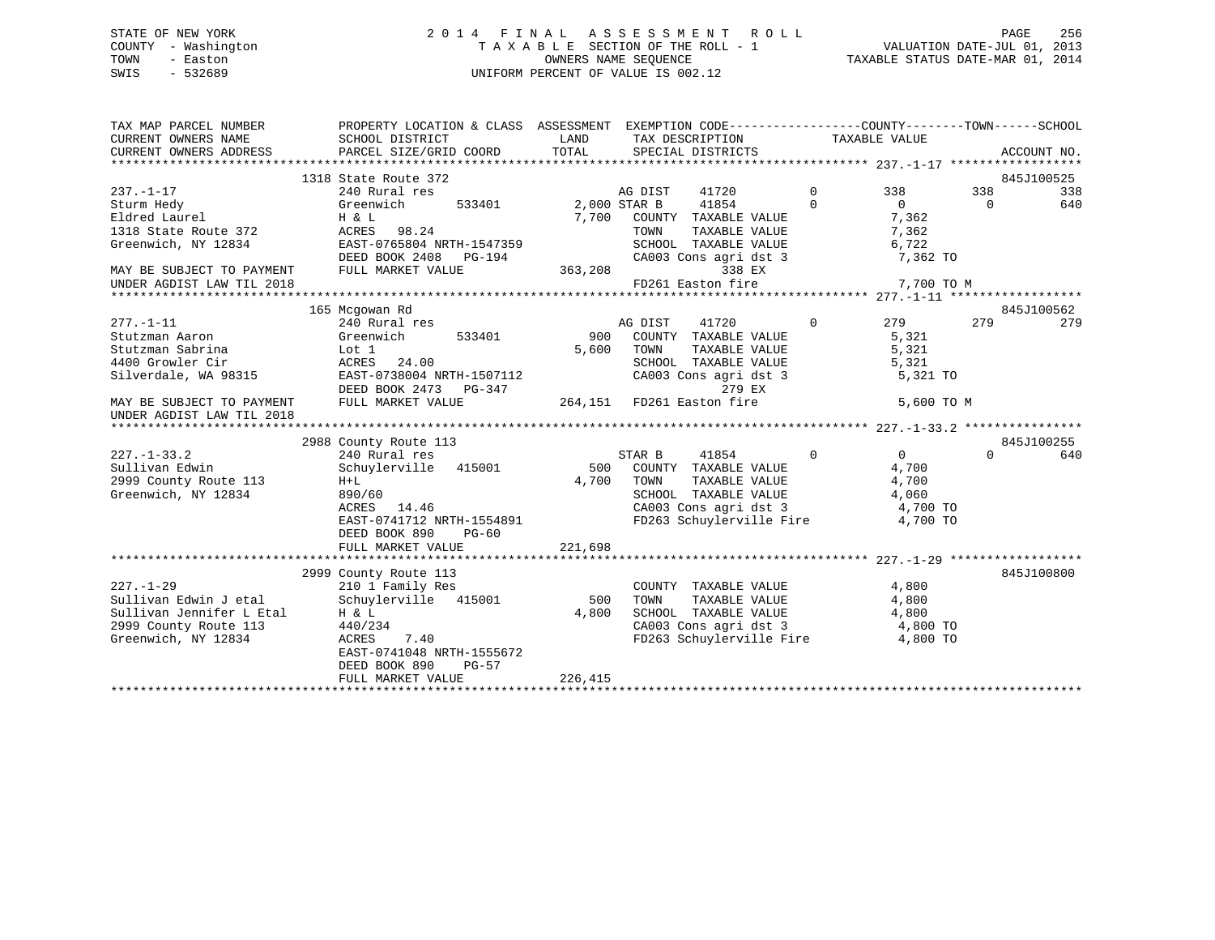# STATE OF NEW YORK 2 0 1 4 F I N A L A S S E S S M E N T R O L L PAGE 256 COUNTY - Washington T A X A B L E SECTION OF THE ROLL - 1 VALUATION DATE-JUL 01, 2013 TOWN - Easton OWNERS NAME SEQUENCE TAXABLE STATUS DATE-MAR 01, 2014 SWIS - 532689 UNIFORM PERCENT OF VALUE IS 002.12

| TAX MAP PARCEL NUMBER<br>CURRENT OWNERS NAME<br>CURRENT OWNERS ADDRESS PARCEL SIZE/GRID COORD | PROPERTY LOCATION & CLASS ASSESSMENT EXEMPTION CODE----------------COUNTY-------TOWN------SCHOOL<br>SCHOOL DISTRICT | LAND<br>TOTAL        | TAX DESCRIPTION<br>SPECIAL DISTRICTS                                                     |                | TAXABLE VALUE  |          | ACCOUNT NO.       |
|-----------------------------------------------------------------------------------------------|---------------------------------------------------------------------------------------------------------------------|----------------------|------------------------------------------------------------------------------------------|----------------|----------------|----------|-------------------|
|                                                                                               |                                                                                                                     |                      |                                                                                          |                |                |          |                   |
|                                                                                               | 1318 State Route 372                                                                                                |                      |                                                                                          |                |                |          | 845J100525        |
| $237. - 1 - 17$                                                                               | 240 Rural res                                                                                                       |                      | AG DIST<br>41720                                                                         | $\mathbf{0}$   | 338            | 338      | 338               |
| Sturm Hedy<br>Eldred Laurel                                                                   | Greenwich<br>533401 2,000 STAR B                                                                                    |                      | 41854                                                                                    | $\Omega$       | $\overline{0}$ | $\Omega$ | 640               |
|                                                                                               | H & L                                                                                                               |                      | 7,700 COUNTY TAXABLE VALUE<br>TOWN TAXABLE VALUE                                         |                | 7,362          |          |                   |
| 1318 State Route 372                                                                          | ACRES 98.24                                                                                                         |                      | SCHOOL TAXABLE VALUE                                                                     |                | 7,362          |          |                   |
| Greenwich, NY 12834 EAST-0765804 NRTH-1547359                                                 | DEED BOOK 2408 PG-194                                                                                               |                      |                                                                                          |                | 6,722          |          |                   |
| MAY BE SUBJECT TO PAYMENT FULL MARKET VALUE                                                   |                                                                                                                     | ، 363,208<br>363,208 | CA003 Cons agri dst 3<br>338 EX                                                          |                | 7,362 TO       |          |                   |
|                                                                                               |                                                                                                                     |                      | FD261 Easton fire                                                                        |                | 7,700 TO M     |          |                   |
| UNDER AGDIST LAW TIL 2018                                                                     |                                                                                                                     |                      |                                                                                          |                |                |          |                   |
|                                                                                               |                                                                                                                     |                      |                                                                                          |                |                |          |                   |
|                                                                                               | 165 Mcgowan Rd<br>240 Rural res                                                                                     |                      | 41720                                                                                    | $\overline{0}$ | 279 279        |          | 845J100562<br>279 |
| $277. - 1 - 11$<br>Stutzman Aaron                                                             | 533401<br>Greenwich                                                                                                 |                      | AG DIST<br>900 COUNTY TAXABLE VALUE                                                      |                |                |          |                   |
| Stutzman Sabrina                                                                              |                                                                                                                     |                      | 5,600 TOWN                                                                               |                | 5,321          |          |                   |
|                                                                                               | Lot 1<br>ACRES 24.00                                                                                                |                      |                                                                                          |                |                |          |                   |
| 4400 Growler Cir<br>Silverdale, WA 98315                                                      |                                                                                                                     |                      | TOWN TAXABLE VALUE 5,321<br>SCHOOL TAXABLE VALUE 5,321<br>CA003 Cons agri dst 3 5,321 TO |                |                |          |                   |
|                                                                                               | EAST-0738004 NRTH-1507112<br>DEED BOOK 2473 PG-347                                                                  |                      | 279 EX                                                                                   |                |                |          |                   |
| MAY BE SUBJECT TO PAYMENT FULL MARKET VALUE                                                   |                                                                                                                     |                      |                                                                                          |                |                |          |                   |
| UNDER AGDIST LAW TIL 2018                                                                     |                                                                                                                     |                      |                                                                                          |                | 5,600 TO M     |          |                   |
|                                                                                               |                                                                                                                     |                      |                                                                                          |                |                |          |                   |
|                                                                                               | 2988 County Route 113                                                                                               |                      |                                                                                          |                |                |          | 845J100255        |
| $227. - 1 - 33.2$                                                                             | 240 Rural res                                                                                                       |                      | 41854<br>STAR B                                                                          | $\overline{0}$ | $\overline{0}$ | $\Omega$ | 640               |
| Sullivan Edwin                                                                                | Schuylerville 415001                                                                                                | 500                  | COUNTY TAXABLE VALUE                                                                     |                | 4,700          |          |                   |
| 2999 County Route 113                                                                         | $H+L$                                                                                                               | 4,700                | TAXABLE VALUE<br>TOWN                                                                    |                | 4,700          |          |                   |
| Greenwich, NY 12834                                                                           | 890/60                                                                                                              |                      | SCHOOL TAXABLE VALUE                                                                     |                | 4,060          |          |                   |
|                                                                                               | ACRES 14.46                                                                                                         |                      | CA003 Cons agri dst 3 4,700 TO                                                           |                |                |          |                   |
|                                                                                               | EAST-0741712 NRTH-1554891                                                                                           |                      | FD263 Schuylerville Fire 4,700 TO                                                        |                |                |          |                   |
|                                                                                               | DEED BOOK 890<br>PG-60                                                                                              |                      |                                                                                          |                |                |          |                   |
|                                                                                               | FULL MARKET VALUE                                                                                                   | 221,698              |                                                                                          |                |                |          |                   |
|                                                                                               |                                                                                                                     |                      |                                                                                          |                |                |          |                   |
|                                                                                               | 2999 County Route 113                                                                                               |                      |                                                                                          |                |                |          | 845J100800        |
| $227. - 1 - 29$                                                                               | 210 1 Family Res                                                                                                    |                      | COUNTY TAXABLE VALUE                                                                     |                | 4,800          |          |                   |
| Sullivan Edwin J etal Schuylerville 415001                                                    |                                                                                                                     | 500                  | TOWN<br>TAXABLE VALUE                                                                    |                | 4,800          |          |                   |
|                                                                                               | H & L                                                                                                               | 4,800                |                                                                                          |                |                |          |                   |
| Sullivan Jennifer L Etal<br>2999 County Route 113<br>2999 County Route 113                    | 440/234                                                                                                             |                      | SCHOOL TAXABLE VALUE 4,800<br>CA003 Cons agri dst 3 4,800 TO                             |                |                |          |                   |
| Greenwich, NY 12834                                                                           | ACRES<br>7.40                                                                                                       |                      | FD263 Schuylerville Fire 4,800 TO                                                        |                |                |          |                   |
|                                                                                               | EAST-0741048 NRTH-1555672                                                                                           |                      |                                                                                          |                |                |          |                   |
|                                                                                               | DEED BOOK 890<br>PG-57                                                                                              |                      |                                                                                          |                |                |          |                   |
|                                                                                               | FULL MARKET VALUE                                                                                                   | 226,415              |                                                                                          |                |                |          |                   |
|                                                                                               |                                                                                                                     |                      |                                                                                          |                |                |          |                   |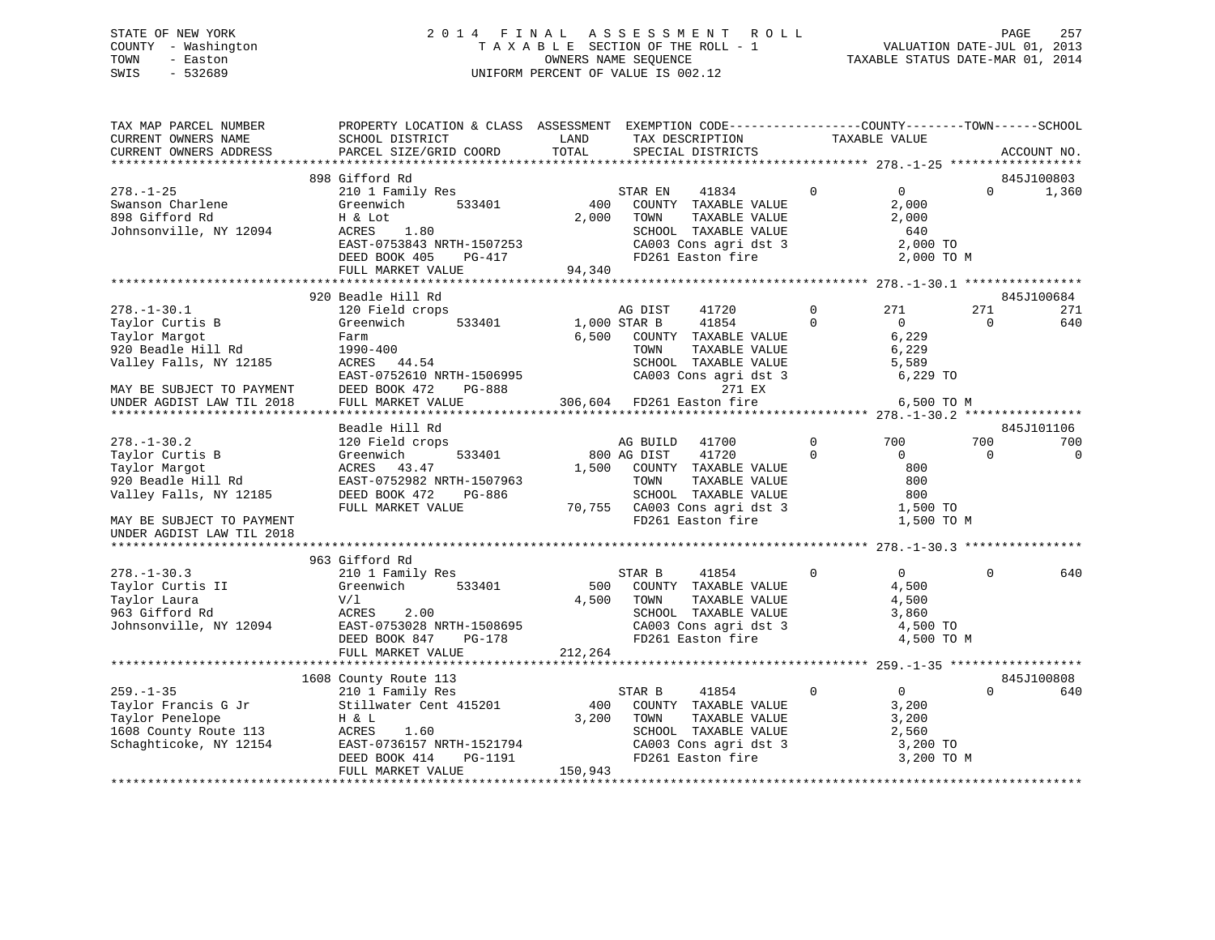# STATE OF NEW YORK 2 0 1 4 F I N A L A S S E S S M E N T R O L L PAGE 257 COUNTY - Washington T A X A B L E SECTION OF THE ROLL - 1 VALUATION DATE-JUL 01, 2013 TOWN - Easton **CONNERS NAME SEQUENCE** TAXABLE STATUS DATE-MAR 01, 2014 SWIS - 532689 UNIFORM PERCENT OF VALUE IS 002.12

| TAX MAP PARCEL NUMBER<br>CURRENT OWNERS NAME<br>CURRENT OWNERS ADDRESS                                                                                                               | PROPERTY LOCATION & CLASS ASSESSMENT<br>SCHOOL DISTRICT<br>PARCEL SIZE/GRID COORD                                                                                                                 | LAND<br>TOTAL           | EXEMPTION CODE-----------------COUNTY-------TOWN------SCHOOL<br>TAX DESCRIPTION<br>SPECIAL DISTRICTS                                                                               |                                        | TAXABLE VALUE                                                                     |                        | ACCOUNT NO.                            |
|--------------------------------------------------------------------------------------------------------------------------------------------------------------------------------------|---------------------------------------------------------------------------------------------------------------------------------------------------------------------------------------------------|-------------------------|------------------------------------------------------------------------------------------------------------------------------------------------------------------------------------|----------------------------------------|-----------------------------------------------------------------------------------|------------------------|----------------------------------------|
| *************************                                                                                                                                                            |                                                                                                                                                                                                   |                         |                                                                                                                                                                                    |                                        |                                                                                   |                        |                                        |
|                                                                                                                                                                                      | 898 Gifford Rd                                                                                                                                                                                    |                         |                                                                                                                                                                                    |                                        |                                                                                   |                        | 845J100803                             |
| $278. - 1 - 25$<br>Swanson Charlene<br>898 Gifford Rd<br>Johnsonville, NY 12094                                                                                                      | 210 1 Family Res<br>Greenwich<br>533401<br>H & Lot<br>1.80<br>ACRES<br>EAST-0753843 NRTH-1507253<br>DEED BOOK 405<br>PG-417<br>FULL MARKET VALUE                                                  | 400<br>2,000<br>94,340  | 41834<br>STAR EN<br>COUNTY TAXABLE VALUE<br>TOWN<br>TAXABLE VALUE<br>SCHOOL TAXABLE VALUE<br>CA003 Cons agri dst 3<br>FD261 Easton fire                                            | $\Omega$                               | $\overline{0}$<br>2,000<br>2,000<br>640<br>2,000 TO<br>2,000 TO M                 | $\Omega$               | 1,360                                  |
|                                                                                                                                                                                      |                                                                                                                                                                                                   |                         |                                                                                                                                                                                    |                                        |                                                                                   |                        |                                        |
| $278. - 1 - 30.1$<br>Taylor Curtis B<br>Taylor Margot<br>920 Beadle Hill Rd<br>Valley Falls, NY 12185<br>MAY BE SUBJECT TO PAYMENT<br>UNDER AGDIST LAW TIL 2018<br>$278. - 1 - 30.2$ | 920 Beadle Hill Rd<br>120 Field crops<br>533401<br>Greenwich<br>Farm<br>1990-400<br>44.54<br>ACRES<br>EAST-0752610 NRTH-1506995<br>DEED BOOK 472<br>PG-888<br>FULL MARKET VALUE<br>Beadle Hill Rd | 6,500                   | 41720<br>AG DIST<br>1,000 STAR B<br>41854<br>COUNTY TAXABLE VALUE<br>TOWN<br>TAXABLE VALUE<br>SCHOOL TAXABLE VALUE<br>CA003 Cons agri dst 3<br>271 EX<br>306,604 FD261 Easton fire | $\mathbf 0$<br>$\Omega$<br>$\mathbf 0$ | 271<br>$\overline{0}$<br>6,229<br>6,229<br>5,589<br>6,229 TO<br>6,500 TO M<br>700 | 271<br>$\Omega$<br>700 | 845J100684<br>271<br>640<br>845J101106 |
| Taylor Curtis B<br>Taylor Margot<br>920 Beadle Hill Rd<br>Valley Falls, NY 12185<br>MAY BE SUBJECT TO PAYMENT<br>UNDER AGDIST LAW TIL 2018                                           | 120 Field crops<br>Greenwich<br>533401<br>ACRES<br>43.47<br>EAST-0752982 NRTH-1507963<br>DEED BOOK 472<br>PG-886<br>FULL MARKET VALUE                                                             | 1,500                   | AG BUILD<br>41700<br>41720<br>800 AG DIST<br>COUNTY TAXABLE VALUE<br>TOWN<br>TAXABLE VALUE<br>SCHOOL TAXABLE VALUE<br>70,755 CA003 Cons agri dst 3<br>FD261 Easton fire            | $\Omega$                               | $\Omega$<br>800<br>800<br>800<br>1,500 TO<br>1,500 TO M                           | $\Omega$               | 700<br>$\mathbf 0$                     |
|                                                                                                                                                                                      | 963 Gifford Rd                                                                                                                                                                                    |                         |                                                                                                                                                                                    |                                        |                                                                                   |                        |                                        |
| $278. - 1 - 30.3$<br>Taylor Curtis II<br>Taylor Laura<br>963 Gifford Rd<br>Johnsonville, NY 12094                                                                                    | 210 1 Family Res<br>Greenwich<br>533401<br>V/1<br>ACRES<br>2.00<br>EAST-0753028 NRTH-1508695<br>DEED BOOK 847<br>PG-178<br>FULL MARKET VALUE                                                      | 500<br>4,500<br>212,264 | 41854<br>STAR B<br>COUNTY TAXABLE VALUE<br>TOWN<br>TAXABLE VALUE<br>SCHOOL TAXABLE VALUE<br>CA003 Cons agri dst 3<br>FD261 Easton fire                                             | $\Omega$                               | $\Omega$<br>4,500<br>4,500<br>3,860<br>4,500 TO<br>4,500 TO M                     | $\Omega$               | 640                                    |
|                                                                                                                                                                                      |                                                                                                                                                                                                   |                         |                                                                                                                                                                                    |                                        |                                                                                   |                        |                                        |
| $259. - 1 - 35$<br>Taylor Francis G Jr<br>Taylor Penelope<br>1608 County Route 113<br>Schaghticoke, NY 12154                                                                         | 1608 County Route 113<br>210 1 Family Res<br>Stillwater Cent 415201<br>H & L<br>1.60<br>ACRES<br>EAST-0736157 NRTH-1521794<br>DEED BOOK 414<br>PG-1191<br>FULL MARKET VALUE                       | 400<br>3,200<br>150,943 | STAR B<br>41854<br>COUNTY TAXABLE VALUE<br>TOWN<br>TAXABLE VALUE<br>SCHOOL TAXABLE VALUE<br>CA003 Cons agri dst 3<br>FD261 Easton fire                                             | $\circ$                                | $\overline{0}$<br>3,200<br>3,200<br>2,560<br>3,200 TO<br>3,200 TO M               | 0                      | 845J100808<br>640                      |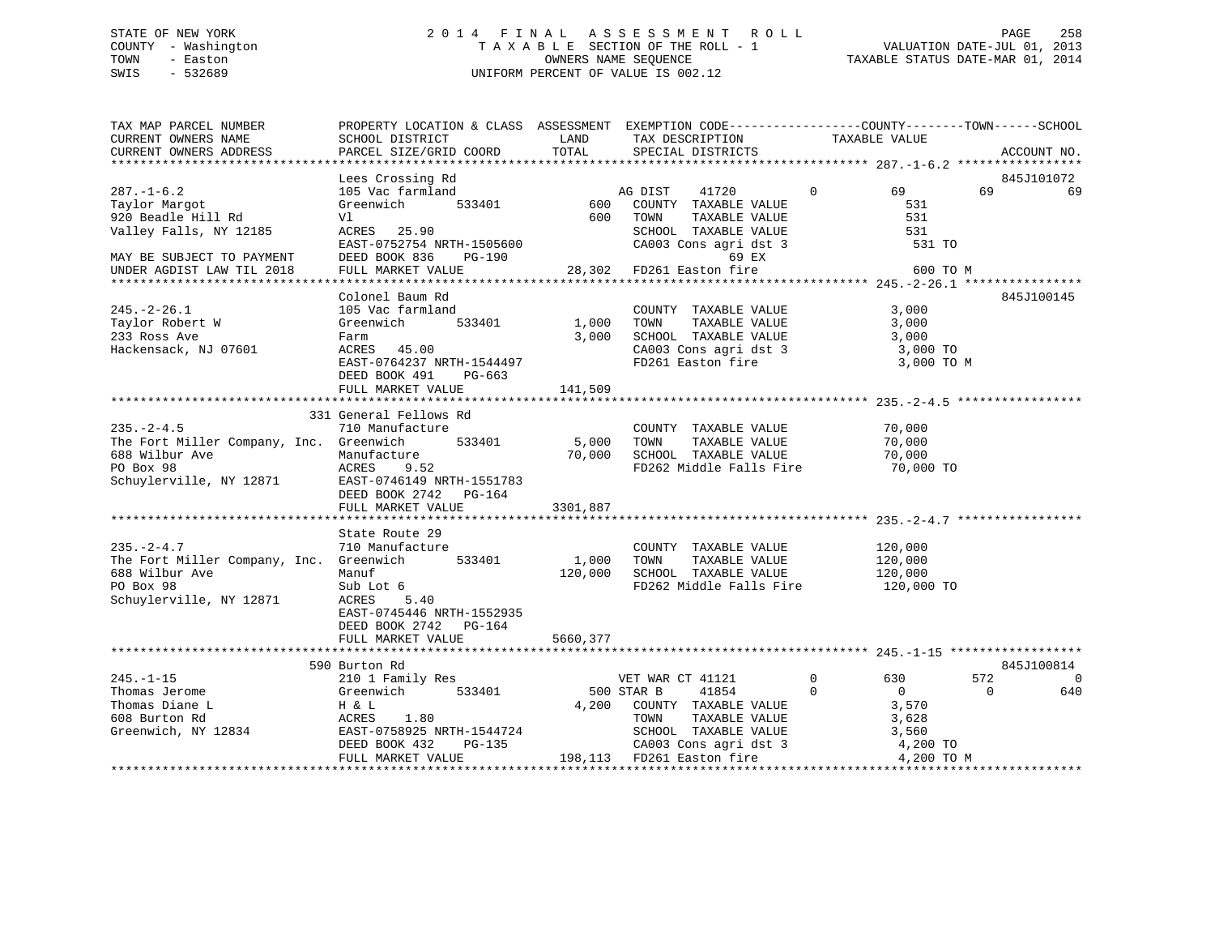# STATE OF NEW YORK 2 0 1 4 F I N A L A S S E S S M E N T R O L L PAGE 258 COUNTY - Washington T A X A B L E SECTION OF THE ROLL - 1 VALUATION DATE-JUL 01, 2013 TOWN - Easton OWNERS NAME SEQUENCE TAXABLE STATUS DATE-MAR 01, 2014 SWIS - 532689 UNIFORM PERCENT OF VALUE IS 002.12

| TAX MAP PARCEL NUMBER                             | PROPERTY LOCATION & CLASS ASSESSMENT EXEMPTION CODE----------------COUNTY-------TOWN------SCHOOL |            |                                                         |                            |                |                |
|---------------------------------------------------|--------------------------------------------------------------------------------------------------|------------|---------------------------------------------------------|----------------------------|----------------|----------------|
| CURRENT OWNERS NAME                               | SCHOOL DISTRICT                                                                                  | LAND       | TAX DESCRIPTION                                         | TAXABLE VALUE              |                |                |
| CURRENT OWNERS ADDRESS                            | PARCEL SIZE/GRID COORD                                                                           | TOTAL      | SPECIAL DISTRICTS                                       |                            | ACCOUNT NO.    |                |
|                                                   |                                                                                                  |            |                                                         |                            |                |                |
|                                                   | Lees Crossing Rd                                                                                 |            |                                                         |                            | 845J101072     |                |
| $287. - 1 - 6.2$                                  | 105 Vac farmland                                                                                 |            |                                                         | $\overline{0}$<br>69       | 69             | 69             |
| Taylor Margot                                     | Greenwich<br>533401                                                                              |            | AG DIST 41720<br>600 COUNTY TAXABLE VALUE               | 531                        |                |                |
| 920 Beadle Hill Rd                                | Vl                                                                                               | 600        | TOWN<br>TAXABLE VALUE                                   | 531                        |                |                |
| Valley Falls, NY 12185                            | ACRES 25.90                                                                                      |            |                                                         | 531                        |                |                |
|                                                   | EAST-0752754 NRTH-1505600                                                                        |            | SCHOOL TAXABLE VALUE<br>CA003 Cons agri dst 3           | 531 TO                     |                |                |
| MAY BE SUBJECT TO PAYMENT                         | DEED BOOK 836<br>PG-190                                                                          |            | 69 EX                                                   |                            |                |                |
| UNDER AGDIST LAW TIL 2018                         | FULL MARKET VALUE                                                                                |            | 28,302 FD261 Easton fire                                | 600 TO M                   |                |                |
|                                                   |                                                                                                  |            |                                                         |                            |                |                |
|                                                   | Colonel Baum Rd                                                                                  |            |                                                         |                            | 845J100145     |                |
| $245. - 2 - 26.1$                                 | 105 Vac farmland                                                                                 |            |                                                         | 3,000                      |                |                |
| Taylor Robert W                                   | 533401<br>Greenwich                                                                              | 1,000      | COUNTY TAXABLE VALUE<br>TOWN     TAXABLE VALUE          | 3,000                      |                |                |
| 233 Ross Ave                                      | Farm                                                                                             | 3,000      | SCHOOL TAXABLE VALUE                                    | 3,000                      |                |                |
| Hackensack, NJ 07601                              | ACRES 45.00                                                                                      |            | CA003 Cons agri dst 3                                   | 3,000 TO                   |                |                |
|                                                   | EAST-0764237 NRTH-1544497                                                                        |            | FD261 Easton fire                                       | 3,000 TO M                 |                |                |
|                                                   |                                                                                                  |            |                                                         |                            |                |                |
|                                                   | DEED BOOK 491 PG-663                                                                             |            |                                                         |                            |                |                |
|                                                   | FULL MARKET VALUE                                                                                | 141,509    |                                                         |                            |                |                |
|                                                   |                                                                                                  |            |                                                         |                            |                |                |
|                                                   | 331 General Fellows Rd                                                                           |            |                                                         |                            |                |                |
| $235. - 2 - 4.5$                                  | 710 Manufacture                                                                                  |            | COUNTY TAXABLE VALUE                                    | 70,000                     |                |                |
| The Fort Miller Company, Inc. Greenwich           | 533401                                                                                           | 5,000 TOWN | TAXABLE VALUE                                           | 70,000                     |                |                |
| 688 Wilbur Ave                                    |                                                                                                  |            | 70,000 SCHOOL TAXABLE VALUE                             | 70,000                     |                |                |
| PO Box 98                                         |                                                                                                  |            | FD262 Middle Falls Fire                                 | 70,000 TO                  |                |                |
| Schuylerville, NY 12871 EAST-0746149 NRTH-1551783 |                                                                                                  |            |                                                         |                            |                |                |
|                                                   | DEED BOOK 2742 PG-164                                                                            |            |                                                         |                            |                |                |
|                                                   | FULL MARKET VALUE                                                                                | 3301,887   |                                                         |                            |                |                |
|                                                   |                                                                                                  |            |                                                         |                            |                |                |
|                                                   | State Route 29                                                                                   |            |                                                         |                            |                |                |
| $235. - 2 - 4.7$                                  | 710 Manufacture                                                                                  |            | COUNTY TAXABLE VALUE                                    | 120,000                    |                |                |
| The Fort Miller Company, Inc. Greenwich           | 533401                                                                                           | 1,000 TOWN | TAXABLE VALUE                                           | 120,000                    |                |                |
| 688 Wilbur Ave                                    | Manuf                                                                                            |            | 120,000 SCHOOL TAXABLE VALUE                            | 120,000                    |                |                |
| PO Box 98                                         | Sub Lot 6                                                                                        |            | FD262 Middle Falls Fire                                 | 120,000 TO                 |                |                |
| Schuylerville, NY 12871                           | ACRES<br>5.40                                                                                    |            |                                                         |                            |                |                |
|                                                   | EAST-0745446 NRTH-1552935                                                                        |            |                                                         |                            |                |                |
|                                                   | DEED BOOK 2742 PG-164                                                                            |            |                                                         |                            |                |                |
|                                                   | FULL MARKET VALUE                                                                                | 5660,377   |                                                         |                            |                |                |
|                                                   |                                                                                                  |            |                                                         |                            |                |                |
|                                                   | 590 Burton Rd                                                                                    |            |                                                         |                            | 845J100814     |                |
| $245. - 1 - 15$                                   | 210 1 Family Res                                                                                 |            | VET WAR CT 41121                                        | $\overline{0}$<br>630      | 572            | $\overline{0}$ |
| Thomas Jerome                                     | Greenwich 533401                                                                                 | 500 STAR B | 41854                                                   | $\Omega$<br>$\overline{0}$ | $\overline{0}$ | 640            |
|                                                   |                                                                                                  |            |                                                         |                            |                |                |
| Thomas Diane L                                    | H & L                                                                                            |            | 4,200 COUNTY TAXABLE VALUE                              | 3,570                      |                |                |
| 608 Burton Rd                                     | ACRES<br>1.80                                                                                    |            | TAXABLE VALUE<br>TOWN                                   | 3,628                      |                |                |
| Greenwich, NY 12834                               | EAST-0758925 NRTH-1544724<br>EAST-0758925 NRTH-1544724                                           |            | SCHOOL TAXABLE VALUE                                    | 3,560                      |                |                |
|                                                   | DEED BOOK 432<br>PG-135                                                                          |            | -135 CA003 Cons agri dst 3<br>198,113 FD261 Easton fire | 4,200 TO                   |                |                |
|                                                   | FULL MARKET VALUE                                                                                |            |                                                         | 4,200 TO M                 |                |                |
|                                                   |                                                                                                  |            |                                                         |                            |                |                |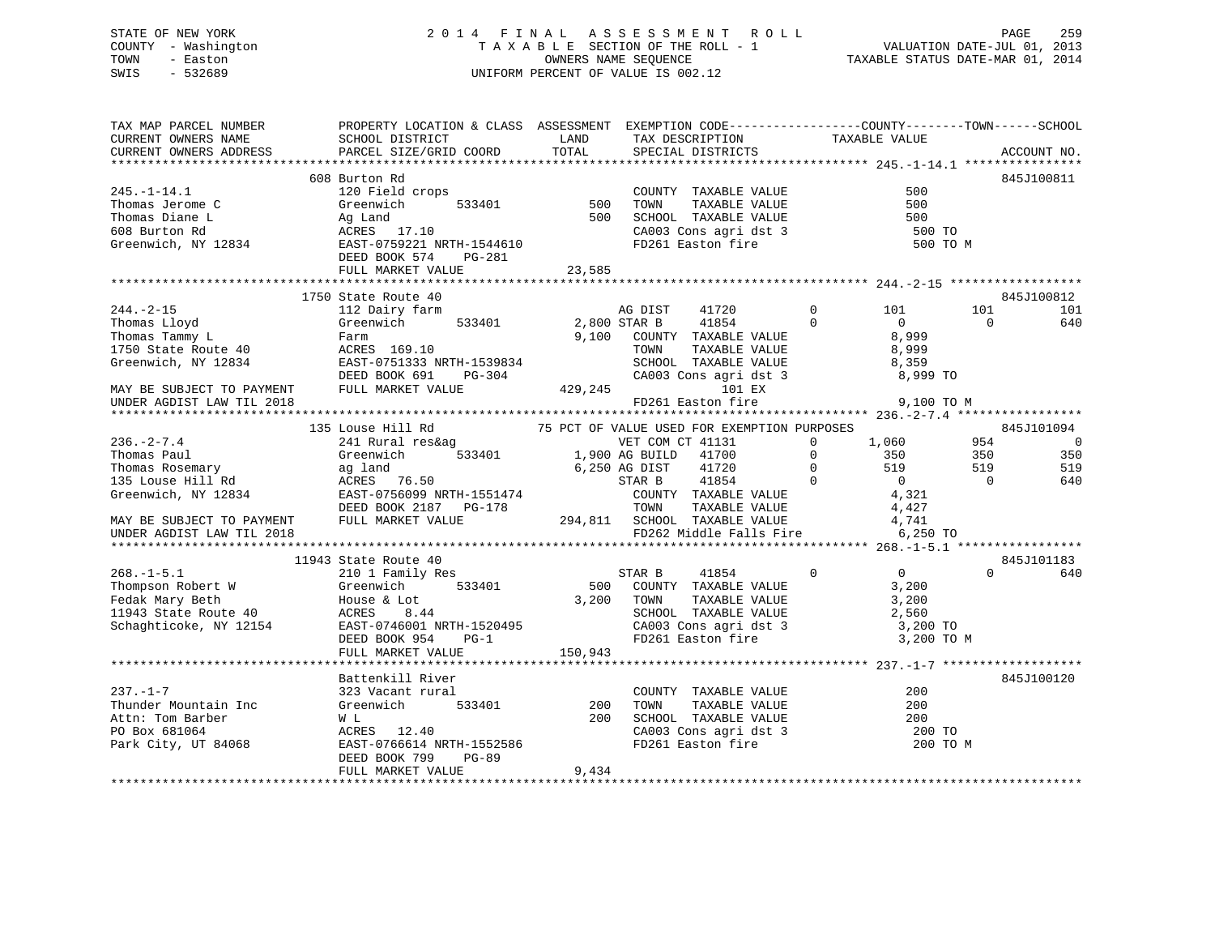# STATE OF NEW YORK 2 0 1 4 F I N A L A S S E S S M E N T R O L L PAGE 259 COUNTY - Washington T A X A B L E SECTION OF THE ROLL - 1 VALUATION DATE-JUL 01, 2013 TOWN - Easton OWNERS NAME SEQUENCE TAXABLE STATUS DATE-MAR 01, 2014 SWIS - 532689 UNIFORM PERCENT OF VALUE IS 002.12

| TAX MAP PARCEL NUMBER<br>CURRENT OWNERS NAME<br>CURRENT OWNERS ADDRESS                                                                                                                                                                                                                                                                                                                                                                                         | PROPERTY LOCATION & CLASS ASSESSMENT EXEMPTION CODE---------------COUNTY-------TOWN-----SCHOOL<br><b>LAND</b><br>SCHOOL DISTRICT<br>PARCEL SIZE/GRID COORD                                                                                                                                                                                                                                                                                                                                                                                              | TOTAL   | TAX DESCRIPTION TAXABLE VALUE SPECIAL DISTRICTS                                                                                                                                    |                                         | ACCOUNT NO.                                                                                                                  |
|----------------------------------------------------------------------------------------------------------------------------------------------------------------------------------------------------------------------------------------------------------------------------------------------------------------------------------------------------------------------------------------------------------------------------------------------------------------|---------------------------------------------------------------------------------------------------------------------------------------------------------------------------------------------------------------------------------------------------------------------------------------------------------------------------------------------------------------------------------------------------------------------------------------------------------------------------------------------------------------------------------------------------------|---------|------------------------------------------------------------------------------------------------------------------------------------------------------------------------------------|-----------------------------------------|------------------------------------------------------------------------------------------------------------------------------|
| $245. - 1 - 14.1$<br>$\begin{tabular}{lllllllllll} 245.-1-14.1 & \mbox{\texttt{Thomas Jerome C}} & \mbox{\texttt{Greenw}1cn} & \mbox{\texttt{3.500}} \\ \mbox{\texttt{Thomas Diane L}} & \mbox{\texttt{Ag Land}} & \mbox{\texttt{Ag Land}} & \mbox{\texttt{500}} \\ \mbox{\texttt{608 Burton Rd}} & \mbox{\texttt{ACRES}} & \mbox{\texttt{17.10}} & \mbox{\texttt{RMTH-1544610}} \\ \mbox{\texttt{Greenwich, NY 12834}} & \mbox{\texttt{EAST-0759221 NRTH-154$ | 608 Burton Rd<br>120 Field crops                                                                                                                                                                                                                                                                                                                                                                                                                                                                                                                        |         | crops<br>533401 500 TOWN TAXABLE VALUE<br>533401 500 TOWN TAXABLE VALUE<br>500 SCHOOL TAXABLE VALUE<br>7.10 CA003 Cons agri dst 3<br>FD261 Easton fire<br>COUNTY TAXABLE VALUE 500 | 500<br>500<br>500 TO<br>500 TO M        | 845J100811                                                                                                                   |
|                                                                                                                                                                                                                                                                                                                                                                                                                                                                |                                                                                                                                                                                                                                                                                                                                                                                                                                                                                                                                                         |         |                                                                                                                                                                                    |                                         |                                                                                                                              |
| $244. - 2 - 15$<br>Thomas Lloyd<br>Thomas Tammy L<br>1750 State Route 40<br>Greenwich, NY 12834                                                                                                                                                                                                                                                                                                                                                                | 1750 State Route 40<br>112 Dairy farm<br>Greenwich 533401 2,800 STAR B 41854<br>Farm<br>ACRES 169.10                                                                                                                                                                                                                                                                                                                                                                                                                                                    |         | AG DIST<br>41720<br>$\overline{0}$<br>9,100 COUNTY TAXABLE VALUE                                                                                                                   | $0$ 101<br>$\overline{0}$<br>8,999      | 845J100812<br>101<br>101<br>$\overline{0}$<br>640                                                                            |
| MAY BE SUBJECT TO PAYMENT                                                                                                                                                                                                                                                                                                                                                                                                                                      |                                                                                                                                                                                                                                                                                                                                                                                                                                                                                                                                                         |         |                                                                                                                                                                                    |                                         |                                                                                                                              |
| UNDER AGDIST LAW TIL 2018                                                                                                                                                                                                                                                                                                                                                                                                                                      |                                                                                                                                                                                                                                                                                                                                                                                                                                                                                                                                                         |         | FD261 Easton fire                                                                                                                                                                  | 9,100 TO M                              |                                                                                                                              |
|                                                                                                                                                                                                                                                                                                                                                                                                                                                                |                                                                                                                                                                                                                                                                                                                                                                                                                                                                                                                                                         |         |                                                                                                                                                                                    |                                         |                                                                                                                              |
| $236. -2 - 7.4$<br>Thomas Paul (Seenwich 533401 1,900 AG BUILD 41700 0 350<br>Thomas Rosemary ag land 6,250 AG DIST 41720 0 519<br>135 Louse Hill Rd ACRES 76.50<br>Greenwich, NY 12834 EAST-0756099 NRTH-1551474 COUNTY TAXABLE VALUE 4,321<br>DEED BOOK<br>MAY BE SUBJECT TO PAYMENT FULL MARKET VALUE $294,811$ SCHOOL TAXABLE VALUE $4,741$<br>UNDER AGDIST LAW TIL 2018 FULL MARKET VALUE FO262 Middle Falls Fire 6,250 TO                                | 135 Louse Hill Rd 75 PCT OF VALUE USED FOR EXEMPTION PURPOSES<br>241 Rural res&ag VET COM CT 41131 0 1,060<br>Greenwich 533401 1,900 AG BUILD 41700 0 350<br>11943 State Route 40<br>$\begin{tabular}{lllllllllllll} \texttt{State Route 40} & & & \texttt{STAR B} & & \texttt{41854} \\ \texttt{210 1 Family Res} & & & \texttt{STAR B} & & \texttt{41854} \\ \texttt{Greenwich} & & \texttt{533401} & & & \texttt{500} & \texttt{COUNTY} & \texttt{TAXABLE VALUE} \\ & & & \texttt{3.200} & \texttt{TONNY} & \texttt{TAXABLE VALUE} \\ \end{tabular}$ |         | $\overline{0}$                                                                                                                                                                     | 1,060 954<br>$\overline{0}$<br>3,200    | 845J101094<br>$\overline{\phantom{0}}$<br>350<br>350<br>519<br>519<br>$\overline{0}$<br>640<br>845J101183<br>$\Omega$<br>640 |
| 168.-1-5.1<br>Thompson Robert W Greenwich 533401<br>Fedak Mary Beth House & Lot<br>11943 State Route 40 ACRES 8.44<br>Schaghticoke, NY 12154 EAST-0746001 NRTH-1520495<br>FRAST-0746001 NRTH-1520495<br>PG-1                                                                                                                                                                                                                                                   | ACRES 8.44<br>EAST-0746001 NRTH-1520495<br>DEED BOOK 954 PG-1<br>FULL MARKET VALUE                                                                                                                                                                                                                                                                                                                                                                                                                                                                      | 150,943 | $3,200$ TOWN<br>TOWN TAXABLE VALUE 3,200<br>SCHOOL TAXABLE VALUE 2,560<br>CA003 Cons agri dst 3<br>FD261 Easton fire                                                               | 3,200 TO<br>3,200 TO M                  |                                                                                                                              |
| $237. - 1 - 7$<br>Thunder Mountain Inc<br>Attn: Tom Barber<br>PO Box 681064<br>Park City, UT 84068                                                                                                                                                                                                                                                                                                                                                             | Battenkill River<br>323 Vacant rural<br>Greenwich 533401 200<br>W L<br>ACRES 12.40<br>EAST-0766614 NRTH-1552586<br>DEED BOOK 799<br>PG-89<br>FULL MARKET VALUE                                                                                                                                                                                                                                                                                                                                                                                          | 9,434   | COUNTY TAXABLE VALUE<br>200 TOWN TAXABLE VALUE<br>200 SCHOOL TAXABLE VALUE<br>CA003 Cons agri dst 3<br>FD261 Easton fire                                                           | 200<br>200<br>200<br>200 TO<br>200 TO M | 845J100120                                                                                                                   |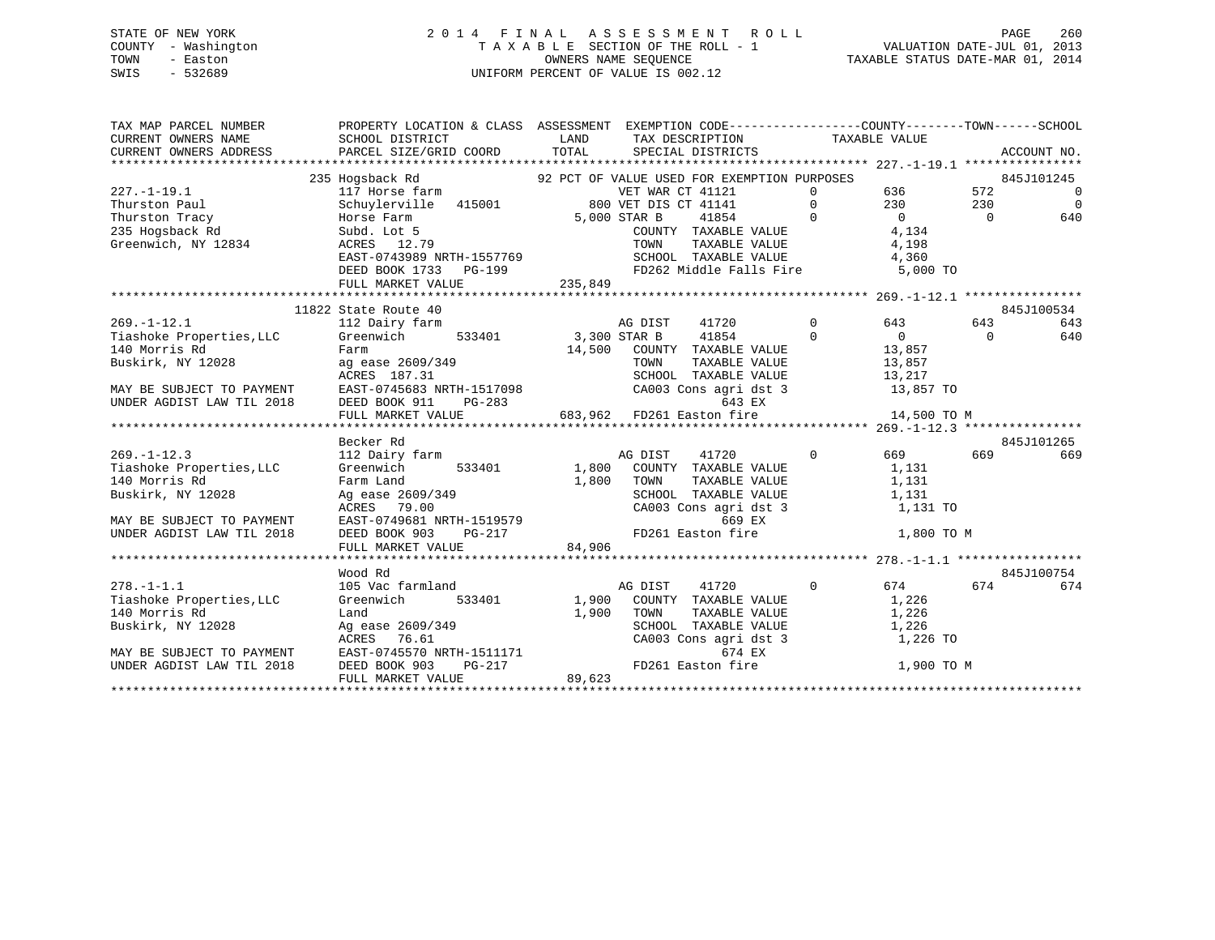# STATE OF NEW YORK 2 0 1 4 F I N A L A S S E S S M E N T R O L L PAGE 260 COUNTY - Washington T A X A B L E SECTION OF THE ROLL - 1 VALUATION DATE-JUL 01, 2013 TOWN - Easton OWNERS NAME SEQUENCE TAXABLE STATUS DATE-MAR 01, 2014 SWIS - 532689 UNIFORM PERCENT OF VALUE IS 002.12

| TAX MAP PARCEL NUMBER<br>CURRENT OWNERS NAME<br>CURRENT OWNERS ADDRESS | PROPERTY LOCATION & CLASS ASSESSMENT EXEMPTION CODE---------------COUNTY-------TOWN------SCHOOL<br>SCHOOL DISTRICT<br>PARCEL SIZE/GRID COORD | LAND<br>TOTAL | TAX DESCRIPTION TAXABLE VALUE<br>SPECIAL DISTRICTS<br>SPECIAL DISTRICTS                     |                |                |           | ACCOUNT NO.    |
|------------------------------------------------------------------------|----------------------------------------------------------------------------------------------------------------------------------------------|---------------|---------------------------------------------------------------------------------------------|----------------|----------------|-----------|----------------|
|                                                                        |                                                                                                                                              |               |                                                                                             |                |                |           |                |
|                                                                        | 235 Hogsback Rd                                                                                                                              |               | 92 PCT OF VALUE USED FOR EXEMPTION PURPOSES                                                 |                |                |           | 845J101245     |
| $227. - 1 - 19.1$                                                      | 117 Horse farm<br>VET WAR CT 41121<br>Schuylerville 415001 800 VET DIS CT 41141                                                              |               | VET WAR CT 41121                                                                            | $\Omega$       | 636            | 572       | $\overline{0}$ |
| Thurston Paul                                                          |                                                                                                                                              |               |                                                                                             | $\Omega$       | 230            | 230       | $\Omega$       |
| Thurston Tracy<br>834                                                  | Horse Farm                                                                                                                                   |               | 5,000 STAR B<br>41854<br>$\sim$ 0                                                           |                | $\overline{0}$ | $\bigcap$ | 640            |
| 235 Hogsback Rd                                                        | Subd. Lot 5                                                                                                                                  |               | COUNTY TAXABLE VALUE<br>TAXABLE VALUE                                                       |                | 4,134          |           |                |
| Greenwich, NY 12834                                                    | ACRES 12.79                                                                                                                                  |               | TOWN                                                                                        |                | 4,198          |           |                |
|                                                                        | EAST-0743989 NRTH-1557769                                                                                                                    |               | SCHOOL TAXABLE VALUE 4,360                                                                  |                |                |           |                |
|                                                                        | DEED BOOK 1733 PG-199                                                                                                                        | 235,849       | FD262 Middle Falls Fire 5,000 TO                                                            |                |                |           |                |
|                                                                        | FULL MARKET VALUE                                                                                                                            |               |                                                                                             |                |                |           |                |
|                                                                        |                                                                                                                                              |               |                                                                                             |                |                |           |                |
|                                                                        | 11822 State Route 40                                                                                                                         |               |                                                                                             |                |                |           | 845J100534     |
| $269. - 1 - 12.1$                                                      | 112 Dairy farm                                                                                                                               |               | AG DIST<br>41720                                                                            | $\overline{0}$ | 643            | 643       | 643            |
| Tiashoke Properties, LLC                                               | 533401 3,300 STAR B<br>Greenwich                                                                                                             |               | 41854                                                                                       | $\Omega$       | $\Omega$       | $\Omega$  | 640            |
| 140 Morris Rd                                                          | Farm                                                                                                                                         |               | 14,500 COUNTY TAXABLE VALUE                                                                 |                | 13,857         |           |                |
| Buskirk, NY 12028                                                      | raim<br>ag ease 2609/349<br>10050 187 31                                                                                                     |               |                                                                                             |                |                |           |                |
|                                                                        |                                                                                                                                              |               | TOWN TAXABLE VALUE 13,857<br>SCHOOL TAXABLE VALUE 13,217<br>CA003 Cons agri dst 3 13,857 TO |                |                |           |                |
| MAY BE SUBJECT TO PAYMENT                                              | EAST-0745683 NRTH-1517098                                                                                                                    |               |                                                                                             |                |                |           |                |
| UNDER AGDIST LAW TIL 2018                                              | DEED BOOK 911<br>PG-283<br>643 EX 643 EX<br>FULL MARKET VALUE 683,962 FD261 Easton fire                                                      |               | 643 EX                                                                                      |                |                |           |                |
|                                                                        |                                                                                                                                              |               |                                                                                             |                | 14,500 TO M    |           |                |
|                                                                        |                                                                                                                                              |               |                                                                                             |                |                |           |                |
|                                                                        | Becker Rd                                                                                                                                    |               |                                                                                             |                |                |           | 845J101265     |
| $269. -1 - 12.3$                                                       | 112 Dairy farm                                                                                                                               |               | 41720<br>AG DIST                                                                            | $\overline{0}$ | 669            | 669       | 669            |
| Tiashoke Properties, LLC                                               | 533401<br>Greenwich                                                                                                                          |               | 1,800 COUNTY TAXABLE VALUE                                                                  |                | 1,131          |           |                |
| 140 Morris Rd                                                          | Farm Land                                                                                                                                    | 1,800         | TOWN<br>TAXABLE VALUE                                                                       |                | 1,131          |           |                |
| Buskirk, NY 12028                                                      | Ag ease 2609/349                                                                                                                             |               | SCHOOL TAXABLE VALUE                                                                        |                | 1,131          |           |                |
|                                                                        | ACRES 79.00                                                                                                                                  |               | CA003 Cons agri dst 3                                                                       |                | 1,131 TO       |           |                |
| MAY BE SUBJECT TO PAYMENT                                              | EAST-0749681 NRTH-1519579                                                                                                                    |               | 669 EX                                                                                      |                |                |           |                |
| UNDER AGDIST LAW TIL 2018                                              | DEED BOOK 903<br>PG-217                                                                                                                      |               | FD261 Easton fire                                                                           |                | 1,800 TO M     |           |                |
|                                                                        | FULL MARKET VALUE                                                                                                                            | 84,906        |                                                                                             |                |                |           |                |
|                                                                        |                                                                                                                                              |               |                                                                                             |                |                |           |                |
|                                                                        | Wood Rd                                                                                                                                      |               |                                                                                             |                |                |           | 845J100754     |
| $278. - 1 - 1.1$                                                       | 105 Vac farmland                                                                                                                             |               | AG DIST<br>41720                                                                            | $\Omega$       | 674            | 674       | 674            |
| Tiashoke Properties, LLC                                               | 533401<br>Greenwich                                                                                                                          |               | 1,900 COUNTY TAXABLE VALUE                                                                  |                | 1,226          |           |                |
| 140 Morris Rd                                                          | Land                                                                                                                                         | 1,900         | TOWN<br>TAXABLE VALUE                                                                       |                | 1,226          |           |                |
| Buskirk, NY 12028                                                      | Ag ease 2609/349<br>ACRES 76.61                                                                                                              |               |                                                                                             |                | 1,226          |           |                |
|                                                                        | ACRES 76.61                                                                                                                                  |               | SCHOOL TAXABLE VALUE<br>CA003 Cons agri dst 3<br>674 FY                                     |                | 1,226 TO       |           |                |
| MAY BE SUBJECT TO PAYMENT                                              | EAST-0745570 NRTH-1511171<br>DEED BOOK 903 PG-217                                                                                            |               | 674 EX                                                                                      |                |                |           |                |
| UNDER AGDIST LAW TIL 2018                                              |                                                                                                                                              |               | FD261 Easton fire                                                                           |                | 1,900 TO M     |           |                |
|                                                                        | FULL MARKET VALUE                                                                                                                            | 89,623        |                                                                                             |                |                |           |                |
|                                                                        |                                                                                                                                              |               |                                                                                             |                |                |           |                |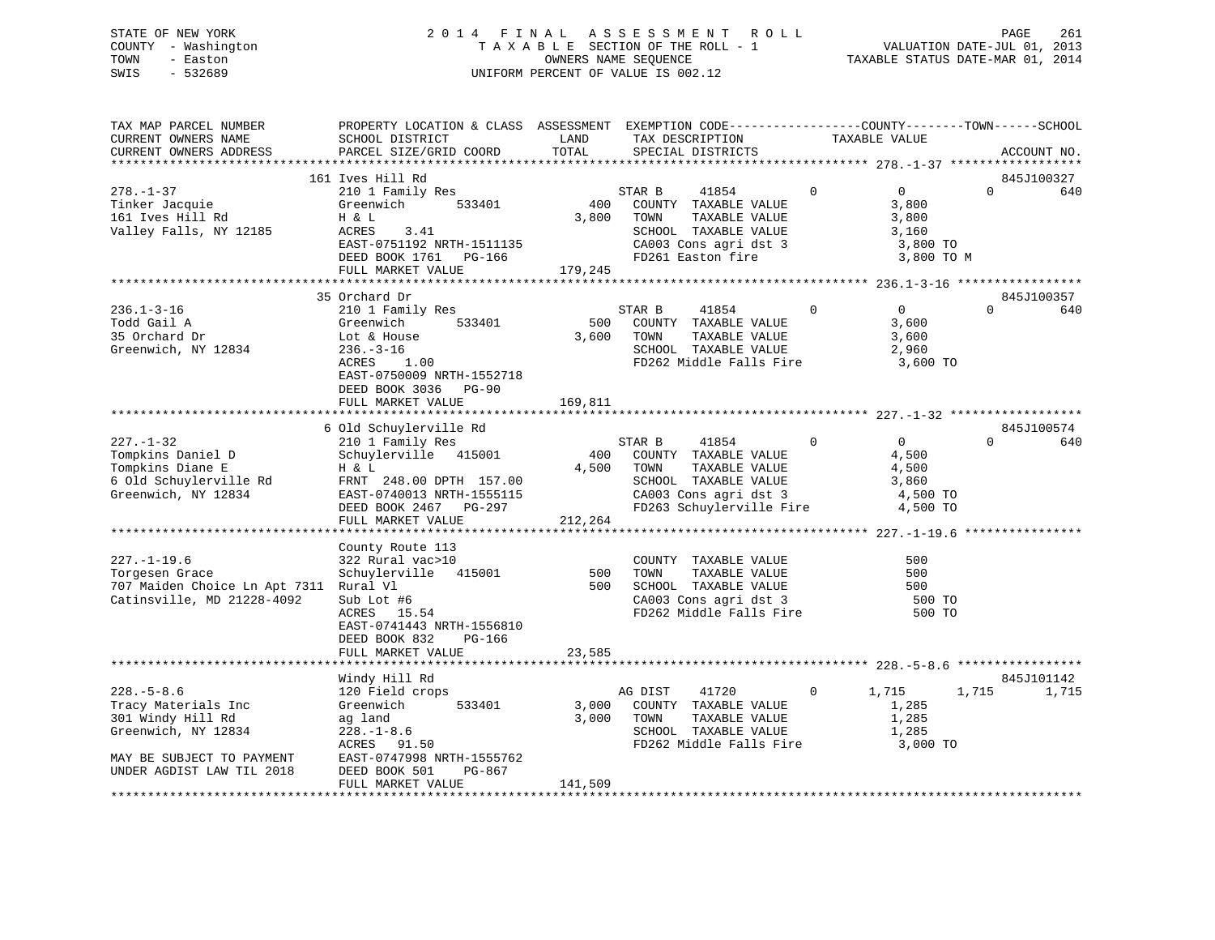# STATE OF NEW YORK 2 0 1 4 F I N A L A S S E S S M E N T R O L L PAGE 261 COUNTY - Washington T A X A B L E SECTION OF THE ROLL - 1 VALUATION DATE-JUL 01, 2013 TOWN - Easton OWNERS NAME SEQUENCE TAXABLE STATUS DATE-MAR 01, 2014 SWIS - 532689 UNIFORM PERCENT OF VALUE IS 002.12

| TAX MAP PARCEL NUMBER<br>CURRENT OWNERS NAME<br>CURRENT OWNERS ADDRESS                                                                        | PROPERTY LOCATION & CLASS ASSESSMENT EXEMPTION CODE---------------COUNTY-------TOWN------SCHOOL<br>SCHOOL DISTRICT<br>PARCEL SIZE/GRID COORD                                                          | LAND<br>TOTAL           | TAX DESCRIPTION<br>SPECIAL DISTRICTS                                                                                                          |                | TAXABLE VALUE                                                       |          | ACCOUNT NO.       |
|-----------------------------------------------------------------------------------------------------------------------------------------------|-------------------------------------------------------------------------------------------------------------------------------------------------------------------------------------------------------|-------------------------|-----------------------------------------------------------------------------------------------------------------------------------------------|----------------|---------------------------------------------------------------------|----------|-------------------|
|                                                                                                                                               |                                                                                                                                                                                                       |                         |                                                                                                                                               |                |                                                                     |          |                   |
| $278. - 1 - 37$<br>Tinker Jacquie<br>161 Ives Hill Rd<br>Valley Falls, NY 12185                                                               | 161 Ives Hill Rd<br>210 1 Family Res<br>Greenwich<br>533401<br>H & L<br>ACRES<br>3.41<br>EAST-0751192 NRTH-1511135<br>DEED BOOK 1761 PG-166<br>FULL MARKET VALUE                                      | 400<br>3,800<br>179,245 | STAR B<br>41854<br>COUNTY TAXABLE VALUE<br>TAXABLE VALUE<br>TOWN<br>SCHOOL TAXABLE VALUE<br>CA003 Cons agri dst 3<br>FD261 Easton fire        | $\Omega$       | $\overline{0}$<br>3,800<br>3,800<br>3,160<br>3,800 TO<br>3,800 TO M | $\Omega$ | 845J100327<br>640 |
|                                                                                                                                               |                                                                                                                                                                                                       |                         |                                                                                                                                               |                |                                                                     |          |                   |
| $236.1 - 3 - 16$<br>Todd Gail A<br>35 Orchard Dr<br>Greenwich, NY 12834                                                                       | 35 Orchard Dr<br>210 1 Family Res<br>533401<br>Greenwich<br>Lot & House<br>$236. - 3 - 16$<br>ACRES<br>1.00<br>EAST-0750009 NRTH-1552718<br>DEED BOOK 3036 PG-90                                      | 500<br>3,600            | STAR B<br>41854<br>COUNTY TAXABLE VALUE<br>TOWN<br>TAXABLE VALUE<br>SCHOOL TAXABLE VALUE<br>FD262 Middle Falls Fire 3,600 TO                  | $\mathbf 0$    | $\overline{0}$<br>3,600<br>3,600<br>2,960                           | $\Omega$ | 845J100357<br>640 |
|                                                                                                                                               | FULL MARKET VALUE                                                                                                                                                                                     | 169,811                 |                                                                                                                                               |                |                                                                     |          |                   |
| $227. - 1 - 32$<br>Tompkins Daniel D<br>Tompkins Diane E<br>6 Old Schuylerville Rd<br>Greenwich NY 12834<br>Greenwich, NY 12834               | 6 Old Schuylerville Rd<br>210 1 Family Res<br>Schuylerville 415001<br>H & L<br>FRNT 248.00 DPTH 157.00<br>EAST-0740013 NRTH-1555115<br>DEED BOOK 2467 PG-297<br>FULL MARKET VALUE<br>County Route 113 | 400<br>4,500<br>212,264 | STAR B<br>41854<br>COUNTY TAXABLE VALUE<br>TOWN<br>TAXABLE VALUE<br>SCHOOL TAXABLE VALUE<br>CA003 Cons agri dst 3<br>FD263 Schuylerville Fire | $\overline{0}$ | $\overline{0}$<br>4,500<br>4,500<br>3,860<br>4,500 TO<br>4,500 TO   |          | 845J100574<br>640 |
| $227. - 1 - 19.6$<br>Torgesen Grace<br>707 Maiden Choice Ln Apt 7311 Rural Vl<br>Catinsville, MD 21228-4092                                   | 322 Rural vac>10<br>Schuylerville 415001<br>Sub Lot #6<br>ACRES 15.54<br>EAST-0741443 NRTH-1556810<br>DEED BOOK 832<br>PG-166<br>FULL MARKET VALUE                                                    | 23,585                  | COUNTY TAXABLE VALUE<br>500 TOWN TAXABLE-VALUE<br>500 SCHOOL TAXABLE-VALUE<br>CA003 Cons agri dst 3 500 TO<br>FD262 Middle Falls Fire 500 TO  |                | 500<br>500<br>500                                                   |          |                   |
|                                                                                                                                               | Windy Hill Rd                                                                                                                                                                                         |                         |                                                                                                                                               |                |                                                                     |          | 845J101142        |
| $228. - 5 - 8.6$<br>Tracy Materials Inc<br>301 Windy Hill Rd<br>Greenwich, NY 12834<br>MAY BE SUBJECT TO PAYMENT<br>UNDER AGDIST LAW TIL 2018 | 120 Field crops<br>533401<br>Greenwich<br>ag land<br>$228. - 1 - 8.6$<br>ACRES 91.50<br>EAST-0747998 NRTH-1555762<br>DEED BOOK 501<br>PG-867                                                          | 3,000                   | AG DIST<br>41720<br>COUNTY TAXABLE VALUE<br>3,000 TOWN<br>TAXABLE VALUE<br>SCHOOL TAXABLE VALUE<br>FD262 Middle Falls Fire                    | $\mathbf{0}$   | 1,715<br>1,285<br>1,285<br>1,285<br>3,000 TO                        | 1,715    | 1,715             |
|                                                                                                                                               | FULL MARKET VALUE                                                                                                                                                                                     | 141,509                 |                                                                                                                                               |                |                                                                     |          |                   |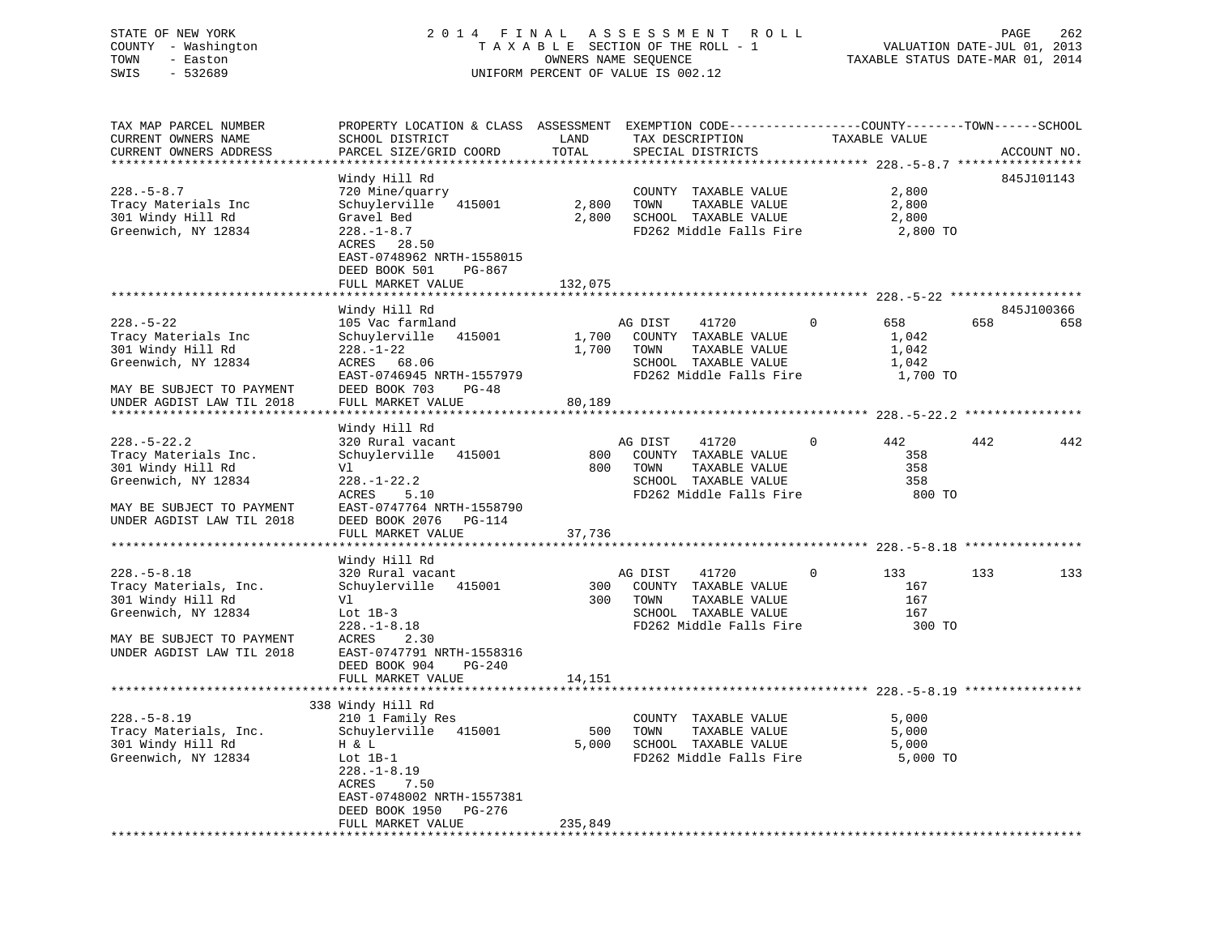# STATE OF NEW YORK 2 0 1 4 F I N A L A S S E S S M E N T R O L L PAGE 262 COUNTY - Washington T A X A B L E SECTION OF THE ROLL - 1 VALUATION DATE-JUL 01, 2013 TOWN - Easton OWNERS NAME SEQUENCE TAXABLE STATUS DATE-MAR 01, 2014 SWIS - 532689 UNIFORM PERCENT OF VALUE IS 002.12

| TAX MAP PARCEL NUMBER<br>CURRENT OWNERS NAME<br>CURRENT OWNERS ADDRESS                                                                           | PROPERTY LOCATION & CLASS ASSESSMENT EXEMPTION CODE----------------COUNTY-------TOWN------SCHOOL<br>SCHOOL DISTRICT<br>PARCEL SIZE/GRID COORD                                             | LAND<br>TOTAL             | TAX DESCRIPTION<br>SPECIAL DISTRICTS                                                                                 | TAXABLE VALUE                                          | ACCOUNT NO. |
|--------------------------------------------------------------------------------------------------------------------------------------------------|-------------------------------------------------------------------------------------------------------------------------------------------------------------------------------------------|---------------------------|----------------------------------------------------------------------------------------------------------------------|--------------------------------------------------------|-------------|
|                                                                                                                                                  |                                                                                                                                                                                           |                           |                                                                                                                      |                                                        |             |
| $228. - 5 - 8.7$<br>Tracy Materials Inc<br>301 Windy Hill Rd<br>Greenwich, NY 12834                                                              | Windy Hill Rd<br>720 Mine/quarry<br>Schuylerville<br>415001<br>Gravel Bed<br>$228. - 1 - 8.7$<br>ACRES 28.50<br>EAST-0748962 NRTH-1558015<br>DEED BOOK 501<br>PG-867<br>FULL MARKET VALUE | 2,800<br>2,800<br>132,075 | COUNTY TAXABLE VALUE<br>TAXABLE VALUE<br>TOWN<br>SCHOOL TAXABLE VALUE<br>FD262 Middle Falls Fire                     | 2,800<br>2,800<br>2,800<br>2,800 TO                    | 845J101143  |
|                                                                                                                                                  |                                                                                                                                                                                           |                           |                                                                                                                      |                                                        |             |
|                                                                                                                                                  | Windy Hill Rd                                                                                                                                                                             |                           |                                                                                                                      |                                                        | 845J100366  |
| $228. - 5 - 22$<br>Tracy Materials Inc<br>301 Windy Hill Rd<br>Greenwich, NY 12834<br>MAY BE SUBJECT TO PAYMENT                                  | 105 Vac farmland<br>Schuylerville<br>415001<br>$228. - 1 - 22$<br>ACRES 68.06<br>EAST-0746945 NRTH-1557979<br>DEED BOOK 703<br>PG-48                                                      | 1,700<br>1,700            | AG DIST<br>41720<br>COUNTY TAXABLE VALUE<br>TOWN<br>TAXABLE VALUE<br>SCHOOL TAXABLE VALUE<br>FD262 Middle Falls Fire | $\Omega$<br>658<br>1,042<br>1,042<br>1,042<br>1,700 TO | 658<br>658  |
| UNDER AGDIST LAW TIL 2018                                                                                                                        | FULL MARKET VALUE                                                                                                                                                                         | 80,189                    |                                                                                                                      |                                                        |             |
|                                                                                                                                                  |                                                                                                                                                                                           |                           |                                                                                                                      |                                                        |             |
| $228. - 5 - 22.2$<br>Tracy Materials Inc.<br>301 Windy Hill Rd<br>Greenwich, NY 12834<br>MAY BE SUBJECT TO PAYMENT<br>UNDER AGDIST LAW TIL 2018  | Windy Hill Rd<br>320 Rural vacant<br>Schuylerville<br>415001<br>Vl<br>$228. - 1 - 22.2$<br>ACRES<br>5.10<br>EAST-0747764 NRTH-1558790<br>DEED BOOK 2076 PG-114                            | 800<br>800                | AG DIST<br>41720<br>COUNTY TAXABLE VALUE<br>TAXABLE VALUE<br>TOWN<br>SCHOOL TAXABLE VALUE<br>FD262 Middle Falls Fire | 442<br>0<br>358<br>358<br>358<br>800 TO                | 442<br>442  |
|                                                                                                                                                  | FULL MARKET VALUE                                                                                                                                                                         | 37,736                    |                                                                                                                      |                                                        |             |
|                                                                                                                                                  |                                                                                                                                                                                           |                           |                                                                                                                      |                                                        |             |
| $228. - 5 - 8.18$<br>Tracy Materials, Inc.<br>301 Windy Hill Rd<br>Greenwich, NY 12834<br>MAY BE SUBJECT TO PAYMENT<br>UNDER AGDIST LAW TIL 2018 | Windy Hill Rd<br>320 Rural vacant<br>Schuylerville<br>415001<br>Vl<br>Lot $1B-3$<br>$228. - 1 - 8.18$<br>ACRES<br>2.30<br>EAST-0747791 NRTH-1558316                                       | 300<br>300                | AG DIST<br>41720<br>COUNTY TAXABLE VALUE<br>TOWN<br>TAXABLE VALUE<br>SCHOOL TAXABLE VALUE<br>FD262 Middle Falls Fire | $\Omega$<br>133<br>167<br>167<br>167<br>300 TO         | 133<br>133  |
|                                                                                                                                                  | DEED BOOK 904<br>PG-240<br>FULL MARKET VALUE                                                                                                                                              | 14,151                    |                                                                                                                      |                                                        |             |
|                                                                                                                                                  |                                                                                                                                                                                           |                           |                                                                                                                      |                                                        |             |
| $228. - 5 - 8.19$<br>Tracy Materials, Inc.<br>301 Windy Hill Rd<br>Greenwich, NY 12834                                                           | 338 Windy Hill Rd<br>210 1 Family Res<br>Schuylerville 415001<br>H & L<br>Lot $1B-1$<br>$228. - 1 - 8.19$<br>ACRES<br>7.50<br>EAST-0748002 NRTH-1557381<br>DEED BOOK 1950<br>PG-276       | 500<br>5,000              | COUNTY TAXABLE VALUE<br>TOWN<br>TAXABLE VALUE<br>SCHOOL TAXABLE VALUE<br>FD262 Middle Falls Fire                     | 5,000<br>5,000<br>5,000<br>5,000 TO                    |             |
|                                                                                                                                                  | FULL MARKET VALUE                                                                                                                                                                         | 235,849                   |                                                                                                                      |                                                        |             |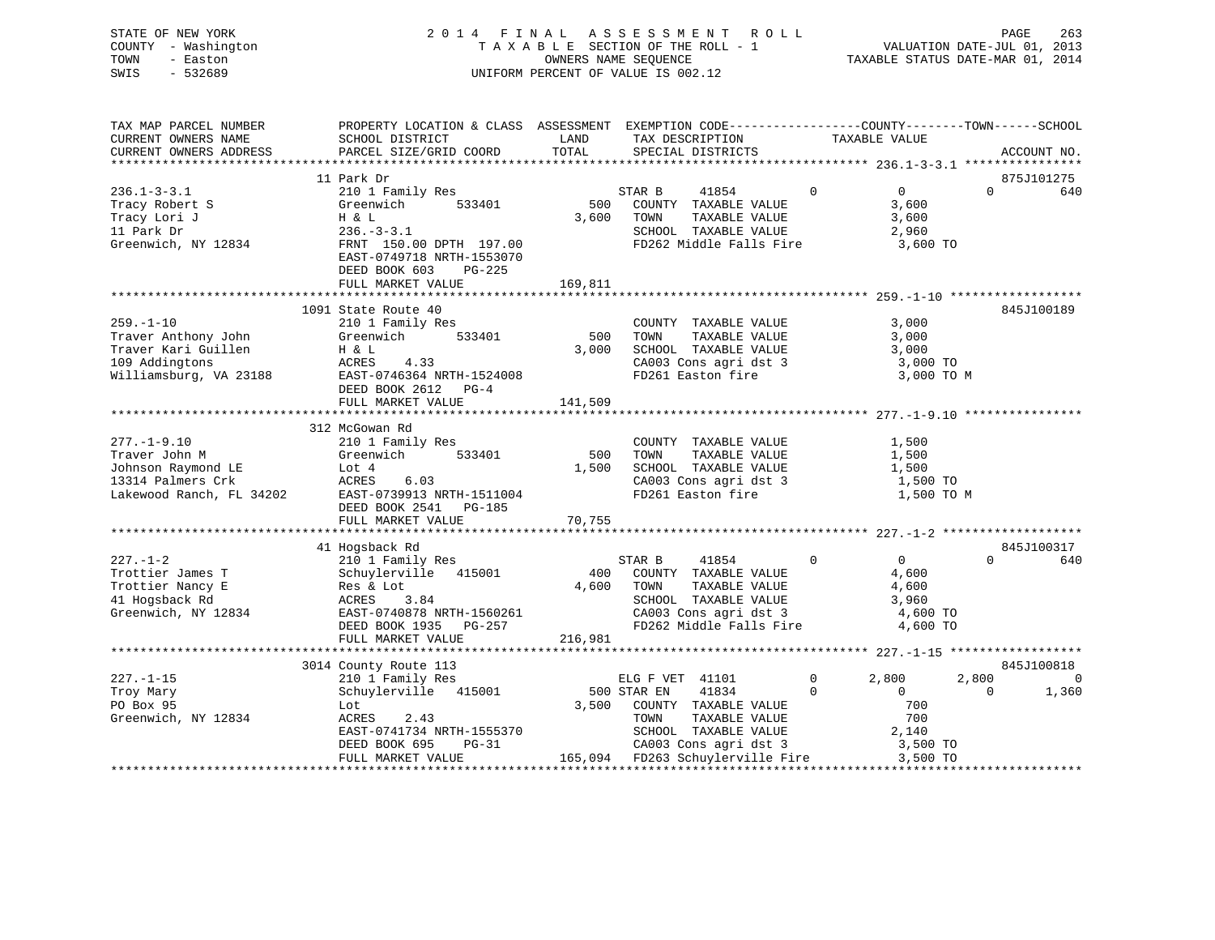| STATE OF NEW YORK<br>- Washington<br>COUNTY<br>- Easton<br>TOWN<br>SWIS<br>$-532689$ |                                                                        |                             | 2014 FINAL ASSESSMENT ROLL<br>TAXABLE SECTION OF THE ROLL - 1<br>OWNERS NAME SEOUENCE<br>UNIFORM PERCENT OF VALUE IS 002.12 | TAXABLE STATUS DATE-MAR 01, 2014                                               | PAGE<br>VALUATION DATE-JUL 01, 2013 | 263 |
|--------------------------------------------------------------------------------------|------------------------------------------------------------------------|-----------------------------|-----------------------------------------------------------------------------------------------------------------------------|--------------------------------------------------------------------------------|-------------------------------------|-----|
| TAX MAP PARCEL NUMBER<br>CURRENT OWNERS NAME<br>CURRENT OWNERS ADDRESS               | PROPERTY LOCATION & CLASS<br>SCHOOL DISTRICT<br>PARCEL SIZE/GRID COORD | ASSESSMENT<br>LAND<br>TOTAL | TAX DESCRIPTION<br>SPECIAL DISTRICTS                                                                                        | EXEMPTION CODE-----------------COUNTY--------TOWN------SCHOOL<br>TAXABLE VALUE | ACCOUNT NO.                         |     |

|                          |                           |         |                                                  |              |                           | $236.1 - 3 - 3.1$ **************** |
|--------------------------|---------------------------|---------|--------------------------------------------------|--------------|---------------------------|------------------------------------|
|                          | 11 Park Dr                |         |                                                  |              |                           | 875J101275                         |
| $236.1 - 3 - 3.1$        | 210 1 Family Res          |         | 41854<br>STAR B                                  | $\Omega$     | $\Omega$                  | $\Omega$<br>640                    |
| Tracy Robert S           | Greenwich<br>533401       | 500     | COUNTY TAXABLE VALUE                             |              | 3,600                     |                                    |
| Tracy Lori J             | H & L                     | 3,600   | TOWN<br>TAXABLE VALUE                            |              | 3,600                     |                                    |
| 11 Park Dr               | $236. - 3 - 3.1$          |         | SCHOOL TAXABLE VALUE                             |              | 2,960                     |                                    |
| Greenwich, NY 12834      | FRNT 150.00 DPTH 197.00   |         | FD262 Middle Falls Fire                          |              | 3,600 TO                  |                                    |
|                          | EAST-0749718 NRTH-1553070 |         |                                                  |              |                           |                                    |
|                          | DEED BOOK 603<br>PG-225   |         |                                                  |              |                           |                                    |
|                          | FULL MARKET VALUE         | 169,811 |                                                  |              |                           |                                    |
|                          |                           |         |                                                  |              |                           |                                    |
|                          | 1091 State Route 40       |         |                                                  |              |                           | 845J100189                         |
| $259. - 1 - 10$          | 210 1 Family Res          |         | COUNTY TAXABLE VALUE                             |              | 3,000                     |                                    |
| Traver Anthony John      | Greenwich<br>533401       | 500     | TAXABLE VALUE<br>TOWN                            |              | 3,000                     |                                    |
| Traver Kari Guillen      | H & L                     | 3,000   | SCHOOL TAXABLE VALUE                             |              | 3,000                     |                                    |
| 109 Addingtons           | ACRES<br>4.33             |         | CA003 Cons agri dst 3                            |              | 3,000 TO                  |                                    |
| Williamsburg, VA 23188   | EAST-0746364 NRTH-1524008 |         | FD261 Easton fire                                |              | 3,000 TO M                |                                    |
|                          | DEED BOOK 2612 PG-4       |         |                                                  |              |                           |                                    |
|                          | FULL MARKET VALUE         | 141,509 |                                                  |              |                           |                                    |
|                          |                           |         |                                                  |              |                           |                                    |
|                          | 312 McGowan Rd            |         |                                                  |              |                           |                                    |
| $277. - 1 - 9.10$        | 210 1 Family Res          |         | COUNTY TAXABLE VALUE                             |              | 1,500                     |                                    |
| Traver John M            | 533401<br>Greenwich       | 500     | TOWN<br>TAXABLE VALUE                            |              | 1,500                     |                                    |
| Johnson Raymond LE       | Lot 4                     | 1,500   | SCHOOL TAXABLE VALUE                             | 1,500        |                           |                                    |
| 13314 Palmers Crk        | ACRES<br>6.03             |         | CA003 Cons agri dst 3                            |              | 1,500 TO                  |                                    |
| Lakewood Ranch, FL 34202 | EAST-0739913 NRTH-1511004 |         | FD261 Easton fire                                |              | 1,500 TO M                |                                    |
|                          | DEED BOOK 2541 PG-185     |         |                                                  |              |                           |                                    |
|                          | FULL MARKET VALUE         | 70,755  |                                                  |              |                           |                                    |
|                          |                           |         |                                                  |              |                           |                                    |
|                          | 41 Hogsback Rd            |         |                                                  |              |                           | 845J100317                         |
| $227. - 1 - 2$           | 210 1 Family Res          |         | STAR B<br>41854                                  | $\mathbf{0}$ | $\overline{0}$            | $\Omega$<br>640                    |
| Trottier James T         | Schuylerville 415001      |         | 400 COUNTY TAXABLE VALUE                         |              | 4,600                     |                                    |
| Trottier Nancy E         | Res & Lot                 | 4,600   | TOWN<br>TAXABLE VALUE                            |              | 4,600                     |                                    |
| 41 Hogsback Rd           | 3.84<br>ACRES             |         | SCHOOL TAXABLE VALUE                             | 3,960        |                           |                                    |
| Greenwich, NY 12834      | EAST-0740878 NRTH-1560261 |         |                                                  |              | 4,600 TO                  |                                    |
|                          | DEED BOOK 1935<br>PG-257  |         | CA003 Cons agri dst 3<br>FD262 Middle Falls Fire |              | 4,600 TO                  |                                    |
|                          | FULL MARKET VALUE         | 216,981 |                                                  |              |                           |                                    |
|                          |                           |         |                                                  |              |                           |                                    |
|                          | 3014 County Route 113     |         |                                                  |              |                           | 845J100818                         |
| $227. - 1 - 15$          | 210 1 Family Res          |         | ELG F VET 41101                                  | $\mathsf{O}$ | 2,800                     | $\Omega$<br>2,800                  |
| Troy Mary                | Schuylerville 415001      |         | 500 STAR EN<br>41834                             | $\Omega$     | $\Omega$                  | 1,360<br>$\Omega$                  |
| PO Box 95                | Lot                       | 3,500   | COUNTY TAXABLE VALUE                             |              | 700                       |                                    |
| Greenwich, NY 12834      | ACRES<br>2.43             |         | TOWN<br>TAXABLE VALUE                            |              | 700                       |                                    |
|                          | EAST-0741734 NRTH-1555370 |         | SCHOOL TAXABLE VALUE                             | 2,140        |                           |                                    |
|                          | DEED BOOK 695<br>$PG-31$  |         | CA003 Cons agri dst 3                            |              | 3,500 TO                  |                                    |
|                          | FULL MARKET VALUE         |         | 165,094 FD263 Schuylerville Fire                 |              | 3,500 TO                  |                                    |
|                          |                           |         |                                                  |              | ************************* |                                    |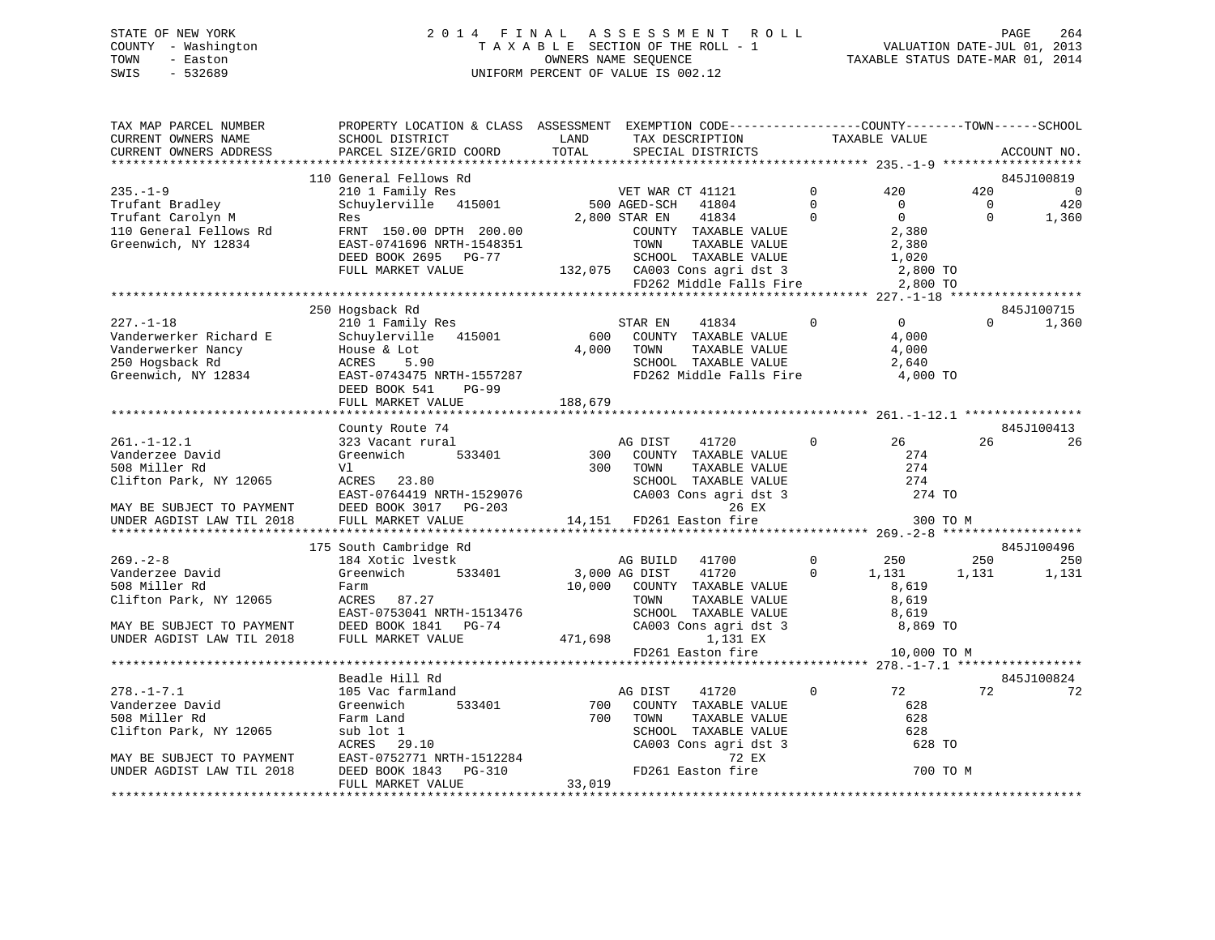# STATE OF NEW YORK 2 0 1 4 F I N A L A S S E S S M E N T R O L L PAGE 264 COUNTY - Washington T A X A B L E SECTION OF THE ROLL - 1 VALUATION DATE-JUL 01, 2013 TOWN - Easton OWNERS NAME SEQUENCE TAXABLE STATUS DATE-MAR 01, 2014 SWIS - 532689 UNIFORM PERCENT OF VALUE IS 002.12

| TAX MAP PARCEL NUMBER<br>CURRENT OWNERS NAME<br>CURRENT OWNERS ADDRESS           | PROPERTY LOCATION & CLASS ASSESSMENT EXEMPTION CODE---------------COUNTY-------TOWN-----SCHOOL<br>SCHOOL DISTRICT<br>PARCEL SIZE/GRID COORD                                                                                                    | LAND<br>TOTAL | TAX DESCRIPTION<br>SPECIAL DISTRICTS                                                                                                                     |                                  | TAXABLE VALUE                                              |                                   | ACCOUNT NO.                                  |
|----------------------------------------------------------------------------------|------------------------------------------------------------------------------------------------------------------------------------------------------------------------------------------------------------------------------------------------|---------------|----------------------------------------------------------------------------------------------------------------------------------------------------------|----------------------------------|------------------------------------------------------------|-----------------------------------|----------------------------------------------|
|                                                                                  |                                                                                                                                                                                                                                                |               |                                                                                                                                                          |                                  |                                                            |                                   |                                              |
| $235. - 1 - 9$<br>Trufant Bradley<br>Trufant Carolyn M<br>110 General Fellows Rd | 110 General Fellows Rd<br>210 1 Family Res<br>Schuylerville 415001 500 AGED-SCH 41804<br>Res<br>FRNT 150.00 DPTH 200.00                                                                                                                        |               | 2,800 STAR EN<br>41834<br>COUNTY TAXABLE VALUE                                                                                                           | $\Omega$<br>$\Omega$<br>$\Omega$ | 420<br>$\overline{0}$<br>$\Omega$<br>2,380                 | 420<br>$\overline{0}$<br>$\Omega$ | 845J100819<br>$\overline{0}$<br>420<br>1,360 |
| Greenwich, NY 12834                                                              | EAST-0741696 NRTH-1548351<br>DEED BOOK 2695 PG-77<br>FULL MARKET VALUE                                                                                                                                                                         |               | 51 TOWN TAXABLE VALUE 2,380<br>SCHOOL TAXABLE VALUE 1,020<br>132,075 CA003 Cons agri dst 3 2,800 TO<br>FD262 Middle Falls Fire 2,800 TO                  |                                  |                                                            |                                   |                                              |
|                                                                                  |                                                                                                                                                                                                                                                |               |                                                                                                                                                          |                                  |                                                            |                                   |                                              |
| $227 - 1 - 18$                                                                   | 250 Hogsback Rd<br>210 1 Family Res<br>Vanderwerker Richard E Schuylerville 415001 600<br>Vanderwerker Nancy House & Lot 4,000<br>250 Hogsback Rd ACRES 5.90<br>Greenwich, NY 12834 EAST-0743475 NRTH-1557287<br><b>PG-99</b><br>DEED BOOK 541 |               | 41834<br>STAR EN<br>600 COUNTY TAXABLE VALUE<br>TAXABLE VALUE<br>TAXABLE VALUE<br>4,000 TOWN<br>SCHOOL TAXABLE VALUE<br>FD262 Middle Falls Fire 4,000 TO | $\Omega$                         | $\overline{0}$<br>$\frac{4}{4}$ ,000<br>$\frac{4}{4}$ ,000 | $\Omega$                          | 845J100715<br>1,360                          |
|                                                                                  | FULL MARKET VALUE                                                                                                                                                                                                                              | 188,679       |                                                                                                                                                          |                                  |                                                            |                                   |                                              |
|                                                                                  |                                                                                                                                                                                                                                                |               |                                                                                                                                                          |                                  |                                                            |                                   |                                              |
| $261. - 1 - 12.1$                                                                | County Route 74<br>323 Vacant rural                                                                                                                                                                                                            |               | AG DIST<br>41720                                                                                                                                         | $\mathbf{0}$                     | 26                                                         | 26                                | 845J100413<br>26                             |
| Vanderzee David<br>508 Miller Rd<br>Clifton Park, NY 12065                       | Greenwich<br>Vl<br>ACRES 23.80                                                                                                                                                                                                                 | 300           | 533401 300 COUNTY TAXABLE VALUE<br>TOWN<br>TAXABLE VALUE<br>SCHOOL TAXABLE VALUE                                                                         |                                  | 274<br>274<br>274                                          |                                   |                                              |
| MAY BE SUBJECT TO PAYMENT                                                        | ACKES 23.00<br>EAST-0764419 NRTH-1529076<br>FEBR BOOK 2017 BC-203<br>DEED BOOK 3017 PG-203                                                                                                                                                     |               | CA003 Cons agri dst 3<br>26 EX                                                                                                                           |                                  | 274 TO                                                     |                                   |                                              |
| UNDER AGDIST LAW TIL 2018                                                        | FULL MARKET VALUE                                                                                                                                                                                                                              |               | 14,151 FD261 Easton fire                                                                                                                                 |                                  | 300 TO M                                                   |                                   |                                              |
|                                                                                  |                                                                                                                                                                                                                                                |               |                                                                                                                                                          |                                  |                                                            |                                   |                                              |
| $269. - 2 - 8$                                                                   | 175 South Cambridge Rd<br>184 Xotic lvestk                                                                                                                                                                                                     |               | AG BUILD 41700                                                                                                                                           |                                  | $0 \qquad \qquad 250$                                      | 250                               | 845J100496<br>250                            |
| Vanderzee David<br>508 Miller Rd<br>Clifton Park, NY 12065                       | Greenwich 533401<br>Farm<br>ACRES 87.27<br>EAST-0753041 NRTH-1513476<br>DEED BOOK 1841 PG-74                                                                                                                                                   |               | 3,000 AG DIST<br>41720<br>10,000 COUNTY TAXABLE VALUE<br>TAXABLE VALUE<br>TOWN      TAXABLE  VALUE<br>SCHOOL   TAXABLE  VALUE                            | $\mathbf{0}$                     | 1,131<br>8,619<br>8,619<br>8,619                           | 1,131                             | 1,131                                        |
| MAY BE SUBJECT TO PAYMENT<br>UNDER AGDIST LAW TIL 2018                           | FULL MARKET VALUE                                                                                                                                                                                                                              | 471,698       | CA003 Cons agri dst 3 8,869 TO<br>1,131 EX<br>FD261 Easton fire 10,000 TO M                                                                              |                                  |                                                            |                                   |                                              |
|                                                                                  |                                                                                                                                                                                                                                                |               |                                                                                                                                                          |                                  |                                                            |                                   |                                              |
|                                                                                  | Beadle Hill Rd                                                                                                                                                                                                                                 |               |                                                                                                                                                          |                                  |                                                            |                                   | 845J100824                                   |
| $278. - 1 - 7.1$                                                                 | 105 Vac farmland                                                                                                                                                                                                                               |               | AG DIST<br>41720                                                                                                                                         | $\mathbf{0}$                     | 72                                                         | 72                                | 72                                           |
| Vanderzee David                                                                  | 533401<br>Greenwich                                                                                                                                                                                                                            | 700           | COUNTY TAXABLE VALUE                                                                                                                                     |                                  | 628                                                        |                                   |                                              |
| 508 Miller Rd                                                                    | Farm Land                                                                                                                                                                                                                                      | 700           | TOWN<br>TAXABLE VALUE                                                                                                                                    |                                  | 628                                                        |                                   |                                              |
| Clifton Park, NY 12065                                                           |                                                                                                                                                                                                                                                |               | SCHOOL TAXABLE VALUE                                                                                                                                     |                                  | 628                                                        |                                   |                                              |
|                                                                                  |                                                                                                                                                                                                                                                |               | CA003 Cons agri dst 3                                                                                                                                    |                                  | 628 TO                                                     |                                   |                                              |
| MAY BE SUBJECT TO PAYMENT<br>UNDER AGDIST LAW TIL 2018                           | sub lot 1<br>ACRES 29.10<br>EAST-0752771 NRTH-1512284<br>DEED BOOK 1843 PG-310<br>FULL MARKET VALUE                                                                                                                                            | 33,019        | 72 EX<br>FD261 Easton fire                                                                                                                               |                                  | 700 TO M                                                   |                                   |                                              |
|                                                                                  |                                                                                                                                                                                                                                                |               |                                                                                                                                                          |                                  |                                                            |                                   |                                              |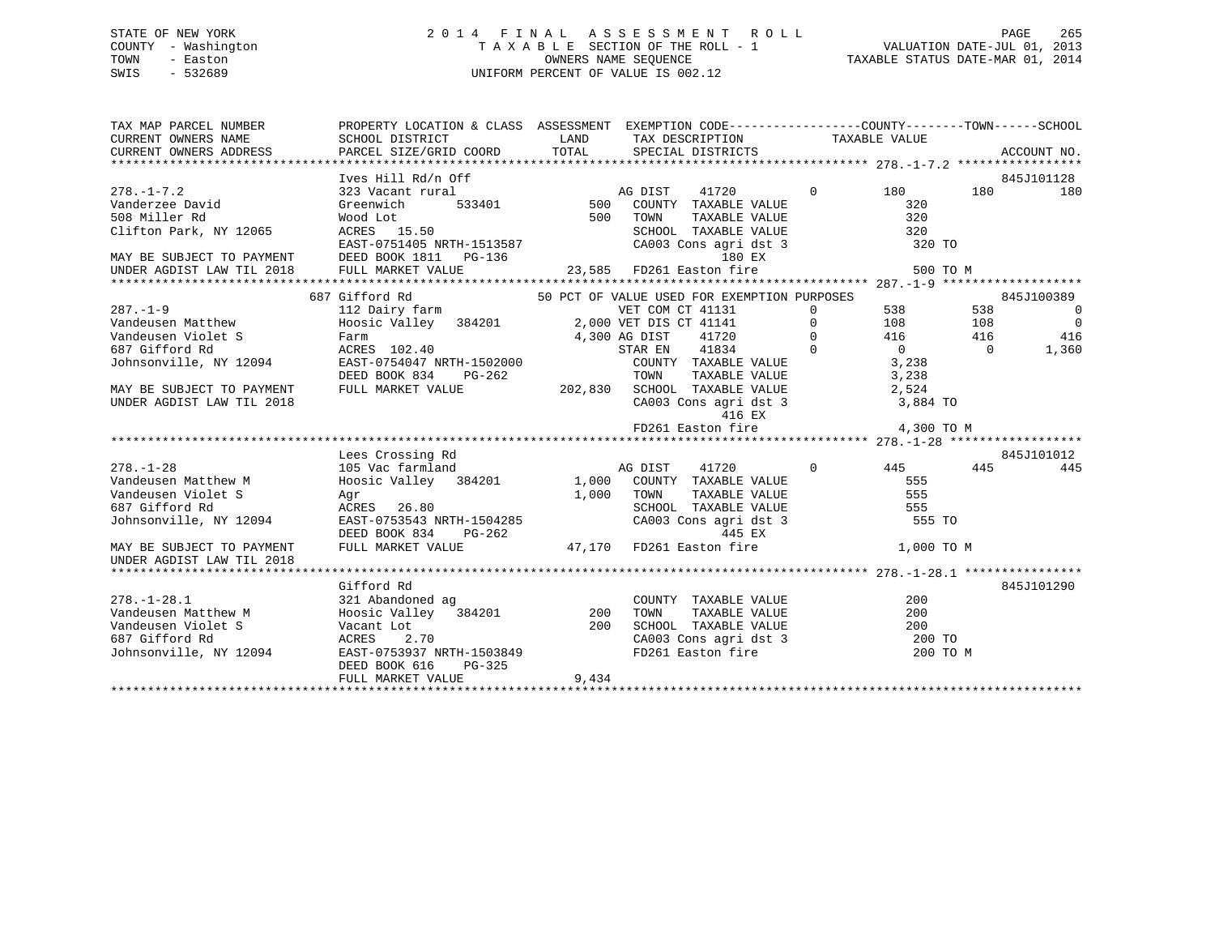# STATE OF NEW YORK 2 0 1 4 F I N A L A S S E S S M E N T R O L L PAGE 265 COUNTY - Washington T A X A B L E SECTION OF THE ROLL - 1 VALUATION DATE-JUL 01, 2013 TOWN - Easton **CONNERS NAME SEQUENCE** TAXABLE STATUS DATE-MAR 01, 2014 SWIS - 532689 UNIFORM PERCENT OF VALUE IS 002.12

| TAX MAP PARCEL NUMBER                                                                                                                                                                                                                                                                                                                                                                                                         | PROPERTY LOCATION & CLASS ASSESSMENT EXEMPTION CODE----------------COUNTY-------TOWN------SCHOOL                                                                                                                               |         |                   |                                                                                                                |                          |                                  |
|-------------------------------------------------------------------------------------------------------------------------------------------------------------------------------------------------------------------------------------------------------------------------------------------------------------------------------------------------------------------------------------------------------------------------------|--------------------------------------------------------------------------------------------------------------------------------------------------------------------------------------------------------------------------------|---------|-------------------|----------------------------------------------------------------------------------------------------------------|--------------------------|----------------------------------|
| CURRENT OWNERS NAME                                                                                                                                                                                                                                                                                                                                                                                                           | SCHOOL DISTRICT                                                                                                                                                                                                                |         |                   | LAND TAX DESCRIPTION TAXABLE VALUE                                                                             |                          |                                  |
| CURRENT OWNERS ADDRESS                                                                                                                                                                                                                                                                                                                                                                                                        |                                                                                                                                                                                                                                |         |                   |                                                                                                                |                          |                                  |
|                                                                                                                                                                                                                                                                                                                                                                                                                               |                                                                                                                                                                                                                                |         |                   |                                                                                                                |                          |                                  |
|                                                                                                                                                                                                                                                                                                                                                                                                                               | Ives Hill Rd/n Off                                                                                                                                                                                                             |         |                   |                                                                                                                |                          | 845J101128                       |
| $278. - 1 - 7.2$                                                                                                                                                                                                                                                                                                                                                                                                              | EXAMPLE 11720<br>THE THE STRIP STRIP OF THE STRIP OF THE STRIP OF THE STRIP OF THE STRIP OF THE TRANSPORTER VALUE<br>323 Vacant rural                                                                                          |         |                   | 41720 0 180                                                                                                    |                          | 180 180                          |
| Vanderzee David                                                                                                                                                                                                                                                                                                                                                                                                               | Greenwich                                                                                                                                                                                                                      |         |                   |                                                                                                                | 320                      |                                  |
| 508 Miller Rd                                                                                                                                                                                                                                                                                                                                                                                                                 | Wood Lot<br>ACRES    15.50                                                                                                                                                                                                     |         | 500 TOWN<br>SCHOO | TAXABLE VALUE                                                                                                  | 320                      |                                  |
| Clifton Park, NY 12065                                                                                                                                                                                                                                                                                                                                                                                                        |                                                                                                                                                                                                                                |         |                   | SCHOOL TAXABLE VALUE 320<br>CAOOL TAXABLE VALUE 320<br>CAOO3 Cons agri dst 3 320 TO                            |                          |                                  |
|                                                                                                                                                                                                                                                                                                                                                                                                                               | EAST-0751405 NRTH-1513587                                                                                                                                                                                                      |         |                   |                                                                                                                |                          |                                  |
|                                                                                                                                                                                                                                                                                                                                                                                                                               |                                                                                                                                                                                                                                |         |                   |                                                                                                                |                          |                                  |
| EAST-0751405 NRTH-1513587 CA003 Cons agri dst 3 320 TO<br>180 EX 180 EX 180 EX 180 EX 1811 PG-136 23,585 FD261 Easton fire 500 TO M<br>180 EX 500 TO M 23,585 FD261 Easton fire 500 TO M 180 EX 500 TO M 23,585 FD261 Easton fire 50                                                                                                                                                                                          |                                                                                                                                                                                                                                |         |                   |                                                                                                                |                          |                                  |
|                                                                                                                                                                                                                                                                                                                                                                                                                               |                                                                                                                                                                                                                                |         |                   |                                                                                                                |                          |                                  |
|                                                                                                                                                                                                                                                                                                                                                                                                                               | 687 Gifford Rd<br>112 Dairy farm<br>112 Dairy farm<br>Hoosic Valley 384201 2,000 VET DIS CT 41131 0 538 538<br>Farm 4,300 AG DIST 41720 0 416 416<br>ACRES 102.40 4 5TAR EN 41834 0                                            |         |                   |                                                                                                                |                          | 845J100389                       |
|                                                                                                                                                                                                                                                                                                                                                                                                                               |                                                                                                                                                                                                                                |         |                   |                                                                                                                |                          | $\overline{0}$<br>$\overline{0}$ |
|                                                                                                                                                                                                                                                                                                                                                                                                                               |                                                                                                                                                                                                                                |         |                   |                                                                                                                |                          | 416                              |
|                                                                                                                                                                                                                                                                                                                                                                                                                               |                                                                                                                                                                                                                                |         |                   |                                                                                                                |                          | 1,360                            |
|                                                                                                                                                                                                                                                                                                                                                                                                                               |                                                                                                                                                                                                                                |         |                   |                                                                                                                |                          |                                  |
|                                                                                                                                                                                                                                                                                                                                                                                                                               |                                                                                                                                                                                                                                |         |                   |                                                                                                                |                          |                                  |
|                                                                                                                                                                                                                                                                                                                                                                                                                               |                                                                                                                                                                                                                                |         |                   |                                                                                                                |                          |                                  |
|                                                                                                                                                                                                                                                                                                                                                                                                                               |                                                                                                                                                                                                                                |         |                   |                                                                                                                |                          |                                  |
|                                                                                                                                                                                                                                                                                                                                                                                                                               |                                                                                                                                                                                                                                |         |                   |                                                                                                                |                          |                                  |
| $\begin{tabular}{lllllllllllllllllllll@{7.19}\\ \hline\hline\texttt{V} & \texttt{M} & \texttt{M} & \texttt{H} & \texttt{M} & \texttt{M} & \texttt{M} & \texttt{M} & \texttt{M} & \texttt{M} & \texttt{M} & \texttt{M} & \texttt{M} & \texttt{M} & \texttt{M} & \texttt{M} & \texttt{M} & \texttt{M} & \texttt{M} & \texttt{M} & \texttt{M} & \texttt{M} & \texttt{M} & \texttt{M} & \texttt{M} & \texttt{M} & \texttt{M} & \$ |                                                                                                                                                                                                                                |         |                   |                                                                                                                |                          |                                  |
|                                                                                                                                                                                                                                                                                                                                                                                                                               |                                                                                                                                                                                                                                |         |                   |                                                                                                                |                          |                                  |
|                                                                                                                                                                                                                                                                                                                                                                                                                               | Lees Crossing Rd                                                                                                                                                                                                               |         |                   |                                                                                                                |                          | 845J101012                       |
| $278. - 1 - 28$                                                                                                                                                                                                                                                                                                                                                                                                               | 105 Vac farmland                                                                                                                                                                                                               | AG DIST |                   | 41720                                                                                                          | $0 \t 445 \t 445 \t 445$ |                                  |
| Vandeusen Matthew M                                                                                                                                                                                                                                                                                                                                                                                                           | AG DIST 41720<br>Hoosic Valley 384201 1,000 COUNTY TAXABLE VALUE<br>Agr                                                                                                                                                        |         |                   |                                                                                                                | 555                      |                                  |
| Vandeusen Violet S                                                                                                                                                                                                                                                                                                                                                                                                            |                                                                                                                                                                                                                                |         |                   |                                                                                                                |                          |                                  |
| 687 Gifford Rd                                                                                                                                                                                                                                                                                                                                                                                                                |                                                                                                                                                                                                                                |         |                   |                                                                                                                |                          |                                  |
| Johnsonville, NY 12094                                                                                                                                                                                                                                                                                                                                                                                                        |                                                                                                                                                                                                                                |         |                   |                                                                                                                |                          |                                  |
|                                                                                                                                                                                                                                                                                                                                                                                                                               |                                                                                                                                                                                                                                |         |                   |                                                                                                                |                          |                                  |
| MAY BE SUBJECT TO PAYMENT                                                                                                                                                                                                                                                                                                                                                                                                     | Agr and the state of the state of the state of the state of the state of the state of the state of the state of the state of the state of the state of the state of the state of the state of the state of the state of the st |         |                   |                                                                                                                |                          |                                  |
| UNDER AGDIST LAW TIL 2018                                                                                                                                                                                                                                                                                                                                                                                                     |                                                                                                                                                                                                                                |         |                   |                                                                                                                |                          |                                  |
|                                                                                                                                                                                                                                                                                                                                                                                                                               |                                                                                                                                                                                                                                |         |                   |                                                                                                                |                          |                                  |
|                                                                                                                                                                                                                                                                                                                                                                                                                               | Gifford Rd                                                                                                                                                                                                                     |         |                   |                                                                                                                |                          | 845J101290                       |
| $278. - 1 - 28.1$                                                                                                                                                                                                                                                                                                                                                                                                             | 321 Abandoned ag                                                                                                                                                                                                               |         |                   | COUNTY TAXABLE VALUE                                                                                           | 200                      |                                  |
|                                                                                                                                                                                                                                                                                                                                                                                                                               |                                                                                                                                                                                                                                |         |                   |                                                                                                                |                          |                                  |
|                                                                                                                                                                                                                                                                                                                                                                                                                               |                                                                                                                                                                                                                                |         |                   |                                                                                                                |                          |                                  |
|                                                                                                                                                                                                                                                                                                                                                                                                                               |                                                                                                                                                                                                                                |         |                   |                                                                                                                |                          |                                  |
| Vandeusen Matthew M Boosic Valley 384201 200<br>Vandeusen Violet S Vacant Lot 200<br>687 Gifford Rd ACRES 2.70 200<br>Johnsonville, NY 12094 EAST-0753937 NRTH-1503849                                                                                                                                                                                                                                                        |                                                                                                                                                                                                                                |         |                   | TOWN TAXABLE VALUE 200<br>SCHOOL TAXABLE VALUE 200<br>CA003 Cons agri dst 3 200 TO<br>FD261 Easton fire 200 TO | 200 TO M                 |                                  |
|                                                                                                                                                                                                                                                                                                                                                                                                                               | DEED BOOK 616<br>PG-325                                                                                                                                                                                                        |         |                   |                                                                                                                |                          |                                  |
|                                                                                                                                                                                                                                                                                                                                                                                                                               | FULL MARKET VALUE                                                                                                                                                                                                              | 9,434   |                   |                                                                                                                |                          |                                  |
|                                                                                                                                                                                                                                                                                                                                                                                                                               |                                                                                                                                                                                                                                |         |                   |                                                                                                                |                          |                                  |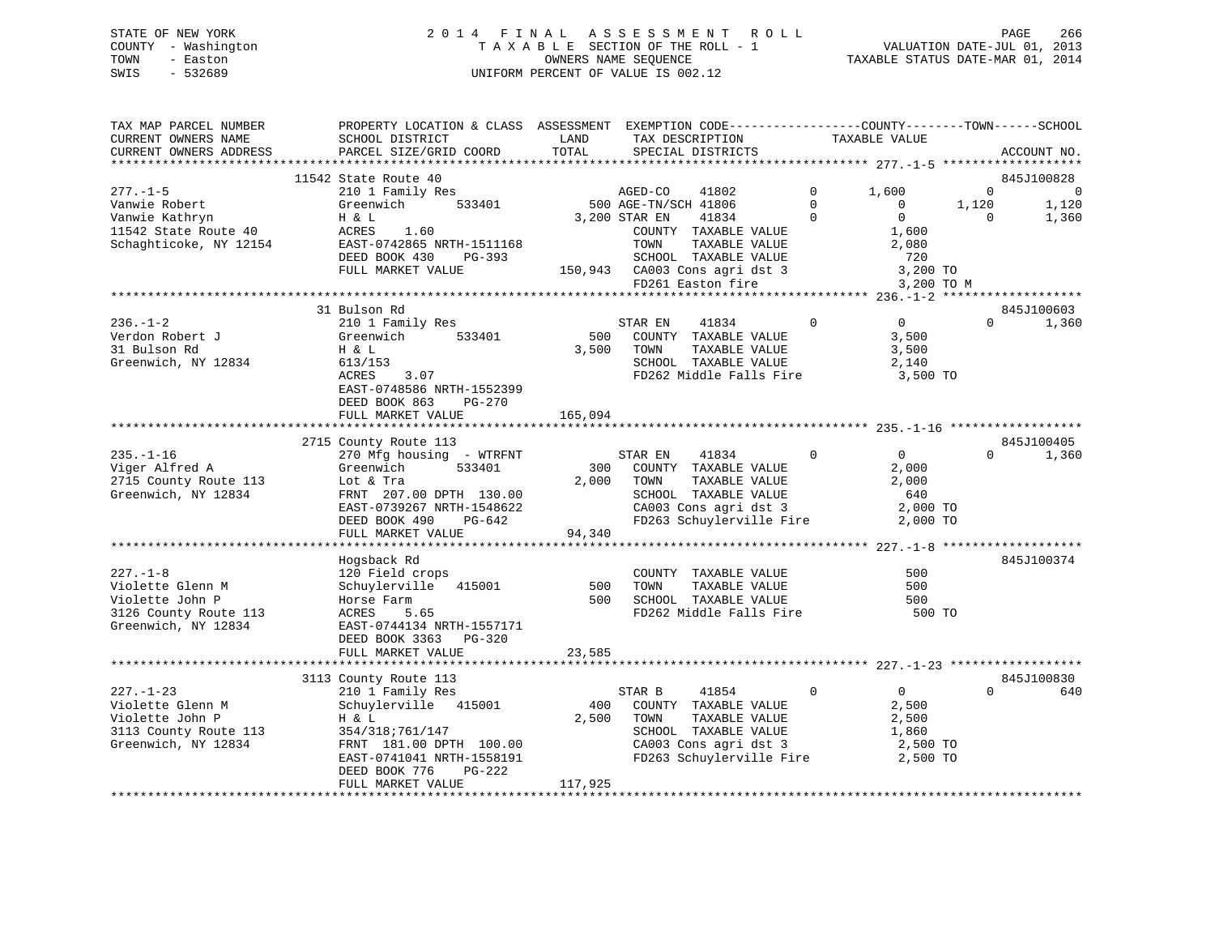# STATE OF NEW YORK 2 0 1 4 F I N A L A S S E S S M E N T R O L L PAGE 266 COUNTY - Washington T A X A B L E SECTION OF THE ROLL - 1 VALUATION DATE-JUL 01, 2013 TOWN - Easton OWNERS NAME SEQUENCE TAXABLE STATUS DATE-MAR 01, 2014 SWIS - 532689 UNIFORM PERCENT OF VALUE IS 002.12

| TAX MAP PARCEL NUMBER<br>CURRENT OWNERS NAME<br>CURRENT OWNERS ADDRESS   | PROPERTY LOCATION & CLASS ASSESSMENT EXEMPTION CODE----------------COUNTY-------TOWN------SCHOOL<br>SCHOOL DISTRICT<br>PARCEL SIZE/GRID COORD | LAND<br>TOTAL | TAX DESCRIPTION<br>SPECIAL DISTRICTS                                                                                             |                      | TAXABLE VALUE                                         |                   | ACCOUNT NO.                           |
|--------------------------------------------------------------------------|-----------------------------------------------------------------------------------------------------------------------------------------------|---------------|----------------------------------------------------------------------------------------------------------------------------------|----------------------|-------------------------------------------------------|-------------------|---------------------------------------|
|                                                                          |                                                                                                                                               |               |                                                                                                                                  |                      |                                                       |                   |                                       |
| $277. - 1 - 5$<br>Vanwie Robert                                          | 11542 State Route 40<br>210 1 Family Res<br>Greenwich<br>533401                                                                               |               | AGED-CO<br>41802<br>500 AGE-TN/SCH 41806                                                                                         | $\Omega$<br>$\Omega$ | 1,600<br>$\mathbf{0}$                                 | $\Omega$<br>1,120 | 845J100828<br>$\overline{0}$<br>1,120 |
| Vanwie Kathryn<br>11542 State Route 40<br>Schaghticoke, NY 12154         | H & L<br>ACRES<br>1.60<br>EAST-0742865 NRTH-1511168<br>DEED BOOK 430<br>PG-393<br>FULL MARKET VALUE                                           |               | 3,200 STAR EN<br>41834<br>COUNTY TAXABLE VALUE<br>TOWN<br>TAXABLE VALUE<br>SCHOOL TAXABLE VALUE<br>150,943 CA003 Cons agri dst 3 | $\Omega$             | $\Omega$<br>1,600<br>2,080<br>720<br>3,200 TO         | $\Omega$          | 1,360                                 |
|                                                                          |                                                                                                                                               |               | FD261 Easton fire                                                                                                                |                      | 3,200 TO M                                            |                   |                                       |
|                                                                          | *********************************                                                                                                             |               |                                                                                                                                  |                      |                                                       |                   |                                       |
| $236. - 1 - 2$<br>Verdon Robert J<br>31 Bulson Rd<br>Greenwich, NY 12834 | 31 Bulson Rd<br>210 1 Family Res<br>533401<br>Greenwich<br>H & L<br>613/153<br>ACRES<br>3.07<br>EAST-0748586 NRTH-1552399                     | 500<br>3,500  | 41834<br>STAR EN<br>COUNTY TAXABLE VALUE<br>TAXABLE VALUE<br>TOWN<br>SCHOOL TAXABLE VALUE<br>FD262 Middle Falls Fire             | $\mathbf 0$          | $\overline{0}$<br>3,500<br>3,500<br>2,140<br>3,500 TO | $\Omega$          | 845J100603<br>1,360                   |
|                                                                          | DEED BOOK 863<br>PG-270<br>FULL MARKET VALUE                                                                                                  | 165,094       |                                                                                                                                  |                      |                                                       |                   |                                       |
|                                                                          |                                                                                                                                               |               |                                                                                                                                  |                      |                                                       |                   |                                       |
|                                                                          | 2715 County Route 113                                                                                                                         |               |                                                                                                                                  |                      |                                                       |                   | 845J100405                            |
| $235. - 1 - 16$                                                          | 270 Mfg housing - WTRFNT                                                                                                                      |               | STAR EN<br>41834                                                                                                                 | $\mathbf{0}$         | $0 \qquad \qquad$                                     | $\Omega$          | 1,360                                 |
| Viger Alfred A                                                           | Greenwich<br>533401                                                                                                                           | 300           | COUNTY TAXABLE VALUE                                                                                                             |                      | 2,000                                                 |                   |                                       |
| 2715 County Route 113                                                    | Lot & Tra                                                                                                                                     | 2,000         | TOWN<br>TAXABLE VALUE                                                                                                            |                      | 2,000                                                 |                   |                                       |
| Greenwich, NY 12834                                                      | FRNT 207.00 DPTH 130.00                                                                                                                       |               | SCHOOL TAXABLE VALUE                                                                                                             |                      | 640                                                   |                   |                                       |
|                                                                          | EAST-0739267 NRTH-1548622                                                                                                                     |               | CA003 Cons agri dst 3                                                                                                            |                      | 2,000 TO                                              |                   |                                       |
|                                                                          | DEED BOOK 490<br>PG-642<br>FULL MARKET VALUE                                                                                                  | 94,340        | FD263 Schuylerville Fire                                                                                                         |                      | 2,000 TO                                              |                   |                                       |
|                                                                          |                                                                                                                                               |               |                                                                                                                                  |                      |                                                       |                   |                                       |
|                                                                          | Hogsback Rd                                                                                                                                   |               |                                                                                                                                  |                      |                                                       |                   | 845J100374                            |
| $227. - 1 - 8$                                                           | 120 Field crops                                                                                                                               |               | COUNTY TAXABLE VALUE                                                                                                             |                      | 500                                                   |                   |                                       |
| Violette Glenn M                                                         | Schuylerville<br>415001                                                                                                                       | 500           | TAXABLE VALUE<br>TOWN                                                                                                            |                      | 500                                                   |                   |                                       |
| Violette John P                                                          | Horse Farm                                                                                                                                    | 500           | SCHOOL TAXABLE VALUE                                                                                                             |                      | 500                                                   |                   |                                       |
| 3126 County Route 113                                                    | 5.65<br>ACRES                                                                                                                                 |               | FD262 Middle Falls Fire                                                                                                          |                      | 500 TO                                                |                   |                                       |
| Greenwich, NY 12834                                                      | EAST-0744134 NRTH-1557171                                                                                                                     |               |                                                                                                                                  |                      |                                                       |                   |                                       |
|                                                                          | DEED BOOK 3363 PG-320                                                                                                                         |               |                                                                                                                                  |                      |                                                       |                   |                                       |
|                                                                          | FULL MARKET VALUE                                                                                                                             | 23,585        |                                                                                                                                  |                      |                                                       |                   |                                       |
|                                                                          |                                                                                                                                               |               |                                                                                                                                  |                      |                                                       |                   |                                       |
|                                                                          | 3113 County Route 113                                                                                                                         |               |                                                                                                                                  |                      |                                                       |                   | 845J100830                            |
| $227. - 1 - 23$                                                          | 210 1 Family Res                                                                                                                              |               | STAR B<br>41854                                                                                                                  | $\mathbf 0$          | $\overline{0}$                                        | $\Omega$          | 640                                   |
| Violette Glenn M                                                         | Schuylerville 415001                                                                                                                          | 400           | COUNTY TAXABLE VALUE                                                                                                             |                      | 2,500                                                 |                   |                                       |
| Violette John P                                                          | H & L                                                                                                                                         | 2,500         | TOWN<br>TAXABLE VALUE<br>SCHOOL TAXABLE VALUE                                                                                    |                      | 2,500                                                 |                   |                                       |
| 3113 County Route 113<br>Greenwich, NY 12834                             | 354/318;761/147                                                                                                                               |               | CA003 Cons agri dst 3                                                                                                            |                      | 1,860                                                 |                   |                                       |
|                                                                          | FRNT 181.00 DPTH 100.00<br>EAST-0741041 NRTH-1558191                                                                                          |               | FD263 Schuylerville Fire                                                                                                         |                      | 2,500 TO<br>2,500 TO                                  |                   |                                       |
|                                                                          | DEED BOOK 776<br>PG-222                                                                                                                       |               |                                                                                                                                  |                      |                                                       |                   |                                       |
|                                                                          | FULL MARKET VALUE                                                                                                                             | 117,925       |                                                                                                                                  |                      |                                                       |                   |                                       |
|                                                                          |                                                                                                                                               |               |                                                                                                                                  |                      |                                                       |                   |                                       |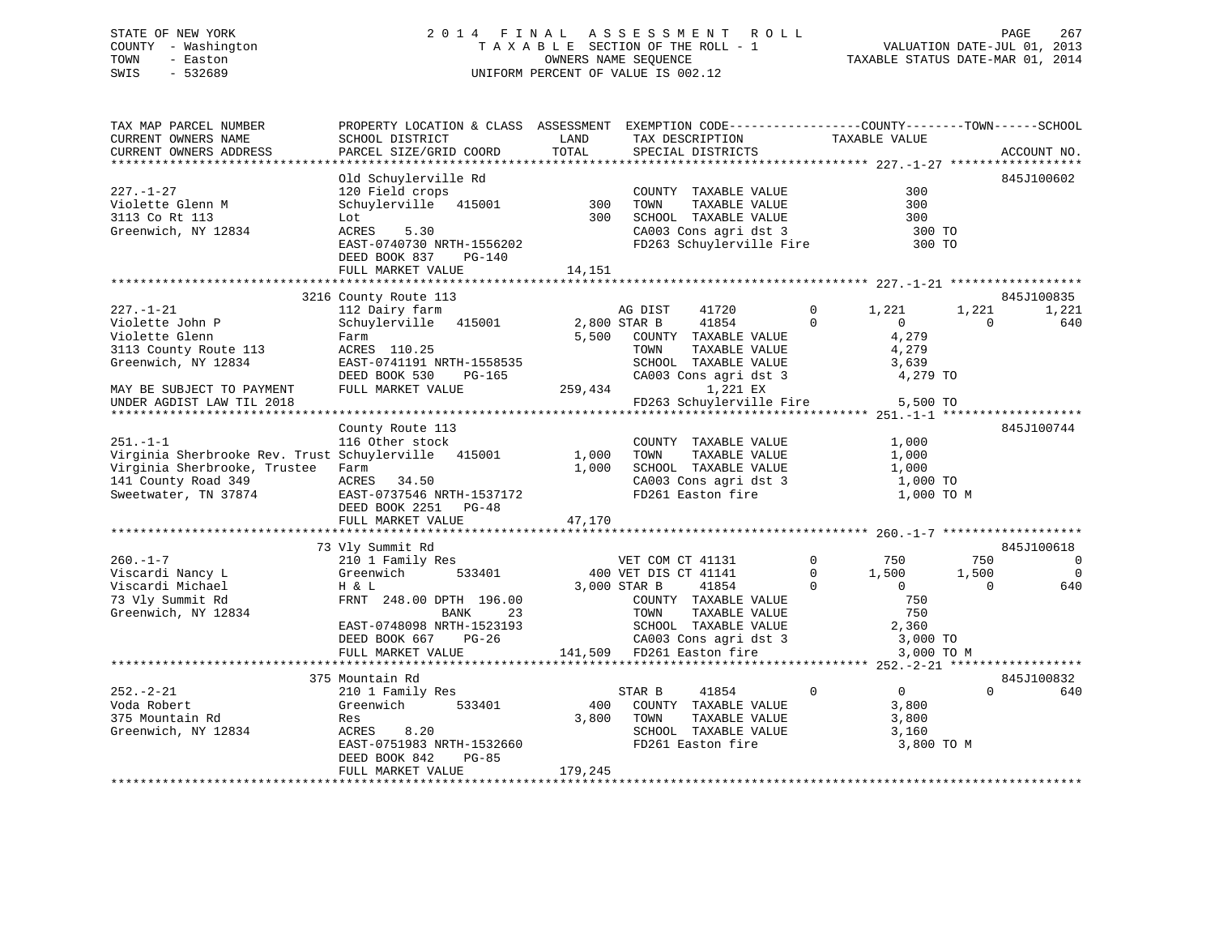# STATE OF NEW YORK 2 0 1 4 F I N A L A S S E S S M E N T R O L L PAGE 267 COUNTY - Washington T A X A B L E SECTION OF THE ROLL - 1 VALUATION DATE-JUL 01, 2013 TOWN - Easton OWNERS NAME SEQUENCE TAXABLE STATUS DATE-MAR 01, 2014 SWIS - 532689 UNIFORM PERCENT OF VALUE IS 002.12UNIFORM PERCENT OF VALUE IS 002.12

| TAX MAP PARCEL NUMBER                               | PROPERTY LOCATION & CLASS ASSESSMENT EXEMPTION CODE----------------COUNTY-------TOWN------SCHOOL |         |                                               |             |                               |                |
|-----------------------------------------------------|--------------------------------------------------------------------------------------------------|---------|-----------------------------------------------|-------------|-------------------------------|----------------|
| CURRENT OWNERS NAME                                 | SCHOOL DISTRICT                                                                                  | LAND    | TAX DESCRIPTION                               |             | TAXABLE VALUE                 |                |
| CURRENT OWNERS ADDRESS                              | PARCEL SIZE/GRID COORD                                                                           | TOTAL   | SPECIAL DISTRICTS                             |             |                               | ACCOUNT NO.    |
|                                                     |                                                                                                  |         |                                               |             |                               |                |
|                                                     | Old Schuylerville Rd                                                                             |         |                                               |             |                               | 845J100602     |
| $227. - 1 - 27$                                     | 120 Field crops                                                                                  |         | COUNTY TAXABLE VALUE                          |             | 300                           |                |
| Violette Glenn M                                    | Schuylerville 415001                                                                             | 300     | TAXABLE VALUE<br>TOWN                         |             | 300                           |                |
| 3113 Co Rt 113                                      | Lot                                                                                              | 300     | SCHOOL TAXABLE VALUE                          |             | 300                           |                |
| Greenwich, NY 12834                                 | 5.30<br>ACRES                                                                                    |         | CA003 Cons agri dst 3                         |             | 300 TO                        |                |
|                                                     | EAST-0740730 NRTH-1556202                                                                        |         | FD263 Schuylerville Fire                      |             | 300 TO                        |                |
|                                                     | DEED BOOK 837<br>PG-140                                                                          |         |                                               |             |                               |                |
|                                                     | FULL MARKET VALUE                                                                                | 14,151  |                                               |             |                               |                |
|                                                     |                                                                                                  |         |                                               |             |                               |                |
|                                                     | 3216 County Route 113                                                                            |         |                                               |             |                               | 845J100835     |
| $227. - 1 - 21$                                     | 112 Dairy farm                                                                                   |         | 41720<br>AG DIST                              | $\Omega$    | 1,221<br>1,221                | 1,221          |
| Violette John P                                     | Schuylerville 415001                                                                             |         | 41854<br>2,800 STAR B                         | $\Omega$    | $\Omega$<br>$\Omega$          | 640            |
| Violette Glenn                                      | Farm                                                                                             |         | 5,500 COUNTY TAXABLE VALUE                    |             | 4,279                         |                |
| 3113 County Route 113                               | ACRES 110.25                                                                                     |         | TOWN<br>TAXABLE VALUE                         |             | 4,279                         |                |
| Greenwich, NY 12834                                 | EAST-0741191 NRTH-1558535                                                                        |         | SCHOOL TAXABLE VALUE                          |             | 3,639                         |                |
|                                                     | DEED BOOK 530<br>PG-165                                                                          |         | CA003 Cons agri dst 3                         |             | 4,279 TO                      |                |
| MAY BE SUBJECT TO PAYMENT                           | FULL MARKET VALUE                                                                                | 259,434 | 1,221 EX                                      |             |                               |                |
| UNDER AGDIST LAW TIL 2018                           |                                                                                                  |         | FD263 Schuylerville Fire                      |             | 5,500 TO                      |                |
|                                                     |                                                                                                  |         |                                               |             |                               |                |
| $251. -1 -1$                                        | County Route 113<br>116 Other stock                                                              |         |                                               |             |                               | 845J100744     |
| Virginia Sherbrooke Rev. Trust Schuylerville 415001 |                                                                                                  | 1,000   | COUNTY TAXABLE VALUE<br>TAXABLE VALUE<br>TOWN |             | 1,000                         |                |
| Virginia Sherbrooke, Trustee                        | Farm                                                                                             | 1,000   | SCHOOL TAXABLE VALUE                          |             | 1,000<br>1,000                |                |
| 141 County Road 349                                 | ACRES 34.50                                                                                      |         | CA003 Cons agri dst 3                         |             | 1,000 TO                      |                |
| Sweetwater, TN 37874                                | EAST-0737546 NRTH-1537172                                                                        |         | FD261 Easton fire                             |             | 1,000 TO M                    |                |
|                                                     | DEED BOOK 2251 PG-48                                                                             |         |                                               |             |                               |                |
|                                                     | FULL MARKET VALUE                                                                                | 47,170  |                                               |             |                               |                |
|                                                     |                                                                                                  |         |                                               |             |                               |                |
|                                                     | 73 Vly Summit Rd                                                                                 |         |                                               |             |                               | 845J100618     |
| $260. -1 - 7$                                       | 210 1 Family Res                                                                                 |         | VET COM CT 41131                              | $\Omega$    | 750<br>750                    | $\Omega$       |
| Viscardi Nancy L                                    | 533401<br>Greenwich                                                                              |         | 400 VET DIS CT 41141                          | $\Omega$    | 1,500<br>1,500                | $\overline{0}$ |
| Viscardi Michael                                    | H & L                                                                                            |         | 3,000 STAR B<br>41854                         | $\Omega$    | $\Omega$<br>$\Omega$          | 640            |
| 73 Vly Summit Rd                                    | FRNT 248.00 DPTH 196.00                                                                          |         | COUNTY TAXABLE VALUE                          |             | 750                           |                |
| Greenwich, NY 12834                                 | <b>BANK</b><br>23                                                                                |         | TOWN<br>TAXABLE VALUE                         |             | 750                           |                |
|                                                     | EAST-0748098 NRTH-1523193                                                                        |         | SCHOOL TAXABLE VALUE                          |             | 2,360                         |                |
|                                                     | DEED BOOK 667<br>$PG-26$                                                                         |         | CA003 Cons agri dst 3                         |             | 3,000 TO                      |                |
|                                                     | FULL MARKET VALUE                                                                                |         | 141,509 FD261 Easton fire                     |             | 3,000 TO M                    |                |
|                                                     |                                                                                                  |         |                                               |             |                               |                |
|                                                     | 375 Mountain Rd                                                                                  |         |                                               |             |                               | 845J100832     |
| $252 - 2 - 21$                                      | 210 1 Family Res                                                                                 |         | 41854<br>STAR B                               | $\mathbf 0$ | $0 \qquad \qquad$<br>$\Omega$ | 640            |
| Voda Robert                                         | 533401<br>Greenwich                                                                              | 400     | COUNTY TAXABLE VALUE                          |             | 3,800                         |                |
| 375 Mountain Rd                                     | Res                                                                                              | 3,800   | TOWN<br>TAXABLE VALUE                         |             | 3,800                         |                |
| Greenwich, NY 12834                                 | ACRES<br>8.20                                                                                    |         | SCHOOL TAXABLE VALUE                          |             | 3,160                         |                |
|                                                     | EAST-0751983 NRTH-1532660                                                                        |         | FD261 Easton fire                             |             | 3,800 TO M                    |                |
|                                                     | DEED BOOK 842<br>$PG-85$                                                                         |         |                                               |             |                               |                |
|                                                     | FULL MARKET VALUE                                                                                | 179,245 |                                               |             |                               |                |
|                                                     |                                                                                                  |         |                                               |             |                               |                |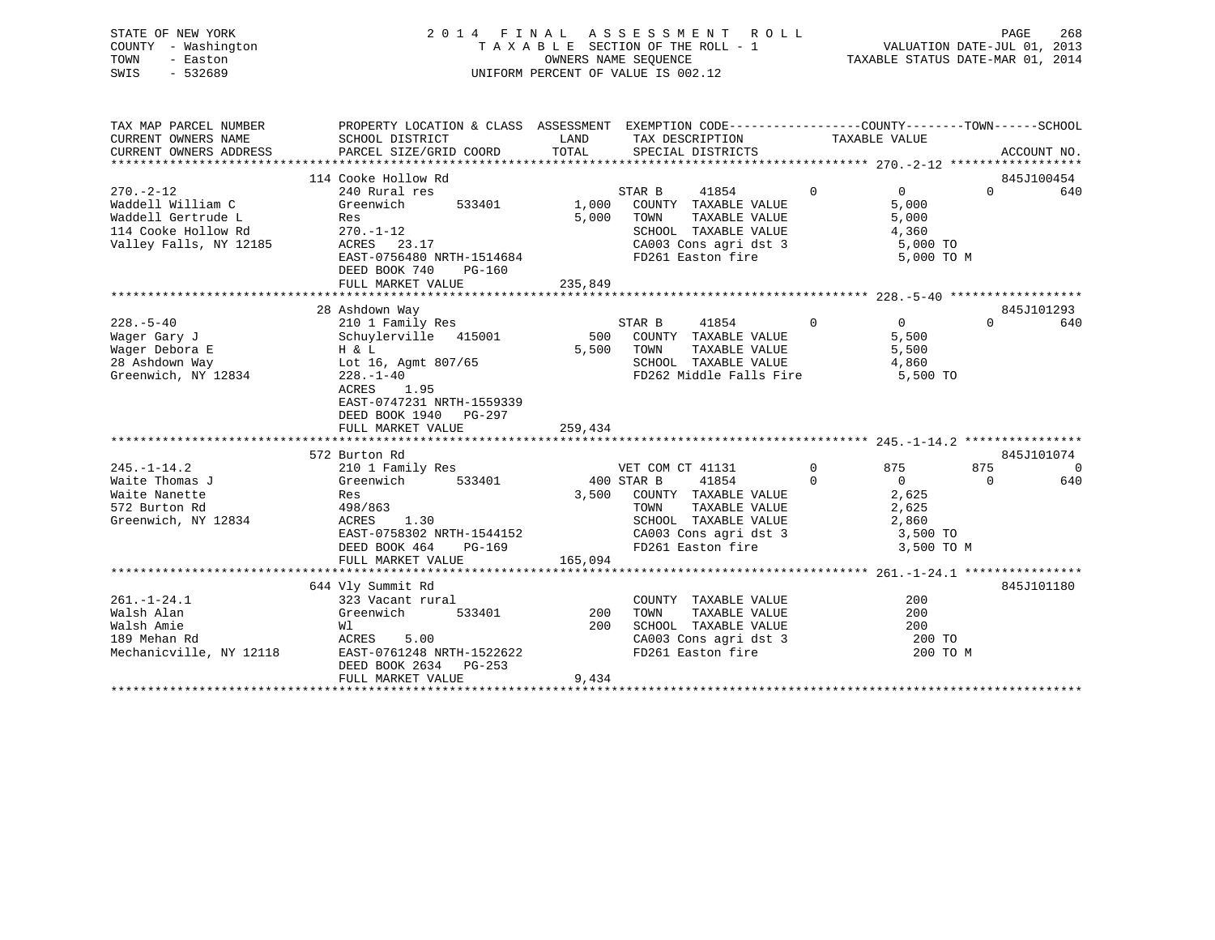| STATE OF NEW YORK   | 2014 FINAL ASSESSMENT ROLL         | 268<br>PAGE                      |
|---------------------|------------------------------------|----------------------------------|
| COUNTY - Washington | TAXABLE SECTION OF THE ROLL - 1    | VALUATION DATE-JUL 01, 2013      |
| TOWN<br>- Easton    | OWNERS NAME SEOUENCE               | TAXABLE STATUS DATE-MAR 01, 2014 |
| SWIS<br>$-532689$   | UNIFORM PERCENT OF VALUE IS 002.12 |                                  |
|                     |                                    |                                  |
|                     |                                    |                                  |

| TAX MAP PARCEL NUMBER<br>CURRENT OWNERS NAME                                                                | PROPERTY LOCATION & CLASS ASSESSMENT EXEMPTION CODE--------------COUNTY-------TOWN-----SCHOOL<br>SCHOOL DISTRICT                                                      | LAND<br>LAND<br>TOTAL | TAX DESCRIPTION                                                                                                                                                 |                            | TAXABLE VALUE                                                       |                               |                 |
|-------------------------------------------------------------------------------------------------------------|-----------------------------------------------------------------------------------------------------------------------------------------------------------------------|-----------------------|-----------------------------------------------------------------------------------------------------------------------------------------------------------------|----------------------------|---------------------------------------------------------------------|-------------------------------|-----------------|
| CURRENT OWNERS ADDRESS                                                                                      | PARCEL SIZE/GRID COORD                                                                                                                                                |                       | SPECIAL DISTRICTS                                                                                                                                               |                            |                                                                     |                               | ACCOUNT NO.     |
|                                                                                                             | 114 Cooke Hollow Rd                                                                                                                                                   |                       |                                                                                                                                                                 |                            |                                                                     |                               | 845J100454      |
| $270. - 2 - 12$<br>Waddell William C<br>Waddell Gertrude L<br>114 Cooke Hollow Rd<br>Valley Falls, NY 12185 | 240 Rural res<br>Greenwich<br>533401<br>Res<br>$270. - 1 - 12$<br>ACRES 23.17<br>EAST-0756480 NRTH-1514684<br>DEED BOOK 740<br>PG-160<br>FULL MARKET VALUE            | 5,000<br>235,849      | STAR B<br>41854<br>1,000 COUNTY TAXABLE VALUE<br>TOWN<br>TAXABLE VALUE<br>SCHOOL TAXABLE VALUE<br>CA003 Cons agri dst 3<br>FD261 Easton fire                    | $\mathbf 0$                | $\overline{0}$<br>5,000<br>5,000<br>4,360<br>5,000 TO<br>5,000 TO M | $\Omega$                      | 640             |
|                                                                                                             | 28 Ashdown Way                                                                                                                                                        |                       |                                                                                                                                                                 |                            |                                                                     |                               | 845J101293      |
| $228. - 5 - 40$<br>Wager Gary J<br>Wager Debora E<br>28 Ashdown Way<br>Greenwich, NY 12834                  | 210 1 Family Res<br>Schuylerville 415001<br>H & L<br>Lot 16, Agmt 807/65<br>$228. - 1 - 40$<br>1.95<br>ACRES<br>EAST-0747231 NRTH-1559339<br>DEED BOOK 1940 PG-297    |                       | STAR B<br>41854<br>500 COUNTY TAXABLE VALUE<br>5,500 TOWN<br>TAXABLE VALUE<br>SCHOOL TAXABLE VALUE<br>FD262 Middle Falls Fire                                   | $\overline{0}$             | $0 \qquad \qquad$<br>5,500<br>5,500<br>4,860<br>5,500 TO            | $\cap$                        | 640             |
|                                                                                                             | FULL MARKET VALUE                                                                                                                                                     | 259,434               |                                                                                                                                                                 |                            |                                                                     |                               |                 |
|                                                                                                             |                                                                                                                                                                       |                       |                                                                                                                                                                 |                            |                                                                     |                               |                 |
| $245. - 1 - 14.2$<br>Waite Thomas J<br>Waite Nanette<br>572 Burton Rd<br>Greenwich, NY 12834                | 572 Burton Rd<br>210 1 Family Res<br>533401<br>Greenwich<br>Res<br>498/863<br>ACRES<br>1.30<br>EAST-0758302 NRTH-1544152<br>DEED BOOK 464 PG-169<br>FULL MARKET VALUE | 400 STAR B<br>165,094 | VET COM CT 41131<br>41854<br>3,500 COUNTY TAXABLE VALUE<br>TOWN<br>TAXABLE VALUE<br>SCHOOL TAXABLE VALUE<br>CA003 Cons agri dst 3 3,500 TO<br>FD261 Easton fire | $\overline{0}$<br>$\Omega$ | 875<br>$\overline{0}$<br>2,625<br>2,625<br>2,860<br>3,500 TO M      | 845J101074<br>875<br>$\Omega$ | $\Omega$<br>640 |
|                                                                                                             |                                                                                                                                                                       |                       |                                                                                                                                                                 |                            |                                                                     |                               |                 |
| $261. - 1 - 24.1$<br>Walsh Alan<br>Walsh Amie<br>189 Mehan Rd<br>Mechanicville, NY 12118                    | 644 Vly Summit Rd<br>323 Vacant rural<br>Greenwich<br>533401<br>Wl<br>5.00<br>ACRES<br>EAST-0761248 NRTH-1522622<br>DEED BOOK 2634 PG-253                             | 200<br>200            | COUNTY TAXABLE VALUE<br>TOWN<br>TAXABLE VALUE<br>SCHOOL TAXABLE VALUE<br>CA003 Cons agri dst 3<br>FD261 Easton fire                                             |                            | 200<br>200<br>200<br>200 TO<br>200 TO M                             |                               | 845J101180      |
|                                                                                                             | FULL MARKET VALUE                                                                                                                                                     | 9,434                 |                                                                                                                                                                 |                            |                                                                     |                               |                 |
|                                                                                                             |                                                                                                                                                                       |                       |                                                                                                                                                                 |                            |                                                                     |                               |                 |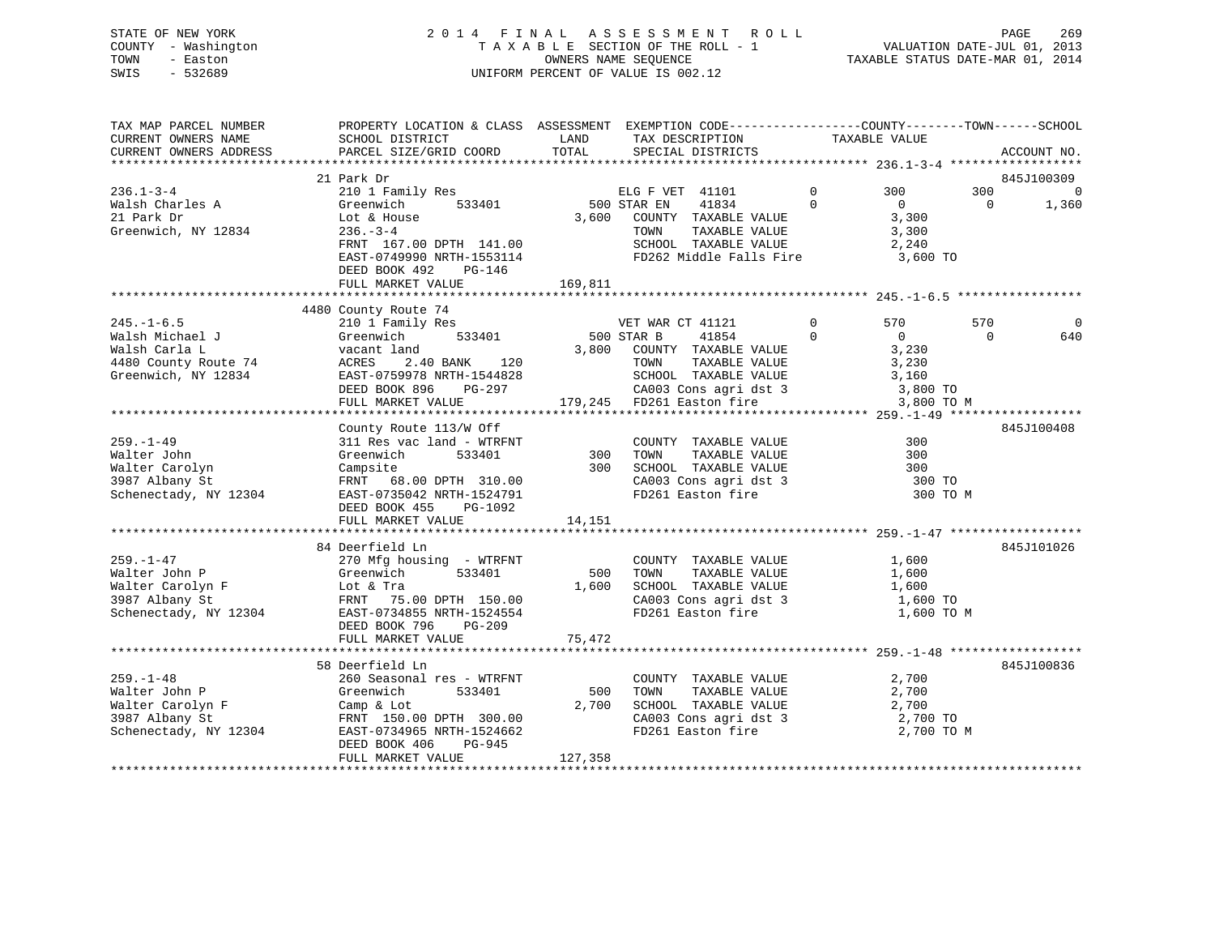# STATE OF NEW YORK 2 0 1 4 F I N A L A S S E S S M E N T R O L L PAGE 269 COUNTY - Washington T A X A B L E SECTION OF THE ROLL - 1 VALUATION DATE-JUL 01, 2013 TOWN - Easton **CONNERS NAME SEQUENCE** TAXABLE STATUS DATE-MAR 01, 2014 SWIS - 532689 UNIFORM PERCENT OF VALUE IS 002.12

| TAX MAP PARCEL NUMBER  | PROPERTY LOCATION & CLASS ASSESSMENT EXEMPTION CODE---------------COUNTY-------TOWN------SCHOOL                                                                                                |         |                                      |                                                                                  |                |                |                |                |
|------------------------|------------------------------------------------------------------------------------------------------------------------------------------------------------------------------------------------|---------|--------------------------------------|----------------------------------------------------------------------------------|----------------|----------------|----------------|----------------|
| CURRENT OWNERS NAME    | SCHOOL DISTRICT                                                                                                                                                                                | LAND    |                                      | TAX DESCRIPTION TAXABLE VALUE                                                    |                |                |                |                |
| CURRENT OWNERS ADDRESS | PARCEL SIZE/GRID COORD                                                                                                                                                                         | TOTAL   |                                      | SPECIAL DISTRICTS                                                                |                |                |                | ACCOUNT NO.    |
|                        |                                                                                                                                                                                                |         |                                      |                                                                                  |                |                |                |                |
|                        | 21 Park Dr                                                                                                                                                                                     |         |                                      |                                                                                  |                |                |                | 845J100309     |
| $236.1 - 3 - 4$        | 210 1 Family Res<br>S10 1 Family Res<br>S13401 500 STAR EN 41834                                                                                                                               |         |                                      |                                                                                  | $\overline{0}$ | 300            | 300            | $\mathbf 0$    |
|                        |                                                                                                                                                                                                |         |                                      |                                                                                  | $\overline{0}$ | $\overline{0}$ | $\overline{0}$ | 1,360          |
| Walsh Charles A        | Lot & House                                                                                                                                                                                    |         |                                      | 3,600 COUNTY TAXABLE VALUE                                                       |                | 3,300          |                |                |
| Greenwich, NY 12834    | $236. - 3 - 4$                                                                                                                                                                                 |         | TOWN                                 | TAXABLE VALUE                                                                    |                | 3,300          |                |                |
|                        | FRNT 167.00 DPTH 141.00                                                                                                                                                                        |         |                                      | SCHOOL TAXABLE VALUE 2,240                                                       |                |                |                |                |
|                        | EAST-0749990 NRTH-1553114                                                                                                                                                                      |         |                                      | FD262 Middle Falls Fire                                                          |                | 3,600 TO       |                |                |
|                        | DEED BOOK 492<br>PG-146                                                                                                                                                                        |         |                                      |                                                                                  |                |                |                |                |
|                        |                                                                                                                                                                                                |         |                                      |                                                                                  |                |                |                |                |
|                        |                                                                                                                                                                                                |         |                                      |                                                                                  |                |                |                |                |
|                        | 4480 County Route 74                                                                                                                                                                           |         |                                      |                                                                                  |                |                |                |                |
|                        |                                                                                                                                                                                                |         |                                      |                                                                                  |                | 570            | 570            | $\overline{0}$ |
|                        |                                                                                                                                                                                                |         | VET WAR CT 41121<br>500 STAR B 41854 |                                                                                  |                | $\overline{0}$ | $\overline{0}$ | 640            |
|                        |                                                                                                                                                                                                |         |                                      |                                                                                  |                |                |                |                |
|                        |                                                                                                                                                                                                |         |                                      | $3,800$ COUNTY TAXABLE VALUE $3,230$                                             |                |                |                |                |
|                        |                                                                                                                                                                                                |         |                                      | TOWN TAXABLE VALUE 3,230<br>SCHOOL TAXABLE VALUE 3,160                           |                |                |                |                |
|                        |                                                                                                                                                                                                |         |                                      |                                                                                  |                |                |                |                |
|                        |                                                                                                                                                                                                |         |                                      |                                                                                  |                | 3,800 TO       |                |                |
|                        |                                                                                                                                                                                                |         |                                      |                                                                                  |                | 3,800 TO M     |                |                |
|                        |                                                                                                                                                                                                |         |                                      |                                                                                  |                |                |                |                |
|                        | County Route 113/W Off                                                                                                                                                                         |         |                                      |                                                                                  |                |                |                | 845J100408     |
| $259. - 1 - 49$        |                                                                                                                                                                                                |         |                                      | COUNTY TAXABLE VALUE                                                             |                | 300            |                |                |
| Walter John            | 311 $Res$ vac $land - WTRFNT$<br>$533401$ 300<br>Generatio                                                                                                                                     |         | TOWN                                 | TAXABLE VALUE                                                                    |                | 300            |                |                |
|                        | Walter Carolyn<br>Walter Carolyn<br>3987 Albany St<br>Schenectady, NY 12304<br>EAST-0735042 NRTH-1524791                                                                                       | 300     |                                      | SCHOOL TAXABLE VALUE<br>CA003 Cons agri dst 3 300 TO<br>FD261 Easton fire 300 TO |                |                |                |                |
|                        |                                                                                                                                                                                                |         |                                      |                                                                                  |                |                |                |                |
|                        |                                                                                                                                                                                                |         |                                      |                                                                                  |                | 300 TO M       |                |                |
|                        | DEED BOOK 455<br>PG-1092                                                                                                                                                                       |         |                                      |                                                                                  |                |                |                |                |
|                        | FULL MARKET VALUE                                                                                                                                                                              | 14,151  |                                      |                                                                                  |                |                |                |                |
|                        |                                                                                                                                                                                                |         |                                      |                                                                                  |                |                |                |                |
|                        | 84 Deerfield Ln                                                                                                                                                                                |         |                                      |                                                                                  |                |                |                | 845J101026     |
|                        |                                                                                                                                                                                                |         |                                      | COUNTY TAXABLE VALUE 1,600                                                       |                |                |                |                |
|                        |                                                                                                                                                                                                |         |                                      | 500 TOWN TAXABLE VALUE                                                           |                | 1,600          |                |                |
|                        |                                                                                                                                                                                                | 1,600   |                                      | SCHOOL TAXABLE VALUE 1,600                                                       |                |                |                |                |
|                        |                                                                                                                                                                                                |         |                                      |                                                                                  |                | 1,600 TO       |                |                |
|                        | 259.-1-47 270 Mfg housing - WTRFNT<br>Walter John P Greenwich 533401<br>Walter Carolyn F Lot & Tra<br>3987 Albany St FRNT 75.00 DPTH 150.00<br>Schenectady, NY 12304 EAST-0734855 NRTH-1524554 |         |                                      | CA003 Cons agri dst 3<br>FD261 Easton fire                                       |                | 1,600 TO M     |                |                |
|                        | DEED BOOK 796<br>PG-209                                                                                                                                                                        |         |                                      |                                                                                  |                |                |                |                |
|                        | FULL MARKET VALUE                                                                                                                                                                              | 75,472  |                                      |                                                                                  |                |                |                |                |
|                        |                                                                                                                                                                                                |         |                                      |                                                                                  |                |                |                |                |
|                        | 58 Deerfield Ln                                                                                                                                                                                |         |                                      |                                                                                  |                |                |                | 845J100836     |
| $259. - 1 - 48$        | 260 Seasonal res - WTRFNT                                                                                                                                                                      |         |                                      | COUNTY TAXABLE VALUE                                                             |                | 2,700          |                |                |
| Walter John P          | Greenwich<br>533401                                                                                                                                                                            | 500     | TOWN                                 | TAXABLE VALUE                                                                    |                | 2,700          |                |                |
|                        |                                                                                                                                                                                                | 2,700   |                                      |                                                                                  |                |                |                |                |
|                        |                                                                                                                                                                                                |         |                                      | SCHOOL TAXABLE VALUE 2,700<br>CA003 Cons agri dst 3 2,700 TO                     |                |                |                |                |
|                        | Schenectady, NY 12304 EAST-0734965 NRTH-1524662                                                                                                                                                |         |                                      | FD261 Easton fire                                                                |                | 2,700 TO M     |                |                |
|                        | DEED BOOK 406<br>PG-945                                                                                                                                                                        |         |                                      |                                                                                  |                |                |                |                |
|                        | FULL MARKET VALUE                                                                                                                                                                              | 127,358 |                                      |                                                                                  |                |                |                |                |
|                        |                                                                                                                                                                                                |         |                                      |                                                                                  |                |                |                |                |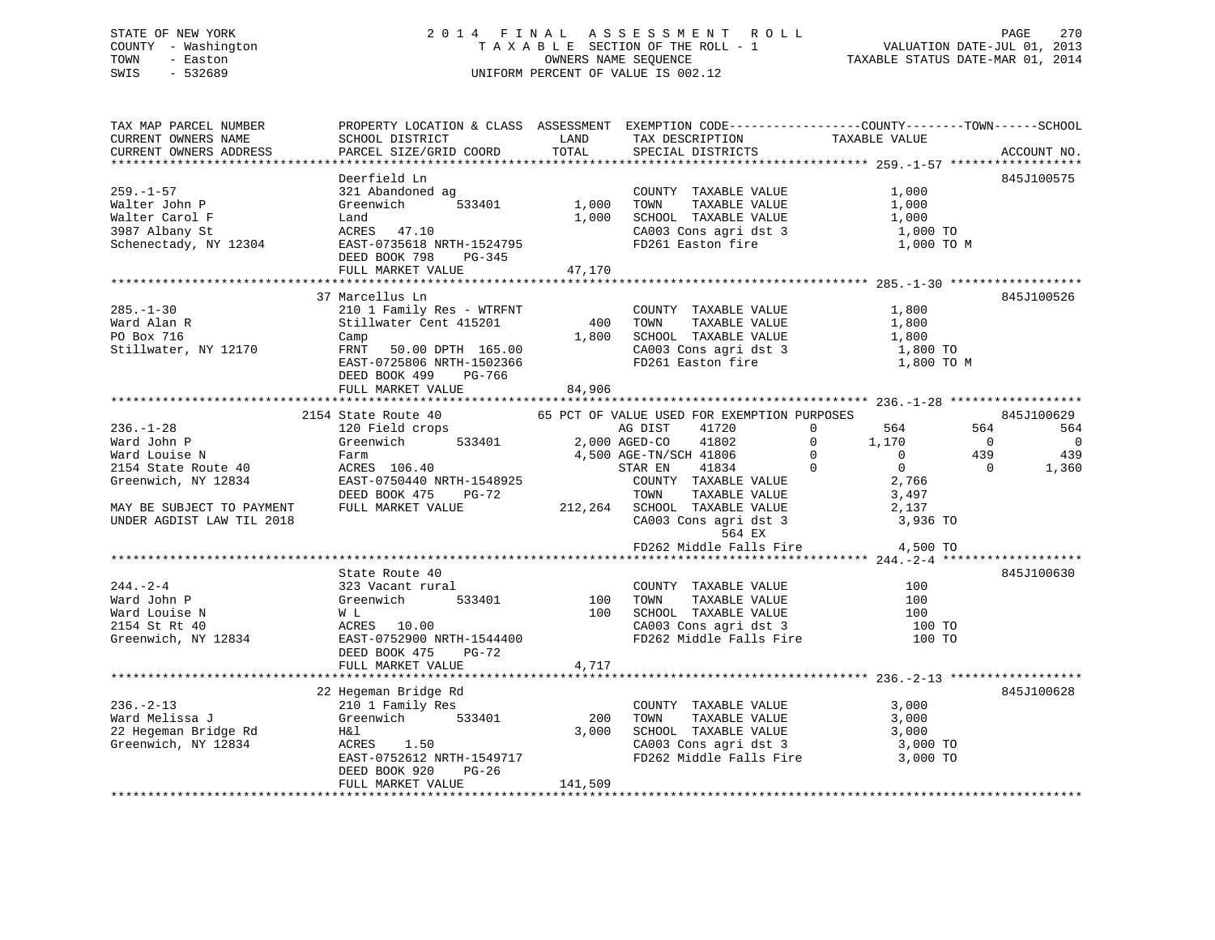# STATE OF NEW YORK 2 0 1 4 F I N A L A S S E S S M E N T R O L L PAGE 270 COUNTY - Washington T A X A B L E SECTION OF THE ROLL - 1 VALUATION DATE-JUL 01, 2013 TOWN - Easton OWNERS NAME SEQUENCE TAXABLE STATUS DATE-MAR 01, 2014 SWIS - 532689 UNIFORM PERCENT OF VALUE IS 002.12UNIFORM PERCENT OF VALUE IS 002.12

| TAX MAP PARCEL NUMBER<br>CURRENT OWNERS NAME                                                                                                                                                                                                              | PROPERTY LOCATION & CLASS ASSESSMENT EXEMPTION CODE---------------COUNTY-------TOWN------SCHOOL                                       |         | TAX DESCRIPTION                                                               |                                            |                                         |
|-----------------------------------------------------------------------------------------------------------------------------------------------------------------------------------------------------------------------------------------------------------|---------------------------------------------------------------------------------------------------------------------------------------|---------|-------------------------------------------------------------------------------|--------------------------------------------|-----------------------------------------|
| CURRENT OWNERS ADDRESS                                                                                                                                                                                                                                    |                                                                                                                                       |         | SPECIAL DISTRICTS                                                             | TAXABLE VALUE                              | ACCOUNT NO.                             |
|                                                                                                                                                                                                                                                           |                                                                                                                                       |         |                                                                               |                                            |                                         |
|                                                                                                                                                                                                                                                           | Deerfield Ln                                                                                                                          |         |                                                                               |                                            | 845J100575                              |
| $259. - 1 - 57$                                                                                                                                                                                                                                           | 321 Abandoned ag                                                                                                                      |         | COUNTY TAXABLE VALUE                                                          | 1,000                                      |                                         |
| Walter John P                                                                                                                                                                                                                                             | Greenwich 533401 1,000 TOWN                                                                                                           |         | TAXABLE VALUE                                                                 | 1,000                                      |                                         |
| Walter Carol F                                                                                                                                                                                                                                            |                                                                                                                                       |         | 1,000 SCHOOL TAXABLE VALUE                                                    | 1,000                                      |                                         |
|                                                                                                                                                                                                                                                           | Land<br>ACRES          47.10<br>3987 Albany St<br>3987 Albany St<br>Schenectady, NY 12304 EAST-0735618 NRTH-1524795 FD261 Easton fire |         | CA003 Cons agri dst 3                                                         | 1,000 TO                                   |                                         |
|                                                                                                                                                                                                                                                           |                                                                                                                                       |         |                                                                               | 1,000 TO M                                 |                                         |
|                                                                                                                                                                                                                                                           | DEED BOOK 798 PG-345                                                                                                                  |         |                                                                               |                                            |                                         |
|                                                                                                                                                                                                                                                           | FULL MARKET VALUE                                                                                                                     | 47,170  |                                                                               |                                            |                                         |
|                                                                                                                                                                                                                                                           |                                                                                                                                       |         |                                                                               |                                            |                                         |
|                                                                                                                                                                                                                                                           | 37 Marcellus Ln                                                                                                                       |         |                                                                               |                                            | 845J100526                              |
| $285. - 1 - 30$                                                                                                                                                                                                                                           |                                                                                                                                       |         | COUNTY TAXABLE VALUE                                                          | 1,800                                      |                                         |
| Ward Alan R                                                                                                                                                                                                                                               |                                                                                                                                       |         |                                                                               | TAXABLE VALUE 1,800<br>TAXABLE VALUE 1,800 |                                         |
| PO Box 716                                                                                                                                                                                                                                                | Camp                                                                                                                                  |         | 1,800 SCHOOL TAXABLE VALUE                                                    |                                            |                                         |
| Stillwater, NY 12170                                                                                                                                                                                                                                      | FRNT 50.00 DPTH 165.00 CA003 Cons agri dst 3<br>EAST-0725806 NRTH-1502366 FD261 Easton fire                                           |         |                                                                               | 1,800 TO                                   |                                         |
|                                                                                                                                                                                                                                                           |                                                                                                                                       |         |                                                                               | 1,800 TO M                                 |                                         |
|                                                                                                                                                                                                                                                           | DEED BOOK 499 PG-766                                                                                                                  |         |                                                                               |                                            |                                         |
|                                                                                                                                                                                                                                                           | FULL MARKET VALUE                                                                                                                     | 84,906  |                                                                               |                                            |                                         |
|                                                                                                                                                                                                                                                           |                                                                                                                                       |         |                                                                               |                                            |                                         |
| Mard Louise N<br>Ward Louise N<br>2,000 AGED-CO 41802<br>2,000 AGED-CO 41802<br>2,000 AGED-CO 41802<br>2,000 AGED-CO 41802<br>2,000 AGED-CO 41802<br>2,000 AGED-CO 41802<br>4,500 AGED-CO 41802<br>4,500 AGED-CO 41802<br>2,766<br>213.144<br>212.264<br> | 2154 State Route 40 65 PCT OF VALUE USED FOR EXEMPTION PURPOSES                                                                       |         |                                                                               |                                            | 845J100629                              |
|                                                                                                                                                                                                                                                           |                                                                                                                                       |         |                                                                               |                                            | 564 30<br>564                           |
|                                                                                                                                                                                                                                                           |                                                                                                                                       |         |                                                                               |                                            | $\overline{0}$<br>$\overline{0}$<br>439 |
|                                                                                                                                                                                                                                                           |                                                                                                                                       |         |                                                                               |                                            | 439<br>$\overline{0}$                   |
|                                                                                                                                                                                                                                                           |                                                                                                                                       |         |                                                                               |                                            | 1,360                                   |
|                                                                                                                                                                                                                                                           |                                                                                                                                       |         |                                                                               |                                            |                                         |
|                                                                                                                                                                                                                                                           |                                                                                                                                       |         |                                                                               |                                            |                                         |
|                                                                                                                                                                                                                                                           |                                                                                                                                       |         |                                                                               |                                            |                                         |
|                                                                                                                                                                                                                                                           |                                                                                                                                       |         | CA003 Cons agri dst 3 3,936 TO<br>564 EX<br>FD262 Middle Falls Fire 34,500 TO |                                            |                                         |
|                                                                                                                                                                                                                                                           |                                                                                                                                       |         |                                                                               |                                            |                                         |
|                                                                                                                                                                                                                                                           |                                                                                                                                       |         |                                                                               |                                            |                                         |
|                                                                                                                                                                                                                                                           | State Route 40                                                                                                                        |         |                                                                               |                                            | 845J100630                              |
| $244. - 2 - 4$                                                                                                                                                                                                                                            | state noute 40<br>323 Vacant rural                                                                                                    |         |                                                                               | $\frac{100}{100}$                          |                                         |
| Ward John P                                                                                                                                                                                                                                               |                                                                                                                                       |         |                                                                               | 100                                        |                                         |
|                                                                                                                                                                                                                                                           |                                                                                                                                       |         |                                                                               | 100                                        |                                         |
| Ward Louise N<br>2154 St Rt 40<br>Greenwich, NY 12834                                                                                                                                                                                                     | State About<br>323 Vacant rural<br>Greenwich 533401 100 TOWN TAXABLE VALUE<br>WL 100 SCHOOL TAXABLE VALUE<br>CA003 Cons agri dst 3    |         |                                                                               | 100 TO                                     |                                         |
|                                                                                                                                                                                                                                                           |                                                                                                                                       |         | FD262 Middle Falls Fire                                                       | 100 TO                                     |                                         |
|                                                                                                                                                                                                                                                           | <b>PG-72</b><br>DEED BOOK 475                                                                                                         |         |                                                                               |                                            |                                         |
|                                                                                                                                                                                                                                                           | FULL MARKET VALUE                                                                                                                     | 4,717   |                                                                               |                                            |                                         |
|                                                                                                                                                                                                                                                           |                                                                                                                                       |         |                                                                               |                                            |                                         |
|                                                                                                                                                                                                                                                           | 22 Hegeman Bridge Rd                                                                                                                  |         |                                                                               |                                            | 845J100628                              |
| $236. - 2 - 13$                                                                                                                                                                                                                                           |                                                                                                                                       |         | COUNTY TAXABLE VALUE                                                          | 3,000                                      |                                         |
| Ward Melissa J                                                                                                                                                                                                                                            |                                                                                                                                       | 200     | TAXABLE VALUE<br>TOWN                                                         | 3,000                                      |                                         |
| 22 Hegeman Bridge Rd<br>Greenwich, NY 12834                                                                                                                                                                                                               | H& 1                                                                                                                                  |         | 3,000 SCHOOL TAXABLE VALUE                                                    | 3,000                                      |                                         |
|                                                                                                                                                                                                                                                           |                                                                                                                                       |         | CA003 Cons agri dst 3 3,000 TO                                                |                                            |                                         |
|                                                                                                                                                                                                                                                           | EAST-0752612 NRTH-1549717 FD262 Middle Falls Fire                                                                                     |         |                                                                               | 3,000 TO                                   |                                         |
|                                                                                                                                                                                                                                                           | DEED BOOK 920<br>PG-26                                                                                                                |         |                                                                               |                                            |                                         |
|                                                                                                                                                                                                                                                           | FULL MARKET VALUE                                                                                                                     | 141,509 |                                                                               |                                            |                                         |
|                                                                                                                                                                                                                                                           |                                                                                                                                       |         |                                                                               |                                            |                                         |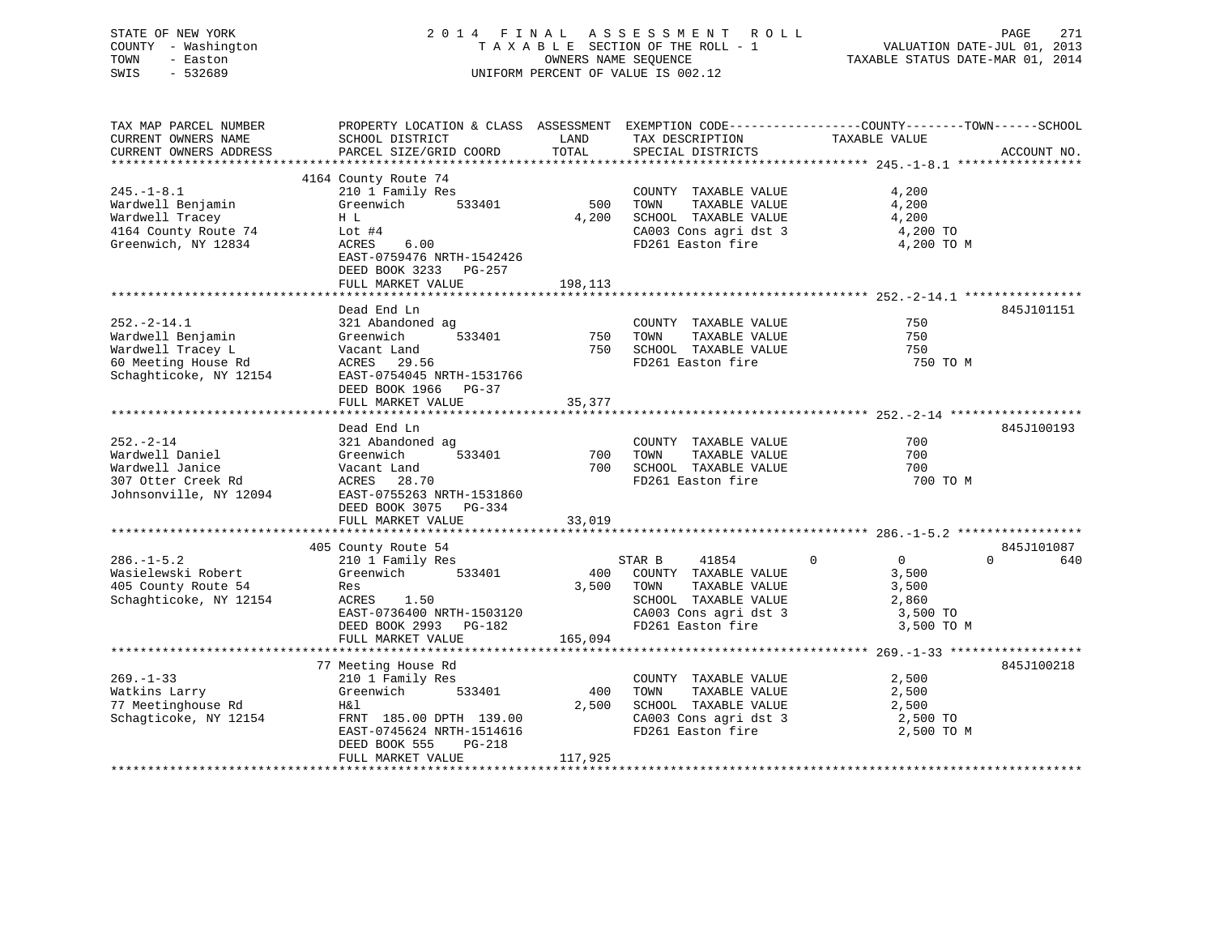| STATE OF NEW YORK   | 2014 FINAL ASSESSMENT ROLL         | 271<br>PAGE                      |
|---------------------|------------------------------------|----------------------------------|
| COUNTY - Washington | TAXABLE SECTION OF THE ROLL - 1    | VALUATION DATE-JUL 01, 2013      |
| TOWN<br>- Easton    | OWNERS NAME SEOUENCE               | TAXABLE STATUS DATE-MAR 01, 2014 |
| $-532689$<br>SWIS   | UNIFORM PERCENT OF VALUE IS 002.12 |                                  |
|                     |                                    |                                  |

| TAX MAP PARCEL NUMBER                    | PROPERTY LOCATION & CLASS ASSESSMENT EXEMPTION CODE----------------COUNTY-------TOWN------SCHOOL |          |                                |                            |                 |
|------------------------------------------|--------------------------------------------------------------------------------------------------|----------|--------------------------------|----------------------------|-----------------|
| CURRENT OWNERS NAME                      | SCHOOL DISTRICT                                                                                  | LAND     | TAX DESCRIPTION                | TAXABLE VALUE              |                 |
| CURRENT OWNERS ADDRESS                   | PARCEL SIZE/GRID COORD                                                                           | TOTAL    | SPECIAL DISTRICTS              |                            | ACCOUNT NO.     |
|                                          |                                                                                                  |          |                                |                            |                 |
|                                          | 4164 County Route 74                                                                             |          |                                |                            |                 |
|                                          |                                                                                                  |          |                                |                            |                 |
| $245. - 1 - 8.1$                         | 210 1 Family Res                                                                                 |          | COUNTY TAXABLE VALUE           | 4,200                      |                 |
| Wardwell Benjamin                        | 533401<br>Greenwich                                                                              | 500      | TOWN<br>TAXABLE VALUE          | 4,200                      |                 |
| Wardwell Tracey                          | H L                                                                                              | 4,200    | SCHOOL TAXABLE VALUE           | 4,200                      |                 |
| 4164 County Route 74                     | Lot $#4$                                                                                         |          | CA003 Cons agri dst 3          | 4,200 TO                   |                 |
| Greenwich, NY 12834                      | 6.00<br>ACRES                                                                                    |          | FD261 Easton fire              | 4,200 TO M                 |                 |
|                                          | EAST-0759476 NRTH-1542426                                                                        |          |                                |                            |                 |
|                                          | DEED BOOK 3233 PG-257                                                                            |          |                                |                            |                 |
|                                          | FULL MARKET VALUE                                                                                | 198,113  |                                |                            |                 |
|                                          |                                                                                                  |          |                                |                            |                 |
|                                          |                                                                                                  |          |                                |                            |                 |
|                                          | Dead End Ln                                                                                      |          |                                |                            | 845J101151      |
| $252. - 2 - 14.1$                        | 321 Abandoned ag                                                                                 |          | COUNTY TAXABLE VALUE           | 750                        |                 |
| Wardwell Benjamin                        | 533401<br>Greenwich                                                                              | 750 TOWN | TAXABLE VALUE                  | 750                        |                 |
| Wardwell Tracey L                        | Vacant Land                                                                                      |          | 750 SCHOOL TAXABLE VALUE       | 750                        |                 |
| waruweri iracey L<br>60 Meeting House Rd | ACRES 29.56                                                                                      |          | FD261 Easton fire              | 750 TO M                   |                 |
| Schaghticoke, NY 12154                   | EAST-0754045 NRTH-1531766                                                                        |          |                                |                            |                 |
|                                          | DEED BOOK 1966 PG-37                                                                             |          |                                |                            |                 |
|                                          | FULL MARKET VALUE                                                                                | 35,377   |                                |                            |                 |
|                                          |                                                                                                  |          |                                |                            |                 |
|                                          |                                                                                                  |          |                                |                            |                 |
|                                          | Dead End Ln                                                                                      |          |                                |                            | 845J100193      |
| $252 - 2 - 14$                           | 321 Abandoned ag                                                                                 |          | COUNTY TAXABLE VALUE           | 700                        |                 |
| Wardwell Daniel                          | 533401<br>Greenwich                                                                              | 700      | TOWN<br>TAXABLE VALUE          | 700                        |                 |
| Wardwell Janice                          | Vacant Land                                                                                      |          | 700 SCHOOL TAXABLE VALUE       | 700                        |                 |
| 307 Otter Creek Rd                       | ACRES 28.70                                                                                      |          | FD261 Easton fire              | 700 TO M                   |                 |
| Johnsonville, NY 12094                   | EAST-0755263 NRTH-1531860                                                                        |          |                                |                            |                 |
|                                          | DEED BOOK 3075 PG-334                                                                            |          |                                |                            |                 |
|                                          | FULL MARKET VALUE                                                                                | 33,019   |                                |                            |                 |
|                                          |                                                                                                  |          |                                |                            |                 |
|                                          |                                                                                                  |          |                                |                            |                 |
|                                          | 405 County Route 54                                                                              |          |                                |                            | 845J101087      |
| $286. - 1 - 5.2$                         | 210 1 Family Res                                                                                 |          | STAR B<br>41854                | $\Omega$<br>$\overline{0}$ | $\Omega$<br>640 |
| Wasielewski Robert                       | Greenwich 533401                                                                                 |          | 400 COUNTY TAXABLE VALUE       | 3,500                      |                 |
| 405 County Route 54                      | Res                                                                                              |          | 3,500 TOWN<br>TAXABLE VALUE    | 3,500                      |                 |
| Schaghticoke, NY 12154                   | ACRES 1.50                                                                                       |          | SCHOOL TAXABLE VALUE           | 2,860                      |                 |
|                                          | EAST-0736400 NRTH-1503120                                                                        |          | CA003 Cons agri dst 3 3,500 TO |                            |                 |
|                                          | DEED BOOK 2993 PG-182                                                                            |          | FD261 Easton fire              | 3,500 TO M                 |                 |
|                                          | FULL MARKET VALUE                                                                                | 165,094  |                                |                            |                 |
|                                          |                                                                                                  |          |                                |                            |                 |
|                                          |                                                                                                  |          |                                |                            |                 |
|                                          | 77 Meeting House Rd                                                                              |          |                                |                            | 845J100218      |
| $269. - 1 - 33$                          | 210 1 Family Res                                                                                 |          | COUNTY TAXABLE VALUE           | 2,500                      |                 |
| Watkins Larry                            | Greenwich<br>533401                                                                              | 400      | TOWN<br>TAXABLE VALUE          | 2,500                      |                 |
| 77 Meetinghouse Rd                       | H&l                                                                                              | 2,500    | SCHOOL TAXABLE VALUE           | 2,500                      |                 |
| Schagticoke, NY 12154                    | FRNT 185.00 DPTH 139.00                                                                          |          | CA003 Cons agri dst 3          | 2,500 TO                   |                 |
|                                          | EAST-0745624 NRTH-1514616                                                                        |          | FD261 Easton fire              | 2,500 TO M                 |                 |
|                                          | DEED BOOK 555<br>$PG-218$                                                                        |          |                                |                            |                 |
|                                          | FULL MARKET VALUE                                                                                | 117,925  |                                |                            |                 |
|                                          |                                                                                                  |          |                                |                            |                 |
|                                          |                                                                                                  |          |                                |                            |                 |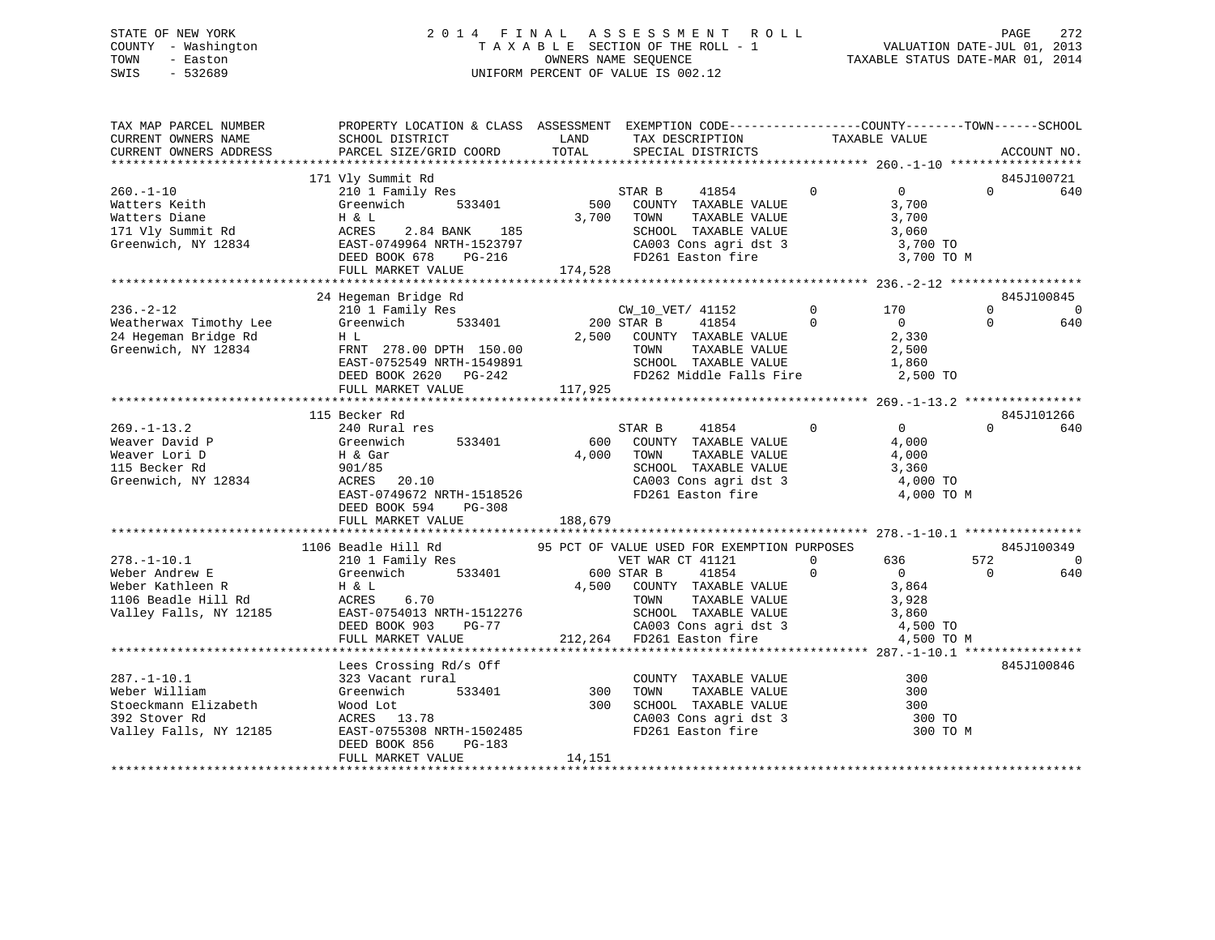# STATE OF NEW YORK 2 0 1 4 F I N A L A S S E S S M E N T R O L L PAGE 272 COUNTY - Washington T A X A B L E SECTION OF THE ROLL - 1 VALUATION DATE-JUL 01, 2013 TOWN - Easton OWNERS NAME SEQUENCE TAXABLE STATUS DATE-MAR 01, 2014 SWIS - 532689 UNIFORM PERCENT OF VALUE IS 002.12

| TAX MAP PARCEL NUMBER<br>CURRENT OWNERS NAME<br>CURRENT OWNERS ADDRESS                                   | PROPERTY LOCATION & CLASS ASSESSMENT EXEMPTION CODE----------------COUNTY-------TOWN------SCHOOL<br>SCHOOL DISTRICT<br>PARCEL SIZE/GRID COORD                               | LAND<br>TOTAL           | TAX DESCRIPTION<br>SPECIAL DISTRICTS                                                                                                                                         | TAXABLE VALUE            |                                                                            |                      | ACCOUNT NO.                   |
|----------------------------------------------------------------------------------------------------------|-----------------------------------------------------------------------------------------------------------------------------------------------------------------------------|-------------------------|------------------------------------------------------------------------------------------------------------------------------------------------------------------------------|--------------------------|----------------------------------------------------------------------------|----------------------|-------------------------------|
|                                                                                                          | 171 Vly Summit Rd                                                                                                                                                           |                         |                                                                                                                                                                              |                          |                                                                            |                      | 845J100721                    |
| $260. - 1 - 10$<br>Watters Keith<br>Watters Diane<br>171 Vly Summit Rd<br>Greenwich, NY 12834            | 210 1 Family Res<br>533401<br>Greenwich<br>H & L<br>2.84 BANK 185<br>ACRES<br>EAST-0749964 NRTH-1523797<br>DEED BOOK 678<br>PG-216<br>FULL MARKET VALUE                     | 500<br>174,528          | STAR B<br>41854<br>COUNTY TAXABLE VALUE<br>3,700 TOWN<br>TAXABLE VALUE<br>SCHOOL TAXABLE VALUE<br>CA003 Cons agri dst 3<br>FD261 Easton fire                                 | $\Omega$                 | $\overline{0}$<br>3,700<br>3,700<br>3,060<br>3,700 TO<br>3,700 TO M        | $\Omega$             | 640                           |
|                                                                                                          |                                                                                                                                                                             |                         |                                                                                                                                                                              |                          |                                                                            |                      |                               |
| $236. - 2 - 12$<br>Weatherwax Timothy Lee<br>24 Hegeman Bridge Rd<br>Greenwich, NY 12834                 | 24 Hegeman Bridge Rd<br>210 1 Family Res<br>Greenwich<br>533401<br>H L<br>FRNT 278.00 DPTH 150.00<br>EAST-0752549 NRTH-1549891<br>DEED BOOK 2620 PG-242                     | 2,500                   | CW 10 VET/ 41152<br>200 STAR B<br>41854<br>COUNTY TAXABLE VALUE<br>TAXABLE VALUE<br>TOWN<br>SCHOOL TAXABLE VALUE<br>FD262 Middle Falls Fire                                  | $\mathbf{0}$<br>$\Omega$ | 170<br>$\overline{0}$<br>2,330<br>2,500<br>1,860<br>2,500 TO               | $\Omega$<br>$\Omega$ | 845J100845<br>$\Omega$<br>640 |
|                                                                                                          | FULL MARKET VALUE                                                                                                                                                           | 117,925                 |                                                                                                                                                                              |                          |                                                                            |                      |                               |
|                                                                                                          |                                                                                                                                                                             |                         |                                                                                                                                                                              |                          |                                                                            |                      |                               |
| $269. - 1 - 13.2$<br>Weaver David P<br>Weaver Lori D<br>115 Becker Rd<br>Greenwich, NY 12834             | 115 Becker Rd<br>240 Rural res<br>Greenwich<br>533401<br>H & Gar<br>901/85<br>ACRES<br>20.10<br>EAST-0749672 NRTH-1518526<br>DEED BOOK 594<br>$PG-308$<br>FULL MARKET VALUE | 600<br>4,000<br>188,679 | STAR B<br>41854<br>COUNTY TAXABLE VALUE<br>TOWN<br>TAXABLE VALUE<br>SCHOOL TAXABLE VALUE<br>CA003 Cons agri dst 3<br>FD261 Easton fire                                       | $\Omega$                 | $\overline{0}$<br>4,000<br>4,000<br>3,360<br>4,000 TO<br>4,000 TO M        | $\cap$               | 845J101266<br>640             |
|                                                                                                          |                                                                                                                                                                             |                         |                                                                                                                                                                              |                          |                                                                            |                      |                               |
|                                                                                                          | 1106 Beadle Hill Rd                                                                                                                                                         |                         | 95 PCT OF VALUE USED FOR EXEMPTION PURPOSES                                                                                                                                  |                          |                                                                            |                      | 845J100349                    |
| $278. - 1 - 10.1$<br>Weber Andrew E<br>Weber Kathleen R<br>1106 Beadle Hill Rd<br>Valley Falls, NY 12185 | 210 1 Family Res<br>533401<br>Greenwich<br>H & L<br>ACRES<br>6.70<br>EAST-0754013 NRTH-1512276<br>DEED BOOK 903<br>PG-77<br>FULL MARKET VALUE                               |                         | VET WAR CT 41121<br>600 STAR B<br>41854<br>4,500 COUNTY TAXABLE VALUE<br>TAXABLE VALUE<br>TOWN<br>SCHOOL TAXABLE VALUE<br>CA003 Cons agri dst 3<br>212,264 FD261 Easton fire | $\mathbf{0}$<br>$\Omega$ | 636<br>$\overline{0}$<br>3,864<br>3,928<br>3,860<br>4,500 TO<br>4,500 TO M | 572<br>$\Omega$      | $\overline{0}$<br>640         |
|                                                                                                          |                                                                                                                                                                             |                         |                                                                                                                                                                              |                          |                                                                            |                      |                               |
| $287. - 1 - 10.1$<br>Weber William<br>Stoeckmann Elizabeth<br>392 Stover Rd<br>Valley Falls, NY 12185    | Lees Crossing Rd/s Off<br>323 Vacant rural<br>Greenwich<br>533401<br>Wood Lot<br>ACRES 13.78<br>EAST-0755308 NRTH-1502485<br>DEED BOOK 856<br>$PG-183$                      | 300<br>300              | COUNTY TAXABLE VALUE<br>TOWN<br>TAXABLE VALUE<br>SCHOOL TAXABLE VALUE<br>CA003 Cons agri dst 3<br>FD261 Easton fire                                                          |                          | 300<br>300<br>300<br>300 TO<br>300 TO M                                    |                      | 845J100846                    |
|                                                                                                          | FULL MARKET VALUE                                                                                                                                                           | 14,151                  |                                                                                                                                                                              |                          |                                                                            |                      |                               |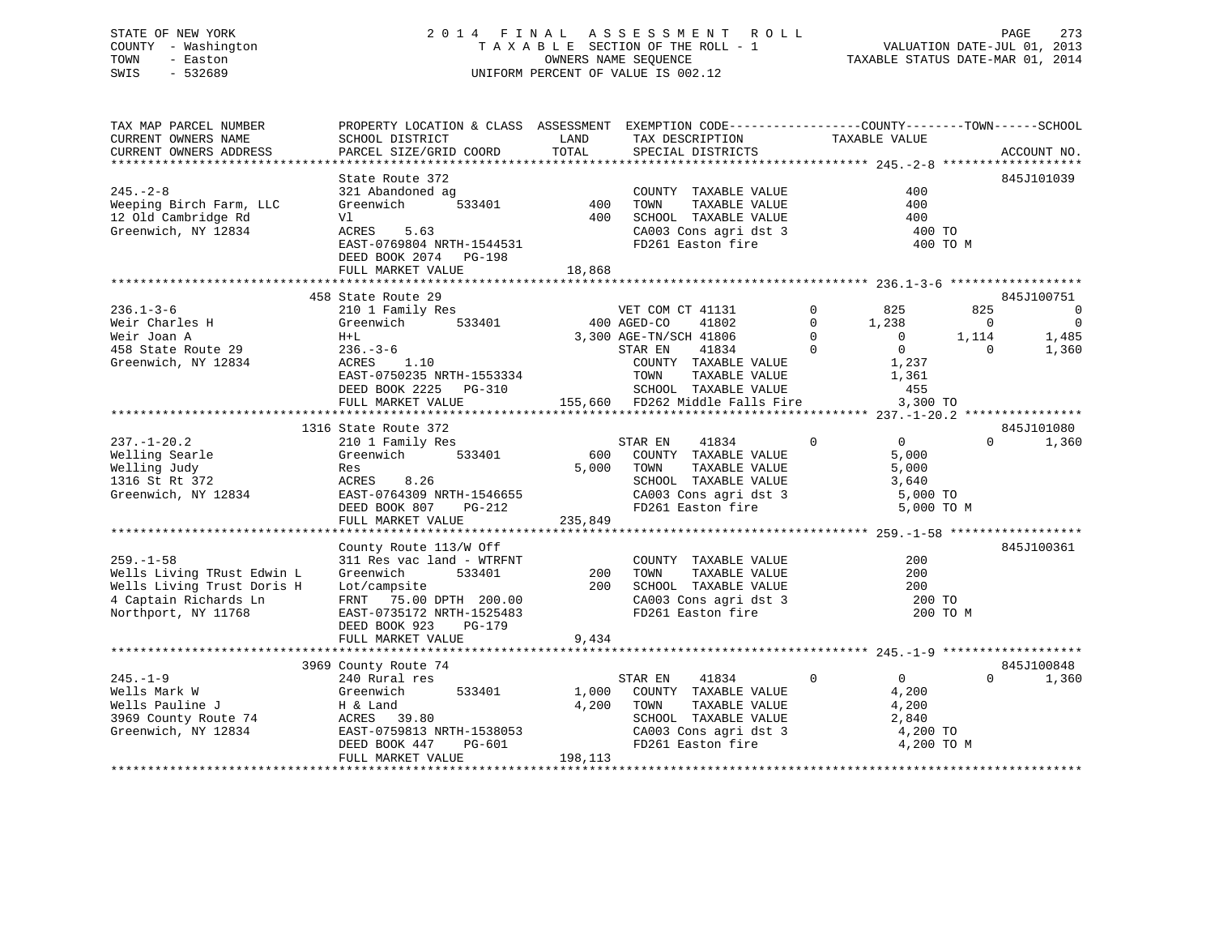# STATE OF NEW YORK 273 2014 FINAL ASSESSMENT ROLL 2014 PAGE 273 COUNTY - Washington  $T A X A B L E$  SECTION OF THE ROLL - 1<br>TOWN - Easton DATE-JUL 2014 OWNERS NAME SEQUENCE SWIS - 532689 UNIFORM PERCENT OF VALUE IS 002.12

VALUATION DATE-JUL 01, 2013

TAXABLE STATUS DATE-MAR 01, 2014

| TAX MAP PARCEL NUMBER                                                             | PROPERTY LOCATION & CLASS ASSESSMENT EXEMPTION CODE---------------COUNTY-------TOWN-----SCHOOL |                   |                                                           |                                                    |                                  |
|-----------------------------------------------------------------------------------|------------------------------------------------------------------------------------------------|-------------------|-----------------------------------------------------------|----------------------------------------------------|----------------------------------|
| CURRENT OWNERS NAME                                                               | SCHOOL DISTRICT                                                                                | LAND              | TAX DESCRIPTION                                           | TAXABLE VALUE                                      |                                  |
| CURRENT OWNERS ADDRESS                                                            | PARCEL SIZE/GRID COORD                                                                         | TOTAL             | SPECIAL DISTRICTS                                         |                                                    | ACCOUNT NO.                      |
|                                                                                   |                                                                                                |                   |                                                           |                                                    |                                  |
|                                                                                   | State Route 372                                                                                |                   |                                                           |                                                    | 845J101039                       |
| $245. - 2 - 8$                                                                    | 321 Abandoned ag                                                                               |                   | COUNTY TAXABLE VALUE                                      | 400                                                |                                  |
| Weeping Birch Farm, LLC                                                           | ned ag<br>533401<br>Greenwich                                                                  | COUNT<br>400 TOWN | TAXABLE VALUE                                             | 400                                                |                                  |
| 12 Old Cambridge Rd                                                               | Vl                                                                                             |                   | 400 SCHOOL TAXABLE VALUE                                  | 400                                                |                                  |
| Greenwich, NY 12834                                                               | ACRES 5.63                                                                                     |                   |                                                           | 400 TO                                             |                                  |
|                                                                                   | EAST-0769804 NRTH-1544531                                                                      |                   | CA003 Cons agri dst 3<br>FD261 Easton fire                | 400 TO M                                           |                                  |
|                                                                                   | DEED BOOK 2074 PG-198                                                                          |                   |                                                           |                                                    |                                  |
|                                                                                   | FULL MARKET VALUE                                                                              | 18,868            |                                                           |                                                    |                                  |
|                                                                                   |                                                                                                |                   |                                                           |                                                    |                                  |
|                                                                                   | 458 State Route 29                                                                             |                   |                                                           |                                                    | 845J100751                       |
| $236.1 - 3 - 6$                                                                   | 210 1 Family Res                                                                               |                   | VET COM CT 41131                                          | $0$ 825                                            | 825<br>$\overline{0}$            |
| Weir Charles H                                                                    | Greenwich 533401 400 AGED-CO                                                                   |                   | 41802                                                     | $\begin{bmatrix} 0 & 1,238 \\ 0 & 0 \end{bmatrix}$ | $\overline{0}$<br>$\overline{0}$ |
| Weir Joan A                                                                       | $H+L$                                                                                          |                   | 3,300 AGE-TN/SCH 41806                                    |                                                    | 1,114<br>1,485                   |
|                                                                                   | H+L<br>236.-3-6<br>ACRES 1.10                                                                  |                   | 41834<br>STAR EN                                          | $\overline{0}$                                     | $\Omega$<br>1,360                |
| 458 State Route 29 236.-3-6<br>Greenwich. NY 12834 20RES 1<br>Greenwich, NY 12834 |                                                                                                |                   | COUNTY TAXABLE VALUE                                      | $\begin{array}{c} 0 \\ 1 \end{array}$              |                                  |
|                                                                                   |                                                                                                |                   | TAXABLE VALUE                                             | 1,361                                              |                                  |
|                                                                                   |                                                                                                |                   |                                                           | 455                                                |                                  |
|                                                                                   | FULL MARKET VALUE                                                                              |                   | 155,660 FD262 Middle Falls Fire 3,300 TO                  |                                                    |                                  |
|                                                                                   |                                                                                                |                   |                                                           |                                                    |                                  |
|                                                                                   |                                                                                                |                   |                                                           |                                                    | 845J101080                       |
|                                                                                   | 1316 State Route 372                                                                           |                   | STAR EN<br>$\overline{0}$<br>41834                        | $\overline{0}$                                     | $0 \t 1,360$                     |
| $237. - 1 - 20.2$                                                                 | 210 1 Family Res<br>Greenwich 533401                                                           |                   |                                                           |                                                    |                                  |
| Welling Searle                                                                    |                                                                                                |                   | 600 COUNTY TAXABLE VALUE                                  | 5,000                                              |                                  |
| Welling Judy                                                                      | Res                                                                                            |                   | 5,000 TOWN<br>TAXABLE VALUE<br>SCHOOL TAXABLE VALUE 3,640 | 5,000                                              |                                  |
| 1316 St Rt 372                                                                    | ACRES 8.26                                                                                     |                   |                                                           |                                                    |                                  |
| Greenwich, NY 12834                                                               | ACRES 0.20<br>EAST-0764309 NRTH-1546655<br>DEED BOOK 807 PG-212                                |                   | CA003 Cons agri dst 3<br>FD261 Easton fire                | 5,000 TO                                           |                                  |
|                                                                                   | DEED BOOK 807 PG-212                                                                           |                   |                                                           | 5,000 TO M                                         |                                  |
|                                                                                   | FULL MARKET VALUE                                                                              | 235,849           |                                                           |                                                    |                                  |
|                                                                                   |                                                                                                |                   |                                                           |                                                    |                                  |
|                                                                                   | County Route 113/W Off                                                                         |                   |                                                           |                                                    | 845J100361                       |
| $259. - 1 - 58$                                                                   | 311 Res vac land - WTRFNT                                                                      |                   | COUNTY TAXABLE VALUE                                      | 200                                                |                                  |
| Wells Living TRust Edwin L                                                        | 533401<br>Greenwich                                                                            |                   | 200 TOWN TAXABLE VALUE<br>200 SCHOOL TAXABLE VALUE        | 200                                                |                                  |
| Wells Living Trust Doris H                                                        | Lot/campsite                                                                                   |                   |                                                           | 200                                                |                                  |
| 4 Captain Richards Ln                                                             | FRNT 75.00 DPTH 200.00                                                                         |                   | CA003 Cons agri dst 3<br>FD261 Easton fire                | 200 TO                                             |                                  |
| Northport, NY 11768                                                               | EAST-0735172 NRTH-1525483                                                                      |                   |                                                           | 200 TO M                                           |                                  |
|                                                                                   | DEED BOOK 923<br>PG-179                                                                        |                   |                                                           |                                                    |                                  |
|                                                                                   | FULL MARKET VALUE                                                                              | 9,434             |                                                           |                                                    |                                  |
|                                                                                   |                                                                                                |                   |                                                           |                                                    |                                  |
|                                                                                   | 3969 County Route 74                                                                           |                   |                                                           |                                                    | 845J100848                       |
| $245. - 1 - 9$                                                                    | 240 Rural res                                                                                  |                   | STAR EN<br>41834                                          | $\overline{0}$<br>$\overline{0}$                   | $\Omega$<br>1,360                |
| Wells Mark W                                                                      | 533401<br>Greenwich                                                                            |                   | 1,000 COUNTY TAXABLE VALUE                                | 4,200                                              |                                  |
|                                                                                   |                                                                                                | 4,200             | TAXABLE VALUE<br>TOWN                                     | 4,200                                              |                                  |
|                                                                                   |                                                                                                |                   | SCHOOL TAXABLE VALUE                                      | 2,840                                              |                                  |
| Greenwich, NY 12834                                                               |                                                                                                |                   |                                                           | 4,200 TO                                           |                                  |
|                                                                                   | EAST-0759813 NRTH-1538053<br>EAST-0759813 NRTH-1538053<br>DEED BOOK 447<br>PG-601              |                   | CA003 Cons agri dst 3<br>FD261 Easton fire                | 4,200 TO M                                         |                                  |
|                                                                                   | FULL MARKET VALUE                                                                              | 198,113           |                                                           |                                                    |                                  |
|                                                                                   |                                                                                                |                   |                                                           |                                                    |                                  |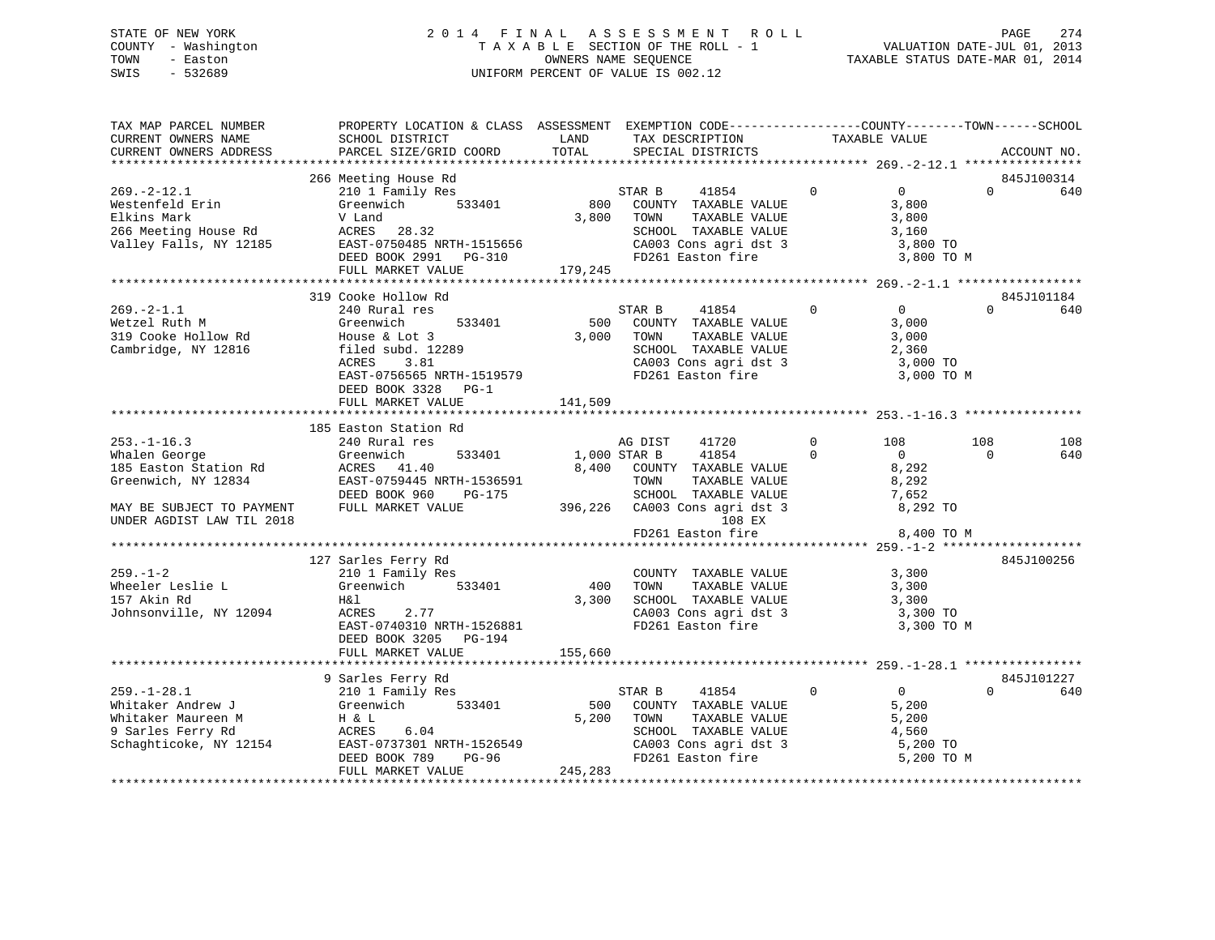# STATE OF NEW YORK 2 0 1 4 F I N A L A S S E S S M E N T R O L L PAGE 274 COUNTY - Washington T A X A B L E SECTION OF THE ROLL - 1 VALUATION DATE-JUL 01, 2013 TOWN - Easton **CONNERS NAME SEQUENCE** TAXABLE STATUS DATE-MAR 01, 2014 SWIS - 532689 UNIFORM PERCENT OF VALUE IS 002.12

| TAX MAP PARCEL NUMBER<br>CURRENT OWNERS NAME<br>CURRENT OWNERS ADDRESS                                                                       | PROPERTY LOCATION & CLASS ASSESSMENT EXEMPTION CODE---------------COUNTY-------TOWN------SCHOOL<br>SCHOOL DISTRICT<br>PARCEL SIZE/GRID COORD                                             | LAND<br>TOTAL                | TAX DESCRIPTION<br>SPECIAL DISTRICTS                                                                                                                                                            | TAXABLE VALUE                                                                                      | ACCOUNT NO.                   |
|----------------------------------------------------------------------------------------------------------------------------------------------|------------------------------------------------------------------------------------------------------------------------------------------------------------------------------------------|------------------------------|-------------------------------------------------------------------------------------------------------------------------------------------------------------------------------------------------|----------------------------------------------------------------------------------------------------|-------------------------------|
|                                                                                                                                              |                                                                                                                                                                                          |                              |                                                                                                                                                                                                 |                                                                                                    |                               |
| $269. - 2 - 12.1$<br>Westenfeld Erin<br>Elkins Mark<br>266 Meeting House Rd<br>Valley Falls, NY 12185                                        | 266 Meeting House Rd<br>210 1 Family Res<br>Greenwich 533401<br>V Land<br>ACRES 28.32<br>EAST-0750485 NRTH-1515656<br>DEED BOOK 2991 PG-310<br>FULL MARKET VALUE                         | 800<br>3,800 TOWN<br>179,245 | STAR B<br>41854<br>COUNTY TAXABLE VALUE<br>TAXABLE VALUE<br>SCHOOL TAXABLE VALUE<br>CA003 Cons agri dst 3<br>FD261 Easton fire                                                                  | $\Omega$<br>$\overline{0}$<br>3,800<br>3,800<br>3,160<br>3,800 TO<br>3,800 TO M                    | 845J100314<br>$\Omega$<br>640 |
|                                                                                                                                              |                                                                                                                                                                                          |                              |                                                                                                                                                                                                 |                                                                                                    |                               |
| $269. -2 - 1.1$<br>Wetzel Ruth M<br>319 Cooke Hollow Rd<br>Cambridge, NY 12816                                                               | 319 Cooke Hollow Rd<br>240 Rural res<br>533401<br>Greenwich<br>House & Lot 3<br>ACRES<br>3.81<br>EAST-0756565 NRTH-1519579<br>DEED BOOK 3328 PG-1<br>FULL MARKET VALUE                   | 500<br>3,000<br>141,509      | STAR B<br>41854<br>COUNTY TAXABLE VALUE<br>TAXABLE VALUE<br>TOWN<br>SCHOOL TAXABLE VALUE<br>SCHOOL TAXABLE VALUE<br>CA003 Cons agri dst 3<br>FD261 Easton fire                                  | $\Omega$<br>$\Omega$<br>3,000<br>3,000<br>2,360<br>3,000 TO<br>3,000 TO M                          | 845J101184<br>$\cap$<br>640   |
|                                                                                                                                              | 185 Easton Station Rd                                                                                                                                                                    |                              |                                                                                                                                                                                                 |                                                                                                    |                               |
| $253. - 1 - 16.3$<br>Whalen George<br>185 Easton Station Rd<br>Greenwich, NY 12834<br>MAY BE SUBJECT TO PAYMENT<br>UNDER AGDIST LAW TIL 2018 | 240 Rural res<br>533401<br>Greenwich<br>ACRES 41.40<br>EAST-0759445 NRTH-1536591<br>DEED BOOK 960<br>PG-175<br>FULL MARKET VALUE                                                         | 1,000 STAR B                 | 41720<br>AG DIST<br>41854<br>8,400 COUNTY TAXABLE VALUE<br>TOWN<br>TAXABLE VALUE<br>SCHOOL TAXABLE VALUE<br>396,226 CA003 Cons agri dst 3<br>396,226 CA003 Cons agri dst 3<br>FD261 Easton fire | $\overline{0}$<br>108<br>$\Omega$<br>$\Omega$<br>8,292<br>8,292<br>7,652<br>8,292 TO<br>8,400 TO M | 108<br>108<br>640<br>$\Omega$ |
|                                                                                                                                              |                                                                                                                                                                                          |                              |                                                                                                                                                                                                 |                                                                                                    |                               |
| $259. - 1 - 2$<br>Wheeler Leslie L<br>157 Akin Rd<br>Johnsonville, NY 12094                                                                  | 127 Sarles Ferry Rd<br>210 1 Family Res<br>Greenwich<br>533401<br>H& 1<br>ACRES<br>2.77<br>EAST-0740310 NRTH-1526881<br>DEED BOOK 3205<br><b>PG-194</b><br>FULL MARKET VALUE             | 3,300<br>155,660             | COUNTY TAXABLE VALUE<br>400 TOWN<br>TAXABLE VALUE<br>SCHOOL TAXABLE VALUE<br>CA003 Cons agri dst 3<br>FD261 Easton fire                                                                         | 3,300<br>3,300<br>3,300<br>3,300 TO<br>3,300 TO M                                                  | 845J100256                    |
|                                                                                                                                              |                                                                                                                                                                                          |                              |                                                                                                                                                                                                 |                                                                                                    |                               |
| $259. - 1 - 28.1$<br>Whitaker Andrew J<br>Whitaker Maureen M<br>9 Sarles Ferry Rd                                                            | 9 Sarles Ferry Rd<br>$210$ 1 Family Res<br>Greenwich 533401<br>H & L<br>ACRES<br>6.04<br>Schaghticoke, NY 12154 EAST-0737301 NRTH-1526549<br>DEED BOOK 789<br>PG-96<br>FULL MARKET VALUE | 500<br>5,200<br>245, 283     | STAR B<br>41854<br>COUNTY TAXABLE VALUE<br>TAXABLE VALUE<br>TOWN<br>SCHOOL TAXABLE VALUE<br>CA003 Cons agri dst 3<br>FD261 Easton fire                                                          | $\Omega$<br>$\overline{0}$<br>5,200<br>5,200<br>4,560<br>5,200 TO<br>5,200 TO M                    | 845J101227<br>$\Omega$<br>640 |
|                                                                                                                                              |                                                                                                                                                                                          |                              |                                                                                                                                                                                                 |                                                                                                    |                               |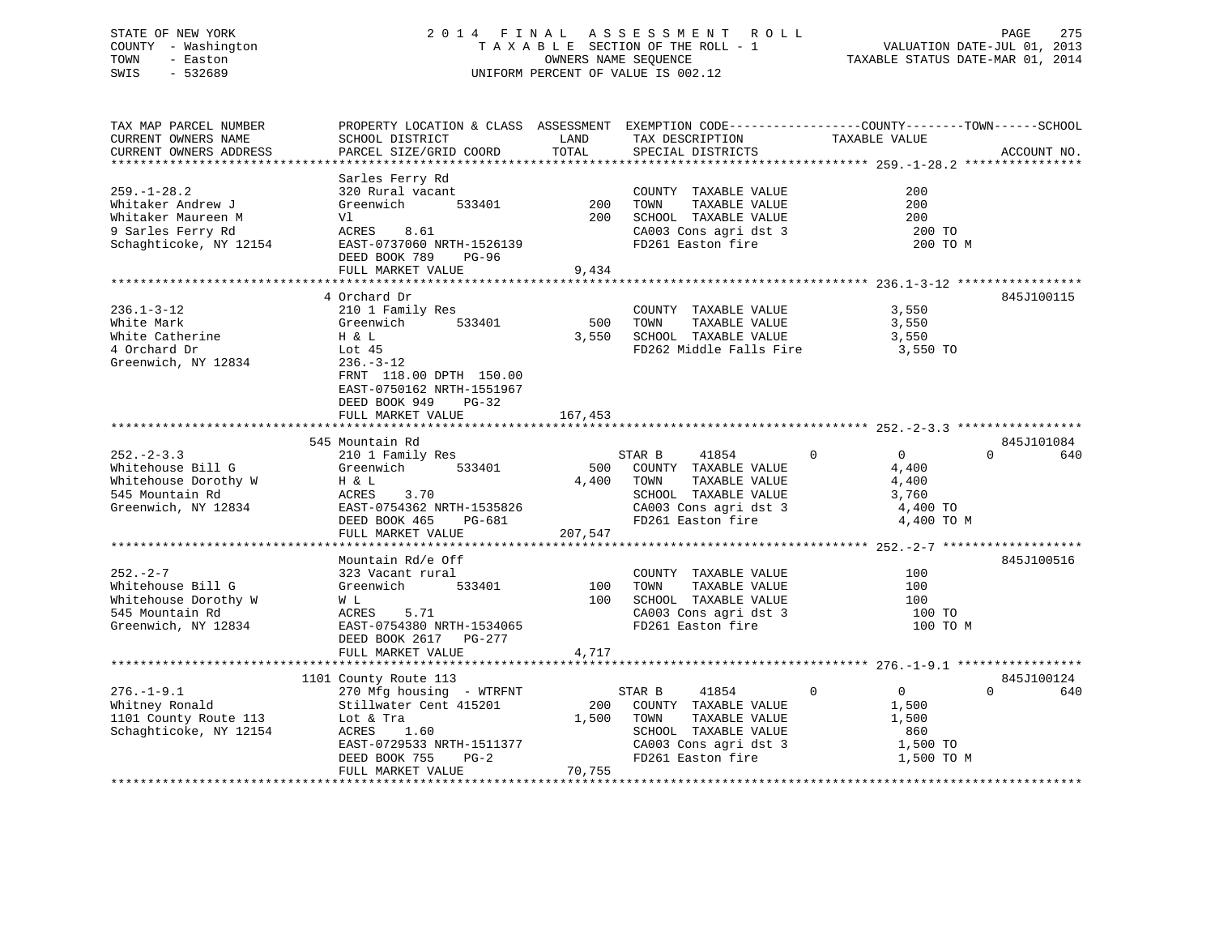# STATE OF NEW YORK 2 0 1 4 F I N A L A S S E S S M E N T R O L L PAGE 275 COUNTY - Washington T A X A B L E SECTION OF THE ROLL - 1 VALUATION DATE-JUL 01, 2013 TOWN - Easton OWNERS NAME SEQUENCE TAXABLE STATUS DATE-MAR 01, 2014 SWIS - 532689 UNIFORM PERCENT OF VALUE IS 002.12

| TAX MAP PARCEL NUMBER           | PROPERTY LOCATION & CLASS ASSESSMENT EXEMPTION CODE---------------COUNTY-------TOWN-----SCHOOL |          |                                                                           |                                |                 |
|---------------------------------|------------------------------------------------------------------------------------------------|----------|---------------------------------------------------------------------------|--------------------------------|-----------------|
| CURRENT OWNERS NAME             | SCHOOL DISTRICT                                                                                | LAND     | TAX DESCRIPTION                                                           | TAXABLE VALUE                  |                 |
| CURRENT OWNERS ADDRESS          | PARCEL SIZE/GRID COORD                                                                         | TOTAL    | SPECIAL DISTRICTS                                                         |                                | ACCOUNT NO.     |
|                                 |                                                                                                |          |                                                                           |                                |                 |
|                                 | Sarles Ferry Rd                                                                                |          |                                                                           |                                |                 |
| $259. - 1 - 28.2$               | 320 Rural vacant                                                                               |          | COUNTY TAXABLE VALUE                                                      | 200                            |                 |
| Whitaker Andrew J               | Greenwich<br>533401                                                                            | 200 TOWN | TAXABLE VALUE                                                             | 200                            |                 |
| Whitaker Maureen M              | Vl                                                                                             | 200      | SCHOOL TAXABLE VALUE                                                      | 200                            |                 |
| 9 Sarles Ferry Rd               | 8.61<br>ACRES                                                                                  |          | CA003 Cons agri dst 3                                                     | 200 TO                         |                 |
| Schaghticoke, NY 12154          | EAST-0737060 NRTH-1526139                                                                      |          | FD261 Easton fire                                                         | 200 TO M                       |                 |
|                                 | DEED BOOK 789 PG-96                                                                            |          |                                                                           |                                |                 |
|                                 | FULL MARKET VALUE                                                                              | 9,434    |                                                                           |                                |                 |
|                                 |                                                                                                |          |                                                                           |                                |                 |
|                                 | 4 Orchard Dr                                                                                   |          |                                                                           |                                | 845J100115      |
| $236.1 - 3 - 12$                | 210 1 Family Res                                                                               |          | COUNTY TAXABLE VALUE                                                      | 3,550                          |                 |
| White Mark                      | 533401<br>Greenwich                                                                            |          | 500 TOWN<br>TAXABLE VALUE                                                 | 3,550                          |                 |
| White Catherine                 | H & L                                                                                          |          | 3,550 SCHOOL TAXABLE VALUE                                                | 3,550                          |                 |
| 4 Orchard Dr                    | Lot $45$                                                                                       |          | FD262 Middle Falls Fire                                                   | 3,550 TO                       |                 |
| Greenwich, NY 12834             | $236. - 3 - 12$                                                                                |          |                                                                           |                                |                 |
|                                 | FRNT 118.00 DPTH 150.00                                                                        |          |                                                                           |                                |                 |
|                                 | EAST-0750162 NRTH-1551967                                                                      |          |                                                                           |                                |                 |
|                                 | DEED BOOK 949<br>$PG-32$                                                                       |          |                                                                           |                                |                 |
|                                 | FULL MARKET VALUE                                                                              | 167,453  |                                                                           |                                |                 |
|                                 |                                                                                                |          |                                                                           |                                |                 |
|                                 | 545 Mountain Rd                                                                                |          |                                                                           |                                | 845J101084      |
| $252 - 2 - 3.3$                 | 210 1 Family Res                                                                               |          | 41854<br>STAR B                                                           | $\overline{0}$<br>$\mathbf{0}$ | $\Omega$<br>640 |
| Whitehouse Bill G               | 533401<br>Greenwich                                                                            | 500      | COUNTY TAXABLE VALUE                                                      | 4,400                          |                 |
| Whitehouse Dorothy W            | H & L                                                                                          |          | 4,400 TOWN<br>TAXABLE VALUE                                               | 4,400                          |                 |
| 545 Mountain Rd                 | ACRES<br>3.70                                                                                  |          | SCHOOL TAXABLE VALUE                                                      | 3,760                          |                 |
| Greenwich, NY 12834             | EAST-0754362 NRTH-1535826                                                                      |          | CA003 Cons agri dst 3                                                     | 4,400 TO                       |                 |
|                                 | DEED BOOK 465<br>PG-681                                                                        |          | FD261 Easton fire                                                         | 4,400 TO M                     |                 |
|                                 | FULL MARKET VALUE                                                                              | 207,547  |                                                                           |                                |                 |
|                                 |                                                                                                |          |                                                                           |                                |                 |
|                                 | Mountain Rd/e Off                                                                              |          |                                                                           |                                | 845J100516      |
| $252 - 2 - 7$                   | 323 Vacant rural                                                                               |          | COUNTY TAXABLE VALUE                                                      | 100                            |                 |
| Whitehouse Bill G               | 533401<br>Greenwich                                                                            | 100 TOWN | TAXABLE VALUE                                                             | 100                            |                 |
| Whitehouse Dorothy W            | W L                                                                                            |          | 100 SCHOOL TAXABLE VALUE<br>SCHOOL TAXABLE VALUE<br>CA003 Cons agri dst 3 | 100                            |                 |
| 545 Mountain Rd                 | 5.71<br>ACRES                                                                                  |          |                                                                           | 100 TO                         |                 |
| Greenwich, NY 12834             | EAST-0754380 NRTH-1534065                                                                      |          | FD261 Easton fire                                                         | 100 TO M                       |                 |
|                                 | DEED BOOK 2617 PG-277                                                                          |          |                                                                           |                                |                 |
|                                 | FULL MARKET VALUE                                                                              | 4,717    |                                                                           |                                |                 |
|                                 |                                                                                                |          |                                                                           |                                |                 |
|                                 | 1101 County Route 113                                                                          |          |                                                                           |                                | 845J100124      |
| $276. - 1 - 9.1$                | 270 Mfg housing - WTRFNT                                                                       |          | STAR B<br>41854                                                           | $\mathbf 0$<br>$\overline{0}$  | 640<br>$\Omega$ |
| Whitney Ronald                  | Stillwater Cent 415201                                                                         | 200      | COUNTY TAXABLE VALUE                                                      | 1,500                          |                 |
| 1101 County Route 113 Lot & Tra |                                                                                                | 1,500    | TOWN<br>TAXABLE VALUE                                                     | 1,500                          |                 |
| Schaghticoke, NY 12154          | ACRES<br>1.60                                                                                  |          | SCHOOL TAXABLE VALUE                                                      | 860                            |                 |
|                                 | EAST-0729533 NRTH-1511377                                                                      |          | CA003 Cons agri dst 3                                                     | 1,500 TO                       |                 |
|                                 | $PG-2$<br>DEED BOOK 755                                                                        |          | FD261 Easton fire                                                         | 1,500 TO M                     |                 |
|                                 | FULL MARKET VALUE                                                                              | 70,755   |                                                                           |                                |                 |
|                                 |                                                                                                |          |                                                                           |                                |                 |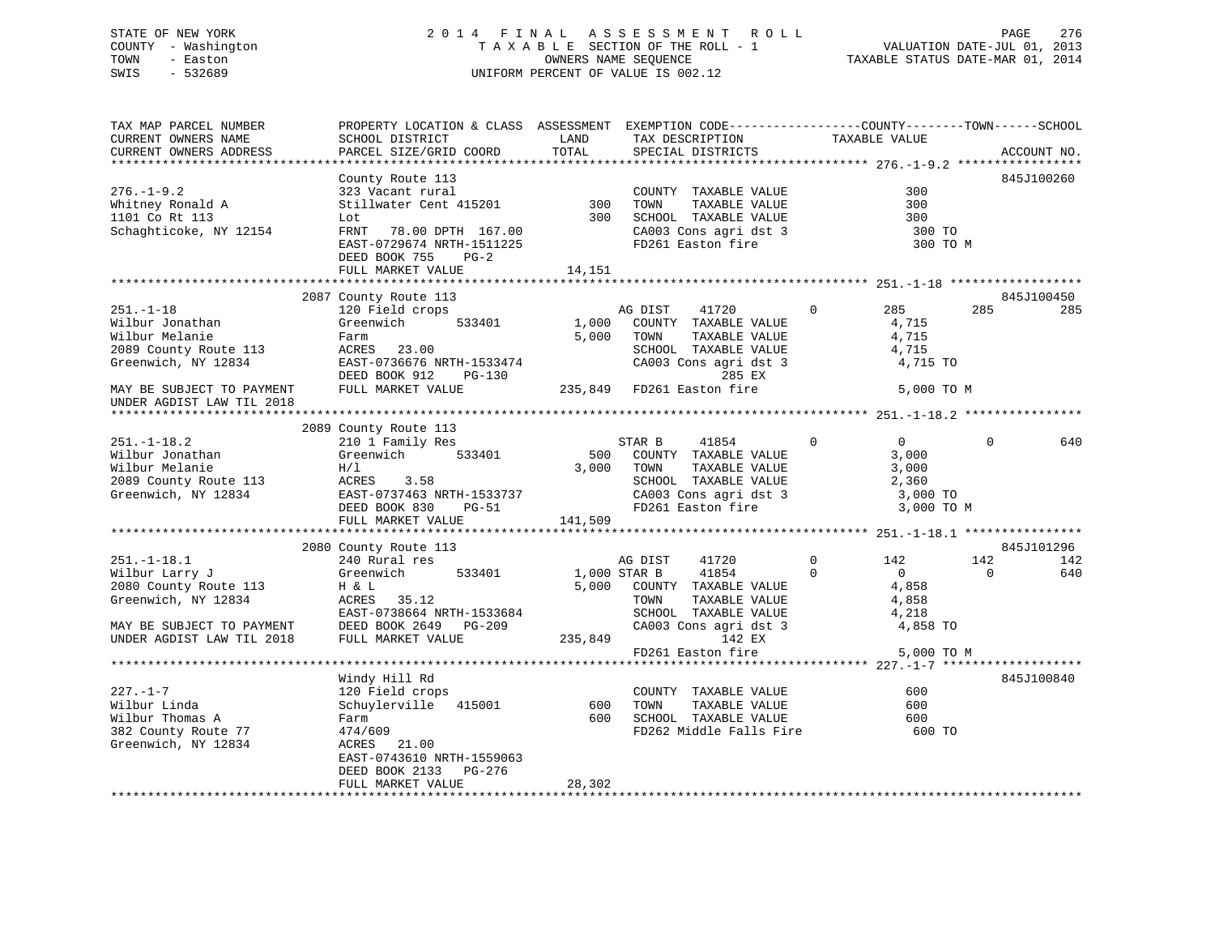# STATE OF NEW YORK 2 0 1 4 F I N A L A S S E S S M E N T R O L L PAGE 276 COUNTY - Washington T A X A B L E SECTION OF THE ROLL - 1 VALUATION DATE-JUL 01, 2013 TOWN - Easton OWNERS NAME SEQUENCE TAXABLE STATUS DATE-MAR 01, 2014 SWIS - 532689 UNIFORM PERCENT OF VALUE IS 002.12

| TAX MAP PARCEL NUMBER<br>CURRENT OWNERS NAME<br>CURRENT OWNERS ADDRESS                                                                 | PROPERTY LOCATION & CLASS ASSESSMENT EXEMPTION CODE----------------COUNTY-------TOWN------SCHOOL<br>SCHOOL DISTRICT<br>PARCEL SIZE/GRID COORD                                | LAND<br>TOTAL           | TAX DESCRIPTION<br>SPECIAL DISTRICTS                                                                                                   | TAXABLE VALUE                                                                  |                 | ACCOUNT NO.              |
|----------------------------------------------------------------------------------------------------------------------------------------|------------------------------------------------------------------------------------------------------------------------------------------------------------------------------|-------------------------|----------------------------------------------------------------------------------------------------------------------------------------|--------------------------------------------------------------------------------|-----------------|--------------------------|
|                                                                                                                                        |                                                                                                                                                                              |                         |                                                                                                                                        |                                                                                |                 |                          |
| $276. - 1 - 9.2$<br>Whitney Ronald A<br>1101 Co Rt 113<br>Schaghticoke, NY 12154                                                       | County Route 113<br>323 Vacant rural<br>Stillwater Cent 415201<br>Lot<br>FRNT 78.00 DPTH 167.00<br>EAST-0729674 NRTH-1511225<br>DEED BOOK 755<br>$PG-2$<br>FULL MARKET VALUE | 300<br>300<br>14,151    | COUNTY TAXABLE VALUE<br>TAXABLE VALUE<br>TOWN<br>SCHOOL TAXABLE VALUE<br>CA003 Cons agri dst 3<br>FD261 Easton fire                    | 300<br>300<br>300<br>300 TO                                                    | 300 TO M        | 845J100260               |
|                                                                                                                                        |                                                                                                                                                                              |                         |                                                                                                                                        |                                                                                |                 |                          |
|                                                                                                                                        | 2087 County Route 113                                                                                                                                                        |                         |                                                                                                                                        |                                                                                |                 | 845J100450               |
| $251. - 1 - 18$<br>Wilbur Jonathan<br>Wilbur Melanie<br>2089 County Route 113<br>Greenwich, NY 12834                                   | 120 Field crops<br>533401<br>Greenwich<br>Farm<br>ACRES 23.00<br>EAST-0736676 NRTH-1533474<br>DEED BOOK 912                                                                  | 1,000<br>5,000          | AG DIST<br>41720<br>COUNTY TAXABLE VALUE<br>TOWN<br>TAXABLE VALUE<br>SCHOOL TAXABLE VALUE<br>CA003 Cons agri dst 3<br>285 EX           | $\Omega$<br>285<br>4,715<br>4,715<br>4,715<br>4,715 TO                         | 285             | 285                      |
| MAY BE SUBJECT TO PAYMENT<br>UNDER AGDIST LAW TIL 2018                                                                                 | FULL MARKET VALUE                                                                                                                                                            |                         |                                                                                                                                        | 5,000 TO M                                                                     |                 |                          |
|                                                                                                                                        | 2089 County Route 113                                                                                                                                                        |                         |                                                                                                                                        |                                                                                |                 |                          |
| $251. - 1 - 18.2$<br>Wilbur Jonathan<br>Wilbur Melanie<br>2089 County Route 113<br>Greenwich, NY 12834                                 | 210 1 Family Res<br>Greenwich 533401<br>H/1<br>ACRES 3.58<br>EAST-0737463 NRTH-1533737<br>DEED BOOK 830<br>PG-51<br>FULL MARKET VALUE                                        | 500<br>3,000<br>141,509 | STAR B<br>41854<br>COUNTY TAXABLE VALUE<br>TAXABLE VALUE<br>TOWN<br>SCHOOL TAXABLE VALUE<br>CA003 Cons agri dst 3<br>FD261 Easton fire | $\Omega$<br>$\Omega$<br>3,000<br>3,000<br>2,360<br>3,000 TO<br>3,000 TO M      | $\Omega$        | 640                      |
|                                                                                                                                        |                                                                                                                                                                              |                         |                                                                                                                                        |                                                                                |                 |                          |
| $251. - 1 - 18.1$<br>Wilbur Larry J<br>2080 County Route 113<br>Greenwich, NY 12834<br>MAY BE SUBJECT TO PAYMENT DEED BOOK 2649 PG-209 | 2080 County Route 113<br>240 Rural res<br>533401<br>Greenwich<br>H & L<br>ACRES 35.12<br>EAST-0738664 NRTH-1533684                                                           | 1,000 STAR B            | 41720<br>AG DIST<br>41854<br>5,000 COUNTY TAXABLE VALUE<br>TOWN<br>TAXABLE VALUE<br>SCHOOL TAXABLE VALUE<br>CA003 Cons agri dst 3      | $\Omega$<br>142<br>$\Omega$<br>$\Omega$<br>4,858<br>4,858<br>4,218<br>4,858 TO | 142<br>$\Omega$ | 845J101296<br>142<br>640 |
| UNDER AGDIST LAW TIL 2018                                                                                                              | FULL MARKET VALUE                                                                                                                                                            | 235,849                 | 142 EX                                                                                                                                 |                                                                                |                 |                          |
|                                                                                                                                        |                                                                                                                                                                              |                         | FD261 Easton fire                                                                                                                      |                                                                                | 5,000 TO M      |                          |
|                                                                                                                                        | Windy Hill Rd                                                                                                                                                                |                         |                                                                                                                                        |                                                                                |                 | 845J100840               |
| $227. - 1 - 7$<br>Wilbur Linda<br>Wilbur Thomas A<br>382 County Route 77<br>Greenwich, NY 12834                                        | 120 Field crops<br>Schuylerville 415001<br>Farm<br>474/609<br>ACRES 21.00<br>EAST-0743610 NRTH-1559063<br>DEED BOOK 2133 PG-276<br>FULL MARKET VALUE                         | 600<br>600<br>28,302    | COUNTY TAXABLE VALUE<br>TOWN<br>TAXABLE VALUE<br>SCHOOL TAXABLE VALUE<br>FD262 Middle Falls Fire 600 TO                                | 600<br>600<br>600                                                              |                 |                          |
|                                                                                                                                        |                                                                                                                                                                              |                         |                                                                                                                                        |                                                                                |                 |                          |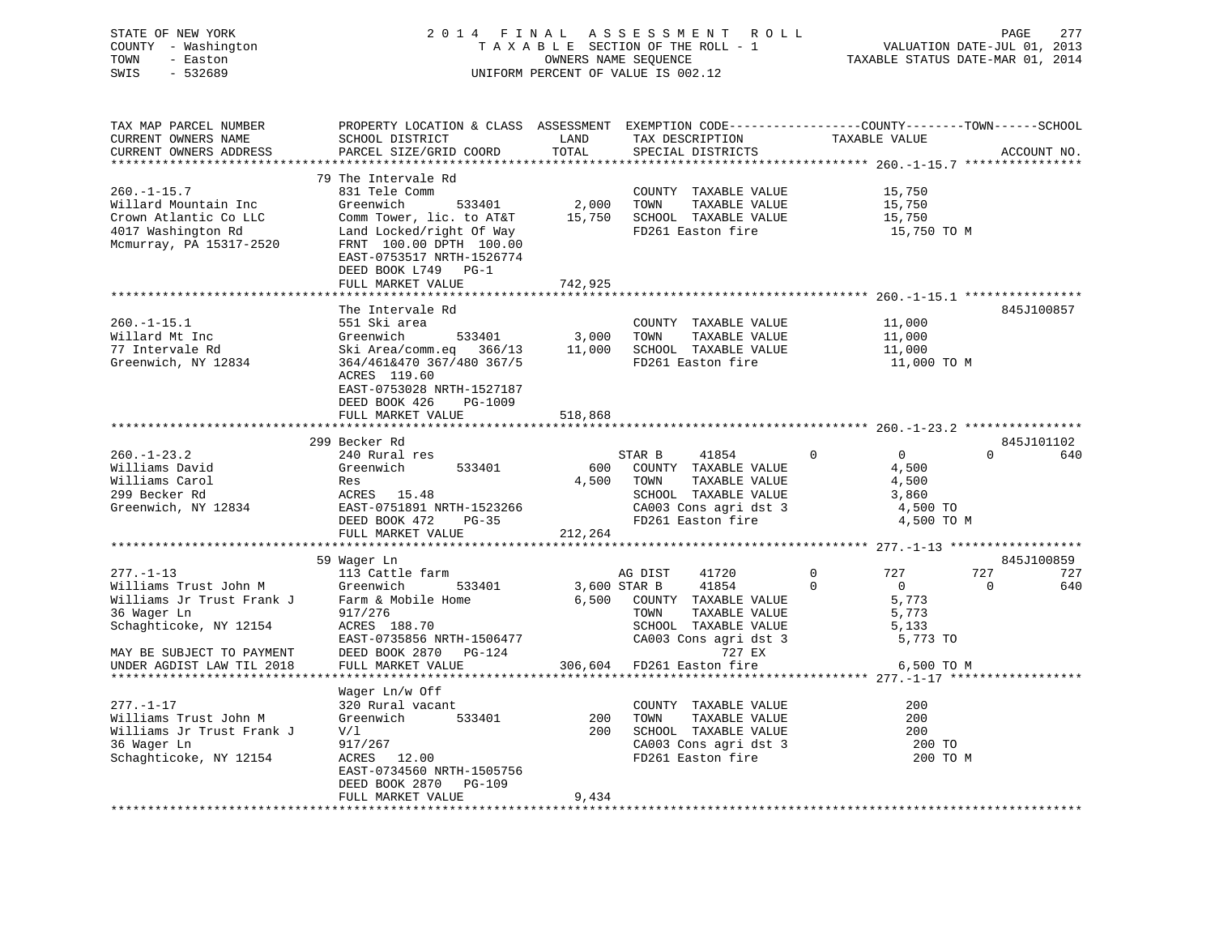| STATE OF NEW YORK   | 2014 FINAL ASSESSMENT ROLL         | 2.77<br>PAGE                     |
|---------------------|------------------------------------|----------------------------------|
| COUNTY - Washington | TAXABLE SECTION OF THE ROLL - 1    | VALUATION DATE-JUL 01, 2013      |
| TOWN<br>- Easton    | OWNERS NAME SEOUENCE               | TAXABLE STATUS DATE-MAR 01, 2014 |
| SWIS<br>- 532689    | UNIFORM PERCENT OF VALUE IS 002.12 |                                  |
|                     |                                    |                                  |

| TAX MAP PARCEL NUMBER     | PROPERTY LOCATION & CLASS ASSESSMENT EXEMPTION CODE----------------COUNTY-------TOWN------SCHOOL       |            |                                                    |                                  |                 |
|---------------------------|--------------------------------------------------------------------------------------------------------|------------|----------------------------------------------------|----------------------------------|-----------------|
| CURRENT OWNERS NAME       | SCHOOL DISTRICT                                                                                        | LAND       | TAX DESCRIPTION                                    | TAXABLE VALUE                    |                 |
| CURRENT OWNERS ADDRESS    | PARCEL SIZE/GRID COORD                                                                                 | TOTAL      | SPECIAL DISTRICTS                                  |                                  | ACCOUNT NO.     |
|                           |                                                                                                        |            |                                                    |                                  |                 |
|                           |                                                                                                        |            |                                                    |                                  |                 |
|                           | 79 The Intervale Rd                                                                                    |            |                                                    |                                  |                 |
| $260. - 1 - 15.7$         | 831 Tele Comm                                                                                          |            | COUNTY TAXABLE VALUE                               | 15,750                           |                 |
| Willard Mountain Inc      | Greenwich<br>533401                                                                                    | 2,000 TOWN | TAXABLE VALUE                                      | 15,750                           |                 |
| Crown Atlantic Co LLC     | Comm Tower, lic. to AT&T 15,750 SCHOOL TAXABLE VALUE                                                   |            |                                                    | 15,750                           |                 |
| 4017 Washington Rd        | Land Locked/right Of Way                                                                               |            | FD261 Easton fire                                  | 15,750 TO M                      |                 |
|                           |                                                                                                        |            |                                                    |                                  |                 |
| Mcmurray, PA 15317-2520   | FRNT 100.00 DPTH 100.00                                                                                |            |                                                    |                                  |                 |
|                           | EAST-0753517 NRTH-1526774                                                                              |            |                                                    |                                  |                 |
|                           | DEED BOOK L749 PG-1                                                                                    |            |                                                    |                                  |                 |
|                           | FULL MARKET VALUE                                                                                      | 742,925    |                                                    |                                  |                 |
|                           |                                                                                                        |            |                                                    |                                  |                 |
|                           |                                                                                                        |            |                                                    |                                  |                 |
|                           | The Intervale Rd                                                                                       |            |                                                    |                                  | 845J100857      |
| $260. -1 - 15.1$          | 551 Ski area                                                                                           |            | COUNTY TAXABLE VALUE                               | 11,000                           |                 |
| Willard Mt Inc            | Greenwich 533401 3,000 TOWN TAXABLE VALUE<br>Ski Area/comm.eq 366/13 11,000 SCHOOL TAXABLE VALUE       |            | TAXABLE VALUE                                      | 11,000                           |                 |
| 77 Intervale Rd           |                                                                                                        |            |                                                    | 11,000<br>11,000                 |                 |
| Greenwich, NY 12834       | 364/461&470 367/480 367/5                                                                              |            | FD261 Easton fire                                  | 11,000 TO M                      |                 |
|                           |                                                                                                        |            |                                                    |                                  |                 |
|                           | ACRES 119.60                                                                                           |            |                                                    |                                  |                 |
|                           | EAST-0753028 NRTH-1527187                                                                              |            |                                                    |                                  |                 |
|                           | DEED BOOK 426<br>PG-1009                                                                               |            |                                                    |                                  |                 |
|                           | FULL MARKET VALUE                                                                                      | 518,868    |                                                    |                                  |                 |
|                           |                                                                                                        |            |                                                    |                                  |                 |
|                           | 299 Becker Rd                                                                                          |            |                                                    |                                  | 845J101102      |
|                           |                                                                                                        |            |                                                    |                                  | $\Omega$        |
| $260. - 1 - 23.2$         | 240 Rural res                                                                                          |            | STAR B<br>41854                                    | $\overline{0}$<br>$\overline{0}$ | 640             |
| Williams David            | Greenwich 533401                                                                                       |            | 600 COUNTY TAXABLE VALUE                           | 4,500                            |                 |
| Williams Carol            | Res                                                                                                    |            | 4,500 TOWN<br>TAXABLE VALUE                        | 4,500                            |                 |
| 299 Becker Rd             | ACRES 15.48                                                                                            |            | SCHOOL TAXABLE VALUE                               | 3,860                            |                 |
| Greenwich, NY 12834       | ACRES 19.40<br>EAST-0751891 NRTH-1523266                                                               |            | CA003 Cons agri dst 3<br>FD261 Easton fire         | 4,500 TO                         |                 |
|                           |                                                                                                        |            | FD261 Easton fire                                  |                                  |                 |
|                           | DEED BOOK 472 PG-35                                                                                    |            |                                                    | 4,500 TO M                       |                 |
|                           | FULL MARKET VALUE                                                                                      | 212,264    |                                                    |                                  |                 |
|                           |                                                                                                        |            |                                                    |                                  |                 |
|                           | 59 Wager Ln                                                                                            |            |                                                    |                                  | 845J100859      |
| $277. - 1 - 13$           | 113 Cattle farm                                                                                        |            | AG DIST<br>41720                                   | 727<br>$0 \qquad \qquad$         | 727<br>727      |
|                           | 277.-1-15<br>Williams Trust John M Greenwich<br>Williams Jr Trust Frank J Farm & Mobile Home<br>533401 |            |                                                    | $\overline{0}$<br>$\overline{0}$ | $\Omega$<br>640 |
|                           |                                                                                                        |            | 3,600 STAR B 41854 0<br>6,500 COUNTY TAXABLE VALUE | 5,773                            |                 |
|                           |                                                                                                        |            |                                                    |                                  |                 |
| 36 Wager Ln               | 917/276                                                                                                |            | TOWN<br>TAXABLE VALUE                              | 5,773                            |                 |
| Schaghticoke, NY 12154    | ACRES 188.70                                                                                           |            | SCHOOL TAXABLE VALUE                               | 5,133                            |                 |
|                           | EAST-0735856 NRTH-1506477                                                                              |            | CA003 Cons agri dst 3                              | 5,773 TO                         |                 |
| MAY BE SUBJECT TO PAYMENT | DEED BOOK 2870 PG-124                                                                                  |            | 727 EX                                             |                                  |                 |
| UNDER AGDIST LAW TIL 2018 | FULL MARKET VALUE                                                                                      |            | 306,604 FD261 Easton fire                          | 6,500 TO M                       |                 |
|                           |                                                                                                        |            |                                                    |                                  |                 |
|                           |                                                                                                        |            |                                                    |                                  |                 |
|                           | Wager Ln/w Off                                                                                         |            |                                                    |                                  |                 |
| $277. - 1 - 17$           | 320 Rural vacant                                                                                       |            | COUNTY TAXABLE VALUE                               | 200                              |                 |
| Williams Trust John M     | Greenwich<br>533401                                                                                    | 200        | TAXABLE VALUE<br>TOWN                              | 200                              |                 |
| Williams Jr Trust Frank J | V/l                                                                                                    |            | 200 SCHOOL TAXABLE VALUE                           | 200                              |                 |
|                           |                                                                                                        |            | CA003 Cons agri dst 3                              |                                  |                 |
| 36 Wager Ln               | 917/267<br>ACRES 12.00                                                                                 |            |                                                    | 200 TO                           |                 |
| Schaghticoke, NY 12154    |                                                                                                        |            | FD261 Easton fire                                  | 200 TO M                         |                 |
|                           | EAST-0734560 NRTH-1505756                                                                              |            |                                                    |                                  |                 |
|                           | DEED BOOK 2870 PG-109                                                                                  |            |                                                    |                                  |                 |
|                           | FULL MARKET VALUE                                                                                      | 9,434      |                                                    |                                  |                 |
|                           |                                                                                                        |            |                                                    |                                  |                 |
|                           |                                                                                                        |            |                                                    |                                  |                 |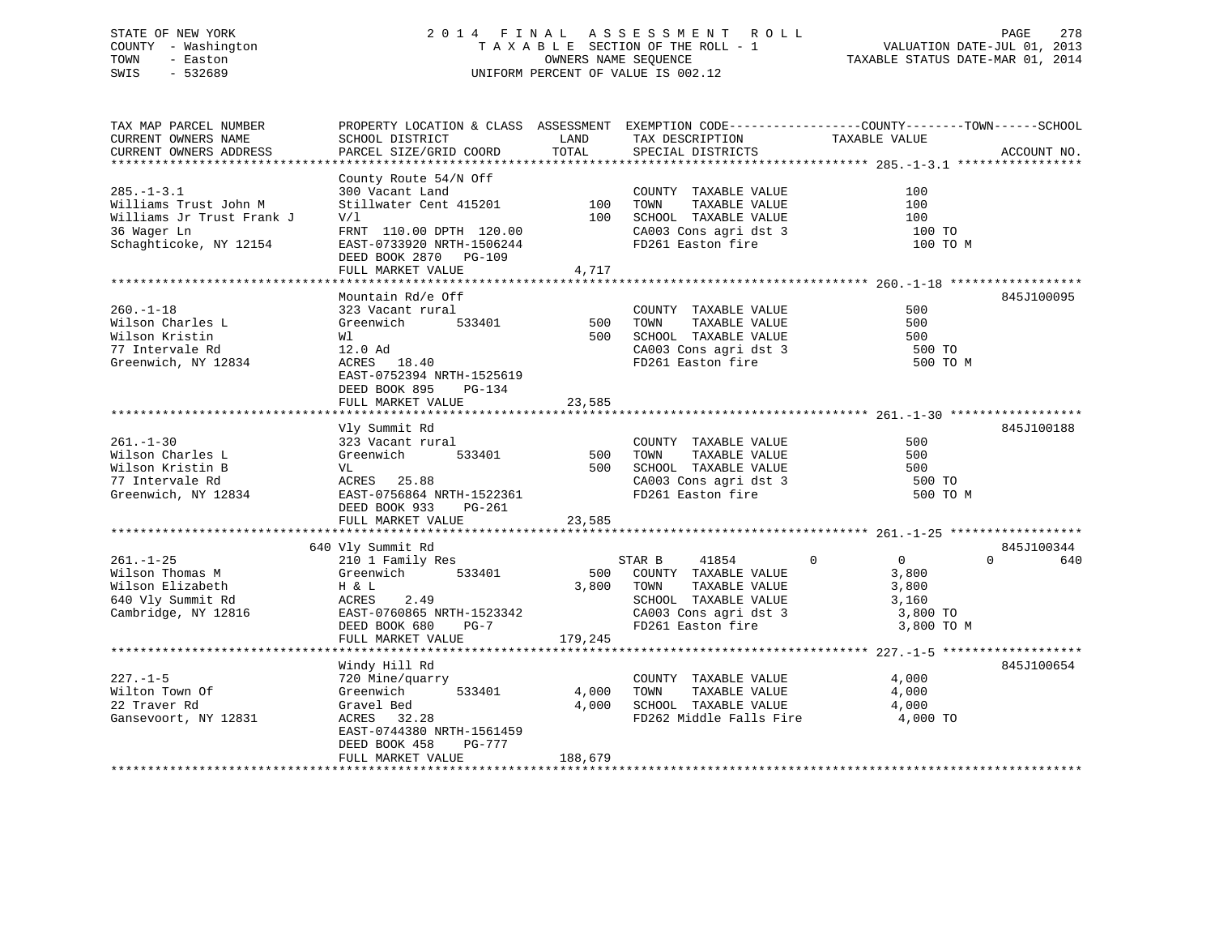# STATE OF NEW YORK 2 0 1 4 F I N A L A S S E S S M E N T R O L L PAGE 278 COUNTY - Washington T A X A B L E SECTION OF THE ROLL - 1 VALUATION DATE-JUL 01, 2013 TOWN - Easton OWNERS NAME SEQUENCE TAXABLE STATUS DATE-MAR 01, 2014 SWIS - 532689 UNIFORM PERCENT OF VALUE IS 002.12

TAX MAP PARCEL NUMBER PROPERTY LOCATION & CLASS ASSESSMENT EXEMPTION CODE------------------COUNTY--------TOWN------SCHOOL CURRENT OWNERS NAME SCHOOL DISTRICT LAND TAX DESCRIPTION TAXABLE VALUECURRENT OWNERS ADDRESS PARCEL SIZE/GRID COORD TOTAL SPECIAL DISTRICTS ACCOUNT NO. \*\*\*\*\*\*\*\*\*\*\*\*\*\*\*\*\*\*\*\*\*\*\*\*\*\*\*\*\*\*\*\*\*\*\*\*\*\*\*\*\*\*\*\*\*\*\*\*\*\*\*\*\*\*\*\*\*\*\*\*\*\*\*\*\*\*\*\*\*\*\*\*\*\*\*\*\*\*\*\*\*\*\*\*\*\*\*\*\*\*\*\*\*\*\*\*\*\*\*\*\*\*\* 285.-1-3.1 \*\*\*\*\*\*\*\*\*\*\*\*\*\*\*\*\* County Route 54/N Off 285.-1-3.1 300 Vacant Land COUNTY TAXABLE VALUE 100Williams Trust John M Stillwater Cent 415201 100 TOWN TAXABLE VALUE 100100 Williams Jr Trust Frank J V/l 100 SCHOOL TAXABLE VALUE 100 36 Wager Ln FRNT 110.00 DPTH 120.00 CA003 Cons agri dst 3 100 TO Schaghticoke, NY 12154 EAST-0733920 NRTH-1506244 FD261 Easton fire 100 TO M DEED BOOK 2870 PG-109 FULL MARKET VALUE 4,717 \*\*\*\*\*\*\*\*\*\*\*\*\*\*\*\*\*\*\*\*\*\*\*\*\*\*\*\*\*\*\*\*\*\*\*\*\*\*\*\*\*\*\*\*\*\*\*\*\*\*\*\*\*\*\*\*\*\*\*\*\*\*\*\*\*\*\*\*\*\*\*\*\*\*\*\*\*\*\*\*\*\*\*\*\*\*\*\*\*\*\*\*\*\*\*\*\*\*\*\*\*\*\* 260.-1-18 \*\*\*\*\*\*\*\*\*\*\*\*\*\*\*\*\*\*Mountain Rd/e Off 845J100095 260.-1-18 323 Vacant rural COUNTY TAXABLE VALUE 500Nilson Charles L Greenwich 533401 500 TOWN TAXABLE VALUE 500 500 Wilson Kristin Wl 500 SCHOOL TAXABLE VALUE 50077 Intervale Rd 12.0 Ad CA003 Cons agri dst 3 500 TO Greenwich, NY 12834 ACRES 18.40 FD261 Easton fire 500 TO M EAST-0752394 NRTH-1525619 DEED BOOK 895 PG-134FULL MARKET VALUE 23,585 \*\*\*\*\*\*\*\*\*\*\*\*\*\*\*\*\*\*\*\*\*\*\*\*\*\*\*\*\*\*\*\*\*\*\*\*\*\*\*\*\*\*\*\*\*\*\*\*\*\*\*\*\*\*\*\*\*\*\*\*\*\*\*\*\*\*\*\*\*\*\*\*\*\*\*\*\*\*\*\*\*\*\*\*\*\*\*\*\*\*\*\*\*\*\*\*\*\*\*\*\*\*\* 261.-1-30 \*\*\*\*\*\*\*\*\*\*\*\*\*\*\*\*\*\* Vly Summit Rd 845J100188 261.-1-30 323 Vacant rural COUNTY TAXABLE VALUE 500Wilson Charles L Greenwich 533401 500 TOWN TAXABLE VALUE 500Wilson Kristin B VL 500 SCHOOL TAXABLE VALUE 50077 Intervale Rd ACRES 25.88 CA003 Cons agri dst 3 500 TO Greenwich, NY 12834 EAST-0756864 NRTH-1522361 FD261 Easton fire 500 TO M DEED BOOK 933 PG-261FULL MARKET VALUE 23,585 \*\*\*\*\*\*\*\*\*\*\*\*\*\*\*\*\*\*\*\*\*\*\*\*\*\*\*\*\*\*\*\*\*\*\*\*\*\*\*\*\*\*\*\*\*\*\*\*\*\*\*\*\*\*\*\*\*\*\*\*\*\*\*\*\*\*\*\*\*\*\*\*\*\*\*\*\*\*\*\*\*\*\*\*\*\*\*\*\*\*\*\*\*\*\*\*\*\*\*\*\*\*\* 261.-1-25 \*\*\*\*\*\*\*\*\*\*\*\*\*\*\*\*\*\* 640 Vly Summit Rd 845J100344 261.-1-25 210 1 Family Res STAR B 41854 0 0 0 640 Wilson Thomas M Greenwich 533401 500 COUNTY TAXABLE VALUE 3,800<br>
Wilson Elizabeth H & L<br>
533401 500 COUNTY TAXABLE VALUE 3,800<br>
53600 COUNTY SCHOOL TAXABLE VALUE 3 160<br>
52 CHOOL TAXABLE VALUE 3 160<br>
3 160<br>
52 CHOOL TAXABLE Wilson Thomas M (3,800 Greenwich (3,800 South 1,000 Countrime 2012)<br>Wilson Elizabeth H & L 3,800 TOWN TAXABLE VALUE 3,800<br>640 Vly Summit Rd (3,160 ACRES 2.49 (3,160 SCHOOL TAXABLE VALUE 3,160 640 Vly Summit Rd ACRES 2.49 SCHOOL TAXABLE VALUE 3,160 Cambridge, NY 12816 EAST-0760865 NRTH-1523342 CA003 Cons agri dst 3 3,800 TO DEED BOOK 680 PG-7 FD261 Easton fire 3,800 TO M EAST-0760865 NAILL 1999<br>DEED BOOK 680 PG-7<br>FULL MARKET VALUE 179,245 \*\*\*\*\*\*\*\*\*\*\*\*\*\*\*\*\*\*\*\*\*\*\*\*\*\*\*\*\*\*\*\*\*\*\*\*\*\*\*\*\*\*\*\*\*\*\*\*\*\*\*\*\*\*\*\*\*\*\*\*\*\*\*\*\*\*\*\*\*\*\*\*\*\*\*\*\*\*\*\*\*\*\*\*\*\*\*\*\*\*\*\*\*\*\*\*\*\*\*\*\*\*\* 227.-1-5 \*\*\*\*\*\*\*\*\*\*\*\*\*\*\*\*\*\*\* Windy Hill Rd 845J100654 227.-1-5 720 Mine/quarry COUNTY TAXABLE VALUE 4,000 Wilton Town Of Greenwich 533401 4,000 TOWN TAXABLE VALUE 4,000 22 Traver Rd Gravel Bed 4,000 SCHOOL TAXABLE VALUE 4,000 Gansevoort, NY 12831 ACRES 32.28 FD262 Middle Falls Fire 4,000 TO EAST-0744380 NRTH-1561459 DEED BOOK 458 PG-777FULL MARKET VALUE 188,679 \*\*\*\*\*\*\*\*\*\*\*\*\*\*\*\*\*\*\*\*\*\*\*\*\*\*\*\*\*\*\*\*\*\*\*\*\*\*\*\*\*\*\*\*\*\*\*\*\*\*\*\*\*\*\*\*\*\*\*\*\*\*\*\*\*\*\*\*\*\*\*\*\*\*\*\*\*\*\*\*\*\*\*\*\*\*\*\*\*\*\*\*\*\*\*\*\*\*\*\*\*\*\*\*\*\*\*\*\*\*\*\*\*\*\*\*\*\*\*\*\*\*\*\*\*\*\*\*\*\*\*\*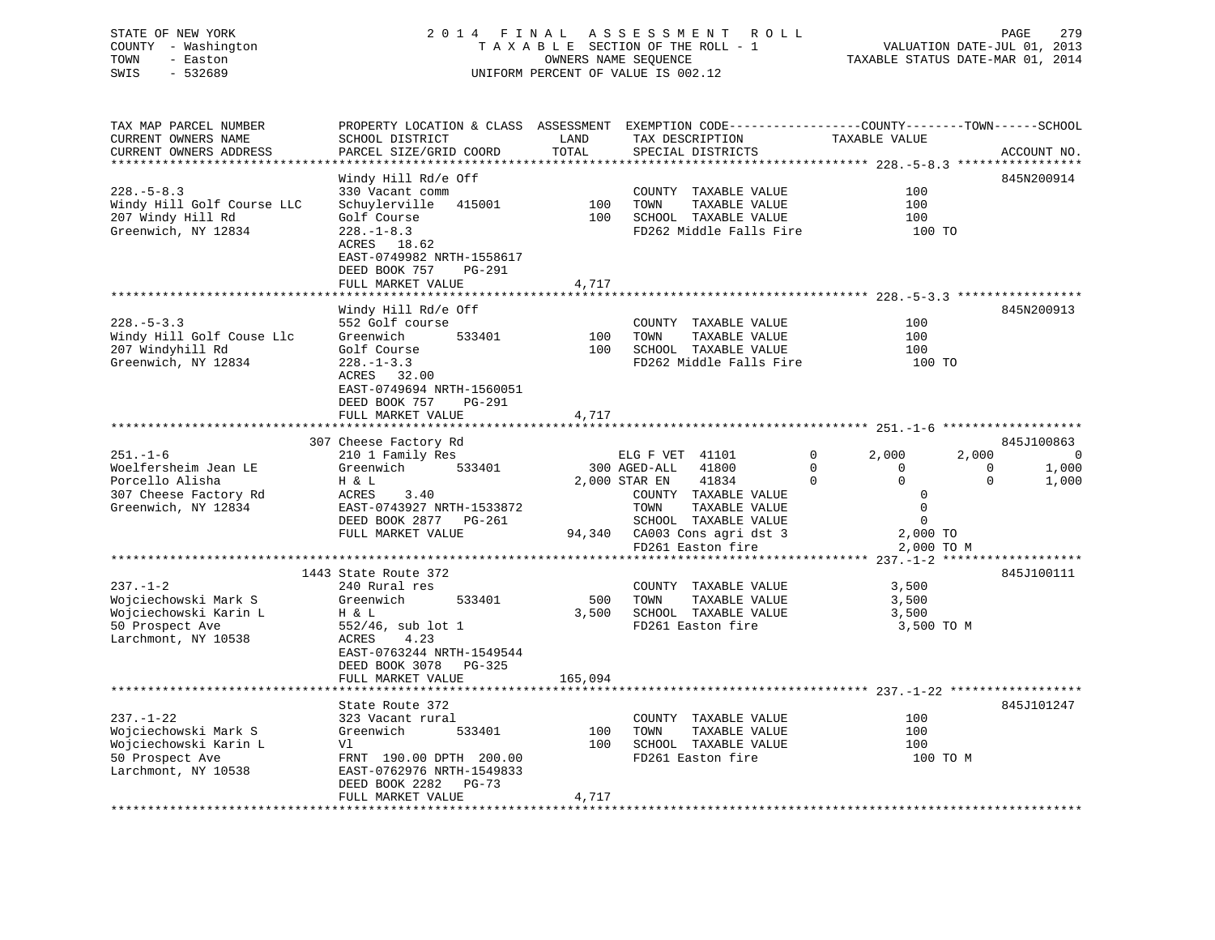# STATE OF NEW YORK 2 0 1 4 F I N A L A S S E S S M E N T R O L L PAGE 279 COUNTY - Washington T A X A B L E SECTION OF THE ROLL - 1 VALUATION DATE-JUL 01, 2013 TOWN - Easton **CONNERS NAME SEQUENCE** TAXABLE STATUS DATE-MAR 01, 2014 SWIS - 532689 UNIFORM PERCENT OF VALUE IS 002.12

| TAX MAP PARCEL NUMBER<br>CURRENT OWNERS NAME<br>CURRENT OWNERS ADDRESS                                                | PROPERTY LOCATION & CLASS ASSESSMENT EXEMPTION CODE----------------COUNTY-------TOWN------SCHOOL<br>SCHOOL DISTRICT<br>PARCEL SIZE/GRID COORD                                                          | LAND<br>TOTAL         | TAX DESCRIPTION<br>SPECIAL DISTRICTS                                                                                                                                                             | TAXABLE VALUE                                                                                                                           | ACCOUNT NO.                                           |
|-----------------------------------------------------------------------------------------------------------------------|--------------------------------------------------------------------------------------------------------------------------------------------------------------------------------------------------------|-----------------------|--------------------------------------------------------------------------------------------------------------------------------------------------------------------------------------------------|-----------------------------------------------------------------------------------------------------------------------------------------|-------------------------------------------------------|
| ***********************<br>$228. - 5 - 8.3$<br>Windy Hill Golf Course LLC<br>207 Windy Hill Rd<br>Greenwich, NY 12834 | Windy Hill Rd/e Off<br>330 Vacant comm<br>Schuylerville 415001<br>Golf Course<br>$228. - 1 - 8.3$<br>ACRES 18.62<br>EAST-0749982 NRTH-1558617<br>DEED BOOK 757<br><b>PG-291</b><br>FULL MARKET VALUE   | 100<br>100<br>4,717   | COUNTY TAXABLE VALUE<br>TOWN<br>TAXABLE VALUE<br>SCHOOL TAXABLE VALUE<br>FD262 Middle Falls Fire                                                                                                 | 100<br>100<br>100<br>100 TO                                                                                                             | 845N200914                                            |
| $228. - 5 - 3.3$<br>Windy Hill Golf Couse Llc<br>207 Windyhill Rd<br>Greenwich, NY 12834                              | Windy Hill Rd/e Off<br>552 Golf course<br>Greenwich<br>533401<br>Golf Course<br>$228. - 1 - 3.3$<br>ACRES<br>32.00<br>EAST-0749694 NRTH-1560051<br>DEED BOOK 757<br><b>PG-291</b><br>FULL MARKET VALUE | 100<br>100<br>4,717   | COUNTY TAXABLE VALUE<br>TAXABLE VALUE<br>TOWN<br>SCHOOL TAXABLE VALUE<br>FD262 Middle Falls Fire                                                                                                 | 100<br>100<br>100<br>100 TO                                                                                                             | 845N200913                                            |
|                                                                                                                       | 307 Cheese Factory Rd                                                                                                                                                                                  |                       |                                                                                                                                                                                                  |                                                                                                                                         | 845J100863                                            |
| $251. - 1 - 6$<br>Woelfersheim Jean LE<br>Porcello Alisha<br>307 Cheese Factory Rd<br>Greenwich, NY 12834             | 210 1 Family Res<br>Greenwich<br>533401<br>H & L<br>ACRES<br>3.40<br>EAST-0743927 NRTH-1533872<br>DEED BOOK 2877 PG-261<br>FULL MARKET VALUE                                                           |                       | ELG F VET 41101<br>300 AGED-ALL<br>41800<br>2,000 STAR EN<br>41834<br>COUNTY TAXABLE VALUE<br>TOWN<br>TAXABLE VALUE<br>SCHOOL TAXABLE VALUE<br>94,340 CA003 Cons agri dst 3<br>FD261 Easton fire | $\mathbf 0$<br>2,000<br>2,000<br>$\Omega$<br>$\Omega$<br>$\Omega$<br>$\Omega$<br>0<br>$\mathbf 0$<br>$\Omega$<br>2,000 TO<br>2,000 TO M | $\mathbf 0$<br>$\Omega$<br>1,000<br>1,000<br>$\Omega$ |
|                                                                                                                       |                                                                                                                                                                                                        |                       |                                                                                                                                                                                                  |                                                                                                                                         |                                                       |
| $237. - 1 - 2$<br>Wojciechowski Mark S<br>Wojciechowski Karin L<br>50 Prospect Ave<br>Larchmont, NY 10538             | 1443 State Route 372<br>240 Rural res<br>Greenwich<br>533401<br>H & L<br>552/46, sub lot 1<br>ACRES<br>4.23<br>EAST-0763244 NRTH-1549544<br>DEED BOOK 3078 PG-325                                      | 500<br>3,500          | COUNTY TAXABLE VALUE<br>TOWN<br>TAXABLE VALUE<br>SCHOOL TAXABLE VALUE<br>FD261 Easton fire                                                                                                       | 3,500<br>3,500<br>3,500<br>3,500 TO M                                                                                                   | 845J100111                                            |
|                                                                                                                       | FULL MARKET VALUE<br>********************                                                                                                                                                              | 165,094<br>********** |                                                                                                                                                                                                  |                                                                                                                                         |                                                       |
|                                                                                                                       | State Route 372                                                                                                                                                                                        |                       |                                                                                                                                                                                                  |                                                                                                                                         | 845J101247                                            |
| $237. - 1 - 22$<br>Wojciechowski Mark S<br>Wojciechowski Karin L<br>50 Prospect Ave<br>Larchmont, NY 10538            | 323 Vacant rural<br>Greenwich<br>533401<br>Vl<br>FRNT 190.00 DPTH 200.00<br>EAST-0762976 NRTH-1549833<br>DEED BOOK 2282<br>PG-73                                                                       | 100<br>100            | COUNTY TAXABLE VALUE<br>TOWN<br>TAXABLE VALUE<br>SCHOOL TAXABLE VALUE<br>FD261 Easton fire                                                                                                       | 100<br>100<br>100<br>100 TO M                                                                                                           |                                                       |
|                                                                                                                       | FULL MARKET VALUE                                                                                                                                                                                      | 4,717                 |                                                                                                                                                                                                  |                                                                                                                                         |                                                       |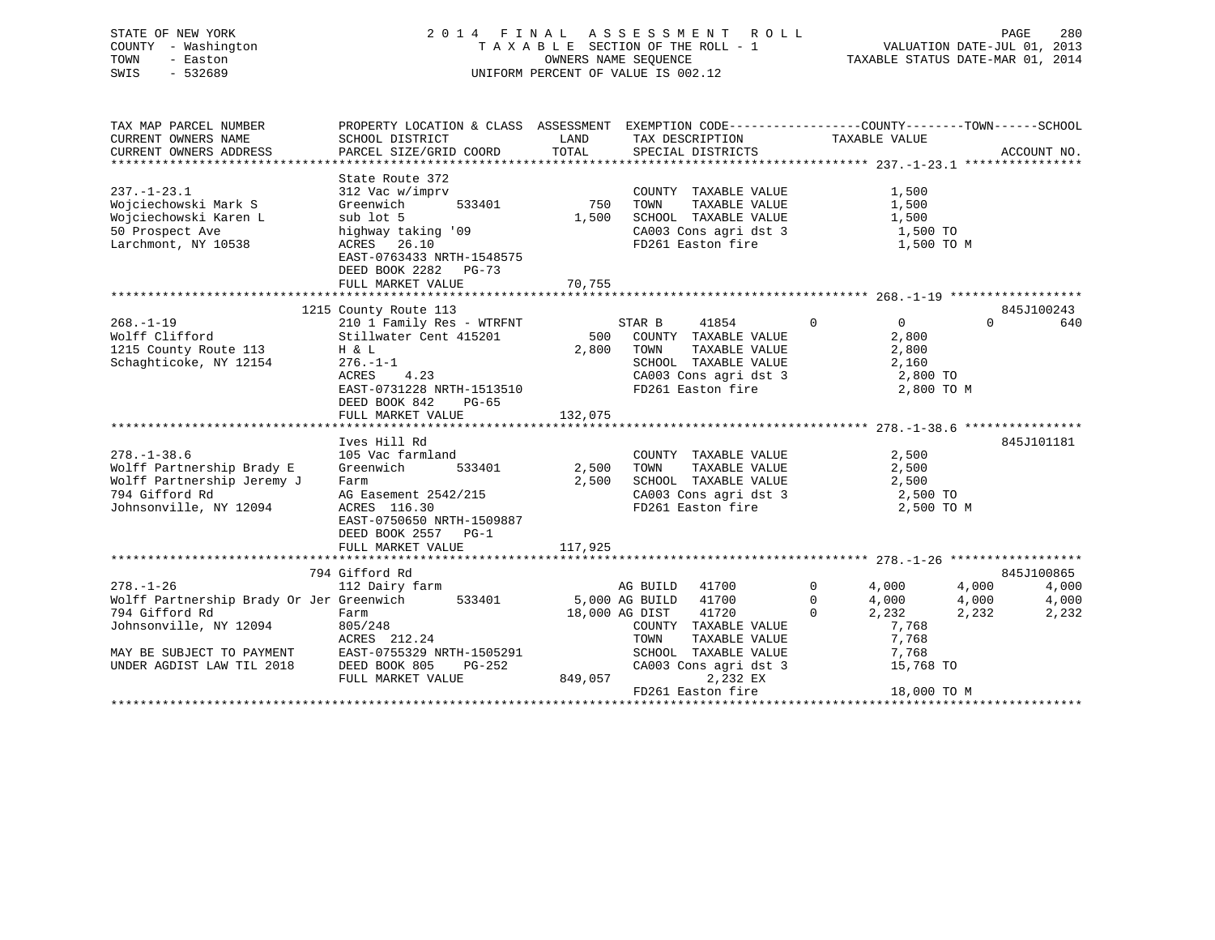# STATE OF NEW YORK 2 0 1 4 F I N A L A S S E S S M E N T R O L L PAGE 280 COUNTY - Washington T A X A B L E SECTION OF THE ROLL - 1 VALUATION DATE-JUL 01, 2013 TOWN - Easton OWNERS NAME SEQUENCE TAXABLE STATUS DATE-MAR 01, 2014 SWIS - 532689 UNIFORM PERCENT OF VALUE IS 002.12

| TAX MAP PARCEL NUMBER                           | PROPERTY LOCATION & CLASS ASSESSMENT EXEMPTION CODE----------------COUNTY-------TOWN------SCHOOL |          |                                                                           |                            |                |
|-------------------------------------------------|--------------------------------------------------------------------------------------------------|----------|---------------------------------------------------------------------------|----------------------------|----------------|
| CURRENT OWNERS NAME                             | SCHOOL DISTRICT                                                                                  | LAND     | TAX DESCRIPTION                                                           | TAXABLE VALUE              |                |
| CURRENT OWNERS ADDRESS                          | PARCEL SIZE/GRID COORD                                                                           | TOTAL    | SPECIAL DISTRICTS                                                         |                            | ACCOUNT NO.    |
|                                                 | State Route 372                                                                                  |          |                                                                           |                            |                |
| $237. - 1 - 23.1$                               | 312 Vac w/imprv                                                                                  |          | COUNTY TAXABLE VALUE                                                      | 1,500                      |                |
| Wojciechowski Mark S                            | 533401<br>Greenwich                                                                              | 750 TOWN | TAXABLE VALUE                                                             | 1,500                      |                |
| Wojciechowski Karen L                           | sub lot 5                                                                                        | 1,500    | SCHOOL TAXABLE VALUE                                                      | 1,500                      |                |
| 50 Prospect Ave                                 | highway taking '09                                                                               |          | CA003 Cons agri dst 3 1,500 TO                                            |                            |                |
| Larchmont, NY 10538                             | ACRES 26.10<br>EAST-0763433 NRTH-1548575<br>DEED BOOK 2282 PG-73                                 |          | FD261 Easton fire                                                         | 1,500 TO M                 |                |
|                                                 | FULL MARKET VALUE                                                                                | 70,755   |                                                                           |                            |                |
|                                                 | 1215 County Route 113                                                                            |          |                                                                           |                            | 845J100243     |
| $268. - 1 - 19$                                 | 210 1 Family Res - WTRFNT                                                                        |          | STAR B<br>41854                                                           | $\overline{0}$<br>$\Omega$ | $\cap$<br>640  |
| Wolff Clifford                                  | Stillwater Cent 415201                                                                           |          | 500 COUNTY TAXABLE VALUE                                                  | 2,800                      |                |
| 1215 County Route 113                           | H & L                                                                                            | 2,800    | TOWN<br>TAXABLE VALUE                                                     | 2,800                      |                |
| Schaghticoke, NY 12154                          | $276. - 1 - 1$                                                                                   |          | SCHOOL TAXABLE VALUE 2,160<br>CA003 Cons agri dst 3 2,800 TO              |                            |                |
|                                                 | 4.23<br>ACRES                                                                                    |          |                                                                           |                            |                |
|                                                 | EAST-0731228 NRTH-1513510                                                                        |          | FD261 Easton fire                                                         | 2,800 TO M                 |                |
|                                                 | DEED BOOK 842<br>PG-65                                                                           |          |                                                                           |                            |                |
|                                                 | FULL MARKET VALUE                                                                                | 132,075  |                                                                           |                            |                |
|                                                 |                                                                                                  |          |                                                                           |                            |                |
|                                                 | Ives Hill Rd                                                                                     |          |                                                                           |                            | 845J101181     |
| $278. - 1 - 38.6$                               | 105 Vac farmland                                                                                 |          | COUNTY TAXABLE VALUE                                                      | 2,500                      |                |
| Wolff Partnership Brady E                       | Greenwich<br>533401                                                                              | 2,500    | TOWN<br>TAXABLE VALUE                                                     | 2,500                      |                |
| Wolff Partnership Jeremy J                      | Farm                                                                                             | 2,500    | SCHOOL TAXABLE VALUE 2,500<br>CA003 Cons agri dst 3 2,500 TO              |                            |                |
| 794 Gifford Rd                                  | AG Easement 2542/215                                                                             |          |                                                                           |                            |                |
| Johnsonville, NY 12094                          | ACRES 116.30<br>EAST-0750650 NRTH-1509887<br>DEED BOOK 2557 PG-1                                 |          | FD261 Easton fire                                                         | 2,500 TO M                 |                |
|                                                 | FULL MARKET VALUE                                                                                | 117,925  |                                                                           |                            |                |
|                                                 | 794 Gifford Rd                                                                                   |          |                                                                           |                            | 845J100865     |
| $278. - 1 - 26$                                 | 112 Dairy farm                                                                                   |          | AG BUILD 41700                                                            |                            | 4,000<br>4,000 |
| Wolff Partnership Brady Or Jer Greenwich 533401 |                                                                                                  |          | 5,000 AG BUILD 41700                                                      | $0 \t 4,000$               | 4,000<br>4,000 |
| 794 Gifford Rd                                  | Farm                                                                                             |          | $\begin{matrix} 0 \\ 0 \end{matrix}$<br>18,000 AG DIST 41720              | 4,000<br>2,232             | 2,232<br>2,232 |
| Johnsonville, NY 12094                          |                                                                                                  |          | COUNTY TAXABLE VALUE                                                      | 7,768                      |                |
|                                                 | 805/248<br>ACRES 212.24                                                                          |          |                                                                           | 7,768                      |                |
| MAY BE SUBJECT TO PAYMENT                       | EAST-0755329 NRTH-1505291                                                                        |          |                                                                           | 7,768                      |                |
| UNDER AGDIST LAW TIL 2018                       | DEED BOOK 805<br>PG-252                                                                          |          | TOWN     TAXABLE VALUE<br>SCHOOL   TAXABLE VALUE<br>CA003 Cons agri dst 3 | 15,768 TO                  |                |
|                                                 | FULL MARKET VALUE                                                                                | 849,057  | 2,232 EX                                                                  |                            |                |
|                                                 |                                                                                                  |          | FD261 Easton fire                                                         | 18,000 TO M                |                |
|                                                 |                                                                                                  |          |                                                                           |                            |                |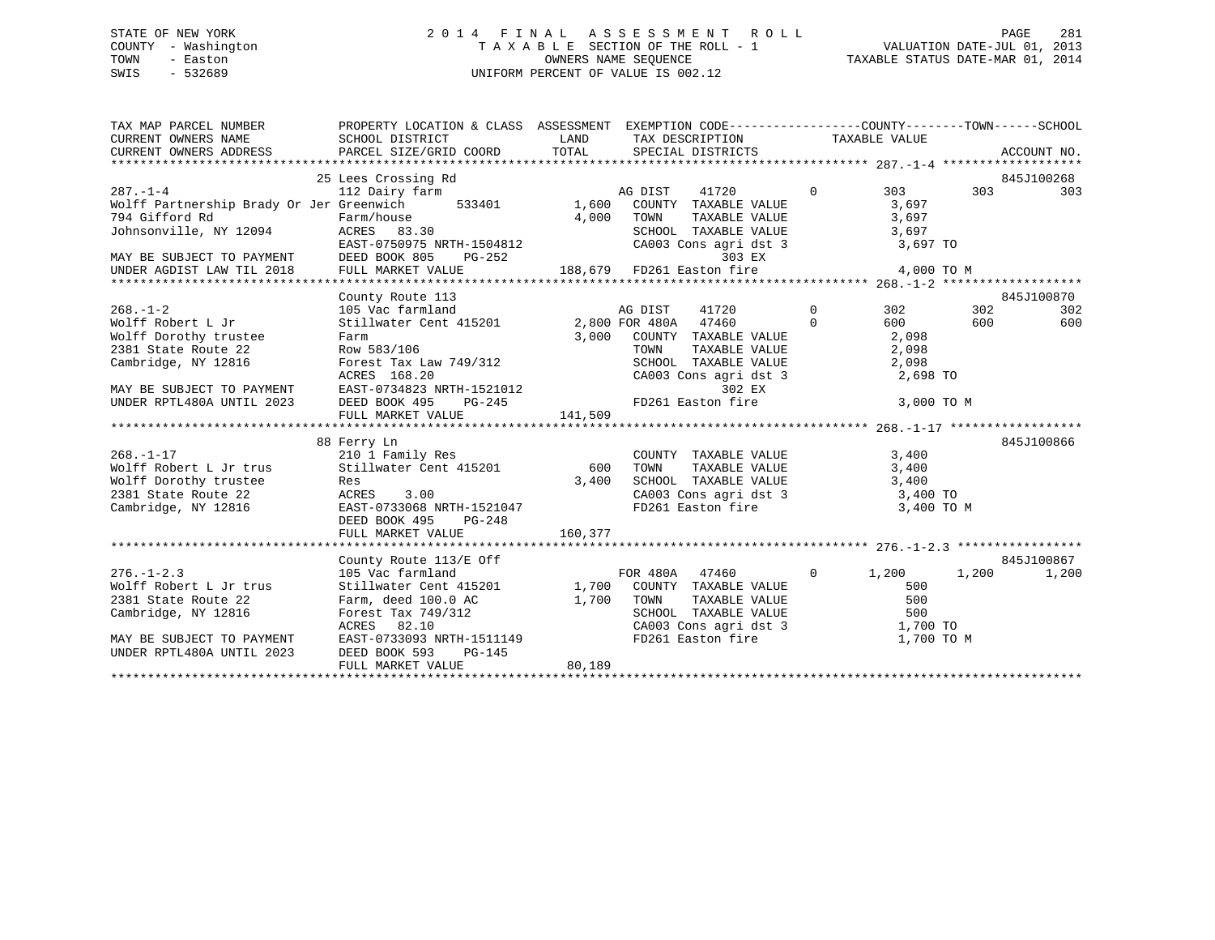# STATE OF NEW YORK 2 0 1 4 F I N A L A S S E S S M E N T R O L L PAGE 281COUNTY - Washington  $\begin{array}{ccc}\n\text{T A X A B L E} & \text{SECTION OF THE ROLL - 1} \\
\text{T} & \text{N} & \text{N} & \text{N} \\
\text{N} & \text{S} & \text{N} & \text{N} \\
\end{array}$ SWIS - 532689 UNIFORM PERCENT OF VALUE IS 002.12

TAXABLE STATUS DATE-MAR 01, 2014

| TAX MAP PARCEL NUMBER           PROPERTY LOCATION & CLASS ASSESSMENT EXEMPTION CODE---------------COUNTY-------TOWN------SCHOOL CURRENT OWNERS NAME             SCHOOL DISTRICT              LAND      TAX DESCRIPTION                                                   |                                                                                 |        |                                                                                      |            |            |
|--------------------------------------------------------------------------------------------------------------------------------------------------------------------------------------------------------------------------------------------------------------------------|---------------------------------------------------------------------------------|--------|--------------------------------------------------------------------------------------|------------|------------|
|                                                                                                                                                                                                                                                                          |                                                                                 |        |                                                                                      |            |            |
|                                                                                                                                                                                                                                                                          |                                                                                 |        |                                                                                      |            |            |
|                                                                                                                                                                                                                                                                          |                                                                                 |        |                                                                                      |            |            |
|                                                                                                                                                                                                                                                                          | 25 Lees Crossing Rd                                                             |        |                                                                                      |            | 845J100268 |
| 287.-1-4<br>Wolff Partnership Brady Or Jer Greenwich 533401 Molff Artnership Brady Or Jer Greenwich 533401 1,600 COUNTY TAXABLE VALUE 3,697<br>Tak Gifford Pd Electron Council Communication of The Council Council Council Council                                      |                                                                                 |        |                                                                                      |            | 303        |
|                                                                                                                                                                                                                                                                          |                                                                                 |        |                                                                                      |            |            |
|                                                                                                                                                                                                                                                                          |                                                                                 |        |                                                                                      |            |            |
|                                                                                                                                                                                                                                                                          |                                                                                 |        |                                                                                      |            |            |
|                                                                                                                                                                                                                                                                          |                                                                                 |        |                                                                                      |            |            |
|                                                                                                                                                                                                                                                                          |                                                                                 |        |                                                                                      |            |            |
|                                                                                                                                                                                                                                                                          |                                                                                 |        |                                                                                      |            |            |
|                                                                                                                                                                                                                                                                          |                                                                                 |        |                                                                                      |            |            |
| County Route 113<br>268.-1-2 105 Vac farmland<br>2,800 FOR 41720 0 302 302<br>2,800 FOR 415201 2,800 FOR 41520 0 600 600 600<br>2,800 FOR 4180A 47460 2,800 FOR 2010 1000 000 600                                                                                        |                                                                                 |        |                                                                                      |            | 845J100870 |
|                                                                                                                                                                                                                                                                          |                                                                                 |        |                                                                                      |            | 302        |
|                                                                                                                                                                                                                                                                          |                                                                                 |        |                                                                                      |            | 600 600    |
|                                                                                                                                                                                                                                                                          |                                                                                 |        |                                                                                      |            |            |
|                                                                                                                                                                                                                                                                          |                                                                                 |        |                                                                                      |            |            |
|                                                                                                                                                                                                                                                                          |                                                                                 |        |                                                                                      |            |            |
|                                                                                                                                                                                                                                                                          |                                                                                 |        |                                                                                      |            |            |
|                                                                                                                                                                                                                                                                          |                                                                                 |        |                                                                                      |            |            |
|                                                                                                                                                                                                                                                                          |                                                                                 |        |                                                                                      | 3,000 TO M |            |
| Wolff Doctris of Country TAXABLE VALUE<br>2,000 Forms 1,200 Forms 1,200 FOR TAXABLE VALUE<br>2,009<br>2,009<br>2,009<br>2,009<br>2,009<br>2,009<br>2,009<br>2,009<br>2,009<br>2,009<br>2,009<br>2,009<br>2,009<br>2,009<br>2,098<br>2,098<br>2,098<br>2,098<br>2,098<br> |                                                                                 |        |                                                                                      |            |            |
|                                                                                                                                                                                                                                                                          |                                                                                 |        |                                                                                      |            |            |
|                                                                                                                                                                                                                                                                          | 88 Ferry Ln                                                                     |        |                                                                                      |            | 845J100866 |
| 268.-1-17<br>2001 Family Res<br>2011 Family Res<br>2001 Family Res<br>2001 Family Res<br>2001 FaxaBLE VALUE<br>2101 Family Res<br>2001 Family Res<br>2001 FaxaBLE VALUE<br>3,400                                                                                         |                                                                                 |        | COUNTY TAXABLE VALUE 3,400                                                           |            |            |
|                                                                                                                                                                                                                                                                          |                                                                                 |        |                                                                                      |            |            |
| Wolff Dorothy trustee Res 3.00<br>2381 State Route 22 ACRES 3.00<br>Cambridge, NY 12816 EAST-0733068 NRTH-1521047<br>DEED BOOK 495 PG-248                                                                                                                                |                                                                                 |        | SCHOOL TAXABLE VALUE<br>CA003 Cons agri dst 3 3,400 TO<br>FD261 Easton fire 3,400 TO |            |            |
|                                                                                                                                                                                                                                                                          |                                                                                 |        |                                                                                      |            |            |
|                                                                                                                                                                                                                                                                          |                                                                                 |        |                                                                                      | 3,400 TO M |            |
|                                                                                                                                                                                                                                                                          | DEED BOOK 495 PG-248                                                            |        |                                                                                      |            |            |
|                                                                                                                                                                                                                                                                          |                                                                                 |        |                                                                                      |            |            |
|                                                                                                                                                                                                                                                                          |                                                                                 |        |                                                                                      |            |            |
|                                                                                                                                                                                                                                                                          | County Route 113/E Off 64551<br>105 Vac farmland 64551 (105 Vac farmland 64551) |        |                                                                                      |            | 845J100867 |
| $276. - 1 - 2.3$                                                                                                                                                                                                                                                         | 105 Vac farmland                                                                |        |                                                                                      |            | 1,200      |
| Wolff Robert L Jr trus                                                                                                                                                                                                                                                   | Stillwater Cent 415201 1,700 COUNTY TAXABLE VALUE                               |        |                                                                                      | 500        |            |
|                                                                                                                                                                                                                                                                          |                                                                                 |        |                                                                                      |            |            |
|                                                                                                                                                                                                                                                                          |                                                                                 |        |                                                                                      |            |            |
|                                                                                                                                                                                                                                                                          |                                                                                 |        |                                                                                      |            |            |
| 2381 State Route 22 Farm, deed 100.0 AC 1,700 TOWN TAXABLE VALUE 500<br>Cambridge, NY 12816 Forest Tax 749/312 SCHOOL TAXABLE VALUE 500<br>ACRES 82.10 CA003 Cons agri dst 3 1,700 TOWN<br>MAY BE SUBJECT TO PAYMENT EAST-0733093 NR                                     |                                                                                 |        |                                                                                      |            |            |
| UNDER RPTL480A UNTIL 2023                                                                                                                                                                                                                                                | DEED BOOK 593<br>$PG-145$                                                       |        |                                                                                      |            |            |
|                                                                                                                                                                                                                                                                          | FULL MARKET VALUE                                                               | 80,189 |                                                                                      |            |            |
|                                                                                                                                                                                                                                                                          |                                                                                 |        |                                                                                      |            |            |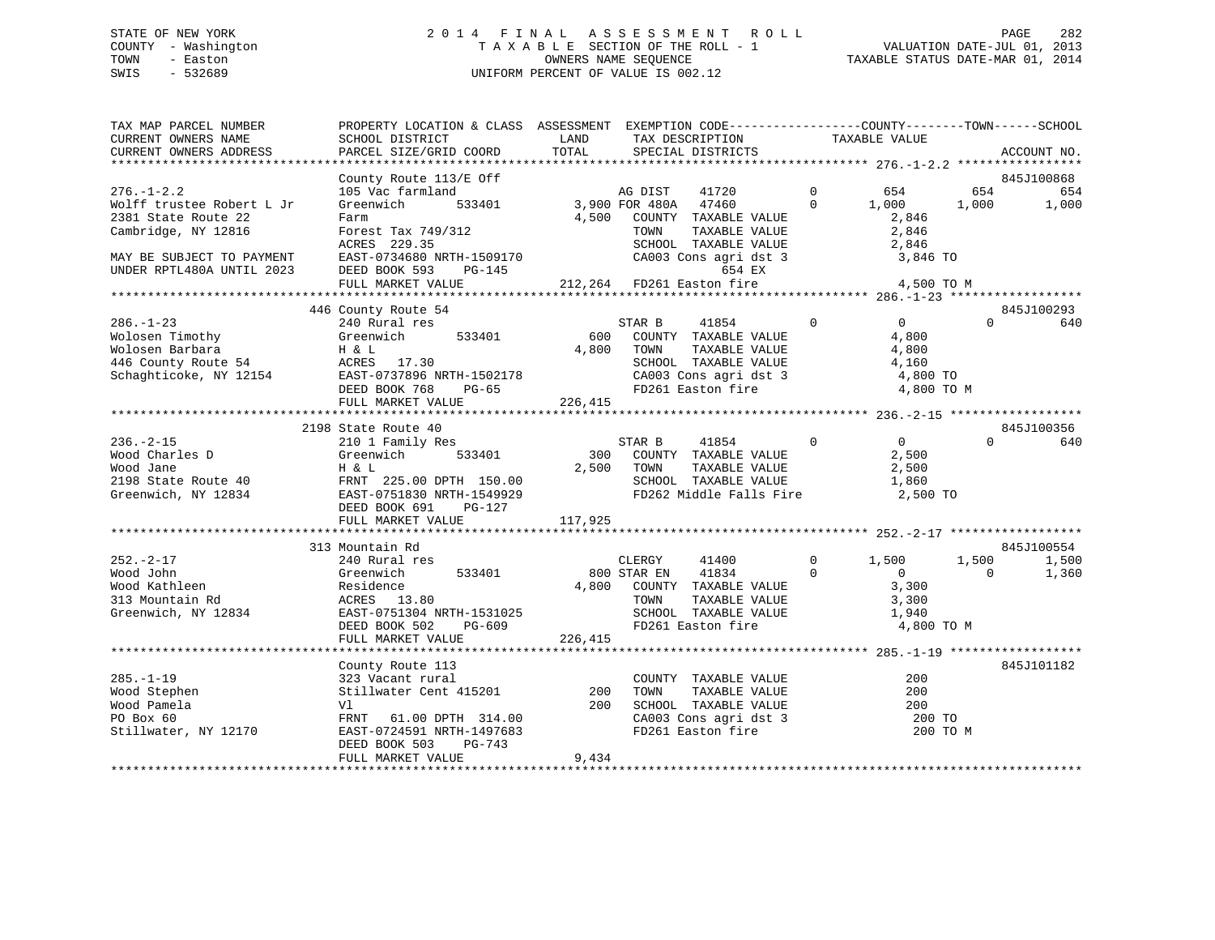# STATE OF NEW YORK 2 0 1 4 F I N A L A S S E S S M E N T R O L L PAGE 282 COUNTY - Washington T A X A B L E SECTION OF THE ROLL - 1 VALUATION DATE-JUL 01, 2013 TOWN - Easton **CONNERS NAME SEQUENCE** TAXABLE STATUS DATE-MAR 01, 2014 SWIS - 532689 UNIFORM PERCENT OF VALUE IS 002.12

| TAX MAP PARCEL NUMBER<br>CURRENT OWNERS NAME<br>CURRENT OWNERS ADDRESS                                                    | PROPERTY LOCATION & CLASS ASSESSMENT EXEMPTION CODE---------------COUNTY-------TOWN------SCHOOL<br>SCHOOL DISTRICT<br>PARCEL SIZE/GRID COORD           | LAND<br>TOTAL           | TAX DESCRIPTION<br>SPECIAL DISTRICTS                                                                                                                          |                            | TAXABLE VALUE                                                 |                   | ACCOUNT NO.    |
|---------------------------------------------------------------------------------------------------------------------------|--------------------------------------------------------------------------------------------------------------------------------------------------------|-------------------------|---------------------------------------------------------------------------------------------------------------------------------------------------------------|----------------------------|---------------------------------------------------------------|-------------------|----------------|
|                                                                                                                           |                                                                                                                                                        |                         |                                                                                                                                                               |                            |                                                               |                   |                |
|                                                                                                                           | County Route 113/E Off                                                                                                                                 |                         |                                                                                                                                                               |                            |                                                               |                   | 845J100868     |
| $276. - 1 - 2.2$<br>Wolff trustee Robert L Jr<br>2381 State Route 22<br>Cambridge, NY 12816                               | 105 Vac farmland<br>533401<br>Greenwich<br>Farm<br>Forest Tax 749/312<br>ACRES 229.35                                                                  | 4,500                   | 41720<br>AG DIST<br>3,900 FOR 480A<br>47460<br>COUNTY TAXABLE VALUE<br>TAXABLE VALUE<br>TOWN<br>SCHOOL TAXABLE VALUE                                          | $\overline{0}$<br>$\Omega$ | 654<br>1,000<br>2,846<br>2,846<br>2,846                       | 654<br>1,000      | 654<br>1,000   |
| MAY BE SUBJECT TO PAYMENT<br>UNDER RPTL480A UNTIL 2023                                                                    | EAST-0734680 NRTH-1509170<br>DEED BOOK 593<br>PG-145<br>FULL MARKET VALUE                                                                              |                         | CA003 Cons agri dst 3<br>654 EX<br>212,264 FD261 Easton fire                                                                                                  |                            | 3,846 TO<br>4,500 TO M                                        |                   |                |
|                                                                                                                           |                                                                                                                                                        |                         |                                                                                                                                                               |                            |                                                               |                   |                |
|                                                                                                                           | 446 County Route 54                                                                                                                                    |                         |                                                                                                                                                               |                            |                                                               |                   | 845J100293     |
| $286. - 1 - 23$<br>Wolosen Timothy<br>Wolosen Barbara<br>Wolosen Barbara<br>446 County Route 54<br>Schaghticoke, NY 12154 | 240 Rural res<br>Greenwich<br>533401<br>H & L<br>ACRES 17.30<br>EAST-0737896 NRTH-1502178<br>DEED BOOK 768<br>$PG-65$<br>FULL MARKET VALUE             | 600<br>4,800<br>226,415 | STAR B<br>41854<br>COUNTY TAXABLE VALUE<br>TOWN<br>TAXABLE VALUE<br>SCHOOL TAXABLE VALUE<br>CA00L IAAABLE VALUE<br>CA003 Cons agri dst 3<br>FD261 Easton fire | $\Omega$                   | $\Omega$<br>4,800<br>4,800<br>4,160<br>4,800 TO<br>4,800 TO M | $\Omega$          | 640            |
|                                                                                                                           |                                                                                                                                                        |                         |                                                                                                                                                               |                            |                                                               |                   |                |
|                                                                                                                           | 2198 State Route 40                                                                                                                                    |                         |                                                                                                                                                               |                            |                                                               |                   | 845J100356     |
| $236. - 2 - 15$<br>Wood Charles D<br>Wood Jane<br>2198 State Route 40<br>Greenwich, NY 12834                              | 210 1 Family Res<br>Greenwich<br>533401<br>H & L<br>FRNT 225.00 DPTH 150.00<br>EAST-0751830 NRTH-1549929<br>DEED BOOK 691<br>$PG-127$                  | 300<br>2,500            | $\sim$ 0<br>STAR B<br>41854<br>COUNTY TAXABLE VALUE<br>TOWN<br>TAXABLE VALUE<br>SCHOOL TAXABLE VALUE<br>FD262 Middle Falls Fire                               |                            | 0<br>2,500<br>2,500<br>1,860<br>2,500 TO                      | $\Omega$          | 640            |
|                                                                                                                           | FULL MARKET VALUE                                                                                                                                      | 117,925                 |                                                                                                                                                               |                            |                                                               |                   |                |
|                                                                                                                           | 313 Mountain Rd                                                                                                                                        |                         |                                                                                                                                                               |                            |                                                               |                   | 845J100554     |
| $252 - 2 - 17$<br>Wood John<br>Wood Kathleen<br>313 Mountain Rd<br>Greenwich, NY 12834                                    | 240 Rural res<br>Greenwich<br>533401<br>Residence<br>ACRES 13.80<br>EAST-0751304 NRTH-1531025<br>DEED BOOK 502<br>PG-609                               | 4,800<br>226,415        | CLERGY<br>41400<br>800 STAR EN<br>41834<br>COUNTY TAXABLE VALUE<br>TAXABLE VALUE<br>TOWN<br>SCHOOL TAXABLE VALUE<br>FD261 Easton fire                         | $\Omega$<br>$\Omega$       | 1,500<br>$\Omega$<br>3,300<br>3,300<br>1,940<br>4,800 TO M    | 1,500<br>$\Omega$ | 1,500<br>1,360 |
|                                                                                                                           | FULL MARKET VALUE                                                                                                                                      |                         |                                                                                                                                                               |                            |                                                               |                   |                |
| $285. - 1 - 19$<br>Wood Stephen<br>Wood Pamela<br>PO Box 60<br>Stillwater, NY 12170                                       | County Route 113<br>323 Vacant rural<br>Stillwater Cent 415201<br>Vl<br>FRNT 61.00 DPTH 314.00<br>EAST-0724591 NRTH-1497683<br>DEED BOOK 503<br>PG-743 | 200<br>200              | COUNTY TAXABLE VALUE<br>TOWN<br>TAXABLE VALUE<br>SCHOOL TAXABLE VALUE<br>CA003 Cons agri dst 3<br>FD261 Easton fire                                           |                            | 200<br>200<br>200<br>200 TO<br>200 TO M                       |                   | 845J101182     |
|                                                                                                                           | FULL MARKET VALUE                                                                                                                                      | 9,434                   |                                                                                                                                                               |                            |                                                               |                   |                |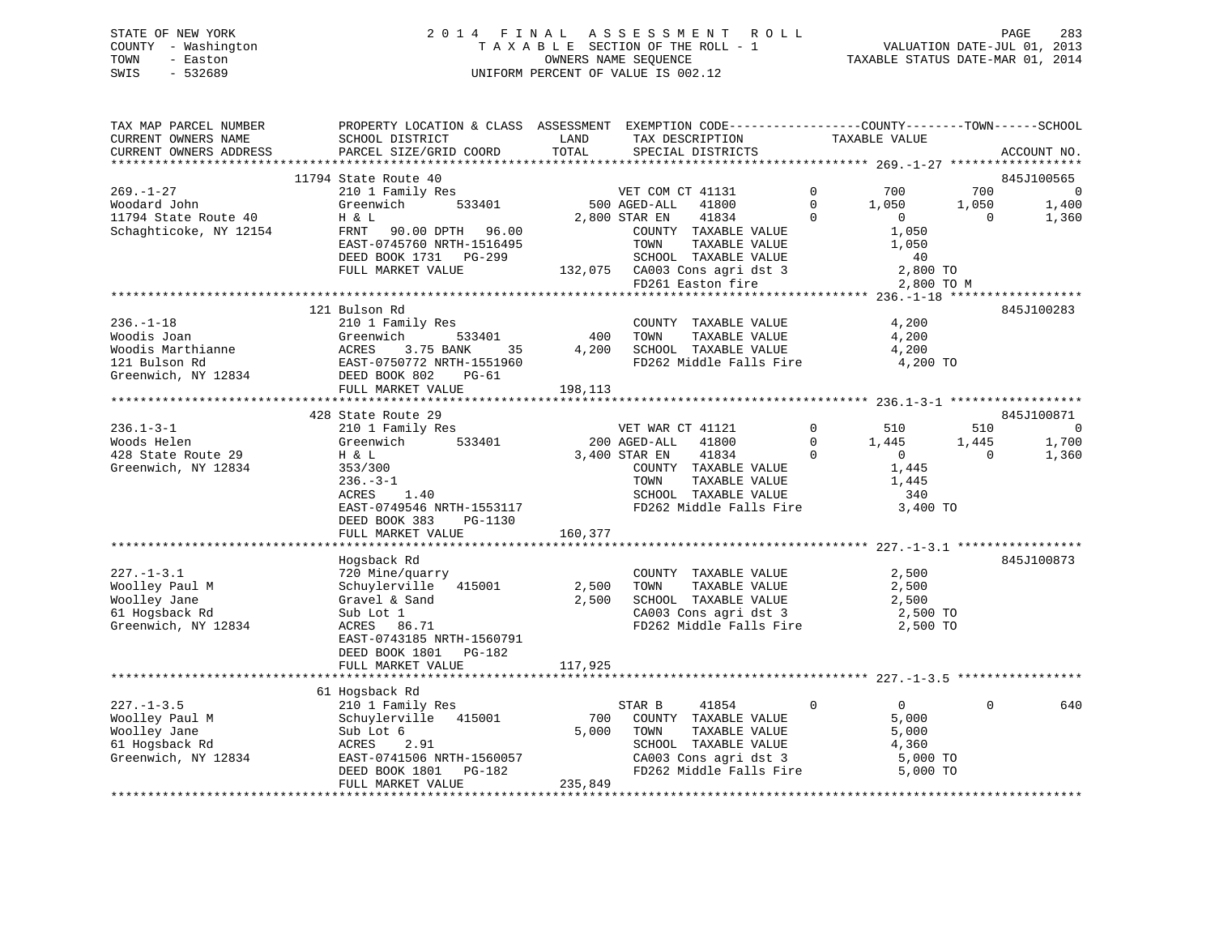# STATE OF NEW YORK 2 0 1 4 F I N A L A S S E S S M E N T R O L L PAGE 283 COUNTY - Washington T A X A B L E SECTION OF THE ROLL - 1 VALUATION DATE-JUL 01, 2013 TOWN - Easton OWNERS NAME SEQUENCE TAXABLE STATUS DATE-MAR 01, 2014 SWIS - 532689 UNIFORM PERCENT OF VALUE IS 002.12

| TAX MAP PARCEL NUMBER                | PROPERTY LOCATION & CLASS ASSESSMENT EXEMPTION CODE----------------COUNTY-------TOWN------SCHOOL |         |                                                    |              |                |          |                |
|--------------------------------------|--------------------------------------------------------------------------------------------------|---------|----------------------------------------------------|--------------|----------------|----------|----------------|
| CURRENT OWNERS NAME                  | SCHOOL DISTRICT                                                                                  | LAND    | TAX DESCRIPTION                                    |              | TAXABLE VALUE  |          |                |
| CURRENT OWNERS ADDRESS               | PARCEL SIZE/GRID COORD                                                                           | TOTAL   | SPECIAL DISTRICTS                                  |              |                |          | ACCOUNT NO.    |
|                                      |                                                                                                  |         |                                                    |              |                |          |                |
|                                      | 11794 State Route 40                                                                             |         |                                                    | $\Omega$     |                |          | 845J100565     |
| $269. - 1 - 27$                      | 210 1 Family Res<br>533401                                                                       |         | VET COM CT 41131                                   | $\Omega$     | 700            | 700      | $\overline{0}$ |
| Woodard John                         | Greenwich                                                                                        |         | 500 AGED-ALL<br>41800                              |              | 1,050          | 1,050    | 1,400          |
| 11794 State Route 40                 | H & L                                                                                            |         | 2,800 STAR EN<br>41834                             | $\Omega$     | $\overline{0}$ | $\Omega$ | 1,360          |
| Schaghticoke, NY 12154               | FRNT 90.00 DPTH 96.00                                                                            |         | COUNTY TAXABLE VALUE                               |              | 1,050          |          |                |
|                                      | EAST-0745760 NRTH-1516495                                                                        |         | TOWN<br>TAXABLE VALUE                              |              | 1,050          |          |                |
|                                      | DEED BOOK 1731 PG-299                                                                            |         | SCHOOL TAXABLE VALUE                               |              | 40             |          |                |
|                                      | FULL MARKET VALUE                                                                                |         | 132,075 CA003 Cons agri dst 3<br>FD261 Easton fire |              | 2,800 TO       |          |                |
|                                      |                                                                                                  |         | FD261 Easton fire                                  |              | 2,800 TO M     |          |                |
|                                      |                                                                                                  |         |                                                    |              |                |          |                |
| $236. - 1 - 18$                      | 121 Bulson Rd<br>210 1 Family Res                                                                |         | COUNTY TAXABLE VALUE                               |              |                |          | 845J100283     |
|                                      |                                                                                                  | 400     | TAXABLE VALUE                                      |              | 4,200<br>4,200 |          |                |
| Woodis Joan                          | Greenwich<br>533401                                                                              |         | TOWN<br>SCHOOL TAXABLE VALUE                       |              |                |          |                |
| Woodis Marthianne                    | ACRES<br>3.75 BANK<br>35                                                                         | 4,200   |                                                    |              | 4,200          |          |                |
| 121 Bulson Rd<br>Greenwich, NY 12834 | EAST-0750772 NRTH-1551960                                                                        |         | FD262 Middle Falls Fire                            |              | 4,200 TO       |          |                |
|                                      | DEED BOOK 802<br>PG-61                                                                           |         |                                                    |              |                |          |                |
|                                      | FULL MARKET VALUE<br>*********************************                                           | 198,113 |                                                    |              |                |          |                |
|                                      | 428 State Route 29                                                                               |         |                                                    |              |                |          | 845J100871     |
| $236.1 - 3 - 1$                      |                                                                                                  |         | VET WAR CT 41121                                   | $\mathbf 0$  | 510            | 510      | $\overline{0}$ |
| Woods Helen                          | 210 1 Family Res<br>Greenwich<br>533401                                                          |         | 200 AGED-ALL<br>41800                              | $\mathbf{0}$ | 1,445          | 1,445    | 1,700          |
| 428 State Route 29                   | H & L                                                                                            |         | 3,400 STAR EN<br>41834                             | $\mathbf{0}$ | $\overline{0}$ | $\Omega$ | 1,360          |
| Greenwich, NY 12834                  | 353/300                                                                                          |         | COUNTY TAXABLE VALUE                               |              | 1,445          |          |                |
|                                      | $236. - 3 - 1$                                                                                   |         | TAXABLE VALUE<br>TOWN                              |              | 1,445          |          |                |
|                                      | ACRES<br>1.40                                                                                    |         | SCHOOL TAXABLE VALUE                               |              | 340            |          |                |
|                                      | EAST-0749546 NRTH-1553117                                                                        |         | FD262 Middle Falls Fire                            |              | 3,400 TO       |          |                |
|                                      | DEED BOOK 383<br>PG-1130                                                                         |         |                                                    |              |                |          |                |
|                                      | FULL MARKET VALUE                                                                                | 160,377 |                                                    |              |                |          |                |
|                                      |                                                                                                  |         |                                                    |              |                |          |                |
|                                      | Hogsback Rd                                                                                      |         |                                                    |              |                |          | 845J100873     |
| $227. - 1 - 3.1$                     | 720 Mine/quarry                                                                                  |         | COUNTY TAXABLE VALUE                               |              | 2,500          |          |                |
| Woolley Paul M                       | Schuylerville 415001                                                                             | 2,500   | TOWN<br>TAXABLE VALUE                              |              | 2,500          |          |                |
| Woolley Jane                         | Gravel & Sand                                                                                    | 2,500   | SCHOOL TAXABLE VALUE                               |              | 2,500          |          |                |
| 61 Hogsback Rd                       | Sub Lot 1                                                                                        |         | CA003 Cons agri dst 3                              |              | 2,500 TO       |          |                |
| Greenwich, NY 12834                  | ACRES 86.71                                                                                      |         | FD262 Middle Falls Fire                            |              | 2,500 TO       |          |                |
|                                      | EAST-0743185 NRTH-1560791                                                                        |         |                                                    |              |                |          |                |
|                                      | DEED BOOK 1801<br>PG-182                                                                         |         |                                                    |              |                |          |                |
|                                      | FULL MARKET VALUE                                                                                | 117,925 |                                                    |              |                |          |                |
|                                      |                                                                                                  |         |                                                    |              |                |          |                |
|                                      | 61 Hogsback Rd                                                                                   |         |                                                    |              |                |          |                |
| $227. - 1 - 3.5$                     | 210 1 Family Res                                                                                 |         | STAR B<br>41854                                    | $\mathbf{0}$ | $\overline{0}$ | $\Omega$ | 640            |
| Woolley Paul M                       | Schuylerville 415001                                                                             | 700     | COUNTY TAXABLE VALUE                               |              | 5,000          |          |                |
| Woolley Jane                         | Sub Lot 6                                                                                        | 5,000   | TOWN<br>TAXABLE VALUE                              |              | 5,000          |          |                |
| 61 Hogsback Rd                       | ACRES<br>2.91                                                                                    |         | SCHOOL TAXABLE VALUE                               |              | 4,360          |          |                |
| Greenwich, NY 12834                  | EAST-0741506 NRTH-1560057                                                                        |         | CA003 Cons agri dst 3                              |              | 5,000 TO       |          |                |
|                                      | DEED BOOK 1801<br>PG-182                                                                         |         | FD262 Middle Falls Fire                            |              | 5,000 TO       |          |                |
|                                      | FULL MARKET VALUE                                                                                | 235,849 |                                                    |              |                |          |                |
|                                      |                                                                                                  |         |                                                    |              |                |          |                |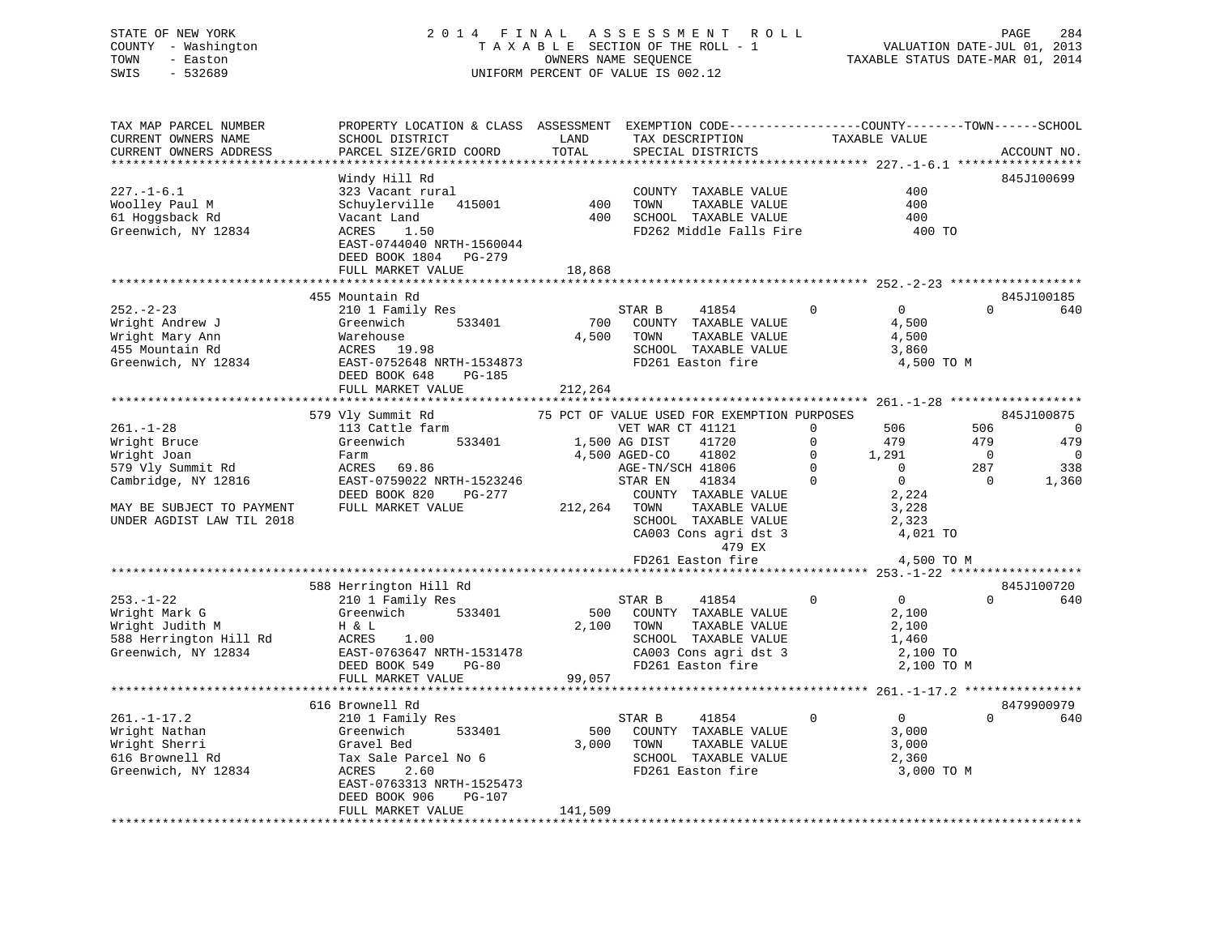# STATE OF NEW YORK 2 0 1 4 F I N A L A S S E S S M E N T R O L L PAGE 284 COUNTY - Washington T A X A B L E SECTION OF THE ROLL - 1 VALUATION DATE-JUL 01, 2013 TOWN - Easton OWNERS NAME SEQUENCE TAXABLE STATUS DATE-MAR 01, 2014 SWIS - 532689 UNIFORM PERCENT OF VALUE IS 002.12

| TAX MAP PARCEL NUMBER<br>CURRENT OWNERS NAME | PROPERTY LOCATION & CLASS ASSESSMENT EXEMPTION CODE----------------COUNTY-------TOWN------SCHOOL<br>SCHOOL DISTRICT | LAND    | TAX DESCRIPTION                                                 | <b>TAXABLE VALUE</b>           |                                  |
|----------------------------------------------|---------------------------------------------------------------------------------------------------------------------|---------|-----------------------------------------------------------------|--------------------------------|----------------------------------|
| CURRENT OWNERS ADDRESS                       | PARCEL SIZE/GRID COORD                                                                                              | TOTAL   | SPECIAL DISTRICTS                                               |                                | ACCOUNT NO.                      |
|                                              | Windy Hill Rd                                                                                                       |         |                                                                 |                                | 845J100699                       |
| $227. - 1 - 6.1$                             | 323 Vacant rural                                                                                                    |         | COUNTY TAXABLE VALUE                                            | 400                            |                                  |
| Woolley Paul M                               | Schuylerville<br>415001                                                                                             | 400     | TOWN<br>TAXABLE VALUE                                           | 400                            |                                  |
|                                              | Vacant Land                                                                                                         | 400     | SCHOOL TAXABLE VALUE                                            | 400                            |                                  |
| 61 Hoggsback Rd<br>Greenwich, NY 12834       | 1.50<br>ACRES                                                                                                       |         | FD262 Middle Falls Fire                                         | 400 TO                         |                                  |
|                                              | EAST-0744040 NRTH-1560044                                                                                           |         |                                                                 |                                |                                  |
|                                              |                                                                                                                     |         |                                                                 |                                |                                  |
|                                              | DEED BOOK 1804 PG-279                                                                                               |         |                                                                 |                                |                                  |
|                                              | FULL MARKET VALUE                                                                                                   | 18,868  |                                                                 |                                |                                  |
|                                              | 455 Mountain Rd                                                                                                     |         |                                                                 |                                | 845J100185                       |
| $252 - 2 - 23$                               | 210 1 Family Res                                                                                                    |         | STAR B<br>41854                                                 | $\overline{0}$<br>$\mathbf{0}$ | $\Omega$<br>640                  |
| Wright Andrew J                              | Greenwich<br>533401                                                                                                 | 700     | COUNTY TAXABLE VALUE                                            | 4,500                          |                                  |
|                                              |                                                                                                                     | 4,500   | TOWN<br>TAXABLE VALUE                                           | 4,500                          |                                  |
| Wright Mary Ann<br>455 Mountain Rd           | Warehouse<br>ACRES 19.98                                                                                            |         | SCHOOL TAXABLE VALUE                                            | 3,860                          |                                  |
|                                              |                                                                                                                     |         | FD261 Easton fire                                               |                                |                                  |
| Greenwich, NY 12834                          | EAST-0752648 NRTH-1534873                                                                                           |         |                                                                 | 4,500 TO M                     |                                  |
|                                              | DEED BOOK 648<br>PG-185                                                                                             |         |                                                                 |                                |                                  |
|                                              | FULL MARKET VALUE                                                                                                   | 212,264 |                                                                 |                                |                                  |
|                                              |                                                                                                                     |         |                                                                 |                                | 845J100875                       |
| $261. - 1 - 28$                              | 579 Vly Summit Rd<br>113 Cattle farm                                                                                |         | 75 PCT OF VALUE USED FOR EXEMPTION PURPOSES<br>VET WAR CT 41121 | 506<br>$\Omega$                | 506<br>$\overline{0}$            |
| Wright Bruce                                 | Greenwich<br>533401                                                                                                 |         | 1,500 AG DIST<br>41720                                          | $\Omega$<br>479                | 479<br>479                       |
| Wright Joan                                  | Farm                                                                                                                |         | 4,500 AGED-CO<br>41802                                          | $\mathbf 0$<br>1,291           | $\overline{0}$<br>$\overline{0}$ |
| 579 Vly Summit Rd                            | ACRES 69.86                                                                                                         |         | AGE-TN/SCH 41806                                                | $\Omega$<br>$\Omega$           | 338<br>287                       |
|                                              | EAST-0759022 NRTH-1523246                                                                                           |         | STAR EN<br>41834                                                | $\mathbf{0}$<br>$\Omega$       | $\Omega$<br>1,360                |
| Cambridge, NY 12816                          | DEED BOOK 820                                                                                                       |         |                                                                 |                                |                                  |
| MAY BE SUBJECT TO PAYMENT                    | PG-277                                                                                                              | 212,264 | COUNTY TAXABLE VALUE<br>TOWN                                    | 2,224                          |                                  |
| UNDER AGDIST LAW TIL 2018                    | FULL MARKET VALUE                                                                                                   |         | TAXABLE VALUE<br>SCHOOL TAXABLE VALUE                           | 3,228                          |                                  |
|                                              |                                                                                                                     |         | CA003 Cons agri dst 3                                           | 2,323                          |                                  |
|                                              |                                                                                                                     |         | 479 EX                                                          | 4,021 TO                       |                                  |
|                                              |                                                                                                                     |         | FD261 Easton fire                                               | 4,500 TO M                     |                                  |
|                                              |                                                                                                                     |         |                                                                 |                                |                                  |
|                                              | 588 Herrington Hill Rd                                                                                              |         |                                                                 |                                | 845J100720                       |
| $253. - 1 - 22$                              | 210 1 Family Res                                                                                                    |         | STAR B<br>41854                                                 | $\Omega$<br>$\overline{0}$     | $\Omega$<br>640                  |
| Wright Mark G                                | 533401<br>Greenwich                                                                                                 | 500     | COUNTY TAXABLE VALUE                                            | 2,100                          |                                  |
| Wright Judith M                              | H & L                                                                                                               | 2,100   | TOWN<br>TAXABLE VALUE                                           | 2,100                          |                                  |
| 588 Herrington Hill Rd                       | ACRES<br>1.00                                                                                                       |         | SCHOOL TAXABLE VALUE                                            | 1,460                          |                                  |
| Greenwich, NY 12834                          | EAST-0763647 NRTH-1531478                                                                                           |         | CA003 Cons agri dst 3                                           | 2,100 TO                       |                                  |
|                                              | DEED BOOK 549<br>PG-80                                                                                              |         | FD261 Easton fire                                               | 2,100 TO M                     |                                  |
|                                              | FULL MARKET VALUE                                                                                                   | 99,057  |                                                                 |                                |                                  |
|                                              |                                                                                                                     |         |                                                                 |                                |                                  |
|                                              | 616 Brownell Rd                                                                                                     |         |                                                                 |                                | 8479900979                       |
| $261. - 1 - 17.2$                            | 210 1 Family Res                                                                                                    |         | STAR B<br>41854                                                 | $\mathbf 0$<br>$\overline{0}$  | $\Omega$<br>640                  |
| Wright Nathan                                | Greenwich<br>533401                                                                                                 | 500     | COUNTY TAXABLE VALUE                                            | 3,000                          |                                  |
| Wright Sherri                                | Gravel Bed                                                                                                          | 3,000   | TOWN<br>TAXABLE VALUE                                           | 3,000                          |                                  |
| 616 Brownell Rd                              | Tax Sale Parcel No 6                                                                                                |         | SCHOOL TAXABLE VALUE                                            | 2,360                          |                                  |
| Greenwich, NY 12834                          | ACRES<br>2.60                                                                                                       |         | FD261 Easton fire                                               | 3,000 TO M                     |                                  |
|                                              | EAST-0763313 NRTH-1525473                                                                                           |         |                                                                 |                                |                                  |
|                                              | DEED BOOK 906<br>PG-107                                                                                             |         |                                                                 |                                |                                  |
|                                              | FULL MARKET VALUE                                                                                                   | 141,509 |                                                                 |                                |                                  |
|                                              |                                                                                                                     |         |                                                                 |                                |                                  |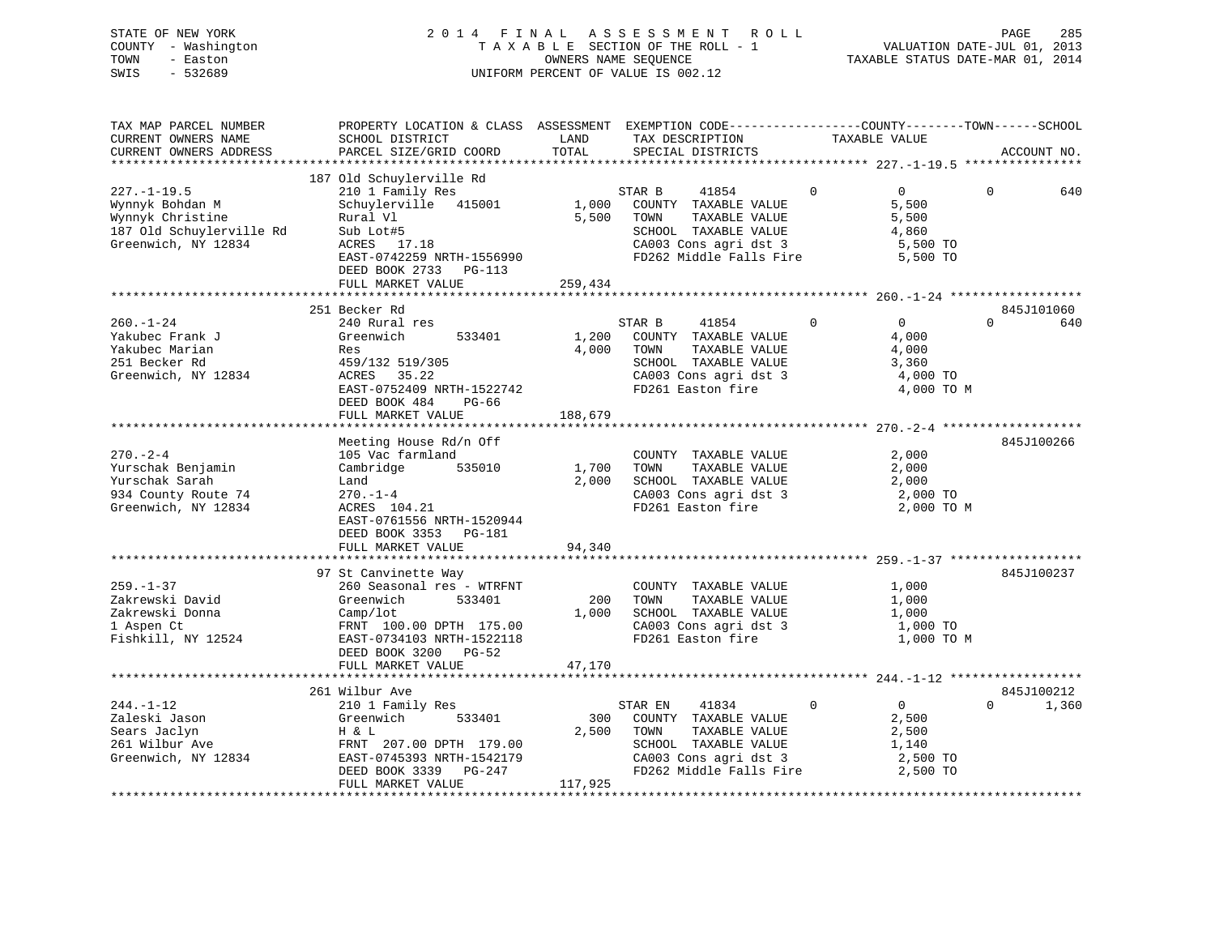# STATE OF NEW YORK 2 0 1 4 F I N A L A S S E S S M E N T R O L L PAGE 285 COUNTY - Washington T A X A B L E SECTION OF THE ROLL - 1 VALUATION DATE-JUL 01, 2013 TOWN - Easton OWNERS NAME SEQUENCE TAXABLE STATUS DATE-MAR 01, 2014 SWIS - 532689 UNIFORM PERCENT OF VALUE IS 002.12

| TAX MAP PARCEL NUMBER<br>CURRENT OWNERS NAME<br>CURRENT OWNERS ADDRESS                                      | PROPERTY LOCATION & CLASS ASSESSMENT EXEMPTION CODE----------------COUNTY-------TOWN-----SCHOOL<br>SCHOOL DISTRICT<br>PARCEL SIZE/GRID COORD                                            | LAND<br>TOTAL             | TAX DESCRIPTION<br>SPECIAL DISTRICTS                                                                                                          | TAXABLE VALUE                                                                      | ACCOUNT NO.                   |
|-------------------------------------------------------------------------------------------------------------|-----------------------------------------------------------------------------------------------------------------------------------------------------------------------------------------|---------------------------|-----------------------------------------------------------------------------------------------------------------------------------------------|------------------------------------------------------------------------------------|-------------------------------|
|                                                                                                             |                                                                                                                                                                                         |                           |                                                                                                                                               |                                                                                    |                               |
| $227. - 1 - 19.5$<br>Wynnyk Bohdan M<br>Wynnyk Christine<br>187 Old Schuylerville Rd<br>Greenwich, NY 12834 | 187 Old Schuylerville Rd<br>210 1 Family Res<br>Schuylerville 415001<br>Rural Vl<br>Sub Lot#5<br>ACRES 17.18<br>EAST-0742259 NRTH-1556990<br>DEED BOOK 2733 PG-113<br>FULL MARKET VALUE | 1,000<br>5,500<br>259,434 | STAR B<br>41854<br>COUNTY TAXABLE VALUE<br>TOWN<br>TAXABLE VALUE<br>SCHOOL TAXABLE VALUE<br>CA003 Cons agri dst 3<br>FD262 Middle Falls Fire  | $\Omega$<br>$\overline{0}$<br>5,500<br>5,500<br>4,860<br>5,500 TO<br>5,500 TO      | $\Omega$<br>640               |
|                                                                                                             |                                                                                                                                                                                         |                           |                                                                                                                                               |                                                                                    |                               |
| $260. - 1 - 24$<br>Yakubec Frank J<br>Yakubec Marian<br>251 Becker Rd<br>Greenwich, NY 12834                | 251 Becker Rd<br>240 Rural res<br>Greenwich<br>533401<br>Res<br>459/132 519/305<br>ACRES 35.22<br>EAST-0752409 NRTH-1522742<br>DEED BOOK 484<br>PG-66                                   | 1,200<br>4,000            | STAR B<br>41854<br>COUNTY TAXABLE VALUE<br>TOWN<br>TAXABLE VALUE<br>SCHOOL TAXABLE VALUE<br>CA003 Cons agri dst 3<br>FD261 Easton fire        | $\mathbf 0$<br>$\overline{0}$<br>4,000<br>4,000<br>3,360<br>4,000 TO<br>4,000 TO M | 845J101060<br>$\Omega$<br>640 |
|                                                                                                             | FULL MARKET VALUE                                                                                                                                                                       | 188,679                   |                                                                                                                                               |                                                                                    |                               |
| $270 - 2 - 4$<br>Yurschak Benjamin<br>Yurschak Sarah<br>934 County Route 74<br>Greenwich, NY 12834          | Meeting House Rd/n Off<br>105 Vac farmland<br>535010<br>Cambridge<br>Land<br>$270. - 1 - 4$<br>ACRES 104.21<br>EAST-0761556 NRTH-1520944<br>DEED BOOK 3353 PG-181<br>FULL MARKET VALUE  | 1,700<br>2,000<br>94,340  | COUNTY TAXABLE VALUE<br>TAXABLE VALUE<br>TOWN<br>SCHOOL TAXABLE VALUE<br>CA003 Cons agri dst 3<br>FD261 Easton fire                           | 2,000<br>2,000<br>2,000<br>2,000 TO<br>2,000 TO M                                  | 845J100266                    |
|                                                                                                             |                                                                                                                                                                                         |                           |                                                                                                                                               |                                                                                    |                               |
| $259. - 1 - 37$<br>Zakrewski David<br>Zakrewski Donna<br>1 Aspen Ct<br>Fishkill, NY 12524                   | 97 St Canvinette Way<br>260 Seasonal res - WTRFNT<br>533401<br>Greenwich<br>Camp/lot<br>FRNT 100.00 DPTH 175.00<br>EAST-0734103 NRTH-1522118<br>DEED BOOK 3200 PG-52                    | 200<br>1,000              | COUNTY TAXABLE VALUE<br>TAXABLE VALUE<br>TOWN<br>SCHOOL TAXABLE VALUE<br>CA003 Cons agri dst 3<br>FD261 Easton fire                           | 1,000<br>1,000<br>1,000<br>1,000 TO<br>1,000 TO M                                  | 845J100237                    |
|                                                                                                             | FULL MARKET VALUE                                                                                                                                                                       | 47,170                    |                                                                                                                                               |                                                                                    |                               |
|                                                                                                             | 261 Wilbur Ave                                                                                                                                                                          |                           |                                                                                                                                               |                                                                                    | 845J100212                    |
| $244. -1 - 12$<br>Zaleski Jason<br>Sears Jaclyn<br>261 Wilbur Ave<br>Greenwich, NY 12834                    | 210 1 Family Res<br>533401<br>Greenwich<br>H & L<br>FRNT 207.00 DPTH 179.00<br>EAST-0745393 NRTH-1542179<br>DEED BOOK 3339<br>PG-247<br>FULL MARKET VALUE                               | 300<br>2,500<br>117,925   | STAR EN<br>41834<br>COUNTY TAXABLE VALUE<br>TOWN<br>TAXABLE VALUE<br>SCHOOL TAXABLE VALUE<br>CA003 Cons agri dst 3<br>FD262 Middle Falls Fire | $\Omega$<br>$\overline{0}$<br>2,500<br>2,500<br>1,140<br>2,500 TO<br>2,500 TO      | 1,360<br>$\Omega$             |
|                                                                                                             |                                                                                                                                                                                         |                           |                                                                                                                                               |                                                                                    |                               |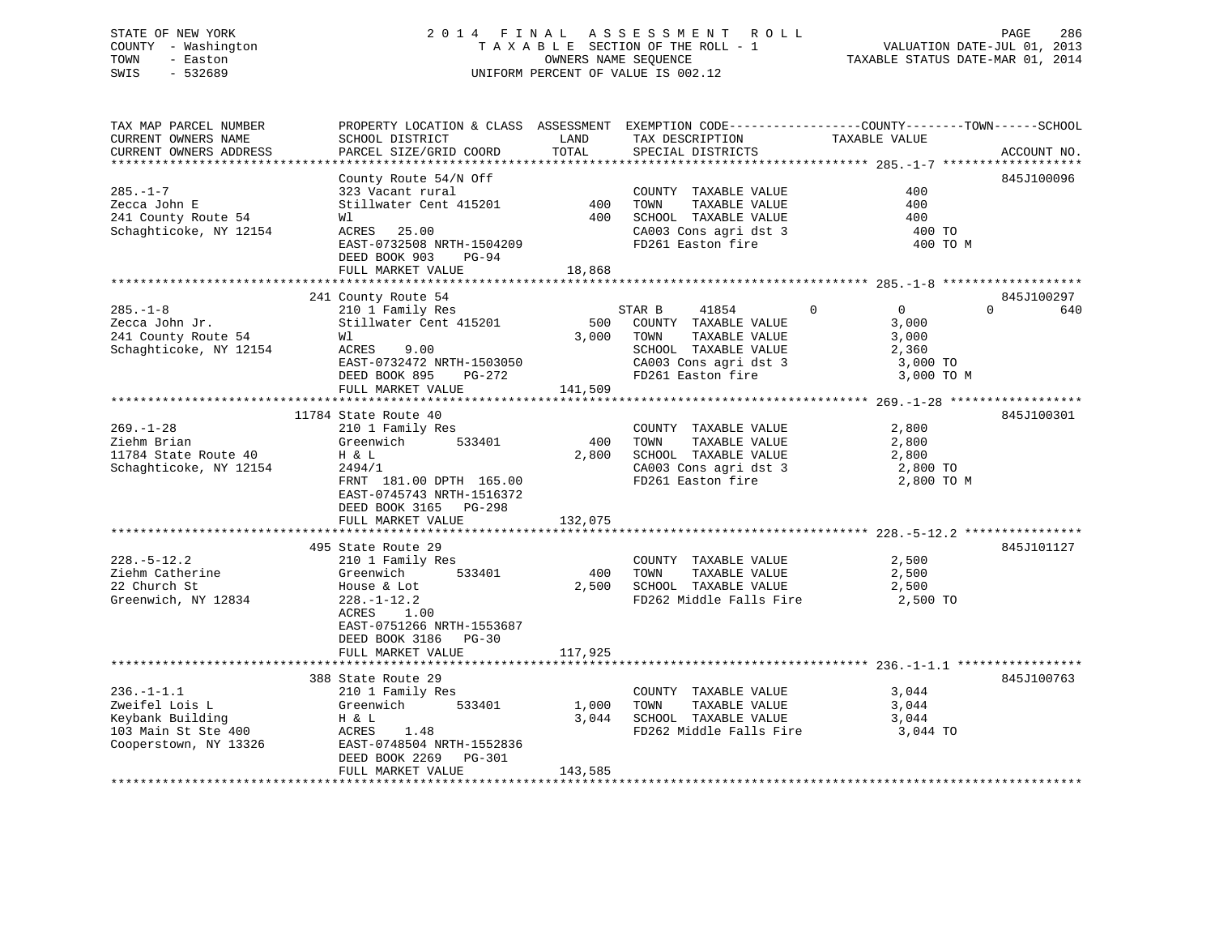# STATE OF NEW YORK 2 0 1 4 F I N A L A S S E S S M E N T R O L L PAGE 286 COUNTY - Washington T A X A B L E SECTION OF THE ROLL - 1 VALUATION DATE-JUL 01, 2013 TOWN - Easton **CONNERS NAME SEQUENCE** TAXABLE STATUS DATE-MAR 01, 2014 SWIS - 532689 UNIFORM PERCENT OF VALUE IS 002.12

| TAX MAP PARCEL NUMBER<br>CURRENT OWNERS NAME | SCHOOL DISTRICT           | LAND    | TAX DESCRIPTION                                 | PROPERTY LOCATION & CLASS ASSESSMENT EXEMPTION CODE----------------COUNTY-------TOWN------SCHOOL<br>TAXABLE VALUE |
|----------------------------------------------|---------------------------|---------|-------------------------------------------------|-------------------------------------------------------------------------------------------------------------------|
| CURRENT OWNERS ADDRESS                       | PARCEL SIZE/GRID COORD    | TOTAL   | SPECIAL DISTRICTS                               | ACCOUNT NO.                                                                                                       |
| ***********************                      |                           |         |                                                 |                                                                                                                   |
|                                              | County Route 54/N Off     |         |                                                 | 845J100096                                                                                                        |
| $285. - 1 - 7$                               | 323 Vacant rural          |         | COUNTY TAXABLE VALUE                            | 400                                                                                                               |
| Zecca John E                                 | Stillwater Cent 415201    | 400     | TOWN<br>TAXABLE VALUE                           | 400                                                                                                               |
| 241 County Route 54                          | Wl                        | 400     | SCHOOL TAXABLE VALUE                            | 400                                                                                                               |
| Schaghticoke, NY 12154                       | ACRES 25.00               |         | CA003 Cons agri dst 3                           | 400 TO                                                                                                            |
|                                              | EAST-0732508 NRTH-1504209 |         | FD261 Easton fire                               | 400 TO M                                                                                                          |
|                                              | DEED BOOK 903<br>PG-94    |         |                                                 |                                                                                                                   |
|                                              | FULL MARKET VALUE         | 18,868  |                                                 |                                                                                                                   |
|                                              | 241 County Route 54       |         |                                                 | 845J100297                                                                                                        |
| $285. - 1 - 8$                               | 210 1 Family Res          |         | STAR B<br>41854                                 | $\Omega$<br>$\Omega$<br>$\overline{0}$<br>640                                                                     |
| Zecca John Jr.                               | Stillwater Cent 415201    | 500     | COUNTY TAXABLE VALUE                            | 3,000                                                                                                             |
| 241 County Route 54                          | Wl                        | 3,000   | TOWN<br>TAXABLE VALUE                           | 3,000                                                                                                             |
| Schaghticoke, NY 12154                       | ACRES<br>9.00             |         | SCHOOL TAXABLE VALUE                            | 2,360                                                                                                             |
|                                              | EAST-0732472 NRTH-1503050 |         | CA003 Cons agri dst 3                           | 3,000 TO                                                                                                          |
|                                              | DEED BOOK 895<br>PG-272   |         | FD261 Easton fire                               | 3,000 TO M                                                                                                        |
|                                              | FULL MARKET VALUE         | 141,509 |                                                 |                                                                                                                   |
|                                              |                           |         |                                                 |                                                                                                                   |
|                                              | 11784 State Route 40      |         |                                                 | 845J100301                                                                                                        |
| $269. - 1 - 28$                              | 210 1 Family Res          |         | COUNTY TAXABLE VALUE                            | 2,800                                                                                                             |
| Ziehm Brian                                  | Greenwich<br>533401       | 400     | TOWN<br>TAXABLE VALUE                           | 2,800                                                                                                             |
| 11784 State Route 40                         | H & L                     | 2,800   | SCHOOL TAXABLE VALUE                            | 2,800                                                                                                             |
| Schaghticoke, NY 12154                       | 2494/1                    |         | CA003 Cons agri dst 3                           | 2,800 TO                                                                                                          |
|                                              | FRNT 181.00 DPTH 165.00   |         | FD261 Easton fire                               | 2,800 TO M                                                                                                        |
|                                              | EAST-0745743 NRTH-1516372 |         |                                                 |                                                                                                                   |
|                                              | DEED BOOK 3165 PG-298     |         |                                                 |                                                                                                                   |
|                                              | FULL MARKET VALUE         | 132,075 |                                                 |                                                                                                                   |
|                                              |                           |         |                                                 |                                                                                                                   |
|                                              | 495 State Route 29        |         |                                                 | 845J101127                                                                                                        |
| $228. - 5 - 12.2$                            | 210 1 Family Res          |         | COUNTY TAXABLE VALUE                            | 2,500                                                                                                             |
| Ziehm Catherine                              | Greenwich<br>533401       | 400     | TOWN<br>TAXABLE VALUE                           | 2,500                                                                                                             |
| 22 Church St                                 | House & Lot               | 2,500   | SCHOOL TAXABLE VALUE                            | 2,500                                                                                                             |
| Greenwich, NY 12834                          | $228. - 1 - 12.2$         |         | FD262 Middle Falls Fire                         | 2,500 TO                                                                                                          |
|                                              | ACRES<br>1.00             |         |                                                 |                                                                                                                   |
|                                              | EAST-0751266 NRTH-1553687 |         |                                                 |                                                                                                                   |
|                                              | DEED BOOK 3186 PG-30      |         |                                                 |                                                                                                                   |
|                                              | FULL MARKET VALUE         | 117,925 |                                                 |                                                                                                                   |
|                                              |                           |         |                                                 |                                                                                                                   |
|                                              | 388 State Route 29        |         |                                                 | 845J100763                                                                                                        |
| $236. -1 - 1.1$                              | 210 1 Family Res          |         | COUNTY TAXABLE VALUE                            | 3,044                                                                                                             |
| Zweifel Lois L                               | Greenwich<br>533401       | 1,000   | TOWN<br>TAXABLE VALUE                           | 3,044                                                                                                             |
| Keybank Building                             | H & L<br>ACRES<br>1.48    | 3,044   | SCHOOL TAXABLE VALUE<br>FD262 Middle Falls Fire | 3,044<br>3,044 TO                                                                                                 |
| 103 Main St Ste 400<br>Cooperstown, NY 13326 | EAST-0748504 NRTH-1552836 |         |                                                 |                                                                                                                   |
|                                              | DEED BOOK 2269 PG-301     |         |                                                 |                                                                                                                   |
|                                              | FULL MARKET VALUE         | 143,585 |                                                 |                                                                                                                   |
|                                              |                           |         |                                                 |                                                                                                                   |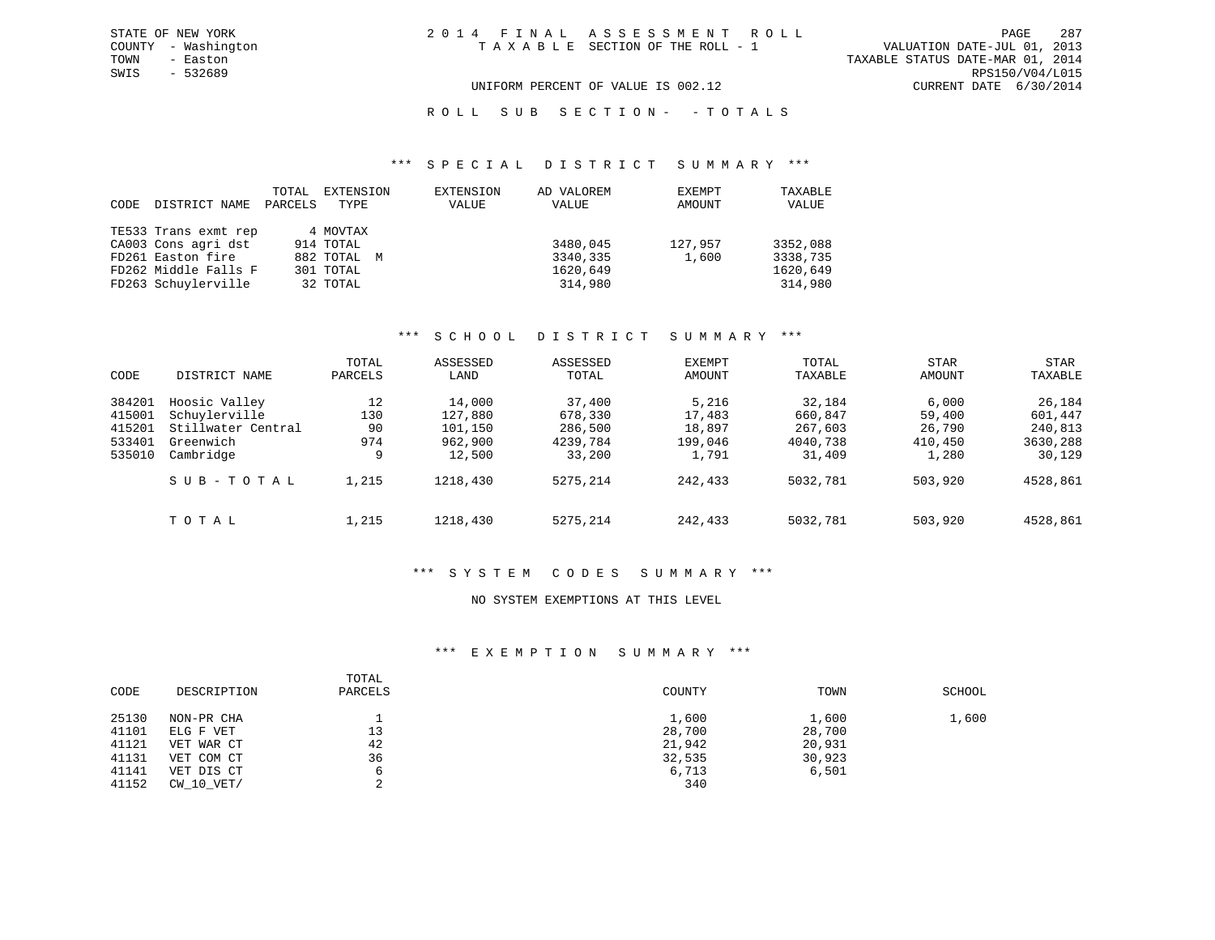VALUATION DATE-JUL 01, 2013 TOWN - Easton TAXABLE STATUS DATE-MAR 01, 2014 SWIS - 532689 RPS150/V04/L015 UNIFORM PERCENT OF VALUE IS 002.12 CURRENT DATE 6/30/2014

R O L L S U B S E C T I O N - - T O T A L S

#### \*\*\* S P E C I A L D I S T R I C T S U M M A R Y \*\*\*

| CODE | DISTRICT NAME        | TOTAL<br>PARCELS | EXTENSION<br>TYPE | EXTENSION<br>VALUE | AD VALOREM<br>VALUE | EXEMPT<br>AMOUNT | TAXABLE<br>VALUE |
|------|----------------------|------------------|-------------------|--------------------|---------------------|------------------|------------------|
|      | TE533 Trans exmt rep |                  | 4 MOVTAX          |                    |                     |                  |                  |
|      | CA003 Cons agri dst  |                  | 914 TOTAL         |                    | 3480,045            | 127,957          | 3352,088         |
|      | FD261 Easton fire    |                  | 882 TOTAL M       |                    | 3340,335            | 1,600            | 3338,735         |
|      | FD262 Middle Falls F |                  | 301 TOTAL         |                    | 1620,649            |                  | 1620,649         |
|      | FD263 Schuylerville  |                  | 32 TOTAL          |                    | 314,980             |                  | 314,980          |

#### \*\*\* S C H O O L D I S T R I C T S U M M A R Y \*\*\*

|        |                    | TOTAL   | ASSESSED | ASSESSED | <b>EXEMPT</b> | TOTAL    | <b>STAR</b> | STAR     |
|--------|--------------------|---------|----------|----------|---------------|----------|-------------|----------|
| CODE   | DISTRICT NAME      | PARCELS | LAND     | TOTAL    | AMOUNT        | TAXABLE  | AMOUNT      | TAXABLE  |
| 384201 | Hoosic Valley      | 12      | 14,000   | 37,400   | 5,216         | 32,184   | 6,000       | 26,184   |
| 415001 | Schuylerville      | 130     | 127,880  | 678,330  | 17,483        | 660,847  | 59,400      | 601,447  |
| 415201 | Stillwater Central | 90      | 101,150  | 286,500  | 18,897        | 267,603  | 26,790      | 240,813  |
| 533401 | Greenwich          | 974     | 962,900  | 4239,784 | 199,046       | 4040,738 | 410,450     | 3630,288 |
| 535010 | Cambridge          | 9       | 12,500   | 33,200   | 1,791         | 31,409   | 1,280       | 30,129   |
|        | SUB-TOTAL          | 1,215   | 1218,430 | 5275,214 | 242,433       | 5032,781 | 503,920     | 4528,861 |
|        | TOTAL              | 1,215   | 1218,430 | 5275,214 | 242,433       | 5032,781 | 503,920     | 4528,861 |

#### \*\*\* S Y S T E M C O D E S S U M M A R Y \*\*\*

#### NO SYSTEM EXEMPTIONS AT THIS LEVEL

#### \*\*\* E X E M P T I O N S U M M A R Y \*\*\*

| CODE  | DESCRIPTION | TOTAL<br>PARCELS | COUNTY | TOWN   | SCHOOL |
|-------|-------------|------------------|--------|--------|--------|
| 25130 | NON-PR CHA  |                  | 1,600  | 1,600  | 1,600  |
| 41101 | ELG F VET   | 13               | 28,700 | 28,700 |        |
| 41121 | VET WAR CT  | 42               | 21,942 | 20,931 |        |
| 41131 | VET COM CT  | 36               | 32,535 | 30,923 |        |
| 41141 | VET DIS CT  |                  | 6,713  | 6,501  |        |
| 41152 | CW 10 VET/  | ົ                | 340    |        |        |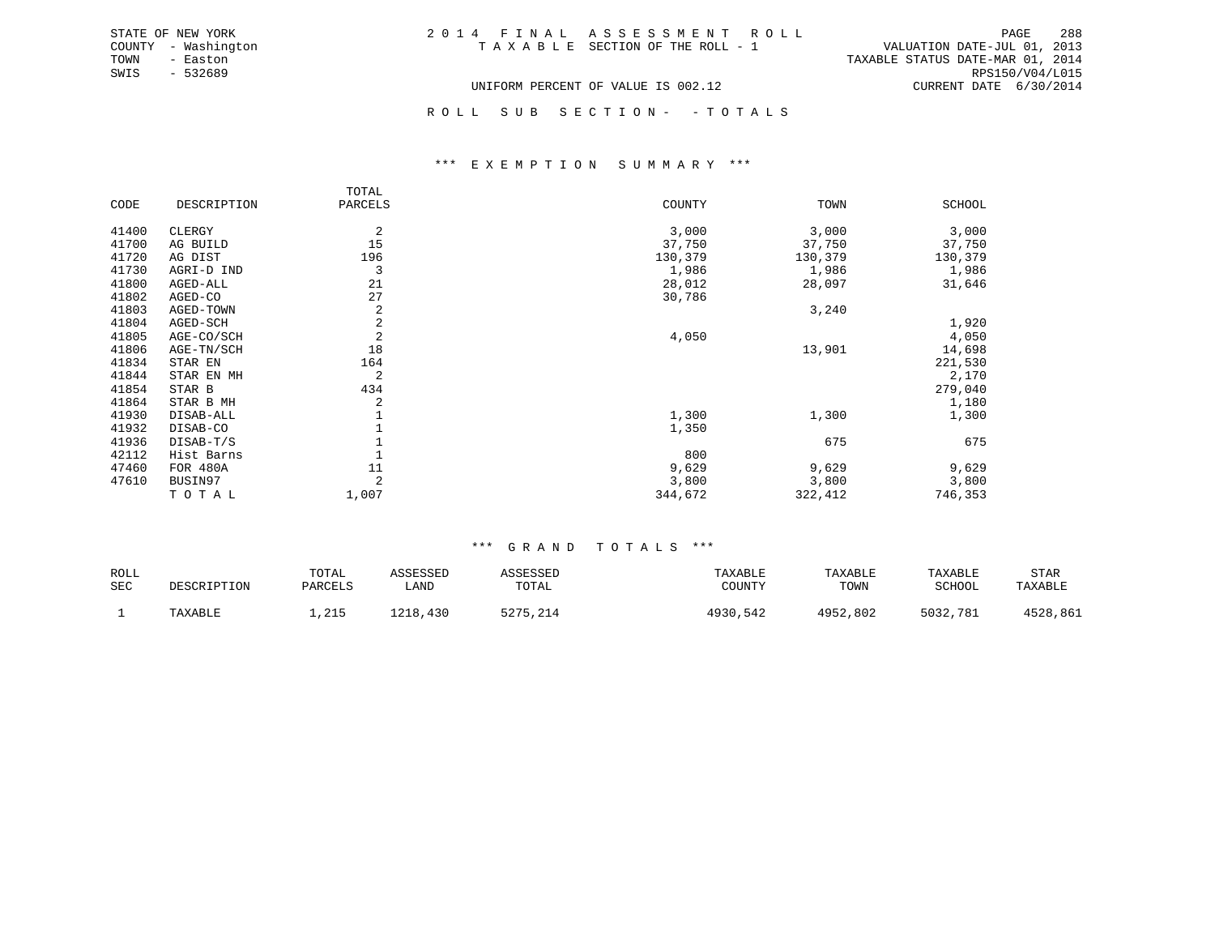| STATE OF NEW YORK   | 2014 FINAL ASSESSMENT ROLL         | 288<br>PAGE                      |
|---------------------|------------------------------------|----------------------------------|
| COUNTY - Washington | TAXABLE SECTION OF THE ROLL - 1    | VALUATION DATE-JUL 01, 2013      |
| TOWN<br>- Easton    |                                    | TAXABLE STATUS DATE-MAR 01, 2014 |
| $-532689$<br>SWIS   |                                    | RPS150/V04/L015                  |
|                     | UNIFORM PERCENT OF VALUE IS 002.12 | CURRENT DATE 6/30/2014           |

ROLL SUB SECTION - - TOTALS

#### \*\*\* E X E M P T I O N S U M M A R Y \*\*\*

|       |             | TOTAL          |         |         |               |
|-------|-------------|----------------|---------|---------|---------------|
| CODE  | DESCRIPTION | PARCELS        | COUNTY  | TOWN    | <b>SCHOOL</b> |
| 41400 | CLERGY      | 2              | 3,000   | 3,000   | 3,000         |
| 41700 | AG BUILD    | 15             | 37,750  | 37,750  | 37,750        |
| 41720 | AG DIST     | 196            | 130,379 | 130,379 | 130,379       |
| 41730 | AGRI-D IND  | 3              | 1,986   | 1,986   | 1,986         |
| 41800 | AGED-ALL    | 21             | 28,012  | 28,097  | 31,646        |
| 41802 | AGED-CO     | 27             | 30,786  |         |               |
| 41803 | AGED-TOWN   | 2              |         | 3,240   |               |
| 41804 | AGED-SCH    | $\overline{c}$ |         |         | 1,920         |
| 41805 | AGE-CO/SCH  | 2              | 4,050   |         | 4,050         |
| 41806 | AGE-TN/SCH  | 18             |         | 13,901  | 14,698        |
| 41834 | STAR EN     | 164            |         |         | 221,530       |
| 41844 | STAR EN MH  | 2              |         |         | 2,170         |
| 41854 | STAR B      | 434            |         |         | 279,040       |
| 41864 | STAR B MH   | 2              |         |         | 1,180         |
| 41930 | DISAB-ALL   |                | 1,300   | 1,300   | 1,300         |
| 41932 | DISAB-CO    |                | 1,350   |         |               |
| 41936 | DISAB-T/S   |                |         | 675     | 675           |
| 42112 | Hist Barns  |                | 800     |         |               |
| 47460 | FOR 480A    | 11             | 9,629   | 9,629   | 9,629         |
| 47610 | BUSIN97     | 2              | 3,800   | 3,800   | 3,800         |
|       | TOTAL       | 1,007          | 344,672 | 322,412 | 746,353       |

#### \*\*\* G R A N D T O T A L S \*\*\*

| ROLL<br>SEC | DESCRIPTION | TOTAL<br>PARCELS | ASSESSED<br>LAND | SSESSED<br>TOTAL | TAXABLE<br>COUNTY | TAXABLE<br>TOWN | TAXABLE<br>SCHOOL | STAR<br>TAXABLE |
|-------------|-------------|------------------|------------------|------------------|-------------------|-----------------|-------------------|-----------------|
|             | TAXABLE     | , 215            | 1218,430         | 214، 2275<br>.   | 4930,542          | 4952,802        | 5032,781          | 4528,861        |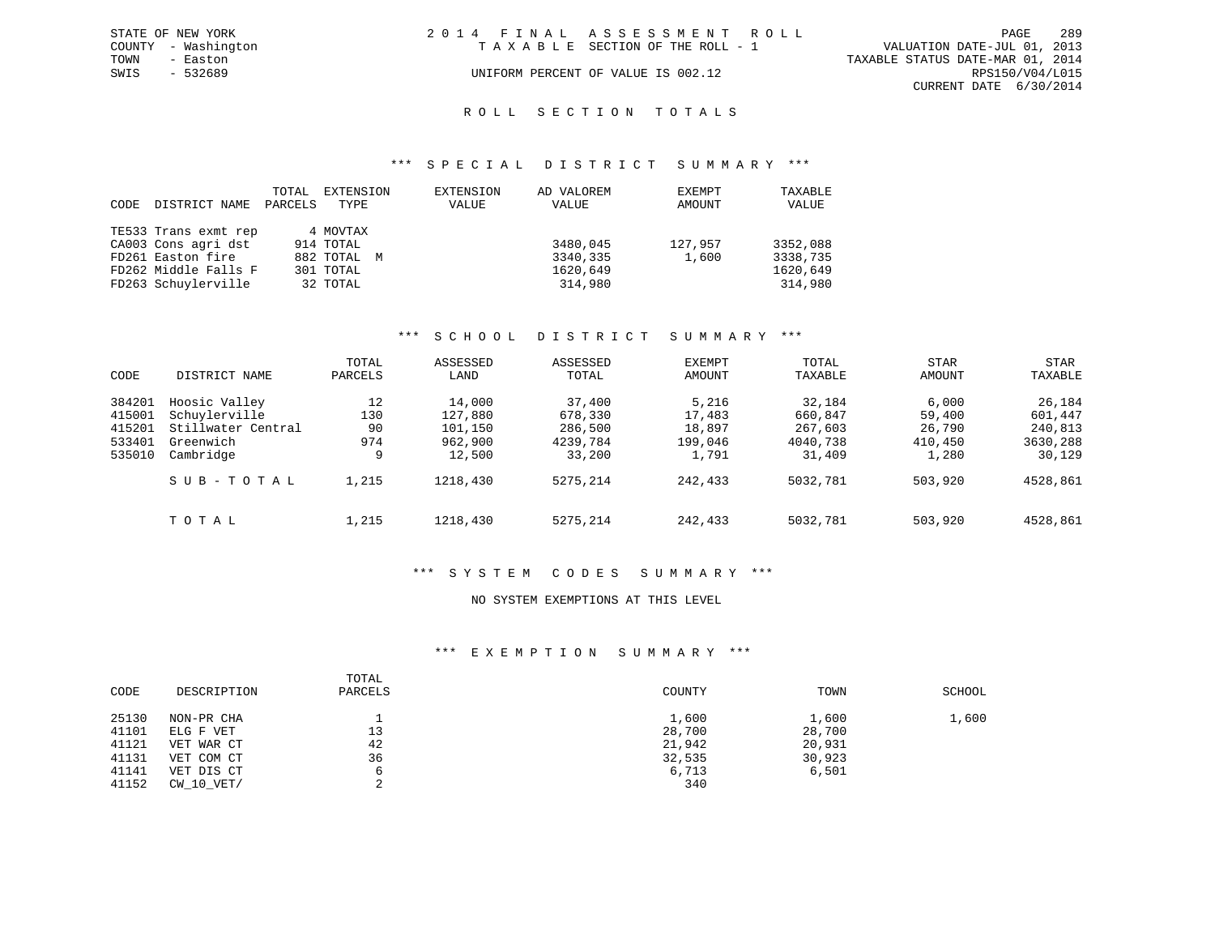| STATE OF NEW YORK   | 2014 FINAL ASSESSMENT ROLL         | 289<br>PAGE                      |
|---------------------|------------------------------------|----------------------------------|
| COUNTY - Washington | TAXABLE SECTION OF THE ROLL - 1    | VALUATION DATE-JUL 01, 2013      |
| TOWN<br>- Easton    |                                    | TAXABLE STATUS DATE-MAR 01, 2014 |
| SWIS<br>- 532689    | UNIFORM PERCENT OF VALUE IS 002.12 | RPS150/V04/L015                  |
|                     |                                    | CURRENT DATE 6/30/2014           |
|                     |                                    |                                  |

### ROLL SECTION TOTALS

#### \*\*\* S P E C I A L D I S T R I C T S U M M A R Y \*\*\*

| CODE | DISTRICT NAME        | TOTAL<br>PARCELS | EXTENSION<br>TYPE | EXTENSION<br>VALUE | AD VALOREM<br>VALUE | EXEMPT<br>AMOUNT | TAXABLE<br>VALUE |
|------|----------------------|------------------|-------------------|--------------------|---------------------|------------------|------------------|
|      | TE533 Trans exmt rep |                  | 4 MOVTAX          |                    |                     |                  |                  |
|      | CA003 Cons agri dst  |                  | 914 TOTAL         |                    | 3480,045            | 127,957          | 3352,088         |
|      | FD261 Easton fire    |                  | 882 TOTAL M       |                    | 3340,335            | 1,600            | 3338,735         |
|      | FD262 Middle Falls F |                  | 301 TOTAL         |                    | 1620,649            |                  | 1620,649         |
|      | FD263 Schuylerville  |                  | 32 TOTAL          |                    | 314,980             |                  | 314,980          |

#### \*\*\* S C H O O L D I S T R I C T S U M M A R Y \*\*\*

|        |                    | TOTAL   | ASSESSED | ASSESSED | EXEMPT  | TOTAL    | <b>STAR</b> | <b>STAR</b> |
|--------|--------------------|---------|----------|----------|---------|----------|-------------|-------------|
| CODE   | DISTRICT NAME      | PARCELS | LAND     | TOTAL    | AMOUNT  | TAXABLE  | AMOUNT      | TAXABLE     |
| 384201 | Hoosic Valley      | 12      | 14,000   | 37,400   | 5,216   | 32,184   | 6,000       | 26,184      |
| 415001 | Schuylerville      | 130     | 127,880  | 678,330  | 17,483  | 660,847  | 59,400      | 601,447     |
| 415201 | Stillwater Central | 90      | 101,150  | 286,500  | 18,897  | 267,603  | 26,790      | 240,813     |
| 533401 | Greenwich          | 974     | 962,900  | 4239,784 | 199,046 | 4040,738 | 410,450     | 3630,288    |
| 535010 | Cambridge          | 9       | 12,500   | 33,200   | 1,791   | 31,409   | 1,280       | 30,129      |
|        | SUB-TOTAL          | 1,215   | 1218,430 | 5275,214 | 242,433 | 5032,781 | 503,920     | 4528,861    |
|        | TOTAL              | 1,215   | 1218,430 | 5275,214 | 242,433 | 5032,781 | 503,920     | 4528,861    |

#### \*\*\* S Y S T E M C O D E S S U M M A R Y \*\*\*

#### NO SYSTEM EXEMPTIONS AT THIS LEVEL

#### \*\*\* E X E M P T I O N S U M M A R Y \*\*\*

| CODE  | DESCRIPTION | TOTAL<br>PARCELS | COUNTY | TOWN   | SCHOOL |
|-------|-------------|------------------|--------|--------|--------|
| 25130 | NON-PR CHA  |                  | 1,600  | 1,600  | 1,600  |
| 41101 | ELG F VET   | 13               | 28,700 | 28,700 |        |
| 41121 | VET WAR CT  | 42               | 21,942 | 20,931 |        |
| 41131 | VET COM CT  | 36               | 32,535 | 30,923 |        |
| 41141 | VET DIS CT  |                  | 6,713  | 6,501  |        |
| 41152 | CW 10 VET/  |                  | 340    |        |        |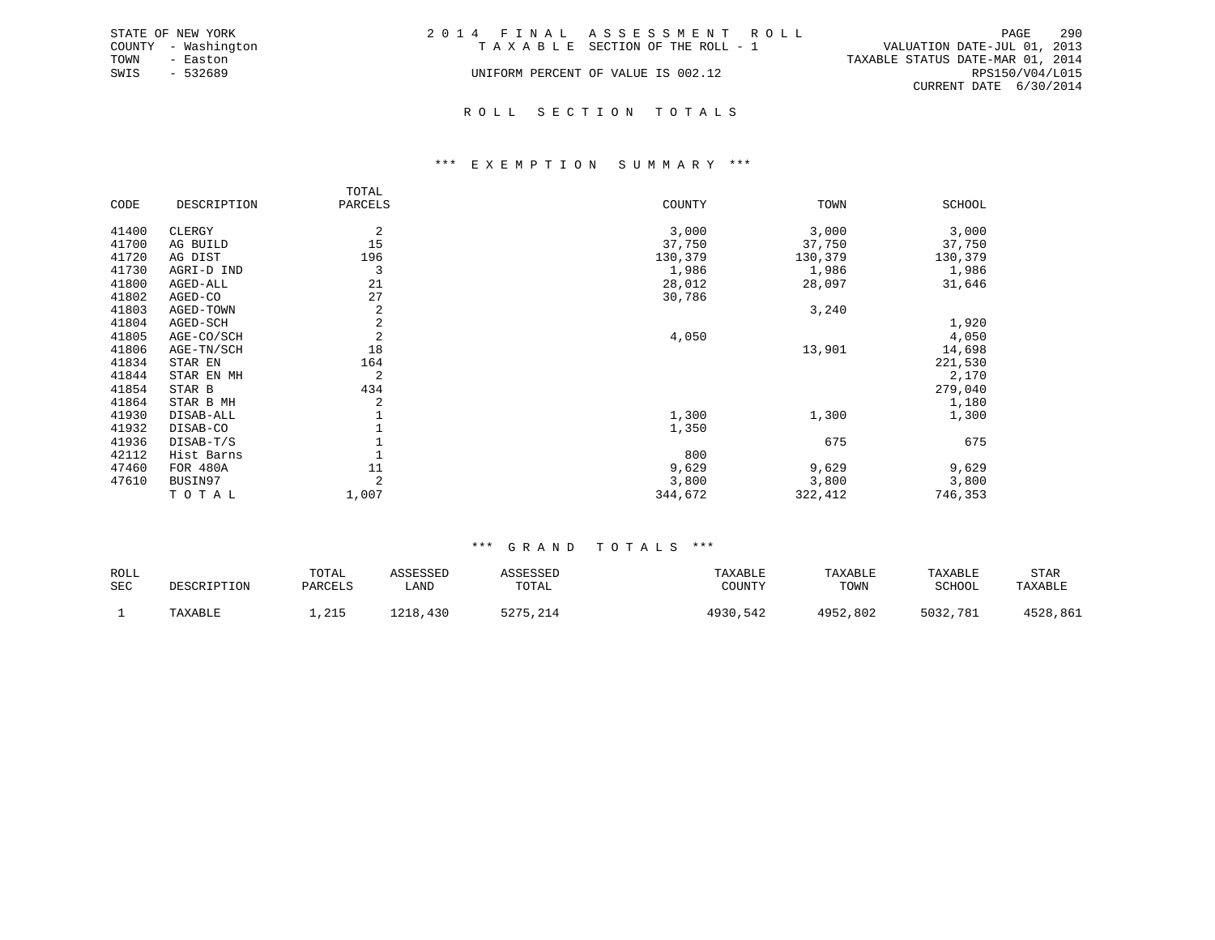|      | STATE OF NEW YORK   | 2014 FINAL ASSESSMENT ROLL         | 290<br>PAGE                      |
|------|---------------------|------------------------------------|----------------------------------|
|      | COUNTY - Washington | TAXABLE SECTION OF THE ROLL - 1    | VALUATION DATE-JUL 01, 2013      |
| TOWN | - Easton            |                                    | TAXABLE STATUS DATE-MAR 01, 2014 |
| SWIS | - 532689            | UNIFORM PERCENT OF VALUE IS 002.12 | RPS150/V04/L015                  |
|      |                     |                                    | CURRENT DATE 6/30/2014           |
|      |                     |                                    |                                  |

#### R O L L S E C T I O N T O T A L S

#### \*\*\* E X E M P T I O N S U M M A R Y \*\*\*

|       |             | TOTAL            |         |         |               |
|-------|-------------|------------------|---------|---------|---------------|
| CODE  | DESCRIPTION | PARCELS          | COUNTY  | TOWN    | <b>SCHOOL</b> |
| 41400 | CLERGY      | 2                | 3,000   | 3,000   | 3,000         |
|       |             |                  |         |         |               |
| 41700 | AG BUILD    | 15               | 37,750  | 37,750  | 37,750        |
| 41720 | AG DIST     | 196              | 130,379 | 130,379 | 130,379       |
| 41730 | AGRI-D IND  | 3                | 1,986   | 1,986   | 1,986         |
| 41800 | AGED-ALL    | 21               | 28,012  | 28,097  | 31,646        |
| 41802 | AGED-CO     | 27               | 30,786  |         |               |
| 41803 | AGED-TOWN   | $\boldsymbol{2}$ |         | 3,240   |               |
| 41804 | AGED-SCH    | $\sqrt{2}$       |         |         | 1,920         |
| 41805 | AGE-CO/SCH  | $\sqrt{2}$       | 4,050   |         | 4,050         |
| 41806 | AGE-TN/SCH  | 18               |         | 13,901  | 14,698        |
| 41834 | STAR EN     | 164              |         |         | 221,530       |
| 41844 | STAR EN MH  | 2                |         |         | 2,170         |
| 41854 | STAR B      | 434              |         |         | 279,040       |
| 41864 | STAR B MH   | $\overline{a}$   |         |         | 1,180         |
| 41930 | DISAB-ALL   | $1\,$            | 1,300   | 1,300   | 1,300         |
| 41932 | DISAB-CO    |                  | 1,350   |         |               |
| 41936 | DISAB-T/S   | 1                |         | 675     | 675           |
| 42112 | Hist Barns  | $\mathbf{1}$     | 800     |         |               |
| 47460 | FOR 480A    | 11               | 9,629   | 9,629   | 9,629         |
| 47610 | BUSIN97     | 2                | 3,800   | 3,800   | 3,800         |
|       | TOTAL       | 1,007            | 344,672 | 322,412 | 746,353       |

| ROLL |             | TOTAL   | ASSESSED | <b>ASESSED</b> | TAXABLE      | TAXABLE  | TAXABLE  | STAR     |
|------|-------------|---------|----------|----------------|--------------|----------|----------|----------|
| SEC  | DESCRIPTION | PARCELS | LAND     | TOTAL          | COUNTY       | TOWN     | SCHOOL   | TAXABLE  |
|      | TAXABLE     | 1,215   | L218,430 | 1275 214       | 4930<br>.542 | 4952,802 | 5032,781 | 1528,861 |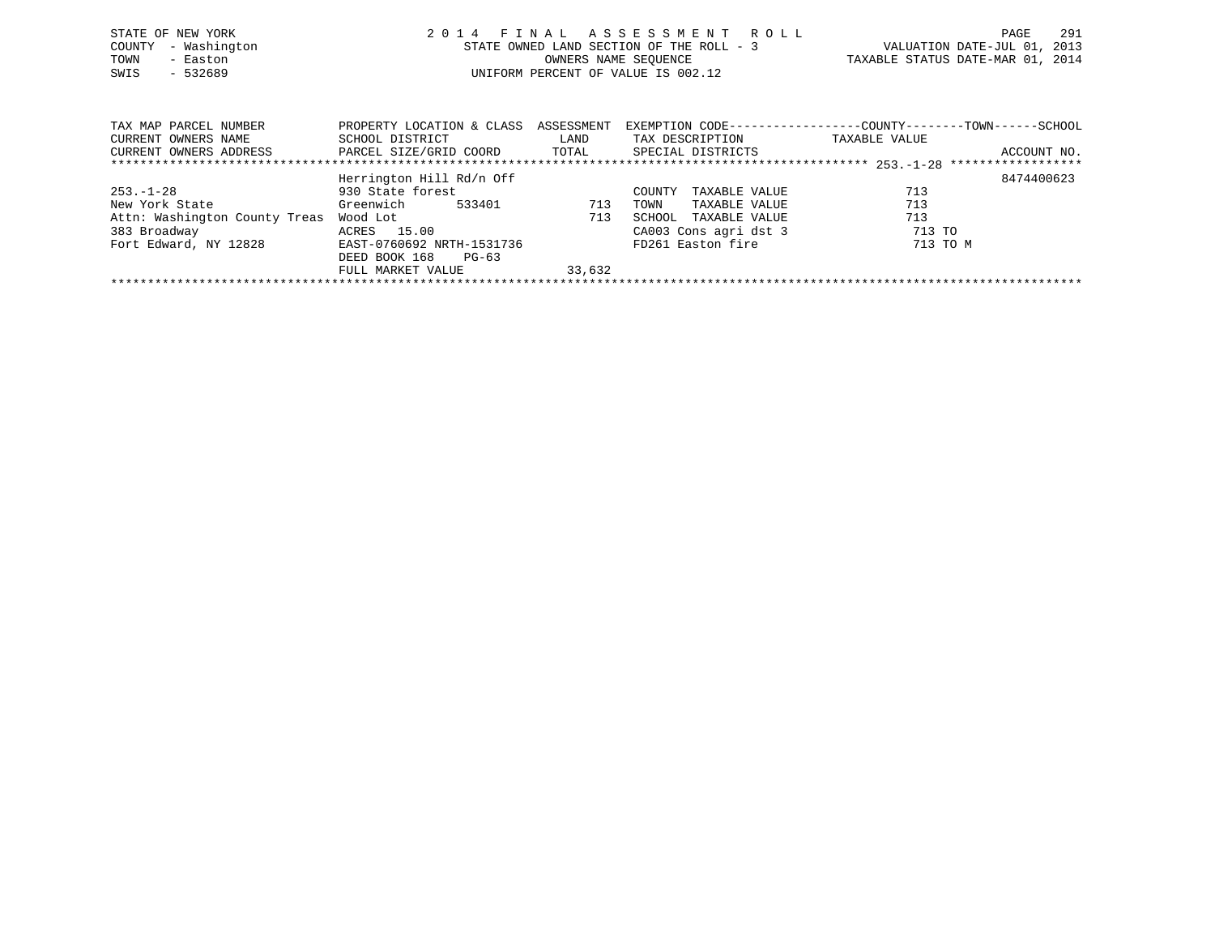| STATE OF NEW YORK<br>- Washington<br>COUNTY<br>- Easton<br>TOWN<br>SWIS<br>$-532689$ |                                              |                    | 2014 FINAL ASSESSMENT ROLL<br>STATE OWNED LAND SECTION OF THE ROLL - 3<br>OWNERS NAME SEOUENCE<br>UNIFORM PERCENT OF VALUE IS 002.12 |               | 291<br>PAGE<br>VALUATION DATE-JUL 01, 2013<br>TAXABLE STATUS DATE-MAR 01, 2014 |  |
|--------------------------------------------------------------------------------------|----------------------------------------------|--------------------|--------------------------------------------------------------------------------------------------------------------------------------|---------------|--------------------------------------------------------------------------------|--|
| TAX MAP PARCEL NUMBER<br>CURRENT OWNERS NAME                                         | PROPERTY LOCATION & CLASS<br>SCHOOL DISTRICT | ASSESSMENT<br>LAND | TAX DESCRIPTION                                                                                                                      | TAXABLE VALUE | EXEMPTION CODE-----------------COUNTY-------TOWN------SCHOOL                   |  |
| CURRENT OWNERS ADDRESS                                                               | PARCEL SIZE/GRID COORD                       | TOTAL              | SPECIAL DISTRICTS                                                                                                                    |               | ACCOUNT NO.                                                                    |  |

|                               | Herrington Hill Rd/n Off  |        |                         |          | 8474400623 |
|-------------------------------|---------------------------|--------|-------------------------|----------|------------|
| $253. - 1 - 28$               | 930 State forest          |        | TAXABLE VALUE<br>COUNTY | 713      |            |
| New York State                | Greenwich<br>533401       | 713    | TAXABLE VALUE<br>TOWN   | 713      |            |
| Attn: Washington County Treas | Wood Lot                  | 713    | SCHOOL TAXABLE VALUE    | 713      |            |
| 383 Broadway                  | ACRES 15.00               |        | CA003 Cons agri dst 3   | 713 TO   |            |
| Fort Edward, NY 12828         | EAST-0760692 NRTH-1531736 |        | FD261 Easton fire       | 713 TO M |            |
|                               | DEED BOOK 168<br>$PG-63$  |        |                         |          |            |
|                               | FULL MARKET VALUE         | 33,632 |                         |          |            |
|                               |                           |        |                         |          |            |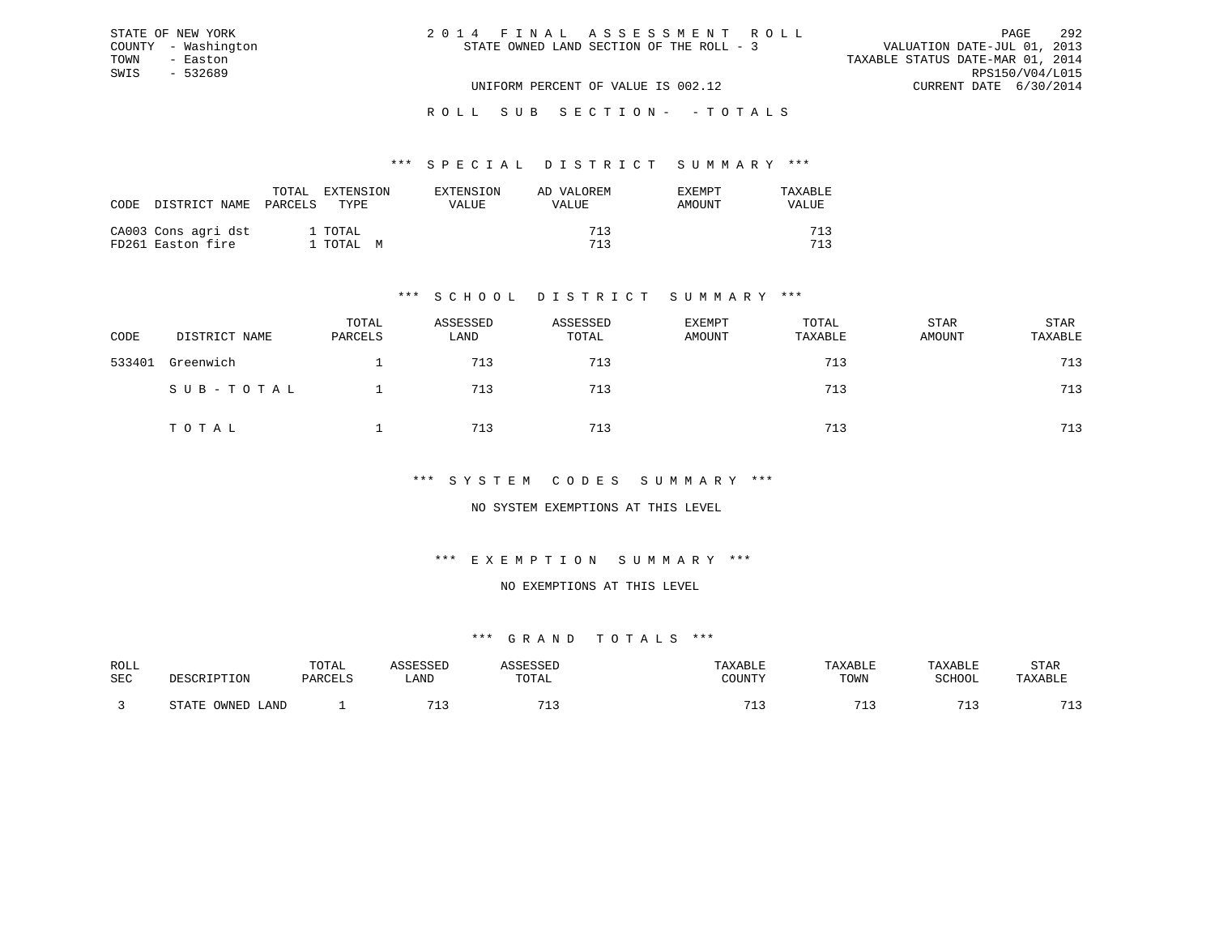| 2014 FINAL ASSESSMENT ROLL<br>PAGE                                      | 292 |
|-------------------------------------------------------------------------|-----|
| VALUATION DATE-JUL 01, 2013<br>STATE OWNED LAND SECTION OF THE ROLL - 3 |     |
| TAXABLE STATUS DATE-MAR 01, 2014                                        |     |
| RPS150/V04/L015                                                         |     |
| CURRENT DATE 6/30/2014<br>UNIFORM PERCENT OF VALUE IS 002.12            |     |

#### \*\*\* S P E C I A L D I S T R I C T S U M M A R Y \*\*\*

| CODE | DISTRICT NAME                            | TOTAL<br>PARCELS | <b>EXTENSION</b><br>TYPE. | EXTENSION<br>VALUE | AD VALOREM<br>VALUE | EXEMPT<br>AMOUNT | TAXARLE<br>VALUE |
|------|------------------------------------------|------------------|---------------------------|--------------------|---------------------|------------------|------------------|
|      | CA003 Cons agri dst<br>FD261 Easton fire |                  | 1 TOTAL<br>1 TOTAL M      |                    | 713<br>713          |                  | 712<br>712       |

STATE OF NEW YORK COUNTY - Washington TOWN - Easton SWIS - 532689

### \*\*\* S C H O O L D I S T R I C T S U M M A R Y \*\*\*

| CODE   | DISTRICT NAME | TOTAL<br>PARCELS | ASSESSED<br>LAND | ASSESSED<br>TOTAL | <b>EXEMPT</b><br>AMOUNT | TOTAL<br>TAXABLE | STAR<br>AMOUNT | STAR<br>TAXABLE |
|--------|---------------|------------------|------------------|-------------------|-------------------------|------------------|----------------|-----------------|
| 533401 | Greenwich     |                  | 713              | 713               |                         | 713              |                | 713             |
|        | SUB-TOTAL     |                  | 713              | 713               |                         | 713              |                | 713             |
|        | TOTAL         |                  | 713              | 713               |                         | 713              |                | 713             |

### \*\*\* S Y S T E M C O D E S S U M M A R Y \*\*\*

### NO SYSTEM EXEMPTIONS AT THIS LEVEL

#### \*\*\* E X E M P T I O N S U M M A R Y \*\*\*

#### NO EXEMPTIONS AT THIS LEVEL

| ROLL       |                        | TOTAL   | <b>ACCTCCTT</b>       | <b>ACCECCET</b>       | TAXABLE | TAXABLE | TAXABLE    | STAR               |
|------------|------------------------|---------|-----------------------|-----------------------|---------|---------|------------|--------------------|
|            |                        |         |                       |                       |         |         |            |                    |
| <b>SEC</b> | DESCRIPTION            | PARCELS | LAND                  | TOTAL                 | COUNTY  | TOWN    | SCHOOL     | TAXABLE            |
|            |                        |         |                       |                       |         |         |            |                    |
|            |                        |         |                       |                       |         |         |            |                    |
|            | OWNED<br>STATE<br>LAND |         | <b>m</b> <sup>1</sup> | <b>m</b> <sup>1</sup> | 71.     |         | $-1$<br>-- | 712<br><u>ے بل</u> |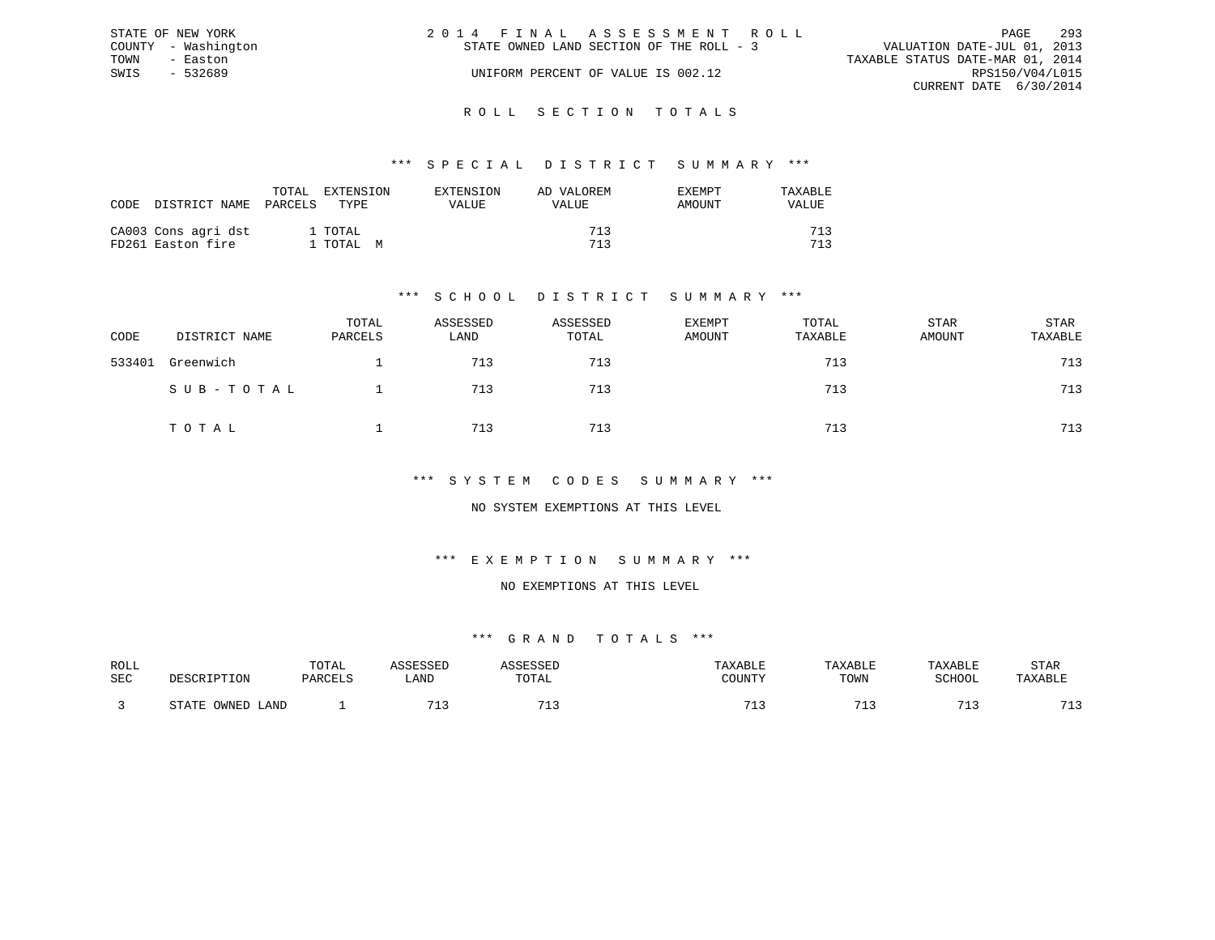|      | STATE OF NEW YORK   | 2014 FINAL ASSESSMENT ROLL                                              | PAGE            | 293 |
|------|---------------------|-------------------------------------------------------------------------|-----------------|-----|
|      | COUNTY - Washington | VALUATION DATE-JUL 01, 2013<br>STATE OWNED LAND SECTION OF THE ROLL - 3 |                 |     |
| TOWN | - Easton            | TAXABLE STATUS DATE-MAR 01, 2014                                        |                 |     |
| SWIS | - 532689            | UNIFORM PERCENT OF VALUE IS 002.12                                      | RPS150/V04/L015 |     |
|      |                     | CURRENT DATE 6/30/2014                                                  |                 |     |
|      |                     |                                                                         |                 |     |

#### R O L L S E C T I O N T O T A L S

#### \*\*\* S P E C I A L D I S T R I C T S U M M A R Y \*\*\*

| CODE | DISTRICT NAME                            | TOTAL<br>PARCELS<br>TYPE. | EXTENSION | EXTENSION<br>VALUE | AD VALOREM<br>VALUE | <b>EXEMPT</b><br>AMOUNT | TAXABLE<br>VALUE |
|------|------------------------------------------|---------------------------|-----------|--------------------|---------------------|-------------------------|------------------|
|      | CA003 Cons agri dst<br>FD261 Easton fire | 1 TOTAL<br>1 ТОТАL М      |           |                    | 713<br>713          |                         | 712<br>712       |

### \*\*\* S C H O O L D I S T R I C T S U M M A R Y \*\*\*

| CODE   | DISTRICT NAME | TOTAL<br>PARCELS | ASSESSED<br>LAND | ASSESSED<br>TOTAL | <b>EXEMPT</b><br>AMOUNT | TOTAL<br>TAXABLE | STAR<br>AMOUNT | STAR<br>TAXABLE |
|--------|---------------|------------------|------------------|-------------------|-------------------------|------------------|----------------|-----------------|
| 533401 | Greenwich     |                  | 713              | 713               |                         | 713              |                | 713             |
|        | SUB-TOTAL     |                  | 713              | 713               |                         | 713              |                | 713             |
|        | TOTAL         |                  | 713              | 713               |                         | 713              |                | 713             |

#### \*\*\* S Y S T E M C O D E S S U M M A R Y \*\*\*

### NO SYSTEM EXEMPTIONS AT THIS LEVEL

### \*\*\* E X E M P T I O N S U M M A R Y \*\*\*

#### NO EXEMPTIONS AT THIS LEVEL

| ROLL       |                        | TOTAL   | <b>ACCTCCTT</b>       | <b>ACCECCET</b>       | TAXABLE | TAXABLE | TAXABLE    | STAR               |
|------------|------------------------|---------|-----------------------|-----------------------|---------|---------|------------|--------------------|
|            |                        |         |                       |                       |         |         |            |                    |
| <b>SEC</b> | DESCRIPTION            | PARCELS | LAND                  | TOTAL                 | COUNTY  | TOWN    | SCHOOL     | TAXABLE            |
|            |                        |         |                       |                       |         |         |            |                    |
|            |                        |         |                       |                       |         |         |            |                    |
|            | OWNED<br>STATE<br>LAND |         | <b>m</b> <sup>1</sup> | <b>m</b> <sup>1</sup> | 71.     |         | $-1$<br>-- | 712<br><u>ے بل</u> |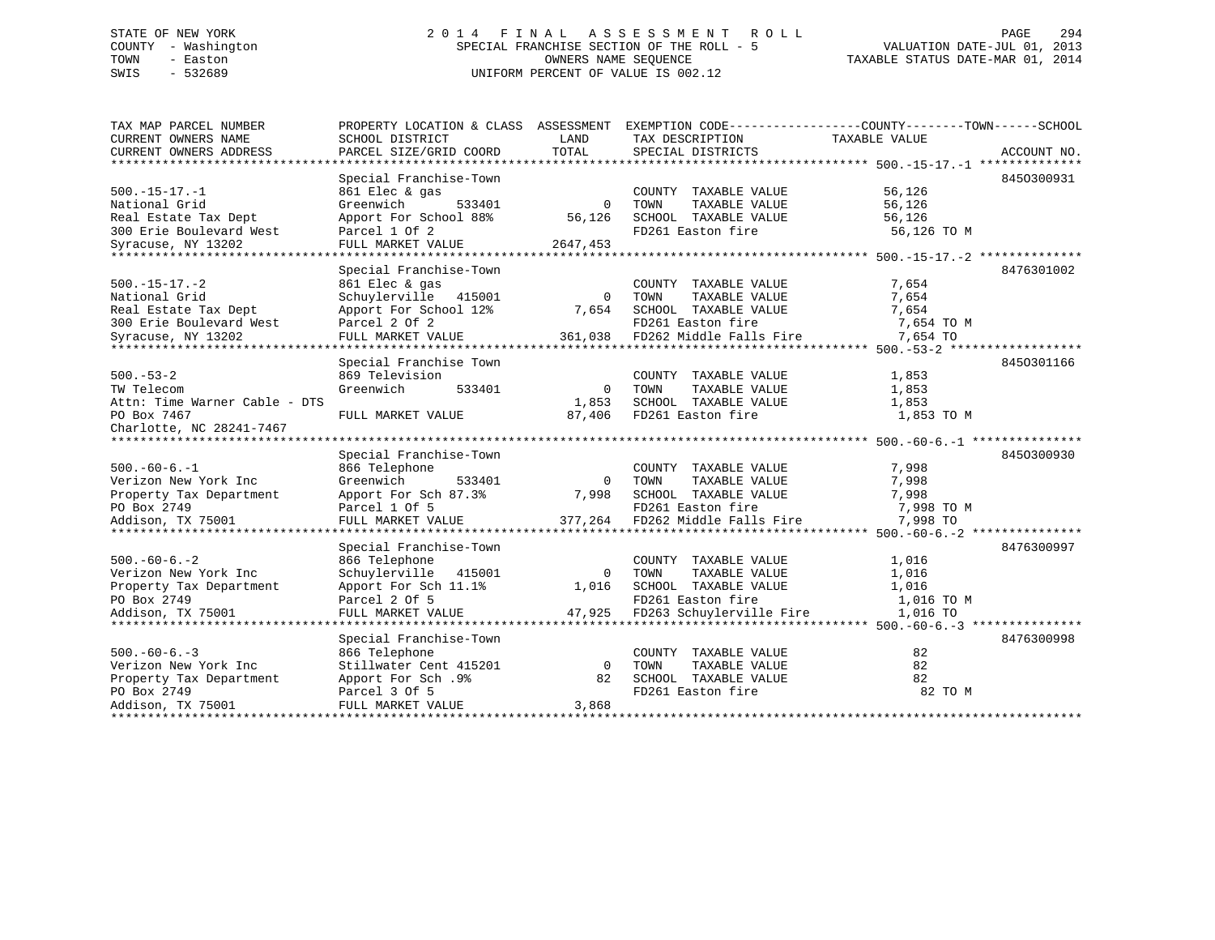### STATE OF NEW YORK 294 2014 FINAL ASSESSMENT ROLL 2014 PAGE 294 COUNTY - Washington SPECIAL FRANCHISE SECTION OF THE ROLL - 5 TOWN - Easton **CONNERS NAME SEQUENCE** TAXABLE STATUS DATE-MAR 01, 2014 SWIS - 532689 UNIFORM PERCENT OF VALUE IS 002.12

| TAX MAP PARCEL NUMBER         |                         |          |                          | PROPERTY LOCATION & CLASS ASSESSMENT EXEMPTION CODE----------------COUNTY-------TOWN-----SCHOOL |  |
|-------------------------------|-------------------------|----------|--------------------------|-------------------------------------------------------------------------------------------------|--|
| CURRENT OWNERS NAME           | SCHOOL DISTRICT         | LAND     | TAX DESCRIPTION          | TAXABLE VALUE                                                                                   |  |
| CURRENT OWNERS ADDRESS        | PARCEL SIZE/GRID COORD  | TOTAL    | SPECIAL DISTRICTS        | ACCOUNT NO.                                                                                     |  |
|                               |                         |          |                          |                                                                                                 |  |
|                               | Special Franchise-Town  |          |                          | 8450300931                                                                                      |  |
| $500.-15-17.-1$               | 861 Elec & gas          |          | COUNTY TAXABLE VALUE     | 56,126                                                                                          |  |
| National Grid                 | Greenwich<br>533401     | $\Omega$ | TOWN<br>TAXABLE VALUE    | 56,126                                                                                          |  |
| Real Estate Tax Dept          | Apport For School 88%   | 56,126   | SCHOOL TAXABLE VALUE     | 56,126                                                                                          |  |
| 300 Erie Boulevard West       | Parcel 1 Of 2           |          | FD261 Easton fire        | 56,126 TO M                                                                                     |  |
| Syracuse, NY 13202            | FULL MARKET VALUE       | 2647,453 |                          |                                                                                                 |  |
| *************************     |                         |          |                          |                                                                                                 |  |
|                               | Special Franchise-Town  |          |                          | 8476301002                                                                                      |  |
| $500. -15 - 17. -2$           | 861 Elec & gas          |          | COUNTY TAXABLE VALUE     | 7,654                                                                                           |  |
| National Grid                 | Schuylerville 415001    | $\Omega$ | TOWN<br>TAXABLE VALUE    | 7,654                                                                                           |  |
| Real Estate Tax Dept          | Apport For School 12%   | 7,654    | SCHOOL TAXABLE VALUE     | 7,654                                                                                           |  |
| 300 Erie Boulevard West       | Parcel 2 Of 2           |          | FD261 Easton fire        | 7,654 TO M                                                                                      |  |
| Syracuse, NY 13202            | FULL MARKET VALUE       | 361,038  | FD262 Middle Falls Fire  | 7,654 TO                                                                                        |  |
|                               |                         |          |                          |                                                                                                 |  |
|                               | Special Franchise Town  |          |                          | 8450301166                                                                                      |  |
| $500 - 53 - 2$                | 869 Television          |          | COUNTY TAXABLE VALUE     | 1,853                                                                                           |  |
| TW Telecom                    | Greenwich<br>533401     | $\Omega$ | TAXABLE VALUE<br>TOWN    | 1,853                                                                                           |  |
| Attn: Time Warner Cable - DTS |                         | 1,853    | SCHOOL TAXABLE VALUE     | 1,853                                                                                           |  |
| PO Box 7467                   | FULL MARKET VALUE       | 87,406   | FD261 Easton fire        | 1,853 TO M                                                                                      |  |
| Charlotte, NC 28241-7467      |                         |          |                          |                                                                                                 |  |
|                               |                         |          |                          |                                                                                                 |  |
|                               | Special Franchise-Town  |          |                          | 8450300930                                                                                      |  |
| $500. -60 - 6. -1$            | 866 Telephone           |          | COUNTY TAXABLE VALUE     | 7,998                                                                                           |  |
| Verizon New York Inc          | Greenwich<br>533401     | $\Omega$ | TAXABLE VALUE<br>TOWN    | 7,998                                                                                           |  |
| Property Tax Department       | Apport For Sch 87.3%    | 7,998    | SCHOOL TAXABLE VALUE     | 7,998                                                                                           |  |
| PO Box 2749                   | Parcel 1 Of 5           |          | FD261 Easton fire        | 7,998 TO M                                                                                      |  |
| Addison, TX 75001             | FULL MARKET VALUE       | 377,264  | FD262 Middle Falls Fire  | 7,998 TO                                                                                        |  |
|                               |                         |          |                          |                                                                                                 |  |
|                               | Special Franchise-Town  |          |                          | 8476300997                                                                                      |  |
| $500. -60 - 6. - 2$           | 866 Telephone           |          | COUNTY TAXABLE VALUE     | 1,016                                                                                           |  |
| Verizon New York Inc          | Schuylerville<br>415001 | $\Omega$ | TOWN<br>TAXABLE VALUE    | 1,016                                                                                           |  |
| Property Tax Department       | Apport For Sch 11.1%    | 1,016    | SCHOOL TAXABLE VALUE     | 1,016                                                                                           |  |
| PO Box 2749                   | Parcel 2 Of 5           |          | FD261 Easton fire        | 1,016 TO M                                                                                      |  |
| Addison, TX 75001             | FULL MARKET VALUE       | 47,925   | FD263 Schuylerville Fire | 1,016 TO                                                                                        |  |
|                               |                         |          |                          |                                                                                                 |  |
|                               | Special Franchise-Town  |          |                          | 8476300998                                                                                      |  |
| $500. -60 - 6. -3$            | 866 Telephone           |          | COUNTY TAXABLE VALUE     | 82                                                                                              |  |
| Verizon New York Inc          | Stillwater Cent 415201  | $\Omega$ | TOWN<br>TAXABLE VALUE    | 82                                                                                              |  |
| Property Tax Department       | Apport For Sch.9%       | 82       | SCHOOL TAXABLE VALUE     | 82                                                                                              |  |
| PO Box 2749                   | Parcel 3 Of 5           |          | FD261 Easton fire        | 82 TO M                                                                                         |  |
| Addison, TX 75001             | FULL MARKET VALUE       | 3,868    |                          |                                                                                                 |  |
|                               |                         |          |                          |                                                                                                 |  |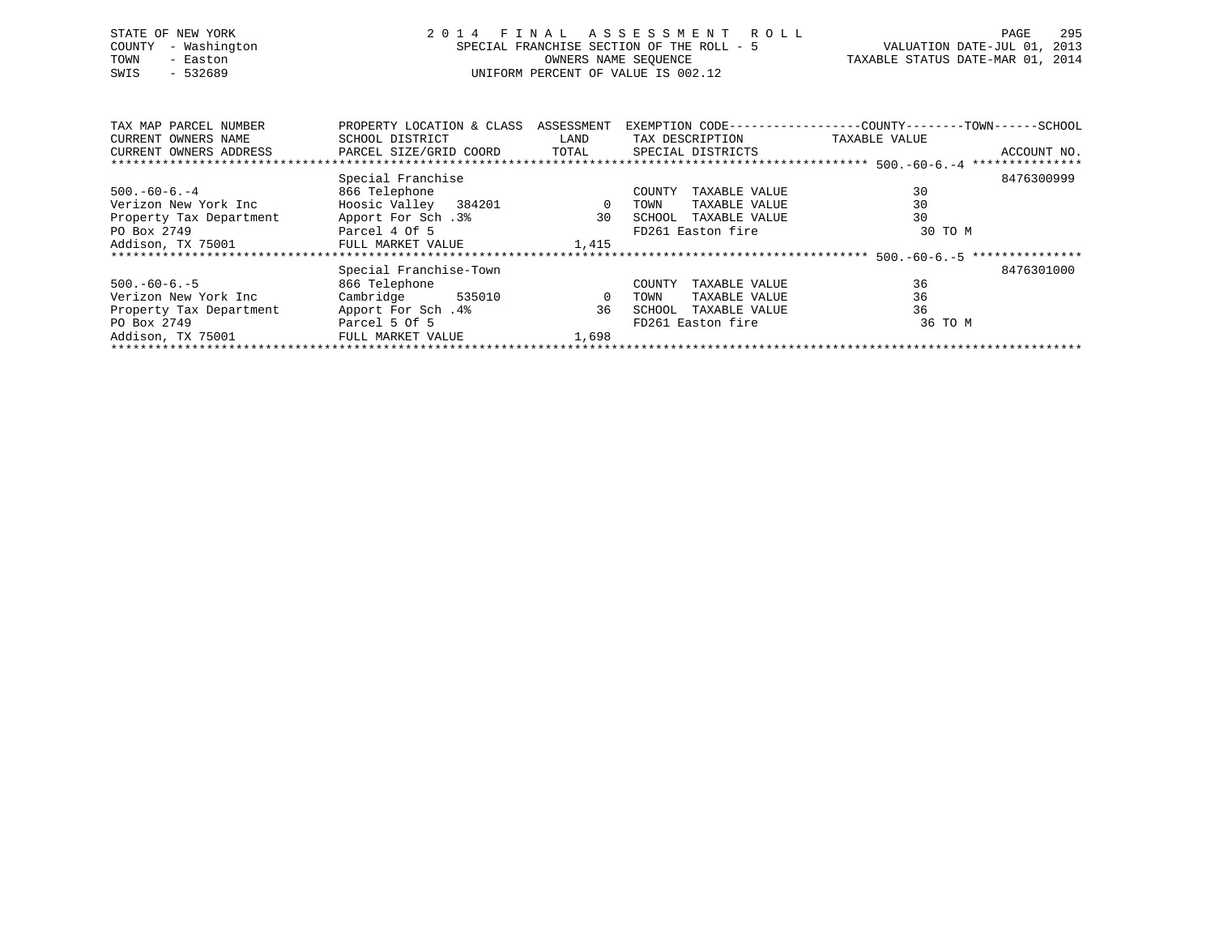| STATE OF NEW YORK   | 2014 FINAL ASSESSMENT ROLL                | 295<br>PAGE                      |
|---------------------|-------------------------------------------|----------------------------------|
| COUNTY - Washington | SPECIAL FRANCHISE SECTION OF THE ROLL - 5 | VALUATION DATE-JUL 01, 2013      |
| TOWN<br>- Easton    | OWNERS NAME SEOUENCE                      | TAXABLE STATUS DATE-MAR 01, 2014 |
| SWIS<br>- 532689    | UNIFORM PERCENT OF VALUE IS 002.12        |                                  |
|                     |                                           |                                  |
|                     |                                           |                                  |

| TAX MAP PARCEL NUMBER   | PROPERTY LOCATION & CLASS | ASSESSMENT     | EXEMPTION CODE---------------- | -COUNTY--------TOWN------SCHOOL |
|-------------------------|---------------------------|----------------|--------------------------------|---------------------------------|
| CURRENT OWNERS NAME     | SCHOOL DISTRICT           | LAND           | TAX DESCRIPTION                | TAXABLE VALUE                   |
| CURRENT OWNERS ADDRESS  | PARCEL SIZE/GRID COORD    | TOTAL          | SPECIAL DISTRICTS              | ACCOUNT NO.                     |
|                         |                           |                |                                |                                 |
|                         | Special Franchise         |                |                                | 8476300999                      |
| $500.-60-6.-4$          | 866 Telephone             |                | TAXABLE VALUE<br>COUNTY        | 30                              |
| Verizon New York Inc    | Hoosic Valley 384201      | $\overline{0}$ | TAXABLE VALUE<br>TOWN          | 30                              |
| Property Tax Department | Apport For Sch.3%         | 30             | TAXABLE VALUE<br>SCHOOL        | 30                              |
| PO Box 2749             | Parcel 4 Of 5             |                | FD261 Easton fire              | 30 TO M                         |
| Addison, TX 75001       | FULL MARKET VALUE         | 1,415          |                                |                                 |
|                         |                           |                |                                |                                 |
|                         | Special Franchise-Town    |                |                                | 8476301000                      |
| $500. -60 - 6. -5$      | 866 Telephone             |                | TAXABLE VALUE<br>COUNTY        | 36                              |
| Verizon New York Inc    | Cambridge<br>535010       | 0              | TAXABLE VALUE<br>TOWN          | 36                              |
| Property Tax Department | Apport For Sch.4%         | 36             | TAXABLE VALUE<br>SCHOOL        | 36                              |
| PO Box 2749             | Parcel 5 Of 5             |                | FD261 Easton fire              | 36 TO M                         |
| Addison, TX 75001       | FULL MARKET VALUE         | 1,698          |                                |                                 |
|                         |                           |                |                                |                                 |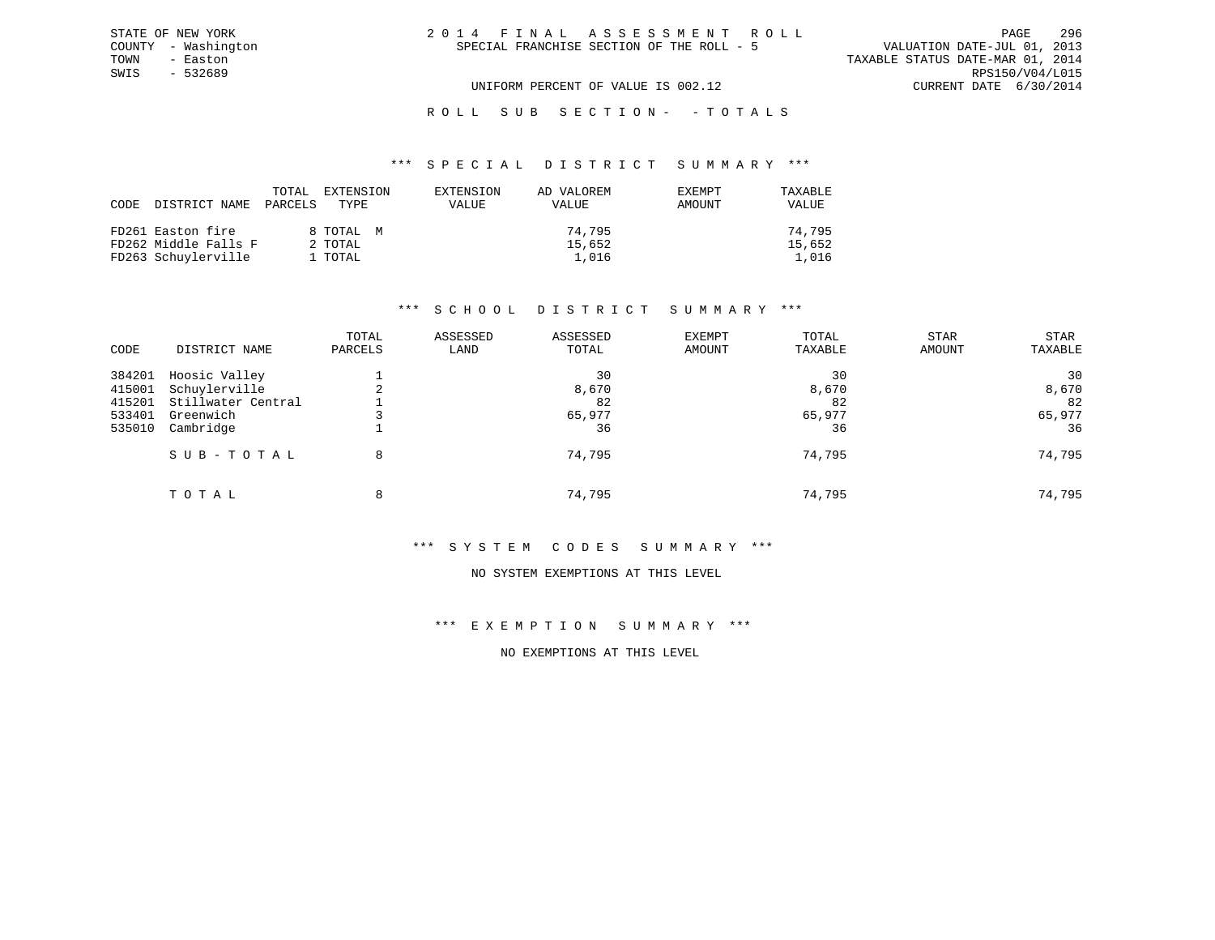| 2014 FINAL ASSESSMENT ROLL                |                                  | PAGE.           | 296 |
|-------------------------------------------|----------------------------------|-----------------|-----|
| SPECIAL FRANCHISE SECTION OF THE ROLL - 5 | VALUATION DATE-JUL 01, 2013      |                 |     |
|                                           | TAXABLE STATUS DATE-MAR 01, 2014 |                 |     |
|                                           |                                  | RPS150/V04/L015 |     |
| UNIFORM PERCENT OF VALUE IS 002.12        | CURRENT DATE 6/30/2014           |                 |     |

ROLL SUB SECTION - - TOTALS

#### \*\*\* S P E C I A L D I S T R I C T S U M M A R Y \*\*\*

| CODE DISTRICT NAME PARCELS | TOTAL | EXTENSION<br>TYPE | EXTENSION<br>VALUE | AD VALOREM<br>VALUE | <b>EXEMPT</b><br>AMOUNT | TAXABLE<br>VALUE |
|----------------------------|-------|-------------------|--------------------|---------------------|-------------------------|------------------|
| FD261 Easton fire          |       | 8 ТОТАL М         |                    | 74,795              |                         | 74,795           |
| FD262 Middle Falls F       |       | 2 TOTAL           |                    | 15,652              |                         | 15,652           |
| FD263 Schuylerville        |       | 1 TOTAL           |                    | 1,016               |                         | 1,016            |

#### \*\*\* S C H O O L D I S T R I C T S U M M A R Y \*\*\*

| CODE             | DISTRICT NAME                       | TOTAL<br>PARCELS | ASSESSED<br>LAND | ASSESSED<br>TOTAL | <b>EXEMPT</b><br>AMOUNT | TOTAL<br>TAXABLE | <b>STAR</b><br>AMOUNT | <b>STAR</b><br>TAXABLE |
|------------------|-------------------------------------|------------------|------------------|-------------------|-------------------------|------------------|-----------------------|------------------------|
| 384201           | Hoosic Valley                       |                  |                  | 30                |                         | 30               |                       | 30                     |
| 415001<br>415201 | Schuylerville<br>Stillwater Central |                  |                  | 8,670<br>82       |                         | 8,670<br>82      |                       | 8,670<br>82            |
| 533401           | Greenwich                           |                  |                  | 65,977            |                         | 65,977           |                       | 65,977                 |
| 535010           | Cambridge                           |                  |                  | 36                |                         | 36               |                       | 36                     |
|                  | SUB-TOTAL                           | 8                |                  | 74,795            |                         | 74,795           |                       | 74,795                 |
|                  | TOTAL                               | 8                |                  | 74,795            |                         | 74,795           |                       | 74,795                 |

#### \*\*\* S Y S T E M C O D E S S U M M A R Y \*\*\*

#### NO SYSTEM EXEMPTIONS AT THIS LEVEL

### \*\*\* E X E M P T I O N S U M M A R Y \*\*\*

### NO EXEMPTIONS AT THIS LEVEL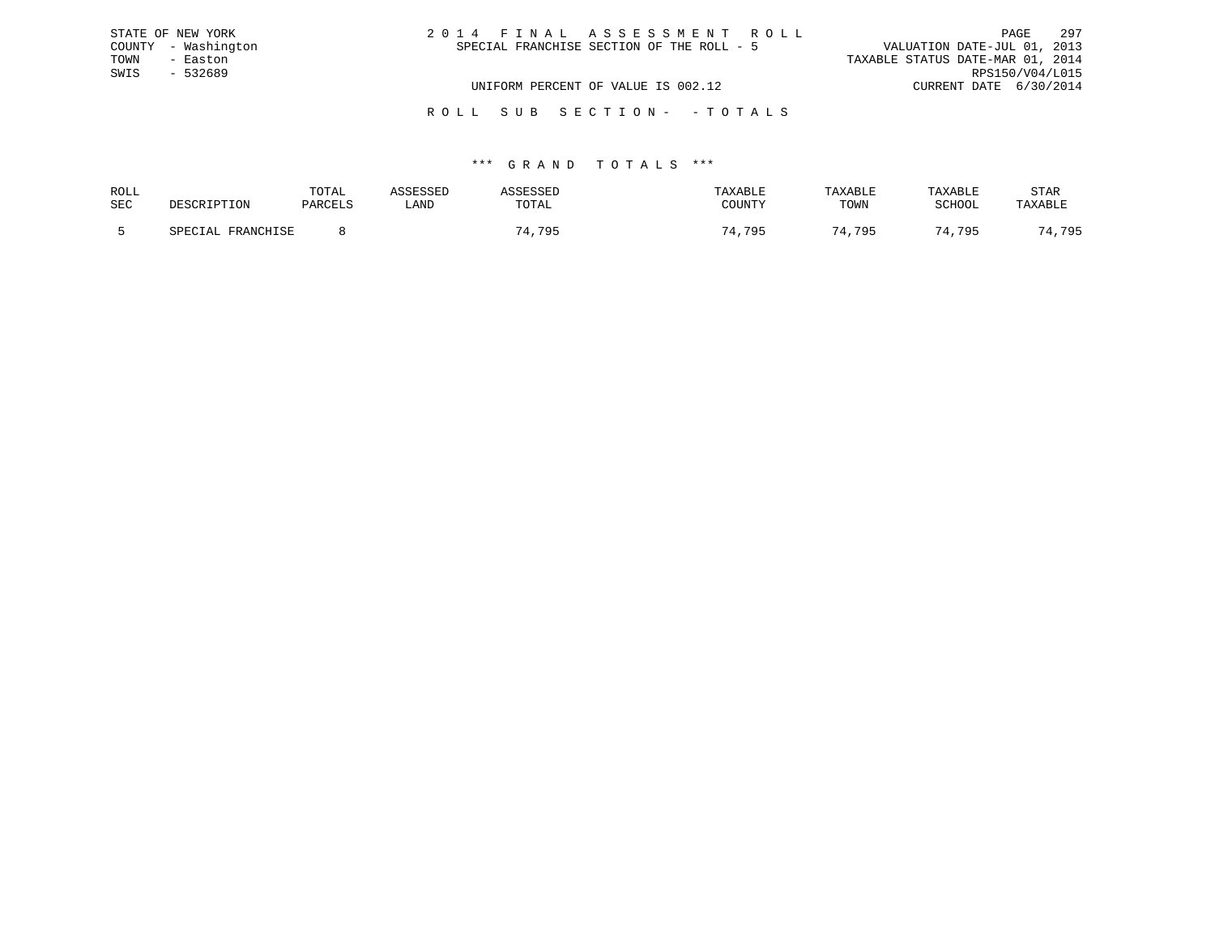|      | STATE OF NEW YORK   | 2014 FINAL ASSESSMENT ROLL                | PAGE                             | 297             |
|------|---------------------|-------------------------------------------|----------------------------------|-----------------|
|      | COUNTY - Washington | SPECIAL FRANCHISE SECTION OF THE ROLL - 5 | VALUATION DATE-JUL 01, 2013      |                 |
| TOWN | - Easton            |                                           | TAXABLE STATUS DATE-MAR 01, 2014 |                 |
| SWIS | - 532689            |                                           |                                  | RPS150/V04/L015 |
|      |                     | UNIFORM PERCENT OF VALUE IS 002.12        | CURRENT DATE 6/30/2014           |                 |
|      |                     |                                           |                                  |                 |

#### R O L L S U B S E C T I O N - - T O T A L S

| ROLL       |                   | TOTAL   | SSESSEL | LSSLD  | TAXABLE | TAXABLE | TAXABLE | STAR                      |
|------------|-------------------|---------|---------|--------|---------|---------|---------|---------------------------|
| <b>SEC</b> | DESCRIPTION       | PARCELS | LAND    | TOTAL  | COUNTY  | TOWN    | SCHOOL  | TAXABLE                   |
|            | SPECIAL FRANCHISE |         |         | 74,795 | 4,795   | 74,795  | 74,795  | 795<br><b>I</b> , , , , , |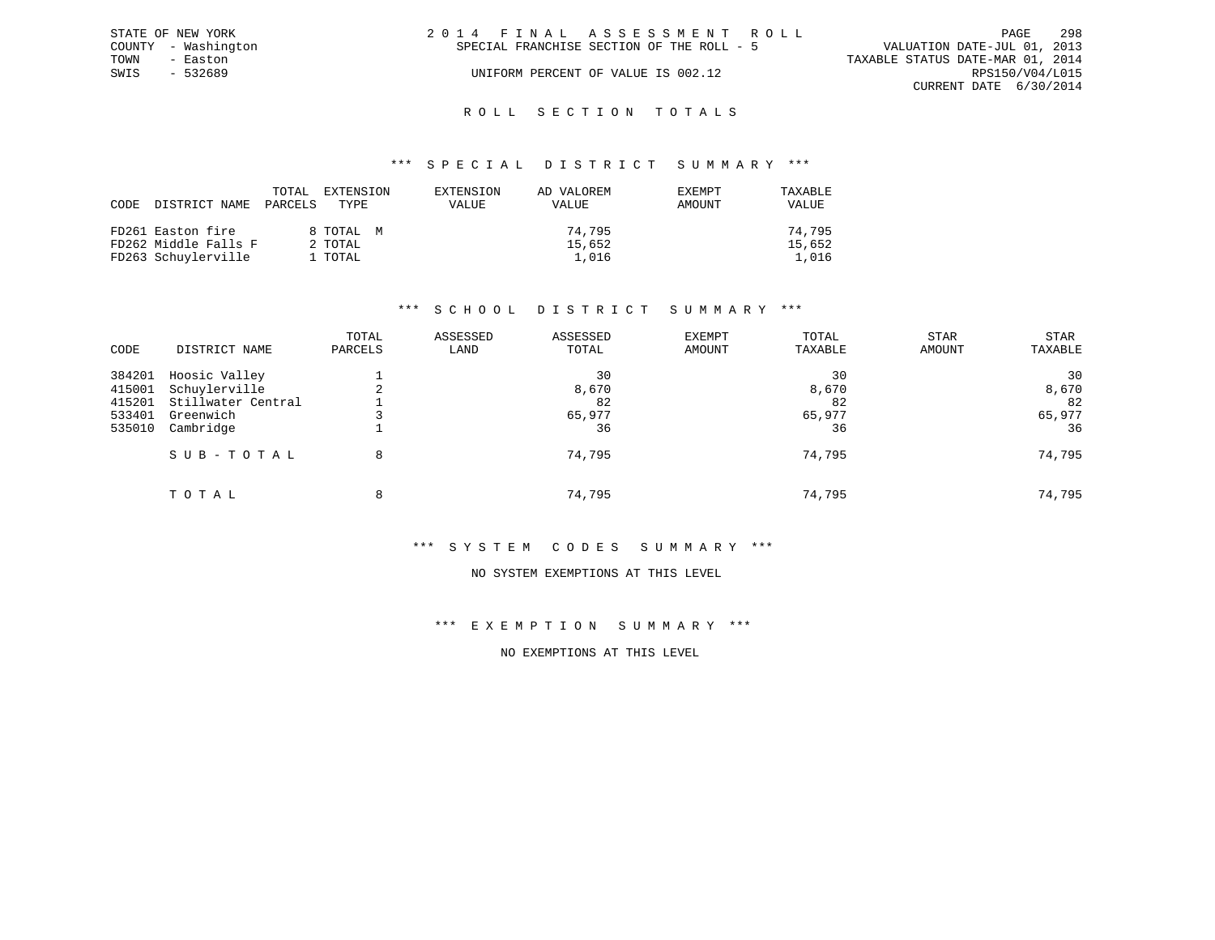| STATE OF NEW YORK   |          | 2014 FINAL ASSESSMENT ROLL |                                           |                                  |                        | PAGE | 298 |
|---------------------|----------|----------------------------|-------------------------------------------|----------------------------------|------------------------|------|-----|
| COUNTY - Washington |          |                            | SPECIAL FRANCHISE SECTION OF THE ROLL - 5 | VALUATION DATE-JUL 01, 2013      |                        |      |     |
| TOWN                | - Easton |                            |                                           | TAXABLE STATUS DATE-MAR 01, 2014 |                        |      |     |
| SWIS                | - 532689 |                            | UNIFORM PERCENT OF VALUE IS 002.12        |                                  | RPS150/V04/L015        |      |     |
|                     |          |                            |                                           |                                  | CURRENT DATE 6/30/2014 |      |     |
|                     |          |                            |                                           |                                  |                        |      |     |

### ROLL SECTION TOTALS

#### \*\*\* S P E C I A L D I S T R I C T S U M M A R Y \*\*\*

| CODE | DISTRICT NAME        | TOTAL<br>PARCELS | EXTENSION<br>TYPE. | EXTENSION<br><b>VALUE</b> | AD VALOREM<br>VALUE | EXEMPT<br>AMOUNT | TAXABLE<br>VALUE |
|------|----------------------|------------------|--------------------|---------------------------|---------------------|------------------|------------------|
|      | FD261 Easton fire    |                  | 8 TOTAL M          |                           | 74.795              |                  | 74.795           |
|      | FD262 Middle Falls F |                  | 2 TOTAL            |                           | 15,652              |                  | 15,652           |
|      | FD263 Schuylerville  |                  | 1 TOTAL            |                           | 1,016               |                  | 1,016            |

#### \*\*\* S C H O O L D I S T R I C T S U M M A R Y \*\*\*

| CODE             | DISTRICT NAME                       | TOTAL<br>PARCELS | ASSESSED<br>LAND | ASSESSED<br>TOTAL | EXEMPT<br>AMOUNT | TOTAL<br>TAXABLE | <b>STAR</b><br>AMOUNT | <b>STAR</b><br>TAXABLE |
|------------------|-------------------------------------|------------------|------------------|-------------------|------------------|------------------|-----------------------|------------------------|
| 384201           | Hoosic Valley                       |                  |                  | 30                |                  | 30               |                       | 30                     |
| 415001<br>415201 | Schuylerville<br>Stillwater Central |                  |                  | 8,670<br>82       |                  | 8,670<br>82      |                       | 8,670<br>82            |
| 533401<br>535010 | Greenwich<br>Cambridge              |                  |                  | 65,977<br>36      |                  | 65,977<br>36     |                       | 65,977<br>36           |
|                  | SUB-TOTAL                           | 8                |                  | 74,795            |                  | 74,795           |                       | 74,795                 |
|                  | TOTAL                               | 8                |                  | 74,795            |                  | 74,795           |                       | 74,795                 |

#### \*\*\* S Y S T E M C O D E S S U M M A R Y \*\*\*

#### NO SYSTEM EXEMPTIONS AT THIS LEVEL

### \*\*\* E X E M P T I O N S U M M A R Y \*\*\*

### NO EXEMPTIONS AT THIS LEVEL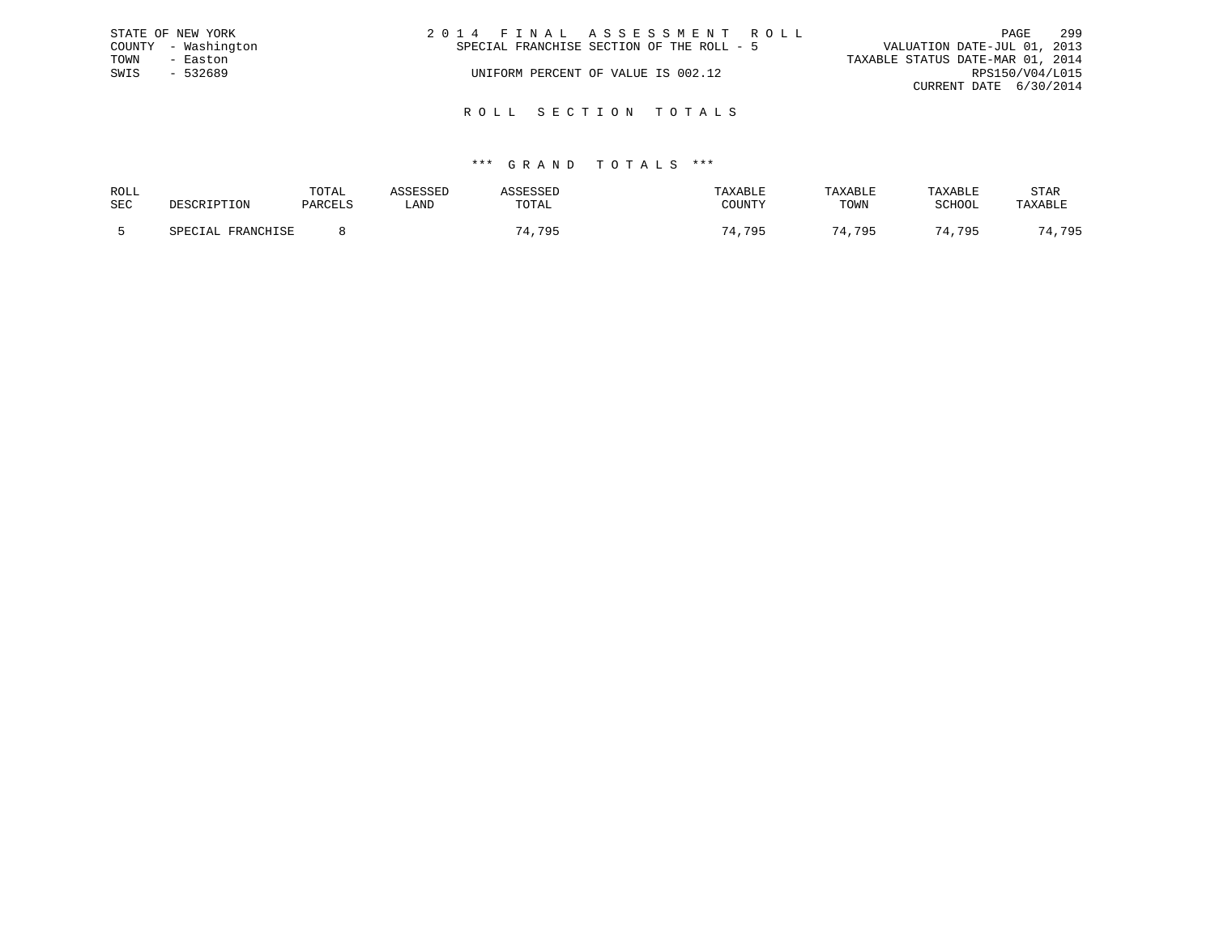|      | STATE OF NEW YORK   | 2014 FINAL ASSESSMENT ROLL                | PAGE                             | 299 |
|------|---------------------|-------------------------------------------|----------------------------------|-----|
|      | COUNTY - Washington | SPECIAL FRANCHISE SECTION OF THE ROLL - 5 | VALUATION DATE-JUL 01, 2013      |     |
| TOWN | - Easton            |                                           | TAXABLE STATUS DATE-MAR 01, 2014 |     |
| SWIS | $-532689$           | UNIFORM PERCENT OF VALUE IS 002.12        | RPS150/V04/L015                  |     |
|      |                     |                                           | CURRENT DATE 6/30/2014           |     |
|      |                     |                                           |                                  |     |

## \*\*\* G R A N D T O T A L S \*\*\*

R O L L S E C T I O N T O T A L S

| ROLL | DESCRIPTION       | TOTAL   | ASSESSED | <b>ASSESSED</b> | TAXABLE    | TAXABLE | TAXABLE | STAR    |
|------|-------------------|---------|----------|-----------------|------------|---------|---------|---------|
| SEC  |                   | PARCELS | LAND     | TOTAL           | COUNTY     | TOWN    | SCHOOL  | TAXABLE |
|      | SPECIAL FRANCHISE |         |          | 74,795          | .795<br>71 | 74,795  | 74,795  | 74,795  |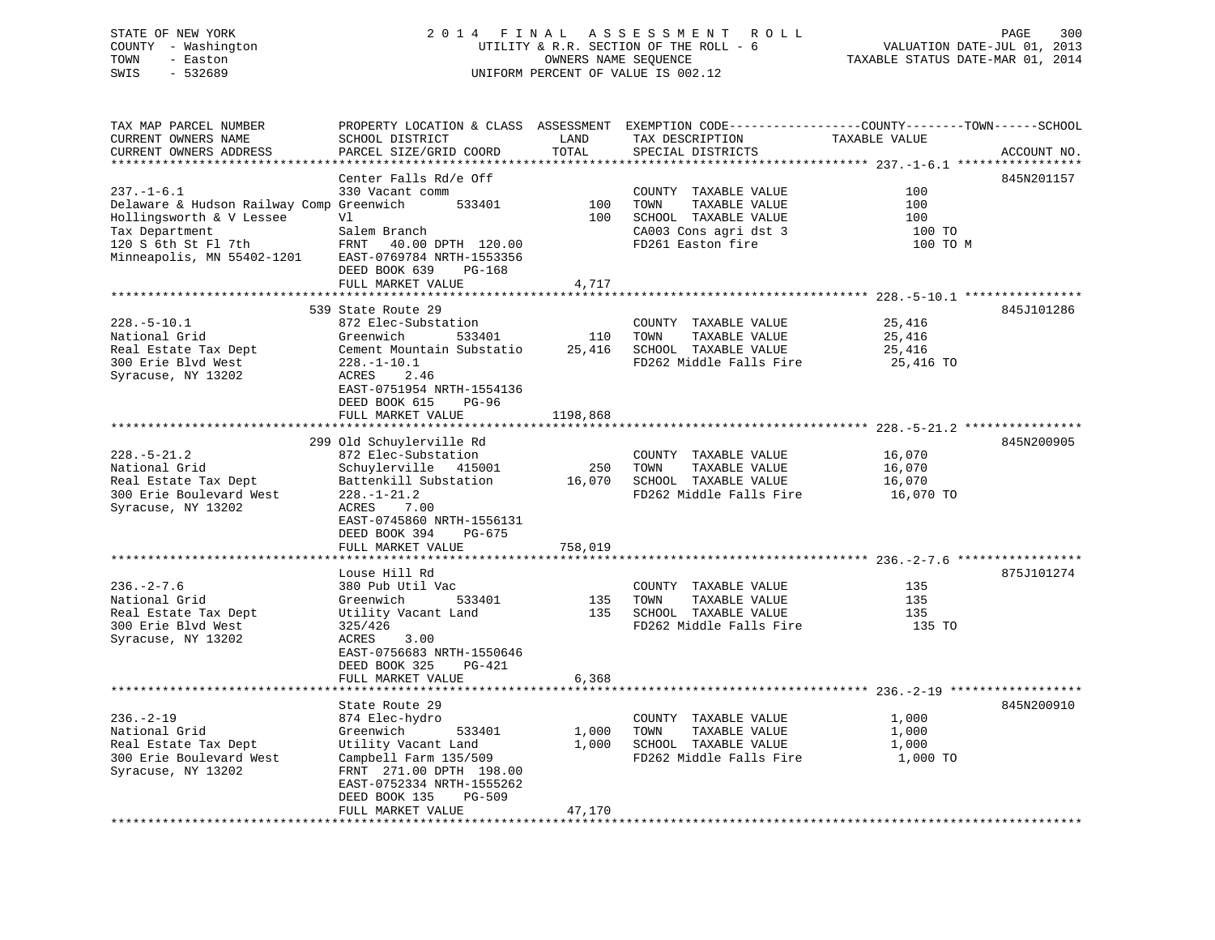### STATE OF NEW YORK 2 0 1 4 F I N A L A S S E S S M E N T R O L L PAGE 300 COUNTY - Washington UTILITY & R.R. SECTION OF THE ROLL - 6 VALUATION DATE-JUL 01, 2013 TOWN - Easton OWNERS NAME SEQUENCE TAXABLE STATUS DATE-MAR 01, 2014 SWIS - 532689 UNIFORM PERCENT OF VALUE IS 002.12UNIFORM PERCENT OF VALUE IS 002.12

| TAX MAP PARCEL NUMBER                                                                                                                                        | PROPERTY LOCATION & CLASS ASSESSMENT EXEMPTION CODE----------------COUNTY-------TOWN------SCHOOL                                                                                  |          |                                                                                                |               |             |
|--------------------------------------------------------------------------------------------------------------------------------------------------------------|-----------------------------------------------------------------------------------------------------------------------------------------------------------------------------------|----------|------------------------------------------------------------------------------------------------|---------------|-------------|
| CURRENT OWNERS NAME                                                                                                                                          | SCHOOL DISTRICT                                                                                                                                                                   | LAND     | TAX DESCRIPTION                                                                                | TAXABLE VALUE |             |
| CURRENT OWNERS ADDRESS                                                                                                                                       | PARCEL SIZE/GRID COORD                                                                                                                                                            | TOTAL    | SPECIAL DISTRICTS                                                                              |               | ACCOUNT NO. |
|                                                                                                                                                              |                                                                                                                                                                                   |          |                                                                                                |               |             |
|                                                                                                                                                              | Center Falls Rd/e Off                                                                                                                                                             |          |                                                                                                |               | 845N201157  |
| $237. - 1 - 6.1$                                                                                                                                             | 330 Vacant comm                                                                                                                                                                   |          | COUNTY TAXABLE VALUE                                                                           | 100           |             |
|                                                                                                                                                              |                                                                                                                                                                                   |          |                                                                                                | 100           |             |
| Delaware & Hudson Railway Comp Greenwich 533401 100                                                                                                          |                                                                                                                                                                                   |          | TAXABLE VALUE<br>TOWN                                                                          |               |             |
| Hollingsworth & V Lessee                                                                                                                                     | V1                                                                                                                                                                                | 100      | SCHOOL TAXABLE VALUE                                                                           | 100           |             |
| Tax Department                                                                                                                                               | Salem Branch                                                                                                                                                                      |          | CA003 Cons agri dst 3<br>FD261 Easton fire                                                     | 100 TO        |             |
| 120 S 6th St Fl 7th                                                                                                                                          | FRNT 40.00 DPTH 120.00                                                                                                                                                            |          |                                                                                                | 100 TO M      |             |
| Minneapolis, MN 55402-1201 EAST-0769784 NRTH-1553356                                                                                                         |                                                                                                                                                                                   |          |                                                                                                |               |             |
|                                                                                                                                                              | DEED BOOK 639<br>PG-168                                                                                                                                                           |          |                                                                                                |               |             |
|                                                                                                                                                              | FULL MARKET VALUE                                                                                                                                                                 | 4,717    |                                                                                                |               |             |
|                                                                                                                                                              |                                                                                                                                                                                   |          |                                                                                                |               |             |
|                                                                                                                                                              | 539 State Route 29                                                                                                                                                                |          |                                                                                                |               | 845J101286  |
| $228. - 5 - 10.1$                                                                                                                                            | 872 Elec-Substation                                                                                                                                                               |          | COUNTY TAXABLE VALUE                                                                           | 25,416        |             |
| National Grid                                                                                                                                                | 533401<br>Greenwich                                                                                                                                                               |          | 110 TOWN<br>TAXABLE VALUE                                                                      | 25,416        |             |
|                                                                                                                                                              |                                                                                                                                                                                   |          |                                                                                                |               |             |
|                                                                                                                                                              |                                                                                                                                                                                   |          |                                                                                                | 25,416        |             |
| Netrollar State Tax Dept<br>Sement Mountain Substatio<br>300 Erie Blvd West<br>228.-1-10.1<br>Syracuse, NY 13202<br>ACRES<br>2.46<br>FD262 Middle Falls Fire |                                                                                                                                                                                   |          | FD262 Middle Falls Fire                                                                        | 25,416 TO     |             |
|                                                                                                                                                              |                                                                                                                                                                                   |          |                                                                                                |               |             |
|                                                                                                                                                              | EAST-0751954 NRTH-1554136                                                                                                                                                         |          |                                                                                                |               |             |
|                                                                                                                                                              | DEED BOOK 615 PG-96                                                                                                                                                               |          |                                                                                                |               |             |
|                                                                                                                                                              | FULL MARKET VALUE                                                                                                                                                                 | 1198,868 |                                                                                                |               |             |
|                                                                                                                                                              |                                                                                                                                                                                   |          |                                                                                                |               |             |
|                                                                                                                                                              | 299 Old Schuylerville Rd                                                                                                                                                          |          |                                                                                                |               | 845N200905  |
| $228. - 5 - 21.2$                                                                                                                                            | 872 Elec-Substation                                                                                                                                                               |          | COUNTY TAXABLE VALUE                                                                           | 16,070        |             |
| National Grid                                                                                                                                                | 872 Elec-Substation<br>Schuylerville 415001 250 TOWN TAXABLE VALUE 16,070<br>Battenkill Substation 16,070 SCHOOL TAXABLE VALUE 16,070 16,070<br>FD262 Middle Falls Fire 16,070 TO |          |                                                                                                |               |             |
|                                                                                                                                                              |                                                                                                                                                                                   |          |                                                                                                |               |             |
| Real Estate Tax Dept<br>300 Erie Boulevard West                                                                                                              |                                                                                                                                                                                   |          |                                                                                                |               |             |
|                                                                                                                                                              |                                                                                                                                                                                   |          |                                                                                                |               |             |
| Syracuse, NY 13202                                                                                                                                           | ACRES 7.00                                                                                                                                                                        |          |                                                                                                |               |             |
|                                                                                                                                                              | EAST-0745860 NRTH-1556131                                                                                                                                                         |          |                                                                                                |               |             |
|                                                                                                                                                              | DEED BOOK 394<br>PG-675                                                                                                                                                           |          |                                                                                                |               |             |
|                                                                                                                                                              | FULL MARKET VALUE                                                                                                                                                                 | 758,019  |                                                                                                |               |             |
|                                                                                                                                                              |                                                                                                                                                                                   |          |                                                                                                |               |             |
|                                                                                                                                                              | Louse Hill Rd                                                                                                                                                                     |          |                                                                                                |               | 875J101274  |
| $236. - 2 - 7.6$                                                                                                                                             | 380 Pub Util Vac                                                                                                                                                                  |          | COUNTY TAXABLE VALUE                                                                           | 135           |             |
| National Grid                                                                                                                                                | Greenwich                                                                                                                                                                         |          |                                                                                                | 135           |             |
| Real Estate Tax Dept                                                                                                                                         |                                                                                                                                                                                   |          | 3<br>533401 135 TOWN TAXABLE VALUE<br>Land 135 SCHOOL TAXABLE VALUE<br>FD262 Middle Falls Fire | 135           |             |
|                                                                                                                                                              | Utility Vacant Land                                                                                                                                                               |          | FD262 Middle Falls Fire                                                                        |               |             |
| 300 Erie Blvd West                                                                                                                                           | 325/426                                                                                                                                                                           |          |                                                                                                | 135 TO        |             |
| Syracuse, NY 13202                                                                                                                                           | ACRES<br>3.00                                                                                                                                                                     |          |                                                                                                |               |             |
|                                                                                                                                                              | EAST-0756683 NRTH-1550646                                                                                                                                                         |          |                                                                                                |               |             |
|                                                                                                                                                              | DEED BOOK 325 PG-421                                                                                                                                                              |          |                                                                                                |               |             |
|                                                                                                                                                              | FULL MARKET VALUE                                                                                                                                                                 | 6,368    |                                                                                                |               |             |
|                                                                                                                                                              |                                                                                                                                                                                   |          |                                                                                                |               |             |
|                                                                                                                                                              | State Route 29                                                                                                                                                                    |          |                                                                                                |               | 845N200910  |
| $236. - 2 - 19$                                                                                                                                              | 874 Elec-hydro                                                                                                                                                                    |          | COUNTY TAXABLE VALUE                                                                           | 1,000         |             |
|                                                                                                                                                              |                                                                                                                                                                                   |          |                                                                                                |               |             |
| National Grid                                                                                                                                                | Greenwich<br>533401                                                                                                                                                               | 1,000    | TOWN<br>TAXABLE VALUE 1,000                                                                    |               |             |
| Real Estate Tax Dept                                                                                                                                         | Utility Vacant Land                                                                                                                                                               | 1,000    | SCHOOL TAXABLE VALUE                                                                           | 1,000         |             |
| 300 Erie Boulevard West                                                                                                                                      | Campbell Farm 135/509                                                                                                                                                             |          | FD262 Middle Falls Fire 1,000 TO                                                               |               |             |
| Syracuse, NY 13202                                                                                                                                           | FRNT 271.00 DPTH 198.00                                                                                                                                                           |          |                                                                                                |               |             |
|                                                                                                                                                              | EAST-0752334 NRTH-1555262                                                                                                                                                         |          |                                                                                                |               |             |

FULL MARKET VALUE 47,170 \*\*\*\*\*\*\*\*\*\*\*\*\*\*\*\*\*\*\*\*\*\*\*\*\*\*\*\*\*\*\*\*\*\*\*\*\*\*\*\*\*\*\*\*\*\*\*\*\*\*\*\*\*\*\*\*\*\*\*\*\*\*\*\*\*\*\*\*\*\*\*\*\*\*\*\*\*\*\*\*\*\*\*\*\*\*\*\*\*\*\*\*\*\*\*\*\*\*\*\*\*\*\*\*\*\*\*\*\*\*\*\*\*\*\*\*\*\*\*\*\*\*\*\*\*\*\*\*\*\*\*\*

DEED BOOK 135 PG-509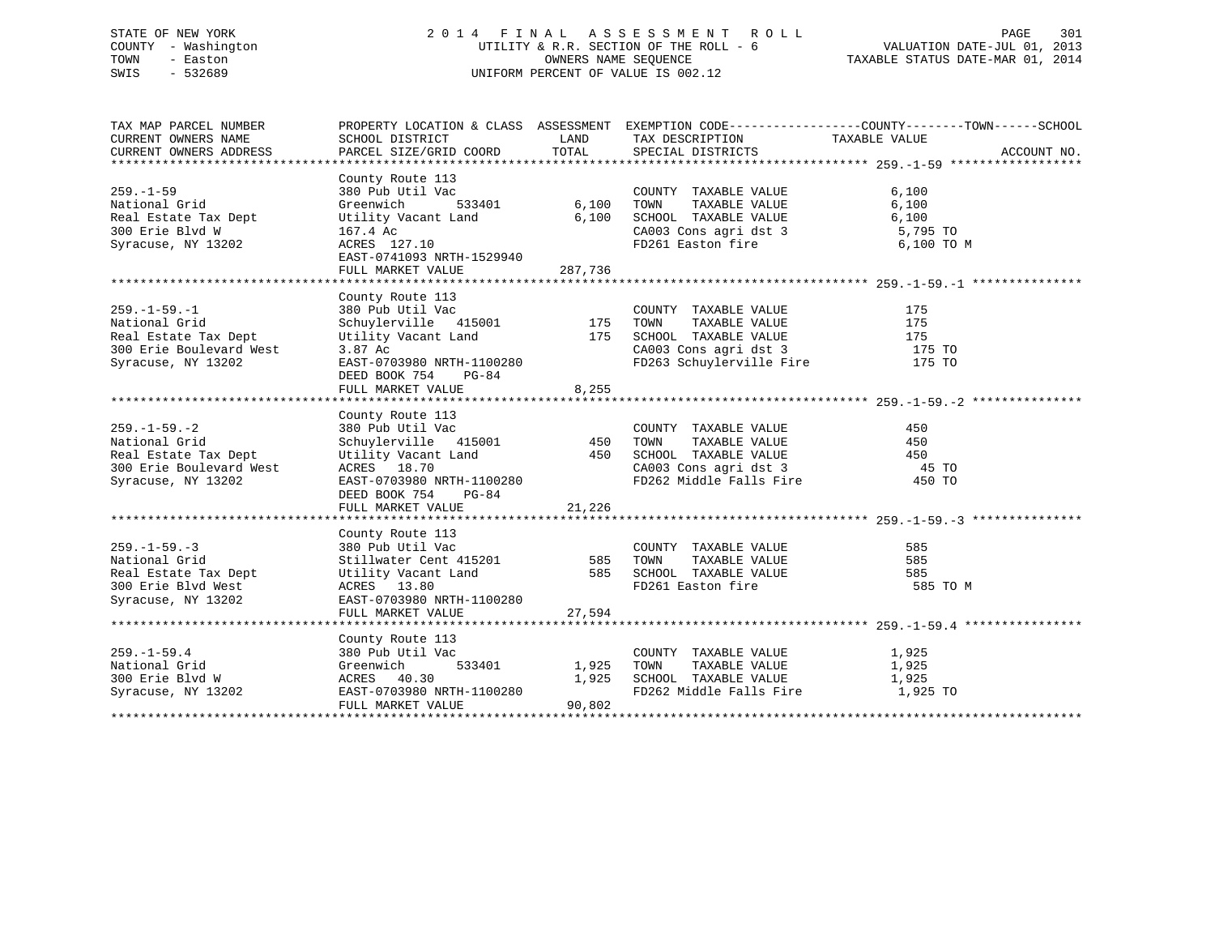### STATE OF NEW YORK 2 0 1 4 F I N A L A S S E S S M E N T R O L L PAGE 301 COUNTY - Washington UTILITY & R.R. SECTION OF THE ROLL - 6 VALUATION DATE-JUL 01, 2013 TOWN - Easton OWNERS NAME SEQUENCE TAXABLE STATUS DATE-MAR 01, 2014 SWIS - 532689 UNIFORM PERCENT OF VALUE IS 002.12

| TAX MAP PARCEL NUMBER                                                                                                                                                                                                                         |                                                                                                                                                                                                                                                                    |        | PROPERTY LOCATION & CLASS ASSESSMENT EXEMPTION CODE----------------COUNTY-------TOWN------SCHOOL |          |             |
|-----------------------------------------------------------------------------------------------------------------------------------------------------------------------------------------------------------------------------------------------|--------------------------------------------------------------------------------------------------------------------------------------------------------------------------------------------------------------------------------------------------------------------|--------|--------------------------------------------------------------------------------------------------|----------|-------------|
| CURRENT OWNERS NAME                                                                                                                                                                                                                           | SCHOOL DISTRICT                                                                                                                                                                                                                                                    |        | LAND TAX DESCRIPTION TAXABLE VALUE                                                               |          |             |
| CURRENT OWNERS ADDRESS                                                                                                                                                                                                                        |                                                                                                                                                                                                                                                                    |        | PARCEL SIZE/GRID COORD TOTAL SPECIAL DISTRICTS                                                   |          | ACCOUNT NO. |
|                                                                                                                                                                                                                                               |                                                                                                                                                                                                                                                                    |        |                                                                                                  |          |             |
| County Route 113<br>259.-1-59<br>380 Pub Util Vac COUNTY TAXABLE VALUE 6,100<br>Real Estate Tax Dept Utility Vacant Land<br>300 Erie Blvd W 167.4 Ac<br>Syracuse, NY 13202 ACRES 127.10<br>ENGLE PRISON CALLE CALOS CONS agri dst 3<br>Expre  |                                                                                                                                                                                                                                                                    |        |                                                                                                  |          |             |
|                                                                                                                                                                                                                                               |                                                                                                                                                                                                                                                                    |        |                                                                                                  |          |             |
|                                                                                                                                                                                                                                               |                                                                                                                                                                                                                                                                    |        |                                                                                                  |          |             |
|                                                                                                                                                                                                                                               |                                                                                                                                                                                                                                                                    |        |                                                                                                  |          |             |
|                                                                                                                                                                                                                                               |                                                                                                                                                                                                                                                                    |        | CA003 Cons agri dst 3 5,795 TO<br>FD261 Easton fire 6,100 TO M                                   |          |             |
|                                                                                                                                                                                                                                               |                                                                                                                                                                                                                                                                    |        |                                                                                                  |          |             |
|                                                                                                                                                                                                                                               |                                                                                                                                                                                                                                                                    |        |                                                                                                  |          |             |
|                                                                                                                                                                                                                                               | FULL MARKET VALUE 287,736                                                                                                                                                                                                                                          |        |                                                                                                  |          |             |
|                                                                                                                                                                                                                                               | County Route 113<br>County Route 113<br>380 Pub Util Vac<br>Schuylerville 415001<br>Utility Vacant Land<br>2 37 Ac<br>2 1100280<br>2 1100280<br>2 1100280<br>2 1100280<br>2 1100280<br>2 1100280<br>2 1100280<br>2 1100280<br>2 115<br>2 115<br>2 115<br>2 115<br> |        |                                                                                                  |          |             |
|                                                                                                                                                                                                                                               |                                                                                                                                                                                                                                                                    |        |                                                                                                  |          |             |
| $259. - 1 - 59. - 1$                                                                                                                                                                                                                          |                                                                                                                                                                                                                                                                    |        |                                                                                                  |          |             |
| National Grid                                                                                                                                                                                                                                 |                                                                                                                                                                                                                                                                    |        |                                                                                                  |          |             |
|                                                                                                                                                                                                                                               |                                                                                                                                                                                                                                                                    |        |                                                                                                  |          |             |
|                                                                                                                                                                                                                                               |                                                                                                                                                                                                                                                                    |        |                                                                                                  |          |             |
| Real Estate Tax Dept<br>300 Erie Boulevard West<br>Syracuse, NY 13202                                                                                                                                                                         |                                                                                                                                                                                                                                                                    |        |                                                                                                  |          |             |
|                                                                                                                                                                                                                                               |                                                                                                                                                                                                                                                                    |        |                                                                                                  |          |             |
|                                                                                                                                                                                                                                               |                                                                                                                                                                                                                                                                    |        |                                                                                                  |          |             |
|                                                                                                                                                                                                                                               |                                                                                                                                                                                                                                                                    |        |                                                                                                  |          |             |
|                                                                                                                                                                                                                                               | County Route 113                                                                                                                                                                                                                                                   |        |                                                                                                  |          |             |
| $259. - 1 - 59. - 2$                                                                                                                                                                                                                          |                                                                                                                                                                                                                                                                    |        |                                                                                                  |          |             |
| National Grid                                                                                                                                                                                                                                 |                                                                                                                                                                                                                                                                    |        |                                                                                                  |          |             |
| Real Estate Tax Dept<br>300 Erie Boulevard West                                                                                                                                                                                               | County Route 113<br>380 Pub Util Vac<br>Schuylerville 415001 450 TOWN TAXABLE VALUE 450<br>Utility Vacant Land 450 SCHOOL TAXABLE VALUE 450<br>ACRES 18.70 CA003 Cons agri dst 3 45 TO<br>EAST-0703980 NRTH-1100280 FD262 Middle Falls F                           |        |                                                                                                  |          |             |
|                                                                                                                                                                                                                                               |                                                                                                                                                                                                                                                                    |        |                                                                                                  |          |             |
| Syracuse, NY 13202                                                                                                                                                                                                                            |                                                                                                                                                                                                                                                                    |        |                                                                                                  |          |             |
|                                                                                                                                                                                                                                               | DEED BOOK 754 PG-84                                                                                                                                                                                                                                                |        |                                                                                                  |          |             |
|                                                                                                                                                                                                                                               | FULL MARKET VALUE 21,226                                                                                                                                                                                                                                           |        |                                                                                                  |          |             |
|                                                                                                                                                                                                                                               |                                                                                                                                                                                                                                                                    |        |                                                                                                  |          |             |
| County Route 113<br>259.-1-59.-3<br>380 Pub Util Vac COUNTY TAXABLE VALUE 585<br>380 Pub Util Vac<br>Stillwater Cent 415201<br>300 Erie Blvd West ACRES 13.80<br>300 Erie Blvd West ACRES 13.80<br>300 Erie Blvd West ACRES 13.80<br>300 Erie |                                                                                                                                                                                                                                                                    |        |                                                                                                  |          |             |
|                                                                                                                                                                                                                                               |                                                                                                                                                                                                                                                                    |        |                                                                                                  |          |             |
|                                                                                                                                                                                                                                               |                                                                                                                                                                                                                                                                    |        |                                                                                                  |          |             |
|                                                                                                                                                                                                                                               |                                                                                                                                                                                                                                                                    |        |                                                                                                  |          |             |
|                                                                                                                                                                                                                                               |                                                                                                                                                                                                                                                                    |        |                                                                                                  | 585 TO M |             |
|                                                                                                                                                                                                                                               |                                                                                                                                                                                                                                                                    |        |                                                                                                  |          |             |
|                                                                                                                                                                                                                                               | FULL MARKET VALUE                                                                                                                                                                                                                                                  | 27,594 |                                                                                                  |          |             |
|                                                                                                                                                                                                                                               |                                                                                                                                                                                                                                                                    |        |                                                                                                  |          |             |
|                                                                                                                                                                                                                                               | County Route 113                                                                                                                                                                                                                                                   |        |                                                                                                  |          |             |
|                                                                                                                                                                                                                                               |                                                                                                                                                                                                                                                                    |        | COUNTY TAXABLE VALUE 1,925                                                                       |          |             |
|                                                                                                                                                                                                                                               |                                                                                                                                                                                                                                                                    |        |                                                                                                  |          |             |
|                                                                                                                                                                                                                                               |                                                                                                                                                                                                                                                                    |        | 1,925 TOWN TAXABLE VALUE 1,925 SCHOOL TAXABLE VALUE 1,925                                        |          |             |
|                                                                                                                                                                                                                                               |                                                                                                                                                                                                                                                                    |        | FD262 Middle Falls Fire 1,925 TO                                                                 |          |             |
| 259.-1-59.4<br>National Grid<br>300 Erie Blvd W (380 Pub Util Vac 533401 1,925<br>300 Erie Blvd W (380 ACRES 40.30 1,925<br>Syracuse, NY 13202 EAST-0703980 NRTH-1100280<br>FULL MARKET VALUE 90,802                                          |                                                                                                                                                                                                                                                                    |        |                                                                                                  |          |             |
|                                                                                                                                                                                                                                               |                                                                                                                                                                                                                                                                    |        |                                                                                                  |          |             |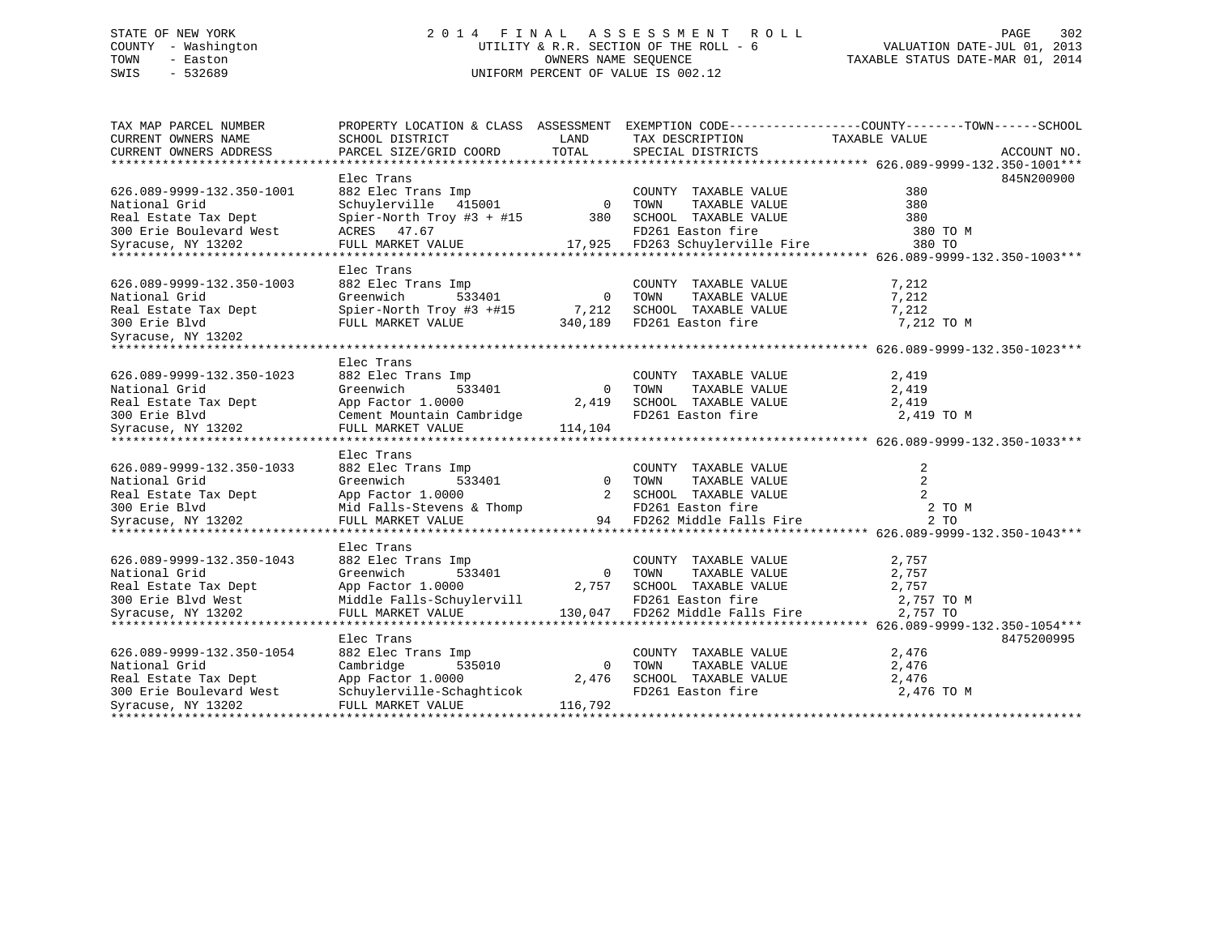### STATE OF NEW YORK 2 0 1 4 F I N A L A S S E S S M E N T R O L L PAGE 302 COUNTY - Washington UTILITY & R.R. SECTION OF THE ROLL - 6 VALUATION DATE-JUL 01, 2013 TOWN - Easton COMPUTERS NAME SEQUENCE TAXABLE STATUS DATE-MAR 01, 2014<br>SWIS - 532689 SWIS - 532689 UNIFORM PERCENT OF VALUE IS 002.12

| TAX MAP PARCEL NUMBER                                                                                                                                                                                                               |                                                    |                | PROPERTY LOCATION & CLASS ASSESSMENT EXEMPTION CODE----------------COUNTY-------TOWN------SCHOOL   |                |             |
|-------------------------------------------------------------------------------------------------------------------------------------------------------------------------------------------------------------------------------------|----------------------------------------------------|----------------|----------------------------------------------------------------------------------------------------|----------------|-------------|
| CURRENT OWNERS NAME                                                                                                                                                                                                                 | SCHOOL DISTRICT                                    | LAND           | TAX DESCRIPTION                                                                                    | TAXABLE VALUE  |             |
| CURRENT OWNERS ADDRESS                                                                                                                                                                                                              | PARCEL SIZE/GRID COORD                             | TOTAL          | SPECIAL DISTRICTS                                                                                  |                | ACCOUNT NO. |
|                                                                                                                                                                                                                                     |                                                    |                |                                                                                                    |                |             |
|                                                                                                                                                                                                                                     | Elec Trans                                         |                |                                                                                                    |                | 845N200900  |
| 626.089-9999-132.350-1001                                                                                                                                                                                                           | 882 Elec Trans Imp<br>Schuylerville 415001 0       |                | COUNTY TAXABLE VALUE                                                                               | 380            |             |
| National Grid                                                                                                                                                                                                                       |                                                    |                | TAXABLE VALUE<br>TOWN                                                                              | 380            |             |
| Real Estate Tax Dept                                                                                                                                                                                                                | Spier-North Troy #3 + #15 380 SCHOOL TAXABLE VALUE |                |                                                                                                    | 380            |             |
| 300 Erie Boulevard West                                                                                                                                                                                                             | ACRES 47.67                                        |                |                                                                                                    | 380 TO M       |             |
| Syracuse, NY 13202                                                                                                                                                                                                                  |                                                    |                |                                                                                                    | 380 TO         |             |
|                                                                                                                                                                                                                                     |                                                    |                |                                                                                                    |                |             |
|                                                                                                                                                                                                                                     | Elec Trans                                         |                |                                                                                                    |                |             |
| 626.089-9999-132.350-1003                                                                                                                                                                                                           | 882 Elec Trans Imp                                 |                | COUNTY TAXABLE VALUE                                                                               | 7,212          |             |
| National Grid                                                                                                                                                                                                                       | 533401<br>Greenwich                                | 0 TOWN         | TAXABLE VALUE                                                                                      | 7,212          |             |
|                                                                                                                                                                                                                                     |                                                    |                |                                                                                                    |                |             |
|                                                                                                                                                                                                                                     |                                                    |                | Spier-North Troy #3 +#15 7,212 SCHOOL TAXABLE VALUE<br>FULL MARKET VALUE 340,189 FD261 Easton fire |                |             |
|                                                                                                                                                                                                                                     |                                                    |                |                                                                                                    |                |             |
| Real Estate Tax Dept 5pier-North Troy #3 +#15 7,212 SCHOOL TAXABLE VALUE 7,212 70 M<br>300 Erie Blvd FULL MARKET VALUE 340,189 FD261 Easton fire 7,212 TO M<br>Syracuse, NY 13202 FULL MARKET VALUE 340,189 FD261 Easton fire 7,212 |                                                    |                |                                                                                                    |                |             |
|                                                                                                                                                                                                                                     | Elec Trans                                         |                |                                                                                                    |                |             |
| 626.089-9999-132.350-1023                                                                                                                                                                                                           | 882 Elec Trans Imp                                 |                | COUNTY TAXABLE VALUE                                                                               | 2,419          |             |
| National Grid                                                                                                                                                                                                                       | mp<br>533401<br>Greenwich                          | 0 TOWN         | TAXABLE VALUE                                                                                      | 2,419          |             |
|                                                                                                                                                                                                                                     | App Factor 1.0000                                  |                | 2,419 SCHOOL TAXABLE VALUE                                                                         | 2,419          |             |
|                                                                                                                                                                                                                                     | Cement Mountain Cambridge                          |                | FD261 Easton fire                                                                                  | 2,419 TO M     |             |
| Real Estate Tax Dept<br>300 Erie Blvd<br>Syracuse, NY 13202                                                                                                                                                                         | FULL MARKET VALUE                                  | 114,104        |                                                                                                    |                |             |
|                                                                                                                                                                                                                                     |                                                    |                |                                                                                                    |                |             |
|                                                                                                                                                                                                                                     | Elec Trans                                         |                |                                                                                                    |                |             |
| 626.089-9999-132.350-1033                                                                                                                                                                                                           | 882 Elec Trans Imp                                 |                | COUNTY TAXABLE VALUE                                                                               | 2              |             |
| National Grid                                                                                                                                                                                                                       | Greenwich                                          |                | 0 TOWN<br>TAXABLE VALUE                                                                            | 2              |             |
| Real Estate Tax Dept                                                                                                                                                                                                                | 533401<br>)0<br>App Factor 1.0000                  |                | 2 SCHOOL TAXABLE VALUE                                                                             | $\overline{2}$ |             |
| 300 Erie Blvd                                                                                                                                                                                                                       | Mid Falls-Stevens & Thomp                          |                | FD261 Easton fire                                                                                  | 2 TO M         |             |
| Syracuse, NY 13202                                                                                                                                                                                                                  | FULL MARKET VALUE                                  |                | 94 FD262 Middle Falls Fire                                                                         | 2 TO           |             |
|                                                                                                                                                                                                                                     |                                                    |                |                                                                                                    |                |             |
|                                                                                                                                                                                                                                     | Elec Trans                                         |                |                                                                                                    |                |             |
| 626.089-9999-132.350-1043                                                                                                                                                                                                           | 882 Elec Trans Imp                                 |                | COUNTY TAXABLE VALUE                                                                               | 2,757          |             |
| National Grid                                                                                                                                                                                                                       | 533401<br>Greenwich                                | 0 TOWN         | TAXABLE VALUE                                                                                      | 2,757          |             |
| Real Estate Tax Dept                                                                                                                                                                                                                | App Factor 1.0000                                  |                | 2,757 SCHOOL TAXABLE VALUE                                                                         | 2,757          |             |
| 300 Erie Blvd West                                                                                                                                                                                                                  | Middle Falls-Schuylervill                          |                | FD261 Easton fire                                                                                  | 2,757 TO M     |             |
| Syracuse, NY 13202                                                                                                                                                                                                                  | FULL MARKET VALUE                                  | 130,047        | FD262 Middle Falls Fire                                                                            | 2,757 TO       |             |
|                                                                                                                                                                                                                                     |                                                    |                |                                                                                                    |                |             |
|                                                                                                                                                                                                                                     | Elec Trans                                         |                |                                                                                                    |                | 8475200995  |
| 626.089-9999-132.350-1054                                                                                                                                                                                                           | 882 Elec Trans Imp                                 |                | COUNTY TAXABLE VALUE                                                                               | 2,476          |             |
| National Grid                                                                                                                                                                                                                       | Cambridge<br>535010                                | $\overline{0}$ |                                                                                                    | 2,476          |             |
| Real Estate Tax Dept                                                                                                                                                                                                                | App Factor 1.0000                                  | 2,476          |                                                                                                    | 2,476          |             |
| 300 Erie Boulevard West                                                                                                                                                                                                             | Schuylerville-Schaghticok                          |                | TOWN     TAXABLE VALUE<br>SCHOOL   TAXABLE VALUE<br>FD261  Easton  fire                            | 2,476 TO M     |             |
| Syracuse, NY 13202                                                                                                                                                                                                                  | FULL MARKET VALUE                                  | 116,792        |                                                                                                    |                |             |
|                                                                                                                                                                                                                                     |                                                    |                |                                                                                                    |                |             |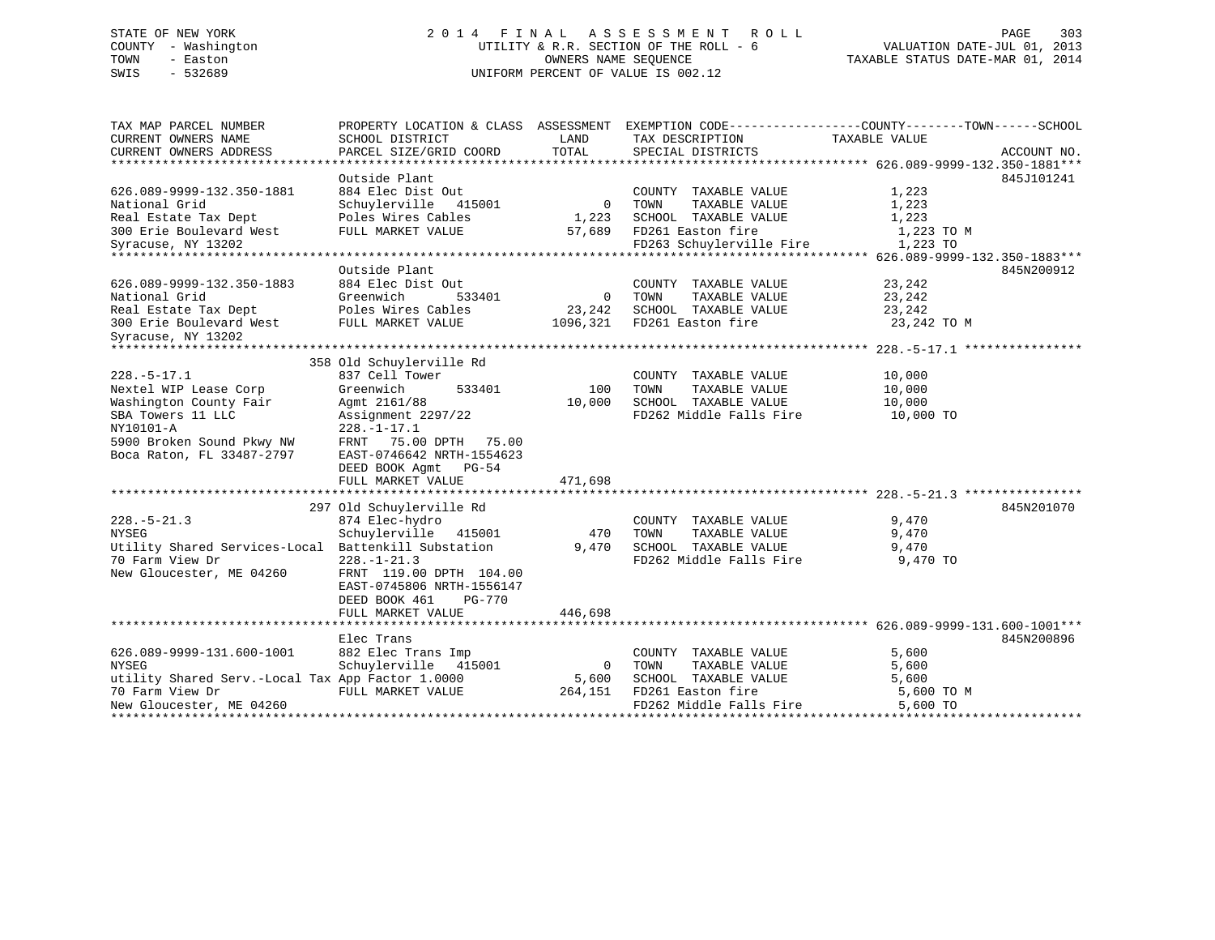### STATE OF NEW YORK 2 0 1 4 F I N A L A S S E S S M E N T R O L L PAGE 303 COUNTY - Washington UTILITY & R.R. SECTION OF THE ROLL - 6 VALUATION DATE-JUL 01, 2013 TOWN - Easton COMPUTERS NAME SEQUENCE TAXABLE STATUS DATE-MAR 01, 2014<br>SWIS - 532689 SWIS - 532689 UNIFORM PERCENT OF VALUE IS 002.12

| TAX MAP PARCEL NUMBER                            |                           |                | PROPERTY LOCATION & CLASS ASSESSMENT EXEMPTION CODE---------------COUNTY-------TOWN-----SCHOOL |               |             |
|--------------------------------------------------|---------------------------|----------------|------------------------------------------------------------------------------------------------|---------------|-------------|
| CURRENT OWNERS NAME                              | SCHOOL DISTRICT           | LAND           | TAX DESCRIPTION                                                                                | TAXABLE VALUE |             |
| CURRENT OWNERS ADDRESS                           | PARCEL SIZE/GRID COORD    | TOTAL          | SPECIAL DISTRICTS                                                                              |               | ACCOUNT NO. |
|                                                  |                           |                |                                                                                                |               |             |
|                                                  | Outside Plant             |                |                                                                                                |               | 845J101241  |
| 626.089-9999-132.350-1881                        | 884 Elec Dist Out         |                | COUNTY TAXABLE VALUE<br>0 TOWN                                                                 | 1,223         |             |
| National Grid                                    | Schuylerville 415001      |                | TAXABLE VALUE                                                                                  | 1,223         |             |
| Real Estate Tax Dept Poles Wires Cables          |                           |                | 1,223 SCHOOL TAXABLE VALUE                                                                     | 1,223         |             |
| 300 Erie Boulevard West                          | FULL MARKET VALUE         |                | 57,689 FD261 Easton fire                                                                       | 1,223 TO M    |             |
| Syracuse, NY 13202                               |                           |                | FD263 Schuylerville Fire                                                                       | 1,223 TO      |             |
|                                                  |                           |                |                                                                                                |               |             |
|                                                  | Outside Plant             |                |                                                                                                |               | 845N200912  |
| 626.089-9999-132.350-1883                        | 884 Elec Dist Out         |                | COUNTY TAXABLE VALUE                                                                           | 23,242        |             |
| National Grid                                    | Greenwich<br>533401       | 0 TOWN         | TAXABLE VALUE                                                                                  | 23,242        |             |
| Real Estate Tax Dept<br>300 Erie Boulevard West  | Poles Wires Cables        |                | 23,242 SCHOOL TAXABLE VALUE                                                                    | 23,242        |             |
|                                                  | FULL MARKET VALUE         |                | 1096,321 FD261 Easton fire                                                                     | 23,242 TO M   |             |
| Syracuse, NY 13202                               |                           |                |                                                                                                |               |             |
|                                                  |                           |                |                                                                                                |               |             |
|                                                  | 358 Old Schuylerville Rd  |                |                                                                                                |               |             |
| $228. - 5 - 17.1$                                | 837 Cell Tower            |                | COUNTY TAXABLE VALUE                                                                           | 10,000        |             |
| Nextel WIP Lease Corp                            | Greenwich<br>533401       | 100            | TOWN<br>TAXABLE VALUE                                                                          | 10,000        |             |
| Washington County Fair                           | Agmt 2161/88              | 10,000         | SCHOOL TAXABLE VALUE                                                                           | 10,000        |             |
| SBA Towers 11 LLC                                | Assignment 2297/22        |                | FD262 Middle Falls Fire 10,000 TO                                                              |               |             |
| NY10101-A                                        | $228. - 1 - 17.1$         |                |                                                                                                |               |             |
| 5900 Broken Sound Pkwy NW                        | FRNT 75.00 DPTH 75.00     |                |                                                                                                |               |             |
| Boca Raton, FL 33487-2797                        | EAST-0746642 NRTH-1554623 |                |                                                                                                |               |             |
|                                                  | DEED BOOK Agmt PG-54      |                |                                                                                                |               |             |
|                                                  | FULL MARKET VALUE         | 471,698        |                                                                                                |               |             |
|                                                  |                           |                |                                                                                                |               |             |
|                                                  | 297 Old Schuylerville Rd  |                |                                                                                                |               | 845N201070  |
| $228. - 5 - 21.3$                                | 874 Elec-hydro            |                | COUNTY TAXABLE VALUE                                                                           | 9,470         |             |
| <b>NYSEG</b>                                     | Schuylerville 415001      | 470            | TAXABLE VALUE<br>TOWN                                                                          | 9,470         |             |
| Utility Shared Services-Local                    | Battenkill Substation     | 9,470          | SCHOOL TAXABLE VALUE                                                                           | 9,470         |             |
| 70 Farm View Dr                                  | $228. - 1 - 21.3$         |                | FD262 Middle Falls Fire 9,470 TO                                                               |               |             |
| New Gloucester, ME 04260                         | FRNT 119.00 DPTH 104.00   |                |                                                                                                |               |             |
|                                                  | EAST-0745806 NRTH-1556147 |                |                                                                                                |               |             |
|                                                  | DEED BOOK 461<br>PG-770   |                |                                                                                                |               |             |
|                                                  | FULL MARKET VALUE         | 446,698        |                                                                                                |               |             |
|                                                  |                           |                |                                                                                                |               |             |
|                                                  | Elec Trans                |                |                                                                                                |               | 845N200896  |
| 626.089-9999-131.600-1001                        | 882 Elec Trans Imp        |                | COUNTY TAXABLE VALUE                                                                           | 5,600         |             |
| <b>NYSEG</b>                                     | Schuylerville 415001      | $\overline{0}$ | TOWN<br>TAXABLE VALUE                                                                          | 5,600         |             |
| utility Shared Serv.-Local Tax App Factor 1.0000 |                           | 5,600          |                                                                                                | 5,600         |             |
| 70 Farm View Dr                                  | FULL MARKET VALUE         | 264,151        | SCHOOL TAXABLE VALUE<br>FD261 Easton fire                                                      | 5,600 TO M    |             |
| New Gloucester, ME 04260                         |                           |                | FD262 Middle Falls Fire                                                                        | 5,600 TO      |             |
|                                                  |                           |                |                                                                                                |               |             |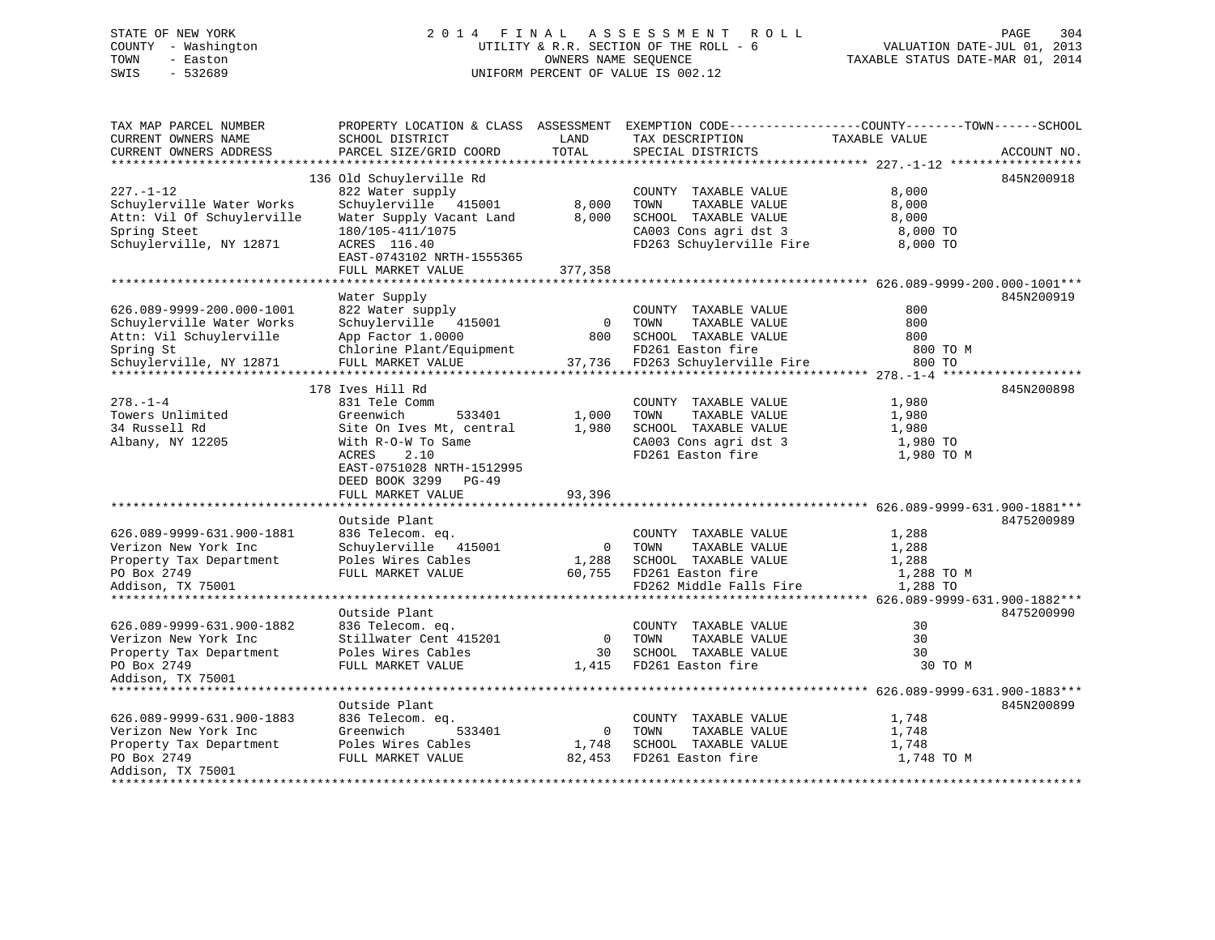## STATE OF NEW YORK 2014 FINAL ASSESSMENT ROLL PAGE 304 COUNTY - Washington  $U1$  UTILITY & R.R. SECTION OF THE ROLL - 6<br>TOWN - Easton DATE-JUL 000NERS NAME-SEQUENCE SWIS - 532689 UNIFORM PERCENT OF VALUE IS 002.12

TAXABLE STATUS DATE-MAR 01, 2014

| TAX MAP PARCEL NUMBER<br>CURRENT OWNERS NAME<br>CURRENT OWNERS ADDRESS                                                                             | SCHOOL DISTRICT<br>PARCEL SIZE/GRID COORD                                                                                                                                              | LAND<br>TOTAL                 | PROPERTY LOCATION & CLASS ASSESSMENT EXEMPTION CODE---------------COUNTY-------TOWN-----SCHOOL<br>TAX DESCRIPTION<br>SPECIAL DISTRICTS | TAXABLE VALUE                                     | ACCOUNT NO. |
|----------------------------------------------------------------------------------------------------------------------------------------------------|----------------------------------------------------------------------------------------------------------------------------------------------------------------------------------------|-------------------------------|----------------------------------------------------------------------------------------------------------------------------------------|---------------------------------------------------|-------------|
|                                                                                                                                                    |                                                                                                                                                                                        |                               |                                                                                                                                        |                                                   |             |
| $227. - 1 - 12$<br>Schuylerville Water Works<br>Attn: Vil Of Schuylerville<br>Spring Steet<br>Schuylerville, NY 12871                              | 136 Old Schuylerville Rd<br>822 Water supply<br>Schuylerville 415001<br>Water Supply Vacant Land<br>180/105-411/1075<br>ACRES 116.40<br>EAST-0743102 NRTH-1555365<br>FULL MARKET VALUE | 8,000<br>8,000<br>377,358     | COUNTY TAXABLE VALUE<br>TOWN<br>TAXABLE VALUE<br>SCHOOL TAXABLE VALUE<br>CA003 Cons agri dst 3<br>FD263 Schuylerville Fire             | 8,000<br>8,000<br>8,000<br>8,000 TO<br>8,000 TO   | 845N200918  |
|                                                                                                                                                    |                                                                                                                                                                                        |                               |                                                                                                                                        |                                                   |             |
| 626.089-9999-200.000-1001<br>Schuylerville Water Works<br>Attn: Vil Schuylerville<br>Spring St<br>Schuylerville, NY 12871<br>*******************   | Water Supply<br>822 Water supply<br>Schuylerville<br>415001<br>App Factor 1.0000<br>Chlorine Plant/Equipment<br>FULL MARKET VALUE                                                      | $\overline{0}$<br>800         | COUNTY TAXABLE VALUE<br>TAXABLE VALUE<br>TOWN<br>SCHOOL TAXABLE VALUE<br>FD261 Easton fire<br>37,736 FD263 Schuylerville Fire          | 800<br>800<br>800<br>800 TO M<br>800 TO           | 845N200919  |
|                                                                                                                                                    | 178 Ives Hill Rd                                                                                                                                                                       |                               |                                                                                                                                        |                                                   | 845N200898  |
| $278. - 1 - 4$<br>Towers Unlimited<br>34 Russell Rd<br>Albany, NY 12205                                                                            | 831 Tele Comm<br>Greenwich<br>533401<br>Site On Ives Mt, central<br>With R-O-W To Same<br>2.10<br>ACRES<br>EAST-0751028 NRTH-1512995<br>DEED BOOK 3299 PG-49<br>FULL MARKET VALUE      | 1,000<br>1,980<br>93,396      | COUNTY TAXABLE VALUE<br>TOWN<br>TAXABLE VALUE<br>SCHOOL TAXABLE VALUE<br>CA003 Cons agri dst 3<br>FD261 Easton fire                    | 1,980<br>1,980<br>1,980<br>1,980 TO<br>1,980 TO M |             |
|                                                                                                                                                    |                                                                                                                                                                                        |                               |                                                                                                                                        |                                                   |             |
| 626.089-9999-631.900-1881<br>Verizon New York Inc<br>Property Tax Department<br>PO Box 2749<br>Addison, TX 75001<br>****************************** | Outside Plant<br>836 Telecom. eq.<br>Schuylerville 415001<br>Poles Wires Cables<br>FULL MARKET VALUE                                                                                   | $\overline{0}$                | COUNTY TAXABLE VALUE<br>TOWN<br>TAXABLE VALUE<br>1,288 SCHOOL TAXABLE VALUE<br>60,755 FD261 Easton fire<br>FD262 Middle Falls Fire     | 1,288<br>1,288<br>1,288<br>1,288 TO M<br>1,288 TO | 8475200989  |
|                                                                                                                                                    | Outside Plant                                                                                                                                                                          |                               |                                                                                                                                        |                                                   | 8475200990  |
| 626.089-9999-631.900-1882<br>Verizon New York Inc<br>Property Tax Department<br>PO Box 2749<br>Addison, TX 75001                                   | 836 Telecom. eq.<br>Stillwater Cent 415201<br>Poles Wires Cables<br>FULL MARKET VALUE                                                                                                  | $\overline{0}$<br>30<br>1,415 | COUNTY TAXABLE VALUE<br>TOWN<br>TAXABLE VALUE<br>SCHOOL TAXABLE VALUE<br>FD261 Easton fire                                             | 30<br>30<br>30<br>30 TO M                         |             |
| ***************************                                                                                                                        |                                                                                                                                                                                        |                               |                                                                                                                                        |                                                   |             |
| 626.089-9999-631.900-1883<br>Verizon New York Inc<br>Property Tax Department<br>PO Box 2749<br>Addison, TX 75001                                   | Outside Plant<br>836 Telecom. eq.<br>Greenwich<br>533401<br>Poles Wires Cables<br>FULL MARKET VALUE                                                                                    | $\mathbf 0$                   | COUNTY TAXABLE VALUE<br>TOWN<br>TAXABLE VALUE<br>1,748 SCHOOL TAXABLE VALUE<br>82,453 FD261 Easton fire                                | 1,748<br>1,748<br>1,748<br>1,748 TO M             | 845N200899  |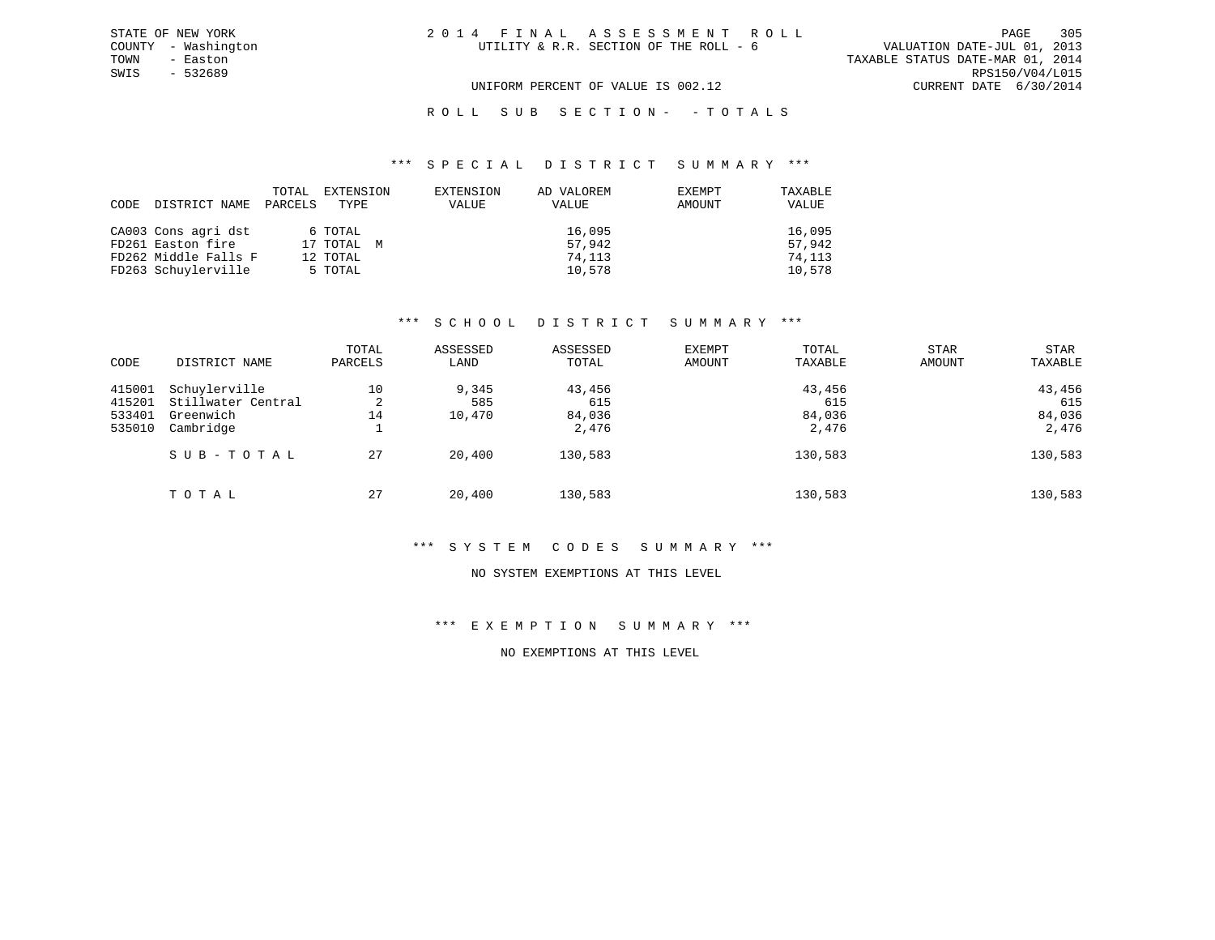TOWN - Easton TAXABLE STATUS DATE-MAR 01, 2014 SWIS - 532689 RPS150/V04/L015 UNIFORM PERCENT OF VALUE IS 002.12 CURRENT DATE 6/30/2014

### ROLL SUB SECTION - - TOTALS

#### \*\*\* S P E C I A L D I S T R I C T S U M M A R Y \*\*\*

| CODE DISTRICT NAME   | TOTAL<br>PARCELS | EXTENSION<br>TYPE | EXTENSION<br>VALUE | AD VALOREM<br>VALUE | EXEMPT<br>AMOUNT | TAXABLE<br>VALUE |
|----------------------|------------------|-------------------|--------------------|---------------------|------------------|------------------|
| CA003 Cons agri dst  |                  | 6 TOTAL           |                    | 16,095              |                  | 16,095           |
| FD261 Easton fire    |                  | 17 TOTAL M        |                    | 57,942              |                  | 57,942           |
| FD262 Middle Falls F |                  | 12 TOTAL          |                    | 74,113              |                  | 74,113           |
| FD263 Schuylerville  |                  | 5 TOTAL           |                    | 10,578              |                  | 10,578           |

#### \*\*\* S C H O O L D I S T R I C T S U M M A R Y \*\*\*

| CODE                                 | DISTRICT NAME                                                 | TOTAL<br>PARCELS   | ASSESSED<br>LAND       | ASSESSED<br>TOTAL                | EXEMPT<br><b>AMOUNT</b> | TOTAL<br>TAXABLE                 | <b>STAR</b><br>AMOUNT | STAR<br>TAXABLE                  |
|--------------------------------------|---------------------------------------------------------------|--------------------|------------------------|----------------------------------|-------------------------|----------------------------------|-----------------------|----------------------------------|
| 415001<br>415201<br>533401<br>535010 | Schuylerville<br>Stillwater Central<br>Greenwich<br>Cambridge | 10<br>2<br>14<br>÷ | 9,345<br>585<br>10,470 | 43,456<br>615<br>84,036<br>2,476 |                         | 43,456<br>615<br>84,036<br>2,476 |                       | 43,456<br>615<br>84,036<br>2,476 |
|                                      | SUB-TOTAL                                                     | 27                 | 20,400                 | 130,583                          |                         | 130,583                          |                       | 130,583                          |
|                                      | TOTAL                                                         | 27                 | 20,400                 | 130,583                          |                         | 130,583                          |                       | 130,583                          |

#### \*\*\* S Y S T E M C O D E S S U M M A R Y \*\*\*

#### NO SYSTEM EXEMPTIONS AT THIS LEVEL

### \*\*\* E X E M P T I O N S U M M A R Y \*\*\*

### NO EXEMPTIONS AT THIS LEVEL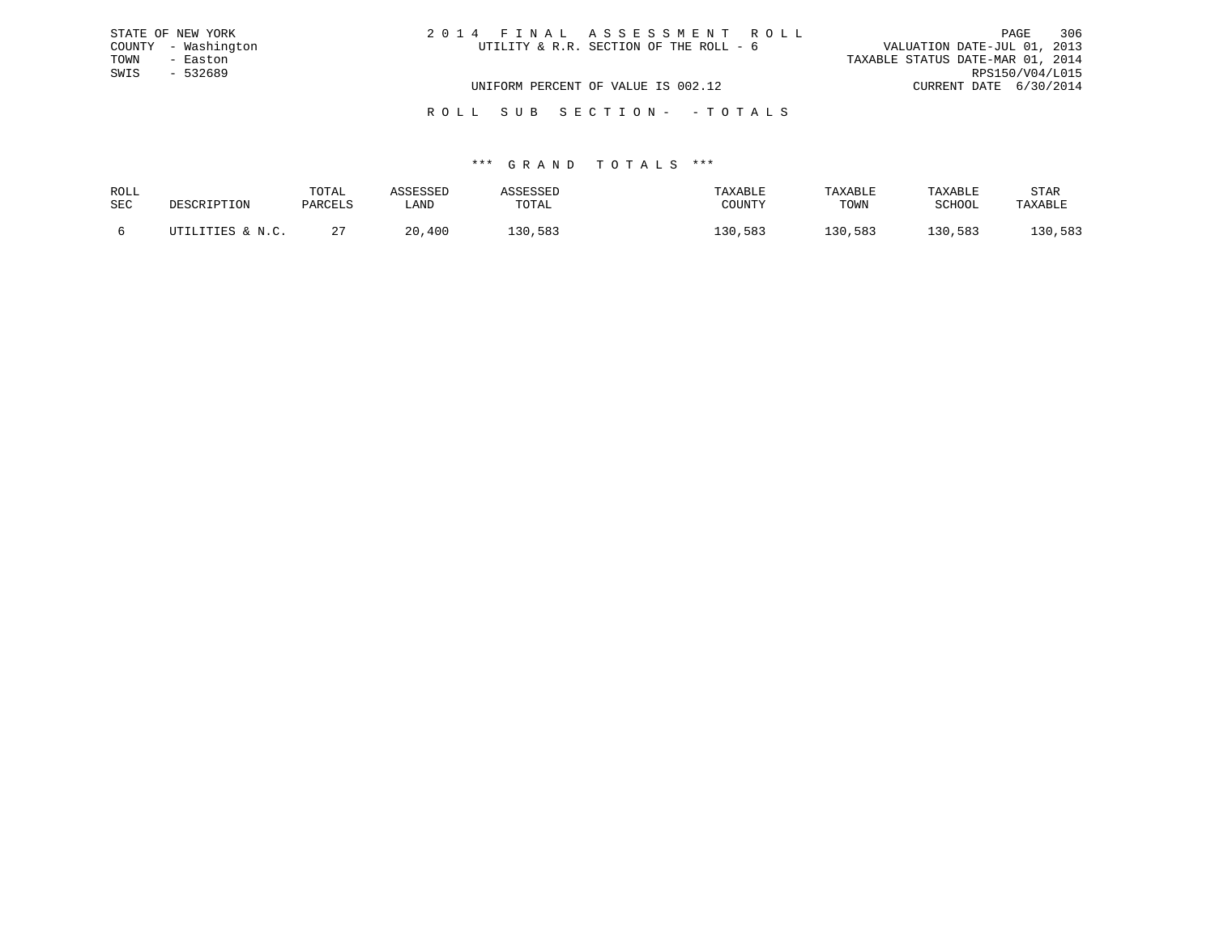|      | STATE OF NEW YORK   | 2014 FINAL ASSESSMENT ROLL |                                        |                                  |                        | PAGE | 306 |
|------|---------------------|----------------------------|----------------------------------------|----------------------------------|------------------------|------|-----|
|      | COUNTY - Washington |                            | UTILITY & R.R. SECTION OF THE ROLL - 6 | VALUATION DATE-JUL 01, 2013      |                        |      |     |
| TOWN | - Easton            |                            |                                        | TAXABLE STATUS DATE-MAR 01, 2014 |                        |      |     |
| SWIS | - 532689            |                            |                                        |                                  | RPS150/V04/L015        |      |     |
|      |                     |                            | UNIFORM PERCENT OF VALUE IS 002.12     |                                  | CURRENT DATE 6/30/2014 |      |     |
|      |                     |                            |                                        |                                  |                        |      |     |

# \*\*\* G R A N D T O T A L S \*\*\*

R O L L S U B S E C T I O N - - T O T A L S

| ROLL       | DESCRIPTION      | TOTAL   | ASSESSED | ASSESSED | TAXABLE | TAXABLE | TAXABLE | <b>STAR</b> |
|------------|------------------|---------|----------|----------|---------|---------|---------|-------------|
| <b>SEC</b> |                  | PARCELS | LAND     | TOTAL    | COUNTY  | TOWN    | SCHOOL  | TAXABLE     |
|            | UTILITIES & N.C. |         | 20,400   | 130,583  | 130,583 | 130,583 | 130,583 | 130,583     |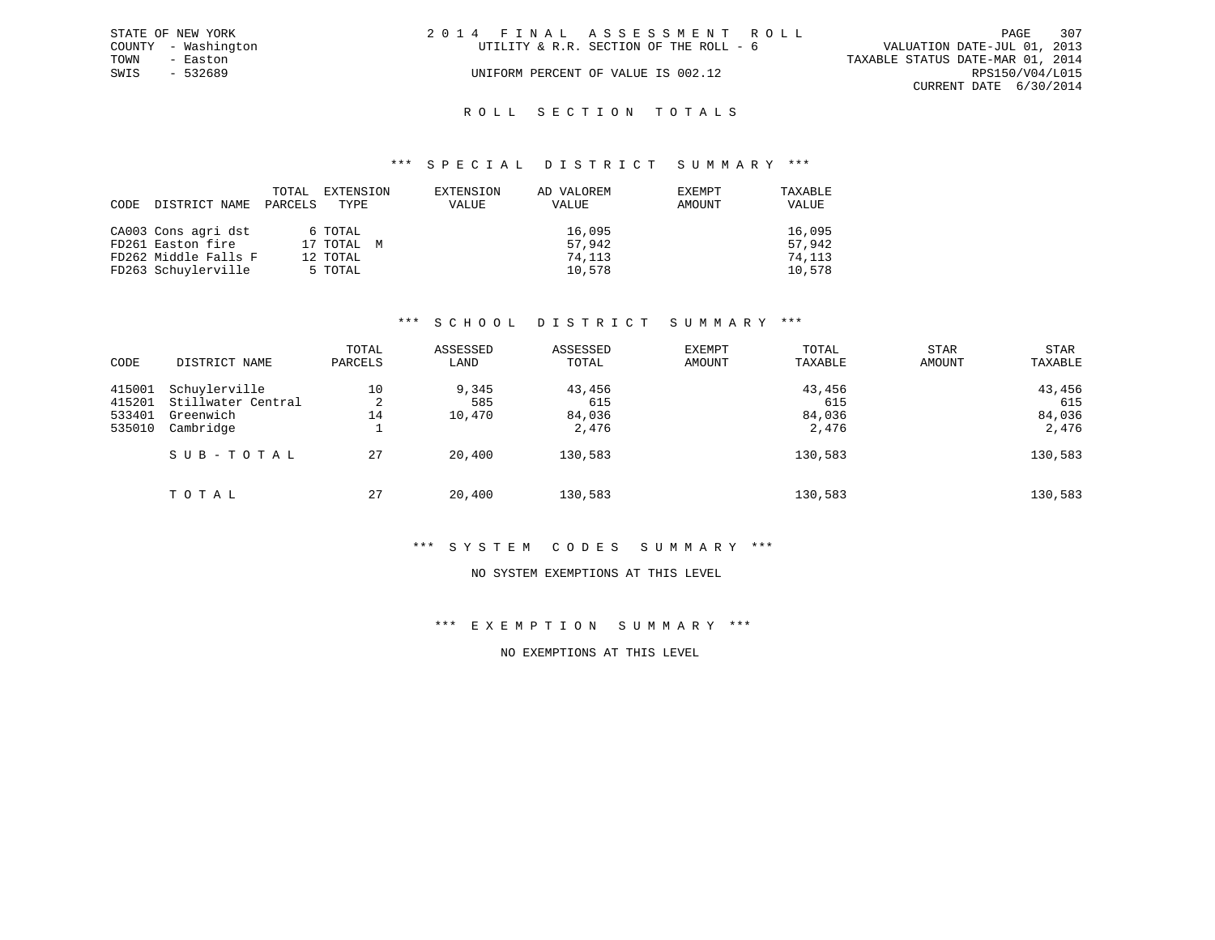|      | STATE OF NEW YORK   | 2014 FINAL ASSESSMENT ROLL                                            |                        | PAGE | 307 |
|------|---------------------|-----------------------------------------------------------------------|------------------------|------|-----|
|      | COUNTY - Washington | VALUATION DATE-JUL 01, 2013<br>UTILITY & R.R. SECTION OF THE ROLL - 6 |                        |      |     |
| TOWN | - Easton            | TAXABLE STATUS DATE-MAR 01, 2014                                      |                        |      |     |
| SWIS | - 532689            | UNIFORM PERCENT OF VALUE IS 002.12                                    | RPS150/V04/L015        |      |     |
|      |                     |                                                                       | CURRENT DATE 6/30/2014 |      |     |
|      |                     |                                                                       |                        |      |     |

### ROLL SECTION TOTALS

#### \*\*\* S P E C I A L D I S T R I C T S U M M A R Y \*\*\*

| CODE DISTRICT NAME   | TOTAL<br>PARCELS | EXTENSION<br>TYPE | EXTENSION<br><b>VALUE</b> | AD VALOREM<br>VALUE | EXEMPT<br>AMOUNT | TAXABLE<br>VALUE |
|----------------------|------------------|-------------------|---------------------------|---------------------|------------------|------------------|
| CA003 Cons agri dst  |                  | 6 TOTAL           |                           | 16,095              |                  | 16,095           |
| FD261 Easton fire    |                  | 17 TOTAL M        |                           | 57,942              |                  | 57,942           |
| FD262 Middle Falls F |                  | 12 TOTAL          |                           | 74,113              |                  | 74,113           |
| FD263 Schuylerville  |                  | 5 TOTAL           |                           | 10,578              |                  | 10,578           |

### \*\*\* S C H O O L D I S T R I C T S U M M A R Y \*\*\*

| CODE                                 | DISTRICT NAME                                                 | TOTAL<br>PARCELS          | ASSESSED<br>LAND       | ASSESSED<br>TOTAL                | EXEMPT<br><b>AMOUNT</b> | TOTAL<br>TAXABLE                 | <b>STAR</b><br>AMOUNT | STAR<br>TAXABLE                  |
|--------------------------------------|---------------------------------------------------------------|---------------------------|------------------------|----------------------------------|-------------------------|----------------------------------|-----------------------|----------------------------------|
| 415001<br>415201<br>533401<br>535010 | Schuylerville<br>Stillwater Central<br>Greenwich<br>Cambridge | 10<br>2<br>14<br><b>.</b> | 9,345<br>585<br>10,470 | 43,456<br>615<br>84,036<br>2,476 |                         | 43,456<br>615<br>84,036<br>2,476 |                       | 43,456<br>615<br>84,036<br>2,476 |
|                                      | SUB-TOTAL                                                     | 27                        | 20,400                 | 130,583                          |                         | 130,583                          |                       | 130,583                          |
|                                      | TOTAL                                                         | 27                        | 20,400                 | 130,583                          |                         | 130,583                          |                       | 130,583                          |

#### \*\*\* S Y S T E M C O D E S S U M M A R Y \*\*\*

#### NO SYSTEM EXEMPTIONS AT THIS LEVEL

### \*\*\* E X E M P T I O N S U M M A R Y \*\*\*

### NO EXEMPTIONS AT THIS LEVEL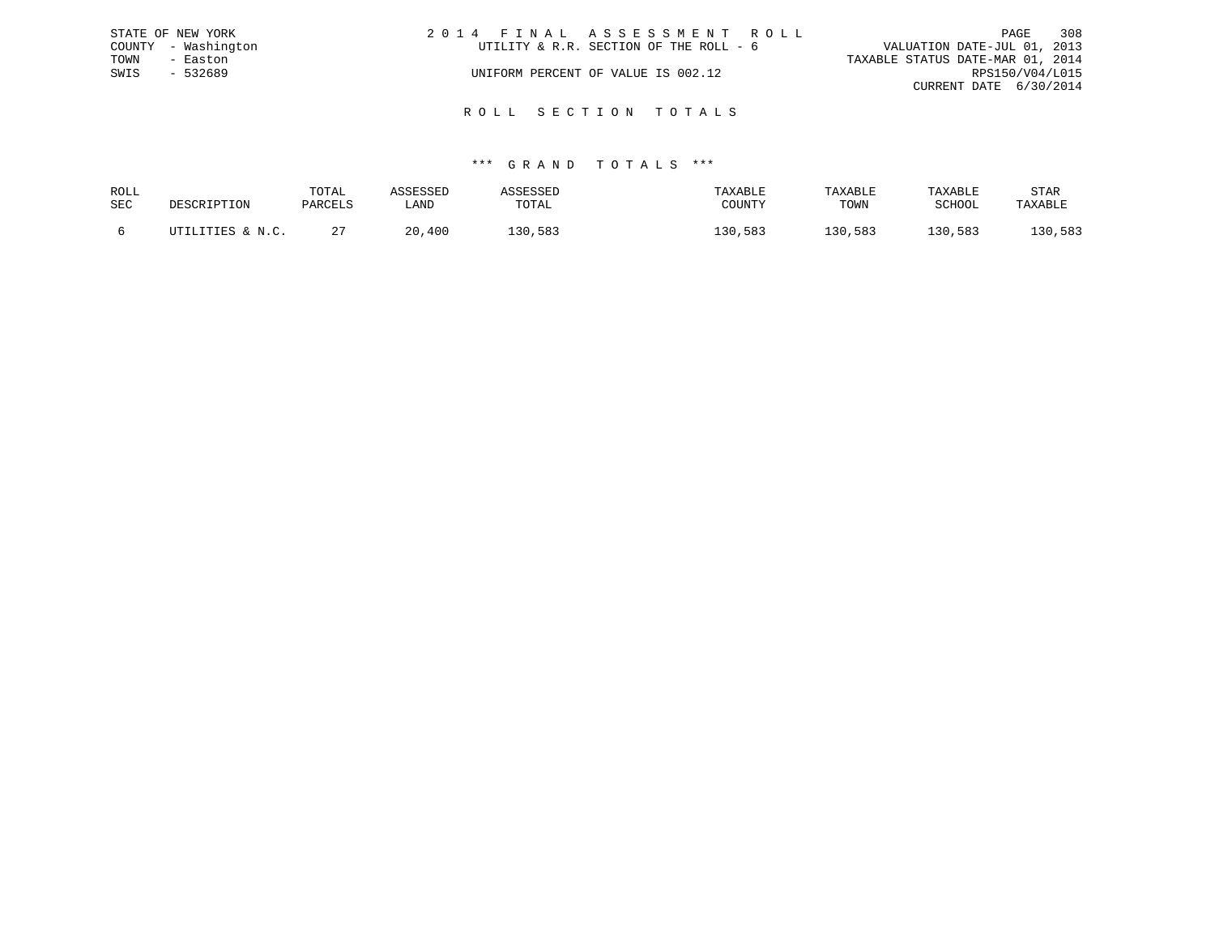|      | STATE OF NEW YORK   | 2014 FINAL ASSESSMENT ROLL |                                        |                                  | PAGE            | 308 |
|------|---------------------|----------------------------|----------------------------------------|----------------------------------|-----------------|-----|
|      | COUNTY - Washington |                            | UTILITY & R.R. SECTION OF THE ROLL - 6 | VALUATION DATE-JUL 01, 2013      |                 |     |
| TOWN | - Easton            |                            |                                        | TAXABLE STATUS DATE-MAR 01, 2014 |                 |     |
| SWIS | $-532689$           |                            | UNIFORM PERCENT OF VALUE IS 002.12     |                                  | RPS150/V04/L015 |     |
|      |                     |                            |                                        | CURRENT DATE 6/30/2014           |                 |     |
|      |                     |                            |                                        |                                  |                 |     |

R O L L S E C T I O N T O T A L S

| ROLL |                  | TOTAL   | <b>\SSESSED</b> | ASSESSED | TAXABLE | TAXABLE | TAXABLE | STAR    |
|------|------------------|---------|-----------------|----------|---------|---------|---------|---------|
| SEC  | DESCRIPTION      | PARCELS | LAND            | TOTAL    | COUNTY  | TOWN    | SCHOOL  | TAXABLE |
|      | UTILITIES & N.C. |         | 20,400          | 130,583  | 130,583 | 130,583 | 130,583 | 130,583 |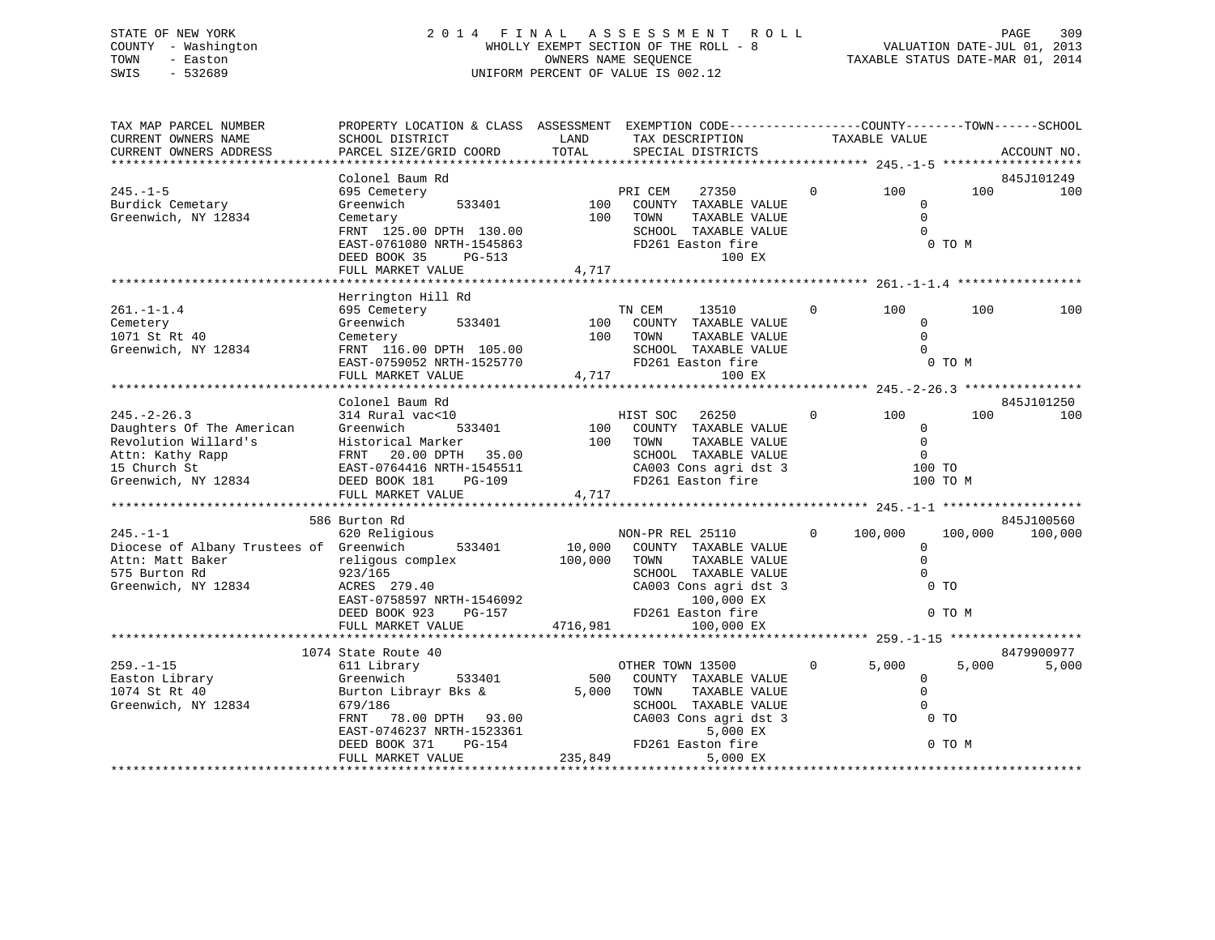### STATE OF NEW YORK 2 0 1 4 F I N A L A S S E S S M E N T R O L L PAGE 309 COUNTY - Washington WHOLLY EXEMPT SECTION OF THE ROLL - 8 VALUATION DATE-JUL 01, 2013 TOWN - Easton COMPUTERS NAME SEQUENCE TAXABLE STATUS DATE-MAR 01, 2014<br>SWIS - 532689 SWIS - 532689 UNIFORM PERCENT OF VALUE IS 002.12

| TAX MAP PARCEL NUMBER<br>CURRENT OWNERS NAME                                                                                      | PROPERTY LOCATION & CLASS ASSESSMENT EXEMPTION CODE---------------COUNTY-------TOWN-----SCHOOL<br>SCHOOL DISTRICT                                                                  | LAND                    | TAX DESCRIPTION                                                                                                                                                 | TAXABLE VALUE  |                                                                           |                   |                   |
|-----------------------------------------------------------------------------------------------------------------------------------|------------------------------------------------------------------------------------------------------------------------------------------------------------------------------------|-------------------------|-----------------------------------------------------------------------------------------------------------------------------------------------------------------|----------------|---------------------------------------------------------------------------|-------------------|-------------------|
| CURRENT OWNERS ADDRESS                                                                                                            | PARCEL SIZE/GRID COORD                                                                                                                                                             | TOTAL                   | SPECIAL DISTRICTS                                                                                                                                               |                |                                                                           |                   | ACCOUNT NO.       |
|                                                                                                                                   | Colonel Baum Rd                                                                                                                                                                    |                         |                                                                                                                                                                 |                |                                                                           |                   | 845J101249        |
| $245. -1 - 5$<br>Burdick Cemetary<br>Greenwich, NY 12834                                                                          | 695 Cemetery<br>Greenwich<br>533401<br>Cemetary<br>FRNT 125.00 DPTH 130.00<br>EAST-0761080 NRTH-1545863<br>DEED BOOK 35<br>PG-513<br>FULL MARKET VALUE                             | 100<br>100<br>4,717     | PRI CEM<br>27350<br>COUNTY TAXABLE VALUE<br>TAXABLE VALUE<br>TOWN<br>SCHOOL TAXABLE VALUE<br>FD261 Easton fire<br>100 EX                                        | $\Omega$       | 100<br>$\mathbf{0}$<br>$\Omega$<br>$\Omega$                               | 100<br>0 TO M     | 100               |
|                                                                                                                                   |                                                                                                                                                                                    |                         |                                                                                                                                                                 |                |                                                                           |                   |                   |
| $261. -1 - 1.4$<br>Cemetery<br>1071 St Rt 40<br>Greenwich, NY 12834                                                               | Herrington Hill Rd<br>695 Cemetery<br>Greenwich<br>533401<br>Cemetery<br>FRNT 116.00 DPTH 105.00<br>EAST-0759052 NRTH-1525770<br>FULL MARKET VALUE                                 | 100<br>100<br>4,717     | TN CEM<br>13510<br>COUNTY TAXABLE VALUE<br>TOWN<br>TAXABLE VALUE<br>SCHOOL TAXABLE VALUE<br>FD261 Easton fire<br>100 EX                                         | $\circ$        | 100<br>$\Omega$<br>$\mathbf 0$<br>$\Omega$                                | 100<br>0 TO M     | 100               |
|                                                                                                                                   |                                                                                                                                                                                    |                         |                                                                                                                                                                 |                |                                                                           |                   |                   |
| $245. - 2 - 26.3$<br>Daughters Of The American<br>Revolution Willard's<br>Attn: Kathy Rapp<br>15 Church St<br>Greenwich, NY 12834 | Colonel Baum Rd<br>314 Rural vac<10<br>Greenwich<br>533401<br>Historical Marker<br>FRNT 20.00 DPTH 35.00<br>EAST-0764416 NRTH-1545511<br>DEED BOOK 181 PG-109<br>FULL MARKET VALUE | 100<br>100<br>4,717     | HIST SOC<br>26250<br>COUNTY TAXABLE VALUE<br>TAXABLE VALUE<br>TOWN<br>SCHOOL TAXABLE VALUE<br>CA003 Cons agri dst 3<br>FD261 Easton fire                        | $\overline{0}$ | 100<br>$\Omega$<br>$\overline{0}$<br>$\overline{0}$<br>100 TO<br>100 TO M | 100               | 845J101250<br>100 |
|                                                                                                                                   | 586 Burton Rd                                                                                                                                                                      |                         |                                                                                                                                                                 |                |                                                                           |                   | 845J100560        |
| $245. -1 - 1$<br>Diocese of Albany Trustees of Greenwich<br>Attn: Matt Baker<br>575 Burton Rd<br>Greenwich, NY 12834              | 620 Religious<br>533401<br>religous complex<br>923/165<br>ACRES 279.40<br>EAST-0758597 NRTH-1546092<br>$PG-157$<br>DEED BOOK 923                                                   | 10,000<br>100,000       | NON-PR REL 25110<br>COUNTY TAXABLE VALUE<br>TOWN<br>TAXABLE VALUE<br>SCHOOL TAXABLE VALUE<br>CA003 Cons agri dst 3<br>100,000 EX<br>FD261 Easton fire           | $\Omega$       | 100,000<br>$\mathbf 0$<br>$\Omega$<br>$\Omega$<br>$0$ TO                  | 100,000<br>0 TO M | 100,000           |
|                                                                                                                                   | FULL MARKET VALUE                                                                                                                                                                  | 4716,981                | 100,000 EX                                                                                                                                                      |                |                                                                           |                   |                   |
|                                                                                                                                   | 1074 State Route 40                                                                                                                                                                |                         |                                                                                                                                                                 |                |                                                                           |                   | 8479900977        |
| $259. - 1 - 15$<br>Easton Library<br>1074 St Rt 40<br>Greenwich, NY 12834                                                         | 611 Library<br>Greenwich<br>533401<br>Burton Librayr Bks &<br>679/186<br>78.00 DPTH 93.00<br>FRNT<br>EAST-0746237 NRTH-1523361<br>DEED BOOK 371<br>PG-154<br>FULL MARKET VALUE     | 500<br>5,000<br>235,849 | OTHER TOWN 13500<br>COUNTY TAXABLE VALUE<br>TOWN<br>TAXABLE VALUE<br>SCHOOL TAXABLE VALUE<br>CA003 Cons agri dst 3<br>5,000 EX<br>FD261 Easton fire<br>5,000 EX | $\Omega$       | 5,000<br>$\overline{0}$<br>$\mathbf 0$<br>$\Omega$<br>0 <sub>T</sub>      | 5,000<br>0 TO M   | 5,000             |
|                                                                                                                                   |                                                                                                                                                                                    |                         |                                                                                                                                                                 |                |                                                                           |                   |                   |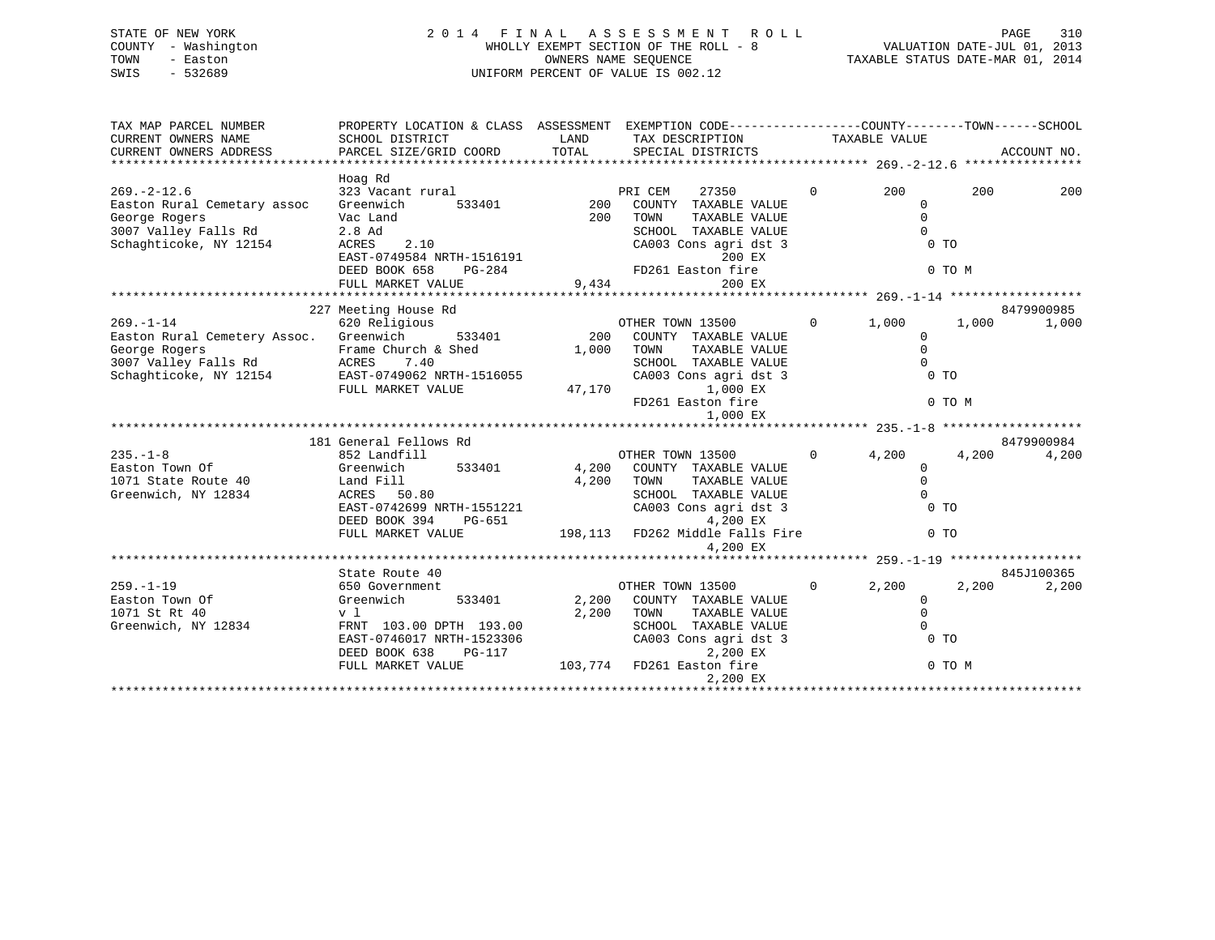### STATE OF NEW YORK 2 0 1 4 F I N A L A S S E S S M E N T R O L L PAGE 310 COUNTY - Washington WHOLLY EXEMPT SECTION OF THE ROLL - 8 VALUATION DATE-JUL 01, 2013 TOWN - Easton COMPUTERS NAME SEQUENCE TAXABLE STATUS DATE-MAR 01, 2014<br>SWIS - 532689 SWIS - 532689 UNIFORM PERCENT OF VALUE IS 002.12

| TAX MAP PARCEL NUMBER                                                                                                                                    | PROPERTY LOCATION & CLASS ASSESSMENT EXEMPTION CODE-----------------COUNTY-------TOWN------SCHOOL                                                                                                                                                                                                                                                                                                                                              |            |                                             |              |                                       |        |            |
|----------------------------------------------------------------------------------------------------------------------------------------------------------|------------------------------------------------------------------------------------------------------------------------------------------------------------------------------------------------------------------------------------------------------------------------------------------------------------------------------------------------------------------------------------------------------------------------------------------------|------------|---------------------------------------------|--------------|---------------------------------------|--------|------------|
|                                                                                                                                                          |                                                                                                                                                                                                                                                                                                                                                                                                                                                |            |                                             |              |                                       |        |            |
|                                                                                                                                                          |                                                                                                                                                                                                                                                                                                                                                                                                                                                |            |                                             |              |                                       |        |            |
| $269. - 2 - 12.6$                                                                                                                                        | Hoag Rd<br>323 Vacant rural                                                                                                                                                                                                                                                                                                                                                                                                                    |            | PRI CEM<br>27350                            | $\mathbf{0}$ | 200                                   | 200    | 200        |
| Easton Rural Cemetary assoc Greenwich                                                                                                                    |                                                                                                                                                                                                                                                                                                                                                                                                                                                |            | 533401 200 COUNTY TAXABLE VALUE             |              | $\Omega$                              |        |            |
| George Rogers <b>Exercise Stand</b><br>3007 Valley Falls Rd 2.8 Ad                                                                                       |                                                                                                                                                                                                                                                                                                                                                                                                                                                | 200        | TOWN<br>TAXABLE VALUE                       |              | $\overline{0}$                        |        |            |
|                                                                                                                                                          |                                                                                                                                                                                                                                                                                                                                                                                                                                                |            | SCHOOL TAXABLE VALUE                        |              | $\overline{0}$                        |        |            |
| Schaghticoke, NY 12154                                                                                                                                   | $\begin{tabular}{lllllllllllll} \multicolumn{4}{c}{2.8\ \text{Ad}} & \multicolumn{4}{c}{\text{SCHOOL}} & \text{TAXABLE VAI} \\ \multicolumn{4}{c}{\text{ACRES}} & 2.10 & \multicolumn{4}{c}{\text{CAO03 Cons agri dist}} \\ \multicolumn{4}{c}{\text{EAST}-0749584 NRTH-1516191} & 200 \ \text{EX} \\ \multicolumn{4}{c}{\text{DEED BOOK 658}} & \text{PG-284} & \text{FD261 Easton fire} \\ \multicolumn{4}{c}{\text{FULL MARKET VALUE}} & 9$ |            | CA003 Cons agri dst 3<br>200 EX             |              | $0$ TO                                |        |            |
|                                                                                                                                                          |                                                                                                                                                                                                                                                                                                                                                                                                                                                |            |                                             |              |                                       | 0 TO M |            |
|                                                                                                                                                          |                                                                                                                                                                                                                                                                                                                                                                                                                                                |            | 200 EX                                      |              |                                       |        |            |
|                                                                                                                                                          |                                                                                                                                                                                                                                                                                                                                                                                                                                                |            |                                             |              |                                       |        |            |
|                                                                                                                                                          | 227 Meeting House Rd                                                                                                                                                                                                                                                                                                                                                                                                                           |            |                                             |              |                                       |        | 8479900985 |
| 227 According to the Caption Community Captain Community Constant Community Captions<br>Easton Rural Cemetery Assoc. Greenwich 533401 200 COUNTY TAXABLE |                                                                                                                                                                                                                                                                                                                                                                                                                                                |            |                                             |              | $0 \t 1,000 \t 1,000$                 |        | 1,000      |
|                                                                                                                                                          |                                                                                                                                                                                                                                                                                                                                                                                                                                                |            | COUNTY TAXABLE VALUE                        |              | $\Omega$                              |        |            |
|                                                                                                                                                          |                                                                                                                                                                                                                                                                                                                                                                                                                                                |            | TAXABLE VALUE                               |              |                                       |        |            |
| George Rogers Trame Church & Shed 1,000 TOWN<br>3007 Valley Falls Rd ACRES 7.40 SChaghticoke, NY 12154 EAST-0749062 NRTH-1516055 CA003                   |                                                                                                                                                                                                                                                                                                                                                                                                                                                |            | SCHOOL TAXABLE VALUE                        |              | $\begin{matrix}0\\0\\0\\\end{matrix}$ |        |            |
|                                                                                                                                                          |                                                                                                                                                                                                                                                                                                                                                                                                                                                |            | CA003 Cons agri dst 3                       |              |                                       |        |            |
|                                                                                                                                                          | FULL MARKET VALUE                                                                                                                                                                                                                                                                                                                                                                                                                              | 47,170     | 1,000 EX<br>FD261 Easton fire               |              |                                       |        |            |
|                                                                                                                                                          |                                                                                                                                                                                                                                                                                                                                                                                                                                                |            | 1,000 EX                                    |              |                                       | 0 TO M |            |
|                                                                                                                                                          |                                                                                                                                                                                                                                                                                                                                                                                                                                                |            |                                             |              |                                       |        |            |
|                                                                                                                                                          | 181 General Fellows Rd                                                                                                                                                                                                                                                                                                                                                                                                                         |            |                                             |              |                                       |        | 8479900984 |
| $235. - 1 - 8$                                                                                                                                           | 852 Landfill                                                                                                                                                                                                                                                                                                                                                                                                                                   |            | OTHER TOWN 13500                            |              | $0 \t 4, 200$                         | 4,200  | 4,200      |
| Greenwich<br>Easton Town Of                                                                                                                              |                                                                                                                                                                                                                                                                                                                                                                                                                                                |            | 533401 4,200 COUNTY TAXABLE VALUE           |              | $\Omega$                              |        |            |
|                                                                                                                                                          |                                                                                                                                                                                                                                                                                                                                                                                                                                                | 4,200 TOWN | TAXABLE VALUE                               |              | $\Omega$                              |        |            |
| 1071 State Route 40 Land Fill<br>Greenwich, NY 12834 ACRES 50                                                                                            | ACRES 50.80                                                                                                                                                                                                                                                                                                                                                                                                                                    |            | SCHOOL TAXABLE VALUE                        |              | $\overline{0}$                        |        |            |
|                                                                                                                                                          | EAST-0742699 NRTH-1551221<br>DEED BOOK 394 PG-651                                                                                                                                                                                                                                                                                                                                                                                              |            | CA003 Cons agri dst 3                       |              | 0 <sub>T</sub>                        |        |            |
|                                                                                                                                                          | $PG-651$<br>DEED BOOK 394                                                                                                                                                                                                                                                                                                                                                                                                                      |            | 4,200 EX                                    |              |                                       |        |            |
|                                                                                                                                                          | FULL MARKET VALUE                                                                                                                                                                                                                                                                                                                                                                                                                              |            | 198,113 FD262 Middle Falls Fire<br>4,200 EX |              | $0$ TO                                |        |            |
|                                                                                                                                                          |                                                                                                                                                                                                                                                                                                                                                                                                                                                |            |                                             |              |                                       |        |            |
|                                                                                                                                                          | State Route 40                                                                                                                                                                                                                                                                                                                                                                                                                                 |            |                                             |              |                                       |        | 845J100365 |
| $259. - 1 - 19$                                                                                                                                          | 650 Government                                                                                                                                                                                                                                                                                                                                                                                                                                 |            | OTHER TOWN 13500                            |              | $0 \t 2, 200$                         | 2,200  | 2,200      |
| Easton Town Of                                                                                                                                           | Greenwich                                                                                                                                                                                                                                                                                                                                                                                                                                      |            | 533401 2,200 COUNTY TAXABLE VALUE           |              | $\mathbf 0$                           |        |            |
| 1071 St Rt 40                                                                                                                                            | v l                                                                                                                                                                                                                                                                                                                                                                                                                                            |            | 2,200 TOWN<br>TAXABLE VALUE                 |              | $\mathbf 0$                           |        |            |
| Greenwich, NY 12834                                                                                                                                      | FRNT 103.00 DPTH 193.00                                                                                                                                                                                                                                                                                                                                                                                                                        |            | SCHOOL TAXABLE VALUE                        |              | $\Omega$                              |        |            |
|                                                                                                                                                          | EAST-0746017 NRTH-1523306                                                                                                                                                                                                                                                                                                                                                                                                                      |            | CA003 Cons agri dst 3                       |              | $0$ TO                                |        |            |
|                                                                                                                                                          | <b>PG-117</b><br>DEED BOOK 638                                                                                                                                                                                                                                                                                                                                                                                                                 |            | 2,200 EX                                    |              |                                       |        |            |
|                                                                                                                                                          | FULL MARKET VALUE                                                                                                                                                                                                                                                                                                                                                                                                                              |            | 103,774 FD261 Easton fire                   |              |                                       | 0 TO M |            |
|                                                                                                                                                          |                                                                                                                                                                                                                                                                                                                                                                                                                                                |            | 2,200 EX                                    |              |                                       |        |            |
|                                                                                                                                                          |                                                                                                                                                                                                                                                                                                                                                                                                                                                |            |                                             |              |                                       |        |            |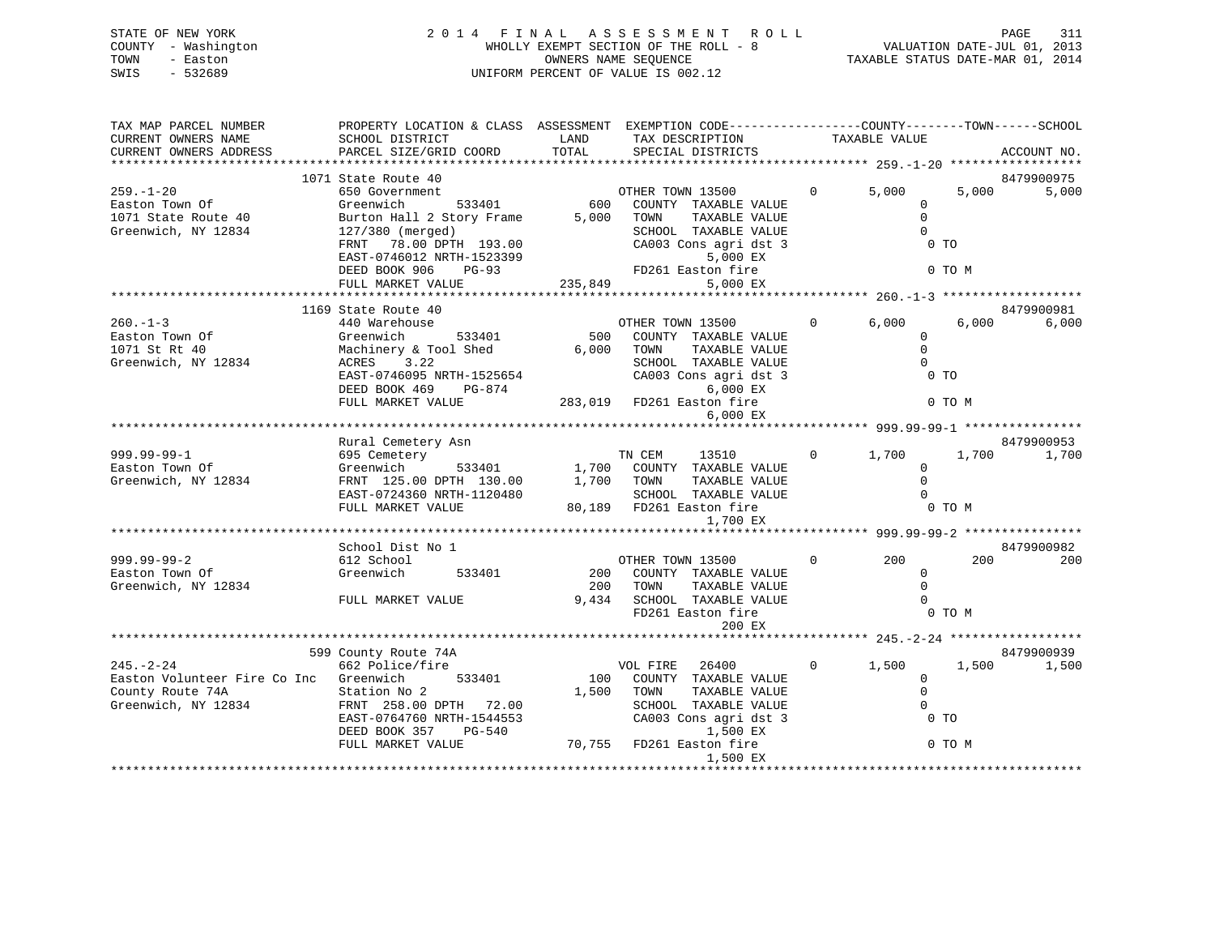| STATE OF NEW YORK<br>COUNTY - Washington | 2014 FINAL ASSESSMENT ROLL<br>WHOLLY EXEMPT SECTION OF THE ROLL - 8 | 311<br>PAGE<br>VALUATION DATE-JUL 01, 2013 |
|------------------------------------------|---------------------------------------------------------------------|--------------------------------------------|
| TOWN<br>- Easton                         | OWNERS NAME SEOUENCE                                                | TAXABLE STATUS DATE-MAR 01, 2014           |
| - 532689<br>SWIS                         | UNIFORM PERCENT OF VALUE IS 002.12                                  |                                            |

| TAX MAP PARCEL NUMBER                  | PROPERTY LOCATION & CLASS ASSESSMENT EXEMPTION CODE---------------COUNTY-------TOWN------SCHOOL                              |                           |                       |                            |                |                       |        |             |
|----------------------------------------|------------------------------------------------------------------------------------------------------------------------------|---------------------------|-----------------------|----------------------------|----------------|-----------------------|--------|-------------|
| CURRENT OWNERS NAME                    | SCHOOL DISTRICT                                                                                                              | LAND                      |                       | TAX DESCRIPTION            |                | TAXABLE VALUE         |        |             |
| CURRENT OWNERS ADDRESS                 | PARCEL SIZE/GRID COORD                                                                                                       | TOTAL                     |                       | SPECIAL DISTRICTS          |                |                       |        | ACCOUNT NO. |
|                                        |                                                                                                                              |                           |                       |                            |                |                       |        |             |
|                                        | 1071 State Route 40                                                                                                          |                           |                       |                            |                |                       |        | 8479900975  |
| $259. - 1 - 20$                        | 650 Government                                                                                                               |                           | OTHER TOWN 13500      |                            | $\overline{0}$ | 5,000                 | 5,000  | 5,000       |
| Easton Town Of                         | 533401<br>Greenwich                                                                                                          |                           |                       | 600 COUNTY TAXABLE VALUE   |                | $\Omega$              |        |             |
| 1071 State Route 40                    | Burton Hall 2 Story Frame                                                                                                    | 5,000                     | TOWN                  | TAXABLE VALUE              |                | $\mathbf 0$           |        |             |
| Greenwich, NY 12834                    | 127/380 (merged)                                                                                                             |                           |                       | SCHOOL TAXABLE VALUE       |                | $\Omega$              |        |             |
|                                        | FRNT 78.00 DPTH 193.00                                                                                                       |                           |                       | CA003 Cons agri dst 3      |                | 0 <sub>T</sub>        |        |             |
|                                        |                                                                                                                              |                           |                       | 5,000 EX                   |                |                       |        |             |
|                                        |                                                                                                                              |                           |                       |                            |                |                       | 0 TO M |             |
|                                        |                                                                                                                              |                           |                       | 5,000 EX                   |                |                       |        |             |
|                                        | FRNT 78.00 DEID<br>EAST-0746012 NRTH-1523399<br>DEED BOOK 906 PG-93 FD261 Easton fire<br>----- MADKET VALUE 235,849 5,000 EX |                           |                       |                            |                |                       |        |             |
|                                        | 1169 State Route 40                                                                                                          |                           |                       |                            |                |                       |        | 8479900981  |
| $260. - 1 - 3$                         | 440 Warehouse                                                                                                                |                           | OTHER TOWN 13500      |                            | $\overline{0}$ | 6,000                 | 6,000  | 6,000       |
| Easton Town Of                         | Greenwich<br>533401                                                                                                          |                           |                       | 500 COUNTY TAXABLE VALUE   |                | $\Omega$              |        |             |
| 1071 St Rt 40                          | Machinery & Tool Shed                                                                                                        | 6,000 TOWN                |                       | TAXABLE VALUE              |                | $\Omega$              |        |             |
| Greenwich, NY 12834                    | ACRES 3.22                                                                                                                   |                           |                       | SCHOOL TAXABLE VALUE       |                | $\Omega$              |        |             |
|                                        | EAST-0746095 NRTH-1525654                                                                                                    |                           |                       | CA003 Cons agri dst 3      |                | 0 <sub>T</sub>        |        |             |
|                                        | DEED BOOK 469<br>PG-874                                                                                                      |                           |                       | 6,000 EX                   |                |                       |        |             |
|                                        | FULL MARKET VALUE                                                                                                            | 283,019 FD261 Easton fire |                       |                            |                |                       | 0 TO M |             |
|                                        |                                                                                                                              |                           |                       | 6,000 EX                   |                |                       |        |             |
|                                        |                                                                                                                              |                           |                       |                            |                |                       |        |             |
|                                        | Rural Cemetery Asn                                                                                                           |                           |                       |                            |                |                       |        | 8479900953  |
| 999.99-99-1                            | 695 Cemetery                                                                                                                 |                           | TN CEM                | 13510                      |                | $0 \t 1,700$          | 1,700  | 1,700       |
| Easton Town Of                         | Greenwich 533401 1,700 COUNTY TAXABLE VALUE                                                                                  |                           |                       |                            |                | $\Omega$              |        |             |
| Greenwich, NY 12834                    | FRNT 125.00 DPTH 130.00                                                                                                      | 1,700 TOWN                |                       | TAXABLE VALUE              |                | $\Omega$              |        |             |
|                                        | EAST-0724360 NRTH-1120480                                                                                                    |                           |                       | SCHOOL TAXABLE VALUE       |                |                       |        |             |
|                                        | FULL MARKET VALUE                                                                                                            |                           |                       | 80,189 FD261 Easton fire   |                |                       | 0 TO M |             |
|                                        |                                                                                                                              |                           |                       | 1,700 EX                   |                |                       |        |             |
|                                        |                                                                                                                              |                           |                       |                            |                |                       |        |             |
|                                        | School Dist No 1                                                                                                             |                           |                       |                            |                |                       |        | 8479900982  |
| 999.99-99-2                            | 612 School                                                                                                                   |                           | OTHER TOWN 13500      |                            |                | $0 \qquad \qquad 200$ | 200    | 200         |
| Easton Town Of                         | Greenwich<br>533401                                                                                                          |                           |                       | 200 COUNTY TAXABLE VALUE   |                | $\overline{0}$        |        |             |
| Greenwich, NY 12834                    |                                                                                                                              |                           | 200 TOWN              | TAXABLE VALUE              |                | $\Omega$              |        |             |
|                                        | FULL MARKET VALUE                                                                                                            |                           |                       | 9,434 SCHOOL TAXABLE VALUE |                | $\Omega$              |        |             |
|                                        |                                                                                                                              |                           |                       | FD261 Easton fire          |                |                       | 0 TO M |             |
|                                        |                                                                                                                              |                           |                       | 200 EX                     |                |                       |        |             |
|                                        |                                                                                                                              |                           |                       |                            |                |                       |        |             |
|                                        | 599 County Route 74A                                                                                                         |                           |                       |                            |                |                       |        | 8479900939  |
| $245. - 2 - 24$                        | 662 Police/fire                                                                                                              |                           | <b>VOL FIRE</b> 26400 |                            | $\Omega$       | 1,500                 | 1,500  | 1,500       |
| Easton Volunteer Fire Co Inc Greenwich | 533401                                                                                                                       |                           |                       | 100 COUNTY TAXABLE VALUE   |                | $\circ$               |        |             |
| County Route 74A                       | Station No 2                                                                                                                 |                           | 1,500 TOWN            | TAXABLE VALUE              |                | $\mathbf 0$           |        |             |
| Greenwich, NY 12834                    | FRNT 258.00 DPTH 72.00                                                                                                       |                           |                       | SCHOOL TAXABLE VALUE       |                | $\cap$                |        |             |
|                                        | EAST-0764760 NRTH-1544553                                                                                                    |                           |                       | CA003 Cons agri dst 3      |                |                       | $0$ TO |             |
|                                        | DEED BOOK 357<br>PG-540                                                                                                      | 70,755 FD261 Easton fire  |                       | 1,500 EX                   |                |                       |        |             |
|                                        | FULL MARKET VALUE                                                                                                            |                           |                       |                            |                |                       | 0 TO M |             |
|                                        |                                                                                                                              |                           |                       | 1,500 EX                   |                |                       |        |             |
|                                        |                                                                                                                              |                           |                       |                            |                |                       |        |             |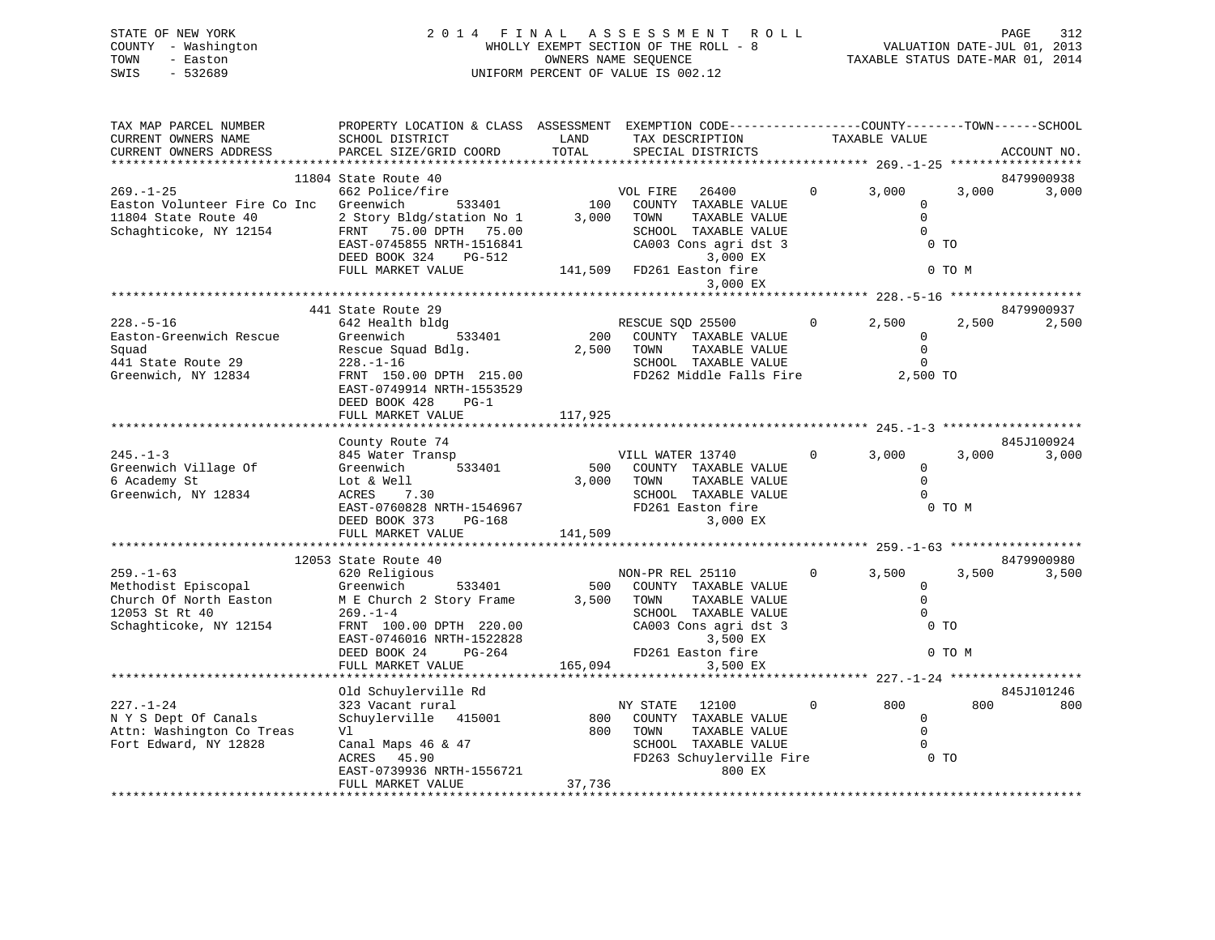| STATE OF NEW YORK   | 2014 FINAL ASSESSMENT ROLL            | 312<br>PAGE                      |
|---------------------|---------------------------------------|----------------------------------|
| COUNTY - Washington | WHOLLY EXEMPT SECTION OF THE ROLL - 8 | VALUATION DATE-JUL 01, 2013      |
| TOWN<br>- Easton    | OWNERS NAME SEOUENCE                  | TAXABLE STATUS DATE-MAR 01, 2014 |
| - 532689<br>SWIS    | UNIFORM PERCENT OF VALUE IS 002.12    |                                  |
|                     |                                       |                                  |

| TAX MAP PARCEL NUMBER<br>CURRENT OWNERS NAME<br>CURRENT OWNERS ADDRESS                                                                                      | PROPERTY LOCATION & CLASS ASSESSMENT EXEMPTION CODE----------------COUNTY-------TOWN------SCHOOL<br>SCHOOL DISTRICT<br>PARCEL SIZE/GRID COORD                                                                   | LAND<br>TOTAL         | TAX DESCRIPTION<br>SPECIAL DISTRICTS                                                                                                                                      | TAXABLE VALUE           |                                                                      | ACCOUNT NO.         |
|-------------------------------------------------------------------------------------------------------------------------------------------------------------|-----------------------------------------------------------------------------------------------------------------------------------------------------------------------------------------------------------------|-----------------------|---------------------------------------------------------------------------------------------------------------------------------------------------------------------------|-------------------------|----------------------------------------------------------------------|---------------------|
|                                                                                                                                                             |                                                                                                                                                                                                                 |                       |                                                                                                                                                                           |                         |                                                                      |                     |
| $269. - 1 - 25$<br>Easton Volunteer Fire Co Inc Greenwich<br>11804 State Route 40 2 Story Bldg/station No 1<br>Schaghticoke, NY 12154 FRNT 75.00 DPTH 75.00 | 11804 State Route 40<br>662 Police/fire<br>Greenwich 533401<br>EAST-0745855 NRTH-1516841<br>DEED BOOK 324 PG-512<br>FULL MARKET VALUE                                                                           | 3,000                 | VOL FIRE 26400<br>100 COUNTY TAXABLE VALUE<br>TOWN<br>TAXABLE VALUE<br>SCHOOL TAXABLE VALUE<br>CA003 Cons agri dst 3<br>3,000 EX<br>141,509 FD261 Easton fire<br>3,000 EX | 3,000<br>$\Omega$       | 3,000<br>$\mathbf 0$<br>$\mathbf 0$<br>$\mathbf 0$<br>0 TO<br>0 TO M | 8479900938<br>3,000 |
|                                                                                                                                                             | 441 State Route 29                                                                                                                                                                                              |                       |                                                                                                                                                                           |                         |                                                                      | 8479900937          |
| $228. - 5 - 16$<br>Easton-Greenwich Rescue<br>Squad<br>441 State Route 29<br>Greenwich, NY 12834                                                            | 642 Health bldg<br>533401<br>Greenwich<br>Rescue Squad Bdlg.<br>$228. - 1 - 16$<br>FRNT 150.00 DPTH 215.00<br>EAST-0749914 NRTH-1553529<br>DEED BOOK 428<br>$PG-1$<br>FULL MARKET VALUE                         | 2,500 TOWN<br>117,925 | TAXABLE VALUE<br>SCHOOL TAXABLE VALUE<br>FD262 Middle Falls Fire 2,500 TO                                                                                                 | $0 \t 2,500$            | 2,500<br>$\overline{0}$<br>$\mathbf 0$<br>$\Omega$                   | 2,500               |
|                                                                                                                                                             |                                                                                                                                                                                                                 |                       |                                                                                                                                                                           |                         |                                                                      |                     |
| $245. - 1 - 3$<br>Greenwich Village Of<br>6 Academy St<br>Greenwich, NY 12834                                                                               | County Route 74<br>845 Water Transp<br>533401<br>Greenwich<br>Lot & Well<br>ACRES       7.30<br>7.30<br>ACRES<br>DEED BOOK 373<br>FULL MARKET VALUE                                                             | 141,509               | VILL WATER 13740<br>500 COUNTY TAXABLE VALUE<br>3,000 TOWN<br>TAXABLE VALUE<br>SCHOOL TAXABLE VALUE<br>FD261 Easton fire<br>3,000 EX                                      | $\overline{0}$<br>3,000 | 3,000<br>$\overline{0}$<br>$\Omega$<br>$\Omega$<br>0 TO M            | 845J100924<br>3,000 |
|                                                                                                                                                             |                                                                                                                                                                                                                 |                       |                                                                                                                                                                           |                         |                                                                      |                     |
| $259. - 1 - 63$<br>Methodist Episcopal Greenwich<br>Church Of North Easton<br>12053 St Rt 40<br>Schaghticoke, NY 12154                                      | 12053 State Route 40<br>620 Religious<br>533401<br>M E Church 2 Story Frame 3,500 TOWN<br>$269. - 1 - 4$<br>FRNT 100.00 DPTH 220.00<br>EAST-0746016 NRTH-1522828<br>DEED BOOK 24<br>PG-264<br>FULL MARKET VALUE | 500                   | NON-PR REL 25110<br>COUNTY TAXABLE VALUE<br>TAXABLE VALUE<br>SCHOOL TAXABLE VALUE<br>CA003 Cons agri dst 3<br>3,500 EX<br>FD261 Easton fire<br>165,094<br>3,500 EX        | $\mathbf{0}$<br>3,500   | 3,500<br>$\mathbf 0$<br>$\mathbf 0$<br>$\Omega$<br>$0$ TO<br>0 TO M  | 8479900980<br>3,500 |
|                                                                                                                                                             |                                                                                                                                                                                                                 |                       |                                                                                                                                                                           |                         |                                                                      |                     |
|                                                                                                                                                             | Old Schuylerville Rd                                                                                                                                                                                            |                       |                                                                                                                                                                           |                         |                                                                      | 845J101246          |
| $227. - 1 - 24$<br>N Y S Dept Of Canals<br>Attn: Washington Co Treas<br>Fort Edward, NY 12828                                                               | 323 Vacant rural<br>Schuylerville 415001<br>Vl<br>Canal Maps 46 & 47<br>ACRES 45.90<br>EAST-0739936 NRTH-1556721<br>FULL MARKET VALUE                                                                           | NY STATE<br>37,736    | 12100<br>800 COUNTY TAXABLE VALUE<br>800 TOWN<br>TAXABLE VALUE<br>SCHOOL TAXABLE VALUE<br>FD263 Schuylerville Fire 0 TO<br>800 EX                                         | $\circ$<br>800          | 800<br>$\overline{0}$<br>$\Omega$<br>$\Omega$                        | 800                 |
|                                                                                                                                                             |                                                                                                                                                                                                                 |                       |                                                                                                                                                                           |                         |                                                                      |                     |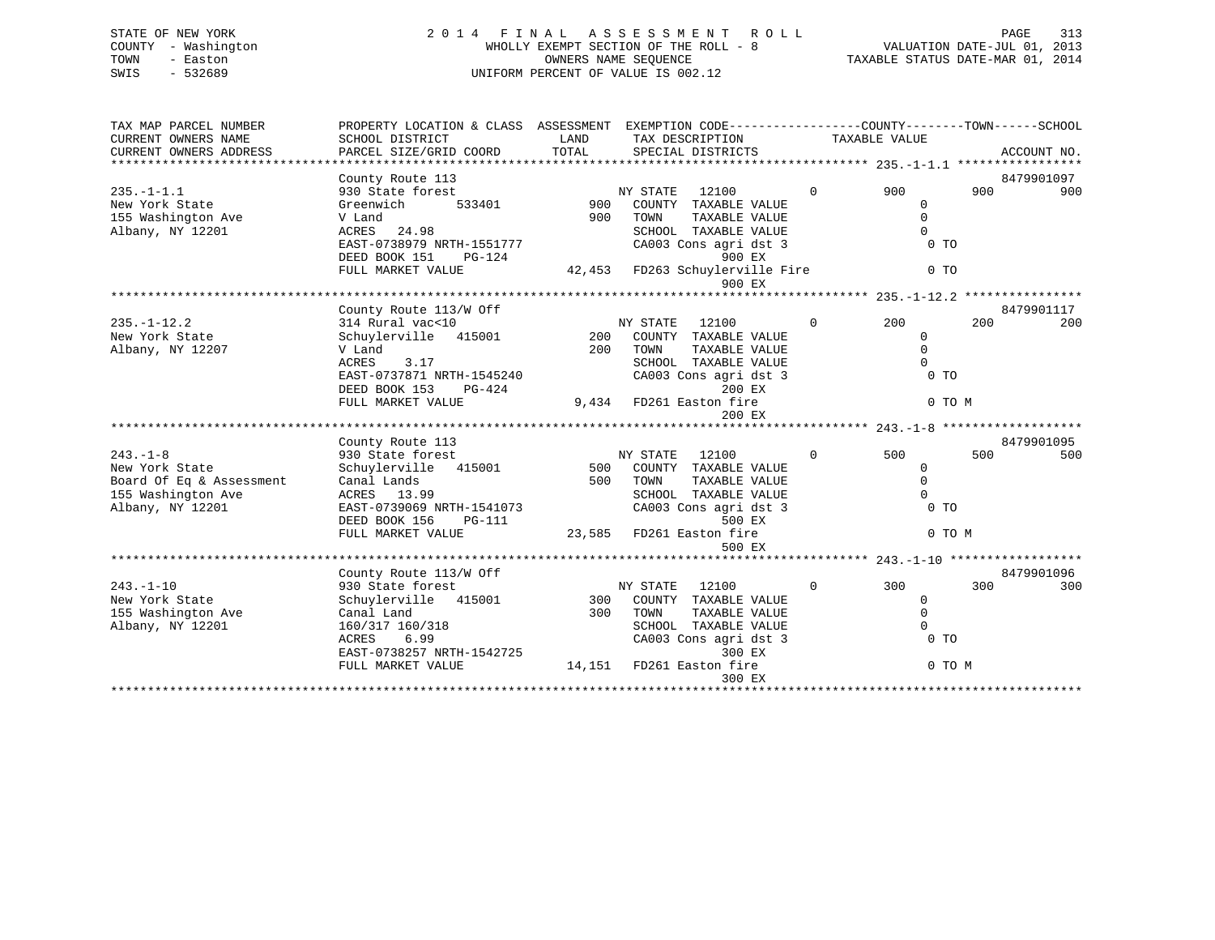| STATE OF NEW YORK   | 2014 FINAL ASSESSMENT ROLL            | 313<br>PAGE                      |
|---------------------|---------------------------------------|----------------------------------|
| COUNTY - Washington | WHOLLY EXEMPT SECTION OF THE ROLL - 8 | VALUATION DATE-JUL 01, 2013      |
| TOWN<br>- Easton    | OWNERS NAME SEOUENCE                  | TAXABLE STATUS DATE-MAR 01, 2014 |
| - 532689<br>SWIS    | UNIFORM PERCENT OF VALUE IS 002.12    |                                  |

| TAX MAP PARCEL NUMBER<br>CURRENT OWNERS NAME<br>CURRENT OWNERS ADDRESS                                | PROPERTY LOCATION & CLASS ASSESSMENT EXEMPTION CODE----------------COUNTY-------TOWN-----SCHOOL<br>SCHOOL DISTRICT<br>PARCEL SIZE/GRID COORD | LAND<br>TOTAL | TAX DESCRIPTION<br>SPECIAL DISTRICTS                                                                                          |              | TAXABLE VALUE                                                 |     | ACCOUNT NO.       |
|-------------------------------------------------------------------------------------------------------|----------------------------------------------------------------------------------------------------------------------------------------------|---------------|-------------------------------------------------------------------------------------------------------------------------------|--------------|---------------------------------------------------------------|-----|-------------------|
| $235. -1 - 1.1$<br>New York State                                                                     | County Route 113<br>930 State forest<br>533401<br>Greenwich                                                                                  | 900           | 12100<br>NY STATE<br>COUNTY TAXABLE VALUE                                                                                     | $\mathbf{0}$ | 900<br>$\mathbf 0$                                            | 900 | 8479901097<br>900 |
| 155 Washington Ave<br>Albany, NY 12201                                                                | V Land<br>ACRES 24.98<br>EAST-0738979 NRTH-1551777<br>DEED BOOK 151<br>PG-124<br>FULL MARKET VALUE                                           | 900           | TOWN<br>TAXABLE VALUE<br>SCHOOL TAXABLE VALUE<br>CA003 Cons agri dst 3<br>900 EX<br>42,453 FD263 Schuylerville Fire<br>900 EX |              | $\mathbf 0$<br>$\Omega$<br>$0$ TO<br>$0$ TO                   |     |                   |
|                                                                                                       |                                                                                                                                              |               |                                                                                                                               |              |                                                               |     |                   |
| $235. -1 - 12.2$<br>New York State<br>Albany, NY 12207                                                | County Route 113/W Off<br>314 Rural vac<10<br>Schuylerville 415001<br>V Land<br>ACRES<br>3.17                                                | 200           | NY STATE<br>12100<br>200 COUNTY TAXABLE VALUE<br>TOWN<br>TAXABLE VALUE<br>SCHOOL TAXABLE VALUE                                | $\circ$      | 200<br>$\mathbf 0$<br>$\Omega$<br>$\Omega$                    | 200 | 8479901117<br>200 |
|                                                                                                       | EAST-0737871 NRTH-1545240<br>DEED BOOK 153<br>PG-424<br>FULL MARKET VALUE                                                                    | 9,434         | CA003 Cons agri dst 3<br>200 EX<br>FD261 Easton fire<br>200 EX                                                                |              | $0$ TO<br>0 TO M                                              |     |                   |
|                                                                                                       | County Route 113                                                                                                                             |               |                                                                                                                               |              |                                                               |     | 8479901095        |
| $243 - 1 - 8$<br>New York State<br>Board Of Eq & Assessment<br>155 Washington Ave<br>Albany, NY 12201 | 930 State forest<br>Schuylerville 415001<br>Canal Lands<br>ACRES 13.99<br>EAST-0739069 NRTH-1541073<br>DEED BOOK 156<br>PG-111               | $500$<br>500  | NY STATE<br>12100<br>COUNTY TAXABLE VALUE<br>TOWN<br>TAXABLE VALUE<br>SCHOOL TAXABLE VALUE<br>CA003 Cons agri dst 3<br>500 EX | $\Omega$     | 500<br>0<br>$\mathbf{0}$<br>$\Omega$<br>0 <sub>T</sub>        | 500 | 500               |
|                                                                                                       | FULL MARKET VALUE                                                                                                                            | 23,585        | FD261 Easton fire                                                                                                             |              | 0 TO M                                                        |     |                   |
|                                                                                                       |                                                                                                                                              |               | 500 EX                                                                                                                        |              |                                                               |     |                   |
|                                                                                                       | County Route 113/W Off                                                                                                                       |               |                                                                                                                               |              |                                                               |     | 8479901096        |
| $243. - 1 - 10$<br>New York State<br>155 Washington Ave<br>Albany, NY 12201                           | 930 State forest<br>Schuylerville 415001<br>Canal Land<br>160/317 160/318<br>6.99<br>ACRES<br>EAST-0738257 NRTH-1542725                      | 300<br>300    | 12100<br>NY STATE<br>COUNTY TAXABLE VALUE<br>TOWN<br>TAXABLE VALUE<br>SCHOOL TAXABLE VALUE<br>CA003 Cons agri dst 3<br>300 EX | $\circ$      | 300<br>$\mathbf{0}$<br>$\Omega$<br>$\Omega$<br>0 <sub>T</sub> | 300 | 300               |
|                                                                                                       | FULL MARKET VALUE                                                                                                                            | 14,151        | FD261 Easton fire<br>300 EX                                                                                                   |              | 0 TO M                                                        |     |                   |
|                                                                                                       |                                                                                                                                              |               |                                                                                                                               |              |                                                               |     |                   |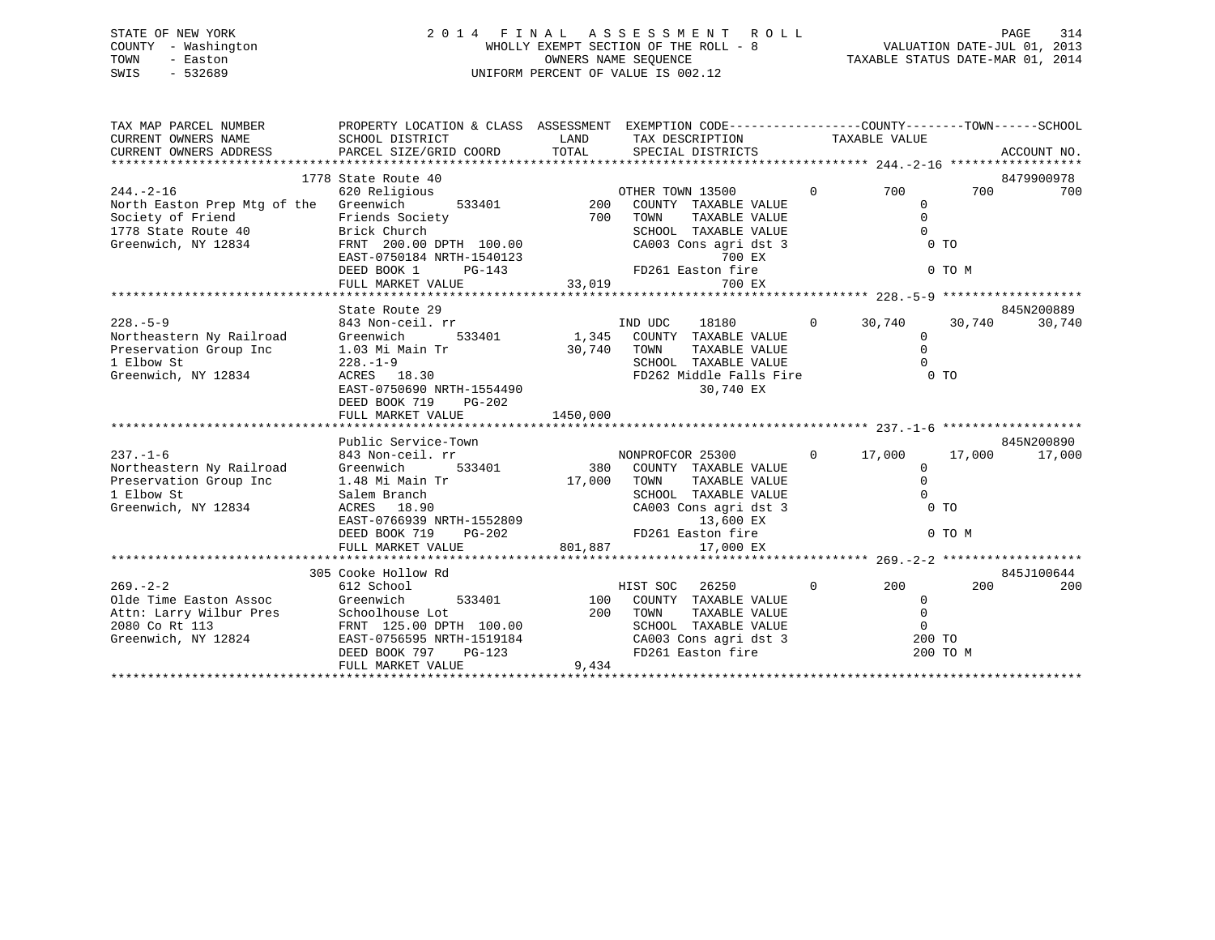### STATE OF NEW YORK 2 0 1 4 F I N A L A S S E S S M E N T R O L L PAGE 314 COUNTY - Washington WHOLLY EXEMPT SECTION OF THE ROLL - 8 VALUATION DATE-JUL 01, 2013 TOWN - Easton OWNERS NAME SEQUENCE TAXABLE STATUS DATE-MAR 01, 2014 SWIS - 532689 UNIFORM PERCENT OF VALUE IS 002.12

| TAX MAP PARCEL NUMBER<br>CURRENT OWNERS NAME<br>CURRENT OWNERS NAME<br>CURRENT OWNERS ADDRESS                                                                                    | PROPERTY LOCATION & CLASS ASSESSMENT EXEMPTION CODE----------------COUNTY-------TOWN------SCHOOL<br>SCHOOL DISTRICT<br>PARCEL SIZE/GRID COORD TOTAL                             | LAND                   | TAX DESCRIPTION TAXABLE VALUE                                                                                                                    |                |                                                                        |                  |                      |
|----------------------------------------------------------------------------------------------------------------------------------------------------------------------------------|---------------------------------------------------------------------------------------------------------------------------------------------------------------------------------|------------------------|--------------------------------------------------------------------------------------------------------------------------------------------------|----------------|------------------------------------------------------------------------|------------------|----------------------|
|                                                                                                                                                                                  | 1778 State Route 40                                                                                                                                                             |                        |                                                                                                                                                  |                |                                                                        |                  | 8479900978           |
| $244. - 2 - 16$<br>North Easton Prep Mtg of the Greenwich<br>Society of Friend Friends Society<br>1778 State Route 40 Brick Church<br>1778 State Route 40<br>Greenwich, NY 12834 | 620 Religious<br>Friends Society                                                                                                                                                |                        | TAXABLE VALUE<br>SCHOOL TAXABLE VALUE<br>CA003 Cons agri dst 3                                                                                   | $\overline{0}$ | 700<br>$\mathbf 0$<br>$\Omega$<br>$\Omega$<br>$0$ TO                   | 700              | 700                  |
|                                                                                                                                                                                  | ERNT 200.00 DPTH 100.00<br>EAST-0750184 NRTH-1540123<br>DEED BOOK 1 PG-143<br>FD26<br>FULL MARKET VALUE<br>FULL MARKET VALUE                                                    |                        | 700 EX<br>FD261 Easton fire<br>700 EX                                                                                                            |                |                                                                        | 0 TO M           |                      |
|                                                                                                                                                                                  |                                                                                                                                                                                 |                        |                                                                                                                                                  |                |                                                                        |                  |                      |
| $228 - 5 - 9$<br>Northeastern Ny Railroad Greenwich 533401<br>Preservation Group Inc 1.03 Mi Main Tr<br>1. Elbou St<br>1 Elbow St<br>Greenwich, NY 12834                         | State Route 29<br>843 Non-ceil. rr<br>$-0.03$ Mi<br>228.-1-9<br>ACP<br>$220. -1 - 9$<br>ACRES 18.30<br>FACT 0750600 -<br>EAST-0750690 NRTH-1554490<br>DEED BOOK 719<br>$PG-202$ | 30,740 TOWN            | IND UDC<br>18180<br>533401 1,345 COUNTY TAXABLE VALUE<br>TAXABLE VALUE<br>SCHOOL TAXABLE VALUE<br>30,740 EX                                      | $\overline{0}$ | 30,740<br>$\Omega$<br>$\mathsf 0$<br>$\Omega$                          | 30,740           | 845N200889<br>30,740 |
|                                                                                                                                                                                  |                                                                                                                                                                                 |                        |                                                                                                                                                  |                |                                                                        |                  |                      |
|                                                                                                                                                                                  | Public Service-Town                                                                                                                                                             |                        |                                                                                                                                                  |                |                                                                        |                  | 845N200890           |
| $237. - 1 - 6$<br>Northeastern Ny Railroad Greenwich 533401<br>Preservation Group Inc 1.48 Mi Main Tr<br>1 Elbow St<br>Greenwich, NY 12834                                       | 843 Non-ceil. rr<br>Salem Branch<br>ACRES 18.90<br>EAST-0766939 NRTH-1552809<br>DEED BOOK 719 - 09-202                                                                          | 17,000 TOWN<br>801,887 | NONPROFCOR 25300<br>380 COUNTY TAXABLE VALUE<br>TAXABLE VALUE<br>SCHOOL TAXABLE VALUE<br>CA003 Cons agri dst 3<br>13,600 EX<br>FD261 Easton fire |                | $0 \t 17,000$<br>$\mathbf 0$<br>$\Omega$<br>$\Omega$<br>0 <sub>T</sub> | 17,000<br>0 TO M | 17,000               |
|                                                                                                                                                                                  |                                                                                                                                                                                 |                        |                                                                                                                                                  |                |                                                                        |                  |                      |
| $269. - 2 - 2$<br>Olde Time Easton Assoc<br>Attn: Larry Wilbur Pres<br>200 Co Rt 113 FRNT 125.00 DPTH 100.00 200 SCHOO<br>Greenwich, NY 12824 EAST-0756595 NRTH-1519184 CA003    | 305 Cooke Hollow Rd<br>612 School<br>533401 100<br>Greenwich<br>$PG-123$<br>DEED BOOK 797<br>FULL MARKET VALUE                                                                  | 9,434                  | 26250<br>HIST SOC<br>COUNTY TAXABLE VALUE<br>TOWN TAXABLE VALUE<br>SCHOOL TAXABLE VALUE<br>CA003 Cons agri dst 3<br>FD261 Easton fire            | $\overline{0}$ | 200<br>$\Omega$<br>$\mathbf 0$<br>$\mathbf 0$<br>200 TO<br>200 TO M    | 200              | 845J100644<br>200    |
|                                                                                                                                                                                  |                                                                                                                                                                                 |                        |                                                                                                                                                  |                |                                                                        |                  |                      |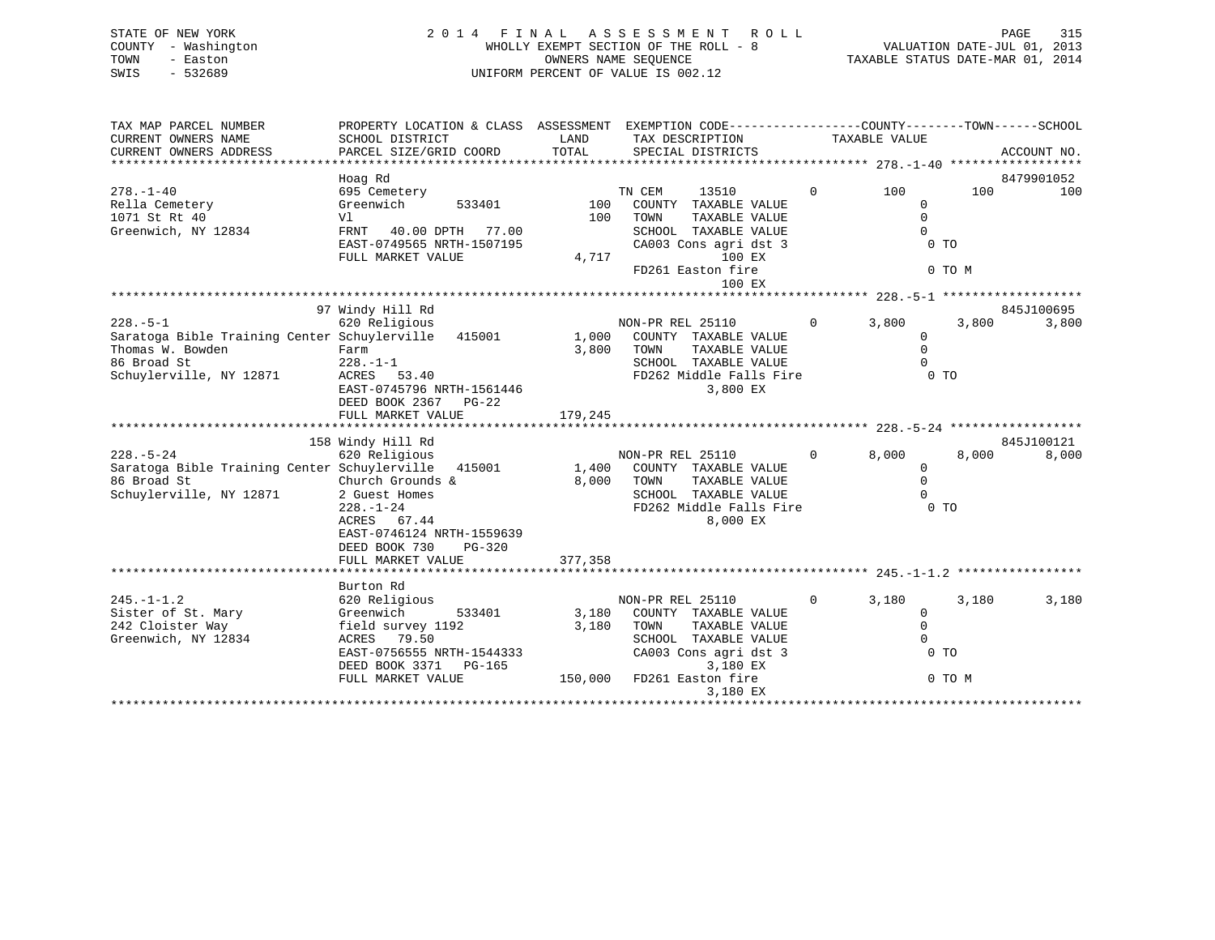| STATE OF NEW YORK      | 2 0 1 4                            | FINAL      | ASSESSMENT<br>R O L L                                        |                     | 315<br>PAGE                      |
|------------------------|------------------------------------|------------|--------------------------------------------------------------|---------------------|----------------------------------|
| - Washington<br>COUNTY |                                    |            | WHOLLY EXEMPT SECTION OF THE ROLL - 8                        |                     | VALUATION DATE-JUL 01, 2013      |
| TOWN<br>- Easton       |                                    |            | OWNERS NAME SEQUENCE                                         |                     | TAXABLE STATUS DATE-MAR 01, 2014 |
| SWIS<br>$-532689$      | UNIFORM PERCENT OF VALUE IS 002.12 |            |                                                              |                     |                                  |
|                        |                                    |            |                                                              |                     |                                  |
|                        |                                    |            |                                                              |                     |                                  |
| TAX MAP PARCEL NUMBER  | PROPERTY LOCATION & CLASS          | ASSESSMENT | EXEMPTION CODE-----------------COUNTY-------TOWN------SCHOOL |                     |                                  |
| CURRENT OWNERS NAME    | SCHOOL DISTRICT                    | LAND       | TAX DESCRIPTION                                              | TAXABLE VALUE       |                                  |
| CURRENT OWNERS ADDRESS | PARCEL SIZE/GRID COORD             | TOTAL      | SPECIAL DISTRICTS                                            |                     | ACCOUNT NO.                      |
|                        |                                    |            |                                                              |                     |                                  |
|                        | Hoag Rd                            |            |                                                              |                     | 8479901052                       |
| $278. - 1 - 40$        | 695 Cemetery                       |            | 13510<br>TN CEM                                              | $\mathbf{0}$<br>100 | 100<br>100                       |
| Rella Cemetery         | Greenwich<br>533401                | 100        | COUNTY<br>TAXABLE VALUE                                      |                     |                                  |
| 1071 St Rt 40          | V1                                 | 100        | TOWN<br>TAXABLE VALUE                                        |                     |                                  |
| Greenwich, NY 12834    | 40.00 DPTH<br>77.00<br>FRNT        |            | SCHOOL<br>TAXABLE VALUE                                      |                     |                                  |
|                        | EAST-0749565 NRTH-1507195          |            | CA003 Cons agri dst 3                                        |                     | $0$ TO                           |

FULL MARKET VALUE 4,717 100 EX FD261 Easton fire 0 TO M

0 TO M

|                                                     |  |                           |                                           |         |                       | 100 EX                  |  |              |       |                |            |
|-----------------------------------------------------|--|---------------------------|-------------------------------------------|---------|-----------------------|-------------------------|--|--------------|-------|----------------|------------|
|                                                     |  |                           |                                           |         |                       |                         |  |              |       |                |            |
|                                                     |  | 97 Windy Hill Rd          |                                           |         |                       |                         |  |              |       |                | 845J100695 |
| $228. - 5 - 1$                                      |  | 620 Religious             |                                           |         | NON-PR REL 25110      |                         |  | $\mathbf 0$  | 3,800 | 3,800          | 3,800      |
| Saratoga Bible Training Center Schuylerville 415001 |  |                           |                                           | 1,000   | COUNTY                | TAXABLE VALUE           |  |              |       | $\Omega$       |            |
| Thomas W. Bowden                                    |  | Farm                      |                                           | 3,800   | TOWN                  | TAXABLE VALUE           |  |              |       | $\mathbf 0$    |            |
| 86 Broad St                                         |  | 228.-1-1                  |                                           |         |                       | SCHOOL TAXABLE VALUE    |  |              |       | $\Omega$       |            |
| Schuylerville, NY 12871                             |  | ACRES 53.40               |                                           |         |                       | FD262 Middle Falls Fire |  |              |       | 0 <sub>T</sub> |            |
|                                                     |  | EAST-0745796 NRTH-1561446 |                                           |         | 3,800 EX              |                         |  |              |       |                |            |
|                                                     |  | DEED BOOK 2367 PG-22      |                                           |         |                       |                         |  |              |       |                |            |
|                                                     |  | FULL MARKET VALUE         |                                           | 179,245 |                       |                         |  |              |       |                |            |
|                                                     |  |                           |                                           |         |                       |                         |  |              |       |                |            |
|                                                     |  | 158 Windy Hill Rd         |                                           |         |                       |                         |  |              |       |                | 845J100121 |
| $228. - 5 - 24$                                     |  | 620 Religious             |                                           |         | NON-PR REL 25110      |                         |  | $\Omega$     | 8,000 | 8,000          | 8,000      |
| Saratoga Bible Training Center Schuylerville        |  |                           | 415001                                    | 1,400   | COUNTY                | TAXABLE VALUE           |  |              |       | 0              |            |
| 86 Broad St                                         |  | Church Grounds &          |                                           | 8,000   | TOWN                  | TAXABLE VALUE           |  |              |       | $\Omega$       |            |
| Schuylerville, NY 12871                             |  | 2 Guest Homes             |                                           |         |                       | SCHOOL TAXABLE VALUE    |  |              |       |                |            |
|                                                     |  | $228. - 1 - 24$           | FD262 Middle Falls Fire<br>0 <sub>T</sub> |         |                       |                         |  |              |       |                |            |
|                                                     |  | ACRES 67.44               |                                           |         |                       | 8,000 EX                |  |              |       |                |            |
|                                                     |  | EAST-0746124 NRTH-1559639 |                                           |         |                       |                         |  |              |       |                |            |
|                                                     |  | DEED BOOK 730             | PG-320                                    |         |                       |                         |  |              |       |                |            |
|                                                     |  | FULL MARKET VALUE         |                                           | 377,358 |                       |                         |  |              |       |                |            |
|                                                     |  |                           |                                           |         |                       |                         |  |              |       |                |            |
|                                                     |  | Burton Rd                 |                                           |         |                       |                         |  |              |       |                |            |
| $245. - 1 - 1.2$                                    |  | 620 Religious             |                                           |         | NON-PR REL 25110      |                         |  | $\mathbf{0}$ | 3,180 | 3,180          | 3,180      |
| Sister of St. Mary                                  |  | Greenwich                 | 533401                                    | 3,180   |                       | COUNTY TAXABLE VALUE    |  |              |       | 0              |            |
| 242 Cloister Way                                    |  | field survey 1192         |                                           | 3,180   | TOWN                  | TAXABLE VALUE           |  |              |       | $\mathbf 0$    |            |
| Greenwich, NY 12834                                 |  | 79.50<br>ACRES            |                                           |         | SCHOOL                | TAXABLE VALUE           |  |              |       | $\Omega$       |            |
|                                                     |  | EAST-0756555 NRTH-1544333 |                                           |         | CA003 Cons agri dst 3 |                         |  |              |       | $0$ TO         |            |
|                                                     |  | DEED BOOK 3371 PG-165     |                                           |         |                       | 3,180 EX                |  |              |       |                |            |
|                                                     |  | FULL MARKET VALUE         |                                           | 150,000 |                       | FD261 Easton fire       |  |              |       | 0 TO M         |            |
|                                                     |  |                           |                                           |         |                       | 3,180 EX                |  |              |       |                |            |
|                                                     |  |                           |                                           |         |                       |                         |  |              |       |                |            |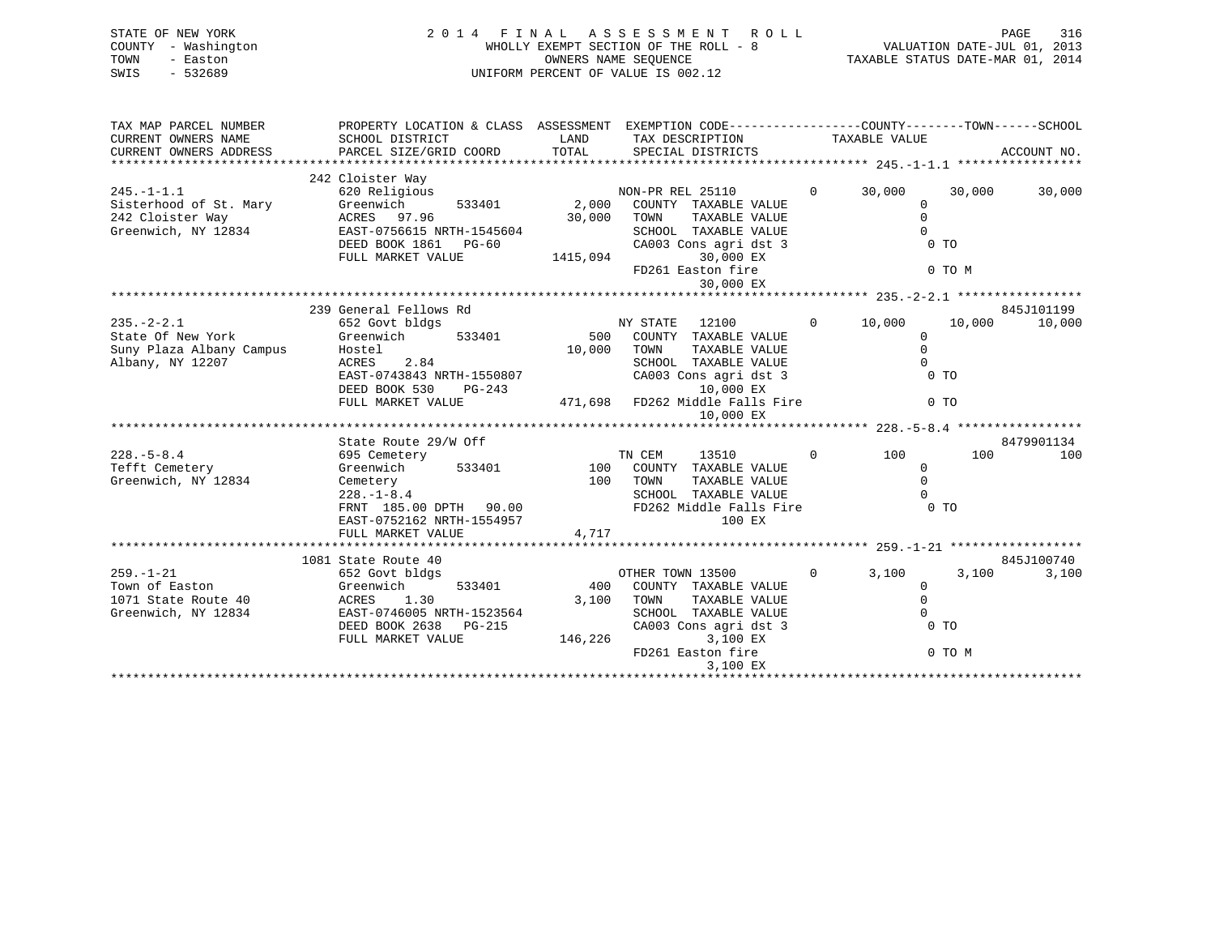| STATE OF NEW YORK<br>COUNTY - Washington<br>- Easton<br>TOWN<br>$-532689$<br>SWIS     |                                                                                                                                                    |                             | 2014 FINAL ASSESSMENT<br>R O L L<br>WHOLLY EXEMPT SECTION OF THE ROLL - 8<br>OWNERS NAME SEQUENCE<br>UNIFORM PERCENT OF VALUE IS 002.12                                          |                          | VALUATION DATE-JUL 01, 2013<br>TAXABLE STATUS DATE-MAR 01, 2014           | PAGE<br>316       |
|---------------------------------------------------------------------------------------|----------------------------------------------------------------------------------------------------------------------------------------------------|-----------------------------|----------------------------------------------------------------------------------------------------------------------------------------------------------------------------------|--------------------------|---------------------------------------------------------------------------|-------------------|
| TAX MAP PARCEL NUMBER                                                                 | PROPERTY LOCATION & CLASS ASSESSMENT EXEMPTION CODE----------------COUNTY-------TOWN------SCHOOL                                                   |                             |                                                                                                                                                                                  |                          |                                                                           |                   |
| CURRENT OWNERS NAME<br>CURRENT OWNERS ADDRESS                                         | LAND<br>TAX DESCRIPTION<br>SCHOOL DISTRICT<br>TOTAL<br>PARCEL SIZE/GRID COORD<br>SPECIAL DISTRICTS                                                 |                             |                                                                                                                                                                                  | TAXABLE VALUE            |                                                                           | ACCOUNT NO.       |
|                                                                                       | 242 Cloister Way                                                                                                                                   |                             |                                                                                                                                                                                  |                          |                                                                           |                   |
| $245. - 1 - 1.1$<br>Sisterhood of St. Mary<br>242 Cloister Way<br>Greenwich, NY 12834 | 620 Religious<br>Greenwich<br>533401<br>ACRES 97.96<br>EAST-0756615 NRTH-1545604<br>DEED BOOK 1861 PG-60<br>FULL MARKET VALUE                      | 2,000<br>30,000<br>1415,094 | NON-PR REL 25110<br>COUNTY TAXABLE VALUE<br>TAXABLE VALUE<br>TOWN<br>SCHOOL TAXABLE VALUE<br>CA003 Cons agri dst 3<br>30,000 EX                                                  | $\overline{0}$<br>30,000 | 30,000<br>$\mathbf 0$<br>$\mathbf 0$<br>$\Omega$<br>$0$ TO                | 30,000            |
|                                                                                       |                                                                                                                                                    |                             | FD261 Easton fire<br>30,000 EX                                                                                                                                                   |                          | 0 TO M                                                                    |                   |
|                                                                                       | 239 General Fellows Rd                                                                                                                             |                             |                                                                                                                                                                                  |                          |                                                                           | 845J101199        |
| $235. - 2 - 2.1$<br>State Of New York<br>Suny Plaza Albany Campus<br>Albany, NY 12207 | 652 Govt bldgs<br>Greenwich<br>533401<br>Hostel<br>ACRES<br>2.84<br>EAST-0743843 NRTH-1550807<br>DEED BOOK 530<br>PG-243<br>FULL MARKET VALUE      | 500<br>10,000               | NY STATE<br>12100<br>COUNTY TAXABLE VALUE<br>TAXABLE VALUE<br>TOWN<br>SCHOOL TAXABLE VALUE<br>CA003 Cons agri dst 3<br>10,000 EX<br>471,698 FD262 Middle Falls Fire<br>10,000 EX | $\mathbf{0}$<br>10,000   | 10,000<br>$\mathbf 0$<br>$\Omega$<br>$\Omega$<br>$0$ TO<br>0 <sub>T</sub> | 10,000            |
|                                                                                       |                                                                                                                                                    |                             |                                                                                                                                                                                  |                          |                                                                           |                   |
| $228. - 5 - 8.4$<br>Tefft Cemetery<br>Greenwich, NY 12834                             | State Route 29/W Off<br>695 Cemetery<br>Greenwich<br>533401<br>Cemetery<br>$228. - 1 - 8.4$<br>FRNT 185.00 DPTH 90.00<br>EAST-0752162 NRTH-1554957 | 100<br>100<br>4,717         | 13510<br>TN CEM<br>COUNTY TAXABLE VALUE<br>TOWN<br>TAXABLE VALUE<br>SCHOOL TAXABLE VALUE<br>FD262 Middle Falls Fire<br>100 EX                                                    | $\Omega$                 | 100<br>100<br>$\Omega$<br>$\Omega$<br>0 <sub>T</sub>                      | 8479901134<br>100 |
|                                                                                       | FULL MARKET VALUE                                                                                                                                  |                             |                                                                                                                                                                                  |                          |                                                                           |                   |
|                                                                                       | 1081 State Route 40                                                                                                                                |                             |                                                                                                                                                                                  | $\Omega$                 |                                                                           | 845J100740        |
| $259. - 1 - 21$<br>Town of Easton<br>1071 State Route 40<br>Greenwich, NY 12834       | 652 Govt bldgs<br>533401<br>Greenwich<br>ACRES<br>1.30<br>EAST-0746005 NRTH-1523564<br>DEED BOOK 2638<br>PG-215                                    | 400<br>3,100                | OTHER TOWN 13500<br>COUNTY TAXABLE VALUE<br>TOWN<br>TAXABLE VALUE<br>SCHOOL TAXABLE VALUE<br>CA003 Cons agri dst 3                                                               |                          | 3,100<br>3,100<br>$\Omega$<br>$\Omega$<br>0 <sub>T</sub>                  | 3,100             |
|                                                                                       | FULL MARKET VALUE                                                                                                                                  | 146,226                     | 3,100 EX<br>FD261 Easton fire                                                                                                                                                    |                          | 0 TO M                                                                    |                   |

3,100 EX \*\*\*\*\*\*\*\*\*\*\*\*\*\*\*\*\*\*\*\*\*\*\*\*\*\*\*\*\*\*\*\*\*\*\*\*\*\*\*\*\*\*\*\*\*\*\*\*\*\*\*\*\*\*\*\*\*\*\*\*\*\*\*\*\*\*\*\*\*\*\*\*\*\*\*\*\*\*\*\*\*\*\*\*\*\*\*\*\*\*\*\*\*\*\*\*\*\*\*\*\*\*\*\*\*\*\*\*\*\*\*\*\*\*\*\*\*\*\*\*\*\*\*\*\*\*\*\*\*\*\*\*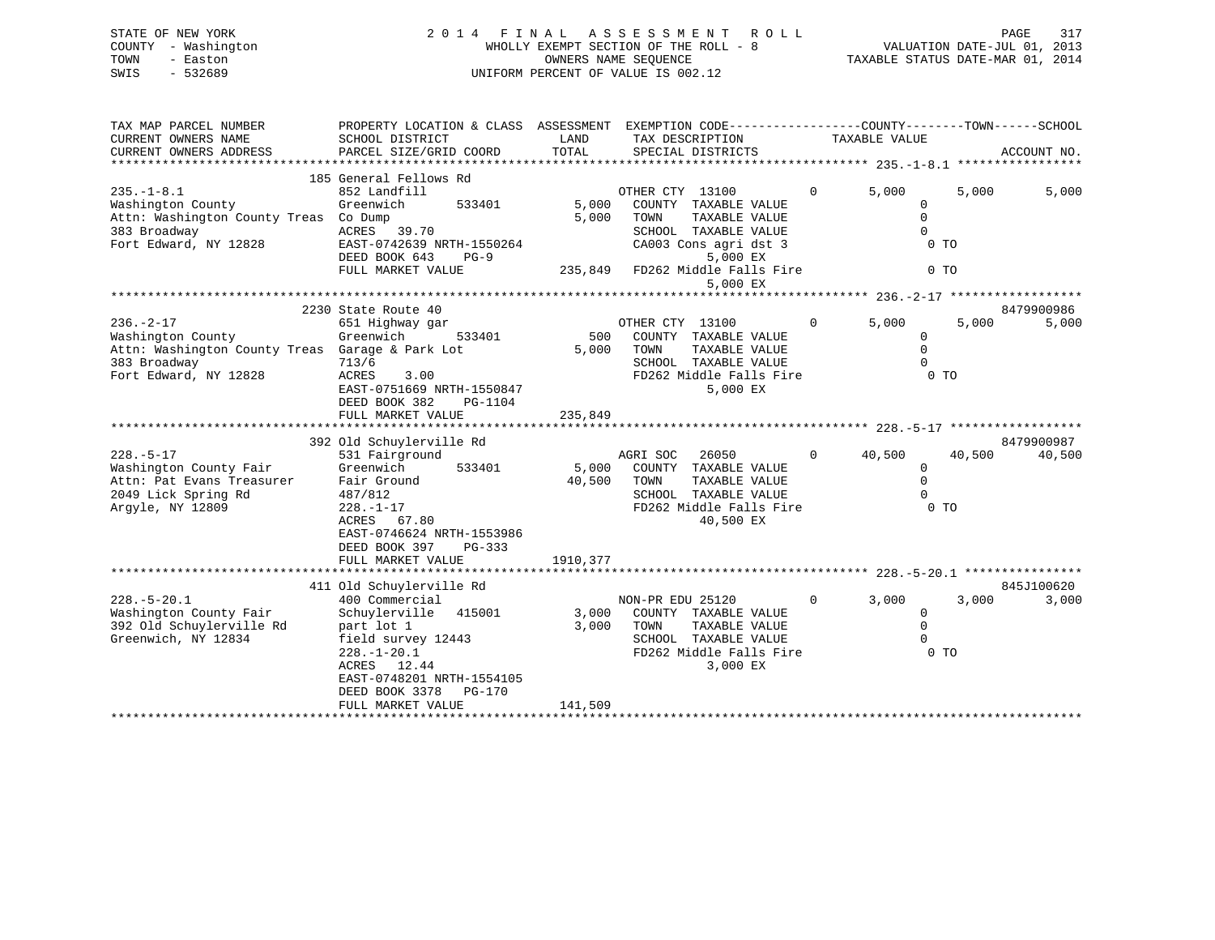### STATE OF NEW YORK 2 0 1 4 F I N A L A S S E S S M E N T R O L L PAGE 317 COUNTY - Washington WHOLLY EXEMPT SECTION OF THE ROLL - 8 VALUATION DATE-JUL 01, 2013 TOWN - Easton COMPUTERS NAME SEQUENCE TAXABLE STATUS DATE-MAR 01, 2014<br>SWIS - 532689 SWIS - 532689 UNIFORM PERCENT OF VALUE IS 002.12

| TAX MAP PARCEL NUMBER<br>CURRENT OWNERS NAME<br>CURRENT OWNERS ADDRESS                                                                   | EXEMPTION CODE-----------------COUNTY-------TOWN------SCHOOL<br>PROPERTY LOCATION & CLASS ASSESSMENT<br>SCHOOL DISTRICT<br>LAND<br>TAX DESCRIPTION<br>TOTAL<br>PARCEL SIZE/GRID COORD<br>SPECIAL DISTRICTS               |                           |                                                                                                                                                                  | TAXABLE VALUE  |                                                                    | ACCOUNT NO. |                      |
|------------------------------------------------------------------------------------------------------------------------------------------|--------------------------------------------------------------------------------------------------------------------------------------------------------------------------------------------------------------------------|---------------------------|------------------------------------------------------------------------------------------------------------------------------------------------------------------|----------------|--------------------------------------------------------------------|-------------|----------------------|
| $235. -1 - 8.1$<br>Washington County<br>Attn: Washington County Treas Co Dump<br>383 Broadway<br>Fort Edward, NY 12828                   | 185 General Fellows Rd<br>852 Landfill<br>Greenwich<br>533401<br>39.70<br>ACRES<br>EAST-0742639 NRTH-1550264<br>DEED BOOK 643<br>$PG-9$<br>FULL MARKET VALUE                                                             | 5,000<br>5,000            | OTHER CTY 13100<br>COUNTY TAXABLE VALUE<br>TOWN<br>TAXABLE VALUE<br>SCHOOL TAXABLE VALUE<br>CA003 Cons agri dst 3<br>5,000 EX<br>235,849 FD262 Middle Falls Fire | $\Omega$       | 5,000<br>0<br>$\Omega$<br>$\Omega$<br>0 <sub>T</sub><br>$0$ TO     | 5,000       | 5,000                |
|                                                                                                                                          |                                                                                                                                                                                                                          |                           | 5,000 EX                                                                                                                                                         |                |                                                                    |             |                      |
| $236. - 2 - 17$<br>Washington County<br>Attn: Washington County Treas Garage & Park Lot<br>383 Broadway<br>Fort Edward, NY 12828         | 2230 State Route 40<br>651 Highway gar<br>Greenwich<br>533401<br>713/6<br>3.00<br>ACRES<br>EAST-0751669 NRTH-1550847<br>DEED BOOK 382<br>PG-1104                                                                         | 500<br>5,000              | OTHER CTY 13100<br>COUNTY TAXABLE VALUE<br>TOWN<br>TAXABLE VALUE<br>SCHOOL TAXABLE VALUE<br>FD262 Middle Falls Fire<br>5,000 EX                                  | $\mathbf{0}$   | 5,000<br>$\mathbf 0$<br>$\mathbf 0$<br>$\Omega$<br>$0$ TO          | 5,000       | 8479900986<br>5,000  |
|                                                                                                                                          | FULL MARKET VALUE                                                                                                                                                                                                        | 235,849                   |                                                                                                                                                                  |                |                                                                    |             |                      |
| $228. - 5 - 17$<br>Washington County Fair<br>Attn: Pat Evans Treasurer<br>2049 Lick Spring Rd<br>2049 Lick Spring Rd<br>Argyle, NY 12809 | 392 Old Schuylerville Rd<br>531 Fairground<br>533401<br>Greenwich<br>Fair Ground<br>487/812<br>$228. - 1 - 17$<br>ACRES 67.80<br>EAST-0746624 NRTH-1553986<br>DEED BOOK 397<br>PG-333                                    | 5,000<br>40,500           | AGRI SOC<br>26050<br>COUNTY TAXABLE VALUE<br>TAXABLE VALUE<br>TOWN<br>SCHOOL TAXABLE VALUE<br>FD262 Middle Falls Fire<br>40,500 EX                               | $\overline{0}$ | 40,500<br>$\mathbf 0$<br>$\mathbf 0$<br>$\Omega$<br>0 <sub>T</sub> | 40,500      | 8479900987<br>40,500 |
|                                                                                                                                          | FULL MARKET VALUE                                                                                                                                                                                                        | 1910,377                  |                                                                                                                                                                  |                |                                                                    |             |                      |
| $228. - 5 - 20.1$<br>Washington County Fair<br>392 Old Schuylerville Rd<br>Greenwich, NY 12834                                           | 411 Old Schuylerville Rd<br>400 Commercial<br>Schuylerville 415001<br>part lot 1<br>field survey 12443<br>$228. - 1 - 20.1$<br>ACRES 12.44<br>EAST-0748201 NRTH-1554105<br>DEED BOOK 3378<br>PG-170<br>FULL MARKET VALUE | 3,000<br>3,000<br>141,509 | NON-PR EDU 25120<br>COUNTY TAXABLE VALUE<br>TOWN<br>TAXABLE VALUE<br>SCHOOL TAXABLE VALUE<br>FD262 Middle Falls Fire<br>3,000 EX                                 | $\overline{0}$ | 3,000<br>$\mathbf 0$<br>$\mathbf 0$<br>$\Omega$<br>0 <sub>T</sub>  | 3,000       | 845J100620<br>3,000  |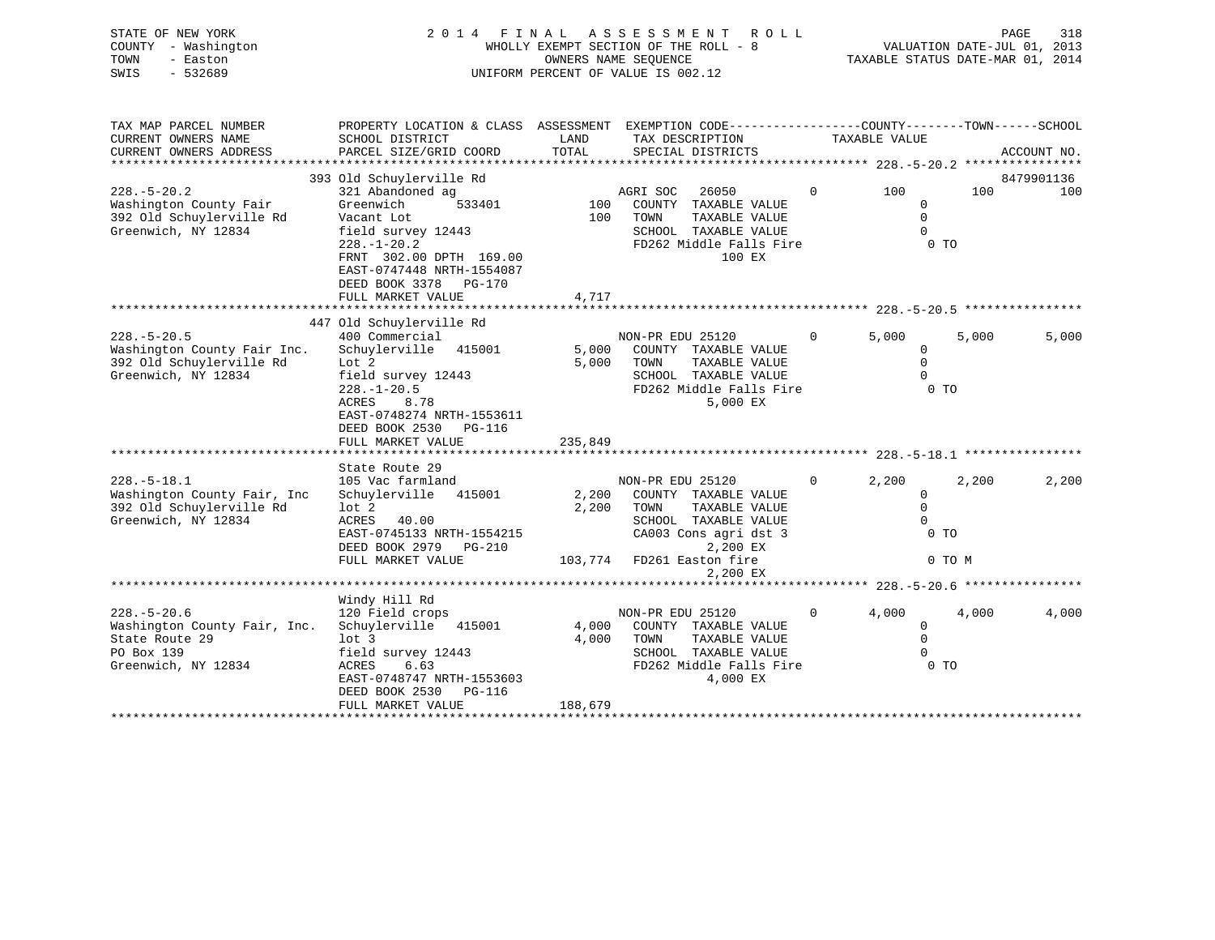| STATE OF NEW YORK<br>COUNTY - Washington<br>TOWN<br>- Easton<br>SWIS<br>$-532689$ | 2 0 1 4<br>FINAL<br>UNIFORM PERCENT OF VALUE IS 002.12                                          | A S S E S S M E N T<br>ROLL<br>WHOLLY EXEMPT SECTION OF THE ROLL - 8 |                   |                                               | VALUATION DATE-JUL 01, 2013<br>TAXABLE STATUS DATE-MAR 01, 2014 | PAGE<br>318           |                |             |
|-----------------------------------------------------------------------------------|-------------------------------------------------------------------------------------------------|----------------------------------------------------------------------|-------------------|-----------------------------------------------|-----------------------------------------------------------------|-----------------------|----------------|-------------|
| TAX MAP PARCEL NUMBER                                                             | PROPERTY LOCATION & CLASS ASSESSMENT EXEMPTION CODE---------------COUNTY-------TOWN------SCHOOL |                                                                      |                   |                                               |                                                                 |                       |                |             |
| CURRENT OWNERS NAME                                                               | SCHOOL DISTRICT                                                                                 | LAND                                                                 | TAX DESCRIPTION   |                                               |                                                                 | TAXABLE VALUE         |                |             |
| CURRENT OWNERS ADDRESS                                                            | PARCEL SIZE/GRID COORD                                                                          | TOTAL                                                                | SPECIAL DISTRICTS |                                               |                                                                 |                       |                | ACCOUNT NO. |
|                                                                                   | 393 Old Schuylerville Rd                                                                        |                                                                      |                   |                                               |                                                                 |                       |                | 8479901136  |
| $228. - 5 - 20.2$                                                                 | 321 Abandoned ag                                                                                |                                                                      | AGRI SOC          | 26050                                         | $\Omega$                                                        | 100                   | 100            | 100         |
| Washington County Fair                                                            | Greenwich<br>533401                                                                             | 100                                                                  |                   | COUNTY TAXABLE VALUE                          |                                                                 | $\mathbf 0$           |                |             |
| 392 Old Schuylerville Rd                                                          | Vacant Lot                                                                                      | 100                                                                  | TOWN              | TAXABLE VALUE                                 |                                                                 | $\Omega$              |                |             |
| Greenwich, NY 12834                                                               | field survey 12443                                                                              |                                                                      |                   | SCHOOL TAXABLE VALUE                          |                                                                 | $\Omega$              |                |             |
|                                                                                   | $228. - 1 - 20.2$<br>FRNT 302.00 DPTH 169.00                                                    |                                                                      |                   | FD262 Middle Falls Fire<br>100 EX             |                                                                 |                       | 0 <sub>T</sub> |             |
|                                                                                   | EAST-0747448 NRTH-1554087                                                                       |                                                                      |                   |                                               |                                                                 |                       |                |             |
|                                                                                   | DEED BOOK 3378 PG-170                                                                           |                                                                      |                   |                                               |                                                                 |                       |                |             |
|                                                                                   | FULL MARKET VALUE                                                                               | 4,717                                                                |                   |                                               |                                                                 |                       |                |             |
|                                                                                   |                                                                                                 |                                                                      |                   |                                               |                                                                 |                       |                |             |
|                                                                                   | 447 Old Schuylerville Rd                                                                        |                                                                      |                   |                                               |                                                                 |                       |                |             |
| $228. - 5 - 20.5$<br>Washington County Fair Inc.                                  | 400 Commercial<br>Schuylerville 415001                                                          | 5,000                                                                | NON-PR EDU 25120  | COUNTY TAXABLE VALUE                          | $\Omega$                                                        | 5,000<br>$\mathbf{0}$ | 5.000          | 5,000       |
| 392 Old Schuylerville Rd                                                          | Lot 2                                                                                           | 5,000                                                                | TOWN              | TAXABLE VALUE                                 |                                                                 | $\Omega$              |                |             |
| Greenwich, NY 12834                                                               | field survey 12443                                                                              |                                                                      |                   | SCHOOL TAXABLE VALUE                          |                                                                 | $\Omega$              |                |             |
|                                                                                   | $228. - 1 - 20.5$                                                                               |                                                                      |                   | FD262 Middle Falls Fire                       |                                                                 |                       | 0 <sub>T</sub> |             |
|                                                                                   | 8.78<br>ACRES                                                                                   |                                                                      |                   | 5,000 EX                                      |                                                                 |                       |                |             |
|                                                                                   | EAST-0748274 NRTH-1553611                                                                       |                                                                      |                   |                                               |                                                                 |                       |                |             |
|                                                                                   | DEED BOOK 2530 PG-116<br>FULL MARKET VALUE                                                      | 235,849                                                              |                   |                                               |                                                                 |                       |                |             |
|                                                                                   |                                                                                                 |                                                                      |                   |                                               |                                                                 |                       |                |             |
|                                                                                   | State Route 29                                                                                  |                                                                      |                   |                                               |                                                                 |                       |                |             |
| $228. - 5 - 18.1$                                                                 | 105 Vac farmland                                                                                |                                                                      | NON-PR EDU 25120  |                                               | $\Omega$                                                        | 2,200                 | 2,200          | 2,200       |
| Washington County Fair, Inc                                                       | Schuylerville 415001                                                                            | 2,200                                                                |                   | COUNTY TAXABLE VALUE                          |                                                                 | 0                     |                |             |
| 392 Old Schuylerville Rd                                                          | $1$ ot $2$                                                                                      | 2,200                                                                | TOWN              | TAXABLE VALUE                                 |                                                                 | $\mathbf 0$           |                |             |
| Greenwich, NY 12834                                                               | ACRES<br>40.00<br>EAST-0745133 NRTH-1554215                                                     |                                                                      |                   | SCHOOL TAXABLE VALUE<br>CA003 Cons agri dst 3 |                                                                 | $\Omega$              | 0 <sub>T</sub> |             |
|                                                                                   | DEED BOOK 2979<br>PG-210                                                                        |                                                                      |                   | 2,200 EX                                      |                                                                 |                       |                |             |
|                                                                                   | FULL MARKET VALUE                                                                               | 103,774                                                              | FD261 Easton fire |                                               |                                                                 |                       | 0 TO M         |             |
|                                                                                   |                                                                                                 |                                                                      |                   | 2,200 EX                                      |                                                                 |                       |                |             |
|                                                                                   |                                                                                                 |                                                                      |                   |                                               |                                                                 |                       |                |             |
|                                                                                   | Windy Hill Rd                                                                                   |                                                                      |                   |                                               |                                                                 |                       |                |             |
| $228. - 5 - 20.6$<br>Washington County Fair, Inc.                                 | 120 Field crops<br>Schuylerville 415001                                                         | 4,000                                                                | NON-PR EDU 25120  | COUNTY TAXABLE VALUE                          | $\Omega$                                                        | 4,000<br>$\mathbf 0$  | 4,000          | 4,000       |
| State Route 29                                                                    | lot <sub>3</sub>                                                                                | 4,000                                                                | TOWN              | TAXABLE VALUE                                 |                                                                 | $\Omega$              |                |             |
| PO Box 139                                                                        | field survey 12443                                                                              |                                                                      |                   | SCHOOL TAXABLE VALUE                          |                                                                 | $\Omega$              |                |             |
| Greenwich, NY 12834                                                               | <b>ACRES</b><br>6.63                                                                            |                                                                      |                   | FD262 Middle Falls Fire                       |                                                                 |                       | 0 <sub>T</sub> |             |
|                                                                                   | EAST-0748747 NRTH-1553603                                                                       |                                                                      |                   | 4,000 EX                                      |                                                                 |                       |                |             |
|                                                                                   | DEED BOOK 2530<br>PG-116                                                                        |                                                                      |                   |                                               |                                                                 |                       |                |             |

\*\*\*\*\*\*\*\*\*\*\*\*\*\*\*\*\*\*\*\*\*\*\*\*\*\*\*\*\*\*\*\*\*\*\*\*\*\*\*\*\*\*\*\*\*\*\*\*\*\*\*\*\*\*\*\*\*\*\*\*\*\*\*\*\*\*\*\*\*\*\*\*\*\*\*\*\*\*\*\*\*\*\*\*\*\*\*\*\*\*\*\*\*\*\*\*\*\*\*\*\*\*\*\*\*\*\*\*\*\*\*\*\*\*\*\*\*\*\*\*\*\*\*\*\*\*\*\*\*\*\*\*

FULL MARKET VALUE 188,679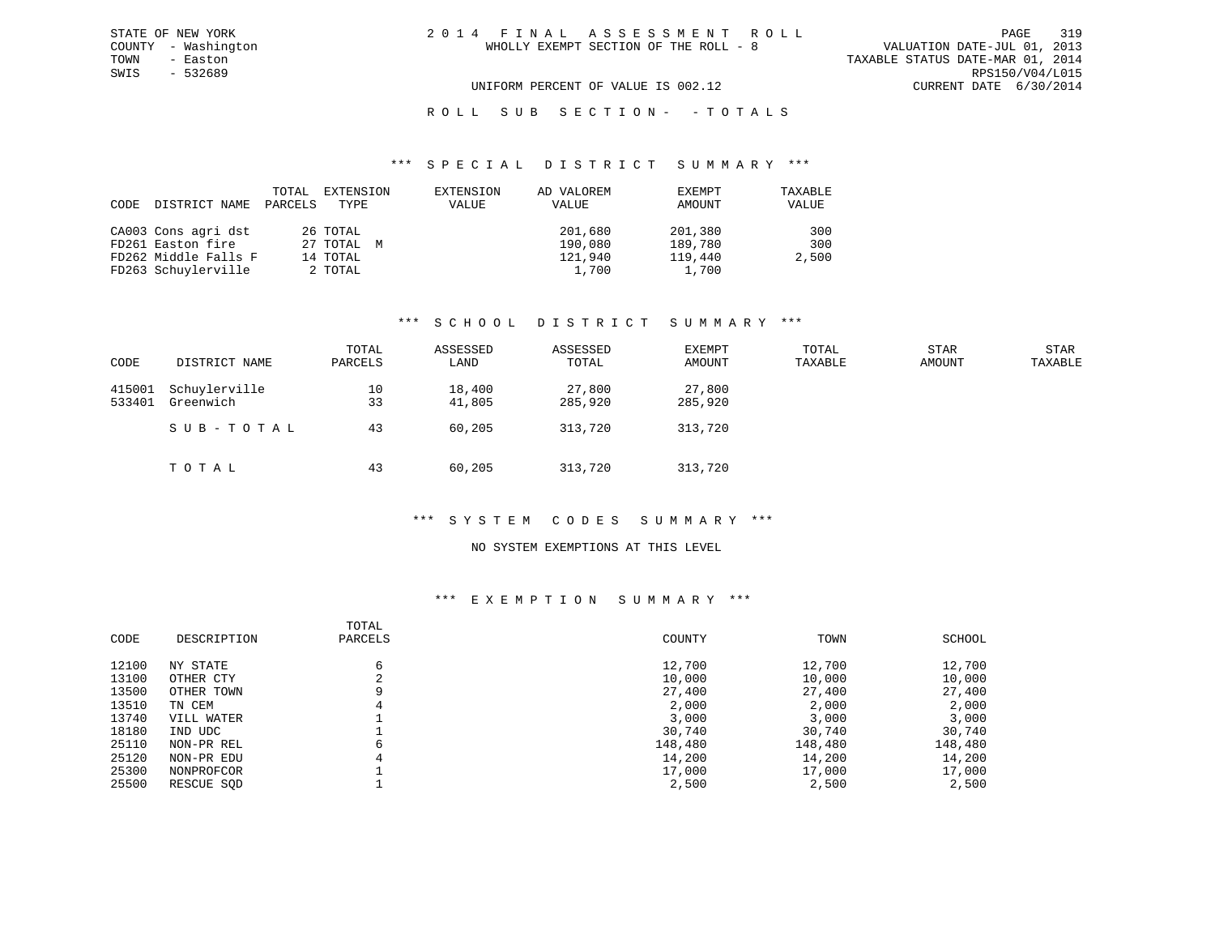### R O L L S U B S E C T I O N - - T O T A L S

#### \*\*\* S P E C I A L D I S T R I C T S U M M A R Y \*\*\*

| CODE | DISTRICT NAME        | TOTAL<br>PARCELS | EXTENSION<br>TYPE | EXTENSION<br>VALUE | AD VALOREM<br>VALUE | EXEMPT<br>AMOUNT | TAXABLE<br>VALUE |
|------|----------------------|------------------|-------------------|--------------------|---------------------|------------------|------------------|
|      | CA003 Cons agri dst  |                  | 26 TOTAL          |                    | 201,680             | 201,380          | 300              |
|      | FD261 Easton fire    |                  | 27 TOTAL M        |                    | 190,080             | 189,780          | 300              |
|      | FD262 Middle Falls F |                  | 14 TOTAL          |                    | 121,940             | 119,440          | 2,500            |
|      | FD263 Schuylerville  |                  | 2 TOTAL           |                    | 1,700               | 1,700            |                  |

#### \*\*\* S C H O O L D I S T R I C T S U M M A R Y \*\*\*

| CODE             | DISTRICT NAME              | TOTAL<br>PARCELS | ASSESSED<br>LAND | ASSESSED<br>TOTAL | EXEMPT<br>AMOUNT  | TOTAL<br>TAXABLE | STAR<br>AMOUNT | STAR<br>TAXABLE |
|------------------|----------------------------|------------------|------------------|-------------------|-------------------|------------------|----------------|-----------------|
| 415001<br>533401 | Schuylerville<br>Greenwich | 10<br>33         | 18,400<br>41,805 | 27,800<br>285,920 | 27,800<br>285,920 |                  |                |                 |
|                  | SUB-TOTAL                  | 43               | 60,205           | 313,720           | 313,720           |                  |                |                 |
|                  | TOTAL                      | 43               | 60,205           | 313,720           | 313,720           |                  |                |                 |

### \*\*\* S Y S T E M C O D E S S U M M A R Y \*\*\*

#### NO SYSTEM EXEMPTIONS AT THIS LEVEL

#### \*\*\* E X E M P T I O N S U M M A R Y \*\*\*

| COUNTY<br>CODE<br>DESCRIPTION<br>TOWN<br>SCHOOL<br>PARCELS |         |
|------------------------------------------------------------|---------|
| 12,700<br>12,700<br>12100<br>NY STATE<br>6                 | 12,700  |
| 13100<br>10,000<br>10,000<br>OTHER CTY                     | 10,000  |
| 13500<br>27,400<br>27,400<br>9<br>OTHER TOWN               | 27,400  |
| 13510<br>2,000<br>2,000<br>TN CEM                          | 2,000   |
| 13740<br>3,000<br>3,000<br>VILL WATER                      | 3,000   |
| 18180<br>30,740<br>30,740<br>IND UDC                       | 30,740  |
| 25110<br>6<br>148,480<br>148,480<br>NON-PR REL             | 148,480 |
| 25120<br>14,200<br>14,200<br>NON-PR EDU                    | 14,200  |
| 25300<br>17,000<br>17,000<br>NONPROFCOR                    | 17,000  |
| 25500<br>2,500<br>2,500<br>RESCUE SOD                      | 2,500   |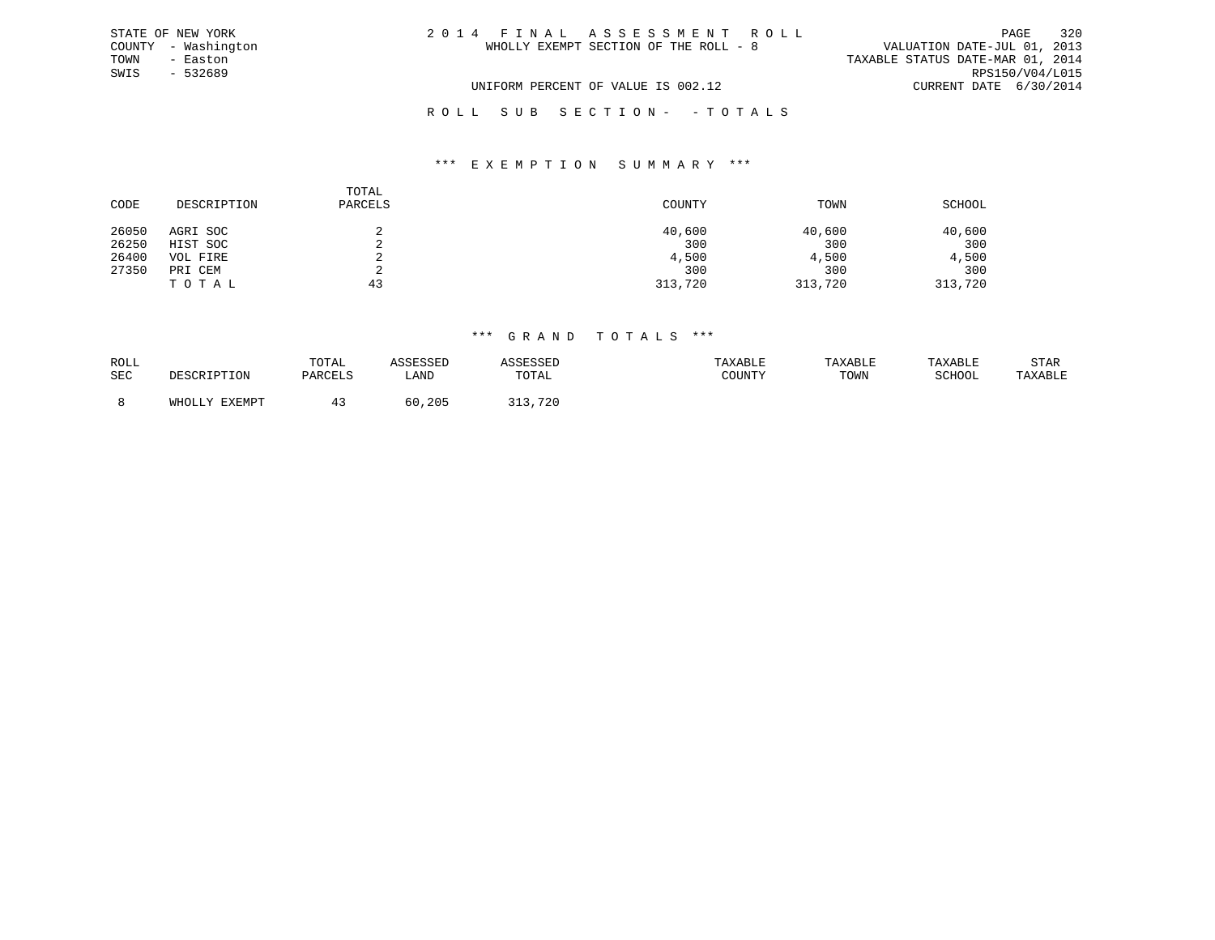| STATE OF NEW YORK   | 2014 FINAL ASSESSMENT ROLL            | 320<br>PAGE                      |
|---------------------|---------------------------------------|----------------------------------|
| COUNTY - Washington | WHOLLY EXEMPT SECTION OF THE ROLL - 8 | VALUATION DATE-JUL 01, 2013      |
| TOWN<br>- Easton    |                                       | TAXABLE STATUS DATE-MAR 01, 2014 |
| SWIS<br>- 532689    |                                       | RPS150/V04/L015                  |
|                     | UNIFORM PERCENT OF VALUE IS 002.12    | CURRENT DATE 6/30/2014           |
|                     | ROLL SUB SECTION- - TOTALS            |                                  |

#### \*\*\* E X E M P T I O N S U M M A R Y \*\*\*

| CODE  | DESCRIPTION | TOTAL<br>PARCELS | COUNTY  | TOWN    | SCHOOL  |
|-------|-------------|------------------|---------|---------|---------|
| 26050 | AGRI SOC    |                  | 40,600  | 40,600  | 40,600  |
| 26250 | HIST SOC    | ∠                | 300     | 300     | 300     |
| 26400 | VOL FIRE    |                  | 4,500   | 4,500   | 4,500   |
| 27350 | PRI CEM     |                  | 300     | 300     | 300     |
|       | TOTAL       | 43               | 313,720 | 313,720 | 313,720 |

| ROLL       |                                     | TOTAL   | 500000      |                     | TAXABLE                                           | <b>TAXABL</b> | TAXABLE | STAR    |
|------------|-------------------------------------|---------|-------------|---------------------|---------------------------------------------------|---------------|---------|---------|
| <b>SEC</b> | 〜∽∽∽⊥⊥⊥⊥⊥∪⊥₩                        | PARCELS | LANI        | TOTAL               | $C$ $C$ $T$ $T$ $T$ $T$ $T$ $T$ $T$ $T$<br>: בוטע | TOWN          | SCHOOL  | TAXABLE |
|            |                                     |         |             |                     |                                                   |               |         |         |
|            | <b>EVEMD</b><br>UUU<br>ــ عه الطلاع |         | , 205<br>60 | 720<br><b>،</b> ب ـ |                                                   |               |         |         |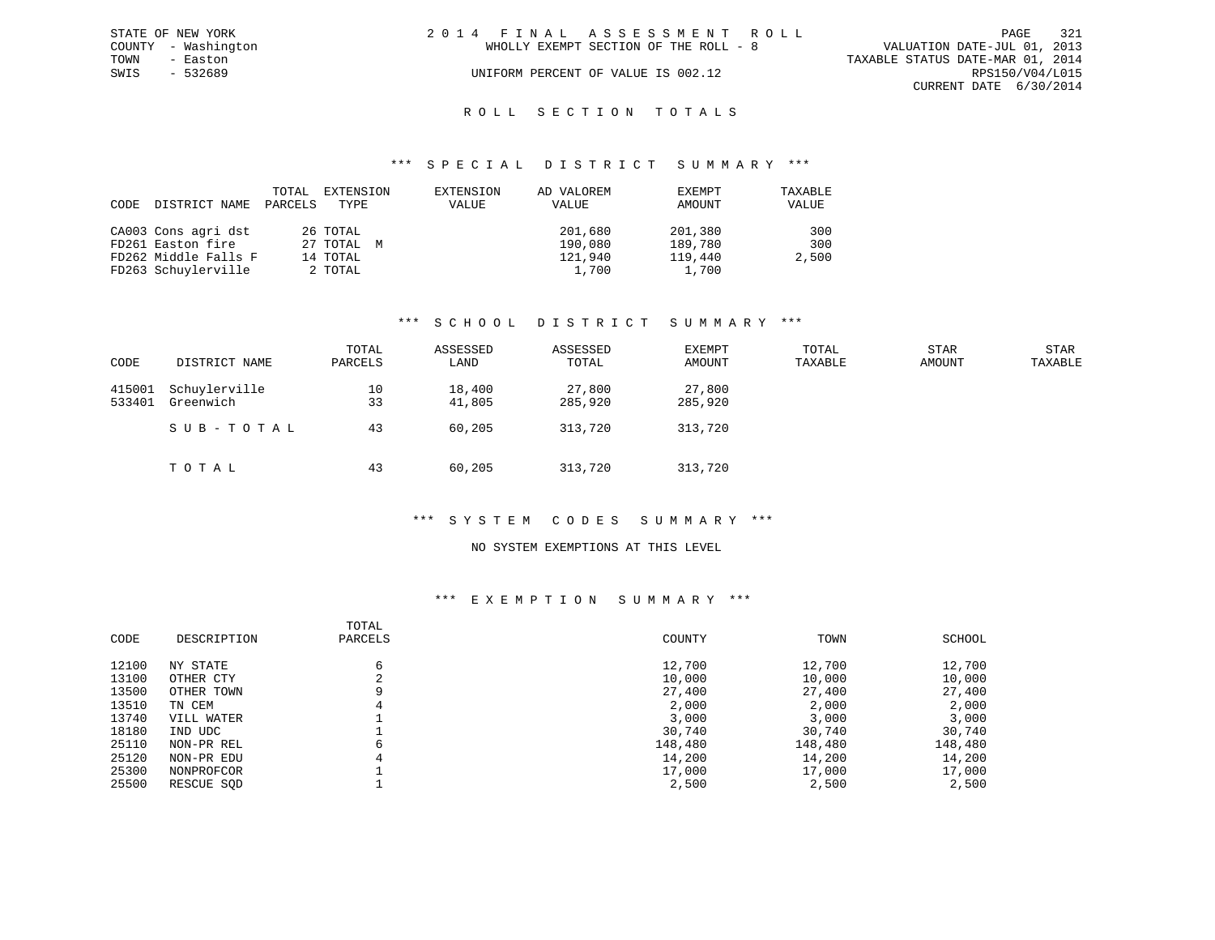|      | STATE OF NEW YORK   | 2014 FINAL ASSESSMENT ROLL                                           | PAGE                   | 321 |
|------|---------------------|----------------------------------------------------------------------|------------------------|-----|
|      | COUNTY - Washington | VALUATION DATE-JUL 01, 2013<br>WHOLLY EXEMPT SECTION OF THE ROLL - 8 |                        |     |
| TOWN | - Easton            | TAXABLE STATUS DATE-MAR 01, 2014                                     |                        |     |
| SWIS | - 532689            | UNIFORM PERCENT OF VALUE IS 002.12                                   | RPS150/V04/L015        |     |
|      |                     |                                                                      | CURRENT DATE 6/30/2014 |     |
|      |                     |                                                                      |                        |     |

### ROLL SECTION TOTALS

#### \*\*\* S P E C I A L D I S T R I C T S U M M A R Y \*\*\*

| CODE | DISTRICT NAME        | TOTAL<br>PARCELS | EXTENSION<br>TYPE | EXTENSION<br>VALUE | AD VALOREM<br>VALUE | EXEMPT<br>AMOUNT | TAXABLE<br>VALUE |
|------|----------------------|------------------|-------------------|--------------------|---------------------|------------------|------------------|
|      | CA003 Cons agri dst  |                  | 26 TOTAL          |                    | 201,680             | 201,380          | 300              |
|      | FD261 Easton fire    |                  | 27 TOTAL M        |                    | 190,080             | 189,780          | 300              |
|      | FD262 Middle Falls F |                  | 14 TOTAL          |                    | 121,940             | 119,440          | 2,500            |
|      | FD263 Schuylerville  |                  | 2 TOTAL           |                    | 1,700               | 1,700            |                  |

#### \*\*\* S C H O O L D I S T R I C T S U M M A R Y \*\*\*

| CODE             | DISTRICT NAME              | TOTAL<br>PARCELS | ASSESSED<br>LAND | ASSESSED<br>TOTAL | EXEMPT<br>AMOUNT  | TOTAL<br>TAXABLE | <b>STAR</b><br><b>AMOUNT</b> | <b>STAR</b><br>TAXABLE |
|------------------|----------------------------|------------------|------------------|-------------------|-------------------|------------------|------------------------------|------------------------|
| 415001<br>533401 | Schuylerville<br>Greenwich | 10<br>33         | 18,400<br>41,805 | 27,800<br>285,920 | 27,800<br>285,920 |                  |                              |                        |
|                  | SUB-TOTAL                  | 43               | 60,205           | 313,720           | 313,720           |                  |                              |                        |
|                  | TOTAL                      | 43               | 60,205           | 313,720           | 313,720           |                  |                              |                        |

#### \*\*\* S Y S T E M C O D E S S U M M A R Y \*\*\*

#### NO SYSTEM EXEMPTIONS AT THIS LEVEL

### \*\*\* E X E M P T I O N S U M M A R Y \*\*\*

|       |             | TOTAL       |         |         |         |
|-------|-------------|-------------|---------|---------|---------|
| CODE  | DESCRIPTION | PARCELS     | COUNTY  | TOWN    | SCHOOL  |
| 12100 | NY STATE    | 6           | 12,700  | 12,700  | 12,700  |
| 13100 | OTHER CTY   | $\sim$<br>4 | 10,000  | 10,000  | 10,000  |
| 13500 | OTHER TOWN  | 9           | 27,400  | 27,400  | 27,400  |
| 13510 | TN CEM      | 4           | 2,000   | 2,000   | 2,000   |
| 13740 | VILL WATER  |             | 3,000   | 3,000   | 3,000   |
| 18180 | IND UDC     |             | 30,740  | 30,740  | 30,740  |
| 25110 | NON-PR REL  | 6           | 148,480 | 148,480 | 148,480 |
| 25120 | NON-PR EDU  | 4           | 14,200  | 14,200  | 14,200  |
| 25300 | NONPROFCOR  |             | 17,000  | 17,000  | 17,000  |
| 25500 | RESCUE SOD  |             | 2,500   | 2,500   | 2,500   |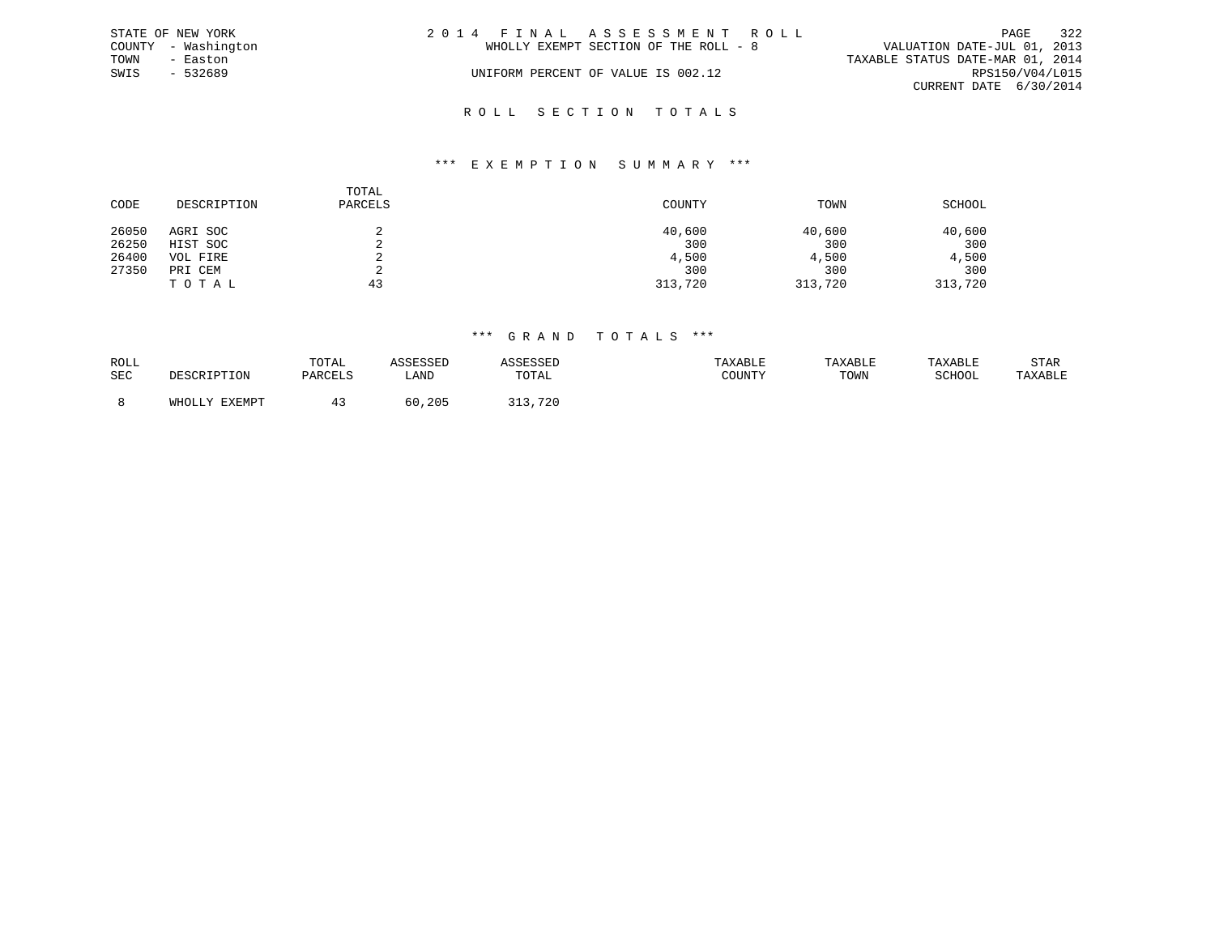|      | STATE OF NEW YORK   | 2014 FINAL ASSESSMENT ROLL            | 322<br>PAGE                      |
|------|---------------------|---------------------------------------|----------------------------------|
|      | COUNTY - Washington | WHOLLY EXEMPT SECTION OF THE ROLL - 8 | VALUATION DATE-JUL 01, 2013      |
| TOWN | - Easton            |                                       | TAXABLE STATUS DATE-MAR 01, 2014 |
| SWIS | $-532689$           | UNIFORM PERCENT OF VALUE IS 002.12    | RPS150/V04/L015                  |
|      |                     |                                       | CURRENT DATE 6/30/2014           |
|      |                     |                                       |                                  |

## R O L L S E C T I O N T O T A L S

#### \*\*\* E X E M P T I O N S U M M A R Y \*\*\*

| CODE  | DESCRIPTION | TOTAL<br>PARCELS | COUNTY  | TOWN    | SCHOOL  |
|-------|-------------|------------------|---------|---------|---------|
| 26050 | AGRI SOC    |                  | 40,600  | 40,600  | 40,600  |
| 26250 | HIST SOC    |                  | 300     | 300     | 300     |
| 26400 | VOL FIRE    |                  | 4,500   | 4,500   | 4,500   |
| 27350 | PRI CEM     |                  | 300     | 300     | 300     |
|       | TOTAL       | 43               | 313,720 | 313,720 | 313,720 |

| ROLL       |     | TOTAL   |              |       | TAXABLE | <b>TAXABL.</b> |        | STAR    |
|------------|-----|---------|--------------|-------|---------|----------------|--------|---------|
| <b>SEC</b> | ᆂᆂᇦ | PARCELS | LANI         | TOTAL | : בוטע  | TOWN           | SCHOOL | TAXABLE |
|            |     |         |              |       |         |                |        |         |
|            |     |         | , 205<br>6 G | 72l   |         |                |        |         |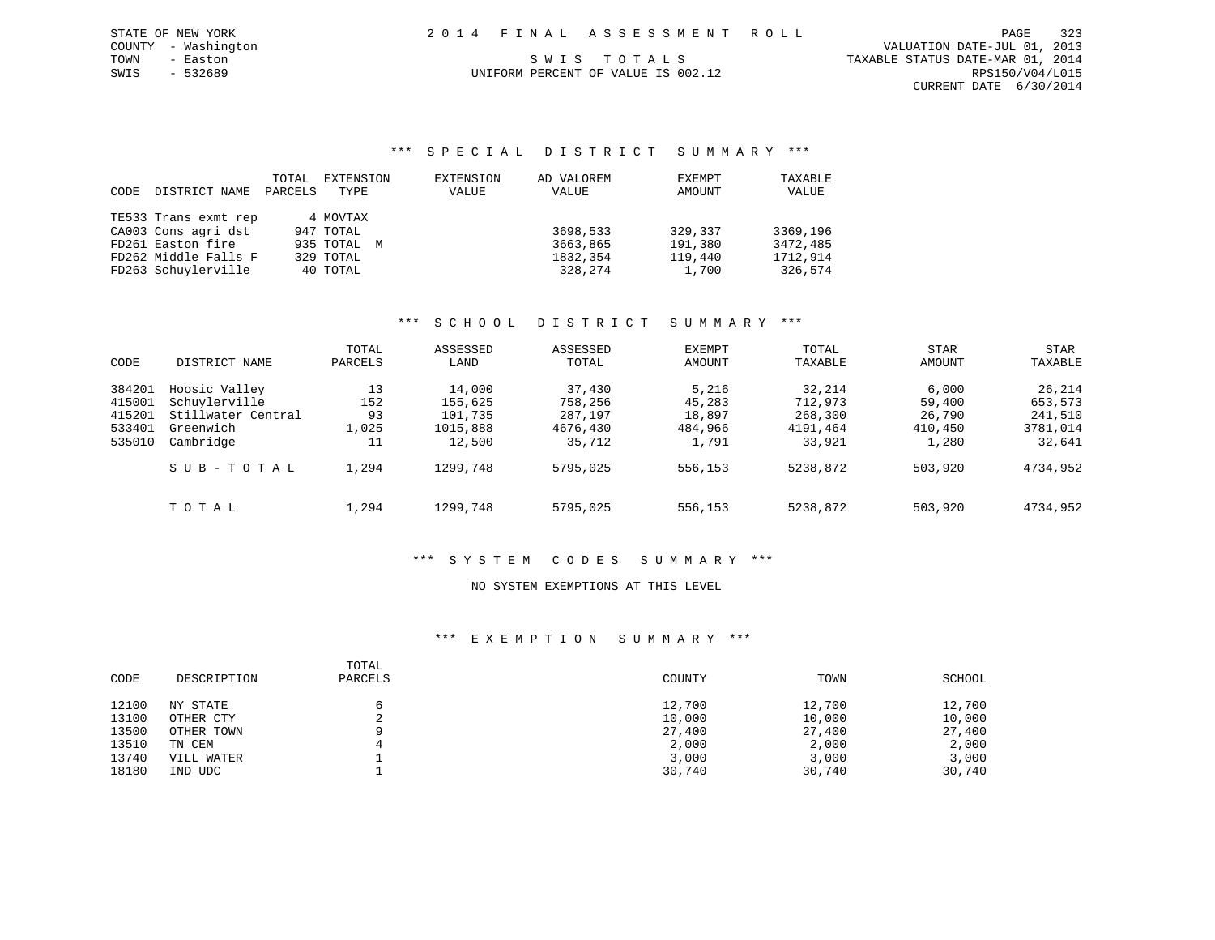| STATE OF NEW YORK   | 2014 FINAL ASSESSMENT ROLL         | 323<br>PAGE                      |
|---------------------|------------------------------------|----------------------------------|
| COUNTY - Washington |                                    | VALUATION DATE-JUL 01, 2013      |
| TOWN<br>- Easton    | SWIS TOTALS                        | TAXABLE STATUS DATE-MAR 01, 2014 |
| SWIS<br>- 532689    | UNIFORM PERCENT OF VALUE IS 002.12 | RPS150/V04/L015                  |
|                     |                                    | CURRENT DATE 6/30/2014           |
|                     |                                    |                                  |

#### \*\*\* S P E C I A L D I S T R I C T S U M M A R Y \*\*\*

| CODE | DISTRICT NAME        | TOTAL<br>PARCELS | EXTENSION<br>TYPE | EXTENSION<br>VALUE | AD VALOREM<br>VALUE | EXEMPT<br>AMOUNT | TAXABLE<br>VALUE |
|------|----------------------|------------------|-------------------|--------------------|---------------------|------------------|------------------|
|      | TE533 Trans exmt rep |                  | 4 MOVTAX          |                    |                     |                  |                  |
|      | CA003 Cons agri dst  |                  | 947 TOTAL         |                    | 3698,533            | 329,337          | 3369,196         |
|      | FD261 Easton fire    |                  | 935 TOTAL M       |                    | 3663,865            | 191,380          | 3472,485         |
|      | FD262 Middle Falls F |                  | 329 TOTAL         |                    | 1832,354            | 119,440          | 1712,914         |
|      | FD263 Schuylerville  |                  | 40 TOTAL          |                    | 328,274             | 1,700            | 326,574          |

### \*\*\* S C H O O L D I S T R I C T S U M M A R Y \*\*\*

| CODE                                           | DISTRICT NAME                                                                  | TOTAL<br>PARCELS               | ASSESSED<br>LAND                                   | ASSESSED<br>TOTAL                                  | <b>EXEMPT</b><br>AMOUNT                       | TOTAL<br>TAXABLE                                   | STAR<br>AMOUNT                                | STAR<br>TAXABLE                                    |
|------------------------------------------------|--------------------------------------------------------------------------------|--------------------------------|----------------------------------------------------|----------------------------------------------------|-----------------------------------------------|----------------------------------------------------|-----------------------------------------------|----------------------------------------------------|
| 384201<br>415001<br>415201<br>533401<br>535010 | Hoosic Valley<br>Schuylerville<br>Stillwater Central<br>Greenwich<br>Cambridge | 13<br>152<br>93<br>1,025<br>11 | 14,000<br>155,625<br>101,735<br>1015,888<br>12,500 | 37,430<br>758,256<br>287,197<br>4676,430<br>35,712 | 5,216<br>45,283<br>18,897<br>484,966<br>1,791 | 32,214<br>712,973<br>268,300<br>4191,464<br>33,921 | 6,000<br>59,400<br>26,790<br>410,450<br>1,280 | 26,214<br>653,573<br>241,510<br>3781,014<br>32,641 |
|                                                | SUB-TOTAL                                                                      | 1,294                          | 1299,748                                           | 5795,025                                           | 556,153                                       | 5238,872                                           | 503,920                                       | 4734,952                                           |
|                                                | TOTAL                                                                          | 1,294                          | 1299,748                                           | 5795,025                                           | 556,153                                       | 5238,872                                           | 503,920                                       | 4734,952                                           |

### \*\*\* S Y S T E M C O D E S S U M M A R Y \*\*\*

#### NO SYSTEM EXEMPTIONS AT THIS LEVEL

#### \*\*\* E X E M P T I O N S U M M A R Y \*\*\*

| CODE  | DESCRIPTION | TOTAL<br>PARCELS | COUNTY | TOWN   | SCHOOL |
|-------|-------------|------------------|--------|--------|--------|
| 12100 | NY STATE    |                  | 12,700 | 12,700 | 12,700 |
| 13100 | OTHER CTY   | $\sim$           | 10,000 | 10,000 | 10,000 |
| 13500 | OTHER TOWN  | a                | 27,400 | 27,400 | 27,400 |
| 13510 | TN CEM      |                  | 2,000  | 2,000  | 2,000  |
| 13740 | VILL WATER  |                  | 3,000  | 3,000  | 3,000  |
| 18180 | IND UDC     |                  | 30,740 | 30,740 | 30,740 |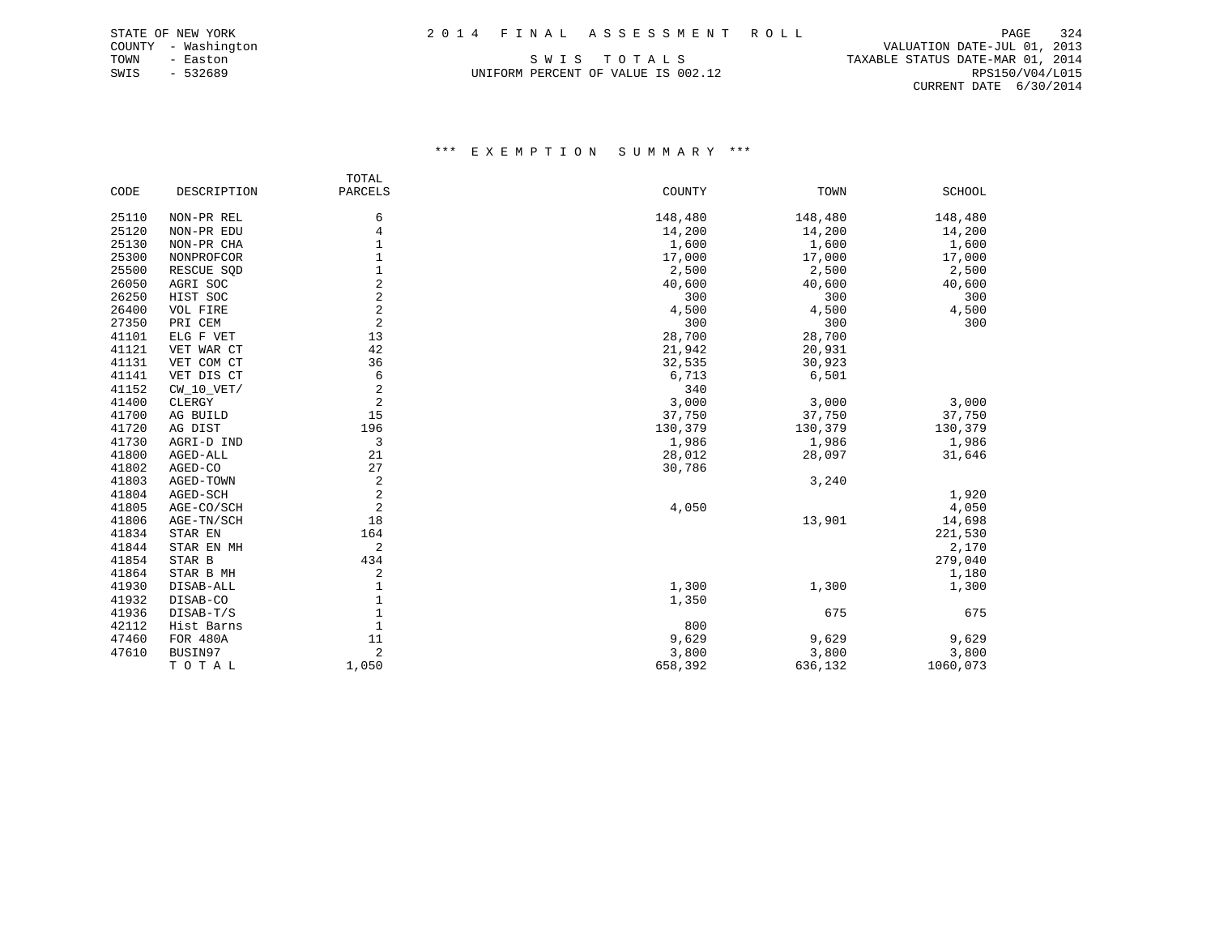TOWN - Easton SWIS TO TALS TO THE STATUS DATE-MAR 01, 2014<br>SWIS - 532689 SWIS - 532689 UNIFORM PERCENT OF VALUE IS 002.12 RPS150/V04/L015

 COUNTY - Washington VALUATION DATE-JUL 01, 2013 CURRENT DATE 6/30/2014

#### \*\*\* E X E M P T I O N S U M M A R Y \*\*\*

|       |              | TOTAL          |         |         |          |
|-------|--------------|----------------|---------|---------|----------|
| CODE  | DESCRIPTION  | PARCELS        | COUNTY  | TOWN    | SCHOOL   |
| 25110 | NON-PR REL   | 6              | 148,480 | 148,480 | 148,480  |
| 25120 | NON-PR EDU   | 4              | 14,200  | 14,200  | 14,200   |
| 25130 | NON-PR CHA   | 1              | 1,600   | 1,600   | 1,600    |
| 25300 | NONPROFCOR   | 1              | 17,000  | 17,000  | 17,000   |
| 25500 | RESCUE SQD   | $\mathbf{1}$   | 2,500   | 2,500   | 2,500    |
| 26050 | AGRI SOC     | 2              | 40,600  | 40,600  | 40,600   |
| 26250 | HIST SOC     | 2              | 300     | 300     | 300      |
| 26400 | VOL FIRE     | 2              | 4,500   | 4,500   | 4,500    |
| 27350 | PRI CEM      | 2              | 300     | 300     | 300      |
| 41101 | ELG F VET    | 13             | 28,700  | 28,700  |          |
| 41121 | VET WAR CT   | 42             | 21,942  | 20,931  |          |
| 41131 | VET COM CT   | 36             | 32,535  | 30,923  |          |
| 41141 | VET DIS CT   | 6              | 6,713   | 6,501   |          |
| 41152 | $CW_10_VET/$ | $\overline{2}$ | 340     |         |          |
| 41400 | CLERGY       | $\overline{2}$ | 3,000   | 3,000   | 3,000    |
| 41700 | AG BUILD     | 15             | 37,750  | 37,750  | 37,750   |
| 41720 | AG DIST      | 196            | 130,379 | 130,379 | 130,379  |
| 41730 | AGRI-D IND   | 3              | 1,986   | 1,986   | 1,986    |
| 41800 | AGED-ALL     | 21             | 28,012  | 28,097  | 31,646   |
| 41802 | AGED-CO      | 27             | 30,786  |         |          |
| 41803 | AGED-TOWN    | $\overline{2}$ |         | 3,240   |          |
| 41804 | AGED-SCH     | $\overline{c}$ |         |         | 1,920    |
| 41805 | AGE-CO/SCH   | $\overline{a}$ | 4,050   |         | 4,050    |
| 41806 | AGE-TN/SCH   | 18             |         | 13,901  | 14,698   |
| 41834 | STAR EN      | 164            |         |         | 221,530  |
| 41844 | STAR EN MH   | 2              |         |         | 2,170    |
| 41854 | STAR B       | 434            |         |         | 279,040  |
| 41864 | STAR B MH    | 2              |         |         | 1,180    |
| 41930 | DISAB-ALL    | 1              | 1,300   | 1,300   | 1,300    |
| 41932 | DISAB-CO     | 1              | 1,350   |         |          |
| 41936 | DISAB-T/S    | 1              |         | 675     | 675      |
| 42112 | Hist Barns   | 1              | 800     |         |          |
| 47460 | FOR 480A     | 11             | 9,629   | 9,629   | 9,629    |
| 47610 | BUSIN97      | 2              | 3,800   | 3,800   | 3,800    |
|       | TOTAL        | 1,050          | 658,392 | 636,132 | 1060,073 |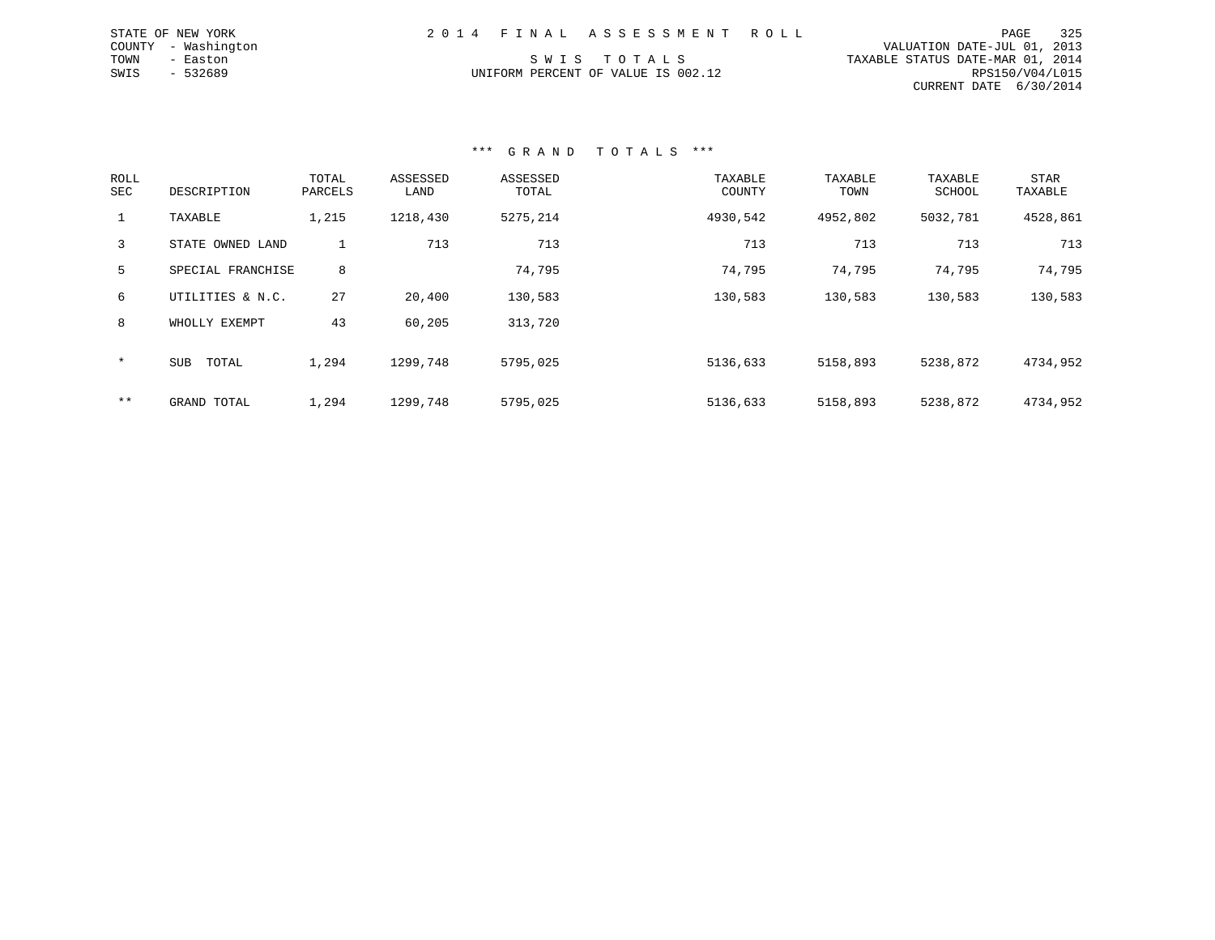|      | STATE OF NEW YORK   |  | 2014 FINAL ASSESSMENT ROLL         |  |                                  | PAGE            | 325 |
|------|---------------------|--|------------------------------------|--|----------------------------------|-----------------|-----|
|      | COUNTY - Washington |  |                                    |  | VALUATION DATE-JUL 01, 2013      |                 |     |
| TOWN | - Easton            |  | SWIS TOTALS                        |  | TAXABLE STATUS DATE-MAR 01, 2014 |                 |     |
| SWIS | $-532689$           |  | UNIFORM PERCENT OF VALUE IS 002.12 |  |                                  | RPS150/V04/L015 |     |
|      |                     |  |                                    |  | CURRENT DATE 6/30/2014           |                 |     |

### \*\*\* G R A N D T O T A L S \*\*\*

| ROLL<br><b>SEC</b> | DESCRIPTION         | TOTAL<br>PARCELS | ASSESSED<br>LAND | ASSESSED<br>TOTAL | TAXABLE<br>COUNTY | TAXABLE<br>TOWN | TAXABLE<br>SCHOOL | STAR<br>TAXABLE |
|--------------------|---------------------|------------------|------------------|-------------------|-------------------|-----------------|-------------------|-----------------|
|                    | TAXABLE             | 1,215            | 1218,430         | 5275,214          | 4930,542          | 4952,802        | 5032,781          | 4528,861        |
| 3                  | STATE OWNED LAND    |                  | 713              | 713               | 713               | 713             | 713               | 713             |
| 5                  | SPECIAL FRANCHISE   | 8                |                  | 74,795            | 74,795            | 74,795          | 74,795            | 74,795          |
| 6                  | UTILITIES & N.C.    | 27               | 20,400           | 130,583           | 130,583           | 130,583         | 130,583           | 130,583         |
| 8                  | WHOLLY EXEMPT       | 43               | 60,205           | 313,720           |                   |                 |                   |                 |
| $\star$            | <b>SUB</b><br>TOTAL | 1,294            | 1299,748         | 5795,025          | 5136,633          | 5158,893        | 5238,872          | 4734,952        |
| $***$              | GRAND TOTAL         | 1,294            | 1299,748         | 5795,025          | 5136,633          | 5158,893        | 5238,872          | 4734,952        |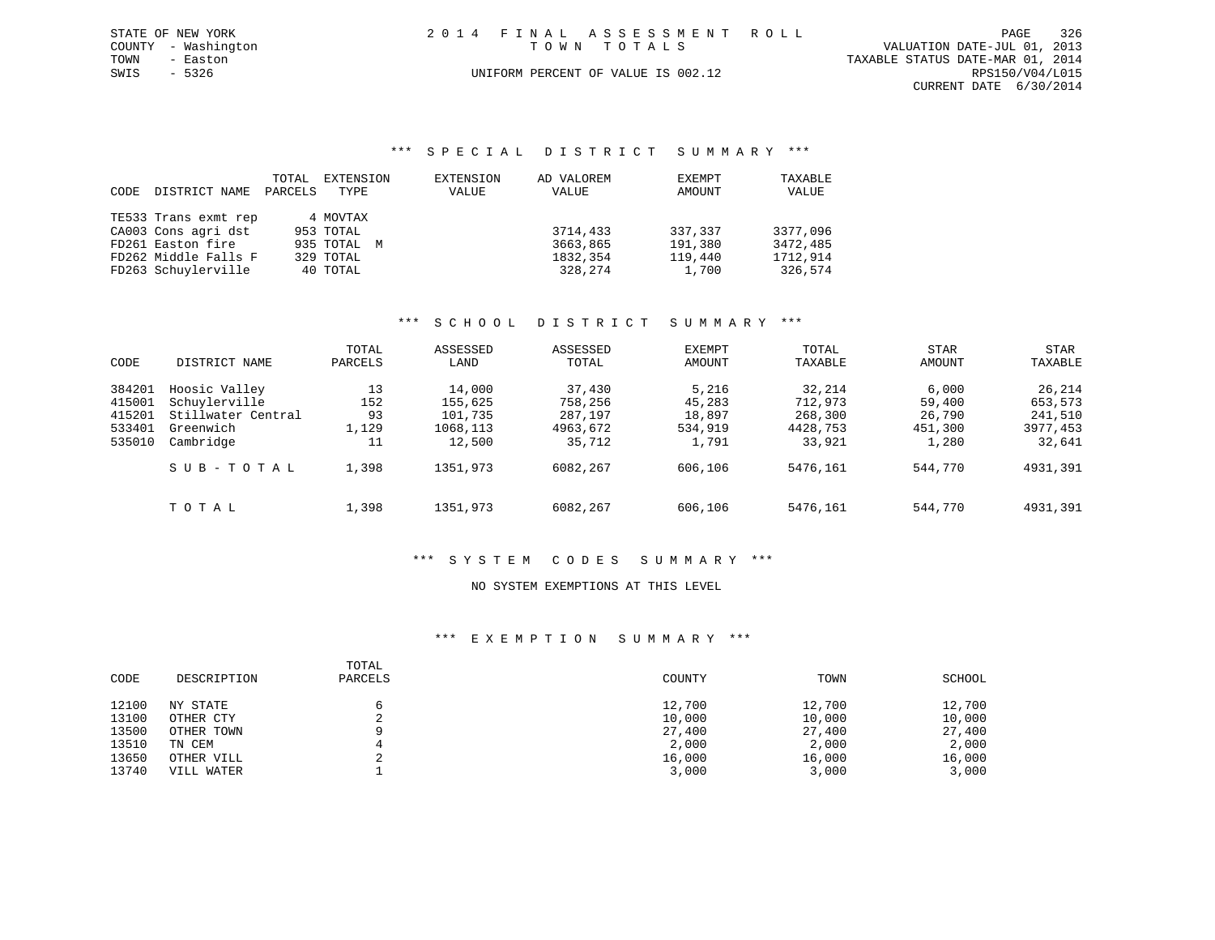| STATE OF NEW YORK   | 2014 FINAL ASSESSMENT ROLL         | 326<br>PAGE                      |
|---------------------|------------------------------------|----------------------------------|
| COUNTY - Washington | TOWN TOTALS                        | VALUATION DATE-JUL 01, 2013      |
| TOWN<br>- Easton    |                                    | TAXABLE STATUS DATE-MAR 01, 2014 |
| SWIS<br>- 5326      | UNIFORM PERCENT OF VALUE IS 002.12 | RPS150/V04/L015                  |
|                     |                                    | CURRENT DATE 6/30/2014           |

## \*\*\* S P E C I A L D I S T R I C T S U M M A R Y \*\*\*

|      |                      | TOTAL   | EXTENSION   | EXTENSION | AD VALOREM | EXEMPT  | TAXABLE  |
|------|----------------------|---------|-------------|-----------|------------|---------|----------|
| CODE | DISTRICT NAME        | PARCELS | TYPE        | VALUE     | VALUE      | AMOUNT  | VALUE    |
|      |                      |         |             |           |            |         |          |
|      | TE533 Trans exmt rep |         | 4 MOVTAX    |           |            |         |          |
|      | CA003 Cons agri dst  |         | 953 TOTAL   |           | 3714,433   | 337,337 | 3377,096 |
|      | FD261 Easton fire    |         | 935 TOTAL M |           | 3663,865   | 191,380 | 3472,485 |
|      | FD262 Middle Falls F |         | 329 TOTAL   |           | 1832,354   | 119,440 | 1712,914 |
|      | FD263 Schuylerville  |         | 40 TOTAL    |           | 328,274    | 1,700   | 326,574  |

# \*\*\* S C H O O L D I S T R I C T S U M M A R Y \*\*\*

| CODE                                           | DISTRICT NAME                                                                  | TOTAL<br>PARCELS               | ASSESSED<br>LAND                                   | ASSESSED<br>TOTAL                                  | <b>EXEMPT</b><br><b>AMOUNT</b>                | TOTAL<br>TAXABLE                                   | STAR<br>AMOUNT                                | STAR<br>TAXABLE                                    |
|------------------------------------------------|--------------------------------------------------------------------------------|--------------------------------|----------------------------------------------------|----------------------------------------------------|-----------------------------------------------|----------------------------------------------------|-----------------------------------------------|----------------------------------------------------|
| 384201<br>415001<br>415201<br>533401<br>535010 | Hoosic Valley<br>Schuylerville<br>Stillwater Central<br>Greenwich<br>Cambridge | 13<br>152<br>93<br>1,129<br>11 | 14,000<br>155,625<br>101,735<br>1068,113<br>12,500 | 37,430<br>758,256<br>287,197<br>4963,672<br>35,712 | 5,216<br>45,283<br>18,897<br>534,919<br>1,791 | 32,214<br>712,973<br>268,300<br>4428,753<br>33,921 | 6.000<br>59,400<br>26,790<br>451,300<br>1,280 | 26,214<br>653,573<br>241,510<br>3977,453<br>32,641 |
|                                                | SUB-TOTAL                                                                      | 1,398                          | 1351,973                                           | 6082,267                                           | 606,106                                       | 5476,161                                           | 544,770                                       | 4931,391                                           |
|                                                | TOTAL                                                                          | 1,398                          | 1351,973                                           | 6082,267                                           | 606,106                                       | 5476,161                                           | 544,770                                       | 4931,391                                           |

# \*\*\* S Y S T E M C O D E S S U M M A R Y \*\*\*

#### NO SYSTEM EXEMPTIONS AT THIS LEVEL

### \*\*\* E X E M P T I O N S U M M A R Y \*\*\*

| CODE  | DESCRIPTION | TOTAL<br>PARCELS | COUNTY | TOWN   | SCHOOL |
|-------|-------------|------------------|--------|--------|--------|
| 12100 | NY STATE    |                  | 12,700 | 12,700 | 12,700 |
| 13100 | OTHER CTY   | ▵                | 10,000 | 10,000 | 10,000 |
| 13500 | OTHER TOWN  |                  | 27,400 | 27,400 | 27,400 |
| 13510 | TN CEM      | 4                | 2,000  | 2,000  | 2,000  |
| 13650 | OTHER VILL  |                  | 16,000 | 16,000 | 16,000 |
| 13740 | VILL WATER  |                  | 3,000  | 3,000  | 3,000  |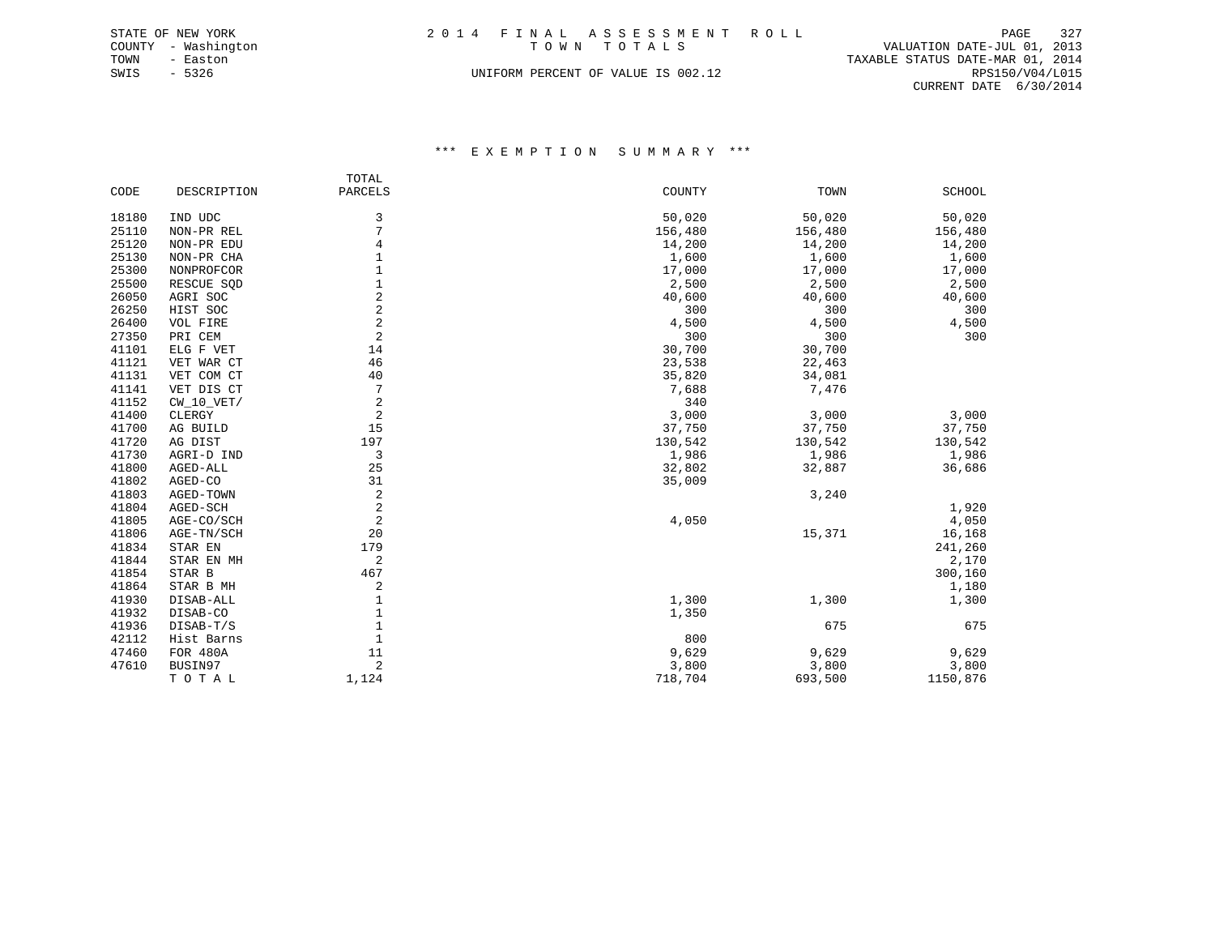|      | STATE OF NEW YORK   |                                    |  | 2014 FINAL ASSESSMENT ROLL |  |                                  | PAGE                   | 327 |
|------|---------------------|------------------------------------|--|----------------------------|--|----------------------------------|------------------------|-----|
|      | COUNTY - Washington |                                    |  | TOWN TOTALS                |  | VALUATION DATE-JUL 01, 2013      |                        |     |
| TOWN | - Easton            |                                    |  |                            |  | TAXABLE STATUS DATE-MAR 01, 2014 |                        |     |
| SWIS | - 5326              | UNIFORM PERCENT OF VALUE IS 002.12 |  |                            |  |                                  | RPS150/V04/L015        |     |
|      |                     |                                    |  |                            |  |                                  | CURRENT DATE 6/30/2014 |     |

\*\*\* E X E M P T I O N S U M M A R Y \*\*\*

|       |              | TOTAL          |         |         |          |
|-------|--------------|----------------|---------|---------|----------|
| CODE  | DESCRIPTION  | <b>PARCELS</b> | COUNTY  | TOWN    | SCHOOL   |
|       |              |                |         |         |          |
| 18180 | IND UDC      | 3              | 50,020  | 50,020  | 50,020   |
| 25110 | NON-PR REL   | 7              | 156,480 | 156,480 | 156,480  |
| 25120 | NON-PR EDU   | 4              | 14,200  | 14,200  | 14,200   |
| 25130 | NON-PR CHA   | 1              | 1,600   | 1,600   | 1,600    |
| 25300 | NONPROFCOR   | 1              | 17,000  | 17,000  | 17,000   |
| 25500 | RESCUE SQD   | $\mathbf{1}$   | 2,500   | 2,500   | 2,500    |
| 26050 | AGRI SOC     | $\overline{c}$ | 40,600  | 40,600  | 40,600   |
| 26250 | HIST SOC     | $\overline{c}$ | 300     | 300     | 300      |
| 26400 | VOL FIRE     | $\overline{2}$ | 4,500   | 4,500   | 4,500    |
| 27350 | PRI CEM      | $\overline{c}$ | 300     | 300     | 300      |
| 41101 | ELG F VET    | 14             | 30,700  | 30,700  |          |
| 41121 | VET WAR CT   | 46             | 23,538  | 22,463  |          |
| 41131 | VET COM CT   | 40             | 35,820  | 34,081  |          |
| 41141 | VET DIS CT   | 7              | 7,688   | 7,476   |          |
| 41152 | $CW_10_VET/$ | 2              | 340     |         |          |
| 41400 | CLERGY       | $\overline{2}$ | 3,000   | 3,000   | 3,000    |
| 41700 | AG BUILD     | 15             | 37,750  | 37,750  | 37,750   |
| 41720 | AG DIST      | 197            | 130,542 | 130,542 | 130,542  |
| 41730 | AGRI-D IND   | 3              | 1,986   | 1,986   | 1,986    |
| 41800 | AGED-ALL     | 25             | 32,802  | 32,887  | 36,686   |
| 41802 | AGED-CO      | 31             | 35,009  |         |          |
| 41803 | AGED-TOWN    | 2              |         | 3,240   |          |
| 41804 | AGED-SCH     | 2              |         |         | 1,920    |
| 41805 | AGE-CO/SCH   | 2              | 4,050   |         | 4,050    |
| 41806 | AGE-TN/SCH   | 20             |         | 15,371  | 16,168   |
| 41834 | STAR EN      | 179            |         |         | 241,260  |
| 41844 | STAR EN MH   | 2              |         |         | 2,170    |
| 41854 | STAR B       | 467            |         |         | 300,160  |
| 41864 | STAR B MH    | 2              |         |         | 1,180    |
| 41930 | DISAB-ALL    | 1              | 1,300   | 1,300   | 1,300    |
| 41932 | DISAB-CO     | $\mathbf{1}$   | 1,350   |         |          |
| 41936 | DISAB-T/S    | $\mathbf{1}$   |         | 675     | 675      |
| 42112 | Hist Barns   | $\mathbf{1}$   | 800     |         |          |
| 47460 | FOR 480A     | 11             | 9,629   | 9,629   | 9,629    |
| 47610 | BUSIN97      | $\overline{2}$ | 3,800   | 3,800   | 3,800    |
|       | TOTAL        | 1,124          | 718,704 | 693,500 | 1150,876 |